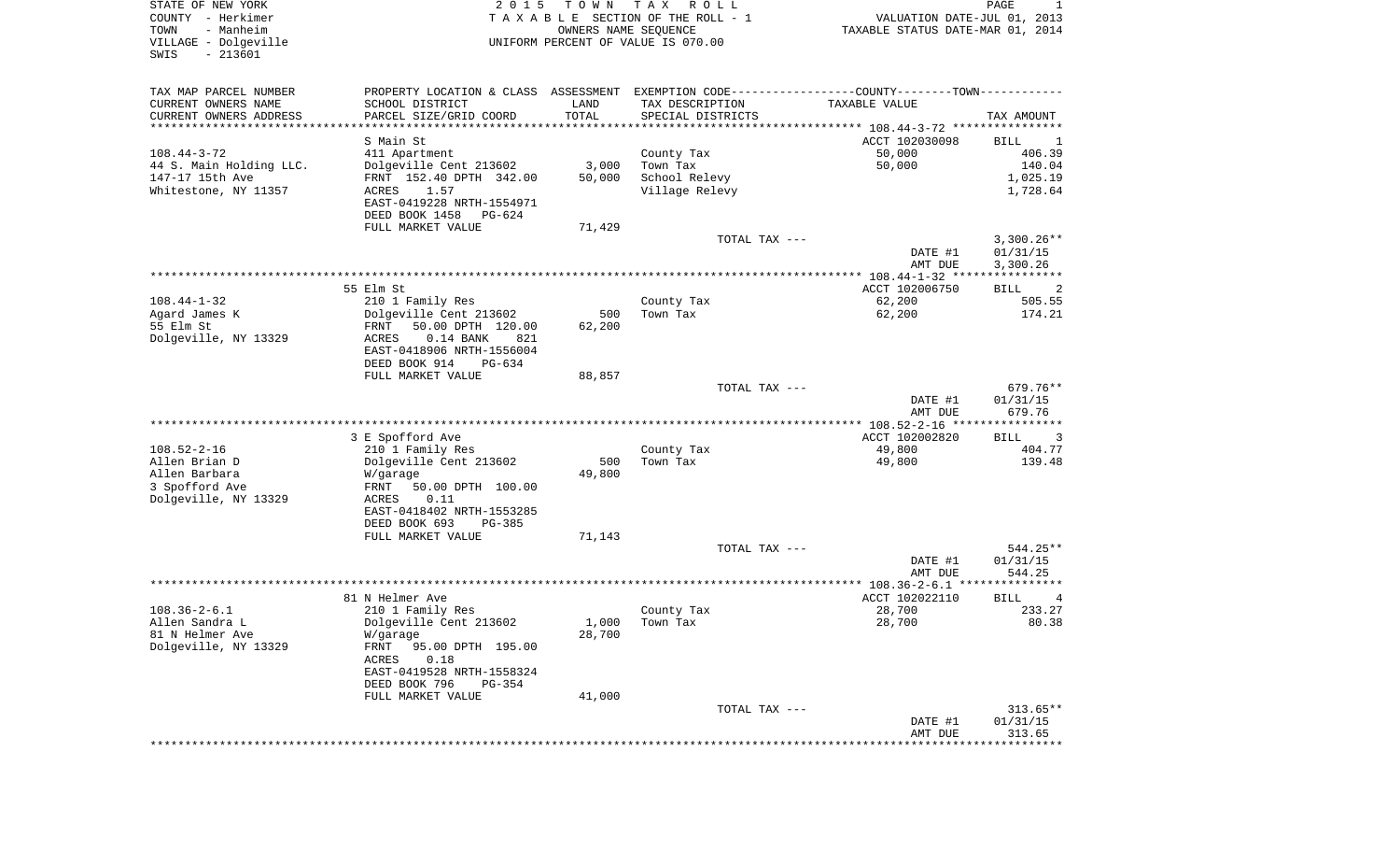| PROPERTY LOCATION & CLASS ASSESSMENT EXEMPTION CODE----------------COUNTY-------TOWN----------<br>SCHOOL DISTRICT<br>LAND<br>TAX DESCRIPTION<br>TAXABLE VALUE<br>TOTAL<br>CURRENT OWNERS ADDRESS<br>PARCEL SIZE/GRID COORD<br>SPECIAL DISTRICTS<br>TAX AMOUNT<br>*******************<br>*********************<br>********************************* 108.44-3-72 ****************<br>S Main St<br>ACCT 102030098<br>BILL<br>1<br>$108.44 - 3 - 72$<br>50,000<br>406.39<br>County Tax<br>411 Apartment<br>50,000<br>Dolgeville Cent 213602<br>3,000<br>Town Tax<br>140.04<br>School Relevy<br>FRNT 152.40 DPTH 342.00<br>50,000<br>1,025.19<br>1,728.64<br>ACRES<br>1.57<br>Village Relevy<br>EAST-0419228 NRTH-1554971<br>DEED BOOK 1458<br>PG-624<br>FULL MARKET VALUE<br>71,429<br>TOTAL TAX ---<br>$3,300.26**$<br>DATE #1<br>01/31/15<br>3,300.26<br>AMT DUE<br>55 Elm St<br>ACCT 102006750<br>2<br>BILL<br>$108.44 - 1 - 32$<br>62,200<br>505.55<br>210 1 Family Res<br>County Tax<br>Agard James K<br>Dolgeville Cent 213602<br>62,200<br>174.21<br>500<br>Town Tax<br>55 Elm St<br>50.00 DPTH 120.00<br>62,200<br>FRNT<br>Dolgeville, NY 13329<br>ACRES<br>$0.14$ BANK<br>821<br>EAST-0418906 NRTH-1556004<br>DEED BOOK 914<br>PG-634<br>FULL MARKET VALUE<br>88,857<br>TOTAL TAX ---<br>679.76**<br>DATE #1<br>01/31/15<br>679.76<br>AMT DUE<br>3 E Spofford Ave<br>ACCT 102002820<br>BILL<br>3<br>210 1 Family Res<br>County Tax<br>49,800<br>404.77<br>Dolgeville Cent 213602<br>500<br>49,800<br>139.48<br>Town Tax<br>Allen Barbara<br>49,800<br>W/garage<br>3 Spofford Ave<br>FRNT<br>50.00 DPTH 100.00<br>Dolgeville, NY 13329<br>ACRES<br>0.11<br>EAST-0418402 NRTH-1553285<br>DEED BOOK 693<br>PG-385<br>FULL MARKET VALUE<br>71,143<br>TOTAL TAX ---<br>544.25**<br>DATE #1<br>01/31/15<br>544.25<br>AMT DUE<br>81 N Helmer Ave<br>ACCT 102022110<br>BILL<br>4<br>28,700<br>233.27<br>210 1 Family Res<br>County Tax<br>28,700<br>80.38<br>Dolgeville Cent 213602<br>$1,000$ Town Tax<br>81 N Helmer Ave<br>28,700<br>W/garage<br>Dolgeville, NY 13329<br><b>FRNT</b><br>95.00 DPTH 195.00<br>0.18<br>ACRES<br>EAST-0419528 NRTH-1558324<br>DEED BOOK 796<br>PG-354<br>FULL MARKET VALUE<br>41,000<br>TOTAL TAX ---<br>$313.65**$<br>DATE #1<br>01/31/15<br>313.65<br>AMT DUE | STATE OF NEW YORK<br>COUNTY - Herkimer<br>- Manheim<br>TOWN<br>VILLAGE - Dolgeville<br>$-213601$<br>SWIS | 2 0 1 5 | T O W N<br>OWNERS NAME SEQUENCE | T A X<br>R O L L<br>TAXABLE SECTION OF THE ROLL - 1<br>UNIFORM PERCENT OF VALUE IS 070.00 | VALUATION DATE-JUL 01, 2013<br>TAXABLE STATUS DATE-MAR 01, 2014 | PAGE<br>1 |
|----------------------------------------------------------------------------------------------------------------------------------------------------------------------------------------------------------------------------------------------------------------------------------------------------------------------------------------------------------------------------------------------------------------------------------------------------------------------------------------------------------------------------------------------------------------------------------------------------------------------------------------------------------------------------------------------------------------------------------------------------------------------------------------------------------------------------------------------------------------------------------------------------------------------------------------------------------------------------------------------------------------------------------------------------------------------------------------------------------------------------------------------------------------------------------------------------------------------------------------------------------------------------------------------------------------------------------------------------------------------------------------------------------------------------------------------------------------------------------------------------------------------------------------------------------------------------------------------------------------------------------------------------------------------------------------------------------------------------------------------------------------------------------------------------------------------------------------------------------------------------------------------------------------------------------------------------------------------------------------------------------------------------------------------------------------------------------------------------------------------------------------------------------------------------------------------------------------------------------------------------------------------------------------------|----------------------------------------------------------------------------------------------------------|---------|---------------------------------|-------------------------------------------------------------------------------------------|-----------------------------------------------------------------|-----------|
|                                                                                                                                                                                                                                                                                                                                                                                                                                                                                                                                                                                                                                                                                                                                                                                                                                                                                                                                                                                                                                                                                                                                                                                                                                                                                                                                                                                                                                                                                                                                                                                                                                                                                                                                                                                                                                                                                                                                                                                                                                                                                                                                                                                                                                                                                              | TAX MAP PARCEL NUMBER                                                                                    |         |                                 |                                                                                           |                                                                 |           |
|                                                                                                                                                                                                                                                                                                                                                                                                                                                                                                                                                                                                                                                                                                                                                                                                                                                                                                                                                                                                                                                                                                                                                                                                                                                                                                                                                                                                                                                                                                                                                                                                                                                                                                                                                                                                                                                                                                                                                                                                                                                                                                                                                                                                                                                                                              | CURRENT OWNERS NAME                                                                                      |         |                                 |                                                                                           |                                                                 |           |
|                                                                                                                                                                                                                                                                                                                                                                                                                                                                                                                                                                                                                                                                                                                                                                                                                                                                                                                                                                                                                                                                                                                                                                                                                                                                                                                                                                                                                                                                                                                                                                                                                                                                                                                                                                                                                                                                                                                                                                                                                                                                                                                                                                                                                                                                                              |                                                                                                          |         |                                 |                                                                                           |                                                                 |           |
|                                                                                                                                                                                                                                                                                                                                                                                                                                                                                                                                                                                                                                                                                                                                                                                                                                                                                                                                                                                                                                                                                                                                                                                                                                                                                                                                                                                                                                                                                                                                                                                                                                                                                                                                                                                                                                                                                                                                                                                                                                                                                                                                                                                                                                                                                              |                                                                                                          |         |                                 |                                                                                           |                                                                 |           |
|                                                                                                                                                                                                                                                                                                                                                                                                                                                                                                                                                                                                                                                                                                                                                                                                                                                                                                                                                                                                                                                                                                                                                                                                                                                                                                                                                                                                                                                                                                                                                                                                                                                                                                                                                                                                                                                                                                                                                                                                                                                                                                                                                                                                                                                                                              |                                                                                                          |         |                                 |                                                                                           |                                                                 |           |
|                                                                                                                                                                                                                                                                                                                                                                                                                                                                                                                                                                                                                                                                                                                                                                                                                                                                                                                                                                                                                                                                                                                                                                                                                                                                                                                                                                                                                                                                                                                                                                                                                                                                                                                                                                                                                                                                                                                                                                                                                                                                                                                                                                                                                                                                                              | 44 S. Main Holding LLC.                                                                                  |         |                                 |                                                                                           |                                                                 |           |
|                                                                                                                                                                                                                                                                                                                                                                                                                                                                                                                                                                                                                                                                                                                                                                                                                                                                                                                                                                                                                                                                                                                                                                                                                                                                                                                                                                                                                                                                                                                                                                                                                                                                                                                                                                                                                                                                                                                                                                                                                                                                                                                                                                                                                                                                                              | 147-17 15th Ave                                                                                          |         |                                 |                                                                                           |                                                                 |           |
|                                                                                                                                                                                                                                                                                                                                                                                                                                                                                                                                                                                                                                                                                                                                                                                                                                                                                                                                                                                                                                                                                                                                                                                                                                                                                                                                                                                                                                                                                                                                                                                                                                                                                                                                                                                                                                                                                                                                                                                                                                                                                                                                                                                                                                                                                              | Whitestone, NY 11357                                                                                     |         |                                 |                                                                                           |                                                                 |           |
|                                                                                                                                                                                                                                                                                                                                                                                                                                                                                                                                                                                                                                                                                                                                                                                                                                                                                                                                                                                                                                                                                                                                                                                                                                                                                                                                                                                                                                                                                                                                                                                                                                                                                                                                                                                                                                                                                                                                                                                                                                                                                                                                                                                                                                                                                              |                                                                                                          |         |                                 |                                                                                           |                                                                 |           |
|                                                                                                                                                                                                                                                                                                                                                                                                                                                                                                                                                                                                                                                                                                                                                                                                                                                                                                                                                                                                                                                                                                                                                                                                                                                                                                                                                                                                                                                                                                                                                                                                                                                                                                                                                                                                                                                                                                                                                                                                                                                                                                                                                                                                                                                                                              |                                                                                                          |         |                                 |                                                                                           |                                                                 |           |
|                                                                                                                                                                                                                                                                                                                                                                                                                                                                                                                                                                                                                                                                                                                                                                                                                                                                                                                                                                                                                                                                                                                                                                                                                                                                                                                                                                                                                                                                                                                                                                                                                                                                                                                                                                                                                                                                                                                                                                                                                                                                                                                                                                                                                                                                                              |                                                                                                          |         |                                 |                                                                                           |                                                                 |           |
|                                                                                                                                                                                                                                                                                                                                                                                                                                                                                                                                                                                                                                                                                                                                                                                                                                                                                                                                                                                                                                                                                                                                                                                                                                                                                                                                                                                                                                                                                                                                                                                                                                                                                                                                                                                                                                                                                                                                                                                                                                                                                                                                                                                                                                                                                              |                                                                                                          |         |                                 |                                                                                           |                                                                 |           |
|                                                                                                                                                                                                                                                                                                                                                                                                                                                                                                                                                                                                                                                                                                                                                                                                                                                                                                                                                                                                                                                                                                                                                                                                                                                                                                                                                                                                                                                                                                                                                                                                                                                                                                                                                                                                                                                                                                                                                                                                                                                                                                                                                                                                                                                                                              |                                                                                                          |         |                                 |                                                                                           |                                                                 |           |
|                                                                                                                                                                                                                                                                                                                                                                                                                                                                                                                                                                                                                                                                                                                                                                                                                                                                                                                                                                                                                                                                                                                                                                                                                                                                                                                                                                                                                                                                                                                                                                                                                                                                                                                                                                                                                                                                                                                                                                                                                                                                                                                                                                                                                                                                                              |                                                                                                          |         |                                 |                                                                                           |                                                                 |           |
|                                                                                                                                                                                                                                                                                                                                                                                                                                                                                                                                                                                                                                                                                                                                                                                                                                                                                                                                                                                                                                                                                                                                                                                                                                                                                                                                                                                                                                                                                                                                                                                                                                                                                                                                                                                                                                                                                                                                                                                                                                                                                                                                                                                                                                                                                              |                                                                                                          |         |                                 |                                                                                           |                                                                 |           |
|                                                                                                                                                                                                                                                                                                                                                                                                                                                                                                                                                                                                                                                                                                                                                                                                                                                                                                                                                                                                                                                                                                                                                                                                                                                                                                                                                                                                                                                                                                                                                                                                                                                                                                                                                                                                                                                                                                                                                                                                                                                                                                                                                                                                                                                                                              |                                                                                                          |         |                                 |                                                                                           |                                                                 |           |
|                                                                                                                                                                                                                                                                                                                                                                                                                                                                                                                                                                                                                                                                                                                                                                                                                                                                                                                                                                                                                                                                                                                                                                                                                                                                                                                                                                                                                                                                                                                                                                                                                                                                                                                                                                                                                                                                                                                                                                                                                                                                                                                                                                                                                                                                                              |                                                                                                          |         |                                 |                                                                                           |                                                                 |           |
|                                                                                                                                                                                                                                                                                                                                                                                                                                                                                                                                                                                                                                                                                                                                                                                                                                                                                                                                                                                                                                                                                                                                                                                                                                                                                                                                                                                                                                                                                                                                                                                                                                                                                                                                                                                                                                                                                                                                                                                                                                                                                                                                                                                                                                                                                              |                                                                                                          |         |                                 |                                                                                           |                                                                 |           |
|                                                                                                                                                                                                                                                                                                                                                                                                                                                                                                                                                                                                                                                                                                                                                                                                                                                                                                                                                                                                                                                                                                                                                                                                                                                                                                                                                                                                                                                                                                                                                                                                                                                                                                                                                                                                                                                                                                                                                                                                                                                                                                                                                                                                                                                                                              |                                                                                                          |         |                                 |                                                                                           |                                                                 |           |
|                                                                                                                                                                                                                                                                                                                                                                                                                                                                                                                                                                                                                                                                                                                                                                                                                                                                                                                                                                                                                                                                                                                                                                                                                                                                                                                                                                                                                                                                                                                                                                                                                                                                                                                                                                                                                                                                                                                                                                                                                                                                                                                                                                                                                                                                                              |                                                                                                          |         |                                 |                                                                                           |                                                                 |           |
|                                                                                                                                                                                                                                                                                                                                                                                                                                                                                                                                                                                                                                                                                                                                                                                                                                                                                                                                                                                                                                                                                                                                                                                                                                                                                                                                                                                                                                                                                                                                                                                                                                                                                                                                                                                                                                                                                                                                                                                                                                                                                                                                                                                                                                                                                              |                                                                                                          |         |                                 |                                                                                           |                                                                 |           |
|                                                                                                                                                                                                                                                                                                                                                                                                                                                                                                                                                                                                                                                                                                                                                                                                                                                                                                                                                                                                                                                                                                                                                                                                                                                                                                                                                                                                                                                                                                                                                                                                                                                                                                                                                                                                                                                                                                                                                                                                                                                                                                                                                                                                                                                                                              |                                                                                                          |         |                                 |                                                                                           |                                                                 |           |
|                                                                                                                                                                                                                                                                                                                                                                                                                                                                                                                                                                                                                                                                                                                                                                                                                                                                                                                                                                                                                                                                                                                                                                                                                                                                                                                                                                                                                                                                                                                                                                                                                                                                                                                                                                                                                                                                                                                                                                                                                                                                                                                                                                                                                                                                                              |                                                                                                          |         |                                 |                                                                                           |                                                                 |           |
|                                                                                                                                                                                                                                                                                                                                                                                                                                                                                                                                                                                                                                                                                                                                                                                                                                                                                                                                                                                                                                                                                                                                                                                                                                                                                                                                                                                                                                                                                                                                                                                                                                                                                                                                                                                                                                                                                                                                                                                                                                                                                                                                                                                                                                                                                              |                                                                                                          |         |                                 |                                                                                           |                                                                 |           |
|                                                                                                                                                                                                                                                                                                                                                                                                                                                                                                                                                                                                                                                                                                                                                                                                                                                                                                                                                                                                                                                                                                                                                                                                                                                                                                                                                                                                                                                                                                                                                                                                                                                                                                                                                                                                                                                                                                                                                                                                                                                                                                                                                                                                                                                                                              | $108.52 - 2 - 16$                                                                                        |         |                                 |                                                                                           |                                                                 |           |
|                                                                                                                                                                                                                                                                                                                                                                                                                                                                                                                                                                                                                                                                                                                                                                                                                                                                                                                                                                                                                                                                                                                                                                                                                                                                                                                                                                                                                                                                                                                                                                                                                                                                                                                                                                                                                                                                                                                                                                                                                                                                                                                                                                                                                                                                                              | Allen Brian D                                                                                            |         |                                 |                                                                                           |                                                                 |           |
|                                                                                                                                                                                                                                                                                                                                                                                                                                                                                                                                                                                                                                                                                                                                                                                                                                                                                                                                                                                                                                                                                                                                                                                                                                                                                                                                                                                                                                                                                                                                                                                                                                                                                                                                                                                                                                                                                                                                                                                                                                                                                                                                                                                                                                                                                              |                                                                                                          |         |                                 |                                                                                           |                                                                 |           |
|                                                                                                                                                                                                                                                                                                                                                                                                                                                                                                                                                                                                                                                                                                                                                                                                                                                                                                                                                                                                                                                                                                                                                                                                                                                                                                                                                                                                                                                                                                                                                                                                                                                                                                                                                                                                                                                                                                                                                                                                                                                                                                                                                                                                                                                                                              |                                                                                                          |         |                                 |                                                                                           |                                                                 |           |
|                                                                                                                                                                                                                                                                                                                                                                                                                                                                                                                                                                                                                                                                                                                                                                                                                                                                                                                                                                                                                                                                                                                                                                                                                                                                                                                                                                                                                                                                                                                                                                                                                                                                                                                                                                                                                                                                                                                                                                                                                                                                                                                                                                                                                                                                                              |                                                                                                          |         |                                 |                                                                                           |                                                                 |           |
|                                                                                                                                                                                                                                                                                                                                                                                                                                                                                                                                                                                                                                                                                                                                                                                                                                                                                                                                                                                                                                                                                                                                                                                                                                                                                                                                                                                                                                                                                                                                                                                                                                                                                                                                                                                                                                                                                                                                                                                                                                                                                                                                                                                                                                                                                              |                                                                                                          |         |                                 |                                                                                           |                                                                 |           |
|                                                                                                                                                                                                                                                                                                                                                                                                                                                                                                                                                                                                                                                                                                                                                                                                                                                                                                                                                                                                                                                                                                                                                                                                                                                                                                                                                                                                                                                                                                                                                                                                                                                                                                                                                                                                                                                                                                                                                                                                                                                                                                                                                                                                                                                                                              |                                                                                                          |         |                                 |                                                                                           |                                                                 |           |
|                                                                                                                                                                                                                                                                                                                                                                                                                                                                                                                                                                                                                                                                                                                                                                                                                                                                                                                                                                                                                                                                                                                                                                                                                                                                                                                                                                                                                                                                                                                                                                                                                                                                                                                                                                                                                                                                                                                                                                                                                                                                                                                                                                                                                                                                                              |                                                                                                          |         |                                 |                                                                                           |                                                                 |           |
|                                                                                                                                                                                                                                                                                                                                                                                                                                                                                                                                                                                                                                                                                                                                                                                                                                                                                                                                                                                                                                                                                                                                                                                                                                                                                                                                                                                                                                                                                                                                                                                                                                                                                                                                                                                                                                                                                                                                                                                                                                                                                                                                                                                                                                                                                              |                                                                                                          |         |                                 |                                                                                           |                                                                 |           |
|                                                                                                                                                                                                                                                                                                                                                                                                                                                                                                                                                                                                                                                                                                                                                                                                                                                                                                                                                                                                                                                                                                                                                                                                                                                                                                                                                                                                                                                                                                                                                                                                                                                                                                                                                                                                                                                                                                                                                                                                                                                                                                                                                                                                                                                                                              |                                                                                                          |         |                                 |                                                                                           |                                                                 |           |
|                                                                                                                                                                                                                                                                                                                                                                                                                                                                                                                                                                                                                                                                                                                                                                                                                                                                                                                                                                                                                                                                                                                                                                                                                                                                                                                                                                                                                                                                                                                                                                                                                                                                                                                                                                                                                                                                                                                                                                                                                                                                                                                                                                                                                                                                                              |                                                                                                          |         |                                 |                                                                                           |                                                                 |           |
|                                                                                                                                                                                                                                                                                                                                                                                                                                                                                                                                                                                                                                                                                                                                                                                                                                                                                                                                                                                                                                                                                                                                                                                                                                                                                                                                                                                                                                                                                                                                                                                                                                                                                                                                                                                                                                                                                                                                                                                                                                                                                                                                                                                                                                                                                              | $108.36 - 2 - 6.1$                                                                                       |         |                                 |                                                                                           |                                                                 |           |
|                                                                                                                                                                                                                                                                                                                                                                                                                                                                                                                                                                                                                                                                                                                                                                                                                                                                                                                                                                                                                                                                                                                                                                                                                                                                                                                                                                                                                                                                                                                                                                                                                                                                                                                                                                                                                                                                                                                                                                                                                                                                                                                                                                                                                                                                                              | Allen Sandra L                                                                                           |         |                                 |                                                                                           |                                                                 |           |
|                                                                                                                                                                                                                                                                                                                                                                                                                                                                                                                                                                                                                                                                                                                                                                                                                                                                                                                                                                                                                                                                                                                                                                                                                                                                                                                                                                                                                                                                                                                                                                                                                                                                                                                                                                                                                                                                                                                                                                                                                                                                                                                                                                                                                                                                                              |                                                                                                          |         |                                 |                                                                                           |                                                                 |           |
|                                                                                                                                                                                                                                                                                                                                                                                                                                                                                                                                                                                                                                                                                                                                                                                                                                                                                                                                                                                                                                                                                                                                                                                                                                                                                                                                                                                                                                                                                                                                                                                                                                                                                                                                                                                                                                                                                                                                                                                                                                                                                                                                                                                                                                                                                              |                                                                                                          |         |                                 |                                                                                           |                                                                 |           |
|                                                                                                                                                                                                                                                                                                                                                                                                                                                                                                                                                                                                                                                                                                                                                                                                                                                                                                                                                                                                                                                                                                                                                                                                                                                                                                                                                                                                                                                                                                                                                                                                                                                                                                                                                                                                                                                                                                                                                                                                                                                                                                                                                                                                                                                                                              |                                                                                                          |         |                                 |                                                                                           |                                                                 |           |
|                                                                                                                                                                                                                                                                                                                                                                                                                                                                                                                                                                                                                                                                                                                                                                                                                                                                                                                                                                                                                                                                                                                                                                                                                                                                                                                                                                                                                                                                                                                                                                                                                                                                                                                                                                                                                                                                                                                                                                                                                                                                                                                                                                                                                                                                                              |                                                                                                          |         |                                 |                                                                                           |                                                                 |           |
|                                                                                                                                                                                                                                                                                                                                                                                                                                                                                                                                                                                                                                                                                                                                                                                                                                                                                                                                                                                                                                                                                                                                                                                                                                                                                                                                                                                                                                                                                                                                                                                                                                                                                                                                                                                                                                                                                                                                                                                                                                                                                                                                                                                                                                                                                              |                                                                                                          |         |                                 |                                                                                           |                                                                 |           |
|                                                                                                                                                                                                                                                                                                                                                                                                                                                                                                                                                                                                                                                                                                                                                                                                                                                                                                                                                                                                                                                                                                                                                                                                                                                                                                                                                                                                                                                                                                                                                                                                                                                                                                                                                                                                                                                                                                                                                                                                                                                                                                                                                                                                                                                                                              |                                                                                                          |         |                                 |                                                                                           |                                                                 |           |
|                                                                                                                                                                                                                                                                                                                                                                                                                                                                                                                                                                                                                                                                                                                                                                                                                                                                                                                                                                                                                                                                                                                                                                                                                                                                                                                                                                                                                                                                                                                                                                                                                                                                                                                                                                                                                                                                                                                                                                                                                                                                                                                                                                                                                                                                                              |                                                                                                          |         |                                 |                                                                                           |                                                                 |           |
|                                                                                                                                                                                                                                                                                                                                                                                                                                                                                                                                                                                                                                                                                                                                                                                                                                                                                                                                                                                                                                                                                                                                                                                                                                                                                                                                                                                                                                                                                                                                                                                                                                                                                                                                                                                                                                                                                                                                                                                                                                                                                                                                                                                                                                                                                              |                                                                                                          |         |                                 |                                                                                           |                                                                 |           |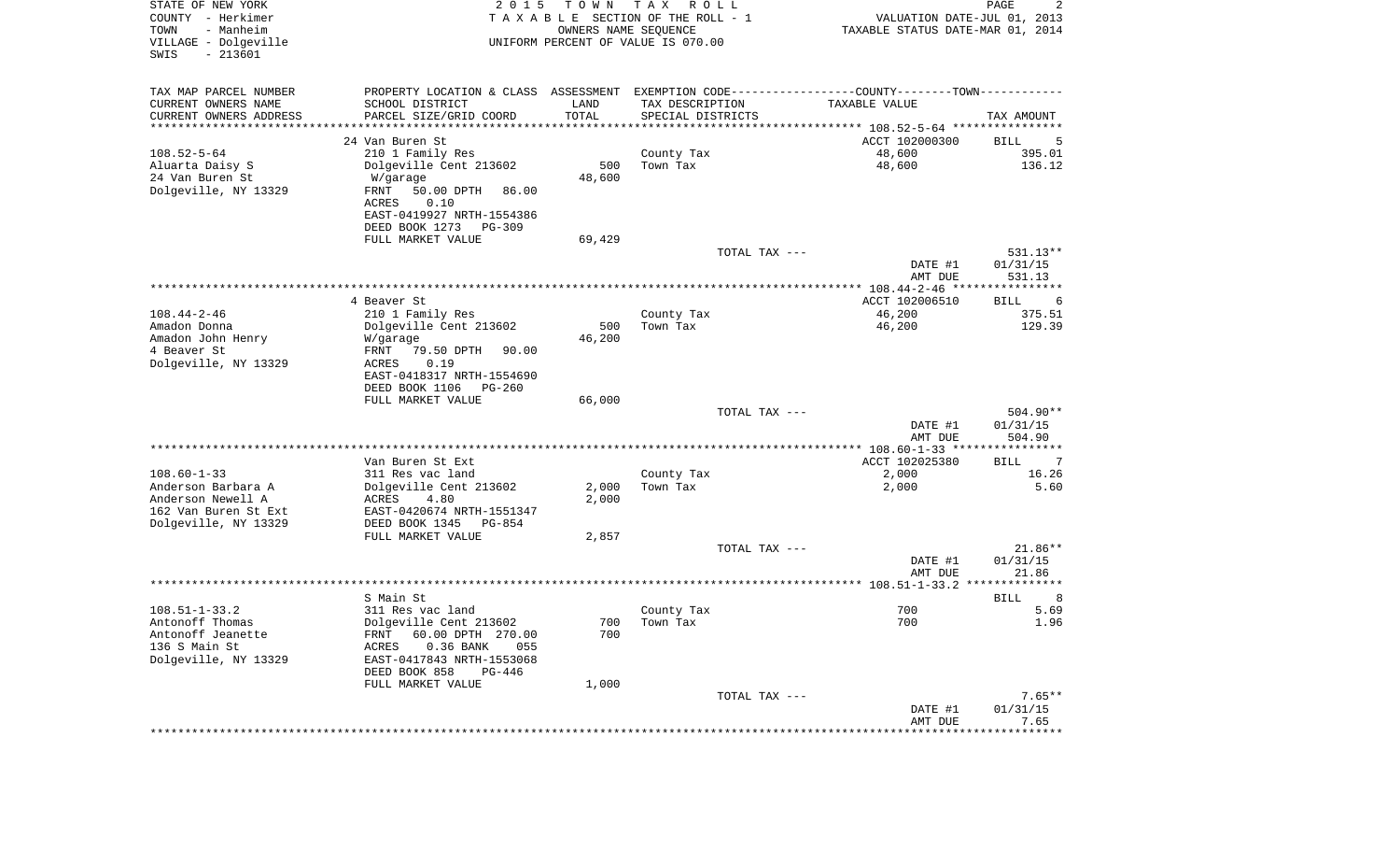| STATE OF NEW YORK<br>COUNTY - Herkimer<br>- Manheim<br>TOWN<br>VILLAGE - Dolgeville<br>$-213601$<br>SWIS | 2 0 1 5                                                  | T O W N<br>OWNERS NAME SEQUENCE | T A X<br>R O L L<br>TAXABLE SECTION OF THE ROLL - 1<br>UNIFORM PERCENT OF VALUE IS 070.00 | VALUATION DATE-JUL 01, 2013<br>TAXABLE STATUS DATE-MAR 01, 2014                               | PAGE<br>2           |
|----------------------------------------------------------------------------------------------------------|----------------------------------------------------------|---------------------------------|-------------------------------------------------------------------------------------------|-----------------------------------------------------------------------------------------------|---------------------|
| TAX MAP PARCEL NUMBER                                                                                    |                                                          |                                 |                                                                                           | PROPERTY LOCATION & CLASS ASSESSMENT EXEMPTION CODE---------------COUNTY-------TOWN---------- |                     |
| CURRENT OWNERS NAME                                                                                      | SCHOOL DISTRICT                                          | LAND                            | TAX DESCRIPTION                                                                           | TAXABLE VALUE                                                                                 |                     |
| CURRENT OWNERS ADDRESS                                                                                   | PARCEL SIZE/GRID COORD                                   | TOTAL                           | SPECIAL DISTRICTS                                                                         |                                                                                               | TAX AMOUNT          |
| ********************                                                                                     | ********************                                     | * * * * * * * * * * *           |                                                                                           | ********************************* 108.52-5-64 ****************                                |                     |
|                                                                                                          | 24 Van Buren St                                          |                                 |                                                                                           | ACCT 102000300                                                                                | BILL<br>5           |
| $108.52 - 5 - 64$<br>Aluarta Daisy S                                                                     | 210 1 Family Res                                         | 500                             | County Tax<br>Town Tax                                                                    | 48,600<br>48,600                                                                              | 395.01<br>136.12    |
| 24 Van Buren St                                                                                          | Dolgeville Cent 213602<br>W/garage                       | 48,600                          |                                                                                           |                                                                                               |                     |
| Dolgeville, NY 13329                                                                                     | FRNT<br>50.00 DPTH<br>86.00                              |                                 |                                                                                           |                                                                                               |                     |
|                                                                                                          | ACRES<br>0.10                                            |                                 |                                                                                           |                                                                                               |                     |
|                                                                                                          | EAST-0419927 NRTH-1554386                                |                                 |                                                                                           |                                                                                               |                     |
|                                                                                                          | DEED BOOK 1273<br>PG-309                                 |                                 |                                                                                           |                                                                                               |                     |
|                                                                                                          | FULL MARKET VALUE                                        | 69,429                          |                                                                                           |                                                                                               |                     |
|                                                                                                          |                                                          |                                 | TOTAL TAX ---                                                                             |                                                                                               | 531.13**            |
|                                                                                                          |                                                          |                                 |                                                                                           | DATE #1<br>AMT DUE                                                                            | 01/31/15<br>531.13  |
|                                                                                                          |                                                          |                                 |                                                                                           |                                                                                               |                     |
|                                                                                                          | 4 Beaver St                                              |                                 |                                                                                           | ACCT 102006510                                                                                | BILL<br>6           |
| $108.44 - 2 - 46$                                                                                        | 210 1 Family Res                                         |                                 | County Tax                                                                                | 46,200                                                                                        | 375.51              |
| Amadon Donna                                                                                             | Dolgeville Cent 213602                                   | 500                             | Town Tax                                                                                  | 46,200                                                                                        | 129.39              |
| Amadon John Henry                                                                                        | W/garage                                                 | 46,200                          |                                                                                           |                                                                                               |                     |
| 4 Beaver St                                                                                              | 79.50 DPTH<br>FRNT<br>90.00                              |                                 |                                                                                           |                                                                                               |                     |
| Dolgeville, NY 13329                                                                                     | ACRES<br>0.19<br>EAST-0418317 NRTH-1554690               |                                 |                                                                                           |                                                                                               |                     |
|                                                                                                          | DEED BOOK 1106<br>PG-260                                 |                                 |                                                                                           |                                                                                               |                     |
|                                                                                                          | FULL MARKET VALUE                                        | 66,000                          |                                                                                           |                                                                                               |                     |
|                                                                                                          |                                                          |                                 | TOTAL TAX ---                                                                             |                                                                                               | 504.90**            |
|                                                                                                          |                                                          |                                 |                                                                                           | DATE #1                                                                                       | 01/31/15            |
|                                                                                                          |                                                          |                                 |                                                                                           | AMT DUE                                                                                       | 504.90              |
|                                                                                                          | Van Buren St Ext                                         |                                 |                                                                                           | ACCT 102025380                                                                                | BILL<br>7           |
| $108.60 - 1 - 33$                                                                                        | 311 Res vac land                                         |                                 | County Tax                                                                                | 2,000                                                                                         | 16.26               |
| Anderson Barbara A                                                                                       | Dolgeville Cent 213602                                   | 2,000                           | Town Tax                                                                                  | 2,000                                                                                         | 5.60                |
| Anderson Newell A                                                                                        | ACRES<br>4.80                                            | 2,000                           |                                                                                           |                                                                                               |                     |
| 162 Van Buren St Ext                                                                                     | EAST-0420674 NRTH-1551347                                |                                 |                                                                                           |                                                                                               |                     |
| Dolgeville, NY 13329                                                                                     | DEED BOOK 1345<br>PG-854                                 |                                 |                                                                                           |                                                                                               |                     |
|                                                                                                          | FULL MARKET VALUE                                        | 2,857                           |                                                                                           |                                                                                               |                     |
|                                                                                                          |                                                          |                                 | TOTAL TAX ---                                                                             | DATE #1                                                                                       | 21.86**<br>01/31/15 |
|                                                                                                          |                                                          |                                 |                                                                                           | AMT DUE                                                                                       | 21.86               |
|                                                                                                          |                                                          |                                 |                                                                                           |                                                                                               | **************      |
|                                                                                                          | S Main St                                                |                                 |                                                                                           |                                                                                               | <b>BILL</b><br>8    |
| $108.51 - 1 - 33.2$                                                                                      | 311 Res vac land                                         |                                 | County Tax                                                                                | 700                                                                                           | 5.69                |
| Antonoff Thomas                                                                                          | Dolgeville Cent 213602                                   |                                 | 700 Town Tax                                                                              | 700                                                                                           | 1.96                |
| Antonoff Jeanette<br>136 S Main St                                                                       | FRNT 60.00 DPTH 270.00                                   | 700                             |                                                                                           |                                                                                               |                     |
| Dolgeville, NY 13329                                                                                     | $0.36$ BANK<br>ACRES<br>055<br>EAST-0417843 NRTH-1553068 |                                 |                                                                                           |                                                                                               |                     |
|                                                                                                          | DEED BOOK 858<br>PG-446                                  |                                 |                                                                                           |                                                                                               |                     |
|                                                                                                          | FULL MARKET VALUE                                        | 1,000                           |                                                                                           |                                                                                               |                     |
|                                                                                                          |                                                          |                                 | TOTAL TAX ---                                                                             |                                                                                               | $7.65**$            |
|                                                                                                          |                                                          |                                 |                                                                                           | DATE #1                                                                                       | 01/31/15            |
|                                                                                                          |                                                          |                                 |                                                                                           | AMT DUE                                                                                       | 7.65                |
|                                                                                                          |                                                          |                                 |                                                                                           |                                                                                               |                     |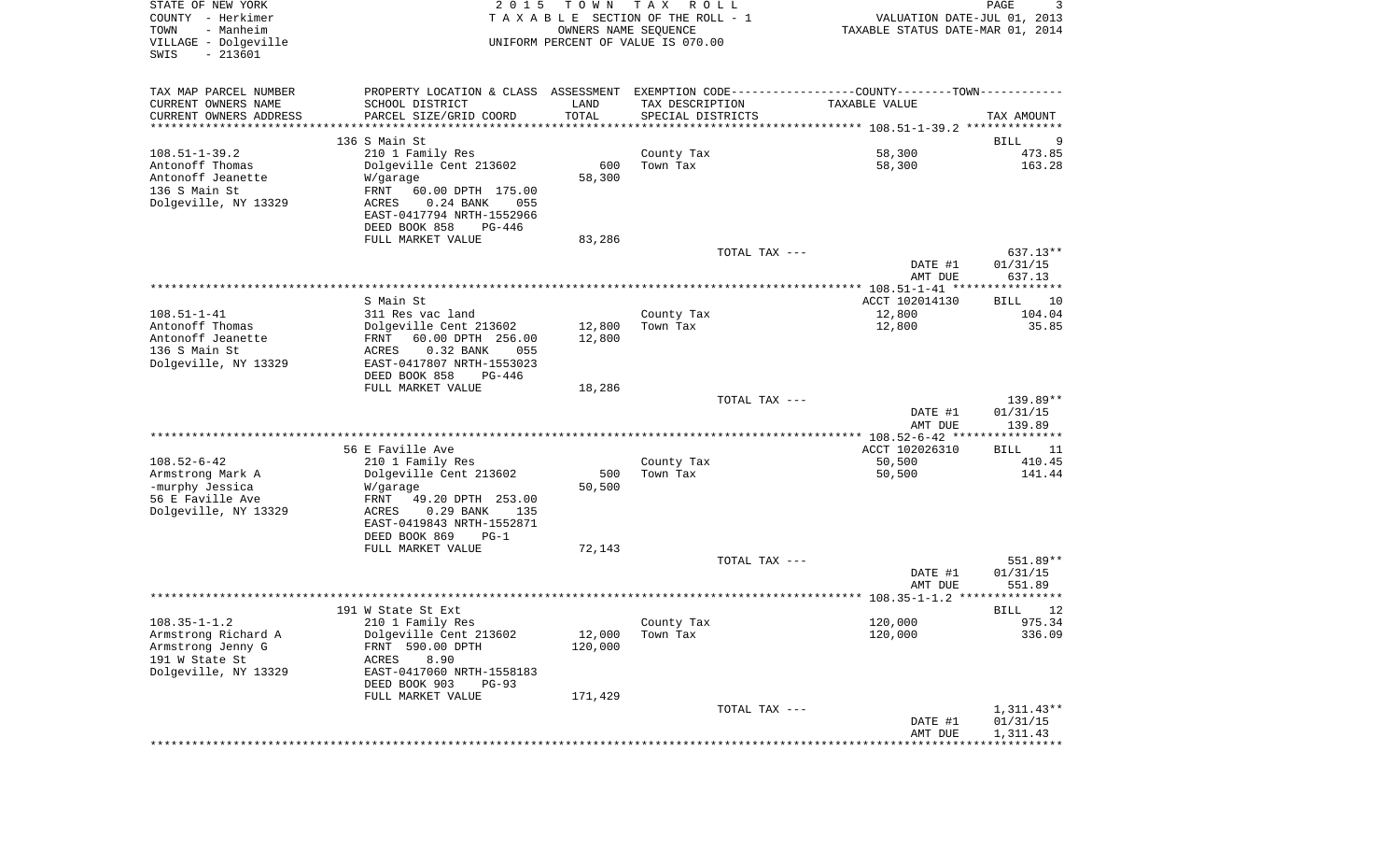| STATE OF NEW YORK<br>COUNTY - Herkimer<br>- Manheim<br>TOWN<br>VILLAGE - Dolgeville<br>$-213601$<br>SWIS | 2 0 1 5                                                                                       | TOWN<br>OWNERS NAME SEQUENCE | T A X<br>R O L L<br>TAXABLE SECTION OF THE ROLL - 1<br>UNIFORM PERCENT OF VALUE IS 070.00 | VALUATION DATE-JUL 01, 2013<br>TAXABLE STATUS DATE-MAR 01, 2014 | PAGE<br>3            |
|----------------------------------------------------------------------------------------------------------|-----------------------------------------------------------------------------------------------|------------------------------|-------------------------------------------------------------------------------------------|-----------------------------------------------------------------|----------------------|
| TAX MAP PARCEL NUMBER                                                                                    | PROPERTY LOCATION & CLASS ASSESSMENT EXEMPTION CODE---------------COUNTY-------TOWN---------- |                              |                                                                                           |                                                                 |                      |
| CURRENT OWNERS NAME                                                                                      | SCHOOL DISTRICT                                                                               | LAND                         | TAX DESCRIPTION                                                                           | TAXABLE VALUE                                                   |                      |
| CURRENT OWNERS ADDRESS<br>***********************                                                        | PARCEL SIZE/GRID COORD                                                                        | TOTAL                        | SPECIAL DISTRICTS                                                                         |                                                                 | TAX AMOUNT           |
|                                                                                                          | 136 S Main St                                                                                 |                              |                                                                                           |                                                                 | <b>BILL</b><br>9     |
| $108.51 - 1 - 39.2$                                                                                      | 210 1 Family Res                                                                              |                              | County Tax                                                                                | 58,300                                                          | 473.85               |
| Antonoff Thomas                                                                                          | Dolgeville Cent 213602                                                                        | 600                          | Town Tax                                                                                  | 58,300                                                          | 163.28               |
| Antonoff Jeanette<br>136 S Main St                                                                       | W/garage<br>FRNT<br>60.00 DPTH 175.00                                                         | 58,300                       |                                                                                           |                                                                 |                      |
| Dolgeville, NY 13329                                                                                     | $0.24$ BANK<br>ACRES<br>055                                                                   |                              |                                                                                           |                                                                 |                      |
|                                                                                                          | EAST-0417794 NRTH-1552966                                                                     |                              |                                                                                           |                                                                 |                      |
|                                                                                                          | DEED BOOK 858<br>PG-446                                                                       |                              |                                                                                           |                                                                 |                      |
|                                                                                                          | FULL MARKET VALUE                                                                             | 83,286                       | TOTAL TAX ---                                                                             |                                                                 | 637.13**             |
|                                                                                                          |                                                                                               |                              |                                                                                           | DATE #1                                                         | 01/31/15             |
|                                                                                                          |                                                                                               |                              |                                                                                           | AMT DUE                                                         | 637.13               |
|                                                                                                          | S Main St                                                                                     |                              |                                                                                           | ACCT 102014130                                                  | BILL<br>10           |
| $108.51 - 1 - 41$                                                                                        | 311 Res vac land                                                                              |                              | County Tax                                                                                | 12,800                                                          | 104.04               |
| Antonoff Thomas                                                                                          | Dolgeville Cent 213602                                                                        | 12,800                       | Town Tax                                                                                  | 12,800                                                          | 35.85                |
| Antonoff Jeanette<br>136 S Main St                                                                       | FRNT<br>60.00 DPTH 256.00<br>ACRES<br>0.32 BANK<br>055                                        | 12,800                       |                                                                                           |                                                                 |                      |
| Dolgeville, NY 13329                                                                                     | EAST-0417807 NRTH-1553023                                                                     |                              |                                                                                           |                                                                 |                      |
|                                                                                                          | DEED BOOK 858<br>PG-446                                                                       |                              |                                                                                           |                                                                 |                      |
|                                                                                                          | FULL MARKET VALUE                                                                             | 18,286                       |                                                                                           |                                                                 |                      |
|                                                                                                          |                                                                                               |                              | TOTAL TAX ---                                                                             | DATE #1                                                         | 139.89**<br>01/31/15 |
|                                                                                                          |                                                                                               |                              |                                                                                           | AMT DUE                                                         | 139.89               |
|                                                                                                          |                                                                                               |                              |                                                                                           | **************** 108.52-6-42 *****************                  |                      |
| $108.52 - 6 - 42$                                                                                        | 56 E Faville Ave<br>210 1 Family Res                                                          |                              | County Tax                                                                                | ACCT 102026310<br>50,500                                        | BILL<br>11<br>410.45 |
| Armstrong Mark A                                                                                         | Dolgeville Cent 213602                                                                        | 500                          | Town Tax                                                                                  | 50,500                                                          | 141.44               |
| -murphy Jessica                                                                                          | W/garage                                                                                      | 50,500                       |                                                                                           |                                                                 |                      |
| 56 E Faville Ave<br>Dolgeville, NY 13329                                                                 | FRNT<br>49.20 DPTH 253.00<br>0.29 BANK<br>ACRES<br>135                                        |                              |                                                                                           |                                                                 |                      |
|                                                                                                          | EAST-0419843 NRTH-1552871                                                                     |                              |                                                                                           |                                                                 |                      |
|                                                                                                          | DEED BOOK 869<br>$PG-1$                                                                       |                              |                                                                                           |                                                                 |                      |
|                                                                                                          | FULL MARKET VALUE                                                                             | 72,143                       |                                                                                           |                                                                 |                      |
|                                                                                                          |                                                                                               |                              | TOTAL TAX ---                                                                             | DATE #1                                                         | 551.89**<br>01/31/15 |
|                                                                                                          |                                                                                               |                              |                                                                                           | AMT DUE                                                         | 551.89               |
|                                                                                                          |                                                                                               |                              |                                                                                           |                                                                 |                      |
| $108.35 - 1 - 1.2$                                                                                       | 191 W State St Ext<br>210 1 Family Res                                                        |                              |                                                                                           | 120,000                                                         | 12<br>BILL<br>975.34 |
| Armstrong Richard A                                                                                      | Dolgeville Cent 213602                                                                        | 12,000                       | County Tax<br>Town Tax                                                                    | 120,000                                                         | 336.09               |
| Armstrong Jenny G                                                                                        | FRNT 590.00 DPTH                                                                              | 120,000                      |                                                                                           |                                                                 |                      |
| 191 W State St                                                                                           | 8.90<br>ACRES                                                                                 |                              |                                                                                           |                                                                 |                      |
| Dolgeville, NY 13329                                                                                     | EAST-0417060 NRTH-1558183<br>DEED BOOK 903<br>$PG-93$                                         |                              |                                                                                           |                                                                 |                      |
|                                                                                                          | FULL MARKET VALUE                                                                             | 171,429                      |                                                                                           |                                                                 |                      |
|                                                                                                          |                                                                                               |                              | TOTAL TAX ---                                                                             |                                                                 | $1,311.43**$         |
|                                                                                                          |                                                                                               |                              |                                                                                           | DATE #1<br>AMT DUE                                              | 01/31/15<br>1,311.43 |
|                                                                                                          |                                                                                               |                              |                                                                                           |                                                                 |                      |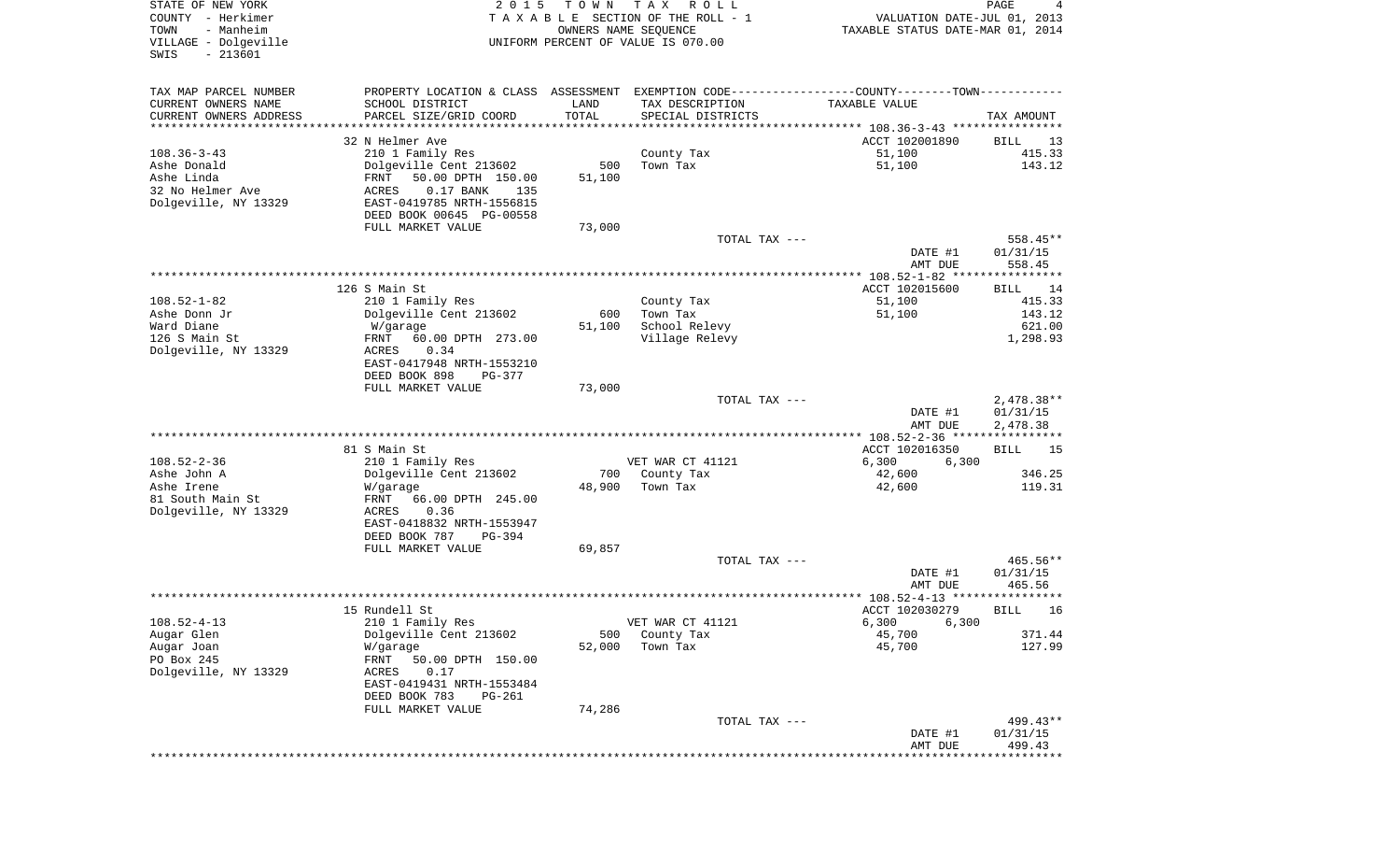| STATE OF NEW YORK<br>COUNTY - Herkimer                         | 2 0 1 5                                                                                       | T O W N              | T A X<br>R O L L<br>TAXABLE SECTION OF THE ROLL - 1        | VALUATION DATE-JUL 01, 2013                                | PAGE<br>4            |
|----------------------------------------------------------------|-----------------------------------------------------------------------------------------------|----------------------|------------------------------------------------------------|------------------------------------------------------------|----------------------|
| TOWN<br>- Manheim<br>VILLAGE - Dolgeville<br>SWIS<br>$-213601$ |                                                                                               |                      | OWNERS NAME SEQUENCE<br>UNIFORM PERCENT OF VALUE IS 070.00 | TAXABLE STATUS DATE-MAR 01, 2014                           |                      |
| TAX MAP PARCEL NUMBER                                          | PROPERTY LOCATION & CLASS ASSESSMENT EXEMPTION CODE---------------COUNTY-------TOWN---------- |                      |                                                            |                                                            |                      |
| CURRENT OWNERS NAME                                            | SCHOOL DISTRICT                                                                               | LAND                 | TAX DESCRIPTION                                            | TAXABLE VALUE                                              |                      |
| CURRENT OWNERS ADDRESS<br>********************                 | PARCEL SIZE/GRID COORD<br>*************************                                           | TOTAL<br>*********** | SPECIAL DISTRICTS                                          |                                                            | TAX AMOUNT           |
|                                                                | 32 N Helmer Ave                                                                               |                      |                                                            | ACCT 102001890                                             | BILL<br>13           |
| $108.36 - 3 - 43$                                              | 210 1 Family Res                                                                              |                      | County Tax                                                 | 51,100                                                     | 415.33               |
| Ashe Donald                                                    | Dolgeville Cent 213602                                                                        | 500                  | Town Tax                                                   | 51,100                                                     | 143.12               |
| Ashe Linda                                                     | 50.00 DPTH 150.00<br>FRNT                                                                     | 51,100               |                                                            |                                                            |                      |
| 32 No Helmer Ave<br>Dolgeville, NY 13329                       | ACRES<br>$0.17$ BANK<br>135<br>EAST-0419785 NRTH-1556815                                      |                      |                                                            |                                                            |                      |
|                                                                | DEED BOOK 00645 PG-00558                                                                      |                      |                                                            |                                                            |                      |
|                                                                | FULL MARKET VALUE                                                                             | 73,000               |                                                            |                                                            |                      |
|                                                                |                                                                                               |                      | TOTAL TAX ---                                              |                                                            | 558.45**             |
|                                                                |                                                                                               |                      |                                                            | DATE #1<br>AMT DUE                                         | 01/31/15<br>558.45   |
|                                                                |                                                                                               |                      |                                                            |                                                            |                      |
|                                                                | 126 S Main St                                                                                 |                      |                                                            | ACCT 102015600                                             | BILL<br>14           |
| $108.52 - 1 - 82$                                              | 210 1 Family Res                                                                              |                      | County Tax                                                 | 51,100                                                     | 415.33               |
| Ashe Donn Jr<br>Ward Diane                                     | Dolgeville Cent 213602<br>W/garage                                                            | 600<br>51,100        | Town Tax<br>School Relevy                                  | 51,100                                                     | 143.12<br>621.00     |
| 126 S Main St                                                  | 60.00 DPTH 273.00<br>FRNT                                                                     |                      | Village Relevy                                             |                                                            | 1,298.93             |
| Dolgeville, NY 13329                                           | ACRES<br>0.34                                                                                 |                      |                                                            |                                                            |                      |
|                                                                | EAST-0417948 NRTH-1553210                                                                     |                      |                                                            |                                                            |                      |
|                                                                | DEED BOOK 898<br>$PG-377$<br>FULL MARKET VALUE                                                | 73,000               |                                                            |                                                            |                      |
|                                                                |                                                                                               |                      | TOTAL TAX ---                                              |                                                            | 2,478.38**           |
|                                                                |                                                                                               |                      |                                                            | DATE #1                                                    | 01/31/15             |
|                                                                |                                                                                               |                      |                                                            | AMT DUE                                                    | 2,478.38             |
|                                                                | 81 S Main St                                                                                  |                      |                                                            | ********** 108.52-2-36 *****************<br>ACCT 102016350 | BILL<br>15           |
| $108.52 - 2 - 36$                                              | 210 1 Family Res                                                                              |                      | VET WAR CT 41121                                           | 6,300<br>6,300                                             |                      |
| Ashe John A                                                    | Dolgeville Cent 213602                                                                        | 700                  | County Tax                                                 | 42,600                                                     | 346.25               |
| Ashe Irene                                                     | W/garage                                                                                      | 48,900               | Town Tax                                                   | 42,600                                                     | 119.31               |
| 81 South Main St<br>Dolgeville, NY 13329                       | FRNT<br>66.00 DPTH 245.00<br>ACRES<br>0.36                                                    |                      |                                                            |                                                            |                      |
|                                                                | EAST-0418832 NRTH-1553947                                                                     |                      |                                                            |                                                            |                      |
|                                                                | DEED BOOK 787<br>PG-394                                                                       |                      |                                                            |                                                            |                      |
|                                                                | FULL MARKET VALUE                                                                             | 69,857               |                                                            |                                                            |                      |
|                                                                |                                                                                               |                      | TOTAL TAX ---                                              | DATE #1                                                    | 465.56**<br>01/31/15 |
|                                                                |                                                                                               |                      |                                                            | AMT DUE                                                    | 465.56               |
|                                                                |                                                                                               |                      |                                                            |                                                            | *****                |
|                                                                | 15 Rundell St                                                                                 |                      |                                                            | ACCT 102030279                                             | 16<br>BILL           |
| $108.52 - 4 - 13$<br>Augar Glen                                | 210 1 Family Res<br>Dolgeville Cent 213602                                                    | 500                  | VET WAR CT 41121<br>County Tax                             | 6,300 6,300<br>45,700                                      | 371.44               |
| Augar Joan                                                     | W/garage                                                                                      | 52,000               | Town Tax                                                   | 45,700                                                     | 127.99               |
| PO Box 245                                                     | FRNT<br>50.00 DPTH 150.00                                                                     |                      |                                                            |                                                            |                      |
| Dolgeville, NY 13329                                           | ACRES<br>0.17                                                                                 |                      |                                                            |                                                            |                      |
|                                                                | EAST-0419431 NRTH-1553484<br>DEED BOOK 783<br><b>PG-261</b>                                   |                      |                                                            |                                                            |                      |
|                                                                | FULL MARKET VALUE                                                                             | 74,286               |                                                            |                                                            |                      |
|                                                                |                                                                                               |                      | TOTAL TAX ---                                              |                                                            | 499.43**             |
|                                                                |                                                                                               |                      |                                                            | DATE #1                                                    | 01/31/15             |
|                                                                |                                                                                               |                      |                                                            | AMT DUE                                                    | 499.43               |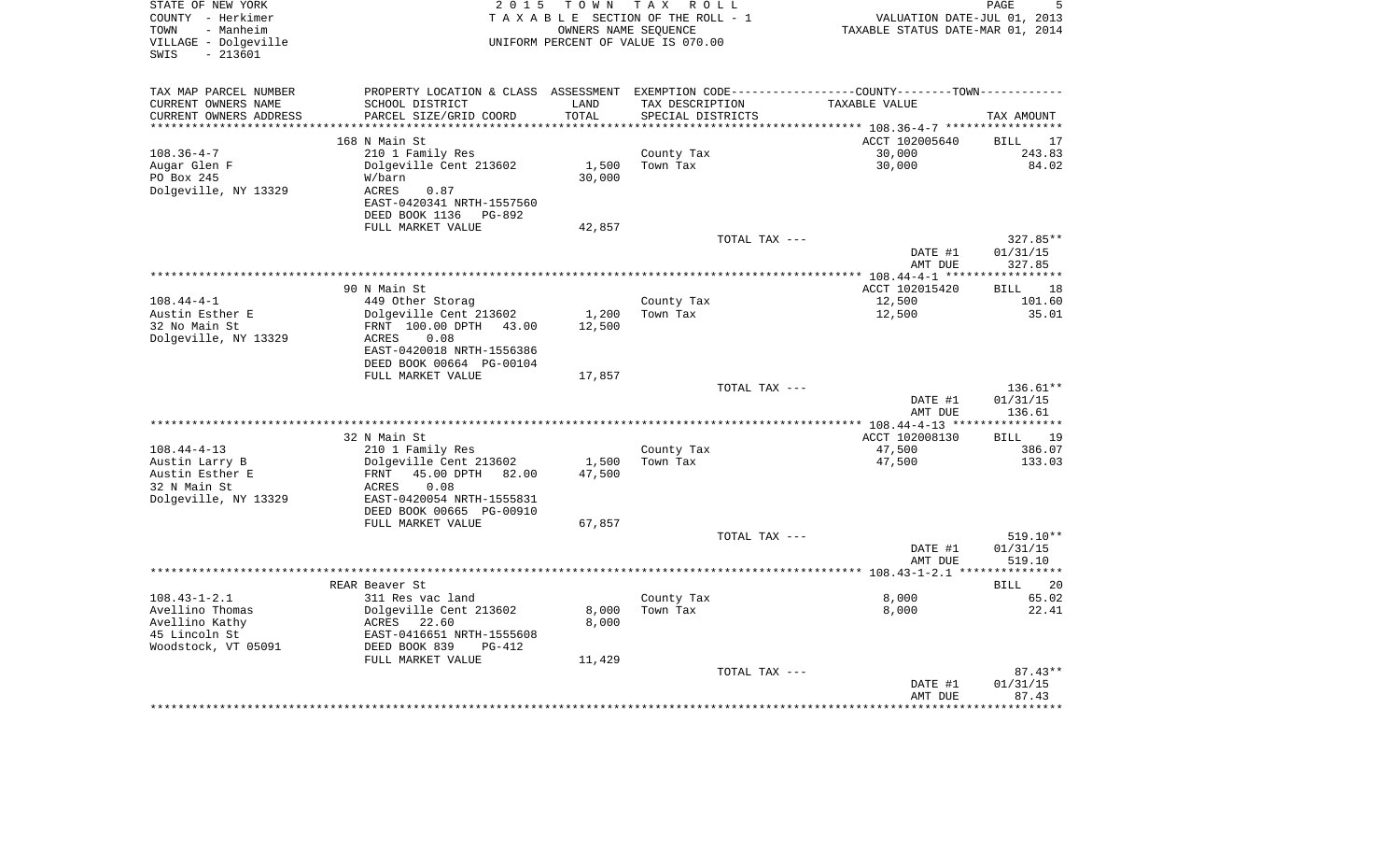| STATE OF NEW YORK<br>COUNTY - Herkimer<br>- Manheim<br>TOWN<br>VILLAGE - Dolgeville<br>$-213601$<br>SWIS | 2 0 1 5                                                                                        | T O W N    | TAX ROLL<br>TAXABLE SECTION OF THE ROLL - 1<br>OWNERS NAME SEOUENCE<br>UNIFORM PERCENT OF VALUE IS 070.00 |               | VALUATION DATE-JUL 01, 2013<br>TAXABLE STATUS DATE-MAR 01, 2014 | PAGE               |
|----------------------------------------------------------------------------------------------------------|------------------------------------------------------------------------------------------------|------------|-----------------------------------------------------------------------------------------------------------|---------------|-----------------------------------------------------------------|--------------------|
| TAX MAP PARCEL NUMBER                                                                                    | PROPERTY LOCATION & CLASS ASSESSMENT EXEMPTION CODE----------------COUNTY-------TOWN---------- |            |                                                                                                           |               |                                                                 |                    |
| CURRENT OWNERS NAME                                                                                      | SCHOOL DISTRICT                                                                                | LAND       | TAX DESCRIPTION                                                                                           |               | TAXABLE VALUE                                                   |                    |
| CURRENT OWNERS ADDRESS                                                                                   | PARCEL SIZE/GRID COORD                                                                         | TOTAL      | SPECIAL DISTRICTS                                                                                         |               |                                                                 | TAX AMOUNT         |
| *********************                                                                                    |                                                                                                | ********** |                                                                                                           |               |                                                                 |                    |
|                                                                                                          | 168 N Main St                                                                                  |            |                                                                                                           |               | ACCT 102005640                                                  | <b>BILL</b><br>17  |
| $108.36 - 4 - 7$<br>Augar Glen F                                                                         | 210 1 Family Res<br>Dolgeville Cent 213602                                                     | 1,500      | County Tax<br>Town Tax                                                                                    |               | 30,000<br>30,000                                                | 243.83<br>84.02    |
| PO Box 245                                                                                               | W/barn                                                                                         | 30,000     |                                                                                                           |               |                                                                 |                    |
| Dolgeville, NY 13329                                                                                     | <b>ACRES</b><br>0.87                                                                           |            |                                                                                                           |               |                                                                 |                    |
|                                                                                                          | EAST-0420341 NRTH-1557560                                                                      |            |                                                                                                           |               |                                                                 |                    |
|                                                                                                          | DEED BOOK 1136<br>PG-892                                                                       |            |                                                                                                           |               |                                                                 |                    |
|                                                                                                          | FULL MARKET VALUE                                                                              | 42,857     |                                                                                                           |               |                                                                 |                    |
|                                                                                                          |                                                                                                |            |                                                                                                           | TOTAL TAX --- |                                                                 | 327.85**           |
|                                                                                                          |                                                                                                |            |                                                                                                           |               | DATE #1                                                         | 01/31/15           |
|                                                                                                          |                                                                                                |            |                                                                                                           |               | AMT DUE                                                         | 327.85             |
|                                                                                                          | 90 N Main St                                                                                   |            |                                                                                                           |               | ACCT 102015420                                                  | 18<br><b>BILL</b>  |
| $108.44 - 4 - 1$                                                                                         | 449 Other Storag                                                                               |            | County Tax                                                                                                |               | 12,500                                                          | 101.60             |
| Austin Esther E                                                                                          | Dolgeville Cent 213602                                                                         | 1,200      | Town Tax                                                                                                  |               | 12,500                                                          | 35.01              |
| 32 No Main St                                                                                            | FRNT 100.00 DPTH 43.00                                                                         | 12,500     |                                                                                                           |               |                                                                 |                    |
| Dolgeville, NY 13329                                                                                     | ACRES<br>0.08                                                                                  |            |                                                                                                           |               |                                                                 |                    |
|                                                                                                          | EAST-0420018 NRTH-1556386                                                                      |            |                                                                                                           |               |                                                                 |                    |
|                                                                                                          | DEED BOOK 00664 PG-00104<br>FULL MARKET VALUE                                                  | 17,857     |                                                                                                           |               |                                                                 |                    |
|                                                                                                          |                                                                                                |            |                                                                                                           | TOTAL TAX --- |                                                                 | 136.61**           |
|                                                                                                          |                                                                                                |            |                                                                                                           |               | DATE #1                                                         | 01/31/15           |
|                                                                                                          |                                                                                                |            |                                                                                                           |               | AMT DUE                                                         | 136.61             |
|                                                                                                          |                                                                                                |            |                                                                                                           |               |                                                                 |                    |
|                                                                                                          | 32 N Main St                                                                                   |            |                                                                                                           |               | ACCT 102008130                                                  | 19<br><b>BILL</b>  |
| $108.44 - 4 - 13$<br>Austin Larry B                                                                      | 210 1 Family Res<br>Dolgeville Cent 213602                                                     | 1,500      | County Tax<br>Town Tax                                                                                    |               | 47,500<br>47,500                                                | 386.07<br>133.03   |
| Austin Esther E                                                                                          | 45.00 DPTH<br>FRNT<br>82.00                                                                    | 47,500     |                                                                                                           |               |                                                                 |                    |
| 32 N Main St                                                                                             | 0.08<br>ACRES                                                                                  |            |                                                                                                           |               |                                                                 |                    |
| Dolgeville, NY 13329                                                                                     | EAST-0420054 NRTH-1555831                                                                      |            |                                                                                                           |               |                                                                 |                    |
|                                                                                                          | DEED BOOK 00665 PG-00910                                                                       |            |                                                                                                           |               |                                                                 |                    |
|                                                                                                          | FULL MARKET VALUE                                                                              | 67,857     |                                                                                                           |               |                                                                 |                    |
|                                                                                                          |                                                                                                |            |                                                                                                           | TOTAL TAX --- |                                                                 | 519.10**           |
|                                                                                                          |                                                                                                |            |                                                                                                           |               | DATE #1<br>AMT DUE                                              | 01/31/15<br>519.10 |
|                                                                                                          |                                                                                                |            |                                                                                                           |               |                                                                 |                    |
|                                                                                                          | REAR Beaver St                                                                                 |            |                                                                                                           |               |                                                                 | 20<br><b>BILL</b>  |
| $108.43 - 1 - 2.1$                                                                                       | 311 Res vac land                                                                               |            | County Tax                                                                                                |               | 8,000                                                           | 65.02              |
| Avellino Thomas                                                                                          | Dolgeville Cent 213602                                                                         | 8,000      | Town Tax                                                                                                  |               | 8,000                                                           | 22.41              |
| Avellino Kathy                                                                                           | ACRES<br>22.60                                                                                 | 8,000      |                                                                                                           |               |                                                                 |                    |
| 45 Lincoln St                                                                                            | EAST-0416651 NRTH-1555608                                                                      |            |                                                                                                           |               |                                                                 |                    |
| Woodstock, VT 05091                                                                                      | DEED BOOK 839<br>$PG-412$<br>FULL MARKET VALUE                                                 |            |                                                                                                           |               |                                                                 |                    |
|                                                                                                          |                                                                                                | 11,429     |                                                                                                           | TOTAL TAX --- |                                                                 | $87.43**$          |
|                                                                                                          |                                                                                                |            |                                                                                                           |               | DATE #1                                                         | 01/31/15           |
|                                                                                                          |                                                                                                |            |                                                                                                           |               | AMT DUE                                                         | 87.43              |
|                                                                                                          |                                                                                                |            |                                                                                                           |               |                                                                 |                    |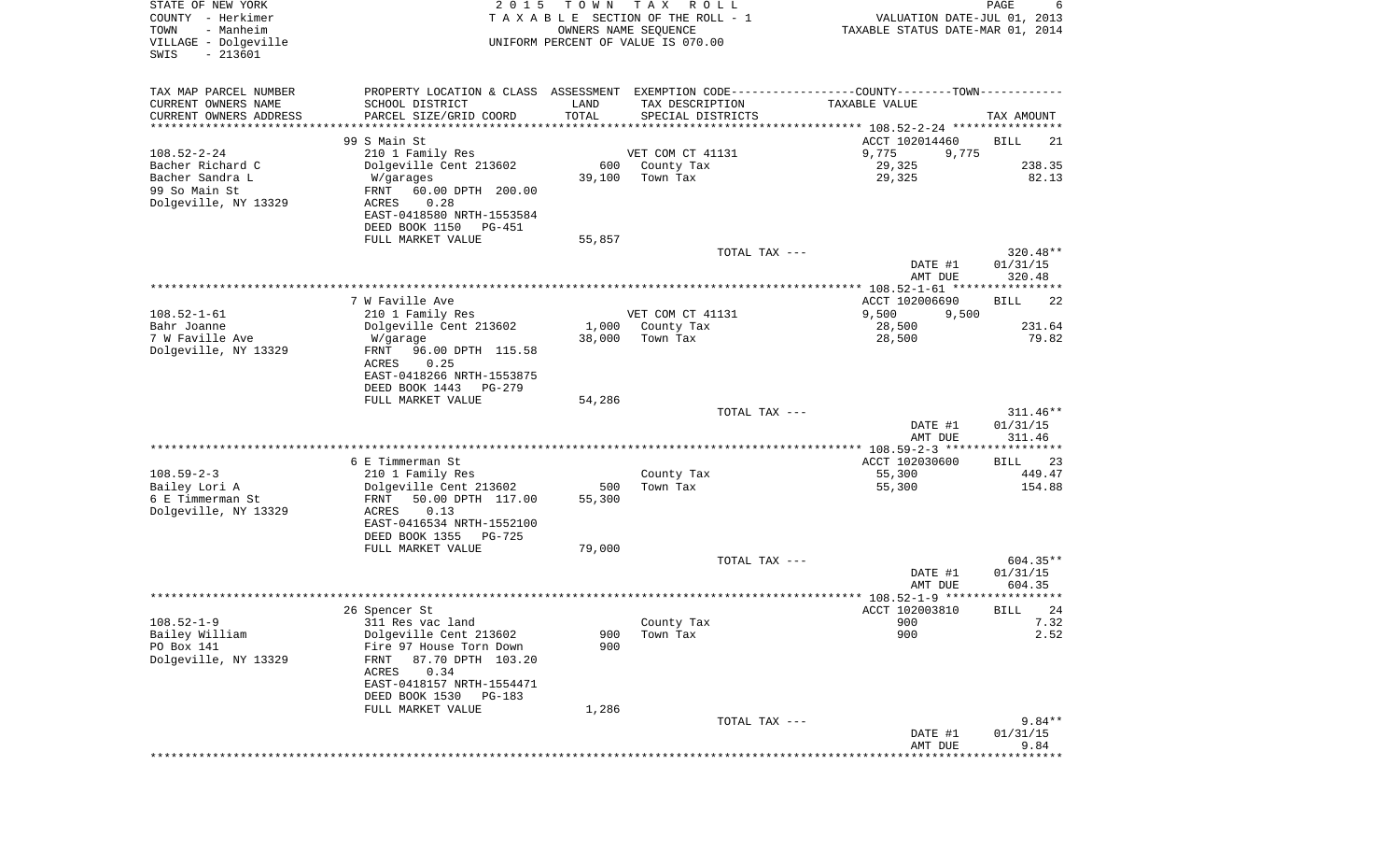| STATE OF NEW YORK<br>COUNTY - Herkimer<br>- Manheim<br>TOWN<br>VILLAGE - Dolgeville<br>SWIS<br>$-213601$ | 2 0 1 5                                                                                       | T O W N<br>OWNERS NAME SEQUENCE | T A X<br>R O L L<br>TAXABLE SECTION OF THE ROLL - 1<br>UNIFORM PERCENT OF VALUE IS 070.00 |               | VALUATION DATE-JUL 01, 2013<br>TAXABLE STATUS DATE-MAR 01, 2014 | PAGE<br>6           |
|----------------------------------------------------------------------------------------------------------|-----------------------------------------------------------------------------------------------|---------------------------------|-------------------------------------------------------------------------------------------|---------------|-----------------------------------------------------------------|---------------------|
|                                                                                                          |                                                                                               |                                 |                                                                                           |               |                                                                 |                     |
| TAX MAP PARCEL NUMBER                                                                                    | PROPERTY LOCATION & CLASS ASSESSMENT EXEMPTION CODE---------------COUNTY-------TOWN---------- |                                 |                                                                                           |               |                                                                 |                     |
| CURRENT OWNERS NAME                                                                                      | SCHOOL DISTRICT                                                                               | LAND                            | TAX DESCRIPTION                                                                           |               | TAXABLE VALUE                                                   |                     |
| CURRENT OWNERS ADDRESS<br>********************                                                           | PARCEL SIZE/GRID COORD                                                                        | TOTAL                           | SPECIAL DISTRICTS                                                                         |               |                                                                 | TAX AMOUNT          |
|                                                                                                          | 99 S Main St                                                                                  |                                 |                                                                                           |               | ACCT 102014460                                                  | 21<br>BILL          |
| $108.52 - 2 - 24$                                                                                        | 210 1 Family Res                                                                              |                                 | VET COM CT 41131                                                                          |               | 9,775<br>9,775                                                  |                     |
| Bacher Richard C                                                                                         | Dolgeville Cent 213602                                                                        | 600                             | County Tax                                                                                |               | 29,325                                                          | 238.35              |
| Bacher Sandra L                                                                                          | W/garages                                                                                     | 39,100                          | Town Tax                                                                                  |               | 29,325                                                          | 82.13               |
| 99 So Main St<br>Dolgeville, NY 13329                                                                    | FRNT<br>60.00 DPTH 200.00<br>0.28<br>ACRES                                                    |                                 |                                                                                           |               |                                                                 |                     |
|                                                                                                          | EAST-0418580 NRTH-1553584                                                                     |                                 |                                                                                           |               |                                                                 |                     |
|                                                                                                          | DEED BOOK 1150<br>PG-451                                                                      |                                 |                                                                                           |               |                                                                 |                     |
|                                                                                                          | FULL MARKET VALUE                                                                             | 55,857                          |                                                                                           |               |                                                                 |                     |
|                                                                                                          |                                                                                               |                                 |                                                                                           | TOTAL TAX --- |                                                                 | 320.48**            |
|                                                                                                          |                                                                                               |                                 |                                                                                           |               | DATE #1                                                         | 01/31/15            |
|                                                                                                          |                                                                                               |                                 |                                                                                           |               | AMT DUE<br>***************** 108.52-1-61 *****************      | 320.48              |
|                                                                                                          | 7 W Faville Ave                                                                               |                                 |                                                                                           |               | ACCT 102006690                                                  | 22<br>BILL          |
| $108.52 - 1 - 61$                                                                                        | 210 1 Family Res                                                                              |                                 | VET COM CT 41131                                                                          |               | 9,500<br>9,500                                                  |                     |
| Bahr Joanne                                                                                              | Dolgeville Cent 213602                                                                        | 1,000                           | County Tax                                                                                |               | 28,500                                                          | 231.64              |
| 7 W Faville Ave                                                                                          | W/garage                                                                                      | 38,000                          | Town Tax                                                                                  |               | 28,500                                                          | 79.82               |
| Dolgeville, NY 13329                                                                                     | FRNT<br>96.00 DPTH 115.58<br>ACRES<br>0.25                                                    |                                 |                                                                                           |               |                                                                 |                     |
|                                                                                                          | EAST-0418266 NRTH-1553875                                                                     |                                 |                                                                                           |               |                                                                 |                     |
|                                                                                                          | DEED BOOK 1443<br>PG-279                                                                      |                                 |                                                                                           |               |                                                                 |                     |
|                                                                                                          | FULL MARKET VALUE                                                                             | 54,286                          |                                                                                           |               |                                                                 |                     |
|                                                                                                          |                                                                                               |                                 |                                                                                           | TOTAL TAX --- |                                                                 | 311.46**            |
|                                                                                                          |                                                                                               |                                 |                                                                                           |               | DATE #1<br>AMT DUE                                              | 01/31/15<br>311.46  |
|                                                                                                          |                                                                                               |                                 |                                                                                           |               |                                                                 | ************        |
|                                                                                                          | 6 E Timmerman St                                                                              |                                 |                                                                                           |               | ACCT 102030600                                                  | 23<br>BILL          |
| $108.59 - 2 - 3$                                                                                         | 210 1 Family Res                                                                              |                                 | County Tax                                                                                |               | 55,300                                                          | 449.47              |
| Bailey Lori A                                                                                            | Dolgeville Cent 213602                                                                        | 500                             | Town Tax                                                                                  |               | 55,300                                                          | 154.88              |
| 6 E Timmerman St                                                                                         | FRNT<br>50.00 DPTH 117.00                                                                     | 55,300                          |                                                                                           |               |                                                                 |                     |
| Dolgeville, NY 13329                                                                                     | ACRES<br>0.13<br>EAST-0416534 NRTH-1552100                                                    |                                 |                                                                                           |               |                                                                 |                     |
|                                                                                                          | DEED BOOK 1355<br>PG-725                                                                      |                                 |                                                                                           |               |                                                                 |                     |
|                                                                                                          | FULL MARKET VALUE                                                                             | 79,000                          |                                                                                           |               |                                                                 |                     |
|                                                                                                          |                                                                                               |                                 |                                                                                           | TOTAL TAX --- |                                                                 | 604.35**            |
|                                                                                                          |                                                                                               |                                 |                                                                                           |               | DATE #1                                                         | 01/31/15            |
|                                                                                                          |                                                                                               |                                 |                                                                                           |               | AMT DUE                                                         | 604.35<br>* * * * * |
|                                                                                                          | 26 Spencer St                                                                                 |                                 |                                                                                           |               | ACCT 102003810                                                  | BILL<br>24          |
| $108.52 - 1 - 9$                                                                                         | 311 Res vac land                                                                              |                                 | County Tax                                                                                |               | 900                                                             | 7.32                |
| Bailey William                                                                                           | Dolgeville Cent 213602                                                                        | 900                             | Town Tax                                                                                  |               | 900                                                             | 2.52                |
| PO Box 141                                                                                               | Fire 97 House Torn Down                                                                       | 900                             |                                                                                           |               |                                                                 |                     |
| Dolgeville, NY 13329                                                                                     | 87.70 DPTH 103.20<br>FRNT<br>0.34<br>ACRES                                                    |                                 |                                                                                           |               |                                                                 |                     |
|                                                                                                          | EAST-0418157 NRTH-1554471                                                                     |                                 |                                                                                           |               |                                                                 |                     |
|                                                                                                          | DEED BOOK 1530 PG-183                                                                         |                                 |                                                                                           |               |                                                                 |                     |
|                                                                                                          | FULL MARKET VALUE                                                                             | 1,286                           |                                                                                           |               |                                                                 |                     |
|                                                                                                          |                                                                                               |                                 |                                                                                           | TOTAL TAX --- |                                                                 | $9.84**$            |
|                                                                                                          |                                                                                               |                                 |                                                                                           |               | DATE #1<br>AMT DUE                                              | 01/31/15<br>9.84    |
|                                                                                                          |                                                                                               |                                 |                                                                                           |               | * * * * * * * * * * *                                           | **********          |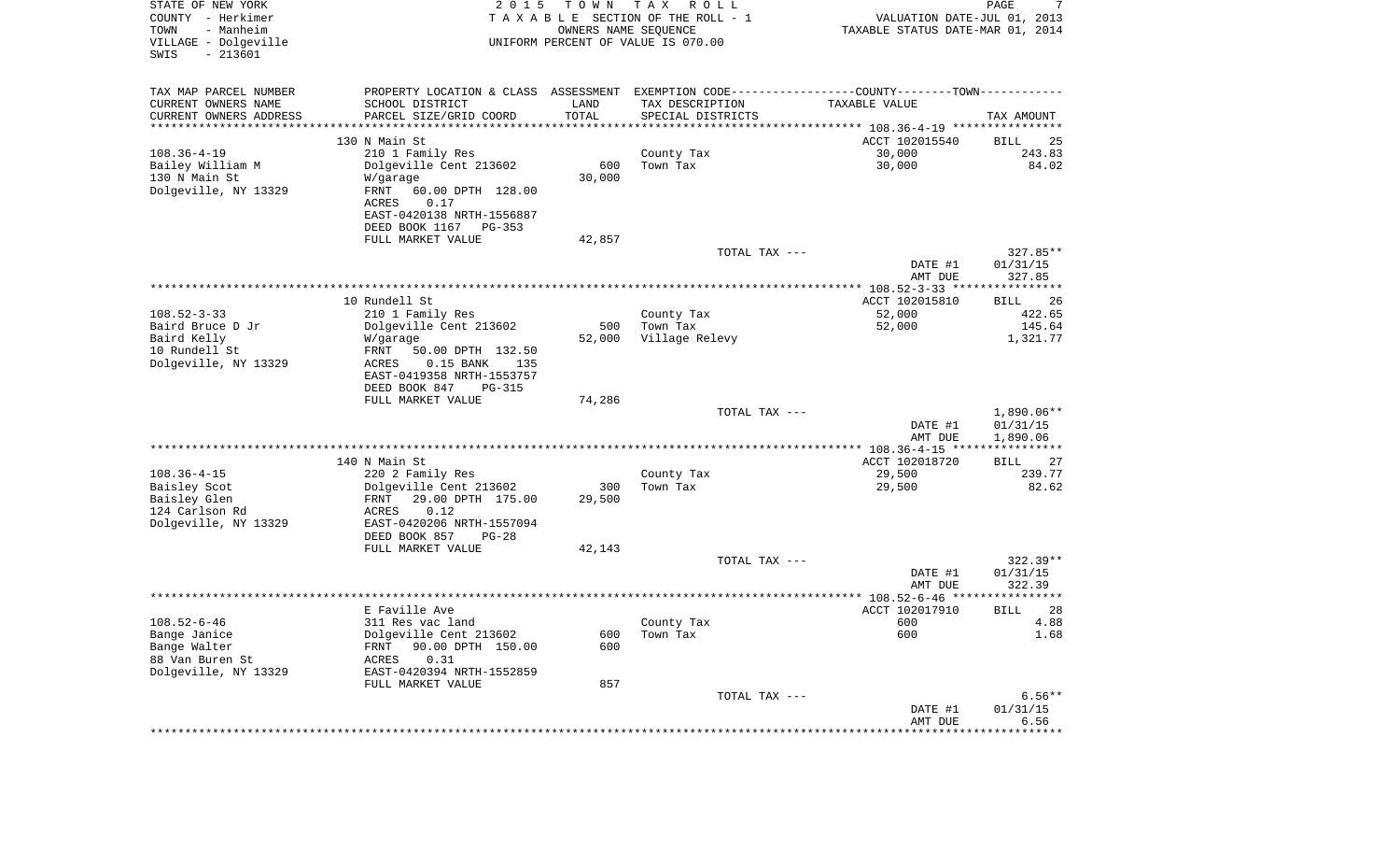| STATE OF NEW YORK<br>COUNTY - Herkimer<br>- Manheim<br>TOWN<br>VILLAGE - Dolgeville<br>$-213601$<br>SWIS | 2 0 1 5                                                                                       | T O W N<br>OWNERS NAME SEQUENCE | T A X<br>R O L L<br>TAXABLE SECTION OF THE ROLL - 1<br>UNIFORM PERCENT OF VALUE IS 070.00 | VALUATION DATE-JUL 01, 2013<br>TAXABLE STATUS DATE-MAR 01, 2014 | 7<br>PAGE             |
|----------------------------------------------------------------------------------------------------------|-----------------------------------------------------------------------------------------------|---------------------------------|-------------------------------------------------------------------------------------------|-----------------------------------------------------------------|-----------------------|
| TAX MAP PARCEL NUMBER                                                                                    | PROPERTY LOCATION & CLASS ASSESSMENT EXEMPTION CODE---------------COUNTY-------TOWN---------- |                                 |                                                                                           |                                                                 |                       |
| CURRENT OWNERS NAME                                                                                      | SCHOOL DISTRICT                                                                               | LAND                            | TAX DESCRIPTION                                                                           | TAXABLE VALUE                                                   |                       |
| CURRENT OWNERS ADDRESS<br>**********************                                                         | PARCEL SIZE/GRID COORD<br>***************************                                         | TOTAL                           | SPECIAL DISTRICTS                                                                         |                                                                 | TAX AMOUNT            |
|                                                                                                          | 130 N Main St                                                                                 |                                 |                                                                                           | ACCT 102015540                                                  | BILL<br>25            |
| $108.36 - 4 - 19$                                                                                        | 210 1 Family Res                                                                              |                                 | County Tax                                                                                | 30,000                                                          | 243.83                |
| Bailey William M                                                                                         | Dolgeville Cent 213602                                                                        | 600                             | Town Tax                                                                                  | 30,000                                                          | 84.02                 |
| 130 N Main St                                                                                            | W/garage                                                                                      | 30,000                          |                                                                                           |                                                                 |                       |
| Dolgeville, NY 13329                                                                                     | FRNT<br>60.00 DPTH 128.00                                                                     |                                 |                                                                                           |                                                                 |                       |
|                                                                                                          | 0.17<br>ACRES                                                                                 |                                 |                                                                                           |                                                                 |                       |
|                                                                                                          | EAST-0420138 NRTH-1556887                                                                     |                                 |                                                                                           |                                                                 |                       |
|                                                                                                          | DEED BOOK 1167<br>PG-353<br>FULL MARKET VALUE                                                 | 42,857                          |                                                                                           |                                                                 |                       |
|                                                                                                          |                                                                                               |                                 | TOTAL TAX ---                                                                             |                                                                 | $327.85**$            |
|                                                                                                          |                                                                                               |                                 |                                                                                           | DATE #1                                                         | 01/31/15              |
|                                                                                                          |                                                                                               |                                 |                                                                                           | AMT DUE                                                         | 327.85                |
|                                                                                                          |                                                                                               |                                 |                                                                                           |                                                                 |                       |
|                                                                                                          | 10 Rundell St                                                                                 |                                 |                                                                                           | ACCT 102015810                                                  | BILL<br>26            |
| $108.52 - 3 - 33$<br>Baird Bruce D Jr                                                                    | 210 1 Family Res<br>Dolgeville Cent 213602                                                    | 500                             | County Tax<br>Town Tax                                                                    | 52,000<br>52,000                                                | 422.65<br>145.64      |
| Baird Kelly                                                                                              | W/garage                                                                                      | 52,000                          | Village Relevy                                                                            |                                                                 | 1,321.77              |
| 10 Rundell St                                                                                            | FRNT<br>50.00 DPTH 132.50                                                                     |                                 |                                                                                           |                                                                 |                       |
| Dolgeville, NY 13329                                                                                     | ACRES<br>$0.15$ BANK<br>135                                                                   |                                 |                                                                                           |                                                                 |                       |
|                                                                                                          | EAST-0419358 NRTH-1553757                                                                     |                                 |                                                                                           |                                                                 |                       |
|                                                                                                          | DEED BOOK 847<br>PG-315                                                                       |                                 |                                                                                           |                                                                 |                       |
|                                                                                                          | FULL MARKET VALUE                                                                             | 74,286                          | TOTAL TAX ---                                                                             |                                                                 | 1,890.06**            |
|                                                                                                          |                                                                                               |                                 |                                                                                           | DATE #1                                                         | 01/31/15              |
|                                                                                                          |                                                                                               |                                 |                                                                                           | AMT DUE                                                         | 1,890.06              |
|                                                                                                          |                                                                                               |                                 |                                                                                           |                                                                 | * * * * * * * * * * * |
|                                                                                                          | 140 N Main St                                                                                 |                                 |                                                                                           | ACCT 102018720                                                  | BILL<br>27            |
| $108.36 - 4 - 15$                                                                                        | 220 2 Family Res                                                                              |                                 | County Tax                                                                                | 29,500                                                          | 239.77                |
| Baisley Scot<br>Baisley Glen                                                                             | Dolgeville Cent 213602<br>FRNT<br>29.00 DPTH 175.00                                           | 300<br>29,500                   | Town Tax                                                                                  | 29,500                                                          | 82.62                 |
| 124 Carlson Rd                                                                                           | ACRES<br>0.12                                                                                 |                                 |                                                                                           |                                                                 |                       |
| Dolgeville, NY 13329                                                                                     | EAST-0420206 NRTH-1557094                                                                     |                                 |                                                                                           |                                                                 |                       |
|                                                                                                          | DEED BOOK 857<br>$PG-28$                                                                      |                                 |                                                                                           |                                                                 |                       |
|                                                                                                          | FULL MARKET VALUE                                                                             | 42,143                          |                                                                                           |                                                                 |                       |
|                                                                                                          |                                                                                               |                                 | TOTAL TAX ---                                                                             |                                                                 | $322.39**$            |
|                                                                                                          |                                                                                               |                                 |                                                                                           | DATE #1                                                         | 01/31/15              |
|                                                                                                          |                                                                                               |                                 |                                                                                           | AMT DUE                                                         | 322.39<br>*********** |
|                                                                                                          | E Faville Ave                                                                                 |                                 |                                                                                           | ACCT 102017910                                                  | 28<br>BILL            |
| $108.52 - 6 - 46$                                                                                        | 311 Res vac land                                                                              |                                 | County Tax                                                                                | 600                                                             | 4.88                  |
| Bange Janice                                                                                             | Dolgeville Cent 213602                                                                        | 600                             | Town Tax                                                                                  | 600                                                             | 1.68                  |
| Bange Walter                                                                                             | 90.00 DPTH 150.00<br>FRNT                                                                     | 600                             |                                                                                           |                                                                 |                       |
| 88 Van Buren St                                                                                          | <b>ACRES</b><br>0.31                                                                          |                                 |                                                                                           |                                                                 |                       |
| Dolgeville, NY 13329                                                                                     | EAST-0420394 NRTH-1552859<br>FULL MARKET VALUE                                                | 857                             |                                                                                           |                                                                 |                       |
|                                                                                                          |                                                                                               |                                 | TOTAL TAX ---                                                                             |                                                                 | $6.56**$              |
|                                                                                                          |                                                                                               |                                 |                                                                                           | DATE #1                                                         | 01/31/15              |
|                                                                                                          |                                                                                               |                                 |                                                                                           | AMT DUE                                                         | 6.56                  |
|                                                                                                          |                                                                                               |                                 |                                                                                           | ************************                                        | ***********           |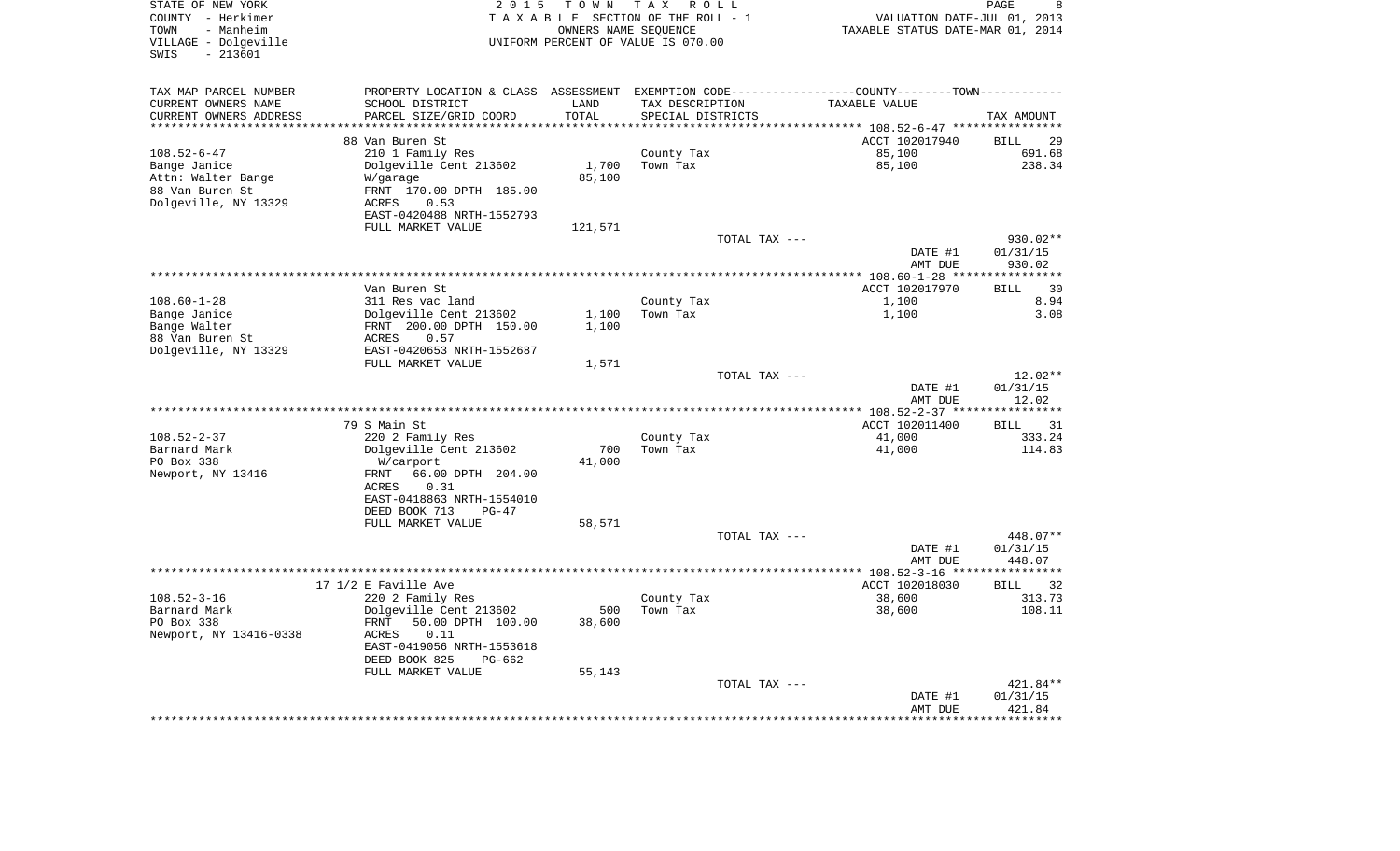| STATE OF NEW YORK<br>COUNTY - Herkimer<br>- Manheim<br>TOWN<br>VILLAGE - Dolgeville<br>$-213601$<br>SWIS | 2 0 1 5                                                                                        | TOWN<br>OWNERS NAME SEQUENCE | T A X<br>R O L L<br>TAXABLE SECTION OF THE ROLL - 1<br>UNIFORM PERCENT OF VALUE IS 070.00 | VALUATION DATE-JUL 01, 2013<br>TAXABLE STATUS DATE-MAR 01, 2014 | PAGE<br>8                   |
|----------------------------------------------------------------------------------------------------------|------------------------------------------------------------------------------------------------|------------------------------|-------------------------------------------------------------------------------------------|-----------------------------------------------------------------|-----------------------------|
| TAX MAP PARCEL NUMBER                                                                                    | PROPERTY LOCATION & CLASS ASSESSMENT EXEMPTION CODE----------------COUNTY-------TOWN---------- |                              |                                                                                           |                                                                 |                             |
| CURRENT OWNERS NAME                                                                                      | SCHOOL DISTRICT                                                                                | LAND                         | TAX DESCRIPTION                                                                           | TAXABLE VALUE                                                   |                             |
| CURRENT OWNERS ADDRESS<br>********************                                                           | PARCEL SIZE/GRID COORD                                                                         | TOTAL<br>* * * * * * * * *   | SPECIAL DISTRICTS                                                                         |                                                                 | TAX AMOUNT                  |
|                                                                                                          |                                                                                                |                              |                                                                                           |                                                                 |                             |
| $108.52 - 6 - 47$                                                                                        | 88 Van Buren St<br>210 1 Family Res                                                            |                              | County Tax                                                                                | ACCT 102017940<br>85,100                                        | <b>BILL</b><br>29<br>691.68 |
| Bange Janice                                                                                             | Dolgeville Cent 213602                                                                         | 1,700                        | Town Tax                                                                                  | 85,100                                                          | 238.34                      |
| Attn: Walter Bange                                                                                       | W/garage                                                                                       | 85,100                       |                                                                                           |                                                                 |                             |
| 88 Van Buren St                                                                                          | FRNT 170.00 DPTH 185.00                                                                        |                              |                                                                                           |                                                                 |                             |
| Dolgeville, NY 13329                                                                                     | ACRES<br>0.53                                                                                  |                              |                                                                                           |                                                                 |                             |
|                                                                                                          | EAST-0420488 NRTH-1552793                                                                      |                              |                                                                                           |                                                                 |                             |
|                                                                                                          | FULL MARKET VALUE                                                                              | 121,571                      |                                                                                           |                                                                 |                             |
|                                                                                                          |                                                                                                |                              | TOTAL TAX ---                                                                             | DATE #1                                                         | 930.02**<br>01/31/15        |
|                                                                                                          |                                                                                                |                              |                                                                                           | AMT DUE                                                         | 930.02                      |
|                                                                                                          |                                                                                                |                              |                                                                                           | *********** 108.60-1-28 ***                                     | ***********                 |
|                                                                                                          | Van Buren St                                                                                   |                              |                                                                                           | ACCT 102017970                                                  | 30<br><b>BILL</b>           |
| $108.60 - 1 - 28$                                                                                        | 311 Res vac land                                                                               |                              | County Tax                                                                                | 1,100                                                           | 8.94                        |
| Bange Janice                                                                                             | Dolgeville Cent 213602                                                                         | 1,100                        | Town Tax                                                                                  | 1,100                                                           | 3.08                        |
| Bange Walter<br>88 Van Buren St                                                                          | FRNT 200.00 DPTH 150.00<br><b>ACRES</b><br>0.57                                                | 1,100                        |                                                                                           |                                                                 |                             |
| Dolgeville, NY 13329                                                                                     | EAST-0420653 NRTH-1552687                                                                      |                              |                                                                                           |                                                                 |                             |
|                                                                                                          | FULL MARKET VALUE                                                                              | 1,571                        |                                                                                           |                                                                 |                             |
|                                                                                                          |                                                                                                |                              | TOTAL TAX ---                                                                             |                                                                 | $12.02**$                   |
|                                                                                                          |                                                                                                |                              |                                                                                           | DATE #1                                                         | 01/31/15                    |
|                                                                                                          |                                                                                                |                              | *********************************                                                         | AMT DUE                                                         | 12.02                       |
|                                                                                                          |                                                                                                |                              |                                                                                           | *** $108.52 - 2 - 37$ ***<br>ACCT 102011400                     | *******<br>31               |
| $108.52 - 2 - 37$                                                                                        | 79 S Main St<br>220 2 Family Res                                                               |                              | County Tax                                                                                | 41,000                                                          | <b>BILL</b><br>333.24       |
| Barnard Mark                                                                                             | Dolgeville Cent 213602                                                                         | 700                          | Town Tax                                                                                  | 41,000                                                          | 114.83                      |
| PO Box 338                                                                                               | W/carport                                                                                      | 41,000                       |                                                                                           |                                                                 |                             |
| Newport, NY 13416                                                                                        | FRNT<br>66.00 DPTH 204.00                                                                      |                              |                                                                                           |                                                                 |                             |
|                                                                                                          | 0.31<br>ACRES                                                                                  |                              |                                                                                           |                                                                 |                             |
|                                                                                                          | EAST-0418863 NRTH-1554010                                                                      |                              |                                                                                           |                                                                 |                             |
|                                                                                                          | DEED BOOK 713<br>$PG-47$<br>FULL MARKET VALUE                                                  | 58,571                       |                                                                                           |                                                                 |                             |
|                                                                                                          |                                                                                                |                              | TOTAL TAX ---                                                                             |                                                                 | 448.07**                    |
|                                                                                                          |                                                                                                |                              |                                                                                           | DATE #1                                                         | 01/31/15                    |
|                                                                                                          |                                                                                                |                              |                                                                                           | AMT DUE                                                         | 448.07                      |
|                                                                                                          |                                                                                                |                              |                                                                                           |                                                                 |                             |
|                                                                                                          | 17 1/2 E Faville Ave                                                                           |                              |                                                                                           | ACCT 102018030                                                  | 32<br><b>BILL</b>           |
| $108.52 - 3 - 16$<br>Barnard Mark                                                                        | 220 2 Family Res<br>Dolgeville Cent 213602                                                     | 500                          | County Tax<br>Town Tax                                                                    | 38,600<br>38,600                                                | 313.73<br>108.11            |
| PO Box 338                                                                                               | 50.00 DPTH 100.00<br>FRNT                                                                      | 38,600                       |                                                                                           |                                                                 |                             |
| Newport, NY 13416-0338                                                                                   | 0.11<br>ACRES                                                                                  |                              |                                                                                           |                                                                 |                             |
|                                                                                                          | EAST-0419056 NRTH-1553618                                                                      |                              |                                                                                           |                                                                 |                             |
|                                                                                                          | DEED BOOK 825<br>PG-662                                                                        |                              |                                                                                           |                                                                 |                             |
|                                                                                                          | FULL MARKET VALUE                                                                              | 55,143                       |                                                                                           |                                                                 |                             |
|                                                                                                          |                                                                                                |                              | TOTAL TAX ---                                                                             |                                                                 | 421.84**                    |
|                                                                                                          |                                                                                                |                              |                                                                                           | DATE #1<br>AMT DUE                                              | 01/31/15<br>421.84          |
|                                                                                                          |                                                                                                |                              |                                                                                           |                                                                 |                             |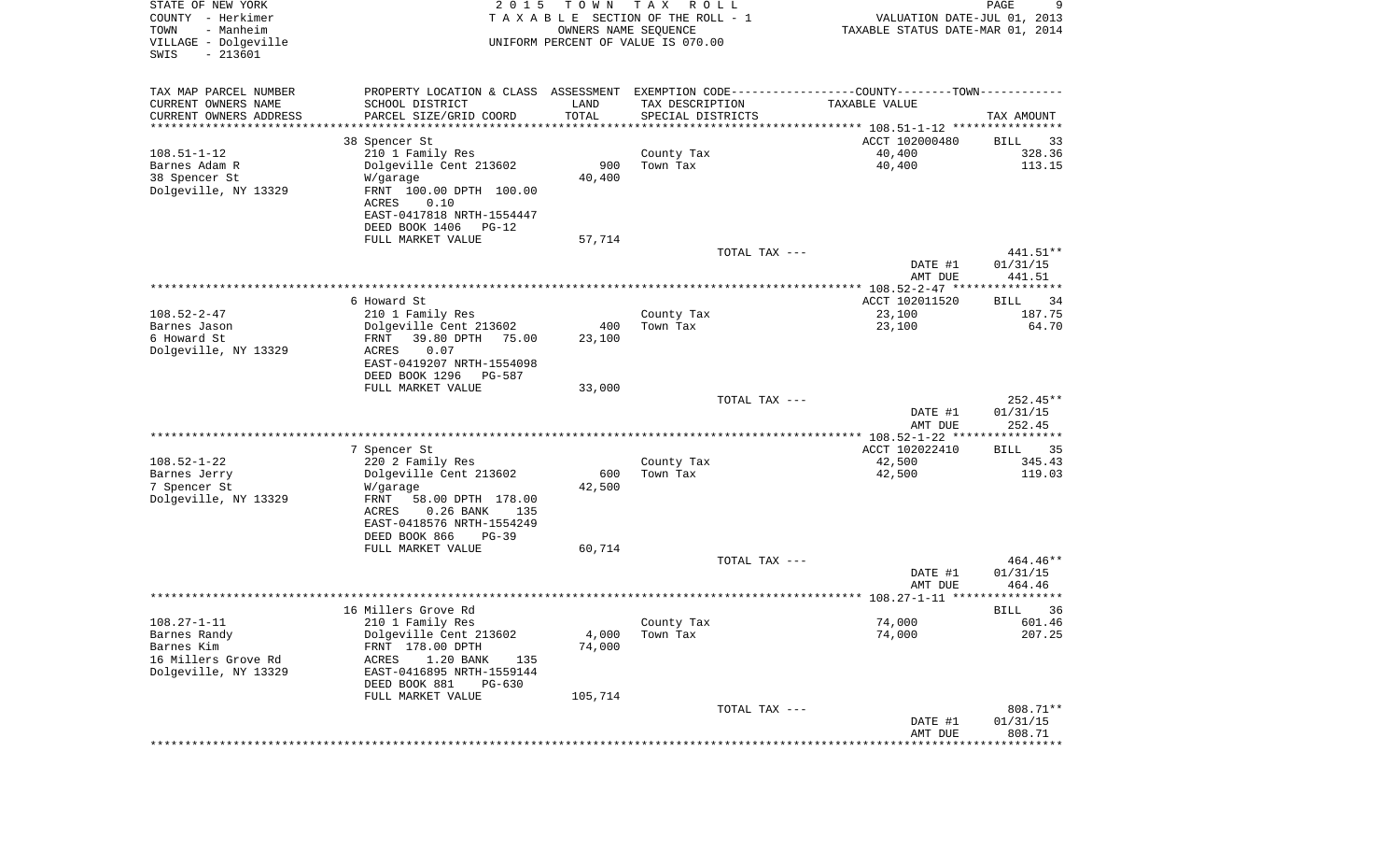| STATE OF NEW YORK<br>COUNTY - Herkimer<br>- Manheim<br>TOWN<br>VILLAGE - Dolgeville<br>SWIS<br>$-213601$ | 2 0 1 5                                                                                        | TOWN<br>OWNERS NAME SEQUENCE   | T A X<br>R O L L<br>TAXABLE SECTION OF THE ROLL - 1<br>UNIFORM PERCENT OF VALUE IS 070.00 | VALUATION DATE-JUL 01, 2013<br>TAXABLE STATUS DATE-MAR 01, 2014 | 9<br>PAGE            |
|----------------------------------------------------------------------------------------------------------|------------------------------------------------------------------------------------------------|--------------------------------|-------------------------------------------------------------------------------------------|-----------------------------------------------------------------|----------------------|
| TAX MAP PARCEL NUMBER                                                                                    | PROPERTY LOCATION & CLASS ASSESSMENT EXEMPTION CODE----------------COUNTY-------TOWN---------- |                                |                                                                                           |                                                                 |                      |
| CURRENT OWNERS NAME                                                                                      | SCHOOL DISTRICT                                                                                | LAND                           | TAX DESCRIPTION                                                                           | TAXABLE VALUE                                                   |                      |
| CURRENT OWNERS ADDRESS<br>*********************                                                          | PARCEL SIZE/GRID COORD<br>******************                                                   | TOTAL<br>* * * * * * * * * * * | SPECIAL DISTRICTS                                                                         |                                                                 | TAX AMOUNT           |
|                                                                                                          | 38 Spencer St                                                                                  |                                |                                                                                           | ACCT 102000480                                                  | BILL<br>33           |
| $108.51 - 1 - 12$                                                                                        | 210 1 Family Res                                                                               |                                | County Tax                                                                                | 40,400                                                          | 328.36               |
| Barnes Adam R                                                                                            | Dolgeville Cent 213602                                                                         | 900                            | Town Tax                                                                                  | 40,400                                                          | 113.15               |
| 38 Spencer St<br>Dolgeville, NY 13329                                                                    | W/garage<br>FRNT 100.00 DPTH 100.00                                                            | 40,400                         |                                                                                           |                                                                 |                      |
|                                                                                                          | 0.10<br>ACRES                                                                                  |                                |                                                                                           |                                                                 |                      |
|                                                                                                          | EAST-0417818 NRTH-1554447                                                                      |                                |                                                                                           |                                                                 |                      |
|                                                                                                          | DEED BOOK 1406<br>$PG-12$                                                                      |                                |                                                                                           |                                                                 |                      |
|                                                                                                          | FULL MARKET VALUE                                                                              | 57,714                         | TOTAL TAX ---                                                                             |                                                                 | 441.51**             |
|                                                                                                          |                                                                                                |                                |                                                                                           | DATE #1                                                         | 01/31/15             |
|                                                                                                          |                                                                                                |                                |                                                                                           | AMT DUE                                                         | 441.51               |
|                                                                                                          |                                                                                                |                                |                                                                                           |                                                                 |                      |
| $108.52 - 2 - 47$                                                                                        | 6 Howard St<br>210 1 Family Res                                                                |                                | County Tax                                                                                | ACCT 102011520<br>23,100                                        | 34<br>BILL<br>187.75 |
| Barnes Jason                                                                                             | Dolgeville Cent 213602                                                                         | 400                            | Town Tax                                                                                  | 23,100                                                          | 64.70                |
| 6 Howard St                                                                                              | 39.80 DPTH<br>75.00<br>FRNT                                                                    | 23,100                         |                                                                                           |                                                                 |                      |
| Dolgeville, NY 13329                                                                                     | ACRES<br>0.07<br>EAST-0419207 NRTH-1554098                                                     |                                |                                                                                           |                                                                 |                      |
|                                                                                                          | DEED BOOK 1296<br><b>PG-587</b>                                                                |                                |                                                                                           |                                                                 |                      |
|                                                                                                          | FULL MARKET VALUE                                                                              | 33,000                         |                                                                                           |                                                                 |                      |
|                                                                                                          |                                                                                                |                                | TOTAL TAX ---                                                                             |                                                                 | $252.45**$           |
|                                                                                                          |                                                                                                |                                |                                                                                           | DATE #1<br>AMT DUE                                              | 01/31/15<br>252.45   |
|                                                                                                          |                                                                                                |                                |                                                                                           | ************ 108.52-1-22 ****************                       |                      |
|                                                                                                          | 7 Spencer St                                                                                   |                                |                                                                                           | ACCT 102022410                                                  | 35<br>BILL           |
| $108.52 - 1 - 22$<br>Barnes Jerry                                                                        | 220 2 Family Res<br>Dolgeville Cent 213602                                                     | 600                            | County Tax<br>Town Tax                                                                    | 42,500<br>42,500                                                | 345.43<br>119.03     |
| 7 Spencer St                                                                                             | W/garage                                                                                       | 42,500                         |                                                                                           |                                                                 |                      |
| Dolgeville, NY 13329                                                                                     | FRNT<br>58.00 DPTH 178.00                                                                      |                                |                                                                                           |                                                                 |                      |
|                                                                                                          | ACRES<br>$0.26$ BANK<br>135                                                                    |                                |                                                                                           |                                                                 |                      |
|                                                                                                          | EAST-0418576 NRTH-1554249<br>DEED BOOK 866<br>$PG-39$                                          |                                |                                                                                           |                                                                 |                      |
|                                                                                                          | FULL MARKET VALUE                                                                              | 60,714                         |                                                                                           |                                                                 |                      |
|                                                                                                          |                                                                                                |                                | TOTAL TAX ---                                                                             |                                                                 | 464.46**             |
|                                                                                                          |                                                                                                |                                |                                                                                           | DATE #1<br>AMT DUE                                              | 01/31/15<br>464.46   |
|                                                                                                          |                                                                                                |                                |                                                                                           |                                                                 |                      |
|                                                                                                          | 16 Millers Grove Rd                                                                            |                                |                                                                                           |                                                                 | 36<br>BILL           |
| $108.27 - 1 - 11$                                                                                        | 210 1 Family Res                                                                               |                                | County Tax                                                                                | 74,000                                                          | 601.46               |
| Barnes Randy<br>Barnes Kim                                                                               | Dolgeville Cent 213602<br>FRNT 178.00 DPTH                                                     | 4,000<br>74,000                | Town Tax                                                                                  | 74,000                                                          | 207.25               |
| 16 Millers Grove Rd                                                                                      | 1.20 BANK<br>ACRES<br>135                                                                      |                                |                                                                                           |                                                                 |                      |
| Dolgeville, NY 13329                                                                                     | EAST-0416895 NRTH-1559144                                                                      |                                |                                                                                           |                                                                 |                      |
|                                                                                                          | DEED BOOK 881<br>$PG-630$                                                                      |                                |                                                                                           |                                                                 |                      |
|                                                                                                          | FULL MARKET VALUE                                                                              | 105,714                        | TOTAL TAX ---                                                                             |                                                                 | 808.71**             |
|                                                                                                          |                                                                                                |                                |                                                                                           | DATE #1                                                         | 01/31/15             |
|                                                                                                          |                                                                                                |                                |                                                                                           | AMT DUE                                                         | 808.71               |
|                                                                                                          |                                                                                                |                                |                                                                                           | *******************************                                 |                      |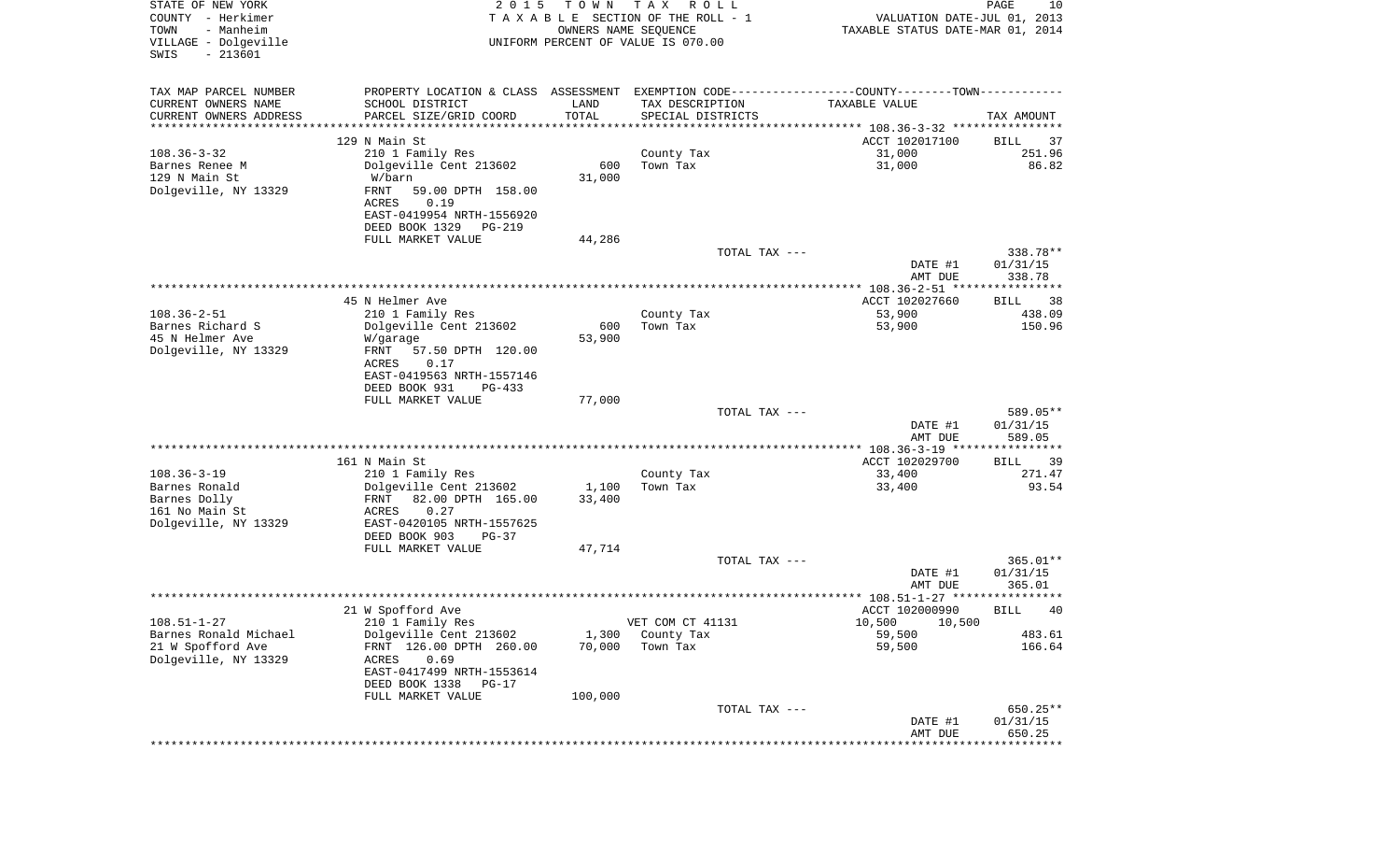| STATE OF NEW YORK<br>COUNTY - Herkimer<br>TOWN<br>- Manheim<br>VILLAGE - Dolgeville<br>$-213601$<br>SWIS | 2 0 1 5                                                                                         | T O W N             | T A X<br>R O L L<br>TAXABLE SECTION OF THE ROLL - 1<br>OWNERS NAME SEQUENCE<br>UNIFORM PERCENT OF VALUE IS 070.00 | VALUATION DATE-JUL 01, 2013<br>TAXABLE STATUS DATE-MAR 01, 2014 | PAGE<br>10           |
|----------------------------------------------------------------------------------------------------------|-------------------------------------------------------------------------------------------------|---------------------|-------------------------------------------------------------------------------------------------------------------|-----------------------------------------------------------------|----------------------|
| TAX MAP PARCEL NUMBER                                                                                    | PROPERTY LOCATION & CLASS ASSESSMENT EXEMPTION CODE----------------COUNTY--------TOWN---------- |                     |                                                                                                                   |                                                                 |                      |
| CURRENT OWNERS NAME                                                                                      | SCHOOL DISTRICT                                                                                 | LAND                | TAX DESCRIPTION                                                                                                   | TAXABLE VALUE                                                   |                      |
| CURRENT OWNERS ADDRESS                                                                                   | PARCEL SIZE/GRID COORD                                                                          | TOTAL               | SPECIAL DISTRICTS                                                                                                 |                                                                 | TAX AMOUNT           |
| *********************                                                                                    |                                                                                                 | * * * * * * * * * * |                                                                                                                   |                                                                 |                      |
| $108.36 - 3 - 32$                                                                                        | 129 N Main St                                                                                   |                     |                                                                                                                   | ACCT 102017100<br>31,000                                        | BILL<br>37<br>251.96 |
| Barnes Renee M                                                                                           | 210 1 Family Res<br>Dolgeville Cent 213602                                                      | 600                 | County Tax<br>Town Tax                                                                                            | 31,000                                                          | 86.82                |
| 129 N Main St                                                                                            | W/barn                                                                                          | 31,000              |                                                                                                                   |                                                                 |                      |
| Dolgeville, NY 13329                                                                                     | FRNT<br>59.00 DPTH 158.00                                                                       |                     |                                                                                                                   |                                                                 |                      |
|                                                                                                          | 0.19<br>ACRES                                                                                   |                     |                                                                                                                   |                                                                 |                      |
|                                                                                                          | EAST-0419954 NRTH-1556920                                                                       |                     |                                                                                                                   |                                                                 |                      |
|                                                                                                          | DEED BOOK 1329<br>PG-219                                                                        |                     |                                                                                                                   |                                                                 |                      |
|                                                                                                          | FULL MARKET VALUE                                                                               | 44,286              | TOTAL TAX ---                                                                                                     |                                                                 | 338.78**             |
|                                                                                                          |                                                                                                 |                     |                                                                                                                   | DATE #1                                                         | 01/31/15             |
|                                                                                                          |                                                                                                 |                     |                                                                                                                   | AMT DUE                                                         | 338.78               |
|                                                                                                          |                                                                                                 |                     |                                                                                                                   | ****************** 108.36-2-51 *****************                |                      |
|                                                                                                          | 45 N Helmer Ave                                                                                 |                     |                                                                                                                   | ACCT 102027660                                                  | BILL<br>38           |
| $108.36 - 2 - 51$<br>Barnes Richard S                                                                    | 210 1 Family Res<br>Dolgeville Cent 213602                                                      | 600                 | County Tax<br>Town Tax                                                                                            | 53,900<br>53,900                                                | 438.09<br>150.96     |
| 45 N Helmer Ave                                                                                          | W/garage                                                                                        | 53,900              |                                                                                                                   |                                                                 |                      |
| Dolgeville, NY 13329                                                                                     | 57.50 DPTH 120.00<br>FRNT                                                                       |                     |                                                                                                                   |                                                                 |                      |
|                                                                                                          | ACRES<br>0.17                                                                                   |                     |                                                                                                                   |                                                                 |                      |
|                                                                                                          | EAST-0419563 NRTH-1557146                                                                       |                     |                                                                                                                   |                                                                 |                      |
|                                                                                                          | DEED BOOK 931<br>$PG-433$<br>FULL MARKET VALUE                                                  | 77,000              |                                                                                                                   |                                                                 |                      |
|                                                                                                          |                                                                                                 |                     | TOTAL TAX ---                                                                                                     |                                                                 | 589.05**             |
|                                                                                                          |                                                                                                 |                     |                                                                                                                   | DATE #1                                                         | 01/31/15             |
|                                                                                                          |                                                                                                 |                     |                                                                                                                   | AMT DUE                                                         | 589.05               |
|                                                                                                          |                                                                                                 |                     |                                                                                                                   |                                                                 |                      |
| $108.36 - 3 - 19$                                                                                        | 161 N Main St<br>210 1 Family Res                                                               |                     | County Tax                                                                                                        | ACCT 102029700<br>33,400                                        | 39<br>BILL<br>271.47 |
| Barnes Ronald                                                                                            | Dolgeville Cent 213602                                                                          | 1,100               | Town Tax                                                                                                          | 33,400                                                          | 93.54                |
| Barnes Dolly                                                                                             | FRNT<br>82.00 DPTH 165.00                                                                       | 33,400              |                                                                                                                   |                                                                 |                      |
| 161 No Main St                                                                                           | ACRES<br>0.27                                                                                   |                     |                                                                                                                   |                                                                 |                      |
| Dolgeville, NY 13329                                                                                     | EAST-0420105 NRTH-1557625                                                                       |                     |                                                                                                                   |                                                                 |                      |
|                                                                                                          | DEED BOOK 903<br>$PG-37$                                                                        |                     |                                                                                                                   |                                                                 |                      |
|                                                                                                          | FULL MARKET VALUE                                                                               | 47,714              | TOTAL TAX ---                                                                                                     |                                                                 | $365.01**$           |
|                                                                                                          |                                                                                                 |                     |                                                                                                                   | DATE #1                                                         | 01/31/15             |
|                                                                                                          |                                                                                                 |                     |                                                                                                                   | AMT DUE                                                         | 365.01               |
|                                                                                                          |                                                                                                 |                     |                                                                                                                   |                                                                 | *****                |
|                                                                                                          | 21 W Spofford Ave                                                                               |                     | VET COM CT 41131                                                                                                  | ACCT 102000990<br>10,500 10,500                                 | 40<br>BILL           |
| $108.51 - 1 - 27$<br>Barnes Ronald Michael                                                               | 210 1 Family Res<br>Dolgeville Cent 213602                                                      | 1,300               | County Tax                                                                                                        | 59,500                                                          | 483.61               |
| 21 W Spofford Ave                                                                                        | FRNT 126.00 DPTH 260.00                                                                         | 70,000              | Town Tax                                                                                                          | 59,500                                                          | 166.64               |
| Dolgeville, NY 13329                                                                                     | 0.69<br>ACRES                                                                                   |                     |                                                                                                                   |                                                                 |                      |
|                                                                                                          | EAST-0417499 NRTH-1553614                                                                       |                     |                                                                                                                   |                                                                 |                      |
|                                                                                                          | DEED BOOK 1338<br>$PG-17$                                                                       |                     |                                                                                                                   |                                                                 |                      |
|                                                                                                          | FULL MARKET VALUE                                                                               | 100,000             | TOTAL TAX ---                                                                                                     |                                                                 | 650.25**             |
|                                                                                                          |                                                                                                 |                     |                                                                                                                   | DATE #1                                                         | 01/31/15             |
|                                                                                                          |                                                                                                 |                     |                                                                                                                   | AMT DUE                                                         | 650.25               |
|                                                                                                          |                                                                                                 |                     |                                                                                                                   |                                                                 |                      |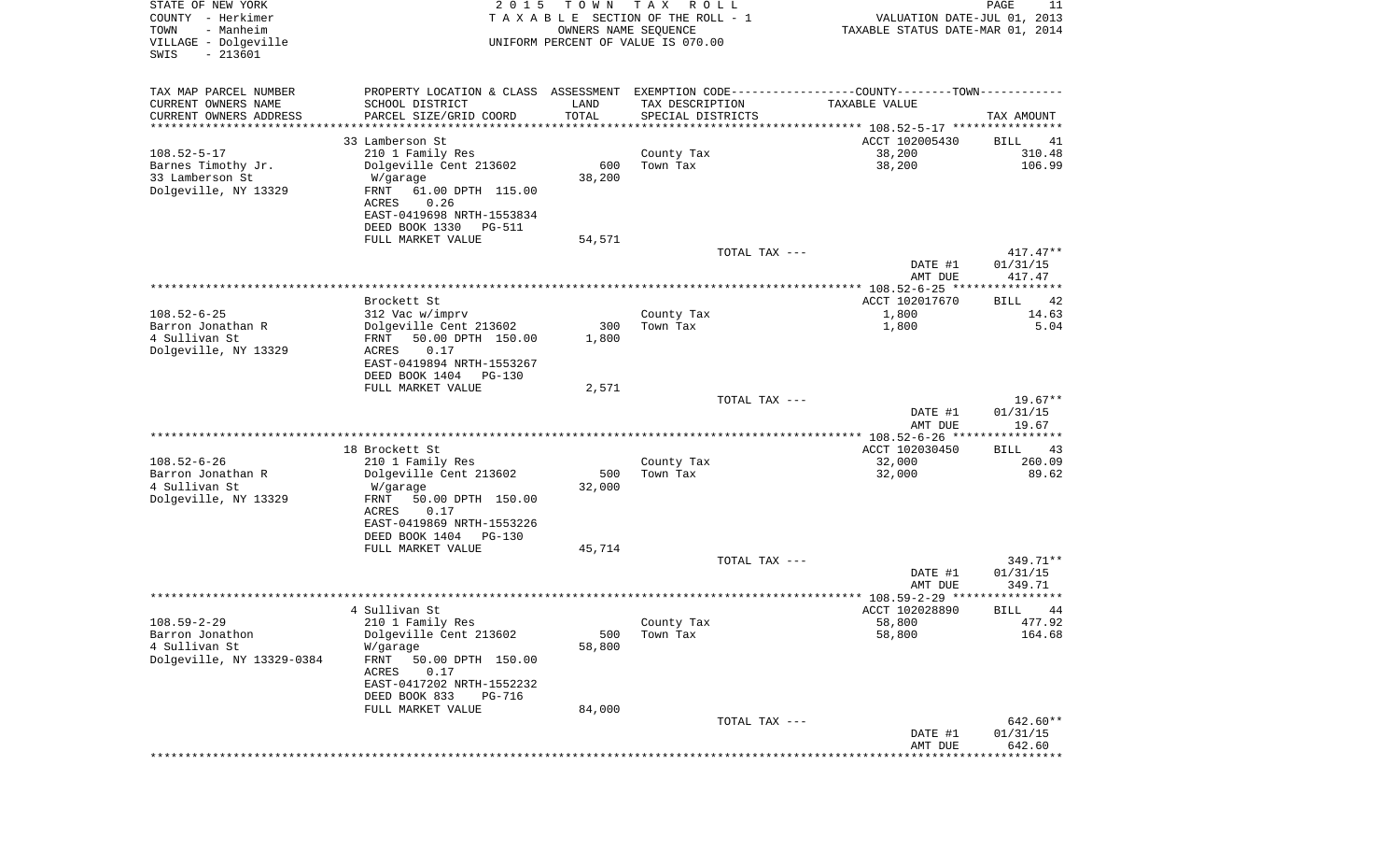| STATE OF NEW YORK<br>COUNTY - Herkimer<br>- Manheim<br>TOWN<br>VILLAGE - Dolgeville<br>$-213601$<br>SWIS | 2 0 1 5                                                                                                                                                                         | T O W N<br>OWNERS NAME SEQUENCE | T A X<br>R O L L<br>T A X A B L E SECTION OF THE ROLL - 1<br>UNIFORM PERCENT OF VALUE IS 070.00 |               | VALUATION DATE-JUL 01, 2013<br>TAXABLE STATUS DATE-MAR 01, 2014 | PAGE<br>11                     |
|----------------------------------------------------------------------------------------------------------|---------------------------------------------------------------------------------------------------------------------------------------------------------------------------------|---------------------------------|-------------------------------------------------------------------------------------------------|---------------|-----------------------------------------------------------------|--------------------------------|
| TAX MAP PARCEL NUMBER<br>CURRENT OWNERS NAME<br>CURRENT OWNERS ADDRESS<br>*********************          | PROPERTY LOCATION & CLASS ASSESSMENT EXEMPTION CODE---------------COUNTY-------TOWN----------<br>SCHOOL DISTRICT<br>PARCEL SIZE/GRID COORD<br>*******************               | LAND<br>TOTAL<br>***********    | TAX DESCRIPTION<br>SPECIAL DISTRICTS                                                            |               | TAXABLE VALUE                                                   | TAX AMOUNT                     |
|                                                                                                          | 33 Lamberson St                                                                                                                                                                 |                                 |                                                                                                 |               | ACCT 102005430                                                  | BILL<br>41                     |
| $108.52 - 5 - 17$<br>Barnes Timothy Jr.<br>33 Lamberson St<br>Dolgeville, NY 13329                       | 210 1 Family Res<br>Dolgeville Cent 213602<br>W/garage<br>FRNT<br>61.00 DPTH 115.00<br>ACRES<br>0.26<br>EAST-0419698 NRTH-1553834                                               | 600<br>38,200                   | County Tax<br>Town Tax                                                                          |               | 38,200<br>38,200                                                | 310.48<br>106.99               |
|                                                                                                          | DEED BOOK 1330<br>PG-511<br>FULL MARKET VALUE                                                                                                                                   | 54,571                          |                                                                                                 |               |                                                                 |                                |
|                                                                                                          |                                                                                                                                                                                 |                                 |                                                                                                 | TOTAL TAX --- | DATE #1                                                         | $417.47**$<br>01/31/15         |
|                                                                                                          |                                                                                                                                                                                 |                                 |                                                                                                 |               | AMT DUE                                                         | 417.47                         |
|                                                                                                          | Brockett St                                                                                                                                                                     |                                 |                                                                                                 |               | ACCT 102017670                                                  | 42<br>BILL                     |
| $108.52 - 6 - 25$                                                                                        | 312 Vac w/imprv                                                                                                                                                                 |                                 | County Tax                                                                                      |               | 1,800                                                           | 14.63                          |
| Barron Jonathan R<br>4 Sullivan St<br>Dolgeville, NY 13329                                               | Dolgeville Cent 213602<br>FRNT<br>50.00 DPTH 150.00<br>ACRES<br>0.17<br>EAST-0419894 NRTH-1553267<br>DEED BOOK 1404<br>PG-130                                                   | 300<br>1,800                    | Town Tax                                                                                        |               | 1,800                                                           | 5.04                           |
|                                                                                                          | FULL MARKET VALUE                                                                                                                                                               | 2,571                           |                                                                                                 |               |                                                                 |                                |
|                                                                                                          |                                                                                                                                                                                 |                                 |                                                                                                 | TOTAL TAX --- | DATE #1<br>AMT DUE                                              | $19.67**$<br>01/31/15<br>19.67 |
|                                                                                                          |                                                                                                                                                                                 |                                 |                                                                                                 |               | ************ 108.52-6-26 ****                                   | ***********                    |
| $108.52 - 6 - 26$<br>Barron Jonathan R<br>4 Sullivan St<br>Dolgeville, NY 13329                          | 18 Brockett St<br>210 1 Family Res<br>Dolgeville Cent 213602<br>W/garage<br>FRNT<br>50.00 DPTH 150.00<br>ACRES<br>0.17<br>EAST-0419869 NRTH-1553226<br>DEED BOOK 1404<br>PG-130 | 500<br>32,000                   | County Tax<br>Town Tax                                                                          |               | ACCT 102030450<br>32,000<br>32,000                              | 43<br>BILL<br>260.09<br>89.62  |
|                                                                                                          | FULL MARKET VALUE                                                                                                                                                               | 45,714                          |                                                                                                 |               |                                                                 |                                |
|                                                                                                          |                                                                                                                                                                                 |                                 |                                                                                                 | TOTAL TAX --- | DATE #1<br>AMT DUE                                              | 349.71**<br>01/31/15<br>349.71 |
|                                                                                                          |                                                                                                                                                                                 |                                 |                                                                                                 |               |                                                                 |                                |
| $108.59 - 2 - 29$<br>Barron Jonathon<br>4 Sullivan St<br>Dolgeville, NY 13329-0384                       | 4 Sullivan St<br>210 1 Family Res<br>Dolgeville Cent 213602<br>W/garage<br>FRNT<br>50.00 DPTH 150.00<br>ACRES<br>0.17<br>EAST-0417202 NRTH-1552232<br>DEED BOOK 833<br>PG-716   | 500<br>58,800                   | County Tax<br>Town Tax                                                                          |               | ACCT 102028890<br>58,800<br>58,800                              | BILL<br>44<br>477.92<br>164.68 |
|                                                                                                          | FULL MARKET VALUE                                                                                                                                                               | 84,000                          |                                                                                                 | TOTAL TAX --- |                                                                 | 642.60**                       |
|                                                                                                          |                                                                                                                                                                                 |                                 |                                                                                                 |               | DATE #1<br>AMT DUE                                              | 01/31/15<br>642.60             |
|                                                                                                          |                                                                                                                                                                                 |                                 |                                                                                                 |               |                                                                 |                                |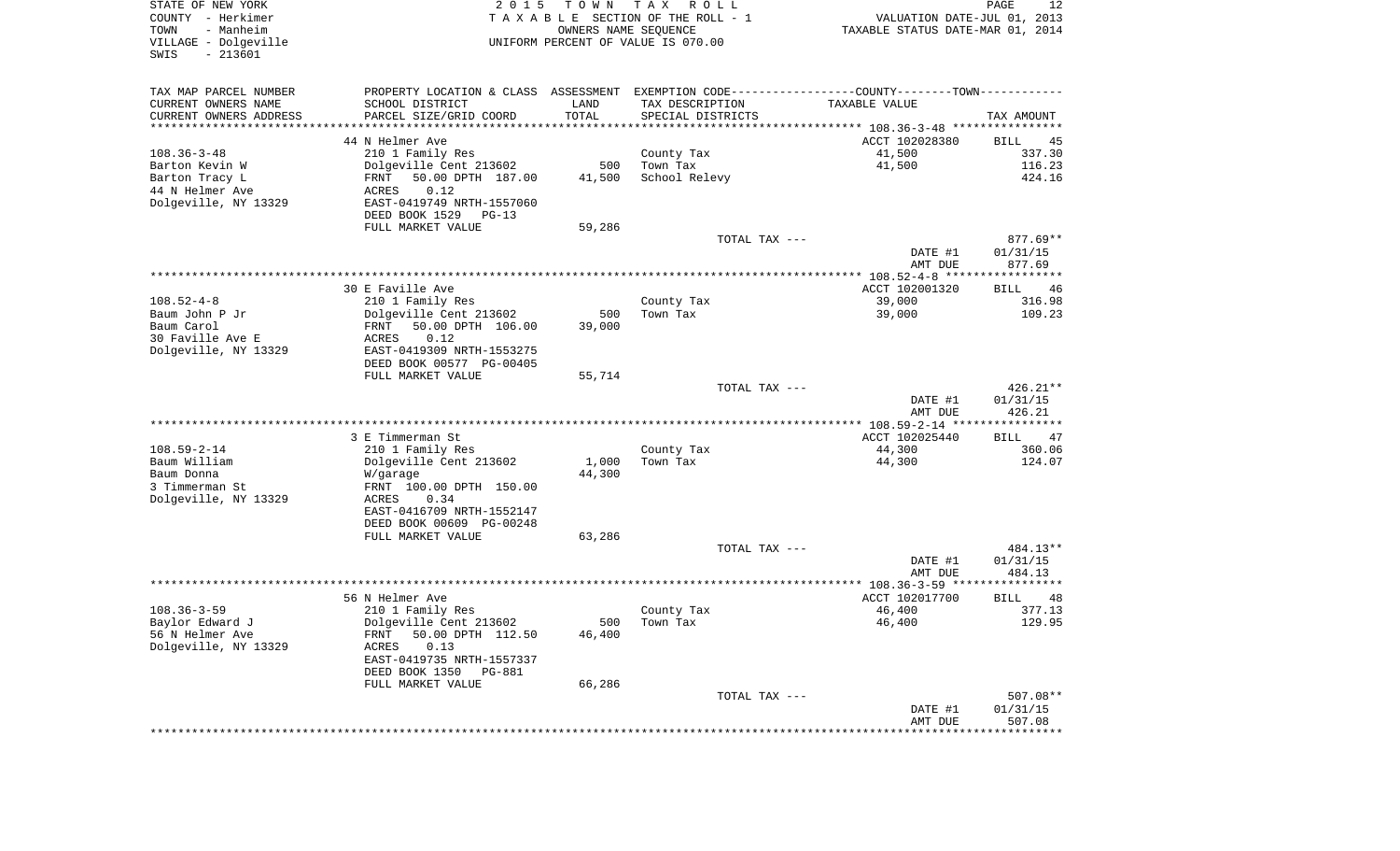| VILLAGE - Dolgeville<br>$-213601$<br>SWIS |                                                                                               | OWNERS NAME SEQUENCE | TAXABLE SECTION OF THE ROLL - 1<br>UNIFORM PERCENT OF VALUE IS 070.00 | VALUATION DATE-JUL 01, 2013<br>TAXABLE STATUS DATE-MAR 01, 2014 |                                          |
|-------------------------------------------|-----------------------------------------------------------------------------------------------|----------------------|-----------------------------------------------------------------------|-----------------------------------------------------------------|------------------------------------------|
| TAX MAP PARCEL NUMBER                     | PROPERTY LOCATION & CLASS ASSESSMENT EXEMPTION CODE---------------COUNTY-------TOWN---------- |                      |                                                                       |                                                                 |                                          |
| CURRENT OWNERS NAME                       | SCHOOL DISTRICT                                                                               | LAND                 | TAX DESCRIPTION                                                       | TAXABLE VALUE                                                   |                                          |
| CURRENT OWNERS ADDRESS                    | PARCEL SIZE/GRID COORD                                                                        | TOTAL                | SPECIAL DISTRICTS                                                     |                                                                 | TAX AMOUNT                               |
| ************************                  | 44 N Helmer Ave                                                                               |                      |                                                                       | ACCT 102028380                                                  |                                          |
| $108.36 - 3 - 48$                         | 210 1 Family Res                                                                              |                      | County Tax                                                            | 41,500                                                          | BILL<br>337.30                           |
| Barton Kevin W                            | Dolgeville Cent 213602                                                                        | 500                  | Town Tax                                                              | 41,500                                                          | 116.23                                   |
| Barton Tracy L                            | 50.00 DPTH 187.00<br>FRNT                                                                     | 41,500               | School Relevy                                                         |                                                                 | 424.16                                   |
| 44 N Helmer Ave                           | 0.12<br>ACRES                                                                                 |                      |                                                                       |                                                                 |                                          |
| Dolgeville, NY 13329                      | EAST-0419749 NRTH-1557060                                                                     |                      |                                                                       |                                                                 |                                          |
|                                           | DEED BOOK 1529 PG-13                                                                          |                      |                                                                       |                                                                 |                                          |
|                                           | FULL MARKET VALUE                                                                             | 59,286               |                                                                       |                                                                 |                                          |
|                                           |                                                                                               |                      | TOTAL TAX ---                                                         |                                                                 | $877.69**$                               |
|                                           |                                                                                               |                      |                                                                       | DATE #1                                                         | 01/31/15                                 |
|                                           |                                                                                               |                      |                                                                       | AMT DUE                                                         | 877.69                                   |
|                                           |                                                                                               |                      |                                                                       |                                                                 |                                          |
| $108.52 - 4 - 8$                          | 30 E Faville Ave                                                                              |                      |                                                                       | ACCT 102001320<br>39,000                                        | <b>BILL</b><br>316.98                    |
| Baum John P Jr                            | 210 1 Family Res<br>Dolgeville Cent 213602                                                    | 500                  | County Tax<br>Town Tax                                                | 39,000                                                          | 109.23                                   |
| Baum Carol                                | 50.00 DPTH 106.00<br>FRNT                                                                     | 39,000               |                                                                       |                                                                 |                                          |
| 30 Faville Ave E                          | 0.12<br>ACRES                                                                                 |                      |                                                                       |                                                                 |                                          |
| Dolgeville, NY 13329                      | EAST-0419309 NRTH-1553275                                                                     |                      |                                                                       |                                                                 |                                          |
|                                           | DEED BOOK 00577 PG-00405                                                                      |                      |                                                                       |                                                                 |                                          |
|                                           | FULL MARKET VALUE                                                                             | 55,714               |                                                                       |                                                                 |                                          |
|                                           |                                                                                               |                      | TOTAL TAX ---                                                         |                                                                 | 426.21**                                 |
|                                           |                                                                                               |                      |                                                                       | DATE #1                                                         | 01/31/15                                 |
|                                           |                                                                                               |                      |                                                                       | AMT DUE                                                         | 426.21                                   |
|                                           | 3 E Timmerman St                                                                              |                      |                                                                       | ACCT 102025440                                                  | BILL                                     |
| $108.59 - 2 - 14$                         | 210 1 Family Res                                                                              |                      | County Tax                                                            | 44,300                                                          | 360.06                                   |
|                                           |                                                                                               |                      | Town Tax                                                              | 44,300                                                          | 124.07                                   |
| Baum William                              | Dolgeville Cent 213602                                                                        | 1,000                |                                                                       |                                                                 |                                          |
| Baum Donna                                | W/garage                                                                                      | 44,300               |                                                                       |                                                                 |                                          |
| 3 Timmerman St                            | FRNT 100.00 DPTH 150.00                                                                       |                      |                                                                       |                                                                 |                                          |
| Dolgeville, NY 13329                      | 0.34<br>ACRES                                                                                 |                      |                                                                       |                                                                 |                                          |
|                                           | EAST-0416709 NRTH-1552147                                                                     |                      |                                                                       |                                                                 |                                          |
|                                           | DEED BOOK 00609 PG-00248                                                                      |                      |                                                                       |                                                                 |                                          |
|                                           | FULL MARKET VALUE                                                                             | 63,286               |                                                                       |                                                                 |                                          |
|                                           |                                                                                               |                      | TOTAL TAX ---                                                         |                                                                 | 484.13**                                 |
|                                           |                                                                                               |                      |                                                                       | DATE #1                                                         | 01/31/15                                 |
|                                           |                                                                                               |                      |                                                                       | AMT DUE                                                         | 484.13                                   |
|                                           | 56 N Helmer Ave                                                                               |                      |                                                                       | ACCT 102017700                                                  | BILL                                     |
| $108.36 - 3 - 59$                         | 210 1 Family Res                                                                              |                      | County Tax                                                            | 46,400                                                          |                                          |
| Baylor Edward J                           | Dolgeville Cent 213602                                                                        | 500                  | Town Tax                                                              | 46,400                                                          |                                          |
| 56 N Helmer Ave                           | 50.00 DPTH 112.50<br>FRNT                                                                     | 46,400               |                                                                       |                                                                 |                                          |
| Dolgeville, NY 13329                      | 0.13<br>ACRES                                                                                 |                      |                                                                       |                                                                 |                                          |
|                                           | EAST-0419735 NRTH-1557337                                                                     |                      |                                                                       |                                                                 |                                          |
|                                           | DEED BOOK 1350<br>PG-881                                                                      |                      |                                                                       |                                                                 |                                          |
|                                           | FULL MARKET VALUE                                                                             | 66,286               |                                                                       |                                                                 |                                          |
|                                           |                                                                                               |                      | TOTAL TAX ---                                                         | DATE #1                                                         | 377.13<br>129.95<br>507.08**<br>01/31/15 |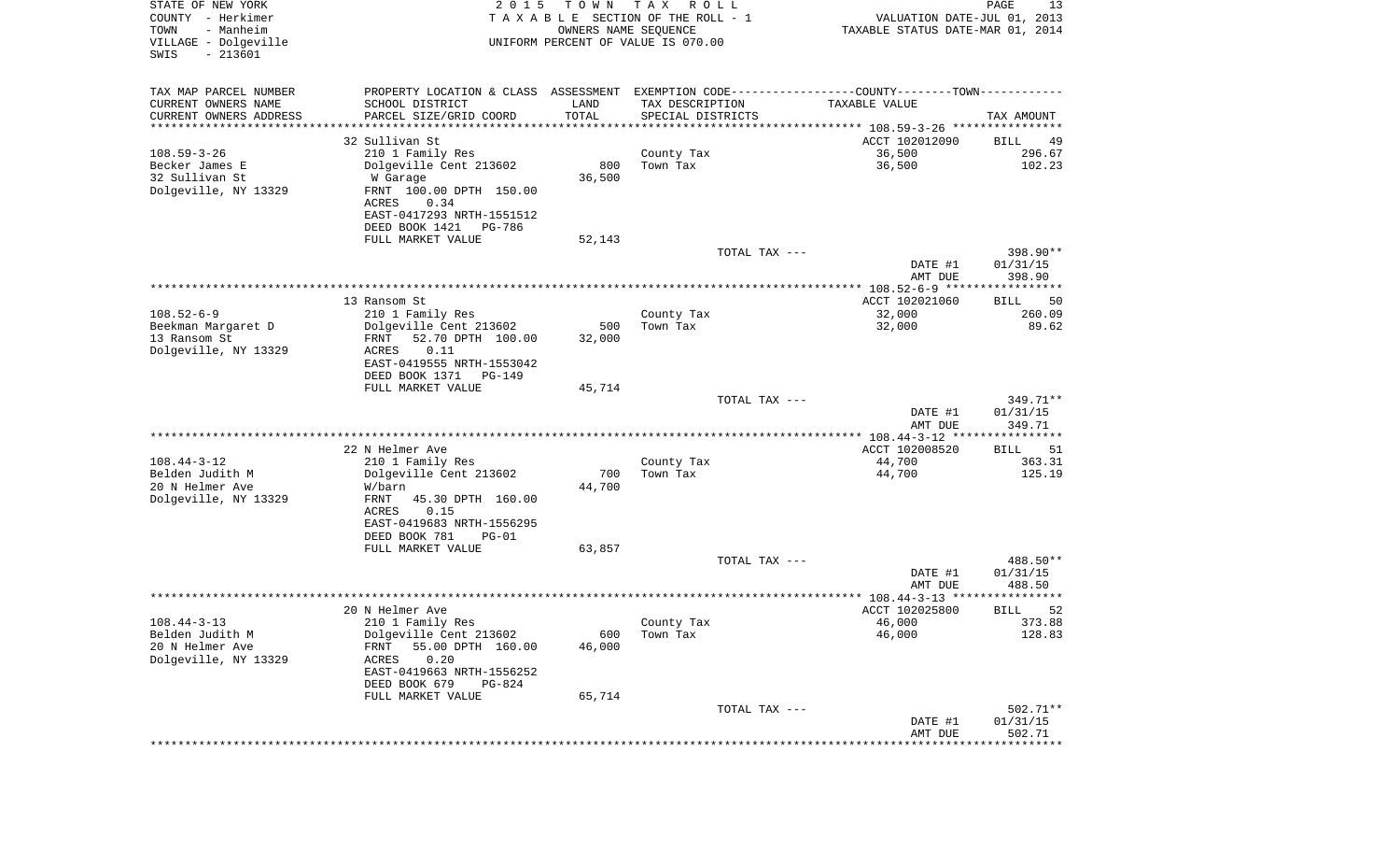| STATE OF NEW YORK<br>COUNTY - Herkimer<br>- Manheim<br>TOWN<br>VILLAGE - Dolgeville<br>$-213601$<br>SWIS | 2 0 1 5                                                                                       | T O W N<br>OWNERS NAME SEQUENCE | T A X<br>R O L L<br>T A X A B L E SECTION OF THE ROLL - 1<br>UNIFORM PERCENT OF VALUE IS 070.00 | VALUATION DATE-JUL 01, 2013<br>TAXABLE STATUS DATE-MAR 01, 2014 | PAGE<br>13                        |
|----------------------------------------------------------------------------------------------------------|-----------------------------------------------------------------------------------------------|---------------------------------|-------------------------------------------------------------------------------------------------|-----------------------------------------------------------------|-----------------------------------|
| TAX MAP PARCEL NUMBER                                                                                    | PROPERTY LOCATION & CLASS ASSESSMENT EXEMPTION CODE---------------COUNTY-------TOWN---------- |                                 |                                                                                                 |                                                                 |                                   |
| CURRENT OWNERS NAME                                                                                      | SCHOOL DISTRICT                                                                               | LAND                            | TAX DESCRIPTION                                                                                 | TAXABLE VALUE                                                   |                                   |
| CURRENT OWNERS ADDRESS<br>*********************                                                          | PARCEL SIZE/GRID COORD<br>*******************                                                 | TOTAL<br>***********            | SPECIAL DISTRICTS                                                                               |                                                                 | TAX AMOUNT                        |
|                                                                                                          | 32 Sullivan St                                                                                |                                 |                                                                                                 | ACCT 102012090                                                  | BILL<br>49                        |
| $108.59 - 3 - 26$                                                                                        | 210 1 Family Res                                                                              |                                 | County Tax                                                                                      | 36,500                                                          | 296.67                            |
| Becker James E                                                                                           | Dolgeville Cent 213602                                                                        | 800                             | Town Tax                                                                                        | 36,500                                                          | 102.23                            |
| 32 Sullivan St                                                                                           | W Garage                                                                                      | 36,500                          |                                                                                                 |                                                                 |                                   |
| Dolgeville, NY 13329                                                                                     | FRNT 100.00 DPTH 150.00                                                                       |                                 |                                                                                                 |                                                                 |                                   |
|                                                                                                          | ACRES<br>0.34                                                                                 |                                 |                                                                                                 |                                                                 |                                   |
|                                                                                                          | EAST-0417293 NRTH-1551512<br>DEED BOOK 1421<br>PG-786                                         |                                 |                                                                                                 |                                                                 |                                   |
|                                                                                                          | FULL MARKET VALUE                                                                             | 52,143                          |                                                                                                 |                                                                 |                                   |
|                                                                                                          |                                                                                               |                                 | TOTAL TAX ---                                                                                   |                                                                 | 398.90**                          |
|                                                                                                          |                                                                                               |                                 |                                                                                                 | DATE #1                                                         | 01/31/15                          |
|                                                                                                          |                                                                                               |                                 |                                                                                                 | AMT DUE                                                         | 398.90                            |
|                                                                                                          | 13 Ransom St                                                                                  |                                 |                                                                                                 | ACCT 102021060                                                  | BILL<br>50                        |
| $108.52 - 6 - 9$                                                                                         | 210 1 Family Res                                                                              |                                 | County Tax                                                                                      | 32,000                                                          | 260.09                            |
| Beekman Margaret D                                                                                       | Dolgeville Cent 213602                                                                        | 500                             | Town Tax                                                                                        | 32,000                                                          | 89.62                             |
| 13 Ransom St                                                                                             | FRNT<br>52.70 DPTH 100.00                                                                     | 32,000                          |                                                                                                 |                                                                 |                                   |
| Dolgeville, NY 13329                                                                                     | ACRES<br>0.11<br>EAST-0419555 NRTH-1553042                                                    |                                 |                                                                                                 |                                                                 |                                   |
|                                                                                                          | DEED BOOK 1371<br>PG-149                                                                      |                                 |                                                                                                 |                                                                 |                                   |
|                                                                                                          | FULL MARKET VALUE                                                                             | 45,714                          |                                                                                                 |                                                                 |                                   |
|                                                                                                          |                                                                                               |                                 | TOTAL TAX ---                                                                                   |                                                                 | 349.71**                          |
|                                                                                                          |                                                                                               |                                 |                                                                                                 | DATE #1                                                         | 01/31/15                          |
|                                                                                                          |                                                                                               |                                 |                                                                                                 | AMT DUE<br>************* 108.44-3-12 ****                       | 349.71<br>* * * * * * * * * * * * |
|                                                                                                          | 22 N Helmer Ave                                                                               |                                 |                                                                                                 | ACCT 102008520                                                  | <b>BILL</b><br>51                 |
| $108.44 - 3 - 12$                                                                                        | 210 1 Family Res                                                                              |                                 | County Tax                                                                                      | 44,700                                                          | 363.31                            |
| Belden Judith M                                                                                          | Dolgeville Cent 213602                                                                        | 700                             | Town Tax                                                                                        | 44,700                                                          | 125.19                            |
| 20 N Helmer Ave                                                                                          | W/barn                                                                                        | 44,700                          |                                                                                                 |                                                                 |                                   |
| Dolgeville, NY 13329                                                                                     | FRNT<br>45.30 DPTH 160.00<br>ACRES<br>0.15                                                    |                                 |                                                                                                 |                                                                 |                                   |
|                                                                                                          | EAST-0419683 NRTH-1556295                                                                     |                                 |                                                                                                 |                                                                 |                                   |
|                                                                                                          | DEED BOOK 781<br>$PG-01$                                                                      |                                 |                                                                                                 |                                                                 |                                   |
|                                                                                                          | FULL MARKET VALUE                                                                             | 63,857                          |                                                                                                 |                                                                 |                                   |
|                                                                                                          |                                                                                               |                                 | TOTAL TAX ---                                                                                   |                                                                 | 488.50**                          |
|                                                                                                          |                                                                                               |                                 |                                                                                                 | DATE #1<br>AMT DUE                                              | 01/31/15<br>488.50                |
|                                                                                                          |                                                                                               |                                 |                                                                                                 |                                                                 | * * * * * *                       |
|                                                                                                          | 20 N Helmer Ave                                                                               |                                 |                                                                                                 | ACCT 102025800                                                  | 52<br>BILL                        |
| $108.44 - 3 - 13$                                                                                        | 210 1 Family Res                                                                              |                                 | County Tax                                                                                      | 46,000                                                          | 373.88                            |
| Belden Judith M                                                                                          | Dolgeville Cent 213602                                                                        | 600                             | Town Tax                                                                                        | 46,000                                                          | 128.83                            |
| 20 N Helmer Ave<br>Dolgeville, NY 13329                                                                  | 55.00 DPTH 160.00<br>FRNT<br>0.20<br>ACRES                                                    | 46,000                          |                                                                                                 |                                                                 |                                   |
|                                                                                                          | EAST-0419663 NRTH-1556252                                                                     |                                 |                                                                                                 |                                                                 |                                   |
|                                                                                                          | DEED BOOK 679<br>PG-824                                                                       |                                 |                                                                                                 |                                                                 |                                   |
|                                                                                                          | FULL MARKET VALUE                                                                             | 65,714                          |                                                                                                 |                                                                 |                                   |
|                                                                                                          |                                                                                               |                                 | TOTAL TAX ---                                                                                   |                                                                 | 502.71**                          |
|                                                                                                          |                                                                                               |                                 |                                                                                                 | DATE #1<br>AMT DUE                                              | 01/31/15<br>502.71                |
|                                                                                                          |                                                                                               |                                 |                                                                                                 | *****************************                                   |                                   |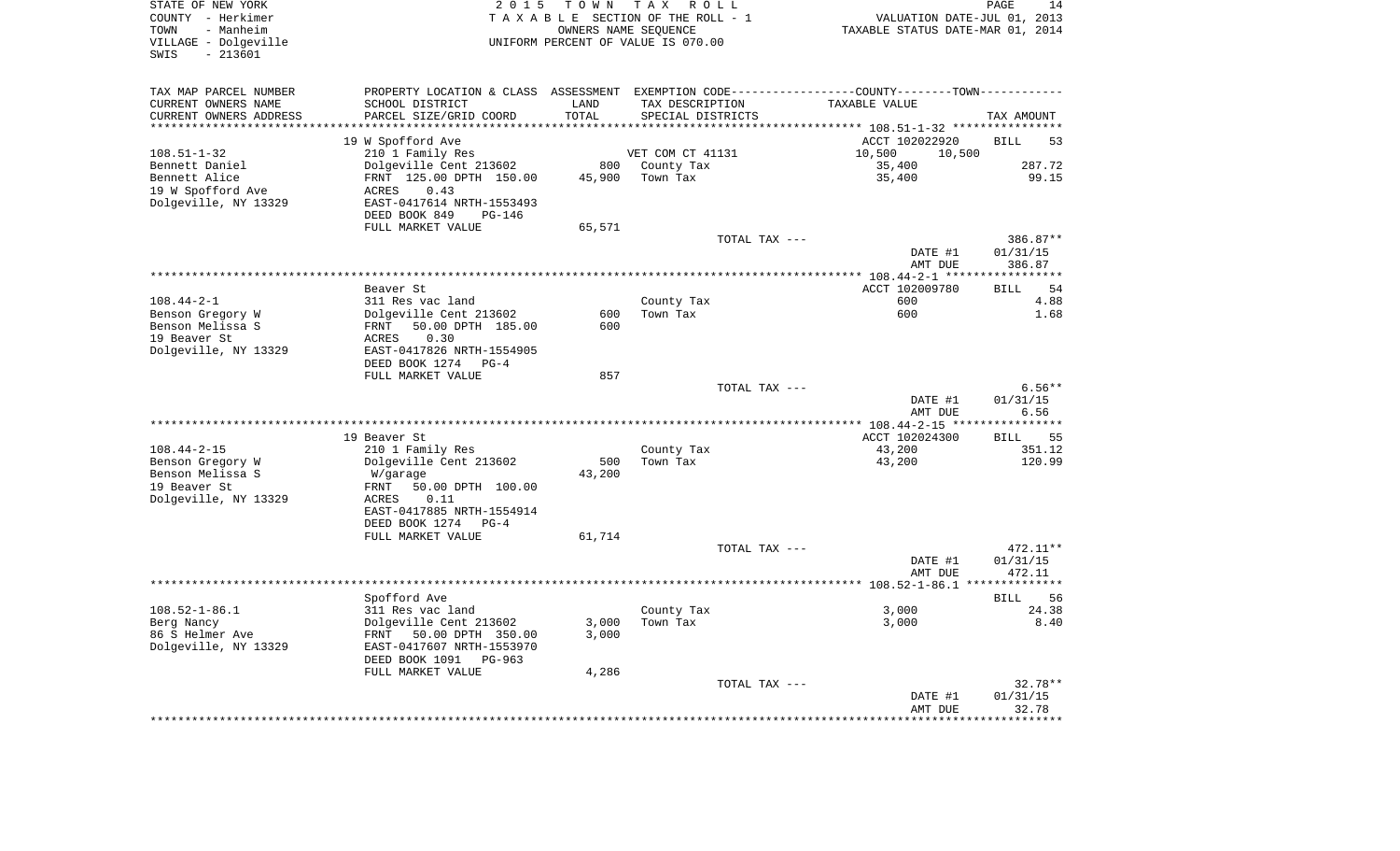| STATE OF NEW YORK<br>COUNTY - Herkimer<br>TOWN<br>- Manheim | 2 0 1 5                                                                                          | OWNERS NAME SEQUENCE | TOWN TAX ROLL<br>TAXABLE SECTION OF THE ROLL - 1 | VALUATION DATE-JUL 01, 2013<br>TAXABLE STATUS DATE-MAR 01, 2014 | PAGE<br>14        |
|-------------------------------------------------------------|--------------------------------------------------------------------------------------------------|----------------------|--------------------------------------------------|-----------------------------------------------------------------|-------------------|
| VILLAGE - Dolgeville<br>$-213601$<br>SWIS                   |                                                                                                  |                      | UNIFORM PERCENT OF VALUE IS 070.00               |                                                                 |                   |
| TAX MAP PARCEL NUMBER                                       | PROPERTY LOCATION & CLASS ASSESSMENT EXEMPTION CODE----------------COUNTY--------TOWN----------- |                      |                                                  |                                                                 |                   |
| CURRENT OWNERS NAME                                         | SCHOOL DISTRICT                                                                                  | LAND                 | TAX DESCRIPTION                                  | TAXABLE VALUE                                                   |                   |
| CURRENT OWNERS ADDRESS<br>**********************            | PARCEL SIZE/GRID COORD                                                                           | TOTAL                | SPECIAL DISTRICTS                                |                                                                 | TAX AMOUNT        |
|                                                             | 19 W Spofford Ave                                                                                |                      |                                                  | ACCT 102022920                                                  | <b>BILL</b><br>53 |
| 108.51-1-32                                                 | 210 1 Family Res                                                                                 |                      | VET COM CT 41131                                 | 10,500<br>10,500                                                |                   |
| Bennett Daniel                                              | Dolgeville Cent 213602                                                                           | 800                  | County Tax                                       | 35,400                                                          | 287.72            |
| Bennett Alice                                               | FRNT 125.00 DPTH 150.00                                                                          | 45,900               | Town Tax                                         | 35,400                                                          | 99.15             |
| 19 W Spofford Ave                                           | 0.43<br>ACRES                                                                                    |                      |                                                  |                                                                 |                   |
| Dolgeville, NY 13329                                        | EAST-0417614 NRTH-1553493                                                                        |                      |                                                  |                                                                 |                   |
|                                                             | DEED BOOK 849<br>PG-146                                                                          |                      |                                                  |                                                                 |                   |
|                                                             | FULL MARKET VALUE                                                                                | 65,571               |                                                  |                                                                 |                   |
|                                                             |                                                                                                  |                      | TOTAL TAX ---                                    |                                                                 | 386.87**          |
|                                                             |                                                                                                  |                      |                                                  | DATE #1                                                         | 01/31/15          |
|                                                             |                                                                                                  |                      |                                                  | AMT DUE                                                         | 386.87            |
|                                                             | Beaver St                                                                                        |                      |                                                  | ACCT 102009780                                                  | 54<br><b>BILL</b> |
| $108.44 - 2 - 1$                                            | 311 Res vac land                                                                                 |                      | County Tax                                       | 600                                                             | 4.88              |
| Benson Gregory W                                            | Dolgeville Cent 213602                                                                           | 600                  | Town Tax                                         | 600                                                             | 1.68              |
| Benson Melissa S                                            | 50.00 DPTH 185.00<br>FRNT                                                                        | 600                  |                                                  |                                                                 |                   |
| 19 Beaver St                                                | ACRES<br>0.30                                                                                    |                      |                                                  |                                                                 |                   |
| Dolgeville, NY 13329                                        | EAST-0417826 NRTH-1554905                                                                        |                      |                                                  |                                                                 |                   |
|                                                             | DEED BOOK 1274<br>$PG-4$                                                                         |                      |                                                  |                                                                 |                   |
|                                                             | FULL MARKET VALUE                                                                                | 857                  | TOTAL TAX ---                                    |                                                                 | $6.56**$          |
|                                                             |                                                                                                  |                      |                                                  | DATE #1                                                         | 01/31/15          |
|                                                             |                                                                                                  |                      |                                                  | AMT DUE                                                         | 6.56              |
|                                                             |                                                                                                  |                      |                                                  |                                                                 |                   |
|                                                             | 19 Beaver St                                                                                     |                      |                                                  | ACCT 102024300                                                  | 55<br>BILL        |
| $108.44 - 2 - 15$                                           | 210 1 Family Res                                                                                 |                      | County Tax                                       | 43,200                                                          | 351.12            |
| Benson Gregory W                                            | Dolgeville Cent 213602                                                                           | 500                  | Town Tax                                         | 43,200                                                          | 120.99            |
| Benson Melissa S                                            | W/garage                                                                                         | 43,200               |                                                  |                                                                 |                   |
| 19 Beaver St                                                | FRNT<br>50.00 DPTH 100.00                                                                        |                      |                                                  |                                                                 |                   |
| Dolgeville, NY 13329                                        | 0.11<br>ACRES<br>EAST-0417885 NRTH-1554914                                                       |                      |                                                  |                                                                 |                   |
|                                                             | DEED BOOK 1274<br>PG-4                                                                           |                      |                                                  |                                                                 |                   |
|                                                             | FULL MARKET VALUE                                                                                | 61,714               |                                                  |                                                                 |                   |
|                                                             |                                                                                                  |                      | TOTAL TAX ---                                    |                                                                 | 472.11**          |
|                                                             |                                                                                                  |                      |                                                  | DATE #1                                                         | 01/31/15          |
|                                                             |                                                                                                  |                      |                                                  | AMT DUE                                                         | 472.11            |
|                                                             |                                                                                                  |                      |                                                  |                                                                 |                   |
|                                                             | Spofford Ave                                                                                     |                      |                                                  |                                                                 | <b>BILL</b><br>56 |
| $108.52 - 1 - 86.1$                                         | 311 Res vac land                                                                                 |                      | County Tax                                       | 3,000                                                           | 24.38             |
| Berg Nancy<br>86 S Helmer Ave                               | Dolgeville Cent 213602                                                                           | 3,000<br>3,000       | Town Tax                                         | 3,000                                                           | 8.40              |
| Dolgeville, NY 13329                                        | FRNT 50.00 DPTH 350.00<br>EAST-0417607 NRTH-1553970                                              |                      |                                                  |                                                                 |                   |
|                                                             | DEED BOOK 1091<br>PG-963                                                                         |                      |                                                  |                                                                 |                   |
|                                                             | FULL MARKET VALUE                                                                                | 4,286                |                                                  |                                                                 |                   |
|                                                             |                                                                                                  |                      | TOTAL TAX ---                                    |                                                                 | $32.78**$         |
|                                                             |                                                                                                  |                      |                                                  | DATE #1                                                         | 01/31/15          |
|                                                             |                                                                                                  |                      |                                                  | AMT DUE                                                         | 32.78             |
|                                                             |                                                                                                  |                      |                                                  |                                                                 |                   |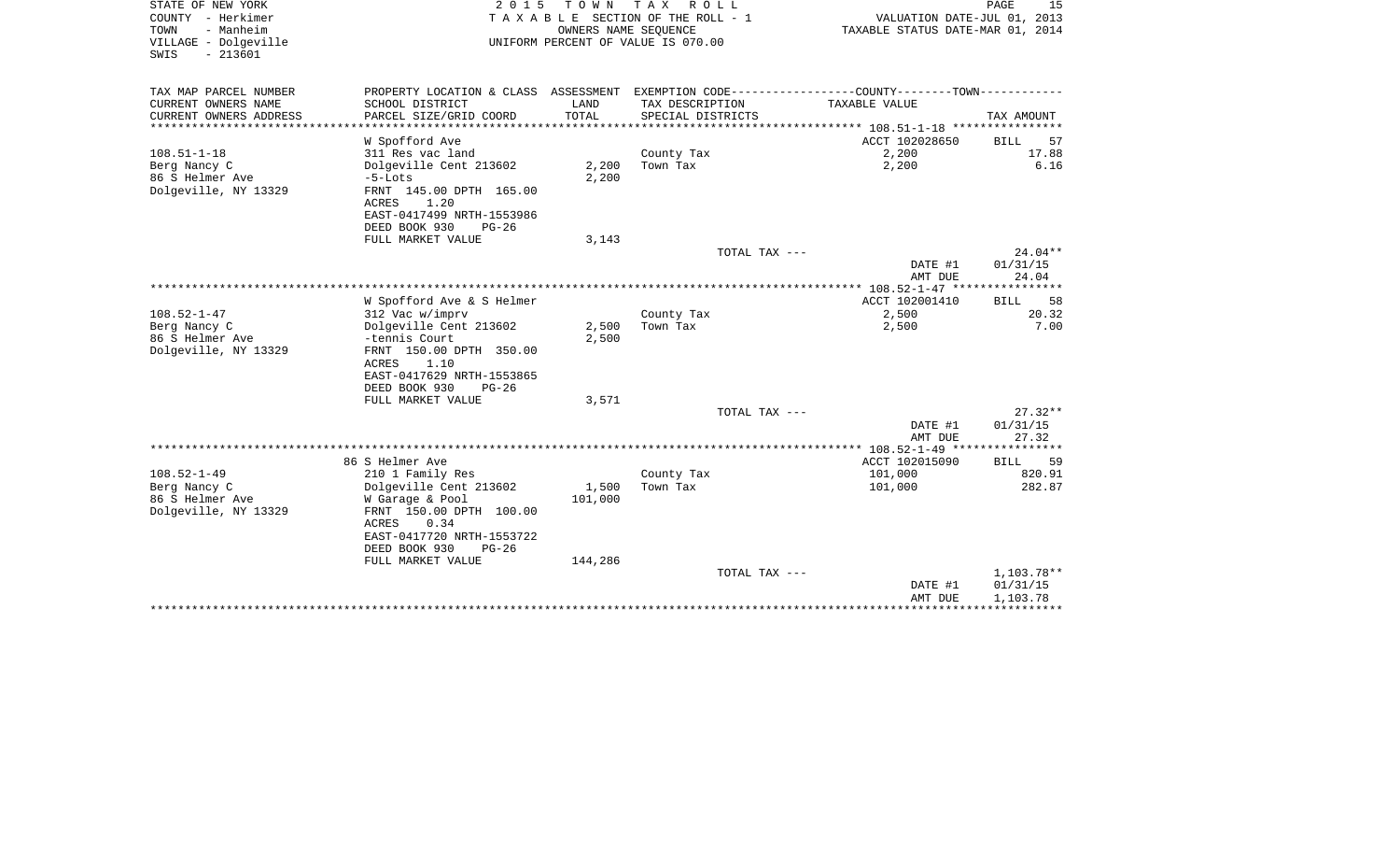| STATE OF NEW YORK<br>COUNTY - Herkimer<br>- Manheim<br>TOWN<br>VILLAGE - Dolgeville<br>$-213601$<br>SWIS | 2 0 1 5                                                | T O W N<br>OWNERS NAME SEQUENCE | T A X<br>R O L L<br>TAXABLE SECTION OF THE ROLL - 1<br>UNIFORM PERCENT OF VALUE IS 070.00 | VALUATION DATE-JUL 01, 2013<br>TAXABLE STATUS DATE-MAR 01, 2014 | PAGE<br>15                 |
|----------------------------------------------------------------------------------------------------------|--------------------------------------------------------|---------------------------------|-------------------------------------------------------------------------------------------|-----------------------------------------------------------------|----------------------------|
| TAX MAP PARCEL NUMBER                                                                                    | PROPERTY LOCATION & CLASS ASSESSMENT                   |                                 |                                                                                           | EXEMPTION CODE----------------COUNTY-------TOWN----------       |                            |
| CURRENT OWNERS NAME                                                                                      | SCHOOL DISTRICT                                        | LAND                            | TAX DESCRIPTION                                                                           | TAXABLE VALUE                                                   |                            |
| CURRENT OWNERS ADDRESS                                                                                   | PARCEL SIZE/GRID COORD                                 | TOTAL                           | SPECIAL DISTRICTS                                                                         |                                                                 | TAX AMOUNT                 |
| ********************                                                                                     | ************************************                   |                                 |                                                                                           | ********************************* 108.51-1-18 ****************  |                            |
|                                                                                                          | W Spofford Ave                                         |                                 |                                                                                           | ACCT 102028650                                                  | 57<br>BILL                 |
| $108.51 - 1 - 18$                                                                                        | 311 Res vac land                                       |                                 | County Tax                                                                                | 2,200                                                           | 17.88<br>6.16              |
| Berg Nancy C<br>86 S Helmer Ave                                                                          | Dolgeville Cent 213602                                 | 2,200                           | Town Tax                                                                                  | 2,200                                                           |                            |
| Dolgeville, NY 13329                                                                                     | $-5$ -Lots<br>FRNT 145.00 DPTH 165.00<br>1.20<br>ACRES | 2,200                           |                                                                                           |                                                                 |                            |
|                                                                                                          | EAST-0417499 NRTH-1553986                              |                                 |                                                                                           |                                                                 |                            |
|                                                                                                          | DEED BOOK 930<br>$PG-26$                               |                                 |                                                                                           |                                                                 |                            |
|                                                                                                          | FULL MARKET VALUE                                      | 3,143                           |                                                                                           |                                                                 |                            |
|                                                                                                          |                                                        |                                 | TOTAL TAX ---                                                                             |                                                                 | 24.04**                    |
|                                                                                                          |                                                        |                                 |                                                                                           | DATE #1                                                         | 01/31/15                   |
|                                                                                                          |                                                        |                                 |                                                                                           | AMT DUE                                                         | 24.04<br>********          |
|                                                                                                          |                                                        |                                 |                                                                                           | *************** 108.52-1-47 ****                                |                            |
| $108.52 - 1 - 47$                                                                                        | W Spofford Ave & S Helmer                              |                                 |                                                                                           | ACCT 102001410                                                  | 58<br><b>BILL</b><br>20.32 |
| Berg Nancy C                                                                                             | 312 Vac w/imprv<br>Dolgeville Cent 213602              | 2,500                           | County Tax<br>Town Tax                                                                    | 2,500<br>2,500                                                  | 7.00                       |
| 86 S Helmer Ave                                                                                          | -tennis Court                                          | 2,500                           |                                                                                           |                                                                 |                            |
| Dolgeville, NY 13329                                                                                     | FRNT 150.00 DPTH 350.00                                |                                 |                                                                                           |                                                                 |                            |
|                                                                                                          | <b>ACRES</b><br>1.10                                   |                                 |                                                                                           |                                                                 |                            |
|                                                                                                          | EAST-0417629 NRTH-1553865                              |                                 |                                                                                           |                                                                 |                            |
|                                                                                                          | DEED BOOK 930<br>$PG-26$                               |                                 |                                                                                           |                                                                 |                            |
|                                                                                                          | FULL MARKET VALUE                                      | 3,571                           |                                                                                           |                                                                 |                            |
|                                                                                                          |                                                        |                                 | TOTAL TAX ---                                                                             |                                                                 | $27.32**$                  |
|                                                                                                          |                                                        |                                 |                                                                                           | DATE #1                                                         | 01/31/15                   |
|                                                                                                          |                                                        |                                 |                                                                                           | AMT DUE                                                         | 27.32                      |
|                                                                                                          |                                                        |                                 |                                                                                           | ************ 108.52-1-49 *********                              | *******                    |
|                                                                                                          | 86 S Helmer Ave                                        |                                 |                                                                                           | ACCT 102015090                                                  | 59<br><b>BILL</b>          |
| $108.52 - 1 - 49$                                                                                        | 210 1 Family Res                                       |                                 | County Tax                                                                                | 101,000                                                         | 820.91                     |
| Berg Nancy C                                                                                             | Dolgeville Cent 213602                                 | 1,500                           | Town Tax                                                                                  | 101,000                                                         | 282.87                     |
| 86 S Helmer Ave                                                                                          | W Garage & Pool                                        | 101,000                         |                                                                                           |                                                                 |                            |
| Dolgeville, NY 13329                                                                                     | FRNT 150.00 DPTH 100.00                                |                                 |                                                                                           |                                                                 |                            |
|                                                                                                          | 0.34<br>ACRES                                          |                                 |                                                                                           |                                                                 |                            |
|                                                                                                          | EAST-0417720 NRTH-1553722                              |                                 |                                                                                           |                                                                 |                            |
|                                                                                                          | DEED BOOK 930<br>$PG-26$                               |                                 |                                                                                           |                                                                 |                            |
|                                                                                                          | FULL MARKET VALUE                                      | 144,286                         |                                                                                           |                                                                 |                            |
|                                                                                                          |                                                        |                                 | TOTAL TAX ---                                                                             | DATE #1                                                         | 1,103.78**                 |
|                                                                                                          |                                                        |                                 |                                                                                           | AMT DUE                                                         | 01/31/15<br>1,103.78       |
|                                                                                                          |                                                        |                                 |                                                                                           |                                                                 |                            |
|                                                                                                          |                                                        |                                 |                                                                                           |                                                                 |                            |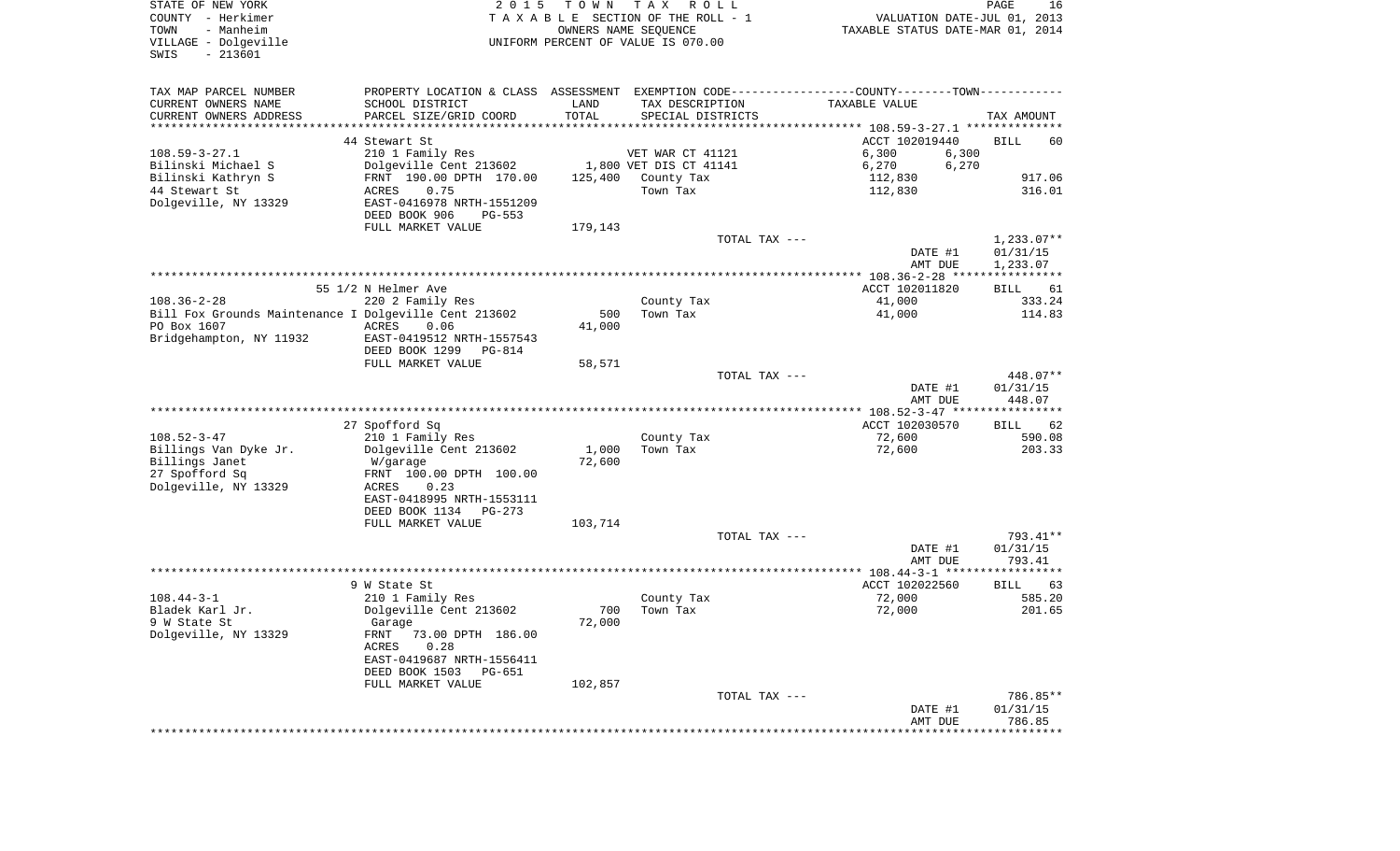| STATE OF NEW YORK<br>COUNTY - Herkimer<br>- Manheim<br>TOWN<br>VILLAGE - Dolgeville<br>$-213601$<br>SWIS | 2 0 1 5                                              | T O W N         | T A X<br>R O L L<br>TAXABLE SECTION OF THE ROLL - 1<br>OWNERS NAME SEQUENCE<br>UNIFORM PERCENT OF VALUE IS 070.00 | VALUATION DATE-JUL 01, 2013<br>TAXABLE STATUS DATE-MAR 01, 2014                               | PAGE<br>16           |
|----------------------------------------------------------------------------------------------------------|------------------------------------------------------|-----------------|-------------------------------------------------------------------------------------------------------------------|-----------------------------------------------------------------------------------------------|----------------------|
| TAX MAP PARCEL NUMBER                                                                                    |                                                      |                 |                                                                                                                   | PROPERTY LOCATION & CLASS ASSESSMENT EXEMPTION CODE---------------COUNTY-------TOWN---------- |                      |
| CURRENT OWNERS NAME                                                                                      | SCHOOL DISTRICT                                      | LAND            | TAX DESCRIPTION                                                                                                   | TAXABLE VALUE                                                                                 |                      |
| CURRENT OWNERS ADDRESS                                                                                   | PARCEL SIZE/GRID COORD                               | TOTAL           | SPECIAL DISTRICTS                                                                                                 |                                                                                               | TAX AMOUNT           |
| **********************                                                                                   |                                                      |                 |                                                                                                                   |                                                                                               |                      |
| $108.59 - 3 - 27.1$                                                                                      | 44 Stewart St<br>210 1 Family Res                    |                 | VET WAR CT 41121                                                                                                  | ACCT 102019440<br>6,300<br>6,300                                                              | <b>BILL</b><br>60    |
| Bilinski Michael S                                                                                       | Dolgeville Cent 213602                               |                 | 1,800 VET DIS CT 41141                                                                                            | 6,270<br>6,270                                                                                |                      |
| Bilinski Kathryn S                                                                                       | FRNT 190.00 DPTH 170.00                              | 125,400         | County Tax                                                                                                        | 112,830                                                                                       | 917.06               |
| 44 Stewart St                                                                                            | 0.75<br>ACRES                                        |                 | Town Tax                                                                                                          | 112,830                                                                                       | 316.01               |
| Dolgeville, NY 13329                                                                                     | EAST-0416978 NRTH-1551209<br>DEED BOOK 906<br>PG-553 |                 |                                                                                                                   |                                                                                               |                      |
|                                                                                                          | FULL MARKET VALUE                                    | 179,143         |                                                                                                                   |                                                                                               |                      |
|                                                                                                          |                                                      |                 | TOTAL TAX ---                                                                                                     |                                                                                               | $1,233.07**$         |
|                                                                                                          |                                                      |                 |                                                                                                                   | DATE #1                                                                                       | 01/31/15             |
|                                                                                                          |                                                      |                 |                                                                                                                   | AMT DUE                                                                                       | 1,233.07             |
|                                                                                                          | 55 1/2 N Helmer Ave                                  |                 |                                                                                                                   | ACCT 102011820                                                                                | BILL<br>61           |
| $108.36 - 2 - 28$                                                                                        | 220 2 Family Res                                     |                 | County Tax                                                                                                        | 41,000                                                                                        | 333.24               |
| Bill Fox Grounds Maintenance I Dolgeville Cent 213602                                                    |                                                      | 500             | Town Tax                                                                                                          | 41,000                                                                                        | 114.83               |
| PO Box 1607                                                                                              | ACRES<br>0.06                                        | 41,000          |                                                                                                                   |                                                                                               |                      |
| Bridgehampton, NY 11932                                                                                  | EAST-0419512 NRTH-1557543                            |                 |                                                                                                                   |                                                                                               |                      |
|                                                                                                          | DEED BOOK 1299<br>PG-814                             |                 |                                                                                                                   |                                                                                               |                      |
|                                                                                                          | FULL MARKET VALUE                                    | 58,571          | TOTAL TAX ---                                                                                                     |                                                                                               | 448.07**             |
|                                                                                                          |                                                      |                 |                                                                                                                   | DATE #1                                                                                       | 01/31/15             |
|                                                                                                          |                                                      |                 |                                                                                                                   | AMT DUE                                                                                       | 448.07               |
|                                                                                                          |                                                      |                 |                                                                                                                   |                                                                                               |                      |
|                                                                                                          | 27 Spofford Sq                                       |                 |                                                                                                                   | ACCT 102030570                                                                                | 62<br>BILL           |
| $108.52 - 3 - 47$                                                                                        | 210 1 Family Res                                     |                 | County Tax                                                                                                        | 72,600                                                                                        | 590.08               |
| Billings Van Dyke Jr.<br>Billings Janet                                                                  | Dolgeville Cent 213602<br>W/garage                   | 1,000<br>72,600 | Town Tax                                                                                                          | 72,600                                                                                        | 203.33               |
| 27 Spofford Sq                                                                                           | FRNT 100.00 DPTH 100.00                              |                 |                                                                                                                   |                                                                                               |                      |
| Dolgeville, NY 13329                                                                                     | ACRES<br>0.23                                        |                 |                                                                                                                   |                                                                                               |                      |
|                                                                                                          | EAST-0418995 NRTH-1553111                            |                 |                                                                                                                   |                                                                                               |                      |
|                                                                                                          | DEED BOOK 1134<br>PG-273                             |                 |                                                                                                                   |                                                                                               |                      |
|                                                                                                          | FULL MARKET VALUE                                    | 103,714         |                                                                                                                   |                                                                                               |                      |
|                                                                                                          |                                                      |                 | TOTAL TAX ---                                                                                                     | DATE #1                                                                                       | 793.41**<br>01/31/15 |
|                                                                                                          |                                                      |                 |                                                                                                                   | AMT DUE                                                                                       | 793.41               |
|                                                                                                          |                                                      |                 |                                                                                                                   |                                                                                               |                      |
|                                                                                                          | 9 W State St                                         |                 |                                                                                                                   | ACCT 102022560                                                                                | BILL<br>63           |
| $108.44 - 3 - 1$                                                                                         | 210 1 Family Res                                     |                 | County Tax                                                                                                        | 72,000                                                                                        | 585.20               |
| Bladek Karl Jr.                                                                                          | Dolgeville Cent 213602                               | 700<br>72,000   | Town Tax                                                                                                          | 72,000                                                                                        | 201.65               |
| 9 W State St<br>Dolgeville, NY 13329                                                                     | Garage<br>FRNT 73.00 DPTH 186.00                     |                 |                                                                                                                   |                                                                                               |                      |
|                                                                                                          | 0.28<br>ACRES                                        |                 |                                                                                                                   |                                                                                               |                      |
|                                                                                                          | EAST-0419687 NRTH-1556411                            |                 |                                                                                                                   |                                                                                               |                      |
|                                                                                                          | DEED BOOK 1503<br>PG-651                             |                 |                                                                                                                   |                                                                                               |                      |
|                                                                                                          | FULL MARKET VALUE                                    | 102,857         |                                                                                                                   |                                                                                               |                      |
|                                                                                                          |                                                      |                 | TOTAL TAX ---                                                                                                     | DATE #1                                                                                       | 786.85**<br>01/31/15 |
|                                                                                                          |                                                      |                 |                                                                                                                   | AMT DUE                                                                                       | 786.85               |
|                                                                                                          |                                                      |                 |                                                                                                                   |                                                                                               |                      |
|                                                                                                          |                                                      |                 |                                                                                                                   |                                                                                               |                      |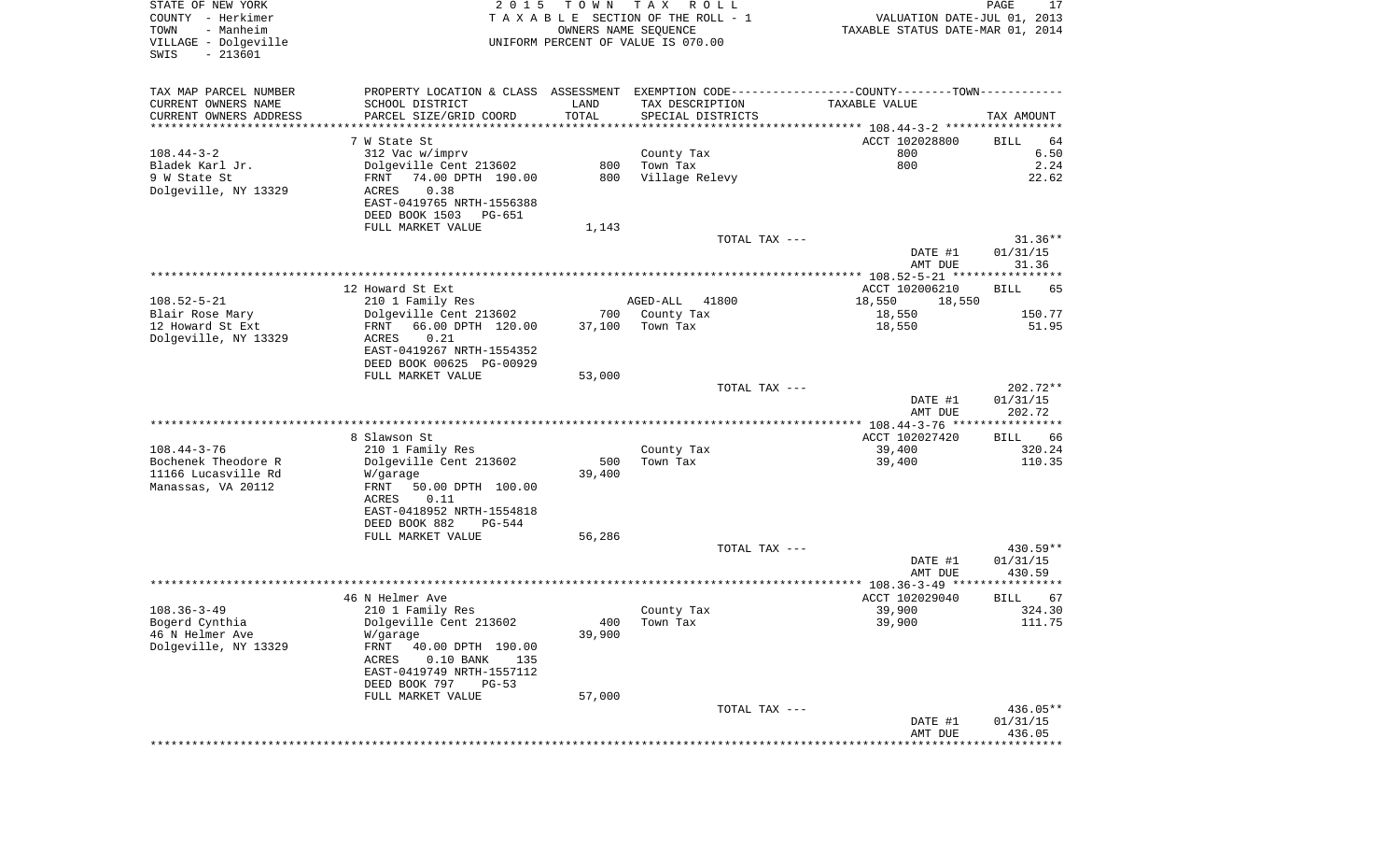| COUNTY - Herkimer<br>- Manheim<br>TOWN<br>VILLAGE - Dolgeville<br>SWIS<br>$-213601$<br>TAX MAP PARCEL NUMBER<br>PROPERTY LOCATION & CLASS ASSESSMENT EXEMPTION CODE---------------COUNTY-------TOWN----------<br>CURRENT OWNERS NAME<br>SCHOOL DISTRICT<br>PARCEL SIZE/GRID COORD<br>CURRENT OWNERS ADDRESS<br>************************<br>7 W State St<br>$108.44 - 3 - 2$<br>312 Vac w/imprv<br>Bladek Karl Jr.<br>Dolgeville Cent 213602<br>9 W State St<br>FRNT<br>74.00 DPTH 190.00<br>Dolgeville, NY 13329<br>0.38<br>ACRES<br>EAST-0419765 NRTH-1556388<br>DEED BOOK 1503<br>PG-651<br>FULL MARKET VALUE<br>12 Howard St Ext<br>$108.52 - 5 - 21$<br>210 1 Family Res<br>Blair Rose Mary<br>Dolgeville Cent 213602<br>12 Howard St Ext<br>66.00 DPTH 120.00<br>FRNT<br>Dolgeville, NY 13329<br>ACRES<br>0.21<br>EAST-0419267 NRTH-1554352 | LAND<br>TOTAL<br>800<br>800<br>1,143 | TAXABLE SECTION OF THE ROLL - 1<br>OWNERS NAME SEQUENCE<br>UNIFORM PERCENT OF VALUE IS 070.00<br>TAX DESCRIPTION<br>SPECIAL DISTRICTS<br>County Tax<br>Town Tax<br>Village Relevy<br>TOTAL TAX --- | VALUATION DATE-JUL 01, 2013<br>TAXABLE STATUS DATE-MAR 01, 2014<br>TAXABLE VALUE<br>ACCT 102028800<br>800<br>800 | TAX AMOUNT<br><b>BILL</b>   |
|--------------------------------------------------------------------------------------------------------------------------------------------------------------------------------------------------------------------------------------------------------------------------------------------------------------------------------------------------------------------------------------------------------------------------------------------------------------------------------------------------------------------------------------------------------------------------------------------------------------------------------------------------------------------------------------------------------------------------------------------------------------------------------------------------------------------------------------------------|--------------------------------------|----------------------------------------------------------------------------------------------------------------------------------------------------------------------------------------------------|------------------------------------------------------------------------------------------------------------------|-----------------------------|
|                                                                                                                                                                                                                                                                                                                                                                                                                                                                                                                                                                                                                                                                                                                                                                                                                                                  |                                      |                                                                                                                                                                                                    |                                                                                                                  |                             |
|                                                                                                                                                                                                                                                                                                                                                                                                                                                                                                                                                                                                                                                                                                                                                                                                                                                  |                                      |                                                                                                                                                                                                    |                                                                                                                  |                             |
|                                                                                                                                                                                                                                                                                                                                                                                                                                                                                                                                                                                                                                                                                                                                                                                                                                                  |                                      |                                                                                                                                                                                                    |                                                                                                                  |                             |
|                                                                                                                                                                                                                                                                                                                                                                                                                                                                                                                                                                                                                                                                                                                                                                                                                                                  |                                      |                                                                                                                                                                                                    |                                                                                                                  |                             |
|                                                                                                                                                                                                                                                                                                                                                                                                                                                                                                                                                                                                                                                                                                                                                                                                                                                  |                                      |                                                                                                                                                                                                    |                                                                                                                  |                             |
|                                                                                                                                                                                                                                                                                                                                                                                                                                                                                                                                                                                                                                                                                                                                                                                                                                                  |                                      |                                                                                                                                                                                                    |                                                                                                                  |                             |
|                                                                                                                                                                                                                                                                                                                                                                                                                                                                                                                                                                                                                                                                                                                                                                                                                                                  |                                      |                                                                                                                                                                                                    |                                                                                                                  |                             |
|                                                                                                                                                                                                                                                                                                                                                                                                                                                                                                                                                                                                                                                                                                                                                                                                                                                  |                                      |                                                                                                                                                                                                    |                                                                                                                  | 64<br>6.50<br>2.24<br>22.62 |
|                                                                                                                                                                                                                                                                                                                                                                                                                                                                                                                                                                                                                                                                                                                                                                                                                                                  |                                      |                                                                                                                                                                                                    |                                                                                                                  |                             |
|                                                                                                                                                                                                                                                                                                                                                                                                                                                                                                                                                                                                                                                                                                                                                                                                                                                  |                                      |                                                                                                                                                                                                    |                                                                                                                  |                             |
|                                                                                                                                                                                                                                                                                                                                                                                                                                                                                                                                                                                                                                                                                                                                                                                                                                                  |                                      |                                                                                                                                                                                                    |                                                                                                                  |                             |
|                                                                                                                                                                                                                                                                                                                                                                                                                                                                                                                                                                                                                                                                                                                                                                                                                                                  |                                      |                                                                                                                                                                                                    |                                                                                                                  |                             |
|                                                                                                                                                                                                                                                                                                                                                                                                                                                                                                                                                                                                                                                                                                                                                                                                                                                  |                                      |                                                                                                                                                                                                    |                                                                                                                  |                             |
|                                                                                                                                                                                                                                                                                                                                                                                                                                                                                                                                                                                                                                                                                                                                                                                                                                                  |                                      |                                                                                                                                                                                                    |                                                                                                                  |                             |
|                                                                                                                                                                                                                                                                                                                                                                                                                                                                                                                                                                                                                                                                                                                                                                                                                                                  |                                      |                                                                                                                                                                                                    |                                                                                                                  |                             |
|                                                                                                                                                                                                                                                                                                                                                                                                                                                                                                                                                                                                                                                                                                                                                                                                                                                  |                                      |                                                                                                                                                                                                    |                                                                                                                  |                             |
|                                                                                                                                                                                                                                                                                                                                                                                                                                                                                                                                                                                                                                                                                                                                                                                                                                                  |                                      |                                                                                                                                                                                                    |                                                                                                                  | $31.36**$                   |
|                                                                                                                                                                                                                                                                                                                                                                                                                                                                                                                                                                                                                                                                                                                                                                                                                                                  |                                      |                                                                                                                                                                                                    | DATE #1                                                                                                          | 01/31/15                    |
|                                                                                                                                                                                                                                                                                                                                                                                                                                                                                                                                                                                                                                                                                                                                                                                                                                                  |                                      |                                                                                                                                                                                                    | AMT DUE                                                                                                          | 31.36                       |
|                                                                                                                                                                                                                                                                                                                                                                                                                                                                                                                                                                                                                                                                                                                                                                                                                                                  |                                      |                                                                                                                                                                                                    |                                                                                                                  |                             |
|                                                                                                                                                                                                                                                                                                                                                                                                                                                                                                                                                                                                                                                                                                                                                                                                                                                  |                                      |                                                                                                                                                                                                    | ACCT 102006210                                                                                                   | <b>BILL</b><br>65           |
|                                                                                                                                                                                                                                                                                                                                                                                                                                                                                                                                                                                                                                                                                                                                                                                                                                                  |                                      | AGED-ALL<br>41800                                                                                                                                                                                  | 18,550<br>18,550                                                                                                 |                             |
|                                                                                                                                                                                                                                                                                                                                                                                                                                                                                                                                                                                                                                                                                                                                                                                                                                                  | 700                                  | County Tax                                                                                                                                                                                         | 18,550                                                                                                           | 150.77                      |
|                                                                                                                                                                                                                                                                                                                                                                                                                                                                                                                                                                                                                                                                                                                                                                                                                                                  | 37,100                               | Town Tax                                                                                                                                                                                           | 18,550                                                                                                           | 51.95                       |
|                                                                                                                                                                                                                                                                                                                                                                                                                                                                                                                                                                                                                                                                                                                                                                                                                                                  |                                      |                                                                                                                                                                                                    |                                                                                                                  |                             |
| DEED BOOK 00625 PG-00929                                                                                                                                                                                                                                                                                                                                                                                                                                                                                                                                                                                                                                                                                                                                                                                                                         |                                      |                                                                                                                                                                                                    |                                                                                                                  |                             |
| FULL MARKET VALUE                                                                                                                                                                                                                                                                                                                                                                                                                                                                                                                                                                                                                                                                                                                                                                                                                                | 53,000                               |                                                                                                                                                                                                    |                                                                                                                  |                             |
|                                                                                                                                                                                                                                                                                                                                                                                                                                                                                                                                                                                                                                                                                                                                                                                                                                                  |                                      | TOTAL TAX ---                                                                                                                                                                                      |                                                                                                                  | 202.72**                    |
|                                                                                                                                                                                                                                                                                                                                                                                                                                                                                                                                                                                                                                                                                                                                                                                                                                                  |                                      |                                                                                                                                                                                                    | DATE #1                                                                                                          | 01/31/15                    |
|                                                                                                                                                                                                                                                                                                                                                                                                                                                                                                                                                                                                                                                                                                                                                                                                                                                  |                                      |                                                                                                                                                                                                    | AMT DUE                                                                                                          | 202.72                      |
|                                                                                                                                                                                                                                                                                                                                                                                                                                                                                                                                                                                                                                                                                                                                                                                                                                                  |                                      |                                                                                                                                                                                                    |                                                                                                                  |                             |
| 8 Slawson St                                                                                                                                                                                                                                                                                                                                                                                                                                                                                                                                                                                                                                                                                                                                                                                                                                     |                                      |                                                                                                                                                                                                    | ACCT 102027420                                                                                                   | BILL<br>66                  |
| $108.44 - 3 - 76$<br>210 1 Family Res                                                                                                                                                                                                                                                                                                                                                                                                                                                                                                                                                                                                                                                                                                                                                                                                            |                                      | County Tax                                                                                                                                                                                         | 39,400                                                                                                           | 320.24                      |
| Bochenek Theodore R<br>Dolgeville Cent 213602                                                                                                                                                                                                                                                                                                                                                                                                                                                                                                                                                                                                                                                                                                                                                                                                    | 500                                  | Town Tax                                                                                                                                                                                           | 39,400                                                                                                           | 110.35                      |
| 11166 Lucasville Rd<br>W/garage                                                                                                                                                                                                                                                                                                                                                                                                                                                                                                                                                                                                                                                                                                                                                                                                                  | 39,400                               |                                                                                                                                                                                                    |                                                                                                                  |                             |
| Manassas, VA 20112<br>50.00 DPTH 100.00<br>FRNT                                                                                                                                                                                                                                                                                                                                                                                                                                                                                                                                                                                                                                                                                                                                                                                                  |                                      |                                                                                                                                                                                                    |                                                                                                                  |                             |
| 0.11<br>ACRES                                                                                                                                                                                                                                                                                                                                                                                                                                                                                                                                                                                                                                                                                                                                                                                                                                    |                                      |                                                                                                                                                                                                    |                                                                                                                  |                             |
| EAST-0418952 NRTH-1554818                                                                                                                                                                                                                                                                                                                                                                                                                                                                                                                                                                                                                                                                                                                                                                                                                        |                                      |                                                                                                                                                                                                    |                                                                                                                  |                             |
| DEED BOOK 882<br>PG-544                                                                                                                                                                                                                                                                                                                                                                                                                                                                                                                                                                                                                                                                                                                                                                                                                          |                                      |                                                                                                                                                                                                    |                                                                                                                  |                             |
| FULL MARKET VALUE                                                                                                                                                                                                                                                                                                                                                                                                                                                                                                                                                                                                                                                                                                                                                                                                                                | 56,286                               |                                                                                                                                                                                                    |                                                                                                                  |                             |
|                                                                                                                                                                                                                                                                                                                                                                                                                                                                                                                                                                                                                                                                                                                                                                                                                                                  |                                      | TOTAL TAX ---                                                                                                                                                                                      |                                                                                                                  | 430.59**                    |
|                                                                                                                                                                                                                                                                                                                                                                                                                                                                                                                                                                                                                                                                                                                                                                                                                                                  |                                      |                                                                                                                                                                                                    | DATE #1                                                                                                          | 01/31/15                    |
|                                                                                                                                                                                                                                                                                                                                                                                                                                                                                                                                                                                                                                                                                                                                                                                                                                                  |                                      |                                                                                                                                                                                                    | AMT DUE                                                                                                          | 430.59                      |
|                                                                                                                                                                                                                                                                                                                                                                                                                                                                                                                                                                                                                                                                                                                                                                                                                                                  |                                      |                                                                                                                                                                                                    |                                                                                                                  |                             |
| 46 N Helmer Ave                                                                                                                                                                                                                                                                                                                                                                                                                                                                                                                                                                                                                                                                                                                                                                                                                                  |                                      |                                                                                                                                                                                                    | ACCT 102029040                                                                                                   | BILL<br>67                  |
| $108.36 - 3 - 49$<br>210 1 Family Res<br>Bogerd Cynthia<br>Dolgeville Cent 213602                                                                                                                                                                                                                                                                                                                                                                                                                                                                                                                                                                                                                                                                                                                                                                |                                      | County Tax                                                                                                                                                                                         | 39,900                                                                                                           | 324.30                      |
| 46 N Helmer Ave                                                                                                                                                                                                                                                                                                                                                                                                                                                                                                                                                                                                                                                                                                                                                                                                                                  | 400<br>39,900                        | Town Tax                                                                                                                                                                                           | 39,900                                                                                                           | 111.75                      |
| W/garage<br>Dolgeville, NY 13329<br>FRNT<br>40.00 DPTH 190.00                                                                                                                                                                                                                                                                                                                                                                                                                                                                                                                                                                                                                                                                                                                                                                                    |                                      |                                                                                                                                                                                                    |                                                                                                                  |                             |
| ACRES<br>$0.10$ BANK<br>135                                                                                                                                                                                                                                                                                                                                                                                                                                                                                                                                                                                                                                                                                                                                                                                                                      |                                      |                                                                                                                                                                                                    |                                                                                                                  |                             |
| EAST-0419749 NRTH-1557112                                                                                                                                                                                                                                                                                                                                                                                                                                                                                                                                                                                                                                                                                                                                                                                                                        |                                      |                                                                                                                                                                                                    |                                                                                                                  |                             |
| DEED BOOK 797<br>$PG-53$                                                                                                                                                                                                                                                                                                                                                                                                                                                                                                                                                                                                                                                                                                                                                                                                                         |                                      |                                                                                                                                                                                                    |                                                                                                                  |                             |
| FULL MARKET VALUE                                                                                                                                                                                                                                                                                                                                                                                                                                                                                                                                                                                                                                                                                                                                                                                                                                | 57,000                               |                                                                                                                                                                                                    |                                                                                                                  |                             |
|                                                                                                                                                                                                                                                                                                                                                                                                                                                                                                                                                                                                                                                                                                                                                                                                                                                  |                                      |                                                                                                                                                                                                    |                                                                                                                  |                             |
|                                                                                                                                                                                                                                                                                                                                                                                                                                                                                                                                                                                                                                                                                                                                                                                                                                                  |                                      |                                                                                                                                                                                                    |                                                                                                                  |                             |
|                                                                                                                                                                                                                                                                                                                                                                                                                                                                                                                                                                                                                                                                                                                                                                                                                                                  |                                      | TOTAL TAX ---                                                                                                                                                                                      | DATE #1                                                                                                          | 436.05**<br>01/31/15        |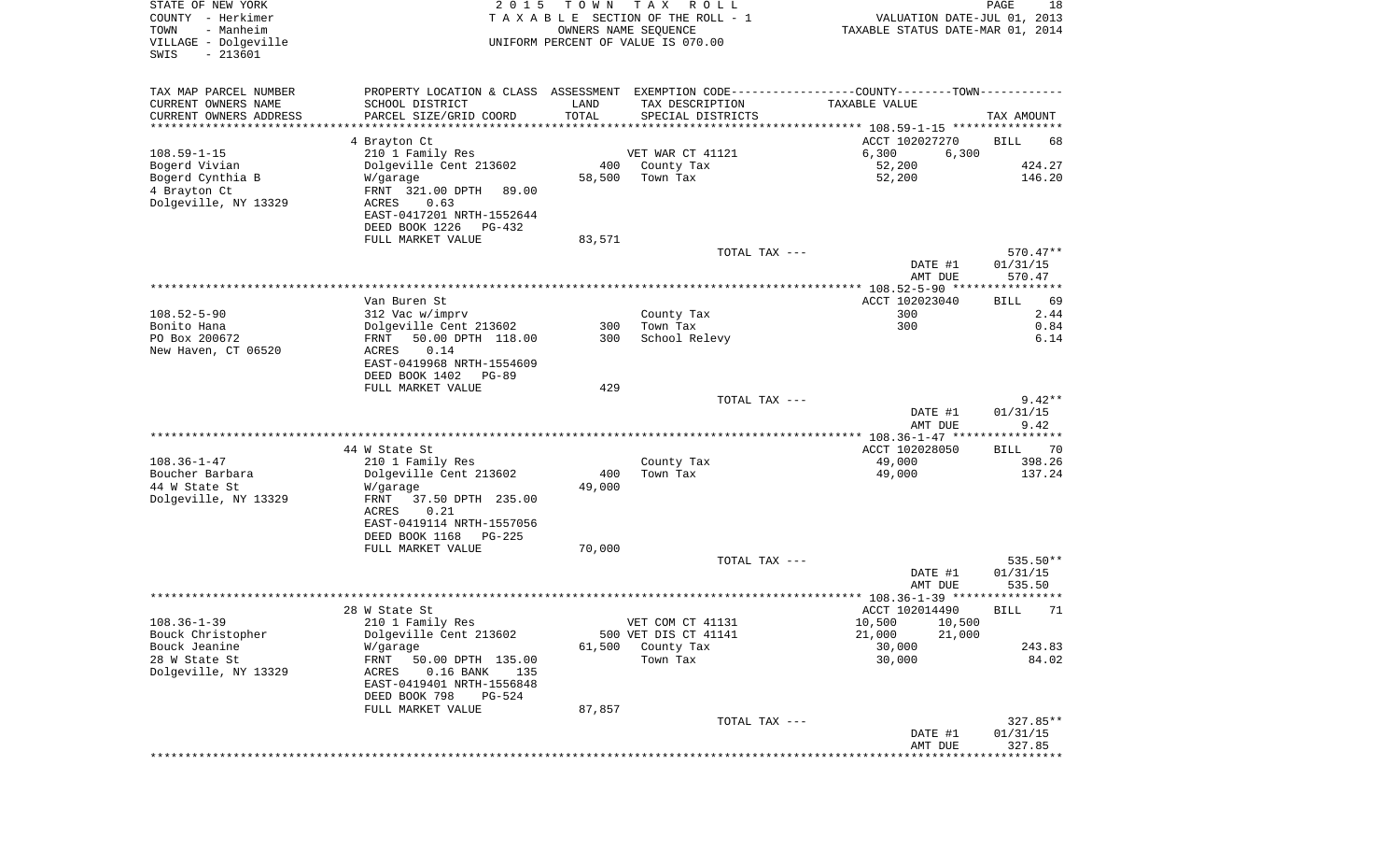| STATE OF NEW YORK<br>COUNTY - Herkimer<br>- Manheim<br>TOWN<br>VILLAGE - Dolgeville<br>$-213601$<br>SWIS | 2 0 1 5                                                                                                                                    | T O W N       | T A X<br>R O L L<br>TAXABLE SECTION OF THE ROLL - 1<br>OWNERS NAME SEQUENCE<br>UNIFORM PERCENT OF VALUE IS 070.00 | VALUATION DATE-JUL 01, 2013<br>TAXABLE STATUS DATE-MAR 01, 2014 | PAGE<br>18            |
|----------------------------------------------------------------------------------------------------------|--------------------------------------------------------------------------------------------------------------------------------------------|---------------|-------------------------------------------------------------------------------------------------------------------|-----------------------------------------------------------------|-----------------------|
| TAX MAP PARCEL NUMBER<br>CURRENT OWNERS NAME<br>CURRENT OWNERS ADDRESS                                   | PROPERTY LOCATION & CLASS ASSESSMENT EXEMPTION CODE---------------COUNTY-------TOWN----------<br>SCHOOL DISTRICT<br>PARCEL SIZE/GRID COORD | LAND<br>TOTAL | TAX DESCRIPTION<br>SPECIAL DISTRICTS                                                                              | TAXABLE VALUE                                                   | TAX AMOUNT            |
| *********************                                                                                    |                                                                                                                                            |               |                                                                                                                   |                                                                 |                       |
|                                                                                                          | 4 Brayton Ct                                                                                                                               |               |                                                                                                                   | ACCT 102027270                                                  | BILL<br>68            |
| $108.59 - 1 - 15$<br>Bogerd Vivian                                                                       | 210 1 Family Res<br>Dolgeville Cent 213602                                                                                                 | 400           | VET WAR CT 41121<br>County Tax                                                                                    | 6,300<br>6,300<br>52,200                                        | 424.27                |
| Bogerd Cynthia B                                                                                         | W/garage                                                                                                                                   | 58,500        | Town Tax                                                                                                          | 52,200                                                          | 146.20                |
| 4 Brayton Ct<br>Dolgeville, NY 13329                                                                     | FRNT 321.00 DPTH<br>89.00<br>ACRES<br>0.63                                                                                                 |               |                                                                                                                   |                                                                 |                       |
|                                                                                                          | EAST-0417201 NRTH-1552644<br>DEED BOOK 1226<br>PG-432                                                                                      |               |                                                                                                                   |                                                                 |                       |
|                                                                                                          | FULL MARKET VALUE                                                                                                                          | 83,571        |                                                                                                                   |                                                                 |                       |
|                                                                                                          |                                                                                                                                            |               | TOTAL TAX ---                                                                                                     |                                                                 | 570.47**              |
|                                                                                                          |                                                                                                                                            |               |                                                                                                                   | DATE #1                                                         | 01/31/15<br>570.47    |
|                                                                                                          |                                                                                                                                            |               |                                                                                                                   | AMT DUE                                                         |                       |
|                                                                                                          | Van Buren St                                                                                                                               |               |                                                                                                                   | ACCT 102023040                                                  | BILL<br>69            |
| $108.52 - 5 - 90$                                                                                        | 312 Vac w/imprv                                                                                                                            |               | County Tax                                                                                                        | 300                                                             | 2.44                  |
| Bonito Hana                                                                                              | Dolgeville Cent 213602                                                                                                                     | 300           | Town Tax                                                                                                          | 300                                                             | 0.84                  |
| PO Box 200672<br>New Haven, CT 06520                                                                     | 50.00 DPTH 118.00<br>FRNT<br>0.14<br>ACRES                                                                                                 | 300           | School Relevy                                                                                                     |                                                                 | 6.14                  |
|                                                                                                          | EAST-0419968 NRTH-1554609                                                                                                                  |               |                                                                                                                   |                                                                 |                       |
|                                                                                                          | DEED BOOK 1402<br>PG-89<br>FULL MARKET VALUE                                                                                               | 429           |                                                                                                                   |                                                                 |                       |
|                                                                                                          |                                                                                                                                            |               | TOTAL TAX ---                                                                                                     |                                                                 | $9.42**$              |
|                                                                                                          |                                                                                                                                            |               |                                                                                                                   | DATE #1                                                         | 01/31/15              |
|                                                                                                          |                                                                                                                                            |               |                                                                                                                   | AMT DUE                                                         | 9.42                  |
|                                                                                                          | 44 W State St                                                                                                                              |               |                                                                                                                   | ************ 108.36-1-47 *****************<br>ACCT 102028050    | 70                    |
| $108.36 - 1 - 47$                                                                                        | 210 1 Family Res                                                                                                                           |               | County Tax                                                                                                        | 49,000                                                          | BILL<br>398.26        |
| Boucher Barbara                                                                                          | Dolgeville Cent 213602                                                                                                                     | 400           | Town Tax                                                                                                          | 49,000                                                          | 137.24                |
| 44 W State St                                                                                            | W/garage                                                                                                                                   | 49,000        |                                                                                                                   |                                                                 |                       |
| Dolgeville, NY 13329                                                                                     | FRNT<br>37.50 DPTH 235.00                                                                                                                  |               |                                                                                                                   |                                                                 |                       |
|                                                                                                          | ACRES<br>0.21<br>EAST-0419114 NRTH-1557056                                                                                                 |               |                                                                                                                   |                                                                 |                       |
|                                                                                                          | DEED BOOK 1168<br>PG-225                                                                                                                   |               |                                                                                                                   |                                                                 |                       |
|                                                                                                          | FULL MARKET VALUE                                                                                                                          | 70,000        |                                                                                                                   |                                                                 |                       |
|                                                                                                          |                                                                                                                                            |               | TOTAL TAX ---                                                                                                     |                                                                 | 535.50**              |
|                                                                                                          |                                                                                                                                            |               |                                                                                                                   | DATE #1                                                         | 01/31/15              |
|                                                                                                          |                                                                                                                                            |               |                                                                                                                   | AMT DUE                                                         | 535.50<br>* * * * * * |
|                                                                                                          | 28 W State St                                                                                                                              |               |                                                                                                                   | ACCT 102014490                                                  | 71<br>BILL            |
| $108.36 - 1 - 39$                                                                                        | 210 1 Family Res                                                                                                                           |               | VET COM CT 41131                                                                                                  | 10,500 10,500                                                   |                       |
| Bouck Christopher                                                                                        | Dolgeville Cent 213602                                                                                                                     |               | 500 VET DIS CT 41141                                                                                              | 21,000<br>21,000                                                |                       |
| Bouck Jeanine                                                                                            | W/garage                                                                                                                                   | 61,500        | County Tax                                                                                                        | 30,000                                                          | 243.83                |
| 28 W State St<br>Dolgeville, NY 13329                                                                    | FRNT<br>50.00 DPTH 135.00<br>ACRES<br>$0.16$ BANK<br>135                                                                                   |               | Town Tax                                                                                                          | 30,000                                                          | 84.02                 |
|                                                                                                          | EAST-0419401 NRTH-1556848<br>DEED BOOK 798<br>PG-524                                                                                       |               |                                                                                                                   |                                                                 |                       |
|                                                                                                          | FULL MARKET VALUE                                                                                                                          | 87,857        |                                                                                                                   |                                                                 |                       |
|                                                                                                          |                                                                                                                                            |               | TOTAL TAX ---                                                                                                     |                                                                 | $327.85**$            |
|                                                                                                          |                                                                                                                                            |               |                                                                                                                   | DATE #1                                                         | 01/31/15              |
|                                                                                                          |                                                                                                                                            |               |                                                                                                                   | AMT DUE<br>*******************************                      | 327.85                |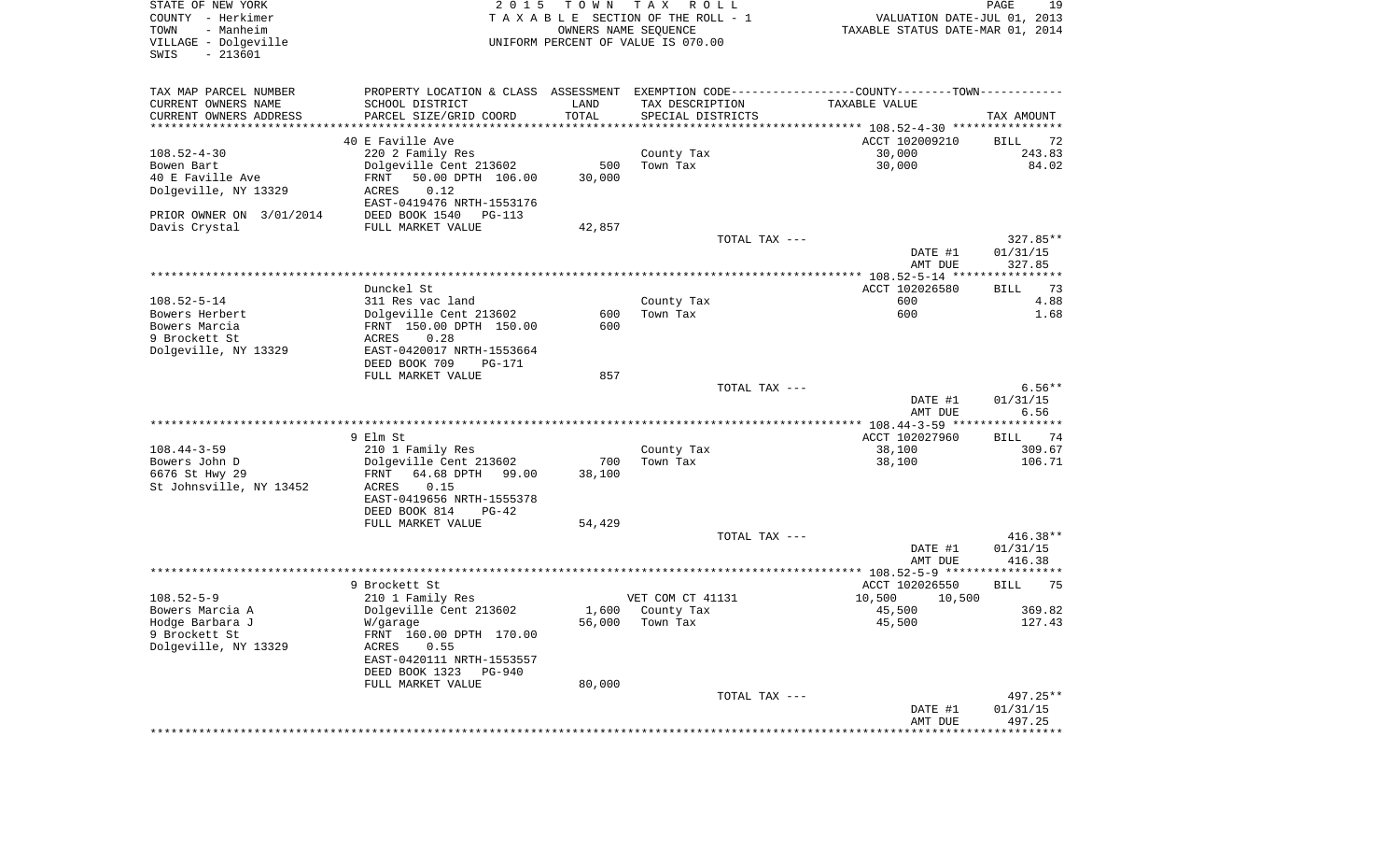| STATE OF NEW YORK<br>COUNTY - Herkimer<br>- Manheim<br>TOWN<br>VILLAGE - Dolgeville<br>$-213601$<br>SWIS | 2 0 1 5                                                                                       | T O W N<br>OWNERS NAME SEQUENCE | T A X<br>R O L L<br>TAXABLE SECTION OF THE ROLL - 1<br>UNIFORM PERCENT OF VALUE IS 070.00 | VALUATION DATE-JUL 01, 2013<br>TAXABLE STATUS DATE-MAR 01, 2014 | PAGE<br>19           |
|----------------------------------------------------------------------------------------------------------|-----------------------------------------------------------------------------------------------|---------------------------------|-------------------------------------------------------------------------------------------|-----------------------------------------------------------------|----------------------|
| TAX MAP PARCEL NUMBER                                                                                    | PROPERTY LOCATION & CLASS ASSESSMENT EXEMPTION CODE---------------COUNTY-------TOWN---------- |                                 |                                                                                           |                                                                 |                      |
| CURRENT OWNERS NAME                                                                                      | SCHOOL DISTRICT                                                                               | LAND                            | TAX DESCRIPTION                                                                           | TAXABLE VALUE                                                   |                      |
| CURRENT OWNERS ADDRESS<br>************************                                                       | PARCEL SIZE/GRID COORD                                                                        | TOTAL                           | SPECIAL DISTRICTS                                                                         |                                                                 | TAX AMOUNT           |
|                                                                                                          | 40 E Faville Ave                                                                              |                                 |                                                                                           | ACCT 102009210                                                  |                      |
| $108.52 - 4 - 30$                                                                                        | 220 2 Family Res                                                                              |                                 | County Tax                                                                                | 30,000                                                          | BILL<br>72<br>243.83 |
| Bowen Bart                                                                                               | Dolgeville Cent 213602                                                                        | 500                             | Town Tax                                                                                  | 30,000                                                          | 84.02                |
| 40 E Faville Ave                                                                                         | FRNT<br>50.00 DPTH 106.00                                                                     | 30,000                          |                                                                                           |                                                                 |                      |
| Dolgeville, NY 13329                                                                                     | 0.12<br>ACRES                                                                                 |                                 |                                                                                           |                                                                 |                      |
|                                                                                                          | EAST-0419476 NRTH-1553176                                                                     |                                 |                                                                                           |                                                                 |                      |
| PRIOR OWNER ON 3/01/2014                                                                                 | DEED BOOK 1540<br>PG-113                                                                      |                                 |                                                                                           |                                                                 |                      |
| Davis Crystal                                                                                            | FULL MARKET VALUE                                                                             | 42,857                          |                                                                                           |                                                                 |                      |
|                                                                                                          |                                                                                               |                                 | TOTAL TAX ---                                                                             |                                                                 | $327.85**$           |
|                                                                                                          |                                                                                               |                                 |                                                                                           | DATE #1                                                         | 01/31/15             |
|                                                                                                          |                                                                                               |                                 |                                                                                           | AMT DUE                                                         | 327.85               |
|                                                                                                          |                                                                                               |                                 |                                                                                           |                                                                 |                      |
|                                                                                                          | Dunckel St                                                                                    |                                 |                                                                                           | ACCT 102026580                                                  | 73<br><b>BILL</b>    |
| $108.52 - 5 - 14$                                                                                        | 311 Res vac land                                                                              |                                 | County Tax                                                                                | 600                                                             | 4.88                 |
| Bowers Herbert                                                                                           | Dolgeville Cent 213602                                                                        | 600                             | Town Tax                                                                                  | 600                                                             | 1.68                 |
| Bowers Marcia                                                                                            | FRNT 150.00 DPTH 150.00                                                                       | 600                             |                                                                                           |                                                                 |                      |
| 9 Brockett St                                                                                            | 0.28<br>ACRES                                                                                 |                                 |                                                                                           |                                                                 |                      |
| Dolgeville, NY 13329                                                                                     | EAST-0420017 NRTH-1553664<br>DEED BOOK 709<br>PG-171                                          |                                 |                                                                                           |                                                                 |                      |
|                                                                                                          | FULL MARKET VALUE                                                                             | 857                             |                                                                                           |                                                                 |                      |
|                                                                                                          |                                                                                               |                                 | TOTAL TAX ---                                                                             |                                                                 | $6.56**$             |
|                                                                                                          |                                                                                               |                                 |                                                                                           | DATE #1                                                         | 01/31/15             |
|                                                                                                          |                                                                                               |                                 |                                                                                           | AMT DUE                                                         | 6.56                 |
|                                                                                                          |                                                                                               |                                 |                                                                                           |                                                                 |                      |
|                                                                                                          | 9 Elm St                                                                                      |                                 |                                                                                           | ACCT 102027960                                                  | BILL<br>74           |
| $108.44 - 3 - 59$                                                                                        | 210 1 Family Res                                                                              |                                 | County Tax                                                                                | 38,100                                                          | 309.67               |
| Bowers John D                                                                                            | Dolgeville Cent 213602                                                                        | 700                             | Town Tax                                                                                  | 38,100                                                          | 106.71               |
| 6676 St Hwy 29                                                                                           | FRNT<br>64.68 DPTH<br>99.00                                                                   | 38,100                          |                                                                                           |                                                                 |                      |
| St Johnsville, NY 13452                                                                                  | ACRES<br>0.15                                                                                 |                                 |                                                                                           |                                                                 |                      |
|                                                                                                          | EAST-0419656 NRTH-1555378<br>DEED BOOK 814                                                    |                                 |                                                                                           |                                                                 |                      |
|                                                                                                          | $PG-42$<br>FULL MARKET VALUE                                                                  | 54,429                          |                                                                                           |                                                                 |                      |
|                                                                                                          |                                                                                               |                                 | TOTAL TAX ---                                                                             |                                                                 | $416.38**$           |
|                                                                                                          |                                                                                               |                                 |                                                                                           | DATE #1                                                         | 01/31/15             |
|                                                                                                          |                                                                                               |                                 |                                                                                           | AMT DUE                                                         | 416.38               |
|                                                                                                          |                                                                                               |                                 |                                                                                           |                                                                 |                      |
|                                                                                                          | 9 Brockett St                                                                                 |                                 |                                                                                           | ACCT 102026550                                                  | 75<br>BILL           |
| $108.52 - 5 - 9$                                                                                         | 210 1 Family Res                                                                              |                                 | VET COM CT 41131                                                                          | 10,500<br>10,500                                                |                      |
| Bowers Marcia A                                                                                          | Dolgeville Cent 213602                                                                        |                                 | 1,600 County Tax                                                                          | 45,500                                                          | 369.82               |
| Hodge Barbara J                                                                                          | W/garage                                                                                      |                                 | 56,000 Town Tax                                                                           | 45,500                                                          | 127.43               |
| 9 Brockett St<br>Dolgeville, NY 13329                                                                    | FRNT 160.00 DPTH 170.00<br>ACRES                                                              |                                 |                                                                                           |                                                                 |                      |
|                                                                                                          | 0.55<br>EAST-0420111 NRTH-1553557                                                             |                                 |                                                                                           |                                                                 |                      |
|                                                                                                          | DEED BOOK 1323<br>PG-940                                                                      |                                 |                                                                                           |                                                                 |                      |
|                                                                                                          | FULL MARKET VALUE                                                                             | 80,000                          |                                                                                           |                                                                 |                      |
|                                                                                                          |                                                                                               |                                 | TOTAL TAX ---                                                                             |                                                                 | 497.25**             |
|                                                                                                          |                                                                                               |                                 |                                                                                           | DATE #1                                                         | 01/31/15             |
|                                                                                                          |                                                                                               |                                 |                                                                                           | AMT DUE                                                         | 497.25               |
|                                                                                                          |                                                                                               |                                 |                                                                                           |                                                                 |                      |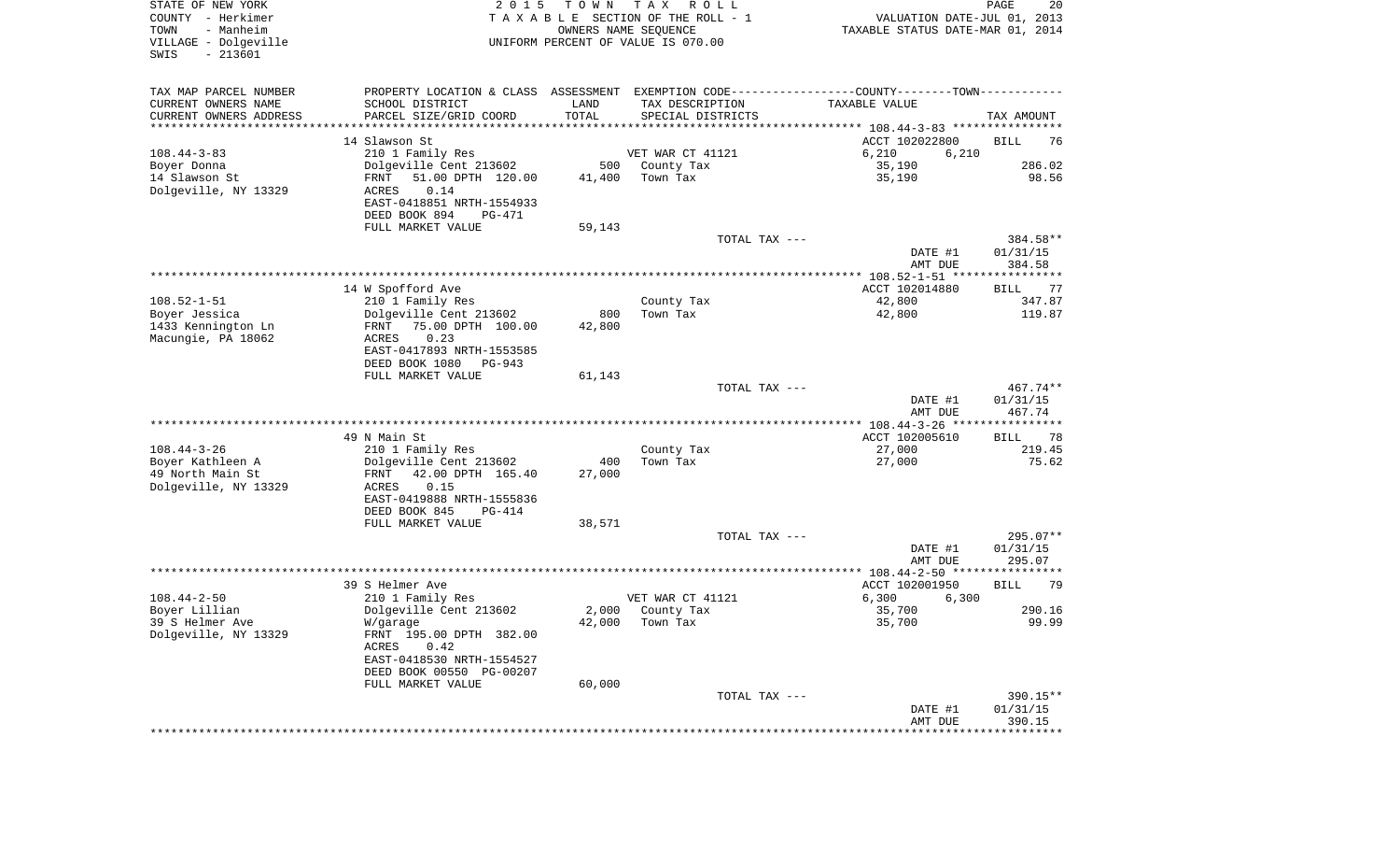| STATE OF NEW YORK<br>COUNTY - Herkimer<br>TOWN<br>- Manheim<br>VILLAGE - Dolgeville<br>SWIS<br>$-213601$ | 2 0 1 5                                               | T O W N       | T A X<br>R O L L<br>T A X A B L E SECTION OF THE ROLL - 1<br>OWNERS NAME SEQUENCE<br>UNIFORM PERCENT OF VALUE IS 070.00 | VALUATION DATE-JUL 01, 2013<br>TAXABLE STATUS DATE-MAR 01, 2014 | PAGE<br>20         |
|----------------------------------------------------------------------------------------------------------|-------------------------------------------------------|---------------|-------------------------------------------------------------------------------------------------------------------------|-----------------------------------------------------------------|--------------------|
|                                                                                                          |                                                       |               |                                                                                                                         |                                                                 |                    |
| TAX MAP PARCEL NUMBER                                                                                    | PROPERTY LOCATION & CLASS ASSESSMENT                  |               |                                                                                                                         | EXEMPTION CODE----------------COUNTY-------TOWN-----------      |                    |
| CURRENT OWNERS NAME                                                                                      | SCHOOL DISTRICT                                       | LAND          | TAX DESCRIPTION                                                                                                         | TAXABLE VALUE                                                   |                    |
| CURRENT OWNERS ADDRESS<br>*********************                                                          | PARCEL SIZE/GRID COORD                                | TOTAL         | SPECIAL DISTRICTS                                                                                                       |                                                                 | TAX AMOUNT         |
|                                                                                                          | 14 Slawson St                                         |               |                                                                                                                         | ACCT 102022800                                                  | BILL<br>76         |
| $108.44 - 3 - 83$                                                                                        | 210 1 Family Res                                      |               | VET WAR CT 41121                                                                                                        | 6,210<br>6,210                                                  |                    |
| Boyer Donna                                                                                              | Dolgeville Cent 213602                                | 500           | County Tax                                                                                                              | 35,190                                                          | 286.02             |
| 14 Slawson St                                                                                            | 51.00 DPTH 120.00<br>FRNT                             | 41,400        | Town Tax                                                                                                                | 35,190                                                          | 98.56              |
| Dolgeville, NY 13329                                                                                     | ACRES<br>0.14                                         |               |                                                                                                                         |                                                                 |                    |
|                                                                                                          | EAST-0418851 NRTH-1554933                             |               |                                                                                                                         |                                                                 |                    |
|                                                                                                          | DEED BOOK 894<br>PG-471                               |               |                                                                                                                         |                                                                 |                    |
|                                                                                                          | FULL MARKET VALUE                                     | 59,143        | TOTAL TAX ---                                                                                                           |                                                                 | 384.58**           |
|                                                                                                          |                                                       |               |                                                                                                                         | DATE #1                                                         | 01/31/15           |
|                                                                                                          |                                                       |               |                                                                                                                         | AMT DUE                                                         | 384.58             |
|                                                                                                          |                                                       |               |                                                                                                                         |                                                                 |                    |
|                                                                                                          | 14 W Spofford Ave                                     |               |                                                                                                                         | ACCT 102014880                                                  | <b>BILL</b><br>77  |
| $108.52 - 1 - 51$                                                                                        | 210 1 Family Res                                      |               | County Tax                                                                                                              | 42,800                                                          | 347.87             |
| Boyer Jessica<br>1433 Kennington Ln                                                                      | Dolgeville Cent 213602<br>75.00 DPTH 100.00<br>FRNT   | 800<br>42,800 | Town Tax                                                                                                                | 42,800                                                          | 119.87             |
| Macungie, PA 18062                                                                                       | 0.23<br>ACRES                                         |               |                                                                                                                         |                                                                 |                    |
|                                                                                                          | EAST-0417893 NRTH-1553585                             |               |                                                                                                                         |                                                                 |                    |
|                                                                                                          | DEED BOOK 1080<br>PG-943                              |               |                                                                                                                         |                                                                 |                    |
|                                                                                                          | FULL MARKET VALUE                                     | 61,143        |                                                                                                                         |                                                                 |                    |
|                                                                                                          |                                                       |               | TOTAL TAX ---                                                                                                           |                                                                 | 467.74**           |
|                                                                                                          |                                                       |               |                                                                                                                         | DATE #1<br>AMT DUE                                              | 01/31/15<br>467.74 |
|                                                                                                          |                                                       |               |                                                                                                                         |                                                                 |                    |
|                                                                                                          | 49 N Main St                                          |               |                                                                                                                         | ACCT 102005610                                                  | 78<br>BILL         |
| $108.44 - 3 - 26$                                                                                        | 210 1 Family Res                                      |               | County Tax                                                                                                              | 27,000                                                          | 219.45             |
| Boyer Kathleen A                                                                                         | Dolgeville Cent 213602                                | 400           | Town Tax                                                                                                                | 27,000                                                          | 75.62              |
| 49 North Main St                                                                                         | 42.00 DPTH 165.40<br>FRNT                             | 27,000        |                                                                                                                         |                                                                 |                    |
| Dolgeville, NY 13329                                                                                     | ACRES<br>0.15<br>EAST-0419888 NRTH-1555836            |               |                                                                                                                         |                                                                 |                    |
|                                                                                                          | DEED BOOK 845<br>PG-414                               |               |                                                                                                                         |                                                                 |                    |
|                                                                                                          | FULL MARKET VALUE                                     | 38,571        |                                                                                                                         |                                                                 |                    |
|                                                                                                          |                                                       |               | TOTAL TAX ---                                                                                                           |                                                                 | 295.07**           |
|                                                                                                          |                                                       |               |                                                                                                                         | DATE #1                                                         | 01/31/15           |
|                                                                                                          |                                                       |               |                                                                                                                         | AMT DUE                                                         | 295.07             |
|                                                                                                          | 39 S Helmer Ave                                       |               |                                                                                                                         | ACCT 102001950                                                  | 79<br>BILL         |
| $108.44 - 2 - 50$                                                                                        | 210 1 Family Res                                      |               | VET WAR CT 41121                                                                                                        | 6,300<br>6,300                                                  |                    |
| Boyer Lillian                                                                                            | Dolgeville Cent 213602                                | 2,000         | County Tax                                                                                                              | 35,700                                                          | 290.16             |
| 39 S Helmer Ave                                                                                          | W/garage                                              |               | 42,000 Town Tax                                                                                                         | 35,700                                                          | 99.99              |
| Dolgeville, NY 13329                                                                                     | FRNT 195.00 DPTH 382.00                               |               |                                                                                                                         |                                                                 |                    |
|                                                                                                          | ACRES<br>0.42                                         |               |                                                                                                                         |                                                                 |                    |
|                                                                                                          | EAST-0418530 NRTH-1554527<br>DEED BOOK 00550 PG-00207 |               |                                                                                                                         |                                                                 |                    |
|                                                                                                          | FULL MARKET VALUE                                     | 60,000        |                                                                                                                         |                                                                 |                    |
|                                                                                                          |                                                       |               | TOTAL TAX ---                                                                                                           |                                                                 | 390.15**           |
|                                                                                                          |                                                       |               |                                                                                                                         | DATE #1                                                         | 01/31/15           |
|                                                                                                          |                                                       |               |                                                                                                                         | AMT DUE                                                         | 390.15             |
|                                                                                                          |                                                       |               |                                                                                                                         |                                                                 |                    |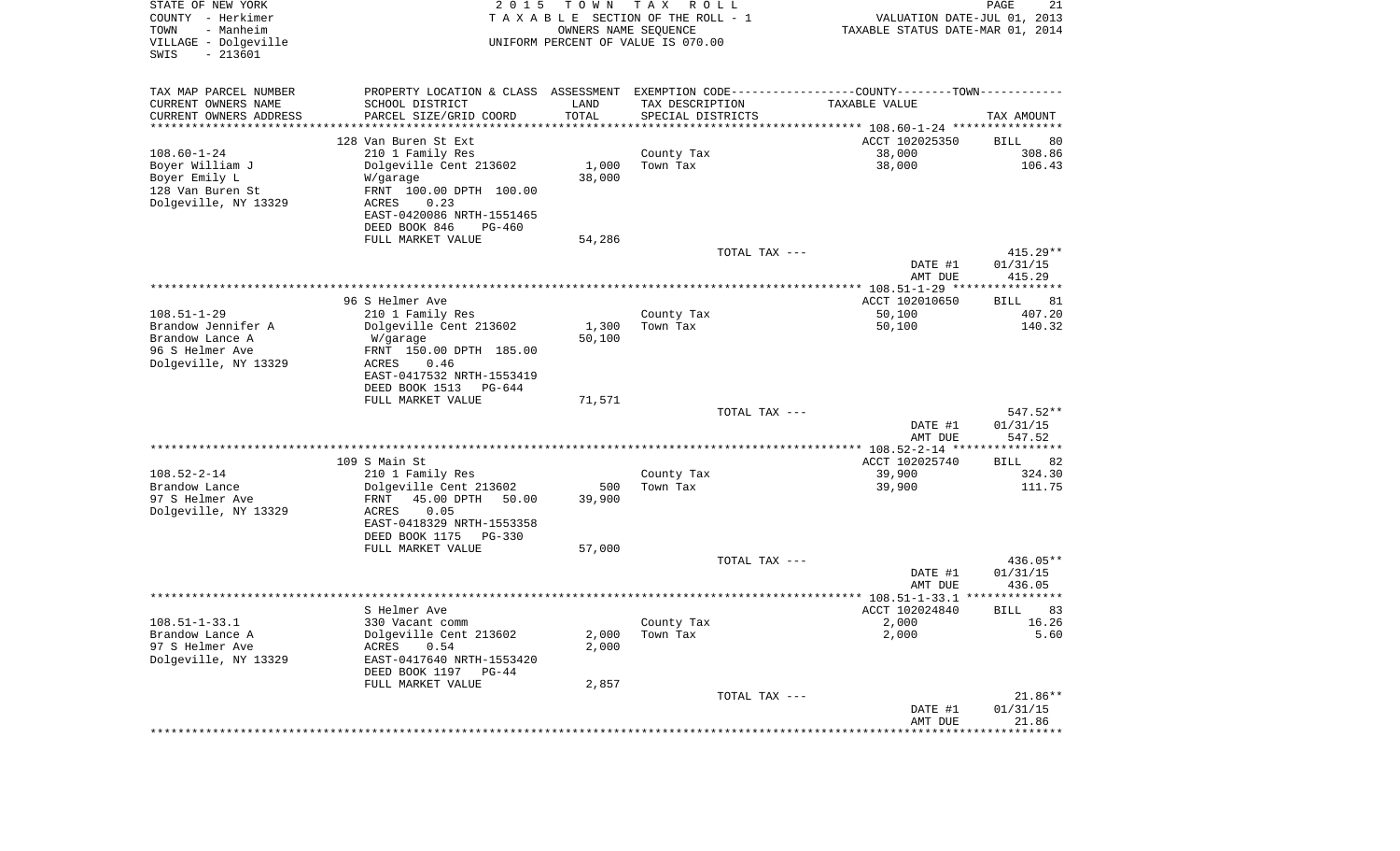| STATE OF NEW YORK<br>COUNTY - Herkimer<br>TOWN<br>- Manheim<br>VILLAGE - Dolgeville<br>$-213601$<br>SWIS | 2 0 1 5                                                                                       | T O W N<br>OWNERS NAME SEQUENCE | T A X<br>R O L L<br>TAXABLE SECTION OF THE ROLL - 1<br>UNIFORM PERCENT OF VALUE IS 070.00 |               | VALUATION DATE-JUL 01, 2013<br>TAXABLE STATUS DATE-MAR 01, 2014 | $\mathop{\mathtt{PAGE}}$<br>21 |
|----------------------------------------------------------------------------------------------------------|-----------------------------------------------------------------------------------------------|---------------------------------|-------------------------------------------------------------------------------------------|---------------|-----------------------------------------------------------------|--------------------------------|
| TAX MAP PARCEL NUMBER                                                                                    | PROPERTY LOCATION & CLASS ASSESSMENT EXEMPTION CODE---------------COUNTY-------TOWN---------- |                                 |                                                                                           |               |                                                                 |                                |
| CURRENT OWNERS NAME                                                                                      | SCHOOL DISTRICT                                                                               | LAND                            | TAX DESCRIPTION                                                                           |               | TAXABLE VALUE                                                   |                                |
| CURRENT OWNERS ADDRESS<br>********************                                                           | PARCEL SIZE/GRID COORD                                                                        | TOTAL<br>*************          | SPECIAL DISTRICTS                                                                         |               |                                                                 | TAX AMOUNT                     |
|                                                                                                          | 128 Van Buren St Ext                                                                          |                                 |                                                                                           |               | ACCT 102025350                                                  | BILL<br>80                     |
| $108.60 - 1 - 24$                                                                                        | 210 1 Family Res                                                                              |                                 | County Tax                                                                                |               | 38,000                                                          | 308.86                         |
| Boyer William J                                                                                          | Dolgeville Cent 213602                                                                        | 1,000                           | Town Tax                                                                                  |               | 38,000                                                          | 106.43                         |
| Boyer Emily L                                                                                            | W/garage                                                                                      | 38,000                          |                                                                                           |               |                                                                 |                                |
| 128 Van Buren St<br>Dolgeville, NY 13329                                                                 | FRNT 100.00 DPTH 100.00                                                                       |                                 |                                                                                           |               |                                                                 |                                |
|                                                                                                          | ACRES<br>0.23<br>EAST-0420086 NRTH-1551465                                                    |                                 |                                                                                           |               |                                                                 |                                |
|                                                                                                          | DEED BOOK 846<br>PG-460                                                                       |                                 |                                                                                           |               |                                                                 |                                |
|                                                                                                          | FULL MARKET VALUE                                                                             | 54,286                          |                                                                                           |               |                                                                 |                                |
|                                                                                                          |                                                                                               |                                 |                                                                                           | TOTAL TAX --- |                                                                 | $415.29**$                     |
|                                                                                                          |                                                                                               |                                 |                                                                                           |               | DATE #1<br>AMT DUE                                              | 01/31/15<br>415.29             |
|                                                                                                          | 96 S Helmer Ave                                                                               |                                 |                                                                                           |               | ACCT 102010650                                                  | BILL<br>81                     |
| $108.51 - 1 - 29$                                                                                        | 210 1 Family Res                                                                              |                                 | County Tax                                                                                |               | 50,100                                                          | 407.20                         |
| Brandow Jennifer A                                                                                       | Dolgeville Cent 213602                                                                        | 1,300                           | Town Tax                                                                                  |               | 50,100                                                          | 140.32                         |
| Brandow Lance A                                                                                          | W/garage                                                                                      | 50,100                          |                                                                                           |               |                                                                 |                                |
| 96 S Helmer Ave                                                                                          | FRNT 150.00 DPTH 185.00                                                                       |                                 |                                                                                           |               |                                                                 |                                |
| Dolgeville, NY 13329                                                                                     | 0.46<br>ACRES                                                                                 |                                 |                                                                                           |               |                                                                 |                                |
|                                                                                                          | EAST-0417532 NRTH-1553419<br>DEED BOOK 1513<br>PG-644                                         |                                 |                                                                                           |               |                                                                 |                                |
|                                                                                                          | FULL MARKET VALUE                                                                             | 71,571                          |                                                                                           |               |                                                                 |                                |
|                                                                                                          |                                                                                               |                                 |                                                                                           | TOTAL TAX --- |                                                                 | 547.52**                       |
|                                                                                                          |                                                                                               |                                 |                                                                                           |               | DATE #1                                                         | 01/31/15                       |
|                                                                                                          |                                                                                               |                                 |                                                                                           |               | AMT DUE                                                         | 547.52                         |
|                                                                                                          | 109 S Main St                                                                                 |                                 |                                                                                           |               | ACCT 102025740                                                  | 82<br>BILL                     |
| $108.52 - 2 - 14$                                                                                        | 210 1 Family Res                                                                              |                                 | County Tax                                                                                |               | 39,900                                                          | 324.30                         |
| Brandow Lance                                                                                            | Dolgeville Cent 213602                                                                        | 500                             | Town Tax                                                                                  |               | 39,900                                                          | 111.75                         |
| 97 S Helmer Ave                                                                                          | FRNT<br>45.00 DPTH<br>50.00                                                                   | 39,900                          |                                                                                           |               |                                                                 |                                |
| Dolgeville, NY 13329                                                                                     | <b>ACRES</b><br>0.05                                                                          |                                 |                                                                                           |               |                                                                 |                                |
|                                                                                                          | EAST-0418329 NRTH-1553358<br>DEED BOOK 1175<br><b>PG-330</b>                                  |                                 |                                                                                           |               |                                                                 |                                |
|                                                                                                          | FULL MARKET VALUE                                                                             | 57,000                          |                                                                                           |               |                                                                 |                                |
|                                                                                                          |                                                                                               |                                 |                                                                                           | TOTAL TAX --- |                                                                 | 436.05**                       |
|                                                                                                          |                                                                                               |                                 |                                                                                           |               | DATE #1                                                         | 01/31/15                       |
|                                                                                                          |                                                                                               |                                 |                                                                                           |               | AMT DUE                                                         | 436.05                         |
|                                                                                                          |                                                                                               |                                 |                                                                                           |               |                                                                 | * * * * * *                    |
| $108.51 - 1 - 33.1$                                                                                      | S Helmer Ave<br>330 Vacant comm                                                               |                                 | County Tax                                                                                |               | ACCT 102024840<br>2,000                                         | BILL<br>83<br>16.26            |
| Brandow Lance A                                                                                          | Dolgeville Cent 213602                                                                        | 2,000                           | Town Tax                                                                                  |               | 2,000                                                           | 5.60                           |
| 97 S Helmer Ave                                                                                          | 0.54<br>ACRES                                                                                 | 2,000                           |                                                                                           |               |                                                                 |                                |
| Dolgeville, NY 13329                                                                                     | EAST-0417640 NRTH-1553420                                                                     |                                 |                                                                                           |               |                                                                 |                                |
|                                                                                                          | DEED BOOK 1197 PG-44                                                                          |                                 |                                                                                           |               |                                                                 |                                |
|                                                                                                          | FULL MARKET VALUE                                                                             | 2,857                           |                                                                                           |               |                                                                 | $21.86**$                      |
|                                                                                                          |                                                                                               |                                 |                                                                                           | TOTAL TAX --- | DATE #1                                                         | 01/31/15                       |
|                                                                                                          |                                                                                               |                                 |                                                                                           |               | AMT DUE                                                         | 21.86                          |
|                                                                                                          |                                                                                               |                                 |                                                                                           |               | *******************                                             | ************                   |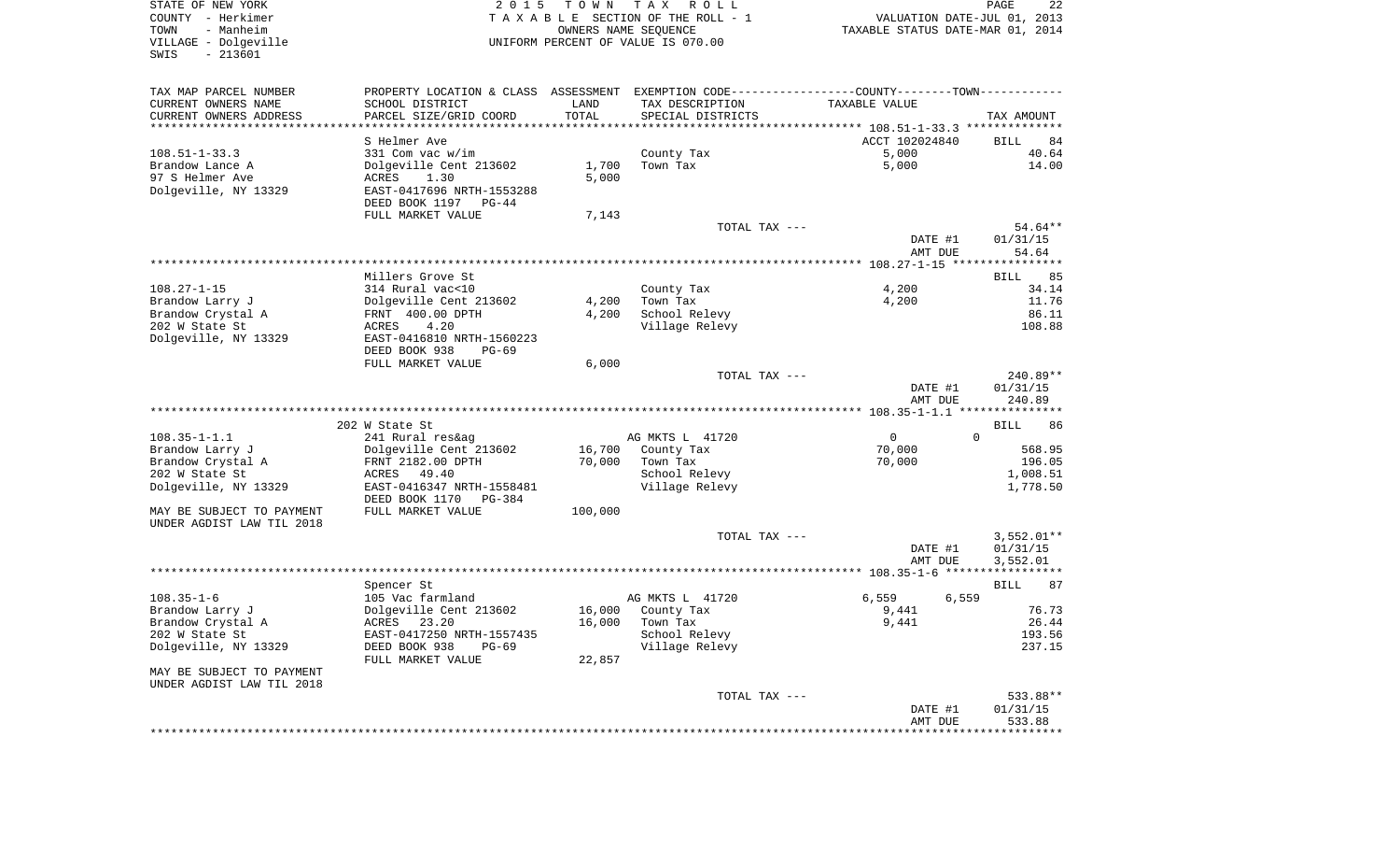| STATE OF NEW YORK                                                                                  | 2 0 1 5                                                                                       |                      | TOWN TAX ROLL                        |                                  | PAGE<br>22         |
|----------------------------------------------------------------------------------------------------|-----------------------------------------------------------------------------------------------|----------------------|--------------------------------------|----------------------------------|--------------------|
| COUNTY - Herkimer<br>TOWN                                                                          |                                                                                               |                      | TAXABLE SECTION OF THE ROLL - 1      | VALUATION DATE-JUL 01, 2013      |                    |
| - Manheim                                                                                          |                                                                                               | OWNERS NAME SEQUENCE |                                      | TAXABLE STATUS DATE-MAR 01, 2014 |                    |
| VILLAGE - Dolgeville<br>SWIS<br>$-213601$                                                          |                                                                                               |                      | UNIFORM PERCENT OF VALUE IS 070.00   |                                  |                    |
|                                                                                                    |                                                                                               |                      |                                      |                                  |                    |
|                                                                                                    |                                                                                               |                      |                                      |                                  |                    |
| TAX MAP PARCEL NUMBER                                                                              | PROPERTY LOCATION & CLASS ASSESSMENT EXEMPTION CODE---------------COUNTY-------TOWN---------- |                      |                                      |                                  |                    |
| CURRENT OWNERS NAME                                                                                | SCHOOL DISTRICT                                                                               | LAND                 | TAX DESCRIPTION                      | TAXABLE VALUE                    |                    |
| CURRENT OWNERS ADDRESS                                                                             | PARCEL SIZE/GRID COORD                                                                        | TOTAL                | SPECIAL DISTRICTS                    |                                  | TAX AMOUNT         |
| ***********************                                                                            |                                                                                               |                      |                                      |                                  |                    |
|                                                                                                    | S Helmer Ave                                                                                  |                      |                                      | ACCT 102024840                   | BILL<br>84         |
| $108.51 - 1 - 33.3$                                                                                | 331 Com vac w/im                                                                              |                      | County Tax                           | 5,000                            | 40.64              |
| Brandow Lance A                                                                                    | Dolgeville Cent 213602                                                                        | 1,700                | Town Tax                             | 5,000                            | 14.00              |
| 97 S Helmer Ave                                                                                    | ACRES<br>1.30                                                                                 | 5,000                |                                      |                                  |                    |
| Dolgeville, NY 13329                                                                               | EAST-0417696 NRTH-1553288                                                                     |                      |                                      |                                  |                    |
|                                                                                                    | DEED BOOK 1197<br>PG-44                                                                       |                      |                                      |                                  |                    |
|                                                                                                    | FULL MARKET VALUE                                                                             | 7,143                |                                      |                                  |                    |
|                                                                                                    |                                                                                               |                      | TOTAL TAX ---                        |                                  | 54.64**            |
|                                                                                                    |                                                                                               |                      |                                      | DATE #1                          | 01/31/15           |
|                                                                                                    |                                                                                               |                      |                                      | AMT DUE                          | 54.64              |
|                                                                                                    |                                                                                               |                      |                                      |                                  |                    |
|                                                                                                    | Millers Grove St                                                                              |                      |                                      |                                  | 85<br>BILL         |
| $108.27 - 1 - 15$                                                                                  | 314 Rural vac<10                                                                              |                      | County Tax                           | 4,200                            | 34.14              |
| Brandow Larry J                                                                                    | Dolgeville Cent 213602                                                                        | 4,200                | Town Tax                             | 4,200                            | 11.76              |
| Brandow Crystal A                                                                                  | FRNT 400.00 DPTH                                                                              | 4,200                | School Relevy                        |                                  | 86.11              |
| 202 W State St                                                                                     | ACRES<br>4.20                                                                                 |                      | Village Relevy                       |                                  | 108.88             |
| Dolgeville, NY 13329                                                                               | EAST-0416810 NRTH-1560223                                                                     |                      |                                      |                                  |                    |
|                                                                                                    | DEED BOOK 938<br>PG-69                                                                        |                      |                                      |                                  |                    |
|                                                                                                    | FULL MARKET VALUE                                                                             | 6,000                |                                      |                                  |                    |
|                                                                                                    |                                                                                               |                      | TOTAL TAX ---                        |                                  | 240.89**           |
|                                                                                                    |                                                                                               |                      |                                      | DATE #1                          | 01/31/15           |
|                                                                                                    |                                                                                               |                      |                                      | AMT DUE                          | 240.89             |
|                                                                                                    |                                                                                               |                      |                                      |                                  |                    |
|                                                                                                    | 202 W State St                                                                                |                      |                                      |                                  | BILL<br>86         |
| $108.35 - 1 - 1.1$                                                                                 | 241 Rural res&ag                                                                              |                      | AG MKTS L 41720                      | $\mathbf{0}$<br>$\Omega$         |                    |
| Brandow Larry J                                                                                    | Dolgeville Cent 213602                                                                        | 16,700               | County Tax                           | 70,000                           | 568.95             |
| Brandow Crystal A                                                                                  | FRNT 2182.00 DPTH                                                                             | 70,000               | Town Tax                             | 70,000                           | 196.05             |
| 202 W State St                                                                                     | ACRES<br>49.40                                                                                |                      | School Relevy                        |                                  | 1,008.51           |
| Dolgeville, NY 13329                                                                               | EAST-0416347 NRTH-1558481                                                                     |                      | Village Relevy                       |                                  | 1,778.50           |
|                                                                                                    | DEED BOOK 1170<br>PG-384                                                                      |                      |                                      |                                  |                    |
| MAY BE SUBJECT TO PAYMENT                                                                          | FULL MARKET VALUE                                                                             | 100,000              |                                      |                                  |                    |
| UNDER AGDIST LAW TIL 2018                                                                          |                                                                                               |                      |                                      |                                  |                    |
|                                                                                                    |                                                                                               |                      | TOTAL TAX ---                        |                                  | $3,552.01**$       |
|                                                                                                    |                                                                                               |                      |                                      | DATE #1                          | 01/31/15           |
|                                                                                                    |                                                                                               |                      |                                      | AMT DUE                          | 3,552.01           |
|                                                                                                    |                                                                                               |                      |                                      |                                  |                    |
|                                                                                                    | Spencer St                                                                                    |                      |                                      |                                  | 87<br>BILL         |
|                                                                                                    | 105 Vac farmland                                                                              |                      | AG MKTS L 41720<br>16,000 County Tax | 6,559<br>6,559                   | 76.73              |
|                                                                                                    |                                                                                               |                      |                                      | 9,441                            |                    |
|                                                                                                    | Dolgeville Cent 213602                                                                        |                      |                                      |                                  |                    |
|                                                                                                    | ACRES 23.20                                                                                   |                      | 16,000 Town Tax                      | 9,441                            | 26.44              |
|                                                                                                    | EAST-0417250 NRTH-1557435                                                                     |                      | School Relevy                        |                                  | 193.56             |
| $108.35 - 1 - 6$<br>Brandow Larry J<br>Brandow Crystal A<br>202 W State St<br>Dolgeville, NY 13329 | DEED BOOK 938<br>$PG-69$                                                                      |                      | Village Relevy                       |                                  | 237.15             |
|                                                                                                    | FULL MARKET VALUE                                                                             | 22,857               |                                      |                                  |                    |
| MAY BE SUBJECT TO PAYMENT                                                                          |                                                                                               |                      |                                      |                                  |                    |
| UNDER AGDIST LAW TIL 2018                                                                          |                                                                                               |                      |                                      |                                  |                    |
|                                                                                                    |                                                                                               |                      | TOTAL TAX ---                        |                                  | 533.88**           |
|                                                                                                    |                                                                                               |                      |                                      | DATE #1<br>AMT DUE               | 01/31/15<br>533.88 |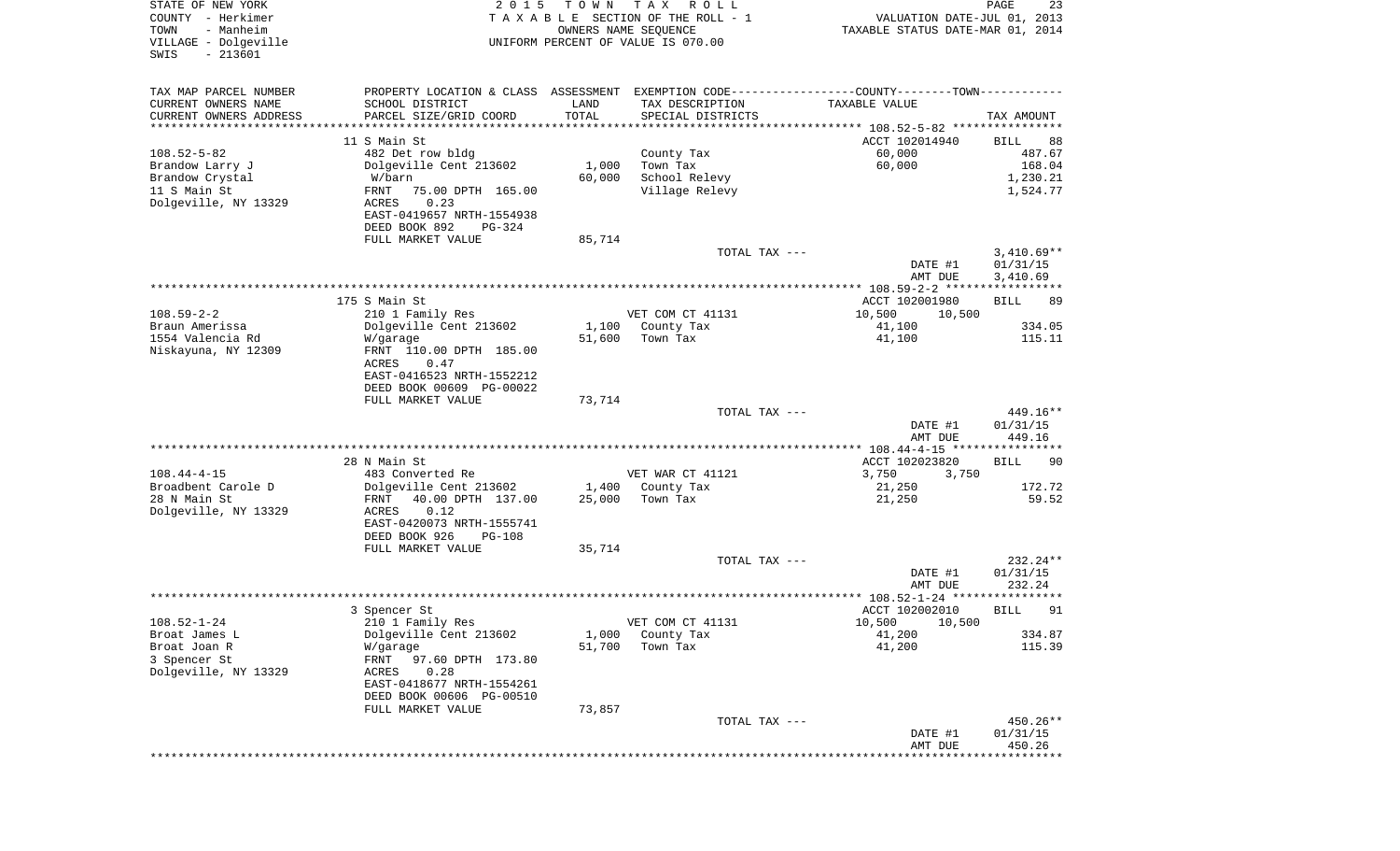| STATE OF NEW YORK<br>COUNTY - Herkimer<br>- Manheim<br>TOWN<br>VILLAGE - Dolgeville<br>$-213601$<br>SWIS | 2 0 1 5                                                                                       | T O W N         | T A X<br>R O L L<br>TAXABLE SECTION OF THE ROLL - 1<br>OWNERS NAME SEQUENCE<br>UNIFORM PERCENT OF VALUE IS 070.00 | VALUATION DATE-JUL 01, 2013<br>TAXABLE STATUS DATE-MAR 01, 2014 | PAGE<br>23              |
|----------------------------------------------------------------------------------------------------------|-----------------------------------------------------------------------------------------------|-----------------|-------------------------------------------------------------------------------------------------------------------|-----------------------------------------------------------------|-------------------------|
| TAX MAP PARCEL NUMBER                                                                                    | PROPERTY LOCATION & CLASS ASSESSMENT EXEMPTION CODE---------------COUNTY-------TOWN---------- |                 |                                                                                                                   |                                                                 |                         |
| CURRENT OWNERS NAME<br>CURRENT OWNERS ADDRESS                                                            | SCHOOL DISTRICT<br>PARCEL SIZE/GRID COORD                                                     | LAND<br>TOTAL   | TAX DESCRIPTION<br>SPECIAL DISTRICTS                                                                              | TAXABLE VALUE                                                   | TAX AMOUNT              |
| *********************                                                                                    |                                                                                               | **********      |                                                                                                                   |                                                                 |                         |
|                                                                                                          | 11 S Main St                                                                                  |                 |                                                                                                                   | ACCT 102014940                                                  | 88<br>BILL              |
| $108.52 - 5 - 82$                                                                                        | 482 Det row bldg                                                                              |                 | County Tax                                                                                                        | 60,000                                                          | 487.67                  |
| Brandow Larry J                                                                                          | Dolgeville Cent 213602                                                                        | 1,000           | Town Tax                                                                                                          | 60,000                                                          | 168.04                  |
| Brandow Crystal                                                                                          | W/barn                                                                                        | 60,000          | School Relevy                                                                                                     |                                                                 | 1,230.21                |
| 11 S Main St<br>Dolgeville, NY 13329                                                                     | FRNT<br>75.00 DPTH 165.00<br>ACRES<br>0.23                                                    |                 | Village Relevy                                                                                                    |                                                                 | 1,524.77                |
|                                                                                                          | EAST-0419657 NRTH-1554938                                                                     |                 |                                                                                                                   |                                                                 |                         |
|                                                                                                          | DEED BOOK 892<br>PG-324                                                                       |                 |                                                                                                                   |                                                                 |                         |
|                                                                                                          | FULL MARKET VALUE                                                                             | 85,714          |                                                                                                                   |                                                                 |                         |
|                                                                                                          |                                                                                               |                 | TOTAL TAX ---                                                                                                     |                                                                 | $3,410.69**$            |
|                                                                                                          |                                                                                               |                 |                                                                                                                   | DATE #1                                                         | 01/31/15                |
|                                                                                                          |                                                                                               |                 |                                                                                                                   | AMT DUE                                                         | 3,410.69                |
|                                                                                                          | 175 S Main St                                                                                 |                 |                                                                                                                   | ACCT 102001980                                                  |                         |
| $108.59 - 2 - 2$                                                                                         | 210 1 Family Res                                                                              |                 | VET COM CT 41131                                                                                                  | 10,500<br>10,500                                                | BILL<br>89              |
| Braun Amerissa                                                                                           | Dolgeville Cent 213602                                                                        | 1,100           | County Tax                                                                                                        | 41,100                                                          | 334.05                  |
| 1554 Valencia Rd                                                                                         | W/garage                                                                                      | 51,600          | Town Tax                                                                                                          | 41,100                                                          | 115.11                  |
| Niskayuna, NY 12309                                                                                      | FRNT 110.00 DPTH 185.00                                                                       |                 |                                                                                                                   |                                                                 |                         |
|                                                                                                          | ACRES<br>0.47                                                                                 |                 |                                                                                                                   |                                                                 |                         |
|                                                                                                          | EAST-0416523 NRTH-1552212                                                                     |                 |                                                                                                                   |                                                                 |                         |
|                                                                                                          | DEED BOOK 00609 PG-00022<br>FULL MARKET VALUE                                                 | 73,714          |                                                                                                                   |                                                                 |                         |
|                                                                                                          |                                                                                               |                 | TOTAL TAX ---                                                                                                     |                                                                 | 449.16**                |
|                                                                                                          |                                                                                               |                 |                                                                                                                   | DATE #1                                                         | 01/31/15                |
|                                                                                                          |                                                                                               |                 |                                                                                                                   | AMT DUE                                                         | 449.16                  |
|                                                                                                          |                                                                                               |                 |                                                                                                                   |                                                                 |                         |
|                                                                                                          | 28 N Main St                                                                                  |                 |                                                                                                                   | ACCT 102023820                                                  | 90<br>BILL              |
| $108.44 - 4 - 15$<br>Broadbent Carole D                                                                  | 483 Converted Re                                                                              |                 | VET WAR CT 41121                                                                                                  | 3,750<br>3,750                                                  | 172.72                  |
| 28 N Main St                                                                                             | Dolgeville Cent 213602<br>40.00 DPTH 137.00<br>FRNT                                           | 1,400<br>25,000 | County Tax<br>Town Tax                                                                                            | 21,250<br>21,250                                                | 59.52                   |
| Dolgeville, NY 13329                                                                                     | ACRES<br>0.12                                                                                 |                 |                                                                                                                   |                                                                 |                         |
|                                                                                                          | EAST-0420073 NRTH-1555741                                                                     |                 |                                                                                                                   |                                                                 |                         |
|                                                                                                          | DEED BOOK 926<br><b>PG-108</b>                                                                |                 |                                                                                                                   |                                                                 |                         |
|                                                                                                          | FULL MARKET VALUE                                                                             | 35,714          |                                                                                                                   |                                                                 |                         |
|                                                                                                          |                                                                                               |                 | TOTAL TAX ---                                                                                                     |                                                                 | 232.24**                |
|                                                                                                          |                                                                                               |                 |                                                                                                                   | DATE #1<br>AMT DUE                                              | 01/31/15                |
|                                                                                                          |                                                                                               |                 |                                                                                                                   |                                                                 | 232.24<br>* * * * * * * |
|                                                                                                          | 3 Spencer St                                                                                  |                 |                                                                                                                   | ACCT 102002010                                                  | 91<br>BILL              |
| $108.52 - 1 - 24$                                                                                        | 210 1 Family Res                                                                              |                 | VET COM CT 41131                                                                                                  | 10,500 10,500                                                   |                         |
| Broat James L                                                                                            | Dolgeville Cent 213602                                                                        | 1,000           | County Tax                                                                                                        | 41,200                                                          | 334.87                  |
| Broat Joan R                                                                                             | W/garage                                                                                      | 51,700          | Town Tax                                                                                                          | 41,200                                                          | 115.39                  |
| 3 Spencer St                                                                                             | FRNT<br>97.60 DPTH 173.80                                                                     |                 |                                                                                                                   |                                                                 |                         |
| Dolgeville, NY 13329                                                                                     | 0.28<br>ACRES<br>EAST-0418677 NRTH-1554261                                                    |                 |                                                                                                                   |                                                                 |                         |
|                                                                                                          | DEED BOOK 00606 PG-00510                                                                      |                 |                                                                                                                   |                                                                 |                         |
|                                                                                                          | FULL MARKET VALUE                                                                             | 73,857          |                                                                                                                   |                                                                 |                         |
|                                                                                                          |                                                                                               |                 | TOTAL TAX ---                                                                                                     |                                                                 | 450.26**                |
|                                                                                                          |                                                                                               |                 |                                                                                                                   | DATE #1                                                         | 01/31/15                |
|                                                                                                          |                                                                                               |                 |                                                                                                                   | AMT DUE                                                         | 450.26                  |
|                                                                                                          |                                                                                               |                 |                                                                                                                   | ***************************                                     |                         |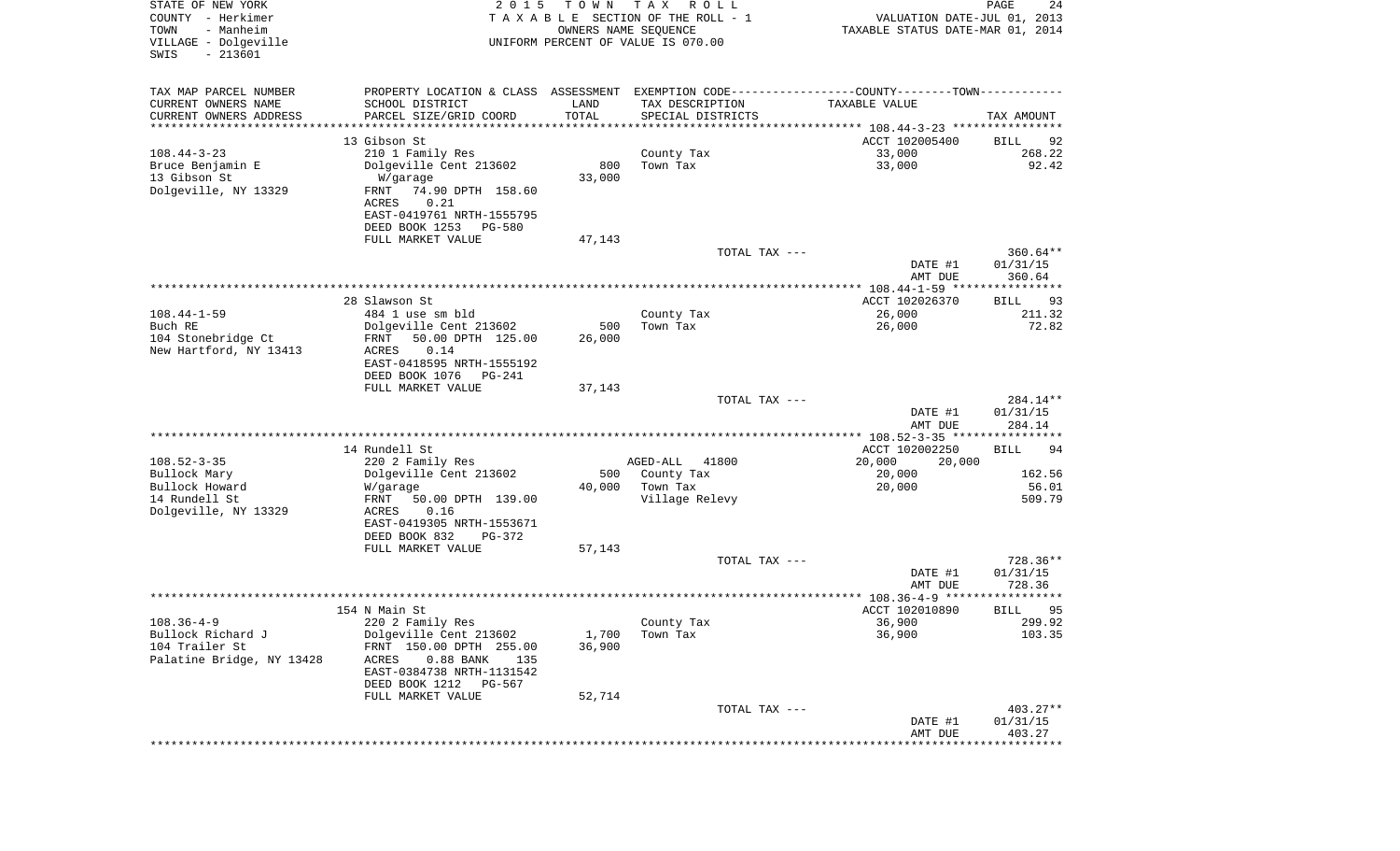| STATE OF NEW YORK<br>COUNTY - Herkimer<br>- Manheim<br>TOWN<br>VILLAGE - Dolgeville<br>$-213601$<br>SWIS | 2 0 1 5                                         | T O W N<br>OWNERS NAME SEQUENCE | T A X<br>R O L L<br>TAXABLE SECTION OF THE ROLL - 1<br>UNIFORM PERCENT OF VALUE IS 070.00     | VALUATION DATE-JUL 01, 2013<br>TAXABLE STATUS DATE-MAR 01, 2014 | PAGE<br>24           |
|----------------------------------------------------------------------------------------------------------|-------------------------------------------------|---------------------------------|-----------------------------------------------------------------------------------------------|-----------------------------------------------------------------|----------------------|
| TAX MAP PARCEL NUMBER                                                                                    |                                                 |                                 | PROPERTY LOCATION & CLASS ASSESSMENT EXEMPTION CODE---------------COUNTY-------TOWN---------- |                                                                 |                      |
| CURRENT OWNERS NAME                                                                                      | SCHOOL DISTRICT                                 | LAND                            | TAX DESCRIPTION                                                                               | TAXABLE VALUE                                                   |                      |
| CURRENT OWNERS ADDRESS<br>*********************                                                          | PARCEL SIZE/GRID COORD<br>*******************   | TOTAL<br>* * * * * * * * * * *  | SPECIAL DISTRICTS                                                                             |                                                                 | TAX AMOUNT           |
|                                                                                                          | 13 Gibson St                                    |                                 |                                                                                               | ACCT 102005400                                                  | 92<br>BILL           |
| $108.44 - 3 - 23$                                                                                        | 210 1 Family Res                                |                                 | County Tax                                                                                    | 33,000                                                          | 268.22               |
| Bruce Benjamin E                                                                                         | Dolgeville Cent 213602                          | 800                             | Town Tax                                                                                      | 33,000                                                          | 92.42                |
| 13 Gibson St                                                                                             | W/garage                                        | 33,000                          |                                                                                               |                                                                 |                      |
| Dolgeville, NY 13329                                                                                     | 74.90 DPTH 158.60<br>FRNT                       |                                 |                                                                                               |                                                                 |                      |
|                                                                                                          | ACRES<br>0.21                                   |                                 |                                                                                               |                                                                 |                      |
|                                                                                                          | EAST-0419761 NRTH-1555795                       |                                 |                                                                                               |                                                                 |                      |
|                                                                                                          | DEED BOOK 1253<br>PG-580                        |                                 |                                                                                               |                                                                 |                      |
|                                                                                                          | FULL MARKET VALUE                               | 47,143                          | TOTAL TAX ---                                                                                 |                                                                 | $360.64**$           |
|                                                                                                          |                                                 |                                 |                                                                                               | DATE #1                                                         | 01/31/15             |
|                                                                                                          |                                                 |                                 |                                                                                               | AMT DUE                                                         | 360.64               |
|                                                                                                          |                                                 |                                 |                                                                                               |                                                                 |                      |
|                                                                                                          | 28 Slawson St                                   |                                 |                                                                                               | ACCT 102026370                                                  | BILL<br>93           |
| $108.44 - 1 - 59$<br>Buch RE                                                                             | 484 1 use sm bld<br>Dolgeville Cent 213602      | 500                             | County Tax<br>Town Tax                                                                        | 26,000<br>26,000                                                | 211.32<br>72.82      |
| 104 Stonebridge Ct                                                                                       | FRNT<br>50.00 DPTH 125.00                       | 26,000                          |                                                                                               |                                                                 |                      |
| New Hartford, NY 13413                                                                                   | 0.14<br>ACRES                                   |                                 |                                                                                               |                                                                 |                      |
|                                                                                                          | EAST-0418595 NRTH-1555192                       |                                 |                                                                                               |                                                                 |                      |
|                                                                                                          | DEED BOOK 1076<br>$PG-241$                      |                                 |                                                                                               |                                                                 |                      |
|                                                                                                          | FULL MARKET VALUE                               | 37,143                          |                                                                                               |                                                                 |                      |
|                                                                                                          |                                                 |                                 | TOTAL TAX ---                                                                                 | DATE #1                                                         | 284.14**<br>01/31/15 |
|                                                                                                          |                                                 |                                 |                                                                                               | AMT DUE                                                         | 284.14               |
|                                                                                                          |                                                 |                                 |                                                                                               | *********** 108.52-3-35 *****************                       |                      |
|                                                                                                          | 14 Rundell St                                   |                                 |                                                                                               | ACCT 102002250                                                  | 94<br>BILL           |
| $108.52 - 3 - 35$                                                                                        | 220 2 Family Res                                |                                 | AGED-ALL<br>41800                                                                             | 20,000<br>20,000                                                |                      |
| Bullock Mary                                                                                             | Dolgeville Cent 213602                          | 500                             | County Tax                                                                                    | 20,000                                                          | 162.56<br>56.01      |
| Bullock Howard<br>14 Rundell St                                                                          | W/garage<br>FRNT<br>50.00 DPTH 139.00           | 40,000                          | Town Tax<br>Village Relevy                                                                    | 20,000                                                          | 509.79               |
| Dolgeville, NY 13329                                                                                     | ACRES<br>0.16                                   |                                 |                                                                                               |                                                                 |                      |
|                                                                                                          | EAST-0419305 NRTH-1553671                       |                                 |                                                                                               |                                                                 |                      |
|                                                                                                          | DEED BOOK 832<br>PG-372                         |                                 |                                                                                               |                                                                 |                      |
|                                                                                                          | FULL MARKET VALUE                               | 57,143                          |                                                                                               |                                                                 |                      |
|                                                                                                          |                                                 |                                 | TOTAL TAX ---                                                                                 |                                                                 | 728.36**             |
|                                                                                                          |                                                 |                                 |                                                                                               | DATE #1<br>AMT DUE                                              | 01/31/15<br>728.36   |
|                                                                                                          |                                                 |                                 |                                                                                               |                                                                 | * * * * * *          |
|                                                                                                          | 154 N Main St                                   |                                 |                                                                                               | ACCT 102010890                                                  | 95<br>BILL           |
| $108.36 - 4 - 9$                                                                                         | 220 2 Family Res                                |                                 | County Tax                                                                                    | 36,900                                                          | 299.92               |
| Bullock Richard J                                                                                        | Dolgeville Cent 213602                          | 1,700                           | Town Tax                                                                                      | 36,900                                                          | 103.35               |
| 104 Trailer St<br>Palatine Bridge, NY 13428                                                              | FRNT 150.00 DPTH 255.00<br>ACRES                | 36,900                          |                                                                                               |                                                                 |                      |
|                                                                                                          | $0.88$ BANK<br>135<br>EAST-0384738 NRTH-1131542 |                                 |                                                                                               |                                                                 |                      |
|                                                                                                          | DEED BOOK 1212 PG-567                           |                                 |                                                                                               |                                                                 |                      |
|                                                                                                          | FULL MARKET VALUE                               | 52,714                          |                                                                                               |                                                                 |                      |
|                                                                                                          |                                                 |                                 | TOTAL TAX ---                                                                                 |                                                                 | 403.27**             |
|                                                                                                          |                                                 |                                 |                                                                                               | DATE #1                                                         | 01/31/15             |
|                                                                                                          |                                                 |                                 |                                                                                               | AMT DUE<br>****************************                         | 403.27               |
|                                                                                                          |                                                 |                                 |                                                                                               |                                                                 |                      |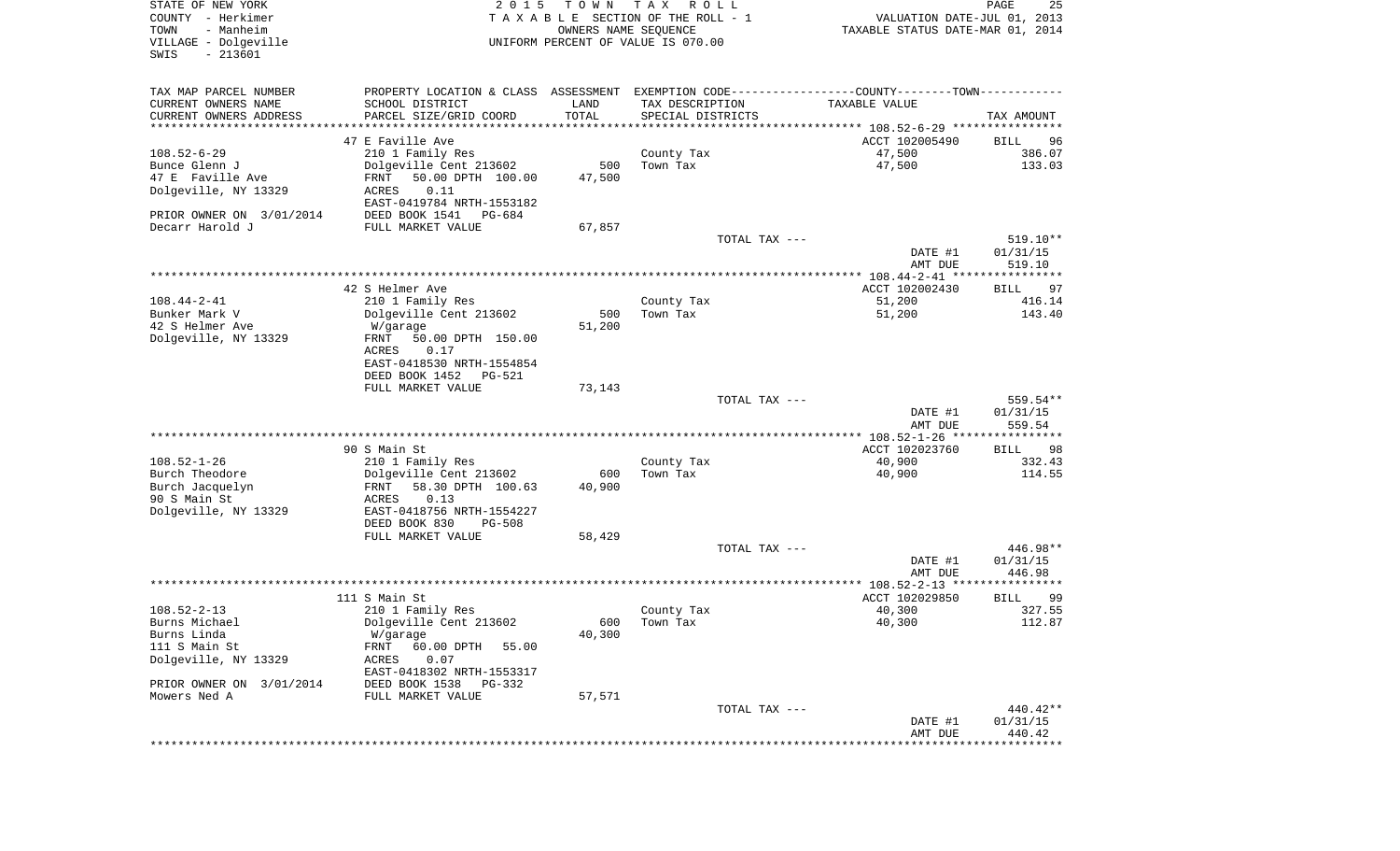| STATE OF NEW YORK<br>COUNTY - Herkimer<br>- Manheim<br>TOWN<br>VILLAGE - Dolgeville<br>$-213601$<br>SWIS | 2 0 1 5                                                                                       | T O W N<br>OWNERS NAME SEQUENCE | T A X<br>R O L L<br>TAXABLE SECTION OF THE ROLL - 1<br>UNIFORM PERCENT OF VALUE IS 070.00 | VALUATION DATE-JUL 01, 2013<br>TAXABLE STATUS DATE-MAR 01, 2014 | PAGE<br>25           |
|----------------------------------------------------------------------------------------------------------|-----------------------------------------------------------------------------------------------|---------------------------------|-------------------------------------------------------------------------------------------|-----------------------------------------------------------------|----------------------|
| TAX MAP PARCEL NUMBER                                                                                    | PROPERTY LOCATION & CLASS ASSESSMENT EXEMPTION CODE---------------COUNTY-------TOWN---------- |                                 |                                                                                           |                                                                 |                      |
| CURRENT OWNERS NAME                                                                                      | SCHOOL DISTRICT                                                                               | LAND                            | TAX DESCRIPTION                                                                           | TAXABLE VALUE                                                   |                      |
| CURRENT OWNERS ADDRESS<br>***********************                                                        | PARCEL SIZE/GRID COORD                                                                        | TOTAL                           | SPECIAL DISTRICTS                                                                         |                                                                 | TAX AMOUNT           |
|                                                                                                          | 47 E Faville Ave                                                                              |                                 |                                                                                           | ACCT 102005490                                                  |                      |
| $108.52 - 6 - 29$                                                                                        | 210 1 Family Res                                                                              |                                 | County Tax                                                                                | 47,500                                                          | BILL<br>96<br>386.07 |
| Bunce Glenn J                                                                                            | Dolgeville Cent 213602                                                                        | 500                             | Town Tax                                                                                  | 47,500                                                          | 133.03               |
| 47 E Faville Ave                                                                                         | FRNT<br>50.00 DPTH 100.00                                                                     | 47,500                          |                                                                                           |                                                                 |                      |
| Dolgeville, NY 13329                                                                                     | ACRES<br>0.11                                                                                 |                                 |                                                                                           |                                                                 |                      |
|                                                                                                          | EAST-0419784 NRTH-1553182                                                                     |                                 |                                                                                           |                                                                 |                      |
| PRIOR OWNER ON 3/01/2014                                                                                 | DEED BOOK 1541<br>PG-684                                                                      |                                 |                                                                                           |                                                                 |                      |
| Decarr Harold J                                                                                          | FULL MARKET VALUE                                                                             | 67,857                          |                                                                                           |                                                                 |                      |
|                                                                                                          |                                                                                               |                                 | TOTAL TAX ---                                                                             |                                                                 | 519.10**             |
|                                                                                                          |                                                                                               |                                 |                                                                                           | DATE #1<br>AMT DUE                                              | 01/31/15<br>519.10   |
|                                                                                                          |                                                                                               |                                 |                                                                                           |                                                                 |                      |
|                                                                                                          | 42 S Helmer Ave                                                                               |                                 |                                                                                           | ACCT 102002430                                                  | 97<br>BILL           |
| $108.44 - 2 - 41$                                                                                        | 210 1 Family Res                                                                              |                                 | County Tax                                                                                | 51,200                                                          | 416.14               |
| Bunker Mark V                                                                                            | Dolgeville Cent 213602                                                                        | 500                             | Town Tax                                                                                  | 51,200                                                          | 143.40               |
| 42 S Helmer Ave                                                                                          | W/garage                                                                                      | 51,200                          |                                                                                           |                                                                 |                      |
| Dolgeville, NY 13329                                                                                     | FRNT<br>50.00 DPTH 150.00                                                                     |                                 |                                                                                           |                                                                 |                      |
|                                                                                                          | ACRES<br>0.17<br>EAST-0418530 NRTH-1554854                                                    |                                 |                                                                                           |                                                                 |                      |
|                                                                                                          | DEED BOOK 1452<br>PG-521                                                                      |                                 |                                                                                           |                                                                 |                      |
|                                                                                                          | FULL MARKET VALUE                                                                             | 73,143                          |                                                                                           |                                                                 |                      |
|                                                                                                          |                                                                                               |                                 | TOTAL TAX ---                                                                             |                                                                 | 559.54**             |
|                                                                                                          |                                                                                               |                                 |                                                                                           | DATE #1                                                         | 01/31/15             |
|                                                                                                          |                                                                                               |                                 |                                                                                           | AMT DUE                                                         | 559.54               |
|                                                                                                          | 90 S Main St                                                                                  |                                 |                                                                                           | ACCT 102023760                                                  | 98<br>BILL           |
| $108.52 - 1 - 26$                                                                                        | 210 1 Family Res                                                                              |                                 | County Tax                                                                                | 40,900                                                          | 332.43               |
| Burch Theodore                                                                                           | Dolgeville Cent 213602                                                                        | 600                             | Town Tax                                                                                  | 40,900                                                          | 114.55               |
| Burch Jacquelyn                                                                                          | 58.30 DPTH 100.63<br>FRNT                                                                     | 40,900                          |                                                                                           |                                                                 |                      |
| 90 S Main St                                                                                             | ACRES<br>0.13                                                                                 |                                 |                                                                                           |                                                                 |                      |
| Dolgeville, NY 13329                                                                                     | EAST-0418756 NRTH-1554227                                                                     |                                 |                                                                                           |                                                                 |                      |
|                                                                                                          | DEED BOOK 830<br>PG-508                                                                       |                                 |                                                                                           |                                                                 |                      |
|                                                                                                          | FULL MARKET VALUE                                                                             | 58,429                          |                                                                                           |                                                                 |                      |
|                                                                                                          |                                                                                               |                                 | TOTAL TAX ---                                                                             | DATE #1                                                         | 446.98**<br>01/31/15 |
|                                                                                                          |                                                                                               |                                 |                                                                                           | AMT DUE                                                         | 446.98               |
|                                                                                                          |                                                                                               |                                 |                                                                                           |                                                                 |                      |
|                                                                                                          | 111 S Main St                                                                                 |                                 |                                                                                           | ACCT 102029850                                                  | 99<br>BILL           |
| $108.52 - 2 - 13$                                                                                        | 210 1 Family Res                                                                              |                                 | County Tax                                                                                | 40,300                                                          | 327.55               |
| Burns Michael                                                                                            | Dolgeville Cent 213602                                                                        |                                 | 600 Town Tax                                                                              | 40,300                                                          | 112.87               |
| Burns Linda<br>111 S Main St                                                                             | W/garage<br>60.00 DPTH                                                                        | 40,300                          |                                                                                           |                                                                 |                      |
| Dolgeville, NY 13329                                                                                     | FRNT<br>55.00<br>ACRES<br>0.07                                                                |                                 |                                                                                           |                                                                 |                      |
|                                                                                                          | EAST-0418302 NRTH-1553317                                                                     |                                 |                                                                                           |                                                                 |                      |
| PRIOR OWNER ON 3/01/2014                                                                                 | DEED BOOK 1538<br>PG-332                                                                      |                                 |                                                                                           |                                                                 |                      |
| Mowers Ned A                                                                                             | FULL MARKET VALUE                                                                             | 57,571                          |                                                                                           |                                                                 |                      |
|                                                                                                          |                                                                                               |                                 | TOTAL TAX ---                                                                             |                                                                 | 440.42**             |
|                                                                                                          |                                                                                               |                                 |                                                                                           | DATE #1                                                         | 01/31/15             |
|                                                                                                          |                                                                                               |                                 |                                                                                           | AMT DUE<br>****************************                         | 440.42               |
|                                                                                                          |                                                                                               |                                 |                                                                                           |                                                                 |                      |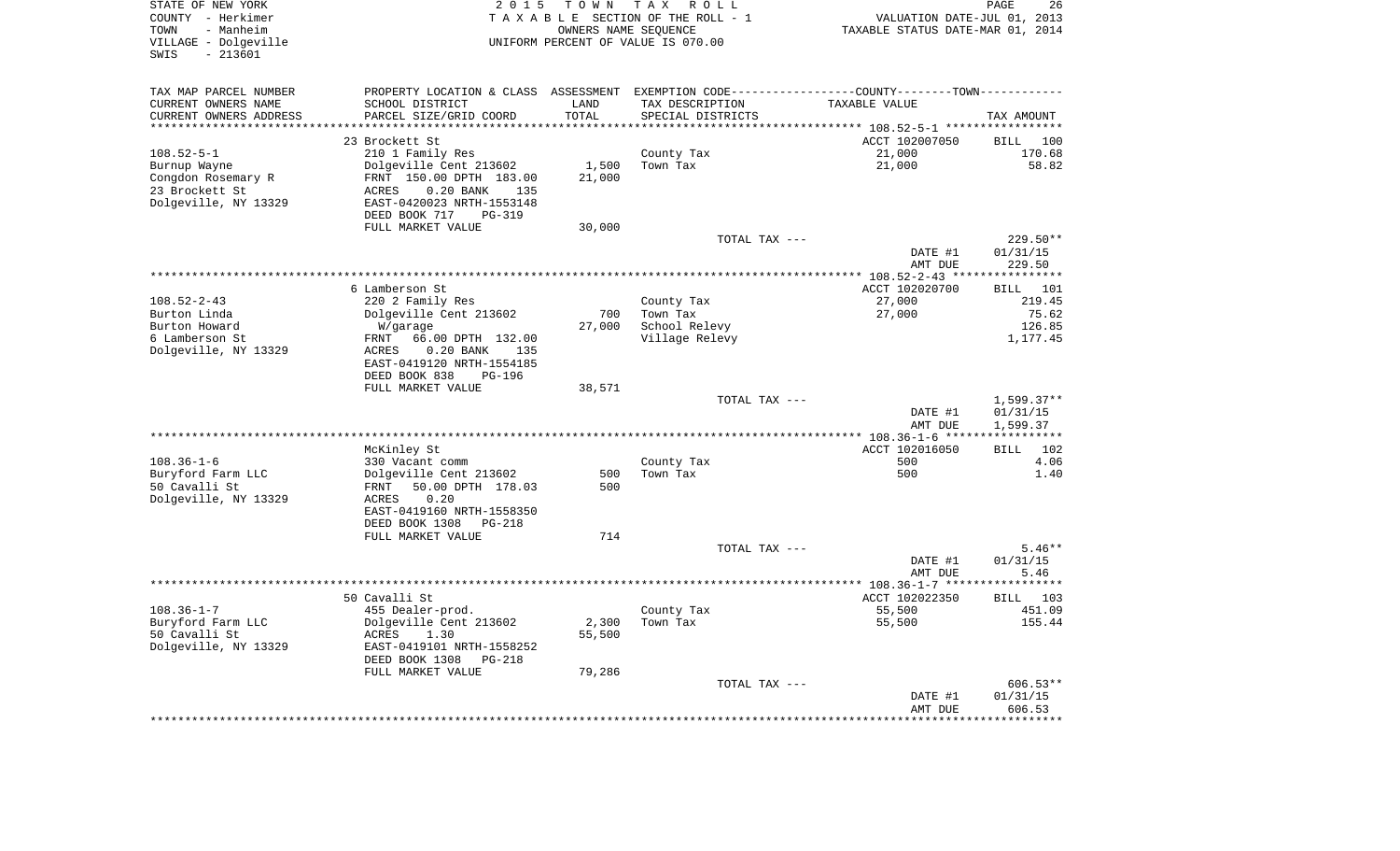| STATE OF NEW YORK<br>COUNTY - Herkimer<br>- Manheim<br>TOWN<br>VILLAGE - Dolgeville<br>$-213601$<br>SWIS | 2 0 1 5                                                                                        | TOWN               | T A X<br>R O L L<br>TAXABLE SECTION OF THE ROLL - 1<br>OWNERS NAME SEQUENCE<br>UNIFORM PERCENT OF VALUE IS 070.00 | VALUATION DATE-JUL 01, 2013<br>TAXABLE STATUS DATE-MAR 01, 2014 | PAGE<br>26                        |
|----------------------------------------------------------------------------------------------------------|------------------------------------------------------------------------------------------------|--------------------|-------------------------------------------------------------------------------------------------------------------|-----------------------------------------------------------------|-----------------------------------|
| TAX MAP PARCEL NUMBER                                                                                    | PROPERTY LOCATION & CLASS ASSESSMENT EXEMPTION CODE----------------COUNTY-------TOWN---------- |                    |                                                                                                                   |                                                                 |                                   |
| CURRENT OWNERS NAME                                                                                      | SCHOOL DISTRICT                                                                                | LAND               | TAX DESCRIPTION                                                                                                   | TAXABLE VALUE                                                   |                                   |
| CURRENT OWNERS ADDRESS<br>********************                                                           | PARCEL SIZE/GRID COORD                                                                         | TOTAL<br>********* | SPECIAL DISTRICTS                                                                                                 |                                                                 | TAX AMOUNT                        |
|                                                                                                          |                                                                                                |                    |                                                                                                                   | *************************** 108.52-5-1 *****                    | ************                      |
| $108.52 - 5 - 1$                                                                                         | 23 Brockett St                                                                                 |                    |                                                                                                                   | ACCT 102007050<br>21,000                                        | <b>BILL</b><br>100<br>170.68      |
| Burnup Wayne                                                                                             | 210 1 Family Res<br>Dolgeville Cent 213602                                                     | 1,500              | County Tax<br>Town Tax                                                                                            | 21,000                                                          | 58.82                             |
| Congdon Rosemary R                                                                                       | FRNT 150.00 DPTH 183.00                                                                        | 21,000             |                                                                                                                   |                                                                 |                                   |
| 23 Brockett St                                                                                           | $0.20$ BANK<br>ACRES<br>135                                                                    |                    |                                                                                                                   |                                                                 |                                   |
| Dolgeville, NY 13329                                                                                     | EAST-0420023 NRTH-1553148                                                                      |                    |                                                                                                                   |                                                                 |                                   |
|                                                                                                          | DEED BOOK 717<br><b>PG-319</b>                                                                 |                    |                                                                                                                   |                                                                 |                                   |
|                                                                                                          | FULL MARKET VALUE                                                                              | 30,000             |                                                                                                                   |                                                                 |                                   |
|                                                                                                          |                                                                                                |                    | TOTAL TAX ---                                                                                                     |                                                                 | 229.50**                          |
|                                                                                                          |                                                                                                |                    |                                                                                                                   | DATE #1<br>AMT DUE                                              | 01/31/15<br>229.50                |
|                                                                                                          |                                                                                                |                    |                                                                                                                   | *********** 108.52-2-43 ***                                     | ************                      |
|                                                                                                          | 6 Lamberson St                                                                                 |                    |                                                                                                                   | ACCT 102020700                                                  | <b>BILL</b><br>101                |
| $108.52 - 2 - 43$                                                                                        | 220 2 Family Res                                                                               |                    | County Tax                                                                                                        | 27,000                                                          | 219.45                            |
| Burton Linda                                                                                             | Dolgeville Cent 213602                                                                         | 700                | Town Tax                                                                                                          | 27,000                                                          | 75.62                             |
| Burton Howard                                                                                            | W/garage                                                                                       | 27,000             | School Relevy                                                                                                     |                                                                 | 126.85                            |
| 6 Lamberson St                                                                                           | FRNT<br>66.00 DPTH 132.00                                                                      |                    | Village Relevy                                                                                                    |                                                                 | 1,177.45                          |
| Dolgeville, NY 13329                                                                                     | ACRES<br>$0.20$ BANK<br>135<br>EAST-0419120 NRTH-1554185                                       |                    |                                                                                                                   |                                                                 |                                   |
|                                                                                                          | DEED BOOK 838<br><b>PG-196</b>                                                                 |                    |                                                                                                                   |                                                                 |                                   |
|                                                                                                          | FULL MARKET VALUE                                                                              | 38,571             |                                                                                                                   |                                                                 |                                   |
|                                                                                                          |                                                                                                |                    | TOTAL TAX ---                                                                                                     |                                                                 | $1,599.37**$                      |
|                                                                                                          |                                                                                                |                    |                                                                                                                   | DATE #1                                                         | 01/31/15                          |
|                                                                                                          |                                                                                                |                    |                                                                                                                   | AMT DUE<br>************* 108.36-1-6 ****                        | 1,599.37<br>* * * * * * * * * * * |
|                                                                                                          | McKinley St                                                                                    |                    |                                                                                                                   | ACCT 102016050                                                  | <b>BILL</b><br>102                |
| $108.36 - 1 - 6$                                                                                         | 330 Vacant comm                                                                                |                    | County Tax                                                                                                        | 500                                                             | 4.06                              |
| Buryford Farm LLC                                                                                        | Dolgeville Cent 213602                                                                         | 500                | Town Tax                                                                                                          | 500                                                             | 1.40                              |
| 50 Cavalli St                                                                                            | <b>FRNT</b><br>50.00 DPTH 178.03                                                               | 500                |                                                                                                                   |                                                                 |                                   |
| Dolgeville, NY 13329                                                                                     | 0.20<br>ACRES                                                                                  |                    |                                                                                                                   |                                                                 |                                   |
|                                                                                                          | EAST-0419160 NRTH-1558350                                                                      |                    |                                                                                                                   |                                                                 |                                   |
|                                                                                                          | DEED BOOK 1308<br>$PG-218$                                                                     |                    |                                                                                                                   |                                                                 |                                   |
|                                                                                                          | FULL MARKET VALUE                                                                              | 714                | TOTAL TAX ---                                                                                                     |                                                                 | $5.46**$                          |
|                                                                                                          |                                                                                                |                    |                                                                                                                   | DATE #1                                                         | 01/31/15                          |
|                                                                                                          |                                                                                                |                    |                                                                                                                   | AMT DUE                                                         | 5.46                              |
|                                                                                                          |                                                                                                |                    | ********************************                                                                                  | *********** 108.36-1-7 ***                                      | * * * * * * *                     |
|                                                                                                          | 50 Cavalli St                                                                                  |                    |                                                                                                                   | ACCT 102022350                                                  | 103<br>BILL                       |
| $108.36 - 1 - 7$                                                                                         | 455 Dealer-prod.                                                                               |                    | County Tax                                                                                                        | 55,500                                                          | 451.09                            |
| Buryford Farm LLC                                                                                        | Dolgeville Cent 213602<br>1.30                                                                 | 2,300              | Town Tax                                                                                                          | 55,500                                                          | 155.44                            |
| 50 Cavalli St<br>Dolgeville, NY 13329                                                                    | ACRES<br>EAST-0419101 NRTH-1558252                                                             | 55,500             |                                                                                                                   |                                                                 |                                   |
|                                                                                                          | DEED BOOK 1308<br><b>PG-218</b>                                                                |                    |                                                                                                                   |                                                                 |                                   |
|                                                                                                          | FULL MARKET VALUE                                                                              | 79,286             |                                                                                                                   |                                                                 |                                   |
|                                                                                                          |                                                                                                |                    | TOTAL TAX ---                                                                                                     |                                                                 | 606.53**                          |
|                                                                                                          |                                                                                                |                    |                                                                                                                   | DATE #1                                                         | 01/31/15                          |
|                                                                                                          |                                                                                                |                    |                                                                                                                   | AMT DUE                                                         | 606.53                            |
|                                                                                                          |                                                                                                |                    |                                                                                                                   |                                                                 |                                   |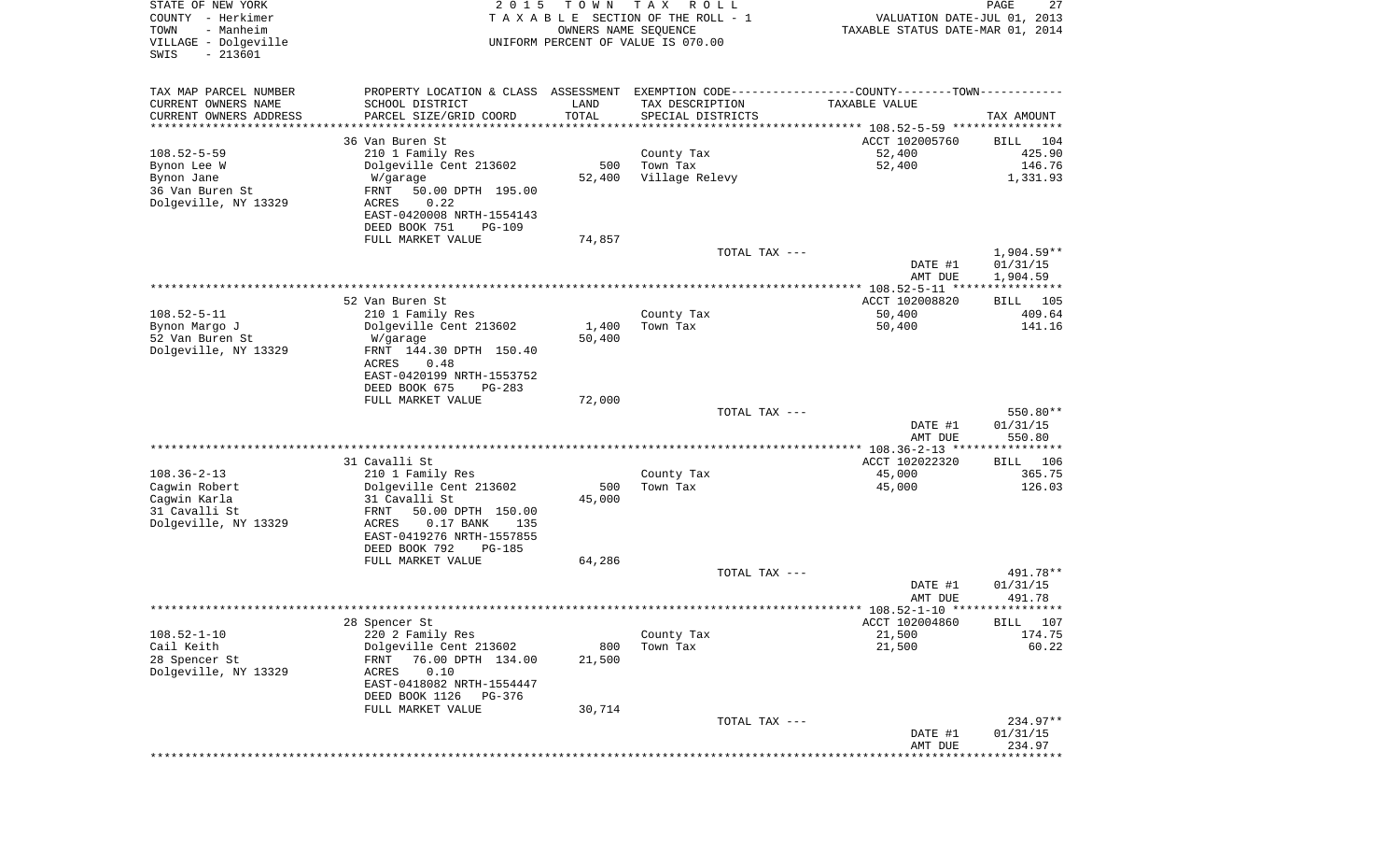| TAX MAP PARCEL NUMBER<br>PROPERTY LOCATION & CLASS ASSESSMENT EXEMPTION CODE---------------COUNTY-------TOWN----------<br>CURRENT OWNERS NAME<br>SCHOOL DISTRICT<br>LAND<br>TAX DESCRIPTION<br>TAXABLE VALUE<br>TOTAL<br>CURRENT OWNERS ADDRESS<br>PARCEL SIZE/GRID COORD<br>SPECIAL DISTRICTS<br>TAX AMOUNT<br>********************<br>*****************<br>* * * * * * * * * * *<br>36 Van Buren St<br>ACCT 102005760<br>BILL<br>104<br>$108.52 - 5 - 59$<br>52,400<br>425.90<br>210 1 Family Res<br>County Tax<br>52,400<br>Dolgeville Cent 213602<br>500<br>Town Tax<br>146.76<br>Bynon Lee W<br>Village Relevy<br>Bynon Jane<br>52,400<br>1,331.93<br>W/garage<br>36 Van Buren St<br>FRNT<br>50.00 DPTH 195.00<br>Dolgeville, NY 13329<br>0.22<br>ACRES<br>EAST-0420008 NRTH-1554143<br>DEED BOOK 751<br><b>PG-109</b><br>FULL MARKET VALUE<br>74,857<br>1,904.59**<br>TOTAL TAX ---<br>01/31/15<br>DATE #1<br>1,904.59<br>AMT DUE<br>***************** 108.52-5-11 *****************<br>ACCT 102008820<br>52 Van Buren St<br>BILL 105<br>$108.52 - 5 - 11$<br>50,400<br>409.64<br>210 1 Family Res<br>County Tax<br>Bynon Margo J<br>Dolgeville Cent 213602<br>1,400<br>Town Tax<br>50,400<br>141.16<br>50,400<br>52 Van Buren St<br>W/garage<br>Dolgeville, NY 13329<br>FRNT 144.30 DPTH 150.40<br>ACRES<br>0.48<br>EAST-0420199 NRTH-1553752<br>DEED BOOK 675<br>$PG-283$<br>FULL MARKET VALUE<br>72,000<br>550.80**<br>TOTAL TAX ---<br>DATE #1<br>01/31/15<br>AMT DUE<br>550.80<br>31 Cavalli St<br>ACCT 102022320<br>106<br>BILL<br>$108.36 - 2 - 13$<br>45,000<br>365.75<br>210 1 Family Res<br>County Tax<br>Town Tax<br>Cagwin Robert<br>Dolgeville Cent 213602<br>500<br>45,000<br>126.03<br>Cagwin Karla<br>31 Cavalli St<br>45,000<br>31 Cavalli St<br>FRNT<br>50.00 DPTH 150.00<br>Dolgeville, NY 13329<br>$0.17$ BANK<br>ACRES<br>135<br>EAST-0419276 NRTH-1557855<br>DEED BOOK 792<br>PG-185<br>FULL MARKET VALUE<br>64,286<br>491.78**<br>TOTAL TAX ---<br>DATE #1<br>01/31/15<br>491.78<br>AMT DUE<br>28 Spencer St<br>ACCT 102004860<br>BILL 107<br>$108.52 - 1 - 10$<br>220 2 Family Res<br>County Tax<br>21,500<br>174.75<br>Cail Keith<br>21,500<br>Dolgeville Cent 213602<br>800<br>Town Tax<br>60.22<br>28 Spencer St<br>76.00 DPTH 134.00<br>21,500<br>FRNT<br>Dolgeville, NY 13329<br>ACRES<br>0.10<br>EAST-0418082 NRTH-1554447<br>DEED BOOK 1126<br>PG-376<br>30,714<br>FULL MARKET VALUE<br>234.97**<br>TOTAL TAX ---<br>DATE #1<br>01/31/15<br>234.97<br>AMT DUE | STATE OF NEW YORK<br>COUNTY - Herkimer<br>- Manheim<br>TOWN<br>VILLAGE - Dolgeville<br>$-213601$<br>SWIS | 2 0 1 5 | T O W N<br>OWNERS NAME SEQUENCE | T A X<br>R O L L<br>TAXABLE SECTION OF THE ROLL - 1<br>UNIFORM PERCENT OF VALUE IS 070.00 | VALUATION DATE-JUL 01, 2013<br>TAXABLE STATUS DATE-MAR 01, 2014 | PAGE<br>27 |
|----------------------------------------------------------------------------------------------------------------------------------------------------------------------------------------------------------------------------------------------------------------------------------------------------------------------------------------------------------------------------------------------------------------------------------------------------------------------------------------------------------------------------------------------------------------------------------------------------------------------------------------------------------------------------------------------------------------------------------------------------------------------------------------------------------------------------------------------------------------------------------------------------------------------------------------------------------------------------------------------------------------------------------------------------------------------------------------------------------------------------------------------------------------------------------------------------------------------------------------------------------------------------------------------------------------------------------------------------------------------------------------------------------------------------------------------------------------------------------------------------------------------------------------------------------------------------------------------------------------------------------------------------------------------------------------------------------------------------------------------------------------------------------------------------------------------------------------------------------------------------------------------------------------------------------------------------------------------------------------------------------------------------------------------------------------------------------------------------------------------------------------------------------------------------------------------------------------------------------------------------------------------------------------------------------------------------------------------------------------------------------------------------------------------------------------------------------------------------------------------------|----------------------------------------------------------------------------------------------------------|---------|---------------------------------|-------------------------------------------------------------------------------------------|-----------------------------------------------------------------|------------|
|                                                                                                                                                                                                                                                                                                                                                                                                                                                                                                                                                                                                                                                                                                                                                                                                                                                                                                                                                                                                                                                                                                                                                                                                                                                                                                                                                                                                                                                                                                                                                                                                                                                                                                                                                                                                                                                                                                                                                                                                                                                                                                                                                                                                                                                                                                                                                                                                                                                                                                    |                                                                                                          |         |                                 |                                                                                           |                                                                 |            |
|                                                                                                                                                                                                                                                                                                                                                                                                                                                                                                                                                                                                                                                                                                                                                                                                                                                                                                                                                                                                                                                                                                                                                                                                                                                                                                                                                                                                                                                                                                                                                                                                                                                                                                                                                                                                                                                                                                                                                                                                                                                                                                                                                                                                                                                                                                                                                                                                                                                                                                    |                                                                                                          |         |                                 |                                                                                           |                                                                 |            |
|                                                                                                                                                                                                                                                                                                                                                                                                                                                                                                                                                                                                                                                                                                                                                                                                                                                                                                                                                                                                                                                                                                                                                                                                                                                                                                                                                                                                                                                                                                                                                                                                                                                                                                                                                                                                                                                                                                                                                                                                                                                                                                                                                                                                                                                                                                                                                                                                                                                                                                    |                                                                                                          |         |                                 |                                                                                           |                                                                 |            |
|                                                                                                                                                                                                                                                                                                                                                                                                                                                                                                                                                                                                                                                                                                                                                                                                                                                                                                                                                                                                                                                                                                                                                                                                                                                                                                                                                                                                                                                                                                                                                                                                                                                                                                                                                                                                                                                                                                                                                                                                                                                                                                                                                                                                                                                                                                                                                                                                                                                                                                    |                                                                                                          |         |                                 |                                                                                           |                                                                 |            |
|                                                                                                                                                                                                                                                                                                                                                                                                                                                                                                                                                                                                                                                                                                                                                                                                                                                                                                                                                                                                                                                                                                                                                                                                                                                                                                                                                                                                                                                                                                                                                                                                                                                                                                                                                                                                                                                                                                                                                                                                                                                                                                                                                                                                                                                                                                                                                                                                                                                                                                    |                                                                                                          |         |                                 |                                                                                           |                                                                 |            |
|                                                                                                                                                                                                                                                                                                                                                                                                                                                                                                                                                                                                                                                                                                                                                                                                                                                                                                                                                                                                                                                                                                                                                                                                                                                                                                                                                                                                                                                                                                                                                                                                                                                                                                                                                                                                                                                                                                                                                                                                                                                                                                                                                                                                                                                                                                                                                                                                                                                                                                    |                                                                                                          |         |                                 |                                                                                           |                                                                 |            |
|                                                                                                                                                                                                                                                                                                                                                                                                                                                                                                                                                                                                                                                                                                                                                                                                                                                                                                                                                                                                                                                                                                                                                                                                                                                                                                                                                                                                                                                                                                                                                                                                                                                                                                                                                                                                                                                                                                                                                                                                                                                                                                                                                                                                                                                                                                                                                                                                                                                                                                    |                                                                                                          |         |                                 |                                                                                           |                                                                 |            |
|                                                                                                                                                                                                                                                                                                                                                                                                                                                                                                                                                                                                                                                                                                                                                                                                                                                                                                                                                                                                                                                                                                                                                                                                                                                                                                                                                                                                                                                                                                                                                                                                                                                                                                                                                                                                                                                                                                                                                                                                                                                                                                                                                                                                                                                                                                                                                                                                                                                                                                    |                                                                                                          |         |                                 |                                                                                           |                                                                 |            |
|                                                                                                                                                                                                                                                                                                                                                                                                                                                                                                                                                                                                                                                                                                                                                                                                                                                                                                                                                                                                                                                                                                                                                                                                                                                                                                                                                                                                                                                                                                                                                                                                                                                                                                                                                                                                                                                                                                                                                                                                                                                                                                                                                                                                                                                                                                                                                                                                                                                                                                    |                                                                                                          |         |                                 |                                                                                           |                                                                 |            |
|                                                                                                                                                                                                                                                                                                                                                                                                                                                                                                                                                                                                                                                                                                                                                                                                                                                                                                                                                                                                                                                                                                                                                                                                                                                                                                                                                                                                                                                                                                                                                                                                                                                                                                                                                                                                                                                                                                                                                                                                                                                                                                                                                                                                                                                                                                                                                                                                                                                                                                    |                                                                                                          |         |                                 |                                                                                           |                                                                 |            |
|                                                                                                                                                                                                                                                                                                                                                                                                                                                                                                                                                                                                                                                                                                                                                                                                                                                                                                                                                                                                                                                                                                                                                                                                                                                                                                                                                                                                                                                                                                                                                                                                                                                                                                                                                                                                                                                                                                                                                                                                                                                                                                                                                                                                                                                                                                                                                                                                                                                                                                    |                                                                                                          |         |                                 |                                                                                           |                                                                 |            |
|                                                                                                                                                                                                                                                                                                                                                                                                                                                                                                                                                                                                                                                                                                                                                                                                                                                                                                                                                                                                                                                                                                                                                                                                                                                                                                                                                                                                                                                                                                                                                                                                                                                                                                                                                                                                                                                                                                                                                                                                                                                                                                                                                                                                                                                                                                                                                                                                                                                                                                    |                                                                                                          |         |                                 |                                                                                           |                                                                 |            |
|                                                                                                                                                                                                                                                                                                                                                                                                                                                                                                                                                                                                                                                                                                                                                                                                                                                                                                                                                                                                                                                                                                                                                                                                                                                                                                                                                                                                                                                                                                                                                                                                                                                                                                                                                                                                                                                                                                                                                                                                                                                                                                                                                                                                                                                                                                                                                                                                                                                                                                    |                                                                                                          |         |                                 |                                                                                           |                                                                 |            |
|                                                                                                                                                                                                                                                                                                                                                                                                                                                                                                                                                                                                                                                                                                                                                                                                                                                                                                                                                                                                                                                                                                                                                                                                                                                                                                                                                                                                                                                                                                                                                                                                                                                                                                                                                                                                                                                                                                                                                                                                                                                                                                                                                                                                                                                                                                                                                                                                                                                                                                    |                                                                                                          |         |                                 |                                                                                           |                                                                 |            |
|                                                                                                                                                                                                                                                                                                                                                                                                                                                                                                                                                                                                                                                                                                                                                                                                                                                                                                                                                                                                                                                                                                                                                                                                                                                                                                                                                                                                                                                                                                                                                                                                                                                                                                                                                                                                                                                                                                                                                                                                                                                                                                                                                                                                                                                                                                                                                                                                                                                                                                    |                                                                                                          |         |                                 |                                                                                           |                                                                 |            |
|                                                                                                                                                                                                                                                                                                                                                                                                                                                                                                                                                                                                                                                                                                                                                                                                                                                                                                                                                                                                                                                                                                                                                                                                                                                                                                                                                                                                                                                                                                                                                                                                                                                                                                                                                                                                                                                                                                                                                                                                                                                                                                                                                                                                                                                                                                                                                                                                                                                                                                    |                                                                                                          |         |                                 |                                                                                           |                                                                 |            |
|                                                                                                                                                                                                                                                                                                                                                                                                                                                                                                                                                                                                                                                                                                                                                                                                                                                                                                                                                                                                                                                                                                                                                                                                                                                                                                                                                                                                                                                                                                                                                                                                                                                                                                                                                                                                                                                                                                                                                                                                                                                                                                                                                                                                                                                                                                                                                                                                                                                                                                    |                                                                                                          |         |                                 |                                                                                           |                                                                 |            |
|                                                                                                                                                                                                                                                                                                                                                                                                                                                                                                                                                                                                                                                                                                                                                                                                                                                                                                                                                                                                                                                                                                                                                                                                                                                                                                                                                                                                                                                                                                                                                                                                                                                                                                                                                                                                                                                                                                                                                                                                                                                                                                                                                                                                                                                                                                                                                                                                                                                                                                    |                                                                                                          |         |                                 |                                                                                           |                                                                 |            |
|                                                                                                                                                                                                                                                                                                                                                                                                                                                                                                                                                                                                                                                                                                                                                                                                                                                                                                                                                                                                                                                                                                                                                                                                                                                                                                                                                                                                                                                                                                                                                                                                                                                                                                                                                                                                                                                                                                                                                                                                                                                                                                                                                                                                                                                                                                                                                                                                                                                                                                    |                                                                                                          |         |                                 |                                                                                           |                                                                 |            |
|                                                                                                                                                                                                                                                                                                                                                                                                                                                                                                                                                                                                                                                                                                                                                                                                                                                                                                                                                                                                                                                                                                                                                                                                                                                                                                                                                                                                                                                                                                                                                                                                                                                                                                                                                                                                                                                                                                                                                                                                                                                                                                                                                                                                                                                                                                                                                                                                                                                                                                    |                                                                                                          |         |                                 |                                                                                           |                                                                 |            |
|                                                                                                                                                                                                                                                                                                                                                                                                                                                                                                                                                                                                                                                                                                                                                                                                                                                                                                                                                                                                                                                                                                                                                                                                                                                                                                                                                                                                                                                                                                                                                                                                                                                                                                                                                                                                                                                                                                                                                                                                                                                                                                                                                                                                                                                                                                                                                                                                                                                                                                    |                                                                                                          |         |                                 |                                                                                           |                                                                 |            |
|                                                                                                                                                                                                                                                                                                                                                                                                                                                                                                                                                                                                                                                                                                                                                                                                                                                                                                                                                                                                                                                                                                                                                                                                                                                                                                                                                                                                                                                                                                                                                                                                                                                                                                                                                                                                                                                                                                                                                                                                                                                                                                                                                                                                                                                                                                                                                                                                                                                                                                    |                                                                                                          |         |                                 |                                                                                           |                                                                 |            |
|                                                                                                                                                                                                                                                                                                                                                                                                                                                                                                                                                                                                                                                                                                                                                                                                                                                                                                                                                                                                                                                                                                                                                                                                                                                                                                                                                                                                                                                                                                                                                                                                                                                                                                                                                                                                                                                                                                                                                                                                                                                                                                                                                                                                                                                                                                                                                                                                                                                                                                    |                                                                                                          |         |                                 |                                                                                           |                                                                 |            |
|                                                                                                                                                                                                                                                                                                                                                                                                                                                                                                                                                                                                                                                                                                                                                                                                                                                                                                                                                                                                                                                                                                                                                                                                                                                                                                                                                                                                                                                                                                                                                                                                                                                                                                                                                                                                                                                                                                                                                                                                                                                                                                                                                                                                                                                                                                                                                                                                                                                                                                    |                                                                                                          |         |                                 |                                                                                           |                                                                 |            |
|                                                                                                                                                                                                                                                                                                                                                                                                                                                                                                                                                                                                                                                                                                                                                                                                                                                                                                                                                                                                                                                                                                                                                                                                                                                                                                                                                                                                                                                                                                                                                                                                                                                                                                                                                                                                                                                                                                                                                                                                                                                                                                                                                                                                                                                                                                                                                                                                                                                                                                    |                                                                                                          |         |                                 |                                                                                           |                                                                 |            |
|                                                                                                                                                                                                                                                                                                                                                                                                                                                                                                                                                                                                                                                                                                                                                                                                                                                                                                                                                                                                                                                                                                                                                                                                                                                                                                                                                                                                                                                                                                                                                                                                                                                                                                                                                                                                                                                                                                                                                                                                                                                                                                                                                                                                                                                                                                                                                                                                                                                                                                    |                                                                                                          |         |                                 |                                                                                           |                                                                 |            |
|                                                                                                                                                                                                                                                                                                                                                                                                                                                                                                                                                                                                                                                                                                                                                                                                                                                                                                                                                                                                                                                                                                                                                                                                                                                                                                                                                                                                                                                                                                                                                                                                                                                                                                                                                                                                                                                                                                                                                                                                                                                                                                                                                                                                                                                                                                                                                                                                                                                                                                    |                                                                                                          |         |                                 |                                                                                           |                                                                 |            |
|                                                                                                                                                                                                                                                                                                                                                                                                                                                                                                                                                                                                                                                                                                                                                                                                                                                                                                                                                                                                                                                                                                                                                                                                                                                                                                                                                                                                                                                                                                                                                                                                                                                                                                                                                                                                                                                                                                                                                                                                                                                                                                                                                                                                                                                                                                                                                                                                                                                                                                    |                                                                                                          |         |                                 |                                                                                           |                                                                 |            |
|                                                                                                                                                                                                                                                                                                                                                                                                                                                                                                                                                                                                                                                                                                                                                                                                                                                                                                                                                                                                                                                                                                                                                                                                                                                                                                                                                                                                                                                                                                                                                                                                                                                                                                                                                                                                                                                                                                                                                                                                                                                                                                                                                                                                                                                                                                                                                                                                                                                                                                    |                                                                                                          |         |                                 |                                                                                           |                                                                 |            |
|                                                                                                                                                                                                                                                                                                                                                                                                                                                                                                                                                                                                                                                                                                                                                                                                                                                                                                                                                                                                                                                                                                                                                                                                                                                                                                                                                                                                                                                                                                                                                                                                                                                                                                                                                                                                                                                                                                                                                                                                                                                                                                                                                                                                                                                                                                                                                                                                                                                                                                    |                                                                                                          |         |                                 |                                                                                           |                                                                 |            |
|                                                                                                                                                                                                                                                                                                                                                                                                                                                                                                                                                                                                                                                                                                                                                                                                                                                                                                                                                                                                                                                                                                                                                                                                                                                                                                                                                                                                                                                                                                                                                                                                                                                                                                                                                                                                                                                                                                                                                                                                                                                                                                                                                                                                                                                                                                                                                                                                                                                                                                    |                                                                                                          |         |                                 |                                                                                           |                                                                 |            |
|                                                                                                                                                                                                                                                                                                                                                                                                                                                                                                                                                                                                                                                                                                                                                                                                                                                                                                                                                                                                                                                                                                                                                                                                                                                                                                                                                                                                                                                                                                                                                                                                                                                                                                                                                                                                                                                                                                                                                                                                                                                                                                                                                                                                                                                                                                                                                                                                                                                                                                    |                                                                                                          |         |                                 |                                                                                           |                                                                 |            |
|                                                                                                                                                                                                                                                                                                                                                                                                                                                                                                                                                                                                                                                                                                                                                                                                                                                                                                                                                                                                                                                                                                                                                                                                                                                                                                                                                                                                                                                                                                                                                                                                                                                                                                                                                                                                                                                                                                                                                                                                                                                                                                                                                                                                                                                                                                                                                                                                                                                                                                    |                                                                                                          |         |                                 |                                                                                           |                                                                 |            |
|                                                                                                                                                                                                                                                                                                                                                                                                                                                                                                                                                                                                                                                                                                                                                                                                                                                                                                                                                                                                                                                                                                                                                                                                                                                                                                                                                                                                                                                                                                                                                                                                                                                                                                                                                                                                                                                                                                                                                                                                                                                                                                                                                                                                                                                                                                                                                                                                                                                                                                    |                                                                                                          |         |                                 |                                                                                           |                                                                 |            |
|                                                                                                                                                                                                                                                                                                                                                                                                                                                                                                                                                                                                                                                                                                                                                                                                                                                                                                                                                                                                                                                                                                                                                                                                                                                                                                                                                                                                                                                                                                                                                                                                                                                                                                                                                                                                                                                                                                                                                                                                                                                                                                                                                                                                                                                                                                                                                                                                                                                                                                    |                                                                                                          |         |                                 |                                                                                           |                                                                 |            |
|                                                                                                                                                                                                                                                                                                                                                                                                                                                                                                                                                                                                                                                                                                                                                                                                                                                                                                                                                                                                                                                                                                                                                                                                                                                                                                                                                                                                                                                                                                                                                                                                                                                                                                                                                                                                                                                                                                                                                                                                                                                                                                                                                                                                                                                                                                                                                                                                                                                                                                    |                                                                                                          |         |                                 |                                                                                           |                                                                 |            |
|                                                                                                                                                                                                                                                                                                                                                                                                                                                                                                                                                                                                                                                                                                                                                                                                                                                                                                                                                                                                                                                                                                                                                                                                                                                                                                                                                                                                                                                                                                                                                                                                                                                                                                                                                                                                                                                                                                                                                                                                                                                                                                                                                                                                                                                                                                                                                                                                                                                                                                    |                                                                                                          |         |                                 |                                                                                           |                                                                 |            |
|                                                                                                                                                                                                                                                                                                                                                                                                                                                                                                                                                                                                                                                                                                                                                                                                                                                                                                                                                                                                                                                                                                                                                                                                                                                                                                                                                                                                                                                                                                                                                                                                                                                                                                                                                                                                                                                                                                                                                                                                                                                                                                                                                                                                                                                                                                                                                                                                                                                                                                    |                                                                                                          |         |                                 |                                                                                           |                                                                 |            |
|                                                                                                                                                                                                                                                                                                                                                                                                                                                                                                                                                                                                                                                                                                                                                                                                                                                                                                                                                                                                                                                                                                                                                                                                                                                                                                                                                                                                                                                                                                                                                                                                                                                                                                                                                                                                                                                                                                                                                                                                                                                                                                                                                                                                                                                                                                                                                                                                                                                                                                    |                                                                                                          |         |                                 |                                                                                           |                                                                 |            |
|                                                                                                                                                                                                                                                                                                                                                                                                                                                                                                                                                                                                                                                                                                                                                                                                                                                                                                                                                                                                                                                                                                                                                                                                                                                                                                                                                                                                                                                                                                                                                                                                                                                                                                                                                                                                                                                                                                                                                                                                                                                                                                                                                                                                                                                                                                                                                                                                                                                                                                    |                                                                                                          |         |                                 |                                                                                           |                                                                 |            |
|                                                                                                                                                                                                                                                                                                                                                                                                                                                                                                                                                                                                                                                                                                                                                                                                                                                                                                                                                                                                                                                                                                                                                                                                                                                                                                                                                                                                                                                                                                                                                                                                                                                                                                                                                                                                                                                                                                                                                                                                                                                                                                                                                                                                                                                                                                                                                                                                                                                                                                    |                                                                                                          |         |                                 |                                                                                           |                                                                 |            |
|                                                                                                                                                                                                                                                                                                                                                                                                                                                                                                                                                                                                                                                                                                                                                                                                                                                                                                                                                                                                                                                                                                                                                                                                                                                                                                                                                                                                                                                                                                                                                                                                                                                                                                                                                                                                                                                                                                                                                                                                                                                                                                                                                                                                                                                                                                                                                                                                                                                                                                    |                                                                                                          |         |                                 |                                                                                           |                                                                 |            |
|                                                                                                                                                                                                                                                                                                                                                                                                                                                                                                                                                                                                                                                                                                                                                                                                                                                                                                                                                                                                                                                                                                                                                                                                                                                                                                                                                                                                                                                                                                                                                                                                                                                                                                                                                                                                                                                                                                                                                                                                                                                                                                                                                                                                                                                                                                                                                                                                                                                                                                    |                                                                                                          |         |                                 |                                                                                           |                                                                 |            |
|                                                                                                                                                                                                                                                                                                                                                                                                                                                                                                                                                                                                                                                                                                                                                                                                                                                                                                                                                                                                                                                                                                                                                                                                                                                                                                                                                                                                                                                                                                                                                                                                                                                                                                                                                                                                                                                                                                                                                                                                                                                                                                                                                                                                                                                                                                                                                                                                                                                                                                    |                                                                                                          |         |                                 |                                                                                           |                                                                 |            |
|                                                                                                                                                                                                                                                                                                                                                                                                                                                                                                                                                                                                                                                                                                                                                                                                                                                                                                                                                                                                                                                                                                                                                                                                                                                                                                                                                                                                                                                                                                                                                                                                                                                                                                                                                                                                                                                                                                                                                                                                                                                                                                                                                                                                                                                                                                                                                                                                                                                                                                    |                                                                                                          |         |                                 |                                                                                           |                                                                 |            |
|                                                                                                                                                                                                                                                                                                                                                                                                                                                                                                                                                                                                                                                                                                                                                                                                                                                                                                                                                                                                                                                                                                                                                                                                                                                                                                                                                                                                                                                                                                                                                                                                                                                                                                                                                                                                                                                                                                                                                                                                                                                                                                                                                                                                                                                                                                                                                                                                                                                                                                    |                                                                                                          |         |                                 |                                                                                           |                                                                 |            |
|                                                                                                                                                                                                                                                                                                                                                                                                                                                                                                                                                                                                                                                                                                                                                                                                                                                                                                                                                                                                                                                                                                                                                                                                                                                                                                                                                                                                                                                                                                                                                                                                                                                                                                                                                                                                                                                                                                                                                                                                                                                                                                                                                                                                                                                                                                                                                                                                                                                                                                    |                                                                                                          |         |                                 |                                                                                           |                                                                 |            |
|                                                                                                                                                                                                                                                                                                                                                                                                                                                                                                                                                                                                                                                                                                                                                                                                                                                                                                                                                                                                                                                                                                                                                                                                                                                                                                                                                                                                                                                                                                                                                                                                                                                                                                                                                                                                                                                                                                                                                                                                                                                                                                                                                                                                                                                                                                                                                                                                                                                                                                    |                                                                                                          |         |                                 |                                                                                           |                                                                 |            |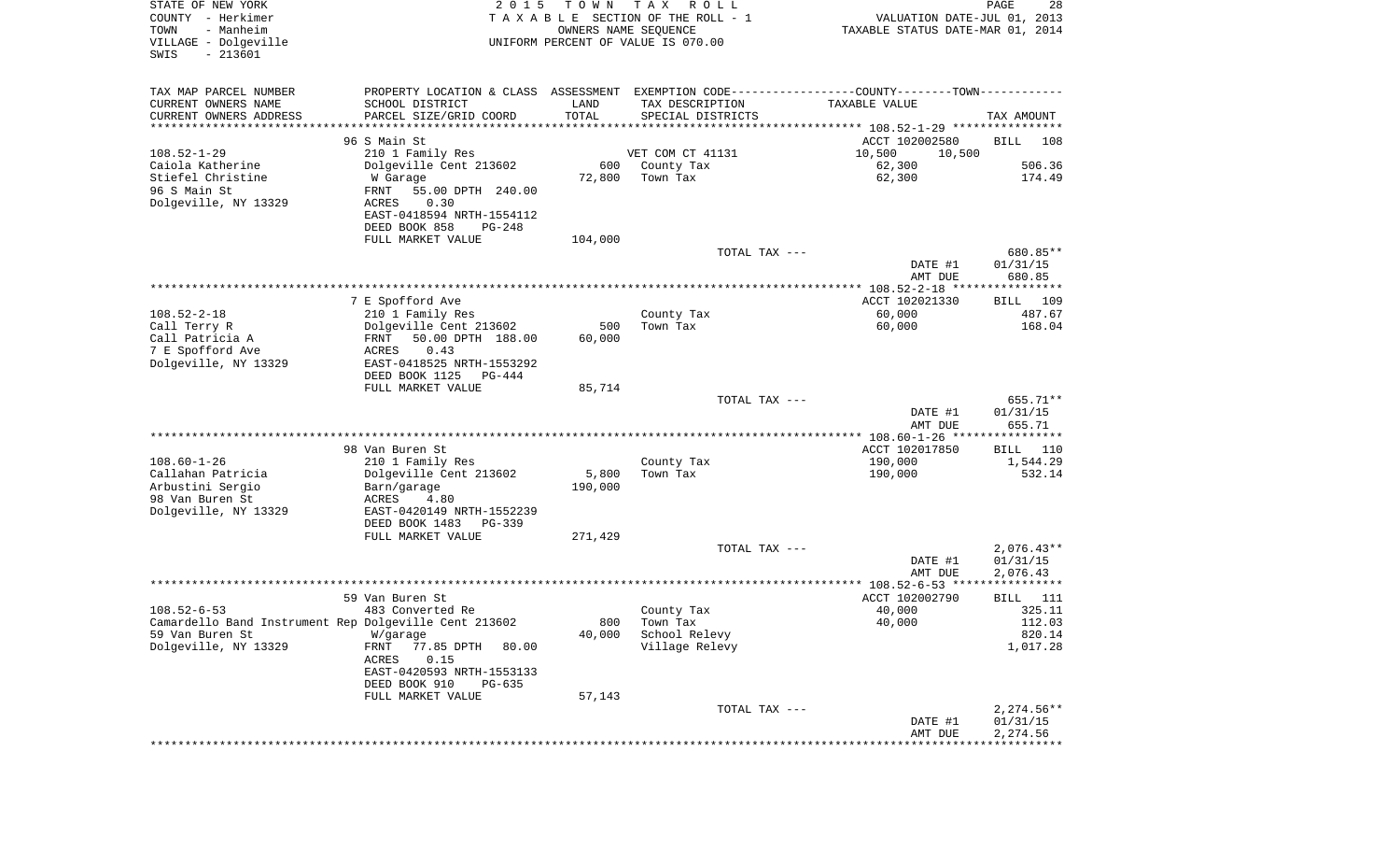| STATE OF NEW YORK<br>COUNTY - Herkimer<br>- Manheim<br>TOWN<br>VILLAGE - Dolgeville<br>$-213601$<br>SWIS | 2 0 1 5                                                                                       | T O W N<br>OWNERS NAME SEQUENCE | T A X<br>R O L L<br>TAXABLE SECTION OF THE ROLL - 1<br>UNIFORM PERCENT OF VALUE IS 070.00 | VALUATION DATE-JUL 01, 2013<br>TAXABLE STATUS DATE-MAR 01, 2014 | PAGE<br>28               |
|----------------------------------------------------------------------------------------------------------|-----------------------------------------------------------------------------------------------|---------------------------------|-------------------------------------------------------------------------------------------|-----------------------------------------------------------------|--------------------------|
| TAX MAP PARCEL NUMBER                                                                                    | PROPERTY LOCATION & CLASS ASSESSMENT EXEMPTION CODE---------------COUNTY-------TOWN---------- |                                 |                                                                                           |                                                                 |                          |
| CURRENT OWNERS NAME                                                                                      | SCHOOL DISTRICT                                                                               | LAND                            | TAX DESCRIPTION                                                                           | TAXABLE VALUE                                                   |                          |
| CURRENT OWNERS ADDRESS<br>*********************                                                          | PARCEL SIZE/GRID COORD                                                                        | TOTAL                           | SPECIAL DISTRICTS                                                                         |                                                                 | TAX AMOUNT               |
|                                                                                                          |                                                                                               |                                 |                                                                                           |                                                                 |                          |
| $108.52 - 1 - 29$                                                                                        | 96 S Main St<br>210 1 Family Res                                                              |                                 | VET COM CT 41131                                                                          | ACCT 102002580<br>10,500                                        | <b>BILL</b><br>108       |
| Caiola Katherine                                                                                         | Dolgeville Cent 213602                                                                        | 600                             | County Tax                                                                                | 10,500<br>62,300                                                | 506.36                   |
| Stiefel Christine                                                                                        | W Garage                                                                                      | 72,800                          | Town Tax                                                                                  | 62,300                                                          | 174.49                   |
| 96 S Main St                                                                                             | FRNT<br>55.00 DPTH 240.00                                                                     |                                 |                                                                                           |                                                                 |                          |
| Dolgeville, NY 13329                                                                                     | 0.30<br>ACRES                                                                                 |                                 |                                                                                           |                                                                 |                          |
|                                                                                                          | EAST-0418594 NRTH-1554112<br>DEED BOOK 858<br>PG-248                                          |                                 |                                                                                           |                                                                 |                          |
|                                                                                                          | FULL MARKET VALUE                                                                             | 104,000                         |                                                                                           |                                                                 |                          |
|                                                                                                          |                                                                                               |                                 | TOTAL TAX ---                                                                             |                                                                 | 680.85**                 |
|                                                                                                          |                                                                                               |                                 |                                                                                           | DATE #1                                                         | 01/31/15                 |
|                                                                                                          |                                                                                               |                                 |                                                                                           | AMT DUE                                                         | 680.85                   |
|                                                                                                          | 7 E Spofford Ave                                                                              |                                 |                                                                                           | ACCT 102021330                                                  | 109<br>BILL              |
| $108.52 - 2 - 18$                                                                                        | 210 1 Family Res                                                                              |                                 | County Tax                                                                                | 60,000                                                          | 487.67                   |
| Call Terry R                                                                                             | Dolgeville Cent 213602                                                                        | 500                             | Town Tax                                                                                  | 60,000                                                          | 168.04                   |
| Call Patricia A                                                                                          | 50.00 DPTH 188.00<br>FRNT                                                                     | 60,000                          |                                                                                           |                                                                 |                          |
| 7 E Spofford Ave                                                                                         | ACRES<br>0.43                                                                                 |                                 |                                                                                           |                                                                 |                          |
| Dolgeville, NY 13329                                                                                     | EAST-0418525 NRTH-1553292                                                                     |                                 |                                                                                           |                                                                 |                          |
|                                                                                                          | DEED BOOK 1125<br>PG-444                                                                      |                                 |                                                                                           |                                                                 |                          |
|                                                                                                          | FULL MARKET VALUE                                                                             | 85,714                          | TOTAL TAX ---                                                                             |                                                                 | 655.71**                 |
|                                                                                                          |                                                                                               |                                 |                                                                                           | DATE #1                                                         | 01/31/15                 |
|                                                                                                          |                                                                                               |                                 |                                                                                           | AMT DUE                                                         | 655.71                   |
|                                                                                                          |                                                                                               |                                 |                                                                                           | ************* 108.60-1-26 *****************                     |                          |
|                                                                                                          | 98 Van Buren St                                                                               |                                 |                                                                                           | ACCT 102017850                                                  | 110<br>BILL              |
| $108.60 - 1 - 26$                                                                                        | 210 1 Family Res                                                                              |                                 | County Tax                                                                                | 190,000                                                         | 1,544.29                 |
| Callahan Patricia                                                                                        | Dolgeville Cent 213602                                                                        | 5,800                           | Town Tax                                                                                  | 190,000                                                         | 532.14                   |
| Arbustini Sergio<br>98 Van Buren St                                                                      | Barn/garage<br>ACRES<br>4.80                                                                  | 190,000                         |                                                                                           |                                                                 |                          |
| Dolgeville, NY 13329                                                                                     | EAST-0420149 NRTH-1552239                                                                     |                                 |                                                                                           |                                                                 |                          |
|                                                                                                          | DEED BOOK 1483<br>PG-339                                                                      |                                 |                                                                                           |                                                                 |                          |
|                                                                                                          | FULL MARKET VALUE                                                                             | 271,429                         |                                                                                           |                                                                 |                          |
|                                                                                                          |                                                                                               |                                 | TOTAL TAX ---                                                                             |                                                                 | $2,076.43**$             |
|                                                                                                          |                                                                                               |                                 |                                                                                           | DATE #1                                                         | 01/31/15                 |
|                                                                                                          |                                                                                               |                                 |                                                                                           | AMT DUE                                                         | 2,076.43                 |
|                                                                                                          |                                                                                               |                                 |                                                                                           |                                                                 |                          |
| $108.52 - 6 - 53$                                                                                        | 59 Van Buren St                                                                               |                                 |                                                                                           | ACCT 102002790                                                  | 111<br>BILL              |
| Camardello Band Instrument Rep Dolgeville Cent 213602                                                    | 483 Converted Re                                                                              | 800                             | County Tax<br>Town Tax                                                                    | 40,000<br>40,000                                                | 325.11<br>112.03         |
| 59 Van Buren St                                                                                          | W/garage                                                                                      | 40,000                          | School Relevy                                                                             |                                                                 | 820.14                   |
| Dolgeville, NY 13329                                                                                     | FRNT<br>77.85 DPTH<br>80.00                                                                   |                                 | Village Relevy                                                                            |                                                                 | 1,017.28                 |
|                                                                                                          | ACRES<br>0.15                                                                                 |                                 |                                                                                           |                                                                 |                          |
|                                                                                                          | EAST-0420593 NRTH-1553133                                                                     |                                 |                                                                                           |                                                                 |                          |
|                                                                                                          | DEED BOOK 910<br>$PG-635$                                                                     |                                 |                                                                                           |                                                                 |                          |
|                                                                                                          | FULL MARKET VALUE                                                                             | 57,143                          |                                                                                           |                                                                 |                          |
|                                                                                                          |                                                                                               |                                 | TOTAL TAX ---                                                                             | DATE #1                                                         | $2,274.56**$<br>01/31/15 |
|                                                                                                          |                                                                                               |                                 |                                                                                           | AMT DUE                                                         | 2,274.56                 |
|                                                                                                          |                                                                                               |                                 |                                                                                           |                                                                 |                          |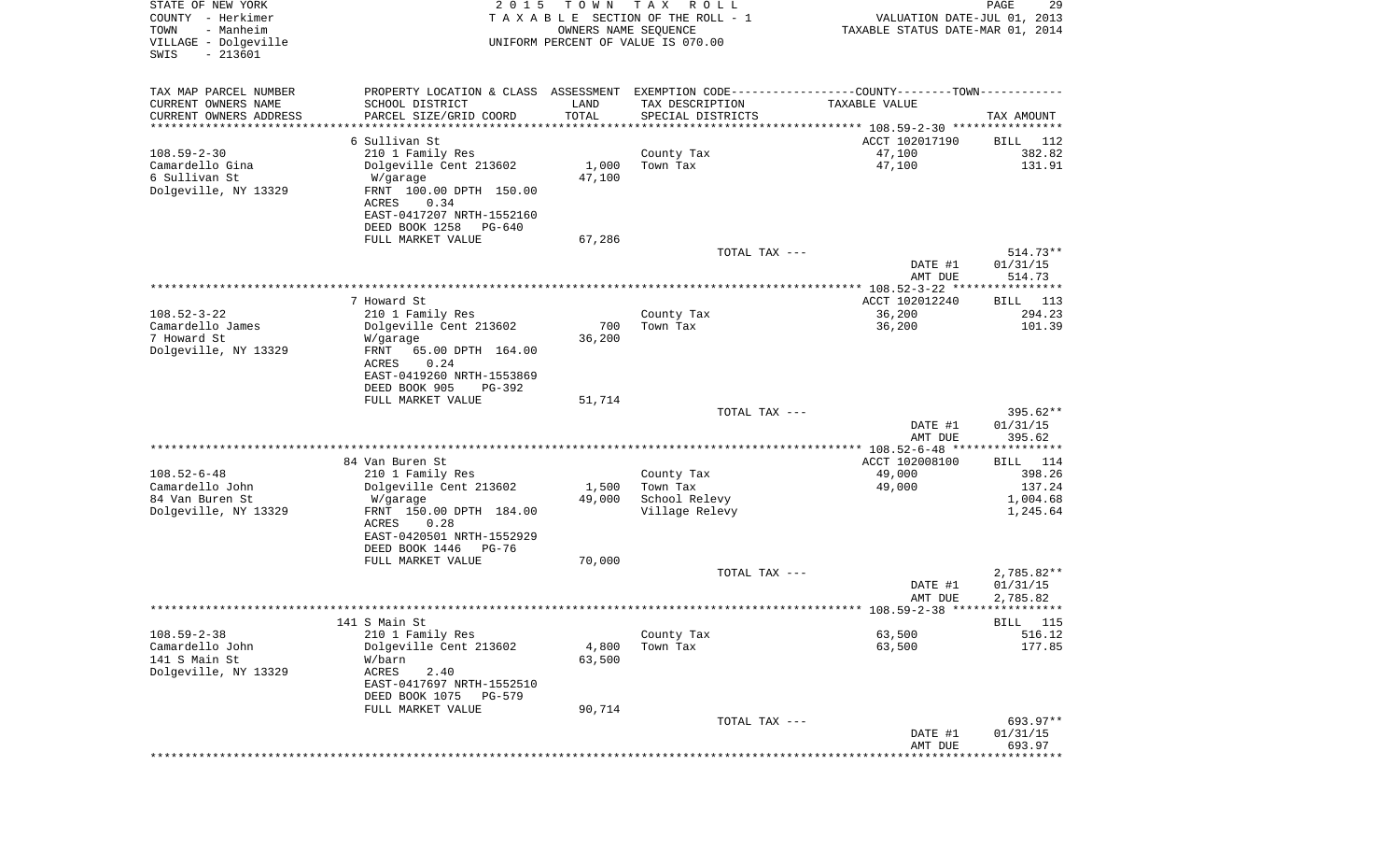| STATE OF NEW YORK<br>COUNTY - Herkimer<br>- Manheim<br>TOWN<br>VILLAGE - Dolgeville<br>$-213601$<br>SWIS | 2 0 1 5                                                                                        | T O W N<br>OWNERS NAME SEQUENCE | T A X<br>R O L L<br>TAXABLE SECTION OF THE ROLL - 1<br>UNIFORM PERCENT OF VALUE IS 070.00 | VALUATION DATE-JUL 01, 2013<br>TAXABLE STATUS DATE-MAR 01, 2014 | PAGE<br>29  |
|----------------------------------------------------------------------------------------------------------|------------------------------------------------------------------------------------------------|---------------------------------|-------------------------------------------------------------------------------------------|-----------------------------------------------------------------|-------------|
| TAX MAP PARCEL NUMBER                                                                                    | PROPERTY LOCATION & CLASS ASSESSMENT EXEMPTION CODE----------------COUNTY-------TOWN---------- |                                 |                                                                                           |                                                                 |             |
| CURRENT OWNERS NAME                                                                                      | SCHOOL DISTRICT                                                                                | LAND                            | TAX DESCRIPTION                                                                           | TAXABLE VALUE                                                   |             |
| CURRENT OWNERS ADDRESS                                                                                   | PARCEL SIZE/GRID COORD                                                                         | TOTAL                           | SPECIAL DISTRICTS                                                                         |                                                                 | TAX AMOUNT  |
| ********************                                                                                     | ******************                                                                             | * * * * * * * * * * *           |                                                                                           |                                                                 |             |
|                                                                                                          | 6 Sullivan St                                                                                  |                                 |                                                                                           | ACCT 102017190                                                  | 112<br>BILL |
| $108.59 - 2 - 30$                                                                                        | 210 1 Family Res                                                                               |                                 | County Tax                                                                                | 47,100                                                          | 382.82      |
| Camardello Gina                                                                                          | Dolgeville Cent 213602                                                                         | 1,000                           | Town Tax                                                                                  | 47,100                                                          | 131.91      |
| 6 Sullivan St<br>Dolgeville, NY 13329                                                                    | W/garage                                                                                       | 47,100                          |                                                                                           |                                                                 |             |
|                                                                                                          | FRNT 100.00 DPTH 150.00<br>ACRES<br>0.34                                                       |                                 |                                                                                           |                                                                 |             |
|                                                                                                          | EAST-0417207 NRTH-1552160                                                                      |                                 |                                                                                           |                                                                 |             |
|                                                                                                          | DEED BOOK 1258<br>PG-640                                                                       |                                 |                                                                                           |                                                                 |             |
|                                                                                                          | FULL MARKET VALUE                                                                              | 67,286                          |                                                                                           |                                                                 |             |
|                                                                                                          |                                                                                                |                                 | TOTAL TAX ---                                                                             |                                                                 | $514.73**$  |
|                                                                                                          |                                                                                                |                                 |                                                                                           | DATE #1                                                         | 01/31/15    |
|                                                                                                          |                                                                                                |                                 |                                                                                           | AMT DUE                                                         | 514.73      |
|                                                                                                          | 7 Howard St                                                                                    |                                 |                                                                                           | ACCT 102012240                                                  | BILL 113    |
| $108.52 - 3 - 22$                                                                                        | 210 1 Family Res                                                                               |                                 | County Tax                                                                                | 36,200                                                          | 294.23      |
| Camardello James<br>7 Howard St                                                                          | Dolgeville Cent 213602<br>W/garage                                                             | 700<br>36,200                   | Town Tax                                                                                  | 36,200                                                          | 101.39      |
| Dolgeville, NY 13329                                                                                     | FRNT<br>65.00 DPTH 164.00                                                                      |                                 |                                                                                           |                                                                 |             |
|                                                                                                          | ACRES<br>0.24                                                                                  |                                 |                                                                                           |                                                                 |             |
|                                                                                                          | EAST-0419260 NRTH-1553869                                                                      |                                 |                                                                                           |                                                                 |             |
|                                                                                                          | DEED BOOK 905<br>PG-392                                                                        |                                 |                                                                                           |                                                                 |             |
|                                                                                                          | FULL MARKET VALUE                                                                              | 51,714                          |                                                                                           |                                                                 |             |
|                                                                                                          |                                                                                                |                                 | TOTAL TAX ---                                                                             |                                                                 | $395.62**$  |
|                                                                                                          |                                                                                                |                                 |                                                                                           | DATE #1                                                         | 01/31/15    |
|                                                                                                          |                                                                                                |                                 |                                                                                           | AMT DUE<br>************** 108.52-6-48 *****************         | 395.62      |
|                                                                                                          | 84 Van Buren St                                                                                |                                 |                                                                                           | ACCT 102008100                                                  | BILL 114    |
| $108.52 - 6 - 48$                                                                                        | 210 1 Family Res                                                                               |                                 | County Tax                                                                                | 49,000                                                          | 398.26      |
| Camardello John                                                                                          | Dolgeville Cent 213602                                                                         | 1,500                           | Town Tax                                                                                  | 49,000                                                          | 137.24      |
| 84 Van Buren St                                                                                          | W/garage                                                                                       | 49,000                          | School Relevy                                                                             |                                                                 | 1,004.68    |
| Dolgeville, NY 13329                                                                                     | FRNT 150.00 DPTH 184.00                                                                        |                                 | Village Relevy                                                                            |                                                                 | 1,245.64    |
|                                                                                                          | ACRES<br>0.28                                                                                  |                                 |                                                                                           |                                                                 |             |
|                                                                                                          | EAST-0420501 NRTH-1552929                                                                      |                                 |                                                                                           |                                                                 |             |
|                                                                                                          | DEED BOOK 1446<br>PG-76<br>FULL MARKET VALUE                                                   |                                 |                                                                                           |                                                                 |             |
|                                                                                                          |                                                                                                | 70,000                          | TOTAL TAX ---                                                                             |                                                                 | 2,785.82**  |
|                                                                                                          |                                                                                                |                                 |                                                                                           | DATE #1                                                         | 01/31/15    |
|                                                                                                          |                                                                                                |                                 |                                                                                           | AMT DUE                                                         | 2,785.82    |
|                                                                                                          |                                                                                                |                                 |                                                                                           |                                                                 |             |
|                                                                                                          | 141 S Main St                                                                                  |                                 |                                                                                           |                                                                 | BILL 115    |
| $108.59 - 2 - 38$                                                                                        | 210 1 Family Res                                                                               |                                 | County Tax                                                                                | 63,500                                                          | 516.12      |
| Camardello John                                                                                          | Dolgeville Cent 213602                                                                         | 4,800                           | Town Tax                                                                                  | 63,500                                                          | 177.85      |
| 141 S Main St                                                                                            | W/barn                                                                                         | 63,500                          |                                                                                           |                                                                 |             |
| Dolgeville, NY 13329                                                                                     | ACRES<br>2.40<br>EAST-0417697 NRTH-1552510                                                     |                                 |                                                                                           |                                                                 |             |
|                                                                                                          | DEED BOOK 1075<br><b>PG-579</b>                                                                |                                 |                                                                                           |                                                                 |             |
|                                                                                                          | FULL MARKET VALUE                                                                              | 90,714                          |                                                                                           |                                                                 |             |
|                                                                                                          |                                                                                                |                                 | TOTAL TAX ---                                                                             |                                                                 | 693.97**    |
|                                                                                                          |                                                                                                |                                 |                                                                                           | DATE #1                                                         | 01/31/15    |
|                                                                                                          |                                                                                                |                                 |                                                                                           | AMT DUE                                                         | 693.97      |
|                                                                                                          |                                                                                                |                                 |                                                                                           |                                                                 |             |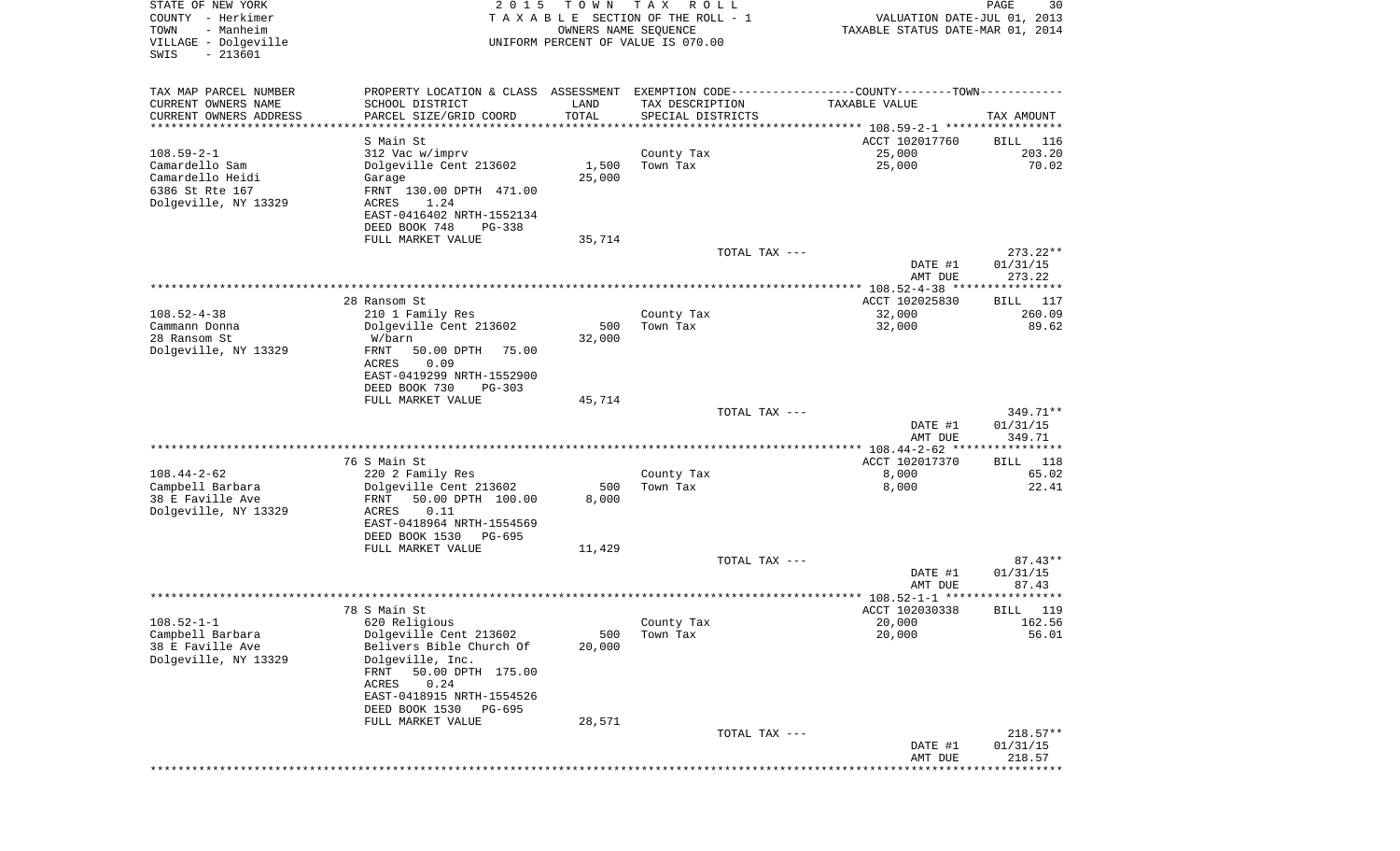| STATE OF NEW YORK<br>COUNTY - Herkimer<br>TOWN<br>- Manheim<br>VILLAGE - Dolgeville<br>SWIS<br>$-213601$ | 2 0 1 5                                                                                                                                                                                                                             | T O W N<br>OWNERS NAME SEQUENCE | T A X<br>R O L L<br>TAXABLE SECTION OF THE ROLL - 1<br>UNIFORM PERCENT OF VALUE IS 070.00 | VALUATION DATE-JUL 01, 2013<br>TAXABLE STATUS DATE-MAR 01, 2014                                                 | 30<br>PAGE                       |
|----------------------------------------------------------------------------------------------------------|-------------------------------------------------------------------------------------------------------------------------------------------------------------------------------------------------------------------------------------|---------------------------------|-------------------------------------------------------------------------------------------|-----------------------------------------------------------------------------------------------------------------|----------------------------------|
| TAX MAP PARCEL NUMBER<br>CURRENT OWNERS NAME<br>CURRENT OWNERS ADDRESS<br>**********************         | SCHOOL DISTRICT<br>PARCEL SIZE/GRID COORD<br>*****************                                                                                                                                                                      | LAND<br>TOTAL<br>***********    | TAX DESCRIPTION<br>SPECIAL DISTRICTS                                                      | PROPERTY LOCATION & CLASS ASSESSMENT EXEMPTION CODE----------------COUNTY-------TOWN----------<br>TAXABLE VALUE | TAX AMOUNT                       |
| $108.59 - 2 - 1$<br>Camardello Sam<br>Camardello Heidi<br>6386 St Rte 167<br>Dolgeville, NY 13329        | S Main St<br>312 Vac w/imprv<br>Dolgeville Cent 213602<br>Garage<br>FRNT 130.00 DPTH 471.00<br>ACRES<br>1.24<br>EAST-0416402 NRTH-1552134<br>DEED BOOK 748<br>$PG-338$                                                              | 1,500<br>25,000                 | County Tax<br>Town Tax                                                                    | ACCT 102017760<br>25,000<br>25,000                                                                              | 116<br>BILL<br>203.20<br>70.02   |
|                                                                                                          | FULL MARKET VALUE                                                                                                                                                                                                                   | 35,714                          |                                                                                           | TOTAL TAX ---<br>DATE #1<br>AMT DUE                                                                             | $273.22**$<br>01/31/15<br>273.22 |
|                                                                                                          |                                                                                                                                                                                                                                     |                                 |                                                                                           |                                                                                                                 |                                  |
| $108.52 - 4 - 38$<br>Cammann Donna<br>28 Ransom St<br>Dolgeville, NY 13329                               | 28 Ransom St<br>210 1 Family Res<br>Dolgeville Cent 213602<br>W/barn<br>FRNT<br>50.00 DPTH<br>75.00<br><b>ACRES</b><br>0.09<br>EAST-0419299 NRTH-1552900                                                                            | 500<br>32,000                   | County Tax<br>Town Tax                                                                    | ACCT 102025830<br>32,000<br>32,000                                                                              | BILL 117<br>260.09<br>89.62      |
|                                                                                                          | DEED BOOK 730<br>PG-303<br>FULL MARKET VALUE                                                                                                                                                                                        | 45,714                          |                                                                                           | TOTAL TAX ---<br>DATE #1<br>AMT DUE                                                                             | 349.71**<br>01/31/15<br>349.71   |
|                                                                                                          |                                                                                                                                                                                                                                     |                                 |                                                                                           |                                                                                                                 |                                  |
| $108.44 - 2 - 62$<br>Campbell Barbara<br>38 E Faville Ave<br>Dolgeville, NY 13329                        | 76 S Main St<br>220 2 Family Res<br>Dolgeville Cent 213602<br>FRNT<br>50.00 DPTH 100.00<br>ACRES<br>0.11<br>EAST-0418964 NRTH-1554569<br>DEED BOOK 1530<br>PG-695                                                                   | 500<br>8,000                    | County Tax<br>Town Tax                                                                    | ACCT 102017370<br>8,000<br>8,000                                                                                | BILL 118<br>65.02<br>22.41       |
|                                                                                                          | FULL MARKET VALUE                                                                                                                                                                                                                   | 11,429                          |                                                                                           |                                                                                                                 |                                  |
|                                                                                                          |                                                                                                                                                                                                                                     |                                 |                                                                                           | TOTAL TAX ---<br>DATE #1<br>AMT DUE                                                                             | $87.43**$<br>01/31/15<br>87.43   |
|                                                                                                          |                                                                                                                                                                                                                                     |                                 |                                                                                           |                                                                                                                 | ***********                      |
| $108.52 - 1 - 1$<br>Campbell Barbara<br>38 E Faville Ave<br>Dolgeville, NY 13329                         | 78 S Main St<br>620 Religious<br>Dolgeville Cent 213602<br>Belivers Bible Church Of<br>Dolgeville, Inc.<br>50.00 DPTH 175.00<br>FRNT<br>ACRES<br>0.24<br>EAST-0418915 NRTH-1554526<br>DEED BOOK 1530<br>PG-695<br>FULL MARKET VALUE | 500<br>20,000<br>28,571         | County Tax<br>Town Tax                                                                    | ACCT 102030338<br>20,000<br>20,000                                                                              | 119<br>BILL<br>162.56<br>56.01   |
|                                                                                                          |                                                                                                                                                                                                                                     |                                 |                                                                                           | TOTAL TAX ---<br>DATE #1<br>AMT DUE                                                                             | $218.57**$<br>01/31/15<br>218.57 |
|                                                                                                          |                                                                                                                                                                                                                                     |                                 |                                                                                           | * * * * * * * * * * * * * * * * * *                                                                             | *************                    |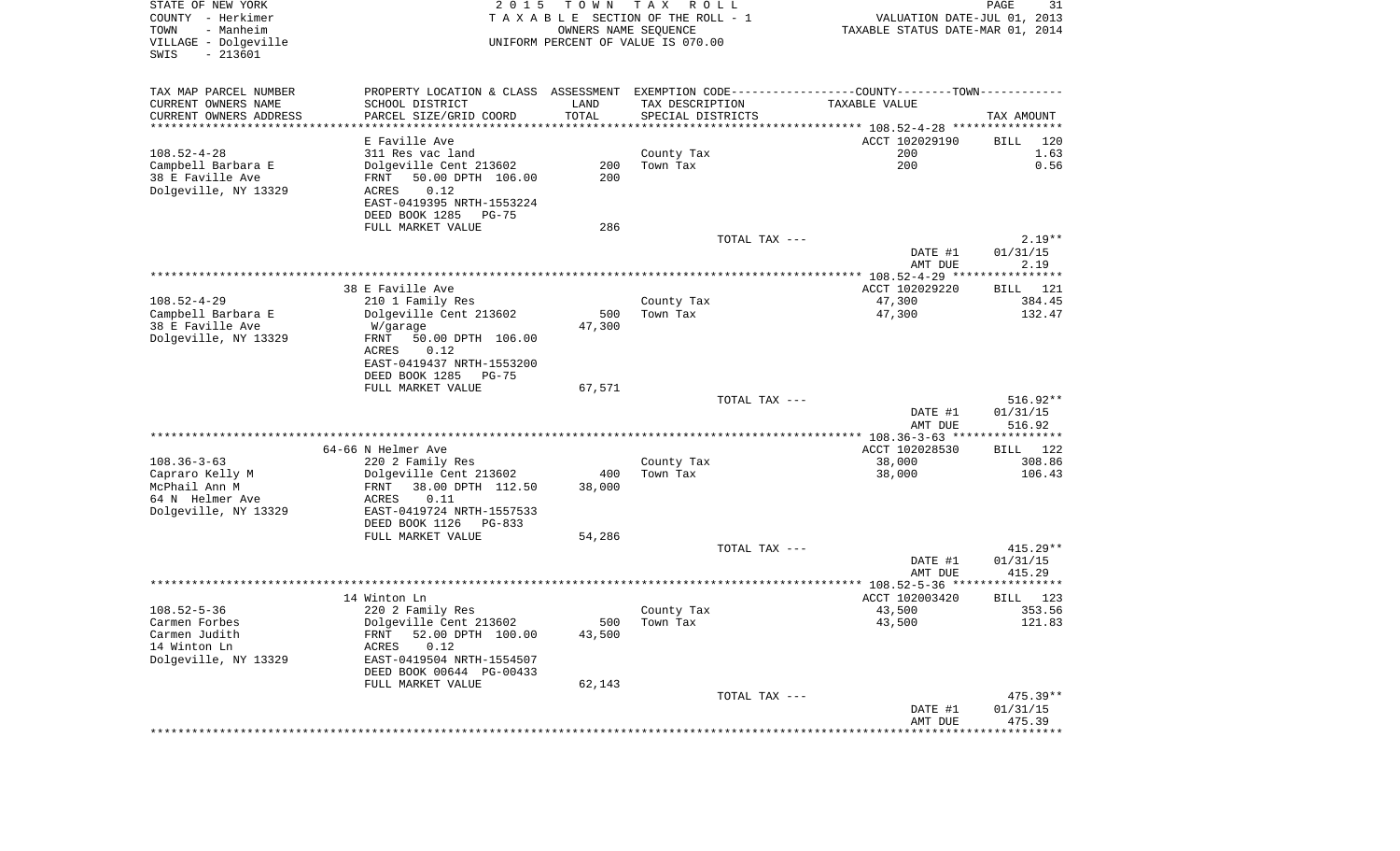| STATE OF NEW YORK<br>COUNTY - Herkimer<br>- Manheim<br>TOWN<br>VILLAGE - Dolgeville<br>SWIS<br>$-213601$ | 2 0 1 5                                                                                       | T O W N<br>OWNERS NAME SEQUENCE | T A X<br>R O L L<br>TAXABLE SECTION OF THE ROLL - 1<br>UNIFORM PERCENT OF VALUE IS 070.00 | VALUATION DATE-JUL 01, 2013<br>TAXABLE STATUS DATE-MAR 01, 2014 | PAGE<br>31         |
|----------------------------------------------------------------------------------------------------------|-----------------------------------------------------------------------------------------------|---------------------------------|-------------------------------------------------------------------------------------------|-----------------------------------------------------------------|--------------------|
| TAX MAP PARCEL NUMBER                                                                                    | PROPERTY LOCATION & CLASS ASSESSMENT EXEMPTION CODE---------------COUNTY-------TOWN---------- |                                 |                                                                                           |                                                                 |                    |
| CURRENT OWNERS NAME                                                                                      | SCHOOL DISTRICT                                                                               | LAND                            | TAX DESCRIPTION                                                                           | TAXABLE VALUE                                                   |                    |
| CURRENT OWNERS ADDRESS<br>************************                                                       | PARCEL SIZE/GRID COORD                                                                        | TOTAL                           | SPECIAL DISTRICTS                                                                         |                                                                 | TAX AMOUNT         |
|                                                                                                          | E Faville Ave                                                                                 |                                 |                                                                                           | ACCT 102029190                                                  | BILL<br>120        |
| $108.52 - 4 - 28$                                                                                        | 311 Res vac land                                                                              |                                 | County Tax                                                                                | 200                                                             | 1.63               |
| Campbell Barbara E                                                                                       | Dolgeville Cent 213602                                                                        | 200                             | Town Tax                                                                                  | 200                                                             | 0.56               |
| 38 E Faville Ave                                                                                         | 50.00 DPTH 106.00<br>FRNT                                                                     | 200                             |                                                                                           |                                                                 |                    |
| Dolgeville, NY 13329                                                                                     | 0.12<br>ACRES                                                                                 |                                 |                                                                                           |                                                                 |                    |
|                                                                                                          | EAST-0419395 NRTH-1553224                                                                     |                                 |                                                                                           |                                                                 |                    |
|                                                                                                          | DEED BOOK 1285<br>PG-75                                                                       |                                 |                                                                                           |                                                                 |                    |
|                                                                                                          | FULL MARKET VALUE                                                                             | 286                             |                                                                                           |                                                                 |                    |
|                                                                                                          |                                                                                               |                                 | TOTAL TAX ---                                                                             |                                                                 | $2.19**$           |
|                                                                                                          |                                                                                               |                                 |                                                                                           | DATE #1                                                         | 01/31/15<br>2.19   |
|                                                                                                          |                                                                                               |                                 |                                                                                           | AMT DUE                                                         |                    |
|                                                                                                          | 38 E Faville Ave                                                                              |                                 |                                                                                           | ACCT 102029220                                                  | 121<br>BILL        |
| $108.52 - 4 - 29$                                                                                        | 210 1 Family Res                                                                              |                                 | County Tax                                                                                | 47,300                                                          | 384.45             |
| Campbell Barbara E                                                                                       | Dolgeville Cent 213602                                                                        | 500                             | Town Tax                                                                                  | 47,300                                                          | 132.47             |
| 38 E Faville Ave                                                                                         | W/garage                                                                                      | 47,300                          |                                                                                           |                                                                 |                    |
| Dolgeville, NY 13329                                                                                     | 50.00 DPTH 106.00<br>FRNT                                                                     |                                 |                                                                                           |                                                                 |                    |
|                                                                                                          | ACRES<br>0.12                                                                                 |                                 |                                                                                           |                                                                 |                    |
|                                                                                                          | EAST-0419437 NRTH-1553200<br>$PG-75$                                                          |                                 |                                                                                           |                                                                 |                    |
|                                                                                                          | DEED BOOK 1285<br>FULL MARKET VALUE                                                           | 67,571                          |                                                                                           |                                                                 |                    |
|                                                                                                          |                                                                                               |                                 | TOTAL TAX $---$                                                                           |                                                                 | $516.92**$         |
|                                                                                                          |                                                                                               |                                 |                                                                                           | DATE #1                                                         | 01/31/15           |
|                                                                                                          |                                                                                               |                                 |                                                                                           | AMT DUE                                                         | 516.92             |
|                                                                                                          |                                                                                               |                                 |                                                                                           | ************* 108.36-3-63 *****************                     |                    |
|                                                                                                          | 64-66 N Helmer Ave                                                                            |                                 |                                                                                           | ACCT 102028530                                                  | <b>BILL</b><br>122 |
| $108.36 - 3 - 63$<br>Capraro Kelly M                                                                     | 220 2 Family Res<br>Dolgeville Cent 213602                                                    | 400                             | County Tax<br>Town Tax                                                                    | 38,000<br>38,000                                                | 308.86<br>106.43   |
| McPhail Ann M                                                                                            | FRNT<br>38.00 DPTH 112.50                                                                     | 38,000                          |                                                                                           |                                                                 |                    |
| 64 N Helmer Ave                                                                                          | ACRES<br>0.11                                                                                 |                                 |                                                                                           |                                                                 |                    |
| Dolgeville, NY 13329                                                                                     | EAST-0419724 NRTH-1557533                                                                     |                                 |                                                                                           |                                                                 |                    |
|                                                                                                          | DEED BOOK 1126<br>PG-833                                                                      |                                 |                                                                                           |                                                                 |                    |
|                                                                                                          | FULL MARKET VALUE                                                                             | 54,286                          |                                                                                           |                                                                 |                    |
|                                                                                                          |                                                                                               |                                 | TOTAL TAX ---                                                                             |                                                                 | $415.29**$         |
|                                                                                                          |                                                                                               |                                 |                                                                                           | DATE #1                                                         | 01/31/15           |
|                                                                                                          |                                                                                               |                                 |                                                                                           | AMT DUE                                                         | 415.29             |
|                                                                                                          | 14 Winton Ln                                                                                  |                                 |                                                                                           | ACCT 102003420                                                  | 123<br>BILL        |
| $108.52 - 5 - 36$                                                                                        | 220 2 Family Res                                                                              |                                 | County Tax                                                                                | 43,500                                                          | 353.56             |
| Carmen Forbes                                                                                            | Dolgeville Cent 213602                                                                        |                                 | 500 Town Tax                                                                              | 43,500                                                          | 121.83             |
| Carmen Judith                                                                                            | FRNT 52.00 DPTH 100.00                                                                        | 43,500                          |                                                                                           |                                                                 |                    |
| 14 Winton Ln                                                                                             | 0.12<br>ACRES                                                                                 |                                 |                                                                                           |                                                                 |                    |
| Dolgeville, NY 13329                                                                                     | EAST-0419504 NRTH-1554507                                                                     |                                 |                                                                                           |                                                                 |                    |
|                                                                                                          | DEED BOOK 00644 PG-00433                                                                      |                                 |                                                                                           |                                                                 |                    |
|                                                                                                          | FULL MARKET VALUE                                                                             | 62,143                          | TOTAL TAX ---                                                                             |                                                                 | $475.39**$         |
|                                                                                                          |                                                                                               |                                 |                                                                                           | DATE #1                                                         | 01/31/15           |
|                                                                                                          |                                                                                               |                                 |                                                                                           | AMT DUE                                                         | 475.39             |
|                                                                                                          |                                                                                               |                                 |                                                                                           |                                                                 |                    |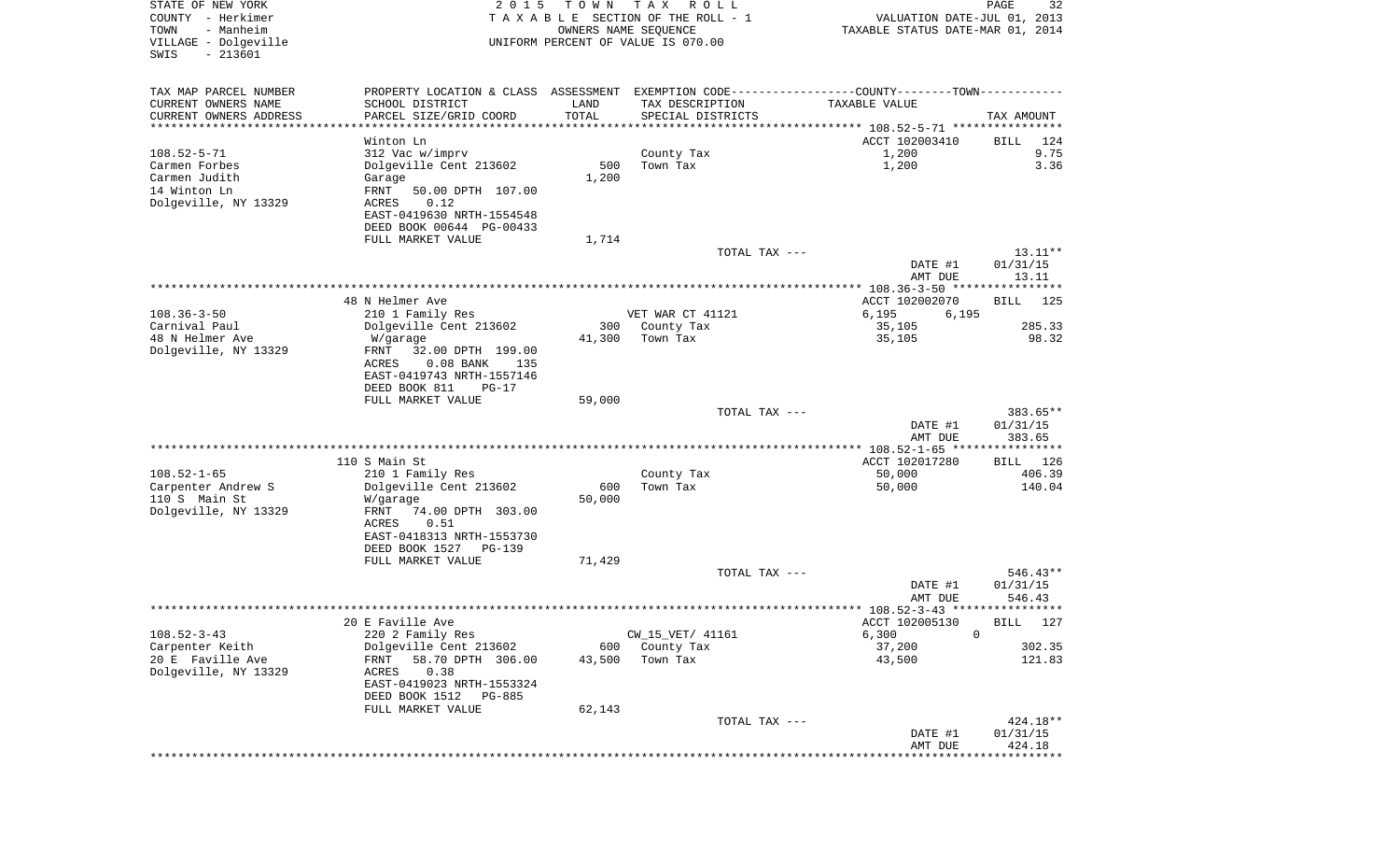| COUNTY<br>– Herkimer<br>TOWN<br>- Manheim<br>VILLAGE - Dolgeville<br>$-213601$<br>SWIS |                                                                                                  |                        | TAXABLE SECTION OF THE ROLL - 1<br>OWNERS NAME SEQUENCE<br>UNIFORM PERCENT OF VALUE IS 070.00 | VALUATION DATE-JUL 01, 2013<br>TAXABLE STATUS DATE-MAR 01, 2014      |                       |
|----------------------------------------------------------------------------------------|--------------------------------------------------------------------------------------------------|------------------------|-----------------------------------------------------------------------------------------------|----------------------------------------------------------------------|-----------------------|
| TAX MAP PARCEL NUMBER                                                                  | PROPERTY LOCATION & CLASS ASSESSMENT EXEMPTION CODE----------------COUNTY--------TOWN----------- |                        |                                                                                               |                                                                      |                       |
| CURRENT OWNERS NAME                                                                    | SCHOOL DISTRICT                                                                                  | LAND                   | TAX DESCRIPTION                                                                               | TAXABLE VALUE                                                        |                       |
| CURRENT OWNERS ADDRESS                                                                 | PARCEL SIZE/GRID COORD                                                                           | TOTAL<br>************* | SPECIAL DISTRICTS                                                                             | ************************************** 108.52-5-71 ***************** | TAX AMOUNT            |
|                                                                                        | Winton Ln                                                                                        |                        |                                                                                               | ACCT 102003410                                                       | BILL<br>124           |
| $108.52 - 5 - 71$                                                                      | 312 Vac w/imprv                                                                                  |                        | County Tax                                                                                    | 1,200                                                                | 9.75                  |
| Carmen Forbes                                                                          | Dolgeville Cent 213602                                                                           | 500                    | Town Tax                                                                                      | 1,200                                                                | 3.36                  |
| Carmen Judith                                                                          | Garage                                                                                           | 1,200                  |                                                                                               |                                                                      |                       |
| 14 Winton Ln                                                                           | FRNT<br>50.00 DPTH 107.00                                                                        |                        |                                                                                               |                                                                      |                       |
| Dolgeville, NY 13329                                                                   | 0.12<br>ACRES                                                                                    |                        |                                                                                               |                                                                      |                       |
|                                                                                        | EAST-0419630 NRTH-1554548<br>DEED BOOK 00644 PG-00433                                            |                        |                                                                                               |                                                                      |                       |
|                                                                                        | FULL MARKET VALUE                                                                                | 1,714                  |                                                                                               |                                                                      |                       |
|                                                                                        |                                                                                                  |                        | TOTAL TAX ---                                                                                 |                                                                      | $13.11**$             |
|                                                                                        |                                                                                                  |                        |                                                                                               | DATE #1                                                              | 01/31/15              |
|                                                                                        |                                                                                                  |                        |                                                                                               | AMT DUE                                                              | 13.11                 |
|                                                                                        | 48 N Helmer Ave                                                                                  |                        |                                                                                               | *************** 108.36-3-50 ****************<br>ACCT 102002070       | <b>BILL</b><br>125    |
| $108.36 - 3 - 50$                                                                      | 210 1 Family Res                                                                                 |                        | VET WAR CT 41121                                                                              | 6,195<br>6,195                                                       |                       |
| Carnival Paul                                                                          | Dolgeville Cent 213602                                                                           | 300                    | County Tax                                                                                    | 35,105                                                               | 285.33                |
| 48 N Helmer Ave                                                                        | W/garage                                                                                         | 41,300                 | Town Tax                                                                                      | 35,105                                                               | 98.32                 |
| Dolgeville, NY 13329                                                                   | FRNT<br>32.00 DPTH 199.00                                                                        |                        |                                                                                               |                                                                      |                       |
|                                                                                        | ACRES<br>$0.08$ BANK<br>135                                                                      |                        |                                                                                               |                                                                      |                       |
|                                                                                        | EAST-0419743 NRTH-1557146<br>DEED BOOK 811<br>$PG-17$                                            |                        |                                                                                               |                                                                      |                       |
|                                                                                        | FULL MARKET VALUE                                                                                | 59,000                 |                                                                                               |                                                                      |                       |
|                                                                                        |                                                                                                  |                        | TOTAL TAX ---                                                                                 |                                                                      | 383.65**              |
|                                                                                        |                                                                                                  |                        |                                                                                               | DATE #1                                                              | 01/31/15              |
|                                                                                        |                                                                                                  |                        | ******************************                                                                | AMT DUE                                                              | 383.65<br>*********** |
|                                                                                        | 110 S Main St                                                                                    |                        |                                                                                               | ******** 108.52-1-65 ***<br>ACCT 102017280                           | 126<br><b>BILL</b>    |
| $108.52 - 1 - 65$                                                                      | 210 1 Family Res                                                                                 |                        | County Tax                                                                                    | 50,000                                                               | 406.39                |
| Carpenter Andrew S                                                                     | Dolgeville Cent 213602                                                                           | 600                    | Town Tax                                                                                      | 50,000                                                               | 140.04                |
| 110 S Main St                                                                          | W/garage                                                                                         | 50,000                 |                                                                                               |                                                                      |                       |
| Dolgeville, NY 13329                                                                   | FRNT<br>74.00 DPTH 303.00                                                                        |                        |                                                                                               |                                                                      |                       |
|                                                                                        | ACRES<br>0.51                                                                                    |                        |                                                                                               |                                                                      |                       |
|                                                                                        | EAST-0418313 NRTH-1553730<br>DEED BOOK 1527<br>PG-139                                            |                        |                                                                                               |                                                                      |                       |
|                                                                                        | FULL MARKET VALUE                                                                                | 71,429                 |                                                                                               |                                                                      |                       |
|                                                                                        |                                                                                                  |                        | TOTAL TAX ---                                                                                 |                                                                      | 546.43**              |
|                                                                                        |                                                                                                  |                        |                                                                                               | DATE #1                                                              | 01/31/15              |
|                                                                                        |                                                                                                  |                        |                                                                                               | AMT DUE                                                              | 546.43                |
|                                                                                        | 20 E Faville Ave                                                                                 |                        |                                                                                               | ************ 108.52-3-43 *****************<br>ACCT 102005130         | 127<br>BILL           |
| $108.52 - 3 - 43$                                                                      | 220 2 Family Res                                                                                 |                        | CW_15_VET/ 41161                                                                              | 6,300<br>0                                                           |                       |
| Carpenter Keith                                                                        | Dolgeville Cent 213602                                                                           | 600                    | County Tax                                                                                    | 37,200                                                               | 302.35                |
| 20 E Faville Ave                                                                       | FRNT<br>58.70 DPTH 306.00                                                                        | 43,500                 | Town Tax                                                                                      | 43,500                                                               | 121.83                |
| Dolgeville, NY 13329                                                                   | 0.38<br>ACRES                                                                                    |                        |                                                                                               |                                                                      |                       |
|                                                                                        | EAST-0419023 NRTH-1553324                                                                        |                        |                                                                                               |                                                                      |                       |
|                                                                                        | DEED BOOK 1512<br>PG-885<br>FULL MARKET VALUE                                                    | 62,143                 |                                                                                               |                                                                      |                       |
|                                                                                        |                                                                                                  |                        | TOTAL TAX ---                                                                                 |                                                                      | 424.18**              |
|                                                                                        |                                                                                                  |                        |                                                                                               | DATE #1                                                              | 01/31/15              |
|                                                                                        |                                                                                                  |                        |                                                                                               | AMT DUE                                                              | 424.18                |
|                                                                                        |                                                                                                  |                        |                                                                                               |                                                                      | * * * * * * * * *     |

PAGE 32

STATE OF NEW YORK **EXECUTE:**  $2015$  TOWN TAX ROLL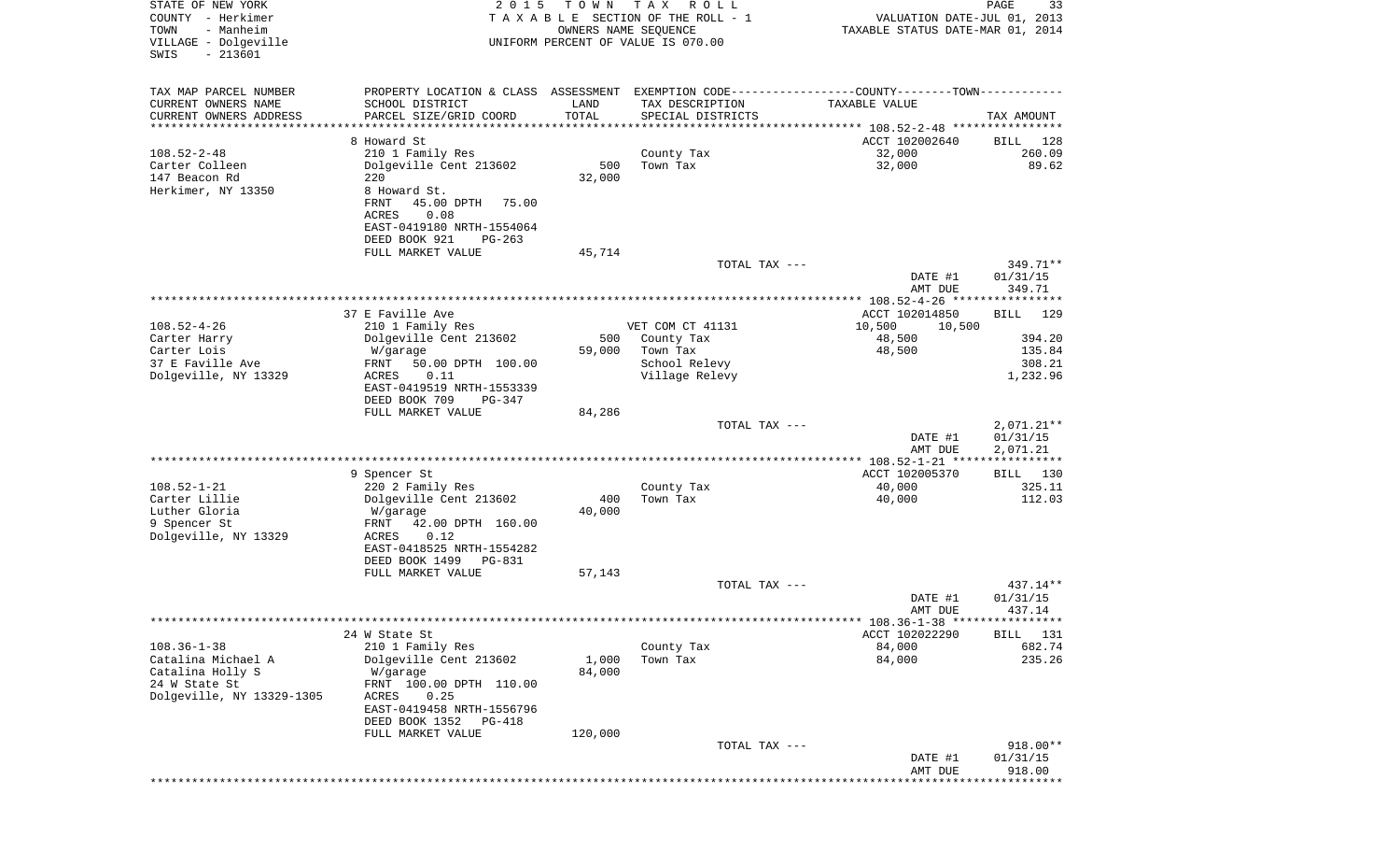| STATE OF NEW YORK<br>COUNTY - Herkimer<br>- Manheim<br>TOWN<br>VILLAGE - Dolgeville<br>$-213601$<br>SWIS  | 2 0 1 5                                                                                                                                                                          | T O W N<br>OWNERS NAME SEQUENCE | T A X<br>R O L L<br>TAXABLE SECTION OF THE ROLL - 1<br>UNIFORM PERCENT OF VALUE IS 070.00                                             | VALUATION DATE-JUL 01, 2013<br>TAXABLE STATUS DATE-MAR 01, 2014 | PAGE<br>33                             |
|-----------------------------------------------------------------------------------------------------------|----------------------------------------------------------------------------------------------------------------------------------------------------------------------------------|---------------------------------|---------------------------------------------------------------------------------------------------------------------------------------|-----------------------------------------------------------------|----------------------------------------|
| TAX MAP PARCEL NUMBER<br>CURRENT OWNERS NAME<br>CURRENT OWNERS ADDRESS                                    | SCHOOL DISTRICT<br>PARCEL SIZE/GRID COORD                                                                                                                                        | LAND<br>TOTAL                   | PROPERTY LOCATION & CLASS ASSESSMENT EXEMPTION CODE---------------COUNTY-------TOWN----------<br>TAX DESCRIPTION<br>SPECIAL DISTRICTS | <b>TAXABLE VALUE</b>                                            | TAX AMOUNT                             |
| *********************                                                                                     | *******************                                                                                                                                                              | **********                      |                                                                                                                                       |                                                                 |                                        |
| $108.52 - 2 - 48$<br>Carter Colleen<br>147 Beacon Rd<br>Herkimer, NY 13350                                | 8 Howard St<br>210 1 Family Res<br>Dolgeville Cent 213602<br>220<br>8 Howard St.<br>45.00 DPTH<br>FRNT<br>75.00<br>0.08<br>ACRES<br>EAST-0419180 NRTH-1554064                    | 500<br>32,000                   | County Tax<br>Town Tax                                                                                                                | ACCT 102002640<br>32,000<br>32,000                              | 128<br>BILL<br>260.09<br>89.62         |
|                                                                                                           | DEED BOOK 921<br>$PG-263$<br>FULL MARKET VALUE                                                                                                                                   | 45,714                          |                                                                                                                                       |                                                                 |                                        |
|                                                                                                           |                                                                                                                                                                                  |                                 | TOTAL TAX ---                                                                                                                         | DATE #1<br>AMT DUE                                              | 349.71**<br>01/31/15<br>349.71         |
|                                                                                                           | 37 E Faville Ave                                                                                                                                                                 |                                 |                                                                                                                                       | ACCT 102014850                                                  | <b>BILL</b><br>129                     |
| $108.52 - 4 - 26$                                                                                         | 210 1 Family Res                                                                                                                                                                 |                                 | VET COM CT 41131                                                                                                                      | 10,500<br>10,500                                                |                                        |
| Carter Harry<br>Carter Lois<br>37 E Faville Ave<br>Dolgeville, NY 13329                                   | Dolgeville Cent 213602<br>W/garage<br>FRNT<br>50.00 DPTH 100.00<br>0.11<br>ACRES<br>EAST-0419519 NRTH-1553339<br>DEED BOOK 709<br>$PG-347$                                       | 500<br>59,000                   | County Tax<br>Town Tax<br>School Relevy<br>Village Relevy                                                                             | 48,500<br>48,500                                                | 394.20<br>135.84<br>308.21<br>1,232.96 |
|                                                                                                           | FULL MARKET VALUE                                                                                                                                                                | 84,286                          |                                                                                                                                       |                                                                 |                                        |
|                                                                                                           |                                                                                                                                                                                  |                                 | TOTAL TAX ---                                                                                                                         | DATE #1<br>AMT DUE                                              | $2,071.21**$<br>01/31/15<br>2,071.21   |
|                                                                                                           |                                                                                                                                                                                  |                                 |                                                                                                                                       | ************** 108.52-1-21 *****************                    |                                        |
| $108.52 - 1 - 21$<br>Carter Lillie<br>Luther Gloria<br>9 Spencer St                                       | 9 Spencer St<br>220 2 Family Res<br>Dolgeville Cent 213602<br>W/garage<br>42.00 DPTH 160.00<br>FRNT                                                                              | 400<br>40,000                   | County Tax<br>Town Tax                                                                                                                | ACCT 102005370<br>40,000<br>40,000                              | 130<br>BILL<br>325.11<br>112.03        |
| Dolgeville, NY 13329                                                                                      | ACRES<br>0.12<br>EAST-0418525 NRTH-1554282<br>DEED BOOK 1499<br>PG-831<br>FULL MARKET VALUE                                                                                      | 57,143                          |                                                                                                                                       |                                                                 |                                        |
|                                                                                                           |                                                                                                                                                                                  |                                 | TOTAL TAX ---                                                                                                                         |                                                                 | 437.14**                               |
|                                                                                                           |                                                                                                                                                                                  |                                 |                                                                                                                                       | DATE #1<br>AMT DUE<br>******** 108.36-1-38 *****************    | 01/31/15<br>437.14                     |
|                                                                                                           | 24 W State St                                                                                                                                                                    |                                 |                                                                                                                                       | ACCT 102022290                                                  | BILL 131                               |
| $108.36 - 1 - 38$<br>Catalina Michael A<br>Catalina Holly S<br>24 W State St<br>Dolgeville, NY 13329-1305 | 210 1 Family Res<br>Dolgeville Cent 213602<br>W/garage<br>FRNT 100.00 DPTH 110.00<br>0.25<br>ACRES<br>EAST-0419458 NRTH-1556796<br>DEED BOOK 1352<br>PG-418<br>FULL MARKET VALUE | 1,000<br>84,000<br>120,000      | County Tax<br>Town Tax                                                                                                                | 84,000<br>84,000                                                | 682.74<br>235.26                       |
|                                                                                                           |                                                                                                                                                                                  |                                 | TOTAL TAX ---                                                                                                                         | DATE #1<br>AMT DUE                                              | 918.00**<br>01/31/15<br>918.00         |
|                                                                                                           |                                                                                                                                                                                  |                                 |                                                                                                                                       |                                                                 |                                        |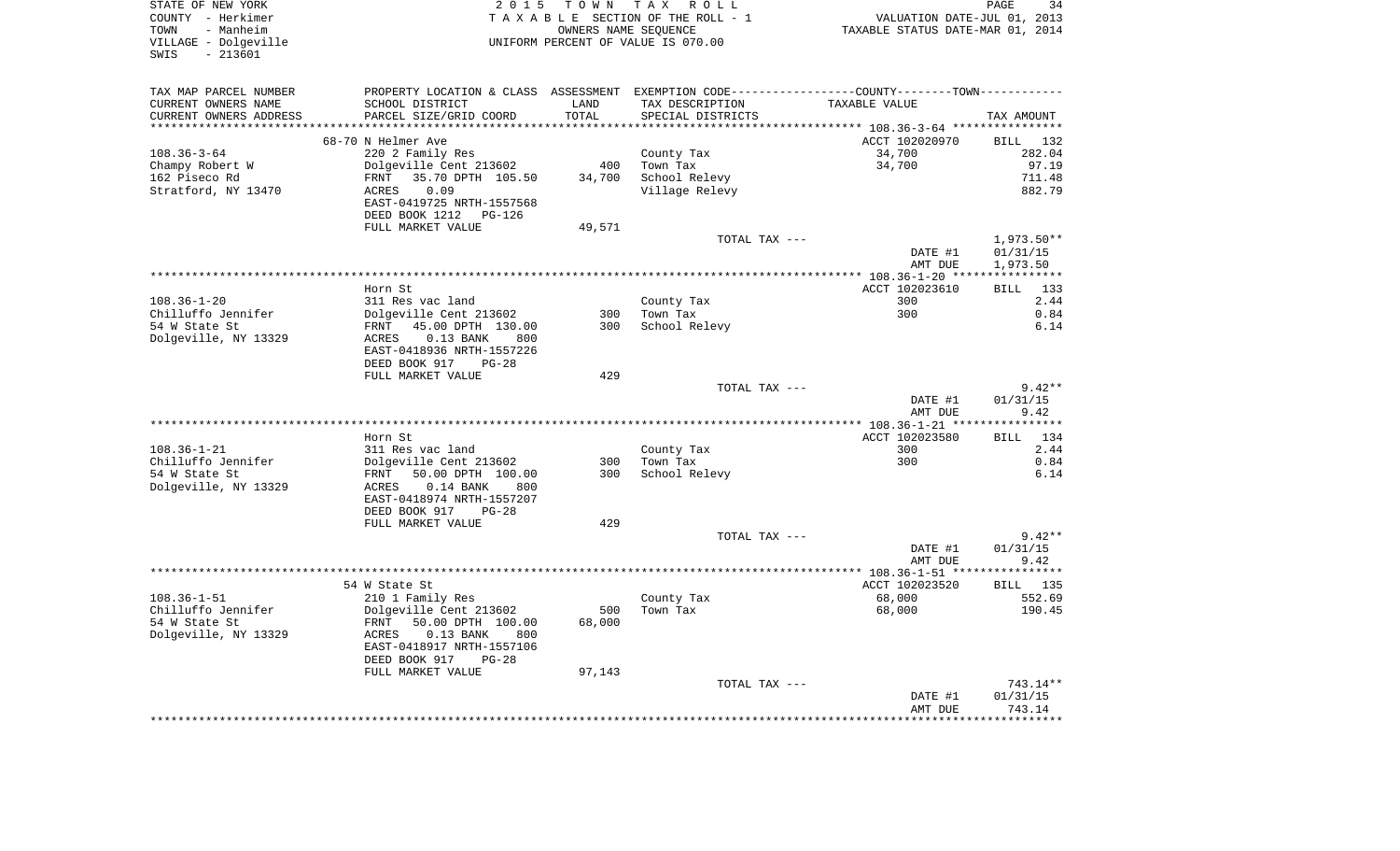STATE OF NEW YORK 2 0 1 5 T O W N T A X R O L L PAGE 34COUNTY - Herkimer **T A X A B L E** SECTION OF THE ROLL - 1 VALUATION DATE-JUL 01, 2013 TOWN - Manheim OWNERS NAME SEQUENCE TAXABLE STATUS DATE-MAR 01, 2014 VILLAGE - Dolgeville UNIFORM PERCENT OF VALUE IS 070.00 SWIS - 213601TAX MAP PARCEL NUMBER PROPERTY LOCATION & CLASS ASSESSMENT EXEMPTION CODE------------------COUNTY--------TOWN------------ CURRENT OWNERS NAME SCHOOL DISTRICT LAND TAX DESCRIPTION TAXABLE VALUECURRENT OWNERS ADDRESS PARCEL SIZE/GRID COORD TOTAL SPECIAL DISTRICTS TAX AMOUNT \*\*\*\*\*\*\*\*\*\*\*\*\*\*\*\*\*\*\*\*\*\*\*\*\*\*\*\*\*\*\*\*\*\*\*\*\*\*\*\*\*\*\*\*\*\*\*\*\*\*\*\*\*\*\*\*\*\*\*\*\*\*\*\*\*\*\*\*\*\*\*\*\*\*\*\*\*\*\*\*\*\*\*\*\*\*\*\*\*\*\*\*\*\*\*\*\*\*\*\*\*\*\* 108.36-3-64 \*\*\*\*\*\*\*\*\*\*\*\*\*\*\*\*68-70 N Helmer Ave 2012 102020970 BILL 132020970 BILL 132020970 108.36-3-64 220 2 Family Res County Tax 34,700 282.04 Champy Robert W Dolgeville Cent 213602 400 Town Tax 34,700 34,700 97.19 162 Piseco Rd FRNT 35.70 DPTH 105.50 34,700 School Relevy 711.48 Stratford, NY 13470 ACRES 0.09 Village Relevy 882.79 EAST-0419725 NRTH-1557568 DEED BOOK 1212 PG-126FULL MARKET VALUE 49,571 TOTAL TAX --- 1,973.50\*\* DATE #1 01/31/15 AMT DUE 1,973.50 \*\*\*\*\*\*\*\*\*\*\*\*\*\*\*\*\*\*\*\*\*\*\*\*\*\*\*\*\*\*\*\*\*\*\*\*\*\*\*\*\*\*\*\*\*\*\*\*\*\*\*\*\*\*\*\*\*\*\*\*\*\*\*\*\*\*\*\*\*\*\*\*\*\*\*\*\*\*\*\*\*\*\*\*\*\*\*\*\*\*\*\*\*\*\*\*\*\*\*\*\*\*\* 108.36-1-20 \*\*\*\*\*\*\*\*\*\*\*\*\*\*\*\* Horn St ACCT 102023610 BILL 1332.44 108.36-1-20 311 Res vac land County Tax 300 2.44 Chilluffo Jennifer Dolgeville Cent 213602 300 Town Tax 300 0.84 54 W State St FRNT 45.00 DPTH 130.00 300 School Relevy 6.14 Dolgeville, NY 13329 ACRES 0.13 BANK 800 EAST-0418936 NRTH-1557226 DEED BOOK 917 PG-28FULL MARKET VALUE 429 TOTAL TAX  $---$  9.42\*\* DATE #1 01/31/15 AMT DUE 9.42 \*\*\*\*\*\*\*\*\*\*\*\*\*\*\*\*\*\*\*\*\*\*\*\*\*\*\*\*\*\*\*\*\*\*\*\*\*\*\*\*\*\*\*\*\*\*\*\*\*\*\*\*\*\*\*\*\*\*\*\*\*\*\*\*\*\*\*\*\*\*\*\*\*\*\*\*\*\*\*\*\*\*\*\*\*\*\*\*\*\*\*\*\*\*\*\*\*\*\*\*\*\*\* 108.36-1-21 \*\*\*\*\*\*\*\*\*\*\*\*\*\*\*\***BTLL** 134 Horn St **ACCT 102023580** 108.36-1-21 311 Res vac land County Tax 300 2.44 Chilluffo Jennifer Dolgeville Cent 213602 300 Town Tax 300 0.84 54 W State St FRNT 50.00 DPTH 100.00 300 School Relevy 6.14 Dolgeville, NY 13329 ACRES 0.14 BANK 800 EAST-0418974 NRTH-1557207 DEED BOOK 917 PG-28FULL MARKET VALUE 429 TOTAL TAX  $---$  9.42\*\* DATE #1 01/31/15 AMT DUE 9.42 \*\*\*\*\*\*\*\*\*\*\*\*\*\*\*\*\*\*\*\*\*\*\*\*\*\*\*\*\*\*\*\*\*\*\*\*\*\*\*\*\*\*\*\*\*\*\*\*\*\*\*\*\*\*\*\*\*\*\*\*\*\*\*\*\*\*\*\*\*\*\*\*\*\*\*\*\*\*\*\*\*\*\*\*\*\*\*\*\*\*\*\*\*\*\*\*\*\*\*\*\*\*\* 108.36-1-51 \*\*\*\*\*\*\*\*\*\*\*\*\*\*\*\*BILL 135 54 W State St ACCT 102023520 108.36-1-51 210 1 Family Res County Tax 68,000 552.69 Chilluffo Jennifer Dolgeville Cent 213602 500 Town Tax 68,000 190.45 54 W State St FRNT 50.00 DPTH 100.00 68,000 Dolgeville, NY 13329 ACRES 0.13 BANK 800 EAST-0418917 NRTH-1557106 DEED BOOK 917 PG-28FULL MARKET VALUE 97,143 TOTAL TAX --- 743.14\*\* DATE #1 01/31/15 AMT DUE 743.14\*\*\*\*\*\*\*\*\*\*\*\*\*\*\*\*\*\*\*\*\*\*\*\*\*\*\*\*\*\*\*\*\*\*\*\*\*\*\*\*\*\*\*\*\*\*\*\*\*\*\*\*\*\*\*\*\*\*\*\*\*\*\*\*\*\*\*\*\*\*\*\*\*\*\*\*\*\*\*\*\*\*\*\*\*\*\*\*\*\*\*\*\*\*\*\*\*\*\*\*\*\*\*\*\*\*\*\*\*\*\*\*\*\*\*\*\*\*\*\*\*\*\*\*\*\*\*\*\*\*\*\*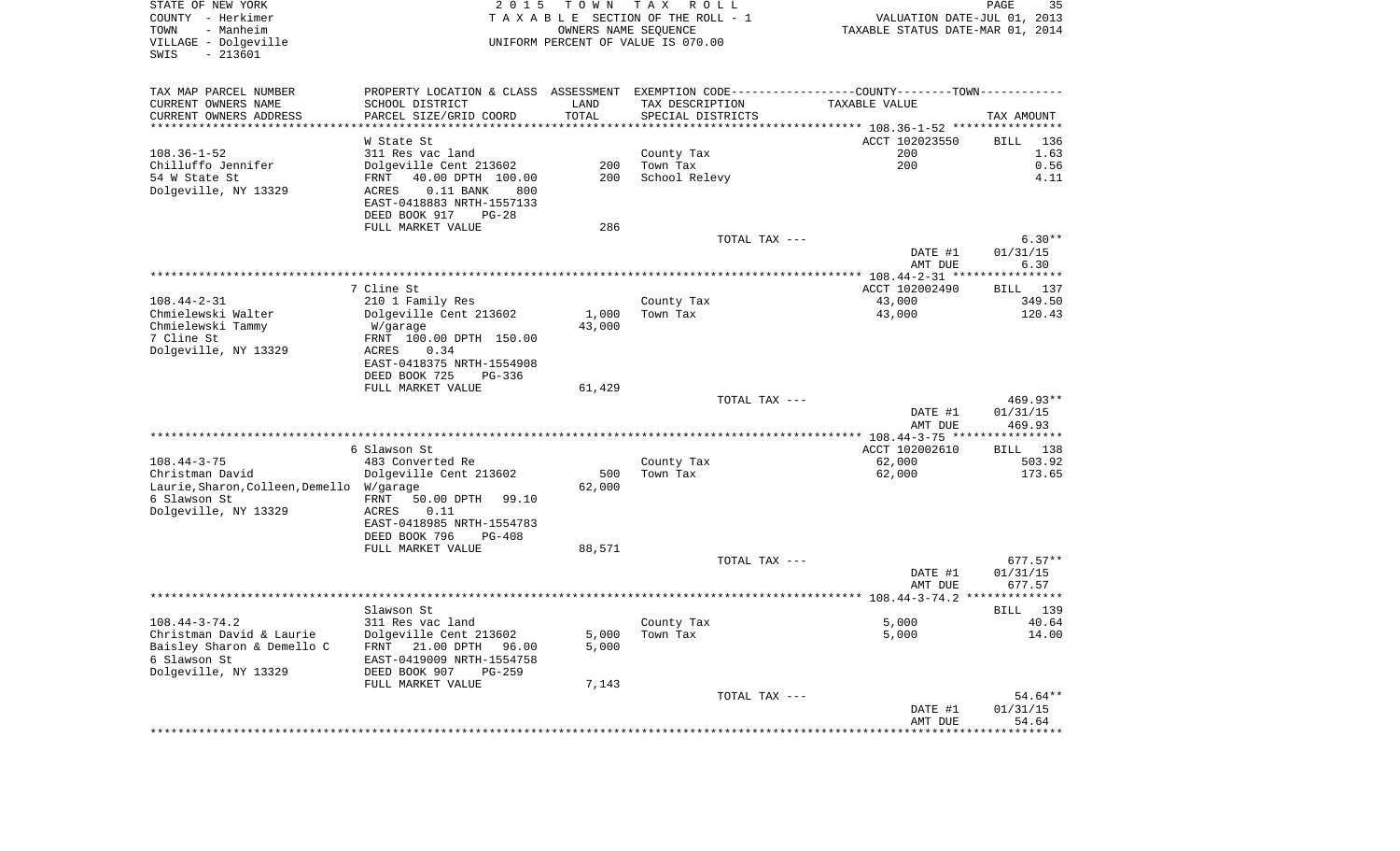| STATE OF NEW YORK<br>COUNTY - Herkimer<br>- Manheim<br>TOWN<br>VILLAGE - Dolgeville<br>$-213601$<br>SWIS | 2 0 1 5                                                                                        | T O W N<br>OWNERS NAME SEQUENCE | TAX ROLL<br>TAXABLE SECTION OF THE ROLL - 1<br>UNIFORM PERCENT OF VALUE IS 070.00 |                                          |                | PAGE<br>35<br>VALUATION DATE-JUL 01, 2013<br>TAXABLE STATUS DATE-MAR 01, 2014 |
|----------------------------------------------------------------------------------------------------------|------------------------------------------------------------------------------------------------|---------------------------------|-----------------------------------------------------------------------------------|------------------------------------------|----------------|-------------------------------------------------------------------------------|
| TAX MAP PARCEL NUMBER                                                                                    | PROPERTY LOCATION & CLASS ASSESSMENT EXEMPTION CODE----------------COUNTY-------TOWN---------- |                                 |                                                                                   |                                          |                |                                                                               |
| CURRENT OWNERS NAME                                                                                      | SCHOOL DISTRICT                                                                                | LAND                            | TAX DESCRIPTION                                                                   | TAXABLE VALUE                            |                |                                                                               |
| CURRENT OWNERS ADDRESS<br>**********************                                                         | PARCEL SIZE/GRID COORD                                                                         | TOTAL                           | SPECIAL DISTRICTS                                                                 |                                          |                | TAX AMOUNT                                                                    |
|                                                                                                          | W State St                                                                                     |                                 |                                                                                   |                                          | ACCT 102023550 | 136<br>BILL                                                                   |
| $108.36 - 1 - 52$                                                                                        | 311 Res vac land                                                                               |                                 | County Tax                                                                        |                                          | 200            | 1.63                                                                          |
| Chilluffo Jennifer                                                                                       | Dolgeville Cent 213602                                                                         | 200                             | Town Tax                                                                          |                                          | 200            | 0.56                                                                          |
| 54 W State St<br>Dolgeville, NY 13329                                                                    | FRNT<br>40.00 DPTH 100.00<br>$0.11$ BANK<br>ACRES<br>800<br>EAST-0418883 NRTH-1557133          | 200                             | School Relevy                                                                     |                                          |                | 4.11                                                                          |
|                                                                                                          | DEED BOOK 917<br>$PG-28$                                                                       |                                 |                                                                                   |                                          |                |                                                                               |
|                                                                                                          | FULL MARKET VALUE                                                                              | 286                             |                                                                                   |                                          |                |                                                                               |
|                                                                                                          |                                                                                                |                                 | TOTAL TAX ---                                                                     |                                          |                | $6.30**$                                                                      |
|                                                                                                          |                                                                                                |                                 |                                                                                   |                                          | DATE #1        | 01/31/15                                                                      |
|                                                                                                          |                                                                                                |                                 |                                                                                   |                                          | AMT DUE        | 6.30                                                                          |
|                                                                                                          | 7 Cline St                                                                                     |                                 |                                                                                   |                                          | ACCT 102002490 | 137<br>BILL                                                                   |
| $108.44 - 2 - 31$                                                                                        | 210 1 Family Res                                                                               |                                 | County Tax                                                                        | 43,000                                   |                | 349.50                                                                        |
| Chmielewski Walter                                                                                       | Dolgeville Cent 213602                                                                         | 1,000                           | Town Tax                                                                          | 43,000                                   |                | 120.43                                                                        |
| Chmielewski Tammy                                                                                        | W/garage                                                                                       | 43,000                          |                                                                                   |                                          |                |                                                                               |
| 7 Cline St                                                                                               | FRNT 100.00 DPTH 150.00                                                                        |                                 |                                                                                   |                                          |                |                                                                               |
| Dolgeville, NY 13329                                                                                     | 0.34<br>ACRES<br>EAST-0418375 NRTH-1554908                                                     |                                 |                                                                                   |                                          |                |                                                                               |
|                                                                                                          | DEED BOOK 725<br>PG-336                                                                        |                                 |                                                                                   |                                          |                |                                                                               |
|                                                                                                          | FULL MARKET VALUE                                                                              | 61,429                          |                                                                                   |                                          |                |                                                                               |
|                                                                                                          |                                                                                                |                                 | TOTAL TAX ---                                                                     |                                          |                | 469.93**                                                                      |
|                                                                                                          |                                                                                                |                                 |                                                                                   |                                          | DATE #1        | 01/31/15                                                                      |
|                                                                                                          |                                                                                                |                                 |                                                                                   | ********** 108.44-3-75 ***************** | AMT DUE        | 469.93                                                                        |
|                                                                                                          | 6 Slawson St                                                                                   |                                 |                                                                                   |                                          | ACCT 102002610 | <b>BILL</b><br>138                                                            |
| $108.44 - 3 - 75$                                                                                        | 483 Converted Re                                                                               |                                 | County Tax                                                                        | 62,000                                   |                | 503.92                                                                        |
| Christman David                                                                                          | Dolgeville Cent 213602                                                                         | 500                             | Town Tax                                                                          | 62,000                                   |                | 173.65                                                                        |
| Laurie, Sharon, Colleen, Demello W/garage                                                                |                                                                                                | 62,000                          |                                                                                   |                                          |                |                                                                               |
| 6 Slawson St                                                                                             | FRNT<br>50.00 DPTH<br>99.10                                                                    |                                 |                                                                                   |                                          |                |                                                                               |
| Dolgeville, NY 13329                                                                                     | ACRES<br>0.11<br>EAST-0418985 NRTH-1554783                                                     |                                 |                                                                                   |                                          |                |                                                                               |
|                                                                                                          | DEED BOOK 796<br>PG-408                                                                        |                                 |                                                                                   |                                          |                |                                                                               |
|                                                                                                          | FULL MARKET VALUE                                                                              | 88,571                          |                                                                                   |                                          |                |                                                                               |
|                                                                                                          |                                                                                                |                                 | TOTAL TAX ---                                                                     |                                          |                | 677.57**                                                                      |
|                                                                                                          |                                                                                                |                                 |                                                                                   |                                          | DATE #1        | 01/31/15                                                                      |
|                                                                                                          |                                                                                                |                                 |                                                                                   |                                          | AMT DUE        | 677.57<br>**************                                                      |
|                                                                                                          | Slawson St                                                                                     |                                 |                                                                                   |                                          |                | 139<br>BILL                                                                   |
| $108.44 - 3 - 74.2$                                                                                      | 311 Res vac land                                                                               |                                 | County Tax                                                                        |                                          | 5,000          | 40.64                                                                         |
| Christman David & Laurie                                                                                 | Dolgeville Cent 213602                                                                         | 5,000                           | Town Tax                                                                          |                                          | 5,000          | 14.00                                                                         |
| Baisley Sharon & Demello C                                                                               | FRNT<br>21.00 DPTH<br>96.00                                                                    | 5,000                           |                                                                                   |                                          |                |                                                                               |
| 6 Slawson St                                                                                             | EAST-0419009 NRTH-1554758                                                                      |                                 |                                                                                   |                                          |                |                                                                               |
| Dolgeville, NY 13329                                                                                     | DEED BOOK 907<br>$PG-259$                                                                      |                                 |                                                                                   |                                          |                |                                                                               |
|                                                                                                          | FULL MARKET VALUE                                                                              | 7,143                           | TOTAL TAX ---                                                                     |                                          |                | 54.64**                                                                       |
|                                                                                                          |                                                                                                |                                 |                                                                                   |                                          | DATE #1        | 01/31/15                                                                      |
|                                                                                                          |                                                                                                |                                 |                                                                                   |                                          | AMT DUE        | 54.64                                                                         |
|                                                                                                          |                                                                                                |                                 |                                                                                   |                                          |                |                                                                               |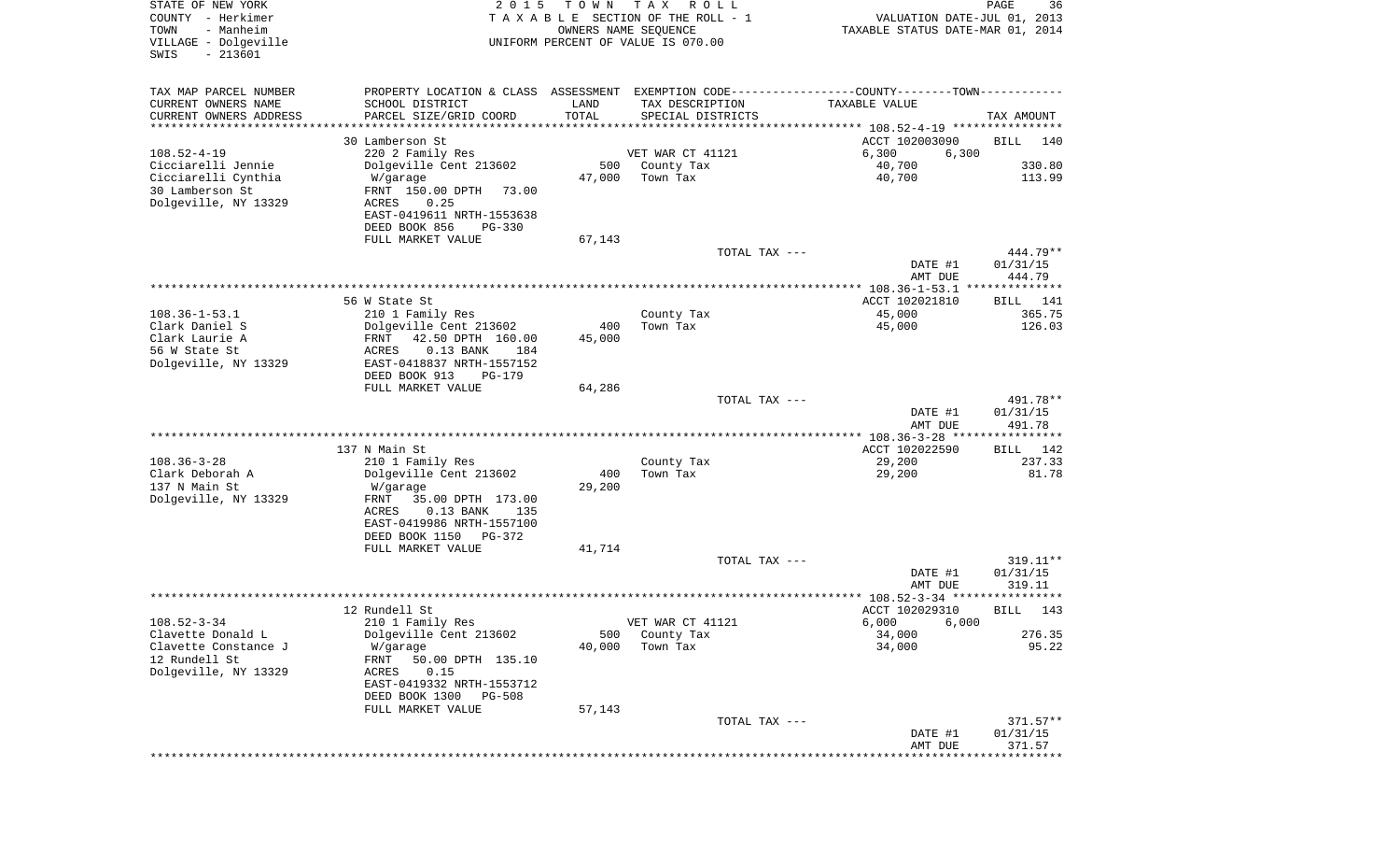| STATE OF NEW YORK<br>COUNTY - Herkimer<br>- Manheim<br>TOWN<br>VILLAGE - Dolgeville<br>$-213601$<br>SWIS | 2 0 1 5                                    | T O W N<br>OWNERS NAME SEQUENCE | T A X<br>R O L L<br>TAXABLE SECTION OF THE ROLL - 1<br>UNIFORM PERCENT OF VALUE IS 070.00     | VALUATION DATE-JUL 01, 2013<br>TAXABLE STATUS DATE-MAR 01, 2014 | PAGE<br>36             |
|----------------------------------------------------------------------------------------------------------|--------------------------------------------|---------------------------------|-----------------------------------------------------------------------------------------------|-----------------------------------------------------------------|------------------------|
| TAX MAP PARCEL NUMBER                                                                                    |                                            |                                 | PROPERTY LOCATION & CLASS ASSESSMENT EXEMPTION CODE---------------COUNTY-------TOWN---------- |                                                                 |                        |
| CURRENT OWNERS NAME<br>CURRENT OWNERS ADDRESS                                                            | SCHOOL DISTRICT<br>PARCEL SIZE/GRID COORD  | LAND<br>TOTAL                   | TAX DESCRIPTION<br>SPECIAL DISTRICTS                                                          | TAXABLE VALUE                                                   | TAX AMOUNT             |
| ********************                                                                                     | * * * * * * * * * * * * * * * * *          |                                 |                                                                                               |                                                                 |                        |
|                                                                                                          | 30 Lamberson St                            |                                 |                                                                                               | ACCT 102003090                                                  | <b>BILL</b><br>140     |
| $108.52 - 4 - 19$                                                                                        | 220 2 Family Res                           |                                 | VET WAR CT 41121                                                                              | 6,300<br>6,300                                                  |                        |
| Cicciarelli Jennie                                                                                       | Dolgeville Cent 213602                     | 500                             | County Tax                                                                                    | 40,700                                                          | 330.80                 |
| Cicciarelli Cynthia                                                                                      | W/garage                                   | 47,000                          | Town Tax                                                                                      | 40,700                                                          | 113.99                 |
| 30 Lamberson St                                                                                          | FRNT 150.00 DPTH<br>73.00                  |                                 |                                                                                               |                                                                 |                        |
| Dolgeville, NY 13329                                                                                     | ACRES<br>0.25<br>EAST-0419611 NRTH-1553638 |                                 |                                                                                               |                                                                 |                        |
|                                                                                                          | DEED BOOK 856<br><b>PG-330</b>             |                                 |                                                                                               |                                                                 |                        |
|                                                                                                          | FULL MARKET VALUE                          | 67,143                          |                                                                                               |                                                                 |                        |
|                                                                                                          |                                            |                                 | TOTAL TAX ---                                                                                 |                                                                 | 444.79**               |
|                                                                                                          |                                            |                                 |                                                                                               | DATE #1                                                         | 01/31/15               |
|                                                                                                          |                                            |                                 |                                                                                               | AMT DUE                                                         | 444.79                 |
|                                                                                                          |                                            |                                 |                                                                                               |                                                                 |                        |
| $108.36 - 1 - 53.1$                                                                                      | 56 W State St<br>210 1 Family Res          |                                 | County Tax                                                                                    | ACCT 102021810<br>45,000                                        | BILL<br>141<br>365.75  |
| Clark Daniel S                                                                                           | Dolgeville Cent 213602                     | 400                             | Town Tax                                                                                      | 45,000                                                          | 126.03                 |
| Clark Laurie A                                                                                           | FRNT<br>42.50 DPTH 160.00                  | 45,000                          |                                                                                               |                                                                 |                        |
| 56 W State St                                                                                            | ACRES<br>$0.13$ BANK<br>184                |                                 |                                                                                               |                                                                 |                        |
| Dolgeville, NY 13329                                                                                     | EAST-0418837 NRTH-1557152                  |                                 |                                                                                               |                                                                 |                        |
|                                                                                                          | DEED BOOK 913<br><b>PG-179</b>             |                                 |                                                                                               |                                                                 |                        |
|                                                                                                          | FULL MARKET VALUE                          | 64,286                          | TOTAL TAX ---                                                                                 |                                                                 | 491.78**               |
|                                                                                                          |                                            |                                 |                                                                                               | DATE #1                                                         | 01/31/15               |
|                                                                                                          |                                            |                                 |                                                                                               | AMT DUE                                                         | 491.78                 |
|                                                                                                          |                                            |                                 |                                                                                               | *********** 108.36-3-28 ****************                        |                        |
|                                                                                                          | 137 N Main St                              |                                 |                                                                                               | ACCT 102022590                                                  | 142<br>BILL            |
| $108.36 - 3 - 28$                                                                                        | 210 1 Family Res                           |                                 | County Tax                                                                                    | 29,200                                                          | 237.33                 |
| Clark Deborah A<br>137 N Main St                                                                         | Dolgeville Cent 213602                     | 400<br>29,200                   | Town Tax                                                                                      | 29,200                                                          | 81.78                  |
| Dolgeville, NY 13329                                                                                     | W/garage<br>FRNT<br>35.00 DPTH 173.00      |                                 |                                                                                               |                                                                 |                        |
|                                                                                                          | ACRES<br>$0.13$ BANK<br>135                |                                 |                                                                                               |                                                                 |                        |
|                                                                                                          | EAST-0419986 NRTH-1557100                  |                                 |                                                                                               |                                                                 |                        |
|                                                                                                          | DEED BOOK 1150<br>PG-372                   |                                 |                                                                                               |                                                                 |                        |
|                                                                                                          | FULL MARKET VALUE                          | 41,714                          |                                                                                               |                                                                 |                        |
|                                                                                                          |                                            |                                 | TOTAL TAX ---                                                                                 | DATE #1                                                         | $319.11**$<br>01/31/15 |
|                                                                                                          |                                            |                                 |                                                                                               | AMT DUE                                                         | 319.11                 |
|                                                                                                          |                                            |                                 |                                                                                               | ***************** 108.52-3-34 *********                         | * * * * * * *          |
|                                                                                                          | 12 Rundell St                              |                                 |                                                                                               | ACCT 102029310                                                  | 143<br>BILL            |
| $108.52 - 3 - 34$                                                                                        | 210 1 Family Res                           |                                 | VET WAR CT 41121                                                                              | $6,000$ $6,000$                                                 |                        |
| Clavette Donald L                                                                                        | Dolgeville Cent 213602                     | 500                             | County Tax                                                                                    | 34,000                                                          | 276.35                 |
| Clavette Constance J<br>12 Rundell St                                                                    | W/garage<br>FRNT<br>50.00 DPTH 135.10      | 40,000                          | Town Tax                                                                                      | 34,000                                                          | 95.22                  |
| Dolgeville, NY 13329                                                                                     | ACRES<br>0.15                              |                                 |                                                                                               |                                                                 |                        |
|                                                                                                          | EAST-0419332 NRTH-1553712                  |                                 |                                                                                               |                                                                 |                        |
|                                                                                                          | DEED BOOK 1300<br>PG-508                   |                                 |                                                                                               |                                                                 |                        |
|                                                                                                          | FULL MARKET VALUE                          | 57,143                          |                                                                                               |                                                                 |                        |
|                                                                                                          |                                            |                                 | TOTAL TAX ---                                                                                 |                                                                 | $371.57**$             |
|                                                                                                          |                                            |                                 |                                                                                               | DATE #1                                                         | 01/31/15               |
|                                                                                                          |                                            |                                 |                                                                                               | AMT DUE                                                         | 371.57                 |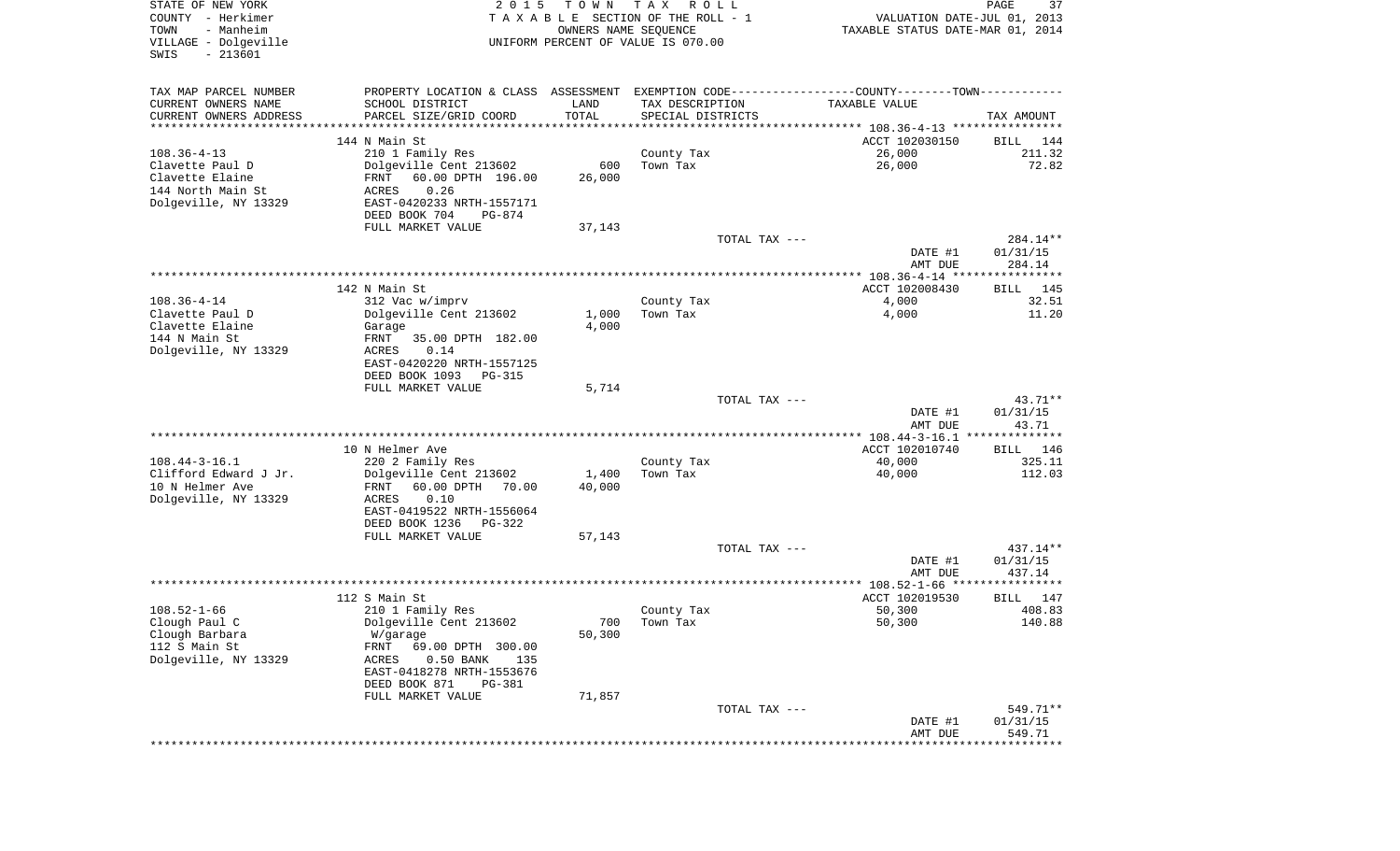| STATE OF NEW YORK<br>COUNTY - Herkimer<br>- Manheim<br>TOWN<br>VILLAGE - Dolgeville<br>$-213601$<br>SWIS | 2 0 1 5                                                                                        | T O W N<br>OWNERS NAME SEQUENCE | T A X<br>R O L L<br>TAXABLE SECTION OF THE ROLL - 1<br>UNIFORM PERCENT OF VALUE IS 070.00 | VALUATION DATE-JUL 01, 2013<br>TAXABLE STATUS DATE-MAR 01, 2014 | PAGE<br>37         |
|----------------------------------------------------------------------------------------------------------|------------------------------------------------------------------------------------------------|---------------------------------|-------------------------------------------------------------------------------------------|-----------------------------------------------------------------|--------------------|
| TAX MAP PARCEL NUMBER                                                                                    | PROPERTY LOCATION & CLASS ASSESSMENT EXEMPTION CODE----------------COUNTY-------TOWN---------- |                                 |                                                                                           |                                                                 |                    |
| CURRENT OWNERS NAME                                                                                      | SCHOOL DISTRICT                                                                                | LAND                            | TAX DESCRIPTION                                                                           | TAXABLE VALUE                                                   |                    |
| CURRENT OWNERS ADDRESS<br>*********************                                                          | PARCEL SIZE/GRID COORD<br>************************                                             | TOTAL<br>* * * * * * * * * * *  | SPECIAL DISTRICTS                                                                         |                                                                 | TAX AMOUNT         |
|                                                                                                          | 144 N Main St                                                                                  |                                 |                                                                                           | ACCT 102030150                                                  | BILL<br>144        |
| $108.36 - 4 - 13$                                                                                        | 210 1 Family Res                                                                               |                                 | County Tax                                                                                | 26,000                                                          | 211.32             |
| Clavette Paul D                                                                                          | Dolgeville Cent 213602                                                                         | 600                             | Town Tax                                                                                  | 26,000                                                          | 72.82              |
| Clavette Elaine                                                                                          | FRNT<br>60.00 DPTH 196.00                                                                      | 26,000                          |                                                                                           |                                                                 |                    |
| 144 North Main St                                                                                        | 0.26<br>ACRES                                                                                  |                                 |                                                                                           |                                                                 |                    |
| Dolgeville, NY 13329                                                                                     | EAST-0420233 NRTH-1557171                                                                      |                                 |                                                                                           |                                                                 |                    |
|                                                                                                          | DEED BOOK 704<br>PG-874                                                                        |                                 |                                                                                           |                                                                 |                    |
|                                                                                                          | FULL MARKET VALUE                                                                              | 37,143                          | TOTAL TAX ---                                                                             |                                                                 | 284.14**           |
|                                                                                                          |                                                                                                |                                 |                                                                                           | DATE #1<br>AMT DUE                                              | 01/31/15<br>284.14 |
|                                                                                                          |                                                                                                |                                 |                                                                                           |                                                                 |                    |
|                                                                                                          | 142 N Main St                                                                                  |                                 |                                                                                           | ACCT 102008430                                                  | 145<br>BILL        |
| $108.36 - 4 - 14$                                                                                        | 312 Vac w/imprv                                                                                |                                 | County Tax                                                                                | 4,000                                                           | 32.51              |
| Clavette Paul D                                                                                          | Dolgeville Cent 213602                                                                         | 1,000                           | Town Tax                                                                                  | 4,000                                                           | 11.20              |
| Clavette Elaine<br>144 N Main St                                                                         | Garage<br>35.00 DPTH 182.00<br>FRNT                                                            | 4,000                           |                                                                                           |                                                                 |                    |
| Dolgeville, NY 13329                                                                                     | ACRES<br>0.14                                                                                  |                                 |                                                                                           |                                                                 |                    |
|                                                                                                          | EAST-0420220 NRTH-1557125                                                                      |                                 |                                                                                           |                                                                 |                    |
|                                                                                                          | DEED BOOK 1093<br>PG-315                                                                       |                                 |                                                                                           |                                                                 |                    |
|                                                                                                          | FULL MARKET VALUE                                                                              | 5,714                           |                                                                                           |                                                                 |                    |
|                                                                                                          |                                                                                                |                                 | TOTAL TAX ---                                                                             |                                                                 | 43.71**            |
|                                                                                                          |                                                                                                |                                 |                                                                                           | DATE #1                                                         | 01/31/15           |
|                                                                                                          |                                                                                                |                                 |                                                                                           | AMT DUE<br>************** 108.44-3-16.1 ***************         | 43.71              |
|                                                                                                          | 10 N Helmer Ave                                                                                |                                 |                                                                                           | ACCT 102010740                                                  | 146<br>BILL        |
| $108.44 - 3 - 16.1$                                                                                      | 220 2 Family Res                                                                               |                                 | County Tax                                                                                | 40,000                                                          | 325.11             |
| Clifford Edward J Jr.                                                                                    | Dolgeville Cent 213602                                                                         | 1,400                           | Town Tax                                                                                  | 40,000                                                          | 112.03             |
| 10 N Helmer Ave                                                                                          | FRNT<br>60.00 DPTH<br>70.00                                                                    | 40,000                          |                                                                                           |                                                                 |                    |
| Dolgeville, NY 13329                                                                                     | ACRES<br>0.10                                                                                  |                                 |                                                                                           |                                                                 |                    |
|                                                                                                          | EAST-0419522 NRTH-1556064                                                                      |                                 |                                                                                           |                                                                 |                    |
|                                                                                                          | DEED BOOK 1236<br>PG-322<br>FULL MARKET VALUE                                                  | 57,143                          |                                                                                           |                                                                 |                    |
|                                                                                                          |                                                                                                |                                 | TOTAL TAX ---                                                                             |                                                                 | 437.14**           |
|                                                                                                          |                                                                                                |                                 |                                                                                           | DATE #1                                                         | 01/31/15           |
|                                                                                                          |                                                                                                |                                 |                                                                                           | AMT DUE                                                         | 437.14             |
|                                                                                                          |                                                                                                |                                 |                                                                                           |                                                                 |                    |
|                                                                                                          | 112 S Main St                                                                                  |                                 |                                                                                           | ACCT 102019530                                                  | 147<br>BILL        |
| $108.52 - 1 - 66$                                                                                        | 210 1 Family Res                                                                               |                                 | County Tax<br>700 Town Tax                                                                | 50,300                                                          | 408.83<br>140.88   |
| Clough Paul C<br>Clough Barbara                                                                          | Dolgeville Cent 213602<br>W/garage                                                             | 50,300                          |                                                                                           | 50,300                                                          |                    |
| 112 S Main St                                                                                            | FRNT<br>69.00 DPTH 300.00                                                                      |                                 |                                                                                           |                                                                 |                    |
| Dolgeville, NY 13329                                                                                     | ACRES<br>$0.50$ BANK<br>135                                                                    |                                 |                                                                                           |                                                                 |                    |
|                                                                                                          | EAST-0418278 NRTH-1553676                                                                      |                                 |                                                                                           |                                                                 |                    |
|                                                                                                          | DEED BOOK 871<br>PG-381                                                                        |                                 |                                                                                           |                                                                 |                    |
|                                                                                                          | FULL MARKET VALUE                                                                              | 71,857                          |                                                                                           |                                                                 |                    |
|                                                                                                          |                                                                                                |                                 | TOTAL TAX ---                                                                             |                                                                 | 549.71**           |
|                                                                                                          |                                                                                                |                                 |                                                                                           | DATE #1                                                         | 01/31/15<br>549.71 |
|                                                                                                          |                                                                                                |                                 |                                                                                           | AMT DUE                                                         |                    |
|                                                                                                          |                                                                                                |                                 |                                                                                           |                                                                 |                    |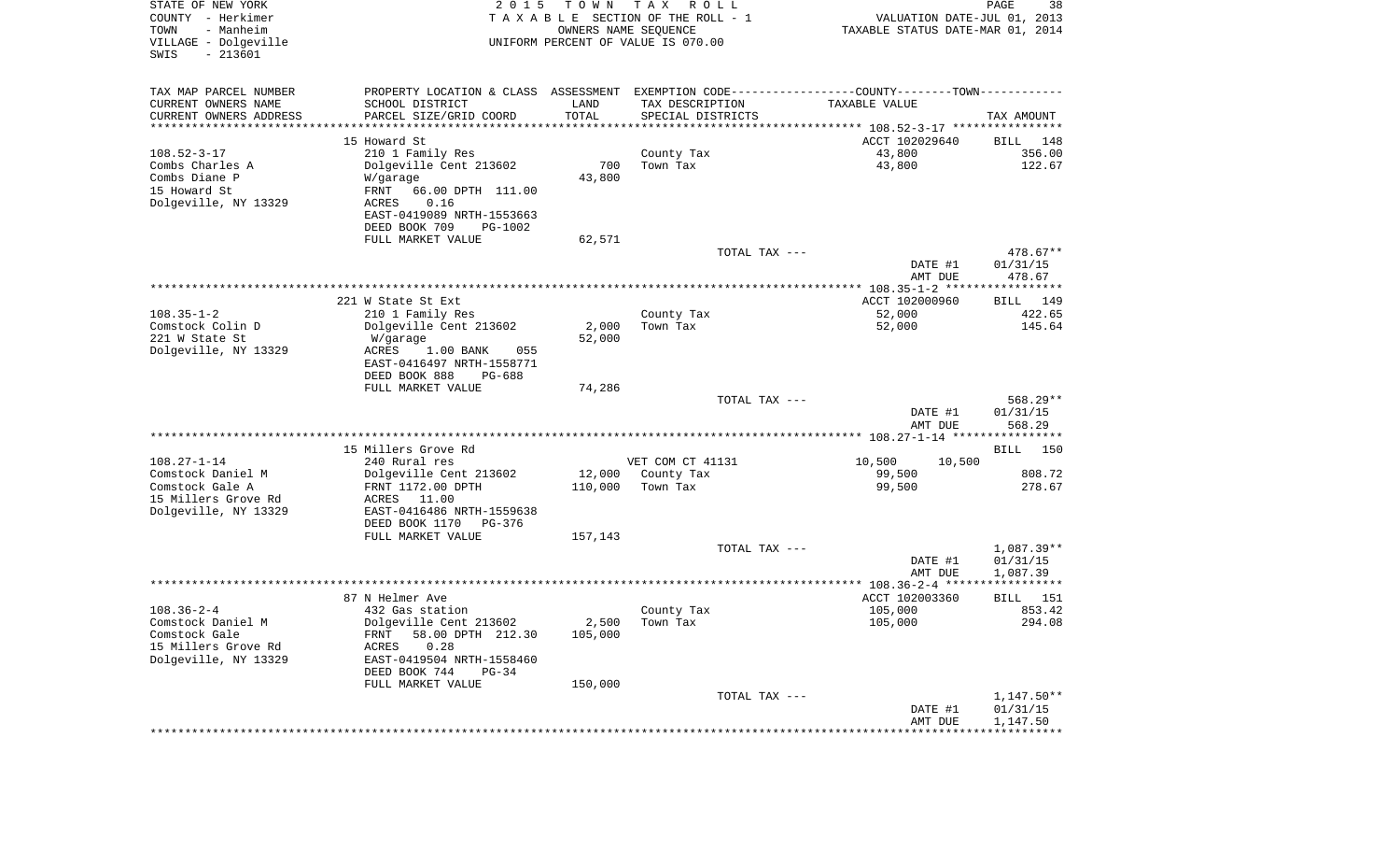| STATE OF NEW YORK<br>COUNTY - Herkimer<br>- Manheim<br>TOWN<br>VILLAGE - Dolgeville<br>$-213601$<br>SWIS | 2 0 1 5                                                                                       | T O W N<br>OWNERS NAME SEQUENCE | T A X<br>R O L L<br>TAXABLE SECTION OF THE ROLL - 1<br>UNIFORM PERCENT OF VALUE IS 070.00 | VALUATION DATE-JUL 01, 2013<br>TAXABLE STATUS DATE-MAR 01, 2014 | PAGE<br>38               |
|----------------------------------------------------------------------------------------------------------|-----------------------------------------------------------------------------------------------|---------------------------------|-------------------------------------------------------------------------------------------|-----------------------------------------------------------------|--------------------------|
| TAX MAP PARCEL NUMBER                                                                                    | PROPERTY LOCATION & CLASS ASSESSMENT EXEMPTION CODE---------------COUNTY-------TOWN---------- |                                 |                                                                                           |                                                                 |                          |
| CURRENT OWNERS NAME                                                                                      | SCHOOL DISTRICT                                                                               | LAND                            | TAX DESCRIPTION                                                                           | TAXABLE VALUE                                                   |                          |
| CURRENT OWNERS ADDRESS                                                                                   | PARCEL SIZE/GRID COORD                                                                        | TOTAL                           | SPECIAL DISTRICTS                                                                         |                                                                 | TAX AMOUNT               |
| *********************                                                                                    | *********************                                                                         | * * * * * * * * * * *           |                                                                                           |                                                                 |                          |
|                                                                                                          | 15 Howard St                                                                                  |                                 |                                                                                           | ACCT 102029640                                                  | BILL<br>148              |
| $108.52 - 3 - 17$<br>Combs Charles A                                                                     | 210 1 Family Res<br>Dolgeville Cent 213602                                                    | 700                             | County Tax<br>Town Tax                                                                    | 43,800<br>43,800                                                | 356.00<br>122.67         |
| Combs Diane P                                                                                            | W/garage                                                                                      | 43,800                          |                                                                                           |                                                                 |                          |
| 15 Howard St                                                                                             | FRNT<br>66.00 DPTH 111.00                                                                     |                                 |                                                                                           |                                                                 |                          |
| Dolgeville, NY 13329                                                                                     | 0.16<br>ACRES                                                                                 |                                 |                                                                                           |                                                                 |                          |
|                                                                                                          | EAST-0419089 NRTH-1553663                                                                     |                                 |                                                                                           |                                                                 |                          |
|                                                                                                          | DEED BOOK 709<br>PG-1002                                                                      |                                 |                                                                                           |                                                                 |                          |
|                                                                                                          | FULL MARKET VALUE                                                                             | 62,571                          |                                                                                           |                                                                 |                          |
|                                                                                                          |                                                                                               |                                 | TOTAL TAX ---                                                                             |                                                                 | 478.67**                 |
|                                                                                                          |                                                                                               |                                 |                                                                                           | DATE #1<br>AMT DUE                                              | 01/31/15<br>478.67       |
|                                                                                                          | 221 W State St Ext                                                                            |                                 |                                                                                           | ACCT 102000960                                                  | BILL 149                 |
| $108.35 - 1 - 2$                                                                                         | 210 1 Family Res                                                                              |                                 | County Tax                                                                                | 52,000                                                          | 422.65                   |
| Comstock Colin D                                                                                         | Dolgeville Cent 213602                                                                        | 2,000                           | Town Tax                                                                                  | 52,000                                                          | 145.64                   |
| 221 W State St                                                                                           | W/garage                                                                                      | 52,000                          |                                                                                           |                                                                 |                          |
| Dolgeville, NY 13329                                                                                     | 1.00 BANK<br>ACRES<br>055<br>EAST-0416497 NRTH-1558771                                        |                                 |                                                                                           |                                                                 |                          |
|                                                                                                          | DEED BOOK 888<br><b>PG-688</b>                                                                |                                 |                                                                                           |                                                                 |                          |
|                                                                                                          | FULL MARKET VALUE                                                                             | 74,286                          | TOTAL TAX ---                                                                             |                                                                 | 568.29**                 |
|                                                                                                          |                                                                                               |                                 |                                                                                           | DATE #1<br>AMT DUE                                              | 01/31/15<br>568.29       |
|                                                                                                          |                                                                                               |                                 |                                                                                           |                                                                 |                          |
|                                                                                                          | 15 Millers Grove Rd                                                                           |                                 |                                                                                           |                                                                 | BILL<br>150              |
| $108.27 - 1 - 14$                                                                                        | 240 Rural res                                                                                 |                                 | VET COM CT 41131                                                                          | 10,500<br>10,500                                                |                          |
| Comstock Daniel M<br>Comstock Gale A                                                                     | Dolgeville Cent 213602                                                                        | 12,000                          | County Tax                                                                                | 99,500                                                          | 808.72                   |
| 15 Millers Grove Rd                                                                                      | FRNT 1172.00 DPTH<br>ACRES 11.00                                                              | 110,000                         | Town Tax                                                                                  | 99,500                                                          | 278.67                   |
| Dolgeville, NY 13329                                                                                     | EAST-0416486 NRTH-1559638                                                                     |                                 |                                                                                           |                                                                 |                          |
|                                                                                                          | DEED BOOK 1170<br>PG-376                                                                      |                                 |                                                                                           |                                                                 |                          |
|                                                                                                          | FULL MARKET VALUE                                                                             | 157,143                         |                                                                                           |                                                                 |                          |
|                                                                                                          |                                                                                               |                                 | TOTAL TAX ---                                                                             |                                                                 | 1,087.39**               |
|                                                                                                          |                                                                                               |                                 |                                                                                           | DATE #1                                                         | 01/31/15                 |
|                                                                                                          |                                                                                               |                                 |                                                                                           | AMT DUE                                                         | 1,087.39<br>************ |
|                                                                                                          | 87 N Helmer Ave                                                                               |                                 |                                                                                           | ACCT 102003360                                                  | 151<br>BILL              |
| $108.36 - 2 - 4$                                                                                         | 432 Gas station                                                                               |                                 | County Tax                                                                                | 105,000                                                         | 853.42                   |
| Comstock Daniel M                                                                                        | Dolgeville Cent 213602                                                                        |                                 | $2,500$ Town Tax                                                                          | 105,000                                                         | 294.08                   |
| Comstock Gale                                                                                            | 58.00 DPTH 212.30<br>FRNT                                                                     | 105,000                         |                                                                                           |                                                                 |                          |
| 15 Millers Grove Rd                                                                                      | 0.28<br>ACRES                                                                                 |                                 |                                                                                           |                                                                 |                          |
| Dolgeville, NY 13329                                                                                     | EAST-0419504 NRTH-1558460                                                                     |                                 |                                                                                           |                                                                 |                          |
|                                                                                                          | DEED BOOK 744<br>$PG-34$                                                                      |                                 |                                                                                           |                                                                 |                          |
|                                                                                                          | FULL MARKET VALUE                                                                             | 150,000                         | TOTAL TAX ---                                                                             |                                                                 | 1,147.50**               |
|                                                                                                          |                                                                                               |                                 |                                                                                           | DATE #1                                                         | 01/31/15                 |
|                                                                                                          |                                                                                               |                                 |                                                                                           | AMT DUE                                                         | 1,147.50                 |
|                                                                                                          |                                                                                               |                                 |                                                                                           |                                                                 |                          |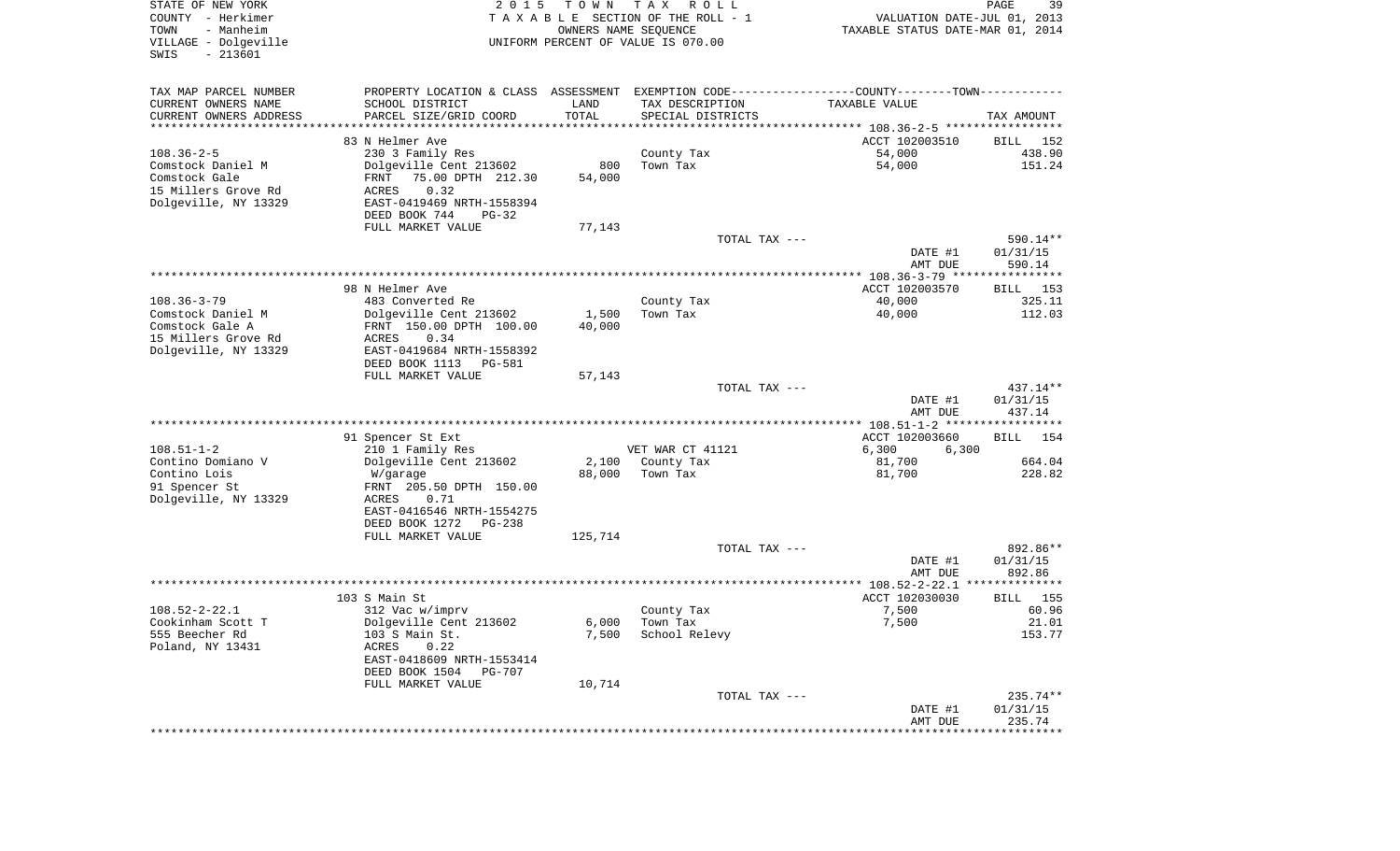| STATE OF NEW YORK<br>COUNTY - Herkimer<br>TOWN<br>- Manheim<br>VILLAGE - Dolgeville | 2 0 1 5                                                                                       | T O W N<br>OWNERS NAME SEOUENCE | T A X<br>R O L L<br>TAXABLE SECTION OF THE ROLL - 1<br>UNIFORM PERCENT OF VALUE IS 070.00 | VALUATION DATE-JUL 01, 2013<br>TAXABLE STATUS DATE-MAR 01, 2014 | 39<br>PAGE         |
|-------------------------------------------------------------------------------------|-----------------------------------------------------------------------------------------------|---------------------------------|-------------------------------------------------------------------------------------------|-----------------------------------------------------------------|--------------------|
| SWIS<br>$-213601$                                                                   |                                                                                               |                                 |                                                                                           |                                                                 |                    |
| TAX MAP PARCEL NUMBER                                                               | PROPERTY LOCATION & CLASS ASSESSMENT EXEMPTION CODE---------------COUNTY-------TOWN---------- |                                 |                                                                                           |                                                                 |                    |
| CURRENT OWNERS NAME                                                                 | SCHOOL DISTRICT                                                                               | LAND                            | TAX DESCRIPTION                                                                           | TAXABLE VALUE                                                   |                    |
| CURRENT OWNERS ADDRESS<br>***********************                                   | PARCEL SIZE/GRID COORD                                                                        | TOTAL                           | SPECIAL DISTRICTS                                                                         |                                                                 | TAX AMOUNT         |
|                                                                                     | 83 N Helmer Ave                                                                               |                                 |                                                                                           | ACCT 102003510                                                  | BILL 152           |
| $108.36 - 2 - 5$                                                                    | 230 3 Family Res                                                                              |                                 | County Tax                                                                                | 54,000                                                          | 438.90             |
| Comstock Daniel M                                                                   | Dolgeville Cent 213602                                                                        | 800                             | Town Tax                                                                                  | 54,000                                                          | 151.24             |
| Comstock Gale                                                                       | 75.00 DPTH 212.30<br>FRNT                                                                     | 54,000                          |                                                                                           |                                                                 |                    |
| 15 Millers Grove Rd<br>Dolgeville, NY 13329                                         | 0.32<br>ACRES<br>EAST-0419469 NRTH-1558394                                                    |                                 |                                                                                           |                                                                 |                    |
|                                                                                     | DEED BOOK 744<br>$PG-32$                                                                      |                                 |                                                                                           |                                                                 |                    |
|                                                                                     | FULL MARKET VALUE                                                                             | 77,143                          |                                                                                           |                                                                 |                    |
|                                                                                     |                                                                                               |                                 | TOTAL TAX ---                                                                             |                                                                 | 590.14**           |
|                                                                                     |                                                                                               |                                 |                                                                                           | DATE #1                                                         | 01/31/15           |
|                                                                                     |                                                                                               |                                 |                                                                                           | AMT DUE                                                         | 590.14             |
|                                                                                     | 98 N Helmer Ave                                                                               |                                 |                                                                                           | ACCT 102003570                                                  | BILL 153           |
| $108.36 - 3 - 79$                                                                   | 483 Converted Re                                                                              |                                 | County Tax                                                                                | 40,000                                                          | 325.11             |
| Comstock Daniel M                                                                   | Dolgeville Cent 213602                                                                        | 1,500                           | Town Tax                                                                                  | 40,000                                                          | 112.03             |
| Comstock Gale A                                                                     | FRNT 150.00 DPTH 100.00                                                                       | 40,000                          |                                                                                           |                                                                 |                    |
| 15 Millers Grove Rd<br>Dolgeville, NY 13329                                         | ACRES<br>0.34<br>EAST-0419684 NRTH-1558392                                                    |                                 |                                                                                           |                                                                 |                    |
|                                                                                     | DEED BOOK 1113<br>PG-581                                                                      |                                 |                                                                                           |                                                                 |                    |
|                                                                                     | FULL MARKET VALUE                                                                             | 57,143                          |                                                                                           |                                                                 |                    |
|                                                                                     |                                                                                               |                                 | TOTAL TAX ---                                                                             |                                                                 | $437.14**$         |
|                                                                                     |                                                                                               |                                 |                                                                                           | DATE #1                                                         | 01/31/15           |
|                                                                                     |                                                                                               |                                 |                                                                                           | AMT DUE                                                         | 437.14             |
|                                                                                     | 91 Spencer St Ext                                                                             |                                 |                                                                                           | ACCT 102003660                                                  | <b>BILL</b> 154    |
| $108.51 - 1 - 2$                                                                    | 210 1 Family Res                                                                              |                                 | VET WAR CT 41121                                                                          | 6,300<br>6,300                                                  |                    |
| Contino Domiano V                                                                   | Dolgeville Cent 213602                                                                        | 2,100                           | County Tax                                                                                | 81,700                                                          | 664.04             |
| Contino Lois                                                                        | W/garage                                                                                      | 88,000                          | Town Tax                                                                                  | 81,700                                                          | 228.82             |
| 91 Spencer St<br>Dolgeville, NY 13329                                               | FRNT 205.50 DPTH 150.00<br>ACRES<br>0.71                                                      |                                 |                                                                                           |                                                                 |                    |
|                                                                                     | EAST-0416546 NRTH-1554275                                                                     |                                 |                                                                                           |                                                                 |                    |
|                                                                                     | DEED BOOK 1272<br>PG-238                                                                      |                                 |                                                                                           |                                                                 |                    |
|                                                                                     | FULL MARKET VALUE                                                                             | 125,714                         |                                                                                           |                                                                 |                    |
|                                                                                     |                                                                                               |                                 | TOTAL TAX ---                                                                             |                                                                 | 892.86**           |
|                                                                                     |                                                                                               |                                 |                                                                                           | DATE #1<br>AMT DUE                                              | 01/31/15<br>892.86 |
|                                                                                     |                                                                                               |                                 |                                                                                           |                                                                 |                    |
|                                                                                     | 103 S Main St                                                                                 |                                 |                                                                                           | ACCT 102030030                                                  | BILL 155           |
| $108.52 - 2 - 22.1$                                                                 | 312 Vac w/imprv                                                                               |                                 | County Tax                                                                                | 7,500                                                           | 60.96              |
| Cookinham Scott T                                                                   | Dolgeville Cent 213602                                                                        | 6,000                           | Town Tax                                                                                  | 7,500                                                           | 21.01              |
| 555 Beecher Rd<br>Poland, NY 13431                                                  | 103 S Main St.<br>0.22<br>ACRES                                                               | 7,500                           | School Relevy                                                                             |                                                                 | 153.77             |
|                                                                                     | EAST-0418609 NRTH-1553414                                                                     |                                 |                                                                                           |                                                                 |                    |
|                                                                                     | DEED BOOK 1504<br>PG-707                                                                      |                                 |                                                                                           |                                                                 |                    |
|                                                                                     | FULL MARKET VALUE                                                                             | 10,714                          |                                                                                           |                                                                 |                    |
|                                                                                     |                                                                                               |                                 | TOTAL TAX ---                                                                             |                                                                 | 235.74**           |
|                                                                                     |                                                                                               |                                 |                                                                                           | DATE #1<br>AMT DUE                                              | 01/31/15<br>235.74 |
|                                                                                     |                                                                                               |                                 |                                                                                           | ************                                                    | ************       |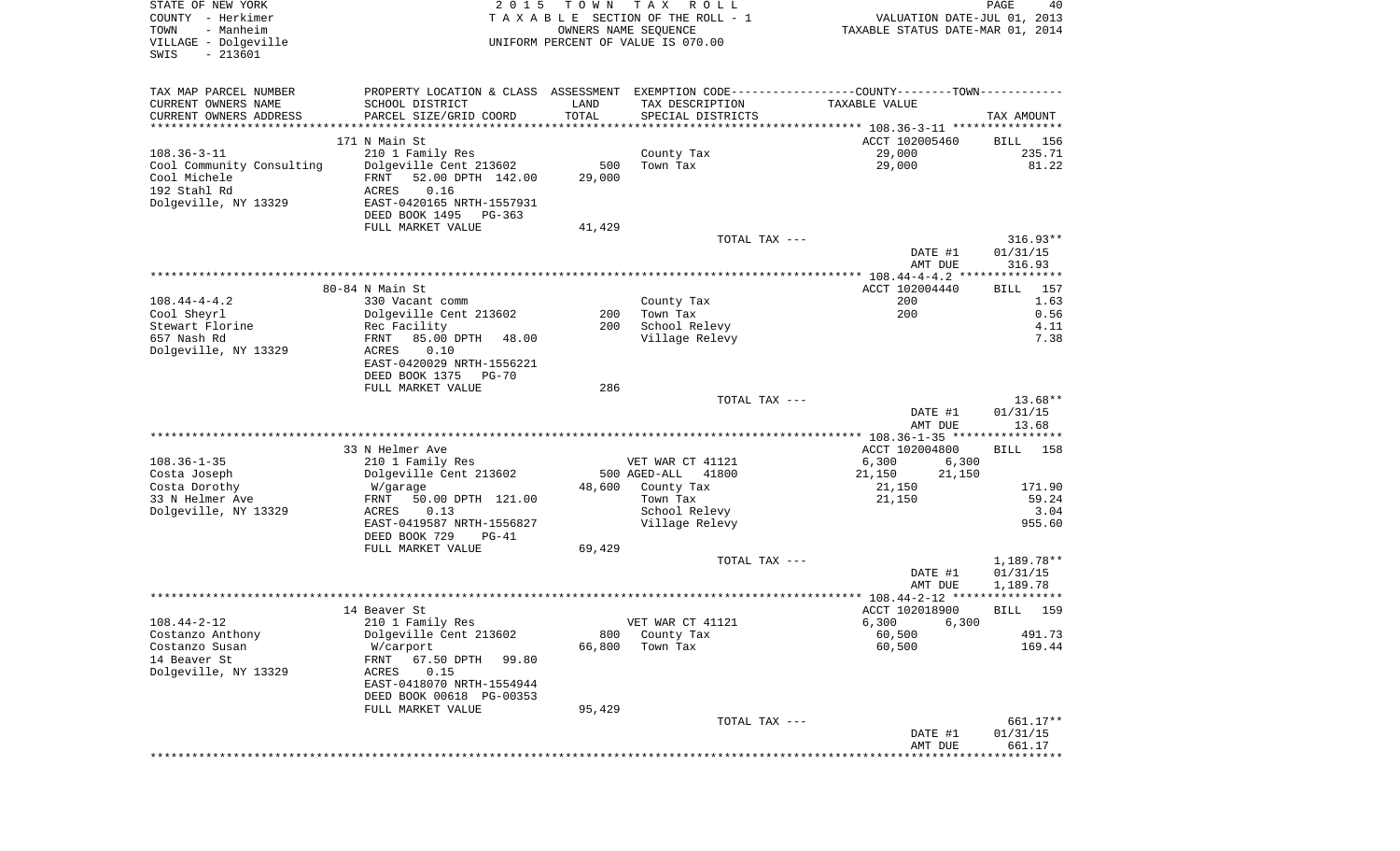| STATE OF NEW YORK<br>COUNTY - Herkimer<br>- Manheim<br>TOWN<br>VILLAGE - Dolgeville<br>$-213601$<br>SWIS | 2 0 1 5                                                                                       | T O W N | T A X<br>R O L L<br>TAXABLE SECTION OF THE ROLL - 1<br>OWNERS NAME SEQUENCE<br>UNIFORM PERCENT OF VALUE IS 070.00 | VALUATION DATE-JUL 01, 2013<br>TAXABLE STATUS DATE-MAR 01, 2014 | PAGE<br>40           |
|----------------------------------------------------------------------------------------------------------|-----------------------------------------------------------------------------------------------|---------|-------------------------------------------------------------------------------------------------------------------|-----------------------------------------------------------------|----------------------|
| TAX MAP PARCEL NUMBER                                                                                    | PROPERTY LOCATION & CLASS ASSESSMENT EXEMPTION CODE---------------COUNTY-------TOWN---------- |         |                                                                                                                   |                                                                 |                      |
| CURRENT OWNERS NAME                                                                                      | SCHOOL DISTRICT                                                                               | LAND    | TAX DESCRIPTION                                                                                                   | TAXABLE VALUE                                                   |                      |
| CURRENT OWNERS ADDRESS<br>***********************                                                        | PARCEL SIZE/GRID COORD                                                                        | TOTAL   | SPECIAL DISTRICTS                                                                                                 |                                                                 | TAX AMOUNT           |
|                                                                                                          | 171 N Main St                                                                                 |         |                                                                                                                   | ACCT 102005460                                                  | 156<br>BILL          |
| $108.36 - 3 - 11$                                                                                        | 210 1 Family Res                                                                              |         | County Tax                                                                                                        | 29,000                                                          | 235.71               |
| Cool Community Consulting                                                                                | Dolgeville Cent 213602                                                                        | 500     | Town Tax                                                                                                          | 29,000                                                          | 81.22                |
| Cool Michele                                                                                             | FRNT<br>52.00 DPTH 142.00                                                                     | 29,000  |                                                                                                                   |                                                                 |                      |
| 192 Stahl Rd                                                                                             | ACRES<br>0.16                                                                                 |         |                                                                                                                   |                                                                 |                      |
| Dolgeville, NY 13329                                                                                     | EAST-0420165 NRTH-1557931                                                                     |         |                                                                                                                   |                                                                 |                      |
|                                                                                                          | DEED BOOK 1495<br>PG-363<br>FULL MARKET VALUE                                                 | 41,429  |                                                                                                                   |                                                                 |                      |
|                                                                                                          |                                                                                               |         | TOTAL TAX ---                                                                                                     |                                                                 | $316.93**$           |
|                                                                                                          |                                                                                               |         |                                                                                                                   | DATE #1                                                         | 01/31/15<br>316.93   |
|                                                                                                          |                                                                                               |         |                                                                                                                   | AMT DUE                                                         |                      |
|                                                                                                          | $80-84$ N Main St.                                                                            |         |                                                                                                                   | ACCT 102004440                                                  | 157<br>BILL          |
| $108.44 - 4 - 4.2$                                                                                       | 330 Vacant comm                                                                               |         | County Tax                                                                                                        | 200                                                             | 1.63                 |
| Cool Sheyrl                                                                                              | Dolgeville Cent 213602                                                                        | 200     | Town Tax                                                                                                          | 200                                                             | 0.56                 |
| Stewart Florine                                                                                          | Rec Facility                                                                                  | 200     | School Relevy                                                                                                     |                                                                 | 4.11                 |
| 657 Nash Rd<br>Dolgeville, NY 13329                                                                      | 85.00 DPTH<br>FRNT<br>48.00<br>ACRES<br>0.10                                                  |         | Village Relevy                                                                                                    |                                                                 | 7.38                 |
|                                                                                                          | EAST-0420029 NRTH-1556221<br>DEED BOOK 1375                                                   |         |                                                                                                                   |                                                                 |                      |
|                                                                                                          | PG-70<br>FULL MARKET VALUE                                                                    | 286     |                                                                                                                   |                                                                 |                      |
|                                                                                                          |                                                                                               |         | TOTAL TAX ---                                                                                                     |                                                                 | $13.68**$            |
|                                                                                                          |                                                                                               |         |                                                                                                                   | DATE #1<br>AMT DUE                                              | 01/31/15<br>13.68    |
|                                                                                                          |                                                                                               |         |                                                                                                                   | ************** 108.36-1-35 *****************                    |                      |
|                                                                                                          | 33 N Helmer Ave                                                                               |         |                                                                                                                   | ACCT 102004800                                                  | <b>BILL</b><br>158   |
| $108.36 - 1 - 35$                                                                                        | 210 1 Family Res                                                                              |         | VET WAR CT 41121                                                                                                  | 6,300<br>6,300                                                  |                      |
| Costa Joseph                                                                                             | Dolgeville Cent 213602                                                                        |         | 500 AGED-ALL<br>41800                                                                                             | 21,150<br>21,150                                                |                      |
| Costa Dorothy<br>33 N Helmer Ave                                                                         | W/garage<br>FRNT                                                                              | 48,600  | County Tax<br>Town Tax                                                                                            | 21,150                                                          | 171.90<br>59.24      |
| Dolgeville, NY 13329                                                                                     | 50.00 DPTH 121.00<br>ACRES<br>0.13                                                            |         | School Relevy                                                                                                     | 21,150                                                          | 3.04                 |
|                                                                                                          | EAST-0419587 NRTH-1556827                                                                     |         | Village Relevy                                                                                                    |                                                                 | 955.60               |
|                                                                                                          | DEED BOOK 729<br>$PG-41$                                                                      |         |                                                                                                                   |                                                                 |                      |
|                                                                                                          | FULL MARKET VALUE                                                                             | 69,429  |                                                                                                                   |                                                                 |                      |
|                                                                                                          |                                                                                               |         | TOTAL TAX ---                                                                                                     |                                                                 | 1,189.78**           |
|                                                                                                          |                                                                                               |         |                                                                                                                   | DATE #1<br>AMT DUE                                              | 01/31/15<br>1,189.78 |
|                                                                                                          |                                                                                               |         |                                                                                                                   |                                                                 |                      |
|                                                                                                          | 14 Beaver St                                                                                  |         |                                                                                                                   | ACCT 102018900                                                  | 159<br>BILL          |
| $108.44 - 2 - 12$                                                                                        | 210 1 Family Res                                                                              |         | VET WAR CT 41121                                                                                                  | 6,300 6,300                                                     |                      |
| Costanzo Anthony                                                                                         | Dolgeville Cent 213602                                                                        | 800     | County Tax                                                                                                        | 60,500                                                          | 491.73               |
| Costanzo Susan                                                                                           | W/carport                                                                                     | 66,800  | Town Tax                                                                                                          | 60,500                                                          | 169.44               |
| 14 Beaver St<br>Dolgeville, NY 13329                                                                     | FRNT<br>67.50 DPTH<br>99.80<br>0.15<br>ACRES                                                  |         |                                                                                                                   |                                                                 |                      |
|                                                                                                          | EAST-0418070 NRTH-1554944                                                                     |         |                                                                                                                   |                                                                 |                      |
|                                                                                                          | DEED BOOK 00618 PG-00353                                                                      |         |                                                                                                                   |                                                                 |                      |
|                                                                                                          | FULL MARKET VALUE                                                                             | 95,429  |                                                                                                                   |                                                                 |                      |
|                                                                                                          |                                                                                               |         | TOTAL TAX ---                                                                                                     |                                                                 | 661.17**             |
|                                                                                                          |                                                                                               |         |                                                                                                                   | DATE #1<br>AMT DUE                                              | 01/31/15<br>661.17   |
|                                                                                                          |                                                                                               |         |                                                                                                                   |                                                                 |                      |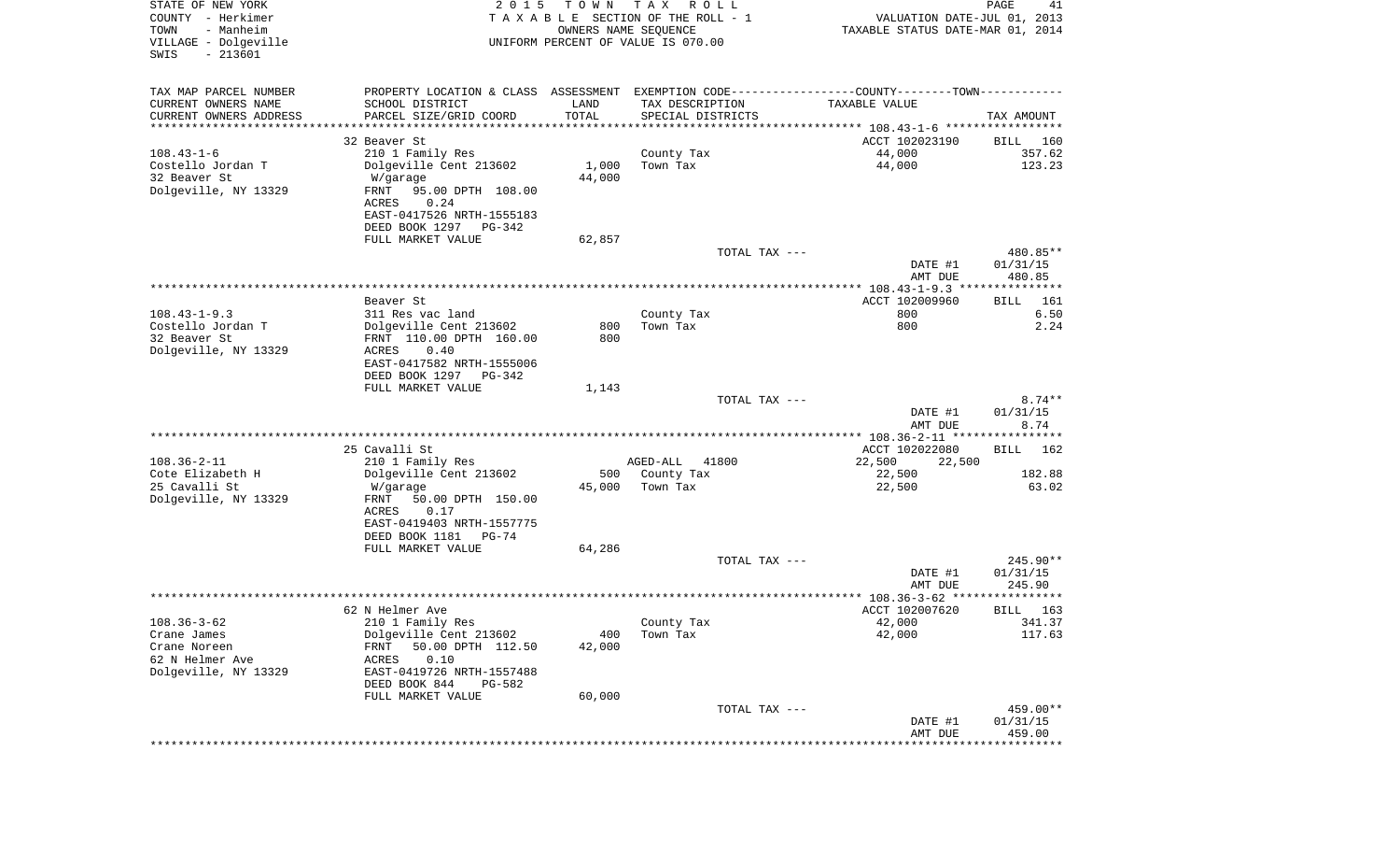| STATE OF NEW YORK<br>COUNTY - Herkimer<br>- Manheim<br>TOWN<br>VILLAGE - Dolgeville<br>$-213601$<br>SWIS | 2 0 1 5                                        | T O W N<br>OWNERS NAME SEQUENCE | T A X<br>R O L L<br>T A X A B L E SECTION OF THE ROLL - 1<br>UNIFORM PERCENT OF VALUE IS 070.00 | VALUATION DATE-JUL 01, 2013<br>TAXABLE STATUS DATE-MAR 01, 2014 | PAGE<br>41           |
|----------------------------------------------------------------------------------------------------------|------------------------------------------------|---------------------------------|-------------------------------------------------------------------------------------------------|-----------------------------------------------------------------|----------------------|
| TAX MAP PARCEL NUMBER                                                                                    |                                                |                                 | PROPERTY LOCATION & CLASS ASSESSMENT EXEMPTION CODE---------------COUNTY-------TOWN----------   |                                                                 |                      |
| CURRENT OWNERS NAME                                                                                      | SCHOOL DISTRICT                                | LAND                            | TAX DESCRIPTION                                                                                 | TAXABLE VALUE                                                   |                      |
| CURRENT OWNERS ADDRESS<br>**********************                                                         | PARCEL SIZE/GRID COORD<br>******************** | TOTAL<br>***********            | SPECIAL DISTRICTS                                                                               |                                                                 | TAX AMOUNT           |
|                                                                                                          | 32 Beaver St                                   |                                 |                                                                                                 | ACCT 102023190                                                  | BILL 160             |
| $108.43 - 1 - 6$                                                                                         | 210 1 Family Res                               |                                 | County Tax                                                                                      | 44,000                                                          | 357.62               |
| Costello Jordan T                                                                                        | Dolgeville Cent 213602                         | 1,000                           | Town Tax                                                                                        | 44,000                                                          | 123.23               |
| 32 Beaver St                                                                                             | W/garage                                       | 44,000                          |                                                                                                 |                                                                 |                      |
| Dolgeville, NY 13329                                                                                     | FRNT<br>95.00 DPTH 108.00                      |                                 |                                                                                                 |                                                                 |                      |
|                                                                                                          | ACRES<br>0.24                                  |                                 |                                                                                                 |                                                                 |                      |
|                                                                                                          | EAST-0417526 NRTH-1555183                      |                                 |                                                                                                 |                                                                 |                      |
|                                                                                                          | DEED BOOK 1297 PG-342<br>FULL MARKET VALUE     | 62,857                          |                                                                                                 |                                                                 |                      |
|                                                                                                          |                                                |                                 | TOTAL TAX ---                                                                                   |                                                                 | 480.85**             |
|                                                                                                          |                                                |                                 |                                                                                                 | DATE #1                                                         | 01/31/15             |
|                                                                                                          |                                                |                                 |                                                                                                 | AMT DUE                                                         | 480.85               |
|                                                                                                          |                                                |                                 |                                                                                                 |                                                                 |                      |
| $108.43 - 1 - 9.3$                                                                                       | Beaver St<br>311 Res vac land                  |                                 | County Tax                                                                                      | ACCT 102009960<br>800                                           | 161<br>BILL<br>6.50  |
| Costello Jordan T                                                                                        | Dolgeville Cent 213602                         | 800                             | Town Tax                                                                                        | 800                                                             | 2.24                 |
| 32 Beaver St                                                                                             | FRNT 110.00 DPTH 160.00                        | 800                             |                                                                                                 |                                                                 |                      |
| Dolgeville, NY 13329                                                                                     | ACRES<br>0.40                                  |                                 |                                                                                                 |                                                                 |                      |
|                                                                                                          | EAST-0417582 NRTH-1555006                      |                                 |                                                                                                 |                                                                 |                      |
|                                                                                                          | DEED BOOK 1297<br>PG-342<br>FULL MARKET VALUE  |                                 |                                                                                                 |                                                                 |                      |
|                                                                                                          |                                                | 1,143                           | TOTAL TAX ---                                                                                   |                                                                 | $8.74**$             |
|                                                                                                          |                                                |                                 |                                                                                                 | DATE #1                                                         | 01/31/15             |
|                                                                                                          |                                                |                                 |                                                                                                 | AMT DUE                                                         | 8.74                 |
|                                                                                                          |                                                |                                 |                                                                                                 | ************ 108.36-2-11 *****************                      |                      |
|                                                                                                          | 25 Cavalli St                                  |                                 |                                                                                                 | ACCT 102022080                                                  | <b>BILL</b><br>162   |
| $108.36 - 2 - 11$<br>Cote Elizabeth H                                                                    | 210 1 Family Res<br>Dolgeville Cent 213602     | 500                             | AGED-ALL<br>41800<br>County Tax                                                                 | 22,500<br>22,500<br>22,500                                      | 182.88               |
| 25 Cavalli St                                                                                            | W/garage                                       | 45,000                          | Town Tax                                                                                        | 22,500                                                          | 63.02                |
| Dolgeville, NY 13329                                                                                     | FRNT<br>50.00 DPTH 150.00                      |                                 |                                                                                                 |                                                                 |                      |
|                                                                                                          | ACRES<br>0.17                                  |                                 |                                                                                                 |                                                                 |                      |
|                                                                                                          | EAST-0419403 NRTH-1557775                      |                                 |                                                                                                 |                                                                 |                      |
|                                                                                                          | DEED BOOK 1181<br>PG-74<br>FULL MARKET VALUE   | 64,286                          |                                                                                                 |                                                                 |                      |
|                                                                                                          |                                                |                                 | TOTAL TAX ---                                                                                   |                                                                 | 245.90**             |
|                                                                                                          |                                                |                                 |                                                                                                 | DATE #1                                                         | 01/31/15             |
|                                                                                                          |                                                |                                 |                                                                                                 | AMT DUE                                                         | 245.90               |
|                                                                                                          |                                                |                                 |                                                                                                 |                                                                 | ************         |
|                                                                                                          | 62 N Helmer Ave                                |                                 |                                                                                                 | ACCT 102007620                                                  | 163<br>BILL          |
| $108.36 - 3 - 62$<br>Crane James                                                                         | 210 1 Family Res<br>Dolgeville Cent 213602     | 400                             | County Tax<br>Town Tax                                                                          | 42,000<br>42,000                                                | 341.37<br>117.63     |
| Crane Noreen                                                                                             | 50.00 DPTH 112.50<br>FRNT                      | 42,000                          |                                                                                                 |                                                                 |                      |
| 62 N Helmer Ave                                                                                          | 0.10<br>ACRES                                  |                                 |                                                                                                 |                                                                 |                      |
| Dolgeville, NY 13329                                                                                     | EAST-0419726 NRTH-1557488                      |                                 |                                                                                                 |                                                                 |                      |
|                                                                                                          | DEED BOOK 844<br>PG-582                        |                                 |                                                                                                 |                                                                 |                      |
|                                                                                                          | FULL MARKET VALUE                              | 60,000                          |                                                                                                 |                                                                 |                      |
|                                                                                                          |                                                |                                 | TOTAL TAX ---                                                                                   | DATE #1                                                         | 459.00**<br>01/31/15 |
|                                                                                                          |                                                |                                 |                                                                                                 | AMT DUE                                                         | 459.00               |
|                                                                                                          |                                                |                                 |                                                                                                 | *****************************                                   |                      |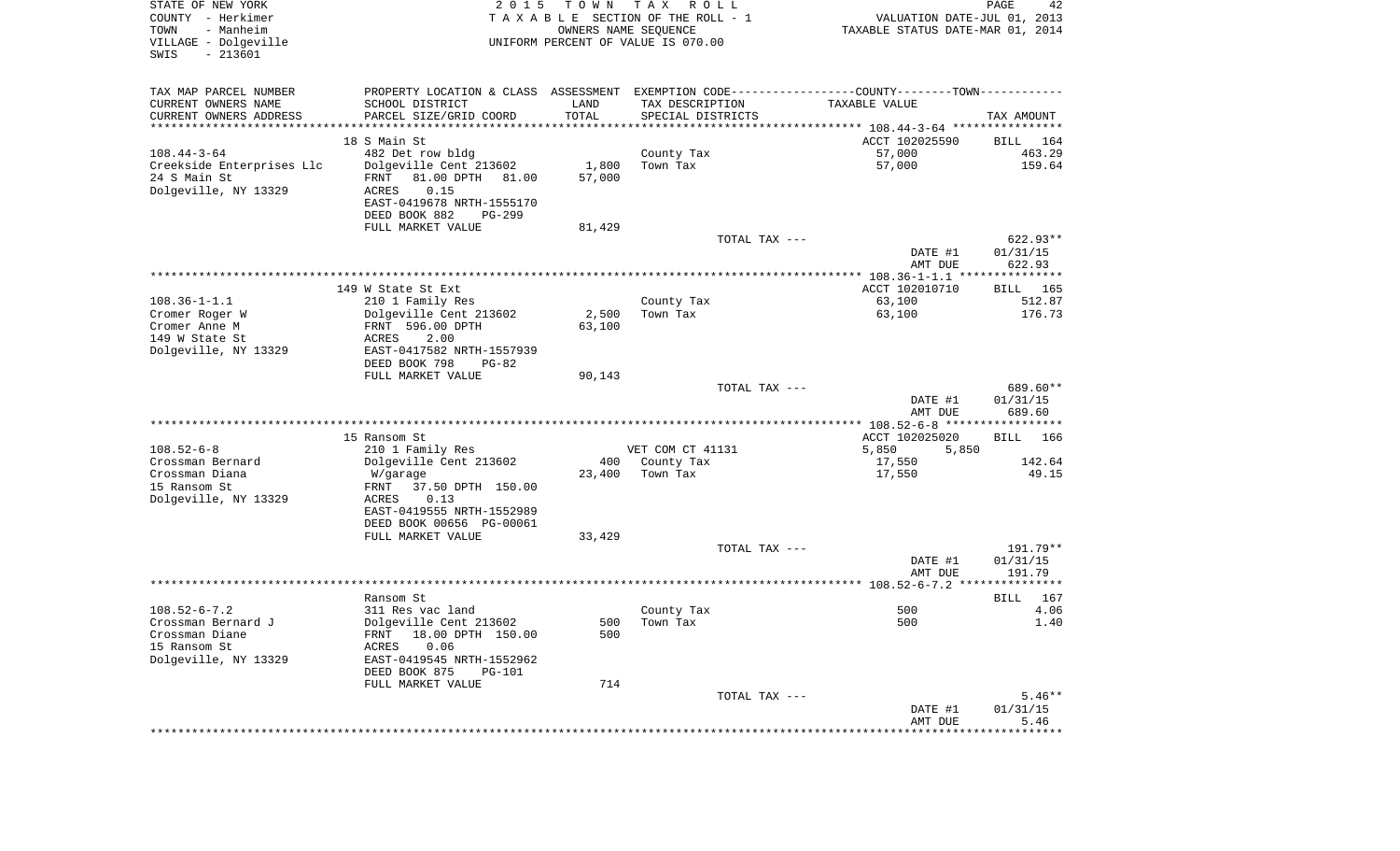| STATE OF NEW YORK<br>COUNTY - Herkimer<br>- Manheim<br>TOWN<br>VILLAGE - Dolgeville<br>$-213601$<br>SWIS | 2 0 1 5                                                                                       | T O W N | T A X<br>R O L L<br>TAXABLE SECTION OF THE ROLL - 1<br>OWNERS NAME SEQUENCE<br>UNIFORM PERCENT OF VALUE IS 070.00 | VALUATION DATE-JUL 01, 2013<br>TAXABLE STATUS DATE-MAR 01, 2014 | PAGE<br>42           |
|----------------------------------------------------------------------------------------------------------|-----------------------------------------------------------------------------------------------|---------|-------------------------------------------------------------------------------------------------------------------|-----------------------------------------------------------------|----------------------|
| TAX MAP PARCEL NUMBER                                                                                    | PROPERTY LOCATION & CLASS ASSESSMENT EXEMPTION CODE---------------COUNTY-------TOWN---------- |         |                                                                                                                   |                                                                 |                      |
| CURRENT OWNERS NAME                                                                                      | SCHOOL DISTRICT                                                                               | LAND    | TAX DESCRIPTION                                                                                                   | TAXABLE VALUE                                                   |                      |
| CURRENT OWNERS ADDRESS<br>*************************                                                      | PARCEL SIZE/GRID COORD                                                                        | TOTAL   | SPECIAL DISTRICTS                                                                                                 |                                                                 | TAX AMOUNT           |
|                                                                                                          | 18 S Main St                                                                                  |         |                                                                                                                   | ACCT 102025590                                                  | BILL 164             |
| $108.44 - 3 - 64$                                                                                        | 482 Det row bldg                                                                              |         | County Tax                                                                                                        | 57,000                                                          | 463.29               |
| Creekside Enterprises Llc                                                                                | Dolgeville Cent 213602                                                                        | 1,800   | Town Tax                                                                                                          | 57,000                                                          | 159.64               |
| 24 S Main St                                                                                             | FRNT<br>81.00 DPTH 81.00                                                                      | 57,000  |                                                                                                                   |                                                                 |                      |
| Dolgeville, NY 13329                                                                                     | ACRES<br>0.15                                                                                 |         |                                                                                                                   |                                                                 |                      |
|                                                                                                          | EAST-0419678 NRTH-1555170                                                                     |         |                                                                                                                   |                                                                 |                      |
|                                                                                                          | DEED BOOK 882<br>PG-299                                                                       |         |                                                                                                                   |                                                                 |                      |
|                                                                                                          | FULL MARKET VALUE                                                                             | 81,429  |                                                                                                                   |                                                                 |                      |
|                                                                                                          |                                                                                               |         | TOTAL TAX ---                                                                                                     | DATE #1                                                         | 622.93**<br>01/31/15 |
|                                                                                                          |                                                                                               |         |                                                                                                                   | AMT DUE                                                         | 622.93               |
|                                                                                                          |                                                                                               |         |                                                                                                                   |                                                                 |                      |
|                                                                                                          | 149 W State St Ext                                                                            |         |                                                                                                                   | ACCT 102010710                                                  | BILL 165             |
| $108.36 - 1 - 1.1$                                                                                       | 210 1 Family Res                                                                              |         | County Tax                                                                                                        | 63,100                                                          | 512.87               |
| Cromer Roger W                                                                                           | Dolgeville Cent 213602                                                                        | 2,500   | Town Tax                                                                                                          | 63,100                                                          | 176.73               |
| Cromer Anne M<br>149 W State St                                                                          | FRNT 596.00 DPTH<br>2.00<br>ACRES                                                             | 63,100  |                                                                                                                   |                                                                 |                      |
| Dolgeville, NY 13329                                                                                     | EAST-0417582 NRTH-1557939                                                                     |         |                                                                                                                   |                                                                 |                      |
|                                                                                                          | DEED BOOK 798<br>$PG-82$                                                                      |         |                                                                                                                   |                                                                 |                      |
|                                                                                                          | FULL MARKET VALUE                                                                             | 90,143  |                                                                                                                   |                                                                 |                      |
|                                                                                                          |                                                                                               |         | TOTAL TAX ---                                                                                                     |                                                                 | 689.60**             |
|                                                                                                          |                                                                                               |         |                                                                                                                   | DATE #1                                                         | 01/31/15             |
|                                                                                                          |                                                                                               |         |                                                                                                                   | AMT DUE                                                         | 689.60               |
|                                                                                                          | 15 Ransom St                                                                                  |         |                                                                                                                   | ACCT 102025020                                                  | BILL<br>166          |
| $108.52 - 6 - 8$                                                                                         | 210 1 Family Res                                                                              |         | VET COM CT 41131                                                                                                  | 5,850<br>5,850                                                  |                      |
| Crossman Bernard                                                                                         | Dolgeville Cent 213602                                                                        | 400     | County Tax                                                                                                        | 17,550                                                          | 142.64               |
| Crossman Diana                                                                                           | W/garage                                                                                      | 23,400  | Town Tax                                                                                                          | 17,550                                                          | 49.15                |
| 15 Ransom St                                                                                             | FRNT<br>37.50 DPTH 150.00                                                                     |         |                                                                                                                   |                                                                 |                      |
| Dolgeville, NY 13329                                                                                     | ACRES<br>0.13<br>EAST-0419555 NRTH-1552989                                                    |         |                                                                                                                   |                                                                 |                      |
|                                                                                                          | DEED BOOK 00656 PG-00061                                                                      |         |                                                                                                                   |                                                                 |                      |
|                                                                                                          | FULL MARKET VALUE                                                                             | 33,429  |                                                                                                                   |                                                                 |                      |
|                                                                                                          |                                                                                               |         | TOTAL TAX ---                                                                                                     |                                                                 | 191.79**             |
|                                                                                                          |                                                                                               |         |                                                                                                                   | DATE #1                                                         | 01/31/15             |
|                                                                                                          |                                                                                               |         |                                                                                                                   | AMT DUE                                                         | 191.79               |
|                                                                                                          | Ransom St                                                                                     |         |                                                                                                                   |                                                                 | 167<br>BILL          |
| $108.52 - 6 - 7.2$                                                                                       | 311 Res vac land                                                                              |         | County Tax                                                                                                        | 500                                                             | 4.06                 |
| Crossman Bernard J                                                                                       | Dolgeville Cent 213602                                                                        |         | 500 Town Tax                                                                                                      | 500                                                             | 1.40                 |
| Crossman Diane                                                                                           | FRNT 18.00 DPTH 150.00                                                                        | 500     |                                                                                                                   |                                                                 |                      |
| 15 Ransom St                                                                                             | 0.06<br>ACRES                                                                                 |         |                                                                                                                   |                                                                 |                      |
| Dolgeville, NY 13329                                                                                     | EAST-0419545 NRTH-1552962                                                                     |         |                                                                                                                   |                                                                 |                      |
|                                                                                                          | DEED BOOK 875<br><b>PG-101</b><br>FULL MARKET VALUE                                           | 714     |                                                                                                                   |                                                                 |                      |
|                                                                                                          |                                                                                               |         | TOTAL TAX ---                                                                                                     |                                                                 | $5.46**$             |
|                                                                                                          |                                                                                               |         |                                                                                                                   | DATE #1                                                         | 01/31/15             |
|                                                                                                          |                                                                                               |         |                                                                                                                   | AMT DUE                                                         | 5.46                 |
|                                                                                                          |                                                                                               |         |                                                                                                                   |                                                                 | **************       |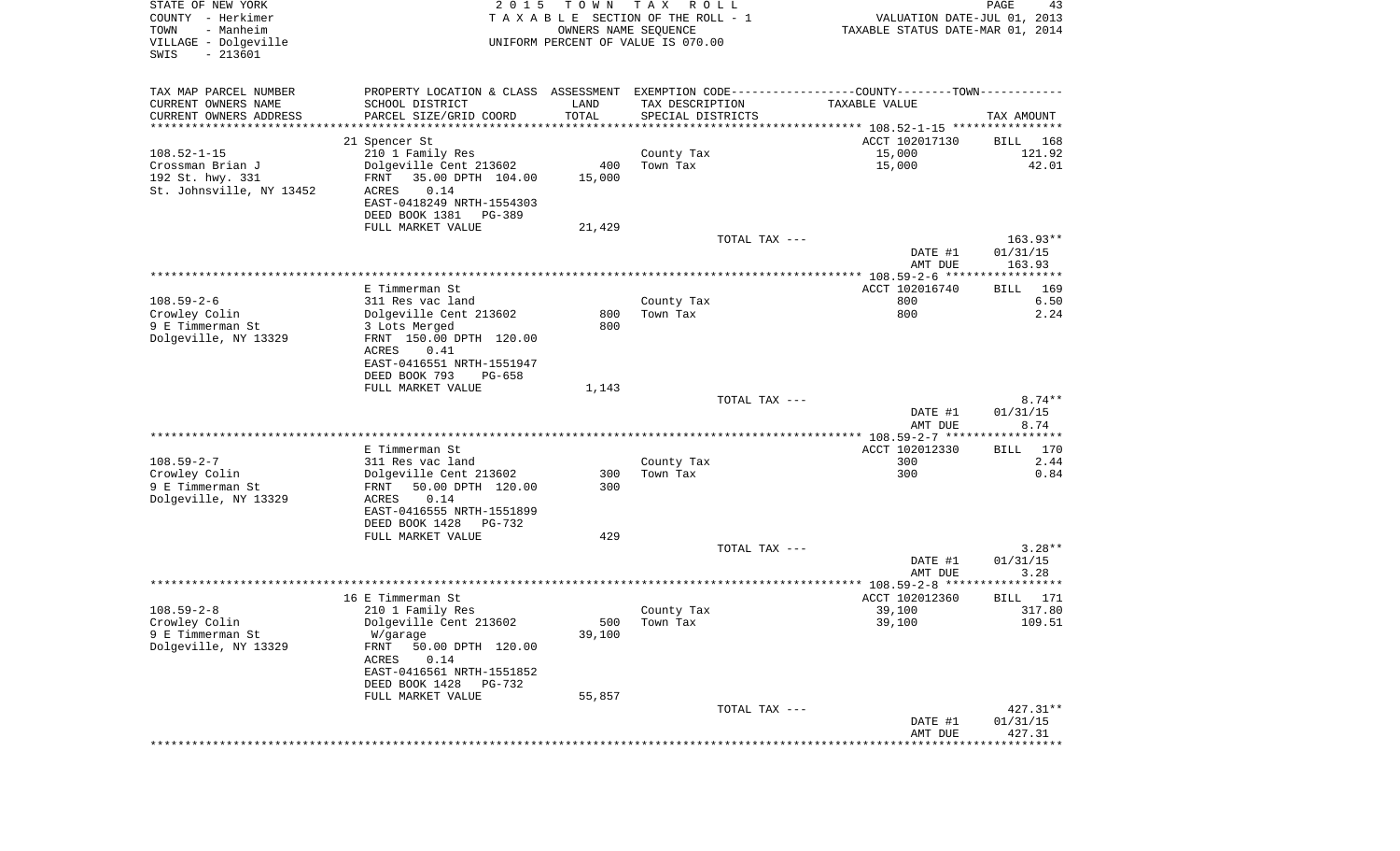| STATE OF NEW YORK<br>COUNTY - Herkimer<br>- Manheim<br>TOWN<br>VILLAGE - Dolgeville<br>SWIS<br>$-213601$ | 2 0 1 5                                            | T O W N<br>OWNERS NAME SEQUENCE | T A X<br>R O L L<br>TAXABLE SECTION OF THE ROLL - 1<br>UNIFORM PERCENT OF VALUE IS 070.00 | VALUATION DATE-JUL 01, 2013<br>TAXABLE STATUS DATE-MAR 01, 2014                               | PAGE<br>43            |
|----------------------------------------------------------------------------------------------------------|----------------------------------------------------|---------------------------------|-------------------------------------------------------------------------------------------|-----------------------------------------------------------------------------------------------|-----------------------|
| TAX MAP PARCEL NUMBER                                                                                    |                                                    |                                 |                                                                                           | PROPERTY LOCATION & CLASS ASSESSMENT EXEMPTION CODE---------------COUNTY-------TOWN---------- |                       |
| CURRENT OWNERS NAME                                                                                      | SCHOOL DISTRICT                                    | LAND                            | TAX DESCRIPTION                                                                           | TAXABLE VALUE                                                                                 |                       |
| CURRENT OWNERS ADDRESS<br>*********************                                                          | PARCEL SIZE/GRID COORD<br>************************ | TOTAL                           | SPECIAL DISTRICTS                                                                         |                                                                                               | TAX AMOUNT            |
|                                                                                                          | 21 Spencer St                                      |                                 |                                                                                           | ACCT 102017130                                                                                | BILL<br>168           |
| $108.52 - 1 - 15$                                                                                        | 210 1 Family Res                                   |                                 | County Tax                                                                                | 15,000                                                                                        | 121.92                |
| Crossman Brian J                                                                                         | Dolgeville Cent 213602                             | 400                             | Town Tax                                                                                  | 15,000                                                                                        | 42.01                 |
| 192 St. hwy. 331                                                                                         | FRNT<br>35.00 DPTH 104.00                          | 15,000                          |                                                                                           |                                                                                               |                       |
| St. Johnsville, NY 13452                                                                                 | 0.14<br>ACRES                                      |                                 |                                                                                           |                                                                                               |                       |
|                                                                                                          | EAST-0418249 NRTH-1554303                          |                                 |                                                                                           |                                                                                               |                       |
|                                                                                                          | DEED BOOK 1381<br>PG-389                           |                                 |                                                                                           |                                                                                               |                       |
|                                                                                                          | FULL MARKET VALUE                                  | 21,429                          | TOTAL TAX ---                                                                             |                                                                                               | 163.93**              |
|                                                                                                          |                                                    |                                 |                                                                                           | DATE #1<br>AMT DUE                                                                            | 01/31/15<br>163.93    |
|                                                                                                          |                                                    |                                 |                                                                                           |                                                                                               |                       |
|                                                                                                          | E Timmerman St                                     |                                 |                                                                                           | ACCT 102016740                                                                                | 169<br>BILL           |
| $108.59 - 2 - 6$                                                                                         | 311 Res vac land                                   |                                 | County Tax                                                                                | 800                                                                                           | 6.50                  |
| Crowley Colin<br>9 E Timmerman St                                                                        | Dolgeville Cent 213602<br>3 Lots Merged            | 800<br>800                      | Town Tax                                                                                  | 800                                                                                           | 2.24                  |
| Dolgeville, NY 13329                                                                                     | FRNT 150.00 DPTH 120.00                            |                                 |                                                                                           |                                                                                               |                       |
|                                                                                                          | ACRES<br>0.41                                      |                                 |                                                                                           |                                                                                               |                       |
|                                                                                                          | EAST-0416551 NRTH-1551947                          |                                 |                                                                                           |                                                                                               |                       |
|                                                                                                          | DEED BOOK 793<br>PG-658                            |                                 |                                                                                           |                                                                                               |                       |
|                                                                                                          | FULL MARKET VALUE                                  | 1,143                           |                                                                                           |                                                                                               |                       |
|                                                                                                          |                                                    |                                 | TOTAL TAX ---                                                                             |                                                                                               | $8.74**$              |
|                                                                                                          |                                                    |                                 |                                                                                           | DATE #1<br>AMT DUE                                                                            | 01/31/15<br>8.74      |
|                                                                                                          |                                                    |                                 |                                                                                           | ***************** 108.59-2-7 ******************                                               |                       |
|                                                                                                          | E Timmerman St                                     |                                 |                                                                                           | ACCT 102012330                                                                                | 170<br>BILL           |
| $108.59 - 2 - 7$                                                                                         | 311 Res vac land                                   |                                 | County Tax                                                                                | 300                                                                                           | 2.44                  |
| Crowley Colin                                                                                            | Dolgeville Cent 213602                             | 300                             | Town Tax                                                                                  | 300                                                                                           | 0.84                  |
| 9 E Timmerman St                                                                                         | 50.00 DPTH 120.00<br>FRNT                          | 300                             |                                                                                           |                                                                                               |                       |
| Dolgeville, NY 13329                                                                                     | ACRES<br>0.14<br>EAST-0416555 NRTH-1551899         |                                 |                                                                                           |                                                                                               |                       |
|                                                                                                          | DEED BOOK 1428<br>PG-732                           |                                 |                                                                                           |                                                                                               |                       |
|                                                                                                          | FULL MARKET VALUE                                  | 429                             |                                                                                           |                                                                                               |                       |
|                                                                                                          |                                                    |                                 | TOTAL TAX ---                                                                             |                                                                                               | $3.28**$              |
|                                                                                                          |                                                    |                                 |                                                                                           | DATE #1                                                                                       | 01/31/15              |
|                                                                                                          |                                                    |                                 |                                                                                           | AMT DUE                                                                                       | 3.28                  |
|                                                                                                          |                                                    |                                 |                                                                                           |                                                                                               |                       |
| $108.59 - 2 - 8$                                                                                         | 16 E Timmerman St<br>210 1 Family Res              |                                 |                                                                                           | ACCT 102012360<br>39,100                                                                      | 171<br>BILL<br>317.80 |
| Crowley Colin                                                                                            | Dolgeville Cent 213602                             |                                 | County Tax<br>500 Town Tax                                                                | 39,100                                                                                        | 109.51                |
| 9 E Timmerman St                                                                                         | W/garage                                           | 39,100                          |                                                                                           |                                                                                               |                       |
| Dolgeville, NY 13329                                                                                     | FRNT<br>50.00 DPTH 120.00                          |                                 |                                                                                           |                                                                                               |                       |
|                                                                                                          | 0.14<br>ACRES                                      |                                 |                                                                                           |                                                                                               |                       |
|                                                                                                          | EAST-0416561 NRTH-1551852                          |                                 |                                                                                           |                                                                                               |                       |
|                                                                                                          | DEED BOOK 1428<br>PG-732                           |                                 |                                                                                           |                                                                                               |                       |
|                                                                                                          | FULL MARKET VALUE                                  | 55,857                          | TOTAL TAX ---                                                                             |                                                                                               | $427.31**$            |
|                                                                                                          |                                                    |                                 |                                                                                           | DATE #1                                                                                       | 01/31/15              |
|                                                                                                          |                                                    |                                 |                                                                                           | AMT DUE                                                                                       | 427.31                |
|                                                                                                          |                                                    |                                 |                                                                                           |                                                                                               | ************          |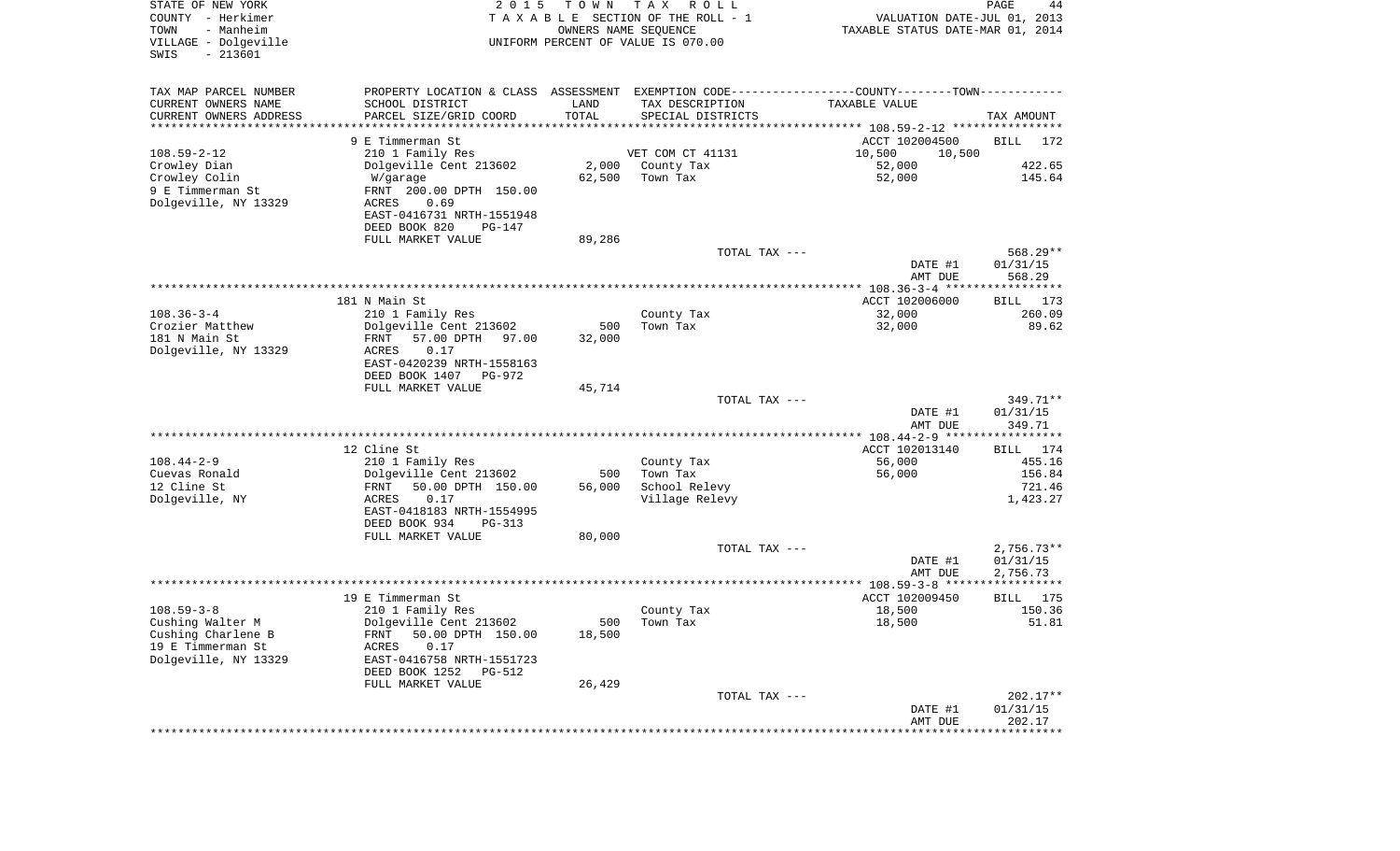| STATE OF NEW YORK<br>COUNTY - Herkimer<br>- Manheim<br>TOWN<br>VILLAGE - Dolgeville<br>$-213601$<br>SWIS | 2 0 1 5<br>T O W N<br>UNIFORM PERCENT OF VALUE IS 070.00 | T A X<br>R O L L<br>TAXABLE SECTION OF THE ROLL - 1<br>OWNERS NAME SEQUENCE | VALUATION DATE-JUL 01, 2013<br>TAXABLE STATUS DATE-MAR 01, 2014                               | PAGE<br>44             |
|----------------------------------------------------------------------------------------------------------|----------------------------------------------------------|-----------------------------------------------------------------------------|-----------------------------------------------------------------------------------------------|------------------------|
| TAX MAP PARCEL NUMBER                                                                                    |                                                          |                                                                             | PROPERTY LOCATION & CLASS ASSESSMENT EXEMPTION CODE---------------COUNTY-------TOWN---------- |                        |
| CURRENT OWNERS NAME<br>SCHOOL DISTRICT                                                                   | LAND                                                     | TAX DESCRIPTION                                                             | TAXABLE VALUE                                                                                 |                        |
| CURRENT OWNERS ADDRESS<br>PARCEL SIZE/GRID COORD                                                         | TOTAL                                                    | SPECIAL DISTRICTS                                                           |                                                                                               | TAX AMOUNT             |
| *********************<br>9 E Timmerman St                                                                |                                                          |                                                                             | ACCT 102004500                                                                                | BILL<br>172            |
| $108.59 - 2 - 12$<br>210 1 Family Res                                                                    |                                                          | VET COM CT 41131                                                            | 10,500<br>10,500                                                                              |                        |
| Crowley Dian<br>Dolgeville Cent 213602                                                                   | 2,000                                                    | County Tax                                                                  | 52,000                                                                                        | 422.65                 |
| Crowley Colin<br>W/garage                                                                                | 62,500                                                   | Town Tax                                                                    | 52,000                                                                                        | 145.64                 |
| 9 E Timmerman St<br>FRNT 200.00 DPTH 150.00                                                              |                                                          |                                                                             |                                                                                               |                        |
| Dolgeville, NY 13329<br>0.69<br>ACRES                                                                    |                                                          |                                                                             |                                                                                               |                        |
| EAST-0416731 NRTH-1551948<br>DEED BOOK 820                                                               | PG-147                                                   |                                                                             |                                                                                               |                        |
| FULL MARKET VALUE                                                                                        | 89,286                                                   |                                                                             |                                                                                               |                        |
|                                                                                                          |                                                          | TOTAL TAX ---                                                               |                                                                                               | 568.29**               |
|                                                                                                          |                                                          |                                                                             | DATE #1<br>AMT DUE                                                                            | 01/31/15<br>568.29     |
| 181 N Main St                                                                                            |                                                          |                                                                             | ACCT 102006000                                                                                |                        |
| $108.36 - 3 - 4$<br>210 1 Family Res                                                                     |                                                          | County Tax                                                                  | 32,000                                                                                        | BILL 173<br>260.09     |
| Crozier Matthew<br>Dolgeville Cent 213602                                                                | 500                                                      | Town Tax                                                                    | 32,000                                                                                        | 89.62                  |
| 181 N Main St<br>57.00 DPTH<br>FRNT                                                                      | 97.00<br>32,000                                          |                                                                             |                                                                                               |                        |
| Dolgeville, NY 13329<br>ACRES<br>0.17                                                                    |                                                          |                                                                             |                                                                                               |                        |
| EAST-0420239 NRTH-1558163                                                                                |                                                          |                                                                             |                                                                                               |                        |
| DEED BOOK 1407<br>FULL MARKET VALUE                                                                      | PG-972<br>45,714                                         |                                                                             |                                                                                               |                        |
|                                                                                                          |                                                          | TOTAL TAX ---                                                               |                                                                                               | 349.71**               |
|                                                                                                          |                                                          |                                                                             | DATE #1                                                                                       | 01/31/15               |
|                                                                                                          |                                                          |                                                                             | AMT DUE                                                                                       | 349.71                 |
|                                                                                                          |                                                          |                                                                             | ***************** 108.44-2-9 ******************                                               |                        |
| 12 Cline St<br>$108.44 - 2 - 9$<br>210 1 Family Res                                                      |                                                          | County Tax                                                                  | ACCT 102013140<br>56,000                                                                      | 174<br>BILL<br>455.16  |
| Cuevas Ronald<br>Dolgeville Cent 213602                                                                  | 500                                                      | Town Tax                                                                    | 56,000                                                                                        | 156.84                 |
| 12 Cline St<br>FRNT<br>50.00 DPTH 150.00                                                                 | 56,000                                                   | School Relevy                                                               |                                                                                               | 721.46                 |
| Dolgeville, NY<br>ACRES<br>0.17                                                                          |                                                          | Village Relevy                                                              |                                                                                               | 1,423.27               |
| EAST-0418183 NRTH-1554995                                                                                |                                                          |                                                                             |                                                                                               |                        |
| DEED BOOK 934                                                                                            | PG-313                                                   |                                                                             |                                                                                               |                        |
| FULL MARKET VALUE                                                                                        | 80,000                                                   | TOTAL TAX ---                                                               |                                                                                               | $2,756.73**$           |
|                                                                                                          |                                                          |                                                                             | DATE #1                                                                                       | 01/31/15               |
|                                                                                                          |                                                          |                                                                             | AMT DUE                                                                                       | 2,756.73               |
|                                                                                                          |                                                          |                                                                             |                                                                                               |                        |
| 19 E Timmerman St                                                                                        |                                                          |                                                                             | ACCT 102009450                                                                                | 175<br>BILL            |
| $108.59 - 3 - 8$<br>210 1 Family Res                                                                     | 500                                                      | County Tax<br>Town Tax                                                      | 18,500<br>18,500                                                                              | 150.36<br>51.81        |
| Cushing Walter M<br>Dolgeville Cent 213602<br>Cushing Charlene B<br>50.00 DPTH 150.00<br>FRNT            | 18,500                                                   |                                                                             |                                                                                               |                        |
| 19 E Timmerman St<br>ACRES<br>0.17                                                                       |                                                          |                                                                             |                                                                                               |                        |
| Dolgeville, NY 13329<br>EAST-0416758 NRTH-1551723                                                        |                                                          |                                                                             |                                                                                               |                        |
| DEED BOOK 1252                                                                                           | PG-512                                                   |                                                                             |                                                                                               |                        |
| FULL MARKET VALUE                                                                                        | 26,429                                                   |                                                                             |                                                                                               |                        |
|                                                                                                          |                                                          | TOTAL TAX ---                                                               | DATE #1                                                                                       | $202.17**$<br>01/31/15 |
|                                                                                                          |                                                          |                                                                             | AMT DUE                                                                                       | 202.17                 |
|                                                                                                          |                                                          | *****************************                                               | *********************************                                                             |                        |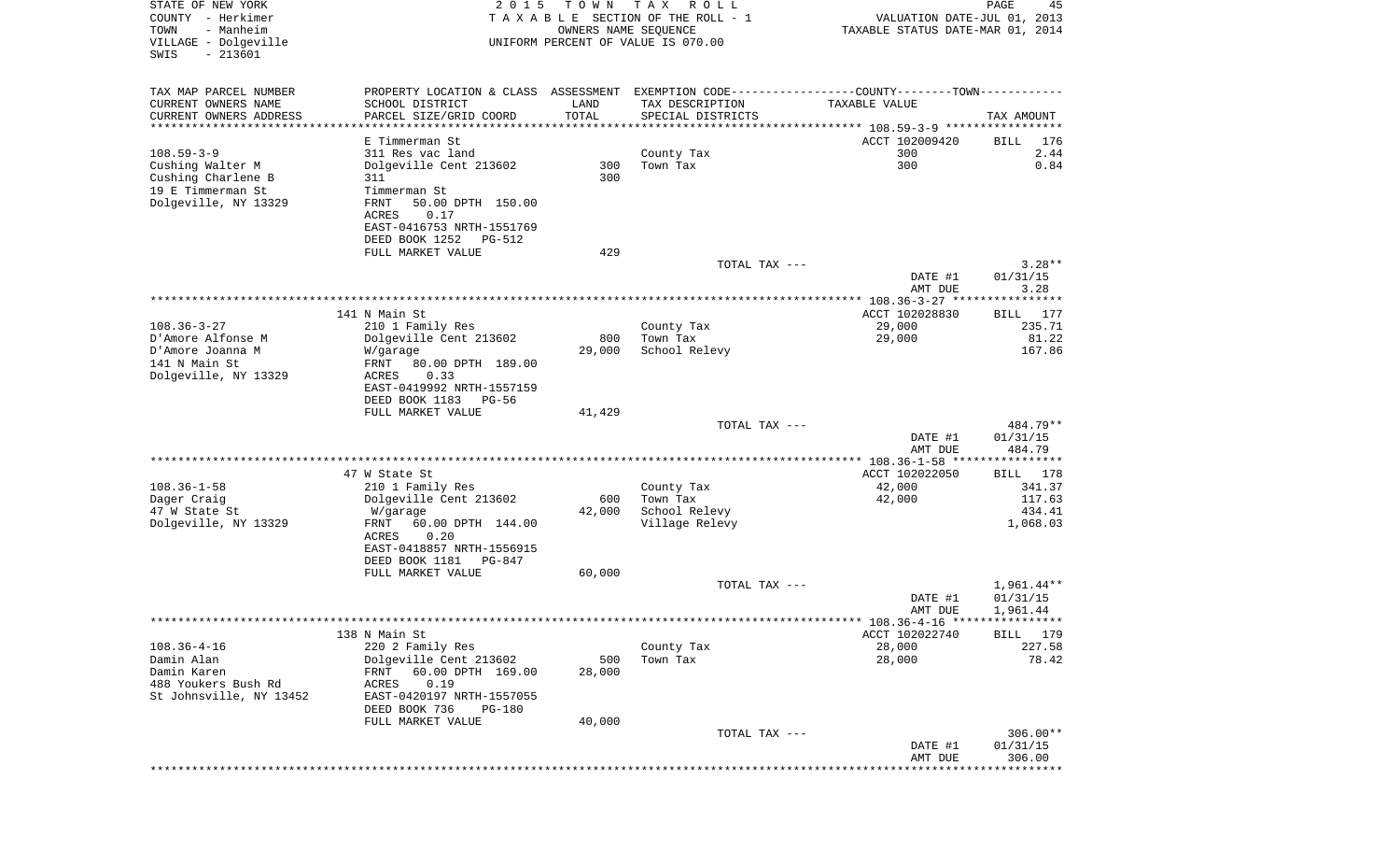| STATE OF NEW YORK<br>COUNTY - Herkimer<br>- Manheim<br>TOWN<br>VILLAGE - Dolgeville<br>$-213601$<br>SWIS | 2 0 1 5                                                                                        | T O W N<br>OWNERS NAME SEQUENCE | TAX ROLL<br>TAXABLE SECTION OF THE ROLL - 1<br>UNIFORM PERCENT OF VALUE IS 070.00 | VALUATION DATE-JUL 01, 2013<br>TAXABLE STATUS DATE-MAR 01, 2014 | 45<br>PAGE                         |
|----------------------------------------------------------------------------------------------------------|------------------------------------------------------------------------------------------------|---------------------------------|-----------------------------------------------------------------------------------|-----------------------------------------------------------------|------------------------------------|
| TAX MAP PARCEL NUMBER                                                                                    | PROPERTY LOCATION & CLASS ASSESSMENT EXEMPTION CODE----------------COUNTY-------TOWN---------- |                                 |                                                                                   |                                                                 |                                    |
| CURRENT OWNERS NAME                                                                                      | SCHOOL DISTRICT                                                                                | LAND                            | TAX DESCRIPTION                                                                   | TAXABLE VALUE                                                   |                                    |
| CURRENT OWNERS ADDRESS                                                                                   | PARCEL SIZE/GRID COORD                                                                         | TOTAL                           | SPECIAL DISTRICTS                                                                 |                                                                 | TAX AMOUNT                         |
| ********************                                                                                     | ********************<br>E Timmerman St                                                         |                                 |                                                                                   | ACCT 102009420                                                  | 176<br>BILL                        |
| $108.59 - 3 - 9$                                                                                         | 311 Res vac land                                                                               |                                 | County Tax                                                                        | 300                                                             | 2.44                               |
| Cushing Walter M                                                                                         | Dolgeville Cent 213602                                                                         | 300                             | Town Tax                                                                          | 300                                                             | 0.84                               |
| Cushing Charlene B                                                                                       | 311                                                                                            | 300                             |                                                                                   |                                                                 |                                    |
| 19 E Timmerman St<br>Dolgeville, NY 13329                                                                | Timmerman St<br>FRNT<br>50.00 DPTH 150.00                                                      |                                 |                                                                                   |                                                                 |                                    |
|                                                                                                          | ACRES<br>0.17                                                                                  |                                 |                                                                                   |                                                                 |                                    |
|                                                                                                          | EAST-0416753 NRTH-1551769                                                                      |                                 |                                                                                   |                                                                 |                                    |
|                                                                                                          | DEED BOOK 1252<br>PG-512                                                                       |                                 |                                                                                   |                                                                 |                                    |
|                                                                                                          | FULL MARKET VALUE                                                                              | 429                             | TOTAL TAX ---                                                                     |                                                                 | $3.28**$                           |
|                                                                                                          |                                                                                                |                                 |                                                                                   | DATE #1                                                         | 01/31/15                           |
|                                                                                                          |                                                                                                |                                 |                                                                                   | AMT DUE                                                         | 3.28                               |
|                                                                                                          | 141 N Main St                                                                                  |                                 |                                                                                   | ACCT 102028830                                                  | 177<br>BILL                        |
| $108.36 - 3 - 27$                                                                                        | 210 1 Family Res                                                                               |                                 | County Tax                                                                        | 29,000                                                          | 235.71                             |
| D'Amore Alfonse M                                                                                        | Dolgeville Cent 213602                                                                         | 800                             | Town Tax                                                                          | 29,000                                                          | 81.22                              |
| D'Amore Joanna M                                                                                         | W/garage                                                                                       | 29,000                          | School Relevy                                                                     |                                                                 | 167.86                             |
| 141 N Main St<br>Dolgeville, NY 13329                                                                    | FRNT<br>80.00 DPTH 189.00<br>0.33<br>ACRES                                                     |                                 |                                                                                   |                                                                 |                                    |
|                                                                                                          | EAST-0419992 NRTH-1557159<br>DEED BOOK 1183<br>PG-56                                           |                                 |                                                                                   |                                                                 |                                    |
|                                                                                                          | FULL MARKET VALUE                                                                              | 41,429                          |                                                                                   |                                                                 |                                    |
|                                                                                                          |                                                                                                |                                 | TOTAL TAX ---                                                                     | DATE #1                                                         | 484.79**<br>01/31/15               |
|                                                                                                          |                                                                                                |                                 |                                                                                   | AMT DUE                                                         | 484.79                             |
|                                                                                                          |                                                                                                |                                 |                                                                                   | *************** 108.36-1-58 *****************                   |                                    |
| $108.36 - 1 - 58$                                                                                        | 47 W State St<br>210 1 Family Res                                                              |                                 | County Tax                                                                        | ACCT 102022050<br>42,000                                        | <b>BILL</b><br>178<br>341.37       |
| Dager Craig                                                                                              | Dolgeville Cent 213602                                                                         | 600                             | Town Tax                                                                          | 42,000                                                          | 117.63                             |
| 47 W State St                                                                                            | W/garage                                                                                       | 42,000                          | School Relevy                                                                     |                                                                 | 434.41                             |
| Dolgeville, NY 13329                                                                                     | 60.00 DPTH 144.00<br>FRNT<br>0.20<br>ACRES                                                     |                                 | Village Relevy                                                                    |                                                                 | 1,068.03                           |
|                                                                                                          | EAST-0418857 NRTH-1556915                                                                      |                                 |                                                                                   |                                                                 |                                    |
|                                                                                                          | DEED BOOK 1181<br>PG-847                                                                       |                                 |                                                                                   |                                                                 |                                    |
|                                                                                                          | FULL MARKET VALUE                                                                              | 60,000                          |                                                                                   |                                                                 |                                    |
|                                                                                                          |                                                                                                |                                 | TOTAL TAX ---                                                                     | DATE #1<br>AMT DUE                                              | 1,961.44**<br>01/31/15<br>1,961.44 |
|                                                                                                          |                                                                                                |                                 |                                                                                   | ******* 108.36-4-16 *****************                           |                                    |
|                                                                                                          | 138 N Main St                                                                                  |                                 |                                                                                   | ACCT 102022740                                                  | BILL 179                           |
| $108.36 - 4 - 16$<br>Damin Alan                                                                          | 220 2 Family Res<br>Dolgeville Cent 213602                                                     | 500                             | County Tax<br>Town Tax                                                            | 28,000<br>28,000                                                | 227.58<br>78.42                    |
| Damin Karen                                                                                              | 60.00 DPTH 169.00<br>FRNT                                                                      | 28,000                          |                                                                                   |                                                                 |                                    |
| 488 Youkers Bush Rd                                                                                      | ACRES<br>0.19                                                                                  |                                 |                                                                                   |                                                                 |                                    |
| St Johnsville, NY 13452                                                                                  | EAST-0420197 NRTH-1557055<br>DEED BOOK 736<br>PG-180                                           |                                 |                                                                                   |                                                                 |                                    |
|                                                                                                          | FULL MARKET VALUE                                                                              | 40,000                          | TOTAL TAX ---                                                                     |                                                                 | $306.00**$                         |
|                                                                                                          |                                                                                                |                                 |                                                                                   | DATE #1<br>AMT DUE                                              | 01/31/15<br>306.00                 |
|                                                                                                          |                                                                                                |                                 |                                                                                   |                                                                 | **********                         |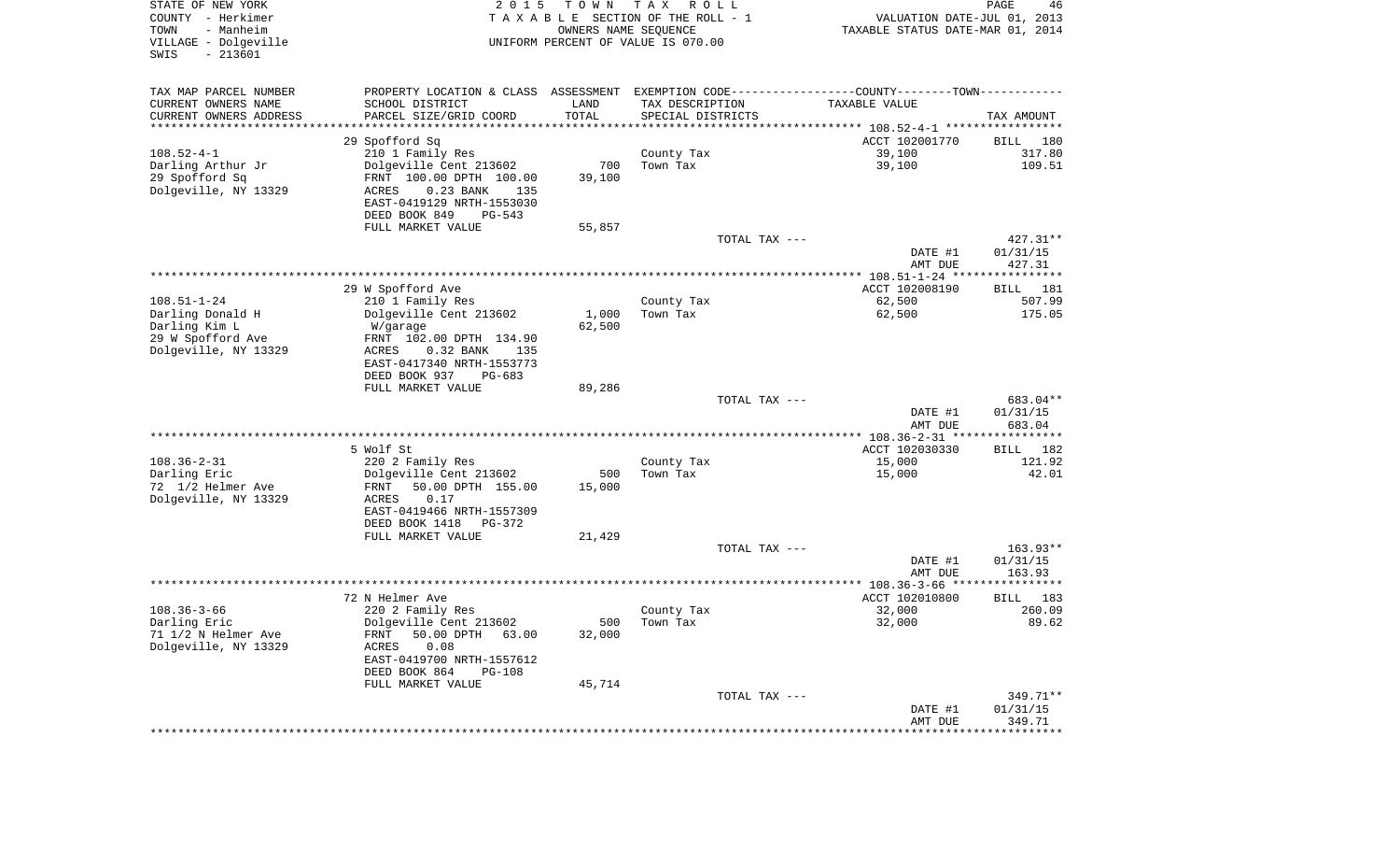| STATE OF NEW YORK<br>COUNTY - Herkimer<br>- Manheim<br>TOWN<br>VILLAGE - Dolgeville<br>$-213601$<br>SWIS | 2 0 1 5                                                                                       | T O W N<br>OWNERS NAME SEQUENCE | T A X<br>R O L L<br>TAXABLE SECTION OF THE ROLL - 1<br>UNIFORM PERCENT OF VALUE IS 070.00 | VALUATION DATE-JUL 01, 2013<br>TAXABLE STATUS DATE-MAR 01, 2014 | PAGE<br>46            |
|----------------------------------------------------------------------------------------------------------|-----------------------------------------------------------------------------------------------|---------------------------------|-------------------------------------------------------------------------------------------|-----------------------------------------------------------------|-----------------------|
| TAX MAP PARCEL NUMBER                                                                                    | PROPERTY LOCATION & CLASS ASSESSMENT EXEMPTION CODE---------------COUNTY-------TOWN---------- |                                 |                                                                                           |                                                                 |                       |
| CURRENT OWNERS NAME                                                                                      | SCHOOL DISTRICT                                                                               | LAND                            | TAX DESCRIPTION                                                                           | TAXABLE VALUE                                                   |                       |
| CURRENT OWNERS ADDRESS                                                                                   | PARCEL SIZE/GRID COORD                                                                        | TOTAL                           | SPECIAL DISTRICTS                                                                         |                                                                 | TAX AMOUNT            |
| *********************                                                                                    |                                                                                               | ***********                     |                                                                                           |                                                                 |                       |
| $108.52 - 4 - 1$                                                                                         | 29 Spofford Sq                                                                                |                                 |                                                                                           | ACCT 102001770<br>39,100                                        | 180<br>BILL<br>317.80 |
| Darling Arthur Jr                                                                                        | 210 1 Family Res<br>Dolgeville Cent 213602                                                    | 700                             | County Tax<br>Town Tax                                                                    | 39,100                                                          | 109.51                |
| 29 Spofford Sq                                                                                           | FRNT 100.00 DPTH 100.00                                                                       | 39,100                          |                                                                                           |                                                                 |                       |
| Dolgeville, NY 13329                                                                                     | $0.23$ BANK<br>ACRES<br>135                                                                   |                                 |                                                                                           |                                                                 |                       |
|                                                                                                          | EAST-0419129 NRTH-1553030                                                                     |                                 |                                                                                           |                                                                 |                       |
|                                                                                                          | DEED BOOK 849<br>PG-543                                                                       |                                 |                                                                                           |                                                                 |                       |
|                                                                                                          | FULL MARKET VALUE                                                                             | 55,857                          |                                                                                           |                                                                 |                       |
|                                                                                                          |                                                                                               |                                 | TOTAL TAX ---                                                                             |                                                                 | $427.31**$            |
|                                                                                                          |                                                                                               |                                 |                                                                                           | DATE #1<br>AMT DUE                                              | 01/31/15<br>427.31    |
|                                                                                                          |                                                                                               |                                 |                                                                                           |                                                                 |                       |
|                                                                                                          | 29 W Spofford Ave                                                                             |                                 |                                                                                           | ACCT 102008190                                                  | BILL 181              |
| $108.51 - 1 - 24$                                                                                        | 210 1 Family Res                                                                              |                                 | County Tax                                                                                | 62,500                                                          | 507.99                |
| Darling Donald H                                                                                         | Dolgeville Cent 213602                                                                        | 1,000                           | Town Tax                                                                                  | 62,500                                                          | 175.05                |
| Darling Kim L                                                                                            | W/garage                                                                                      | 62,500                          |                                                                                           |                                                                 |                       |
| 29 W Spofford Ave<br>Dolgeville, NY 13329                                                                | FRNT 102.00 DPTH 134.90                                                                       |                                 |                                                                                           |                                                                 |                       |
|                                                                                                          | ACRES<br>$0.32$ BANK<br>135<br>EAST-0417340 NRTH-1553773                                      |                                 |                                                                                           |                                                                 |                       |
|                                                                                                          | DEED BOOK 937<br>$PG-683$                                                                     |                                 |                                                                                           |                                                                 |                       |
|                                                                                                          | FULL MARKET VALUE                                                                             | 89,286                          |                                                                                           |                                                                 |                       |
|                                                                                                          |                                                                                               |                                 | TOTAL TAX ---                                                                             |                                                                 | 683.04**              |
|                                                                                                          |                                                                                               |                                 |                                                                                           | DATE #1                                                         | 01/31/15              |
|                                                                                                          |                                                                                               |                                 |                                                                                           | AMT DUE<br>************** 108.36-2-31 *****************         | 683.04                |
|                                                                                                          | 5 Wolf St                                                                                     |                                 |                                                                                           | ACCT 102030330                                                  | 182<br>BILL           |
| $108.36 - 2 - 31$                                                                                        | 220 2 Family Res                                                                              |                                 | County Tax                                                                                | 15,000                                                          | 121.92                |
| Darling Eric                                                                                             | Dolgeville Cent 213602                                                                        | 500                             | Town Tax                                                                                  | 15,000                                                          | 42.01                 |
| 72 1/2 Helmer Ave                                                                                        | FRNT<br>50.00 DPTH 155.00                                                                     | 15,000                          |                                                                                           |                                                                 |                       |
| Dolgeville, NY 13329                                                                                     | ACRES<br>0.17                                                                                 |                                 |                                                                                           |                                                                 |                       |
|                                                                                                          | EAST-0419466 NRTH-1557309                                                                     |                                 |                                                                                           |                                                                 |                       |
|                                                                                                          | DEED BOOK 1418<br>PG-372<br>FULL MARKET VALUE                                                 | 21,429                          |                                                                                           |                                                                 |                       |
|                                                                                                          |                                                                                               |                                 | TOTAL TAX ---                                                                             |                                                                 | $163.93**$            |
|                                                                                                          |                                                                                               |                                 |                                                                                           | DATE #1                                                         | 01/31/15              |
|                                                                                                          |                                                                                               |                                 |                                                                                           | AMT DUE                                                         | 163.93                |
|                                                                                                          |                                                                                               |                                 |                                                                                           |                                                                 |                       |
|                                                                                                          | 72 N Helmer Ave                                                                               |                                 |                                                                                           | ACCT 102010800                                                  | 183<br>BILL           |
| $108.36 - 3 - 66$<br>Darling Eric                                                                        | 220 2 Family Res<br>Dolgeville Cent 213602                                                    |                                 | County Tax<br>500 Town Tax                                                                | 32,000<br>32,000                                                | 260.09<br>89.62       |
| 71 1/2 N Helmer Ave                                                                                      | 50.00 DPTH 63.00<br>FRNT                                                                      | 32,000                          |                                                                                           |                                                                 |                       |
| Dolgeville, NY 13329                                                                                     | ACRES<br>0.08                                                                                 |                                 |                                                                                           |                                                                 |                       |
|                                                                                                          | EAST-0419700 NRTH-1557612                                                                     |                                 |                                                                                           |                                                                 |                       |
|                                                                                                          | DEED BOOK 864<br><b>PG-108</b>                                                                |                                 |                                                                                           |                                                                 |                       |
|                                                                                                          | FULL MARKET VALUE                                                                             | 45,714                          |                                                                                           |                                                                 |                       |
|                                                                                                          |                                                                                               |                                 | TOTAL TAX ---                                                                             | DATE #1                                                         | 349.71**<br>01/31/15  |
|                                                                                                          |                                                                                               |                                 |                                                                                           | AMT DUE                                                         | 349.71                |
|                                                                                                          |                                                                                               |                                 |                                                                                           |                                                                 |                       |
|                                                                                                          |                                                                                               |                                 |                                                                                           |                                                                 |                       |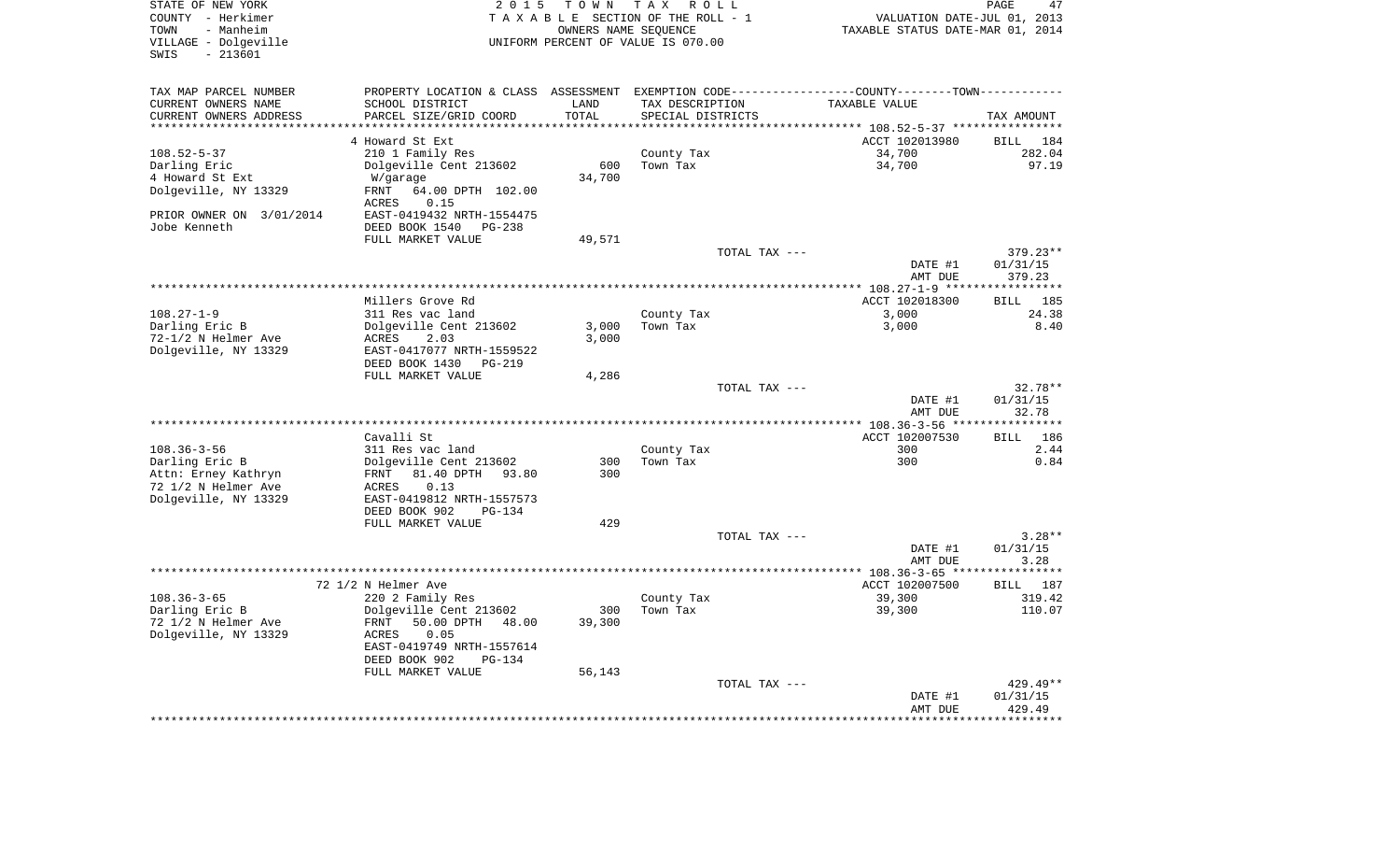| STATE OF NEW YORK<br>COUNTY - Herkimer<br>- Manheim<br>TOWN<br>VILLAGE - Dolgeville<br>$-213601$<br>SWIS | 2 0 1 5                                    | TOWN<br>OWNERS NAME SEQUENCE | T A X<br>R O L L<br>TAXABLE SECTION OF THE ROLL - 1<br>UNIFORM PERCENT OF VALUE IS 070.00      | VALUATION DATE-JUL 01, 2013<br>TAXABLE STATUS DATE-MAR 01, 2014 | PAGE<br>47               |
|----------------------------------------------------------------------------------------------------------|--------------------------------------------|------------------------------|------------------------------------------------------------------------------------------------|-----------------------------------------------------------------|--------------------------|
| TAX MAP PARCEL NUMBER                                                                                    |                                            |                              | PROPERTY LOCATION & CLASS ASSESSMENT EXEMPTION CODE----------------COUNTY-------TOWN---------- |                                                                 |                          |
| CURRENT OWNERS NAME                                                                                      | SCHOOL DISTRICT                            | LAND                         | TAX DESCRIPTION                                                                                | TAXABLE VALUE                                                   |                          |
| CURRENT OWNERS ADDRESS                                                                                   | PARCEL SIZE/GRID COORD                     | TOTAL                        | SPECIAL DISTRICTS                                                                              |                                                                 | TAX AMOUNT               |
| **********************                                                                                   | ************************                   | ***************              |                                                                                                |                                                                 |                          |
|                                                                                                          | 4 Howard St Ext                            |                              |                                                                                                | ACCT 102013980                                                  | <b>BILL</b><br>184       |
| $108.52 - 5 - 37$<br>Darling Eric                                                                        | 210 1 Family Res<br>Dolgeville Cent 213602 | 600                          | County Tax<br>Town Tax                                                                         | 34,700<br>34,700                                                | 282.04<br>97.19          |
| 4 Howard St Ext                                                                                          | W/garage                                   | 34,700                       |                                                                                                |                                                                 |                          |
| Dolgeville, NY 13329                                                                                     | 64.00 DPTH 102.00<br>FRNT                  |                              |                                                                                                |                                                                 |                          |
|                                                                                                          | <b>ACRES</b><br>0.15                       |                              |                                                                                                |                                                                 |                          |
| PRIOR OWNER ON 3/01/2014                                                                                 | EAST-0419432 NRTH-1554475                  |                              |                                                                                                |                                                                 |                          |
| Jobe Kenneth                                                                                             | DEED BOOK 1540<br>$PG-238$                 |                              |                                                                                                |                                                                 |                          |
|                                                                                                          | FULL MARKET VALUE                          | 49,571                       | TOTAL TAX ---                                                                                  |                                                                 | 379.23**                 |
|                                                                                                          |                                            |                              |                                                                                                | DATE #1<br>AMT DUE                                              | 01/31/15<br>379.23       |
|                                                                                                          |                                            |                              | **********************                                                                         | *** 108.27-1-9 ***                                              |                          |
|                                                                                                          | Millers Grove Rd                           |                              |                                                                                                | ACCT 102018300                                                  | 185<br><b>BILL</b>       |
| $108.27 - 1 - 9$                                                                                         | 311 Res vac land                           |                              | County Tax                                                                                     | 3,000                                                           | 24.38                    |
| Darling Eric B                                                                                           | Dolgeville Cent 213602                     | 3,000                        | Town Tax                                                                                       | 3,000                                                           | 8.40                     |
| 72-1/2 N Helmer Ave                                                                                      | ACRES<br>2.03                              | 3,000                        |                                                                                                |                                                                 |                          |
| Dolgeville, NY 13329                                                                                     | EAST-0417077 NRTH-1559522                  |                              |                                                                                                |                                                                 |                          |
|                                                                                                          | DEED BOOK 1430<br>PG-219                   |                              |                                                                                                |                                                                 |                          |
|                                                                                                          | FULL MARKET VALUE                          | 4,286                        |                                                                                                |                                                                 |                          |
|                                                                                                          |                                            |                              | TOTAL TAX ---                                                                                  |                                                                 | $32.78**$                |
|                                                                                                          |                                            |                              |                                                                                                | DATE #1                                                         | 01/31/15                 |
|                                                                                                          |                                            |                              | ****************                                                                               | AMT DUE                                                         | 32.78<br>* * * * * * * * |
|                                                                                                          | Cavalli St                                 |                              |                                                                                                | ** 108.36-3-56 **<br>ACCT 102007530                             | 186<br><b>BILL</b>       |
| $108.36 - 3 - 56$                                                                                        | 311 Res vac land                           |                              | County Tax                                                                                     | 300                                                             | 2.44                     |
| Darling Eric B                                                                                           | Dolgeville Cent 213602                     | 300                          | Town Tax                                                                                       | 300                                                             | 0.84                     |
| Attn: Erney Kathryn                                                                                      | 81.40 DPTH 93.80<br>FRNT                   | 300                          |                                                                                                |                                                                 |                          |
| 72 1/2 N Helmer Ave                                                                                      | 0.13<br>ACRES                              |                              |                                                                                                |                                                                 |                          |
| Dolgeville, NY 13329                                                                                     | EAST-0419812 NRTH-1557573                  |                              |                                                                                                |                                                                 |                          |
|                                                                                                          | DEED BOOK 902<br>$PG-134$                  |                              |                                                                                                |                                                                 |                          |
|                                                                                                          | FULL MARKET VALUE                          | 429                          |                                                                                                |                                                                 |                          |
|                                                                                                          |                                            |                              | TOTAL TAX ---                                                                                  |                                                                 | $3.28**$                 |
|                                                                                                          |                                            |                              |                                                                                                | DATE #1                                                         | 01/31/15                 |
|                                                                                                          |                                            |                              |                                                                                                | AMT DUE                                                         | 3.28                     |
|                                                                                                          |                                            |                              |                                                                                                | ************ 108.36-3-65 ****                                   | *******                  |
| $108.36 - 3 - 65$                                                                                        | 72 1/2 N Helmer Ave<br>220 2 Family Res    |                              |                                                                                                | ACCT 102007500<br>39,300                                        | BILL 187<br>319.42       |
| Darling Eric B                                                                                           | Dolgeville Cent 213602                     | 300                          | County Tax<br>Town Tax                                                                         | 39,300                                                          | 110.07                   |
| 72 1/2 N Helmer Ave                                                                                      | <b>FRNT</b><br>50.00 DPTH<br>48.00         | 39,300                       |                                                                                                |                                                                 |                          |
| Dolgeville, NY 13329                                                                                     | ACRES<br>0.05                              |                              |                                                                                                |                                                                 |                          |
|                                                                                                          | EAST-0419749 NRTH-1557614                  |                              |                                                                                                |                                                                 |                          |
|                                                                                                          | DEED BOOK 902<br>$PG-134$                  |                              |                                                                                                |                                                                 |                          |
|                                                                                                          | FULL MARKET VALUE                          | 56,143                       |                                                                                                |                                                                 |                          |
|                                                                                                          |                                            |                              | TOTAL TAX ---                                                                                  |                                                                 | 429.49**                 |
|                                                                                                          |                                            |                              |                                                                                                | DATE #1                                                         | 01/31/15                 |
|                                                                                                          |                                            |                              |                                                                                                | AMT DUE                                                         | 429.49                   |
|                                                                                                          |                                            |                              |                                                                                                |                                                                 |                          |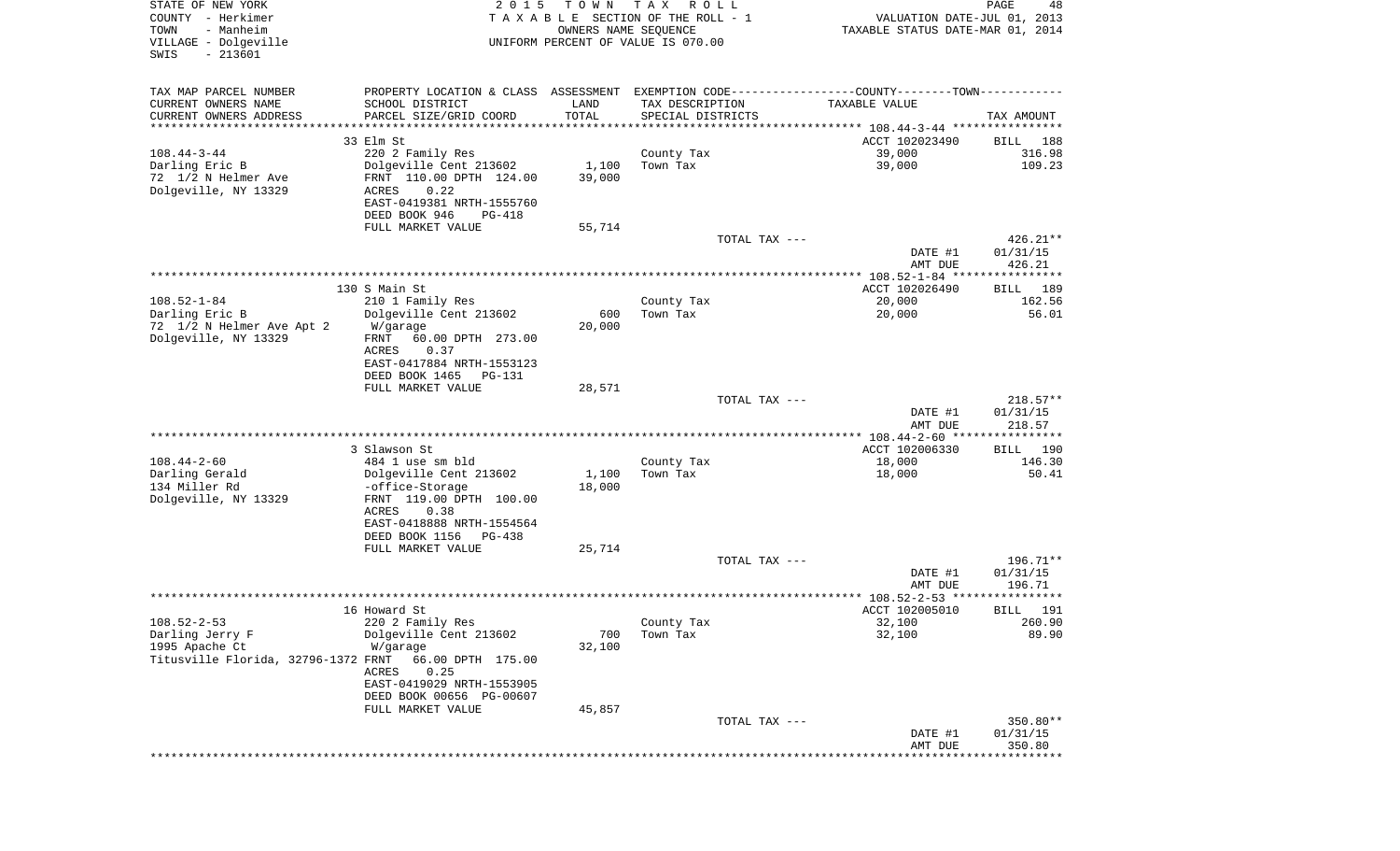| STATE OF NEW YORK<br>COUNTY - Herkimer<br>TOWN<br>- Manheim | 2 0 1 5                                                                                       | T O W N<br>OWNERS NAME SEQUENCE | T A X<br>R O L L<br>TAXABLE SECTION OF THE ROLL - 1 |               | VALUATION DATE-JUL 01, 2013<br>TAXABLE STATUS DATE-MAR 01, 2014 | PAGE<br>48                    |
|-------------------------------------------------------------|-----------------------------------------------------------------------------------------------|---------------------------------|-----------------------------------------------------|---------------|-----------------------------------------------------------------|-------------------------------|
| VILLAGE - Dolgeville<br>$-213601$<br>SWIS                   |                                                                                               |                                 | UNIFORM PERCENT OF VALUE IS 070.00                  |               |                                                                 |                               |
| TAX MAP PARCEL NUMBER                                       | PROPERTY LOCATION & CLASS ASSESSMENT EXEMPTION CODE---------------COUNTY-------TOWN---------- |                                 |                                                     |               |                                                                 |                               |
| CURRENT OWNERS NAME                                         | SCHOOL DISTRICT                                                                               | LAND                            | TAX DESCRIPTION                                     |               | TAXABLE VALUE                                                   |                               |
| CURRENT OWNERS ADDRESS<br>**********************            | PARCEL SIZE/GRID COORD                                                                        | TOTAL                           | SPECIAL DISTRICTS                                   |               |                                                                 | TAX AMOUNT                    |
|                                                             | 33 Elm St                                                                                     |                                 |                                                     |               | ACCT 102023490                                                  | BILL 188                      |
| $108.44 - 3 - 44$                                           | 220 2 Family Res                                                                              |                                 | County Tax                                          |               | 39,000                                                          | 316.98                        |
| Darling Eric B                                              | Dolgeville Cent 213602                                                                        | 1,100                           | Town Tax                                            |               | 39,000                                                          | 109.23                        |
| 72 1/2 N Helmer Ave                                         | FRNT 110.00 DPTH 124.00                                                                       | 39,000                          |                                                     |               |                                                                 |                               |
| Dolgeville, NY 13329                                        | ACRES<br>0.22<br>EAST-0419381 NRTH-1555760                                                    |                                 |                                                     |               |                                                                 |                               |
|                                                             | DEED BOOK 946<br>PG-418                                                                       |                                 |                                                     |               |                                                                 |                               |
|                                                             | FULL MARKET VALUE                                                                             | 55,714                          |                                                     |               |                                                                 |                               |
|                                                             |                                                                                               |                                 |                                                     | TOTAL TAX --- |                                                                 | $426.21**$                    |
|                                                             |                                                                                               |                                 |                                                     |               | DATE #1                                                         | 01/31/15                      |
|                                                             |                                                                                               |                                 |                                                     |               | AMT DUE                                                         | 426.21                        |
|                                                             | 130 S Main St                                                                                 |                                 |                                                     |               | ACCT 102026490                                                  | BILL<br>189                   |
| $108.52 - 1 - 84$                                           | 210 1 Family Res                                                                              |                                 | County Tax                                          |               | 20,000                                                          | 162.56                        |
| Darling Eric B                                              | Dolgeville Cent 213602                                                                        | 600                             | Town Tax                                            |               | 20,000                                                          | 56.01                         |
| 72 1/2 N Helmer Ave Apt 2                                   | W/garage                                                                                      | 20,000                          |                                                     |               |                                                                 |                               |
| Dolgeville, NY 13329                                        | FRNT<br>60.00 DPTH 273.00<br><b>ACRES</b><br>0.37                                             |                                 |                                                     |               |                                                                 |                               |
|                                                             | EAST-0417884 NRTH-1553123                                                                     |                                 |                                                     |               |                                                                 |                               |
|                                                             | DEED BOOK 1465<br>PG-131                                                                      |                                 |                                                     |               |                                                                 |                               |
|                                                             | FULL MARKET VALUE                                                                             | 28,571                          |                                                     |               |                                                                 |                               |
|                                                             |                                                                                               |                                 |                                                     | TOTAL TAX --- | DATE #1                                                         | $218.57**$<br>01/31/15        |
|                                                             |                                                                                               |                                 |                                                     |               | AMT DUE                                                         | 218.57                        |
|                                                             |                                                                                               |                                 |                                                     |               | ************ 108.44-2-60 *****************                      |                               |
|                                                             | 3 Slawson St                                                                                  |                                 |                                                     |               | ACCT 102006330                                                  | 190<br>BILL                   |
| $108.44 - 2 - 60$                                           | 484 1 use sm bld                                                                              |                                 | County Tax                                          |               | 18,000                                                          | 146.30                        |
| Darling Gerald<br>134 Miller Rd                             | Dolgeville Cent 213602<br>-office-Storage                                                     | 1,100<br>18,000                 | Town Tax                                            |               | 18,000                                                          | 50.41                         |
| Dolgeville, NY 13329                                        | FRNT 119.00 DPTH 100.00                                                                       |                                 |                                                     |               |                                                                 |                               |
|                                                             | ACRES<br>0.38                                                                                 |                                 |                                                     |               |                                                                 |                               |
|                                                             | EAST-0418888 NRTH-1554564                                                                     |                                 |                                                     |               |                                                                 |                               |
|                                                             | DEED BOOK 1156<br>PG-438                                                                      |                                 |                                                     |               |                                                                 |                               |
|                                                             | FULL MARKET VALUE                                                                             | 25,714                          |                                                     | TOTAL TAX --- |                                                                 | 196.71**                      |
|                                                             |                                                                                               |                                 |                                                     |               | DATE #1                                                         | 01/31/15                      |
|                                                             |                                                                                               |                                 |                                                     |               | AMT DUE                                                         | 196.71                        |
|                                                             |                                                                                               |                                 |                                                     |               |                                                                 |                               |
|                                                             | 16 Howard St                                                                                  |                                 |                                                     |               | ACCT 102005010                                                  | 191<br>BILL                   |
| $108.52 - 2 - 53$<br>Darling Jerry F                        | 220 2 Family Res<br>Dolgeville Cent 213602                                                    | 700                             | County Tax<br>Town Tax                              |               | 32,100<br>32,100                                                | 260.90<br>89.90               |
| 1995 Apache Ct                                              | W/garage                                                                                      | 32,100                          |                                                     |               |                                                                 |                               |
| Titusville Florida, 32796-1372 FRNT                         | 66.00 DPTH 175.00                                                                             |                                 |                                                     |               |                                                                 |                               |
|                                                             | 0.25<br>ACRES                                                                                 |                                 |                                                     |               |                                                                 |                               |
|                                                             | EAST-0419029 NRTH-1553905<br>DEED BOOK 00656 PG-00607                                         |                                 |                                                     |               |                                                                 |                               |
|                                                             | FULL MARKET VALUE                                                                             | 45,857                          |                                                     |               |                                                                 |                               |
|                                                             |                                                                                               |                                 |                                                     | TOTAL TAX --- |                                                                 | 350.80**                      |
|                                                             |                                                                                               |                                 |                                                     |               | DATE #1                                                         | 01/31/15                      |
|                                                             |                                                                                               |                                 |                                                     |               | AMT DUE                                                         | 350.80<br>* * * * * * * * * * |
|                                                             |                                                                                               |                                 |                                                     |               |                                                                 |                               |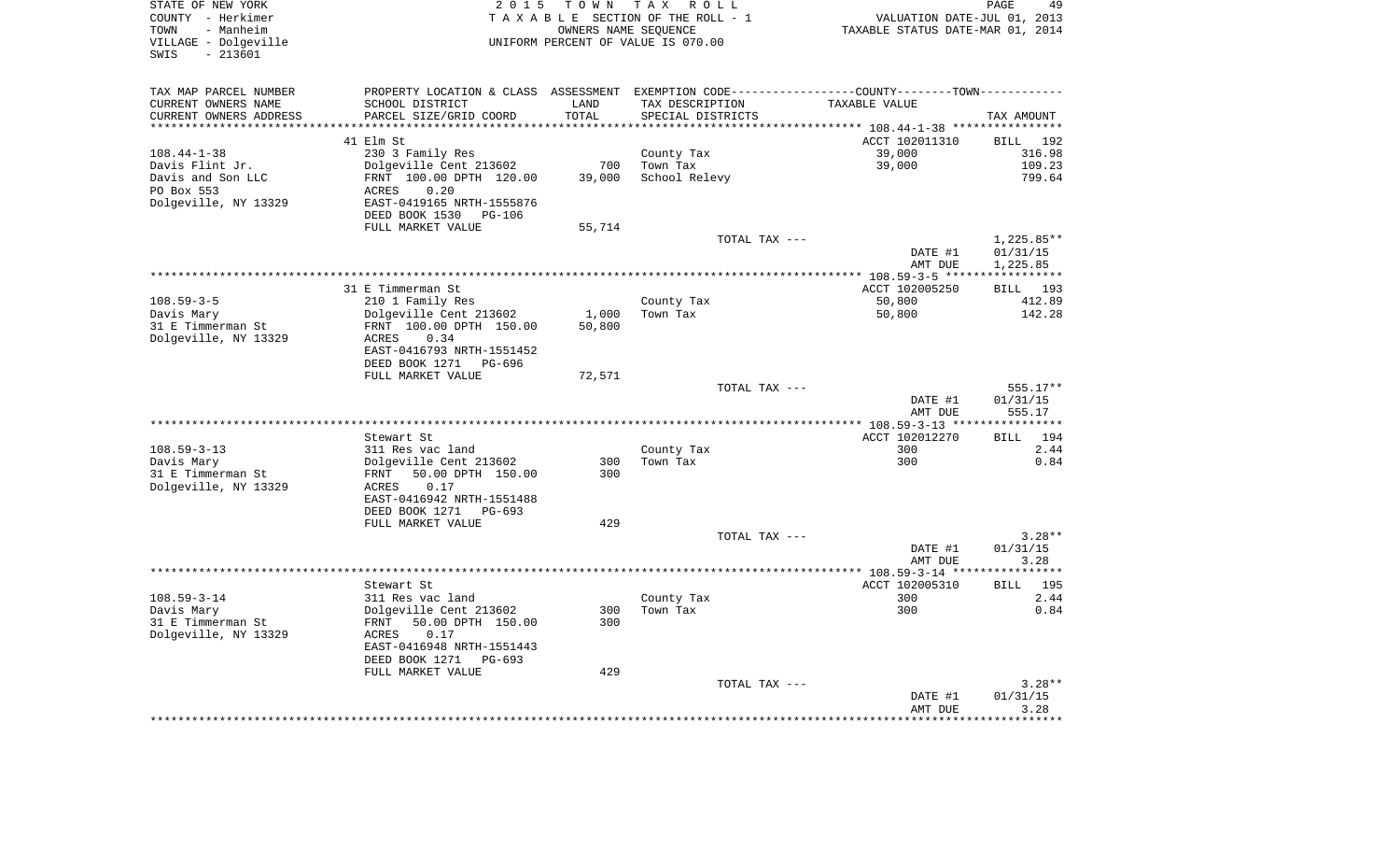| STATE OF NEW YORK       |                                                                                                  |                      | 2015 TOWN TAX ROLL                 |                                  | PAGE<br>49         |
|-------------------------|--------------------------------------------------------------------------------------------------|----------------------|------------------------------------|----------------------------------|--------------------|
| COUNTY - Herkimer       |                                                                                                  |                      | TAXABLE SECTION OF THE ROLL - 1    | VALUATION DATE-JUL 01, 2013      |                    |
| TOWN<br>- Manheim       |                                                                                                  | OWNERS NAME SEQUENCE |                                    | TAXABLE STATUS DATE-MAR 01, 2014 |                    |
| VILLAGE - Dolgeville    |                                                                                                  |                      | UNIFORM PERCENT OF VALUE IS 070.00 |                                  |                    |
| SWIS<br>$-213601$       |                                                                                                  |                      |                                    |                                  |                    |
|                         |                                                                                                  |                      |                                    |                                  |                    |
| TAX MAP PARCEL NUMBER   | PROPERTY LOCATION & CLASS ASSESSMENT EXEMPTION CODE----------------COUNTY--------TOWN----------- |                      |                                    |                                  |                    |
| CURRENT OWNERS NAME     | SCHOOL DISTRICT                                                                                  | LAND                 | TAX DESCRIPTION                    | TAXABLE VALUE                    |                    |
| CURRENT OWNERS ADDRESS  | PARCEL SIZE/GRID COORD                                                                           | TOTAL                | SPECIAL DISTRICTS                  |                                  | TAX AMOUNT         |
| *********************** |                                                                                                  |                      |                                    |                                  |                    |
|                         | 41 Elm St                                                                                        |                      |                                    | ACCT 102011310                   | BILL 192           |
| 108.44-1-38             | 230 3 Family Res                                                                                 |                      | County Tax                         | 39,000                           | 316.98             |
| Davis Flint Jr.         | Dolgeville Cent 213602                                                                           | 700                  | Town Tax                           | 39,000                           | 109.23             |
| Davis and Son LLC       | FRNT 100.00 DPTH 120.00                                                                          | 39,000               | School Relevy                      |                                  | 799.64             |
| PO Box 553              | ACRES<br>0.20                                                                                    |                      |                                    |                                  |                    |
| Dolgeville, NY 13329    | EAST-0419165 NRTH-1555876                                                                        |                      |                                    |                                  |                    |
|                         | DEED BOOK 1530 PG-106                                                                            |                      |                                    |                                  |                    |
|                         | FULL MARKET VALUE                                                                                | 55,714               |                                    |                                  |                    |
|                         |                                                                                                  |                      | TOTAL TAX ---                      |                                  | 1,225.85**         |
|                         |                                                                                                  |                      |                                    | DATE #1                          | 01/31/15           |
|                         |                                                                                                  |                      |                                    | AMT DUE                          | 1,225.85           |
|                         |                                                                                                  |                      |                                    |                                  |                    |
|                         | 31 E Timmerman St                                                                                |                      |                                    | ACCT 102005250                   | BILL 193           |
| $108.59 - 3 - 5$        | 210 1 Family Res                                                                                 |                      | County Tax                         | 50,800                           | 412.89             |
| Davis Mary              | Dolgeville Cent 213602                                                                           | 1,000                | Town Tax                           | 50,800                           | 142.28             |
| 31 E Timmerman St       | FRNT 100.00 DPTH 150.00                                                                          | 50,800               |                                    |                                  |                    |
| Dolgeville, NY 13329    | 0.34<br>ACRES                                                                                    |                      |                                    |                                  |                    |
|                         | EAST-0416793 NRTH-1551452                                                                        |                      |                                    |                                  |                    |
|                         | DEED BOOK 1271<br>PG-696                                                                         |                      |                                    |                                  |                    |
|                         | FULL MARKET VALUE                                                                                | 72,571               |                                    |                                  |                    |
|                         |                                                                                                  |                      | TOTAL TAX ---                      |                                  | 555.17**           |
|                         |                                                                                                  |                      |                                    | DATE #1                          | 01/31/15           |
|                         |                                                                                                  |                      |                                    | AMT DUE                          | 555.17             |
|                         | Stewart St                                                                                       |                      |                                    | ACCT 102012270                   | 194<br>BILL        |
| $108.59 - 3 - 13$       | 311 Res vac land                                                                                 |                      |                                    | 300                              | 2.44               |
| Davis Mary              | Dolgeville Cent 213602                                                                           | 300                  | County Tax<br>Town Tax             | 300                              | 0.84               |
| 31 E Timmerman St       | FRNT 50.00 DPTH 150.00                                                                           | 300                  |                                    |                                  |                    |
| Dolgeville, NY 13329    | 0.17<br>ACRES                                                                                    |                      |                                    |                                  |                    |
|                         | EAST-0416942 NRTH-1551488                                                                        |                      |                                    |                                  |                    |
|                         | DEED BOOK 1271<br>PG-693                                                                         |                      |                                    |                                  |                    |
|                         | FULL MARKET VALUE                                                                                | 429                  |                                    |                                  |                    |
|                         |                                                                                                  |                      | TOTAL TAX ---                      |                                  | $3.28**$           |
|                         |                                                                                                  |                      |                                    | DATE #1                          | 01/31/15           |
|                         |                                                                                                  |                      |                                    | AMT DUE                          | 3.28               |
|                         |                                                                                                  |                      |                                    |                                  |                    |
|                         | Stewart St                                                                                       |                      |                                    | ACCT 102005310                   | <b>BILL</b><br>195 |
| $108.59 - 3 - 14$       | 311 Res vac land                                                                                 |                      | County Tax                         | 300                              | 2.44               |
| Davis Mary              | Dolgeville Cent 213602                                                                           | 300                  | Town Tax                           | 300                              | 0.84               |
| 31 E Timmerman St       | FRNT<br>50.00 DPTH 150.00                                                                        | 300                  |                                    |                                  |                    |
| Dolgeville, NY 13329    | 0.17<br>ACRES                                                                                    |                      |                                    |                                  |                    |
|                         | EAST-0416948 NRTH-1551443                                                                        |                      |                                    |                                  |                    |
|                         | DEED BOOK 1271<br>PG-693                                                                         |                      |                                    |                                  |                    |
|                         | FULL MARKET VALUE                                                                                | 429                  |                                    |                                  |                    |
|                         |                                                                                                  |                      | TOTAL TAX ---                      |                                  | $3.28**$           |
|                         |                                                                                                  |                      |                                    | DATE #1                          | 01/31/15           |
|                         |                                                                                                  |                      |                                    | AMT DUE                          | 3.28               |
|                         |                                                                                                  |                      |                                    |                                  |                    |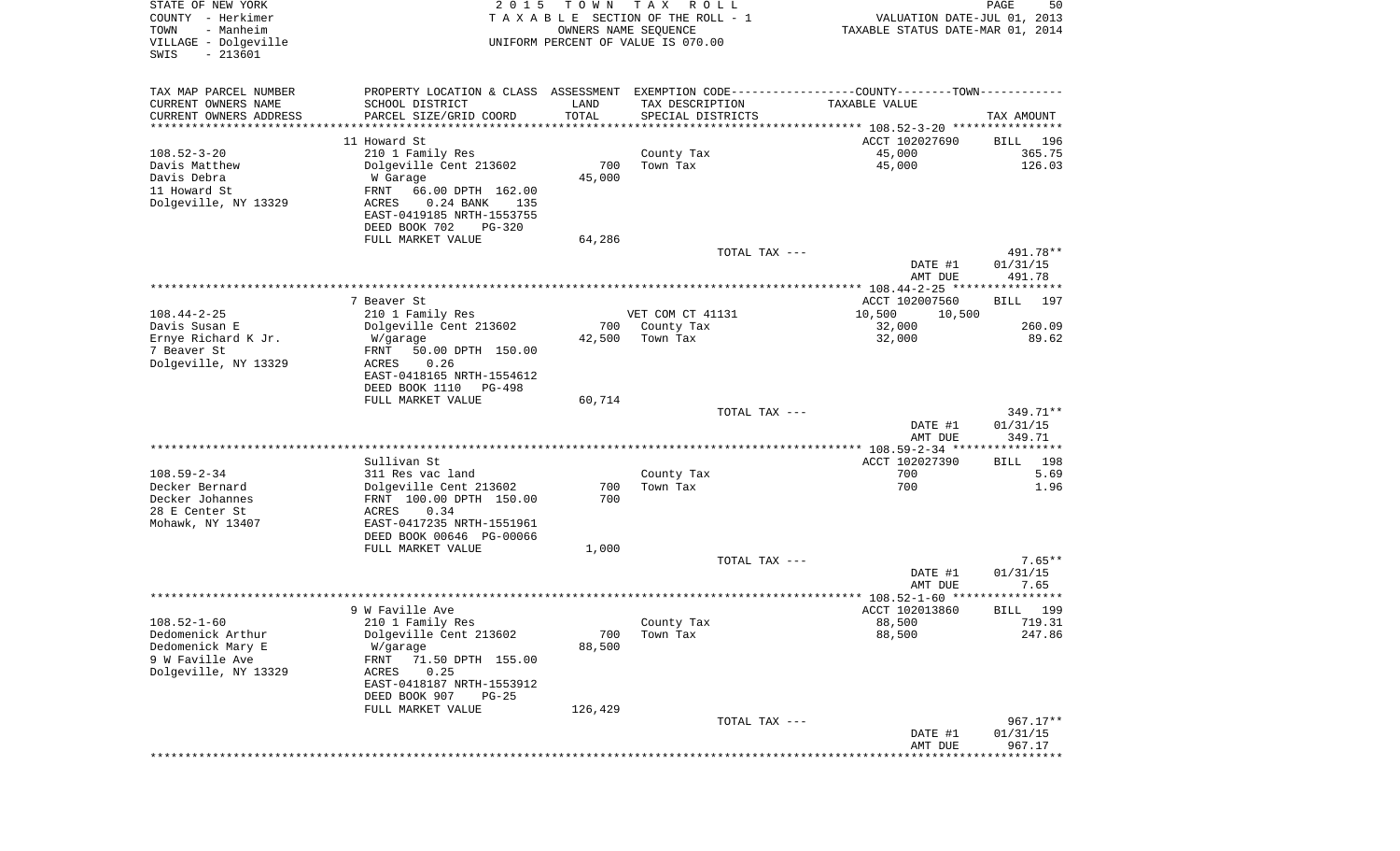| STATE OF NEW YORK<br>COUNTY - Herkimer<br>- Manheim<br>TOWN<br>VILLAGE - Dolgeville<br>SWIS<br>$-213601$ | 2 0 1 5                                                                                       | T O W N<br>OWNERS NAME SEQUENCE | T A X<br>R O L L<br>TAXABLE SECTION OF THE ROLL - 1<br>UNIFORM PERCENT OF VALUE IS 070.00 | VALUATION DATE-JUL 01, 2013<br>TAXABLE STATUS DATE-MAR 01, 2014 | PAGE<br>50           |
|----------------------------------------------------------------------------------------------------------|-----------------------------------------------------------------------------------------------|---------------------------------|-------------------------------------------------------------------------------------------|-----------------------------------------------------------------|----------------------|
| TAX MAP PARCEL NUMBER                                                                                    | PROPERTY LOCATION & CLASS ASSESSMENT EXEMPTION CODE---------------COUNTY-------TOWN---------- |                                 |                                                                                           |                                                                 |                      |
| CURRENT OWNERS NAME                                                                                      | SCHOOL DISTRICT                                                                               | LAND                            | TAX DESCRIPTION                                                                           | TAXABLE VALUE                                                   |                      |
| CURRENT OWNERS ADDRESS                                                                                   | PARCEL SIZE/GRID COORD                                                                        | TOTAL                           | SPECIAL DISTRICTS                                                                         |                                                                 | TAX AMOUNT           |
| ********************                                                                                     |                                                                                               | **********                      |                                                                                           |                                                                 |                      |
|                                                                                                          | 11 Howard St                                                                                  |                                 |                                                                                           | ACCT 102027690                                                  | BILL<br>196          |
| $108.52 - 3 - 20$<br>Davis Matthew                                                                       | 210 1 Family Res<br>Dolgeville Cent 213602                                                    | 700                             | County Tax<br>Town Tax                                                                    | 45,000<br>45,000                                                | 365.75<br>126.03     |
| Davis Debra                                                                                              | W Garage                                                                                      | 45,000                          |                                                                                           |                                                                 |                      |
| 11 Howard St                                                                                             | FRNT<br>66.00 DPTH 162.00                                                                     |                                 |                                                                                           |                                                                 |                      |
| Dolgeville, NY 13329                                                                                     | $0.24$ BANK<br>ACRES<br>135                                                                   |                                 |                                                                                           |                                                                 |                      |
|                                                                                                          | EAST-0419185 NRTH-1553755                                                                     |                                 |                                                                                           |                                                                 |                      |
|                                                                                                          | DEED BOOK 702<br>$PG-320$                                                                     |                                 |                                                                                           |                                                                 |                      |
|                                                                                                          | FULL MARKET VALUE                                                                             | 64,286                          |                                                                                           |                                                                 |                      |
|                                                                                                          |                                                                                               |                                 | TOTAL TAX ---                                                                             | DATE #1                                                         | 491.78**<br>01/31/15 |
|                                                                                                          |                                                                                               |                                 |                                                                                           | AMT DUE                                                         | 491.78               |
|                                                                                                          |                                                                                               |                                 |                                                                                           | ****************** 108.44-2-25 *****************                |                      |
|                                                                                                          | 7 Beaver St                                                                                   |                                 |                                                                                           | ACCT 102007560                                                  | BILL<br>197          |
| $108.44 - 2 - 25$                                                                                        | 210 1 Family Res                                                                              |                                 | VET COM CT 41131                                                                          | 10,500<br>10,500                                                |                      |
| Davis Susan E                                                                                            | Dolgeville Cent 213602                                                                        | 700<br>42,500                   | County Tax<br>Town Tax                                                                    | 32,000<br>32,000                                                | 260.09<br>89.62      |
| Ernye Richard K Jr.<br>7 Beaver St                                                                       | W/garage<br>FRNT<br>50.00 DPTH 150.00                                                         |                                 |                                                                                           |                                                                 |                      |
| Dolgeville, NY 13329                                                                                     | ACRES<br>0.26                                                                                 |                                 |                                                                                           |                                                                 |                      |
|                                                                                                          | EAST-0418165 NRTH-1554612                                                                     |                                 |                                                                                           |                                                                 |                      |
|                                                                                                          | DEED BOOK 1110<br>PG-498                                                                      |                                 |                                                                                           |                                                                 |                      |
|                                                                                                          | FULL MARKET VALUE                                                                             | 60,714                          |                                                                                           |                                                                 |                      |
|                                                                                                          |                                                                                               |                                 | TOTAL TAX ---                                                                             | DATE #1                                                         | 349.71**<br>01/31/15 |
|                                                                                                          |                                                                                               |                                 |                                                                                           | AMT DUE                                                         | 349.71               |
|                                                                                                          |                                                                                               |                                 |                                                                                           |                                                                 |                      |
|                                                                                                          | Sullivan St                                                                                   |                                 |                                                                                           | ACCT 102027390                                                  | 198<br>BILL          |
| $108.59 - 2 - 34$                                                                                        | 311 Res vac land                                                                              |                                 | County Tax                                                                                | 700                                                             | 5.69                 |
| Decker Bernard                                                                                           | Dolgeville Cent 213602                                                                        | 700                             | Town Tax                                                                                  | 700                                                             | 1.96                 |
| Decker Johannes<br>28 E Center St                                                                        | FRNT 100.00 DPTH 150.00<br>ACRES<br>0.34                                                      | 700                             |                                                                                           |                                                                 |                      |
| Mohawk, NY 13407                                                                                         | EAST-0417235 NRTH-1551961                                                                     |                                 |                                                                                           |                                                                 |                      |
|                                                                                                          | DEED BOOK 00646 PG-00066                                                                      |                                 |                                                                                           |                                                                 |                      |
|                                                                                                          | FULL MARKET VALUE                                                                             | 1,000                           |                                                                                           |                                                                 |                      |
|                                                                                                          |                                                                                               |                                 | TOTAL TAX ---                                                                             |                                                                 | $7.65**$             |
|                                                                                                          |                                                                                               |                                 |                                                                                           | DATE #1                                                         | 01/31/15<br>7.65     |
|                                                                                                          |                                                                                               |                                 |                                                                                           | AMT DUE<br>****************** 108.52-1-60 ****                  | ************         |
|                                                                                                          | 9 W Faville Ave                                                                               |                                 |                                                                                           | ACCT 102013860                                                  | 199<br>BILL          |
| $108.52 - 1 - 60$                                                                                        | 210 1 Family Res                                                                              |                                 | County Tax                                                                                | 88,500                                                          | 719.31               |
| Dedomenick Arthur                                                                                        | Dolgeville Cent 213602                                                                        | 700                             | Town Tax                                                                                  | 88,500                                                          | 247.86               |
| Dedomenick Mary E                                                                                        | W/garage                                                                                      | 88,500                          |                                                                                           |                                                                 |                      |
| 9 W Faville Ave                                                                                          | 71.50 DPTH 155.00<br>FRNT                                                                     |                                 |                                                                                           |                                                                 |                      |
| Dolgeville, NY 13329                                                                                     | 0.25<br>ACRES<br>EAST-0418187 NRTH-1553912                                                    |                                 |                                                                                           |                                                                 |                      |
|                                                                                                          | DEED BOOK 907<br>$PG-25$                                                                      |                                 |                                                                                           |                                                                 |                      |
|                                                                                                          | FULL MARKET VALUE                                                                             | 126,429                         |                                                                                           |                                                                 |                      |
|                                                                                                          |                                                                                               |                                 | TOTAL TAX ---                                                                             |                                                                 | $967.17**$           |
|                                                                                                          |                                                                                               |                                 |                                                                                           | DATE #1                                                         | 01/31/15             |
|                                                                                                          |                                                                                               |                                 |                                                                                           | AMT DUE                                                         | 967.17               |
|                                                                                                          |                                                                                               |                                 |                                                                                           |                                                                 |                      |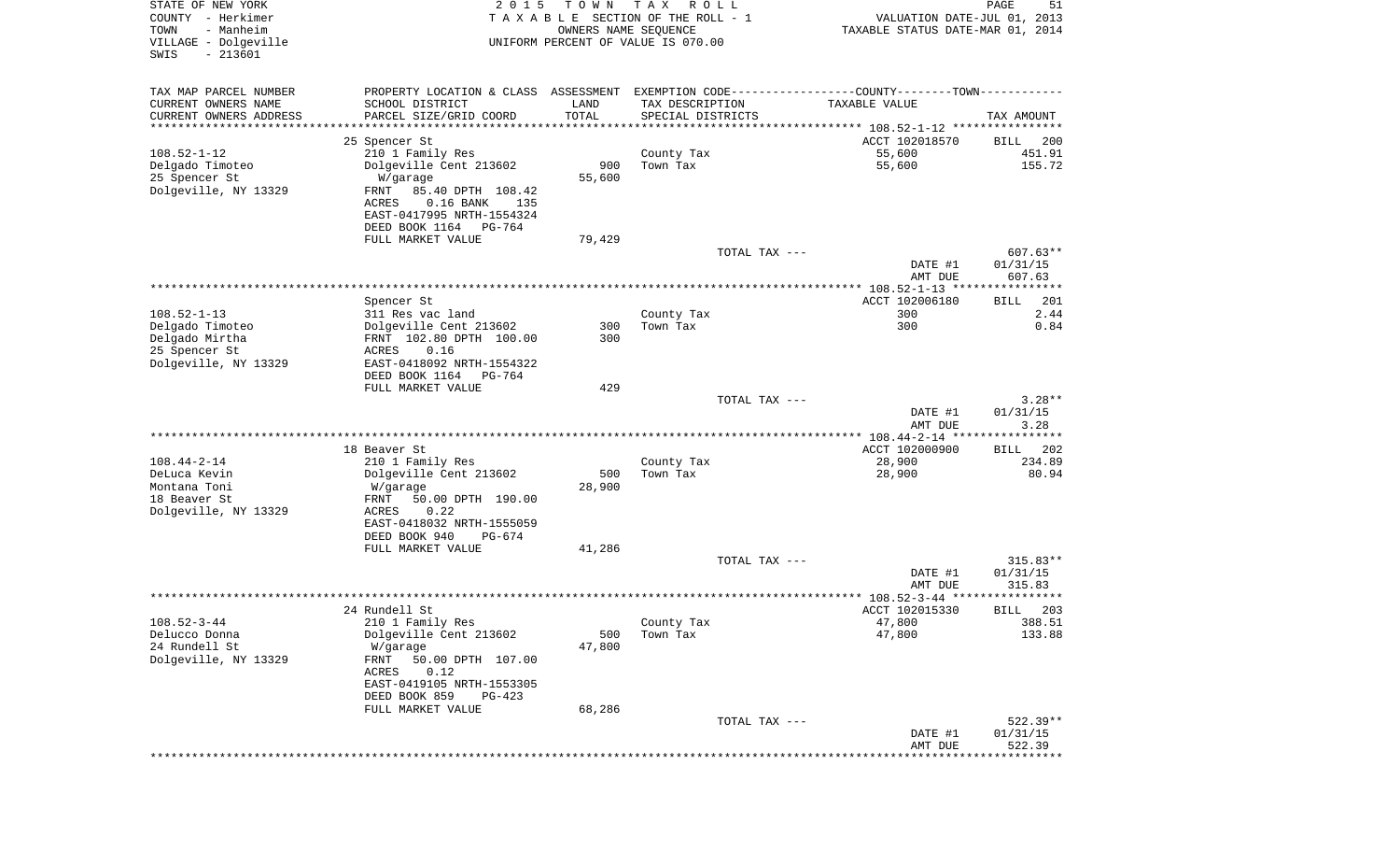| STATE OF NEW YORK<br>COUNTY - Herkimer<br>- Manheim<br>TOWN<br>VILLAGE - Dolgeville<br>$-213601$<br>SWIS | 2 0 1 5                                                  | T O W N<br>OWNERS NAME SEQUENCE | T A X<br>R O L L<br>TAXABLE SECTION OF THE ROLL - 1<br>UNIFORM PERCENT OF VALUE IS 070.00 |               | VALUATION DATE-JUL 01, 2013<br>TAXABLE STATUS DATE-MAR 01, 2014 | PAGE<br>51              |
|----------------------------------------------------------------------------------------------------------|----------------------------------------------------------|---------------------------------|-------------------------------------------------------------------------------------------|---------------|-----------------------------------------------------------------|-------------------------|
| TAX MAP PARCEL NUMBER                                                                                    | PROPERTY LOCATION & CLASS ASSESSMENT                     |                                 |                                                                                           |               | EXEMPTION CODE-----------------COUNTY-------TOWN-----------     |                         |
| CURRENT OWNERS NAME                                                                                      | SCHOOL DISTRICT                                          | LAND                            | TAX DESCRIPTION                                                                           |               | TAXABLE VALUE                                                   |                         |
| CURRENT OWNERS ADDRESS<br>*********************                                                          | PARCEL SIZE/GRID COORD<br>*******************            | TOTAL                           | SPECIAL DISTRICTS                                                                         |               |                                                                 | TAX AMOUNT              |
|                                                                                                          | 25 Spencer St                                            |                                 |                                                                                           |               | ACCT 102018570                                                  | BILL<br>200             |
| $108.52 - 1 - 12$                                                                                        | 210 1 Family Res                                         |                                 | County Tax                                                                                |               | 55,600                                                          | 451.91                  |
| Delgado Timoteo                                                                                          | Dolgeville Cent 213602                                   | 900                             | Town Tax                                                                                  |               | 55,600                                                          | 155.72                  |
| 25 Spencer St                                                                                            | W/garage                                                 | 55,600                          |                                                                                           |               |                                                                 |                         |
| Dolgeville, NY 13329                                                                                     | 85.40 DPTH 108.42<br>FRNT                                |                                 |                                                                                           |               |                                                                 |                         |
|                                                                                                          | ACRES<br>$0.16$ BANK<br>135<br>EAST-0417995 NRTH-1554324 |                                 |                                                                                           |               |                                                                 |                         |
|                                                                                                          | DEED BOOK 1164<br>PG-764                                 |                                 |                                                                                           |               |                                                                 |                         |
|                                                                                                          | FULL MARKET VALUE                                        | 79,429                          |                                                                                           |               |                                                                 |                         |
|                                                                                                          |                                                          |                                 |                                                                                           | TOTAL TAX --- |                                                                 | $607.63**$              |
|                                                                                                          |                                                          |                                 |                                                                                           |               | DATE #1                                                         | 01/31/15                |
|                                                                                                          |                                                          |                                 |                                                                                           |               | AMT DUE<br>**************** 108.52-1-13 *****************       | 607.63                  |
|                                                                                                          | Spencer St                                               |                                 |                                                                                           |               | ACCT 102006180                                                  | 201<br>BILL             |
| $108.52 - 1 - 13$                                                                                        | 311 Res vac land                                         |                                 | County Tax                                                                                |               | 300                                                             | 2.44                    |
| Delgado Timoteo                                                                                          | Dolgeville Cent 213602                                   | 300                             | Town Tax                                                                                  |               | 300                                                             | 0.84                    |
| Delgado Mirtha                                                                                           | FRNT 102.80 DPTH 100.00                                  | 300                             |                                                                                           |               |                                                                 |                         |
| 25 Spencer St<br>Dolgeville, NY 13329                                                                    | ACRES<br>0.16<br>EAST-0418092 NRTH-1554322               |                                 |                                                                                           |               |                                                                 |                         |
|                                                                                                          | DEED BOOK 1164<br>PG-764                                 |                                 |                                                                                           |               |                                                                 |                         |
|                                                                                                          | FULL MARKET VALUE                                        | 429                             |                                                                                           |               |                                                                 |                         |
|                                                                                                          |                                                          |                                 |                                                                                           | TOTAL TAX --- |                                                                 | $3.28**$                |
|                                                                                                          |                                                          |                                 |                                                                                           |               | DATE #1<br>AMT DUE                                              | 01/31/15<br>3.28        |
|                                                                                                          |                                                          |                                 |                                                                                           |               | ************ 108.44-2-14 *****                                  | * * * * * * *           |
|                                                                                                          | 18 Beaver St                                             |                                 |                                                                                           |               | ACCT 102000900                                                  | 202<br>BILL             |
| $108.44 - 2 - 14$                                                                                        | 210 1 Family Res                                         |                                 | County Tax                                                                                |               | 28,900                                                          | 234.89                  |
| DeLuca Kevin                                                                                             | Dolgeville Cent 213602                                   | 500                             | Town Tax                                                                                  |               | 28,900                                                          | 80.94                   |
| Montana Toni<br>18 Beaver St                                                                             | W/garage<br>FRNT<br>50.00 DPTH 190.00                    | 28,900                          |                                                                                           |               |                                                                 |                         |
| Dolgeville, NY 13329                                                                                     | <b>ACRES</b><br>0.22                                     |                                 |                                                                                           |               |                                                                 |                         |
|                                                                                                          | EAST-0418032 NRTH-1555059                                |                                 |                                                                                           |               |                                                                 |                         |
|                                                                                                          | DEED BOOK 940<br>PG-674                                  |                                 |                                                                                           |               |                                                                 |                         |
|                                                                                                          | FULL MARKET VALUE                                        | 41,286                          |                                                                                           |               |                                                                 |                         |
|                                                                                                          |                                                          |                                 |                                                                                           | TOTAL TAX --- | DATE #1                                                         | $315.83**$<br>01/31/15  |
|                                                                                                          |                                                          |                                 |                                                                                           |               | AMT DUE                                                         | 315.83                  |
|                                                                                                          |                                                          |                                 |                                                                                           |               | ***************** 108.52-3-44 ******                            | * * * * *               |
|                                                                                                          | 24 Rundell St                                            |                                 |                                                                                           |               | ACCT 102015330                                                  | 203<br>BILL             |
| $108.52 - 3 - 44$                                                                                        | 210 1 Family Res                                         |                                 | County Tax                                                                                |               | 47,800                                                          | 388.51                  |
| Delucco Donna<br>24 Rundell St                                                                           | Dolgeville Cent 213602<br>W/garage                       | 500<br>47,800                   | Town Tax                                                                                  |               | 47,800                                                          | 133.88                  |
| Dolgeville, NY 13329                                                                                     | 50.00 DPTH 107.00<br>FRNT                                |                                 |                                                                                           |               |                                                                 |                         |
|                                                                                                          | 0.12<br>ACRES                                            |                                 |                                                                                           |               |                                                                 |                         |
|                                                                                                          | EAST-0419105 NRTH-1553305                                |                                 |                                                                                           |               |                                                                 |                         |
|                                                                                                          | DEED BOOK 859<br>$PG-423$                                | 68,286                          |                                                                                           |               |                                                                 |                         |
|                                                                                                          | FULL MARKET VALUE                                        |                                 |                                                                                           | TOTAL TAX --- |                                                                 | $522.39**$              |
|                                                                                                          |                                                          |                                 |                                                                                           |               | DATE #1                                                         | 01/31/15                |
|                                                                                                          |                                                          |                                 |                                                                                           |               | AMT DUE                                                         | 522.39                  |
|                                                                                                          |                                                          |                                 |                                                                                           |               |                                                                 | *********************** |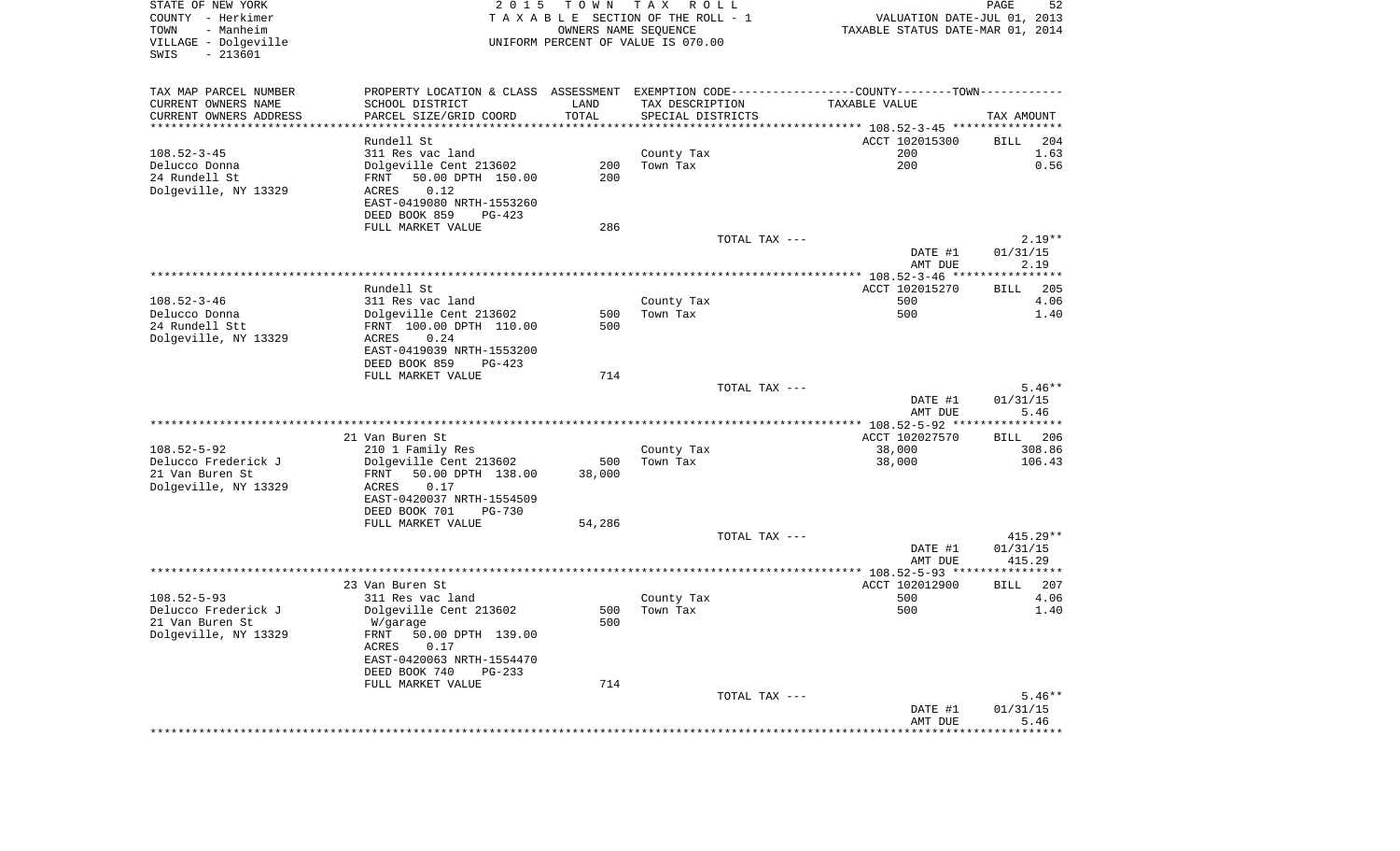| STATE OF NEW YORK                      | 2 0 1 5                                                                                       | T O W N              | T A X<br>R O L L                   |                                                                 | 52<br>PAGE           |
|----------------------------------------|-----------------------------------------------------------------------------------------------|----------------------|------------------------------------|-----------------------------------------------------------------|----------------------|
| COUNTY - Herkimer<br>TOWN<br>- Manheim |                                                                                               | OWNERS NAME SEQUENCE | TAXABLE SECTION OF THE ROLL - 1    | VALUATION DATE-JUL 01, 2013<br>TAXABLE STATUS DATE-MAR 01, 2014 |                      |
| VILLAGE - Dolgeville                   |                                                                                               |                      | UNIFORM PERCENT OF VALUE IS 070.00 |                                                                 |                      |
| $-213601$<br>SWIS                      |                                                                                               |                      |                                    |                                                                 |                      |
| TAX MAP PARCEL NUMBER                  | PROPERTY LOCATION & CLASS ASSESSMENT EXEMPTION CODE---------------COUNTY-------TOWN---------- |                      |                                    |                                                                 |                      |
| CURRENT OWNERS NAME                    | SCHOOL DISTRICT                                                                               | LAND                 | TAX DESCRIPTION                    | TAXABLE VALUE                                                   |                      |
| CURRENT OWNERS ADDRESS                 | PARCEL SIZE/GRID COORD                                                                        | TOTAL                | SPECIAL DISTRICTS                  |                                                                 | TAX AMOUNT           |
| *****************************          |                                                                                               |                      |                                    |                                                                 |                      |
|                                        | Rundell St                                                                                    |                      |                                    | ACCT 102015300                                                  | 204<br>BILL          |
| $108.52 - 3 - 45$                      | 311 Res vac land                                                                              |                      | County Tax                         | 200                                                             | 1.63                 |
| Delucco Donna                          | Dolgeville Cent 213602                                                                        | 200                  | Town Tax                           | 200                                                             | 0.56                 |
| 24 Rundell St                          | 50.00 DPTH 150.00<br>FRNT                                                                     | 200                  |                                    |                                                                 |                      |
| Dolgeville, NY 13329                   | 0.12<br>ACRES                                                                                 |                      |                                    |                                                                 |                      |
|                                        | EAST-0419080 NRTH-1553260<br>DEED BOOK 859<br>$PG-423$                                        |                      |                                    |                                                                 |                      |
|                                        | FULL MARKET VALUE                                                                             | 286                  |                                    |                                                                 |                      |
|                                        |                                                                                               |                      | TOTAL TAX ---                      |                                                                 | $2.19**$             |
|                                        |                                                                                               |                      |                                    | DATE #1                                                         | 01/31/15             |
|                                        |                                                                                               |                      |                                    | AMT DUE                                                         | 2.19                 |
|                                        |                                                                                               |                      |                                    |                                                                 |                      |
|                                        | Rundell St                                                                                    |                      |                                    | ACCT 102015270                                                  | 205<br>BILL          |
| $108.52 - 3 - 46$                      | 311 Res vac land                                                                              |                      | County Tax                         | 500                                                             | 4.06                 |
| Delucco Donna                          | Dolgeville Cent 213602                                                                        | 500                  | Town Tax                           | 500                                                             | 1.40                 |
| 24 Rundell Stt                         | FRNT 100.00 DPTH 110.00                                                                       | 500                  |                                    |                                                                 |                      |
| Dolgeville, NY 13329                   | 0.24<br><b>ACRES</b>                                                                          |                      |                                    |                                                                 |                      |
|                                        | EAST-0419039 NRTH-1553200                                                                     |                      |                                    |                                                                 |                      |
|                                        | DEED BOOK 859<br>$PG-423$                                                                     | 714                  |                                    |                                                                 |                      |
|                                        | FULL MARKET VALUE                                                                             |                      | TOTAL TAX ---                      |                                                                 | $5.46**$             |
|                                        |                                                                                               |                      |                                    | DATE #1                                                         | 01/31/15             |
|                                        |                                                                                               |                      |                                    | AMT DUE                                                         | 5.46                 |
|                                        |                                                                                               |                      |                                    | ************* 108.52-5-92 *****************                     |                      |
|                                        | 21 Van Buren St                                                                               |                      |                                    | ACCT 102027570                                                  | 206<br>BILL          |
| $108.52 - 5 - 92$                      | 210 1 Family Res                                                                              |                      | County Tax                         | 38,000                                                          | 308.86               |
| Delucco Frederick J                    | Dolgeville Cent 213602                                                                        | 500                  | Town Tax                           | 38,000                                                          | 106.43               |
| 21 Van Buren St                        | 50.00 DPTH 138.00<br>FRNT                                                                     | 38,000               |                                    |                                                                 |                      |
| Dolgeville, NY 13329                   | ACRES<br>0.17                                                                                 |                      |                                    |                                                                 |                      |
|                                        | EAST-0420037 NRTH-1554509                                                                     |                      |                                    |                                                                 |                      |
|                                        | DEED BOOK 701<br><b>PG-730</b><br>FULL MARKET VALUE                                           | 54,286               |                                    |                                                                 |                      |
|                                        |                                                                                               |                      |                                    |                                                                 |                      |
|                                        |                                                                                               |                      |                                    |                                                                 |                      |
|                                        |                                                                                               |                      | TOTAL TAX ---                      |                                                                 | $415.29**$           |
|                                        |                                                                                               |                      |                                    | DATE #1                                                         | 01/31/15<br>415.29   |
|                                        |                                                                                               |                      |                                    | AMT DUE<br>***************** 108.52-5-93 *****************      |                      |
|                                        | 23 Van Buren St                                                                               |                      |                                    | ACCT 102012900                                                  | BILL<br>207          |
| $108.52 - 5 - 93$                      | 311 Res vac land                                                                              |                      | County Tax                         | 500                                                             | 4.06                 |
| Delucco Frederick J                    | Dolgeville Cent 213602                                                                        | 500                  | Town Tax                           | 500                                                             | 1.40                 |
| 21 Van Buren St                        | W/garage                                                                                      | 500                  |                                    |                                                                 |                      |
| Dolgeville, NY 13329                   | 50.00 DPTH 139.00<br>FRNT                                                                     |                      |                                    |                                                                 |                      |
|                                        | 0.17<br>ACRES                                                                                 |                      |                                    |                                                                 |                      |
|                                        | EAST-0420063 NRTH-1554470                                                                     |                      |                                    |                                                                 |                      |
|                                        | DEED BOOK 740<br>$PG-233$                                                                     |                      |                                    |                                                                 |                      |
|                                        | FULL MARKET VALUE                                                                             | 714                  |                                    |                                                                 |                      |
|                                        |                                                                                               |                      | TOTAL TAX ---                      | DATE #1                                                         | $5.46**$<br>01/31/15 |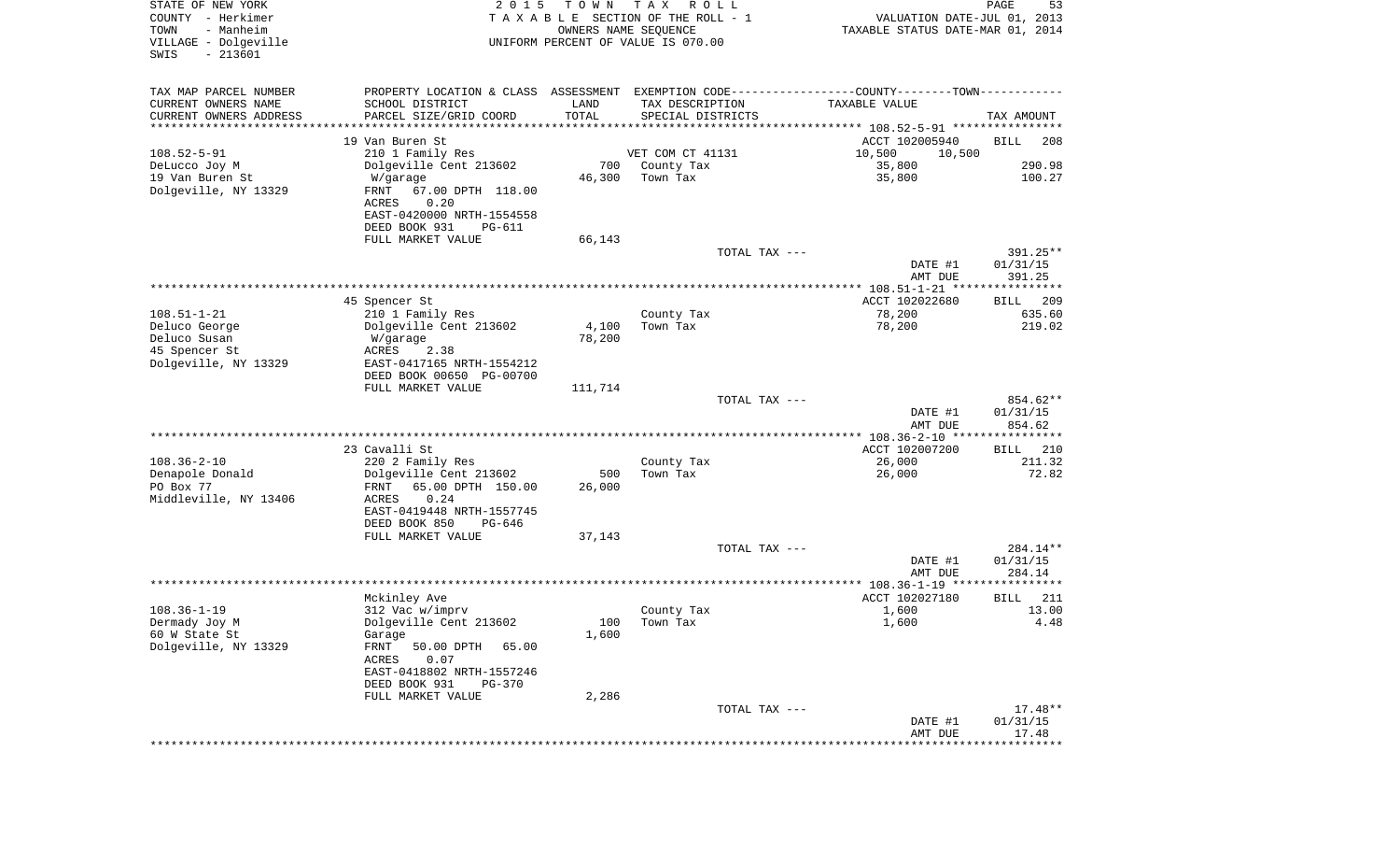| STATE OF NEW YORK<br>COUNTY - Herkimer<br>- Manheim<br>TOWN<br>VILLAGE - Dolgeville<br>$-213601$<br>SWIS | 2 0 1 5                                             | T O W N<br>OWNERS NAME SEQUENCE | T A X<br>R O L L<br>T A X A B L E SECTION OF THE ROLL - 1<br>UNIFORM PERCENT OF VALUE IS 070.00 | VALUATION DATE-JUL 01, 2013<br>TAXABLE STATUS DATE-MAR 01, 2014                               | PAGE<br>53              |
|----------------------------------------------------------------------------------------------------------|-----------------------------------------------------|---------------------------------|-------------------------------------------------------------------------------------------------|-----------------------------------------------------------------------------------------------|-------------------------|
| TAX MAP PARCEL NUMBER                                                                                    |                                                     |                                 |                                                                                                 | PROPERTY LOCATION & CLASS ASSESSMENT EXEMPTION CODE---------------COUNTY-------TOWN---------- |                         |
| CURRENT OWNERS NAME                                                                                      | SCHOOL DISTRICT                                     | LAND                            | TAX DESCRIPTION                                                                                 | TAXABLE VALUE                                                                                 |                         |
| CURRENT OWNERS ADDRESS<br>*********************                                                          | PARCEL SIZE/GRID COORD<br>***********************   | TOTAL                           | SPECIAL DISTRICTS                                                                               |                                                                                               | TAX AMOUNT              |
|                                                                                                          | 19 Van Buren St                                     |                                 |                                                                                                 | ACCT 102005940                                                                                | <b>BILL</b><br>208      |
| $108.52 - 5 - 91$                                                                                        | 210 1 Family Res                                    |                                 | VET COM CT 41131                                                                                | 10,500<br>10,500                                                                              |                         |
| DeLucco Joy M                                                                                            | Dolgeville Cent 213602                              | 700                             | County Tax                                                                                      | 35,800                                                                                        | 290.98                  |
| 19 Van Buren St                                                                                          | W/garage                                            | 46,300                          | Town Tax                                                                                        | 35,800                                                                                        | 100.27                  |
| Dolgeville, NY 13329                                                                                     | FRNT<br>67.00 DPTH 118.00<br>ACRES<br>0.20          |                                 |                                                                                                 |                                                                                               |                         |
|                                                                                                          | EAST-0420000 NRTH-1554558                           |                                 |                                                                                                 |                                                                                               |                         |
|                                                                                                          | DEED BOOK 931<br>PG-611                             |                                 |                                                                                                 |                                                                                               |                         |
|                                                                                                          | FULL MARKET VALUE                                   | 66,143                          |                                                                                                 |                                                                                               |                         |
|                                                                                                          |                                                     |                                 | TOTAL TAX ---                                                                                   |                                                                                               | 391.25**                |
|                                                                                                          |                                                     |                                 |                                                                                                 | DATE #1<br>AMT DUE                                                                            | 01/31/15<br>391.25      |
|                                                                                                          |                                                     |                                 |                                                                                                 |                                                                                               |                         |
|                                                                                                          | 45 Spencer St                                       |                                 |                                                                                                 | ACCT 102022680                                                                                | 209<br>BILL             |
| $108.51 - 1 - 21$                                                                                        | 210 1 Family Res                                    |                                 | County Tax                                                                                      | 78,200                                                                                        | 635.60                  |
| Deluco George                                                                                            | Dolgeville Cent 213602                              | 4,100                           | Town Tax                                                                                        | 78,200                                                                                        | 219.02                  |
| Deluco Susan<br>45 Spencer St                                                                            | W/garage<br>ACRES<br>2.38                           | 78,200                          |                                                                                                 |                                                                                               |                         |
| Dolgeville, NY 13329                                                                                     | EAST-0417165 NRTH-1554212                           |                                 |                                                                                                 |                                                                                               |                         |
|                                                                                                          | DEED BOOK 00650 PG-00700                            |                                 |                                                                                                 |                                                                                               |                         |
|                                                                                                          | FULL MARKET VALUE                                   | 111,714                         |                                                                                                 |                                                                                               |                         |
|                                                                                                          |                                                     |                                 | TOTAL TAX ---                                                                                   |                                                                                               | 854.62**                |
|                                                                                                          |                                                     |                                 |                                                                                                 | DATE #1<br>AMT DUE                                                                            | 01/31/15<br>854.62      |
|                                                                                                          |                                                     |                                 |                                                                                                 | ************* 108.36-2-10 ****                                                                | * * * * * * * * * * * * |
|                                                                                                          | 23 Cavalli St                                       |                                 |                                                                                                 | ACCT 102007200                                                                                | 210<br><b>BILL</b>      |
| $108.36 - 2 - 10$                                                                                        | 220 2 Family Res                                    |                                 | County Tax                                                                                      | 26,000                                                                                        | 211.32                  |
| Denapole Donald<br>PO Box 77                                                                             | Dolgeville Cent 213602<br>FRNT<br>65.00 DPTH 150.00 | 500<br>26,000                   | Town Tax                                                                                        | 26,000                                                                                        | 72.82                   |
| Middleville, NY 13406                                                                                    | 0.24<br>ACRES                                       |                                 |                                                                                                 |                                                                                               |                         |
|                                                                                                          | EAST-0419448 NRTH-1557745                           |                                 |                                                                                                 |                                                                                               |                         |
|                                                                                                          | DEED BOOK 850<br>PG-646                             |                                 |                                                                                                 |                                                                                               |                         |
|                                                                                                          | FULL MARKET VALUE                                   | 37,143                          |                                                                                                 |                                                                                               |                         |
|                                                                                                          |                                                     |                                 | TOTAL TAX ---                                                                                   |                                                                                               | 284.14**                |
|                                                                                                          |                                                     |                                 |                                                                                                 | DATE #1<br>AMT DUE                                                                            | 01/31/15<br>284.14      |
|                                                                                                          |                                                     |                                 |                                                                                                 |                                                                                               |                         |
|                                                                                                          | Mckinley Ave                                        |                                 |                                                                                                 | ACCT 102027180                                                                                | 211<br>BILL             |
| $108.36 - 1 - 19$                                                                                        | 312 Vac w/imprv                                     |                                 | County Tax                                                                                      | 1,600                                                                                         | 13.00                   |
| Dermady Joy M<br>60 W State St                                                                           | Dolgeville Cent 213602                              |                                 | 100 Town Tax                                                                                    | 1,600                                                                                         | 4.48                    |
| Dolgeville, NY 13329                                                                                     | Garage<br>FRNT<br>50.00 DPTH<br>65.00               | 1,600                           |                                                                                                 |                                                                                               |                         |
|                                                                                                          | ACRES<br>0.07                                       |                                 |                                                                                                 |                                                                                               |                         |
|                                                                                                          | EAST-0418802 NRTH-1557246                           |                                 |                                                                                                 |                                                                                               |                         |
|                                                                                                          | DEED BOOK 931<br>PG-370                             |                                 |                                                                                                 |                                                                                               |                         |
|                                                                                                          | FULL MARKET VALUE                                   | 2,286                           |                                                                                                 |                                                                                               |                         |
|                                                                                                          |                                                     |                                 | TOTAL TAX ---                                                                                   | DATE #1                                                                                       | $17.48**$<br>01/31/15   |
|                                                                                                          |                                                     |                                 |                                                                                                 | AMT DUE                                                                                       | 17.48                   |
|                                                                                                          |                                                     |                                 |                                                                                                 | **************************                                                                    |                         |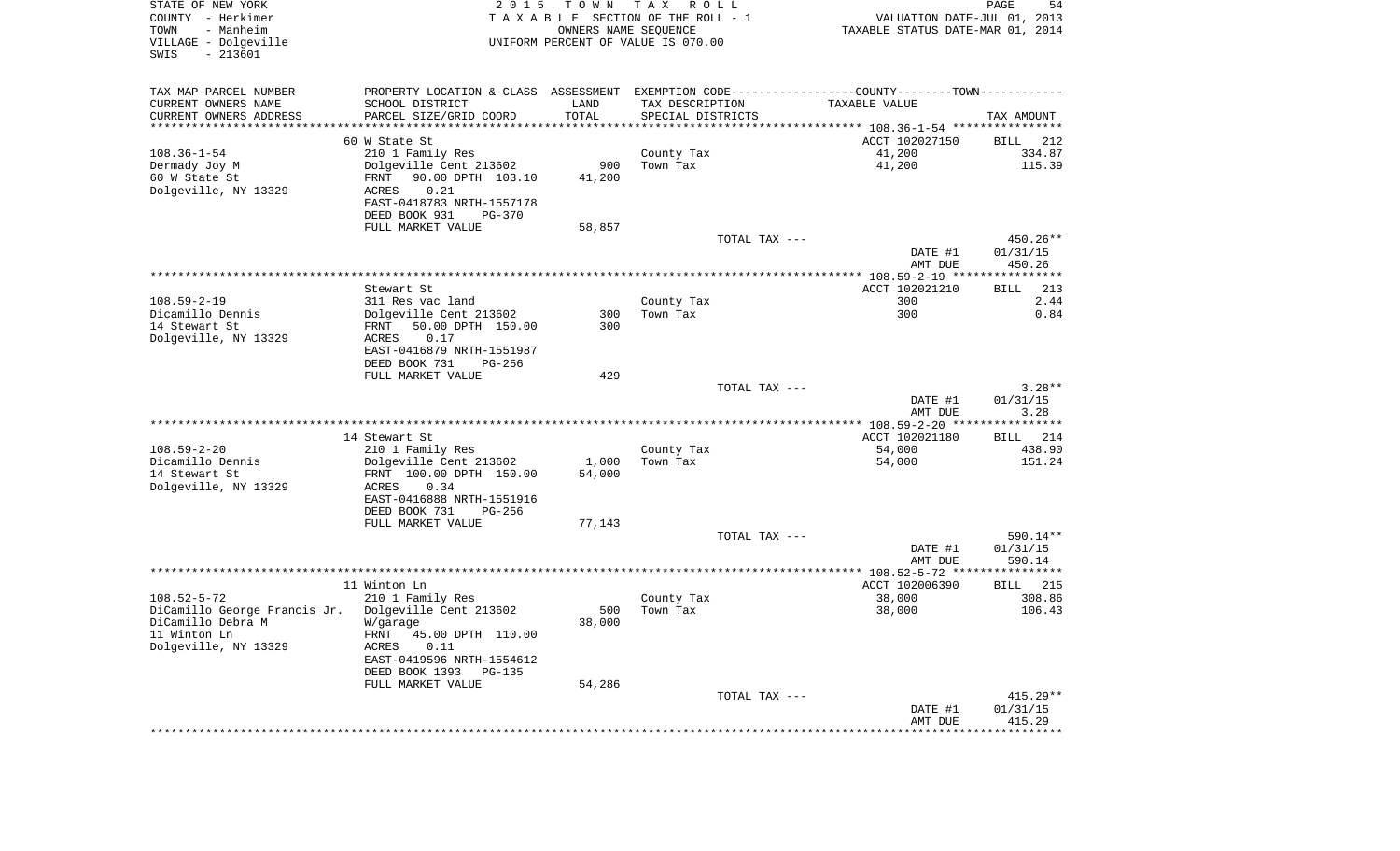| STATE OF NEW YORK<br>COUNTY - Herkimer                         | 2015                                       |                      | TOWN TAX ROLL<br>T A X A B L E SECTION OF THE ROLL - 1 | VALUATION DATE-JUL 01, 2013                                                                   | PAGE<br>54           |
|----------------------------------------------------------------|--------------------------------------------|----------------------|--------------------------------------------------------|-----------------------------------------------------------------------------------------------|----------------------|
| TOWN<br>- Manheim<br>VILLAGE - Dolgeville<br>SWIS<br>$-213601$ |                                            | OWNERS NAME SEQUENCE | UNIFORM PERCENT OF VALUE IS 070.00                     | TAXABLE STATUS DATE-MAR 01, 2014                                                              |                      |
| TAX MAP PARCEL NUMBER                                          |                                            |                      |                                                        | PROPERTY LOCATION & CLASS ASSESSMENT EXEMPTION CODE---------------COUNTY-------TOWN---------- |                      |
| CURRENT OWNERS NAME                                            | SCHOOL DISTRICT                            | LAND                 | TAX DESCRIPTION                                        | TAXABLE VALUE                                                                                 |                      |
| CURRENT OWNERS ADDRESS                                         | PARCEL SIZE/GRID COORD                     | TOTAL                | SPECIAL DISTRICTS                                      |                                                                                               | TAX AMOUNT           |
| ***********************                                        |                                            |                      |                                                        |                                                                                               |                      |
| 108.36-1-54                                                    | 60 W State St<br>210 1 Family Res          |                      | County Tax                                             | ACCT 102027150<br>41,200                                                                      | BILL 212<br>334.87   |
| Dermady Joy M                                                  | Dolgeville Cent 213602                     | 900                  | Town Tax                                               | 41,200                                                                                        | 115.39               |
| 60 W State St                                                  | FRNT 90.00 DPTH 103.10                     | 41,200               |                                                        |                                                                                               |                      |
| Dolgeville, NY 13329                                           | 0.21<br>ACRES                              |                      |                                                        |                                                                                               |                      |
|                                                                | EAST-0418783 NRTH-1557178                  |                      |                                                        |                                                                                               |                      |
|                                                                | DEED BOOK 931<br>PG-370                    |                      |                                                        |                                                                                               |                      |
|                                                                | FULL MARKET VALUE                          | 58,857               |                                                        |                                                                                               |                      |
|                                                                |                                            |                      | TOTAL TAX ---                                          | DATE #1                                                                                       | 450.26**<br>01/31/15 |
|                                                                |                                            |                      |                                                        | AMT DUE                                                                                       | 450.26               |
|                                                                |                                            |                      |                                                        |                                                                                               |                      |
|                                                                | Stewart St                                 |                      |                                                        | ACCT 102021210                                                                                | 213<br>BILL          |
| 108.59-2-19                                                    | 311 Res vac land                           |                      | County Tax                                             | 300                                                                                           | 2.44                 |
| Dicamillo Dennis                                               | Dolgeville Cent 213602                     | 300                  | Town Tax                                               | 300                                                                                           | 0.84                 |
| 14 Stewart St                                                  | FRNT 50.00 DPTH 150.00                     | 300                  |                                                        |                                                                                               |                      |
| Dolgeville, NY 13329                                           | ACRES<br>0.17<br>EAST-0416879 NRTH-1551987 |                      |                                                        |                                                                                               |                      |
|                                                                | DEED BOOK 731<br>PG-256                    |                      |                                                        |                                                                                               |                      |
|                                                                | FULL MARKET VALUE                          | 429                  |                                                        |                                                                                               |                      |
|                                                                |                                            |                      | TOTAL TAX ---                                          |                                                                                               | $3.28**$             |
|                                                                |                                            |                      |                                                        | DATE #1                                                                                       | 01/31/15             |
|                                                                |                                            |                      |                                                        | AMT DUE                                                                                       | 3.28                 |
|                                                                |                                            |                      |                                                        |                                                                                               |                      |
| $108.59 - 2 - 20$                                              | 14 Stewart St<br>210 1 Family Res          |                      |                                                        | ACCT 102021180<br>54,000                                                                      | BILL 214<br>438.90   |
| Dicamillo Dennis                                               | Dolgeville Cent 213602                     | 1,000                | County Tax<br>Town Tax                                 | 54,000                                                                                        | 151.24               |
| 14 Stewart St                                                  | FRNT 100.00 DPTH 150.00                    | 54,000               |                                                        |                                                                                               |                      |
| Dolgeville, NY 13329                                           | ACRES<br>0.34                              |                      |                                                        |                                                                                               |                      |
|                                                                | EAST-0416888 NRTH-1551916                  |                      |                                                        |                                                                                               |                      |
|                                                                | DEED BOOK 731<br>PG-256                    |                      |                                                        |                                                                                               |                      |
|                                                                | FULL MARKET VALUE                          | 77,143               |                                                        |                                                                                               |                      |
|                                                                |                                            |                      | TOTAL TAX ---                                          |                                                                                               | 590.14**<br>01/31/15 |
|                                                                |                                            |                      |                                                        | DATE #1<br>AMT DUE                                                                            | 590.14               |
|                                                                |                                            |                      |                                                        |                                                                                               |                      |
|                                                                | 11 Winton Ln                               |                      |                                                        | ACCT 102006390                                                                                | BILL 215             |
| $108.52 - 5 - 72$                                              | 210 1 Family Res                           |                      | County Tax                                             | 38,000                                                                                        | 308.86               |
| DiCamillo George Francis Jr.   Dolgeville Cent 213602          |                                            | 500                  | Town Tax                                               | 38,000                                                                                        | 106.43               |
| DiCamillo Debra M                                              | W/garage                                   | 38,000               |                                                        |                                                                                               |                      |
| 11 Winton Ln<br>Dolgeville, NY 13329                           | 45.00 DPTH 110.00<br>FRNT<br>ACRES<br>0.11 |                      |                                                        |                                                                                               |                      |
|                                                                | EAST-0419596 NRTH-1554612                  |                      |                                                        |                                                                                               |                      |
|                                                                | DEED BOOK 1393<br>PG-135                   |                      |                                                        |                                                                                               |                      |
|                                                                | FULL MARKET VALUE                          | 54,286               |                                                        |                                                                                               |                      |
|                                                                |                                            |                      | TOTAL TAX ---                                          |                                                                                               | $415.29**$           |
|                                                                |                                            |                      |                                                        | DATE #1<br>AMT DUE                                                                            | 01/31/15             |
|                                                                |                                            |                      |                                                        |                                                                                               | 415.29               |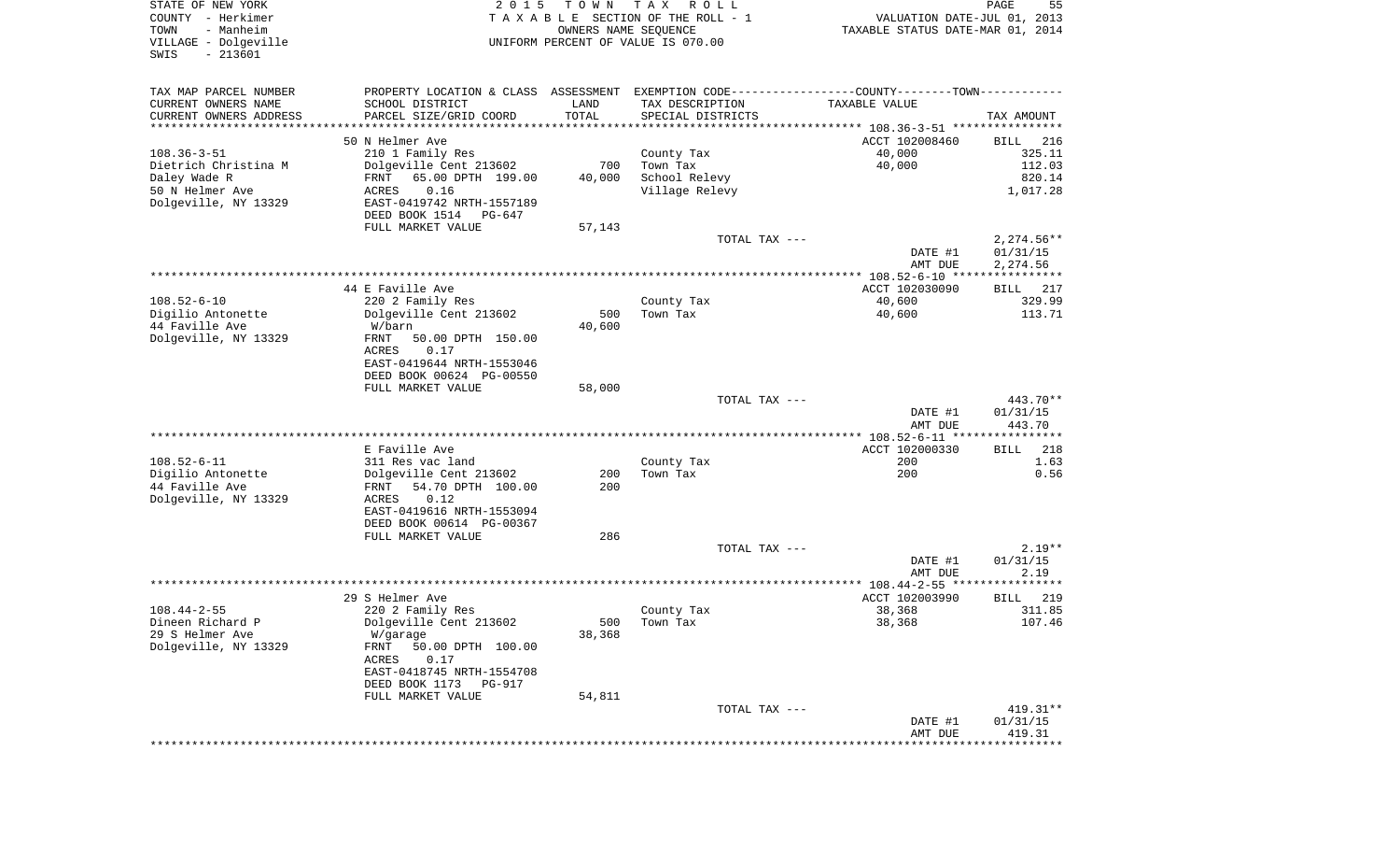| STATE OF NEW YORK<br>COUNTY - Herkimer<br>- Manheim<br>TOWN<br>VILLAGE - Dolgeville<br>$-213601$<br>SWIS | 2 0 1 5                                                                                       | T O W N | T A X<br>R O L L<br>TAXABLE SECTION OF THE ROLL - 1<br>OWNERS NAME SEQUENCE<br>UNIFORM PERCENT OF VALUE IS 070.00 | VALUATION DATE-JUL 01, 2013<br>TAXABLE STATUS DATE-MAR 01, 2014 | PAGE<br>55           |
|----------------------------------------------------------------------------------------------------------|-----------------------------------------------------------------------------------------------|---------|-------------------------------------------------------------------------------------------------------------------|-----------------------------------------------------------------|----------------------|
| TAX MAP PARCEL NUMBER                                                                                    | PROPERTY LOCATION & CLASS ASSESSMENT EXEMPTION CODE---------------COUNTY-------TOWN---------- |         |                                                                                                                   |                                                                 |                      |
| CURRENT OWNERS NAME                                                                                      | SCHOOL DISTRICT                                                                               | LAND    | TAX DESCRIPTION                                                                                                   | TAXABLE VALUE                                                   |                      |
| CURRENT OWNERS ADDRESS<br>*********************                                                          | PARCEL SIZE/GRID COORD                                                                        | TOTAL   | SPECIAL DISTRICTS                                                                                                 |                                                                 | TAX AMOUNT           |
|                                                                                                          | 50 N Helmer Ave                                                                               |         |                                                                                                                   | ACCT 102008460                                                  | 216<br>BILL          |
| $108.36 - 3 - 51$                                                                                        | 210 1 Family Res                                                                              |         | County Tax                                                                                                        | 40,000                                                          | 325.11               |
| Dietrich Christina M                                                                                     | Dolgeville Cent 213602                                                                        | 700     | Town Tax                                                                                                          | 40,000                                                          | 112.03               |
| Daley Wade R                                                                                             | 65.00 DPTH 199.00<br>FRNT                                                                     | 40,000  | School Relevy                                                                                                     |                                                                 | 820.14               |
| 50 N Helmer Ave<br>Dolgeville, NY 13329                                                                  | 0.16<br>ACRES<br>EAST-0419742 NRTH-1557189                                                    |         | Village Relevy                                                                                                    |                                                                 | 1,017.28             |
|                                                                                                          | DEED BOOK 1514<br>PG-647                                                                      |         |                                                                                                                   |                                                                 |                      |
|                                                                                                          | FULL MARKET VALUE                                                                             | 57,143  |                                                                                                                   |                                                                 |                      |
|                                                                                                          |                                                                                               |         | TOTAL TAX ---                                                                                                     |                                                                 | $2,274.56**$         |
|                                                                                                          |                                                                                               |         |                                                                                                                   | DATE #1<br>AMT DUE                                              | 01/31/15<br>2,274.56 |
|                                                                                                          |                                                                                               |         |                                                                                                                   |                                                                 |                      |
|                                                                                                          | 44 E Faville Ave                                                                              |         |                                                                                                                   | ACCT 102030090                                                  | 217<br>BILL          |
| $108.52 - 6 - 10$<br>Digilio Antonette                                                                   | 220 2 Family Res                                                                              | 500     | County Tax<br>Town Tax                                                                                            | 40,600                                                          | 329.99<br>113.71     |
| 44 Faville Ave                                                                                           | Dolgeville Cent 213602<br>W/barn                                                              | 40,600  |                                                                                                                   | 40,600                                                          |                      |
| Dolgeville, NY 13329                                                                                     | 50.00 DPTH 150.00<br>FRNT                                                                     |         |                                                                                                                   |                                                                 |                      |
|                                                                                                          | 0.17<br>ACRES                                                                                 |         |                                                                                                                   |                                                                 |                      |
|                                                                                                          | EAST-0419644 NRTH-1553046<br>DEED BOOK 00624 PG-00550                                         |         |                                                                                                                   |                                                                 |                      |
|                                                                                                          | FULL MARKET VALUE                                                                             | 58,000  |                                                                                                                   |                                                                 |                      |
|                                                                                                          |                                                                                               |         | TOTAL TAX ---                                                                                                     |                                                                 | 443.70**             |
|                                                                                                          |                                                                                               |         |                                                                                                                   | DATE #1                                                         | 01/31/15             |
|                                                                                                          |                                                                                               |         |                                                                                                                   | AMT DUE<br>************ 108.52-6-11 *****************           | 443.70               |
|                                                                                                          | E Faville Ave                                                                                 |         |                                                                                                                   | ACCT 102000330                                                  | <b>BILL</b><br>218   |
| $108.52 - 6 - 11$                                                                                        | 311 Res vac land                                                                              |         | County Tax                                                                                                        | 200                                                             | 1.63                 |
| Digilio Antonette                                                                                        | Dolgeville Cent 213602                                                                        | 200     | Town Tax                                                                                                          | 200                                                             | 0.56                 |
| 44 Faville Ave<br>Dolgeville, NY 13329                                                                   | 54.70 DPTH 100.00<br>FRNT<br>0.12<br>ACRES                                                    | 200     |                                                                                                                   |                                                                 |                      |
|                                                                                                          | EAST-0419616 NRTH-1553094                                                                     |         |                                                                                                                   |                                                                 |                      |
|                                                                                                          | DEED BOOK 00614 PG-00367                                                                      |         |                                                                                                                   |                                                                 |                      |
|                                                                                                          | FULL MARKET VALUE                                                                             | 286     |                                                                                                                   |                                                                 |                      |
|                                                                                                          |                                                                                               |         | TOTAL TAX ---                                                                                                     | DATE #1                                                         | $2.19**$<br>01/31/15 |
|                                                                                                          |                                                                                               |         |                                                                                                                   | AMT DUE                                                         | 2.19                 |
|                                                                                                          |                                                                                               |         |                                                                                                                   |                                                                 |                      |
| $108.44 - 2 - 55$                                                                                        | 29 S Helmer Ave                                                                               |         |                                                                                                                   | ACCT 102003990                                                  | 219<br>BILL          |
| Dineen Richard P                                                                                         | 220 2 Family Res<br>Dolgeville Cent 213602                                                    | 500     | County Tax<br>Town Tax                                                                                            | 38,368<br>38,368                                                | 311.85<br>107.46     |
| 29 S Helmer Ave                                                                                          | W/garage                                                                                      | 38,368  |                                                                                                                   |                                                                 |                      |
| Dolgeville, NY 13329                                                                                     | 50.00 DPTH 100.00<br>FRNT                                                                     |         |                                                                                                                   |                                                                 |                      |
|                                                                                                          | ACRES<br>0.17                                                                                 |         |                                                                                                                   |                                                                 |                      |
|                                                                                                          | EAST-0418745 NRTH-1554708<br>DEED BOOK 1173<br>PG-917                                         |         |                                                                                                                   |                                                                 |                      |
|                                                                                                          | FULL MARKET VALUE                                                                             | 54,811  |                                                                                                                   |                                                                 |                      |
|                                                                                                          |                                                                                               |         | TOTAL TAX ---                                                                                                     |                                                                 | 419.31**             |
|                                                                                                          |                                                                                               |         |                                                                                                                   | DATE #1                                                         | 01/31/15             |
|                                                                                                          |                                                                                               |         |                                                                                                                   | AMT DUE                                                         | 419.31               |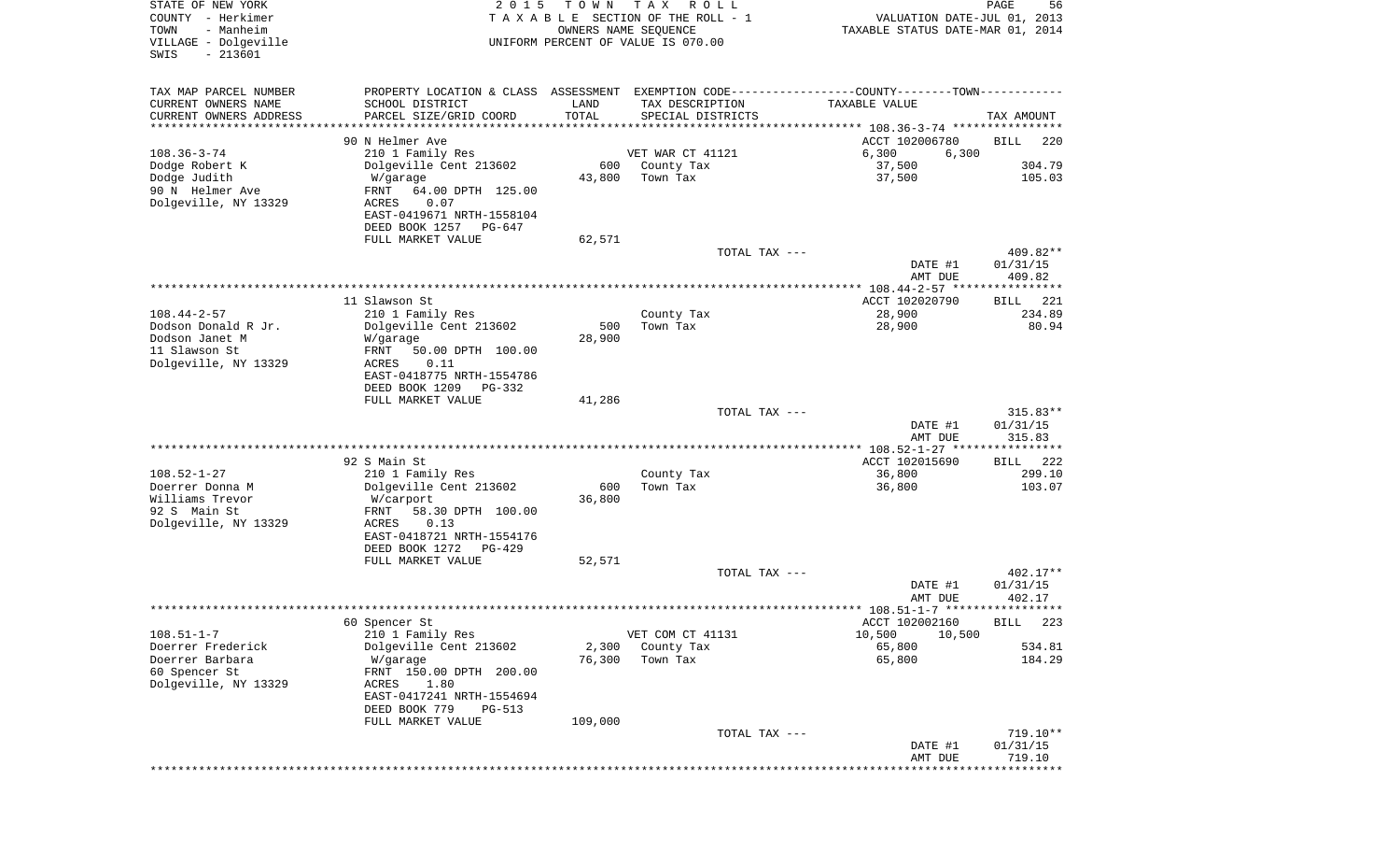| STATE OF NEW YORK<br>COUNTY - Herkimer<br>TOWN<br>- Manheim<br>VILLAGE - Dolgeville<br>$-213601$<br>SWIS | 2 0 1 5                                                                                       | T O W N<br>OWNERS NAME SEQUENCE | T A X<br>R O L L<br>TAXABLE SECTION OF THE ROLL - 1<br>UNIFORM PERCENT OF VALUE IS 070.00 | VALUATION DATE-JUL 01, 2013<br>TAXABLE STATUS DATE-MAR 01, 2014 | PAGE<br>56          |
|----------------------------------------------------------------------------------------------------------|-----------------------------------------------------------------------------------------------|---------------------------------|-------------------------------------------------------------------------------------------|-----------------------------------------------------------------|---------------------|
| TAX MAP PARCEL NUMBER                                                                                    | PROPERTY LOCATION & CLASS ASSESSMENT EXEMPTION CODE---------------COUNTY-------TOWN---------- |                                 |                                                                                           |                                                                 |                     |
| CURRENT OWNERS NAME                                                                                      | SCHOOL DISTRICT                                                                               | LAND                            | TAX DESCRIPTION                                                                           | TAXABLE VALUE                                                   |                     |
| CURRENT OWNERS ADDRESS                                                                                   | PARCEL SIZE/GRID COORD<br>************************                                            | TOTAL                           | SPECIAL DISTRICTS                                                                         |                                                                 | TAX AMOUNT          |
| *********************                                                                                    | 90 N Helmer Ave                                                                               |                                 |                                                                                           | ACCT 102006780                                                  | 220<br>BILL         |
| $108.36 - 3 - 74$                                                                                        | 210 1 Family Res                                                                              |                                 | VET WAR CT 41121                                                                          | 6,300<br>6,300                                                  |                     |
| Dodge Robert K                                                                                           | Dolgeville Cent 213602                                                                        | 600                             | County Tax                                                                                | 37,500                                                          | 304.79              |
| Dodge Judith                                                                                             | W/garage                                                                                      | 43,800                          | Town Tax                                                                                  | 37,500                                                          | 105.03              |
| 90 N Helmer Ave                                                                                          | FRNT<br>64.00 DPTH 125.00                                                                     |                                 |                                                                                           |                                                                 |                     |
| Dolgeville, NY 13329                                                                                     | 0.07<br>ACRES<br>EAST-0419671 NRTH-1558104                                                    |                                 |                                                                                           |                                                                 |                     |
|                                                                                                          | DEED BOOK 1257<br>PG-647                                                                      |                                 |                                                                                           |                                                                 |                     |
|                                                                                                          | FULL MARKET VALUE                                                                             | 62,571                          |                                                                                           |                                                                 |                     |
|                                                                                                          |                                                                                               |                                 | TOTAL TAX ---                                                                             |                                                                 | 409.82**            |
|                                                                                                          |                                                                                               |                                 |                                                                                           | DATE #1<br>AMT DUE                                              | 01/31/15<br>409.82  |
|                                                                                                          |                                                                                               |                                 |                                                                                           |                                                                 |                     |
|                                                                                                          | 11 Slawson St                                                                                 |                                 |                                                                                           | ACCT 102020790                                                  | 221<br>BILL         |
| $108.44 - 2 - 57$                                                                                        | 210 1 Family Res                                                                              |                                 | County Tax<br>Town Tax                                                                    | 28,900                                                          | 234.89              |
| Dodson Donald R Jr.<br>Dodson Janet M                                                                    | Dolgeville Cent 213602<br>W/garage                                                            | 500<br>28,900                   |                                                                                           | 28,900                                                          | 80.94               |
| 11 Slawson St                                                                                            | 50.00 DPTH 100.00<br>FRNT                                                                     |                                 |                                                                                           |                                                                 |                     |
| Dolgeville, NY 13329                                                                                     | 0.11<br>ACRES                                                                                 |                                 |                                                                                           |                                                                 |                     |
|                                                                                                          | EAST-0418775 NRTH-1554786                                                                     |                                 |                                                                                           |                                                                 |                     |
|                                                                                                          | DEED BOOK 1209<br>PG-332<br>FULL MARKET VALUE                                                 | 41,286                          |                                                                                           |                                                                 |                     |
|                                                                                                          |                                                                                               |                                 | TOTAL TAX ---                                                                             |                                                                 | $315.83**$          |
|                                                                                                          |                                                                                               |                                 |                                                                                           | DATE #1                                                         | 01/31/15            |
|                                                                                                          |                                                                                               |                                 |                                                                                           | AMT DUE                                                         | 315.83              |
|                                                                                                          | 92 S Main St                                                                                  |                                 |                                                                                           | ACCT 102015690                                                  | 222<br>BILL         |
| $108.52 - 1 - 27$                                                                                        | 210 1 Family Res                                                                              |                                 | County Tax                                                                                | 36,800                                                          | 299.10              |
| Doerrer Donna M                                                                                          | Dolgeville Cent 213602                                                                        | 600                             | Town Tax                                                                                  | 36,800                                                          | 103.07              |
| Williams Trevor<br>92 S Main St                                                                          | W/carport<br>FRNT<br>58.30 DPTH 100.00                                                        | 36,800                          |                                                                                           |                                                                 |                     |
| Dolgeville, NY 13329                                                                                     | ACRES<br>0.13                                                                                 |                                 |                                                                                           |                                                                 |                     |
|                                                                                                          | EAST-0418721 NRTH-1554176                                                                     |                                 |                                                                                           |                                                                 |                     |
|                                                                                                          | DEED BOOK 1272<br>PG-429                                                                      |                                 |                                                                                           |                                                                 |                     |
|                                                                                                          | FULL MARKET VALUE                                                                             | 52,571                          | TOTAL TAX ---                                                                             |                                                                 | 402.17**            |
|                                                                                                          |                                                                                               |                                 |                                                                                           | DATE #1                                                         | 01/31/15            |
|                                                                                                          |                                                                                               |                                 |                                                                                           | AMT DUE                                                         | 402.17              |
|                                                                                                          |                                                                                               |                                 |                                                                                           |                                                                 |                     |
| $108.51 - 1 - 7$                                                                                         | 60 Spencer St<br>210 1 Family Res                                                             |                                 | VET COM CT 41131                                                                          | ACCT 102002160<br>10,500<br>10,500                              | BILL 223            |
| Doerrer Frederick                                                                                        | Dolgeville Cent 213602                                                                        | 2,300                           | County Tax                                                                                | 65,800                                                          | 534.81              |
| Doerrer Barbara                                                                                          | W/garage                                                                                      | 76,300                          | Town Tax                                                                                  | 65,800                                                          | 184.29              |
| 60 Spencer St                                                                                            | FRNT 150.00 DPTH 200.00                                                                       |                                 |                                                                                           |                                                                 |                     |
| Dolgeville, NY 13329                                                                                     | 1.80<br>ACRES<br>EAST-0417241 NRTH-1554694                                                    |                                 |                                                                                           |                                                                 |                     |
|                                                                                                          | DEED BOOK 779<br>PG-513                                                                       |                                 |                                                                                           |                                                                 |                     |
|                                                                                                          | FULL MARKET VALUE                                                                             | 109,000                         |                                                                                           |                                                                 |                     |
|                                                                                                          |                                                                                               |                                 | TOTAL TAX ---                                                                             |                                                                 | $719.10**$          |
|                                                                                                          |                                                                                               |                                 |                                                                                           | DATE #1<br>AMT DUE                                              | 01/31/15<br>719.10  |
|                                                                                                          |                                                                                               |                                 |                                                                                           |                                                                 | * * * * * * * * * * |
|                                                                                                          |                                                                                               |                                 |                                                                                           |                                                                 |                     |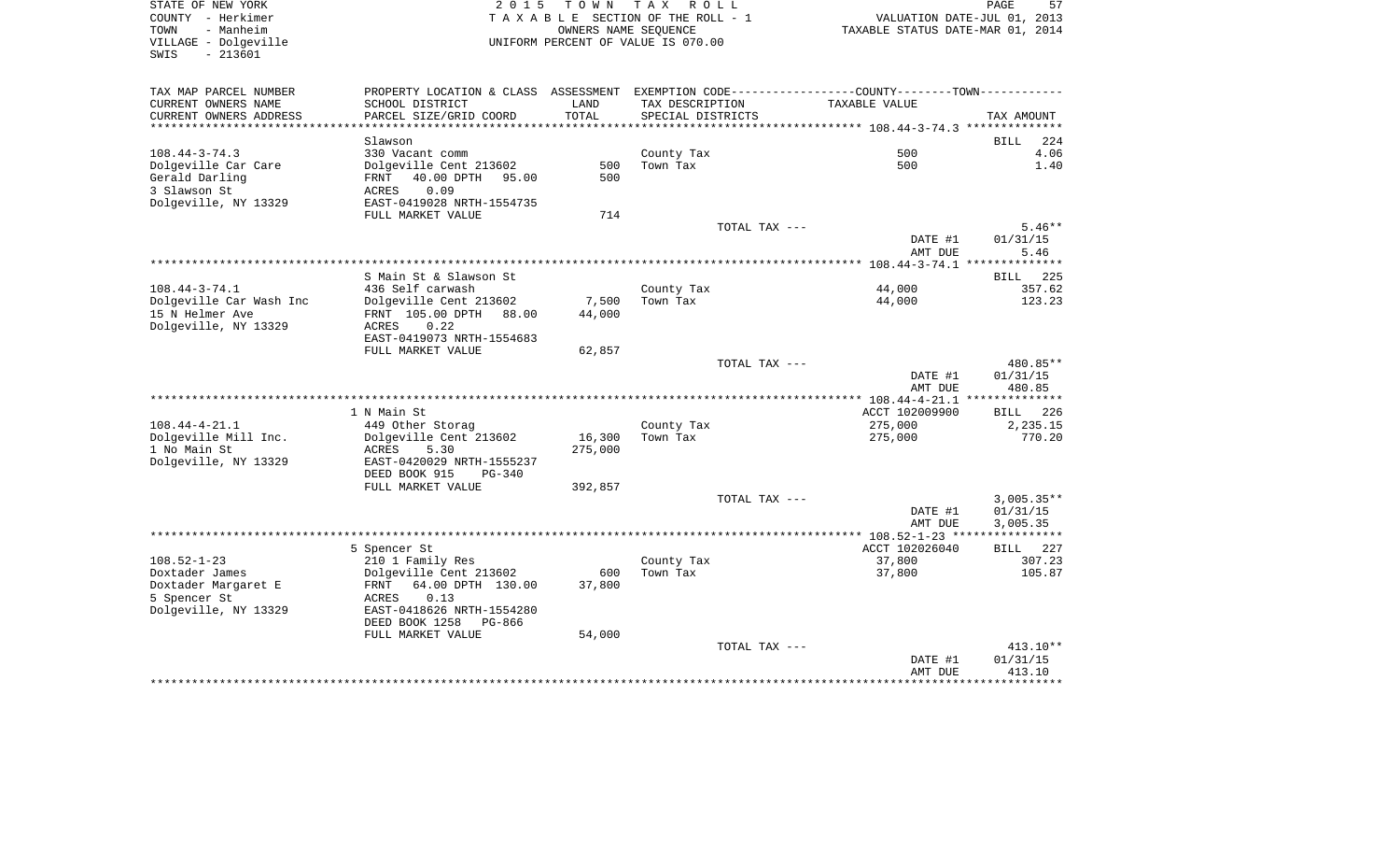| STATE OF NEW YORK<br>COUNTY - Herkimer<br>- Manheim<br>TOWN<br>VILLAGE - Dolgeville<br>$-213601$<br>SWIS | 2 0 1 5                                                                                       |         | TOWN TAX ROLL<br>TAXABLE SECTION OF THE ROLL - 1<br>OWNERS NAME SEQUENCE<br>UNIFORM PERCENT OF VALUE IS 070.00 |                 | VALUATION DATE-JUL 01, 2013<br>TAXABLE STATUS DATE-MAR 01, 2014 | PAGE<br>57   |
|----------------------------------------------------------------------------------------------------------|-----------------------------------------------------------------------------------------------|---------|----------------------------------------------------------------------------------------------------------------|-----------------|-----------------------------------------------------------------|--------------|
| TAX MAP PARCEL NUMBER                                                                                    | PROPERTY LOCATION & CLASS ASSESSMENT EXEMPTION CODE---------------COUNTY-------TOWN---------- |         |                                                                                                                |                 |                                                                 |              |
| CURRENT OWNERS NAME                                                                                      | SCHOOL DISTRICT                                                                               | LAND    |                                                                                                                | TAX DESCRIPTION | TAXABLE VALUE                                                   |              |
| CURRENT OWNERS ADDRESS                                                                                   | PARCEL SIZE/GRID COORD                                                                        | TOTAL   | SPECIAL DISTRICTS                                                                                              |                 |                                                                 | TAX AMOUNT   |
|                                                                                                          |                                                                                               |         |                                                                                                                |                 |                                                                 |              |
|                                                                                                          | Slawson                                                                                       |         |                                                                                                                |                 |                                                                 | BILL 224     |
| $108.44 - 3 - 74.3$<br>Dolgeville Car Care                                                               | 330 Vacant comm<br>Dolgeville Cent 213602                                                     |         | County Tax<br>500 Town Tax                                                                                     |                 | 500<br>500                                                      | 4.06<br>1.40 |
| Gerald Darling                                                                                           | FRNT 40.00 DPTH 95.00                                                                         | 500     |                                                                                                                |                 |                                                                 |              |
| 3 Slawson St                                                                                             | 0.09<br>ACRES                                                                                 |         |                                                                                                                |                 |                                                                 |              |
| Dolgeville, NY 13329                                                                                     | EAST-0419028 NRTH-1554735                                                                     |         |                                                                                                                |                 |                                                                 |              |
|                                                                                                          | FULL MARKET VALUE                                                                             | 714     |                                                                                                                |                 |                                                                 |              |
|                                                                                                          |                                                                                               |         |                                                                                                                | TOTAL TAX ---   |                                                                 | $5.46**$     |
|                                                                                                          |                                                                                               |         |                                                                                                                |                 | DATE #1                                                         | 01/31/15     |
|                                                                                                          |                                                                                               |         |                                                                                                                |                 | AMT DUE                                                         | 5.46         |
|                                                                                                          |                                                                                               |         |                                                                                                                |                 |                                                                 |              |
|                                                                                                          | S Main St & Slawson St                                                                        |         |                                                                                                                |                 |                                                                 | BILL 225     |
| $108.44 - 3 - 74.1$                                                                                      | 436 Self carwash                                                                              |         | County Tax                                                                                                     |                 | 44,000                                                          | 357.62       |
| Dolgeville Car Wash Inc                                                                                  | Dolgeville Cent 213602                                                                        |         | 7,500 Town Tax                                                                                                 |                 | 44,000                                                          | 123.23       |
| 15 N Helmer Ave<br>Dolgeville, NY 13329                                                                  | FRNT 105.00 DPTH 88.00<br>0.22<br>ACRES                                                       | 44,000  |                                                                                                                |                 |                                                                 |              |
|                                                                                                          | EAST-0419073 NRTH-1554683                                                                     |         |                                                                                                                |                 |                                                                 |              |
|                                                                                                          | FULL MARKET VALUE                                                                             | 62,857  |                                                                                                                |                 |                                                                 |              |
|                                                                                                          |                                                                                               |         |                                                                                                                | TOTAL TAX ---   |                                                                 | 480.85**     |
|                                                                                                          |                                                                                               |         |                                                                                                                |                 | DATE #1                                                         | 01/31/15     |
|                                                                                                          |                                                                                               |         |                                                                                                                |                 | AMT DUE                                                         | 480.85       |
|                                                                                                          |                                                                                               |         |                                                                                                                |                 |                                                                 |              |
|                                                                                                          | 1 N Main St                                                                                   |         |                                                                                                                |                 | ACCT 102009900                                                  | BILL 226     |
| $108.44 - 4 - 21.1$                                                                                      | 449 Other Storag                                                                              |         | County Tax                                                                                                     |                 | 275,000                                                         | 2,235.15     |
| Dolgeville Mill Inc.<br>1 No Main St                                                                     | Dolgeville Cent 213602<br>ACRES<br>5.30                                                       | 275,000 | 16,300 Town Tax                                                                                                |                 | 275,000                                                         | 770.20       |
| Dolgeville, NY 13329                                                                                     | EAST-0420029 NRTH-1555237                                                                     |         |                                                                                                                |                 |                                                                 |              |
|                                                                                                          | DEED BOOK 915 PG-340                                                                          |         |                                                                                                                |                 |                                                                 |              |
|                                                                                                          | FULL MARKET VALUE                                                                             | 392,857 |                                                                                                                |                 |                                                                 |              |
|                                                                                                          |                                                                                               |         |                                                                                                                | TOTAL TAX ---   |                                                                 | $3,005.35**$ |
|                                                                                                          |                                                                                               |         |                                                                                                                |                 | DATE #1                                                         | 01/31/15     |
|                                                                                                          |                                                                                               |         |                                                                                                                |                 | AMT DUE                                                         | 3,005.35     |
|                                                                                                          |                                                                                               |         |                                                                                                                |                 |                                                                 |              |
|                                                                                                          | 5 Spencer St                                                                                  |         |                                                                                                                |                 | ACCT 102026040                                                  | BILL 227     |
| $108.52 - 1 - 23$                                                                                        | 210 1 Family Res                                                                              |         | County Tax                                                                                                     |                 | 37,800                                                          | 307.23       |
| Doxtader James                                                                                           | Dolgeville Cent 213602                                                                        |         | 600 Town Tax                                                                                                   |                 | 37,800                                                          | 105.87       |
| Doxtader Margaret E<br>5 Spencer St                                                                      | FRNT 64.00 DPTH 130.00<br>ACRES 0.13                                                          | 37,800  |                                                                                                                |                 |                                                                 |              |
| Dolgeville, NY 13329                                                                                     | EAST-0418626 NRTH-1554280                                                                     |         |                                                                                                                |                 |                                                                 |              |
|                                                                                                          | DEED BOOK 1258 PG-866                                                                         |         |                                                                                                                |                 |                                                                 |              |
|                                                                                                          | FULL MARKET VALUE                                                                             | 54,000  |                                                                                                                |                 |                                                                 |              |
|                                                                                                          |                                                                                               |         |                                                                                                                | TOTAL TAX ---   |                                                                 | $413.10**$   |
|                                                                                                          |                                                                                               |         |                                                                                                                |                 | DATE #1                                                         | 01/31/15     |
|                                                                                                          |                                                                                               |         |                                                                                                                |                 |                                                                 |              |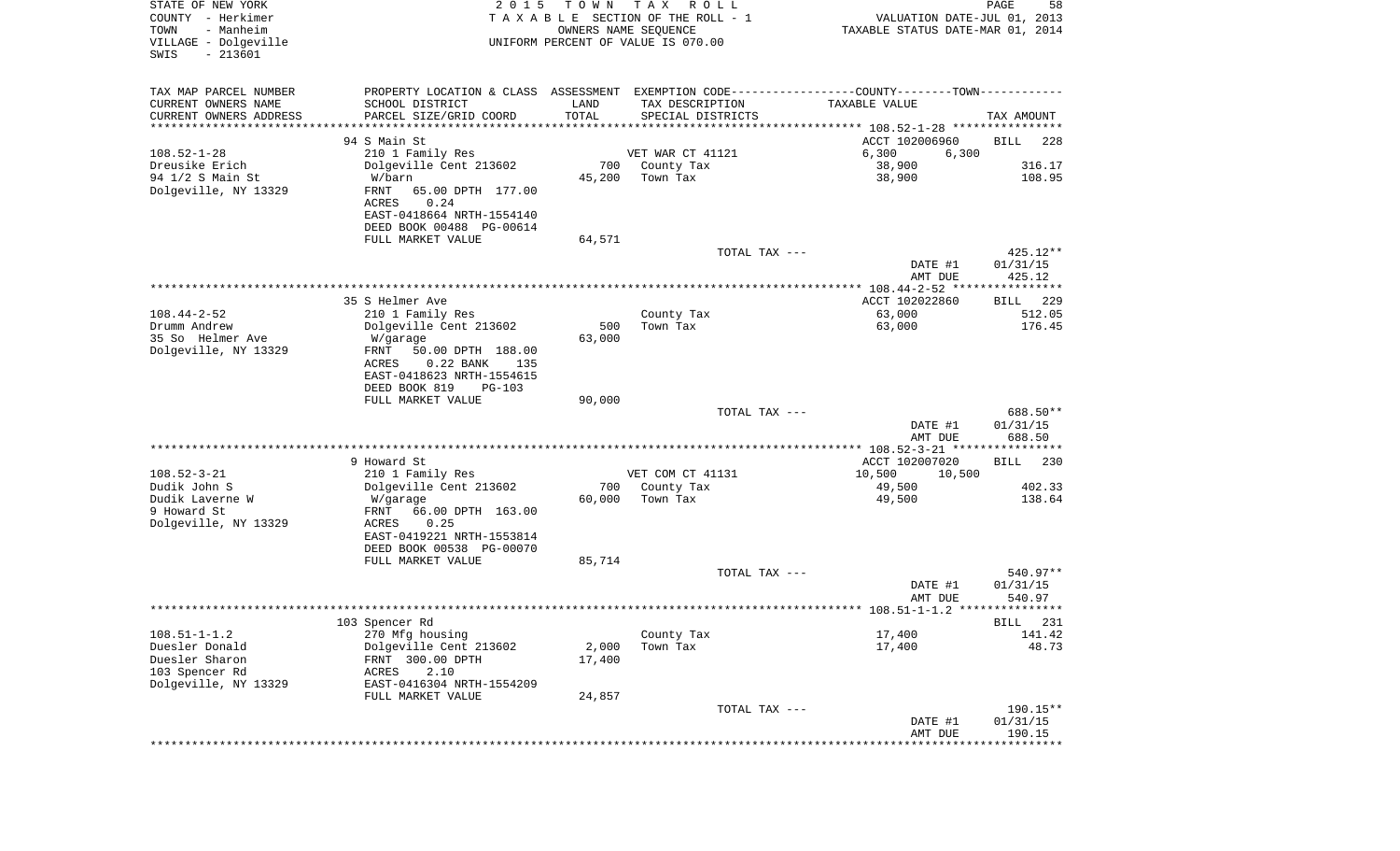| STATE OF NEW YORK<br>COUNTY - Herkimer<br>- Manheim<br>TOWN<br>VILLAGE - Dolgeville<br>$-213601$<br>SWIS | 2 0 1 5                                                  | T O W N         | T A X<br>R O L L<br>TAXABLE SECTION OF THE ROLL - 1<br>OWNERS NAME SEQUENCE<br>UNIFORM PERCENT OF VALUE IS 070.00 | VALUATION DATE-JUL 01, 2013<br>TAXABLE STATUS DATE-MAR 01, 2014 | PAGE<br>58           |
|----------------------------------------------------------------------------------------------------------|----------------------------------------------------------|-----------------|-------------------------------------------------------------------------------------------------------------------|-----------------------------------------------------------------|----------------------|
| TAX MAP PARCEL NUMBER                                                                                    |                                                          |                 | PROPERTY LOCATION & CLASS ASSESSMENT EXEMPTION CODE---------------COUNTY-------TOWN----------                     |                                                                 |                      |
| CURRENT OWNERS NAME                                                                                      | SCHOOL DISTRICT                                          | LAND            | TAX DESCRIPTION                                                                                                   | TAXABLE VALUE                                                   |                      |
| CURRENT OWNERS ADDRESS                                                                                   | PARCEL SIZE/GRID COORD<br>******************             | TOTAL           | SPECIAL DISTRICTS                                                                                                 |                                                                 | TAX AMOUNT           |
| *********************                                                                                    |                                                          |                 |                                                                                                                   |                                                                 |                      |
| $108.52 - 1 - 28$                                                                                        | 94 S Main St<br>210 1 Family Res                         |                 | VET WAR CT 41121                                                                                                  | ACCT 102006960<br>6,300<br>6,300                                | <b>BILL</b><br>228   |
| Dreusike Erich                                                                                           | Dolgeville Cent 213602                                   | 700             | County Tax                                                                                                        | 38,900                                                          | 316.17               |
| 94 1/2 S Main St                                                                                         | W/barn                                                   | 45,200          | Town Tax                                                                                                          | 38,900                                                          | 108.95               |
| Dolgeville, NY 13329                                                                                     | FRNT<br>65.00 DPTH 177.00                                |                 |                                                                                                                   |                                                                 |                      |
|                                                                                                          | ACRES<br>0.24                                            |                 |                                                                                                                   |                                                                 |                      |
|                                                                                                          | EAST-0418664 NRTH-1554140                                |                 |                                                                                                                   |                                                                 |                      |
|                                                                                                          | DEED BOOK 00488 PG-00614                                 |                 |                                                                                                                   |                                                                 |                      |
|                                                                                                          | FULL MARKET VALUE                                        | 64,571          |                                                                                                                   |                                                                 |                      |
|                                                                                                          |                                                          |                 | TOTAL TAX ---                                                                                                     | DATE #1                                                         | 425.12**<br>01/31/15 |
|                                                                                                          |                                                          |                 |                                                                                                                   | AMT DUE                                                         | 425.12               |
|                                                                                                          |                                                          |                 |                                                                                                                   |                                                                 |                      |
|                                                                                                          | 35 S Helmer Ave                                          |                 |                                                                                                                   | ACCT 102022860                                                  | 229<br>BILL          |
| $108.44 - 2 - 52$                                                                                        | 210 1 Family Res                                         |                 | County Tax                                                                                                        | 63,000                                                          | 512.05               |
| Drumm Andrew                                                                                             | Dolgeville Cent 213602                                   | 500             | Town Tax                                                                                                          | 63,000                                                          | 176.45               |
| 35 So Helmer Ave                                                                                         | W/garage                                                 | 63,000          |                                                                                                                   |                                                                 |                      |
| Dolgeville, NY 13329                                                                                     | FRNT<br>50.00 DPTH 188.00<br>ACRES<br>$0.22$ BANK<br>135 |                 |                                                                                                                   |                                                                 |                      |
|                                                                                                          | EAST-0418623 NRTH-1554615                                |                 |                                                                                                                   |                                                                 |                      |
|                                                                                                          | DEED BOOK 819<br><b>PG-103</b>                           |                 |                                                                                                                   |                                                                 |                      |
|                                                                                                          | FULL MARKET VALUE                                        | 90,000          |                                                                                                                   |                                                                 |                      |
|                                                                                                          |                                                          |                 | TOTAL TAX ---                                                                                                     |                                                                 | 688.50**             |
|                                                                                                          |                                                          |                 |                                                                                                                   | DATE #1                                                         | 01/31/15             |
|                                                                                                          |                                                          |                 |                                                                                                                   | AMT DUE                                                         | 688.50               |
|                                                                                                          | 9 Howard St                                              |                 |                                                                                                                   | ACCT 102007020                                                  | 230<br>BILL          |
| $108.52 - 3 - 21$                                                                                        | 210 1 Family Res                                         |                 | VET COM CT 41131                                                                                                  | 10,500<br>10,500                                                |                      |
| Dudik John S                                                                                             | Dolgeville Cent 213602                                   | 700             | County Tax                                                                                                        | 49,500                                                          | 402.33               |
| Dudik Laverne W                                                                                          | W/garage                                                 | 60,000          | Town Tax                                                                                                          | 49,500                                                          | 138.64               |
| 9 Howard St                                                                                              | FRNT<br>66.00 DPTH 163.00                                |                 |                                                                                                                   |                                                                 |                      |
| Dolgeville, NY 13329                                                                                     | ACRES<br>0.25                                            |                 |                                                                                                                   |                                                                 |                      |
|                                                                                                          | EAST-0419221 NRTH-1553814                                |                 |                                                                                                                   |                                                                 |                      |
|                                                                                                          | DEED BOOK 00538 PG-00070<br>FULL MARKET VALUE            | 85,714          |                                                                                                                   |                                                                 |                      |
|                                                                                                          |                                                          |                 | TOTAL TAX ---                                                                                                     |                                                                 | 540.97**             |
|                                                                                                          |                                                          |                 |                                                                                                                   | DATE #1                                                         | 01/31/15             |
|                                                                                                          |                                                          |                 |                                                                                                                   | AMT DUE                                                         | 540.97               |
|                                                                                                          |                                                          |                 |                                                                                                                   |                                                                 |                      |
|                                                                                                          | 103 Spencer Rd                                           |                 |                                                                                                                   |                                                                 | BILL 231             |
| $108.51 - 1 - 1.2$                                                                                       | 270 Mfg housing                                          |                 | County Tax                                                                                                        | 17,400                                                          | 141.42               |
| Duesler Donald<br>Duesler Sharon                                                                         | Dolgeville Cent 213602<br>FRNT 300.00 DPTH               | 2,000<br>17,400 | Town Tax                                                                                                          | 17,400                                                          | 48.73                |
| 103 Spencer Rd                                                                                           | 2.10<br>ACRES                                            |                 |                                                                                                                   |                                                                 |                      |
| Dolgeville, NY 13329                                                                                     | EAST-0416304 NRTH-1554209                                |                 |                                                                                                                   |                                                                 |                      |
|                                                                                                          | FULL MARKET VALUE                                        | 24,857          |                                                                                                                   |                                                                 |                      |
|                                                                                                          |                                                          |                 | TOTAL TAX ---                                                                                                     |                                                                 | 190.15**             |
|                                                                                                          |                                                          |                 |                                                                                                                   | DATE #1                                                         | 01/31/15             |
|                                                                                                          |                                                          |                 |                                                                                                                   | AMT DUE                                                         | 190.15<br>*********  |
|                                                                                                          |                                                          |                 |                                                                                                                   |                                                                 |                      |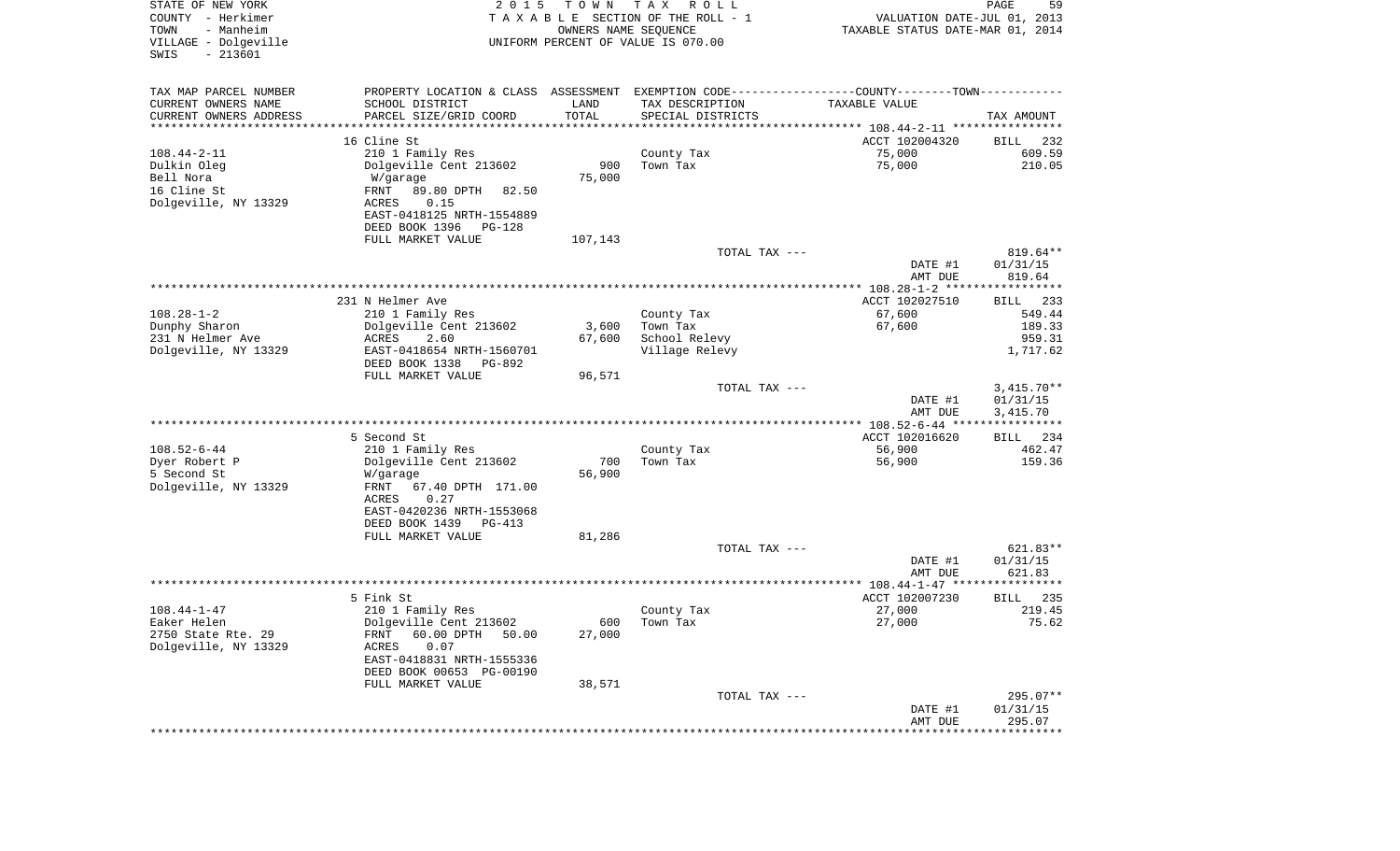| STATE OF NEW YORK<br>COUNTY - Herkimer<br>- Manheim<br>TOWN<br>VILLAGE - Dolgeville<br>SWIS<br>$-213601$ | 2 0 1 5                                               | T O W N<br>OWNERS NAME SEQUENCE | T A X<br>R O L L<br>TAXABLE SECTION OF THE ROLL - 1<br>UNIFORM PERCENT OF VALUE IS 070.00     | VALUATION DATE-JUL 01, 2013<br>TAXABLE STATUS DATE-MAR 01, 2014 | PAGE<br>59           |
|----------------------------------------------------------------------------------------------------------|-------------------------------------------------------|---------------------------------|-----------------------------------------------------------------------------------------------|-----------------------------------------------------------------|----------------------|
| TAX MAP PARCEL NUMBER                                                                                    |                                                       |                                 | PROPERTY LOCATION & CLASS ASSESSMENT EXEMPTION CODE---------------COUNTY-------TOWN---------- |                                                                 |                      |
| CURRENT OWNERS NAME                                                                                      | SCHOOL DISTRICT                                       | LAND                            | TAX DESCRIPTION                                                                               | TAXABLE VALUE                                                   |                      |
| CURRENT OWNERS ADDRESS                                                                                   | PARCEL SIZE/GRID COORD                                | TOTAL                           | SPECIAL DISTRICTS                                                                             |                                                                 | TAX AMOUNT           |
| *********************                                                                                    | ****************<br>16 Cline St                       | * * * * * * * * * * *           |                                                                                               |                                                                 | 232                  |
| $108.44 - 2 - 11$                                                                                        | 210 1 Family Res                                      |                                 | County Tax                                                                                    | ACCT 102004320<br>75,000                                        | BILL<br>609.59       |
| Dulkin Oleg                                                                                              | Dolgeville Cent 213602                                | 900                             | Town Tax                                                                                      | 75,000                                                          | 210.05               |
| Bell Nora                                                                                                | W/garage                                              | 75,000                          |                                                                                               |                                                                 |                      |
| 16 Cline St                                                                                              | FRNT<br>89.80 DPTH<br>82.50                           |                                 |                                                                                               |                                                                 |                      |
| Dolgeville, NY 13329                                                                                     | 0.15<br>ACRES                                         |                                 |                                                                                               |                                                                 |                      |
|                                                                                                          | EAST-0418125 NRTH-1554889                             |                                 |                                                                                               |                                                                 |                      |
|                                                                                                          | DEED BOOK 1396<br>PG-128                              |                                 |                                                                                               |                                                                 |                      |
|                                                                                                          | FULL MARKET VALUE                                     | 107,143                         |                                                                                               |                                                                 |                      |
|                                                                                                          |                                                       |                                 | TOTAL TAX ---                                                                                 |                                                                 | 819.64**             |
|                                                                                                          |                                                       |                                 |                                                                                               | DATE #1<br>AMT DUE                                              | 01/31/15<br>819.64   |
|                                                                                                          |                                                       |                                 |                                                                                               |                                                                 |                      |
|                                                                                                          | 231 N Helmer Ave                                      |                                 |                                                                                               | ACCT 102027510                                                  | 233<br>BILL          |
| $108.28 - 1 - 2$                                                                                         | 210 1 Family Res                                      |                                 | County Tax                                                                                    | 67,600                                                          | 549.44               |
| Dunphy Sharon                                                                                            | Dolgeville Cent 213602                                | 3,600                           | Town Tax                                                                                      | 67,600                                                          | 189.33               |
| 231 N Helmer Ave                                                                                         | ACRES<br>2.60                                         | 67,600                          | School Relevy                                                                                 |                                                                 | 959.31               |
| Dolgeville, NY 13329                                                                                     | EAST-0418654 NRTH-1560701<br>DEED BOOK 1338<br>PG-892 |                                 | Village Relevy                                                                                |                                                                 | 1,717.62             |
|                                                                                                          | FULL MARKET VALUE                                     | 96,571                          | TOTAL TAX ---                                                                                 |                                                                 | $3,415.70**$         |
|                                                                                                          |                                                       |                                 |                                                                                               | DATE #1<br>AMT DUE                                              | 01/31/15<br>3,415.70 |
|                                                                                                          |                                                       |                                 |                                                                                               |                                                                 |                      |
|                                                                                                          | 5 Second St                                           |                                 |                                                                                               | ACCT 102016620                                                  | 234<br>BILL          |
| $108.52 - 6 - 44$                                                                                        | 210 1 Family Res                                      |                                 | County Tax                                                                                    | 56,900                                                          | 462.47               |
| Dyer Robert P                                                                                            | Dolgeville Cent 213602                                | 700                             | Town Tax                                                                                      | 56,900                                                          | 159.36               |
| 5 Second St<br>Dolgeville, NY 13329                                                                      | W/garage<br><b>FRNT</b><br>67.40 DPTH 171.00          | 56,900                          |                                                                                               |                                                                 |                      |
|                                                                                                          | ACRES<br>0.27                                         |                                 |                                                                                               |                                                                 |                      |
|                                                                                                          | EAST-0420236 NRTH-1553068                             |                                 |                                                                                               |                                                                 |                      |
|                                                                                                          | DEED BOOK 1439<br>PG-413                              |                                 |                                                                                               |                                                                 |                      |
|                                                                                                          | FULL MARKET VALUE                                     | 81,286                          |                                                                                               |                                                                 |                      |
|                                                                                                          |                                                       |                                 | TOTAL TAX ---                                                                                 |                                                                 | 621.83**             |
|                                                                                                          |                                                       |                                 |                                                                                               | DATE #1<br>AMT DUE                                              | 01/31/15<br>621.83   |
|                                                                                                          |                                                       |                                 |                                                                                               |                                                                 |                      |
|                                                                                                          | 5 Fink St                                             |                                 |                                                                                               | ACCT 102007230                                                  | 235<br>BILL          |
| $108.44 - 1 - 47$                                                                                        | 210 1 Family Res                                      |                                 | County Tax                                                                                    | 27,000                                                          | 219.45               |
| Eaker Helen                                                                                              | Dolgeville Cent 213602                                |                                 | 600 Town Tax                                                                                  | 27,000                                                          | 75.62                |
| 2750 State Rte. 29                                                                                       | 60.00 DPTH 50.00<br>FRNT                              | 27,000                          |                                                                                               |                                                                 |                      |
| Dolgeville, NY 13329                                                                                     | ACRES<br>0.07                                         |                                 |                                                                                               |                                                                 |                      |
|                                                                                                          | EAST-0418831 NRTH-1555336<br>DEED BOOK 00653 PG-00190 |                                 |                                                                                               |                                                                 |                      |
|                                                                                                          | FULL MARKET VALUE                                     | 38,571                          |                                                                                               |                                                                 |                      |
|                                                                                                          |                                                       |                                 | TOTAL TAX ---                                                                                 |                                                                 | 295.07**             |
|                                                                                                          |                                                       |                                 |                                                                                               | DATE #1                                                         | 01/31/15             |
|                                                                                                          |                                                       |                                 |                                                                                               | AMT DUE                                                         | 295.07               |
|                                                                                                          |                                                       |                                 |                                                                                               |                                                                 |                      |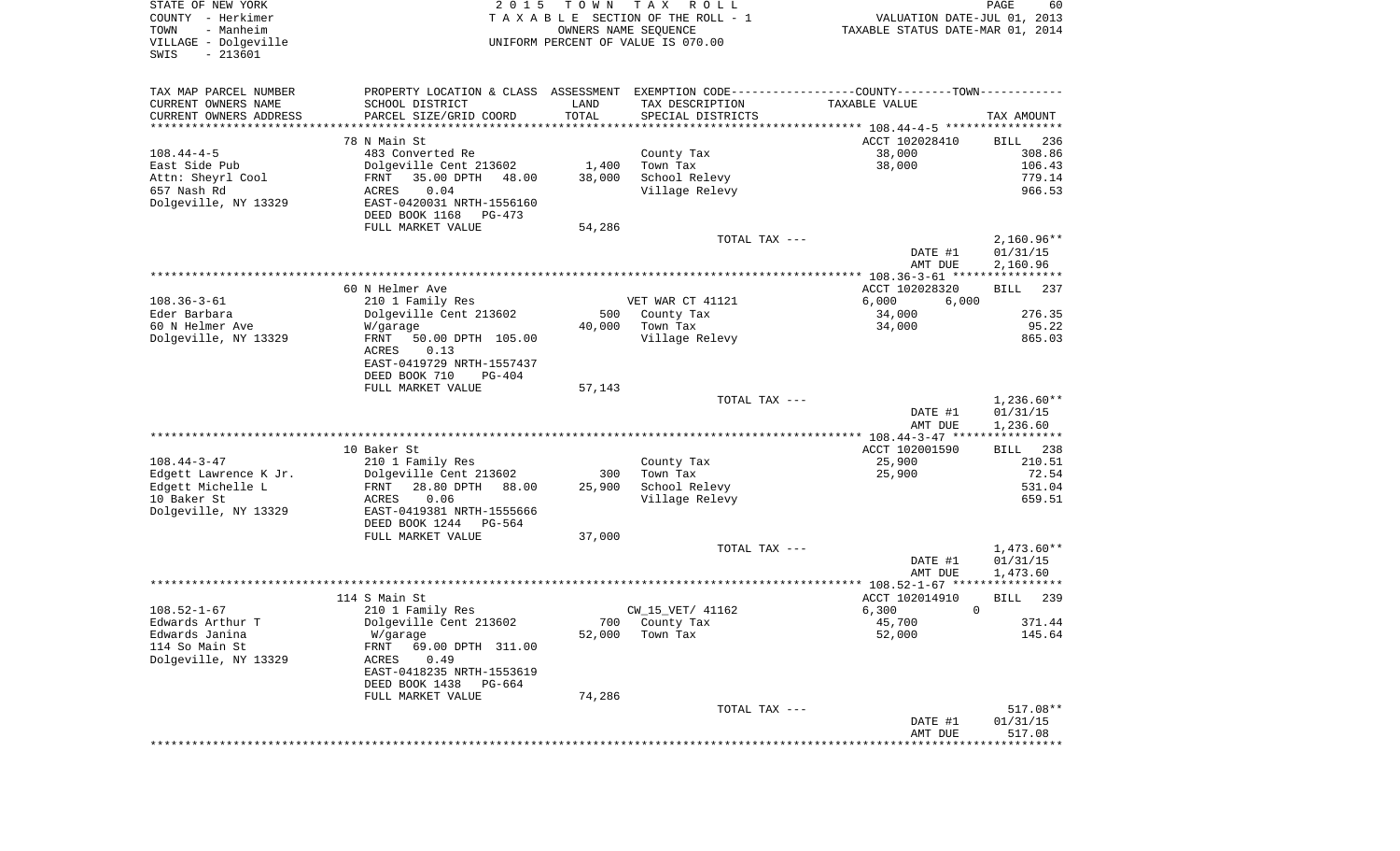| STATE OF NEW YORK<br>COUNTY - Herkimer<br>- Manheim<br>TOWN<br>VILLAGE - Dolgeville<br>$-213601$<br>SWIS | 2 0 1 5                                            | T O W N<br>OWNERS NAME SEQUENCE | TAX ROLL<br>TAXABLE SECTION OF THE ROLL - 1<br>UNIFORM PERCENT OF VALUE IS 070.00 | VALUATION DATE-JUL 01, 2013<br>TAXABLE STATUS DATE-MAR 01, 2014                               | PAGE<br>60             |
|----------------------------------------------------------------------------------------------------------|----------------------------------------------------|---------------------------------|-----------------------------------------------------------------------------------|-----------------------------------------------------------------------------------------------|------------------------|
| TAX MAP PARCEL NUMBER                                                                                    |                                                    |                                 |                                                                                   | PROPERTY LOCATION & CLASS ASSESSMENT EXEMPTION CODE---------------COUNTY-------TOWN---------- |                        |
| CURRENT OWNERS NAME                                                                                      | SCHOOL DISTRICT                                    | LAND                            | TAX DESCRIPTION                                                                   | TAXABLE VALUE                                                                                 |                        |
| CURRENT OWNERS ADDRESS                                                                                   | PARCEL SIZE/GRID COORD                             | TOTAL                           | SPECIAL DISTRICTS                                                                 |                                                                                               | TAX AMOUNT             |
| *************************                                                                                |                                                    |                                 |                                                                                   |                                                                                               |                        |
|                                                                                                          | 78 N Main St                                       |                                 |                                                                                   | ACCT 102028410                                                                                | 236<br>BILL            |
| $108.44 - 4 - 5$<br>East Side Pub                                                                        | 483 Converted Re<br>Dolgeville Cent 213602         | 1,400                           | County Tax<br>Town Tax                                                            | 38,000<br>38,000                                                                              | 308.86<br>106.43       |
| Attn: Sheyrl Cool                                                                                        | 35.00 DPTH<br>FRNT<br>48.00                        | 38,000                          | School Relevy                                                                     |                                                                                               | 779.14                 |
| 657 Nash Rd                                                                                              | 0.04<br>ACRES                                      |                                 | Village Relevy                                                                    |                                                                                               | 966.53                 |
| Dolgeville, NY 13329                                                                                     | EAST-0420031 NRTH-1556160                          |                                 |                                                                                   |                                                                                               |                        |
|                                                                                                          | DEED BOOK 1168<br>PG-473                           |                                 |                                                                                   |                                                                                               |                        |
|                                                                                                          | FULL MARKET VALUE                                  | 54,286                          |                                                                                   |                                                                                               |                        |
|                                                                                                          |                                                    |                                 | TOTAL TAX ---                                                                     |                                                                                               | $2,160.96**$           |
|                                                                                                          |                                                    |                                 |                                                                                   | DATE #1                                                                                       | 01/31/15               |
|                                                                                                          |                                                    |                                 |                                                                                   | AMT DUE                                                                                       | 2,160.96               |
|                                                                                                          |                                                    |                                 |                                                                                   |                                                                                               |                        |
|                                                                                                          | 60 N Helmer Ave                                    |                                 |                                                                                   | ACCT 102028320                                                                                | <b>BILL</b><br>237     |
| $108.36 - 3 - 61$<br>Eder Barbara                                                                        | 210 1 Family Res<br>Dolgeville Cent 213602         | 500                             | VET WAR CT 41121<br>County Tax                                                    | 6,000<br>6,000<br>34,000                                                                      | 276.35                 |
| 60 N Helmer Ave                                                                                          | W/garage                                           | 40,000                          | Town Tax                                                                          | 34,000                                                                                        | 95.22                  |
| Dolgeville, NY 13329                                                                                     | FRNT<br>50.00 DPTH 105.00                          |                                 | Village Relevy                                                                    |                                                                                               | 865.03                 |
|                                                                                                          | 0.13<br>ACRES                                      |                                 |                                                                                   |                                                                                               |                        |
|                                                                                                          | EAST-0419729 NRTH-1557437                          |                                 |                                                                                   |                                                                                               |                        |
|                                                                                                          | DEED BOOK 710<br><b>PG-404</b>                     |                                 |                                                                                   |                                                                                               |                        |
|                                                                                                          | FULL MARKET VALUE                                  | 57,143                          |                                                                                   |                                                                                               |                        |
|                                                                                                          |                                                    |                                 | TOTAL TAX ---                                                                     |                                                                                               | $1,236.60**$           |
|                                                                                                          |                                                    |                                 |                                                                                   | DATE #1                                                                                       | 01/31/15<br>1,236.60   |
|                                                                                                          |                                                    |                                 |                                                                                   | AMT DUE                                                                                       |                        |
|                                                                                                          | 10 Baker St                                        |                                 |                                                                                   | ACCT 102001590                                                                                | 238<br><b>BILL</b>     |
| $108.44 - 3 - 47$                                                                                        | 210 1 Family Res                                   |                                 | County Tax                                                                        | 25,900                                                                                        | 210.51                 |
| Edgett Lawrence K Jr.                                                                                    | Dolgeville Cent 213602                             | 300                             | Town Tax                                                                          | 25,900                                                                                        | 72.54                  |
| Edgett Michelle L                                                                                        | 28.80 DPTH<br>FRNT<br>88.00                        | 25,900                          | School Relevy                                                                     |                                                                                               | 531.04                 |
| 10 Baker St                                                                                              | 0.06<br>ACRES                                      |                                 | Village Relevy                                                                    |                                                                                               | 659.51                 |
| Dolgeville, NY 13329                                                                                     | EAST-0419381 NRTH-1555666                          |                                 |                                                                                   |                                                                                               |                        |
|                                                                                                          | DEED BOOK 1244<br>PG-564                           |                                 |                                                                                   |                                                                                               |                        |
|                                                                                                          | FULL MARKET VALUE                                  | 37,000                          |                                                                                   |                                                                                               |                        |
|                                                                                                          |                                                    |                                 | TOTAL TAX ---                                                                     | DATE #1                                                                                       | 1,473.60**<br>01/31/15 |
|                                                                                                          |                                                    |                                 |                                                                                   | AMT DUE                                                                                       | 1,473.60               |
|                                                                                                          |                                                    |                                 |                                                                                   |                                                                                               |                        |
|                                                                                                          | 114 S Main St                                      |                                 |                                                                                   | ACCT 102014910                                                                                | <b>BILL</b><br>239     |
| $108.52 - 1 - 67$                                                                                        | 210 1 Family Res                                   |                                 | CW_15_VET/ 41162                                                                  | 6,300                                                                                         | $\mathbf 0$            |
| Edwards Arthur T                                                                                         | Dolgeville Cent 213602                             |                                 | 700 County Tax                                                                    | 45,700                                                                                        | 371.44                 |
| Edwards Janina                                                                                           | W/garage                                           | 52,000                          | Town Tax                                                                          | 52,000                                                                                        | 145.64                 |
| 114 So Main St                                                                                           | FRNT<br>69.00 DPTH 311.00                          |                                 |                                                                                   |                                                                                               |                        |
| Dolgeville, NY 13329                                                                                     | ACRES<br>0.49                                      |                                 |                                                                                   |                                                                                               |                        |
|                                                                                                          | EAST-0418235 NRTH-1553619<br>DEED BOOK 1438 PG-664 |                                 |                                                                                   |                                                                                               |                        |
|                                                                                                          | FULL MARKET VALUE                                  | 74,286                          |                                                                                   |                                                                                               |                        |
|                                                                                                          |                                                    |                                 | TOTAL TAX ---                                                                     |                                                                                               | 517.08**               |
|                                                                                                          |                                                    |                                 |                                                                                   | DATE #1                                                                                       | 01/31/15               |
|                                                                                                          |                                                    |                                 |                                                                                   | AMT DUE                                                                                       | 517.08                 |
|                                                                                                          |                                                    |                                 |                                                                                   |                                                                                               |                        |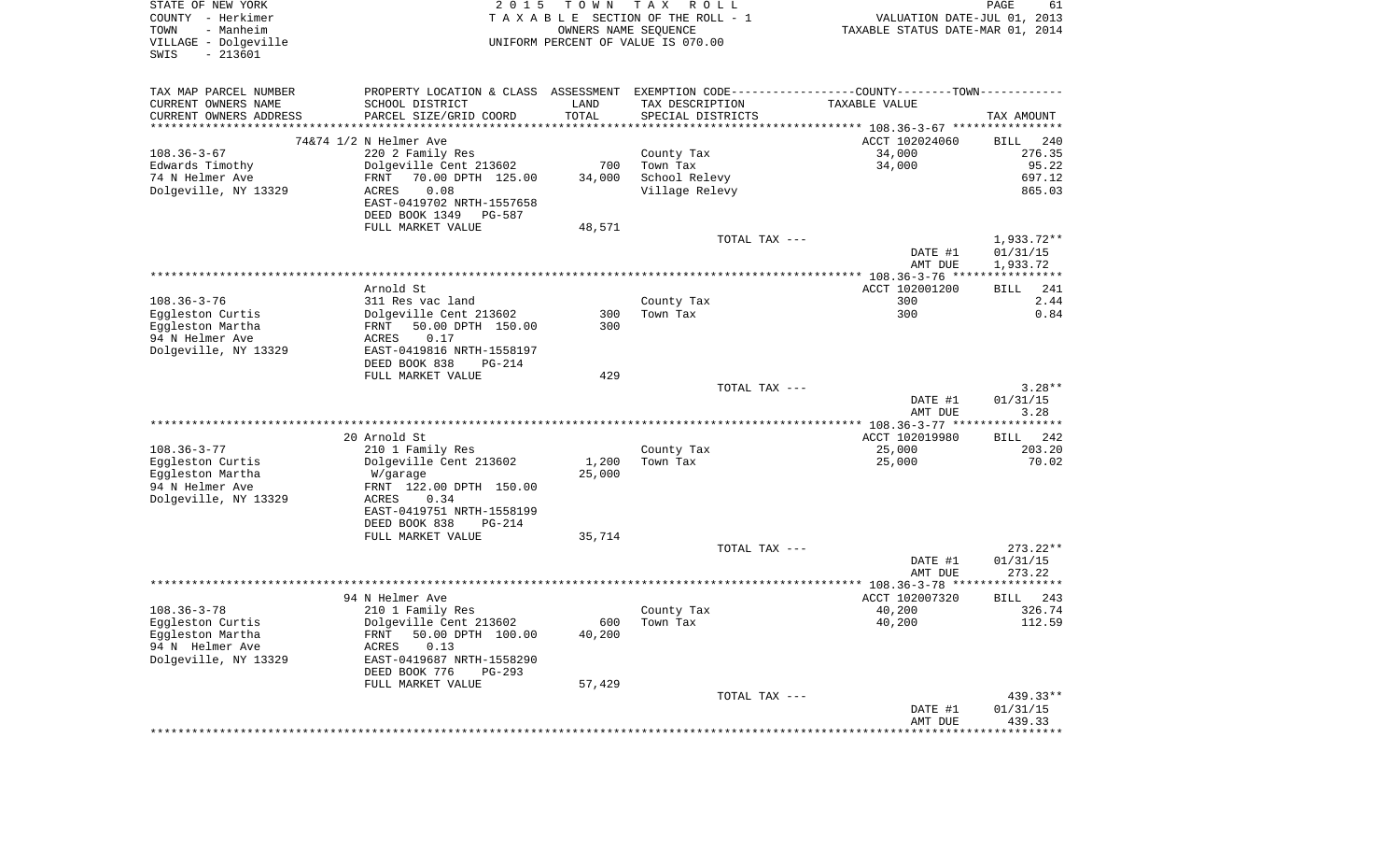| STATE OF NEW YORK<br>COUNTY - Herkimer<br>TOWN<br>- Manheim<br>VILLAGE - Dolgeville<br>$-213601$<br>SWIS | 2 0 1 5                                    | T O W N<br>OWNERS NAME SEQUENCE | TAX ROLL<br>TAXABLE SECTION OF THE ROLL - 1<br>UNIFORM PERCENT OF VALUE IS 070.00 | VALUATION DATE-JUL 01, 2013<br>TAXABLE STATUS DATE-MAR 01, 2014                               | PAGE<br>61         |
|----------------------------------------------------------------------------------------------------------|--------------------------------------------|---------------------------------|-----------------------------------------------------------------------------------|-----------------------------------------------------------------------------------------------|--------------------|
| TAX MAP PARCEL NUMBER                                                                                    |                                            |                                 |                                                                                   | PROPERTY LOCATION & CLASS ASSESSMENT EXEMPTION CODE---------------COUNTY-------TOWN---------- |                    |
| CURRENT OWNERS NAME                                                                                      | SCHOOL DISTRICT                            | LAND                            | TAX DESCRIPTION                                                                   | TAXABLE VALUE                                                                                 |                    |
| CURRENT OWNERS ADDRESS<br>*************************                                                      | PARCEL SIZE/GRID COORD                     | TOTAL                           | SPECIAL DISTRICTS                                                                 |                                                                                               | TAX AMOUNT         |
|                                                                                                          | 74&74 1/2 N Helmer Ave                     |                                 |                                                                                   | ACCT 102024060                                                                                | 240<br><b>BILL</b> |
| $108.36 - 3 - 67$                                                                                        | 220 2 Family Res                           |                                 | County Tax                                                                        | 34,000                                                                                        | 276.35             |
| Edwards Timothy                                                                                          | Dolgeville Cent 213602                     | 700                             | Town Tax                                                                          | 34,000                                                                                        | 95.22              |
| 74 N Helmer Ave                                                                                          | 70.00 DPTH 125.00<br>FRNT                  | 34,000                          | School Relevy                                                                     |                                                                                               | 697.12             |
| Dolgeville, NY 13329                                                                                     | 0.08<br>ACRES                              |                                 | Village Relevy                                                                    |                                                                                               | 865.03             |
|                                                                                                          | EAST-0419702 NRTH-1557658                  |                                 |                                                                                   |                                                                                               |                    |
|                                                                                                          | DEED BOOK 1349<br>PG-587                   |                                 |                                                                                   |                                                                                               |                    |
|                                                                                                          | FULL MARKET VALUE                          | 48,571                          | TOTAL TAX ---                                                                     |                                                                                               | 1,933.72**         |
|                                                                                                          |                                            |                                 |                                                                                   | DATE #1                                                                                       | 01/31/15           |
|                                                                                                          |                                            |                                 |                                                                                   | AMT DUE                                                                                       | 1,933.72           |
|                                                                                                          |                                            |                                 |                                                                                   |                                                                                               |                    |
|                                                                                                          | Arnold St                                  |                                 |                                                                                   | ACCT 102001200                                                                                | 241<br><b>BILL</b> |
| $108.36 - 3 - 76$                                                                                        | 311 Res vac land                           |                                 | County Tax                                                                        | 300                                                                                           | 2.44               |
| Eggleston Curtis                                                                                         | Dolgeville Cent 213602                     | 300                             | Town Tax                                                                          | 300                                                                                           | 0.84               |
| Eggleston Martha<br>94 N Helmer Ave                                                                      | 50.00 DPTH 150.00<br>FRNT<br>0.17<br>ACRES | 300                             |                                                                                   |                                                                                               |                    |
| Dolgeville, NY 13329                                                                                     | EAST-0419816 NRTH-1558197                  |                                 |                                                                                   |                                                                                               |                    |
|                                                                                                          | DEED BOOK 838<br>PG-214                    |                                 |                                                                                   |                                                                                               |                    |
|                                                                                                          | FULL MARKET VALUE                          | 429                             |                                                                                   |                                                                                               |                    |
|                                                                                                          |                                            |                                 | TOTAL TAX ---                                                                     |                                                                                               | $3.28**$           |
|                                                                                                          |                                            |                                 |                                                                                   | DATE #1                                                                                       | 01/31/15           |
|                                                                                                          |                                            |                                 |                                                                                   | AMT DUE                                                                                       | 3.28               |
|                                                                                                          | 20 Arnold St                               |                                 |                                                                                   | ACCT 102019980                                                                                | 242<br><b>BILL</b> |
| $108.36 - 3 - 77$                                                                                        | 210 1 Family Res                           |                                 | County Tax                                                                        | 25,000                                                                                        | 203.20             |
| Eggleston Curtis                                                                                         | Dolgeville Cent 213602                     | 1,200                           | Town Tax                                                                          | 25,000                                                                                        | 70.02              |
| Eggleston Martha                                                                                         | W/garage                                   | 25,000                          |                                                                                   |                                                                                               |                    |
| 94 N Helmer Ave                                                                                          | FRNT 122.00 DPTH 150.00                    |                                 |                                                                                   |                                                                                               |                    |
| Dolgeville, NY 13329                                                                                     | 0.34<br>ACRES                              |                                 |                                                                                   |                                                                                               |                    |
|                                                                                                          | EAST-0419751 NRTH-1558199                  |                                 |                                                                                   |                                                                                               |                    |
|                                                                                                          | DEED BOOK 838<br><b>PG-214</b>             |                                 |                                                                                   |                                                                                               |                    |
|                                                                                                          | FULL MARKET VALUE                          | 35,714                          | TOTAL TAX ---                                                                     |                                                                                               | $273.22**$         |
|                                                                                                          |                                            |                                 |                                                                                   | DATE #1                                                                                       | 01/31/15           |
|                                                                                                          |                                            |                                 |                                                                                   | AMT DUE                                                                                       | 273.22             |
|                                                                                                          |                                            |                                 |                                                                                   |                                                                                               |                    |
|                                                                                                          | 94 N Helmer Ave                            |                                 |                                                                                   | ACCT 102007320                                                                                | 243<br>BILL        |
| $108.36 - 3 - 78$                                                                                        | 210 1 Family Res                           |                                 | County Tax                                                                        | 40,200                                                                                        | 326.74             |
| Eggleston Curtis                                                                                         | Dolgeville Cent 213602                     | 600                             | Town Tax                                                                          | 40,200                                                                                        | 112.59             |
| Eqqleston Martha<br>94 N Helmer Ave                                                                      | 50.00 DPTH 100.00<br>FRNT                  | 40,200                          |                                                                                   |                                                                                               |                    |
| Dolgeville, NY 13329                                                                                     | ACRES<br>0.13<br>EAST-0419687 NRTH-1558290 |                                 |                                                                                   |                                                                                               |                    |
|                                                                                                          | DEED BOOK 776<br>PG-293                    |                                 |                                                                                   |                                                                                               |                    |
|                                                                                                          | FULL MARKET VALUE                          | 57,429                          |                                                                                   |                                                                                               |                    |
|                                                                                                          |                                            |                                 |                                                                                   |                                                                                               | 439.33**           |
|                                                                                                          |                                            |                                 | TOTAL TAX ---                                                                     |                                                                                               |                    |
|                                                                                                          |                                            |                                 |                                                                                   | DATE #1<br>AMT DUE                                                                            | 01/31/15<br>439.33 |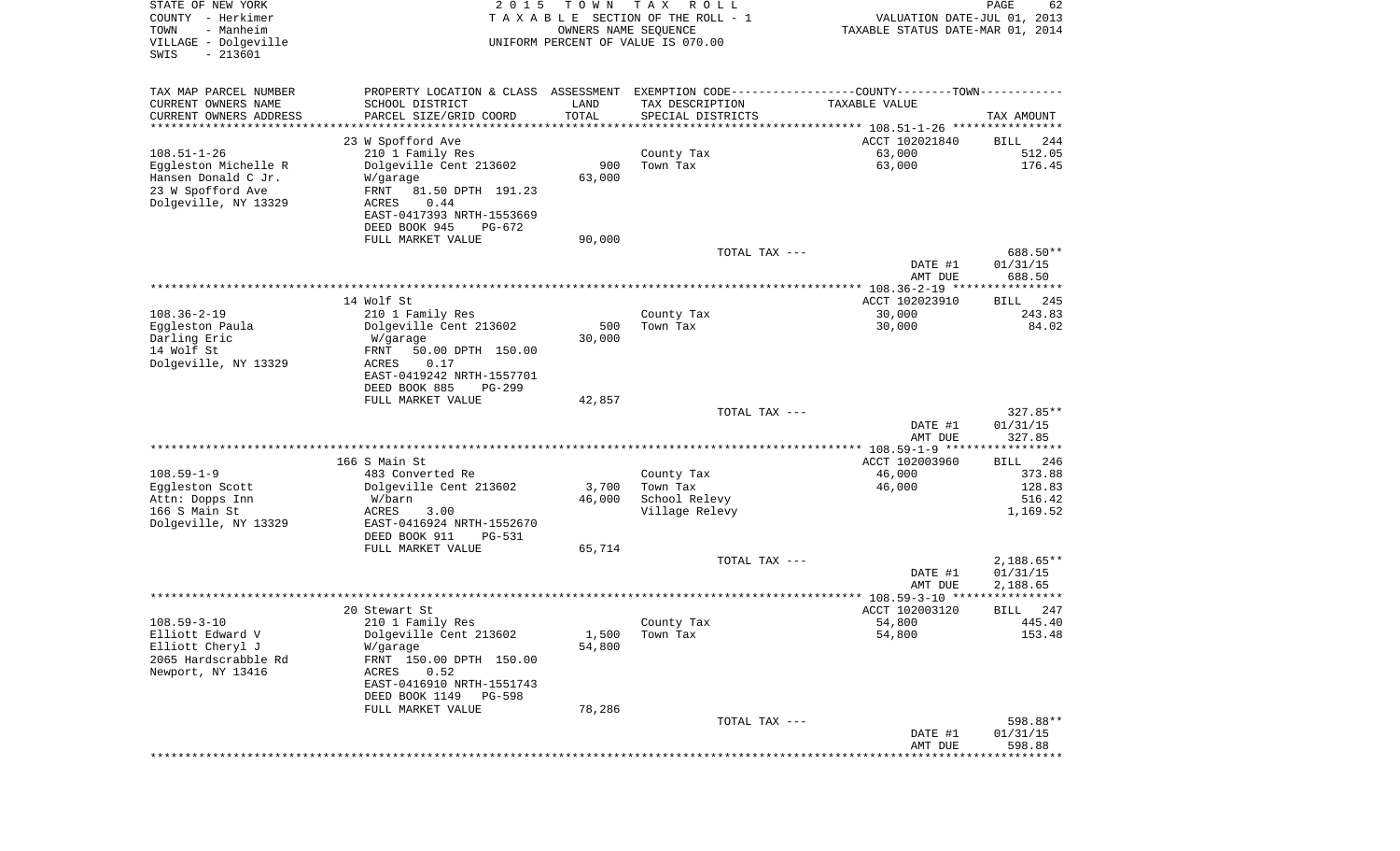| STATE OF NEW YORK<br>COUNTY - Herkimer<br>TOWN<br>- Manheim<br>VILLAGE - Dolgeville | 2 0 1 5                                      | T O W N<br>OWNERS NAME SEQUENCE | T A X<br>R O L L<br>TAXABLE SECTION OF THE ROLL - 1<br>UNIFORM PERCENT OF VALUE IS 070.00     | VALUATION DATE-JUL 01, 2013<br>TAXABLE STATUS DATE-MAR 01, 2014 | PAGE<br>62               |
|-------------------------------------------------------------------------------------|----------------------------------------------|---------------------------------|-----------------------------------------------------------------------------------------------|-----------------------------------------------------------------|--------------------------|
| $-213601$<br>SWIS                                                                   |                                              |                                 |                                                                                               |                                                                 |                          |
| TAX MAP PARCEL NUMBER                                                               |                                              |                                 | PROPERTY LOCATION & CLASS ASSESSMENT EXEMPTION CODE---------------COUNTY-------TOWN---------- |                                                                 |                          |
| CURRENT OWNERS NAME                                                                 | SCHOOL DISTRICT                              | LAND                            | TAX DESCRIPTION                                                                               | TAXABLE VALUE                                                   |                          |
| CURRENT OWNERS ADDRESS                                                              | PARCEL SIZE/GRID COORD                       | TOTAL                           | SPECIAL DISTRICTS                                                                             |                                                                 | TAX AMOUNT               |
| ********************                                                                | 23 W Spofford Ave                            | **************                  | ********************************* 108.51-1-26 ****************                                | ACCT 102021840                                                  |                          |
| $108.51 - 1 - 26$                                                                   | 210 1 Family Res                             |                                 | County Tax                                                                                    | 63,000                                                          | 244<br>BILL<br>512.05    |
| Eggleston Michelle R                                                                | Dolgeville Cent 213602                       | 900                             | Town Tax                                                                                      | 63,000                                                          | 176.45                   |
| Hansen Donald C Jr.                                                                 | W/garage                                     | 63,000                          |                                                                                               |                                                                 |                          |
| 23 W Spofford Ave                                                                   | FRNT<br>81.50 DPTH 191.23                    |                                 |                                                                                               |                                                                 |                          |
| Dolgeville, NY 13329                                                                | 0.44<br>ACRES                                |                                 |                                                                                               |                                                                 |                          |
|                                                                                     | EAST-0417393 NRTH-1553669                    |                                 |                                                                                               |                                                                 |                          |
|                                                                                     | DEED BOOK 945<br>PG-672<br>FULL MARKET VALUE | 90,000                          |                                                                                               |                                                                 |                          |
|                                                                                     |                                              |                                 | TOTAL TAX ---                                                                                 |                                                                 | 688.50**                 |
|                                                                                     |                                              |                                 |                                                                                               | DATE #1<br>AMT DUE                                              | 01/31/15<br>688.50       |
|                                                                                     |                                              |                                 |                                                                                               | **************** 108.36-2-19 *****************                  |                          |
|                                                                                     | 14 Wolf St                                   |                                 |                                                                                               | ACCT 102023910                                                  | 245<br>BILL              |
| $108.36 - 2 - 19$                                                                   | 210 1 Family Res                             |                                 | County Tax                                                                                    | 30,000                                                          | 243.83                   |
| Eggleston Paula<br>Darling Eric                                                     | Dolgeville Cent 213602<br>W/garage           | 500<br>30,000                   | Town Tax                                                                                      | 30,000                                                          | 84.02                    |
| 14 Wolf St                                                                          | 50.00 DPTH 150.00<br>FRNT                    |                                 |                                                                                               |                                                                 |                          |
| Dolgeville, NY 13329                                                                | 0.17<br>ACRES                                |                                 |                                                                                               |                                                                 |                          |
|                                                                                     | EAST-0419242 NRTH-1557701                    |                                 |                                                                                               |                                                                 |                          |
|                                                                                     | DEED BOOK 885<br>$PG-299$                    |                                 |                                                                                               |                                                                 |                          |
|                                                                                     | FULL MARKET VALUE                            | 42,857                          | TOTAL TAX ---                                                                                 |                                                                 | 327.85**                 |
|                                                                                     |                                              |                                 |                                                                                               | DATE #1                                                         | 01/31/15                 |
|                                                                                     |                                              |                                 |                                                                                               | AMT DUE                                                         | 327.85                   |
|                                                                                     |                                              |                                 |                                                                                               | ************ 108.59-1-9 *****************                       |                          |
|                                                                                     | 166 S Main St                                |                                 |                                                                                               | ACCT 102003960                                                  | 246<br>BILL              |
| $108.59 - 1 - 9$<br>Eggleston Scott                                                 | 483 Converted Re<br>Dolgeville Cent 213602   | 3,700                           | County Tax<br>Town Tax                                                                        | 46,000<br>46,000                                                | 373.88<br>128.83         |
| Attn: Dopps Inn                                                                     | W/barn                                       | 46,000                          | School Relevy                                                                                 |                                                                 | 516.42                   |
| 166 S Main St                                                                       | ACRES<br>3.00                                |                                 | Village Relevy                                                                                |                                                                 | 1,169.52                 |
| Dolgeville, NY 13329                                                                | EAST-0416924 NRTH-1552670                    |                                 |                                                                                               |                                                                 |                          |
|                                                                                     | DEED BOOK 911<br>PG-531                      |                                 |                                                                                               |                                                                 |                          |
|                                                                                     | FULL MARKET VALUE                            | 65,714                          |                                                                                               |                                                                 |                          |
|                                                                                     |                                              |                                 | TOTAL TAX ---                                                                                 | DATE #1                                                         | $2,188.65**$<br>01/31/15 |
|                                                                                     |                                              |                                 |                                                                                               | AMT DUE                                                         | 2,188.65                 |
|                                                                                     |                                              |                                 |                                                                                               | ***************** 108.59-3-10 ****                              | * * * * * *              |
|                                                                                     | 20 Stewart St                                |                                 |                                                                                               | ACCT 102003120                                                  | 247<br>BILL              |
| $108.59 - 3 - 10$                                                                   | 210 1 Family Res                             |                                 | County Tax                                                                                    | 54,800                                                          | 445.40                   |
| Elliott Edward V                                                                    | Dolgeville Cent 213602                       | 1,500                           | Town Tax                                                                                      | 54,800                                                          | 153.48                   |
| Elliott Cheryl J<br>2065 Hardscrabble Rd                                            | W/garage<br>FRNT 150.00 DPTH 150.00          | 54,800                          |                                                                                               |                                                                 |                          |
| Newport, NY 13416                                                                   | 0.52<br>ACRES                                |                                 |                                                                                               |                                                                 |                          |
|                                                                                     | EAST-0416910 NRTH-1551743                    |                                 |                                                                                               |                                                                 |                          |
|                                                                                     | DEED BOOK 1149<br>PG-598                     |                                 |                                                                                               |                                                                 |                          |
|                                                                                     | FULL MARKET VALUE                            | 78,286                          |                                                                                               |                                                                 |                          |
|                                                                                     |                                              |                                 | TOTAL TAX ---                                                                                 |                                                                 | 598.88**<br>01/31/15     |
|                                                                                     |                                              |                                 |                                                                                               | DATE #1<br>AMT DUE                                              | 598.88                   |
|                                                                                     |                                              |                                 |                                                                                               | ****************************                                    |                          |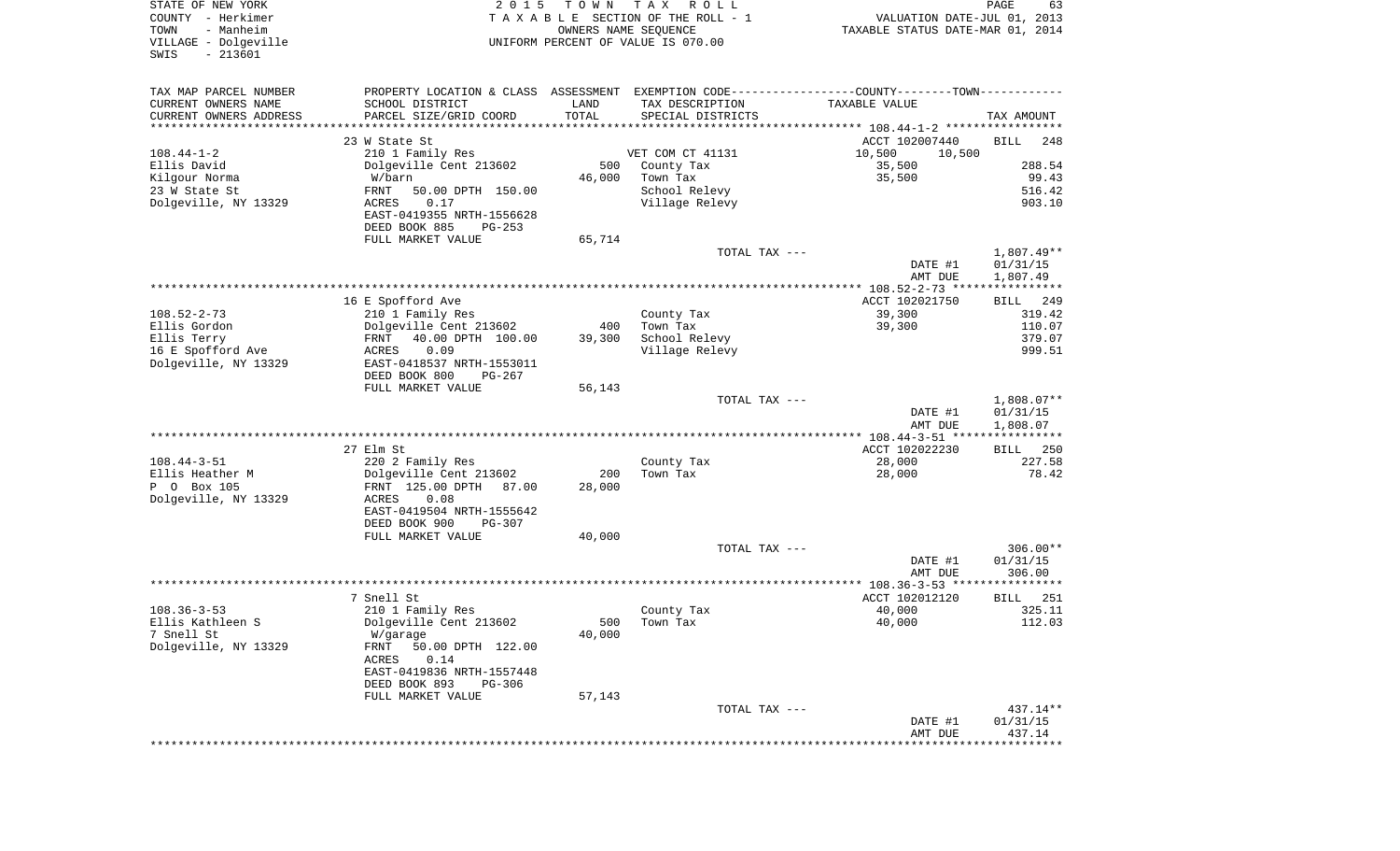| COUNTY<br>– Herkimer<br>- Manheim<br>TOWN<br>VILLAGE - Dolgeville<br>$-213601$<br>SWIS |                                                        | T A X A B L E SECTION OF THE ROLL - 1<br>OWNERS NAME SEQUENCE<br>UNIFORM PERCENT OF VALUE IS 070.00 |                                                                                           | VALUATION DATE-JUL 01, 2013<br>TAXABLE STATUS DATE-MAR 01, 2014 |                          |  |
|----------------------------------------------------------------------------------------|--------------------------------------------------------|-----------------------------------------------------------------------------------------------------|-------------------------------------------------------------------------------------------|-----------------------------------------------------------------|--------------------------|--|
| TAX MAP PARCEL NUMBER<br>CURRENT OWNERS NAME                                           | PROPERTY LOCATION & CLASS<br>SCHOOL DISTRICT           | LAND                                                                                                | ASSESSMENT EXEMPTION CODE-----------------COUNTY-------TOWN-----------<br>TAX DESCRIPTION | TAXABLE VALUE                                                   |                          |  |
| CURRENT OWNERS ADDRESS                                                                 | PARCEL SIZE/GRID COORD                                 | TOTAL                                                                                               | SPECIAL DISTRICTS                                                                         |                                                                 | TAX AMOUNT               |  |
|                                                                                        |                                                        |                                                                                                     |                                                                                           |                                                                 |                          |  |
| $108.44 - 1 - 2$                                                                       | 23 W State St<br>210 1 Family Res                      |                                                                                                     | VET COM CT 41131                                                                          | ACCT 102007440<br>10,500<br>10,500                              | BILL<br>248              |  |
| Ellis David                                                                            | Dolgeville Cent 213602                                 | 500                                                                                                 | County Tax                                                                                | 35,500                                                          | 288.54                   |  |
| Kilgour Norma                                                                          | W/barn                                                 | 46,000                                                                                              | Town Tax                                                                                  | 35,500                                                          | 99.43                    |  |
| 23 W State St                                                                          | FRNT<br>50.00 DPTH 150.00                              |                                                                                                     | School Relevy                                                                             |                                                                 | 516.42                   |  |
| Dolgeville, NY 13329                                                                   | 0.17<br>ACRES                                          |                                                                                                     | Village Relevy                                                                            |                                                                 | 903.10                   |  |
|                                                                                        | EAST-0419355 NRTH-1556628<br>DEED BOOK 885<br>$PG-253$ |                                                                                                     |                                                                                           |                                                                 |                          |  |
|                                                                                        | FULL MARKET VALUE                                      | 65,714                                                                                              |                                                                                           |                                                                 |                          |  |
|                                                                                        |                                                        |                                                                                                     | TOTAL TAX ---                                                                             | DATE #1<br>AMT DUE                                              | $1,807.49**$<br>01/31/15 |  |
|                                                                                        |                                                        |                                                                                                     |                                                                                           |                                                                 | 1,807.49                 |  |
|                                                                                        | 16 E Spofford Ave                                      |                                                                                                     |                                                                                           | ACCT 102021750                                                  | 249<br>BILL              |  |
| $108.52 - 2 - 73$                                                                      | 210 1 Family Res                                       |                                                                                                     | County Tax                                                                                | 39,300                                                          | 319.42                   |  |
| Ellis Gordon                                                                           | Dolgeville Cent 213602                                 | 400                                                                                                 | Town Tax                                                                                  | 39,300                                                          | 110.07                   |  |
| Ellis Terry                                                                            | FRNT<br>40.00 DPTH 100.00                              | 39,300                                                                                              | School Relevy                                                                             |                                                                 | 379.07                   |  |
| 16 E Spofford Ave<br>Dolgeville, NY 13329                                              | 0.09<br><b>ACRES</b><br>EAST-0418537 NRTH-1553011      |                                                                                                     | Village Relevy                                                                            |                                                                 | 999.51                   |  |
|                                                                                        | DEED BOOK 800<br>PG-267                                |                                                                                                     |                                                                                           |                                                                 |                          |  |
|                                                                                        | FULL MARKET VALUE                                      | 56,143                                                                                              | TOTAL TAX ---                                                                             |                                                                 | $1,808.07**$             |  |
|                                                                                        |                                                        |                                                                                                     |                                                                                           | DATE #1                                                         | 01/31/15                 |  |
|                                                                                        |                                                        |                                                                                                     |                                                                                           | AMT DUE                                                         | 1,808.07                 |  |
|                                                                                        |                                                        |                                                                                                     |                                                                                           |                                                                 |                          |  |
|                                                                                        | 27 Elm St                                              |                                                                                                     |                                                                                           | ACCT 102022230                                                  | 250<br>BILL<br>227.58    |  |
| $108.44 - 3 - 51$<br>Ellis Heather M                                                   | 220 2 Family Res<br>Dolgeville Cent 213602             | 200                                                                                                 | County Tax<br>Town Tax                                                                    | 28,000<br>28,000                                                | 78.42                    |  |
| P 0 Box 105                                                                            | FRNT 125.00 DPTH<br>87.00                              | 28,000                                                                                              |                                                                                           |                                                                 |                          |  |
| Dolgeville, NY 13329                                                                   | ACRES<br>0.08                                          |                                                                                                     |                                                                                           |                                                                 |                          |  |
|                                                                                        | EAST-0419504 NRTH-1555642                              |                                                                                                     |                                                                                           |                                                                 |                          |  |
|                                                                                        | DEED BOOK 900<br><b>PG-307</b>                         |                                                                                                     |                                                                                           |                                                                 |                          |  |
|                                                                                        | FULL MARKET VALUE                                      | 40,000                                                                                              | TOTAL TAX ---                                                                             |                                                                 | $306.00**$               |  |
|                                                                                        |                                                        |                                                                                                     |                                                                                           | DATE #1                                                         | 01/31/15                 |  |
|                                                                                        |                                                        |                                                                                                     |                                                                                           | AMT DUE                                                         | 306.00                   |  |
|                                                                                        |                                                        |                                                                                                     |                                                                                           | ************* 108.36-3-53 *****************                     |                          |  |
|                                                                                        | 7 Snell St                                             |                                                                                                     |                                                                                           | ACCT 102012120                                                  | 251<br>BILL              |  |
| $108.36 - 3 - 53$                                                                      | 210 1 Family Res                                       |                                                                                                     | County Tax                                                                                | 40,000                                                          | 325.11                   |  |
| Ellis Kathleen S<br>7 Snell St                                                         | Dolgeville Cent 213602<br>W/garage                     | 500<br>40,000                                                                                       | Town Tax                                                                                  | 40,000                                                          | 112.03                   |  |
| Dolgeville, NY 13329                                                                   | 50.00 DPTH 122.00<br>FRNT                              |                                                                                                     |                                                                                           |                                                                 |                          |  |
|                                                                                        | <b>ACRES</b><br>0.14                                   |                                                                                                     |                                                                                           |                                                                 |                          |  |
|                                                                                        | EAST-0419836 NRTH-1557448                              |                                                                                                     |                                                                                           |                                                                 |                          |  |
|                                                                                        | DEED BOOK 893<br>PG-306                                |                                                                                                     |                                                                                           |                                                                 |                          |  |
|                                                                                        | FULL MARKET VALUE                                      | 57,143                                                                                              |                                                                                           |                                                                 |                          |  |
|                                                                                        |                                                        |                                                                                                     | TOTAL TAX ---                                                                             | DATE #1                                                         | $437.14**$<br>01/31/15   |  |
|                                                                                        |                                                        |                                                                                                     |                                                                                           | AMT DUE                                                         | 437.14                   |  |
|                                                                                        |                                                        |                                                                                                     |                                                                                           |                                                                 | **********               |  |

PAGE 63

STATE OF NEW YORK **EXECUTE:** TO W N TAX ROLL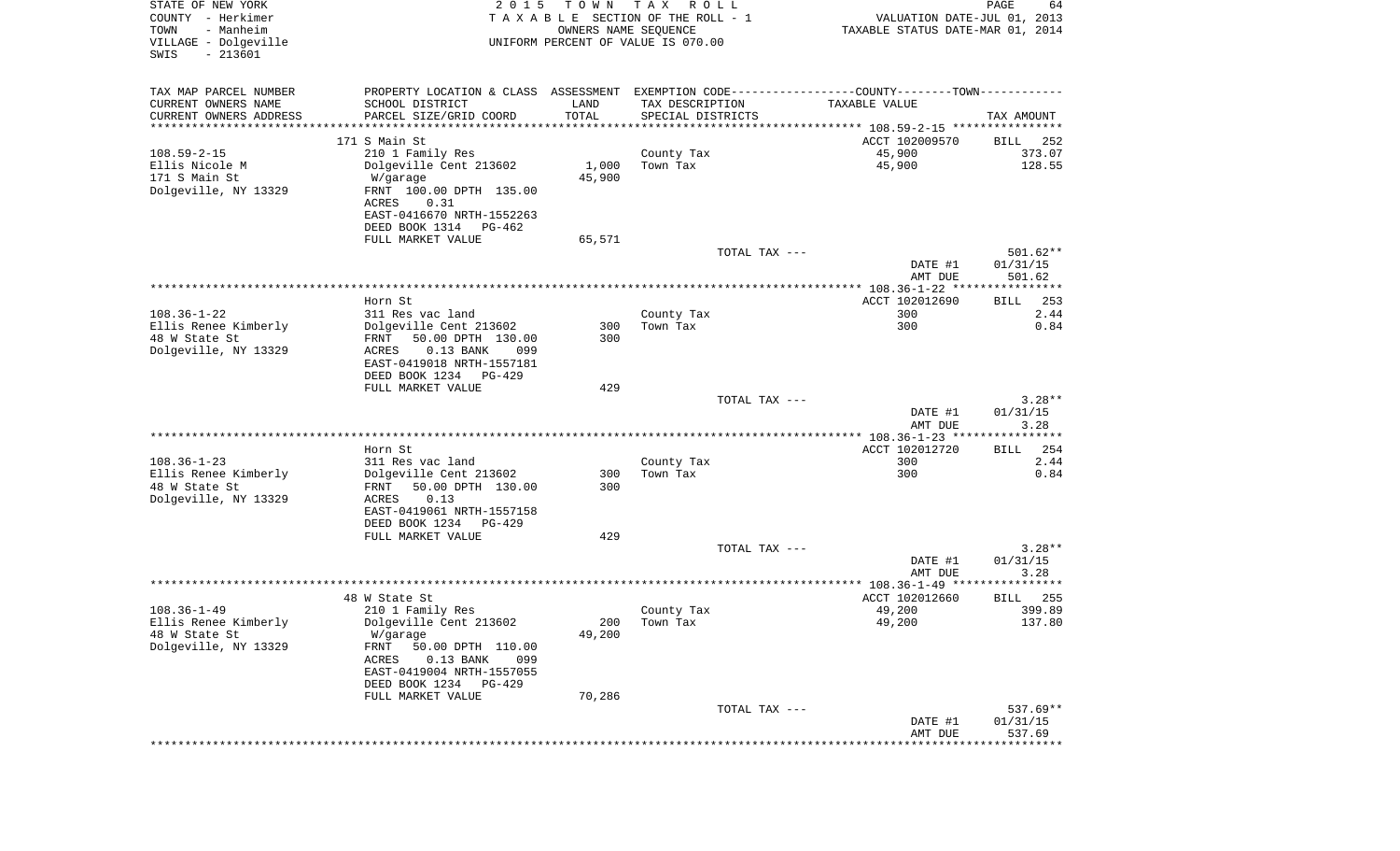| STATE OF NEW YORK<br>COUNTY - Herkimer<br>- Manheim<br>TOWN<br>VILLAGE - Dolgeville<br>$-213601$<br>SWIS | 2 0 1 5                                                                                       | T O W N<br>OWNERS NAME SEQUENCE | TAX ROLL<br>TAXABLE SECTION OF THE ROLL - 1<br>UNIFORM PERCENT OF VALUE IS 070.00 | VALUATION DATE-JUL 01, 2013<br>TAXABLE STATUS DATE-MAR 01, 2014 | PAGE<br>64           |
|----------------------------------------------------------------------------------------------------------|-----------------------------------------------------------------------------------------------|---------------------------------|-----------------------------------------------------------------------------------|-----------------------------------------------------------------|----------------------|
| TAX MAP PARCEL NUMBER                                                                                    | PROPERTY LOCATION & CLASS ASSESSMENT EXEMPTION CODE---------------COUNTY-------TOWN---------- |                                 |                                                                                   |                                                                 |                      |
| CURRENT OWNERS NAME                                                                                      | SCHOOL DISTRICT                                                                               | LAND                            | TAX DESCRIPTION                                                                   | TAXABLE VALUE                                                   |                      |
| CURRENT OWNERS ADDRESS<br>***********************                                                        | PARCEL SIZE/GRID COORD                                                                        | TOTAL                           | SPECIAL DISTRICTS                                                                 |                                                                 | TAX AMOUNT           |
|                                                                                                          | 171 S Main St                                                                                 |                                 |                                                                                   | ACCT 102009570                                                  | BILL<br>252          |
| $108.59 - 2 - 15$                                                                                        | 210 1 Family Res                                                                              |                                 | County Tax                                                                        | 45,900                                                          | 373.07               |
| Ellis Nicole M                                                                                           | Dolgeville Cent 213602                                                                        | 1,000                           | Town Tax                                                                          | 45,900                                                          | 128.55               |
| 171 S Main St                                                                                            | W/garage                                                                                      | 45,900                          |                                                                                   |                                                                 |                      |
| Dolgeville, NY 13329                                                                                     | FRNT 100.00 DPTH 135.00                                                                       |                                 |                                                                                   |                                                                 |                      |
|                                                                                                          | ACRES<br>0.31                                                                                 |                                 |                                                                                   |                                                                 |                      |
|                                                                                                          | EAST-0416670 NRTH-1552263                                                                     |                                 |                                                                                   |                                                                 |                      |
|                                                                                                          | DEED BOOK 1314<br>PG-462<br>FULL MARKET VALUE                                                 | 65,571                          |                                                                                   |                                                                 |                      |
|                                                                                                          |                                                                                               |                                 | TOTAL TAX ---                                                                     |                                                                 | $501.62**$           |
|                                                                                                          |                                                                                               |                                 |                                                                                   | DATE #1                                                         | 01/31/15             |
|                                                                                                          |                                                                                               |                                 |                                                                                   | AMT DUE                                                         | 501.62               |
|                                                                                                          |                                                                                               |                                 |                                                                                   |                                                                 |                      |
|                                                                                                          | Horn St                                                                                       |                                 |                                                                                   | ACCT 102012690                                                  | 253<br>BILL          |
| $108.36 - 1 - 22$<br>Ellis Renee Kimberly                                                                | 311 Res vac land<br>Dolgeville Cent 213602                                                    | 300                             | County Tax<br>Town Tax                                                            | 300<br>300                                                      | 2.44<br>0.84         |
| 48 W State St                                                                                            | FRNT<br>50.00 DPTH 130.00                                                                     | 300                             |                                                                                   |                                                                 |                      |
| Dolgeville, NY 13329                                                                                     | ACRES<br>$0.13$ BANK<br>099                                                                   |                                 |                                                                                   |                                                                 |                      |
|                                                                                                          | EAST-0419018 NRTH-1557181                                                                     |                                 |                                                                                   |                                                                 |                      |
|                                                                                                          | DEED BOOK 1234 PG-429                                                                         |                                 |                                                                                   |                                                                 |                      |
|                                                                                                          | FULL MARKET VALUE                                                                             | 429                             |                                                                                   |                                                                 |                      |
|                                                                                                          |                                                                                               |                                 | TOTAL TAX ---                                                                     | DATE #1                                                         | $3.28**$<br>01/31/15 |
|                                                                                                          |                                                                                               |                                 |                                                                                   | AMT DUE                                                         | 3.28                 |
|                                                                                                          |                                                                                               |                                 |                                                                                   |                                                                 | ************         |
|                                                                                                          | Horn St                                                                                       |                                 |                                                                                   | ACCT 102012720                                                  | 254<br>BILL          |
| $108.36 - 1 - 23$                                                                                        | 311 Res vac land                                                                              |                                 | County Tax                                                                        | 300                                                             | 2.44                 |
| Ellis Renee Kimberly                                                                                     | Dolgeville Cent 213602                                                                        | 300                             | Town Tax                                                                          | 300                                                             | 0.84                 |
| 48 W State St<br>Dolgeville, NY 13329                                                                    | 50.00 DPTH 130.00<br>FRNT<br>0.13<br>ACRES                                                    | 300                             |                                                                                   |                                                                 |                      |
|                                                                                                          | EAST-0419061 NRTH-1557158                                                                     |                                 |                                                                                   |                                                                 |                      |
|                                                                                                          | DEED BOOK 1234<br>PG-429                                                                      |                                 |                                                                                   |                                                                 |                      |
|                                                                                                          | FULL MARKET VALUE                                                                             | 429                             |                                                                                   |                                                                 |                      |
|                                                                                                          |                                                                                               |                                 | TOTAL TAX ---                                                                     |                                                                 | $3.28**$             |
|                                                                                                          |                                                                                               |                                 |                                                                                   | DATE #1                                                         | 01/31/15             |
|                                                                                                          |                                                                                               |                                 |                                                                                   | AMT DUE                                                         | 3.28                 |
|                                                                                                          | 48 W State St                                                                                 |                                 |                                                                                   | ACCT 102012660                                                  | 255<br>BILL          |
| $108.36 - 1 - 49$                                                                                        | 210 1 Family Res                                                                              |                                 | County Tax                                                                        | 49,200                                                          | 399.89               |
| Ellis Renee Kimberly                                                                                     | Dolgeville Cent 213602                                                                        |                                 | 200 Town Tax                                                                      | 49,200                                                          | 137.80               |
| 48 W State St                                                                                            | W/garage                                                                                      | 49,200                          |                                                                                   |                                                                 |                      |
| Dolgeville, NY 13329                                                                                     | FRNT<br>50.00 DPTH 110.00                                                                     |                                 |                                                                                   |                                                                 |                      |
|                                                                                                          | ACRES<br>$0.13$ BANK<br>099<br>EAST-0419004 NRTH-1557055                                      |                                 |                                                                                   |                                                                 |                      |
|                                                                                                          | DEED BOOK 1234 PG-429                                                                         |                                 |                                                                                   |                                                                 |                      |
|                                                                                                          | FULL MARKET VALUE                                                                             | 70,286                          |                                                                                   |                                                                 |                      |
|                                                                                                          |                                                                                               |                                 | TOTAL TAX ---                                                                     |                                                                 | 537.69**             |
|                                                                                                          |                                                                                               |                                 |                                                                                   | DATE #1                                                         | 01/31/15             |
|                                                                                                          |                                                                                               |                                 |                                                                                   | AMT DUE                                                         | 537.69               |
|                                                                                                          |                                                                                               |                                 |                                                                                   |                                                                 |                      |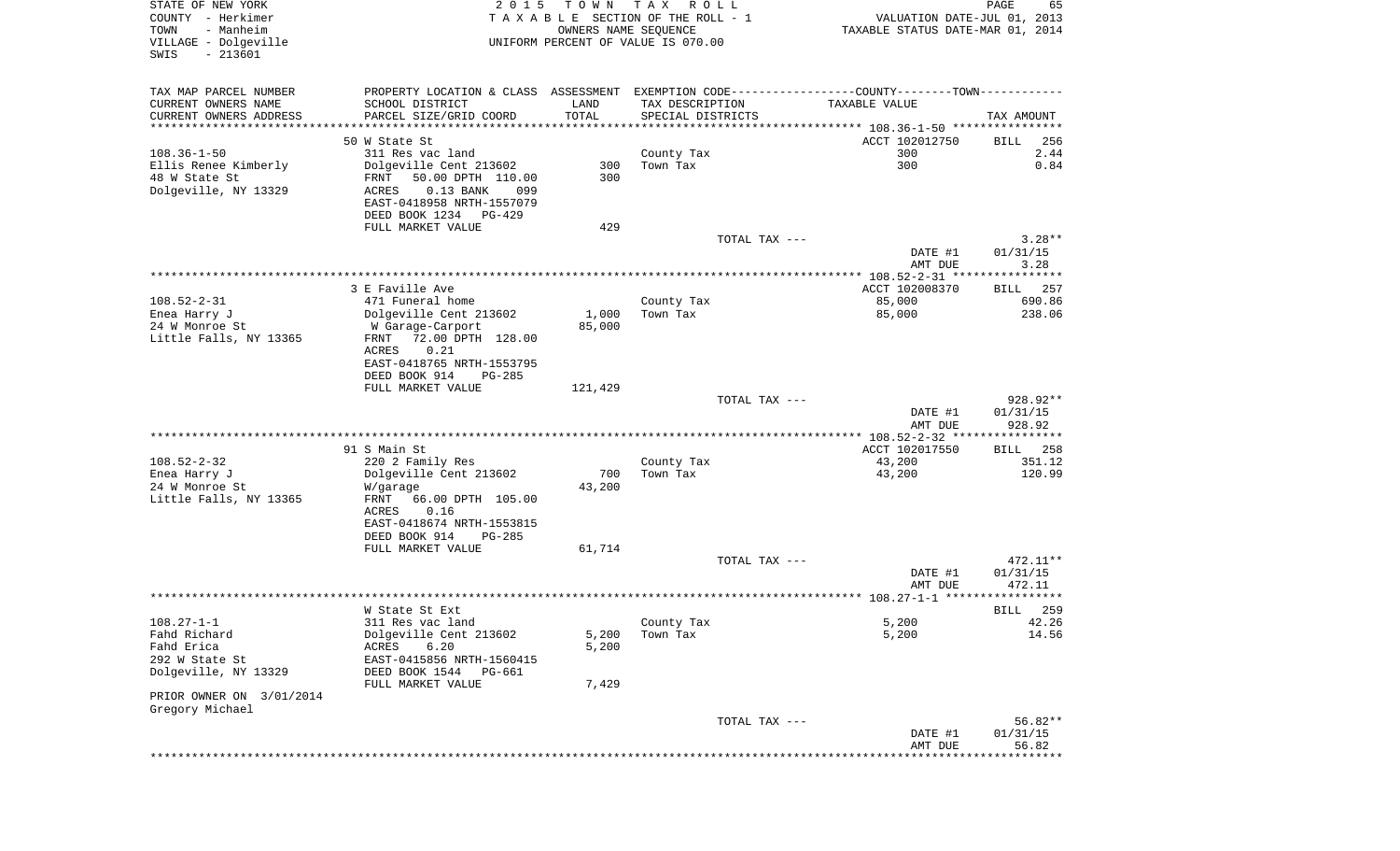| STATE OF NEW YORK<br>COUNTY - Herkimer<br>- Manheim<br>TOWN<br>VILLAGE - Dolgeville<br>$-213601$<br>SWIS | 2 0 1 5                                                                                                                                           | T O W N<br>OWNERS NAME SEQUENCE | TAX ROLL<br>TAXABLE SECTION OF THE ROLL - 1<br>UNIFORM PERCENT OF VALUE IS 070.00 |               | VALUATION DATE-JUL 01, 2013<br>TAXABLE STATUS DATE-MAR 01, 2014 | PAGE<br>65                             |
|----------------------------------------------------------------------------------------------------------|---------------------------------------------------------------------------------------------------------------------------------------------------|---------------------------------|-----------------------------------------------------------------------------------|---------------|-----------------------------------------------------------------|----------------------------------------|
| TAX MAP PARCEL NUMBER<br>CURRENT OWNERS NAME<br>CURRENT OWNERS ADDRESS<br>*************************      | PROPERTY LOCATION & CLASS ASSESSMENT EXEMPTION CODE---------------COUNTY-------TOWN----------<br>SCHOOL DISTRICT<br>PARCEL SIZE/GRID COORD        | LAND<br>TOTAL                   | TAX DESCRIPTION<br>SPECIAL DISTRICTS                                              |               | TAXABLE VALUE                                                   | TAX AMOUNT                             |
|                                                                                                          | 50 W State St                                                                                                                                     |                                 |                                                                                   |               | ACCT 102012750                                                  | BILL<br>256                            |
| $108.36 - 1 - 50$<br>Ellis Renee Kimberly<br>48 W State St<br>Dolgeville, NY 13329                       | 311 Res vac land<br>Dolgeville Cent 213602<br>FRNT<br>50.00 DPTH 110.00<br>$0.13$ BANK<br>ACRES<br>099                                            | 300<br>300                      | County Tax<br>Town Tax                                                            |               | 300<br>300                                                      | 2.44<br>0.84                           |
|                                                                                                          | EAST-0418958 NRTH-1557079<br>DEED BOOK 1234 PG-429<br>FULL MARKET VALUE                                                                           | 429                             |                                                                                   |               |                                                                 |                                        |
|                                                                                                          |                                                                                                                                                   |                                 |                                                                                   | TOTAL TAX --- | DATE #1<br>AMT DUE                                              | $3.28**$<br>01/31/15<br>3.28           |
|                                                                                                          |                                                                                                                                                   |                                 |                                                                                   |               |                                                                 |                                        |
| $108.52 - 2 - 31$<br>Enea Harry J<br>24 W Monroe St<br>Little Falls, NY 13365                            | 3 E Faville Ave<br>471 Funeral home<br>Dolgeville Cent 213602<br>W Garage-Carport<br>72.00 DPTH 128.00<br>FRNT                                    | 1,000<br>85,000                 | County Tax<br>Town Tax                                                            |               | ACCT 102008370<br>85,000<br>85,000                              | BILL 257<br>690.86<br>238.06           |
|                                                                                                          | ACRES<br>0.21<br>EAST-0418765 NRTH-1553795<br>DEED BOOK 914<br>PG-285<br>FULL MARKET VALUE                                                        | 121,429                         |                                                                                   | TOTAL TAX --- |                                                                 | 928.92**                               |
|                                                                                                          |                                                                                                                                                   |                                 |                                                                                   |               | DATE #1<br>AMT DUE                                              | 01/31/15<br>928.92                     |
|                                                                                                          |                                                                                                                                                   |                                 |                                                                                   |               | ***************** 108.52-2-32 *****************                 |                                        |
| $108.52 - 2 - 32$<br>Enea Harry J<br>24 W Monroe St<br>Little Falls, NY 13365                            | 91 S Main St<br>220 2 Family Res<br>Dolgeville Cent 213602<br>W/garage<br>FRNT<br>66.00 DPTH 105.00<br>ACRES<br>0.16<br>EAST-0418674 NRTH-1553815 | 700<br>43,200                   | County Tax<br>Town Tax                                                            |               | ACCT 102017550<br>43,200<br>43,200                              | <b>BILL</b><br>258<br>351.12<br>120.99 |
|                                                                                                          | DEED BOOK 914<br>PG-285<br>FULL MARKET VALUE                                                                                                      | 61,714                          |                                                                                   |               |                                                                 |                                        |
|                                                                                                          |                                                                                                                                                   |                                 |                                                                                   | TOTAL TAX --- | DATE #1<br>AMT DUE                                              | 472.11**<br>01/31/15<br>472.11         |
|                                                                                                          |                                                                                                                                                   |                                 |                                                                                   |               |                                                                 |                                        |
|                                                                                                          | W State St Ext                                                                                                                                    |                                 |                                                                                   |               |                                                                 | 259<br>BILL                            |
| $108.27 - 1 - 1$<br>Fahd Richard<br>Fahd Erica<br>292 W State St<br>Dolgeville, NY 13329                 | 311 Res vac land<br>Dolgeville Cent 213602<br>6.20<br>ACRES<br>EAST-0415856 NRTH-1560415<br>DEED BOOK 1544 PG-661<br>FULL MARKET VALUE            | 5,200<br>5,200<br>7,429         | County Tax<br>Town Tax                                                            |               | 5,200<br>5,200                                                  | 42.26<br>14.56                         |
| PRIOR OWNER ON 3/01/2014                                                                                 |                                                                                                                                                   |                                 |                                                                                   |               |                                                                 |                                        |
| Gregory Michael                                                                                          |                                                                                                                                                   |                                 |                                                                                   |               |                                                                 |                                        |
|                                                                                                          |                                                                                                                                                   |                                 |                                                                                   | TOTAL TAX --- | DATE #1<br>AMT DUE                                              | 56.82**<br>01/31/15<br>56.82           |
|                                                                                                          |                                                                                                                                                   |                                 |                                                                                   |               |                                                                 |                                        |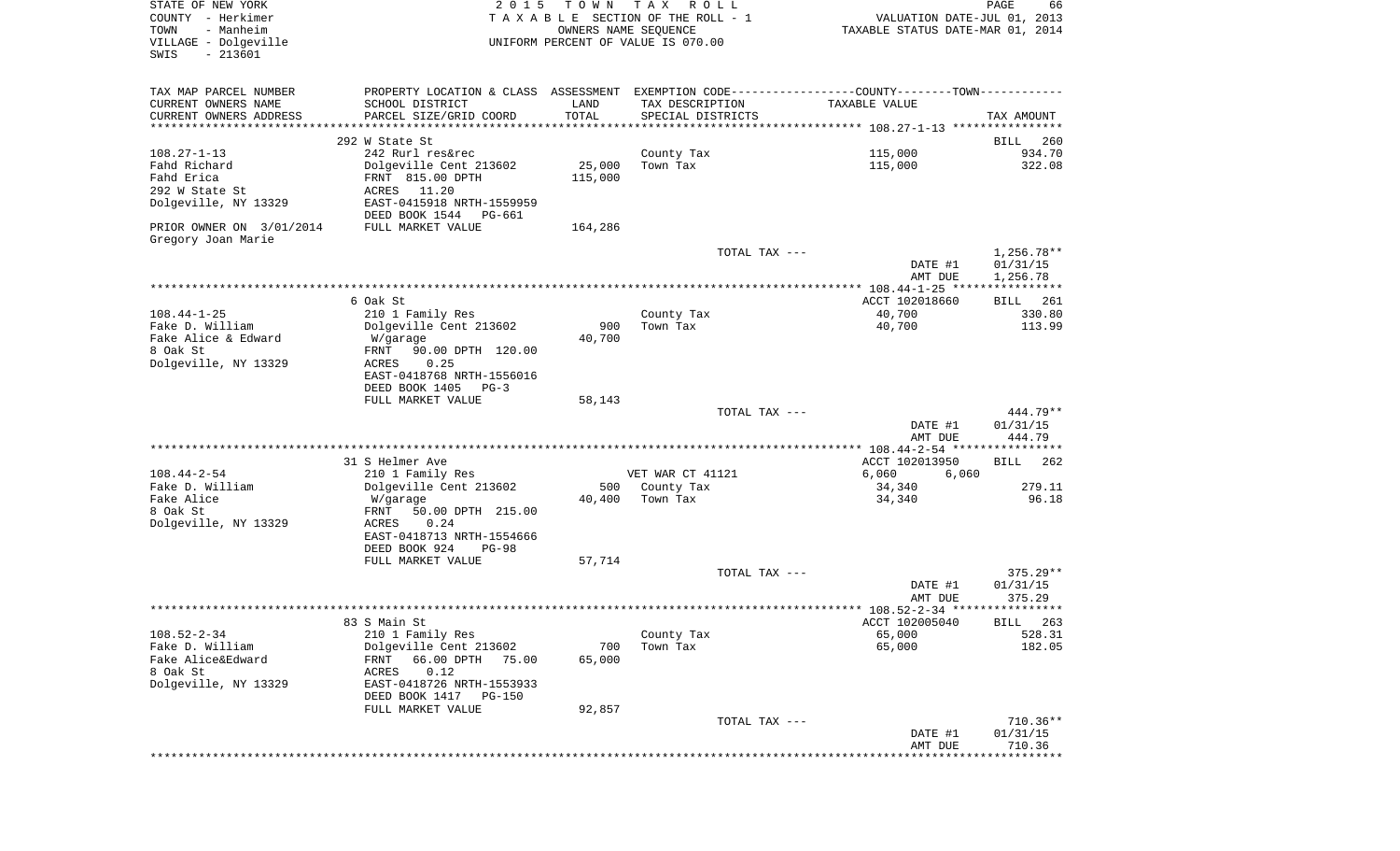| STATE OF NEW YORK<br>COUNTY - Herkimer<br>- Manheim<br>TOWN<br>VILLAGE - Dolgeville<br>$-213601$<br>SWIS | 2 0 1 5                                               | T O W N<br>OWNERS NAME SEQUENCE | T A X<br>R O L L<br>TAXABLE SECTION OF THE ROLL - 1<br>UNIFORM PERCENT OF VALUE IS 070.00 | VALUATION DATE-JUL 01, 2013<br>TAXABLE STATUS DATE-MAR 01, 2014                               | PAGE<br>66           |
|----------------------------------------------------------------------------------------------------------|-------------------------------------------------------|---------------------------------|-------------------------------------------------------------------------------------------|-----------------------------------------------------------------------------------------------|----------------------|
| TAX MAP PARCEL NUMBER                                                                                    |                                                       |                                 |                                                                                           | PROPERTY LOCATION & CLASS ASSESSMENT EXEMPTION CODE---------------COUNTY-------TOWN---------- |                      |
| CURRENT OWNERS NAME                                                                                      | SCHOOL DISTRICT                                       | LAND                            | TAX DESCRIPTION                                                                           | TAXABLE VALUE                                                                                 |                      |
| CURRENT OWNERS ADDRESS<br>*************************                                                      | PARCEL SIZE/GRID COORD                                | TOTAL                           | SPECIAL DISTRICTS                                                                         |                                                                                               | TAX AMOUNT           |
|                                                                                                          | 292 W State St                                        |                                 |                                                                                           |                                                                                               | 260<br>BILL          |
| $108.27 - 1 - 13$                                                                                        | 242 Rurl res&rec                                      |                                 | County Tax                                                                                | 115,000                                                                                       | 934.70               |
| Fahd Richard                                                                                             | Dolgeville Cent 213602                                | 25,000                          | Town Tax                                                                                  | 115,000                                                                                       | 322.08               |
| Fahd Erica                                                                                               | FRNT 815.00 DPTH                                      | 115,000                         |                                                                                           |                                                                                               |                      |
| 292 W State St                                                                                           | 11.20<br>ACRES                                        |                                 |                                                                                           |                                                                                               |                      |
| Dolgeville, NY 13329                                                                                     | EAST-0415918 NRTH-1559959<br>DEED BOOK 1544<br>PG-661 |                                 |                                                                                           |                                                                                               |                      |
| PRIOR OWNER ON 3/01/2014                                                                                 | FULL MARKET VALUE                                     | 164,286                         |                                                                                           |                                                                                               |                      |
| Gregory Joan Marie                                                                                       |                                                       |                                 |                                                                                           |                                                                                               |                      |
|                                                                                                          |                                                       |                                 | TOTAL TAX ---                                                                             |                                                                                               | 1,256.78**           |
|                                                                                                          |                                                       |                                 |                                                                                           | DATE #1                                                                                       | 01/31/15             |
|                                                                                                          |                                                       |                                 |                                                                                           | AMT DUE                                                                                       | 1,256.78             |
|                                                                                                          | 6 Oak St                                              |                                 |                                                                                           | ACCT 102018660                                                                                | 261<br>BILL          |
| $108.44 - 1 - 25$                                                                                        | 210 1 Family Res                                      |                                 | County Tax                                                                                | 40,700                                                                                        | 330.80               |
| Fake D. William                                                                                          | Dolgeville Cent 213602                                | 900                             | Town Tax                                                                                  | 40,700                                                                                        | 113.99               |
| Fake Alice & Edward                                                                                      | W/garage                                              | 40,700                          |                                                                                           |                                                                                               |                      |
| 8 Oak St<br>Dolgeville, NY 13329                                                                         | FRNT<br>90.00 DPTH 120.00<br>ACRES<br>0.25            |                                 |                                                                                           |                                                                                               |                      |
|                                                                                                          | EAST-0418768 NRTH-1556016                             |                                 |                                                                                           |                                                                                               |                      |
|                                                                                                          | DEED BOOK 1405<br>$PG-3$                              |                                 |                                                                                           |                                                                                               |                      |
|                                                                                                          | FULL MARKET VALUE                                     | 58,143                          |                                                                                           |                                                                                               |                      |
|                                                                                                          |                                                       |                                 | TOTAL TAX ---                                                                             | DATE #1                                                                                       | 444.79**<br>01/31/15 |
|                                                                                                          |                                                       |                                 |                                                                                           | AMT DUE                                                                                       | 444.79               |
|                                                                                                          |                                                       |                                 |                                                                                           |                                                                                               |                      |
|                                                                                                          | 31 S Helmer Ave                                       |                                 |                                                                                           | ACCT 102013950                                                                                | 262<br>BILL          |
| $108.44 - 2 - 54$                                                                                        | 210 1 Family Res                                      |                                 | VET WAR CT 41121                                                                          | 6,060<br>6,060                                                                                |                      |
| Fake D. William<br>Fake Alice                                                                            | Dolgeville Cent 213602                                | 500                             | County Tax                                                                                | 34,340                                                                                        | 279.11<br>96.18      |
| 8 Oak St                                                                                                 | W/garage<br>FRNT<br>50.00 DPTH 215.00                 | 40,400                          | Town Tax                                                                                  | 34,340                                                                                        |                      |
| Dolgeville, NY 13329                                                                                     | ACRES<br>0.24                                         |                                 |                                                                                           |                                                                                               |                      |
|                                                                                                          | EAST-0418713 NRTH-1554666                             |                                 |                                                                                           |                                                                                               |                      |
|                                                                                                          | DEED BOOK 924<br><b>PG-98</b>                         |                                 |                                                                                           |                                                                                               |                      |
|                                                                                                          | FULL MARKET VALUE                                     | 57,714                          | TOTAL TAX ---                                                                             |                                                                                               | $375.29**$           |
|                                                                                                          |                                                       |                                 |                                                                                           | DATE #1                                                                                       | 01/31/15             |
|                                                                                                          |                                                       |                                 |                                                                                           | AMT DUE                                                                                       | 375.29               |
|                                                                                                          |                                                       |                                 |                                                                                           |                                                                                               |                      |
|                                                                                                          | 83 S Main St                                          |                                 |                                                                                           | ACCT 102005040                                                                                | BILL 263             |
| $108.52 - 2 - 34$<br>Fake D. William                                                                     | 210 1 Family Res<br>Dolgeville Cent 213602            | 700                             | County Tax<br>Town Tax                                                                    | 65,000<br>65,000                                                                              | 528.31<br>182.05     |
| Fake Alice&Edward                                                                                        | FRNT<br>66.00 DPTH<br>75.00                           | 65,000                          |                                                                                           |                                                                                               |                      |
| 8 Oak St                                                                                                 | 0.12<br>ACRES                                         |                                 |                                                                                           |                                                                                               |                      |
| Dolgeville, NY 13329                                                                                     | EAST-0418726 NRTH-1553933                             |                                 |                                                                                           |                                                                                               |                      |
|                                                                                                          | DEED BOOK 1417<br><b>PG-150</b>                       |                                 |                                                                                           |                                                                                               |                      |
|                                                                                                          | FULL MARKET VALUE                                     | 92,857                          |                                                                                           |                                                                                               | 710.36**             |
|                                                                                                          |                                                       |                                 | TOTAL TAX ---                                                                             | DATE #1                                                                                       | 01/31/15             |
|                                                                                                          |                                                       |                                 |                                                                                           | AMT DUE                                                                                       | 710.36               |
|                                                                                                          |                                                       |                                 |                                                                                           |                                                                                               | **********           |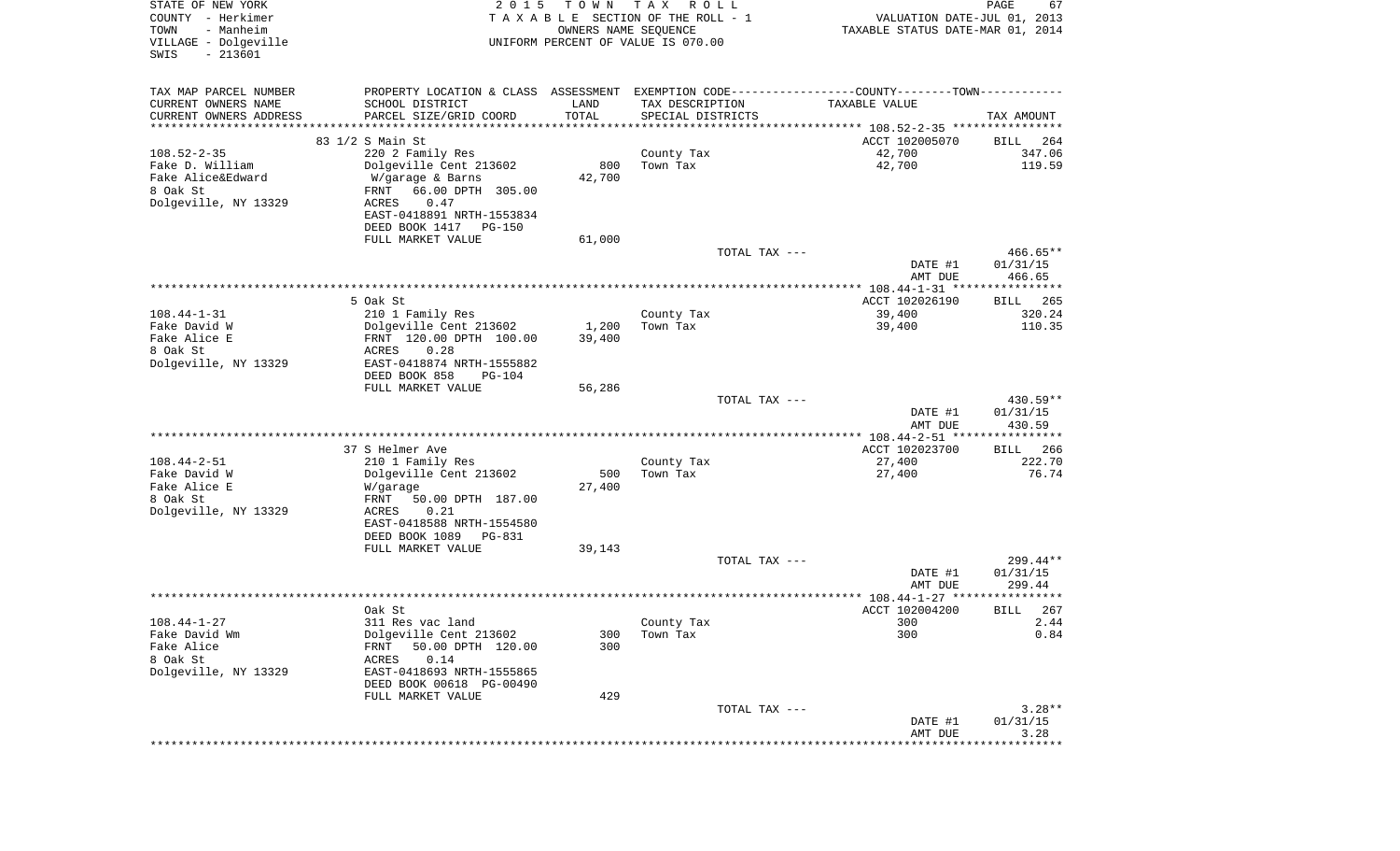| STATE OF NEW YORK<br>COUNTY - Herkimer<br>- Manheim<br>TOWN<br>VILLAGE - Dolgeville<br>$-213601$<br>SWIS | 2 0 1 5                                                                                       | T O W N<br>OWNERS NAME SEQUENCE | T A X<br>R O L L<br>T A X A B L E SECTION OF THE ROLL - 1<br>UNIFORM PERCENT OF VALUE IS 070.00 | VALUATION DATE-JUL 01, 2013<br>TAXABLE STATUS DATE-MAR 01, 2014 | PAGE<br>67           |
|----------------------------------------------------------------------------------------------------------|-----------------------------------------------------------------------------------------------|---------------------------------|-------------------------------------------------------------------------------------------------|-----------------------------------------------------------------|----------------------|
| TAX MAP PARCEL NUMBER                                                                                    | PROPERTY LOCATION & CLASS ASSESSMENT EXEMPTION CODE---------------COUNTY-------TOWN---------- |                                 |                                                                                                 |                                                                 |                      |
| CURRENT OWNERS NAME                                                                                      | SCHOOL DISTRICT                                                                               | LAND                            | TAX DESCRIPTION                                                                                 | TAXABLE VALUE                                                   |                      |
| CURRENT OWNERS ADDRESS<br>***********************                                                        | PARCEL SIZE/GRID COORD<br>***********************                                             | TOTAL<br>***********            | SPECIAL DISTRICTS                                                                               |                                                                 | TAX AMOUNT           |
|                                                                                                          | 83 1/2 S Main St                                                                              |                                 |                                                                                                 | ACCT 102005070                                                  | BILL<br>264          |
| $108.52 - 2 - 35$                                                                                        | 220 2 Family Res                                                                              |                                 | County Tax                                                                                      | 42,700                                                          | 347.06               |
| Fake D. William                                                                                          | Dolgeville Cent 213602                                                                        | 800                             | Town Tax                                                                                        | 42,700                                                          | 119.59               |
| Fake Alice&Edward                                                                                        | W/garage & Barns                                                                              | 42,700                          |                                                                                                 |                                                                 |                      |
| 8 Oak St<br>Dolgeville, NY 13329                                                                         | 66.00 DPTH 305.00<br>FRNT<br>0.47<br>ACRES                                                    |                                 |                                                                                                 |                                                                 |                      |
|                                                                                                          | EAST-0418891 NRTH-1553834                                                                     |                                 |                                                                                                 |                                                                 |                      |
|                                                                                                          | DEED BOOK 1417<br>PG-150                                                                      |                                 |                                                                                                 |                                                                 |                      |
|                                                                                                          | FULL MARKET VALUE                                                                             | 61,000                          |                                                                                                 |                                                                 |                      |
|                                                                                                          |                                                                                               |                                 | TOTAL TAX ---                                                                                   | DATE #1                                                         | 466.65**<br>01/31/15 |
|                                                                                                          |                                                                                               |                                 |                                                                                                 | AMT DUE                                                         | 466.65               |
|                                                                                                          |                                                                                               |                                 |                                                                                                 |                                                                 |                      |
|                                                                                                          | 5 Oak St                                                                                      |                                 |                                                                                                 | ACCT 102026190                                                  | 265<br>BILL          |
| $108.44 - 1 - 31$<br>Fake David W                                                                        | 210 1 Family Res<br>Dolgeville Cent 213602                                                    | 1,200                           | County Tax<br>Town Tax                                                                          | 39,400<br>39,400                                                | 320.24<br>110.35     |
| Fake Alice E                                                                                             | FRNT 120.00 DPTH 100.00                                                                       | 39,400                          |                                                                                                 |                                                                 |                      |
| 8 Oak St                                                                                                 | ACRES<br>0.28                                                                                 |                                 |                                                                                                 |                                                                 |                      |
| Dolgeville, NY 13329                                                                                     | EAST-0418874 NRTH-1555882                                                                     |                                 |                                                                                                 |                                                                 |                      |
|                                                                                                          | DEED BOOK 858<br>PG-104<br>FULL MARKET VALUE                                                  | 56,286                          |                                                                                                 |                                                                 |                      |
|                                                                                                          |                                                                                               |                                 | TOTAL TAX ---                                                                                   |                                                                 | 430.59**             |
|                                                                                                          |                                                                                               |                                 |                                                                                                 | DATE #1                                                         | 01/31/15             |
|                                                                                                          |                                                                                               |                                 |                                                                                                 | AMT DUE                                                         | 430.59               |
|                                                                                                          | 37 S Helmer Ave                                                                               |                                 |                                                                                                 | ************* 108.44-2-51 *****************<br>ACCT 102023700   | 266<br><b>BILL</b>   |
| $108.44 - 2 - 51$                                                                                        | 210 1 Family Res                                                                              |                                 | County Tax                                                                                      | 27,400                                                          | 222.70               |
| Fake David W                                                                                             | Dolgeville Cent 213602                                                                        | 500                             | Town Tax                                                                                        | 27,400                                                          | 76.74                |
| Fake Alice E                                                                                             | W/garage                                                                                      | 27,400                          |                                                                                                 |                                                                 |                      |
| 8 Oak St                                                                                                 | FRNT<br>50.00 DPTH 187.00                                                                     |                                 |                                                                                                 |                                                                 |                      |
| Dolgeville, NY 13329                                                                                     | ACRES<br>0.21<br>EAST-0418588 NRTH-1554580                                                    |                                 |                                                                                                 |                                                                 |                      |
|                                                                                                          | DEED BOOK 1089<br>PG-831                                                                      |                                 |                                                                                                 |                                                                 |                      |
|                                                                                                          | FULL MARKET VALUE                                                                             | 39,143                          |                                                                                                 |                                                                 |                      |
|                                                                                                          |                                                                                               |                                 | TOTAL TAX ---                                                                                   |                                                                 | 299.44**             |
|                                                                                                          |                                                                                               |                                 |                                                                                                 | DATE #1<br>AMT DUE                                              | 01/31/15<br>299.44   |
|                                                                                                          |                                                                                               |                                 |                                                                                                 |                                                                 | ******               |
|                                                                                                          | Oak St                                                                                        |                                 |                                                                                                 | ACCT 102004200                                                  | 267<br>BILL          |
| $108.44 - 1 - 27$                                                                                        | 311 Res vac land                                                                              |                                 | County Tax                                                                                      | 300                                                             | 2.44                 |
| Fake David Wm<br>Fake Alice                                                                              | Dolgeville Cent 213602<br>50.00 DPTH 120.00<br>FRNT                                           | 300<br>300                      | Town Tax                                                                                        | 300                                                             | 0.84                 |
| 8 Oak St                                                                                                 | 0.14<br>ACRES                                                                                 |                                 |                                                                                                 |                                                                 |                      |
| Dolgeville, NY 13329                                                                                     | EAST-0418693 NRTH-1555865                                                                     |                                 |                                                                                                 |                                                                 |                      |
|                                                                                                          | DEED BOOK 00618 PG-00490                                                                      |                                 |                                                                                                 |                                                                 |                      |
|                                                                                                          | FULL MARKET VALUE                                                                             | 429                             | TOTAL TAX ---                                                                                   |                                                                 | $3.28**$             |
|                                                                                                          |                                                                                               |                                 |                                                                                                 | DATE #1                                                         | 01/31/15             |
|                                                                                                          |                                                                                               |                                 |                                                                                                 | AMT DUE                                                         | 3.28                 |
|                                                                                                          |                                                                                               |                                 |                                                                                                 | ******************************                                  |                      |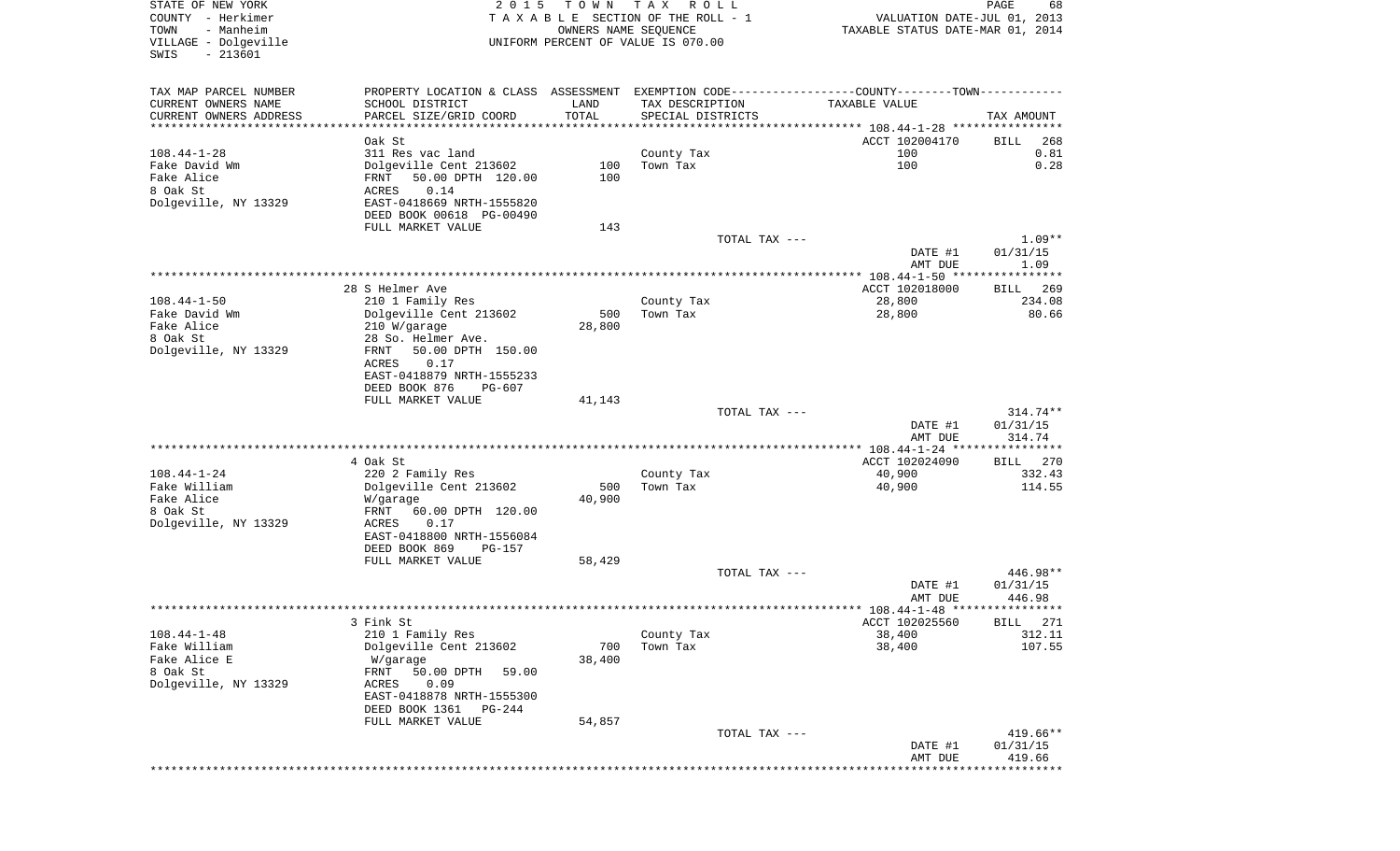| STATE OF NEW YORK<br>COUNTY - Herkimer<br>TOWN<br>- Manheim<br>VILLAGE - Dolgeville<br>SWIS<br>$-213601$ | 2 0 1 5                                                                                        | T O W N<br>OWNERS NAME SEQUENCE | TAX ROLL<br>TAXABLE SECTION OF THE ROLL - 1<br>UNIFORM PERCENT OF VALUE IS 070.00 |               | VALUATION DATE-JUL 01, 2013<br>TAXABLE STATUS DATE-MAR 01, 2014 | PAGE<br>68          |
|----------------------------------------------------------------------------------------------------------|------------------------------------------------------------------------------------------------|---------------------------------|-----------------------------------------------------------------------------------|---------------|-----------------------------------------------------------------|---------------------|
| TAX MAP PARCEL NUMBER                                                                                    | PROPERTY LOCATION & CLASS ASSESSMENT EXEMPTION CODE----------------COUNTY-------TOWN---------- |                                 |                                                                                   |               |                                                                 |                     |
| CURRENT OWNERS NAME                                                                                      | SCHOOL DISTRICT                                                                                | LAND                            | TAX DESCRIPTION                                                                   |               | TAXABLE VALUE                                                   |                     |
| CURRENT OWNERS ADDRESS<br>************************                                                       | PARCEL SIZE/GRID COORD                                                                         | TOTAL                           | SPECIAL DISTRICTS                                                                 |               |                                                                 | TAX AMOUNT          |
|                                                                                                          | Oak St                                                                                         |                                 |                                                                                   |               | ACCT 102004170                                                  | 268<br>BILL         |
| $108.44 - 1 - 28$                                                                                        | 311 Res vac land                                                                               |                                 | County Tax                                                                        |               | 100                                                             | 0.81                |
| Fake David Wm                                                                                            | Dolgeville Cent 213602                                                                         | 100                             | Town Tax                                                                          |               | 100                                                             | 0.28                |
| Fake Alice                                                                                               | 50.00 DPTH 120.00<br>FRNT                                                                      | 100                             |                                                                                   |               |                                                                 |                     |
| 8 Oak St<br>Dolgeville, NY 13329                                                                         | ACRES<br>0.14<br>EAST-0418669 NRTH-1555820                                                     |                                 |                                                                                   |               |                                                                 |                     |
|                                                                                                          | DEED BOOK 00618 PG-00490                                                                       |                                 |                                                                                   |               |                                                                 |                     |
|                                                                                                          | FULL MARKET VALUE                                                                              | 143                             |                                                                                   |               |                                                                 |                     |
|                                                                                                          |                                                                                                |                                 |                                                                                   | TOTAL TAX --- |                                                                 | $1.09**$            |
|                                                                                                          |                                                                                                |                                 |                                                                                   |               | DATE #1<br>AMT DUE                                              | 01/31/15<br>1.09    |
|                                                                                                          |                                                                                                |                                 |                                                                                   |               |                                                                 |                     |
|                                                                                                          | 28 S Helmer Ave                                                                                |                                 |                                                                                   |               | ACCT 102018000                                                  | 269<br>BILL         |
| $108.44 - 1 - 50$                                                                                        | 210 1 Family Res                                                                               |                                 | County Tax                                                                        |               | 28,800                                                          | 234.08              |
| Fake David Wm<br>Fake Alice                                                                              | Dolgeville Cent 213602<br>210 W/garage                                                         | 500<br>28,800                   | Town Tax                                                                          |               | 28,800                                                          | 80.66               |
| 8 Oak St                                                                                                 | 28 So. Helmer Ave.                                                                             |                                 |                                                                                   |               |                                                                 |                     |
| Dolgeville, NY 13329                                                                                     | FRNT<br>50.00 DPTH 150.00                                                                      |                                 |                                                                                   |               |                                                                 |                     |
|                                                                                                          | ACRES<br>0.17                                                                                  |                                 |                                                                                   |               |                                                                 |                     |
|                                                                                                          | EAST-0418879 NRTH-1555233<br>DEED BOOK 876<br>PG-607                                           |                                 |                                                                                   |               |                                                                 |                     |
|                                                                                                          | FULL MARKET VALUE                                                                              | 41,143                          |                                                                                   |               |                                                                 |                     |
|                                                                                                          |                                                                                                |                                 |                                                                                   | TOTAL TAX --- |                                                                 | $314.74**$          |
|                                                                                                          |                                                                                                |                                 |                                                                                   |               | DATE #1                                                         | 01/31/15            |
|                                                                                                          |                                                                                                |                                 |                                                                                   |               | AMT DUE                                                         | 314.74              |
|                                                                                                          | 4 Oak St                                                                                       |                                 |                                                                                   |               | ACCT 102024090                                                  | BILL 270            |
| $108.44 - 1 - 24$                                                                                        | 220 2 Family Res                                                                               |                                 | County Tax                                                                        |               | 40,900                                                          | 332.43              |
| Fake William                                                                                             | Dolgeville Cent 213602                                                                         | 500                             | Town Tax                                                                          |               | 40,900                                                          | 114.55              |
| Fake Alice<br>8 Oak St                                                                                   | W/garage<br>FRNT<br>60.00 DPTH 120.00                                                          | 40,900                          |                                                                                   |               |                                                                 |                     |
| Dolgeville, NY 13329                                                                                     | ACRES<br>0.17                                                                                  |                                 |                                                                                   |               |                                                                 |                     |
|                                                                                                          | EAST-0418800 NRTH-1556084                                                                      |                                 |                                                                                   |               |                                                                 |                     |
|                                                                                                          | DEED BOOK 869<br>$PG-157$                                                                      |                                 |                                                                                   |               |                                                                 |                     |
|                                                                                                          | FULL MARKET VALUE                                                                              | 58,429                          |                                                                                   | TOTAL TAX --- |                                                                 | 446.98**            |
|                                                                                                          |                                                                                                |                                 |                                                                                   |               | DATE #1                                                         | 01/31/15            |
|                                                                                                          |                                                                                                |                                 |                                                                                   |               | AMT DUE                                                         | 446.98              |
|                                                                                                          |                                                                                                |                                 |                                                                                   |               |                                                                 |                     |
| $108.44 - 1 - 48$                                                                                        | 3 Fink St<br>210 1 Family Res                                                                  |                                 |                                                                                   |               | ACCT 102025560<br>38,400                                        | BILL 271<br>312.11  |
| Fake William                                                                                             | Dolgeville Cent 213602                                                                         | 700                             | County Tax<br>Town Tax                                                            |               | 38,400                                                          | 107.55              |
| Fake Alice E                                                                                             | W/garage                                                                                       | 38,400                          |                                                                                   |               |                                                                 |                     |
| 8 Oak St                                                                                                 | 50.00 DPTH<br>FRNT<br>59.00                                                                    |                                 |                                                                                   |               |                                                                 |                     |
| Dolgeville, NY 13329                                                                                     | ACRES<br>0.09                                                                                  |                                 |                                                                                   |               |                                                                 |                     |
|                                                                                                          | EAST-0418878 NRTH-1555300<br>DEED BOOK 1361<br>PG-244                                          |                                 |                                                                                   |               |                                                                 |                     |
|                                                                                                          | FULL MARKET VALUE                                                                              | 54,857                          |                                                                                   |               |                                                                 |                     |
|                                                                                                          |                                                                                                |                                 |                                                                                   | TOTAL TAX --- |                                                                 | $419.66**$          |
|                                                                                                          |                                                                                                |                                 |                                                                                   |               | DATE #1                                                         | 01/31/15            |
|                                                                                                          |                                                                                                |                                 |                                                                                   |               | AMT DUE                                                         | 419.66<br>********* |
|                                                                                                          |                                                                                                |                                 |                                                                                   |               |                                                                 |                     |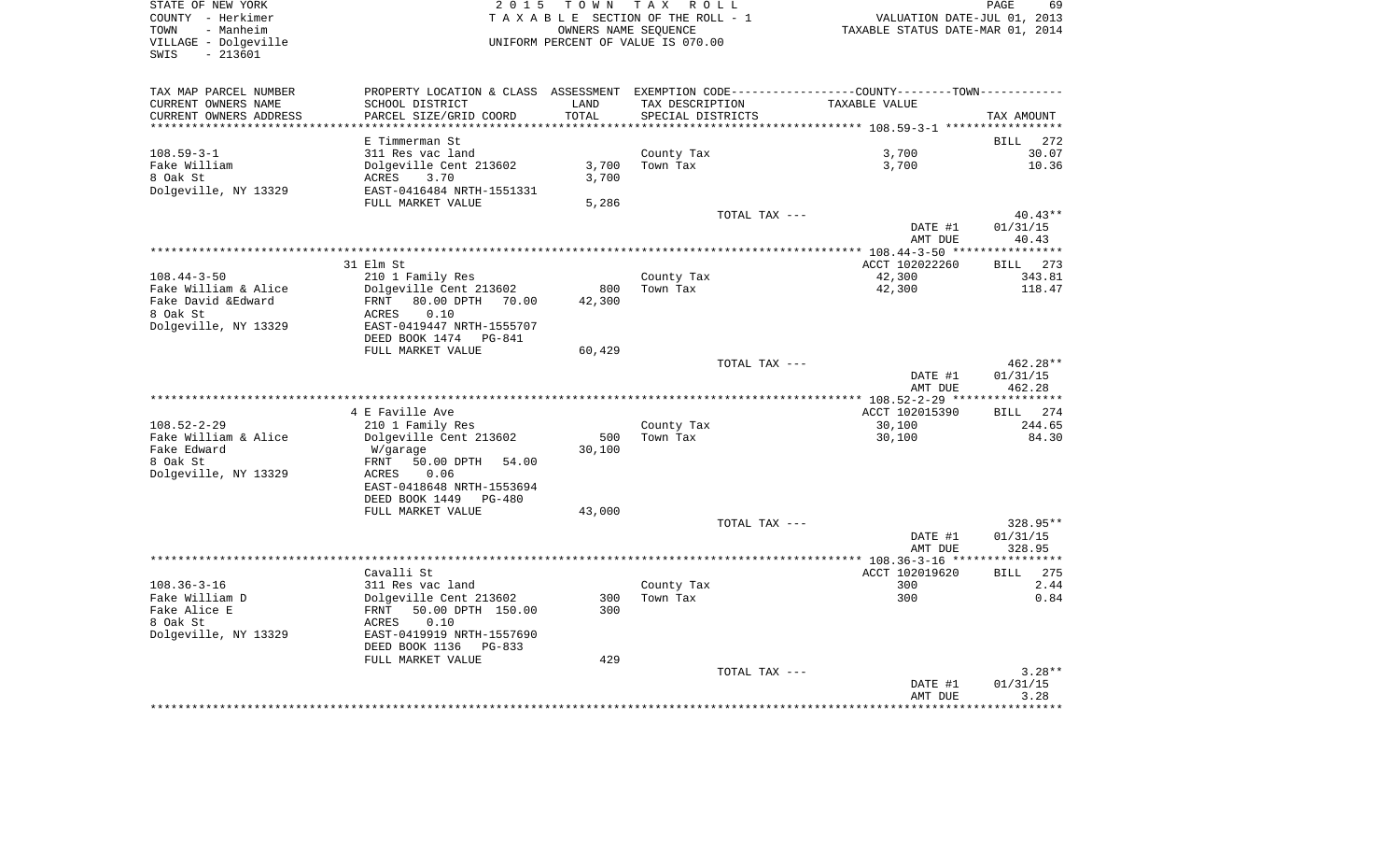| TOWN<br>- Manheim                                | TAXABLE SECTION OF THE ROLL - 1                                                              |                              |                   |                | VALUATION DATE-JUL 01, 2013<br>TAXABLE STATUS DATE-MAR 01, 2014 |  |  |
|--------------------------------------------------|----------------------------------------------------------------------------------------------|------------------------------|-------------------|----------------|-----------------------------------------------------------------|--|--|
|                                                  | OWNERS NAME SEOUENCE<br>UNIFORM PERCENT OF VALUE IS 070.00                                   |                              |                   |                |                                                                 |  |  |
| VILLAGE - Dolgeville<br>$-213601$<br>SWIS        |                                                                                              |                              |                   |                |                                                                 |  |  |
| TAX MAP PARCEL NUMBER                            | PROPERTY LOCATION & CLASS ASSESSMENT EXEMPTION CODE---------------COUNTY-------TOWN--------- |                              |                   |                |                                                                 |  |  |
| CURRENT OWNERS NAME                              | SCHOOL DISTRICT                                                                              | LAND                         | TAX DESCRIPTION   | TAXABLE VALUE  |                                                                 |  |  |
| CURRENT OWNERS ADDRESS<br>********************** | PARCEL SIZE/GRID COORD<br>*********************                                              | TOTAL<br>* * * * * * * * * * | SPECIAL DISTRICTS |                | TAX AMOUNT                                                      |  |  |
|                                                  | E Timmerman St                                                                               |                              |                   |                | <b>BILL</b><br>272                                              |  |  |
| $108.59 - 3 - 1$                                 | 311 Res vac land                                                                             |                              | County Tax        | 3,700          | 30.07                                                           |  |  |
| Fake William                                     | Dolgeville Cent 213602                                                                       | 3,700                        | Town Tax          | 3,700          | 10.36                                                           |  |  |
| 8 Oak St                                         | 3.70<br>ACRES                                                                                | 3,700                        |                   |                |                                                                 |  |  |
| Dolgeville, NY 13329                             | EAST-0416484 NRTH-1551331                                                                    |                              |                   |                |                                                                 |  |  |
|                                                  | FULL MARKET VALUE                                                                            | 5,286                        |                   |                |                                                                 |  |  |
|                                                  |                                                                                              |                              | TOTAL TAX ---     |                | $40.43**$                                                       |  |  |
|                                                  |                                                                                              |                              |                   | DATE #1        | 01/31/15<br>40.43                                               |  |  |
|                                                  |                                                                                              |                              |                   | AMT DUE        | ***********                                                     |  |  |
|                                                  | 31 Elm St                                                                                    |                              |                   | ACCT 102022260 | 273<br><b>BILL</b>                                              |  |  |
| $108.44 - 3 - 50$                                | 210 1 Family Res                                                                             |                              | County Tax        | 42,300         | 343.81                                                          |  |  |
| Fake William & Alice                             | Dolgeville Cent 213602                                                                       | 800                          | Town Tax          | 42,300         | 118.47                                                          |  |  |
| Fake David & Edward                              | 80.00 DPTH 70.00<br>FRNT                                                                     | 42,300                       |                   |                |                                                                 |  |  |
| 8 Oak St                                         | 0.10<br>ACRES                                                                                |                              |                   |                |                                                                 |  |  |
| Dolgeville, NY 13329                             | EAST-0419447 NRTH-1555707                                                                    |                              |                   |                |                                                                 |  |  |
|                                                  | DEED BOOK 1474 PG-841<br>FULL MARKET VALUE                                                   | 60,429                       |                   |                |                                                                 |  |  |
|                                                  |                                                                                              |                              | TOTAL TAX ---     |                | 462.28**                                                        |  |  |
|                                                  |                                                                                              |                              |                   |                |                                                                 |  |  |
|                                                  |                                                                                              |                              |                   | DATE #1        | 01/31/15                                                        |  |  |
|                                                  |                                                                                              |                              |                   | AMT DUE        | 462.28                                                          |  |  |
|                                                  |                                                                                              |                              |                   |                |                                                                 |  |  |
|                                                  | 4 E Faville Ave                                                                              |                              |                   | ACCT 102015390 | <b>BILL</b>                                                     |  |  |
| $108.52 - 2 - 29$                                | 210 1 Family Res                                                                             |                              | County Tax        | 30,100         |                                                                 |  |  |
| Fake William & Alice                             | Dolgeville Cent 213602                                                                       | 500                          | Town Tax          | 30,100         |                                                                 |  |  |
| Fake Edward                                      | W/garage                                                                                     | 30,100                       |                   |                |                                                                 |  |  |
| 8 Oak St                                         | FRNT<br>50.00 DPTH<br>54.00<br>ACRES<br>0.06                                                 |                              |                   |                | 274<br>244.65<br>84.30                                          |  |  |
| Dolgeville, NY 13329                             | EAST-0418648 NRTH-1553694                                                                    |                              |                   |                |                                                                 |  |  |
|                                                  | DEED BOOK 1449 PG-480                                                                        |                              |                   |                |                                                                 |  |  |
|                                                  | FULL MARKET VALUE                                                                            | 43,000                       |                   |                |                                                                 |  |  |
|                                                  |                                                                                              |                              | TOTAL TAX ---     |                | 328.95**                                                        |  |  |
|                                                  |                                                                                              |                              |                   | DATE #1        | 01/31/15                                                        |  |  |
|                                                  |                                                                                              |                              |                   | AMT DUE        | 328.95                                                          |  |  |
|                                                  | Cavalli St                                                                                   |                              |                   | ACCT 102019620 | 275<br><b>BILL</b>                                              |  |  |
| $108.36 - 3 - 16$                                | 311 Res vac land                                                                             |                              | County Tax        | 300            |                                                                 |  |  |
| Fake William D                                   | Dolgeville Cent 213602                                                                       | 300                          | Town Tax          | 300            |                                                                 |  |  |
| Fake Alice E                                     | FRNT<br>50.00 DPTH 150.00                                                                    | 300                          |                   |                |                                                                 |  |  |
| 8 Oak St                                         | 0.10<br><b>ACRES</b>                                                                         |                              |                   |                |                                                                 |  |  |
| Dolgeville, NY 13329                             | EAST-0419919 NRTH-1557690                                                                    |                              |                   |                |                                                                 |  |  |
|                                                  | DEED BOOK 1136 PG-833                                                                        |                              |                   |                |                                                                 |  |  |
|                                                  | FULL MARKET VALUE                                                                            | 429                          |                   |                | 2.44<br>0.84<br>$3.28**$                                        |  |  |
|                                                  |                                                                                              |                              | TOTAL TAX ---     | DATE #1        | 01/31/15                                                        |  |  |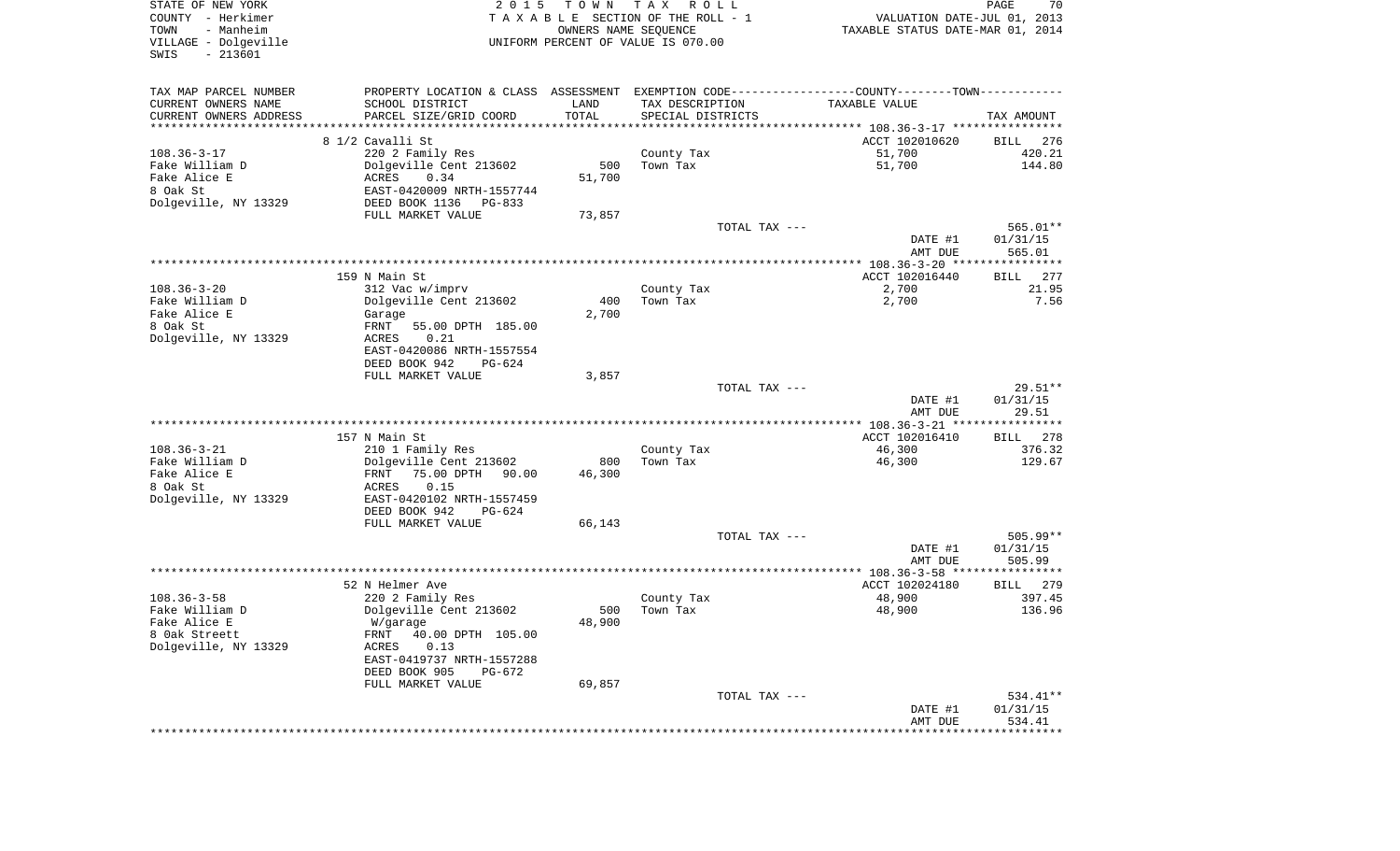| VILLAGE - Dolgeville   |                           |        | TAXABLE SECTION OF THE ROLL - 1<br>OWNERS NAME SEQUENCE<br>UNIFORM PERCENT OF VALUE IS 070.00 | VALUATION DATE-JUL 01, 2013<br>TAXABLE STATUS DATE-MAR 01, 2014                                |                                                                |
|------------------------|---------------------------|--------|-----------------------------------------------------------------------------------------------|------------------------------------------------------------------------------------------------|----------------------------------------------------------------|
| $-213601$<br>SWIS      |                           |        |                                                                                               |                                                                                                |                                                                |
| TAX MAP PARCEL NUMBER  |                           |        |                                                                                               | PROPERTY LOCATION & CLASS ASSESSMENT EXEMPTION CODE----------------COUNTY-------TOWN---------- |                                                                |
| CURRENT OWNERS NAME    | SCHOOL DISTRICT           | LAND   | TAX DESCRIPTION                                                                               | TAXABLE VALUE                                                                                  |                                                                |
| CURRENT OWNERS ADDRESS | PARCEL SIZE/GRID COORD    | TOTAL  | SPECIAL DISTRICTS                                                                             |                                                                                                | TAX AMOUNT                                                     |
| ********************** |                           |        |                                                                                               |                                                                                                |                                                                |
|                        | 8 1/2 Cavalli St          |        |                                                                                               | ACCT 102010620                                                                                 | <b>BILL</b>                                                    |
| $108.36 - 3 - 17$      | 220 2 Family Res          |        | County Tax                                                                                    | 51,700                                                                                         | 420.21                                                         |
| Fake William D         | Dolgeville Cent 213602    | 500    | Town Tax                                                                                      | 51,700                                                                                         | 144.80                                                         |
| Fake Alice E           | ACRES<br>0.34             | 51,700 |                                                                                               |                                                                                                |                                                                |
| 8 Oak St               | EAST-0420009 NRTH-1557744 |        |                                                                                               |                                                                                                |                                                                |
| Dolgeville, NY 13329   | DEED BOOK 1136 PG-833     |        |                                                                                               |                                                                                                |                                                                |
|                        | FULL MARKET VALUE         | 73,857 | TOTAL TAX ---                                                                                 |                                                                                                | 565.01**                                                       |
|                        |                           |        |                                                                                               | DATE #1                                                                                        | 01/31/15                                                       |
|                        |                           |        |                                                                                               | AMT DUE                                                                                        | 565.01                                                         |
|                        |                           |        |                                                                                               |                                                                                                |                                                                |
|                        | 159 N Main St             |        |                                                                                               | ACCT 102016440                                                                                 | BILL 277                                                       |
| $108.36 - 3 - 20$      | 312 Vac w/imprv           |        | County Tax                                                                                    | 2,700                                                                                          | 21.95                                                          |
| Fake William D         | Dolgeville Cent 213602    | 400    | Town Tax                                                                                      | 2,700                                                                                          | 7.56                                                           |
| Fake Alice E           | Garage                    | 2,700  |                                                                                               |                                                                                                |                                                                |
| 8 Oak St               | FRNT<br>55.00 DPTH 185.00 |        |                                                                                               |                                                                                                |                                                                |
| Dolgeville, NY 13329   | 0.21<br>ACRES             |        |                                                                                               |                                                                                                |                                                                |
|                        | EAST-0420086 NRTH-1557554 |        |                                                                                               |                                                                                                |                                                                |
|                        | DEED BOOK 942<br>$PG-624$ |        |                                                                                               |                                                                                                |                                                                |
|                        | FULL MARKET VALUE         | 3,857  |                                                                                               |                                                                                                |                                                                |
|                        |                           |        | TOTAL TAX ---                                                                                 |                                                                                                | $29.51**$                                                      |
|                        |                           |        |                                                                                               | DATE #1                                                                                        | 01/31/15                                                       |
|                        |                           |        |                                                                                               | AMT DUE                                                                                        | 29.51                                                          |
|                        |                           |        |                                                                                               |                                                                                                |                                                                |
|                        |                           |        |                                                                                               |                                                                                                |                                                                |
|                        | 157 N Main St             |        |                                                                                               | ACCT 102016410                                                                                 |                                                                |
| $108.36 - 3 - 21$      | 210 1 Family Res          |        | County Tax                                                                                    | 46,300                                                                                         |                                                                |
| Fake William D         | Dolgeville Cent 213602    | 800    | Town Tax                                                                                      | 46,300                                                                                         |                                                                |
| Fake Alice E           | 75.00 DPTH 90.00<br>FRNT  | 46,300 |                                                                                               |                                                                                                |                                                                |
| 8 Oak St               | 0.15<br>ACRES             |        |                                                                                               |                                                                                                |                                                                |
| Dolgeville, NY 13329   | EAST-0420102 NRTH-1557459 |        |                                                                                               |                                                                                                | BILL 278<br>376.32<br>129.67                                   |
|                        | DEED BOOK 942<br>PG-624   |        |                                                                                               |                                                                                                |                                                                |
|                        | FULL MARKET VALUE         | 66,143 |                                                                                               |                                                                                                |                                                                |
|                        |                           |        | TOTAL TAX ---                                                                                 |                                                                                                |                                                                |
|                        |                           |        |                                                                                               | DATE #1                                                                                        |                                                                |
|                        |                           |        |                                                                                               | AMT DUE                                                                                        |                                                                |
|                        | 52 N Helmer Ave           |        |                                                                                               | ACCT 102024180                                                                                 |                                                                |
| $108.36 - 3 - 58$      | 220 2 Family Res          |        | County Tax                                                                                    | 48,900                                                                                         |                                                                |
| Fake William D         | Dolgeville Cent 213602    | 500    | Town Tax                                                                                      | 48,900                                                                                         |                                                                |
| Fake Alice E           | W/garage                  | 48,900 |                                                                                               |                                                                                                |                                                                |
| 8 Oak Streett          | FRNT 40.00 DPTH 105.00    |        |                                                                                               |                                                                                                | 505.99**<br>01/31/15<br>505.99<br>BILL 279<br>397.45<br>136.96 |
| Dolgeville, NY 13329   | 0.13<br>ACRES             |        |                                                                                               |                                                                                                |                                                                |
|                        | EAST-0419737 NRTH-1557288 |        |                                                                                               |                                                                                                |                                                                |
|                        | DEED BOOK 905<br>PG-672   |        |                                                                                               |                                                                                                |                                                                |
|                        | FULL MARKET VALUE         | 69,857 |                                                                                               |                                                                                                |                                                                |
|                        |                           |        | TOTAL TAX ---                                                                                 |                                                                                                | 534.41**                                                       |
|                        |                           |        |                                                                                               | DATE #1                                                                                        | 01/31/15                                                       |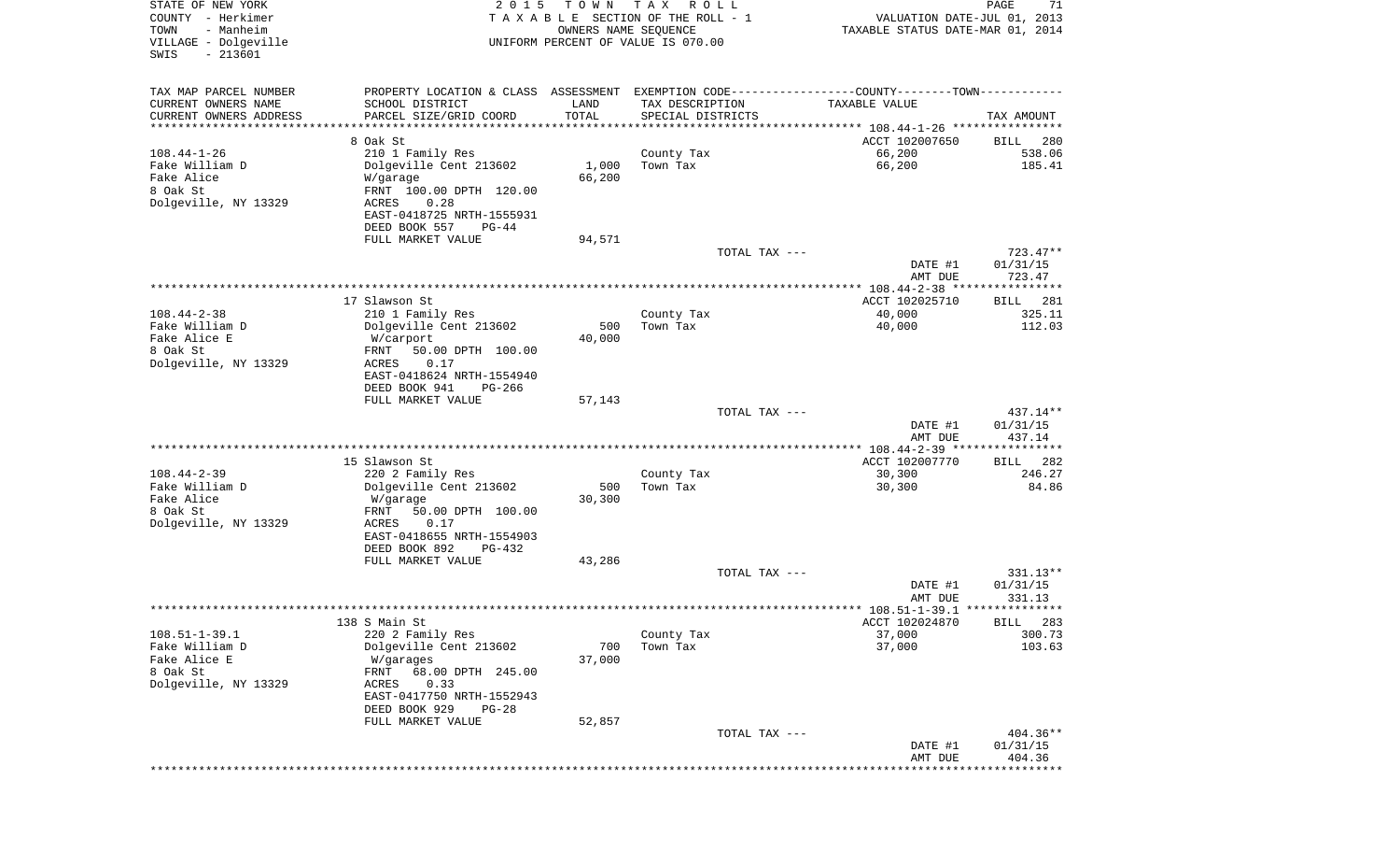| STATE OF NEW YORK<br>COUNTY - Herkimer<br>- Manheim<br>TOWN<br>VILLAGE - Dolgeville<br>$-213601$<br>SWIS | 2 0 1 5                                                                                       | T O W N<br>OWNERS NAME SEQUENCE | T A X<br>R O L L<br>TAXABLE SECTION OF THE ROLL - 1<br>UNIFORM PERCENT OF VALUE IS 070.00 |               | VALUATION DATE-JUL 01, 2013<br>TAXABLE STATUS DATE-MAR 01, 2014 | 71<br>PAGE           |
|----------------------------------------------------------------------------------------------------------|-----------------------------------------------------------------------------------------------|---------------------------------|-------------------------------------------------------------------------------------------|---------------|-----------------------------------------------------------------|----------------------|
| TAX MAP PARCEL NUMBER                                                                                    | PROPERTY LOCATION & CLASS ASSESSMENT EXEMPTION CODE---------------COUNTY-------TOWN---------- |                                 |                                                                                           |               |                                                                 |                      |
| CURRENT OWNERS NAME                                                                                      | SCHOOL DISTRICT                                                                               | LAND                            | TAX DESCRIPTION                                                                           |               | TAXABLE VALUE                                                   |                      |
| CURRENT OWNERS ADDRESS<br>**********************                                                         | PARCEL SIZE/GRID COORD<br>*******************                                                 | TOTAL<br>***********            | SPECIAL DISTRICTS                                                                         |               |                                                                 | TAX AMOUNT           |
|                                                                                                          | 8 Oak St                                                                                      |                                 |                                                                                           |               | ACCT 102007650                                                  | 280<br>BILL          |
| $108.44 - 1 - 26$                                                                                        | 210 1 Family Res                                                                              |                                 | County Tax                                                                                |               | 66,200                                                          | 538.06               |
| Fake William D                                                                                           | Dolgeville Cent 213602                                                                        | 1,000                           | Town Tax                                                                                  |               | 66,200                                                          | 185.41               |
| Fake Alice<br>8 Oak St                                                                                   | W/garage<br>FRNT 100.00 DPTH 120.00                                                           | 66,200                          |                                                                                           |               |                                                                 |                      |
| Dolgeville, NY 13329                                                                                     | 0.28<br>ACRES                                                                                 |                                 |                                                                                           |               |                                                                 |                      |
|                                                                                                          | EAST-0418725 NRTH-1555931                                                                     |                                 |                                                                                           |               |                                                                 |                      |
|                                                                                                          | DEED BOOK 557<br>$PG-44$                                                                      |                                 |                                                                                           |               |                                                                 |                      |
|                                                                                                          | FULL MARKET VALUE                                                                             | 94,571                          |                                                                                           | TOTAL TAX --- |                                                                 | $723.47**$           |
|                                                                                                          |                                                                                               |                                 |                                                                                           |               | DATE #1                                                         | 01/31/15             |
|                                                                                                          |                                                                                               |                                 |                                                                                           |               | AMT DUE                                                         | 723.47               |
|                                                                                                          | 17 Slawson St                                                                                 |                                 |                                                                                           |               | ACCT 102025710                                                  | 281<br>BILL          |
| $108.44 - 2 - 38$                                                                                        | 210 1 Family Res                                                                              |                                 | County Tax                                                                                |               | 40,000                                                          | 325.11               |
| Fake William D                                                                                           | Dolgeville Cent 213602                                                                        | 500                             | Town Tax                                                                                  |               | 40,000                                                          | 112.03               |
| Fake Alice E<br>8 Oak St                                                                                 | W/carport<br>50.00 DPTH 100.00<br>FRNT                                                        | 40,000                          |                                                                                           |               |                                                                 |                      |
| Dolgeville, NY 13329                                                                                     | ACRES<br>0.17                                                                                 |                                 |                                                                                           |               |                                                                 |                      |
|                                                                                                          | EAST-0418624 NRTH-1554940                                                                     |                                 |                                                                                           |               |                                                                 |                      |
|                                                                                                          | DEED BOOK 941<br>$PG-266$                                                                     |                                 |                                                                                           |               |                                                                 |                      |
|                                                                                                          | FULL MARKET VALUE                                                                             | 57,143                          |                                                                                           | TOTAL TAX --- |                                                                 | $437.14**$           |
|                                                                                                          |                                                                                               |                                 |                                                                                           |               | DATE #1                                                         | 01/31/15             |
|                                                                                                          |                                                                                               |                                 |                                                                                           |               | AMT DUE                                                         | 437.14               |
|                                                                                                          | 15 Slawson St                                                                                 |                                 |                                                                                           |               | ACCT 102007770                                                  | 282<br>BILL          |
| $108.44 - 2 - 39$                                                                                        | 220 2 Family Res                                                                              |                                 | County Tax                                                                                |               | 30,300                                                          | 246.27               |
| Fake William D                                                                                           | Dolgeville Cent 213602                                                                        | 500                             | Town Tax                                                                                  |               | 30,300                                                          | 84.86                |
| Fake Alice<br>8 Oak St                                                                                   | W/garage<br>FRNT<br>50.00 DPTH 100.00                                                         | 30,300                          |                                                                                           |               |                                                                 |                      |
| Dolgeville, NY 13329                                                                                     | ACRES<br>0.17                                                                                 |                                 |                                                                                           |               |                                                                 |                      |
|                                                                                                          | EAST-0418655 NRTH-1554903                                                                     |                                 |                                                                                           |               |                                                                 |                      |
|                                                                                                          | DEED BOOK 892<br>$PG-432$                                                                     |                                 |                                                                                           |               |                                                                 |                      |
|                                                                                                          | FULL MARKET VALUE                                                                             | 43,286                          |                                                                                           | TOTAL TAX --- |                                                                 | 331.13**             |
|                                                                                                          |                                                                                               |                                 |                                                                                           |               | DATE #1                                                         | 01/31/15             |
|                                                                                                          |                                                                                               |                                 |                                                                                           |               | AMT DUE                                                         | 331.13               |
|                                                                                                          | 138 S Main St                                                                                 |                                 |                                                                                           |               | ACCT 102024870                                                  | BILL 283             |
| $108.51 - 1 - 39.1$                                                                                      | 220 2 Family Res                                                                              |                                 | County Tax                                                                                |               | 37,000                                                          | 300.73               |
| Fake William D                                                                                           | Dolgeville Cent 213602                                                                        | 700                             | Town Tax                                                                                  |               | 37,000                                                          | 103.63               |
| Fake Alice E<br>8 Oak St                                                                                 | W/garages<br>68.00 DPTH 245.00<br>FRNT                                                        | 37,000                          |                                                                                           |               |                                                                 |                      |
| Dolgeville, NY 13329                                                                                     | ACRES<br>0.33                                                                                 |                                 |                                                                                           |               |                                                                 |                      |
|                                                                                                          | EAST-0417750 NRTH-1552943                                                                     |                                 |                                                                                           |               |                                                                 |                      |
|                                                                                                          | DEED BOOK 929<br>$PG-28$                                                                      |                                 |                                                                                           |               |                                                                 |                      |
|                                                                                                          | FULL MARKET VALUE                                                                             | 52,857                          |                                                                                           | TOTAL TAX --- |                                                                 | 404.36**             |
|                                                                                                          |                                                                                               |                                 |                                                                                           |               | DATE #1                                                         | 01/31/15             |
|                                                                                                          |                                                                                               |                                 |                                                                                           |               | AMT DUE                                                         | 404.36<br>********** |
|                                                                                                          |                                                                                               |                                 |                                                                                           |               |                                                                 |                      |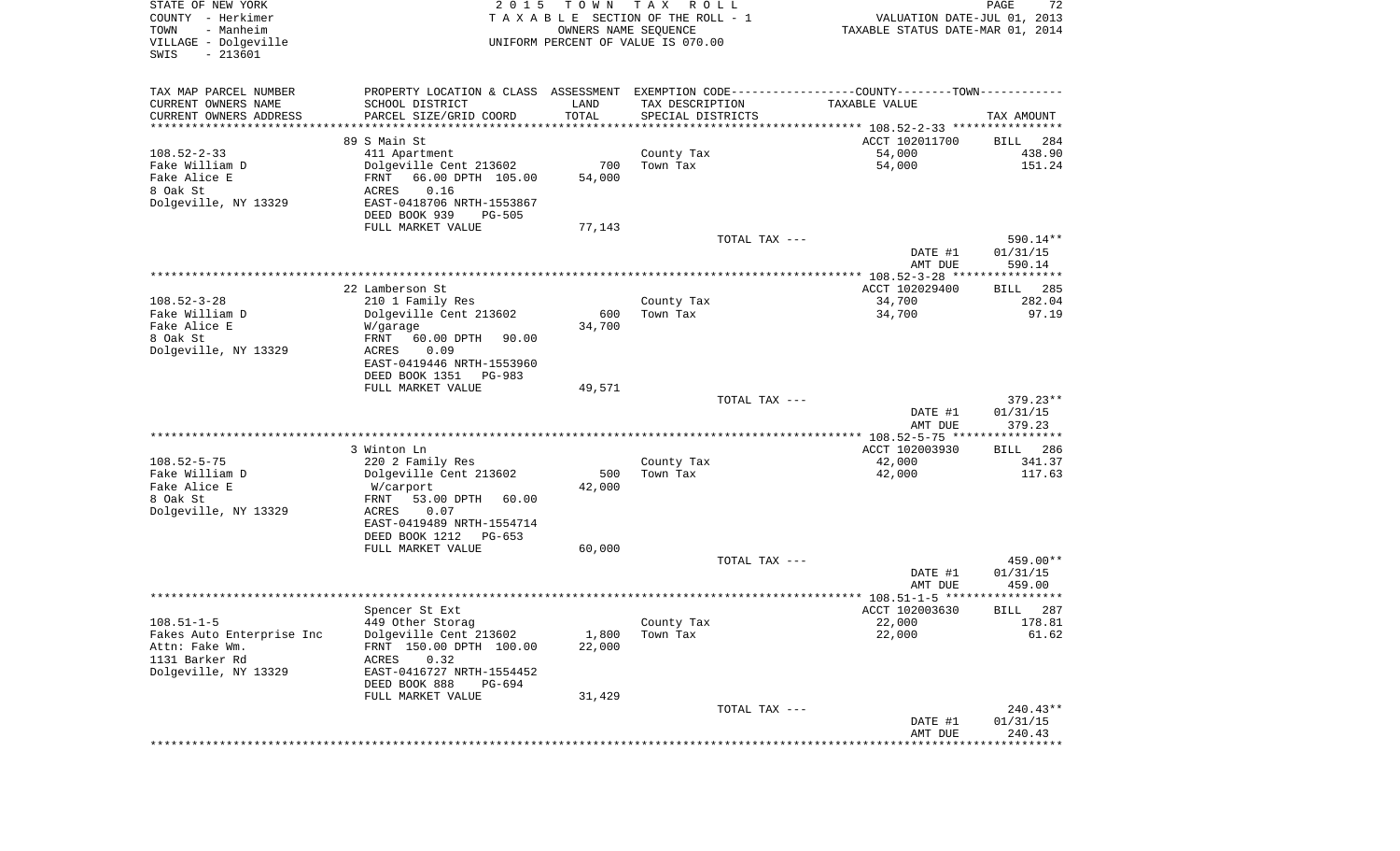| STATE OF NEW YORK<br>COUNTY - Herkimer<br>TOWN<br>- Manheim<br>VILLAGE - Dolgeville<br>$-213601$<br>SWIS | 2 0 1 5                                                                                                          | T O W N        | T A X<br>R O L L<br>TAXABLE SECTION OF THE ROLL - 1<br>OWNERS NAME SEQUENCE<br>UNIFORM PERCENT OF VALUE IS 070.00 | VALUATION DATE-JUL 01, 2013<br>TAXABLE STATUS DATE-MAR 01, 2014 | $\mathop{\mathtt{PAGE}}$<br>72 |
|----------------------------------------------------------------------------------------------------------|------------------------------------------------------------------------------------------------------------------|----------------|-------------------------------------------------------------------------------------------------------------------|-----------------------------------------------------------------|--------------------------------|
|                                                                                                          |                                                                                                                  |                |                                                                                                                   |                                                                 |                                |
| TAX MAP PARCEL NUMBER<br>CURRENT OWNERS NAME                                                             | PROPERTY LOCATION & CLASS ASSESSMENT EXEMPTION CODE---------------COUNTY-------TOWN----------<br>SCHOOL DISTRICT | LAND           |                                                                                                                   | TAXABLE VALUE                                                   |                                |
| CURRENT OWNERS ADDRESS                                                                                   | PARCEL SIZE/GRID COORD                                                                                           | TOTAL          | TAX DESCRIPTION<br>SPECIAL DISTRICTS                                                                              |                                                                 | TAX AMOUNT                     |
| ********************                                                                                     |                                                                                                                  | ************** |                                                                                                                   |                                                                 |                                |
|                                                                                                          | 89 S Main St                                                                                                     |                |                                                                                                                   | ACCT 102011700                                                  | 284<br>BILL                    |
| $108.52 - 2 - 33$                                                                                        | 411 Apartment                                                                                                    |                | County Tax                                                                                                        | 54,000                                                          | 438.90                         |
| Fake William D                                                                                           | Dolgeville Cent 213602                                                                                           | 700            | Town Tax                                                                                                          | 54,000                                                          | 151.24                         |
| Fake Alice E<br>8 Oak St                                                                                 | 66.00 DPTH 105.00<br>FRNT<br>ACRES<br>0.16                                                                       | 54,000         |                                                                                                                   |                                                                 |                                |
| Dolgeville, NY 13329                                                                                     | EAST-0418706 NRTH-1553867                                                                                        |                |                                                                                                                   |                                                                 |                                |
|                                                                                                          | DEED BOOK 939<br><b>PG-505</b>                                                                                   |                |                                                                                                                   |                                                                 |                                |
|                                                                                                          | FULL MARKET VALUE                                                                                                | 77,143         |                                                                                                                   |                                                                 |                                |
|                                                                                                          |                                                                                                                  |                | TOTAL TAX ---                                                                                                     |                                                                 | 590.14**                       |
|                                                                                                          |                                                                                                                  |                |                                                                                                                   | DATE #1<br>AMT DUE                                              | 01/31/15<br>590.14             |
|                                                                                                          |                                                                                                                  |                |                                                                                                                   |                                                                 |                                |
|                                                                                                          | 22 Lamberson St                                                                                                  |                |                                                                                                                   | ACCT 102029400                                                  | 285<br>BILL                    |
| $108.52 - 3 - 28$                                                                                        | 210 1 Family Res                                                                                                 |                | County Tax                                                                                                        | 34,700                                                          | 282.04                         |
| Fake William D                                                                                           | Dolgeville Cent 213602                                                                                           | 600            | Town Tax                                                                                                          | 34,700                                                          | 97.19                          |
| Fake Alice E<br>8 Oak St                                                                                 | W/garage<br>FRNT<br>60.00 DPTH<br>90.00                                                                          | 34,700         |                                                                                                                   |                                                                 |                                |
| Dolgeville, NY 13329                                                                                     | ACRES<br>0.09                                                                                                    |                |                                                                                                                   |                                                                 |                                |
|                                                                                                          | EAST-0419446 NRTH-1553960                                                                                        |                |                                                                                                                   |                                                                 |                                |
|                                                                                                          | DEED BOOK 1351<br><b>PG-983</b>                                                                                  |                |                                                                                                                   |                                                                 |                                |
|                                                                                                          | FULL MARKET VALUE                                                                                                | 49,571         |                                                                                                                   |                                                                 |                                |
|                                                                                                          |                                                                                                                  |                | TOTAL TAX ---                                                                                                     | DATE #1                                                         | 379.23**<br>01/31/15           |
|                                                                                                          |                                                                                                                  |                |                                                                                                                   | AMT DUE                                                         | 379.23                         |
|                                                                                                          |                                                                                                                  |                |                                                                                                                   | *********** 108.52-5-75 *****************                       |                                |
|                                                                                                          | 3 Winton Ln                                                                                                      |                |                                                                                                                   | ACCT 102003930                                                  | 286<br><b>BILL</b>             |
| $108.52 - 5 - 75$                                                                                        | 220 2 Family Res                                                                                                 |                | County Tax                                                                                                        | 42,000                                                          | 341.37                         |
| Fake William D<br>Fake Alice E                                                                           | Dolgeville Cent 213602<br>W/carport                                                                              | 500<br>42,000  | Town Tax                                                                                                          | 42,000                                                          | 117.63                         |
| 8 Oak St                                                                                                 | FRNT<br>53.00 DPTH<br>60.00                                                                                      |                |                                                                                                                   |                                                                 |                                |
| Dolgeville, NY 13329                                                                                     | ACRES<br>0.07                                                                                                    |                |                                                                                                                   |                                                                 |                                |
|                                                                                                          | EAST-0419489 NRTH-1554714                                                                                        |                |                                                                                                                   |                                                                 |                                |
|                                                                                                          | DEED BOOK 1212<br>PG-653                                                                                         |                |                                                                                                                   |                                                                 |                                |
|                                                                                                          | FULL MARKET VALUE                                                                                                | 60,000         | TOTAL TAX ---                                                                                                     |                                                                 | 459.00**                       |
|                                                                                                          |                                                                                                                  |                |                                                                                                                   | DATE #1                                                         | 01/31/15                       |
|                                                                                                          |                                                                                                                  |                |                                                                                                                   | AMT DUE                                                         | 459.00                         |
|                                                                                                          |                                                                                                                  |                |                                                                                                                   | ****************** 108.51-1-5 ******************                |                                |
|                                                                                                          | Spencer St Ext                                                                                                   |                |                                                                                                                   | ACCT 102003630                                                  | 287<br>BILL                    |
| $108.51 - 1 - 5$<br>Fakes Auto Enterprise Inc                                                            | 449 Other Storag<br>Dolgeville Cent 213602                                                                       | 1,800          | County Tax<br>Town Tax                                                                                            | 22,000<br>22,000                                                | 178.81<br>61.62                |
| Attn: Fake Wm.                                                                                           | FRNT 150.00 DPTH 100.00                                                                                          | 22,000         |                                                                                                                   |                                                                 |                                |
| 1131 Barker Rd                                                                                           | 0.32<br>ACRES                                                                                                    |                |                                                                                                                   |                                                                 |                                |
| Dolgeville, NY 13329                                                                                     | EAST-0416727 NRTH-1554452                                                                                        |                |                                                                                                                   |                                                                 |                                |
|                                                                                                          | DEED BOOK 888<br>PG-694                                                                                          |                |                                                                                                                   |                                                                 |                                |
|                                                                                                          | FULL MARKET VALUE                                                                                                | 31,429         | TOTAL TAX ---                                                                                                     |                                                                 | 240.43**                       |
|                                                                                                          |                                                                                                                  |                |                                                                                                                   | DATE #1                                                         | 01/31/15                       |
|                                                                                                          |                                                                                                                  |                |                                                                                                                   | AMT DUE                                                         | 240.43                         |
|                                                                                                          |                                                                                                                  |                |                                                                                                                   | *****************************                                   |                                |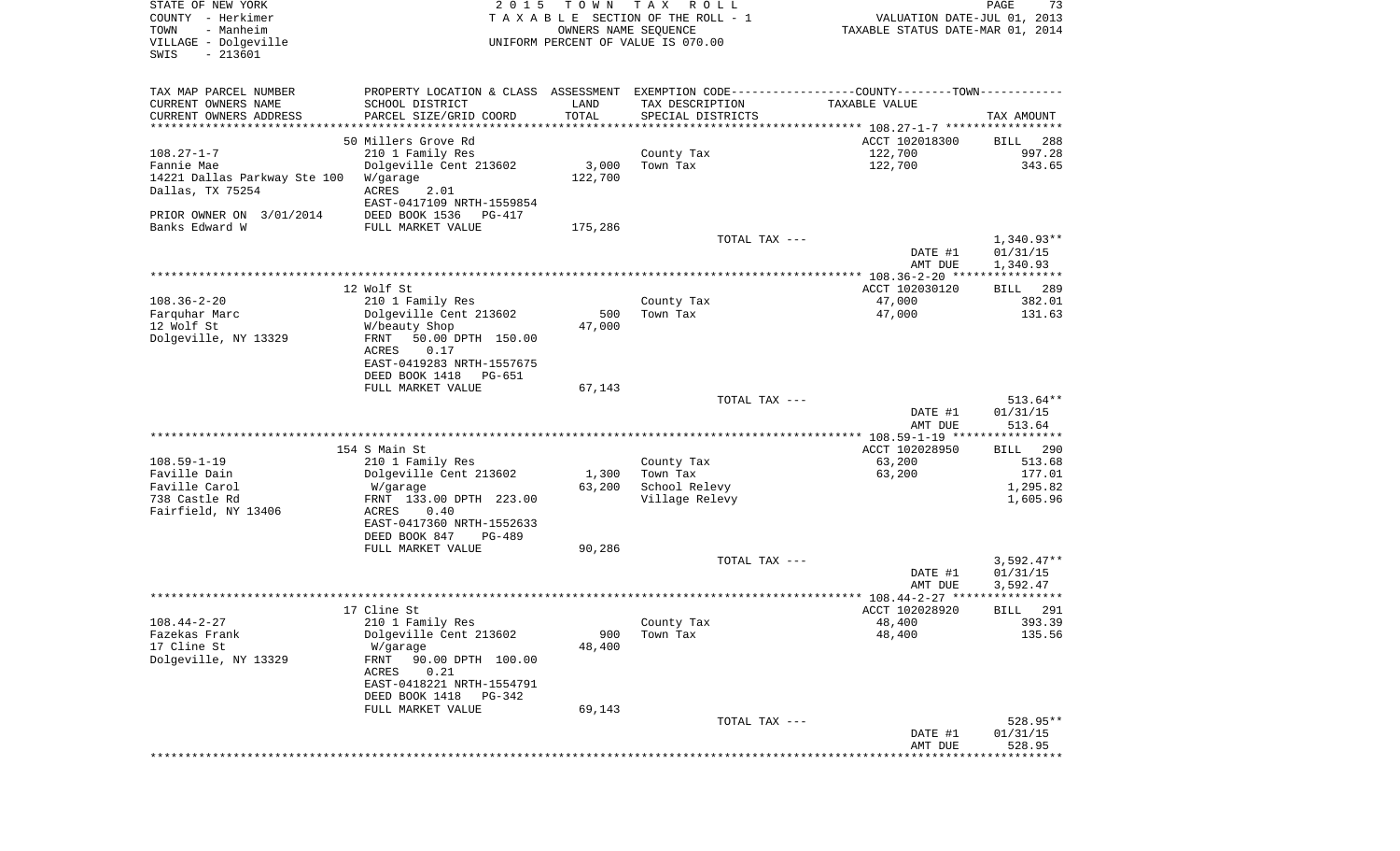| STATE OF NEW YORK<br>COUNTY - Herkimer<br>- Manheim<br>TOWN<br>VILLAGE - Dolgeville<br>$-213601$<br>SWIS | 2 0 1 5                                               | T O W N<br>OWNERS NAME SEQUENCE | T A X<br>R O L L<br>TAXABLE SECTION OF THE ROLL - 1<br>UNIFORM PERCENT OF VALUE IS 070.00     | VALUATION DATE-JUL 01, 2013<br>TAXABLE STATUS DATE-MAR 01, 2014 | PAGE<br>73           |
|----------------------------------------------------------------------------------------------------------|-------------------------------------------------------|---------------------------------|-----------------------------------------------------------------------------------------------|-----------------------------------------------------------------|----------------------|
|                                                                                                          |                                                       |                                 |                                                                                               |                                                                 |                      |
| TAX MAP PARCEL NUMBER                                                                                    |                                                       |                                 | PROPERTY LOCATION & CLASS ASSESSMENT EXEMPTION CODE---------------COUNTY-------TOWN---------- |                                                                 |                      |
| CURRENT OWNERS NAME                                                                                      | SCHOOL DISTRICT                                       | LAND                            | TAX DESCRIPTION                                                                               | TAXABLE VALUE                                                   |                      |
| CURRENT OWNERS ADDRESS<br>**************************                                                     | PARCEL SIZE/GRID COORD<br>************************    | TOTAL                           | SPECIAL DISTRICTS                                                                             |                                                                 | TAX AMOUNT           |
|                                                                                                          | 50 Millers Grove Rd                                   |                                 |                                                                                               | ACCT 102018300                                                  | 288<br>BILL          |
| $108.27 - 1 - 7$                                                                                         | 210 1 Family Res                                      |                                 | County Tax                                                                                    | 122,700                                                         | 997.28               |
| Fannie Mae                                                                                               | Dolgeville Cent 213602                                | 3,000                           | Town Tax                                                                                      | 122,700                                                         | 343.65               |
| 14221 Dallas Parkway Ste 100                                                                             | W/garage                                              | 122,700                         |                                                                                               |                                                                 |                      |
| Dallas, TX 75254                                                                                         | ACRES<br>2.01                                         |                                 |                                                                                               |                                                                 |                      |
| PRIOR OWNER ON 3/01/2014                                                                                 | EAST-0417109 NRTH-1559854<br>DEED BOOK 1536<br>PG-417 |                                 |                                                                                               |                                                                 |                      |
| Banks Edward W                                                                                           | FULL MARKET VALUE                                     | 175,286                         |                                                                                               |                                                                 |                      |
|                                                                                                          |                                                       |                                 | TOTAL TAX ---                                                                                 |                                                                 | $1,340.93**$         |
|                                                                                                          |                                                       |                                 |                                                                                               | DATE #1                                                         | 01/31/15             |
|                                                                                                          |                                                       |                                 |                                                                                               | AMT DUE                                                         | 1,340.93             |
|                                                                                                          | 12 Wolf St                                            |                                 |                                                                                               | ACCT 102030120                                                  | 289<br>BILL          |
| $108.36 - 2 - 20$                                                                                        | 210 1 Family Res                                      |                                 | County Tax                                                                                    | 47,000                                                          | 382.01               |
| Farquhar Marc                                                                                            | Dolgeville Cent 213602                                | 500                             | Town Tax                                                                                      | 47,000                                                          | 131.63               |
| 12 Wolf St                                                                                               | W/beauty Shop                                         | 47,000                          |                                                                                               |                                                                 |                      |
| Dolgeville, NY 13329                                                                                     | 50.00 DPTH 150.00<br>FRNT                             |                                 |                                                                                               |                                                                 |                      |
|                                                                                                          | ACRES<br>0.17<br>EAST-0419283 NRTH-1557675            |                                 |                                                                                               |                                                                 |                      |
|                                                                                                          | DEED BOOK 1418<br><b>PG-651</b>                       |                                 |                                                                                               |                                                                 |                      |
|                                                                                                          | FULL MARKET VALUE                                     | 67,143                          |                                                                                               |                                                                 |                      |
|                                                                                                          |                                                       |                                 | TOTAL TAX ---                                                                                 |                                                                 | 513.64**             |
|                                                                                                          |                                                       |                                 |                                                                                               | DATE #1                                                         | 01/31/15             |
|                                                                                                          |                                                       |                                 |                                                                                               | AMT DUE<br>************** 108.59-1-19 *****************         | 513.64               |
|                                                                                                          | 154 S Main St                                         |                                 |                                                                                               | ACCT 102028950                                                  | 290<br>BILL          |
| $108.59 - 1 - 19$                                                                                        | 210 1 Family Res                                      |                                 | County Tax                                                                                    | 63,200                                                          | 513.68               |
| Faville Dain                                                                                             | Dolgeville Cent 213602                                | 1,300                           | Town Tax                                                                                      | 63,200                                                          | 177.01               |
| Faville Carol                                                                                            | W/garage                                              | 63,200                          | School Relevy                                                                                 |                                                                 | 1,295.82             |
| 738 Castle Rd<br>Fairfield, NY 13406                                                                     | FRNT 133.00 DPTH 223.00<br>ACRES<br>0.40              |                                 | Village Relevy                                                                                |                                                                 | 1,605.96             |
|                                                                                                          | EAST-0417360 NRTH-1552633                             |                                 |                                                                                               |                                                                 |                      |
|                                                                                                          | DEED BOOK 847<br>PG-489                               |                                 |                                                                                               |                                                                 |                      |
|                                                                                                          | FULL MARKET VALUE                                     | 90,286                          |                                                                                               |                                                                 |                      |
|                                                                                                          |                                                       |                                 | TOTAL TAX ---                                                                                 |                                                                 | 3,592.47**           |
|                                                                                                          |                                                       |                                 |                                                                                               | DATE #1<br>AMT DUE                                              | 01/31/15<br>3,592.47 |
|                                                                                                          |                                                       |                                 |                                                                                               |                                                                 | ************         |
|                                                                                                          | 17 Cline St                                           |                                 |                                                                                               | ACCT 102028920                                                  | 291<br>BILL          |
| $108.44 - 2 - 27$                                                                                        | 210 1 Family Res                                      |                                 | County Tax                                                                                    | 48,400                                                          | 393.39               |
| Fazekas Frank                                                                                            | Dolgeville Cent 213602                                | 900                             | Town Tax                                                                                      | 48,400                                                          | 135.56               |
| 17 Cline St<br>Dolgeville, NY 13329                                                                      | W/garage<br>90.00 DPTH 100.00<br>FRNT                 | 48,400                          |                                                                                               |                                                                 |                      |
|                                                                                                          | 0.21<br>ACRES                                         |                                 |                                                                                               |                                                                 |                      |
|                                                                                                          | EAST-0418221 NRTH-1554791                             |                                 |                                                                                               |                                                                 |                      |
|                                                                                                          | DEED BOOK 1418<br>PG-342                              |                                 |                                                                                               |                                                                 |                      |
|                                                                                                          | FULL MARKET VALUE                                     | 69,143                          |                                                                                               |                                                                 |                      |
|                                                                                                          |                                                       |                                 | TOTAL TAX ---                                                                                 | DATE #1                                                         | 528.95**<br>01/31/15 |
|                                                                                                          |                                                       |                                 |                                                                                               | AMT DUE                                                         | 528.95               |
|                                                                                                          |                                                       |                                 |                                                                                               |                                                                 |                      |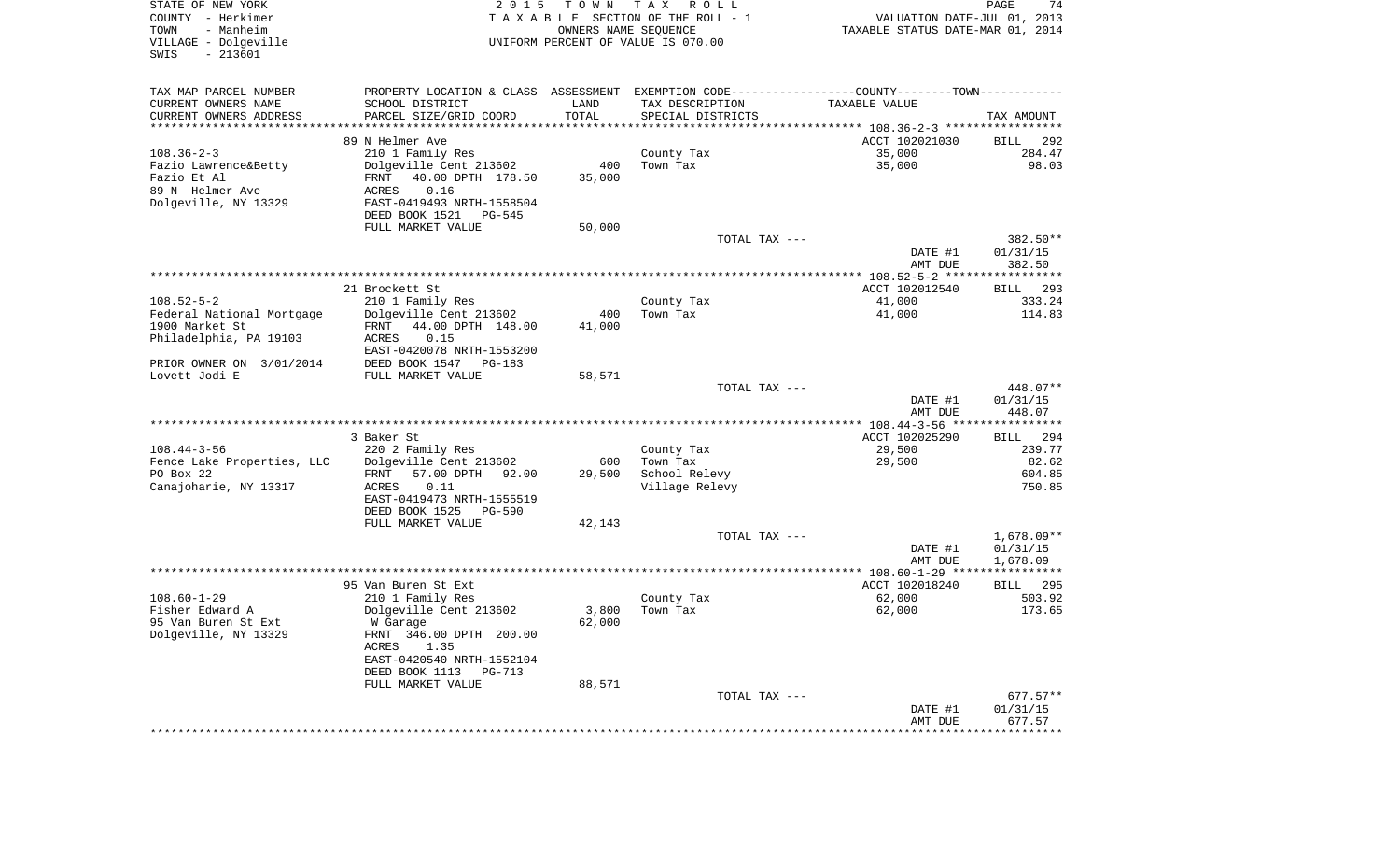| STATE OF NEW YORK<br>COUNTY - Herkimer<br>- Manheim<br>TOWN<br>VILLAGE - Dolgeville<br>$-213601$<br>SWIS | 2 0 1 5                                    | T O W N | TAX ROLL<br>TAXABLE SECTION OF THE ROLL - 1<br>OWNERS NAME SEQUENCE<br>UNIFORM PERCENT OF VALUE IS 070.00 | VALUATION DATE-JUL 01, 2013<br>TAXABLE STATUS DATE-MAR 01, 2014                               | PAGE                   |
|----------------------------------------------------------------------------------------------------------|--------------------------------------------|---------|-----------------------------------------------------------------------------------------------------------|-----------------------------------------------------------------------------------------------|------------------------|
| TAX MAP PARCEL NUMBER                                                                                    |                                            |         |                                                                                                           | PROPERTY LOCATION & CLASS ASSESSMENT EXEMPTION CODE---------------COUNTY-------TOWN---------- |                        |
| CURRENT OWNERS NAME                                                                                      | SCHOOL DISTRICT                            | LAND    | TAX DESCRIPTION                                                                                           | TAXABLE VALUE                                                                                 |                        |
| CURRENT OWNERS ADDRESS                                                                                   | PARCEL SIZE/GRID COORD                     | TOTAL   | SPECIAL DISTRICTS                                                                                         |                                                                                               | TAX AMOUNT             |
| ***********************                                                                                  |                                            |         |                                                                                                           |                                                                                               |                        |
|                                                                                                          | 89 N Helmer Ave                            |         |                                                                                                           | ACCT 102021030                                                                                | <b>BILL</b>            |
| $108.36 - 2 - 3$<br>Fazio Lawrence&Betty                                                                 | 210 1 Family Res<br>Dolgeville Cent 213602 | 400     | County Tax<br>Town Tax                                                                                    | 35,000<br>35,000                                                                              | 284.47<br>98.03        |
| Fazio Et Al                                                                                              | 40.00 DPTH 178.50<br>FRNT                  | 35,000  |                                                                                                           |                                                                                               |                        |
| 89 N Helmer Ave                                                                                          | ACRES<br>0.16                              |         |                                                                                                           |                                                                                               |                        |
| Dolgeville, NY 13329                                                                                     | EAST-0419493 NRTH-1558504                  |         |                                                                                                           |                                                                                               |                        |
|                                                                                                          | DEED BOOK 1521 PG-545                      |         |                                                                                                           |                                                                                               |                        |
|                                                                                                          | FULL MARKET VALUE                          | 50,000  |                                                                                                           |                                                                                               |                        |
|                                                                                                          |                                            |         | TOTAL TAX ---                                                                                             |                                                                                               | 382.50**               |
|                                                                                                          |                                            |         |                                                                                                           | DATE #1                                                                                       | 01/31/15               |
|                                                                                                          |                                            |         |                                                                                                           | AMT DUE                                                                                       | 382.50                 |
|                                                                                                          |                                            |         |                                                                                                           |                                                                                               |                        |
|                                                                                                          | 21 Brockett St                             |         |                                                                                                           | ACCT 102012540                                                                                | BILL 293               |
| $108.52 - 5 - 2$                                                                                         | 210 1 Family Res                           |         | County Tax                                                                                                | 41,000                                                                                        | 333.24                 |
| Federal National Mortgage                                                                                | Dolgeville Cent 213602                     | 400     | Town Tax                                                                                                  | 41,000                                                                                        | 114.83                 |
| 1900 Market St                                                                                           | FRNT 44.00 DPTH 148.00<br>0.15             | 41,000  |                                                                                                           |                                                                                               |                        |
| Philadelphia, PA 19103                                                                                   | ACRES<br>EAST-0420078 NRTH-1553200         |         |                                                                                                           |                                                                                               |                        |
| PRIOR OWNER ON 3/01/2014                                                                                 | DEED BOOK 1547 PG-183                      |         |                                                                                                           |                                                                                               |                        |
| Lovett Jodi E                                                                                            | FULL MARKET VALUE                          | 58,571  |                                                                                                           |                                                                                               |                        |
|                                                                                                          |                                            |         | TOTAL TAX ---                                                                                             |                                                                                               | 448.07**               |
|                                                                                                          |                                            |         |                                                                                                           | DATE #1                                                                                       | 01/31/15               |
|                                                                                                          |                                            |         |                                                                                                           | AMT DUE                                                                                       | 448.07                 |
|                                                                                                          |                                            |         |                                                                                                           |                                                                                               |                        |
|                                                                                                          | 3 Baker St                                 |         |                                                                                                           | ACCT 102025290                                                                                | BILL 294               |
| $108.44 - 3 - 56$                                                                                        | 220 2 Family Res                           |         | County Tax                                                                                                | 29,500                                                                                        | 239.77                 |
| Fence Lake Properties, LLC                                                                               | Dolgeville Cent 213602                     | 600     | Town Tax                                                                                                  | 29,500                                                                                        | 82.62                  |
| PO Box 22                                                                                                | FRNT 57.00 DPTH 92.00                      | 29,500  | School Relevy                                                                                             |                                                                                               | 604.85                 |
| Canajoharie, NY 13317                                                                                    | 0.11<br>ACRES                              |         | Village Relevy                                                                                            |                                                                                               | 750.85                 |
|                                                                                                          | EAST-0419473 NRTH-1555519                  |         |                                                                                                           |                                                                                               |                        |
|                                                                                                          | DEED BOOK 1525 PG-590<br>FULL MARKET VALUE | 42,143  |                                                                                                           |                                                                                               |                        |
|                                                                                                          |                                            |         | TOTAL TAX ---                                                                                             |                                                                                               | $1,678.09**$           |
|                                                                                                          |                                            |         |                                                                                                           | DATE #1                                                                                       | 01/31/15               |
|                                                                                                          |                                            |         |                                                                                                           | AMT DUE                                                                                       | 1,678.09               |
|                                                                                                          |                                            |         |                                                                                                           |                                                                                               |                        |
|                                                                                                          | 95 Van Buren St Ext                        |         |                                                                                                           | ACCT 102018240                                                                                | BILL 295               |
|                                                                                                          | 210 1 Family Res                           |         | County Tax                                                                                                | 62,000                                                                                        | 503.92                 |
| $108.60 - 1 - 29$                                                                                        |                                            | 3,800   | Town Tax                                                                                                  | 62,000                                                                                        | 173.65                 |
| Fisher Edward A                                                                                          | Dolgeville Cent 213602                     |         |                                                                                                           |                                                                                               |                        |
| 95 Van Buren St Ext                                                                                      | W Garage                                   | 62,000  |                                                                                                           |                                                                                               |                        |
| Dolgeville, NY 13329                                                                                     | FRNT 346.00 DPTH 200.00                    |         |                                                                                                           |                                                                                               |                        |
|                                                                                                          | ACRES<br>1.35                              |         |                                                                                                           |                                                                                               |                        |
|                                                                                                          | EAST-0420540 NRTH-1552104                  |         |                                                                                                           |                                                                                               |                        |
|                                                                                                          | DEED BOOK 1113 PG-713                      |         |                                                                                                           |                                                                                               |                        |
|                                                                                                          | FULL MARKET VALUE                          | 88,571  |                                                                                                           |                                                                                               |                        |
|                                                                                                          |                                            |         | TOTAL TAX ---                                                                                             | DATE #1                                                                                       | $677.57**$<br>01/31/15 |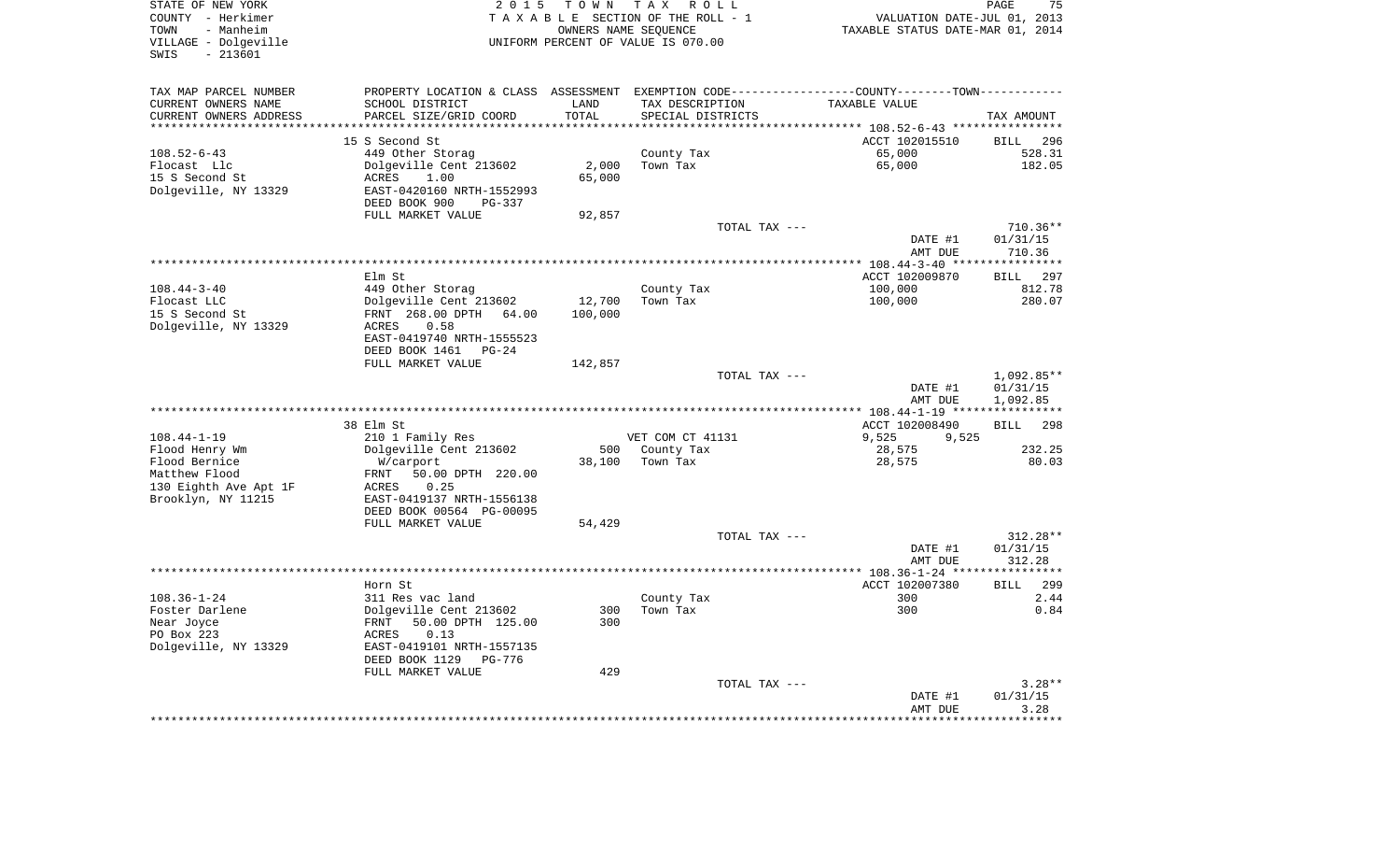| STATE OF NEW YORK<br>COUNTY - Herkimer<br>- Manheim<br>TOWN<br>VILLAGE - Dolgeville<br>$-213601$<br>SWIS | 2 0 1 5                            | T O W N           | T A X<br>R O L L<br>TAXABLE SECTION OF THE ROLL - 1<br>OWNERS NAME SEQUENCE<br>UNIFORM PERCENT OF VALUE IS 070.00 | VALUATION DATE-JUL 01, 2013<br>TAXABLE STATUS DATE-MAR 01, 2014                               | PAGE<br>75             |
|----------------------------------------------------------------------------------------------------------|------------------------------------|-------------------|-------------------------------------------------------------------------------------------------------------------|-----------------------------------------------------------------------------------------------|------------------------|
| TAX MAP PARCEL NUMBER                                                                                    |                                    |                   |                                                                                                                   | PROPERTY LOCATION & CLASS ASSESSMENT EXEMPTION CODE---------------COUNTY-------TOWN---------- |                        |
| CURRENT OWNERS NAME                                                                                      | SCHOOL DISTRICT                    | LAND              | TAX DESCRIPTION                                                                                                   | TAXABLE VALUE                                                                                 |                        |
| CURRENT OWNERS ADDRESS                                                                                   | PARCEL SIZE/GRID COORD             | TOTAL             | SPECIAL DISTRICTS                                                                                                 |                                                                                               | TAX AMOUNT             |
| *********************                                                                                    |                                    | * * * * * * * * : |                                                                                                                   |                                                                                               |                        |
|                                                                                                          | 15 S Second St                     |                   |                                                                                                                   | ACCT 102015510                                                                                | 296<br><b>BILL</b>     |
| $108.52 - 6 - 43$                                                                                        | 449 Other Storag                   |                   | County Tax                                                                                                        | 65,000                                                                                        | 528.31                 |
| Flocast Llc<br>15 S Second St                                                                            | Dolgeville Cent 213602<br>1.00     | 2,000<br>65,000   | Town Tax                                                                                                          | 65,000                                                                                        | 182.05                 |
| Dolgeville, NY 13329                                                                                     | ACRES<br>EAST-0420160 NRTH-1552993 |                   |                                                                                                                   |                                                                                               |                        |
|                                                                                                          | DEED BOOK 900<br>PG-337            |                   |                                                                                                                   |                                                                                               |                        |
|                                                                                                          | FULL MARKET VALUE                  | 92,857            |                                                                                                                   |                                                                                               |                        |
|                                                                                                          |                                    |                   | TOTAL TAX ---                                                                                                     | DATE #1                                                                                       | $710.36**$<br>01/31/15 |
|                                                                                                          |                                    |                   |                                                                                                                   | AMT DUE                                                                                       | 710.36<br>**********   |
|                                                                                                          | Elm St                             |                   |                                                                                                                   | ******* 108.44-3-40 **<br>ACCT 102009870                                                      | <b>BILL</b><br>297     |
| $108.44 - 3 - 40$                                                                                        | 449 Other Storag                   |                   | County Tax                                                                                                        | 100,000                                                                                       | 812.78                 |
| Flocast LLC                                                                                              | Dolgeville Cent 213602             | 12,700            | Town Tax                                                                                                          | 100,000                                                                                       | 280.07                 |
| 15 S Second St                                                                                           | FRNT 268.00 DPTH 64.00             | 100,000           |                                                                                                                   |                                                                                               |                        |
| Dolgeville, NY 13329                                                                                     | 0.58<br>ACRES                      |                   |                                                                                                                   |                                                                                               |                        |
|                                                                                                          | EAST-0419740 NRTH-1555523          |                   |                                                                                                                   |                                                                                               |                        |
|                                                                                                          | DEED BOOK 1461<br>$PG-24$          |                   |                                                                                                                   |                                                                                               |                        |
|                                                                                                          | FULL MARKET VALUE                  | 142,857           |                                                                                                                   |                                                                                               |                        |
|                                                                                                          |                                    |                   | TOTAL TAX ---                                                                                                     | DATE #1                                                                                       | 1,092.85**<br>01/31/15 |
|                                                                                                          |                                    |                   |                                                                                                                   | AMT DUE                                                                                       | 1,092.85               |
|                                                                                                          | 38 Elm St                          |                   |                                                                                                                   | ACCT 102008490                                                                                | BILL<br>298            |
| $108.44 - 1 - 19$                                                                                        | 210 1 Family Res                   |                   | VET COM CT 41131                                                                                                  | 9,525<br>9,525                                                                                |                        |
| Flood Henry Wm                                                                                           | Dolgeville Cent 213602             | 500               | County Tax                                                                                                        | 28,575                                                                                        | 232.25                 |
| Flood Bernice                                                                                            | W/carport                          | 38,100            | Town Tax                                                                                                          | 28,575                                                                                        | 80.03                  |
| Matthew Flood                                                                                            | FRNT<br>50.00 DPTH 220.00          |                   |                                                                                                                   |                                                                                               |                        |
| 130 Eighth Ave Apt 1F                                                                                    | 0.25<br>ACRES                      |                   |                                                                                                                   |                                                                                               |                        |
| Brooklyn, NY 11215                                                                                       | EAST-0419137 NRTH-1556138          |                   |                                                                                                                   |                                                                                               |                        |
|                                                                                                          | DEED BOOK 00564 PG-00095           |                   |                                                                                                                   |                                                                                               |                        |
|                                                                                                          | FULL MARKET VALUE                  | 54,429            |                                                                                                                   |                                                                                               |                        |
|                                                                                                          |                                    |                   | TOTAL TAX ---                                                                                                     |                                                                                               | 312.28**               |
|                                                                                                          |                                    |                   |                                                                                                                   | DATE #1<br>AMT DUE                                                                            | 01/31/15<br>312.28     |
|                                                                                                          |                                    |                   |                                                                                                                   |                                                                                               |                        |
|                                                                                                          | Horn St                            |                   |                                                                                                                   | ACCT 102007380                                                                                | <b>BILL</b><br>299     |
| $108.36 - 1 - 24$                                                                                        | 311 Res vac land                   |                   | County Tax                                                                                                        | 300                                                                                           | 2.44                   |
| Foster Darlene                                                                                           | Dolgeville Cent 213602             | 300               | Town Tax                                                                                                          | 300                                                                                           | 0.84                   |
| Near Joyce                                                                                               | FRNT<br>50.00 DPTH 125.00          | 300               |                                                                                                                   |                                                                                               |                        |
| PO Box 223                                                                                               | 0.13<br>ACRES                      |                   |                                                                                                                   |                                                                                               |                        |
| Dolgeville, NY 13329                                                                                     | EAST-0419101 NRTH-1557135          |                   |                                                                                                                   |                                                                                               |                        |
|                                                                                                          | DEED BOOK 1129<br>PG-776           | 429               |                                                                                                                   |                                                                                               |                        |
|                                                                                                          | FULL MARKET VALUE                  |                   | TOTAL TAX ---                                                                                                     |                                                                                               | $3.28**$               |
|                                                                                                          |                                    |                   |                                                                                                                   | DATE #1                                                                                       | 01/31/15               |
|                                                                                                          |                                    |                   |                                                                                                                   | AMT DUE                                                                                       | 3.28                   |
|                                                                                                          |                                    |                   |                                                                                                                   |                                                                                               | * * * * * * *          |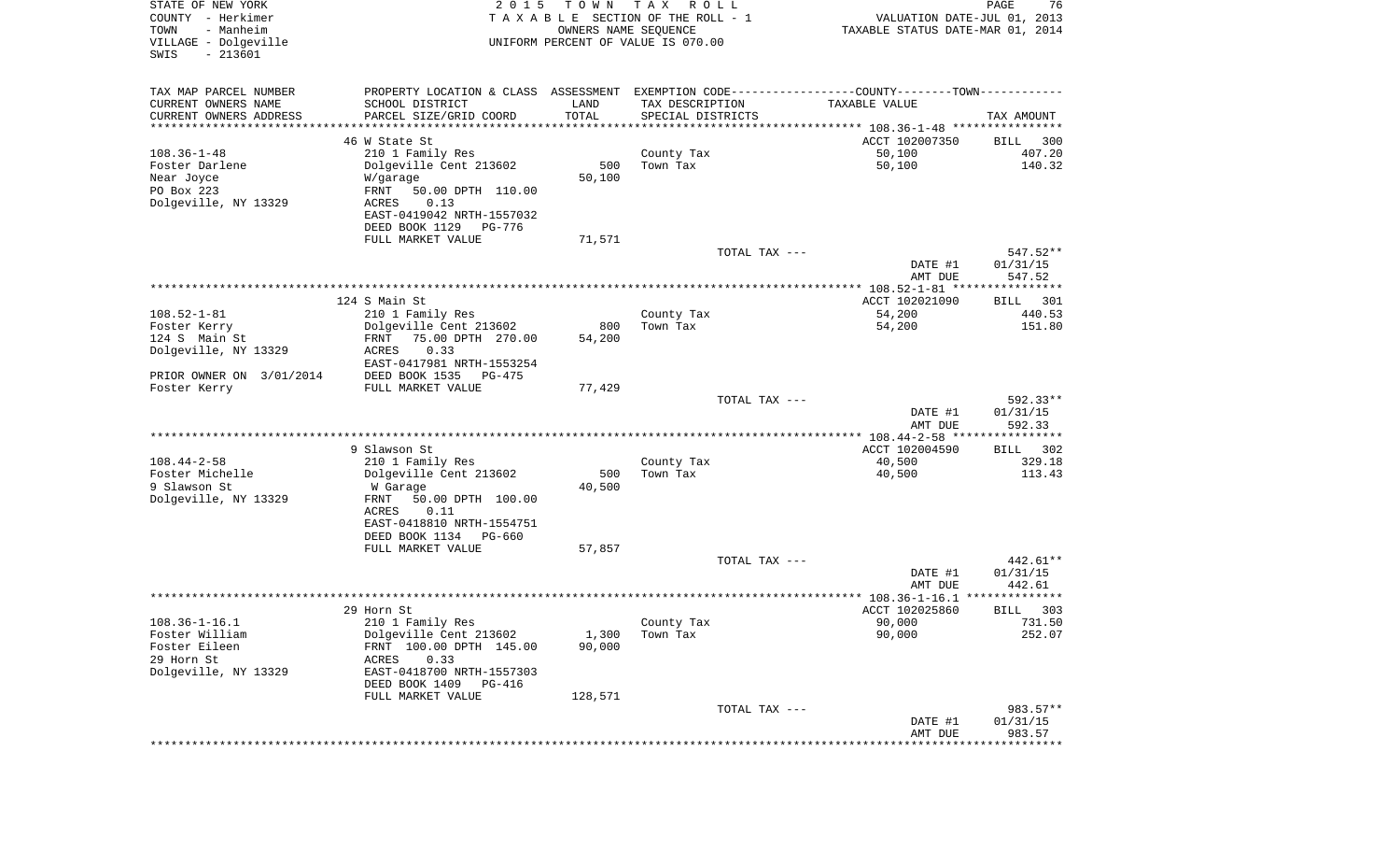| STATE OF NEW YORK<br>COUNTY - Herkimer<br>- Manheim<br>TOWN<br>VILLAGE - Dolgeville<br>$-213601$<br>SWIS | 2 0 1 5                                                                                       | T O W N<br>OWNERS NAME SEQUENCE | T A X<br>R O L L<br>TAXABLE SECTION OF THE ROLL - 1<br>UNIFORM PERCENT OF VALUE IS 070.00 | VALUATION DATE-JUL 01, 2013<br>TAXABLE STATUS DATE-MAR 01, 2014 | PAGE<br>76            |
|----------------------------------------------------------------------------------------------------------|-----------------------------------------------------------------------------------------------|---------------------------------|-------------------------------------------------------------------------------------------|-----------------------------------------------------------------|-----------------------|
| TAX MAP PARCEL NUMBER                                                                                    | PROPERTY LOCATION & CLASS ASSESSMENT EXEMPTION CODE---------------COUNTY-------TOWN---------- |                                 |                                                                                           |                                                                 |                       |
| CURRENT OWNERS NAME                                                                                      | SCHOOL DISTRICT                                                                               | LAND                            | TAX DESCRIPTION                                                                           | TAXABLE VALUE                                                   |                       |
| CURRENT OWNERS ADDRESS                                                                                   | PARCEL SIZE/GRID COORD                                                                        | TOTAL                           | SPECIAL DISTRICTS                                                                         |                                                                 | TAX AMOUNT            |
| ********************                                                                                     | 46 W State St                                                                                 | * * * * * * * * * * *           |                                                                                           | ACCT 102007350                                                  |                       |
| $108.36 - 1 - 48$                                                                                        | 210 1 Family Res                                                                              |                                 | County Tax                                                                                | 50,100                                                          | BILL<br>300<br>407.20 |
| Foster Darlene                                                                                           | Dolgeville Cent 213602                                                                        | 500                             | Town Tax                                                                                  | 50,100                                                          | 140.32                |
| Near Joyce                                                                                               | W/garage                                                                                      | 50,100                          |                                                                                           |                                                                 |                       |
| PO Box 223                                                                                               | FRNT<br>50.00 DPTH 110.00                                                                     |                                 |                                                                                           |                                                                 |                       |
| Dolgeville, NY 13329                                                                                     | 0.13<br>ACRES                                                                                 |                                 |                                                                                           |                                                                 |                       |
|                                                                                                          | EAST-0419042 NRTH-1557032                                                                     |                                 |                                                                                           |                                                                 |                       |
|                                                                                                          | DEED BOOK 1129<br>PG-776                                                                      |                                 |                                                                                           |                                                                 |                       |
|                                                                                                          | FULL MARKET VALUE                                                                             | 71,571                          | TOTAL TAX ---                                                                             |                                                                 | 547.52**              |
|                                                                                                          |                                                                                               |                                 |                                                                                           | DATE #1                                                         | 01/31/15              |
|                                                                                                          |                                                                                               |                                 |                                                                                           | AMT DUE                                                         | 547.52                |
|                                                                                                          |                                                                                               |                                 |                                                                                           |                                                                 |                       |
|                                                                                                          | 124 S Main St                                                                                 |                                 |                                                                                           | ACCT 102021090                                                  | BILL<br>301           |
| $108.52 - 1 - 81$                                                                                        | 210 1 Family Res                                                                              |                                 | County Tax                                                                                | 54,200                                                          | 440.53                |
| Foster Kerry                                                                                             | Dolgeville Cent 213602                                                                        | 800                             | Town Tax                                                                                  | 54,200                                                          | 151.80                |
| 124 S Main St                                                                                            | FRNT<br>75.00 DPTH 270.00                                                                     | 54,200                          |                                                                                           |                                                                 |                       |
| Dolgeville, NY 13329                                                                                     | ACRES<br>0.33<br>EAST-0417981 NRTH-1553254                                                    |                                 |                                                                                           |                                                                 |                       |
| PRIOR OWNER ON 3/01/2014                                                                                 | DEED BOOK 1535<br>$PG-475$                                                                    |                                 |                                                                                           |                                                                 |                       |
| Foster Kerry                                                                                             | FULL MARKET VALUE                                                                             | 77,429                          |                                                                                           |                                                                 |                       |
|                                                                                                          |                                                                                               |                                 | TOTAL TAX ---                                                                             |                                                                 | 592.33**              |
|                                                                                                          |                                                                                               |                                 |                                                                                           | DATE #1                                                         | 01/31/15              |
|                                                                                                          |                                                                                               |                                 |                                                                                           | AMT DUE<br>************ 108.44-2-58 *****************           | 592.33                |
|                                                                                                          | 9 Slawson St                                                                                  |                                 |                                                                                           | ACCT 102004590                                                  | 302<br>BILL           |
| $108.44 - 2 - 58$                                                                                        | 210 1 Family Res                                                                              |                                 | County Tax                                                                                | 40,500                                                          | 329.18                |
| Foster Michelle                                                                                          | Dolgeville Cent 213602                                                                        | 500                             | Town Tax                                                                                  | 40,500                                                          | 113.43                |
| 9 Slawson St                                                                                             | W Garage                                                                                      | 40,500                          |                                                                                           |                                                                 |                       |
| Dolgeville, NY 13329                                                                                     | FRNT<br>50.00 DPTH 100.00                                                                     |                                 |                                                                                           |                                                                 |                       |
|                                                                                                          | ACRES<br>0.11                                                                                 |                                 |                                                                                           |                                                                 |                       |
|                                                                                                          | EAST-0418810 NRTH-1554751<br>DEED BOOK 1134 PG-660                                            |                                 |                                                                                           |                                                                 |                       |
|                                                                                                          | FULL MARKET VALUE                                                                             | 57,857                          |                                                                                           |                                                                 |                       |
|                                                                                                          |                                                                                               |                                 | TOTAL TAX ---                                                                             |                                                                 | 442.61**              |
|                                                                                                          |                                                                                               |                                 |                                                                                           | DATE #1                                                         | 01/31/15              |
|                                                                                                          |                                                                                               |                                 |                                                                                           | AMT DUE                                                         | 442.61                |
|                                                                                                          |                                                                                               |                                 |                                                                                           |                                                                 | **************        |
| $108.36 - 1 - 16.1$                                                                                      | 29 Horn St<br>210 1 Family Res                                                                |                                 | County Tax                                                                                | ACCT 102025860<br>90,000                                        | 303<br>BILL<br>731.50 |
| Foster William                                                                                           | Dolgeville Cent 213602                                                                        | 1,300                           | Town Tax                                                                                  | 90,000                                                          | 252.07                |
| Foster Eileen                                                                                            | FRNT 100.00 DPTH 145.00                                                                       | 90,000                          |                                                                                           |                                                                 |                       |
| 29 Horn St                                                                                               | ACRES<br>0.33                                                                                 |                                 |                                                                                           |                                                                 |                       |
| Dolgeville, NY 13329                                                                                     | EAST-0418700 NRTH-1557303                                                                     |                                 |                                                                                           |                                                                 |                       |
|                                                                                                          | DEED BOOK 1409<br>PG-416                                                                      |                                 |                                                                                           |                                                                 |                       |
|                                                                                                          | FULL MARKET VALUE                                                                             | 128,571                         | TOTAL TAX ---                                                                             |                                                                 | 983.57**              |
|                                                                                                          |                                                                                               |                                 |                                                                                           | DATE #1                                                         | 01/31/15              |
|                                                                                                          |                                                                                               |                                 |                                                                                           | AMT DUE                                                         | 983.57                |
|                                                                                                          |                                                                                               |                                 |                                                                                           | *****************************                                   |                       |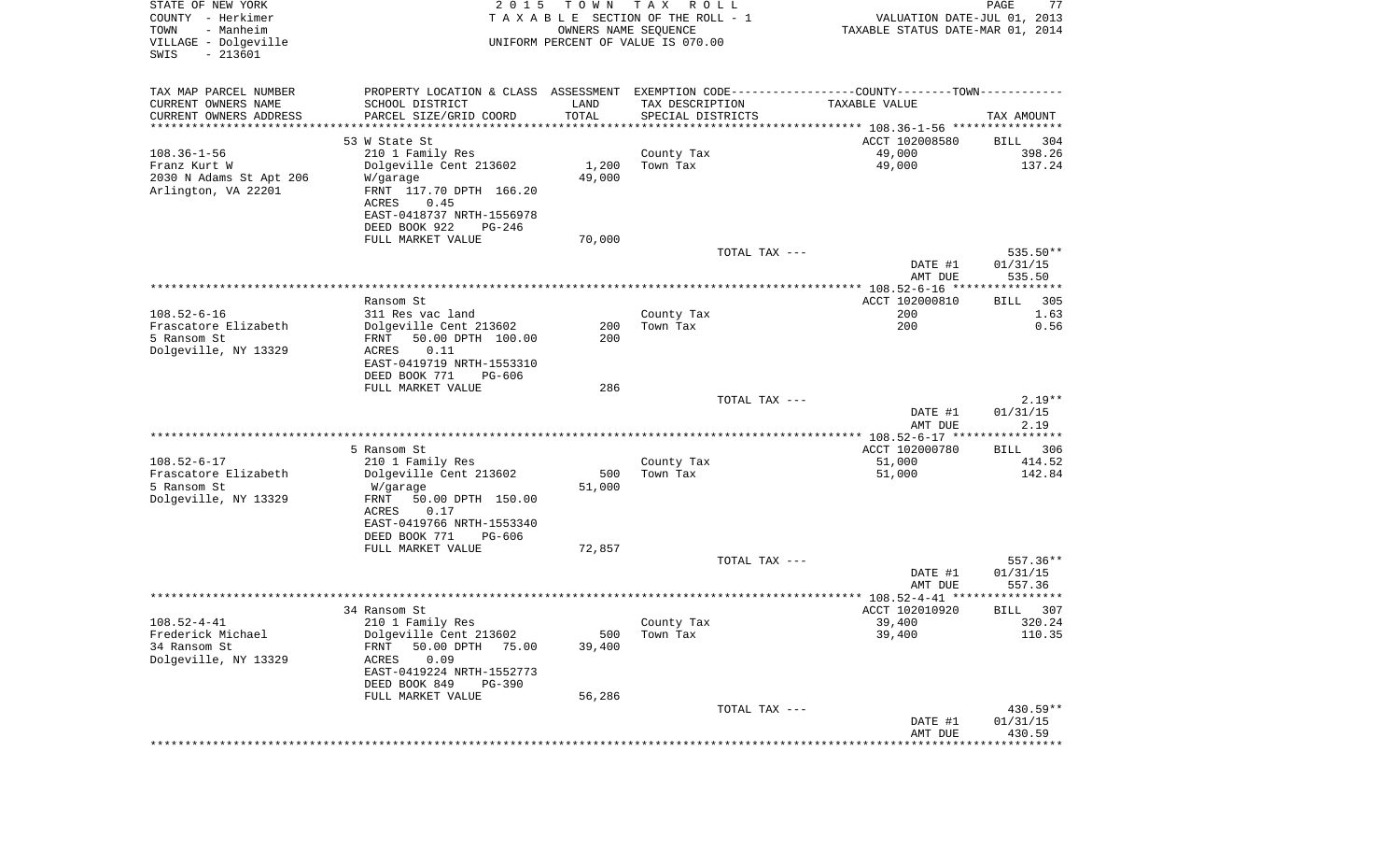| STATE OF NEW YORK<br>COUNTY - Herkimer<br>- Manheim<br>TOWN<br>VILLAGE - Dolgeville<br>$-213601$<br>SWIS | 2 0 1 5                                                                                       | T O W N<br>OWNERS NAME SEQUENCE | T A X<br>R O L L<br>TAXABLE SECTION OF THE ROLL - 1<br>UNIFORM PERCENT OF VALUE IS 070.00 | VALUATION DATE-JUL 01, 2013<br>TAXABLE STATUS DATE-MAR 01, 2014  | $\mathop{\mathtt{PAGE}}$<br>77 |
|----------------------------------------------------------------------------------------------------------|-----------------------------------------------------------------------------------------------|---------------------------------|-------------------------------------------------------------------------------------------|------------------------------------------------------------------|--------------------------------|
| TAX MAP PARCEL NUMBER                                                                                    | PROPERTY LOCATION & CLASS ASSESSMENT EXEMPTION CODE---------------COUNTY-------TOWN---------- |                                 |                                                                                           |                                                                  |                                |
| CURRENT OWNERS NAME                                                                                      | SCHOOL DISTRICT                                                                               | LAND                            | TAX DESCRIPTION                                                                           | TAXABLE VALUE                                                    |                                |
| CURRENT OWNERS ADDRESS<br>*********************                                                          | PARCEL SIZE/GRID COORD                                                                        | TOTAL<br>**********             | SPECIAL DISTRICTS                                                                         |                                                                  | TAX AMOUNT                     |
|                                                                                                          | 53 W State St                                                                                 |                                 |                                                                                           | ACCT 102008580                                                   | BILL<br>304                    |
| $108.36 - 1 - 56$                                                                                        | 210 1 Family Res                                                                              |                                 | County Tax                                                                                | 49,000                                                           | 398.26                         |
| Franz Kurt W                                                                                             | Dolgeville Cent 213602                                                                        | 1,200                           | Town Tax                                                                                  | 49,000                                                           | 137.24                         |
| 2030 N Adams St Apt 206                                                                                  | W/garage                                                                                      | 49,000                          |                                                                                           |                                                                  |                                |
| Arlington, VA 22201                                                                                      | FRNT 117.70 DPTH 166.20                                                                       |                                 |                                                                                           |                                                                  |                                |
|                                                                                                          | ACRES<br>0.45                                                                                 |                                 |                                                                                           |                                                                  |                                |
|                                                                                                          | EAST-0418737 NRTH-1556978<br>DEED BOOK 922<br>PG-246                                          |                                 |                                                                                           |                                                                  |                                |
|                                                                                                          | FULL MARKET VALUE                                                                             | 70,000                          |                                                                                           |                                                                  |                                |
|                                                                                                          |                                                                                               |                                 | TOTAL TAX ---                                                                             |                                                                  | 535.50**                       |
|                                                                                                          |                                                                                               |                                 |                                                                                           | DATE #1                                                          | 01/31/15                       |
|                                                                                                          |                                                                                               |                                 |                                                                                           | AMT DUE                                                          | 535.50                         |
|                                                                                                          | Ransom St                                                                                     |                                 |                                                                                           | **************** 108.52-6-16 *****************<br>ACCT 102000810 | 305<br>BILL                    |
| $108.52 - 6 - 16$                                                                                        | 311 Res vac land                                                                              |                                 | County Tax                                                                                | 200                                                              | 1.63                           |
| Frascatore Elizabeth                                                                                     | Dolgeville Cent 213602                                                                        | 200                             | Town Tax                                                                                  | 200                                                              | 0.56                           |
| 5 Ransom St                                                                                              | 50.00 DPTH 100.00<br>FRNT                                                                     | 200                             |                                                                                           |                                                                  |                                |
| Dolgeville, NY 13329                                                                                     | ACRES<br>0.11                                                                                 |                                 |                                                                                           |                                                                  |                                |
|                                                                                                          | EAST-0419719 NRTH-1553310<br>PG-606                                                           |                                 |                                                                                           |                                                                  |                                |
|                                                                                                          | DEED BOOK 771<br>FULL MARKET VALUE                                                            | 286                             |                                                                                           |                                                                  |                                |
|                                                                                                          |                                                                                               |                                 | TOTAL TAX ---                                                                             |                                                                  | $2.19**$                       |
|                                                                                                          |                                                                                               |                                 |                                                                                           | DATE #1                                                          | 01/31/15                       |
|                                                                                                          |                                                                                               |                                 |                                                                                           | AMT DUE                                                          | 2.19                           |
|                                                                                                          |                                                                                               |                                 |                                                                                           | *********** 108.52-6-17 *****************<br>ACCT 102000780      |                                |
| $108.52 - 6 - 17$                                                                                        | 5 Ransom St<br>210 1 Family Res                                                               |                                 | County Tax                                                                                | 51,000                                                           | 306<br>BILL<br>414.52          |
| Frascatore Elizabeth                                                                                     | Dolgeville Cent 213602                                                                        | 500                             | Town Tax                                                                                  | 51,000                                                           | 142.84                         |
| 5 Ransom St                                                                                              | W/garage                                                                                      | 51,000                          |                                                                                           |                                                                  |                                |
| Dolgeville, NY 13329                                                                                     | FRNT<br>50.00 DPTH 150.00                                                                     |                                 |                                                                                           |                                                                  |                                |
|                                                                                                          | ACRES<br>0.17                                                                                 |                                 |                                                                                           |                                                                  |                                |
|                                                                                                          | EAST-0419766 NRTH-1553340<br>DEED BOOK 771<br>PG-606                                          |                                 |                                                                                           |                                                                  |                                |
|                                                                                                          | FULL MARKET VALUE                                                                             | 72,857                          |                                                                                           |                                                                  |                                |
|                                                                                                          |                                                                                               |                                 | TOTAL TAX ---                                                                             |                                                                  | 557.36**                       |
|                                                                                                          |                                                                                               |                                 |                                                                                           | DATE #1                                                          | 01/31/15                       |
|                                                                                                          |                                                                                               |                                 |                                                                                           | AMT DUE                                                          | 557.36                         |
|                                                                                                          |                                                                                               |                                 |                                                                                           | **************** 108.52-4-41 *********                           |                                |
| $108.52 - 4 - 41$                                                                                        | 34 Ransom St<br>210 1 Family Res                                                              |                                 | County Tax                                                                                | ACCT 102010920<br>39,400                                         | 307<br>BILL<br>320.24          |
| Frederick Michael                                                                                        | Dolgeville Cent 213602                                                                        | 500                             | Town Tax                                                                                  | 39,400                                                           | 110.35                         |
| 34 Ransom St                                                                                             | 50.00 DPTH<br>FRNT<br>75.00                                                                   | 39,400                          |                                                                                           |                                                                  |                                |
| Dolgeville, NY 13329                                                                                     | 0.09<br>ACRES                                                                                 |                                 |                                                                                           |                                                                  |                                |
|                                                                                                          | EAST-0419224 NRTH-1552773                                                                     |                                 |                                                                                           |                                                                  |                                |
|                                                                                                          | DEED BOOK 849<br><b>PG-390</b>                                                                |                                 |                                                                                           |                                                                  |                                |
|                                                                                                          | FULL MARKET VALUE                                                                             | 56,286                          | TOTAL TAX ---                                                                             |                                                                  | 430.59**                       |
|                                                                                                          |                                                                                               |                                 |                                                                                           | DATE #1                                                          | 01/31/15                       |
|                                                                                                          |                                                                                               |                                 |                                                                                           | AMT DUE                                                          | 430.59                         |
|                                                                                                          |                                                                                               |                                 |                                                                                           | ****************************                                     |                                |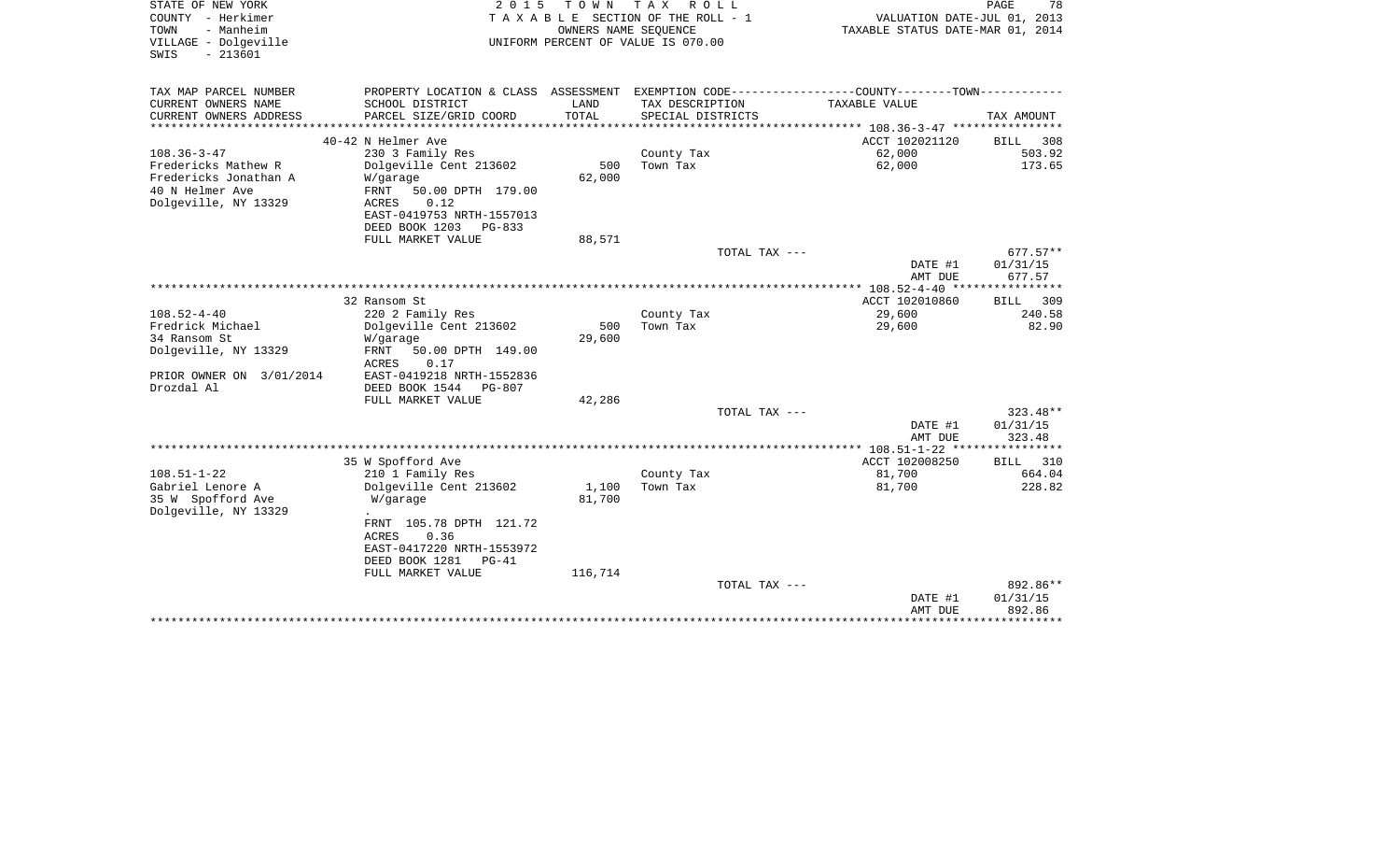| STATE OF NEW YORK<br>COUNTY - Herkimer<br>- Manheim<br>TOWN<br>VILLAGE - Dolgeville<br>$-213601$<br>SWIS | 2 0 1 5                                                                                        | T O W N<br>OWNERS NAME SEQUENCE | T A X<br>R O L L<br>TAXABLE SECTION OF THE ROLL - 1<br>UNIFORM PERCENT OF VALUE IS 070.00 | VALUATION DATE-JUL 01, 2013<br>TAXABLE STATUS DATE-MAR 01, 2014 | PAGE<br>78                   |
|----------------------------------------------------------------------------------------------------------|------------------------------------------------------------------------------------------------|---------------------------------|-------------------------------------------------------------------------------------------|-----------------------------------------------------------------|------------------------------|
| TAX MAP PARCEL NUMBER                                                                                    | PROPERTY LOCATION & CLASS ASSESSMENT EXEMPTION CODE----------------COUNTY-------TOWN---------- |                                 |                                                                                           |                                                                 |                              |
| CURRENT OWNERS NAME<br>CURRENT OWNERS ADDRESS                                                            | SCHOOL DISTRICT<br>PARCEL SIZE/GRID COORD                                                      | LAND<br>TOTAL                   | TAX DESCRIPTION<br>SPECIAL DISTRICTS                                                      | TAXABLE VALUE                                                   | TAX AMOUNT                   |
|                                                                                                          |                                                                                                |                                 |                                                                                           | ******* 108.36-3-47 ****************                            |                              |
| $108.36 - 3 - 47$                                                                                        | 40-42 N Helmer Ave                                                                             |                                 |                                                                                           | ACCT 102021120                                                  | <b>BILL</b><br>308<br>503.92 |
| Fredericks Mathew R                                                                                      | 230 3 Family Res<br>Dolgeville Cent 213602                                                     | 500                             | County Tax<br>Town Tax                                                                    | 62,000<br>62,000                                                | 173.65                       |
| Fredericks Jonathan A                                                                                    | W/garage                                                                                       | 62,000                          |                                                                                           |                                                                 |                              |
| 40 N Helmer Ave<br>Dolgeville, NY 13329                                                                  | FRNT<br>50.00 DPTH 179.00<br>ACRES<br>0.12                                                     |                                 |                                                                                           |                                                                 |                              |
|                                                                                                          | EAST-0419753 NRTH-1557013                                                                      |                                 |                                                                                           |                                                                 |                              |
|                                                                                                          | DEED BOOK 1203<br><b>PG-833</b>                                                                |                                 |                                                                                           |                                                                 |                              |
|                                                                                                          | FULL MARKET VALUE                                                                              | 88,571                          |                                                                                           |                                                                 |                              |
|                                                                                                          |                                                                                                |                                 | TOTAL TAX ---                                                                             |                                                                 | $677.57**$                   |
|                                                                                                          |                                                                                                |                                 |                                                                                           | DATE #1                                                         | 01/31/15                     |
|                                                                                                          |                                                                                                |                                 |                                                                                           | AMT DUE<br>********* 108.52-4-40 ***                            | 677.57<br>************       |
|                                                                                                          | 32 Ransom St                                                                                   |                                 |                                                                                           | ACCT 102010860                                                  | <b>BILL</b><br>309           |
| $108.52 - 4 - 40$                                                                                        | 220 2 Family Res                                                                               |                                 | County Tax                                                                                | 29,600                                                          | 240.58                       |
| Fredrick Michael                                                                                         | Dolgeville Cent 213602                                                                         | 500                             | Town Tax                                                                                  | 29,600                                                          | 82.90                        |
| 34 Ransom St                                                                                             | W/garage                                                                                       | 29,600                          |                                                                                           |                                                                 |                              |
| Dolgeville, NY 13329                                                                                     | FRNT<br>50.00 DPTH 149.00<br>0.17<br>ACRES                                                     |                                 |                                                                                           |                                                                 |                              |
| PRIOR OWNER ON 3/01/2014                                                                                 | EAST-0419218 NRTH-1552836                                                                      |                                 |                                                                                           |                                                                 |                              |
| Drozdal Al                                                                                               | DEED BOOK 1544<br>$PG-807$                                                                     |                                 |                                                                                           |                                                                 |                              |
|                                                                                                          | FULL MARKET VALUE                                                                              | 42,286                          |                                                                                           |                                                                 |                              |
|                                                                                                          |                                                                                                |                                 | TOTAL TAX ---                                                                             |                                                                 | 323.48**                     |
|                                                                                                          |                                                                                                |                                 |                                                                                           | DATE #1<br>AMT DUE                                              | 01/31/15<br>323.48           |
|                                                                                                          |                                                                                                |                                 |                                                                                           | $* 108.51 - 1 - 22$ **                                          |                              |
|                                                                                                          | 35 W Spofford Ave                                                                              |                                 |                                                                                           | ACCT 102008250                                                  | 310<br>BILL                  |
| $108.51 - 1 - 22$                                                                                        | 210 1 Family Res                                                                               |                                 | County Tax                                                                                | 81,700                                                          | 664.04                       |
| Gabriel Lenore A                                                                                         | Dolgeville Cent 213602                                                                         | 1,100                           | Town Tax                                                                                  | 81,700                                                          | 228.82                       |
| 35 W Spofford Ave<br>Dolgeville, NY 13329                                                                | W/garage<br>FRNT 105.78 DPTH 121.72                                                            | 81,700                          |                                                                                           |                                                                 |                              |
|                                                                                                          | <b>ACRES</b><br>0.36<br>EAST-0417220 NRTH-1553972                                              |                                 |                                                                                           |                                                                 |                              |
|                                                                                                          | DEED BOOK 1281<br>$PG-41$                                                                      |                                 |                                                                                           |                                                                 |                              |
|                                                                                                          | FULL MARKET VALUE                                                                              | 116,714                         |                                                                                           |                                                                 |                              |
|                                                                                                          |                                                                                                |                                 | TOTAL TAX ---                                                                             |                                                                 | 892.86**                     |
|                                                                                                          |                                                                                                |                                 |                                                                                           | DATE #1                                                         | 01/31/15                     |
|                                                                                                          |                                                                                                |                                 |                                                                                           | AMT DUE                                                         | 892.86                       |
|                                                                                                          |                                                                                                |                                 |                                                                                           |                                                                 |                              |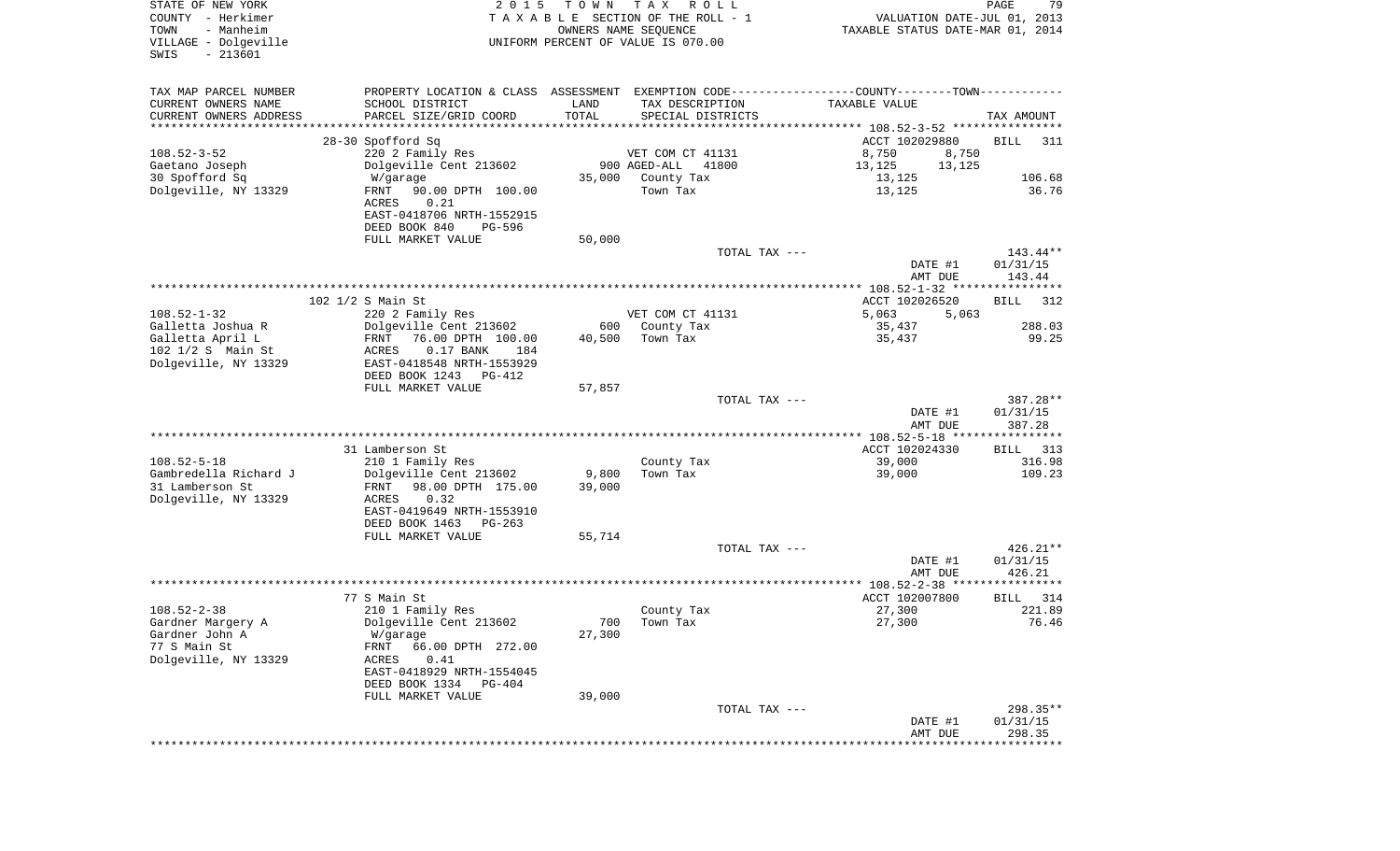| COUNTY<br>– Herkimer<br>- Manheim<br>TOWN<br>VILLAGE - Dolgeville<br>$-213601$<br>SWIS |                                                                                                 | OWNERS NAME SEQUENCE | TAXABLE SECTION OF THE ROLL - 1<br>UNIFORM PERCENT OF VALUE IS 070.00 | VALUATION DATE-JUL 01, 2013<br>TAXABLE STATUS DATE-MAR 01, 2014 |                                   |
|----------------------------------------------------------------------------------------|-------------------------------------------------------------------------------------------------|----------------------|-----------------------------------------------------------------------|-----------------------------------------------------------------|-----------------------------------|
| TAX MAP PARCEL NUMBER                                                                  | PROPERTY LOCATION & CLASS ASSESSMENT EXEMPTION CODE----------------COUNTY--------TOWN---------- |                      |                                                                       |                                                                 |                                   |
| CURRENT OWNERS NAME                                                                    | SCHOOL DISTRICT                                                                                 | LAND                 | TAX DESCRIPTION                                                       | TAXABLE VALUE                                                   |                                   |
| CURRENT OWNERS ADDRESS<br>*************************                                    | PARCEL SIZE/GRID COORD                                                                          | TOTAL                | SPECIAL DISTRICTS                                                     |                                                                 | TAX AMOUNT                        |
|                                                                                        | 28-30 Spofford Sq                                                                               |                      |                                                                       | ACCT 102029880                                                  | <b>BILL</b><br>311                |
| $108.52 - 3 - 52$                                                                      | 220 2 Family Res                                                                                |                      | VET COM CT 41131                                                      | 8,750<br>8,750                                                  |                                   |
| Gaetano Joseph                                                                         | Dolgeville Cent 213602                                                                          |                      | 900 AGED-ALL<br>41800                                                 | 13,125<br>13,125                                                |                                   |
| 30 Spofford Sq                                                                         | W/garage                                                                                        |                      | 35,000 County Tax                                                     | 13,125                                                          | 106.68                            |
| Dolgeville, NY 13329                                                                   | FRNT<br>90.00 DPTH 100.00                                                                       |                      | Town Tax                                                              | 13,125                                                          | 36.76                             |
|                                                                                        | ACRES<br>0.21                                                                                   |                      |                                                                       |                                                                 |                                   |
|                                                                                        | EAST-0418706 NRTH-1552915<br>DEED BOOK 840<br>PG-596                                            |                      |                                                                       |                                                                 |                                   |
|                                                                                        | FULL MARKET VALUE                                                                               | 50,000               |                                                                       |                                                                 |                                   |
|                                                                                        |                                                                                                 |                      | TOTAL TAX ---                                                         |                                                                 | 143.44**                          |
|                                                                                        |                                                                                                 |                      |                                                                       | DATE #1                                                         | 01/31/15                          |
|                                                                                        |                                                                                                 |                      |                                                                       | AMT DUE                                                         | 143.44                            |
|                                                                                        |                                                                                                 |                      |                                                                       |                                                                 |                                   |
| $108.52 - 1 - 32$                                                                      | 102 1/2 S Main St<br>220 2 Family Res                                                           |                      | VET COM CT 41131                                                      | ACCT 102026520<br>5,063<br>5,063                                | 312<br><b>BILL</b>                |
| Galletta Joshua R                                                                      | Dolgeville Cent 213602                                                                          | 600                  | County Tax                                                            | 35,437                                                          | 288.03                            |
| Galletta April L                                                                       | 76.00 DPTH 100.00<br>FRNT                                                                       | 40,500               | Town Tax                                                              | 35,437                                                          | 99.25                             |
| 102 1/2 S Main St                                                                      | $0.17$ BANK<br>ACRES<br>184                                                                     |                      |                                                                       |                                                                 |                                   |
| Dolgeville, NY 13329                                                                   | EAST-0418548 NRTH-1553929<br>DEED BOOK 1243<br>PG-412                                           |                      |                                                                       |                                                                 |                                   |
|                                                                                        | FULL MARKET VALUE                                                                               | 57,857               |                                                                       |                                                                 |                                   |
|                                                                                        |                                                                                                 |                      | TOTAL TAX ---                                                         | DATE #1<br>AMT DUE                                              | 387.28**<br>01/31/15<br>387.28    |
|                                                                                        |                                                                                                 |                      |                                                                       |                                                                 |                                   |
|                                                                                        | 31 Lamberson St                                                                                 |                      |                                                                       | ACCT 102024330                                                  | BILL<br>313                       |
| $108.52 - 5 - 18$                                                                      | 210 1 Family Res                                                                                |                      | County Tax                                                            | 39,000                                                          | 316.98                            |
| Gambredella Richard J<br>31 Lamberson St                                               | Dolgeville Cent 213602                                                                          | 9,800                | Town Tax                                                              | 39,000                                                          | 109.23                            |
| Dolgeville, NY 13329                                                                   | FRNT<br>98.00 DPTH 175.00<br>0.32<br>ACRES                                                      | 39,000               |                                                                       |                                                                 |                                   |
|                                                                                        | EAST-0419649 NRTH-1553910                                                                       |                      |                                                                       |                                                                 |                                   |
|                                                                                        | DEED BOOK 1463<br>PG-263                                                                        |                      |                                                                       |                                                                 |                                   |
|                                                                                        | FULL MARKET VALUE                                                                               | 55,714               |                                                                       |                                                                 |                                   |
|                                                                                        |                                                                                                 |                      | TOTAL TAX ---                                                         |                                                                 | 426.21**                          |
|                                                                                        |                                                                                                 |                      |                                                                       | DATE #1                                                         | 01/31/15                          |
|                                                                                        |                                                                                                 |                      |                                                                       | AMT DUE                                                         | 426.21                            |
|                                                                                        | 77 S Main St                                                                                    |                      |                                                                       | ACCT 102007800                                                  | 314<br>BILL                       |
| $108.52 - 2 - 38$                                                                      | 210 1 Family Res                                                                                |                      | County Tax                                                            | 27,300                                                          | 221.89                            |
| Gardner Margery A                                                                      | Dolgeville Cent 213602                                                                          | 700                  | Town Tax                                                              | 27,300                                                          | 76.46                             |
| Gardner John A                                                                         | W/garage                                                                                        | 27,300               |                                                                       |                                                                 |                                   |
| 77 S Main St                                                                           | FRNT 66.00 DPTH 272.00                                                                          |                      |                                                                       |                                                                 |                                   |
| Dolgeville, NY 13329                                                                   | 0.41<br>ACRES<br>EAST-0418929 NRTH-1554045                                                      |                      |                                                                       |                                                                 |                                   |
|                                                                                        | DEED BOOK 1334 PG-404                                                                           |                      |                                                                       |                                                                 |                                   |
|                                                                                        | FULL MARKET VALUE                                                                               | 39,000               |                                                                       |                                                                 |                                   |
|                                                                                        |                                                                                                 |                      | TOTAL TAX ---                                                         |                                                                 | $298.35**$                        |
|                                                                                        |                                                                                                 |                      |                                                                       | DATE #1                                                         | 01/31/15                          |
|                                                                                        |                                                                                                 |                      |                                                                       | AMT DUE<br>* * * * * * * * * * * *                              | 298.35<br>* * * * * * * * * * * * |
|                                                                                        |                                                                                                 |                      |                                                                       |                                                                 |                                   |

PAGE 79

STATE OF NEW YORK **EXECUTE:** TO W N TAX ROLL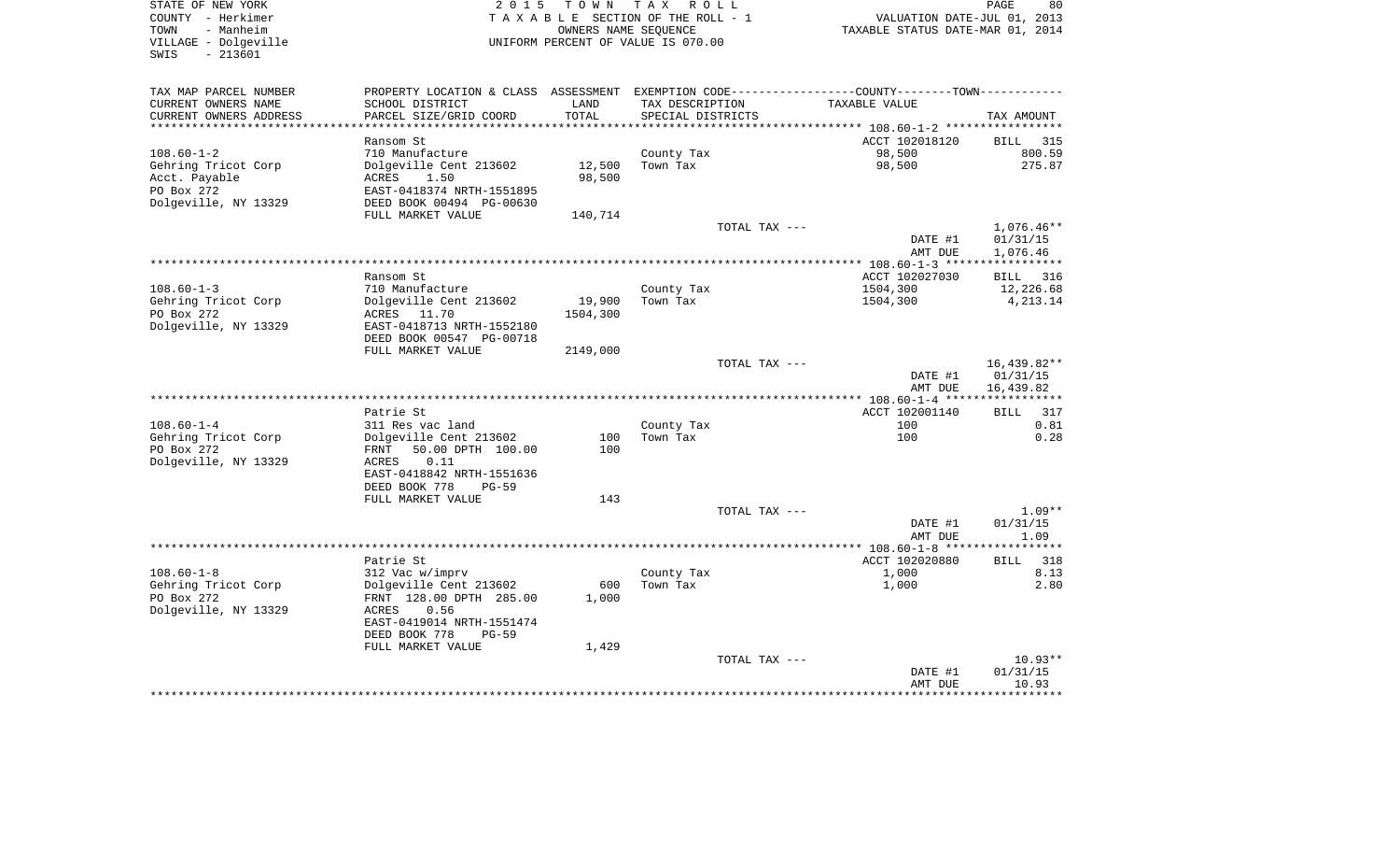| STATE OF NEW YORK         | 2 0 1 5                                                                                       |          | TOWN TAX ROLL                      |               |                                  | PAGE<br>80         |
|---------------------------|-----------------------------------------------------------------------------------------------|----------|------------------------------------|---------------|----------------------------------|--------------------|
| COUNTY - Herkimer         |                                                                                               |          | TAXABLE SECTION OF THE ROLL - 1    |               | VALUATION DATE-JUL 01, 2013      |                    |
| TOWN<br>- Manheim         |                                                                                               |          | OWNERS NAME SEQUENCE               |               | TAXABLE STATUS DATE-MAR 01, 2014 |                    |
| VILLAGE - Dolgeville      |                                                                                               |          | UNIFORM PERCENT OF VALUE IS 070.00 |               |                                  |                    |
| $-213601$<br>SWIS         |                                                                                               |          |                                    |               |                                  |                    |
|                           |                                                                                               |          |                                    |               |                                  |                    |
|                           |                                                                                               |          |                                    |               |                                  |                    |
| TAX MAP PARCEL NUMBER     | PROPERTY LOCATION & CLASS ASSESSMENT EXEMPTION CODE---------------COUNTY-------TOWN---------- |          |                                    |               |                                  |                    |
| CURRENT OWNERS NAME       | SCHOOL DISTRICT                                                                               | LAND     | TAX DESCRIPTION                    |               | TAXABLE VALUE                    |                    |
| CURRENT OWNERS ADDRESS    | PARCEL SIZE/GRID COORD                                                                        | TOTAL    | SPECIAL DISTRICTS                  |               |                                  | TAX AMOUNT         |
| ************************* |                                                                                               |          |                                    |               |                                  |                    |
|                           | Ransom St                                                                                     |          |                                    |               | ACCT 102018120                   | BILL 315           |
| $108.60 - 1 - 2$          | 710 Manufacture                                                                               |          | County Tax                         |               | 98,500                           | 800.59             |
| Gehring Tricot Corp       | Dolgeville Cent 213602                                                                        | 12,500   | Town Tax                           |               | 98,500                           | 275.87             |
| Acct. Payable             | ACRES<br>1.50                                                                                 | 98,500   |                                    |               |                                  |                    |
| PO Box 272                | EAST-0418374 NRTH-1551895                                                                     |          |                                    |               |                                  |                    |
| Dolgeville, NY 13329      | DEED BOOK 00494 PG-00630                                                                      |          |                                    |               |                                  |                    |
|                           | FULL MARKET VALUE                                                                             | 140,714  |                                    |               |                                  |                    |
|                           |                                                                                               |          |                                    | TOTAL TAX --- |                                  | $1,076.46**$       |
|                           |                                                                                               |          |                                    |               |                                  |                    |
|                           |                                                                                               |          |                                    |               | DATE #1                          | 01/31/15           |
|                           |                                                                                               |          |                                    |               | AMT DUE                          | 1,076.46           |
|                           |                                                                                               |          |                                    |               |                                  |                    |
|                           | Ransom St                                                                                     |          |                                    |               | ACCT 102027030                   | <b>BILL</b><br>316 |
| $108.60 - 1 - 3$          | 710 Manufacture                                                                               |          | County Tax                         |               | 1504,300                         | 12,226.68          |
| Gehring Tricot Corp       | Dolgeville Cent 213602                                                                        | 19,900   | Town Tax                           |               | 1504,300                         | 4,213.14           |
| PO Box 272                | ACRES 11.70                                                                                   | 1504,300 |                                    |               |                                  |                    |
| Dolgeville, NY 13329      | EAST-0418713 NRTH-1552180                                                                     |          |                                    |               |                                  |                    |
|                           | DEED BOOK 00547 PG-00718                                                                      |          |                                    |               |                                  |                    |
|                           | FULL MARKET VALUE                                                                             | 2149,000 |                                    |               |                                  |                    |
|                           |                                                                                               |          |                                    | TOTAL TAX --- |                                  | 16,439.82**        |
|                           |                                                                                               |          |                                    |               | DATE #1                          | 01/31/15           |
|                           |                                                                                               |          |                                    |               | AMT DUE                          | 16,439.82          |
|                           |                                                                                               |          |                                    |               |                                  |                    |
|                           | Patrie St                                                                                     |          |                                    |               | ACCT 102001140                   | BILL<br>317        |
|                           |                                                                                               |          |                                    |               |                                  |                    |
| $108.60 - 1 - 4$          | 311 Res vac land                                                                              |          | County Tax                         |               | 100                              | 0.81               |
| Gehring Tricot Corp       | Dolgeville Cent 213602                                                                        | 100      | Town Tax                           |               | 100                              | 0.28               |
| PO Box 272                | FRNT<br>50.00 DPTH 100.00                                                                     | 100      |                                    |               |                                  |                    |
| Dolgeville, NY 13329      | ACRES<br>0.11                                                                                 |          |                                    |               |                                  |                    |
|                           | EAST-0418842 NRTH-1551636                                                                     |          |                                    |               |                                  |                    |
|                           | DEED BOOK 778<br>PG-59                                                                        |          |                                    |               |                                  |                    |
|                           | FULL MARKET VALUE                                                                             | 143      |                                    |               |                                  |                    |
|                           |                                                                                               |          |                                    | TOTAL TAX --- |                                  | $1.09**$           |
|                           |                                                                                               |          |                                    |               | DATE #1                          | 01/31/15           |
|                           |                                                                                               |          |                                    |               | AMT DUE                          | 1.09               |
|                           |                                                                                               |          |                                    |               |                                  |                    |
|                           | Patrie St                                                                                     |          |                                    |               | ACCT 102020880                   | BILL<br>318        |
| $108.60 - 1 - 8$          | 312 Vac w/imprv                                                                               |          | County Tax                         |               | 1,000                            | 8.13               |
|                           | Dolgeville Cent 213602                                                                        | 600      | Town Tax                           |               | 1,000                            | 2.80               |
| Gehring Tricot Corp       |                                                                                               |          |                                    |               |                                  |                    |
| PO Box 272                | FRNT 128.00 DPTH 285.00                                                                       | 1,000    |                                    |               |                                  |                    |
| Dolgeville, NY 13329      | 0.56<br>ACRES                                                                                 |          |                                    |               |                                  |                    |
|                           | EAST-0419014 NRTH-1551474                                                                     |          |                                    |               |                                  |                    |
|                           | DEED BOOK 778<br><b>PG-59</b>                                                                 |          |                                    |               |                                  |                    |
|                           | FULL MARKET VALUE                                                                             | 1,429    |                                    |               |                                  |                    |
|                           |                                                                                               |          |                                    | TOTAL TAX --- |                                  | $10.93**$          |
|                           |                                                                                               |          |                                    |               | DATE #1                          | 01/31/15           |
|                           |                                                                                               |          |                                    |               | AMT DUE                          | 10.93              |
|                           |                                                                                               |          |                                    |               |                                  |                    |
|                           |                                                                                               |          |                                    |               |                                  |                    |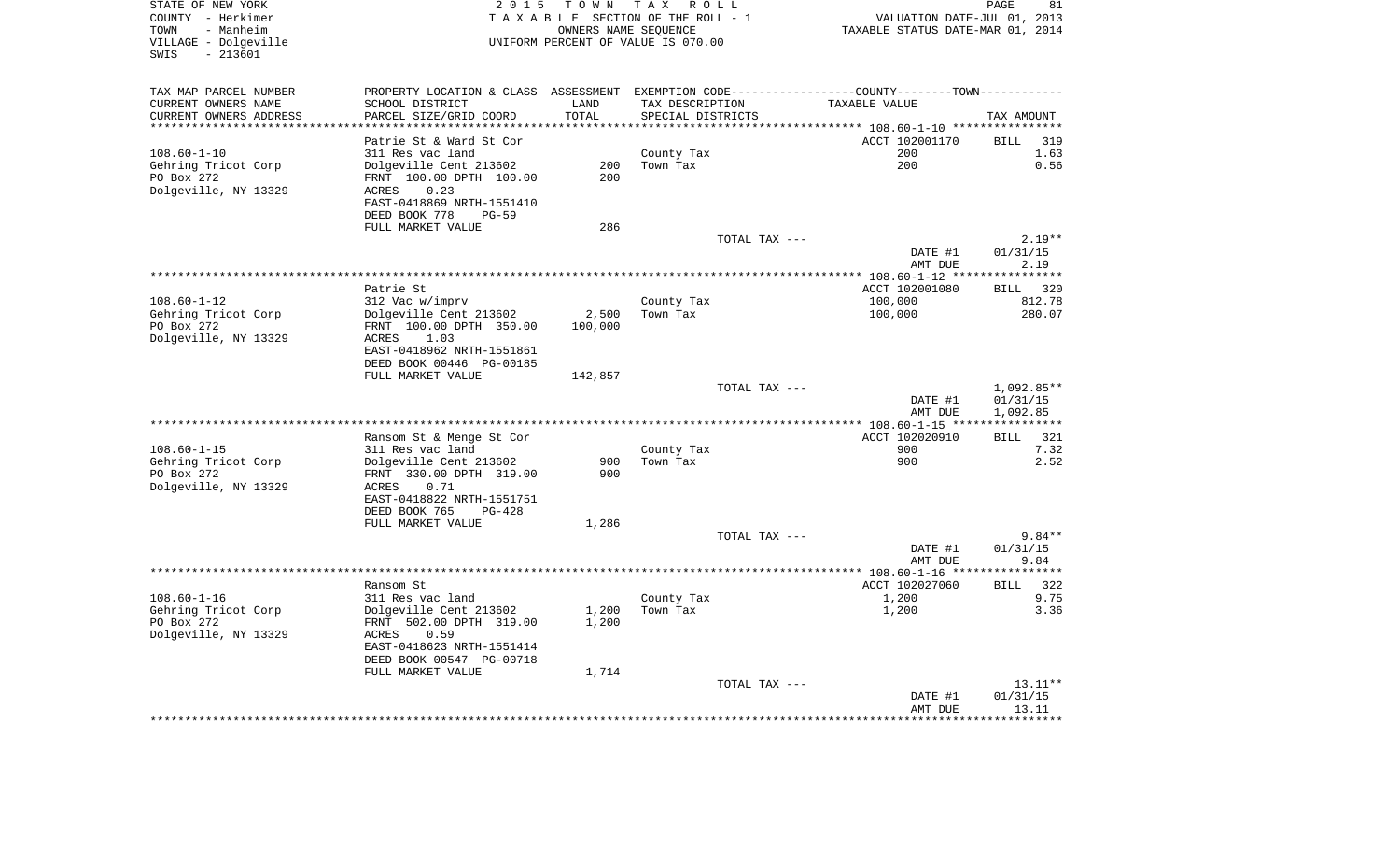| STATE OF NEW YORK<br>COUNTY - Herkimer<br>TOWN<br>- Manheim<br>VILLAGE - Dolgeville<br>SWIS<br>$-213601$ |                                                                                               | OWNERS NAME SEQUENCE | 2015 TOWN TAX ROLL<br>TAXABLE SECTION OF THE ROLL - 1<br>UNIFORM PERCENT OF VALUE IS 070.00 | VALUATION DATE-JUL 01, 2013<br>TAXABLE STATUS DATE-MAR 01, 2014 | PAGE<br>81               |
|----------------------------------------------------------------------------------------------------------|-----------------------------------------------------------------------------------------------|----------------------|---------------------------------------------------------------------------------------------|-----------------------------------------------------------------|--------------------------|
| TAX MAP PARCEL NUMBER<br>CURRENT OWNERS NAME                                                             | PROPERTY LOCATION & CLASS ASSESSMENT EXEMPTION CODE---------------COUNTY-------TOWN---------- | LAND                 | TAX DESCRIPTION                                                                             | TAXABLE VALUE                                                   |                          |
| CURRENT OWNERS ADDRESS                                                                                   | SCHOOL DISTRICT<br>PARCEL SIZE/GRID COORD                                                     | TOTAL                | SPECIAL DISTRICTS                                                                           |                                                                 | TAX AMOUNT               |
| **********************                                                                                   |                                                                                               |                      |                                                                                             |                                                                 |                          |
|                                                                                                          | Patrie St & Ward St Cor                                                                       |                      |                                                                                             | ACCT 102001170                                                  | <b>BILL</b><br>319       |
| $108.60 - 1 - 10$                                                                                        | 311 Res vac land                                                                              |                      | County Tax                                                                                  | 200                                                             | 1.63                     |
| Gehring Tricot Corp                                                                                      | Dolgeville Cent 213602<br>FRNT 100.00 DPTH 100.00                                             | 200<br>200           | Town Tax                                                                                    | 200                                                             | 0.56                     |
| PO Box 272<br>Dolgeville, NY 13329                                                                       | ACRES<br>0.23                                                                                 |                      |                                                                                             |                                                                 |                          |
|                                                                                                          | EAST-0418869 NRTH-1551410                                                                     |                      |                                                                                             |                                                                 |                          |
|                                                                                                          | DEED BOOK 778<br><b>PG-59</b>                                                                 |                      |                                                                                             |                                                                 |                          |
|                                                                                                          | FULL MARKET VALUE                                                                             | 286                  |                                                                                             |                                                                 |                          |
|                                                                                                          |                                                                                               |                      | TOTAL TAX ---                                                                               |                                                                 | $2.19**$                 |
|                                                                                                          |                                                                                               |                      |                                                                                             | DATE #1<br>AMT DUE                                              | 01/31/15<br>2.19         |
|                                                                                                          |                                                                                               |                      |                                                                                             |                                                                 |                          |
|                                                                                                          | Patrie St                                                                                     |                      |                                                                                             | ACCT 102001080                                                  | BILL 320                 |
| 108.60-1-12                                                                                              | 312 Vac w/imprv                                                                               |                      | County Tax                                                                                  | 100,000                                                         | 812.78                   |
| Gehring Tricot Corp                                                                                      | Dolgeville Cent 213602                                                                        | 2,500                | Town Tax                                                                                    | 100,000                                                         | 280.07                   |
| PO Box 272                                                                                               | FRNT 100.00 DPTH 350.00<br>1.03                                                               | 100,000              |                                                                                             |                                                                 |                          |
| Dolgeville, NY 13329                                                                                     | ACRES<br>EAST-0418962 NRTH-1551861                                                            |                      |                                                                                             |                                                                 |                          |
|                                                                                                          | DEED BOOK 00446 PG-00185                                                                      |                      |                                                                                             |                                                                 |                          |
|                                                                                                          | FULL MARKET VALUE                                                                             | 142,857              |                                                                                             |                                                                 |                          |
|                                                                                                          |                                                                                               |                      | TOTAL TAX ---                                                                               |                                                                 | 1,092.85**               |
|                                                                                                          |                                                                                               |                      |                                                                                             | DATE #1                                                         | 01/31/15                 |
|                                                                                                          |                                                                                               |                      |                                                                                             | AMT DUE                                                         | 1,092.85                 |
|                                                                                                          | Ransom St & Menge St Cor                                                                      |                      |                                                                                             | ACCT 102020910                                                  | 321<br>BILL              |
| $108.60 - 1 - 15$                                                                                        | 311 Res vac land                                                                              |                      | County Tax                                                                                  | 900                                                             | 7.32                     |
| Gehring Tricot Corp                                                                                      | Dolgeville Cent 213602                                                                        | 900                  | Town Tax                                                                                    | 900                                                             | 2.52                     |
| PO Box 272                                                                                               | FRNT 330.00 DPTH 319.00                                                                       | 900                  |                                                                                             |                                                                 |                          |
| Dolgeville, NY 13329                                                                                     | ${\tt ACKES}$<br>0.71                                                                         |                      |                                                                                             |                                                                 |                          |
|                                                                                                          | EAST-0418822 NRTH-1551751<br>DEED BOOK 765<br>PG-428                                          |                      |                                                                                             |                                                                 |                          |
|                                                                                                          | FULL MARKET VALUE                                                                             | 1,286                |                                                                                             |                                                                 |                          |
|                                                                                                          |                                                                                               |                      | TOTAL TAX ---                                                                               |                                                                 | $9.84**$                 |
|                                                                                                          |                                                                                               |                      |                                                                                             | DATE #1                                                         | 01/31/15                 |
|                                                                                                          |                                                                                               |                      |                                                                                             | AMT DUE                                                         | 9.84                     |
|                                                                                                          | Ransom St                                                                                     |                      |                                                                                             | *********** 108.60-1-16 **                                      | *********<br><b>BILL</b> |
| 108.60-1-16                                                                                              | 311 Res vac land                                                                              |                      | County Tax                                                                                  | ACCT 102027060<br>1,200                                         | 322<br>9.75              |
| Gehring Tricot Corp                                                                                      | Dolgeville Cent 213602                                                                        | 1,200                | Town Tax                                                                                    | 1,200                                                           | 3.36                     |
| PO Box 272                                                                                               | FRNT 502.00 DPTH 319.00                                                                       | 1,200                |                                                                                             |                                                                 |                          |
| Dolgeville, NY 13329                                                                                     | ACRES<br>0.59                                                                                 |                      |                                                                                             |                                                                 |                          |
|                                                                                                          | EAST-0418623 NRTH-1551414                                                                     |                      |                                                                                             |                                                                 |                          |
|                                                                                                          | DEED BOOK 00547 PG-00718<br>FULL MARKET VALUE                                                 | 1,714                |                                                                                             |                                                                 |                          |
|                                                                                                          |                                                                                               |                      | TOTAL TAX ---                                                                               |                                                                 | $13.11**$                |
|                                                                                                          |                                                                                               |                      |                                                                                             | DATE #1                                                         | 01/31/15                 |
|                                                                                                          |                                                                                               |                      |                                                                                             | AMT DUE                                                         | 13.11                    |
|                                                                                                          |                                                                                               |                      |                                                                                             |                                                                 | * * * * * * * * * * *    |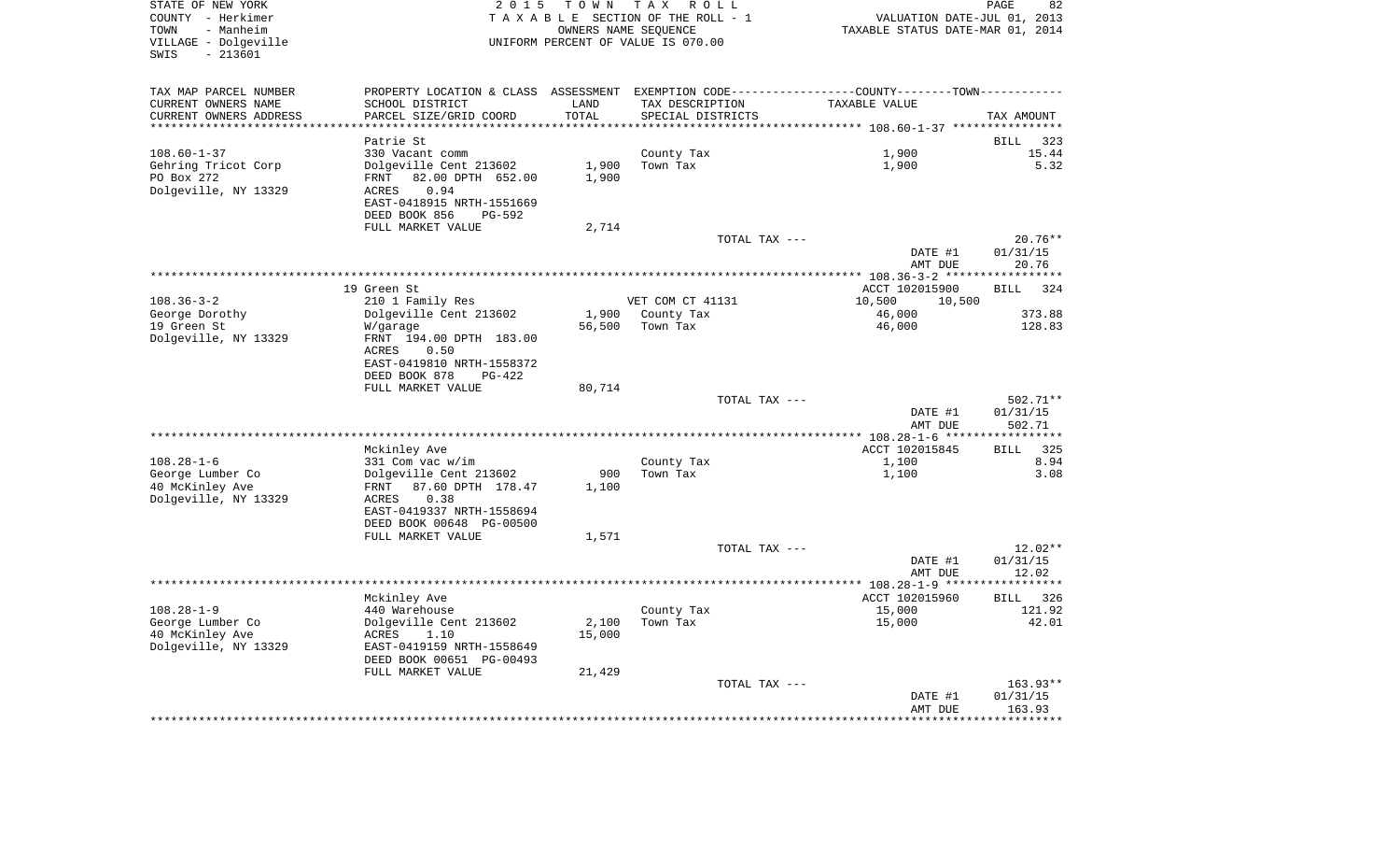| STATE OF NEW YORK<br>COUNTY - Herkimer<br>- Manheim<br>TOWN<br>VILLAGE - Dolgeville<br>$-213601$<br>SWIS | TOWN<br>2 0 1 5<br>TAXABLE SECTION OF THE ROLL - 1<br>UNIFORM PERCENT OF VALUE IS 070.00 | T A X<br>R O L L<br>OWNERS NAME SEQUENCE | TAXABLE STATUS DATE-MAR 01, 2014                                                               | PAGE<br>82<br>VALUATION DATE-JUL 01, 2013 |
|----------------------------------------------------------------------------------------------------------|------------------------------------------------------------------------------------------|------------------------------------------|------------------------------------------------------------------------------------------------|-------------------------------------------|
| TAX MAP PARCEL NUMBER                                                                                    |                                                                                          |                                          | PROPERTY LOCATION & CLASS ASSESSMENT EXEMPTION CODE----------------COUNTY-------TOWN---------- |                                           |
| CURRENT OWNERS NAME<br>SCHOOL DISTRICT                                                                   | LAND                                                                                     | TAX DESCRIPTION                          | TAXABLE VALUE                                                                                  |                                           |
| CURRENT OWNERS ADDRESS<br>PARCEL SIZE/GRID COORD                                                         | TOTAL                                                                                    | SPECIAL DISTRICTS                        |                                                                                                | TAX AMOUNT                                |
| ********************                                                                                     | *******                                                                                  |                                          | ******************************** 108.60-1-37 *****************                                 |                                           |
| Patrie St                                                                                                |                                                                                          |                                          |                                                                                                | <b>BILL</b><br>323                        |
| 330 Vacant comm<br>$108.60 - 1 - 37$<br>Dolgeville Cent 213602                                           | 1,900                                                                                    | County Tax<br>Town Tax                   | 1,900<br>1,900                                                                                 | 15.44<br>5.32                             |
| Gehring Tricot Corp<br>PO Box 272<br>82.00 DPTH 652.00<br>FRNT                                           | 1,900                                                                                    |                                          |                                                                                                |                                           |
| Dolgeville, NY 13329<br>0.94<br><b>ACRES</b>                                                             |                                                                                          |                                          |                                                                                                |                                           |
| EAST-0418915 NRTH-1551669                                                                                |                                                                                          |                                          |                                                                                                |                                           |
| DEED BOOK 856                                                                                            | PG-592                                                                                   |                                          |                                                                                                |                                           |
| FULL MARKET VALUE                                                                                        | 2,714                                                                                    |                                          |                                                                                                |                                           |
|                                                                                                          |                                                                                          | TOTAL TAX ---                            |                                                                                                | $20.76**$                                 |
|                                                                                                          |                                                                                          |                                          | DATE #1                                                                                        | 01/31/15                                  |
| *************                                                                                            |                                                                                          |                                          | AMT DUE                                                                                        | 20.76                                     |
| 19 Green St                                                                                              |                                                                                          |                                          | *********** 108.36-3-2 *****************<br>ACCT 102015900                                     | 324                                       |
| $108.36 - 3 - 2$<br>210 1 Family Res                                                                     |                                                                                          | VET COM CT 41131                         | 10,500<br>10,500                                                                               | <b>BILL</b>                               |
| George Dorothy<br>Dolgeville Cent 213602                                                                 | 1,900                                                                                    | County Tax                               | 46,000                                                                                         | 373.88                                    |
| 19 Green St<br>W/garage                                                                                  | 56,500                                                                                   | Town Tax                                 | 46,000                                                                                         | 128.83                                    |
| Dolgeville, NY 13329<br>FRNT 194.00 DPTH 183.00                                                          |                                                                                          |                                          |                                                                                                |                                           |
| ACRES<br>0.50<br>EAST-0419810 NRTH-1558372                                                               |                                                                                          |                                          |                                                                                                |                                           |
| DEED BOOK 878                                                                                            | $PG-422$                                                                                 |                                          |                                                                                                |                                           |
| FULL MARKET VALUE                                                                                        | 80,714                                                                                   |                                          |                                                                                                |                                           |
|                                                                                                          |                                                                                          | TOTAL TAX ---                            |                                                                                                | $502.71**$                                |
|                                                                                                          |                                                                                          |                                          | DATE #1                                                                                        | 01/31/15                                  |
|                                                                                                          |                                                                                          |                                          | AMT DUE                                                                                        | 502.71                                    |
|                                                                                                          |                                                                                          |                                          |                                                                                                | **********                                |
| Mckinley Ave                                                                                             |                                                                                          |                                          | ACCT 102015845                                                                                 | BILL<br>325                               |
| $108.28 - 1 - 6$<br>$331$ Com vac w/im                                                                   |                                                                                          | County Tax<br>Town Tax                   | 1,100                                                                                          | 8.94<br>3.08                              |
| George Lumber Co<br>Dolgeville Cent 213602<br>40 McKinley Ave<br>FRNT<br>87.60 DPTH 178.47               | 900<br>1,100                                                                             |                                          | 1,100                                                                                          |                                           |
| Dolgeville, NY 13329<br>0.38<br>ACRES                                                                    |                                                                                          |                                          |                                                                                                |                                           |
| EAST-0419337 NRTH-1558694                                                                                |                                                                                          |                                          |                                                                                                |                                           |
| DEED BOOK 00648 PG-00500                                                                                 |                                                                                          |                                          |                                                                                                |                                           |
| FULL MARKET VALUE                                                                                        | 1,571                                                                                    |                                          |                                                                                                |                                           |
|                                                                                                          |                                                                                          | TOTAL TAX ---                            |                                                                                                | $12.02**$                                 |
|                                                                                                          |                                                                                          |                                          | DATE #1                                                                                        | 01/31/15                                  |
|                                                                                                          |                                                                                          |                                          | AMT DUE                                                                                        | 12.02<br>**********                       |
| Mckinley Ave                                                                                             |                                                                                          |                                          | ACCT 102015960                                                                                 | 326<br><b>BILL</b>                        |
| $108.28 - 1 - 9$<br>440 Warehouse                                                                        |                                                                                          | County Tax                               | 15,000                                                                                         | 121.92                                    |
| George Lumber Co<br>Dolgeville Cent 213602                                                               | 2,100                                                                                    | Town Tax                                 | 15,000                                                                                         | 42.01                                     |
| 40 McKinley Ave<br>ACRES<br>1.10                                                                         | 15,000                                                                                   |                                          |                                                                                                |                                           |
| Dolgeville, NY 13329<br>EAST-0419159 NRTH-1558649                                                        |                                                                                          |                                          |                                                                                                |                                           |
| DEED BOOK 00651 PG-00493                                                                                 |                                                                                          |                                          |                                                                                                |                                           |
| FULL MARKET VALUE                                                                                        | 21,429                                                                                   |                                          |                                                                                                |                                           |
|                                                                                                          |                                                                                          | TOTAL TAX ---                            |                                                                                                | 163.93**                                  |
|                                                                                                          |                                                                                          |                                          | DATE #1<br>AMT DUE                                                                             | 01/31/15<br>163.93                        |
|                                                                                                          |                                                                                          |                                          |                                                                                                | *********                                 |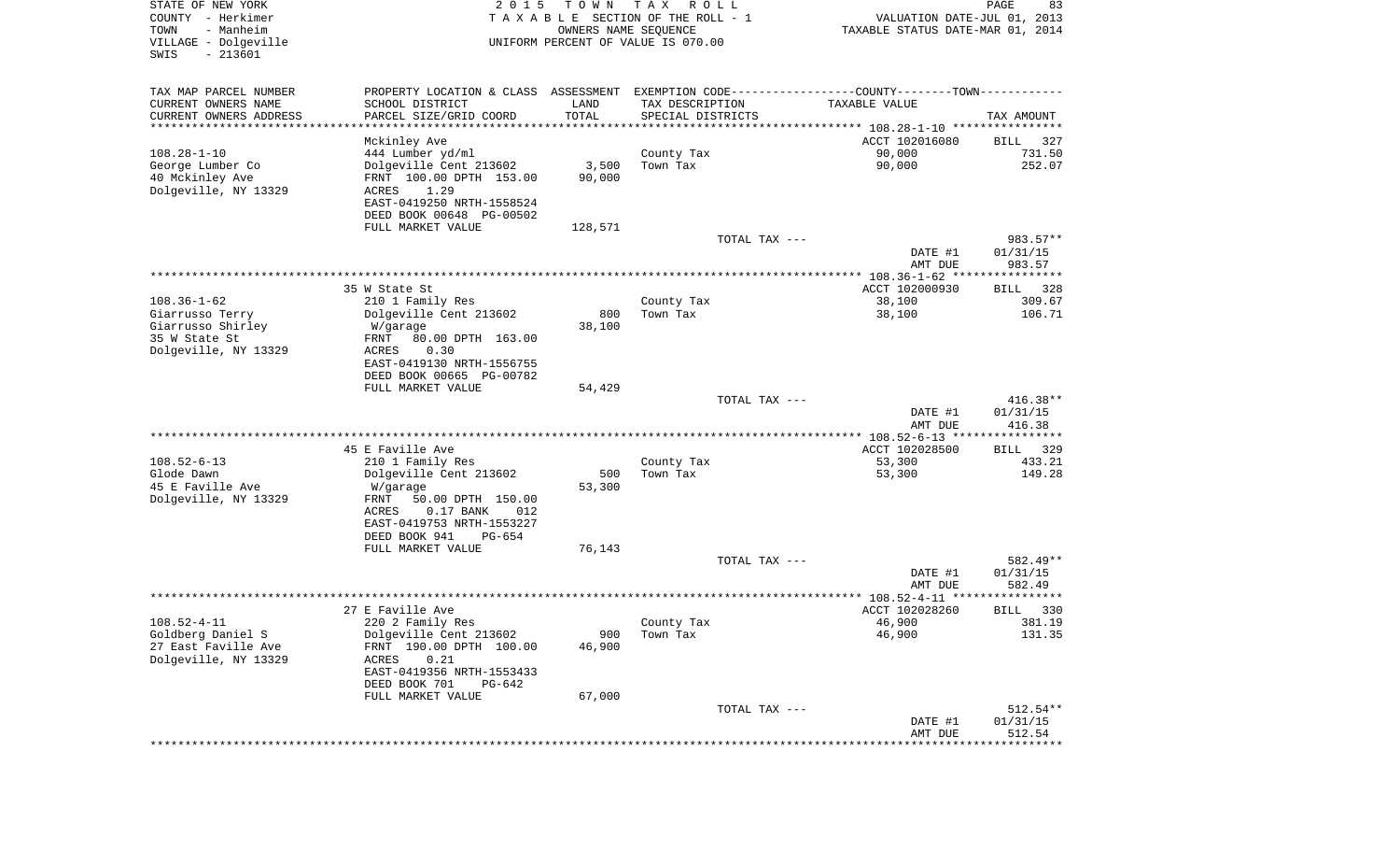| STATE OF NEW YORK<br>COUNTY - Herkimer<br>- Manheim<br>TOWN<br>VILLAGE - Dolgeville<br>SWIS<br>$-213601$ | 2 0 1 5                                                                                        | T O W N<br>OWNERS NAME SEQUENCE | T A X<br>R O L L<br>TAXABLE SECTION OF THE ROLL - 1<br>UNIFORM PERCENT OF VALUE IS 070.00 | VALUATION DATE-JUL 01, 2013<br>TAXABLE STATUS DATE-MAR 01, 2014 | PAGE<br>83           |
|----------------------------------------------------------------------------------------------------------|------------------------------------------------------------------------------------------------|---------------------------------|-------------------------------------------------------------------------------------------|-----------------------------------------------------------------|----------------------|
| TAX MAP PARCEL NUMBER                                                                                    | PROPERTY LOCATION & CLASS ASSESSMENT EXEMPTION CODE----------------COUNTY-------TOWN---------- |                                 |                                                                                           |                                                                 |                      |
| CURRENT OWNERS NAME                                                                                      | SCHOOL DISTRICT                                                                                | LAND                            | TAX DESCRIPTION                                                                           | TAXABLE VALUE                                                   |                      |
| CURRENT OWNERS ADDRESS<br>*********************                                                          | PARCEL SIZE/GRID COORD                                                                         | TOTAL<br>****************       | SPECIAL DISTRICTS                                                                         |                                                                 | TAX AMOUNT           |
|                                                                                                          | Mckinley Ave                                                                                   |                                 |                                                                                           | ACCT 102016080                                                  | 327<br>BILL          |
| $108.28 - 1 - 10$                                                                                        | 444 Lumber yd/ml                                                                               |                                 | County Tax                                                                                | 90,000                                                          | 731.50               |
| George Lumber Co                                                                                         | Dolgeville Cent 213602                                                                         | 3,500                           | Town Tax                                                                                  | 90,000                                                          | 252.07               |
| 40 Mckinley Ave                                                                                          | FRNT 100.00 DPTH 153.00                                                                        | 90,000                          |                                                                                           |                                                                 |                      |
| Dolgeville, NY 13329                                                                                     | 1.29<br>ACRES<br>EAST-0419250 NRTH-1558524                                                     |                                 |                                                                                           |                                                                 |                      |
|                                                                                                          | DEED BOOK 00648 PG-00502                                                                       |                                 |                                                                                           |                                                                 |                      |
|                                                                                                          | FULL MARKET VALUE                                                                              | 128,571                         |                                                                                           |                                                                 |                      |
|                                                                                                          |                                                                                                |                                 | TOTAL TAX ---                                                                             |                                                                 | 983.57**             |
|                                                                                                          |                                                                                                |                                 |                                                                                           | DATE #1<br>AMT DUE                                              | 01/31/15<br>983.57   |
|                                                                                                          |                                                                                                |                                 |                                                                                           |                                                                 |                      |
|                                                                                                          | 35 W State St                                                                                  |                                 |                                                                                           | ACCT 102000930                                                  | <b>BILL</b><br>328   |
| $108.36 - 1 - 62$                                                                                        | 210 1 Family Res                                                                               |                                 | County Tax                                                                                | 38,100                                                          | 309.67               |
| Giarrusso Terry<br>Giarrusso Shirley                                                                     | Dolgeville Cent 213602<br>W/garage                                                             | 800<br>38,100                   | Town Tax                                                                                  | 38,100                                                          | 106.71               |
| 35 W State St                                                                                            | FRNT<br>80.00 DPTH 163.00                                                                      |                                 |                                                                                           |                                                                 |                      |
| Dolgeville, NY 13329                                                                                     | ACRES<br>0.30                                                                                  |                                 |                                                                                           |                                                                 |                      |
|                                                                                                          | EAST-0419130 NRTH-1556755                                                                      |                                 |                                                                                           |                                                                 |                      |
|                                                                                                          | DEED BOOK 00665 PG-00782<br>FULL MARKET VALUE                                                  | 54,429                          |                                                                                           |                                                                 |                      |
|                                                                                                          |                                                                                                |                                 | TOTAL TAX ---                                                                             |                                                                 | $416.38**$           |
|                                                                                                          |                                                                                                |                                 |                                                                                           | DATE #1                                                         | 01/31/15             |
|                                                                                                          |                                                                                                |                                 |                                                                                           | AMT DUE                                                         | 416.38               |
|                                                                                                          | 45 E Faville Ave                                                                               |                                 |                                                                                           | ************ 108.52-6-13 *****************<br>ACCT 102028500    | 329<br>BILL          |
| $108.52 - 6 - 13$                                                                                        | 210 1 Family Res                                                                               |                                 | County Tax                                                                                | 53,300                                                          | 433.21               |
| Glode Dawn                                                                                               | Dolgeville Cent 213602                                                                         | 500                             | Town Tax                                                                                  | 53,300                                                          | 149.28               |
| 45 E Faville Ave                                                                                         | W/garage                                                                                       | 53,300                          |                                                                                           |                                                                 |                      |
| Dolgeville, NY 13329                                                                                     | FRNT<br>50.00 DPTH 150.00<br>ACRES<br>$0.17$ BANK<br>012                                       |                                 |                                                                                           |                                                                 |                      |
|                                                                                                          | EAST-0419753 NRTH-1553227                                                                      |                                 |                                                                                           |                                                                 |                      |
|                                                                                                          | DEED BOOK 941<br>PG-654                                                                        |                                 |                                                                                           |                                                                 |                      |
|                                                                                                          | FULL MARKET VALUE                                                                              | 76,143                          |                                                                                           |                                                                 |                      |
|                                                                                                          |                                                                                                |                                 | TOTAL TAX ---                                                                             | DATE #1                                                         | 582.49**<br>01/31/15 |
|                                                                                                          |                                                                                                |                                 |                                                                                           | AMT DUE                                                         | 582.49               |
|                                                                                                          |                                                                                                |                                 |                                                                                           |                                                                 | *****                |
|                                                                                                          | 27 E Faville Ave                                                                               |                                 |                                                                                           | ACCT 102028260                                                  | 330<br>BILL          |
| $108.52 - 4 - 11$<br>Goldberg Daniel S                                                                   | 220 2 Family Res<br>Dolgeville Cent 213602                                                     | 900                             | County Tax<br>Town Tax                                                                    | 46,900<br>46,900                                                | 381.19<br>131.35     |
| 27 East Faville Ave                                                                                      | FRNT 190.00 DPTH 100.00                                                                        | 46,900                          |                                                                                           |                                                                 |                      |
| Dolgeville, NY 13329                                                                                     | 0.21<br>ACRES                                                                                  |                                 |                                                                                           |                                                                 |                      |
|                                                                                                          | EAST-0419356 NRTH-1553433                                                                      |                                 |                                                                                           |                                                                 |                      |
|                                                                                                          | DEED BOOK 701<br>PG-642                                                                        |                                 |                                                                                           |                                                                 |                      |
|                                                                                                          | FULL MARKET VALUE                                                                              | 67,000                          | TOTAL TAX ---                                                                             |                                                                 | 512.54**             |
|                                                                                                          |                                                                                                |                                 |                                                                                           | DATE #1                                                         | 01/31/15             |
|                                                                                                          |                                                                                                |                                 |                                                                                           | AMT DUE                                                         | 512.54               |
|                                                                                                          |                                                                                                |                                 |                                                                                           | ***************************                                     |                      |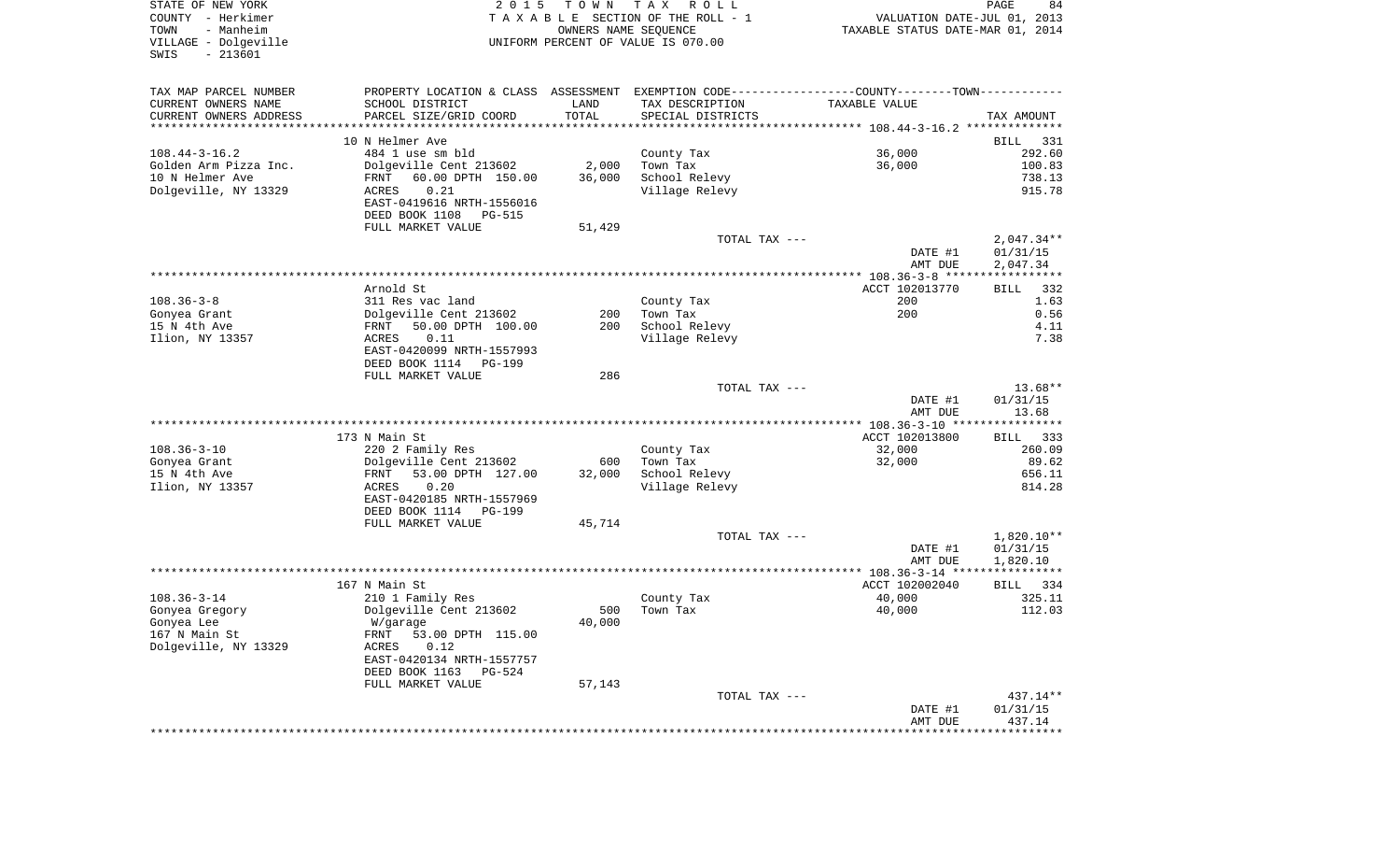| STATE OF NEW YORK<br>COUNTY - Herkimer<br>- Manheim<br>TOWN<br>VILLAGE - Dolgeville<br>$-213601$<br>SWIS | 2 0 1 5                                                                                       | T O W N<br>OWNERS NAME SEQUENCE | T A X<br>R O L L<br>T A X A B L E SECTION OF THE ROLL - 1<br>UNIFORM PERCENT OF VALUE IS 070.00 | VALUATION DATE-JUL 01, 2013<br>TAXABLE STATUS DATE-MAR 01, 2014 | PAGE<br>84                           |
|----------------------------------------------------------------------------------------------------------|-----------------------------------------------------------------------------------------------|---------------------------------|-------------------------------------------------------------------------------------------------|-----------------------------------------------------------------|--------------------------------------|
| TAX MAP PARCEL NUMBER                                                                                    | PROPERTY LOCATION & CLASS ASSESSMENT EXEMPTION CODE---------------COUNTY-------TOWN---------- |                                 |                                                                                                 |                                                                 |                                      |
| CURRENT OWNERS NAME                                                                                      | SCHOOL DISTRICT                                                                               | LAND                            | TAX DESCRIPTION                                                                                 | TAXABLE VALUE                                                   |                                      |
| CURRENT OWNERS ADDRESS                                                                                   | PARCEL SIZE/GRID COORD                                                                        | TOTAL                           | SPECIAL DISTRICTS                                                                               |                                                                 | TAX AMOUNT                           |
| *********************                                                                                    | ***********************************                                                           |                                 |                                                                                                 |                                                                 |                                      |
| $108.44 - 3 - 16.2$                                                                                      | 10 N Helmer Ave<br>484 1 use sm bld                                                           |                                 | County Tax                                                                                      | 36,000                                                          | 331<br>BILL<br>292.60                |
| Golden Arm Pizza Inc.                                                                                    | Dolgeville Cent 213602                                                                        | 2,000                           | Town Tax                                                                                        | 36,000                                                          | 100.83                               |
| 10 N Helmer Ave                                                                                          | FRNT<br>60.00 DPTH 150.00                                                                     | 36,000                          | School Relevy                                                                                   |                                                                 | 738.13                               |
| Dolgeville, NY 13329                                                                                     | 0.21<br>ACRES<br>EAST-0419616 NRTH-1556016                                                    |                                 | Village Relevy                                                                                  |                                                                 | 915.78                               |
|                                                                                                          | DEED BOOK 1108<br>PG-515                                                                      |                                 |                                                                                                 |                                                                 |                                      |
|                                                                                                          | FULL MARKET VALUE                                                                             | 51,429                          |                                                                                                 |                                                                 |                                      |
|                                                                                                          |                                                                                               |                                 | TOTAL TAX ---                                                                                   | DATE #1<br>AMT DUE                                              | $2,047.34**$<br>01/31/15<br>2,047.34 |
|                                                                                                          |                                                                                               |                                 |                                                                                                 |                                                                 |                                      |
|                                                                                                          | Arnold St                                                                                     |                                 |                                                                                                 | ACCT 102013770                                                  | 332<br>BILL                          |
| $108.36 - 3 - 8$                                                                                         | 311 Res vac land                                                                              |                                 | County Tax                                                                                      | 200                                                             | 1.63                                 |
| Gonyea Grant                                                                                             | Dolgeville Cent 213602                                                                        | 200                             | Town Tax                                                                                        | 200                                                             | 0.56                                 |
| 15 N 4th Ave                                                                                             | 50.00 DPTH 100.00<br>FRNT                                                                     | 200                             | School Relevy                                                                                   |                                                                 | 4.11                                 |
| Ilion, NY 13357                                                                                          | 0.11<br>ACRES<br>EAST-0420099 NRTH-1557993<br>DEED BOOK 1114<br>PG-199                        |                                 | Village Relevy                                                                                  |                                                                 | 7.38                                 |
|                                                                                                          | FULL MARKET VALUE                                                                             | 286                             |                                                                                                 |                                                                 |                                      |
|                                                                                                          |                                                                                               |                                 | TOTAL TAX ---                                                                                   | DATE #1<br>AMT DUE                                              | $13.68**$<br>01/31/15<br>13.68       |
|                                                                                                          |                                                                                               |                                 |                                                                                                 |                                                                 |                                      |
|                                                                                                          | 173 N Main St                                                                                 |                                 |                                                                                                 | ACCT 102013800                                                  | BILL<br>333                          |
| $108.36 - 3 - 10$                                                                                        | 220 2 Family Res                                                                              |                                 | County Tax                                                                                      | 32,000                                                          | 260.09                               |
| Gonyea Grant                                                                                             | Dolgeville Cent 213602                                                                        | 600                             | Town Tax                                                                                        | 32,000                                                          | 89.62                                |
| 15 N 4th Ave<br>Ilion, NY 13357                                                                          | 53.00 DPTH 127.00<br>FRNT<br>ACRES<br>0.20                                                    | 32,000                          | School Relevy                                                                                   |                                                                 | 656.11<br>814.28                     |
|                                                                                                          | EAST-0420185 NRTH-1557969                                                                     |                                 | Village Relevy                                                                                  |                                                                 |                                      |
|                                                                                                          | DEED BOOK 1114<br><b>PG-199</b>                                                               |                                 |                                                                                                 |                                                                 |                                      |
|                                                                                                          | FULL MARKET VALUE                                                                             | 45,714                          |                                                                                                 |                                                                 |                                      |
|                                                                                                          |                                                                                               |                                 | TOTAL TAX ---                                                                                   |                                                                 | $1,820.10**$                         |
|                                                                                                          |                                                                                               |                                 |                                                                                                 | DATE #1                                                         | 01/31/15                             |
|                                                                                                          |                                                                                               |                                 |                                                                                                 | AMT DUE                                                         | 1,820.10                             |
|                                                                                                          | 167 N Main St                                                                                 |                                 |                                                                                                 | ACCT 102002040                                                  | BILL 334                             |
| $108.36 - 3 - 14$                                                                                        | 210 1 Family Res                                                                              |                                 | County Tax                                                                                      | 40,000                                                          | 325.11                               |
| Gonyea Gregory                                                                                           | Dolgeville Cent 213602                                                                        | 500                             | Town Tax                                                                                        | 40,000                                                          | 112.03                               |
| Gonyea Lee                                                                                               | W/garage                                                                                      | 40,000                          |                                                                                                 |                                                                 |                                      |
| 167 N Main St                                                                                            | FRNT 53.00 DPTH 115.00                                                                        |                                 |                                                                                                 |                                                                 |                                      |
| Dolgeville, NY 13329                                                                                     | 0.12<br>ACRES                                                                                 |                                 |                                                                                                 |                                                                 |                                      |
|                                                                                                          | EAST-0420134 NRTH-1557757<br>DEED BOOK 1163<br>PG-524                                         |                                 |                                                                                                 |                                                                 |                                      |
|                                                                                                          | FULL MARKET VALUE                                                                             | 57,143                          | TOTAL TAX ---                                                                                   |                                                                 | $437.14**$                           |
|                                                                                                          |                                                                                               |                                 |                                                                                                 | DATE #1                                                         | 01/31/15                             |
|                                                                                                          |                                                                                               |                                 |                                                                                                 | AMT DUE                                                         | 437.14                               |
|                                                                                                          |                                                                                               |                                 |                                                                                                 | *********************************                               |                                      |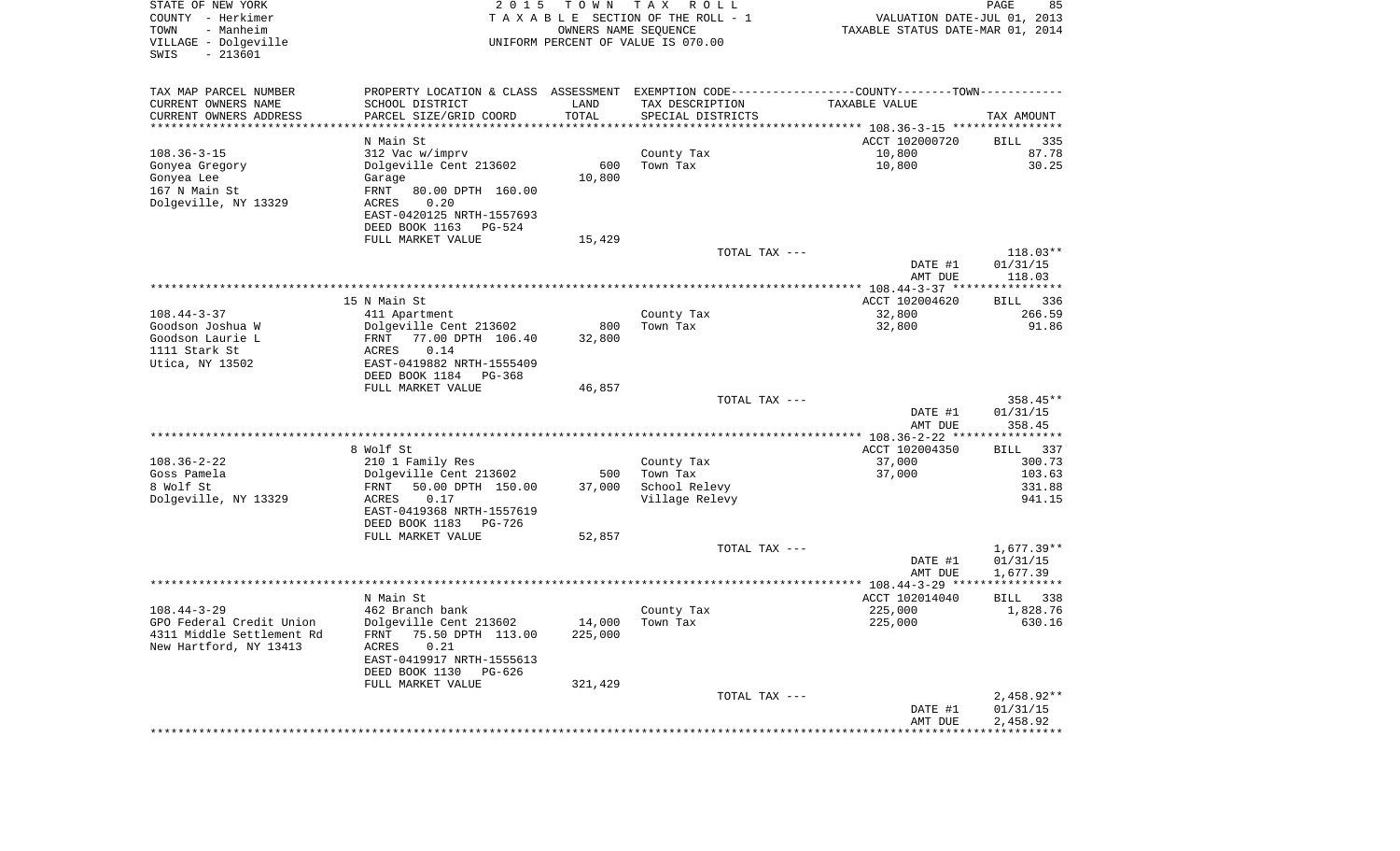| STATE OF NEW YORK<br>COUNTY - Herkimer<br>- Manheim<br>TOWN<br>VILLAGE - Dolgeville<br>$-213601$<br>SWIS | 2 0 1 5                                                                                        | T O W N<br>OWNERS NAME SEQUENCE | T A X<br>R O L L<br>TAXABLE SECTION OF THE ROLL - 1<br>UNIFORM PERCENT OF VALUE IS 070.00 | VALUATION DATE-JUL 01, 2013<br>TAXABLE STATUS DATE-MAR 01, 2014 | PAGE<br>85             |
|----------------------------------------------------------------------------------------------------------|------------------------------------------------------------------------------------------------|---------------------------------|-------------------------------------------------------------------------------------------|-----------------------------------------------------------------|------------------------|
| TAX MAP PARCEL NUMBER                                                                                    | PROPERTY LOCATION & CLASS ASSESSMENT EXEMPTION CODE----------------COUNTY-------TOWN---------- |                                 |                                                                                           |                                                                 |                        |
| CURRENT OWNERS NAME                                                                                      | SCHOOL DISTRICT                                                                                | LAND                            | TAX DESCRIPTION                                                                           | <b>TAXABLE VALUE</b>                                            |                        |
| CURRENT OWNERS ADDRESS                                                                                   | PARCEL SIZE/GRID COORD                                                                         | TOTAL                           | SPECIAL DISTRICTS                                                                         |                                                                 | TAX AMOUNT             |
| **********************                                                                                   | N Main St                                                                                      |                                 |                                                                                           |                                                                 |                        |
| $108.36 - 3 - 15$                                                                                        | 312 Vac w/imprv                                                                                |                                 | County Tax                                                                                | ACCT 102000720<br>10,800                                        | 335<br>BILL<br>87.78   |
| Gonyea Gregory                                                                                           | Dolgeville Cent 213602                                                                         | 600                             | Town Tax                                                                                  | 10,800                                                          | 30.25                  |
| Gonyea Lee                                                                                               | Garage                                                                                         | 10,800                          |                                                                                           |                                                                 |                        |
| 167 N Main St                                                                                            | FRNT<br>80.00 DPTH 160.00                                                                      |                                 |                                                                                           |                                                                 |                        |
| Dolgeville, NY 13329                                                                                     | ACRES<br>0.20                                                                                  |                                 |                                                                                           |                                                                 |                        |
|                                                                                                          | EAST-0420125 NRTH-1557693                                                                      |                                 |                                                                                           |                                                                 |                        |
|                                                                                                          | DEED BOOK 1163<br>PG-524                                                                       |                                 |                                                                                           |                                                                 |                        |
|                                                                                                          | FULL MARKET VALUE                                                                              | 15,429                          | TOTAL TAX ---                                                                             |                                                                 | 118.03**               |
|                                                                                                          |                                                                                                |                                 |                                                                                           | DATE #1                                                         | 01/31/15               |
|                                                                                                          |                                                                                                |                                 |                                                                                           | AMT DUE                                                         | 118.03                 |
|                                                                                                          |                                                                                                |                                 |                                                                                           |                                                                 |                        |
|                                                                                                          | 15 N Main St                                                                                   |                                 |                                                                                           | ACCT 102004620                                                  | 336<br>BILL            |
| $108.44 - 3 - 37$<br>Goodson Joshua W                                                                    | 411 Apartment<br>Dolgeville Cent 213602                                                        | 800                             | County Tax<br>Town Tax                                                                    | 32,800<br>32,800                                                | 266.59<br>91.86        |
| Goodson Laurie L                                                                                         | 77.00 DPTH 106.40<br>FRNT                                                                      | 32,800                          |                                                                                           |                                                                 |                        |
| 1111 Stark St                                                                                            | 0.14<br>ACRES                                                                                  |                                 |                                                                                           |                                                                 |                        |
| Utica, NY 13502                                                                                          | EAST-0419882 NRTH-1555409                                                                      |                                 |                                                                                           |                                                                 |                        |
|                                                                                                          | DEED BOOK 1184<br>PG-368                                                                       |                                 |                                                                                           |                                                                 |                        |
|                                                                                                          | FULL MARKET VALUE                                                                              | 46,857                          | TOTAL TAX ---                                                                             |                                                                 | 358.45**               |
|                                                                                                          |                                                                                                |                                 |                                                                                           | DATE #1                                                         | 01/31/15               |
|                                                                                                          |                                                                                                |                                 |                                                                                           | AMT DUE                                                         | 358.45                 |
|                                                                                                          |                                                                                                |                                 |                                                                                           | ************* 108.36-2-22 *****************                     |                        |
|                                                                                                          | 8 Wolf St                                                                                      |                                 |                                                                                           | ACCT 102004350                                                  | 337<br><b>BILL</b>     |
| $108.36 - 2 - 22$<br>Goss Pamela                                                                         | 210 1 Family Res                                                                               |                                 | County Tax                                                                                | 37,000                                                          | 300.73<br>103.63       |
| 8 Wolf St                                                                                                | Dolgeville Cent 213602<br>FRNT<br>50.00 DPTH 150.00                                            | 500<br>37,000                   | Town Tax<br>School Relevy                                                                 | 37,000                                                          | 331.88                 |
| Dolgeville, NY 13329                                                                                     | ACRES<br>0.17                                                                                  |                                 | Village Relevy                                                                            |                                                                 | 941.15                 |
|                                                                                                          | EAST-0419368 NRTH-1557619                                                                      |                                 |                                                                                           |                                                                 |                        |
|                                                                                                          | DEED BOOK 1183<br>PG-726                                                                       |                                 |                                                                                           |                                                                 |                        |
|                                                                                                          | FULL MARKET VALUE                                                                              | 52,857                          |                                                                                           |                                                                 |                        |
|                                                                                                          |                                                                                                |                                 | TOTAL TAX ---                                                                             |                                                                 | 1,677.39**<br>01/31/15 |
|                                                                                                          |                                                                                                |                                 |                                                                                           | DATE #1<br>AMT DUE                                              | 1,677.39               |
|                                                                                                          |                                                                                                |                                 |                                                                                           |                                                                 |                        |
|                                                                                                          | N Main St                                                                                      |                                 |                                                                                           | ACCT 102014040                                                  | 338<br>BILL            |
| $108.44 - 3 - 29$                                                                                        | 462 Branch bank                                                                                |                                 | County Tax                                                                                | 225,000                                                         | 1,828.76               |
| GPO Federal Credit Union                                                                                 | Dolgeville Cent 213602                                                                         | 14,000                          | Town Tax                                                                                  | 225,000                                                         | 630.16                 |
| 4311 Middle Settlement Rd<br>New Hartford, NY 13413                                                      | FRNT 75.50 DPTH 113.00<br>0.21<br>ACRES                                                        | 225,000                         |                                                                                           |                                                                 |                        |
|                                                                                                          | EAST-0419917 NRTH-1555613                                                                      |                                 |                                                                                           |                                                                 |                        |
|                                                                                                          | DEED BOOK 1130 PG-626                                                                          |                                 |                                                                                           |                                                                 |                        |
|                                                                                                          | FULL MARKET VALUE                                                                              | 321,429                         |                                                                                           |                                                                 |                        |
|                                                                                                          |                                                                                                |                                 | TOTAL TAX ---                                                                             |                                                                 | $2,458.92**$           |
|                                                                                                          |                                                                                                |                                 |                                                                                           | DATE #1                                                         | 01/31/15               |
|                                                                                                          |                                                                                                |                                 |                                                                                           | AMT DUE                                                         | 2,458.92               |
|                                                                                                          |                                                                                                |                                 |                                                                                           |                                                                 |                        |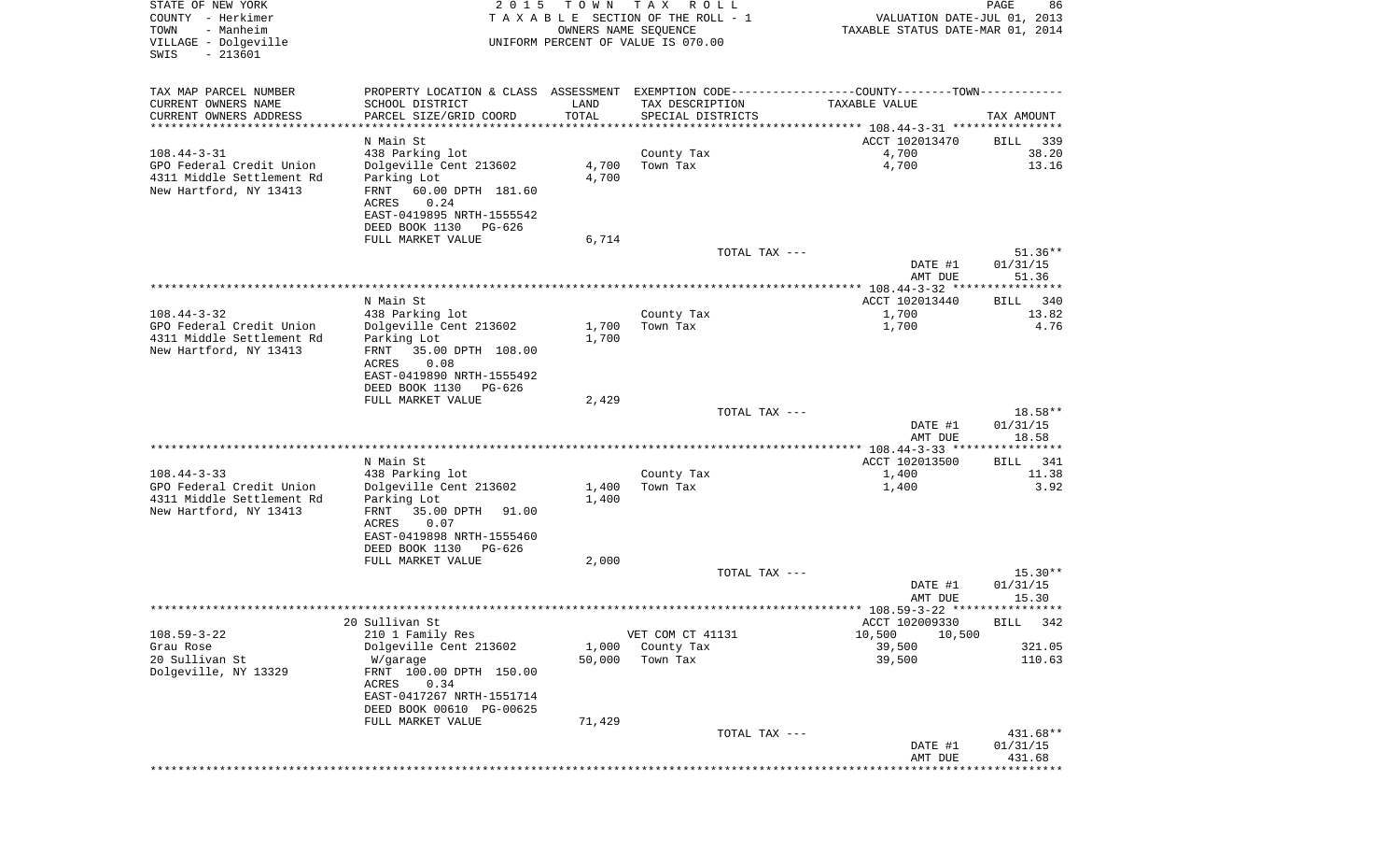| STATE OF NEW YORK<br>COUNTY - Herkimer<br>- Manheim<br>TOWN<br>VILLAGE - Dolgeville<br>$-213601$<br>SWIS | 2 0 1 5                                               | T O W N<br>OWNERS NAME SEQUENCE | T A X<br>R O L L<br>TAXABLE SECTION OF THE ROLL - 1<br>UNIFORM PERCENT OF VALUE IS 070.00 | VALUATION DATE-JUL 01, 2013<br>TAXABLE STATUS DATE-MAR 01, 2014                               | PAGE<br>86            |
|----------------------------------------------------------------------------------------------------------|-------------------------------------------------------|---------------------------------|-------------------------------------------------------------------------------------------|-----------------------------------------------------------------------------------------------|-----------------------|
| TAX MAP PARCEL NUMBER                                                                                    |                                                       |                                 |                                                                                           | PROPERTY LOCATION & CLASS ASSESSMENT EXEMPTION CODE---------------COUNTY-------TOWN---------- |                       |
| CURRENT OWNERS NAME                                                                                      | SCHOOL DISTRICT                                       | LAND                            | TAX DESCRIPTION                                                                           | TAXABLE VALUE                                                                                 |                       |
| CURRENT OWNERS ADDRESS                                                                                   | PARCEL SIZE/GRID COORD                                | TOTAL                           | SPECIAL DISTRICTS                                                                         |                                                                                               | TAX AMOUNT            |
| ***********************                                                                                  |                                                       |                                 |                                                                                           |                                                                                               |                       |
| $108.44 - 3 - 31$                                                                                        | N Main St                                             |                                 |                                                                                           | ACCT 102013470<br>4,700                                                                       | 339<br>BILL<br>38.20  |
| GPO Federal Credit Union                                                                                 | 438 Parking lot<br>Dolgeville Cent 213602             | 4,700                           | County Tax<br>Town Tax                                                                    | 4,700                                                                                         | 13.16                 |
| 4311 Middle Settlement Rd                                                                                | Parking Lot                                           | 4,700                           |                                                                                           |                                                                                               |                       |
| New Hartford, NY 13413                                                                                   | FRNT<br>60.00 DPTH 181.60                             |                                 |                                                                                           |                                                                                               |                       |
|                                                                                                          | 0.24<br>ACRES                                         |                                 |                                                                                           |                                                                                               |                       |
|                                                                                                          | EAST-0419895 NRTH-1555542<br>DEED BOOK 1130<br>PG-626 |                                 |                                                                                           |                                                                                               |                       |
|                                                                                                          | FULL MARKET VALUE                                     | 6,714                           |                                                                                           |                                                                                               |                       |
|                                                                                                          |                                                       |                                 | TOTAL TAX ---                                                                             |                                                                                               | $51.36**$             |
|                                                                                                          |                                                       |                                 |                                                                                           | DATE #1                                                                                       | 01/31/15              |
|                                                                                                          |                                                       |                                 |                                                                                           | AMT DUE                                                                                       | 51.36                 |
|                                                                                                          | N Main St                                             |                                 |                                                                                           | ACCT 102013440                                                                                | 340<br>BILL           |
| $108.44 - 3 - 32$                                                                                        | 438 Parking lot                                       |                                 | County Tax                                                                                | 1,700                                                                                         | 13.82                 |
| GPO Federal Credit Union<br>4311 Middle Settlement Rd                                                    | Dolgeville Cent 213602<br>Parking Lot                 | 1,700<br>1,700                  | Town Tax                                                                                  | 1,700                                                                                         | 4.76                  |
| New Hartford, NY 13413                                                                                   | FRNT<br>35.00 DPTH 108.00                             |                                 |                                                                                           |                                                                                               |                       |
|                                                                                                          | ACRES<br>0.08                                         |                                 |                                                                                           |                                                                                               |                       |
|                                                                                                          | EAST-0419890 NRTH-1555492                             |                                 |                                                                                           |                                                                                               |                       |
|                                                                                                          | DEED BOOK 1130<br>PG-626<br>FULL MARKET VALUE         | 2,429                           |                                                                                           |                                                                                               |                       |
|                                                                                                          |                                                       |                                 | TOTAL TAX ---                                                                             |                                                                                               | 18.58**               |
|                                                                                                          |                                                       |                                 |                                                                                           | DATE #1                                                                                       | 01/31/15              |
|                                                                                                          |                                                       |                                 |                                                                                           | AMT DUE                                                                                       | 18.58                 |
|                                                                                                          | N Main St                                             |                                 |                                                                                           | ACCT 102013500                                                                                | 341<br>BILL           |
| $108.44 - 3 - 33$                                                                                        | 438 Parking lot                                       |                                 | County Tax                                                                                | 1,400                                                                                         | 11.38                 |
| GPO Federal Credit Union                                                                                 | Dolgeville Cent 213602                                | 1,400                           | Town Tax                                                                                  | 1,400                                                                                         | 3.92                  |
| 4311 Middle Settlement Rd                                                                                | Parking Lot                                           | 1,400                           |                                                                                           |                                                                                               |                       |
| New Hartford, NY 13413                                                                                   | FRNT<br>35.00 DPTH<br>91.00<br>ACRES<br>0.07          |                                 |                                                                                           |                                                                                               |                       |
|                                                                                                          | EAST-0419898 NRTH-1555460                             |                                 |                                                                                           |                                                                                               |                       |
|                                                                                                          | DEED BOOK 1130<br>PG-626                              |                                 |                                                                                           |                                                                                               |                       |
|                                                                                                          | FULL MARKET VALUE                                     | 2,000                           |                                                                                           |                                                                                               |                       |
|                                                                                                          |                                                       |                                 | TOTAL TAX ---                                                                             | DATE #1                                                                                       | $15.30**$<br>01/31/15 |
|                                                                                                          |                                                       |                                 |                                                                                           | AMT DUE                                                                                       | 15.30                 |
|                                                                                                          |                                                       |                                 |                                                                                           |                                                                                               |                       |
| $108.59 - 3 - 22$                                                                                        | 20 Sullivan St                                        |                                 |                                                                                           | ACCT 102009330<br>10,500                                                                      | BILL 342              |
| Grau Rose                                                                                                | 210 1 Family Res<br>Dolgeville Cent 213602            | 1,000                           | VET COM CT 41131<br>County Tax                                                            | 10,500<br>39,500                                                                              | 321.05                |
| 20 Sullivan St                                                                                           | W/garage                                              | 50,000                          | Town Tax                                                                                  | 39,500                                                                                        | 110.63                |
| Dolgeville, NY 13329                                                                                     | FRNT 100.00 DPTH 150.00                               |                                 |                                                                                           |                                                                                               |                       |
|                                                                                                          | ACRES<br>0.34                                         |                                 |                                                                                           |                                                                                               |                       |
|                                                                                                          | EAST-0417267 NRTH-1551714<br>DEED BOOK 00610 PG-00625 |                                 |                                                                                           |                                                                                               |                       |
|                                                                                                          | FULL MARKET VALUE                                     | 71,429                          |                                                                                           |                                                                                               |                       |
|                                                                                                          |                                                       |                                 | TOTAL TAX ---                                                                             |                                                                                               | 431.68**              |
|                                                                                                          |                                                       |                                 |                                                                                           | DATE #1<br>AMT DUE                                                                            | 01/31/15<br>431.68    |
|                                                                                                          |                                                       |                                 |                                                                                           | ***********************                                                                       | ***********           |
|                                                                                                          |                                                       |                                 |                                                                                           |                                                                                               |                       |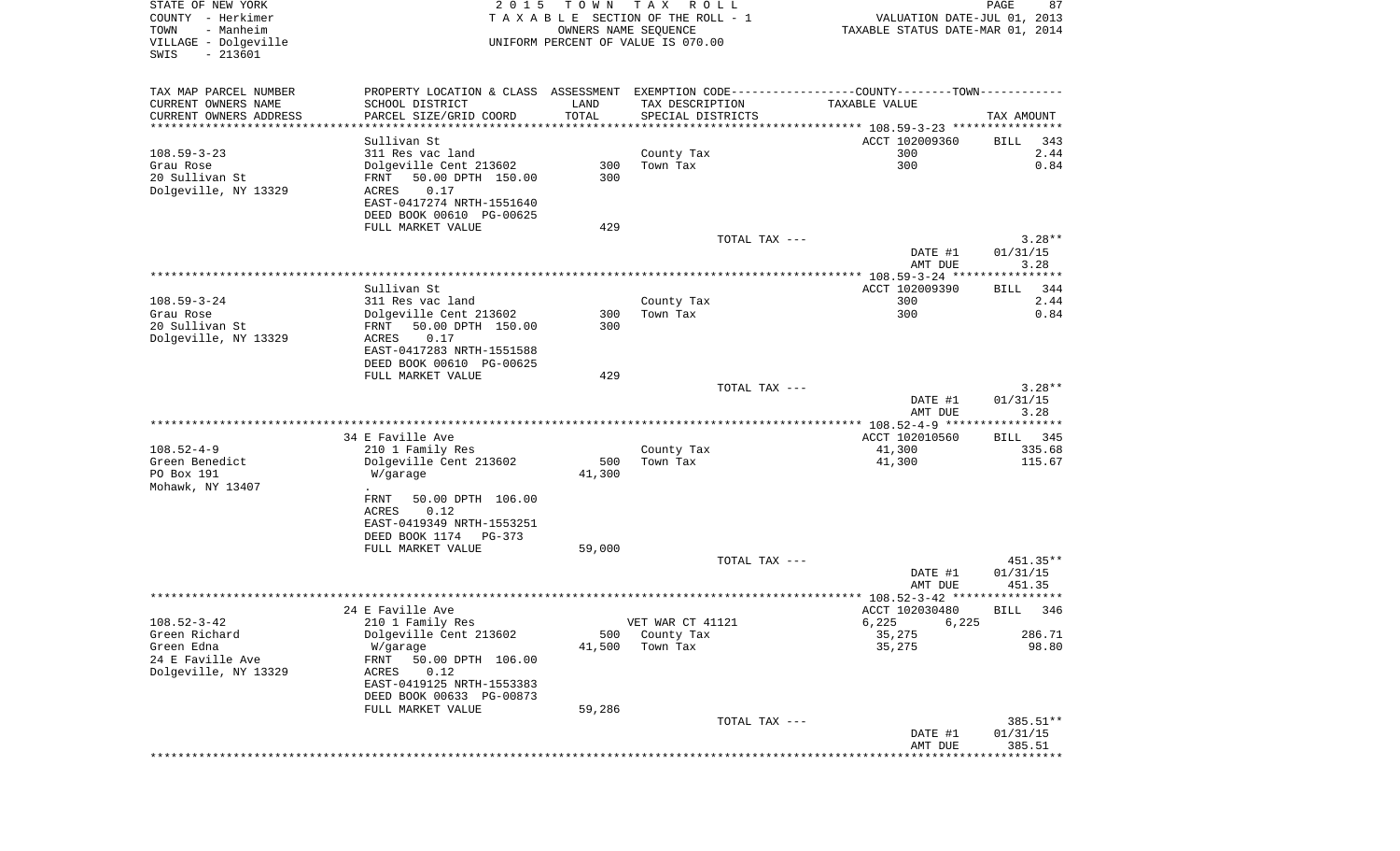| STATE OF NEW YORK<br>COUNTY - Herkimer | 2 0 1 5                              | T O W N      | T A X<br>R O L L<br>TAXABLE SECTION OF THE ROLL - 1 | VALUATION DATE-JUL 01, 2013                                        | PAGE<br>87          |
|----------------------------------------|--------------------------------------|--------------|-----------------------------------------------------|--------------------------------------------------------------------|---------------------|
| TOWN<br>- Manheim                      |                                      |              | OWNERS NAME SEQUENCE                                | TAXABLE STATUS DATE-MAR 01, 2014                                   |                     |
| VILLAGE - Dolgeville                   |                                      |              | UNIFORM PERCENT OF VALUE IS 070.00                  |                                                                    |                     |
| $-213601$<br>SWIS                      |                                      |              |                                                     |                                                                    |                     |
| TAX MAP PARCEL NUMBER                  | PROPERTY LOCATION & CLASS ASSESSMENT |              |                                                     | EXEMPTION CODE-----------------COUNTY-------TOWN-----------        |                     |
| CURRENT OWNERS NAME                    | SCHOOL DISTRICT                      | LAND         | TAX DESCRIPTION                                     | TAXABLE VALUE                                                      |                     |
| CURRENT OWNERS ADDRESS                 | PARCEL SIZE/GRID COORD               | TOTAL        | SPECIAL DISTRICTS                                   |                                                                    | TAX AMOUNT          |
| *********************                  | ********************                 | ************ |                                                     | ************************************* 108.59-3-23 **************** |                     |
|                                        | Sullivan St                          |              |                                                     | ACCT 102009360                                                     | BILL<br>343         |
| $108.59 - 3 - 23$                      | 311 Res vac land                     |              | County Tax                                          | 300                                                                | 2.44                |
| Grau Rose                              | Dolgeville Cent 213602               | 300          | Town Tax                                            | 300                                                                | 0.84                |
| 20 Sullivan St                         | 50.00 DPTH 150.00<br>FRNT            | 300          |                                                     |                                                                    |                     |
| Dolgeville, NY 13329                   | 0.17<br>ACRES                        |              |                                                     |                                                                    |                     |
|                                        | EAST-0417274 NRTH-1551640            |              |                                                     |                                                                    |                     |
|                                        | DEED BOOK 00610 PG-00625             |              |                                                     |                                                                    |                     |
|                                        | FULL MARKET VALUE                    | 429          |                                                     |                                                                    |                     |
|                                        |                                      |              | TOTAL TAX ---                                       |                                                                    | $3.28**$            |
|                                        |                                      |              |                                                     | DATE #1                                                            | 01/31/15            |
|                                        |                                      |              |                                                     | AMT DUE                                                            | 3.28<br>*********** |
|                                        | Sullivan St                          |              |                                                     | ACCT 102009390                                                     | <b>BILL</b><br>344  |
| $108.59 - 3 - 24$                      | 311 Res vac land                     |              | County Tax                                          | 300                                                                | 2.44                |
| Grau Rose                              | Dolgeville Cent 213602               | 300          | Town Tax                                            | 300                                                                | 0.84                |
| 20 Sullivan St                         | 50.00 DPTH 150.00<br>FRNT            | 300          |                                                     |                                                                    |                     |
| Dolgeville, NY 13329                   | 0.17<br>ACRES                        |              |                                                     |                                                                    |                     |
|                                        | EAST-0417283 NRTH-1551588            |              |                                                     |                                                                    |                     |
|                                        | DEED BOOK 00610 PG-00625             |              |                                                     |                                                                    |                     |
|                                        | FULL MARKET VALUE                    | 429          |                                                     |                                                                    |                     |
|                                        |                                      |              | TOTAL TAX ---                                       |                                                                    | $3.28**$            |
|                                        |                                      |              |                                                     | DATE #1                                                            | 01/31/15            |
|                                        |                                      |              |                                                     | AMT DUE                                                            | 3.28<br>*********** |
|                                        | 34 E Faville Ave                     |              |                                                     | ************ 108.52-4-9 *****<br>ACCT 102010560                    | BILL 345            |
| $108.52 - 4 - 9$                       | 210 1 Family Res                     |              | County Tax                                          | 41,300                                                             | 335.68              |
| Green Benedict                         | Dolgeville Cent 213602               | 500          | Town Tax                                            | 41,300                                                             | 115.67              |
| PO Box 191                             | W/garage                             | 41,300       |                                                     |                                                                    |                     |
| Mohawk, NY 13407                       |                                      |              |                                                     |                                                                    |                     |
|                                        | 50.00 DPTH 106.00<br>FRNT            |              |                                                     |                                                                    |                     |
|                                        | ACRES<br>0.12                        |              |                                                     |                                                                    |                     |
|                                        | EAST-0419349 NRTH-1553251            |              |                                                     |                                                                    |                     |
|                                        | DEED BOOK 1174<br>PG-373             |              |                                                     |                                                                    |                     |
|                                        | FULL MARKET VALUE                    | 59,000       |                                                     |                                                                    |                     |
|                                        |                                      |              | TOTAL TAX ---                                       |                                                                    | 451.35**            |
|                                        |                                      |              |                                                     | DATE #1                                                            | 01/31/15            |
|                                        |                                      |              |                                                     | AMT DUE                                                            | 451.35<br>******    |
|                                        | 24 E Faville Ave                     |              |                                                     | ACCT 102030480                                                     | BILL<br>346         |
| $108.52 - 3 - 42$                      | 210 1 Family Res                     |              | VET WAR CT 41121                                    | 6,225 6,225                                                        |                     |
| Green Richard                          | Dolgeville Cent 213602               | 500          | County Tax                                          | 35,275                                                             | 286.71              |
| Green Edna                             | W/garage                             | 41,500       | Town Tax                                            | 35,275                                                             | 98.80               |
| 24 E Faville Ave                       | FRNT<br>50.00 DPTH 106.00            |              |                                                     |                                                                    |                     |
| Dolgeville, NY 13329                   | 0.12<br>ACRES                        |              |                                                     |                                                                    |                     |
|                                        | EAST-0419125 NRTH-1553383            |              |                                                     |                                                                    |                     |
|                                        | DEED BOOK 00633 PG-00873             |              |                                                     |                                                                    |                     |
|                                        | FULL MARKET VALUE                    | 59,286       |                                                     |                                                                    |                     |
|                                        |                                      |              | TOTAL TAX ---                                       |                                                                    | 385.51**            |
|                                        |                                      |              |                                                     | DATE #1                                                            | 01/31/15            |
|                                        |                                      |              |                                                     | AMT DUE                                                            | 385.51              |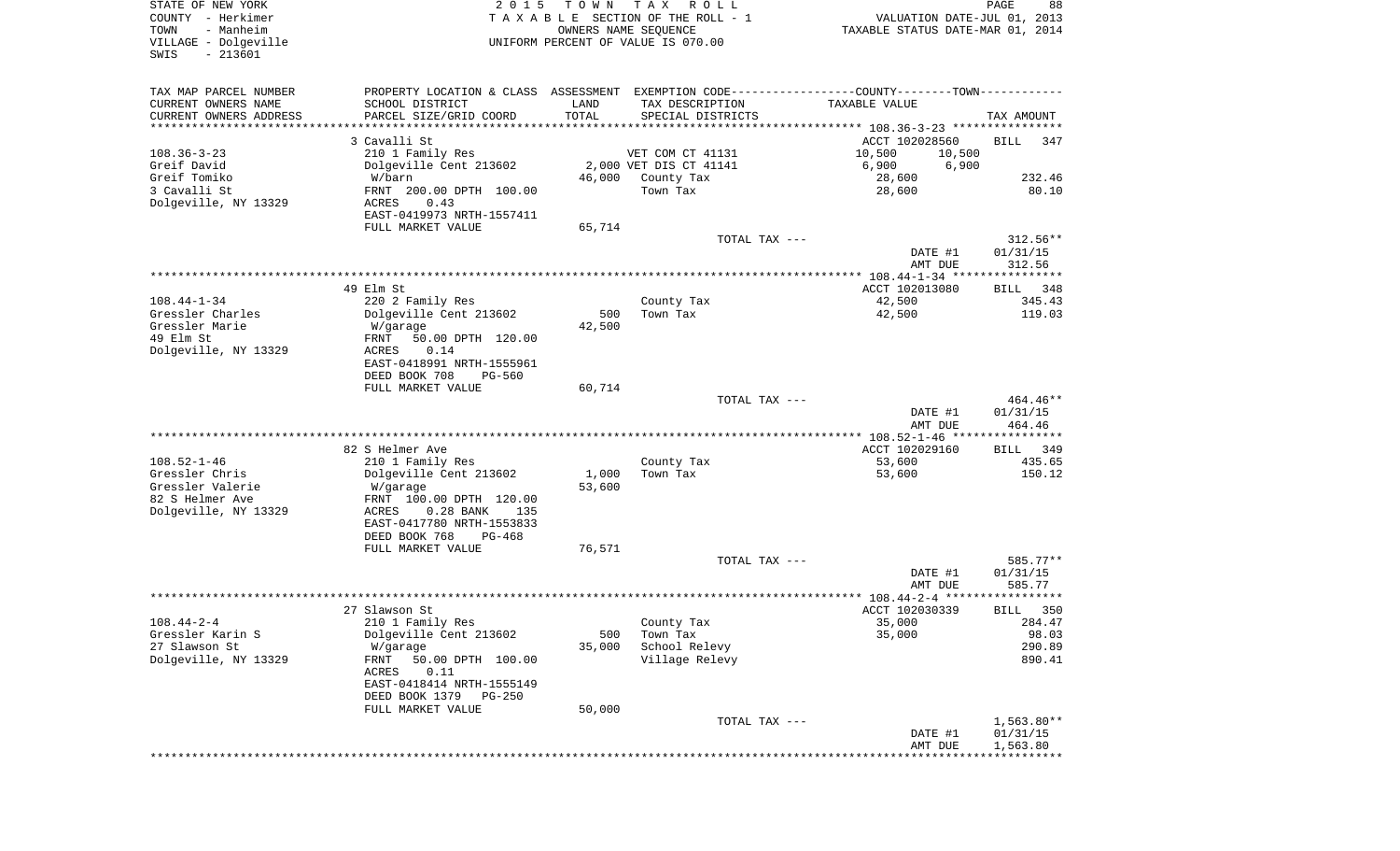STATE OF NEW YORK 2 0 1 5 T O W N T A X R O L L PAGE 88COUNTY - Herkimer **T A X A B L E** SECTION OF THE ROLL - 1 VALUATION DATE-JUL 01, 2013 TOWN - Manheim OWNERS NAME SEQUENCE TAXABLE STATUS DATE-MAR 01, 2014 VILLAGE - Dolgeville UNIFORM PERCENT OF VALUE IS 070.00 SWIS - 213601TAX MAP PARCEL NUMBER PROPERTY LOCATION & CLASS ASSESSMENT EXEMPTION CODE------------------COUNTY--------TOWN------------ CURRENT OWNERS NAME SCHOOL DISTRICT LAND TAX DESCRIPTION TAXABLE VALUECURRENT OWNERS ADDRESS PARCEL SIZE/GRID COORD TOTAL SPECIAL DISTRICTS TAX AMOUNT \*\*\*\*\*\*\*\*\*\*\*\*\*\*\*\*\*\*\*\*\*\*\*\*\*\*\*\*\*\*\*\*\*\*\*\*\*\*\*\*\*\*\*\*\*\*\*\*\*\*\*\*\*\*\*\*\*\*\*\*\*\*\*\*\*\*\*\*\*\*\*\*\*\*\*\*\*\*\*\*\*\*\*\*\*\*\*\*\*\*\*\*\*\*\*\*\*\*\*\*\*\*\* 108.36-3-23 \*\*\*\*\*\*\*\*\*\*\*\*\*\*\*\*3 Cavalli St  $\overline{347}$ 108.36-3-23 210 1 Family Res VET COM CT 41131 10,500 10,500 Greif David Dolgeville Cent 213602 2,000 VET DIS CT 41141 6,900 6,900 Greif Tomiko W/barn 46,000 County Tax 28,600 232.46 3 Cavalli St FRNT 200.00 DPTH 100.00 Town Tax 28,600 80.10 Dolgeville, NY 13329 ACRES 0.43 EAST-0419973 NRTH-1557411FULL MARKET VALUE 65,714 TOTAL TAX --- 312.56\*\* DATE #1 01/31/15 AMT DUE 312.56 \*\*\*\*\*\*\*\*\*\*\*\*\*\*\*\*\*\*\*\*\*\*\*\*\*\*\*\*\*\*\*\*\*\*\*\*\*\*\*\*\*\*\*\*\*\*\*\*\*\*\*\*\*\*\*\*\*\*\*\*\*\*\*\*\*\*\*\*\*\*\*\*\*\*\*\*\*\*\*\*\*\*\*\*\*\*\*\*\*\*\*\*\*\*\*\*\*\*\*\*\*\*\* 108.44-1-34 \*\*\*\*\*\*\*\*\*\*\*\*\*\*\*\*BILL 348 49 Elm St ACCT 102013080 BILL 348 ELM St ACCT 102013080 BILL 348 BILL 348 BILL 348 BILL 348 BILL 348 BILL 348 345.43 108.44-1-34 220 2 Family Res County Tax 42,500 Gressler Charles Dolgeville Cent 213602 500 Town Tax 42,500 119.03 Gressler Marie **W**/garage **12,500** 49 Elm St FRNT 50.00 DPTH 120.00Dolgeville, NY 13329 ACRES 0.14 EAST-0418991 NRTH-1555961 DEED BOOK 708 PG-560FULL MARKET VALUE 60,714 TOTAL TAX  $---$  464.46\*\* DATE #1 01/31/15 AMT DUE 464.46 \*\*\*\*\*\*\*\*\*\*\*\*\*\*\*\*\*\*\*\*\*\*\*\*\*\*\*\*\*\*\*\*\*\*\*\*\*\*\*\*\*\*\*\*\*\*\*\*\*\*\*\*\*\*\*\*\*\*\*\*\*\*\*\*\*\*\*\*\*\*\*\*\*\*\*\*\*\*\*\*\*\*\*\*\*\*\*\*\*\*\*\*\*\*\*\*\*\*\*\*\*\*\* 108.52-1-46 \*\*\*\*\*\*\*\*\*\*\*\*\*\*\*\*BILL 349 82 S Helmer Ave **ACCT 102029160** BILL 3499 BILL 3499 BILL 3499 BILL 3499 BILL 3499 BILL 3499 BILL 3499 BILL 3499 BILL 3499 BILL 3499 BILL 3499 BILL 3499 BILL 3499 BILL 3499 BILL 3499 BILL 3499 BILL 3499 BILL 3499 BILL 3499 108.52-1-46 210 1 Family Res County Tax 53,600 435.65 Gressler Chris Dolgeville Cent 213602 1,000 Town Tax 53,600 150.12 Gressler Valerie  $W$ /garage 53,600 82 S Helmer Ave FRNT 100.00 DPTH 120.00Dolgeville, NY 13329 ACRES 0.28 BANK 135 EAST-0417780 NRTH-1553833 DEED BOOK 768 PG-468FULL MARKET VALUE 76,571 TOTAL TAX --- 585.77\*\* DATE #1 01/31/15 AMT DUE 585.77 \*\*\*\*\*\*\*\*\*\*\*\*\*\*\*\*\*\*\*\*\*\*\*\*\*\*\*\*\*\*\*\*\*\*\*\*\*\*\*\*\*\*\*\*\*\*\*\*\*\*\*\*\*\*\*\*\*\*\*\*\*\*\*\*\*\*\*\*\*\*\*\*\*\*\*\*\*\*\*\*\*\*\*\*\*\*\*\*\*\*\*\*\*\*\*\*\*\*\*\*\*\*\* 108.44-2-4 \*\*\*\*\*\*\*\*\*\*\*\*\*\*\*\*\*BILL 350 27 Slawson St ACCT 102030339 BILL 3500 BILL 3500 BILL 3500 BILL 3500 BILL 3500 BILL 3500 BILL 3500 BILL 3500 BILL 3500 BILL 3500 BILL 3500 BILL 3500 BILL 3500 BILL 3500 BILL 3500 BILL 3500 BILL 3500 BILL 3500 BILL 3500 BIL 108.44-2-4 210 1 Family Res County Tax 35,000 284.47 Gressler Karin S Dolgeville Cent 213602 500 Town Tax 35,000 98.03 27 Slawson St W/garage 35,000 School Relevy 290.89 Dolgeville, NY 13329 FRNT 50.00 DPTH 100.00 Village Relevy 890.41 ACRES 0.11 EAST-0418414 NRTH-1555149 DEED BOOK 1379 PG-250 FULL MARKET VALUE 50,000 TOTAL TAX --- 1,563.80\*\* DATE #1 01/31/15 AMT DUE 1,563.80 \*\*\*\*\*\*\*\*\*\*\*\*\*\*\*\*\*\*\*\*\*\*\*\*\*\*\*\*\*\*\*\*\*\*\*\*\*\*\*\*\*\*\*\*\*\*\*\*\*\*\*\*\*\*\*\*\*\*\*\*\*\*\*\*\*\*\*\*\*\*\*\*\*\*\*\*\*\*\*\*\*\*\*\*\*\*\*\*\*\*\*\*\*\*\*\*\*\*\*\*\*\*\*\*\*\*\*\*\*\*\*\*\*\*\*\*\*\*\*\*\*\*\*\*\*\*\*\*\*\*\*\*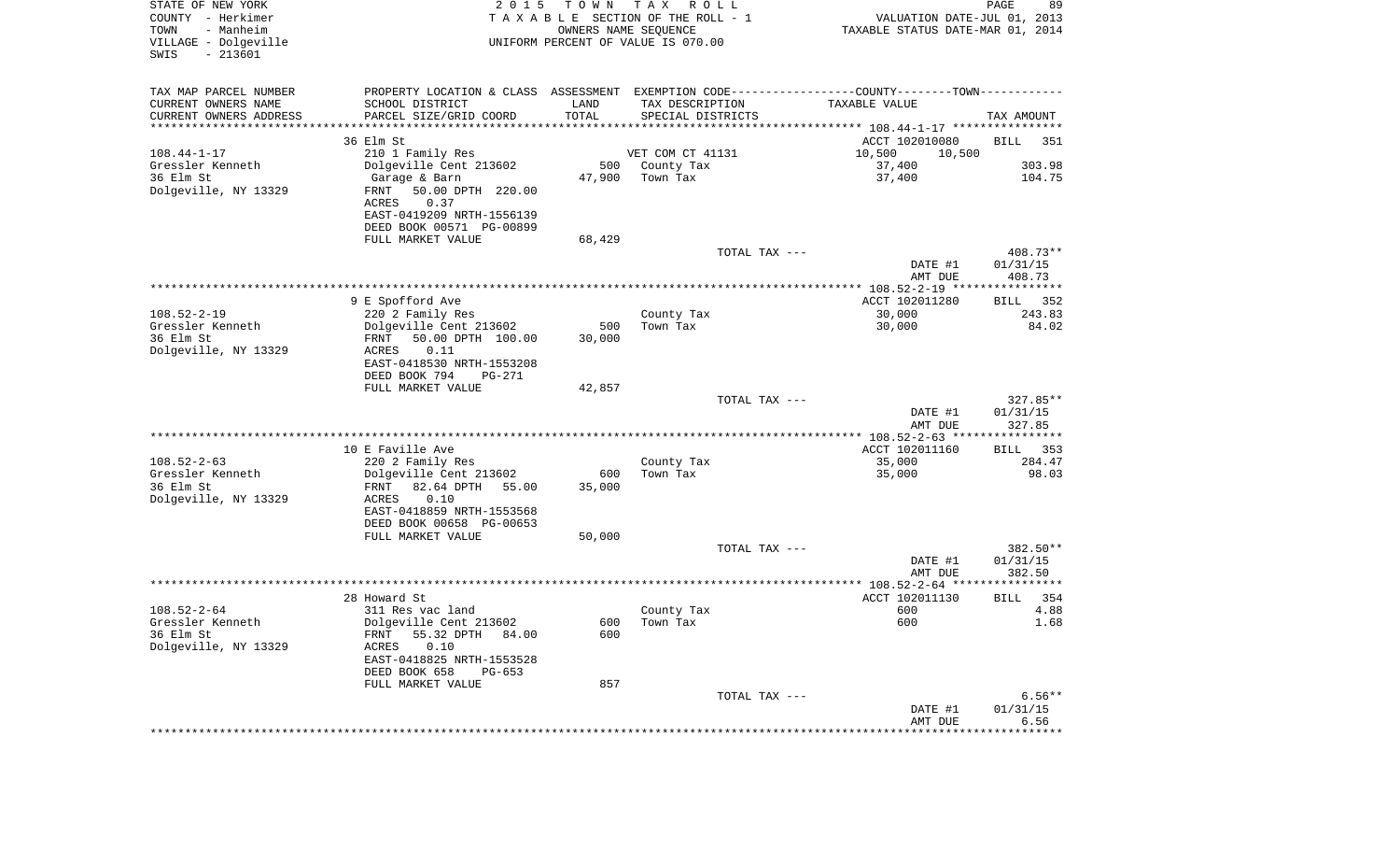| STATE OF NEW YORK<br>COUNTY - Herkimer<br>- Manheim<br>TOWN<br>VILLAGE - Dolgeville<br>$-213601$<br>SWIS | 2 0 1 5                                                                 | T O W N       | T A X<br>R O L L<br>TAXABLE SECTION OF THE ROLL - 1<br>OWNERS NAME SEQUENCE<br>UNIFORM PERCENT OF VALUE IS 070.00 | VALUATION DATE-JUL 01, 2013<br>TAXABLE STATUS DATE-MAR 01, 2014                                | PAGE<br>89         |
|----------------------------------------------------------------------------------------------------------|-------------------------------------------------------------------------|---------------|-------------------------------------------------------------------------------------------------------------------|------------------------------------------------------------------------------------------------|--------------------|
| TAX MAP PARCEL NUMBER                                                                                    |                                                                         |               |                                                                                                                   | PROPERTY LOCATION & CLASS ASSESSMENT EXEMPTION CODE----------------COUNTY-------TOWN---------- |                    |
| CURRENT OWNERS NAME                                                                                      | SCHOOL DISTRICT                                                         | LAND          | TAX DESCRIPTION                                                                                                   | TAXABLE VALUE                                                                                  |                    |
| CURRENT OWNERS ADDRESS                                                                                   | PARCEL SIZE/GRID COORD                                                  | TOTAL         | SPECIAL DISTRICTS                                                                                                 |                                                                                                | TAX AMOUNT         |
| *********************                                                                                    | ******************                                                      |               |                                                                                                                   |                                                                                                |                    |
|                                                                                                          | 36 Elm St                                                               |               |                                                                                                                   | ACCT 102010080                                                                                 | BILL<br>351        |
| $108.44 - 1 - 17$                                                                                        | 210 1 Family Res                                                        |               | VET COM CT 41131                                                                                                  | 10,500<br>10,500                                                                               |                    |
| Gressler Kenneth<br>36 Elm St                                                                            | Dolgeville Cent 213602<br>Garage & Barn                                 | 500<br>47,900 | County Tax<br>Town Tax                                                                                            | 37,400<br>37,400                                                                               | 303.98<br>104.75   |
| Dolgeville, NY 13329                                                                                     | 50.00 DPTH 220.00<br>FRNT<br>ACRES<br>0.37<br>EAST-0419209 NRTH-1556139 |               |                                                                                                                   |                                                                                                |                    |
|                                                                                                          | DEED BOOK 00571 PG-00899                                                |               |                                                                                                                   |                                                                                                |                    |
|                                                                                                          | FULL MARKET VALUE                                                       | 68,429        | TOTAL TAX ---                                                                                                     |                                                                                                | 408.73**           |
|                                                                                                          |                                                                         |               |                                                                                                                   | DATE #1<br>AMT DUE                                                                             | 01/31/15<br>408.73 |
|                                                                                                          |                                                                         |               |                                                                                                                   |                                                                                                |                    |
|                                                                                                          | 9 E Spofford Ave                                                        |               |                                                                                                                   | ACCT 102011280                                                                                 | BILL 352           |
| $108.52 - 2 - 19$                                                                                        | 220 2 Family Res                                                        |               | County Tax                                                                                                        | 30,000                                                                                         | 243.83             |
| Gressler Kenneth                                                                                         | Dolgeville Cent 213602                                                  | 500           | Town Tax                                                                                                          | 30,000                                                                                         | 84.02              |
| 36 Elm St                                                                                                | 50.00 DPTH 100.00<br>FRNT                                               | 30,000        |                                                                                                                   |                                                                                                |                    |
| Dolgeville, NY 13329                                                                                     | 0.11<br>ACRES<br>EAST-0418530 NRTH-1553208                              |               |                                                                                                                   |                                                                                                |                    |
|                                                                                                          | DEED BOOK 794<br>PG-271                                                 |               |                                                                                                                   |                                                                                                |                    |
|                                                                                                          | FULL MARKET VALUE                                                       | 42,857        |                                                                                                                   |                                                                                                |                    |
|                                                                                                          |                                                                         |               | TOTAL TAX ---                                                                                                     |                                                                                                | $327.85**$         |
|                                                                                                          |                                                                         |               |                                                                                                                   | DATE #1                                                                                        | 01/31/15           |
|                                                                                                          |                                                                         |               |                                                                                                                   | AMT DUE                                                                                        | 327.85             |
|                                                                                                          | 10 E Faville Ave                                                        |               |                                                                                                                   | ************* 108.52-2-63 *****************<br>ACCT 102011160                                  | 353<br>BILL        |
| $108.52 - 2 - 63$                                                                                        | 220 2 Family Res                                                        |               | County Tax                                                                                                        | 35,000                                                                                         | 284.47             |
| Gressler Kenneth                                                                                         | Dolgeville Cent 213602                                                  | 600           | Town Tax                                                                                                          | 35,000                                                                                         | 98.03              |
| 36 Elm St                                                                                                | FRNT<br>82.64 DPTH<br>55.00                                             | 35,000        |                                                                                                                   |                                                                                                |                    |
| Dolgeville, NY 13329                                                                                     | ACRES<br>0.10                                                           |               |                                                                                                                   |                                                                                                |                    |
|                                                                                                          | EAST-0418859 NRTH-1553568                                               |               |                                                                                                                   |                                                                                                |                    |
|                                                                                                          | DEED BOOK 00658 PG-00653                                                |               |                                                                                                                   |                                                                                                |                    |
|                                                                                                          | FULL MARKET VALUE                                                       | 50,000        |                                                                                                                   |                                                                                                |                    |
|                                                                                                          |                                                                         |               | TOTAL TAX ---                                                                                                     |                                                                                                | 382.50**           |
|                                                                                                          |                                                                         |               |                                                                                                                   | DATE #1<br>AMT DUE                                                                             | 01/31/15<br>382.50 |
|                                                                                                          |                                                                         |               |                                                                                                                   |                                                                                                | ************       |
|                                                                                                          | 28 Howard St                                                            |               |                                                                                                                   | ACCT 102011130                                                                                 | 354<br>BILL        |
| $108.52 - 2 - 64$                                                                                        | 311 Res vac land                                                        |               | County Tax                                                                                                        | 600                                                                                            | 4.88               |
| Gressler Kenneth                                                                                         | Dolgeville Cent 213602                                                  |               | 600 Town Tax                                                                                                      | 600                                                                                            | 1.68               |
| 36 Elm St                                                                                                | 55.32 DPTH 84.00<br>FRNT                                                | 600           |                                                                                                                   |                                                                                                |                    |
| Dolgeville, NY 13329                                                                                     | 0.10<br>ACRES                                                           |               |                                                                                                                   |                                                                                                |                    |
|                                                                                                          | EAST-0418825 NRTH-1553528                                               |               |                                                                                                                   |                                                                                                |                    |
|                                                                                                          | DEED BOOK 658<br>$PG-653$<br>FULL MARKET VALUE                          | 857           |                                                                                                                   |                                                                                                |                    |
|                                                                                                          |                                                                         |               | TOTAL TAX ---                                                                                                     |                                                                                                | $6.56**$           |
|                                                                                                          |                                                                         |               |                                                                                                                   | DATE #1                                                                                        | 01/31/15           |
|                                                                                                          |                                                                         |               |                                                                                                                   | AMT DUE                                                                                        | 6.56               |
|                                                                                                          |                                                                         |               |                                                                                                                   | *********************                                                                          | **************     |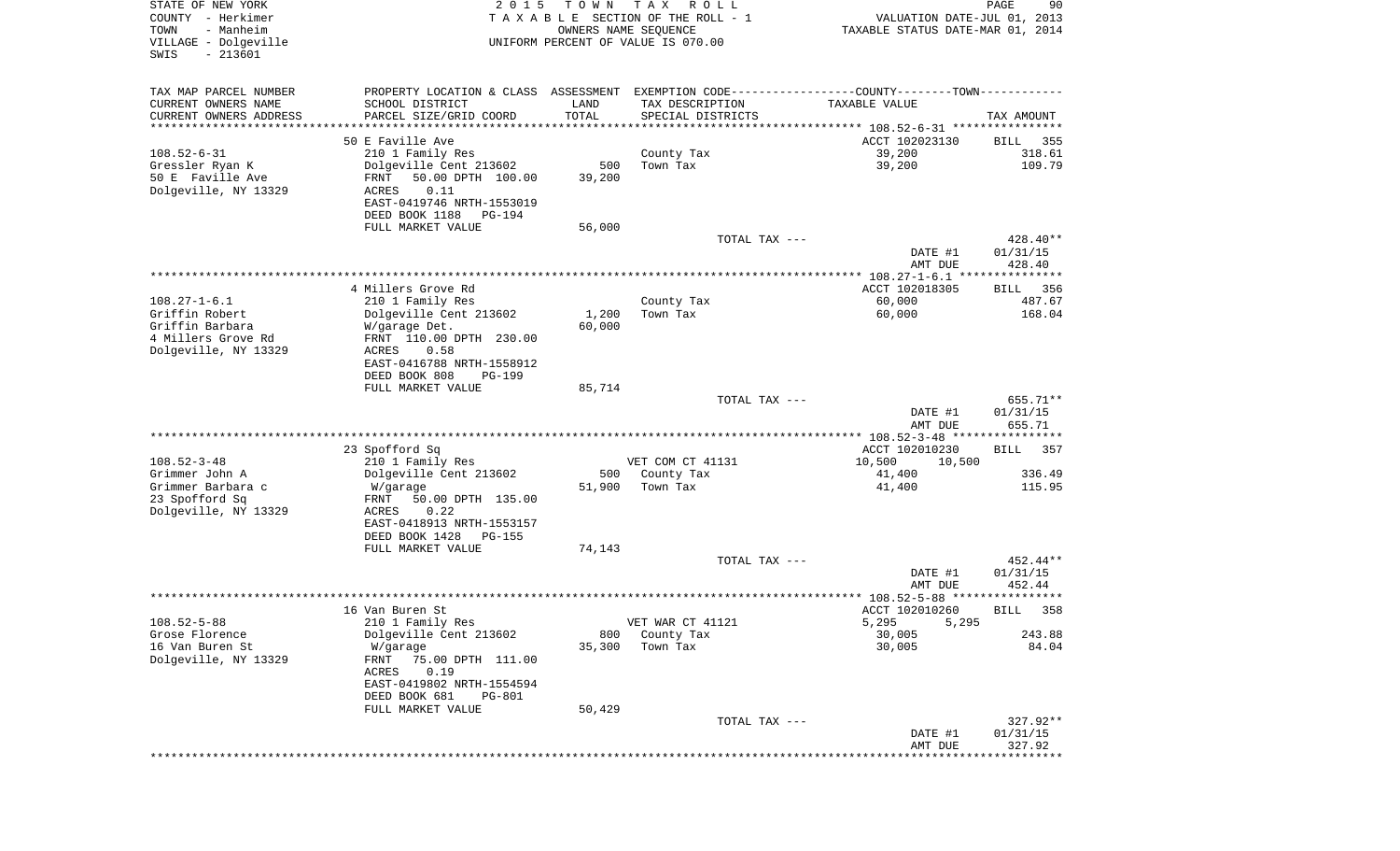| STATE OF NEW YORK<br>COUNTY - Herkimer<br>- Manheim<br>TOWN<br>VILLAGE - Dolgeville<br>SWIS<br>$-213601$ | 2 0 1 5                                                                                                                                                                                                           | T O W N<br>OWNERS NAME SEQUENCE        | T A X<br>R O L L<br>TAXABLE SECTION OF THE ROLL - 1<br>UNIFORM PERCENT OF VALUE IS 070.00 | VALUATION DATE-JUL 01, 2013<br>TAXABLE STATUS DATE-MAR 01, 2014                                      | PAGE<br>90                      |
|----------------------------------------------------------------------------------------------------------|-------------------------------------------------------------------------------------------------------------------------------------------------------------------------------------------------------------------|----------------------------------------|-------------------------------------------------------------------------------------------|------------------------------------------------------------------------------------------------------|---------------------------------|
| TAX MAP PARCEL NUMBER<br>CURRENT OWNERS NAME<br>CURRENT OWNERS ADDRESS<br>********************           | PROPERTY LOCATION & CLASS ASSESSMENT EXEMPTION CODE---------------COUNTY-------TOWN----------<br>SCHOOL DISTRICT<br>PARCEL SIZE/GRID COORD<br>*********************                                               | LAND<br>TOTAL<br>* * * * * * * * * * * | TAX DESCRIPTION<br>SPECIAL DISTRICTS                                                      | TAXABLE VALUE                                                                                        | TAX AMOUNT                      |
| $108.52 - 6 - 31$<br>Gressler Ryan K<br>50 E Faville Ave<br>Dolgeville, NY 13329                         | 50 E Faville Ave<br>210 1 Family Res<br>Dolgeville Cent 213602<br>FRNT<br>50.00 DPTH 100.00<br>ACRES<br>0.11<br>EAST-0419746 NRTH-1553019<br>DEED BOOK 1188<br>PG-194<br>FULL MARKET VALUE                        | 500<br>39,200<br>56,000                | County Tax<br>Town Tax                                                                    | ACCT 102023130<br>39,200<br>39,200                                                                   | 355<br>BILL<br>318.61<br>109.79 |
|                                                                                                          |                                                                                                                                                                                                                   |                                        | TOTAL TAX ---                                                                             | DATE #1<br>AMT DUE                                                                                   | 428.40**<br>01/31/15<br>428.40  |
| $108.27 - 1 - 6.1$<br>Griffin Robert<br>Griffin Barbara<br>4 Millers Grove Rd<br>Dolgeville, NY 13329    | 4 Millers Grove Rd<br>210 1 Family Res<br>Dolgeville Cent 213602<br>W/garage Det.<br>FRNT 110.00 DPTH 230.00<br>ACRES<br>0.58<br>EAST-0416788 NRTH-1558912<br>DEED BOOK 808<br><b>PG-199</b><br>FULL MARKET VALUE | 1,200<br>60,000<br>85,714              | County Tax<br>Town Tax                                                                    | ACCT 102018305<br>60,000<br>60,000                                                                   | 356<br>BILL<br>487.67<br>168.04 |
|                                                                                                          |                                                                                                                                                                                                                   |                                        | TOTAL TAX ---                                                                             | DATE #1<br>AMT DUE                                                                                   | 655.71**<br>01/31/15<br>655.71  |
| $108.52 - 3 - 48$<br>Grimmer John A<br>Grimmer Barbara c<br>23 Spofford Sq<br>Dolgeville, NY 13329       | 23 Spofford Sq<br>210 1 Family Res<br>Dolgeville Cent 213602<br>W/garage<br>FRNT<br>50.00 DPTH 135.00<br>ACRES<br>0.22<br>EAST-0418913 NRTH-1553157                                                               | 500<br>51,900                          | VET COM CT 41131<br>County Tax<br>Town Tax                                                | ************ 108.52-3-48 *****************<br>ACCT 102010230<br>10,500<br>10,500<br>41,400<br>41,400 | 357<br>BILL<br>336.49<br>115.95 |
|                                                                                                          | DEED BOOK 1428<br>PG-155<br>FULL MARKET VALUE                                                                                                                                                                     | 74,143                                 | TOTAL TAX ---                                                                             | DATE #1                                                                                              | 452.44**<br>01/31/15            |
|                                                                                                          |                                                                                                                                                                                                                   |                                        |                                                                                           | AMT DUE                                                                                              | 452.44<br>* * * * * *           |
| $108.52 - 5 - 88$<br>Grose Florence<br>16 Van Buren St<br>Dolgeville, NY 13329                           | 16 Van Buren St<br>210 1 Family Res<br>Dolgeville Cent 213602<br>W/garage<br>FRNT<br>75.00 DPTH 111.00<br>0.19<br>ACRES<br>EAST-0419802 NRTH-1554594<br>DEED BOOK 681<br><b>PG-801</b><br>FULL MARKET VALUE       | 800<br>35,300<br>50,429                | VET WAR CT 41121<br>County Tax<br>Town Tax                                                | ACCT 102010260<br>5,295<br>5,295<br>30,005<br>30,005                                                 | 358<br>BILL<br>243.88<br>84.04  |
|                                                                                                          |                                                                                                                                                                                                                   |                                        | TOTAL TAX ---                                                                             | DATE #1<br>AMT DUE                                                                                   | 327.92**<br>01/31/15<br>327.92  |
|                                                                                                          |                                                                                                                                                                                                                   |                                        |                                                                                           |                                                                                                      |                                 |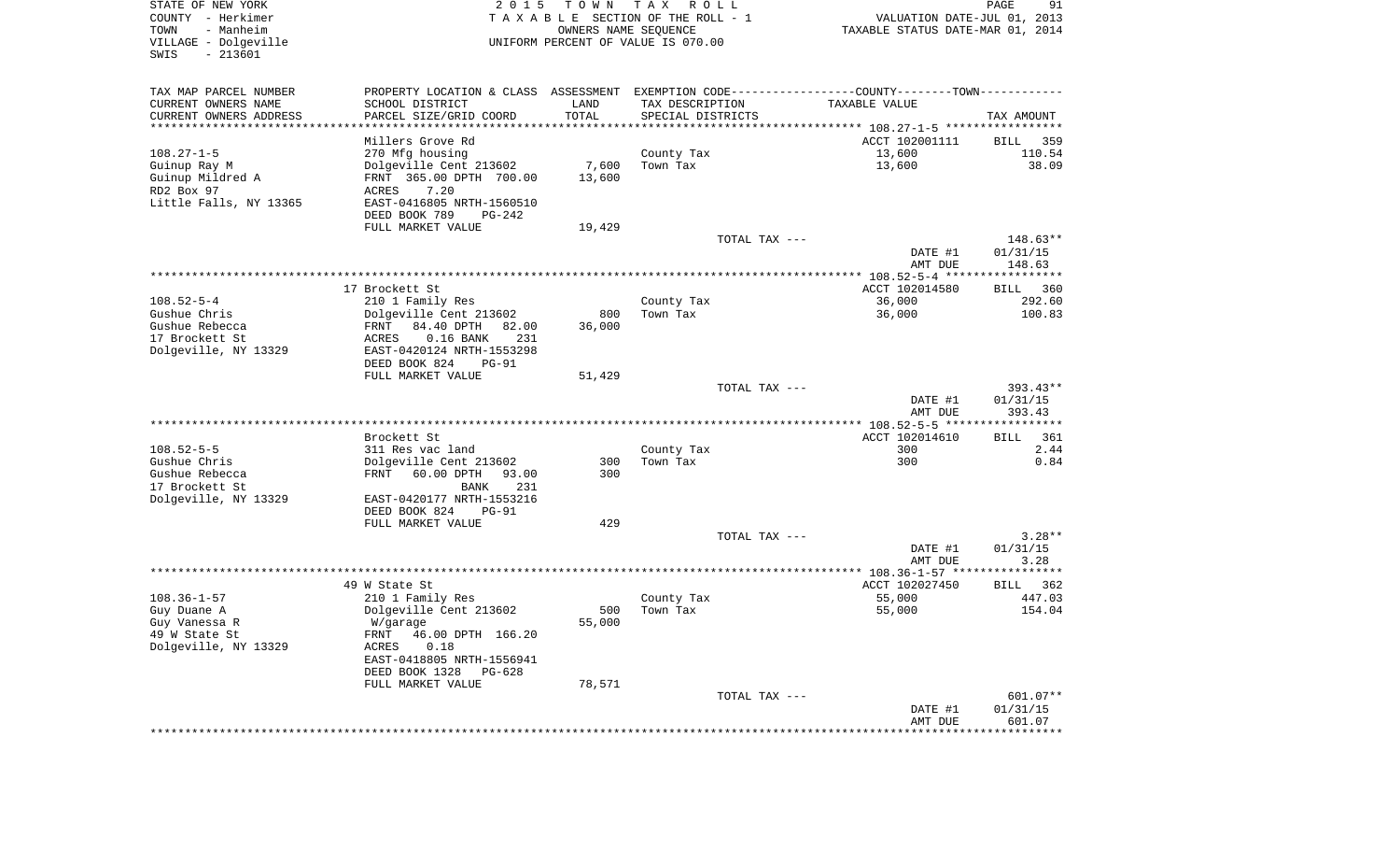| STATE OF NEW YORK<br>COUNTY - Herkimer                         | 2 0 1 5                                                                                       |                      | TOWN TAX ROLL<br>TAXABLE SECTION OF THE ROLL - 1 | VALUATION DATE-JUL 01, 2013      | PAGE<br>91         |
|----------------------------------------------------------------|-----------------------------------------------------------------------------------------------|----------------------|--------------------------------------------------|----------------------------------|--------------------|
| TOWN<br>- Manheim<br>VILLAGE - Dolgeville<br>SWIS<br>$-213601$ |                                                                                               | OWNERS NAME SEQUENCE | UNIFORM PERCENT OF VALUE IS 070.00               | TAXABLE STATUS DATE-MAR 01, 2014 |                    |
|                                                                |                                                                                               |                      |                                                  |                                  |                    |
| TAX MAP PARCEL NUMBER                                          | PROPERTY LOCATION & CLASS ASSESSMENT EXEMPTION CODE---------------COUNTY-------TOWN---------- |                      |                                                  |                                  |                    |
| CURRENT OWNERS NAME                                            | SCHOOL DISTRICT                                                                               | LAND                 | TAX DESCRIPTION                                  | TAXABLE VALUE                    |                    |
| CURRENT OWNERS ADDRESS                                         | PARCEL SIZE/GRID COORD                                                                        | TOTAL                | SPECIAL DISTRICTS                                |                                  | TAX AMOUNT         |
|                                                                | Millers Grove Rd                                                                              |                      |                                                  | ACCT 102001111                   | BILL 359           |
| 108.27-1-5                                                     | 270 Mfg housing                                                                               |                      | County Tax                                       | 13,600                           | 110.54             |
| Guinup Ray M                                                   | Dolgeville Cent 213602                                                                        | 7,600                | Town Tax                                         | 13,600                           | 38.09              |
| Guinup Mildred A                                               | FRNT 365.00 DPTH 700.00                                                                       | 13,600               |                                                  |                                  |                    |
| RD2 Box 97                                                     | 7.20<br>ACRES                                                                                 |                      |                                                  |                                  |                    |
| Little Falls, NY 13365                                         | EAST-0416805 NRTH-1560510                                                                     |                      |                                                  |                                  |                    |
|                                                                | DEED BOOK 789<br>PG-242                                                                       |                      |                                                  |                                  |                    |
|                                                                | FULL MARKET VALUE                                                                             | 19,429               |                                                  |                                  |                    |
|                                                                |                                                                                               |                      | TOTAL TAX ---                                    |                                  | 148.63**           |
|                                                                |                                                                                               |                      |                                                  | DATE #1<br>AMT DUE               | 01/31/15<br>148.63 |
|                                                                |                                                                                               |                      |                                                  |                                  |                    |
|                                                                | 17 Brockett St                                                                                |                      |                                                  | ACCT 102014580                   | BILL 360           |
| $108.52 - 5 - 4$                                               | 210 1 Family Res                                                                              |                      | County Tax                                       | 36,000                           | 292.60             |
| Gushue Chris                                                   | Dolgeville Cent 213602                                                                        | 800                  | Town Tax                                         | 36,000                           | 100.83             |
| Gushue Rebecca                                                 | FRNT 84.40 DPTH 82.00                                                                         | 36,000               |                                                  |                                  |                    |
| 17 Brockett St                                                 | ACRES<br>$0.16$ BANK<br>231                                                                   |                      |                                                  |                                  |                    |
| Dolgeville, NY 13329                                           | EAST-0420124 NRTH-1553298                                                                     |                      |                                                  |                                  |                    |
|                                                                | DEED BOOK 824<br>PG-91                                                                        |                      |                                                  |                                  |                    |
|                                                                | FULL MARKET VALUE                                                                             | 51,429               | TOTAL TAX ---                                    |                                  | $393.43**$         |
|                                                                |                                                                                               |                      |                                                  | DATE #1                          | 01/31/15           |
|                                                                |                                                                                               |                      |                                                  | AMT DUE                          | 393.43             |
|                                                                |                                                                                               |                      |                                                  |                                  |                    |
|                                                                | Brockett St                                                                                   |                      |                                                  | ACCT 102014610                   | BILL 361           |
| $108.52 - 5 - 5$                                               | 311 Res vac land                                                                              |                      | County Tax                                       | 300                              | 2.44               |
| Gushue Chris                                                   | Dolgeville Cent 213602                                                                        | 300                  | Town Tax                                         | 300                              | 0.84               |
| Gushue Rebecca                                                 | FRNT 60.00 DPTH<br>93.00                                                                      | 300                  |                                                  |                                  |                    |
| 17 Brockett St                                                 | 231<br>BANK                                                                                   |                      |                                                  |                                  |                    |
| Dolgeville, NY 13329                                           | EAST-0420177 NRTH-1553216<br>DEED BOOK 824<br><b>PG-91</b>                                    |                      |                                                  |                                  |                    |
|                                                                | FULL MARKET VALUE                                                                             | 429                  |                                                  |                                  |                    |
|                                                                |                                                                                               |                      | TOTAL TAX ---                                    |                                  | $3.28**$           |
|                                                                |                                                                                               |                      |                                                  | DATE #1                          | 01/31/15           |
|                                                                |                                                                                               |                      |                                                  | AMT DUE                          | 3.28               |
|                                                                |                                                                                               |                      |                                                  |                                  |                    |
|                                                                | 49 W State St                                                                                 |                      |                                                  | ACCT 102027450                   | 362<br>BILL        |
| $108.36 - 1 - 57$<br>Guy Duane A                               | 210 1 Family Res<br>Dolgeville Cent 213602                                                    | 500                  | County Tax<br>Town Tax                           | 55,000<br>55,000                 | 447.03<br>154.04   |
| Guy Vanessa R                                                  | W/garage                                                                                      | 55,000               |                                                  |                                  |                    |
| 49 W State St                                                  | 46.00 DPTH 166.20<br>FRNT                                                                     |                      |                                                  |                                  |                    |
| Dolgeville, NY 13329                                           | ACRES<br>0.18                                                                                 |                      |                                                  |                                  |                    |
|                                                                | EAST-0418805 NRTH-1556941                                                                     |                      |                                                  |                                  |                    |
|                                                                | DEED BOOK 1328<br>PG-628                                                                      |                      |                                                  |                                  |                    |
|                                                                | FULL MARKET VALUE                                                                             | 78,571               |                                                  |                                  |                    |
|                                                                |                                                                                               |                      | TOTAL TAX ---                                    |                                  | 601.07**           |
|                                                                |                                                                                               |                      |                                                  | DATE #1                          | 01/31/15           |
|                                                                |                                                                                               |                      |                                                  | AMT DUE                          | 601.07             |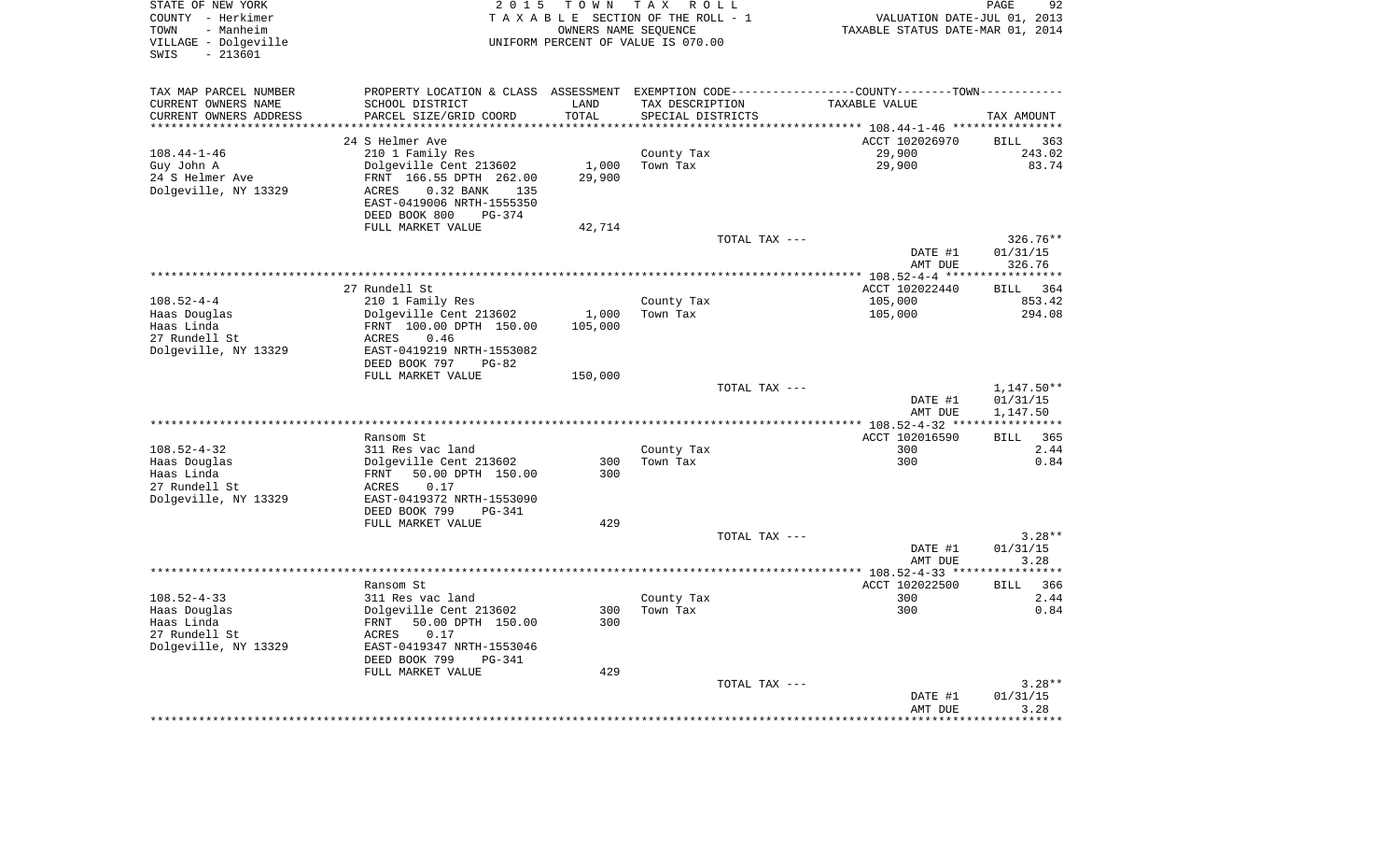| STATE OF NEW YORK<br>COUNTY - Herkimer<br>TOWN<br>- Manheim<br>VILLAGE - Dolgeville<br>$-213601$<br>SWIS | 2 0 1 5                                                                                        | T O W N | TAX ROLL<br>TAXABLE SECTION OF THE ROLL - 1<br>OWNERS NAME SEQUENCE<br>UNIFORM PERCENT OF VALUE IS 070.00 | VALUATION DATE-JUL 01, 2013<br>TAXABLE STATUS DATE-MAR 01, 2014 | PAGE<br>92                 |
|----------------------------------------------------------------------------------------------------------|------------------------------------------------------------------------------------------------|---------|-----------------------------------------------------------------------------------------------------------|-----------------------------------------------------------------|----------------------------|
| TAX MAP PARCEL NUMBER                                                                                    | PROPERTY LOCATION & CLASS ASSESSMENT EXEMPTION CODE----------------COUNTY-------TOWN---------- |         |                                                                                                           |                                                                 |                            |
| CURRENT OWNERS NAME                                                                                      | SCHOOL DISTRICT                                                                                | LAND    | TAX DESCRIPTION                                                                                           | TAXABLE VALUE                                                   |                            |
| CURRENT OWNERS ADDRESS                                                                                   | PARCEL SIZE/GRID COORD                                                                         | TOTAL   | SPECIAL DISTRICTS                                                                                         |                                                                 | TAX AMOUNT                 |
| ********************                                                                                     |                                                                                                | ******  |                                                                                                           | *********** 108.44-1-46 *****************                       |                            |
|                                                                                                          | 24 S Helmer Ave                                                                                |         |                                                                                                           | ACCT 102026970                                                  | <b>BILL</b><br>363         |
| $108.44 - 1 - 46$                                                                                        | 210 1 Family Res                                                                               |         | County Tax                                                                                                | 29,900                                                          | 243.02                     |
| Guy John A                                                                                               | Dolgeville Cent 213602                                                                         | 1,000   | Town Tax                                                                                                  | 29,900                                                          | 83.74                      |
| 24 S Helmer Ave                                                                                          | FRNT 166.55 DPTH 262.00                                                                        | 29,900  |                                                                                                           |                                                                 |                            |
| Dolgeville, NY 13329                                                                                     | 0.32 BANK<br>135<br>ACRES                                                                      |         |                                                                                                           |                                                                 |                            |
|                                                                                                          | EAST-0419006 NRTH-1555350                                                                      |         |                                                                                                           |                                                                 |                            |
|                                                                                                          | DEED BOOK 800<br>$PG-374$<br>FULL MARKET VALUE                                                 | 42,714  |                                                                                                           |                                                                 |                            |
|                                                                                                          |                                                                                                |         | TOTAL TAX ---                                                                                             |                                                                 | 326.76**                   |
|                                                                                                          |                                                                                                |         |                                                                                                           | DATE #1                                                         | 01/31/15                   |
|                                                                                                          |                                                                                                |         |                                                                                                           | AMT DUE                                                         | 326.76                     |
|                                                                                                          |                                                                                                |         |                                                                                                           |                                                                 |                            |
|                                                                                                          | 27 Rundell St                                                                                  |         |                                                                                                           | ACCT 102022440                                                  | 364<br>BILL                |
| $108.52 - 4 - 4$                                                                                         | 210 1 Family Res                                                                               |         | County Tax                                                                                                | 105,000                                                         | 853.42                     |
| Haas Douglas                                                                                             | Dolgeville Cent 213602                                                                         | 1,000   | Town Tax                                                                                                  | 105,000                                                         | 294.08                     |
| Haas Linda                                                                                               | FRNT 100.00 DPTH 150.00                                                                        | 105,000 |                                                                                                           |                                                                 |                            |
| 27 Rundell St                                                                                            | ACRES<br>0.46                                                                                  |         |                                                                                                           |                                                                 |                            |
| Dolgeville, NY 13329                                                                                     | EAST-0419219 NRTH-1553082                                                                      |         |                                                                                                           |                                                                 |                            |
|                                                                                                          | DEED BOOK 797<br>$PG-82$                                                                       |         |                                                                                                           |                                                                 |                            |
|                                                                                                          | FULL MARKET VALUE                                                                              | 150,000 |                                                                                                           |                                                                 |                            |
|                                                                                                          |                                                                                                |         | TOTAL TAX ---                                                                                             |                                                                 | 1,147.50**                 |
|                                                                                                          |                                                                                                |         |                                                                                                           | DATE #1<br>AMT DUE                                              | 01/31/15<br>1,147.50       |
|                                                                                                          |                                                                                                |         |                                                                                                           |                                                                 | * * * * * * * * * * *      |
|                                                                                                          | Ransom St                                                                                      |         |                                                                                                           | ACCT 102016590                                                  | 365<br>BILL                |
| $108.52 - 4 - 32$                                                                                        | 311 Res vac land                                                                               |         | County Tax                                                                                                | 300                                                             | 2.44                       |
| Haas Douglas                                                                                             | Dolgeville Cent 213602                                                                         | 300     | Town Tax                                                                                                  | 300                                                             | 0.84                       |
| Haas Linda                                                                                               | 50.00 DPTH 150.00<br>FRNT                                                                      | 300     |                                                                                                           |                                                                 |                            |
| 27 Rundell St                                                                                            | ACRES<br>0.17                                                                                  |         |                                                                                                           |                                                                 |                            |
| Dolgeville, NY 13329                                                                                     | EAST-0419372 NRTH-1553090                                                                      |         |                                                                                                           |                                                                 |                            |
|                                                                                                          | DEED BOOK 799<br>PG-341                                                                        |         |                                                                                                           |                                                                 |                            |
|                                                                                                          | FULL MARKET VALUE                                                                              | 429     |                                                                                                           |                                                                 |                            |
|                                                                                                          |                                                                                                |         | TOTAL TAX ---                                                                                             |                                                                 | $3.28**$                   |
|                                                                                                          |                                                                                                |         |                                                                                                           | DATE #1                                                         | 01/31/15                   |
|                                                                                                          |                                                                                                |         |                                                                                                           | AMT DUE                                                         | 3.28                       |
|                                                                                                          |                                                                                                |         |                                                                                                           |                                                                 |                            |
| $108.52 - 4 - 33$                                                                                        | Ransom St<br>311 Res vac land                                                                  |         |                                                                                                           | ACCT 102022500<br>300                                           | <b>BILL</b><br>366<br>2.44 |
| Haas Douglas                                                                                             | Dolgeville Cent 213602                                                                         | 300     | County Tax<br>Town Tax                                                                                    | 300                                                             | 0.84                       |
| Haas Linda                                                                                               | FRNT<br>50.00 DPTH 150.00                                                                      | 300     |                                                                                                           |                                                                 |                            |
| 27 Rundell St                                                                                            | 0.17<br>ACRES                                                                                  |         |                                                                                                           |                                                                 |                            |
| Dolgeville, NY 13329                                                                                     | EAST-0419347 NRTH-1553046                                                                      |         |                                                                                                           |                                                                 |                            |
|                                                                                                          | DEED BOOK 799<br>$PG-341$                                                                      |         |                                                                                                           |                                                                 |                            |
|                                                                                                          | FULL MARKET VALUE                                                                              | 429     |                                                                                                           |                                                                 |                            |
|                                                                                                          |                                                                                                |         | TOTAL TAX ---                                                                                             |                                                                 | $3.28**$                   |
|                                                                                                          |                                                                                                |         |                                                                                                           | DATE #1                                                         | 01/31/15                   |
|                                                                                                          |                                                                                                |         |                                                                                                           | AMT DUE                                                         | 3.28                       |
|                                                                                                          |                                                                                                |         |                                                                                                           |                                                                 | * * * * * * *              |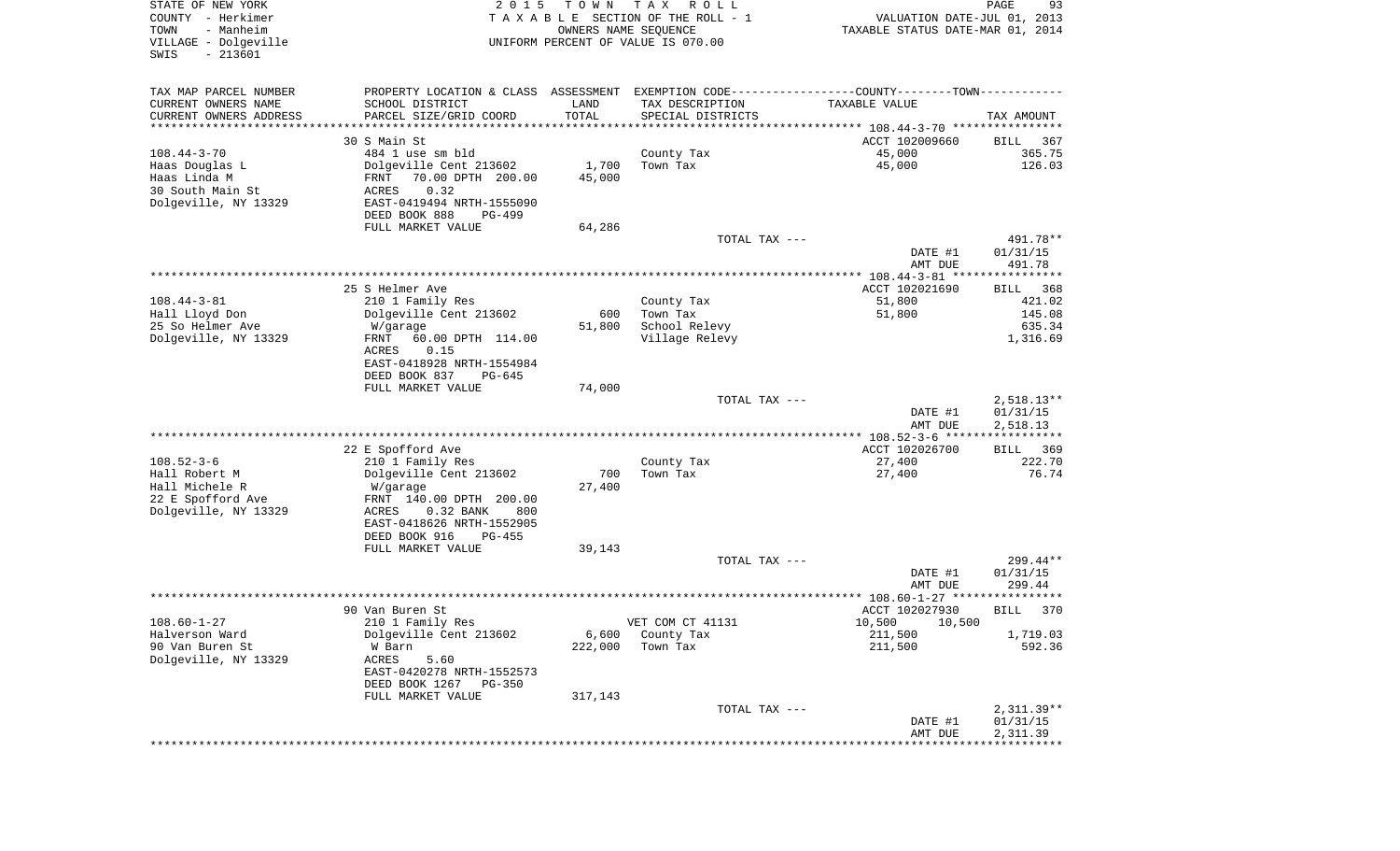| STATE OF NEW YORK<br>COUNTY - Herkimer<br>- Manheim<br>TOWN<br>VILLAGE - Dolgeville<br>$-213601$<br>SWIS | 2 0 1 5                                                                                       | T O W N<br>OWNERS NAME SEQUENCE | T A X<br>R O L L<br>TAXABLE SECTION OF THE ROLL - 1<br>UNIFORM PERCENT OF VALUE IS 070.00 | VALUATION DATE-JUL 01, 2013<br>TAXABLE STATUS DATE-MAR 01, 2014 | PAGE<br>93                           |
|----------------------------------------------------------------------------------------------------------|-----------------------------------------------------------------------------------------------|---------------------------------|-------------------------------------------------------------------------------------------|-----------------------------------------------------------------|--------------------------------------|
| TAX MAP PARCEL NUMBER                                                                                    | PROPERTY LOCATION & CLASS ASSESSMENT EXEMPTION CODE---------------COUNTY-------TOWN---------- |                                 |                                                                                           |                                                                 |                                      |
| CURRENT OWNERS NAME                                                                                      | SCHOOL DISTRICT                                                                               | LAND                            | TAX DESCRIPTION                                                                           | TAXABLE VALUE                                                   |                                      |
| CURRENT OWNERS ADDRESS<br>*********************                                                          | PARCEL SIZE/GRID COORD<br>*******************                                                 | TOTAL<br>***********            | SPECIAL DISTRICTS                                                                         |                                                                 | TAX AMOUNT                           |
|                                                                                                          | 30 S Main St                                                                                  |                                 |                                                                                           | ACCT 102009660                                                  | 367<br>BILL                          |
| $108.44 - 3 - 70$                                                                                        | 484 1 use sm bld                                                                              |                                 | County Tax                                                                                | 45,000                                                          | 365.75                               |
| Haas Douglas L                                                                                           | Dolgeville Cent 213602                                                                        | 1,700                           | Town Tax                                                                                  | 45,000                                                          | 126.03                               |
| Haas Linda M                                                                                             | 70.00 DPTH 200.00<br>FRNT                                                                     | 45,000                          |                                                                                           |                                                                 |                                      |
| 30 South Main St                                                                                         | 0.32<br>ACRES                                                                                 |                                 |                                                                                           |                                                                 |                                      |
| Dolgeville, NY 13329                                                                                     | EAST-0419494 NRTH-1555090                                                                     |                                 |                                                                                           |                                                                 |                                      |
|                                                                                                          | DEED BOOK 888<br>PG-499                                                                       |                                 |                                                                                           |                                                                 |                                      |
|                                                                                                          | FULL MARKET VALUE                                                                             | 64,286                          |                                                                                           |                                                                 |                                      |
|                                                                                                          |                                                                                               |                                 | TOTAL TAX ---                                                                             | DATE #1<br>AMT DUE                                              | 491.78**<br>01/31/15<br>491.78       |
|                                                                                                          |                                                                                               |                                 |                                                                                           |                                                                 |                                      |
|                                                                                                          | 25 S Helmer Ave                                                                               |                                 |                                                                                           | ACCT 102021690                                                  | 368<br>BILL                          |
| $108.44 - 3 - 81$                                                                                        | 210 1 Family Res                                                                              |                                 | County Tax                                                                                | 51,800                                                          | 421.02                               |
| Hall Lloyd Don                                                                                           | Dolgeville Cent 213602                                                                        | 600                             | Town Tax                                                                                  | 51,800                                                          | 145.08                               |
| 25 So Helmer Ave                                                                                         | W/garage                                                                                      | 51,800                          | School Relevy                                                                             |                                                                 | 635.34                               |
| Dolgeville, NY 13329                                                                                     | FRNT<br>60.00 DPTH 114.00<br>ACRES<br>0.15<br>EAST-0418928 NRTH-1554984                       |                                 | Village Relevy                                                                            |                                                                 | 1,316.69                             |
|                                                                                                          | DEED BOOK 837<br>$PG-645$                                                                     |                                 |                                                                                           |                                                                 |                                      |
|                                                                                                          | FULL MARKET VALUE                                                                             | 74,000                          |                                                                                           |                                                                 |                                      |
|                                                                                                          |                                                                                               |                                 | TOTAL TAX ---                                                                             | DATE #1<br>AMT DUE                                              | $2,518.13**$<br>01/31/15<br>2,518.13 |
|                                                                                                          |                                                                                               |                                 |                                                                                           | ************ 108.52-3-6 ******************                      |                                      |
|                                                                                                          | 22 E Spofford Ave                                                                             |                                 |                                                                                           | ACCT 102026700                                                  | 369<br><b>BILL</b>                   |
| $108.52 - 3 - 6$                                                                                         | 210 1 Family Res                                                                              |                                 | County Tax                                                                                | 27,400                                                          | 222.70                               |
| Hall Robert M                                                                                            | Dolgeville Cent 213602                                                                        | 700                             | Town Tax                                                                                  | 27,400                                                          | 76.74                                |
| Hall Michele R                                                                                           | W/garage                                                                                      | 27,400                          |                                                                                           |                                                                 |                                      |
| 22 E Spofford Ave<br>Dolgeville, NY 13329                                                                | FRNT 140.00 DPTH 200.00<br>ACRES<br>$0.32$ BANK<br>800                                        |                                 |                                                                                           |                                                                 |                                      |
|                                                                                                          | EAST-0418626 NRTH-1552905                                                                     |                                 |                                                                                           |                                                                 |                                      |
|                                                                                                          | DEED BOOK 916<br>PG-455                                                                       |                                 |                                                                                           |                                                                 |                                      |
|                                                                                                          | FULL MARKET VALUE                                                                             | 39,143                          |                                                                                           |                                                                 |                                      |
|                                                                                                          |                                                                                               |                                 | TOTAL TAX ---                                                                             |                                                                 | 299.44**                             |
|                                                                                                          |                                                                                               |                                 |                                                                                           | DATE #1<br>AMT DUE                                              | 01/31/15<br>299.44                   |
|                                                                                                          |                                                                                               |                                 |                                                                                           |                                                                 | * * * * * *                          |
|                                                                                                          | 90 Van Buren St                                                                               |                                 |                                                                                           | ACCT 102027930                                                  | 370<br>BILL                          |
| $108.60 - 1 - 27$                                                                                        | 210 1 Family Res                                                                              |                                 | VET COM CT 41131                                                                          | 10,500 10,500                                                   |                                      |
| Halverson Ward                                                                                           | Dolgeville Cent 213602                                                                        | 6,600                           | County Tax                                                                                | 211,500                                                         | 1,719.03                             |
| 90 Van Buren St<br>Dolgeville, NY 13329                                                                  | W Barn<br>ACRES<br>5.60                                                                       | 222,000                         | Town Tax                                                                                  | 211,500                                                         | 592.36                               |
|                                                                                                          | EAST-0420278 NRTH-1552573<br>DEED BOOK 1267<br>PG-350                                         |                                 |                                                                                           |                                                                 |                                      |
|                                                                                                          | FULL MARKET VALUE                                                                             | 317,143                         |                                                                                           |                                                                 |                                      |
|                                                                                                          |                                                                                               |                                 | TOTAL TAX ---                                                                             |                                                                 | $2,311.39**$                         |
|                                                                                                          |                                                                                               |                                 |                                                                                           | DATE #1                                                         | 01/31/15                             |
|                                                                                                          |                                                                                               |                                 |                                                                                           | AMT DUE                                                         | 2,311.39                             |
|                                                                                                          |                                                                                               |                                 |                                                                                           |                                                                 |                                      |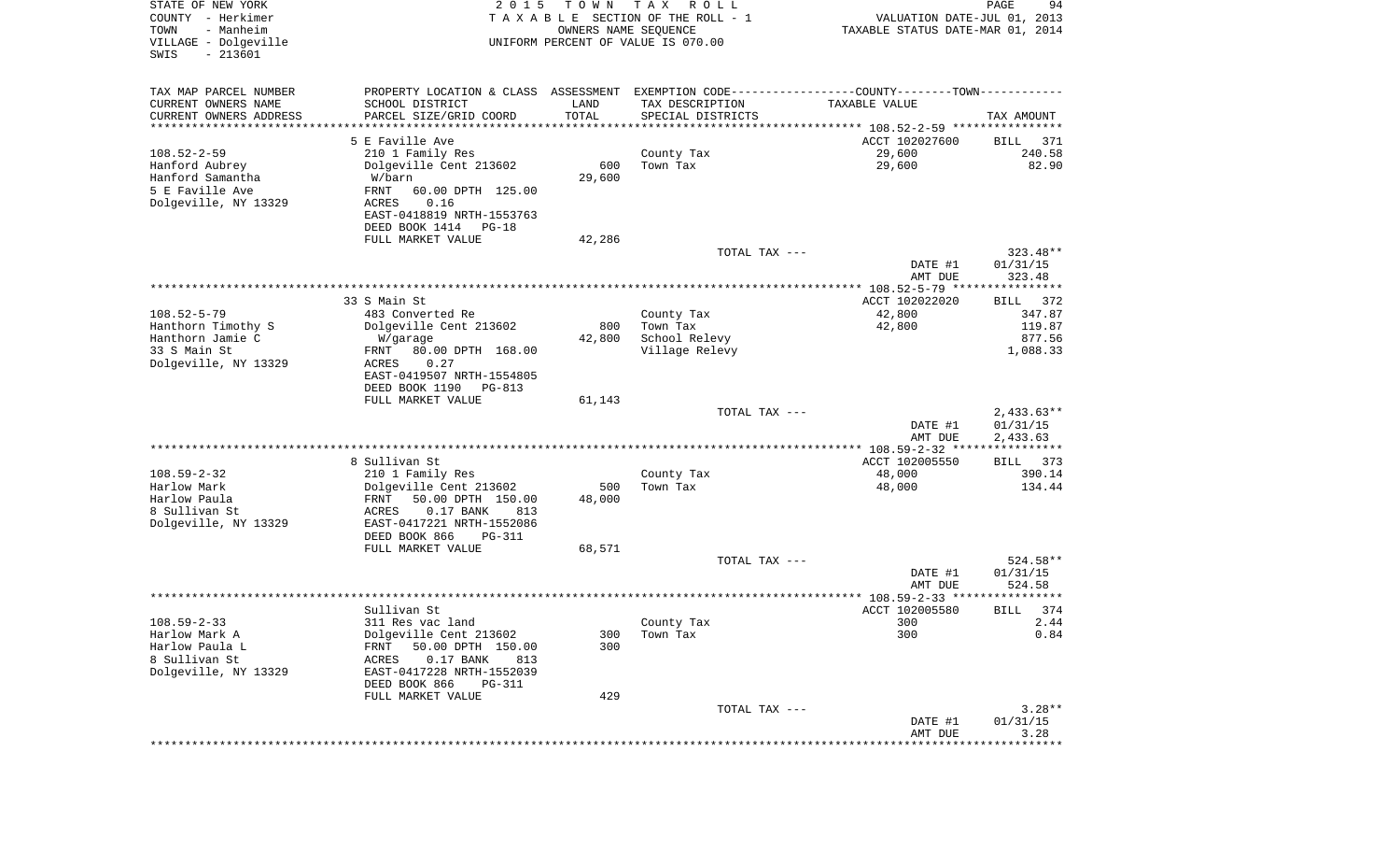| STATE OF NEW YORK<br>COUNTY - Herkimer<br>- Manheim<br>TOWN<br>VILLAGE - Dolgeville<br>$-213601$<br>SWIS | 2 0 1 5                                                  | T O W N<br>OWNERS NAME SEQUENCE | T A X<br>R O L L<br>TAXABLE SECTION OF THE ROLL - 1<br>UNIFORM PERCENT OF VALUE IS 070.00     | VALUATION DATE-JUL 01, 2013<br>TAXABLE STATUS DATE-MAR 01, 2014 | PAGE<br>94            |
|----------------------------------------------------------------------------------------------------------|----------------------------------------------------------|---------------------------------|-----------------------------------------------------------------------------------------------|-----------------------------------------------------------------|-----------------------|
| TAX MAP PARCEL NUMBER                                                                                    |                                                          |                                 | PROPERTY LOCATION & CLASS ASSESSMENT EXEMPTION CODE---------------COUNTY-------TOWN---------- |                                                                 |                       |
| CURRENT OWNERS NAME                                                                                      | SCHOOL DISTRICT                                          | LAND                            | TAX DESCRIPTION                                                                               | TAXABLE VALUE                                                   |                       |
| CURRENT OWNERS ADDRESS<br>********************                                                           | PARCEL SIZE/GRID COORD                                   | TOTAL                           | SPECIAL DISTRICTS                                                                             |                                                                 | TAX AMOUNT            |
|                                                                                                          | 5 E Faville Ave                                          |                                 |                                                                                               | ACCT 102027600                                                  | 371<br>BILL           |
| $108.52 - 2 - 59$                                                                                        | 210 1 Family Res                                         |                                 | County Tax                                                                                    | 29,600                                                          | 240.58                |
| Hanford Aubrey                                                                                           | Dolgeville Cent 213602                                   | 600                             | Town Tax                                                                                      | 29,600                                                          | 82.90                 |
| Hanford Samantha                                                                                         | W/barn                                                   | 29,600                          |                                                                                               |                                                                 |                       |
| 5 E Faville Ave                                                                                          | FRNT<br>60.00 DPTH 125.00                                |                                 |                                                                                               |                                                                 |                       |
| Dolgeville, NY 13329                                                                                     | ACRES<br>0.16                                            |                                 |                                                                                               |                                                                 |                       |
|                                                                                                          | EAST-0418819 NRTH-1553763                                |                                 |                                                                                               |                                                                 |                       |
|                                                                                                          | DEED BOOK 1414<br>PG-18                                  |                                 |                                                                                               |                                                                 |                       |
|                                                                                                          | FULL MARKET VALUE                                        | 42,286                          | TOTAL TAX ---                                                                                 |                                                                 | 323.48**              |
|                                                                                                          |                                                          |                                 |                                                                                               | DATE #1                                                         | 01/31/15              |
|                                                                                                          |                                                          |                                 |                                                                                               | AMT DUE                                                         | 323.48                |
|                                                                                                          |                                                          |                                 |                                                                                               | *************** 108.52-5-79 *****************                   |                       |
|                                                                                                          | 33 S Main St                                             |                                 |                                                                                               | ACCT 102022020                                                  | 372<br>BILL           |
| $108.52 - 5 - 79$                                                                                        | 483 Converted Re                                         |                                 | County Tax                                                                                    | 42,800                                                          | 347.87                |
| Hanthorn Timothy S<br>Hanthorn Jamie C                                                                   | Dolgeville Cent 213602<br>W/garage                       | 800<br>42,800                   | Town Tax<br>School Relevy                                                                     | 42,800                                                          | 119.87<br>877.56      |
| 33 S Main St                                                                                             | FRNT<br>80.00 DPTH 168.00                                |                                 | Village Relevy                                                                                |                                                                 | 1,088.33              |
| Dolgeville, NY 13329                                                                                     | ACRES<br>0.27                                            |                                 |                                                                                               |                                                                 |                       |
|                                                                                                          | EAST-0419507 NRTH-1554805                                |                                 |                                                                                               |                                                                 |                       |
|                                                                                                          | DEED BOOK 1190<br>PG-813                                 |                                 |                                                                                               |                                                                 |                       |
|                                                                                                          | FULL MARKET VALUE                                        | 61,143                          |                                                                                               |                                                                 |                       |
|                                                                                                          |                                                          |                                 | TOTAL TAX ---                                                                                 |                                                                 | $2,433.63**$          |
|                                                                                                          |                                                          |                                 |                                                                                               | DATE #1<br>AMT DUE                                              | 01/31/15<br>2,433.63  |
|                                                                                                          |                                                          |                                 |                                                                                               | ************** 108.59-2-32 ****                                 | ************          |
|                                                                                                          | 8 Sullivan St                                            |                                 |                                                                                               | ACCT 102005550                                                  | 373<br>BILL           |
| $108.59 - 2 - 32$                                                                                        | 210 1 Family Res                                         |                                 | County Tax                                                                                    | 48,000                                                          | 390.14                |
| Harlow Mark                                                                                              | Dolgeville Cent 213602                                   | 500                             | Town Tax                                                                                      | 48,000                                                          | 134.44                |
| Harlow Paula<br>8 Sullivan St                                                                            | FRNT<br>50.00 DPTH 150.00<br>ACRES<br>$0.17$ BANK<br>813 | 48,000                          |                                                                                               |                                                                 |                       |
| Dolgeville, NY 13329                                                                                     | EAST-0417221 NRTH-1552086                                |                                 |                                                                                               |                                                                 |                       |
|                                                                                                          | DEED BOOK 866<br>PG-311                                  |                                 |                                                                                               |                                                                 |                       |
|                                                                                                          | FULL MARKET VALUE                                        | 68,571                          |                                                                                               |                                                                 |                       |
|                                                                                                          |                                                          |                                 | TOTAL TAX ---                                                                                 |                                                                 | 524.58**              |
|                                                                                                          |                                                          |                                 |                                                                                               | DATE #1                                                         | 01/31/15              |
|                                                                                                          |                                                          |                                 |                                                                                               | AMT DUE                                                         | 524.58<br>* * * * * * |
|                                                                                                          | Sullivan St                                              |                                 |                                                                                               | ACCT 102005580                                                  | 374<br>BILL           |
| $108.59 - 2 - 33$                                                                                        | 311 Res vac land                                         |                                 | County Tax                                                                                    | 300                                                             | 2.44                  |
| Harlow Mark A                                                                                            | Dolgeville Cent 213602                                   | 300                             | Town Tax                                                                                      | 300                                                             | 0.84                  |
| Harlow Paula L                                                                                           | 50.00 DPTH 150.00<br>FRNT                                | 300                             |                                                                                               |                                                                 |                       |
| 8 Sullivan St                                                                                            | $0.17$ BANK<br>ACRES<br>813                              |                                 |                                                                                               |                                                                 |                       |
| Dolgeville, NY 13329                                                                                     | EAST-0417228 NRTH-1552039<br>DEED BOOK 866<br>$PG-311$   |                                 |                                                                                               |                                                                 |                       |
|                                                                                                          | FULL MARKET VALUE                                        | 429                             |                                                                                               |                                                                 |                       |
|                                                                                                          |                                                          |                                 | TOTAL TAX ---                                                                                 |                                                                 | $3.28**$              |
|                                                                                                          |                                                          |                                 |                                                                                               | DATE #1                                                         | 01/31/15              |
|                                                                                                          |                                                          |                                 |                                                                                               | AMT DUE                                                         | 3.28                  |
|                                                                                                          |                                                          |                                 |                                                                                               | ****************************                                    |                       |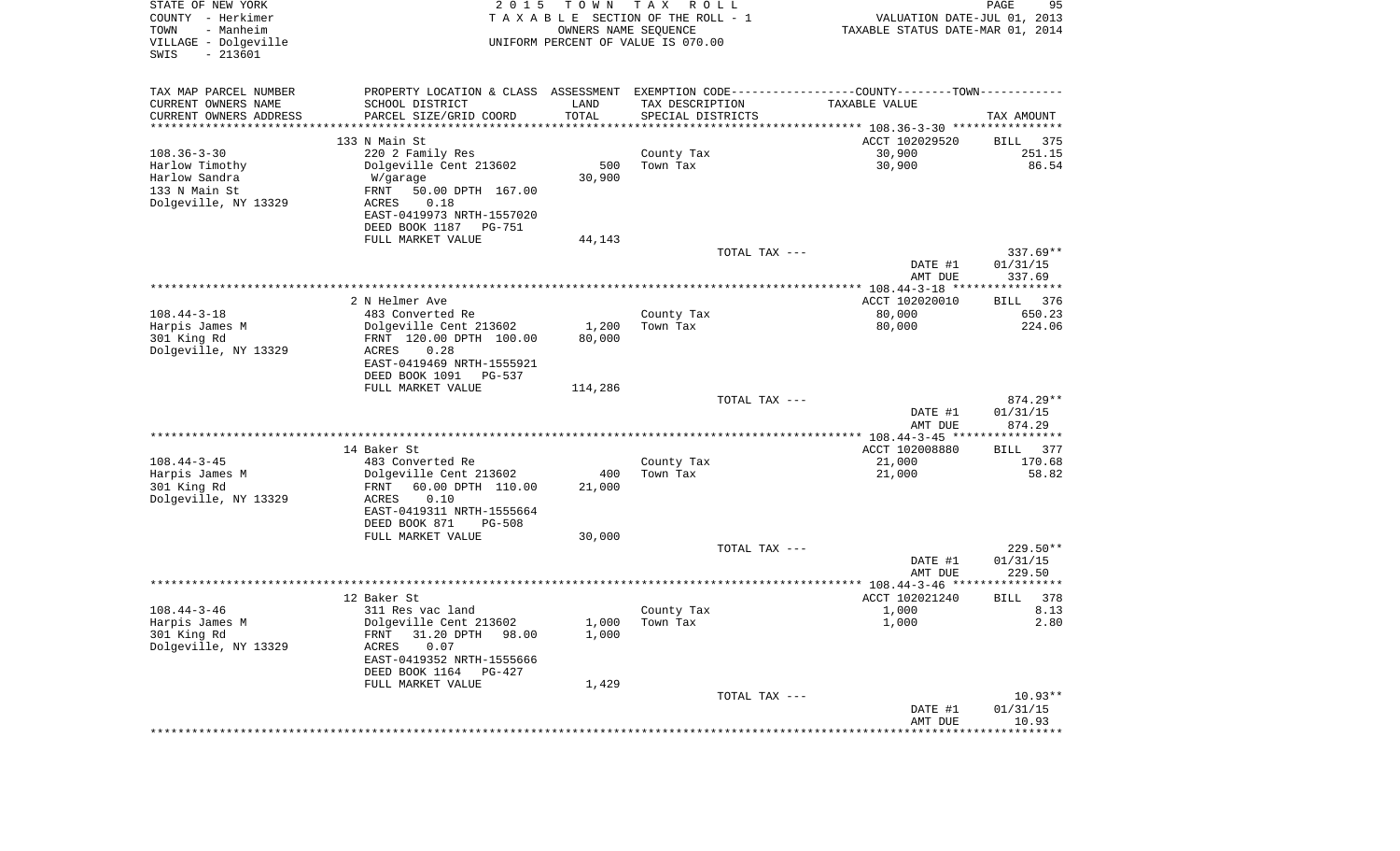| STATE OF NEW YORK<br>COUNTY - Herkimer<br>- Manheim<br>TOWN<br>VILLAGE - Dolgeville<br>$-213601$<br>SWIS | 2 0 1 5                                             | T O W N<br>OWNERS NAME SEQUENCE | T A X<br>R O L L<br>TAXABLE SECTION OF THE ROLL - 1<br>UNIFORM PERCENT OF VALUE IS 070.00 | VALUATION DATE-JUL 01, 2013<br>TAXABLE STATUS DATE-MAR 01, 2014                               | PAGE<br>95            |
|----------------------------------------------------------------------------------------------------------|-----------------------------------------------------|---------------------------------|-------------------------------------------------------------------------------------------|-----------------------------------------------------------------------------------------------|-----------------------|
| TAX MAP PARCEL NUMBER                                                                                    |                                                     |                                 |                                                                                           | PROPERTY LOCATION & CLASS ASSESSMENT EXEMPTION CODE---------------COUNTY-------TOWN---------- |                       |
| CURRENT OWNERS NAME                                                                                      | SCHOOL DISTRICT                                     | LAND                            | TAX DESCRIPTION                                                                           | TAXABLE VALUE                                                                                 |                       |
| CURRENT OWNERS ADDRESS                                                                                   | PARCEL SIZE/GRID COORD                              | TOTAL                           | SPECIAL DISTRICTS                                                                         |                                                                                               | TAX AMOUNT            |
| *********************                                                                                    | *******************                                 | ***********                     |                                                                                           |                                                                                               |                       |
| $108.36 - 3 - 30$                                                                                        | 133 N Main St                                       |                                 | County Tax                                                                                | ACCT 102029520<br>30,900                                                                      | 375<br>BILL<br>251.15 |
| Harlow Timothy                                                                                           | 220 2 Family Res<br>Dolgeville Cent 213602          | 500                             | Town Tax                                                                                  | 30,900                                                                                        | 86.54                 |
| Harlow Sandra                                                                                            | W/garage                                            | 30,900                          |                                                                                           |                                                                                               |                       |
| 133 N Main St                                                                                            | FRNT<br>50.00 DPTH 167.00                           |                                 |                                                                                           |                                                                                               |                       |
| Dolgeville, NY 13329                                                                                     | ACRES<br>0.18                                       |                                 |                                                                                           |                                                                                               |                       |
|                                                                                                          | EAST-0419973 NRTH-1557020                           |                                 |                                                                                           |                                                                                               |                       |
|                                                                                                          | DEED BOOK 1187 PG-751                               |                                 |                                                                                           |                                                                                               |                       |
|                                                                                                          | FULL MARKET VALUE                                   | 44,143                          | TOTAL TAX ---                                                                             |                                                                                               | $337.69**$            |
|                                                                                                          |                                                     |                                 |                                                                                           | DATE #1                                                                                       | 01/31/15              |
|                                                                                                          |                                                     |                                 |                                                                                           | AMT DUE                                                                                       | 337.69                |
|                                                                                                          |                                                     |                                 |                                                                                           |                                                                                               |                       |
|                                                                                                          | 2 N Helmer Ave                                      |                                 |                                                                                           | ACCT 102020010                                                                                | 376<br>BILL           |
| $108.44 - 3 - 18$                                                                                        | 483 Converted Re<br>Dolgeville Cent 213602          | 1,200                           | County Tax<br>Town Tax                                                                    | 80,000<br>80,000                                                                              | 650.23<br>224.06      |
| Harpis James M<br>301 King Rd                                                                            | FRNT 120.00 DPTH 100.00                             | 80,000                          |                                                                                           |                                                                                               |                       |
| Dolgeville, NY 13329                                                                                     | 0.28<br>ACRES                                       |                                 |                                                                                           |                                                                                               |                       |
|                                                                                                          | EAST-0419469 NRTH-1555921                           |                                 |                                                                                           |                                                                                               |                       |
|                                                                                                          | DEED BOOK 1091<br>PG-537                            |                                 |                                                                                           |                                                                                               |                       |
|                                                                                                          | FULL MARKET VALUE                                   | 114,286                         |                                                                                           |                                                                                               |                       |
|                                                                                                          |                                                     |                                 | TOTAL TAX ---                                                                             | DATE #1                                                                                       | 874.29**<br>01/31/15  |
|                                                                                                          |                                                     |                                 |                                                                                           | AMT DUE                                                                                       | 874.29                |
|                                                                                                          |                                                     |                                 |                                                                                           | ************* 108.44-3-45 *****************                                                   |                       |
|                                                                                                          | 14 Baker St                                         |                                 |                                                                                           | ACCT 102008880                                                                                | 377<br>BILL           |
| $108.44 - 3 - 45$                                                                                        | 483 Converted Re                                    |                                 | County Tax                                                                                | 21,000                                                                                        | 170.68                |
| Harpis James M<br>301 King Rd                                                                            | Dolgeville Cent 213602<br>FRNT<br>60.00 DPTH 110.00 | 400<br>21,000                   | Town Tax                                                                                  | 21,000                                                                                        | 58.82                 |
| Dolgeville, NY 13329                                                                                     | ACRES<br>0.10                                       |                                 |                                                                                           |                                                                                               |                       |
|                                                                                                          | EAST-0419311 NRTH-1555664                           |                                 |                                                                                           |                                                                                               |                       |
|                                                                                                          | DEED BOOK 871<br><b>PG-508</b>                      |                                 |                                                                                           |                                                                                               |                       |
|                                                                                                          | FULL MARKET VALUE                                   | 30,000                          |                                                                                           |                                                                                               |                       |
|                                                                                                          |                                                     |                                 | TOTAL TAX ---                                                                             |                                                                                               | 229.50**              |
|                                                                                                          |                                                     |                                 |                                                                                           | DATE #1                                                                                       | 01/31/15<br>229.50    |
|                                                                                                          |                                                     |                                 |                                                                                           | AMT DUE                                                                                       |                       |
|                                                                                                          | 12 Baker St                                         |                                 |                                                                                           | ACCT 102021240                                                                                | 378<br>BILL           |
| $108.44 - 3 - 46$                                                                                        | 311 Res vac land                                    |                                 | County Tax                                                                                | 1,000                                                                                         | 8.13                  |
| Harpis James M                                                                                           | Dolgeville Cent 213602                              | 1,000                           | Town Tax                                                                                  | 1,000                                                                                         | 2.80                  |
| 301 King Rd                                                                                              | 31.20 DPTH 98.00<br>FRNT                            | 1,000                           |                                                                                           |                                                                                               |                       |
| Dolgeville, NY 13329                                                                                     | ACRES<br>0.07<br>EAST-0419352 NRTH-1555666          |                                 |                                                                                           |                                                                                               |                       |
|                                                                                                          | DEED BOOK 1164<br>PG-427                            |                                 |                                                                                           |                                                                                               |                       |
|                                                                                                          | FULL MARKET VALUE                                   | 1,429                           |                                                                                           |                                                                                               |                       |
|                                                                                                          |                                                     |                                 | TOTAL TAX ---                                                                             |                                                                                               | $10.93**$             |
|                                                                                                          |                                                     |                                 |                                                                                           | DATE #1                                                                                       | 01/31/15              |
|                                                                                                          |                                                     |                                 |                                                                                           | AMT DUE                                                                                       | 10.93                 |
|                                                                                                          |                                                     |                                 |                                                                                           |                                                                                               |                       |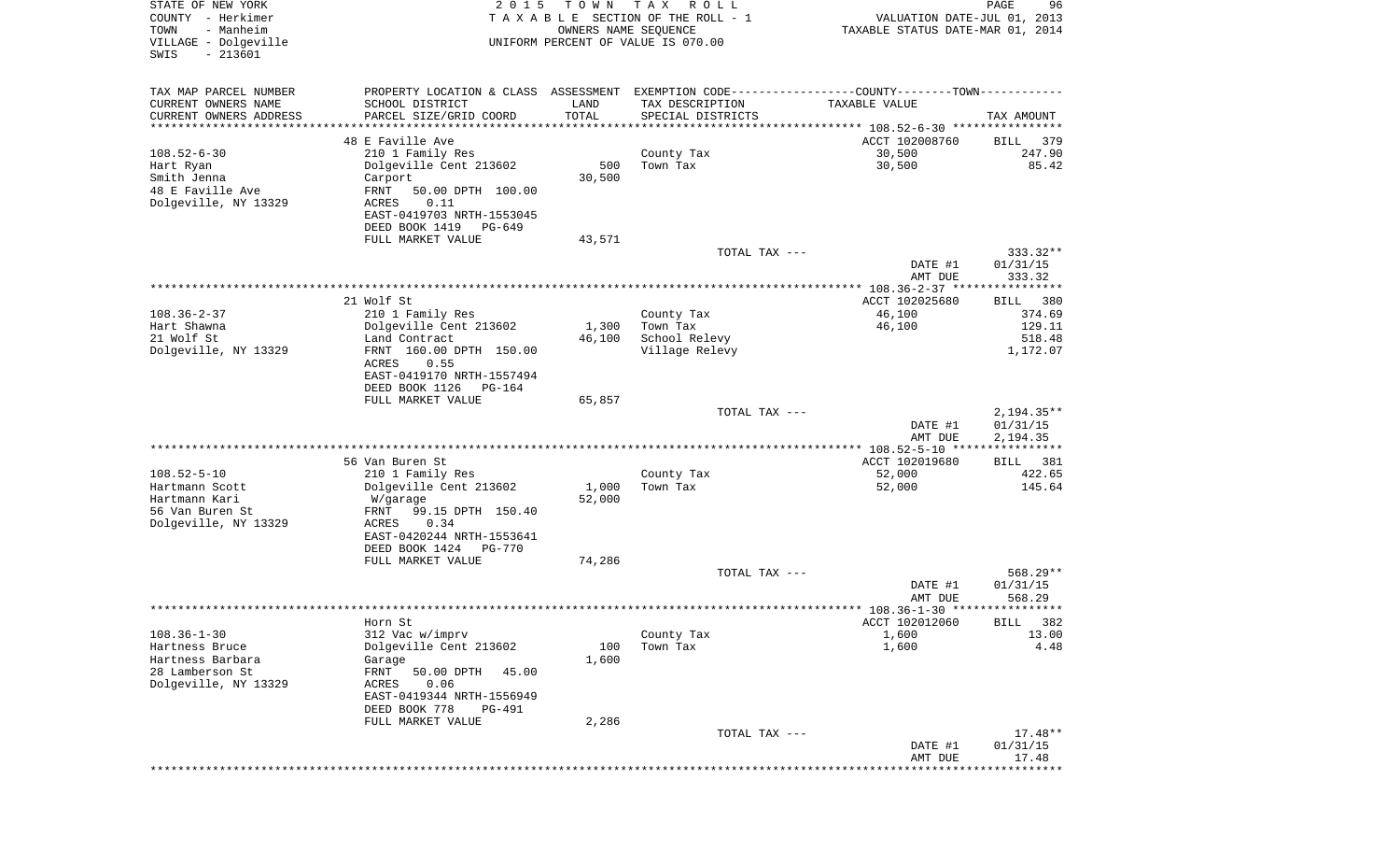| STATE OF NEW YORK<br>COUNTY - Herkimer<br>- Manheim<br>TOWN<br>VILLAGE - Dolgeville<br>$-213601$<br>SWIS | 2 0 1 5                                            | T O W N              | T A X<br>R O L L<br>TAXABLE SECTION OF THE ROLL - 1<br>OWNERS NAME SEQUENCE<br>UNIFORM PERCENT OF VALUE IS 070.00 | VALUATION DATE-JUL 01, 2013<br>TAXABLE STATUS DATE-MAR 01, 2014 | PAGE<br>96           |
|----------------------------------------------------------------------------------------------------------|----------------------------------------------------|----------------------|-------------------------------------------------------------------------------------------------------------------|-----------------------------------------------------------------|----------------------|
| TAX MAP PARCEL NUMBER                                                                                    |                                                    |                      | PROPERTY LOCATION & CLASS ASSESSMENT EXEMPTION CODE---------------COUNTY-------TOWN----------                     |                                                                 |                      |
| CURRENT OWNERS NAME                                                                                      | SCHOOL DISTRICT                                    | LAND                 | TAX DESCRIPTION                                                                                                   | TAXABLE VALUE                                                   |                      |
| CURRENT OWNERS ADDRESS<br>**********************                                                         | PARCEL SIZE/GRID COORD<br>************************ | TOTAL<br>*********** | SPECIAL DISTRICTS                                                                                                 |                                                                 | TAX AMOUNT           |
|                                                                                                          | 48 E Faville Ave                                   |                      |                                                                                                                   | ACCT 102008760                                                  | 379<br>BILL          |
| $108.52 - 6 - 30$                                                                                        | 210 1 Family Res                                   |                      | County Tax                                                                                                        | 30,500                                                          | 247.90               |
| Hart Ryan                                                                                                | Dolgeville Cent 213602                             | 500                  | Town Tax                                                                                                          | 30,500                                                          | 85.42                |
| Smith Jenna                                                                                              | Carport                                            | 30,500               |                                                                                                                   |                                                                 |                      |
| 48 E Faville Ave<br>Dolgeville, NY 13329                                                                 | FRNT<br>50.00 DPTH 100.00<br>ACRES<br>0.11         |                      |                                                                                                                   |                                                                 |                      |
|                                                                                                          | EAST-0419703 NRTH-1553045                          |                      |                                                                                                                   |                                                                 |                      |
|                                                                                                          | DEED BOOK 1419<br>PG-649                           |                      |                                                                                                                   |                                                                 |                      |
|                                                                                                          | FULL MARKET VALUE                                  | 43,571               |                                                                                                                   |                                                                 |                      |
|                                                                                                          |                                                    |                      | TOTAL TAX ---                                                                                                     | DATE #1                                                         | 333.32**<br>01/31/15 |
|                                                                                                          |                                                    |                      |                                                                                                                   | AMT DUE                                                         | 333.32               |
|                                                                                                          |                                                    |                      |                                                                                                                   |                                                                 |                      |
|                                                                                                          | 21 Wolf St                                         |                      |                                                                                                                   | ACCT 102025680                                                  | 380<br>BILL          |
| $108.36 - 2 - 37$<br>Hart Shawna                                                                         | 210 1 Family Res<br>Dolgeville Cent 213602         | 1,300                | County Tax<br>Town Tax                                                                                            | 46,100<br>46,100                                                | 374.69<br>129.11     |
| 21 Wolf St                                                                                               | Land Contract                                      | 46,100               | School Relevy                                                                                                     |                                                                 | 518.48               |
| Dolgeville, NY 13329                                                                                     | FRNT 160.00 DPTH 150.00                            |                      | Village Relevy                                                                                                    |                                                                 | 1,172.07             |
|                                                                                                          | ACRES<br>0.55<br>EAST-0419170 NRTH-1557494         |                      |                                                                                                                   |                                                                 |                      |
|                                                                                                          | DEED BOOK 1126<br>PG-164                           |                      |                                                                                                                   |                                                                 |                      |
|                                                                                                          | FULL MARKET VALUE                                  | 65,857               |                                                                                                                   |                                                                 |                      |
|                                                                                                          |                                                    |                      | TOTAL TAX ---                                                                                                     |                                                                 | $2,194.35**$         |
|                                                                                                          |                                                    |                      |                                                                                                                   | DATE #1<br>AMT DUE                                              | 01/31/15<br>2,194.35 |
|                                                                                                          |                                                    |                      |                                                                                                                   |                                                                 |                      |
|                                                                                                          | 56 Van Buren St                                    |                      |                                                                                                                   | ACCT 102019680                                                  | 381<br>BILL          |
| $108.52 - 5 - 10$                                                                                        | 210 1 Family Res                                   |                      | County Tax                                                                                                        | 52,000                                                          | 422.65               |
| Hartmann Scott<br>Hartmann Kari                                                                          | Dolgeville Cent 213602<br>W/garage                 | 1,000<br>52,000      | Town Tax                                                                                                          | 52,000                                                          | 145.64               |
| 56 Van Buren St                                                                                          | FRNT<br>99.15 DPTH 150.40                          |                      |                                                                                                                   |                                                                 |                      |
| Dolgeville, NY 13329                                                                                     | ACRES<br>0.34                                      |                      |                                                                                                                   |                                                                 |                      |
|                                                                                                          | EAST-0420244 NRTH-1553641                          |                      |                                                                                                                   |                                                                 |                      |
|                                                                                                          | DEED BOOK 1424<br>PG-770<br>FULL MARKET VALUE      | 74,286               |                                                                                                                   |                                                                 |                      |
|                                                                                                          |                                                    |                      | TOTAL TAX ---                                                                                                     |                                                                 | 568.29**             |
|                                                                                                          |                                                    |                      |                                                                                                                   | DATE #1                                                         | 01/31/15             |
|                                                                                                          |                                                    |                      |                                                                                                                   | AMT DUE                                                         | 568.29               |
|                                                                                                          | Horn St                                            |                      |                                                                                                                   | ACCT 102012060                                                  | BILL 382             |
| $108.36 - 1 - 30$                                                                                        | 312 Vac w/imprv                                    |                      | County Tax                                                                                                        | 1,600                                                           | 13.00                |
| Hartness Bruce                                                                                           | Dolgeville Cent 213602                             | 100                  | Town Tax                                                                                                          | 1,600                                                           | 4.48                 |
| Hartness Barbara<br>28 Lamberson St                                                                      | Garage<br>FRNT<br>50.00 DPTH<br>45.00              | 1,600                |                                                                                                                   |                                                                 |                      |
| Dolgeville, NY 13329                                                                                     | ACRES<br>0.06                                      |                      |                                                                                                                   |                                                                 |                      |
|                                                                                                          | EAST-0419344 NRTH-1556949                          |                      |                                                                                                                   |                                                                 |                      |
|                                                                                                          | DEED BOOK 778<br>PG-491                            |                      |                                                                                                                   |                                                                 |                      |
|                                                                                                          | FULL MARKET VALUE                                  | 2,286                | TOTAL TAX ---                                                                                                     |                                                                 | $17.48**$            |
|                                                                                                          |                                                    |                      |                                                                                                                   | DATE #1                                                         | 01/31/15             |
|                                                                                                          |                                                    |                      |                                                                                                                   | AMT DUE                                                         | 17.48                |
|                                                                                                          |                                                    |                      |                                                                                                                   |                                                                 | * * * * * * * *      |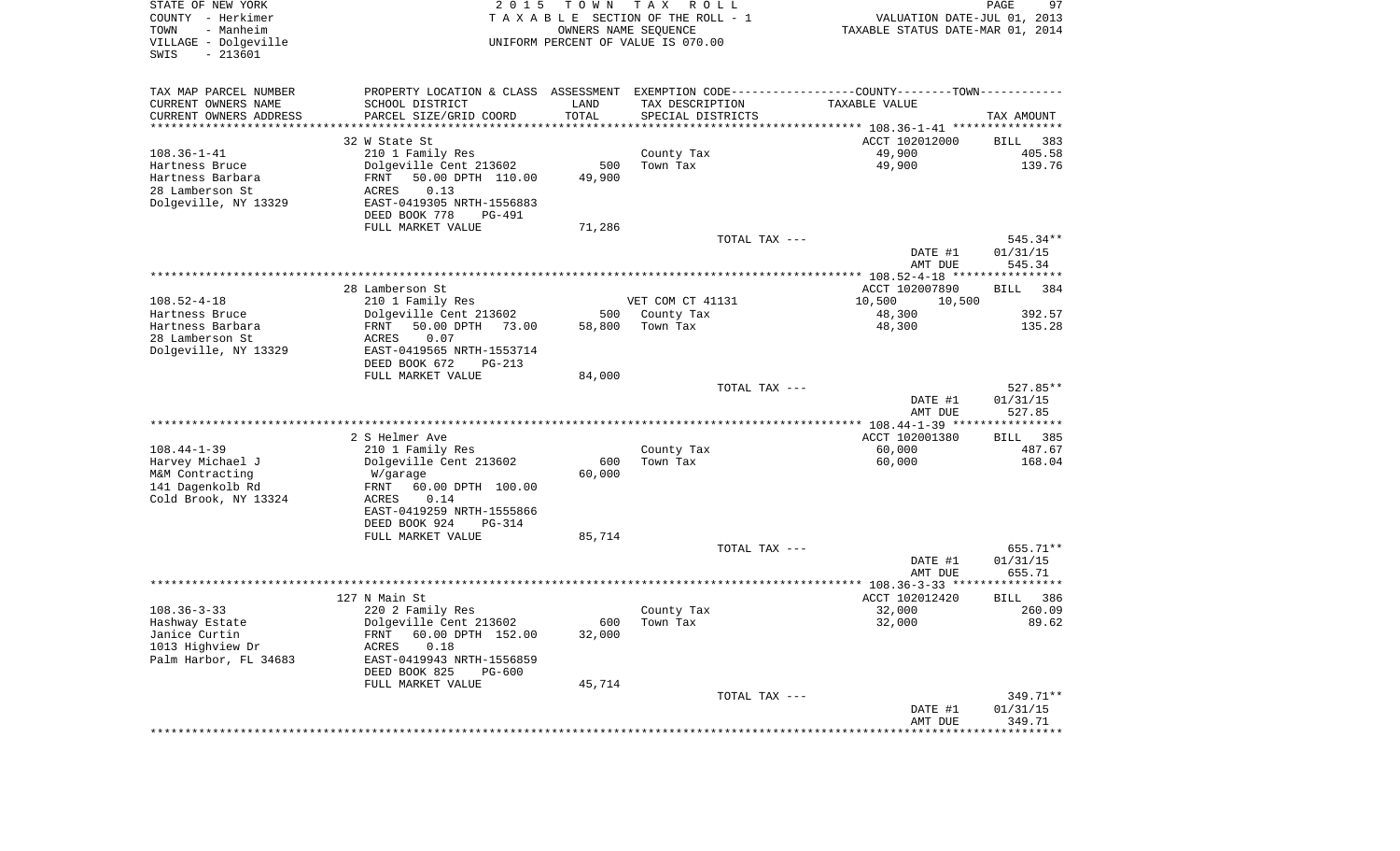| STATE OF NEW YORK<br>COUNTY - Herkimer<br>TOWN<br>- Manheim<br>VILLAGE - Dolgeville | 2 0 1 5                                              | T O W N              | T A X<br>R O L L<br>TAXABLE SECTION OF THE ROLL - 1<br>OWNERS NAME SEQUENCE | VALUATION DATE-JUL 01, 2013<br>TAXABLE STATUS DATE-MAR 01, 2014 | 97<br>PAGE               |
|-------------------------------------------------------------------------------------|------------------------------------------------------|----------------------|-----------------------------------------------------------------------------|-----------------------------------------------------------------|--------------------------|
| SWIS<br>$-213601$                                                                   |                                                      |                      | UNIFORM PERCENT OF VALUE IS 070.00                                          |                                                                 |                          |
| TAX MAP PARCEL NUMBER                                                               | PROPERTY LOCATION & CLASS ASSESSMENT                 |                      |                                                                             | EXEMPTION CODE-----------------COUNTY-------TOWN-----------     |                          |
| CURRENT OWNERS NAME                                                                 | SCHOOL DISTRICT                                      | LAND                 | TAX DESCRIPTION                                                             | TAXABLE VALUE                                                   |                          |
| CURRENT OWNERS ADDRESS<br>*********************                                     | PARCEL SIZE/GRID COORD                               | TOTAL<br>*********** | SPECIAL DISTRICTS                                                           |                                                                 | TAX AMOUNT               |
|                                                                                     | 32 W State St                                        |                      |                                                                             | ACCT 102012000                                                  | BILL<br>383              |
| $108.36 - 1 - 41$                                                                   | 210 1 Family Res                                     |                      | County Tax                                                                  | 49,900                                                          | 405.58                   |
| Hartness Bruce                                                                      | Dolgeville Cent 213602                               | 500                  | Town Tax                                                                    | 49,900                                                          | 139.76                   |
| Hartness Barbara                                                                    | 50.00 DPTH 110.00<br>FRNT                            | 49,900               |                                                                             |                                                                 |                          |
| 28 Lamberson St<br>Dolgeville, NY 13329                                             | ACRES<br>0.13<br>EAST-0419305 NRTH-1556883           |                      |                                                                             |                                                                 |                          |
|                                                                                     | DEED BOOK 778<br>PG-491                              |                      |                                                                             |                                                                 |                          |
|                                                                                     | FULL MARKET VALUE                                    | 71,286               |                                                                             |                                                                 |                          |
|                                                                                     |                                                      |                      | TOTAL TAX ---                                                               |                                                                 | 545.34**                 |
|                                                                                     |                                                      |                      |                                                                             | DATE #1                                                         | 01/31/15                 |
|                                                                                     |                                                      |                      |                                                                             | AMT DUE                                                         | 545.34                   |
|                                                                                     | 28 Lamberson St                                      |                      |                                                                             | ACCT 102007890                                                  | 384<br>BILL              |
| $108.52 - 4 - 18$                                                                   | 210 1 Family Res                                     |                      | VET COM CT 41131                                                            | 10,500<br>10,500                                                |                          |
| Hartness Bruce                                                                      | Dolgeville Cent 213602                               | 500                  | County Tax                                                                  | 48,300                                                          | 392.57                   |
| Hartness Barbara                                                                    | 50.00 DPTH<br>FRNT<br>73.00                          | 58,800               | Town Tax                                                                    | 48,300                                                          | 135.28                   |
| 28 Lamberson St<br>Dolgeville, NY 13329                                             | ACRES<br>0.07<br>EAST-0419565 NRTH-1553714           |                      |                                                                             |                                                                 |                          |
|                                                                                     | DEED BOOK 672<br>PG-213                              |                      |                                                                             |                                                                 |                          |
|                                                                                     | FULL MARKET VALUE                                    | 84,000               |                                                                             |                                                                 |                          |
|                                                                                     |                                                      |                      | TOTAL TAX ---                                                               | DATE #1                                                         | $527.85**$<br>01/31/15   |
|                                                                                     |                                                      |                      |                                                                             | AMT DUE                                                         | 527.85                   |
|                                                                                     |                                                      |                      |                                                                             |                                                                 |                          |
|                                                                                     | 2 S Helmer Ave                                       |                      |                                                                             | ACCT 102001380                                                  | 385<br>BILL              |
| $108.44 - 1 - 39$<br>Harvey Michael J                                               | 210 1 Family Res<br>Dolgeville Cent 213602           | 600                  | County Tax<br>Town Tax                                                      | 60,000<br>60,000                                                | 487.67<br>168.04         |
| M&M Contracting                                                                     | W/garage                                             | 60,000               |                                                                             |                                                                 |                          |
| 141 Dagenkolb Rd                                                                    | FRNT<br>60.00 DPTH 100.00                            |                      |                                                                             |                                                                 |                          |
| Cold Brook, NY 13324                                                                | ACRES<br>0.14                                        |                      |                                                                             |                                                                 |                          |
|                                                                                     | EAST-0419259 NRTH-1555866                            |                      |                                                                             |                                                                 |                          |
|                                                                                     | DEED BOOK 924<br>PG-314<br>FULL MARKET VALUE         | 85,714               |                                                                             |                                                                 |                          |
|                                                                                     |                                                      |                      | TOTAL TAX ---                                                               |                                                                 | 655.71**                 |
|                                                                                     |                                                      |                      |                                                                             | DATE #1                                                         | 01/31/15                 |
|                                                                                     |                                                      |                      |                                                                             | AMT DUE                                                         | 655.71                   |
|                                                                                     |                                                      |                      |                                                                             | ACCT 102012420                                                  |                          |
| $108.36 - 3 - 33$                                                                   | 127 N Main St<br>220 2 Family Res                    |                      | County Tax                                                                  | 32,000                                                          | 386<br>BILL<br>260.09    |
| Hashway Estate                                                                      | Dolgeville Cent 213602                               |                      | 600 Town Tax                                                                | 32,000                                                          | 89.62                    |
| Janice Curtin                                                                       | FRNT 60.00 DPTH 152.00                               | 32,000               |                                                                             |                                                                 |                          |
| 1013 Highview Dr                                                                    | ACRES<br>0.18                                        |                      |                                                                             |                                                                 |                          |
| Palm Harbor, FL 34683                                                               | EAST-0419943 NRTH-1556859<br>DEED BOOK 825<br>PG-600 |                      |                                                                             |                                                                 |                          |
|                                                                                     | FULL MARKET VALUE                                    | 45,714               |                                                                             |                                                                 |                          |
|                                                                                     |                                                      |                      | TOTAL TAX ---                                                               |                                                                 | 349.71**                 |
|                                                                                     |                                                      |                      |                                                                             | DATE #1                                                         | 01/31/15                 |
|                                                                                     |                                                      |                      |                                                                             | AMT DUE<br>* * * * * * * * * * * * * * * * * * * *              | 349.71<br>************** |
|                                                                                     |                                                      |                      |                                                                             |                                                                 |                          |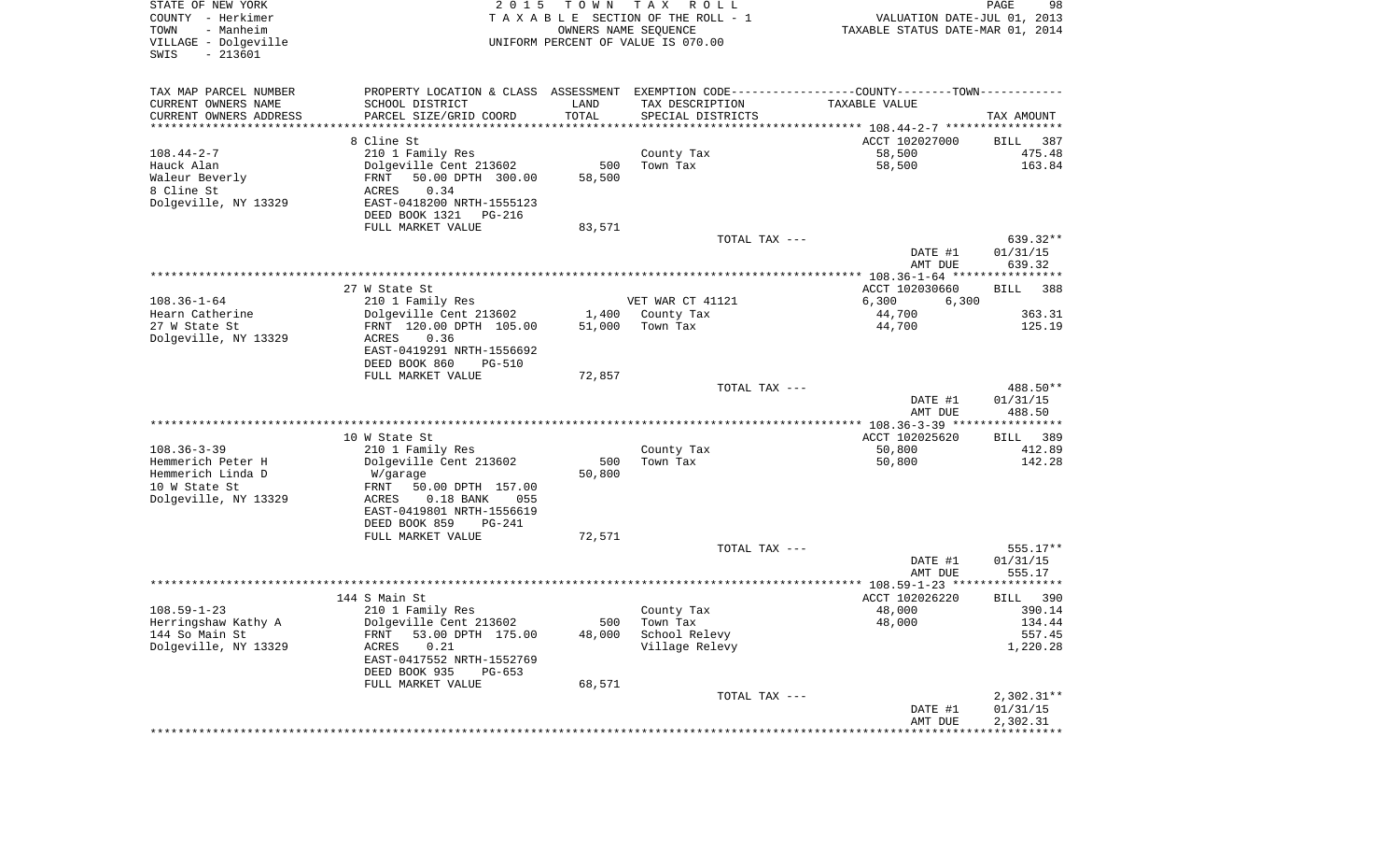| STATE OF NEW YORK<br>COUNTY - Herkimer<br>TOWN<br>- Manheim<br>VILLAGE - Dolgeville<br>SWIS<br>$-213601$ | 2 0 1 5                                                                                       | T O W N       | T A X<br>R O L L<br>TAXABLE SECTION OF THE ROLL - 1<br>OWNERS NAME SEQUENCE<br>UNIFORM PERCENT OF VALUE IS 070.00 | VALUATION DATE-JUL 01, 2013<br>TAXABLE STATUS DATE-MAR 01, 2014 | 98<br>PAGE           |
|----------------------------------------------------------------------------------------------------------|-----------------------------------------------------------------------------------------------|---------------|-------------------------------------------------------------------------------------------------------------------|-----------------------------------------------------------------|----------------------|
| TAX MAP PARCEL NUMBER                                                                                    | PROPERTY LOCATION & CLASS ASSESSMENT EXEMPTION CODE---------------COUNTY-------TOWN---------- |               |                                                                                                                   |                                                                 |                      |
| CURRENT OWNERS NAME<br>CURRENT OWNERS ADDRESS                                                            | SCHOOL DISTRICT<br>PARCEL SIZE/GRID COORD                                                     | LAND<br>TOTAL | TAX DESCRIPTION<br>SPECIAL DISTRICTS                                                                              | TAXABLE VALUE                                                   |                      |
| *********************                                                                                    |                                                                                               | ************* |                                                                                                                   |                                                                 | TAX AMOUNT           |
|                                                                                                          | 8 Cline St                                                                                    |               |                                                                                                                   | ACCT 102027000                                                  | BILL<br>387          |
| $108.44 - 2 - 7$                                                                                         | 210 1 Family Res                                                                              |               | County Tax                                                                                                        | 58,500                                                          | 475.48               |
| Hauck Alan                                                                                               | Dolgeville Cent 213602                                                                        | 500           | Town Tax                                                                                                          | 58,500                                                          | 163.84               |
| Waleur Beverly                                                                                           | 50.00 DPTH 300.00<br>FRNT                                                                     | 58,500        |                                                                                                                   |                                                                 |                      |
| 8 Cline St<br>Dolgeville, NY 13329                                                                       | ACRES<br>0.34<br>EAST-0418200 NRTH-1555123                                                    |               |                                                                                                                   |                                                                 |                      |
|                                                                                                          | DEED BOOK 1321<br>PG-216                                                                      |               |                                                                                                                   |                                                                 |                      |
|                                                                                                          | FULL MARKET VALUE                                                                             | 83,571        |                                                                                                                   |                                                                 |                      |
|                                                                                                          |                                                                                               |               | TOTAL TAX ---                                                                                                     |                                                                 | 639.32**             |
|                                                                                                          |                                                                                               |               |                                                                                                                   | DATE #1                                                         | 01/31/15             |
|                                                                                                          |                                                                                               |               |                                                                                                                   | AMT DUE                                                         | 639.32               |
|                                                                                                          | 27 W State St                                                                                 |               |                                                                                                                   | ACCT 102030660                                                  | 388<br>BILL          |
| $108.36 - 1 - 64$                                                                                        | 210 1 Family Res                                                                              |               | VET WAR CT 41121                                                                                                  | 6,300<br>6,300                                                  |                      |
| Hearn Catherine                                                                                          | Dolgeville Cent 213602                                                                        | 1,400         | County Tax                                                                                                        | 44,700                                                          | 363.31               |
| 27 W State St                                                                                            | FRNT 120.00 DPTH 105.00                                                                       | 51,000        | Town Tax                                                                                                          | 44,700                                                          | 125.19               |
| Dolgeville, NY 13329                                                                                     | 0.36<br>ACRES<br>EAST-0419291 NRTH-1556692                                                    |               |                                                                                                                   |                                                                 |                      |
|                                                                                                          | DEED BOOK 860<br><b>PG-510</b>                                                                |               |                                                                                                                   |                                                                 |                      |
|                                                                                                          | FULL MARKET VALUE                                                                             | 72,857        |                                                                                                                   |                                                                 |                      |
|                                                                                                          |                                                                                               |               | TOTAL TAX ---                                                                                                     |                                                                 | 488.50**             |
|                                                                                                          |                                                                                               |               |                                                                                                                   | DATE #1                                                         | 01/31/15             |
|                                                                                                          |                                                                                               |               |                                                                                                                   | AMT DUE                                                         | 488.50               |
|                                                                                                          | 10 W State St                                                                                 |               |                                                                                                                   | ACCT 102025620                                                  | BILL 389             |
| $108.36 - 3 - 39$                                                                                        | 210 1 Family Res                                                                              |               | County Tax                                                                                                        | 50,800                                                          | 412.89               |
| Hemmerich Peter H                                                                                        | Dolgeville Cent 213602                                                                        | 500           | Town Tax                                                                                                          | 50,800                                                          | 142.28               |
| Hemmerich Linda D                                                                                        | W/garage                                                                                      | 50,800        |                                                                                                                   |                                                                 |                      |
| 10 W State St<br>Dolgeville, NY 13329                                                                    | FRNT<br>50.00 DPTH 157.00<br>ACRES<br>$0.18$ BANK<br>055                                      |               |                                                                                                                   |                                                                 |                      |
|                                                                                                          | EAST-0419801 NRTH-1556619                                                                     |               |                                                                                                                   |                                                                 |                      |
|                                                                                                          | DEED BOOK 859<br>PG-241                                                                       |               |                                                                                                                   |                                                                 |                      |
|                                                                                                          | FULL MARKET VALUE                                                                             | 72,571        |                                                                                                                   |                                                                 |                      |
|                                                                                                          |                                                                                               |               | TOTAL TAX ---                                                                                                     |                                                                 | $555.17**$           |
|                                                                                                          |                                                                                               |               |                                                                                                                   | DATE #1<br>AMT DUE                                              | 01/31/15<br>555.17   |
|                                                                                                          |                                                                                               |               |                                                                                                                   |                                                                 |                      |
|                                                                                                          | 144 S Main St                                                                                 |               |                                                                                                                   | ACCT 102026220                                                  | 390<br>BILL          |
| $108.59 - 1 - 23$                                                                                        | 210 1 Family Res                                                                              |               | County Tax                                                                                                        | 48,000                                                          | 390.14               |
| Herringshaw Kathy A                                                                                      | Dolgeville Cent 213602                                                                        |               | 500 Town Tax                                                                                                      | 48,000                                                          | 134.44               |
| 144 So Main St<br>Dolgeville, NY 13329                                                                   | 53.00 DPTH 175.00<br>FRNT<br>ACRES<br>0.21                                                    | 48,000        | School Relevy<br>Village Relevy                                                                                   |                                                                 | 557.45<br>1,220.28   |
|                                                                                                          | EAST-0417552 NRTH-1552769                                                                     |               |                                                                                                                   |                                                                 |                      |
|                                                                                                          | DEED BOOK 935<br>PG-653                                                                       |               |                                                                                                                   |                                                                 |                      |
|                                                                                                          | FULL MARKET VALUE                                                                             | 68,571        |                                                                                                                   |                                                                 |                      |
|                                                                                                          |                                                                                               |               | TOTAL TAX ---                                                                                                     |                                                                 | $2,302.31**$         |
|                                                                                                          |                                                                                               |               |                                                                                                                   | DATE #1<br>AMT DUE                                              | 01/31/15<br>2,302.31 |
|                                                                                                          |                                                                                               |               |                                                                                                                   |                                                                 |                      |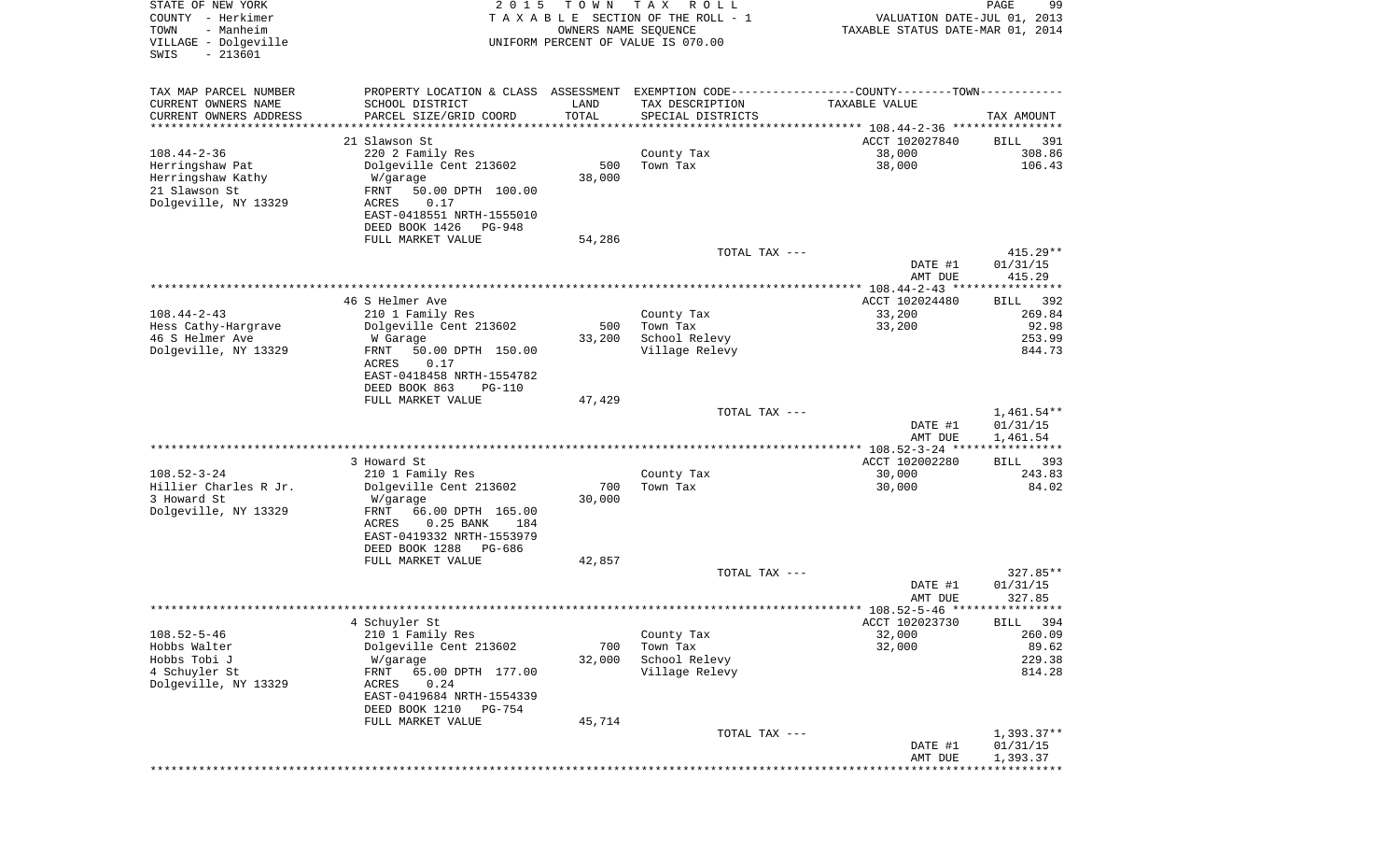| STATE OF NEW YORK<br>COUNTY - Herkimer<br>- Manheim<br>TOWN<br>VILLAGE - Dolgeville<br>$-213601$<br>SWIS | 2 0 1 5                                           | T O W N                        | T A X<br>R O L L<br>TAXABLE SECTION OF THE ROLL - 1<br>OWNERS NAME SEQUENCE<br>UNIFORM PERCENT OF VALUE IS 070.00 | VALUATION DATE-JUL 01, 2013<br>TAXABLE STATUS DATE-MAR 01, 2014 | PAGE<br>99              |
|----------------------------------------------------------------------------------------------------------|---------------------------------------------------|--------------------------------|-------------------------------------------------------------------------------------------------------------------|-----------------------------------------------------------------|-------------------------|
| TAX MAP PARCEL NUMBER                                                                                    |                                                   |                                | PROPERTY LOCATION & CLASS ASSESSMENT EXEMPTION CODE----------------COUNTY-------TOWN----------                    |                                                                 |                         |
| CURRENT OWNERS NAME                                                                                      | SCHOOL DISTRICT                                   | LAND                           | TAX DESCRIPTION                                                                                                   | TAXABLE VALUE                                                   |                         |
| CURRENT OWNERS ADDRESS<br>*********************                                                          | PARCEL SIZE/GRID COORD<br>*********************** | TOTAL<br>* * * * * * * * * * * | SPECIAL DISTRICTS                                                                                                 |                                                                 | TAX AMOUNT              |
|                                                                                                          | 21 Slawson St                                     |                                |                                                                                                                   | ACCT 102027840                                                  | 391<br>BILL             |
| $108.44 - 2 - 36$                                                                                        | 220 2 Family Res                                  |                                | County Tax                                                                                                        | 38,000                                                          | 308.86                  |
| Herringshaw Pat                                                                                          | Dolgeville Cent 213602                            | 500                            | Town Tax                                                                                                          | 38,000                                                          | 106.43                  |
| Herringshaw Kathy<br>21 Slawson St                                                                       | W/garage<br>FRNT<br>50.00 DPTH 100.00             | 38,000                         |                                                                                                                   |                                                                 |                         |
| Dolgeville, NY 13329                                                                                     | ACRES<br>0.17                                     |                                |                                                                                                                   |                                                                 |                         |
|                                                                                                          | EAST-0418551 NRTH-1555010                         |                                |                                                                                                                   |                                                                 |                         |
|                                                                                                          | DEED BOOK 1426<br>PG-948                          |                                |                                                                                                                   |                                                                 |                         |
|                                                                                                          | FULL MARKET VALUE                                 | 54,286                         | TOTAL TAX ---                                                                                                     |                                                                 | 415.29**                |
|                                                                                                          |                                                   |                                |                                                                                                                   | DATE #1                                                         | 01/31/15                |
|                                                                                                          |                                                   |                                |                                                                                                                   | AMT DUE                                                         | 415.29                  |
|                                                                                                          |                                                   |                                |                                                                                                                   |                                                                 |                         |
| $108.44 - 2 - 43$                                                                                        | 46 S Helmer Ave<br>210 1 Family Res               |                                | County Tax                                                                                                        | ACCT 102024480<br>33,200                                        | 392<br>BILL<br>269.84   |
| Hess Cathy-Hargrave                                                                                      | Dolgeville Cent 213602                            | 500                            | Town Tax                                                                                                          | 33,200                                                          | 92.98                   |
| 46 S Helmer Ave                                                                                          | W Garage                                          | 33,200                         | School Relevy                                                                                                     |                                                                 | 253.99                  |
| Dolgeville, NY 13329                                                                                     | FRNT<br>50.00 DPTH 150.00                         |                                | Village Relevy                                                                                                    |                                                                 | 844.73                  |
|                                                                                                          | ACRES<br>0.17<br>EAST-0418458 NRTH-1554782        |                                |                                                                                                                   |                                                                 |                         |
|                                                                                                          | DEED BOOK 863<br><b>PG-110</b>                    |                                |                                                                                                                   |                                                                 |                         |
|                                                                                                          | FULL MARKET VALUE                                 | 47,429                         |                                                                                                                   |                                                                 |                         |
|                                                                                                          |                                                   |                                | TOTAL TAX ---                                                                                                     |                                                                 | $1,461.54**$            |
|                                                                                                          |                                                   |                                |                                                                                                                   | DATE #1<br>AMT DUE                                              | 01/31/15<br>1,461.54    |
|                                                                                                          |                                                   |                                |                                                                                                                   |                                                                 | * * * * * * * * * * * * |
|                                                                                                          | 3 Howard St                                       |                                |                                                                                                                   | ACCT 102002280                                                  | 393<br>BILL             |
| $108.52 - 3 - 24$                                                                                        | 210 1 Family Res                                  |                                | County Tax                                                                                                        | 30,000                                                          | 243.83                  |
| Hillier Charles R Jr.<br>3 Howard St                                                                     | Dolgeville Cent 213602<br>W/garage                | 700<br>30,000                  | Town Tax                                                                                                          | 30,000                                                          | 84.02                   |
| Dolgeville, NY 13329                                                                                     | FRNT<br>66.00 DPTH 165.00                         |                                |                                                                                                                   |                                                                 |                         |
|                                                                                                          | ACRES<br>$0.25$ BANK<br>184                       |                                |                                                                                                                   |                                                                 |                         |
|                                                                                                          | EAST-0419332 NRTH-1553979                         |                                |                                                                                                                   |                                                                 |                         |
|                                                                                                          | DEED BOOK 1288<br>PG-686<br>FULL MARKET VALUE     | 42,857                         |                                                                                                                   |                                                                 |                         |
|                                                                                                          |                                                   |                                | TOTAL TAX ---                                                                                                     |                                                                 | $327.85**$              |
|                                                                                                          |                                                   |                                |                                                                                                                   | DATE #1                                                         | 01/31/15                |
|                                                                                                          |                                                   |                                |                                                                                                                   | AMT DUE                                                         | 327.85                  |
|                                                                                                          | 4 Schuyler St                                     |                                |                                                                                                                   | ACCT 102023730                                                  | BILL 394                |
| $108.52 - 5 - 46$                                                                                        | 210 1 Family Res                                  |                                | County Tax                                                                                                        | 32,000                                                          | 260.09                  |
| Hobbs Walter                                                                                             | Dolgeville Cent 213602                            | 700                            | Town Tax                                                                                                          | 32,000                                                          | 89.62                   |
| Hobbs Tobi J<br>4 Schuyler St                                                                            | W/garage<br>65.00 DPTH 177.00<br>FRNT             | 32,000                         | School Relevy<br>Village Relevy                                                                                   |                                                                 | 229.38<br>814.28        |
| Dolgeville, NY 13329                                                                                     | ACRES<br>0.24                                     |                                |                                                                                                                   |                                                                 |                         |
|                                                                                                          | EAST-0419684 NRTH-1554339                         |                                |                                                                                                                   |                                                                 |                         |
|                                                                                                          | DEED BOOK 1210<br>PG-754                          |                                |                                                                                                                   |                                                                 |                         |
|                                                                                                          | FULL MARKET VALUE                                 | 45,714                         | TOTAL TAX ---                                                                                                     |                                                                 | $1,393.37**$            |
|                                                                                                          |                                                   |                                |                                                                                                                   | DATE #1                                                         | 01/31/15                |
|                                                                                                          |                                                   |                                |                                                                                                                   | AMT DUE                                                         | 1,393.37                |
|                                                                                                          |                                                   |                                |                                                                                                                   |                                                                 | ************            |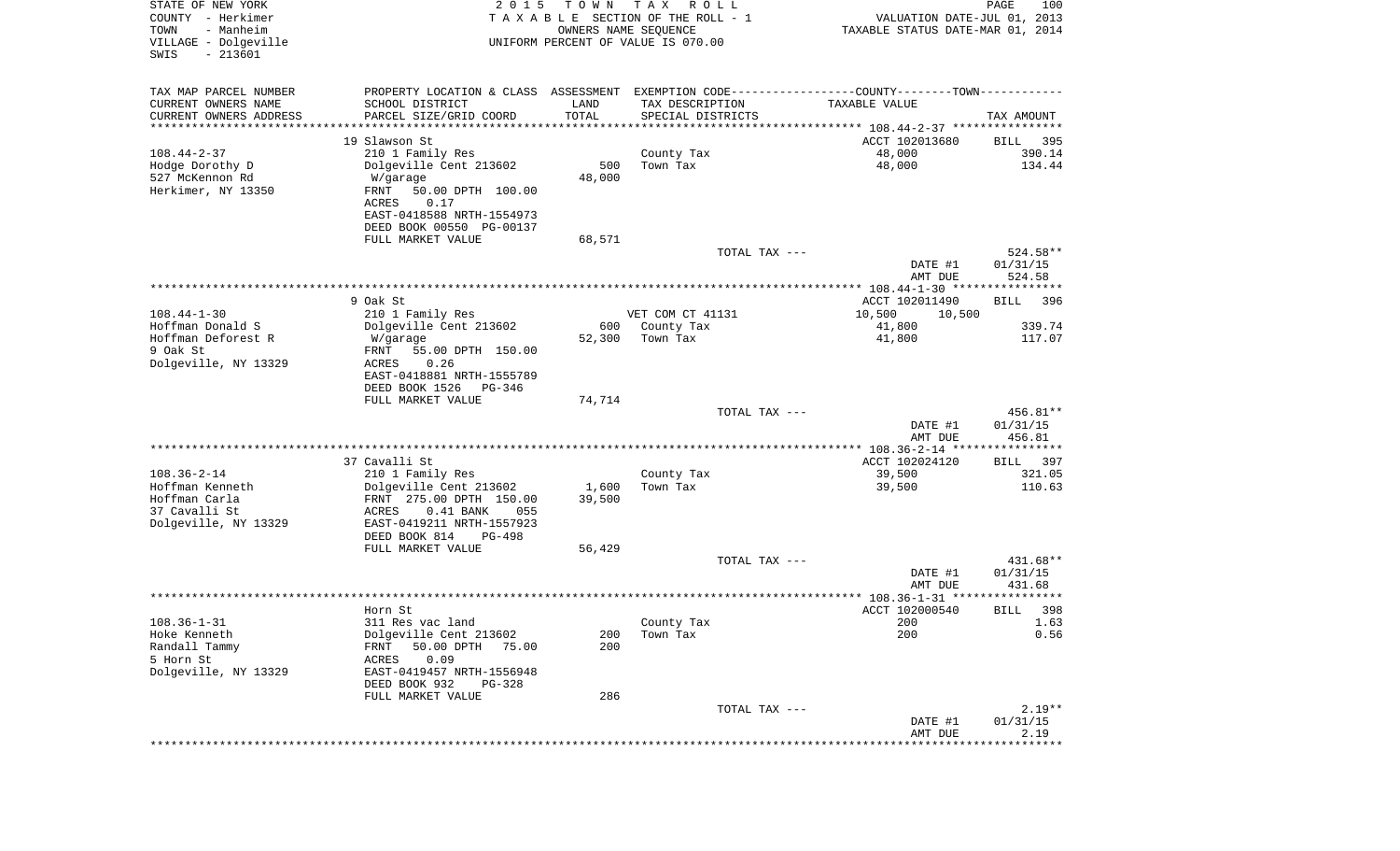| TAX MAP PARCEL NUMBER<br>PROPERTY LOCATION & CLASS ASSESSMENT EXEMPTION CODE---------------COUNTY-------TOWN----------<br>CURRENT OWNERS NAME<br>SCHOOL DISTRICT<br>TAX DESCRIPTION<br>LAND<br>TAXABLE VALUE<br>TOTAL<br>CURRENT OWNERS ADDRESS<br>PARCEL SIZE/GRID COORD<br>SPECIAL DISTRICTS<br>TAX AMOUNT<br>* * * * * * * * * * *<br>*********************<br>19 Slawson St<br>ACCT 102013680<br>395<br>BILL<br>48,000<br>390.14<br>$108.44 - 2 - 37$<br>210 1 Family Res<br>County Tax<br>48,000<br>Hodge Dorothy D<br>Dolgeville Cent 213602<br>500<br>Town Tax<br>134.44<br>527 McKennon Rd<br>48,000<br>W/garage<br>Herkimer, NY 13350<br>FRNT<br>50.00 DPTH 100.00<br>ACRES<br>0.17<br>EAST-0418588 NRTH-1554973<br>DEED BOOK 00550 PG-00137<br>FULL MARKET VALUE<br>68,571<br>524.58**<br>TOTAL TAX ---<br>01/31/15<br>DATE #1<br>524.58<br>AMT DUE<br>9 Oak St.<br>ACCT 102011490<br>396<br>BILL<br>$108.44 - 1 - 30$<br>210 1 Family Res<br>VET COM CT 41131<br>10,500<br>10,500<br>Hoffman Donald S<br>Dolgeville Cent 213602<br>600<br>County Tax<br>41,800<br>339.74<br>Hoffman Deforest R<br>52,300<br>Town Tax<br>41,800<br>117.07<br>W/garage<br>9 Oak St<br>FRNT<br>55.00 DPTH 150.00<br>Dolgeville, NY 13329<br>ACRES<br>0.26<br>EAST-0418881 NRTH-1555789<br>DEED BOOK 1526<br>PG-346<br>FULL MARKET VALUE<br>74,714<br>TOTAL TAX ---<br>456.81**<br>DATE #1<br>01/31/15<br>AMT DUE<br>456.81<br>37 Cavalli St<br>ACCT 102024120<br>397<br>BILL<br>$108.36 - 2 - 14$<br>39,500<br>321.05<br>210 1 Family Res<br>County Tax<br>Hoffman Kenneth<br>Dolgeville Cent 213602<br>1,600<br>Town Tax<br>39,500<br>110.63<br>Hoffman Carla<br>39,500<br>FRNT 275.00 DPTH 150.00<br>37 Cavalli St<br>ACRES<br>$0.41$ BANK<br>055<br>Dolgeville, NY 13329<br>EAST-0419211 NRTH-1557923<br>DEED BOOK 814<br>PG-498<br>FULL MARKET VALUE<br>56,429<br>431.68**<br>TOTAL TAX ---<br>01/31/15<br>DATE #1<br>AMT DUE<br>431.68<br>* * * * * *<br>ACCT 102000540<br>398<br>Horn St<br>BILL<br>200<br>1.63<br>311 Res vac land<br>County Tax<br>Dolgeville Cent 213602<br>0.56<br>Hoke Kenneth<br>200<br>Town Tax<br>200<br>Randall Tammy<br>50.00 DPTH<br>FRNT<br>75.00<br>200<br>5 Horn St<br>0.09<br>ACRES<br>Dolgeville, NY 13329<br>EAST-0419457 NRTH-1556948<br>DEED BOOK 932<br>PG-328<br>FULL MARKET VALUE<br>286<br>$2.19**$<br>TOTAL TAX ---<br>01/31/15<br>DATE #1<br>2.19<br>AMT DUE<br>**************************** | STATE OF NEW YORK<br>COUNTY - Herkimer<br>TOWN<br>- Manheim<br>VILLAGE - Dolgeville<br>$-213601$<br>SWIS | 2 0 1 5 | T O W N | T A X<br>R O L L<br>TAXABLE SECTION OF THE ROLL - 1<br>OWNERS NAME SEQUENCE<br>UNIFORM PERCENT OF VALUE IS 070.00 | VALUATION DATE-JUL 01, 2013<br>TAXABLE STATUS DATE-MAR 01, 2014 | PAGE<br>100 |
|-------------------------------------------------------------------------------------------------------------------------------------------------------------------------------------------------------------------------------------------------------------------------------------------------------------------------------------------------------------------------------------------------------------------------------------------------------------------------------------------------------------------------------------------------------------------------------------------------------------------------------------------------------------------------------------------------------------------------------------------------------------------------------------------------------------------------------------------------------------------------------------------------------------------------------------------------------------------------------------------------------------------------------------------------------------------------------------------------------------------------------------------------------------------------------------------------------------------------------------------------------------------------------------------------------------------------------------------------------------------------------------------------------------------------------------------------------------------------------------------------------------------------------------------------------------------------------------------------------------------------------------------------------------------------------------------------------------------------------------------------------------------------------------------------------------------------------------------------------------------------------------------------------------------------------------------------------------------------------------------------------------------------------------------------------------------------------------------------------------------------------------------------------------------------------------------------------------------------------------------------------------------------------------------------------------------------------------------------------------------------------------------------------------------------------------|----------------------------------------------------------------------------------------------------------|---------|---------|-------------------------------------------------------------------------------------------------------------------|-----------------------------------------------------------------|-------------|
|                                                                                                                                                                                                                                                                                                                                                                                                                                                                                                                                                                                                                                                                                                                                                                                                                                                                                                                                                                                                                                                                                                                                                                                                                                                                                                                                                                                                                                                                                                                                                                                                                                                                                                                                                                                                                                                                                                                                                                                                                                                                                                                                                                                                                                                                                                                                                                                                                                     |                                                                                                          |         |         |                                                                                                                   |                                                                 |             |
|                                                                                                                                                                                                                                                                                                                                                                                                                                                                                                                                                                                                                                                                                                                                                                                                                                                                                                                                                                                                                                                                                                                                                                                                                                                                                                                                                                                                                                                                                                                                                                                                                                                                                                                                                                                                                                                                                                                                                                                                                                                                                                                                                                                                                                                                                                                                                                                                                                     |                                                                                                          |         |         |                                                                                                                   |                                                                 |             |
|                                                                                                                                                                                                                                                                                                                                                                                                                                                                                                                                                                                                                                                                                                                                                                                                                                                                                                                                                                                                                                                                                                                                                                                                                                                                                                                                                                                                                                                                                                                                                                                                                                                                                                                                                                                                                                                                                                                                                                                                                                                                                                                                                                                                                                                                                                                                                                                                                                     |                                                                                                          |         |         |                                                                                                                   |                                                                 |             |
|                                                                                                                                                                                                                                                                                                                                                                                                                                                                                                                                                                                                                                                                                                                                                                                                                                                                                                                                                                                                                                                                                                                                                                                                                                                                                                                                                                                                                                                                                                                                                                                                                                                                                                                                                                                                                                                                                                                                                                                                                                                                                                                                                                                                                                                                                                                                                                                                                                     |                                                                                                          |         |         |                                                                                                                   |                                                                 |             |
|                                                                                                                                                                                                                                                                                                                                                                                                                                                                                                                                                                                                                                                                                                                                                                                                                                                                                                                                                                                                                                                                                                                                                                                                                                                                                                                                                                                                                                                                                                                                                                                                                                                                                                                                                                                                                                                                                                                                                                                                                                                                                                                                                                                                                                                                                                                                                                                                                                     |                                                                                                          |         |         |                                                                                                                   |                                                                 |             |
|                                                                                                                                                                                                                                                                                                                                                                                                                                                                                                                                                                                                                                                                                                                                                                                                                                                                                                                                                                                                                                                                                                                                                                                                                                                                                                                                                                                                                                                                                                                                                                                                                                                                                                                                                                                                                                                                                                                                                                                                                                                                                                                                                                                                                                                                                                                                                                                                                                     |                                                                                                          |         |         |                                                                                                                   |                                                                 |             |
|                                                                                                                                                                                                                                                                                                                                                                                                                                                                                                                                                                                                                                                                                                                                                                                                                                                                                                                                                                                                                                                                                                                                                                                                                                                                                                                                                                                                                                                                                                                                                                                                                                                                                                                                                                                                                                                                                                                                                                                                                                                                                                                                                                                                                                                                                                                                                                                                                                     |                                                                                                          |         |         |                                                                                                                   |                                                                 |             |
|                                                                                                                                                                                                                                                                                                                                                                                                                                                                                                                                                                                                                                                                                                                                                                                                                                                                                                                                                                                                                                                                                                                                                                                                                                                                                                                                                                                                                                                                                                                                                                                                                                                                                                                                                                                                                                                                                                                                                                                                                                                                                                                                                                                                                                                                                                                                                                                                                                     |                                                                                                          |         |         |                                                                                                                   |                                                                 |             |
|                                                                                                                                                                                                                                                                                                                                                                                                                                                                                                                                                                                                                                                                                                                                                                                                                                                                                                                                                                                                                                                                                                                                                                                                                                                                                                                                                                                                                                                                                                                                                                                                                                                                                                                                                                                                                                                                                                                                                                                                                                                                                                                                                                                                                                                                                                                                                                                                                                     |                                                                                                          |         |         |                                                                                                                   |                                                                 |             |
|                                                                                                                                                                                                                                                                                                                                                                                                                                                                                                                                                                                                                                                                                                                                                                                                                                                                                                                                                                                                                                                                                                                                                                                                                                                                                                                                                                                                                                                                                                                                                                                                                                                                                                                                                                                                                                                                                                                                                                                                                                                                                                                                                                                                                                                                                                                                                                                                                                     |                                                                                                          |         |         |                                                                                                                   |                                                                 |             |
|                                                                                                                                                                                                                                                                                                                                                                                                                                                                                                                                                                                                                                                                                                                                                                                                                                                                                                                                                                                                                                                                                                                                                                                                                                                                                                                                                                                                                                                                                                                                                                                                                                                                                                                                                                                                                                                                                                                                                                                                                                                                                                                                                                                                                                                                                                                                                                                                                                     |                                                                                                          |         |         |                                                                                                                   |                                                                 |             |
|                                                                                                                                                                                                                                                                                                                                                                                                                                                                                                                                                                                                                                                                                                                                                                                                                                                                                                                                                                                                                                                                                                                                                                                                                                                                                                                                                                                                                                                                                                                                                                                                                                                                                                                                                                                                                                                                                                                                                                                                                                                                                                                                                                                                                                                                                                                                                                                                                                     |                                                                                                          |         |         |                                                                                                                   |                                                                 |             |
|                                                                                                                                                                                                                                                                                                                                                                                                                                                                                                                                                                                                                                                                                                                                                                                                                                                                                                                                                                                                                                                                                                                                                                                                                                                                                                                                                                                                                                                                                                                                                                                                                                                                                                                                                                                                                                                                                                                                                                                                                                                                                                                                                                                                                                                                                                                                                                                                                                     |                                                                                                          |         |         |                                                                                                                   |                                                                 |             |
|                                                                                                                                                                                                                                                                                                                                                                                                                                                                                                                                                                                                                                                                                                                                                                                                                                                                                                                                                                                                                                                                                                                                                                                                                                                                                                                                                                                                                                                                                                                                                                                                                                                                                                                                                                                                                                                                                                                                                                                                                                                                                                                                                                                                                                                                                                                                                                                                                                     |                                                                                                          |         |         |                                                                                                                   |                                                                 |             |
|                                                                                                                                                                                                                                                                                                                                                                                                                                                                                                                                                                                                                                                                                                                                                                                                                                                                                                                                                                                                                                                                                                                                                                                                                                                                                                                                                                                                                                                                                                                                                                                                                                                                                                                                                                                                                                                                                                                                                                                                                                                                                                                                                                                                                                                                                                                                                                                                                                     |                                                                                                          |         |         |                                                                                                                   |                                                                 |             |
|                                                                                                                                                                                                                                                                                                                                                                                                                                                                                                                                                                                                                                                                                                                                                                                                                                                                                                                                                                                                                                                                                                                                                                                                                                                                                                                                                                                                                                                                                                                                                                                                                                                                                                                                                                                                                                                                                                                                                                                                                                                                                                                                                                                                                                                                                                                                                                                                                                     |                                                                                                          |         |         |                                                                                                                   |                                                                 |             |
|                                                                                                                                                                                                                                                                                                                                                                                                                                                                                                                                                                                                                                                                                                                                                                                                                                                                                                                                                                                                                                                                                                                                                                                                                                                                                                                                                                                                                                                                                                                                                                                                                                                                                                                                                                                                                                                                                                                                                                                                                                                                                                                                                                                                                                                                                                                                                                                                                                     |                                                                                                          |         |         |                                                                                                                   |                                                                 |             |
|                                                                                                                                                                                                                                                                                                                                                                                                                                                                                                                                                                                                                                                                                                                                                                                                                                                                                                                                                                                                                                                                                                                                                                                                                                                                                                                                                                                                                                                                                                                                                                                                                                                                                                                                                                                                                                                                                                                                                                                                                                                                                                                                                                                                                                                                                                                                                                                                                                     |                                                                                                          |         |         |                                                                                                                   |                                                                 |             |
|                                                                                                                                                                                                                                                                                                                                                                                                                                                                                                                                                                                                                                                                                                                                                                                                                                                                                                                                                                                                                                                                                                                                                                                                                                                                                                                                                                                                                                                                                                                                                                                                                                                                                                                                                                                                                                                                                                                                                                                                                                                                                                                                                                                                                                                                                                                                                                                                                                     |                                                                                                          |         |         |                                                                                                                   |                                                                 |             |
|                                                                                                                                                                                                                                                                                                                                                                                                                                                                                                                                                                                                                                                                                                                                                                                                                                                                                                                                                                                                                                                                                                                                                                                                                                                                                                                                                                                                                                                                                                                                                                                                                                                                                                                                                                                                                                                                                                                                                                                                                                                                                                                                                                                                                                                                                                                                                                                                                                     |                                                                                                          |         |         |                                                                                                                   |                                                                 |             |
|                                                                                                                                                                                                                                                                                                                                                                                                                                                                                                                                                                                                                                                                                                                                                                                                                                                                                                                                                                                                                                                                                                                                                                                                                                                                                                                                                                                                                                                                                                                                                                                                                                                                                                                                                                                                                                                                                                                                                                                                                                                                                                                                                                                                                                                                                                                                                                                                                                     |                                                                                                          |         |         |                                                                                                                   |                                                                 |             |
|                                                                                                                                                                                                                                                                                                                                                                                                                                                                                                                                                                                                                                                                                                                                                                                                                                                                                                                                                                                                                                                                                                                                                                                                                                                                                                                                                                                                                                                                                                                                                                                                                                                                                                                                                                                                                                                                                                                                                                                                                                                                                                                                                                                                                                                                                                                                                                                                                                     |                                                                                                          |         |         |                                                                                                                   |                                                                 |             |
|                                                                                                                                                                                                                                                                                                                                                                                                                                                                                                                                                                                                                                                                                                                                                                                                                                                                                                                                                                                                                                                                                                                                                                                                                                                                                                                                                                                                                                                                                                                                                                                                                                                                                                                                                                                                                                                                                                                                                                                                                                                                                                                                                                                                                                                                                                                                                                                                                                     |                                                                                                          |         |         |                                                                                                                   |                                                                 |             |
|                                                                                                                                                                                                                                                                                                                                                                                                                                                                                                                                                                                                                                                                                                                                                                                                                                                                                                                                                                                                                                                                                                                                                                                                                                                                                                                                                                                                                                                                                                                                                                                                                                                                                                                                                                                                                                                                                                                                                                                                                                                                                                                                                                                                                                                                                                                                                                                                                                     |                                                                                                          |         |         |                                                                                                                   |                                                                 |             |
|                                                                                                                                                                                                                                                                                                                                                                                                                                                                                                                                                                                                                                                                                                                                                                                                                                                                                                                                                                                                                                                                                                                                                                                                                                                                                                                                                                                                                                                                                                                                                                                                                                                                                                                                                                                                                                                                                                                                                                                                                                                                                                                                                                                                                                                                                                                                                                                                                                     |                                                                                                          |         |         |                                                                                                                   |                                                                 |             |
|                                                                                                                                                                                                                                                                                                                                                                                                                                                                                                                                                                                                                                                                                                                                                                                                                                                                                                                                                                                                                                                                                                                                                                                                                                                                                                                                                                                                                                                                                                                                                                                                                                                                                                                                                                                                                                                                                                                                                                                                                                                                                                                                                                                                                                                                                                                                                                                                                                     |                                                                                                          |         |         |                                                                                                                   |                                                                 |             |
|                                                                                                                                                                                                                                                                                                                                                                                                                                                                                                                                                                                                                                                                                                                                                                                                                                                                                                                                                                                                                                                                                                                                                                                                                                                                                                                                                                                                                                                                                                                                                                                                                                                                                                                                                                                                                                                                                                                                                                                                                                                                                                                                                                                                                                                                                                                                                                                                                                     |                                                                                                          |         |         |                                                                                                                   |                                                                 |             |
|                                                                                                                                                                                                                                                                                                                                                                                                                                                                                                                                                                                                                                                                                                                                                                                                                                                                                                                                                                                                                                                                                                                                                                                                                                                                                                                                                                                                                                                                                                                                                                                                                                                                                                                                                                                                                                                                                                                                                                                                                                                                                                                                                                                                                                                                                                                                                                                                                                     |                                                                                                          |         |         |                                                                                                                   |                                                                 |             |
|                                                                                                                                                                                                                                                                                                                                                                                                                                                                                                                                                                                                                                                                                                                                                                                                                                                                                                                                                                                                                                                                                                                                                                                                                                                                                                                                                                                                                                                                                                                                                                                                                                                                                                                                                                                                                                                                                                                                                                                                                                                                                                                                                                                                                                                                                                                                                                                                                                     |                                                                                                          |         |         |                                                                                                                   |                                                                 |             |
|                                                                                                                                                                                                                                                                                                                                                                                                                                                                                                                                                                                                                                                                                                                                                                                                                                                                                                                                                                                                                                                                                                                                                                                                                                                                                                                                                                                                                                                                                                                                                                                                                                                                                                                                                                                                                                                                                                                                                                                                                                                                                                                                                                                                                                                                                                                                                                                                                                     |                                                                                                          |         |         |                                                                                                                   |                                                                 |             |
|                                                                                                                                                                                                                                                                                                                                                                                                                                                                                                                                                                                                                                                                                                                                                                                                                                                                                                                                                                                                                                                                                                                                                                                                                                                                                                                                                                                                                                                                                                                                                                                                                                                                                                                                                                                                                                                                                                                                                                                                                                                                                                                                                                                                                                                                                                                                                                                                                                     |                                                                                                          |         |         |                                                                                                                   |                                                                 |             |
|                                                                                                                                                                                                                                                                                                                                                                                                                                                                                                                                                                                                                                                                                                                                                                                                                                                                                                                                                                                                                                                                                                                                                                                                                                                                                                                                                                                                                                                                                                                                                                                                                                                                                                                                                                                                                                                                                                                                                                                                                                                                                                                                                                                                                                                                                                                                                                                                                                     |                                                                                                          |         |         |                                                                                                                   |                                                                 |             |
|                                                                                                                                                                                                                                                                                                                                                                                                                                                                                                                                                                                                                                                                                                                                                                                                                                                                                                                                                                                                                                                                                                                                                                                                                                                                                                                                                                                                                                                                                                                                                                                                                                                                                                                                                                                                                                                                                                                                                                                                                                                                                                                                                                                                                                                                                                                                                                                                                                     |                                                                                                          |         |         |                                                                                                                   |                                                                 |             |
|                                                                                                                                                                                                                                                                                                                                                                                                                                                                                                                                                                                                                                                                                                                                                                                                                                                                                                                                                                                                                                                                                                                                                                                                                                                                                                                                                                                                                                                                                                                                                                                                                                                                                                                                                                                                                                                                                                                                                                                                                                                                                                                                                                                                                                                                                                                                                                                                                                     |                                                                                                          |         |         |                                                                                                                   |                                                                 |             |
|                                                                                                                                                                                                                                                                                                                                                                                                                                                                                                                                                                                                                                                                                                                                                                                                                                                                                                                                                                                                                                                                                                                                                                                                                                                                                                                                                                                                                                                                                                                                                                                                                                                                                                                                                                                                                                                                                                                                                                                                                                                                                                                                                                                                                                                                                                                                                                                                                                     |                                                                                                          |         |         |                                                                                                                   |                                                                 |             |
|                                                                                                                                                                                                                                                                                                                                                                                                                                                                                                                                                                                                                                                                                                                                                                                                                                                                                                                                                                                                                                                                                                                                                                                                                                                                                                                                                                                                                                                                                                                                                                                                                                                                                                                                                                                                                                                                                                                                                                                                                                                                                                                                                                                                                                                                                                                                                                                                                                     |                                                                                                          |         |         |                                                                                                                   |                                                                 |             |
|                                                                                                                                                                                                                                                                                                                                                                                                                                                                                                                                                                                                                                                                                                                                                                                                                                                                                                                                                                                                                                                                                                                                                                                                                                                                                                                                                                                                                                                                                                                                                                                                                                                                                                                                                                                                                                                                                                                                                                                                                                                                                                                                                                                                                                                                                                                                                                                                                                     |                                                                                                          |         |         |                                                                                                                   |                                                                 |             |
|                                                                                                                                                                                                                                                                                                                                                                                                                                                                                                                                                                                                                                                                                                                                                                                                                                                                                                                                                                                                                                                                                                                                                                                                                                                                                                                                                                                                                                                                                                                                                                                                                                                                                                                                                                                                                                                                                                                                                                                                                                                                                                                                                                                                                                                                                                                                                                                                                                     | $108.36 - 1 - 31$                                                                                        |         |         |                                                                                                                   |                                                                 |             |
|                                                                                                                                                                                                                                                                                                                                                                                                                                                                                                                                                                                                                                                                                                                                                                                                                                                                                                                                                                                                                                                                                                                                                                                                                                                                                                                                                                                                                                                                                                                                                                                                                                                                                                                                                                                                                                                                                                                                                                                                                                                                                                                                                                                                                                                                                                                                                                                                                                     |                                                                                                          |         |         |                                                                                                                   |                                                                 |             |
|                                                                                                                                                                                                                                                                                                                                                                                                                                                                                                                                                                                                                                                                                                                                                                                                                                                                                                                                                                                                                                                                                                                                                                                                                                                                                                                                                                                                                                                                                                                                                                                                                                                                                                                                                                                                                                                                                                                                                                                                                                                                                                                                                                                                                                                                                                                                                                                                                                     |                                                                                                          |         |         |                                                                                                                   |                                                                 |             |
|                                                                                                                                                                                                                                                                                                                                                                                                                                                                                                                                                                                                                                                                                                                                                                                                                                                                                                                                                                                                                                                                                                                                                                                                                                                                                                                                                                                                                                                                                                                                                                                                                                                                                                                                                                                                                                                                                                                                                                                                                                                                                                                                                                                                                                                                                                                                                                                                                                     |                                                                                                          |         |         |                                                                                                                   |                                                                 |             |
|                                                                                                                                                                                                                                                                                                                                                                                                                                                                                                                                                                                                                                                                                                                                                                                                                                                                                                                                                                                                                                                                                                                                                                                                                                                                                                                                                                                                                                                                                                                                                                                                                                                                                                                                                                                                                                                                                                                                                                                                                                                                                                                                                                                                                                                                                                                                                                                                                                     |                                                                                                          |         |         |                                                                                                                   |                                                                 |             |
|                                                                                                                                                                                                                                                                                                                                                                                                                                                                                                                                                                                                                                                                                                                                                                                                                                                                                                                                                                                                                                                                                                                                                                                                                                                                                                                                                                                                                                                                                                                                                                                                                                                                                                                                                                                                                                                                                                                                                                                                                                                                                                                                                                                                                                                                                                                                                                                                                                     |                                                                                                          |         |         |                                                                                                                   |                                                                 |             |
|                                                                                                                                                                                                                                                                                                                                                                                                                                                                                                                                                                                                                                                                                                                                                                                                                                                                                                                                                                                                                                                                                                                                                                                                                                                                                                                                                                                                                                                                                                                                                                                                                                                                                                                                                                                                                                                                                                                                                                                                                                                                                                                                                                                                                                                                                                                                                                                                                                     |                                                                                                          |         |         |                                                                                                                   |                                                                 |             |
|                                                                                                                                                                                                                                                                                                                                                                                                                                                                                                                                                                                                                                                                                                                                                                                                                                                                                                                                                                                                                                                                                                                                                                                                                                                                                                                                                                                                                                                                                                                                                                                                                                                                                                                                                                                                                                                                                                                                                                                                                                                                                                                                                                                                                                                                                                                                                                                                                                     |                                                                                                          |         |         |                                                                                                                   |                                                                 |             |
|                                                                                                                                                                                                                                                                                                                                                                                                                                                                                                                                                                                                                                                                                                                                                                                                                                                                                                                                                                                                                                                                                                                                                                                                                                                                                                                                                                                                                                                                                                                                                                                                                                                                                                                                                                                                                                                                                                                                                                                                                                                                                                                                                                                                                                                                                                                                                                                                                                     |                                                                                                          |         |         |                                                                                                                   |                                                                 |             |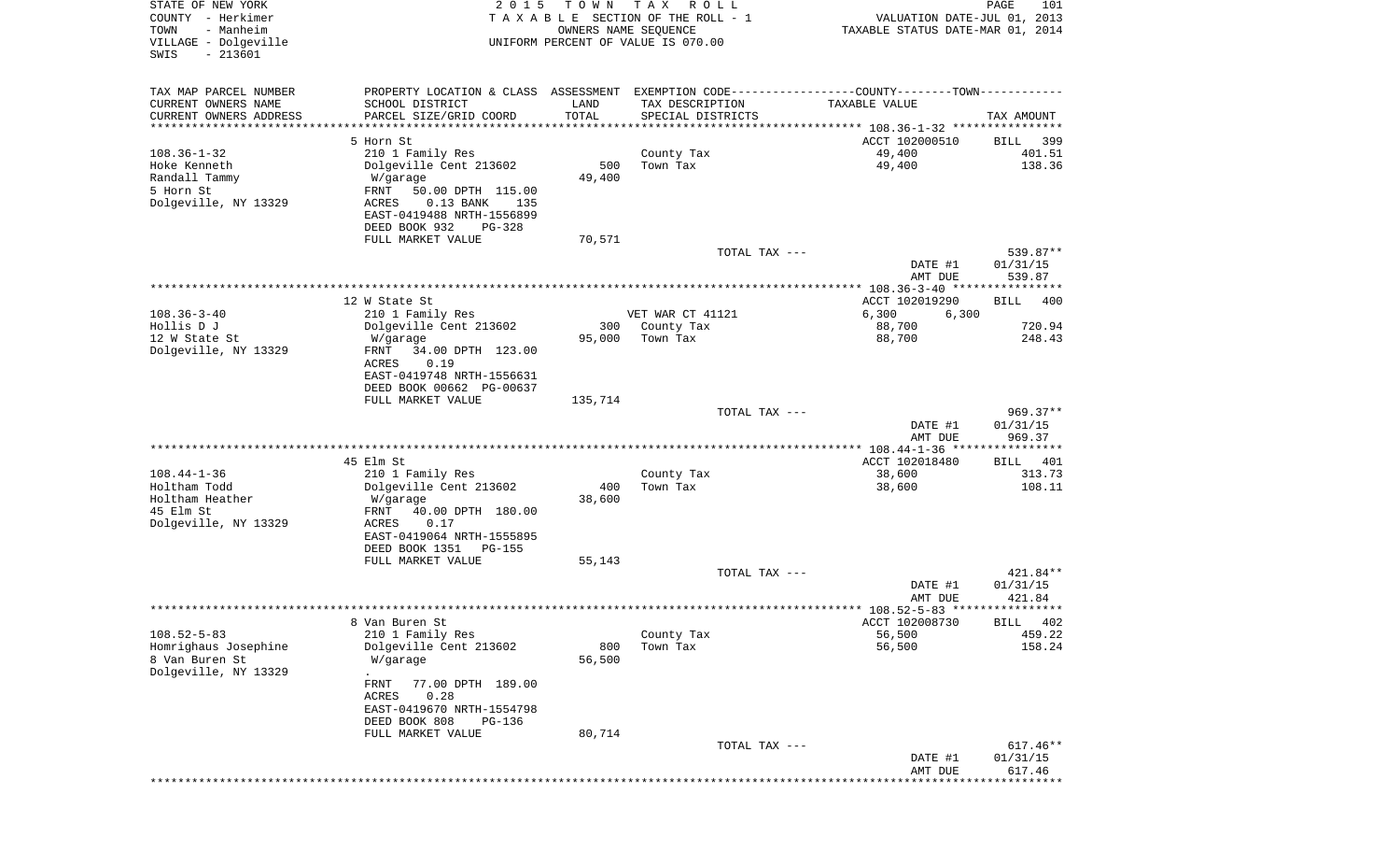| STATE OF NEW YORK<br>COUNTY - Herkimer<br>- Manheim<br>TOWN<br>VILLAGE - Dolgeville<br>$-213601$<br>SWIS | 2 0 1 5                                                                                       | T O W N<br>OWNERS NAME SEQUENCE | T A X<br>R O L L<br>TAXABLE SECTION OF THE ROLL - 1<br>UNIFORM PERCENT OF VALUE IS 070.00 | VALUATION DATE-JUL 01, 2013<br>TAXABLE STATUS DATE-MAR 01, 2014 | 101<br>PAGE        |
|----------------------------------------------------------------------------------------------------------|-----------------------------------------------------------------------------------------------|---------------------------------|-------------------------------------------------------------------------------------------|-----------------------------------------------------------------|--------------------|
| TAX MAP PARCEL NUMBER                                                                                    | PROPERTY LOCATION & CLASS ASSESSMENT EXEMPTION CODE---------------COUNTY-------TOWN---------- |                                 |                                                                                           |                                                                 |                    |
| CURRENT OWNERS NAME                                                                                      | SCHOOL DISTRICT                                                                               | LAND                            | TAX DESCRIPTION                                                                           | TAXABLE VALUE                                                   |                    |
| CURRENT OWNERS ADDRESS<br>*********************                                                          | PARCEL SIZE/GRID COORD<br>*************************                                           | TOTAL                           | SPECIAL DISTRICTS                                                                         |                                                                 | TAX AMOUNT         |
|                                                                                                          | 5 Horn St                                                                                     |                                 |                                                                                           | ACCT 102000510                                                  | 399<br>BILL        |
| $108.36 - 1 - 32$                                                                                        | 210 1 Family Res                                                                              |                                 | County Tax                                                                                | 49,400                                                          | 401.51             |
| Hoke Kenneth                                                                                             | Dolgeville Cent 213602                                                                        | 500                             | Town Tax                                                                                  | 49,400                                                          | 138.36             |
| Randall Tammy                                                                                            | W/garage                                                                                      | 49,400                          |                                                                                           |                                                                 |                    |
| 5 Horn St                                                                                                | FRNT<br>50.00 DPTH 115.00                                                                     |                                 |                                                                                           |                                                                 |                    |
| Dolgeville, NY 13329                                                                                     | $0.13$ BANK<br>ACRES<br>135<br>EAST-0419488 NRTH-1556899                                      |                                 |                                                                                           |                                                                 |                    |
|                                                                                                          | DEED BOOK 932<br>PG-328                                                                       |                                 |                                                                                           |                                                                 |                    |
|                                                                                                          | FULL MARKET VALUE                                                                             | 70,571                          |                                                                                           |                                                                 |                    |
|                                                                                                          |                                                                                               |                                 | TOTAL TAX ---                                                                             |                                                                 | 539.87**           |
|                                                                                                          |                                                                                               |                                 |                                                                                           | DATE #1<br>AMT DUE                                              | 01/31/15<br>539.87 |
|                                                                                                          |                                                                                               |                                 |                                                                                           | ***************** 108.36-3-40 ****************                  |                    |
|                                                                                                          | 12 W State St                                                                                 |                                 |                                                                                           | ACCT 102019290                                                  | BILL<br>400        |
| $108.36 - 3 - 40$                                                                                        | 210 1 Family Res                                                                              |                                 | VET WAR CT 41121                                                                          | 6,300<br>6,300                                                  |                    |
| Hollis D J                                                                                               | Dolgeville Cent 213602                                                                        | 300                             | County Tax                                                                                | 88,700                                                          | 720.94             |
| 12 W State St<br>Dolgeville, NY 13329                                                                    | W/garage<br>34.00 DPTH 123.00<br>FRNT                                                         | 95,000                          | Town Tax                                                                                  | 88,700                                                          | 248.43             |
|                                                                                                          | ACRES<br>0.19                                                                                 |                                 |                                                                                           |                                                                 |                    |
|                                                                                                          | EAST-0419748 NRTH-1556631                                                                     |                                 |                                                                                           |                                                                 |                    |
|                                                                                                          | DEED BOOK 00662 PG-00637                                                                      |                                 |                                                                                           |                                                                 |                    |
|                                                                                                          | FULL MARKET VALUE                                                                             | 135,714                         | TOTAL TAX ---                                                                             |                                                                 | $969.37**$         |
|                                                                                                          |                                                                                               |                                 |                                                                                           | DATE #1                                                         | 01/31/15           |
|                                                                                                          |                                                                                               |                                 |                                                                                           | AMT DUE                                                         | 969.37             |
|                                                                                                          |                                                                                               |                                 |                                                                                           |                                                                 |                    |
| $108.44 - 1 - 36$                                                                                        | 45 Elm St                                                                                     |                                 |                                                                                           | ACCT 102018480                                                  | BILL 401<br>313.73 |
| Holtham Todd                                                                                             | 210 1 Family Res<br>Dolgeville Cent 213602                                                    | 400                             | County Tax<br>Town Tax                                                                    | 38,600<br>38,600                                                | 108.11             |
| Holtham Heather                                                                                          | W/garage                                                                                      | 38,600                          |                                                                                           |                                                                 |                    |
| 45 Elm St                                                                                                | FRNT<br>40.00 DPTH 180.00                                                                     |                                 |                                                                                           |                                                                 |                    |
| Dolgeville, NY 13329                                                                                     | ACRES<br>0.17                                                                                 |                                 |                                                                                           |                                                                 |                    |
|                                                                                                          | EAST-0419064 NRTH-1555895<br>DEED BOOK 1351<br>PG-155                                         |                                 |                                                                                           |                                                                 |                    |
|                                                                                                          | FULL MARKET VALUE                                                                             | 55,143                          |                                                                                           |                                                                 |                    |
|                                                                                                          |                                                                                               |                                 | TOTAL TAX ---                                                                             |                                                                 | 421.84**           |
|                                                                                                          |                                                                                               |                                 |                                                                                           | DATE #1                                                         | 01/31/15           |
|                                                                                                          |                                                                                               |                                 |                                                                                           | AMT DUE                                                         | 421.84             |
|                                                                                                          | 8 Van Buren St                                                                                |                                 |                                                                                           | ACCT 102008730                                                  | BILL 402           |
| $108.52 - 5 - 83$                                                                                        | 210 1 Family Res                                                                              |                                 | County Tax                                                                                | 56,500                                                          | 459.22             |
| Homrighaus Josephine                                                                                     | Dolgeville Cent 213602                                                                        | 800                             | Town Tax                                                                                  | 56,500                                                          | 158.24             |
| 8 Van Buren St                                                                                           | W/garage                                                                                      | 56,500                          |                                                                                           |                                                                 |                    |
| Dolgeville, NY 13329                                                                                     | 77.00 DPTH 189.00<br>FRNT                                                                     |                                 |                                                                                           |                                                                 |                    |
|                                                                                                          | <b>ACRES</b><br>0.28                                                                          |                                 |                                                                                           |                                                                 |                    |
|                                                                                                          | EAST-0419670 NRTH-1554798                                                                     |                                 |                                                                                           |                                                                 |                    |
|                                                                                                          | DEED BOOK 808<br>PG-136                                                                       |                                 |                                                                                           |                                                                 |                    |
|                                                                                                          | FULL MARKET VALUE                                                                             | 80,714                          | TOTAL TAX ---                                                                             |                                                                 | 617.46**           |
|                                                                                                          |                                                                                               |                                 |                                                                                           | DATE #1                                                         | 01/31/15           |
|                                                                                                          |                                                                                               |                                 |                                                                                           | AMT DUE                                                         | 617.46             |
|                                                                                                          |                                                                                               |                                 |                                                                                           |                                                                 |                    |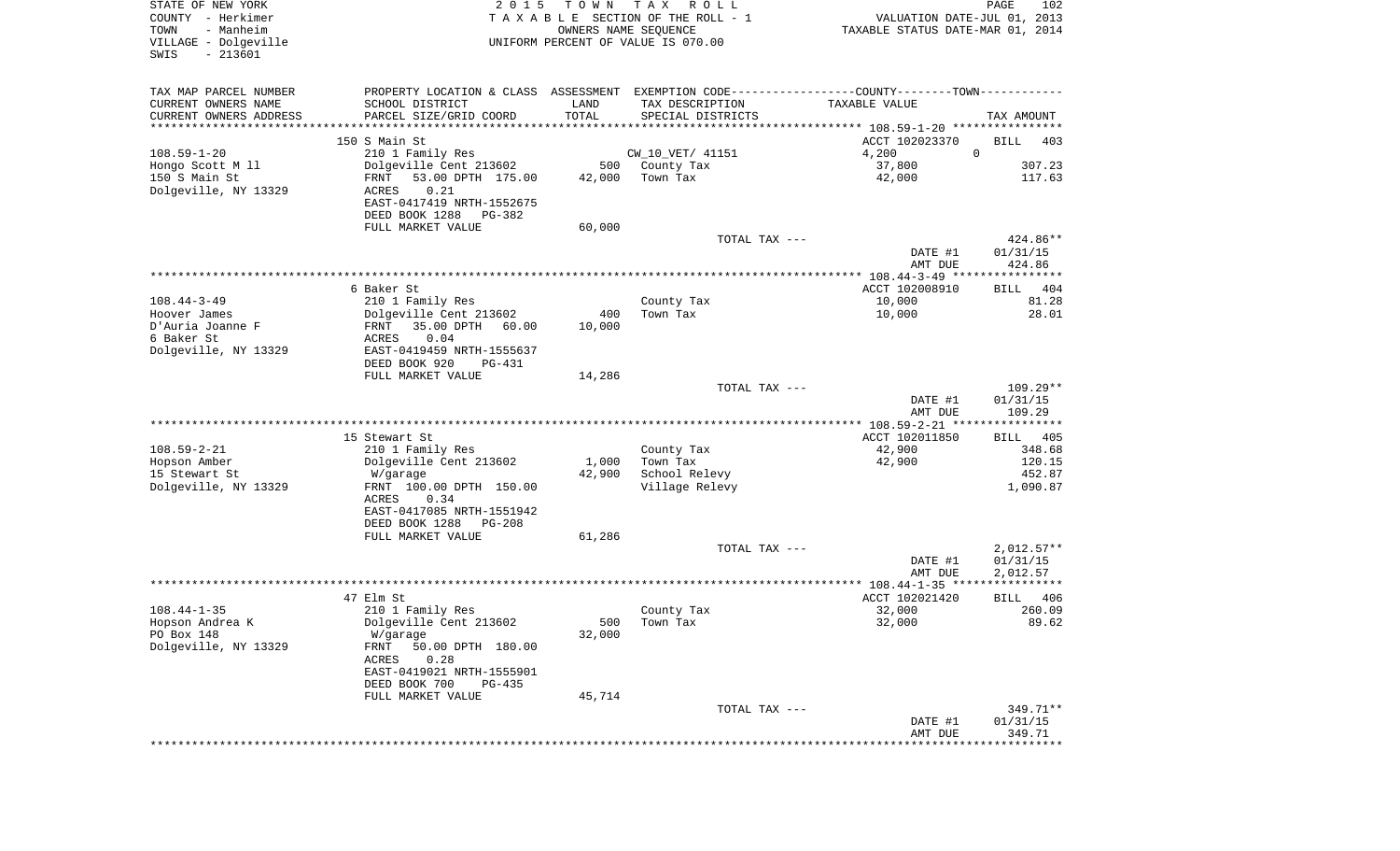| COUNTY - Herkimer       | 2 0 1 5                        |        |                                    |                                                                                                 | PAGE                     |
|-------------------------|--------------------------------|--------|------------------------------------|-------------------------------------------------------------------------------------------------|--------------------------|
|                         | TAXABLE                        |        | SECTION OF THE ROLL - 1            | VALUATION DATE-JUL 01, 2013                                                                     |                          |
| - Manheim<br>TOWN       |                                |        | OWNERS NAME SEQUENCE               | TAXABLE STATUS DATE-MAR 01, 2014                                                                |                          |
| VILLAGE - Dolgeville    |                                |        | UNIFORM PERCENT OF VALUE IS 070.00 |                                                                                                 |                          |
| $-213601$<br>SWIS       |                                |        |                                    |                                                                                                 |                          |
|                         |                                |        |                                    |                                                                                                 |                          |
| TAX MAP PARCEL NUMBER   |                                |        |                                    | PROPERTY LOCATION & CLASS ASSESSMENT EXEMPTION CODE----------------COUNTY--------TOWN---------- |                          |
| CURRENT OWNERS NAME     | SCHOOL DISTRICT                | LAND   | TAX DESCRIPTION                    | TAXABLE VALUE                                                                                   |                          |
| CURRENT OWNERS ADDRESS  | PARCEL SIZE/GRID COORD         | TOTAL  | SPECIAL DISTRICTS                  |                                                                                                 | TAX AMOUNT               |
| *********************** |                                |        |                                    |                                                                                                 |                          |
|                         | 150 S Main St                  |        |                                    | ACCT 102023370                                                                                  | BILL<br>403              |
| $108.59 - 1 - 20$       | 210 1 Family Res               |        | CW_10_VET/ 41151                   | 4,200                                                                                           | $\mathbf 0$              |
| Hongo Scott M 11        | Dolgeville Cent 213602         | 500    | County Tax                         | 37,800                                                                                          | 307.23                   |
| 150 S Main St           | FRNT<br>53.00 DPTH 175.00      | 42,000 | Town Tax                           | 42,000                                                                                          | 117.63                   |
| Dolgeville, NY 13329    | 0.21<br>ACRES                  |        |                                    |                                                                                                 |                          |
|                         | EAST-0417419 NRTH-1552675      |        |                                    |                                                                                                 |                          |
|                         | DEED BOOK 1288<br>PG-382       |        |                                    |                                                                                                 |                          |
|                         | FULL MARKET VALUE              | 60,000 |                                    |                                                                                                 |                          |
|                         |                                |        | TOTAL TAX ---                      |                                                                                                 | 424.86**                 |
|                         |                                |        |                                    | DATE #1                                                                                         | 01/31/15                 |
|                         |                                |        |                                    | AMT DUE                                                                                         | 424.86                   |
|                         |                                |        |                                    |                                                                                                 |                          |
|                         | 6 Baker St                     |        |                                    | ACCT 102008910                                                                                  | BILL<br>404              |
| $108.44 - 3 - 49$       | 210 1 Family Res               |        | County Tax                         | 10,000                                                                                          | 81.28                    |
| Hoover James            | Dolgeville Cent 213602         | 400    | Town Tax                           | 10,000                                                                                          | 28.01                    |
| D'Auria Joanne F        | FRNT<br>35.00 DPTH<br>60.00    | 10,000 |                                    |                                                                                                 |                          |
| 6 Baker St              | 0.04<br>ACRES                  |        |                                    |                                                                                                 |                          |
| Dolgeville, NY 13329    | EAST-0419459 NRTH-1555637      |        |                                    |                                                                                                 |                          |
|                         | DEED BOOK 920<br><b>PG-431</b> |        |                                    |                                                                                                 |                          |
|                         | FULL MARKET VALUE              | 14,286 |                                    |                                                                                                 |                          |
|                         |                                |        | TOTAL TAX ---                      |                                                                                                 | $109.29**$               |
|                         |                                |        |                                    | DATE #1                                                                                         | 01/31/15                 |
|                         |                                |        |                                    | AMT DUE                                                                                         | 109.29                   |
|                         |                                |        |                                    |                                                                                                 |                          |
|                         | 15 Stewart St                  |        |                                    | ACCT 102011850                                                                                  | 405<br>BILL              |
| $108.59 - 2 - 21$       | 210 1 Family Res               |        | County Tax                         | 42,900                                                                                          | 348.68                   |
| Hopson Amber            | Dolgeville Cent 213602         | 1,000  | Town Tax                           | 42,900                                                                                          | 120.15                   |
| 15 Stewart St           | W/garage                       | 42,900 | School Relevy                      |                                                                                                 | 452.87                   |
| Dolgeville, NY 13329    | FRNT 100.00 DPTH 150.00        |        | Village Relevy                     |                                                                                                 | 1,090.87                 |
|                         | 0.34<br>ACRES                  |        |                                    |                                                                                                 |                          |
|                         | EAST-0417085 NRTH-1551942      |        |                                    |                                                                                                 |                          |
|                         | DEED BOOK 1288<br>PG-208       |        |                                    |                                                                                                 |                          |
|                         |                                |        |                                    |                                                                                                 |                          |
|                         | FULL MARKET VALUE              | 61,286 |                                    |                                                                                                 |                          |
|                         |                                |        | TOTAL TAX ---                      |                                                                                                 | $2,012.57**$             |
|                         |                                |        |                                    | DATE #1                                                                                         | 01/31/15                 |
|                         |                                |        |                                    | AMT DUE                                                                                         | 2,012.57<br>************ |
|                         |                                |        |                                    |                                                                                                 |                          |
|                         | 47 Elm St                      |        |                                    | ACCT 102021420                                                                                  | BILL<br>406              |
| $108.44 - 1 - 35$       | 210 1 Family Res               |        | County Tax                         | 32,000                                                                                          | 260.09                   |
| Hopson Andrea K         | Dolgeville Cent 213602         | 500    | Town Tax                           | 32,000                                                                                          | 89.62                    |
| PO Box 148              | W/garage                       | 32,000 |                                    |                                                                                                 |                          |
| Dolgeville, NY 13329    | FRNT<br>50.00 DPTH 180.00      |        |                                    |                                                                                                 |                          |
|                         | ACRES<br>0.28                  |        |                                    |                                                                                                 |                          |
|                         | EAST-0419021 NRTH-1555901      |        |                                    |                                                                                                 |                          |
|                         |                                |        |                                    |                                                                                                 |                          |
|                         | DEED BOOK 700<br>PG-435        |        |                                    |                                                                                                 |                          |
|                         | FULL MARKET VALUE              | 45,714 |                                    |                                                                                                 |                          |
|                         |                                |        | TOTAL TAX ---                      |                                                                                                 |                          |
|                         |                                |        |                                    | DATE #1                                                                                         | 349.71**<br>01/31/15     |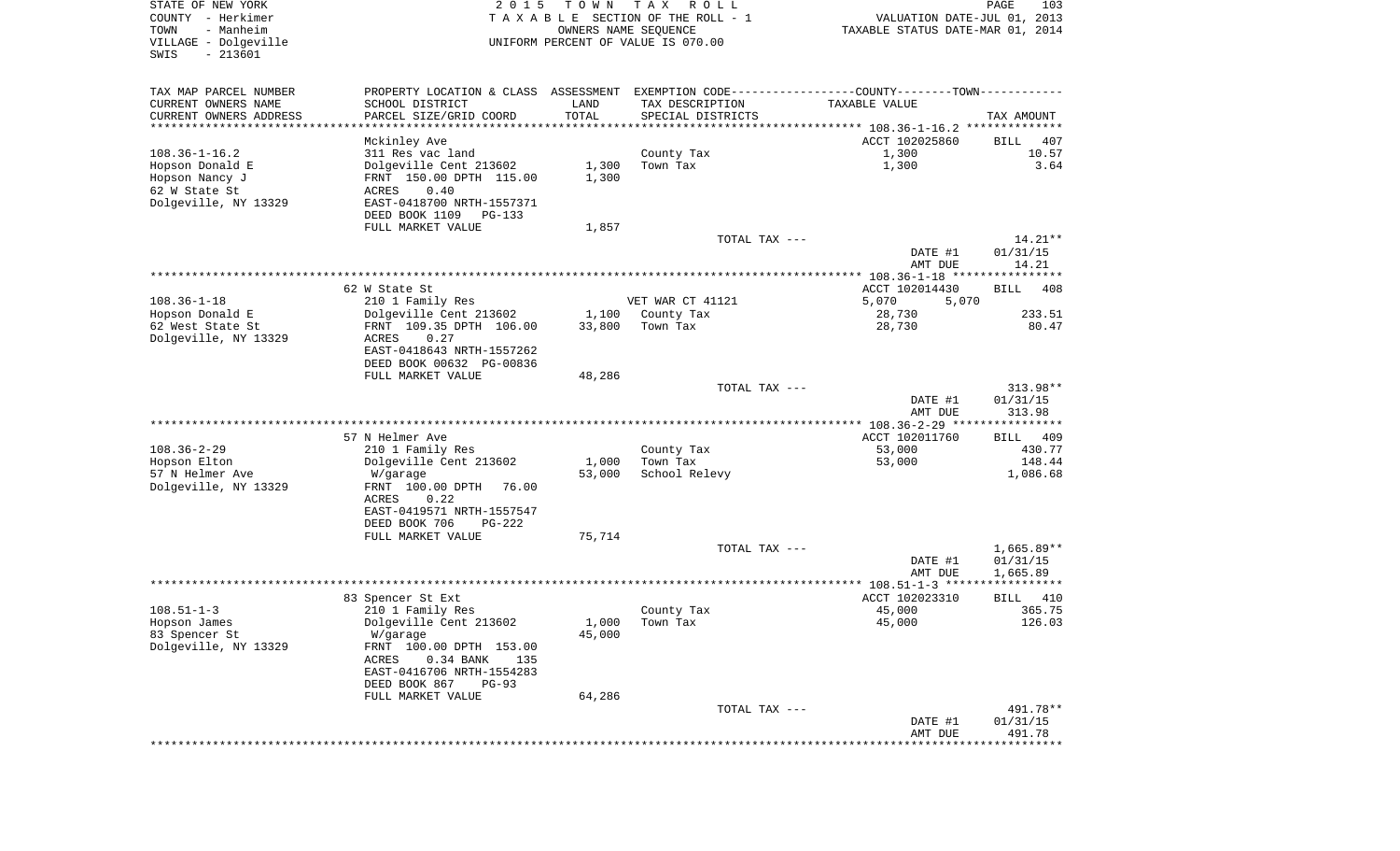| STATE OF NEW YORK<br>COUNTY - Herkimer<br>TOWN<br>- Manheim<br>VILLAGE - Dolgeville<br>SWIS<br>$-213601$ | 2 0 1 5                                                                                       | T O W N         | T A X<br>R O L L<br>TAXABLE SECTION OF THE ROLL - 1<br>OWNERS NAME SEQUENCE<br>UNIFORM PERCENT OF VALUE IS 070.00 | VALUATION DATE-JUL 01, 2013<br>TAXABLE STATUS DATE-MAR 01, 2014 | PAGE<br>103           |
|----------------------------------------------------------------------------------------------------------|-----------------------------------------------------------------------------------------------|-----------------|-------------------------------------------------------------------------------------------------------------------|-----------------------------------------------------------------|-----------------------|
| TAX MAP PARCEL NUMBER                                                                                    | PROPERTY LOCATION & CLASS ASSESSMENT EXEMPTION CODE---------------COUNTY-------TOWN---------- |                 |                                                                                                                   |                                                                 |                       |
| CURRENT OWNERS NAME                                                                                      | SCHOOL DISTRICT                                                                               | LAND            | TAX DESCRIPTION                                                                                                   | TAXABLE VALUE                                                   |                       |
| CURRENT OWNERS ADDRESS<br>***********************                                                        | PARCEL SIZE/GRID COORD                                                                        | TOTAL           | SPECIAL DISTRICTS                                                                                                 |                                                                 | TAX AMOUNT            |
|                                                                                                          | Mckinley Ave                                                                                  |                 |                                                                                                                   | ACCT 102025860                                                  | BILL<br>407           |
| $108.36 - 1 - 16.2$                                                                                      | 311 Res vac land                                                                              |                 | County Tax                                                                                                        | 1,300                                                           | 10.57                 |
| Hopson Donald E                                                                                          | Dolgeville Cent 213602                                                                        | 1,300           | Town Tax                                                                                                          | 1,300                                                           | 3.64                  |
| Hopson Nancy J                                                                                           | FRNT 150.00 DPTH 115.00                                                                       | 1,300           |                                                                                                                   |                                                                 |                       |
| 62 W State St<br>Dolgeville, NY 13329                                                                    | 0.40<br>ACRES<br>EAST-0418700 NRTH-1557371                                                    |                 |                                                                                                                   |                                                                 |                       |
|                                                                                                          | DEED BOOK 1109<br>PG-133                                                                      |                 |                                                                                                                   |                                                                 |                       |
|                                                                                                          | FULL MARKET VALUE                                                                             | 1,857           |                                                                                                                   |                                                                 |                       |
|                                                                                                          |                                                                                               |                 | TOTAL TAX ---                                                                                                     |                                                                 | $14.21**$             |
|                                                                                                          |                                                                                               |                 |                                                                                                                   | DATE #1<br>AMT DUE                                              | 01/31/15<br>14.21     |
|                                                                                                          |                                                                                               |                 |                                                                                                                   |                                                                 |                       |
|                                                                                                          | 62 W State St                                                                                 |                 |                                                                                                                   | ACCT 102014430                                                  | <b>BILL</b><br>408    |
| $108.36 - 1 - 18$                                                                                        | 210 1 Family Res                                                                              |                 | VET WAR CT 41121                                                                                                  | 5,070<br>5,070                                                  |                       |
| Hopson Donald E                                                                                          | Dolgeville Cent 213602                                                                        | 1,100           | County Tax                                                                                                        | 28,730                                                          | 233.51                |
| 62 West State St<br>Dolgeville, NY 13329                                                                 | FRNT 109.35 DPTH 106.00<br>0.27<br>ACRES                                                      | 33,800          | Town Tax                                                                                                          | 28,730                                                          | 80.47                 |
|                                                                                                          | EAST-0418643 NRTH-1557262                                                                     |                 |                                                                                                                   |                                                                 |                       |
|                                                                                                          | DEED BOOK 00632 PG-00836                                                                      |                 |                                                                                                                   |                                                                 |                       |
|                                                                                                          | FULL MARKET VALUE                                                                             | 48,286          |                                                                                                                   |                                                                 |                       |
|                                                                                                          |                                                                                               |                 | TOTAL TAX ---                                                                                                     | DATE #1                                                         | 313.98**<br>01/31/15  |
|                                                                                                          |                                                                                               |                 |                                                                                                                   | AMT DUE                                                         | 313.98                |
|                                                                                                          |                                                                                               |                 |                                                                                                                   |                                                                 |                       |
|                                                                                                          | 57 N Helmer Ave                                                                               |                 |                                                                                                                   | ACCT 102011760                                                  | BILL<br>-409          |
| $108.36 - 2 - 29$                                                                                        | 210 1 Family Res                                                                              |                 | County Tax                                                                                                        | 53,000                                                          | 430.77                |
| Hopson Elton<br>57 N Helmer Ave                                                                          | Dolgeville Cent 213602<br>W/garage                                                            | 1,000<br>53,000 | Town Tax<br>School Relevy                                                                                         | 53,000                                                          | 148.44<br>1,086.68    |
| Dolgeville, NY 13329                                                                                     | FRNT 100.00 DPTH<br>76.00                                                                     |                 |                                                                                                                   |                                                                 |                       |
|                                                                                                          | 0.22<br>ACRES                                                                                 |                 |                                                                                                                   |                                                                 |                       |
|                                                                                                          | EAST-0419571 NRTH-1557547                                                                     |                 |                                                                                                                   |                                                                 |                       |
|                                                                                                          | DEED BOOK 706<br>PG-222<br>FULL MARKET VALUE                                                  | 75,714          |                                                                                                                   |                                                                 |                       |
|                                                                                                          |                                                                                               |                 | TOTAL TAX ---                                                                                                     |                                                                 | $1,665.89**$          |
|                                                                                                          |                                                                                               |                 |                                                                                                                   | DATE #1                                                         | 01/31/15              |
|                                                                                                          |                                                                                               |                 |                                                                                                                   | AMT DUE                                                         | 1,665.89              |
|                                                                                                          |                                                                                               |                 |                                                                                                                   | ACCT 102023310                                                  | ***********           |
| $108.51 - 1 - 3$                                                                                         | 83 Spencer St Ext<br>210 1 Family Res                                                         |                 | County Tax                                                                                                        | 45,000                                                          | BILL<br>410<br>365.75 |
| Hopson James                                                                                             | Dolgeville Cent 213602                                                                        | 1,000           | Town Tax                                                                                                          | 45,000                                                          | 126.03                |
| 83 Spencer St                                                                                            | W/garage                                                                                      | 45,000          |                                                                                                                   |                                                                 |                       |
| Dolgeville, NY 13329                                                                                     | FRNT 100.00 DPTH 153.00                                                                       |                 |                                                                                                                   |                                                                 |                       |
|                                                                                                          | ACRES<br>0.34 BANK<br>135<br>EAST-0416706 NRTH-1554283                                        |                 |                                                                                                                   |                                                                 |                       |
|                                                                                                          | DEED BOOK 867<br>$PG-93$                                                                      |                 |                                                                                                                   |                                                                 |                       |
|                                                                                                          | FULL MARKET VALUE                                                                             | 64,286          |                                                                                                                   |                                                                 |                       |
|                                                                                                          |                                                                                               |                 | TOTAL TAX ---                                                                                                     |                                                                 | 491.78**              |
|                                                                                                          |                                                                                               |                 |                                                                                                                   | DATE #1                                                         | 01/31/15              |
|                                                                                                          |                                                                                               |                 |                                                                                                                   | AMT DUE                                                         | 491.78                |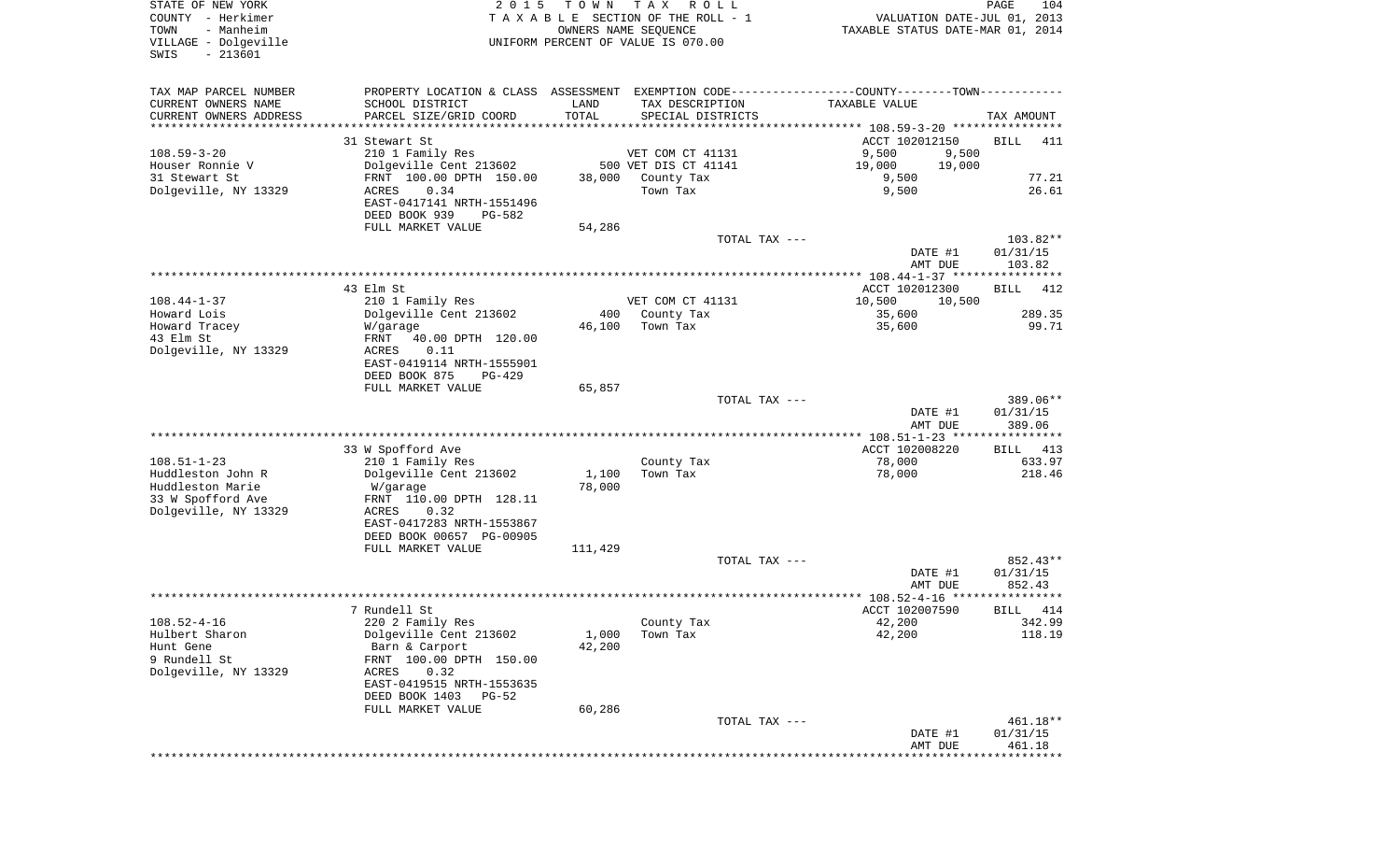| STATE OF NEW YORK<br>COUNTY - Herkimer<br>- Manheim<br>TOWN<br>VILLAGE - Dolgeville<br>$-213601$<br>SWIS | 2 0 1 5                                                | T O W N       | T A X<br>R O L L<br>TAXABLE SECTION OF THE ROLL - 1<br>OWNERS NAME SEQUENCE<br>UNIFORM PERCENT OF VALUE IS 070.00 | VALUATION DATE-JUL 01, 2013<br>TAXABLE STATUS DATE-MAR 01, 2014                               | PAGE<br>104           |
|----------------------------------------------------------------------------------------------------------|--------------------------------------------------------|---------------|-------------------------------------------------------------------------------------------------------------------|-----------------------------------------------------------------------------------------------|-----------------------|
| TAX MAP PARCEL NUMBER                                                                                    |                                                        |               |                                                                                                                   | PROPERTY LOCATION & CLASS ASSESSMENT EXEMPTION CODE---------------COUNTY-------TOWN---------- |                       |
| CURRENT OWNERS NAME<br>CURRENT OWNERS ADDRESS                                                            | SCHOOL DISTRICT<br>PARCEL SIZE/GRID COORD              | LAND<br>TOTAL | TAX DESCRIPTION<br>SPECIAL DISTRICTS                                                                              | TAXABLE VALUE                                                                                 | TAX AMOUNT            |
| *********************                                                                                    | *******************                                    |               |                                                                                                                   |                                                                                               |                       |
|                                                                                                          | 31 Stewart St                                          |               |                                                                                                                   | ACCT 102012150                                                                                | <b>BILL</b><br>411    |
| $108.59 - 3 - 20$                                                                                        | 210 1 Family Res                                       |               | VET COM CT 41131                                                                                                  | 9,500<br>9,500                                                                                |                       |
| Houser Ronnie V<br>31 Stewart St                                                                         | Dolgeville Cent 213602<br>FRNT 100.00 DPTH 150.00      | 38,000        | 500 VET DIS CT 41141<br>County Tax                                                                                | 19,000<br>19,000<br>9,500                                                                     | 77.21                 |
| Dolgeville, NY 13329                                                                                     | 0.34<br>ACRES                                          |               | Town Tax                                                                                                          | 9,500                                                                                         | 26.61                 |
|                                                                                                          | EAST-0417141 NRTH-1551496                              |               |                                                                                                                   |                                                                                               |                       |
|                                                                                                          | DEED BOOK 939<br>PG-582                                |               |                                                                                                                   |                                                                                               |                       |
|                                                                                                          | FULL MARKET VALUE                                      | 54,286        |                                                                                                                   |                                                                                               |                       |
|                                                                                                          |                                                        |               | TOTAL TAX ---                                                                                                     | DATE #1                                                                                       | 103.82**<br>01/31/15  |
|                                                                                                          |                                                        |               |                                                                                                                   | AMT DUE                                                                                       | 103.82                |
|                                                                                                          |                                                        |               |                                                                                                                   |                                                                                               |                       |
| $108.44 - 1 - 37$                                                                                        | 43 Elm St                                              |               |                                                                                                                   | ACCT 102012300                                                                                | <b>BILL</b><br>412    |
| Howard Lois                                                                                              | 210 1 Family Res<br>Dolgeville Cent 213602             | 400           | VET COM CT 41131<br>County Tax                                                                                    | 10,500<br>10,500<br>35,600                                                                    | 289.35                |
| Howard Tracey                                                                                            | W/garage                                               | 46,100        | Town Tax                                                                                                          | 35,600                                                                                        | 99.71                 |
| 43 Elm St                                                                                                | 40.00 DPTH 120.00<br>FRNT                              |               |                                                                                                                   |                                                                                               |                       |
| Dolgeville, NY 13329                                                                                     | ACRES<br>0.11                                          |               |                                                                                                                   |                                                                                               |                       |
|                                                                                                          | EAST-0419114 NRTH-1555901<br>DEED BOOK 875<br>$PG-429$ |               |                                                                                                                   |                                                                                               |                       |
|                                                                                                          | FULL MARKET VALUE                                      | 65,857        |                                                                                                                   |                                                                                               |                       |
|                                                                                                          |                                                        |               | TOTAL TAX ---                                                                                                     |                                                                                               | 389.06**              |
|                                                                                                          |                                                        |               |                                                                                                                   | DATE #1                                                                                       | 01/31/15              |
|                                                                                                          |                                                        |               |                                                                                                                   | AMT DUE<br>************** 108.51-1-23 *****************                                       | 389.06                |
|                                                                                                          | 33 W Spofford Ave                                      |               |                                                                                                                   | ACCT 102008220                                                                                | 413<br>BILL           |
| $108.51 - 1 - 23$                                                                                        | 210 1 Family Res                                       |               | County Tax                                                                                                        | 78,000                                                                                        | 633.97                |
| Huddleston John R                                                                                        | Dolgeville Cent 213602                                 | 1,100         | Town Tax                                                                                                          | 78,000                                                                                        | 218.46                |
| Huddleston Marie<br>33 W Spofford Ave                                                                    | W/garage<br>FRNT 110.00 DPTH 128.11                    | 78,000        |                                                                                                                   |                                                                                               |                       |
| Dolgeville, NY 13329                                                                                     | ACRES<br>0.32                                          |               |                                                                                                                   |                                                                                               |                       |
|                                                                                                          | EAST-0417283 NRTH-1553867                              |               |                                                                                                                   |                                                                                               |                       |
|                                                                                                          | DEED BOOK 00657 PG-00905                               |               |                                                                                                                   |                                                                                               |                       |
|                                                                                                          | FULL MARKET VALUE                                      | 111,429       | TOTAL TAX ---                                                                                                     |                                                                                               | 852.43**              |
|                                                                                                          |                                                        |               |                                                                                                                   | DATE #1                                                                                       | 01/31/15              |
|                                                                                                          |                                                        |               |                                                                                                                   | AMT DUE                                                                                       | 852.43                |
|                                                                                                          |                                                        |               |                                                                                                                   |                                                                                               | * * * * *             |
| $108.52 - 4 - 16$                                                                                        | 7 Rundell St<br>220 2 Family Res                       |               | County Tax                                                                                                        | ACCT 102007590<br>42,200                                                                      | 414<br>BILL<br>342.99 |
| Hulbert Sharon                                                                                           | Dolgeville Cent 213602                                 | 1,000         | Town Tax                                                                                                          | 42,200                                                                                        | 118.19                |
| Hunt Gene                                                                                                | Barn & Carport                                         | 42,200        |                                                                                                                   |                                                                                               |                       |
| 9 Rundell St                                                                                             | FRNT 100.00 DPTH 150.00                                |               |                                                                                                                   |                                                                                               |                       |
| Dolgeville, NY 13329                                                                                     | ACRES<br>0.32<br>EAST-0419515 NRTH-1553635             |               |                                                                                                                   |                                                                                               |                       |
|                                                                                                          | DEED BOOK 1403<br>$PG-52$                              |               |                                                                                                                   |                                                                                               |                       |
|                                                                                                          | FULL MARKET VALUE                                      | 60,286        |                                                                                                                   |                                                                                               |                       |
|                                                                                                          |                                                        |               | TOTAL TAX ---                                                                                                     |                                                                                               | 461.18**              |
|                                                                                                          |                                                        |               |                                                                                                                   | DATE #1<br>AMT DUE                                                                            | 01/31/15<br>461.18    |
|                                                                                                          |                                                        |               |                                                                                                                   |                                                                                               |                       |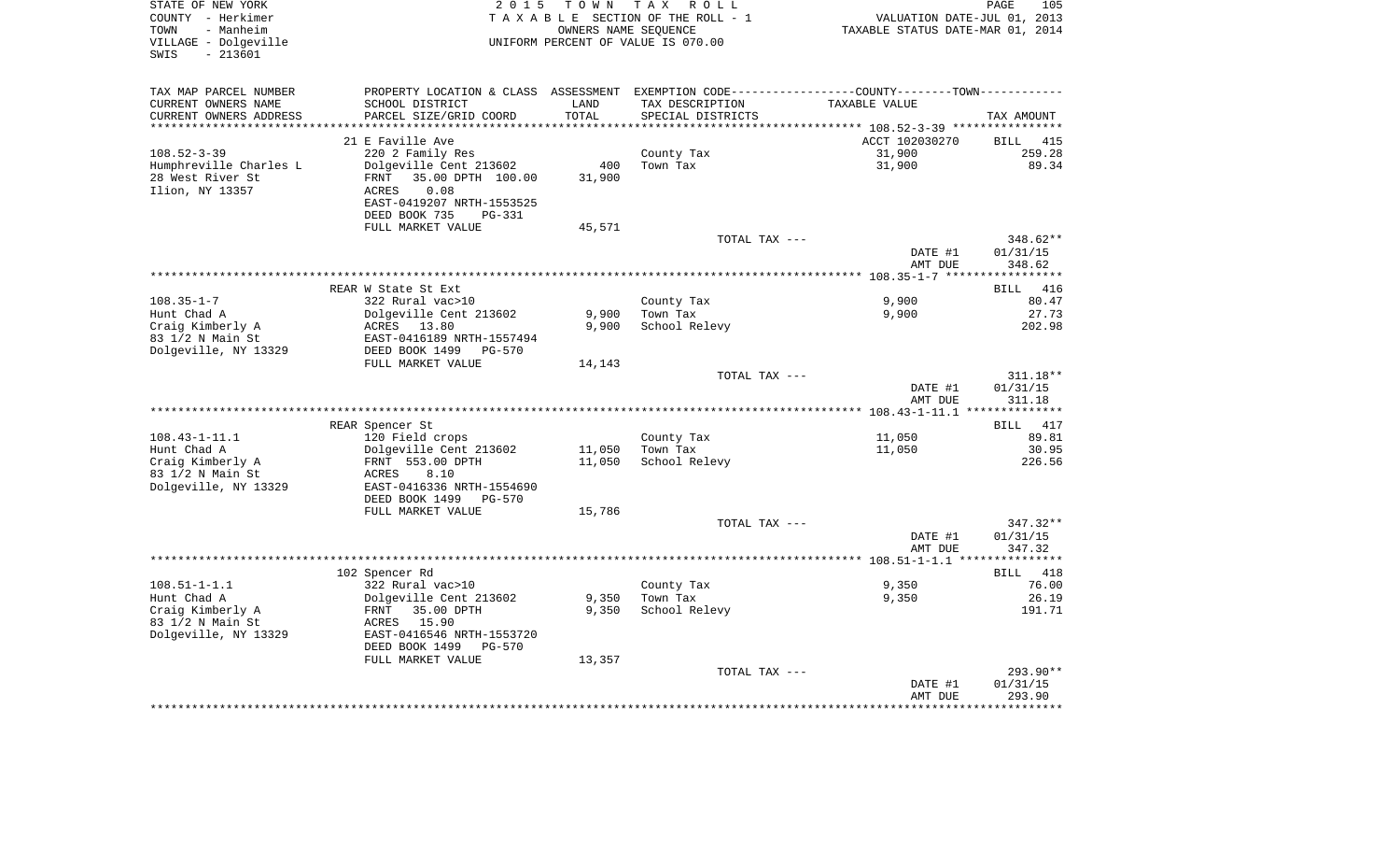| STATE OF NEW YORK<br>COUNTY - Herkimer<br>- Manheim<br>TOWN<br>VILLAGE - Dolgeville<br>$-213601$<br>SWIS | 2 0 1 5                                                                                       | T O W N | T A X<br>R O L L<br>TAXABLE SECTION OF THE ROLL - 1<br>OWNERS NAME SEQUENCE<br>UNIFORM PERCENT OF VALUE IS 070.00 | VALUATION DATE-JUL 01, 2013<br>TAXABLE STATUS DATE-MAR 01, 2014 | 105<br>PAGE                 |
|----------------------------------------------------------------------------------------------------------|-----------------------------------------------------------------------------------------------|---------|-------------------------------------------------------------------------------------------------------------------|-----------------------------------------------------------------|-----------------------------|
| TAX MAP PARCEL NUMBER                                                                                    | PROPERTY LOCATION & CLASS ASSESSMENT EXEMPTION CODE---------------COUNTY-------TOWN---------- |         |                                                                                                                   |                                                                 |                             |
| CURRENT OWNERS NAME                                                                                      | SCHOOL DISTRICT                                                                               | LAND    | TAX DESCRIPTION                                                                                                   | TAXABLE VALUE                                                   |                             |
| CURRENT OWNERS ADDRESS                                                                                   | PARCEL SIZE/GRID COORD                                                                        | TOTAL   | SPECIAL DISTRICTS                                                                                                 |                                                                 | TAX AMOUNT                  |
| **********************                                                                                   |                                                                                               |         |                                                                                                                   |                                                                 |                             |
|                                                                                                          | 21 E Faville Ave                                                                              |         |                                                                                                                   | ACCT 102030270                                                  | BILL<br>415<br>259.28       |
| $108.52 - 3 - 39$<br>Humphreville Charles L                                                              | 220 2 Family Res<br>Dolgeville Cent 213602                                                    | 400     | County Tax<br>Town Tax                                                                                            | 31,900<br>31,900                                                | 89.34                       |
| 28 West River St                                                                                         | 35.00 DPTH 100.00<br>FRNT                                                                     | 31,900  |                                                                                                                   |                                                                 |                             |
| Ilion, NY 13357                                                                                          | 0.08<br>ACRES                                                                                 |         |                                                                                                                   |                                                                 |                             |
|                                                                                                          | EAST-0419207 NRTH-1553525                                                                     |         |                                                                                                                   |                                                                 |                             |
|                                                                                                          | DEED BOOK 735<br>$PG-331$                                                                     |         |                                                                                                                   |                                                                 |                             |
|                                                                                                          | FULL MARKET VALUE                                                                             | 45,571  | TOTAL TAX ---                                                                                                     |                                                                 | 348.62**                    |
|                                                                                                          |                                                                                               |         |                                                                                                                   | DATE #1                                                         | 01/31/15                    |
|                                                                                                          |                                                                                               |         |                                                                                                                   | AMT DUE                                                         | 348.62                      |
|                                                                                                          |                                                                                               |         |                                                                                                                   |                                                                 |                             |
|                                                                                                          | REAR W State St Ext                                                                           |         |                                                                                                                   |                                                                 | BILL<br>416                 |
| $108.35 - 1 - 7$<br>Hunt Chad A                                                                          | 322 Rural vac>10<br>Dolgeville Cent 213602                                                    | 9,900   | County Tax<br>Town Tax                                                                                            | 9,900<br>9,900                                                  | 80.47<br>27.73              |
| Craig Kimberly A                                                                                         | ACRES 13.80                                                                                   | 9,900   | School Relevy                                                                                                     |                                                                 | 202.98                      |
| 83 1/2 N Main St                                                                                         | EAST-0416189 NRTH-1557494                                                                     |         |                                                                                                                   |                                                                 |                             |
| Dolgeville, NY 13329                                                                                     | DEED BOOK 1499<br>$PG-570$                                                                    |         |                                                                                                                   |                                                                 |                             |
|                                                                                                          | FULL MARKET VALUE                                                                             | 14,143  |                                                                                                                   |                                                                 |                             |
|                                                                                                          |                                                                                               |         | TOTAL TAX ---                                                                                                     | DATE #1                                                         | 311.18**<br>01/31/15        |
|                                                                                                          |                                                                                               |         |                                                                                                                   | AMT DUE                                                         | 311.18                      |
|                                                                                                          |                                                                                               |         |                                                                                                                   |                                                                 |                             |
| $108.43 - 1 - 11.1$                                                                                      | REAR Spencer St<br>120 Field crops                                                            |         |                                                                                                                   | 11,050                                                          | <b>BILL</b><br>417<br>89.81 |
| Hunt Chad A                                                                                              | Dolgeville Cent 213602                                                                        | 11,050  | County Tax<br>Town Tax                                                                                            | 11,050                                                          | 30.95                       |
| Craig Kimberly A                                                                                         | FRNT 553.00 DPTH                                                                              | 11,050  | School Relevy                                                                                                     |                                                                 | 226.56                      |
| 83 1/2 N Main St                                                                                         | 8.10<br>ACRES                                                                                 |         |                                                                                                                   |                                                                 |                             |
| Dolgeville, NY 13329                                                                                     | EAST-0416336 NRTH-1554690<br>DEED BOOK 1499<br><b>PG-570</b>                                  |         |                                                                                                                   |                                                                 |                             |
|                                                                                                          | FULL MARKET VALUE                                                                             | 15,786  |                                                                                                                   |                                                                 |                             |
|                                                                                                          |                                                                                               |         | TOTAL TAX ---                                                                                                     |                                                                 | 347.32**                    |
|                                                                                                          |                                                                                               |         |                                                                                                                   | DATE #1                                                         | 01/31/15                    |
|                                                                                                          |                                                                                               |         |                                                                                                                   | AMT DUE                                                         | 347.32                      |
|                                                                                                          | 102 Spencer Rd                                                                                |         |                                                                                                                   |                                                                 | BILL 418                    |
| $108.51 - 1 - 1.1$                                                                                       | 322 Rural vac>10                                                                              |         | County Tax                                                                                                        | 9,350                                                           | 76.00                       |
| Hunt Chad A                                                                                              | Dolgeville Cent 213602                                                                        | 9,350   | Town Tax                                                                                                          | 9,350                                                           | 26.19                       |
| Craig Kimberly A                                                                                         | FRNT<br>35.00 DPTH                                                                            | 9,350   | School Relevy                                                                                                     |                                                                 | 191.71                      |
| 83 1/2 N Main St                                                                                         | ACRES<br>15.90                                                                                |         |                                                                                                                   |                                                                 |                             |
| Dolgeville, NY 13329                                                                                     | EAST-0416546 NRTH-1553720<br>DEED BOOK 1499<br><b>PG-570</b>                                  |         |                                                                                                                   |                                                                 |                             |
|                                                                                                          | FULL MARKET VALUE                                                                             | 13,357  |                                                                                                                   |                                                                 |                             |
|                                                                                                          |                                                                                               |         | TOTAL TAX ---                                                                                                     |                                                                 | 293.90**                    |
|                                                                                                          |                                                                                               |         |                                                                                                                   | DATE #1                                                         | 01/31/15                    |
|                                                                                                          |                                                                                               |         |                                                                                                                   | AMT DUE                                                         | 293.90                      |
|                                                                                                          |                                                                                               |         |                                                                                                                   |                                                                 |                             |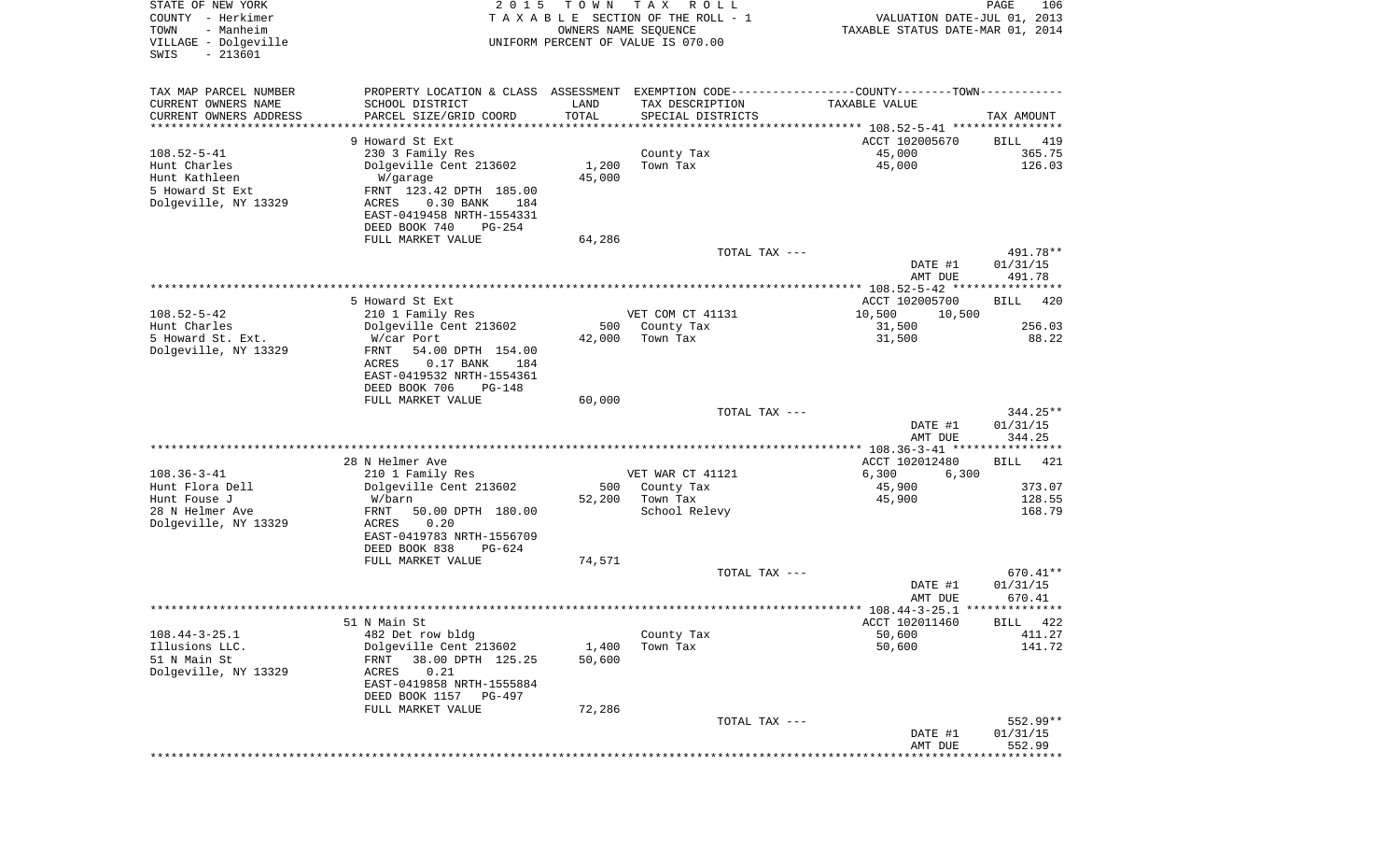| STATE OF NEW YORK<br>COUNTY - Herkimer<br>TOWN<br>- Manheim<br>VILLAGE - Dolgeville | 2 0 1 5                                                                                        | T O W N<br>OWNERS NAME SEQUENCE | T A X<br>R O L L<br>TAXABLE SECTION OF THE ROLL - 1            | VALUATION DATE-JUL 01, 2013<br>TAXABLE STATUS DATE-MAR 01, 2014 | PAGE<br>106        |
|-------------------------------------------------------------------------------------|------------------------------------------------------------------------------------------------|---------------------------------|----------------------------------------------------------------|-----------------------------------------------------------------|--------------------|
| $-213601$<br>SWIS                                                                   |                                                                                                |                                 | UNIFORM PERCENT OF VALUE IS 070.00                             |                                                                 |                    |
| TAX MAP PARCEL NUMBER                                                               | PROPERTY LOCATION & CLASS ASSESSMENT EXEMPTION CODE----------------COUNTY-------TOWN---------- |                                 |                                                                |                                                                 |                    |
| CURRENT OWNERS NAME                                                                 | SCHOOL DISTRICT                                                                                | LAND                            | TAX DESCRIPTION                                                | TAXABLE VALUE                                                   |                    |
| CURRENT OWNERS ADDRESS                                                              | PARCEL SIZE/GRID COORD                                                                         | TOTAL                           | SPECIAL DISTRICTS                                              |                                                                 | TAX AMOUNT         |
| *******************                                                                 |                                                                                                |                                 | ********************************* 108.52-5-41 **************** |                                                                 |                    |
|                                                                                     | 9 Howard St Ext                                                                                |                                 |                                                                | ACCT 102005670                                                  | BILL<br>419        |
| $108.52 - 5 - 41$                                                                   | 230 3 Family Res                                                                               |                                 | County Tax<br>Town Tax                                         | 45,000                                                          | 365.75<br>126.03   |
| Hunt Charles<br>Hunt Kathleen                                                       | Dolgeville Cent 213602<br>W/garage                                                             | 1,200<br>45,000                 |                                                                | 45,000                                                          |                    |
| 5 Howard St Ext                                                                     | FRNT 123.42 DPTH 185.00                                                                        |                                 |                                                                |                                                                 |                    |
| Dolgeville, NY 13329                                                                | 0.30 BANK<br>ACRES<br>184                                                                      |                                 |                                                                |                                                                 |                    |
|                                                                                     | EAST-0419458 NRTH-1554331                                                                      |                                 |                                                                |                                                                 |                    |
|                                                                                     | DEED BOOK 740<br>$PG-254$                                                                      |                                 |                                                                |                                                                 |                    |
|                                                                                     | FULL MARKET VALUE                                                                              | 64,286                          |                                                                |                                                                 |                    |
|                                                                                     |                                                                                                |                                 | TOTAL TAX ---                                                  |                                                                 | 491.78**           |
|                                                                                     |                                                                                                |                                 |                                                                | DATE #1<br>AMT DUE                                              | 01/31/15<br>491.78 |
|                                                                                     |                                                                                                |                                 |                                                                | **************** 108.52-5-42 ****************                   |                    |
| $108.52 - 5 - 42$                                                                   | 5 Howard St Ext<br>210 1 Family Res                                                            |                                 | VET COM CT 41131                                               | ACCT 102005700<br>10,500<br>10,500                              | BILL<br>420        |
| Hunt Charles                                                                        | Dolgeville Cent 213602                                                                         | 500                             | County Tax                                                     | 31,500                                                          | 256.03             |
| 5 Howard St. Ext.                                                                   | W/car Port                                                                                     | 42,000                          | Town Tax                                                       | 31,500                                                          | 88.22              |
| Dolgeville, NY 13329                                                                | FRNT<br>54.00 DPTH 154.00<br>ACRES<br>0.17 BANK<br>184<br>EAST-0419532 NRTH-1554361            |                                 |                                                                |                                                                 |                    |
|                                                                                     | DEED BOOK 706<br><b>PG-148</b><br>FULL MARKET VALUE                                            | 60,000                          |                                                                |                                                                 |                    |
|                                                                                     |                                                                                                |                                 | TOTAL TAX ---                                                  |                                                                 | 344.25**           |
|                                                                                     |                                                                                                |                                 |                                                                | DATE #1<br>AMT DUE                                              | 01/31/15<br>344.25 |
|                                                                                     |                                                                                                |                                 |                                                                | ************* 108.36-3-41 *****************                     |                    |
|                                                                                     | 28 N Helmer Ave                                                                                |                                 |                                                                | ACCT 102012480                                                  | 421<br>BILL        |
| $108.36 - 3 - 41$                                                                   | 210 1 Family Res                                                                               |                                 | VET WAR CT 41121                                               | 6,300<br>6,300                                                  |                    |
| Hunt Flora Dell                                                                     | Dolgeville Cent 213602                                                                         | 500                             | County Tax                                                     | 45,900                                                          | 373.07             |
| Hunt Fouse J<br>28 N Helmer Ave                                                     | W/barn<br>FRNT<br>50.00 DPTH 180.00                                                            | 52,200                          | Town Tax<br>School Relevy                                      | 45,900                                                          | 128.55<br>168.79   |
| Dolgeville, NY 13329                                                                | ACRES<br>0.20                                                                                  |                                 |                                                                |                                                                 |                    |
|                                                                                     | EAST-0419783 NRTH-1556709                                                                      |                                 |                                                                |                                                                 |                    |
|                                                                                     | DEED BOOK 838<br>PG-624                                                                        |                                 |                                                                |                                                                 |                    |
|                                                                                     | FULL MARKET VALUE                                                                              | 74,571                          |                                                                |                                                                 |                    |
|                                                                                     |                                                                                                |                                 | TOTAL TAX ---                                                  |                                                                 | 670.41**           |
|                                                                                     |                                                                                                |                                 |                                                                | DATE #1                                                         | 01/31/15           |
|                                                                                     |                                                                                                |                                 |                                                                | AMT DUE                                                         | 670.41             |
|                                                                                     |                                                                                                |                                 |                                                                |                                                                 |                    |
| $108.44 - 3 - 25.1$                                                                 | 51 N Main St<br>482 Det row bldg                                                               |                                 | County Tax                                                     | ACCT 102011460<br>50,600                                        | BILL 422<br>411.27 |
| Illusions LLC.                                                                      | Dolgeville Cent 213602                                                                         | 1,400                           | Town Tax                                                       | 50,600                                                          | 141.72             |
| 51 N Main St                                                                        | 38.00 DPTH 125.25<br>FRNT                                                                      | 50,600                          |                                                                |                                                                 |                    |
| Dolgeville, NY 13329                                                                | ACRES<br>0.21                                                                                  |                                 |                                                                |                                                                 |                    |
|                                                                                     | EAST-0419858 NRTH-1555884                                                                      |                                 |                                                                |                                                                 |                    |
|                                                                                     | DEED BOOK 1157<br>PG-497                                                                       |                                 |                                                                |                                                                 |                    |
|                                                                                     | FULL MARKET VALUE                                                                              | 72,286                          |                                                                |                                                                 |                    |
|                                                                                     |                                                                                                |                                 | TOTAL TAX ---                                                  |                                                                 | 552.99**           |
|                                                                                     |                                                                                                |                                 |                                                                | DATE #1<br>AMT DUE                                              | 01/31/15<br>552.99 |
|                                                                                     |                                                                                                |                                 |                                                                |                                                                 |                    |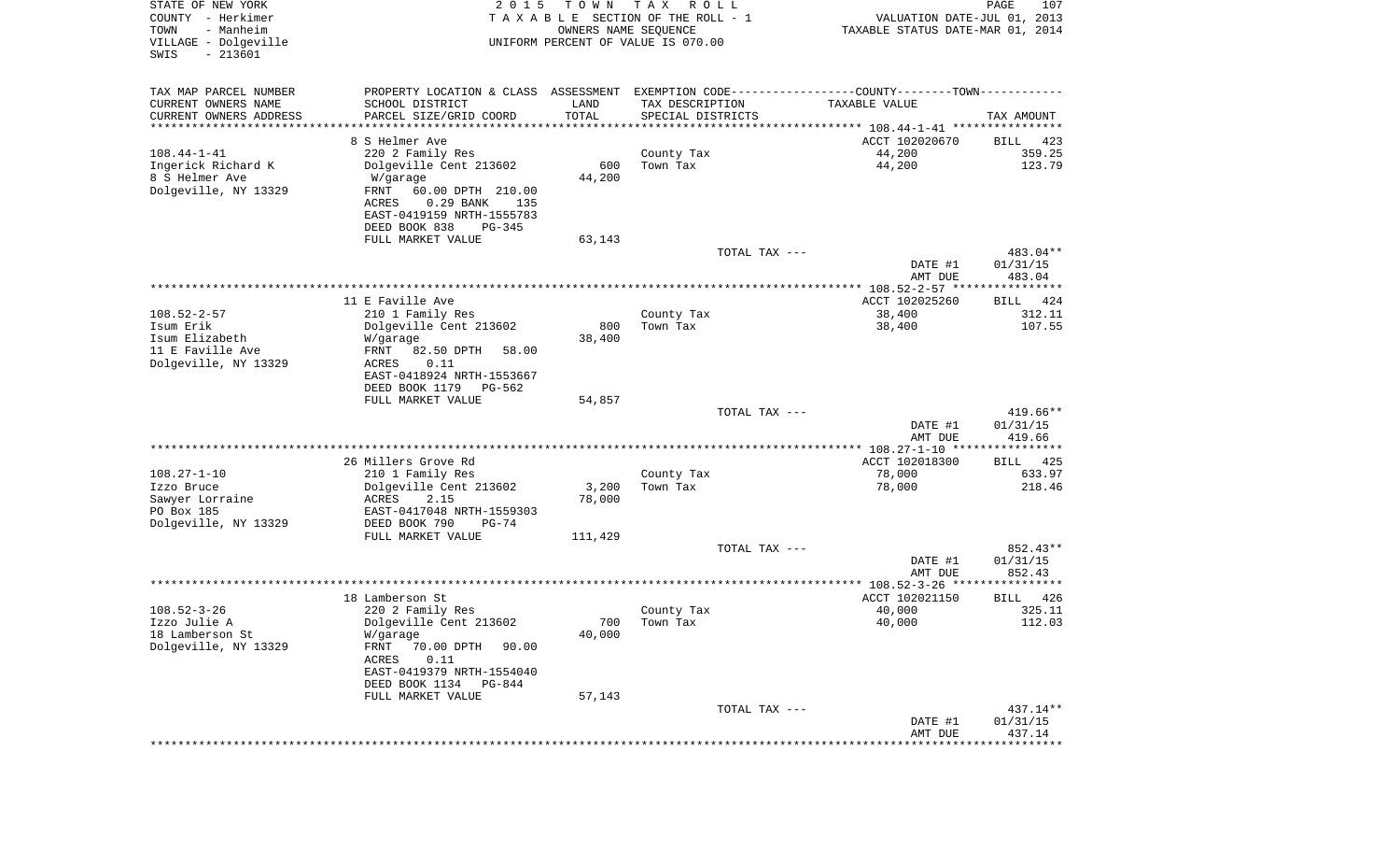| STATE OF NEW YORK<br>COUNTY - Herkimer<br>- Manheim<br>TOWN<br>VILLAGE - Dolgeville<br>$-213601$<br>SWIS | 2 0 1 5                                                                                       | T O W N<br>OWNERS NAME SEQUENCE | T A X<br>R O L L<br>T A X A B L E SECTION OF THE ROLL - 1<br>UNIFORM PERCENT OF VALUE IS 070.00 |               | VALUATION DATE-JUL 01, 2013<br>TAXABLE STATUS DATE-MAR 01, 2014 | PAGE<br>107             |
|----------------------------------------------------------------------------------------------------------|-----------------------------------------------------------------------------------------------|---------------------------------|-------------------------------------------------------------------------------------------------|---------------|-----------------------------------------------------------------|-------------------------|
| TAX MAP PARCEL NUMBER                                                                                    | PROPERTY LOCATION & CLASS ASSESSMENT EXEMPTION CODE---------------COUNTY-------TOWN---------- |                                 |                                                                                                 |               |                                                                 |                         |
| CURRENT OWNERS NAME                                                                                      | SCHOOL DISTRICT                                                                               | LAND                            | TAX DESCRIPTION                                                                                 |               | TAXABLE VALUE                                                   |                         |
| CURRENT OWNERS ADDRESS                                                                                   | PARCEL SIZE/GRID COORD                                                                        | TOTAL                           | SPECIAL DISTRICTS                                                                               |               |                                                                 | TAX AMOUNT              |
| *********************                                                                                    | **********************                                                                        | ***********                     |                                                                                                 |               |                                                                 |                         |
| $108.44 - 1 - 41$                                                                                        | 8 S Helmer Ave<br>220 2 Family Res                                                            |                                 | County Tax                                                                                      |               | ACCT 102020670<br>44,200                                        | BILL<br>423<br>359.25   |
| Ingerick Richard K                                                                                       | Dolgeville Cent 213602                                                                        | 600                             | Town Tax                                                                                        |               | 44,200                                                          | 123.79                  |
| 8 S Helmer Ave                                                                                           | W/garage                                                                                      | 44,200                          |                                                                                                 |               |                                                                 |                         |
| Dolgeville, NY 13329                                                                                     | FRNT<br>60.00 DPTH 210.00                                                                     |                                 |                                                                                                 |               |                                                                 |                         |
|                                                                                                          | ACRES<br>$0.29$ BANK<br>135                                                                   |                                 |                                                                                                 |               |                                                                 |                         |
|                                                                                                          | EAST-0419159 NRTH-1555783                                                                     |                                 |                                                                                                 |               |                                                                 |                         |
|                                                                                                          | DEED BOOK 838<br>PG-345<br>FULL MARKET VALUE                                                  | 63,143                          |                                                                                                 |               |                                                                 |                         |
|                                                                                                          |                                                                                               |                                 |                                                                                                 | TOTAL TAX --- |                                                                 | 483.04**                |
|                                                                                                          |                                                                                               |                                 |                                                                                                 |               | DATE #1                                                         | 01/31/15                |
|                                                                                                          |                                                                                               |                                 |                                                                                                 |               | AMT DUE                                                         | 483.04                  |
|                                                                                                          |                                                                                               |                                 |                                                                                                 |               |                                                                 |                         |
| $108.52 - 2 - 57$                                                                                        | 11 E Faville Ave<br>210 1 Family Res                                                          |                                 |                                                                                                 |               | ACCT 102025260<br>38,400                                        | BILL<br>424<br>312.11   |
| Isum Erik                                                                                                | Dolgeville Cent 213602                                                                        | 800                             | County Tax<br>Town Tax                                                                          |               | 38,400                                                          | 107.55                  |
| Isum Elizabeth                                                                                           | W/garage                                                                                      | 38,400                          |                                                                                                 |               |                                                                 |                         |
| 11 E Faville Ave                                                                                         | FRNT<br>82.50 DPTH<br>58.00                                                                   |                                 |                                                                                                 |               |                                                                 |                         |
| Dolgeville, NY 13329                                                                                     | ACRES<br>0.11                                                                                 |                                 |                                                                                                 |               |                                                                 |                         |
|                                                                                                          | EAST-0418924 NRTH-1553667<br>DEED BOOK 1179                                                   |                                 |                                                                                                 |               |                                                                 |                         |
|                                                                                                          | PG-562<br>FULL MARKET VALUE                                                                   | 54,857                          |                                                                                                 |               |                                                                 |                         |
|                                                                                                          |                                                                                               |                                 |                                                                                                 | TOTAL TAX --- |                                                                 | 419.66**                |
|                                                                                                          |                                                                                               |                                 |                                                                                                 |               | DATE #1                                                         | 01/31/15                |
|                                                                                                          |                                                                                               |                                 |                                                                                                 |               | AMT DUE                                                         | 419.66                  |
|                                                                                                          |                                                                                               |                                 |                                                                                                 |               |                                                                 |                         |
| $108.27 - 1 - 10$                                                                                        | 26 Millers Grove Rd<br>210 1 Family Res                                                       |                                 | County Tax                                                                                      |               | ACCT 102018300<br>78,000                                        | 425<br>BILL<br>633.97   |
| Izzo Bruce                                                                                               | Dolgeville Cent 213602                                                                        | 3,200                           | Town Tax                                                                                        |               | 78,000                                                          | 218.46                  |
| Sawyer Lorraine                                                                                          | ACRES<br>2.15                                                                                 | 78,000                          |                                                                                                 |               |                                                                 |                         |
| PO Box 185                                                                                               | EAST-0417048 NRTH-1559303                                                                     |                                 |                                                                                                 |               |                                                                 |                         |
| Dolgeville, NY 13329                                                                                     | DEED BOOK 790<br>$PG-74$                                                                      |                                 |                                                                                                 |               |                                                                 |                         |
|                                                                                                          | FULL MARKET VALUE                                                                             | 111,429                         |                                                                                                 | TOTAL TAX --- |                                                                 | 852.43**                |
|                                                                                                          |                                                                                               |                                 |                                                                                                 |               | DATE #1                                                         | 01/31/15                |
|                                                                                                          |                                                                                               |                                 |                                                                                                 |               | AMT DUE                                                         | 852.43                  |
|                                                                                                          |                                                                                               |                                 |                                                                                                 |               |                                                                 |                         |
|                                                                                                          | 18 Lamberson St                                                                               |                                 |                                                                                                 |               | ACCT 102021150                                                  | 426<br>BILL             |
| $108.52 - 3 - 26$<br>Izzo Julie A                                                                        | 220 2 Family Res<br>Dolgeville Cent 213602                                                    |                                 | County Tax                                                                                      |               | 40,000<br>40,000                                                | 325.11<br>112.03        |
| 18 Lamberson St                                                                                          | W/garage                                                                                      | 700<br>40,000                   | Town Tax                                                                                        |               |                                                                 |                         |
| Dolgeville, NY 13329                                                                                     | FRNT<br>70.00 DPTH<br>90.00                                                                   |                                 |                                                                                                 |               |                                                                 |                         |
|                                                                                                          | ACRES<br>0.11                                                                                 |                                 |                                                                                                 |               |                                                                 |                         |
|                                                                                                          | EAST-0419379 NRTH-1554040                                                                     |                                 |                                                                                                 |               |                                                                 |                         |
|                                                                                                          | DEED BOOK 1134<br>PG-844                                                                      |                                 |                                                                                                 |               |                                                                 |                         |
|                                                                                                          | FULL MARKET VALUE                                                                             | 57,143                          |                                                                                                 | TOTAL TAX --- |                                                                 | 437.14**                |
|                                                                                                          |                                                                                               |                                 |                                                                                                 |               | DATE #1                                                         | 01/31/15                |
|                                                                                                          |                                                                                               |                                 |                                                                                                 |               | AMT DUE                                                         | 437.14                  |
|                                                                                                          |                                                                                               |                                 |                                                                                                 |               |                                                                 | * * * * * * * * * * * * |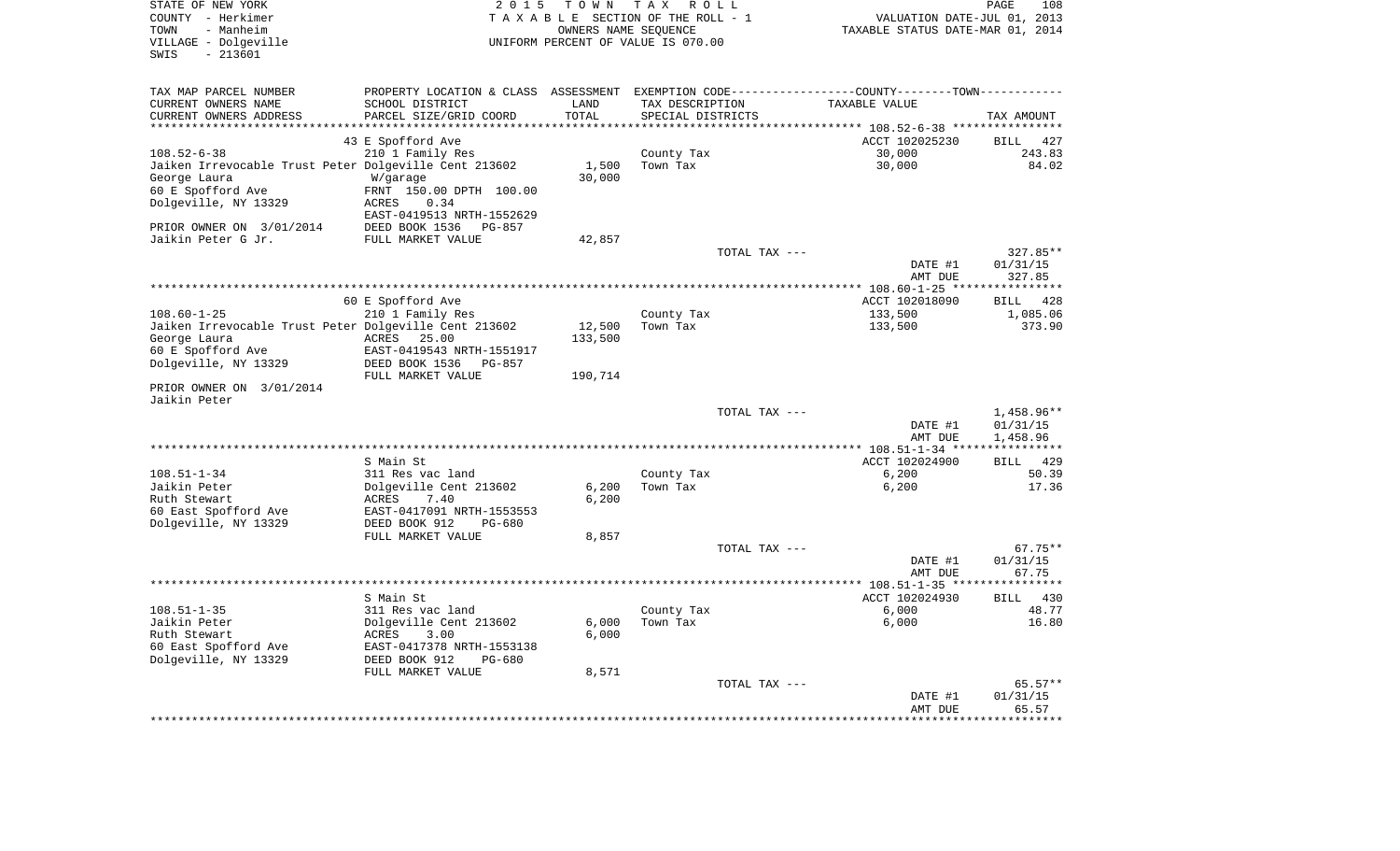| STATE OF NEW YORK<br>COUNTY - Herkimer<br>- Manheim<br>TOWN<br>VILLAGE - Dolgeville<br>$-213601$<br>SWIS | 2 0 1 5                                                                                        | TOWN<br>OWNERS NAME SEQUENCE | T A X<br>R O L L<br>TAXABLE SECTION OF THE ROLL - 1<br>UNIFORM PERCENT OF VALUE IS 070.00 |                  | TAXABLE STATUS DATE-MAR 01, 2014                             | PAGE<br>108<br>VALUATION DATE-JUL 01, 2013 |
|----------------------------------------------------------------------------------------------------------|------------------------------------------------------------------------------------------------|------------------------------|-------------------------------------------------------------------------------------------|------------------|--------------------------------------------------------------|--------------------------------------------|
| TAX MAP PARCEL NUMBER                                                                                    | PROPERTY LOCATION & CLASS ASSESSMENT EXEMPTION CODE----------------COUNTY-------TOWN---------- |                              |                                                                                           |                  |                                                              |                                            |
| CURRENT OWNERS NAME                                                                                      | SCHOOL DISTRICT                                                                                | LAND                         | TAX DESCRIPTION                                                                           |                  | <b>TAXABLE VALUE</b>                                         |                                            |
| CURRENT OWNERS ADDRESS<br>********************                                                           | PARCEL SIZE/GRID COORD                                                                         | TOTAL<br>* * * * * * * *     | SPECIAL DISTRICTS                                                                         | **************** |                                                              | TAX AMOUNT                                 |
|                                                                                                          | 43 E Spofford Ave                                                                              |                              |                                                                                           |                  | ************ 108.52-6-38 *****************<br>ACCT 102025230 | <b>BILL</b><br>427                         |
| $108.52 - 6 - 38$                                                                                        | 210 1 Family Res                                                                               |                              | County Tax                                                                                |                  | 30,000                                                       | 243.83                                     |
| Jaiken Irrevocable Trust Peter Dolgeville Cent 213602                                                    |                                                                                                | 1,500                        | Town Tax                                                                                  |                  | 30,000                                                       | 84.02                                      |
| George Laura                                                                                             | W/garage                                                                                       | 30,000                       |                                                                                           |                  |                                                              |                                            |
| 60 E Spofford Ave                                                                                        | FRNT 150.00 DPTH 100.00                                                                        |                              |                                                                                           |                  |                                                              |                                            |
| Dolgeville, NY 13329                                                                                     | ACRES<br>0.34                                                                                  |                              |                                                                                           |                  |                                                              |                                            |
|                                                                                                          | EAST-0419513 NRTH-1552629                                                                      |                              |                                                                                           |                  |                                                              |                                            |
| PRIOR OWNER ON 3/01/2014                                                                                 | DEED BOOK 1536<br>$PG-857$                                                                     |                              |                                                                                           |                  |                                                              |                                            |
| Jaikin Peter G Jr.                                                                                       | FULL MARKET VALUE                                                                              | 42,857                       |                                                                                           |                  |                                                              | 327.85**                                   |
|                                                                                                          |                                                                                                |                              |                                                                                           | TOTAL TAX ---    | DATE #1                                                      | 01/31/15                                   |
|                                                                                                          |                                                                                                |                              |                                                                                           |                  | AMT DUE                                                      | 327.85                                     |
|                                                                                                          |                                                                                                |                              |                                                                                           |                  | *********** 108.60-1-25 **                                   |                                            |
|                                                                                                          | 60 E Spofford Ave                                                                              |                              |                                                                                           |                  | ACCT 102018090                                               | 428<br>BILL                                |
| $108.60 - 1 - 25$                                                                                        | 210 1 Family Res                                                                               |                              | County Tax                                                                                |                  | 133,500                                                      | 1,085.06                                   |
| Jaiken Irrevocable Trust Peter Dolgeville Cent 213602                                                    |                                                                                                | 12,500                       | Town Tax                                                                                  |                  | 133,500                                                      | 373.90                                     |
| George Laura                                                                                             | ACRES<br>25.00                                                                                 | 133,500                      |                                                                                           |                  |                                                              |                                            |
| 60 E Spofford Ave<br>Dolgeville, NY 13329                                                                | EAST-0419543 NRTH-1551917<br>DEED BOOK 1536<br>PG-857                                          |                              |                                                                                           |                  |                                                              |                                            |
|                                                                                                          | FULL MARKET VALUE                                                                              | 190,714                      |                                                                                           |                  |                                                              |                                            |
| PRIOR OWNER ON 3/01/2014<br>Jaikin Peter                                                                 |                                                                                                |                              |                                                                                           |                  |                                                              |                                            |
|                                                                                                          |                                                                                                |                              |                                                                                           | TOTAL TAX ---    |                                                              | 1,458.96**                                 |
|                                                                                                          |                                                                                                |                              |                                                                                           |                  | DATE #1                                                      | 01/31/15                                   |
|                                                                                                          |                                                                                                |                              |                                                                                           |                  | AMT DUE                                                      | 1,458.96                                   |
|                                                                                                          |                                                                                                |                              |                                                                                           |                  | ************ 108.51-1-34 *****************                   |                                            |
| $108.51 - 1 - 34$                                                                                        | S Main St<br>311 Res vac land                                                                  |                              |                                                                                           |                  | ACCT 102024900<br>6,200                                      | 429<br><b>BILL</b><br>50.39                |
| Jaikin Peter                                                                                             | Dolgeville Cent 213602                                                                         | 6,200                        | County Tax<br>Town Tax                                                                    |                  | 6,200                                                        | 17.36                                      |
| Ruth Stewart                                                                                             | ACRES<br>7.40                                                                                  | 6,200                        |                                                                                           |                  |                                                              |                                            |
| 60 East Spofford Ave                                                                                     | EAST-0417091 NRTH-1553553                                                                      |                              |                                                                                           |                  |                                                              |                                            |
| Dolgeville, NY 13329                                                                                     | DEED BOOK 912<br>$PG-680$                                                                      |                              |                                                                                           |                  |                                                              |                                            |
|                                                                                                          | FULL MARKET VALUE                                                                              | 8,857                        |                                                                                           |                  |                                                              |                                            |
|                                                                                                          |                                                                                                |                              |                                                                                           | TOTAL TAX ---    |                                                              | $67.75**$                                  |
|                                                                                                          |                                                                                                |                              |                                                                                           |                  | DATE #1                                                      | 01/31/15                                   |
|                                                                                                          |                                                                                                |                              |                                                                                           |                  | AMT DUE                                                      | 67.75<br>***********                       |
|                                                                                                          | S Main St                                                                                      |                              |                                                                                           |                  | ACCT 102024930                                               | 430<br><b>BILL</b>                         |
| $108.51 - 1 - 35$                                                                                        | 311 Res vac land                                                                               |                              | County Tax                                                                                |                  | 6,000                                                        | 48.77                                      |
| Jaikin Peter                                                                                             | Dolgeville Cent 213602                                                                         | 6,000                        | Town Tax                                                                                  |                  | 6,000                                                        | 16.80                                      |
| Ruth Stewart                                                                                             | ACRES<br>3.00                                                                                  | 6,000                        |                                                                                           |                  |                                                              |                                            |
| 60 East Spofford Ave                                                                                     | EAST-0417378 NRTH-1553138                                                                      |                              |                                                                                           |                  |                                                              |                                            |
| Dolgeville, NY 13329                                                                                     | DEED BOOK 912<br>PG-680                                                                        |                              |                                                                                           |                  |                                                              |                                            |
|                                                                                                          | FULL MARKET VALUE                                                                              | 8,571                        |                                                                                           |                  |                                                              |                                            |
|                                                                                                          |                                                                                                |                              |                                                                                           | TOTAL TAX ---    | DATE #1                                                      | $65.57**$<br>01/31/15                      |
|                                                                                                          |                                                                                                |                              |                                                                                           |                  | AMT DUE                                                      | 65.57                                      |
|                                                                                                          |                                                                                                |                              |                                                                                           |                  |                                                              | * * * * * * * *                            |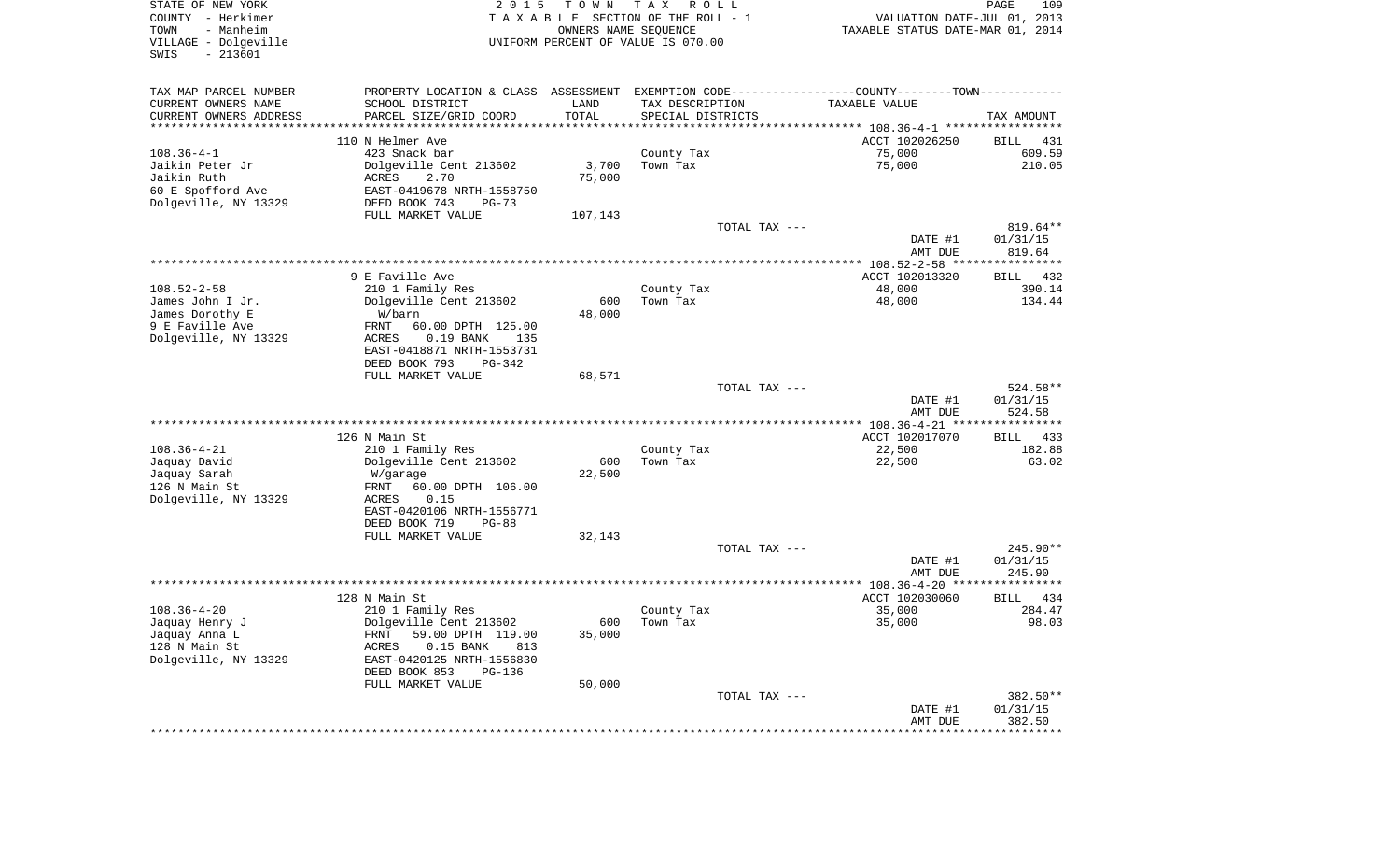| STATE OF NEW YORK<br>COUNTY - Herkimer<br>- Manheim<br>TOWN<br>VILLAGE - Dolgeville | 2 0 1 5                     | T O W N       | T A X<br>R O L L<br>TAXABLE SECTION OF THE ROLL - 1<br>OWNERS NAME SEQUENCE<br>UNIFORM PERCENT OF VALUE IS 070.00 | VALUATION DATE-JUL 01, 2013<br>TAXABLE STATUS DATE-MAR 01, 2014                               | PAGE<br>109        |
|-------------------------------------------------------------------------------------|-----------------------------|---------------|-------------------------------------------------------------------------------------------------------------------|-----------------------------------------------------------------------------------------------|--------------------|
| $-213601$<br>SWIS                                                                   |                             |               |                                                                                                                   |                                                                                               |                    |
| TAX MAP PARCEL NUMBER                                                               |                             |               |                                                                                                                   | PROPERTY LOCATION & CLASS ASSESSMENT EXEMPTION CODE---------------COUNTY-------TOWN---------- |                    |
| CURRENT OWNERS NAME                                                                 | SCHOOL DISTRICT             | LAND          | TAX DESCRIPTION                                                                                                   | TAXABLE VALUE                                                                                 |                    |
| CURRENT OWNERS ADDRESS                                                              | PARCEL SIZE/GRID COORD      | TOTAL         | SPECIAL DISTRICTS                                                                                                 |                                                                                               | TAX AMOUNT         |
|                                                                                     |                             |               |                                                                                                                   |                                                                                               |                    |
|                                                                                     | 110 N Helmer Ave            |               |                                                                                                                   | ACCT 102026250                                                                                | BILL 431           |
| $108.36 - 4 - 1$                                                                    | 423 Snack bar               |               | County Tax                                                                                                        | 75,000                                                                                        | 609.59             |
| Jaikin Peter Jr                                                                     | Dolgeville Cent 213602      | 3,700         | Town Tax                                                                                                          | 75,000                                                                                        | 210.05             |
| Jaikin Ruth                                                                         | ACRES<br>2.70               | 75,000        |                                                                                                                   |                                                                                               |                    |
| 60 E Spofford Ave                                                                   | EAST-0419678 NRTH-1558750   |               |                                                                                                                   |                                                                                               |                    |
| Dolgeville, NY 13329                                                                | DEED BOOK 743<br>$PG-73$    |               |                                                                                                                   |                                                                                               |                    |
|                                                                                     | FULL MARKET VALUE           | 107,143       |                                                                                                                   |                                                                                               |                    |
|                                                                                     |                             |               | TOTAL TAX ---                                                                                                     |                                                                                               | $819.64**$         |
|                                                                                     |                             |               |                                                                                                                   | DATE #1                                                                                       | 01/31/15           |
|                                                                                     |                             |               |                                                                                                                   | AMT DUE                                                                                       | 819.64             |
|                                                                                     |                             |               |                                                                                                                   |                                                                                               |                    |
|                                                                                     | 9 E Faville Ave             |               |                                                                                                                   | ACCT 102013320                                                                                | BILL 432           |
| $108.52 - 2 - 58$                                                                   | 210 1 Family Res            |               | County Tax                                                                                                        | 48,000                                                                                        | 390.14             |
| James John I Jr.                                                                    | Dolgeville Cent 213602      | 600           | Town Tax                                                                                                          | 48,000                                                                                        | 134.44             |
| James Dorothy E                                                                     | W/barn                      | 48,000        |                                                                                                                   |                                                                                               |                    |
| 9 E Faville Ave                                                                     | FRNT<br>60.00 DPTH 125.00   |               |                                                                                                                   |                                                                                               |                    |
| Dolgeville, NY 13329                                                                | ACRES<br>$0.19$ BANK<br>135 |               |                                                                                                                   |                                                                                               |                    |
|                                                                                     | EAST-0418871 NRTH-1553731   |               |                                                                                                                   |                                                                                               |                    |
|                                                                                     | DEED BOOK 793<br>PG-342     |               |                                                                                                                   |                                                                                               |                    |
|                                                                                     | FULL MARKET VALUE           | 68,571        |                                                                                                                   |                                                                                               |                    |
|                                                                                     |                             |               | TOTAL TAX ---                                                                                                     |                                                                                               | 524.58**           |
|                                                                                     |                             |               |                                                                                                                   | DATE #1                                                                                       | 01/31/15           |
|                                                                                     |                             |               |                                                                                                                   | AMT DUE                                                                                       | 524.58             |
|                                                                                     |                             |               |                                                                                                                   |                                                                                               |                    |
|                                                                                     | 126 N Main St               |               |                                                                                                                   | ACCT 102017070                                                                                | BILL 433           |
| $108.36 - 4 - 21$                                                                   | 210 1 Family Res            |               | County Tax                                                                                                        | 22,500                                                                                        | 182.88             |
| Jaquay David                                                                        | Dolgeville Cent 213602      | 600           | Town Tax                                                                                                          | 22,500                                                                                        | 63.02              |
| Jaquay Sarah                                                                        | W/garage                    | 22,500        |                                                                                                                   |                                                                                               |                    |
| 126 N Main St                                                                       | 60.00 DPTH 106.00<br>FRNT   |               |                                                                                                                   |                                                                                               |                    |
| Dolgeville, NY 13329                                                                | 0.15<br>ACRES               |               |                                                                                                                   |                                                                                               |                    |
|                                                                                     | EAST-0420106 NRTH-1556771   |               |                                                                                                                   |                                                                                               |                    |
|                                                                                     | DEED BOOK 719<br>PG-88      |               |                                                                                                                   |                                                                                               |                    |
|                                                                                     | FULL MARKET VALUE           | 32,143        |                                                                                                                   |                                                                                               |                    |
|                                                                                     |                             |               | TOTAL TAX ---                                                                                                     |                                                                                               | 245.90**           |
|                                                                                     |                             |               |                                                                                                                   | DATE #1                                                                                       | 01/31/15           |
|                                                                                     |                             |               |                                                                                                                   | AMT DUE                                                                                       | 245.90             |
|                                                                                     | 128 N Main St               |               |                                                                                                                   | ACCT 102030060                                                                                |                    |
| $108.36 - 4 - 20$                                                                   |                             |               |                                                                                                                   |                                                                                               | BILL 434           |
|                                                                                     | 210 1 Family Res            |               | County Tax                                                                                                        | 35,000                                                                                        | 284.47             |
| Jaquay Henry J                                                                      | Dolgeville Cent 213602      | 600<br>35,000 | Town Tax                                                                                                          | 35,000                                                                                        | 98.03              |
| Jaquay Anna L<br>128 N Main St                                                      | 59.00 DPTH 119.00<br>FRNT   |               |                                                                                                                   |                                                                                               |                    |
|                                                                                     | ACRES<br>$0.15$ BANK<br>813 |               |                                                                                                                   |                                                                                               |                    |
| Dolgeville, NY 13329                                                                | EAST-0420125 NRTH-1556830   |               |                                                                                                                   |                                                                                               |                    |
|                                                                                     | DEED BOOK 853<br>PG-136     |               |                                                                                                                   |                                                                                               |                    |
|                                                                                     | FULL MARKET VALUE           | 50,000        |                                                                                                                   |                                                                                               |                    |
|                                                                                     |                             |               | TOTAL TAX ---                                                                                                     |                                                                                               | 382.50**           |
|                                                                                     |                             |               |                                                                                                                   | DATE #1<br>AMT DUE                                                                            | 01/31/15<br>382.50 |
|                                                                                     |                             |               |                                                                                                                   |                                                                                               |                    |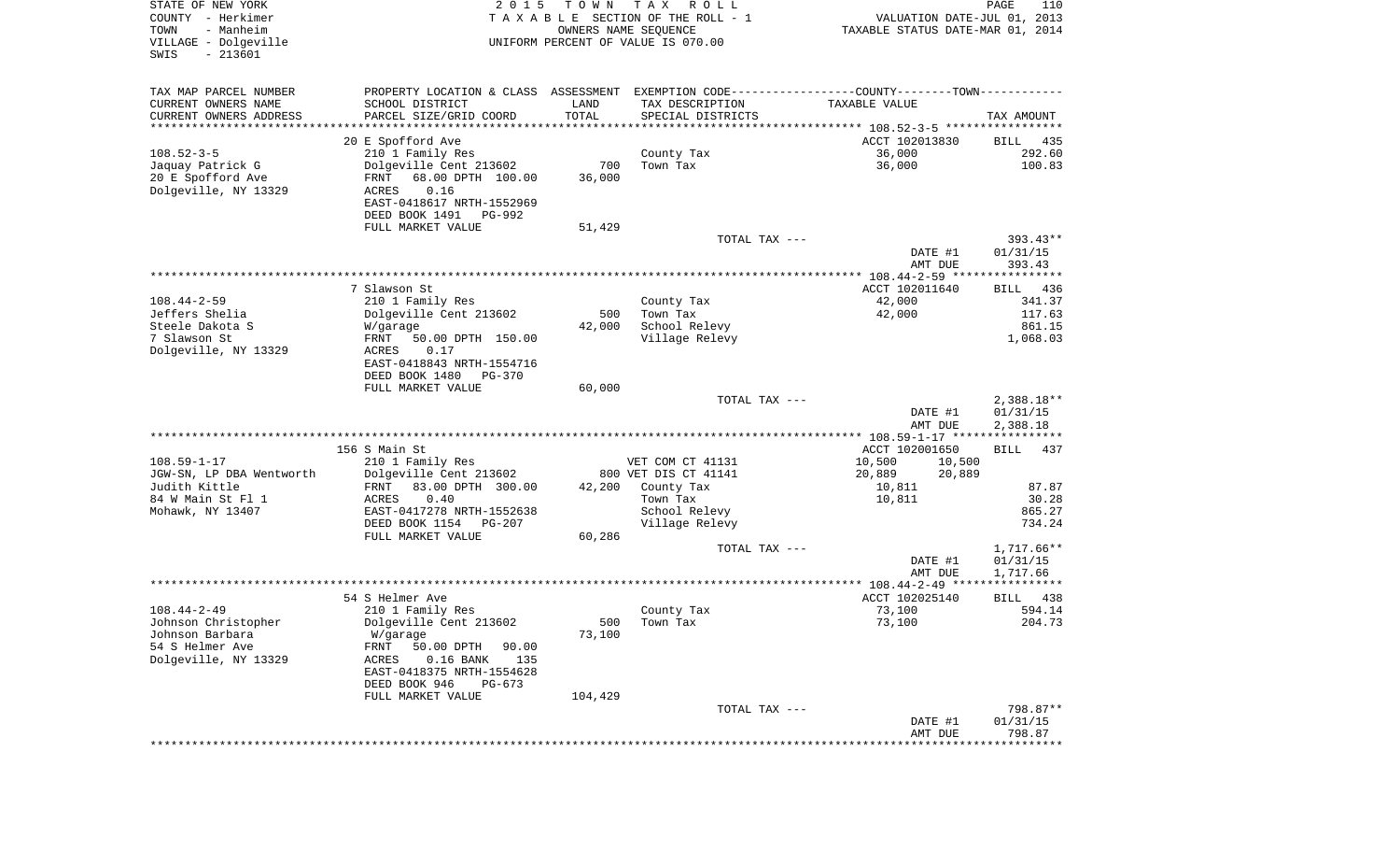| STATE OF NEW YORK<br>COUNTY - Herkimer<br>- Manheim<br>TOWN<br>VILLAGE - Dolgeville<br>$-213601$<br>SWIS | 2 0 1 5                                                                                        | T O W N<br>OWNERS NAME SEQUENCE | T A X<br>R O L L<br>TAXABLE SECTION OF THE ROLL - 1<br>UNIFORM PERCENT OF VALUE IS 070.00 | VALUATION DATE-JUL 01, 2013<br>TAXABLE STATUS DATE-MAR 01, 2014 | PAGE<br>110            |
|----------------------------------------------------------------------------------------------------------|------------------------------------------------------------------------------------------------|---------------------------------|-------------------------------------------------------------------------------------------|-----------------------------------------------------------------|------------------------|
| TAX MAP PARCEL NUMBER                                                                                    | PROPERTY LOCATION & CLASS ASSESSMENT EXEMPTION CODE----------------COUNTY-------TOWN---------- |                                 |                                                                                           |                                                                 |                        |
| CURRENT OWNERS NAME                                                                                      | SCHOOL DISTRICT                                                                                | LAND                            | TAX DESCRIPTION                                                                           | TAXABLE VALUE                                                   |                        |
| CURRENT OWNERS ADDRESS<br>**********************                                                         | PARCEL SIZE/GRID COORD                                                                         | TOTAL                           | SPECIAL DISTRICTS                                                                         |                                                                 | TAX AMOUNT             |
|                                                                                                          | 20 E Spofford Ave                                                                              |                                 |                                                                                           | ACCT 102013830                                                  | 435                    |
| $108.52 - 3 - 5$                                                                                         | 210 1 Family Res                                                                               |                                 | County Tax                                                                                | 36,000                                                          | BILL<br>292.60         |
| Jaquay Patrick G                                                                                         | Dolgeville Cent 213602                                                                         | 700                             | Town Tax                                                                                  | 36,000                                                          | 100.83                 |
| 20 E Spofford Ave                                                                                        | 68.00 DPTH 100.00<br>FRNT                                                                      | 36,000                          |                                                                                           |                                                                 |                        |
| Dolgeville, NY 13329                                                                                     | 0.16<br>ACRES                                                                                  |                                 |                                                                                           |                                                                 |                        |
|                                                                                                          | EAST-0418617 NRTH-1552969                                                                      |                                 |                                                                                           |                                                                 |                        |
|                                                                                                          | DEED BOOK 1491<br>PG-992                                                                       |                                 |                                                                                           |                                                                 |                        |
|                                                                                                          | FULL MARKET VALUE                                                                              | 51,429                          |                                                                                           |                                                                 |                        |
|                                                                                                          |                                                                                                |                                 | TOTAL TAX ---                                                                             | DATE #1                                                         | $393.43**$<br>01/31/15 |
|                                                                                                          |                                                                                                |                                 |                                                                                           | AMT DUE                                                         | 393.43                 |
|                                                                                                          |                                                                                                |                                 |                                                                                           |                                                                 |                        |
|                                                                                                          | 7 Slawson St                                                                                   |                                 |                                                                                           | ACCT 102011640                                                  | <b>BILL</b><br>436     |
| $108.44 - 2 - 59$                                                                                        | 210 1 Family Res                                                                               |                                 | County Tax                                                                                | 42,000                                                          | 341.37                 |
| Jeffers Shelia                                                                                           | Dolgeville Cent 213602                                                                         | 500                             | Town Tax                                                                                  | 42,000                                                          | 117.63                 |
| Steele Dakota S<br>7 Slawson St                                                                          | W/garage<br>FRNT<br>50.00 DPTH 150.00                                                          | 42,000                          | School Relevy<br>Village Relevy                                                           |                                                                 | 861.15<br>1,068.03     |
| Dolgeville, NY 13329                                                                                     | 0.17<br>ACRES                                                                                  |                                 |                                                                                           |                                                                 |                        |
|                                                                                                          | EAST-0418843 NRTH-1554716                                                                      |                                 |                                                                                           |                                                                 |                        |
|                                                                                                          | DEED BOOK 1480<br>PG-370                                                                       |                                 |                                                                                           |                                                                 |                        |
|                                                                                                          | FULL MARKET VALUE                                                                              | 60,000                          |                                                                                           |                                                                 |                        |
|                                                                                                          |                                                                                                |                                 | TOTAL TAX ---                                                                             |                                                                 | $2,388.18**$           |
|                                                                                                          |                                                                                                |                                 |                                                                                           | DATE #1<br>AMT DUE                                              | 01/31/15<br>2,388.18   |
|                                                                                                          |                                                                                                |                                 |                                                                                           |                                                                 |                        |
|                                                                                                          | 156 S Main St                                                                                  |                                 |                                                                                           | ACCT 102001650                                                  | BILL<br>437            |
| $108.59 - 1 - 17$                                                                                        | 210 1 Family Res                                                                               |                                 | VET COM CT 41131                                                                          | 10,500<br>10,500                                                |                        |
| JGW-SN, LP DBA Wentworth                                                                                 | Dolgeville Cent 213602                                                                         |                                 | 800 VET DIS CT 41141                                                                      | 20,889<br>20,889                                                |                        |
| Judith Kittle                                                                                            | 83.00 DPTH 300.00<br>FRNT                                                                      | 42,200                          | County Tax                                                                                | 10,811                                                          | 87.87                  |
| 84 W Main St Fl 1<br>Mohawk, NY 13407                                                                    | ACRES<br>0.40<br>EAST-0417278 NRTH-1552638                                                     |                                 | Town Tax<br>School Relevy                                                                 | 10,811                                                          | 30.28<br>865.27        |
|                                                                                                          | DEED BOOK 1154 PG-207                                                                          |                                 | Village Relevy                                                                            |                                                                 | 734.24                 |
|                                                                                                          | FULL MARKET VALUE                                                                              | 60,286                          |                                                                                           |                                                                 |                        |
|                                                                                                          |                                                                                                |                                 | TOTAL TAX ---                                                                             |                                                                 | 1,717.66**             |
|                                                                                                          |                                                                                                |                                 |                                                                                           | DATE #1                                                         | 01/31/15               |
|                                                                                                          |                                                                                                |                                 |                                                                                           | AMT DUE                                                         | 1,717.66               |
|                                                                                                          |                                                                                                |                                 |                                                                                           |                                                                 |                        |
| $108.44 - 2 - 49$                                                                                        | 54 S Helmer Ave<br>210 1 Family Res                                                            |                                 | County Tax                                                                                | ACCT 102025140<br>73,100                                        | BILL<br>438<br>594.14  |
| Johnson Christopher                                                                                      | Dolgeville Cent 213602                                                                         | 500                             | Town Tax                                                                                  | 73,100                                                          | 204.73                 |
| Johnson Barbara                                                                                          | W/garage                                                                                       | 73,100                          |                                                                                           |                                                                 |                        |
| 54 S Helmer Ave                                                                                          | 50.00 DPTH<br>90.00<br>FRNT                                                                    |                                 |                                                                                           |                                                                 |                        |
| Dolgeville, NY 13329                                                                                     | 135<br>ACRES<br>$0.16$ BANK                                                                    |                                 |                                                                                           |                                                                 |                        |
|                                                                                                          | EAST-0418375 NRTH-1554628                                                                      |                                 |                                                                                           |                                                                 |                        |
|                                                                                                          | DEED BOOK 946<br>$PG-673$                                                                      |                                 |                                                                                           |                                                                 |                        |
|                                                                                                          | FULL MARKET VALUE                                                                              | 104,429                         | TOTAL TAX ---                                                                             |                                                                 | 798.87**               |
|                                                                                                          |                                                                                                |                                 |                                                                                           | DATE #1                                                         | 01/31/15               |
|                                                                                                          |                                                                                                |                                 |                                                                                           | AMT DUE                                                         | 798.87                 |
|                                                                                                          |                                                                                                |                                 |                                                                                           |                                                                 | ************           |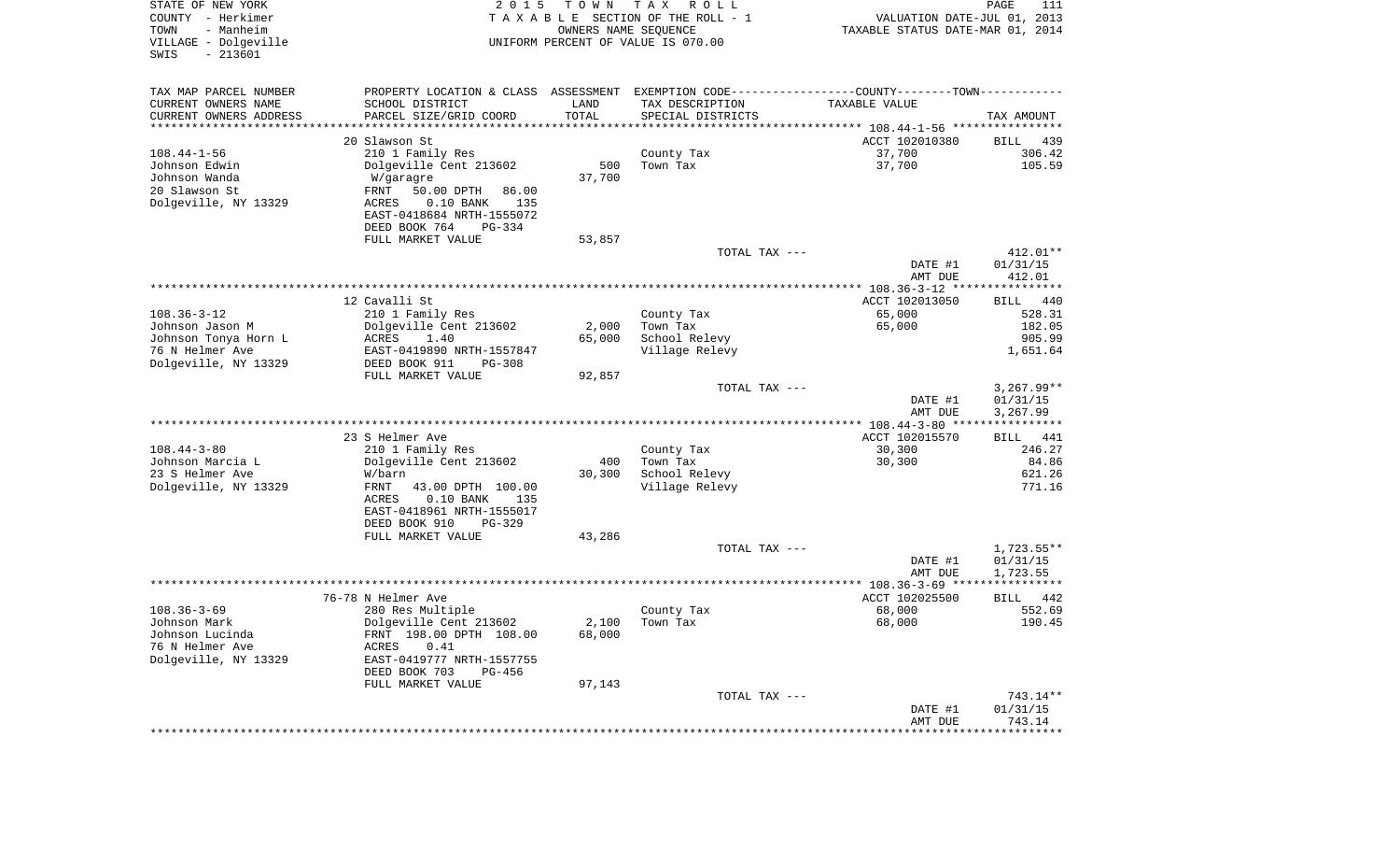| STATE OF NEW YORK<br>COUNTY - Herkimer<br>- Manheim<br>TOWN<br>VILLAGE - Dolgeville<br>$-213601$<br>SWIS | 2 0 1 5                                              | T O W N<br>OWNERS NAME SEQUENCE | T A X<br>R O L L<br>TAXABLE SECTION OF THE ROLL - 1<br>UNIFORM PERCENT OF VALUE IS 070.00      | VALUATION DATE-JUL 01, 2013<br>TAXABLE STATUS DATE-MAR 01, 2014 | PAGE<br>111                  |
|----------------------------------------------------------------------------------------------------------|------------------------------------------------------|---------------------------------|------------------------------------------------------------------------------------------------|-----------------------------------------------------------------|------------------------------|
| TAX MAP PARCEL NUMBER                                                                                    |                                                      |                                 | PROPERTY LOCATION & CLASS ASSESSMENT EXEMPTION CODE----------------COUNTY-------TOWN---------- |                                                                 |                              |
| CURRENT OWNERS NAME                                                                                      | SCHOOL DISTRICT                                      | LAND                            | TAX DESCRIPTION                                                                                | TAXABLE VALUE                                                   |                              |
| CURRENT OWNERS ADDRESS<br>********************                                                           | PARCEL SIZE/GRID COORD                               | TOTAL                           | SPECIAL DISTRICTS                                                                              |                                                                 | TAX AMOUNT                   |
|                                                                                                          | 20 Slawson St                                        |                                 | ********************************* 108.44-1-56 ****************                                 | ACCT 102010380                                                  | BILL<br>439                  |
| $108.44 - 1 - 56$                                                                                        | 210 1 Family Res                                     |                                 | County Tax                                                                                     | 37,700                                                          | 306.42                       |
| Johnson Edwin                                                                                            | Dolgeville Cent 213602                               | 500                             | Town Tax                                                                                       | 37,700                                                          | 105.59                       |
| Johnson Wanda                                                                                            | W/garagre                                            | 37,700                          |                                                                                                |                                                                 |                              |
| 20 Slawson St                                                                                            | FRNT<br>50.00 DPTH<br>86.00                          |                                 |                                                                                                |                                                                 |                              |
| Dolgeville, NY 13329                                                                                     | $0.10$ BANK<br>ACRES<br>135                          |                                 |                                                                                                |                                                                 |                              |
|                                                                                                          | EAST-0418684 NRTH-1555072                            |                                 |                                                                                                |                                                                 |                              |
|                                                                                                          | DEED BOOK 764<br>PG-334                              |                                 |                                                                                                |                                                                 |                              |
|                                                                                                          | FULL MARKET VALUE                                    | 53,857                          | TOTAL TAX ---                                                                                  |                                                                 | 412.01**                     |
|                                                                                                          |                                                      |                                 |                                                                                                | DATE #1                                                         | 01/31/15                     |
|                                                                                                          |                                                      |                                 |                                                                                                | AMT DUE                                                         | 412.01                       |
|                                                                                                          |                                                      |                                 |                                                                                                |                                                                 |                              |
|                                                                                                          | 12 Cavalli St                                        |                                 |                                                                                                | ACCT 102013050                                                  | BILL<br>440                  |
| $108.36 - 3 - 12$                                                                                        | 210 1 Family Res                                     |                                 | County Tax                                                                                     | 65,000                                                          | 528.31                       |
| Johnson Jason M<br>Johnson Tonya Horn L                                                                  | Dolgeville Cent 213602<br>ACRES<br>1.40              | 2,000<br>65,000                 | Town Tax<br>School Relevy                                                                      | 65,000                                                          | 182.05<br>905.99             |
| 76 N Helmer Ave                                                                                          | EAST-0419890 NRTH-1557847                            |                                 | Village Relevy                                                                                 |                                                                 | 1,651.64                     |
| Dolgeville, NY 13329                                                                                     | DEED BOOK 911<br>$PG-308$                            |                                 |                                                                                                |                                                                 |                              |
|                                                                                                          | FULL MARKET VALUE                                    | 92,857                          |                                                                                                |                                                                 |                              |
|                                                                                                          |                                                      |                                 | TOTAL TAX ---                                                                                  |                                                                 | $3,267.99**$                 |
|                                                                                                          |                                                      |                                 |                                                                                                | DATE #1                                                         | 01/31/15                     |
|                                                                                                          |                                                      |                                 |                                                                                                | AMT DUE                                                         | 3,267.99                     |
|                                                                                                          | 23 S Helmer Ave                                      |                                 |                                                                                                | ACCT 102015570                                                  | BILL<br>441                  |
| $108.44 - 3 - 80$                                                                                        | 210 1 Family Res                                     |                                 | County Tax                                                                                     | 30,300                                                          | 246.27                       |
| Johnson Marcia L                                                                                         | Dolgeville Cent 213602                               | 400                             | Town Tax                                                                                       | 30,300                                                          | 84.86                        |
| 23 S Helmer Ave                                                                                          | W/barn                                               | 30,300                          | School Relevy                                                                                  |                                                                 | 621.26                       |
| Dolgeville, NY 13329                                                                                     | FRNT<br>43.00 DPTH 100.00                            |                                 | Village Relevy                                                                                 |                                                                 | 771.16                       |
|                                                                                                          | ACRES<br>$0.10$ BANK<br>135                          |                                 |                                                                                                |                                                                 |                              |
|                                                                                                          | EAST-0418961 NRTH-1555017<br>DEED BOOK 910<br>PG-329 |                                 |                                                                                                |                                                                 |                              |
|                                                                                                          | FULL MARKET VALUE                                    | 43,286                          |                                                                                                |                                                                 |                              |
|                                                                                                          |                                                      |                                 | TOTAL TAX ---                                                                                  |                                                                 | 1,723.55**                   |
|                                                                                                          |                                                      |                                 |                                                                                                | DATE #1                                                         | 01/31/15                     |
|                                                                                                          |                                                      |                                 |                                                                                                | AMT DUE                                                         | 1,723.55                     |
|                                                                                                          |                                                      |                                 |                                                                                                |                                                                 |                              |
| $108.36 - 3 - 69$                                                                                        | 76-78 N Helmer Ave<br>280 Res Multiple               |                                 |                                                                                                | ACCT 102025500<br>68,000                                        | <b>BILL</b><br>442<br>552.69 |
| Johnson Mark                                                                                             | Dolgeville Cent 213602                               |                                 | County Tax<br>$2,100$ Town Tax                                                                 | 68,000                                                          | 190.45                       |
| Johnson Lucinda                                                                                          | FRNT 198.00 DPTH 108.00                              | 68,000                          |                                                                                                |                                                                 |                              |
| 76 N Helmer Ave                                                                                          | 0.41<br>ACRES                                        |                                 |                                                                                                |                                                                 |                              |
| Dolgeville, NY 13329                                                                                     | EAST-0419777 NRTH-1557755                            |                                 |                                                                                                |                                                                 |                              |
|                                                                                                          | DEED BOOK 703<br>PG-456                              |                                 |                                                                                                |                                                                 |                              |
|                                                                                                          | FULL MARKET VALUE                                    | 97,143                          |                                                                                                |                                                                 |                              |
|                                                                                                          |                                                      |                                 | TOTAL TAX ---                                                                                  | DATE #1                                                         | 743.14**<br>01/31/15         |
|                                                                                                          |                                                      |                                 |                                                                                                | AMT DUE                                                         | 743.14                       |
|                                                                                                          |                                                      |                                 |                                                                                                |                                                                 |                              |
|                                                                                                          |                                                      |                                 |                                                                                                |                                                                 |                              |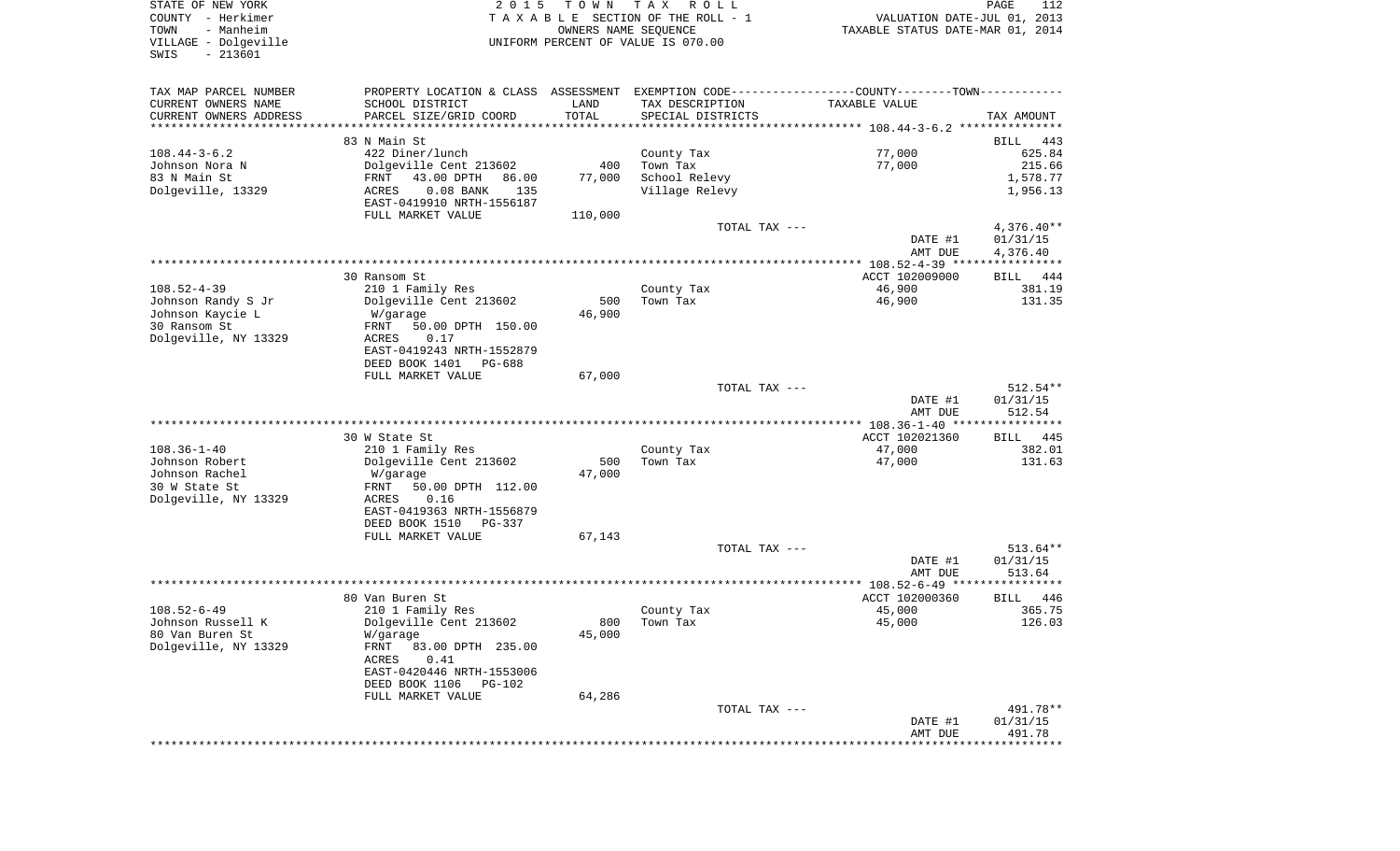STATE OF NEW YORK 2 0 1 5 T O W N T A X R O L L PAGE 112COUNTY - Herkimer **T A X A B L E** SECTION OF THE ROLL - 1 VALUATION DATE-JUL 01, 2013 TOWN - Manheim OWNERS NAME SEQUENCE TAXABLE STATUS DATE-MAR 01, 2014 VILLAGE - Dolgeville UNIFORM PERCENT OF VALUE IS 070.00 SWIS - 213601TAX MAP PARCEL NUMBER PROPERTY LOCATION & CLASS ASSESSMENT EXEMPTION CODE------------------COUNTY--------TOWN------------ CURRENT OWNERS NAME SCHOOL DISTRICT LAND TAX DESCRIPTION TAXABLE VALUECURRENT OWNERS ADDRESS PARCEL SIZE/GRID COORD TOTAL SPECIAL DISTRICTS TAX AMOUNT \*\*\*\*\*\*\*\*\*\*\*\*\*\*\*\*\*\*\*\*\*\*\*\*\*\*\*\*\*\*\*\*\*\*\*\*\*\*\*\*\*\*\*\*\*\*\*\*\*\*\*\*\*\*\*\*\*\*\*\*\*\*\*\*\*\*\*\*\*\*\*\*\*\*\*\*\*\*\*\*\*\*\*\*\*\*\*\*\*\*\*\*\*\*\*\*\*\*\*\*\*\*\* 108.44-3-6.2 \*\*\*\*\*\*\*\*\*\*\*\*\*\*\*83 N Main St BILL 443 108.44-3-6.2 422 Diner/lunch County Tax 77,000 625.84 Johnson Nora N 1986 1987 101 Dolgeville Cent 213602 400 Town Tax 317,000 77,000 215.66 83 N Main St FRNT 43.00 DPTH 86.00 77,000 School Relevy 1,578.77 Dolgeville, 13329 ACRES 0.08 BANK 135 Village Relevy 1,956.13 EAST-0419910 NRTH-1556187FULL MARKET VALUE 110,000 TOTAL TAX  $---$  4,376.40\*\* DATE #1 01/31/15 AMT DUE 4,376.40 \*\*\*\*\*\*\*\*\*\*\*\*\*\*\*\*\*\*\*\*\*\*\*\*\*\*\*\*\*\*\*\*\*\*\*\*\*\*\*\*\*\*\*\*\*\*\*\*\*\*\*\*\*\*\*\*\*\*\*\*\*\*\*\*\*\*\*\*\*\*\*\*\*\*\*\*\*\*\*\*\*\*\*\*\*\*\*\*\*\*\*\*\*\*\*\*\*\*\*\*\*\*\* 108.52-4-39 \*\*\*\*\*\*\*\*\*\*\*\*\*\*\*\* 30 Ransom St ACCT 102009000 BILL 444108.52-4-39 210 1 Family Res County Tax 46,900 381.19 Johnson Randy S Jr Dolgeville Cent 213602 500 Town Tax 46,900 131.35 Johnson Kaycie L W/garage 46,900 30 Ransom St FRNT 50.00 DPTH 150.00Dolgeville, NY 13329 ACRES 0.17 EAST-0419243 NRTH-1552879 DEED BOOK 1401 PG-688FULL MARKET VALUE 67,000 TOTAL TAX --- 512.54\*\* DATE #1 01/31/15 AMT DUE 512.54 \*\*\*\*\*\*\*\*\*\*\*\*\*\*\*\*\*\*\*\*\*\*\*\*\*\*\*\*\*\*\*\*\*\*\*\*\*\*\*\*\*\*\*\*\*\*\*\*\*\*\*\*\*\*\*\*\*\*\*\*\*\*\*\*\*\*\*\*\*\*\*\*\*\*\*\*\*\*\*\*\*\*\*\*\*\*\*\*\*\*\*\*\*\*\*\*\*\*\*\*\*\*\* 108.36-1-40 \*\*\*\*\*\*\*\*\*\*\*\*\*\*\*\*BILL 445 30 W State St ACCT 102021360 108.36-1-40 210 1 Family Res County Tax 47,000 382.01 Johnson Robert Dolgeville Cent 213602 500 Town Tax 47,000 131.63 Johnson Rachel W/garage 47,000 30 W State St FRNT 50.00 DPTH 112.00Dolgeville, NY 13329 ACRES 0.16 EAST-0419363 NRTH-1556879 DEED BOOK 1510 PG-337FULL MARKET VALUE 67,143 TOTAL TAX --- 513.64 \*\* DATE #1 01/31/15 AMT DUE 513.64 \*\*\*\*\*\*\*\*\*\*\*\*\*\*\*\*\*\*\*\*\*\*\*\*\*\*\*\*\*\*\*\*\*\*\*\*\*\*\*\*\*\*\*\*\*\*\*\*\*\*\*\*\*\*\*\*\*\*\*\*\*\*\*\*\*\*\*\*\*\*\*\*\*\*\*\*\*\*\*\*\*\*\*\*\*\*\*\*\*\*\*\*\*\*\*\*\*\*\*\*\*\*\* 108.52-6-49 \*\*\*\*\*\*\*\*\*\*\*\*\*\*\*\*80 Van Buren St Accredit 102000360 BILL 446 108.52-6-49 210 1 Family Res County Tax 45,000 365.75 Johnson Russell K Dolgeville Cent 213602 800 Town Tax 45,000 126.03 80 Van Buren St M/garage 15,000 Dolgeville, NY 13329 FRNT 83.00 DPTH 235.00 ACRES 0.41 EAST-0420446 NRTH-1553006 DEED BOOK 1106 PG-102FULL MARKET VALUE 64,286 TOTAL TAX --- 491.78\*\*DATE #1 01/31/15

 AMT DUE 491.78\*\*\*\*\*\*\*\*\*\*\*\*\*\*\*\*\*\*\*\*\*\*\*\*\*\*\*\*\*\*\*\*\*\*\*\*\*\*\*\*\*\*\*\*\*\*\*\*\*\*\*\*\*\*\*\*\*\*\*\*\*\*\*\*\*\*\*\*\*\*\*\*\*\*\*\*\*\*\*\*\*\*\*\*\*\*\*\*\*\*\*\*\*\*\*\*\*\*\*\*\*\*\*\*\*\*\*\*\*\*\*\*\*\*\*\*\*\*\*\*\*\*\*\*\*\*\*\*\*\*\*\*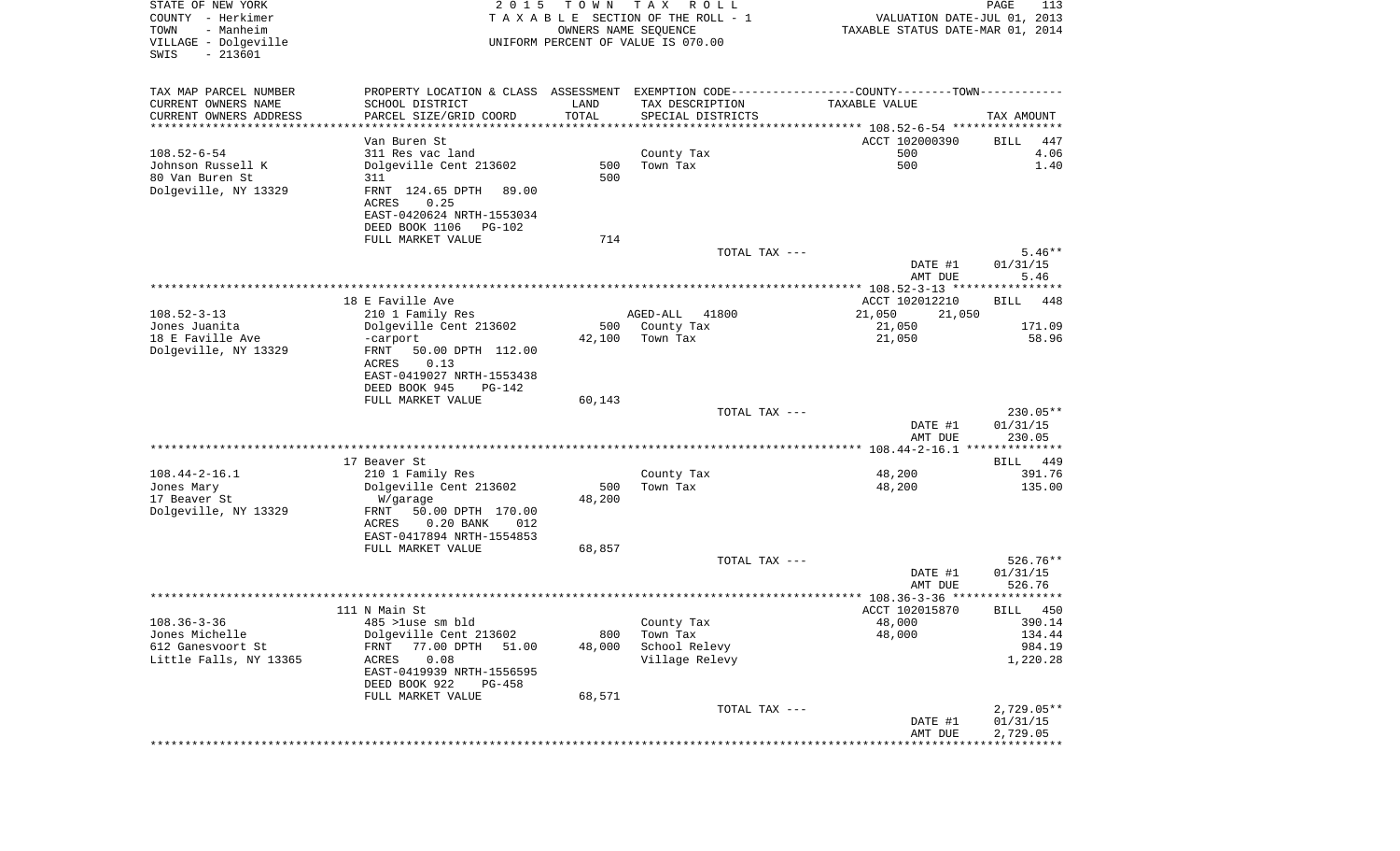| STATE OF NEW YORK<br>COUNTY - Herkimer<br>TOWN<br>- Manheim<br>VILLAGE - Dolgeville<br>$-213601$<br>SWIS | 2 0 1 5                                                  | T O W N<br>OWNERS NAME SEQUENCE | T A X<br>R O L L<br>TAXABLE SECTION OF THE ROLL - 1<br>UNIFORM PERCENT OF VALUE IS 070.00      | VALUATION DATE-JUL 01, 2013<br>TAXABLE STATUS DATE-MAR 01, 2014 | PAGE<br>113              |
|----------------------------------------------------------------------------------------------------------|----------------------------------------------------------|---------------------------------|------------------------------------------------------------------------------------------------|-----------------------------------------------------------------|--------------------------|
| TAX MAP PARCEL NUMBER                                                                                    |                                                          |                                 | PROPERTY LOCATION & CLASS ASSESSMENT EXEMPTION CODE----------------COUNTY-------TOWN---------- |                                                                 |                          |
| CURRENT OWNERS NAME                                                                                      | SCHOOL DISTRICT                                          | LAND                            | TAX DESCRIPTION                                                                                | TAXABLE VALUE                                                   |                          |
| CURRENT OWNERS ADDRESS<br>*********************                                                          | PARCEL SIZE/GRID COORD<br>************************       | TOTAL<br>***************        | SPECIAL DISTRICTS<br>********************************* 108.52-6-54 ****************            |                                                                 | TAX AMOUNT               |
|                                                                                                          | Van Buren St                                             |                                 |                                                                                                | ACCT 102000390                                                  | BILL<br>447              |
| $108.52 - 6 - 54$                                                                                        | 311 Res vac land                                         |                                 | County Tax                                                                                     | 500                                                             | 4.06                     |
| Johnson Russell K                                                                                        | Dolgeville Cent 213602                                   | 500                             | Town Tax                                                                                       | 500                                                             | 1.40                     |
| 80 Van Buren St                                                                                          | 311                                                      | 500                             |                                                                                                |                                                                 |                          |
| Dolgeville, NY 13329                                                                                     | FRNT 124.65 DPTH<br>89.00<br>ACRES<br>0.25               |                                 |                                                                                                |                                                                 |                          |
|                                                                                                          | EAST-0420624 NRTH-1553034                                |                                 |                                                                                                |                                                                 |                          |
|                                                                                                          | DEED BOOK 1106<br>PG-102                                 | 714                             |                                                                                                |                                                                 |                          |
|                                                                                                          | FULL MARKET VALUE                                        |                                 | TOTAL TAX ---                                                                                  |                                                                 | $5.46**$                 |
|                                                                                                          |                                                          |                                 |                                                                                                | DATE #1                                                         | 01/31/15                 |
|                                                                                                          |                                                          |                                 |                                                                                                | AMT DUE                                                         | 5.46                     |
|                                                                                                          |                                                          |                                 |                                                                                                |                                                                 |                          |
| $108.52 - 3 - 13$                                                                                        | 18 E Faville Ave<br>210 1 Family Res                     |                                 | 41800<br>AGED-ALL                                                                              | ACCT 102012210<br>21,050<br>21,050                              | BILL<br>448              |
| Jones Juanita                                                                                            | Dolgeville Cent 213602                                   | 500                             | County Tax                                                                                     | 21,050                                                          | 171.09                   |
| 18 E Faville Ave                                                                                         | -carport                                                 | 42,100                          | Town Tax                                                                                       | 21,050                                                          | 58.96                    |
| Dolgeville, NY 13329                                                                                     | 50.00 DPTH 112.00<br>FRNT<br>0.13<br>ACRES               |                                 |                                                                                                |                                                                 |                          |
|                                                                                                          | EAST-0419027 NRTH-1553438<br>DEED BOOK 945<br>PG-142     |                                 |                                                                                                |                                                                 |                          |
|                                                                                                          | FULL MARKET VALUE                                        | 60,143                          | TOTAL TAX ---                                                                                  |                                                                 | $230.05**$               |
|                                                                                                          |                                                          |                                 |                                                                                                | DATE #1<br>AMT DUE                                              | 01/31/15<br>230.05       |
|                                                                                                          |                                                          |                                 |                                                                                                |                                                                 |                          |
|                                                                                                          | 17 Beaver St                                             |                                 |                                                                                                |                                                                 | 449<br>BILL              |
| $108.44 - 2 - 16.1$                                                                                      | 210 1 Family Res                                         |                                 | County Tax                                                                                     | 48,200                                                          | 391.76                   |
| Jones Mary<br>17 Beaver St                                                                               | Dolgeville Cent 213602<br>W/garage                       | 500<br>48,200                   | Town Tax                                                                                       | 48,200                                                          | 135.00                   |
| Dolgeville, NY 13329                                                                                     | 50.00 DPTH 170.00<br>FRNT<br>$0.20$ BANK<br>ACRES<br>012 |                                 |                                                                                                |                                                                 |                          |
|                                                                                                          | EAST-0417894 NRTH-1554853                                |                                 |                                                                                                |                                                                 |                          |
|                                                                                                          | FULL MARKET VALUE                                        | 68,857                          |                                                                                                |                                                                 |                          |
|                                                                                                          |                                                          |                                 | TOTAL TAX ---                                                                                  |                                                                 | $526.76**$               |
|                                                                                                          |                                                          |                                 |                                                                                                | DATE #1<br>AMT DUE                                              | 01/31/15<br>526.76       |
|                                                                                                          |                                                          |                                 |                                                                                                |                                                                 | * * * *                  |
| $108.36 - 3 - 36$                                                                                        | 111 N Main St<br>485 >luse sm bld                        |                                 |                                                                                                | ACCT 102015870<br>48,000                                        | 450<br>BILL<br>390.14    |
| Jones Michelle                                                                                           | Dolgeville Cent 213602                                   | 800                             | County Tax<br>Town Tax                                                                         | 48,000                                                          | 134.44                   |
| 612 Ganesvoort St                                                                                        | 77.00 DPTH<br>51.00<br>FRNT                              | 48,000                          | School Relevy                                                                                  |                                                                 | 984.19                   |
| Little Falls, NY 13365                                                                                   | 0.08<br>ACRES<br>EAST-0419939 NRTH-1556595               |                                 | Village Relevy                                                                                 |                                                                 | 1,220.28                 |
|                                                                                                          | DEED BOOK 922<br>PG-458                                  |                                 |                                                                                                |                                                                 |                          |
|                                                                                                          | FULL MARKET VALUE                                        | 68,571                          |                                                                                                |                                                                 |                          |
|                                                                                                          |                                                          |                                 | TOTAL TAX ---                                                                                  | DATE #1                                                         | $2,729.05**$<br>01/31/15 |
|                                                                                                          |                                                          |                                 |                                                                                                | AMT DUE                                                         | 2,729.05                 |
|                                                                                                          |                                                          |                                 |                                                                                                |                                                                 |                          |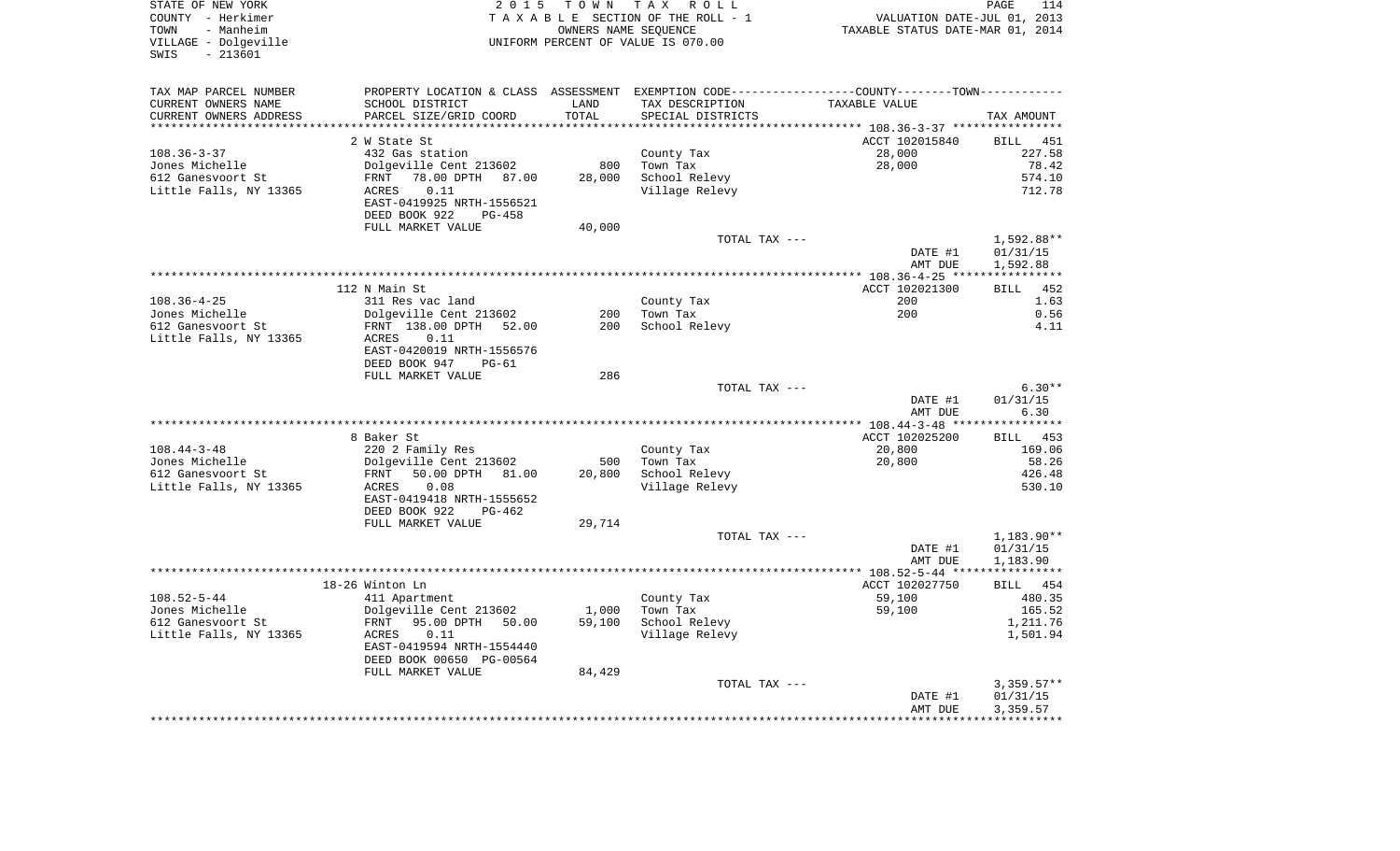| STATE OF NEW YORK<br>COUNTY - Herkimer<br>TOWN<br>- Manheim<br>VILLAGE - Dolgeville<br>$-213601$<br>SWIS | 2 0 1 5                           |         | TOWN TAX ROLL<br>TAXABLE SECTION OF THE ROLL - 1<br>OWNERS NAME SEQUENCE<br>UNIFORM PERCENT OF VALUE IS 070.00 | VALUATION DATE-JUL 01, 2013<br>TAXABLE STATUS DATE-MAR 01, 2014 | PAGE<br>114               |
|----------------------------------------------------------------------------------------------------------|-----------------------------------|---------|----------------------------------------------------------------------------------------------------------------|-----------------------------------------------------------------|---------------------------|
| TAX MAP PARCEL NUMBER                                                                                    |                                   |         | PROPERTY LOCATION & CLASS ASSESSMENT EXEMPTION CODE---------------COUNTY-------TOWN----------                  |                                                                 |                           |
| CURRENT OWNERS NAME                                                                                      | SCHOOL DISTRICT                   | LAND    | TAX DESCRIPTION                                                                                                | TAXABLE VALUE                                                   |                           |
| CURRENT OWNERS ADDRESS                                                                                   | PARCEL SIZE/GRID COORD            | TOTAL   | SPECIAL DISTRICTS                                                                                              |                                                                 | TAX AMOUNT                |
|                                                                                                          |                                   | ******* |                                                                                                                | ******* 108.36-3-37 ***********                                 |                           |
|                                                                                                          | 2 W State St<br>432 Gas station   |         |                                                                                                                | ACCT 102015840<br>28,000                                        | <b>BILL</b> 451<br>227.58 |
| $108.36 - 3 - 37$<br>Jones Michelle                                                                      | Dolgeville Cent 213602            | 800     | County Tax<br>Town Tax                                                                                         | 28,000                                                          | 78.42                     |
| 612 Ganesvoort St                                                                                        | FRNT<br>78.00 DPTH 87.00          | 28,000  | School Relevy                                                                                                  |                                                                 | 574.10                    |
| Little Falls, NY 13365                                                                                   | 0.11<br>ACRES                     |         | Village Relevy                                                                                                 |                                                                 | 712.78                    |
|                                                                                                          | EAST-0419925 NRTH-1556521         |         |                                                                                                                |                                                                 |                           |
|                                                                                                          | DEED BOOK 922<br>$PG-458$         |         |                                                                                                                |                                                                 |                           |
|                                                                                                          | FULL MARKET VALUE                 | 40,000  |                                                                                                                |                                                                 |                           |
|                                                                                                          |                                   |         | TOTAL TAX ---                                                                                                  |                                                                 | 1,592.88**                |
|                                                                                                          |                                   |         |                                                                                                                | DATE #1                                                         | 01/31/15                  |
|                                                                                                          |                                   |         |                                                                                                                | AMT DUE                                                         | 1,592.88                  |
|                                                                                                          |                                   |         |                                                                                                                |                                                                 |                           |
| $108.36 - 4 - 25$                                                                                        | 112 N Main St<br>311 Res vac land |         | County Tax                                                                                                     | ACCT 102021300<br>200                                           | BILL 452<br>1.63          |
| Jones Michelle                                                                                           | Dolgeville Cent 213602            | 200     | Town Tax                                                                                                       | 200                                                             | 0.56                      |
| 612 Ganesvoort St                                                                                        | FRNT 138.00 DPTH 52.00            | 200     | School Relevy                                                                                                  |                                                                 | 4.11                      |
| Little Falls, NY 13365                                                                                   | ACRES<br>0.11                     |         |                                                                                                                |                                                                 |                           |
|                                                                                                          | EAST-0420019 NRTH-1556576         |         |                                                                                                                |                                                                 |                           |
|                                                                                                          | DEED BOOK 947<br>$PG-61$          |         |                                                                                                                |                                                                 |                           |
|                                                                                                          | FULL MARKET VALUE                 | 286     |                                                                                                                |                                                                 |                           |
|                                                                                                          |                                   |         | TOTAL TAX ---                                                                                                  |                                                                 | $6.30**$                  |
|                                                                                                          |                                   |         |                                                                                                                | DATE #1                                                         | 01/31/15                  |
|                                                                                                          |                                   |         |                                                                                                                | AMT DUE                                                         | 6.30                      |
|                                                                                                          | 8 Baker St                        |         |                                                                                                                | ACCT 102025200                                                  | BILL 453                  |
| $108.44 - 3 - 48$                                                                                        | 220 2 Family Res                  |         | County Tax                                                                                                     | 20,800                                                          | 169.06                    |
| Jones Michelle                                                                                           | Dolgeville Cent 213602            | 500     | Town Tax                                                                                                       | 20,800                                                          | 58.26                     |
| 612 Ganesvoort St                                                                                        | 50.00 DPTH 81.00<br>FRNT          | 20,800  | School Relevy                                                                                                  |                                                                 | 426.48                    |
| Little Falls, NY 13365                                                                                   | ACRES<br>0.08                     |         | Village Relevy                                                                                                 |                                                                 | 530.10                    |
|                                                                                                          | EAST-0419418 NRTH-1555652         |         |                                                                                                                |                                                                 |                           |
|                                                                                                          | DEED BOOK 922<br>$PG-462$         |         |                                                                                                                |                                                                 |                           |
|                                                                                                          | FULL MARKET VALUE                 | 29,714  |                                                                                                                |                                                                 |                           |
|                                                                                                          |                                   |         | TOTAL TAX ---                                                                                                  |                                                                 | 1,183.90**                |
|                                                                                                          |                                   |         |                                                                                                                | DATE #1<br>AMT DUE                                              | 01/31/15<br>1,183.90      |
|                                                                                                          | **************                    |         | *******************************                                                                                | ******* 108.52-5-44 *****************                           |                           |
|                                                                                                          | 18-26 Winton Ln                   |         |                                                                                                                | ACCT 102027750                                                  | BILL 454                  |
| $108.52 - 5 - 44$                                                                                        | 411 Apartment                     |         | County Tax                                                                                                     | 59,100                                                          | 480.35                    |
| Jones Michelle                                                                                           | Dolgeville Cent 213602            | 1,000   | Town Tax                                                                                                       | 59,100                                                          | 165.52                    |
| 612 Ganesvoort St                                                                                        | 95.00 DPTH 50.00<br>FRNT          | 59,100  | School Relevy                                                                                                  |                                                                 | 1,211.76                  |
| Little Falls, NY 13365                                                                                   | 0.11<br>ACRES                     |         | Village Relevy                                                                                                 |                                                                 | 1,501.94                  |
|                                                                                                          | EAST-0419594 NRTH-1554440         |         |                                                                                                                |                                                                 |                           |
|                                                                                                          | DEED BOOK 00650 PG-00564          |         |                                                                                                                |                                                                 |                           |
|                                                                                                          | FULL MARKET VALUE                 | 84,429  |                                                                                                                |                                                                 |                           |
|                                                                                                          |                                   |         | TOTAL TAX ---                                                                                                  |                                                                 | $3,359.57**$              |
|                                                                                                          |                                   |         |                                                                                                                | DATE #1<br>AMT DUE                                              | 01/31/15<br>3,359.57      |
|                                                                                                          |                                   |         |                                                                                                                |                                                                 | **********                |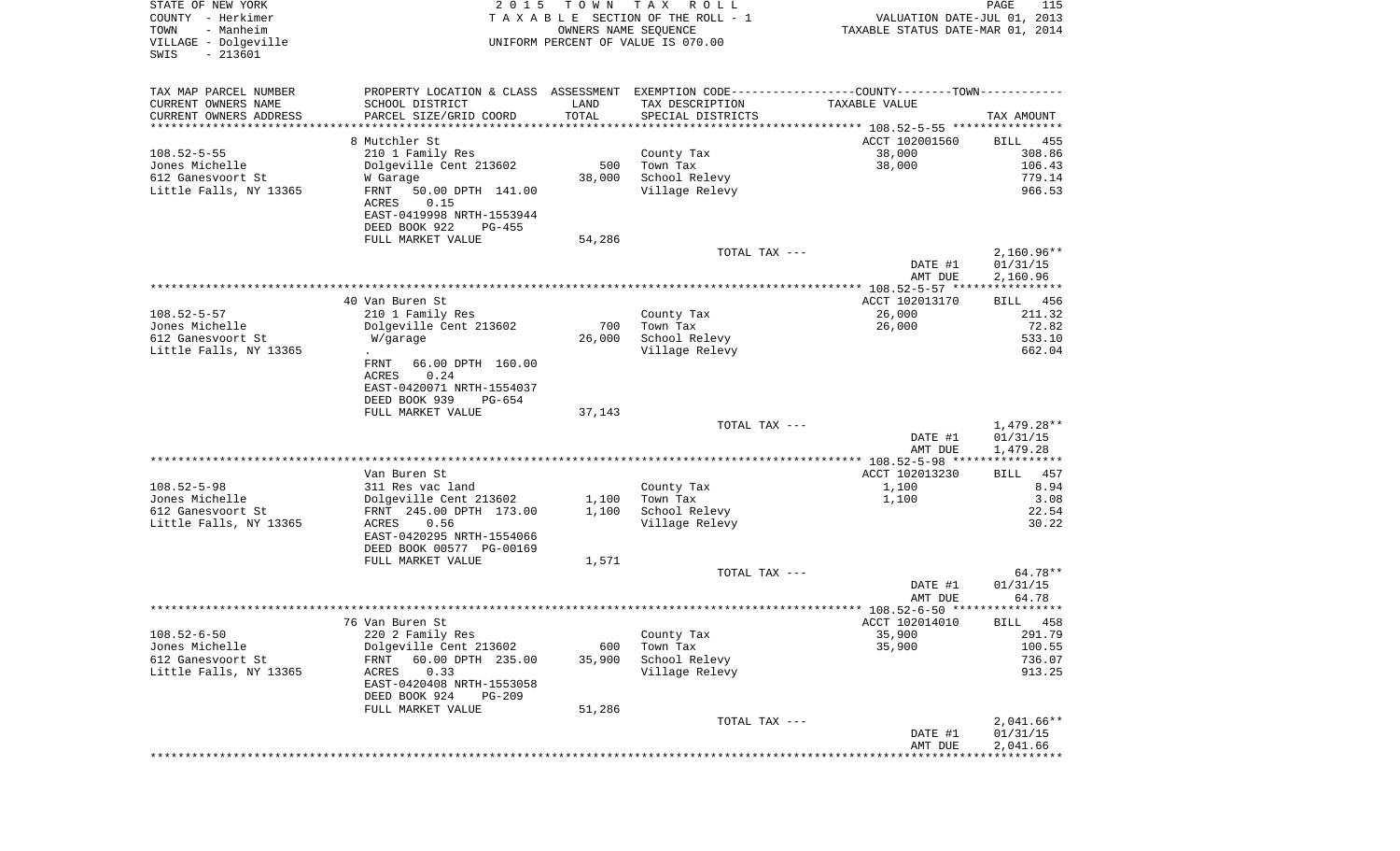| STATE OF NEW YORK<br>COUNTY - Herkimer<br>- Manheim<br>TOWN<br>VILLAGE - Dolgeville<br>$-213601$<br>SWIS | 2 0 1 5                                              | T O W N<br>OWNERS NAME SEQUENCE | T A X<br>R O L L<br>TAXABLE SECTION OF THE ROLL - 1<br>UNIFORM PERCENT OF VALUE IS 070.00 | VALUATION DATE-JUL 01, 2013<br>TAXABLE STATUS DATE-MAR 01, 2014 | PAGE<br>115          |
|----------------------------------------------------------------------------------------------------------|------------------------------------------------------|---------------------------------|-------------------------------------------------------------------------------------------|-----------------------------------------------------------------|----------------------|
|                                                                                                          |                                                      |                                 |                                                                                           |                                                                 |                      |
| TAX MAP PARCEL NUMBER                                                                                    | PROPERTY LOCATION & CLASS ASSESSMENT                 |                                 | EXEMPTION CODE-----------------COUNTY-------TOWN-----------                               |                                                                 |                      |
| CURRENT OWNERS NAME                                                                                      | SCHOOL DISTRICT                                      | LAND                            | TAX DESCRIPTION                                                                           | TAXABLE VALUE                                                   |                      |
| CURRENT OWNERS ADDRESS<br>*********************                                                          | PARCEL SIZE/GRID COORD                               | TOTAL<br>* * * * * * * * * * *  | SPECIAL DISTRICTS                                                                         |                                                                 | TAX AMOUNT           |
|                                                                                                          | 8 Mutchler St                                        |                                 |                                                                                           | ACCT 102001560                                                  | BILL<br>455          |
| $108.52 - 5 - 55$                                                                                        | 210 1 Family Res                                     |                                 | County Tax                                                                                | 38,000                                                          | 308.86               |
| Jones Michelle                                                                                           | Dolgeville Cent 213602                               | 500                             | Town Tax                                                                                  | 38,000                                                          | 106.43               |
| 612 Ganesvoort St                                                                                        | W Garage                                             | 38,000                          | School Relevy                                                                             |                                                                 | 779.14               |
| Little Falls, NY 13365                                                                                   | FRNT<br>50.00 DPTH 141.00<br>ACRES<br>0.15           |                                 | Village Relevy                                                                            |                                                                 | 966.53               |
|                                                                                                          | EAST-0419998 NRTH-1553944                            |                                 |                                                                                           |                                                                 |                      |
|                                                                                                          | DEED BOOK 922<br>PG-455<br>FULL MARKET VALUE         | 54,286                          |                                                                                           |                                                                 |                      |
|                                                                                                          |                                                      |                                 | TOTAL TAX ---                                                                             |                                                                 | $2,160.96**$         |
|                                                                                                          |                                                      |                                 |                                                                                           | DATE #1<br>AMT DUE                                              | 01/31/15<br>2,160.96 |
|                                                                                                          |                                                      |                                 |                                                                                           | *************** 108.52-5-57 *****************                   |                      |
|                                                                                                          | 40 Van Buren St                                      |                                 |                                                                                           | ACCT 102013170                                                  | 456<br>BILL          |
| $108.52 - 5 - 57$                                                                                        | 210 1 Family Res                                     |                                 | County Tax                                                                                | 26,000                                                          | 211.32               |
| Jones Michelle                                                                                           | Dolgeville Cent 213602                               | 700                             | Town Tax                                                                                  | 26,000                                                          | 72.82                |
| 612 Ganesvoort St<br>Little Falls, NY 13365                                                              | W/garage                                             | 26,000                          | School Relevy<br>Village Relevy                                                           |                                                                 | 533.10<br>662.04     |
|                                                                                                          | 66.00 DPTH 160.00<br>FRNT<br>0.24<br>ACRES           |                                 |                                                                                           |                                                                 |                      |
|                                                                                                          | EAST-0420071 NRTH-1554037                            |                                 |                                                                                           |                                                                 |                      |
|                                                                                                          | DEED BOOK 939<br>PG-654                              |                                 |                                                                                           |                                                                 |                      |
|                                                                                                          | FULL MARKET VALUE                                    | 37,143                          |                                                                                           |                                                                 |                      |
|                                                                                                          |                                                      |                                 | TOTAL TAX ---                                                                             |                                                                 | 1,479.28**           |
|                                                                                                          |                                                      |                                 |                                                                                           | DATE #1<br>AMT DUE                                              | 01/31/15<br>1,479.28 |
|                                                                                                          |                                                      |                                 |                                                                                           | ************ 108.52-5-98 ****************                       |                      |
|                                                                                                          | Van Buren St                                         |                                 |                                                                                           | ACCT 102013230                                                  | 457<br>BILL          |
| $108.52 - 5 - 98$                                                                                        | 311 Res vac land                                     |                                 | County Tax                                                                                | 1,100                                                           | 8.94                 |
| Jones Michelle                                                                                           | Dolgeville Cent 213602                               | 1,100                           | Town Tax                                                                                  | 1,100                                                           | 3.08                 |
| 612 Ganesvoort St<br>Little Falls, NY 13365                                                              | FRNT 245.00 DPTH 173.00<br>ACRES<br>0.56             | 1,100                           | School Relevy<br>Village Relevy                                                           |                                                                 | 22.54<br>30.22       |
|                                                                                                          | EAST-0420295 NRTH-1554066                            |                                 |                                                                                           |                                                                 |                      |
|                                                                                                          | DEED BOOK 00577 PG-00169                             |                                 |                                                                                           |                                                                 |                      |
|                                                                                                          | FULL MARKET VALUE                                    | 1,571                           |                                                                                           |                                                                 |                      |
|                                                                                                          |                                                      |                                 | TOTAL TAX ---                                                                             |                                                                 | 64.78**              |
|                                                                                                          |                                                      |                                 |                                                                                           | DATE #1                                                         | 01/31/15<br>64.78    |
|                                                                                                          |                                                      |                                 |                                                                                           | AMT DUE                                                         |                      |
|                                                                                                          | 76 Van Buren St                                      |                                 |                                                                                           | ACCT 102014010                                                  | BILL 458             |
| $108.52 - 6 - 50$                                                                                        | 220 2 Family Res                                     |                                 | County Tax                                                                                | 35,900                                                          | 291.79               |
| Jones Michelle                                                                                           | Dolgeville Cent 213602                               | 600                             | Town Tax                                                                                  | 35,900                                                          | 100.55               |
| 612 Ganesvoort St                                                                                        | FRNT<br>60.00 DPTH 235.00                            | 35,900                          | School Relevy                                                                             |                                                                 | 736.07               |
| Little Falls, NY 13365                                                                                   | ACRES<br>0.33                                        |                                 | Village Relevy                                                                            |                                                                 | 913.25               |
|                                                                                                          | EAST-0420408 NRTH-1553058<br>DEED BOOK 924<br>PG-209 |                                 |                                                                                           |                                                                 |                      |
|                                                                                                          | FULL MARKET VALUE                                    | 51,286                          |                                                                                           |                                                                 |                      |
|                                                                                                          |                                                      |                                 | TOTAL TAX ---                                                                             |                                                                 | $2,041.66**$         |
|                                                                                                          |                                                      |                                 |                                                                                           | DATE #1                                                         | 01/31/15             |
|                                                                                                          |                                                      |                                 |                                                                                           | AMT DUE                                                         | 2,041.66             |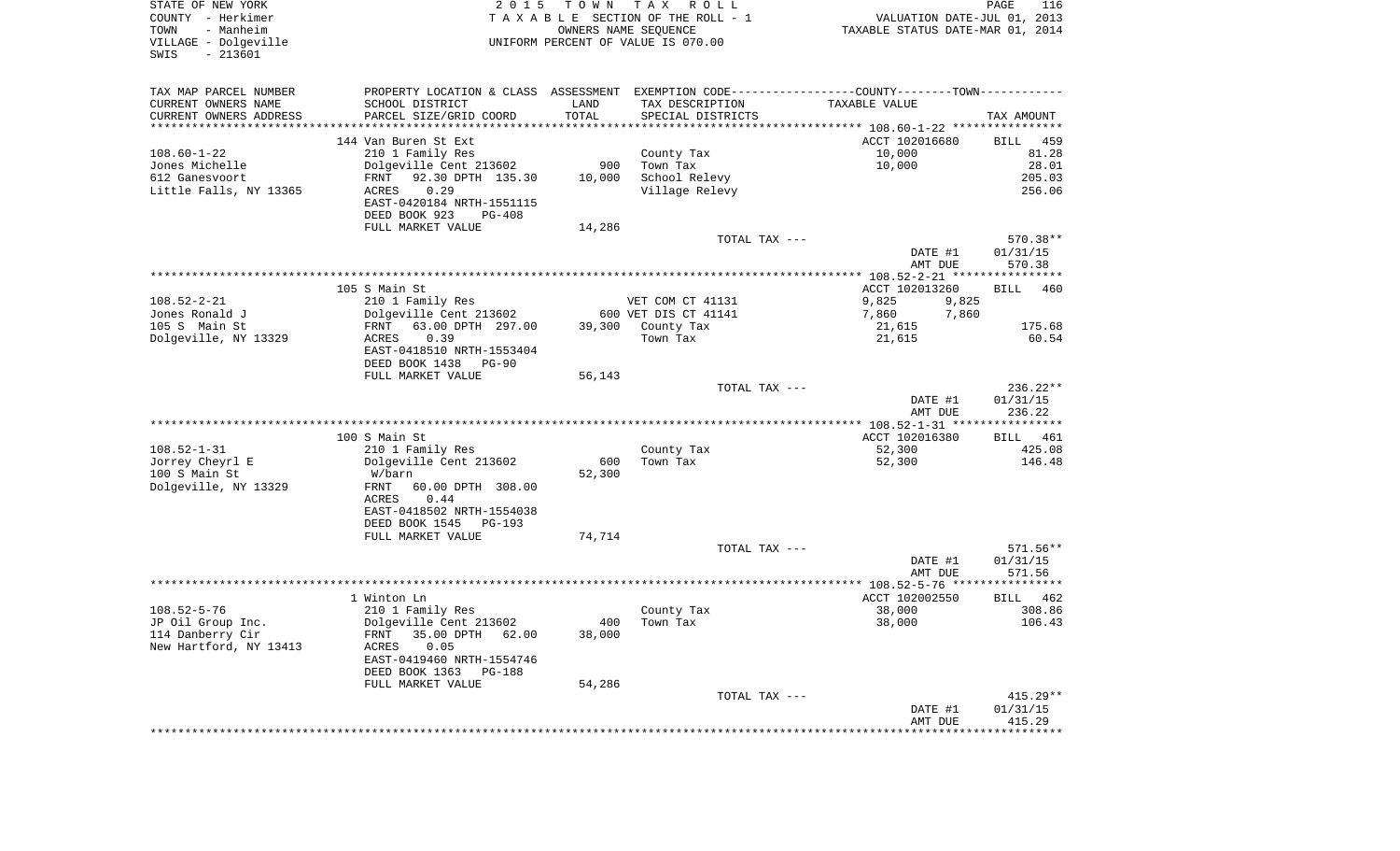| STATE OF NEW YORK<br>COUNTY - Herkimer<br>- Manheim<br>TOWN<br>VILLAGE - Dolgeville |                                            |        | 2015 TOWN TAX ROLL<br>TAXABLE SECTION OF THE ROLL - 1<br>OWNERS NAME SEQUENCE<br>UNIFORM PERCENT OF VALUE IS 070.00 | VALUATION DATE-JUL 01, 2013<br>TAXABLE STATUS DATE-MAR 01, 2014                               | PAGE<br>116          |
|-------------------------------------------------------------------------------------|--------------------------------------------|--------|---------------------------------------------------------------------------------------------------------------------|-----------------------------------------------------------------------------------------------|----------------------|
| $-213601$<br>SWIS                                                                   |                                            |        |                                                                                                                     |                                                                                               |                      |
| TAX MAP PARCEL NUMBER                                                               |                                            |        |                                                                                                                     | PROPERTY LOCATION & CLASS ASSESSMENT EXEMPTION CODE---------------COUNTY-------TOWN---------- |                      |
| CURRENT OWNERS NAME                                                                 | SCHOOL DISTRICT                            | LAND   | TAX DESCRIPTION                                                                                                     | TAXABLE VALUE                                                                                 |                      |
| CURRENT OWNERS ADDRESS<br>***********************                                   | PARCEL SIZE/GRID COORD                     | TOTAL  | SPECIAL DISTRICTS                                                                                                   |                                                                                               | TAX AMOUNT           |
|                                                                                     |                                            |        |                                                                                                                     |                                                                                               |                      |
| $108.60 - 1 - 22$                                                                   | 144 Van Buren St Ext<br>210 1 Family Res   |        | County Tax                                                                                                          | ACCT 102016680<br>10,000                                                                      | 459<br>BILL<br>81.28 |
| Jones Michelle                                                                      | Dolgeville Cent 213602                     |        | 900 Town Tax                                                                                                        | 10,000                                                                                        | 28.01                |
| 612 Ganesvoort                                                                      | 92.30 DPTH 135.30<br>FRNT                  | 10,000 | School Relevy                                                                                                       |                                                                                               | 205.03               |
| Little Falls, NY 13365                                                              | 0.29<br>ACRES<br>EAST-0420184 NRTH-1551115 |        | Village Relevy                                                                                                      |                                                                                               | 256.06               |
|                                                                                     | DEED BOOK 923<br>PG-408                    |        |                                                                                                                     |                                                                                               |                      |
|                                                                                     | FULL MARKET VALUE                          | 14,286 |                                                                                                                     |                                                                                               |                      |
|                                                                                     |                                            |        | TOTAL TAX ---                                                                                                       |                                                                                               | 570.38**             |
|                                                                                     |                                            |        |                                                                                                                     | DATE #1                                                                                       | 01/31/15             |
|                                                                                     |                                            |        |                                                                                                                     | AMT DUE                                                                                       | 570.38               |
|                                                                                     | 105 S Main St                              |        |                                                                                                                     | ACCT 102013260                                                                                | <b>BILL</b>          |
| $108.52 - 2 - 21$                                                                   | 210 1 Family Res                           |        | VET COM CT 41131                                                                                                    | 9,825<br>9,825                                                                                |                      |
| Jones Ronald J                                                                      | Dolgeville Cent 213602                     |        | 600 VET DIS CT 41141                                                                                                | 7,860<br>7,860                                                                                |                      |
| 105 S Main St                                                                       | FRNT 63.00 DPTH 297.00                     |        | 39,300 County Tax                                                                                                   | 21,615                                                                                        | 175.68               |
| Dolgeville, NY 13329                                                                | 0.39<br>ACRES                              |        | Town Tax                                                                                                            | 21,615                                                                                        | 60.54                |
|                                                                                     | EAST-0418510 NRTH-1553404                  |        |                                                                                                                     |                                                                                               |                      |
|                                                                                     | DEED BOOK 1438 PG-90                       |        |                                                                                                                     |                                                                                               |                      |
|                                                                                     | FULL MARKET VALUE                          | 56,143 |                                                                                                                     |                                                                                               |                      |
|                                                                                     |                                            |        | TOTAL TAX ---                                                                                                       |                                                                                               | $236.22**$           |
|                                                                                     |                                            |        |                                                                                                                     | DATE #1                                                                                       | 01/31/15<br>236.22   |
|                                                                                     |                                            |        |                                                                                                                     | AMT DUE                                                                                       |                      |
|                                                                                     | 100 S Main St                              |        |                                                                                                                     | ACCT 102016380                                                                                | BILL 461             |
| $108.52 - 1 - 31$                                                                   | 210 1 Family Res                           |        | County Tax                                                                                                          | 52,300                                                                                        | 425.08               |
| Jorrey Cheyrl E                                                                     | Dolgeville Cent 213602                     | 600    | Town Tax                                                                                                            | 52,300                                                                                        | 146.48               |
| 100 S Main St                                                                       | W/barn                                     | 52,300 |                                                                                                                     |                                                                                               |                      |
| Dolgeville, NY 13329                                                                | FRNT<br>60.00 DPTH 308.00                  |        |                                                                                                                     |                                                                                               |                      |
|                                                                                     | ACRES<br>0.44                              |        |                                                                                                                     |                                                                                               |                      |
|                                                                                     | EAST-0418502 NRTH-1554038                  |        |                                                                                                                     |                                                                                               |                      |
|                                                                                     | DEED BOOK 1545 PG-193                      |        |                                                                                                                     |                                                                                               |                      |
|                                                                                     | FULL MARKET VALUE                          | 74,714 |                                                                                                                     |                                                                                               |                      |
|                                                                                     |                                            |        | TOTAL TAX ---                                                                                                       | DATE #1                                                                                       | 571.56**<br>01/31/15 |
|                                                                                     |                                            |        |                                                                                                                     | AMT DUE                                                                                       | 571.56               |
|                                                                                     |                                            |        |                                                                                                                     |                                                                                               |                      |
|                                                                                     | 1 Winton Ln                                |        |                                                                                                                     | ACCT 102002550                                                                                | BILL 462             |
| $108.52 - 5 - 76$                                                                   | 210 1 Family Res                           |        | County Tax                                                                                                          | 38,000                                                                                        | 308.86               |
| JP Oil Group Inc.                                                                   | Dolgeville Cent 213602                     |        | 400 Town Tax                                                                                                        | 38,000                                                                                        | 106.43               |
| 114 Danberry Cir                                                                    | FRNT 35.00 DPTH 62.00                      | 38,000 |                                                                                                                     |                                                                                               |                      |
| New Hartford, NY 13413                                                              | 0.05<br>ACRES                              |        |                                                                                                                     |                                                                                               |                      |
|                                                                                     | EAST-0419460 NRTH-1554746                  |        |                                                                                                                     |                                                                                               |                      |
|                                                                                     | DEED BOOK 1363 PG-188                      |        |                                                                                                                     |                                                                                               |                      |
|                                                                                     | FULL MARKET VALUE                          | 54,286 |                                                                                                                     |                                                                                               |                      |
|                                                                                     |                                            |        | TOTAL TAX ---                                                                                                       |                                                                                               | $415.29**$           |
|                                                                                     |                                            |        |                                                                                                                     | DATE #1<br>AMT DUE                                                                            | 01/31/15<br>415.29   |
|                                                                                     |                                            |        |                                                                                                                     |                                                                                               |                      |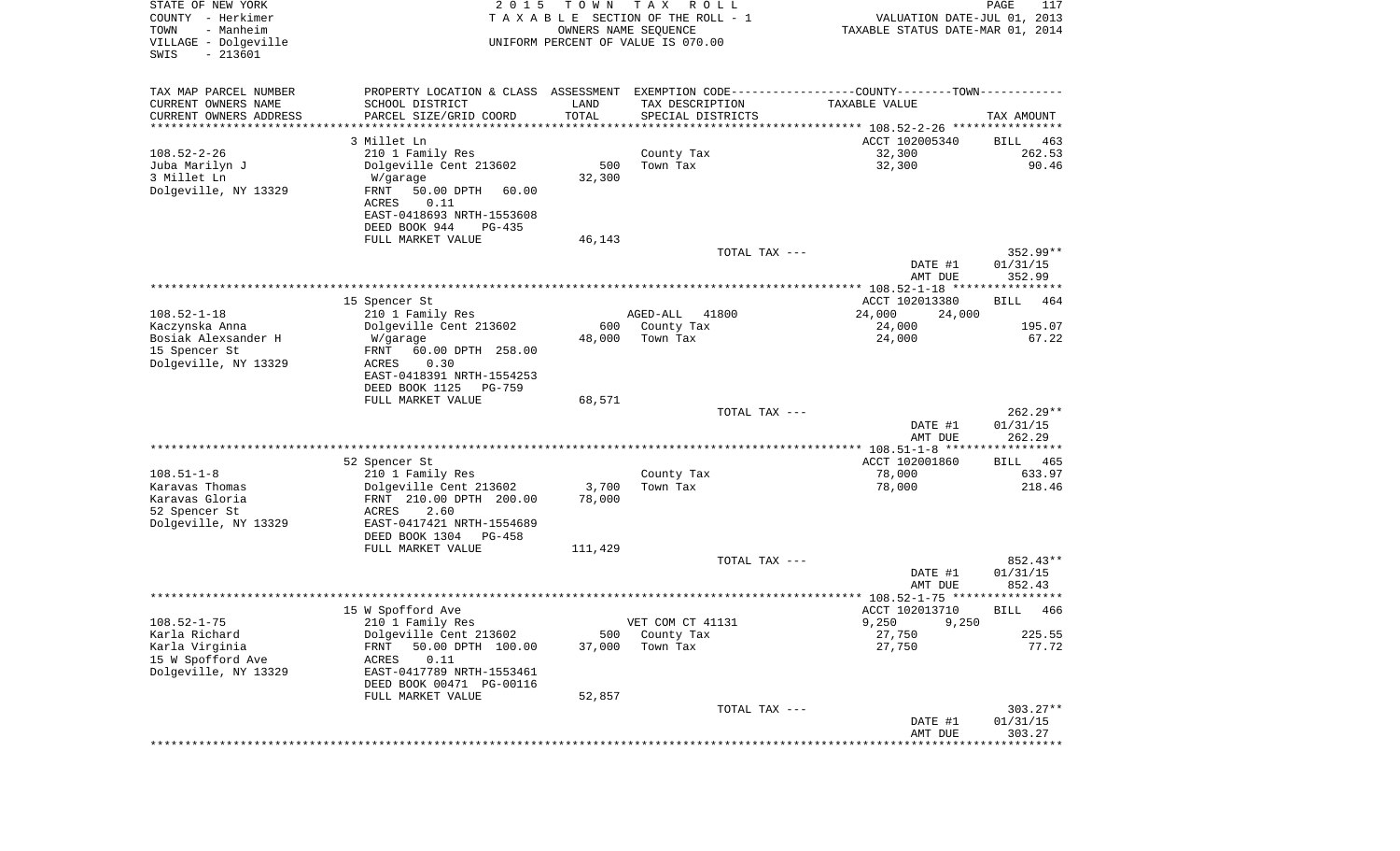| STATE OF NEW YORK<br>COUNTY - Herkimer<br>TOWN<br>- Manheim<br>VILLAGE - Dolgeville<br>$-213601$<br>SWIS | 2 0 1 5                                    | T O W N<br>OWNERS NAME SEQUENCE | T A X<br>R O L L<br>TAXABLE SECTION OF THE ROLL - 1<br>UNIFORM PERCENT OF VALUE IS 070.00      | VALUATION DATE-JUL 01, 2013<br>TAXABLE STATUS DATE-MAR 01, 2014 | PAGE<br>117          |
|----------------------------------------------------------------------------------------------------------|--------------------------------------------|---------------------------------|------------------------------------------------------------------------------------------------|-----------------------------------------------------------------|----------------------|
| TAX MAP PARCEL NUMBER                                                                                    |                                            |                                 | PROPERTY LOCATION & CLASS ASSESSMENT EXEMPTION CODE----------------COUNTY-------TOWN---------- |                                                                 |                      |
| CURRENT OWNERS NAME                                                                                      | SCHOOL DISTRICT                            | LAND                            | TAX DESCRIPTION                                                                                | TAXABLE VALUE                                                   |                      |
| CURRENT OWNERS ADDRESS<br>*********************                                                          | PARCEL SIZE/GRID COORD                     | TOTAL                           | SPECIAL DISTRICTS                                                                              |                                                                 | TAX AMOUNT           |
|                                                                                                          | 3 Millet Ln                                |                                 |                                                                                                | ACCT 102005340                                                  | BILL<br>463          |
| $108.52 - 2 - 26$                                                                                        | 210 1 Family Res                           |                                 | County Tax                                                                                     | 32,300                                                          | 262.53               |
| Juba Marilyn J                                                                                           | Dolgeville Cent 213602                     | 500                             | Town Tax                                                                                       | 32,300                                                          | 90.46                |
| 3 Millet Ln                                                                                              | W/garage                                   | 32,300                          |                                                                                                |                                                                 |                      |
| Dolgeville, NY 13329                                                                                     | 50.00 DPTH<br>FRNT<br>60.00                |                                 |                                                                                                |                                                                 |                      |
|                                                                                                          | ACRES<br>0.11<br>EAST-0418693 NRTH-1553608 |                                 |                                                                                                |                                                                 |                      |
|                                                                                                          | DEED BOOK 944<br>$PG-435$                  |                                 |                                                                                                |                                                                 |                      |
|                                                                                                          | FULL MARKET VALUE                          | 46,143                          |                                                                                                |                                                                 |                      |
|                                                                                                          |                                            |                                 | TOTAL TAX ---                                                                                  |                                                                 | 352.99**             |
|                                                                                                          |                                            |                                 |                                                                                                | DATE #1<br>AMT DUE                                              | 01/31/15<br>352.99   |
|                                                                                                          |                                            |                                 |                                                                                                |                                                                 |                      |
|                                                                                                          | 15 Spencer St                              |                                 |                                                                                                | ACCT 102013380                                                  | BILL<br>464          |
| $108.52 - 1 - 18$                                                                                        | 210 1 Family Res                           |                                 | 41800<br>AGED-ALL                                                                              | 24,000<br>24,000                                                |                      |
| Kaczynska Anna                                                                                           | Dolgeville Cent 213602                     | 600                             | County Tax                                                                                     | 24,000                                                          | 195.07               |
| Bosiak Alexsander H                                                                                      | W/garage                                   | 48,000                          | Town Tax                                                                                       | 24,000                                                          | 67.22                |
| 15 Spencer St<br>Dolgeville, NY 13329                                                                    | 60.00 DPTH 258.00<br>FRNT<br>ACRES<br>0.30 |                                 |                                                                                                |                                                                 |                      |
|                                                                                                          | EAST-0418391 NRTH-1554253                  |                                 |                                                                                                |                                                                 |                      |
|                                                                                                          | DEED BOOK 1125<br><b>PG-759</b>            |                                 |                                                                                                |                                                                 |                      |
|                                                                                                          | FULL MARKET VALUE                          | 68,571                          |                                                                                                |                                                                 |                      |
|                                                                                                          |                                            |                                 | TOTAL TAX ---                                                                                  |                                                                 | $262.29**$           |
|                                                                                                          |                                            |                                 |                                                                                                | DATE #1                                                         | 01/31/15             |
|                                                                                                          |                                            |                                 |                                                                                                | AMT DUE                                                         | 262.29               |
|                                                                                                          | 52 Spencer St                              |                                 |                                                                                                | ACCT 102001860                                                  | 465<br>BILL          |
| $108.51 - 1 - 8$                                                                                         | 210 1 Family Res                           |                                 | County Tax                                                                                     | 78,000                                                          | 633.97               |
| Karavas Thomas                                                                                           | Dolgeville Cent 213602                     | 3,700                           | Town Tax                                                                                       | 78,000                                                          | 218.46               |
| Karavas Gloria                                                                                           | FRNT 210.00 DPTH 200.00                    | 78,000                          |                                                                                                |                                                                 |                      |
| 52 Spencer St                                                                                            | ACRES<br>2.60                              |                                 |                                                                                                |                                                                 |                      |
| Dolgeville, NY 13329                                                                                     | EAST-0417421 NRTH-1554689                  |                                 |                                                                                                |                                                                 |                      |
|                                                                                                          | DEED BOOK 1304<br>PG-458                   |                                 |                                                                                                |                                                                 |                      |
|                                                                                                          | FULL MARKET VALUE                          | 111,429                         | TOTAL TAX ---                                                                                  |                                                                 | 852.43**             |
|                                                                                                          |                                            |                                 |                                                                                                | DATE #1                                                         | 01/31/15             |
|                                                                                                          |                                            |                                 |                                                                                                | AMT DUE                                                         | 852.43<br>****       |
|                                                                                                          | 15 W Spofford Ave                          |                                 |                                                                                                | ACCT 102013710                                                  | 466<br>BILL          |
| $108.52 - 1 - 75$                                                                                        | 210 1 Family Res                           |                                 | VET COM CT 41131                                                                               | 9,250<br>9,250                                                  |                      |
| Karla Richard                                                                                            | Dolgeville Cent 213602                     | 500                             | County Tax                                                                                     | 27,750                                                          | 225.55               |
| Karla Virginia                                                                                           | 50.00 DPTH 100.00<br><b>FRNT</b>           | 37,000                          | Town Tax                                                                                       | 27,750                                                          | 77.72                |
| 15 W Spofford Ave                                                                                        | 0.11<br>ACRES                              |                                 |                                                                                                |                                                                 |                      |
| Dolgeville, NY 13329                                                                                     | EAST-0417789 NRTH-1553461                  |                                 |                                                                                                |                                                                 |                      |
|                                                                                                          | DEED BOOK 00471 PG-00116                   |                                 |                                                                                                |                                                                 |                      |
|                                                                                                          | FULL MARKET VALUE                          | 52,857                          |                                                                                                |                                                                 |                      |
|                                                                                                          |                                            |                                 | TOTAL TAX ---                                                                                  | DATE #1                                                         | 303.27**<br>01/31/15 |
|                                                                                                          |                                            |                                 |                                                                                                | AMT DUE                                                         | 303.27               |
|                                                                                                          |                                            |                                 |                                                                                                | ***************************                                     |                      |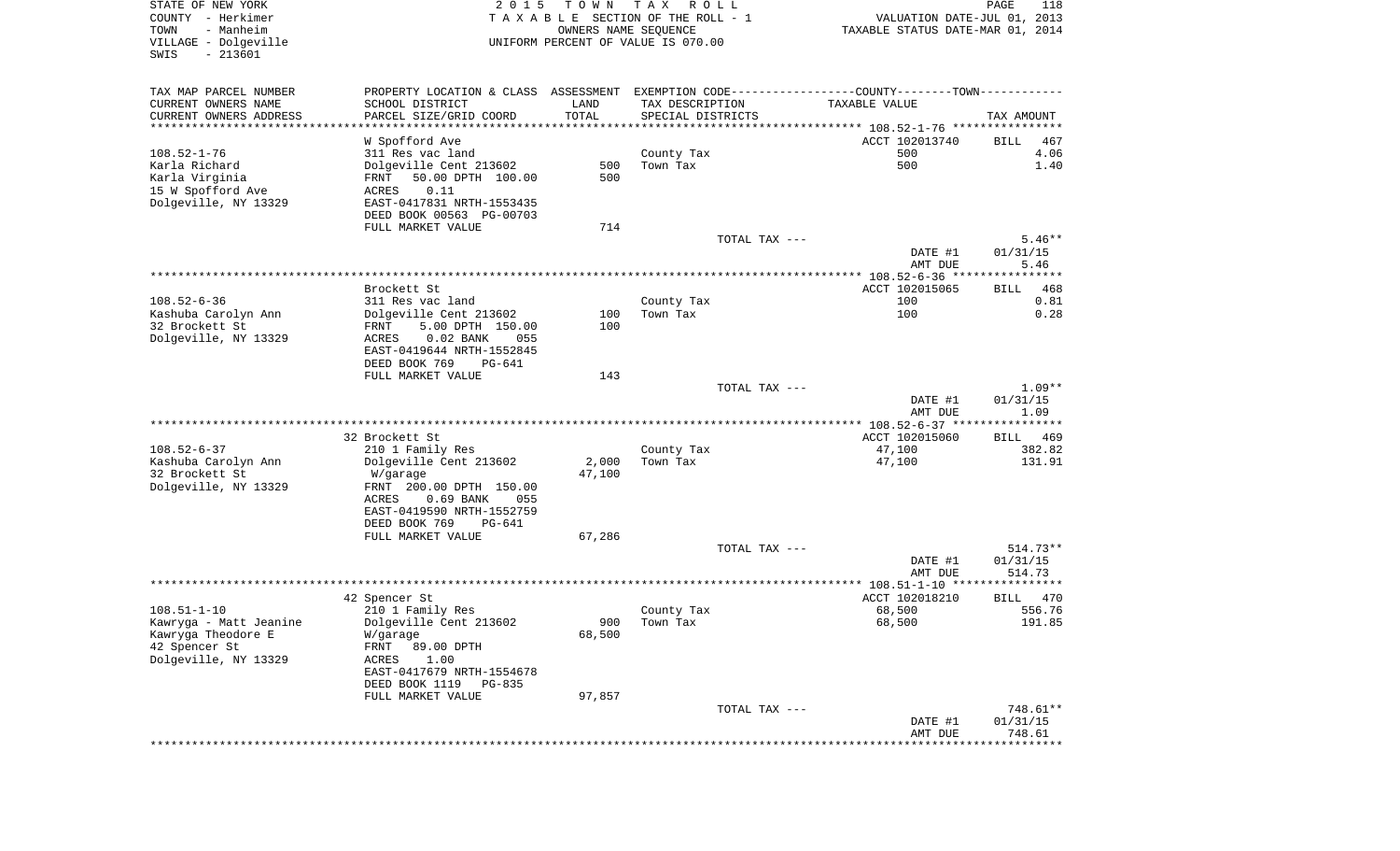| STATE OF NEW YORK                     | 2 0 1 5                                                                                       | T O W N              | T A X<br>R O L L                   |                                  | PAGE<br>118         |
|---------------------------------------|-----------------------------------------------------------------------------------------------|----------------------|------------------------------------|----------------------------------|---------------------|
| COUNTY - Herkimer                     |                                                                                               |                      | TAXABLE SECTION OF THE ROLL - 1    | VALUATION DATE-JUL 01, 2013      |                     |
| TOWN<br>- Manheim                     |                                                                                               | OWNERS NAME SEQUENCE |                                    | TAXABLE STATUS DATE-MAR 01, 2014 |                     |
| VILLAGE - Dolgeville                  |                                                                                               |                      | UNIFORM PERCENT OF VALUE IS 070.00 |                                  |                     |
| $-213601$<br>SWIS                     |                                                                                               |                      |                                    |                                  |                     |
|                                       |                                                                                               |                      |                                    |                                  |                     |
| TAX MAP PARCEL NUMBER                 | PROPERTY LOCATION & CLASS ASSESSMENT EXEMPTION CODE---------------COUNTY-------TOWN---------- |                      |                                    |                                  |                     |
| CURRENT OWNERS NAME                   | SCHOOL DISTRICT                                                                               | LAND                 | TAX DESCRIPTION                    | TAXABLE VALUE                    |                     |
| CURRENT OWNERS ADDRESS                | PARCEL SIZE/GRID COORD                                                                        | TOTAL                | SPECIAL DISTRICTS                  |                                  | TAX AMOUNT          |
| *********************                 | **********************                                                                        |                      |                                    |                                  |                     |
|                                       | W Spofford Ave                                                                                |                      |                                    | ACCT 102013740                   | BILL<br>467         |
| $108.52 - 1 - 76$                     | 311 Res vac land                                                                              |                      | County Tax                         | 500                              | 4.06                |
| Karla Richard                         | Dolgeville Cent 213602                                                                        | 500                  | Town Tax                           | 500                              | 1.40                |
| Karla Virginia                        | 50.00 DPTH 100.00<br>FRNT                                                                     | 500                  |                                    |                                  |                     |
| 15 W Spofford Ave                     | 0.11<br>ACRES                                                                                 |                      |                                    |                                  |                     |
| Dolgeville, NY 13329                  | EAST-0417831 NRTH-1553435                                                                     |                      |                                    |                                  |                     |
|                                       | DEED BOOK 00563 PG-00703                                                                      |                      |                                    |                                  |                     |
|                                       | FULL MARKET VALUE                                                                             | 714                  |                                    |                                  |                     |
|                                       |                                                                                               |                      | TOTAL TAX ---                      |                                  | $5.46**$            |
|                                       |                                                                                               |                      |                                    | DATE #1                          | 01/31/15            |
|                                       |                                                                                               |                      |                                    | AMT DUE                          | 5.46<br>*********** |
|                                       |                                                                                               |                      |                                    | ************** 108.52-6-36 ****  |                     |
|                                       | Brockett St                                                                                   |                      |                                    | ACCT 102015065<br>100            | BILL<br>468<br>0.81 |
| 108.52-6-36                           | 311 Res vac land                                                                              | 100                  | County Tax                         | 100                              | 0.28                |
| Kashuba Carolyn Ann<br>32 Brockett St | Dolgeville Cent 213602<br>FRNT<br>5.00 DPTH 150.00                                            | 100                  | Town Tax                           |                                  |                     |
| Dolgeville, NY 13329                  | $0.02$ BANK<br>055                                                                            |                      |                                    |                                  |                     |
|                                       | ACRES<br>EAST-0419644 NRTH-1552845                                                            |                      |                                    |                                  |                     |
|                                       | DEED BOOK 769<br>PG-641                                                                       |                      |                                    |                                  |                     |
|                                       | FULL MARKET VALUE                                                                             | 143                  |                                    |                                  |                     |
|                                       |                                                                                               |                      | TOTAL TAX ---                      |                                  | $1.09**$            |
|                                       |                                                                                               |                      |                                    | DATE #1                          | 01/31/15            |
|                                       |                                                                                               |                      |                                    | AMT DUE                          | 1.09                |
|                                       |                                                                                               |                      | **************************         | ********** 108.52-6-37 ****      | ***********         |
|                                       | 32 Brockett St                                                                                |                      |                                    | ACCT 102015060                   | BILL 469            |
| 108.52-6-37                           | 210 1 Family Res                                                                              |                      | County Tax                         | 47,100                           | 382.82              |
| Kashuba Carolyn Ann                   | Dolgeville Cent 213602                                                                        | 2,000                | Town Tax                           | 47,100                           | 131.91              |
| 32 Brockett St                        | W/garage                                                                                      | 47,100               |                                    |                                  |                     |
| Dolgeville, NY 13329                  | FRNT 200.00 DPTH 150.00                                                                       |                      |                                    |                                  |                     |
|                                       | $0.69$ BANK<br>ACRES<br>055                                                                   |                      |                                    |                                  |                     |
|                                       | EAST-0419590 NRTH-1552759                                                                     |                      |                                    |                                  |                     |
|                                       | DEED BOOK 769<br>PG-641                                                                       |                      |                                    |                                  |                     |
|                                       | FULL MARKET VALUE                                                                             | 67,286               |                                    |                                  |                     |
|                                       |                                                                                               |                      | TOTAL TAX ---                      |                                  | $514.73**$          |
|                                       |                                                                                               |                      |                                    | DATE #1                          | 01/31/15            |
|                                       |                                                                                               |                      |                                    | AMT DUE                          | 514.73              |
|                                       | *******************                                                                           |                      |                                    |                                  |                     |
|                                       | 42 Spencer St                                                                                 |                      |                                    | ACCT 102018210                   | 470<br>BILL         |
| 108.51-1-10                           | 210 1 Family Res                                                                              |                      | County Tax                         | 68,500                           | 556.76              |
| Kawryga - Matt Jeanine                | Dolgeville Cent 213602                                                                        |                      | 900 Town Tax                       | 68,500                           | 191.85              |
| Kawryga Theodore E                    | W/garage                                                                                      | 68,500               |                                    |                                  |                     |
|                                       | FRNT<br>89.00 DPTH                                                                            |                      |                                    |                                  |                     |
|                                       | ACRES<br>1.00                                                                                 |                      |                                    |                                  |                     |
|                                       | EAST-0417679 NRTH-1554678                                                                     |                      |                                    |                                  |                     |
|                                       | DEED BOOK 1119<br>PG-835                                                                      |                      |                                    |                                  |                     |
|                                       | FULL MARKET VALUE                                                                             | 97,857               |                                    |                                  |                     |
|                                       |                                                                                               |                      | TOTAL TAX ---                      |                                  | 748.61**            |
|                                       |                                                                                               |                      |                                    | DATE #1                          | 01/31/15            |
|                                       |                                                                                               |                      |                                    | AMT DUE                          | 748.61              |
| 42 Spencer St<br>Dolgeville, NY 13329 |                                                                                               |                      |                                    | ********                         | * * * * * * * * *   |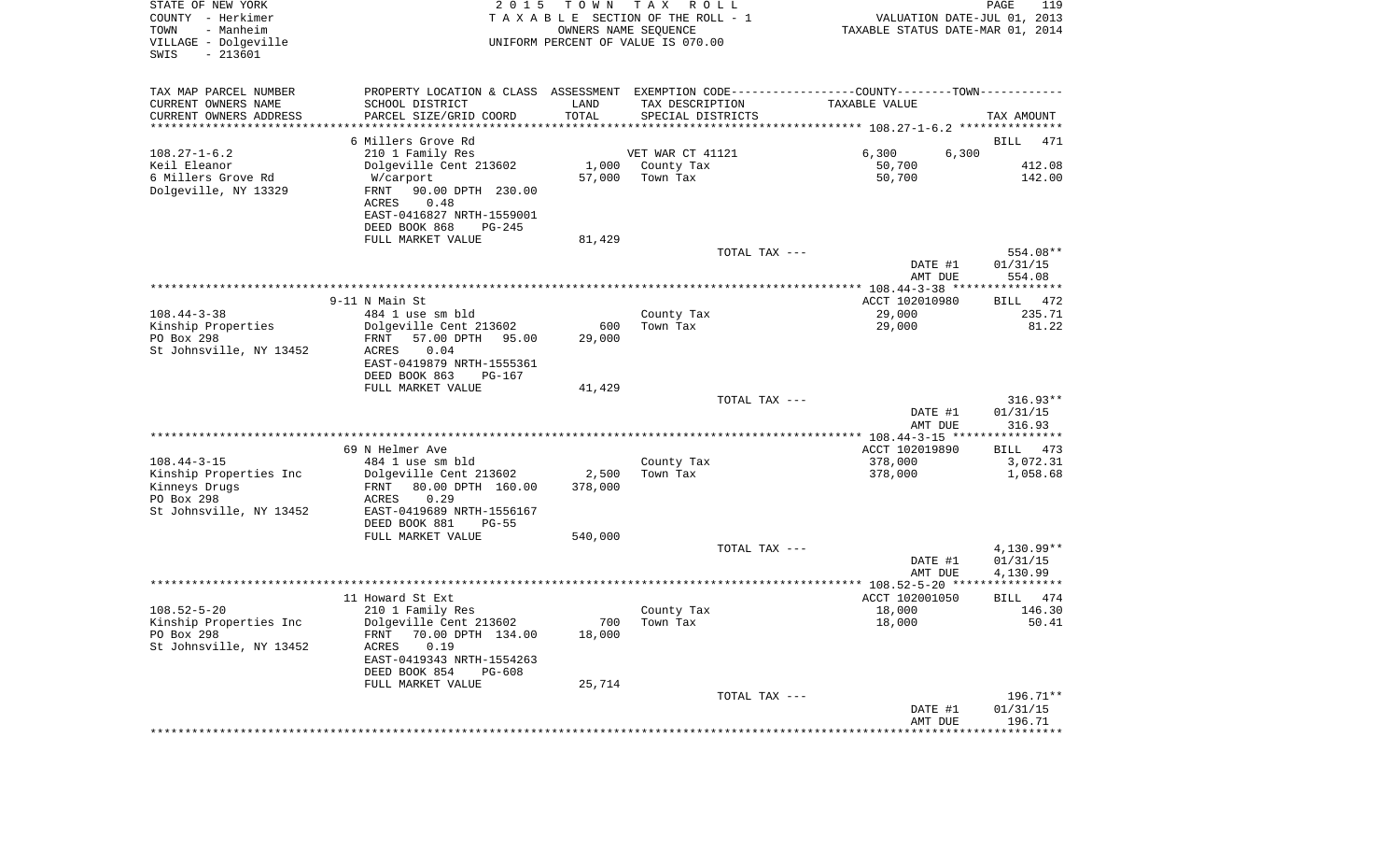| STATE OF NEW YORK<br>COUNTY - Herkimer<br>- Manheim<br>TOWN<br>VILLAGE - Dolgeville<br>$-213601$<br>SWIS | 2 0 1 5                                      | T O W N | TAX ROLL<br>TAXABLE SECTION OF THE ROLL - 1<br>OWNERS NAME SEQUENCE<br>UNIFORM PERCENT OF VALUE IS 070.00 | VALUATION DATE-JUL 01, 2013<br>TAXABLE STATUS DATE-MAR 01, 2014 | PAGE<br>119              |
|----------------------------------------------------------------------------------------------------------|----------------------------------------------|---------|-----------------------------------------------------------------------------------------------------------|-----------------------------------------------------------------|--------------------------|
| TAX MAP PARCEL NUMBER                                                                                    |                                              |         | PROPERTY LOCATION & CLASS ASSESSMENT EXEMPTION CODE---------------COUNTY-------TOWN----------             |                                                                 |                          |
| CURRENT OWNERS NAME                                                                                      | SCHOOL DISTRICT                              | LAND    | TAX DESCRIPTION                                                                                           | TAXABLE VALUE                                                   |                          |
| CURRENT OWNERS ADDRESS<br>*********************                                                          | PARCEL SIZE/GRID COORD                       | TOTAL   | SPECIAL DISTRICTS                                                                                         |                                                                 | TAX AMOUNT               |
|                                                                                                          | 6 Millers Grove Rd                           |         |                                                                                                           |                                                                 | <b>BILL</b><br>471       |
| $108.27 - 1 - 6.2$                                                                                       | 210 1 Family Res                             |         | VET WAR CT 41121                                                                                          | 6,300<br>6,300                                                  |                          |
| Keil Eleanor                                                                                             | Dolgeville Cent 213602                       | 1,000   | County Tax                                                                                                | 50,700                                                          | 412.08                   |
| 6 Millers Grove Rd                                                                                       | W/carport                                    | 57,000  | Town Tax                                                                                                  | 50,700                                                          | 142.00                   |
| Dolgeville, NY 13329                                                                                     | FRNT<br>90.00 DPTH 230.00                    |         |                                                                                                           |                                                                 |                          |
|                                                                                                          | 0.48<br>ACRES                                |         |                                                                                                           |                                                                 |                          |
|                                                                                                          | EAST-0416827 NRTH-1559001                    |         |                                                                                                           |                                                                 |                          |
|                                                                                                          | DEED BOOK 868<br>$PG-245$                    |         |                                                                                                           |                                                                 |                          |
|                                                                                                          | FULL MARKET VALUE                            | 81,429  | TOTAL TAX ---                                                                                             |                                                                 | 554.08**                 |
|                                                                                                          |                                              |         |                                                                                                           | DATE #1                                                         | 01/31/15                 |
|                                                                                                          |                                              |         |                                                                                                           | AMT DUE                                                         | 554.08                   |
|                                                                                                          |                                              |         |                                                                                                           |                                                                 |                          |
|                                                                                                          | 9-11 N Main St                               |         |                                                                                                           | ACCT 102010980                                                  | BILL 472                 |
| $108.44 - 3 - 38$                                                                                        | 484 1 use sm bld                             |         | County Tax                                                                                                | 29,000                                                          | 235.71                   |
| Kinship Properties                                                                                       | Dolgeville Cent 213602                       | 600     | Town Tax                                                                                                  | 29,000                                                          | 81.22                    |
| PO Box 298<br>St Johnsville, NY 13452                                                                    | 57.00 DPTH<br>95.00<br>FRNT<br>ACRES<br>0.04 | 29,000  |                                                                                                           |                                                                 |                          |
|                                                                                                          | EAST-0419879 NRTH-1555361                    |         |                                                                                                           |                                                                 |                          |
|                                                                                                          | DEED BOOK 863<br>PG-167                      |         |                                                                                                           |                                                                 |                          |
|                                                                                                          | FULL MARKET VALUE                            | 41,429  |                                                                                                           |                                                                 |                          |
|                                                                                                          |                                              |         | TOTAL TAX ---                                                                                             |                                                                 | $316.93**$               |
|                                                                                                          |                                              |         |                                                                                                           | DATE #1                                                         | 01/31/15                 |
|                                                                                                          |                                              |         |                                                                                                           | AMT DUE                                                         | 316.93                   |
|                                                                                                          | 69 N Helmer Ave                              |         |                                                                                                           | ACCT 102019890                                                  | BILL<br>473              |
| $108.44 - 3 - 15$                                                                                        | 484 1 use sm bld                             |         | County Tax                                                                                                | 378,000                                                         | 3,072.31                 |
| Kinship Properties Inc                                                                                   | Dolgeville Cent 213602                       | 2,500   | Town Tax                                                                                                  | 378,000                                                         | 1,058.68                 |
| Kinneys Drugs                                                                                            | FRNT<br>80.00 DPTH 160.00                    | 378,000 |                                                                                                           |                                                                 |                          |
| PO Box 298                                                                                               | ACRES<br>0.29                                |         |                                                                                                           |                                                                 |                          |
| St Johnsville, NY 13452                                                                                  | EAST-0419689 NRTH-1556167                    |         |                                                                                                           |                                                                 |                          |
|                                                                                                          | DEED BOOK 881<br>$PG-55$                     |         |                                                                                                           |                                                                 |                          |
|                                                                                                          | FULL MARKET VALUE                            | 540,000 |                                                                                                           |                                                                 |                          |
|                                                                                                          |                                              |         | TOTAL TAX ---                                                                                             | DATE #1                                                         | $4,130.99**$<br>01/31/15 |
|                                                                                                          |                                              |         |                                                                                                           | AMT DUE                                                         | 4,130.99                 |
|                                                                                                          |                                              |         |                                                                                                           |                                                                 |                          |
|                                                                                                          | 11 Howard St Ext                             |         |                                                                                                           | ACCT 102001050                                                  | BILL<br>474              |
| $108.52 - 5 - 20$                                                                                        | 210 1 Family Res                             |         | County Tax                                                                                                | 18,000                                                          | 146.30                   |
| Kinship Properties Inc                                                                                   | Dolgeville Cent 213602                       |         | 700 Town Tax                                                                                              | 18,000                                                          | 50.41                    |
| PO Box 298<br>St Johnsville, NY 13452                                                                    | FRNT 70.00 DPTH 134.00<br>0.19<br>ACRES      | 18,000  |                                                                                                           |                                                                 |                          |
|                                                                                                          | EAST-0419343 NRTH-1554263                    |         |                                                                                                           |                                                                 |                          |
|                                                                                                          | DEED BOOK 854<br>$PG-608$                    |         |                                                                                                           |                                                                 |                          |
|                                                                                                          | FULL MARKET VALUE                            | 25,714  |                                                                                                           |                                                                 |                          |
|                                                                                                          |                                              |         | TOTAL TAX ---                                                                                             |                                                                 | 196.71**                 |
|                                                                                                          |                                              |         |                                                                                                           | DATE #1                                                         | 01/31/15                 |
|                                                                                                          |                                              |         |                                                                                                           | AMT DUE                                                         | 196.71                   |
|                                                                                                          |                                              |         |                                                                                                           |                                                                 |                          |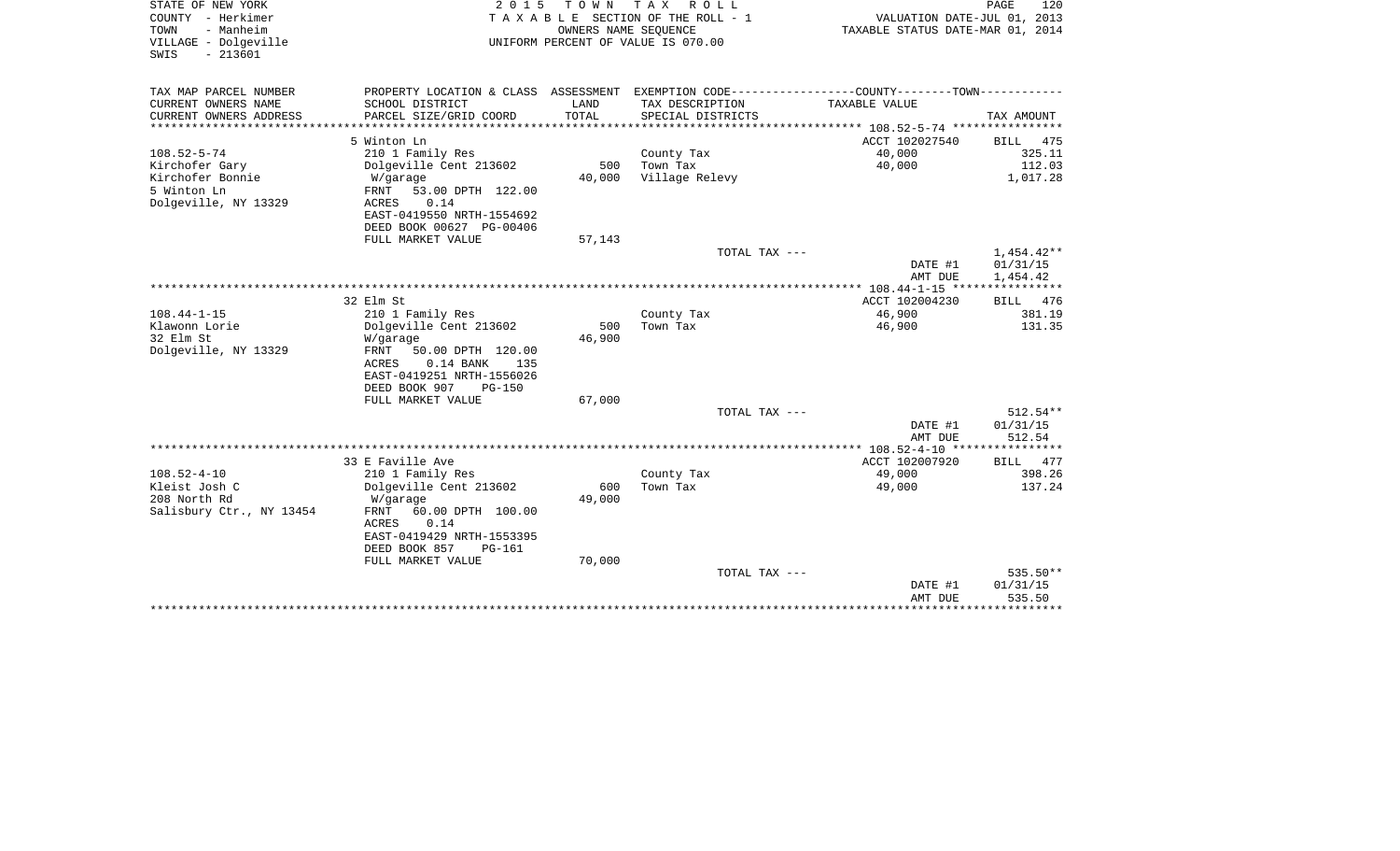| STATE OF NEW YORK<br>COUNTY - Herkimer<br>TOWN<br>- Manheim<br>VILLAGE - Dolgeville<br>$-213601$<br>SWIS | 2 0 1 5                                   | TOWN<br>OWNERS NAME SEQUENCE  | T A X<br>ROLL<br>TAXABLE SECTION OF THE ROLL - 1<br>UNIFORM PERCENT OF VALUE IS 070.00 | VALUATION DATE-JUL 01, 2013<br>TAXABLE STATUS DATE-MAR 01, 2014             | PAGE<br>120            |
|----------------------------------------------------------------------------------------------------------|-------------------------------------------|-------------------------------|----------------------------------------------------------------------------------------|-----------------------------------------------------------------------------|------------------------|
| TAX MAP PARCEL NUMBER                                                                                    | PROPERTY LOCATION & CLASS                 | ASSESSMENT                    |                                                                                        | EXEMPTION CODE-----------------COUNTY-------TOWN-----------                 |                        |
| CURRENT OWNERS NAME<br>CURRENT OWNERS ADDRESS<br>*******************                                     | SCHOOL DISTRICT<br>PARCEL SIZE/GRID COORD | LAND<br>TOTAL<br>************ | TAX DESCRIPTION<br>SPECIAL DISTRICTS                                                   | TAXABLE VALUE                                                               | TAX AMOUNT             |
|                                                                                                          | 5 Winton Ln                               |                               |                                                                                        | **************************** 108.52-5-74 ****************<br>ACCT 102027540 | <b>BILL</b><br>475     |
| $108.52 - 5 - 74$                                                                                        | 210 1 Family Res                          |                               | County Tax                                                                             | 40,000                                                                      | 325.11                 |
| Kirchofer Gary                                                                                           | Dolgeville Cent 213602                    | 500                           | Town Tax                                                                               | 40,000                                                                      | 112.03                 |
| Kirchofer Bonnie                                                                                         | W/garage                                  | 40,000                        | Village Relevy                                                                         |                                                                             | 1,017.28               |
| 5 Winton Ln                                                                                              | FRNT<br>53.00 DPTH 122.00                 |                               |                                                                                        |                                                                             |                        |
| Dolgeville, NY 13329                                                                                     | 0.14<br>ACRES                             |                               |                                                                                        |                                                                             |                        |
|                                                                                                          | EAST-0419550 NRTH-1554692                 |                               |                                                                                        |                                                                             |                        |
|                                                                                                          | DEED BOOK 00627 PG-00406                  |                               |                                                                                        |                                                                             |                        |
|                                                                                                          | FULL MARKET VALUE                         | 57,143                        |                                                                                        |                                                                             |                        |
|                                                                                                          |                                           |                               | TOTAL TAX ---                                                                          |                                                                             | $1,454.42**$           |
|                                                                                                          |                                           |                               |                                                                                        | DATE #1                                                                     | 01/31/15               |
|                                                                                                          |                                           |                               |                                                                                        | AMT DUE                                                                     | 1,454.42               |
|                                                                                                          | 32 Elm St                                 |                               |                                                                                        | ACCT 102004230                                                              | <b>BILL</b><br>476     |
| $108.44 - 1 - 15$                                                                                        | 210 1 Family Res                          |                               | County Tax                                                                             | 46,900                                                                      | 381.19                 |
| Klawonn Lorie                                                                                            | Dolgeville Cent 213602                    | 500                           | Town Tax                                                                               | 46,900                                                                      | 131.35                 |
| 32 Elm St                                                                                                | W/garage                                  | 46,900                        |                                                                                        |                                                                             |                        |
| Dolgeville, NY 13329                                                                                     | FRNT<br>50.00 DPTH 120.00                 |                               |                                                                                        |                                                                             |                        |
|                                                                                                          | ACRES<br>$0.14$ BANK<br>135               |                               |                                                                                        |                                                                             |                        |
|                                                                                                          | EAST-0419251 NRTH-1556026                 |                               |                                                                                        |                                                                             |                        |
|                                                                                                          | DEED BOOK 907<br>$PG-150$                 |                               |                                                                                        |                                                                             |                        |
|                                                                                                          | FULL MARKET VALUE                         | 67,000                        |                                                                                        |                                                                             |                        |
|                                                                                                          |                                           |                               | TOTAL TAX $---$                                                                        |                                                                             | $512.54**$<br>01/31/15 |
|                                                                                                          |                                           |                               |                                                                                        | DATE #1<br>AMT DUE                                                          | 512.54                 |
|                                                                                                          |                                           |                               |                                                                                        |                                                                             |                        |
|                                                                                                          | 33 E Faville Ave                          |                               |                                                                                        | ACCT 102007920                                                              | BILL<br>477            |
| $108.52 - 4 - 10$                                                                                        | 210 1 Family Res                          |                               | County Tax                                                                             | 49,000                                                                      | 398.26                 |
| Kleist Josh C                                                                                            | Dolgeville Cent 213602                    | 600                           | Town Tax                                                                               | 49,000                                                                      | 137.24                 |
| 208 North Rd                                                                                             | W/garage                                  | 49,000                        |                                                                                        |                                                                             |                        |
| Salisbury Ctr., NY 13454                                                                                 | 60.00 DPTH 100.00<br>FRNT                 |                               |                                                                                        |                                                                             |                        |
|                                                                                                          | 0.14<br><b>ACRES</b>                      |                               |                                                                                        |                                                                             |                        |
|                                                                                                          | EAST-0419429 NRTH-1553395                 |                               |                                                                                        |                                                                             |                        |
|                                                                                                          | DEED BOOK 857<br><b>PG-161</b>            |                               |                                                                                        |                                                                             |                        |
|                                                                                                          | FULL MARKET VALUE                         | 70,000                        | TOTAL TAX ---                                                                          |                                                                             | 535.50**               |
|                                                                                                          |                                           |                               |                                                                                        | DATE #1                                                                     | 01/31/15               |
|                                                                                                          |                                           |                               |                                                                                        | AMT DUE                                                                     | 535.50                 |
|                                                                                                          |                                           |                               |                                                                                        |                                                                             |                        |
|                                                                                                          |                                           |                               |                                                                                        |                                                                             |                        |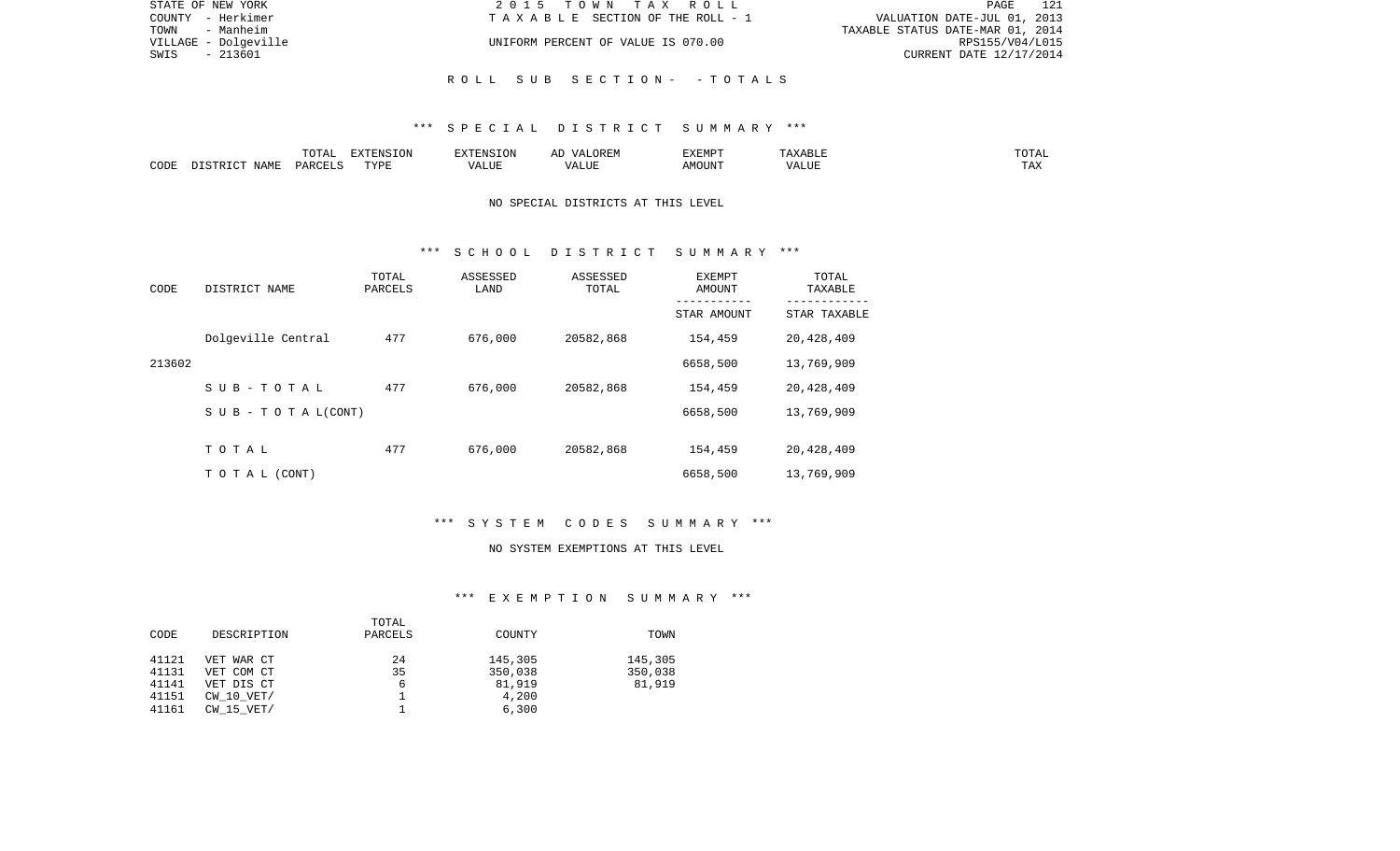| STATE OF NEW YORK    | 2015 TOWN TAX ROLL                 | 121<br>PAGE                      |
|----------------------|------------------------------------|----------------------------------|
| COUNTY - Herkimer    | TAXABLE SECTION OF THE ROLL - 1    | VALUATION DATE-JUL 01, 2013      |
| - Manheim<br>TOWN    |                                    | TAXABLE STATUS DATE-MAR 01, 2014 |
| VILLAGE - Dolgeville | UNIFORM PERCENT OF VALUE IS 070.00 | RPS155/V04/L015                  |
| - 213601<br>SWIS     |                                    | CURRENT DATE 12/17/2014          |
|                      |                                    |                                  |
|                      | ROLL SUB SECTION- - TOTALS         |                                  |

# \*\*\* S P E C I A L D I S T R I C T S U M M A R Y \*\*\*

|      |             |               | $\Box$<br>11 L<br>$\left( \right)$ |   | HIV | EXEMPT | .<br>n 1                   | $\overline{\phantom{a}}$ |
|------|-------------|---------------|------------------------------------|---|-----|--------|----------------------------|--------------------------|
| CODE | ΝΔМϜ<br>. . | <b>PARCEL</b> | TVDT                               | . | ,,, | AMOUNT | , <del>,</del> , , , , , , | ---<br>.A2               |

## NO SPECIAL DISTRICTS AT THIS LEVEL

#### \*\*\* S C H O O L D I S T R I C T S U M M A R Y \*\*\*

| CODE   | DISTRICT NAME             | TOTAL<br>PARCELS | ASSESSED<br>LAND | ASSESSED<br>TOTAL | EXEMPT<br>AMOUNT | TOTAL<br>TAXABLE<br>--------- |
|--------|---------------------------|------------------|------------------|-------------------|------------------|-------------------------------|
|        |                           |                  |                  |                   | STAR AMOUNT      | STAR TAXABLE                  |
|        | Dolgeville Central        | 477              | 676,000          | 20582,868         | 154,459          | 20,428,409                    |
| 213602 |                           |                  |                  |                   | 6658,500         | 13,769,909                    |
|        | $S$ U B - T O T A L       | 477              | 676,000          | 20582,868         | 154,459          | 20,428,409                    |
|        | S U B - T O T A $L(CONT)$ |                  |                  |                   | 6658,500         | 13,769,909                    |
|        |                           |                  |                  |                   |                  |                               |
|        | TOTAL                     | 477              | 676,000          | 20582,868         | 154,459          | 20,428,409                    |
|        | T O T A L (CONT)          |                  |                  |                   | 6658,500         | 13,769,909                    |

# \*\*\* S Y S T E M C O D E S S U M M A R Y \*\*\*

#### NO SYSTEM EXEMPTIONS AT THIS LEVEL

# \*\*\* E X E M P T I O N S U M M A R Y \*\*\*

|       |                | TOTAL   |         |         |
|-------|----------------|---------|---------|---------|
| CODE  | DESCRIPTION    | PARCELS | COUNTY  | TOWN    |
|       |                |         |         |         |
| 41121 | VET WAR CT     | 24      | 145,305 | 145,305 |
| 41131 | VET COM CT     | 35      | 350,038 | 350,038 |
| 41141 | VET DIS CT     | 6       | 81,919  | 81,919  |
| 41151 | $CW$ 10 $VET/$ |         | 4,200   |         |
| 41161 | $CW$ 15 $VET/$ |         | 6,300   |         |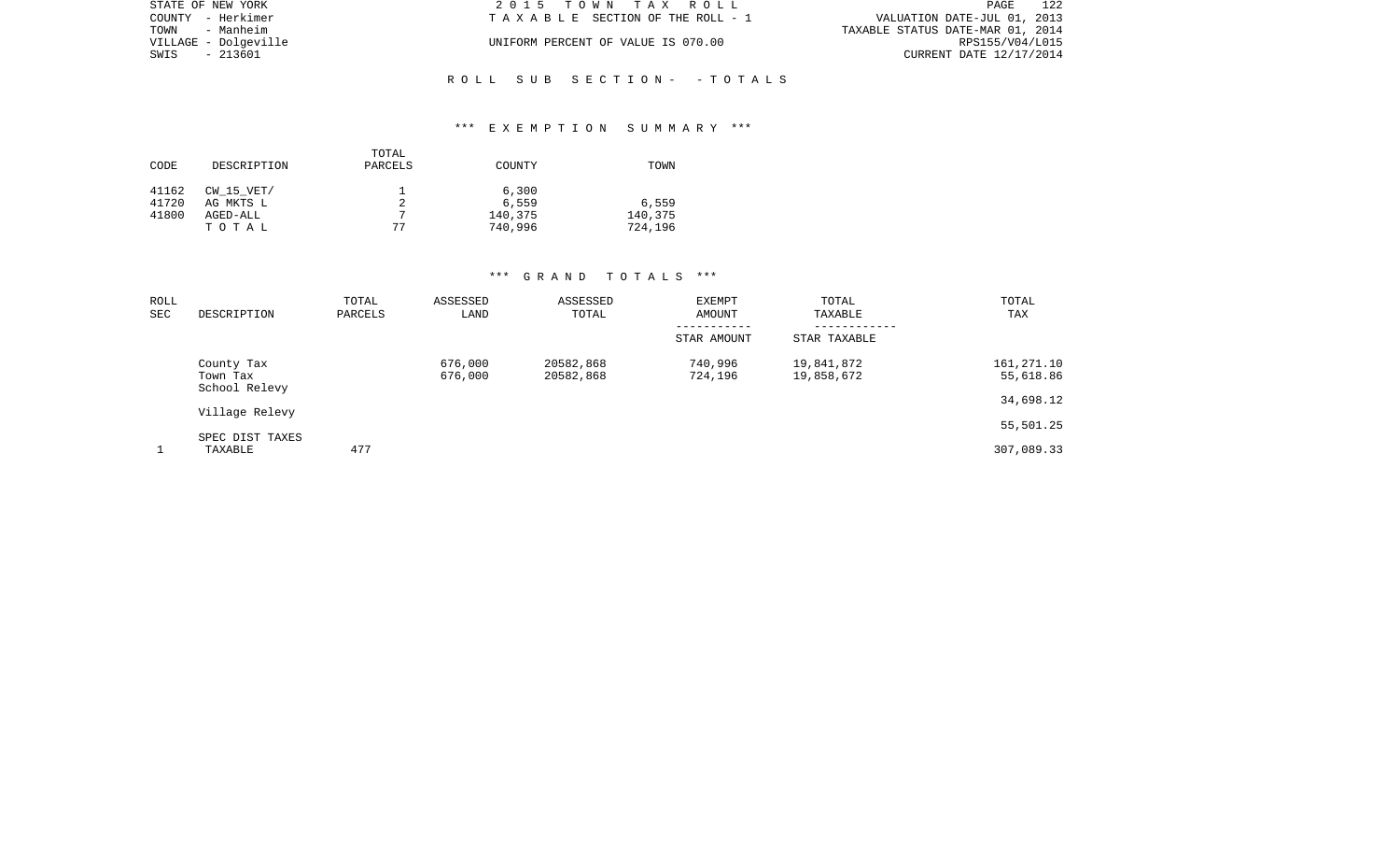| STATE OF NEW YORK    | 2015 TOWN TAX ROLL                 | 122<br>PAGE                      |
|----------------------|------------------------------------|----------------------------------|
| COUNTY - Herkimer    | TAXABLE SECTION OF THE ROLL - 1    | VALUATION DATE-JUL 01, 2013      |
| TOWN<br>- Manheim    |                                    | TAXABLE STATUS DATE-MAR 01, 2014 |
| VILLAGE - Dolgeville | UNIFORM PERCENT OF VALUE IS 070.00 | RPS155/V04/L015                  |
| SWIS<br>- 213601     |                                    | CURRENT DATE 12/17/2014          |
|                      |                                    |                                  |

## \*\*\* E X E M P T I O N S U M M A R Y \*\*\*

R O L L S U B S E C T I O N - - T O T A L S

| CODE  | DESCRIPTION    | TOTAL<br>PARCELS | COUNTY  | TOWN    |
|-------|----------------|------------------|---------|---------|
| 41162 | $CW$ 15 $VET/$ |                  | 6,300   |         |
| 41720 | AG MKTS L      | 2                | 6,559   | 6,559   |
| 41800 | AGED-ALL       | 7                | 140,375 | 140,375 |
|       | TOTAL          | 77               | 740,996 | 724,196 |

## \*\*\* G R A N D T O T A L S \*\*\*

| ROLL<br>SEC | DESCRIPTION                             | TOTAL<br>PARCELS | ASSESSED<br>LAND   | ASSESSED<br>TOTAL      | <b>EXEMPT</b><br>AMOUNT | TOTAL<br>TAXABLE         | TOTAL<br>TAX            |
|-------------|-----------------------------------------|------------------|--------------------|------------------------|-------------------------|--------------------------|-------------------------|
|             |                                         |                  |                    |                        | STAR AMOUNT             | STAR TAXABLE             |                         |
|             | County Tax<br>Town Tax<br>School Relevy |                  | 676,000<br>676,000 | 20582,868<br>20582,868 | 740,996<br>724,196      | 19,841,872<br>19,858,672 | 161,271.10<br>55,618.86 |
|             | Village Relevy                          |                  |                    |                        |                         |                          | 34,698.12               |
|             |                                         |                  |                    |                        |                         |                          | 55,501.25               |
|             | SPEC DIST TAXES<br>TAXABLE              | 477              |                    |                        |                         |                          | 307,089.33              |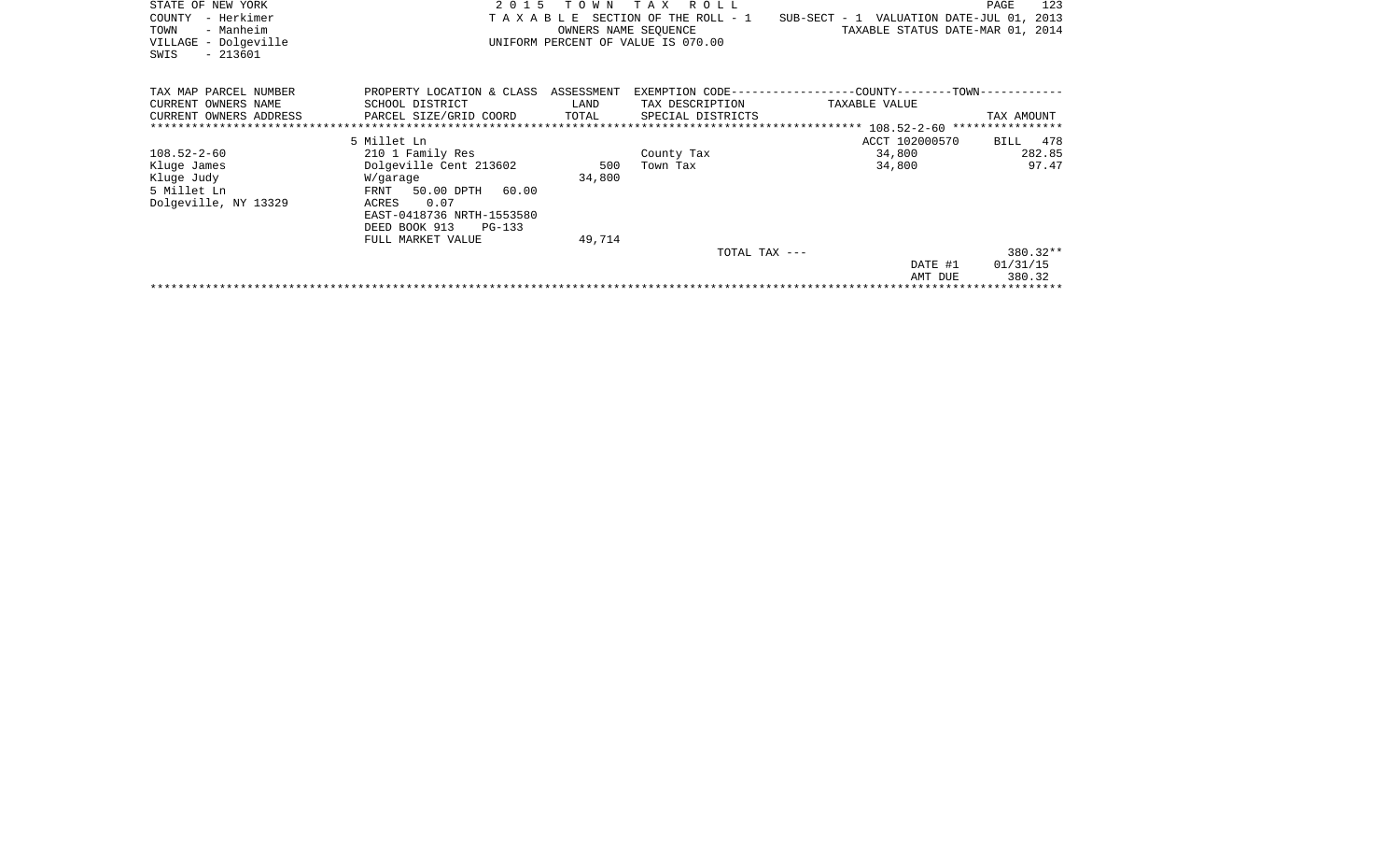| STATE OF NEW YORK      | 2 0 1 5                              | T O W N              | TAX ROLL                           |                                                                  | 123<br>PAGE |
|------------------------|--------------------------------------|----------------------|------------------------------------|------------------------------------------------------------------|-------------|
| – Herkimer<br>COUNTY   | TAXABLE                              |                      |                                    | SECTION OF THE ROLL - 1 SUB-SECT - 1 VALUATION DATE-JUL 01, 2013 |             |
| - Manheim<br>TOWN      |                                      | OWNERS NAME SEQUENCE |                                    | TAXABLE STATUS DATE-MAR 01, 2014                                 |             |
| VILLAGE - Dolgeville   |                                      |                      | UNIFORM PERCENT OF VALUE IS 070.00 |                                                                  |             |
| $-213601$<br>SWIS      |                                      |                      |                                    |                                                                  |             |
|                        |                                      |                      |                                    |                                                                  |             |
| TAX MAP PARCEL NUMBER  | PROPERTY LOCATION & CLASS ASSESSMENT |                      |                                    | EXEMPTION CODE-----------------COUNTY-------TOWN-----------      |             |
| CURRENT OWNERS NAME    | SCHOOL DISTRICT                      | LAND                 | TAX DESCRIPTION                    | TAXABLE VALUE                                                    |             |
| CURRENT OWNERS ADDRESS | PARCEL SIZE/GRID COORD               | TOTAL                | SPECIAL DISTRICTS                  |                                                                  | TAX AMOUNT  |
|                        |                                      |                      |                                    |                                                                  |             |
|                        | 5 Millet Ln                          |                      |                                    | ACCT 102000570                                                   | 478<br>BILL |
| $108.52 - 2 - 60$      | 210 1 Family Res                     |                      | County Tax                         | 34,800                                                           | 282.85      |
| Kluge James            | Dolgeville Cent 213602               | 500                  | Town Tax                           | 34,800                                                           | 97.47       |
| Kluge Judy             | W/garage                             | 34,800               |                                    |                                                                  |             |
| 5 Millet Ln            | 50.00 DPTH 60.00<br>FRNT             |                      |                                    |                                                                  |             |
| Dolgeville, NY 13329   | 0.07<br>ACRES                        |                      |                                    |                                                                  |             |
|                        | EAST-0418736 NRTH-1553580            |                      |                                    |                                                                  |             |
|                        | DEED BOOK 913<br>$PG-133$            |                      |                                    |                                                                  |             |
|                        | FULL MARKET VALUE                    | 49,714               |                                    |                                                                  |             |
|                        |                                      |                      | TOTAL TAX $---$                    |                                                                  | 380.32**    |
|                        |                                      |                      |                                    | DATE #1                                                          | 01/31/15    |
|                        |                                      |                      |                                    | AMT DUE                                                          | 380.32      |
|                        |                                      |                      |                                    |                                                                  |             |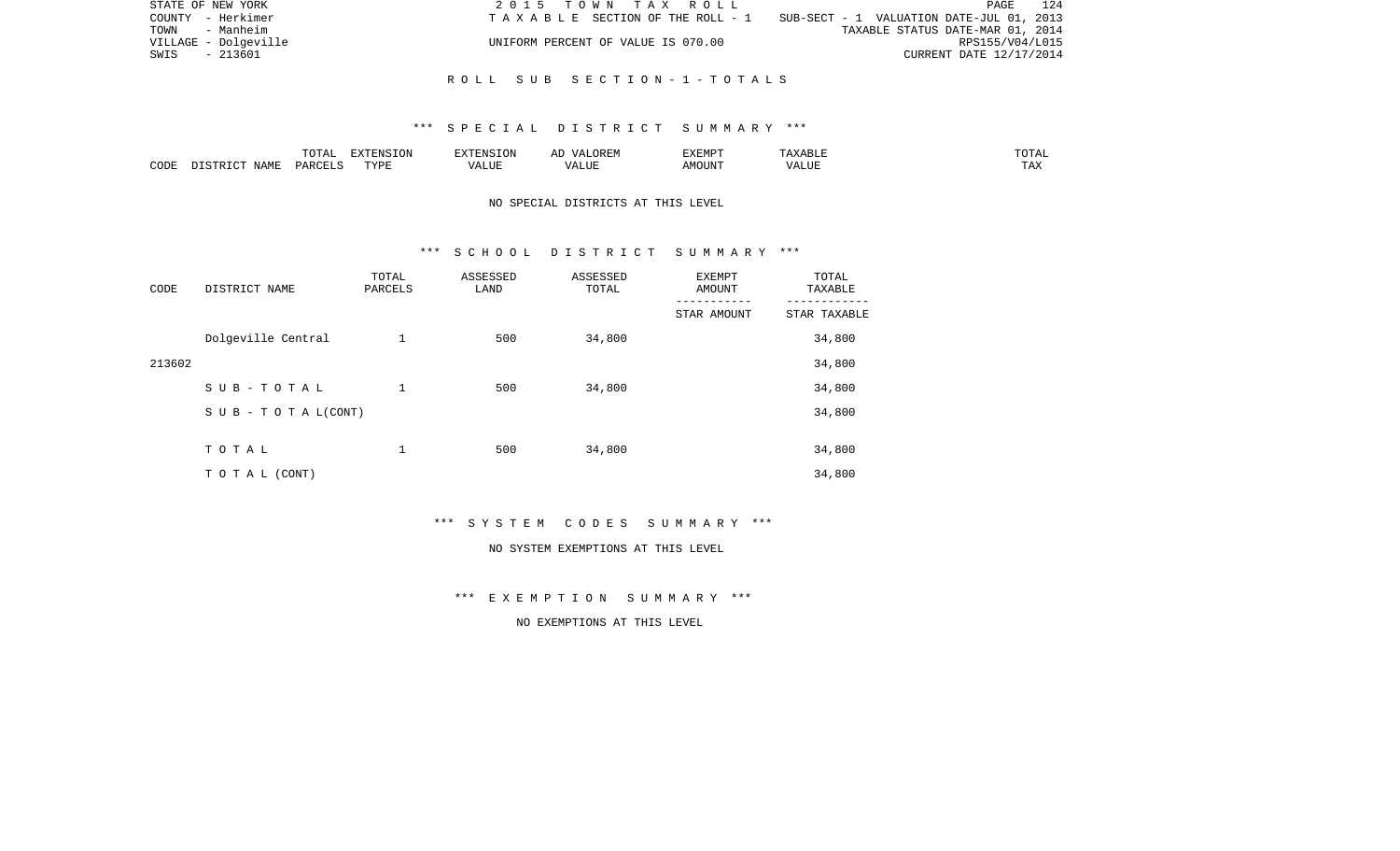| STATE OF NEW YORK    | 2015 TOWN TAX ROLL                 |                                 |                                          |                                  | PAGE                    | 124 |
|----------------------|------------------------------------|---------------------------------|------------------------------------------|----------------------------------|-------------------------|-----|
| COUNTY - Herkimer    |                                    | TAXABLE SECTION OF THE ROLL - 1 | SUB-SECT - 1 VALUATION DATE-JUL 01, 2013 |                                  |                         |     |
| TOWN - Manheim       |                                    |                                 |                                          | TAXABLE STATUS DATE-MAR 01, 2014 |                         |     |
| VILLAGE - Dolgeville | UNIFORM PERCENT OF VALUE IS 070.00 |                                 |                                          |                                  | RPS155/V04/L015         |     |
| SWIS - 213601        |                                    |                                 |                                          |                                  | CURRENT DATE 12/17/2014 |     |
|                      |                                    |                                 |                                          |                                  |                         |     |

### R O L L S U B S E C T I O N - 1 - T O T A L S

### \*\*\* S P E C I A L D I S T R I C T S U M M A R Y \*\*\*

|      |             | $m \wedge m \wedge n$<br>◡∸⊷ | $\Box$<br>NS<br>LUN | ™™                                      | 17 D<br>$\overline{\phantom{a}}$ | <b>EXEMP1</b> |      | .                        |
|------|-------------|------------------------------|---------------------|-----------------------------------------|----------------------------------|---------------|------|--------------------------|
| CODE | <b>NAME</b> | יהומת<br>レムト                 | TVDI                | $\overline{\phantom{a}}$<br>۳۵ تا ۱۳۰۰. | $- - - - -$<br>۳۰ تا سند.        | $1.55 \cap T$ | ៶៸ ៸ | m <sub>n</sub> v<br>LT22 |

## NO SPECIAL DISTRICTS AT THIS LEVEL

#### \*\*\* S C H O O L D I S T R I C T S U M M A R Y \*\*\*

| CODE   | DISTRICT NAME                    | TOTAL<br>PARCELS | ASSESSED<br>LAND | ASSESSED<br>TOTAL | <b>EXEMPT</b><br>AMOUNT | TOTAL<br>TAXABLE |
|--------|----------------------------------|------------------|------------------|-------------------|-------------------------|------------------|
|        |                                  |                  |                  |                   | STAR AMOUNT             | STAR TAXABLE     |
|        | Dolgeville Central               | 1                | 500              | 34,800            |                         | 34,800           |
| 213602 |                                  |                  |                  |                   |                         | 34,800           |
|        | SUB-TOTAL                        | 1                | 500              | 34,800            |                         | 34,800           |
|        | $S \cup B - T \cup T A L (CONT)$ |                  |                  |                   |                         | 34,800           |
|        |                                  |                  |                  |                   |                         |                  |
|        | TOTAL                            | 1                | 500              | 34,800            |                         | 34,800           |
|        | TO TAL (CONT)                    |                  |                  |                   |                         | 34,800           |

\*\*\* S Y S T E M C O D E S S U M M A R Y \*\*\*

#### NO SYSTEM EXEMPTIONS AT THIS LEVEL

\*\*\* E X E M P T I O N S U M M A R Y \*\*\*

NO EXEMPTIONS AT THIS LEVEL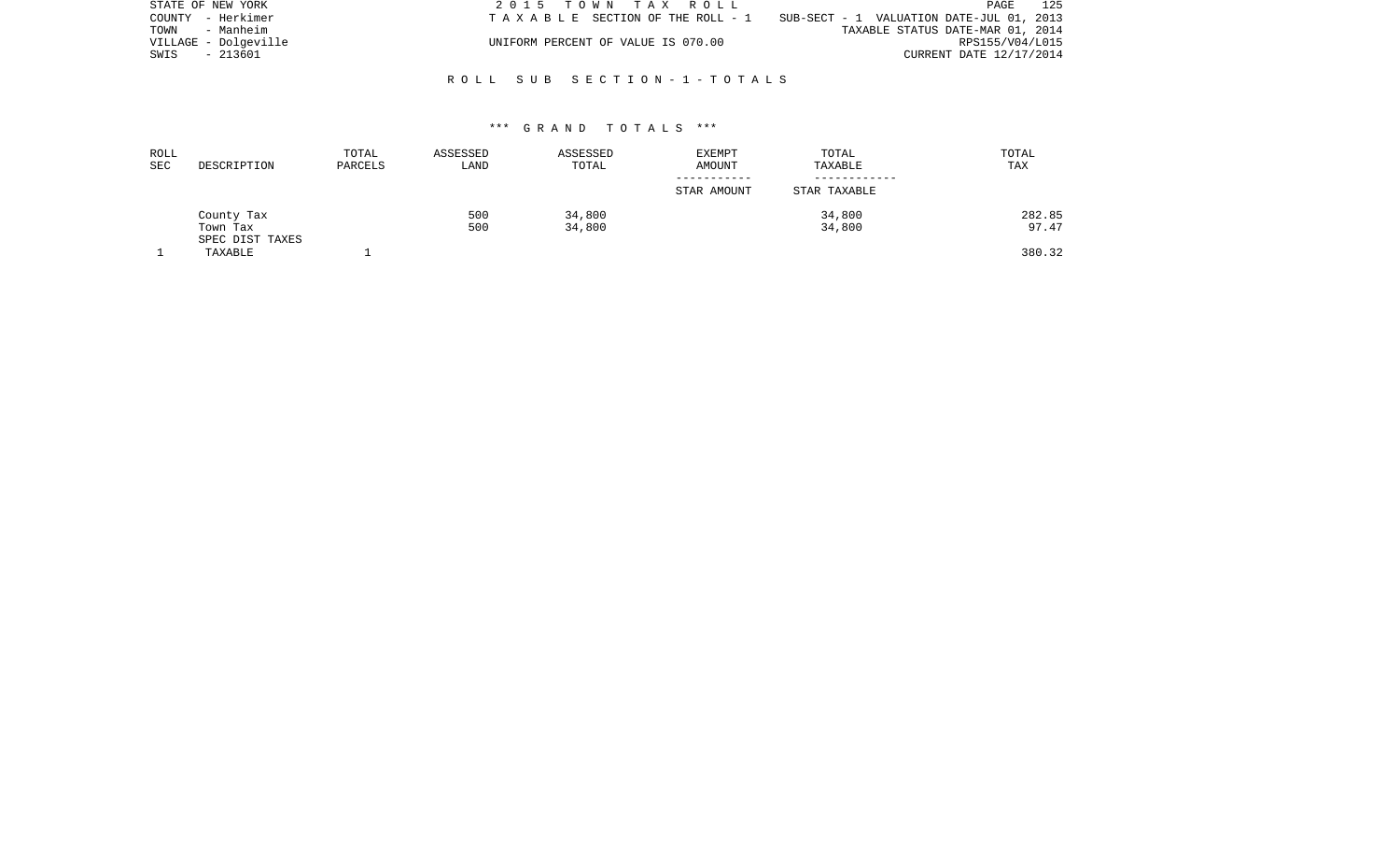| STATE OF NEW YORK    | 2015 TOWN TAX ROLL                 | 125<br>PAGE                              |
|----------------------|------------------------------------|------------------------------------------|
| COUNTY - Herkimer    | TAXABLE SECTION OF THE ROLL - 1    | SUB-SECT - 1 VALUATION DATE-JUL 01, 2013 |
| TOWN<br>- Manheim    |                                    | TAXABLE STATUS DATE-MAR 01, 2014         |
| VILLAGE - Dolqeville | UNIFORM PERCENT OF VALUE IS 070.00 | RPS155/V04/L015                          |
| SWIS - 213601        |                                    | CURRENT DATE 12/17/2014                  |
|                      |                                    |                                          |

### R O L L S U B S E C T I O N - 1 - T O T A L S

### \*\*\* G R A N D T O T A L S \*\*\*

| ROLL<br>SEC | DESCRIPTION                 | TOTAL<br>PARCELS | ASSESSED<br>LAND | ASSESSED<br>TOTAL | <b>EXEMPT</b><br>AMOUNT | TOTAL<br>TAXABLE | TOTAL<br>TAX |
|-------------|-----------------------------|------------------|------------------|-------------------|-------------------------|------------------|--------------|
|             |                             |                  |                  |                   | STAR AMOUNT             | STAR TAXABLE     |              |
|             | County Tax                  |                  | 500              | 34,800            |                         | 34,800           | 282.85       |
|             | Town Tax<br>SPEC DIST TAXES |                  | 500              | 34,800            |                         | 34,800           | 97.47        |
|             | TAXABLE                     |                  |                  |                   |                         |                  | 380.32       |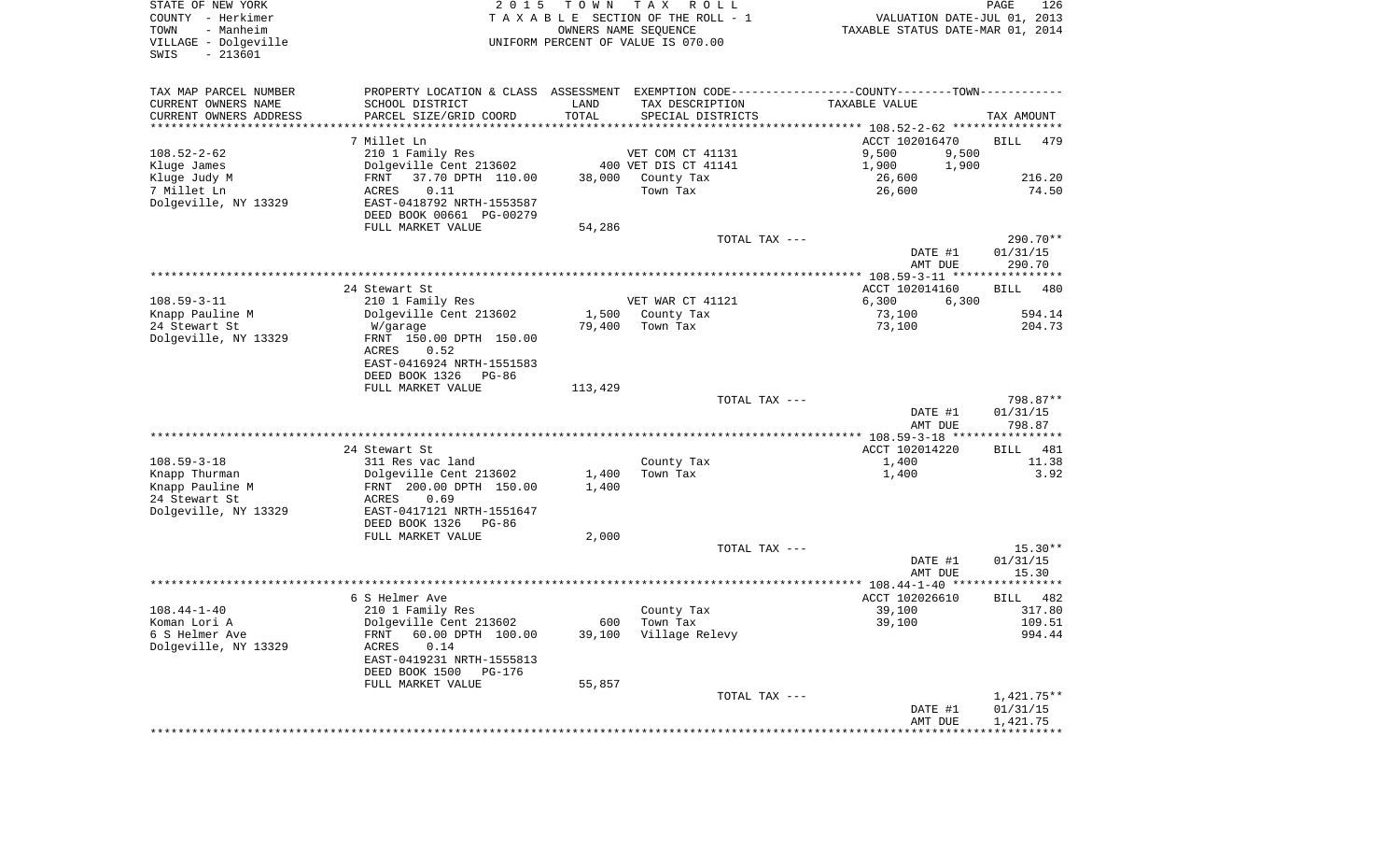| COUNTY<br>- Herkimer<br>TOWN<br>- Manheim<br>VILLAGE - Dolgeville<br>$-213601$<br>SWIS |                                                     |                | TAXABLE SECTION OF THE ROLL - 1<br>OWNERS NAME SEQUENCE<br>UNIFORM PERCENT OF VALUE IS 070.00 | VALUATION DATE-JUL 01, 2013<br>TAXABLE STATUS DATE-MAR 01, 2014                                 |                       |
|----------------------------------------------------------------------------------------|-----------------------------------------------------|----------------|-----------------------------------------------------------------------------------------------|-------------------------------------------------------------------------------------------------|-----------------------|
| TAX MAP PARCEL NUMBER                                                                  |                                                     |                |                                                                                               | PROPERTY LOCATION & CLASS ASSESSMENT EXEMPTION CODE----------------COUNTY--------TOWN---------- |                       |
| CURRENT OWNERS NAME                                                                    | SCHOOL DISTRICT                                     | LAND           | TAX DESCRIPTION                                                                               | TAXABLE VALUE                                                                                   |                       |
| CURRENT OWNERS ADDRESS                                                                 | PARCEL SIZE/GRID COORD                              | TOTAL          | SPECIAL DISTRICTS                                                                             | ******** 108.52-2-62 ************                                                               | TAX AMOUNT            |
|                                                                                        | 7 Millet Ln                                         |                |                                                                                               | ACCT 102016470                                                                                  | <b>BILL</b><br>479    |
| $108.52 - 2 - 62$                                                                      | 210 1 Family Res                                    |                | VET COM CT 41131                                                                              | 9,500<br>9,500                                                                                  |                       |
| Kluge James                                                                            | Dolgeville Cent 213602                              |                | 400 VET DIS CT 41141                                                                          | 1,900<br>1,900                                                                                  |                       |
| Kluge Judy M                                                                           | 37.70 DPTH 110.00<br>FRNT                           |                | 38,000 County Tax                                                                             | 26,600                                                                                          | 216.20                |
| 7 Millet Ln<br>Dolgeville, NY 13329                                                    | ACRES<br>0.11<br>EAST-0418792 NRTH-1553587          |                | Town Tax                                                                                      | 26,600                                                                                          | 74.50                 |
|                                                                                        | DEED BOOK 00661 PG-00279                            |                |                                                                                               |                                                                                                 |                       |
|                                                                                        | FULL MARKET VALUE                                   | 54,286         |                                                                                               |                                                                                                 |                       |
|                                                                                        |                                                     |                | TOTAL TAX ---                                                                                 |                                                                                                 | 290.70**              |
|                                                                                        |                                                     |                |                                                                                               | DATE #1                                                                                         | 01/31/15              |
|                                                                                        |                                                     |                |                                                                                               | AMT DUE<br>***************** 108.59-3-11 *****************                                      | 290.70                |
|                                                                                        | 24 Stewart St                                       |                |                                                                                               | ACCT 102014160                                                                                  | <b>BILL</b><br>480    |
| $108.59 - 3 - 11$                                                                      | 210 1 Family Res                                    |                | VET WAR CT 41121                                                                              | 6,300<br>6,300                                                                                  |                       |
| Knapp Pauline M                                                                        | Dolgeville Cent 213602                              |                | 1,500 County Tax                                                                              | 73,100                                                                                          | 594.14                |
| 24 Stewart St                                                                          | W/garage                                            | 79,400         | Town Tax                                                                                      | 73,100                                                                                          | 204.73                |
| Dolgeville, NY 13329                                                                   | FRNT 150.00 DPTH 150.00<br>ACRES<br>0.52            |                |                                                                                               |                                                                                                 |                       |
|                                                                                        | EAST-0416924 NRTH-1551583                           |                |                                                                                               |                                                                                                 |                       |
|                                                                                        | DEED BOOK 1326<br>PG-86                             |                |                                                                                               |                                                                                                 |                       |
|                                                                                        | FULL MARKET VALUE                                   | 113,429        |                                                                                               |                                                                                                 |                       |
|                                                                                        |                                                     |                | TOTAL TAX ---                                                                                 | DATE #1                                                                                         | 798.87**<br>01/31/15  |
|                                                                                        |                                                     |                |                                                                                               | AMT DUE                                                                                         | 798.87                |
|                                                                                        |                                                     |                |                                                                                               |                                                                                                 |                       |
|                                                                                        | 24 Stewart St                                       |                |                                                                                               | ACCT 102014220                                                                                  | 481<br>BILL           |
| $108.59 - 3 - 18$                                                                      | 311 Res vac land                                    |                | County Tax                                                                                    | 1,400                                                                                           | 11.38                 |
| Knapp Thurman<br>Knapp Pauline M                                                       | Dolgeville Cent 213602<br>FRNT 200.00 DPTH 150.00   | 1,400<br>1,400 | Town Tax                                                                                      | 1,400                                                                                           | 3.92                  |
| 24 Stewart St                                                                          | 0.69<br>ACRES                                       |                |                                                                                               |                                                                                                 |                       |
| Dolgeville, NY 13329                                                                   | EAST-0417121 NRTH-1551647                           |                |                                                                                               |                                                                                                 |                       |
|                                                                                        | DEED BOOK 1326<br>PG-86                             |                |                                                                                               |                                                                                                 |                       |
|                                                                                        | FULL MARKET VALUE                                   | 2,000          |                                                                                               |                                                                                                 |                       |
|                                                                                        |                                                     |                | TOTAL TAX ---                                                                                 | DATE #1                                                                                         | $15.30**$<br>01/31/15 |
|                                                                                        |                                                     |                |                                                                                               | AMT DUE                                                                                         | 15.30                 |
|                                                                                        |                                                     |                |                                                                                               | **************** 108.44-1-40 *****                                                              | ***********           |
|                                                                                        | 6 S Helmer Ave                                      |                |                                                                                               | ACCT 102026610                                                                                  | BILL 482              |
| $108.44 - 1 - 40$<br>Koman Lori A                                                      | 210 1 Family Res                                    |                | County Tax<br>Town Tax                                                                        | 39,100                                                                                          | 317.80                |
| 6 S Helmer Ave                                                                         | Dolgeville Cent 213602<br>60.00 DPTH 100.00<br>FRNT | 600<br>39,100  | Village Relevy                                                                                | 39,100                                                                                          | 109.51<br>994.44      |
| Dolgeville, NY 13329                                                                   | 0.14<br>ACRES                                       |                |                                                                                               |                                                                                                 |                       |
|                                                                                        | EAST-0419231 NRTH-1555813                           |                |                                                                                               |                                                                                                 |                       |
|                                                                                        | DEED BOOK 1500<br>$PG-176$                          |                |                                                                                               |                                                                                                 |                       |
|                                                                                        | FULL MARKET VALUE                                   | 55,857         | TOTAL TAX ---                                                                                 |                                                                                                 | $1,421.75**$          |
|                                                                                        |                                                     |                |                                                                                               | DATE #1                                                                                         | 01/31/15              |
|                                                                                        |                                                     |                |                                                                                               | AMT DUE                                                                                         | 1,421.75              |
|                                                                                        |                                                     |                |                                                                                               |                                                                                                 |                       |

PAGE 126

STATE OF NEW YORK **EXECUTE:**  $2015$  TOWN TAX ROLL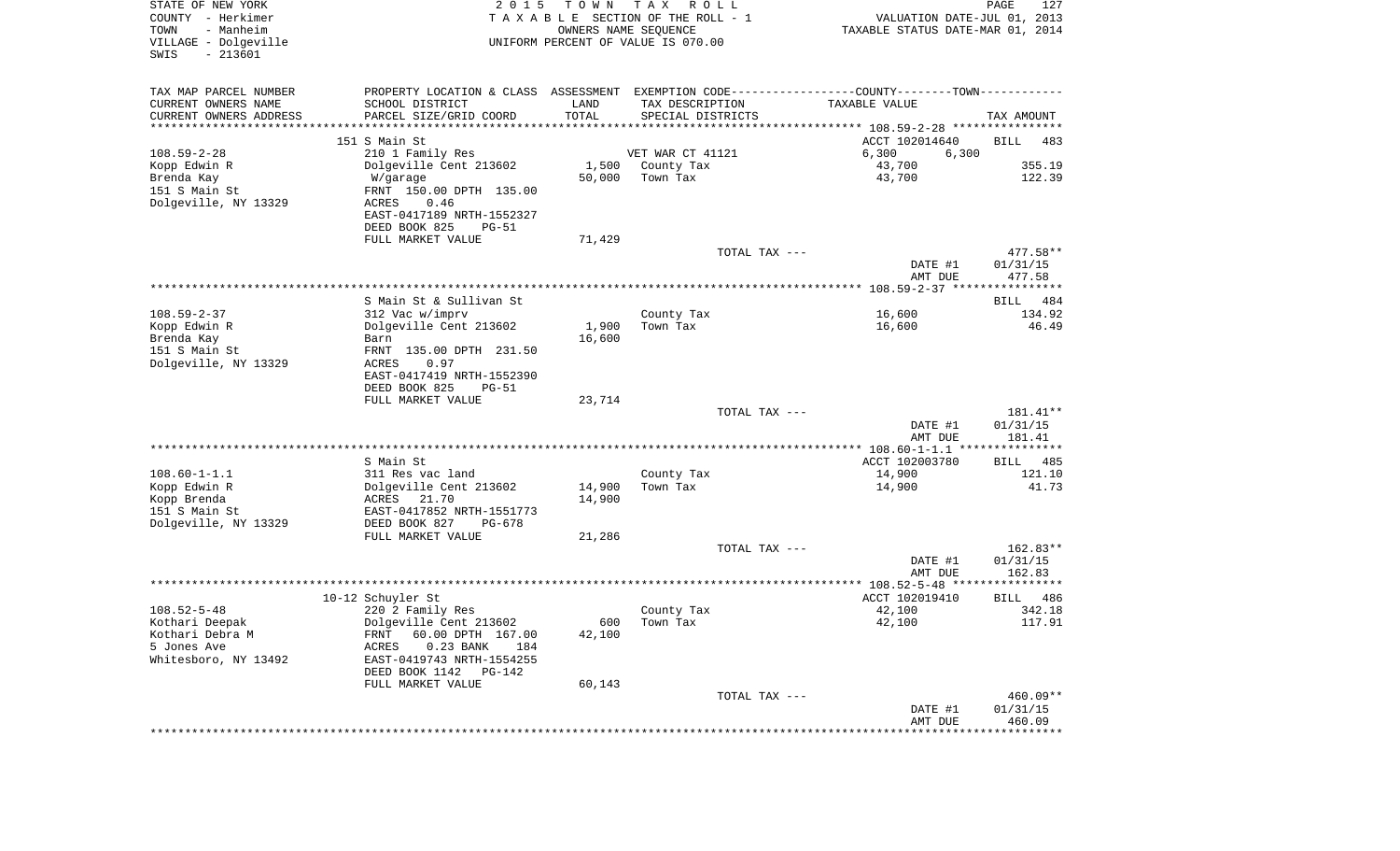| STATE OF NEW YORK<br>COUNTY - Herkimer<br>- Manheim<br>TOWN<br>VILLAGE - Dolgeville<br>$-213601$<br>SWIS | 2 0 1 5                                                                                       | T O W N | T A X<br>R O L L<br>TAXABLE SECTION OF THE ROLL - 1<br>OWNERS NAME SEQUENCE<br>UNIFORM PERCENT OF VALUE IS 070.00 | VALUATION DATE-JUL 01, 2013<br>TAXABLE STATUS DATE-MAR 01, 2014 | PAGE<br>127            |
|----------------------------------------------------------------------------------------------------------|-----------------------------------------------------------------------------------------------|---------|-------------------------------------------------------------------------------------------------------------------|-----------------------------------------------------------------|------------------------|
| TAX MAP PARCEL NUMBER                                                                                    | PROPERTY LOCATION & CLASS ASSESSMENT EXEMPTION CODE---------------COUNTY-------TOWN---------- |         |                                                                                                                   |                                                                 |                        |
| CURRENT OWNERS NAME                                                                                      | SCHOOL DISTRICT                                                                               | LAND    | TAX DESCRIPTION                                                                                                   | TAXABLE VALUE                                                   |                        |
| CURRENT OWNERS ADDRESS<br>*********************                                                          | PARCEL SIZE/GRID COORD<br>***********************                                             | TOTAL   | SPECIAL DISTRICTS                                                                                                 |                                                                 | TAX AMOUNT             |
|                                                                                                          | 151 S Main St                                                                                 |         |                                                                                                                   | ACCT 102014640                                                  | <b>BILL</b><br>483     |
| $108.59 - 2 - 28$                                                                                        | 210 1 Family Res                                                                              |         | VET WAR CT 41121                                                                                                  | 6,300<br>6,300                                                  |                        |
| Kopp Edwin R                                                                                             | Dolgeville Cent 213602                                                                        | 1,500   | County Tax                                                                                                        | 43,700                                                          | 355.19                 |
| Brenda Kay                                                                                               | W/garage                                                                                      | 50,000  | Town Tax                                                                                                          | 43,700                                                          | 122.39                 |
| 151 S Main St                                                                                            | FRNT 150.00 DPTH 135.00                                                                       |         |                                                                                                                   |                                                                 |                        |
| Dolgeville, NY 13329                                                                                     | ACRES<br>0.46                                                                                 |         |                                                                                                                   |                                                                 |                        |
|                                                                                                          | EAST-0417189 NRTH-1552327<br>DEED BOOK 825<br><b>PG-51</b>                                    |         |                                                                                                                   |                                                                 |                        |
|                                                                                                          | FULL MARKET VALUE                                                                             | 71,429  |                                                                                                                   |                                                                 |                        |
|                                                                                                          |                                                                                               |         | TOTAL TAX ---                                                                                                     |                                                                 | 477.58**               |
|                                                                                                          |                                                                                               |         |                                                                                                                   | DATE #1                                                         | 01/31/15               |
|                                                                                                          |                                                                                               |         |                                                                                                                   | AMT DUE                                                         | 477.58                 |
|                                                                                                          | S Main St & Sullivan St                                                                       |         |                                                                                                                   |                                                                 | BILL<br>484            |
| $108.59 - 2 - 37$                                                                                        | 312 Vac w/imprv                                                                               |         | County Tax                                                                                                        | 16,600                                                          | 134.92                 |
| Kopp Edwin R                                                                                             | Dolgeville Cent 213602                                                                        | 1,900   | Town Tax                                                                                                          | 16,600                                                          | 46.49                  |
| Brenda Kay                                                                                               | Barn                                                                                          | 16,600  |                                                                                                                   |                                                                 |                        |
| 151 S Main St<br>Dolgeville, NY 13329                                                                    | FRNT 135.00 DPTH 231.50<br>ACRES<br>0.97                                                      |         |                                                                                                                   |                                                                 |                        |
|                                                                                                          | EAST-0417419 NRTH-1552390                                                                     |         |                                                                                                                   |                                                                 |                        |
|                                                                                                          | DEED BOOK 825<br>$PG-51$<br>FULL MARKET VALUE                                                 | 23,714  |                                                                                                                   |                                                                 |                        |
|                                                                                                          |                                                                                               |         | TOTAL TAX ---                                                                                                     |                                                                 | 181.41**               |
|                                                                                                          |                                                                                               |         |                                                                                                                   | DATE #1<br>AMT DUE                                              | 01/31/15<br>181.41     |
|                                                                                                          |                                                                                               |         |                                                                                                                   |                                                                 |                        |
|                                                                                                          | S Main St                                                                                     |         |                                                                                                                   | ACCT 102003780                                                  | 485<br>BILL            |
| $108.60 - 1 - 1.1$<br>Kopp Edwin R                                                                       | 311 Res vac land<br>Dolgeville Cent 213602                                                    | 14,900  | County Tax<br>Town Tax                                                                                            | 14,900<br>14,900                                                | 121.10<br>41.73        |
| Kopp Brenda                                                                                              | ACRES<br>21.70                                                                                | 14,900  |                                                                                                                   |                                                                 |                        |
| 151 S Main St                                                                                            | EAST-0417852 NRTH-1551773                                                                     |         |                                                                                                                   |                                                                 |                        |
| Dolgeville, NY 13329                                                                                     | DEED BOOK 827<br>PG-678                                                                       |         |                                                                                                                   |                                                                 |                        |
|                                                                                                          | FULL MARKET VALUE                                                                             | 21,286  |                                                                                                                   |                                                                 |                        |
|                                                                                                          |                                                                                               |         | TOTAL TAX ---                                                                                                     | DATE #1                                                         | $162.83**$<br>01/31/15 |
|                                                                                                          |                                                                                               |         |                                                                                                                   | AMT DUE                                                         | 162.83                 |
|                                                                                                          |                                                                                               |         |                                                                                                                   |                                                                 |                        |
|                                                                                                          | 10-12 Schuyler St                                                                             |         |                                                                                                                   | ACCT 102019410                                                  | 486<br>BILL            |
| $108.52 - 5 - 48$                                                                                        | 220 2 Family Res                                                                              |         | County Tax                                                                                                        | 42,100                                                          | 342.18                 |
| Kothari Deepak<br>Kothari Debra M                                                                        | Dolgeville Cent 213602                                                                        | 42,100  | 600 Town Tax                                                                                                      | 42,100                                                          | 117.91                 |
| 5 Jones Ave                                                                                              | 60.00 DPTH 167.00<br>FRNT<br>$0.23$ BANK<br>184<br>ACRES                                      |         |                                                                                                                   |                                                                 |                        |
| Whitesboro, NY 13492                                                                                     | EAST-0419743 NRTH-1554255                                                                     |         |                                                                                                                   |                                                                 |                        |
|                                                                                                          | DEED BOOK 1142 PG-142                                                                         |         |                                                                                                                   |                                                                 |                        |
|                                                                                                          | FULL MARKET VALUE                                                                             | 60,143  |                                                                                                                   |                                                                 |                        |
|                                                                                                          |                                                                                               |         | TOTAL TAX ---                                                                                                     |                                                                 | $460.09**$             |
|                                                                                                          |                                                                                               |         |                                                                                                                   | DATE #1<br>AMT DUE                                              | 01/31/15<br>460.09     |
|                                                                                                          |                                                                                               |         |                                                                                                                   |                                                                 |                        |
|                                                                                                          |                                                                                               |         |                                                                                                                   |                                                                 |                        |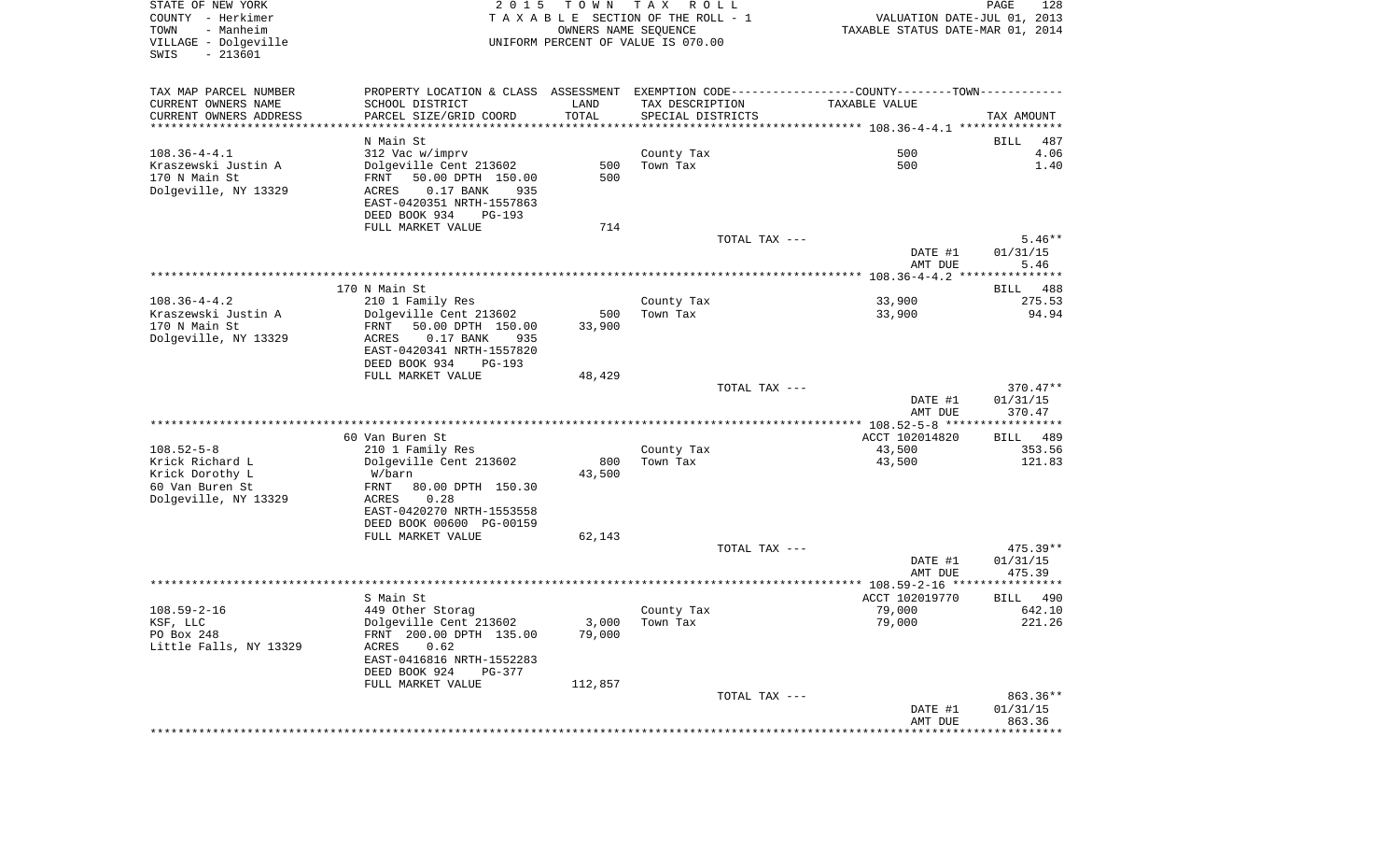| STATE OF NEW YORK<br>COUNTY - Herkimer<br>- Manheim<br>TOWN<br>VILLAGE - Dolgeville<br>$-213601$<br>SWIS | 2 0 1 5                                                                                                                                    | T O W N         | тах<br>R O L L<br>TAXABLE SECTION OF THE ROLL - 1<br>OWNERS NAME SEQUENCE<br>UNIFORM PERCENT OF VALUE IS 070.00 | VALUATION DATE-JUL 01, 2013<br>TAXABLE STATUS DATE-MAR 01, 2014 | PAGE<br>128                       |
|----------------------------------------------------------------------------------------------------------|--------------------------------------------------------------------------------------------------------------------------------------------|-----------------|-----------------------------------------------------------------------------------------------------------------|-----------------------------------------------------------------|-----------------------------------|
| TAX MAP PARCEL NUMBER                                                                                    | PROPERTY LOCATION & CLASS ASSESSMENT EXEMPTION CODE----------------COUNTY--------TOWN----------                                            |                 |                                                                                                                 |                                                                 |                                   |
| CURRENT OWNERS NAME                                                                                      | SCHOOL DISTRICT                                                                                                                            | LAND            | TAX DESCRIPTION                                                                                                 | TAXABLE VALUE                                                   |                                   |
| CURRENT OWNERS ADDRESS<br>************************                                                       | PARCEL SIZE/GRID COORD                                                                                                                     | TOTAL           | SPECIAL DISTRICTS                                                                                               |                                                                 | TAX AMOUNT                        |
|                                                                                                          | N Main St                                                                                                                                  |                 |                                                                                                                 |                                                                 | 487<br>BILL                       |
| $108.36 - 4 - 4.1$                                                                                       | 312 Vac w/imprv                                                                                                                            |                 | County Tax                                                                                                      | 500                                                             | 4.06                              |
| Kraszewski Justin A                                                                                      | Dolgeville Cent 213602                                                                                                                     | 500             | Town Tax                                                                                                        | 500                                                             | 1.40                              |
| 170 N Main St<br>Dolgeville, NY 13329                                                                    | FRNT<br>50.00 DPTH 150.00<br>0.17 BANK<br>ACRES<br>935<br>EAST-0420351 NRTH-1557863<br>DEED BOOK 934<br><b>PG-193</b>                      | 500             |                                                                                                                 |                                                                 |                                   |
|                                                                                                          | FULL MARKET VALUE                                                                                                                          | 714             |                                                                                                                 |                                                                 |                                   |
|                                                                                                          |                                                                                                                                            |                 | TOTAL TAX ---                                                                                                   |                                                                 | $5.46**$                          |
|                                                                                                          |                                                                                                                                            |                 |                                                                                                                 | DATE #1<br>AMT DUE                                              | 01/31/15<br>5.46                  |
|                                                                                                          |                                                                                                                                            |                 |                                                                                                                 |                                                                 |                                   |
|                                                                                                          | 170 N Main St                                                                                                                              |                 |                                                                                                                 |                                                                 | <b>BILL</b><br>488                |
| $108.36 - 4 - 4.2$                                                                                       | 210 1 Family Res                                                                                                                           |                 | County Tax                                                                                                      | 33,900                                                          | 275.53                            |
| Kraszewski Justin A<br>170 N Main St<br>Dolgeville, NY 13329                                             | Dolgeville Cent 213602<br>50.00 DPTH 150.00<br>FRNT<br>ACRES<br>$0.17$ BANK<br>935<br>EAST-0420341 NRTH-1557820<br>DEED BOOK 934<br>PG-193 | 500<br>33,900   | Town Tax                                                                                                        | 33,900                                                          | 94.94                             |
|                                                                                                          | FULL MARKET VALUE                                                                                                                          | 48,429          |                                                                                                                 |                                                                 |                                   |
|                                                                                                          |                                                                                                                                            |                 | TOTAL TAX ---                                                                                                   | DATE #1<br>AMT DUE                                              | $370.47**$<br>01/31/15<br>370.47  |
|                                                                                                          |                                                                                                                                            |                 |                                                                                                                 |                                                                 |                                   |
| $108.52 - 5 - 8$                                                                                         | 60 Van Buren St                                                                                                                            |                 |                                                                                                                 | ACCT 102014820                                                  | 489<br>BILL                       |
| Krick Richard L                                                                                          | 210 1 Family Res<br>Dolgeville Cent 213602                                                                                                 | 800             | County Tax<br>Town Tax                                                                                          | 43,500<br>43,500                                                | 353.56<br>121.83                  |
| Krick Dorothy L                                                                                          | W/barn                                                                                                                                     | 43,500          |                                                                                                                 |                                                                 |                                   |
| 60 Van Buren St<br>Dolgeville, NY 13329                                                                  | FRNT<br>80.00 DPTH 150.30<br>0.28<br>ACRES<br>EAST-0420270 NRTH-1553558<br>DEED BOOK 00600 PG-00159                                        |                 |                                                                                                                 |                                                                 |                                   |
|                                                                                                          | FULL MARKET VALUE                                                                                                                          | 62,143          |                                                                                                                 |                                                                 |                                   |
|                                                                                                          |                                                                                                                                            |                 | TOTAL TAX ---                                                                                                   |                                                                 | $475.39**$                        |
|                                                                                                          |                                                                                                                                            |                 |                                                                                                                 | DATE #1<br>AMT DUE                                              | 01/31/15<br>475.39                |
|                                                                                                          |                                                                                                                                            |                 |                                                                                                                 |                                                                 |                                   |
|                                                                                                          | S Main St                                                                                                                                  |                 |                                                                                                                 | ACCT 102019770                                                  | BILL<br>490                       |
| $108.59 - 2 - 16$                                                                                        | 449 Other Storag                                                                                                                           |                 | County Tax                                                                                                      | 79,000                                                          | 642.10                            |
| KSF, LLC<br>PO Box 248<br>Little Falls, NY 13329                                                         | Dolgeville Cent 213602<br>FRNT 200.00 DPTH 135.00<br>0.62<br>ACRES<br>EAST-0416816 NRTH-1552283<br>DEED BOOK 924<br>PG-377                 | 3,000<br>79,000 | Town Tax                                                                                                        | 79,000                                                          | 221.26                            |
|                                                                                                          | FULL MARKET VALUE                                                                                                                          | 112,857         | TOTAL TAX ---                                                                                                   |                                                                 | 863.36**                          |
|                                                                                                          |                                                                                                                                            |                 |                                                                                                                 | DATE #1<br>AMT DUE                                              | 01/31/15<br>863.36<br>*********** |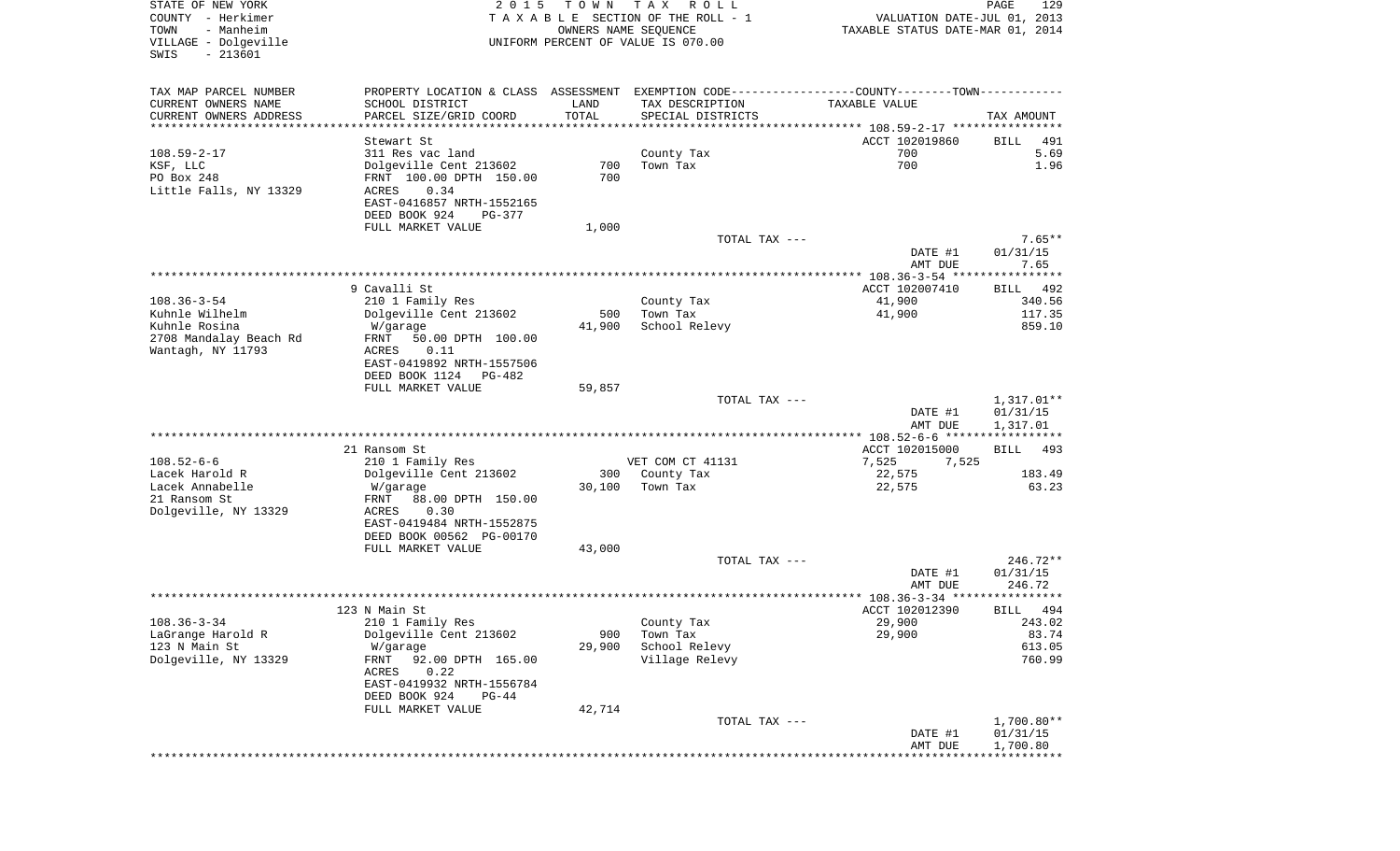| STATE OF NEW YORK<br>COUNTY - Herkimer<br>- Manheim<br>TOWN<br>VILLAGE - Dolgeville<br>SWIS<br>$-213601$ | 2 0 1 5                                                                                                                                                                        | T O W N<br>OWNERS NAME SEQUENCE   | T A X<br>R O L L<br>TAXABLE SECTION OF THE ROLL - 1<br>UNIFORM PERCENT OF VALUE IS 070.00                                             | VALUATION DATE-JUL 01, 2013<br>TAXABLE STATUS DATE-MAR 01, 2014 | PAGE<br>129                                               |
|----------------------------------------------------------------------------------------------------------|--------------------------------------------------------------------------------------------------------------------------------------------------------------------------------|-----------------------------------|---------------------------------------------------------------------------------------------------------------------------------------|-----------------------------------------------------------------|-----------------------------------------------------------|
| TAX MAP PARCEL NUMBER<br>CURRENT OWNERS NAME<br>CURRENT OWNERS ADDRESS<br>***********************        | SCHOOL DISTRICT<br>PARCEL SIZE/GRID COORD                                                                                                                                      | LAND<br>TOTAL<br>**************** | PROPERTY LOCATION & CLASS ASSESSMENT EXEMPTION CODE---------------COUNTY-------TOWN----------<br>TAX DESCRIPTION<br>SPECIAL DISTRICTS | TAXABLE VALUE                                                   | TAX AMOUNT                                                |
| $108.59 - 2 - 17$                                                                                        | Stewart St<br>311 Res vac land                                                                                                                                                 |                                   | County Tax                                                                                                                            | ACCT 102019860<br>700                                           | BILL<br>491<br>5.69                                       |
| KSF, LLC<br>PO Box 248<br>Little Falls, NY 13329                                                         | Dolgeville Cent 213602<br>FRNT 100.00 DPTH 150.00<br>0.34<br>ACRES<br>EAST-0416857 NRTH-1552165<br>DEED BOOK 924<br>PG-377                                                     | 700<br>700                        | Town Tax                                                                                                                              | 700                                                             | 1.96                                                      |
|                                                                                                          | FULL MARKET VALUE                                                                                                                                                              | 1,000                             |                                                                                                                                       |                                                                 |                                                           |
|                                                                                                          |                                                                                                                                                                                |                                   | TOTAL TAX ---                                                                                                                         | DATE #1<br>AMT DUE                                              | $7.65**$<br>01/31/15<br>7.65                              |
|                                                                                                          |                                                                                                                                                                                |                                   |                                                                                                                                       |                                                                 |                                                           |
| $108.36 - 3 - 54$<br>Kuhnle Wilhelm<br>Kuhnle Rosina<br>2708 Mandalay Beach Rd<br>Wantagh, NY 11793      | 9 Cavalli St<br>210 1 Family Res<br>Dolgeville Cent 213602<br>W/garage<br>FRNT<br>50.00 DPTH 100.00<br>ACRES<br>0.11<br>EAST-0419892 NRTH-1557506                              | 500<br>41,900                     | County Tax<br>Town Tax<br>School Relevy                                                                                               | ACCT 102007410<br>41,900<br>41,900                              | BILL<br>492<br>340.56<br>117.35<br>859.10                 |
|                                                                                                          | DEED BOOK 1124<br>PG-482                                                                                                                                                       |                                   |                                                                                                                                       |                                                                 |                                                           |
|                                                                                                          | FULL MARKET VALUE                                                                                                                                                              | 59,857                            | TOTAL TAX ---                                                                                                                         | DATE #1                                                         | $1,317.01**$<br>01/31/15                                  |
|                                                                                                          |                                                                                                                                                                                |                                   |                                                                                                                                       | AMT DUE<br>*********** 108.52-6-6 ******************            | 1,317.01                                                  |
| $108.52 - 6 - 6$<br>Lacek Harold R                                                                       | 21 Ransom St<br>210 1 Family Res<br>Dolgeville Cent 213602                                                                                                                     | 300                               | VET COM CT 41131<br>County Tax                                                                                                        | ACCT 102015000<br>7,525<br>7,525<br>22,575                      | BILL<br>493<br>183.49                                     |
| Lacek Annabelle<br>21 Ransom St<br>Dolgeville, NY 13329                                                  | W/garage<br>FRNT<br>88.00 DPTH 150.00<br>ACRES<br>0.30<br>EAST-0419484 NRTH-1552875<br>DEED BOOK 00562 PG-00170                                                                | 30,100                            | Town Tax                                                                                                                              | 22,575                                                          | 63.23                                                     |
|                                                                                                          | FULL MARKET VALUE                                                                                                                                                              | 43,000                            |                                                                                                                                       |                                                                 |                                                           |
|                                                                                                          |                                                                                                                                                                                |                                   | TOTAL TAX ---                                                                                                                         | DATE #1<br>AMT DUE                                              | 246.72**<br>01/31/15<br>246.72                            |
|                                                                                                          |                                                                                                                                                                                |                                   |                                                                                                                                       |                                                                 | *****                                                     |
| $108.36 - 3 - 34$<br>LaGrange Harold R<br>123 N Main St<br>Dolgeville, NY 13329                          | 123 N Main St<br>210 1 Family Res<br>Dolgeville Cent 213602<br>W/garage<br>92.00 DPTH 165.00<br>FRNT<br>0.22<br>ACRES<br>EAST-0419932 NRTH-1556784<br>DEED BOOK 924<br>$PG-44$ | 900<br>29,900                     | County Tax<br>Town Tax<br>School Relevy<br>Village Relevy                                                                             | ACCT 102012390<br>29,900<br>29,900                              | 494<br><b>BILL</b><br>243.02<br>83.74<br>613.05<br>760.99 |
|                                                                                                          | FULL MARKET VALUE                                                                                                                                                              | 42,714                            |                                                                                                                                       |                                                                 |                                                           |
|                                                                                                          |                                                                                                                                                                                |                                   | TOTAL TAX ---                                                                                                                         | DATE #1<br>AMT DUE                                              | $1,700.80**$<br>01/31/15<br>1,700.80                      |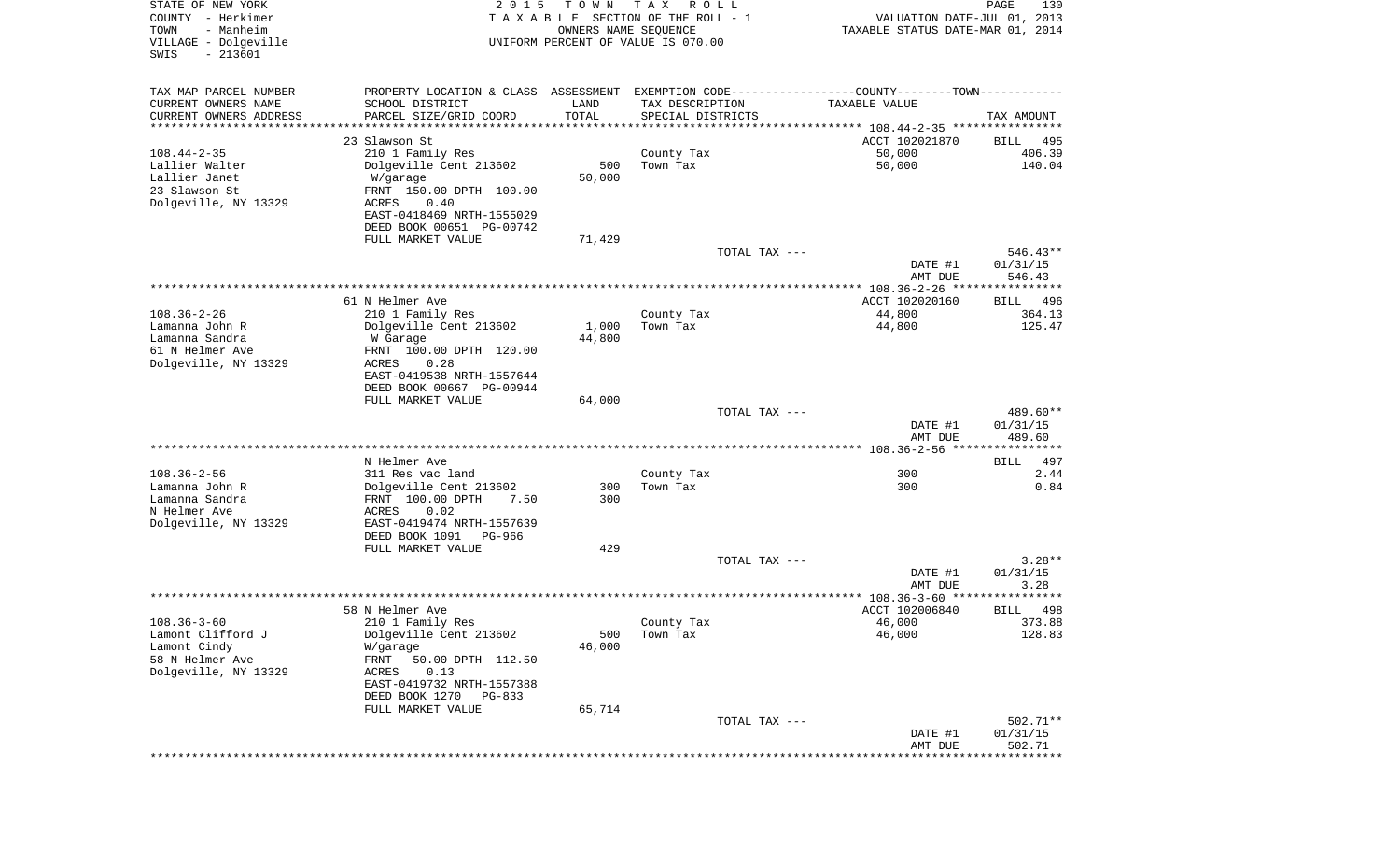| STATE OF NEW YORK<br>COUNTY - Herkimer<br>- Manheim<br>TOWN<br>VILLAGE - Dolgeville | 2 0 1 5                                                                                       | T O W N<br>OWNERS NAME SEQUENCE | T A X<br>R O L L<br>TAXABLE SECTION OF THE ROLL - 1<br>UNIFORM PERCENT OF VALUE IS 070.00 | VALUATION DATE-JUL 01, 2013<br>TAXABLE STATUS DATE-MAR 01, 2014 | PAGE<br>130           |
|-------------------------------------------------------------------------------------|-----------------------------------------------------------------------------------------------|---------------------------------|-------------------------------------------------------------------------------------------|-----------------------------------------------------------------|-----------------------|
| $-213601$<br>SWIS                                                                   |                                                                                               |                                 |                                                                                           |                                                                 |                       |
| TAX MAP PARCEL NUMBER                                                               | PROPERTY LOCATION & CLASS ASSESSMENT EXEMPTION CODE---------------COUNTY-------TOWN---------- |                                 |                                                                                           |                                                                 |                       |
| CURRENT OWNERS NAME                                                                 | SCHOOL DISTRICT                                                                               | LAND                            | TAX DESCRIPTION                                                                           | TAXABLE VALUE                                                   |                       |
| CURRENT OWNERS ADDRESS                                                              | PARCEL SIZE/GRID COORD                                                                        | TOTAL                           | SPECIAL DISTRICTS                                                                         |                                                                 | TAX AMOUNT            |
| *********************                                                               |                                                                                               | **********                      |                                                                                           |                                                                 |                       |
|                                                                                     | 23 Slawson St                                                                                 |                                 |                                                                                           | ACCT 102021870                                                  | BILL<br>495           |
| $108.44 - 2 - 35$<br>Lallier Walter                                                 | 210 1 Family Res<br>Dolgeville Cent 213602                                                    | 500                             | County Tax<br>Town Tax                                                                    | 50,000<br>50,000                                                | 406.39<br>140.04      |
| Lallier Janet                                                                       | W/garage                                                                                      | 50,000                          |                                                                                           |                                                                 |                       |
| 23 Slawson St                                                                       | FRNT 150.00 DPTH 100.00                                                                       |                                 |                                                                                           |                                                                 |                       |
| Dolgeville, NY 13329                                                                | ACRES<br>0.40                                                                                 |                                 |                                                                                           |                                                                 |                       |
|                                                                                     | EAST-0418469 NRTH-1555029                                                                     |                                 |                                                                                           |                                                                 |                       |
|                                                                                     | DEED BOOK 00651 PG-00742                                                                      |                                 |                                                                                           |                                                                 |                       |
|                                                                                     | FULL MARKET VALUE                                                                             | 71,429                          |                                                                                           |                                                                 |                       |
|                                                                                     |                                                                                               |                                 | TOTAL TAX ---                                                                             | DATE #1                                                         | 546.43**<br>01/31/15  |
|                                                                                     |                                                                                               |                                 |                                                                                           | AMT DUE                                                         | 546.43                |
|                                                                                     |                                                                                               |                                 |                                                                                           |                                                                 |                       |
|                                                                                     | 61 N Helmer Ave                                                                               |                                 |                                                                                           | ACCT 102020160                                                  | BILL<br>496           |
| $108.36 - 2 - 26$                                                                   | 210 1 Family Res                                                                              |                                 | County Tax                                                                                | 44,800                                                          | 364.13                |
| Lamanna John R                                                                      | Dolgeville Cent 213602                                                                        | 1,000                           | Town Tax                                                                                  | 44,800                                                          | 125.47                |
| Lamanna Sandra                                                                      | W Garage                                                                                      | 44,800                          |                                                                                           |                                                                 |                       |
| 61 N Helmer Ave<br>Dolgeville, NY 13329                                             | FRNT 100.00 DPTH 120.00<br>ACRES<br>0.28                                                      |                                 |                                                                                           |                                                                 |                       |
|                                                                                     | EAST-0419538 NRTH-1557644                                                                     |                                 |                                                                                           |                                                                 |                       |
|                                                                                     | DEED BOOK 00667 PG-00944                                                                      |                                 |                                                                                           |                                                                 |                       |
|                                                                                     | FULL MARKET VALUE                                                                             | 64,000                          |                                                                                           |                                                                 |                       |
|                                                                                     |                                                                                               |                                 | TOTAL TAX ---                                                                             |                                                                 | 489.60**              |
|                                                                                     |                                                                                               |                                 |                                                                                           | DATE #1<br>AMT DUE                                              | 01/31/15<br>489.60    |
|                                                                                     |                                                                                               |                                 |                                                                                           |                                                                 |                       |
|                                                                                     | N Helmer Ave                                                                                  |                                 |                                                                                           |                                                                 | 497<br>BILL           |
| $108.36 - 2 - 56$                                                                   | 311 Res vac land                                                                              |                                 | County Tax                                                                                | 300                                                             | 2.44                  |
| Lamanna John R                                                                      | Dolgeville Cent 213602                                                                        | 300                             | Town Tax                                                                                  | 300                                                             | 0.84                  |
| Lamanna Sandra                                                                      | FRNT 100.00 DPTH<br>7.50                                                                      | 300                             |                                                                                           |                                                                 |                       |
| N Helmer Ave                                                                        | ACRES<br>0.02                                                                                 |                                 |                                                                                           |                                                                 |                       |
| Dolgeville, NY 13329                                                                | EAST-0419474 NRTH-1557639<br>DEED BOOK 1091<br>PG-966                                         |                                 |                                                                                           |                                                                 |                       |
|                                                                                     | FULL MARKET VALUE                                                                             | 429                             |                                                                                           |                                                                 |                       |
|                                                                                     |                                                                                               |                                 | TOTAL TAX ---                                                                             |                                                                 | $3.28**$              |
|                                                                                     |                                                                                               |                                 |                                                                                           | DATE #1                                                         | 01/31/15              |
|                                                                                     |                                                                                               |                                 |                                                                                           | AMT DUE                                                         | 3.28                  |
|                                                                                     |                                                                                               |                                 |                                                                                           |                                                                 | * * * * * *           |
| $108.36 - 3 - 60$                                                                   | 58 N Helmer Ave<br>210 1 Family Res                                                           |                                 |                                                                                           | ACCT 102006840                                                  | 498<br>BILL<br>373.88 |
| Lamont Clifford J                                                                   | Dolgeville Cent 213602                                                                        | 500                             | County Tax<br>Town Tax                                                                    | 46,000<br>46,000                                                | 128.83                |
| Lamont Cindy                                                                        | W/garage                                                                                      | 46,000                          |                                                                                           |                                                                 |                       |
| 58 N Helmer Ave                                                                     | FRNT<br>50.00 DPTH 112.50                                                                     |                                 |                                                                                           |                                                                 |                       |
| Dolgeville, NY 13329                                                                | ACRES<br>0.13                                                                                 |                                 |                                                                                           |                                                                 |                       |
|                                                                                     | EAST-0419732 NRTH-1557388                                                                     |                                 |                                                                                           |                                                                 |                       |
|                                                                                     | DEED BOOK 1270<br>$PG-833$                                                                    |                                 |                                                                                           |                                                                 |                       |
|                                                                                     | FULL MARKET VALUE                                                                             | 65,714                          |                                                                                           |                                                                 |                       |
|                                                                                     |                                                                                               |                                 | TOTAL TAX ---                                                                             | DATE #1                                                         | 502.71**<br>01/31/15  |
|                                                                                     |                                                                                               |                                 |                                                                                           | AMT DUE                                                         | 502.71                |
|                                                                                     |                                                                                               |                                 |                                                                                           |                                                                 |                       |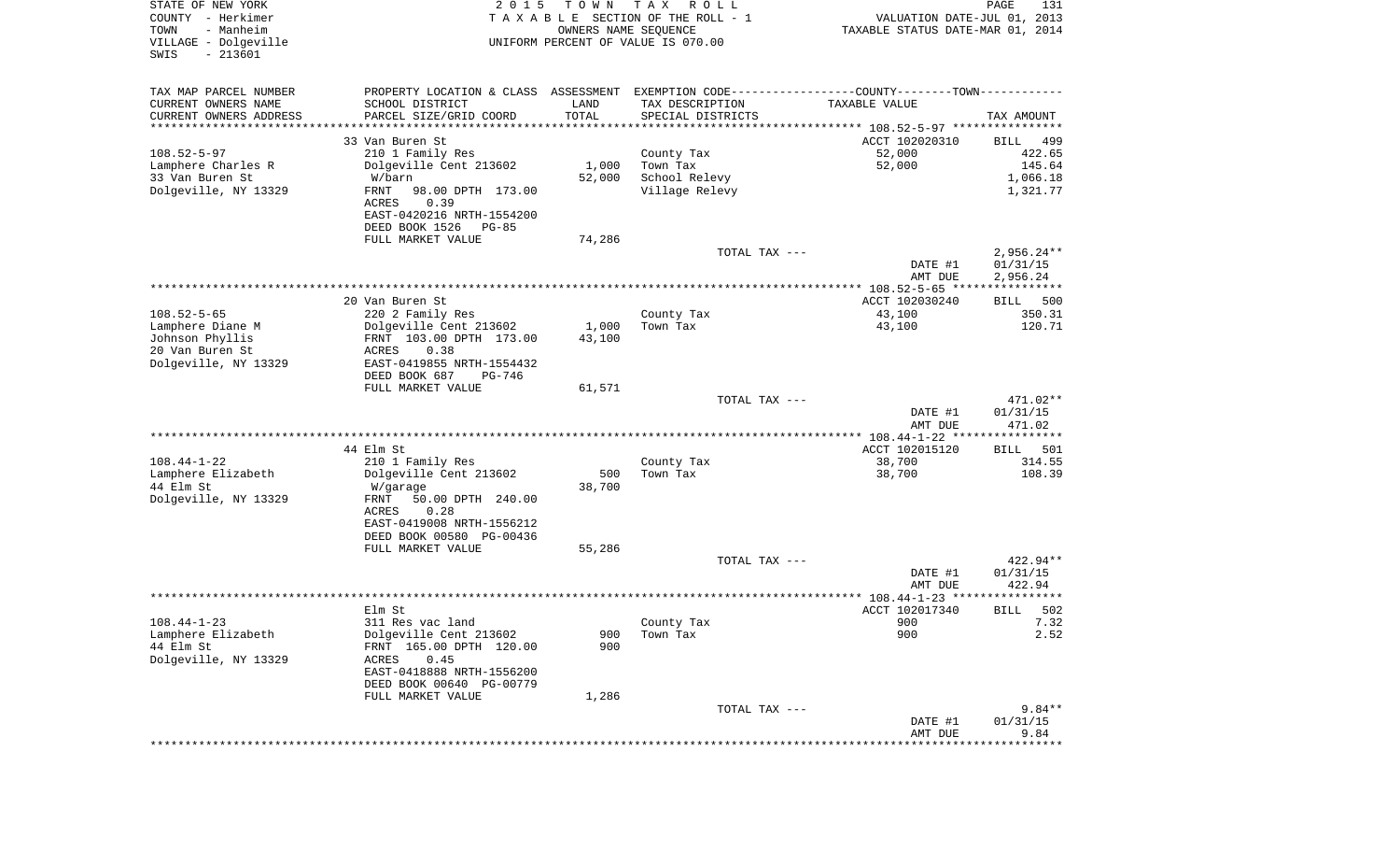| STATE OF NEW YORK<br>COUNTY - Herkimer<br>- Manheim<br>TOWN<br>VILLAGE - Dolgeville<br>$-213601$<br>SWIS | 2 0 1 5                                                                                       | T O W N<br>OWNERS NAME SEQUENCE | T A X<br>R O L L<br>TAXABLE SECTION OF THE ROLL - 1<br>UNIFORM PERCENT OF VALUE IS 070.00 | VALUATION DATE-JUL 01, 2013<br>TAXABLE STATUS DATE-MAR 01, 2014    | PAGE<br>131           |
|----------------------------------------------------------------------------------------------------------|-----------------------------------------------------------------------------------------------|---------------------------------|-------------------------------------------------------------------------------------------|--------------------------------------------------------------------|-----------------------|
| TAX MAP PARCEL NUMBER                                                                                    | PROPERTY LOCATION & CLASS ASSESSMENT EXEMPTION CODE---------------COUNTY-------TOWN---------- |                                 |                                                                                           |                                                                    |                       |
| CURRENT OWNERS NAME                                                                                      | SCHOOL DISTRICT                                                                               | LAND                            | TAX DESCRIPTION                                                                           | TAXABLE VALUE                                                      |                       |
| CURRENT OWNERS ADDRESS                                                                                   | PARCEL SIZE/GRID COORD                                                                        | TOTAL                           | SPECIAL DISTRICTS                                                                         |                                                                    | TAX AMOUNT            |
| ********************                                                                                     | ********************                                                                          |                                 |                                                                                           | ************************************* 108.52-5-97 **************** |                       |
| $108.52 - 5 - 97$                                                                                        | 33 Van Buren St<br>210 1 Family Res                                                           |                                 | County Tax                                                                                | ACCT 102020310<br>52,000                                           | BILL<br>499<br>422.65 |
| Lamphere Charles R                                                                                       | Dolgeville Cent 213602                                                                        | 1,000                           | Town Tax                                                                                  | 52,000                                                             | 145.64                |
| 33 Van Buren St                                                                                          | W/barn                                                                                        | 52,000                          | School Relevy                                                                             |                                                                    | 1,066.18              |
| Dolgeville, NY 13329                                                                                     | FRNT<br>98.00 DPTH 173.00                                                                     |                                 | Village Relevy                                                                            |                                                                    | 1,321.77              |
|                                                                                                          | ACRES<br>0.39                                                                                 |                                 |                                                                                           |                                                                    |                       |
|                                                                                                          | EAST-0420216 NRTH-1554200                                                                     |                                 |                                                                                           |                                                                    |                       |
|                                                                                                          | DEED BOOK 1526<br>PG-85                                                                       |                                 |                                                                                           |                                                                    |                       |
|                                                                                                          | FULL MARKET VALUE                                                                             | 74,286                          |                                                                                           |                                                                    |                       |
|                                                                                                          |                                                                                               |                                 | TOTAL TAX ---                                                                             |                                                                    | $2,956.24**$          |
|                                                                                                          |                                                                                               |                                 |                                                                                           | DATE #1<br>AMT DUE                                                 | 01/31/15<br>2,956.24  |
|                                                                                                          |                                                                                               |                                 |                                                                                           | ************** 108.52-5-65 *****************                       |                       |
|                                                                                                          | 20 Van Buren St                                                                               |                                 |                                                                                           | ACCT 102030240                                                     | 500<br>BILL           |
| $108.52 - 5 - 65$                                                                                        | 220 2 Family Res                                                                              |                                 | County Tax                                                                                | 43,100                                                             | 350.31                |
| Lamphere Diane M                                                                                         | Dolgeville Cent 213602                                                                        | 1,000                           | Town Tax                                                                                  | 43,100                                                             | 120.71                |
| Johnson Phyllis                                                                                          | FRNT 103.00 DPTH 173.00                                                                       | 43,100                          |                                                                                           |                                                                    |                       |
| 20 Van Buren St                                                                                          | ACRES<br>0.38                                                                                 |                                 |                                                                                           |                                                                    |                       |
| Dolgeville, NY 13329                                                                                     | EAST-0419855 NRTH-1554432                                                                     |                                 |                                                                                           |                                                                    |                       |
|                                                                                                          | DEED BOOK 687<br>PG-746<br>FULL MARKET VALUE                                                  | 61,571                          |                                                                                           |                                                                    |                       |
|                                                                                                          |                                                                                               |                                 | TOTAL TAX ---                                                                             |                                                                    | $471.02**$            |
|                                                                                                          |                                                                                               |                                 |                                                                                           | DATE #1                                                            | 01/31/15              |
|                                                                                                          |                                                                                               |                                 |                                                                                           | AMT DUE                                                            | 471.02                |
|                                                                                                          |                                                                                               |                                 | ******************************                                                            | ********* 108.44-1-22 *****************                            |                       |
|                                                                                                          | 44 Elm St                                                                                     |                                 |                                                                                           | ACCT 102015120                                                     | <b>BILL</b><br>501    |
| $108.44 - 1 - 22$                                                                                        | 210 1 Family Res                                                                              | 500                             | County Tax                                                                                | 38,700                                                             | 314.55<br>108.39      |
| Lamphere Elizabeth<br>44 Elm St                                                                          | Dolgeville Cent 213602<br>W/garage                                                            | 38,700                          | Town Tax                                                                                  | 38,700                                                             |                       |
| Dolgeville, NY 13329                                                                                     | FRNT<br>50.00 DPTH 240.00                                                                     |                                 |                                                                                           |                                                                    |                       |
|                                                                                                          | ACRES<br>0.28                                                                                 |                                 |                                                                                           |                                                                    |                       |
|                                                                                                          | EAST-0419008 NRTH-1556212                                                                     |                                 |                                                                                           |                                                                    |                       |
|                                                                                                          | DEED BOOK 00580 PG-00436                                                                      |                                 |                                                                                           |                                                                    |                       |
|                                                                                                          | FULL MARKET VALUE                                                                             | 55,286                          |                                                                                           |                                                                    |                       |
|                                                                                                          |                                                                                               |                                 | TOTAL TAX ---                                                                             |                                                                    | 422.94**              |
|                                                                                                          |                                                                                               |                                 |                                                                                           | DATE #1                                                            | 01/31/15              |
|                                                                                                          |                                                                                               |                                 |                                                                                           | AMT DUE<br>***************** 108.44-1-23 *********                 | 422.94<br>****        |
|                                                                                                          | Elm St                                                                                        |                                 |                                                                                           | ACCT 102017340                                                     | 502<br>BILL           |
| $108.44 - 1 - 23$                                                                                        | 311 Res vac land                                                                              |                                 | County Tax                                                                                | 900                                                                | 7.32                  |
| Lamphere Elizabeth                                                                                       | Dolgeville Cent 213602                                                                        | 900                             | Town Tax                                                                                  | 900                                                                | 2.52                  |
| 44 Elm St                                                                                                | FRNT 165.00 DPTH 120.00                                                                       | 900                             |                                                                                           |                                                                    |                       |
| Dolgeville, NY 13329                                                                                     | 0.45<br>ACRES                                                                                 |                                 |                                                                                           |                                                                    |                       |
|                                                                                                          | EAST-0418888 NRTH-1556200                                                                     |                                 |                                                                                           |                                                                    |                       |
|                                                                                                          | DEED BOOK 00640 PG-00779                                                                      |                                 |                                                                                           |                                                                    |                       |
|                                                                                                          | FULL MARKET VALUE                                                                             | 1,286                           | TOTAL TAX ---                                                                             |                                                                    | $9.84**$              |
|                                                                                                          |                                                                                               |                                 |                                                                                           | DATE #1                                                            | 01/31/15              |
|                                                                                                          |                                                                                               |                                 |                                                                                           | AMT DUE                                                            | 9.84                  |
|                                                                                                          |                                                                                               |                                 |                                                                                           |                                                                    |                       |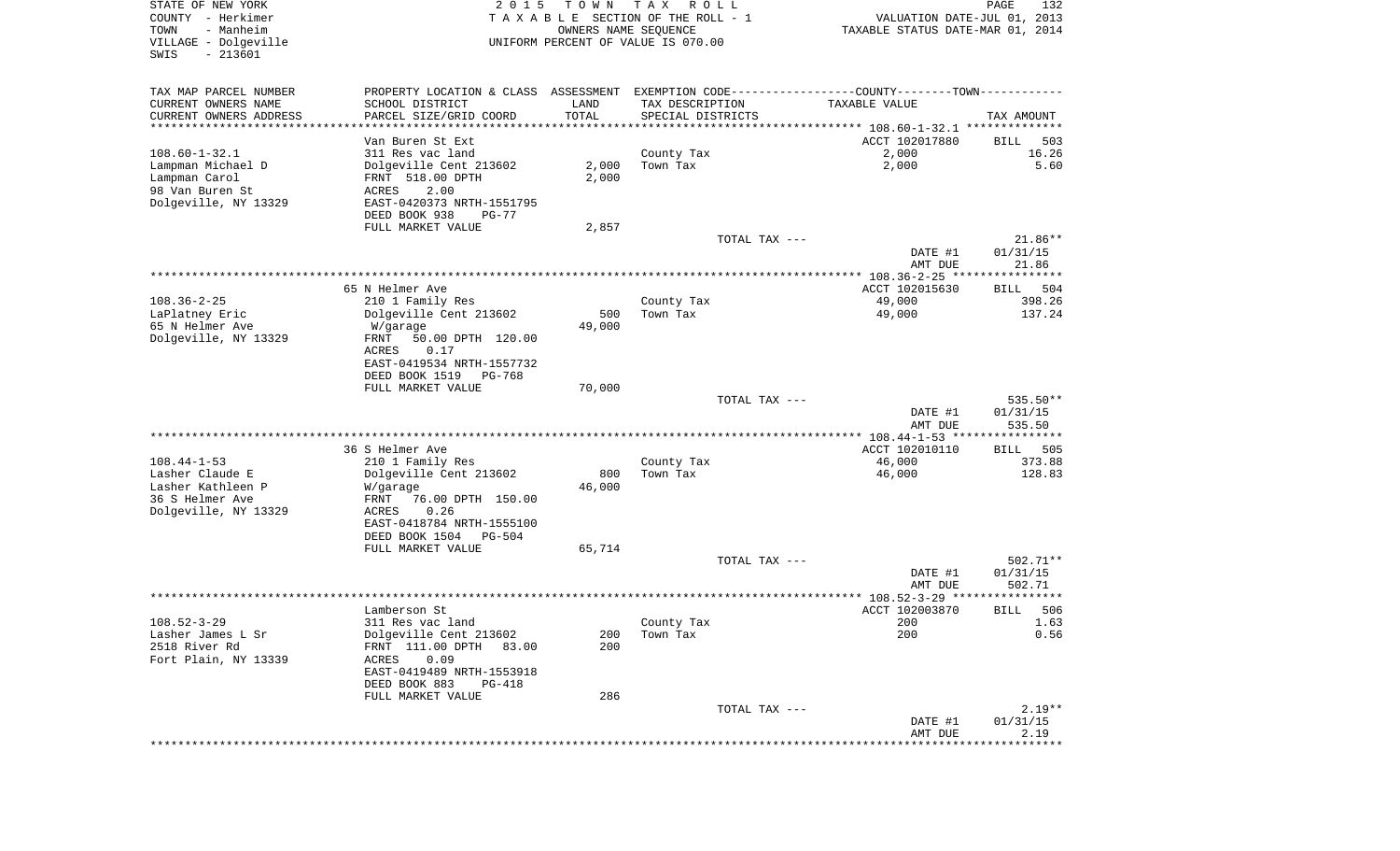| STATE OF NEW YORK<br>COUNTY - Herkimer<br>TOWN<br>- Manheim<br>VILLAGE - Dolgeville<br>$-213601$<br>SWIS | 2 0 1 5                                    | T O W N | T A X<br>R O L L<br>TAXABLE SECTION OF THE ROLL - 1<br>OWNERS NAME SEQUENCE<br>UNIFORM PERCENT OF VALUE IS 070.00 | VALUATION DATE-JUL 01, 2013<br>TAXABLE STATUS DATE-MAR 01, 2014                       | PAGE<br>132                 |
|----------------------------------------------------------------------------------------------------------|--------------------------------------------|---------|-------------------------------------------------------------------------------------------------------------------|---------------------------------------------------------------------------------------|-----------------------------|
| TAX MAP PARCEL NUMBER                                                                                    | PROPERTY LOCATION & CLASS ASSESSMENT       |         |                                                                                                                   | EXEMPTION CODE-----------------COUNTY--------TOWN-----------                          |                             |
| CURRENT OWNERS NAME                                                                                      | SCHOOL DISTRICT                            | LAND    | TAX DESCRIPTION                                                                                                   | TAXABLE VALUE                                                                         |                             |
| CURRENT OWNERS ADDRESS<br>*********************                                                          | PARCEL SIZE/GRID COORD                     | TOTAL   | SPECIAL DISTRICTS                                                                                                 |                                                                                       | TAX AMOUNT                  |
|                                                                                                          | Van Buren St Ext                           |         |                                                                                                                   | ·************************************ 108.60-1-32.1 ***************<br>ACCT 102017880 | 503<br>BILL                 |
| $108.60 - 1 - 32.1$                                                                                      | 311 Res vac land                           |         | County Tax                                                                                                        | 2,000                                                                                 | 16.26                       |
| Lampman Michael D                                                                                        | Dolgeville Cent 213602                     | 2,000   | Town Tax                                                                                                          | 2,000                                                                                 | 5.60                        |
| Lampman Carol                                                                                            | FRNT 518.00 DPTH                           | 2,000   |                                                                                                                   |                                                                                       |                             |
| 98 Van Buren St                                                                                          | ACRES<br>2.00                              |         |                                                                                                                   |                                                                                       |                             |
| Dolgeville, NY 13329                                                                                     | EAST-0420373 NRTH-1551795                  |         |                                                                                                                   |                                                                                       |                             |
|                                                                                                          | DEED BOOK 938<br>$PG-77$                   |         |                                                                                                                   |                                                                                       |                             |
|                                                                                                          | FULL MARKET VALUE                          | 2,857   |                                                                                                                   |                                                                                       |                             |
|                                                                                                          |                                            |         | TOTAL TAX ---                                                                                                     | DATE #1                                                                               | $21.86**$<br>01/31/15       |
|                                                                                                          |                                            |         |                                                                                                                   | AMT DUE                                                                               | 21.86                       |
|                                                                                                          |                                            |         |                                                                                                                   |                                                                                       |                             |
|                                                                                                          | 65 N Helmer Ave                            |         |                                                                                                                   | ACCT 102015630                                                                        | <b>BILL</b><br>504          |
| $108.36 - 2 - 25$                                                                                        | 210 1 Family Res                           |         | County Tax                                                                                                        | 49,000                                                                                | 398.26                      |
| LaPlatney Eric                                                                                           | Dolgeville Cent 213602                     | 500     | Town Tax                                                                                                          | 49,000                                                                                | 137.24                      |
| 65 N Helmer Ave                                                                                          | W/garage                                   | 49,000  |                                                                                                                   |                                                                                       |                             |
| Dolgeville, NY 13329                                                                                     | FRNT<br>50.00 DPTH 120.00                  |         |                                                                                                                   |                                                                                       |                             |
|                                                                                                          | ACRES<br>0.17<br>EAST-0419534 NRTH-1557732 |         |                                                                                                                   |                                                                                       |                             |
|                                                                                                          | DEED BOOK 1519<br>PG-768                   |         |                                                                                                                   |                                                                                       |                             |
|                                                                                                          | FULL MARKET VALUE                          | 70,000  |                                                                                                                   |                                                                                       |                             |
|                                                                                                          |                                            |         | TOTAL TAX ---                                                                                                     |                                                                                       | 535.50**                    |
|                                                                                                          |                                            |         |                                                                                                                   | DATE #1                                                                               | 01/31/15                    |
|                                                                                                          |                                            |         |                                                                                                                   | AMT DUE                                                                               | 535.50<br>* * * * * * * * * |
|                                                                                                          | 36 S Helmer Ave                            |         |                                                                                                                   | ************ 108.44-1-53 *******<br>ACCT 102010110                                    | 505<br>BILL                 |
| $108.44 - 1 - 53$                                                                                        | 210 1 Family Res                           |         | County Tax                                                                                                        | 46,000                                                                                | 373.88                      |
| Lasher Claude E                                                                                          | Dolgeville Cent 213602                     | 800     | Town Tax                                                                                                          | 46,000                                                                                | 128.83                      |
| Lasher Kathleen P                                                                                        | W/garage                                   | 46,000  |                                                                                                                   |                                                                                       |                             |
| 36 S Helmer Ave                                                                                          | FRNT<br>76.00 DPTH 150.00                  |         |                                                                                                                   |                                                                                       |                             |
| Dolgeville, NY 13329                                                                                     | ACRES<br>0.26                              |         |                                                                                                                   |                                                                                       |                             |
|                                                                                                          | EAST-0418784 NRTH-1555100                  |         |                                                                                                                   |                                                                                       |                             |
|                                                                                                          | DEED BOOK 1504<br>PG-504                   |         |                                                                                                                   |                                                                                       |                             |
|                                                                                                          | FULL MARKET VALUE                          | 65,714  | TOTAL TAX ---                                                                                                     |                                                                                       | 502.71**                    |
|                                                                                                          |                                            |         |                                                                                                                   | DATE #1                                                                               | 01/31/15                    |
|                                                                                                          |                                            |         |                                                                                                                   | AMT DUE                                                                               | 502.71                      |
|                                                                                                          |                                            |         |                                                                                                                   | ****************** 108.52-3-29 *******                                                | *****                       |
|                                                                                                          | Lamberson St                               |         |                                                                                                                   | ACCT 102003870                                                                        | 506<br>BILL                 |
| $108.52 - 3 - 29$                                                                                        | 311 Res vac land                           |         | County Tax                                                                                                        | 200                                                                                   | 1.63                        |
| Lasher James L Sr                                                                                        | Dolgeville Cent 213602                     | 200     | Town Tax                                                                                                          | 200                                                                                   | 0.56                        |
| 2518 River Rd                                                                                            | FRNT 111.00 DPTH 83.00                     | 200     |                                                                                                                   |                                                                                       |                             |
| Fort Plain, NY 13339                                                                                     | ACRES<br>0.09<br>EAST-0419489 NRTH-1553918 |         |                                                                                                                   |                                                                                       |                             |
|                                                                                                          | DEED BOOK 883<br>PG-418                    |         |                                                                                                                   |                                                                                       |                             |
|                                                                                                          | FULL MARKET VALUE                          | 286     |                                                                                                                   |                                                                                       |                             |
|                                                                                                          |                                            |         | TOTAL TAX ---                                                                                                     |                                                                                       | $2.19**$                    |
|                                                                                                          |                                            |         |                                                                                                                   | DATE #1                                                                               | 01/31/15                    |
|                                                                                                          |                                            |         |                                                                                                                   | AMT DUE                                                                               | 2.19                        |
|                                                                                                          |                                            |         |                                                                                                                   |                                                                                       |                             |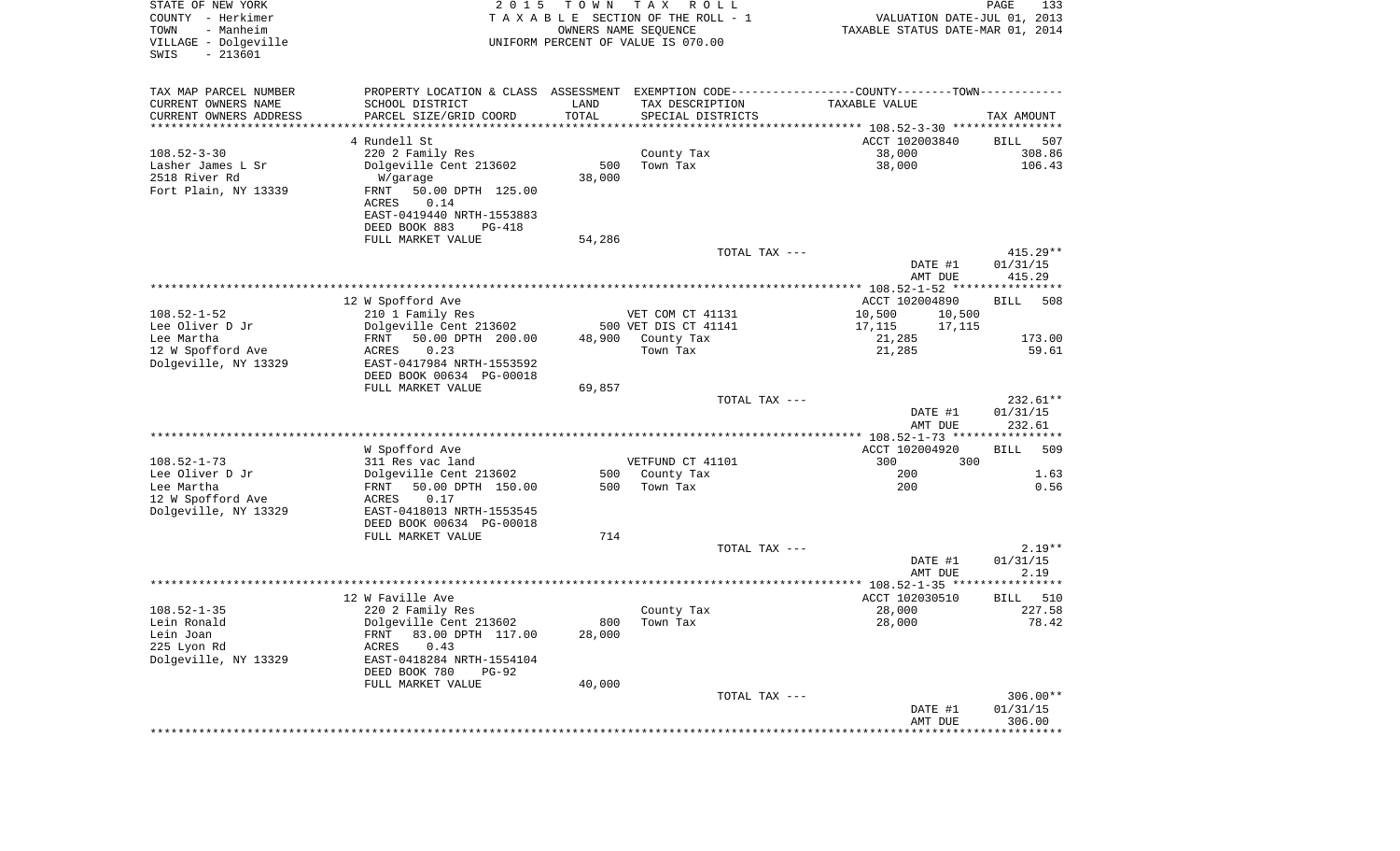| STATE OF NEW YORK<br>COUNTY - Herkimer<br>- Manheim<br>TOWN<br>VILLAGE - Dolgeville<br>$-213601$<br>SWIS | 2 0 1 5                                                                                       | T O W N               | T A X<br>R O L L<br>TAXABLE SECTION OF THE ROLL - 1<br>OWNERS NAME SEQUENCE<br>UNIFORM PERCENT OF VALUE IS 070.00 | VALUATION DATE-JUL 01, 2013<br>TAXABLE STATUS DATE-MAR 01, 2014 | PAGE<br>133                    |
|----------------------------------------------------------------------------------------------------------|-----------------------------------------------------------------------------------------------|-----------------------|-------------------------------------------------------------------------------------------------------------------|-----------------------------------------------------------------|--------------------------------|
| TAX MAP PARCEL NUMBER                                                                                    | PROPERTY LOCATION & CLASS ASSESSMENT EXEMPTION CODE---------------COUNTY-------TOWN---------- |                       |                                                                                                                   |                                                                 |                                |
| CURRENT OWNERS NAME                                                                                      | SCHOOL DISTRICT                                                                               | LAND                  | TAX DESCRIPTION                                                                                                   | TAXABLE VALUE                                                   |                                |
| CURRENT OWNERS ADDRESS                                                                                   | PARCEL SIZE/GRID COORD                                                                        | TOTAL                 | SPECIAL DISTRICTS                                                                                                 |                                                                 | TAX AMOUNT                     |
| *********************                                                                                    | * * * * * * * * * * * * * * * * * * *                                                         | * * * * * * * * * * * |                                                                                                                   |                                                                 |                                |
| $108.52 - 3 - 30$                                                                                        | 4 Rundell St<br>220 2 Family Res                                                              |                       | County Tax                                                                                                        | ACCT 102003840<br>38,000                                        | 507<br>BILL<br>308.86          |
| Lasher James L Sr                                                                                        | Dolgeville Cent 213602                                                                        | 500                   | Town Tax                                                                                                          | 38,000                                                          | 106.43                         |
| 2518 River Rd                                                                                            | W/garage                                                                                      | 38,000                |                                                                                                                   |                                                                 |                                |
| Fort Plain, NY 13339                                                                                     | 50.00 DPTH 125.00<br>FRNT                                                                     |                       |                                                                                                                   |                                                                 |                                |
|                                                                                                          | ACRES<br>0.14                                                                                 |                       |                                                                                                                   |                                                                 |                                |
|                                                                                                          | EAST-0419440 NRTH-1553883                                                                     |                       |                                                                                                                   |                                                                 |                                |
|                                                                                                          | DEED BOOK 883<br>PG-418                                                                       |                       |                                                                                                                   |                                                                 |                                |
|                                                                                                          | FULL MARKET VALUE                                                                             | 54,286                | TOTAL TAX ---                                                                                                     |                                                                 | $415.29**$                     |
|                                                                                                          |                                                                                               |                       |                                                                                                                   | DATE #1                                                         | 01/31/15                       |
|                                                                                                          |                                                                                               |                       |                                                                                                                   | AMT DUE                                                         | 415.29                         |
|                                                                                                          |                                                                                               |                       |                                                                                                                   |                                                                 |                                |
|                                                                                                          | 12 W Spofford Ave                                                                             |                       |                                                                                                                   | ACCT 102004890                                                  | BILL<br>508                    |
| $108.52 - 1 - 52$<br>Lee Oliver D Jr                                                                     | 210 1 Family Res<br>Dolgeville Cent 213602                                                    |                       | VET COM CT 41131<br>500 VET DIS CT 41141                                                                          | 10,500<br>10,500                                                |                                |
| Lee Martha                                                                                               | 50.00 DPTH 200.00<br>FRNT                                                                     | 48,900                | County Tax                                                                                                        | 17,115<br>17,115<br>21,285                                      | 173.00                         |
| 12 W Spofford Ave                                                                                        | 0.23<br>ACRES                                                                                 |                       | Town Tax                                                                                                          | 21,285                                                          | 59.61                          |
| Dolgeville, NY 13329                                                                                     | EAST-0417984 NRTH-1553592                                                                     |                       |                                                                                                                   |                                                                 |                                |
|                                                                                                          | DEED BOOK 00634 PG-00018                                                                      |                       |                                                                                                                   |                                                                 |                                |
|                                                                                                          | FULL MARKET VALUE                                                                             | 69,857                |                                                                                                                   |                                                                 |                                |
|                                                                                                          |                                                                                               |                       | TOTAL TAX ---                                                                                                     | DATE #1<br>AMT DUE                                              | 232.61**<br>01/31/15<br>232.61 |
|                                                                                                          |                                                                                               |                       |                                                                                                                   | ************* 108.52-1-73 *****************                     |                                |
|                                                                                                          | W Spofford Ave                                                                                |                       |                                                                                                                   | ACCT 102004920                                                  | 509<br>BILL                    |
| $108.52 - 1 - 73$                                                                                        | 311 Res vac land                                                                              |                       | VETFUND CT 41101                                                                                                  | 300<br>300                                                      |                                |
| Lee Oliver D Jr                                                                                          | Dolgeville Cent 213602                                                                        | 500                   | County Tax                                                                                                        | 200                                                             | 1.63                           |
| Lee Martha<br>12 W Spofford Ave                                                                          | 50.00 DPTH 150.00<br>FRNT<br>ACRES<br>0.17                                                    | 500                   | Town Tax                                                                                                          | 200                                                             | 0.56                           |
| Dolgeville, NY 13329                                                                                     | EAST-0418013 NRTH-1553545                                                                     |                       |                                                                                                                   |                                                                 |                                |
|                                                                                                          | DEED BOOK 00634 PG-00018                                                                      |                       |                                                                                                                   |                                                                 |                                |
|                                                                                                          | FULL MARKET VALUE                                                                             | 714                   |                                                                                                                   |                                                                 |                                |
|                                                                                                          |                                                                                               |                       | TOTAL TAX ---                                                                                                     |                                                                 | $2.19**$                       |
|                                                                                                          |                                                                                               |                       |                                                                                                                   | DATE #1                                                         | 01/31/15                       |
|                                                                                                          |                                                                                               |                       |                                                                                                                   | AMT DUE                                                         | 2.19                           |
|                                                                                                          | 12 W Faville Ave                                                                              |                       |                                                                                                                   | ACCT 102030510                                                  | 510<br>BILL                    |
| $108.52 - 1 - 35$                                                                                        | 220 2 Family Res                                                                              |                       | County Tax                                                                                                        | 28,000                                                          | 227.58                         |
| Lein Ronald                                                                                              | Dolgeville Cent 213602                                                                        | 800                   | Town Tax                                                                                                          | 28,000                                                          | 78.42                          |
| Lein Joan                                                                                                | FRNT 83.00 DPTH 117.00                                                                        | 28,000                |                                                                                                                   |                                                                 |                                |
| 225 Lyon Rd                                                                                              | 0.43<br>ACRES                                                                                 |                       |                                                                                                                   |                                                                 |                                |
| Dolgeville, NY 13329                                                                                     | EAST-0418284 NRTH-1554104<br>DEED BOOK 780<br>PG-92                                           |                       |                                                                                                                   |                                                                 |                                |
|                                                                                                          | FULL MARKET VALUE                                                                             | 40,000                |                                                                                                                   |                                                                 |                                |
|                                                                                                          |                                                                                               |                       | TOTAL TAX ---                                                                                                     | DATE #1<br>AMT DUE                                              | 306.00**<br>01/31/15<br>306.00 |
|                                                                                                          |                                                                                               |                       |                                                                                                                   |                                                                 |                                |
|                                                                                                          |                                                                                               |                       |                                                                                                                   |                                                                 |                                |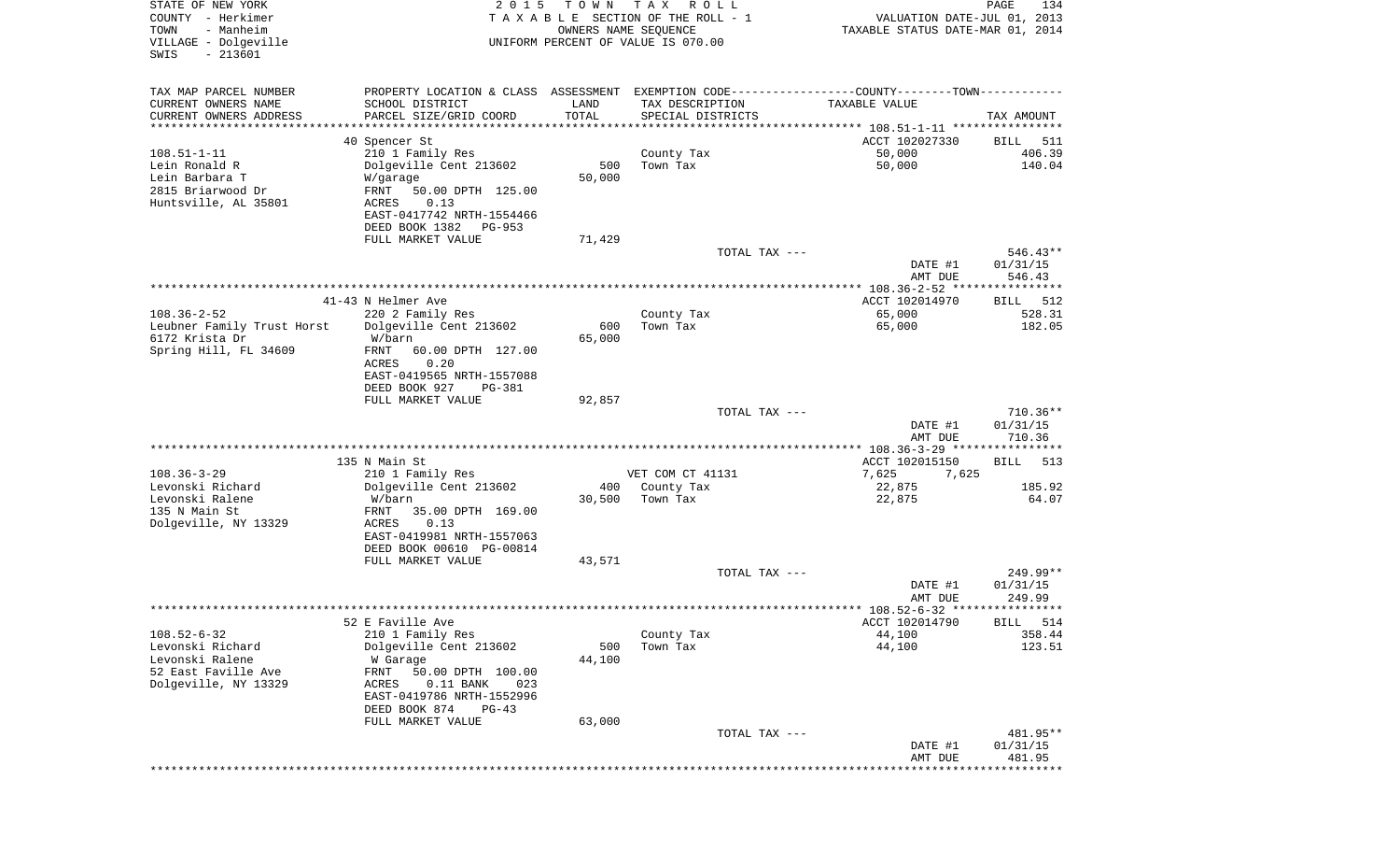| STATE OF NEW YORK<br>COUNTY - Herkimer<br>TOWN<br>- Manheim<br>VILLAGE - Dolgeville<br>$-213601$<br>SWIS | 2 0 1 5                                                                                       | T O W N               | TAX ROLL<br>TAXABLE SECTION OF THE ROLL - 1<br>OWNERS NAME SEQUENCE<br>UNIFORM PERCENT OF VALUE IS 070.00 | VALUATION DATE-JUL 01, 2013<br>TAXABLE STATUS DATE-MAR 01, 2014 | PAGE<br>134        |
|----------------------------------------------------------------------------------------------------------|-----------------------------------------------------------------------------------------------|-----------------------|-----------------------------------------------------------------------------------------------------------|-----------------------------------------------------------------|--------------------|
| TAX MAP PARCEL NUMBER                                                                                    | PROPERTY LOCATION & CLASS ASSESSMENT EXEMPTION CODE---------------COUNTY-------TOWN---------- |                       |                                                                                                           |                                                                 |                    |
| CURRENT OWNERS NAME                                                                                      | SCHOOL DISTRICT                                                                               | LAND                  | TAX DESCRIPTION                                                                                           | TAXABLE VALUE                                                   |                    |
| CURRENT OWNERS ADDRESS                                                                                   | PARCEL SIZE/GRID COORD                                                                        | TOTAL                 | SPECIAL DISTRICTS                                                                                         |                                                                 | TAX AMOUNT         |
| ********************                                                                                     | 40 Spencer St                                                                                 | * * * * * * * * * * * |                                                                                                           | ACCT 102027330                                                  | 511<br>BILL        |
| $108.51 - 1 - 11$                                                                                        | 210 1 Family Res                                                                              |                       | County Tax                                                                                                | 50,000                                                          | 406.39             |
| Lein Ronald R                                                                                            | Dolgeville Cent 213602                                                                        | 500                   | Town Tax                                                                                                  | 50,000                                                          | 140.04             |
| Lein Barbara T                                                                                           | W/garage                                                                                      | 50,000                |                                                                                                           |                                                                 |                    |
| 2815 Briarwood Dr                                                                                        | FRNT<br>50.00 DPTH 125.00                                                                     |                       |                                                                                                           |                                                                 |                    |
| Huntsville, AL 35801                                                                                     | ACRES<br>0.13                                                                                 |                       |                                                                                                           |                                                                 |                    |
|                                                                                                          | EAST-0417742 NRTH-1554466<br>DEED BOOK 1382<br>PG-953                                         |                       |                                                                                                           |                                                                 |                    |
|                                                                                                          | FULL MARKET VALUE                                                                             | 71,429                |                                                                                                           |                                                                 |                    |
|                                                                                                          |                                                                                               |                       | TOTAL TAX ---                                                                                             |                                                                 | $546.43**$         |
|                                                                                                          |                                                                                               |                       |                                                                                                           | DATE #1                                                         | 01/31/15           |
|                                                                                                          |                                                                                               |                       |                                                                                                           | AMT DUE                                                         | 546.43             |
|                                                                                                          | 41-43 N Helmer Ave                                                                            |                       |                                                                                                           | ACCT 102014970                                                  | BILL<br>512        |
| $108.36 - 2 - 52$                                                                                        | 220 2 Family Res                                                                              |                       | County Tax                                                                                                | 65,000                                                          | 528.31             |
| Leubner Family Trust Horst                                                                               | Dolgeville Cent 213602                                                                        | 600                   | Town Tax                                                                                                  | 65,000                                                          | 182.05             |
| 6172 Krista Dr                                                                                           | W/barn                                                                                        | 65,000                |                                                                                                           |                                                                 |                    |
| Spring Hill, FL 34609                                                                                    | FRNT<br>60.00 DPTH 127.00<br>ACRES<br>0.20                                                    |                       |                                                                                                           |                                                                 |                    |
|                                                                                                          | EAST-0419565 NRTH-1557088                                                                     |                       |                                                                                                           |                                                                 |                    |
|                                                                                                          | DEED BOOK 927<br>PG-381                                                                       |                       |                                                                                                           |                                                                 |                    |
|                                                                                                          | FULL MARKET VALUE                                                                             | 92,857                |                                                                                                           |                                                                 |                    |
|                                                                                                          |                                                                                               |                       | TOTAL TAX ---                                                                                             |                                                                 | 710.36**           |
|                                                                                                          |                                                                                               |                       |                                                                                                           | DATE #1<br>AMT DUE                                              | 01/31/15<br>710.36 |
|                                                                                                          |                                                                                               |                       |                                                                                                           |                                                                 |                    |
|                                                                                                          | 135 N Main St                                                                                 |                       |                                                                                                           | ACCT 102015150                                                  | 513<br>BILL        |
| $108.36 - 3 - 29$                                                                                        | 210 1 Family Res                                                                              |                       | VET COM CT 41131                                                                                          | 7,625<br>7,625                                                  |                    |
| Levonski Richard<br>Levonski Ralene                                                                      | Dolgeville Cent 213602<br>W/barn                                                              | 400                   | County Tax<br>Town Tax                                                                                    | 22,875                                                          | 185.92<br>64.07    |
| 135 N Main St                                                                                            | FRNT<br>35.00 DPTH 169.00                                                                     | 30,500                |                                                                                                           | 22,875                                                          |                    |
| Dolgeville, NY 13329                                                                                     | ACRES<br>0.13                                                                                 |                       |                                                                                                           |                                                                 |                    |
|                                                                                                          | EAST-0419981 NRTH-1557063                                                                     |                       |                                                                                                           |                                                                 |                    |
|                                                                                                          | DEED BOOK 00610 PG-00814                                                                      |                       |                                                                                                           |                                                                 |                    |
|                                                                                                          | FULL MARKET VALUE                                                                             | 43,571                | TOTAL TAX ---                                                                                             |                                                                 | 249.99**           |
|                                                                                                          |                                                                                               |                       |                                                                                                           | DATE #1                                                         | 01/31/15           |
|                                                                                                          |                                                                                               |                       |                                                                                                           | AMT DUE                                                         | 249.99             |
|                                                                                                          |                                                                                               |                       |                                                                                                           |                                                                 |                    |
| $108.52 - 6 - 32$                                                                                        | 52 E Faville Ave                                                                              |                       |                                                                                                           | ACCT 102014790                                                  | 514<br><b>BILL</b> |
| Levonski Richard                                                                                         | 210 1 Family Res<br>Dolgeville Cent 213602                                                    | 500                   | County Tax<br>Town Tax                                                                                    | 44,100<br>44,100                                                | 358.44<br>123.51   |
| Levonski Ralene                                                                                          | W Garage                                                                                      | 44,100                |                                                                                                           |                                                                 |                    |
| 52 East Faville Ave                                                                                      | FRNT<br>50.00 DPTH 100.00                                                                     |                       |                                                                                                           |                                                                 |                    |
| Dolgeville, NY 13329                                                                                     | $0.11$ BANK<br>ACRES<br>023                                                                   |                       |                                                                                                           |                                                                 |                    |
|                                                                                                          | EAST-0419786 NRTH-1552996                                                                     |                       |                                                                                                           |                                                                 |                    |
|                                                                                                          | DEED BOOK 874<br>$PG-43$<br>FULL MARKET VALUE                                                 | 63,000                |                                                                                                           |                                                                 |                    |
|                                                                                                          |                                                                                               |                       | TOTAL TAX ---                                                                                             |                                                                 | 481.95**           |
|                                                                                                          |                                                                                               |                       |                                                                                                           | DATE #1                                                         | 01/31/15           |
|                                                                                                          |                                                                                               |                       |                                                                                                           | AMT DUE                                                         | 481.95             |
|                                                                                                          |                                                                                               |                       |                                                                                                           | ********************************                                |                    |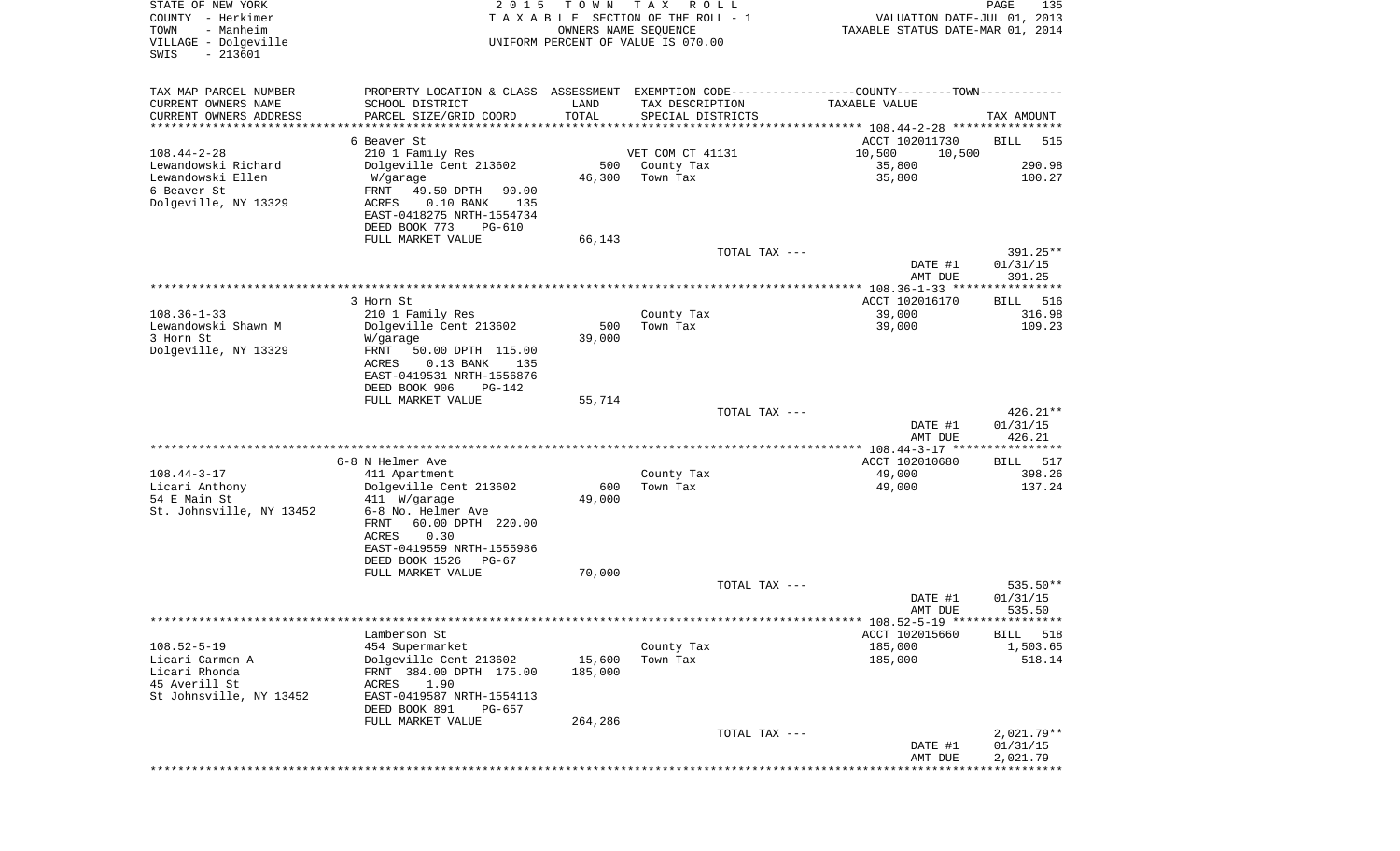| STATE OF NEW YORK<br>COUNTY - Herkimer<br>- Manheim<br>TOWN<br>VILLAGE - Dolgeville<br>$-213601$<br>SWIS | 2 0 1 5                                                                                       | T O W N<br>OWNERS NAME SEQUENCE | T A X<br>R O L L<br>TAXABLE SECTION OF THE ROLL - 1<br>UNIFORM PERCENT OF VALUE IS 070.00 | VALUATION DATE-JUL 01, 2013<br>TAXABLE STATUS DATE-MAR 01, 2014 | PAGE<br>135        |
|----------------------------------------------------------------------------------------------------------|-----------------------------------------------------------------------------------------------|---------------------------------|-------------------------------------------------------------------------------------------|-----------------------------------------------------------------|--------------------|
| TAX MAP PARCEL NUMBER                                                                                    | PROPERTY LOCATION & CLASS ASSESSMENT EXEMPTION CODE---------------COUNTY-------TOWN---------- |                                 |                                                                                           |                                                                 |                    |
| CURRENT OWNERS NAME                                                                                      | SCHOOL DISTRICT                                                                               | LAND                            | TAX DESCRIPTION                                                                           | TAXABLE VALUE                                                   |                    |
| CURRENT OWNERS ADDRESS<br>********************                                                           | PARCEL SIZE/GRID COORD                                                                        | TOTAL                           | SPECIAL DISTRICTS                                                                         |                                                                 | TAX AMOUNT         |
|                                                                                                          | 6 Beaver St                                                                                   |                                 |                                                                                           | ACCT 102011730                                                  | 515<br>BILL        |
| $108.44 - 2 - 28$                                                                                        | 210 1 Family Res                                                                              |                                 | VET COM CT 41131                                                                          | 10,500<br>10,500                                                |                    |
| Lewandowski Richard                                                                                      | Dolgeville Cent 213602                                                                        | 500                             | County Tax                                                                                | 35,800                                                          | 290.98             |
| Lewandowski Ellen<br>6 Beaver St                                                                         | W/garage<br>FRNT<br>49.50 DPTH<br>90.00                                                       | 46,300                          | Town Tax                                                                                  | 35,800                                                          | 100.27             |
| Dolgeville, NY 13329                                                                                     | ACRES<br>$0.10$ BANK<br>135                                                                   |                                 |                                                                                           |                                                                 |                    |
|                                                                                                          | EAST-0418275 NRTH-1554734                                                                     |                                 |                                                                                           |                                                                 |                    |
|                                                                                                          | DEED BOOK 773<br>PG-610                                                                       |                                 |                                                                                           |                                                                 |                    |
|                                                                                                          | FULL MARKET VALUE                                                                             | 66,143                          | TOTAL TAX ---                                                                             |                                                                 | 391.25**           |
|                                                                                                          |                                                                                               |                                 |                                                                                           | DATE #1<br>AMT DUE                                              | 01/31/15           |
|                                                                                                          |                                                                                               |                                 |                                                                                           |                                                                 | 391.25             |
|                                                                                                          | 3 Horn St                                                                                     |                                 |                                                                                           | ACCT 102016170                                                  | 516<br>BILL        |
| $108.36 - 1 - 33$                                                                                        | 210 1 Family Res                                                                              |                                 | County Tax                                                                                | 39,000                                                          | 316.98             |
| Lewandowski Shawn M<br>3 Horn St                                                                         | Dolgeville Cent 213602<br>W/garage                                                            | 500<br>39,000                   | Town Tax                                                                                  | 39,000                                                          | 109.23             |
| Dolgeville, NY 13329                                                                                     | FRNT<br>50.00 DPTH 115.00                                                                     |                                 |                                                                                           |                                                                 |                    |
|                                                                                                          | ACRES<br>$0.13$ BANK<br>135                                                                   |                                 |                                                                                           |                                                                 |                    |
|                                                                                                          | EAST-0419531 NRTH-1556876<br>DEED BOOK 906<br><b>PG-142</b>                                   |                                 |                                                                                           |                                                                 |                    |
|                                                                                                          | FULL MARKET VALUE                                                                             | 55,714                          |                                                                                           |                                                                 |                    |
|                                                                                                          |                                                                                               |                                 | TOTAL TAX ---                                                                             |                                                                 | $426.21**$         |
|                                                                                                          |                                                                                               |                                 |                                                                                           | DATE #1                                                         | 01/31/15           |
|                                                                                                          |                                                                                               |                                 |                                                                                           | AMT DUE                                                         | 426.21             |
|                                                                                                          | 6-8 N Helmer Ave                                                                              |                                 |                                                                                           | ACCT 102010680                                                  | 517<br>BILL        |
| $108.44 - 3 - 17$                                                                                        | 411 Apartment                                                                                 |                                 | County Tax                                                                                | 49,000                                                          | 398.26             |
| Licari Anthony<br>54 E Main St                                                                           | Dolgeville Cent 213602<br>411 W/garage                                                        | 600<br>49,000                   | Town Tax                                                                                  | 49,000                                                          | 137.24             |
| St. Johnsville, NY 13452                                                                                 | 6-8 No. Helmer Ave                                                                            |                                 |                                                                                           |                                                                 |                    |
|                                                                                                          | 60.00 DPTH 220.00<br>FRNT                                                                     |                                 |                                                                                           |                                                                 |                    |
|                                                                                                          | ACRES<br>0.30                                                                                 |                                 |                                                                                           |                                                                 |                    |
|                                                                                                          | EAST-0419559 NRTH-1555986<br>DEED BOOK 1526<br>PG-67                                          |                                 |                                                                                           |                                                                 |                    |
|                                                                                                          | FULL MARKET VALUE                                                                             | 70,000                          |                                                                                           |                                                                 |                    |
|                                                                                                          |                                                                                               |                                 | TOTAL TAX ---                                                                             |                                                                 | 535.50**           |
|                                                                                                          |                                                                                               |                                 |                                                                                           | DATE #1<br>AMT DUE                                              | 01/31/15<br>535.50 |
|                                                                                                          |                                                                                               |                                 |                                                                                           |                                                                 |                    |
|                                                                                                          | Lamberson St                                                                                  |                                 |                                                                                           | ACCT 102015660                                                  | 518<br>BILL        |
| $108.52 - 5 - 19$                                                                                        | 454 Supermarket                                                                               |                                 | County Tax                                                                                | 185,000                                                         | 1,503.65           |
| Licari Carmen A<br>Licari Rhonda                                                                         | Dolgeville Cent 213602<br>FRNT 384.00 DPTH 175.00                                             | 15,600<br>185,000               | Town Tax                                                                                  | 185,000                                                         | 518.14             |
| 45 Averill St                                                                                            | ACRES<br>1.90                                                                                 |                                 |                                                                                           |                                                                 |                    |
| St Johnsville, NY 13452                                                                                  | EAST-0419587 NRTH-1554113                                                                     |                                 |                                                                                           |                                                                 |                    |
|                                                                                                          | DEED BOOK 891<br>PG-657                                                                       |                                 |                                                                                           |                                                                 |                    |
|                                                                                                          | FULL MARKET VALUE                                                                             | 264,286                         | TOTAL TAX ---                                                                             |                                                                 | $2,021.79**$       |
|                                                                                                          |                                                                                               |                                 |                                                                                           | DATE #1                                                         | 01/31/15           |
|                                                                                                          |                                                                                               |                                 |                                                                                           | AMT DUE                                                         | 2,021.79           |
|                                                                                                          |                                                                                               |                                 |                                                                                           |                                                                 | ************       |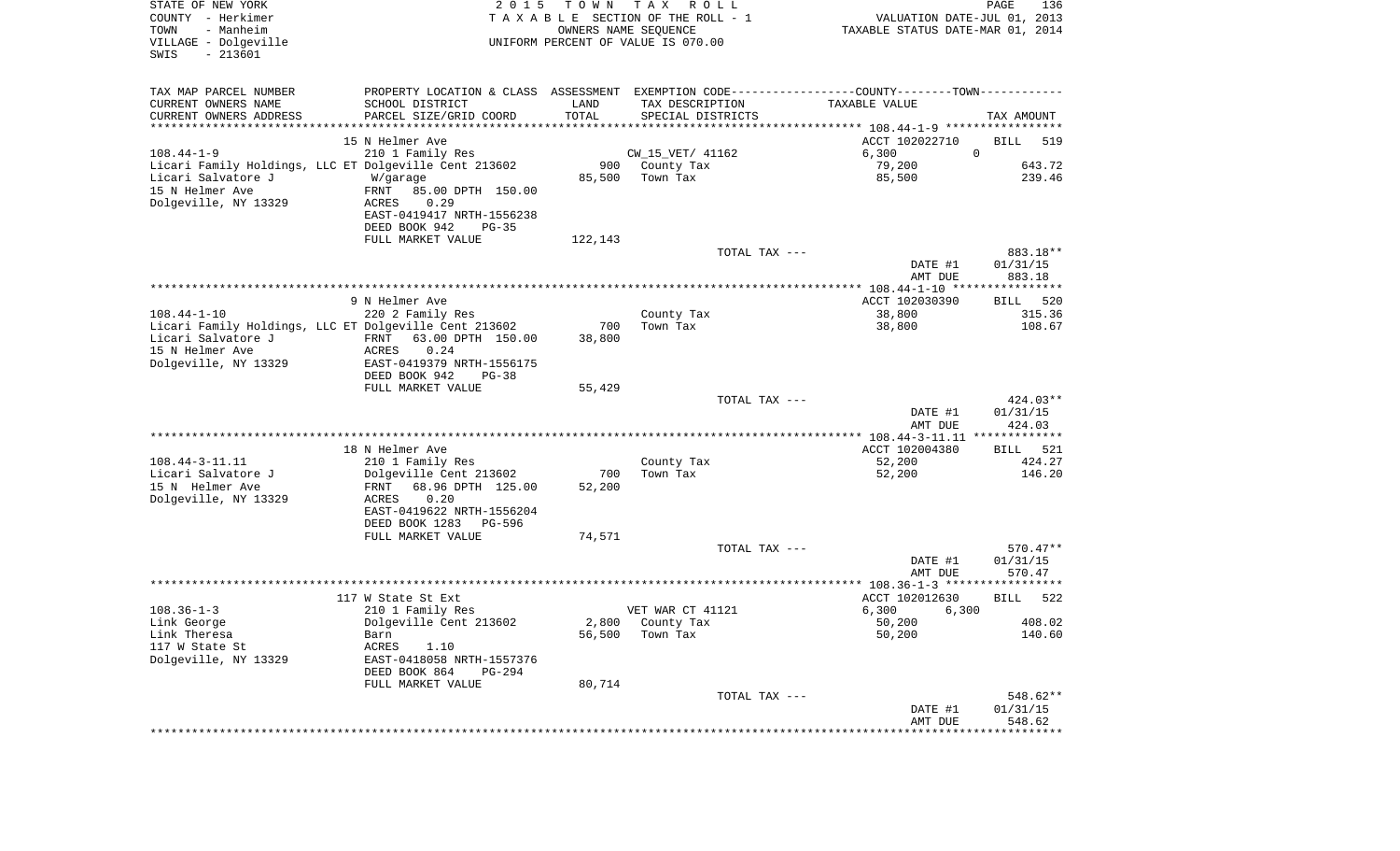| STATE OF NEW YORK<br>COUNTY - Herkimer<br>- Manheim<br>TOWN<br>VILLAGE - Dolgeville<br>$-213601$<br>SWIS | 2 0 1 5                                               | T O W N | T A X<br>R O L L<br>T A X A B L E SECTION OF THE ROLL - 1<br>OWNERS NAME SEQUENCE<br>UNIFORM PERCENT OF VALUE IS 070.00 | VALUATION DATE-JUL 01, 2013<br>TAXABLE STATUS DATE-MAR 01, 2014 | PAGE<br>136        |
|----------------------------------------------------------------------------------------------------------|-------------------------------------------------------|---------|-------------------------------------------------------------------------------------------------------------------------|-----------------------------------------------------------------|--------------------|
| TAX MAP PARCEL NUMBER                                                                                    |                                                       |         | PROPERTY LOCATION & CLASS ASSESSMENT EXEMPTION CODE---------------COUNTY-------TOWN----------                           |                                                                 |                    |
| CURRENT OWNERS NAME                                                                                      | SCHOOL DISTRICT                                       | LAND    | TAX DESCRIPTION                                                                                                         | TAXABLE VALUE                                                   |                    |
| CURRENT OWNERS ADDRESS<br>*********************                                                          | PARCEL SIZE/GRID COORD                                | TOTAL   | SPECIAL DISTRICTS                                                                                                       |                                                                 | TAX AMOUNT         |
|                                                                                                          | 15 N Helmer Ave                                       |         |                                                                                                                         | ACCT 102022710                                                  | <b>BILL</b><br>519 |
| $108.44 - 1 - 9$                                                                                         | 210 1 Family Res                                      |         | CW_15_VET/ 41162                                                                                                        | 6,300                                                           | $\mathbf 0$        |
|                                                                                                          | Licari Family Holdings, LLC ET Dolgeville Cent 213602 | 900     | County Tax                                                                                                              | 79,200                                                          | 643.72             |
| Licari Salvatore J                                                                                       | W/garage                                              | 85,500  | Town Tax                                                                                                                | 85,500                                                          | 239.46             |
| 15 N Helmer Ave<br>Dolgeville, NY 13329                                                                  | FRNT<br>85.00 DPTH 150.00<br>0.29<br>ACRES            |         |                                                                                                                         |                                                                 |                    |
|                                                                                                          | EAST-0419417 NRTH-1556238<br>DEED BOOK 942<br>$PG-35$ |         |                                                                                                                         |                                                                 |                    |
|                                                                                                          | FULL MARKET VALUE                                     | 122,143 |                                                                                                                         |                                                                 |                    |
|                                                                                                          |                                                       |         | TOTAL TAX ---                                                                                                           |                                                                 | 883.18**           |
|                                                                                                          |                                                       |         |                                                                                                                         | DATE #1                                                         | 01/31/15           |
|                                                                                                          |                                                       |         |                                                                                                                         | AMT DUE                                                         | 883.18             |
|                                                                                                          | 9 N Helmer Ave                                        |         |                                                                                                                         | ACCT 102030390                                                  | 520<br>BILL        |
| $108.44 - 1 - 10$                                                                                        | 220 2 Family Res                                      |         | County Tax                                                                                                              | 38,800                                                          | 315.36             |
|                                                                                                          | Licari Family Holdings, LLC ET Dolgeville Cent 213602 | 700     | Town Tax                                                                                                                | 38,800                                                          | 108.67             |
| Licari Salvatore J                                                                                       | 63.00 DPTH 150.00<br>FRNT                             | 38,800  |                                                                                                                         |                                                                 |                    |
| 15 N Helmer Ave                                                                                          | 0.24<br><b>ACRES</b>                                  |         |                                                                                                                         |                                                                 |                    |
| Dolgeville, NY 13329                                                                                     | EAST-0419379 NRTH-1556175                             |         |                                                                                                                         |                                                                 |                    |
|                                                                                                          | DEED BOOK 942<br>$PG-38$                              |         |                                                                                                                         |                                                                 |                    |
|                                                                                                          | FULL MARKET VALUE                                     | 55,429  | TOTAL TAX ---                                                                                                           |                                                                 | $424.03**$         |
|                                                                                                          |                                                       |         |                                                                                                                         | DATE #1                                                         | 01/31/15           |
|                                                                                                          |                                                       |         |                                                                                                                         | AMT DUE                                                         | 424.03             |
|                                                                                                          |                                                       |         |                                                                                                                         | *********** 108.44-3-11.11 *************                        |                    |
|                                                                                                          | 18 N Helmer Ave                                       |         |                                                                                                                         | ACCT 102004380                                                  | BILL<br>521        |
| $108.44 - 3 - 11.11$                                                                                     | 210 1 Family Res                                      |         | County Tax                                                                                                              | 52,200                                                          | 424.27             |
| Licari Salvatore J                                                                                       | Dolgeville Cent 213602                                | 700     | Town Tax                                                                                                                | 52,200                                                          | 146.20             |
| 15 N Helmer Ave                                                                                          | 68.96 DPTH 125.00<br>FRNT<br>0.20                     | 52,200  |                                                                                                                         |                                                                 |                    |
| Dolgeville, NY 13329                                                                                     | ACRES<br>EAST-0419622 NRTH-1556204                    |         |                                                                                                                         |                                                                 |                    |
|                                                                                                          | DEED BOOK 1283<br>PG-596                              |         |                                                                                                                         |                                                                 |                    |
|                                                                                                          | FULL MARKET VALUE                                     | 74,571  |                                                                                                                         |                                                                 |                    |
|                                                                                                          |                                                       |         | TOTAL TAX ---                                                                                                           |                                                                 | 570.47**           |
|                                                                                                          |                                                       |         |                                                                                                                         | DATE #1                                                         | 01/31/15           |
|                                                                                                          |                                                       |         |                                                                                                                         | AMT DUE                                                         | 570.47             |
|                                                                                                          |                                                       |         |                                                                                                                         |                                                                 |                    |
| $108.36 - 1 - 3$                                                                                         | 117 W State St Ext<br>210 1 Family Res                |         | VET WAR CT 41121                                                                                                        | ACCT 102012630<br>6,300<br>6,300                                | <b>BILL</b><br>522 |
| Link George                                                                                              | Dolgeville Cent 213602                                |         | 2,800 County Tax                                                                                                        | 50,200                                                          | 408.02             |
| Link Theresa                                                                                             | Barn                                                  | 56,500  | Town Tax                                                                                                                | 50,200                                                          | 140.60             |
| 117 W State St                                                                                           | ACRES<br>1.10                                         |         |                                                                                                                         |                                                                 |                    |
| Dolgeville, NY 13329                                                                                     | EAST-0418058 NRTH-1557376<br>DEED BOOK 864<br>PG-294  |         |                                                                                                                         |                                                                 |                    |
|                                                                                                          | FULL MARKET VALUE                                     | 80,714  |                                                                                                                         |                                                                 |                    |
|                                                                                                          |                                                       |         | TOTAL TAX ---                                                                                                           |                                                                 | 548.62**           |
|                                                                                                          |                                                       |         |                                                                                                                         | DATE #1                                                         | 01/31/15           |
|                                                                                                          |                                                       |         |                                                                                                                         | AMT DUE                                                         | 548.62             |
|                                                                                                          |                                                       |         |                                                                                                                         |                                                                 |                    |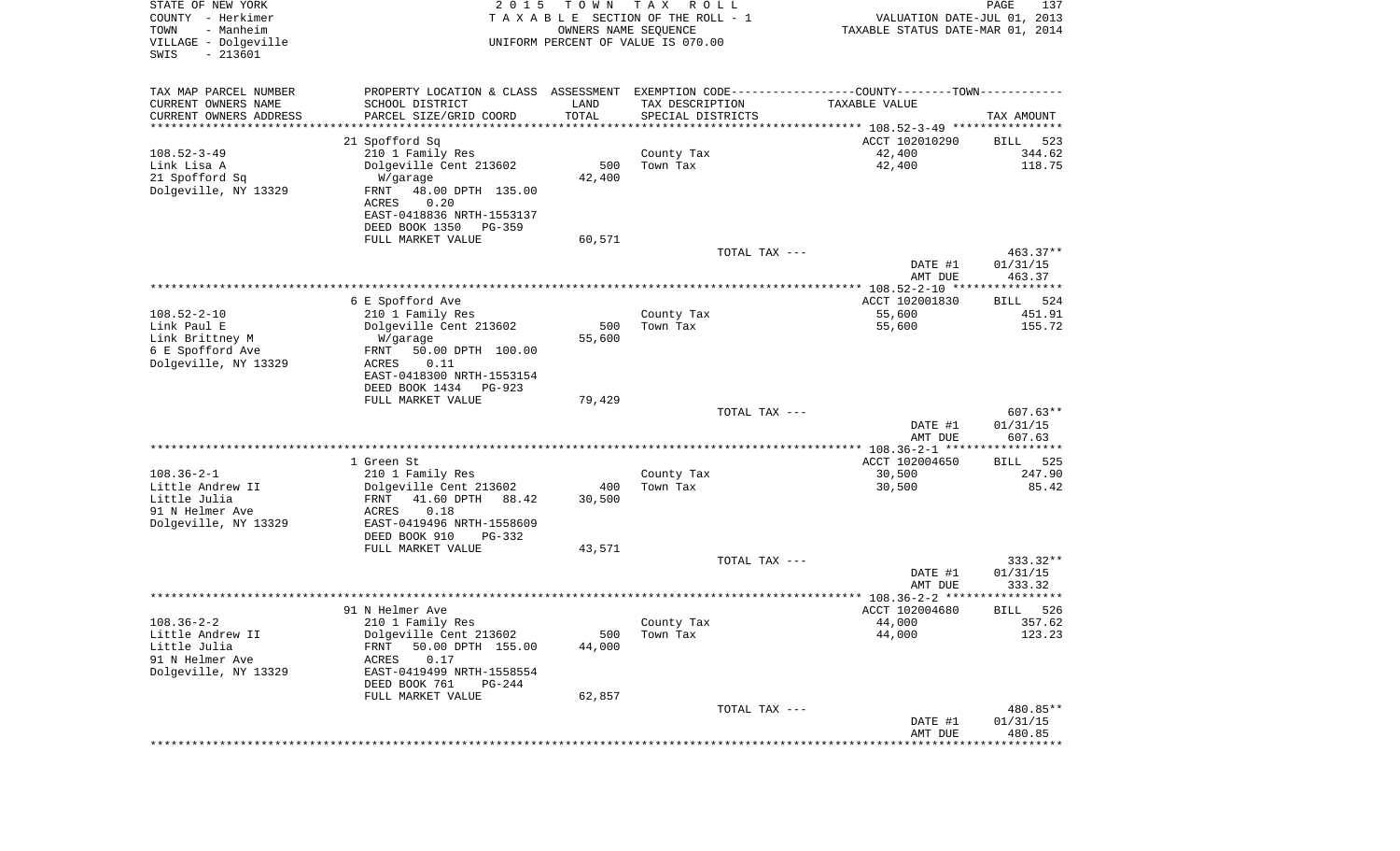| STATE OF NEW YORK<br>COUNTY - Herkimer<br>- Manheim<br>TOWN<br>VILLAGE - Dolgeville<br>SWIS<br>$-213601$ | 2 0 1 5                                              | T O W N<br>OWNERS NAME SEQUENCE | T A X<br>R O L L<br>TAXABLE SECTION OF THE ROLL - 1<br>UNIFORM PERCENT OF VALUE IS 070.00 | VALUATION DATE-JUL 01, 2013<br>TAXABLE STATUS DATE-MAR 01, 2014                                | PAGE<br>137             |
|----------------------------------------------------------------------------------------------------------|------------------------------------------------------|---------------------------------|-------------------------------------------------------------------------------------------|------------------------------------------------------------------------------------------------|-------------------------|
| TAX MAP PARCEL NUMBER                                                                                    |                                                      |                                 |                                                                                           | PROPERTY LOCATION & CLASS ASSESSMENT EXEMPTION CODE----------------COUNTY-------TOWN---------- |                         |
| CURRENT OWNERS NAME                                                                                      | SCHOOL DISTRICT                                      | LAND                            | TAX DESCRIPTION                                                                           | TAXABLE VALUE                                                                                  |                         |
| CURRENT OWNERS ADDRESS<br>********************                                                           | PARCEL SIZE/GRID COORD                               | TOTAL<br>* * * * * * * * * * *  | SPECIAL DISTRICTS                                                                         | *********************************** 108.52-3-49 ****************                               | TAX AMOUNT              |
|                                                                                                          | 21 Spofford Sq                                       |                                 |                                                                                           | ACCT 102010290                                                                                 | 523<br>BILL             |
| $108.52 - 3 - 49$                                                                                        | 210 1 Family Res                                     |                                 | County Tax                                                                                | 42,400                                                                                         | 344.62                  |
| Link Lisa A                                                                                              | Dolgeville Cent 213602                               | 500                             | Town Tax                                                                                  | 42,400                                                                                         | 118.75                  |
| 21 Spofford Sq                                                                                           | W/garage                                             | 42,400                          |                                                                                           |                                                                                                |                         |
| Dolgeville, NY 13329                                                                                     | 48.00 DPTH 135.00<br>FRNT                            |                                 |                                                                                           |                                                                                                |                         |
|                                                                                                          | 0.20<br>ACRES<br>EAST-0418836 NRTH-1553137           |                                 |                                                                                           |                                                                                                |                         |
|                                                                                                          | DEED BOOK 1350<br>PG-359                             |                                 |                                                                                           |                                                                                                |                         |
|                                                                                                          | FULL MARKET VALUE                                    | 60,571                          |                                                                                           |                                                                                                |                         |
|                                                                                                          |                                                      |                                 | TOTAL TAX ---                                                                             |                                                                                                | 463.37**                |
|                                                                                                          |                                                      |                                 |                                                                                           | DATE #1<br>AMT DUE                                                                             | 01/31/15<br>463.37      |
|                                                                                                          |                                                      |                                 |                                                                                           |                                                                                                |                         |
|                                                                                                          | 6 E Spofford Ave                                     |                                 |                                                                                           | ACCT 102001830                                                                                 | 524<br>BILL             |
| $108.52 - 2 - 10$                                                                                        | 210 1 Family Res                                     |                                 | County Tax                                                                                | 55,600                                                                                         | 451.91                  |
| Link Paul E                                                                                              | Dolgeville Cent 213602                               | 500                             | Town Tax                                                                                  | 55,600                                                                                         | 155.72                  |
| Link Brittney M<br>6 E Spofford Ave                                                                      | W/garage<br>50.00 DPTH 100.00<br>FRNT                | 55,600                          |                                                                                           |                                                                                                |                         |
| Dolgeville, NY 13329                                                                                     | ACRES<br>0.11                                        |                                 |                                                                                           |                                                                                                |                         |
|                                                                                                          | EAST-0418300 NRTH-1553154                            |                                 |                                                                                           |                                                                                                |                         |
|                                                                                                          | DEED BOOK 1434<br>PG-923                             |                                 |                                                                                           |                                                                                                |                         |
|                                                                                                          | FULL MARKET VALUE                                    | 79,429                          | TOTAL TAX ---                                                                             |                                                                                                | $607.63**$              |
|                                                                                                          |                                                      |                                 |                                                                                           | DATE #1                                                                                        | 01/31/15                |
|                                                                                                          |                                                      |                                 |                                                                                           | AMT DUE                                                                                        | 607.63                  |
|                                                                                                          |                                                      |                                 |                                                                                           |                                                                                                |                         |
| $108.36 - 2 - 1$                                                                                         | 1 Green St<br>210 1 Family Res                       |                                 | County Tax                                                                                | ACCT 102004650<br>30,500                                                                       | 525<br>BILL<br>247.90   |
| Little Andrew II                                                                                         | Dolgeville Cent 213602                               | 400                             | Town Tax                                                                                  | 30,500                                                                                         | 85.42                   |
| Little Julia                                                                                             | FRNT<br>41.60 DPTH<br>88.42                          | 30,500                          |                                                                                           |                                                                                                |                         |
| 91 N Helmer Ave                                                                                          | ACRES<br>0.18                                        |                                 |                                                                                           |                                                                                                |                         |
| Dolgeville, NY 13329                                                                                     | EAST-0419496 NRTH-1558609<br>DEED BOOK 910<br>PG-332 |                                 |                                                                                           |                                                                                                |                         |
|                                                                                                          | FULL MARKET VALUE                                    | 43,571                          |                                                                                           |                                                                                                |                         |
|                                                                                                          |                                                      |                                 | TOTAL TAX ---                                                                             |                                                                                                | $333.32**$              |
|                                                                                                          |                                                      |                                 |                                                                                           | DATE #1                                                                                        | 01/31/15                |
|                                                                                                          |                                                      |                                 |                                                                                           | AMT DUE                                                                                        | 333.32<br>* * * * * * * |
|                                                                                                          | 91 N Helmer Ave                                      |                                 |                                                                                           | ACCT 102004680                                                                                 | 526<br>BILL             |
| $108.36 - 2 - 2$                                                                                         | 210 1 Family Res                                     |                                 | County Tax                                                                                | 44,000                                                                                         | 357.62                  |
| Little Andrew II                                                                                         | Dolgeville Cent 213602                               | 500                             | Town Tax                                                                                  | 44,000                                                                                         | 123.23                  |
| Little Julia                                                                                             | 50.00 DPTH 155.00<br>FRNT                            | 44,000                          |                                                                                           |                                                                                                |                         |
| 91 N Helmer Ave<br>Dolgeville, NY 13329                                                                  | 0.17<br>ACRES<br>EAST-0419499 NRTH-1558554           |                                 |                                                                                           |                                                                                                |                         |
|                                                                                                          | DEED BOOK 761<br>PG-244                              |                                 |                                                                                           |                                                                                                |                         |
|                                                                                                          | FULL MARKET VALUE                                    | 62,857                          |                                                                                           |                                                                                                |                         |
|                                                                                                          |                                                      |                                 | TOTAL TAX ---                                                                             |                                                                                                | 480.85**                |
|                                                                                                          |                                                      |                                 |                                                                                           | DATE #1<br>AMT DUE                                                                             | 01/31/15<br>480.85      |
|                                                                                                          |                                                      |                                 |                                                                                           | ****************************                                                                   |                         |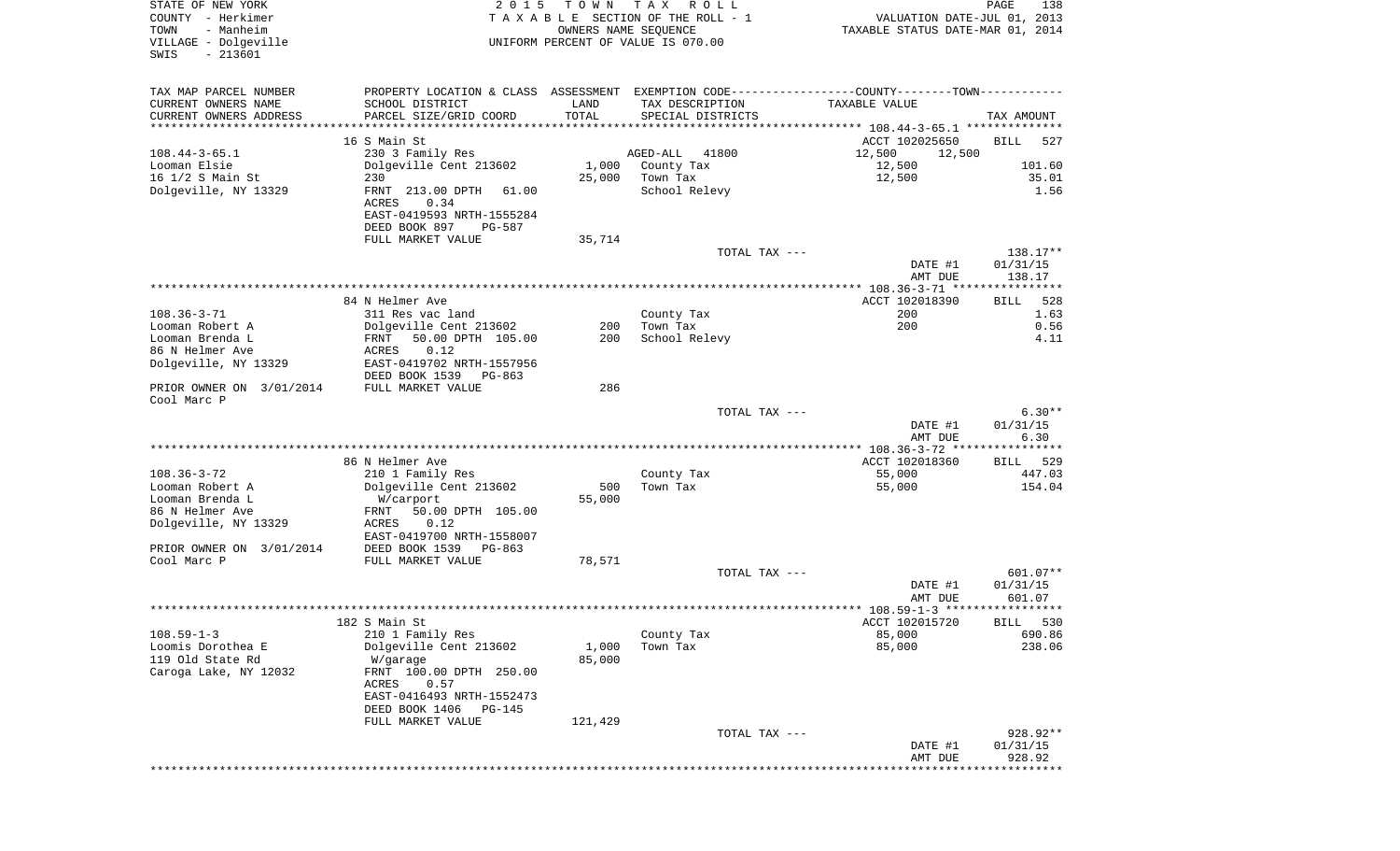| STATE OF NEW YORK<br>COUNTY - Herkimer<br>TOWN<br>- Manheim | 2 0 1 5                                                 | T O W N | T A X<br>R O L L<br>TAXABLE SECTION OF THE ROLL - 1<br>OWNERS NAME SEQUENCE                   | VALUATION DATE-JUL 01, 2013<br>TAXABLE STATUS DATE-MAR 01, 2014 | PAGE<br>138                    |
|-------------------------------------------------------------|---------------------------------------------------------|---------|-----------------------------------------------------------------------------------------------|-----------------------------------------------------------------|--------------------------------|
| VILLAGE - Dolgeville<br>$-213601$<br>SWIS                   |                                                         |         | UNIFORM PERCENT OF VALUE IS 070.00                                                            |                                                                 |                                |
| TAX MAP PARCEL NUMBER                                       |                                                         |         | PROPERTY LOCATION & CLASS ASSESSMENT EXEMPTION CODE---------------COUNTY-------TOWN---------- |                                                                 |                                |
| CURRENT OWNERS NAME                                         | SCHOOL DISTRICT                                         | LAND    | TAX DESCRIPTION                                                                               | TAXABLE VALUE                                                   |                                |
| CURRENT OWNERS ADDRESS                                      | PARCEL SIZE/GRID COORD                                  | TOTAL   | SPECIAL DISTRICTS                                                                             |                                                                 | TAX AMOUNT                     |
| *********************                                       |                                                         |         |                                                                                               |                                                                 |                                |
|                                                             | 16 S Main St                                            |         |                                                                                               | ACCT 102025650                                                  | BILL<br>527                    |
| $108.44 - 3 - 65.1$<br>Looman Elsie                         | 230 3 Family Res<br>Dolgeville Cent 213602              | 1,000   | AGED-ALL<br>41800<br>County Tax                                                               | 12,500<br>12,500<br>12,500                                      | 101.60                         |
| 16 1/2 S Main St                                            | 230                                                     | 25,000  | Town Tax                                                                                      | 12,500                                                          | 35.01                          |
| Dolgeville, NY 13329                                        | FRNT 213.00 DPTH<br>61.00<br>ACRES<br>0.34              |         | School Relevy                                                                                 |                                                                 | 1.56                           |
|                                                             | EAST-0419593 NRTH-1555284<br>DEED BOOK 897<br>PG-587    |         |                                                                                               |                                                                 |                                |
|                                                             | FULL MARKET VALUE                                       | 35,714  |                                                                                               |                                                                 |                                |
|                                                             |                                                         |         | TOTAL TAX ---                                                                                 | DATE #1<br>AMT DUE                                              | 138.17**<br>01/31/15<br>138.17 |
|                                                             |                                                         |         |                                                                                               |                                                                 |                                |
|                                                             | 84 N Helmer Ave                                         |         |                                                                                               | ACCT 102018390                                                  | 528<br>BILL                    |
| $108.36 - 3 - 71$                                           | 311 Res vac land                                        |         | County Tax                                                                                    | 200                                                             | 1.63                           |
| Looman Robert A                                             | Dolgeville Cent 213602                                  | 200     | Town Tax                                                                                      | 200                                                             | 0.56                           |
| Looman Brenda L<br>86 N Helmer Ave                          | FRNT<br>50.00 DPTH 105.00                               | 200     | School Relevy                                                                                 |                                                                 | 4.11                           |
| Dolgeville, NY 13329                                        | 0.12<br>ACRES<br>EAST-0419702 NRTH-1557956              |         |                                                                                               |                                                                 |                                |
|                                                             | DEED BOOK 1539<br>PG-863                                |         |                                                                                               |                                                                 |                                |
| PRIOR OWNER ON 3/01/2014<br>Cool Marc P                     | FULL MARKET VALUE                                       | 286     |                                                                                               |                                                                 |                                |
|                                                             |                                                         |         | TOTAL TAX ---                                                                                 | DATE #1                                                         | $6.30**$<br>01/31/15           |
|                                                             |                                                         |         |                                                                                               | AMT DUE                                                         | 6.30                           |
|                                                             | 86 N Helmer Ave                                         |         |                                                                                               | ACCT 102018360                                                  | 529<br>BILL                    |
| $108.36 - 3 - 72$                                           | 210 1 Family Res                                        |         | County Tax                                                                                    | 55,000                                                          | 447.03                         |
| Looman Robert A                                             | Dolgeville Cent 213602                                  | 500     | Town Tax                                                                                      | 55,000                                                          | 154.04                         |
| Looman Brenda L                                             | W/carport                                               | 55,000  |                                                                                               |                                                                 |                                |
| 86 N Helmer Ave                                             | FRNT<br>50.00 DPTH 105.00                               |         |                                                                                               |                                                                 |                                |
| Dolgeville, NY 13329                                        | ACRES<br>0.12                                           |         |                                                                                               |                                                                 |                                |
| PRIOR OWNER ON 3/01/2014                                    | EAST-0419700 NRTH-1558007<br>DEED BOOK 1539<br>$PG-863$ |         |                                                                                               |                                                                 |                                |
| Cool Marc P                                                 | FULL MARKET VALUE                                       | 78,571  |                                                                                               |                                                                 |                                |
|                                                             |                                                         |         | TOTAL TAX ---                                                                                 |                                                                 | 601.07**                       |
|                                                             |                                                         |         |                                                                                               | DATE #1                                                         | 01/31/15                       |
|                                                             |                                                         |         |                                                                                               | AMT DUE                                                         | 601.07                         |
|                                                             | 182 S Main St                                           |         |                                                                                               | ACCT 102015720                                                  | BTLL<br>530                    |
| $108.59 - 1 - 3$                                            | 210 1 Family Res                                        |         | County Tax                                                                                    | 85,000                                                          | 690.86                         |
| Loomis Dorothea E                                           | Dolgeville Cent 213602                                  | 1,000   | Town Tax                                                                                      | 85,000                                                          | 238.06                         |
| 119 Old State Rd                                            | W/garage                                                | 85,000  |                                                                                               |                                                                 |                                |
| Caroga Lake, NY 12032                                       | FRNT 100.00 DPTH 250.00<br>ACRES<br>0.57                |         |                                                                                               |                                                                 |                                |
|                                                             | EAST-0416493 NRTH-1552473                               |         |                                                                                               |                                                                 |                                |
|                                                             | DEED BOOK 1406<br><b>PG-145</b><br>FULL MARKET VALUE    |         |                                                                                               |                                                                 |                                |
|                                                             |                                                         | 121,429 | TOTAL TAX ---                                                                                 |                                                                 | 928.92**                       |
|                                                             |                                                         |         |                                                                                               | DATE #1                                                         | 01/31/15                       |
|                                                             |                                                         |         |                                                                                               | AMT DUE                                                         | 928.92                         |
|                                                             |                                                         |         |                                                                                               |                                                                 | **************                 |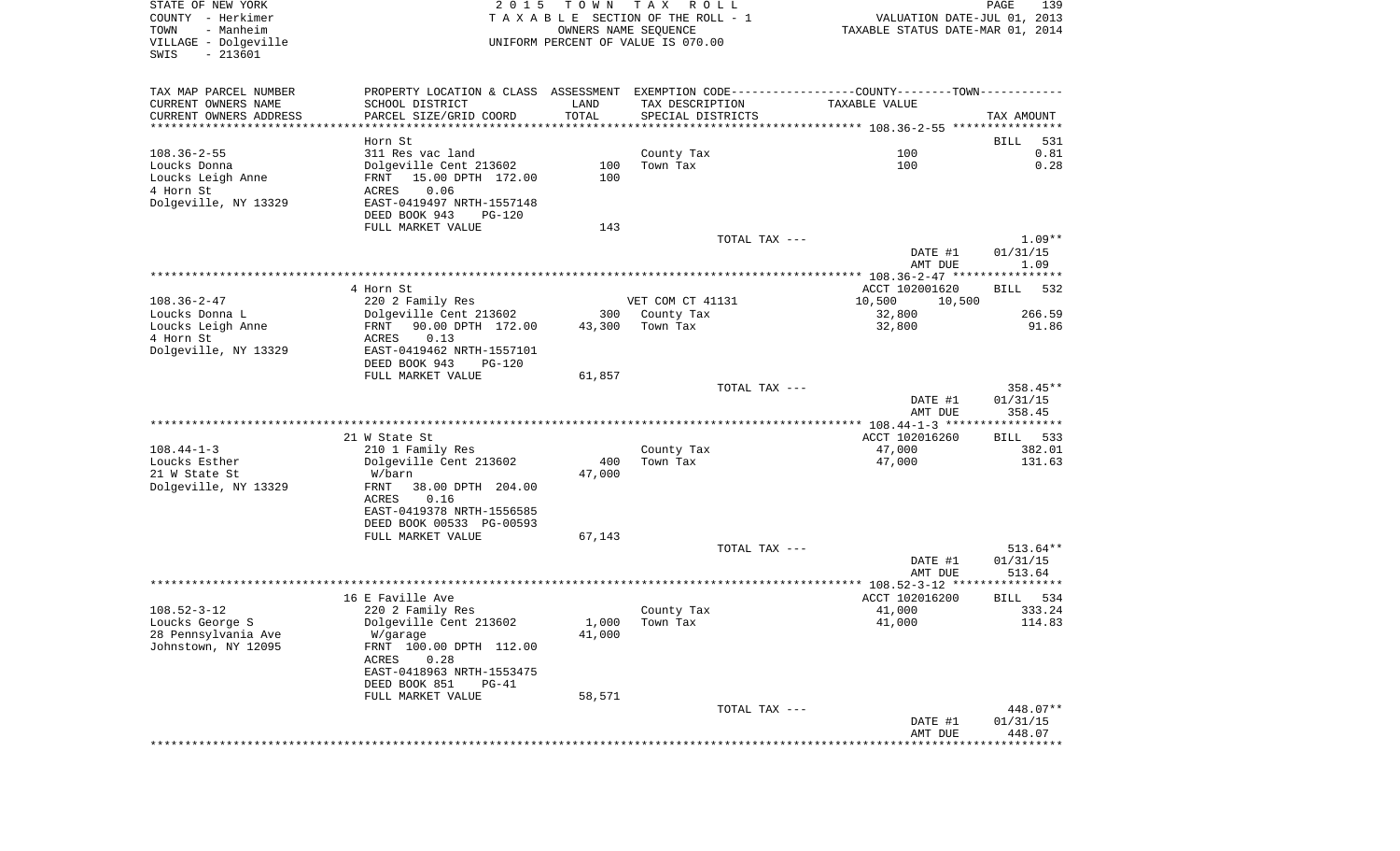| VILLAGE - Dolgeville<br>$-213601$<br>SWIS     |                                                                                               | OWNERS NAME SEQUENCE | TAXABLE SECTION OF THE ROLL - 1<br>UNIFORM PERCENT OF VALUE IS 070.00 | VALUATION DATE-JUL 01, 2013<br>TAXABLE STATUS DATE-MAR 01, 2014 |                                |
|-----------------------------------------------|-----------------------------------------------------------------------------------------------|----------------------|-----------------------------------------------------------------------|-----------------------------------------------------------------|--------------------------------|
| TAX MAP PARCEL NUMBER                         | PROPERTY LOCATION & CLASS ASSESSMENT EXEMPTION CODE---------------COUNTY-------TOWN---------- |                      |                                                                       |                                                                 |                                |
| CURRENT OWNERS NAME<br>CURRENT OWNERS ADDRESS | SCHOOL DISTRICT<br>PARCEL SIZE/GRID COORD                                                     | LAND<br>TOTAL        | TAX DESCRIPTION<br>SPECIAL DISTRICTS                                  | TAXABLE VALUE                                                   | TAX AMOUNT                     |
| *****************************                 | Horn St.                                                                                      |                      |                                                                       |                                                                 | 531<br>BILL                    |
| $108.36 - 2 - 55$                             | 311 Res vac land                                                                              |                      | County Tax                                                            | 100                                                             | 0.81                           |
| Loucks Donna                                  | Dolgeville Cent 213602                                                                        | 100                  | Town Tax                                                              | 100                                                             | 0.28                           |
| Loucks Leigh Anne                             | FRNT 15.00 DPTH 172.00                                                                        | 100                  |                                                                       |                                                                 |                                |
| 4 Horn St                                     | ACRES<br>0.06                                                                                 |                      |                                                                       |                                                                 |                                |
| Dolgeville, NY 13329                          | EAST-0419497 NRTH-1557148                                                                     |                      |                                                                       |                                                                 |                                |
|                                               | DEED BOOK 943<br><b>PG-120</b>                                                                |                      |                                                                       |                                                                 |                                |
|                                               | FULL MARKET VALUE                                                                             | 143                  | TOTAL TAX ---                                                         |                                                                 | $1.09**$                       |
|                                               |                                                                                               |                      |                                                                       | DATE #1<br>AMT DUE                                              | 01/31/15<br>1.09               |
|                                               |                                                                                               |                      |                                                                       |                                                                 |                                |
|                                               | 4 Horn St                                                                                     |                      |                                                                       | ACCT 102001620                                                  | BILL 532                       |
| $108.36 - 2 - 47$                             | 220 2 Family Res                                                                              |                      | VET COM CT 41131                                                      | 10,500<br>10,500                                                |                                |
| Loucks Donna L                                | Dolgeville Cent 213602                                                                        | 300                  | County Tax                                                            | 32,800                                                          | 266.59                         |
| Loucks Leigh Anne                             | 90.00 DPTH 172.00<br>FRNT                                                                     | 43,300               | Town Tax                                                              | 32,800                                                          | 91.86                          |
| 4 Horn St<br>Dolgeville, NY 13329             | 0.13<br>ACRES<br>EAST-0419462 NRTH-1557101                                                    |                      |                                                                       |                                                                 |                                |
|                                               | DEED BOOK 943<br><b>PG-120</b>                                                                |                      |                                                                       |                                                                 |                                |
|                                               | FULL MARKET VALUE                                                                             | 61,857               |                                                                       |                                                                 |                                |
|                                               |                                                                                               |                      | TOTAL TAX ---                                                         |                                                                 | 358.45**                       |
|                                               |                                                                                               |                      |                                                                       | DATE #1<br>AMT DUE                                              | 01/31/15<br>358.45             |
|                                               |                                                                                               |                      |                                                                       |                                                                 |                                |
|                                               |                                                                                               |                      |                                                                       |                                                                 |                                |
|                                               | 21 W State St                                                                                 |                      |                                                                       | ACCT 102016260                                                  |                                |
| $108.44 - 1 - 3$                              | 210 1 Family Res                                                                              |                      | County Tax                                                            | 47,000                                                          |                                |
| Loucks Esther<br>21 W State St                | Dolgeville Cent 213602<br>W/barn                                                              | 400<br>47,000        | Town Tax                                                              | 47,000                                                          |                                |
| Dolgeville, NY 13329                          | FRNT<br>38.00 DPTH 204.00                                                                     |                      |                                                                       |                                                                 |                                |
|                                               | 0.16<br>ACRES                                                                                 |                      |                                                                       |                                                                 |                                |
|                                               | EAST-0419378 NRTH-1556585                                                                     |                      |                                                                       |                                                                 |                                |
|                                               | DEED BOOK 00533 PG-00593                                                                      |                      |                                                                       |                                                                 | BILL 533<br>382.01<br>131.63   |
|                                               | FULL MARKET VALUE                                                                             | 67,143               |                                                                       |                                                                 |                                |
|                                               |                                                                                               |                      | TOTAL TAX ---                                                         |                                                                 |                                |
|                                               |                                                                                               |                      |                                                                       | DATE #1<br>AMT DUE                                              | 513.64**<br>01/31/15<br>513.64 |
|                                               |                                                                                               |                      |                                                                       |                                                                 |                                |
|                                               | 16 E Faville Ave                                                                              |                      |                                                                       | ACCT 102016200                                                  | BILL                           |
| $108.52 - 3 - 12$                             | 220 2 Family Res                                                                              |                      | County Tax                                                            | 41,000                                                          |                                |
| Loucks George S                               | Dolgeville Cent 213602                                                                        | 1,000                | Town Tax                                                              | 41,000                                                          |                                |
| 28 Pennsylvania Ave                           | W/garage                                                                                      | 41,000               |                                                                       |                                                                 |                                |
|                                               | FRNT 100.00 DPTH 112.00<br>0.28                                                               |                      |                                                                       |                                                                 | 534<br>333.24<br>114.83        |
| Johnstown, NY 12095                           | ACRES<br>EAST-0418963 NRTH-1553475                                                            |                      |                                                                       |                                                                 |                                |
|                                               | DEED BOOK 851<br>$PG-41$                                                                      |                      |                                                                       |                                                                 |                                |
|                                               | FULL MARKET VALUE                                                                             | 58,571               |                                                                       |                                                                 |                                |
|                                               |                                                                                               |                      | TOTAL TAX ---                                                         | DATE #1                                                         | 448.07**<br>01/31/15           |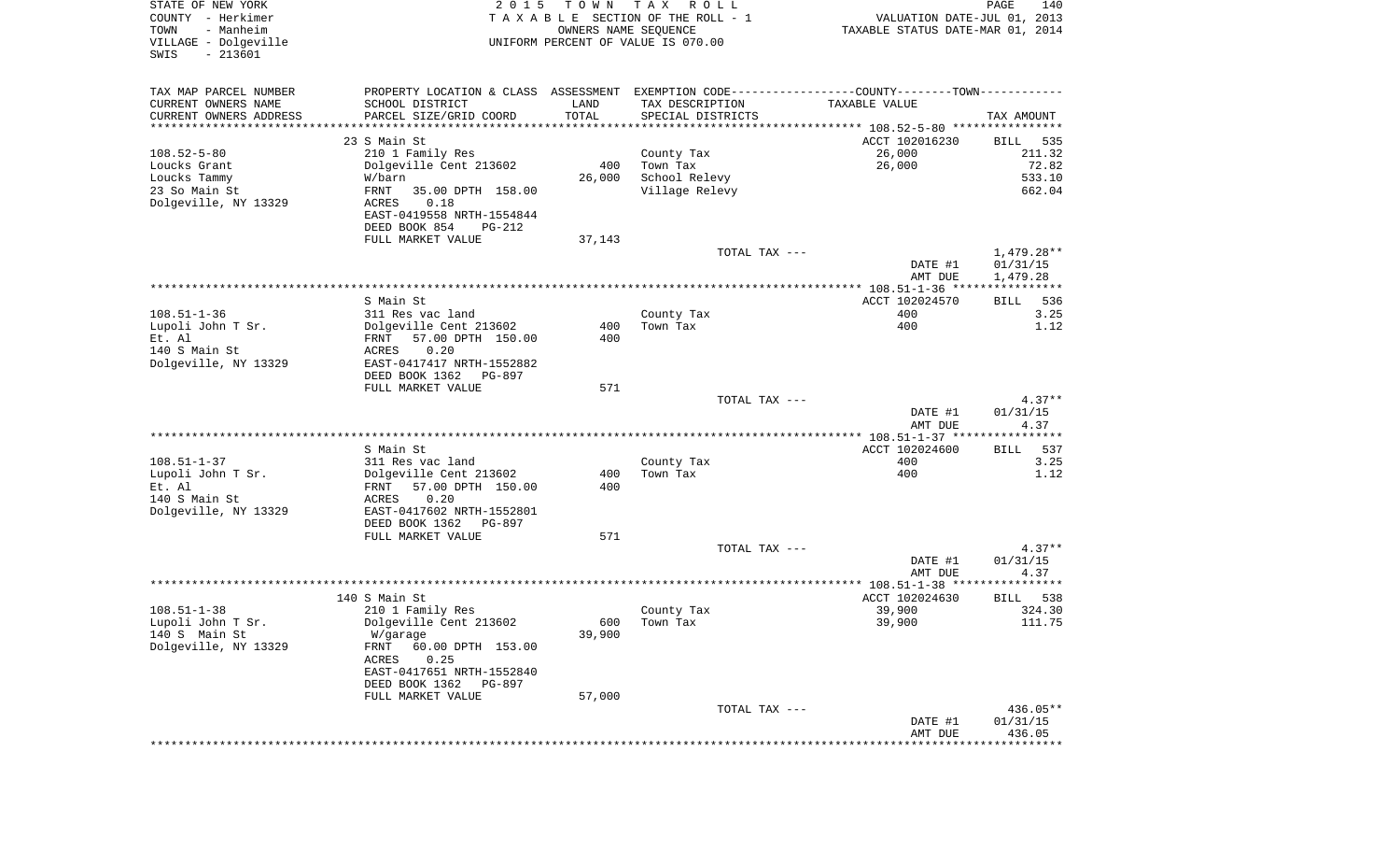| STATE OF NEW YORK<br>COUNTY - Herkimer<br>- Manheim<br>TOWN<br>VILLAGE - Dolgeville<br>$-213601$<br>SWIS | 2 0 1 5                                                                                       | T O W N<br>OWNERS NAME SEQUENCE | TAX ROLL<br>TAXABLE SECTION OF THE ROLL - 1<br>UNIFORM PERCENT OF VALUE IS 070.00 | VALUATION DATE-JUL 01, 2013<br>TAXABLE STATUS DATE-MAR 01, 2014 | PAGE<br>140            |
|----------------------------------------------------------------------------------------------------------|-----------------------------------------------------------------------------------------------|---------------------------------|-----------------------------------------------------------------------------------|-----------------------------------------------------------------|------------------------|
| TAX MAP PARCEL NUMBER                                                                                    | PROPERTY LOCATION & CLASS ASSESSMENT EXEMPTION CODE---------------COUNTY-------TOWN---------- |                                 |                                                                                   |                                                                 |                        |
| CURRENT OWNERS NAME                                                                                      | SCHOOL DISTRICT                                                                               | LAND                            | TAX DESCRIPTION                                                                   | TAXABLE VALUE                                                   |                        |
| CURRENT OWNERS ADDRESS<br>*********************                                                          | PARCEL SIZE/GRID COORD                                                                        | TOTAL                           | SPECIAL DISTRICTS                                                                 |                                                                 | TAX AMOUNT             |
|                                                                                                          | 23 S Main St                                                                                  |                                 |                                                                                   | ACCT 102016230                                                  | BILL<br>535            |
| $108.52 - 5 - 80$                                                                                        | 210 1 Family Res                                                                              |                                 | County Tax                                                                        | 26,000                                                          | 211.32                 |
| Loucks Grant                                                                                             | Dolgeville Cent 213602                                                                        | 400                             | Town Tax                                                                          | 26,000                                                          | 72.82                  |
| Loucks Tammy                                                                                             | W/barn                                                                                        | 26,000                          | School Relevy                                                                     |                                                                 | 533.10                 |
| 23 So Main St<br>Dolgeville, NY 13329                                                                    | FRNT<br>35.00 DPTH 158.00<br>ACRES<br>0.18                                                    |                                 | Village Relevy                                                                    |                                                                 | 662.04                 |
|                                                                                                          | EAST-0419558 NRTH-1554844                                                                     |                                 |                                                                                   |                                                                 |                        |
|                                                                                                          | DEED BOOK 854<br>PG-212                                                                       |                                 |                                                                                   |                                                                 |                        |
|                                                                                                          | FULL MARKET VALUE                                                                             | 37,143                          |                                                                                   |                                                                 |                        |
|                                                                                                          |                                                                                               |                                 | TOTAL TAX ---                                                                     | DATE #1                                                         | 1,479.28**<br>01/31/15 |
|                                                                                                          |                                                                                               |                                 |                                                                                   | AMT DUE                                                         | 1,479.28               |
|                                                                                                          |                                                                                               |                                 |                                                                                   |                                                                 |                        |
|                                                                                                          | S Main St                                                                                     |                                 |                                                                                   | ACCT 102024570                                                  | 536<br>BILL            |
| $108.51 - 1 - 36$<br>Lupoli John T Sr.                                                                   | 311 Res vac land<br>Dolgeville Cent 213602                                                    | 400                             | County Tax<br>Town Tax                                                            | 400<br>400                                                      | 3.25<br>1.12           |
| Et. Al                                                                                                   | FRNT<br>57.00 DPTH 150.00                                                                     | 400                             |                                                                                   |                                                                 |                        |
| 140 S Main St                                                                                            | 0.20<br>ACRES                                                                                 |                                 |                                                                                   |                                                                 |                        |
| Dolgeville, NY 13329                                                                                     | EAST-0417417 NRTH-1552882<br>DEED BOOK 1362                                                   |                                 |                                                                                   |                                                                 |                        |
|                                                                                                          | PG-897<br>FULL MARKET VALUE                                                                   | 571                             |                                                                                   |                                                                 |                        |
|                                                                                                          |                                                                                               |                                 | TOTAL TAX ---                                                                     |                                                                 | $4.37**$               |
|                                                                                                          |                                                                                               |                                 |                                                                                   | DATE #1                                                         | 01/31/15               |
|                                                                                                          |                                                                                               |                                 |                                                                                   | AMT DUE                                                         | 4.37                   |
|                                                                                                          | S Main St                                                                                     |                                 |                                                                                   | ACCT 102024600                                                  | 537<br>BILL            |
| $108.51 - 1 - 37$                                                                                        | 311 Res vac land                                                                              |                                 | County Tax                                                                        | 400                                                             | 3.25                   |
| Lupoli John T Sr.                                                                                        | Dolgeville Cent 213602                                                                        | 400                             | Town Tax                                                                          | 400                                                             | 1.12                   |
| Et. Al<br>140 S Main St                                                                                  | 57.00 DPTH 150.00<br>FRNT<br>0.20<br>ACRES                                                    | 400                             |                                                                                   |                                                                 |                        |
| Dolgeville, NY 13329                                                                                     | EAST-0417602 NRTH-1552801                                                                     |                                 |                                                                                   |                                                                 |                        |
|                                                                                                          | DEED BOOK 1362<br>PG-897                                                                      |                                 |                                                                                   |                                                                 |                        |
|                                                                                                          | FULL MARKET VALUE                                                                             | 571                             |                                                                                   |                                                                 |                        |
|                                                                                                          |                                                                                               |                                 | TOTAL TAX ---                                                                     | DATE #1                                                         | $4.37**$<br>01/31/15   |
|                                                                                                          |                                                                                               |                                 |                                                                                   | AMT DUE                                                         | 4.37                   |
|                                                                                                          |                                                                                               |                                 |                                                                                   |                                                                 |                        |
|                                                                                                          | 140 S Main St                                                                                 |                                 |                                                                                   | ACCT 102024630                                                  | 538<br>BILL            |
| $108.51 - 1 - 38$<br>Lupoli John T Sr.                                                                   | 210 1 Family Res<br>Dolgeville Cent 213602                                                    |                                 | County Tax<br>600 Town Tax                                                        | 39,900<br>39,900                                                | 324.30<br>111.75       |
| 140 S Main St                                                                                            | W/garage                                                                                      | 39,900                          |                                                                                   |                                                                 |                        |
| Dolgeville, NY 13329                                                                                     | FRNT<br>60.00 DPTH 153.00                                                                     |                                 |                                                                                   |                                                                 |                        |
|                                                                                                          | ACRES<br>0.25                                                                                 |                                 |                                                                                   |                                                                 |                        |
|                                                                                                          | EAST-0417651 NRTH-1552840<br>DEED BOOK 1362 PG-897                                            |                                 |                                                                                   |                                                                 |                        |
|                                                                                                          | FULL MARKET VALUE                                                                             | 57,000                          |                                                                                   |                                                                 |                        |
|                                                                                                          |                                                                                               |                                 | TOTAL TAX ---                                                                     |                                                                 | 436.05**               |
|                                                                                                          |                                                                                               |                                 |                                                                                   | DATE #1                                                         | 01/31/15               |
|                                                                                                          |                                                                                               |                                 |                                                                                   | AMT DUE                                                         | 436.05                 |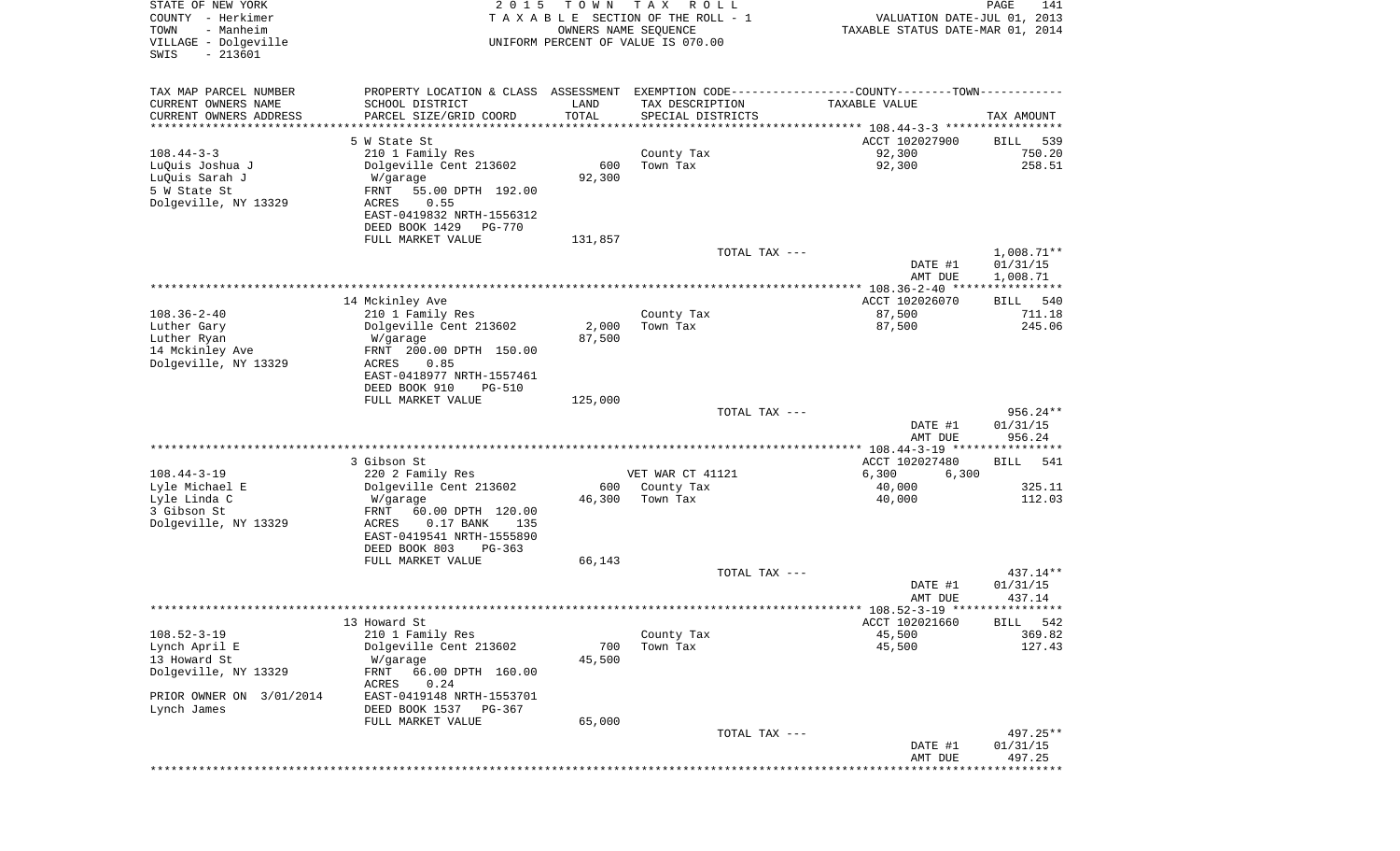| STATE OF NEW YORK<br>COUNTY - Herkimer<br>- Manheim<br>TOWN<br>VILLAGE - Dolgeville<br>$-213601$<br>SWIS | 2 0 1 5                                                  | T O W N<br>OWNERS NAME SEQUENCE | T A X<br>R O L L<br>TAXABLE SECTION OF THE ROLL - 1<br>UNIFORM PERCENT OF VALUE IS 070.00 | VALUATION DATE-JUL 01, 2013<br>TAXABLE STATUS DATE-MAR 01, 2014                               | 141<br>PAGE                          |
|----------------------------------------------------------------------------------------------------------|----------------------------------------------------------|---------------------------------|-------------------------------------------------------------------------------------------|-----------------------------------------------------------------------------------------------|--------------------------------------|
| TAX MAP PARCEL NUMBER                                                                                    |                                                          |                                 |                                                                                           | PROPERTY LOCATION & CLASS ASSESSMENT EXEMPTION CODE---------------COUNTY-------TOWN---------- |                                      |
| CURRENT OWNERS NAME                                                                                      | SCHOOL DISTRICT                                          | LAND                            | TAX DESCRIPTION                                                                           | TAXABLE VALUE                                                                                 |                                      |
| CURRENT OWNERS ADDRESS<br>**********************                                                         | PARCEL SIZE/GRID COORD<br>*******************            | TOTAL<br>***********            | SPECIAL DISTRICTS                                                                         |                                                                                               | TAX AMOUNT                           |
|                                                                                                          | 5 W State St                                             |                                 |                                                                                           | ACCT 102027900                                                                                | 539<br>BILL                          |
| $108.44 - 3 - 3$                                                                                         | 210 1 Family Res                                         |                                 | County Tax                                                                                | 92,300                                                                                        | 750.20                               |
| LuQuis Joshua J                                                                                          | Dolgeville Cent 213602                                   | 600                             | Town Tax                                                                                  | 92,300                                                                                        | 258.51                               |
| LuQuis Sarah J                                                                                           | W/garage                                                 | 92,300                          |                                                                                           |                                                                                               |                                      |
| 5 W State St<br>Dolgeville, NY 13329                                                                     | FRNT<br>55.00 DPTH 192.00<br>0.55<br>ACRES               |                                 |                                                                                           |                                                                                               |                                      |
|                                                                                                          | EAST-0419832 NRTH-1556312                                |                                 |                                                                                           |                                                                                               |                                      |
|                                                                                                          | DEED BOOK 1429<br><b>PG-770</b>                          |                                 |                                                                                           |                                                                                               |                                      |
|                                                                                                          | FULL MARKET VALUE                                        | 131,857                         | TOTAL TAX ---                                                                             |                                                                                               |                                      |
|                                                                                                          |                                                          |                                 |                                                                                           | DATE #1<br>AMT DUE                                                                            | $1,008.71**$<br>01/31/15<br>1,008.71 |
|                                                                                                          |                                                          |                                 |                                                                                           | *****************    108.36-2-40    *****************                                         |                                      |
|                                                                                                          | 14 Mckinley Ave                                          |                                 |                                                                                           | ACCT 102026070                                                                                | 540<br>BILL                          |
| $108.36 - 2 - 40$<br>Luther Gary                                                                         | 210 1 Family Res<br>Dolgeville Cent 213602               | 2,000                           | County Tax<br>Town Tax                                                                    | 87,500<br>87,500                                                                              | 711.18<br>245.06                     |
| Luther Ryan                                                                                              | W/garage                                                 | 87,500                          |                                                                                           |                                                                                               |                                      |
| 14 Mckinley Ave                                                                                          | FRNT 200.00 DPTH 150.00                                  |                                 |                                                                                           |                                                                                               |                                      |
| Dolgeville, NY 13329                                                                                     | ACRES<br>0.85<br>EAST-0418977 NRTH-1557461               |                                 |                                                                                           |                                                                                               |                                      |
|                                                                                                          | DEED BOOK 910<br><b>PG-510</b>                           |                                 |                                                                                           |                                                                                               |                                      |
|                                                                                                          | FULL MARKET VALUE                                        | 125,000                         |                                                                                           |                                                                                               |                                      |
|                                                                                                          |                                                          |                                 | TOTAL TAX ---                                                                             | DATE #1                                                                                       | 956.24**<br>01/31/15                 |
|                                                                                                          |                                                          |                                 |                                                                                           | AMT DUE                                                                                       | 956.24                               |
|                                                                                                          |                                                          |                                 |                                                                                           | ***************** 108.44-3-19 *****************                                               |                                      |
|                                                                                                          | 3 Gibson St                                              |                                 |                                                                                           | ACCT 102027480                                                                                | BILL<br>541                          |
| $108.44 - 3 - 19$<br>Lyle Michael E                                                                      | 220 2 Family Res<br>Dolgeville Cent 213602               | 600                             | VET WAR CT 41121<br>County Tax                                                            | 6,300<br>6,300<br>40,000                                                                      | 325.11                               |
| Lyle Linda C                                                                                             | W/garage                                                 | 46,300                          | Town Tax                                                                                  | 40,000                                                                                        | 112.03                               |
| 3 Gibson St                                                                                              | FRNT<br>60.00 DPTH 120.00                                |                                 |                                                                                           |                                                                                               |                                      |
| Dolgeville, NY 13329                                                                                     | ACRES<br>$0.17$ BANK<br>135<br>EAST-0419541 NRTH-1555890 |                                 |                                                                                           |                                                                                               |                                      |
|                                                                                                          | DEED BOOK 803<br>$PG-363$                                |                                 |                                                                                           |                                                                                               |                                      |
|                                                                                                          | FULL MARKET VALUE                                        | 66,143                          |                                                                                           |                                                                                               |                                      |
|                                                                                                          |                                                          |                                 | TOTAL TAX ---                                                                             |                                                                                               | 437.14**                             |
|                                                                                                          |                                                          |                                 |                                                                                           | DATE #1<br>AMT DUE                                                                            | 01/31/15<br>437.14                   |
|                                                                                                          |                                                          |                                 |                                                                                           |                                                                                               |                                      |
|                                                                                                          | 13 Howard St                                             |                                 |                                                                                           | ACCT 102021660                                                                                | 542<br><b>BILL</b>                   |
| $108.52 - 3 - 19$<br>Lynch April E                                                                       | 210 1 Family Res<br>Dolgeville Cent 213602               | 700                             | County Tax<br>Town Tax                                                                    | 45,500<br>45,500                                                                              | 369.82<br>127.43                     |
| 13 Howard St                                                                                             | W/garage                                                 | 45,500                          |                                                                                           |                                                                                               |                                      |
| Dolgeville, NY 13329                                                                                     | 66.00 DPTH 160.00<br>FRNT<br>ACRES<br>0.24               |                                 |                                                                                           |                                                                                               |                                      |
| PRIOR OWNER ON 3/01/2014                                                                                 | EAST-0419148 NRTH-1553701                                |                                 |                                                                                           |                                                                                               |                                      |
| Lynch James                                                                                              | DEED BOOK 1537<br>PG-367                                 |                                 |                                                                                           |                                                                                               |                                      |
|                                                                                                          | FULL MARKET VALUE                                        | 65,000                          | TOTAL TAX ---                                                                             |                                                                                               | 497.25**                             |
|                                                                                                          |                                                          |                                 |                                                                                           | DATE #1                                                                                       | 01/31/15                             |
|                                                                                                          |                                                          |                                 |                                                                                           | AMT DUE                                                                                       | 497.25                               |
|                                                                                                          |                                                          |                                 |                                                                                           |                                                                                               | **********                           |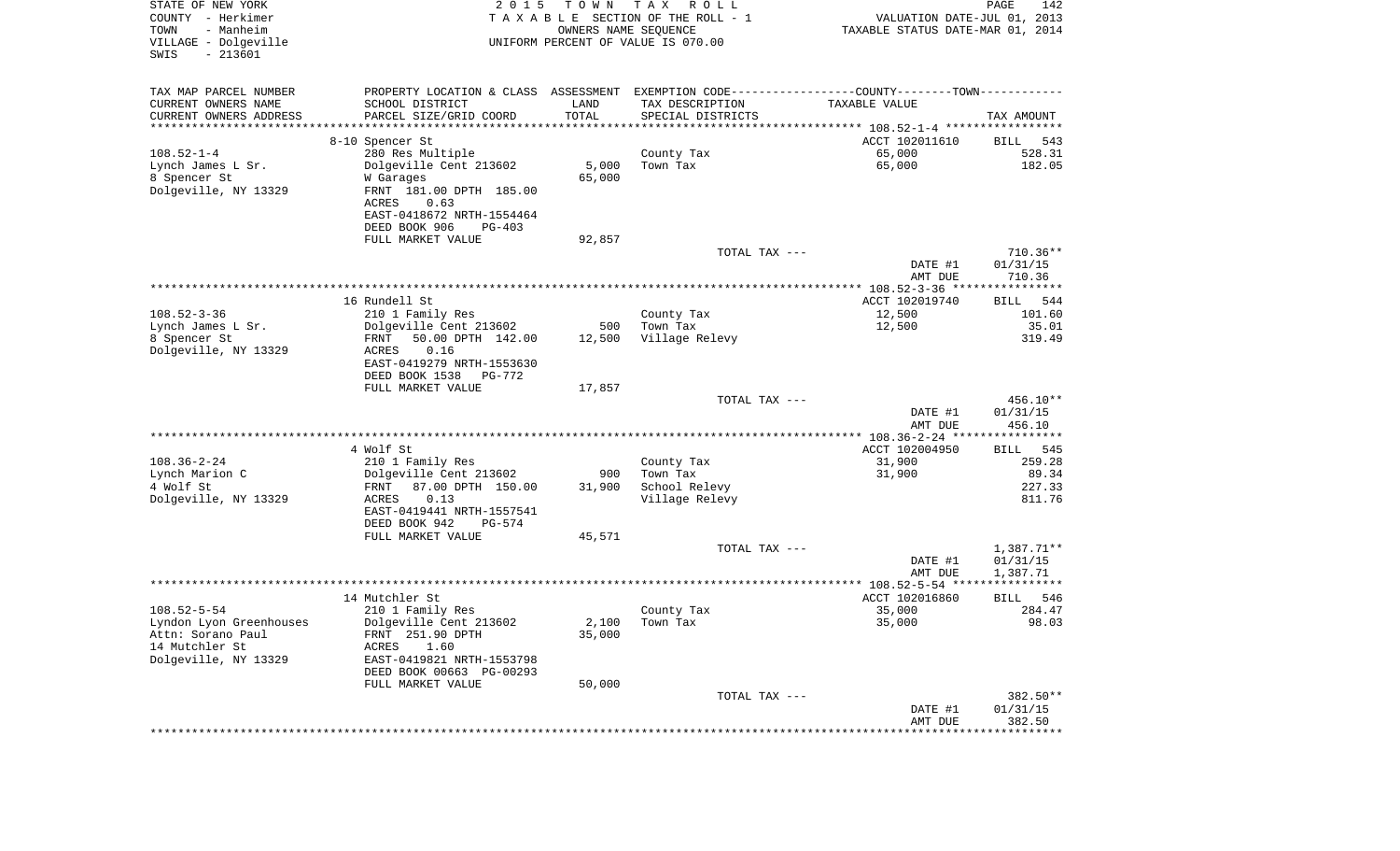| STATE OF NEW YORK<br>COUNTY - Herkimer<br>- Manheim<br>TOWN<br>VILLAGE - Dolgeville<br>$-213601$<br>SWIS | 2 0 1 5                                                                                       | T O W N<br>OWNERS NAME SEQUENCE | T A X<br>R O L L<br>TAXABLE SECTION OF THE ROLL - 1<br>UNIFORM PERCENT OF VALUE IS 070.00 | VALUATION DATE-JUL 01, 2013<br>TAXABLE STATUS DATE-MAR 01, 2014 | PAGE<br>142           |
|----------------------------------------------------------------------------------------------------------|-----------------------------------------------------------------------------------------------|---------------------------------|-------------------------------------------------------------------------------------------|-----------------------------------------------------------------|-----------------------|
| TAX MAP PARCEL NUMBER                                                                                    | PROPERTY LOCATION & CLASS ASSESSMENT EXEMPTION CODE---------------COUNTY-------TOWN---------- |                                 |                                                                                           |                                                                 |                       |
| CURRENT OWNERS NAME                                                                                      | SCHOOL DISTRICT                                                                               | LAND                            | TAX DESCRIPTION                                                                           | TAXABLE VALUE                                                   |                       |
| CURRENT OWNERS ADDRESS<br>*********************                                                          | PARCEL SIZE/GRID COORD                                                                        | TOTAL                           | SPECIAL DISTRICTS                                                                         |                                                                 | TAX AMOUNT            |
|                                                                                                          | 8-10 Spencer St                                                                               |                                 |                                                                                           | ACCT 102011610                                                  | 543<br>BILL           |
| $108.52 - 1 - 4$                                                                                         | 280 Res Multiple                                                                              |                                 | County Tax                                                                                | 65,000                                                          | 528.31                |
| Lynch James L Sr.                                                                                        | Dolgeville Cent 213602                                                                        | 5,000                           | Town Tax                                                                                  | 65,000                                                          | 182.05                |
| 8 Spencer St                                                                                             | W Garages                                                                                     | 65,000                          |                                                                                           |                                                                 |                       |
| Dolgeville, NY 13329                                                                                     | FRNT 181.00 DPTH 185.00                                                                       |                                 |                                                                                           |                                                                 |                       |
|                                                                                                          | ACRES<br>0.63                                                                                 |                                 |                                                                                           |                                                                 |                       |
|                                                                                                          | EAST-0418672 NRTH-1554464<br>DEED BOOK 906<br>$PG-403$                                        |                                 |                                                                                           |                                                                 |                       |
|                                                                                                          | FULL MARKET VALUE                                                                             | 92,857                          |                                                                                           |                                                                 |                       |
|                                                                                                          |                                                                                               |                                 | TOTAL TAX ---                                                                             |                                                                 | $710.36**$            |
|                                                                                                          |                                                                                               |                                 |                                                                                           | DATE #1                                                         | 01/31/15              |
|                                                                                                          |                                                                                               |                                 |                                                                                           | AMT DUE                                                         | 710.36                |
|                                                                                                          |                                                                                               |                                 |                                                                                           |                                                                 |                       |
| $108.52 - 3 - 36$                                                                                        | 16 Rundell St<br>210 1 Family Res                                                             |                                 | County Tax                                                                                | ACCT 102019740<br>12,500                                        | 544<br>BILL<br>101.60 |
| Lynch James L Sr.                                                                                        | Dolgeville Cent 213602                                                                        | 500                             | Town Tax                                                                                  | 12,500                                                          | 35.01                 |
| 8 Spencer St                                                                                             | FRNT<br>50.00 DPTH 142.00                                                                     | 12,500                          | Village Relevy                                                                            |                                                                 | 319.49                |
| Dolgeville, NY 13329                                                                                     | 0.16<br>ACRES                                                                                 |                                 |                                                                                           |                                                                 |                       |
|                                                                                                          | EAST-0419279 NRTH-1553630                                                                     |                                 |                                                                                           |                                                                 |                       |
|                                                                                                          | DEED BOOK 1538<br>PG-772                                                                      |                                 |                                                                                           |                                                                 |                       |
|                                                                                                          | FULL MARKET VALUE                                                                             | 17,857                          | TOTAL TAX ---                                                                             |                                                                 | $456.10**$            |
|                                                                                                          |                                                                                               |                                 |                                                                                           | DATE #1                                                         | 01/31/15              |
|                                                                                                          |                                                                                               |                                 |                                                                                           | AMT DUE                                                         | 456.10                |
|                                                                                                          |                                                                                               |                                 |                                                                                           |                                                                 |                       |
| $108.36 - 2 - 24$                                                                                        | 4 Wolf St<br>210 1 Family Res                                                                 |                                 |                                                                                           | ACCT 102004950<br>31,900                                        | 545<br>BILL<br>259.28 |
| Lynch Marion C                                                                                           | Dolgeville Cent 213602                                                                        | 900                             | County Tax<br>Town Tax                                                                    | 31,900                                                          | 89.34                 |
| 4 Wolf St                                                                                                | FRNT<br>87.00 DPTH 150.00                                                                     | 31,900                          | School Relevy                                                                             |                                                                 | 227.33                |
| Dolgeville, NY 13329                                                                                     | ACRES<br>0.13                                                                                 |                                 | Village Relevy                                                                            |                                                                 | 811.76                |
|                                                                                                          | EAST-0419441 NRTH-1557541                                                                     |                                 |                                                                                           |                                                                 |                       |
|                                                                                                          | DEED BOOK 942<br>PG-574                                                                       |                                 |                                                                                           |                                                                 |                       |
|                                                                                                          | FULL MARKET VALUE                                                                             | 45,571                          | TOTAL TAX ---                                                                             |                                                                 | 1,387.71**            |
|                                                                                                          |                                                                                               |                                 |                                                                                           | DATE #1                                                         | 01/31/15              |
|                                                                                                          |                                                                                               |                                 |                                                                                           | AMT DUE                                                         | 1,387.71              |
|                                                                                                          |                                                                                               |                                 |                                                                                           |                                                                 |                       |
|                                                                                                          | 14 Mutchler St                                                                                |                                 |                                                                                           | ACCT 102016860                                                  | BILL<br>546           |
| $108.52 - 5 - 54$                                                                                        | 210 1 Family Res                                                                              |                                 | County Tax                                                                                | 35,000                                                          | 284.47                |
| Lyndon Lyon Greenhouses<br>Attn: Sorano Paul                                                             | Dolgeville Cent 213602<br>FRNT 251.90 DPTH                                                    | 35,000                          | $2,100$ Town Tax                                                                          | 35,000                                                          | 98.03                 |
| 14 Mutchler St                                                                                           | ACRES<br>1.60                                                                                 |                                 |                                                                                           |                                                                 |                       |
| Dolgeville, NY 13329                                                                                     | EAST-0419821 NRTH-1553798                                                                     |                                 |                                                                                           |                                                                 |                       |
|                                                                                                          | DEED BOOK 00663 PG-00293                                                                      |                                 |                                                                                           |                                                                 |                       |
|                                                                                                          | FULL MARKET VALUE                                                                             | 50,000                          |                                                                                           |                                                                 |                       |
|                                                                                                          |                                                                                               |                                 | TOTAL TAX ---                                                                             |                                                                 | 382.50**              |
|                                                                                                          |                                                                                               |                                 |                                                                                           | DATE #1<br>AMT DUE                                              | 01/31/15<br>382.50    |
|                                                                                                          |                                                                                               |                                 |                                                                                           |                                                                 |                       |
|                                                                                                          |                                                                                               |                                 |                                                                                           |                                                                 |                       |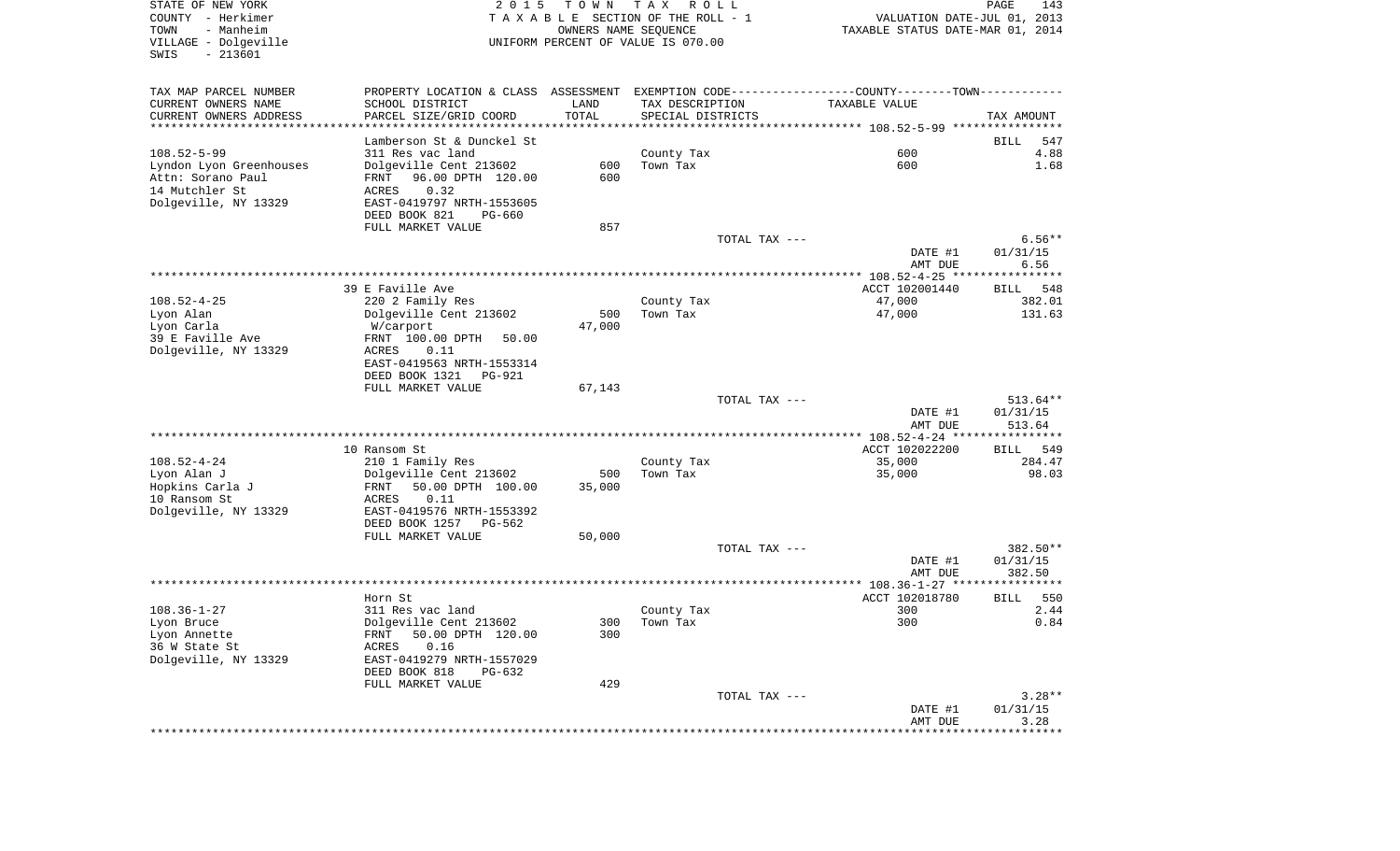| STATE OF NEW YORK<br>COUNTY - Herkimer<br>- Manheim<br>TOWN<br>VILLAGE - Dolgeville<br>SWIS<br>$-213601$ | 2 0 1 5                                                                                        | T O W N<br>OWNERS NAME SEQUENCE | T A X<br>R O L L<br>TAXABLE SECTION OF THE ROLL - 1<br>UNIFORM PERCENT OF VALUE IS 070.00 | VALUATION DATE-JUL 01, 2013<br>TAXABLE STATUS DATE-MAR 01, 2014 | PAGE<br>143        |
|----------------------------------------------------------------------------------------------------------|------------------------------------------------------------------------------------------------|---------------------------------|-------------------------------------------------------------------------------------------|-----------------------------------------------------------------|--------------------|
| TAX MAP PARCEL NUMBER                                                                                    | PROPERTY LOCATION & CLASS ASSESSMENT EXEMPTION CODE----------------COUNTY-------TOWN---------- |                                 |                                                                                           |                                                                 |                    |
| CURRENT OWNERS NAME                                                                                      | SCHOOL DISTRICT                                                                                | LAND                            | TAX DESCRIPTION                                                                           | TAXABLE VALUE                                                   |                    |
| CURRENT OWNERS ADDRESS<br>*********************                                                          | PARCEL SIZE/GRID COORD<br>***************                                                      | TOTAL<br>***************        | SPECIAL DISTRICTS                                                                         |                                                                 | TAX AMOUNT         |
|                                                                                                          | Lamberson St & Dunckel St                                                                      |                                 |                                                                                           |                                                                 | BILL<br>547        |
| $108.52 - 5 - 99$                                                                                        | 311 Res vac land                                                                               |                                 | County Tax                                                                                | 600                                                             | 4.88               |
| Lyndon Lyon Greenhouses                                                                                  | Dolgeville Cent 213602                                                                         | 600                             | Town Tax                                                                                  | 600                                                             | 1.68               |
| Attn: Sorano Paul                                                                                        | 96.00 DPTH 120.00<br>FRNT                                                                      | 600                             |                                                                                           |                                                                 |                    |
| 14 Mutchler St                                                                                           | 0.32<br>ACRES                                                                                  |                                 |                                                                                           |                                                                 |                    |
| Dolgeville, NY 13329                                                                                     | EAST-0419797 NRTH-1553605                                                                      |                                 |                                                                                           |                                                                 |                    |
|                                                                                                          | DEED BOOK 821<br>PG-660                                                                        |                                 |                                                                                           |                                                                 |                    |
|                                                                                                          | FULL MARKET VALUE                                                                              | 857                             | TOTAL TAX ---                                                                             |                                                                 | $6.56**$           |
|                                                                                                          |                                                                                                |                                 |                                                                                           | DATE #1                                                         | 01/31/15           |
|                                                                                                          |                                                                                                |                                 |                                                                                           | AMT DUE                                                         | 6.56               |
|                                                                                                          |                                                                                                |                                 |                                                                                           |                                                                 |                    |
|                                                                                                          | 39 E Faville Ave                                                                               |                                 |                                                                                           | ACCT 102001440                                                  | 548<br>BILL        |
| $108.52 - 4 - 25$                                                                                        | 220 2 Family Res                                                                               |                                 | County Tax                                                                                | 47,000                                                          | 382.01             |
| Lyon Alan<br>Lyon Carla                                                                                  | Dolgeville Cent 213602<br>W/carport                                                            | 500<br>47,000                   | Town Tax                                                                                  | 47,000                                                          | 131.63             |
| 39 E Faville Ave                                                                                         | FRNT 100.00 DPTH<br>50.00                                                                      |                                 |                                                                                           |                                                                 |                    |
| Dolgeville, NY 13329                                                                                     | ACRES<br>0.11                                                                                  |                                 |                                                                                           |                                                                 |                    |
|                                                                                                          | EAST-0419563 NRTH-1553314                                                                      |                                 |                                                                                           |                                                                 |                    |
|                                                                                                          | DEED BOOK 1321<br>PG-921                                                                       |                                 |                                                                                           |                                                                 |                    |
|                                                                                                          | FULL MARKET VALUE                                                                              | 67,143                          | TOTAL TAX ---                                                                             |                                                                 | $513.64**$         |
|                                                                                                          |                                                                                                |                                 |                                                                                           | DATE #1                                                         | 01/31/15           |
|                                                                                                          |                                                                                                |                                 |                                                                                           | AMT DUE                                                         | 513.64             |
|                                                                                                          |                                                                                                |                                 |                                                                                           | ************* 108.52-4-24 *****************                     |                    |
|                                                                                                          | 10 Ransom St                                                                                   |                                 |                                                                                           | ACCT 102022200                                                  | 549<br>BILL        |
| $108.52 - 4 - 24$                                                                                        | 210 1 Family Res                                                                               |                                 | County Tax                                                                                | 35,000                                                          | 284.47             |
| Lyon Alan J<br>Hopkins Carla J                                                                           | Dolgeville Cent 213602<br>FRNT                                                                 | 500<br>35,000                   | Town Tax                                                                                  | 35,000                                                          | 98.03              |
| 10 Ransom St                                                                                             | 50.00 DPTH 100.00<br>ACRES<br>0.11                                                             |                                 |                                                                                           |                                                                 |                    |
| Dolgeville, NY 13329                                                                                     | EAST-0419576 NRTH-1553392                                                                      |                                 |                                                                                           |                                                                 |                    |
|                                                                                                          | DEED BOOK 1257<br>PG-562                                                                       |                                 |                                                                                           |                                                                 |                    |
|                                                                                                          | FULL MARKET VALUE                                                                              | 50,000                          |                                                                                           |                                                                 |                    |
|                                                                                                          |                                                                                                |                                 | TOTAL TAX ---                                                                             |                                                                 | 382.50**           |
|                                                                                                          |                                                                                                |                                 |                                                                                           | DATE #1<br>AMT DUE                                              | 01/31/15<br>382.50 |
|                                                                                                          |                                                                                                |                                 |                                                                                           |                                                                 |                    |
|                                                                                                          | Horn St                                                                                        |                                 |                                                                                           | ACCT 102018780                                                  | 550<br><b>BILL</b> |
| $108.36 - 1 - 27$                                                                                        | 311 Res vac land                                                                               |                                 | County Tax                                                                                | 300                                                             | 2.44               |
| Lyon Bruce                                                                                               | Dolgeville Cent 213602                                                                         |                                 | 300 Town Tax                                                                              | 300                                                             | 0.84               |
| Lyon Annette                                                                                             | FRNT 50.00 DPTH 120.00                                                                         | 300                             |                                                                                           |                                                                 |                    |
| 36 W State St<br>Dolgeville, NY 13329                                                                    | 0.16<br>ACRES<br>EAST-0419279 NRTH-1557029                                                     |                                 |                                                                                           |                                                                 |                    |
|                                                                                                          | DEED BOOK 818<br>PG-632                                                                        |                                 |                                                                                           |                                                                 |                    |
|                                                                                                          | FULL MARKET VALUE                                                                              | 429                             |                                                                                           |                                                                 |                    |
|                                                                                                          |                                                                                                |                                 | TOTAL TAX ---                                                                             |                                                                 | $3.28**$           |
|                                                                                                          |                                                                                                |                                 |                                                                                           | DATE #1                                                         | 01/31/15           |
|                                                                                                          |                                                                                                |                                 |                                                                                           | AMT DUE                                                         | 3.28               |
|                                                                                                          |                                                                                                |                                 |                                                                                           |                                                                 |                    |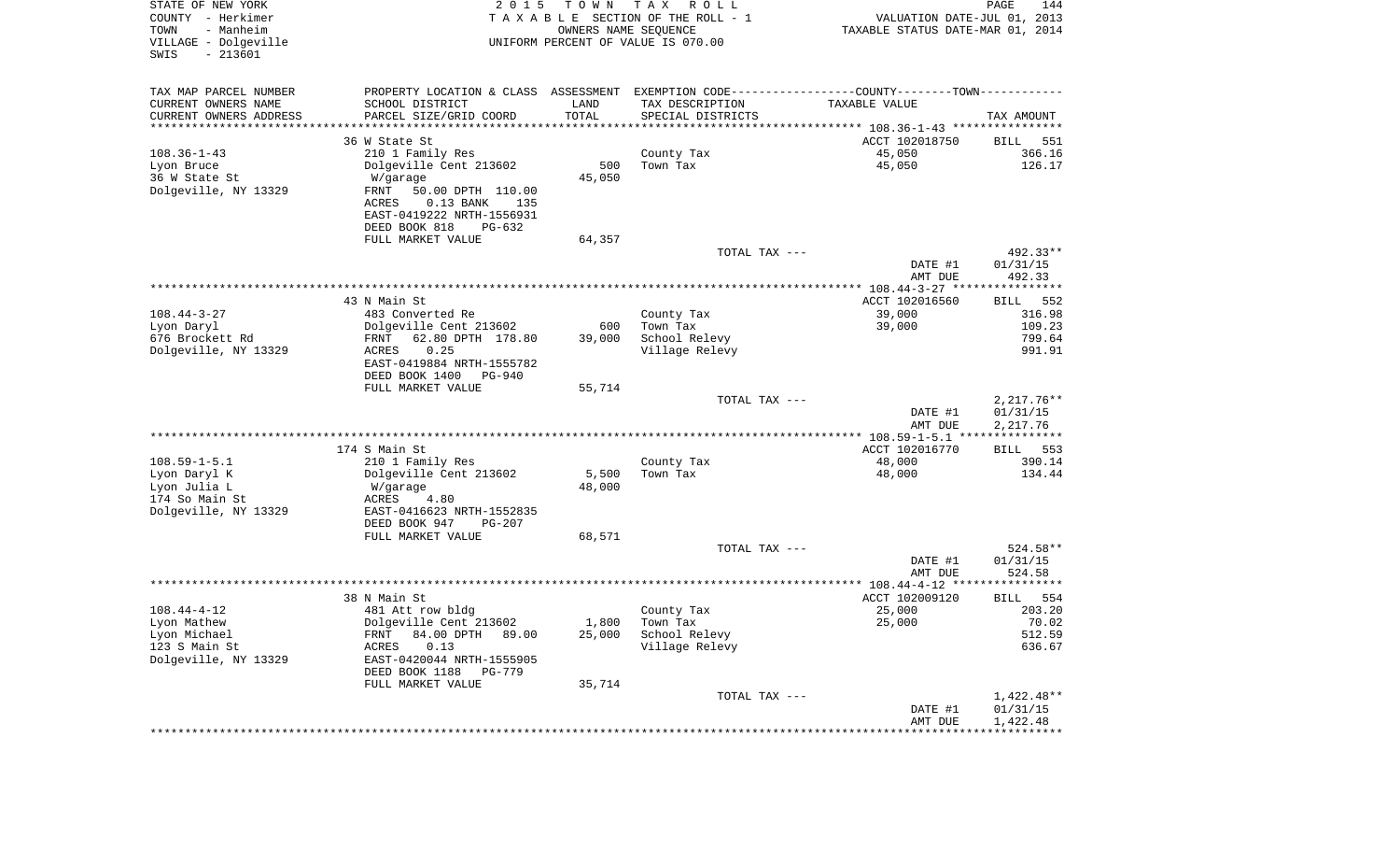| STATE OF NEW YORK<br>COUNTY - Herkimer<br>- Manheim<br>TOWN<br>VILLAGE - Dolgeville<br>$-213601$<br>SWIS | 2 0 1 5                                                                                                          | T O W N              | T A X<br>R O L L<br>TAXABLE SECTION OF THE ROLL - 1<br>OWNERS NAME SEQUENCE<br>UNIFORM PERCENT OF VALUE IS 070.00 | VALUATION DATE-JUL 01, 2013<br>TAXABLE STATUS DATE-MAR 01, 2014 | PAGE<br>144                        |
|----------------------------------------------------------------------------------------------------------|------------------------------------------------------------------------------------------------------------------|----------------------|-------------------------------------------------------------------------------------------------------------------|-----------------------------------------------------------------|------------------------------------|
| TAX MAP PARCEL NUMBER                                                                                    |                                                                                                                  |                      | PROPERTY LOCATION & CLASS ASSESSMENT EXEMPTION CODE---------------COUNTY-------TOWN----------                     |                                                                 |                                    |
| CURRENT OWNERS NAME                                                                                      | SCHOOL DISTRICT                                                                                                  | LAND                 | TAX DESCRIPTION                                                                                                   | TAXABLE VALUE                                                   |                                    |
| CURRENT OWNERS ADDRESS<br>*********************                                                          | PARCEL SIZE/GRID COORD                                                                                           | TOTAL<br>*********** | SPECIAL DISTRICTS                                                                                                 |                                                                 | TAX AMOUNT                         |
|                                                                                                          | 36 W State St                                                                                                    |                      |                                                                                                                   | ACCT 102018750                                                  | 551<br>BILL                        |
| $108.36 - 1 - 43$                                                                                        | 210 1 Family Res                                                                                                 |                      | County Tax                                                                                                        | 45,050                                                          | 366.16                             |
| Lyon Bruce                                                                                               | Dolgeville Cent 213602                                                                                           | 500                  | Town Tax                                                                                                          | 45,050                                                          | 126.17                             |
| 36 W State St                                                                                            | W/garage                                                                                                         | 45,050               |                                                                                                                   |                                                                 |                                    |
| Dolgeville, NY 13329                                                                                     | FRNT<br>50.00 DPTH 110.00<br>ACRES<br>$0.13$ BANK<br>135<br>EAST-0419222 NRTH-1556931<br>DEED BOOK 818<br>PG-632 |                      |                                                                                                                   |                                                                 |                                    |
|                                                                                                          | FULL MARKET VALUE                                                                                                | 64,357               |                                                                                                                   |                                                                 |                                    |
|                                                                                                          |                                                                                                                  |                      | TOTAL TAX ---                                                                                                     |                                                                 | 492.33**                           |
|                                                                                                          |                                                                                                                  |                      |                                                                                                                   | DATE #1<br>AMT DUE                                              | 01/31/15<br>492.33                 |
|                                                                                                          | 43 N Main St                                                                                                     |                      |                                                                                                                   | ACCT 102016560                                                  | BILL<br>552                        |
| $108.44 - 3 - 27$                                                                                        | 483 Converted Re                                                                                                 |                      | County Tax                                                                                                        | 39,000                                                          | 316.98                             |
| Lyon Daryl                                                                                               | Dolgeville Cent 213602                                                                                           | 600                  | Town Tax                                                                                                          | 39,000                                                          | 109.23                             |
| 676 Brockett Rd                                                                                          | 62.80 DPTH 178.80<br>FRNT                                                                                        | 39,000               | School Relevy                                                                                                     |                                                                 | 799.64                             |
| Dolgeville, NY 13329                                                                                     | 0.25<br>ACRES<br>EAST-0419884 NRTH-1555782<br>DEED BOOK 1400<br>PG-940                                           |                      | Village Relevy                                                                                                    |                                                                 | 991.91                             |
|                                                                                                          | FULL MARKET VALUE                                                                                                | 55,714               |                                                                                                                   |                                                                 |                                    |
|                                                                                                          |                                                                                                                  |                      | TOTAL TAX ---                                                                                                     | DATE #1                                                         | $2,217.76**$<br>01/31/15           |
|                                                                                                          |                                                                                                                  |                      |                                                                                                                   | AMT DUE<br>************* 108.59-1-5.1 ****************          | 2,217.76                           |
|                                                                                                          | 174 S Main St                                                                                                    |                      |                                                                                                                   | ACCT 102016770                                                  | 553<br>BILL                        |
| $108.59 - 1 - 5.1$                                                                                       | 210 1 Family Res                                                                                                 |                      | County Tax                                                                                                        | 48,000                                                          | 390.14                             |
| Lyon Daryl K                                                                                             | Dolgeville Cent 213602                                                                                           | 5,500                | Town Tax                                                                                                          | 48,000                                                          | 134.44                             |
| Lyon Julia L                                                                                             | W/garage                                                                                                         | 48,000               |                                                                                                                   |                                                                 |                                    |
| 174 So Main St                                                                                           | ACRES<br>4.80                                                                                                    |                      |                                                                                                                   |                                                                 |                                    |
| Dolgeville, NY 13329                                                                                     | EAST-0416623 NRTH-1552835<br>DEED BOOK 947<br>PG-207                                                             |                      |                                                                                                                   |                                                                 |                                    |
|                                                                                                          | FULL MARKET VALUE                                                                                                | 68,571               |                                                                                                                   |                                                                 |                                    |
|                                                                                                          |                                                                                                                  |                      | TOTAL TAX ---                                                                                                     |                                                                 | 524.58**                           |
|                                                                                                          |                                                                                                                  |                      |                                                                                                                   | DATE #1                                                         | 01/31/15                           |
|                                                                                                          |                                                                                                                  |                      |                                                                                                                   | AMT DUE                                                         | 524.58                             |
|                                                                                                          | 38 N Main St                                                                                                     |                      |                                                                                                                   | ACCT 102009120                                                  | 554<br>BILL                        |
| $108.44 - 4 - 12$                                                                                        | 481 Att row bldg                                                                                                 |                      | County Tax                                                                                                        | 25,000                                                          | 203.20                             |
| Lyon Mathew                                                                                              | Dolgeville Cent 213602                                                                                           | 1,800                | Town Tax                                                                                                          | 25,000                                                          | 70.02                              |
| Lyon Michael                                                                                             | FRNT 84.00 DPTH 89.00                                                                                            | 25,000               | School Relevy                                                                                                     |                                                                 | 512.59                             |
| 123 S Main St                                                                                            | 0.13<br>ACRES                                                                                                    |                      | Village Relevy                                                                                                    |                                                                 | 636.67                             |
| Dolgeville, NY 13329                                                                                     | EAST-0420044 NRTH-1555905<br>DEED BOOK 1188<br>PG-779                                                            |                      |                                                                                                                   |                                                                 |                                    |
|                                                                                                          | FULL MARKET VALUE                                                                                                | 35,714               |                                                                                                                   |                                                                 |                                    |
|                                                                                                          |                                                                                                                  |                      | TOTAL TAX ---                                                                                                     | DATE #1<br>AMT DUE                                              | 1,422.48**<br>01/31/15<br>1,422.48 |
|                                                                                                          |                                                                                                                  |                      |                                                                                                                   |                                                                 |                                    |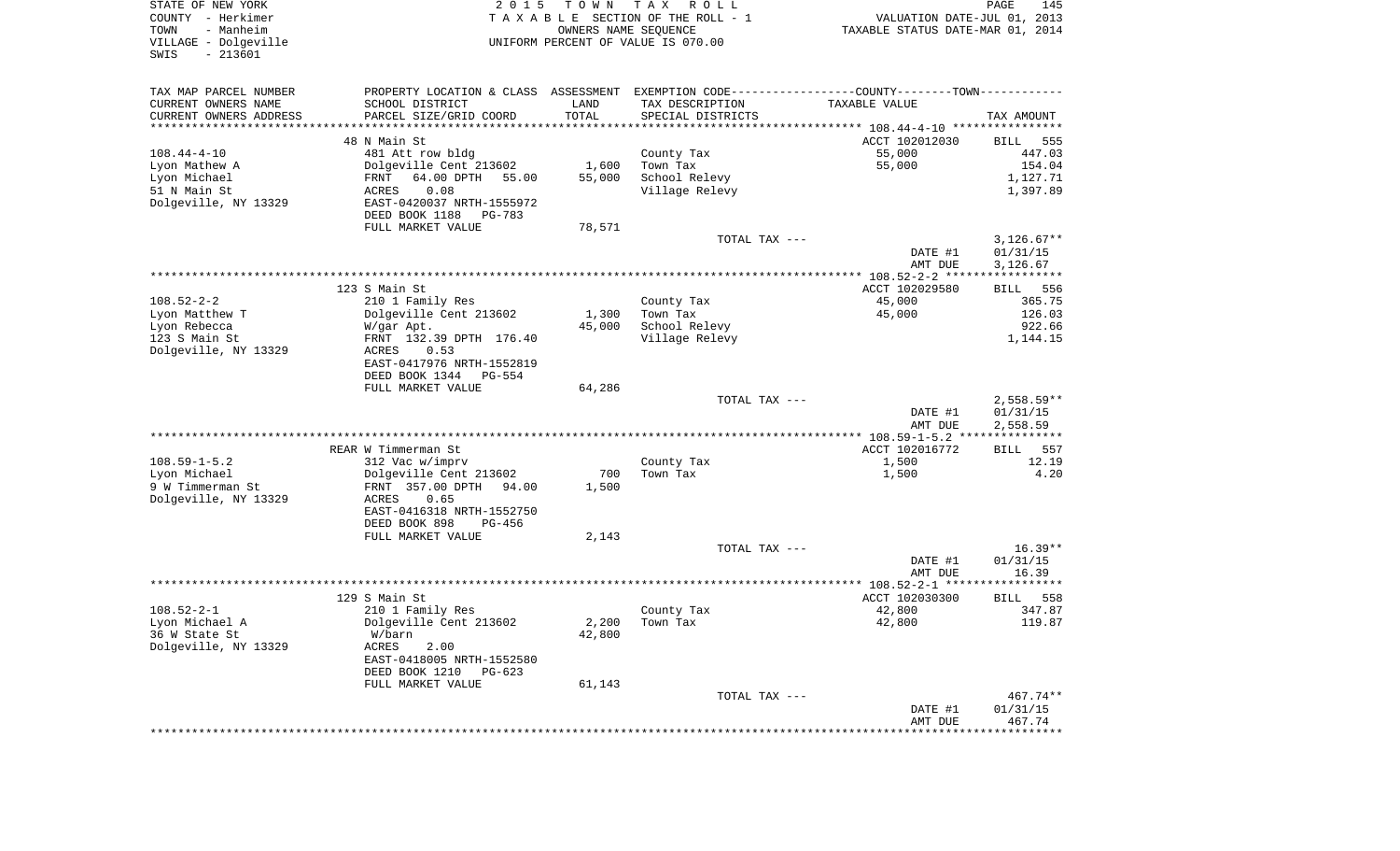| STATE OF NEW YORK<br>COUNTY - Herkimer<br>- Manheim<br>TOWN<br>VILLAGE - Dolgeville<br>$-213601$<br>SWIS | 2 0 1 5                                                                                       | T O W N<br>OWNERS NAME SEQUENCE | T A X<br>R O L L<br>TAXABLE SECTION OF THE ROLL - 1<br>UNIFORM PERCENT OF VALUE IS 070.00 | VALUATION DATE-JUL 01, 2013<br>TAXABLE STATUS DATE-MAR 01, 2014 | PAGE<br>145              |
|----------------------------------------------------------------------------------------------------------|-----------------------------------------------------------------------------------------------|---------------------------------|-------------------------------------------------------------------------------------------|-----------------------------------------------------------------|--------------------------|
| TAX MAP PARCEL NUMBER                                                                                    | PROPERTY LOCATION & CLASS ASSESSMENT EXEMPTION CODE---------------COUNTY-------TOWN---------- |                                 |                                                                                           |                                                                 |                          |
| CURRENT OWNERS NAME                                                                                      | SCHOOL DISTRICT                                                                               | LAND                            | TAX DESCRIPTION                                                                           | TAXABLE VALUE                                                   |                          |
| CURRENT OWNERS ADDRESS<br>********************                                                           | PARCEL SIZE/GRID COORD                                                                        | TOTAL<br>* * * * * * * * * * *  | SPECIAL DISTRICTS                                                                         |                                                                 | TAX AMOUNT               |
|                                                                                                          | 48 N Main St                                                                                  |                                 |                                                                                           | ACCT 102012030                                                  | BILL<br>555              |
| $108.44 - 4 - 10$                                                                                        | 481 Att row bldg                                                                              |                                 | County Tax                                                                                | 55,000                                                          | 447.03                   |
| Lyon Mathew A                                                                                            | Dolgeville Cent 213602                                                                        | 1,600                           | Town Tax                                                                                  | 55,000                                                          | 154.04                   |
| Lyon Michael                                                                                             | FRNT<br>64.00 DPTH<br>55.00                                                                   | 55,000                          | School Relevy                                                                             |                                                                 | 1,127.71                 |
| 51 N Main St                                                                                             | 0.08<br>ACRES                                                                                 |                                 | Village Relevy                                                                            |                                                                 | 1,397.89                 |
| Dolgeville, NY 13329                                                                                     | EAST-0420037 NRTH-1555972                                                                     |                                 |                                                                                           |                                                                 |                          |
|                                                                                                          | DEED BOOK 1188<br>PG-783                                                                      |                                 |                                                                                           |                                                                 |                          |
|                                                                                                          | FULL MARKET VALUE                                                                             | 78,571                          |                                                                                           |                                                                 |                          |
|                                                                                                          |                                                                                               |                                 | TOTAL TAX ---                                                                             |                                                                 | $3,126.67**$             |
|                                                                                                          |                                                                                               |                                 |                                                                                           | DATE #1                                                         | 01/31/15                 |
|                                                                                                          |                                                                                               |                                 |                                                                                           | AMT DUE                                                         | 3,126.67                 |
|                                                                                                          |                                                                                               |                                 |                                                                                           |                                                                 |                          |
|                                                                                                          | 123 S Main St                                                                                 |                                 |                                                                                           | ACCT 102029580                                                  | 556<br>BILL              |
| $108.52 - 2 - 2$                                                                                         | 210 1 Family Res                                                                              |                                 | County Tax                                                                                | 45,000                                                          | 365.75                   |
| Lyon Matthew T                                                                                           | Dolgeville Cent 213602                                                                        | 1,300                           | Town Tax                                                                                  | 45,000                                                          | 126.03                   |
| Lyon Rebecca<br>123 S Main St                                                                            | W/gar Apt.                                                                                    | 45,000                          | School Relevy                                                                             |                                                                 | 922.66<br>1,144.15       |
| Dolgeville, NY 13329                                                                                     | FRNT 132.39 DPTH 176.40<br>ACRES<br>0.53                                                      |                                 | Village Relevy                                                                            |                                                                 |                          |
|                                                                                                          | EAST-0417976 NRTH-1552819                                                                     |                                 |                                                                                           |                                                                 |                          |
|                                                                                                          | DEED BOOK 1344<br>PG-554                                                                      |                                 |                                                                                           |                                                                 |                          |
|                                                                                                          | FULL MARKET VALUE                                                                             | 64,286                          |                                                                                           |                                                                 |                          |
|                                                                                                          |                                                                                               |                                 | TOTAL TAX ---                                                                             |                                                                 | $2,558.59**$             |
|                                                                                                          |                                                                                               |                                 |                                                                                           | DATE #1                                                         | 01/31/15                 |
|                                                                                                          |                                                                                               |                                 |                                                                                           | AMT DUE                                                         | 2,558.59                 |
|                                                                                                          |                                                                                               |                                 |                                                                                           | *************** 108.59-1-5.2 ***************                    |                          |
|                                                                                                          | REAR W Timmerman St                                                                           |                                 |                                                                                           | ACCT 102016772                                                  | 557<br>BILL              |
| $108.59 - 1 - 5.2$                                                                                       | 312 Vac w/imprv                                                                               |                                 | County Tax                                                                                | 1,500                                                           | 12.19                    |
| Lyon Michael                                                                                             | Dolgeville Cent 213602                                                                        | 700                             | Town Tax                                                                                  | 1,500                                                           | 4.20                     |
| 9 W Timmerman St                                                                                         | FRNT 357.00 DPTH<br>94.00                                                                     | 1,500                           |                                                                                           |                                                                 |                          |
| Dolgeville, NY 13329                                                                                     | ACRES<br>0.65                                                                                 |                                 |                                                                                           |                                                                 |                          |
|                                                                                                          | EAST-0416318 NRTH-1552750                                                                     |                                 |                                                                                           |                                                                 |                          |
|                                                                                                          | DEED BOOK 898<br>PG-456                                                                       |                                 |                                                                                           |                                                                 |                          |
|                                                                                                          | FULL MARKET VALUE                                                                             | 2,143                           |                                                                                           |                                                                 | $16.39**$                |
|                                                                                                          |                                                                                               |                                 | TOTAL TAX ---                                                                             | DATE #1                                                         | 01/31/15                 |
|                                                                                                          |                                                                                               |                                 |                                                                                           | AMT DUE                                                         | 16.39                    |
|                                                                                                          |                                                                                               |                                 |                                                                                           |                                                                 | **********               |
|                                                                                                          | 129 S Main St                                                                                 |                                 |                                                                                           | ACCT 102030300                                                  | 558<br>BILL              |
| $108.52 - 2 - 1$                                                                                         | 210 1 Family Res                                                                              |                                 | County Tax                                                                                | 42,800                                                          | 347.87                   |
| Lyon Michael A                                                                                           | Dolgeville Cent 213602                                                                        | 2,200                           | Town Tax                                                                                  | 42,800                                                          | 119.87                   |
| 36 W State St                                                                                            | W/barn                                                                                        | 42,800                          |                                                                                           |                                                                 |                          |
| Dolgeville, NY 13329                                                                                     | ACRES<br>2.00                                                                                 |                                 |                                                                                           |                                                                 |                          |
|                                                                                                          | EAST-0418005 NRTH-1552580                                                                     |                                 |                                                                                           |                                                                 |                          |
|                                                                                                          | DEED BOOK 1210<br>PG-623                                                                      |                                 |                                                                                           |                                                                 |                          |
|                                                                                                          | FULL MARKET VALUE                                                                             | 61,143                          |                                                                                           |                                                                 |                          |
|                                                                                                          |                                                                                               |                                 | TOTAL TAX ---                                                                             |                                                                 | 467.74**                 |
|                                                                                                          |                                                                                               |                                 |                                                                                           | DATE #1                                                         | 01/31/15                 |
|                                                                                                          |                                                                                               |                                 |                                                                                           | AMT DUE                                                         | 467.74<br>************** |
|                                                                                                          |                                                                                               |                                 |                                                                                           |                                                                 |                          |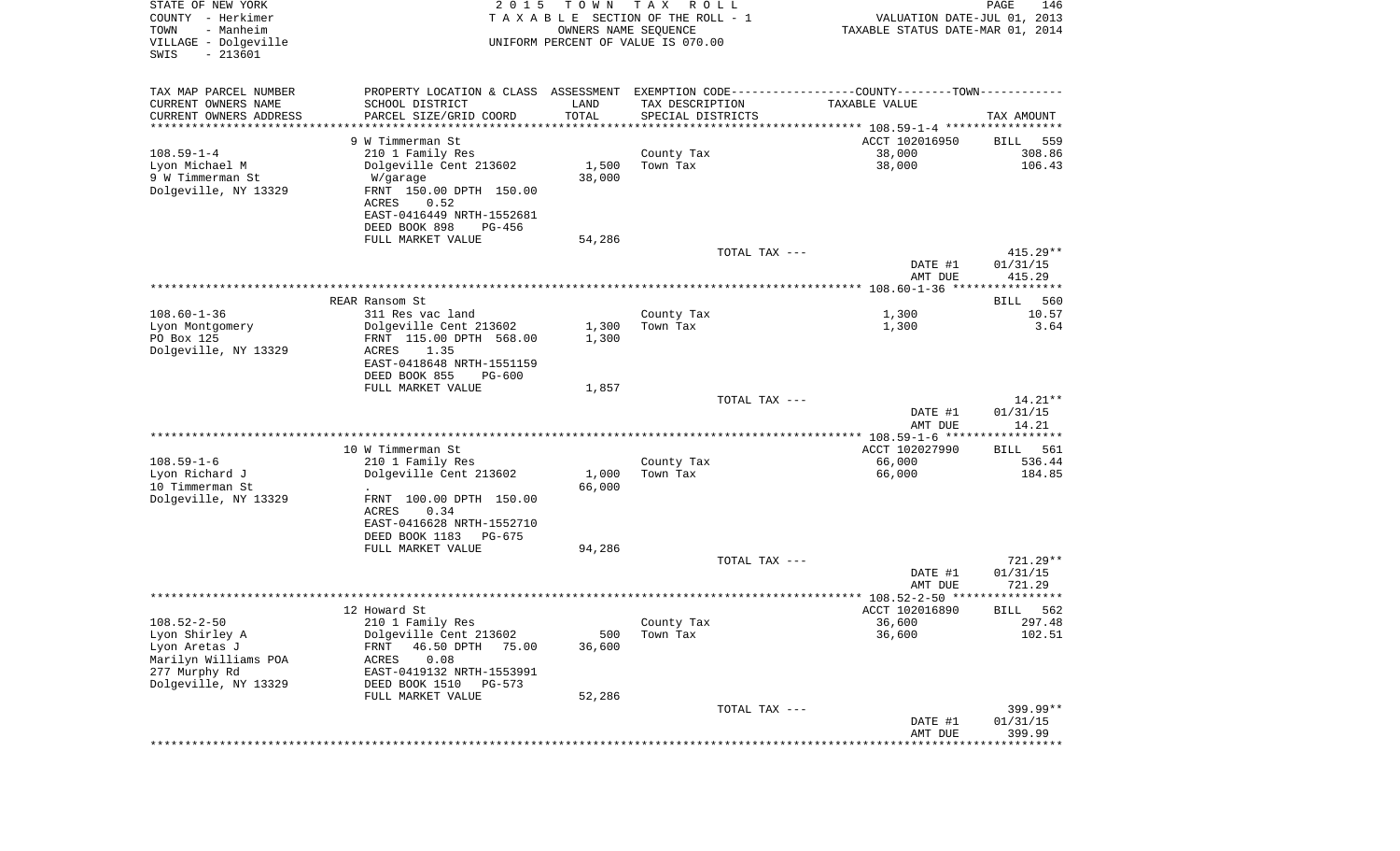| STATE OF NEW YORK<br>COUNTY - Herkimer<br>TOWN<br>- Manheim<br>VILLAGE - Dolgeville<br>SWIS<br>$-213601$ | 2 0 1 5                                               | T O W N<br>OWNERS NAME SEQUENCE | T A X<br>R O L L<br>T A X A B L E SECTION OF THE ROLL - 1<br>UNIFORM PERCENT OF VALUE IS 070.00 | VALUATION DATE-JUL 01, 2013<br>TAXABLE STATUS DATE-MAR 01, 2014 | PAGE<br>146            |
|----------------------------------------------------------------------------------------------------------|-------------------------------------------------------|---------------------------------|-------------------------------------------------------------------------------------------------|-----------------------------------------------------------------|------------------------|
| TAX MAP PARCEL NUMBER                                                                                    | PROPERTY LOCATION & CLASS ASSESSMENT                  |                                 |                                                                                                 | EXEMPTION CODE-----------------COUNTY-------TOWN-----------     |                        |
| CURRENT OWNERS NAME                                                                                      | SCHOOL DISTRICT                                       | LAND                            | TAX DESCRIPTION                                                                                 | TAXABLE VALUE                                                   |                        |
| CURRENT OWNERS ADDRESS<br>********************                                                           | PARCEL SIZE/GRID COORD<br>******************          | TOTAL                           | SPECIAL DISTRICTS                                                                               | ********************************* 108.59-1-4 *****************  | TAX AMOUNT             |
|                                                                                                          | 9 W Timmerman St                                      |                                 |                                                                                                 | ACCT 102016950                                                  | BILL<br>559            |
| $108.59 - 1 - 4$                                                                                         | 210 1 Family Res                                      |                                 | County Tax                                                                                      | 38,000                                                          | 308.86                 |
| Lyon Michael M                                                                                           | Dolgeville Cent 213602                                | 1,500                           | Town Tax                                                                                        | 38,000                                                          | 106.43                 |
| 9 W Timmerman St                                                                                         | W/garage                                              | 38,000                          |                                                                                                 |                                                                 |                        |
| Dolgeville, NY 13329                                                                                     | FRNT 150.00 DPTH 150.00<br>ACRES<br>0.52              |                                 |                                                                                                 |                                                                 |                        |
|                                                                                                          | EAST-0416449 NRTH-1552681                             |                                 |                                                                                                 |                                                                 |                        |
|                                                                                                          | DEED BOOK 898<br>PG-456                               |                                 |                                                                                                 |                                                                 |                        |
|                                                                                                          | FULL MARKET VALUE                                     | 54,286                          |                                                                                                 |                                                                 |                        |
|                                                                                                          |                                                       |                                 | TOTAL TAX ---                                                                                   | DATE #1                                                         | $415.29**$<br>01/31/15 |
|                                                                                                          |                                                       |                                 |                                                                                                 | AMT DUE                                                         | 415.29                 |
|                                                                                                          |                                                       |                                 |                                                                                                 |                                                                 |                        |
|                                                                                                          | REAR Ransom St                                        |                                 |                                                                                                 |                                                                 | 560<br>BILL            |
| $108.60 - 1 - 36$<br>Lyon Montgomery                                                                     | 311 Res vac land<br>Dolgeville Cent 213602            | 1,300                           | County Tax<br>Town Tax                                                                          | 1,300<br>1,300                                                  | 10.57<br>3.64          |
| PO Box 125                                                                                               | FRNT 115.00 DPTH 568.00                               | 1,300                           |                                                                                                 |                                                                 |                        |
| Dolgeville, NY 13329                                                                                     | ACRES<br>1.35                                         |                                 |                                                                                                 |                                                                 |                        |
|                                                                                                          | EAST-0418648 NRTH-1551159<br>DEED BOOK 855            |                                 |                                                                                                 |                                                                 |                        |
|                                                                                                          | $PG-600$<br>FULL MARKET VALUE                         | 1,857                           |                                                                                                 |                                                                 |                        |
|                                                                                                          |                                                       |                                 | TOTAL TAX ---                                                                                   |                                                                 | $14.21**$              |
|                                                                                                          |                                                       |                                 |                                                                                                 | DATE #1                                                         | 01/31/15               |
|                                                                                                          |                                                       |                                 |                                                                                                 | AMT DUE<br>************ 108.59-1-6 ******************           | 14.21                  |
|                                                                                                          | 10 W Timmerman St                                     |                                 |                                                                                                 | ACCT 102027990                                                  | 561<br>BILL            |
| $108.59 - 1 - 6$                                                                                         | 210 1 Family Res                                      |                                 | County Tax                                                                                      | 66,000                                                          | 536.44                 |
| Lyon Richard J                                                                                           | Dolgeville Cent 213602                                | 1,000                           | Town Tax                                                                                        | 66,000                                                          | 184.85                 |
| 10 Timmerman St<br>Dolgeville, NY 13329                                                                  | $\ddot{\phantom{1}}$<br>FRNT 100.00 DPTH 150.00       | 66,000                          |                                                                                                 |                                                                 |                        |
|                                                                                                          | ACRES<br>0.34                                         |                                 |                                                                                                 |                                                                 |                        |
|                                                                                                          | EAST-0416628 NRTH-1552710                             |                                 |                                                                                                 |                                                                 |                        |
|                                                                                                          | DEED BOOK 1183<br>PG-675                              |                                 |                                                                                                 |                                                                 |                        |
|                                                                                                          | FULL MARKET VALUE                                     | 94,286                          | TOTAL TAX ---                                                                                   |                                                                 | $721.29**$             |
|                                                                                                          |                                                       |                                 |                                                                                                 | DATE #1                                                         | 01/31/15               |
|                                                                                                          |                                                       |                                 |                                                                                                 | AMT DUE                                                         | 721.29                 |
|                                                                                                          |                                                       |                                 |                                                                                                 | ***************** 108.52-2-50 *********                         | * * * * *              |
| $108.52 - 2 - 50$                                                                                        | 12 Howard St<br>210 1 Family Res                      |                                 | County Tax                                                                                      | ACCT 102016890<br>36,600                                        | 562<br>BILL<br>297.48  |
| Lyon Shirley A                                                                                           | Dolgeville Cent 213602                                | 500                             | Town Tax                                                                                        | 36,600                                                          | 102.51                 |
| Lyon Aretas J                                                                                            | 46.50 DPTH<br>75.00<br>FRNT                           | 36,600                          |                                                                                                 |                                                                 |                        |
| Marilyn Williams POA                                                                                     | 0.08<br>ACRES                                         |                                 |                                                                                                 |                                                                 |                        |
| 277 Murphy Rd<br>Dolgeville, NY 13329                                                                    | EAST-0419132 NRTH-1553991<br>DEED BOOK 1510<br>PG-573 |                                 |                                                                                                 |                                                                 |                        |
|                                                                                                          | FULL MARKET VALUE                                     | 52,286                          |                                                                                                 |                                                                 |                        |
|                                                                                                          |                                                       |                                 | TOTAL TAX ---                                                                                   |                                                                 | 399.99**               |
|                                                                                                          |                                                       |                                 |                                                                                                 | DATE #1                                                         | 01/31/15               |
|                                                                                                          |                                                       |                                 |                                                                                                 | AMT DUE<br>****************************                         | 399.99                 |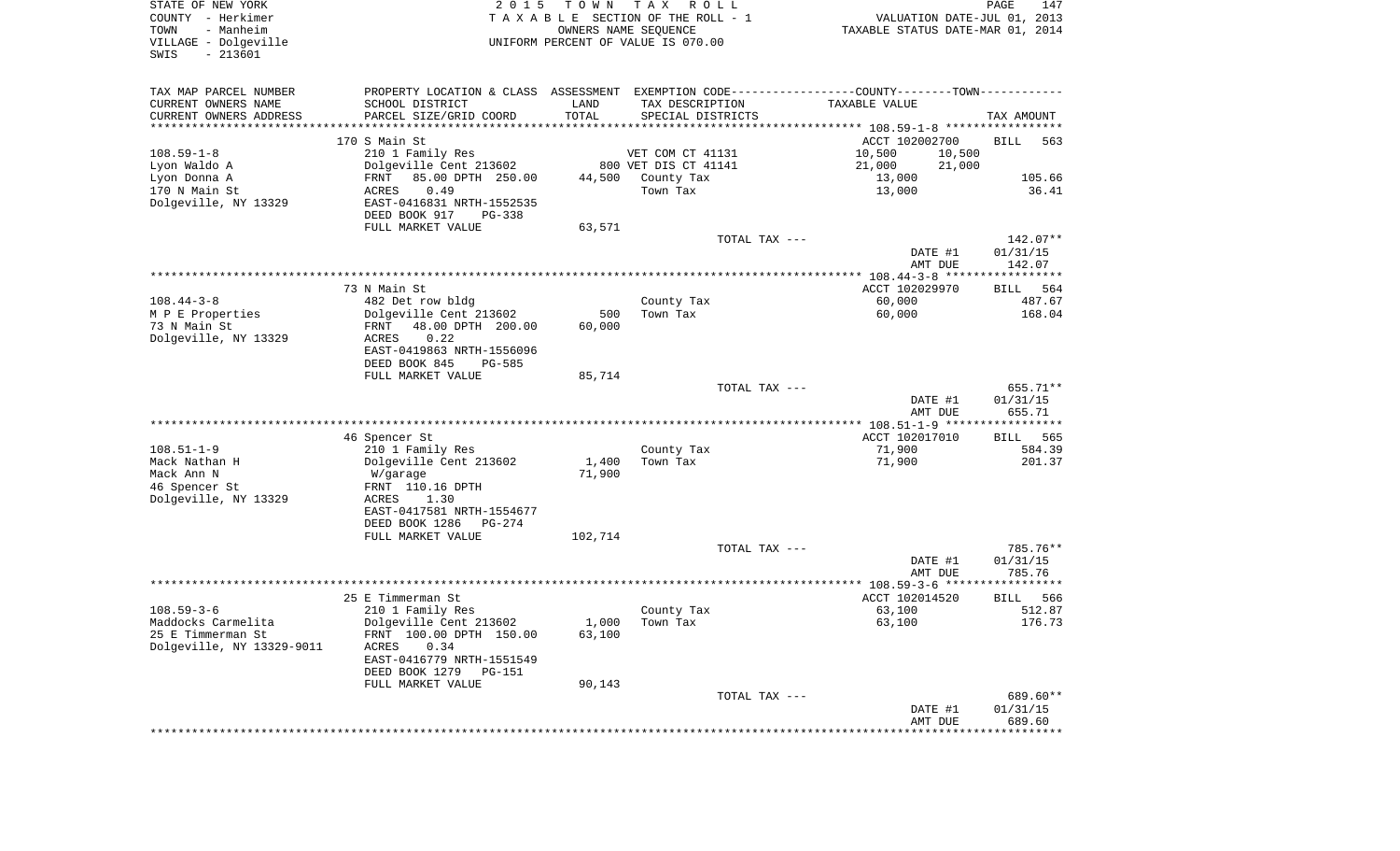| STATE OF NEW YORK<br>COUNTY - Herkimer<br>- Manheim<br>TOWN<br>VILLAGE - Dolgeville<br>$-213601$<br>SWIS | 2 0 1 5                                                                                       | T O W N | T A X<br>R O L L<br>TAXABLE SECTION OF THE ROLL - 1<br>OWNERS NAME SEQUENCE<br>UNIFORM PERCENT OF VALUE IS 070.00 | VALUATION DATE-JUL 01, 2013<br>TAXABLE STATUS DATE-MAR 01, 2014 | PAGE<br>147           |
|----------------------------------------------------------------------------------------------------------|-----------------------------------------------------------------------------------------------|---------|-------------------------------------------------------------------------------------------------------------------|-----------------------------------------------------------------|-----------------------|
| TAX MAP PARCEL NUMBER                                                                                    | PROPERTY LOCATION & CLASS ASSESSMENT EXEMPTION CODE---------------COUNTY-------TOWN---------- |         |                                                                                                                   |                                                                 |                       |
| CURRENT OWNERS NAME                                                                                      | SCHOOL DISTRICT                                                                               | LAND    | TAX DESCRIPTION                                                                                                   | TAXABLE VALUE                                                   |                       |
| CURRENT OWNERS ADDRESS<br>*********************                                                          | PARCEL SIZE/GRID COORD                                                                        | TOTAL   | SPECIAL DISTRICTS                                                                                                 |                                                                 | TAX AMOUNT            |
|                                                                                                          | 170 S Main St                                                                                 |         |                                                                                                                   | ACCT 102002700                                                  | <b>BILL</b><br>563    |
| $108.59 - 1 - 8$                                                                                         | 210 1 Family Res                                                                              |         | VET COM CT 41131                                                                                                  | 10,500<br>10,500                                                |                       |
| Lyon Waldo A                                                                                             | Dolgeville Cent 213602                                                                        |         | 800 VET DIS CT 41141                                                                                              | 21,000<br>21,000                                                |                       |
| Lyon Donna A                                                                                             | 85.00 DPTH 250.00<br>FRNT                                                                     | 44,500  | County Tax                                                                                                        | 13,000                                                          | 105.66                |
| 170 N Main St<br>Dolgeville, NY 13329                                                                    | 0.49<br>ACRES<br>EAST-0416831 NRTH-1552535<br>DEED BOOK 917<br>PG-338                         |         | Town Tax                                                                                                          | 13,000                                                          | 36.41                 |
|                                                                                                          | FULL MARKET VALUE                                                                             | 63,571  |                                                                                                                   |                                                                 |                       |
|                                                                                                          |                                                                                               |         | TOTAL TAX ---                                                                                                     |                                                                 | 142.07**              |
|                                                                                                          |                                                                                               |         |                                                                                                                   | DATE #1<br>AMT DUE                                              | 01/31/15<br>142.07    |
|                                                                                                          |                                                                                               |         |                                                                                                                   |                                                                 |                       |
| $108.44 - 3 - 8$                                                                                         | 73 N Main St<br>482 Det row bldg                                                              |         | County Tax                                                                                                        | ACCT 102029970<br>60,000                                        | 564<br>BILL<br>487.67 |
| M P E Properties                                                                                         | Dolgeville Cent 213602                                                                        | 500     | Town Tax                                                                                                          | 60,000                                                          | 168.04                |
| 73 N Main St                                                                                             | 48.00 DPTH 200.00<br>FRNT                                                                     | 60,000  |                                                                                                                   |                                                                 |                       |
| Dolgeville, NY 13329                                                                                     | 0.22<br>ACRES<br>EAST-0419863 NRTH-1556096                                                    |         |                                                                                                                   |                                                                 |                       |
|                                                                                                          | DEED BOOK 845<br>$PG-585$                                                                     |         |                                                                                                                   |                                                                 |                       |
|                                                                                                          | FULL MARKET VALUE                                                                             | 85,714  | TOTAL TAX ---                                                                                                     |                                                                 | 655.71**              |
|                                                                                                          |                                                                                               |         |                                                                                                                   | DATE #1<br>AMT DUE                                              | 01/31/15<br>655.71    |
|                                                                                                          |                                                                                               |         |                                                                                                                   |                                                                 |                       |
|                                                                                                          | 46 Spencer St                                                                                 |         |                                                                                                                   | ACCT 102017010                                                  | BILL<br>565           |
| $108.51 - 1 - 9$<br>Mack Nathan H                                                                        | 210 1 Family Res<br>Dolgeville Cent 213602                                                    | 1,400   | County Tax<br>Town Tax                                                                                            | 71,900<br>71,900                                                | 584.39<br>201.37      |
| Mack Ann N                                                                                               | W/garage                                                                                      | 71,900  |                                                                                                                   |                                                                 |                       |
| 46 Spencer St                                                                                            | FRNT 110.16 DPTH                                                                              |         |                                                                                                                   |                                                                 |                       |
| Dolgeville, NY 13329                                                                                     | ACRES<br>1.30                                                                                 |         |                                                                                                                   |                                                                 |                       |
|                                                                                                          | EAST-0417581 NRTH-1554677<br>DEED BOOK 1286<br>PG-274                                         |         |                                                                                                                   |                                                                 |                       |
|                                                                                                          | FULL MARKET VALUE                                                                             | 102,714 |                                                                                                                   |                                                                 |                       |
|                                                                                                          |                                                                                               |         | TOTAL TAX ---                                                                                                     |                                                                 | 785.76**              |
|                                                                                                          |                                                                                               |         |                                                                                                                   | DATE #1                                                         | 01/31/15              |
|                                                                                                          |                                                                                               |         |                                                                                                                   | AMT DUE                                                         | 785.76                |
|                                                                                                          | 25 E Timmerman St                                                                             |         |                                                                                                                   | ACCT 102014520                                                  | 566<br>BILL           |
| $108.59 - 3 - 6$                                                                                         | 210 1 Family Res                                                                              |         | County Tax                                                                                                        | 63,100                                                          | 512.87                |
| Maddocks Carmelita                                                                                       | Dolgeville Cent 213602                                                                        |         | $1,000$ Town Tax                                                                                                  | 63,100                                                          | 176.73                |
| 25 E Timmerman St                                                                                        | FRNT 100.00 DPTH 150.00                                                                       | 63,100  |                                                                                                                   |                                                                 |                       |
| Dolgeville, NY 13329-9011                                                                                | ACRES<br>0.34<br>EAST-0416779 NRTH-1551549                                                    |         |                                                                                                                   |                                                                 |                       |
|                                                                                                          | DEED BOOK 1279<br>PG-151                                                                      |         |                                                                                                                   |                                                                 |                       |
|                                                                                                          | FULL MARKET VALUE                                                                             | 90,143  |                                                                                                                   |                                                                 |                       |
|                                                                                                          |                                                                                               |         | TOTAL TAX ---                                                                                                     |                                                                 | 689.60**              |
|                                                                                                          |                                                                                               |         |                                                                                                                   | DATE #1                                                         | 01/31/15              |
|                                                                                                          |                                                                                               |         |                                                                                                                   | AMT DUE                                                         | 689.60                |
|                                                                                                          |                                                                                               |         |                                                                                                                   |                                                                 |                       |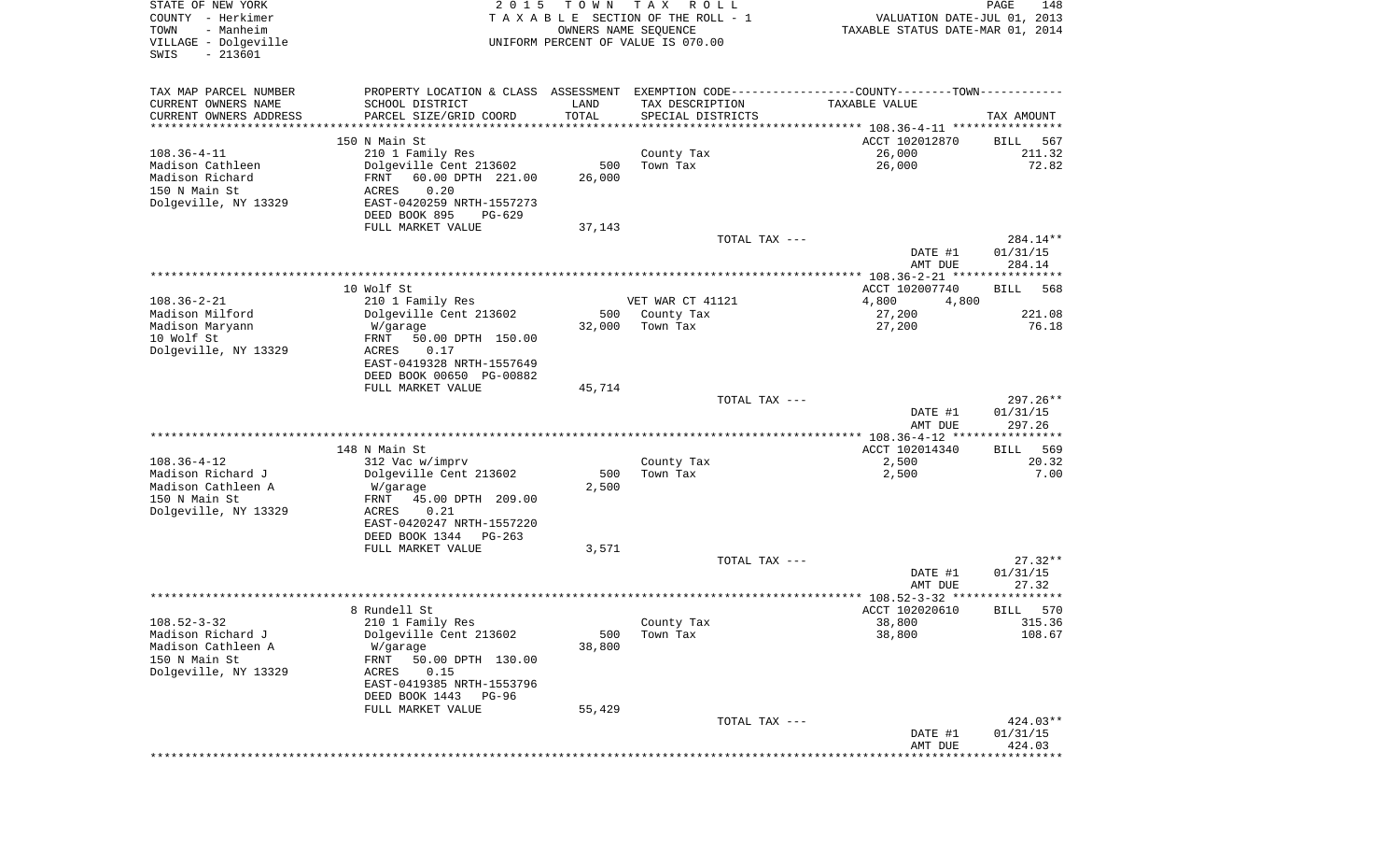| STATE OF NEW YORK<br>COUNTY - Herkimer<br>- Manheim<br>TOWN<br>VILLAGE - Dolgeville<br>$-213601$<br>SWIS | 2 0 1 5                                                                                                                                                                                | T O W N<br>OWNERS NAME SEQUENCE | T A X<br>R O L L<br>TAXABLE SECTION OF THE ROLL - 1<br>UNIFORM PERCENT OF VALUE IS 070.00 | VALUATION DATE-JUL 01, 2013<br>TAXABLE STATUS DATE-MAR 01, 2014                                                       | PAGE<br>148                     |
|----------------------------------------------------------------------------------------------------------|----------------------------------------------------------------------------------------------------------------------------------------------------------------------------------------|---------------------------------|-------------------------------------------------------------------------------------------|-----------------------------------------------------------------------------------------------------------------------|---------------------------------|
| TAX MAP PARCEL NUMBER<br>CURRENT OWNERS NAME<br>CURRENT OWNERS ADDRESS<br>**********************         | SCHOOL DISTRICT<br>PARCEL SIZE/GRID COORD<br>****************************                                                                                                              | LAND<br>TOTAL<br>***********    | TAX DESCRIPTION<br>SPECIAL DISTRICTS                                                      | PROPERTY LOCATION & CLASS ASSESSMENT EXEMPTION CODE---------------COUNTY-------TOWN----------<br><b>TAXABLE VALUE</b> | TAX AMOUNT                      |
| $108.36 - 4 - 11$<br>Madison Cathleen<br>Madison Richard<br>150 N Main St<br>Dolgeville, NY 13329        | 150 N Main St<br>210 1 Family Res<br>Dolgeville Cent 213602<br>60.00 DPTH 221.00<br>FRNT<br>0.20<br>ACRES<br>EAST-0420259 NRTH-1557273<br>DEED BOOK 895<br>PG-629<br>FULL MARKET VALUE | 500<br>26,000<br>37,143         | County Tax<br>Town Tax                                                                    | ACCT 102012870<br>26,000<br>26,000                                                                                    | 567<br>BILL<br>211.32<br>72.82  |
|                                                                                                          |                                                                                                                                                                                        |                                 | TOTAL TAX ---                                                                             | DATE #1<br>AMT DUE                                                                                                    | 284.14**<br>01/31/15<br>284.14  |
|                                                                                                          | 10 Wolf St                                                                                                                                                                             |                                 |                                                                                           | ACCT 102007740                                                                                                        | <b>BILL</b><br>568              |
| $108.36 - 2 - 21$<br>Madison Milford<br>Madison Maryann                                                  | 210 1 Family Res<br>Dolgeville Cent 213602<br>W/garage                                                                                                                                 | 500<br>32,000                   | VET WAR CT 41121<br>County Tax<br>Town Tax                                                | 4,800<br>4,800<br>27,200<br>27,200                                                                                    | 221.08<br>76.18                 |
| 10 Wolf St<br>Dolgeville, NY 13329                                                                       | 50.00 DPTH 150.00<br>FRNT<br>ACRES<br>0.17<br>EAST-0419328 NRTH-1557649<br>DEED BOOK 00650 PG-00882                                                                                    |                                 |                                                                                           |                                                                                                                       |                                 |
|                                                                                                          | FULL MARKET VALUE                                                                                                                                                                      | 45,714                          | TOTAL TAX ---                                                                             | DATE #1<br>AMT DUE                                                                                                    | 297.26**<br>01/31/15<br>297.26  |
|                                                                                                          |                                                                                                                                                                                        |                                 |                                                                                           | ************ 108.36-4-12 *****************                                                                            |                                 |
| $108.36 - 4 - 12$<br>Madison Richard J<br>Madison Cathleen A<br>150 N Main St<br>Dolgeville, NY 13329    | 148 N Main St<br>312 Vac w/imprv<br>Dolgeville Cent 213602<br>W/garage<br>FRNT<br>45.00 DPTH 209.00<br>ACRES<br>0.21<br>EAST-0420247 NRTH-1557220                                      | 500<br>2,500                    | County Tax<br>Town Tax                                                                    | ACCT 102014340<br>2,500<br>2,500                                                                                      | 569<br>BILL<br>20.32<br>7.00    |
|                                                                                                          | DEED BOOK 1344<br>PG-263<br>FULL MARKET VALUE                                                                                                                                          | 3,571                           | TOTAL TAX ---                                                                             |                                                                                                                       | $27.32**$                       |
|                                                                                                          |                                                                                                                                                                                        |                                 |                                                                                           | DATE #1<br>AMT DUE                                                                                                    | 01/31/15<br>27.32               |
|                                                                                                          |                                                                                                                                                                                        |                                 |                                                                                           |                                                                                                                       |                                 |
| $108.52 - 3 - 32$<br>Madison Richard J<br>Madison Cathleen A<br>150 N Main St<br>Dolgeville, NY 13329    | 8 Rundell St<br>210 1 Family Res<br>Dolgeville Cent 213602<br>W/garage<br>FRNT<br>50.00 DPTH 130.00<br>ACRES<br>0.15<br>EAST-0419385 NRTH-1553796<br>DEED BOOK 1443<br><b>PG-96</b>    | 500<br>38,800                   | County Tax<br>Town Tax                                                                    | ACCT 102020610<br>38,800<br>38,800                                                                                    | 570<br>BILL<br>315.36<br>108.67 |
|                                                                                                          | FULL MARKET VALUE                                                                                                                                                                      | 55,429                          |                                                                                           |                                                                                                                       | 424.03**                        |
|                                                                                                          |                                                                                                                                                                                        |                                 | TOTAL TAX ---                                                                             | DATE #1<br>AMT DUE                                                                                                    | 01/31/15<br>424.03              |
|                                                                                                          |                                                                                                                                                                                        |                                 |                                                                                           | * * * * * * * * * * * *                                                                                               | **************                  |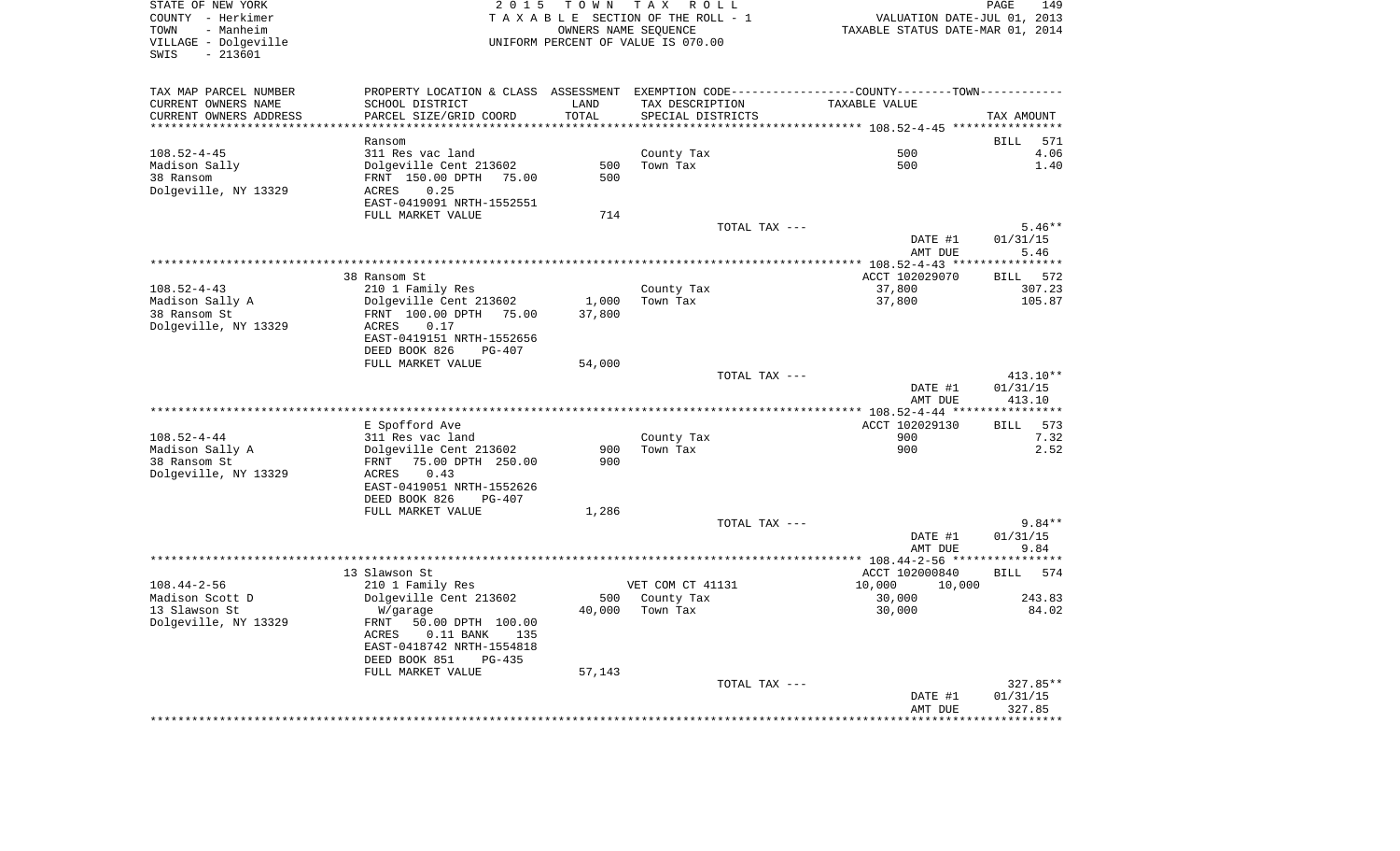| VILLAGE - Dolgeville<br>$-213601$<br>SWIS           |                                                                                               |        | TAXABLE SECTION OF THE ROLL - 1<br>OWNERS NAME SEOUENCE<br>UNIFORM PERCENT OF VALUE IS 070.00 | VALUATION DATE-JUL 01, 2013<br>TAXABLE STATUS DATE-MAR 01, 2014 |                                                                      |
|-----------------------------------------------------|-----------------------------------------------------------------------------------------------|--------|-----------------------------------------------------------------------------------------------|-----------------------------------------------------------------|----------------------------------------------------------------------|
| TAX MAP PARCEL NUMBER                               | PROPERTY LOCATION & CLASS ASSESSMENT EXEMPTION CODE---------------COUNTY-------TOWN---------- |        |                                                                                               |                                                                 |                                                                      |
| CURRENT OWNERS NAME                                 | SCHOOL DISTRICT                                                                               | LAND   | TAX DESCRIPTION                                                                               | TAXABLE VALUE                                                   |                                                                      |
| CURRENT OWNERS ADDRESS<br>************************* | PARCEL SIZE/GRID COORD                                                                        | TOTAL  | SPECIAL DISTRICTS                                                                             |                                                                 | TAX AMOUNT                                                           |
|                                                     | Ransom                                                                                        |        |                                                                                               |                                                                 | 571<br>BILL                                                          |
| $108.52 - 4 - 45$                                   | 311 Res vac land                                                                              |        | County Tax                                                                                    | 500                                                             | 4.06                                                                 |
| Madison Sally                                       | Dolgeville Cent 213602                                                                        | 500    | Town Tax                                                                                      | 500                                                             | 1.40                                                                 |
| 38 Ransom                                           | FRNT 150.00 DPTH 75.00                                                                        | 500    |                                                                                               |                                                                 |                                                                      |
| Dolgeville, NY 13329                                | 0.25<br>ACRES                                                                                 |        |                                                                                               |                                                                 |                                                                      |
|                                                     | EAST-0419091 NRTH-1552551                                                                     |        |                                                                                               |                                                                 |                                                                      |
|                                                     | FULL MARKET VALUE                                                                             | 714    |                                                                                               |                                                                 |                                                                      |
|                                                     |                                                                                               |        | TOTAL TAX ---                                                                                 |                                                                 | $5.46**$                                                             |
|                                                     |                                                                                               |        |                                                                                               | DATE #1<br>AMT DUE                                              | 01/31/15<br>5.46                                                     |
|                                                     |                                                                                               |        |                                                                                               |                                                                 |                                                                      |
|                                                     | 38 Ransom St                                                                                  |        |                                                                                               | ACCT 102029070                                                  | BILL 572                                                             |
| $108.52 - 4 - 43$                                   | 210 1 Family Res                                                                              |        | County Tax                                                                                    | 37,800                                                          | 307.23                                                               |
| Madison Sally A                                     | Dolgeville Cent 213602                                                                        | 1,000  | Town Tax                                                                                      | 37,800                                                          | 105.87                                                               |
| 38 Ransom St                                        | FRNT 100.00 DPTH 75.00                                                                        | 37,800 |                                                                                               |                                                                 |                                                                      |
| Dolgeville, NY 13329                                | ACRES<br>0.17                                                                                 |        |                                                                                               |                                                                 |                                                                      |
|                                                     | EAST-0419151 NRTH-1552656                                                                     |        |                                                                                               |                                                                 |                                                                      |
|                                                     | DEED BOOK 826<br>$PG-407$                                                                     |        |                                                                                               |                                                                 |                                                                      |
|                                                     | FULL MARKET VALUE                                                                             | 54,000 |                                                                                               |                                                                 |                                                                      |
|                                                     |                                                                                               |        |                                                                                               |                                                                 |                                                                      |
|                                                     |                                                                                               |        | TOTAL TAX ---                                                                                 |                                                                 |                                                                      |
|                                                     |                                                                                               |        |                                                                                               | DATE #1                                                         |                                                                      |
|                                                     |                                                                                               |        |                                                                                               | AMT DUE                                                         |                                                                      |
|                                                     |                                                                                               |        |                                                                                               | ******* 108.52-4-44 ***<br>ACCT 102029130                       | <b>BILL</b>                                                          |
| $108.52 - 4 - 44$                                   | E Spofford Ave<br>311 Res vac land                                                            |        | County Tax                                                                                    | 900                                                             |                                                                      |
| Madison Sally A                                     | Dolgeville Cent 213602                                                                        | 900    | Town Tax                                                                                      | 900                                                             |                                                                      |
| 38 Ransom St                                        | FRNT 75.00 DPTH 250.00                                                                        | 900    |                                                                                               |                                                                 |                                                                      |
| Dolgeville, NY 13329                                | ACRES<br>0.43                                                                                 |        |                                                                                               |                                                                 |                                                                      |
|                                                     | EAST-0419051 NRTH-1552626                                                                     |        |                                                                                               |                                                                 | $413.10**$<br>01/31/15<br>413.10<br>*********<br>573<br>7.32<br>2.52 |
|                                                     | DEED BOOK 826<br>$PG-407$                                                                     |        |                                                                                               |                                                                 |                                                                      |
|                                                     | FULL MARKET VALUE                                                                             | 1,286  |                                                                                               |                                                                 |                                                                      |
|                                                     |                                                                                               |        | TOTAL TAX ---                                                                                 |                                                                 | $9.84**$                                                             |
|                                                     |                                                                                               |        |                                                                                               | DATE #1                                                         | 01/31/15<br>9.84                                                     |
|                                                     |                                                                                               |        |                                                                                               | AMT DUE                                                         |                                                                      |
|                                                     | 13 Slawson St                                                                                 |        |                                                                                               | ACCT 102000840                                                  | BILL                                                                 |
| $108.44 - 2 - 56$                                   | 210 1 Family Res                                                                              |        | VET COM CT 41131                                                                              | 10,000<br>10,000                                                |                                                                      |
| Madison Scott D                                     | Dolgeville Cent 213602                                                                        | 500    | County Tax                                                                                    | 30,000                                                          |                                                                      |
| 13 Slawson St                                       | W/garage                                                                                      | 40,000 | Town Tax                                                                                      | 30,000                                                          |                                                                      |
| Dolgeville, NY 13329                                | FRNT<br>50.00 DPTH 100.00                                                                     |        |                                                                                               |                                                                 |                                                                      |
|                                                     | 0.11 BANK 135<br>ACRES                                                                        |        |                                                                                               |                                                                 |                                                                      |
|                                                     | EAST-0418742 NRTH-1554818                                                                     |        |                                                                                               |                                                                 |                                                                      |
|                                                     | DEED BOOK 851<br>$PG-435$                                                                     |        |                                                                                               |                                                                 |                                                                      |
|                                                     | FULL MARKET VALUE                                                                             | 57,143 | TOTAL TAX ---                                                                                 |                                                                 | 574<br>243.83<br>84.02<br>327.85**                                   |
|                                                     |                                                                                               |        |                                                                                               | DATE #1                                                         | 01/31/15                                                             |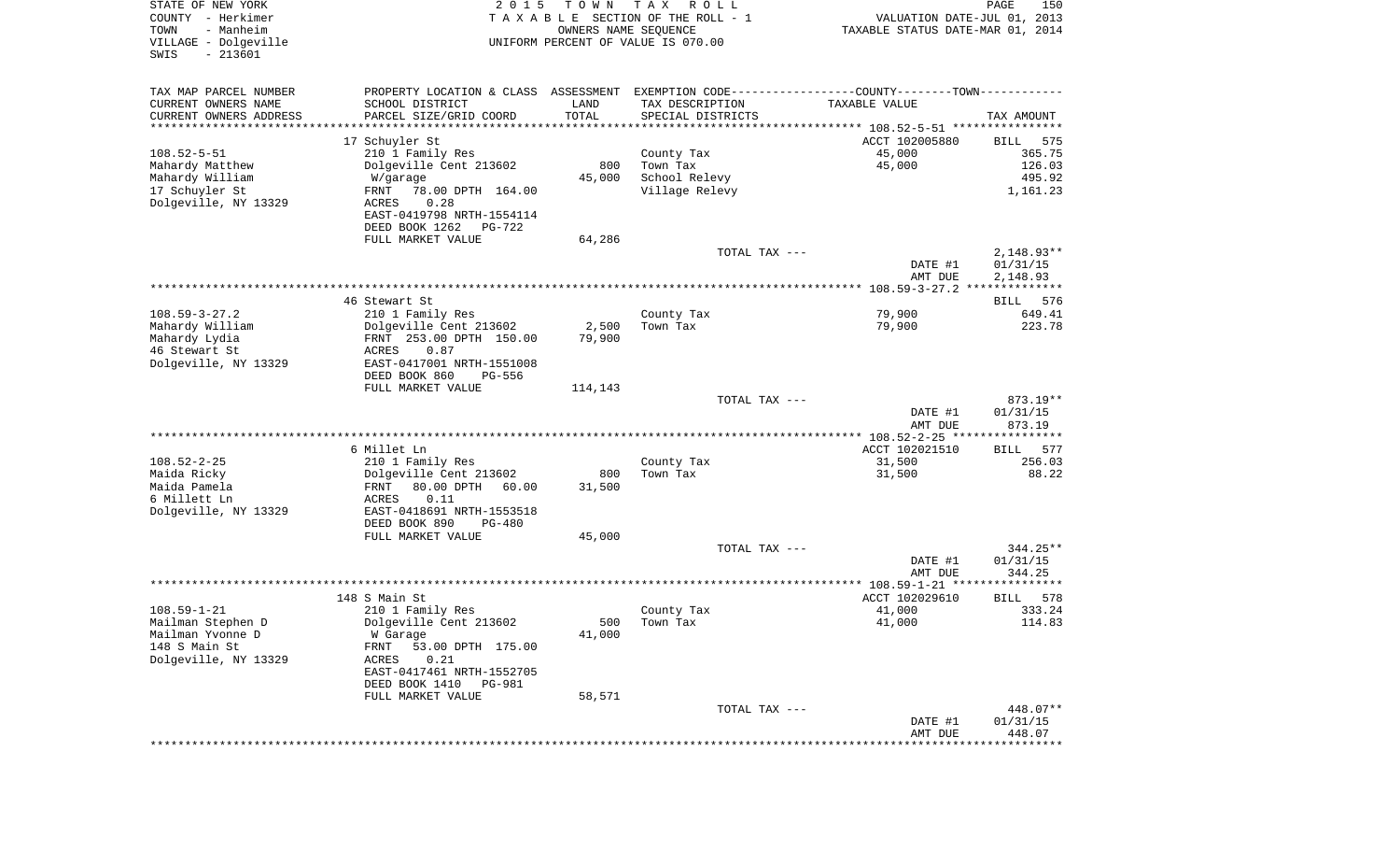| STATE OF NEW YORK<br>COUNTY - Herkimer<br>- Manheim<br>TOWN<br>VILLAGE - Dolgeville<br>$-213601$<br>SWIS | 2 0 1 5<br>T O W N<br>TAXABLE SECTION OF THE ROLL - 1<br>UNIFORM PERCENT OF VALUE IS 070.00 | T A X<br>R O L L<br>OWNERS NAME SEQUENCE | VALUATION DATE-JUL 01, 2013<br>TAXABLE STATUS DATE-MAR 01, 2014 | PAGE<br>150              |
|----------------------------------------------------------------------------------------------------------|---------------------------------------------------------------------------------------------|------------------------------------------|-----------------------------------------------------------------|--------------------------|
| TAX MAP PARCEL NUMBER                                                                                    | PROPERTY LOCATION & CLASS ASSESSMENT                                                        |                                          | EXEMPTION CODE-----------------COUNTY-------TOWN-----------     |                          |
| CURRENT OWNERS NAME<br>SCHOOL DISTRICT                                                                   | LAND                                                                                        | TAX DESCRIPTION                          | TAXABLE VALUE                                                   |                          |
| CURRENT OWNERS ADDRESS<br>PARCEL SIZE/GRID COORD                                                         | TOTAL                                                                                       | SPECIAL DISTRICTS                        |                                                                 | TAX AMOUNT               |
| **********************<br>****************************                                                   | **********                                                                                  |                                          |                                                                 |                          |
| 17 Schuyler St                                                                                           |                                                                                             |                                          | ACCT 102005880                                                  | BILL<br>575              |
| $108.52 - 5 - 51$<br>210 1 Family Res<br>Mahardy Matthew<br>Dolgeville Cent 213602                       | 800                                                                                         | County Tax<br>Town Tax                   | 45,000<br>45,000                                                | 365.75<br>126.03         |
| Mahardy William<br>W/garage                                                                              | 45,000                                                                                      | School Relevy                            |                                                                 | 495.92                   |
| 17 Schuyler St<br>FRNT<br>78.00 DPTH 164.00                                                              |                                                                                             | Village Relevy                           |                                                                 | 1,161.23                 |
| Dolgeville, NY 13329<br>ACRES<br>0.28                                                                    |                                                                                             |                                          |                                                                 |                          |
| EAST-0419798 NRTH-1554114                                                                                |                                                                                             |                                          |                                                                 |                          |
| DEED BOOK 1262                                                                                           | PG-722                                                                                      |                                          |                                                                 |                          |
| FULL MARKET VALUE                                                                                        | 64,286                                                                                      |                                          |                                                                 |                          |
|                                                                                                          |                                                                                             | TOTAL TAX ---                            | DATE #1                                                         | $2,148.93**$<br>01/31/15 |
|                                                                                                          |                                                                                             |                                          | AMT DUE                                                         | 2,148.93                 |
|                                                                                                          |                                                                                             |                                          |                                                                 |                          |
| 46 Stewart St                                                                                            |                                                                                             |                                          |                                                                 | 576<br>BILL              |
| $108.59 - 3 - 27.2$<br>210 1 Family Res                                                                  |                                                                                             | County Tax                               | 79,900                                                          | 649.41                   |
| Mahardy William<br>Dolgeville Cent 213602                                                                | 2,500                                                                                       | Town Tax                                 | 79,900                                                          | 223.78                   |
| Mahardy Lydia<br>FRNT 253.00 DPTH 150.00                                                                 | 79,900                                                                                      |                                          |                                                                 |                          |
| 46 Stewart St<br>0.87<br>ACRES<br>Dolgeville, NY 13329<br>EAST-0417001 NRTH-1551008                      |                                                                                             |                                          |                                                                 |                          |
| DEED BOOK 860                                                                                            | PG-556                                                                                      |                                          |                                                                 |                          |
| FULL MARKET VALUE                                                                                        | 114,143                                                                                     |                                          |                                                                 |                          |
|                                                                                                          |                                                                                             | TOTAL TAX ---                            |                                                                 | 873.19**                 |
|                                                                                                          |                                                                                             |                                          | DATE #1                                                         | 01/31/15                 |
|                                                                                                          |                                                                                             |                                          | AMT DUE                                                         | 873.19                   |
| 6 Millet Ln                                                                                              |                                                                                             |                                          | ************** 108.52-2-25 *****************<br>ACCT 102021510  | <b>BILL</b><br>577       |
| $108.52 - 2 - 25$<br>210 1 Family Res                                                                    |                                                                                             | County Tax                               | 31,500                                                          | 256.03                   |
| Maida Ricky<br>Dolgeville Cent 213602                                                                    | 800                                                                                         | Town Tax                                 | 31,500                                                          | 88.22                    |
| Maida Pamela<br>FRNT<br>80.00 DPTH                                                                       | 60.00<br>31,500                                                                             |                                          |                                                                 |                          |
| 6 Millett Ln<br>ACRES<br>0.11                                                                            |                                                                                             |                                          |                                                                 |                          |
| Dolgeville, NY 13329<br>EAST-0418691 NRTH-1553518                                                        |                                                                                             |                                          |                                                                 |                          |
| DEED BOOK 890                                                                                            | PG-480                                                                                      |                                          |                                                                 |                          |
| FULL MARKET VALUE                                                                                        | 45,000                                                                                      | TOTAL TAX ---                            |                                                                 | $344.25**$               |
|                                                                                                          |                                                                                             |                                          | DATE #1                                                         | 01/31/15                 |
|                                                                                                          |                                                                                             |                                          | AMT DUE                                                         | 344.25                   |
|                                                                                                          |                                                                                             |                                          |                                                                 |                          |
| 148 S Main St                                                                                            |                                                                                             |                                          | ACCT 102029610                                                  | 578<br>BILL              |
| $108.59 - 1 - 21$<br>210 1 Family Res                                                                    |                                                                                             | County Tax                               | 41,000                                                          | 333.24                   |
| Mailman Stephen D<br>Dolgeville Cent 213602                                                              |                                                                                             | 500 Town Tax                             | 41,000                                                          | 114.83                   |
| Mailman Yvonne D<br>W Garage<br>148 S Main St<br>FRNT<br>53.00 DPTH 175.00                               | 41,000                                                                                      |                                          |                                                                 |                          |
| Dolgeville, NY 13329<br>ACRES<br>0.21                                                                    |                                                                                             |                                          |                                                                 |                          |
| EAST-0417461 NRTH-1552705                                                                                |                                                                                             |                                          |                                                                 |                          |
| DEED BOOK 1410                                                                                           | PG-981                                                                                      |                                          |                                                                 |                          |
| FULL MARKET VALUE                                                                                        | 58,571                                                                                      |                                          |                                                                 |                          |
|                                                                                                          |                                                                                             | TOTAL TAX ---                            |                                                                 | 448.07**                 |
|                                                                                                          |                                                                                             |                                          | DATE #1<br>AMT DUE                                              | 01/31/15                 |
|                                                                                                          |                                                                                             |                                          | ****************************                                    | 448.07                   |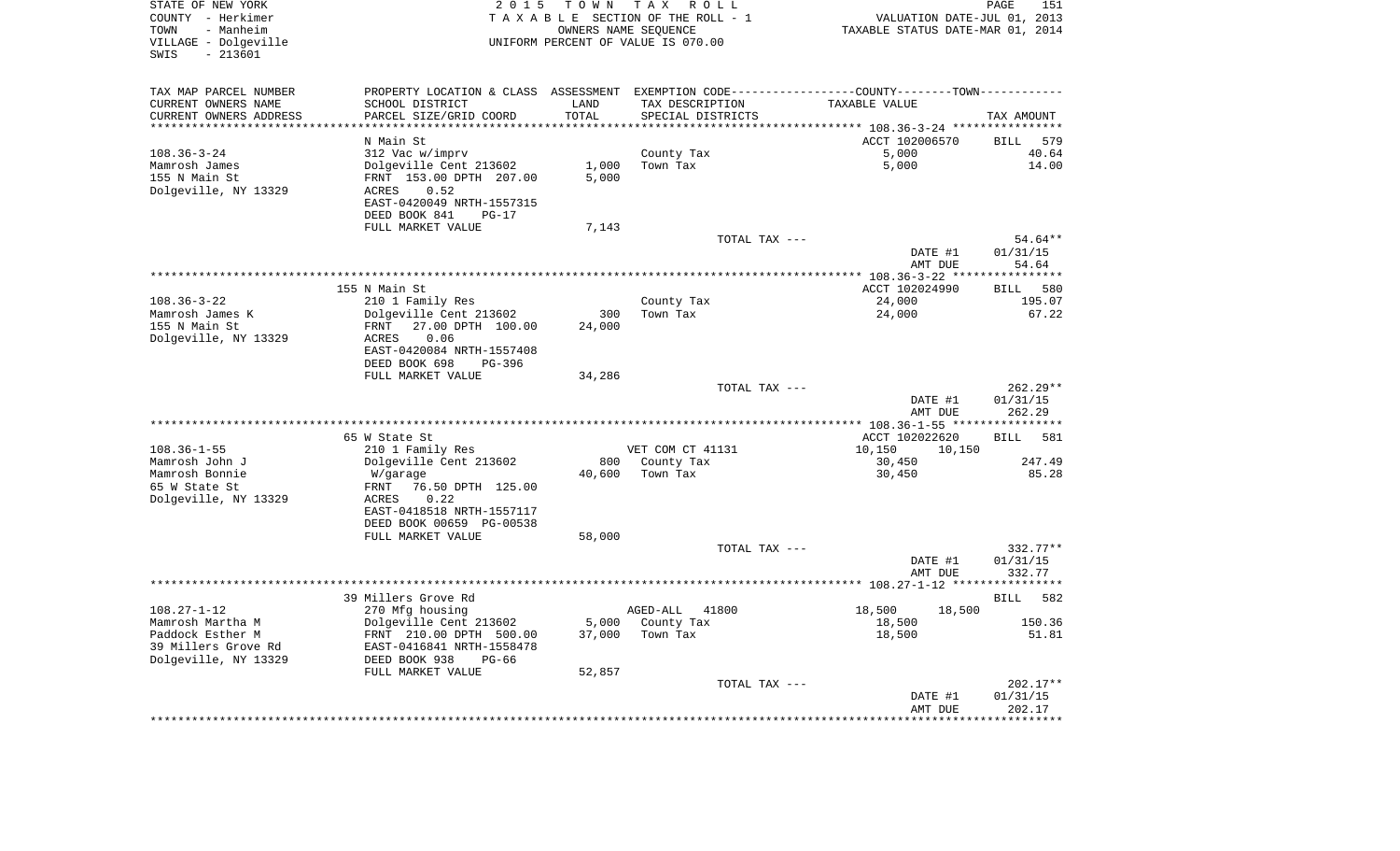| STATE OF NEW YORK<br>COUNTY - Herkimer<br>TOWN<br>- Manheim<br>VILLAGE - Dolgeville<br>SWIS<br>$-213601$ | 2 0 1 5                                               | T O W N         | TAX ROLL<br>TAXABLE SECTION OF THE ROLL - 1<br>OWNERS NAME SEQUENCE<br>UNIFORM PERCENT OF VALUE IS 070.00 | VALUATION DATE-JUL 01, 2013<br>TAXABLE STATUS DATE-MAR 01, 2014                               | PAGE<br>151          |
|----------------------------------------------------------------------------------------------------------|-------------------------------------------------------|-----------------|-----------------------------------------------------------------------------------------------------------|-----------------------------------------------------------------------------------------------|----------------------|
| TAX MAP PARCEL NUMBER                                                                                    |                                                       |                 |                                                                                                           | PROPERTY LOCATION & CLASS ASSESSMENT EXEMPTION CODE---------------COUNTY-------TOWN---------- |                      |
| CURRENT OWNERS NAME                                                                                      | SCHOOL DISTRICT                                       | LAND            | TAX DESCRIPTION                                                                                           | TAXABLE VALUE                                                                                 |                      |
| CURRENT OWNERS ADDRESS                                                                                   | PARCEL SIZE/GRID COORD                                | TOTAL           | SPECIAL DISTRICTS                                                                                         |                                                                                               | TAX AMOUNT           |
| **********************                                                                                   | ************************                              | *************** |                                                                                                           | ************************************** 108.36-3-24 *****************                          |                      |
| $108.36 - 3 - 24$                                                                                        | N Main St<br>312 Vac w/imprv                          |                 | County Tax                                                                                                | ACCT 102006570<br>5,000                                                                       | BILL<br>579<br>40.64 |
| Mamrosh James                                                                                            | Dolgeville Cent 213602                                | 1,000           | Town Tax                                                                                                  | 5,000                                                                                         | 14.00                |
| 155 N Main St                                                                                            | FRNT 153.00 DPTH 207.00                               | 5,000           |                                                                                                           |                                                                                               |                      |
| Dolgeville, NY 13329                                                                                     | ACRES<br>0.52                                         |                 |                                                                                                           |                                                                                               |                      |
|                                                                                                          | EAST-0420049 NRTH-1557315                             |                 |                                                                                                           |                                                                                               |                      |
|                                                                                                          | DEED BOOK 841<br>PG-17                                |                 |                                                                                                           |                                                                                               |                      |
|                                                                                                          | FULL MARKET VALUE                                     | 7,143           |                                                                                                           |                                                                                               |                      |
|                                                                                                          |                                                       |                 | TOTAL TAX ---                                                                                             |                                                                                               | 54.64**              |
|                                                                                                          |                                                       |                 |                                                                                                           | DATE #1                                                                                       | 01/31/15             |
|                                                                                                          |                                                       |                 |                                                                                                           | AMT DUE                                                                                       | 54.64                |
|                                                                                                          | 155 N Main St                                         |                 |                                                                                                           | ACCT 102024990                                                                                | 580<br><b>BILL</b>   |
| $108.36 - 3 - 22$                                                                                        | 210 1 Family Res                                      |                 | County Tax                                                                                                | 24,000                                                                                        | 195.07               |
| Mamrosh James K                                                                                          | Dolgeville Cent 213602                                | 300             | Town Tax                                                                                                  | 24,000                                                                                        | 67.22                |
| 155 N Main St                                                                                            | 27.00 DPTH 100.00<br>FRNT                             | 24,000          |                                                                                                           |                                                                                               |                      |
| Dolgeville, NY 13329                                                                                     | ACRES<br>0.06                                         |                 |                                                                                                           |                                                                                               |                      |
|                                                                                                          | EAST-0420084 NRTH-1557408                             |                 |                                                                                                           |                                                                                               |                      |
|                                                                                                          | DEED BOOK 698<br>PG-396                               |                 |                                                                                                           |                                                                                               |                      |
|                                                                                                          | FULL MARKET VALUE                                     | 34,286          |                                                                                                           |                                                                                               |                      |
|                                                                                                          |                                                       |                 | TOTAL TAX ---                                                                                             |                                                                                               | $262.29**$           |
|                                                                                                          |                                                       |                 |                                                                                                           | DATE #1<br>AMT DUE                                                                            | 01/31/15<br>262.29   |
|                                                                                                          |                                                       |                 |                                                                                                           |                                                                                               |                      |
|                                                                                                          | 65 W State St                                         |                 |                                                                                                           | ACCT 102022620                                                                                | <b>BILL</b><br>581   |
| $108.36 - 1 - 55$                                                                                        | 210 1 Family Res                                      |                 | VET COM CT 41131                                                                                          | 10,150<br>10,150                                                                              |                      |
| Mamrosh John J                                                                                           | Dolgeville Cent 213602                                | 800             | County Tax                                                                                                | 30,450                                                                                        | 247.49               |
| Mamrosh Bonnie                                                                                           | W/garage                                              | 40,600          | Town Tax                                                                                                  | 30,450                                                                                        | 85.28                |
| 65 W State St                                                                                            | 76.50 DPTH 125.00<br>FRNT                             |                 |                                                                                                           |                                                                                               |                      |
| Dolgeville, NY 13329                                                                                     | ACRES<br>0.22                                         |                 |                                                                                                           |                                                                                               |                      |
|                                                                                                          | EAST-0418518 NRTH-1557117<br>DEED BOOK 00659 PG-00538 |                 |                                                                                                           |                                                                                               |                      |
|                                                                                                          | FULL MARKET VALUE                                     | 58,000          |                                                                                                           |                                                                                               |                      |
|                                                                                                          |                                                       |                 | TOTAL TAX ---                                                                                             |                                                                                               | 332.77**             |
|                                                                                                          |                                                       |                 |                                                                                                           | DATE #1                                                                                       | 01/31/15             |
|                                                                                                          |                                                       |                 |                                                                                                           | AMT DUE                                                                                       | 332.77               |
|                                                                                                          |                                                       |                 |                                                                                                           |                                                                                               | **********           |
|                                                                                                          | 39 Millers Grove Rd                                   |                 |                                                                                                           |                                                                                               | <b>BILL</b><br>582   |
| $108.27 - 1 - 12$                                                                                        | 270 Mfg housing                                       |                 | AGED-ALL 41800                                                                                            | 18,500<br>18,500                                                                              |                      |
| Mamrosh Martha M<br>Paddock Esther M                                                                     | Dolgeville Cent 213602                                | 5,000<br>37,000 | County Tax<br>Town Tax                                                                                    | 18,500<br>18,500                                                                              | 150.36<br>51.81      |
| 39 Millers Grove Rd                                                                                      | FRNT 210.00 DPTH 500.00<br>EAST-0416841 NRTH-1558478  |                 |                                                                                                           |                                                                                               |                      |
| Dolgeville, NY 13329                                                                                     | DEED BOOK 938<br>$PG-66$                              |                 |                                                                                                           |                                                                                               |                      |
|                                                                                                          | FULL MARKET VALUE                                     | 52,857          |                                                                                                           |                                                                                               |                      |
|                                                                                                          |                                                       |                 | TOTAL TAX ---                                                                                             |                                                                                               | 202.17**             |
|                                                                                                          |                                                       |                 |                                                                                                           | DATE #1                                                                                       | 01/31/15             |
|                                                                                                          |                                                       |                 |                                                                                                           | AMT DUE                                                                                       | 202.17               |
|                                                                                                          |                                                       |                 |                                                                                                           |                                                                                               |                      |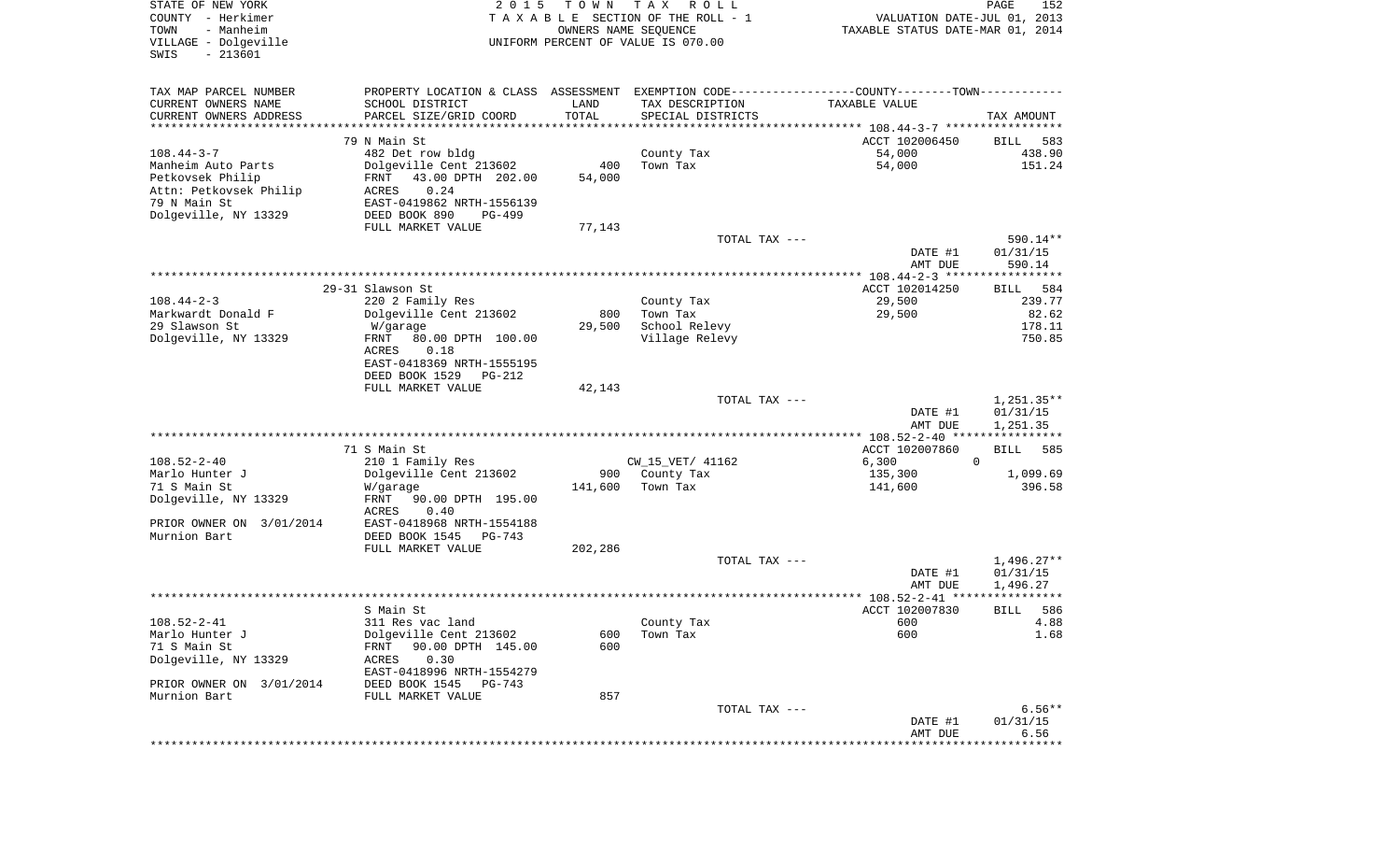| STATE OF NEW YORK<br>COUNTY - Herkimer<br>- Manheim<br>TOWN<br>VILLAGE - Dolgeville<br>$-213601$<br>SWIS | 2 0 1 5                                                                                       | T O W N<br>OWNERS NAME SEQUENCE | T A X<br>R O L L<br>TAXABLE SECTION OF THE ROLL - 1<br>UNIFORM PERCENT OF VALUE IS 070.00 | VALUATION DATE-JUL 01, 2013<br>TAXABLE STATUS DATE-MAR 01, 2014 | PAGE<br>152              |
|----------------------------------------------------------------------------------------------------------|-----------------------------------------------------------------------------------------------|---------------------------------|-------------------------------------------------------------------------------------------|-----------------------------------------------------------------|--------------------------|
| TAX MAP PARCEL NUMBER                                                                                    | PROPERTY LOCATION & CLASS ASSESSMENT EXEMPTION CODE---------------COUNTY-------TOWN---------- |                                 |                                                                                           |                                                                 |                          |
| CURRENT OWNERS NAME                                                                                      | SCHOOL DISTRICT                                                                               | LAND                            | TAX DESCRIPTION                                                                           | TAXABLE VALUE                                                   |                          |
| CURRENT OWNERS ADDRESS                                                                                   | PARCEL SIZE/GRID COORD                                                                        | TOTAL                           | SPECIAL DISTRICTS                                                                         |                                                                 | TAX AMOUNT               |
| **********************                                                                                   | 79 N Main St.                                                                                 |                                 |                                                                                           | ACCT 102006450                                                  | 583<br>BILL              |
| $108.44 - 3 - 7$                                                                                         | 482 Det row bldg                                                                              |                                 | County Tax                                                                                | 54,000                                                          | 438.90                   |
| Manheim Auto Parts                                                                                       | Dolgeville Cent 213602                                                                        | 400                             | Town Tax                                                                                  | 54,000                                                          | 151.24                   |
| Petkovsek Philip                                                                                         | FRNT<br>43.00 DPTH 202.00                                                                     | 54,000                          |                                                                                           |                                                                 |                          |
| Attn: Petkovsek Philip                                                                                   | 0.24<br>ACRES                                                                                 |                                 |                                                                                           |                                                                 |                          |
| 79 N Main St                                                                                             | EAST-0419862 NRTH-1556139                                                                     |                                 |                                                                                           |                                                                 |                          |
| Dolgeville, NY 13329                                                                                     | DEED BOOK 890<br>PG-499                                                                       |                                 |                                                                                           |                                                                 |                          |
|                                                                                                          | FULL MARKET VALUE                                                                             | 77,143                          | TOTAL TAX ---                                                                             |                                                                 | 590.14**                 |
|                                                                                                          |                                                                                               |                                 |                                                                                           | DATE #1<br>AMT DUE                                              | 01/31/15<br>590.14       |
|                                                                                                          |                                                                                               |                                 |                                                                                           |                                                                 |                          |
|                                                                                                          | 29-31 Slawson St                                                                              |                                 |                                                                                           | ACCT 102014250                                                  | <b>BILL</b><br>584       |
| $108.44 - 2 - 3$                                                                                         | 220 2 Family Res                                                                              |                                 | County Tax                                                                                | 29,500                                                          | 239.77                   |
| Markwardt Donald F<br>29 Slawson St                                                                      | Dolgeville Cent 213602<br>W/garage                                                            | 800<br>29,500                   | Town Tax<br>School Relevy                                                                 | 29,500                                                          | 82.62<br>178.11          |
| Dolgeville, NY 13329                                                                                     | FRNT<br>80.00 DPTH 100.00                                                                     |                                 | Village Relevy                                                                            |                                                                 | 750.85                   |
|                                                                                                          | ACRES<br>0.18                                                                                 |                                 |                                                                                           |                                                                 |                          |
|                                                                                                          | EAST-0418369 NRTH-1555195                                                                     |                                 |                                                                                           |                                                                 |                          |
|                                                                                                          | DEED BOOK 1529<br>PG-212                                                                      |                                 |                                                                                           |                                                                 |                          |
|                                                                                                          | FULL MARKET VALUE                                                                             | 42,143                          |                                                                                           |                                                                 |                          |
|                                                                                                          |                                                                                               |                                 | TOTAL TAX ---                                                                             | DATE #1                                                         | $1,251.35**$<br>01/31/15 |
|                                                                                                          |                                                                                               |                                 |                                                                                           | AMT DUE                                                         | 1,251.35                 |
|                                                                                                          |                                                                                               |                                 |                                                                                           | *********** 108.52-2-40 *****************                       |                          |
|                                                                                                          | 71 S Main St                                                                                  |                                 |                                                                                           | ACCT 102007860                                                  | <b>BILL</b><br>585       |
| $108.52 - 2 - 40$                                                                                        | 210 1 Family Res                                                                              |                                 | CW_15_VET/ 41162                                                                          | 6,300                                                           | $\mathbf 0$              |
| Marlo Hunter J<br>71 S Main St                                                                           | Dolgeville Cent 213602<br>W/garage                                                            | 900<br>141,600                  | County Tax<br>Town Tax                                                                    | 135,300<br>141,600                                              | 1,099.69<br>396.58       |
| Dolgeville, NY 13329                                                                                     | FRNT<br>90.00 DPTH 195.00                                                                     |                                 |                                                                                           |                                                                 |                          |
|                                                                                                          | ACRES<br>0.40                                                                                 |                                 |                                                                                           |                                                                 |                          |
| PRIOR OWNER ON 3/01/2014                                                                                 | EAST-0418968 NRTH-1554188                                                                     |                                 |                                                                                           |                                                                 |                          |
| Murnion Bart                                                                                             | DEED BOOK 1545<br>PG-743                                                                      |                                 |                                                                                           |                                                                 |                          |
|                                                                                                          | FULL MARKET VALUE                                                                             | 202,286                         |                                                                                           |                                                                 | $1,496.27**$             |
|                                                                                                          |                                                                                               |                                 | TOTAL TAX ---                                                                             | DATE #1                                                         | 01/31/15                 |
|                                                                                                          |                                                                                               |                                 |                                                                                           | AMT DUE                                                         | 1,496.27                 |
|                                                                                                          |                                                                                               |                                 |                                                                                           |                                                                 | *****                    |
|                                                                                                          | S Main St                                                                                     |                                 |                                                                                           | ACCT 102007830                                                  | 586<br>BILL              |
| $108.52 - 2 - 41$                                                                                        | 311 Res vac land                                                                              |                                 | County Tax                                                                                | 600                                                             | 4.88                     |
| Marlo Hunter J<br>71 S Main St                                                                           | Dolgeville Cent 213602                                                                        | 600                             | Town Tax                                                                                  | 600                                                             | 1.68                     |
| Dolgeville, NY 13329                                                                                     | 90.00 DPTH 145.00<br>FRNT<br>0.30<br>ACRES                                                    | 600                             |                                                                                           |                                                                 |                          |
|                                                                                                          | EAST-0418996 NRTH-1554279                                                                     |                                 |                                                                                           |                                                                 |                          |
| PRIOR OWNER ON 3/01/2014                                                                                 | DEED BOOK 1545 PG-743                                                                         |                                 |                                                                                           |                                                                 |                          |
| Murnion Bart                                                                                             | FULL MARKET VALUE                                                                             | 857                             |                                                                                           |                                                                 |                          |
|                                                                                                          |                                                                                               |                                 | TOTAL TAX ---                                                                             |                                                                 | $6.56**$                 |
|                                                                                                          |                                                                                               |                                 |                                                                                           | DATE #1<br>AMT DUE                                              | 01/31/15<br>6.56         |
|                                                                                                          |                                                                                               |                                 |                                                                                           |                                                                 |                          |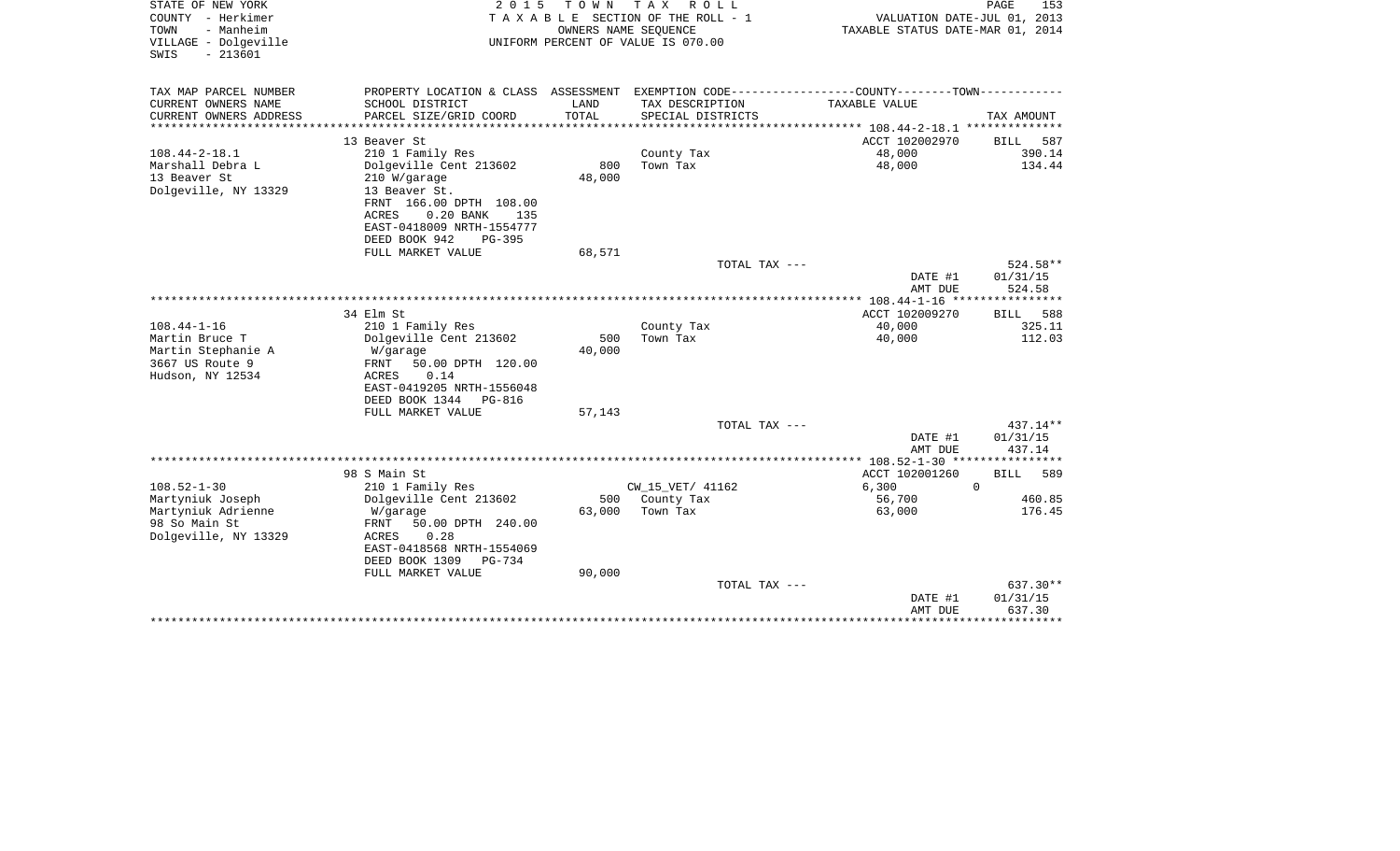| STATE OF NEW YORK<br>COUNTY - Herkimer<br>- Manheim<br>TOWN<br>VILLAGE - Dolgeville<br>$-213601$<br>SWIS | 2 0 1 5                                                                                                                           | T O W N<br>OWNERS NAME SEQUENCE | T A X<br>R O L L<br>TAXABLE SECTION OF THE ROLL - 1<br>UNIFORM PERCENT OF VALUE IS 070.00 | VALUATION DATE-JUL 01, 2013<br>TAXABLE STATUS DATE-MAR 01, 2014 | PAGE<br>153                  |
|----------------------------------------------------------------------------------------------------------|-----------------------------------------------------------------------------------------------------------------------------------|---------------------------------|-------------------------------------------------------------------------------------------|-----------------------------------------------------------------|------------------------------|
| TAX MAP PARCEL NUMBER                                                                                    | PROPERTY LOCATION & CLASS ASSESSMENT EXEMPTION CODE----------------COUNTY--------TOWN----------                                   |                                 |                                                                                           |                                                                 |                              |
| CURRENT OWNERS NAME<br>CURRENT OWNERS ADDRESS<br>*******************                                     | SCHOOL DISTRICT<br>PARCEL SIZE/GRID COORD                                                                                         | LAND<br>TOTAL<br>********       | TAX DESCRIPTION<br>SPECIAL DISTRICTS                                                      | TAXABLE VALUE                                                   | TAX AMOUNT                   |
|                                                                                                          | 13 Beaver St                                                                                                                      |                                 |                                                                                           | ACCT 102002970                                                  | <b>BILL</b><br>587           |
| $108.44 - 2 - 18.1$                                                                                      | 210 1 Family Res                                                                                                                  |                                 | County Tax                                                                                | 48,000                                                          | 390.14                       |
| Marshall Debra L                                                                                         | Dolgeville Cent 213602                                                                                                            | 800                             | Town Tax                                                                                  | 48,000                                                          | 134.44                       |
| 13 Beaver St                                                                                             | 210 W/garage                                                                                                                      | 48,000                          |                                                                                           |                                                                 |                              |
| Dolgeville, NY 13329                                                                                     | 13 Beaver St.<br>FRNT 166.00 DPTH 108.00<br>ACRES<br>$0.20$ BANK<br>135<br>EAST-0418009 NRTH-1554777<br>DEED BOOK 942<br>$PG-395$ |                                 |                                                                                           |                                                                 |                              |
|                                                                                                          | FULL MARKET VALUE                                                                                                                 | 68,571                          |                                                                                           |                                                                 |                              |
|                                                                                                          |                                                                                                                                   |                                 | TOTAL TAX ---                                                                             |                                                                 | 524.58**                     |
|                                                                                                          |                                                                                                                                   |                                 |                                                                                           | DATE #1                                                         | 01/31/15                     |
|                                                                                                          |                                                                                                                                   |                                 |                                                                                           | AMT DUE                                                         | 524.58                       |
|                                                                                                          |                                                                                                                                   |                                 |                                                                                           |                                                                 |                              |
| $108.44 - 1 - 16$                                                                                        | 34 Elm St<br>210 1 Family Res                                                                                                     |                                 | County Tax                                                                                | ACCT 102009270<br>40,000                                        | 588<br><b>BILL</b><br>325.11 |
| Martin Bruce T                                                                                           | Dolgeville Cent 213602                                                                                                            | 500                             | Town Tax                                                                                  | 40,000                                                          | 112.03                       |
| Martin Stephanie A                                                                                       | W/garage                                                                                                                          | 40,000                          |                                                                                           |                                                                 |                              |
| 3667 US Route 9                                                                                          | FRNT<br>50.00 DPTH 120.00                                                                                                         |                                 |                                                                                           |                                                                 |                              |
| Hudson, NY 12534                                                                                         | <b>ACRES</b><br>0.14                                                                                                              |                                 |                                                                                           |                                                                 |                              |
|                                                                                                          | EAST-0419205 NRTH-1556048                                                                                                         |                                 |                                                                                           |                                                                 |                              |
|                                                                                                          | DEED BOOK 1344<br>PG-816                                                                                                          |                                 |                                                                                           |                                                                 |                              |
|                                                                                                          | FULL MARKET VALUE                                                                                                                 | 57,143                          |                                                                                           |                                                                 |                              |
|                                                                                                          |                                                                                                                                   |                                 | TOTAL TAX ---                                                                             |                                                                 | $437.14**$                   |
|                                                                                                          |                                                                                                                                   |                                 |                                                                                           | DATE #1                                                         | 01/31/15                     |
|                                                                                                          |                                                                                                                                   |                                 |                                                                                           | AMT DUE                                                         | 437.14                       |
|                                                                                                          | 98 S Main St                                                                                                                      |                                 |                                                                                           |                                                                 | <b>BILL</b><br>589           |
| $108.52 - 1 - 30$                                                                                        | 210 1 Family Res                                                                                                                  |                                 | CW_15_VET/ 41162                                                                          | ACCT 102001260<br>6,300                                         | 0                            |
| Martyniuk Joseph                                                                                         | Dolgeville Cent 213602                                                                                                            | 500                             | County Tax                                                                                | 56,700                                                          | 460.85                       |
| Martyniuk Adrienne                                                                                       | W/garage                                                                                                                          | 63,000                          | Town Tax                                                                                  | 63,000                                                          | 176.45                       |
| 98 So Main St                                                                                            | FRNT<br>50.00 DPTH 240.00                                                                                                         |                                 |                                                                                           |                                                                 |                              |
| Dolgeville, NY 13329                                                                                     | 0.28<br>ACRES                                                                                                                     |                                 |                                                                                           |                                                                 |                              |
|                                                                                                          | EAST-0418568 NRTH-1554069                                                                                                         |                                 |                                                                                           |                                                                 |                              |
|                                                                                                          | DEED BOOK 1309<br><b>PG-734</b>                                                                                                   |                                 |                                                                                           |                                                                 |                              |
|                                                                                                          | FULL MARKET VALUE                                                                                                                 | 90,000                          |                                                                                           |                                                                 |                              |
|                                                                                                          |                                                                                                                                   |                                 | TOTAL TAX ---                                                                             |                                                                 | 637.30**                     |
|                                                                                                          |                                                                                                                                   |                                 |                                                                                           | DATE #1                                                         | 01/31/15                     |
|                                                                                                          |                                                                                                                                   |                                 |                                                                                           | AMT DUE                                                         | 637.30                       |
|                                                                                                          |                                                                                                                                   |                                 |                                                                                           |                                                                 |                              |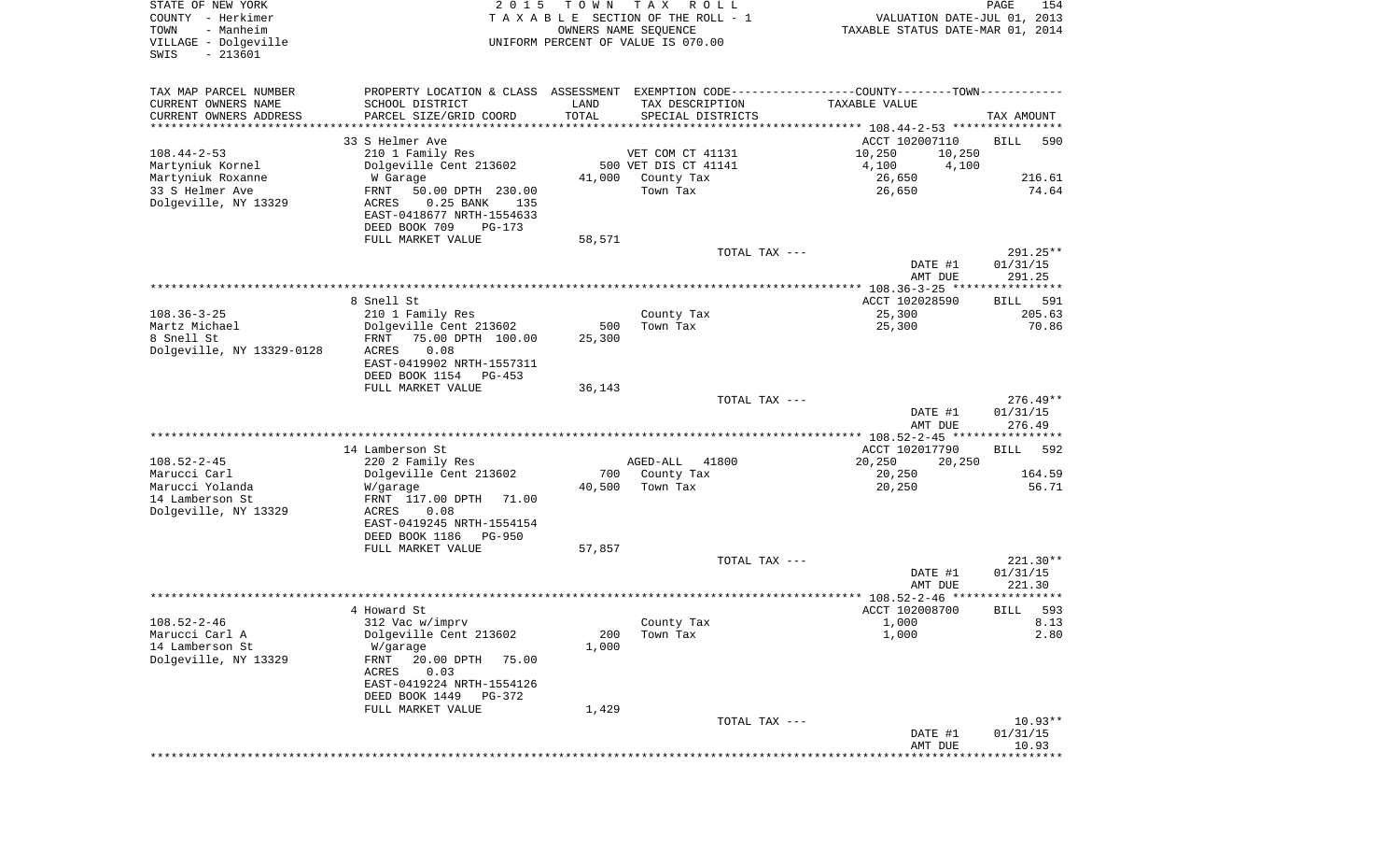| COUNTY<br>– Herkimer<br>- Manheim<br>TOWN<br>VILLAGE - Dolgeville<br>$-213601$<br>SWIS | TAXABLE                                                                                                                |               | SECTION OF THE ROLL - 1<br>OWNERS NAME SEQUENCE<br>UNIFORM PERCENT OF VALUE IS 070.00 | VALUATION DATE-JUL 01, 2013<br>TAXABLE STATUS DATE-MAR 01, 2014              |                                  |
|----------------------------------------------------------------------------------------|------------------------------------------------------------------------------------------------------------------------|---------------|---------------------------------------------------------------------------------------|------------------------------------------------------------------------------|----------------------------------|
| TAX MAP PARCEL NUMBER<br>CURRENT OWNERS NAME<br>CURRENT OWNERS ADDRESS                 | PROPERTY LOCATION & CLASS ASSESSMENT<br>SCHOOL DISTRICT<br>PARCEL SIZE/GRID COORD                                      | LAND<br>TOTAL | TAX DESCRIPTION<br>SPECIAL DISTRICTS                                                  | EXEMPTION CODE-----------------COUNTY-------TOWN-----------<br>TAXABLE VALUE | TAX AMOUNT                       |
| *********************                                                                  |                                                                                                                        |               |                                                                                       |                                                                              |                                  |
|                                                                                        | 33 S Helmer Ave                                                                                                        |               |                                                                                       | ACCT 102007110                                                               | BILL<br>590                      |
| $108.44 - 2 - 53$<br>Martyniuk Kornel                                                  | 210 1 Family Res<br>Dolgeville Cent 213602                                                                             |               | VET COM CT 41131<br>500 VET DIS CT 41141                                              | 10,250<br>10,250<br>4,100<br>4,100                                           |                                  |
| Martyniuk Roxanne                                                                      | W Garage                                                                                                               | 41,000        | County Tax                                                                            | 26,650                                                                       | 216.61                           |
| 33 S Helmer Ave<br>Dolgeville, NY 13329                                                | 50.00 DPTH 230.00<br>FRNT<br>$0.25$ BANK<br>135<br>ACRES<br>EAST-0418677 NRTH-1554633<br>DEED BOOK 709<br>$PG-173$     |               | Town Tax                                                                              | 26,650                                                                       | 74.64                            |
|                                                                                        | FULL MARKET VALUE                                                                                                      | 58,571        |                                                                                       |                                                                              |                                  |
|                                                                                        |                                                                                                                        |               | TOTAL TAX ---                                                                         | DATE #1<br>AMT DUE                                                           | 291.25**<br>01/31/15<br>291.25   |
|                                                                                        |                                                                                                                        |               |                                                                                       |                                                                              |                                  |
|                                                                                        | 8 Snell St                                                                                                             |               |                                                                                       | ACCT 102028590                                                               | <b>BILL</b><br>591               |
| $108.36 - 3 - 25$                                                                      | 210 1 Family Res                                                                                                       |               | County Tax                                                                            | 25,300                                                                       | 205.63                           |
| Martz Michael                                                                          | Dolgeville Cent 213602                                                                                                 | 500           | Town Tax                                                                              | 25,300                                                                       | 70.86                            |
| 8 Snell St<br>Dolgeville, NY 13329-0128                                                | 75.00 DPTH 100.00<br>FRNT<br>0.08<br>ACRES<br>EAST-0419902 NRTH-1557311<br>DEED BOOK 1154<br>$PG-453$                  | 25,300        |                                                                                       |                                                                              |                                  |
|                                                                                        | FULL MARKET VALUE                                                                                                      | 36,143        |                                                                                       |                                                                              |                                  |
|                                                                                        |                                                                                                                        |               | TOTAL TAX ---                                                                         | DATE #1<br>AMT DUE                                                           | $276.49**$<br>01/31/15<br>276.49 |
|                                                                                        |                                                                                                                        |               |                                                                                       | ************* 108.52-2-45 *****************                                  |                                  |
|                                                                                        | 14 Lamberson St                                                                                                        |               |                                                                                       | ACCT 102017790                                                               | 592<br>BILL                      |
| $108.52 - 2 - 45$                                                                      | 220 2 Family Res                                                                                                       |               | AGED-ALL<br>41800                                                                     | 20,250<br>20,250                                                             |                                  |
| Marucci Carl                                                                           | Dolgeville Cent 213602                                                                                                 | 700           | County Tax                                                                            | 20,250                                                                       | 164.59                           |
| Marucci Yolanda<br>14 Lamberson St<br>Dolgeville, NY 13329                             | W/garage<br>FRNT 117.00 DPTH<br>71.00<br>0.08<br>ACRES<br>EAST-0419245 NRTH-1554154<br>DEED BOOK 1186<br><b>PG-950</b> | 40,500        | Town Tax                                                                              | 20,250                                                                       | 56.71                            |
|                                                                                        | FULL MARKET VALUE                                                                                                      | 57,857        |                                                                                       |                                                                              |                                  |
|                                                                                        |                                                                                                                        |               | TOTAL TAX ---                                                                         | DATE #1<br>AMT DUE                                                           | $221.30**$<br>01/31/15<br>221.30 |
|                                                                                        |                                                                                                                        |               |                                                                                       | **************** 108.52-2-46 *****                                           | **********                       |
|                                                                                        | 4 Howard St                                                                                                            |               |                                                                                       | ACCT 102008700                                                               | 593<br>BILL                      |
| $108.52 - 2 - 46$                                                                      | 312 Vac w/imprv                                                                                                        |               | County Tax                                                                            | 1,000                                                                        | 8.13                             |
| Marucci Carl A<br>14 Lamberson St                                                      | Dolgeville Cent 213602<br>W/garage                                                                                     | 200<br>1,000  | Town Tax                                                                              | 1,000                                                                        | 2.80                             |
| Dolgeville, NY 13329                                                                   | FRNT<br>20.00 DPTH<br>75.00<br>ACRES<br>0.03<br>EAST-0419224 NRTH-1554126                                              |               |                                                                                       |                                                                              |                                  |
|                                                                                        | DEED BOOK 1449<br>PG-372                                                                                               |               |                                                                                       |                                                                              |                                  |
|                                                                                        | FULL MARKET VALUE                                                                                                      | 1,429         | TOTAL TAX ---                                                                         |                                                                              | $10.93**$                        |
|                                                                                        |                                                                                                                        |               |                                                                                       | DATE #1<br>AMT DUE                                                           | 01/31/15<br>10.93                |
|                                                                                        |                                                                                                                        |               |                                                                                       |                                                                              |                                  |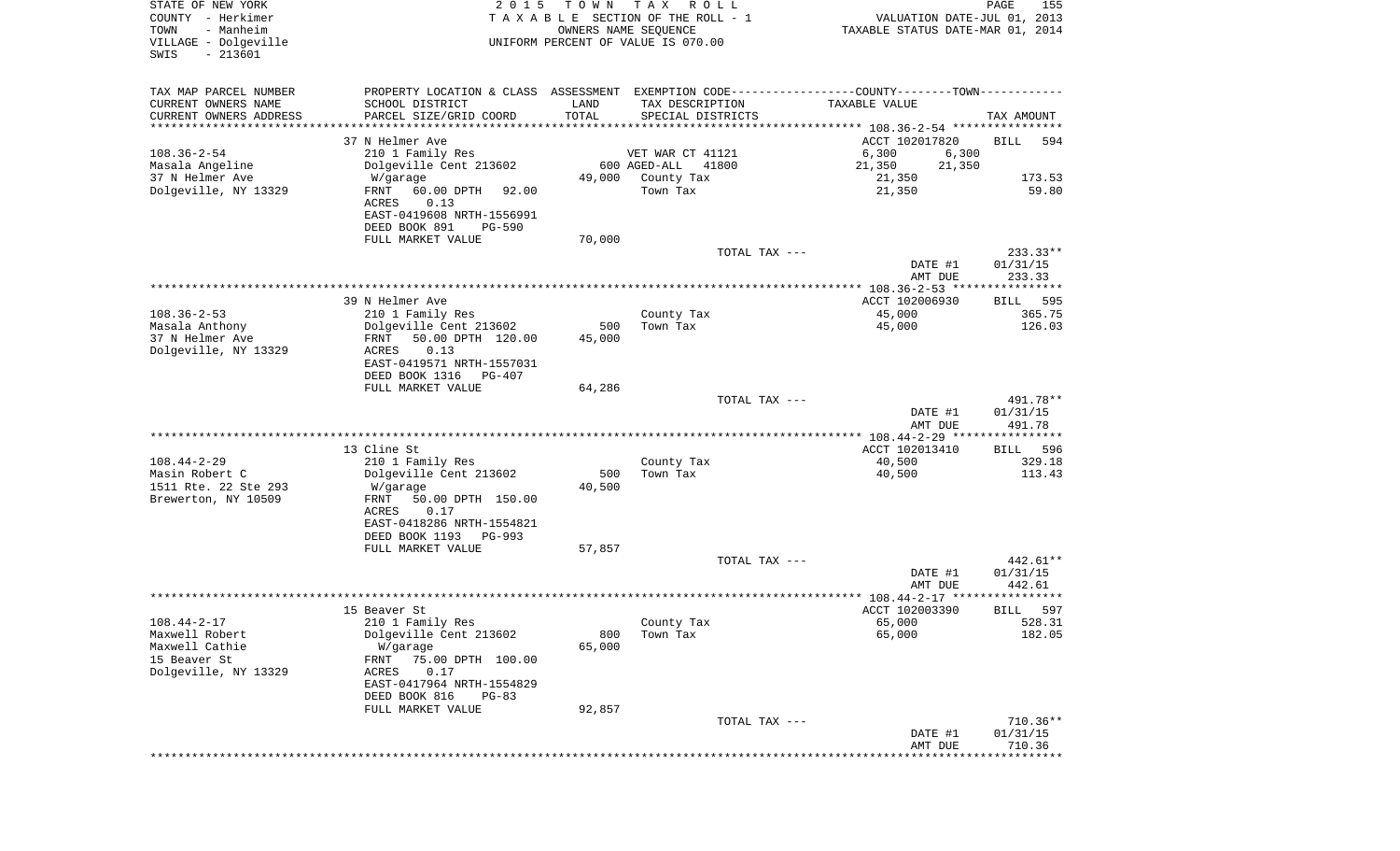| COUNTY<br>- Herkimer<br>- Manheim<br>TOWN<br>VILLAGE - Dolgeville<br>$-213601$<br>SWIS                                                                                                                                                         | T A X A B L E<br>UNIFORM PERCENT OF VALUE IS 070.00   | SECTION OF THE ROLL - 1<br>OWNERS NAME SEQUENCE |                                                                              | VALUATION DATE-JUL 01, 2013<br>TAXABLE STATUS DATE-MAR 01, 2014 |
|------------------------------------------------------------------------------------------------------------------------------------------------------------------------------------------------------------------------------------------------|-------------------------------------------------------|-------------------------------------------------|------------------------------------------------------------------------------|-----------------------------------------------------------------|
| TAX MAP PARCEL NUMBER<br>CURRENT OWNERS NAME<br>SCHOOL DISTRICT<br>CURRENT OWNERS ADDRESS<br>PARCEL SIZE/GRID COORD<br>*********************                                                                                                   | PROPERTY LOCATION & CLASS ASSESSMENT<br>LAND<br>TOTAL | TAX DESCRIPTION<br>SPECIAL DISTRICTS            | EXEMPTION CODE-----------------COUNTY-------TOWN-----------<br>TAXABLE VALUE | TAX AMOUNT                                                      |
| 37 N Helmer Ave<br>$108.36 - 2 - 54$<br>210 1 Family Res                                                                                                                                                                                       |                                                       | VET WAR CT 41121                                | ACCT 102017820<br>6,300                                                      | BILL<br>594<br>6,300                                            |
| Masala Angeline<br>Dolgeville Cent 213602                                                                                                                                                                                                      |                                                       | 41800<br>600 AGED-ALL                           | 21,350                                                                       | 21,350                                                          |
| 37 N Helmer Ave<br>W/garage                                                                                                                                                                                                                    | 49,000                                                | County Tax                                      | 21,350                                                                       | 173.53                                                          |
| Dolgeville, NY 13329<br>60.00 DPTH<br>FRNT<br>0.13<br>ACRES<br>EAST-0419608 NRTH-1556991<br>DEED BOOK 891                                                                                                                                      | 92.00<br>$PG-590$                                     | Town Tax                                        | 21,350                                                                       | 59.80                                                           |
| FULL MARKET VALUE                                                                                                                                                                                                                              | 70,000                                                |                                                 | TOTAL TAX ---                                                                | 233.33**                                                        |
|                                                                                                                                                                                                                                                |                                                       |                                                 | DATE #1<br>AMT DUE                                                           | 01/31/15<br>233.33                                              |
|                                                                                                                                                                                                                                                |                                                       |                                                 |                                                                              |                                                                 |
| 39 N Helmer Ave<br>$108.36 - 2 - 53$                                                                                                                                                                                                           |                                                       |                                                 | ACCT 102006930                                                               | <b>BILL</b><br>595                                              |
| 210 1 Family Res<br>Masala Anthony<br>Dolgeville Cent 213602<br>37 N Helmer Ave<br>FRNT<br>Dolgeville, NY 13329<br>0.13<br>ACRES<br>EAST-0419571 NRTH-1557031                                                                                  | 500<br>50.00 DPTH 120.00<br>45,000                    | County Tax<br>Town Tax                          | 45,000<br>45,000                                                             | 365.75<br>126.03                                                |
| DEED BOOK 1316<br>FULL MARKET VALUE                                                                                                                                                                                                            | $PG-407$                                              |                                                 |                                                                              |                                                                 |
|                                                                                                                                                                                                                                                | 64,286                                                |                                                 | TOTAL TAX ---<br>DATE #1                                                     | 491.78**<br>01/31/15                                            |
|                                                                                                                                                                                                                                                |                                                       |                                                 | AMT DUE<br>*********** 108.44-2-29 *****************                         | 491.78                                                          |
| 13 Cline St                                                                                                                                                                                                                                    |                                                       |                                                 | ACCT 102013410                                                               | 596<br>BILL                                                     |
| $108.44 - 2 - 29$<br>210 1 Family Res                                                                                                                                                                                                          |                                                       | County Tax                                      | 40,500                                                                       | 329.18                                                          |
| Masin Robert C<br>Dolgeville Cent 213602<br>1511 Rte. 22 Ste 293<br>W/garage<br>Brewerton, NY 10509<br>FRNT<br>0.17<br>ACRES<br>EAST-0418286 NRTH-1554821<br>DEED BOOK 1193                                                                    | 500<br>40,500<br>50.00 DPTH 150.00<br><b>PG-993</b>   | Town Tax                                        | 40,500                                                                       | 113.43                                                          |
| FULL MARKET VALUE                                                                                                                                                                                                                              | 57,857                                                |                                                 |                                                                              |                                                                 |
|                                                                                                                                                                                                                                                |                                                       |                                                 | TOTAL TAX ---<br>DATE #1<br>AMT DUE                                          | $442.61**$<br>01/31/15<br>442.61                                |
|                                                                                                                                                                                                                                                |                                                       |                                                 | ************* 108.44-2-17 *****************                                  |                                                                 |
| 15 Beaver St<br>$108.44 - 2 - 17$<br>210 1 Family Res<br>Maxwell Robert<br>Dolgeville Cent 213602<br>Maxwell Cathie<br>W/garage<br>15 Beaver St<br>FRNT<br>Dolgeville, NY 13329<br>0.17<br>ACRES<br>EAST-0417964 NRTH-1554829<br>DEED BOOK 816 | 800<br>65,000<br>75.00 DPTH 100.00<br>$PG-83$         | County Tax<br>Town Tax                          | ACCT 102003390<br>65,000<br>65,000                                           | 597<br>BILL<br>528.31<br>182.05                                 |
| FULL MARKET VALUE                                                                                                                                                                                                                              | 92,857                                                |                                                 |                                                                              |                                                                 |
|                                                                                                                                                                                                                                                |                                                       |                                                 | TOTAL TAX ---<br>DATE #1<br>AMT DUE                                          | $710.36**$<br>01/31/15<br>710.36                                |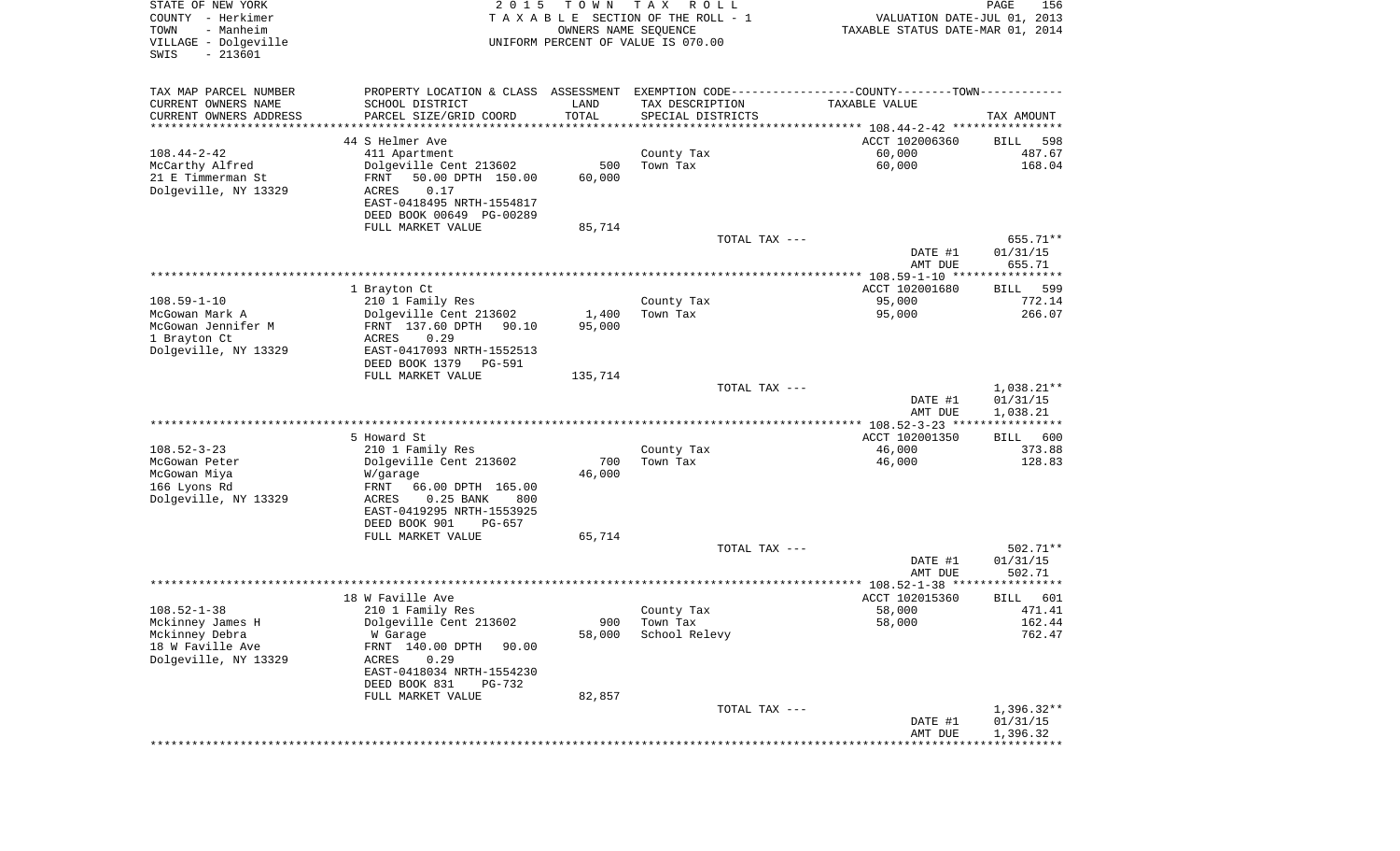| STATE OF NEW YORK<br>COUNTY - Herkimer<br>TOWN<br>- Manheim<br>VILLAGE - Dolgeville<br>$-213601$<br>SWIS | 2 0 1 5                                                                                       | T O W N<br>OWNERS NAME SEQUENCE | T A X<br>R O L L<br>TAXABLE SECTION OF THE ROLL - 1<br>UNIFORM PERCENT OF VALUE IS 070.00 | VALUATION DATE-JUL 01, 2013<br>TAXABLE STATUS DATE-MAR 01, 2014 | PAGE<br>156                          |
|----------------------------------------------------------------------------------------------------------|-----------------------------------------------------------------------------------------------|---------------------------------|-------------------------------------------------------------------------------------------|-----------------------------------------------------------------|--------------------------------------|
| TAX MAP PARCEL NUMBER                                                                                    | PROPERTY LOCATION & CLASS ASSESSMENT EXEMPTION CODE---------------COUNTY-------TOWN---------- |                                 |                                                                                           |                                                                 |                                      |
| CURRENT OWNERS NAME                                                                                      | SCHOOL DISTRICT                                                                               | LAND                            | TAX DESCRIPTION                                                                           | TAXABLE VALUE                                                   |                                      |
| CURRENT OWNERS ADDRESS<br>**********************                                                         | PARCEL SIZE/GRID COORD                                                                        | TOTAL<br>**************         | SPECIAL DISTRICTS                                                                         |                                                                 | TAX AMOUNT                           |
|                                                                                                          | 44 S Helmer Ave                                                                               |                                 |                                                                                           | ACCT 102006360                                                  | 598<br>BILL                          |
| $108.44 - 2 - 42$                                                                                        | 411 Apartment                                                                                 |                                 | County Tax                                                                                | 60,000                                                          | 487.67                               |
| McCarthy Alfred                                                                                          | Dolgeville Cent 213602                                                                        | 500                             | Town Tax                                                                                  | 60,000                                                          | 168.04                               |
| 21 E Timmerman St                                                                                        | 50.00 DPTH 150.00<br>FRNT                                                                     | 60,000                          |                                                                                           |                                                                 |                                      |
| Dolgeville, NY 13329                                                                                     | ACRES<br>0.17                                                                                 |                                 |                                                                                           |                                                                 |                                      |
|                                                                                                          | EAST-0418495 NRTH-1554817<br>DEED BOOK 00649 PG-00289                                         |                                 |                                                                                           |                                                                 |                                      |
|                                                                                                          | FULL MARKET VALUE                                                                             | 85,714                          |                                                                                           |                                                                 |                                      |
|                                                                                                          |                                                                                               |                                 | TOTAL TAX ---                                                                             |                                                                 | 655.71**                             |
|                                                                                                          |                                                                                               |                                 |                                                                                           | DATE #1<br>AMT DUE                                              | 01/31/15<br>655.71                   |
|                                                                                                          |                                                                                               |                                 |                                                                                           |                                                                 |                                      |
|                                                                                                          | 1 Brayton Ct                                                                                  |                                 |                                                                                           | ACCT 102001680                                                  | 599<br>BILL                          |
| $108.59 - 1 - 10$                                                                                        | 210 1 Family Res                                                                              |                                 | County Tax                                                                                | 95,000                                                          | 772.14<br>266.07                     |
| McGowan Mark A<br>McGowan Jennifer M                                                                     | Dolgeville Cent 213602<br>FRNT 137.60 DPTH<br>90.10                                           | 1,400<br>95,000                 | Town Tax                                                                                  | 95,000                                                          |                                      |
| 1 Brayton Ct                                                                                             | ACRES<br>0.29                                                                                 |                                 |                                                                                           |                                                                 |                                      |
| Dolgeville, NY 13329                                                                                     | EAST-0417093 NRTH-1552513                                                                     |                                 |                                                                                           |                                                                 |                                      |
|                                                                                                          | DEED BOOK 1379<br>PG-591                                                                      |                                 |                                                                                           |                                                                 |                                      |
|                                                                                                          | FULL MARKET VALUE                                                                             | 135,714                         |                                                                                           |                                                                 |                                      |
|                                                                                                          |                                                                                               |                                 | TOTAL TAX ---                                                                             | DATE #1<br>AMT DUE                                              | $1,038.21**$<br>01/31/15<br>1,038.21 |
|                                                                                                          |                                                                                               |                                 |                                                                                           |                                                                 |                                      |
|                                                                                                          | 5 Howard St                                                                                   |                                 |                                                                                           | ACCT 102001350                                                  | 600<br>BILL                          |
| $108.52 - 3 - 23$                                                                                        | 210 1 Family Res                                                                              |                                 | County Tax                                                                                | 46,000                                                          | 373.88                               |
| McGowan Peter                                                                                            | Dolgeville Cent 213602                                                                        | 700                             | Town Tax                                                                                  | 46,000                                                          | 128.83                               |
| McGowan Miya                                                                                             | W/garage<br>FRNT<br>66.00 DPTH 165.00                                                         | 46,000                          |                                                                                           |                                                                 |                                      |
| 166 Lyons Rd<br>Dolgeville, NY 13329                                                                     | ACRES<br>0.25 BANK<br>800                                                                     |                                 |                                                                                           |                                                                 |                                      |
|                                                                                                          | EAST-0419295 NRTH-1553925                                                                     |                                 |                                                                                           |                                                                 |                                      |
|                                                                                                          | DEED BOOK 901<br>PG-657                                                                       |                                 |                                                                                           |                                                                 |                                      |
|                                                                                                          | FULL MARKET VALUE                                                                             | 65,714                          |                                                                                           |                                                                 |                                      |
|                                                                                                          |                                                                                               |                                 | TOTAL TAX ---                                                                             |                                                                 | $502.71**$                           |
|                                                                                                          |                                                                                               |                                 |                                                                                           | DATE #1<br>AMT DUE                                              | 01/31/15<br>502.71                   |
|                                                                                                          |                                                                                               |                                 |                                                                                           |                                                                 |                                      |
|                                                                                                          | 18 W Faville Ave                                                                              |                                 |                                                                                           | ACCT 102015360                                                  | 601<br>BILL                          |
| $108.52 - 1 - 38$                                                                                        | 210 1 Family Res                                                                              |                                 | County Tax                                                                                | 58,000                                                          | 471.41                               |
| Mckinney James H                                                                                         | Dolgeville Cent 213602                                                                        |                                 | 900 Town Tax                                                                              | 58,000                                                          | 162.44                               |
| Mckinney Debra<br>18 W Faville Ave                                                                       | W Garage<br>FRNT 140.00 DPTH<br>90.00                                                         | 58,000                          | School Relevy                                                                             |                                                                 | 762.47                               |
| Dolgeville, NY 13329                                                                                     | 0.29<br>ACRES                                                                                 |                                 |                                                                                           |                                                                 |                                      |
|                                                                                                          | EAST-0418034 NRTH-1554230                                                                     |                                 |                                                                                           |                                                                 |                                      |
|                                                                                                          | DEED BOOK 831<br>PG-732                                                                       |                                 |                                                                                           |                                                                 |                                      |
|                                                                                                          | FULL MARKET VALUE                                                                             | 82,857                          |                                                                                           |                                                                 |                                      |
|                                                                                                          |                                                                                               |                                 | TOTAL TAX ---                                                                             | DATE #1                                                         | $1,396.32**$<br>01/31/15             |
|                                                                                                          |                                                                                               |                                 |                                                                                           | AMT DUE                                                         | 1,396.32                             |
|                                                                                                          |                                                                                               |                                 |                                                                                           |                                                                 |                                      |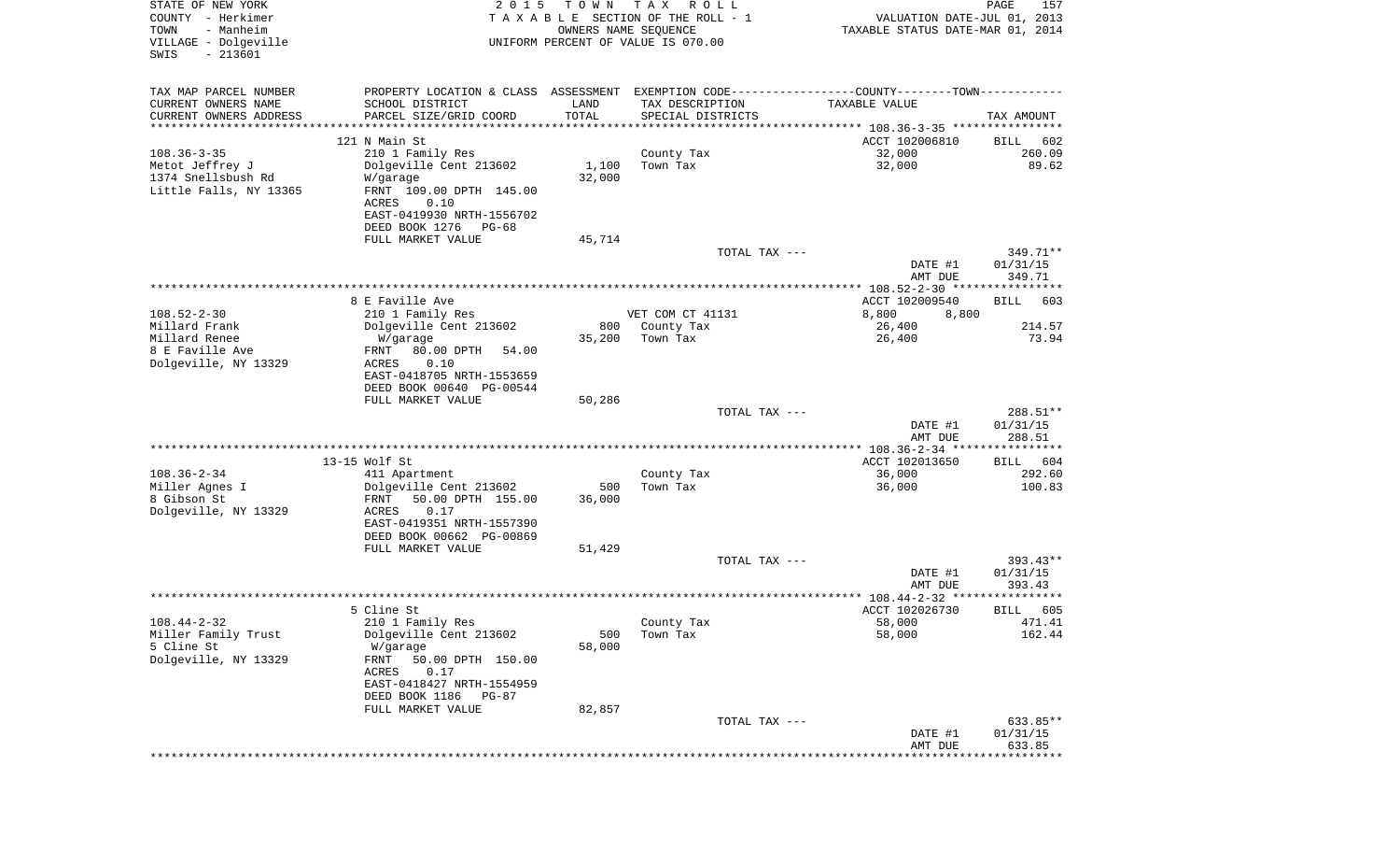| STATE OF NEW YORK<br>COUNTY - Herkimer<br>- Manheim<br>TOWN<br>VILLAGE - Dolgeville<br>$-213601$<br>SWIS | 2 0 1 5                                                                                       | T O W N<br>OWNERS NAME SEQUENCE | T A X<br>R O L L<br>TAXABLE SECTION OF THE ROLL - 1<br>UNIFORM PERCENT OF VALUE IS 070.00 | VALUATION DATE-JUL 01, 2013<br>TAXABLE STATUS DATE-MAR 01, 2014 | PAGE<br>157            |
|----------------------------------------------------------------------------------------------------------|-----------------------------------------------------------------------------------------------|---------------------------------|-------------------------------------------------------------------------------------------|-----------------------------------------------------------------|------------------------|
| TAX MAP PARCEL NUMBER                                                                                    | PROPERTY LOCATION & CLASS ASSESSMENT EXEMPTION CODE---------------COUNTY-------TOWN---------- |                                 |                                                                                           |                                                                 |                        |
| CURRENT OWNERS NAME<br>CURRENT OWNERS ADDRESS                                                            | SCHOOL DISTRICT<br>PARCEL SIZE/GRID COORD                                                     | LAND<br>TOTAL                   | TAX DESCRIPTION<br>SPECIAL DISTRICTS                                                      | TAXABLE VALUE                                                   | TAX AMOUNT             |
| *********************                                                                                    |                                                                                               | ***********                     |                                                                                           |                                                                 |                        |
|                                                                                                          | 121 N Main St                                                                                 |                                 |                                                                                           | ACCT 102006810                                                  | 602<br>BILL            |
| $108.36 - 3 - 35$                                                                                        | 210 1 Family Res<br>Dolgeville Cent 213602                                                    |                                 | County Tax<br>Town Tax                                                                    | 32,000<br>32,000                                                | 260.09<br>89.62        |
| Metot Jeffrey J<br>1374 Snellsbush Rd                                                                    | W/garage                                                                                      | 1,100<br>32,000                 |                                                                                           |                                                                 |                        |
| Little Falls, NY 13365                                                                                   | FRNT 109.00 DPTH 145.00<br>ACRES<br>0.10                                                      |                                 |                                                                                           |                                                                 |                        |
|                                                                                                          | EAST-0419930 NRTH-1556702<br>DEED BOOK 1276<br>PG-68                                          |                                 |                                                                                           |                                                                 |                        |
|                                                                                                          | FULL MARKET VALUE                                                                             | 45,714                          |                                                                                           |                                                                 |                        |
|                                                                                                          |                                                                                               |                                 | TOTAL TAX ---                                                                             |                                                                 | 349.71**               |
|                                                                                                          |                                                                                               |                                 |                                                                                           | DATE #1                                                         | 01/31/15               |
|                                                                                                          |                                                                                               |                                 |                                                                                           | AMT DUE                                                         | 349.71                 |
|                                                                                                          | 8 E Faville Ave                                                                               |                                 |                                                                                           | ACCT 102009540                                                  | 603<br>BILL            |
| $108.52 - 2 - 30$                                                                                        | 210 1 Family Res                                                                              |                                 | VET COM CT 41131                                                                          | 8,800<br>8,800                                                  |                        |
| Millard Frank                                                                                            | Dolgeville Cent 213602                                                                        | 800                             | County Tax                                                                                | 26,400                                                          | 214.57                 |
| Millard Renee                                                                                            | W/garage                                                                                      | 35,200                          | Town Tax                                                                                  | 26,400                                                          | 73.94                  |
| 8 E Faville Ave                                                                                          | 80.00 DPTH<br>54.00<br>FRNT                                                                   |                                 |                                                                                           |                                                                 |                        |
| Dolgeville, NY 13329                                                                                     | ACRES<br>0.10                                                                                 |                                 |                                                                                           |                                                                 |                        |
|                                                                                                          | EAST-0418705 NRTH-1553659<br>DEED BOOK 00640 PG-00544                                         |                                 |                                                                                           |                                                                 |                        |
|                                                                                                          | FULL MARKET VALUE                                                                             | 50,286                          |                                                                                           |                                                                 |                        |
|                                                                                                          |                                                                                               |                                 | TOTAL TAX ---                                                                             |                                                                 | 288.51**               |
|                                                                                                          |                                                                                               |                                 |                                                                                           | DATE #1                                                         | 01/31/15               |
|                                                                                                          |                                                                                               |                                 |                                                                                           | AMT DUE                                                         | 288.51                 |
|                                                                                                          |                                                                                               |                                 |                                                                                           |                                                                 |                        |
| $108.36 - 2 - 34$                                                                                        | 13-15 Wolf St                                                                                 |                                 | County Tax                                                                                | ACCT 102013650<br>36,000                                        | 604<br>BILL<br>292.60  |
| Miller Agnes I                                                                                           | 411 Apartment<br>Dolgeville Cent 213602                                                       | 500                             | Town Tax                                                                                  | 36,000                                                          | 100.83                 |
| 8 Gibson St                                                                                              | 50.00 DPTH 155.00<br>FRNT                                                                     | 36,000                          |                                                                                           |                                                                 |                        |
| Dolgeville, NY 13329                                                                                     | ACRES<br>0.17                                                                                 |                                 |                                                                                           |                                                                 |                        |
|                                                                                                          | EAST-0419351 NRTH-1557390                                                                     |                                 |                                                                                           |                                                                 |                        |
|                                                                                                          | DEED BOOK 00662 PG-00869                                                                      |                                 |                                                                                           |                                                                 |                        |
|                                                                                                          | FULL MARKET VALUE                                                                             | 51,429                          |                                                                                           |                                                                 |                        |
|                                                                                                          |                                                                                               |                                 | TOTAL TAX ---                                                                             | DATE #1                                                         | $393.43**$<br>01/31/15 |
|                                                                                                          |                                                                                               |                                 |                                                                                           | AMT DUE                                                         | 393.43                 |
|                                                                                                          |                                                                                               |                                 |                                                                                           |                                                                 | *****                  |
|                                                                                                          | 5 Cline St                                                                                    |                                 |                                                                                           | ACCT 102026730                                                  | 605<br>BILL            |
| $108.44 - 2 - 32$                                                                                        | 210 1 Family Res                                                                              |                                 | County Tax                                                                                | 58,000                                                          | 471.41                 |
| Miller Family Trust                                                                                      | Dolgeville Cent 213602                                                                        | 500                             | Town Tax                                                                                  | 58,000                                                          | 162.44                 |
| 5 Cline St<br>Dolgeville, NY 13329                                                                       | W/garage<br>50.00 DPTH 150.00<br>FRNT                                                         | 58,000                          |                                                                                           |                                                                 |                        |
|                                                                                                          | 0.17<br>ACRES                                                                                 |                                 |                                                                                           |                                                                 |                        |
|                                                                                                          | EAST-0418427 NRTH-1554959                                                                     |                                 |                                                                                           |                                                                 |                        |
|                                                                                                          | DEED BOOK 1186<br>PG-87                                                                       |                                 |                                                                                           |                                                                 |                        |
|                                                                                                          | FULL MARKET VALUE                                                                             | 82,857                          |                                                                                           |                                                                 |                        |
|                                                                                                          |                                                                                               |                                 | TOTAL TAX ---                                                                             |                                                                 | 633.85**               |
|                                                                                                          |                                                                                               |                                 |                                                                                           | DATE #1                                                         | 01/31/15               |
|                                                                                                          |                                                                                               |                                 |                                                                                           | AMT DUE<br>**********************************                   | 633.85                 |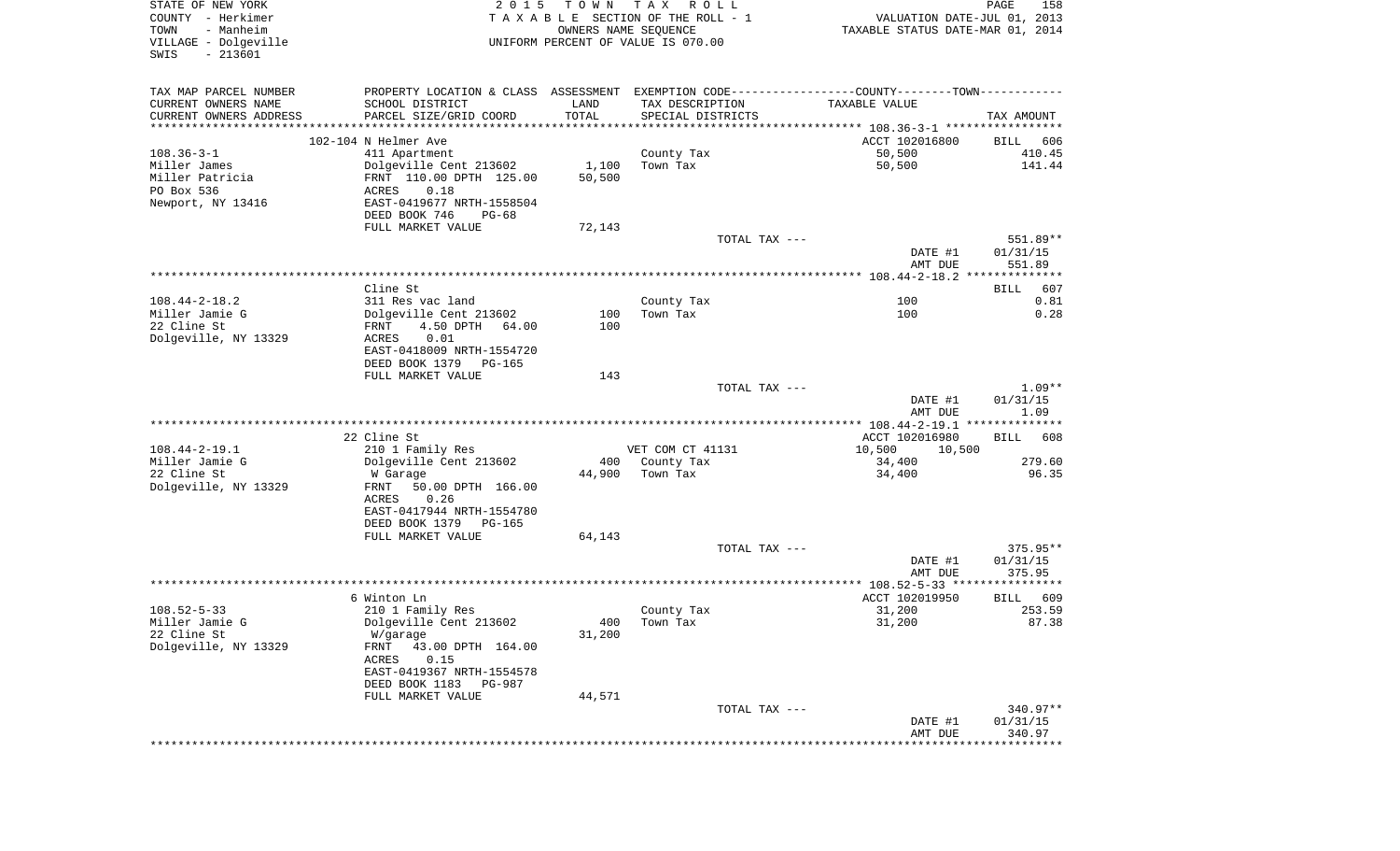| STATE OF NEW YORK<br>COUNTY - Herkimer<br>- Manheim<br>TOWN<br>VILLAGE - Dolgeville<br>SWIS<br>$-213601$ | 2 0 1 5                                                                                       | T O W N<br>OWNERS NAME SEQUENCE | T A X<br>R O L L<br>TAXABLE SECTION OF THE ROLL - 1<br>UNIFORM PERCENT OF VALUE IS 070.00 | VALUATION DATE-JUL 01, 2013<br>TAXABLE STATUS DATE-MAR 01, 2014 | PAGE<br>158          |
|----------------------------------------------------------------------------------------------------------|-----------------------------------------------------------------------------------------------|---------------------------------|-------------------------------------------------------------------------------------------|-----------------------------------------------------------------|----------------------|
| TAX MAP PARCEL NUMBER                                                                                    | PROPERTY LOCATION & CLASS ASSESSMENT EXEMPTION CODE---------------COUNTY-------TOWN---------- |                                 |                                                                                           |                                                                 |                      |
| CURRENT OWNERS NAME                                                                                      | SCHOOL DISTRICT                                                                               | LAND                            | TAX DESCRIPTION                                                                           | TAXABLE VALUE                                                   |                      |
| CURRENT OWNERS ADDRESS<br>***********************                                                        | PARCEL SIZE/GRID COORD                                                                        | TOTAL                           | SPECIAL DISTRICTS                                                                         |                                                                 | TAX AMOUNT           |
|                                                                                                          | 102-104 N Helmer Ave                                                                          |                                 |                                                                                           | ACCT 102016800                                                  | BILL<br>606          |
| $108.36 - 3 - 1$                                                                                         | 411 Apartment                                                                                 |                                 | County Tax                                                                                | 50,500                                                          | 410.45               |
| Miller James                                                                                             | Dolgeville Cent 213602                                                                        | 1,100                           | Town Tax                                                                                  | 50,500                                                          | 141.44               |
| Miller Patricia                                                                                          | FRNT 110.00 DPTH 125.00                                                                       | 50,500                          |                                                                                           |                                                                 |                      |
| PO Box 536                                                                                               | 0.18<br>ACRES                                                                                 |                                 |                                                                                           |                                                                 |                      |
| Newport, NY 13416                                                                                        | EAST-0419677 NRTH-1558504                                                                     |                                 |                                                                                           |                                                                 |                      |
|                                                                                                          | DEED BOOK 746<br>PG-68                                                                        |                                 |                                                                                           |                                                                 |                      |
|                                                                                                          | FULL MARKET VALUE                                                                             | 72,143                          |                                                                                           |                                                                 |                      |
|                                                                                                          |                                                                                               |                                 | TOTAL TAX ---                                                                             | DATE #1                                                         | 551.89**<br>01/31/15 |
|                                                                                                          |                                                                                               |                                 |                                                                                           | AMT DUE                                                         | 551.89               |
|                                                                                                          |                                                                                               |                                 |                                                                                           |                                                                 |                      |
|                                                                                                          | Cline St                                                                                      |                                 |                                                                                           |                                                                 | <b>BILL</b><br>607   |
| $108.44 - 2 - 18.2$                                                                                      | 311 Res vac land                                                                              |                                 | County Tax                                                                                | 100                                                             | 0.81                 |
| Miller Jamie G                                                                                           | Dolgeville Cent 213602                                                                        | 100                             | Town Tax                                                                                  | 100                                                             | 0.28                 |
| 22 Cline St                                                                                              | 4.50 DPTH<br>64.00<br>FRNT                                                                    | 100                             |                                                                                           |                                                                 |                      |
| Dolgeville, NY 13329                                                                                     | 0.01<br>ACRES                                                                                 |                                 |                                                                                           |                                                                 |                      |
|                                                                                                          | EAST-0418009 NRTH-1554720<br>DEED BOOK 1379<br>PG-165                                         |                                 |                                                                                           |                                                                 |                      |
|                                                                                                          | FULL MARKET VALUE                                                                             | 143                             |                                                                                           |                                                                 |                      |
|                                                                                                          |                                                                                               |                                 | TOTAL TAX ---                                                                             |                                                                 | $1.09**$             |
|                                                                                                          |                                                                                               |                                 |                                                                                           | DATE #1<br>AMT DUE                                              | 01/31/15<br>1.09     |
|                                                                                                          | 22 Cline St                                                                                   |                                 |                                                                                           | ACCT 102016980                                                  | BILL<br>608          |
| $108.44 - 2 - 19.1$                                                                                      | 210 1 Family Res                                                                              |                                 | VET COM CT 41131                                                                          | 10,500<br>10,500                                                |                      |
| Miller Jamie G                                                                                           | Dolgeville Cent 213602                                                                        | 400                             | County Tax                                                                                | 34,400                                                          | 279.60               |
| 22 Cline St                                                                                              | W Garage                                                                                      | 44,900                          | Town Tax                                                                                  | 34,400                                                          | 96.35                |
| Dolgeville, NY 13329                                                                                     | FRNT<br>50.00 DPTH 166.00                                                                     |                                 |                                                                                           |                                                                 |                      |
|                                                                                                          | ACRES<br>0.26                                                                                 |                                 |                                                                                           |                                                                 |                      |
|                                                                                                          | EAST-0417944 NRTH-1554780<br>DEED BOOK 1379<br>PG-165                                         |                                 |                                                                                           |                                                                 |                      |
|                                                                                                          | FULL MARKET VALUE                                                                             | 64,143                          |                                                                                           |                                                                 |                      |
|                                                                                                          |                                                                                               |                                 | TOTAL TAX ---                                                                             |                                                                 | $375.95**$           |
|                                                                                                          |                                                                                               |                                 |                                                                                           | DATE #1                                                         | 01/31/15             |
|                                                                                                          |                                                                                               |                                 |                                                                                           | AMT DUE                                                         | 375.95               |
|                                                                                                          |                                                                                               |                                 |                                                                                           |                                                                 |                      |
|                                                                                                          | 6 Winton Ln                                                                                   |                                 |                                                                                           | ACCT 102019950                                                  | 609<br>BILL          |
| $108.52 - 5 - 33$<br>Miller Jamie G                                                                      | 210 1 Family Res                                                                              |                                 | County Tax                                                                                | 31,200                                                          | 253.59               |
| 22 Cline St                                                                                              | Dolgeville Cent 213602<br>W/garage                                                            | 31,200                          | 400 Town Tax                                                                              | 31,200                                                          | 87.38                |
| Dolgeville, NY 13329                                                                                     | FRNT<br>43.00 DPTH 164.00                                                                     |                                 |                                                                                           |                                                                 |                      |
|                                                                                                          | ACRES<br>0.15                                                                                 |                                 |                                                                                           |                                                                 |                      |
|                                                                                                          | EAST-0419367 NRTH-1554578                                                                     |                                 |                                                                                           |                                                                 |                      |
|                                                                                                          | DEED BOOK 1183<br><b>PG-987</b>                                                               |                                 |                                                                                           |                                                                 |                      |
|                                                                                                          | FULL MARKET VALUE                                                                             | 44,571                          |                                                                                           |                                                                 |                      |
|                                                                                                          |                                                                                               |                                 | TOTAL TAX ---                                                                             |                                                                 | 340.97**             |
|                                                                                                          |                                                                                               |                                 |                                                                                           | DATE #1                                                         | 01/31/15             |
|                                                                                                          |                                                                                               |                                 |                                                                                           | AMT DUE                                                         | 340.97               |
|                                                                                                          |                                                                                               |                                 |                                                                                           |                                                                 |                      |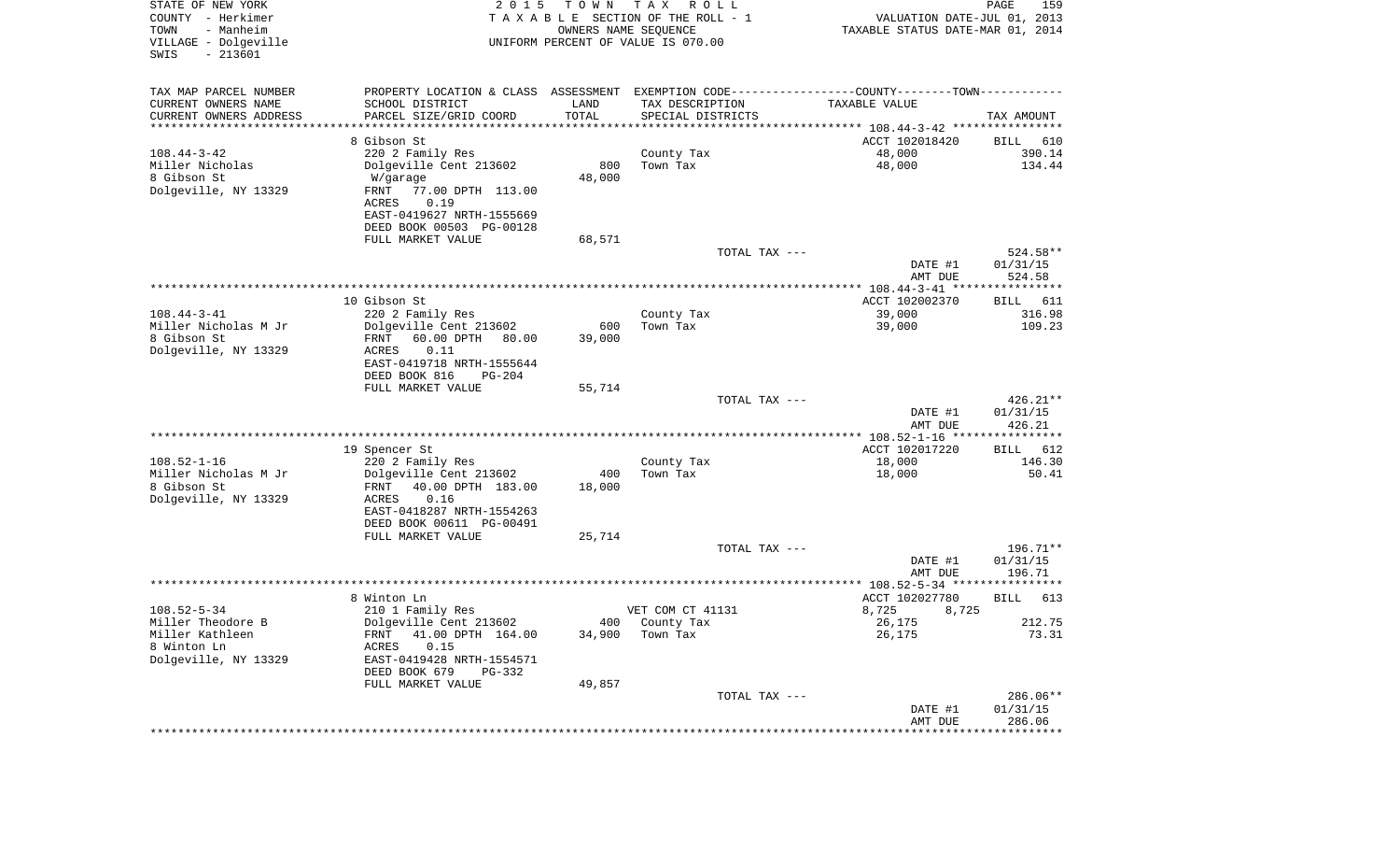| STATE OF NEW YORK<br>COUNTY - Herkimer<br>- Manheim<br>TOWN<br>VILLAGE - Dolgeville<br>$-213601$<br>SWIS | 2 0 1 5                                       | T O W N | T A X<br>R O L L<br>T A X A B L E SECTION OF THE ROLL - 1<br>OWNERS NAME SEQUENCE<br>UNIFORM PERCENT OF VALUE IS 070.00 | VALUATION DATE-JUL 01, 2013<br>TAXABLE STATUS DATE-MAR 01, 2014 | $\mathop{\mathtt{PAGE}}$<br>159 |
|----------------------------------------------------------------------------------------------------------|-----------------------------------------------|---------|-------------------------------------------------------------------------------------------------------------------------|-----------------------------------------------------------------|---------------------------------|
| TAX MAP PARCEL NUMBER                                                                                    | PROPERTY LOCATION & CLASS ASSESSMENT          |         | EXEMPTION CODE-----------------COUNTY-------TOWN-----------                                                             |                                                                 |                                 |
| CURRENT OWNERS NAME                                                                                      | SCHOOL DISTRICT                               | LAND    | TAX DESCRIPTION                                                                                                         | TAXABLE VALUE                                                   |                                 |
| CURRENT OWNERS ADDRESS<br>********************                                                           | PARCEL SIZE/GRID COORD                        | TOTAL   | SPECIAL DISTRICTS                                                                                                       |                                                                 | TAX AMOUNT                      |
|                                                                                                          | 8 Gibson St                                   |         |                                                                                                                         | ACCT 102018420                                                  | BILL<br>610                     |
| $108.44 - 3 - 42$                                                                                        | 220 2 Family Res                              |         | County Tax                                                                                                              | 48,000                                                          | 390.14                          |
| Miller Nicholas                                                                                          | Dolgeville Cent 213602                        | 800     | Town Tax                                                                                                                | 48,000                                                          | 134.44                          |
| 8 Gibson St                                                                                              | W/garage                                      | 48,000  |                                                                                                                         |                                                                 |                                 |
| Dolgeville, NY 13329                                                                                     | FRNT<br>77.00 DPTH 113.00                     |         |                                                                                                                         |                                                                 |                                 |
|                                                                                                          | ACRES<br>0.19                                 |         |                                                                                                                         |                                                                 |                                 |
|                                                                                                          | EAST-0419627 NRTH-1555669                     |         |                                                                                                                         |                                                                 |                                 |
|                                                                                                          | DEED BOOK 00503 PG-00128                      |         |                                                                                                                         |                                                                 |                                 |
|                                                                                                          | FULL MARKET VALUE                             | 68,571  |                                                                                                                         |                                                                 |                                 |
|                                                                                                          |                                               |         | TOTAL TAX ---                                                                                                           |                                                                 | 524.58**                        |
|                                                                                                          |                                               |         |                                                                                                                         | DATE #1                                                         | 01/31/15                        |
|                                                                                                          |                                               |         |                                                                                                                         | AMT DUE                                                         | 524.58                          |
|                                                                                                          | 10 Gibson St                                  |         |                                                                                                                         | ACCT 102002370                                                  | 611<br>BILL                     |
| $108.44 - 3 - 41$                                                                                        | 220 2 Family Res                              |         | County Tax                                                                                                              | 39,000                                                          | 316.98                          |
| Miller Nicholas M Jr                                                                                     | Dolgeville Cent 213602                        | 600     | Town Tax                                                                                                                | 39,000                                                          | 109.23                          |
| 8 Gibson St                                                                                              | 60.00 DPTH<br>FRNT<br>80.00                   | 39,000  |                                                                                                                         |                                                                 |                                 |
| Dolgeville, NY 13329                                                                                     | ACRES<br>0.11                                 |         |                                                                                                                         |                                                                 |                                 |
|                                                                                                          | EAST-0419718 NRTH-1555644                     |         |                                                                                                                         |                                                                 |                                 |
|                                                                                                          | DEED BOOK 816<br>$PG-204$                     |         |                                                                                                                         |                                                                 |                                 |
|                                                                                                          | FULL MARKET VALUE                             | 55,714  | TOTAL TAX ---                                                                                                           |                                                                 | $426.21**$                      |
|                                                                                                          |                                               |         |                                                                                                                         | DATE #1                                                         | 01/31/15                        |
|                                                                                                          |                                               |         |                                                                                                                         | AMT DUE                                                         | 426.21                          |
|                                                                                                          |                                               |         |                                                                                                                         | ************ 108.52-1-16 *****************                      |                                 |
|                                                                                                          | 19 Spencer St                                 |         |                                                                                                                         | ACCT 102017220                                                  | 612<br>BILL                     |
| $108.52 - 1 - 16$                                                                                        | 220 2 Family Res                              |         | County Tax                                                                                                              | 18,000                                                          | 146.30                          |
| Miller Nicholas M Jr                                                                                     | Dolgeville Cent 213602                        | 400     | Town Tax                                                                                                                | 18,000                                                          | 50.41                           |
| 8 Gibson St                                                                                              | FRNT<br>40.00 DPTH 183.00                     | 18,000  |                                                                                                                         |                                                                 |                                 |
| Dolgeville, NY 13329                                                                                     | 0.16<br>ACRES                                 |         |                                                                                                                         |                                                                 |                                 |
|                                                                                                          | EAST-0418287 NRTH-1554263                     |         |                                                                                                                         |                                                                 |                                 |
|                                                                                                          | DEED BOOK 00611 PG-00491<br>FULL MARKET VALUE | 25,714  |                                                                                                                         |                                                                 |                                 |
|                                                                                                          |                                               |         | TOTAL TAX ---                                                                                                           |                                                                 | $196.71**$                      |
|                                                                                                          |                                               |         |                                                                                                                         | DATE #1                                                         | 01/31/15                        |
|                                                                                                          |                                               |         |                                                                                                                         | AMT DUE                                                         | 196.71                          |
|                                                                                                          |                                               |         |                                                                                                                         |                                                                 |                                 |
|                                                                                                          | 8 Winton Ln                                   |         |                                                                                                                         | ACCT 102027780                                                  | <b>BILL</b><br>613              |
| $108.52 - 5 - 34$                                                                                        | 210 1 Family Res                              |         | VET COM CT 41131                                                                                                        | 8,725<br>8,725                                                  |                                 |
| Miller Theodore B                                                                                        | Dolgeville Cent 213602                        |         | 400 County Tax                                                                                                          | 26,175                                                          | 212.75                          |
| Miller Kathleen<br>8 Winton Ln                                                                           | FRNT 41.00 DPTH 164.00<br>0.15                | 34,900  | Town Tax                                                                                                                | 26,175                                                          | 73.31                           |
| Dolgeville, NY 13329                                                                                     | ACRES<br>EAST-0419428 NRTH-1554571            |         |                                                                                                                         |                                                                 |                                 |
|                                                                                                          | DEED BOOK 679<br>PG-332                       |         |                                                                                                                         |                                                                 |                                 |
|                                                                                                          | FULL MARKET VALUE                             | 49,857  |                                                                                                                         |                                                                 |                                 |
|                                                                                                          |                                               |         | TOTAL TAX ---                                                                                                           |                                                                 | 286.06**                        |
|                                                                                                          |                                               |         |                                                                                                                         | DATE #1                                                         | 01/31/15                        |
|                                                                                                          |                                               |         |                                                                                                                         | AMT DUE                                                         | 286.06                          |
|                                                                                                          |                                               |         |                                                                                                                         |                                                                 |                                 |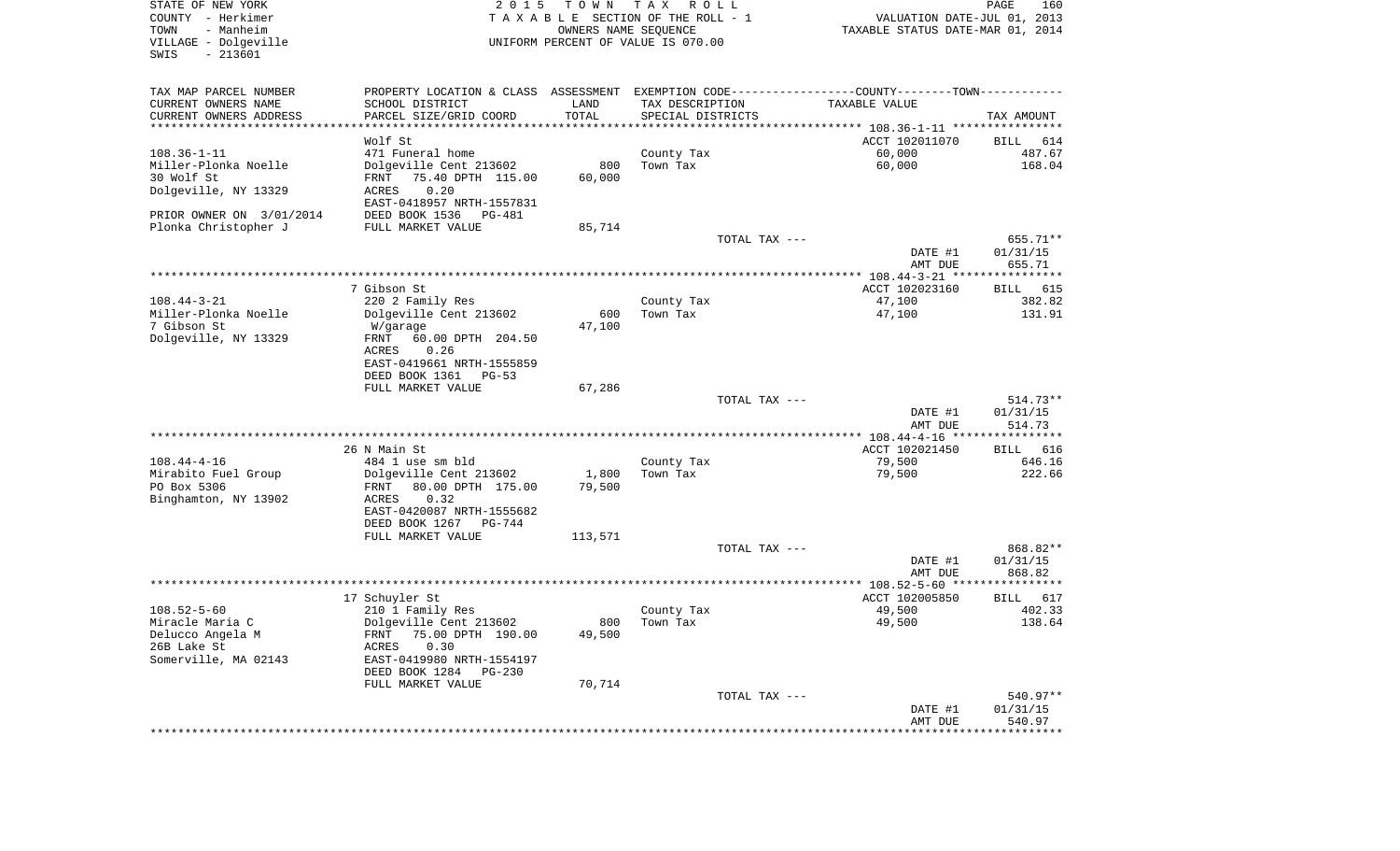| STATE OF NEW YORK<br>COUNTY - Herkimer<br>TOWN<br>- Manheim<br>VILLAGE - Dolgeville<br>$-213601$<br>SWIS | 2 0 1 5                                                                                       | T O W N<br>OWNERS NAME SEQUENCE | TAX ROLL<br>TAXABLE SECTION OF THE ROLL - 1<br>UNIFORM PERCENT OF VALUE IS 070.00 | VALUATION DATE-JUL 01, 2013<br>TAXABLE STATUS DATE-MAR 01, 2014 | PAGE<br>160        |
|----------------------------------------------------------------------------------------------------------|-----------------------------------------------------------------------------------------------|---------------------------------|-----------------------------------------------------------------------------------|-----------------------------------------------------------------|--------------------|
| TAX MAP PARCEL NUMBER                                                                                    | PROPERTY LOCATION & CLASS ASSESSMENT EXEMPTION CODE---------------COUNTY-------TOWN---------- |                                 |                                                                                   |                                                                 |                    |
| CURRENT OWNERS NAME                                                                                      | SCHOOL DISTRICT                                                                               | LAND                            | TAX DESCRIPTION                                                                   | TAXABLE VALUE                                                   |                    |
| CURRENT OWNERS ADDRESS<br>**********************                                                         | PARCEL SIZE/GRID COORD                                                                        | TOTAL                           | SPECIAL DISTRICTS                                                                 |                                                                 | TAX AMOUNT         |
|                                                                                                          | Wolf St                                                                                       |                                 |                                                                                   | ACCT 102011070                                                  | BILL<br>614        |
| $108.36 - 1 - 11$                                                                                        | 471 Funeral home                                                                              |                                 | County Tax                                                                        | 60,000                                                          | 487.67             |
| Miller-Plonka Noelle                                                                                     | Dolgeville Cent 213602                                                                        | 800                             | Town Tax                                                                          | 60,000                                                          | 168.04             |
| 30 Wolf St                                                                                               | 75.40 DPTH 115.00<br>FRNT                                                                     | 60,000                          |                                                                                   |                                                                 |                    |
| Dolgeville, NY 13329                                                                                     | 0.20<br>ACRES                                                                                 |                                 |                                                                                   |                                                                 |                    |
|                                                                                                          | EAST-0418957 NRTH-1557831                                                                     |                                 |                                                                                   |                                                                 |                    |
| PRIOR OWNER ON 3/01/2014<br>Plonka Christopher J                                                         | DEED BOOK 1536<br>PG-481<br>FULL MARKET VALUE                                                 | 85,714                          |                                                                                   |                                                                 |                    |
|                                                                                                          |                                                                                               |                                 | TOTAL TAX ---                                                                     |                                                                 | 655.71**           |
|                                                                                                          |                                                                                               |                                 |                                                                                   | DATE #1                                                         | 01/31/15           |
|                                                                                                          |                                                                                               |                                 |                                                                                   | AMT DUE                                                         | 655.71             |
|                                                                                                          | 7 Gibson St                                                                                   |                                 |                                                                                   | ACCT 102023160                                                  | BILL 615           |
| $108.44 - 3 - 21$                                                                                        | 220 2 Family Res                                                                              |                                 | County Tax                                                                        | 47,100                                                          | 382.82             |
| Miller-Plonka Noelle                                                                                     | Dolgeville Cent 213602                                                                        | 600                             | Town Tax                                                                          | 47,100                                                          | 131.91             |
| 7 Gibson St                                                                                              | W/garage                                                                                      | 47,100                          |                                                                                   |                                                                 |                    |
| Dolgeville, NY 13329                                                                                     | 60.00 DPTH 204.50<br>FRNT                                                                     |                                 |                                                                                   |                                                                 |                    |
|                                                                                                          | 0.26<br>ACRES<br>EAST-0419661 NRTH-1555859                                                    |                                 |                                                                                   |                                                                 |                    |
|                                                                                                          | DEED BOOK 1361<br>PG-53                                                                       |                                 |                                                                                   |                                                                 |                    |
|                                                                                                          | FULL MARKET VALUE                                                                             | 67,286                          |                                                                                   |                                                                 |                    |
|                                                                                                          |                                                                                               |                                 | TOTAL TAX ---                                                                     |                                                                 | $514.73**$         |
|                                                                                                          |                                                                                               |                                 |                                                                                   | DATE #1                                                         | 01/31/15           |
|                                                                                                          |                                                                                               |                                 |                                                                                   | AMT DUE<br>**************** 108.44-4-16 *****************       | 514.73             |
|                                                                                                          | 26 N Main St                                                                                  |                                 |                                                                                   | ACCT 102021450                                                  | BILL 616           |
| $108.44 - 4 - 16$                                                                                        | 484 1 use sm bld                                                                              |                                 | County Tax                                                                        | 79,500                                                          | 646.16             |
| Mirabito Fuel Group                                                                                      | Dolgeville Cent 213602                                                                        | 1,800                           | Town Tax                                                                          | 79,500                                                          | 222.66             |
| PO Box 5306                                                                                              | 80.00 DPTH 175.00<br>FRNT                                                                     | 79,500                          |                                                                                   |                                                                 |                    |
| Binghamton, NY 13902                                                                                     | ACRES<br>0.32<br>EAST-0420087 NRTH-1555682                                                    |                                 |                                                                                   |                                                                 |                    |
|                                                                                                          | DEED BOOK 1267<br>PG-744                                                                      |                                 |                                                                                   |                                                                 |                    |
|                                                                                                          | FULL MARKET VALUE                                                                             | 113,571                         |                                                                                   |                                                                 |                    |
|                                                                                                          |                                                                                               |                                 | TOTAL TAX ---                                                                     |                                                                 | 868.82**           |
|                                                                                                          |                                                                                               |                                 |                                                                                   | DATE #1                                                         | 01/31/15<br>868.82 |
|                                                                                                          |                                                                                               |                                 |                                                                                   | AMT DUE                                                         |                    |
|                                                                                                          | 17 Schuyler St                                                                                |                                 |                                                                                   | ACCT 102005850                                                  | 617<br>BILL        |
| $108.52 - 5 - 60$                                                                                        | 210 1 Family Res                                                                              |                                 | County Tax                                                                        | 49,500                                                          | 402.33             |
| Miracle Maria C                                                                                          | Dolgeville Cent 213602                                                                        |                                 | 800 Town Tax                                                                      | 49,500                                                          | 138.64             |
| Delucco Angela M<br>26B Lake St                                                                          | FRNT 75.00 DPTH 190.00<br>0.30<br>ACRES                                                       | 49,500                          |                                                                                   |                                                                 |                    |
| Somerville, MA 02143                                                                                     | EAST-0419980 NRTH-1554197                                                                     |                                 |                                                                                   |                                                                 |                    |
|                                                                                                          | DEED BOOK 1284<br>PG-230                                                                      |                                 |                                                                                   |                                                                 |                    |
|                                                                                                          | FULL MARKET VALUE                                                                             | 70,714                          |                                                                                   |                                                                 |                    |
|                                                                                                          |                                                                                               |                                 | TOTAL TAX ---                                                                     |                                                                 | 540.97**           |
|                                                                                                          |                                                                                               |                                 |                                                                                   | DATE #1<br>AMT DUE                                              | 01/31/15<br>540.97 |
|                                                                                                          |                                                                                               |                                 |                                                                                   |                                                                 |                    |
|                                                                                                          |                                                                                               |                                 |                                                                                   |                                                                 |                    |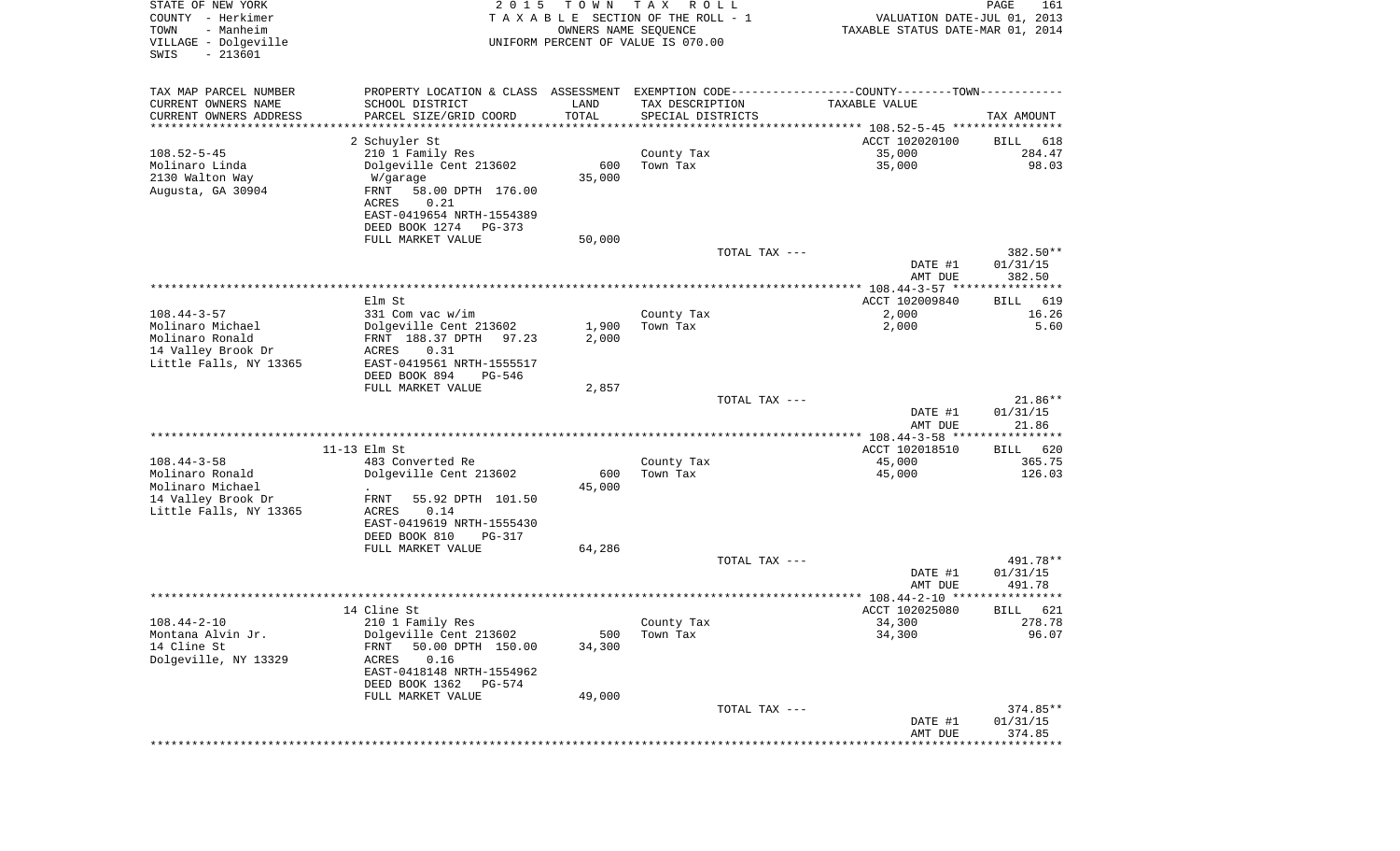| STATE OF NEW YORK<br>COUNTY - Herkimer<br>- Manheim<br>TOWN<br>VILLAGE - Dolgeville<br>SWIS<br>$-213601$ | 2 0 1 5                                        | T O W N | T A X<br>R O L L<br>T A X A B L E SECTION OF THE ROLL - 1<br>OWNERS NAME SEQUENCE<br>UNIFORM PERCENT OF VALUE IS 070.00 | VALUATION DATE-JUL 01, 2013<br>TAXABLE STATUS DATE-MAR 01, 2014 | $\mathop{\mathtt{PAGE}}$<br>161 |
|----------------------------------------------------------------------------------------------------------|------------------------------------------------|---------|-------------------------------------------------------------------------------------------------------------------------|-----------------------------------------------------------------|---------------------------------|
| TAX MAP PARCEL NUMBER                                                                                    | PROPERTY LOCATION & CLASS ASSESSMENT           |         | EXEMPTION CODE----------------COUNTY-------TOWN----------                                                               |                                                                 |                                 |
| CURRENT OWNERS NAME                                                                                      | SCHOOL DISTRICT                                | LAND    | TAX DESCRIPTION                                                                                                         | TAXABLE VALUE                                                   |                                 |
| CURRENT OWNERS ADDRESS                                                                                   | PARCEL SIZE/GRID COORD                         | TOTAL   | SPECIAL DISTRICTS                                                                                                       |                                                                 | TAX AMOUNT                      |
| ********************                                                                                     |                                                |         |                                                                                                                         | ********************************* 108.52-5-45 ****************  |                                 |
| $108.52 - 5 - 45$                                                                                        | 2 Schuyler St<br>210 1 Family Res              |         | County Tax                                                                                                              | ACCT 102020100<br>35,000                                        | BILL<br>618<br>284.47           |
| Molinaro Linda                                                                                           | Dolgeville Cent 213602                         | 600     | Town Tax                                                                                                                | 35,000                                                          | 98.03                           |
| 2130 Walton Way                                                                                          | W/garage                                       | 35,000  |                                                                                                                         |                                                                 |                                 |
| Augusta, GA 30904                                                                                        | FRNT<br>58.00 DPTH 176.00                      |         |                                                                                                                         |                                                                 |                                 |
|                                                                                                          | 0.21<br>ACRES                                  |         |                                                                                                                         |                                                                 |                                 |
|                                                                                                          | EAST-0419654 NRTH-1554389                      |         |                                                                                                                         |                                                                 |                                 |
|                                                                                                          | DEED BOOK 1274<br>PG-373<br>FULL MARKET VALUE  | 50,000  |                                                                                                                         |                                                                 |                                 |
|                                                                                                          |                                                |         | TOTAL TAX ---                                                                                                           |                                                                 | 382.50**                        |
|                                                                                                          |                                                |         |                                                                                                                         | DATE #1                                                         | 01/31/15                        |
|                                                                                                          |                                                |         |                                                                                                                         | AMT DUE                                                         | 382.50                          |
|                                                                                                          |                                                |         |                                                                                                                         | **************** 108.44-3-57 *****************                  |                                 |
| $108.44 - 3 - 57$                                                                                        | Elm St                                         |         |                                                                                                                         | ACCT 102009840                                                  | 619<br>BILL                     |
| Molinaro Michael                                                                                         | 331 Com vac w/im<br>Dolgeville Cent 213602     | 1,900   | County Tax<br>Town Tax                                                                                                  | 2,000<br>2,000                                                  | 16.26<br>5.60                   |
| Molinaro Ronald                                                                                          | FRNT 188.37 DPTH<br>97.23                      | 2,000   |                                                                                                                         |                                                                 |                                 |
| 14 Valley Brook Dr                                                                                       | ACRES<br>0.31                                  |         |                                                                                                                         |                                                                 |                                 |
| Little Falls, NY 13365                                                                                   | EAST-0419561 NRTH-1555517                      |         |                                                                                                                         |                                                                 |                                 |
|                                                                                                          | DEED BOOK 894<br>PG-546                        |         |                                                                                                                         |                                                                 |                                 |
|                                                                                                          | FULL MARKET VALUE                              | 2,857   | TOTAL TAX ---                                                                                                           |                                                                 | $21.86**$                       |
|                                                                                                          |                                                |         |                                                                                                                         | DATE #1                                                         | 01/31/15                        |
|                                                                                                          |                                                |         |                                                                                                                         | AMT DUE                                                         | 21.86                           |
|                                                                                                          |                                                |         |                                                                                                                         | *********** 108.44-3-58 *****************                       |                                 |
|                                                                                                          | 11-13 Elm St                                   |         |                                                                                                                         | ACCT 102018510                                                  | 620<br>BILL                     |
| $108.44 - 3 - 58$<br>Molinaro Ronald                                                                     | 483 Converted Re                               | 600     | County Tax<br>Town Tax                                                                                                  | 45,000                                                          | 365.75<br>126.03                |
| Molinaro Michael                                                                                         | Dolgeville Cent 213602<br>$\ddot{\phantom{0}}$ | 45,000  |                                                                                                                         | 45,000                                                          |                                 |
| 14 Valley Brook Dr                                                                                       | FRNT<br>55.92 DPTH 101.50                      |         |                                                                                                                         |                                                                 |                                 |
| Little Falls, NY 13365                                                                                   | ACRES<br>0.14                                  |         |                                                                                                                         |                                                                 |                                 |
|                                                                                                          | EAST-0419619 NRTH-1555430                      |         |                                                                                                                         |                                                                 |                                 |
|                                                                                                          | DEED BOOK 810<br>PG-317                        |         |                                                                                                                         |                                                                 |                                 |
|                                                                                                          | FULL MARKET VALUE                              | 64,286  | TOTAL TAX ---                                                                                                           |                                                                 | 491.78**                        |
|                                                                                                          |                                                |         |                                                                                                                         | DATE #1                                                         | 01/31/15                        |
|                                                                                                          |                                                |         |                                                                                                                         | AMT DUE                                                         | 491.78                          |
|                                                                                                          |                                                |         |                                                                                                                         | ***************** 108.44-2-10 *********                         | ******                          |
|                                                                                                          | 14 Cline St                                    |         |                                                                                                                         | ACCT 102025080                                                  | 621<br>BILL                     |
| $108.44 - 2 - 10$<br>Montana Alvin Jr.                                                                   | 210 1 Family Res<br>Dolgeville Cent 213602     | 500     | County Tax<br>Town Tax                                                                                                  | 34,300<br>34,300                                                | 278.78<br>96.07                 |
| 14 Cline St                                                                                              | 50.00 DPTH 150.00<br>FRNT                      | 34,300  |                                                                                                                         |                                                                 |                                 |
| Dolgeville, NY 13329                                                                                     | 0.16<br>ACRES                                  |         |                                                                                                                         |                                                                 |                                 |
|                                                                                                          | EAST-0418148 NRTH-1554962                      |         |                                                                                                                         |                                                                 |                                 |
|                                                                                                          | DEED BOOK 1362<br>PG-574                       |         |                                                                                                                         |                                                                 |                                 |
|                                                                                                          | FULL MARKET VALUE                              | 49,000  |                                                                                                                         |                                                                 |                                 |
|                                                                                                          |                                                |         | TOTAL TAX ---                                                                                                           | DATE #1                                                         | 374.85**<br>01/31/15            |
|                                                                                                          |                                                |         |                                                                                                                         | AMT DUE                                                         | 374.85                          |
|                                                                                                          |                                                |         |                                                                                                                         |                                                                 |                                 |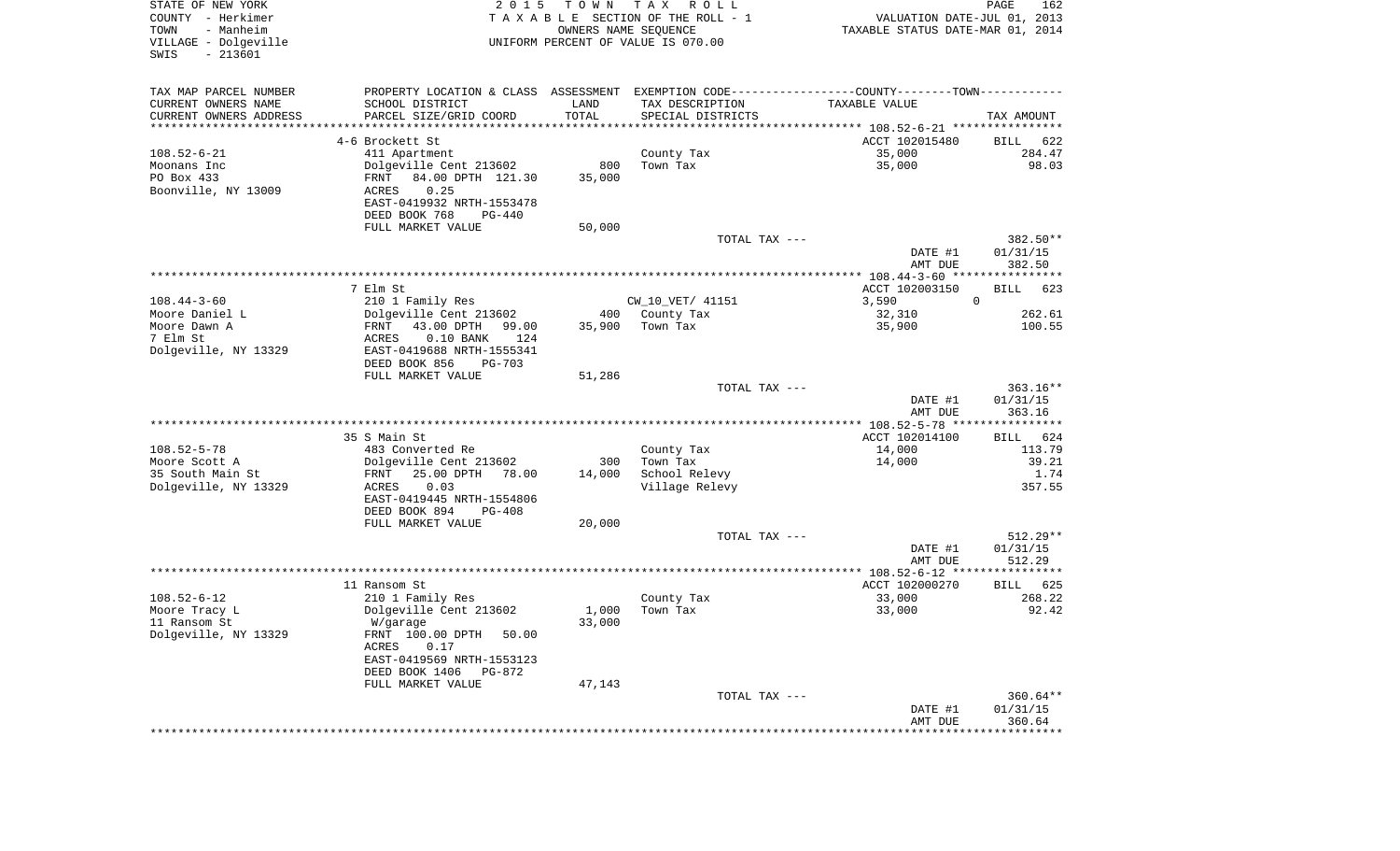| STATE OF NEW YORK<br>COUNTY - Herkimer<br>TOWN<br>- Manheim<br>VILLAGE - Dolgeville<br>$-213601$<br>SWIS | 2 0 1 5                                                  | T O W N | T A X<br>R O L L<br>TAXABLE SECTION OF THE ROLL - 1<br>OWNERS NAME SEOUENCE<br>UNIFORM PERCENT OF VALUE IS 070.00 | VALUATION DATE-JUL 01, 2013<br>TAXABLE STATUS DATE-MAR 01, 2014 | PAGE<br>162           |
|----------------------------------------------------------------------------------------------------------|----------------------------------------------------------|---------|-------------------------------------------------------------------------------------------------------------------|-----------------------------------------------------------------|-----------------------|
| TAX MAP PARCEL NUMBER                                                                                    | PROPERTY LOCATION & CLASS ASSESSMENT                     |         | EXEMPTION CODE-----------------COUNTY-------TOWN-----------                                                       |                                                                 |                       |
| CURRENT OWNERS NAME                                                                                      | SCHOOL DISTRICT                                          | LAND    | TAX DESCRIPTION                                                                                                   | TAXABLE VALUE                                                   |                       |
| CURRENT OWNERS ADDRESS                                                                                   | PARCEL SIZE/GRID COORD                                   | TOTAL   | SPECIAL DISTRICTS                                                                                                 |                                                                 | TAX AMOUNT            |
| ***********************                                                                                  | 4-6 Brockett St                                          |         |                                                                                                                   | ACCT 102015480                                                  |                       |
| $108.52 - 6 - 21$                                                                                        | 411 Apartment                                            |         | County Tax                                                                                                        | 35,000                                                          | 622<br>BILL<br>284.47 |
| Moonans Inc                                                                                              | Dolgeville Cent 213602                                   | 800     | Town Tax                                                                                                          | 35,000                                                          | 98.03                 |
| PO Box 433                                                                                               | 84.00 DPTH 121.30<br>FRNT                                | 35,000  |                                                                                                                   |                                                                 |                       |
| Boonville, NY 13009                                                                                      | 0.25<br>ACRES                                            |         |                                                                                                                   |                                                                 |                       |
|                                                                                                          | EAST-0419932 NRTH-1553478                                |         |                                                                                                                   |                                                                 |                       |
|                                                                                                          | DEED BOOK 768<br>$PG-440$                                |         |                                                                                                                   |                                                                 |                       |
|                                                                                                          | FULL MARKET VALUE                                        | 50,000  |                                                                                                                   |                                                                 |                       |
|                                                                                                          |                                                          |         | TOTAL TAX ---                                                                                                     | DATE #1                                                         | 382.50**<br>01/31/15  |
|                                                                                                          |                                                          |         |                                                                                                                   | AMT DUE                                                         | 382.50                |
|                                                                                                          |                                                          |         |                                                                                                                   |                                                                 |                       |
|                                                                                                          | 7 Elm St                                                 |         |                                                                                                                   | ACCT 102003150                                                  | BILL<br>623           |
| $108.44 - 3 - 60$                                                                                        | 210 1 Family Res                                         |         | CW 10 VET/ 41151                                                                                                  | 3,590                                                           | $\mathbf 0$           |
| Moore Daniel L                                                                                           | Dolgeville Cent 213602                                   | 400     | County Tax                                                                                                        | 32,310                                                          | 262.61                |
| Moore Dawn A                                                                                             | FRNT<br>43.00 DPTH<br>99.00                              | 35,900  | Town Tax                                                                                                          | 35,900                                                          | 100.55                |
| 7 Elm St<br>Dolgeville, NY 13329                                                                         | $0.10$ BANK<br>ACRES<br>124<br>EAST-0419688 NRTH-1555341 |         |                                                                                                                   |                                                                 |                       |
|                                                                                                          | DEED BOOK 856<br><b>PG-703</b>                           |         |                                                                                                                   |                                                                 |                       |
|                                                                                                          | FULL MARKET VALUE                                        | 51,286  |                                                                                                                   |                                                                 |                       |
|                                                                                                          |                                                          |         | TOTAL TAX ---                                                                                                     |                                                                 | $363.16**$            |
|                                                                                                          |                                                          |         |                                                                                                                   | DATE #1                                                         | 01/31/15              |
|                                                                                                          |                                                          |         |                                                                                                                   | AMT DUE                                                         | 363.16                |
|                                                                                                          |                                                          |         |                                                                                                                   |                                                                 |                       |
| $108.52 - 5 - 78$                                                                                        | 35 S Main St<br>483 Converted Re                         |         |                                                                                                                   | ACCT 102014100<br>14,000                                        | 624<br>BILL<br>113.79 |
| Moore Scott A                                                                                            | Dolgeville Cent 213602                                   | 300     | County Tax<br>Town Tax                                                                                            | 14,000                                                          | 39.21                 |
| 35 South Main St                                                                                         | 25.00 DPTH<br>78.00<br>FRNT                              | 14,000  | School Relevy                                                                                                     |                                                                 | 1.74                  |
| Dolgeville, NY 13329                                                                                     | 0.03<br>ACRES                                            |         | Village Relevy                                                                                                    |                                                                 | 357.55                |
|                                                                                                          | EAST-0419445 NRTH-1554806                                |         |                                                                                                                   |                                                                 |                       |
|                                                                                                          | DEED BOOK 894<br><b>PG-408</b>                           |         |                                                                                                                   |                                                                 |                       |
|                                                                                                          | FULL MARKET VALUE                                        | 20,000  |                                                                                                                   |                                                                 |                       |
|                                                                                                          |                                                          |         | TOTAL TAX ---                                                                                                     |                                                                 | $512.29**$            |
|                                                                                                          |                                                          |         |                                                                                                                   | DATE #1<br>AMT DUE                                              | 01/31/15<br>512.29    |
|                                                                                                          |                                                          |         |                                                                                                                   |                                                                 |                       |
|                                                                                                          | 11 Ransom St                                             |         |                                                                                                                   | ACCT 102000270                                                  | BILL<br>625           |
| $108.52 - 6 - 12$                                                                                        | 210 1 Family Res                                         |         | County Tax                                                                                                        | 33,000                                                          | 268.22                |
| Moore Tracy L                                                                                            | Dolgeville Cent 213602                                   | 1,000   | Town Tax                                                                                                          | 33,000                                                          | 92.42                 |
| 11 Ransom St                                                                                             | W/garage                                                 | 33,000  |                                                                                                                   |                                                                 |                       |
| Dolgeville, NY 13329                                                                                     | FRNT 100.00 DPTH<br>50.00<br>0.17<br>ACRES               |         |                                                                                                                   |                                                                 |                       |
|                                                                                                          | EAST-0419569 NRTH-1553123                                |         |                                                                                                                   |                                                                 |                       |
|                                                                                                          | DEED BOOK 1406<br>PG-872                                 |         |                                                                                                                   |                                                                 |                       |
|                                                                                                          | FULL MARKET VALUE                                        | 47,143  |                                                                                                                   |                                                                 |                       |
|                                                                                                          |                                                          |         | TOTAL TAX ---                                                                                                     |                                                                 | $360.64**$            |
|                                                                                                          |                                                          |         |                                                                                                                   | DATE #1                                                         | 01/31/15              |
|                                                                                                          |                                                          |         |                                                                                                                   | AMT DUE                                                         | 360.64                |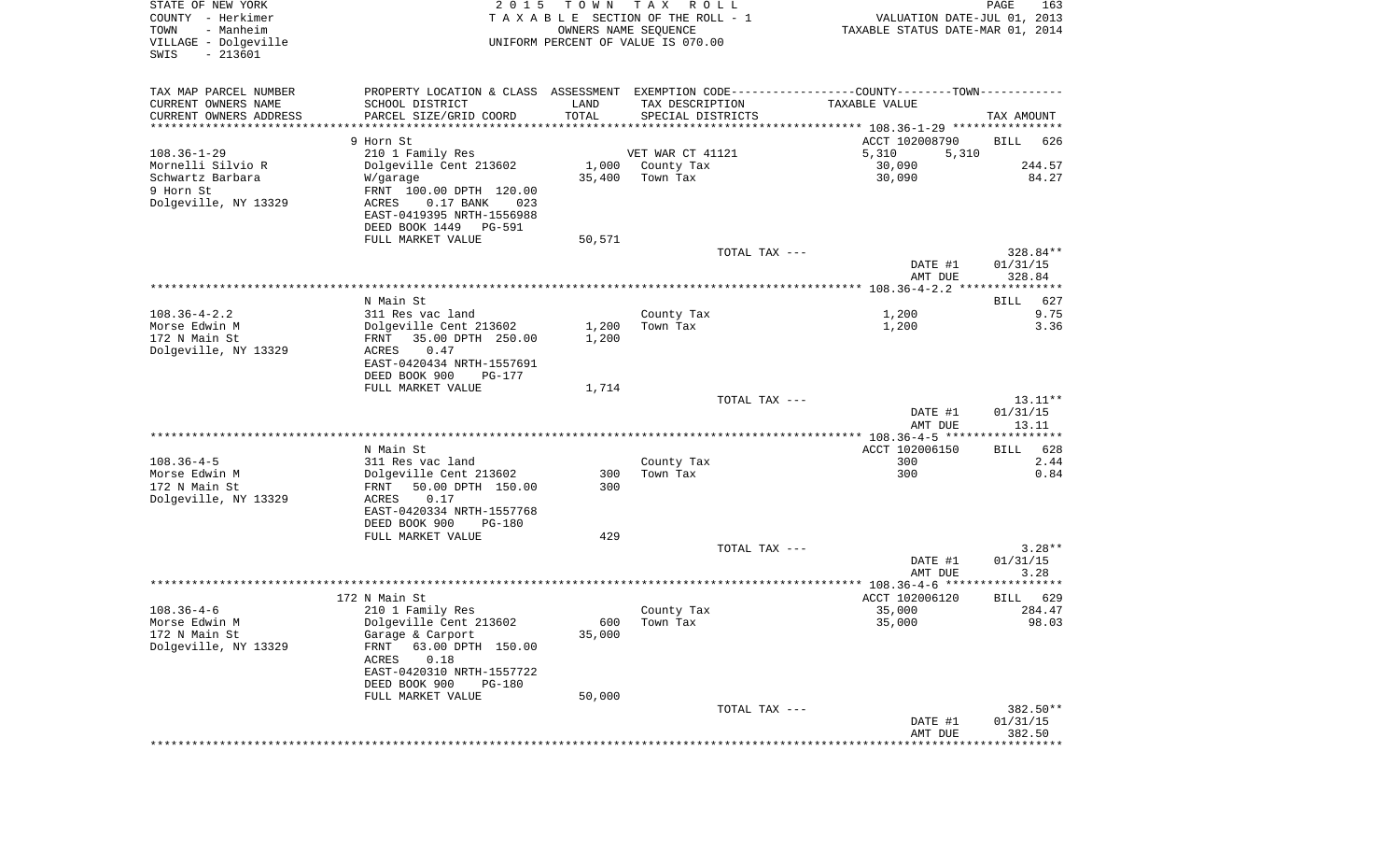| STATE OF NEW YORK<br>COUNTY - Herkimer<br>- Manheim<br>TOWN<br>VILLAGE - Dolgeville<br>$-213601$<br>SWIS | 2 0 1 5                                              | T O W N<br>OWNERS NAME SEQUENCE | TAX ROLL<br>TAXABLE SECTION OF THE ROLL - 1<br>UNIFORM PERCENT OF VALUE IS 070.00 | VALUATION DATE-JUL 01, 2013<br>TAXABLE STATUS DATE-MAR 01, 2014                               | PAGE<br>163        |
|----------------------------------------------------------------------------------------------------------|------------------------------------------------------|---------------------------------|-----------------------------------------------------------------------------------|-----------------------------------------------------------------------------------------------|--------------------|
| TAX MAP PARCEL NUMBER                                                                                    |                                                      |                                 |                                                                                   | PROPERTY LOCATION & CLASS ASSESSMENT EXEMPTION CODE---------------COUNTY-------TOWN---------- |                    |
| CURRENT OWNERS NAME                                                                                      | SCHOOL DISTRICT                                      | LAND                            | TAX DESCRIPTION                                                                   | TAXABLE VALUE                                                                                 |                    |
| CURRENT OWNERS ADDRESS                                                                                   | PARCEL SIZE/GRID COORD                               | TOTAL                           | SPECIAL DISTRICTS                                                                 |                                                                                               | TAX AMOUNT         |
| *********************                                                                                    |                                                      |                                 |                                                                                   |                                                                                               |                    |
| $108.36 - 1 - 29$                                                                                        | 9 Horn St<br>210 1 Family Res                        |                                 | VET WAR CT 41121                                                                  | ACCT 102008790<br>5,310<br>5,310                                                              | <b>BILL</b><br>626 |
| Mornelli Silvio R                                                                                        | Dolgeville Cent 213602                               |                                 | 1,000 County Tax                                                                  | 30,090                                                                                        | 244.57             |
| Schwartz Barbara                                                                                         | W/garage                                             | 35,400                          | Town Tax                                                                          | 30,090                                                                                        | 84.27              |
| 9 Horn St                                                                                                | FRNT 100.00 DPTH 120.00                              |                                 |                                                                                   |                                                                                               |                    |
| Dolgeville, NY 13329                                                                                     | $0.17$ BANK<br>ACRES<br>023                          |                                 |                                                                                   |                                                                                               |                    |
|                                                                                                          | EAST-0419395 NRTH-1556988                            |                                 |                                                                                   |                                                                                               |                    |
|                                                                                                          | DEED BOOK 1449 PG-591                                |                                 |                                                                                   |                                                                                               |                    |
|                                                                                                          | FULL MARKET VALUE                                    | 50,571                          |                                                                                   |                                                                                               |                    |
|                                                                                                          |                                                      |                                 | TOTAL TAX ---                                                                     |                                                                                               | 328.84**           |
|                                                                                                          |                                                      |                                 |                                                                                   | DATE #1<br>AMT DUE                                                                            | 01/31/15<br>328.84 |
|                                                                                                          |                                                      |                                 |                                                                                   |                                                                                               |                    |
|                                                                                                          | N Main St                                            |                                 |                                                                                   |                                                                                               | 627<br>BILL        |
| $108.36 - 4 - 2.2$                                                                                       | 311 Res vac land                                     |                                 | County Tax                                                                        | 1,200                                                                                         | 9.75               |
| Morse Edwin M                                                                                            | Dolgeville Cent 213602                               | 1,200                           | Town Tax                                                                          | 1,200                                                                                         | 3.36               |
| 172 N Main St                                                                                            | 35.00 DPTH 250.00<br>FRNT                            | 1,200                           |                                                                                   |                                                                                               |                    |
| Dolgeville, NY 13329                                                                                     | ACRES<br>0.47                                        |                                 |                                                                                   |                                                                                               |                    |
|                                                                                                          | EAST-0420434 NRTH-1557691<br>DEED BOOK 900<br>PG-177 |                                 |                                                                                   |                                                                                               |                    |
|                                                                                                          | FULL MARKET VALUE                                    | 1,714                           |                                                                                   |                                                                                               |                    |
|                                                                                                          |                                                      |                                 | TOTAL TAX ---                                                                     |                                                                                               | $13.11**$          |
|                                                                                                          |                                                      |                                 |                                                                                   | DATE #1                                                                                       | 01/31/15           |
|                                                                                                          |                                                      |                                 |                                                                                   | AMT DUE                                                                                       | 13.11              |
|                                                                                                          |                                                      |                                 |                                                                                   |                                                                                               |                    |
|                                                                                                          | N Main St                                            |                                 |                                                                                   | ACCT 102006150                                                                                | 628<br>BILL        |
| $108.36 - 4 - 5$<br>Morse Edwin M                                                                        | 311 Res vac land<br>Dolgeville Cent 213602           | 300                             | County Tax<br>Town Tax                                                            | 300<br>300                                                                                    | 2.44<br>0.84       |
| 172 N Main St                                                                                            | FRNT<br>50.00 DPTH 150.00                            | 300                             |                                                                                   |                                                                                               |                    |
| Dolgeville, NY 13329                                                                                     | ACRES<br>0.17                                        |                                 |                                                                                   |                                                                                               |                    |
|                                                                                                          | EAST-0420334 NRTH-1557768                            |                                 |                                                                                   |                                                                                               |                    |
|                                                                                                          | DEED BOOK 900<br>PG-180                              |                                 |                                                                                   |                                                                                               |                    |
|                                                                                                          | FULL MARKET VALUE                                    | 429                             |                                                                                   |                                                                                               |                    |
|                                                                                                          |                                                      |                                 | TOTAL TAX ---                                                                     |                                                                                               | $3.28**$           |
|                                                                                                          |                                                      |                                 |                                                                                   | DATE #1<br>AMT DUE                                                                            | 01/31/15<br>3.28   |
|                                                                                                          |                                                      |                                 |                                                                                   |                                                                                               |                    |
|                                                                                                          | 172 N Main St                                        |                                 |                                                                                   | ACCT 102006120                                                                                | 629<br>BILL        |
| $108.36 - 4 - 6$                                                                                         | 210 1 Family Res                                     |                                 | County Tax                                                                        | 35,000                                                                                        | 284.47             |
| Morse Edwin M                                                                                            | Dolgeville Cent 213602                               |                                 | 600 Town Tax                                                                      | 35,000                                                                                        | 98.03              |
| 172 N Main St                                                                                            | Garage & Carport                                     | 35,000                          |                                                                                   |                                                                                               |                    |
| Dolgeville, NY 13329                                                                                     | FRNT<br>63.00 DPTH 150.00                            |                                 |                                                                                   |                                                                                               |                    |
|                                                                                                          | 0.18<br>ACRES<br>EAST-0420310 NRTH-1557722           |                                 |                                                                                   |                                                                                               |                    |
|                                                                                                          | DEED BOOK 900<br><b>PG-180</b>                       |                                 |                                                                                   |                                                                                               |                    |
|                                                                                                          | FULL MARKET VALUE                                    | 50,000                          |                                                                                   |                                                                                               |                    |
|                                                                                                          |                                                      |                                 | TOTAL TAX ---                                                                     |                                                                                               | 382.50**           |
|                                                                                                          |                                                      |                                 |                                                                                   | DATE #1                                                                                       | 01/31/15           |
|                                                                                                          |                                                      |                                 |                                                                                   | AMT DUE                                                                                       | 382.50             |
|                                                                                                          |                                                      |                                 |                                                                                   |                                                                                               | **************     |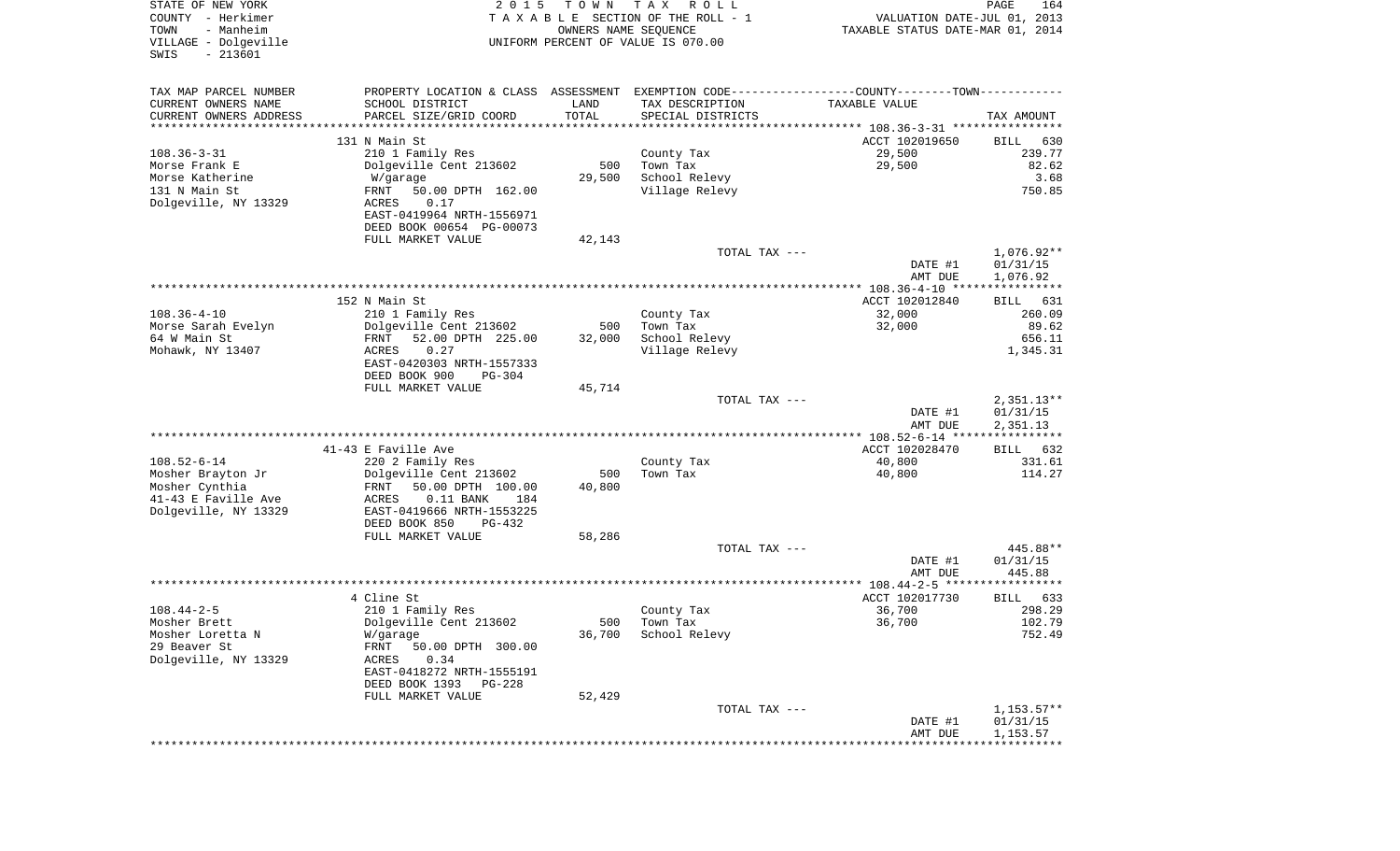| COUNTY<br>– Herkimer<br>- Manheim<br>TOWN<br>VILLAGE - Dolgeville<br>$-213601$<br>SWIS | T A X A B L E SECTION OF THE ROLL - 1<br>OWNERS NAME SEQUENCE<br>UNIFORM PERCENT OF VALUE IS 070.00 |        |                        | VALUATION DATE-JUL 01, 2013<br>TAXABLE STATUS DATE-MAR 01, 2014 |                      |
|----------------------------------------------------------------------------------------|-----------------------------------------------------------------------------------------------------|--------|------------------------|-----------------------------------------------------------------|----------------------|
| TAX MAP PARCEL NUMBER                                                                  | PROPERTY LOCATION & CLASS ASSESSMENT EXEMPTION CODE----------------COUNTY--------TOWN-----------    |        |                        |                                                                 |                      |
| CURRENT OWNERS NAME                                                                    | SCHOOL DISTRICT                                                                                     | LAND   | TAX DESCRIPTION        | TAXABLE VALUE                                                   |                      |
| CURRENT OWNERS ADDRESS                                                                 | PARCEL SIZE/GRID COORD                                                                              | TOTAL  | SPECIAL DISTRICTS      |                                                                 | TAX AMOUNT           |
|                                                                                        | 131 N Main St                                                                                       |        |                        | ACCT 102019650                                                  | 630<br>BILL          |
| $108.36 - 3 - 31$                                                                      | 210 1 Family Res                                                                                    |        | County Tax             | 29,500                                                          | 239.77               |
| Morse Frank E                                                                          | Dolgeville Cent 213602                                                                              | 500    | Town Tax               | 29,500                                                          | 82.62                |
| Morse Katherine                                                                        | W/garage                                                                                            | 29,500 | School Relevy          |                                                                 | 3.68                 |
| 131 N Main St                                                                          | FRNT<br>50.00 DPTH 162.00                                                                           |        | Village Relevy         |                                                                 | 750.85               |
| Dolgeville, NY 13329                                                                   | ACRES<br>0.17                                                                                       |        |                        |                                                                 |                      |
|                                                                                        | EAST-0419964 NRTH-1556971<br>DEED BOOK 00654 PG-00073                                               |        |                        |                                                                 |                      |
|                                                                                        | FULL MARKET VALUE                                                                                   | 42,143 |                        |                                                                 |                      |
|                                                                                        |                                                                                                     |        | TOTAL TAX ---          |                                                                 | $1,076.92**$         |
|                                                                                        |                                                                                                     |        |                        | DATE #1                                                         | 01/31/15             |
|                                                                                        |                                                                                                     |        |                        | AMT DUE                                                         | 1,076.92             |
|                                                                                        | 152 N Main St                                                                                       |        |                        | ACCT 102012840                                                  | BILL                 |
| $108.36 - 4 - 10$                                                                      | 210 1 Family Res                                                                                    |        | County Tax             | 32,000                                                          | 631<br>260.09        |
| Morse Sarah Evelyn                                                                     | Dolgeville Cent 213602                                                                              | 500    | Town Tax               | 32,000                                                          | 89.62                |
| 64 W Main St                                                                           | 52.00 DPTH 225.00<br>FRNT                                                                           | 32,000 | School Relevy          |                                                                 | 656.11               |
| Mohawk, NY 13407                                                                       | 0.27<br>ACRES                                                                                       |        | Village Relevy         |                                                                 | 1,345.31             |
|                                                                                        | EAST-0420303 NRTH-1557333                                                                           |        |                        |                                                                 |                      |
|                                                                                        | DEED BOOK 900<br><b>PG-304</b>                                                                      |        |                        |                                                                 |                      |
|                                                                                        | FULL MARKET VALUE                                                                                   | 45,714 | TOTAL TAX ---          |                                                                 | $2,351.13**$         |
|                                                                                        |                                                                                                     |        |                        | DATE #1                                                         | 01/31/15             |
|                                                                                        |                                                                                                     |        |                        | AMT DUE                                                         | 2,351.13             |
|                                                                                        |                                                                                                     |        |                        |                                                                 |                      |
|                                                                                        | 41-43 E Faville Ave                                                                                 |        |                        | ACCT 102028470                                                  | BILL 632             |
| $108.52 - 6 - 14$<br>Mosher Brayton Jr                                                 | 220 2 Family Res                                                                                    | 500    | County Tax<br>Town Tax | 40,800<br>40,800                                                | 331.61<br>114.27     |
| Mosher Cynthia                                                                         | Dolgeville Cent 213602<br>FRNT<br>50.00 DPTH 100.00                                                 | 40,800 |                        |                                                                 |                      |
| 41-43 E Faville Ave                                                                    | ACRES<br>$0.11$ BANK<br>184                                                                         |        |                        |                                                                 |                      |
| Dolgeville, NY 13329                                                                   | EAST-0419666 NRTH-1553225                                                                           |        |                        |                                                                 |                      |
|                                                                                        | DEED BOOK 850<br>PG-432                                                                             |        |                        |                                                                 |                      |
|                                                                                        | FULL MARKET VALUE                                                                                   | 58,286 |                        |                                                                 |                      |
|                                                                                        |                                                                                                     |        | TOTAL TAX ---          | DATE #1                                                         | 445.88**<br>01/31/15 |
|                                                                                        |                                                                                                     |        |                        | AMT DUE                                                         | 445.88               |
|                                                                                        |                                                                                                     |        |                        |                                                                 |                      |
|                                                                                        | 4 Cline St                                                                                          |        |                        | ACCT 102017730                                                  | BILL 633             |
| $108.44 - 2 - 5$                                                                       | 210 1 Family Res                                                                                    |        | County Tax             | 36,700                                                          | 298.29               |
| Mosher Brett                                                                           | Dolgeville Cent 213602                                                                              | 500    | Town Tax               | 36,700                                                          | 102.79               |
| Mosher Loretta N<br>29 Beaver St                                                       | W/garage                                                                                            |        | 36,700 School Relevy   |                                                                 | 752.49               |
| Dolgeville, NY 13329                                                                   | FRNT 50.00 DPTH 300.00<br>0.34<br>ACRES                                                             |        |                        |                                                                 |                      |
|                                                                                        | EAST-0418272 NRTH-1555191                                                                           |        |                        |                                                                 |                      |
|                                                                                        | DEED BOOK 1393<br>PG-228                                                                            |        |                        |                                                                 |                      |
|                                                                                        | FULL MARKET VALUE                                                                                   | 52,429 |                        |                                                                 |                      |
|                                                                                        |                                                                                                     |        | TOTAL TAX ---          |                                                                 | $1,153.57**$         |
|                                                                                        |                                                                                                     |        |                        | DATE #1<br>AMT DUE                                              | 01/31/15<br>1,153.57 |
|                                                                                        |                                                                                                     |        |                        | ******************************                                  |                      |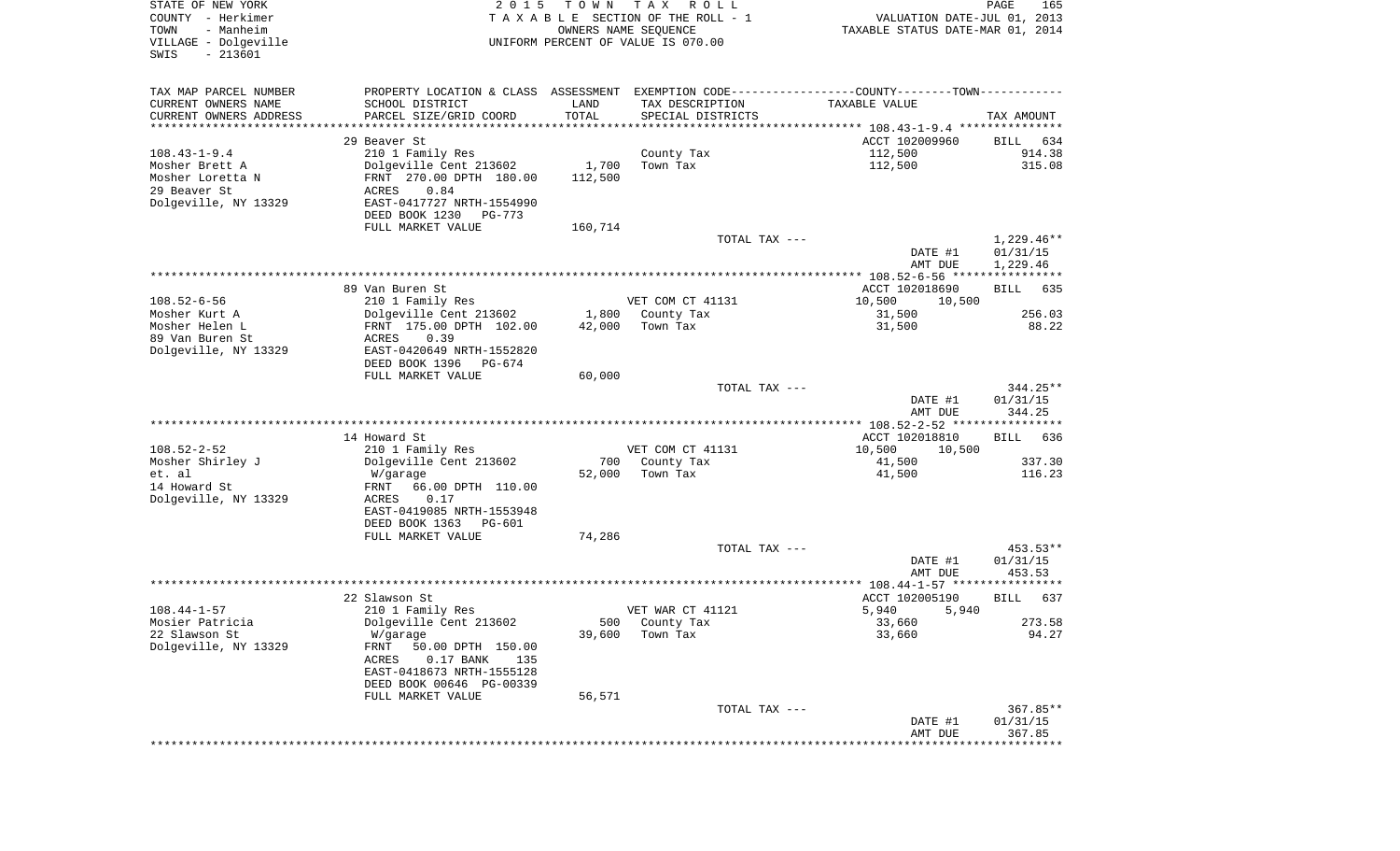| STATE OF NEW YORK<br>COUNTY - Herkimer<br>- Manheim<br>TOWN<br>VILLAGE - Dolgeville<br>$-213601$<br>SWIS | 2 0 1 5                                                                                       | T O W N                        | T A X<br>R O L L<br>TAXABLE SECTION OF THE ROLL - 1<br>OWNERS NAME SEQUENCE<br>UNIFORM PERCENT OF VALUE IS 070.00 | VALUATION DATE-JUL 01, 2013<br>TAXABLE STATUS DATE-MAR 01, 2014 | PAGE<br>165        |
|----------------------------------------------------------------------------------------------------------|-----------------------------------------------------------------------------------------------|--------------------------------|-------------------------------------------------------------------------------------------------------------------|-----------------------------------------------------------------|--------------------|
| TAX MAP PARCEL NUMBER                                                                                    | PROPERTY LOCATION & CLASS ASSESSMENT EXEMPTION CODE---------------COUNTY-------TOWN---------- |                                |                                                                                                                   |                                                                 |                    |
| CURRENT OWNERS NAME                                                                                      | SCHOOL DISTRICT                                                                               | LAND                           | TAX DESCRIPTION                                                                                                   | TAXABLE VALUE                                                   |                    |
| CURRENT OWNERS ADDRESS<br>*********************                                                          | PARCEL SIZE/GRID COORD                                                                        | TOTAL<br>* * * * * * * * * * * | SPECIAL DISTRICTS                                                                                                 |                                                                 | TAX AMOUNT         |
|                                                                                                          | 29 Beaver St                                                                                  |                                |                                                                                                                   | ACCT 102009960                                                  | 634<br>BILL        |
| $108.43 - 1 - 9.4$                                                                                       | 210 1 Family Res                                                                              |                                | County Tax                                                                                                        | 112,500                                                         | 914.38             |
| Mosher Brett A                                                                                           | Dolgeville Cent 213602                                                                        | 1,700                          | Town Tax                                                                                                          | 112,500                                                         | 315.08             |
| Mosher Loretta N                                                                                         | FRNT 270.00 DPTH 180.00                                                                       | 112,500                        |                                                                                                                   |                                                                 |                    |
| 29 Beaver St                                                                                             | 0.84<br>ACRES                                                                                 |                                |                                                                                                                   |                                                                 |                    |
| Dolgeville, NY 13329                                                                                     | EAST-0417727 NRTH-1554990                                                                     |                                |                                                                                                                   |                                                                 |                    |
|                                                                                                          | DEED BOOK 1230<br>PG-773<br>FULL MARKET VALUE                                                 | 160,714                        |                                                                                                                   |                                                                 |                    |
|                                                                                                          |                                                                                               |                                | TOTAL TAX ---                                                                                                     |                                                                 | $1,229.46**$       |
|                                                                                                          |                                                                                               |                                |                                                                                                                   | DATE #1                                                         | 01/31/15           |
|                                                                                                          |                                                                                               |                                |                                                                                                                   | AMT DUE                                                         | 1,229.46           |
|                                                                                                          |                                                                                               |                                |                                                                                                                   |                                                                 |                    |
| $108.52 - 6 - 56$                                                                                        | 89 Van Buren St<br>210 1 Family Res                                                           |                                | VET COM CT 41131                                                                                                  | ACCT 102018690<br>10,500<br>10,500                              | <b>BILL</b><br>635 |
| Mosher Kurt A                                                                                            | Dolgeville Cent 213602                                                                        | 1,800                          | County Tax                                                                                                        | 31,500                                                          | 256.03             |
| Mosher Helen L                                                                                           | FRNT 175.00 DPTH 102.00                                                                       | 42,000                         | Town Tax                                                                                                          | 31,500                                                          | 88.22              |
| 89 Van Buren St                                                                                          | 0.39<br>ACRES                                                                                 |                                |                                                                                                                   |                                                                 |                    |
| Dolgeville, NY 13329                                                                                     | EAST-0420649 NRTH-1552820                                                                     |                                |                                                                                                                   |                                                                 |                    |
|                                                                                                          | DEED BOOK 1396<br>PG-674                                                                      |                                |                                                                                                                   |                                                                 |                    |
|                                                                                                          | FULL MARKET VALUE                                                                             | 60,000                         | TOTAL TAX ---                                                                                                     |                                                                 | $344.25**$         |
|                                                                                                          |                                                                                               |                                |                                                                                                                   | DATE #1<br>AMT DUE                                              | 01/31/15<br>344.25 |
|                                                                                                          |                                                                                               |                                |                                                                                                                   |                                                                 |                    |
| $108.52 - 2 - 52$                                                                                        | 14 Howard St<br>210 1 Family Res                                                              |                                | VET COM CT 41131                                                                                                  | ACCT 102018810<br>10,500<br>10,500                              | <b>BILL</b><br>636 |
| Mosher Shirley J                                                                                         | Dolgeville Cent 213602                                                                        | 700                            | County Tax                                                                                                        | 41,500                                                          | 337.30             |
| et. al                                                                                                   | W/garage                                                                                      | 52,000                         | Town Tax                                                                                                          | 41,500                                                          | 116.23             |
| 14 Howard St                                                                                             | FRNT<br>66.00 DPTH 110.00                                                                     |                                |                                                                                                                   |                                                                 |                    |
| Dolgeville, NY 13329                                                                                     | ACRES<br>0.17                                                                                 |                                |                                                                                                                   |                                                                 |                    |
|                                                                                                          | EAST-0419085 NRTH-1553948<br>DEED BOOK 1363<br>PG-601                                         |                                |                                                                                                                   |                                                                 |                    |
|                                                                                                          | FULL MARKET VALUE                                                                             | 74,286                         |                                                                                                                   |                                                                 |                    |
|                                                                                                          |                                                                                               |                                | TOTAL TAX ---                                                                                                     |                                                                 | 453.53**           |
|                                                                                                          |                                                                                               |                                |                                                                                                                   | DATE #1                                                         | 01/31/15           |
|                                                                                                          |                                                                                               |                                |                                                                                                                   | AMT DUE                                                         | 453.53             |
|                                                                                                          | 22 Slawson St                                                                                 |                                |                                                                                                                   | ACCT 102005190                                                  | 637<br>BILL        |
| $108.44 - 1 - 57$                                                                                        | 210 1 Family Res                                                                              |                                | VET WAR CT 41121                                                                                                  | 5,940<br>5,940                                                  |                    |
| Mosier Patricia                                                                                          | Dolgeville Cent 213602                                                                        |                                | 500 County Tax                                                                                                    | 33,660                                                          | 273.58             |
| 22 Slawson St                                                                                            | W/garage                                                                                      | 39,600                         | Town Tax                                                                                                          | 33,660                                                          | 94.27              |
| Dolgeville, NY 13329                                                                                     | FRNT<br>50.00 DPTH 150.00                                                                     |                                |                                                                                                                   |                                                                 |                    |
|                                                                                                          | ACRES<br>$0.17$ BANK<br>135<br>EAST-0418673 NRTH-1555128                                      |                                |                                                                                                                   |                                                                 |                    |
|                                                                                                          | DEED BOOK 00646 PG-00339                                                                      |                                |                                                                                                                   |                                                                 |                    |
|                                                                                                          | FULL MARKET VALUE                                                                             | 56,571                         |                                                                                                                   |                                                                 |                    |
|                                                                                                          |                                                                                               |                                | TOTAL TAX ---                                                                                                     |                                                                 | $367.85**$         |
|                                                                                                          |                                                                                               |                                |                                                                                                                   | DATE #1                                                         | 01/31/15           |
|                                                                                                          |                                                                                               |                                |                                                                                                                   | AMT DUE<br>***************************                          | 367.85             |
|                                                                                                          |                                                                                               |                                |                                                                                                                   |                                                                 |                    |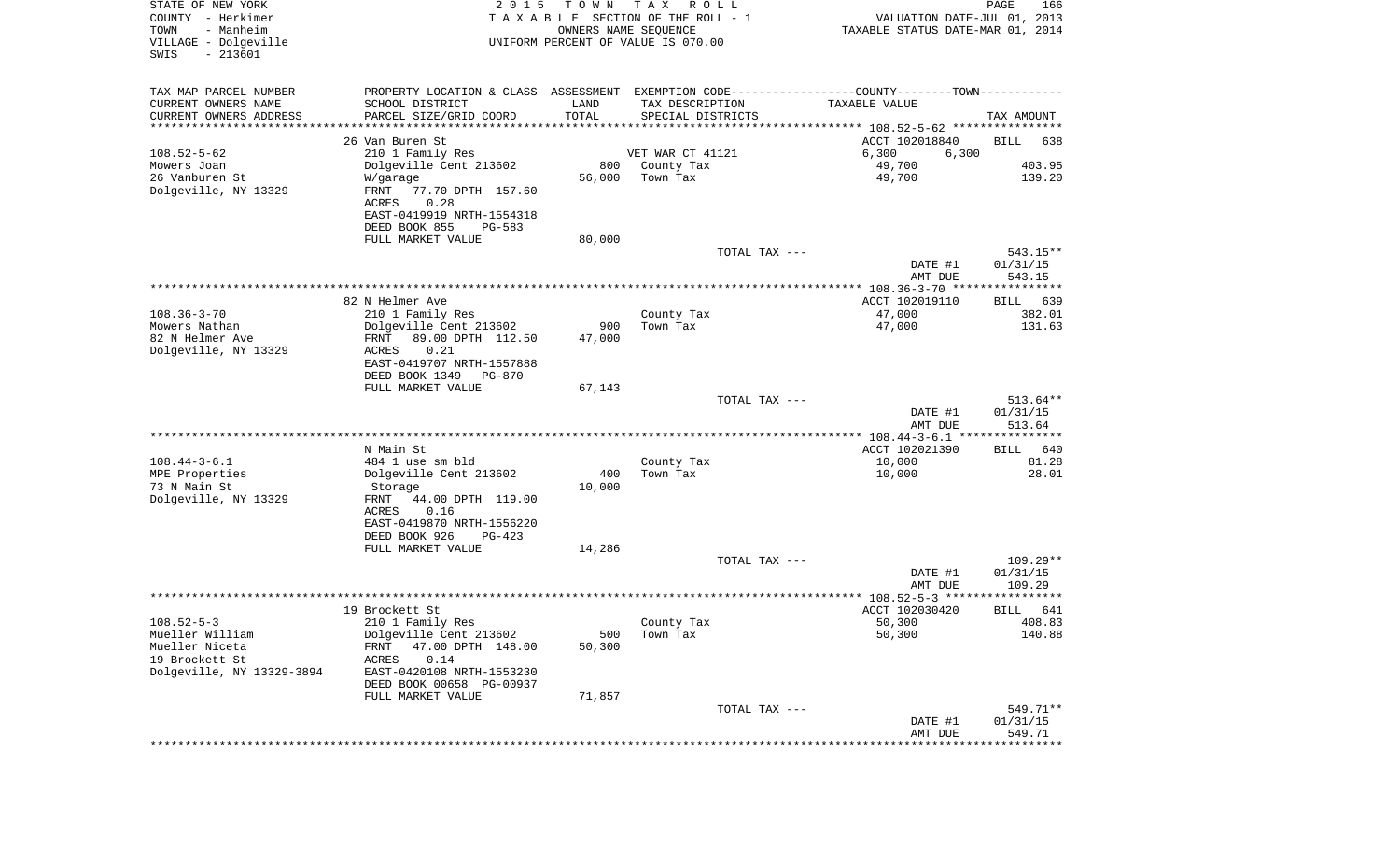| STATE OF NEW YORK<br>COUNTY - Herkimer<br>TOWN<br>- Manheim<br>VILLAGE - Dolgeville<br>$-213601$<br>SWIS | 2 0 1 5                                                                                        | T O W N       | T A X<br>R O L L<br>TAXABLE SECTION OF THE ROLL - 1<br>OWNERS NAME SEQUENCE<br>UNIFORM PERCENT OF VALUE IS 070.00 | VALUATION DATE-JUL 01, 2013<br>TAXABLE STATUS DATE-MAR 01, 2014 | PAGE<br>166                    |
|----------------------------------------------------------------------------------------------------------|------------------------------------------------------------------------------------------------|---------------|-------------------------------------------------------------------------------------------------------------------|-----------------------------------------------------------------|--------------------------------|
| TAX MAP PARCEL NUMBER                                                                                    | PROPERTY LOCATION & CLASS ASSESSMENT EXEMPTION CODE----------------COUNTY-------TOWN---------- |               |                                                                                                                   |                                                                 |                                |
| CURRENT OWNERS NAME                                                                                      | SCHOOL DISTRICT                                                                                | LAND          | TAX DESCRIPTION                                                                                                   | TAXABLE VALUE                                                   |                                |
| CURRENT OWNERS ADDRESS<br>********************                                                           | PARCEL SIZE/GRID COORD<br>******************                                                   | TOTAL         | SPECIAL DISTRICTS                                                                                                 |                                                                 | TAX AMOUNT                     |
|                                                                                                          | 26 Van Buren St                                                                                |               |                                                                                                                   | ACCT 102018840                                                  | BILL<br>638                    |
| $108.52 - 5 - 62$                                                                                        | 210 1 Family Res                                                                               |               | VET WAR CT 41121                                                                                                  | 6,300<br>6,300                                                  |                                |
| Mowers Joan                                                                                              | Dolgeville Cent 213602                                                                         | 800           | County Tax                                                                                                        | 49,700                                                          | 403.95                         |
| 26 Vanburen St                                                                                           | W/garage                                                                                       | 56,000        | Town Tax                                                                                                          | 49,700                                                          | 139.20                         |
| Dolgeville, NY 13329                                                                                     | FRNT<br>77.70 DPTH 157.60<br>0.28<br>ACRES                                                     |               |                                                                                                                   |                                                                 |                                |
|                                                                                                          | EAST-0419919 NRTH-1554318<br>DEED BOOK 855<br>PG-583                                           |               |                                                                                                                   |                                                                 |                                |
|                                                                                                          | FULL MARKET VALUE                                                                              | 80,000        |                                                                                                                   |                                                                 |                                |
|                                                                                                          |                                                                                                |               | TOTAL TAX ---                                                                                                     |                                                                 | $543.15**$                     |
|                                                                                                          |                                                                                                |               |                                                                                                                   | DATE #1                                                         | 01/31/15                       |
|                                                                                                          |                                                                                                |               |                                                                                                                   | AMT DUE<br>***************** 108.36-3-70 ****************       | 543.15                         |
|                                                                                                          | 82 N Helmer Ave                                                                                |               |                                                                                                                   | ACCT 102019110                                                  | 639<br>BILL                    |
| $108.36 - 3 - 70$                                                                                        | 210 1 Family Res                                                                               |               | County Tax                                                                                                        | 47,000                                                          | 382.01                         |
| Mowers Nathan                                                                                            | Dolgeville Cent 213602                                                                         | 900           | Town Tax                                                                                                          | 47,000                                                          | 131.63                         |
| 82 N Helmer Ave                                                                                          | FRNT<br>89.00 DPTH 112.50                                                                      | 47,000        |                                                                                                                   |                                                                 |                                |
| Dolgeville, NY 13329                                                                                     | ACRES<br>0.21<br>EAST-0419707 NRTH-1557888                                                     |               |                                                                                                                   |                                                                 |                                |
|                                                                                                          | DEED BOOK 1349<br><b>PG-870</b><br>FULL MARKET VALUE                                           | 67,143        |                                                                                                                   |                                                                 |                                |
|                                                                                                          |                                                                                                |               | TOTAL TAX ---                                                                                                     |                                                                 | $513.64**$                     |
|                                                                                                          |                                                                                                |               |                                                                                                                   | DATE #1<br>AMT DUE                                              | 01/31/15<br>513.64             |
|                                                                                                          |                                                                                                |               |                                                                                                                   | ************ 108.44-3-6.1 ****************                      |                                |
|                                                                                                          | N Main St                                                                                      |               |                                                                                                                   | ACCT 102021390                                                  | 640<br>BILL                    |
| $108.44 - 3 - 6.1$                                                                                       | 484 1 use sm bld                                                                               |               | County Tax                                                                                                        | 10,000                                                          | 81.28<br>28.01                 |
| MPE Properties<br>73 N Main St                                                                           | Dolgeville Cent 213602<br>Storage                                                              | 400<br>10,000 | Town Tax                                                                                                          | 10,000                                                          |                                |
| Dolgeville, NY 13329                                                                                     | FRNT<br>44.00 DPTH 119.00                                                                      |               |                                                                                                                   |                                                                 |                                |
|                                                                                                          | ACRES<br>0.16                                                                                  |               |                                                                                                                   |                                                                 |                                |
|                                                                                                          | EAST-0419870 NRTH-1556220                                                                      |               |                                                                                                                   |                                                                 |                                |
|                                                                                                          | DEED BOOK 926<br>PG-423                                                                        |               |                                                                                                                   |                                                                 |                                |
|                                                                                                          | FULL MARKET VALUE                                                                              | 14,286        |                                                                                                                   |                                                                 |                                |
|                                                                                                          |                                                                                                |               | TOTAL TAX ---                                                                                                     | DATE #1                                                         | 109.29**<br>01/31/15<br>109.29 |
|                                                                                                          |                                                                                                |               |                                                                                                                   | AMT DUE<br>**************** 108.52-5-3 ******                   | ****                           |
|                                                                                                          | 19 Brockett St                                                                                 |               |                                                                                                                   | ACCT 102030420                                                  | 641<br>BILL                    |
| $108.52 - 5 - 3$                                                                                         | 210 1 Family Res                                                                               |               | County Tax                                                                                                        | 50,300                                                          | 408.83                         |
| Mueller William                                                                                          | Dolgeville Cent 213602                                                                         | 500           | Town Tax                                                                                                          | 50,300                                                          | 140.88                         |
| Mueller Niceta                                                                                           | 47.00 DPTH 148.00<br>FRNT                                                                      | 50,300        |                                                                                                                   |                                                                 |                                |
| 19 Brockett St                                                                                           | 0.14<br><b>ACRES</b>                                                                           |               |                                                                                                                   |                                                                 |                                |
| Dolgeville, NY 13329-3894                                                                                | EAST-0420108 NRTH-1553230<br>DEED BOOK 00658 PG-00937                                          |               |                                                                                                                   |                                                                 |                                |
|                                                                                                          | FULL MARKET VALUE                                                                              | 71,857        |                                                                                                                   |                                                                 |                                |
|                                                                                                          |                                                                                                |               | TOTAL TAX ---                                                                                                     |                                                                 | 549.71**                       |
|                                                                                                          |                                                                                                |               |                                                                                                                   | DATE #1                                                         | 01/31/15                       |
|                                                                                                          |                                                                                                |               |                                                                                                                   | AMT DUE                                                         | 549.71                         |
|                                                                                                          |                                                                                                |               |                                                                                                                   | *****************************                                   |                                |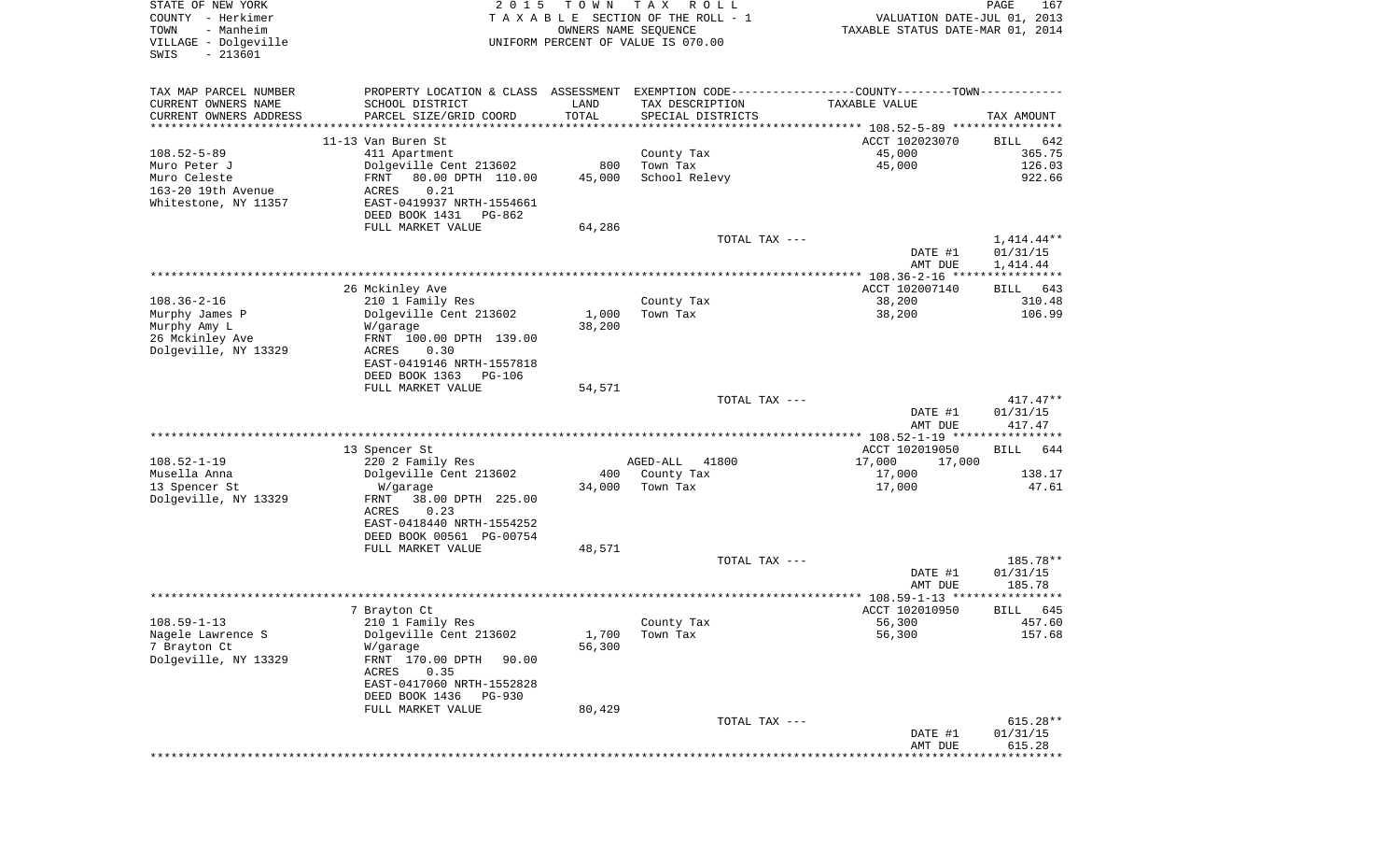| STATE OF NEW YORK<br>COUNTY - Herkimer<br>TOWN<br>- Manheim<br>VILLAGE - Dolgeville<br>$-213601$<br>SWIS | 2 0 1 5                                               | T O W N         | T A X<br>R O L L<br>TAXABLE SECTION OF THE ROLL - 1<br>OWNERS NAME SEQUENCE<br>UNIFORM PERCENT OF VALUE IS 070.00 | VALUATION DATE-JUL 01, 2013<br>TAXABLE STATUS DATE-MAR 01, 2014 | PAGE<br>167              |
|----------------------------------------------------------------------------------------------------------|-------------------------------------------------------|-----------------|-------------------------------------------------------------------------------------------------------------------|-----------------------------------------------------------------|--------------------------|
| TAX MAP PARCEL NUMBER                                                                                    |                                                       |                 | PROPERTY LOCATION & CLASS ASSESSMENT EXEMPTION CODE---------------COUNTY-------TOWN----------                     |                                                                 |                          |
| CURRENT OWNERS NAME                                                                                      | SCHOOL DISTRICT                                       | LAND            | TAX DESCRIPTION                                                                                                   | TAXABLE VALUE                                                   |                          |
| CURRENT OWNERS ADDRESS<br>**********************                                                         | PARCEL SIZE/GRID COORD                                | TOTAL           | SPECIAL DISTRICTS                                                                                                 |                                                                 | TAX AMOUNT               |
|                                                                                                          | 11-13 Van Buren St                                    |                 |                                                                                                                   | ACCT 102023070                                                  | BILL<br>642              |
| $108.52 - 5 - 89$                                                                                        | 411 Apartment                                         |                 | County Tax                                                                                                        | 45,000                                                          | 365.75                   |
| Muro Peter J                                                                                             | Dolgeville Cent 213602                                | 800             | Town Tax                                                                                                          | 45,000                                                          | 126.03                   |
| Muro Celeste<br>163-20 19th Avenue                                                                       | FRNT<br>80.00 DPTH 110.00<br>0.21<br>ACRES            | 45,000          | School Relevy                                                                                                     |                                                                 | 922.66                   |
| Whitestone, NY 11357                                                                                     | EAST-0419937 NRTH-1554661                             |                 |                                                                                                                   |                                                                 |                          |
|                                                                                                          | DEED BOOK 1431<br>PG-862                              |                 |                                                                                                                   |                                                                 |                          |
|                                                                                                          | FULL MARKET VALUE                                     | 64,286          |                                                                                                                   |                                                                 |                          |
|                                                                                                          |                                                       |                 | TOTAL TAX ---                                                                                                     | DATE #1                                                         | $1,414.44**$<br>01/31/15 |
|                                                                                                          |                                                       |                 |                                                                                                                   | AMT DUE                                                         | 1,414.44                 |
|                                                                                                          |                                                       |                 |                                                                                                                   |                                                                 |                          |
|                                                                                                          | 26 Mckinley Ave                                       |                 |                                                                                                                   | ACCT 102007140                                                  | 643<br>BILL              |
| $108.36 - 2 - 16$                                                                                        | 210 1 Family Res                                      |                 | County Tax                                                                                                        | 38,200                                                          | 310.48<br>106.99         |
| Murphy James P<br>Murphy Amy L                                                                           | Dolgeville Cent 213602<br>W/garage                    | 1,000<br>38,200 | Town Tax                                                                                                          | 38,200                                                          |                          |
| 26 Mckinley Ave                                                                                          | FRNT 100.00 DPTH 139.00                               |                 |                                                                                                                   |                                                                 |                          |
| Dolgeville, NY 13329                                                                                     | ACRES<br>0.30                                         |                 |                                                                                                                   |                                                                 |                          |
|                                                                                                          | EAST-0419146 NRTH-1557818<br>DEED BOOK 1363<br>PG-106 |                 |                                                                                                                   |                                                                 |                          |
|                                                                                                          | FULL MARKET VALUE                                     | 54,571          |                                                                                                                   |                                                                 |                          |
|                                                                                                          |                                                       |                 | TOTAL TAX ---                                                                                                     |                                                                 | $417.47**$               |
|                                                                                                          |                                                       |                 |                                                                                                                   | DATE #1                                                         | 01/31/15                 |
|                                                                                                          |                                                       |                 |                                                                                                                   | AMT DUE<br>************* 108.52-1-19 ****************           | 417.47                   |
|                                                                                                          | 13 Spencer St                                         |                 |                                                                                                                   | ACCT 102019050                                                  | <b>BILL</b><br>644       |
| $108.52 - 1 - 19$                                                                                        | 220 2 Family Res                                      |                 | AGED-ALL<br>41800                                                                                                 | 17,000<br>17,000                                                |                          |
| Musella Anna                                                                                             | Dolgeville Cent 213602                                |                 | 400 County Tax                                                                                                    | 17,000                                                          | 138.17                   |
| 13 Spencer St                                                                                            | W/garage                                              | 34,000          | Town Tax                                                                                                          | 17,000                                                          | 47.61                    |
| Dolgeville, NY 13329                                                                                     | FRNT<br>38.00 DPTH 225.00<br>ACRES<br>0.23            |                 |                                                                                                                   |                                                                 |                          |
|                                                                                                          | EAST-0418440 NRTH-1554252                             |                 |                                                                                                                   |                                                                 |                          |
|                                                                                                          | DEED BOOK 00561 PG-00754                              |                 |                                                                                                                   |                                                                 |                          |
|                                                                                                          | FULL MARKET VALUE                                     | 48,571          |                                                                                                                   |                                                                 |                          |
|                                                                                                          |                                                       |                 | TOTAL TAX ---                                                                                                     | DATE #1                                                         | 185.78**<br>01/31/15     |
|                                                                                                          |                                                       |                 |                                                                                                                   | AMT DUE                                                         | 185.78                   |
|                                                                                                          |                                                       |                 |                                                                                                                   |                                                                 |                          |
|                                                                                                          | 7 Brayton Ct                                          |                 |                                                                                                                   | ACCT 102010950                                                  | 645<br>BILL              |
| $108.59 - 1 - 13$<br>Nagele Lawrence S                                                                   | 210 1 Family Res<br>Dolgeville Cent 213602            | 1,700           | County Tax<br>Town Tax                                                                                            | 56,300<br>56,300                                                | 457.60<br>157.68         |
| 7 Brayton Ct                                                                                             | W/garage                                              | 56,300          |                                                                                                                   |                                                                 |                          |
| Dolgeville, NY 13329                                                                                     | FRNT 170.00 DPTH<br>90.00                             |                 |                                                                                                                   |                                                                 |                          |
|                                                                                                          | 0.35<br>ACRES                                         |                 |                                                                                                                   |                                                                 |                          |
|                                                                                                          | EAST-0417060 NRTH-1552828<br>DEED BOOK 1436           |                 |                                                                                                                   |                                                                 |                          |
|                                                                                                          | PG-930<br>FULL MARKET VALUE                           | 80,429          |                                                                                                                   |                                                                 |                          |
|                                                                                                          |                                                       |                 | TOTAL TAX ---                                                                                                     |                                                                 | $615.28**$               |
|                                                                                                          |                                                       |                 |                                                                                                                   | DATE #1                                                         | 01/31/15                 |
|                                                                                                          |                                                       |                 |                                                                                                                   | AMT DUE                                                         | 615.28                   |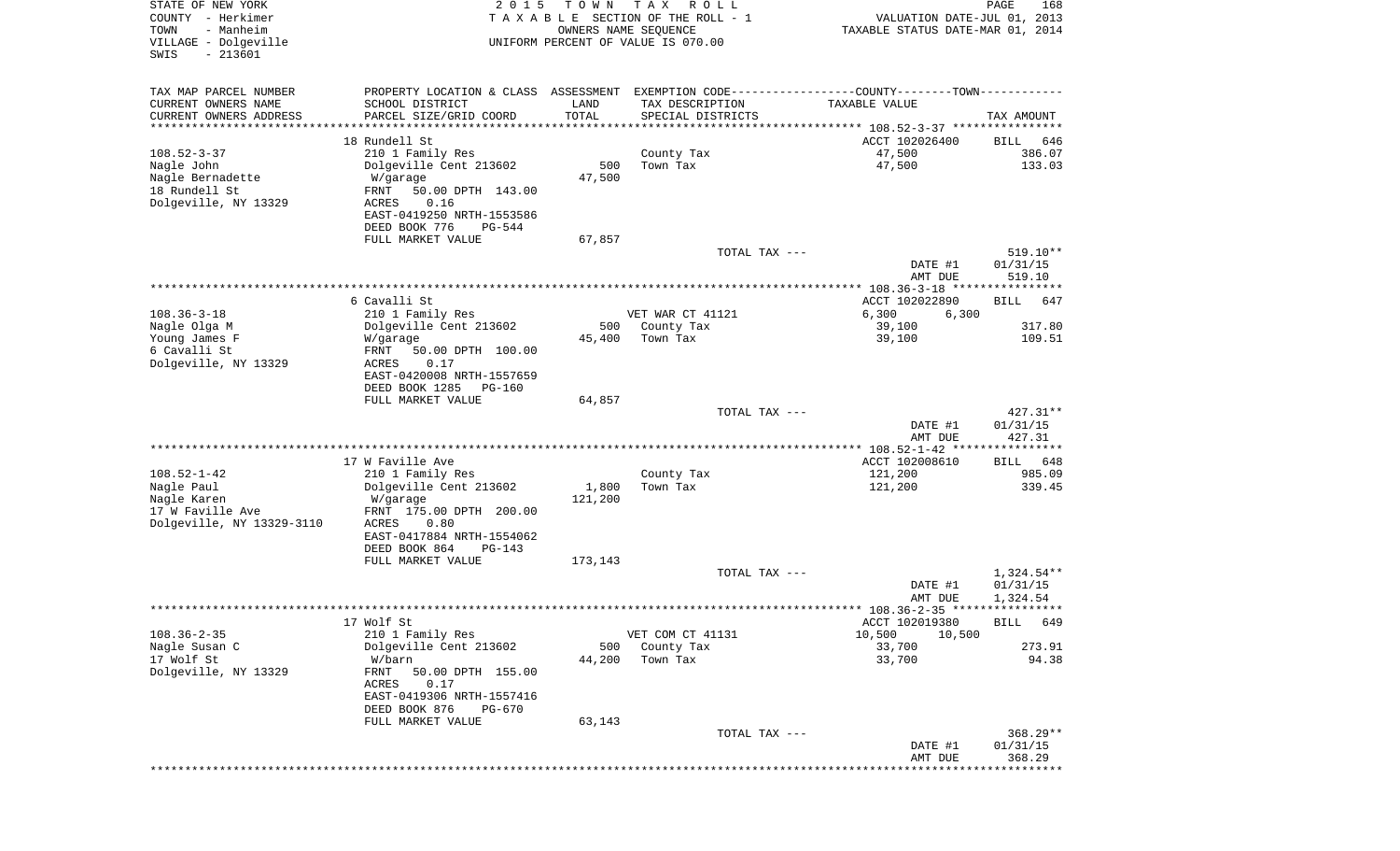| STATE OF NEW YORK<br>COUNTY - Herkimer<br>- Manheim<br>TOWN<br>VILLAGE - Dolgeville<br>$-213601$<br>SWIS | 2 0 1 5                                                                                       | T O W N                        | T A X<br>R O L L<br>TAXABLE SECTION OF THE ROLL - 1<br>OWNERS NAME SEQUENCE<br>UNIFORM PERCENT OF VALUE IS 070.00 | VALUATION DATE-JUL 01, 2013<br>TAXABLE STATUS DATE-MAR 01, 2014 | PAGE<br>168        |
|----------------------------------------------------------------------------------------------------------|-----------------------------------------------------------------------------------------------|--------------------------------|-------------------------------------------------------------------------------------------------------------------|-----------------------------------------------------------------|--------------------|
| TAX MAP PARCEL NUMBER                                                                                    | PROPERTY LOCATION & CLASS ASSESSMENT EXEMPTION CODE---------------COUNTY-------TOWN---------- |                                |                                                                                                                   |                                                                 |                    |
| CURRENT OWNERS NAME                                                                                      | SCHOOL DISTRICT                                                                               | LAND                           | TAX DESCRIPTION                                                                                                   | TAXABLE VALUE                                                   |                    |
| CURRENT OWNERS ADDRESS<br>********************                                                           | PARCEL SIZE/GRID COORD                                                                        | TOTAL<br>* * * * * * * * * * * | SPECIAL DISTRICTS                                                                                                 |                                                                 | TAX AMOUNT         |
|                                                                                                          | 18 Rundell St                                                                                 |                                |                                                                                                                   | ACCT 102026400                                                  | BILL<br>646        |
| $108.52 - 3 - 37$                                                                                        | 210 1 Family Res                                                                              |                                | County Tax                                                                                                        | 47,500                                                          | 386.07             |
| Nagle John                                                                                               | Dolgeville Cent 213602                                                                        | 500                            | Town Tax                                                                                                          | 47,500                                                          | 133.03             |
| Nagle Bernadette<br>18 Rundell St                                                                        | W/garage<br>50.00 DPTH 143.00<br>FRNT                                                         | 47,500                         |                                                                                                                   |                                                                 |                    |
| Dolgeville, NY 13329                                                                                     | 0.16<br>ACRES                                                                                 |                                |                                                                                                                   |                                                                 |                    |
|                                                                                                          | EAST-0419250 NRTH-1553586                                                                     |                                |                                                                                                                   |                                                                 |                    |
|                                                                                                          | DEED BOOK 776<br>PG-544                                                                       |                                |                                                                                                                   |                                                                 |                    |
|                                                                                                          | FULL MARKET VALUE                                                                             | 67,857                         | TOTAL TAX ---                                                                                                     |                                                                 | 519.10**           |
|                                                                                                          |                                                                                               |                                |                                                                                                                   | DATE #1                                                         | 01/31/15           |
|                                                                                                          |                                                                                               |                                |                                                                                                                   | AMT DUE                                                         | 519.10             |
|                                                                                                          |                                                                                               |                                |                                                                                                                   | **************** 108.36-3-18 *****************                  |                    |
| $108.36 - 3 - 18$                                                                                        | 6 Cavalli St<br>210 1 Family Res                                                              |                                | VET WAR CT 41121                                                                                                  | ACCT 102022890<br>6,300<br>6,300                                | BILL<br>647        |
| Nagle Olga M                                                                                             | Dolgeville Cent 213602                                                                        | 500                            | County Tax                                                                                                        | 39,100                                                          | 317.80             |
| Young James F                                                                                            | W/garage                                                                                      | 45,400                         | Town Tax                                                                                                          | 39,100                                                          | 109.51             |
| 6 Cavalli St                                                                                             | 50.00 DPTH 100.00<br>FRNT                                                                     |                                |                                                                                                                   |                                                                 |                    |
| Dolgeville, NY 13329                                                                                     | ACRES<br>0.17<br>EAST-0420008 NRTH-1557659                                                    |                                |                                                                                                                   |                                                                 |                    |
|                                                                                                          | DEED BOOK 1285<br>PG-160                                                                      |                                |                                                                                                                   |                                                                 |                    |
|                                                                                                          | FULL MARKET VALUE                                                                             | 64,857                         |                                                                                                                   |                                                                 |                    |
|                                                                                                          |                                                                                               |                                | TOTAL TAX ---                                                                                                     |                                                                 | $427.31**$         |
|                                                                                                          |                                                                                               |                                |                                                                                                                   | DATE #1<br>AMT DUE                                              | 01/31/15<br>427.31 |
|                                                                                                          |                                                                                               |                                |                                                                                                                   |                                                                 |                    |
|                                                                                                          | 17 W Faville Ave                                                                              |                                |                                                                                                                   | ACCT 102008610                                                  | BILL 648           |
| $108.52 - 1 - 42$                                                                                        | 210 1 Family Res                                                                              |                                | County Tax                                                                                                        | 121,200                                                         | 985.09             |
| Nagle Paul<br>Nagle Karen                                                                                | Dolgeville Cent 213602<br>W/garage                                                            | 1,800<br>121,200               | Town Tax                                                                                                          | 121,200                                                         | 339.45             |
| 17 W Faville Ave                                                                                         | FRNT 175.00 DPTH 200.00                                                                       |                                |                                                                                                                   |                                                                 |                    |
| Dolgeville, NY 13329-3110                                                                                | ACRES<br>0.80                                                                                 |                                |                                                                                                                   |                                                                 |                    |
|                                                                                                          | EAST-0417884 NRTH-1554062                                                                     |                                |                                                                                                                   |                                                                 |                    |
|                                                                                                          | DEED BOOK 864<br>PG-143<br>FULL MARKET VALUE                                                  | 173,143                        |                                                                                                                   |                                                                 |                    |
|                                                                                                          |                                                                                               |                                | TOTAL TAX ---                                                                                                     |                                                                 | 1,324.54**         |
|                                                                                                          |                                                                                               |                                |                                                                                                                   | DATE #1                                                         | 01/31/15           |
|                                                                                                          |                                                                                               |                                |                                                                                                                   | AMT DUE                                                         | 1,324.54           |
|                                                                                                          | 17 Wolf St                                                                                    |                                |                                                                                                                   | ACCT 102019380                                                  | BILL 649           |
| $108.36 - 2 - 35$                                                                                        | 210 1 Family Res                                                                              |                                | VET COM CT 41131                                                                                                  | 10,500<br>10,500                                                |                    |
| Nagle Susan C                                                                                            | Dolgeville Cent 213602                                                                        | 500                            | County Tax                                                                                                        | 33,700                                                          | 273.91             |
| 17 Wolf St<br>Dolgeville, NY 13329                                                                       | W/barn<br>FRNT<br>50.00 DPTH 155.00                                                           | 44,200                         | Town Tax                                                                                                          | 33,700                                                          | 94.38              |
|                                                                                                          | ACRES<br>0.17                                                                                 |                                |                                                                                                                   |                                                                 |                    |
|                                                                                                          | EAST-0419306 NRTH-1557416                                                                     |                                |                                                                                                                   |                                                                 |                    |
|                                                                                                          | DEED BOOK 876<br>PG-670                                                                       |                                |                                                                                                                   |                                                                 |                    |
|                                                                                                          | FULL MARKET VALUE                                                                             | 63,143                         | TOTAL TAX ---                                                                                                     |                                                                 | $368.29**$         |
|                                                                                                          |                                                                                               |                                |                                                                                                                   | DATE #1                                                         | 01/31/15           |
|                                                                                                          |                                                                                               |                                |                                                                                                                   | AMT DUE                                                         | 368.29             |
|                                                                                                          |                                                                                               |                                |                                                                                                                   | *******************************                                 |                    |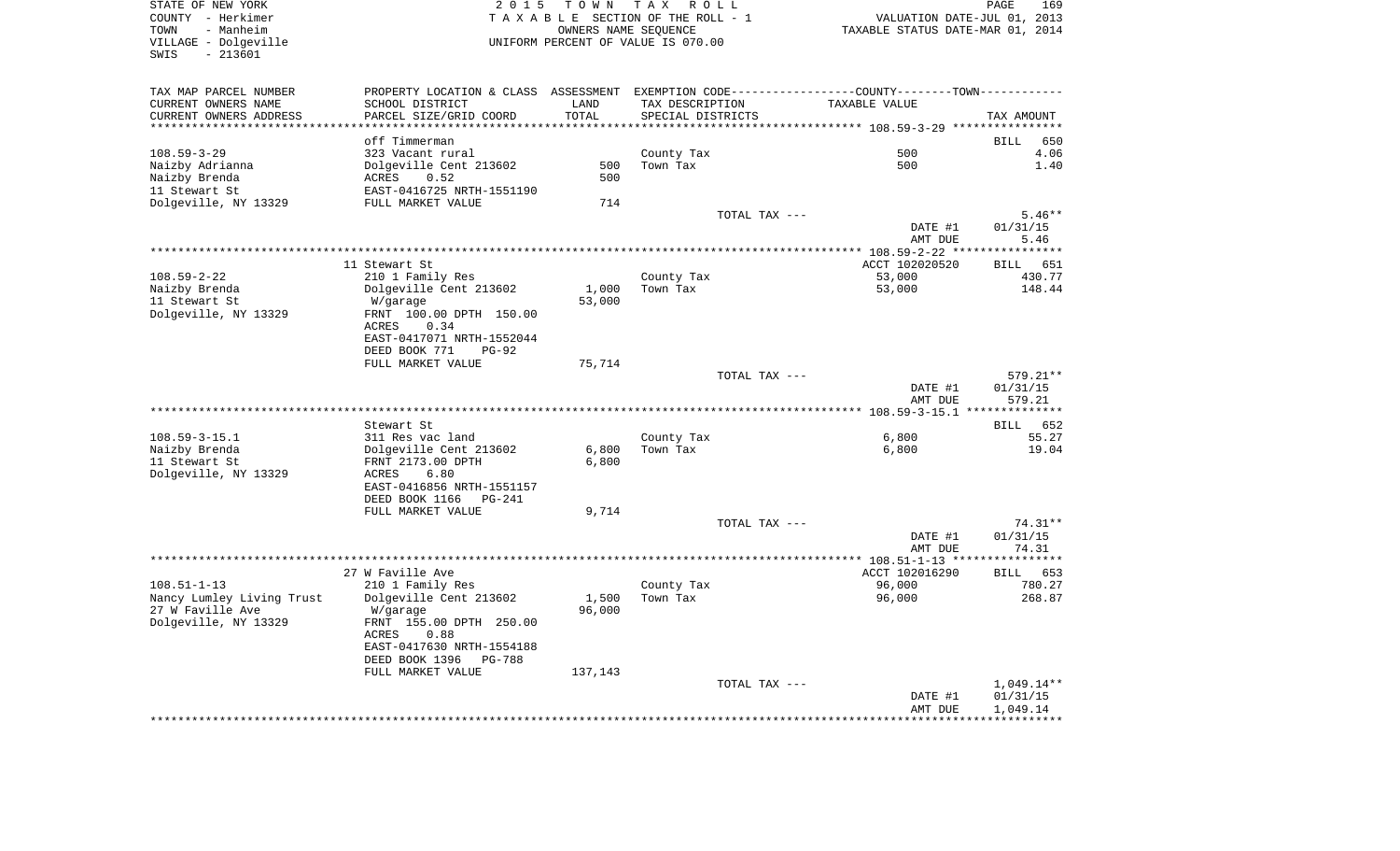STATE OF NEW YORK 2 0 1 5 T O W N T A X R O L L PAGE 169COUNTY - Herkimer **T A X A B L E** SECTION OF THE ROLL - 1 VALUATION DATE-JUL 01, 2013 TOWN - Manheim OWNERS NAME SEQUENCE TAXABLE STATUS DATE-MAR 01, 2014 VILLAGE - Dolgeville UNIFORM PERCENT OF VALUE IS 070.00 SWIS - 213601TAX MAP PARCEL NUMBER PROPERTY LOCATION & CLASS ASSESSMENT EXEMPTION CODE------------------COUNTY--------TOWN------------ CURRENT OWNERS NAME SCHOOL DISTRICT LAND TAX DESCRIPTION TAXABLE VALUECURRENT OWNERS ADDRESS PARCEL SIZE/GRID COORD TOTAL SPECIAL DISTRICTS TAX AMOUNT \*\*\*\*\*\*\*\*\*\*\*\*\*\*\*\*\*\*\*\*\*\*\*\*\*\*\*\*\*\*\*\*\*\*\*\*\*\*\*\*\*\*\*\*\*\*\*\*\*\*\*\*\*\*\*\*\*\*\*\*\*\*\*\*\*\*\*\*\*\*\*\*\*\*\*\*\*\*\*\*\*\*\*\*\*\*\*\*\*\*\*\*\*\*\*\*\*\*\*\*\*\*\* 108.59-3-29 \*\*\*\*\*\*\*\*\*\*\*\*\*\*\*\* off Timmerman BILL 6504.06 108.59-3-29 323 Vacant rural County Tax 500 4.06 Naizby Adrianna Dolgeville Cent 213602 500 Town Tax 500 1.40 Naizby Brenda ACRES 0.52 500 11 Stewart St EAST-0416725 NRTH-1551190Dolgeville, NY 13329 FULL MARKET VALUE 714 TOTAL TAX  $---$  5.46\*\* DATE #1 01/31/15 AMT DUE 5.46 \*\*\*\*\*\*\*\*\*\*\*\*\*\*\*\*\*\*\*\*\*\*\*\*\*\*\*\*\*\*\*\*\*\*\*\*\*\*\*\*\*\*\*\*\*\*\*\*\*\*\*\*\*\*\*\*\*\*\*\*\*\*\*\*\*\*\*\*\*\*\*\*\*\*\*\*\*\*\*\*\*\*\*\*\*\*\*\*\*\*\*\*\*\*\*\*\*\*\*\*\*\*\* 108.59-2-22 \*\*\*\*\*\*\*\*\*\*\*\*\*\*\*\*BILL 651 11 Stewart St ACCT 102020520 108.59-2-22 210 1 Family Res County Tax 53,000 430.77 Naizby Brenda Dolgeville Cent 213602 1,000 Town Tax 53,000 148.44 11 Stewart St W/garage 53,000 Dolgeville, NY 13329 FRNT 100.00 DPTH 150.00 ACRES 0.34 EAST-0417071 NRTH-1552044 DEED BOOK 771 PG-92FULL MARKET VALUE 75,714 TOTAL TAX --- 579.21\*\* DATE #1 01/31/15 AMT DUE 579.21 \*\*\*\*\*\*\*\*\*\*\*\*\*\*\*\*\*\*\*\*\*\*\*\*\*\*\*\*\*\*\*\*\*\*\*\*\*\*\*\*\*\*\*\*\*\*\*\*\*\*\*\*\*\*\*\*\*\*\*\*\*\*\*\*\*\*\*\*\*\*\*\*\*\*\*\*\*\*\*\*\*\*\*\*\*\*\*\*\*\*\*\*\*\*\*\*\*\*\*\*\*\*\* 108.59-3-15.1 \*\*\*\*\*\*\*\*\*\*\*\*\*\* Stewart St BILL 65255.27 108.59-3-15.1 311 Res vac land County Tax 6,800 55.27 Naizby Brenda Dolgeville Cent 213602 6,800 Town Tax 6,800 19.04 11 Stewart St FRNT 2173.00 DPTH 6,800 Dolgeville, NY 13329 ACRES 6.80 EAST-0416856 NRTH-1551157 DEED BOOK 1166 PG-241FULL MARKET VALUE 9,714 TOTAL TAX  $---$  74.31\*\* DATE #1 01/31/15 AMT DUE 74.31 \*\*\*\*\*\*\*\*\*\*\*\*\*\*\*\*\*\*\*\*\*\*\*\*\*\*\*\*\*\*\*\*\*\*\*\*\*\*\*\*\*\*\*\*\*\*\*\*\*\*\*\*\*\*\*\*\*\*\*\*\*\*\*\*\*\*\*\*\*\*\*\*\*\*\*\*\*\*\*\*\*\*\*\*\*\*\*\*\*\*\*\*\*\*\*\*\*\*\*\*\*\*\* 108.51-1-13 \*\*\*\*\*\*\*\*\*\*\*\*\*\*\*\*27 W Faville Ave **ACCT 102016290** BILL 653 780.27 108.51-1-13 210 1 Family Res County Tax 36,000 Nancy Lumley Living Trust 50 Dolgeville Cent 213602 1,500 Town Tax 36,000 96,000 268.87 27 W Faville Ave W/garage 96,000 Dolgeville, NY 13329 FRNT 155.00 DPTH 250.00 ACRES 0.88 EAST-0417630 NRTH-1554188 DEED BOOK 1396 PG-788FULL MARKET VALUE 137,143 TOTAL TAX --- 1,049.14\*\* DATE #1 01/31/15 AMT DUE 1,049.14 \*\*\*\*\*\*\*\*\*\*\*\*\*\*\*\*\*\*\*\*\*\*\*\*\*\*\*\*\*\*\*\*\*\*\*\*\*\*\*\*\*\*\*\*\*\*\*\*\*\*\*\*\*\*\*\*\*\*\*\*\*\*\*\*\*\*\*\*\*\*\*\*\*\*\*\*\*\*\*\*\*\*\*\*\*\*\*\*\*\*\*\*\*\*\*\*\*\*\*\*\*\*\*\*\*\*\*\*\*\*\*\*\*\*\*\*\*\*\*\*\*\*\*\*\*\*\*\*\*\*\*\*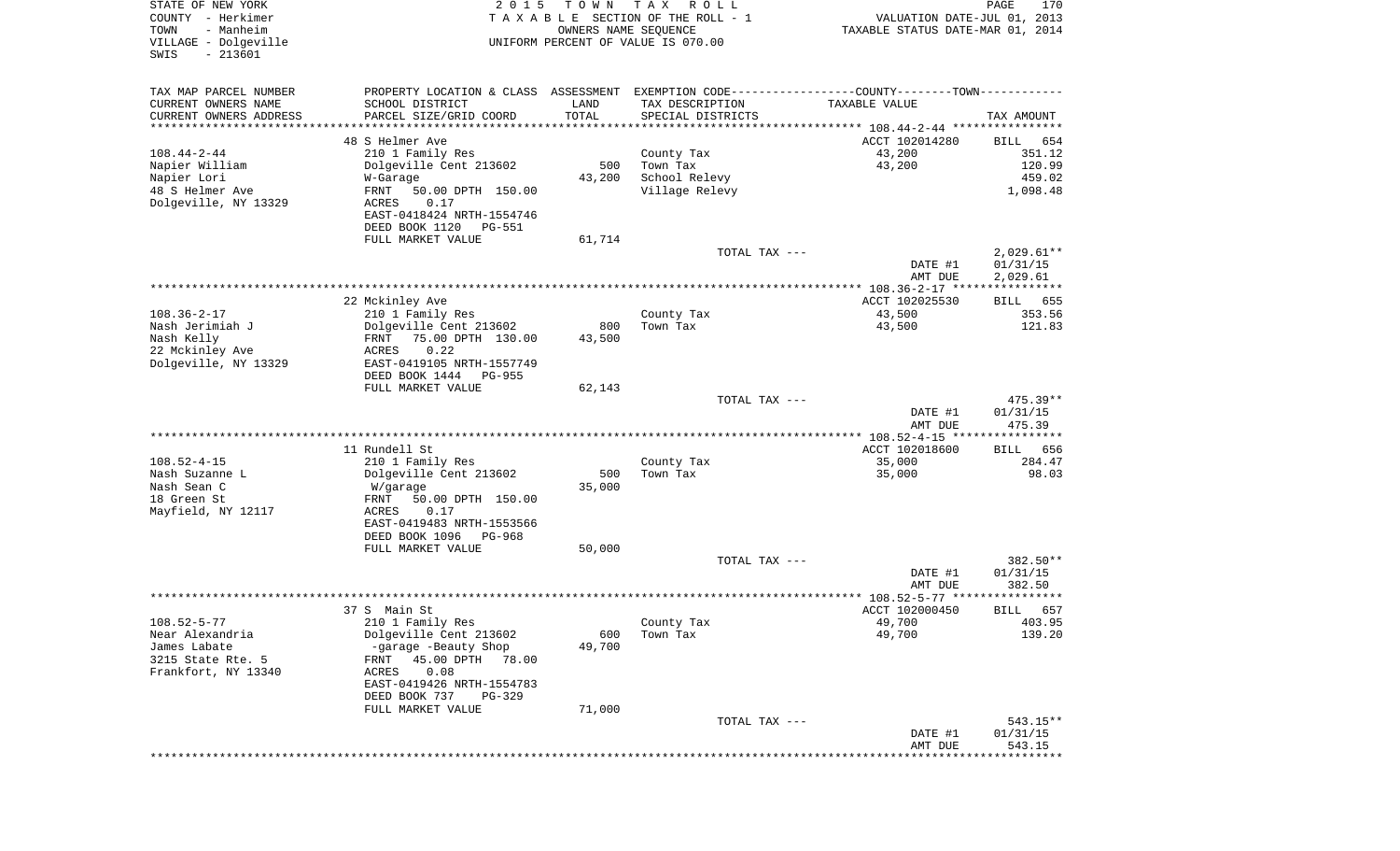| COUNTY<br>– Herkimer<br>TOWN<br>- Manheim<br>VILLAGE - Dolgeville<br>$-213601$<br>SWIS |                                                                                                  |               | T A X A B L E SECTION OF THE ROLL - 1<br>OWNERS NAME SEQUENCE<br>UNIFORM PERCENT OF VALUE IS 070.00 | VALUATION DATE-JUL 01, 2013<br>TAXABLE STATUS DATE-MAR 01, 2014 |                      |
|----------------------------------------------------------------------------------------|--------------------------------------------------------------------------------------------------|---------------|-----------------------------------------------------------------------------------------------------|-----------------------------------------------------------------|----------------------|
|                                                                                        |                                                                                                  |               |                                                                                                     |                                                                 |                      |
| TAX MAP PARCEL NUMBER                                                                  | PROPERTY LOCATION & CLASS ASSESSMENT EXEMPTION CODE----------------COUNTY--------TOWN----------- |               |                                                                                                     |                                                                 |                      |
| CURRENT OWNERS NAME                                                                    | SCHOOL DISTRICT                                                                                  | LAND<br>TOTAL | TAX DESCRIPTION                                                                                     | TAXABLE VALUE                                                   |                      |
| CURRENT OWNERS ADDRESS                                                                 | PARCEL SIZE/GRID COORD                                                                           |               | SPECIAL DISTRICTS                                                                                   |                                                                 | TAX AMOUNT           |
|                                                                                        | 48 S Helmer Ave                                                                                  |               |                                                                                                     | ACCT 102014280                                                  | BILL<br>654          |
| $108.44 - 2 - 44$                                                                      | 210 1 Family Res                                                                                 |               | County Tax                                                                                          | 43,200                                                          | 351.12               |
| Napier William                                                                         | Dolgeville Cent 213602                                                                           | 500           | Town Tax                                                                                            | 43,200                                                          | 120.99               |
| Napier Lori                                                                            | W-Garage                                                                                         | 43,200        | School Relevy                                                                                       |                                                                 | 459.02               |
| 48 S Helmer Ave                                                                        | FRNT<br>50.00 DPTH 150.00                                                                        |               | Village Relevy                                                                                      |                                                                 | 1,098.48             |
| Dolgeville, NY 13329                                                                   | ACRES<br>0.17                                                                                    |               |                                                                                                     |                                                                 |                      |
|                                                                                        | EAST-0418424 NRTH-1554746                                                                        |               |                                                                                                     |                                                                 |                      |
|                                                                                        | DEED BOOK 1120<br>PG-551<br>FULL MARKET VALUE                                                    | 61,714        |                                                                                                     |                                                                 |                      |
|                                                                                        |                                                                                                  |               | TOTAL TAX ---                                                                                       |                                                                 | $2,029.61**$         |
|                                                                                        |                                                                                                  |               |                                                                                                     | DATE #1                                                         | 01/31/15             |
|                                                                                        |                                                                                                  |               |                                                                                                     | AMT DUE                                                         | 2,029.61             |
|                                                                                        |                                                                                                  |               |                                                                                                     |                                                                 |                      |
|                                                                                        | 22 Mckinley Ave                                                                                  |               |                                                                                                     | ACCT 102025530                                                  | 655<br>BILL          |
| $108.36 - 2 - 17$                                                                      | 210 1 Family Res                                                                                 |               | County Tax                                                                                          | 43,500                                                          | 353.56               |
| Nash Jerimiah J                                                                        | Dolgeville Cent 213602                                                                           | 800           | Town Tax                                                                                            | 43,500                                                          | 121.83               |
| Nash Kelly<br>22 Mckinley Ave                                                          | FRNT<br>75.00 DPTH 130.00<br>0.22<br>ACRES                                                       | 43,500        |                                                                                                     |                                                                 |                      |
| Dolgeville, NY 13329                                                                   | EAST-0419105 NRTH-1557749                                                                        |               |                                                                                                     |                                                                 |                      |
|                                                                                        | DEED BOOK 1444<br>PG-955                                                                         |               |                                                                                                     |                                                                 |                      |
|                                                                                        | FULL MARKET VALUE                                                                                | 62,143        |                                                                                                     |                                                                 |                      |
|                                                                                        |                                                                                                  |               | TOTAL TAX ---                                                                                       |                                                                 | 475.39**             |
|                                                                                        |                                                                                                  |               |                                                                                                     | DATE #1                                                         | 01/31/15             |
|                                                                                        |                                                                                                  |               |                                                                                                     | AMT DUE                                                         | 475.39               |
|                                                                                        | 11 Rundell St                                                                                    |               |                                                                                                     | ACCT 102018600                                                  | <b>BILL</b><br>656   |
| $108.52 - 4 - 15$                                                                      | 210 1 Family Res                                                                                 |               | County Tax                                                                                          | 35,000                                                          | 284.47               |
| Nash Suzanne L                                                                         | Dolgeville Cent 213602                                                                           | 500           | Town Tax                                                                                            | 35,000                                                          | 98.03                |
| Nash Sean C                                                                            | W/garage                                                                                         | 35,000        |                                                                                                     |                                                                 |                      |
| 18 Green St                                                                            | FRNT<br>50.00 DPTH 150.00                                                                        |               |                                                                                                     |                                                                 |                      |
| Mayfield, NY 12117                                                                     | ACRES<br>0.17                                                                                    |               |                                                                                                     |                                                                 |                      |
|                                                                                        | EAST-0419483 NRTH-1553566                                                                        |               |                                                                                                     |                                                                 |                      |
|                                                                                        | DEED BOOK 1096<br>PG-968                                                                         |               |                                                                                                     |                                                                 |                      |
|                                                                                        | FULL MARKET VALUE                                                                                | 50,000        |                                                                                                     |                                                                 |                      |
|                                                                                        |                                                                                                  |               | TOTAL TAX ---                                                                                       | DATE #1                                                         | 382.50**<br>01/31/15 |
|                                                                                        |                                                                                                  |               |                                                                                                     | AMT DUE                                                         | 382.50               |
|                                                                                        |                                                                                                  |               |                                                                                                     |                                                                 |                      |
|                                                                                        | 37 S Main St                                                                                     |               |                                                                                                     | ACCT 102000450                                                  | 657<br><b>BILL</b>   |
| $108.52 - 5 - 77$                                                                      | 210 1 Family Res                                                                                 |               | County Tax                                                                                          | 49,700                                                          | 403.95               |
| Near Alexandria                                                                        | Dolgeville Cent 213602                                                                           |               | 600 Town Tax                                                                                        | 49,700                                                          | 139.20               |
| James Labate                                                                           | -garage -Beauty Shop                                                                             | 49,700        |                                                                                                     |                                                                 |                      |
| 3215 State Rte. 5                                                                      | FRNT 45.00 DPTH 78.00                                                                            |               |                                                                                                     |                                                                 |                      |
| Frankfort, NY 13340                                                                    | ACRES<br>0.08<br>EAST-0419426 NRTH-1554783                                                       |               |                                                                                                     |                                                                 |                      |
|                                                                                        | DEED BOOK 737<br>PG-329                                                                          |               |                                                                                                     |                                                                 |                      |
|                                                                                        | FULL MARKET VALUE                                                                                | 71,000        |                                                                                                     |                                                                 |                      |
|                                                                                        |                                                                                                  |               | TOTAL TAX ---                                                                                       |                                                                 | $543.15**$           |
|                                                                                        |                                                                                                  |               |                                                                                                     | DATE #1                                                         | 01/31/15             |
|                                                                                        |                                                                                                  |               |                                                                                                     | AMT DUE                                                         | 543.15               |
|                                                                                        |                                                                                                  |               |                                                                                                     |                                                                 |                      |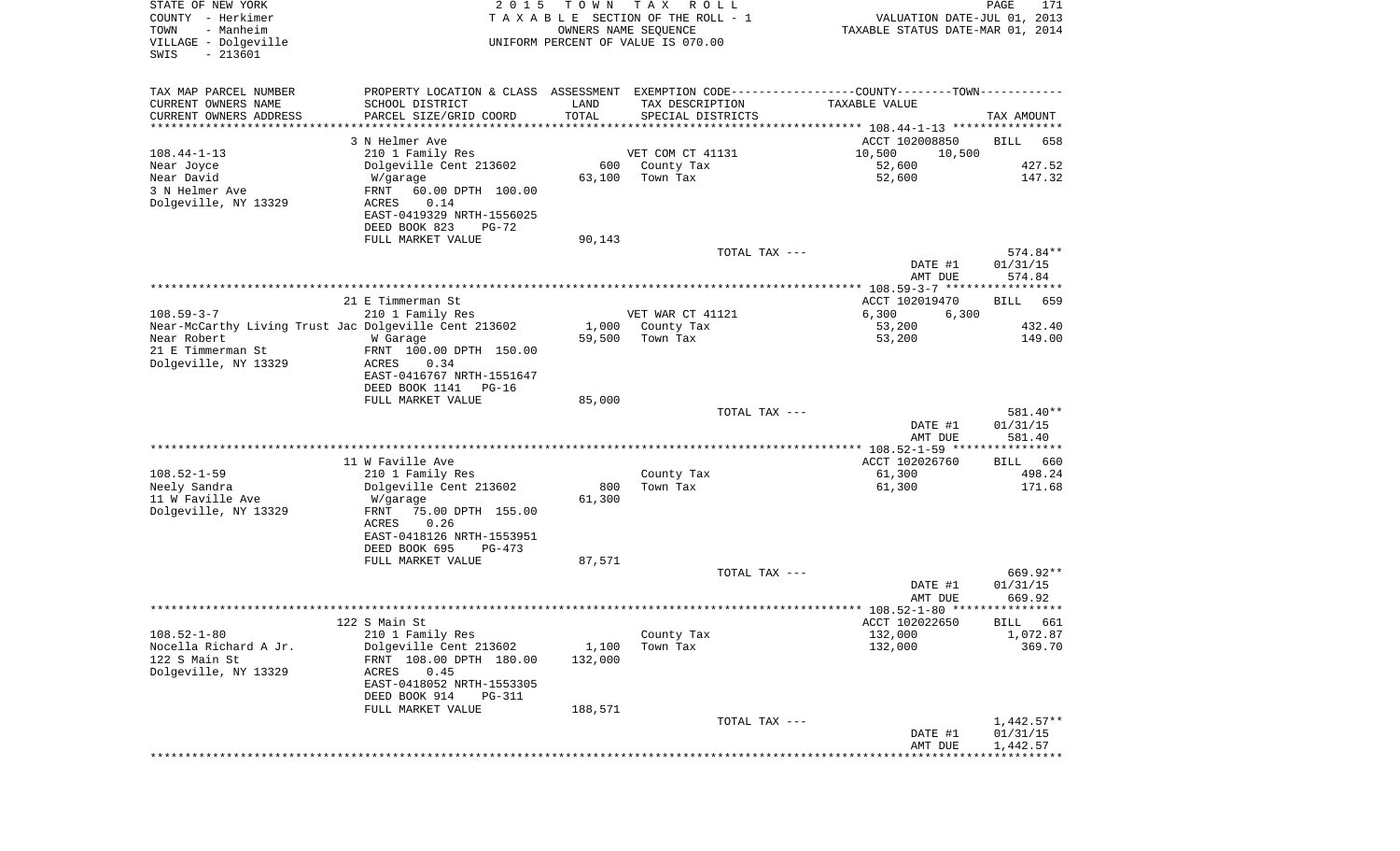| STATE OF NEW YORK                                     | 2 0 1 5                                                                                       | T O W N              | T A X<br>R O L L                   |                                  | PAGE<br>171        |
|-------------------------------------------------------|-----------------------------------------------------------------------------------------------|----------------------|------------------------------------|----------------------------------|--------------------|
| COUNTY - Herkimer                                     |                                                                                               |                      | TAXABLE SECTION OF THE ROLL - 1    | VALUATION DATE-JUL 01, 2013      |                    |
| TOWN<br>- Manheim                                     |                                                                                               | OWNERS NAME SEQUENCE |                                    | TAXABLE STATUS DATE-MAR 01, 2014 |                    |
| VILLAGE - Dolgeville<br>$-213601$<br>SWIS             |                                                                                               |                      | UNIFORM PERCENT OF VALUE IS 070.00 |                                  |                    |
|                                                       |                                                                                               |                      |                                    |                                  |                    |
|                                                       |                                                                                               |                      |                                    |                                  |                    |
| TAX MAP PARCEL NUMBER                                 | PROPERTY LOCATION & CLASS ASSESSMENT EXEMPTION CODE---------------COUNTY-------TOWN---------- |                      |                                    |                                  |                    |
| CURRENT OWNERS NAME                                   | SCHOOL DISTRICT                                                                               | LAND                 | TAX DESCRIPTION                    | TAXABLE VALUE                    |                    |
| CURRENT OWNERS ADDRESS                                | PARCEL SIZE/GRID COORD                                                                        | TOTAL                | SPECIAL DISTRICTS                  |                                  | TAX AMOUNT         |
| *********************                                 |                                                                                               |                      |                                    |                                  |                    |
|                                                       | 3 N Helmer Ave                                                                                |                      |                                    | ACCT 102008850                   | <b>BILL</b><br>658 |
| $108.44 - 1 - 13$                                     | 210 1 Family Res                                                                              |                      | VET COM CT 41131                   | 10,500<br>10,500                 |                    |
| Near Joyce                                            | Dolgeville Cent 213602                                                                        | 600                  | County Tax                         | 52,600                           | 427.52             |
| Near David                                            | W/garage                                                                                      | 63,100               | Town Tax                           | 52,600                           | 147.32             |
| 3 N Helmer Ave                                        | FRNT<br>60.00 DPTH 100.00                                                                     |                      |                                    |                                  |                    |
| Dolgeville, NY 13329                                  | ACRES<br>0.14                                                                                 |                      |                                    |                                  |                    |
|                                                       | EAST-0419329 NRTH-1556025                                                                     |                      |                                    |                                  |                    |
|                                                       | DEED BOOK 823<br>$PG-72$                                                                      |                      |                                    |                                  |                    |
|                                                       | FULL MARKET VALUE                                                                             | 90,143               |                                    |                                  |                    |
|                                                       |                                                                                               |                      | TOTAL TAX ---                      |                                  | 574.84**           |
|                                                       |                                                                                               |                      |                                    | DATE #1                          | 01/31/15           |
|                                                       |                                                                                               |                      |                                    | AMT DUE                          | 574.84             |
|                                                       | 21 E Timmerman St                                                                             |                      |                                    | ACCT 102019470                   | 659<br>BILL        |
| $108.59 - 3 - 7$                                      | 210 1 Family Res                                                                              |                      | VET WAR CT 41121                   | 6,300<br>6,300                   |                    |
| Near-McCarthy Living Trust Jac Dolgeville Cent 213602 |                                                                                               | 1,000                | County Tax                         | 53,200                           | 432.40             |
| Near Robert                                           | W Garage                                                                                      | 59,500               | Town Tax                           | 53,200                           | 149.00             |
| 21 E Timmerman St                                     | FRNT 100.00 DPTH 150.00                                                                       |                      |                                    |                                  |                    |
| Dolgeville, NY 13329                                  | ACRES<br>0.34                                                                                 |                      |                                    |                                  |                    |
|                                                       | EAST-0416767 NRTH-1551647                                                                     |                      |                                    |                                  |                    |
|                                                       | DEED BOOK 1141<br>$PG-16$                                                                     |                      |                                    |                                  |                    |
|                                                       | FULL MARKET VALUE                                                                             | 85,000               |                                    |                                  |                    |
|                                                       |                                                                                               |                      | TOTAL TAX ---                      |                                  | 581.40**           |
|                                                       |                                                                                               |                      |                                    | DATE #1                          | 01/31/15           |
|                                                       |                                                                                               |                      |                                    | AMT DUE                          | 581.40             |
|                                                       |                                                                                               |                      |                                    |                                  |                    |
|                                                       | 11 W Faville Ave                                                                              |                      |                                    | ACCT 102026760                   | 660<br>BILL        |
| $108.52 - 1 - 59$                                     | 210 1 Family Res                                                                              |                      | County Tax                         | 61,300                           | 498.24             |
| Neely Sandra                                          | Dolgeville Cent 213602                                                                        | 800                  | Town Tax                           | 61,300                           | 171.68             |
| 11 W Faville Ave                                      | W/garage                                                                                      | 61,300               |                                    |                                  |                    |
| Dolgeville, NY 13329                                  | FRNT<br>75.00 DPTH 155.00                                                                     |                      |                                    |                                  |                    |
|                                                       | ACRES<br>0.26                                                                                 |                      |                                    |                                  |                    |
|                                                       | EAST-0418126 NRTH-1553951                                                                     |                      |                                    |                                  |                    |
|                                                       | DEED BOOK 695<br>PG-473                                                                       |                      |                                    |                                  |                    |
|                                                       | FULL MARKET VALUE                                                                             | 87,571               |                                    |                                  |                    |
|                                                       |                                                                                               |                      | TOTAL TAX ---                      |                                  | 669.92**           |
|                                                       |                                                                                               |                      |                                    | DATE #1                          | 01/31/15           |
|                                                       |                                                                                               |                      |                                    | AMT DUE                          | 669.92             |
|                                                       |                                                                                               |                      |                                    |                                  |                    |
|                                                       | 122 S Main St                                                                                 |                      |                                    | ACCT 102022650                   | BILL 661           |
| $108.52 - 1 - 80$                                     | 210 1 Family Res                                                                              |                      | County Tax                         | 132,000                          | 1,072.87           |
| Nocella Richard A Jr.                                 | Dolgeville Cent 213602                                                                        | 1,100                | Town Tax                           | 132,000                          | 369.70             |
| 122 S Main St                                         | FRNT 108.00 DPTH 180.00                                                                       | 132,000              |                                    |                                  |                    |
| Dolgeville, NY 13329                                  | 0.45<br>ACRES                                                                                 |                      |                                    |                                  |                    |
|                                                       | EAST-0418052 NRTH-1553305                                                                     |                      |                                    |                                  |                    |
|                                                       | DEED BOOK 914<br><b>PG-311</b>                                                                |                      |                                    |                                  |                    |
|                                                       | FULL MARKET VALUE                                                                             | 188,571              |                                    |                                  |                    |
|                                                       |                                                                                               |                      | TOTAL TAX ---                      |                                  | $1,442.57**$       |
|                                                       |                                                                                               |                      |                                    | DATE #1                          | 01/31/15           |
|                                                       |                                                                                               |                      |                                    | AMT DUE                          | 1,442.57           |
|                                                       |                                                                                               |                      |                                    |                                  |                    |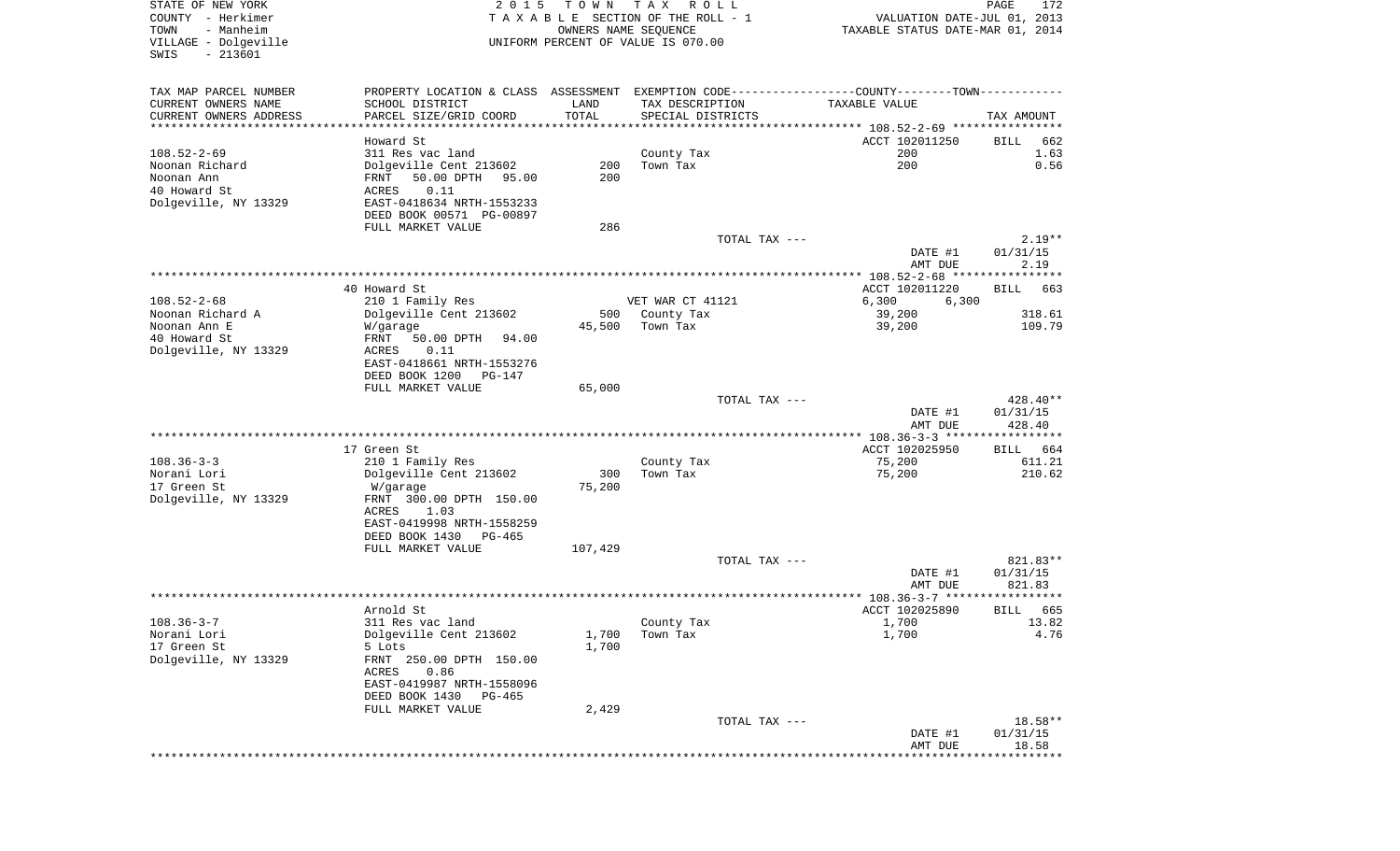| STATE OF NEW YORK<br>COUNTY - Herkimer<br>- Manheim<br>TOWN<br>VILLAGE - Dolgeville<br>SWIS<br>$-213601$ | 2 0 1 5                                                                                                                 | T O W N<br>OWNERS NAME SEQUENCE | T A X<br>R O L L<br>TAXABLE SECTION OF THE ROLL - 1<br>UNIFORM PERCENT OF VALUE IS 070.00 |                                                                                                                 | PAGE<br>172<br>VALUATION DATE-JUL 01, 2013<br>TAXABLE STATUS DATE-MAR 01, 2014 |
|----------------------------------------------------------------------------------------------------------|-------------------------------------------------------------------------------------------------------------------------|---------------------------------|-------------------------------------------------------------------------------------------|-----------------------------------------------------------------------------------------------------------------|--------------------------------------------------------------------------------|
| TAX MAP PARCEL NUMBER<br>CURRENT OWNERS NAME<br>CURRENT OWNERS ADDRESS<br>***********************        | SCHOOL DISTRICT<br>PARCEL SIZE/GRID COORD<br>************************                                                   | LAND<br>TOTAL<br>***********    | TAX DESCRIPTION<br>SPECIAL DISTRICTS                                                      | PROPERTY LOCATION & CLASS ASSESSMENT EXEMPTION CODE----------------COUNTY-------TOWN----------<br>TAXABLE VALUE | TAX AMOUNT                                                                     |
|                                                                                                          | Howard St                                                                                                               |                                 |                                                                                           | ACCT 102011250                                                                                                  | BILL<br>662                                                                    |
| $108.52 - 2 - 69$<br>Noonan Richard<br>Noonan Ann<br>40 Howard St<br>Dolgeville, NY 13329                | 311 Res vac land<br>Dolgeville Cent 213602<br>50.00 DPTH<br>95.00<br>FRNT<br>ACRES<br>0.11<br>EAST-0418634 NRTH-1553233 | 200<br>200                      | County Tax<br>Town Tax                                                                    | 200<br>200                                                                                                      | 1.63<br>0.56                                                                   |
|                                                                                                          | DEED BOOK 00571 PG-00897<br>FULL MARKET VALUE                                                                           | 286                             |                                                                                           |                                                                                                                 |                                                                                |
|                                                                                                          |                                                                                                                         |                                 |                                                                                           | TOTAL TAX ---<br>DATE #1<br>AMT DUE                                                                             | $2.19**$<br>01/31/15<br>2.19                                                   |
|                                                                                                          |                                                                                                                         |                                 |                                                                                           |                                                                                                                 |                                                                                |
| $108.52 - 2 - 68$                                                                                        | 40 Howard St.<br>210 1 Family Res                                                                                       |                                 | VET WAR CT 41121                                                                          | ACCT 102011220<br>6,300                                                                                         | 663<br>BILL<br>6,300                                                           |
| Noonan Richard A<br>Noonan Ann E<br>40 Howard St<br>Dolgeville, NY 13329                                 | Dolgeville Cent 213602<br>W/garage<br>FRNT<br>50.00 DPTH<br>94.00<br>ACRES<br>0.11                                      | 500<br>45,500                   | County Tax<br>Town Tax                                                                    | 39,200<br>39,200                                                                                                | 318.61<br>109.79                                                               |
|                                                                                                          | EAST-0418661 NRTH-1553276<br>DEED BOOK 1200<br>PG-147<br>FULL MARKET VALUE                                              | 65,000                          |                                                                                           |                                                                                                                 |                                                                                |
|                                                                                                          |                                                                                                                         |                                 |                                                                                           | TOTAL TAX ---<br>DATE #1<br>AMT DUE                                                                             | 428.40**<br>01/31/15<br>428.40                                                 |
|                                                                                                          |                                                                                                                         |                                 |                                                                                           | ************* 108.36-3-3 ******************                                                                     |                                                                                |
| $108.36 - 3 - 3$<br>Norani Lori<br>17 Green St<br>Dolgeville, NY 13329                                   | 17 Green St<br>210 1 Family Res<br>Dolgeville Cent 213602<br>W/garage<br>FRNT 300.00 DPTH 150.00<br>ACRES<br>1.03       | 300<br>75,200                   | County Tax<br>Town Tax                                                                    | ACCT 102025950<br>75,200<br>75,200                                                                              | 664<br>BILL<br>611.21<br>210.62                                                |
|                                                                                                          | EAST-0419998 NRTH-1558259<br>DEED BOOK 1430<br>PG-465<br>FULL MARKET VALUE                                              | 107,429                         |                                                                                           |                                                                                                                 |                                                                                |
|                                                                                                          |                                                                                                                         |                                 |                                                                                           | TOTAL TAX ---<br>DATE #1                                                                                        | 821.83**<br>01/31/15                                                           |
|                                                                                                          |                                                                                                                         |                                 |                                                                                           | AMT DUE                                                                                                         | 821.83                                                                         |
|                                                                                                          | Arnold St                                                                                                               |                                 |                                                                                           | ACCT 102025890                                                                                                  | BILL<br>665                                                                    |
| $108.36 - 3 - 7$<br>Norani Lori<br>17 Green St<br>Dolgeville, NY 13329                                   | 311 Res vac land<br>Dolgeville Cent 213602<br>5 Lots<br>FRNT 250.00 DPTH 150.00<br>0.86<br>ACRES                        | 1,700<br>1,700                  | County Tax<br>Town Tax                                                                    | 1,700<br>1,700                                                                                                  | 13.82<br>4.76                                                                  |
|                                                                                                          | EAST-0419987 NRTH-1558096<br>DEED BOOK 1430 PG-465                                                                      |                                 |                                                                                           |                                                                                                                 |                                                                                |
|                                                                                                          | FULL MARKET VALUE                                                                                                       | 2,429                           |                                                                                           |                                                                                                                 |                                                                                |
|                                                                                                          |                                                                                                                         |                                 |                                                                                           | TOTAL TAX ---<br>DATE #1<br>AMT DUE                                                                             | 18.58**<br>01/31/15<br>18.58                                                   |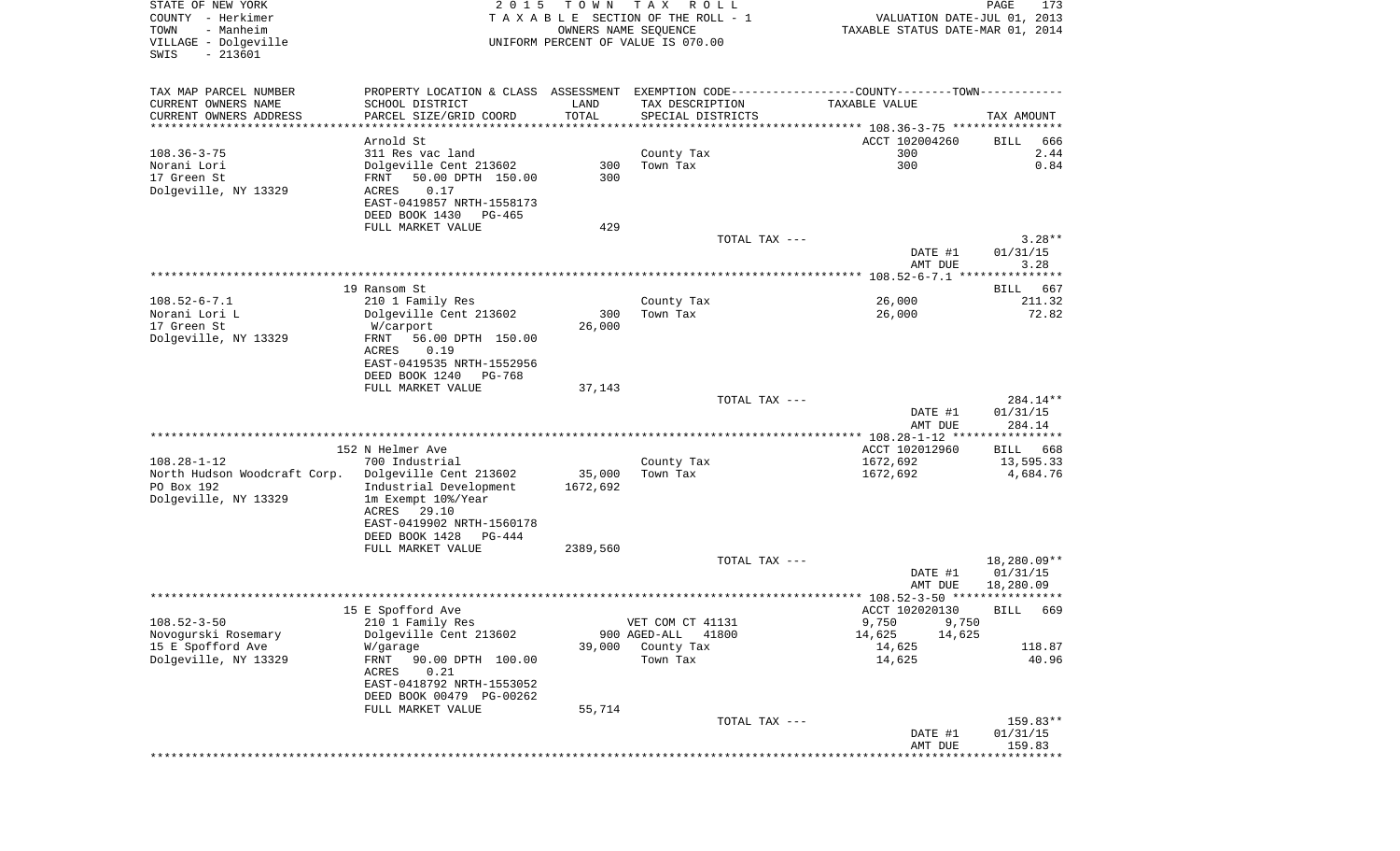| STATE OF NEW YORK<br>COUNTY - Herkimer<br>TOWN<br>- Manheim | 2 0 1 5                                                                                       | T O W N            | TAX ROLL<br>TAXABLE SECTION OF THE ROLL - 1                | VALUATION DATE-JUL 01, 2013      | PAGE<br>173          |
|-------------------------------------------------------------|-----------------------------------------------------------------------------------------------|--------------------|------------------------------------------------------------|----------------------------------|----------------------|
| VILLAGE - Dolgeville<br>$-213601$<br>SWIS                   |                                                                                               |                    | OWNERS NAME SEQUENCE<br>UNIFORM PERCENT OF VALUE IS 070.00 | TAXABLE STATUS DATE-MAR 01, 2014 |                      |
| TAX MAP PARCEL NUMBER                                       | PROPERTY LOCATION & CLASS ASSESSMENT EXEMPTION CODE---------------COUNTY-------TOWN---------- |                    |                                                            |                                  |                      |
| CURRENT OWNERS NAME                                         | SCHOOL DISTRICT                                                                               | LAND               | TAX DESCRIPTION                                            | TAXABLE VALUE                    |                      |
| CURRENT OWNERS ADDRESS<br>**********************            | PARCEL SIZE/GRID COORD                                                                        | TOTAL              | SPECIAL DISTRICTS                                          |                                  | TAX AMOUNT           |
|                                                             | Arnold St                                                                                     |                    |                                                            | ACCT 102004260                   | BILL<br>666          |
| $108.36 - 3 - 75$                                           | 311 Res vac land                                                                              |                    | County Tax                                                 | 300                              | 2.44                 |
| Norani Lori                                                 | Dolgeville Cent 213602                                                                        | 300                | Town Tax                                                   | 300                              | 0.84                 |
| 17 Green St<br>Dolgeville, NY 13329                         | 50.00 DPTH 150.00<br>FRNT<br>ACRES<br>0.17                                                    | 300                |                                                            |                                  |                      |
|                                                             | EAST-0419857 NRTH-1558173                                                                     |                    |                                                            |                                  |                      |
|                                                             | DEED BOOK 1430<br>PG-465                                                                      |                    |                                                            |                                  |                      |
|                                                             | FULL MARKET VALUE                                                                             | 429                |                                                            |                                  |                      |
|                                                             |                                                                                               |                    | TOTAL TAX ---                                              | DATE #1                          | $3.28**$<br>01/31/15 |
|                                                             |                                                                                               |                    |                                                            | AMT DUE                          | 3.28                 |
|                                                             |                                                                                               |                    |                                                            |                                  |                      |
| $108.52 - 6 - 7.1$                                          | 19 Ransom St                                                                                  |                    |                                                            |                                  | BILL<br>667          |
| Norani Lori L                                               | 210 1 Family Res<br>Dolgeville Cent 213602                                                    | 300                | County Tax<br>Town Tax                                     | 26,000<br>26,000                 | 211.32<br>72.82      |
| 17 Green St                                                 | W/carport                                                                                     | 26,000             |                                                            |                                  |                      |
| Dolgeville, NY 13329                                        | 56.00 DPTH 150.00<br>FRNT                                                                     |                    |                                                            |                                  |                      |
|                                                             | ACRES<br>0.19<br>EAST-0419535 NRTH-1552956                                                    |                    |                                                            |                                  |                      |
|                                                             | DEED BOOK 1240<br>PG-768                                                                      |                    |                                                            |                                  |                      |
|                                                             | FULL MARKET VALUE                                                                             | 37,143             |                                                            |                                  |                      |
|                                                             |                                                                                               |                    | TOTAL TAX ---                                              |                                  | 284.14**             |
|                                                             |                                                                                               |                    |                                                            | DATE #1<br>AMT DUE               | 01/31/15<br>284.14   |
|                                                             |                                                                                               |                    |                                                            | ************* 108.28-1-12 ****   | ************         |
|                                                             | 152 N Helmer Ave                                                                              |                    |                                                            | ACCT 102012960                   | BILL<br>668          |
| $108.28 - 1 - 12$                                           | 700 Industrial                                                                                |                    | County Tax                                                 | 1672,692                         | 13,595.33            |
| North Hudson Woodcraft Corp.<br>PO Box 192                  | Dolgeville Cent 213602<br>Industrial Development                                              | 35,000<br>1672,692 | Town Tax                                                   | 1672,692                         | 4,684.76             |
| Dolgeville, NY 13329                                        | 1m Exempt 10%/Year                                                                            |                    |                                                            |                                  |                      |
|                                                             | ACRES<br>29.10                                                                                |                    |                                                            |                                  |                      |
|                                                             | EAST-0419902 NRTH-1560178                                                                     |                    |                                                            |                                  |                      |
|                                                             | DEED BOOK 1428<br>PG-444<br>FULL MARKET VALUE                                                 | 2389,560           |                                                            |                                  |                      |
|                                                             |                                                                                               |                    | TOTAL TAX ---                                              |                                  | 18,280.09**          |
|                                                             |                                                                                               |                    |                                                            | DATE #1                          | 01/31/15             |
|                                                             |                                                                                               |                    |                                                            | AMT DUE                          | 18,280.09            |
|                                                             | 15 E Spofford Ave                                                                             |                    |                                                            | ACCT 102020130                   | 669<br>BILL          |
| $108.52 - 3 - 50$                                           | 210 1 Family Res                                                                              |                    | VET COM CT 41131                                           | 9,750<br>9,750                   |                      |
| Novogurski Rosemary                                         | Dolgeville Cent 213602                                                                        |                    | 900 AGED-ALL 41800                                         | 14,625<br>14,625                 |                      |
| 15 E Spofford Ave<br>Dolgeville, NY 13329                   | W/garage<br>FRNT<br>90.00 DPTH 100.00                                                         | 39,000             | County Tax<br>Town Tax                                     | 14,625<br>14,625                 | 118.87<br>40.96      |
|                                                             | 0.21<br>ACRES                                                                                 |                    |                                                            |                                  |                      |
|                                                             | EAST-0418792 NRTH-1553052                                                                     |                    |                                                            |                                  |                      |
|                                                             | DEED BOOK 00479 PG-00262                                                                      |                    |                                                            |                                  |                      |
|                                                             | FULL MARKET VALUE                                                                             | 55,714             | TOTAL TAX ---                                              |                                  | 159.83**             |
|                                                             |                                                                                               |                    |                                                            | DATE #1                          | 01/31/15             |
|                                                             |                                                                                               |                    |                                                            | AMT DUE                          | 159.83               |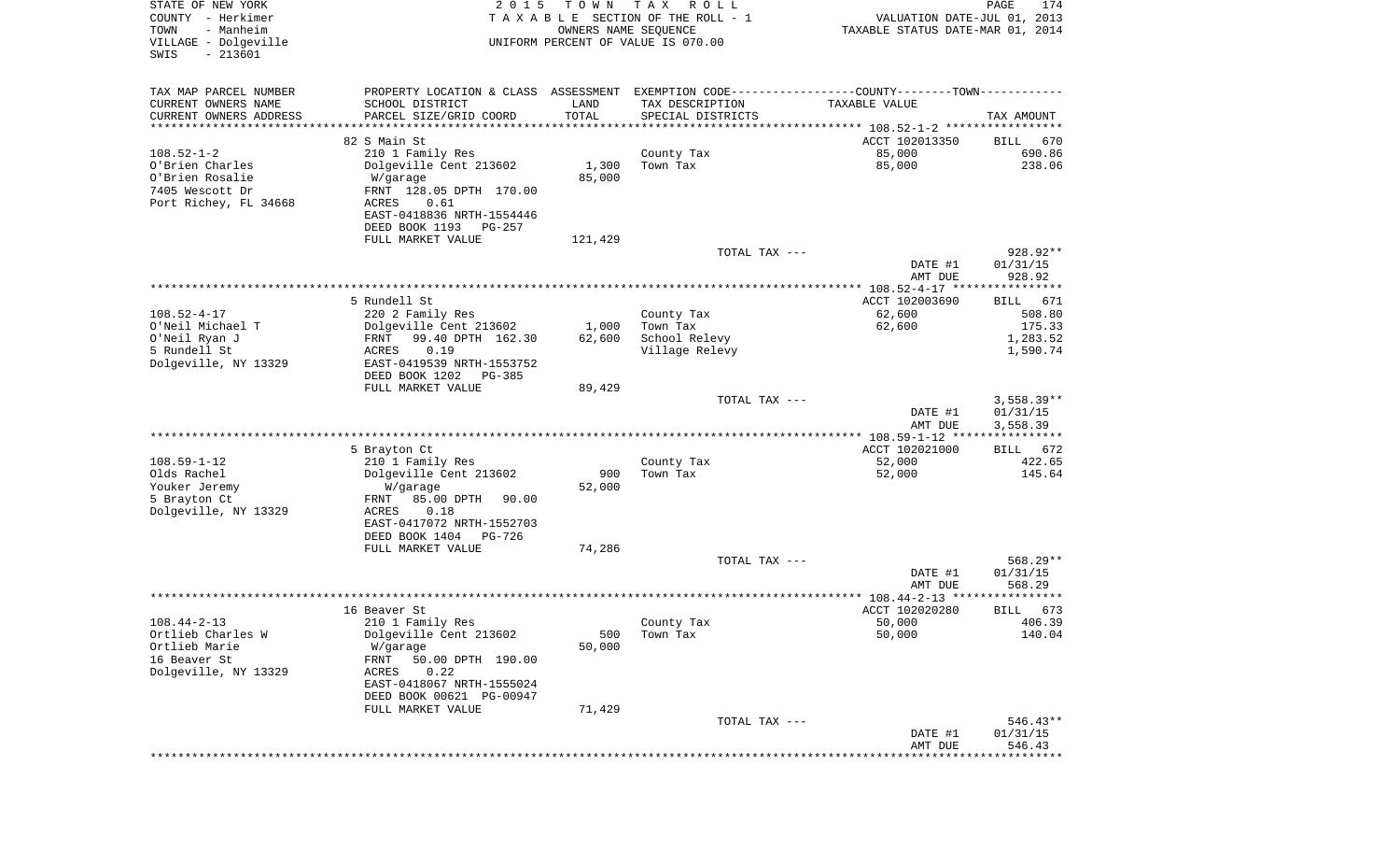| STATE OF NEW YORK<br>COUNTY - Herkimer<br>- Manheim<br>TOWN<br>VILLAGE - Dolgeville<br>$-213601$<br>SWIS | 2 0 1 5                                                                                        | T O W N<br>OWNERS NAME SEQUENCE | T A X<br>R O L L<br>TAXABLE SECTION OF THE ROLL - 1<br>UNIFORM PERCENT OF VALUE IS 070.00 | VALUATION DATE-JUL 01, 2013<br>TAXABLE STATUS DATE-MAR 01, 2014 | PAGE<br>174           |
|----------------------------------------------------------------------------------------------------------|------------------------------------------------------------------------------------------------|---------------------------------|-------------------------------------------------------------------------------------------|-----------------------------------------------------------------|-----------------------|
|                                                                                                          |                                                                                                |                                 |                                                                                           |                                                                 |                       |
| TAX MAP PARCEL NUMBER                                                                                    | PROPERTY LOCATION & CLASS ASSESSMENT EXEMPTION CODE----------------COUNTY-------TOWN---------- |                                 |                                                                                           |                                                                 |                       |
| CURRENT OWNERS NAME                                                                                      | SCHOOL DISTRICT                                                                                | LAND                            | TAX DESCRIPTION                                                                           | TAXABLE VALUE                                                   |                       |
| CURRENT OWNERS ADDRESS                                                                                   | PARCEL SIZE/GRID COORD                                                                         | TOTAL                           | SPECIAL DISTRICTS                                                                         |                                                                 | TAX AMOUNT            |
| ********************                                                                                     |                                                                                                |                                 |                                                                                           | ********************************* 108.52-1-2 *****************  |                       |
| $108.52 - 1 - 2$                                                                                         | 82 S Main St                                                                                   |                                 |                                                                                           | ACCT 102013350<br>85,000                                        | 670<br>BILL<br>690.86 |
| O'Brien Charles                                                                                          | 210 1 Family Res<br>Dolgeville Cent 213602                                                     | 1,300                           | County Tax<br>Town Tax                                                                    | 85,000                                                          | 238.06                |
| O'Brien Rosalie                                                                                          | W/garage                                                                                       | 85,000                          |                                                                                           |                                                                 |                       |
| 7405 Wescott Dr                                                                                          | FRNT 128.05 DPTH 170.00                                                                        |                                 |                                                                                           |                                                                 |                       |
| Port Richey, FL 34668                                                                                    | ACRES<br>0.61                                                                                  |                                 |                                                                                           |                                                                 |                       |
|                                                                                                          | EAST-0418836 NRTH-1554446                                                                      |                                 |                                                                                           |                                                                 |                       |
|                                                                                                          | DEED BOOK 1193<br>PG-257                                                                       |                                 |                                                                                           |                                                                 |                       |
|                                                                                                          | FULL MARKET VALUE                                                                              | 121,429                         | TOTAL TAX ---                                                                             |                                                                 | 928.92**              |
|                                                                                                          |                                                                                                |                                 |                                                                                           | DATE #1                                                         | 01/31/15              |
|                                                                                                          |                                                                                                |                                 |                                                                                           | AMT DUE                                                         | 928.92                |
|                                                                                                          |                                                                                                |                                 |                                                                                           | *************** 108.52-4-17 *****************                   |                       |
|                                                                                                          | 5 Rundell St                                                                                   |                                 |                                                                                           | ACCT 102003690                                                  | BILL<br>671           |
| $108.52 - 4 - 17$                                                                                        | 220 2 Family Res                                                                               |                                 | County Tax                                                                                | 62,600                                                          | 508.80                |
| O'Neil Michael T<br>O'Neil Ryan J                                                                        | Dolgeville Cent 213602<br>FRNT<br>99.40 DPTH 162.30                                            | 1,000<br>62,600                 | Town Tax<br>School Relevy                                                                 | 62,600                                                          | 175.33<br>1,283.52    |
| 5 Rundell St                                                                                             | 0.19<br>ACRES                                                                                  |                                 | Village Relevy                                                                            |                                                                 | 1,590.74              |
| Dolgeville, NY 13329                                                                                     | EAST-0419539 NRTH-1553752                                                                      |                                 |                                                                                           |                                                                 |                       |
|                                                                                                          | DEED BOOK 1202<br>$PG-385$                                                                     |                                 |                                                                                           |                                                                 |                       |
|                                                                                                          | FULL MARKET VALUE                                                                              | 89,429                          |                                                                                           |                                                                 |                       |
|                                                                                                          |                                                                                                |                                 | TOTAL TAX ---                                                                             |                                                                 | $3,558.39**$          |
|                                                                                                          |                                                                                                |                                 |                                                                                           | DATE #1<br>AMT DUE                                              | 01/31/15<br>3,558.39  |
|                                                                                                          |                                                                                                |                                 |                                                                                           | *********** 108.59-1-12 ****************                        |                       |
|                                                                                                          | 5 Brayton Ct                                                                                   |                                 |                                                                                           | ACCT 102021000                                                  | 672<br>BILL           |
| $108.59 - 1 - 12$                                                                                        | 210 1 Family Res                                                                               |                                 | County Tax                                                                                | 52,000                                                          | 422.65                |
| Olds Rachel                                                                                              | Dolgeville Cent 213602                                                                         | 900                             | Town Tax                                                                                  | 52,000                                                          | 145.64                |
| Youker Jeremy<br>5 Brayton Ct                                                                            | W/garage<br>85.00 DPTH<br>FRNT<br>90.00                                                        | 52,000                          |                                                                                           |                                                                 |                       |
| Dolgeville, NY 13329                                                                                     | ACRES<br>0.18                                                                                  |                                 |                                                                                           |                                                                 |                       |
|                                                                                                          | EAST-0417072 NRTH-1552703                                                                      |                                 |                                                                                           |                                                                 |                       |
|                                                                                                          | DEED BOOK 1404<br>PG-726                                                                       |                                 |                                                                                           |                                                                 |                       |
|                                                                                                          | FULL MARKET VALUE                                                                              | 74,286                          |                                                                                           |                                                                 |                       |
|                                                                                                          |                                                                                                |                                 | TOTAL TAX ---                                                                             |                                                                 | 568.29**              |
|                                                                                                          |                                                                                                |                                 |                                                                                           | DATE #1<br>AMT DUE                                              | 01/31/15<br>568.29    |
|                                                                                                          |                                                                                                |                                 |                                                                                           |                                                                 | *****                 |
|                                                                                                          | 16 Beaver St                                                                                   |                                 |                                                                                           | ACCT 102020280                                                  | 673<br>BILL           |
| $108.44 - 2 - 13$                                                                                        | 210 1 Family Res                                                                               |                                 | County Tax                                                                                | 50,000                                                          | 406.39                |
| Ortlieb Charles W                                                                                        | Dolgeville Cent 213602                                                                         | 500                             | Town Tax                                                                                  | 50,000                                                          | 140.04                |
| Ortlieb Marie<br>16 Beaver St                                                                            | W/garage                                                                                       | 50,000                          |                                                                                           |                                                                 |                       |
| Dolgeville, NY 13329                                                                                     | FRNT<br>50.00 DPTH 190.00<br>0.22<br>ACRES                                                     |                                 |                                                                                           |                                                                 |                       |
|                                                                                                          | EAST-0418067 NRTH-1555024                                                                      |                                 |                                                                                           |                                                                 |                       |
|                                                                                                          | DEED BOOK 00621 PG-00947                                                                       |                                 |                                                                                           |                                                                 |                       |
|                                                                                                          | FULL MARKET VALUE                                                                              | 71,429                          |                                                                                           |                                                                 |                       |
|                                                                                                          |                                                                                                |                                 | TOTAL TAX ---                                                                             |                                                                 | $546.43**$            |
|                                                                                                          |                                                                                                |                                 |                                                                                           | DATE #1<br>AMT DUE                                              | 01/31/15<br>546.43    |
|                                                                                                          |                                                                                                |                                 |                                                                                           |                                                                 |                       |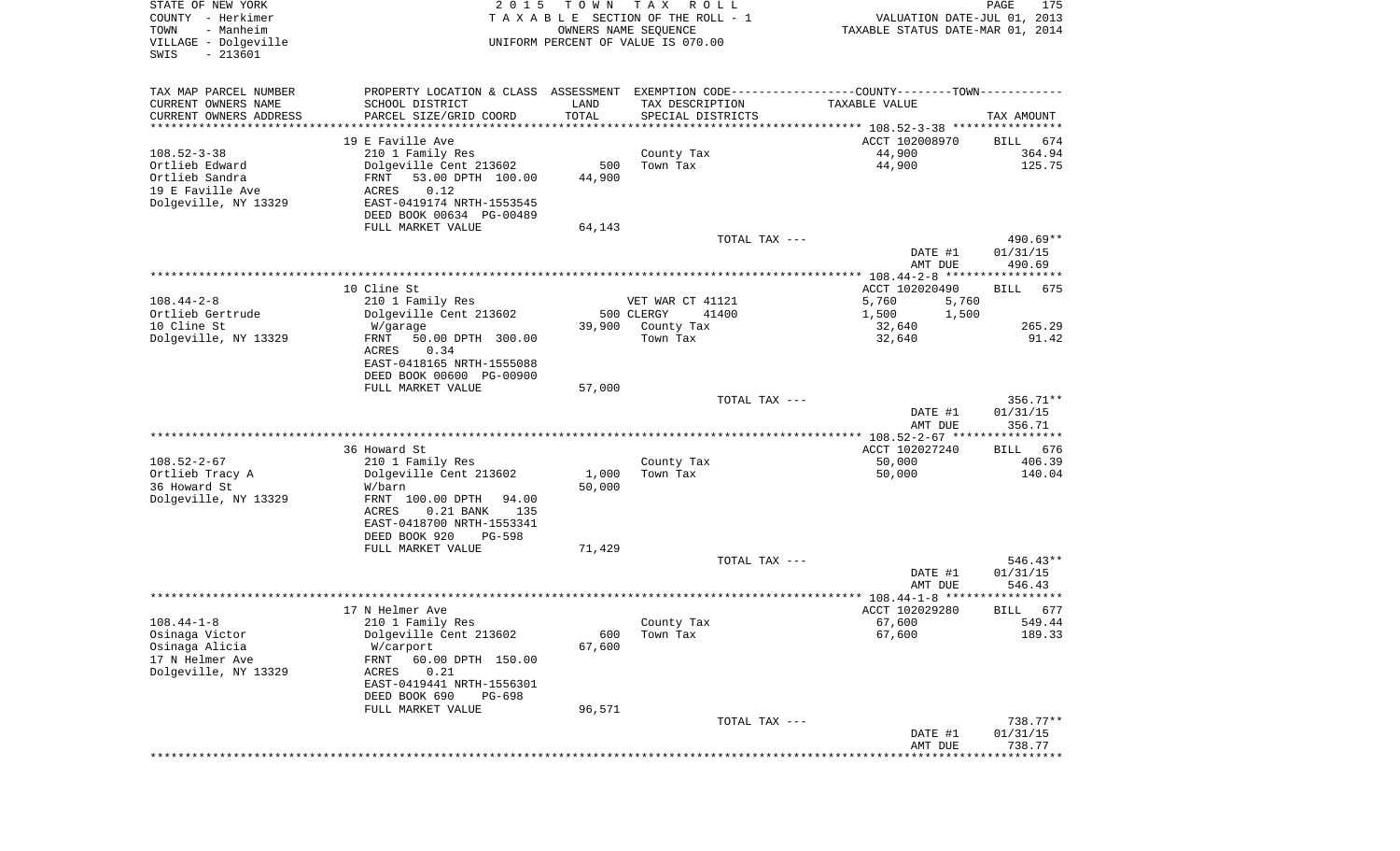| STATE OF NEW YORK<br>COUNTY - Herkimer<br>- Manheim<br>TOWN<br>VILLAGE - Dolgeville<br>$-213601$<br>SWIS | 2 0 1 5                                                                                                                                                                                               | T O W N                 | T A X<br>R O L L<br>TAXABLE SECTION OF THE ROLL - 1<br>OWNERS NAME SEQUENCE<br>UNIFORM PERCENT OF VALUE IS 070.00 | VALUATION DATE-JUL 01, 2013<br>TAXABLE STATUS DATE-MAR 01, 2014                                                | PAGE<br>175                            |
|----------------------------------------------------------------------------------------------------------|-------------------------------------------------------------------------------------------------------------------------------------------------------------------------------------------------------|-------------------------|-------------------------------------------------------------------------------------------------------------------|----------------------------------------------------------------------------------------------------------------|----------------------------------------|
| TAX MAP PARCEL NUMBER<br>CURRENT OWNERS NAME<br>CURRENT OWNERS ADDRESS<br>**********************         | SCHOOL DISTRICT<br>PARCEL SIZE/GRID COORD                                                                                                                                                             | LAND<br>TOTAL           | TAX DESCRIPTION<br>SPECIAL DISTRICTS                                                                              | PROPERTY LOCATION & CLASS ASSESSMENT EXEMPTION CODE---------------COUNTY-------TOWN----------<br>TAXABLE VALUE | TAX AMOUNT                             |
| $108.52 - 3 - 38$<br>Ortlieb Edward<br>Ortlieb Sandra<br>19 E Faville Ave<br>Dolgeville, NY 13329        | 19 E Faville Ave<br>210 1 Family Res<br>Dolgeville Cent 213602<br>53.00 DPTH 100.00<br>FRNT<br>0.12<br>ACRES<br>EAST-0419174 NRTH-1553545<br>DEED BOOK 00634 PG-00489<br>FULL MARKET VALUE            | 500<br>44,900<br>64,143 | County Tax<br>Town Tax                                                                                            | ACCT 102008970<br>44,900<br>44,900                                                                             | 674<br>BILL<br>364.94<br>125.75        |
|                                                                                                          |                                                                                                                                                                                                       |                         | TOTAL TAX ---                                                                                                     | DATE #1<br>AMT DUE                                                                                             | 490.69**<br>01/31/15<br>490.69         |
| $108.44 - 2 - 8$                                                                                         | 10 Cline St<br>210 1 Family Res                                                                                                                                                                       |                         | VET WAR CT 41121                                                                                                  | ACCT 102020490<br>5,760<br>5,760                                                                               | <b>BILL</b><br>675                     |
| Ortlieb Gertrude<br>10 Cline St<br>Dolgeville, NY 13329                                                  | Dolgeville Cent 213602<br>W/garage<br>FRNT<br>50.00 DPTH 300.00<br>0.34<br>ACRES<br>EAST-0418165 NRTH-1555088<br>DEED BOOK 00600 PG-00900                                                             | 39,900                  | 500 CLERGY<br>41400<br>County Tax<br>Town Tax                                                                     | 1,500<br>1,500<br>32,640<br>32,640                                                                             | 265.29<br>91.42                        |
|                                                                                                          | FULL MARKET VALUE                                                                                                                                                                                     | 57,000                  | TOTAL TAX ---                                                                                                     | DATE #1<br>AMT DUE                                                                                             | 356.71**<br>01/31/15<br>356.71         |
|                                                                                                          |                                                                                                                                                                                                       |                         |                                                                                                                   | ************* 108.52-2-67 *****************                                                                    |                                        |
| $108.52 - 2 - 67$<br>Ortlieb Tracy A<br>36 Howard St<br>Dolgeville, NY 13329                             | 36 Howard St<br>210 1 Family Res<br>Dolgeville Cent 213602<br>W/barn<br>FRNT 100.00 DPTH<br>94.00<br>ACRES<br>$0.21$ BANK<br>135<br>EAST-0418700 NRTH-1553341<br>DEED BOOK 920<br>PG-598              | 1,000<br>50,000         | County Tax<br>Town Tax                                                                                            | ACCT 102027240<br>50,000<br>50,000                                                                             | <b>BILL</b><br>676<br>406.39<br>140.04 |
|                                                                                                          | FULL MARKET VALUE                                                                                                                                                                                     | 71,429                  | TOTAL TAX ---                                                                                                     | DATE #1                                                                                                        | $546.43**$<br>01/31/15                 |
|                                                                                                          |                                                                                                                                                                                                       |                         |                                                                                                                   | AMT DUE                                                                                                        | 546.43                                 |
|                                                                                                          |                                                                                                                                                                                                       |                         |                                                                                                                   |                                                                                                                | ******                                 |
| $108.44 - 1 - 8$<br>Osinaga Victor<br>Osinaga Alicia<br>17 N Helmer Ave<br>Dolgeville, NY 13329          | 17 N Helmer Ave<br>210 1 Family Res<br>Dolgeville Cent 213602<br>W/carport<br>FRNT<br>60.00 DPTH 150.00<br>ACRES<br>0.21<br>EAST-0419441 NRTH-1556301<br>DEED BOOK 690<br>PG-698<br>FULL MARKET VALUE | 600<br>67,600<br>96,571 | County Tax<br>Town Tax                                                                                            | ACCT 102029280<br>67,600<br>67,600                                                                             | 677<br>BILL<br>549.44<br>189.33        |
|                                                                                                          |                                                                                                                                                                                                       |                         | TOTAL TAX ---                                                                                                     | DATE #1<br>AMT DUE                                                                                             | $738.77**$<br>01/31/15<br>738.77       |
|                                                                                                          |                                                                                                                                                                                                       |                         |                                                                                                                   | * * * * * * * * * * * * *                                                                                      | **********                             |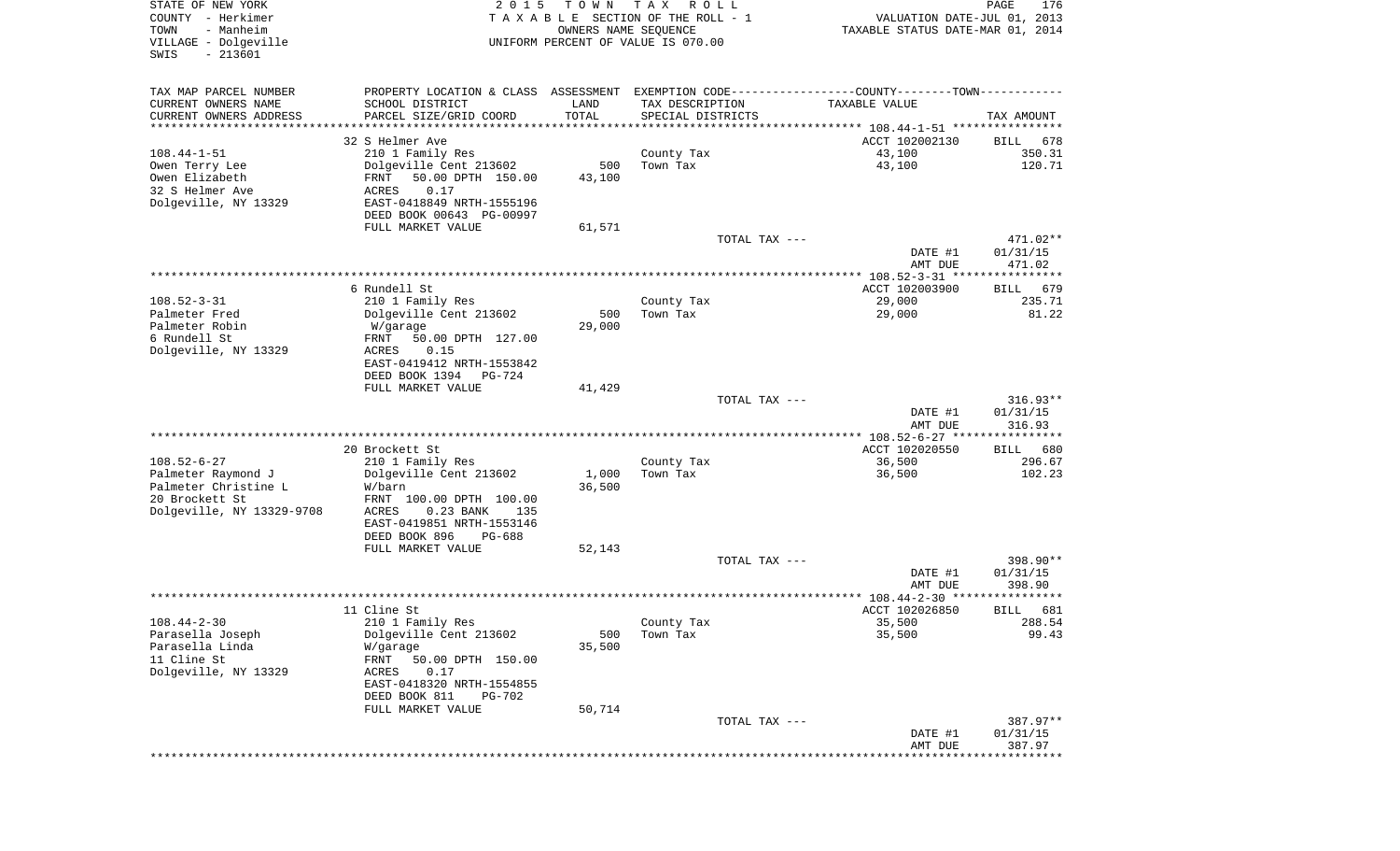| TAX MAP PARCEL NUMBER<br>PROPERTY LOCATION & CLASS ASSESSMENT EXEMPTION CODE---------------COUNTY-------TOWN----------<br>CURRENT OWNERS NAME<br>SCHOOL DISTRICT<br>LAND<br>TAX DESCRIPTION<br>TAXABLE VALUE<br>TOTAL<br>CURRENT OWNERS ADDRESS<br>PARCEL SIZE/GRID COORD<br>SPECIAL DISTRICTS<br>TAX AMOUNT<br>********************<br>* * * * * * * * * * *<br>32 S Helmer Ave<br>ACCT 102002130<br>678<br>BILL<br>43,100<br>350.31<br>$108.44 - 1 - 51$<br>210 1 Family Res<br>County Tax<br>43,100<br>120.71<br>Owen Terry Lee<br>Dolgeville Cent 213602<br>500<br>Town Tax<br>Owen Elizabeth<br>FRNT<br>50.00 DPTH 150.00<br>43,100<br>32 S Helmer Ave<br>0.17<br>ACRES<br>Dolgeville, NY 13329<br>EAST-0418849 NRTH-1555196<br>DEED BOOK 00643 PG-00997<br>FULL MARKET VALUE<br>61,571<br>TOTAL TAX ---<br>471.02**<br>01/31/15<br>DATE #1<br>AMT DUE<br>471.02<br>6 Rundell St<br>ACCT 102003900<br>679<br>BILL<br>$108.52 - 3 - 31$<br>29,000<br>210 1 Family Res<br>County Tax<br>235.71<br>Dolgeville Cent 213602<br>29,000<br>81.22<br>Palmeter Fred<br>500<br>Town Tax<br>Palmeter Robin<br>29,000<br>W/garage<br>6 Rundell St<br>50.00 DPTH 127.00<br>FRNT<br>Dolgeville, NY 13329<br>ACRES<br>0.15<br>EAST-0419412 NRTH-1553842<br>DEED BOOK 1394<br>PG-724<br>FULL MARKET VALUE<br>41,429<br>$316.93**$<br>TOTAL TAX ---<br>01/31/15<br>DATE #1<br>AMT DUE<br>316.93<br>*********** 108.52-6-27 *****************<br>20 Brockett St<br>ACCT 102020550<br>680<br>BILL<br>$108.52 - 6 - 27$<br>36,500<br>296.67<br>210 1 Family Res<br>County Tax<br>102.23<br>Palmeter Raymond J<br>Dolgeville Cent 213602<br>1,000<br>Town Tax<br>36,500<br>Palmeter Christine L<br>36,500<br>W/barn<br>20 Brockett St<br>FRNT 100.00 DPTH 100.00<br>Dolgeville, NY 13329-9708<br>ACRES<br>$0.23$ BANK<br>135<br>EAST-0419851 NRTH-1553146<br>DEED BOOK 896<br>PG-688<br>FULL MARKET VALUE<br>52,143<br>398.90**<br>TOTAL TAX ---<br>DATE #1<br>01/31/15<br>398.90<br>AMT DUE<br>* * * * * * *<br>11 Cline St<br>ACCT 102026850<br>681<br>BILL<br>35,500<br>288.54<br>$108.44 - 2 - 30$<br>210 1 Family Res<br>County Tax<br>Dolgeville Cent 213602<br>35,500<br>99.43<br>Parasella Joseph<br>500<br>Town Tax<br>Parasella Linda<br>35,500<br>W/garage<br>11 Cline St<br>FRNT<br>50.00 DPTH 150.00<br>Dolgeville, NY 13329<br>ACRES<br>0.17<br>EAST-0418320 NRTH-1554855<br>DEED BOOK 811<br><b>PG-702</b><br>FULL MARKET VALUE<br>50,714<br>387.97**<br>TOTAL TAX ---<br>DATE #1<br>01/31/15 | STATE OF NEW YORK<br>COUNTY - Herkimer<br>- Manheim<br>TOWN<br>VILLAGE - Dolgeville<br>$-213601$<br>SWIS | 2 0 1 5 | T O W N<br>OWNERS NAME SEQUENCE | T A X<br>R O L L<br>TAXABLE SECTION OF THE ROLL - 1<br>UNIFORM PERCENT OF VALUE IS 070.00 | VALUATION DATE-JUL 01, 2013<br>TAXABLE STATUS DATE-MAR 01, 2014 | PAGE<br>176 |
|----------------------------------------------------------------------------------------------------------------------------------------------------------------------------------------------------------------------------------------------------------------------------------------------------------------------------------------------------------------------------------------------------------------------------------------------------------------------------------------------------------------------------------------------------------------------------------------------------------------------------------------------------------------------------------------------------------------------------------------------------------------------------------------------------------------------------------------------------------------------------------------------------------------------------------------------------------------------------------------------------------------------------------------------------------------------------------------------------------------------------------------------------------------------------------------------------------------------------------------------------------------------------------------------------------------------------------------------------------------------------------------------------------------------------------------------------------------------------------------------------------------------------------------------------------------------------------------------------------------------------------------------------------------------------------------------------------------------------------------------------------------------------------------------------------------------------------------------------------------------------------------------------------------------------------------------------------------------------------------------------------------------------------------------------------------------------------------------------------------------------------------------------------------------------------------------------------------------------------------------------------------------------------------------------------------------------------------------------------------------------------------------------------------------------------------------------------------------------------------------|----------------------------------------------------------------------------------------------------------|---------|---------------------------------|-------------------------------------------------------------------------------------------|-----------------------------------------------------------------|-------------|
|                                                                                                                                                                                                                                                                                                                                                                                                                                                                                                                                                                                                                                                                                                                                                                                                                                                                                                                                                                                                                                                                                                                                                                                                                                                                                                                                                                                                                                                                                                                                                                                                                                                                                                                                                                                                                                                                                                                                                                                                                                                                                                                                                                                                                                                                                                                                                                                                                                                                                              |                                                                                                          |         |                                 |                                                                                           |                                                                 |             |
|                                                                                                                                                                                                                                                                                                                                                                                                                                                                                                                                                                                                                                                                                                                                                                                                                                                                                                                                                                                                                                                                                                                                                                                                                                                                                                                                                                                                                                                                                                                                                                                                                                                                                                                                                                                                                                                                                                                                                                                                                                                                                                                                                                                                                                                                                                                                                                                                                                                                                              |                                                                                                          |         |                                 |                                                                                           |                                                                 |             |
|                                                                                                                                                                                                                                                                                                                                                                                                                                                                                                                                                                                                                                                                                                                                                                                                                                                                                                                                                                                                                                                                                                                                                                                                                                                                                                                                                                                                                                                                                                                                                                                                                                                                                                                                                                                                                                                                                                                                                                                                                                                                                                                                                                                                                                                                                                                                                                                                                                                                                              |                                                                                                          |         |                                 |                                                                                           |                                                                 |             |
|                                                                                                                                                                                                                                                                                                                                                                                                                                                                                                                                                                                                                                                                                                                                                                                                                                                                                                                                                                                                                                                                                                                                                                                                                                                                                                                                                                                                                                                                                                                                                                                                                                                                                                                                                                                                                                                                                                                                                                                                                                                                                                                                                                                                                                                                                                                                                                                                                                                                                              |                                                                                                          |         |                                 |                                                                                           |                                                                 |             |
|                                                                                                                                                                                                                                                                                                                                                                                                                                                                                                                                                                                                                                                                                                                                                                                                                                                                                                                                                                                                                                                                                                                                                                                                                                                                                                                                                                                                                                                                                                                                                                                                                                                                                                                                                                                                                                                                                                                                                                                                                                                                                                                                                                                                                                                                                                                                                                                                                                                                                              |                                                                                                          |         |                                 |                                                                                           |                                                                 |             |
|                                                                                                                                                                                                                                                                                                                                                                                                                                                                                                                                                                                                                                                                                                                                                                                                                                                                                                                                                                                                                                                                                                                                                                                                                                                                                                                                                                                                                                                                                                                                                                                                                                                                                                                                                                                                                                                                                                                                                                                                                                                                                                                                                                                                                                                                                                                                                                                                                                                                                              |                                                                                                          |         |                                 |                                                                                           |                                                                 |             |
|                                                                                                                                                                                                                                                                                                                                                                                                                                                                                                                                                                                                                                                                                                                                                                                                                                                                                                                                                                                                                                                                                                                                                                                                                                                                                                                                                                                                                                                                                                                                                                                                                                                                                                                                                                                                                                                                                                                                                                                                                                                                                                                                                                                                                                                                                                                                                                                                                                                                                              |                                                                                                          |         |                                 |                                                                                           |                                                                 |             |
|                                                                                                                                                                                                                                                                                                                                                                                                                                                                                                                                                                                                                                                                                                                                                                                                                                                                                                                                                                                                                                                                                                                                                                                                                                                                                                                                                                                                                                                                                                                                                                                                                                                                                                                                                                                                                                                                                                                                                                                                                                                                                                                                                                                                                                                                                                                                                                                                                                                                                              |                                                                                                          |         |                                 |                                                                                           |                                                                 |             |
|                                                                                                                                                                                                                                                                                                                                                                                                                                                                                                                                                                                                                                                                                                                                                                                                                                                                                                                                                                                                                                                                                                                                                                                                                                                                                                                                                                                                                                                                                                                                                                                                                                                                                                                                                                                                                                                                                                                                                                                                                                                                                                                                                                                                                                                                                                                                                                                                                                                                                              |                                                                                                          |         |                                 |                                                                                           |                                                                 |             |
|                                                                                                                                                                                                                                                                                                                                                                                                                                                                                                                                                                                                                                                                                                                                                                                                                                                                                                                                                                                                                                                                                                                                                                                                                                                                                                                                                                                                                                                                                                                                                                                                                                                                                                                                                                                                                                                                                                                                                                                                                                                                                                                                                                                                                                                                                                                                                                                                                                                                                              |                                                                                                          |         |                                 |                                                                                           | AMT DUE                                                         | 387.97      |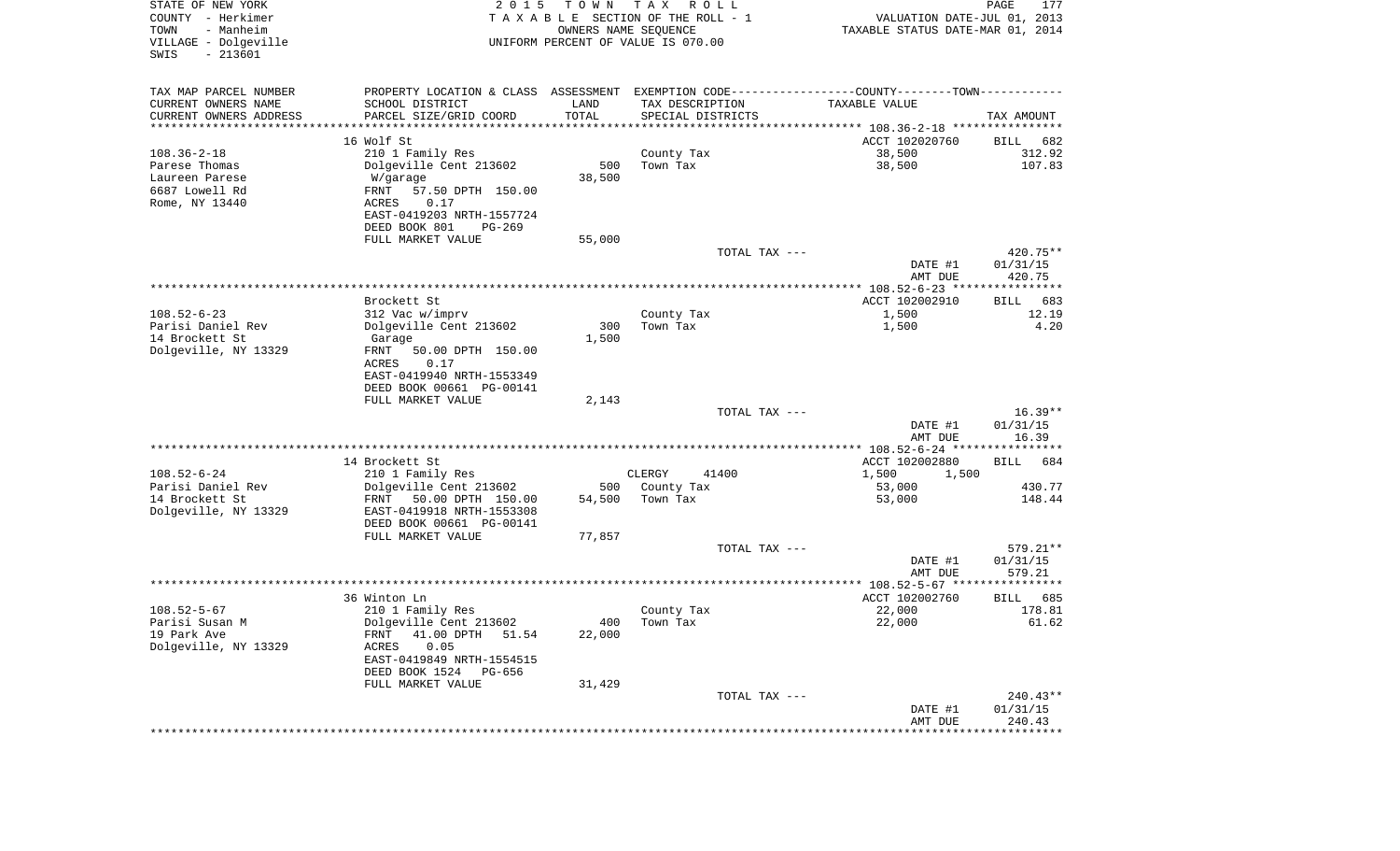| STATE OF NEW YORK<br>COUNTY - Herkimer<br>- Manheim<br>TOWN<br>VILLAGE - Dolgeville<br>$-213601$<br>SWIS | 2 0 1 5                                                                                                          | T O W N<br>OWNERS NAME SEQUENCE | T A X<br>R O L L<br>TAXABLE SECTION OF THE ROLL - 1<br>UNIFORM PERCENT OF VALUE IS 070.00 | VALUATION DATE-JUL 01, 2013<br>TAXABLE STATUS DATE-MAR 01, 2014 | PAGE<br>177          |
|----------------------------------------------------------------------------------------------------------|------------------------------------------------------------------------------------------------------------------|---------------------------------|-------------------------------------------------------------------------------------------|-----------------------------------------------------------------|----------------------|
| TAX MAP PARCEL NUMBER<br>CURRENT OWNERS NAME                                                             | PROPERTY LOCATION & CLASS ASSESSMENT EXEMPTION CODE---------------COUNTY-------TOWN----------<br>SCHOOL DISTRICT | LAND                            | TAX DESCRIPTION                                                                           | <b>TAXABLE VALUE</b>                                            |                      |
| CURRENT OWNERS ADDRESS<br>**********************                                                         | PARCEL SIZE/GRID COORD<br>******************                                                                     | TOTAL                           | SPECIAL DISTRICTS                                                                         |                                                                 | TAX AMOUNT           |
|                                                                                                          | 16 Wolf St                                                                                                       | * * * * * * * * * * *           |                                                                                           | ACCT 102020760                                                  | 682<br>BILL          |
| $108.36 - 2 - 18$                                                                                        | 210 1 Family Res                                                                                                 |                                 | County Tax                                                                                | 38,500                                                          | 312.92               |
| Parese Thomas                                                                                            | Dolgeville Cent 213602                                                                                           | 500                             | Town Tax                                                                                  | 38,500                                                          | 107.83               |
| Laureen Parese                                                                                           | W/garage                                                                                                         | 38,500                          |                                                                                           |                                                                 |                      |
| 6687 Lowell Rd                                                                                           | FRNT<br>57.50 DPTH 150.00                                                                                        |                                 |                                                                                           |                                                                 |                      |
| Rome, NY 13440                                                                                           | ACRES<br>0.17                                                                                                    |                                 |                                                                                           |                                                                 |                      |
|                                                                                                          | EAST-0419203 NRTH-1557724                                                                                        |                                 |                                                                                           |                                                                 |                      |
|                                                                                                          | DEED BOOK 801<br>$PG-269$<br>FULL MARKET VALUE                                                                   | 55,000                          |                                                                                           |                                                                 |                      |
|                                                                                                          |                                                                                                                  |                                 | TOTAL TAX ---                                                                             |                                                                 | 420.75**             |
|                                                                                                          |                                                                                                                  |                                 |                                                                                           | DATE #1                                                         | 01/31/15             |
|                                                                                                          |                                                                                                                  |                                 |                                                                                           | AMT DUE                                                         | 420.75               |
|                                                                                                          |                                                                                                                  |                                 |                                                                                           |                                                                 |                      |
| $108.52 - 6 - 23$                                                                                        | Brockett St<br>312 Vac w/imprv                                                                                   |                                 | County Tax                                                                                | ACCT 102002910<br>1,500                                         | BILL<br>683<br>12.19 |
| Parisi Daniel Rev                                                                                        | Dolgeville Cent 213602                                                                                           | 300                             | Town Tax                                                                                  | 1,500                                                           | 4.20                 |
| 14 Brockett St                                                                                           | Garage                                                                                                           | 1,500                           |                                                                                           |                                                                 |                      |
| Dolgeville, NY 13329                                                                                     | FRNT<br>50.00 DPTH 150.00<br>0.17<br>ACRES                                                                       |                                 |                                                                                           |                                                                 |                      |
|                                                                                                          | EAST-0419940 NRTH-1553349                                                                                        |                                 |                                                                                           |                                                                 |                      |
|                                                                                                          | DEED BOOK 00661 PG-00141                                                                                         |                                 |                                                                                           |                                                                 |                      |
|                                                                                                          | FULL MARKET VALUE                                                                                                | 2,143                           | TOTAL TAX ---                                                                             |                                                                 | $16.39**$            |
|                                                                                                          |                                                                                                                  |                                 |                                                                                           | DATE #1                                                         | 01/31/15             |
|                                                                                                          |                                                                                                                  |                                 |                                                                                           | AMT DUE                                                         | 16.39                |
|                                                                                                          |                                                                                                                  |                                 |                                                                                           |                                                                 |                      |
|                                                                                                          | 14 Brockett St                                                                                                   |                                 |                                                                                           | ACCT 102002880                                                  | 684<br>BILL          |
| $108.52 - 6 - 24$<br>Parisi Daniel Rev                                                                   | 210 1 Family Res<br>Dolgeville Cent 213602                                                                       | 500                             | CLERGY<br>41400<br>County Tax                                                             | 1,500<br>1,500<br>53,000                                        | 430.77               |
| 14 Brockett St                                                                                           | FRNT<br>50.00 DPTH 150.00                                                                                        | 54,500                          | Town Tax                                                                                  | 53,000                                                          | 148.44               |
| Dolgeville, NY 13329                                                                                     | EAST-0419918 NRTH-1553308                                                                                        |                                 |                                                                                           |                                                                 |                      |
|                                                                                                          | DEED BOOK 00661 PG-00141                                                                                         |                                 |                                                                                           |                                                                 |                      |
|                                                                                                          | FULL MARKET VALUE                                                                                                | 77,857                          |                                                                                           |                                                                 |                      |
|                                                                                                          |                                                                                                                  |                                 | TOTAL TAX ---                                                                             |                                                                 | $579.21**$           |
|                                                                                                          |                                                                                                                  |                                 |                                                                                           | DATE #1<br>AMT DUE                                              | 01/31/15<br>579.21   |
|                                                                                                          |                                                                                                                  |                                 |                                                                                           |                                                                 |                      |
|                                                                                                          | 36 Winton Ln                                                                                                     |                                 |                                                                                           | ACCT 102002760                                                  | 685<br>BILL          |
| $108.52 - 5 - 67$                                                                                        | 210 1 Family Res                                                                                                 |                                 | County Tax                                                                                | 22,000                                                          | 178.81               |
| Parisi Susan M                                                                                           | Dolgeville Cent 213602                                                                                           | 400                             | Town Tax                                                                                  | 22,000                                                          | 61.62                |
| 19 Park Ave<br>Dolgeville, NY 13329                                                                      | 41.00 DPTH 51.54<br>FRNT<br>0.05<br>ACRES                                                                        | 22,000                          |                                                                                           |                                                                 |                      |
|                                                                                                          | EAST-0419849 NRTH-1554515                                                                                        |                                 |                                                                                           |                                                                 |                      |
|                                                                                                          | DEED BOOK 1524 PG-656                                                                                            |                                 |                                                                                           |                                                                 |                      |
|                                                                                                          | FULL MARKET VALUE                                                                                                | 31,429                          |                                                                                           |                                                                 |                      |
|                                                                                                          |                                                                                                                  |                                 | TOTAL TAX ---                                                                             |                                                                 | $240.43**$           |
|                                                                                                          |                                                                                                                  |                                 |                                                                                           | DATE #1                                                         | 01/31/15             |
|                                                                                                          |                                                                                                                  |                                 |                                                                                           | AMT DUE                                                         | 240.43               |
|                                                                                                          |                                                                                                                  |                                 |                                                                                           |                                                                 |                      |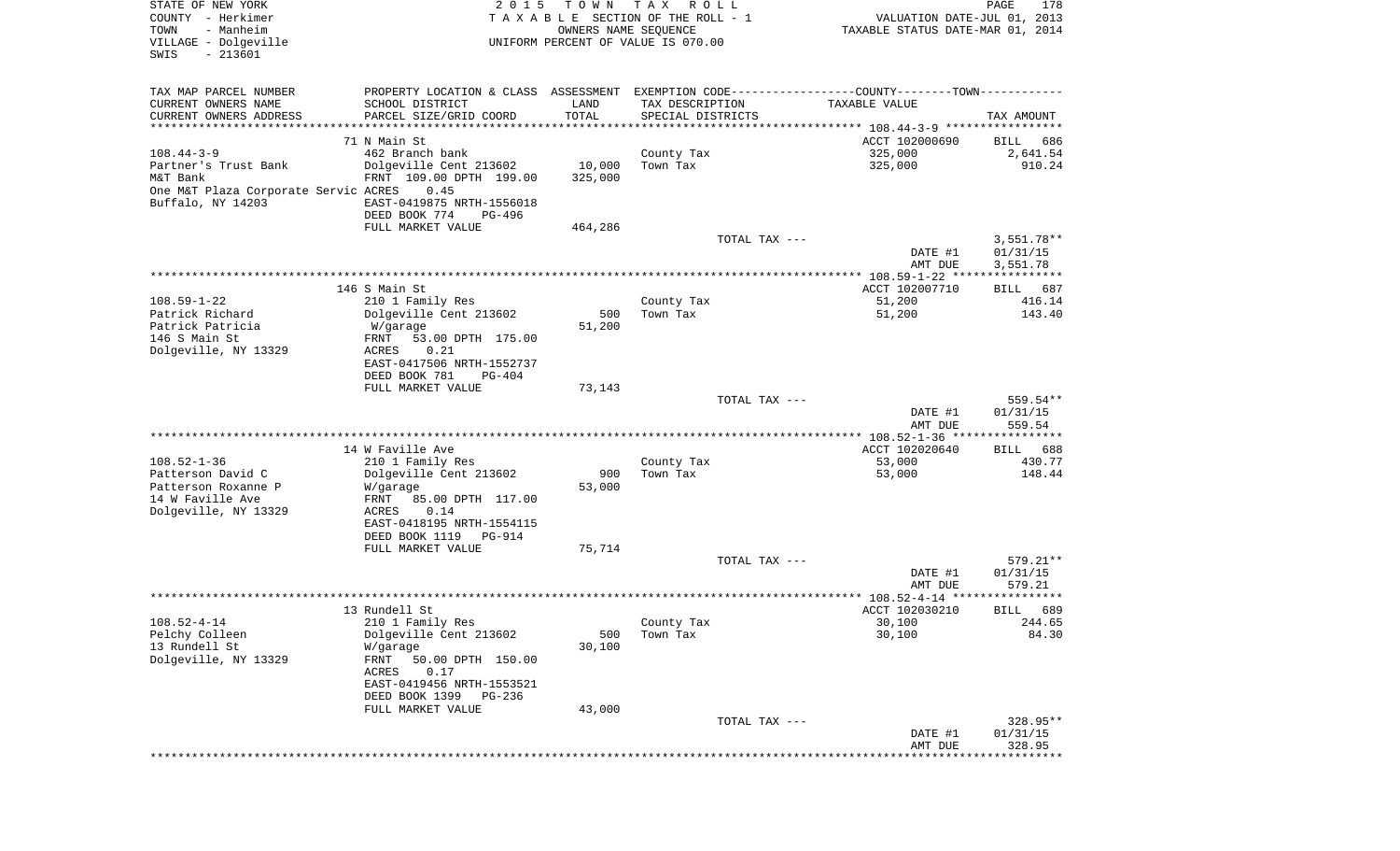| STATE OF NEW YORK<br>COUNTY - Herkimer<br>- Manheim<br>TOWN<br>VILLAGE - Dolgeville<br>SWIS<br>$-213601$  | 2 0 1 5                                                                                                                                                                           | T O W N<br>OWNERS NAME SEQUENCE | T A X<br>R O L L<br>TAXABLE SECTION OF THE ROLL - 1<br>UNIFORM PERCENT OF VALUE IS 070.00 | VALUATION DATE-JUL 01, 2013<br>TAXABLE STATUS DATE-MAR 01, 2014                                                | PAGE<br>178                          |
|-----------------------------------------------------------------------------------------------------------|-----------------------------------------------------------------------------------------------------------------------------------------------------------------------------------|---------------------------------|-------------------------------------------------------------------------------------------|----------------------------------------------------------------------------------------------------------------|--------------------------------------|
| TAX MAP PARCEL NUMBER<br>CURRENT OWNERS NAME<br>CURRENT OWNERS ADDRESS<br>**********************          | SCHOOL DISTRICT<br>PARCEL SIZE/GRID COORD<br>************************                                                                                                             | LAND<br>TOTAL<br>**********     | TAX DESCRIPTION<br>SPECIAL DISTRICTS                                                      | PROPERTY LOCATION & CLASS ASSESSMENT EXEMPTION CODE---------------COUNTY-------TOWN----------<br>TAXABLE VALUE | TAX AMOUNT                           |
|                                                                                                           | 71 N Main St                                                                                                                                                                      |                                 |                                                                                           | ACCT 102000690                                                                                                 | BILL<br>686                          |
| $108.44 - 3 - 9$<br>Partner's Trust Bank<br>M&T Bank<br>One M&T Plaza Corporate Servic ACRES              | 462 Branch bank<br>Dolgeville Cent 213602<br>FRNT 109.00 DPTH 199.00<br>0.45                                                                                                      | 10,000<br>325,000               | County Tax<br>Town Tax                                                                    | 325,000<br>325,000                                                                                             | 2,641.54<br>910.24                   |
| Buffalo, NY 14203                                                                                         | EAST-0419875 NRTH-1556018<br>DEED BOOK 774<br>PG-496                                                                                                                              |                                 |                                                                                           |                                                                                                                |                                      |
|                                                                                                           | FULL MARKET VALUE                                                                                                                                                                 | 464,286                         | TOTAL TAX ---                                                                             | DATE #1<br>AMT DUE                                                                                             | $3,551.78**$<br>01/31/15<br>3,551.78 |
|                                                                                                           | 146 S Main St                                                                                                                                                                     |                                 |                                                                                           | ACCT 102007710                                                                                                 | 687<br>BILL                          |
| $108.59 - 1 - 22$<br>Patrick Richard<br>Patrick Patricia<br>146 S Main St<br>Dolgeville, NY 13329         | 210 1 Family Res<br>Dolgeville Cent 213602<br>W/garage<br>53.00 DPTH 175.00<br>FRNT<br>ACRES<br>0.21                                                                              | 500<br>51,200                   | County Tax<br>Town Tax                                                                    | 51,200<br>51,200                                                                                               | 416.14<br>143.40                     |
|                                                                                                           | EAST-0417506 NRTH-1552737<br>DEED BOOK 781<br>$PG-404$                                                                                                                            |                                 |                                                                                           |                                                                                                                |                                      |
|                                                                                                           | FULL MARKET VALUE                                                                                                                                                                 | 73,143                          | TOTAL TAX ---                                                                             | DATE #1<br>AMT DUE                                                                                             | 559.54**<br>01/31/15<br>559.54       |
|                                                                                                           |                                                                                                                                                                                   |                                 |                                                                                           | ************ 108.52-1-36 *****************                                                                     |                                      |
| $108.52 - 1 - 36$<br>Patterson David C<br>Patterson Roxanne P<br>14 W Faville Ave<br>Dolgeville, NY 13329 | 14 W Faville Ave<br>210 1 Family Res<br>Dolgeville Cent 213602<br>W/garage<br>FRNT<br>85.00 DPTH 117.00<br>ACRES<br>0.14<br>EAST-0418195 NRTH-1554115<br>DEED BOOK 1119<br>PG-914 | 900<br>53,000                   | County Tax<br>Town Tax                                                                    | ACCT 102020640<br>53,000<br>53,000                                                                             | 688<br>BILL<br>430.77<br>148.44      |
|                                                                                                           | FULL MARKET VALUE                                                                                                                                                                 | 75,714                          | TOTAL TAX ---                                                                             |                                                                                                                | 579.21**                             |
|                                                                                                           |                                                                                                                                                                                   |                                 |                                                                                           | DATE #1<br>AMT DUE                                                                                             | 01/31/15<br>579.21<br>*******        |
|                                                                                                           | 13 Rundell St                                                                                                                                                                     |                                 |                                                                                           | ACCT 102030210                                                                                                 | 689<br>BILL                          |
| $108.52 - 4 - 14$<br>Pelchy Colleen<br>13 Rundell St<br>Dolgeville, NY 13329                              | 210 1 Family Res<br>Dolgeville Cent 213602<br>W/garage<br>FRNT<br>50.00 DPTH 150.00<br>ACRES<br>0.17<br>EAST-0419456 NRTH-1553521                                                 | 500<br>30,100                   | County Tax<br>Town Tax                                                                    | 30,100<br>30,100                                                                                               | 244.65<br>84.30                      |
|                                                                                                           | DEED BOOK 1399<br>PG-236<br>FULL MARKET VALUE                                                                                                                                     | 43,000                          |                                                                                           |                                                                                                                |                                      |
|                                                                                                           |                                                                                                                                                                                   |                                 | TOTAL TAX ---                                                                             | DATE #1<br>AMT DUE                                                                                             | $328.95**$<br>01/31/15<br>328.95     |
|                                                                                                           |                                                                                                                                                                                   |                                 |                                                                                           |                                                                                                                |                                      |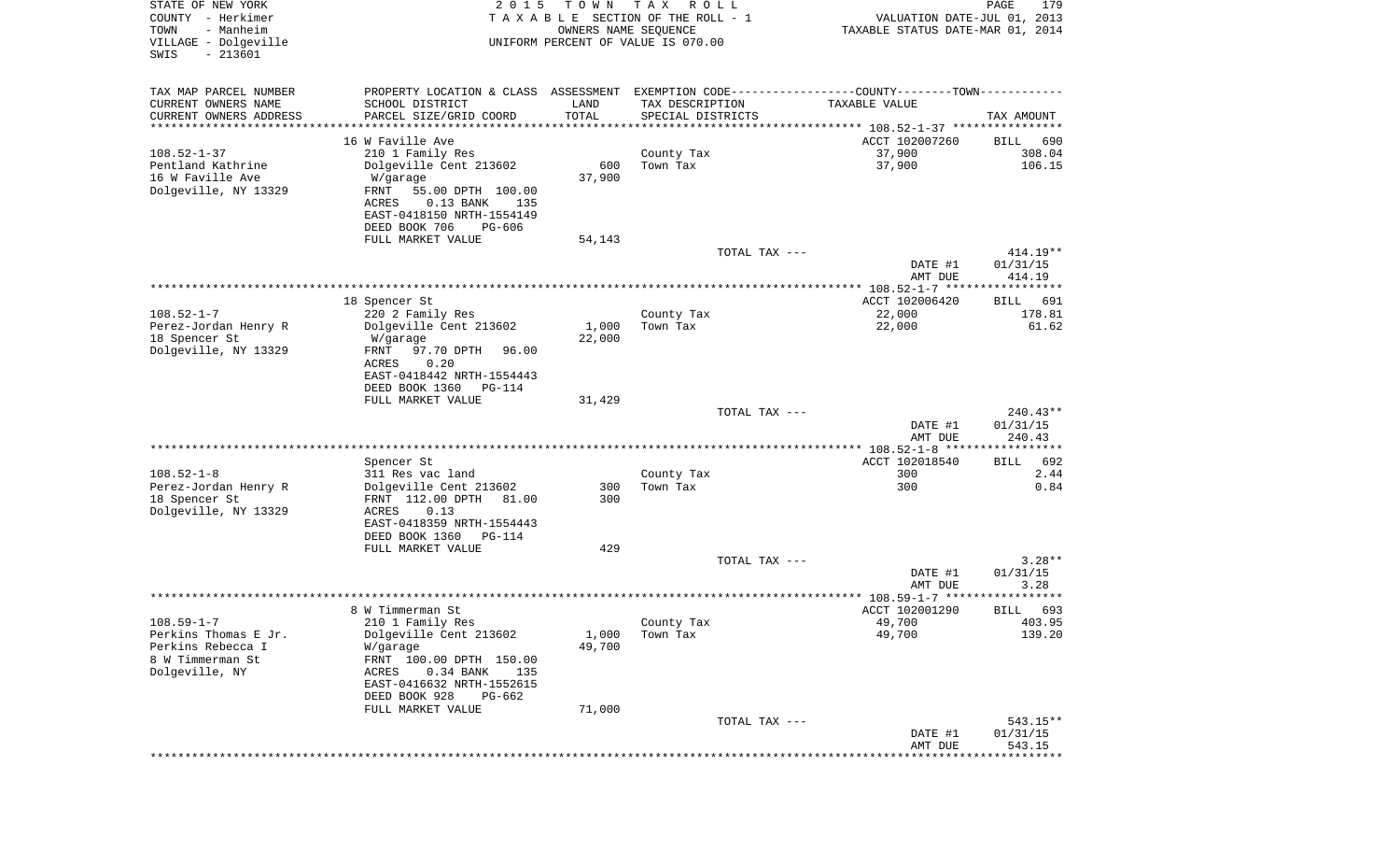| STATE OF NEW YORK<br>COUNTY - Herkimer<br>TOWN<br>- Manheim<br>VILLAGE - Dolgeville<br>SWIS<br>$-213601$ | 2 0 1 5                                                                                        | T O W N<br>OWNERS NAME SEQUENCE | T A X<br>R O L L<br>TAXABLE SECTION OF THE ROLL - 1<br>UNIFORM PERCENT OF VALUE IS 070.00 | VALUATION DATE-JUL 01, 2013<br>TAXABLE STATUS DATE-MAR 01, 2014 | PAGE<br>179      |
|----------------------------------------------------------------------------------------------------------|------------------------------------------------------------------------------------------------|---------------------------------|-------------------------------------------------------------------------------------------|-----------------------------------------------------------------|------------------|
| TAX MAP PARCEL NUMBER                                                                                    | PROPERTY LOCATION & CLASS ASSESSMENT EXEMPTION CODE----------------COUNTY-------TOWN---------- |                                 |                                                                                           |                                                                 |                  |
| CURRENT OWNERS NAME                                                                                      | SCHOOL DISTRICT                                                                                | LAND                            | TAX DESCRIPTION                                                                           | TAXABLE VALUE                                                   |                  |
| CURRENT OWNERS ADDRESS                                                                                   | PARCEL SIZE/GRID COORD                                                                         | TOTAL                           | SPECIAL DISTRICTS                                                                         |                                                                 | TAX AMOUNT       |
| *********************                                                                                    |                                                                                                | * * * * * * * * * * *           |                                                                                           |                                                                 |                  |
|                                                                                                          | 16 W Faville Ave                                                                               |                                 |                                                                                           | ACCT 102007260                                                  | BILL<br>690      |
| $108.52 - 1 - 37$<br>Pentland Kathrine                                                                   | 210 1 Family Res<br>Dolgeville Cent 213602                                                     | 600                             | County Tax<br>Town Tax                                                                    | 37,900<br>37,900                                                | 308.04<br>106.15 |
| 16 W Faville Ave                                                                                         | W/garage                                                                                       | 37,900                          |                                                                                           |                                                                 |                  |
| Dolgeville, NY 13329                                                                                     | FRNT<br>55.00 DPTH 100.00                                                                      |                                 |                                                                                           |                                                                 |                  |
|                                                                                                          | $0.13$ BANK<br>ACRES<br>135                                                                    |                                 |                                                                                           |                                                                 |                  |
|                                                                                                          | EAST-0418150 NRTH-1554149                                                                      |                                 |                                                                                           |                                                                 |                  |
|                                                                                                          | DEED BOOK 706<br>PG-606                                                                        |                                 |                                                                                           |                                                                 |                  |
|                                                                                                          | FULL MARKET VALUE                                                                              | 54,143                          | TOTAL TAX ---                                                                             |                                                                 | 414.19**         |
|                                                                                                          |                                                                                                |                                 |                                                                                           | DATE #1                                                         | 01/31/15         |
|                                                                                                          |                                                                                                |                                 |                                                                                           | AMT DUE                                                         | 414.19           |
|                                                                                                          |                                                                                                |                                 |                                                                                           |                                                                 |                  |
|                                                                                                          | 18 Spencer St                                                                                  |                                 |                                                                                           | ACCT 102006420                                                  | 691<br>BILL      |
| $108.52 - 1 - 7$<br>Perez-Jordan Henry R                                                                 | 220 2 Family Res<br>Dolgeville Cent 213602                                                     | 1,000                           | County Tax<br>Town Tax                                                                    | 22,000<br>22,000                                                | 178.81<br>61.62  |
| 18 Spencer St                                                                                            | W/garage                                                                                       | 22,000                          |                                                                                           |                                                                 |                  |
| Dolgeville, NY 13329                                                                                     | 97.70 DPTH<br>FRNT<br>96.00                                                                    |                                 |                                                                                           |                                                                 |                  |
|                                                                                                          | ACRES<br>0.20                                                                                  |                                 |                                                                                           |                                                                 |                  |
|                                                                                                          | EAST-0418442 NRTH-1554443                                                                      |                                 |                                                                                           |                                                                 |                  |
|                                                                                                          | DEED BOOK 1360<br>$PG-114$                                                                     |                                 |                                                                                           |                                                                 |                  |
|                                                                                                          | FULL MARKET VALUE                                                                              | 31,429                          | TOTAL TAX ---                                                                             |                                                                 | $240.43**$       |
|                                                                                                          |                                                                                                |                                 |                                                                                           | DATE #1                                                         | 01/31/15         |
|                                                                                                          |                                                                                                |                                 |                                                                                           | AMT DUE                                                         | 240.43           |
|                                                                                                          |                                                                                                |                                 |                                                                                           |                                                                 |                  |
|                                                                                                          | Spencer St                                                                                     |                                 |                                                                                           | ACCT 102018540                                                  | 692<br>BILL      |
| $108.52 - 1 - 8$<br>Perez-Jordan Henry R                                                                 | 311 Res vac land<br>Dolgeville Cent 213602                                                     | 300                             | County Tax<br>Town Tax                                                                    | 300<br>300                                                      | 2.44<br>0.84     |
| 18 Spencer St                                                                                            | FRNT 112.00 DPTH<br>81.00                                                                      | 300                             |                                                                                           |                                                                 |                  |
| Dolgeville, NY 13329                                                                                     | ACRES<br>0.13                                                                                  |                                 |                                                                                           |                                                                 |                  |
|                                                                                                          | EAST-0418359 NRTH-1554443                                                                      |                                 |                                                                                           |                                                                 |                  |
|                                                                                                          | DEED BOOK 1360<br>PG-114                                                                       |                                 |                                                                                           |                                                                 |                  |
|                                                                                                          | FULL MARKET VALUE                                                                              | 429                             |                                                                                           |                                                                 | $3.28**$         |
|                                                                                                          |                                                                                                |                                 | TOTAL TAX ---                                                                             | DATE #1                                                         | 01/31/15         |
|                                                                                                          |                                                                                                |                                 |                                                                                           | AMT DUE                                                         | 3.28             |
|                                                                                                          |                                                                                                |                                 |                                                                                           |                                                                 | ****             |
|                                                                                                          | 8 W Timmerman St                                                                               |                                 |                                                                                           | ACCT 102001290                                                  | 693<br>BILL      |
| $108.59 - 1 - 7$                                                                                         | 210 1 Family Res                                                                               |                                 | County Tax                                                                                | 49,700                                                          | 403.95           |
| Perkins Thomas E Jr.<br>Perkins Rebecca I                                                                | Dolgeville Cent 213602<br>W/garage                                                             | 1,000<br>49,700                 | Town Tax                                                                                  | 49,700                                                          | 139.20           |
| 8 W Timmerman St                                                                                         | FRNT 100.00 DPTH 150.00                                                                        |                                 |                                                                                           |                                                                 |                  |
| Dolgeville, NY                                                                                           | $0.34$ BANK<br>ACRES<br>135                                                                    |                                 |                                                                                           |                                                                 |                  |
|                                                                                                          | EAST-0416632 NRTH-1552615                                                                      |                                 |                                                                                           |                                                                 |                  |
|                                                                                                          | DEED BOOK 928<br>PG-662                                                                        |                                 |                                                                                           |                                                                 |                  |
|                                                                                                          | FULL MARKET VALUE                                                                              | 71,000                          |                                                                                           |                                                                 | $543.15**$       |
|                                                                                                          |                                                                                                |                                 | TOTAL TAX ---                                                                             | DATE #1                                                         | 01/31/15         |
|                                                                                                          |                                                                                                |                                 |                                                                                           | AMT DUE                                                         | 543.15           |
|                                                                                                          |                                                                                                |                                 |                                                                                           | ***********************************                             |                  |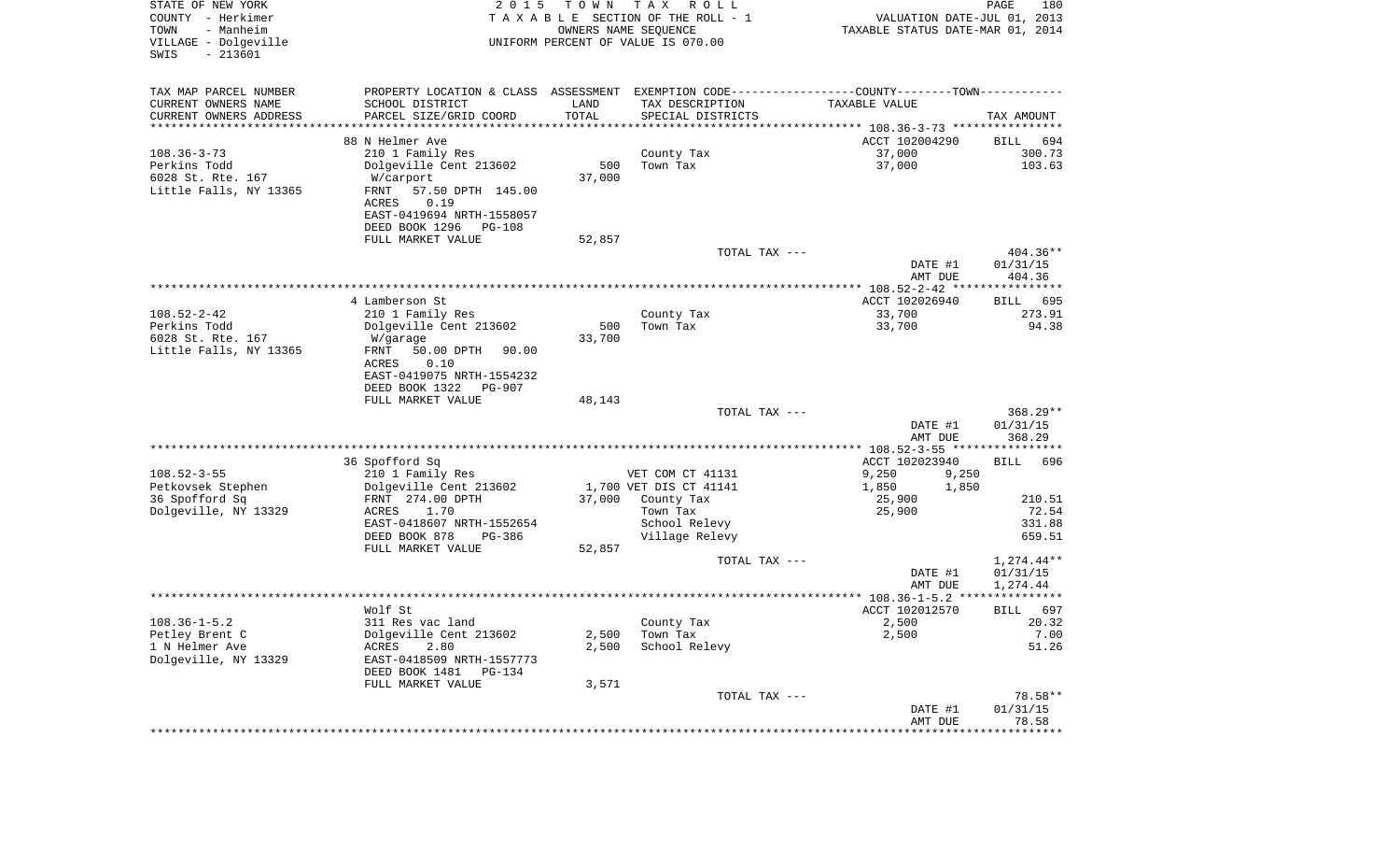| STATE OF NEW YORK<br>COUNTY - Herkimer<br>TOWN<br>- Manheim<br>VILLAGE - Dolgeville<br>SWIS<br>$-213601$ | 2 0 1 5                                                                                       | T O W N                        | T A X<br>R O L L<br>TAXABLE SECTION OF THE ROLL - 1<br>OWNERS NAME SEQUENCE<br>UNIFORM PERCENT OF VALUE IS 070.00 | VALUATION DATE-JUL 01, 2013<br>TAXABLE STATUS DATE-MAR 01, 2014 | PAGE<br>180             |
|----------------------------------------------------------------------------------------------------------|-----------------------------------------------------------------------------------------------|--------------------------------|-------------------------------------------------------------------------------------------------------------------|-----------------------------------------------------------------|-------------------------|
| TAX MAP PARCEL NUMBER                                                                                    | PROPERTY LOCATION & CLASS ASSESSMENT EXEMPTION CODE---------------COUNTY-------TOWN---------- |                                |                                                                                                                   |                                                                 |                         |
| CURRENT OWNERS NAME                                                                                      | SCHOOL DISTRICT                                                                               | LAND                           | TAX DESCRIPTION                                                                                                   | TAXABLE VALUE                                                   |                         |
| CURRENT OWNERS ADDRESS<br>*********************                                                          | PARCEL SIZE/GRID COORD<br>***********************                                             | TOTAL<br>* * * * * * * * * * * | SPECIAL DISTRICTS                                                                                                 |                                                                 | TAX AMOUNT              |
|                                                                                                          | 88 N Helmer Ave                                                                               |                                |                                                                                                                   | ACCT 102004290                                                  | 694<br>BILL             |
| $108.36 - 3 - 73$                                                                                        | 210 1 Family Res                                                                              |                                | County Tax                                                                                                        | 37,000                                                          | 300.73                  |
| Perkins Todd                                                                                             | Dolgeville Cent 213602                                                                        | 500                            | Town Tax                                                                                                          | 37,000                                                          | 103.63                  |
| 6028 St. Rte. 167                                                                                        | W/carport                                                                                     | 37,000                         |                                                                                                                   |                                                                 |                         |
| Little Falls, NY 13365                                                                                   | FRNT<br>57.50 DPTH 145.00                                                                     |                                |                                                                                                                   |                                                                 |                         |
|                                                                                                          | ACRES<br>0.19                                                                                 |                                |                                                                                                                   |                                                                 |                         |
|                                                                                                          | EAST-0419694 NRTH-1558057<br>DEED BOOK 1296<br>PG-108                                         |                                |                                                                                                                   |                                                                 |                         |
|                                                                                                          | FULL MARKET VALUE                                                                             | 52,857                         |                                                                                                                   |                                                                 |                         |
|                                                                                                          |                                                                                               |                                | TOTAL TAX ---                                                                                                     |                                                                 | 404.36**                |
|                                                                                                          |                                                                                               |                                |                                                                                                                   | DATE #1                                                         | 01/31/15                |
|                                                                                                          |                                                                                               |                                |                                                                                                                   | AMT DUE                                                         | 404.36                  |
|                                                                                                          | 4 Lamberson St                                                                                |                                |                                                                                                                   | ACCT 102026940                                                  | BILL<br>695             |
| $108.52 - 2 - 42$                                                                                        | 210 1 Family Res                                                                              |                                | County Tax                                                                                                        | 33,700                                                          | 273.91                  |
| Perkins Todd                                                                                             | Dolgeville Cent 213602                                                                        | 500                            | Town Tax                                                                                                          | 33,700                                                          | 94.38                   |
| 6028 St. Rte. 167                                                                                        | W/garage                                                                                      | 33,700                         |                                                                                                                   |                                                                 |                         |
| Little Falls, NY 13365                                                                                   | FRNT<br>50.00 DPTH<br>90.00<br>0.10<br>ACRES                                                  |                                |                                                                                                                   |                                                                 |                         |
|                                                                                                          | EAST-0419075 NRTH-1554232<br>DEED BOOK 1322<br>PG-907                                         |                                |                                                                                                                   |                                                                 |                         |
|                                                                                                          | FULL MARKET VALUE                                                                             | 48,143                         |                                                                                                                   |                                                                 |                         |
|                                                                                                          |                                                                                               |                                | TOTAL TAX ---                                                                                                     |                                                                 | 368.29**                |
|                                                                                                          |                                                                                               |                                |                                                                                                                   | DATE #1<br>AMT DUE                                              | 01/31/15<br>368.29      |
|                                                                                                          |                                                                                               |                                |                                                                                                                   |                                                                 |                         |
|                                                                                                          | 36 Spofford Sq                                                                                |                                |                                                                                                                   | ACCT 102023940                                                  | 696<br>BILL             |
| $108.52 - 3 - 55$                                                                                        | 210 1 Family Res                                                                              |                                | VET COM CT 41131                                                                                                  | 9,250<br>9,250                                                  |                         |
| Petkovsek Stephen                                                                                        | Dolgeville Cent 213602                                                                        |                                | 1,700 VET DIS CT 41141                                                                                            | 1,850<br>1,850                                                  |                         |
| 36 Spofford Sq                                                                                           | FRNT 274.00 DPTH<br>ACRES<br>1.70                                                             | 37,000                         | County Tax<br>Town Tax                                                                                            | 25,900<br>25,900                                                | 210.51<br>72.54         |
| Dolgeville, NY 13329                                                                                     | EAST-0418607 NRTH-1552654                                                                     |                                | School Relevy                                                                                                     |                                                                 | 331.88                  |
|                                                                                                          | DEED BOOK 878<br>PG-386                                                                       |                                | Village Relevy                                                                                                    |                                                                 | 659.51                  |
|                                                                                                          | FULL MARKET VALUE                                                                             | 52,857                         |                                                                                                                   |                                                                 |                         |
|                                                                                                          |                                                                                               |                                | TOTAL TAX ---                                                                                                     |                                                                 | 1,274.44**              |
|                                                                                                          |                                                                                               |                                |                                                                                                                   | DATE #1                                                         | 01/31/15                |
|                                                                                                          |                                                                                               |                                |                                                                                                                   | AMT DUE                                                         | 1,274.44<br>* * * * * * |
|                                                                                                          | Wolf St                                                                                       |                                |                                                                                                                   | ACCT 102012570                                                  | 697<br>BILL             |
| $108.36 - 1 - 5.2$                                                                                       | 311 Res vac land                                                                              |                                | County Tax                                                                                                        | 2,500                                                           | 20.32                   |
| Petley Brent C                                                                                           | Dolgeville Cent 213602                                                                        | 2,500                          | Town Tax                                                                                                          | 2,500                                                           | 7.00                    |
| 1 N Helmer Ave                                                                                           | 2.80<br>ACRES                                                                                 | 2,500                          | School Relevy                                                                                                     |                                                                 | 51.26                   |
| Dolgeville, NY 13329                                                                                     | EAST-0418509 NRTH-1557773<br>DEED BOOK 1481<br>PG-134                                         |                                |                                                                                                                   |                                                                 |                         |
|                                                                                                          | FULL MARKET VALUE                                                                             | 3,571                          |                                                                                                                   |                                                                 |                         |
|                                                                                                          |                                                                                               |                                | TOTAL TAX ---                                                                                                     | DATE #1                                                         | 78.58**<br>01/31/15     |
|                                                                                                          |                                                                                               |                                |                                                                                                                   | AMT DUE                                                         | 78.58                   |
|                                                                                                          |                                                                                               |                                |                                                                                                                   |                                                                 |                         |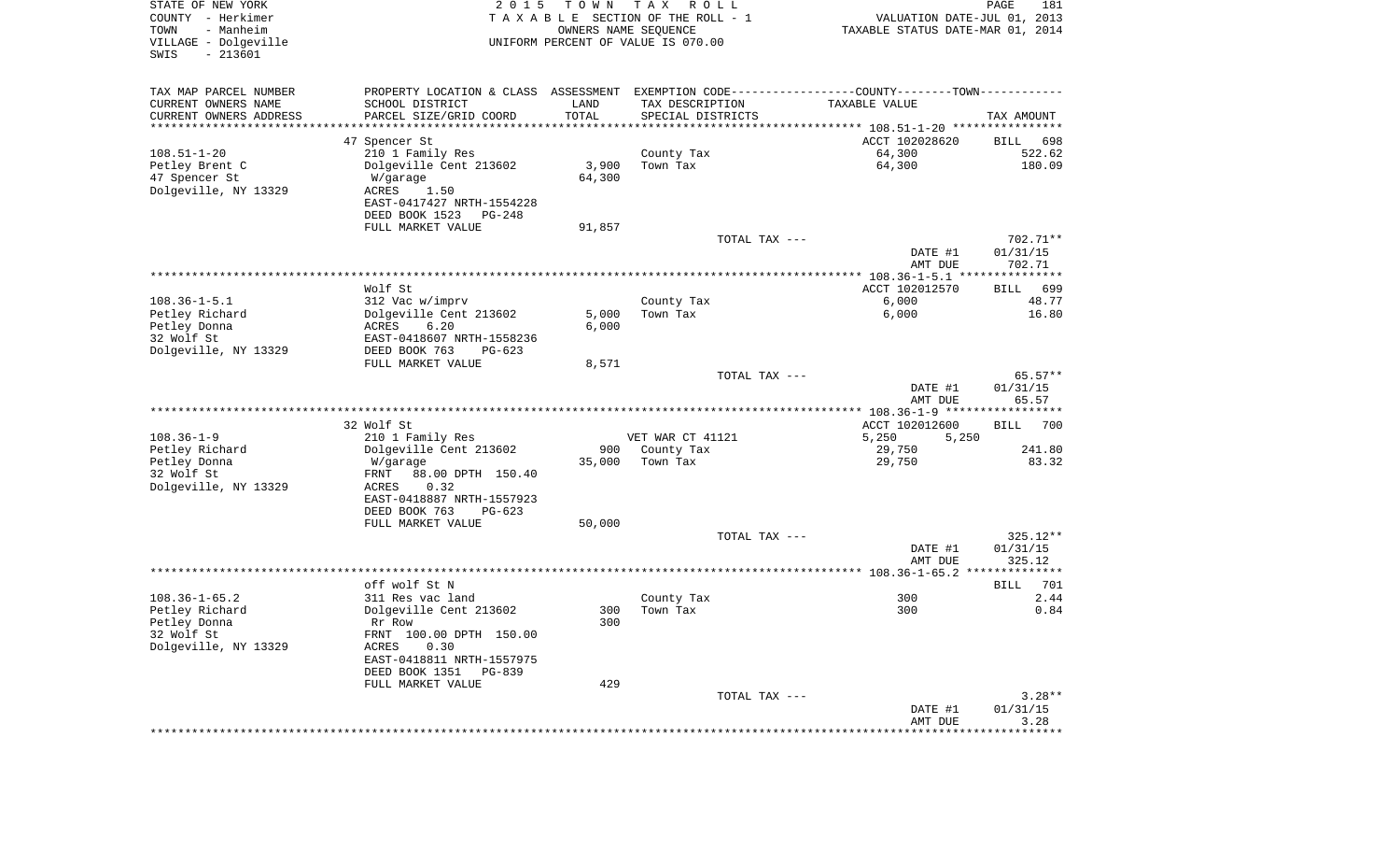| STATE OF NEW YORK<br>COUNTY - Herkimer<br>- Manheim<br>TOWN<br>VILLAGE - Dolgeville<br>$-213601$<br>SWIS | 2 0 1 5                                                                                       | T O W N<br>OWNERS NAME SEQUENCE | T A X<br>R O L L<br>TAXABLE SECTION OF THE ROLL - 1<br>UNIFORM PERCENT OF VALUE IS 070.00 | VALUATION DATE-JUL 01, 2013<br>TAXABLE STATUS DATE-MAR 01, 2014 | PAGE<br>181        |
|----------------------------------------------------------------------------------------------------------|-----------------------------------------------------------------------------------------------|---------------------------------|-------------------------------------------------------------------------------------------|-----------------------------------------------------------------|--------------------|
| TAX MAP PARCEL NUMBER                                                                                    | PROPERTY LOCATION & CLASS ASSESSMENT EXEMPTION CODE---------------COUNTY-------TOWN---------- |                                 |                                                                                           |                                                                 |                    |
| CURRENT OWNERS NAME                                                                                      | SCHOOL DISTRICT                                                                               | LAND                            | TAX DESCRIPTION                                                                           | <b>TAXABLE VALUE</b>                                            |                    |
| CURRENT OWNERS ADDRESS                                                                                   | PARCEL SIZE/GRID COORD                                                                        | TOTAL                           | SPECIAL DISTRICTS                                                                         |                                                                 | TAX AMOUNT         |
| *********************                                                                                    |                                                                                               |                                 |                                                                                           |                                                                 |                    |
|                                                                                                          | 47 Spencer St                                                                                 |                                 |                                                                                           | ACCT 102028620                                                  | 698<br>BILL        |
| $108.51 - 1 - 20$                                                                                        | 210 1 Family Res                                                                              |                                 | County Tax                                                                                | 64,300                                                          | 522.62<br>180.09   |
| Petley Brent C<br>47 Spencer St                                                                          | Dolgeville Cent 213602<br>W/garage                                                            | 3,900<br>64,300                 | Town Tax                                                                                  | 64,300                                                          |                    |
| Dolgeville, NY 13329                                                                                     | ACRES<br>1.50                                                                                 |                                 |                                                                                           |                                                                 |                    |
|                                                                                                          | EAST-0417427 NRTH-1554228                                                                     |                                 |                                                                                           |                                                                 |                    |
|                                                                                                          | DEED BOOK 1523<br>PG-248                                                                      |                                 |                                                                                           |                                                                 |                    |
|                                                                                                          | FULL MARKET VALUE                                                                             | 91,857                          |                                                                                           |                                                                 |                    |
|                                                                                                          |                                                                                               |                                 | TOTAL TAX ---                                                                             |                                                                 | 702.71**           |
|                                                                                                          |                                                                                               |                                 |                                                                                           | DATE #1                                                         | 01/31/15           |
|                                                                                                          |                                                                                               |                                 |                                                                                           | AMT DUE                                                         | 702.71             |
|                                                                                                          |                                                                                               |                                 |                                                                                           |                                                                 |                    |
| $108.36 - 1 - 5.1$                                                                                       | Wolf St                                                                                       |                                 |                                                                                           | ACCT 102012570<br>6,000                                         | <b>BILL</b><br>699 |
| Petley Richard                                                                                           | 312 Vac w/imprv<br>Dolgeville Cent 213602                                                     | 5,000                           | County Tax<br>Town Tax                                                                    | 6,000                                                           | 48.77<br>16.80     |
| Petley Donna                                                                                             | ACRES<br>6.20                                                                                 | 6,000                           |                                                                                           |                                                                 |                    |
| 32 Wolf St                                                                                               | EAST-0418607 NRTH-1558236                                                                     |                                 |                                                                                           |                                                                 |                    |
| Dolgeville, NY 13329                                                                                     | DEED BOOK 763<br>$PG-623$                                                                     |                                 |                                                                                           |                                                                 |                    |
|                                                                                                          | FULL MARKET VALUE                                                                             | 8,571                           |                                                                                           |                                                                 |                    |
|                                                                                                          |                                                                                               |                                 | TOTAL TAX ---                                                                             |                                                                 | $65.57**$          |
|                                                                                                          |                                                                                               |                                 |                                                                                           | DATE #1<br>AMT DUE                                              | 01/31/15<br>65.57  |
|                                                                                                          |                                                                                               |                                 |                                                                                           |                                                                 |                    |
| $108.36 - 1 - 9$                                                                                         | 32 Wolf St<br>210 1 Family Res                                                                |                                 | VET WAR CT 41121                                                                          | ACCT 102012600<br>5,250<br>5,250                                | <b>BILL</b><br>700 |
| Petley Richard                                                                                           | Dolgeville Cent 213602                                                                        | 900                             | County Tax                                                                                | 29,750                                                          | 241.80             |
| Petley Donna                                                                                             | W/garage                                                                                      | 35,000                          | Town Tax                                                                                  | 29,750                                                          | 83.32              |
| 32 Wolf St                                                                                               | FRNT<br>88.00 DPTH 150.40                                                                     |                                 |                                                                                           |                                                                 |                    |
| Dolgeville, NY 13329                                                                                     | ACRES<br>0.32                                                                                 |                                 |                                                                                           |                                                                 |                    |
|                                                                                                          | EAST-0418887 NRTH-1557923                                                                     |                                 |                                                                                           |                                                                 |                    |
|                                                                                                          | DEED BOOK 763<br>$PG-623$                                                                     |                                 |                                                                                           |                                                                 |                    |
|                                                                                                          | FULL MARKET VALUE                                                                             | 50,000                          |                                                                                           |                                                                 |                    |
|                                                                                                          |                                                                                               |                                 | TOTAL TAX ---                                                                             |                                                                 | 325.12**           |
|                                                                                                          |                                                                                               |                                 |                                                                                           | DATE #1<br>AMT DUE                                              | 01/31/15<br>325.12 |
|                                                                                                          |                                                                                               |                                 |                                                                                           |                                                                 |                    |
|                                                                                                          | off wolf St N                                                                                 |                                 |                                                                                           |                                                                 | 701<br>BILL        |
| $108.36 - 1 - 65.2$                                                                                      | 311 Res vac land                                                                              |                                 | County Tax                                                                                | 300                                                             | 2.44               |
| Petley Richard                                                                                           | Dolgeville Cent 213602                                                                        | 300                             | Town Tax                                                                                  | 300                                                             | 0.84               |
| Petley Donna                                                                                             | Rr Row                                                                                        | 300                             |                                                                                           |                                                                 |                    |
| 32 Wolf St                                                                                               | FRNT 100.00 DPTH 150.00                                                                       |                                 |                                                                                           |                                                                 |                    |
| Dolgeville, NY 13329                                                                                     | ACRES<br>0.30                                                                                 |                                 |                                                                                           |                                                                 |                    |
|                                                                                                          | EAST-0418811 NRTH-1557975<br>DEED BOOK 1351<br>PG-839                                         |                                 |                                                                                           |                                                                 |                    |
|                                                                                                          | FULL MARKET VALUE                                                                             | 429                             |                                                                                           |                                                                 |                    |
|                                                                                                          |                                                                                               |                                 | TOTAL TAX ---                                                                             |                                                                 | $3.28**$           |
|                                                                                                          |                                                                                               |                                 |                                                                                           | DATE #1                                                         | 01/31/15           |
|                                                                                                          |                                                                                               |                                 |                                                                                           | AMT DUE                                                         | 3.28               |
|                                                                                                          |                                                                                               |                                 |                                                                                           |                                                                 |                    |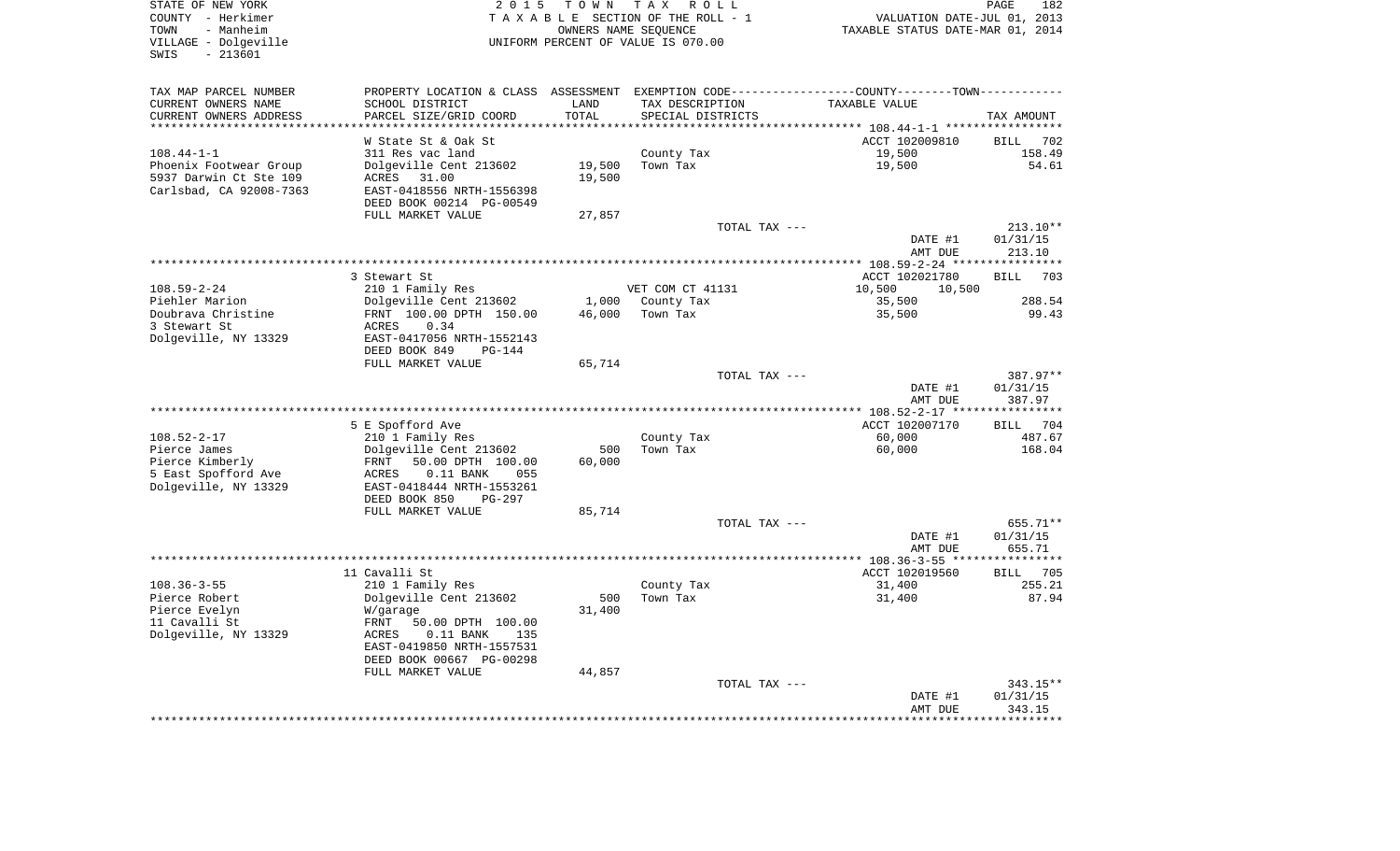| STATE OF NEW YORK       | 2 0 1 5                         |                                  | TOWN TAX ROLL                      |                                                                                               | PAGE<br>182           |
|-------------------------|---------------------------------|----------------------------------|------------------------------------|-----------------------------------------------------------------------------------------------|-----------------------|
| COUNTY - Herkimer       | TAXABLE SECTION OF THE ROLL - 1 | VALUATION DATE-JUL 01, 2013      |                                    |                                                                                               |                       |
| TOWN<br>- Manheim       |                                 | TAXABLE STATUS DATE-MAR 01, 2014 |                                    |                                                                                               |                       |
| VILLAGE - Dolgeville    |                                 |                                  | UNIFORM PERCENT OF VALUE IS 070.00 |                                                                                               |                       |
| SWIS<br>$-213601$       |                                 |                                  |                                    |                                                                                               |                       |
|                         |                                 |                                  |                                    |                                                                                               |                       |
| TAX MAP PARCEL NUMBER   |                                 |                                  |                                    | PROPERTY LOCATION & CLASS ASSESSMENT EXEMPTION CODE---------------COUNTY-------TOWN---------- |                       |
| CURRENT OWNERS NAME     | SCHOOL DISTRICT                 | LAND                             | TAX DESCRIPTION                    | TAXABLE VALUE                                                                                 |                       |
| CURRENT OWNERS ADDRESS  | PARCEL SIZE/GRID COORD          | TOTAL                            | SPECIAL DISTRICTS                  |                                                                                               | TAX AMOUNT            |
| **********************  | ***********************         |                                  |                                    |                                                                                               |                       |
|                         | W State St & Oak St             |                                  |                                    | ACCT 102009810                                                                                | BILL 702              |
| $108.44 - 1 - 1$        | 311 Res vac land                |                                  | County Tax                         | 19,500                                                                                        | 158.49                |
| Phoenix Footwear Group  | Dolgeville Cent 213602          | 19,500                           | Town Tax                           | 19,500                                                                                        | 54.61                 |
| 5937 Darwin Ct Ste 109  | ACRES 31.00                     | 19,500                           |                                    |                                                                                               |                       |
| Carlsbad, CA 92008-7363 | EAST-0418556 NRTH-1556398       |                                  |                                    |                                                                                               |                       |
|                         | DEED BOOK 00214 PG-00549        |                                  |                                    |                                                                                               |                       |
|                         | FULL MARKET VALUE               | 27,857                           |                                    |                                                                                               |                       |
|                         |                                 |                                  | TOTAL TAX ---                      |                                                                                               | $213.10**$            |
|                         |                                 |                                  |                                    | DATE #1                                                                                       | 01/31/15              |
|                         |                                 |                                  |                                    | AMT DUE                                                                                       | 213.10                |
|                         |                                 |                                  |                                    |                                                                                               |                       |
|                         |                                 |                                  |                                    |                                                                                               |                       |
|                         | 3 Stewart St                    |                                  |                                    | ACCT 102021780                                                                                | <b>BILL</b><br>703    |
| 108.59-2-24             | 210 1 Family Res                |                                  | VET COM CT 41131                   | 10,500<br>10,500                                                                              |                       |
| Piehler Marion          | Dolgeville Cent 213602          |                                  | 1,000 County Tax                   | 35,500                                                                                        | 288.54                |
| Doubrava Christine      | FRNT 100.00 DPTH 150.00         | 46,000                           | Town Tax                           | 35,500                                                                                        | 99.43                 |
| 3 Stewart St            | ACRES<br>0.34                   |                                  |                                    |                                                                                               |                       |
| Dolgeville, NY 13329    | EAST-0417056 NRTH-1552143       |                                  |                                    |                                                                                               |                       |
|                         | DEED BOOK 849<br>$PG-144$       |                                  |                                    |                                                                                               |                       |
|                         | FULL MARKET VALUE               | 65,714                           |                                    |                                                                                               |                       |
|                         |                                 |                                  | TOTAL TAX ---                      |                                                                                               | 387.97**              |
|                         |                                 |                                  |                                    | DATE #1                                                                                       | 01/31/15              |
|                         |                                 |                                  |                                    | AMT DUE                                                                                       | 387.97                |
|                         |                                 |                                  |                                    |                                                                                               |                       |
|                         | 5 E Spofford Ave                |                                  |                                    | ACCT 102007170                                                                                | 704<br>BILL           |
| $108.52 - 2 - 17$       | 210 1 Family Res                |                                  | County Tax                         | 60,000                                                                                        | 487.67                |
| Pierce James            | Dolgeville Cent 213602          | 500                              | Town Tax                           | 60,000                                                                                        | 168.04                |
| Pierce Kimberly         | 50.00 DPTH 100.00<br>FRNT       | 60,000                           |                                    |                                                                                               |                       |
| 5 East Spofford Ave     | ACRES<br>$0.11$ BANK<br>055     |                                  |                                    |                                                                                               |                       |
| Dolgeville, NY 13329    | EAST-0418444 NRTH-1553261       |                                  |                                    |                                                                                               |                       |
|                         | DEED BOOK 850<br>PG-297         |                                  |                                    |                                                                                               |                       |
|                         | FULL MARKET VALUE               | 85,714                           |                                    |                                                                                               |                       |
|                         |                                 |                                  | TOTAL TAX ---                      |                                                                                               | 655.71**              |
|                         |                                 |                                  |                                    | DATE #1                                                                                       | 01/31/15              |
|                         |                                 |                                  |                                    | AMT DUE                                                                                       | 655.71                |
|                         |                                 |                                  |                                    |                                                                                               | * * * * * * * * * *   |
|                         | 11 Cavalli St                   |                                  |                                    | ACCT 102019560                                                                                | BILL 705              |
| $108.36 - 3 - 55$       | 210 1 Family Res                |                                  | County Tax                         | 31,400                                                                                        | 255.21                |
| Pierce Robert           |                                 | 500                              | Town Tax                           | 31,400                                                                                        | 87.94                 |
| Pierce Evelyn           | Dolgeville Cent 213602          | 31,400                           |                                    |                                                                                               |                       |
|                         | W/garage                        |                                  |                                    |                                                                                               |                       |
| 11 Cavalli St           | FRNT<br>50.00 DPTH 100.00       |                                  |                                    |                                                                                               |                       |
| Dolgeville, NY 13329    | $0.11$ BANK<br>ACRES<br>135     |                                  |                                    |                                                                                               |                       |
|                         | EAST-0419850 NRTH-1557531       |                                  |                                    |                                                                                               |                       |
|                         | DEED BOOK 00667 PG-00298        |                                  |                                    |                                                                                               |                       |
|                         | FULL MARKET VALUE               | 44,857                           |                                    |                                                                                               |                       |
|                         |                                 |                                  | TOTAL TAX ---                      |                                                                                               | 343.15**              |
|                         |                                 |                                  |                                    | DATE #1                                                                                       | 01/31/15              |
|                         |                                 |                                  |                                    | AMT DUE                                                                                       | 343.15                |
|                         |                                 |                                  |                                    |                                                                                               | * * * * * * * * * * * |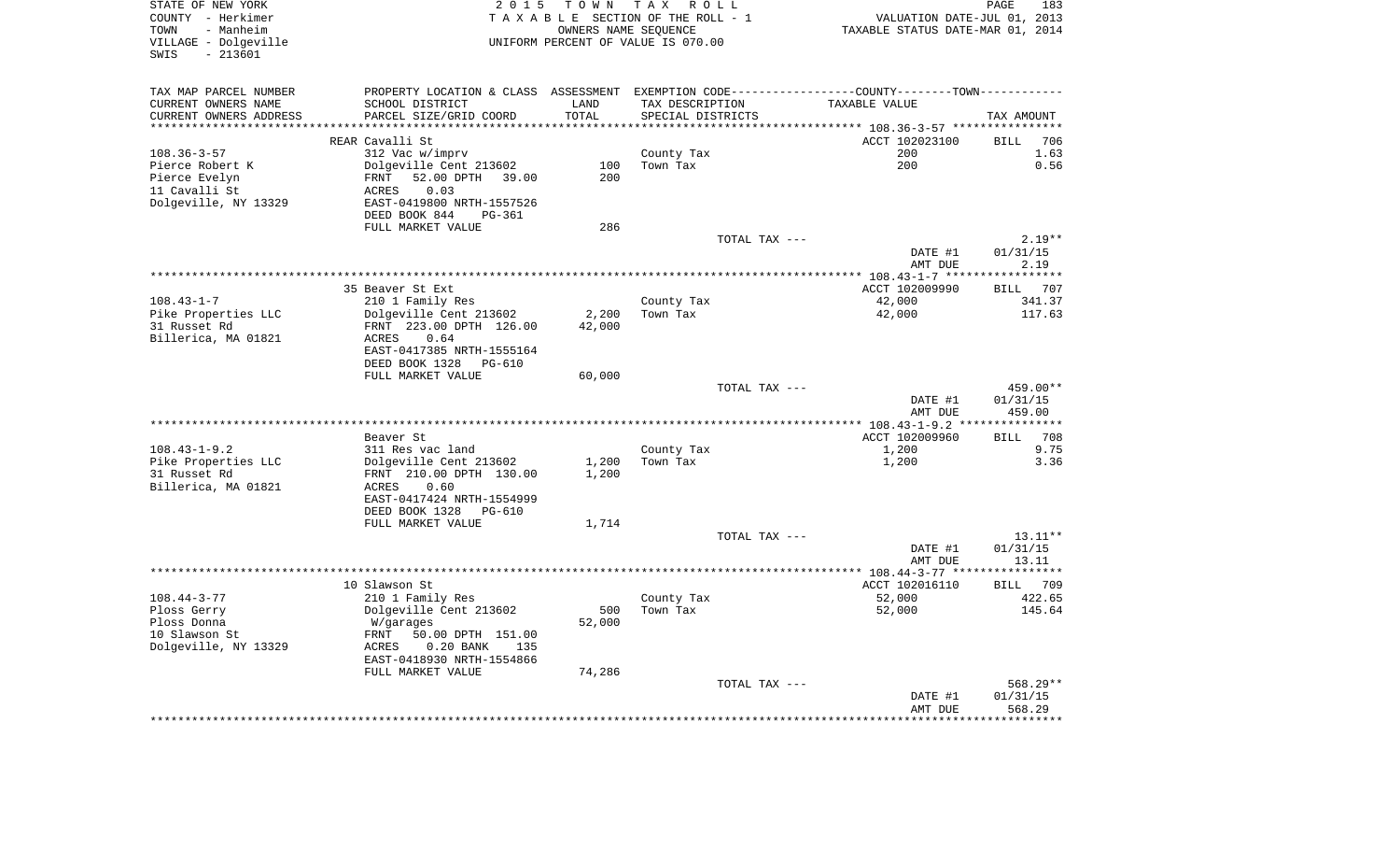| STATE OF NEW YORK<br>COUNTY - Herkimer<br>- Manheim<br>TOWN<br>VILLAGE - Dolgeville<br>$-213601$<br>SWIS | 2 0 1 5                     |           | TOWN TAX ROLL<br>TAXABLE SECTION OF THE ROLL - 1<br>OWNERS NAME SEQUENCE<br>UNIFORM PERCENT OF VALUE IS 070.00 | VALUATION DATE-JUL 01, 2013<br>TAXABLE STATUS DATE-MAR 01, 2014                                 | PAGE                 | 183       |
|----------------------------------------------------------------------------------------------------------|-----------------------------|-----------|----------------------------------------------------------------------------------------------------------------|-------------------------------------------------------------------------------------------------|----------------------|-----------|
| TAX MAP PARCEL NUMBER                                                                                    |                             |           |                                                                                                                | PROPERTY LOCATION & CLASS ASSESSMENT EXEMPTION CODE----------------COUNTY--------TOWN---------- |                      |           |
| CURRENT OWNERS NAME                                                                                      | SCHOOL DISTRICT             | LAND      | TAX DESCRIPTION                                                                                                | TAXABLE VALUE                                                                                   |                      |           |
| CURRENT OWNERS ADDRESS                                                                                   | PARCEL SIZE/GRID COORD      | TOTAL     | SPECIAL DISTRICTS                                                                                              |                                                                                                 | TAX AMOUNT           |           |
| *******************                                                                                      |                             | ********* |                                                                                                                | ********* 108.36-3-57 ****                                                                      |                      |           |
|                                                                                                          | REAR Cavalli St             |           |                                                                                                                | ACCT 102023100                                                                                  | <b>BILL</b>          | 706       |
| $108.36 - 3 - 57$                                                                                        | 312 Vac w/imprv             |           | County Tax                                                                                                     | 200                                                                                             |                      | 1.63      |
| Pierce Robert K                                                                                          | Dolgeville Cent 213602      | 100       | Town Tax                                                                                                       | 200                                                                                             |                      | 0.56      |
| Pierce Evelyn                                                                                            | FRNT 52.00 DPTH 39.00       | 200       |                                                                                                                |                                                                                                 |                      |           |
| 11 Cavalli St                                                                                            | 0.03<br>ACRES               |           |                                                                                                                |                                                                                                 |                      |           |
| Dolgeville, NY 13329                                                                                     | EAST-0419800 NRTH-1557526   |           |                                                                                                                |                                                                                                 |                      |           |
|                                                                                                          | DEED BOOK 844<br>PG-361     |           |                                                                                                                |                                                                                                 |                      |           |
|                                                                                                          | FULL MARKET VALUE           | 286       |                                                                                                                |                                                                                                 |                      |           |
|                                                                                                          |                             |           | TOTAL TAX ---                                                                                                  | DATE #1                                                                                         | 01/31/15             | $2.19**$  |
|                                                                                                          |                             |           |                                                                                                                | AMT DUE                                                                                         | 2.19                 |           |
|                                                                                                          |                             |           |                                                                                                                |                                                                                                 |                      |           |
|                                                                                                          | 35 Beaver St Ext            |           |                                                                                                                | ACCT 102009990                                                                                  | BILL 707             |           |
| $108.43 - 1 - 7$                                                                                         | 210 1 Family Res            |           | County Tax                                                                                                     | 42,000                                                                                          |                      | 341.37    |
| Pike Properties LLC                                                                                      | Dolgeville Cent 213602      | 2,200     | Town Tax                                                                                                       | 42,000                                                                                          |                      | 117.63    |
| 31 Russet Rd                                                                                             | FRNT 223.00 DPTH 126.00     | 42,000    |                                                                                                                |                                                                                                 |                      |           |
| Billerica, MA 01821                                                                                      | ACRES<br>0.64               |           |                                                                                                                |                                                                                                 |                      |           |
|                                                                                                          | EAST-0417385 NRTH-1555164   |           |                                                                                                                |                                                                                                 |                      |           |
|                                                                                                          | DEED BOOK 1328 PG-610       |           |                                                                                                                |                                                                                                 |                      |           |
|                                                                                                          | FULL MARKET VALUE           | 60,000    |                                                                                                                |                                                                                                 |                      |           |
|                                                                                                          |                             |           | TOTAL TAX ---                                                                                                  | DATE #1                                                                                         | 459.00**<br>01/31/15 |           |
|                                                                                                          |                             |           |                                                                                                                | AMT DUE                                                                                         | 459.00               |           |
|                                                                                                          |                             |           |                                                                                                                |                                                                                                 |                      |           |
|                                                                                                          | Beaver St                   |           |                                                                                                                | ACCT 102009960                                                                                  | <b>BILL</b>          | 708       |
| $108.43 - 1 - 9.2$                                                                                       | 311 Res vac land            |           | County Tax                                                                                                     | 1,200                                                                                           |                      | 9.75      |
| Pike Properties LLC                                                                                      | Dolgeville Cent 213602      | 1,200     | Town Tax                                                                                                       | 1,200                                                                                           |                      | 3.36      |
| 31 Russet Rd                                                                                             | FRNT 210.00 DPTH 130.00     | 1,200     |                                                                                                                |                                                                                                 |                      |           |
| Billerica, MA 01821                                                                                      | ACRES<br>0.60               |           |                                                                                                                |                                                                                                 |                      |           |
|                                                                                                          | EAST-0417424 NRTH-1554999   |           |                                                                                                                |                                                                                                 |                      |           |
|                                                                                                          | DEED BOOK 1328 PG-610       |           |                                                                                                                |                                                                                                 |                      |           |
|                                                                                                          | FULL MARKET VALUE           | 1,714     |                                                                                                                |                                                                                                 |                      |           |
|                                                                                                          |                             |           | TOTAL TAX ---                                                                                                  |                                                                                                 |                      | $13.11**$ |
|                                                                                                          |                             |           |                                                                                                                | DATE #1<br>AMT DUE                                                                              | 01/31/15<br>13.11    |           |
|                                                                                                          |                             |           |                                                                                                                | ******** 108.44-3-77 *****                                                                      | ***********          |           |
|                                                                                                          | 10 Slawson St               |           |                                                                                                                | ACCT 102016110                                                                                  | <b>BILL</b>          | 709       |
| $108.44 - 3 - 77$                                                                                        | 210 1 Family Res            |           | County Tax                                                                                                     | 52,000                                                                                          |                      | 422.65    |
| Ploss Gerry                                                                                              | Dolgeville Cent 213602      | 500       | Town Tax                                                                                                       | 52,000                                                                                          |                      | 145.64    |
| Ploss Donna                                                                                              | W/garages                   | 52,000    |                                                                                                                |                                                                                                 |                      |           |
| 10 Slawson St                                                                                            | FRNT 50.00 DPTH 151.00      |           |                                                                                                                |                                                                                                 |                      |           |
| Dolgeville, NY 13329                                                                                     | $0.20$ BANK<br>ACRES<br>135 |           |                                                                                                                |                                                                                                 |                      |           |
|                                                                                                          | EAST-0418930 NRTH-1554866   |           |                                                                                                                |                                                                                                 |                      |           |
|                                                                                                          | FULL MARKET VALUE           | 74,286    |                                                                                                                |                                                                                                 |                      |           |
|                                                                                                          |                             |           | TOTAL TAX ---                                                                                                  |                                                                                                 | 568.29**             |           |
|                                                                                                          |                             |           |                                                                                                                | DATE #1                                                                                         | 01/31/15             |           |
|                                                                                                          |                             |           |                                                                                                                | AMT DUE                                                                                         | 568.29               |           |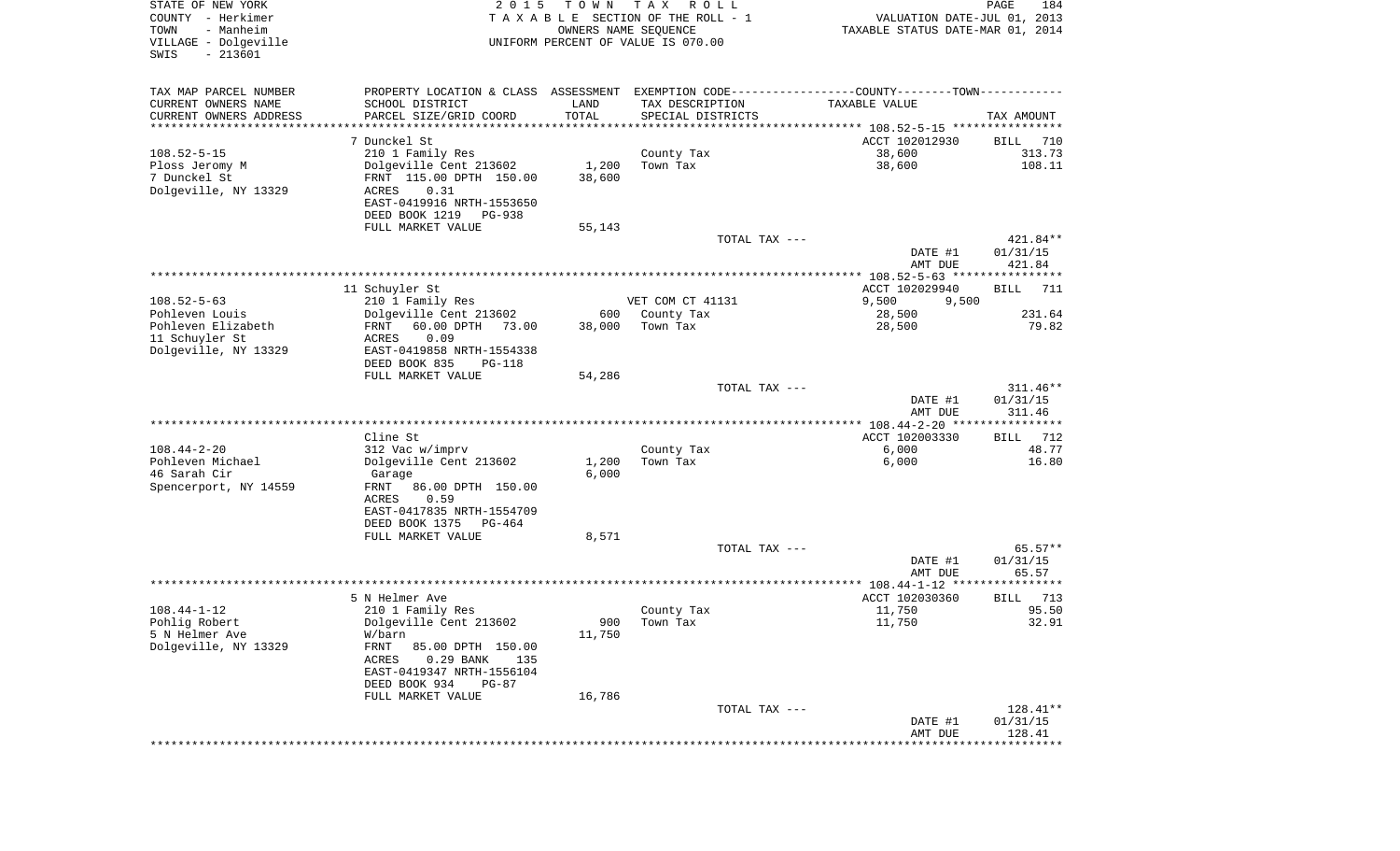| STATE OF NEW YORK<br>COUNTY - Herkimer<br>TOWN<br>- Manheim<br>VILLAGE - Dolgeville<br>SWIS<br>$-213601$ | 2 0 1 5                                                  | T O W N       | T A X<br>R O L L<br>TAXABLE SECTION OF THE ROLL - 1<br>OWNERS NAME SEQUENCE<br>UNIFORM PERCENT OF VALUE IS 070.00 | VALUATION DATE-JUL 01, 2013<br>TAXABLE STATUS DATE-MAR 01, 2014 | 184<br>PAGE          |
|----------------------------------------------------------------------------------------------------------|----------------------------------------------------------|---------------|-------------------------------------------------------------------------------------------------------------------|-----------------------------------------------------------------|----------------------|
| TAX MAP PARCEL NUMBER                                                                                    |                                                          |               |                                                                                                                   | EXEMPTION CODE-----------------COUNTY-------TOWN-----------     |                      |
| CURRENT OWNERS NAME                                                                                      | PROPERTY LOCATION & CLASS ASSESSMENT<br>SCHOOL DISTRICT  | LAND          | TAX DESCRIPTION                                                                                                   | TAXABLE VALUE                                                   |                      |
| CURRENT OWNERS ADDRESS                                                                                   | PARCEL SIZE/GRID COORD                                   | TOTAL         | SPECIAL DISTRICTS                                                                                                 |                                                                 | TAX AMOUNT           |
| *********************                                                                                    |                                                          | ***********   |                                                                                                                   |                                                                 |                      |
|                                                                                                          | 7 Dunckel St                                             |               |                                                                                                                   | ACCT 102012930                                                  | 710<br>BILL          |
| $108.52 - 5 - 15$<br>Ploss Jeromy M                                                                      | 210 1 Family Res<br>Dolgeville Cent 213602               | 1,200         | County Tax<br>Town Tax                                                                                            | 38,600<br>38,600                                                | 313.73<br>108.11     |
| 7 Dunckel St                                                                                             | FRNT 115.00 DPTH 150.00                                  | 38,600        |                                                                                                                   |                                                                 |                      |
| Dolgeville, NY 13329                                                                                     | ACRES<br>0.31                                            |               |                                                                                                                   |                                                                 |                      |
|                                                                                                          | EAST-0419916 NRTH-1553650                                |               |                                                                                                                   |                                                                 |                      |
|                                                                                                          | DEED BOOK 1219<br>PG-938                                 |               |                                                                                                                   |                                                                 |                      |
|                                                                                                          | FULL MARKET VALUE                                        | 55,143        | TOTAL TAX ---                                                                                                     |                                                                 | 421.84**             |
|                                                                                                          |                                                          |               |                                                                                                                   | DATE #1<br>AMT DUE                                              | 01/31/15<br>421.84   |
|                                                                                                          |                                                          |               |                                                                                                                   |                                                                 |                      |
|                                                                                                          | 11 Schuyler St                                           |               |                                                                                                                   | ACCT 102029940                                                  | 711<br>BILL          |
| $108.52 - 5 - 63$<br>Pohleven Louis                                                                      | 210 1 Family Res<br>Dolgeville Cent 213602               |               | VET COM CT 41131                                                                                                  | 9,500<br>9,500                                                  | 231.64               |
| Pohleven Elizabeth                                                                                       | 60.00 DPTH<br>FRNT<br>73.00                              | 600<br>38,000 | County Tax<br>Town Tax                                                                                            | 28,500<br>28,500                                                | 79.82                |
| 11 Schuyler St                                                                                           | ACRES<br>0.09                                            |               |                                                                                                                   |                                                                 |                      |
| Dolgeville, NY 13329                                                                                     | EAST-0419858 NRTH-1554338                                |               |                                                                                                                   |                                                                 |                      |
|                                                                                                          | DEED BOOK 835<br>PG-118<br>FULL MARKET VALUE             | 54,286        |                                                                                                                   |                                                                 |                      |
|                                                                                                          |                                                          |               | TOTAL TAX ---                                                                                                     |                                                                 | $311.46**$           |
|                                                                                                          |                                                          |               |                                                                                                                   | DATE #1<br>AMT DUE                                              | 01/31/15<br>311.46   |
|                                                                                                          |                                                          |               |                                                                                                                   |                                                                 |                      |
|                                                                                                          | Cline St                                                 |               |                                                                                                                   | ACCT 102003330                                                  | <b>BILL</b><br>712   |
| $108.44 - 2 - 20$<br>Pohleven Michael                                                                    | 312 Vac w/imprv<br>Dolgeville Cent 213602                | 1,200         | County Tax<br>Town Tax                                                                                            | 6,000<br>6,000                                                  | 48.77<br>16.80       |
| 46 Sarah Cir                                                                                             | Garage                                                   | 6,000         |                                                                                                                   |                                                                 |                      |
| Spencerport, NY 14559                                                                                    | FRNT<br>86.00 DPTH 150.00                                |               |                                                                                                                   |                                                                 |                      |
|                                                                                                          | ACRES<br>0.59                                            |               |                                                                                                                   |                                                                 |                      |
|                                                                                                          | EAST-0417835 NRTH-1554709<br>DEED BOOK 1375<br>PG-464    |               |                                                                                                                   |                                                                 |                      |
|                                                                                                          | FULL MARKET VALUE                                        | 8,571         |                                                                                                                   |                                                                 |                      |
|                                                                                                          |                                                          |               | TOTAL TAX ---                                                                                                     |                                                                 | $65.57**$            |
|                                                                                                          |                                                          |               |                                                                                                                   | DATE #1                                                         | 01/31/15             |
|                                                                                                          |                                                          |               |                                                                                                                   | AMT DUE                                                         | 65.57                |
|                                                                                                          | 5 N Helmer Ave                                           |               |                                                                                                                   | ACCT 102030360                                                  | 713<br>BILL          |
| $108.44 - 1 - 12$                                                                                        | 210 1 Family Res                                         |               | County Tax                                                                                                        | 11,750                                                          | 95.50                |
| Pohlig Robert                                                                                            | Dolgeville Cent 213602                                   |               | 900 Town Tax                                                                                                      | 11,750                                                          | 32.91                |
| 5 N Helmer Ave                                                                                           | W/barn                                                   | 11,750        |                                                                                                                   |                                                                 |                      |
| Dolgeville, NY 13329                                                                                     | FRNT<br>85.00 DPTH 150.00<br>ACRES<br>$0.29$ BANK<br>135 |               |                                                                                                                   |                                                                 |                      |
|                                                                                                          | EAST-0419347 NRTH-1556104                                |               |                                                                                                                   |                                                                 |                      |
|                                                                                                          | DEED BOOK 934<br>$PG-87$                                 |               |                                                                                                                   |                                                                 |                      |
|                                                                                                          | FULL MARKET VALUE                                        | 16,786        |                                                                                                                   |                                                                 |                      |
|                                                                                                          |                                                          |               | TOTAL TAX ---                                                                                                     | DATE #1                                                         | 128.41**<br>01/31/15 |
|                                                                                                          |                                                          |               |                                                                                                                   | AMT DUE                                                         | 128.41               |
|                                                                                                          |                                                          |               |                                                                                                                   | ****************************                                    |                      |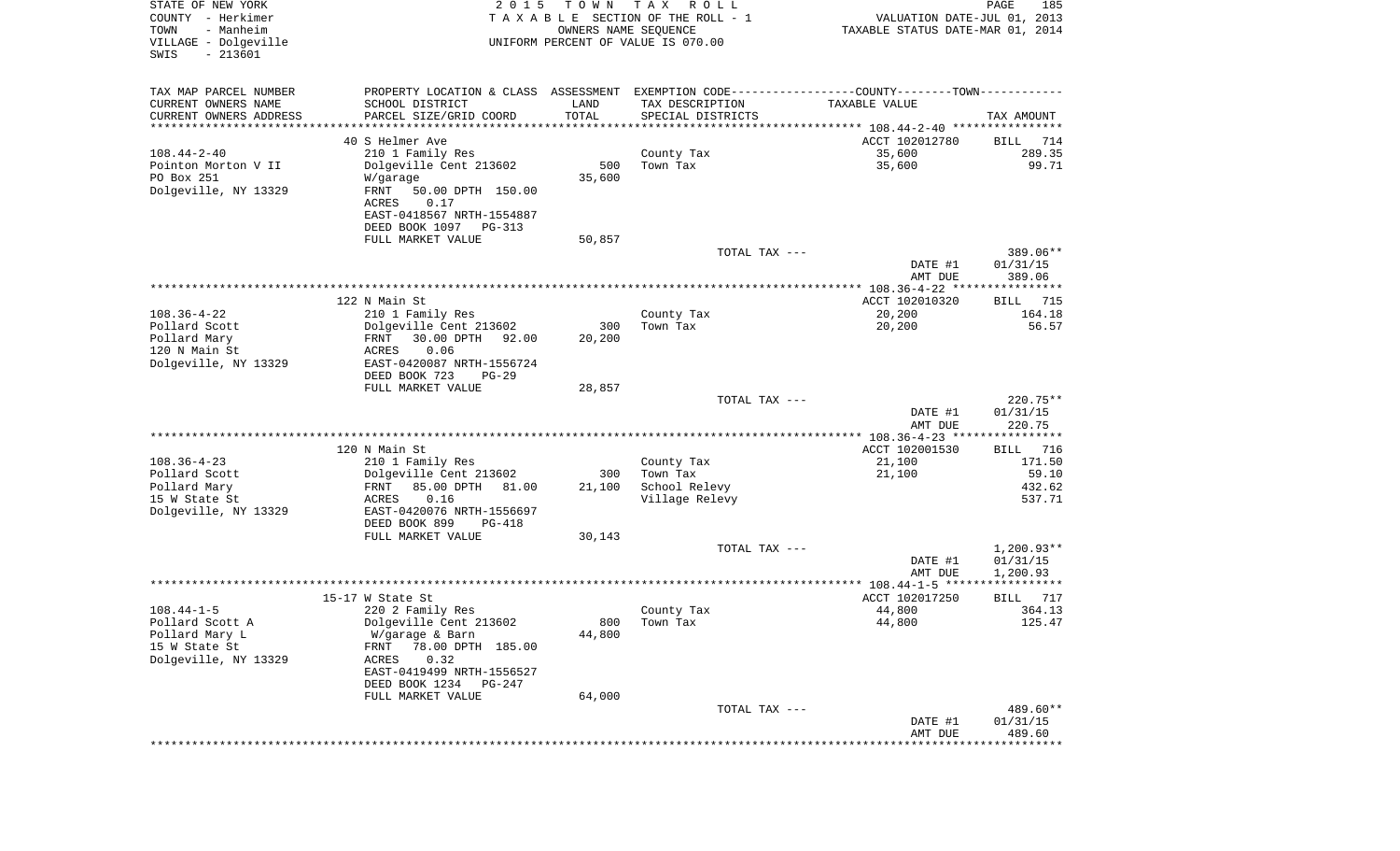| STATE OF NEW YORK<br>COUNTY - Herkimer<br>- Manheim<br>TOWN<br>VILLAGE - Dolgeville<br>$-213601$<br>SWIS | 2 0 1 5                                                                                       | T O W N<br>OWNERS NAME SEQUENCE | T A X<br>R O L L<br>TAXABLE SECTION OF THE ROLL - 1<br>UNIFORM PERCENT OF VALUE IS 070.00 | VALUATION DATE-JUL 01, 2013<br>TAXABLE STATUS DATE-MAR 01, 2014 | PAGE<br>185              |
|----------------------------------------------------------------------------------------------------------|-----------------------------------------------------------------------------------------------|---------------------------------|-------------------------------------------------------------------------------------------|-----------------------------------------------------------------|--------------------------|
| TAX MAP PARCEL NUMBER                                                                                    | PROPERTY LOCATION & CLASS ASSESSMENT EXEMPTION CODE---------------COUNTY-------TOWN---------- |                                 |                                                                                           |                                                                 |                          |
| CURRENT OWNERS NAME                                                                                      | SCHOOL DISTRICT                                                                               | LAND                            | TAX DESCRIPTION                                                                           | TAXABLE VALUE                                                   |                          |
| CURRENT OWNERS ADDRESS                                                                                   | PARCEL SIZE/GRID COORD                                                                        | TOTAL                           | SPECIAL DISTRICTS                                                                         |                                                                 | TAX AMOUNT               |
| *********************                                                                                    | **********************                                                                        | * * * * * * * * * *             |                                                                                           |                                                                 |                          |
|                                                                                                          | 40 S Helmer Ave                                                                               |                                 |                                                                                           | ACCT 102012780                                                  | BILL<br>714              |
| $108.44 - 2 - 40$<br>Pointon Morton V II                                                                 | 210 1 Family Res<br>Dolgeville Cent 213602                                                    | 500                             | County Tax<br>Town Tax                                                                    | 35,600<br>35,600                                                | 289.35<br>99.71          |
| PO Box 251                                                                                               | W/garage                                                                                      | 35,600                          |                                                                                           |                                                                 |                          |
| Dolgeville, NY 13329                                                                                     | FRNT<br>50.00 DPTH 150.00                                                                     |                                 |                                                                                           |                                                                 |                          |
|                                                                                                          | 0.17<br>ACRES                                                                                 |                                 |                                                                                           |                                                                 |                          |
|                                                                                                          | EAST-0418567 NRTH-1554887                                                                     |                                 |                                                                                           |                                                                 |                          |
|                                                                                                          | DEED BOOK 1097 PG-313                                                                         |                                 |                                                                                           |                                                                 |                          |
|                                                                                                          | FULL MARKET VALUE                                                                             | 50,857                          |                                                                                           |                                                                 |                          |
|                                                                                                          |                                                                                               |                                 | TOTAL TAX ---                                                                             |                                                                 | 389.06**                 |
|                                                                                                          |                                                                                               |                                 |                                                                                           | DATE #1<br>AMT DUE                                              | 01/31/15<br>389.06       |
|                                                                                                          |                                                                                               |                                 |                                                                                           |                                                                 |                          |
|                                                                                                          | 122 N Main St                                                                                 |                                 |                                                                                           | ACCT 102010320                                                  | BILL 715                 |
| $108.36 - 4 - 22$                                                                                        | 210 1 Family Res                                                                              |                                 | County Tax                                                                                | 20,200                                                          | 164.18                   |
| Pollard Scott                                                                                            | Dolgeville Cent 213602                                                                        | 300                             | Town Tax                                                                                  | 20,200                                                          | 56.57                    |
| Pollard Mary                                                                                             | 30.00 DPTH<br>FRNT<br>92.00                                                                   | 20,200                          |                                                                                           |                                                                 |                          |
| 120 N Main St<br>Dolgeville, NY 13329                                                                    | 0.06<br>ACRES<br>EAST-0420087 NRTH-1556724                                                    |                                 |                                                                                           |                                                                 |                          |
|                                                                                                          | DEED BOOK 723<br>$PG-29$                                                                      |                                 |                                                                                           |                                                                 |                          |
|                                                                                                          | FULL MARKET VALUE                                                                             | 28,857                          |                                                                                           |                                                                 |                          |
|                                                                                                          |                                                                                               |                                 | TOTAL TAX ---                                                                             |                                                                 | $220.75**$               |
|                                                                                                          |                                                                                               |                                 |                                                                                           | DATE #1<br>AMT DUE                                              | 01/31/15<br>220.75       |
|                                                                                                          |                                                                                               |                                 |                                                                                           | *************** 108.36-4-23 *****************                   |                          |
|                                                                                                          | 120 N Main St                                                                                 |                                 |                                                                                           | ACCT 102001530                                                  | 716<br>BILL              |
| $108.36 - 4 - 23$<br>Pollard Scott                                                                       | 210 1 Family Res<br>Dolgeville Cent 213602                                                    | 300                             | County Tax<br>Town Tax                                                                    | 21,100<br>21,100                                                | 171.50<br>59.10          |
| Pollard Mary                                                                                             | 85.00 DPTH<br>FRNT<br>81.00                                                                   | 21,100                          | School Relevy                                                                             |                                                                 | 432.62                   |
| 15 W State St                                                                                            | ACRES<br>0.16                                                                                 |                                 | Village Relevy                                                                            |                                                                 | 537.71                   |
| Dolgeville, NY 13329                                                                                     | EAST-0420076 NRTH-1556697                                                                     |                                 |                                                                                           |                                                                 |                          |
|                                                                                                          | DEED BOOK 899<br>PG-418                                                                       |                                 |                                                                                           |                                                                 |                          |
|                                                                                                          | FULL MARKET VALUE                                                                             | 30,143                          |                                                                                           |                                                                 |                          |
|                                                                                                          |                                                                                               |                                 | TOTAL TAX ---                                                                             | DATE #1                                                         | $1,200.93**$<br>01/31/15 |
|                                                                                                          |                                                                                               |                                 |                                                                                           | AMT DUE                                                         | 1,200.93                 |
|                                                                                                          |                                                                                               |                                 |                                                                                           |                                                                 |                          |
|                                                                                                          | 15-17 W State St                                                                              |                                 |                                                                                           | ACCT 102017250                                                  | <b>BILL</b><br>717       |
| $108.44 - 1 - 5$                                                                                         | 220 2 Family Res                                                                              |                                 | County Tax                                                                                | 44,800                                                          | 364.13                   |
| Pollard Scott A                                                                                          | Dolgeville Cent 213602                                                                        |                                 | 800 Town Tax                                                                              | 44,800                                                          | 125.47                   |
| Pollard Mary L<br>15 W State St                                                                          | W/garage & Barn<br>78.00 DPTH 185.00<br>FRNT                                                  | 44,800                          |                                                                                           |                                                                 |                          |
| Dolgeville, NY 13329                                                                                     | 0.32<br>ACRES                                                                                 |                                 |                                                                                           |                                                                 |                          |
|                                                                                                          | EAST-0419499 NRTH-1556527                                                                     |                                 |                                                                                           |                                                                 |                          |
|                                                                                                          | DEED BOOK 1234<br>PG-247                                                                      |                                 |                                                                                           |                                                                 |                          |
|                                                                                                          | FULL MARKET VALUE                                                                             | 64,000                          |                                                                                           |                                                                 |                          |
|                                                                                                          |                                                                                               |                                 | TOTAL TAX ---                                                                             |                                                                 | 489.60**                 |
|                                                                                                          |                                                                                               |                                 |                                                                                           | DATE #1                                                         | 01/31/15<br>489.60       |
|                                                                                                          |                                                                                               |                                 |                                                                                           | AMT DUE                                                         |                          |
|                                                                                                          |                                                                                               |                                 |                                                                                           |                                                                 |                          |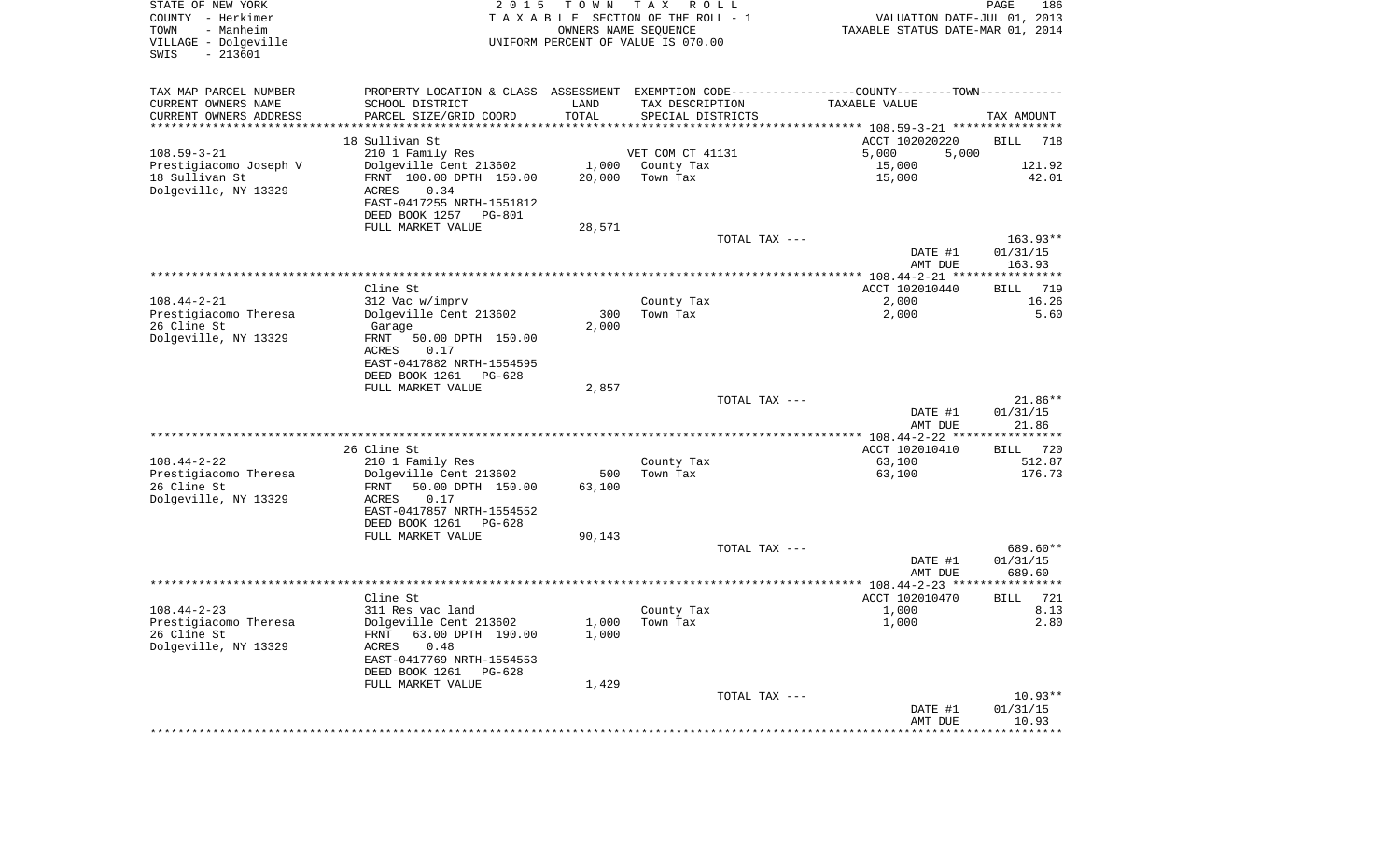| STATE OF NEW YORK<br>COUNTY - Herkimer<br>- Manheim<br>TOWN<br>VILLAGE - Dolgeville<br>$-213601$<br>SWIS | 2 0 1 5                                                                                       | T O W N | T A X<br>R O L L<br>TAXABLE SECTION OF THE ROLL - 1<br>OWNERS NAME SEQUENCE<br>UNIFORM PERCENT OF VALUE IS 070.00 | PAGE<br>186<br>VALUATION DATE-JUL 01, 2013<br>TAXABLE STATUS DATE-MAR 01, 2014 |                      |  |
|----------------------------------------------------------------------------------------------------------|-----------------------------------------------------------------------------------------------|---------|-------------------------------------------------------------------------------------------------------------------|--------------------------------------------------------------------------------|----------------------|--|
| TAX MAP PARCEL NUMBER                                                                                    | PROPERTY LOCATION & CLASS ASSESSMENT EXEMPTION CODE---------------COUNTY-------TOWN---------- |         |                                                                                                                   |                                                                                |                      |  |
| CURRENT OWNERS NAME                                                                                      | SCHOOL DISTRICT                                                                               | LAND    | TAX DESCRIPTION                                                                                                   | TAXABLE VALUE                                                                  |                      |  |
| CURRENT OWNERS ADDRESS<br>*********************                                                          | PARCEL SIZE/GRID COORD<br>***********************                                             | TOTAL   | SPECIAL DISTRICTS                                                                                                 |                                                                                | TAX AMOUNT           |  |
|                                                                                                          | 18 Sullivan St                                                                                |         |                                                                                                                   | ACCT 102020220                                                                 | <b>BILL</b><br>718   |  |
| $108.59 - 3 - 21$                                                                                        | 210 1 Family Res                                                                              |         | VET COM CT 41131                                                                                                  | 5,000<br>5,000                                                                 |                      |  |
| Prestigiacomo Joseph V                                                                                   | Dolgeville Cent 213602                                                                        |         | 1,000 County Tax                                                                                                  | 15,000                                                                         | 121.92               |  |
| 18 Sullivan St                                                                                           | FRNT 100.00 DPTH 150.00                                                                       | 20,000  | Town Tax                                                                                                          | 15,000                                                                         | 42.01                |  |
| Dolgeville, NY 13329                                                                                     | 0.34<br>ACRES                                                                                 |         |                                                                                                                   |                                                                                |                      |  |
|                                                                                                          | EAST-0417255 NRTH-1551812                                                                     |         |                                                                                                                   |                                                                                |                      |  |
|                                                                                                          | DEED BOOK 1257<br>PG-801                                                                      |         |                                                                                                                   |                                                                                |                      |  |
|                                                                                                          | FULL MARKET VALUE                                                                             | 28,571  |                                                                                                                   |                                                                                |                      |  |
|                                                                                                          |                                                                                               |         | TOTAL TAX ---                                                                                                     |                                                                                | $163.93**$           |  |
|                                                                                                          |                                                                                               |         |                                                                                                                   | DATE #1<br>AMT DUE                                                             | 01/31/15<br>163.93   |  |
|                                                                                                          |                                                                                               |         |                                                                                                                   |                                                                                |                      |  |
|                                                                                                          | Cline St                                                                                      |         |                                                                                                                   | ACCT 102010440                                                                 | 719<br>BILL          |  |
| $108.44 - 2 - 21$                                                                                        | 312 Vac w/imprv                                                                               |         | County Tax                                                                                                        | 2,000                                                                          | 16.26                |  |
| Prestigiacomo Theresa                                                                                    | Dolgeville Cent 213602                                                                        | 300     | Town Tax                                                                                                          | 2,000                                                                          | 5.60                 |  |
| 26 Cline St                                                                                              | Garage                                                                                        | 2,000   |                                                                                                                   |                                                                                |                      |  |
| Dolgeville, NY 13329                                                                                     | FRNT<br>50.00 DPTH 150.00                                                                     |         |                                                                                                                   |                                                                                |                      |  |
|                                                                                                          | ACRES<br>0.17<br>EAST-0417882 NRTH-1554595                                                    |         |                                                                                                                   |                                                                                |                      |  |
|                                                                                                          | DEED BOOK 1261<br>$PG-628$                                                                    |         |                                                                                                                   |                                                                                |                      |  |
|                                                                                                          | FULL MARKET VALUE                                                                             | 2,857   |                                                                                                                   |                                                                                |                      |  |
|                                                                                                          |                                                                                               |         | TOTAL TAX ---                                                                                                     |                                                                                | $21.86**$            |  |
|                                                                                                          |                                                                                               |         |                                                                                                                   | DATE #1                                                                        | 01/31/15             |  |
|                                                                                                          |                                                                                               |         |                                                                                                                   | AMT DUE                                                                        | 21.86                |  |
|                                                                                                          | 26 Cline St                                                                                   |         |                                                                                                                   | *************** 108.44-2-22 *****************                                  | 720                  |  |
| $108.44 - 2 - 22$                                                                                        | 210 1 Family Res                                                                              |         | County Tax                                                                                                        | ACCT 102010410<br>63,100                                                       | BILL<br>512.87       |  |
| Prestigiacomo Theresa                                                                                    | Dolgeville Cent 213602                                                                        | 500     | Town Tax                                                                                                          | 63,100                                                                         | 176.73               |  |
| 26 Cline St                                                                                              | FRNT<br>50.00 DPTH 150.00                                                                     | 63,100  |                                                                                                                   |                                                                                |                      |  |
| Dolgeville, NY 13329                                                                                     | ACRES<br>0.17                                                                                 |         |                                                                                                                   |                                                                                |                      |  |
|                                                                                                          | EAST-0417857 NRTH-1554552                                                                     |         |                                                                                                                   |                                                                                |                      |  |
|                                                                                                          | DEED BOOK 1261<br>PG-628                                                                      |         |                                                                                                                   |                                                                                |                      |  |
|                                                                                                          | FULL MARKET VALUE                                                                             | 90,143  |                                                                                                                   |                                                                                |                      |  |
|                                                                                                          |                                                                                               |         | TOTAL TAX ---                                                                                                     | DATE #1                                                                        | 689.60**<br>01/31/15 |  |
|                                                                                                          |                                                                                               |         |                                                                                                                   | AMT DUE                                                                        | 689.60               |  |
|                                                                                                          |                                                                                               |         |                                                                                                                   |                                                                                |                      |  |
|                                                                                                          | Cline St                                                                                      |         |                                                                                                                   | ACCT 102010470                                                                 | 721<br>BILL          |  |
| $108.44 - 2 - 23$                                                                                        | 311 Res vac land                                                                              |         | County Tax                                                                                                        | 1,000                                                                          | 8.13                 |  |
| Prestigiacomo Theresa                                                                                    | Dolgeville Cent 213602                                                                        |         | $1,000$ Town Tax                                                                                                  | 1,000                                                                          | 2.80                 |  |
| 26 Cline St                                                                                              | 63.00 DPTH 190.00<br>FRNT                                                                     | 1,000   |                                                                                                                   |                                                                                |                      |  |
| Dolgeville, NY 13329                                                                                     | 0.48<br>ACRES<br>EAST-0417769 NRTH-1554553                                                    |         |                                                                                                                   |                                                                                |                      |  |
|                                                                                                          | DEED BOOK 1261<br>PG-628                                                                      |         |                                                                                                                   |                                                                                |                      |  |
|                                                                                                          | FULL MARKET VALUE                                                                             | 1,429   |                                                                                                                   |                                                                                |                      |  |
|                                                                                                          |                                                                                               |         | TOTAL TAX ---                                                                                                     |                                                                                | $10.93**$            |  |
|                                                                                                          |                                                                                               |         |                                                                                                                   | DATE #1                                                                        | 01/31/15             |  |
|                                                                                                          |                                                                                               |         |                                                                                                                   | AMT DUE                                                                        | 10.93                |  |
|                                                                                                          |                                                                                               |         |                                                                                                                   |                                                                                |                      |  |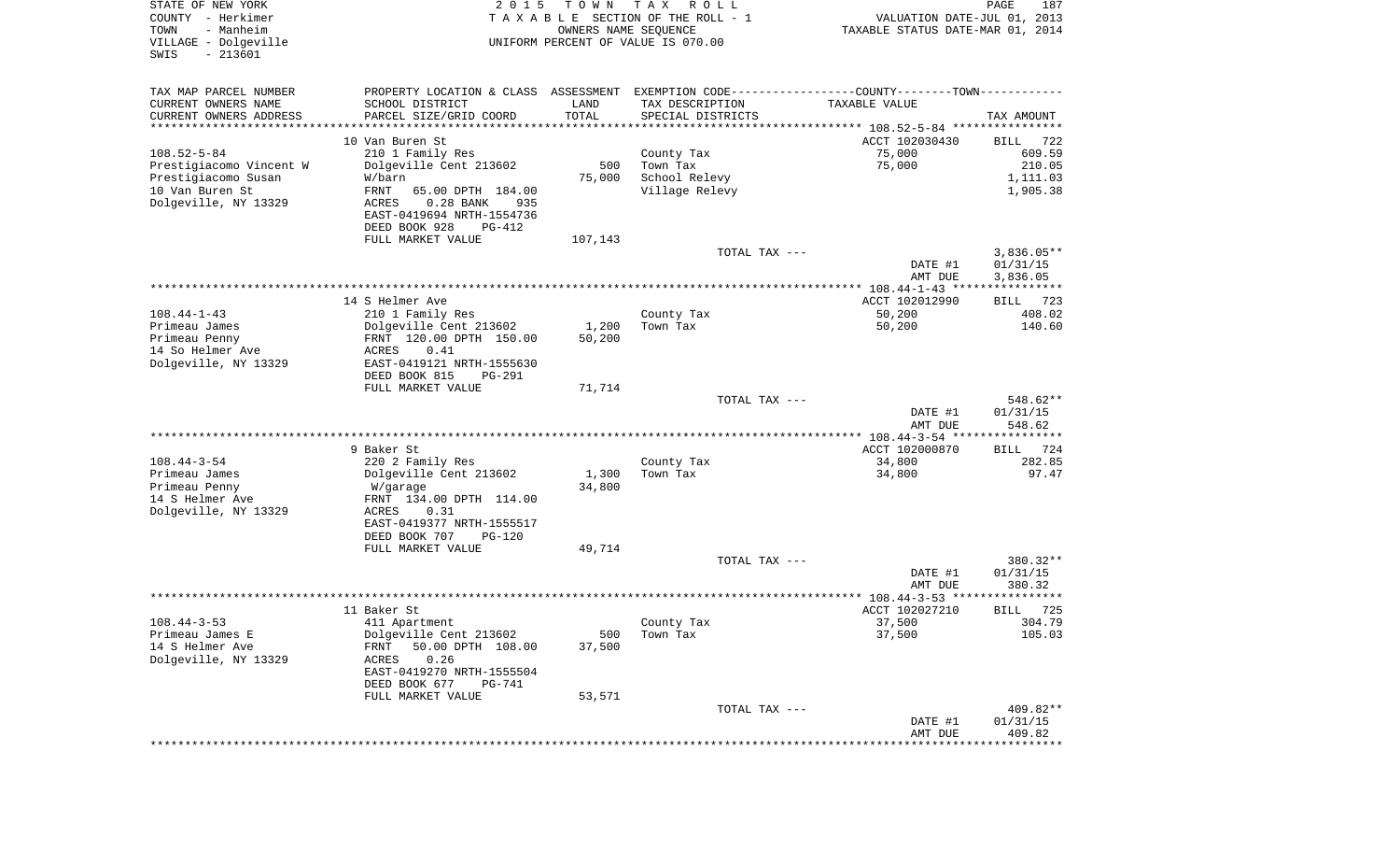| COUNTY<br>- Herkimer<br>TOWN<br>- Manheim<br>VILLAGE - Dolgeville<br>$-213601$<br>SWIS | TAXABLE SECTION OF THE ROLL - 1<br>OWNERS NAME SEQUENCE<br>UNIFORM PERCENT OF VALUE IS 070.00  |                 |                                    |                                                        | VALUATION DATE-JUL 01, 2013<br>TAXABLE STATUS DATE-MAR 01, 2014 |  |
|----------------------------------------------------------------------------------------|------------------------------------------------------------------------------------------------|-----------------|------------------------------------|--------------------------------------------------------|-----------------------------------------------------------------|--|
| TAX MAP PARCEL NUMBER                                                                  | PROPERTY LOCATION & CLASS ASSESSMENT EXEMPTION CODE---------------COUNTY--------TOWN---------- |                 |                                    |                                                        |                                                                 |  |
| CURRENT OWNERS NAME                                                                    | SCHOOL DISTRICT                                                                                | LAND            | TAX DESCRIPTION                    | TAXABLE VALUE                                          |                                                                 |  |
| CURRENT OWNERS ADDRESS<br>********************                                         | PARCEL SIZE/GRID COORD<br>************************                                             | TOTAL           | SPECIAL DISTRICTS                  |                                                        | TAX AMOUNT                                                      |  |
|                                                                                        | 10 Van Buren St                                                                                |                 |                                    | ACCT 102030430                                         | BILL<br>722                                                     |  |
| $108.52 - 5 - 84$                                                                      | 210 1 Family Res                                                                               |                 | County Tax                         | 75,000                                                 | 609.59                                                          |  |
| Prestigiacomo Vincent W                                                                | Dolgeville Cent 213602                                                                         | 500             | Town Tax                           | 75,000                                                 | 210.05                                                          |  |
| Prestigiacomo Susan                                                                    | W/barn                                                                                         | 75,000          | School Relevy                      |                                                        | 1,111.03                                                        |  |
| 10 Van Buren St                                                                        | FRNT<br>65.00 DPTH 184.00                                                                      |                 | Village Relevy                     |                                                        | 1,905.38                                                        |  |
| Dolgeville, NY 13329                                                                   | $0.28$ BANK<br>ACRES<br>935                                                                    |                 |                                    |                                                        |                                                                 |  |
|                                                                                        | EAST-0419694 NRTH-1554736                                                                      |                 |                                    |                                                        |                                                                 |  |
|                                                                                        | DEED BOOK 928<br>PG-412                                                                        |                 |                                    |                                                        |                                                                 |  |
|                                                                                        | FULL MARKET VALUE                                                                              | 107,143         | TOTAL TAX ---                      |                                                        | $3,836.05**$                                                    |  |
|                                                                                        |                                                                                                |                 |                                    | DATE #1                                                | 01/31/15                                                        |  |
|                                                                                        |                                                                                                |                 |                                    | AMT DUE                                                | 3,836.05                                                        |  |
|                                                                                        |                                                                                                |                 |                                    |                                                        |                                                                 |  |
|                                                                                        | 14 S Helmer Ave                                                                                |                 |                                    | ACCT 102012990                                         | 723<br>BILL                                                     |  |
| $108.44 - 1 - 43$                                                                      | 210 1 Family Res                                                                               |                 | County Tax                         | 50,200                                                 | 408.02                                                          |  |
| Primeau James<br>Primeau Penny                                                         | Dolgeville Cent 213602<br>FRNT 120.00 DPTH 150.00                                              | 1,200<br>50,200 | Town Tax                           | 50,200                                                 | 140.60                                                          |  |
| 14 So Helmer Ave                                                                       | 0.41<br>ACRES                                                                                  |                 |                                    |                                                        |                                                                 |  |
| Dolgeville, NY 13329                                                                   | EAST-0419121 NRTH-1555630                                                                      |                 |                                    |                                                        |                                                                 |  |
|                                                                                        | DEED BOOK 815<br>PG-291                                                                        |                 |                                    |                                                        |                                                                 |  |
|                                                                                        | FULL MARKET VALUE                                                                              | 71,714          |                                    |                                                        |                                                                 |  |
|                                                                                        |                                                                                                |                 | TOTAL TAX ---                      |                                                        | 548.62**                                                        |  |
|                                                                                        |                                                                                                |                 |                                    | DATE #1                                                | 01/31/15                                                        |  |
|                                                                                        |                                                                                                |                 |                                    | AMT DUE<br>************* 108.44-3-54 ***************** | 548.62                                                          |  |
|                                                                                        | 9 Baker St                                                                                     |                 |                                    | ACCT 102000870                                         | 724<br>BILL                                                     |  |
| $108.44 - 3 - 54$                                                                      | 220 2 Family Res                                                                               |                 | County Tax                         | 34,800                                                 | 282.85                                                          |  |
| Primeau James                                                                          | Dolgeville Cent 213602                                                                         | 1,300           | Town Tax                           | 34,800                                                 | 97.47                                                           |  |
| Primeau Penny                                                                          | W/garage                                                                                       | 34,800          |                                    |                                                        |                                                                 |  |
| 14 S Helmer Ave                                                                        | FRNT 134.00 DPTH 114.00                                                                        |                 |                                    |                                                        |                                                                 |  |
| Dolgeville, NY 13329                                                                   | ACRES<br>0.31                                                                                  |                 |                                    |                                                        |                                                                 |  |
|                                                                                        | EAST-0419377 NRTH-1555517<br>DEED BOOK 707<br>PG-120                                           |                 |                                    |                                                        |                                                                 |  |
|                                                                                        | FULL MARKET VALUE                                                                              | 49,714          |                                    |                                                        |                                                                 |  |
|                                                                                        |                                                                                                |                 | TOTAL TAX ---                      |                                                        | 380.32**                                                        |  |
|                                                                                        |                                                                                                |                 |                                    | DATE #1                                                | 01/31/15                                                        |  |
|                                                                                        |                                                                                                |                 | ********************************** | AMT DUE                                                | 380.32                                                          |  |
|                                                                                        | 11 Baker St                                                                                    |                 |                                    | ************** 108.44-3-53 ******                      |                                                                 |  |
| $108.44 - 3 - 53$                                                                      | 411 Apartment                                                                                  |                 | County Tax                         | ACCT 102027210<br>37,500                               | <b>BILL</b><br>725<br>304.79                                    |  |
| Primeau James E                                                                        | Dolgeville Cent 213602                                                                         | 500             | Town Tax                           | 37,500                                                 | 105.03                                                          |  |
| 14 S Helmer Ave                                                                        | 50.00 DPTH 108.00<br>FRNT                                                                      | 37,500          |                                    |                                                        |                                                                 |  |
| Dolgeville, NY 13329                                                                   | 0.26<br>ACRES                                                                                  |                 |                                    |                                                        |                                                                 |  |
|                                                                                        | EAST-0419270 NRTH-1555504                                                                      |                 |                                    |                                                        |                                                                 |  |
|                                                                                        | DEED BOOK 677<br>PG-741                                                                        |                 |                                    |                                                        |                                                                 |  |
|                                                                                        | FULL MARKET VALUE                                                                              | 53,571          | TOTAL TAX ---                      |                                                        |                                                                 |  |
|                                                                                        |                                                                                                |                 |                                    | DATE #1                                                | 409.82**<br>01/31/15                                            |  |
|                                                                                        |                                                                                                |                 |                                    | AMT DUE                                                | 409.82                                                          |  |
|                                                                                        |                                                                                                |                 |                                    |                                                        |                                                                 |  |

PAGE 187

STATE OF NEW YORK **EXECUTE:**  $2015$  TOWN TAX ROLL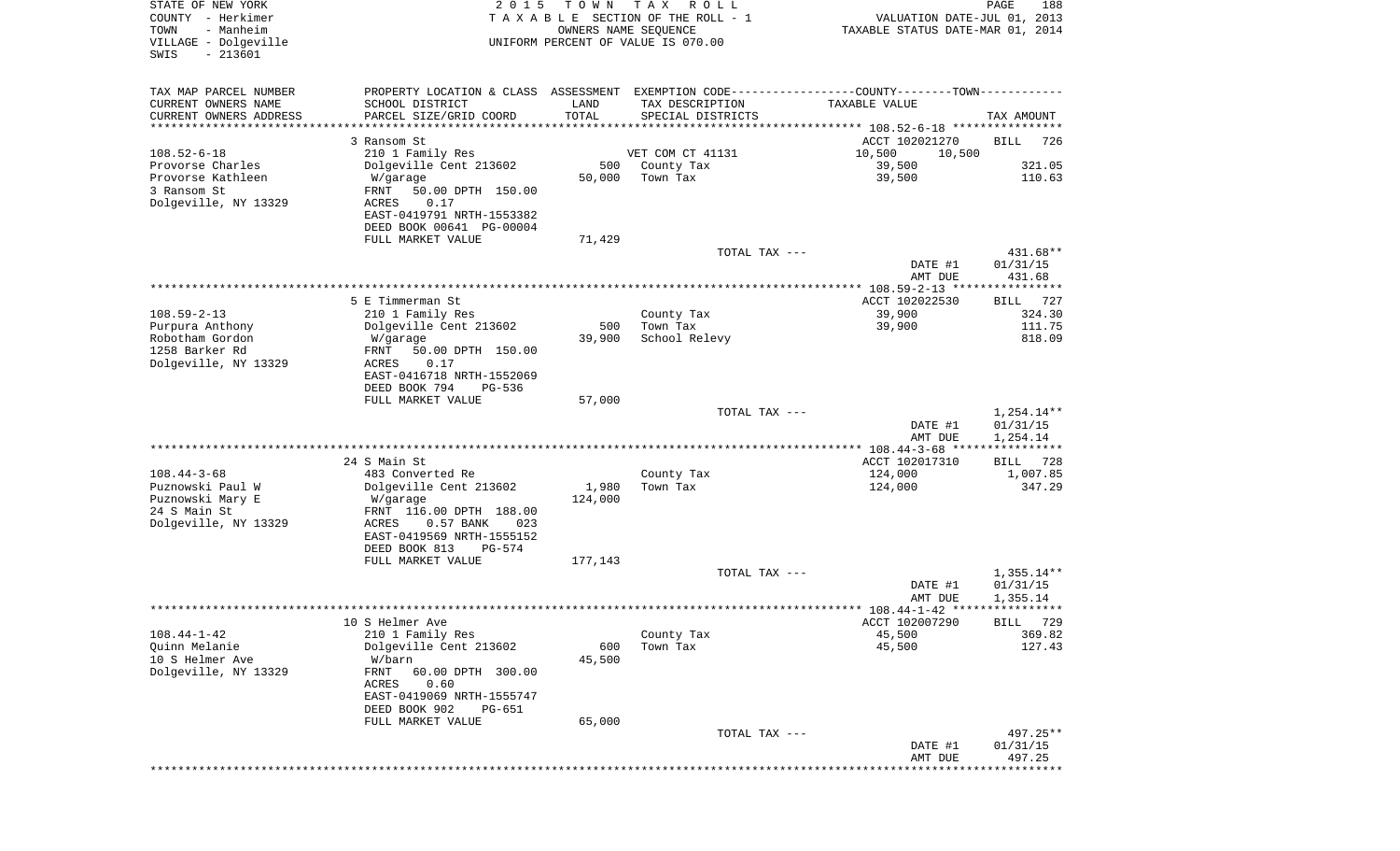| STATE OF NEW YORK<br>COUNTY - Herkimer<br>- Manheim<br>TOWN<br>VILLAGE - Dolgeville<br>$-213601$<br>SWIS | 2 0 1 5                                    | T O W N | T A X<br>R O L L<br>TAXABLE SECTION OF THE ROLL - 1<br>OWNERS NAME SEQUENCE<br>UNIFORM PERCENT OF VALUE IS 070.00 | VALUATION DATE-JUL 01, 2013<br>TAXABLE STATUS DATE-MAR 01, 2014 | PAGE<br>188                         |
|----------------------------------------------------------------------------------------------------------|--------------------------------------------|---------|-------------------------------------------------------------------------------------------------------------------|-----------------------------------------------------------------|-------------------------------------|
| TAX MAP PARCEL NUMBER                                                                                    |                                            |         | PROPERTY LOCATION & CLASS ASSESSMENT EXEMPTION CODE---------------COUNTY-------TOWN----------                     |                                                                 |                                     |
| CURRENT OWNERS NAME                                                                                      | SCHOOL DISTRICT                            | LAND    | TAX DESCRIPTION                                                                                                   | TAXABLE VALUE                                                   |                                     |
| CURRENT OWNERS ADDRESS<br>*********************                                                          | PARCEL SIZE/GRID COORD                     | TOTAL   | SPECIAL DISTRICTS                                                                                                 |                                                                 | TAX AMOUNT                          |
|                                                                                                          | 3 Ransom St                                |         |                                                                                                                   | ACCT 102021270                                                  | <b>BILL</b><br>726                  |
| $108.52 - 6 - 18$                                                                                        | 210 1 Family Res                           |         | VET COM CT 41131                                                                                                  | 10,500<br>10,500                                                |                                     |
| Provorse Charles                                                                                         | Dolgeville Cent 213602                     | 500     | County Tax                                                                                                        | 39,500                                                          | 321.05                              |
| Provorse Kathleen                                                                                        | W/garage                                   | 50,000  | Town Tax                                                                                                          | 39,500                                                          | 110.63                              |
| 3 Ransom St<br>Dolgeville, NY 13329                                                                      | FRNT<br>50.00 DPTH 150.00<br>ACRES<br>0.17 |         |                                                                                                                   |                                                                 |                                     |
|                                                                                                          | EAST-0419791 NRTH-1553382                  |         |                                                                                                                   |                                                                 |                                     |
|                                                                                                          | DEED BOOK 00641 PG-00004                   |         |                                                                                                                   |                                                                 |                                     |
|                                                                                                          | FULL MARKET VALUE                          | 71,429  |                                                                                                                   |                                                                 |                                     |
|                                                                                                          |                                            |         | TOTAL TAX ---                                                                                                     | DATE #1                                                         | 431.68**<br>01/31/15                |
|                                                                                                          |                                            |         |                                                                                                                   | AMT DUE                                                         | 431.68                              |
|                                                                                                          |                                            |         |                                                                                                                   |                                                                 |                                     |
|                                                                                                          | 5 E Timmerman St                           |         |                                                                                                                   | ACCT 102022530                                                  | BILL 727                            |
| $108.59 - 2 - 13$<br>Purpura Anthony                                                                     | 210 1 Family Res<br>Dolgeville Cent 213602 | 500     | County Tax<br>Town Tax                                                                                            | 39,900<br>39,900                                                | 324.30<br>111.75                    |
| Robotham Gordon                                                                                          | W/garage                                   | 39,900  | School Relevy                                                                                                     |                                                                 | 818.09                              |
| 1258 Barker Rd                                                                                           | 50.00 DPTH 150.00<br>FRNT                  |         |                                                                                                                   |                                                                 |                                     |
| Dolgeville, NY 13329                                                                                     | ACRES<br>0.17                              |         |                                                                                                                   |                                                                 |                                     |
|                                                                                                          | EAST-0416718 NRTH-1552069<br>DEED BOOK 794 |         |                                                                                                                   |                                                                 |                                     |
|                                                                                                          | PG-536<br>FULL MARKET VALUE                | 57,000  |                                                                                                                   |                                                                 |                                     |
|                                                                                                          |                                            |         | TOTAL TAX ---                                                                                                     |                                                                 | $1,254.14**$                        |
|                                                                                                          |                                            |         |                                                                                                                   | DATE #1                                                         | 01/31/15                            |
|                                                                                                          |                                            |         |                                                                                                                   | AMT DUE<br>*************** 108.44-3-68 ****                     | 1,254.14<br>* * * * * * * * * * * * |
|                                                                                                          | 24 S Main St                               |         |                                                                                                                   | ACCT 102017310                                                  | 728<br>BILL                         |
| $108.44 - 3 - 68$                                                                                        | 483 Converted Re                           |         | County Tax                                                                                                        | 124,000                                                         | 1,007.85                            |
| Puznowski Paul W                                                                                         | Dolgeville Cent 213602                     | 1,980   | Town Tax                                                                                                          | 124,000                                                         | 347.29                              |
| Puznowski Mary E<br>24 S Main St                                                                         | W/garage<br>FRNT 116.00 DPTH 188.00        | 124,000 |                                                                                                                   |                                                                 |                                     |
| Dolgeville, NY 13329                                                                                     | ACRES<br>$0.57$ BANK<br>023                |         |                                                                                                                   |                                                                 |                                     |
|                                                                                                          | EAST-0419569 NRTH-1555152                  |         |                                                                                                                   |                                                                 |                                     |
|                                                                                                          | DEED BOOK 813<br>PG-574                    |         |                                                                                                                   |                                                                 |                                     |
|                                                                                                          | FULL MARKET VALUE                          | 177,143 | TOTAL TAX ---                                                                                                     |                                                                 | $1,355.14**$                        |
|                                                                                                          |                                            |         |                                                                                                                   | DATE #1                                                         | 01/31/15                            |
|                                                                                                          |                                            |         |                                                                                                                   | AMT DUE                                                         | 1,355.14                            |
|                                                                                                          |                                            |         |                                                                                                                   |                                                                 |                                     |
| $108.44 - 1 - 42$                                                                                        | 10 S Helmer Ave<br>210 1 Family Res        |         | County Tax                                                                                                        | ACCT 102007290<br>45,500                                        | BILL 729<br>369.82                  |
| Quinn Melanie                                                                                            | Dolgeville Cent 213602                     | 600     | Town Tax                                                                                                          | 45,500                                                          | 127.43                              |
| 10 S Helmer Ave                                                                                          | W/barn                                     | 45,500  |                                                                                                                   |                                                                 |                                     |
| Dolgeville, NY 13329                                                                                     | FRNT<br>60.00 DPTH 300.00                  |         |                                                                                                                   |                                                                 |                                     |
|                                                                                                          | ACRES<br>0.60<br>EAST-0419069 NRTH-1555747 |         |                                                                                                                   |                                                                 |                                     |
|                                                                                                          | DEED BOOK 902<br>PG-651                    |         |                                                                                                                   |                                                                 |                                     |
|                                                                                                          | FULL MARKET VALUE                          | 65,000  |                                                                                                                   |                                                                 |                                     |
|                                                                                                          |                                            |         | TOTAL TAX ---                                                                                                     |                                                                 | 497.25**                            |
|                                                                                                          |                                            |         |                                                                                                                   | DATE #1<br>AMT DUE                                              | 01/31/15<br>497.25                  |
|                                                                                                          |                                            |         |                                                                                                                   |                                                                 | *********                           |
|                                                                                                          |                                            |         |                                                                                                                   |                                                                 |                                     |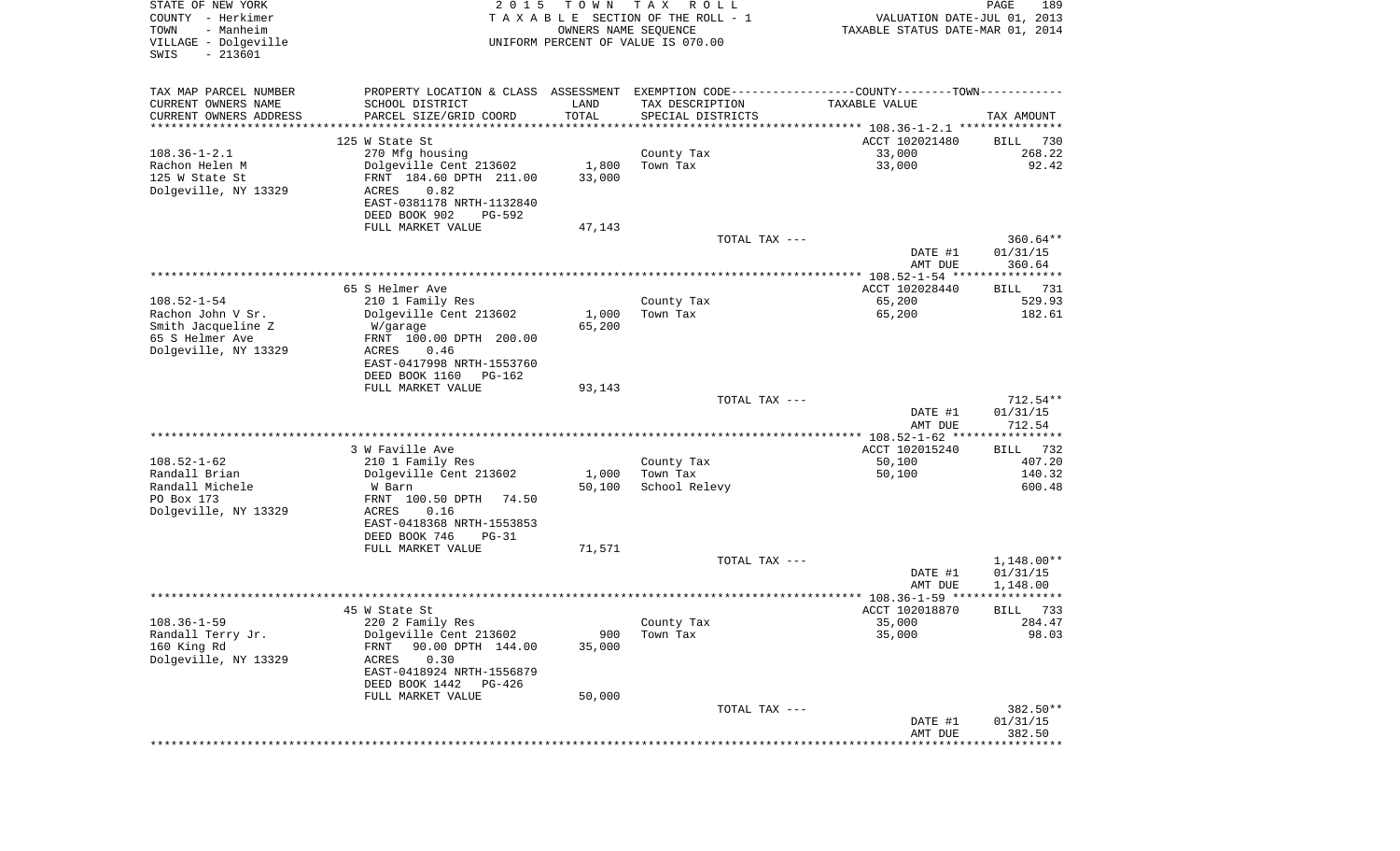| STATE OF NEW YORK<br>COUNTY - Herkimer<br>- Manheim<br>TOWN<br>VILLAGE - Dolgeville<br>$-213601$<br>SWIS | 2 0 1 5<br>TAXABLE SECTION OF THE ROLL - 1<br>UNIFORM PERCENT OF VALUE IS 070.00 | PAGE<br>189<br>VALUATION DATE-JUL 01, 2013<br>TAXABLE STATUS DATE-MAR 01, 2014 |                                                                                                |                                              |                           |
|----------------------------------------------------------------------------------------------------------|----------------------------------------------------------------------------------|--------------------------------------------------------------------------------|------------------------------------------------------------------------------------------------|----------------------------------------------|---------------------------|
| TAX MAP PARCEL NUMBER                                                                                    |                                                                                  |                                                                                | PROPERTY LOCATION & CLASS ASSESSMENT EXEMPTION CODE----------------COUNTY-------TOWN---------- |                                              |                           |
| CURRENT OWNERS NAME                                                                                      | SCHOOL DISTRICT                                                                  | LAND                                                                           | TAX DESCRIPTION                                                                                | TAXABLE VALUE                                |                           |
| CURRENT OWNERS ADDRESS<br>********************                                                           | PARCEL SIZE/GRID COORD                                                           | TOTAL<br>* * * * * * * * * * *                                                 | SPECIAL DISTRICTS                                                                              |                                              | TAX AMOUNT                |
|                                                                                                          | 125 W State St                                                                   |                                                                                |                                                                                                | ACCT 102021480                               | 730<br>BILL               |
| $108.36 - 1 - 2.1$                                                                                       | 270 Mfg housing                                                                  |                                                                                | County Tax                                                                                     | 33,000                                       | 268.22                    |
| Rachon Helen M                                                                                           | Dolgeville Cent 213602                                                           | 1,800                                                                          | Town Tax                                                                                       | 33,000                                       | 92.42                     |
| 125 W State St                                                                                           | FRNT 184.60 DPTH 211.00                                                          | 33,000                                                                         |                                                                                                |                                              |                           |
| Dolgeville, NY 13329                                                                                     | 0.82<br>ACRES<br>EAST-0381178 NRTH-1132840                                       |                                                                                |                                                                                                |                                              |                           |
|                                                                                                          | DEED BOOK 902<br>PG-592                                                          |                                                                                |                                                                                                |                                              |                           |
|                                                                                                          | FULL MARKET VALUE                                                                | 47,143                                                                         |                                                                                                |                                              |                           |
|                                                                                                          |                                                                                  |                                                                                | TOTAL TAX ---                                                                                  |                                              | $360.64**$                |
|                                                                                                          |                                                                                  |                                                                                |                                                                                                | DATE #1                                      | 01/31/15                  |
|                                                                                                          |                                                                                  |                                                                                |                                                                                                | AMT DUE                                      | 360.64                    |
|                                                                                                          | 65 S Helmer Ave                                                                  |                                                                                |                                                                                                | ACCT 102028440                               | 731<br>BILL               |
| $108.52 - 1 - 54$                                                                                        | 210 1 Family Res                                                                 |                                                                                | County Tax                                                                                     | 65,200                                       | 529.93                    |
| Rachon John V Sr.                                                                                        | Dolgeville Cent 213602                                                           | 1,000                                                                          | Town Tax                                                                                       | 65,200                                       | 182.61                    |
| Smith Jacqueline Z<br>65 S Helmer Ave                                                                    | W/garage<br>FRNT 100.00 DPTH 200.00                                              | 65,200                                                                         |                                                                                                |                                              |                           |
| Dolgeville, NY 13329                                                                                     | ACRES<br>0.46                                                                    |                                                                                |                                                                                                |                                              |                           |
|                                                                                                          | EAST-0417998 NRTH-1553760                                                        |                                                                                |                                                                                                |                                              |                           |
|                                                                                                          | DEED BOOK 1160<br>PG-162                                                         |                                                                                |                                                                                                |                                              |                           |
|                                                                                                          | FULL MARKET VALUE                                                                | 93,143                                                                         | TOTAL TAX ---                                                                                  |                                              | $712.54**$                |
|                                                                                                          |                                                                                  |                                                                                |                                                                                                | DATE #1                                      | 01/31/15                  |
|                                                                                                          |                                                                                  |                                                                                |                                                                                                | AMT DUE                                      | 712.54                    |
|                                                                                                          |                                                                                  |                                                                                |                                                                                                | ************** 108.52-1-62 ***************** |                           |
| $108.52 - 1 - 62$                                                                                        | 3 W Faville Ave                                                                  |                                                                                |                                                                                                | ACCT 102015240                               | 732<br>BILL               |
| Randall Brian                                                                                            | 210 1 Family Res<br>Dolgeville Cent 213602                                       | 1,000                                                                          | County Tax<br>Town Tax                                                                         | 50,100<br>50,100                             | 407.20<br>140.32          |
| Randall Michele                                                                                          | W Barn                                                                           | 50,100                                                                         | School Relevy                                                                                  |                                              | 600.48                    |
| PO Box 173                                                                                               | FRNT 100.50 DPTH<br>74.50                                                        |                                                                                |                                                                                                |                                              |                           |
| Dolgeville, NY 13329                                                                                     | ACRES<br>0.16                                                                    |                                                                                |                                                                                                |                                              |                           |
|                                                                                                          | EAST-0418368 NRTH-1553853<br>DEED BOOK 746<br>$PG-31$                            |                                                                                |                                                                                                |                                              |                           |
|                                                                                                          | FULL MARKET VALUE                                                                | 71,571                                                                         |                                                                                                |                                              |                           |
|                                                                                                          |                                                                                  |                                                                                | TOTAL TAX ---                                                                                  |                                              | $1,148.00**$              |
|                                                                                                          |                                                                                  |                                                                                |                                                                                                | DATE #1                                      | 01/31/15                  |
|                                                                                                          |                                                                                  |                                                                                |                                                                                                | AMT DUE                                      | 1,148.00<br>* * * * * * * |
|                                                                                                          | 45 W State St                                                                    |                                                                                |                                                                                                | ACCT 102018870                               | 733<br>BILL               |
| $108.36 - 1 - 59$                                                                                        | 220 2 Family Res                                                                 |                                                                                | County Tax                                                                                     | 35,000                                       | 284.47                    |
| Randall Terry Jr.                                                                                        | Dolgeville Cent 213602                                                           | 900                                                                            | Town Tax                                                                                       | 35,000                                       | 98.03                     |
| 160 King Rd                                                                                              | 90.00 DPTH 144.00<br>FRNT                                                        | 35,000                                                                         |                                                                                                |                                              |                           |
| Dolgeville, NY 13329                                                                                     | 0.30<br>ACRES<br>EAST-0418924 NRTH-1556879                                       |                                                                                |                                                                                                |                                              |                           |
|                                                                                                          | DEED BOOK 1442<br>PG-426                                                         |                                                                                |                                                                                                |                                              |                           |
|                                                                                                          | FULL MARKET VALUE                                                                | 50,000                                                                         |                                                                                                |                                              |                           |
|                                                                                                          |                                                                                  |                                                                                | TOTAL TAX ---                                                                                  |                                              | 382.50**                  |
|                                                                                                          |                                                                                  |                                                                                |                                                                                                | DATE #1<br>AMT DUE                           | 01/31/15<br>382.50        |
|                                                                                                          |                                                                                  |                                                                                |                                                                                                | ***************************                  |                           |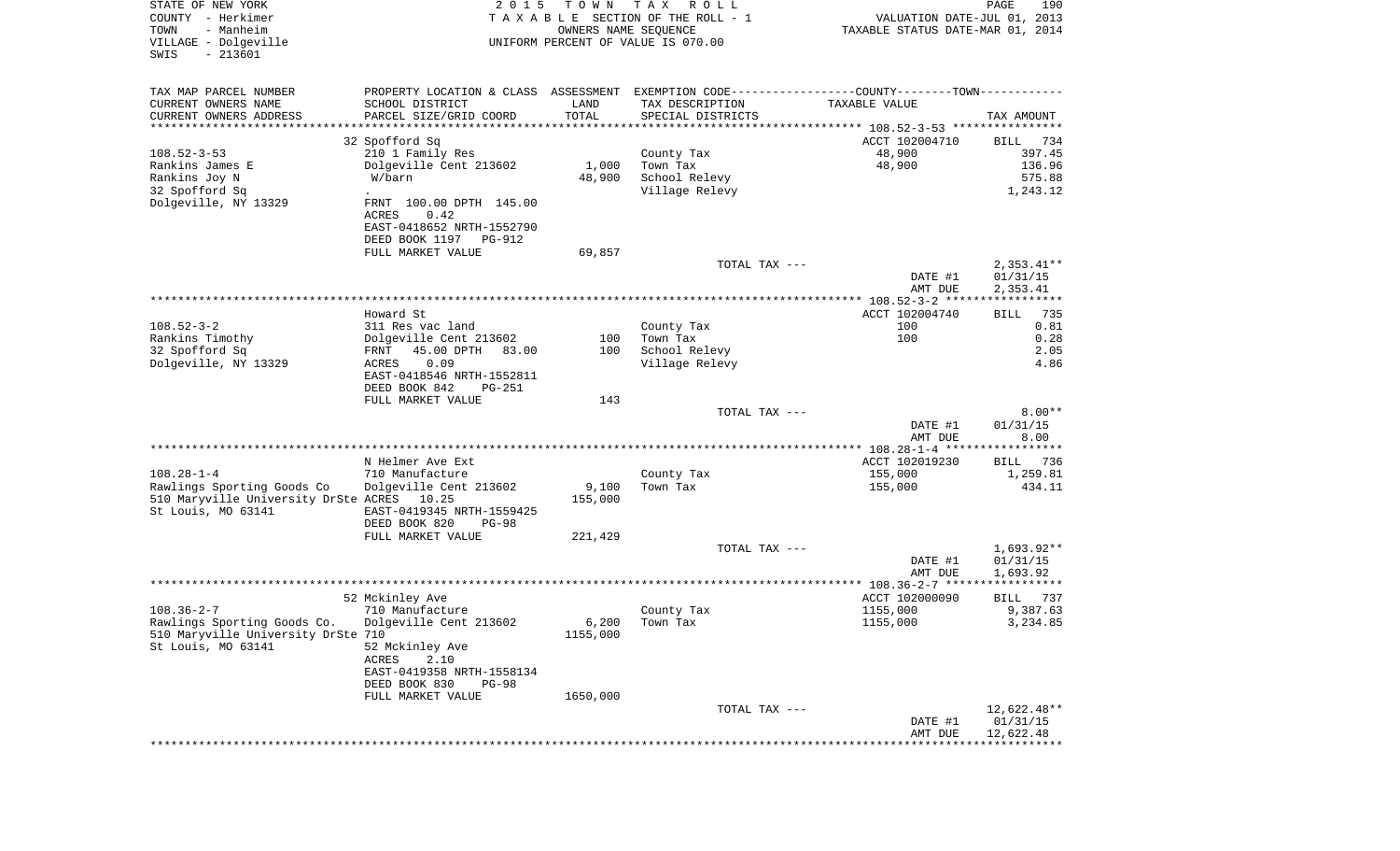| STATE OF NEW YORK<br>COUNTY - Herkimer<br>- Manheim<br>TOWN<br>VILLAGE - Dolgeville<br>$-213601$<br>SWIS |                                                                                                | 2 0 1 5<br>T O W N<br>T A X<br>R O L L<br>TAXABLE SECTION OF THE ROLL - 1<br>OWNERS NAME SEQUENCE<br>UNIFORM PERCENT OF VALUE IS 070.00 |                        |                    | PAGE<br>190<br>VALUATION DATE-JUL 01, 2013<br>TAXABLE STATUS DATE-MAR 01, 2014 |
|----------------------------------------------------------------------------------------------------------|------------------------------------------------------------------------------------------------|-----------------------------------------------------------------------------------------------------------------------------------------|------------------------|--------------------|--------------------------------------------------------------------------------|
| TAX MAP PARCEL NUMBER                                                                                    | PROPERTY LOCATION & CLASS ASSESSMENT EXEMPTION CODE----------------COUNTY-------TOWN---------- |                                                                                                                                         |                        |                    |                                                                                |
| CURRENT OWNERS NAME                                                                                      | SCHOOL DISTRICT                                                                                | LAND                                                                                                                                    | TAX DESCRIPTION        | TAXABLE VALUE      |                                                                                |
| CURRENT OWNERS ADDRESS                                                                                   | PARCEL SIZE/GRID COORD                                                                         | TOTAL                                                                                                                                   | SPECIAL DISTRICTS      |                    | TAX AMOUNT                                                                     |
| *********************                                                                                    | *************************************                                                          |                                                                                                                                         |                        |                    |                                                                                |
|                                                                                                          | 32 Spofford Sq                                                                                 |                                                                                                                                         |                        | ACCT 102004710     | 734<br>BILL                                                                    |
| $108.52 - 3 - 53$<br>Rankins James E                                                                     | 210 1 Family Res<br>Dolgeville Cent 213602                                                     | 1,000                                                                                                                                   | County Tax<br>Town Tax | 48,900<br>48,900   | 397.45<br>136.96                                                               |
| Rankins Joy N                                                                                            | W/barn                                                                                         | 48,900                                                                                                                                  | School Relevy          |                    | 575.88                                                                         |
| 32 Spofford Sq                                                                                           |                                                                                                |                                                                                                                                         | Village Relevy         |                    | 1,243.12                                                                       |
| Dolgeville, NY 13329                                                                                     | FRNT 100.00 DPTH 145.00                                                                        |                                                                                                                                         |                        |                    |                                                                                |
|                                                                                                          | ACRES<br>0.42                                                                                  |                                                                                                                                         |                        |                    |                                                                                |
|                                                                                                          | EAST-0418652 NRTH-1552790                                                                      |                                                                                                                                         |                        |                    |                                                                                |
|                                                                                                          | DEED BOOK 1197 PG-912<br>FULL MARKET VALUE                                                     | 69,857                                                                                                                                  |                        |                    |                                                                                |
|                                                                                                          |                                                                                                |                                                                                                                                         | TOTAL TAX ---          |                    | $2,353.41**$                                                                   |
|                                                                                                          |                                                                                                |                                                                                                                                         |                        | DATE #1            | 01/31/15                                                                       |
|                                                                                                          |                                                                                                |                                                                                                                                         |                        | AMT DUE            | 2,353.41                                                                       |
|                                                                                                          |                                                                                                |                                                                                                                                         |                        |                    |                                                                                |
| $108.52 - 3 - 2$                                                                                         | Howard St                                                                                      |                                                                                                                                         |                        | ACCT 102004740     | 735<br>BILL<br>0.81                                                            |
| Rankins Timothy                                                                                          | 311 Res vac land<br>Dolgeville Cent 213602                                                     | 100                                                                                                                                     | County Tax<br>Town Tax | 100<br>100         | 0.28                                                                           |
| 32 Spofford Sq                                                                                           | FRNT<br>45.00 DPTH<br>83.00                                                                    | 100                                                                                                                                     | School Relevy          |                    | 2.05                                                                           |
| Dolgeville, NY 13329                                                                                     | ACRES<br>0.09                                                                                  |                                                                                                                                         | Village Relevy         |                    | 4.86                                                                           |
|                                                                                                          | EAST-0418546 NRTH-1552811                                                                      |                                                                                                                                         |                        |                    |                                                                                |
|                                                                                                          | DEED BOOK 842<br><b>PG-251</b>                                                                 |                                                                                                                                         |                        |                    |                                                                                |
|                                                                                                          | FULL MARKET VALUE                                                                              | 143                                                                                                                                     | TOTAL TAX ---          |                    | $8.00**$                                                                       |
|                                                                                                          |                                                                                                |                                                                                                                                         |                        | DATE #1            | 01/31/15                                                                       |
|                                                                                                          |                                                                                                |                                                                                                                                         |                        | AMT DUE            | 8.00                                                                           |
|                                                                                                          |                                                                                                |                                                                                                                                         |                        |                    |                                                                                |
|                                                                                                          | N Helmer Ave Ext                                                                               |                                                                                                                                         |                        | ACCT 102019230     | 736<br>BILL                                                                    |
| $108.28 - 1 - 4$                                                                                         | 710 Manufacture                                                                                |                                                                                                                                         | County Tax<br>Town Tax | 155,000            | 1,259.81<br>434.11                                                             |
| Rawlings Sporting Goods Co<br>510 Maryville University DrSte ACRES 10.25                                 | Dolgeville Cent 213602                                                                         | 9,100<br>155,000                                                                                                                        |                        | 155,000            |                                                                                |
| St Louis, MO 63141                                                                                       | EAST-0419345 NRTH-1559425                                                                      |                                                                                                                                         |                        |                    |                                                                                |
|                                                                                                          | DEED BOOK 820<br><b>PG-98</b>                                                                  |                                                                                                                                         |                        |                    |                                                                                |
|                                                                                                          | FULL MARKET VALUE                                                                              | 221,429                                                                                                                                 |                        |                    |                                                                                |
|                                                                                                          |                                                                                                |                                                                                                                                         | TOTAL TAX ---          |                    | $1,693.92**$                                                                   |
|                                                                                                          |                                                                                                |                                                                                                                                         |                        | DATE #1<br>AMT DUE | 01/31/15<br>1,693.92                                                           |
|                                                                                                          |                                                                                                |                                                                                                                                         |                        |                    | ************                                                                   |
|                                                                                                          | 52 Mckinley Ave                                                                                |                                                                                                                                         |                        | ACCT 102000090     | 737<br>BILL                                                                    |
| $108.36 - 2 - 7$                                                                                         | 710 Manufacture                                                                                |                                                                                                                                         | County Tax             | 1155,000           | 9,387.63                                                                       |
| Rawlings Sporting Goods Co. Dolgeville Cent 213602                                                       |                                                                                                | 6,200                                                                                                                                   | Town Tax               | 1155,000           | 3,234.85                                                                       |
| 510 Maryville University DrSte 710<br>St Louis, MO 63141                                                 |                                                                                                | 1155,000                                                                                                                                |                        |                    |                                                                                |
|                                                                                                          | 52 Mckinley Ave<br>ACRES<br>2.10                                                               |                                                                                                                                         |                        |                    |                                                                                |
|                                                                                                          | EAST-0419358 NRTH-1558134                                                                      |                                                                                                                                         |                        |                    |                                                                                |
|                                                                                                          | DEED BOOK 830<br>$PG-98$                                                                       |                                                                                                                                         |                        |                    |                                                                                |
|                                                                                                          | FULL MARKET VALUE                                                                              | 1650,000                                                                                                                                |                        |                    |                                                                                |
|                                                                                                          |                                                                                                |                                                                                                                                         | TOTAL TAX ---          |                    | 12,622.48**                                                                    |
|                                                                                                          |                                                                                                |                                                                                                                                         |                        | DATE #1<br>AMT DUE | 01/31/15<br>12,622.48                                                          |
|                                                                                                          |                                                                                                |                                                                                                                                         |                        |                    |                                                                                |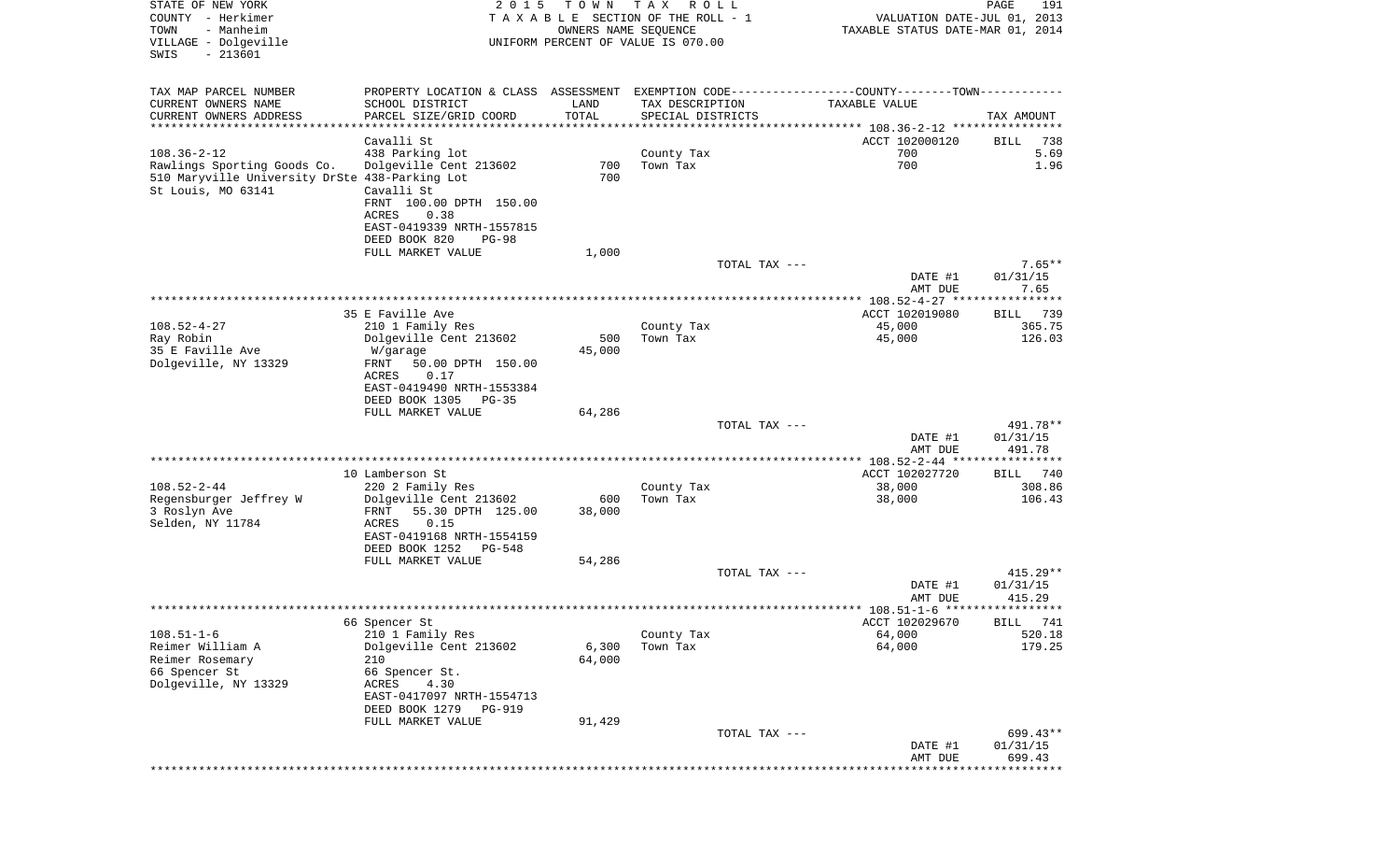| STATE OF NEW YORK<br>COUNTY - Herkimer<br>- Manheim<br>TOWN<br>VILLAGE - Dolgeville<br>$-213601$<br>SWIS                 |                                                                                                                                                | 2 0 1 5       | T O W N<br>OWNERS NAME SEQUENCE | T A X<br>R O L L<br>TAXABLE SECTION OF THE ROLL - 1<br>UNIFORM PERCENT OF VALUE IS 070.00 |               | VALUATION DATE-JUL 01, 2013<br>TAXABLE STATUS DATE-MAR 01, 2014                                                | 191<br>PAGE                      |
|--------------------------------------------------------------------------------------------------------------------------|------------------------------------------------------------------------------------------------------------------------------------------------|---------------|---------------------------------|-------------------------------------------------------------------------------------------|---------------|----------------------------------------------------------------------------------------------------------------|----------------------------------|
| TAX MAP PARCEL NUMBER<br>CURRENT OWNERS NAME<br>CURRENT OWNERS ADDRESS                                                   | SCHOOL DISTRICT<br>PARCEL SIZE/GRID COORD                                                                                                      |               | LAND<br>TOTAL                   | TAX DESCRIPTION<br>SPECIAL DISTRICTS                                                      |               | PROPERTY LOCATION & CLASS ASSESSMENT EXEMPTION CODE---------------COUNTY-------TOWN----------<br>TAXABLE VALUE | TAX AMOUNT                       |
| *************************                                                                                                |                                                                                                                                                |               |                                 |                                                                                           |               |                                                                                                                |                                  |
| $108.36 - 2 - 12$<br>Rawlings Sporting Goods Co.<br>510 Maryville University DrSte 438-Parking Lot<br>St Louis, MO 63141 | Cavalli St<br>438 Parking lot<br>Dolgeville Cent 213602<br>Cavalli St<br>FRNT 100.00 DPTH 150.00<br>ACRES<br>0.38<br>EAST-0419339 NRTH-1557815 |               | 700<br>700                      | County Tax<br>Town Tax                                                                    |               | ACCT 102000120<br>700<br>700                                                                                   | 738<br>BILL<br>5.69<br>1.96      |
|                                                                                                                          | DEED BOOK 820                                                                                                                                  | $PG-98$       |                                 |                                                                                           |               |                                                                                                                |                                  |
|                                                                                                                          | FULL MARKET VALUE                                                                                                                              |               | 1,000                           |                                                                                           |               |                                                                                                                |                                  |
|                                                                                                                          |                                                                                                                                                |               |                                 |                                                                                           | TOTAL TAX --- | DATE #1<br>AMT DUE                                                                                             | $7.65**$<br>01/31/15<br>7.65     |
|                                                                                                                          |                                                                                                                                                |               |                                 |                                                                                           |               |                                                                                                                |                                  |
|                                                                                                                          | 35 E Faville Ave                                                                                                                               |               |                                 |                                                                                           |               | ACCT 102019080                                                                                                 | 739<br>BILL                      |
| $108.52 - 4 - 27$<br>Ray Robin                                                                                           | 210 1 Family Res<br>Dolgeville Cent 213602                                                                                                     |               | 500                             | County Tax<br>Town Tax                                                                    |               | 45,000<br>45,000                                                                                               | 365.75<br>126.03                 |
| 35 E Faville Ave                                                                                                         | W/garage                                                                                                                                       |               | 45,000                          |                                                                                           |               |                                                                                                                |                                  |
| Dolgeville, NY 13329                                                                                                     | FRNT<br>50.00 DPTH 150.00<br>0.17<br>ACRES<br>EAST-0419490 NRTH-1553384<br>DEED BOOK 1305<br>PG-35                                             |               |                                 |                                                                                           |               |                                                                                                                |                                  |
|                                                                                                                          | FULL MARKET VALUE                                                                                                                              |               | 64,286                          |                                                                                           |               |                                                                                                                |                                  |
|                                                                                                                          |                                                                                                                                                |               |                                 |                                                                                           | TOTAL TAX --- | DATE #1<br>AMT DUE                                                                                             | 491.78**<br>01/31/15<br>491.78   |
|                                                                                                                          |                                                                                                                                                |               |                                 |                                                                                           |               |                                                                                                                |                                  |
| $108.52 - 2 - 44$                                                                                                        | 10 Lamberson St<br>220 2 Family Res                                                                                                            |               |                                 | County Tax                                                                                |               | ACCT 102027720<br>38,000                                                                                       | 740<br>BILL<br>308.86            |
| Regensburger Jeffrey W                                                                                                   | Dolgeville Cent 213602                                                                                                                         |               | 600                             | Town Tax                                                                                  |               | 38,000                                                                                                         | 106.43                           |
| 3 Roslyn Ave<br>Selden, NY 11784                                                                                         | 55.30 DPTH 125.00<br>FRNT<br>ACRES<br>0.15<br>EAST-0419168 NRTH-1554159                                                                        |               | 38,000                          |                                                                                           |               |                                                                                                                |                                  |
|                                                                                                                          | DEED BOOK 1252                                                                                                                                 | PG-548        |                                 |                                                                                           |               |                                                                                                                |                                  |
|                                                                                                                          | FULL MARKET VALUE                                                                                                                              |               | 54,286                          |                                                                                           | TOTAL TAX --- |                                                                                                                | $415.29**$                       |
|                                                                                                                          |                                                                                                                                                |               |                                 |                                                                                           |               | DATE #1<br>AMT DUE                                                                                             | 01/31/15<br>415.29               |
|                                                                                                                          |                                                                                                                                                |               |                                 |                                                                                           |               |                                                                                                                |                                  |
| $108.51 - 1 - 6$                                                                                                         | 66 Spencer St<br>210 1 Family Res<br>Dolgeville Cent 213602                                                                                    |               |                                 | County Tax                                                                                |               | ACCT 102029670<br>64,000                                                                                       | BILL 741<br>520.18               |
| Reimer William A<br>Reimer Rosemary<br>66 Spencer St<br>Dolgeville, NY 13329                                             | 210<br>66 Spencer St.<br>ACRES<br>4.30<br>EAST-0417097 NRTH-1554713<br>DEED BOOK 1279<br>FULL MARKET VALUE                                     | <b>PG-919</b> | 6,300<br>64,000<br>91,429       | Town Tax                                                                                  |               | 64,000                                                                                                         | 179.25                           |
|                                                                                                                          |                                                                                                                                                |               |                                 |                                                                                           | TOTAL TAX --- | DATE #1<br>AMT DUE                                                                                             | $699.43**$<br>01/31/15<br>699.43 |
|                                                                                                                          |                                                                                                                                                |               |                                 |                                                                                           |               |                                                                                                                | ********                         |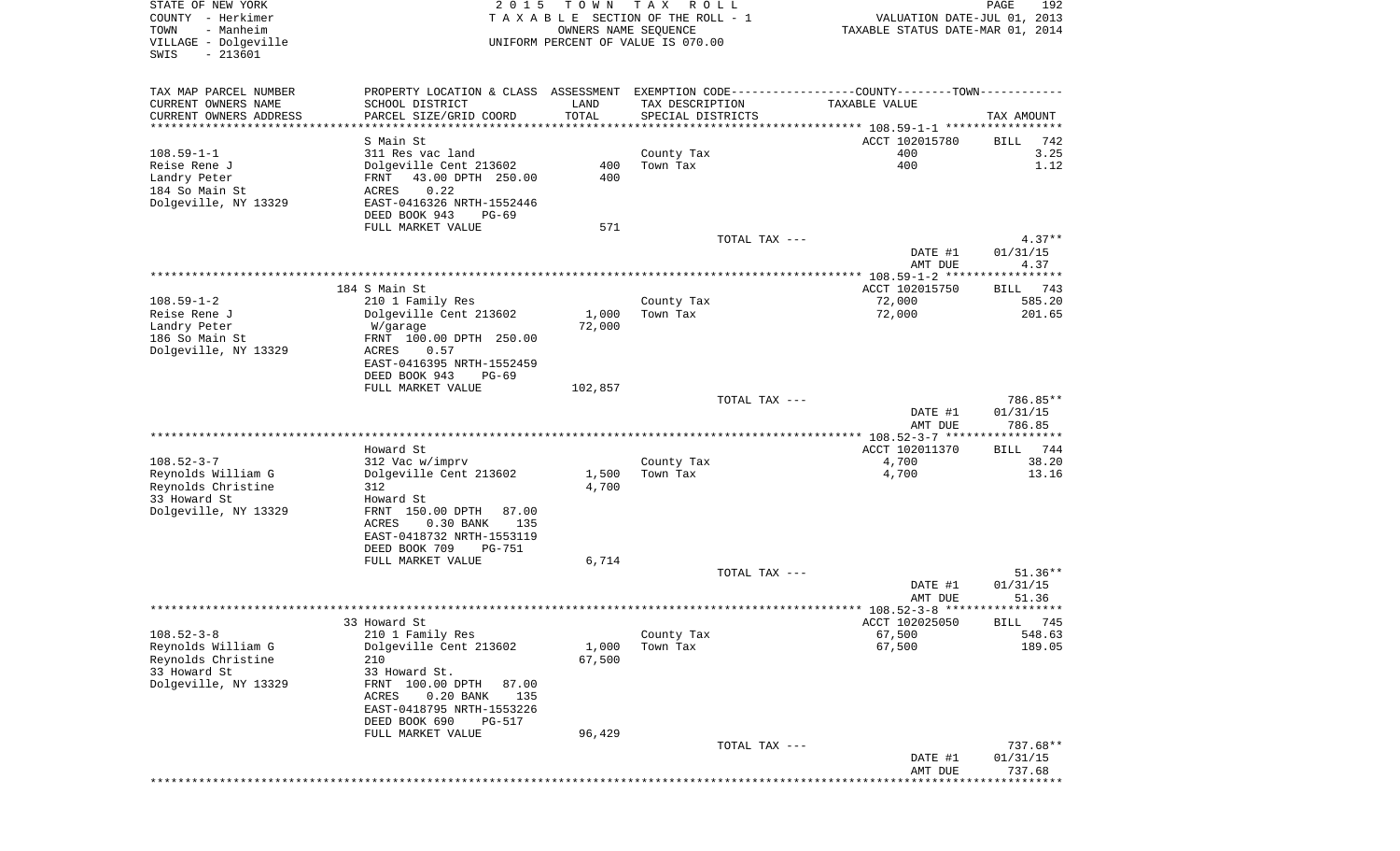| STATE OF NEW YORK<br>COUNTY - Herkimer<br>- Manheim<br>TOWN<br>VILLAGE - Dolgeville<br>$-213601$<br>SWIS | 2 0 1 5                                                                                       | T O W N<br>OWNERS NAME SEQUENCE | T A X<br>R O L L<br>T A X A B L E SECTION OF THE ROLL - 1<br>UNIFORM PERCENT OF VALUE IS 070.00 |               | VALUATION DATE-JUL 01, 2013<br>TAXABLE STATUS DATE-MAR 01, 2014 | 192<br>PAGE          |
|----------------------------------------------------------------------------------------------------------|-----------------------------------------------------------------------------------------------|---------------------------------|-------------------------------------------------------------------------------------------------|---------------|-----------------------------------------------------------------|----------------------|
| TAX MAP PARCEL NUMBER                                                                                    | PROPERTY LOCATION & CLASS ASSESSMENT EXEMPTION CODE---------------COUNTY-------TOWN---------- |                                 |                                                                                                 |               |                                                                 |                      |
| CURRENT OWNERS NAME                                                                                      | SCHOOL DISTRICT                                                                               | LAND                            | TAX DESCRIPTION                                                                                 |               | TAXABLE VALUE                                                   |                      |
| CURRENT OWNERS ADDRESS<br>***********************                                                        | PARCEL SIZE/GRID COORD                                                                        | TOTAL                           | SPECIAL DISTRICTS                                                                               |               |                                                                 | TAX AMOUNT           |
|                                                                                                          | S Main St                                                                                     |                                 |                                                                                                 |               | ACCT 102015780                                                  | BILL<br>742          |
| $108.59 - 1 - 1$                                                                                         | 311 Res vac land                                                                              |                                 | County Tax                                                                                      |               | 400                                                             | 3.25                 |
| Reise Rene J                                                                                             | Dolgeville Cent 213602                                                                        | 400                             | Town Tax                                                                                        |               | 400                                                             | 1.12                 |
| Landry Peter<br>184 So Main St                                                                           | 43.00 DPTH 250.00<br>FRNT<br>0.22<br>ACRES                                                    | 400                             |                                                                                                 |               |                                                                 |                      |
| Dolgeville, NY 13329                                                                                     | EAST-0416326 NRTH-1552446                                                                     |                                 |                                                                                                 |               |                                                                 |                      |
|                                                                                                          | DEED BOOK 943<br>$PG-69$                                                                      |                                 |                                                                                                 |               |                                                                 |                      |
|                                                                                                          | FULL MARKET VALUE                                                                             | 571                             |                                                                                                 |               |                                                                 |                      |
|                                                                                                          |                                                                                               |                                 |                                                                                                 | TOTAL TAX --- | DATE #1                                                         | $4.37**$<br>01/31/15 |
|                                                                                                          |                                                                                               |                                 |                                                                                                 |               | AMT DUE                                                         | 4.37                 |
|                                                                                                          |                                                                                               |                                 |                                                                                                 |               |                                                                 |                      |
|                                                                                                          | 184 S Main St                                                                                 |                                 |                                                                                                 |               | ACCT 102015750                                                  | 743<br>BILL          |
| $108.59 - 1 - 2$<br>Reise Rene J                                                                         | 210 1 Family Res<br>Dolgeville Cent 213602                                                    | 1,000                           | County Tax<br>Town Tax                                                                          |               | 72,000<br>72,000                                                | 585.20<br>201.65     |
| Landry Peter                                                                                             | W/garage                                                                                      | 72,000                          |                                                                                                 |               |                                                                 |                      |
| 186 So Main St                                                                                           | FRNT 100.00 DPTH 250.00                                                                       |                                 |                                                                                                 |               |                                                                 |                      |
| Dolgeville, NY 13329                                                                                     | ACRES<br>0.57                                                                                 |                                 |                                                                                                 |               |                                                                 |                      |
|                                                                                                          | EAST-0416395 NRTH-1552459<br>DEED BOOK 943<br>$PG-69$                                         |                                 |                                                                                                 |               |                                                                 |                      |
|                                                                                                          | FULL MARKET VALUE                                                                             | 102,857                         |                                                                                                 |               |                                                                 |                      |
|                                                                                                          |                                                                                               |                                 |                                                                                                 | TOTAL TAX --- |                                                                 | 786.85**             |
|                                                                                                          |                                                                                               |                                 |                                                                                                 |               | DATE #1                                                         | 01/31/15             |
|                                                                                                          |                                                                                               |                                 |                                                                                                 |               | AMT DUE<br>************* 108.52-3-7 ******************          | 786.85               |
|                                                                                                          | Howard St                                                                                     |                                 |                                                                                                 |               | ACCT 102011370                                                  | 744<br>BILL          |
| $108.52 - 3 - 7$                                                                                         | 312 Vac w/imprv                                                                               |                                 | County Tax                                                                                      |               | 4,700                                                           | 38.20                |
| Reynolds William G<br>Reynolds Christine                                                                 | Dolgeville Cent 213602<br>312                                                                 | 1,500<br>4,700                  | Town Tax                                                                                        |               | 4,700                                                           | 13.16                |
| 33 Howard St                                                                                             | Howard St                                                                                     |                                 |                                                                                                 |               |                                                                 |                      |
| Dolgeville, NY 13329                                                                                     | FRNT 150.00 DPTH<br>87.00                                                                     |                                 |                                                                                                 |               |                                                                 |                      |
|                                                                                                          | ACRES<br>$0.30$ BANK<br>135                                                                   |                                 |                                                                                                 |               |                                                                 |                      |
|                                                                                                          | EAST-0418732 NRTH-1553119                                                                     |                                 |                                                                                                 |               |                                                                 |                      |
|                                                                                                          | DEED BOOK 709<br>PG-751<br>FULL MARKET VALUE                                                  | 6,714                           |                                                                                                 |               |                                                                 |                      |
|                                                                                                          |                                                                                               |                                 |                                                                                                 | TOTAL TAX --- |                                                                 | $51.36**$            |
|                                                                                                          |                                                                                               |                                 |                                                                                                 |               | DATE #1                                                         | 01/31/15             |
|                                                                                                          |                                                                                               |                                 |                                                                                                 |               | AMT DUE                                                         | 51.36                |
|                                                                                                          | 33 Howard St                                                                                  |                                 |                                                                                                 |               | ACCT 102025050                                                  | BILL 745             |
| $108.52 - 3 - 8$                                                                                         | 210 1 Family Res                                                                              |                                 | County Tax                                                                                      |               | 67,500                                                          | 548.63               |
| Reynolds William G                                                                                       | Dolgeville Cent 213602                                                                        | 1,000                           | Town Tax                                                                                        |               | 67,500                                                          | 189.05               |
| Reynolds Christine<br>33 Howard St                                                                       | 210<br>33 Howard St.                                                                          | 67,500                          |                                                                                                 |               |                                                                 |                      |
| Dolgeville, NY 13329                                                                                     | FRNT 100.00 DPTH<br>87.00                                                                     |                                 |                                                                                                 |               |                                                                 |                      |
|                                                                                                          | ACRES<br>$0.20$ BANK<br>135                                                                   |                                 |                                                                                                 |               |                                                                 |                      |
|                                                                                                          | EAST-0418795 NRTH-1553226                                                                     |                                 |                                                                                                 |               |                                                                 |                      |
|                                                                                                          | DEED BOOK 690<br><b>PG-517</b><br>FULL MARKET VALUE                                           | 96,429                          |                                                                                                 |               |                                                                 |                      |
|                                                                                                          |                                                                                               |                                 |                                                                                                 | TOTAL TAX --- |                                                                 | 737.68**             |
|                                                                                                          |                                                                                               |                                 |                                                                                                 |               | DATE #1                                                         | 01/31/15             |
|                                                                                                          |                                                                                               |                                 |                                                                                                 |               | AMT DUE<br>* * * * * * * * *                                    | 737.68               |
|                                                                                                          |                                                                                               |                                 |                                                                                                 |               |                                                                 |                      |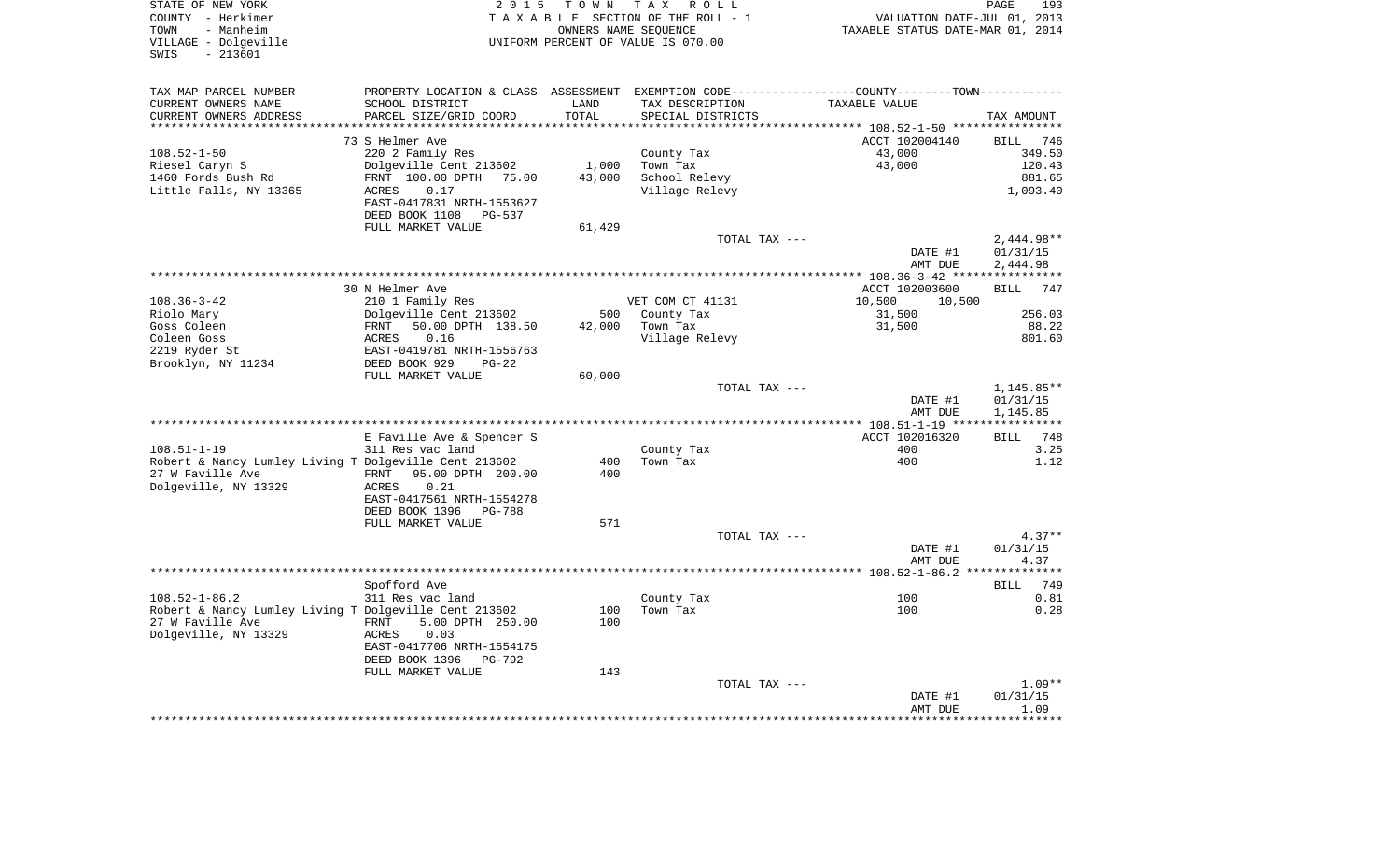| STATE OF NEW YORK<br>COUNTY - Herkimer<br>TOWN<br>- Manheim                  | 2 0 1 5                                     | TOWN            | TAX ROLL<br>TAXABLE SECTION OF THE ROLL - 1<br>OWNERS NAME SEQUENCE | VALUATION DATE-JUL 01,<br>TAXABLE STATUS DATE-MAR 01, 2014                                    | 193<br>PAGE<br>2013               |
|------------------------------------------------------------------------------|---------------------------------------------|-----------------|---------------------------------------------------------------------|-----------------------------------------------------------------------------------------------|-----------------------------------|
| VILLAGE - Dolgeville<br>$-213601$<br>SWIS                                    |                                             |                 | UNIFORM PERCENT OF VALUE IS 070.00                                  |                                                                                               |                                   |
| TAX MAP PARCEL NUMBER                                                        |                                             |                 |                                                                     | PROPERTY LOCATION & CLASS ASSESSMENT EXEMPTION CODE---------------COUNTY-------TOWN---------- |                                   |
| CURRENT OWNERS NAME                                                          | SCHOOL DISTRICT                             | LAND            | TAX DESCRIPTION                                                     | TAXABLE VALUE                                                                                 |                                   |
| CURRENT OWNERS ADDRESS                                                       | PARCEL SIZE/GRID COORD                      | TOTAL<br>****** | SPECIAL DISTRICTS                                                   |                                                                                               | TAX AMOUNT                        |
|                                                                              |                                             |                 |                                                                     | ****** 108.52-1-50 ****                                                                       |                                   |
| $108.52 - 1 - 50$                                                            | 73 S Helmer Ave<br>220 2 Family Res         |                 | County Tax                                                          | ACCT 102004140<br>43,000                                                                      | <b>BILL</b><br>746<br>349.50      |
| Riesel Caryn S                                                               | Dolgeville Cent 213602                      | 1,000           | Town Tax                                                            | 43,000                                                                                        | 120.43                            |
| 1460 Fords Bush Rd                                                           | FRNT 100.00 DPTH<br>75.00                   | 43,000          | School Relevy                                                       |                                                                                               | 881.65                            |
| Little Falls, NY 13365                                                       | ACRES<br>0.17                               |                 | Village Relevy                                                      |                                                                                               | 1,093.40                          |
|                                                                              | EAST-0417831 NRTH-1553627                   |                 |                                                                     |                                                                                               |                                   |
|                                                                              | DEED BOOK 1108<br>PG-537                    |                 |                                                                     |                                                                                               |                                   |
|                                                                              | FULL MARKET VALUE                           | 61,429          | TOTAL TAX ---                                                       |                                                                                               | $2,444.98**$                      |
|                                                                              |                                             |                 |                                                                     | DATE #1                                                                                       | 01/31/15                          |
|                                                                              |                                             |                 |                                                                     | AMT DUE                                                                                       | 2,444.98                          |
|                                                                              |                                             |                 |                                                                     |                                                                                               |                                   |
|                                                                              | 30 N Helmer Ave                             |                 |                                                                     | ACCT 102003600                                                                                | 747<br>BILL                       |
| $108.36 - 3 - 42$                                                            | 210 1 Family Res                            |                 | VET COM CT 41131                                                    | 10,500<br>10,500                                                                              |                                   |
| Riolo Mary                                                                   | Dolgeville Cent 213602                      | 500             | County Tax                                                          | 31,500                                                                                        | 256.03                            |
| Goss Coleen<br>Coleen Goss                                                   | FRNT<br>50.00 DPTH 138.50<br>0.16<br>ACRES  | 42,000          | Town Tax<br>Village Relevy                                          | 31,500                                                                                        | 88.22<br>801.60                   |
| 2219 Ryder St                                                                | EAST-0419781 NRTH-1556763                   |                 |                                                                     |                                                                                               |                                   |
| Brooklyn, NY 11234                                                           | DEED BOOK 929<br>$PG-22$                    |                 |                                                                     |                                                                                               |                                   |
|                                                                              | FULL MARKET VALUE                           | 60,000          |                                                                     |                                                                                               |                                   |
|                                                                              |                                             |                 | TOTAL TAX ---                                                       |                                                                                               | 1,145.85**                        |
|                                                                              |                                             |                 |                                                                     | DATE #1                                                                                       | 01/31/15                          |
|                                                                              |                                             |                 |                                                                     | AMT DUE                                                                                       | 1,145.85<br>* * * * * * * * * * * |
|                                                                              | E Faville Ave & Spencer S                   |                 |                                                                     | ACCT 102016320                                                                                | 748<br><b>BILL</b>                |
| $108.51 - 1 - 19$                                                            | 311 Res vac land                            |                 | County Tax                                                          | 400                                                                                           | 3.25                              |
| Robert & Nancy Lumley Living T Dolgeville Cent 213602                        |                                             | 400             | Town Tax                                                            | 400                                                                                           | 1.12                              |
| 27 W Faville Ave                                                             | 95.00 DPTH 200.00<br>FRNT                   | 400             |                                                                     |                                                                                               |                                   |
| Dolgeville, NY 13329                                                         | 0.21<br>ACRES                               |                 |                                                                     |                                                                                               |                                   |
|                                                                              | EAST-0417561 NRTH-1554278<br>DEED BOOK 1396 |                 |                                                                     |                                                                                               |                                   |
|                                                                              | PG-788<br>FULL MARKET VALUE                 | 571             |                                                                     |                                                                                               |                                   |
|                                                                              |                                             |                 | TOTAL TAX ---                                                       |                                                                                               | $4.37**$                          |
|                                                                              |                                             |                 |                                                                     | DATE #1                                                                                       | 01/31/15                          |
|                                                                              |                                             |                 |                                                                     | AMT DUE                                                                                       | 4.37                              |
|                                                                              |                                             |                 |                                                                     | ******** 108.52-1-86.2 *                                                                      | *******                           |
|                                                                              | Spofford Ave                                |                 |                                                                     |                                                                                               | 749<br><b>BILL</b>                |
| $108.52 - 1 - 86.2$<br>Robert & Nancy Lumley Living T Dolgeville Cent 213602 | 311 Res vac land                            | 100             | County Tax<br>Town Tax                                              | 100<br>100                                                                                    | 0.81<br>0.28                      |
| 27 W Faville Ave                                                             | 5.00 DPTH 250.00<br>FRNT                    | 100             |                                                                     |                                                                                               |                                   |
| Dolgeville, NY 13329                                                         | 0.03<br>ACRES                               |                 |                                                                     |                                                                                               |                                   |
|                                                                              | EAST-0417706 NRTH-1554175                   |                 |                                                                     |                                                                                               |                                   |
|                                                                              | DEED BOOK 1396<br>PG-792                    |                 |                                                                     |                                                                                               |                                   |
|                                                                              | FULL MARKET VALUE                           | 143             |                                                                     |                                                                                               |                                   |
|                                                                              |                                             |                 | TOTAL TAX ---                                                       |                                                                                               | $1.09**$                          |
|                                                                              |                                             |                 |                                                                     | DATE #1<br>AMT DUE                                                                            | 01/31/15<br>1.09                  |
|                                                                              |                                             |                 |                                                                     |                                                                                               | *******                           |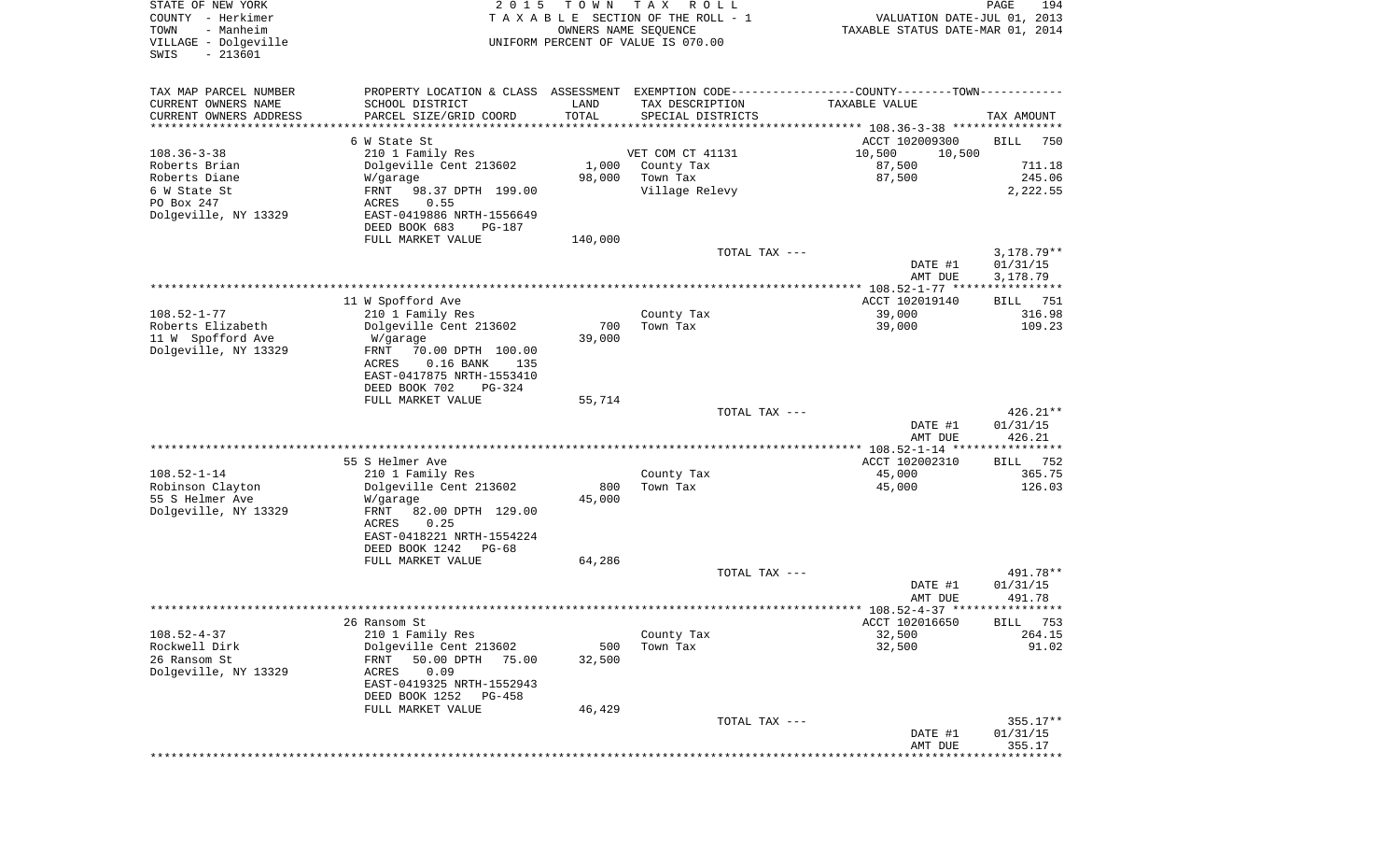| STATE OF NEW YORK<br>COUNTY - Herkimer<br>TOWN<br>- Manheim | 2 0 1 5                                                                                        | T O W N | T A X<br>R O L L<br>TAXABLE SECTION OF THE ROLL - 1<br>OWNERS NAME SEQUENCE | VALUATION DATE-JUL 01, 2013<br>TAXABLE STATUS DATE-MAR 01, 2014 | PAGE<br>194          |
|-------------------------------------------------------------|------------------------------------------------------------------------------------------------|---------|-----------------------------------------------------------------------------|-----------------------------------------------------------------|----------------------|
| VILLAGE - Dolgeville<br>$-213601$<br>SWIS                   |                                                                                                |         | UNIFORM PERCENT OF VALUE IS 070.00                                          |                                                                 |                      |
| TAX MAP PARCEL NUMBER                                       | PROPERTY LOCATION & CLASS ASSESSMENT EXEMPTION CODE----------------COUNTY-------TOWN---------- |         |                                                                             |                                                                 |                      |
| CURRENT OWNERS NAME                                         | SCHOOL DISTRICT                                                                                | LAND    | TAX DESCRIPTION                                                             | TAXABLE VALUE                                                   |                      |
| CURRENT OWNERS ADDRESS                                      | PARCEL SIZE/GRID COORD                                                                         | TOTAL   | SPECIAL DISTRICTS                                                           |                                                                 | TAX AMOUNT           |
| *********************                                       |                                                                                                |         |                                                                             |                                                                 |                      |
|                                                             | 6 W State St                                                                                   |         |                                                                             | ACCT 102009300                                                  | BILL<br>750          |
| $108.36 - 3 - 38$                                           | 210 1 Family Res                                                                               |         | VET COM CT 41131                                                            | 10,500<br>10,500                                                |                      |
| Roberts Brian                                               | Dolgeville Cent 213602                                                                         | 1,000   | County Tax                                                                  | 87,500                                                          | 711.18               |
| Roberts Diane                                               | W/garage                                                                                       | 98,000  | Town Tax                                                                    | 87,500                                                          | 245.06               |
| 6 W State St                                                | FRNT<br>98.37 DPTH 199.00                                                                      |         | Village Relevy                                                              |                                                                 | 2,222.55             |
| PO Box 247                                                  | 0.55<br>ACRES                                                                                  |         |                                                                             |                                                                 |                      |
| Dolgeville, NY 13329                                        | EAST-0419886 NRTH-1556649<br>DEED BOOK 683<br>PG-187                                           |         |                                                                             |                                                                 |                      |
|                                                             | FULL MARKET VALUE                                                                              | 140,000 |                                                                             |                                                                 |                      |
|                                                             |                                                                                                |         | TOTAL TAX ---                                                               |                                                                 | $3,178.79**$         |
|                                                             |                                                                                                |         |                                                                             | DATE #1<br>AMT DUE                                              | 01/31/15<br>3,178.79 |
|                                                             |                                                                                                |         |                                                                             | **************** 108.52-1-77 *****************                  |                      |
|                                                             | 11 W Spofford Ave                                                                              |         |                                                                             | ACCT 102019140                                                  | BILL<br>751          |
| $108.52 - 1 - 77$                                           | 210 1 Family Res                                                                               |         | County Tax                                                                  | 39,000                                                          | 316.98               |
| Roberts Elizabeth                                           | Dolgeville Cent 213602                                                                         | 700     | Town Tax                                                                    | 39,000                                                          | 109.23               |
| 11 W Spofford Ave                                           | W/garage                                                                                       | 39,000  |                                                                             |                                                                 |                      |
| Dolgeville, NY 13329                                        | FRNT<br>70.00 DPTH 100.00                                                                      |         |                                                                             |                                                                 |                      |
|                                                             | ACRES<br>$0.16$ BANK<br>135<br>EAST-0417875 NRTH-1553410                                       |         |                                                                             |                                                                 |                      |
|                                                             | DEED BOOK 702<br>PG-324                                                                        |         |                                                                             |                                                                 |                      |
|                                                             | FULL MARKET VALUE                                                                              | 55,714  |                                                                             |                                                                 |                      |
|                                                             |                                                                                                |         | TOTAL TAX ---                                                               |                                                                 | $426.21**$           |
|                                                             |                                                                                                |         |                                                                             | DATE #1                                                         | 01/31/15             |
|                                                             |                                                                                                |         |                                                                             | AMT DUE                                                         | 426.21               |
|                                                             |                                                                                                |         |                                                                             |                                                                 |                      |
|                                                             | 55 S Helmer Ave                                                                                |         |                                                                             | ACCT 102002310                                                  | 752<br>BILL          |
| $108.52 - 1 - 14$                                           | 210 1 Family Res                                                                               |         | County Tax                                                                  | 45,000                                                          | 365.75               |
| Robinson Clayton                                            | Dolgeville Cent 213602                                                                         | 800     | Town Tax                                                                    | 45,000                                                          | 126.03               |
| 55 S Helmer Ave                                             | W/garage                                                                                       | 45,000  |                                                                             |                                                                 |                      |
| Dolgeville, NY 13329                                        | FRNT<br>82.00 DPTH 129.00                                                                      |         |                                                                             |                                                                 |                      |
|                                                             | ACRES<br>0.25                                                                                  |         |                                                                             |                                                                 |                      |
|                                                             | EAST-0418221 NRTH-1554224                                                                      |         |                                                                             |                                                                 |                      |
|                                                             | DEED BOOK 1242<br>PG-68<br>FULL MARKET VALUE                                                   | 64,286  |                                                                             |                                                                 |                      |
|                                                             |                                                                                                |         | TOTAL TAX ---                                                               |                                                                 | 491.78**             |
|                                                             |                                                                                                |         |                                                                             | DATE #1                                                         | 01/31/15             |
|                                                             |                                                                                                |         |                                                                             | AMT DUE                                                         | 491.78               |
|                                                             |                                                                                                |         |                                                                             |                                                                 |                      |
|                                                             | 26 Ransom St                                                                                   |         |                                                                             | ACCT 102016650                                                  | 753<br><b>BILL</b>   |
| $108.52 - 4 - 37$                                           | 210 1 Family Res                                                                               |         | County Tax                                                                  | 32,500                                                          | 264.15               |
| Rockwell Dirk                                               | Dolgeville Cent 213602                                                                         | 500     | Town Tax                                                                    | 32,500                                                          | 91.02                |
| 26 Ransom St                                                | 50.00 DPTH<br>FRNT<br>75.00                                                                    | 32,500  |                                                                             |                                                                 |                      |
| Dolgeville, NY 13329                                        | 0.09<br>ACRES                                                                                  |         |                                                                             |                                                                 |                      |
|                                                             | EAST-0419325 NRTH-1552943                                                                      |         |                                                                             |                                                                 |                      |
|                                                             | DEED BOOK 1252<br>PG-458                                                                       |         |                                                                             |                                                                 |                      |
|                                                             | FULL MARKET VALUE                                                                              | 46,429  |                                                                             |                                                                 |                      |
|                                                             |                                                                                                |         | TOTAL TAX ---                                                               | DATE #1                                                         | 355.17**<br>01/31/15 |
|                                                             |                                                                                                |         |                                                                             | AMT DUE                                                         | 355.17               |
|                                                             |                                                                                                |         |                                                                             |                                                                 |                      |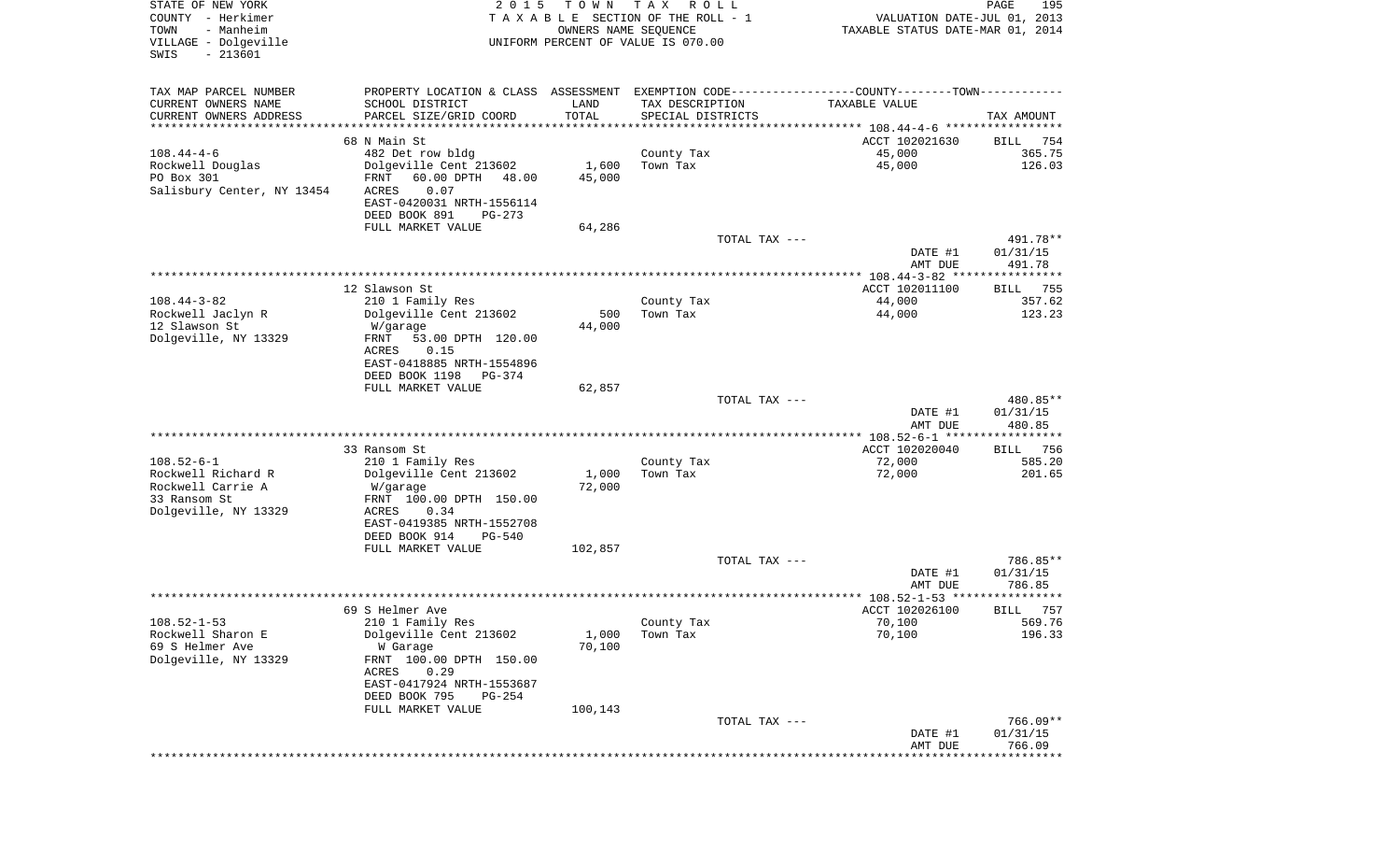| STATE OF NEW YORK<br>COUNTY - Herkimer<br>TOWN<br>- Manheim<br>VILLAGE - Dolgeville<br>$-213601$<br>SWIS | 2 0 1 5                                                                                             | T O W N<br>OWNERS NAME SEQUENCE | T A X<br>R O L L<br>TAXABLE SECTION OF THE ROLL - 1<br>UNIFORM PERCENT OF VALUE IS 070.00 | VALUATION DATE-JUL 01, 2013<br>TAXABLE STATUS DATE-MAR 01, 2014 | PAGE<br>195                    |
|----------------------------------------------------------------------------------------------------------|-----------------------------------------------------------------------------------------------------|---------------------------------|-------------------------------------------------------------------------------------------|-----------------------------------------------------------------|--------------------------------|
| TAX MAP PARCEL NUMBER                                                                                    | PROPERTY LOCATION & CLASS ASSESSMENT EXEMPTION CODE----------------COUNTY--------TOWN----------     |                                 |                                                                                           |                                                                 |                                |
| CURRENT OWNERS NAME                                                                                      | SCHOOL DISTRICT                                                                                     | LAND                            | TAX DESCRIPTION                                                                           | TAXABLE VALUE                                                   |                                |
| CURRENT OWNERS ADDRESS<br>*************************                                                      | PARCEL SIZE/GRID COORD                                                                              | TOTAL                           | SPECIAL DISTRICTS                                                                         |                                                                 | TAX AMOUNT                     |
|                                                                                                          | 68 N Main St                                                                                        |                                 |                                                                                           | ACCT 102021630                                                  | 754<br>BILL                    |
| $108.44 - 4 - 6$                                                                                         | 482 Det row bldg                                                                                    |                                 | County Tax                                                                                | 45,000                                                          | 365.75                         |
| Rockwell Douglas                                                                                         | Dolgeville Cent 213602                                                                              | 1,600                           | Town Tax                                                                                  | 45,000                                                          | 126.03                         |
| PO Box 301<br>Salisbury Center, NY 13454                                                                 | FRNT<br>60.00 DPTH<br>48.00<br>ACRES<br>0.07<br>EAST-0420031 NRTH-1556114                           | 45,000                          |                                                                                           |                                                                 |                                |
|                                                                                                          | DEED BOOK 891<br>PG-273                                                                             |                                 |                                                                                           |                                                                 |                                |
|                                                                                                          | FULL MARKET VALUE                                                                                   | 64,286                          |                                                                                           |                                                                 |                                |
|                                                                                                          |                                                                                                     |                                 | TOTAL TAX ---                                                                             | DATE #1<br>AMT DUE                                              | 491.78**<br>01/31/15<br>491.78 |
|                                                                                                          |                                                                                                     |                                 |                                                                                           |                                                                 |                                |
| $108.44 - 3 - 82$                                                                                        | 12 Slawson St                                                                                       |                                 |                                                                                           | ACCT 102011100<br>44,000                                        | <b>BILL</b><br>755<br>357.62   |
| Rockwell Jaclyn R                                                                                        | 210 1 Family Res<br>Dolgeville Cent 213602                                                          | 500                             | County Tax<br>Town Tax                                                                    | 44,000                                                          | 123.23                         |
| 12 Slawson St                                                                                            | W/garage                                                                                            | 44,000                          |                                                                                           |                                                                 |                                |
| Dolgeville, NY 13329                                                                                     | FRNT<br>53.00 DPTH 120.00<br>ACRES<br>0.15<br>EAST-0418885 NRTH-1554896<br>DEED BOOK 1198<br>PG-374 |                                 |                                                                                           |                                                                 |                                |
|                                                                                                          | FULL MARKET VALUE                                                                                   | 62,857                          |                                                                                           |                                                                 |                                |
|                                                                                                          |                                                                                                     |                                 | TOTAL TAX ---                                                                             | DATE #1<br>AMT DUE                                              | 480.85**<br>01/31/15<br>480.85 |
|                                                                                                          |                                                                                                     |                                 |                                                                                           | ************** 108.52-6-1 ******************                    |                                |
|                                                                                                          | 33 Ransom St                                                                                        |                                 |                                                                                           | ACCT 102020040                                                  | 756<br>BILL                    |
| $108.52 - 6 - 1$                                                                                         | 210 1 Family Res                                                                                    |                                 | County Tax                                                                                | 72,000                                                          | 585.20                         |
| Rockwell Richard R<br>Rockwell Carrie A                                                                  | Dolgeville Cent 213602<br>W/garage                                                                  | 1,000<br>72,000                 | Town Tax                                                                                  | 72,000                                                          | 201.65                         |
| 33 Ransom St                                                                                             | FRNT 100.00 DPTH 150.00                                                                             |                                 |                                                                                           |                                                                 |                                |
| Dolgeville, NY 13329                                                                                     | ACRES<br>0.34                                                                                       |                                 |                                                                                           |                                                                 |                                |
|                                                                                                          | EAST-0419385 NRTH-1552708                                                                           |                                 |                                                                                           |                                                                 |                                |
|                                                                                                          | DEED BOOK 914<br>PG-540                                                                             |                                 |                                                                                           |                                                                 |                                |
|                                                                                                          | FULL MARKET VALUE                                                                                   | 102,857                         | TOTAL TAX ---                                                                             |                                                                 | 786.85**                       |
|                                                                                                          |                                                                                                     |                                 |                                                                                           | DATE #1                                                         | 01/31/15                       |
|                                                                                                          |                                                                                                     |                                 |                                                                                           | AMT DUE                                                         | 786.85                         |
|                                                                                                          |                                                                                                     |                                 |                                                                                           |                                                                 | *****                          |
|                                                                                                          | 69 S Helmer Ave                                                                                     |                                 |                                                                                           | ACCT 102026100                                                  | 757<br>BILL                    |
| $108.52 - 1 - 53$<br>Rockwell Sharon E                                                                   | 210 1 Family Res<br>Dolgeville Cent 213602                                                          | 1,000                           | County Tax<br>Town Tax                                                                    | 70,100<br>70,100                                                | 569.76<br>196.33               |
| 69 S Helmer Ave                                                                                          | W Garage                                                                                            | 70,100                          |                                                                                           |                                                                 |                                |
| Dolgeville, NY 13329                                                                                     | FRNT 100.00 DPTH 150.00<br>0.29<br>ACRES<br>EAST-0417924 NRTH-1553687                               |                                 |                                                                                           |                                                                 |                                |
|                                                                                                          | DEED BOOK 795<br>$PG-254$                                                                           |                                 |                                                                                           |                                                                 |                                |
|                                                                                                          | FULL MARKET VALUE                                                                                   | 100,143                         |                                                                                           |                                                                 |                                |
|                                                                                                          |                                                                                                     |                                 | TOTAL TAX ---                                                                             |                                                                 | 766.09**                       |
|                                                                                                          |                                                                                                     |                                 |                                                                                           | DATE #1<br>AMT DUE<br>******************************            | 01/31/15<br>766.09             |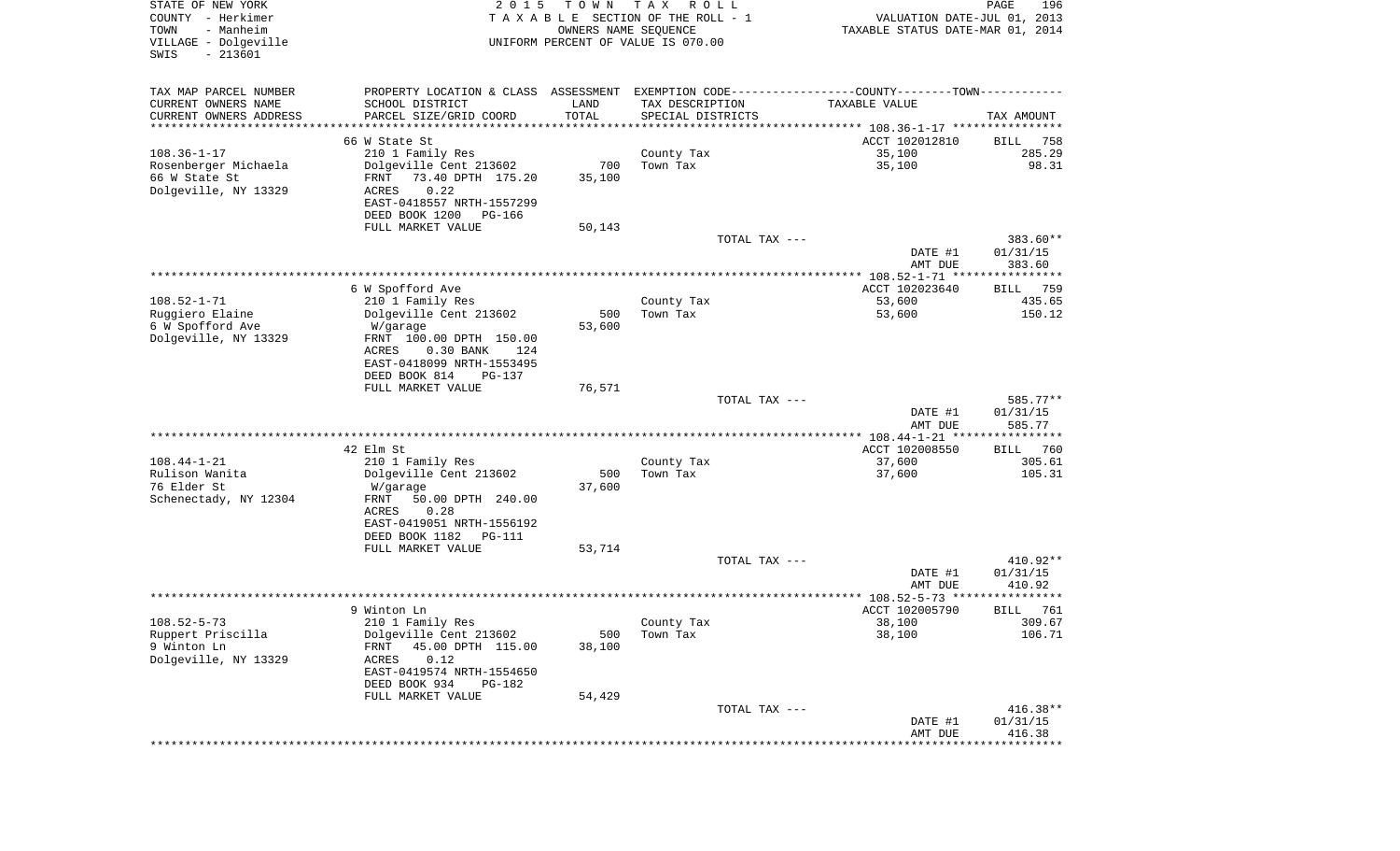| STATE OF NEW YORK<br>COUNTY - Herkimer<br>- Manheim<br>TOWN<br>VILLAGE - Dolgeville<br>$-213601$<br>SWIS | T O W N<br>2 0 1 5<br>TAXABLE SECTION OF THE ROLL - 1<br>UNIFORM PERCENT OF VALUE IS 070.00 | T A X<br>R O L L<br>OWNERS NAME SEQUENCE | VALUATION DATE-JUL 01, 2013<br>TAXABLE STATUS DATE-MAR 01, 2014                               | PAGE<br>196             |
|----------------------------------------------------------------------------------------------------------|---------------------------------------------------------------------------------------------|------------------------------------------|-----------------------------------------------------------------------------------------------|-------------------------|
| TAX MAP PARCEL NUMBER                                                                                    |                                                                                             |                                          | PROPERTY LOCATION & CLASS ASSESSMENT EXEMPTION CODE---------------COUNTY-------TOWN---------- |                         |
| CURRENT OWNERS NAME<br>SCHOOL DISTRICT                                                                   | LAND                                                                                        | TAX DESCRIPTION                          | TAXABLE VALUE                                                                                 |                         |
| CURRENT OWNERS ADDRESS<br>PARCEL SIZE/GRID COORD<br>********************                                 | TOTAL<br>* * * * * * * * * * *                                                              | SPECIAL DISTRICTS                        |                                                                                               | TAX AMOUNT              |
| 66 W State St                                                                                            |                                                                                             |                                          | ACCT 102012810                                                                                | 758<br>BILL             |
| $108.36 - 1 - 17$<br>210 1 Family Res                                                                    |                                                                                             | County Tax                               | 35,100                                                                                        | 285.29                  |
| Rosenberger Michaela<br>Dolgeville Cent 213602                                                           | 700                                                                                         | Town Tax                                 | 35,100                                                                                        | 98.31                   |
| 66 W State St<br>73.40 DPTH 175.20<br>FRNT                                                               | 35,100                                                                                      |                                          |                                                                                               |                         |
| Dolgeville, NY 13329<br>0.22<br>ACRES<br>EAST-0418557 NRTH-1557299                                       |                                                                                             |                                          |                                                                                               |                         |
| DEED BOOK 1200                                                                                           | PG-166                                                                                      |                                          |                                                                                               |                         |
| FULL MARKET VALUE                                                                                        | 50,143                                                                                      |                                          |                                                                                               |                         |
|                                                                                                          |                                                                                             | TOTAL TAX ---                            |                                                                                               | 383.60**                |
|                                                                                                          |                                                                                             |                                          | DATE #1                                                                                       | 01/31/15                |
|                                                                                                          |                                                                                             |                                          | AMT DUE                                                                                       | 383.60                  |
| 6 W Spofford Ave                                                                                         |                                                                                             |                                          | ACCT 102023640                                                                                | 759<br>BILL             |
| $108.52 - 1 - 71$<br>210 1 Family Res                                                                    |                                                                                             | County Tax                               | 53,600                                                                                        | 435.65                  |
| Dolgeville Cent 213602<br>Ruggiero Elaine                                                                | 500                                                                                         | Town Tax                                 | 53,600                                                                                        | 150.12                  |
| 6 W Spofford Ave<br>W/garage<br>Dolgeville, NY 13329<br>FRNT 100.00 DPTH 150.00                          | 53,600                                                                                      |                                          |                                                                                               |                         |
| ACRES<br>$0.30$ BANK                                                                                     | 124                                                                                         |                                          |                                                                                               |                         |
| EAST-0418099 NRTH-1553495                                                                                |                                                                                             |                                          |                                                                                               |                         |
| DEED BOOK 814                                                                                            | PG-137                                                                                      |                                          |                                                                                               |                         |
| FULL MARKET VALUE                                                                                        | 76,571                                                                                      |                                          |                                                                                               |                         |
|                                                                                                          |                                                                                             | TOTAL TAX ---                            | DATE #1                                                                                       | 585.77**<br>01/31/15    |
|                                                                                                          |                                                                                             |                                          | AMT DUE                                                                                       | 585.77                  |
|                                                                                                          |                                                                                             |                                          | *********** 108.44-1-21 *****************                                                     |                         |
| 42 Elm St                                                                                                |                                                                                             |                                          | ACCT 102008550                                                                                | 760<br>BILL             |
| $108.44 - 1 - 21$<br>210 1 Family Res<br>Rulison Wanita<br>Dolgeville Cent 213602                        | 500                                                                                         | County Tax<br>Town Tax                   | 37,600<br>37,600                                                                              | 305.61<br>105.31        |
| 76 Elder St<br>W/garage                                                                                  | 37,600                                                                                      |                                          |                                                                                               |                         |
| Schenectady, NY 12304<br>FRNT<br>50.00 DPTH 240.00                                                       |                                                                                             |                                          |                                                                                               |                         |
| ACRES<br>0.28                                                                                            |                                                                                             |                                          |                                                                                               |                         |
| EAST-0419051 NRTH-1556192                                                                                |                                                                                             |                                          |                                                                                               |                         |
| DEED BOOK 1182<br>FULL MARKET VALUE                                                                      | PG-111<br>53,714                                                                            |                                          |                                                                                               |                         |
|                                                                                                          |                                                                                             | TOTAL TAX ---                            |                                                                                               | $410.92**$              |
|                                                                                                          |                                                                                             |                                          | DATE #1                                                                                       | 01/31/15                |
|                                                                                                          |                                                                                             |                                          | AMT DUE                                                                                       | 410.92<br>* * * * * * * |
| 9 Winton Ln                                                                                              |                                                                                             |                                          | ACCT 102005790                                                                                | 761<br>BILL             |
| $108.52 - 5 - 73$<br>210 1 Family Res                                                                    |                                                                                             | County Tax                               | 38,100                                                                                        | 309.67                  |
| Ruppert Priscilla<br>Dolgeville Cent 213602                                                              | 500                                                                                         | Town Tax                                 | 38,100                                                                                        | 106.71                  |
| 9 Winton Ln<br>45.00 DPTH 115.00<br>FRNT                                                                 | 38,100                                                                                      |                                          |                                                                                               |                         |
| Dolgeville, NY 13329<br>0.12<br>ACRES<br>EAST-0419574 NRTH-1554650                                       |                                                                                             |                                          |                                                                                               |                         |
| DEED BOOK 934                                                                                            | PG-182                                                                                      |                                          |                                                                                               |                         |
| FULL MARKET VALUE                                                                                        | 54,429                                                                                      |                                          |                                                                                               |                         |
|                                                                                                          |                                                                                             | TOTAL TAX ---                            |                                                                                               | 416.38**                |
|                                                                                                          |                                                                                             |                                          | DATE #1                                                                                       | 01/31/15                |
|                                                                                                          |                                                                                             |                                          | AMT DUE<br>***************************                                                        | 416.38                  |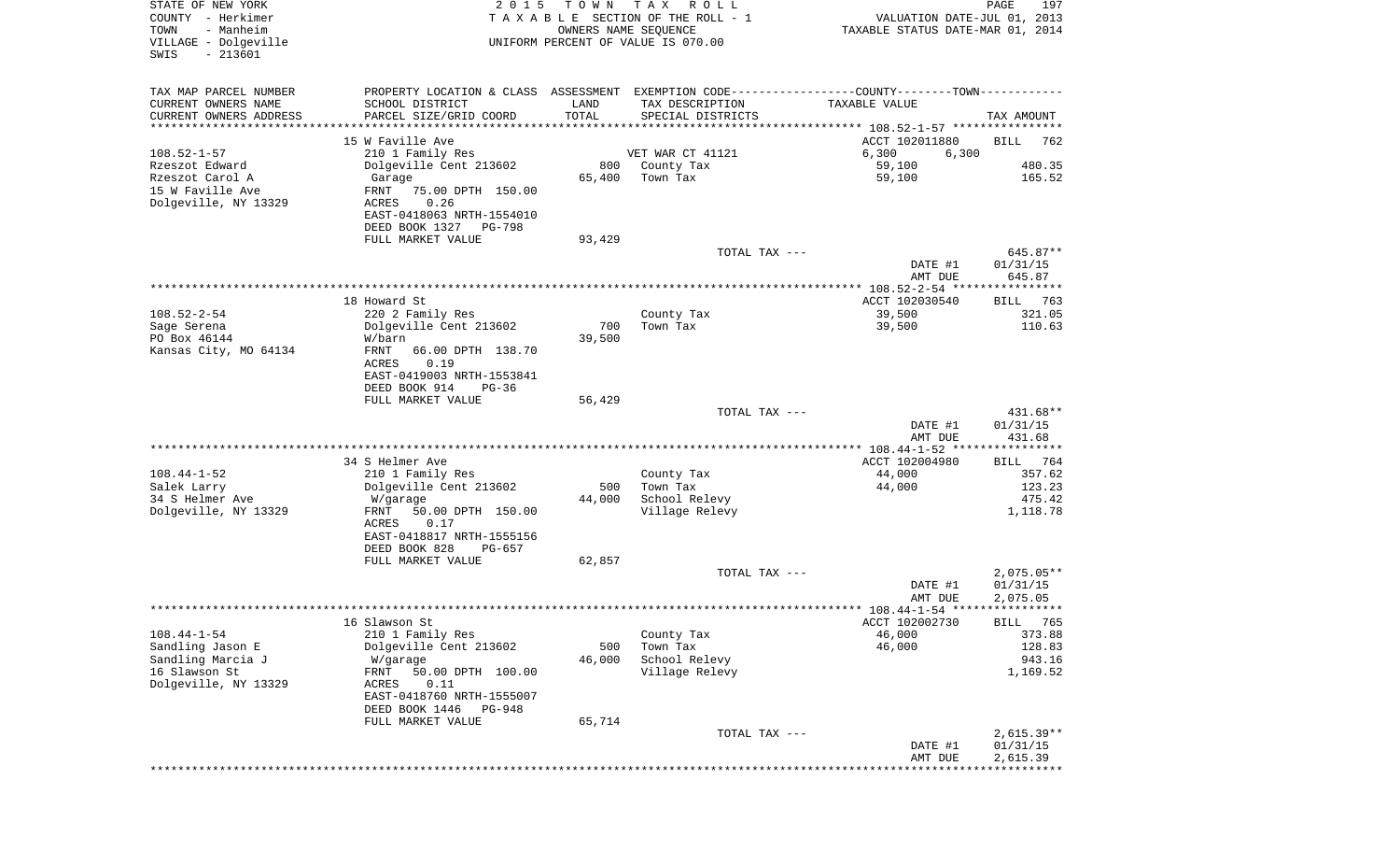| STATE OF NEW YORK<br>COUNTY - Herkimer<br>TOWN<br>- Manheim<br>VILLAGE - Dolgeville<br>$-213601$<br>SWIS | 2 0 1 5                                                                                       | T O W N<br>OWNERS NAME SEQUENCE | T A X<br>R O L L<br>TAXABLE SECTION OF THE ROLL - 1<br>UNIFORM PERCENT OF VALUE IS 070.00 | VALUATION DATE-JUL 01, 2013<br>TAXABLE STATUS DATE-MAR 01, 2014 | PAGE<br>197              |
|----------------------------------------------------------------------------------------------------------|-----------------------------------------------------------------------------------------------|---------------------------------|-------------------------------------------------------------------------------------------|-----------------------------------------------------------------|--------------------------|
| TAX MAP PARCEL NUMBER                                                                                    | PROPERTY LOCATION & CLASS ASSESSMENT EXEMPTION CODE---------------COUNTY-------TOWN---------- |                                 |                                                                                           |                                                                 |                          |
| CURRENT OWNERS NAME                                                                                      | SCHOOL DISTRICT                                                                               | LAND                            | TAX DESCRIPTION                                                                           | TAXABLE VALUE                                                   |                          |
| CURRENT OWNERS ADDRESS<br>*********************                                                          | PARCEL SIZE/GRID COORD                                                                        | TOTAL                           | SPECIAL DISTRICTS                                                                         |                                                                 | TAX AMOUNT               |
|                                                                                                          | 15 W Faville Ave                                                                              |                                 |                                                                                           | ACCT 102011880                                                  | BILL<br>762              |
| $108.52 - 1 - 57$                                                                                        | 210 1 Family Res                                                                              |                                 | VET WAR CT 41121                                                                          | 6,300<br>6,300                                                  |                          |
| Rzeszot Edward                                                                                           | Dolgeville Cent 213602                                                                        | 800                             | County Tax                                                                                | 59,100                                                          | 480.35                   |
| Rzeszot Carol A<br>15 W Faville Ave                                                                      | Garage<br>FRNT<br>75.00 DPTH 150.00                                                           | 65,400                          | Town Tax                                                                                  | 59,100                                                          | 165.52                   |
| Dolgeville, NY 13329                                                                                     | 0.26<br>ACRES                                                                                 |                                 |                                                                                           |                                                                 |                          |
|                                                                                                          | EAST-0418063 NRTH-1554010                                                                     |                                 |                                                                                           |                                                                 |                          |
|                                                                                                          | DEED BOOK 1327<br>PG-798                                                                      |                                 |                                                                                           |                                                                 |                          |
|                                                                                                          | FULL MARKET VALUE                                                                             | 93,429                          | TOTAL TAX ---                                                                             |                                                                 | 645.87**                 |
|                                                                                                          |                                                                                               |                                 |                                                                                           | DATE #1                                                         | 01/31/15                 |
|                                                                                                          |                                                                                               |                                 |                                                                                           | AMT DUE<br>***************** 108.52-2-54 *****************      | 645.87                   |
|                                                                                                          | 18 Howard St                                                                                  |                                 |                                                                                           | ACCT 102030540                                                  | 763<br>BILL              |
| $108.52 - 2 - 54$                                                                                        | 220 2 Family Res                                                                              |                                 | County Tax                                                                                | 39,500                                                          | 321.05                   |
| Sage Serena                                                                                              | Dolgeville Cent 213602                                                                        | 700                             | Town Tax                                                                                  | 39,500                                                          | 110.63                   |
| PO Box 46144                                                                                             | W/barn                                                                                        | 39,500                          |                                                                                           |                                                                 |                          |
| Kansas City, MO 64134                                                                                    | FRNT<br>66.00 DPTH 138.70<br>ACRES<br>0.19                                                    |                                 |                                                                                           |                                                                 |                          |
|                                                                                                          | EAST-0419003 NRTH-1553841                                                                     |                                 |                                                                                           |                                                                 |                          |
|                                                                                                          | DEED BOOK 914<br>$PG-36$                                                                      |                                 |                                                                                           |                                                                 |                          |
|                                                                                                          | FULL MARKET VALUE                                                                             | 56,429                          |                                                                                           |                                                                 |                          |
|                                                                                                          |                                                                                               |                                 | TOTAL TAX ---                                                                             | DATE #1                                                         | 431.68**<br>01/31/15     |
|                                                                                                          |                                                                                               |                                 |                                                                                           | AMT DUE                                                         | 431.68                   |
|                                                                                                          |                                                                                               |                                 |                                                                                           | ************* 108.44-1-52 *****************                     |                          |
|                                                                                                          | 34 S Helmer Ave                                                                               |                                 |                                                                                           | ACCT 102004980                                                  | 764<br>BILL              |
| $108.44 - 1 - 52$<br>Salek Larry                                                                         | 210 1 Family Res<br>Dolgeville Cent 213602                                                    | 500                             | County Tax<br>Town Tax                                                                    | 44,000<br>44,000                                                | 357.62<br>123.23         |
| 34 S Helmer Ave                                                                                          | W/garage                                                                                      | 44,000                          | School Relevy                                                                             |                                                                 | 475.42                   |
| Dolgeville, NY 13329                                                                                     | FRNT<br>50.00 DPTH 150.00                                                                     |                                 | Village Relevy                                                                            |                                                                 | 1,118.78                 |
|                                                                                                          | ACRES<br>0.17                                                                                 |                                 |                                                                                           |                                                                 |                          |
|                                                                                                          | EAST-0418817 NRTH-1555156<br>DEED BOOK 828<br>PG-657                                          |                                 |                                                                                           |                                                                 |                          |
|                                                                                                          | FULL MARKET VALUE                                                                             | 62,857                          |                                                                                           |                                                                 |                          |
|                                                                                                          |                                                                                               |                                 | TOTAL TAX ---                                                                             |                                                                 | $2,075.05**$             |
|                                                                                                          |                                                                                               |                                 |                                                                                           | DATE #1                                                         | 01/31/15                 |
|                                                                                                          |                                                                                               |                                 |                                                                                           | AMT DUE                                                         | 2,075.05                 |
|                                                                                                          | 16 Slawson St                                                                                 |                                 |                                                                                           | ACCT 102002730                                                  | BILL 765                 |
| $108.44 - 1 - 54$                                                                                        | 210 1 Family Res                                                                              |                                 | County Tax                                                                                | 46,000                                                          | 373.88                   |
| Sandling Jason E                                                                                         | Dolgeville Cent 213602                                                                        | 500                             | Town Tax                                                                                  | 46,000                                                          | 128.83                   |
| Sandling Marcia J<br>16 Slawson St                                                                       | W/garage<br>50.00 DPTH 100.00                                                                 | 46,000                          | School Relevy                                                                             |                                                                 | 943.16                   |
| Dolgeville, NY 13329                                                                                     | FRNT<br>ACRES<br>0.11                                                                         |                                 | Village Relevy                                                                            |                                                                 | 1,169.52                 |
|                                                                                                          | EAST-0418760 NRTH-1555007                                                                     |                                 |                                                                                           |                                                                 |                          |
|                                                                                                          | DEED BOOK 1446<br>PG-948                                                                      |                                 |                                                                                           |                                                                 |                          |
|                                                                                                          | FULL MARKET VALUE                                                                             | 65,714                          |                                                                                           |                                                                 |                          |
|                                                                                                          |                                                                                               |                                 | TOTAL TAX ---                                                                             | DATE #1                                                         | $2,615.39**$<br>01/31/15 |
|                                                                                                          |                                                                                               |                                 |                                                                                           | AMT DUE                                                         | 2,615.39                 |
|                                                                                                          |                                                                                               |                                 |                                                                                           |                                                                 | **************           |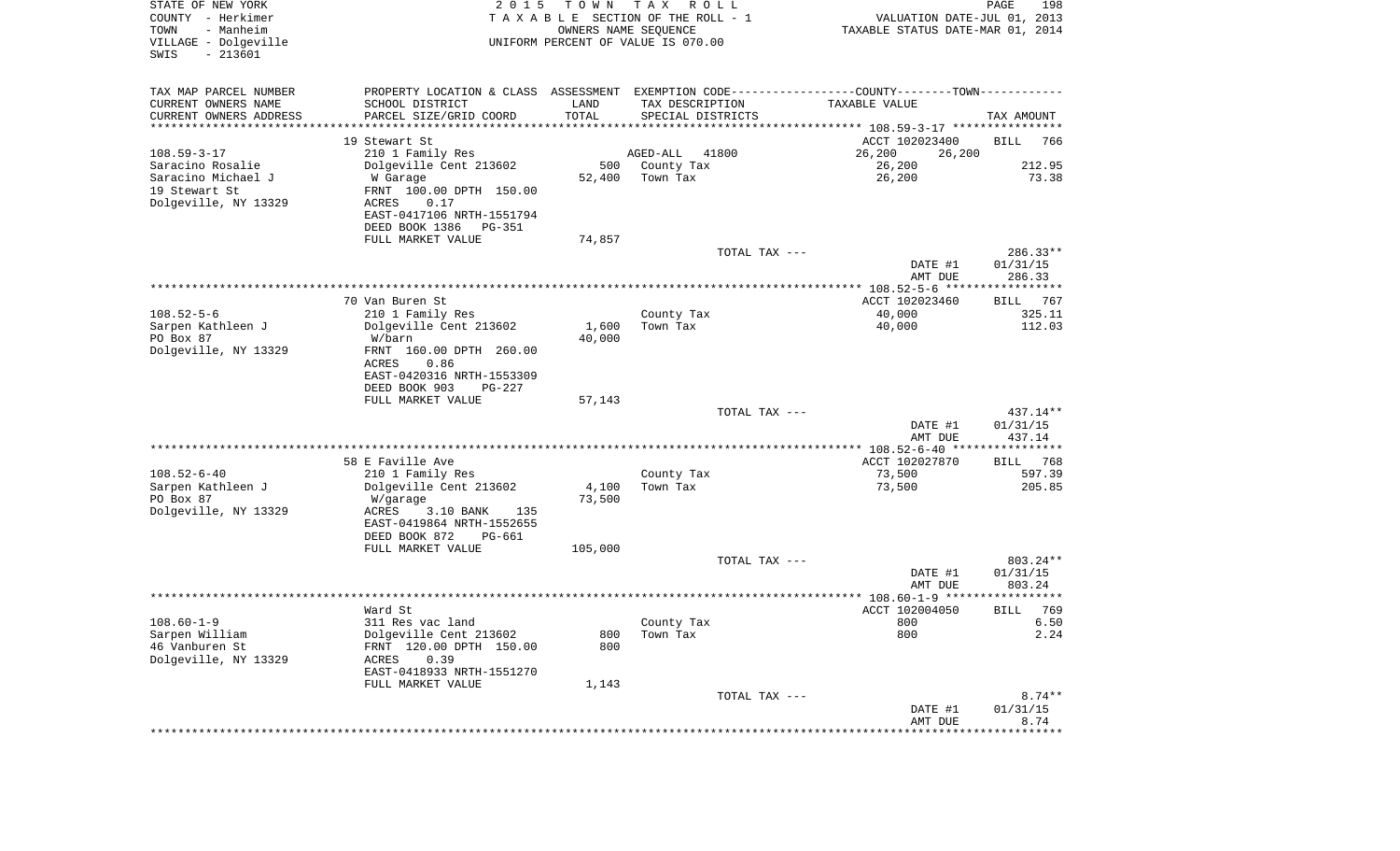| PROPERTY LOCATION & CLASS ASSESSMENT EXEMPTION CODE----------------COUNTY--------TOWN----------<br>TAX MAP PARCEL NUMBER<br>CURRENT OWNERS NAME<br>SCHOOL DISTRICT<br>LAND<br>TAX DESCRIPTION<br>TAXABLE VALUE<br>TOTAL<br>CURRENT OWNERS ADDRESS<br>PARCEL SIZE/GRID COORD<br>SPECIAL DISTRICTS<br>TAX AMOUNT<br>*********************<br>19 Stewart St<br>ACCT 102023400<br>BILL<br>766<br>$108.59 - 3 - 17$<br>210 1 Family Res<br>41800<br>26,200<br>AGED-ALL<br>26,200<br>Saracino Rosalie<br>Dolgeville Cent 213602<br>500<br>County Tax<br>26,200<br>212.95<br>Saracino Michael J<br>52,400<br>Town Tax<br>26,200<br>73.38<br>W Garage<br>19 Stewart St<br>FRNT 100.00 DPTH 150.00<br>Dolgeville, NY 13329<br>ACRES<br>0.17<br>EAST-0417106 NRTH-1551794<br>DEED BOOK 1386<br>PG-351<br>FULL MARKET VALUE<br>74,857<br>286.33**<br>TOTAL TAX ---<br>01/31/15<br>DATE #1<br>286.33<br>AMT DUE<br>****************** 108.52-5-6 ******************<br>70 Van Buren St<br>ACCT 102023460<br>767<br>BILL<br>$108.52 - 5 - 6$<br>40,000<br>210 1 Family Res<br>County Tax<br>325.11<br>Sarpen Kathleen J<br>Dolgeville Cent 213602<br>1,600<br>Town Tax<br>40,000<br>112.03<br>PO Box 87<br>40,000<br>W/barn<br>Dolgeville, NY 13329<br>FRNT 160.00 DPTH 260.00<br>ACRES<br>0.86<br>EAST-0420316 NRTH-1553309<br>DEED BOOK 903<br>$PG-227$<br>57,143<br>FULL MARKET VALUE<br>437.14**<br>TOTAL TAX ---<br>DATE #1<br>01/31/15<br>AMT DUE<br>437.14<br>58 E Faville Ave<br>ACCT 102027870<br>768<br>BILL<br>$108.52 - 6 - 40$<br>210 1 Family Res<br>County Tax<br>73,500<br>597.39<br>Sarpen Kathleen J<br>Dolgeville Cent 213602<br>4,100<br>Town Tax<br>73,500<br>205.85<br>73,500<br>PO Box 87<br>W/garage<br>Dolgeville, NY 13329<br>ACRES<br>3.10 BANK<br>135<br>EAST-0419864 NRTH-1552655<br>DEED BOOK 872<br>PG-661<br>105,000<br>FULL MARKET VALUE<br>803.24**<br>TOTAL TAX ---<br>DATE #1<br>01/31/15<br>803.24<br>AMT DUE<br>****<br>Ward St<br>ACCT 102004050<br>769<br>BILL<br>800<br>6.50<br>$108.60 - 1 - 9$<br>311 Res vac land<br>County Tax<br>Sarpen William<br>Dolgeville Cent 213602<br>800<br>800<br>Town Tax<br>2.24<br>46 Vanburen St<br>FRNT 120.00 DPTH 150.00<br>800<br>Dolgeville, NY 13329<br>ACRES<br>0.39<br>EAST-0418933 NRTH-1551270<br>FULL MARKET VALUE<br>1,143<br>TOTAL TAX ---<br>$8.74**$<br>DATE #1<br>01/31/15<br>8.74<br>AMT DUE<br>************<br>****************** | STATE OF NEW YORK<br>COUNTY - Herkimer<br>TOWN<br>- Manheim<br>VILLAGE - Dolgeville<br>$-213601$<br>SWIS | 2 0 1 5 | T O W N<br>OWNERS NAME SEQUENCE | T A X<br>R O L L<br>TAXABLE SECTION OF THE ROLL - 1<br>UNIFORM PERCENT OF VALUE IS 070.00 | VALUATION DATE-JUL 01, 2013<br>TAXABLE STATUS DATE-MAR 01, 2014 | $\mathop{\mathtt{PAGE}}$<br>198 |
|-------------------------------------------------------------------------------------------------------------------------------------------------------------------------------------------------------------------------------------------------------------------------------------------------------------------------------------------------------------------------------------------------------------------------------------------------------------------------------------------------------------------------------------------------------------------------------------------------------------------------------------------------------------------------------------------------------------------------------------------------------------------------------------------------------------------------------------------------------------------------------------------------------------------------------------------------------------------------------------------------------------------------------------------------------------------------------------------------------------------------------------------------------------------------------------------------------------------------------------------------------------------------------------------------------------------------------------------------------------------------------------------------------------------------------------------------------------------------------------------------------------------------------------------------------------------------------------------------------------------------------------------------------------------------------------------------------------------------------------------------------------------------------------------------------------------------------------------------------------------------------------------------------------------------------------------------------------------------------------------------------------------------------------------------------------------------------------------------------------------------------------------------------------------------------------------------------------------------------------------------------------------------------------------------------------------------------------------------------------------------------------------------------------------|----------------------------------------------------------------------------------------------------------|---------|---------------------------------|-------------------------------------------------------------------------------------------|-----------------------------------------------------------------|---------------------------------|
|                                                                                                                                                                                                                                                                                                                                                                                                                                                                                                                                                                                                                                                                                                                                                                                                                                                                                                                                                                                                                                                                                                                                                                                                                                                                                                                                                                                                                                                                                                                                                                                                                                                                                                                                                                                                                                                                                                                                                                                                                                                                                                                                                                                                                                                                                                                                                                                                                   |                                                                                                          |         |                                 |                                                                                           |                                                                 |                                 |
|                                                                                                                                                                                                                                                                                                                                                                                                                                                                                                                                                                                                                                                                                                                                                                                                                                                                                                                                                                                                                                                                                                                                                                                                                                                                                                                                                                                                                                                                                                                                                                                                                                                                                                                                                                                                                                                                                                                                                                                                                                                                                                                                                                                                                                                                                                                                                                                                                   |                                                                                                          |         |                                 |                                                                                           |                                                                 |                                 |
|                                                                                                                                                                                                                                                                                                                                                                                                                                                                                                                                                                                                                                                                                                                                                                                                                                                                                                                                                                                                                                                                                                                                                                                                                                                                                                                                                                                                                                                                                                                                                                                                                                                                                                                                                                                                                                                                                                                                                                                                                                                                                                                                                                                                                                                                                                                                                                                                                   |                                                                                                          |         |                                 |                                                                                           |                                                                 |                                 |
|                                                                                                                                                                                                                                                                                                                                                                                                                                                                                                                                                                                                                                                                                                                                                                                                                                                                                                                                                                                                                                                                                                                                                                                                                                                                                                                                                                                                                                                                                                                                                                                                                                                                                                                                                                                                                                                                                                                                                                                                                                                                                                                                                                                                                                                                                                                                                                                                                   |                                                                                                          |         |                                 |                                                                                           |                                                                 |                                 |
|                                                                                                                                                                                                                                                                                                                                                                                                                                                                                                                                                                                                                                                                                                                                                                                                                                                                                                                                                                                                                                                                                                                                                                                                                                                                                                                                                                                                                                                                                                                                                                                                                                                                                                                                                                                                                                                                                                                                                                                                                                                                                                                                                                                                                                                                                                                                                                                                                   |                                                                                                          |         |                                 |                                                                                           |                                                                 |                                 |
|                                                                                                                                                                                                                                                                                                                                                                                                                                                                                                                                                                                                                                                                                                                                                                                                                                                                                                                                                                                                                                                                                                                                                                                                                                                                                                                                                                                                                                                                                                                                                                                                                                                                                                                                                                                                                                                                                                                                                                                                                                                                                                                                                                                                                                                                                                                                                                                                                   |                                                                                                          |         |                                 |                                                                                           |                                                                 |                                 |
|                                                                                                                                                                                                                                                                                                                                                                                                                                                                                                                                                                                                                                                                                                                                                                                                                                                                                                                                                                                                                                                                                                                                                                                                                                                                                                                                                                                                                                                                                                                                                                                                                                                                                                                                                                                                                                                                                                                                                                                                                                                                                                                                                                                                                                                                                                                                                                                                                   |                                                                                                          |         |                                 |                                                                                           |                                                                 |                                 |
|                                                                                                                                                                                                                                                                                                                                                                                                                                                                                                                                                                                                                                                                                                                                                                                                                                                                                                                                                                                                                                                                                                                                                                                                                                                                                                                                                                                                                                                                                                                                                                                                                                                                                                                                                                                                                                                                                                                                                                                                                                                                                                                                                                                                                                                                                                                                                                                                                   |                                                                                                          |         |                                 |                                                                                           |                                                                 |                                 |
|                                                                                                                                                                                                                                                                                                                                                                                                                                                                                                                                                                                                                                                                                                                                                                                                                                                                                                                                                                                                                                                                                                                                                                                                                                                                                                                                                                                                                                                                                                                                                                                                                                                                                                                                                                                                                                                                                                                                                                                                                                                                                                                                                                                                                                                                                                                                                                                                                   |                                                                                                          |         |                                 |                                                                                           |                                                                 |                                 |
|                                                                                                                                                                                                                                                                                                                                                                                                                                                                                                                                                                                                                                                                                                                                                                                                                                                                                                                                                                                                                                                                                                                                                                                                                                                                                                                                                                                                                                                                                                                                                                                                                                                                                                                                                                                                                                                                                                                                                                                                                                                                                                                                                                                                                                                                                                                                                                                                                   |                                                                                                          |         |                                 |                                                                                           |                                                                 |                                 |
|                                                                                                                                                                                                                                                                                                                                                                                                                                                                                                                                                                                                                                                                                                                                                                                                                                                                                                                                                                                                                                                                                                                                                                                                                                                                                                                                                                                                                                                                                                                                                                                                                                                                                                                                                                                                                                                                                                                                                                                                                                                                                                                                                                                                                                                                                                                                                                                                                   |                                                                                                          |         |                                 |                                                                                           |                                                                 |                                 |
|                                                                                                                                                                                                                                                                                                                                                                                                                                                                                                                                                                                                                                                                                                                                                                                                                                                                                                                                                                                                                                                                                                                                                                                                                                                                                                                                                                                                                                                                                                                                                                                                                                                                                                                                                                                                                                                                                                                                                                                                                                                                                                                                                                                                                                                                                                                                                                                                                   |                                                                                                          |         |                                 |                                                                                           |                                                                 |                                 |
|                                                                                                                                                                                                                                                                                                                                                                                                                                                                                                                                                                                                                                                                                                                                                                                                                                                                                                                                                                                                                                                                                                                                                                                                                                                                                                                                                                                                                                                                                                                                                                                                                                                                                                                                                                                                                                                                                                                                                                                                                                                                                                                                                                                                                                                                                                                                                                                                                   |                                                                                                          |         |                                 |                                                                                           |                                                                 |                                 |
|                                                                                                                                                                                                                                                                                                                                                                                                                                                                                                                                                                                                                                                                                                                                                                                                                                                                                                                                                                                                                                                                                                                                                                                                                                                                                                                                                                                                                                                                                                                                                                                                                                                                                                                                                                                                                                                                                                                                                                                                                                                                                                                                                                                                                                                                                                                                                                                                                   |                                                                                                          |         |                                 |                                                                                           |                                                                 |                                 |
|                                                                                                                                                                                                                                                                                                                                                                                                                                                                                                                                                                                                                                                                                                                                                                                                                                                                                                                                                                                                                                                                                                                                                                                                                                                                                                                                                                                                                                                                                                                                                                                                                                                                                                                                                                                                                                                                                                                                                                                                                                                                                                                                                                                                                                                                                                                                                                                                                   |                                                                                                          |         |                                 |                                                                                           |                                                                 |                                 |
|                                                                                                                                                                                                                                                                                                                                                                                                                                                                                                                                                                                                                                                                                                                                                                                                                                                                                                                                                                                                                                                                                                                                                                                                                                                                                                                                                                                                                                                                                                                                                                                                                                                                                                                                                                                                                                                                                                                                                                                                                                                                                                                                                                                                                                                                                                                                                                                                                   |                                                                                                          |         |                                 |                                                                                           |                                                                 |                                 |
|                                                                                                                                                                                                                                                                                                                                                                                                                                                                                                                                                                                                                                                                                                                                                                                                                                                                                                                                                                                                                                                                                                                                                                                                                                                                                                                                                                                                                                                                                                                                                                                                                                                                                                                                                                                                                                                                                                                                                                                                                                                                                                                                                                                                                                                                                                                                                                                                                   |                                                                                                          |         |                                 |                                                                                           |                                                                 |                                 |
|                                                                                                                                                                                                                                                                                                                                                                                                                                                                                                                                                                                                                                                                                                                                                                                                                                                                                                                                                                                                                                                                                                                                                                                                                                                                                                                                                                                                                                                                                                                                                                                                                                                                                                                                                                                                                                                                                                                                                                                                                                                                                                                                                                                                                                                                                                                                                                                                                   |                                                                                                          |         |                                 |                                                                                           |                                                                 |                                 |
|                                                                                                                                                                                                                                                                                                                                                                                                                                                                                                                                                                                                                                                                                                                                                                                                                                                                                                                                                                                                                                                                                                                                                                                                                                                                                                                                                                                                                                                                                                                                                                                                                                                                                                                                                                                                                                                                                                                                                                                                                                                                                                                                                                                                                                                                                                                                                                                                                   |                                                                                                          |         |                                 |                                                                                           |                                                                 |                                 |
|                                                                                                                                                                                                                                                                                                                                                                                                                                                                                                                                                                                                                                                                                                                                                                                                                                                                                                                                                                                                                                                                                                                                                                                                                                                                                                                                                                                                                                                                                                                                                                                                                                                                                                                                                                                                                                                                                                                                                                                                                                                                                                                                                                                                                                                                                                                                                                                                                   |                                                                                                          |         |                                 |                                                                                           |                                                                 |                                 |
|                                                                                                                                                                                                                                                                                                                                                                                                                                                                                                                                                                                                                                                                                                                                                                                                                                                                                                                                                                                                                                                                                                                                                                                                                                                                                                                                                                                                                                                                                                                                                                                                                                                                                                                                                                                                                                                                                                                                                                                                                                                                                                                                                                                                                                                                                                                                                                                                                   |                                                                                                          |         |                                 |                                                                                           |                                                                 |                                 |
|                                                                                                                                                                                                                                                                                                                                                                                                                                                                                                                                                                                                                                                                                                                                                                                                                                                                                                                                                                                                                                                                                                                                                                                                                                                                                                                                                                                                                                                                                                                                                                                                                                                                                                                                                                                                                                                                                                                                                                                                                                                                                                                                                                                                                                                                                                                                                                                                                   |                                                                                                          |         |                                 |                                                                                           |                                                                 |                                 |
|                                                                                                                                                                                                                                                                                                                                                                                                                                                                                                                                                                                                                                                                                                                                                                                                                                                                                                                                                                                                                                                                                                                                                                                                                                                                                                                                                                                                                                                                                                                                                                                                                                                                                                                                                                                                                                                                                                                                                                                                                                                                                                                                                                                                                                                                                                                                                                                                                   |                                                                                                          |         |                                 |                                                                                           |                                                                 |                                 |
|                                                                                                                                                                                                                                                                                                                                                                                                                                                                                                                                                                                                                                                                                                                                                                                                                                                                                                                                                                                                                                                                                                                                                                                                                                                                                                                                                                                                                                                                                                                                                                                                                                                                                                                                                                                                                                                                                                                                                                                                                                                                                                                                                                                                                                                                                                                                                                                                                   |                                                                                                          |         |                                 |                                                                                           |                                                                 |                                 |
|                                                                                                                                                                                                                                                                                                                                                                                                                                                                                                                                                                                                                                                                                                                                                                                                                                                                                                                                                                                                                                                                                                                                                                                                                                                                                                                                                                                                                                                                                                                                                                                                                                                                                                                                                                                                                                                                                                                                                                                                                                                                                                                                                                                                                                                                                                                                                                                                                   |                                                                                                          |         |                                 |                                                                                           |                                                                 |                                 |
|                                                                                                                                                                                                                                                                                                                                                                                                                                                                                                                                                                                                                                                                                                                                                                                                                                                                                                                                                                                                                                                                                                                                                                                                                                                                                                                                                                                                                                                                                                                                                                                                                                                                                                                                                                                                                                                                                                                                                                                                                                                                                                                                                                                                                                                                                                                                                                                                                   |                                                                                                          |         |                                 |                                                                                           |                                                                 |                                 |
|                                                                                                                                                                                                                                                                                                                                                                                                                                                                                                                                                                                                                                                                                                                                                                                                                                                                                                                                                                                                                                                                                                                                                                                                                                                                                                                                                                                                                                                                                                                                                                                                                                                                                                                                                                                                                                                                                                                                                                                                                                                                                                                                                                                                                                                                                                                                                                                                                   |                                                                                                          |         |                                 |                                                                                           |                                                                 |                                 |
|                                                                                                                                                                                                                                                                                                                                                                                                                                                                                                                                                                                                                                                                                                                                                                                                                                                                                                                                                                                                                                                                                                                                                                                                                                                                                                                                                                                                                                                                                                                                                                                                                                                                                                                                                                                                                                                                                                                                                                                                                                                                                                                                                                                                                                                                                                                                                                                                                   |                                                                                                          |         |                                 |                                                                                           |                                                                 |                                 |
|                                                                                                                                                                                                                                                                                                                                                                                                                                                                                                                                                                                                                                                                                                                                                                                                                                                                                                                                                                                                                                                                                                                                                                                                                                                                                                                                                                                                                                                                                                                                                                                                                                                                                                                                                                                                                                                                                                                                                                                                                                                                                                                                                                                                                                                                                                                                                                                                                   |                                                                                                          |         |                                 |                                                                                           |                                                                 |                                 |
|                                                                                                                                                                                                                                                                                                                                                                                                                                                                                                                                                                                                                                                                                                                                                                                                                                                                                                                                                                                                                                                                                                                                                                                                                                                                                                                                                                                                                                                                                                                                                                                                                                                                                                                                                                                                                                                                                                                                                                                                                                                                                                                                                                                                                                                                                                                                                                                                                   |                                                                                                          |         |                                 |                                                                                           |                                                                 |                                 |
|                                                                                                                                                                                                                                                                                                                                                                                                                                                                                                                                                                                                                                                                                                                                                                                                                                                                                                                                                                                                                                                                                                                                                                                                                                                                                                                                                                                                                                                                                                                                                                                                                                                                                                                                                                                                                                                                                                                                                                                                                                                                                                                                                                                                                                                                                                                                                                                                                   |                                                                                                          |         |                                 |                                                                                           |                                                                 |                                 |
|                                                                                                                                                                                                                                                                                                                                                                                                                                                                                                                                                                                                                                                                                                                                                                                                                                                                                                                                                                                                                                                                                                                                                                                                                                                                                                                                                                                                                                                                                                                                                                                                                                                                                                                                                                                                                                                                                                                                                                                                                                                                                                                                                                                                                                                                                                                                                                                                                   |                                                                                                          |         |                                 |                                                                                           |                                                                 |                                 |
|                                                                                                                                                                                                                                                                                                                                                                                                                                                                                                                                                                                                                                                                                                                                                                                                                                                                                                                                                                                                                                                                                                                                                                                                                                                                                                                                                                                                                                                                                                                                                                                                                                                                                                                                                                                                                                                                                                                                                                                                                                                                                                                                                                                                                                                                                                                                                                                                                   |                                                                                                          |         |                                 |                                                                                           |                                                                 |                                 |
|                                                                                                                                                                                                                                                                                                                                                                                                                                                                                                                                                                                                                                                                                                                                                                                                                                                                                                                                                                                                                                                                                                                                                                                                                                                                                                                                                                                                                                                                                                                                                                                                                                                                                                                                                                                                                                                                                                                                                                                                                                                                                                                                                                                                                                                                                                                                                                                                                   |                                                                                                          |         |                                 |                                                                                           |                                                                 |                                 |
|                                                                                                                                                                                                                                                                                                                                                                                                                                                                                                                                                                                                                                                                                                                                                                                                                                                                                                                                                                                                                                                                                                                                                                                                                                                                                                                                                                                                                                                                                                                                                                                                                                                                                                                                                                                                                                                                                                                                                                                                                                                                                                                                                                                                                                                                                                                                                                                                                   |                                                                                                          |         |                                 |                                                                                           |                                                                 |                                 |
|                                                                                                                                                                                                                                                                                                                                                                                                                                                                                                                                                                                                                                                                                                                                                                                                                                                                                                                                                                                                                                                                                                                                                                                                                                                                                                                                                                                                                                                                                                                                                                                                                                                                                                                                                                                                                                                                                                                                                                                                                                                                                                                                                                                                                                                                                                                                                                                                                   |                                                                                                          |         |                                 |                                                                                           |                                                                 |                                 |
|                                                                                                                                                                                                                                                                                                                                                                                                                                                                                                                                                                                                                                                                                                                                                                                                                                                                                                                                                                                                                                                                                                                                                                                                                                                                                                                                                                                                                                                                                                                                                                                                                                                                                                                                                                                                                                                                                                                                                                                                                                                                                                                                                                                                                                                                                                                                                                                                                   |                                                                                                          |         |                                 |                                                                                           |                                                                 |                                 |
|                                                                                                                                                                                                                                                                                                                                                                                                                                                                                                                                                                                                                                                                                                                                                                                                                                                                                                                                                                                                                                                                                                                                                                                                                                                                                                                                                                                                                                                                                                                                                                                                                                                                                                                                                                                                                                                                                                                                                                                                                                                                                                                                                                                                                                                                                                                                                                                                                   |                                                                                                          |         |                                 |                                                                                           |                                                                 |                                 |
|                                                                                                                                                                                                                                                                                                                                                                                                                                                                                                                                                                                                                                                                                                                                                                                                                                                                                                                                                                                                                                                                                                                                                                                                                                                                                                                                                                                                                                                                                                                                                                                                                                                                                                                                                                                                                                                                                                                                                                                                                                                                                                                                                                                                                                                                                                                                                                                                                   |                                                                                                          |         |                                 |                                                                                           |                                                                 |                                 |
|                                                                                                                                                                                                                                                                                                                                                                                                                                                                                                                                                                                                                                                                                                                                                                                                                                                                                                                                                                                                                                                                                                                                                                                                                                                                                                                                                                                                                                                                                                                                                                                                                                                                                                                                                                                                                                                                                                                                                                                                                                                                                                                                                                                                                                                                                                                                                                                                                   |                                                                                                          |         |                                 |                                                                                           |                                                                 |                                 |
|                                                                                                                                                                                                                                                                                                                                                                                                                                                                                                                                                                                                                                                                                                                                                                                                                                                                                                                                                                                                                                                                                                                                                                                                                                                                                                                                                                                                                                                                                                                                                                                                                                                                                                                                                                                                                                                                                                                                                                                                                                                                                                                                                                                                                                                                                                                                                                                                                   |                                                                                                          |         |                                 |                                                                                           |                                                                 |                                 |
|                                                                                                                                                                                                                                                                                                                                                                                                                                                                                                                                                                                                                                                                                                                                                                                                                                                                                                                                                                                                                                                                                                                                                                                                                                                                                                                                                                                                                                                                                                                                                                                                                                                                                                                                                                                                                                                                                                                                                                                                                                                                                                                                                                                                                                                                                                                                                                                                                   |                                                                                                          |         |                                 |                                                                                           |                                                                 |                                 |
|                                                                                                                                                                                                                                                                                                                                                                                                                                                                                                                                                                                                                                                                                                                                                                                                                                                                                                                                                                                                                                                                                                                                                                                                                                                                                                                                                                                                                                                                                                                                                                                                                                                                                                                                                                                                                                                                                                                                                                                                                                                                                                                                                                                                                                                                                                                                                                                                                   |                                                                                                          |         |                                 |                                                                                           |                                                                 |                                 |
|                                                                                                                                                                                                                                                                                                                                                                                                                                                                                                                                                                                                                                                                                                                                                                                                                                                                                                                                                                                                                                                                                                                                                                                                                                                                                                                                                                                                                                                                                                                                                                                                                                                                                                                                                                                                                                                                                                                                                                                                                                                                                                                                                                                                                                                                                                                                                                                                                   |                                                                                                          |         |                                 |                                                                                           |                                                                 |                                 |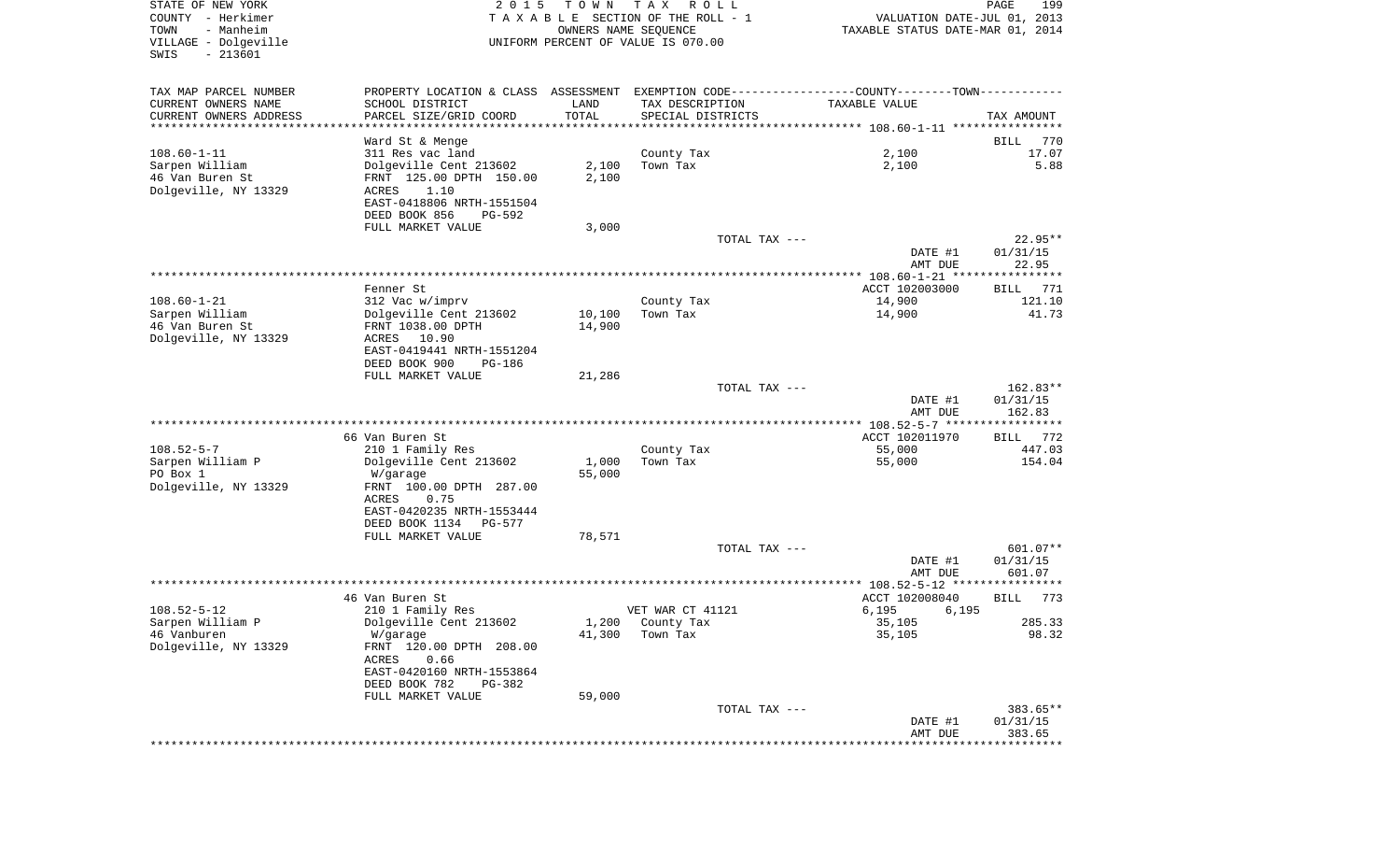| STATE OF NEW YORK<br>COUNTY - Herkimer<br>TOWN<br>- Manheim<br>VILLAGE - Dolgeville<br>SWIS<br>$-213601$ | 2 0 1 5                                                                                       | T O W N | TAX ROLL<br>TAXABLE SECTION OF THE ROLL - 1<br>OWNERS NAME SEQUENCE<br>UNIFORM PERCENT OF VALUE IS 070.00 | VALUATION DATE-JUL 01, 2013<br>TAXABLE STATUS DATE-MAR 01, 2014 | 199<br>PAGE        |
|----------------------------------------------------------------------------------------------------------|-----------------------------------------------------------------------------------------------|---------|-----------------------------------------------------------------------------------------------------------|-----------------------------------------------------------------|--------------------|
| TAX MAP PARCEL NUMBER                                                                                    | PROPERTY LOCATION & CLASS ASSESSMENT EXEMPTION CODE---------------COUNTY-------TOWN---------- |         |                                                                                                           |                                                                 |                    |
| CURRENT OWNERS NAME                                                                                      | SCHOOL DISTRICT                                                                               | LAND    | TAX DESCRIPTION                                                                                           | TAXABLE VALUE                                                   |                    |
| CURRENT OWNERS ADDRESS<br>**********************                                                         | PARCEL SIZE/GRID COORD                                                                        | TOTAL   | SPECIAL DISTRICTS                                                                                         |                                                                 | TAX AMOUNT         |
|                                                                                                          | Ward St & Menge                                                                               |         |                                                                                                           |                                                                 | 770<br>BILL        |
| $108.60 - 1 - 11$                                                                                        | 311 Res vac land                                                                              |         | County Tax                                                                                                | 2,100                                                           | 17.07              |
| Sarpen William                                                                                           | Dolgeville Cent 213602                                                                        | 2,100   | Town Tax                                                                                                  | 2,100                                                           | 5.88               |
| 46 Van Buren St                                                                                          | FRNT 125.00 DPTH 150.00                                                                       | 2,100   |                                                                                                           |                                                                 |                    |
| Dolgeville, NY 13329                                                                                     | ACRES<br>1.10                                                                                 |         |                                                                                                           |                                                                 |                    |
|                                                                                                          | EAST-0418806 NRTH-1551504                                                                     |         |                                                                                                           |                                                                 |                    |
|                                                                                                          | DEED BOOK 856<br>PG-592<br>FULL MARKET VALUE                                                  | 3,000   |                                                                                                           |                                                                 |                    |
|                                                                                                          |                                                                                               |         | TOTAL TAX ---                                                                                             |                                                                 | $22.95**$          |
|                                                                                                          |                                                                                               |         |                                                                                                           | DATE #1                                                         | 01/31/15           |
|                                                                                                          |                                                                                               |         |                                                                                                           | AMT DUE                                                         | 22.95              |
|                                                                                                          |                                                                                               |         |                                                                                                           |                                                                 |                    |
| 108.60-1-21                                                                                              | Fenner St<br>312 Vac w/imprv                                                                  |         | County Tax                                                                                                | ACCT 102003000<br>14,900                                        | BILL 771<br>121.10 |
| Sarpen William                                                                                           | Dolgeville Cent 213602                                                                        | 10,100  | Town Tax                                                                                                  | 14,900                                                          | 41.73              |
| 46 Van Buren St                                                                                          | FRNT 1038.00 DPTH                                                                             | 14,900  |                                                                                                           |                                                                 |                    |
| Dolgeville, NY 13329                                                                                     | ACRES 10.90                                                                                   |         |                                                                                                           |                                                                 |                    |
|                                                                                                          | EAST-0419441 NRTH-1551204                                                                     |         |                                                                                                           |                                                                 |                    |
|                                                                                                          | DEED BOOK 900<br>PG-186                                                                       |         |                                                                                                           |                                                                 |                    |
|                                                                                                          | FULL MARKET VALUE                                                                             | 21,286  | TOTAL TAX ---                                                                                             |                                                                 | 162.83**           |
|                                                                                                          |                                                                                               |         |                                                                                                           | DATE #1                                                         | 01/31/15           |
|                                                                                                          |                                                                                               |         |                                                                                                           | AMT DUE                                                         | 162.83             |
|                                                                                                          |                                                                                               |         |                                                                                                           |                                                                 |                    |
| 108.52-5-7                                                                                               | 66 Van Buren St<br>210 1 Family Res                                                           |         | County Tax                                                                                                | ACCT 102011970<br>55,000                                        | BILL 772<br>447.03 |
| Sarpen William P                                                                                         | Dolgeville Cent 213602                                                                        | 1,000   | Town Tax                                                                                                  | 55,000                                                          | 154.04             |
| PO Box 1                                                                                                 | W/garage                                                                                      | 55,000  |                                                                                                           |                                                                 |                    |
| Dolgeville, NY 13329                                                                                     | FRNT 100.00 DPTH 287.00                                                                       |         |                                                                                                           |                                                                 |                    |
|                                                                                                          | ACRES<br>0.75                                                                                 |         |                                                                                                           |                                                                 |                    |
|                                                                                                          | EAST-0420235 NRTH-1553444                                                                     |         |                                                                                                           |                                                                 |                    |
|                                                                                                          | DEED BOOK 1134<br>PG-577<br>FULL MARKET VALUE                                                 | 78,571  |                                                                                                           |                                                                 |                    |
|                                                                                                          |                                                                                               |         | TOTAL TAX ---                                                                                             |                                                                 | $601.07**$         |
|                                                                                                          |                                                                                               |         |                                                                                                           | DATE #1                                                         | 01/31/15           |
|                                                                                                          |                                                                                               |         |                                                                                                           | AMT DUE                                                         | 601.07             |
|                                                                                                          | 46 Van Buren St                                                                               |         |                                                                                                           | ACCT 102008040                                                  | 773<br>BILL        |
| $108.52 - 5 - 12$                                                                                        | 210 1 Family Res                                                                              |         | VET WAR CT 41121                                                                                          | 6,195<br>6,195                                                  |                    |
| Sarpen William P                                                                                         | Dolgeville Cent 213602                                                                        |         | 1,200 County Tax                                                                                          | 35,105                                                          | 285.33             |
| 46 Vanburen                                                                                              | W/garage                                                                                      | 41,300  | Town Tax                                                                                                  | 35,105                                                          | 98.32              |
| Dolgeville, NY 13329                                                                                     | FRNT 120.00 DPTH 208.00                                                                       |         |                                                                                                           |                                                                 |                    |
|                                                                                                          | ACRES<br>0.66                                                                                 |         |                                                                                                           |                                                                 |                    |
|                                                                                                          | EAST-0420160 NRTH-1553864<br>DEED BOOK 782<br>PG-382                                          |         |                                                                                                           |                                                                 |                    |
|                                                                                                          | FULL MARKET VALUE                                                                             | 59,000  |                                                                                                           |                                                                 |                    |
|                                                                                                          |                                                                                               |         | TOTAL TAX ---                                                                                             |                                                                 | 383.65**           |
|                                                                                                          |                                                                                               |         |                                                                                                           | DATE #1                                                         | 01/31/15           |
|                                                                                                          |                                                                                               |         |                                                                                                           | AMT DUE                                                         | 383.65             |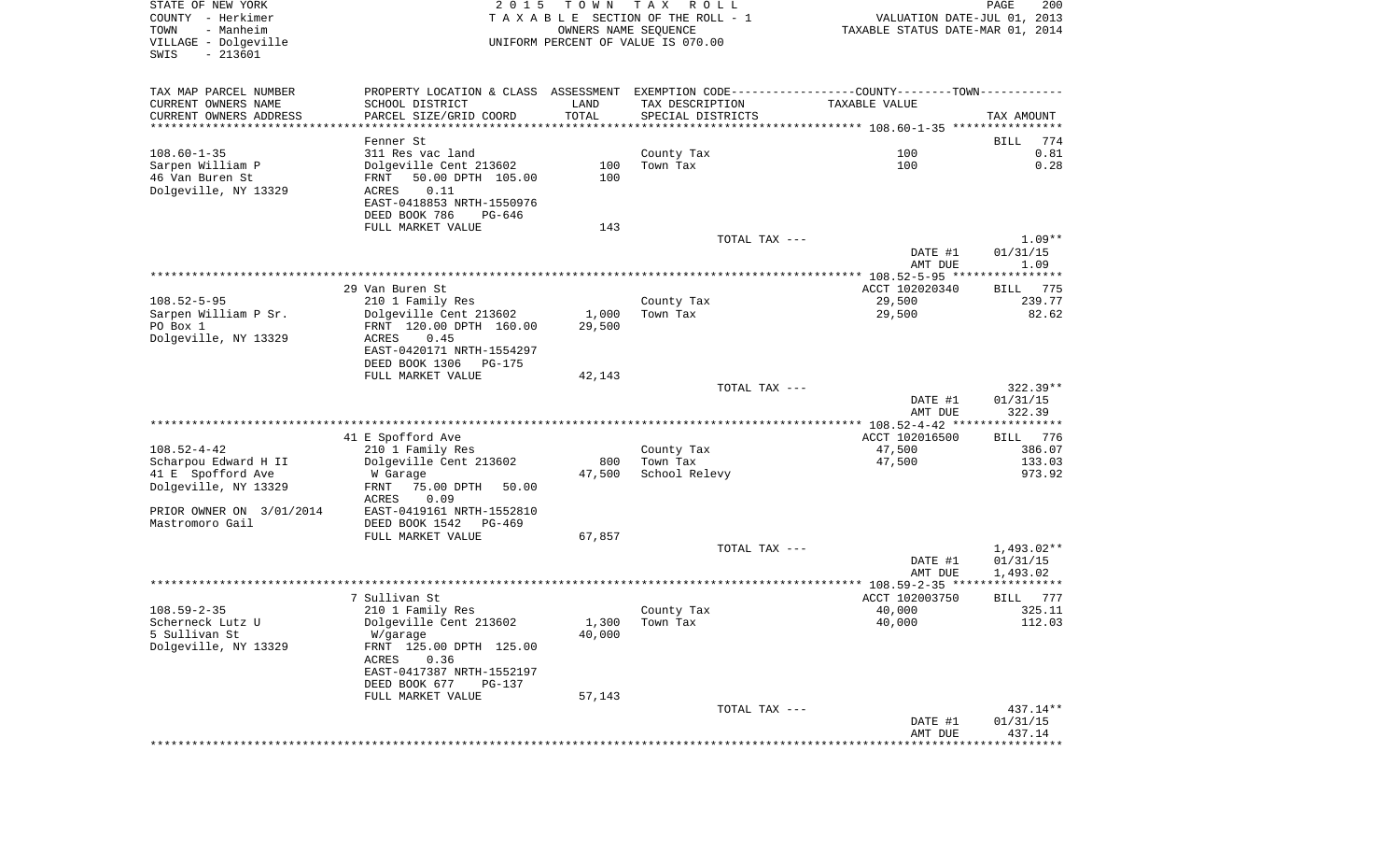| VILLAGE - Dolgeville<br>$-213601$<br>SWIS |                                                                                               | OWNERS NAME SEQUENCE | TAXABLE SECTION OF THE ROLL - 1<br>UNIFORM PERCENT OF VALUE IS 070.00 | VALUATION DATE-JUL 01, 2013<br>TAXABLE STATUS DATE-MAR 01, 2014 | PAGE                                                 |
|-------------------------------------------|-----------------------------------------------------------------------------------------------|----------------------|-----------------------------------------------------------------------|-----------------------------------------------------------------|------------------------------------------------------|
| TAX MAP PARCEL NUMBER                     | PROPERTY LOCATION & CLASS ASSESSMENT EXEMPTION CODE---------------COUNTY-------TOWN---------- |                      |                                                                       |                                                                 |                                                      |
| CURRENT OWNERS NAME                       | SCHOOL DISTRICT                                                                               | LAND                 | TAX DESCRIPTION                                                       | TAXABLE VALUE                                                   |                                                      |
| CURRENT OWNERS ADDRESS                    | PARCEL SIZE/GRID COORD                                                                        | TOTAL                | SPECIAL DISTRICTS                                                     |                                                                 | TAX AMOUNT                                           |
| ***********************                   |                                                                                               |                      |                                                                       |                                                                 |                                                      |
|                                           | Fenner St                                                                                     |                      |                                                                       |                                                                 | 774<br>BILL                                          |
| $108.60 - 1 - 35$                         | 311 Res vac land                                                                              |                      | County Tax                                                            | 100                                                             | 0.81                                                 |
| Sarpen William P                          | Dolgeville Cent 213602                                                                        | 100<br>100           | Town Tax                                                              | 100                                                             | 0.28                                                 |
| 46 Van Buren St<br>Dolgeville, NY 13329   | 50.00 DPTH 105.00<br>FRNT<br>0.11<br>ACRES                                                    |                      |                                                                       |                                                                 |                                                      |
|                                           | EAST-0418853 NRTH-1550976                                                                     |                      |                                                                       |                                                                 |                                                      |
|                                           | DEED BOOK 786<br>PG-646                                                                       |                      |                                                                       |                                                                 |                                                      |
|                                           | FULL MARKET VALUE                                                                             | 143                  |                                                                       |                                                                 |                                                      |
|                                           |                                                                                               |                      | TOTAL TAX ---                                                         |                                                                 | $1.09**$                                             |
|                                           |                                                                                               |                      |                                                                       | DATE #1                                                         | 01/31/15                                             |
|                                           |                                                                                               |                      |                                                                       | AMT DUE                                                         | 1.09                                                 |
|                                           | 29 Van Buren St                                                                               |                      |                                                                       | ACCT 102020340                                                  | BILL 775                                             |
| $108.52 - 5 - 95$                         | 210 1 Family Res                                                                              |                      | County Tax                                                            | 29,500                                                          | 239.77                                               |
| Sarpen William P Sr.                      | Dolgeville Cent 213602                                                                        | 1,000                | Town Tax                                                              | 29,500                                                          | 82.62                                                |
| PO Box 1                                  | FRNT 120.00 DPTH 160.00                                                                       | 29,500               |                                                                       |                                                                 |                                                      |
| Dolgeville, NY 13329                      | 0.45<br>ACRES                                                                                 |                      |                                                                       |                                                                 |                                                      |
|                                           | EAST-0420171 NRTH-1554297                                                                     |                      |                                                                       |                                                                 |                                                      |
|                                           | DEED BOOK 1306 PG-175                                                                         |                      |                                                                       |                                                                 |                                                      |
|                                           | FULL MARKET VALUE                                                                             | 42,143               | TOTAL TAX ---                                                         |                                                                 | $322.39**$                                           |
|                                           |                                                                                               |                      |                                                                       | DATE #1                                                         | 01/31/15                                             |
|                                           |                                                                                               |                      |                                                                       | AMT DUE                                                         | 322.39                                               |
|                                           |                                                                                               |                      |                                                                       |                                                                 |                                                      |
|                                           |                                                                                               |                      |                                                                       | ********* 108.52-4-42 ****************                          |                                                      |
|                                           | 41 E Spofford Ave                                                                             |                      |                                                                       | ACCT 102016500                                                  |                                                      |
| $108.52 - 4 - 42$                         | 210 1 Family Res                                                                              |                      | County Tax                                                            | 47,500                                                          |                                                      |
| Scharpou Edward H II                      | Dolgeville Cent 213602                                                                        | 800                  | Town Tax                                                              | 47,500                                                          |                                                      |
| 41 E Spofford Ave                         | W Garage                                                                                      | 47,500               | School Relevy                                                         |                                                                 |                                                      |
| Dolgeville, NY 13329                      | FRNT 75.00 DPTH 50.00                                                                         |                      |                                                                       |                                                                 |                                                      |
| PRIOR OWNER ON 3/01/2014                  | ACRES<br>0.09<br>EAST-0419161 NRTH-1552810                                                    |                      |                                                                       |                                                                 | BILL 776<br>386.07<br>133.03<br>973.92               |
| Mastromoro Gail                           | DEED BOOK 1542 PG-469                                                                         |                      |                                                                       |                                                                 |                                                      |
|                                           | FULL MARKET VALUE                                                                             | 67,857               |                                                                       |                                                                 |                                                      |
|                                           |                                                                                               |                      | TOTAL TAX ---                                                         |                                                                 | 1,493.02**                                           |
|                                           |                                                                                               |                      |                                                                       | DATE #1                                                         | 01/31/15                                             |
|                                           |                                                                                               |                      |                                                                       | AMT DUE                                                         | 1,493.02                                             |
|                                           |                                                                                               |                      |                                                                       |                                                                 |                                                      |
| $108.59 - 2 - 35$                         | 7 Sullivan St<br>210 1 Family Res                                                             |                      | County Tax                                                            | ACCT 102003750<br>40,000                                        |                                                      |
| Scherneck Lutz U                          | Dolgeville Cent 213602                                                                        |                      | $1,300$ Town Tax                                                      | 40,000                                                          |                                                      |
| 5 Sullivan St                             | W/garage                                                                                      | 40,000               |                                                                       |                                                                 |                                                      |
| Dolgeville, NY 13329                      | FRNT 125.00 DPTH 125.00                                                                       |                      |                                                                       |                                                                 |                                                      |
|                                           | 0.36<br>ACRES                                                                                 |                      |                                                                       |                                                                 |                                                      |
|                                           | EAST-0417387 NRTH-1552197                                                                     |                      |                                                                       |                                                                 |                                                      |
|                                           | DEED BOOK 677<br><b>PG-137</b>                                                                |                      |                                                                       |                                                                 |                                                      |
|                                           | FULL MARKET VALUE                                                                             | 57,143               |                                                                       |                                                                 |                                                      |
|                                           |                                                                                               |                      | TOTAL TAX ---                                                         | DATE #1                                                         | BILL 777<br>325.11<br>112.03<br>437.14**<br>01/31/15 |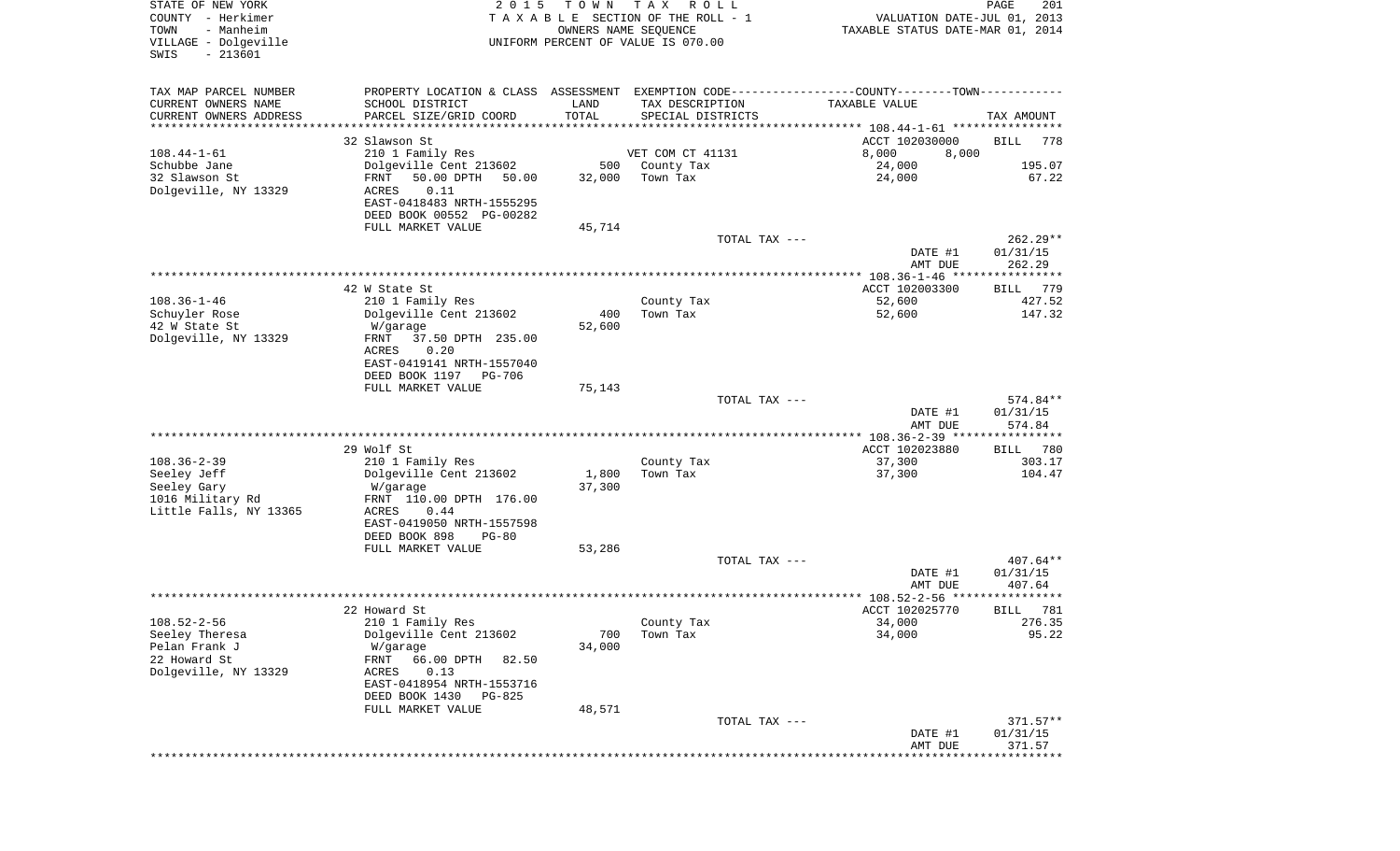| STATE OF NEW YORK<br>COUNTY - Herkimer<br>- Manheim<br>TOWN<br>VILLAGE - Dolgeville<br>$-213601$<br>SWIS | 2 0 1 5                                                                                                                                                         | T O W N<br>OWNERS NAME SEQUENCE | T A X<br>R O L L<br>TAXABLE SECTION OF THE ROLL - 1<br>UNIFORM PERCENT OF VALUE IS 070.00 | VALUATION DATE-JUL 01, 2013<br>TAXABLE STATUS DATE-MAR 01, 2014 | PAGE<br>201                      |
|----------------------------------------------------------------------------------------------------------|-----------------------------------------------------------------------------------------------------------------------------------------------------------------|---------------------------------|-------------------------------------------------------------------------------------------|-----------------------------------------------------------------|----------------------------------|
| TAX MAP PARCEL NUMBER<br>CURRENT OWNERS NAME<br>CURRENT OWNERS ADDRESS<br>********************           | PROPERTY LOCATION & CLASS ASSESSMENT EXEMPTION CODE---------------COUNTY-------TOWN----------<br>SCHOOL DISTRICT<br>PARCEL SIZE/GRID COORD                      | LAND<br>TOTAL                   | TAX DESCRIPTION<br>SPECIAL DISTRICTS                                                      | TAXABLE VALUE<br>ACCT 102030000                                 | TAX AMOUNT                       |
| $108.44 - 1 - 61$                                                                                        | 32 Slawson St<br>210 1 Family Res                                                                                                                               |                                 | VET COM CT 41131                                                                          | 8,000<br>8,000                                                  | <b>BILL</b><br>778               |
| Schubbe Jane<br>32 Slawson St<br>Dolgeville, NY 13329                                                    | Dolgeville Cent 213602<br>FRNT<br>50.00 DPTH<br>50.00<br>ACRES<br>0.11<br>EAST-0418483 NRTH-1555295<br>DEED BOOK 00552 PG-00282                                 | 500<br>32,000                   | County Tax<br>Town Tax                                                                    | 24,000<br>24,000                                                | 195.07<br>67.22                  |
|                                                                                                          | FULL MARKET VALUE                                                                                                                                               | 45,714                          |                                                                                           |                                                                 |                                  |
|                                                                                                          |                                                                                                                                                                 |                                 | TOTAL TAX ---                                                                             | DATE #1<br>AMT DUE                                              | $262.29**$<br>01/31/15<br>262.29 |
|                                                                                                          | 42 W State St                                                                                                                                                   |                                 |                                                                                           | ACCT 102003300                                                  | 779<br>BILL                      |
| $108.36 - 1 - 46$<br>Schuyler Rose<br>42 W State St<br>Dolgeville, NY 13329                              | 210 1 Family Res<br>Dolgeville Cent 213602<br>W/garage<br>37.50 DPTH 235.00<br>FRNT<br>ACRES<br>0.20                                                            | 400<br>52,600                   | County Tax<br>Town Tax                                                                    | 52,600<br>52,600                                                | 427.52<br>147.32                 |
|                                                                                                          | EAST-0419141 NRTH-1557040                                                                                                                                       |                                 |                                                                                           |                                                                 |                                  |
|                                                                                                          | DEED BOOK 1197<br>PG-706<br>FULL MARKET VALUE                                                                                                                   | 75,143                          |                                                                                           |                                                                 |                                  |
|                                                                                                          |                                                                                                                                                                 |                                 | TOTAL TAX ---                                                                             | DATE #1<br>AMT DUE                                              | 574.84**<br>01/31/15<br>574.84   |
|                                                                                                          |                                                                                                                                                                 |                                 |                                                                                           | *********** 108.36-2-39 *****************                       |                                  |
| $108.36 - 2 - 39$<br>Seeley Jeff<br>Seeley Gary<br>1016 Military Rd<br>Little Falls, NY 13365            | 29 Wolf St<br>210 1 Family Res<br>Dolgeville Cent 213602<br>W/garage<br>FRNT 110.00 DPTH 176.00<br>ACRES<br>0.44<br>EAST-0419050 NRTH-1557598                   | 1,800<br>37,300                 | County Tax<br>Town Tax                                                                    | ACCT 102023880<br>37,300<br>37,300                              | 780<br>BILL<br>303.17<br>104.47  |
|                                                                                                          | DEED BOOK 898<br>$PG-80$                                                                                                                                        |                                 |                                                                                           |                                                                 |                                  |
|                                                                                                          | FULL MARKET VALUE                                                                                                                                               | 53,286                          | TOTAL TAX ---                                                                             | DATE #1                                                         | $407.64**$<br>01/31/15<br>407.64 |
|                                                                                                          |                                                                                                                                                                 |                                 |                                                                                           | AMT DUE                                                         | * * * * * * *                    |
|                                                                                                          | 22 Howard St                                                                                                                                                    |                                 |                                                                                           | ACCT 102025770                                                  | 781<br>BILL                      |
| $108.52 - 2 - 56$<br>Seeley Theresa<br>Pelan Frank J<br>22 Howard St<br>Dolgeville, NY 13329             | 210 1 Family Res<br>Dolgeville Cent 213602<br>W/garage<br>66.00 DPTH<br>FRNT<br>82.50<br>0.13<br>ACRES<br>EAST-0418954 NRTH-1553716<br>DEED BOOK 1430<br>PG-825 | 700<br>34,000                   | County Tax<br>Town Tax                                                                    | 34,000<br>34,000                                                | 276.35<br>95.22                  |
|                                                                                                          | FULL MARKET VALUE                                                                                                                                               | 48,571                          |                                                                                           |                                                                 |                                  |
|                                                                                                          |                                                                                                                                                                 |                                 | TOTAL TAX ---                                                                             | DATE #1<br>AMT DUE                                              | $371.57**$<br>01/31/15<br>371.57 |
|                                                                                                          |                                                                                                                                                                 |                                 |                                                                                           | ***************************                                     |                                  |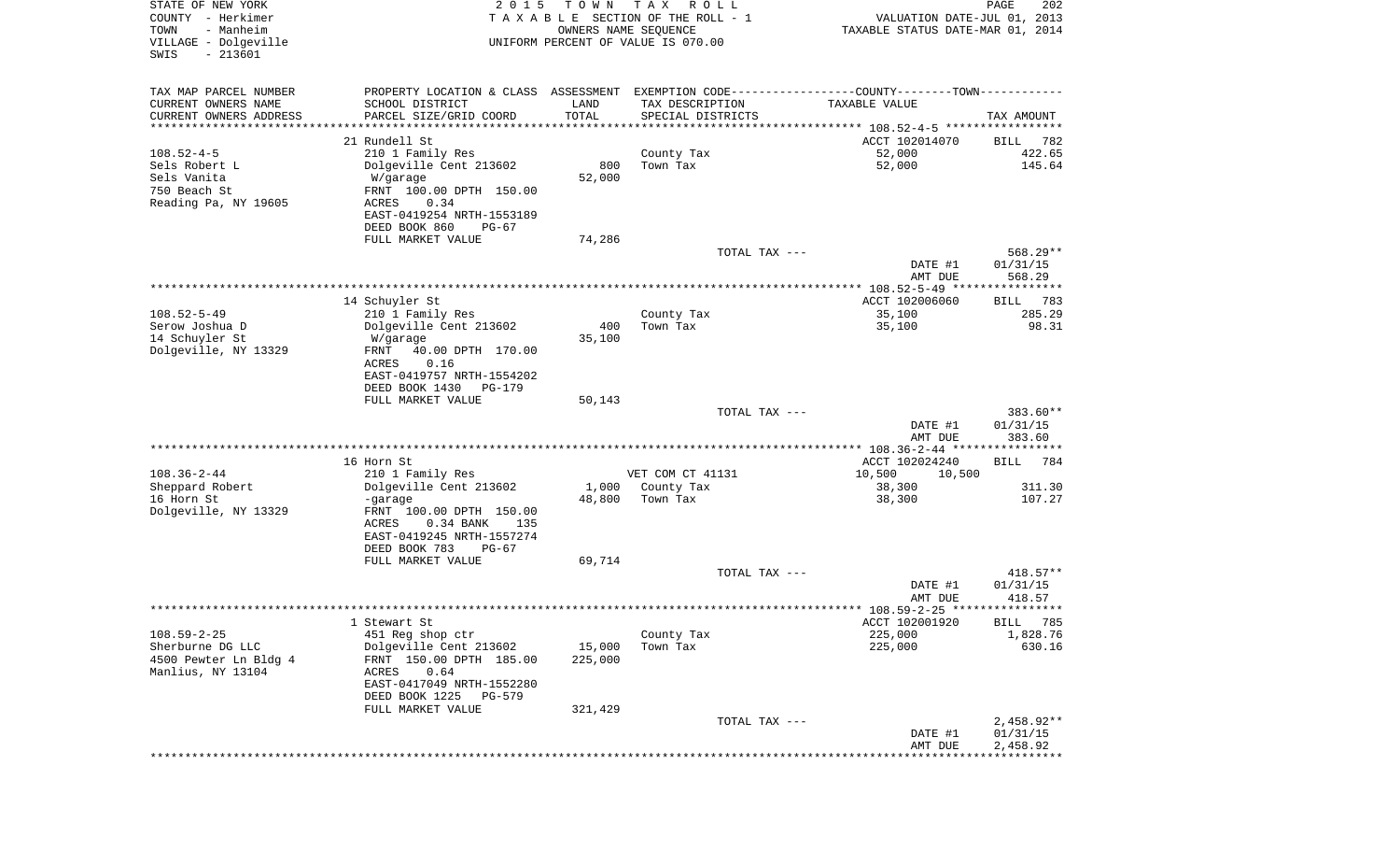| STATE OF NEW YORK<br>COUNTY - Herkimer<br>TOWN<br>- Manheim<br>VILLAGE - Dolgeville<br>$-213601$<br>SWIS | 2 0 1 5                                                                                       | T O W N<br>OWNERS NAME SEQUENCE | T A X<br>ROLL<br>TAXABLE SECTION OF THE ROLL - 1<br>UNIFORM PERCENT OF VALUE IS 070.00 | VALUATION DATE-JUL 01, 2013<br>TAXABLE STATUS DATE-MAR 01, 2014 | PAGE<br>202        |
|----------------------------------------------------------------------------------------------------------|-----------------------------------------------------------------------------------------------|---------------------------------|----------------------------------------------------------------------------------------|-----------------------------------------------------------------|--------------------|
| TAX MAP PARCEL NUMBER                                                                                    | PROPERTY LOCATION & CLASS ASSESSMENT EXEMPTION CODE---------------COUNTY-------TOWN---------- |                                 |                                                                                        |                                                                 |                    |
| CURRENT OWNERS NAME                                                                                      | SCHOOL DISTRICT                                                                               | LAND                            | TAX DESCRIPTION                                                                        | TAXABLE VALUE                                                   |                    |
| CURRENT OWNERS ADDRESS                                                                                   | PARCEL SIZE/GRID COORD                                                                        | TOTAL                           | SPECIAL DISTRICTS                                                                      |                                                                 | TAX AMOUNT         |
| ********************                                                                                     |                                                                                               | * * * * * * * * * * *           |                                                                                        |                                                                 |                    |
|                                                                                                          | 21 Rundell St                                                                                 |                                 |                                                                                        | ACCT 102014070                                                  | 782<br>BILL        |
| $108.52 - 4 - 5$                                                                                         | 210 1 Family Res                                                                              |                                 | County Tax                                                                             | 52,000                                                          | 422.65             |
| Sels Robert L                                                                                            | Dolgeville Cent 213602                                                                        | 800                             | Town Tax                                                                               | 52,000                                                          | 145.64             |
| Sels Vanita                                                                                              | W/garage                                                                                      | 52,000                          |                                                                                        |                                                                 |                    |
| 750 Beach St                                                                                             | FRNT 100.00 DPTH 150.00                                                                       |                                 |                                                                                        |                                                                 |                    |
| Reading Pa, NY 19605                                                                                     | ACRES<br>0.34                                                                                 |                                 |                                                                                        |                                                                 |                    |
|                                                                                                          | EAST-0419254 NRTH-1553189                                                                     |                                 |                                                                                        |                                                                 |                    |
|                                                                                                          | DEED BOOK 860<br>PG-67                                                                        |                                 |                                                                                        |                                                                 |                    |
|                                                                                                          | FULL MARKET VALUE                                                                             | 74,286                          |                                                                                        |                                                                 |                    |
|                                                                                                          |                                                                                               |                                 | TOTAL TAX ---                                                                          |                                                                 | $568.29**$         |
|                                                                                                          |                                                                                               |                                 |                                                                                        | DATE #1<br>AMT DUE                                              | 01/31/15<br>568.29 |
|                                                                                                          |                                                                                               |                                 |                                                                                        |                                                                 |                    |
|                                                                                                          | 14 Schuyler St                                                                                |                                 |                                                                                        | ACCT 102006060                                                  | BILL<br>783        |
| $108.52 - 5 - 49$                                                                                        | 210 1 Family Res                                                                              |                                 | County Tax                                                                             | 35,100                                                          | 285.29             |
| Serow Joshua D                                                                                           | Dolgeville Cent 213602                                                                        | 400                             | Town Tax                                                                               | 35,100                                                          | 98.31              |
| 14 Schuyler St                                                                                           | W/garage                                                                                      | 35,100                          |                                                                                        |                                                                 |                    |
| Dolgeville, NY 13329                                                                                     | FRNT<br>40.00 DPTH 170.00                                                                     |                                 |                                                                                        |                                                                 |                    |
|                                                                                                          | ACRES<br>0.16                                                                                 |                                 |                                                                                        |                                                                 |                    |
|                                                                                                          | EAST-0419757 NRTH-1554202                                                                     |                                 |                                                                                        |                                                                 |                    |
|                                                                                                          | DEED BOOK 1430<br><b>PG-179</b>                                                               |                                 |                                                                                        |                                                                 |                    |
|                                                                                                          | FULL MARKET VALUE                                                                             | 50,143                          | TOTAL TAX ---                                                                          |                                                                 | 383.60**           |
|                                                                                                          |                                                                                               |                                 |                                                                                        | DATE #1                                                         | 01/31/15           |
|                                                                                                          |                                                                                               |                                 |                                                                                        | AMT DUE                                                         | 383.60             |
|                                                                                                          |                                                                                               |                                 |                                                                                        |                                                                 |                    |
|                                                                                                          | 16 Horn St                                                                                    |                                 |                                                                                        | ACCT 102024240                                                  | 784<br>BILL        |
| $108.36 - 2 - 44$                                                                                        | 210 1 Family Res                                                                              |                                 | VET COM CT 41131                                                                       | 10,500<br>10,500                                                |                    |
| Sheppard Robert                                                                                          | Dolgeville Cent 213602                                                                        | 1,000                           | County Tax                                                                             | 38,300                                                          | 311.30             |
| 16 Horn St                                                                                               | -garage                                                                                       | 48,800                          | Town Tax                                                                               | 38,300                                                          | 107.27             |
| Dolgeville, NY 13329                                                                                     | FRNT 100.00 DPTH 150.00                                                                       |                                 |                                                                                        |                                                                 |                    |
|                                                                                                          | ACRES<br>$0.34$ BANK<br>135                                                                   |                                 |                                                                                        |                                                                 |                    |
|                                                                                                          | EAST-0419245 NRTH-1557274                                                                     |                                 |                                                                                        |                                                                 |                    |
|                                                                                                          | DEED BOOK 783<br>PG-67<br>FULL MARKET VALUE                                                   | 69,714                          |                                                                                        |                                                                 |                    |
|                                                                                                          |                                                                                               |                                 | TOTAL TAX ---                                                                          |                                                                 | $418.57**$         |
|                                                                                                          |                                                                                               |                                 |                                                                                        | DATE #1                                                         | 01/31/15           |
|                                                                                                          |                                                                                               |                                 |                                                                                        | AMT DUE                                                         | 418.57             |
|                                                                                                          |                                                                                               |                                 |                                                                                        |                                                                 |                    |
|                                                                                                          | 1 Stewart St                                                                                  |                                 |                                                                                        | ACCT 102001920                                                  | BILL 785           |
| $108.59 - 2 - 25$                                                                                        | 451 Reg shop ctr                                                                              |                                 | County Tax                                                                             | 225,000                                                         | 1,828.76           |
| Sherburne DG LLC                                                                                         | Dolgeville Cent 213602                                                                        | 15,000                          | Town Tax                                                                               | 225,000                                                         | 630.16             |
| 4500 Pewter Ln Bldg 4                                                                                    | FRNT 150.00 DPTH 185.00                                                                       | 225,000                         |                                                                                        |                                                                 |                    |
| Manlius, NY 13104                                                                                        | 0.64<br>ACRES<br>EAST-0417049 NRTH-1552280                                                    |                                 |                                                                                        |                                                                 |                    |
|                                                                                                          | DEED BOOK 1225<br>PG-579                                                                      |                                 |                                                                                        |                                                                 |                    |
|                                                                                                          | FULL MARKET VALUE                                                                             | 321,429                         |                                                                                        |                                                                 |                    |
|                                                                                                          |                                                                                               |                                 | TOTAL TAX ---                                                                          |                                                                 | $2,458.92**$       |
|                                                                                                          |                                                                                               |                                 |                                                                                        | DATE #1                                                         | 01/31/15           |
|                                                                                                          |                                                                                               |                                 |                                                                                        | AMT DUE                                                         | 2,458.92           |
|                                                                                                          |                                                                                               |                                 |                                                                                        |                                                                 |                    |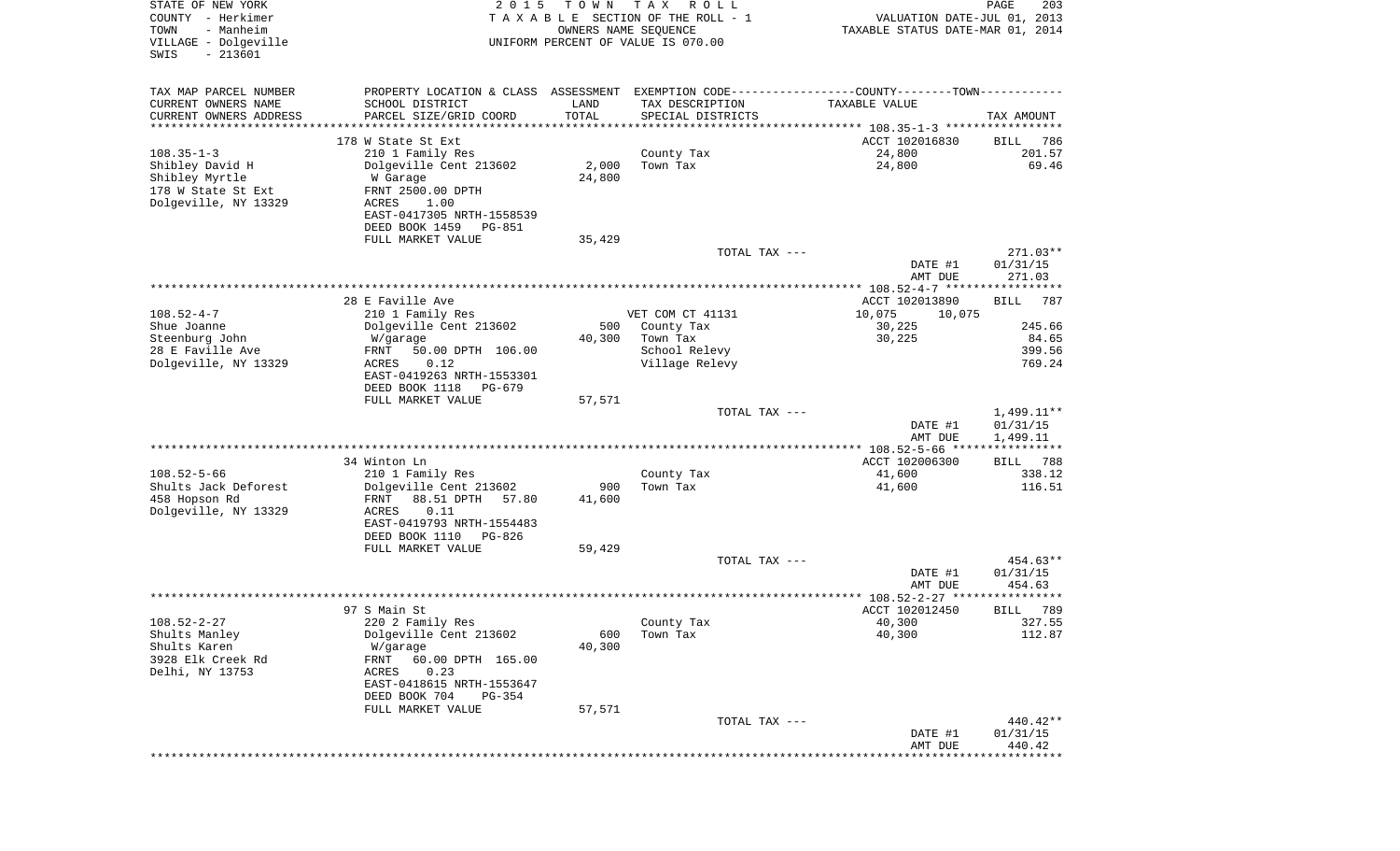| STATE OF NEW YORK<br>COUNTY - Herkimer<br>- Manheim<br>TOWN<br>VILLAGE - Dolgeville<br>$-213601$<br>SWIS | 2 0 1 5                                                                                       | T O W N<br>OWNERS NAME SEQUENCE | T A X<br>R O L L<br>TAXABLE SECTION OF THE ROLL - 1<br>UNIFORM PERCENT OF VALUE IS 070.00 | VALUATION DATE-JUL 01, 2013<br>TAXABLE STATUS DATE-MAR 01, 2014 | PAGE<br>203                  |
|----------------------------------------------------------------------------------------------------------|-----------------------------------------------------------------------------------------------|---------------------------------|-------------------------------------------------------------------------------------------|-----------------------------------------------------------------|------------------------------|
| TAX MAP PARCEL NUMBER                                                                                    | PROPERTY LOCATION & CLASS ASSESSMENT EXEMPTION CODE---------------COUNTY-------TOWN---------- |                                 |                                                                                           |                                                                 |                              |
| CURRENT OWNERS NAME<br>CURRENT OWNERS ADDRESS                                                            | SCHOOL DISTRICT<br>PARCEL SIZE/GRID COORD                                                     | LAND<br>TOTAL                   | TAX DESCRIPTION<br>SPECIAL DISTRICTS                                                      | TAXABLE VALUE                                                   | TAX AMOUNT                   |
| ********************                                                                                     | *****************                                                                             | **********                      |                                                                                           | ********************************* 108.35-1-3 *****************  |                              |
|                                                                                                          | 178 W State St Ext                                                                            |                                 |                                                                                           | ACCT 102016830                                                  | 786<br>BILL                  |
| $108.35 - 1 - 3$                                                                                         | 210 1 Family Res                                                                              |                                 | County Tax                                                                                | 24,800                                                          | 201.57                       |
| Shibley David H<br>Shibley Myrtle                                                                        | Dolgeville Cent 213602<br>W Garage                                                            | 2,000<br>24,800                 | Town Tax                                                                                  | 24,800                                                          | 69.46                        |
| 178 W State St Ext                                                                                       | FRNT 2500.00 DPTH                                                                             |                                 |                                                                                           |                                                                 |                              |
| Dolgeville, NY 13329                                                                                     | ACRES<br>1.00                                                                                 |                                 |                                                                                           |                                                                 |                              |
|                                                                                                          | EAST-0417305 NRTH-1558539<br>DEED BOOK 1459<br>PG-851                                         |                                 |                                                                                           |                                                                 |                              |
|                                                                                                          | FULL MARKET VALUE                                                                             | 35,429                          |                                                                                           |                                                                 |                              |
|                                                                                                          |                                                                                               |                                 | TOTAL TAX ---                                                                             |                                                                 | 271.03**                     |
|                                                                                                          |                                                                                               |                                 |                                                                                           | DATE #1<br>AMT DUE                                              | 01/31/15<br>271.03           |
|                                                                                                          |                                                                                               |                                 |                                                                                           |                                                                 |                              |
|                                                                                                          | 28 E Faville Ave                                                                              |                                 |                                                                                           | ACCT 102013890                                                  | <b>BILL</b><br>787           |
| $108.52 - 4 - 7$                                                                                         | 210 1 Family Res                                                                              |                                 | VET COM CT 41131                                                                          | 10,075<br>10,075                                                |                              |
| Shue Joanne<br>Steenburg John                                                                            | Dolgeville Cent 213602                                                                        | 500<br>40,300                   | County Tax<br>Town Tax                                                                    | 30,225                                                          | 245.66<br>84.65              |
| 28 E Faville Ave                                                                                         | W/garage<br>FRNT<br>50.00 DPTH 106.00                                                         |                                 | School Relevy                                                                             | 30,225                                                          | 399.56                       |
| Dolgeville, NY 13329                                                                                     | ACRES<br>0.12                                                                                 |                                 | Village Relevy                                                                            |                                                                 | 769.24                       |
|                                                                                                          | EAST-0419263 NRTH-1553301                                                                     |                                 |                                                                                           |                                                                 |                              |
|                                                                                                          | DEED BOOK 1118<br>PG-679                                                                      |                                 |                                                                                           |                                                                 |                              |
|                                                                                                          | FULL MARKET VALUE                                                                             | 57,571                          | TOTAL TAX ---                                                                             |                                                                 | $1,499.11**$                 |
|                                                                                                          |                                                                                               |                                 |                                                                                           | DATE #1                                                         | 01/31/15                     |
|                                                                                                          |                                                                                               |                                 |                                                                                           | AMT DUE                                                         | 1,499.11                     |
|                                                                                                          |                                                                                               |                                 |                                                                                           |                                                                 | * * * * * * * * * * * *      |
| $108.52 - 5 - 66$                                                                                        | 34 Winton Ln<br>210 1 Family Res                                                              |                                 | County Tax                                                                                | ACCT 102006300<br>41,600                                        | 788<br>BILL<br>338.12        |
| Shults Jack Deforest                                                                                     | Dolgeville Cent 213602                                                                        | 900                             | Town Tax                                                                                  | 41,600                                                          | 116.51                       |
| 458 Hopson Rd                                                                                            | FRNT<br>88.51 DPTH<br>57.80                                                                   | 41,600                          |                                                                                           |                                                                 |                              |
| Dolgeville, NY 13329                                                                                     | ACRES<br>0.11                                                                                 |                                 |                                                                                           |                                                                 |                              |
|                                                                                                          | EAST-0419793 NRTH-1554483                                                                     |                                 |                                                                                           |                                                                 |                              |
|                                                                                                          | DEED BOOK 1110<br>PG-826<br>FULL MARKET VALUE                                                 | 59,429                          |                                                                                           |                                                                 |                              |
|                                                                                                          |                                                                                               |                                 | TOTAL TAX ---                                                                             |                                                                 | 454.63**                     |
|                                                                                                          |                                                                                               |                                 |                                                                                           | DATE #1                                                         | 01/31/15                     |
|                                                                                                          |                                                                                               |                                 |                                                                                           | AMT DUE                                                         | 454.63                       |
|                                                                                                          | 97 S Main St                                                                                  |                                 |                                                                                           | ACCT 102012450                                                  | * * * * * * *<br>789<br>BILL |
| $108.52 - 2 - 27$                                                                                        | 220 2 Family Res                                                                              |                                 | County Tax                                                                                | 40,300                                                          | 327.55                       |
| Shults Manley                                                                                            | Dolgeville Cent 213602                                                                        | 600                             | Town Tax                                                                                  | 40,300                                                          | 112.87                       |
| Shults Karen                                                                                             | W/garage                                                                                      | 40,300                          |                                                                                           |                                                                 |                              |
| 3928 Elk Creek Rd                                                                                        | FRNT<br>60.00 DPTH 165.00                                                                     |                                 |                                                                                           |                                                                 |                              |
| Delhi, NY 13753                                                                                          | 0.23<br>ACRES<br>EAST-0418615 NRTH-1553647                                                    |                                 |                                                                                           |                                                                 |                              |
|                                                                                                          | DEED BOOK 704<br>$PG-354$                                                                     |                                 |                                                                                           |                                                                 |                              |
|                                                                                                          | FULL MARKET VALUE                                                                             | 57,571                          |                                                                                           |                                                                 |                              |
|                                                                                                          |                                                                                               |                                 | TOTAL TAX ---                                                                             |                                                                 | 440.42**                     |
|                                                                                                          |                                                                                               |                                 |                                                                                           | DATE #1<br>AMT DUE                                              | 01/31/15<br>440.42           |
|                                                                                                          |                                                                                               |                                 |                                                                                           |                                                                 |                              |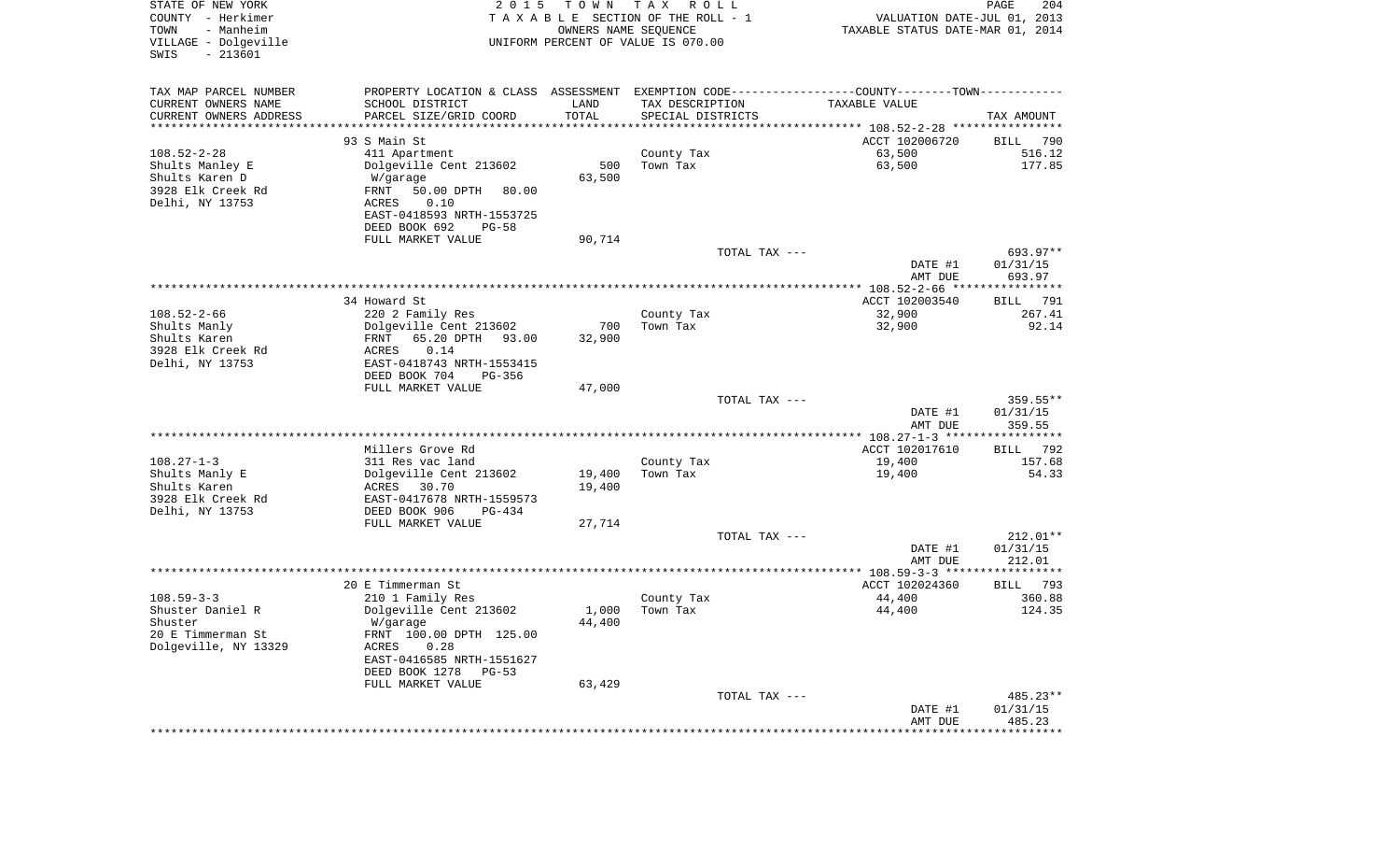| STATE OF NEW YORK<br>COUNTY - Herkimer<br>TOWN<br>- Manheim<br>VILLAGE - Dolgeville | 2 0 1 5                                              | T O W N<br>OWNERS NAME SEQUENCE | T A X<br>R O L L<br>TAXABLE SECTION OF THE ROLL - 1<br>UNIFORM PERCENT OF VALUE IS 070.00 | VALUATION DATE-JUL 01, 2013<br>TAXABLE STATUS DATE-MAR 01, 2014                               | PAGE<br>204                 |
|-------------------------------------------------------------------------------------|------------------------------------------------------|---------------------------------|-------------------------------------------------------------------------------------------|-----------------------------------------------------------------------------------------------|-----------------------------|
| $-213601$<br>SWIS                                                                   |                                                      |                                 |                                                                                           |                                                                                               |                             |
| TAX MAP PARCEL NUMBER                                                               |                                                      |                                 |                                                                                           | PROPERTY LOCATION & CLASS ASSESSMENT EXEMPTION CODE---------------COUNTY-------TOWN---------- |                             |
| CURRENT OWNERS NAME                                                                 | SCHOOL DISTRICT                                      | LAND                            | TAX DESCRIPTION                                                                           | TAXABLE VALUE                                                                                 |                             |
| CURRENT OWNERS ADDRESS<br>**********************                                    | PARCEL SIZE/GRID COORD<br>************************** | TOTAL                           | SPECIAL DISTRICTS                                                                         |                                                                                               | TAX AMOUNT                  |
|                                                                                     | 93 S Main St                                         |                                 |                                                                                           | ACCT 102006720                                                                                | 790<br>BILL                 |
| $108.52 - 2 - 28$                                                                   | 411 Apartment                                        |                                 | County Tax                                                                                | 63,500                                                                                        | 516.12                      |
| Shults Manley E                                                                     | Dolgeville Cent 213602                               | 500                             | Town Tax                                                                                  | 63,500                                                                                        | 177.85                      |
| Shults Karen D                                                                      | W/garage                                             | 63,500                          |                                                                                           |                                                                                               |                             |
| 3928 Elk Creek Rd                                                                   | FRNT<br>50.00 DPTH<br>80.00                          |                                 |                                                                                           |                                                                                               |                             |
| Delhi, NY 13753                                                                     | 0.10<br>ACRES                                        |                                 |                                                                                           |                                                                                               |                             |
|                                                                                     | EAST-0418593 NRTH-1553725                            |                                 |                                                                                           |                                                                                               |                             |
|                                                                                     | DEED BOOK 692<br>$PG-58$                             |                                 |                                                                                           |                                                                                               |                             |
|                                                                                     | FULL MARKET VALUE                                    | 90,714                          |                                                                                           |                                                                                               |                             |
|                                                                                     |                                                      |                                 | TOTAL TAX ---                                                                             | DATE #1                                                                                       | 693.97**<br>01/31/15        |
|                                                                                     |                                                      |                                 |                                                                                           | AMT DUE                                                                                       | 693.97                      |
|                                                                                     |                                                      |                                 |                                                                                           |                                                                                               |                             |
|                                                                                     | 34 Howard St                                         |                                 |                                                                                           | ACCT 102003540                                                                                | 791<br>BILL                 |
| $108.52 - 2 - 66$                                                                   | 220 2 Family Res                                     |                                 | County Tax                                                                                | 32,900                                                                                        | 267.41                      |
| Shults Manly                                                                        | Dolgeville Cent 213602                               | 700                             | Town Tax                                                                                  | 32,900                                                                                        | 92.14                       |
| Shults Karen                                                                        | 65.20 DPTH<br>93.00<br>FRNT                          | 32,900                          |                                                                                           |                                                                                               |                             |
| 3928 Elk Creek Rd<br>Delhi, NY 13753                                                | ACRES<br>0.14<br>EAST-0418743 NRTH-1553415           |                                 |                                                                                           |                                                                                               |                             |
|                                                                                     | DEED BOOK 704<br>PG-356                              |                                 |                                                                                           |                                                                                               |                             |
|                                                                                     | FULL MARKET VALUE                                    | 47,000                          |                                                                                           |                                                                                               |                             |
|                                                                                     |                                                      |                                 | TOTAL TAX ---                                                                             |                                                                                               | $359.55**$                  |
|                                                                                     |                                                      |                                 |                                                                                           | DATE #1                                                                                       | 01/31/15                    |
|                                                                                     |                                                      |                                 |                                                                                           | AMT DUE                                                                                       | 359.55                      |
|                                                                                     | Millers Grove Rd                                     |                                 |                                                                                           | **************** 108.27-1-3 *****************<br>ACCT 102017610                               | 792                         |
| $108.27 - 1 - 3$                                                                    | 311 Res vac land                                     |                                 | County Tax                                                                                | 19,400                                                                                        | BILL<br>157.68              |
| Shults Manly E                                                                      | Dolgeville Cent 213602                               | 19,400                          | Town Tax                                                                                  | 19,400                                                                                        | 54.33                       |
| Shults Karen                                                                        | ACRES<br>30.70                                       | 19,400                          |                                                                                           |                                                                                               |                             |
| 3928 Elk Creek Rd                                                                   | EAST-0417678 NRTH-1559573                            |                                 |                                                                                           |                                                                                               |                             |
| Delhi, NY 13753                                                                     | DEED BOOK 906<br><b>PG-434</b>                       |                                 |                                                                                           |                                                                                               |                             |
|                                                                                     | FULL MARKET VALUE                                    | 27,714                          |                                                                                           |                                                                                               |                             |
|                                                                                     |                                                      |                                 | TOTAL TAX ---                                                                             |                                                                                               | $212.01**$                  |
|                                                                                     |                                                      |                                 |                                                                                           | DATE #1<br>AMT DUE                                                                            | 01/31/15<br>212.01          |
|                                                                                     |                                                      |                                 |                                                                                           |                                                                                               |                             |
|                                                                                     | 20 E Timmerman St                                    |                                 |                                                                                           | ACCT 102024360                                                                                | BILL 793                    |
| $108.59 - 3 - 3$                                                                    | 210 1 Family Res                                     |                                 | County Tax                                                                                | 44,400                                                                                        | 360.88                      |
| Shuster Daniel R                                                                    | Dolgeville Cent 213602                               | 1,000                           | Town Tax                                                                                  | 44,400                                                                                        | 124.35                      |
| Shuster                                                                             | W/garage                                             | 44,400                          |                                                                                           |                                                                                               |                             |
| 20 E Timmerman St                                                                   | FRNT 100.00 DPTH 125.00                              |                                 |                                                                                           |                                                                                               |                             |
| Dolgeville, NY 13329                                                                | 0.28<br>ACRES<br>EAST-0416585 NRTH-1551627           |                                 |                                                                                           |                                                                                               |                             |
|                                                                                     | DEED BOOK 1278<br>PG-53                              |                                 |                                                                                           |                                                                                               |                             |
|                                                                                     | FULL MARKET VALUE                                    | 63,429                          |                                                                                           |                                                                                               |                             |
|                                                                                     |                                                      |                                 | TOTAL TAX ---                                                                             |                                                                                               | $485.23**$                  |
|                                                                                     |                                                      |                                 |                                                                                           | DATE #1                                                                                       | 01/31/15                    |
|                                                                                     |                                                      |                                 |                                                                                           | AMT DUE                                                                                       | 485.23                      |
|                                                                                     |                                                      |                                 |                                                                                           | * * * * * * * * * * * * * * * * * *                                                           | * * * * * * * * * * * * * * |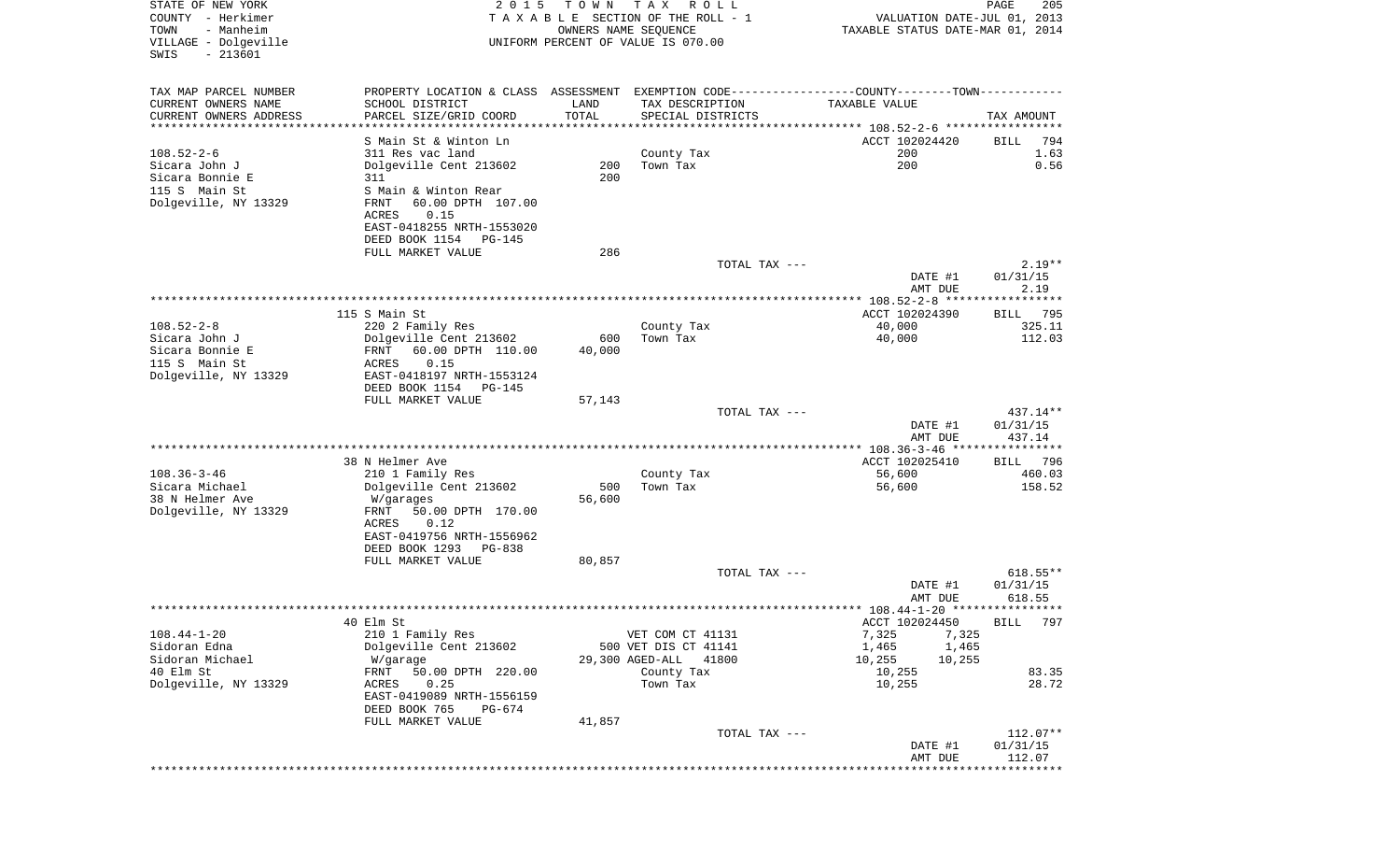| STATE OF NEW YORK<br>COUNTY - Herkimer<br>TOWN<br>- Manheim<br>VILLAGE - Dolgeville<br>SWIS<br>$-213601$ | 2 0 1 5                                                                                       | T O W N<br>OWNERS NAME SEQUENCE | TAX ROLL<br>TAXABLE SECTION OF THE ROLL - 1<br>UNIFORM PERCENT OF VALUE IS 070.00 | VALUATION DATE-JUL 01, 2013<br>TAXABLE STATUS DATE-MAR 01, 2014 | PAGE<br>205            |
|----------------------------------------------------------------------------------------------------------|-----------------------------------------------------------------------------------------------|---------------------------------|-----------------------------------------------------------------------------------|-----------------------------------------------------------------|------------------------|
| TAX MAP PARCEL NUMBER                                                                                    | PROPERTY LOCATION & CLASS ASSESSMENT EXEMPTION CODE---------------COUNTY-------TOWN---------- |                                 |                                                                                   |                                                                 |                        |
| CURRENT OWNERS NAME                                                                                      | SCHOOL DISTRICT                                                                               | LAND                            | TAX DESCRIPTION                                                                   | TAXABLE VALUE                                                   |                        |
| CURRENT OWNERS ADDRESS                                                                                   | PARCEL SIZE/GRID COORD                                                                        | TOTAL                           | SPECIAL DISTRICTS                                                                 |                                                                 | TAX AMOUNT             |
| **********************                                                                                   | ****************<br>S Main St & Winton Ln                                                     |                                 |                                                                                   | ACCT 102024420                                                  |                        |
| $108.52 - 2 - 6$                                                                                         | 311 Res vac land                                                                              |                                 | County Tax                                                                        | 200                                                             | BILL<br>794<br>1.63    |
| Sicara John J                                                                                            | Dolgeville Cent 213602                                                                        | 200                             | Town Tax                                                                          | 200                                                             | 0.56                   |
| Sicara Bonnie E                                                                                          | 311                                                                                           | 200                             |                                                                                   |                                                                 |                        |
| 115 S Main St                                                                                            | S Main & Winton Rear                                                                          |                                 |                                                                                   |                                                                 |                        |
| Dolgeville, NY 13329                                                                                     | 60.00 DPTH 107.00<br>FRNT<br>0.15<br>ACRES                                                    |                                 |                                                                                   |                                                                 |                        |
|                                                                                                          | EAST-0418255 NRTH-1553020                                                                     |                                 |                                                                                   |                                                                 |                        |
|                                                                                                          | DEED BOOK 1154<br>PG-145                                                                      |                                 |                                                                                   |                                                                 |                        |
|                                                                                                          | FULL MARKET VALUE                                                                             | 286                             |                                                                                   |                                                                 |                        |
|                                                                                                          |                                                                                               |                                 | TOTAL TAX ---                                                                     | DATE #1                                                         | $2.19**$<br>01/31/15   |
|                                                                                                          |                                                                                               |                                 |                                                                                   | AMT DUE                                                         | 2.19                   |
|                                                                                                          |                                                                                               |                                 |                                                                                   |                                                                 |                        |
|                                                                                                          | 115 S Main St                                                                                 |                                 |                                                                                   | ACCT 102024390                                                  | 795<br>BILL            |
| $108.52 - 2 - 8$<br>Sicara John J                                                                        | 220 2 Family Res<br>Dolgeville Cent 213602                                                    | 600                             | County Tax<br>Town Tax                                                            | 40,000<br>40,000                                                | 325.11<br>112.03       |
| Sicara Bonnie E                                                                                          | FRNT<br>60.00 DPTH 110.00                                                                     | 40,000                          |                                                                                   |                                                                 |                        |
| 115 S Main St                                                                                            | 0.15<br>ACRES                                                                                 |                                 |                                                                                   |                                                                 |                        |
| Dolgeville, NY 13329                                                                                     | EAST-0418197 NRTH-1553124<br>DEED BOOK 1154<br>PG-145                                         |                                 |                                                                                   |                                                                 |                        |
|                                                                                                          | FULL MARKET VALUE                                                                             | 57,143                          |                                                                                   |                                                                 |                        |
|                                                                                                          |                                                                                               |                                 | TOTAL TAX ---                                                                     |                                                                 | 437.14**               |
|                                                                                                          |                                                                                               |                                 |                                                                                   | DATE #1                                                         | 01/31/15               |
|                                                                                                          |                                                                                               |                                 |                                                                                   | AMT DUE                                                         | 437.14                 |
|                                                                                                          | 38 N Helmer Ave                                                                               |                                 |                                                                                   | ACCT 102025410                                                  | 796<br>BILL            |
| $108.36 - 3 - 46$                                                                                        | 210 1 Family Res                                                                              |                                 | County Tax                                                                        | 56,600                                                          | 460.03                 |
| Sicara Michael<br>38 N Helmer Ave                                                                        | Dolgeville Cent 213602                                                                        | 500                             | Town Tax                                                                          | 56,600                                                          | 158.52                 |
| Dolgeville, NY 13329                                                                                     | W/garages<br>FRNT<br>50.00 DPTH 170.00                                                        | 56,600                          |                                                                                   |                                                                 |                        |
|                                                                                                          | ACRES<br>0.12                                                                                 |                                 |                                                                                   |                                                                 |                        |
|                                                                                                          | EAST-0419756 NRTH-1556962                                                                     |                                 |                                                                                   |                                                                 |                        |
|                                                                                                          | DEED BOOK 1293<br>PG-838<br>FULL MARKET VALUE                                                 | 80,857                          |                                                                                   |                                                                 |                        |
|                                                                                                          |                                                                                               |                                 | TOTAL TAX ---                                                                     |                                                                 | $618.55**$             |
|                                                                                                          |                                                                                               |                                 |                                                                                   | DATE #1                                                         | 01/31/15               |
|                                                                                                          |                                                                                               |                                 |                                                                                   | AMT DUE                                                         | 618.55                 |
|                                                                                                          | 40 Elm St                                                                                     |                                 |                                                                                   | ACCT 102024450                                                  | BILL 797               |
| $108.44 - 1 - 20$                                                                                        | 210 1 Family Res                                                                              |                                 | VET COM CT 41131                                                                  | 7,325<br>7,325                                                  |                        |
| Sidoran Edna                                                                                             | Dolgeville Cent 213602                                                                        |                                 | 500 VET DIS CT 41141                                                              | 1,465<br>1,465                                                  |                        |
| Sidoran Michael                                                                                          | W/garage                                                                                      |                                 | 29,300 AGED-ALL<br>41800                                                          | 10,255<br>10,255                                                |                        |
| 40 Elm St<br>Dolgeville, NY 13329                                                                        | 50.00 DPTH 220.00<br>FRNT<br>ACRES<br>0.25                                                    |                                 | County Tax<br>Town Tax                                                            | 10,255<br>10,255                                                | 83.35<br>28.72         |
|                                                                                                          | EAST-0419089 NRTH-1556159                                                                     |                                 |                                                                                   |                                                                 |                        |
|                                                                                                          | DEED BOOK 765<br>PG-674                                                                       |                                 |                                                                                   |                                                                 |                        |
|                                                                                                          | FULL MARKET VALUE                                                                             | 41,857                          |                                                                                   |                                                                 |                        |
|                                                                                                          |                                                                                               |                                 | TOTAL TAX ---                                                                     | DATE #1                                                         | $112.07**$<br>01/31/15 |
|                                                                                                          |                                                                                               |                                 |                                                                                   | AMT DUE                                                         | 112.07                 |
|                                                                                                          |                                                                                               |                                 |                                                                                   | *******************************                                 |                        |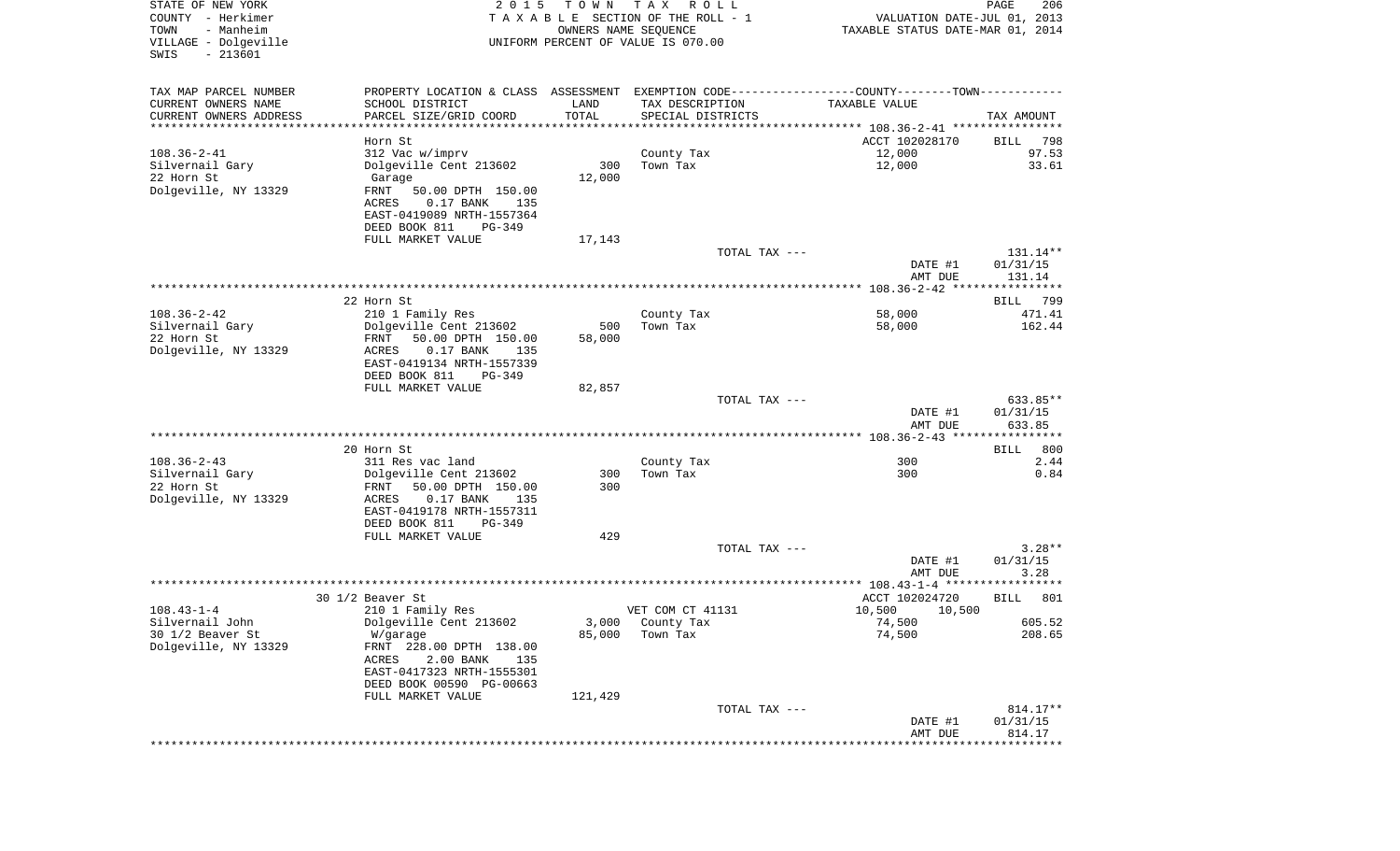| STATE OF NEW YORK<br>COUNTY - Herkimer<br>- Manheim<br>TOWN<br>VILLAGE - Dolgeville<br>$-213601$<br>SWIS | 2 0 1 5                                                                                       | T O W N | T A X<br>R O L L<br>TAXABLE SECTION OF THE ROLL - 1<br>OWNERS NAME SEQUENCE<br>UNIFORM PERCENT OF VALUE IS 070.00 | VALUATION DATE-JUL 01, 2013<br>TAXABLE STATUS DATE-MAR 01, 2014 | $\mathop{\mathtt{PAGE}}$<br>206 |
|----------------------------------------------------------------------------------------------------------|-----------------------------------------------------------------------------------------------|---------|-------------------------------------------------------------------------------------------------------------------|-----------------------------------------------------------------|---------------------------------|
| TAX MAP PARCEL NUMBER                                                                                    | PROPERTY LOCATION & CLASS ASSESSMENT EXEMPTION CODE---------------COUNTY-------TOWN---------- |         |                                                                                                                   |                                                                 |                                 |
| CURRENT OWNERS NAME                                                                                      | SCHOOL DISTRICT                                                                               | LAND    | TAX DESCRIPTION                                                                                                   | TAXABLE VALUE                                                   |                                 |
| CURRENT OWNERS ADDRESS<br>***********************                                                        | PARCEL SIZE/GRID COORD                                                                        | TOTAL   | SPECIAL DISTRICTS                                                                                                 |                                                                 | TAX AMOUNT                      |
|                                                                                                          | Horn St.                                                                                      |         |                                                                                                                   | ACCT 102028170                                                  | BILL<br>798                     |
| $108.36 - 2 - 41$                                                                                        | 312 Vac w/imprv                                                                               |         | County Tax                                                                                                        | 12,000                                                          | 97.53                           |
| Silvernail Gary                                                                                          | Dolgeville Cent 213602                                                                        | 300     | Town Tax                                                                                                          | 12,000                                                          | 33.61                           |
| 22 Horn St                                                                                               | Garage                                                                                        | 12,000  |                                                                                                                   |                                                                 |                                 |
| Dolgeville, NY 13329                                                                                     | FRNT<br>50.00 DPTH 150.00                                                                     |         |                                                                                                                   |                                                                 |                                 |
|                                                                                                          | ACRES<br>$0.17$ BANK<br>135                                                                   |         |                                                                                                                   |                                                                 |                                 |
|                                                                                                          | EAST-0419089 NRTH-1557364<br>PG-349                                                           |         |                                                                                                                   |                                                                 |                                 |
|                                                                                                          | DEED BOOK 811<br>FULL MARKET VALUE                                                            | 17,143  |                                                                                                                   |                                                                 |                                 |
|                                                                                                          |                                                                                               |         | TOTAL TAX ---                                                                                                     |                                                                 | 131.14**                        |
|                                                                                                          |                                                                                               |         |                                                                                                                   | DATE #1                                                         | 01/31/15                        |
|                                                                                                          |                                                                                               |         |                                                                                                                   | AMT DUE                                                         | 131.14                          |
|                                                                                                          |                                                                                               |         |                                                                                                                   |                                                                 |                                 |
| $108.36 - 2 - 42$                                                                                        | 22 Horn St<br>210 1 Family Res                                                                |         | County Tax                                                                                                        | 58,000                                                          | BILL 799<br>471.41              |
| Silvernail Gary                                                                                          | Dolgeville Cent 213602                                                                        | 500     | Town Tax                                                                                                          | 58,000                                                          | 162.44                          |
| 22 Horn St                                                                                               | FRNT<br>50.00 DPTH 150.00                                                                     | 58,000  |                                                                                                                   |                                                                 |                                 |
| Dolgeville, NY 13329                                                                                     | ACRES<br>$0.17$ BANK<br>135                                                                   |         |                                                                                                                   |                                                                 |                                 |
|                                                                                                          | EAST-0419134 NRTH-1557339                                                                     |         |                                                                                                                   |                                                                 |                                 |
|                                                                                                          | DEED BOOK 811<br>PG-349                                                                       |         |                                                                                                                   |                                                                 |                                 |
|                                                                                                          | FULL MARKET VALUE                                                                             | 82,857  | TOTAL TAX ---                                                                                                     |                                                                 | 633.85**                        |
|                                                                                                          |                                                                                               |         |                                                                                                                   | DATE #1                                                         | 01/31/15                        |
|                                                                                                          |                                                                                               |         |                                                                                                                   | AMT DUE                                                         | 633.85                          |
|                                                                                                          |                                                                                               |         |                                                                                                                   |                                                                 |                                 |
| $108.36 - 2 - 43$                                                                                        | 20 Horn St                                                                                    |         |                                                                                                                   | 300                                                             | <b>BILL</b><br>800<br>2.44      |
| Silvernail Gary                                                                                          | 311 Res vac land<br>Dolgeville Cent 213602                                                    | 300     | County Tax<br>Town Tax                                                                                            | 300                                                             | 0.84                            |
| 22 Horn St                                                                                               | FRNT<br>50.00 DPTH 150.00                                                                     | 300     |                                                                                                                   |                                                                 |                                 |
| Dolgeville, NY 13329                                                                                     | ACRES<br>$0.17$ BANK<br>135                                                                   |         |                                                                                                                   |                                                                 |                                 |
|                                                                                                          | EAST-0419178 NRTH-1557311                                                                     |         |                                                                                                                   |                                                                 |                                 |
|                                                                                                          | DEED BOOK 811<br>PG-349                                                                       |         |                                                                                                                   |                                                                 |                                 |
|                                                                                                          | FULL MARKET VALUE                                                                             | 429     | TOTAL TAX ---                                                                                                     |                                                                 | $3.28**$                        |
|                                                                                                          |                                                                                               |         |                                                                                                                   | DATE #1                                                         | 01/31/15                        |
|                                                                                                          |                                                                                               |         |                                                                                                                   | AMT DUE                                                         | 3.28                            |
|                                                                                                          |                                                                                               |         |                                                                                                                   |                                                                 |                                 |
|                                                                                                          | 30 1/2 Beaver St                                                                              |         |                                                                                                                   | ACCT 102024720                                                  | <b>BILL</b><br>801              |
| $108.43 - 1 - 4$                                                                                         | 210 1 Family Res                                                                              |         | VET COM CT 41131                                                                                                  | 10,500<br>10,500                                                |                                 |
| Silvernail John<br>30 1/2 Beaver St                                                                      | Dolgeville Cent 213602<br>W/garage                                                            | 85,000  | 3,000 County Tax<br>Town Tax                                                                                      | 74,500<br>74,500                                                | 605.52<br>208.65                |
| Dolgeville, NY 13329                                                                                     | FRNT 228.00 DPTH 138.00                                                                       |         |                                                                                                                   |                                                                 |                                 |
|                                                                                                          | 2.00 BANK<br>ACRES<br>135                                                                     |         |                                                                                                                   |                                                                 |                                 |
|                                                                                                          | EAST-0417323 NRTH-1555301                                                                     |         |                                                                                                                   |                                                                 |                                 |
|                                                                                                          | DEED BOOK 00590 PG-00663                                                                      |         |                                                                                                                   |                                                                 |                                 |
|                                                                                                          | FULL MARKET VALUE                                                                             | 121,429 |                                                                                                                   |                                                                 |                                 |
|                                                                                                          |                                                                                               |         | TOTAL TAX ---                                                                                                     | DATE #1                                                         | 814.17**<br>01/31/15            |
|                                                                                                          |                                                                                               |         |                                                                                                                   | AMT DUE                                                         | 814.17                          |
|                                                                                                          |                                                                                               |         |                                                                                                                   |                                                                 |                                 |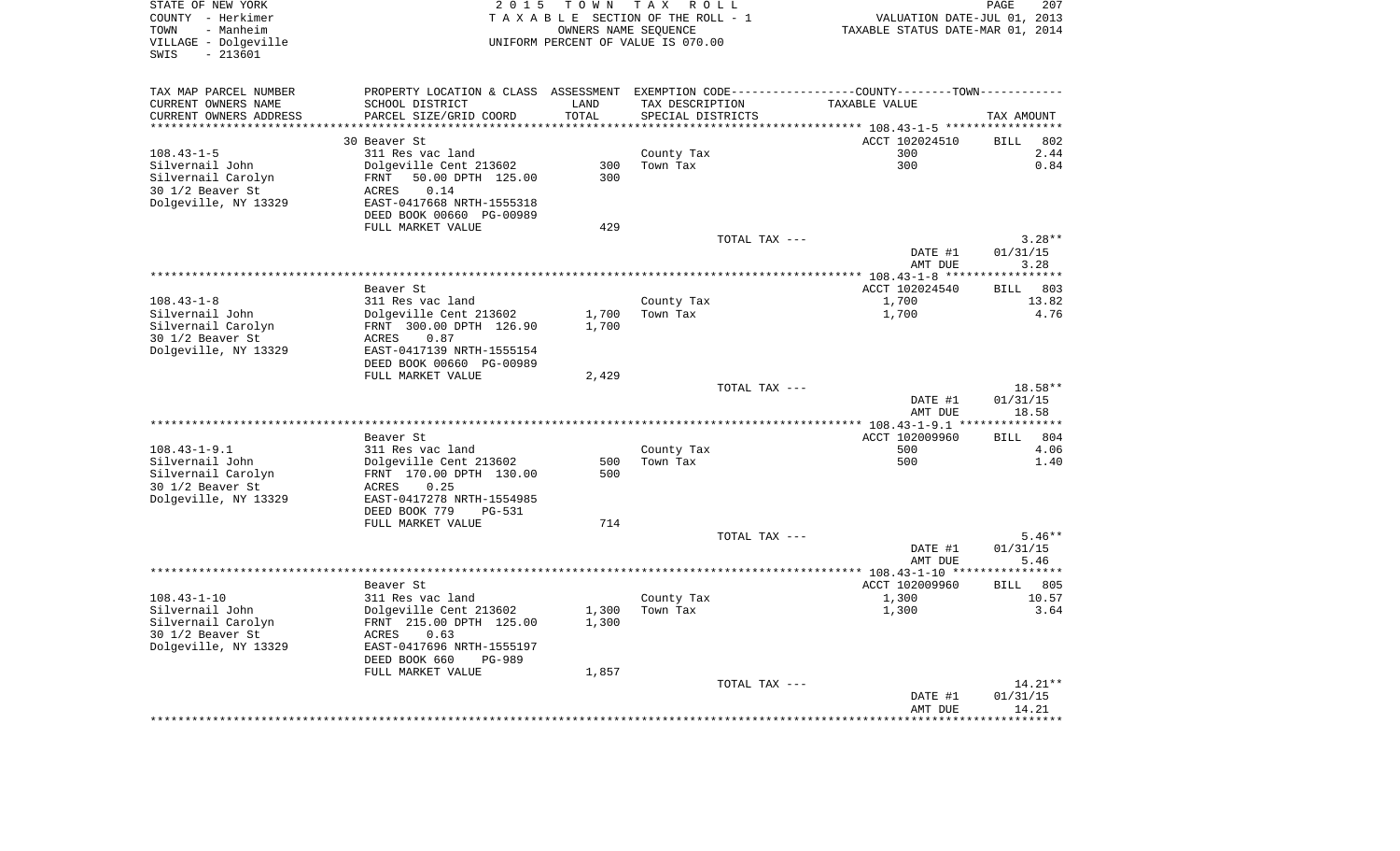| STATE OF NEW YORK                                |                                                                                               |                      | 2015 TOWN TAX ROLL                 |                                  | PAGE<br>207           |
|--------------------------------------------------|-----------------------------------------------------------------------------------------------|----------------------|------------------------------------|----------------------------------|-----------------------|
| COUNTY - Herkimer<br>TOWN<br>- Manheim           |                                                                                               | OWNERS NAME SEQUENCE | TAXABLE SECTION OF THE ROLL - 1    | VALUATION DATE-JUL 01, 2013      |                       |
| VILLAGE - Dolgeville                             |                                                                                               |                      | UNIFORM PERCENT OF VALUE IS 070.00 | TAXABLE STATUS DATE-MAR 01, 2014 |                       |
| SWIS<br>$-213601$                                |                                                                                               |                      |                                    |                                  |                       |
|                                                  |                                                                                               |                      |                                    |                                  |                       |
|                                                  |                                                                                               |                      |                                    |                                  |                       |
| TAX MAP PARCEL NUMBER                            | PROPERTY LOCATION & CLASS ASSESSMENT EXEMPTION CODE---------------COUNTY-------TOWN---------- |                      |                                    |                                  |                       |
| CURRENT OWNERS NAME                              | SCHOOL DISTRICT                                                                               | LAND                 | TAX DESCRIPTION                    | TAXABLE VALUE                    |                       |
| CURRENT OWNERS ADDRESS<br>********************** | PARCEL SIZE/GRID COORD<br>************************                                            | TOTAL                | SPECIAL DISTRICTS                  |                                  | TAX AMOUNT            |
|                                                  | 30 Beaver St                                                                                  |                      |                                    | ACCT 102024510                   | <b>BILL</b><br>802    |
| $108.43 - 1 - 5$                                 | 311 Res vac land                                                                              |                      | County Tax                         | 300                              | 2.44                  |
| Silvernail John                                  | Dolgeville Cent 213602                                                                        | 300                  | Town Tax                           | 300                              | 0.84                  |
| Silvernail Carolyn                               | FRNT<br>50.00 DPTH 125.00                                                                     | 300                  |                                    |                                  |                       |
| 30 1/2 Beaver St                                 | 0.14<br>ACRES                                                                                 |                      |                                    |                                  |                       |
| Dolgeville, NY 13329                             |                                                                                               |                      |                                    |                                  |                       |
|                                                  | EAST-0417668 NRTH-1555318                                                                     |                      |                                    |                                  |                       |
|                                                  | DEED BOOK 00660 PG-00989                                                                      |                      |                                    |                                  |                       |
|                                                  | FULL MARKET VALUE                                                                             | 429                  |                                    |                                  | $3.28**$              |
|                                                  |                                                                                               |                      | TOTAL TAX ---                      | DATE #1                          | 01/31/15              |
|                                                  |                                                                                               |                      |                                    | AMT DUE                          | 3.28                  |
|                                                  |                                                                                               |                      |                                    |                                  | ***********           |
|                                                  | Beaver St                                                                                     |                      |                                    | ACCT 102024540                   | 803<br><b>BILL</b>    |
| $108.43 - 1 - 8$                                 | 311 Res vac land                                                                              |                      | County Tax                         | 1,700                            | 13.82                 |
| Silvernail John                                  | Dolgeville Cent 213602                                                                        | 1,700                | Town Tax                           | 1,700                            | 4.76                  |
| Silvernail Carolyn                               | FRNT 300.00 DPTH 126.90                                                                       | 1,700                |                                    |                                  |                       |
| 30 1/2 Beaver St                                 | ACRES<br>0.87                                                                                 |                      |                                    |                                  |                       |
| Dolgeville, NY 13329                             | EAST-0417139 NRTH-1555154                                                                     |                      |                                    |                                  |                       |
|                                                  | DEED BOOK 00660 PG-00989                                                                      |                      |                                    |                                  |                       |
|                                                  | FULL MARKET VALUE                                                                             | 2,429                |                                    |                                  |                       |
|                                                  |                                                                                               |                      | TOTAL TAX ---                      |                                  | $18.58**$             |
|                                                  |                                                                                               |                      |                                    | DATE #1                          | 01/31/15              |
|                                                  |                                                                                               |                      |                                    | AMT DUE                          | 18.58                 |
|                                                  |                                                                                               |                      |                                    |                                  |                       |
|                                                  | Beaver St                                                                                     |                      |                                    | ACCT 102009960                   | 804<br><b>BILL</b>    |
| $108.43 - 1 - 9.1$                               | 311 Res vac land                                                                              |                      | County Tax                         | 500                              | 4.06                  |
| Silvernail John                                  | Dolgeville Cent 213602                                                                        | 500                  | Town Tax                           | 500                              | 1.40                  |
| Silvernail Carolyn                               | FRNT 170.00 DPTH 130.00                                                                       | 500                  |                                    |                                  |                       |
| 30 1/2 Beaver St                                 | ACRES<br>0.25                                                                                 |                      |                                    |                                  |                       |
| Dolgeville, NY 13329                             | EAST-0417278 NRTH-1554985                                                                     |                      |                                    |                                  |                       |
|                                                  | DEED BOOK 779<br><b>PG-531</b>                                                                |                      |                                    |                                  |                       |
|                                                  | FULL MARKET VALUE                                                                             | 714                  |                                    |                                  |                       |
|                                                  |                                                                                               |                      | TOTAL TAX ---                      |                                  | $5.46**$              |
|                                                  |                                                                                               |                      |                                    | DATE #1                          | 01/31/15              |
|                                                  |                                                                                               |                      |                                    | AMT DUE                          | 5.46                  |
|                                                  |                                                                                               |                      |                                    |                                  |                       |
|                                                  | Beaver St                                                                                     |                      |                                    | ACCT 102009960                   | <b>BILL</b><br>805    |
| $108.43 - 1 - 10$                                | 311 Res vac land                                                                              |                      | County Tax                         | 1,300                            | 10.57                 |
| Silvernail John                                  | Dolgeville Cent 213602                                                                        | 1,300                | Town Tax                           | 1,300                            | 3.64                  |
| Silvernail Carolyn                               | FRNT 215.00 DPTH 125.00                                                                       | 1,300                |                                    |                                  |                       |
| 30 1/2 Beaver St                                 | ACRES<br>0.63                                                                                 |                      |                                    |                                  |                       |
| Dolgeville, NY 13329                             | EAST-0417696 NRTH-1555197                                                                     |                      |                                    |                                  |                       |
|                                                  | DEED BOOK 660<br><b>PG-989</b>                                                                |                      |                                    |                                  |                       |
|                                                  | FULL MARKET VALUE                                                                             | 1,857                |                                    |                                  |                       |
|                                                  |                                                                                               |                      | TOTAL TAX ---                      |                                  | 14.21**               |
|                                                  |                                                                                               |                      |                                    | DATE #1                          | 01/31/15              |
|                                                  |                                                                                               |                      |                                    | AMT DUE                          | 14.21                 |
|                                                  |                                                                                               |                      |                                    |                                  | * * * * * * * * * * * |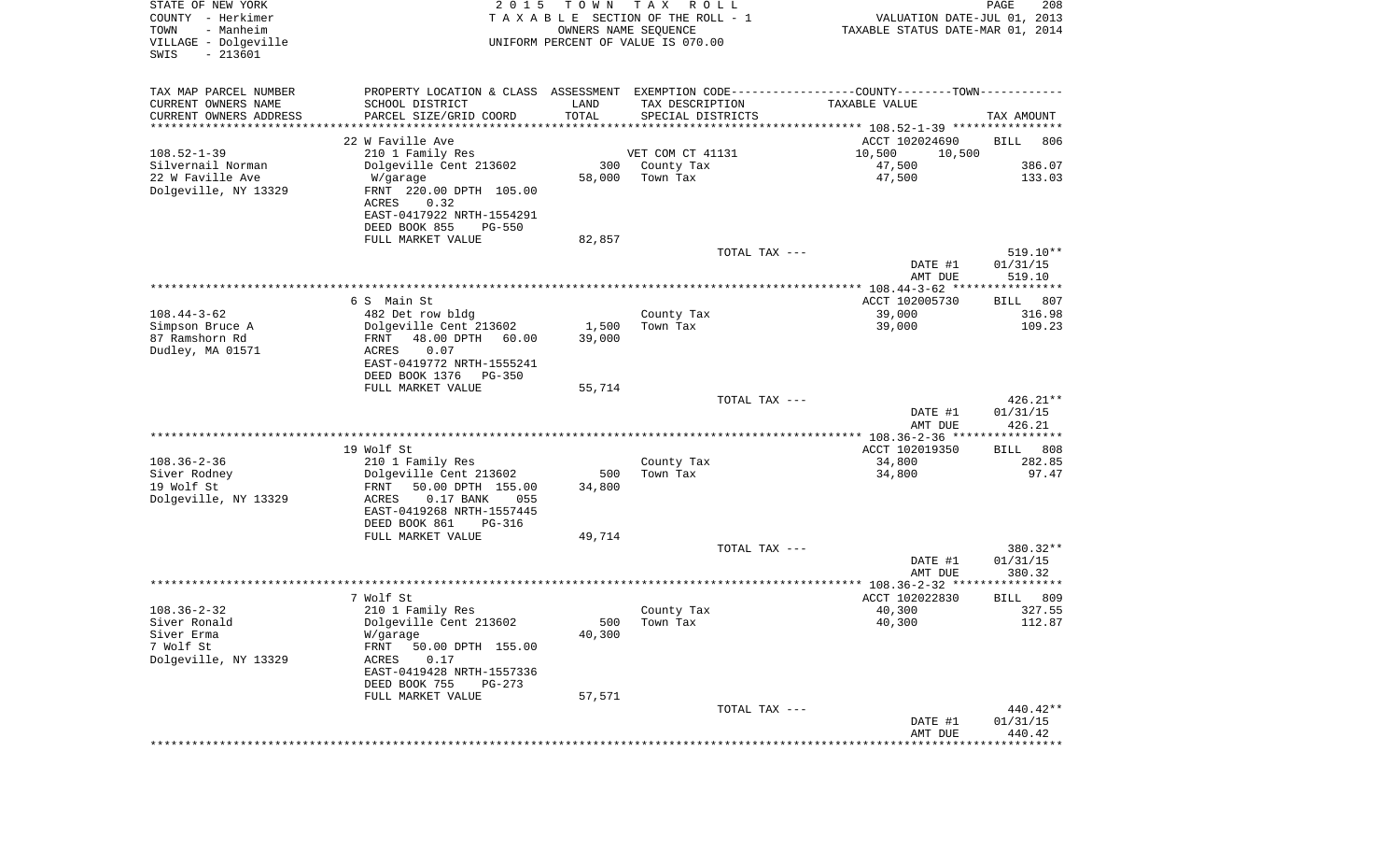| STATE OF NEW YORK<br>COUNTY - Herkimer<br>- Manheim<br>TOWN<br>VILLAGE - Dolgeville<br>$-213601$<br>SWIS | 2 0 1 5                                                                                                          | T O W N<br>OWNERS NAME SEQUENCE | T A X<br>R O L L<br>T A X A B L E SECTION OF THE ROLL - 1<br>UNIFORM PERCENT OF VALUE IS 070.00 | VALUATION DATE-JUL 01, 2013<br>TAXABLE STATUS DATE-MAR 01, 2014 | PAGE<br>208        |
|----------------------------------------------------------------------------------------------------------|------------------------------------------------------------------------------------------------------------------|---------------------------------|-------------------------------------------------------------------------------------------------|-----------------------------------------------------------------|--------------------|
| TAX MAP PARCEL NUMBER                                                                                    | PROPERTY LOCATION & CLASS ASSESSMENT EXEMPTION CODE---------------COUNTY-------TOWN----------                    |                                 |                                                                                                 |                                                                 |                    |
| CURRENT OWNERS NAME                                                                                      | SCHOOL DISTRICT                                                                                                  | LAND                            | TAX DESCRIPTION                                                                                 | TAXABLE VALUE                                                   |                    |
| CURRENT OWNERS ADDRESS<br>********************                                                           | PARCEL SIZE/GRID COORD<br>*************************                                                              | TOTAL                           | SPECIAL DISTRICTS                                                                               |                                                                 | TAX AMOUNT         |
|                                                                                                          | 22 W Faville Ave                                                                                                 |                                 |                                                                                                 |                                                                 |                    |
| $108.52 - 1 - 39$                                                                                        | 210 1 Family Res                                                                                                 |                                 | VET COM CT 41131                                                                                | ACCT 102024690<br>10,500<br>10,500                              | BILL<br>806        |
| Silvernail Norman                                                                                        | Dolgeville Cent 213602                                                                                           | 300                             | County Tax                                                                                      | 47,500                                                          | 386.07             |
| 22 W Faville Ave                                                                                         | W/garage                                                                                                         | 58,000                          | Town Tax                                                                                        | 47,500                                                          | 133.03             |
| Dolgeville, NY 13329                                                                                     | FRNT 220.00 DPTH 105.00<br>0.32<br>ACRES                                                                         |                                 |                                                                                                 |                                                                 |                    |
|                                                                                                          | EAST-0417922 NRTH-1554291<br>DEED BOOK 855<br><b>PG-550</b>                                                      |                                 |                                                                                                 |                                                                 |                    |
|                                                                                                          | FULL MARKET VALUE                                                                                                | 82,857                          |                                                                                                 |                                                                 |                    |
|                                                                                                          |                                                                                                                  |                                 | TOTAL TAX ---                                                                                   |                                                                 | $519.10**$         |
|                                                                                                          |                                                                                                                  |                                 |                                                                                                 | DATE #1<br>AMT DUE                                              | 01/31/15<br>519.10 |
|                                                                                                          | 6 S Main St                                                                                                      |                                 |                                                                                                 | ACCT 102005730                                                  | 807<br>BILL        |
| $108.44 - 3 - 62$                                                                                        | 482 Det row bldg                                                                                                 |                                 | County Tax                                                                                      | 39,000                                                          | 316.98             |
| Simpson Bruce A                                                                                          | Dolgeville Cent 213602                                                                                           | 1,500                           | Town Tax                                                                                        | 39,000                                                          | 109.23             |
| 87 Ramshorn Rd                                                                                           | 48.00 DPTH<br>60.00<br>FRNT                                                                                      | 39,000                          |                                                                                                 |                                                                 |                    |
| Dudley, MA 01571                                                                                         | ACRES<br>0.07<br>EAST-0419772 NRTH-1555241                                                                       |                                 |                                                                                                 |                                                                 |                    |
|                                                                                                          | DEED BOOK 1376<br><b>PG-350</b>                                                                                  |                                 |                                                                                                 |                                                                 |                    |
|                                                                                                          | FULL MARKET VALUE                                                                                                | 55,714                          | TOTAL TAX ---                                                                                   |                                                                 | $426.21**$         |
|                                                                                                          |                                                                                                                  |                                 |                                                                                                 | DATE #1<br>AMT DUE                                              | 01/31/15<br>426.21 |
|                                                                                                          |                                                                                                                  |                                 |                                                                                                 | *************** 108.36-2-36 *****************                   |                    |
|                                                                                                          | 19 Wolf St                                                                                                       |                                 |                                                                                                 | ACCT 102019350                                                  | 808<br>BILL        |
| $108.36 - 2 - 36$                                                                                        | 210 1 Family Res                                                                                                 |                                 | County Tax                                                                                      | 34,800                                                          | 282.85             |
| Siver Rodney                                                                                             | Dolgeville Cent 213602                                                                                           | 500                             | Town Tax                                                                                        | 34,800                                                          | 97.47              |
| 19 Wolf St<br>Dolgeville, NY 13329                                                                       | 50.00 DPTH 155.00<br>FRNT<br>ACRES<br>$0.17$ BANK<br>055<br>EAST-0419268 NRTH-1557445<br>DEED BOOK 861<br>PG-316 | 34,800                          |                                                                                                 |                                                                 |                    |
|                                                                                                          | FULL MARKET VALUE                                                                                                | 49,714                          |                                                                                                 |                                                                 |                    |
|                                                                                                          |                                                                                                                  |                                 | TOTAL TAX ---                                                                                   |                                                                 | 380.32**           |
|                                                                                                          |                                                                                                                  |                                 |                                                                                                 | DATE #1<br>AMT DUE                                              | 01/31/15<br>380.32 |
|                                                                                                          |                                                                                                                  |                                 |                                                                                                 |                                                                 |                    |
|                                                                                                          | 7 Wolf St                                                                                                        |                                 |                                                                                                 | ACCT 102022830                                                  | 809<br>BILL        |
| $108.36 - 2 - 32$                                                                                        | 210 1 Family Res                                                                                                 |                                 | County Tax                                                                                      | 40,300                                                          | 327.55             |
| Siver Ronald                                                                                             | Dolgeville Cent 213602                                                                                           | 40,300                          | 500 Town Tax                                                                                    | 40,300                                                          | 112.87             |
| Siver Erma<br>7 Wolf St                                                                                  | W/garage<br>FRNT<br>50.00 DPTH 155.00                                                                            |                                 |                                                                                                 |                                                                 |                    |
| Dolgeville, NY 13329                                                                                     | 0.17<br>ACRES                                                                                                    |                                 |                                                                                                 |                                                                 |                    |
|                                                                                                          | EAST-0419428 NRTH-1557336<br>DEED BOOK 755<br>PG-273                                                             |                                 |                                                                                                 |                                                                 |                    |
|                                                                                                          | FULL MARKET VALUE                                                                                                | 57,571                          |                                                                                                 |                                                                 |                    |
|                                                                                                          |                                                                                                                  |                                 | TOTAL TAX ---                                                                                   |                                                                 | 440.42**           |
|                                                                                                          |                                                                                                                  |                                 |                                                                                                 | DATE #1                                                         | 01/31/15           |
|                                                                                                          |                                                                                                                  |                                 |                                                                                                 | AMT DUE                                                         | 440.42             |
|                                                                                                          |                                                                                                                  |                                 |                                                                                                 |                                                                 |                    |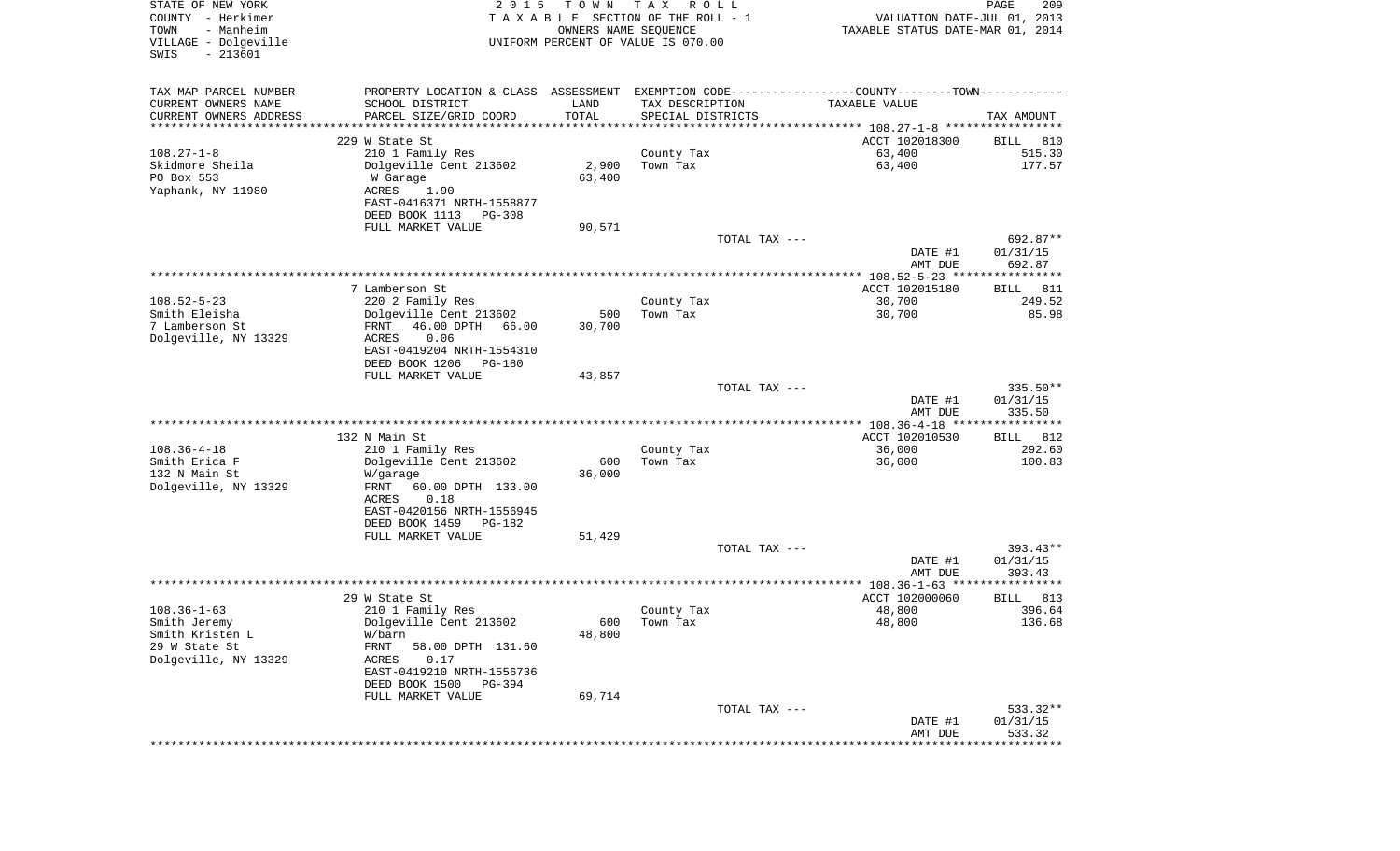| STATE OF NEW YORK<br>COUNTY - Herkimer<br>- Manheim<br>TOWN<br>VILLAGE - Dolgeville<br>$-213601$<br>SWIS | 2 0 1 5                                               | T O W N<br>OWNERS NAME SEQUENCE | T A X<br>R O L L<br>TAXABLE SECTION OF THE ROLL - 1<br>UNIFORM PERCENT OF VALUE IS 070.00 | VALUATION DATE-JUL 01, 2013<br>TAXABLE STATUS DATE-MAR 01, 2014                               | PAGE<br>209          |
|----------------------------------------------------------------------------------------------------------|-------------------------------------------------------|---------------------------------|-------------------------------------------------------------------------------------------|-----------------------------------------------------------------------------------------------|----------------------|
| TAX MAP PARCEL NUMBER                                                                                    |                                                       |                                 |                                                                                           | PROPERTY LOCATION & CLASS ASSESSMENT EXEMPTION CODE---------------COUNTY-------TOWN---------- |                      |
| CURRENT OWNERS NAME                                                                                      | SCHOOL DISTRICT                                       | LAND                            | TAX DESCRIPTION                                                                           | TAXABLE VALUE                                                                                 |                      |
| CURRENT OWNERS ADDRESS<br>*********************                                                          | PARCEL SIZE/GRID COORD                                | TOTAL<br>***********            | SPECIAL DISTRICTS                                                                         |                                                                                               | TAX AMOUNT           |
|                                                                                                          | 229 W State St                                        |                                 |                                                                                           | ACCT 102018300                                                                                | 810<br>BILL          |
| $108.27 - 1 - 8$                                                                                         | 210 1 Family Res                                      |                                 | County Tax                                                                                | 63,400                                                                                        | 515.30               |
| Skidmore Sheila                                                                                          | Dolgeville Cent 213602                                | 2,900                           | Town Tax                                                                                  | 63,400                                                                                        | 177.57               |
| PO Box 553                                                                                               | W Garage                                              | 63,400                          |                                                                                           |                                                                                               |                      |
| Yaphank, NY 11980                                                                                        | ACRES<br>1.90                                         |                                 |                                                                                           |                                                                                               |                      |
|                                                                                                          | EAST-0416371 NRTH-1558877<br>DEED BOOK 1113<br>PG-308 |                                 |                                                                                           |                                                                                               |                      |
|                                                                                                          | FULL MARKET VALUE                                     | 90,571                          |                                                                                           |                                                                                               |                      |
|                                                                                                          |                                                       |                                 |                                                                                           | TOTAL TAX ---                                                                                 | 692.87**             |
|                                                                                                          |                                                       |                                 |                                                                                           | DATE #1<br>AMT DUE                                                                            | 01/31/15<br>692.87   |
|                                                                                                          |                                                       |                                 |                                                                                           |                                                                                               |                      |
|                                                                                                          | 7 Lamberson St                                        |                                 |                                                                                           | ACCT 102015180                                                                                | 811<br>BILL          |
| $108.52 - 5 - 23$                                                                                        | 220 2 Family Res                                      |                                 | County Tax                                                                                | 30,700                                                                                        | 249.52<br>85.98      |
| Smith Eleisha<br>7 Lamberson St                                                                          | Dolgeville Cent 213602<br>FRNT<br>46.00 DPTH<br>66.00 | 500<br>30,700                   | Town Tax                                                                                  | 30,700                                                                                        |                      |
| Dolgeville, NY 13329                                                                                     | 0.06<br>ACRES                                         |                                 |                                                                                           |                                                                                               |                      |
|                                                                                                          | EAST-0419204 NRTH-1554310                             |                                 |                                                                                           |                                                                                               |                      |
|                                                                                                          | DEED BOOK 1206<br>PG-180                              |                                 |                                                                                           |                                                                                               |                      |
|                                                                                                          | FULL MARKET VALUE                                     | 43,857                          |                                                                                           |                                                                                               |                      |
|                                                                                                          |                                                       |                                 |                                                                                           | TOTAL TAX ---<br>DATE #1                                                                      | 335.50**<br>01/31/15 |
|                                                                                                          |                                                       |                                 |                                                                                           | AMT DUE                                                                                       | 335.50               |
|                                                                                                          |                                                       |                                 |                                                                                           |                                                                                               |                      |
|                                                                                                          | 132 N Main St                                         |                                 |                                                                                           | ACCT 102010530                                                                                | BILL<br>812          |
| $108.36 - 4 - 18$                                                                                        | 210 1 Family Res                                      |                                 | County Tax                                                                                | 36,000                                                                                        | 292.60               |
| Smith Erica F<br>132 N Main St                                                                           | Dolgeville Cent 213602                                | 600                             | Town Tax                                                                                  | 36,000                                                                                        | 100.83               |
| Dolgeville, NY 13329                                                                                     | W/garage<br>FRNT<br>60.00 DPTH 133.00                 | 36,000                          |                                                                                           |                                                                                               |                      |
|                                                                                                          | ACRES<br>0.18                                         |                                 |                                                                                           |                                                                                               |                      |
|                                                                                                          | EAST-0420156 NRTH-1556945                             |                                 |                                                                                           |                                                                                               |                      |
|                                                                                                          | DEED BOOK 1459<br>PG-182                              |                                 |                                                                                           |                                                                                               |                      |
|                                                                                                          | FULL MARKET VALUE                                     | 51,429                          |                                                                                           |                                                                                               |                      |
|                                                                                                          |                                                       |                                 |                                                                                           | TOTAL TAX ---                                                                                 | $393.43**$           |
|                                                                                                          |                                                       |                                 |                                                                                           | DATE #1<br>AMT DUE                                                                            | 01/31/15<br>393.43   |
|                                                                                                          |                                                       |                                 |                                                                                           |                                                                                               |                      |
|                                                                                                          | 29 W State St                                         |                                 |                                                                                           | ACCT 102000060                                                                                | 813<br>BILL          |
| $108.36 - 1 - 63$                                                                                        | 210 1 Family Res                                      |                                 | County Tax                                                                                | 48,800                                                                                        | 396.64               |
| Smith Jeremy                                                                                             | Dolgeville Cent 213602                                |                                 | 600 Town Tax                                                                              | 48,800                                                                                        | 136.68               |
| Smith Kristen L<br>29 W State St                                                                         | W/barn<br>58.00 DPTH 131.60<br>FRNT                   | 48,800                          |                                                                                           |                                                                                               |                      |
| Dolgeville, NY 13329                                                                                     | ACRES<br>0.17                                         |                                 |                                                                                           |                                                                                               |                      |
|                                                                                                          | EAST-0419210 NRTH-1556736                             |                                 |                                                                                           |                                                                                               |                      |
|                                                                                                          | DEED BOOK 1500<br>PG-394                              |                                 |                                                                                           |                                                                                               |                      |
|                                                                                                          | FULL MARKET VALUE                                     | 69,714                          |                                                                                           |                                                                                               |                      |
|                                                                                                          |                                                       |                                 |                                                                                           | TOTAL TAX ---                                                                                 | 533.32**             |
|                                                                                                          |                                                       |                                 |                                                                                           | DATE #1<br>AMT DUE                                                                            | 01/31/15<br>533.32   |
|                                                                                                          |                                                       |                                 |                                                                                           |                                                                                               |                      |
|                                                                                                          |                                                       |                                 |                                                                                           |                                                                                               |                      |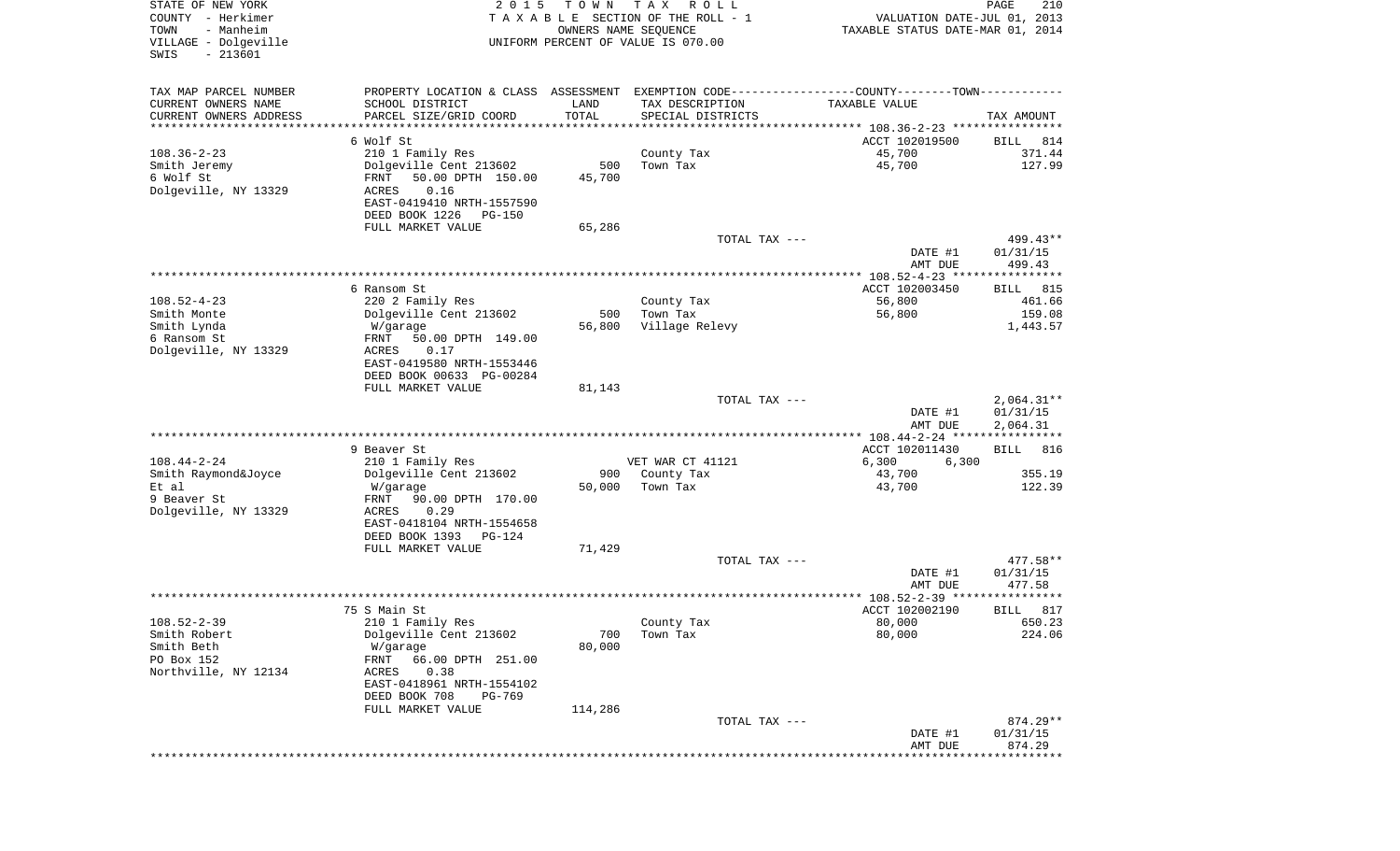| STATE OF NEW YORK<br>COUNTY - Herkimer<br>- Manheim<br>TOWN<br>VILLAGE - Dolgeville<br>$-213601$<br>SWIS | 2 0 1 5                                                                                                                           | T O W N<br>OWNERS NAME SEQUENCE | T A X<br>R O L L<br>TAXABLE SECTION OF THE ROLL - 1<br>UNIFORM PERCENT OF VALUE IS 070.00 | VALUATION DATE-JUL 01, 2013<br>TAXABLE STATUS DATE-MAR 01, 2014 | PAGE<br>210                            |
|----------------------------------------------------------------------------------------------------------|-----------------------------------------------------------------------------------------------------------------------------------|---------------------------------|-------------------------------------------------------------------------------------------|-----------------------------------------------------------------|----------------------------------------|
| TAX MAP PARCEL NUMBER<br>CURRENT OWNERS NAME                                                             | PROPERTY LOCATION & CLASS ASSESSMENT EXEMPTION CODE---------------COUNTY-------TOWN----------<br>SCHOOL DISTRICT                  | LAND                            | TAX DESCRIPTION                                                                           | TAXABLE VALUE                                                   |                                        |
| CURRENT OWNERS ADDRESS<br>*********************                                                          | PARCEL SIZE/GRID COORD<br>******************                                                                                      | TOTAL<br>***********            | SPECIAL DISTRICTS                                                                         |                                                                 | TAX AMOUNT                             |
|                                                                                                          | 6 Wolf St                                                                                                                         |                                 |                                                                                           | ACCT 102019500                                                  | 814<br>BILL                            |
| $108.36 - 2 - 23$<br>Smith Jeremy<br>6 Wolf St<br>Dolgeville, NY 13329                                   | 210 1 Family Res<br>Dolgeville Cent 213602<br>50.00 DPTH 150.00<br>FRNT<br>ACRES<br>0.16<br>EAST-0419410 NRTH-1557590             | 500<br>45,700                   | County Tax<br>Town Tax                                                                    | 45,700<br>45,700                                                | 371.44<br>127.99                       |
|                                                                                                          | DEED BOOK 1226<br>PG-150<br>FULL MARKET VALUE                                                                                     | 65,286                          |                                                                                           |                                                                 |                                        |
|                                                                                                          |                                                                                                                                   |                                 | TOTAL TAX ---                                                                             | DATE #1<br>AMT DUE                                              | 499.43**<br>01/31/15<br>499.43         |
|                                                                                                          |                                                                                                                                   |                                 |                                                                                           |                                                                 |                                        |
| $108.52 - 4 - 23$<br>Smith Monte                                                                         | 6 Ransom St<br>220 2 Family Res<br>Dolgeville Cent 213602                                                                         | 500                             | County Tax<br>Town Tax                                                                    | ACCT 102003450<br>56,800<br>56,800                              | <b>BILL</b><br>815<br>461.66<br>159.08 |
| Smith Lynda<br>6 Ransom St<br>Dolgeville, NY 13329                                                       | W/garage<br>50.00 DPTH 149.00<br>FRNT<br>ACRES<br>0.17<br>EAST-0419580 NRTH-1553446<br>DEED BOOK 00633 PG-00284                   | 56,800                          | Village Relevy                                                                            |                                                                 | 1,443.57                               |
|                                                                                                          | FULL MARKET VALUE                                                                                                                 | 81,143                          | TOTAL TAX ---                                                                             | DATE #1<br>AMT DUE                                              | $2,064.31**$<br>01/31/15<br>2,064.31   |
|                                                                                                          |                                                                                                                                   |                                 |                                                                                           | ********** 108.44-2-24 *****************                        |                                        |
|                                                                                                          | 9 Beaver St                                                                                                                       |                                 |                                                                                           | ACCT 102011430                                                  | <b>BILL</b><br>816                     |
| $108.44 - 2 - 24$<br>Smith Raymond&Joyce                                                                 | 210 1 Family Res<br>Dolgeville Cent 213602                                                                                        | 900                             | VET WAR CT 41121<br>County Tax                                                            | 6,300<br>6,300<br>43,700                                        | 355.19                                 |
| Et al<br>9 Beaver St                                                                                     | W/garage<br>FRNT<br>90.00 DPTH 170.00                                                                                             | 50,000                          | Town Tax                                                                                  | 43,700                                                          | 122.39                                 |
| Dolgeville, NY 13329                                                                                     | ACRES<br>0.29<br>EAST-0418104 NRTH-1554658<br>DEED BOOK 1393 PG-124                                                               |                                 |                                                                                           |                                                                 |                                        |
|                                                                                                          | FULL MARKET VALUE                                                                                                                 | 71,429                          | TOTAL TAX ---                                                                             | DATE #1                                                         | 477.58**<br>01/31/15                   |
|                                                                                                          |                                                                                                                                   |                                 |                                                                                           | AMT DUE                                                         | 477.58<br>* * * * * *                  |
|                                                                                                          | 75 S Main St                                                                                                                      |                                 |                                                                                           | ACCT 102002190                                                  | 817<br>BILL                            |
| $108.52 - 2 - 39$<br>Smith Robert<br>Smith Beth<br>PO Box 152<br>Northville, NY 12134                    | 210 1 Family Res<br>Dolgeville Cent 213602<br>W/garage<br>66.00 DPTH 251.00<br>FRNT<br>ACRES<br>0.38<br>EAST-0418961 NRTH-1554102 | 700<br>80,000                   | County Tax<br>Town Tax                                                                    | 80,000<br>80,000                                                | 650.23<br>224.06                       |
|                                                                                                          | DEED BOOK 708<br>PG-769                                                                                                           |                                 |                                                                                           |                                                                 |                                        |
|                                                                                                          | FULL MARKET VALUE                                                                                                                 | 114,286                         | TOTAL TAX ---                                                                             | DATE #1                                                         | 874.29**<br>01/31/15                   |
|                                                                                                          |                                                                                                                                   |                                 |                                                                                           | AMT DUE                                                         | 874.29                                 |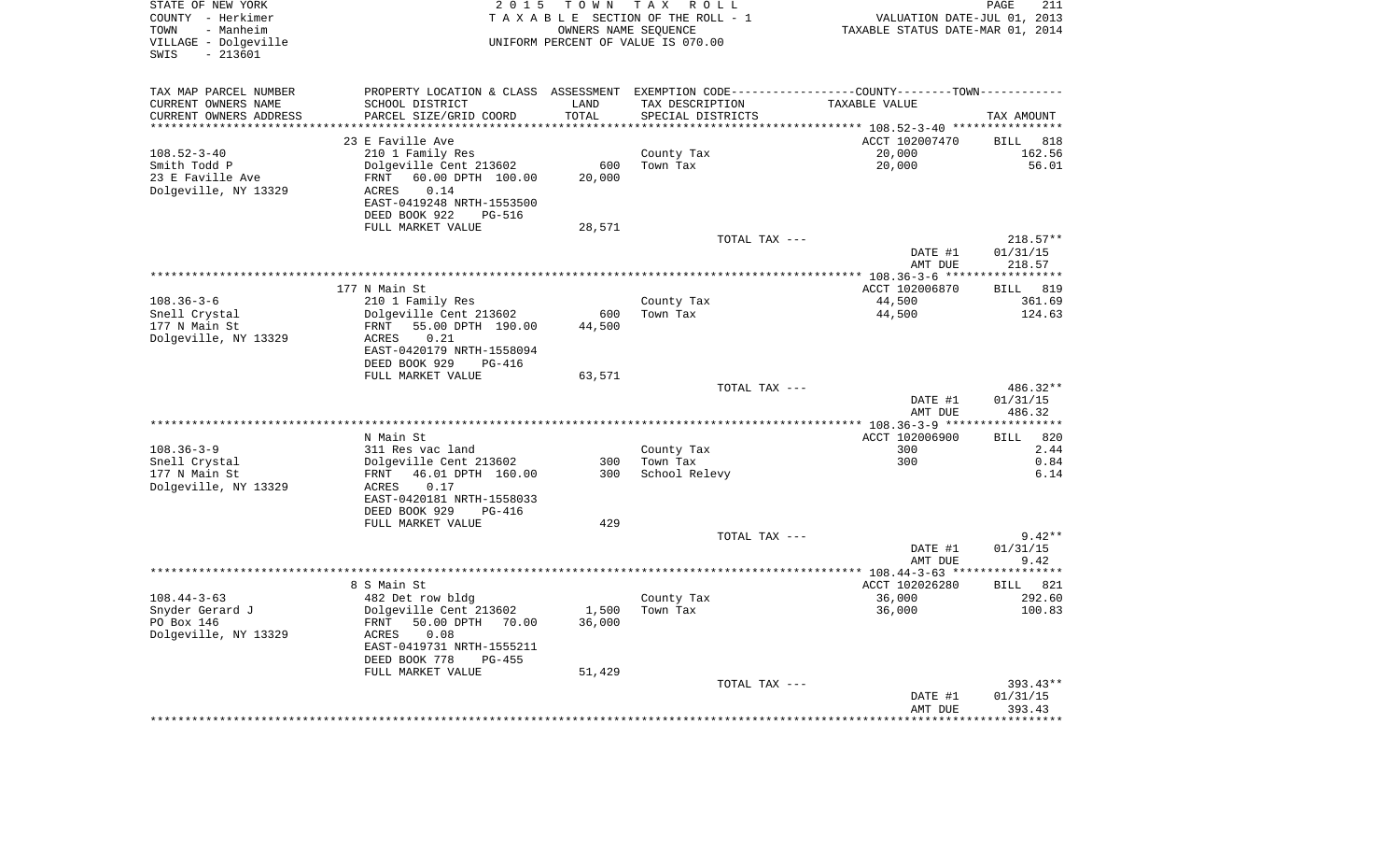| PROPERTY LOCATION & CLASS ASSESSMENT EXEMPTION CODE---------------COUNTY-------TOWN----------<br>SCHOOL DISTRICT<br>LAND<br>TAX DESCRIPTION<br>TAXABLE VALUE<br>PARCEL SIZE/GRID COORD<br>TOTAL<br>SPECIAL DISTRICTS<br>TAX AMOUNT<br>********************<br>*******<br>*********** 108.52-3-40 ****************<br>23 E Faville Ave<br>ACCT 102007470<br><b>BILL</b><br>818<br>210 1 Family Res<br>20,000<br>162.56<br>$108.52 - 3 - 40$<br>County Tax<br>Dolgeville Cent 213602<br>600<br>Town Tax<br>20,000<br>56.01<br>Smith Todd P<br>60.00 DPTH 100.00<br>23 E Faville Ave<br>FRNT<br>20,000<br>0.14<br>Dolgeville, NY 13329<br><b>ACRES</b><br>EAST-0419248 NRTH-1553500<br>DEED BOOK 922<br><b>PG-516</b><br>FULL MARKET VALUE<br>28,571<br>TOTAL TAX ---<br>218.57**<br>DATE #1<br>01/31/15<br>AMT DUE<br>218.57<br>*************** 108.36-3-6<br>*****************<br>ACCT 102006870<br>177 N Main St<br><b>BILL</b><br>819<br>210 1 Family Res<br>44,500<br>361.69<br>County Tax<br>Dolgeville Cent 213602<br>Town Tax<br>Snell Crystal<br>600<br>44,500<br>124.63<br>177 N Main St<br>FRNT<br>55.00 DPTH 190.00<br>44,500<br>Dolgeville, NY 13329<br>ACRES<br>0.21<br>EAST-0420179 NRTH-1558094<br>DEED BOOK 929<br><b>PG-416</b><br>FULL MARKET VALUE<br>63,571<br>486.32**<br>TOTAL TAX ---<br>DATE #1<br>01/31/15<br>AMT DUE<br>486.32<br>***********<br>N Main St<br>ACCT 102006900<br>820<br>BILL<br>300<br>2.44<br>311 Res vac land<br>County Tax<br>Dolgeville Cent 213602<br>300<br>0.84<br>300<br>Town Tax<br>177 N Main St<br>46.01 DPTH 160.00<br>300<br>School Relevy<br>FRNT<br>6.14<br>Dolgeville, NY 13329<br>ACRES<br>0.17<br>EAST-0420181 NRTH-1558033<br>DEED BOOK 929<br>PG-416<br>429<br>FULL MARKET VALUE<br>$9.42**$<br>TOTAL TAX ---<br>01/31/15<br>DATE #1<br>AMT DUE<br>9.42<br>8 S Main St<br>ACCT 102026280<br><b>BILL</b><br>821<br>36,000<br>482 Det row bldg<br>County Tax<br>292.60<br>Dolgeville Cent 213602<br>1,500<br>Town Tax<br>36,000<br>100.83<br>50.00 DPTH<br>FRNT<br>70.00<br>36,000<br>0.08<br>ACRES<br>EAST-0419731 NRTH-1555211<br>DEED BOOK 778<br>$PG-455$<br>FULL MARKET VALUE<br>51,429<br>TOTAL TAX ---<br>393.43** | STATE OF NEW YORK<br>COUNTY - Herkimer<br>- Manheim<br>TOWN<br>VILLAGE - Dolgeville<br>$-213601$<br>SWIS | 2 0 1 5 | T O W N | TAX ROLL<br>TAXABLE SECTION OF THE ROLL - 1<br>OWNERS NAME SEQUENCE<br>UNIFORM PERCENT OF VALUE IS 070.00 | VALUATION DATE-JUL 01, 2013<br>TAXABLE STATUS DATE-MAR 01, 2014 | PAGE<br>211 |
|------------------------------------------------------------------------------------------------------------------------------------------------------------------------------------------------------------------------------------------------------------------------------------------------------------------------------------------------------------------------------------------------------------------------------------------------------------------------------------------------------------------------------------------------------------------------------------------------------------------------------------------------------------------------------------------------------------------------------------------------------------------------------------------------------------------------------------------------------------------------------------------------------------------------------------------------------------------------------------------------------------------------------------------------------------------------------------------------------------------------------------------------------------------------------------------------------------------------------------------------------------------------------------------------------------------------------------------------------------------------------------------------------------------------------------------------------------------------------------------------------------------------------------------------------------------------------------------------------------------------------------------------------------------------------------------------------------------------------------------------------------------------------------------------------------------------------------------------------------------------------------------------------------------------------------------------------------------------------------------------------------------------------------------------------------------------------------------------------------------------------------------------------------------------------------|----------------------------------------------------------------------------------------------------------|---------|---------|-----------------------------------------------------------------------------------------------------------|-----------------------------------------------------------------|-------------|
|                                                                                                                                                                                                                                                                                                                                                                                                                                                                                                                                                                                                                                                                                                                                                                                                                                                                                                                                                                                                                                                                                                                                                                                                                                                                                                                                                                                                                                                                                                                                                                                                                                                                                                                                                                                                                                                                                                                                                                                                                                                                                                                                                                                    | TAX MAP PARCEL NUMBER                                                                                    |         |         |                                                                                                           |                                                                 |             |
|                                                                                                                                                                                                                                                                                                                                                                                                                                                                                                                                                                                                                                                                                                                                                                                                                                                                                                                                                                                                                                                                                                                                                                                                                                                                                                                                                                                                                                                                                                                                                                                                                                                                                                                                                                                                                                                                                                                                                                                                                                                                                                                                                                                    | CURRENT OWNERS NAME                                                                                      |         |         |                                                                                                           |                                                                 |             |
|                                                                                                                                                                                                                                                                                                                                                                                                                                                                                                                                                                                                                                                                                                                                                                                                                                                                                                                                                                                                                                                                                                                                                                                                                                                                                                                                                                                                                                                                                                                                                                                                                                                                                                                                                                                                                                                                                                                                                                                                                                                                                                                                                                                    | CURRENT OWNERS ADDRESS                                                                                   |         |         |                                                                                                           |                                                                 |             |
|                                                                                                                                                                                                                                                                                                                                                                                                                                                                                                                                                                                                                                                                                                                                                                                                                                                                                                                                                                                                                                                                                                                                                                                                                                                                                                                                                                                                                                                                                                                                                                                                                                                                                                                                                                                                                                                                                                                                                                                                                                                                                                                                                                                    |                                                                                                          |         |         |                                                                                                           |                                                                 |             |
|                                                                                                                                                                                                                                                                                                                                                                                                                                                                                                                                                                                                                                                                                                                                                                                                                                                                                                                                                                                                                                                                                                                                                                                                                                                                                                                                                                                                                                                                                                                                                                                                                                                                                                                                                                                                                                                                                                                                                                                                                                                                                                                                                                                    |                                                                                                          |         |         |                                                                                                           |                                                                 |             |
|                                                                                                                                                                                                                                                                                                                                                                                                                                                                                                                                                                                                                                                                                                                                                                                                                                                                                                                                                                                                                                                                                                                                                                                                                                                                                                                                                                                                                                                                                                                                                                                                                                                                                                                                                                                                                                                                                                                                                                                                                                                                                                                                                                                    |                                                                                                          |         |         |                                                                                                           |                                                                 |             |
|                                                                                                                                                                                                                                                                                                                                                                                                                                                                                                                                                                                                                                                                                                                                                                                                                                                                                                                                                                                                                                                                                                                                                                                                                                                                                                                                                                                                                                                                                                                                                                                                                                                                                                                                                                                                                                                                                                                                                                                                                                                                                                                                                                                    |                                                                                                          |         |         |                                                                                                           |                                                                 |             |
|                                                                                                                                                                                                                                                                                                                                                                                                                                                                                                                                                                                                                                                                                                                                                                                                                                                                                                                                                                                                                                                                                                                                                                                                                                                                                                                                                                                                                                                                                                                                                                                                                                                                                                                                                                                                                                                                                                                                                                                                                                                                                                                                                                                    |                                                                                                          |         |         |                                                                                                           |                                                                 |             |
|                                                                                                                                                                                                                                                                                                                                                                                                                                                                                                                                                                                                                                                                                                                                                                                                                                                                                                                                                                                                                                                                                                                                                                                                                                                                                                                                                                                                                                                                                                                                                                                                                                                                                                                                                                                                                                                                                                                                                                                                                                                                                                                                                                                    |                                                                                                          |         |         |                                                                                                           |                                                                 |             |
|                                                                                                                                                                                                                                                                                                                                                                                                                                                                                                                                                                                                                                                                                                                                                                                                                                                                                                                                                                                                                                                                                                                                                                                                                                                                                                                                                                                                                                                                                                                                                                                                                                                                                                                                                                                                                                                                                                                                                                                                                                                                                                                                                                                    |                                                                                                          |         |         |                                                                                                           |                                                                 |             |
|                                                                                                                                                                                                                                                                                                                                                                                                                                                                                                                                                                                                                                                                                                                                                                                                                                                                                                                                                                                                                                                                                                                                                                                                                                                                                                                                                                                                                                                                                                                                                                                                                                                                                                                                                                                                                                                                                                                                                                                                                                                                                                                                                                                    |                                                                                                          |         |         |                                                                                                           |                                                                 |             |
|                                                                                                                                                                                                                                                                                                                                                                                                                                                                                                                                                                                                                                                                                                                                                                                                                                                                                                                                                                                                                                                                                                                                                                                                                                                                                                                                                                                                                                                                                                                                                                                                                                                                                                                                                                                                                                                                                                                                                                                                                                                                                                                                                                                    |                                                                                                          |         |         |                                                                                                           |                                                                 |             |
|                                                                                                                                                                                                                                                                                                                                                                                                                                                                                                                                                                                                                                                                                                                                                                                                                                                                                                                                                                                                                                                                                                                                                                                                                                                                                                                                                                                                                                                                                                                                                                                                                                                                                                                                                                                                                                                                                                                                                                                                                                                                                                                                                                                    |                                                                                                          |         |         |                                                                                                           |                                                                 |             |
|                                                                                                                                                                                                                                                                                                                                                                                                                                                                                                                                                                                                                                                                                                                                                                                                                                                                                                                                                                                                                                                                                                                                                                                                                                                                                                                                                                                                                                                                                                                                                                                                                                                                                                                                                                                                                                                                                                                                                                                                                                                                                                                                                                                    |                                                                                                          |         |         |                                                                                                           |                                                                 |             |
|                                                                                                                                                                                                                                                                                                                                                                                                                                                                                                                                                                                                                                                                                                                                                                                                                                                                                                                                                                                                                                                                                                                                                                                                                                                                                                                                                                                                                                                                                                                                                                                                                                                                                                                                                                                                                                                                                                                                                                                                                                                                                                                                                                                    |                                                                                                          |         |         |                                                                                                           |                                                                 |             |
|                                                                                                                                                                                                                                                                                                                                                                                                                                                                                                                                                                                                                                                                                                                                                                                                                                                                                                                                                                                                                                                                                                                                                                                                                                                                                                                                                                                                                                                                                                                                                                                                                                                                                                                                                                                                                                                                                                                                                                                                                                                                                                                                                                                    |                                                                                                          |         |         |                                                                                                           |                                                                 |             |
|                                                                                                                                                                                                                                                                                                                                                                                                                                                                                                                                                                                                                                                                                                                                                                                                                                                                                                                                                                                                                                                                                                                                                                                                                                                                                                                                                                                                                                                                                                                                                                                                                                                                                                                                                                                                                                                                                                                                                                                                                                                                                                                                                                                    | $108.36 - 3 - 6$                                                                                         |         |         |                                                                                                           |                                                                 |             |
|                                                                                                                                                                                                                                                                                                                                                                                                                                                                                                                                                                                                                                                                                                                                                                                                                                                                                                                                                                                                                                                                                                                                                                                                                                                                                                                                                                                                                                                                                                                                                                                                                                                                                                                                                                                                                                                                                                                                                                                                                                                                                                                                                                                    |                                                                                                          |         |         |                                                                                                           |                                                                 |             |
|                                                                                                                                                                                                                                                                                                                                                                                                                                                                                                                                                                                                                                                                                                                                                                                                                                                                                                                                                                                                                                                                                                                                                                                                                                                                                                                                                                                                                                                                                                                                                                                                                                                                                                                                                                                                                                                                                                                                                                                                                                                                                                                                                                                    |                                                                                                          |         |         |                                                                                                           |                                                                 |             |
|                                                                                                                                                                                                                                                                                                                                                                                                                                                                                                                                                                                                                                                                                                                                                                                                                                                                                                                                                                                                                                                                                                                                                                                                                                                                                                                                                                                                                                                                                                                                                                                                                                                                                                                                                                                                                                                                                                                                                                                                                                                                                                                                                                                    |                                                                                                          |         |         |                                                                                                           |                                                                 |             |
|                                                                                                                                                                                                                                                                                                                                                                                                                                                                                                                                                                                                                                                                                                                                                                                                                                                                                                                                                                                                                                                                                                                                                                                                                                                                                                                                                                                                                                                                                                                                                                                                                                                                                                                                                                                                                                                                                                                                                                                                                                                                                                                                                                                    |                                                                                                          |         |         |                                                                                                           |                                                                 |             |
|                                                                                                                                                                                                                                                                                                                                                                                                                                                                                                                                                                                                                                                                                                                                                                                                                                                                                                                                                                                                                                                                                                                                                                                                                                                                                                                                                                                                                                                                                                                                                                                                                                                                                                                                                                                                                                                                                                                                                                                                                                                                                                                                                                                    |                                                                                                          |         |         |                                                                                                           |                                                                 |             |
|                                                                                                                                                                                                                                                                                                                                                                                                                                                                                                                                                                                                                                                                                                                                                                                                                                                                                                                                                                                                                                                                                                                                                                                                                                                                                                                                                                                                                                                                                                                                                                                                                                                                                                                                                                                                                                                                                                                                                                                                                                                                                                                                                                                    |                                                                                                          |         |         |                                                                                                           |                                                                 |             |
|                                                                                                                                                                                                                                                                                                                                                                                                                                                                                                                                                                                                                                                                                                                                                                                                                                                                                                                                                                                                                                                                                                                                                                                                                                                                                                                                                                                                                                                                                                                                                                                                                                                                                                                                                                                                                                                                                                                                                                                                                                                                                                                                                                                    |                                                                                                          |         |         |                                                                                                           |                                                                 |             |
|                                                                                                                                                                                                                                                                                                                                                                                                                                                                                                                                                                                                                                                                                                                                                                                                                                                                                                                                                                                                                                                                                                                                                                                                                                                                                                                                                                                                                                                                                                                                                                                                                                                                                                                                                                                                                                                                                                                                                                                                                                                                                                                                                                                    |                                                                                                          |         |         |                                                                                                           |                                                                 |             |
|                                                                                                                                                                                                                                                                                                                                                                                                                                                                                                                                                                                                                                                                                                                                                                                                                                                                                                                                                                                                                                                                                                                                                                                                                                                                                                                                                                                                                                                                                                                                                                                                                                                                                                                                                                                                                                                                                                                                                                                                                                                                                                                                                                                    |                                                                                                          |         |         |                                                                                                           |                                                                 |             |
|                                                                                                                                                                                                                                                                                                                                                                                                                                                                                                                                                                                                                                                                                                                                                                                                                                                                                                                                                                                                                                                                                                                                                                                                                                                                                                                                                                                                                                                                                                                                                                                                                                                                                                                                                                                                                                                                                                                                                                                                                                                                                                                                                                                    |                                                                                                          |         |         |                                                                                                           |                                                                 |             |
|                                                                                                                                                                                                                                                                                                                                                                                                                                                                                                                                                                                                                                                                                                                                                                                                                                                                                                                                                                                                                                                                                                                                                                                                                                                                                                                                                                                                                                                                                                                                                                                                                                                                                                                                                                                                                                                                                                                                                                                                                                                                                                                                                                                    | $108.36 - 3 - 9$                                                                                         |         |         |                                                                                                           |                                                                 |             |
|                                                                                                                                                                                                                                                                                                                                                                                                                                                                                                                                                                                                                                                                                                                                                                                                                                                                                                                                                                                                                                                                                                                                                                                                                                                                                                                                                                                                                                                                                                                                                                                                                                                                                                                                                                                                                                                                                                                                                                                                                                                                                                                                                                                    | Snell Crystal                                                                                            |         |         |                                                                                                           |                                                                 |             |
|                                                                                                                                                                                                                                                                                                                                                                                                                                                                                                                                                                                                                                                                                                                                                                                                                                                                                                                                                                                                                                                                                                                                                                                                                                                                                                                                                                                                                                                                                                                                                                                                                                                                                                                                                                                                                                                                                                                                                                                                                                                                                                                                                                                    |                                                                                                          |         |         |                                                                                                           |                                                                 |             |
|                                                                                                                                                                                                                                                                                                                                                                                                                                                                                                                                                                                                                                                                                                                                                                                                                                                                                                                                                                                                                                                                                                                                                                                                                                                                                                                                                                                                                                                                                                                                                                                                                                                                                                                                                                                                                                                                                                                                                                                                                                                                                                                                                                                    |                                                                                                          |         |         |                                                                                                           |                                                                 |             |
|                                                                                                                                                                                                                                                                                                                                                                                                                                                                                                                                                                                                                                                                                                                                                                                                                                                                                                                                                                                                                                                                                                                                                                                                                                                                                                                                                                                                                                                                                                                                                                                                                                                                                                                                                                                                                                                                                                                                                                                                                                                                                                                                                                                    |                                                                                                          |         |         |                                                                                                           |                                                                 |             |
|                                                                                                                                                                                                                                                                                                                                                                                                                                                                                                                                                                                                                                                                                                                                                                                                                                                                                                                                                                                                                                                                                                                                                                                                                                                                                                                                                                                                                                                                                                                                                                                                                                                                                                                                                                                                                                                                                                                                                                                                                                                                                                                                                                                    |                                                                                                          |         |         |                                                                                                           |                                                                 |             |
|                                                                                                                                                                                                                                                                                                                                                                                                                                                                                                                                                                                                                                                                                                                                                                                                                                                                                                                                                                                                                                                                                                                                                                                                                                                                                                                                                                                                                                                                                                                                                                                                                                                                                                                                                                                                                                                                                                                                                                                                                                                                                                                                                                                    |                                                                                                          |         |         |                                                                                                           |                                                                 |             |
|                                                                                                                                                                                                                                                                                                                                                                                                                                                                                                                                                                                                                                                                                                                                                                                                                                                                                                                                                                                                                                                                                                                                                                                                                                                                                                                                                                                                                                                                                                                                                                                                                                                                                                                                                                                                                                                                                                                                                                                                                                                                                                                                                                                    |                                                                                                          |         |         |                                                                                                           |                                                                 |             |
|                                                                                                                                                                                                                                                                                                                                                                                                                                                                                                                                                                                                                                                                                                                                                                                                                                                                                                                                                                                                                                                                                                                                                                                                                                                                                                                                                                                                                                                                                                                                                                                                                                                                                                                                                                                                                                                                                                                                                                                                                                                                                                                                                                                    |                                                                                                          |         |         |                                                                                                           |                                                                 |             |
|                                                                                                                                                                                                                                                                                                                                                                                                                                                                                                                                                                                                                                                                                                                                                                                                                                                                                                                                                                                                                                                                                                                                                                                                                                                                                                                                                                                                                                                                                                                                                                                                                                                                                                                                                                                                                                                                                                                                                                                                                                                                                                                                                                                    |                                                                                                          |         |         |                                                                                                           |                                                                 |             |
|                                                                                                                                                                                                                                                                                                                                                                                                                                                                                                                                                                                                                                                                                                                                                                                                                                                                                                                                                                                                                                                                                                                                                                                                                                                                                                                                                                                                                                                                                                                                                                                                                                                                                                                                                                                                                                                                                                                                                                                                                                                                                                                                                                                    |                                                                                                          |         |         |                                                                                                           |                                                                 |             |
|                                                                                                                                                                                                                                                                                                                                                                                                                                                                                                                                                                                                                                                                                                                                                                                                                                                                                                                                                                                                                                                                                                                                                                                                                                                                                                                                                                                                                                                                                                                                                                                                                                                                                                                                                                                                                                                                                                                                                                                                                                                                                                                                                                                    | $108.44 - 3 - 63$                                                                                        |         |         |                                                                                                           |                                                                 |             |
|                                                                                                                                                                                                                                                                                                                                                                                                                                                                                                                                                                                                                                                                                                                                                                                                                                                                                                                                                                                                                                                                                                                                                                                                                                                                                                                                                                                                                                                                                                                                                                                                                                                                                                                                                                                                                                                                                                                                                                                                                                                                                                                                                                                    | Snyder Gerard J                                                                                          |         |         |                                                                                                           |                                                                 |             |
|                                                                                                                                                                                                                                                                                                                                                                                                                                                                                                                                                                                                                                                                                                                                                                                                                                                                                                                                                                                                                                                                                                                                                                                                                                                                                                                                                                                                                                                                                                                                                                                                                                                                                                                                                                                                                                                                                                                                                                                                                                                                                                                                                                                    | PO Box 146                                                                                               |         |         |                                                                                                           |                                                                 |             |
|                                                                                                                                                                                                                                                                                                                                                                                                                                                                                                                                                                                                                                                                                                                                                                                                                                                                                                                                                                                                                                                                                                                                                                                                                                                                                                                                                                                                                                                                                                                                                                                                                                                                                                                                                                                                                                                                                                                                                                                                                                                                                                                                                                                    | Dolgeville, NY 13329                                                                                     |         |         |                                                                                                           |                                                                 |             |
|                                                                                                                                                                                                                                                                                                                                                                                                                                                                                                                                                                                                                                                                                                                                                                                                                                                                                                                                                                                                                                                                                                                                                                                                                                                                                                                                                                                                                                                                                                                                                                                                                                                                                                                                                                                                                                                                                                                                                                                                                                                                                                                                                                                    |                                                                                                          |         |         |                                                                                                           |                                                                 |             |
|                                                                                                                                                                                                                                                                                                                                                                                                                                                                                                                                                                                                                                                                                                                                                                                                                                                                                                                                                                                                                                                                                                                                                                                                                                                                                                                                                                                                                                                                                                                                                                                                                                                                                                                                                                                                                                                                                                                                                                                                                                                                                                                                                                                    |                                                                                                          |         |         |                                                                                                           |                                                                 |             |
|                                                                                                                                                                                                                                                                                                                                                                                                                                                                                                                                                                                                                                                                                                                                                                                                                                                                                                                                                                                                                                                                                                                                                                                                                                                                                                                                                                                                                                                                                                                                                                                                                                                                                                                                                                                                                                                                                                                                                                                                                                                                                                                                                                                    |                                                                                                          |         |         |                                                                                                           |                                                                 |             |
|                                                                                                                                                                                                                                                                                                                                                                                                                                                                                                                                                                                                                                                                                                                                                                                                                                                                                                                                                                                                                                                                                                                                                                                                                                                                                                                                                                                                                                                                                                                                                                                                                                                                                                                                                                                                                                                                                                                                                                                                                                                                                                                                                                                    |                                                                                                          |         |         |                                                                                                           |                                                                 |             |
|                                                                                                                                                                                                                                                                                                                                                                                                                                                                                                                                                                                                                                                                                                                                                                                                                                                                                                                                                                                                                                                                                                                                                                                                                                                                                                                                                                                                                                                                                                                                                                                                                                                                                                                                                                                                                                                                                                                                                                                                                                                                                                                                                                                    |                                                                                                          |         |         |                                                                                                           | DATE #1                                                         | 01/31/15    |
| AMT DUE<br>393.43<br>********                                                                                                                                                                                                                                                                                                                                                                                                                                                                                                                                                                                                                                                                                                                                                                                                                                                                                                                                                                                                                                                                                                                                                                                                                                                                                                                                                                                                                                                                                                                                                                                                                                                                                                                                                                                                                                                                                                                                                                                                                                                                                                                                                      |                                                                                                          |         |         |                                                                                                           |                                                                 |             |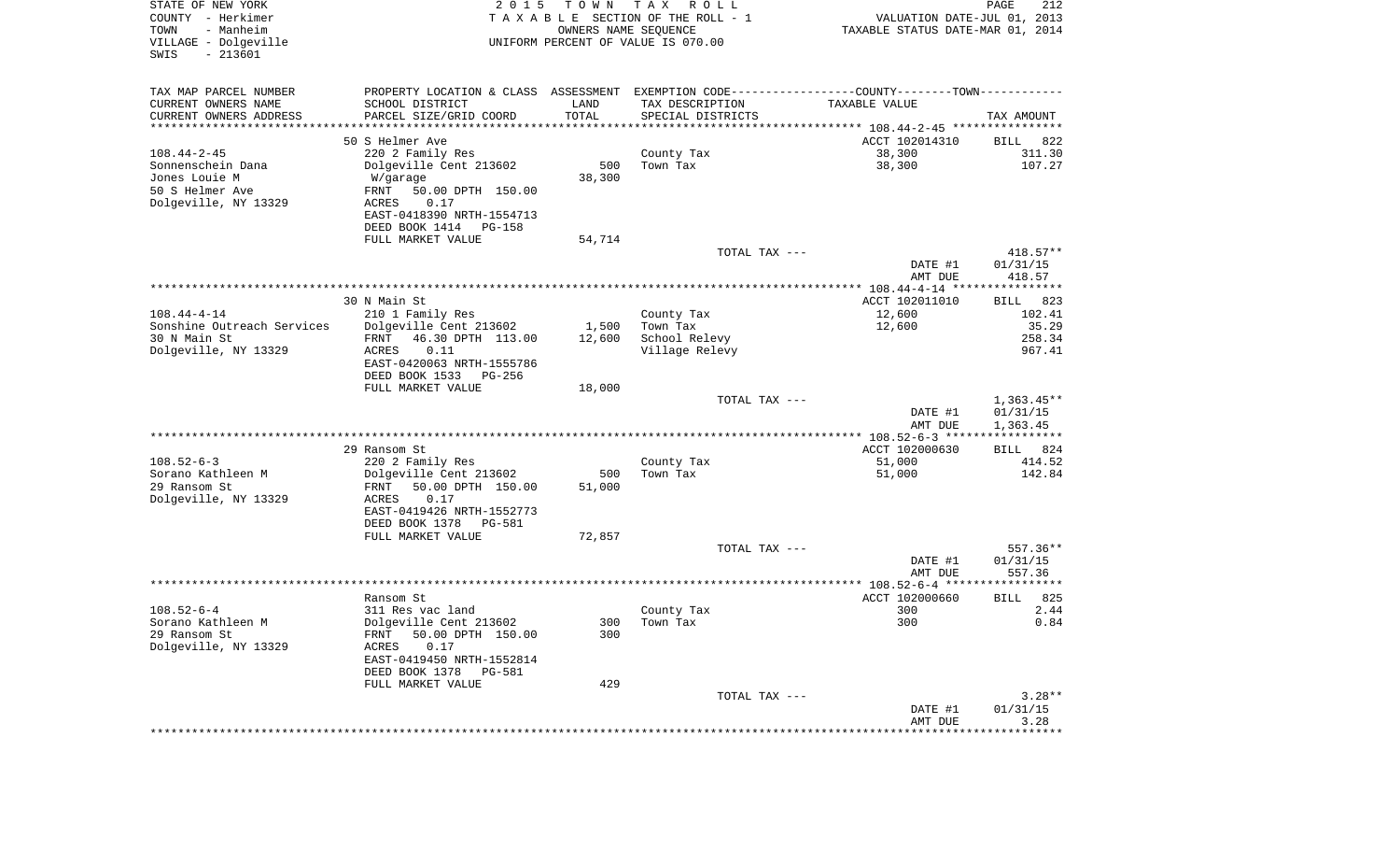| STATE OF NEW YORK<br>COUNTY - Herkimer<br>- Manheim<br>TOWN<br>VILLAGE - Dolgeville<br>$-213601$<br>SWIS | 2 0 1 5                                               | T O W N                        | T A X<br>R O L L<br>TAXABLE SECTION OF THE ROLL - 1<br>OWNERS NAME SEQUENCE<br>UNIFORM PERCENT OF VALUE IS 070.00 | VALUATION DATE-JUL 01, 2013<br>TAXABLE STATUS DATE-MAR 01, 2014 | PAGE<br>212           |
|----------------------------------------------------------------------------------------------------------|-------------------------------------------------------|--------------------------------|-------------------------------------------------------------------------------------------------------------------|-----------------------------------------------------------------|-----------------------|
| TAX MAP PARCEL NUMBER                                                                                    | PROPERTY LOCATION & CLASS ASSESSMENT                  |                                | EXEMPTION CODE----------------COUNTY-------TOWN-----------                                                        |                                                                 |                       |
| CURRENT OWNERS NAME                                                                                      | SCHOOL DISTRICT                                       | LAND                           | TAX DESCRIPTION                                                                                                   | TAXABLE VALUE                                                   |                       |
| CURRENT OWNERS ADDRESS<br>*********************                                                          | PARCEL SIZE/GRID COORD                                | TOTAL<br>* * * * * * * * * * * | SPECIAL DISTRICTS                                                                                                 |                                                                 | TAX AMOUNT            |
|                                                                                                          | 50 S Helmer Ave                                       |                                |                                                                                                                   | ACCT 102014310                                                  | 822<br>BILL           |
| $108.44 - 2 - 45$                                                                                        | 220 2 Family Res                                      |                                | County Tax                                                                                                        | 38,300                                                          | 311.30                |
| Sonnenschein Dana                                                                                        | Dolgeville Cent 213602                                | 500                            | Town Tax                                                                                                          | 38,300                                                          | 107.27                |
| Jones Louie M                                                                                            | W/garage                                              | 38,300                         |                                                                                                                   |                                                                 |                       |
| 50 S Helmer Ave                                                                                          | FRNT<br>50.00 DPTH 150.00                             |                                |                                                                                                                   |                                                                 |                       |
| Dolgeville, NY 13329                                                                                     | 0.17<br>ACRES                                         |                                |                                                                                                                   |                                                                 |                       |
|                                                                                                          | EAST-0418390 NRTH-1554713<br>DEED BOOK 1414<br>PG-158 |                                |                                                                                                                   |                                                                 |                       |
|                                                                                                          | FULL MARKET VALUE                                     | 54,714                         |                                                                                                                   |                                                                 |                       |
|                                                                                                          |                                                       |                                | TOTAL TAX ---                                                                                                     |                                                                 | $418.57**$            |
|                                                                                                          |                                                       |                                |                                                                                                                   | DATE #1<br>AMT DUE                                              | 01/31/15<br>418.57    |
|                                                                                                          |                                                       |                                |                                                                                                                   |                                                                 |                       |
| $108.44 - 4 - 14$                                                                                        | 30 N Main St<br>210 1 Family Res                      |                                | County Tax                                                                                                        | ACCT 102011010<br>12,600                                        | 823<br>BILL<br>102.41 |
| Sonshine Outreach Services                                                                               | Dolgeville Cent 213602                                | 1,500                          | Town Tax                                                                                                          | 12,600                                                          | 35.29                 |
| 30 N Main St                                                                                             | 46.30 DPTH 113.00<br>FRNT                             | 12,600                         | School Relevy                                                                                                     |                                                                 | 258.34                |
| Dolgeville, NY 13329                                                                                     | ACRES<br>0.11                                         |                                | Village Relevy                                                                                                    |                                                                 | 967.41                |
|                                                                                                          | EAST-0420063 NRTH-1555786                             |                                |                                                                                                                   |                                                                 |                       |
|                                                                                                          | DEED BOOK 1533<br>PG-256<br>FULL MARKET VALUE         | 18,000                         |                                                                                                                   |                                                                 |                       |
|                                                                                                          |                                                       |                                | TOTAL TAX ---                                                                                                     |                                                                 | $1,363.45**$          |
|                                                                                                          |                                                       |                                |                                                                                                                   | DATE #1                                                         | 01/31/15              |
|                                                                                                          |                                                       |                                |                                                                                                                   | AMT DUE                                                         | 1,363.45              |
|                                                                                                          |                                                       |                                |                                                                                                                   | ************** 108.52-6-3 ******************                    |                       |
| $108.52 - 6 - 3$                                                                                         | 29 Ransom St                                          |                                |                                                                                                                   | ACCT 102000630<br>51,000                                        | 824<br>BILL<br>414.52 |
| Sorano Kathleen M                                                                                        | 220 2 Family Res<br>Dolgeville Cent 213602            | 500                            | County Tax<br>Town Tax                                                                                            | 51,000                                                          | 142.84                |
| 29 Ransom St                                                                                             | FRNT<br>50.00 DPTH 150.00                             | 51,000                         |                                                                                                                   |                                                                 |                       |
| Dolgeville, NY 13329                                                                                     | ACRES<br>0.17                                         |                                |                                                                                                                   |                                                                 |                       |
|                                                                                                          | EAST-0419426 NRTH-1552773                             |                                |                                                                                                                   |                                                                 |                       |
|                                                                                                          | DEED BOOK 1378<br>PG-581                              |                                |                                                                                                                   |                                                                 |                       |
|                                                                                                          | FULL MARKET VALUE                                     | 72,857                         | TOTAL TAX ---                                                                                                     |                                                                 |                       |
|                                                                                                          |                                                       |                                |                                                                                                                   | DATE #1                                                         | 557.36**<br>01/31/15  |
|                                                                                                          |                                                       |                                |                                                                                                                   | AMT DUE                                                         | 557.36                |
|                                                                                                          |                                                       |                                |                                                                                                                   |                                                                 |                       |
|                                                                                                          | Ransom St                                             |                                |                                                                                                                   | ACCT 102000660                                                  | 825<br><b>BILL</b>    |
| $108.52 - 6 - 4$                                                                                         | 311 Res vac land                                      |                                | County Tax                                                                                                        | 300                                                             | 2.44                  |
| Sorano Kathleen M<br>29 Ransom St                                                                        | Dolgeville Cent 213602<br>50.00 DPTH 150.00<br>FRNT   | 300                            | 300 Town Tax                                                                                                      | 300                                                             | 0.84                  |
| Dolgeville, NY 13329                                                                                     | ACRES<br>0.17                                         |                                |                                                                                                                   |                                                                 |                       |
|                                                                                                          | EAST-0419450 NRTH-1552814                             |                                |                                                                                                                   |                                                                 |                       |
|                                                                                                          | DEED BOOK 1378<br>PG-581                              |                                |                                                                                                                   |                                                                 |                       |
|                                                                                                          | FULL MARKET VALUE                                     | 429                            |                                                                                                                   |                                                                 |                       |
|                                                                                                          |                                                       |                                | TOTAL TAX ---                                                                                                     |                                                                 | $3.28**$              |
|                                                                                                          |                                                       |                                |                                                                                                                   | DATE #1<br>AMT DUE                                              | 01/31/15<br>3.28      |
|                                                                                                          |                                                       |                                | ******************************                                                                                    | * * * * * * * * * * * * * * * * * *                             | ************          |
|                                                                                                          |                                                       |                                |                                                                                                                   |                                                                 |                       |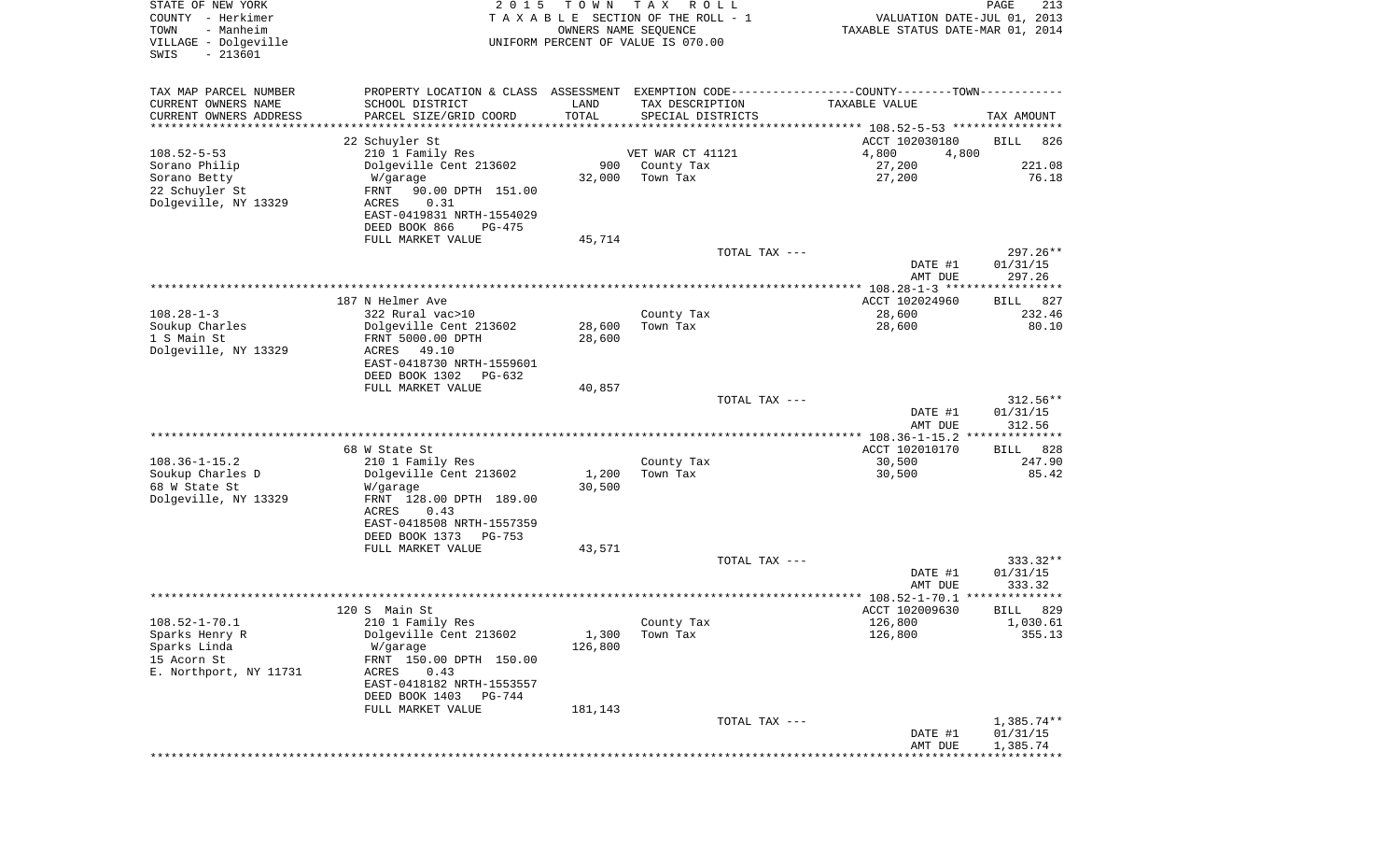| STATE OF NEW YORK<br>COUNTY - Herkimer<br>- Manheim<br>TOWN | 2 0 1 5                                                                                       | T O W N<br>OWNERS NAME SEQUENCE | T A X<br>R O L L<br>TAXABLE SECTION OF THE ROLL - 1 |               | VALUATION DATE-JUL 01, 2013<br>TAXABLE STATUS DATE-MAR 01, 2014 | PAGE<br>213            |
|-------------------------------------------------------------|-----------------------------------------------------------------------------------------------|---------------------------------|-----------------------------------------------------|---------------|-----------------------------------------------------------------|------------------------|
| VILLAGE - Dolgeville<br>$-213601$<br>SWIS                   |                                                                                               |                                 | UNIFORM PERCENT OF VALUE IS 070.00                  |               |                                                                 |                        |
| TAX MAP PARCEL NUMBER                                       | PROPERTY LOCATION & CLASS ASSESSMENT EXEMPTION CODE---------------COUNTY-------TOWN---------- |                                 |                                                     |               |                                                                 |                        |
| CURRENT OWNERS NAME                                         | SCHOOL DISTRICT                                                                               | LAND                            | TAX DESCRIPTION                                     |               | TAXABLE VALUE                                                   |                        |
| CURRENT OWNERS ADDRESS<br>********************              | PARCEL SIZE/GRID COORD                                                                        | TOTAL                           | SPECIAL DISTRICTS                                   |               |                                                                 | TAX AMOUNT             |
|                                                             | 22 Schuyler St                                                                                |                                 |                                                     |               | ACCT 102030180                                                  | <b>BILL</b><br>826     |
| $108.52 - 5 - 53$                                           | 210 1 Family Res                                                                              |                                 | VET WAR CT 41121                                    |               | 4,800<br>4,800                                                  |                        |
| Sorano Philip                                               | Dolgeville Cent 213602                                                                        | 900                             | County Tax                                          |               | 27,200                                                          | 221.08                 |
| Sorano Betty                                                | W/garage                                                                                      | 32,000                          | Town Tax                                            |               | 27,200                                                          | 76.18                  |
| 22 Schuyler St                                              | 90.00 DPTH 151.00<br>FRNT                                                                     |                                 |                                                     |               |                                                                 |                        |
| Dolgeville, NY 13329                                        | 0.31<br>ACRES                                                                                 |                                 |                                                     |               |                                                                 |                        |
|                                                             | EAST-0419831 NRTH-1554029<br>DEED BOOK 866<br>PG-475                                          |                                 |                                                     |               |                                                                 |                        |
|                                                             | FULL MARKET VALUE                                                                             | 45,714                          |                                                     |               |                                                                 |                        |
|                                                             |                                                                                               |                                 |                                                     | TOTAL TAX --- | DATE #1                                                         | $297.26**$<br>01/31/15 |
|                                                             |                                                                                               |                                 |                                                     |               | AMT DUE                                                         | 297.26                 |
|                                                             |                                                                                               |                                 |                                                     |               |                                                                 |                        |
|                                                             | 187 N Helmer Ave                                                                              |                                 |                                                     |               | ACCT 102024960                                                  | 827<br>BILL            |
| $108.28 - 1 - 3$                                            | 322 Rural vac>10                                                                              |                                 | County Tax                                          |               | 28,600                                                          | 232.46                 |
| Soukup Charles<br>1 S Main St                               | Dolgeville Cent 213602<br>FRNT 5000.00 DPTH                                                   | 28,600<br>28,600                | Town Tax                                            |               | 28,600                                                          | 80.10                  |
| Dolgeville, NY 13329                                        | ACRES<br>49.10                                                                                |                                 |                                                     |               |                                                                 |                        |
|                                                             | EAST-0418730 NRTH-1559601                                                                     |                                 |                                                     |               |                                                                 |                        |
|                                                             | DEED BOOK 1302<br>$PG-632$                                                                    |                                 |                                                     |               |                                                                 |                        |
|                                                             | FULL MARKET VALUE                                                                             | 40,857                          |                                                     |               |                                                                 |                        |
|                                                             |                                                                                               |                                 |                                                     | TOTAL TAX --- |                                                                 | $312.56**$             |
|                                                             |                                                                                               |                                 |                                                     |               | DATE #1<br>AMT DUE                                              | 01/31/15<br>312.56     |
|                                                             |                                                                                               |                                 |                                                     |               | ************** 108.36-1-15.2                                    | **************         |
|                                                             | 68 W State St                                                                                 |                                 |                                                     |               | ACCT 102010170                                                  | 828<br>BILL            |
| $108.36 - 1 - 15.2$                                         | 210 1 Family Res                                                                              |                                 | County Tax                                          |               | 30,500                                                          | 247.90                 |
| Soukup Charles D                                            | Dolgeville Cent 213602                                                                        | 1,200                           | Town Tax                                            |               | 30,500                                                          | 85.42                  |
| 68 W State St<br>Dolgeville, NY 13329                       | W/garage<br>FRNT 128.00 DPTH 189.00                                                           | 30,500                          |                                                     |               |                                                                 |                        |
|                                                             | ACRES<br>0.43                                                                                 |                                 |                                                     |               |                                                                 |                        |
|                                                             | EAST-0418508 NRTH-1557359                                                                     |                                 |                                                     |               |                                                                 |                        |
|                                                             | DEED BOOK 1373<br>$PG-753$                                                                    |                                 |                                                     |               |                                                                 |                        |
|                                                             | FULL MARKET VALUE                                                                             | 43,571                          |                                                     |               |                                                                 | $333.32**$             |
|                                                             |                                                                                               |                                 |                                                     | TOTAL TAX --- | DATE #1                                                         | 01/31/15               |
|                                                             |                                                                                               |                                 |                                                     |               | AMT DUE                                                         | 333.32                 |
|                                                             |                                                                                               |                                 |                                                     |               |                                                                 | ******                 |
|                                                             | 120 S Main St                                                                                 |                                 |                                                     |               | ACCT 102009630                                                  | 829<br>BILL            |
| $108.52 - 1 - 70.1$                                         | 210 1 Family Res                                                                              |                                 | County Tax                                          |               | 126,800                                                         | 1,030.61               |
| Sparks Henry R<br>Sparks Linda                              | Dolgeville Cent 213602<br>W/garage                                                            | 1,300<br>126,800                | Town Tax                                            |               | 126,800                                                         | 355.13                 |
| 15 Acorn St                                                 | FRNT 150.00 DPTH 150.00                                                                       |                                 |                                                     |               |                                                                 |                        |
| E. Northport, NY 11731                                      | 0.43<br>ACRES                                                                                 |                                 |                                                     |               |                                                                 |                        |
|                                                             | EAST-0418182 NRTH-1553557                                                                     |                                 |                                                     |               |                                                                 |                        |
|                                                             | DEED BOOK 1403<br>PG-744                                                                      |                                 |                                                     |               |                                                                 |                        |
|                                                             | FULL MARKET VALUE                                                                             | 181,143                         |                                                     | TOTAL TAX --- |                                                                 | $1,385.74**$           |
|                                                             |                                                                                               |                                 |                                                     |               | DATE #1                                                         | 01/31/15               |
|                                                             |                                                                                               |                                 |                                                     |               | AMT DUE                                                         | 1,385.74               |
|                                                             |                                                                                               |                                 |                                                     |               | ***************************                                     |                        |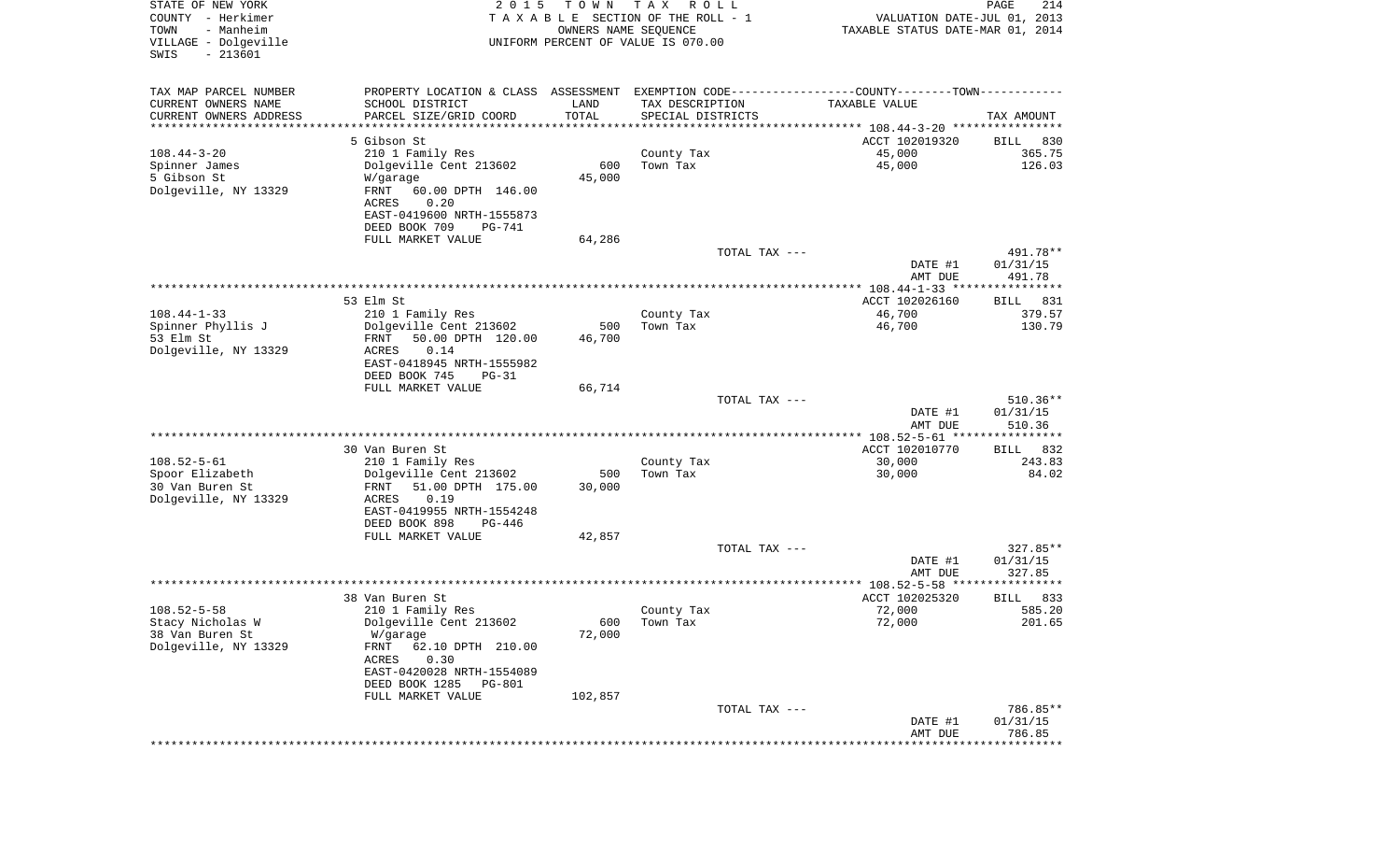| STATE OF NEW YORK<br>COUNTY - Herkimer<br>- Manheim<br>TOWN<br>VILLAGE - Dolgeville<br>$-213601$<br>SWIS | 2 0 1 5                                              | T O W N<br>OWNERS NAME SEQUENCE | T A X<br>R O L L<br>TAXABLE SECTION OF THE ROLL - 1<br>UNIFORM PERCENT OF VALUE IS 070.00 |               | VALUATION DATE-JUL 01, 2013<br>TAXABLE STATUS DATE-MAR 01, 2014 | $\mathop{\mathtt{PAGE}}$<br>214 |
|----------------------------------------------------------------------------------------------------------|------------------------------------------------------|---------------------------------|-------------------------------------------------------------------------------------------|---------------|-----------------------------------------------------------------|---------------------------------|
| TAX MAP PARCEL NUMBER                                                                                    | PROPERTY LOCATION & CLASS ASSESSMENT                 |                                 |                                                                                           |               | EXEMPTION CODE-----------------COUNTY-------TOWN-----------     |                                 |
| CURRENT OWNERS NAME                                                                                      | SCHOOL DISTRICT                                      | LAND                            | TAX DESCRIPTION                                                                           |               | TAXABLE VALUE                                                   |                                 |
| CURRENT OWNERS ADDRESS<br>********************                                                           | PARCEL SIZE/GRID COORD                               | TOTAL                           | SPECIAL DISTRICTS                                                                         |               |                                                                 | TAX AMOUNT                      |
|                                                                                                          | 5 Gibson St                                          |                                 |                                                                                           |               | ACCT 102019320                                                  | BILL<br>830                     |
| $108.44 - 3 - 20$                                                                                        | 210 1 Family Res                                     |                                 | County Tax                                                                                |               | 45,000                                                          | 365.75                          |
| Spinner James                                                                                            | Dolgeville Cent 213602                               | 600                             | Town Tax                                                                                  |               | 45,000                                                          | 126.03                          |
| 5 Gibson St                                                                                              | W/garage                                             | 45,000                          |                                                                                           |               |                                                                 |                                 |
| Dolgeville, NY 13329                                                                                     | FRNT<br>60.00 DPTH 146.00                            |                                 |                                                                                           |               |                                                                 |                                 |
|                                                                                                          | 0.20<br>ACRES                                        |                                 |                                                                                           |               |                                                                 |                                 |
|                                                                                                          | EAST-0419600 NRTH-1555873                            |                                 |                                                                                           |               |                                                                 |                                 |
|                                                                                                          | DEED BOOK 709<br>PG-741<br>FULL MARKET VALUE         | 64,286                          |                                                                                           |               |                                                                 |                                 |
|                                                                                                          |                                                      |                                 |                                                                                           | TOTAL TAX --- |                                                                 | 491.78**                        |
|                                                                                                          |                                                      |                                 |                                                                                           |               | DATE #1                                                         | 01/31/15                        |
|                                                                                                          |                                                      |                                 |                                                                                           |               | AMT DUE                                                         | 491.78                          |
|                                                                                                          |                                                      |                                 |                                                                                           |               |                                                                 |                                 |
|                                                                                                          | 53 Elm St                                            |                                 |                                                                                           |               | ACCT 102026160                                                  | 831<br>BILL                     |
| $108.44 - 1 - 33$                                                                                        | 210 1 Family Res                                     |                                 | County Tax<br>Town Tax                                                                    |               | 46,700                                                          | 379.57<br>130.79                |
| Spinner Phyllis J<br>53 Elm St                                                                           | Dolgeville Cent 213602<br>FRNT<br>50.00 DPTH 120.00  | 500<br>46,700                   |                                                                                           |               | 46,700                                                          |                                 |
| Dolgeville, NY 13329                                                                                     | ACRES<br>0.14                                        |                                 |                                                                                           |               |                                                                 |                                 |
|                                                                                                          | EAST-0418945 NRTH-1555982                            |                                 |                                                                                           |               |                                                                 |                                 |
|                                                                                                          | DEED BOOK 745<br>$PG-31$                             |                                 |                                                                                           |               |                                                                 |                                 |
|                                                                                                          | FULL MARKET VALUE                                    | 66,714                          |                                                                                           |               |                                                                 |                                 |
|                                                                                                          |                                                      |                                 |                                                                                           | TOTAL TAX --- |                                                                 | $510.36**$                      |
|                                                                                                          |                                                      |                                 |                                                                                           |               | DATE #1<br>AMT DUE                                              | 01/31/15<br>510.36              |
|                                                                                                          |                                                      |                                 |                                                                                           |               | ************ 108.52-5-61 *****************                      |                                 |
|                                                                                                          | 30 Van Buren St                                      |                                 |                                                                                           |               | ACCT 102010770                                                  | 832<br>BILL                     |
| $108.52 - 5 - 61$                                                                                        | 210 1 Family Res                                     |                                 | County Tax                                                                                |               | 30,000                                                          | 243.83                          |
| Spoor Elizabeth                                                                                          | Dolgeville Cent 213602                               | 500                             | Town Tax                                                                                  |               | 30,000                                                          | 84.02                           |
| 30 Van Buren St                                                                                          | 51.00 DPTH 175.00<br>FRNT                            | 30,000                          |                                                                                           |               |                                                                 |                                 |
| Dolgeville, NY 13329                                                                                     | ACRES<br>0.19                                        |                                 |                                                                                           |               |                                                                 |                                 |
|                                                                                                          | EAST-0419955 NRTH-1554248<br>DEED BOOK 898<br>PG-446 |                                 |                                                                                           |               |                                                                 |                                 |
|                                                                                                          | FULL MARKET VALUE                                    | 42,857                          |                                                                                           |               |                                                                 |                                 |
|                                                                                                          |                                                      |                                 |                                                                                           | TOTAL TAX --- |                                                                 | $327.85**$                      |
|                                                                                                          |                                                      |                                 |                                                                                           |               | DATE #1                                                         | 01/31/15                        |
|                                                                                                          |                                                      |                                 |                                                                                           |               | AMT DUE                                                         | 327.85                          |
|                                                                                                          |                                                      |                                 |                                                                                           |               |                                                                 |                                 |
| $108.52 - 5 - 58$                                                                                        | 38 Van Buren St<br>210 1 Family Res                  |                                 | County Tax                                                                                |               | ACCT 102025320<br>72,000                                        | 833<br>BILL<br>585.20           |
| Stacy Nicholas W                                                                                         | Dolgeville Cent 213602                               |                                 | 600 Town Tax                                                                              |               | 72,000                                                          | 201.65                          |
| 38 Van Buren St                                                                                          | W/garage                                             | 72,000                          |                                                                                           |               |                                                                 |                                 |
| Dolgeville, NY 13329                                                                                     | FRNT<br>62.10 DPTH 210.00                            |                                 |                                                                                           |               |                                                                 |                                 |
|                                                                                                          | 0.30<br>ACRES                                        |                                 |                                                                                           |               |                                                                 |                                 |
|                                                                                                          | EAST-0420028 NRTH-1554089                            |                                 |                                                                                           |               |                                                                 |                                 |
|                                                                                                          | DEED BOOK 1285<br>PG-801                             |                                 |                                                                                           |               |                                                                 |                                 |
|                                                                                                          | FULL MARKET VALUE                                    | 102,857                         |                                                                                           | TOTAL TAX --- |                                                                 | 786.85**                        |
|                                                                                                          |                                                      |                                 |                                                                                           |               | DATE #1                                                         | 01/31/15                        |
|                                                                                                          |                                                      |                                 |                                                                                           |               | AMT DUE                                                         | 786.85                          |
|                                                                                                          |                                                      |                                 |                                                                                           |               |                                                                 |                                 |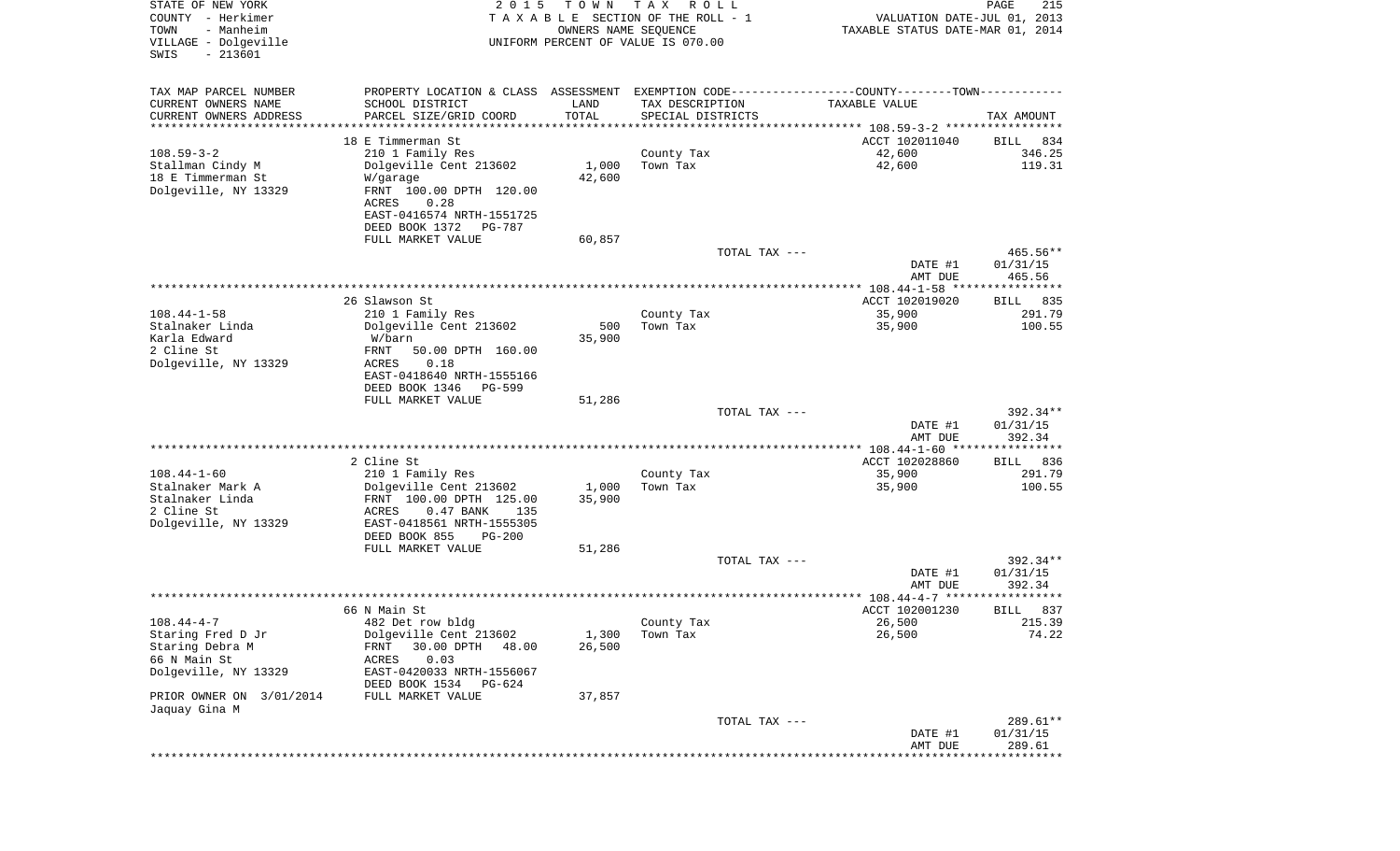| STATE OF NEW YORK<br>COUNTY - Herkimer<br>TOWN<br>- Manheim | 2 0 1 5                                        | T O W N<br>OWNERS NAME SEQUENCE | T A X<br>R O L L<br>TAXABLE SECTION OF THE ROLL - 1 | VALUATION DATE-JUL 01, 2013<br>TAXABLE STATUS DATE-MAR 01, 2014                               | 215<br>PAGE        |
|-------------------------------------------------------------|------------------------------------------------|---------------------------------|-----------------------------------------------------|-----------------------------------------------------------------------------------------------|--------------------|
| VILLAGE - Dolgeville<br>$-213601$<br>SWIS                   |                                                |                                 | UNIFORM PERCENT OF VALUE IS 070.00                  |                                                                                               |                    |
| TAX MAP PARCEL NUMBER                                       |                                                |                                 |                                                     | PROPERTY LOCATION & CLASS ASSESSMENT EXEMPTION CODE---------------COUNTY-------TOWN---------- |                    |
| CURRENT OWNERS NAME                                         | SCHOOL DISTRICT                                | LAND                            | TAX DESCRIPTION                                     | TAXABLE VALUE                                                                                 |                    |
| CURRENT OWNERS ADDRESS                                      | PARCEL SIZE/GRID COORD                         | TOTAL                           | SPECIAL DISTRICTS                                   |                                                                                               | TAX AMOUNT         |
| *********************                                       | ************************                       |                                 |                                                     |                                                                                               |                    |
|                                                             | 18 E Timmerman St                              |                                 |                                                     | ACCT 102011040                                                                                | 834<br>BILL        |
| $108.59 - 3 - 2$                                            | 210 1 Family Res                               |                                 | County Tax<br>Town Tax                              | 42,600                                                                                        | 346.25<br>119.31   |
| Stallman Cindy M<br>18 E Timmerman St                       | Dolgeville Cent 213602<br>W/garage             | 1,000<br>42,600                 |                                                     | 42,600                                                                                        |                    |
| Dolgeville, NY 13329                                        | FRNT 100.00 DPTH 120.00<br>ACRES<br>0.28       |                                 |                                                     |                                                                                               |                    |
|                                                             | EAST-0416574 NRTH-1551725                      |                                 |                                                     |                                                                                               |                    |
|                                                             | DEED BOOK 1372<br>PG-787<br>FULL MARKET VALUE  | 60,857                          |                                                     |                                                                                               |                    |
|                                                             |                                                |                                 | TOTAL TAX ---                                       |                                                                                               | 465.56**           |
|                                                             |                                                |                                 |                                                     | DATE #1<br>AMT DUE                                                                            | 01/31/15<br>465.56 |
|                                                             |                                                |                                 |                                                     |                                                                                               |                    |
|                                                             | 26 Slawson St                                  |                                 |                                                     | ACCT 102019020                                                                                | 835<br>BILL        |
| $108.44 - 1 - 58$                                           | 210 1 Family Res                               |                                 | County Tax                                          | 35,900                                                                                        | 291.79             |
| Stalnaker Linda                                             | Dolgeville Cent 213602                         | 500                             | Town Tax                                            | 35,900                                                                                        | 100.55             |
| Karla Edward<br>2 Cline St                                  | W/barn<br>FRNT<br>50.00 DPTH 160.00            | 35,900                          |                                                     |                                                                                               |                    |
| Dolgeville, NY 13329                                        | ACRES<br>0.18                                  |                                 |                                                     |                                                                                               |                    |
|                                                             | EAST-0418640 NRTH-1555166                      |                                 |                                                     |                                                                                               |                    |
|                                                             | DEED BOOK 1346<br>PG-599                       |                                 |                                                     |                                                                                               |                    |
|                                                             | FULL MARKET VALUE                              | 51,286                          |                                                     |                                                                                               |                    |
|                                                             |                                                |                                 | TOTAL TAX ---                                       |                                                                                               | 392.34**           |
|                                                             |                                                |                                 |                                                     | DATE #1                                                                                       | 01/31/15           |
|                                                             |                                                |                                 |                                                     | AMT DUE                                                                                       | 392.34             |
|                                                             | 2 Cline St                                     |                                 |                                                     | ACCT 102028860                                                                                | 836<br>BILL        |
| $108.44 - 1 - 60$                                           | 210 1 Family Res                               |                                 | County Tax                                          | 35,900                                                                                        | 291.79             |
| Stalnaker Mark A                                            | Dolgeville Cent 213602                         | 1,000                           | Town Tax                                            | 35,900                                                                                        | 100.55             |
| Stalnaker Linda                                             | FRNT 100.00 DPTH 125.00                        | 35,900                          |                                                     |                                                                                               |                    |
| 2 Cline St                                                  | <b>ACRES</b><br>$0.47$ BANK<br>135             |                                 |                                                     |                                                                                               |                    |
| Dolgeville, NY 13329                                        | EAST-0418561 NRTH-1555305                      |                                 |                                                     |                                                                                               |                    |
|                                                             | DEED BOOK 855<br>$PG-200$<br>FULL MARKET VALUE | 51,286                          |                                                     |                                                                                               |                    |
|                                                             |                                                |                                 | TOTAL TAX ---                                       |                                                                                               | 392.34**           |
|                                                             |                                                |                                 |                                                     | DATE #1                                                                                       | 01/31/15           |
|                                                             |                                                |                                 |                                                     | AMT DUE                                                                                       | 392.34             |
|                                                             |                                                |                                 |                                                     |                                                                                               | * * * * * *        |
|                                                             | 66 N Main St                                   |                                 |                                                     | ACCT 102001230                                                                                | 837<br>BILL        |
| $108.44 - 4 - 7$                                            | 482 Det row bldg                               |                                 | County Tax                                          | 26,500                                                                                        | 215.39             |
| Staring Fred D Jr                                           | Dolgeville Cent 213602                         | 1,300                           | Town Tax                                            | 26,500                                                                                        | 74.22              |
| Staring Debra M<br>66 N Main St                             | 30.00 DPTH<br>FRNT<br>48.00<br>0.03<br>ACRES   | 26,500                          |                                                     |                                                                                               |                    |
| Dolgeville, NY 13329                                        | EAST-0420033 NRTH-1556067                      |                                 |                                                     |                                                                                               |                    |
|                                                             | DEED BOOK 1534<br>PG-624                       |                                 |                                                     |                                                                                               |                    |
| PRIOR OWNER ON 3/01/2014<br>Jaquay Gina M                   | FULL MARKET VALUE                              | 37,857                          |                                                     |                                                                                               |                    |
|                                                             |                                                |                                 | TOTAL TAX ---                                       |                                                                                               | 289.61**           |
|                                                             |                                                |                                 |                                                     | DATE #1                                                                                       | 01/31/15           |
|                                                             |                                                |                                 |                                                     | AMT DUE                                                                                       | 289.61             |
|                                                             |                                                |                                 |                                                     |                                                                                               | ************       |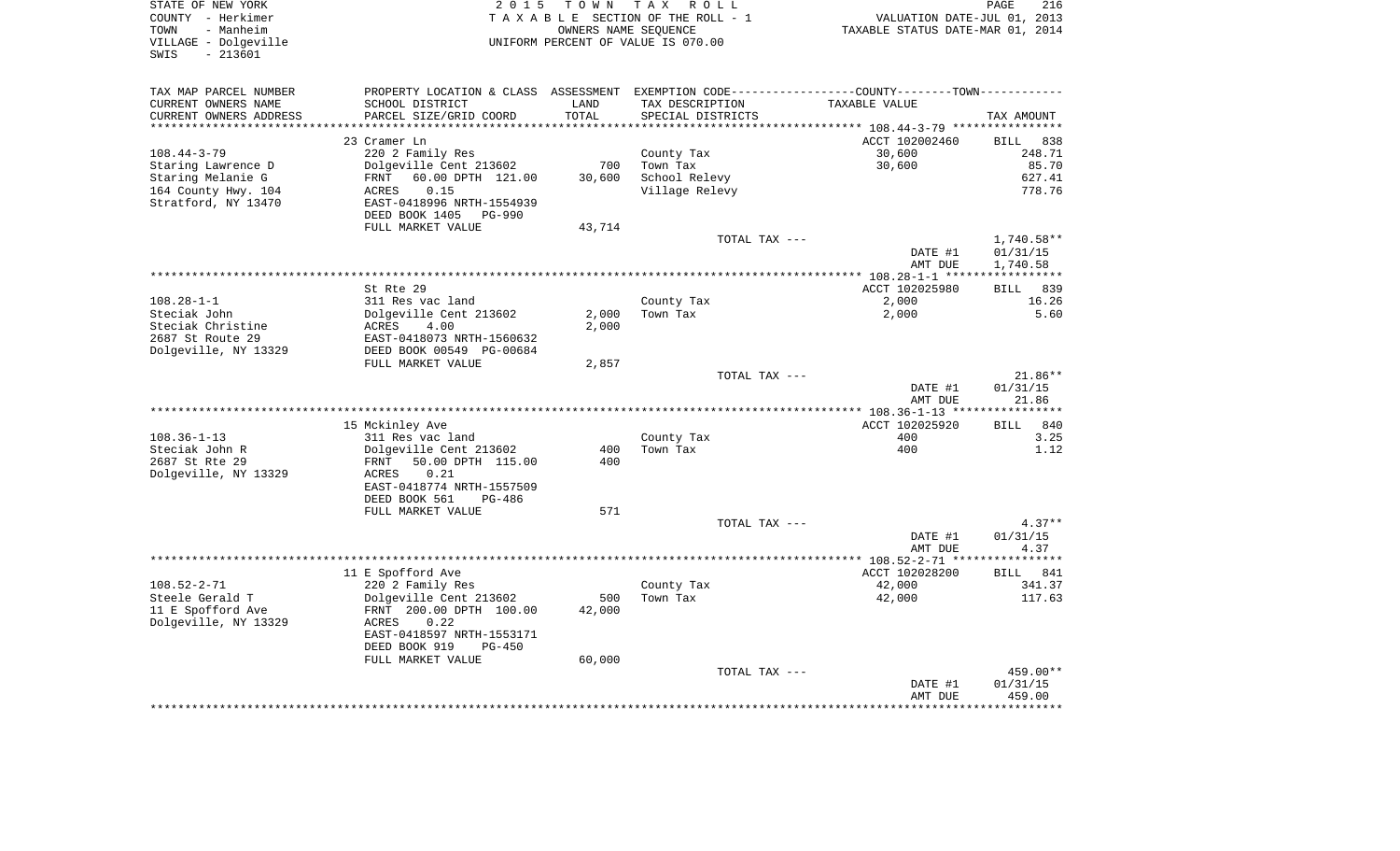| STATE OF NEW YORK<br>COUNTY - Herkimer<br>- Manheim<br>TOWN<br>VILLAGE - Dolgeville<br>$-213601$<br>SWIS | 2 0 1 5                                    | T O W N   | TAX ROLL<br>TAXABLE SECTION OF THE ROLL - 1<br>OWNERS NAME SEOUENCE<br>UNIFORM PERCENT OF VALUE IS 070.00 | TAXABLE STATUS DATE-MAR 01, 2014                                                               | PAGE<br>216<br>VALUATION DATE-JUL 01, 2013 |
|----------------------------------------------------------------------------------------------------------|--------------------------------------------|-----------|-----------------------------------------------------------------------------------------------------------|------------------------------------------------------------------------------------------------|--------------------------------------------|
| TAX MAP PARCEL NUMBER                                                                                    |                                            |           |                                                                                                           | PROPERTY LOCATION & CLASS ASSESSMENT EXEMPTION CODE----------------COUNTY-------TOWN---------- |                                            |
| CURRENT OWNERS NAME                                                                                      | SCHOOL DISTRICT                            | LAND      | TAX DESCRIPTION                                                                                           | TAXABLE VALUE                                                                                  |                                            |
| CURRENT OWNERS ADDRESS                                                                                   | PARCEL SIZE/GRID COORD                     | TOTAL     | SPECIAL DISTRICTS                                                                                         |                                                                                                | TAX AMOUNT                                 |
| ********************                                                                                     |                                            | ********* |                                                                                                           |                                                                                                |                                            |
|                                                                                                          | 23 Cramer Ln                               |           |                                                                                                           | ACCT 102002460                                                                                 | <b>BILL</b><br>838                         |
| $108.44 - 3 - 79$<br>Staring Lawrence D                                                                  | 220 2 Family Res<br>Dolgeville Cent 213602 | 700       | County Tax<br>Town Tax                                                                                    | 30,600<br>30,600                                                                               | 248.71<br>85.70                            |
| Staring Melanie G                                                                                        | 60.00 DPTH 121.00<br>FRNT                  | 30,600    | School Relevy                                                                                             |                                                                                                | 627.41                                     |
| 164 County Hwy. 104                                                                                      | 0.15<br><b>ACRES</b>                       |           | Village Relevy                                                                                            |                                                                                                | 778.76                                     |
| Stratford, NY 13470                                                                                      | EAST-0418996 NRTH-1554939                  |           |                                                                                                           |                                                                                                |                                            |
|                                                                                                          | DEED BOOK 1405<br><b>PG-990</b>            |           |                                                                                                           |                                                                                                |                                            |
|                                                                                                          | FULL MARKET VALUE                          | 43,714    |                                                                                                           |                                                                                                |                                            |
|                                                                                                          |                                            |           |                                                                                                           | TOTAL TAX ---                                                                                  | $1,740.58**$                               |
|                                                                                                          |                                            |           |                                                                                                           | DATE #1                                                                                        | 01/31/15                                   |
|                                                                                                          |                                            |           |                                                                                                           | AMT DUE                                                                                        | 1,740.58<br>************                   |
|                                                                                                          | St Rte 29                                  |           |                                                                                                           | ACCT 102025980                                                                                 | 839<br>BILL                                |
| $108.28 - 1 - 1$                                                                                         | 311 Res vac land                           |           | County Tax                                                                                                | 2,000                                                                                          | 16.26                                      |
| Steciak John                                                                                             | Dolgeville Cent 213602                     | 2,000     | Town Tax                                                                                                  | 2,000                                                                                          | 5.60                                       |
| Steciak Christine                                                                                        | ACRES<br>4.00                              | 2,000     |                                                                                                           |                                                                                                |                                            |
| 2687 St Route 29                                                                                         | EAST-0418073 NRTH-1560632                  |           |                                                                                                           |                                                                                                |                                            |
| Dolgeville, NY 13329                                                                                     | DEED BOOK 00549 PG-00684                   |           |                                                                                                           |                                                                                                |                                            |
|                                                                                                          | FULL MARKET VALUE                          | 2,857     |                                                                                                           | TOTAL TAX ---                                                                                  | 21.86**                                    |
|                                                                                                          |                                            |           |                                                                                                           | DATE #1                                                                                        | 01/31/15                                   |
|                                                                                                          |                                            |           |                                                                                                           | AMT DUE                                                                                        | 21.86                                      |
|                                                                                                          |                                            |           |                                                                                                           | *************** 108.36-1-13 ****                                                               | *********                                  |
|                                                                                                          | 15 Mckinley Ave                            |           |                                                                                                           | ACCT 102025920                                                                                 | <b>BILL</b><br>840                         |
| $108.36 - 1 - 13$                                                                                        | 311 Res vac land                           |           | County Tax                                                                                                | 400                                                                                            | 3.25                                       |
| Steciak John R                                                                                           | Dolgeville Cent 213602                     | 400       | Town Tax                                                                                                  | 400                                                                                            | 1.12                                       |
| 2687 St Rte 29                                                                                           | FRNT<br>50.00 DPTH 115.00<br>0.21<br>ACRES | 400       |                                                                                                           |                                                                                                |                                            |
| Dolgeville, NY 13329                                                                                     | EAST-0418774 NRTH-1557509                  |           |                                                                                                           |                                                                                                |                                            |
|                                                                                                          | DEED BOOK 561<br>PG-486                    |           |                                                                                                           |                                                                                                |                                            |
|                                                                                                          | FULL MARKET VALUE                          | 571       |                                                                                                           |                                                                                                |                                            |
|                                                                                                          |                                            |           |                                                                                                           | TOTAL TAX ---                                                                                  | $4.37**$                                   |
|                                                                                                          |                                            |           |                                                                                                           | DATE #1                                                                                        | 01/31/15                                   |
|                                                                                                          |                                            |           |                                                                                                           | AMT DUE                                                                                        | 4.37<br>******                             |
|                                                                                                          |                                            |           |                                                                                                           | **************** 108.52-2-71 ***<br>ACCT 102028200                                             | 841<br><b>BILL</b>                         |
| $108.52 - 2 - 71$                                                                                        | 11 E Spofford Ave<br>220 2 Family Res      |           | County Tax                                                                                                | 42,000                                                                                         | 341.37                                     |
| Steele Gerald T                                                                                          | Dolgeville Cent 213602                     | 500       | Town Tax                                                                                                  | 42,000                                                                                         | 117.63                                     |
| 11 E Spofford Ave                                                                                        | FRNT 200.00 DPTH 100.00                    | 42,000    |                                                                                                           |                                                                                                |                                            |
| Dolgeville, NY 13329                                                                                     | <b>ACRES</b><br>0.22                       |           |                                                                                                           |                                                                                                |                                            |
|                                                                                                          | EAST-0418597 NRTH-1553171                  |           |                                                                                                           |                                                                                                |                                            |
|                                                                                                          | DEED BOOK 919<br>$PG-450$                  |           |                                                                                                           |                                                                                                |                                            |
|                                                                                                          | FULL MARKET VALUE                          | 60,000    |                                                                                                           |                                                                                                |                                            |
|                                                                                                          |                                            |           |                                                                                                           | TOTAL TAX ---<br>DATE #1                                                                       | 459.00**<br>01/31/15                       |
|                                                                                                          |                                            |           |                                                                                                           | AMT DUE                                                                                        | 459.00                                     |
|                                                                                                          |                                            |           |                                                                                                           |                                                                                                |                                            |
|                                                                                                          |                                            |           |                                                                                                           |                                                                                                |                                            |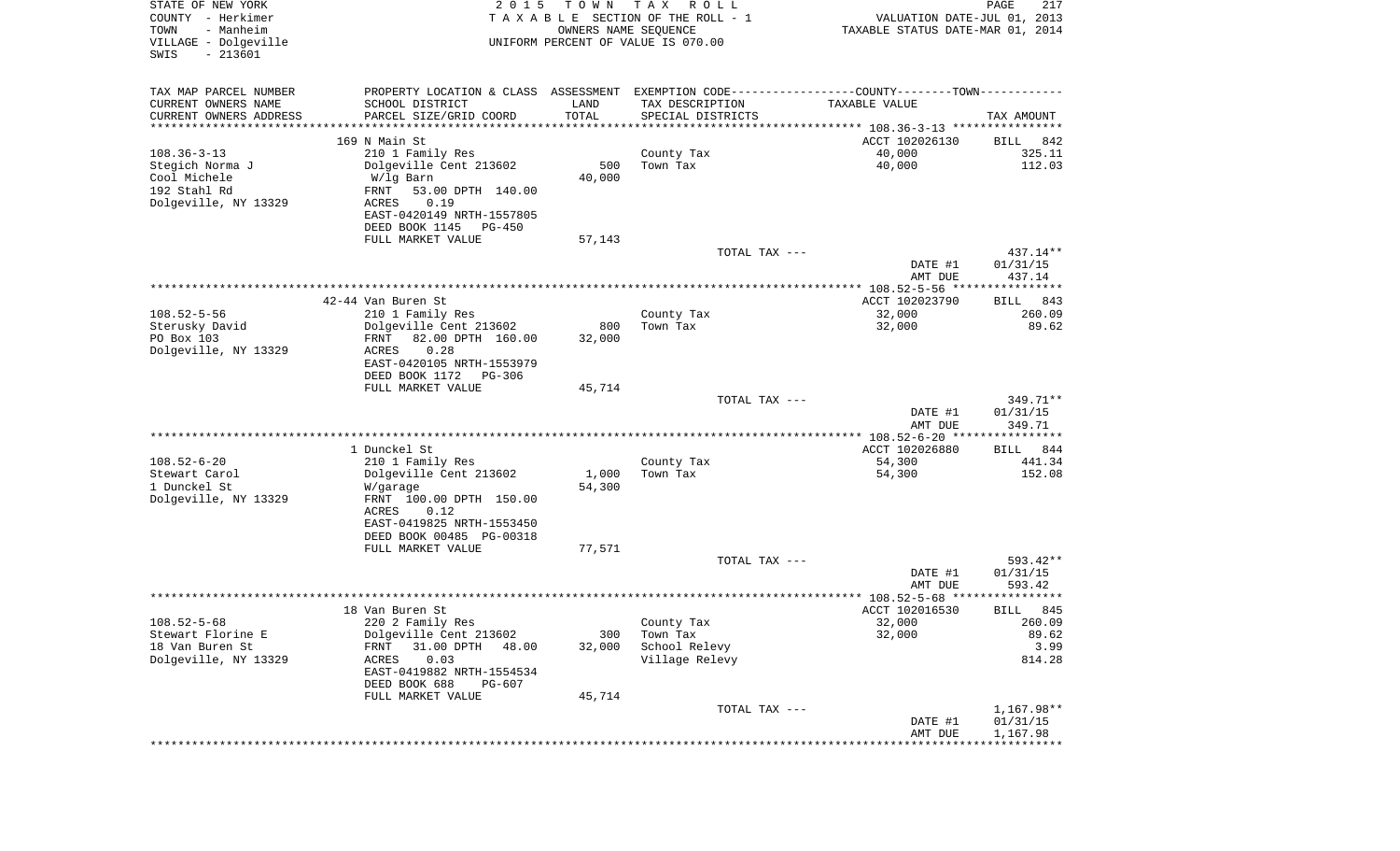| STATE OF NEW YORK<br>COUNTY - Herkimer<br>- Manheim<br>TOWN<br>VILLAGE - Dolgeville<br>$-213601$<br>SWIS | 2 0 1 5                                        | TOWN<br>OWNERS NAME SEQUENCE | T A X<br>R O L L<br>TAXABLE SECTION OF THE ROLL - 1<br>UNIFORM PERCENT OF VALUE IS 070.00     | VALUATION DATE-JUL 01, 2013<br>TAXABLE STATUS DATE-MAR 01, 2014 | PAGE<br>217           |
|----------------------------------------------------------------------------------------------------------|------------------------------------------------|------------------------------|-----------------------------------------------------------------------------------------------|-----------------------------------------------------------------|-----------------------|
| TAX MAP PARCEL NUMBER                                                                                    |                                                |                              | PROPERTY LOCATION & CLASS ASSESSMENT EXEMPTION CODE---------------COUNTY-------TOWN---------- |                                                                 |                       |
| CURRENT OWNERS NAME                                                                                      | SCHOOL DISTRICT                                | LAND                         | TAX DESCRIPTION                                                                               | TAXABLE VALUE                                                   |                       |
| CURRENT OWNERS ADDRESS                                                                                   | PARCEL SIZE/GRID COORD<br>******************** | TOTAL                        | SPECIAL DISTRICTS                                                                             |                                                                 | TAX AMOUNT            |
| ********************                                                                                     | 169 N Main St                                  | * * * * * * * * * * *        |                                                                                               | ACCT 102026130                                                  |                       |
| $108.36 - 3 - 13$                                                                                        | 210 1 Family Res                               |                              | County Tax                                                                                    | 40,000                                                          | BILL<br>842<br>325.11 |
| Stegich Norma J                                                                                          | Dolgeville Cent 213602                         | 500                          | Town Tax                                                                                      | 40,000                                                          | 112.03                |
| Cool Michele                                                                                             | W/lg Barn                                      | 40,000                       |                                                                                               |                                                                 |                       |
| 192 Stahl Rd                                                                                             | 53.00 DPTH 140.00<br>FRNT                      |                              |                                                                                               |                                                                 |                       |
| Dolgeville, NY 13329                                                                                     | ACRES<br>0.19                                  |                              |                                                                                               |                                                                 |                       |
|                                                                                                          | EAST-0420149 NRTH-1557805                      |                              |                                                                                               |                                                                 |                       |
|                                                                                                          | DEED BOOK 1145<br>PG-450                       |                              |                                                                                               |                                                                 |                       |
|                                                                                                          | FULL MARKET VALUE                              | 57,143                       | TOTAL TAX ---                                                                                 |                                                                 | 437.14**              |
|                                                                                                          |                                                |                              |                                                                                               | DATE #1                                                         | 01/31/15              |
|                                                                                                          |                                                |                              |                                                                                               | AMT DUE                                                         | 437.14                |
|                                                                                                          |                                                |                              |                                                                                               |                                                                 |                       |
|                                                                                                          | 42-44 Van Buren St                             |                              |                                                                                               | ACCT 102023790                                                  | BILL<br>843           |
| $108.52 - 5 - 56$                                                                                        | 210 1 Family Res                               |                              | County Tax                                                                                    | 32,000                                                          | 260.09                |
| Sterusky David                                                                                           | Dolgeville Cent 213602                         | 800                          | Town Tax                                                                                      | 32,000                                                          | 89.62                 |
| PO Box 103<br>Dolgeville, NY 13329                                                                       | FRNT<br>82.00 DPTH 160.00<br>0.28<br>ACRES     | 32,000                       |                                                                                               |                                                                 |                       |
|                                                                                                          | EAST-0420105 NRTH-1553979                      |                              |                                                                                               |                                                                 |                       |
|                                                                                                          | DEED BOOK 1172<br>PG-306                       |                              |                                                                                               |                                                                 |                       |
|                                                                                                          | FULL MARKET VALUE                              | 45,714                       |                                                                                               |                                                                 |                       |
|                                                                                                          |                                                |                              | TOTAL TAX ---                                                                                 |                                                                 | 349.71**              |
|                                                                                                          |                                                |                              |                                                                                               | DATE #1                                                         | 01/31/15              |
|                                                                                                          |                                                |                              |                                                                                               | AMT DUE<br>************ 108.52-6-20 *****************           | 349.71                |
|                                                                                                          | 1 Dunckel St                                   |                              |                                                                                               | ACCT 102026880                                                  | 844<br>BILL           |
| $108.52 - 6 - 20$                                                                                        | 210 1 Family Res                               |                              | County Tax                                                                                    | 54,300                                                          | 441.34                |
| Stewart Carol                                                                                            | Dolgeville Cent 213602                         | 1,000                        | Town Tax                                                                                      | 54,300                                                          | 152.08                |
| 1 Dunckel St                                                                                             | W/garage                                       | 54,300                       |                                                                                               |                                                                 |                       |
| Dolgeville, NY 13329                                                                                     | FRNT 100.00 DPTH 150.00                        |                              |                                                                                               |                                                                 |                       |
|                                                                                                          | ACRES<br>0.12<br>EAST-0419825 NRTH-1553450     |                              |                                                                                               |                                                                 |                       |
|                                                                                                          | DEED BOOK 00485 PG-00318                       |                              |                                                                                               |                                                                 |                       |
|                                                                                                          | FULL MARKET VALUE                              | 77,571                       |                                                                                               |                                                                 |                       |
|                                                                                                          |                                                |                              | TOTAL TAX ---                                                                                 |                                                                 | 593.42**              |
|                                                                                                          |                                                |                              |                                                                                               | DATE #1                                                         | 01/31/15              |
|                                                                                                          |                                                |                              |                                                                                               | AMT DUE                                                         | 593.42                |
|                                                                                                          |                                                |                              |                                                                                               |                                                                 |                       |
| $108.52 - 5 - 68$                                                                                        | 18 Van Buren St<br>220 2 Family Res            |                              | County Tax                                                                                    | ACCT 102016530<br>32,000                                        | 845<br>BILL<br>260.09 |
| Stewart Florine E                                                                                        | Dolgeville Cent 213602                         | 300                          | Town Tax                                                                                      | 32,000                                                          | 89.62                 |
| 18 Van Buren St                                                                                          | 31.00 DPTH<br>FRNT<br>48.00                    | 32,000                       | School Relevy                                                                                 |                                                                 | 3.99                  |
| Dolgeville, NY 13329                                                                                     | 0.03<br>ACRES                                  |                              | Village Relevy                                                                                |                                                                 | 814.28                |
|                                                                                                          | EAST-0419882 NRTH-1554534                      |                              |                                                                                               |                                                                 |                       |
|                                                                                                          | DEED BOOK 688<br><b>PG-607</b>                 |                              |                                                                                               |                                                                 |                       |
|                                                                                                          | FULL MARKET VALUE                              | 45,714                       |                                                                                               |                                                                 | 1,167.98**            |
|                                                                                                          |                                                |                              | TOTAL TAX ---                                                                                 | DATE #1                                                         | 01/31/15              |
|                                                                                                          |                                                |                              |                                                                                               | AMT DUE                                                         | 1,167.98              |
|                                                                                                          |                                                |                              |                                                                                               |                                                                 |                       |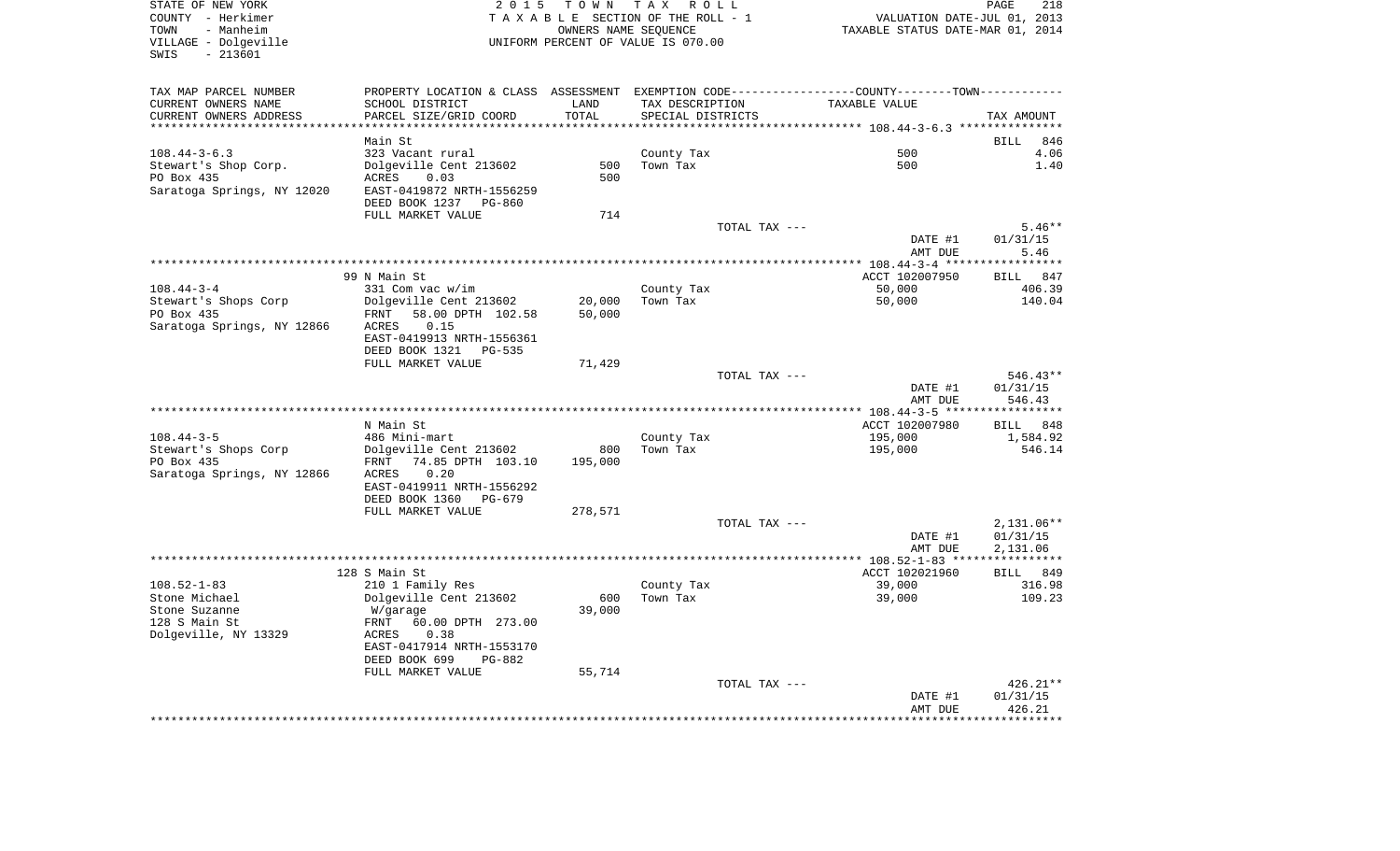| TOWN<br>- Manheim<br>VILLAGE - Dolgeville<br>$-213601$<br>SWIS          |                                                    |         | 2015 TOWN TAX ROLL<br>TAXABLE SECTION OF THE ROLL - 1<br>OWNERS NAME SEQUENCE<br>UNIFORM PERCENT OF VALUE IS 070.00 | VALUATION DATE-JUL 01, 2013<br>TAXABLE STATUS DATE-MAR 01, 2014                                               | PAGE<br>218                    |
|-------------------------------------------------------------------------|----------------------------------------------------|---------|---------------------------------------------------------------------------------------------------------------------|---------------------------------------------------------------------------------------------------------------|--------------------------------|
| TAX MAP PARCEL NUMBER<br>CURRENT OWNERS NAME                            | SCHOOL DISTRICT                                    | LAND    | TAX DESCRIPTION                                                                                                     | PROPERTY LOCATION & CLASS ASSESSMENT EXEMPTION CODE---------------COUNTY-------TOWN---------<br>TAXABLE VALUE |                                |
| CURRENT OWNERS ADDRESS<br>******************************                | PARCEL SIZE/GRID COORD                             | TOTAL   | SPECIAL DISTRICTS                                                                                                   |                                                                                                               | TAX AMOUNT                     |
|                                                                         | Main St                                            |         |                                                                                                                     |                                                                                                               | <b>BILL</b><br>846             |
| $108.44 - 3 - 6.3$                                                      | 323 Vacant rural                                   |         | County Tax                                                                                                          | 500                                                                                                           | 4.06                           |
| Stewart's Shop Corp.                                                    | Dolgeville Cent 213602                             | 500     | Town Tax                                                                                                            | 500                                                                                                           | 1.40                           |
| PO Box 435                                                              | ACRES<br>0.03                                      | 500     |                                                                                                                     |                                                                                                               |                                |
| Saratoga Springs, NY 12020                                              | EAST-0419872 NRTH-1556259                          |         |                                                                                                                     |                                                                                                               |                                |
|                                                                         | DEED BOOK 1237 PG-860                              |         |                                                                                                                     |                                                                                                               |                                |
|                                                                         | FULL MARKET VALUE                                  | 714     |                                                                                                                     |                                                                                                               |                                |
|                                                                         |                                                    |         | TOTAL TAX ---                                                                                                       |                                                                                                               | $5.46**$                       |
|                                                                         |                                                    |         |                                                                                                                     | DATE #1<br>AMT DUE                                                                                            | 01/31/15<br>5.46               |
|                                                                         |                                                    |         |                                                                                                                     |                                                                                                               |                                |
|                                                                         | 99 N Main St                                       |         |                                                                                                                     | ACCT 102007950                                                                                                | BILL 847                       |
| $108.44 - 3 - 4$                                                        | 331 Com vac w/im                                   |         | County Tax                                                                                                          | 50,000                                                                                                        | 406.39                         |
| Stewart's Shops Corp                                                    | Dolgeville Cent 213602                             | 20,000  | Town Tax                                                                                                            | 50,000                                                                                                        | 140.04                         |
| PO Box 435                                                              | FRNT 58.00 DPTH 102.58                             | 50,000  |                                                                                                                     |                                                                                                               |                                |
| Saratoga Springs, NY 12866                                              | 0.15<br>ACRES                                      |         |                                                                                                                     |                                                                                                               |                                |
|                                                                         | EAST-0419913 NRTH-1556361<br>DEED BOOK 1321 PG-535 |         |                                                                                                                     |                                                                                                               |                                |
|                                                                         | FULL MARKET VALUE                                  | 71,429  |                                                                                                                     |                                                                                                               |                                |
|                                                                         |                                                    |         |                                                                                                                     |                                                                                                               |                                |
|                                                                         |                                                    |         |                                                                                                                     |                                                                                                               |                                |
|                                                                         |                                                    |         | TOTAL TAX ---                                                                                                       | DATE #1                                                                                                       | $546.43**$<br>01/31/15         |
|                                                                         |                                                    |         |                                                                                                                     | AMT DUE                                                                                                       | 546.43                         |
|                                                                         |                                                    |         |                                                                                                                     |                                                                                                               |                                |
|                                                                         | N Main St                                          |         |                                                                                                                     | ACCT 102007980                                                                                                |                                |
| $108.44 - 3 - 5$                                                        | 486 Mini-mart                                      |         | County Tax                                                                                                          | 195,000                                                                                                       |                                |
|                                                                         | Dolgeville Cent 213602                             | 800     | Town Tax                                                                                                            | 195,000                                                                                                       |                                |
| Stewart's Shops Corp<br>PO Box 435                                      | FRNT 74.85 DPTH 103.10<br>0.20<br>ACRES            | 195,000 |                                                                                                                     |                                                                                                               | BILL 848<br>1,584.92<br>546.14 |
|                                                                         | EAST-0419911 NRTH-1556292                          |         |                                                                                                                     |                                                                                                               |                                |
| Saratoga Springs, NY 12866                                              | DEED BOOK 1360 PG-679                              |         |                                                                                                                     |                                                                                                               |                                |
|                                                                         | FULL MARKET VALUE                                  | 278,571 |                                                                                                                     |                                                                                                               |                                |
|                                                                         |                                                    |         | TOTAL TAX ---                                                                                                       |                                                                                                               | $2,131.06**$                   |
|                                                                         |                                                    |         |                                                                                                                     | DATE #1                                                                                                       | 01/31/15                       |
|                                                                         |                                                    |         |                                                                                                                     | AMT DUE                                                                                                       | 2,131.06                       |
|                                                                         |                                                    |         |                                                                                                                     |                                                                                                               |                                |
| $108.52 - 1 - 83$                                                       | 128 S Main St                                      |         |                                                                                                                     | ACCT 102021960<br>39,000                                                                                      | BILL 849<br>316.98             |
|                                                                         | 210 1 Family Res<br>Dolgeville Cent 213602         | 600     | County Tax<br>Town Tax                                                                                              | 39,000                                                                                                        |                                |
|                                                                         | W/garage                                           | 39,000  |                                                                                                                     |                                                                                                               |                                |
|                                                                         | 60.00 DPTH 273.00<br>FRNT                          |         |                                                                                                                     |                                                                                                               |                                |
|                                                                         | 0.38<br>ACRES                                      |         |                                                                                                                     |                                                                                                               |                                |
| Stone Michael<br>Stone Suzanne<br>128 S Main St<br>Dolgeville, NY 13329 | EAST-0417914 NRTH-1553170                          |         |                                                                                                                     |                                                                                                               |                                |
|                                                                         | DEED BOOK 699<br>PG-882                            |         |                                                                                                                     |                                                                                                               | 109.23                         |
|                                                                         | FULL MARKET VALUE                                  | 55,714  | TOTAL TAX ---                                                                                                       |                                                                                                               | $426.21**$                     |
|                                                                         |                                                    |         |                                                                                                                     | DATE #1                                                                                                       | 01/31/15<br>426.21             |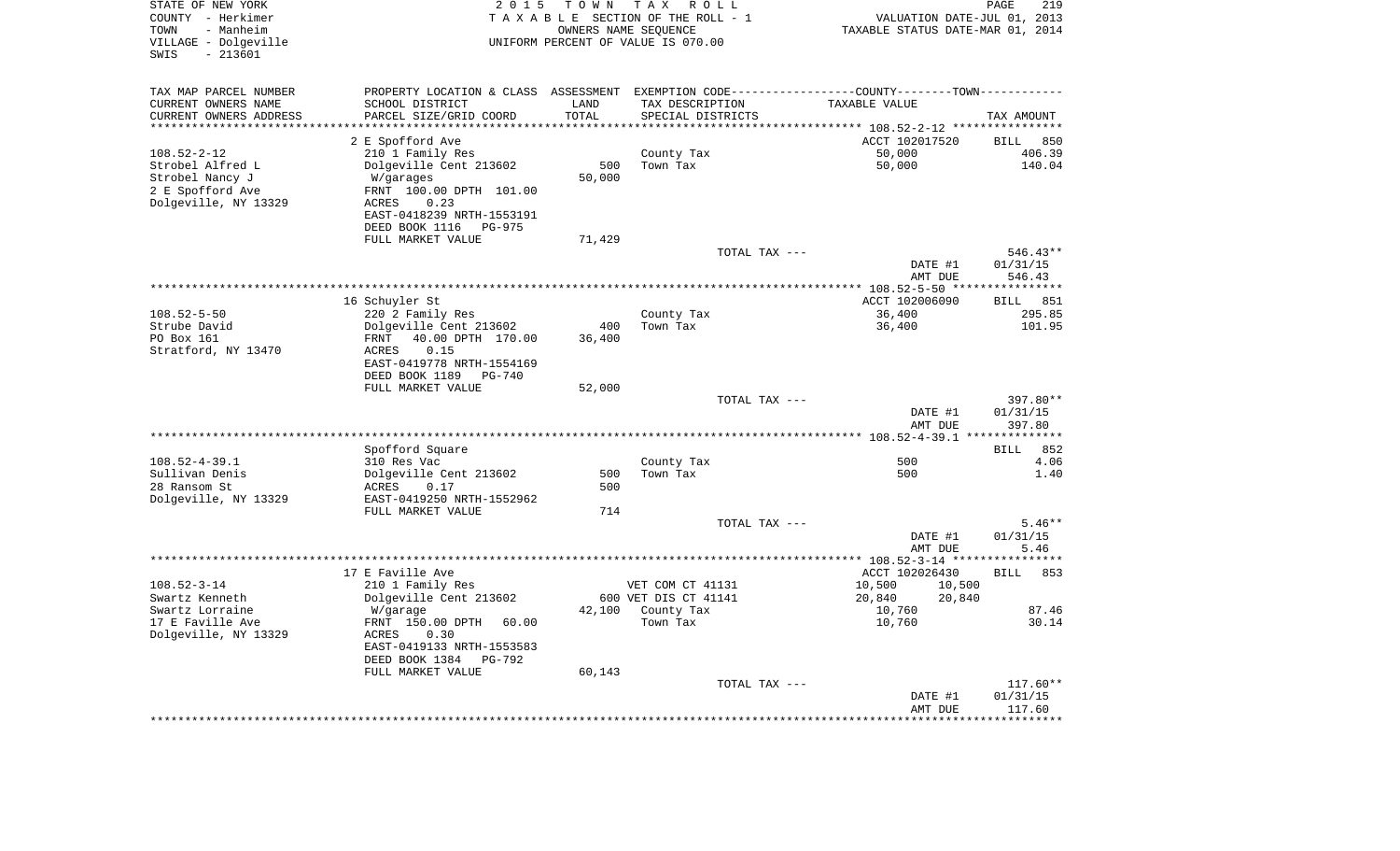| STATE OF NEW YORK<br>COUNTY - Herkimer<br>- Manheim<br>TOWN<br>VILLAGE - Dolgeville<br>$-213601$<br>SWIS | 2 0 1 5                                                                                        | TOWN       | T A X<br>R O L L<br>TAXABLE SECTION OF THE ROLL - 1<br>OWNERS NAME SEQUENCE<br>UNIFORM PERCENT OF VALUE IS 070.00 | VALUATION DATE-JUL 01, 2013<br>TAXABLE STATUS DATE-MAR 01, 2014 | PAGE<br>219        |
|----------------------------------------------------------------------------------------------------------|------------------------------------------------------------------------------------------------|------------|-------------------------------------------------------------------------------------------------------------------|-----------------------------------------------------------------|--------------------|
| TAX MAP PARCEL NUMBER                                                                                    | PROPERTY LOCATION & CLASS ASSESSMENT EXEMPTION CODE----------------COUNTY-------TOWN---------- |            |                                                                                                                   |                                                                 |                    |
| CURRENT OWNERS NAME                                                                                      | SCHOOL DISTRICT                                                                                | LAND       | TAX DESCRIPTION                                                                                                   | TAXABLE VALUE                                                   |                    |
| CURRENT OWNERS ADDRESS                                                                                   | PARCEL SIZE/GRID COORD                                                                         | TOTAL      | SPECIAL DISTRICTS                                                                                                 |                                                                 | TAX AMOUNT         |
|                                                                                                          |                                                                                                | ******     |                                                                                                                   | ******* 108.52-2-12 ****                                        |                    |
|                                                                                                          | 2 E Spofford Ave                                                                               |            |                                                                                                                   | ACCT 102017520                                                  | <b>BILL</b><br>850 |
| $108.52 - 2 - 12$                                                                                        | 210 1 Family Res                                                                               |            | County Tax                                                                                                        | 50,000                                                          | 406.39             |
| Strobel Alfred L                                                                                         | Dolgeville Cent 213602                                                                         | 500        | Town Tax                                                                                                          | 50,000                                                          | 140.04             |
| Strobel Nancy J                                                                                          | W/garages                                                                                      | 50,000     |                                                                                                                   |                                                                 |                    |
| 2 E Spofford Ave<br>Dolgeville, NY 13329                                                                 | FRNT 100.00 DPTH 101.00<br>ACRES<br>0.23                                                       |            |                                                                                                                   |                                                                 |                    |
|                                                                                                          | EAST-0418239 NRTH-1553191                                                                      |            |                                                                                                                   |                                                                 |                    |
|                                                                                                          | DEED BOOK 1116<br>PG-975                                                                       |            |                                                                                                                   |                                                                 |                    |
|                                                                                                          | FULL MARKET VALUE                                                                              | 71,429     |                                                                                                                   |                                                                 |                    |
|                                                                                                          |                                                                                                |            | TOTAL TAX ---                                                                                                     |                                                                 | 546.43**           |
|                                                                                                          |                                                                                                |            |                                                                                                                   | DATE #1                                                         | 01/31/15           |
|                                                                                                          |                                                                                                |            |                                                                                                                   | AMT DUE                                                         | 546.43             |
|                                                                                                          |                                                                                                |            |                                                                                                                   | **************** 108.52-5-50 **                                 |                    |
|                                                                                                          | 16 Schuyler St                                                                                 |            |                                                                                                                   | ACCT 102006090                                                  | 851<br>BILL        |
| $108.52 - 5 - 50$                                                                                        | 220 2 Family Res                                                                               |            | County Tax                                                                                                        | 36,400                                                          | 295.85             |
| Strube David                                                                                             | Dolgeville Cent 213602                                                                         | 400        | Town Tax                                                                                                          | 36,400                                                          | 101.95             |
| PO Box 161<br>Stratford, NY 13470                                                                        | FRNT<br>40.00 DPTH 170.00<br>0.15                                                              | 36,400     |                                                                                                                   |                                                                 |                    |
|                                                                                                          | ACRES<br>EAST-0419778 NRTH-1554169                                                             |            |                                                                                                                   |                                                                 |                    |
|                                                                                                          | DEED BOOK 1189<br><b>PG-740</b>                                                                |            |                                                                                                                   |                                                                 |                    |
|                                                                                                          | FULL MARKET VALUE                                                                              | 52,000     |                                                                                                                   |                                                                 |                    |
|                                                                                                          |                                                                                                |            | TOTAL TAX ---                                                                                                     |                                                                 | 397.80**           |
|                                                                                                          |                                                                                                |            |                                                                                                                   | DATE #1                                                         | 01/31/15           |
|                                                                                                          |                                                                                                |            |                                                                                                                   | AMT DUE                                                         | 397.80             |
|                                                                                                          |                                                                                                |            |                                                                                                                   |                                                                 |                    |
|                                                                                                          | Spofford Square                                                                                |            |                                                                                                                   |                                                                 | <b>BILL</b><br>852 |
| $108.52 - 4 - 39.1$                                                                                      | 310 Res Vac                                                                                    |            | County Tax                                                                                                        | 500                                                             | 4.06               |
| Sullivan Denis                                                                                           | Dolgeville Cent 213602<br>0.17                                                                 | 500<br>500 | Town Tax                                                                                                          | 500                                                             | 1.40               |
| 28 Ransom St<br>Dolgeville, NY 13329                                                                     | ACRES<br>EAST-0419250 NRTH-1552962                                                             |            |                                                                                                                   |                                                                 |                    |
|                                                                                                          | FULL MARKET VALUE                                                                              | 714        |                                                                                                                   |                                                                 |                    |
|                                                                                                          |                                                                                                |            | TOTAL TAX ---                                                                                                     |                                                                 | $5.46**$           |
|                                                                                                          |                                                                                                |            |                                                                                                                   | DATE #1                                                         | 01/31/15           |
|                                                                                                          |                                                                                                |            |                                                                                                                   | AMT DUE                                                         | 5.46               |
|                                                                                                          |                                                                                                |            |                                                                                                                   |                                                                 | *******            |
|                                                                                                          | 17 E Faville Ave                                                                               |            |                                                                                                                   | ACCT 102026430                                                  | 853<br><b>BILL</b> |
| $108.52 - 3 - 14$                                                                                        | 210 1 Family Res                                                                               |            | VET COM CT 41131                                                                                                  | 10,500<br>10,500                                                |                    |
| Swartz Kenneth                                                                                           | Dolgeville Cent 213602                                                                         |            | 600 VET DIS CT 41141                                                                                              | 20,840<br>20,840                                                |                    |
| Swartz Lorraine                                                                                          | W/garage                                                                                       | 42,100     | County Tax                                                                                                        | 10,760                                                          | 87.46              |
| 17 E Faville Ave                                                                                         | FRNT 150.00 DPTH<br>60.00<br>0.30                                                              |            | Town Tax                                                                                                          | 10,760                                                          | 30.14              |
| Dolgeville, NY 13329                                                                                     | ACRES<br>EAST-0419133 NRTH-1553583                                                             |            |                                                                                                                   |                                                                 |                    |
|                                                                                                          | DEED BOOK 1384<br>PG-792                                                                       |            |                                                                                                                   |                                                                 |                    |
|                                                                                                          | FULL MARKET VALUE                                                                              | 60,143     |                                                                                                                   |                                                                 |                    |
|                                                                                                          |                                                                                                |            | TOTAL TAX ---                                                                                                     |                                                                 | $117.60**$         |
|                                                                                                          |                                                                                                |            |                                                                                                                   | DATE #1                                                         | 01/31/15           |
|                                                                                                          |                                                                                                |            |                                                                                                                   | AMT DUE                                                         | 117.60             |
|                                                                                                          |                                                                                                |            |                                                                                                                   |                                                                 | *********          |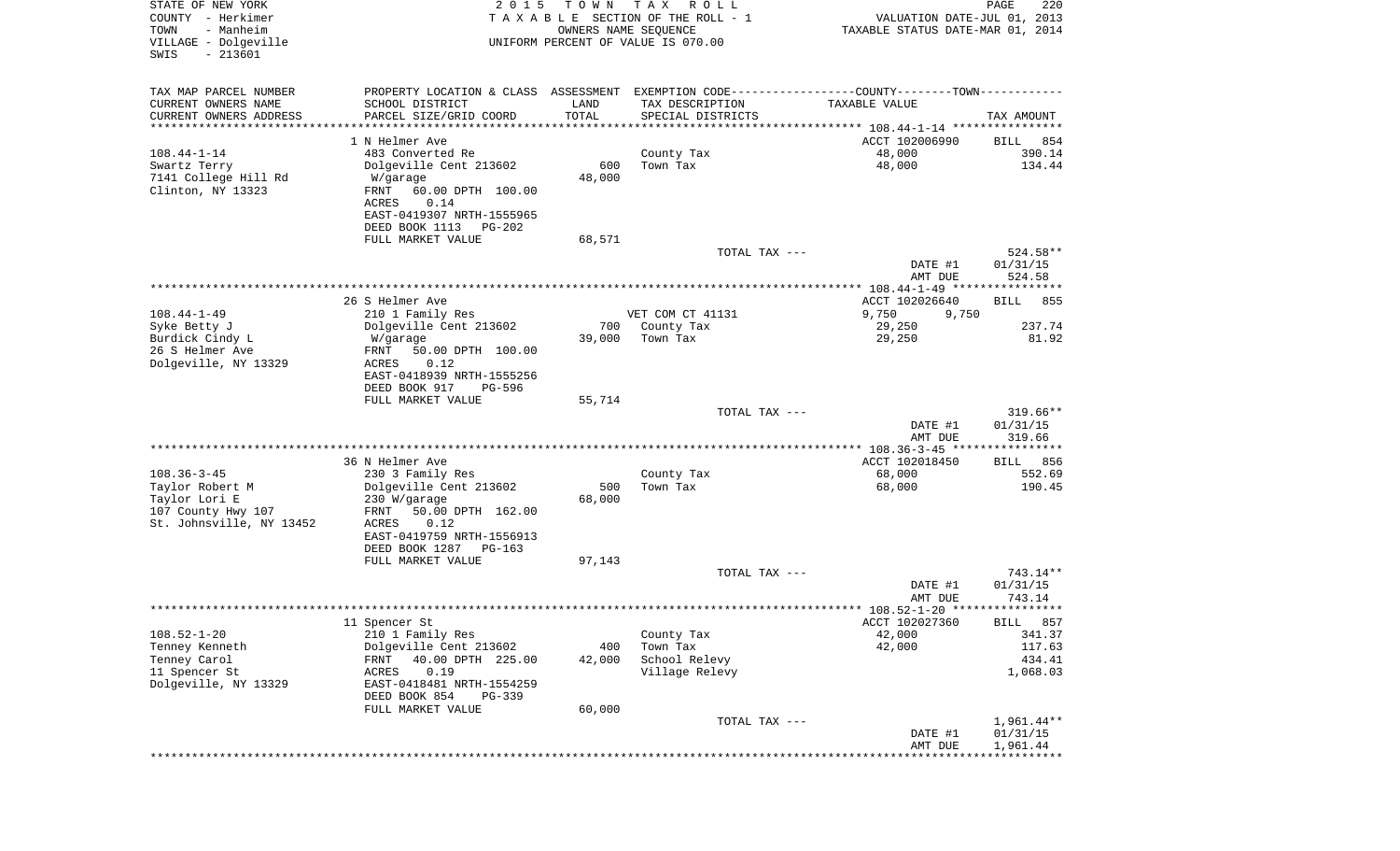| STATE OF NEW YORK<br>COUNTY - Herkimer<br>- Manheim<br>TOWN<br>VILLAGE - Dolgeville<br>$-213601$<br>SWIS | 2 0 1 5                                                | T O W N<br>OWNERS NAME SEQUENCE | T A X<br>R O L L<br>TAXABLE SECTION OF THE ROLL - 1<br>UNIFORM PERCENT OF VALUE IS 070.00     | VALUATION DATE-JUL 01, 2013<br>TAXABLE STATUS DATE-MAR 01, 2014 | $\mathop{\mathtt{PAGE}}$<br>220 |
|----------------------------------------------------------------------------------------------------------|--------------------------------------------------------|---------------------------------|-----------------------------------------------------------------------------------------------|-----------------------------------------------------------------|---------------------------------|
| TAX MAP PARCEL NUMBER                                                                                    |                                                        |                                 | PROPERTY LOCATION & CLASS ASSESSMENT EXEMPTION CODE---------------COUNTY-------TOWN---------- |                                                                 |                                 |
| CURRENT OWNERS NAME                                                                                      | SCHOOL DISTRICT                                        | LAND                            | TAX DESCRIPTION                                                                               | TAXABLE VALUE                                                   |                                 |
| CURRENT OWNERS ADDRESS                                                                                   | PARCEL SIZE/GRID COORD                                 | TOTAL                           | SPECIAL DISTRICTS                                                                             |                                                                 | TAX AMOUNT                      |
| **********************                                                                                   |                                                        | * * * * * * * * * * *           |                                                                                               |                                                                 |                                 |
|                                                                                                          | 1 N Helmer Ave                                         |                                 |                                                                                               | ACCT 102006990                                                  | 854<br>BILL                     |
| $108.44 - 1 - 14$                                                                                        | 483 Converted Re                                       |                                 | County Tax                                                                                    | 48,000                                                          | 390.14                          |
| Swartz Terry                                                                                             | Dolgeville Cent 213602                                 | 600                             | Town Tax                                                                                      | 48,000                                                          | 134.44                          |
| 7141 College Hill Rd<br>Clinton, NY 13323                                                                | W/garage<br>FRNT<br>60.00 DPTH 100.00<br>0.14<br>ACRES | 48,000                          |                                                                                               |                                                                 |                                 |
|                                                                                                          | EAST-0419307 NRTH-1555965                              |                                 |                                                                                               |                                                                 |                                 |
|                                                                                                          | DEED BOOK 1113<br>PG-202<br>FULL MARKET VALUE          | 68,571                          |                                                                                               |                                                                 |                                 |
|                                                                                                          |                                                        |                                 | TOTAL TAX ---                                                                                 |                                                                 | 524.58**                        |
|                                                                                                          |                                                        |                                 |                                                                                               | DATE #1<br>AMT DUE                                              | 01/31/15<br>524.58              |
|                                                                                                          | 26 S Helmer Ave                                        |                                 |                                                                                               | ACCT 102026640                                                  | 855<br>BILL                     |
| $108.44 - 1 - 49$                                                                                        | 210 1 Family Res                                       |                                 | VET COM CT 41131                                                                              | 9,750<br>9,750                                                  |                                 |
| Syke Betty J                                                                                             | Dolgeville Cent 213602                                 | 700                             | County Tax                                                                                    | 29,250                                                          | 237.74                          |
| Burdick Cindy L                                                                                          | W/garage                                               | 39,000                          | Town Tax                                                                                      | 29,250                                                          | 81.92                           |
| 26 S Helmer Ave                                                                                          | 50.00 DPTH 100.00<br>FRNT                              |                                 |                                                                                               |                                                                 |                                 |
| Dolgeville, NY 13329                                                                                     | ACRES<br>0.12                                          |                                 |                                                                                               |                                                                 |                                 |
|                                                                                                          | EAST-0418939 NRTH-1555256                              |                                 |                                                                                               |                                                                 |                                 |
|                                                                                                          | DEED BOOK 917<br>PG-596<br>FULL MARKET VALUE           | 55,714                          |                                                                                               |                                                                 |                                 |
|                                                                                                          |                                                        |                                 | TOTAL TAX ---                                                                                 |                                                                 | $319.66**$                      |
|                                                                                                          |                                                        |                                 |                                                                                               | DATE #1                                                         | 01/31/15                        |
|                                                                                                          |                                                        |                                 |                                                                                               | AMT DUE                                                         | 319.66                          |
|                                                                                                          |                                                        |                                 |                                                                                               |                                                                 |                                 |
|                                                                                                          | 36 N Helmer Ave                                        |                                 |                                                                                               | ACCT 102018450                                                  | 856<br>BILL                     |
| $108.36 - 3 - 45$                                                                                        | 230 3 Family Res                                       |                                 | County Tax                                                                                    | 68,000                                                          | 552.69                          |
| Taylor Robert M                                                                                          | Dolgeville Cent 213602                                 | 500                             | Town Tax                                                                                      | 68,000                                                          | 190.45                          |
| Taylor Lori E<br>107 County Hwy 107                                                                      | 230 W/garage<br>50.00 DPTH 162.00<br>FRNT              | 68,000                          |                                                                                               |                                                                 |                                 |
| St. Johnsville, NY 13452                                                                                 | 0.12<br>ACRES                                          |                                 |                                                                                               |                                                                 |                                 |
|                                                                                                          | EAST-0419759 NRTH-1556913                              |                                 |                                                                                               |                                                                 |                                 |
|                                                                                                          | DEED BOOK 1287<br>$PG-163$                             |                                 |                                                                                               |                                                                 |                                 |
|                                                                                                          | FULL MARKET VALUE                                      | 97,143                          |                                                                                               |                                                                 |                                 |
|                                                                                                          |                                                        |                                 | TOTAL TAX ---                                                                                 |                                                                 | 743.14**                        |
|                                                                                                          |                                                        |                                 |                                                                                               | DATE #1                                                         | 01/31/15                        |
|                                                                                                          |                                                        |                                 |                                                                                               | AMT DUE                                                         | 743.14                          |
|                                                                                                          |                                                        |                                 |                                                                                               | ACCT 102027360                                                  |                                 |
| $108.52 - 1 - 20$                                                                                        | 11 Spencer St<br>210 1 Family Res                      |                                 | County Tax                                                                                    | 42,000                                                          | BILL 857<br>341.37              |
| Tenney Kenneth                                                                                           | Dolgeville Cent 213602                                 | 400                             | Town Tax                                                                                      | 42,000                                                          | 117.63                          |
| Tenney Carol                                                                                             | FRNT<br>40.00 DPTH 225.00                              | 42,000                          | School Relevy                                                                                 |                                                                 | 434.41                          |
| 11 Spencer St                                                                                            | ACRES<br>0.19                                          |                                 | Village Relevy                                                                                |                                                                 | 1,068.03                        |
| Dolgeville, NY 13329                                                                                     | EAST-0418481 NRTH-1554259                              |                                 |                                                                                               |                                                                 |                                 |
|                                                                                                          | DEED BOOK 854<br>PG-339                                |                                 |                                                                                               |                                                                 |                                 |
|                                                                                                          | FULL MARKET VALUE                                      | 60,000                          |                                                                                               |                                                                 |                                 |
|                                                                                                          |                                                        |                                 | TOTAL TAX ---                                                                                 |                                                                 | $1,961.44**$                    |
|                                                                                                          |                                                        |                                 |                                                                                               | DATE #1<br>AMT DUE                                              | 01/31/15<br>1,961.44            |
|                                                                                                          |                                                        |                                 |                                                                                               |                                                                 |                                 |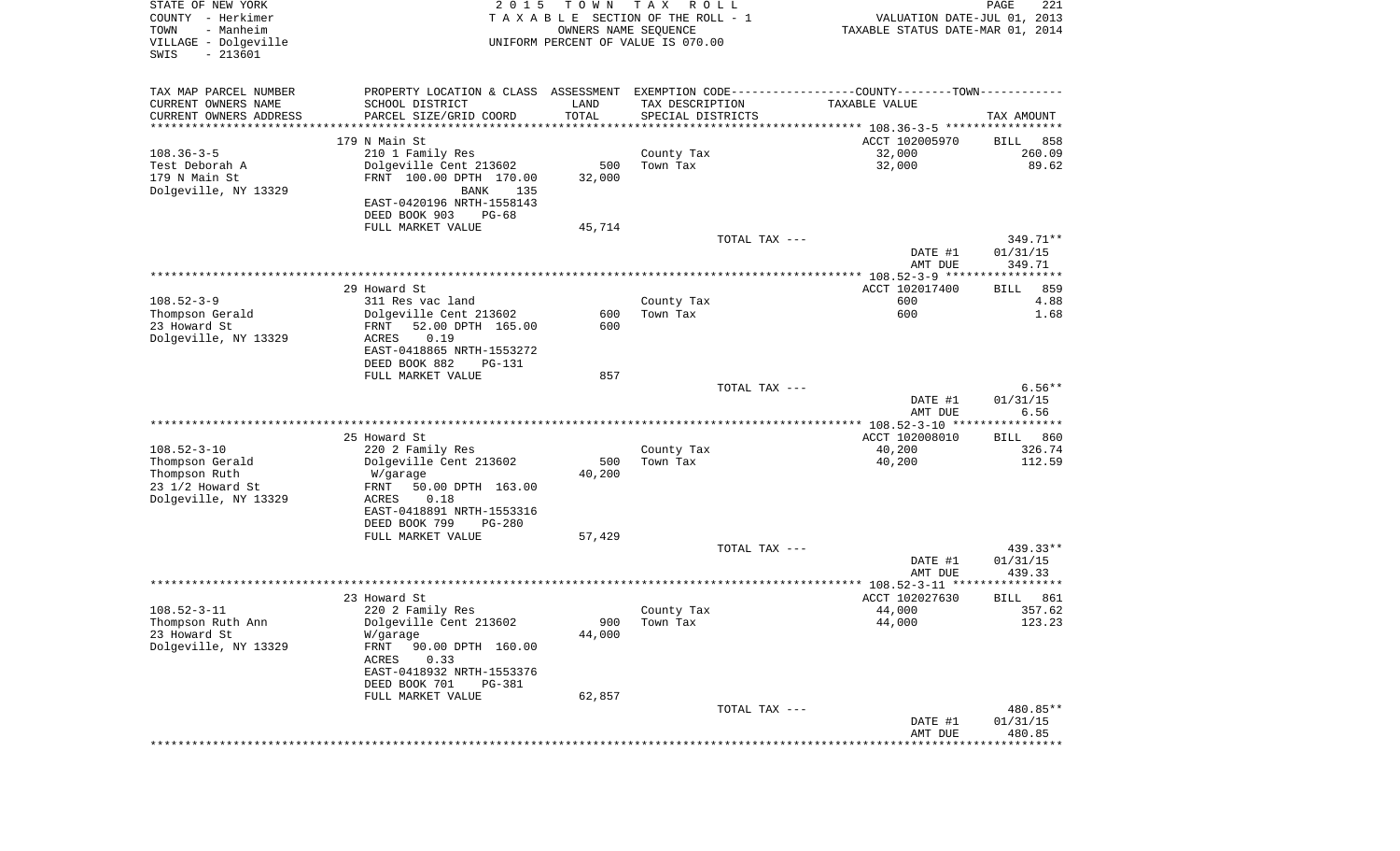| TAX MAP PARCEL NUMBER<br>PROPERTY LOCATION & CLASS ASSESSMENT EXEMPTION CODE---------------COUNTY-------TOWN----------<br>CURRENT OWNERS NAME<br>SCHOOL DISTRICT<br>LAND<br>TAX DESCRIPTION<br>TAXABLE VALUE<br>TOTAL<br>CURRENT OWNERS ADDRESS<br>PARCEL SIZE/GRID COORD<br>SPECIAL DISTRICTS<br>TAX AMOUNT<br>************************<br>*********************<br>* * * * * * * * * * *<br>179 N Main St<br>ACCT 102005970<br>858<br>BILL<br>$108.36 - 3 - 5$<br>32,000<br>260.09<br>210 1 Family Res<br>County Tax<br>32,000<br>Test Deborah A<br>Dolgeville Cent 213602<br>500<br>Town Tax<br>89.62<br>179 N Main St<br>FRNT 100.00 DPTH 170.00<br>32,000<br>Dolgeville, NY 13329<br>BANK<br>135<br>EAST-0420196 NRTH-1558143<br>DEED BOOK 903<br>PG-68<br>FULL MARKET VALUE<br>45,714<br>TOTAL TAX ---<br>349.71**<br>01/31/15<br>DATE #1<br>AMT DUE<br>349.71<br>29 Howard St<br>ACCT 102017400<br>859<br>BILL<br>$108.52 - 3 - 9$<br>311 Res vac land<br>County Tax<br>600<br>4.88<br>Dolgeville Cent 213602<br>600<br>Thompson Gerald<br>600<br>Town Tax<br>1.68<br>23 Howard St<br>52.00 DPTH 165.00<br>600<br>FRNT<br>Dolgeville, NY 13329<br>0.19<br>ACRES<br>EAST-0418865 NRTH-1553272<br>DEED BOOK 882<br>PG-131<br>FULL MARKET VALUE<br>857<br>TOTAL TAX ---<br>$6.56**$<br>DATE #1<br>01/31/15<br>6.56<br>AMT DUE<br>25 Howard St<br>ACCT 102008010<br>860<br>BILL<br>$108.52 - 3 - 10$<br>326.74<br>220 2 Family Res<br>County Tax<br>40,200<br>Dolgeville Cent 213602<br>40,200<br>112.59<br>Thompson Gerald<br>500<br>Town Tax<br>Thompson Ruth<br>40,200<br>W/garage<br>23 1/2 Howard St<br>FRNT<br>50.00 DPTH 163.00<br>Dolgeville, NY 13329<br>ACRES<br>0.18<br>EAST-0418891 NRTH-1553316<br>DEED BOOK 799<br><b>PG-280</b><br>FULL MARKET VALUE<br>57,429<br>TOTAL TAX ---<br>439.33**<br>DATE #1<br>01/31/15<br>439.33<br>AMT DUE<br>23 Howard St<br>ACCT 102027630<br>861<br>BILL<br>$108.52 - 3 - 11$<br>220 2 Family Res<br>44,000<br>357.62<br>County Tax<br>123.23<br>Thompson Ruth Ann<br>Dolgeville Cent 213602<br>900 Town Tax<br>44,000<br>44,000<br>23 Howard St<br>W/garage<br>Dolgeville, NY 13329<br>FRNT<br>90.00 DPTH 160.00<br>ACRES<br>0.33<br>EAST-0418932 NRTH-1553376<br>DEED BOOK 701<br>PG-381<br>62,857<br>FULL MARKET VALUE<br>TOTAL TAX ---<br>480.85**<br>DATE #1<br>01/31/15<br>480.85<br>AMT DUE<br>* * * * * * * * * | STATE OF NEW YORK<br>COUNTY - Herkimer<br>- Manheim<br>TOWN<br>VILLAGE - Dolgeville<br>SWIS<br>$-213601$ | 2 0 1 5 | T O W N<br>OWNERS NAME SEQUENCE | T A X<br>R O L L<br>TAXABLE SECTION OF THE ROLL - 1<br>UNIFORM PERCENT OF VALUE IS 070.00 | TAXABLE STATUS DATE-MAR 01, 2014 | PAGE<br>221<br>VALUATION DATE-JUL 01, 2013 |
|---------------------------------------------------------------------------------------------------------------------------------------------------------------------------------------------------------------------------------------------------------------------------------------------------------------------------------------------------------------------------------------------------------------------------------------------------------------------------------------------------------------------------------------------------------------------------------------------------------------------------------------------------------------------------------------------------------------------------------------------------------------------------------------------------------------------------------------------------------------------------------------------------------------------------------------------------------------------------------------------------------------------------------------------------------------------------------------------------------------------------------------------------------------------------------------------------------------------------------------------------------------------------------------------------------------------------------------------------------------------------------------------------------------------------------------------------------------------------------------------------------------------------------------------------------------------------------------------------------------------------------------------------------------------------------------------------------------------------------------------------------------------------------------------------------------------------------------------------------------------------------------------------------------------------------------------------------------------------------------------------------------------------------------------------------------------------------------------------------------------------------------------------------------------------------------------------------------------------------------------------------------------------------------------------------------------------------------------------------------------------|----------------------------------------------------------------------------------------------------------|---------|---------------------------------|-------------------------------------------------------------------------------------------|----------------------------------|--------------------------------------------|
|                                                                                                                                                                                                                                                                                                                                                                                                                                                                                                                                                                                                                                                                                                                                                                                                                                                                                                                                                                                                                                                                                                                                                                                                                                                                                                                                                                                                                                                                                                                                                                                                                                                                                                                                                                                                                                                                                                                                                                                                                                                                                                                                                                                                                                                                                                                                                                           |                                                                                                          |         |                                 |                                                                                           |                                  |                                            |
|                                                                                                                                                                                                                                                                                                                                                                                                                                                                                                                                                                                                                                                                                                                                                                                                                                                                                                                                                                                                                                                                                                                                                                                                                                                                                                                                                                                                                                                                                                                                                                                                                                                                                                                                                                                                                                                                                                                                                                                                                                                                                                                                                                                                                                                                                                                                                                           |                                                                                                          |         |                                 |                                                                                           |                                  |                                            |
|                                                                                                                                                                                                                                                                                                                                                                                                                                                                                                                                                                                                                                                                                                                                                                                                                                                                                                                                                                                                                                                                                                                                                                                                                                                                                                                                                                                                                                                                                                                                                                                                                                                                                                                                                                                                                                                                                                                                                                                                                                                                                                                                                                                                                                                                                                                                                                           |                                                                                                          |         |                                 |                                                                                           |                                  |                                            |
|                                                                                                                                                                                                                                                                                                                                                                                                                                                                                                                                                                                                                                                                                                                                                                                                                                                                                                                                                                                                                                                                                                                                                                                                                                                                                                                                                                                                                                                                                                                                                                                                                                                                                                                                                                                                                                                                                                                                                                                                                                                                                                                                                                                                                                                                                                                                                                           |                                                                                                          |         |                                 |                                                                                           |                                  |                                            |
|                                                                                                                                                                                                                                                                                                                                                                                                                                                                                                                                                                                                                                                                                                                                                                                                                                                                                                                                                                                                                                                                                                                                                                                                                                                                                                                                                                                                                                                                                                                                                                                                                                                                                                                                                                                                                                                                                                                                                                                                                                                                                                                                                                                                                                                                                                                                                                           |                                                                                                          |         |                                 |                                                                                           |                                  |                                            |
|                                                                                                                                                                                                                                                                                                                                                                                                                                                                                                                                                                                                                                                                                                                                                                                                                                                                                                                                                                                                                                                                                                                                                                                                                                                                                                                                                                                                                                                                                                                                                                                                                                                                                                                                                                                                                                                                                                                                                                                                                                                                                                                                                                                                                                                                                                                                                                           |                                                                                                          |         |                                 |                                                                                           |                                  |                                            |
|                                                                                                                                                                                                                                                                                                                                                                                                                                                                                                                                                                                                                                                                                                                                                                                                                                                                                                                                                                                                                                                                                                                                                                                                                                                                                                                                                                                                                                                                                                                                                                                                                                                                                                                                                                                                                                                                                                                                                                                                                                                                                                                                                                                                                                                                                                                                                                           |                                                                                                          |         |                                 |                                                                                           |                                  |                                            |
|                                                                                                                                                                                                                                                                                                                                                                                                                                                                                                                                                                                                                                                                                                                                                                                                                                                                                                                                                                                                                                                                                                                                                                                                                                                                                                                                                                                                                                                                                                                                                                                                                                                                                                                                                                                                                                                                                                                                                                                                                                                                                                                                                                                                                                                                                                                                                                           |                                                                                                          |         |                                 |                                                                                           |                                  |                                            |
|                                                                                                                                                                                                                                                                                                                                                                                                                                                                                                                                                                                                                                                                                                                                                                                                                                                                                                                                                                                                                                                                                                                                                                                                                                                                                                                                                                                                                                                                                                                                                                                                                                                                                                                                                                                                                                                                                                                                                                                                                                                                                                                                                                                                                                                                                                                                                                           |                                                                                                          |         |                                 |                                                                                           |                                  |                                            |
|                                                                                                                                                                                                                                                                                                                                                                                                                                                                                                                                                                                                                                                                                                                                                                                                                                                                                                                                                                                                                                                                                                                                                                                                                                                                                                                                                                                                                                                                                                                                                                                                                                                                                                                                                                                                                                                                                                                                                                                                                                                                                                                                                                                                                                                                                                                                                                           |                                                                                                          |         |                                 |                                                                                           |                                  |                                            |
|                                                                                                                                                                                                                                                                                                                                                                                                                                                                                                                                                                                                                                                                                                                                                                                                                                                                                                                                                                                                                                                                                                                                                                                                                                                                                                                                                                                                                                                                                                                                                                                                                                                                                                                                                                                                                                                                                                                                                                                                                                                                                                                                                                                                                                                                                                                                                                           |                                                                                                          |         |                                 |                                                                                           |                                  |                                            |
|                                                                                                                                                                                                                                                                                                                                                                                                                                                                                                                                                                                                                                                                                                                                                                                                                                                                                                                                                                                                                                                                                                                                                                                                                                                                                                                                                                                                                                                                                                                                                                                                                                                                                                                                                                                                                                                                                                                                                                                                                                                                                                                                                                                                                                                                                                                                                                           |                                                                                                          |         |                                 |                                                                                           |                                  |                                            |
|                                                                                                                                                                                                                                                                                                                                                                                                                                                                                                                                                                                                                                                                                                                                                                                                                                                                                                                                                                                                                                                                                                                                                                                                                                                                                                                                                                                                                                                                                                                                                                                                                                                                                                                                                                                                                                                                                                                                                                                                                                                                                                                                                                                                                                                                                                                                                                           |                                                                                                          |         |                                 |                                                                                           |                                  |                                            |
|                                                                                                                                                                                                                                                                                                                                                                                                                                                                                                                                                                                                                                                                                                                                                                                                                                                                                                                                                                                                                                                                                                                                                                                                                                                                                                                                                                                                                                                                                                                                                                                                                                                                                                                                                                                                                                                                                                                                                                                                                                                                                                                                                                                                                                                                                                                                                                           |                                                                                                          |         |                                 |                                                                                           |                                  |                                            |
|                                                                                                                                                                                                                                                                                                                                                                                                                                                                                                                                                                                                                                                                                                                                                                                                                                                                                                                                                                                                                                                                                                                                                                                                                                                                                                                                                                                                                                                                                                                                                                                                                                                                                                                                                                                                                                                                                                                                                                                                                                                                                                                                                                                                                                                                                                                                                                           |                                                                                                          |         |                                 |                                                                                           |                                  |                                            |
|                                                                                                                                                                                                                                                                                                                                                                                                                                                                                                                                                                                                                                                                                                                                                                                                                                                                                                                                                                                                                                                                                                                                                                                                                                                                                                                                                                                                                                                                                                                                                                                                                                                                                                                                                                                                                                                                                                                                                                                                                                                                                                                                                                                                                                                                                                                                                                           |                                                                                                          |         |                                 |                                                                                           |                                  |                                            |
|                                                                                                                                                                                                                                                                                                                                                                                                                                                                                                                                                                                                                                                                                                                                                                                                                                                                                                                                                                                                                                                                                                                                                                                                                                                                                                                                                                                                                                                                                                                                                                                                                                                                                                                                                                                                                                                                                                                                                                                                                                                                                                                                                                                                                                                                                                                                                                           |                                                                                                          |         |                                 |                                                                                           |                                  |                                            |
|                                                                                                                                                                                                                                                                                                                                                                                                                                                                                                                                                                                                                                                                                                                                                                                                                                                                                                                                                                                                                                                                                                                                                                                                                                                                                                                                                                                                                                                                                                                                                                                                                                                                                                                                                                                                                                                                                                                                                                                                                                                                                                                                                                                                                                                                                                                                                                           |                                                                                                          |         |                                 |                                                                                           |                                  |                                            |
|                                                                                                                                                                                                                                                                                                                                                                                                                                                                                                                                                                                                                                                                                                                                                                                                                                                                                                                                                                                                                                                                                                                                                                                                                                                                                                                                                                                                                                                                                                                                                                                                                                                                                                                                                                                                                                                                                                                                                                                                                                                                                                                                                                                                                                                                                                                                                                           |                                                                                                          |         |                                 |                                                                                           |                                  |                                            |
|                                                                                                                                                                                                                                                                                                                                                                                                                                                                                                                                                                                                                                                                                                                                                                                                                                                                                                                                                                                                                                                                                                                                                                                                                                                                                                                                                                                                                                                                                                                                                                                                                                                                                                                                                                                                                                                                                                                                                                                                                                                                                                                                                                                                                                                                                                                                                                           |                                                                                                          |         |                                 |                                                                                           |                                  |                                            |
|                                                                                                                                                                                                                                                                                                                                                                                                                                                                                                                                                                                                                                                                                                                                                                                                                                                                                                                                                                                                                                                                                                                                                                                                                                                                                                                                                                                                                                                                                                                                                                                                                                                                                                                                                                                                                                                                                                                                                                                                                                                                                                                                                                                                                                                                                                                                                                           |                                                                                                          |         |                                 |                                                                                           |                                  |                                            |
|                                                                                                                                                                                                                                                                                                                                                                                                                                                                                                                                                                                                                                                                                                                                                                                                                                                                                                                                                                                                                                                                                                                                                                                                                                                                                                                                                                                                                                                                                                                                                                                                                                                                                                                                                                                                                                                                                                                                                                                                                                                                                                                                                                                                                                                                                                                                                                           |                                                                                                          |         |                                 |                                                                                           |                                  |                                            |
|                                                                                                                                                                                                                                                                                                                                                                                                                                                                                                                                                                                                                                                                                                                                                                                                                                                                                                                                                                                                                                                                                                                                                                                                                                                                                                                                                                                                                                                                                                                                                                                                                                                                                                                                                                                                                                                                                                                                                                                                                                                                                                                                                                                                                                                                                                                                                                           |                                                                                                          |         |                                 |                                                                                           |                                  |                                            |
|                                                                                                                                                                                                                                                                                                                                                                                                                                                                                                                                                                                                                                                                                                                                                                                                                                                                                                                                                                                                                                                                                                                                                                                                                                                                                                                                                                                                                                                                                                                                                                                                                                                                                                                                                                                                                                                                                                                                                                                                                                                                                                                                                                                                                                                                                                                                                                           |                                                                                                          |         |                                 |                                                                                           |                                  |                                            |
|                                                                                                                                                                                                                                                                                                                                                                                                                                                                                                                                                                                                                                                                                                                                                                                                                                                                                                                                                                                                                                                                                                                                                                                                                                                                                                                                                                                                                                                                                                                                                                                                                                                                                                                                                                                                                                                                                                                                                                                                                                                                                                                                                                                                                                                                                                                                                                           |                                                                                                          |         |                                 |                                                                                           |                                  |                                            |
|                                                                                                                                                                                                                                                                                                                                                                                                                                                                                                                                                                                                                                                                                                                                                                                                                                                                                                                                                                                                                                                                                                                                                                                                                                                                                                                                                                                                                                                                                                                                                                                                                                                                                                                                                                                                                                                                                                                                                                                                                                                                                                                                                                                                                                                                                                                                                                           |                                                                                                          |         |                                 |                                                                                           |                                  |                                            |
|                                                                                                                                                                                                                                                                                                                                                                                                                                                                                                                                                                                                                                                                                                                                                                                                                                                                                                                                                                                                                                                                                                                                                                                                                                                                                                                                                                                                                                                                                                                                                                                                                                                                                                                                                                                                                                                                                                                                                                                                                                                                                                                                                                                                                                                                                                                                                                           |                                                                                                          |         |                                 |                                                                                           |                                  |                                            |
|                                                                                                                                                                                                                                                                                                                                                                                                                                                                                                                                                                                                                                                                                                                                                                                                                                                                                                                                                                                                                                                                                                                                                                                                                                                                                                                                                                                                                                                                                                                                                                                                                                                                                                                                                                                                                                                                                                                                                                                                                                                                                                                                                                                                                                                                                                                                                                           |                                                                                                          |         |                                 |                                                                                           |                                  |                                            |
|                                                                                                                                                                                                                                                                                                                                                                                                                                                                                                                                                                                                                                                                                                                                                                                                                                                                                                                                                                                                                                                                                                                                                                                                                                                                                                                                                                                                                                                                                                                                                                                                                                                                                                                                                                                                                                                                                                                                                                                                                                                                                                                                                                                                                                                                                                                                                                           |                                                                                                          |         |                                 |                                                                                           |                                  |                                            |
|                                                                                                                                                                                                                                                                                                                                                                                                                                                                                                                                                                                                                                                                                                                                                                                                                                                                                                                                                                                                                                                                                                                                                                                                                                                                                                                                                                                                                                                                                                                                                                                                                                                                                                                                                                                                                                                                                                                                                                                                                                                                                                                                                                                                                                                                                                                                                                           |                                                                                                          |         |                                 |                                                                                           |                                  |                                            |
|                                                                                                                                                                                                                                                                                                                                                                                                                                                                                                                                                                                                                                                                                                                                                                                                                                                                                                                                                                                                                                                                                                                                                                                                                                                                                                                                                                                                                                                                                                                                                                                                                                                                                                                                                                                                                                                                                                                                                                                                                                                                                                                                                                                                                                                                                                                                                                           |                                                                                                          |         |                                 |                                                                                           |                                  |                                            |
|                                                                                                                                                                                                                                                                                                                                                                                                                                                                                                                                                                                                                                                                                                                                                                                                                                                                                                                                                                                                                                                                                                                                                                                                                                                                                                                                                                                                                                                                                                                                                                                                                                                                                                                                                                                                                                                                                                                                                                                                                                                                                                                                                                                                                                                                                                                                                                           |                                                                                                          |         |                                 |                                                                                           |                                  |                                            |
|                                                                                                                                                                                                                                                                                                                                                                                                                                                                                                                                                                                                                                                                                                                                                                                                                                                                                                                                                                                                                                                                                                                                                                                                                                                                                                                                                                                                                                                                                                                                                                                                                                                                                                                                                                                                                                                                                                                                                                                                                                                                                                                                                                                                                                                                                                                                                                           |                                                                                                          |         |                                 |                                                                                           |                                  |                                            |
|                                                                                                                                                                                                                                                                                                                                                                                                                                                                                                                                                                                                                                                                                                                                                                                                                                                                                                                                                                                                                                                                                                                                                                                                                                                                                                                                                                                                                                                                                                                                                                                                                                                                                                                                                                                                                                                                                                                                                                                                                                                                                                                                                                                                                                                                                                                                                                           |                                                                                                          |         |                                 |                                                                                           |                                  |                                            |
|                                                                                                                                                                                                                                                                                                                                                                                                                                                                                                                                                                                                                                                                                                                                                                                                                                                                                                                                                                                                                                                                                                                                                                                                                                                                                                                                                                                                                                                                                                                                                                                                                                                                                                                                                                                                                                                                                                                                                                                                                                                                                                                                                                                                                                                                                                                                                                           |                                                                                                          |         |                                 |                                                                                           |                                  |                                            |
|                                                                                                                                                                                                                                                                                                                                                                                                                                                                                                                                                                                                                                                                                                                                                                                                                                                                                                                                                                                                                                                                                                                                                                                                                                                                                                                                                                                                                                                                                                                                                                                                                                                                                                                                                                                                                                                                                                                                                                                                                                                                                                                                                                                                                                                                                                                                                                           |                                                                                                          |         |                                 |                                                                                           |                                  |                                            |
|                                                                                                                                                                                                                                                                                                                                                                                                                                                                                                                                                                                                                                                                                                                                                                                                                                                                                                                                                                                                                                                                                                                                                                                                                                                                                                                                                                                                                                                                                                                                                                                                                                                                                                                                                                                                                                                                                                                                                                                                                                                                                                                                                                                                                                                                                                                                                                           |                                                                                                          |         |                                 |                                                                                           |                                  |                                            |
|                                                                                                                                                                                                                                                                                                                                                                                                                                                                                                                                                                                                                                                                                                                                                                                                                                                                                                                                                                                                                                                                                                                                                                                                                                                                                                                                                                                                                                                                                                                                                                                                                                                                                                                                                                                                                                                                                                                                                                                                                                                                                                                                                                                                                                                                                                                                                                           |                                                                                                          |         |                                 |                                                                                           |                                  |                                            |
|                                                                                                                                                                                                                                                                                                                                                                                                                                                                                                                                                                                                                                                                                                                                                                                                                                                                                                                                                                                                                                                                                                                                                                                                                                                                                                                                                                                                                                                                                                                                                                                                                                                                                                                                                                                                                                                                                                                                                                                                                                                                                                                                                                                                                                                                                                                                                                           |                                                                                                          |         |                                 |                                                                                           |                                  |                                            |
|                                                                                                                                                                                                                                                                                                                                                                                                                                                                                                                                                                                                                                                                                                                                                                                                                                                                                                                                                                                                                                                                                                                                                                                                                                                                                                                                                                                                                                                                                                                                                                                                                                                                                                                                                                                                                                                                                                                                                                                                                                                                                                                                                                                                                                                                                                                                                                           |                                                                                                          |         |                                 |                                                                                           |                                  |                                            |
|                                                                                                                                                                                                                                                                                                                                                                                                                                                                                                                                                                                                                                                                                                                                                                                                                                                                                                                                                                                                                                                                                                                                                                                                                                                                                                                                                                                                                                                                                                                                                                                                                                                                                                                                                                                                                                                                                                                                                                                                                                                                                                                                                                                                                                                                                                                                                                           |                                                                                                          |         |                                 |                                                                                           |                                  |                                            |
|                                                                                                                                                                                                                                                                                                                                                                                                                                                                                                                                                                                                                                                                                                                                                                                                                                                                                                                                                                                                                                                                                                                                                                                                                                                                                                                                                                                                                                                                                                                                                                                                                                                                                                                                                                                                                                                                                                                                                                                                                                                                                                                                                                                                                                                                                                                                                                           |                                                                                                          |         |                                 |                                                                                           |                                  |                                            |
|                                                                                                                                                                                                                                                                                                                                                                                                                                                                                                                                                                                                                                                                                                                                                                                                                                                                                                                                                                                                                                                                                                                                                                                                                                                                                                                                                                                                                                                                                                                                                                                                                                                                                                                                                                                                                                                                                                                                                                                                                                                                                                                                                                                                                                                                                                                                                                           |                                                                                                          |         |                                 |                                                                                           |                                  |                                            |
|                                                                                                                                                                                                                                                                                                                                                                                                                                                                                                                                                                                                                                                                                                                                                                                                                                                                                                                                                                                                                                                                                                                                                                                                                                                                                                                                                                                                                                                                                                                                                                                                                                                                                                                                                                                                                                                                                                                                                                                                                                                                                                                                                                                                                                                                                                                                                                           |                                                                                                          |         |                                 |                                                                                           |                                  |                                            |
|                                                                                                                                                                                                                                                                                                                                                                                                                                                                                                                                                                                                                                                                                                                                                                                                                                                                                                                                                                                                                                                                                                                                                                                                                                                                                                                                                                                                                                                                                                                                                                                                                                                                                                                                                                                                                                                                                                                                                                                                                                                                                                                                                                                                                                                                                                                                                                           |                                                                                                          |         |                                 |                                                                                           |                                  |                                            |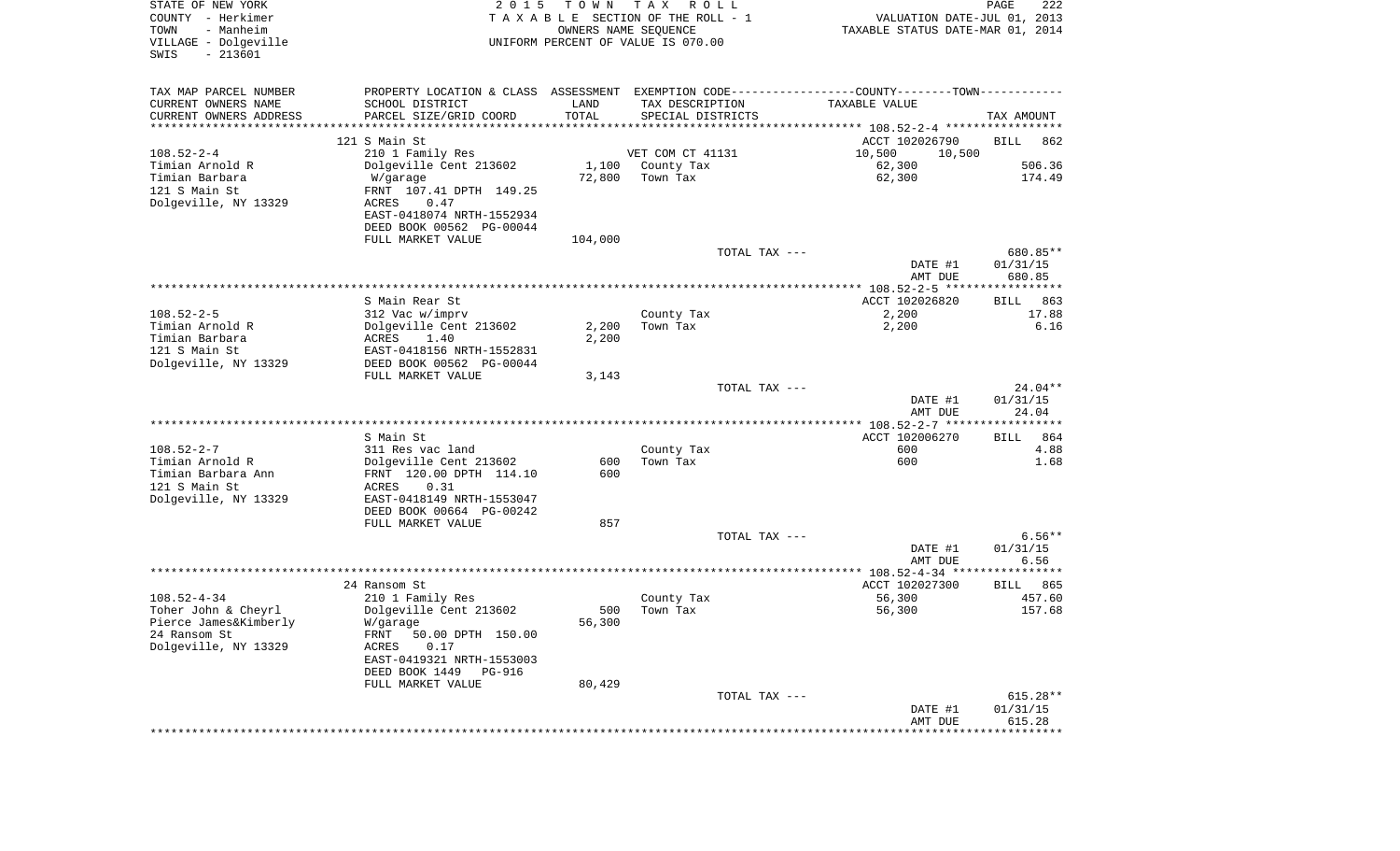| STATE OF NEW YORK<br>COUNTY - Herkimer<br>- Manheim<br>TOWN | 2 0 1 5                                                                                       | TOWN    | T A X<br>R O L L<br>TAXABLE SECTION OF THE ROLL - 1<br>OWNERS NAME SEQUENCE |               | VALUATION DATE-JUL 01, 2013<br>TAXABLE STATUS DATE-MAR 01, 2014 | PAGE               | 222          |
|-------------------------------------------------------------|-----------------------------------------------------------------------------------------------|---------|-----------------------------------------------------------------------------|---------------|-----------------------------------------------------------------|--------------------|--------------|
| VILLAGE - Dolgeville<br>$-213601$<br>SWIS                   |                                                                                               |         | UNIFORM PERCENT OF VALUE IS 070.00                                          |               |                                                                 |                    |              |
| TAX MAP PARCEL NUMBER                                       | PROPERTY LOCATION & CLASS ASSESSMENT EXEMPTION CODE---------------COUNTY-------TOWN---------- |         |                                                                             |               |                                                                 |                    |              |
| CURRENT OWNERS NAME                                         | SCHOOL DISTRICT                                                                               | LAND    | TAX DESCRIPTION                                                             |               | TAXABLE VALUE                                                   |                    |              |
| CURRENT OWNERS ADDRESS<br>**********************            | PARCEL SIZE/GRID COORD<br>***************************                                         | TOTAL   | SPECIAL DISTRICTS                                                           |               |                                                                 | TAX AMOUNT         |              |
|                                                             | 121 S Main St                                                                                 |         |                                                                             |               | ACCT 102026790                                                  | <b>BILL</b>        | 862          |
| $108.52 - 2 - 4$                                            | 210 1 Family Res                                                                              |         | VET COM CT 41131                                                            |               | 10,500<br>10,500                                                |                    |              |
| Timian Arnold R                                             | Dolgeville Cent 213602                                                                        | 1,100   | County Tax                                                                  |               | 62,300                                                          |                    | 506.36       |
| Timian Barbara                                              | W/garage                                                                                      | 72,800  | Town Tax                                                                    |               | 62,300                                                          |                    | 174.49       |
| 121 S Main St                                               | FRNT 107.41 DPTH 149.25                                                                       |         |                                                                             |               |                                                                 |                    |              |
| Dolgeville, NY 13329                                        | <b>ACRES</b><br>0.47<br>EAST-0418074 NRTH-1552934                                             |         |                                                                             |               |                                                                 |                    |              |
|                                                             | DEED BOOK 00562 PG-00044                                                                      |         |                                                                             |               |                                                                 |                    |              |
|                                                             | FULL MARKET VALUE                                                                             | 104,000 |                                                                             |               |                                                                 |                    |              |
|                                                             |                                                                                               |         |                                                                             | TOTAL TAX --- |                                                                 |                    | 680.85**     |
|                                                             |                                                                                               |         |                                                                             |               | DATE #1                                                         | 01/31/15           |              |
|                                                             |                                                                                               |         |                                                                             |               | AMT DUE                                                         | 680.85             |              |
|                                                             |                                                                                               |         |                                                                             |               |                                                                 |                    |              |
| $108.52 - 2 - 5$                                            | S Main Rear St<br>312 Vac w/imprv                                                             |         | County Tax                                                                  |               | ACCT 102026820<br>2,200                                         | BILL               | 863<br>17.88 |
| Timian Arnold R                                             | Dolgeville Cent 213602                                                                        | 2,200   | Town Tax                                                                    |               | 2,200                                                           |                    | 6.16         |
| Timian Barbara                                              | 1.40<br>ACRES                                                                                 | 2,200   |                                                                             |               |                                                                 |                    |              |
| 121 S Main St                                               | EAST-0418156 NRTH-1552831                                                                     |         |                                                                             |               |                                                                 |                    |              |
| Dolgeville, NY 13329                                        | DEED BOOK 00562 PG-00044                                                                      |         |                                                                             |               |                                                                 |                    |              |
|                                                             | FULL MARKET VALUE                                                                             | 3,143   |                                                                             | TOTAL TAX --- |                                                                 |                    | 24.04**      |
|                                                             |                                                                                               |         |                                                                             |               | DATE #1                                                         | 01/31/15           |              |
|                                                             |                                                                                               |         |                                                                             |               | AMT DUE                                                         |                    | 24.04        |
|                                                             |                                                                                               |         |                                                                             |               |                                                                 |                    |              |
|                                                             | S Main St                                                                                     |         |                                                                             |               | ACCT 102006270                                                  | <b>BILL</b>        | 864          |
| $108.52 - 2 - 7$<br>Timian Arnold R                         | 311 Res vac land                                                                              | 600     | County Tax<br>Town Tax                                                      |               | 600<br>600                                                      |                    | 4.88         |
| Timian Barbara Ann                                          | Dolgeville Cent 213602<br>FRNT 120.00 DPTH 114.10                                             | 600     |                                                                             |               |                                                                 |                    | 1.68         |
| 121 S Main St                                               | ACRES<br>0.31                                                                                 |         |                                                                             |               |                                                                 |                    |              |
| Dolgeville, NY 13329                                        | EAST-0418149 NRTH-1553047                                                                     |         |                                                                             |               |                                                                 |                    |              |
|                                                             | DEED BOOK 00664 PG-00242                                                                      |         |                                                                             |               |                                                                 |                    |              |
|                                                             | FULL MARKET VALUE                                                                             | 857     |                                                                             |               |                                                                 |                    |              |
|                                                             |                                                                                               |         |                                                                             | TOTAL TAX --- |                                                                 | 01/31/15           | $6.56**$     |
|                                                             |                                                                                               |         |                                                                             |               | DATE #1<br>AMT DUE                                              |                    | 6.56         |
|                                                             |                                                                                               |         |                                                                             |               |                                                                 |                    |              |
|                                                             | 24 Ransom St                                                                                  |         |                                                                             |               | ACCT 102027300                                                  | BILL               | 865          |
| $108.52 - 4 - 34$                                           | 210 1 Family Res                                                                              |         | County Tax                                                                  |               | 56,300                                                          |                    | 457.60       |
| Toher John & Cheyrl                                         | Dolgeville Cent 213602                                                                        | 500     | Town Tax                                                                    |               | 56,300                                                          |                    | 157.68       |
| Pierce James&Kimberly<br>24 Ransom St                       | W/garage<br>FRNT 50.00 DPTH 150.00                                                            | 56,300  |                                                                             |               |                                                                 |                    |              |
| Dolgeville, NY 13329                                        | 0.17<br>ACRES                                                                                 |         |                                                                             |               |                                                                 |                    |              |
|                                                             | EAST-0419321 NRTH-1553003                                                                     |         |                                                                             |               |                                                                 |                    |              |
|                                                             | DEED BOOK 1449<br>PG-916                                                                      |         |                                                                             |               |                                                                 |                    |              |
|                                                             | FULL MARKET VALUE                                                                             | 80,429  |                                                                             |               |                                                                 |                    |              |
|                                                             |                                                                                               |         |                                                                             | TOTAL TAX --- |                                                                 |                    | $615.28**$   |
|                                                             |                                                                                               |         |                                                                             |               | DATE #1<br>AMT DUE                                              | 01/31/15<br>615.28 |              |
|                                                             |                                                                                               |         |                                                                             |               |                                                                 | **************     |              |
|                                                             |                                                                                               |         |                                                                             |               |                                                                 |                    |              |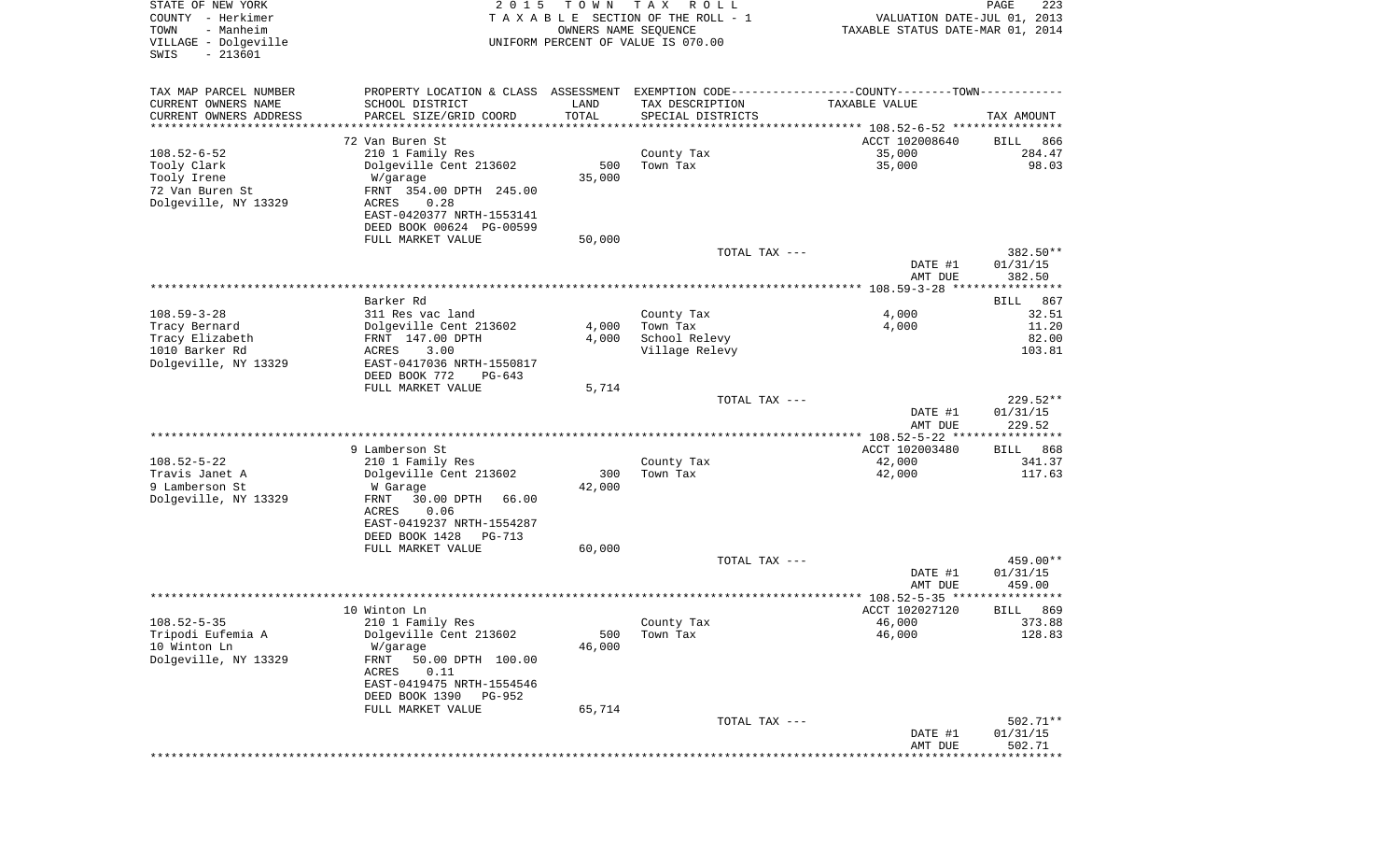| STATE OF NEW YORK<br>COUNTY - Herkimer<br>- Manheim<br>TOWN<br>VILLAGE - Dolgeville<br>$-213601$<br>SWIS | 2 0 1 5                                                                                        | T O W N<br>OWNERS NAME SEQUENCE | T A X<br>R O L L<br>TAXABLE SECTION OF THE ROLL - 1<br>UNIFORM PERCENT OF VALUE IS 070.00 | VALUATION DATE-JUL 01, 2013<br>TAXABLE STATUS DATE-MAR 01, 2014 | PAGE<br>223                       |
|----------------------------------------------------------------------------------------------------------|------------------------------------------------------------------------------------------------|---------------------------------|-------------------------------------------------------------------------------------------|-----------------------------------------------------------------|-----------------------------------|
| TAX MAP PARCEL NUMBER                                                                                    | PROPERTY LOCATION & CLASS ASSESSMENT EXEMPTION CODE----------------COUNTY-------TOWN---------- |                                 |                                                                                           |                                                                 |                                   |
| CURRENT OWNERS NAME                                                                                      | SCHOOL DISTRICT                                                                                | LAND                            | TAX DESCRIPTION                                                                           | TAXABLE VALUE                                                   |                                   |
| CURRENT OWNERS ADDRESS<br>*********************                                                          | PARCEL SIZE/GRID COORD                                                                         | TOTAL<br>* * * * * * * * * *    | SPECIAL DISTRICTS                                                                         |                                                                 | TAX AMOUNT                        |
|                                                                                                          | 72 Van Buren St                                                                                |                                 |                                                                                           | ACCT 102008640                                                  | 866<br>BILL                       |
| $108.52 - 6 - 52$                                                                                        | 210 1 Family Res                                                                               |                                 | County Tax                                                                                | 35,000                                                          | 284.47                            |
| Tooly Clark                                                                                              | Dolgeville Cent 213602                                                                         | 500                             | Town Tax                                                                                  | 35,000                                                          | 98.03                             |
| Tooly Irene                                                                                              | W/garage                                                                                       | 35,000                          |                                                                                           |                                                                 |                                   |
| 72 Van Buren St                                                                                          | FRNT 354.00 DPTH 245.00                                                                        |                                 |                                                                                           |                                                                 |                                   |
| Dolgeville, NY 13329                                                                                     | ACRES<br>0.28                                                                                  |                                 |                                                                                           |                                                                 |                                   |
|                                                                                                          | EAST-0420377 NRTH-1553141<br>DEED BOOK 00624 PG-00599                                          |                                 |                                                                                           |                                                                 |                                   |
|                                                                                                          | FULL MARKET VALUE                                                                              | 50,000                          |                                                                                           |                                                                 |                                   |
|                                                                                                          |                                                                                                |                                 | TOTAL TAX ---                                                                             |                                                                 | 382.50**                          |
|                                                                                                          |                                                                                                |                                 |                                                                                           | DATE #1                                                         | 01/31/15                          |
|                                                                                                          |                                                                                                |                                 |                                                                                           | AMT DUE                                                         | 382.50                            |
|                                                                                                          | Barker Rd                                                                                      |                                 |                                                                                           |                                                                 | 867<br>BILL                       |
| $108.59 - 3 - 28$                                                                                        | 311 Res vac land                                                                               |                                 | County Tax                                                                                | 4,000                                                           | 32.51                             |
| Tracy Bernard                                                                                            | Dolgeville Cent 213602                                                                         | 4,000                           | Town Tax                                                                                  | 4,000                                                           | 11.20                             |
| Tracy Elizabeth                                                                                          | FRNT 147.00 DPTH                                                                               | 4,000                           | School Relevy                                                                             |                                                                 | 82.00                             |
| 1010 Barker Rd                                                                                           | ACRES<br>3.00                                                                                  |                                 | Village Relevy                                                                            |                                                                 | 103.81                            |
| Dolgeville, NY 13329                                                                                     | EAST-0417036 NRTH-1550817<br>DEED BOOK 772<br>$PG-643$                                         |                                 |                                                                                           |                                                                 |                                   |
|                                                                                                          | FULL MARKET VALUE                                                                              | 5,714                           |                                                                                           |                                                                 |                                   |
|                                                                                                          |                                                                                                |                                 | TOTAL TAX ---                                                                             |                                                                 | 229.52**                          |
|                                                                                                          |                                                                                                |                                 |                                                                                           | DATE #1                                                         | 01/31/15                          |
|                                                                                                          |                                                                                                |                                 |                                                                                           | AMT DUE                                                         | 229.52                            |
|                                                                                                          | 9 Lamberson St                                                                                 |                                 |                                                                                           | ************ 108.52-5-22 *****************<br>ACCT 102003480    | <b>BILL</b><br>868                |
| $108.52 - 5 - 22$                                                                                        | 210 1 Family Res                                                                               |                                 | County Tax                                                                                | 42,000                                                          | 341.37                            |
| Travis Janet A                                                                                           | Dolgeville Cent 213602                                                                         | 300                             | Town Tax                                                                                  | 42,000                                                          | 117.63                            |
| 9 Lamberson St                                                                                           | W Garage                                                                                       | 42,000                          |                                                                                           |                                                                 |                                   |
| Dolgeville, NY 13329                                                                                     | FRNT<br>30.00 DPTH<br>66.00                                                                    |                                 |                                                                                           |                                                                 |                                   |
|                                                                                                          | ACRES<br>0.06                                                                                  |                                 |                                                                                           |                                                                 |                                   |
|                                                                                                          | EAST-0419237 NRTH-1554287<br>DEED BOOK 1428<br>PG-713                                          |                                 |                                                                                           |                                                                 |                                   |
|                                                                                                          | FULL MARKET VALUE                                                                              | 60,000                          |                                                                                           |                                                                 |                                   |
|                                                                                                          |                                                                                                |                                 | TOTAL TAX ---                                                                             |                                                                 | 459.00**                          |
|                                                                                                          |                                                                                                |                                 |                                                                                           | DATE #1                                                         | 01/31/15                          |
|                                                                                                          |                                                                                                |                                 |                                                                                           | AMT DUE                                                         | 459.00<br>****                    |
|                                                                                                          | 10 Winton Ln                                                                                   |                                 |                                                                                           | ****************** 108.52-5-35 ******<br>ACCT 102027120         | 869<br>BILL                       |
| $108.52 - 5 - 35$                                                                                        | 210 1 Family Res                                                                               |                                 | County Tax                                                                                | 46,000                                                          | 373.88                            |
| Tripodi Eufemia A                                                                                        | Dolgeville Cent 213602                                                                         | 500                             | Town Tax                                                                                  | 46,000                                                          | 128.83                            |
| 10 Winton Ln                                                                                             | W/garage                                                                                       | 46,000                          |                                                                                           |                                                                 |                                   |
| Dolgeville, NY 13329                                                                                     | 50.00 DPTH 100.00<br>FRNT                                                                      |                                 |                                                                                           |                                                                 |                                   |
|                                                                                                          | 0.11<br>ACRES<br>EAST-0419475 NRTH-1554546                                                     |                                 |                                                                                           |                                                                 |                                   |
|                                                                                                          | DEED BOOK 1390<br>PG-952                                                                       |                                 |                                                                                           |                                                                 |                                   |
|                                                                                                          | FULL MARKET VALUE                                                                              | 65,714                          |                                                                                           |                                                                 |                                   |
|                                                                                                          |                                                                                                |                                 | TOTAL TAX ---                                                                             |                                                                 | $502.71**$                        |
|                                                                                                          |                                                                                                |                                 |                                                                                           | DATE #1                                                         | 01/31/15                          |
|                                                                                                          |                                                                                                |                                 |                                                                                           | AMT DUE                                                         | 502.71<br>*********************** |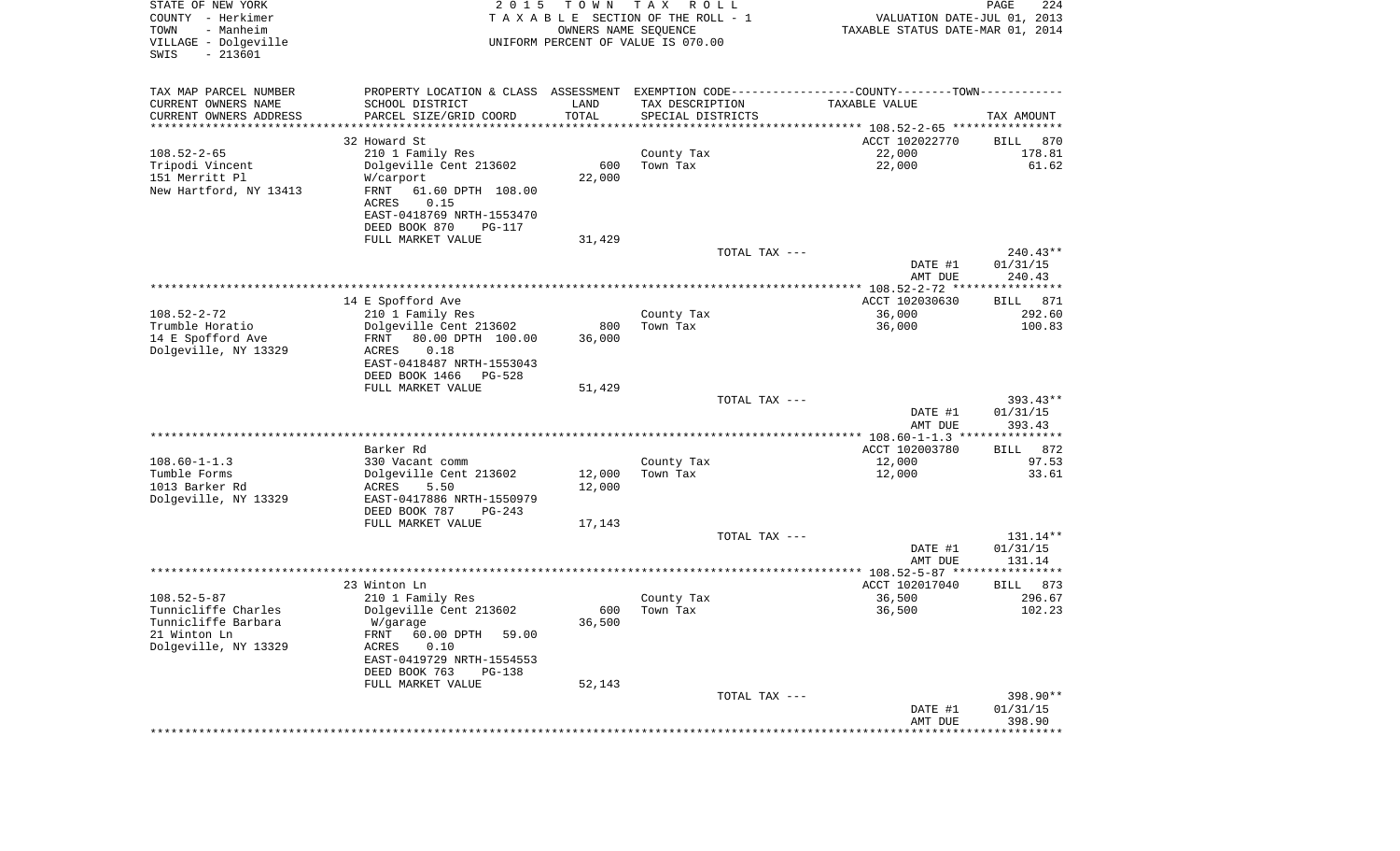| STATE OF NEW YORK<br>COUNTY - Herkimer<br>TOWN<br>- Manheim<br>VILLAGE - Dolgeville | 2 0 1 5                                            | TOWN<br>OWNERS NAME SEQUENCE | T A X<br>R O L L<br>TAXABLE SECTION OF THE ROLL - 1<br>UNIFORM PERCENT OF VALUE IS 070.00 | VALUATION DATE-JUL 01, 2013<br>TAXABLE STATUS DATE-MAR 01, 2014                               | PAGE<br>224           |
|-------------------------------------------------------------------------------------|----------------------------------------------------|------------------------------|-------------------------------------------------------------------------------------------|-----------------------------------------------------------------------------------------------|-----------------------|
| $-213601$<br>SWIS                                                                   |                                                    |                              |                                                                                           |                                                                                               |                       |
| TAX MAP PARCEL NUMBER                                                               |                                                    |                              |                                                                                           | PROPERTY LOCATION & CLASS ASSESSMENT EXEMPTION CODE---------------COUNTY-------TOWN---------- |                       |
| CURRENT OWNERS NAME                                                                 | SCHOOL DISTRICT                                    | LAND<br>TOTAL                | TAX DESCRIPTION                                                                           | TAXABLE VALUE                                                                                 |                       |
| CURRENT OWNERS ADDRESS<br>*********************                                     | PARCEL SIZE/GRID COORD<br>************************ | **************               | SPECIAL DISTRICTS                                                                         |                                                                                               | TAX AMOUNT            |
|                                                                                     | 32 Howard St                                       |                              |                                                                                           | ACCT 102022770                                                                                | 870<br>BILL           |
| $108.52 - 2 - 65$                                                                   | 210 1 Family Res                                   |                              | County Tax                                                                                | 22,000                                                                                        | 178.81                |
| Tripodi Vincent                                                                     | Dolgeville Cent 213602                             | 600                          | Town Tax                                                                                  | 22,000                                                                                        | 61.62                 |
| 151 Merritt Pl                                                                      | W/carport                                          | 22,000                       |                                                                                           |                                                                                               |                       |
| New Hartford, NY 13413                                                              | FRNT<br>61.60 DPTH 108.00<br><b>ACRES</b>          |                              |                                                                                           |                                                                                               |                       |
|                                                                                     | 0.15<br>EAST-0418769 NRTH-1553470                  |                              |                                                                                           |                                                                                               |                       |
|                                                                                     | DEED BOOK 870<br>PG-117                            |                              |                                                                                           |                                                                                               |                       |
|                                                                                     | FULL MARKET VALUE                                  | 31,429                       |                                                                                           |                                                                                               |                       |
|                                                                                     |                                                    |                              | TOTAL TAX ---                                                                             |                                                                                               | $240.43**$            |
|                                                                                     |                                                    |                              |                                                                                           | DATE #1<br>AMT DUE                                                                            | 01/31/15<br>240.43    |
|                                                                                     |                                                    |                              |                                                                                           |                                                                                               |                       |
| $108.52 - 2 - 72$                                                                   | 14 E Spofford Ave<br>210 1 Family Res              |                              | County Tax                                                                                | ACCT 102030630<br>36,000                                                                      | 871<br>BILL<br>292.60 |
| Trumble Horatio                                                                     | Dolgeville Cent 213602                             | 800                          | Town Tax                                                                                  | 36,000                                                                                        | 100.83                |
| 14 E Spofford Ave                                                                   | 80.00 DPTH 100.00<br>FRNT                          | 36,000                       |                                                                                           |                                                                                               |                       |
| Dolgeville, NY 13329                                                                | <b>ACRES</b><br>0.18                               |                              |                                                                                           |                                                                                               |                       |
|                                                                                     | EAST-0418487 NRTH-1553043                          |                              |                                                                                           |                                                                                               |                       |
|                                                                                     | DEED BOOK 1466<br>$PG-528$<br>FULL MARKET VALUE    | 51,429                       |                                                                                           |                                                                                               |                       |
|                                                                                     |                                                    |                              | TOTAL TAX ---                                                                             |                                                                                               | $393.43**$            |
|                                                                                     |                                                    |                              |                                                                                           | DATE #1<br>AMT DUE                                                                            | 01/31/15<br>393.43    |
|                                                                                     |                                                    |                              |                                                                                           | *************** 108.60-1-1.3 ****************                                                 |                       |
|                                                                                     | Barker Rd                                          |                              |                                                                                           | ACCT 102003780                                                                                | 872<br>BILL           |
| $108.60 - 1 - 1.3$<br>Tumble Forms                                                  | 330 Vacant comm<br>Dolgeville Cent 213602          | 12,000                       | County Tax<br>Town Tax                                                                    | 12,000<br>12,000                                                                              | 97.53<br>33.61        |
| 1013 Barker Rd                                                                      | <b>ACRES</b><br>5.50                               | 12,000                       |                                                                                           |                                                                                               |                       |
| Dolgeville, NY 13329                                                                | EAST-0417886 NRTH-1550979                          |                              |                                                                                           |                                                                                               |                       |
|                                                                                     | DEED BOOK 787<br>$PG-243$                          |                              |                                                                                           |                                                                                               |                       |
|                                                                                     | FULL MARKET VALUE                                  | 17,143                       |                                                                                           |                                                                                               |                       |
|                                                                                     |                                                    |                              | TOTAL TAX ---                                                                             |                                                                                               | 131.14**              |
|                                                                                     |                                                    |                              |                                                                                           | DATE #1<br>AMT DUE                                                                            | 01/31/15<br>131.14    |
|                                                                                     |                                                    |                              |                                                                                           |                                                                                               |                       |
|                                                                                     | 23 Winton Ln                                       |                              |                                                                                           | ACCT 102017040                                                                                | 873<br>BILL           |
| $108.52 - 5 - 87$                                                                   | 210 1 Family Res                                   |                              | County Tax                                                                                | 36,500                                                                                        | 296.67                |
| Tunnicliffe Charles                                                                 | Dolgeville Cent 213602                             | 600                          | Town Tax                                                                                  | 36,500                                                                                        | 102.23                |
| Tunnicliffe Barbara<br>21 Winton Ln                                                 | W/garage<br>FRNT 60.00 DPTH<br>59.00               | 36,500                       |                                                                                           |                                                                                               |                       |
| Dolgeville, NY 13329                                                                | 0.10<br>ACRES                                      |                              |                                                                                           |                                                                                               |                       |
|                                                                                     | EAST-0419729 NRTH-1554553                          |                              |                                                                                           |                                                                                               |                       |
|                                                                                     | DEED BOOK 763<br>PG-138                            |                              |                                                                                           |                                                                                               |                       |
|                                                                                     | FULL MARKET VALUE                                  | 52,143                       |                                                                                           |                                                                                               |                       |
|                                                                                     |                                                    |                              | TOTAL TAX ---                                                                             |                                                                                               | 398.90**              |
|                                                                                     |                                                    |                              |                                                                                           | DATE #1<br>AMT DUE                                                                            | 01/31/15<br>398.90    |
|                                                                                     |                                                    |                              |                                                                                           | * * * * * * * * * * * * * * * * * *                                                           | ************          |
|                                                                                     |                                                    |                              |                                                                                           |                                                                                               |                       |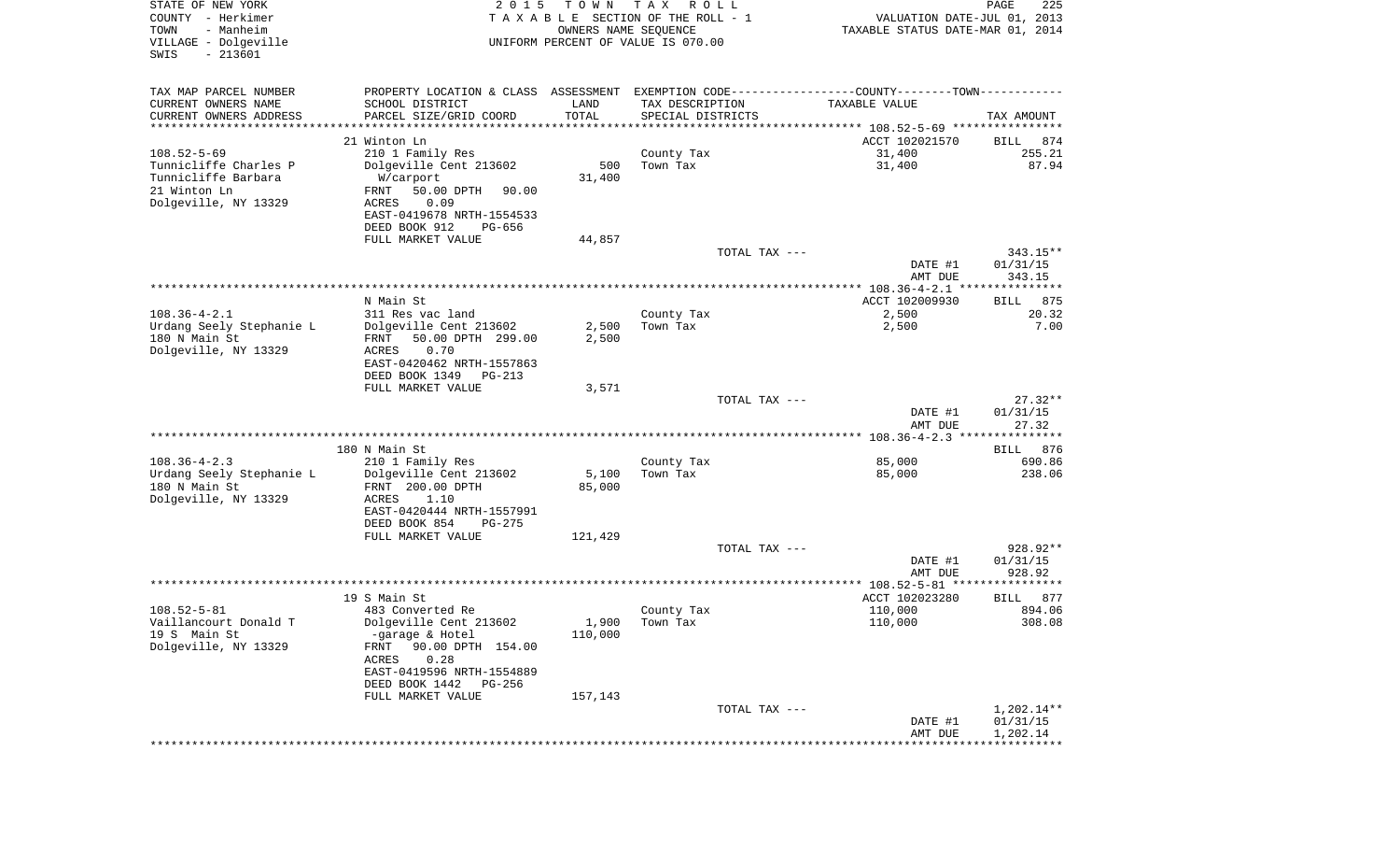| STATE OF NEW YORK<br>COUNTY - Herkimer<br>- Manheim<br>TOWN<br>VILLAGE - Dolgeville<br>$-213601$<br>SWIS | 2 0 1 5                                                                                       | T O W N<br>OWNERS NAME SEQUENCE | T A X<br>R O L L<br>TAXABLE SECTION OF THE ROLL - 1<br>UNIFORM PERCENT OF VALUE IS 070.00 |               | VALUATION DATE-JUL 01, 2013<br>TAXABLE STATUS DATE-MAR 01, 2014 | PAGE<br>225            |
|----------------------------------------------------------------------------------------------------------|-----------------------------------------------------------------------------------------------|---------------------------------|-------------------------------------------------------------------------------------------|---------------|-----------------------------------------------------------------|------------------------|
| TAX MAP PARCEL NUMBER                                                                                    | PROPERTY LOCATION & CLASS ASSESSMENT EXEMPTION CODE---------------COUNTY-------TOWN---------- |                                 |                                                                                           |               |                                                                 |                        |
| CURRENT OWNERS NAME                                                                                      | SCHOOL DISTRICT                                                                               | LAND                            | TAX DESCRIPTION                                                                           |               | TAXABLE VALUE                                                   |                        |
| CURRENT OWNERS ADDRESS<br>**********************                                                         | PARCEL SIZE/GRID COORD                                                                        | TOTAL                           | SPECIAL DISTRICTS                                                                         |               |                                                                 | TAX AMOUNT             |
|                                                                                                          | 21 Winton Ln                                                                                  |                                 |                                                                                           |               | ACCT 102021570                                                  | 874<br>BILL            |
| $108.52 - 5 - 69$                                                                                        | 210 1 Family Res                                                                              |                                 | County Tax                                                                                |               | 31,400                                                          | 255.21                 |
| Tunnicliffe Charles P                                                                                    | Dolgeville Cent 213602                                                                        | 500                             | Town Tax                                                                                  |               | 31,400                                                          | 87.94                  |
| Tunnicliffe Barbara<br>21 Winton Ln                                                                      | W/carport<br>50.00 DPTH 90.00                                                                 | 31,400                          |                                                                                           |               |                                                                 |                        |
| Dolgeville, NY 13329                                                                                     | FRNT<br>0.09<br>ACRES                                                                         |                                 |                                                                                           |               |                                                                 |                        |
|                                                                                                          | EAST-0419678 NRTH-1554533                                                                     |                                 |                                                                                           |               |                                                                 |                        |
|                                                                                                          | DEED BOOK 912<br>PG-656                                                                       |                                 |                                                                                           |               |                                                                 |                        |
|                                                                                                          | FULL MARKET VALUE                                                                             | 44,857                          |                                                                                           |               |                                                                 |                        |
|                                                                                                          |                                                                                               |                                 |                                                                                           | TOTAL TAX --- | DATE #1                                                         | $343.15**$<br>01/31/15 |
|                                                                                                          |                                                                                               |                                 |                                                                                           |               | AMT DUE                                                         | 343.15                 |
|                                                                                                          |                                                                                               |                                 |                                                                                           |               |                                                                 |                        |
|                                                                                                          | N Main St                                                                                     |                                 |                                                                                           |               | ACCT 102009930                                                  | 875<br>BILL            |
| $108.36 - 4 - 2.1$<br>Urdang Seely Stephanie L                                                           | 311 Res vac land<br>Dolgeville Cent 213602                                                    | 2,500                           | County Tax<br>Town Tax                                                                    |               | 2,500<br>2,500                                                  | 20.32<br>7.00          |
| 180 N Main St                                                                                            | FRNT<br>50.00 DPTH 299.00                                                                     | 2,500                           |                                                                                           |               |                                                                 |                        |
| Dolgeville, NY 13329                                                                                     | 0.70<br>ACRES                                                                                 |                                 |                                                                                           |               |                                                                 |                        |
|                                                                                                          | EAST-0420462 NRTH-1557863                                                                     |                                 |                                                                                           |               |                                                                 |                        |
|                                                                                                          | DEED BOOK 1349<br>PG-213<br>FULL MARKET VALUE                                                 | 3,571                           |                                                                                           |               |                                                                 |                        |
|                                                                                                          |                                                                                               |                                 |                                                                                           | TOTAL TAX --- |                                                                 | $27.32**$              |
|                                                                                                          |                                                                                               |                                 |                                                                                           |               | DATE #1                                                         | 01/31/15               |
|                                                                                                          |                                                                                               |                                 |                                                                                           |               | AMT DUE                                                         | 27.32                  |
|                                                                                                          | 180 N Main St                                                                                 |                                 |                                                                                           |               |                                                                 | BILL 876               |
| $108.36 - 4 - 2.3$                                                                                       | 210 1 Family Res                                                                              |                                 | County Tax                                                                                |               | 85,000                                                          | 690.86                 |
| Urdang Seely Stephanie L                                                                                 | Dolgeville Cent 213602                                                                        | 5,100                           | Town Tax                                                                                  |               | 85,000                                                          | 238.06                 |
| 180 N Main St                                                                                            | FRNT 200.00 DPTH                                                                              | 85,000                          |                                                                                           |               |                                                                 |                        |
| Dolgeville, NY 13329                                                                                     | ACRES<br>1.10<br>EAST-0420444 NRTH-1557991                                                    |                                 |                                                                                           |               |                                                                 |                        |
|                                                                                                          | DEED BOOK 854<br>PG-275                                                                       |                                 |                                                                                           |               |                                                                 |                        |
|                                                                                                          | FULL MARKET VALUE                                                                             | 121,429                         |                                                                                           |               |                                                                 |                        |
|                                                                                                          |                                                                                               |                                 |                                                                                           | TOTAL TAX --- |                                                                 | 928.92**               |
|                                                                                                          |                                                                                               |                                 |                                                                                           |               | DATE #1<br>AMT DUE                                              | 01/31/15<br>928.92     |
|                                                                                                          |                                                                                               |                                 |                                                                                           |               |                                                                 |                        |
|                                                                                                          | 19 S Main St                                                                                  |                                 |                                                                                           |               | ACCT 102023280                                                  | 877<br>BILL            |
| $108.52 - 5 - 81$                                                                                        | 483 Converted Re                                                                              |                                 | County Tax                                                                                |               | 110,000                                                         | 894.06                 |
| Vaillancourt Donald T<br>19 S Main St                                                                    | Dolgeville Cent 213602<br>-garage & Hotel                                                     | 110,000                         | $1,900$ Town Tax                                                                          |               | 110,000                                                         | 308.08                 |
| Dolgeville, NY 13329                                                                                     | 90.00 DPTH 154.00<br>FRNT                                                                     |                                 |                                                                                           |               |                                                                 |                        |
|                                                                                                          | 0.28<br>ACRES                                                                                 |                                 |                                                                                           |               |                                                                 |                        |
|                                                                                                          | EAST-0419596 NRTH-1554889                                                                     |                                 |                                                                                           |               |                                                                 |                        |
|                                                                                                          | DEED BOOK 1442<br>PG-256<br>FULL MARKET VALUE                                                 | 157,143                         |                                                                                           |               |                                                                 |                        |
|                                                                                                          |                                                                                               |                                 |                                                                                           | TOTAL TAX --- |                                                                 | $1,202.14**$           |
|                                                                                                          |                                                                                               |                                 |                                                                                           |               | DATE #1                                                         | 01/31/15               |
|                                                                                                          |                                                                                               |                                 |                                                                                           |               | AMT DUE                                                         | 1,202.14               |
|                                                                                                          |                                                                                               |                                 |                                                                                           |               |                                                                 |                        |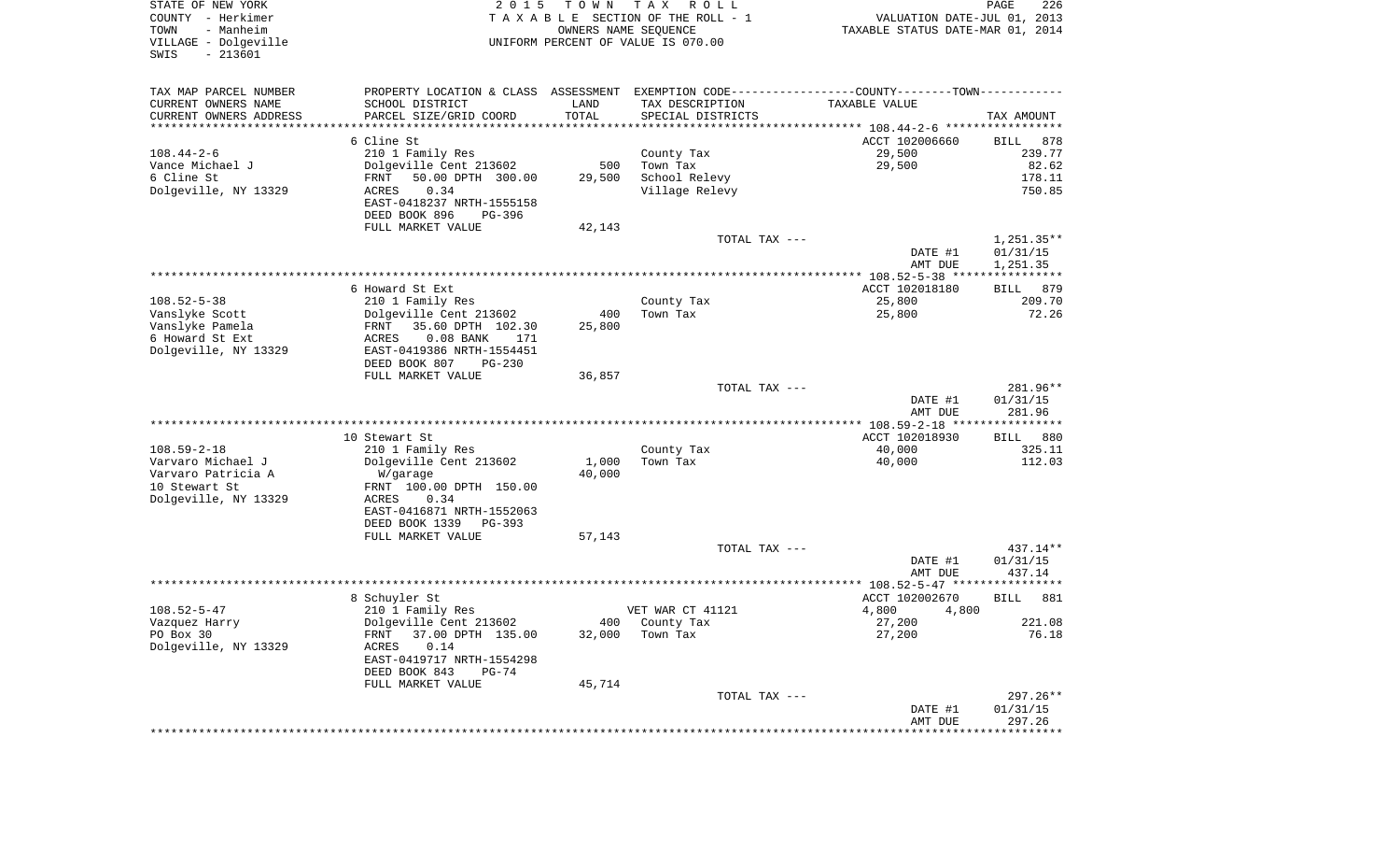| STATE OF NEW YORK<br>COUNTY - Herkimer                         | 2 0 1 5                                                                                        | T O W N | T A X<br>R O L L<br>TAXABLE SECTION OF THE ROLL - 1        | VALUATION DATE-JUL 01, 2013      | PAGE<br>226           |
|----------------------------------------------------------------|------------------------------------------------------------------------------------------------|---------|------------------------------------------------------------|----------------------------------|-----------------------|
| TOWN<br>- Manheim<br>VILLAGE - Dolgeville<br>SWIS<br>$-213601$ |                                                                                                |         | OWNERS NAME SEQUENCE<br>UNIFORM PERCENT OF VALUE IS 070.00 | TAXABLE STATUS DATE-MAR 01, 2014 |                       |
| TAX MAP PARCEL NUMBER                                          | PROPERTY LOCATION & CLASS ASSESSMENT EXEMPTION CODE----------------COUNTY-------TOWN---------- |         |                                                            |                                  |                       |
| CURRENT OWNERS NAME                                            | SCHOOL DISTRICT                                                                                | LAND    | TAX DESCRIPTION                                            | TAXABLE VALUE                    |                       |
| CURRENT OWNERS ADDRESS                                         | PARCEL SIZE/GRID COORD                                                                         | TOTAL   | SPECIAL DISTRICTS                                          |                                  | TAX AMOUNT            |
| **************************                                     |                                                                                                |         |                                                            |                                  |                       |
| $108.44 - 2 - 6$                                               | 6 Cline St                                                                                     |         |                                                            | ACCT 102006660                   | 878<br>BILL<br>239.77 |
| Vance Michael J                                                | 210 1 Family Res<br>Dolgeville Cent 213602                                                     | 500     | County Tax<br>Town Tax                                     | 29,500<br>29,500                 | 82.62                 |
| 6 Cline St                                                     | 50.00 DPTH 300.00<br>FRNT                                                                      | 29,500  | School Relevy                                              |                                  | 178.11                |
| Dolgeville, NY 13329                                           | 0.34<br>ACRES                                                                                  |         | Village Relevy                                             |                                  | 750.85                |
|                                                                | EAST-0418237 NRTH-1555158                                                                      |         |                                                            |                                  |                       |
|                                                                | DEED BOOK 896<br>PG-396                                                                        |         |                                                            |                                  |                       |
|                                                                | FULL MARKET VALUE                                                                              | 42,143  |                                                            |                                  |                       |
|                                                                |                                                                                                |         | TOTAL TAX ---                                              |                                  | $1,251.35**$          |
|                                                                |                                                                                                |         |                                                            | DATE #1                          | 01/31/15              |
|                                                                |                                                                                                |         |                                                            | AMT DUE                          | 1,251.35              |
|                                                                | 6 Howard St Ext                                                                                |         |                                                            | ACCT 102018180                   | <b>BILL</b><br>879    |
| $108.52 - 5 - 38$                                              | 210 1 Family Res                                                                               |         | County Tax                                                 | 25,800                           | 209.70                |
| Vanslyke Scott                                                 | Dolgeville Cent 213602                                                                         | 400     | Town Tax                                                   | 25,800                           | 72.26                 |
| Vanslyke Pamela                                                | FRNT 35.60 DPTH 102.30                                                                         | 25,800  |                                                            |                                  |                       |
| 6 Howard St Ext                                                | $0.08$ BANK<br>ACRES<br>171                                                                    |         |                                                            |                                  |                       |
| Dolgeville, NY 13329                                           | EAST-0419386 NRTH-1554451                                                                      |         |                                                            |                                  |                       |
|                                                                | DEED BOOK 807<br>PG-230                                                                        |         |                                                            |                                  |                       |
|                                                                | FULL MARKET VALUE                                                                              | 36,857  |                                                            |                                  |                       |
|                                                                |                                                                                                |         | TOTAL TAX ---                                              | DATE #1                          | 281.96**<br>01/31/15  |
|                                                                |                                                                                                |         |                                                            | AMT DUE                          | 281.96                |
|                                                                |                                                                                                |         |                                                            |                                  |                       |
|                                                                | 10 Stewart St                                                                                  |         |                                                            | ACCT 102018930                   | BILL 880              |
| $108.59 - 2 - 18$                                              | 210 1 Family Res                                                                               |         | County Tax                                                 | 40,000                           | 325.11                |
| Varvaro Michael J                                              | Dolgeville Cent 213602                                                                         | 1,000   | Town Tax                                                   | 40,000                           | 112.03                |
| Varvaro Patricia A                                             | W/garage                                                                                       | 40,000  |                                                            |                                  |                       |
| 10 Stewart St                                                  | FRNT 100.00 DPTH 150.00<br>0.34                                                                |         |                                                            |                                  |                       |
| Dolgeville, NY 13329                                           | ACRES<br>EAST-0416871 NRTH-1552063                                                             |         |                                                            |                                  |                       |
|                                                                | DEED BOOK 1339<br>PG-393                                                                       |         |                                                            |                                  |                       |
|                                                                | FULL MARKET VALUE                                                                              | 57,143  |                                                            |                                  |                       |
|                                                                |                                                                                                |         | TOTAL TAX ---                                              |                                  | $437.14**$            |
|                                                                |                                                                                                |         |                                                            | DATE #1                          | 01/31/15              |
|                                                                |                                                                                                |         |                                                            | AMT DUE                          | 437.14                |
|                                                                | 8 Schuyler St                                                                                  |         |                                                            | ACCT 102002670                   | <b>BILL</b><br>881    |
| $108.52 - 5 - 47$                                              | 210 1 Family Res                                                                               |         | VET WAR CT 41121                                           | 4,800<br>4,800                   |                       |
| Vazquez Harry                                                  | Dolgeville Cent 213602                                                                         | 400     | County Tax                                                 | 27,200                           | 221.08                |
| PO Box 30                                                      | 37.00 DPTH 135.00<br>FRNT                                                                      | 32,000  | Town Tax                                                   | 27,200                           | 76.18                 |
| Dolgeville, NY 13329                                           | ACRES<br>0.14                                                                                  |         |                                                            |                                  |                       |
|                                                                | EAST-0419717 NRTH-1554298                                                                      |         |                                                            |                                  |                       |
|                                                                | DEED BOOK 843<br>PG-74                                                                         |         |                                                            |                                  |                       |
|                                                                | FULL MARKET VALUE                                                                              | 45,714  |                                                            |                                  |                       |
|                                                                |                                                                                                |         | TOTAL TAX ---                                              |                                  | 297.26**              |
|                                                                |                                                                                                |         |                                                            | DATE #1<br>AMT DUE               | 01/31/15<br>297.26    |
|                                                                |                                                                                                |         |                                                            |                                  |                       |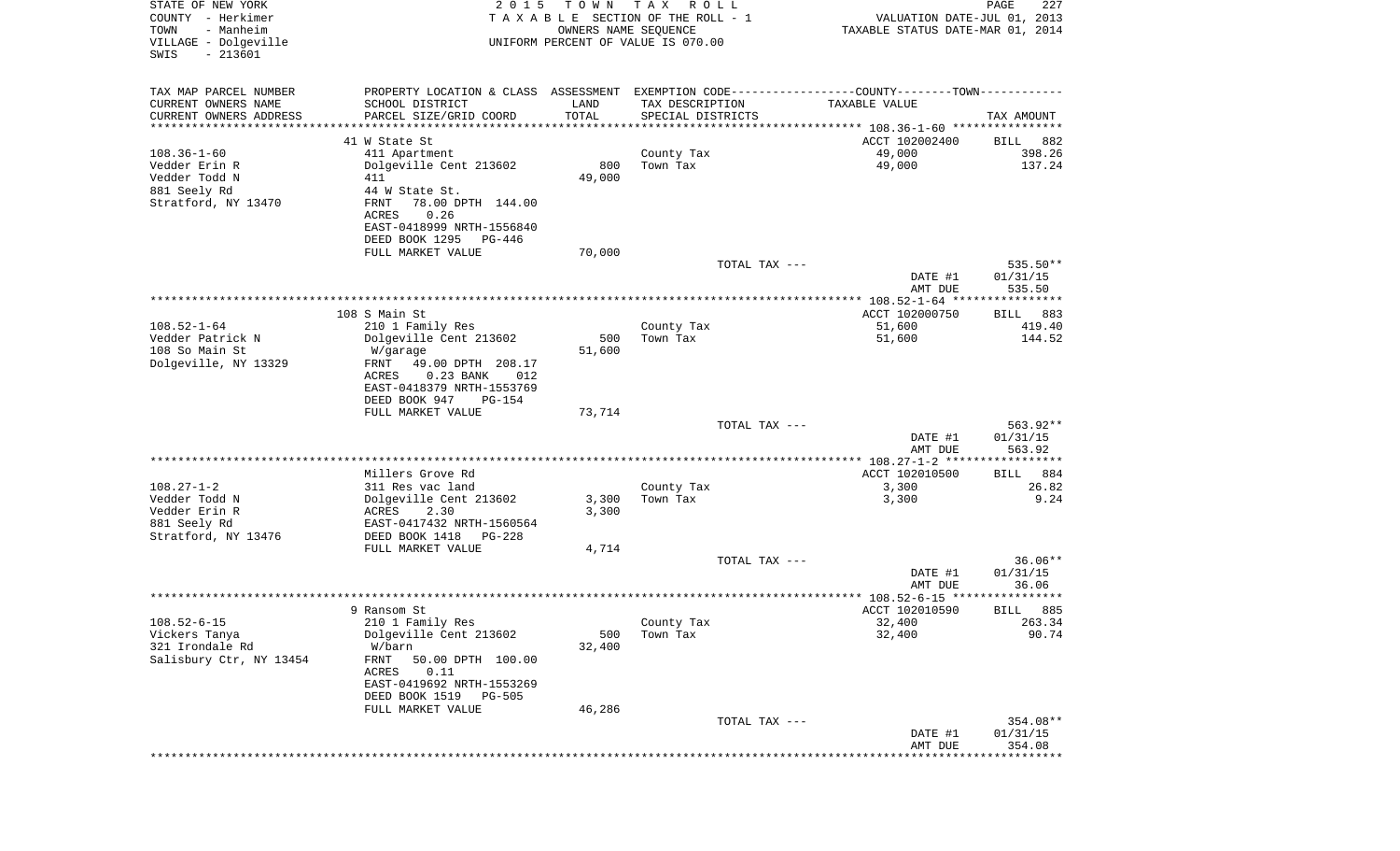| STATE OF NEW YORK<br>COUNTY - Herkimer<br>TOWN<br>- Manheim<br>VILLAGE - Dolgeville<br>$-213601$<br>SWIS | 2 0 1 5                                                                                         | T O W N<br>OWNERS NAME SEQUENCE | T A X<br>R O L L<br>TAXABLE SECTION OF THE ROLL - 1<br>UNIFORM PERCENT OF VALUE IS 070.00 | VALUATION DATE-JUL 01, 2013<br>TAXABLE STATUS DATE-MAR 01, 2014    | PAGE<br>227        |
|----------------------------------------------------------------------------------------------------------|-------------------------------------------------------------------------------------------------|---------------------------------|-------------------------------------------------------------------------------------------|--------------------------------------------------------------------|--------------------|
| TAX MAP PARCEL NUMBER                                                                                    | PROPERTY LOCATION & CLASS ASSESSMENT EXEMPTION CODE----------------COUNTY--------TOWN---------- |                                 |                                                                                           |                                                                    |                    |
| CURRENT OWNERS NAME                                                                                      | SCHOOL DISTRICT                                                                                 | LAND                            | TAX DESCRIPTION                                                                           | TAXABLE VALUE                                                      |                    |
| CURRENT OWNERS ADDRESS<br>*********************                                                          | PARCEL SIZE/GRID COORD                                                                          | TOTAL<br>***************        | SPECIAL DISTRICTS                                                                         |                                                                    | TAX AMOUNT         |
|                                                                                                          | 41 W State St                                                                                   |                                 |                                                                                           | ACCT 102002400                                                     | 882<br>BILL        |
| $108.36 - 1 - 60$                                                                                        | 411 Apartment                                                                                   |                                 | County Tax                                                                                | 49,000                                                             | 398.26             |
| Vedder Erin R                                                                                            | Dolgeville Cent 213602                                                                          | 800                             | Town Tax                                                                                  | 49,000                                                             | 137.24             |
| Vedder Todd N                                                                                            | 411                                                                                             | 49,000                          |                                                                                           |                                                                    |                    |
| 881 Seely Rd                                                                                             | 44 W State St.                                                                                  |                                 |                                                                                           |                                                                    |                    |
| Stratford, NY 13470                                                                                      | 78.00 DPTH 144.00<br>FRNT                                                                       |                                 |                                                                                           |                                                                    |                    |
|                                                                                                          | 0.26<br>ACRES<br>EAST-0418999 NRTH-1556840                                                      |                                 |                                                                                           |                                                                    |                    |
|                                                                                                          | DEED BOOK 1295<br>PG-446                                                                        |                                 |                                                                                           |                                                                    |                    |
|                                                                                                          | FULL MARKET VALUE                                                                               | 70,000                          |                                                                                           |                                                                    |                    |
|                                                                                                          |                                                                                                 |                                 | TOTAL TAX ---                                                                             |                                                                    | 535.50**           |
|                                                                                                          |                                                                                                 |                                 |                                                                                           | DATE #1                                                            | 01/31/15           |
|                                                                                                          |                                                                                                 |                                 |                                                                                           | AMT DUE                                                            | 535.50             |
|                                                                                                          | 108 S Main St                                                                                   |                                 |                                                                                           | ACCT 102000750                                                     | 883<br>BILL        |
| $108.52 - 1 - 64$                                                                                        | 210 1 Family Res                                                                                |                                 | County Tax                                                                                | 51,600                                                             | 419.40             |
| Vedder Patrick N                                                                                         | Dolgeville Cent 213602                                                                          | 500                             | Town Tax                                                                                  | 51,600                                                             | 144.52             |
| 108 So Main St                                                                                           | W/garage                                                                                        | 51,600                          |                                                                                           |                                                                    |                    |
| Dolgeville, NY 13329                                                                                     | FRNT<br>49.00 DPTH 208.17                                                                       |                                 |                                                                                           |                                                                    |                    |
|                                                                                                          | ACRES<br>$0.23$ BANK<br>012<br>EAST-0418379 NRTH-1553769                                        |                                 |                                                                                           |                                                                    |                    |
|                                                                                                          | DEED BOOK 947<br>PG-154                                                                         |                                 |                                                                                           |                                                                    |                    |
|                                                                                                          | FULL MARKET VALUE                                                                               | 73,714                          |                                                                                           |                                                                    |                    |
|                                                                                                          |                                                                                                 |                                 | TOTAL TAX ---                                                                             |                                                                    | 563.92**           |
|                                                                                                          |                                                                                                 |                                 |                                                                                           | DATE #1                                                            | 01/31/15           |
|                                                                                                          |                                                                                                 |                                 |                                                                                           | AMT DUE                                                            | 563.92             |
|                                                                                                          | Millers Grove Rd                                                                                |                                 |                                                                                           | ****************** 108.27-1-2 ******************<br>ACCT 102010500 | 884<br>BILL        |
| $108.27 - 1 - 2$                                                                                         | 311 Res vac land                                                                                |                                 | County Tax                                                                                | 3,300                                                              | 26.82              |
| Vedder Todd N                                                                                            | Dolgeville Cent 213602                                                                          | 3,300                           | Town Tax                                                                                  | 3,300                                                              | 9.24               |
| Vedder Erin R                                                                                            | ACRES<br>2.30                                                                                   | 3,300                           |                                                                                           |                                                                    |                    |
| 881 Seely Rd                                                                                             | EAST-0417432 NRTH-1560564                                                                       |                                 |                                                                                           |                                                                    |                    |
| Stratford, NY 13476                                                                                      | DEED BOOK 1418<br>PG-228                                                                        |                                 |                                                                                           |                                                                    |                    |
|                                                                                                          | FULL MARKET VALUE                                                                               | 4,714                           | TOTAL TAX ---                                                                             |                                                                    | $36.06**$          |
|                                                                                                          |                                                                                                 |                                 |                                                                                           | DATE #1                                                            | 01/31/15           |
|                                                                                                          |                                                                                                 |                                 |                                                                                           | AMT DUE                                                            | 36.06              |
|                                                                                                          |                                                                                                 |                                 |                                                                                           |                                                                    | ****               |
|                                                                                                          | 9 Ransom St                                                                                     |                                 |                                                                                           | ACCT 102010590                                                     | 885<br>BILL        |
| $108.52 - 6 - 15$                                                                                        | 210 1 Family Res                                                                                |                                 | County Tax                                                                                | 32,400                                                             | 263.34             |
| Vickers Tanya<br>321 Irondale Rd                                                                         | Dolgeville Cent 213602<br>W/barn                                                                | 500<br>32,400                   | Town Tax                                                                                  | 32,400                                                             | 90.74              |
| Salisbury Ctr, NY 13454                                                                                  | 50.00 DPTH 100.00<br>FRNT                                                                       |                                 |                                                                                           |                                                                    |                    |
|                                                                                                          | ACRES<br>0.11                                                                                   |                                 |                                                                                           |                                                                    |                    |
|                                                                                                          | EAST-0419692 NRTH-1553269                                                                       |                                 |                                                                                           |                                                                    |                    |
|                                                                                                          | DEED BOOK 1519 PG-505                                                                           |                                 |                                                                                           |                                                                    |                    |
|                                                                                                          | FULL MARKET VALUE                                                                               | 46,286                          |                                                                                           |                                                                    |                    |
|                                                                                                          |                                                                                                 |                                 | TOTAL TAX ---                                                                             |                                                                    | 354.08**           |
|                                                                                                          |                                                                                                 |                                 |                                                                                           | DATE #1<br>AMT DUE                                                 | 01/31/15<br>354.08 |
|                                                                                                          |                                                                                                 |                                 |                                                                                           | ***********************************                                |                    |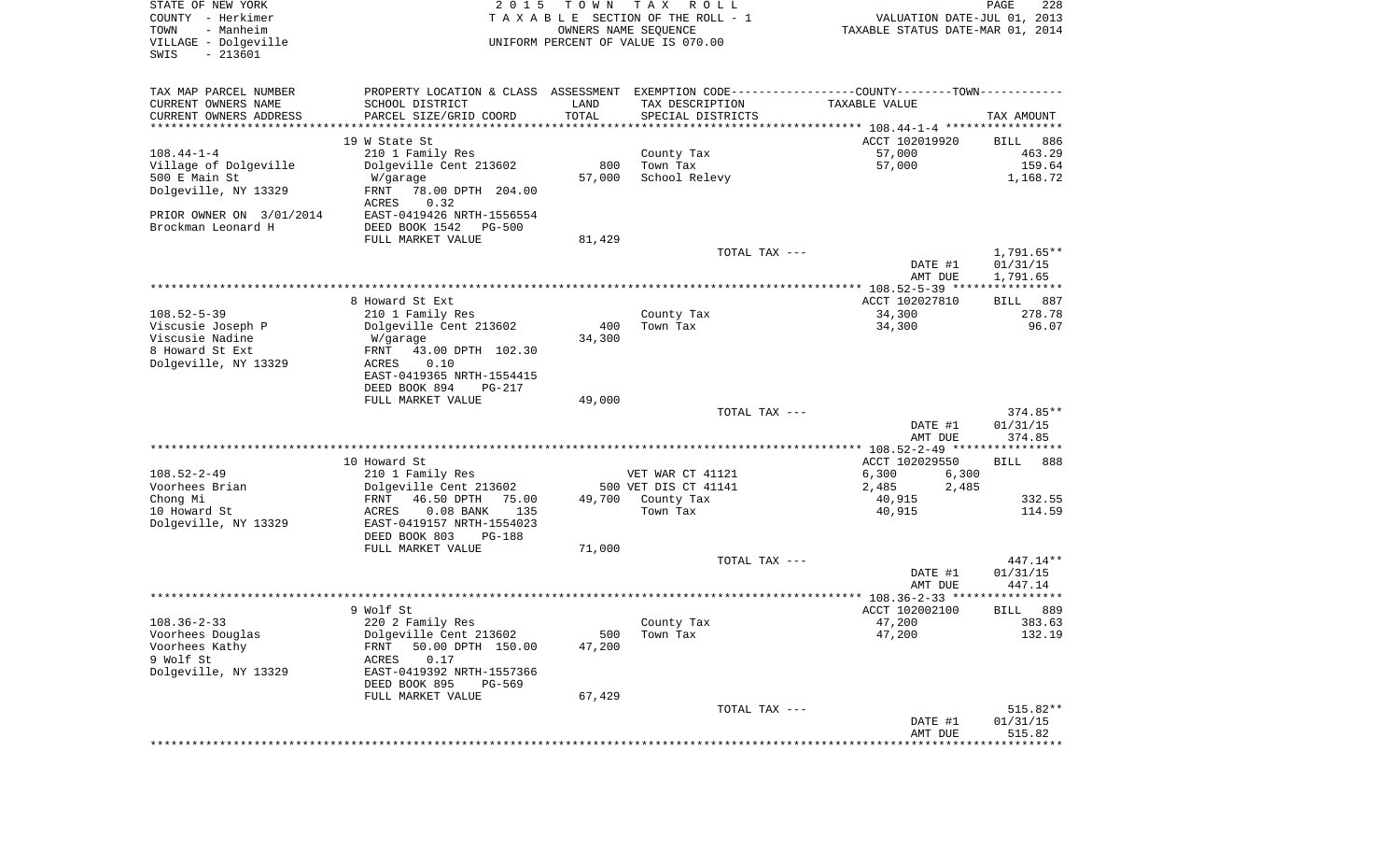| STATE OF NEW YORK<br>COUNTY - Herkimer<br>- Manheim<br>TOWN<br>VILLAGE - Dolgeville<br>$-213601$<br>SWIS | 2 0 1 5                                                     | T O W N                        | T A X<br>R O L L<br>TAXABLE SECTION OF THE ROLL - 1<br>OWNERS NAME SEQUENCE<br>UNIFORM PERCENT OF VALUE IS 070.00 | VALUATION DATE-JUL 01, 2013<br>TAXABLE STATUS DATE-MAR 01, 2014 | PAGE<br>228          |
|----------------------------------------------------------------------------------------------------------|-------------------------------------------------------------|--------------------------------|-------------------------------------------------------------------------------------------------------------------|-----------------------------------------------------------------|----------------------|
| TAX MAP PARCEL NUMBER                                                                                    |                                                             |                                | PROPERTY LOCATION & CLASS ASSESSMENT EXEMPTION CODE---------------COUNTY-------TOWN----------                     |                                                                 |                      |
| CURRENT OWNERS NAME                                                                                      | SCHOOL DISTRICT                                             | LAND                           | TAX DESCRIPTION                                                                                                   | TAXABLE VALUE                                                   |                      |
| CURRENT OWNERS ADDRESS                                                                                   | PARCEL SIZE/GRID COORD                                      | TOTAL<br>* * * * * * * * * * * | SPECIAL DISTRICTS                                                                                                 |                                                                 | TAX AMOUNT           |
| *********************                                                                                    | 19 W State St                                               |                                |                                                                                                                   |                                                                 | 886                  |
| $108.44 - 1 - 4$                                                                                         | 210 1 Family Res                                            |                                | County Tax                                                                                                        | ACCT 102019920<br>57,000                                        | BILL<br>463.29       |
| Village of Dolgeville                                                                                    | Dolgeville Cent 213602                                      | 800                            | Town Tax                                                                                                          | 57,000                                                          | 159.64               |
| 500 E Main St                                                                                            | W/garage                                                    | 57,000                         | School Relevy                                                                                                     |                                                                 | 1,168.72             |
| Dolgeville, NY 13329                                                                                     | FRNT<br>78.00 DPTH 204.00<br>0.32<br>ACRES                  |                                |                                                                                                                   |                                                                 |                      |
| PRIOR OWNER ON 3/01/2014                                                                                 | EAST-0419426 NRTH-1556554                                   |                                |                                                                                                                   |                                                                 |                      |
| Brockman Leonard H                                                                                       | DEED BOOK 1542<br><b>PG-500</b>                             |                                |                                                                                                                   |                                                                 |                      |
|                                                                                                          | FULL MARKET VALUE                                           | 81,429                         |                                                                                                                   |                                                                 |                      |
|                                                                                                          |                                                             |                                | TOTAL TAX ---                                                                                                     |                                                                 | $1,791.65**$         |
|                                                                                                          |                                                             |                                |                                                                                                                   | DATE #1<br>AMT DUE                                              | 01/31/15<br>1,791.65 |
|                                                                                                          |                                                             |                                |                                                                                                                   |                                                                 |                      |
|                                                                                                          | 8 Howard St Ext                                             |                                |                                                                                                                   | ACCT 102027810                                                  | 887<br>BILL          |
| $108.52 - 5 - 39$                                                                                        | 210 1 Family Res                                            |                                | County Tax                                                                                                        | 34,300                                                          | 278.78               |
| Viscusie Joseph P                                                                                        | Dolgeville Cent 213602                                      | 400                            | Town Tax                                                                                                          | 34,300                                                          | 96.07                |
| Viscusie Nadine                                                                                          | W/garage                                                    | 34,300                         |                                                                                                                   |                                                                 |                      |
| 8 Howard St Ext                                                                                          | 43.00 DPTH 102.30<br>FRNT                                   |                                |                                                                                                                   |                                                                 |                      |
| Dolgeville, NY 13329                                                                                     | ACRES<br>0.10                                               |                                |                                                                                                                   |                                                                 |                      |
|                                                                                                          | EAST-0419365 NRTH-1554415<br>DEED BOOK 894<br><b>PG-217</b> |                                |                                                                                                                   |                                                                 |                      |
|                                                                                                          | FULL MARKET VALUE                                           | 49,000                         |                                                                                                                   |                                                                 |                      |
|                                                                                                          |                                                             |                                | TOTAL TAX ---                                                                                                     |                                                                 | 374.85**             |
|                                                                                                          |                                                             |                                |                                                                                                                   | DATE #1                                                         | 01/31/15             |
|                                                                                                          |                                                             |                                |                                                                                                                   | AMT DUE                                                         | 374.85               |
|                                                                                                          |                                                             |                                |                                                                                                                   | ************* 108.52-2-49 ***********                           |                      |
| $108.52 - 2 - 49$                                                                                        | 10 Howard St<br>210 1 Family Res                            |                                | VET WAR CT 41121                                                                                                  | ACCT 102029550<br>6,300<br>6,300                                | <b>BILL</b><br>888   |
| Voorhees Brian                                                                                           | Dolgeville Cent 213602                                      |                                | 500 VET DIS CT 41141                                                                                              | 2,485<br>2,485                                                  |                      |
| Chong Mi                                                                                                 | FRNT<br>46.50 DPTH<br>75.00                                 | 49,700                         | County Tax                                                                                                        | 40,915                                                          | 332.55               |
| 10 Howard St                                                                                             | ACRES<br>$0.08$ BANK<br>135                                 |                                | Town Tax                                                                                                          | 40,915                                                          | 114.59               |
| Dolgeville, NY 13329                                                                                     | EAST-0419157 NRTH-1554023                                   |                                |                                                                                                                   |                                                                 |                      |
|                                                                                                          | DEED BOOK 803<br>PG-188                                     |                                |                                                                                                                   |                                                                 |                      |
|                                                                                                          | FULL MARKET VALUE                                           | 71,000                         | TOTAL TAX ---                                                                                                     |                                                                 | $447.14**$           |
|                                                                                                          |                                                             |                                |                                                                                                                   | DATE #1                                                         | 01/31/15             |
|                                                                                                          |                                                             |                                |                                                                                                                   | AMT DUE                                                         | 447.14               |
|                                                                                                          |                                                             |                                |                                                                                                                   |                                                                 | * * * * * *          |
|                                                                                                          | 9 Wolf St                                                   |                                |                                                                                                                   | ACCT 102002100                                                  | 889<br>BILL          |
| $108.36 - 2 - 33$                                                                                        | 220 2 Family Res                                            |                                | County Tax                                                                                                        | 47,200                                                          | 383.63               |
| Voorhees Douglas                                                                                         | Dolgeville Cent 213602                                      | 500                            | Town Tax                                                                                                          | 47,200                                                          | 132.19               |
| Voorhees Kathy                                                                                           | 50.00 DPTH 150.00<br>FRNT                                   | 47,200                         |                                                                                                                   |                                                                 |                      |
| 9 Wolf St<br>Dolgeville, NY 13329                                                                        | 0.17<br>ACRES<br>EAST-0419392 NRTH-1557366                  |                                |                                                                                                                   |                                                                 |                      |
|                                                                                                          | DEED BOOK 895<br>PG-569                                     |                                |                                                                                                                   |                                                                 |                      |
|                                                                                                          | FULL MARKET VALUE                                           | 67,429                         |                                                                                                                   |                                                                 |                      |
|                                                                                                          |                                                             |                                | TOTAL TAX ---                                                                                                     |                                                                 | 515.82**             |
|                                                                                                          |                                                             |                                |                                                                                                                   | DATE #1                                                         | 01/31/15             |
|                                                                                                          |                                                             |                                |                                                                                                                   | AMT DUE                                                         | 515.82               |
|                                                                                                          |                                                             |                                |                                                                                                                   | ****************************                                    |                      |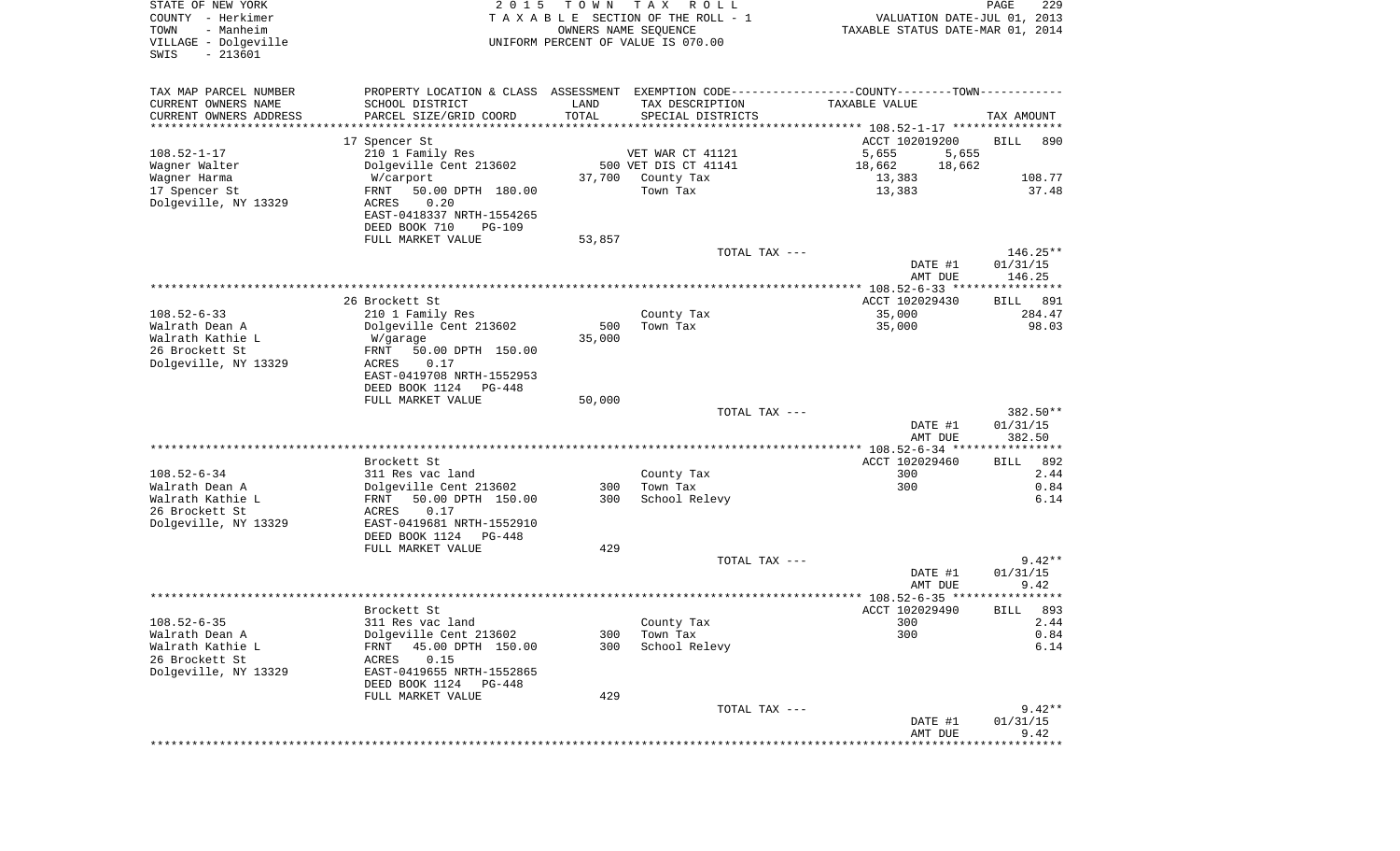| STATE OF NEW YORK<br>COUNTY - Herkimer<br>TOWN<br>- Manheim<br>VILLAGE - Dolgeville<br>$-213601$<br>SWIS | 2 0 1 5                                                                                       | T O W N | T A X<br>R O L L<br>TAXABLE SECTION OF THE ROLL - 1<br>OWNERS NAME SEQUENCE<br>UNIFORM PERCENT OF VALUE IS 070.00 | VALUATION DATE-JUL 01, 2013<br>TAXABLE STATUS DATE-MAR 01, 2014 | $\mathop{\mathtt{PAGE}}$<br>229 |
|----------------------------------------------------------------------------------------------------------|-----------------------------------------------------------------------------------------------|---------|-------------------------------------------------------------------------------------------------------------------|-----------------------------------------------------------------|---------------------------------|
| TAX MAP PARCEL NUMBER                                                                                    | PROPERTY LOCATION & CLASS ASSESSMENT EXEMPTION CODE---------------COUNTY-------TOWN---------- |         |                                                                                                                   |                                                                 |                                 |
| CURRENT OWNERS NAME                                                                                      | SCHOOL DISTRICT                                                                               | LAND    | TAX DESCRIPTION                                                                                                   | TAXABLE VALUE                                                   |                                 |
| CURRENT OWNERS ADDRESS<br>*******************                                                            | PARCEL SIZE/GRID COORD                                                                        | TOTAL   | SPECIAL DISTRICTS                                                                                                 |                                                                 | TAX AMOUNT                      |
|                                                                                                          | 17 Spencer St                                                                                 |         |                                                                                                                   | ACCT 102019200                                                  | <b>BILL</b><br>890              |
| $108.52 - 1 - 17$                                                                                        | 210 1 Family Res                                                                              |         | VET WAR CT 41121                                                                                                  | 5,655<br>5,655                                                  |                                 |
| Wagner Walter                                                                                            | Dolgeville Cent 213602                                                                        |         | 500 VET DIS CT 41141                                                                                              | 18,662<br>18,662                                                |                                 |
| Wagner Harma                                                                                             | W/carport                                                                                     | 37,700  | County Tax                                                                                                        | 13,383                                                          | 108.77                          |
| 17 Spencer St                                                                                            | FRNT<br>50.00 DPTH 180.00                                                                     |         | Town Tax                                                                                                          | 13,383                                                          | 37.48                           |
| Dolgeville, NY 13329                                                                                     | 0.20<br>ACRES                                                                                 |         |                                                                                                                   |                                                                 |                                 |
|                                                                                                          | EAST-0418337 NRTH-1554265                                                                     |         |                                                                                                                   |                                                                 |                                 |
|                                                                                                          | DEED BOOK 710<br><b>PG-109</b>                                                                |         |                                                                                                                   |                                                                 |                                 |
|                                                                                                          | FULL MARKET VALUE                                                                             | 53,857  | TOTAL TAX ---                                                                                                     |                                                                 | $146.25**$                      |
|                                                                                                          |                                                                                               |         |                                                                                                                   | DATE #1                                                         | 01/31/15                        |
|                                                                                                          |                                                                                               |         |                                                                                                                   | AMT DUE                                                         | 146.25                          |
|                                                                                                          |                                                                                               |         |                                                                                                                   |                                                                 |                                 |
|                                                                                                          | 26 Brockett St                                                                                |         |                                                                                                                   | ACCT 102029430                                                  | 891<br>BILL                     |
| $108.52 - 6 - 33$<br>Walrath Dean A                                                                      | 210 1 Family Res                                                                              | 500     | County Tax<br>Town Tax                                                                                            | 35,000                                                          | 284.47<br>98.03                 |
| Walrath Kathie L                                                                                         | Dolgeville Cent 213602<br>W/garage                                                            | 35,000  |                                                                                                                   | 35,000                                                          |                                 |
| 26 Brockett St                                                                                           | 50.00 DPTH 150.00<br>FRNT                                                                     |         |                                                                                                                   |                                                                 |                                 |
| Dolgeville, NY 13329                                                                                     | ACRES<br>0.17                                                                                 |         |                                                                                                                   |                                                                 |                                 |
|                                                                                                          | EAST-0419708 NRTH-1552953                                                                     |         |                                                                                                                   |                                                                 |                                 |
|                                                                                                          | DEED BOOK 1124<br>PG-448                                                                      |         |                                                                                                                   |                                                                 |                                 |
|                                                                                                          | FULL MARKET VALUE                                                                             | 50,000  |                                                                                                                   |                                                                 |                                 |
|                                                                                                          |                                                                                               |         | TOTAL TAX ---                                                                                                     | DATE #1                                                         | 382.50**<br>01/31/15            |
|                                                                                                          |                                                                                               |         |                                                                                                                   | AMT DUE                                                         | 382.50                          |
|                                                                                                          |                                                                                               |         | *********************************                                                                                 | **************** 108.52-6-34 *****************                  |                                 |
|                                                                                                          | Brockett St                                                                                   |         |                                                                                                                   | ACCT 102029460                                                  | 892<br>BILL                     |
| $108.52 - 6 - 34$                                                                                        | 311 Res vac land                                                                              |         | County Tax                                                                                                        | 300                                                             | 2.44                            |
| Walrath Dean A                                                                                           | Dolgeville Cent 213602                                                                        | 300     | Town Tax                                                                                                          | 300                                                             | 0.84                            |
| Walrath Kathie L<br>26 Brockett St                                                                       | FRNT<br>50.00 DPTH 150.00<br><b>ACRES</b><br>0.17                                             | 300     | School Relevy                                                                                                     |                                                                 | 6.14                            |
| Dolgeville, NY 13329                                                                                     | EAST-0419681 NRTH-1552910                                                                     |         |                                                                                                                   |                                                                 |                                 |
|                                                                                                          | DEED BOOK 1124<br>PG-448                                                                      |         |                                                                                                                   |                                                                 |                                 |
|                                                                                                          | FULL MARKET VALUE                                                                             | 429     |                                                                                                                   |                                                                 |                                 |
|                                                                                                          |                                                                                               |         | TOTAL TAX ---                                                                                                     |                                                                 | $9.42**$                        |
|                                                                                                          |                                                                                               |         |                                                                                                                   | DATE #1                                                         | 01/31/15                        |
|                                                                                                          |                                                                                               |         |                                                                                                                   | AMT DUE<br>****************** 108.52-6-35 *********             | 9.42<br>******                  |
|                                                                                                          | Brockett St                                                                                   |         |                                                                                                                   | ACCT 102029490                                                  | 893<br>BILL                     |
| $108.52 - 6 - 35$                                                                                        | 311 Res vac land                                                                              |         | County Tax                                                                                                        | 300                                                             | 2.44                            |
| Walrath Dean A                                                                                           | Dolgeville Cent 213602                                                                        | 300     | Town Tax                                                                                                          | 300                                                             | 0.84                            |
| Walrath Kathie L                                                                                         | 45.00 DPTH 150.00<br>FRNT                                                                     | 300     | School Relevy                                                                                                     |                                                                 | 6.14                            |
| 26 Brockett St                                                                                           | 0.15<br>ACRES                                                                                 |         |                                                                                                                   |                                                                 |                                 |
| Dolgeville, NY 13329                                                                                     | EAST-0419655 NRTH-1552865                                                                     |         |                                                                                                                   |                                                                 |                                 |
|                                                                                                          | DEED BOOK 1124 PG-448<br>FULL MARKET VALUE                                                    | 429     |                                                                                                                   |                                                                 |                                 |
|                                                                                                          |                                                                                               |         | TOTAL TAX ---                                                                                                     |                                                                 | $9.42**$                        |
|                                                                                                          |                                                                                               |         |                                                                                                                   | DATE #1                                                         | 01/31/15                        |
|                                                                                                          |                                                                                               |         |                                                                                                                   | AMT DUE                                                         | 9.42                            |
|                                                                                                          |                                                                                               |         |                                                                                                                   |                                                                 | **********                      |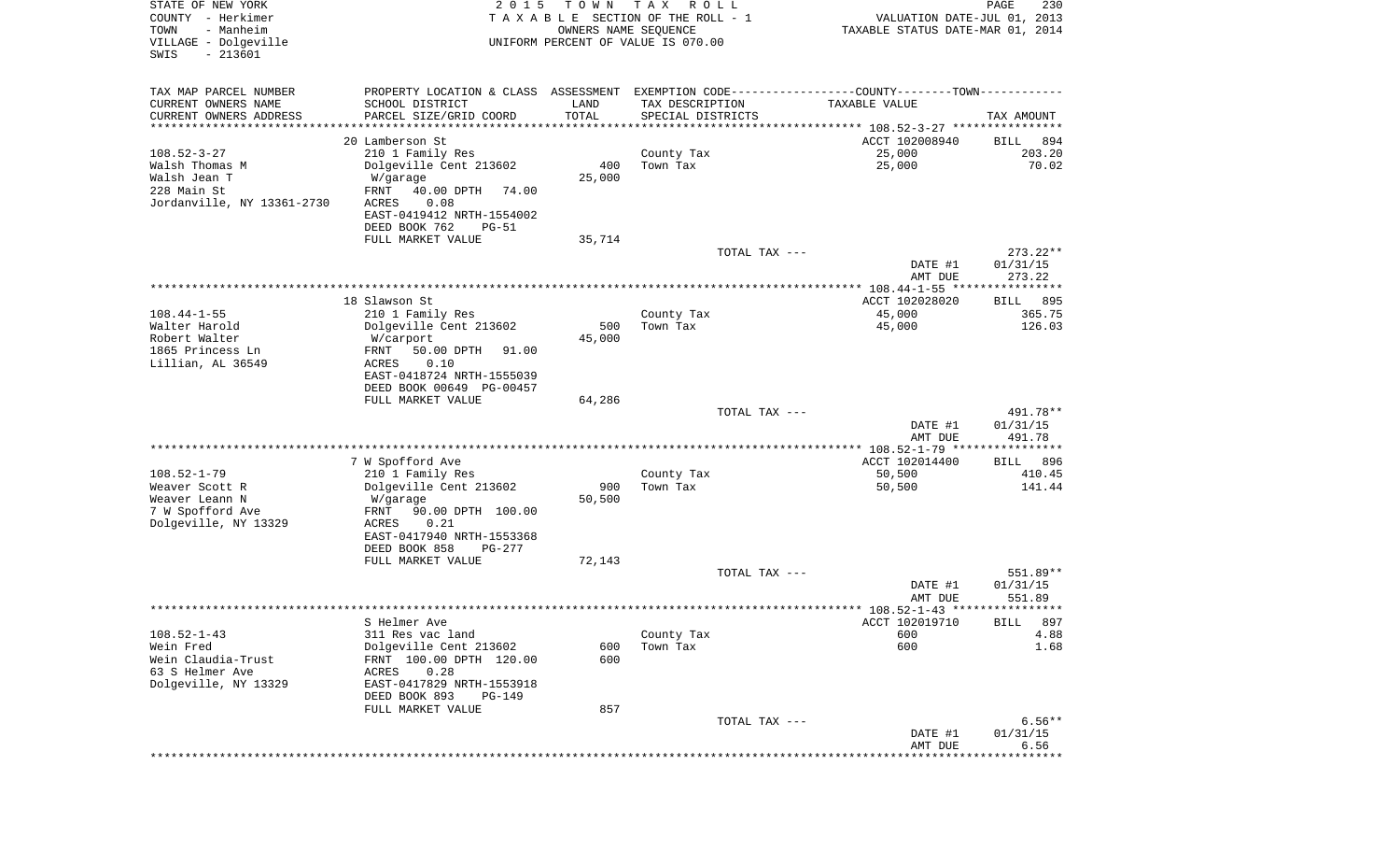| STATE OF NEW YORK<br>COUNTY - Herkimer<br>- Manheim<br>TOWN<br>VILLAGE - Dolgeville<br>$-213601$<br>SWIS | 2 0 1 5                                                                                       | T O W N<br>OWNERS NAME SEQUENCE | T A X<br>R O L L<br>TAXABLE SECTION OF THE ROLL - 1<br>UNIFORM PERCENT OF VALUE IS 070.00 | VALUATION DATE-JUL 01, 2013<br>TAXABLE STATUS DATE-MAR 01, 2014 | PAGE<br>230           |
|----------------------------------------------------------------------------------------------------------|-----------------------------------------------------------------------------------------------|---------------------------------|-------------------------------------------------------------------------------------------|-----------------------------------------------------------------|-----------------------|
|                                                                                                          |                                                                                               |                                 |                                                                                           |                                                                 |                       |
| TAX MAP PARCEL NUMBER                                                                                    | PROPERTY LOCATION & CLASS ASSESSMENT EXEMPTION CODE---------------COUNTY-------TOWN---------- |                                 |                                                                                           |                                                                 |                       |
| CURRENT OWNERS NAME                                                                                      | SCHOOL DISTRICT                                                                               | LAND                            | TAX DESCRIPTION                                                                           | TAXABLE VALUE                                                   |                       |
| CURRENT OWNERS ADDRESS<br>*********************                                                          | PARCEL SIZE/GRID COORD                                                                        | TOTAL<br>* * * * * * * * * * *  | SPECIAL DISTRICTS                                                                         | ********************************* 108.52-3-27 ****************  | TAX AMOUNT            |
|                                                                                                          | 20 Lamberson St                                                                               |                                 |                                                                                           | ACCT 102008940                                                  | 894<br>BILL           |
| $108.52 - 3 - 27$                                                                                        | 210 1 Family Res                                                                              |                                 | County Tax                                                                                | 25,000                                                          | 203.20                |
| Walsh Thomas M                                                                                           | Dolgeville Cent 213602                                                                        | 400                             | Town Tax                                                                                  | 25,000                                                          | 70.02                 |
| Walsh Jean T                                                                                             | W/garage                                                                                      | 25,000                          |                                                                                           |                                                                 |                       |
| 228 Main St                                                                                              | FRNT<br>40.00 DPTH<br>74.00                                                                   |                                 |                                                                                           |                                                                 |                       |
| Jordanville, NY 13361-2730                                                                               | 0.08<br>ACRES                                                                                 |                                 |                                                                                           |                                                                 |                       |
|                                                                                                          | EAST-0419412 NRTH-1554002                                                                     |                                 |                                                                                           |                                                                 |                       |
|                                                                                                          | DEED BOOK 762<br>$PG-51$                                                                      |                                 |                                                                                           |                                                                 |                       |
|                                                                                                          | FULL MARKET VALUE                                                                             | 35,714                          | TOTAL TAX ---                                                                             |                                                                 | 273.22**              |
|                                                                                                          |                                                                                               |                                 |                                                                                           | DATE #1                                                         | 01/31/15              |
|                                                                                                          |                                                                                               |                                 |                                                                                           | AMT DUE                                                         | 273.22                |
|                                                                                                          |                                                                                               |                                 |                                                                                           | ***************** 108.44-1-55 *****************                 |                       |
|                                                                                                          | 18 Slawson St                                                                                 |                                 |                                                                                           | ACCT 102028020                                                  | 895<br>BILL           |
| $108.44 - 1 - 55$                                                                                        | 210 1 Family Res                                                                              |                                 | County Tax                                                                                | 45,000                                                          | 365.75                |
| Walter Harold                                                                                            | Dolgeville Cent 213602                                                                        | 500                             | Town Tax                                                                                  | 45,000                                                          | 126.03                |
| Robert Walter<br>1865 Princess Ln                                                                        | W/carport                                                                                     | 45,000                          |                                                                                           |                                                                 |                       |
| Lillian, AL 36549                                                                                        | FRNT<br>50.00 DPTH<br>91.00<br>ACRES<br>0.10                                                  |                                 |                                                                                           |                                                                 |                       |
|                                                                                                          | EAST-0418724 NRTH-1555039                                                                     |                                 |                                                                                           |                                                                 |                       |
|                                                                                                          | DEED BOOK 00649 PG-00457                                                                      |                                 |                                                                                           |                                                                 |                       |
|                                                                                                          | FULL MARKET VALUE                                                                             | 64,286                          |                                                                                           |                                                                 |                       |
|                                                                                                          |                                                                                               |                                 | TOTAL TAX ---                                                                             |                                                                 | 491.78**              |
|                                                                                                          |                                                                                               |                                 |                                                                                           | DATE #1                                                         | 01/31/15              |
|                                                                                                          |                                                                                               |                                 |                                                                                           | AMT DUE                                                         | 491.78                |
|                                                                                                          |                                                                                               |                                 |                                                                                           | ************** 108.52-1-79 *****************<br>ACCT 102014400  |                       |
| $108.52 - 1 - 79$                                                                                        | 7 W Spofford Ave<br>210 1 Family Res                                                          |                                 | County Tax                                                                                | 50,500                                                          | 896<br>BILL<br>410.45 |
| Weaver Scott R                                                                                           | Dolgeville Cent 213602                                                                        | 900                             | Town Tax                                                                                  | 50,500                                                          | 141.44                |
| Weaver Leann N                                                                                           | W/garage                                                                                      | 50,500                          |                                                                                           |                                                                 |                       |
| 7 W Spofford Ave                                                                                         | FRNT<br>90.00 DPTH 100.00                                                                     |                                 |                                                                                           |                                                                 |                       |
| Dolgeville, NY 13329                                                                                     | ACRES<br>0.21                                                                                 |                                 |                                                                                           |                                                                 |                       |
|                                                                                                          | EAST-0417940 NRTH-1553368                                                                     |                                 |                                                                                           |                                                                 |                       |
|                                                                                                          | DEED BOOK 858<br>PG-277                                                                       |                                 |                                                                                           |                                                                 |                       |
|                                                                                                          | FULL MARKET VALUE                                                                             | 72,143                          | TOTAL TAX ---                                                                             |                                                                 | 551.89**              |
|                                                                                                          |                                                                                               |                                 |                                                                                           | DATE #1                                                         | 01/31/15              |
|                                                                                                          |                                                                                               |                                 |                                                                                           | AMT DUE                                                         | 551.89                |
|                                                                                                          |                                                                                               |                                 |                                                                                           |                                                                 |                       |
|                                                                                                          | S Helmer Ave                                                                                  |                                 |                                                                                           | ACCT 102019710                                                  | BILL 897              |
| $108.52 - 1 - 43$                                                                                        | 311 Res vac land                                                                              |                                 | County Tax                                                                                | 600                                                             | 4.88                  |
| Wein Fred                                                                                                | Dolgeville Cent 213602                                                                        | 600                             | Town Tax                                                                                  | 600                                                             | 1.68                  |
| Wein Claudia-Trust                                                                                       | FRNT 100.00 DPTH 120.00                                                                       | 600                             |                                                                                           |                                                                 |                       |
| 63 S Helmer Ave<br>Dolgeville, NY 13329                                                                  | 0.28<br>ACRES                                                                                 |                                 |                                                                                           |                                                                 |                       |
|                                                                                                          | EAST-0417829 NRTH-1553918<br>DEED BOOK 893<br>PG-149                                          |                                 |                                                                                           |                                                                 |                       |
|                                                                                                          | FULL MARKET VALUE                                                                             | 857                             |                                                                                           |                                                                 |                       |
|                                                                                                          |                                                                                               |                                 | TOTAL TAX ---                                                                             |                                                                 | $6.56**$              |
|                                                                                                          |                                                                                               |                                 |                                                                                           | DATE #1                                                         | 01/31/15              |
|                                                                                                          |                                                                                               |                                 |                                                                                           | AMT DUE                                                         | 6.56                  |
|                                                                                                          |                                                                                               |                                 |                                                                                           |                                                                 | * * * * * * * * * *   |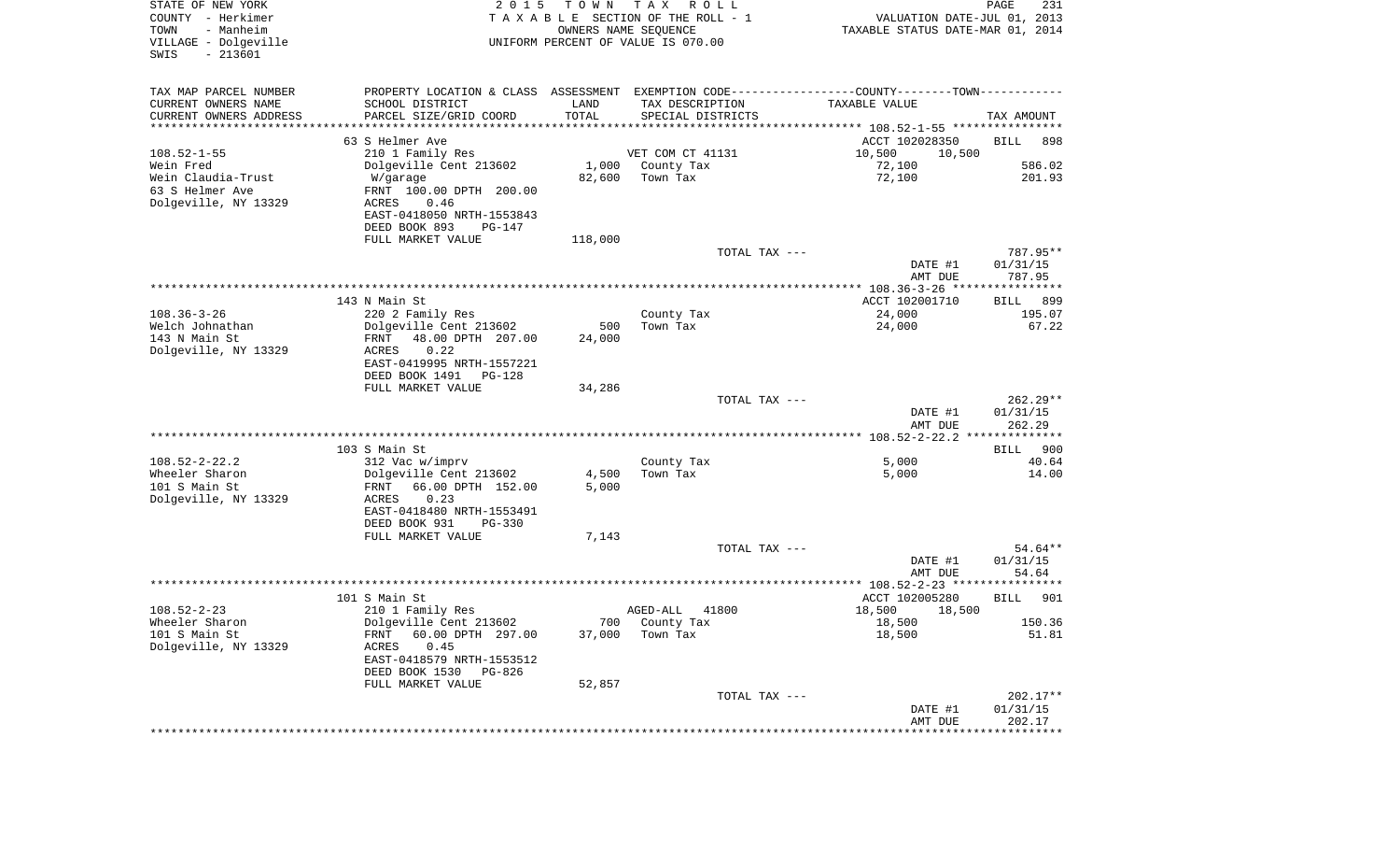| STATE OF NEW YORK<br>COUNTY - Herkimer<br>TOWN<br>- Manheim<br>VILLAGE - Dolgeville<br>$-213601$<br>SWIS | 2 0 1 5                                                                                       | T O W N | T A X<br>R O L L<br>TAXABLE SECTION OF THE ROLL - 1<br>OWNERS NAME SEQUENCE<br>UNIFORM PERCENT OF VALUE IS 070.00 | VALUATION DATE-JUL 01, 2013<br>TAXABLE STATUS DATE-MAR 01, 2014 | PAGE<br>231          |
|----------------------------------------------------------------------------------------------------------|-----------------------------------------------------------------------------------------------|---------|-------------------------------------------------------------------------------------------------------------------|-----------------------------------------------------------------|----------------------|
| TAX MAP PARCEL NUMBER                                                                                    | PROPERTY LOCATION & CLASS ASSESSMENT EXEMPTION CODE---------------COUNTY-------TOWN---------- |         |                                                                                                                   |                                                                 |                      |
| CURRENT OWNERS NAME                                                                                      | SCHOOL DISTRICT                                                                               | LAND    | TAX DESCRIPTION                                                                                                   | TAXABLE VALUE                                                   |                      |
| CURRENT OWNERS ADDRESS<br>**********************                                                         | PARCEL SIZE/GRID COORD                                                                        | TOTAL   | SPECIAL DISTRICTS                                                                                                 |                                                                 | TAX AMOUNT           |
|                                                                                                          | 63 S Helmer Ave                                                                               |         |                                                                                                                   | ACCT 102028350                                                  | BILL<br>898          |
| $108.52 - 1 - 55$                                                                                        | 210 1 Family Res                                                                              |         | VET COM CT 41131                                                                                                  | 10,500<br>10,500                                                |                      |
| Wein Fred                                                                                                | Dolgeville Cent 213602                                                                        | 1,000   | County Tax                                                                                                        | 72,100                                                          | 586.02               |
| Wein Claudia-Trust                                                                                       | W/garage                                                                                      | 82,600  | Town Tax                                                                                                          | 72,100                                                          | 201.93               |
| 63 S Helmer Ave                                                                                          | FRNT 100.00 DPTH 200.00                                                                       |         |                                                                                                                   |                                                                 |                      |
| Dolgeville, NY 13329                                                                                     | ACRES<br>0.46                                                                                 |         |                                                                                                                   |                                                                 |                      |
|                                                                                                          | EAST-0418050 NRTH-1553843                                                                     |         |                                                                                                                   |                                                                 |                      |
|                                                                                                          | DEED BOOK 893<br>PG-147                                                                       |         |                                                                                                                   |                                                                 |                      |
|                                                                                                          | FULL MARKET VALUE                                                                             | 118,000 |                                                                                                                   |                                                                 |                      |
|                                                                                                          |                                                                                               |         | TOTAL TAX ---                                                                                                     | DATE #1                                                         | 787.95**<br>01/31/15 |
|                                                                                                          |                                                                                               |         |                                                                                                                   | AMT DUE                                                         | 787.95               |
|                                                                                                          |                                                                                               |         |                                                                                                                   |                                                                 |                      |
|                                                                                                          | 143 N Main St                                                                                 |         |                                                                                                                   | ACCT 102001710                                                  | BILL<br>899          |
| $108.36 - 3 - 26$                                                                                        | 220 2 Family Res                                                                              |         | County Tax                                                                                                        | 24,000                                                          | 195.07               |
| Welch Johnathan                                                                                          | Dolgeville Cent 213602                                                                        | 500     | Town Tax                                                                                                          | 24,000                                                          | 67.22                |
| 143 N Main St<br>Dolgeville, NY 13329                                                                    | FRNT<br>48.00 DPTH 207.00<br>ACRES<br>0.22                                                    | 24,000  |                                                                                                                   |                                                                 |                      |
|                                                                                                          | EAST-0419995 NRTH-1557221                                                                     |         |                                                                                                                   |                                                                 |                      |
|                                                                                                          | DEED BOOK 1491<br>PG-128                                                                      |         |                                                                                                                   |                                                                 |                      |
|                                                                                                          | FULL MARKET VALUE                                                                             | 34,286  |                                                                                                                   |                                                                 |                      |
|                                                                                                          |                                                                                               |         | TOTAL TAX ---                                                                                                     |                                                                 | $262.29**$           |
|                                                                                                          |                                                                                               |         |                                                                                                                   | DATE #1                                                         | 01/31/15             |
|                                                                                                          |                                                                                               |         |                                                                                                                   | AMT DUE                                                         | 262.29               |
|                                                                                                          | 103 S Main St                                                                                 |         |                                                                                                                   |                                                                 | 900<br>BILL          |
| $108.52 - 2 - 22.2$                                                                                      | 312 Vac w/imprv                                                                               |         | County Tax                                                                                                        | 5,000                                                           | 40.64                |
| Wheeler Sharon                                                                                           | Dolgeville Cent 213602                                                                        | 4,500   | Town Tax                                                                                                          | 5,000                                                           | 14.00                |
| 101 S Main St                                                                                            | 66.00 DPTH 152.00<br>FRNT                                                                     | 5,000   |                                                                                                                   |                                                                 |                      |
| Dolgeville, NY 13329                                                                                     | ACRES<br>0.23                                                                                 |         |                                                                                                                   |                                                                 |                      |
|                                                                                                          | EAST-0418480 NRTH-1553491                                                                     |         |                                                                                                                   |                                                                 |                      |
|                                                                                                          | DEED BOOK 931<br>$PG-330$                                                                     |         |                                                                                                                   |                                                                 |                      |
|                                                                                                          | FULL MARKET VALUE                                                                             | 7,143   | TOTAL TAX ---                                                                                                     |                                                                 | 54.64**              |
|                                                                                                          |                                                                                               |         |                                                                                                                   | DATE #1                                                         | 01/31/15             |
|                                                                                                          |                                                                                               |         |                                                                                                                   | AMT DUE                                                         | 54.64                |
|                                                                                                          |                                                                                               |         |                                                                                                                   |                                                                 |                      |
|                                                                                                          | 101 S Main St                                                                                 |         |                                                                                                                   | ACCT 102005280                                                  | 901<br>BILL          |
| $108.52 - 2 - 23$                                                                                        | 210 1 Family Res                                                                              |         | 41800<br>AGED-ALL                                                                                                 | 18,500<br>18,500                                                |                      |
| Wheeler Sharon<br>101 S Main St                                                                          | Dolgeville Cent 213602<br>60.00 DPTH 297.00<br>FRNT                                           | 37,000  | 700 County Tax<br>Town Tax                                                                                        | 18,500<br>18,500                                                | 150.36<br>51.81      |
| Dolgeville, NY 13329                                                                                     | ACRES<br>0.45                                                                                 |         |                                                                                                                   |                                                                 |                      |
|                                                                                                          | EAST-0418579 NRTH-1553512                                                                     |         |                                                                                                                   |                                                                 |                      |
|                                                                                                          | DEED BOOK 1530 PG-826                                                                         |         |                                                                                                                   |                                                                 |                      |
|                                                                                                          | FULL MARKET VALUE                                                                             | 52,857  |                                                                                                                   |                                                                 |                      |
|                                                                                                          |                                                                                               |         | TOTAL TAX ---                                                                                                     |                                                                 | $202.17**$           |
|                                                                                                          |                                                                                               |         |                                                                                                                   | DATE #1                                                         | 01/31/15             |
|                                                                                                          |                                                                                               |         |                                                                                                                   | AMT DUE                                                         | 202.17               |
|                                                                                                          |                                                                                               |         |                                                                                                                   |                                                                 |                      |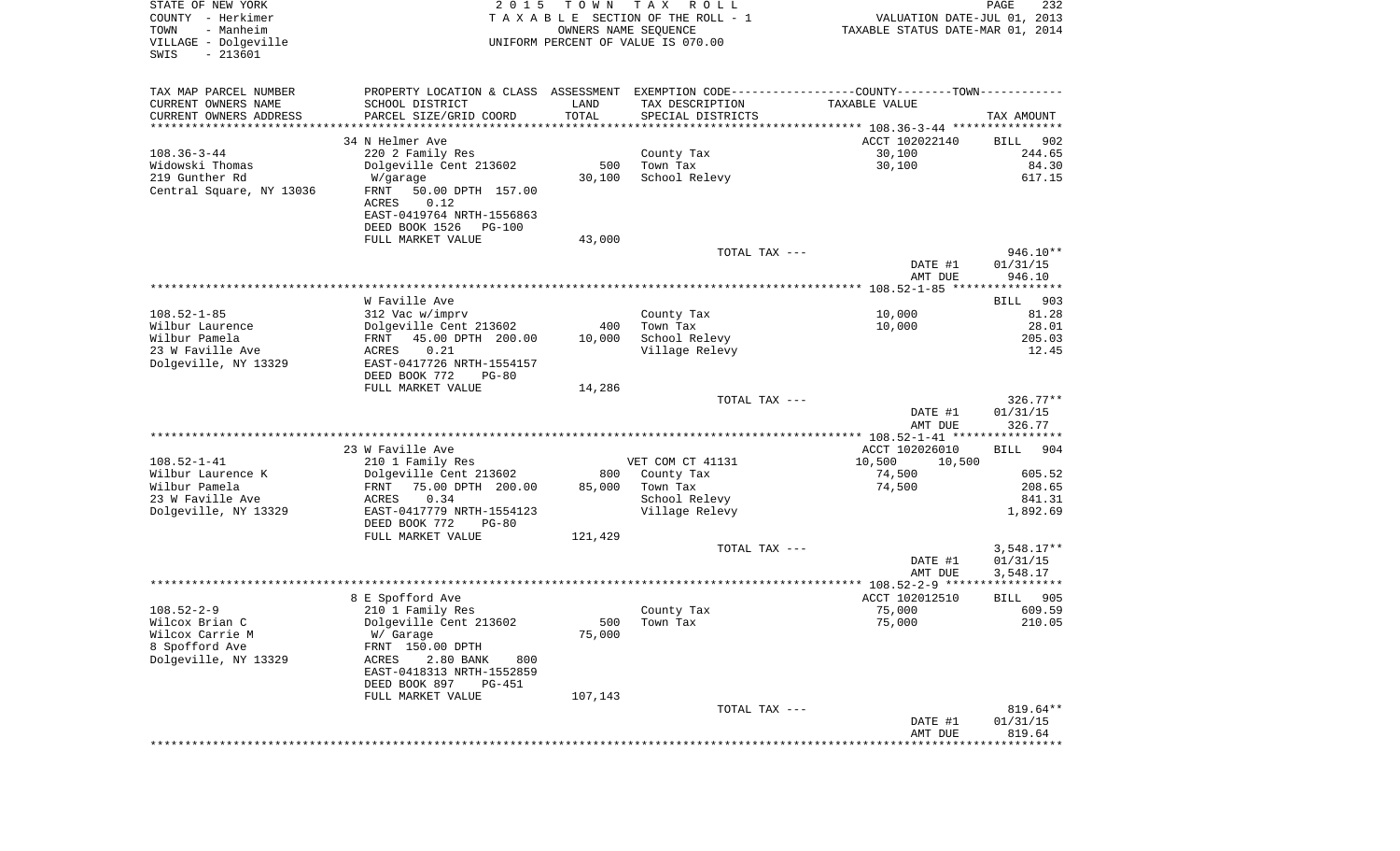| STATE OF NEW YORK<br>COUNTY - Herkimer<br>- Manheim<br>TOWN<br>VILLAGE - Dolgeville<br>$-213601$<br>SWIS | 2 0 1 5                                               | T O W N<br>OWNERS NAME SEQUENCE | T A X<br>R O L L<br>TAXABLE SECTION OF THE ROLL - 1<br>UNIFORM PERCENT OF VALUE IS 070.00     | VALUATION DATE-JUL 01, 2013<br>TAXABLE STATUS DATE-MAR 01, 2014 | PAGE<br>232           |
|----------------------------------------------------------------------------------------------------------|-------------------------------------------------------|---------------------------------|-----------------------------------------------------------------------------------------------|-----------------------------------------------------------------|-----------------------|
| TAX MAP PARCEL NUMBER                                                                                    |                                                       |                                 | PROPERTY LOCATION & CLASS ASSESSMENT EXEMPTION CODE---------------COUNTY-------TOWN---------- |                                                                 |                       |
| CURRENT OWNERS NAME                                                                                      | SCHOOL DISTRICT                                       | LAND                            | TAX DESCRIPTION                                                                               | TAXABLE VALUE                                                   |                       |
| CURRENT OWNERS ADDRESS                                                                                   | PARCEL SIZE/GRID COORD                                | TOTAL                           | SPECIAL DISTRICTS                                                                             |                                                                 | TAX AMOUNT            |
| *********************                                                                                    | *************************                             | ***********                     |                                                                                               |                                                                 |                       |
|                                                                                                          | 34 N Helmer Ave                                       |                                 |                                                                                               | ACCT 102022140                                                  | BILL<br>902<br>244.65 |
| $108.36 - 3 - 44$<br>Widowski Thomas                                                                     | 220 2 Family Res<br>Dolgeville Cent 213602            | 500                             | County Tax<br>Town Tax                                                                        | 30,100<br>30,100                                                | 84.30                 |
| 219 Gunther Rd                                                                                           | W/garage                                              | 30,100                          | School Relevy                                                                                 |                                                                 | 617.15                |
| Central Square, NY 13036                                                                                 | FRNT<br>50.00 DPTH 157.00<br>ACRES<br>0.12            |                                 |                                                                                               |                                                                 |                       |
|                                                                                                          | EAST-0419764 NRTH-1556863<br>DEED BOOK 1526<br>PG-100 |                                 |                                                                                               |                                                                 |                       |
|                                                                                                          | FULL MARKET VALUE                                     | 43,000                          |                                                                                               |                                                                 |                       |
|                                                                                                          |                                                       |                                 | TOTAL TAX ---                                                                                 |                                                                 | $946.10**$            |
|                                                                                                          |                                                       |                                 |                                                                                               | DATE #1                                                         | 01/31/15              |
|                                                                                                          |                                                       |                                 |                                                                                               | AMT DUE                                                         | 946.10                |
|                                                                                                          | W Faville Ave                                         |                                 |                                                                                               |                                                                 |                       |
| $108.52 - 1 - 85$                                                                                        | 312 Vac w/imprv                                       |                                 | County Tax                                                                                    | 10,000                                                          | 903<br>BILL<br>81.28  |
| Wilbur Laurence                                                                                          | Dolgeville Cent 213602                                | 400                             | Town Tax                                                                                      | 10,000                                                          | 28.01                 |
| Wilbur Pamela                                                                                            | 45.00 DPTH 200.00<br>FRNT                             | 10,000                          | School Relevy                                                                                 |                                                                 | 205.03                |
| 23 W Faville Ave                                                                                         | 0.21<br>ACRES                                         |                                 | Village Relevy                                                                                |                                                                 | 12.45                 |
| Dolgeville, NY 13329                                                                                     | EAST-0417726 NRTH-1554157                             |                                 |                                                                                               |                                                                 |                       |
|                                                                                                          | DEED BOOK 772<br>$PG-80$                              |                                 |                                                                                               |                                                                 |                       |
|                                                                                                          | FULL MARKET VALUE                                     | 14,286                          | TOTAL TAX ---                                                                                 |                                                                 | $326.77**$            |
|                                                                                                          |                                                       |                                 |                                                                                               | DATE #1                                                         | 01/31/15              |
|                                                                                                          |                                                       |                                 |                                                                                               | AMT DUE                                                         | 326.77                |
|                                                                                                          |                                                       |                                 |                                                                                               | **************** 108.52-1-41 *****************                  |                       |
|                                                                                                          | 23 W Faville Ave                                      |                                 |                                                                                               | ACCT 102026010                                                  | <b>BILL</b><br>904    |
| $108.52 - 1 - 41$                                                                                        | 210 1 Family Res                                      |                                 | VET COM CT 41131                                                                              | 10,500<br>10,500                                                |                       |
| Wilbur Laurence K<br>Wilbur Pamela                                                                       | Dolgeville Cent 213602                                | 800                             | County Tax                                                                                    | 74,500                                                          | 605.52<br>208.65      |
| 23 W Faville Ave                                                                                         | 75.00 DPTH 200.00<br>FRNT<br>ACRES<br>0.34            | 85,000                          | Town Tax<br>School Relevy                                                                     | 74,500                                                          | 841.31                |
| Dolgeville, NY 13329                                                                                     | EAST-0417779 NRTH-1554123                             |                                 | Village Relevy                                                                                |                                                                 | 1,892.69              |
|                                                                                                          | DEED BOOK 772<br>$PG-80$                              |                                 |                                                                                               |                                                                 |                       |
|                                                                                                          | FULL MARKET VALUE                                     | 121,429                         |                                                                                               |                                                                 |                       |
|                                                                                                          |                                                       |                                 | TOTAL TAX ---                                                                                 |                                                                 | $3,548.17**$          |
|                                                                                                          |                                                       |                                 |                                                                                               | DATE #1                                                         | 01/31/15              |
|                                                                                                          |                                                       |                                 |                                                                                               | AMT DUE                                                         | 3,548.17              |
|                                                                                                          | 8 E Spofford Ave                                      |                                 |                                                                                               | ACCT 102012510                                                  | 905<br>BILL           |
| $108.52 - 2 - 9$                                                                                         | 210 1 Family Res                                      |                                 | County Tax                                                                                    | 75,000                                                          | 609.59                |
| Wilcox Brian C                                                                                           | Dolgeville Cent 213602                                |                                 | 500 Town Tax                                                                                  | 75,000                                                          | 210.05                |
| Wilcox Carrie M                                                                                          | W/ Garage                                             | 75,000                          |                                                                                               |                                                                 |                       |
| 8 Spofford Ave                                                                                           | FRNT 150.00 DPTH                                      |                                 |                                                                                               |                                                                 |                       |
| Dolgeville, NY 13329                                                                                     | ACRES<br>2.80 BANK<br>800                             |                                 |                                                                                               |                                                                 |                       |
|                                                                                                          | EAST-0418313 NRTH-1552859                             |                                 |                                                                                               |                                                                 |                       |
|                                                                                                          | DEED BOOK 897<br>PG-451<br>FULL MARKET VALUE          | 107,143                         |                                                                                               |                                                                 |                       |
|                                                                                                          |                                                       |                                 | TOTAL TAX ---                                                                                 |                                                                 | 819.64**              |
|                                                                                                          |                                                       |                                 |                                                                                               | DATE #1                                                         | 01/31/15              |
|                                                                                                          |                                                       |                                 |                                                                                               | AMT DUE                                                         | 819.64                |
|                                                                                                          |                                                       |                                 |                                                                                               |                                                                 |                       |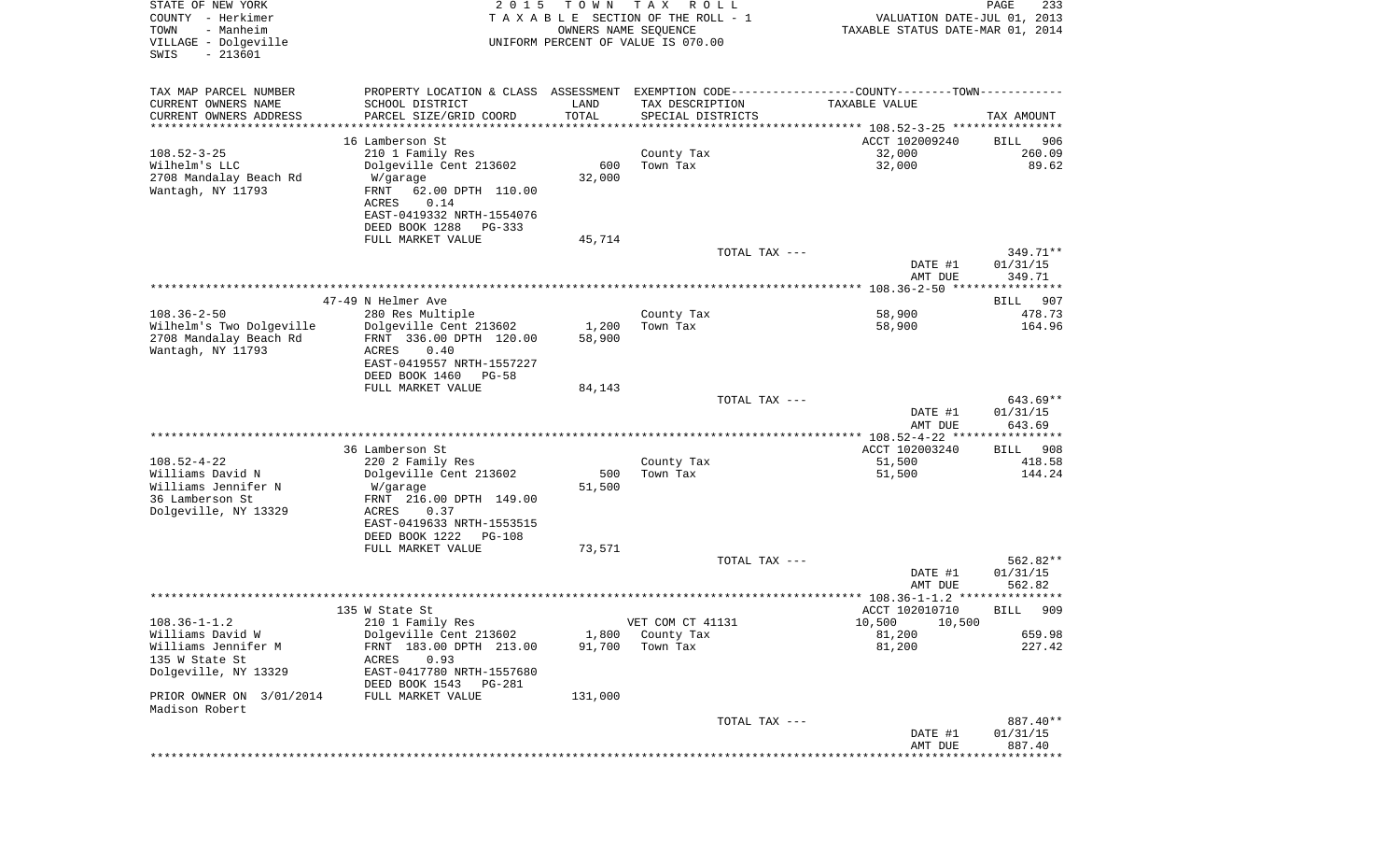| STATE OF NEW YORK<br>COUNTY - Herkimer<br>- Manheim<br>TOWN<br>VILLAGE - Dolgeville<br>$-213601$<br>SWIS | 2 0 1 5                                                                                       | T O W N<br>OWNERS NAME SEQUENCE | T A X<br>R O L L<br>TAXABLE SECTION OF THE ROLL - 1<br>UNIFORM PERCENT OF VALUE IS 070.00 | VALUATION DATE-JUL 01, 2013<br>TAXABLE STATUS DATE-MAR 01, 2014 | PAGE<br>233           |
|----------------------------------------------------------------------------------------------------------|-----------------------------------------------------------------------------------------------|---------------------------------|-------------------------------------------------------------------------------------------|-----------------------------------------------------------------|-----------------------|
|                                                                                                          |                                                                                               |                                 |                                                                                           |                                                                 |                       |
| TAX MAP PARCEL NUMBER                                                                                    | PROPERTY LOCATION & CLASS ASSESSMENT EXEMPTION CODE---------------COUNTY-------TOWN---------- |                                 |                                                                                           |                                                                 |                       |
| CURRENT OWNERS NAME                                                                                      | SCHOOL DISTRICT                                                                               | LAND                            | TAX DESCRIPTION                                                                           | TAXABLE VALUE                                                   |                       |
| CURRENT OWNERS ADDRESS                                                                                   | PARCEL SIZE/GRID COORD                                                                        | TOTAL                           | SPECIAL DISTRICTS                                                                         |                                                                 | TAX AMOUNT            |
| *********************                                                                                    |                                                                                               | * * * * * * * * * * *           |                                                                                           |                                                                 |                       |
|                                                                                                          | 16 Lamberson St                                                                               |                                 |                                                                                           | ACCT 102009240                                                  | 906<br>BILL           |
| $108.52 - 3 - 25$                                                                                        | 210 1 Family Res                                                                              |                                 | County Tax                                                                                | 32,000                                                          | 260.09                |
| Wilhelm's LLC<br>2708 Mandalay Beach Rd                                                                  | Dolgeville Cent 213602<br>W/garage                                                            | 600<br>32,000                   | Town Tax                                                                                  | 32,000                                                          | 89.62                 |
| Wantagh, NY 11793                                                                                        | FRNT<br>62.00 DPTH 110.00<br>0.14<br>ACRES                                                    |                                 |                                                                                           |                                                                 |                       |
|                                                                                                          | EAST-0419332 NRTH-1554076                                                                     |                                 |                                                                                           |                                                                 |                       |
|                                                                                                          | DEED BOOK 1288<br>$PG-333$                                                                    |                                 |                                                                                           |                                                                 |                       |
|                                                                                                          | FULL MARKET VALUE                                                                             | 45,714                          |                                                                                           |                                                                 |                       |
|                                                                                                          |                                                                                               |                                 | TOTAL TAX ---                                                                             |                                                                 | 349.71**              |
|                                                                                                          |                                                                                               |                                 |                                                                                           | DATE #1                                                         | 01/31/15              |
|                                                                                                          |                                                                                               |                                 |                                                                                           | AMT DUE                                                         | 349.71                |
|                                                                                                          |                                                                                               |                                 |                                                                                           |                                                                 |                       |
| $108.36 - 2 - 50$                                                                                        | 47-49 N Helmer Ave<br>280 Res Multiple                                                        |                                 | County Tax                                                                                | 58,900                                                          | BILL<br>907<br>478.73 |
| Wilhelm's Two Dolgeville                                                                                 | Dolgeville Cent 213602                                                                        | 1,200                           | Town Tax                                                                                  | 58,900                                                          | 164.96                |
| 2708 Mandalay Beach Rd                                                                                   | FRNT 336.00 DPTH 120.00                                                                       | 58,900                          |                                                                                           |                                                                 |                       |
| Wantagh, NY 11793                                                                                        | ACRES<br>0.40                                                                                 |                                 |                                                                                           |                                                                 |                       |
|                                                                                                          | EAST-0419557 NRTH-1557227                                                                     |                                 |                                                                                           |                                                                 |                       |
|                                                                                                          | DEED BOOK 1460<br>$PG-58$                                                                     |                                 |                                                                                           |                                                                 |                       |
|                                                                                                          | FULL MARKET VALUE                                                                             | 84,143                          |                                                                                           |                                                                 |                       |
|                                                                                                          |                                                                                               |                                 | TOTAL TAX ---                                                                             | DATE #1                                                         | 643.69**<br>01/31/15  |
|                                                                                                          |                                                                                               |                                 |                                                                                           | AMT DUE                                                         | 643.69                |
|                                                                                                          |                                                                                               |                                 |                                                                                           | ************ 108.52-4-22 **                                     | ************          |
|                                                                                                          | 36 Lamberson St                                                                               |                                 |                                                                                           | ACCT 102003240                                                  | 908<br>BILL           |
| $108.52 - 4 - 22$                                                                                        | 220 2 Family Res                                                                              |                                 | County Tax                                                                                | 51,500                                                          | 418.58                |
| Williams David N                                                                                         | Dolgeville Cent 213602                                                                        | 500                             | Town Tax                                                                                  | 51,500                                                          | 144.24                |
| Williams Jennifer N                                                                                      | W/garage                                                                                      | 51,500                          |                                                                                           |                                                                 |                       |
| 36 Lamberson St<br>Dolgeville, NY 13329                                                                  | FRNT 216.00 DPTH 149.00<br>ACRES<br>0.37                                                      |                                 |                                                                                           |                                                                 |                       |
|                                                                                                          | EAST-0419633 NRTH-1553515                                                                     |                                 |                                                                                           |                                                                 |                       |
|                                                                                                          | DEED BOOK 1222<br><b>PG-108</b>                                                               |                                 |                                                                                           |                                                                 |                       |
|                                                                                                          | FULL MARKET VALUE                                                                             | 73,571                          |                                                                                           |                                                                 |                       |
|                                                                                                          |                                                                                               |                                 | TOTAL TAX ---                                                                             |                                                                 | 562.82**              |
|                                                                                                          |                                                                                               |                                 |                                                                                           | DATE #1                                                         | 01/31/15              |
|                                                                                                          |                                                                                               |                                 |                                                                                           | AMT DUE                                                         | 562.82                |
|                                                                                                          | 135 W State St                                                                                |                                 |                                                                                           | ACCT 102010710                                                  | 909<br>BILL           |
| $108.36 - 1 - 1.2$                                                                                       | 210 1 Family Res                                                                              |                                 | VET COM CT 41131                                                                          | 10,500 10,500                                                   |                       |
| Williams David W                                                                                         | Dolgeville Cent 213602                                                                        | 1,800                           | County Tax                                                                                | 81,200                                                          | 659.98                |
| Williams Jennifer M                                                                                      | FRNT 183.00 DPTH 213.00                                                                       | 91,700                          | Town Tax                                                                                  | 81,200                                                          | 227.42                |
| 135 W State St                                                                                           | ACRES<br>0.93                                                                                 |                                 |                                                                                           |                                                                 |                       |
| Dolgeville, NY 13329                                                                                     | EAST-0417780 NRTH-1557680                                                                     |                                 |                                                                                           |                                                                 |                       |
|                                                                                                          | DEED BOOK 1543<br>PG-281                                                                      |                                 |                                                                                           |                                                                 |                       |
| PRIOR OWNER ON 3/01/2014                                                                                 | FULL MARKET VALUE                                                                             | 131,000                         |                                                                                           |                                                                 |                       |
| Madison Robert                                                                                           |                                                                                               |                                 | TOTAL TAX ---                                                                             |                                                                 | 887.40**              |
|                                                                                                          |                                                                                               |                                 |                                                                                           | DATE #1                                                         | 01/31/15              |
|                                                                                                          |                                                                                               |                                 |                                                                                           | AMT DUE                                                         | 887.40                |
|                                                                                                          |                                                                                               |                                 |                                                                                           |                                                                 | ************          |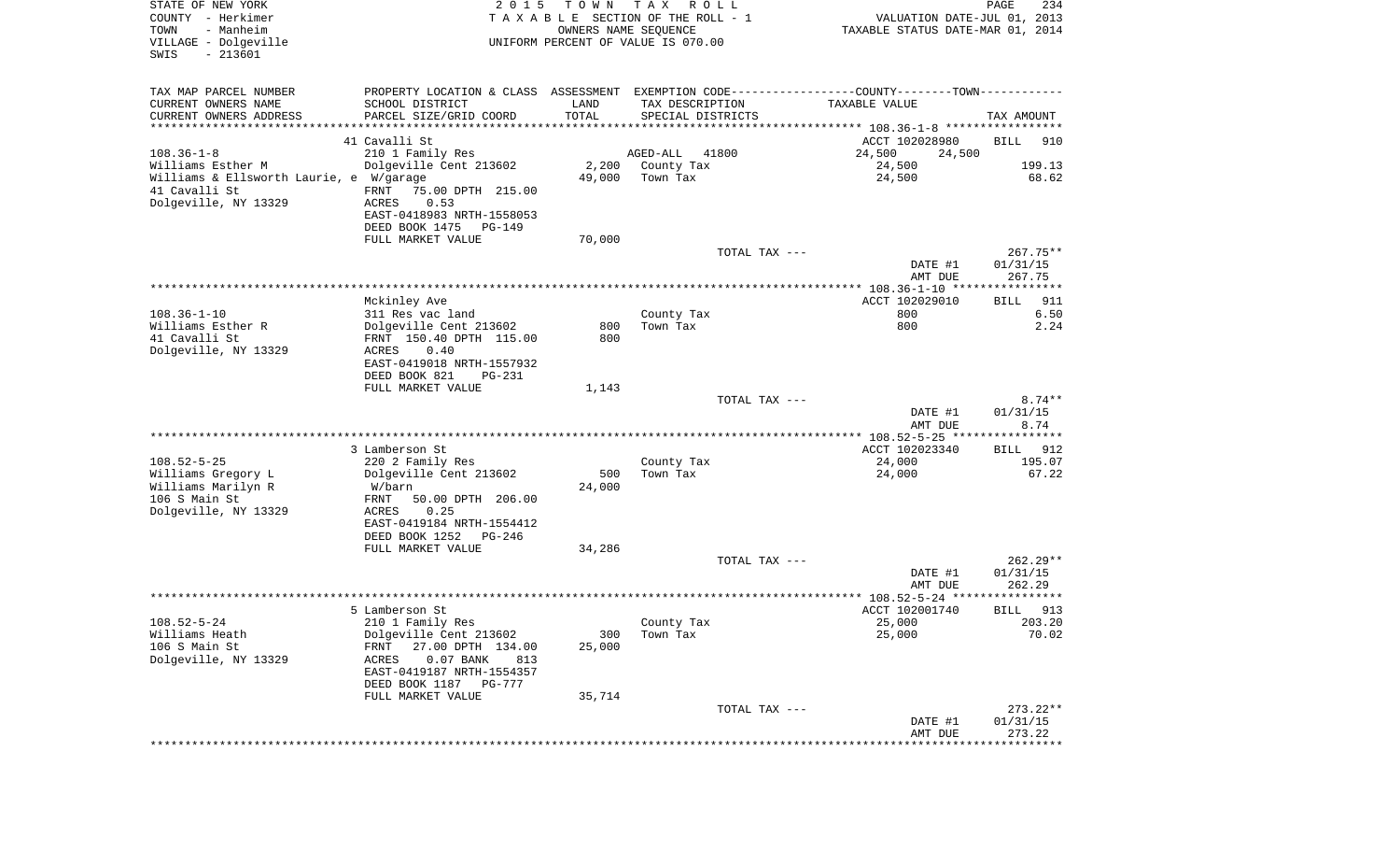| STATE OF NEW YORK<br>COUNTY - Herkimer<br>- Manheim<br>TOWN<br>VILLAGE - Dolgeville<br>SWIS<br>$-213601$ | 2 0 1 5                                                                                            | T O W N<br>OWNERS NAME SEQUENCE | T A X<br>R O L L<br>T A X A B L E SECTION OF THE ROLL - 1<br>UNIFORM PERCENT OF VALUE IS 070.00 | VALUATION DATE-JUL 01, 2013<br>TAXABLE STATUS DATE-MAR 01, 2014              | PAGE<br>234                      |
|----------------------------------------------------------------------------------------------------------|----------------------------------------------------------------------------------------------------|---------------------------------|-------------------------------------------------------------------------------------------------|------------------------------------------------------------------------------|----------------------------------|
| TAX MAP PARCEL NUMBER<br>CURRENT OWNERS NAME<br>CURRENT OWNERS ADDRESS                                   | PROPERTY LOCATION & CLASS ASSESSMENT<br>SCHOOL DISTRICT<br>PARCEL SIZE/GRID COORD                  | LAND<br>TOTAL                   | TAX DESCRIPTION<br>SPECIAL DISTRICTS                                                            | EXEMPTION CODE-----------------COUNTY-------TOWN-----------<br>TAXABLE VALUE | TAX AMOUNT                       |
| *********************                                                                                    |                                                                                                    |                                 |                                                                                                 |                                                                              |                                  |
|                                                                                                          | 41 Cavalli St                                                                                      |                                 |                                                                                                 | ACCT 102028980                                                               | <b>BILL</b><br>910               |
| $108.36 - 1 - 8$                                                                                         | 210 1 Family Res                                                                                   |                                 | AGED-ALL<br>41800                                                                               | 24,500<br>24,500                                                             | 199.13                           |
| Williams Esther M<br>Williams & Ellsworth Laurie, e W/garage                                             | Dolgeville Cent 213602                                                                             | 2,200<br>49,000                 | County Tax<br>Town Tax                                                                          | 24,500<br>24,500                                                             | 68.62                            |
| 41 Cavalli St<br>Dolgeville, NY 13329                                                                    | FRNT<br>75.00 DPTH 215.00<br>0.53<br>ACRES                                                         |                                 |                                                                                                 |                                                                              |                                  |
|                                                                                                          | EAST-0418983 NRTH-1558053<br>DEED BOOK 1475<br>PG-149                                              |                                 |                                                                                                 |                                                                              |                                  |
|                                                                                                          | FULL MARKET VALUE                                                                                  | 70,000                          | TOTAL TAX ---                                                                                   |                                                                              | $267.75**$                       |
|                                                                                                          |                                                                                                    |                                 |                                                                                                 | DATE #1<br>AMT DUE                                                           | 01/31/15<br>267.75               |
|                                                                                                          | Mckinley Ave                                                                                       |                                 |                                                                                                 | ***************** 108.36-1-10 ****************<br>ACCT 102029010             | 911<br>BILL                      |
| $108.36 - 1 - 10$<br>Williams Esther R<br>41 Cavalli St                                                  | 311 Res vac land<br>Dolgeville Cent 213602<br>FRNT 150.40 DPTH 115.00                              | 800<br>800                      | County Tax<br>Town Tax                                                                          | 800<br>800                                                                   | 6.50<br>2.24                     |
| Dolgeville, NY 13329                                                                                     | ACRES<br>0.40<br>EAST-0419018 NRTH-1557932<br>DEED BOOK 821<br>$PG-231$                            |                                 |                                                                                                 |                                                                              |                                  |
|                                                                                                          | FULL MARKET VALUE                                                                                  | 1,143                           |                                                                                                 |                                                                              |                                  |
|                                                                                                          |                                                                                                    |                                 | TOTAL TAX ---                                                                                   | DATE #1<br>AMT DUE                                                           | $8.74**$<br>01/31/15<br>8.74     |
|                                                                                                          |                                                                                                    |                                 |                                                                                                 | ********** 108.52-5-25 *****************                                     |                                  |
|                                                                                                          | 3 Lamberson St                                                                                     |                                 |                                                                                                 | ACCT 102023340                                                               | 912<br>BILL                      |
| $108.52 - 5 - 25$<br>Williams Gregory L                                                                  | 220 2 Family Res<br>Dolgeville Cent 213602                                                         | 500                             | County Tax<br>Town Tax                                                                          | 24,000<br>24,000                                                             | 195.07<br>67.22                  |
| Williams Marilyn R<br>106 S Main St                                                                      | W/barn<br>FRNT<br>50.00 DPTH 206.00                                                                | 24,000                          |                                                                                                 |                                                                              |                                  |
| Dolgeville, NY 13329                                                                                     | ACRES<br>0.25<br>EAST-0419184 NRTH-1554412<br>DEED BOOK 1252<br>PG-246                             |                                 |                                                                                                 |                                                                              |                                  |
|                                                                                                          | FULL MARKET VALUE                                                                                  | 34,286                          |                                                                                                 |                                                                              |                                  |
|                                                                                                          |                                                                                                    |                                 | TOTAL TAX ---                                                                                   | DATE #1<br>AMT DUE                                                           | $262.29**$<br>01/31/15<br>262.29 |
|                                                                                                          |                                                                                                    |                                 |                                                                                                 | ***************** 108.52-5-24 *********                                      | ******                           |
|                                                                                                          | 5 Lamberson St                                                                                     |                                 |                                                                                                 | ACCT 102001740                                                               | 913<br>BILL                      |
| $108.52 - 5 - 24$                                                                                        | 210 1 Family Res                                                                                   |                                 | County Tax                                                                                      | 25,000                                                                       | 203.20                           |
| Williams Heath<br>106 S Main St                                                                          | Dolgeville Cent 213602<br>27.00 DPTH 134.00<br>FRNT                                                | 300<br>25,000                   | Town Tax                                                                                        | 25,000                                                                       | 70.02                            |
| Dolgeville, NY 13329                                                                                     | $0.07$ BANK<br><b>ACRES</b><br>813<br>EAST-0419187 NRTH-1554357<br>DEED BOOK 1187<br><b>PG-777</b> |                                 |                                                                                                 |                                                                              |                                  |
|                                                                                                          | FULL MARKET VALUE                                                                                  | 35,714                          |                                                                                                 |                                                                              |                                  |
|                                                                                                          |                                                                                                    |                                 | TOTAL TAX ---                                                                                   | DATE #1                                                                      | $273.22**$<br>01/31/15<br>273.22 |
|                                                                                                          |                                                                                                    |                                 |                                                                                                 | AMT DUE<br>****************************                                      |                                  |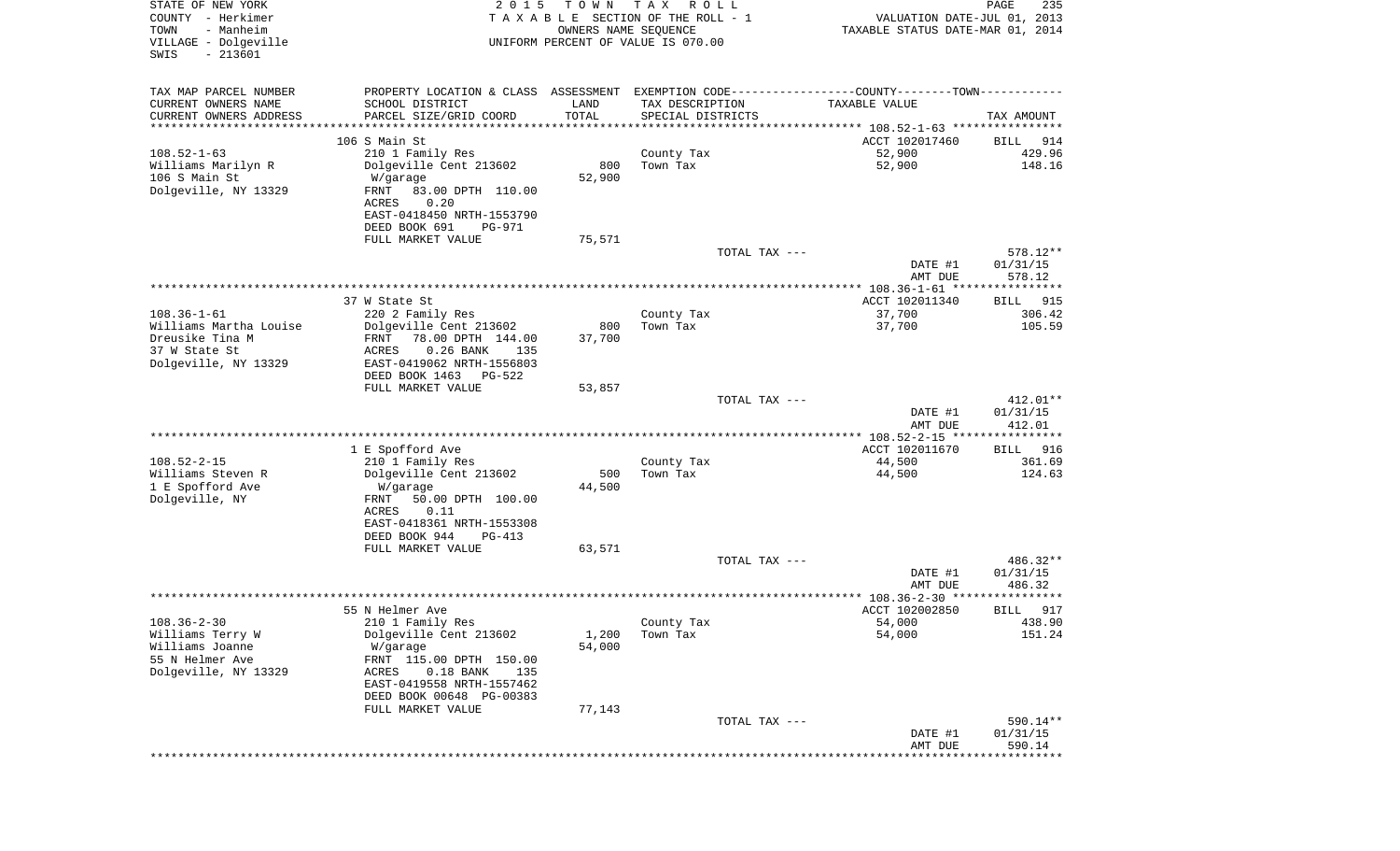| STATE OF NEW YORK<br>COUNTY - Herkimer<br>- Manheim<br>TOWN<br>VILLAGE - Dolgeville<br>$-213601$<br>SWIS | 2 0 1 5                                                                                       | T O W N<br>OWNERS NAME SEQUENCE | T A X<br>R O L L<br>TAXABLE SECTION OF THE ROLL - 1<br>UNIFORM PERCENT OF VALUE IS 070.00 |               | VALUATION DATE-JUL 01, 2013<br>TAXABLE STATUS DATE-MAR 01, 2014 | PAGE<br>235            |
|----------------------------------------------------------------------------------------------------------|-----------------------------------------------------------------------------------------------|---------------------------------|-------------------------------------------------------------------------------------------|---------------|-----------------------------------------------------------------|------------------------|
|                                                                                                          |                                                                                               |                                 |                                                                                           |               |                                                                 |                        |
| TAX MAP PARCEL NUMBER                                                                                    | PROPERTY LOCATION & CLASS ASSESSMENT EXEMPTION CODE---------------COUNTY-------TOWN---------- |                                 |                                                                                           |               |                                                                 |                        |
| CURRENT OWNERS NAME                                                                                      | SCHOOL DISTRICT                                                                               | LAND                            | TAX DESCRIPTION                                                                           |               | TAXABLE VALUE                                                   |                        |
| CURRENT OWNERS ADDRESS<br>*********************                                                          | PARCEL SIZE/GRID COORD                                                                        | TOTAL<br>* * * * * * * * * * *  | SPECIAL DISTRICTS                                                                         |               |                                                                 | TAX AMOUNT             |
|                                                                                                          | 106 S Main St                                                                                 |                                 |                                                                                           |               | ACCT 102017460                                                  | 914<br>BILL            |
| $108.52 - 1 - 63$                                                                                        | 210 1 Family Res                                                                              |                                 | County Tax                                                                                |               | 52,900                                                          | 429.96                 |
| Williams Marilyn R                                                                                       | Dolgeville Cent 213602                                                                        | 800                             | Town Tax                                                                                  |               | 52,900                                                          | 148.16                 |
| 106 S Main St                                                                                            | W/garage                                                                                      | 52,900                          |                                                                                           |               |                                                                 |                        |
| Dolgeville, NY 13329                                                                                     | 83.00 DPTH 110.00<br>FRNT                                                                     |                                 |                                                                                           |               |                                                                 |                        |
|                                                                                                          | 0.20<br>ACRES<br>EAST-0418450 NRTH-1553790                                                    |                                 |                                                                                           |               |                                                                 |                        |
|                                                                                                          | DEED BOOK 691<br>PG-971                                                                       |                                 |                                                                                           |               |                                                                 |                        |
|                                                                                                          | FULL MARKET VALUE                                                                             | 75,571                          |                                                                                           |               |                                                                 |                        |
|                                                                                                          |                                                                                               |                                 |                                                                                           | TOTAL TAX --- |                                                                 | 578.12**               |
|                                                                                                          |                                                                                               |                                 |                                                                                           |               | DATE #1                                                         | 01/31/15               |
|                                                                                                          |                                                                                               |                                 |                                                                                           |               | AMT DUE                                                         | 578.12                 |
|                                                                                                          | 37 W State St                                                                                 |                                 |                                                                                           |               | ACCT 102011340                                                  | BILL<br>915            |
| $108.36 - 1 - 61$                                                                                        | 220 2 Family Res                                                                              |                                 | County Tax                                                                                |               | 37,700                                                          | 306.42                 |
| Williams Martha Louise                                                                                   | Dolgeville Cent 213602                                                                        | 800                             | Town Tax                                                                                  |               | 37,700                                                          | 105.59                 |
| Dreusike Tina M                                                                                          | FRNT<br>78.00 DPTH 144.00                                                                     | 37,700                          |                                                                                           |               |                                                                 |                        |
| 37 W State St                                                                                            | 0.26 BANK<br>ACRES<br>135                                                                     |                                 |                                                                                           |               |                                                                 |                        |
| Dolgeville, NY 13329                                                                                     | EAST-0419062 NRTH-1556803                                                                     |                                 |                                                                                           |               |                                                                 |                        |
|                                                                                                          | DEED BOOK 1463<br><b>PG-522</b>                                                               |                                 |                                                                                           |               |                                                                 |                        |
|                                                                                                          | FULL MARKET VALUE                                                                             | 53,857                          |                                                                                           | TOTAL TAX --- |                                                                 | $412.01**$             |
|                                                                                                          |                                                                                               |                                 |                                                                                           |               | DATE #1                                                         | 01/31/15               |
|                                                                                                          |                                                                                               |                                 |                                                                                           |               | AMT DUE                                                         | 412.01                 |
|                                                                                                          |                                                                                               |                                 |                                                                                           |               | *************** 108.52-2-15 *****************                   |                        |
|                                                                                                          | 1 E Spofford Ave                                                                              |                                 |                                                                                           |               | ACCT 102011670                                                  | 916<br>BILL            |
| $108.52 - 2 - 15$                                                                                        | 210 1 Family Res                                                                              |                                 | County Tax                                                                                |               | 44,500                                                          | 361.69                 |
| Williams Steven R<br>1 E Spofford Ave                                                                    | Dolgeville Cent 213602<br>W/garage                                                            | 500<br>44,500                   | Town Tax                                                                                  |               | 44,500                                                          | 124.63                 |
| Dolgeville, NY                                                                                           | FRNT<br>50.00 DPTH 100.00                                                                     |                                 |                                                                                           |               |                                                                 |                        |
|                                                                                                          | ACRES<br>0.11                                                                                 |                                 |                                                                                           |               |                                                                 |                        |
|                                                                                                          | EAST-0418361 NRTH-1553308                                                                     |                                 |                                                                                           |               |                                                                 |                        |
|                                                                                                          | DEED BOOK 944<br>PG-413                                                                       |                                 |                                                                                           |               |                                                                 |                        |
|                                                                                                          | FULL MARKET VALUE                                                                             | 63,571                          |                                                                                           |               |                                                                 |                        |
|                                                                                                          |                                                                                               |                                 |                                                                                           | TOTAL TAX --- | DATE #1                                                         | $486.32**$<br>01/31/15 |
|                                                                                                          |                                                                                               |                                 |                                                                                           |               | AMT DUE                                                         | 486.32                 |
|                                                                                                          |                                                                                               |                                 |                                                                                           |               | ****************** 108.36-2-30 ******                           | * * * * * *            |
|                                                                                                          | 55 N Helmer Ave                                                                               |                                 |                                                                                           |               | ACCT 102002850                                                  | 917<br>BILL            |
| $108.36 - 2 - 30$                                                                                        | 210 1 Family Res                                                                              |                                 | County Tax                                                                                |               | 54,000                                                          | 438.90                 |
| Williams Terry W                                                                                         | Dolgeville Cent 213602                                                                        | 1,200                           | Town Tax                                                                                  |               | 54,000                                                          | 151.24                 |
| Williams Joanne                                                                                          | W/garage                                                                                      | 54,000                          |                                                                                           |               |                                                                 |                        |
| 55 N Helmer Ave<br>Dolgeville, NY 13329                                                                  | FRNT 115.00 DPTH 150.00<br>$0.18$ BANK<br>ACRES<br>135                                        |                                 |                                                                                           |               |                                                                 |                        |
|                                                                                                          | EAST-0419558 NRTH-1557462                                                                     |                                 |                                                                                           |               |                                                                 |                        |
|                                                                                                          | DEED BOOK 00648 PG-00383                                                                      |                                 |                                                                                           |               |                                                                 |                        |
|                                                                                                          | FULL MARKET VALUE                                                                             | 77,143                          |                                                                                           |               |                                                                 |                        |
|                                                                                                          |                                                                                               |                                 |                                                                                           | TOTAL TAX --- |                                                                 | 590.14**               |
|                                                                                                          |                                                                                               |                                 |                                                                                           |               | DATE #1                                                         | 01/31/15               |
|                                                                                                          |                                                                                               |                                 |                                                                                           |               | AMT DUE<br>*************************************                | 590.14                 |
|                                                                                                          |                                                                                               |                                 |                                                                                           |               |                                                                 |                        |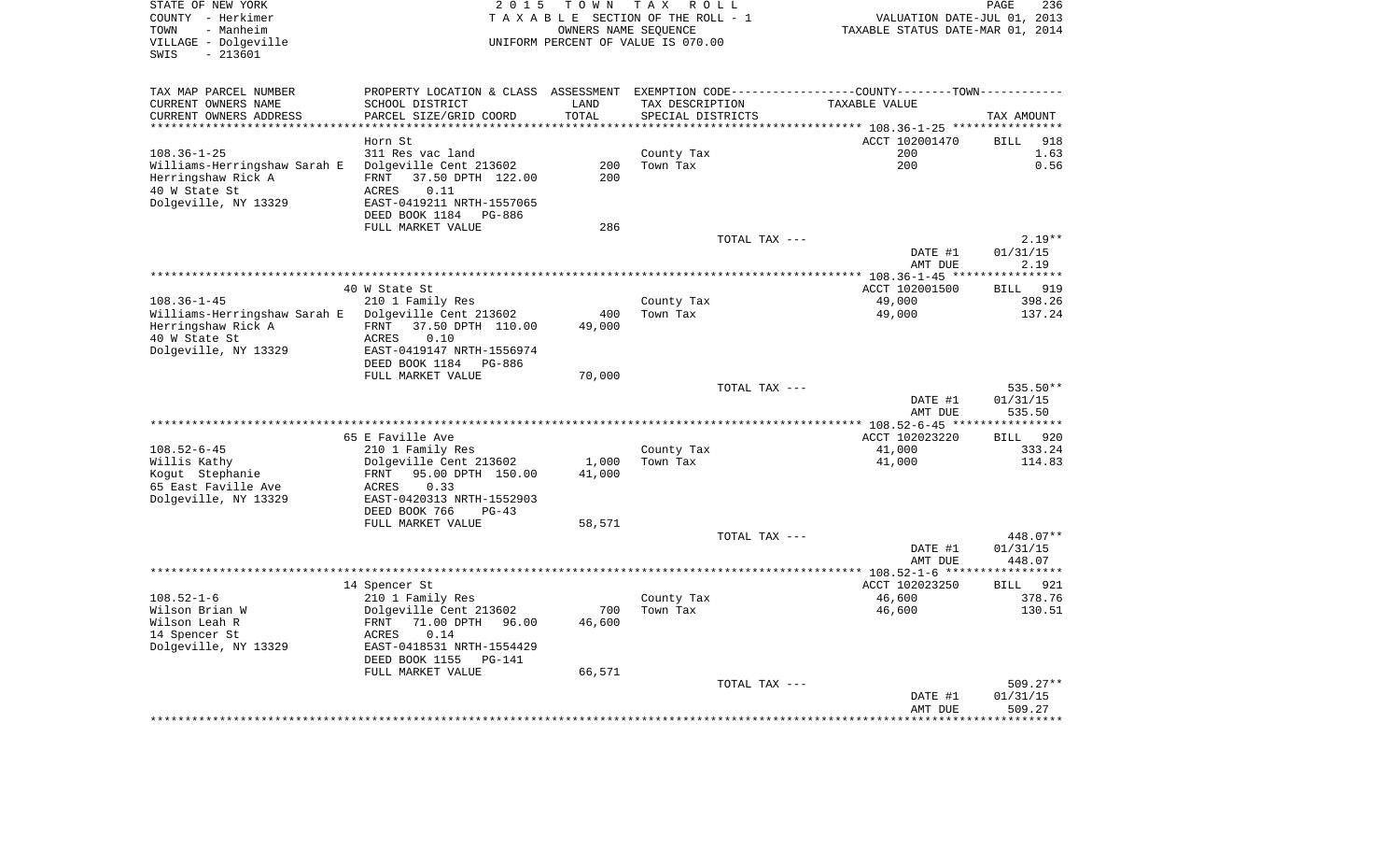| STATE OF NEW YORK<br>COUNTY - Herkimer<br>TOWN<br>- Manheim | 2 0 1 5                                              | T O W N             | TAX ROLL<br>TAXABLE SECTION OF THE ROLL - 1<br>OWNERS NAME SEQUENCE | VALUATION DATE-JUL 01, 2013<br>TAXABLE STATUS DATE-MAR 01, 2014                                | PAGE<br>236        |
|-------------------------------------------------------------|------------------------------------------------------|---------------------|---------------------------------------------------------------------|------------------------------------------------------------------------------------------------|--------------------|
| VILLAGE - Dolgeville<br>$-213601$<br>SWIS                   |                                                      |                     | UNIFORM PERCENT OF VALUE IS 070.00                                  |                                                                                                |                    |
| TAX MAP PARCEL NUMBER                                       |                                                      |                     |                                                                     | PROPERTY LOCATION & CLASS ASSESSMENT EXEMPTION CODE----------------COUNTY-------TOWN---------- |                    |
| CURRENT OWNERS NAME                                         | SCHOOL DISTRICT                                      | LAND                | TAX DESCRIPTION                                                     | TAXABLE VALUE                                                                                  |                    |
| CURRENT OWNERS ADDRESS<br>***********************           | PARCEL SIZE/GRID COORD<br>***********************    | TOTAL<br>********** | SPECIAL DISTRICTS                                                   |                                                                                                | TAX AMOUNT         |
|                                                             | Horn St                                              |                     |                                                                     | ACCT 102001470                                                                                 | 918<br><b>BILL</b> |
| $108.36 - 1 - 25$                                           | 311 Res vac land                                     |                     | County Tax                                                          | 200                                                                                            | 1.63               |
| Williams-Herringshaw Sarah E                                | Dolgeville Cent 213602                               | 200                 | Town Tax                                                            | 200                                                                                            | 0.56               |
| Herringshaw Rick A                                          | FRNT 37.50 DPTH 122.00                               | 200                 |                                                                     |                                                                                                |                    |
| 40 W State St                                               | 0.11<br>ACRES                                        |                     |                                                                     |                                                                                                |                    |
| Dolgeville, NY 13329                                        | EAST-0419211 NRTH-1557065                            |                     |                                                                     |                                                                                                |                    |
|                                                             | DEED BOOK 1184<br>PG-886                             |                     |                                                                     |                                                                                                |                    |
|                                                             | FULL MARKET VALUE                                    | 286                 |                                                                     |                                                                                                |                    |
|                                                             |                                                      |                     | TOTAL TAX ---                                                       |                                                                                                | $2.19**$           |
|                                                             |                                                      |                     |                                                                     | DATE #1                                                                                        | 01/31/15           |
|                                                             |                                                      |                     |                                                                     | AMT DUE                                                                                        | 2.19               |
|                                                             |                                                      |                     |                                                                     |                                                                                                | *******            |
|                                                             | 40 W State St                                        |                     |                                                                     | ACCT 102001500                                                                                 | 919<br><b>BILL</b> |
| $108.36 - 1 - 45$                                           | 210 1 Family Res                                     |                     | County Tax                                                          | 49,000                                                                                         | 398.26             |
| Williams-Herringshaw Sarah E<br>Herringshaw Rick A          | Dolgeville Cent 213602<br>FRNT 37.50 DPTH 110.00     | 400<br>49,000       | Town Tax                                                            | 49,000                                                                                         | 137.24             |
| 40 W State St                                               | <b>ACRES</b><br>0.10                                 |                     |                                                                     |                                                                                                |                    |
| Dolgeville, NY 13329                                        | EAST-0419147 NRTH-1556974                            |                     |                                                                     |                                                                                                |                    |
|                                                             | DEED BOOK 1184<br>PG-886                             |                     |                                                                     |                                                                                                |                    |
|                                                             | FULL MARKET VALUE                                    | 70,000              |                                                                     |                                                                                                |                    |
|                                                             |                                                      |                     | TOTAL TAX ---                                                       |                                                                                                | 535.50**           |
|                                                             |                                                      |                     |                                                                     | DATE #1                                                                                        | 01/31/15           |
|                                                             |                                                      |                     |                                                                     | AMT DUE                                                                                        | 535.50             |
|                                                             |                                                      |                     |                                                                     | ** 108.52-6-45 **                                                                              | ***********        |
|                                                             | 65 E Faville Ave                                     |                     |                                                                     | ACCT 102023220                                                                                 | 920<br><b>BILL</b> |
| $108.52 - 6 - 45$                                           | 210 1 Family Res                                     |                     | County Tax                                                          | 41,000                                                                                         | 333.24             |
| Willis Kathy                                                | Dolgeville Cent 213602                               | 1,000               | Town Tax                                                            | 41,000                                                                                         | 114.83             |
| Koqut Stephanie<br>65 East Faville Ave                      | FRNT 95.00 DPTH 150.00<br>0.33<br>ACRES              | 41,000              |                                                                     |                                                                                                |                    |
| Dolgeville, NY 13329                                        | EAST-0420313 NRTH-1552903                            |                     |                                                                     |                                                                                                |                    |
|                                                             | DEED BOOK 766<br>$PG-43$                             |                     |                                                                     |                                                                                                |                    |
|                                                             | FULL MARKET VALUE                                    | 58,571              |                                                                     |                                                                                                |                    |
|                                                             |                                                      |                     | TOTAL TAX ---                                                       |                                                                                                | 448.07**           |
|                                                             |                                                      |                     |                                                                     | DATE #1                                                                                        | 01/31/15           |
|                                                             |                                                      |                     |                                                                     | AMT DUE                                                                                        | 448.07             |
|                                                             |                                                      |                     |                                                                     |                                                                                                |                    |
|                                                             | 14 Spencer St                                        |                     |                                                                     | ACCT 102023250                                                                                 | <b>BILL</b><br>921 |
| $108.52 - 1 - 6$                                            | 210 1 Family Res                                     |                     | County Tax                                                          | 46,600                                                                                         | 378.76             |
| Wilson Brian W                                              | Dolgeville Cent 213602                               | 700                 | Town Tax                                                            | 46,600                                                                                         | 130.51             |
| Wilson Leah R                                               | FRNT<br>71.00 DPTH 96.00                             | 46,600              |                                                                     |                                                                                                |                    |
| 14 Spencer St                                               | 0.14<br>ACRES                                        |                     |                                                                     |                                                                                                |                    |
| Dolgeville, NY 13329                                        | EAST-0418531 NRTH-1554429                            |                     |                                                                     |                                                                                                |                    |
|                                                             | DEED BOOK 1155<br><b>PG-141</b><br>FULL MARKET VALUE | 66,571              |                                                                     |                                                                                                |                    |
|                                                             |                                                      |                     | TOTAL TAX ---                                                       |                                                                                                | 509.27**           |
|                                                             |                                                      |                     |                                                                     | DATE #1                                                                                        | 01/31/15           |
|                                                             |                                                      |                     |                                                                     | AMT DUE                                                                                        | 509.27             |
|                                                             |                                                      |                     |                                                                     |                                                                                                |                    |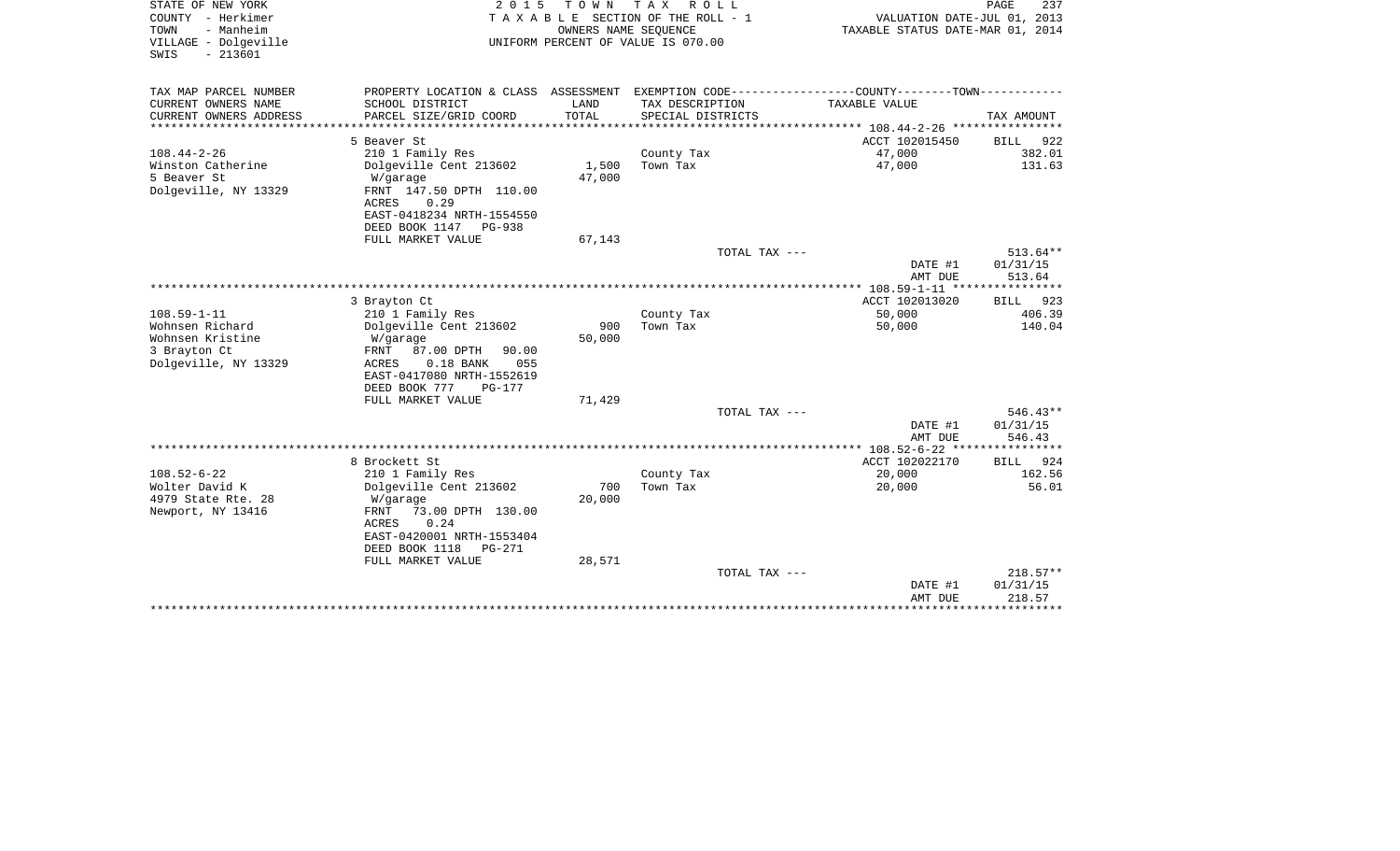| STATE OF NEW YORK<br>COUNTY - Herkimer<br>TOWN<br>- Manheim<br>VILLAGE - Dolgeville<br>$-213601$<br>SWIS | 2 0 1 5<br>TOWN<br>T A X<br>R O L L<br>T A X A B L E SECTION OF THE ROLL - 1<br>OWNERS NAME SEQUENCE<br>UNIFORM PERCENT OF VALUE IS 070.00 |                              |                                      |                                                                                   | PAGE<br>237<br>VALUATION DATE-JUL 01, 2013<br>TAXABLE STATUS DATE-MAR 01, 2014 |  |
|----------------------------------------------------------------------------------------------------------|--------------------------------------------------------------------------------------------------------------------------------------------|------------------------------|--------------------------------------|-----------------------------------------------------------------------------------|--------------------------------------------------------------------------------|--|
| TAX MAP PARCEL NUMBER                                                                                    | PROPERTY LOCATION & CLASS ASSESSMENT                                                                                                       |                              |                                      | EXEMPTION CODE-----------------COUNTY-------TOWN-----------                       |                                                                                |  |
| CURRENT OWNERS NAME<br>CURRENT OWNERS ADDRESS<br>********************                                    | SCHOOL DISTRICT<br>PARCEL SIZE/GRID COORD                                                                                                  | LAND<br>TOTAL<br>*********** | TAX DESCRIPTION<br>SPECIAL DISTRICTS | TAXABLE VALUE                                                                     | TAX AMOUNT                                                                     |  |
|                                                                                                          | 5 Beaver St                                                                                                                                |                              |                                      | ********************************* 108.44-2-26 *****************<br>ACCT 102015450 | 922                                                                            |  |
| $108.44 - 2 - 26$                                                                                        | 210 1 Family Res                                                                                                                           |                              | County Tax                           | 47,000                                                                            | BILL<br>382.01                                                                 |  |
| Winston Catherine                                                                                        | Dolgeville Cent 213602                                                                                                                     | 1,500                        | Town Tax                             | 47,000                                                                            | 131.63                                                                         |  |
| 5 Beaver St                                                                                              | W/garage                                                                                                                                   | 47,000                       |                                      |                                                                                   |                                                                                |  |
| Dolgeville, NY 13329                                                                                     | FRNT 147.50 DPTH 110.00<br>0.29<br>ACRES                                                                                                   |                              |                                      |                                                                                   |                                                                                |  |
|                                                                                                          | EAST-0418234 NRTH-1554550                                                                                                                  |                              |                                      |                                                                                   |                                                                                |  |
|                                                                                                          | DEED BOOK 1147<br><b>PG-938</b>                                                                                                            |                              |                                      |                                                                                   |                                                                                |  |
|                                                                                                          | FULL MARKET VALUE                                                                                                                          | 67,143                       |                                      |                                                                                   |                                                                                |  |
|                                                                                                          |                                                                                                                                            |                              | TOTAL TAX ---                        | DATE #1                                                                           | 513.64**<br>01/31/15                                                           |  |
|                                                                                                          |                                                                                                                                            |                              |                                      | AMT DUE                                                                           | 513.64                                                                         |  |
|                                                                                                          |                                                                                                                                            |                              |                                      |                                                                                   |                                                                                |  |
|                                                                                                          | 3 Brayton Ct                                                                                                                               |                              |                                      | ACCT 102013020                                                                    | <b>BILL</b><br>923                                                             |  |
| $108.59 - 1 - 11$                                                                                        | 210 1 Family Res                                                                                                                           |                              | County Tax                           | 50,000                                                                            | 406.39                                                                         |  |
| Wohnsen Richard                                                                                          | Dolgeville Cent 213602                                                                                                                     | 900                          | Town Tax                             | 50,000                                                                            | 140.04                                                                         |  |
| Wohnsen Kristine                                                                                         | W/garage                                                                                                                                   | 50,000                       |                                      |                                                                                   |                                                                                |  |
| 3 Brayton Ct                                                                                             | FRNT<br>87.00 DPTH<br>90.00                                                                                                                |                              |                                      |                                                                                   |                                                                                |  |
| Dolgeville, NY 13329                                                                                     | $0.18$ BANK<br>ACRES<br>055                                                                                                                |                              |                                      |                                                                                   |                                                                                |  |
|                                                                                                          | EAST-0417080 NRTH-1552619                                                                                                                  |                              |                                      |                                                                                   |                                                                                |  |
|                                                                                                          | DEED BOOK 777<br><b>PG-177</b>                                                                                                             |                              |                                      |                                                                                   |                                                                                |  |
|                                                                                                          | FULL MARKET VALUE                                                                                                                          | 71,429                       |                                      |                                                                                   |                                                                                |  |
|                                                                                                          |                                                                                                                                            |                              | TOTAL TAX ---                        |                                                                                   | $546.43**$                                                                     |  |
|                                                                                                          |                                                                                                                                            |                              |                                      | DATE #1                                                                           | 01/31/15                                                                       |  |
|                                                                                                          |                                                                                                                                            |                              |                                      | AMT DUE                                                                           | 546.43                                                                         |  |
|                                                                                                          |                                                                                                                                            |                              |                                      |                                                                                   |                                                                                |  |
|                                                                                                          | 8 Brockett St                                                                                                                              |                              |                                      | ACCT 102022170                                                                    | 924<br>BILL                                                                    |  |
| $108.52 - 6 - 22$<br>Wolter David K                                                                      | 210 1 Family Res                                                                                                                           | 700                          | County Tax<br>Town Tax               | 20,000                                                                            | 162.56                                                                         |  |
|                                                                                                          | Dolgeville Cent 213602                                                                                                                     | 20,000                       |                                      | 20,000                                                                            | 56.01                                                                          |  |
| 4979 State Rte. 28<br>Newport, NY 13416                                                                  | W/garage<br>73.00 DPTH 130.00<br>FRNT                                                                                                      |                              |                                      |                                                                                   |                                                                                |  |
|                                                                                                          | 0.24<br>ACRES                                                                                                                              |                              |                                      |                                                                                   |                                                                                |  |
|                                                                                                          | EAST-0420001 NRTH-1553404                                                                                                                  |                              |                                      |                                                                                   |                                                                                |  |
|                                                                                                          | DEED BOOK 1118<br>PG-271                                                                                                                   |                              |                                      |                                                                                   |                                                                                |  |
|                                                                                                          | FULL MARKET VALUE                                                                                                                          | 28,571                       |                                      |                                                                                   |                                                                                |  |
|                                                                                                          |                                                                                                                                            |                              | TOTAL TAX ---                        |                                                                                   | $218.57**$                                                                     |  |
|                                                                                                          |                                                                                                                                            |                              |                                      | DATE #1                                                                           | 01/31/15                                                                       |  |
|                                                                                                          |                                                                                                                                            |                              |                                      | AMT DUE                                                                           | 218.57                                                                         |  |
|                                                                                                          |                                                                                                                                            |                              |                                      |                                                                                   |                                                                                |  |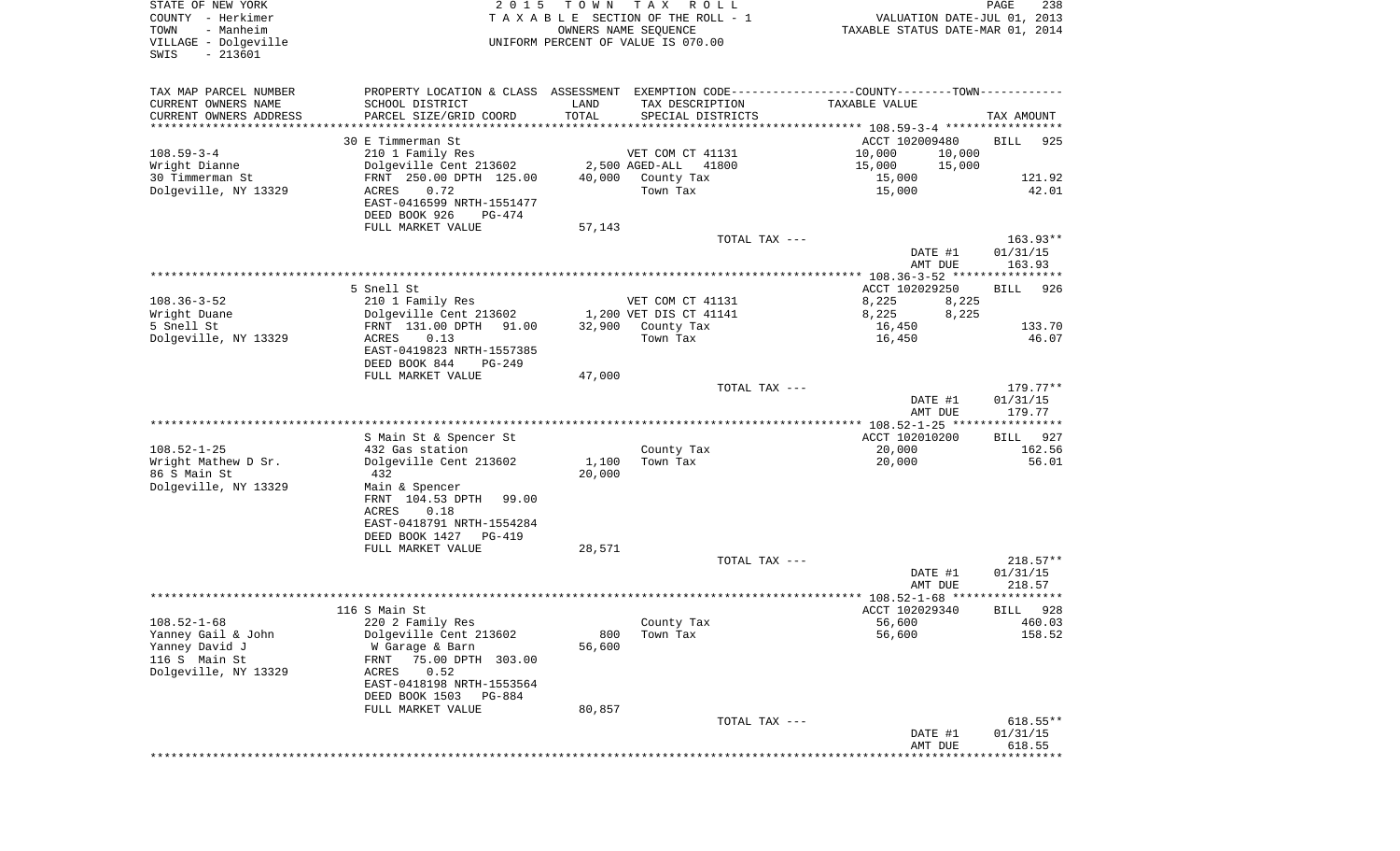| STATE OF NEW YORK<br>COUNTY - Herkimer<br>- Manheim<br>TOWN<br>VILLAGE - Dolgeville<br>$-213601$<br>SWIS | 2 0 1 5                                                                                       | T O W N         | TAX ROLL<br>TAXABLE SECTION OF THE ROLL - 1<br>OWNERS NAME SEQUENCE<br>UNIFORM PERCENT OF VALUE IS 070.00 |                                       | PAGE<br>238<br>VALUATION DATE-JUL 01, 2013<br>TAXABLE STATUS DATE-MAR 01, 2014 |
|----------------------------------------------------------------------------------------------------------|-----------------------------------------------------------------------------------------------|-----------------|-----------------------------------------------------------------------------------------------------------|---------------------------------------|--------------------------------------------------------------------------------|
|                                                                                                          |                                                                                               |                 |                                                                                                           |                                       |                                                                                |
| TAX MAP PARCEL NUMBER                                                                                    | PROPERTY LOCATION & CLASS ASSESSMENT EXEMPTION CODE---------------COUNTY-------TOWN---------- |                 |                                                                                                           |                                       |                                                                                |
| CURRENT OWNERS NAME                                                                                      | SCHOOL DISTRICT                                                                               | LAND            | TAX DESCRIPTION                                                                                           | TAXABLE VALUE                         |                                                                                |
| CURRENT OWNERS ADDRESS<br>*********************                                                          | PARCEL SIZE/GRID COORD                                                                        | TOTAL           | SPECIAL DISTRICTS                                                                                         |                                       | TAX AMOUNT                                                                     |
|                                                                                                          | 30 E Timmerman St                                                                             |                 |                                                                                                           | ACCT 102009480                        | <b>BILL</b><br>925                                                             |
| $108.59 - 3 - 4$                                                                                         | 210 1 Family Res                                                                              |                 | VET COM CT 41131                                                                                          | 10,000                                | 10,000                                                                         |
| Wright Dianne                                                                                            | Dolgeville Cent 213602                                                                        |                 | 2,500 AGED-ALL<br>41800                                                                                   | 15,000                                | 15,000                                                                         |
| 30 Timmerman St                                                                                          | FRNT 250.00 DPTH 125.00                                                                       | 40,000          | County Tax                                                                                                | 15,000                                | 121.92                                                                         |
| Dolgeville, NY 13329                                                                                     | 0.72<br>ACRES<br>EAST-0416599 NRTH-1551477                                                    |                 | Town Tax                                                                                                  | 15,000                                | 42.01                                                                          |
|                                                                                                          | DEED BOOK 926<br>PG-474                                                                       |                 |                                                                                                           |                                       |                                                                                |
|                                                                                                          | FULL MARKET VALUE                                                                             | 57,143          |                                                                                                           |                                       |                                                                                |
|                                                                                                          |                                                                                               |                 | TOTAL TAX ---                                                                                             |                                       | $163.93**$                                                                     |
|                                                                                                          |                                                                                               |                 |                                                                                                           |                                       | DATE #1<br>01/31/15                                                            |
|                                                                                                          |                                                                                               |                 |                                                                                                           |                                       | 163.93<br>AMT DUE                                                              |
|                                                                                                          | 5 Snell St                                                                                    |                 |                                                                                                           | ACCT 102029250                        | <b>BILL</b><br>926                                                             |
| $108.36 - 3 - 52$                                                                                        | 210 1 Family Res                                                                              |                 | VET COM CT 41131                                                                                          | 8,225                                 | 8,225                                                                          |
| Wright Duane                                                                                             | Dolgeville Cent 213602                                                                        |                 | 1,200 VET DIS CT 41141                                                                                    | 8,225                                 | 8,225                                                                          |
| 5 Snell St                                                                                               | FRNT 131.00 DPTH<br>91.00                                                                     | 32,900          | County Tax                                                                                                | 16,450                                | 133.70                                                                         |
| Dolgeville, NY 13329                                                                                     | 0.13<br>ACRES                                                                                 |                 | Town Tax                                                                                                  | 16,450                                | 46.07                                                                          |
|                                                                                                          | EAST-0419823 NRTH-1557385<br>DEED BOOK 844<br>PG-249                                          |                 |                                                                                                           |                                       |                                                                                |
|                                                                                                          | FULL MARKET VALUE                                                                             | 47,000          |                                                                                                           |                                       |                                                                                |
|                                                                                                          |                                                                                               |                 | TOTAL TAX ---                                                                                             |                                       | 179.77**                                                                       |
|                                                                                                          |                                                                                               |                 |                                                                                                           |                                       | DATE #1<br>01/31/15<br>179.77<br>AMT DUE                                       |
|                                                                                                          |                                                                                               |                 |                                                                                                           |                                       |                                                                                |
|                                                                                                          | S Main St & Spencer St                                                                        |                 |                                                                                                           | ACCT 102010200                        | <b>BILL</b><br>927                                                             |
| $108.52 - 1 - 25$                                                                                        | 432 Gas station                                                                               |                 | County Tax                                                                                                | 20,000                                | 162.56                                                                         |
| Wright Mathew D Sr.<br>86 S Main St                                                                      | Dolgeville Cent 213602<br>432                                                                 | 1,100<br>20,000 | Town Tax                                                                                                  | 20,000                                | 56.01                                                                          |
| Dolgeville, NY 13329                                                                                     | Main & Spencer                                                                                |                 |                                                                                                           |                                       |                                                                                |
|                                                                                                          | FRNT 104.53 DPTH<br>99.00                                                                     |                 |                                                                                                           |                                       |                                                                                |
|                                                                                                          | ACRES<br>0.18                                                                                 |                 |                                                                                                           |                                       |                                                                                |
|                                                                                                          | EAST-0418791 NRTH-1554284                                                                     |                 |                                                                                                           |                                       |                                                                                |
|                                                                                                          | DEED BOOK 1427<br>PG-419                                                                      |                 |                                                                                                           |                                       |                                                                                |
|                                                                                                          | FULL MARKET VALUE                                                                             | 28,571          | TOTAL TAX ---                                                                                             |                                       | $218.57**$                                                                     |
|                                                                                                          |                                                                                               |                 |                                                                                                           |                                       | DATE #1<br>01/31/15                                                            |
|                                                                                                          |                                                                                               |                 |                                                                                                           |                                       | 218.57<br>AMT DUE                                                              |
|                                                                                                          |                                                                                               |                 |                                                                                                           | *************** 108.52-1-68 ********* | * * * * * *                                                                    |
|                                                                                                          | 116 S Main St                                                                                 |                 |                                                                                                           | ACCT 102029340                        | 928<br>BILL                                                                    |
| $108.52 - 1 - 68$<br>Yanney Gail & John                                                                  | 220 2 Family Res<br>Dolgeville Cent 213602                                                    | 800             | County Tax<br>Town Tax                                                                                    | 56,600<br>56,600                      | 460.03<br>158.52                                                               |
| Yanney David J                                                                                           | W Garage & Barn                                                                               | 56,600          |                                                                                                           |                                       |                                                                                |
| 116 S Main St                                                                                            | 75.00 DPTH 303.00<br>FRNT                                                                     |                 |                                                                                                           |                                       |                                                                                |
| Dolgeville, NY 13329                                                                                     | 0.52<br>ACRES                                                                                 |                 |                                                                                                           |                                       |                                                                                |
|                                                                                                          | EAST-0418198 NRTH-1553564                                                                     |                 |                                                                                                           |                                       |                                                                                |
|                                                                                                          | DEED BOOK 1503<br>PG-884<br>FULL MARKET VALUE                                                 | 80,857          |                                                                                                           |                                       |                                                                                |
|                                                                                                          |                                                                                               |                 | TOTAL TAX ---                                                                                             |                                       | $618.55**$                                                                     |
|                                                                                                          |                                                                                               |                 |                                                                                                           |                                       | DATE #1<br>01/31/15                                                            |
|                                                                                                          |                                                                                               |                 |                                                                                                           |                                       | AMT DUE<br>618.55<br>*********                                                 |
|                                                                                                          |                                                                                               |                 |                                                                                                           |                                       |                                                                                |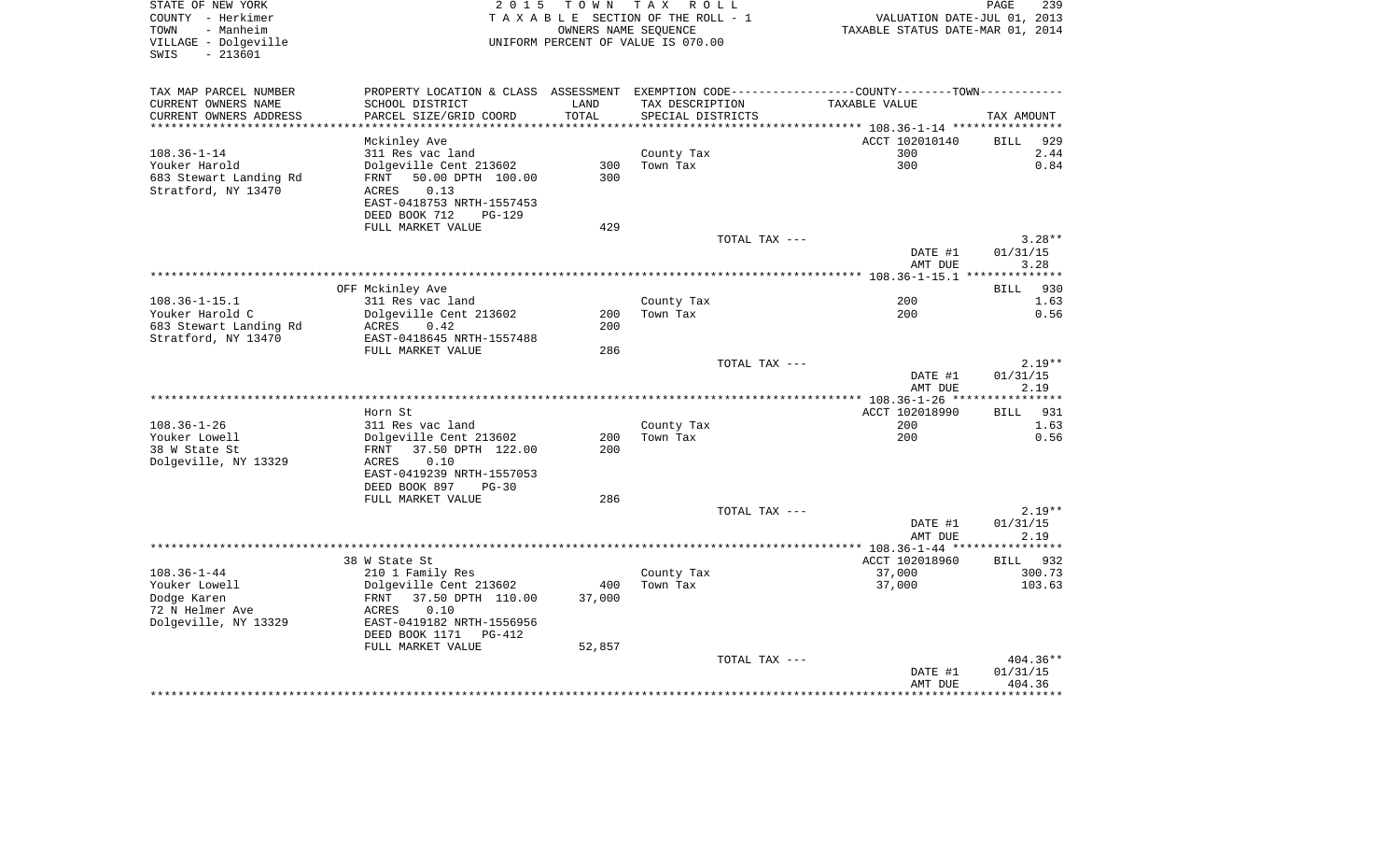| STATE OF NEW YORK<br>COUNTY - Herkimer                         | 2 0 1 5                                    |        | TOWN TAX ROLL<br>TAXABLE SECTION OF THE ROLL - 1           | VALUATION DATE-JUL 01, 2013                                                                   | PAGE<br>239                |
|----------------------------------------------------------------|--------------------------------------------|--------|------------------------------------------------------------|-----------------------------------------------------------------------------------------------|----------------------------|
| TOWN<br>- Manheim<br>VILLAGE - Dolgeville<br>$-213601$<br>SWIS |                                            |        | OWNERS NAME SEQUENCE<br>UNIFORM PERCENT OF VALUE IS 070.00 | TAXABLE STATUS DATE-MAR 01, 2014                                                              |                            |
| TAX MAP PARCEL NUMBER                                          |                                            |        |                                                            | PROPERTY LOCATION & CLASS ASSESSMENT EXEMPTION CODE---------------COUNTY-------TOWN---------- |                            |
| CURRENT OWNERS NAME                                            | SCHOOL DISTRICT                            | LAND   | TAX DESCRIPTION                                            | TAXABLE VALUE                                                                                 |                            |
| CURRENT OWNERS ADDRESS                                         | PARCEL SIZE/GRID COORD                     | TOTAL  | SPECIAL DISTRICTS                                          |                                                                                               | TAX AMOUNT                 |
| ***********************                                        |                                            |        |                                                            | ACCT 102010140                                                                                |                            |
| $108.36 - 1 - 14$                                              | Mckinley Ave<br>311 Res vac land           |        | County Tax                                                 | 300                                                                                           | <b>BILL</b><br>929<br>2.44 |
| Youker Harold                                                  | Dolgeville Cent 213602                     | 300    | Town Tax                                                   | 300                                                                                           | 0.84                       |
| 683 Stewart Landing Rd                                         | 50.00 DPTH 100.00<br>FRNT                  | 300    |                                                            |                                                                                               |                            |
| Stratford, NY 13470                                            | 0.13<br>ACRES                              |        |                                                            |                                                                                               |                            |
|                                                                | EAST-0418753 NRTH-1557453                  |        |                                                            |                                                                                               |                            |
|                                                                | DEED BOOK 712<br>PG-129                    |        |                                                            |                                                                                               |                            |
|                                                                | FULL MARKET VALUE                          | 429    |                                                            |                                                                                               |                            |
|                                                                |                                            |        | TOTAL TAX ---                                              |                                                                                               | $3.28**$                   |
|                                                                |                                            |        |                                                            | DATE #1<br>AMT DUE                                                                            | 01/31/15<br>3.28           |
|                                                                |                                            |        |                                                            |                                                                                               |                            |
|                                                                | OFF Mckinley Ave                           |        |                                                            |                                                                                               | <b>BILL</b><br>930         |
| $108.36 - 1 - 15.1$                                            | 311 Res vac land                           |        | County Tax                                                 | 200                                                                                           | 1.63                       |
| Youker Harold C                                                | Dolgeville Cent 213602                     | 200    | Town Tax                                                   | 200                                                                                           | 0.56                       |
| 683 Stewart Landing Rd                                         | ACRES<br>0.42                              | 200    |                                                            |                                                                                               |                            |
| Stratford, NY 13470                                            | EAST-0418645 NRTH-1557488                  |        |                                                            |                                                                                               |                            |
|                                                                | FULL MARKET VALUE                          | 286    | TOTAL TAX ---                                              |                                                                                               | $2.19**$                   |
|                                                                |                                            |        |                                                            | DATE #1                                                                                       | 01/31/15                   |
|                                                                |                                            |        |                                                            | AMT DUE                                                                                       | 2.19                       |
|                                                                |                                            |        |                                                            |                                                                                               |                            |
|                                                                | Horn St                                    |        |                                                            | ACCT 102018990                                                                                | BILL<br>931                |
| $108.36 - 1 - 26$                                              | 311 Res vac land                           |        | County Tax                                                 | 200                                                                                           | 1.63                       |
| Youker Lowell                                                  | Dolgeville Cent 213602                     | 200    | Town Tax                                                   | 200                                                                                           | 0.56                       |
| 38 W State St                                                  | FRNT<br>37.50 DPTH 122.00                  | 200    |                                                            |                                                                                               |                            |
| Dolgeville, NY 13329                                           | ACRES<br>0.10<br>EAST-0419239 NRTH-1557053 |        |                                                            |                                                                                               |                            |
|                                                                | DEED BOOK 897<br>$PG-30$                   |        |                                                            |                                                                                               |                            |
|                                                                | FULL MARKET VALUE                          | 286    |                                                            |                                                                                               |                            |
|                                                                |                                            |        | TOTAL TAX ---                                              |                                                                                               | $2.19**$                   |
|                                                                |                                            |        |                                                            | DATE #1                                                                                       | 01/31/15                   |
|                                                                |                                            |        |                                                            | AMT DUE                                                                                       | 2.19                       |
|                                                                |                                            |        |                                                            |                                                                                               |                            |
|                                                                | 38 W State St                              |        |                                                            | ACCT 102018960                                                                                | BILL 932                   |
| $108.36 - 1 - 44$<br>Youker Lowell                             | 210 1 Family Res<br>Dolgeville Cent 213602 | 400    | County Tax<br>Town Tax                                     | 37,000<br>37,000                                                                              | 300.73<br>103.63           |
| Dodge Karen                                                    | FRNT<br>37.50 DPTH 110.00                  | 37,000 |                                                            |                                                                                               |                            |
| 72 N Helmer Ave                                                | ACRES<br>0.10                              |        |                                                            |                                                                                               |                            |
| Dolgeville, NY 13329                                           | EAST-0419182 NRTH-1556956                  |        |                                                            |                                                                                               |                            |
|                                                                | DEED BOOK 1171<br>PG-412                   |        |                                                            |                                                                                               |                            |
|                                                                | FULL MARKET VALUE                          | 52,857 |                                                            |                                                                                               |                            |
|                                                                |                                            |        | TOTAL TAX ---                                              |                                                                                               | 404.36**                   |
|                                                                |                                            |        |                                                            | DATE #1                                                                                       | 01/31/15<br>404.36         |
|                                                                |                                            |        |                                                            | AMT DUE                                                                                       |                            |
|                                                                |                                            |        |                                                            |                                                                                               |                            |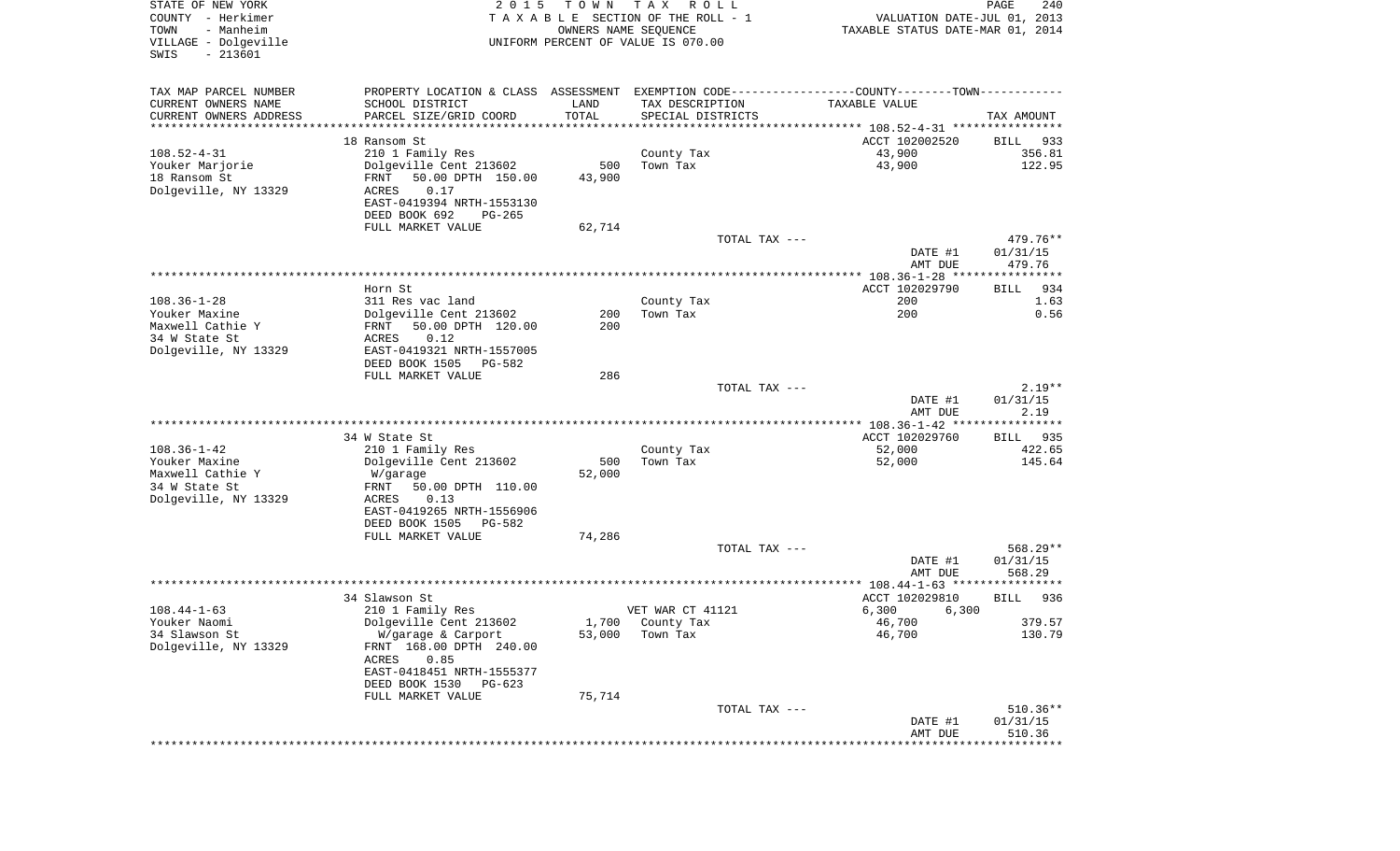| TAX MAP PARCEL NUMBER<br>PROPERTY LOCATION & CLASS ASSESSMENT EXEMPTION CODE---------------COUNTY-------TOWN----------<br>CURRENT OWNERS NAME<br>SCHOOL DISTRICT<br>LAND<br>TAX DESCRIPTION<br>TAXABLE VALUE<br>TOTAL<br>CURRENT OWNERS ADDRESS<br>PARCEL SIZE/GRID COORD<br>SPECIAL DISTRICTS<br>TAX AMOUNT<br>************************<br>*********************<br>* * * * * * * * * * *<br>18 Ransom St<br>ACCT 102002520<br>BILL<br>933<br>$108.52 - 4 - 31$<br>43,900<br>356.81<br>210 1 Family Res<br>County Tax<br>43,900<br>122.95<br>Youker Marjorie<br>Dolgeville Cent 213602<br>500<br>Town Tax<br>18 Ransom St<br>50.00 DPTH 150.00<br>43,900<br>FRNT |
|-------------------------------------------------------------------------------------------------------------------------------------------------------------------------------------------------------------------------------------------------------------------------------------------------------------------------------------------------------------------------------------------------------------------------------------------------------------------------------------------------------------------------------------------------------------------------------------------------------------------------------------------------------------------|
|                                                                                                                                                                                                                                                                                                                                                                                                                                                                                                                                                                                                                                                                   |
|                                                                                                                                                                                                                                                                                                                                                                                                                                                                                                                                                                                                                                                                   |
|                                                                                                                                                                                                                                                                                                                                                                                                                                                                                                                                                                                                                                                                   |
|                                                                                                                                                                                                                                                                                                                                                                                                                                                                                                                                                                                                                                                                   |
|                                                                                                                                                                                                                                                                                                                                                                                                                                                                                                                                                                                                                                                                   |
|                                                                                                                                                                                                                                                                                                                                                                                                                                                                                                                                                                                                                                                                   |
|                                                                                                                                                                                                                                                                                                                                                                                                                                                                                                                                                                                                                                                                   |
| Dolgeville, NY 13329<br>ACRES<br>0.17<br>EAST-0419394 NRTH-1553130                                                                                                                                                                                                                                                                                                                                                                                                                                                                                                                                                                                                |
| DEED BOOK 692<br>PG-265                                                                                                                                                                                                                                                                                                                                                                                                                                                                                                                                                                                                                                           |
| FULL MARKET VALUE<br>62,714                                                                                                                                                                                                                                                                                                                                                                                                                                                                                                                                                                                                                                       |
| TOTAL TAX ---<br>479.76**                                                                                                                                                                                                                                                                                                                                                                                                                                                                                                                                                                                                                                         |
| 01/31/15<br>DATE #1                                                                                                                                                                                                                                                                                                                                                                                                                                                                                                                                                                                                                                               |
| 479.76<br>AMT DUE                                                                                                                                                                                                                                                                                                                                                                                                                                                                                                                                                                                                                                                 |
| ACCT 102029790<br>Horn St<br>934<br>BILL                                                                                                                                                                                                                                                                                                                                                                                                                                                                                                                                                                                                                          |
| $108.36 - 1 - 28$<br>311 Res vac land<br>County Tax<br>200<br>1.63                                                                                                                                                                                                                                                                                                                                                                                                                                                                                                                                                                                                |
| Dolgeville Cent 213602<br>200<br>0.56<br>Youker Maxine<br>200<br>Town Tax                                                                                                                                                                                                                                                                                                                                                                                                                                                                                                                                                                                         |
| Maxwell Cathie Y<br>200<br>50.00 DPTH 120.00<br>FRNT<br>0.12                                                                                                                                                                                                                                                                                                                                                                                                                                                                                                                                                                                                      |
| 34 W State St<br>ACRES<br>EAST-0419321 NRTH-1557005<br>Dolgeville, NY 13329                                                                                                                                                                                                                                                                                                                                                                                                                                                                                                                                                                                       |
| DEED BOOK 1505<br>PG-582                                                                                                                                                                                                                                                                                                                                                                                                                                                                                                                                                                                                                                          |
| 286<br>FULL MARKET VALUE                                                                                                                                                                                                                                                                                                                                                                                                                                                                                                                                                                                                                                          |
| TOTAL TAX ---<br>$2.19**$<br>01/31/15<br>DATE #1                                                                                                                                                                                                                                                                                                                                                                                                                                                                                                                                                                                                                  |
| 2.19<br>AMT DUE                                                                                                                                                                                                                                                                                                                                                                                                                                                                                                                                                                                                                                                   |
|                                                                                                                                                                                                                                                                                                                                                                                                                                                                                                                                                                                                                                                                   |
| ACCT 102029760<br>34 W State St<br>BILL 935                                                                                                                                                                                                                                                                                                                                                                                                                                                                                                                                                                                                                       |
| $108.36 - 1 - 42$<br>422.65<br>210 1 Family Res<br>County Tax<br>52,000                                                                                                                                                                                                                                                                                                                                                                                                                                                                                                                                                                                           |
| Dolgeville Cent 213602<br>500<br>52,000<br>145.64<br>Youker Maxine<br>Town Tax<br>Maxwell Cathie Y<br>52,000<br>W/garage                                                                                                                                                                                                                                                                                                                                                                                                                                                                                                                                          |
| 34 W State St<br>FRNT<br>50.00 DPTH 110.00                                                                                                                                                                                                                                                                                                                                                                                                                                                                                                                                                                                                                        |
| Dolgeville, NY 13329<br>ACRES<br>0.13                                                                                                                                                                                                                                                                                                                                                                                                                                                                                                                                                                                                                             |
| EAST-0419265 NRTH-1556906                                                                                                                                                                                                                                                                                                                                                                                                                                                                                                                                                                                                                                         |
| DEED BOOK 1505<br>PG-582<br>FULL MARKET VALUE<br>74,286                                                                                                                                                                                                                                                                                                                                                                                                                                                                                                                                                                                                           |
| TOTAL TAX ---<br>$568.29**$                                                                                                                                                                                                                                                                                                                                                                                                                                                                                                                                                                                                                                       |
| 01/31/15<br>DATE #1                                                                                                                                                                                                                                                                                                                                                                                                                                                                                                                                                                                                                                               |
| AMT DUE<br>568.29                                                                                                                                                                                                                                                                                                                                                                                                                                                                                                                                                                                                                                                 |
|                                                                                                                                                                                                                                                                                                                                                                                                                                                                                                                                                                                                                                                                   |
| 34 Slawson St<br>ACCT 102029810<br>936<br><b>BILL</b><br>$108.44 - 1 - 63$<br>VET WAR CT 41121<br>6,300<br>6,300<br>210 1 Family Res                                                                                                                                                                                                                                                                                                                                                                                                                                                                                                                              |
| 379.57<br>Youker Naomi<br>Dolgeville Cent 213602<br>1,700 County Tax<br>46,700                                                                                                                                                                                                                                                                                                                                                                                                                                                                                                                                                                                    |
| 46,700<br>130.79<br>34 Slawson St<br>53,000<br>Town Tax<br>W/garage & Carport                                                                                                                                                                                                                                                                                                                                                                                                                                                                                                                                                                                     |
| Dolgeville, NY 13329<br>FRNT 168.00 DPTH 240.00                                                                                                                                                                                                                                                                                                                                                                                                                                                                                                                                                                                                                   |
| 0.85<br>ACRES<br>EAST-0418451 NRTH-1555377                                                                                                                                                                                                                                                                                                                                                                                                                                                                                                                                                                                                                        |
| DEED BOOK 1530<br>PG-623                                                                                                                                                                                                                                                                                                                                                                                                                                                                                                                                                                                                                                          |
| FULL MARKET VALUE<br>75,714                                                                                                                                                                                                                                                                                                                                                                                                                                                                                                                                                                                                                                       |
| $510.36**$<br>TOTAL TAX ---                                                                                                                                                                                                                                                                                                                                                                                                                                                                                                                                                                                                                                       |
| 01/31/15<br>DATE #1                                                                                                                                                                                                                                                                                                                                                                                                                                                                                                                                                                                                                                               |
| 510.36<br>AMT DUE<br>****************************                                                                                                                                                                                                                                                                                                                                                                                                                                                                                                                                                                                                                 |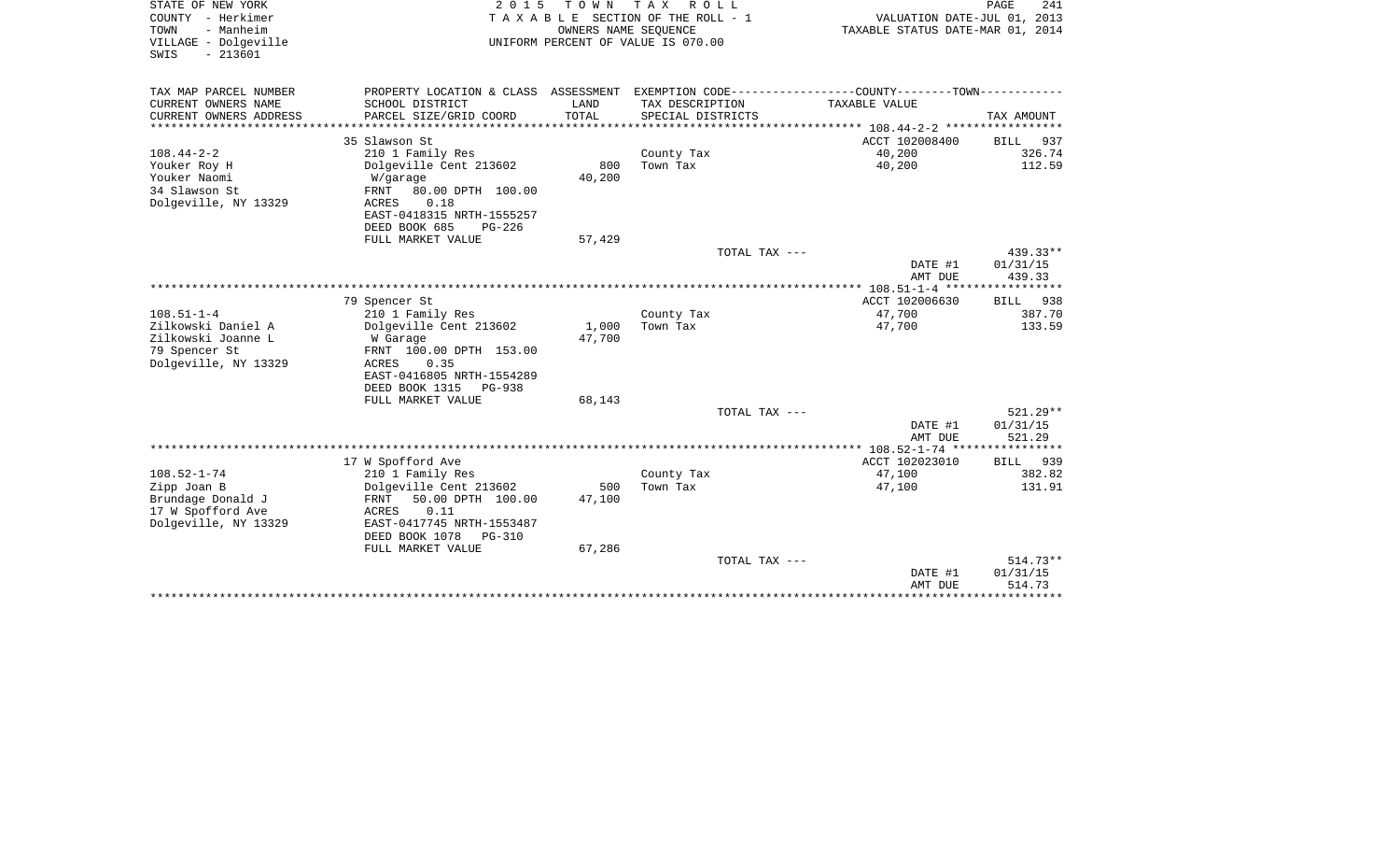| STATE OF NEW YORK<br>COUNTY - Herkimer<br>- Manheim<br>TOWN<br>VILLAGE - Dolgeville<br>$-213601$<br>SWIS | 2 0 1 5                                      | TOWN          | T A X<br>R O L L<br>T A X A B L E SECTION OF THE ROLL - 1<br>OWNERS NAME SEOUENCE<br>UNIFORM PERCENT OF VALUE IS 070.00 | VALUATION DATE-JUL 01, 2013<br>TAXABLE STATUS DATE-MAR 01, 2014 | PAGE<br>241        |
|----------------------------------------------------------------------------------------------------------|----------------------------------------------|---------------|-------------------------------------------------------------------------------------------------------------------------|-----------------------------------------------------------------|--------------------|
| TAX MAP PARCEL NUMBER                                                                                    | PROPERTY LOCATION & CLASS ASSESSMENT         |               | EXEMPTION CODE----------------COUNTY-------TOWN-----------                                                              |                                                                 |                    |
| CURRENT OWNERS NAME<br>CURRENT OWNERS ADDRESS                                                            | SCHOOL DISTRICT<br>PARCEL SIZE/GRID COORD    | LAND<br>TOTAL | TAX DESCRIPTION<br>SPECIAL DISTRICTS                                                                                    | TAXABLE VALUE                                                   | TAX AMOUNT         |
|                                                                                                          | 35 Slawson St                                |               |                                                                                                                         | ACCT 102008400                                                  | <b>BILL</b><br>937 |
| $108.44 - 2 - 2$                                                                                         | 210 1 Family Res                             |               | County Tax                                                                                                              | 40,200                                                          | 326.74             |
| Youker Roy H                                                                                             | Dolgeville Cent 213602                       | 800           | Town Tax                                                                                                                | 40,200                                                          | 112.59             |
| Youker Naomi                                                                                             | W/garage                                     | 40,200        |                                                                                                                         |                                                                 |                    |
| 34 Slawson St                                                                                            | FRNT<br>80.00 DPTH 100.00                    |               |                                                                                                                         |                                                                 |                    |
| Dolgeville, NY 13329                                                                                     | <b>ACRES</b><br>0.18                         |               |                                                                                                                         |                                                                 |                    |
|                                                                                                          | EAST-0418315 NRTH-1555257                    |               |                                                                                                                         |                                                                 |                    |
|                                                                                                          | DEED BOOK 685<br>PG-226<br>FULL MARKET VALUE | 57,429        |                                                                                                                         |                                                                 |                    |
|                                                                                                          |                                              |               | TOTAL TAX ---                                                                                                           |                                                                 | 439.33**           |
|                                                                                                          |                                              |               |                                                                                                                         | DATE #1                                                         | 01/31/15           |
|                                                                                                          |                                              |               |                                                                                                                         | AMT DUE                                                         | 439.33             |
|                                                                                                          |                                              |               |                                                                                                                         | ** 108.51-1-4 ****                                              |                    |
|                                                                                                          | 79 Spencer St                                |               |                                                                                                                         | ACCT 102006630                                                  | BILL<br>938        |
| $108.51 - 1 - 4$                                                                                         | 210 1 Family Res                             |               | County Tax                                                                                                              | 47,700                                                          | 387.70             |
| Zilkowski Daniel A                                                                                       | Dolgeville Cent 213602                       | 1,000         | Town Tax                                                                                                                | 47,700                                                          | 133.59             |
| Zilkowski Joanne L                                                                                       | W Garage                                     | 47,700        |                                                                                                                         |                                                                 |                    |
| 79 Spencer St<br>Dolgeville, NY 13329                                                                    | FRNT 100.00 DPTH 153.00<br>0.35<br>ACRES     |               |                                                                                                                         |                                                                 |                    |
|                                                                                                          | EAST-0416805 NRTH-1554289                    |               |                                                                                                                         |                                                                 |                    |
|                                                                                                          | DEED BOOK 1315<br><b>PG-938</b>              |               |                                                                                                                         |                                                                 |                    |
|                                                                                                          | FULL MARKET VALUE                            | 68,143        |                                                                                                                         |                                                                 |                    |
|                                                                                                          |                                              |               | TOTAL TAX ---                                                                                                           |                                                                 | $521.29**$         |
|                                                                                                          |                                              |               |                                                                                                                         | DATE #1                                                         | 01/31/15           |
|                                                                                                          |                                              |               |                                                                                                                         | AMT DUE                                                         | 521.29             |
|                                                                                                          |                                              |               |                                                                                                                         |                                                                 |                    |
| $108.52 - 1 - 74$                                                                                        | 17 W Spofford Ave                            |               |                                                                                                                         | ACCT 102023010                                                  | 939<br><b>BILL</b> |
| Zipp Joan B                                                                                              | 210 1 Family Res<br>Dolgeville Cent 213602   | 500           | County Tax<br>Town Tax                                                                                                  | 47,100<br>47,100                                                | 382.82<br>131.91   |
| Brundage Donald J                                                                                        | FRNT<br>50.00 DPTH 100.00                    | 47,100        |                                                                                                                         |                                                                 |                    |
| 17 W Spofford Ave                                                                                        | 0.11<br>ACRES                                |               |                                                                                                                         |                                                                 |                    |
| Dolgeville, NY 13329                                                                                     | EAST-0417745 NRTH-1553487                    |               |                                                                                                                         |                                                                 |                    |
|                                                                                                          | DEED BOOK 1078<br><b>PG-310</b>              |               |                                                                                                                         |                                                                 |                    |
|                                                                                                          | FULL MARKET VALUE                            | 67,286        |                                                                                                                         |                                                                 |                    |
|                                                                                                          |                                              |               | TOTAL TAX ---                                                                                                           |                                                                 | $514.73**$         |
|                                                                                                          |                                              |               |                                                                                                                         | DATE #1                                                         | 01/31/15           |
|                                                                                                          |                                              |               |                                                                                                                         | AMT DUE                                                         | 514.73             |
|                                                                                                          |                                              |               |                                                                                                                         |                                                                 |                    |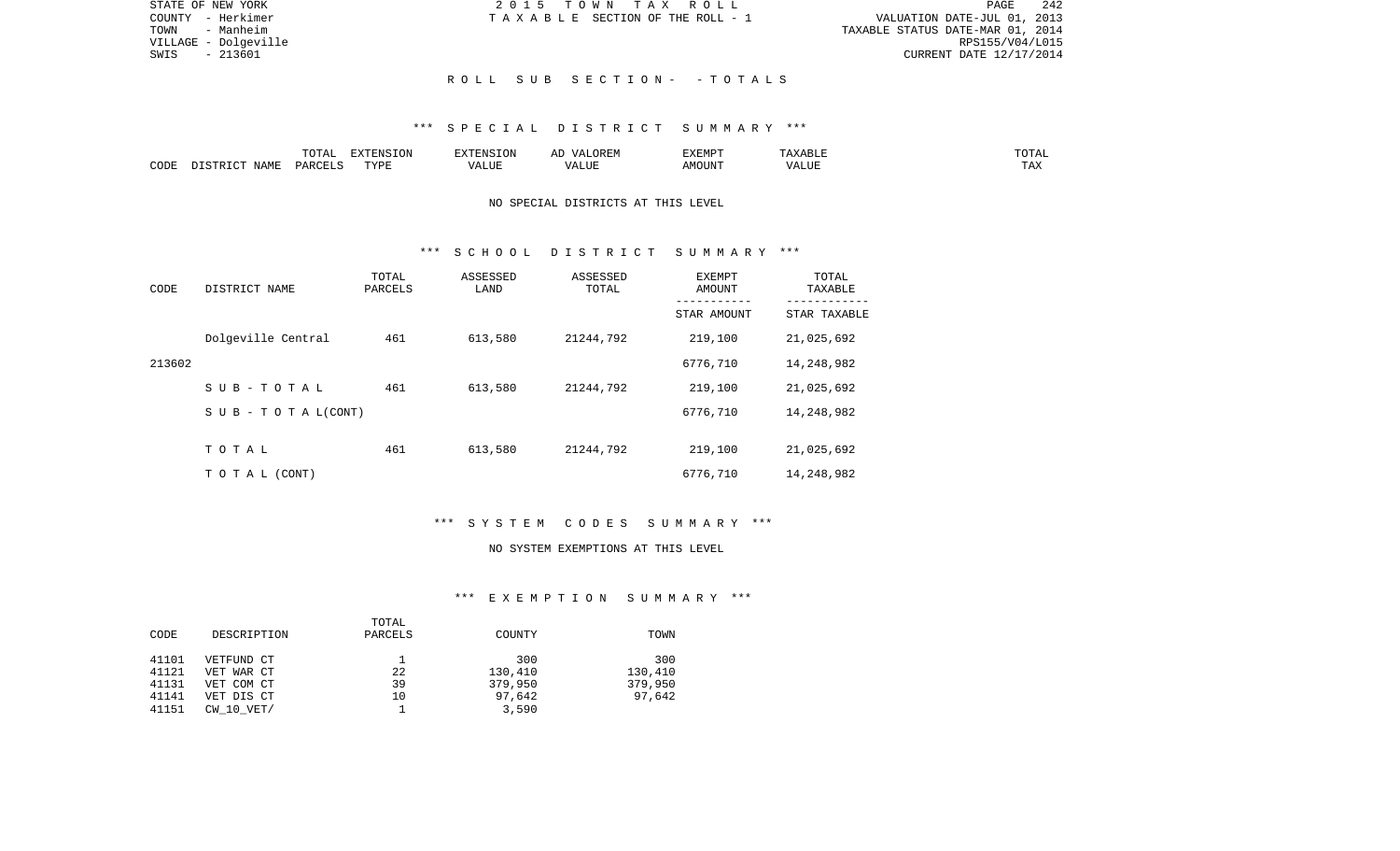| STATE OF NEW YORK    | 2015 TOWN TAX ROLL              | 242<br>PAGE                      |
|----------------------|---------------------------------|----------------------------------|
| COUNTY - Herkimer    | TAXABLE SECTION OF THE ROLL - 1 | VALUATION DATE-JUL 01, 2013      |
| TOWN<br>- Manheim    |                                 | TAXABLE STATUS DATE-MAR 01, 2014 |
| VILLAGE - Dolgeville |                                 | RPS155/V04/L015                  |
| - 213601<br>SWIS     |                                 | CURRENT DATE 12/17/2014          |
|                      |                                 |                                  |
|                      | ROLL SUB SECTION- - TOTALS      |                                  |

### \*\*\* S P E C I A L D I S T R I C T S U M M A R Y \*\*\*

|      |            |         | $\blacksquare$ $\blacksquare$ $\blacksquare$ $\blacksquare$ $\blacksquare$ $\blacksquare$ $\blacksquare$ $\blacksquare$<br>-- |  | ----<br>∟µ⊔ |                | ۰Δ.<br>- - - - - |
|------|------------|---------|-------------------------------------------------------------------------------------------------------------------------------|--|-------------|----------------|------------------|
| CODE | $\sqrt{M}$ | ∕ µ ∆ ∪ | וסעי                                                                                                                          |  | OUN         | . <del>.</del> | mas:<br>⊥ ≞∡     |

# NO SPECIAL DISTRICTS AT THIS LEVEL

### \*\*\* S C H O O L D I S T R I C T S U M M A R Y \*\*\*

| CODE   | DISTRICT NAME             | TOTAL<br>PARCELS | ASSESSED<br>LAND | ASSESSED<br>TOTAL | EXEMPT<br>AMOUNT<br>-------- | TOTAL<br>TAXABLE<br>--------- |
|--------|---------------------------|------------------|------------------|-------------------|------------------------------|-------------------------------|
|        |                           |                  |                  |                   | STAR AMOUNT                  | STAR TAXABLE                  |
|        | Dolgeville Central        | 461              | 613,580          | 21244,792         | 219,100                      | 21,025,692                    |
| 213602 |                           |                  |                  |                   | 6776,710                     | 14,248,982                    |
|        | SUB-TOTAL                 | 461              | 613,580          | 21244,792         | 219,100                      | 21,025,692                    |
|        | S U B - T O T A $L(CONT)$ |                  |                  |                   | 6776,710                     | 14,248,982                    |
|        |                           |                  |                  |                   |                              |                               |
|        | TOTAL                     | 461              | 613,580          | 21244,792         | 219,100                      | 21,025,692                    |
|        | T O T A L (CONT)          |                  |                  |                   | 6776,710                     | 14,248,982                    |

# \*\*\* S Y S T E M C O D E S S U M M A R Y \*\*\*

#### NO SYSTEM EXEMPTIONS AT THIS LEVEL

## \*\*\* E X E M P T I O N S U M M A R Y \*\*\*

|       |                | TOTAL   |         |         |
|-------|----------------|---------|---------|---------|
| CODE  | DESCRIPTION    | PARCELS | COUNTY  | TOWN    |
|       |                |         |         |         |
| 41101 | VETFUND CT     |         | 300     | 300     |
| 41121 | VET WAR CT     | 22      | 130,410 | 130,410 |
| 41131 | VET COM CT     | 39      | 379,950 | 379,950 |
| 41141 | VET DIS CT     | 10      | 97,642  | 97,642  |
| 41151 | $CW$ 10 $VET/$ |         | 3,590   |         |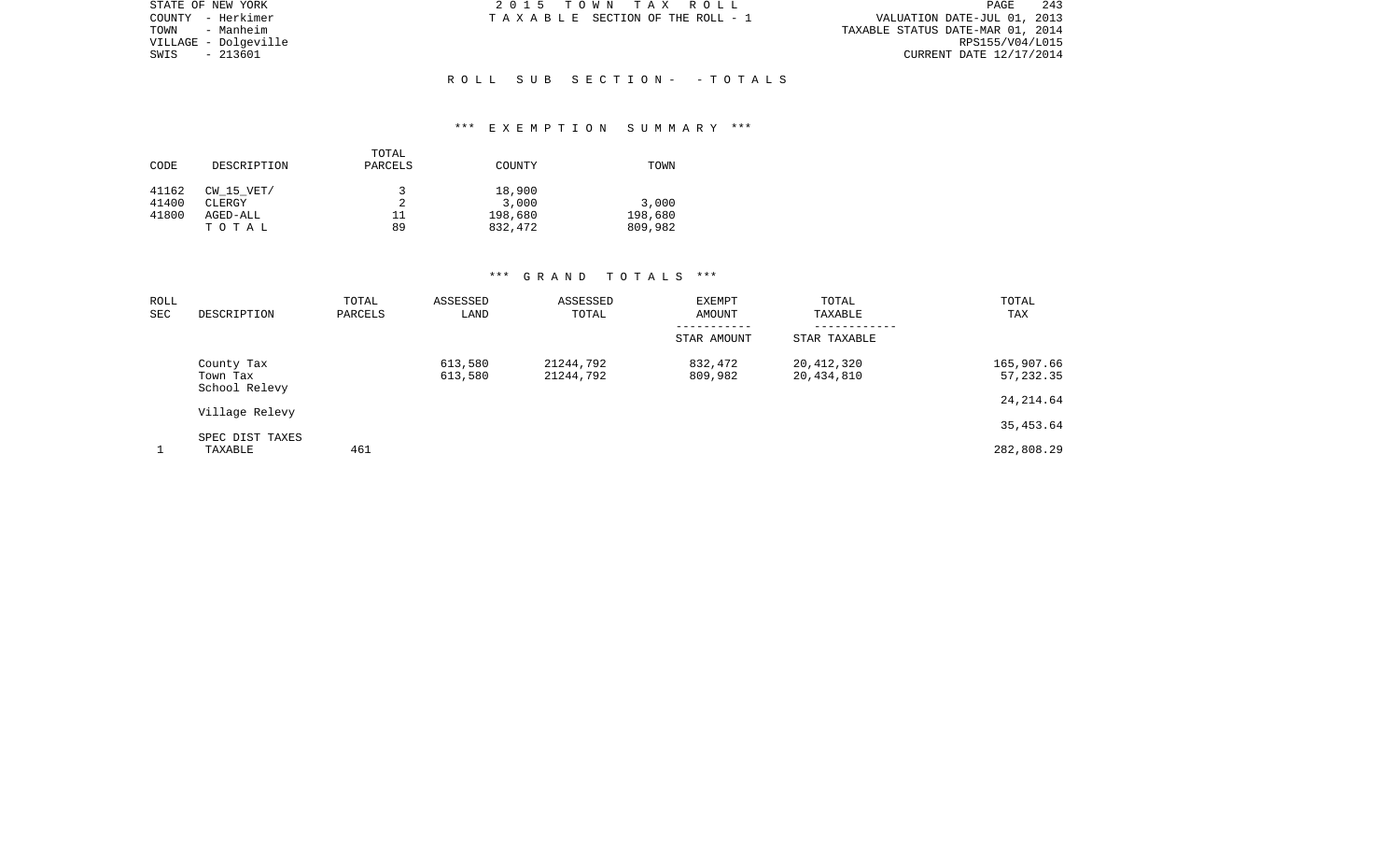| STATE OF NEW YORK    | 2015 TOWN TAX ROLL              | 243<br>PAGE                      |
|----------------------|---------------------------------|----------------------------------|
| COUNTY - Herkimer    | TAXABLE SECTION OF THE ROLL - 1 | VALUATION DATE-JUL 01, 2013      |
| - Manheim<br>TOWN    |                                 | TAXABLE STATUS DATE-MAR 01, 2014 |
| VILLAGE - Dolgeville |                                 | RPS155/V04/L015                  |
| - 213601<br>SWIS     |                                 | CURRENT DATE 12/17/2014          |
|                      |                                 |                                  |
|                      | ROLL SUB SECTION- -TOTALS       |                                  |

## \*\*\* E X E M P T I O N S U M M A R Y \*\*\*

|       |                | TOTAL   |         |         |
|-------|----------------|---------|---------|---------|
| CODE  | DESCRIPTION    | PARCELS | COUNTY  | TOWN    |
| 41162 | $CW$ 15 $VET/$ | J       | 18,900  |         |
| 41400 | CLERGY         |         | 3,000   | 3,000   |
| 41800 | AGED-ALL       | 11      | 198,680 | 198,680 |
|       | TOTAL          | 89      | 832,472 | 809,982 |

| ROLL<br>SEC | DESCRIPTION                             | TOTAL<br>PARCELS | ASSESSED<br>LAND   | ASSESSED<br>TOTAL      | EXEMPT<br>AMOUNT   | TOTAL<br>TAXABLE<br>--------- | TOTAL<br>TAX            |
|-------------|-----------------------------------------|------------------|--------------------|------------------------|--------------------|-------------------------------|-------------------------|
|             |                                         |                  |                    |                        | STAR AMOUNT        | STAR TAXABLE                  |                         |
|             | County Tax<br>Town Tax<br>School Relevy |                  | 613,580<br>613,580 | 21244,792<br>21244,792 | 832,472<br>809,982 | 20,412,320<br>20,434,810      | 165,907.66<br>57,232.35 |
|             | Village Relevy                          |                  |                    |                        |                    |                               | 24, 214.64              |
|             |                                         |                  |                    |                        |                    |                               | 35,453.64               |
|             | SPEC DIST TAXES<br>TAXABLE              | 461              |                    |                        |                    |                               | 282,808.29              |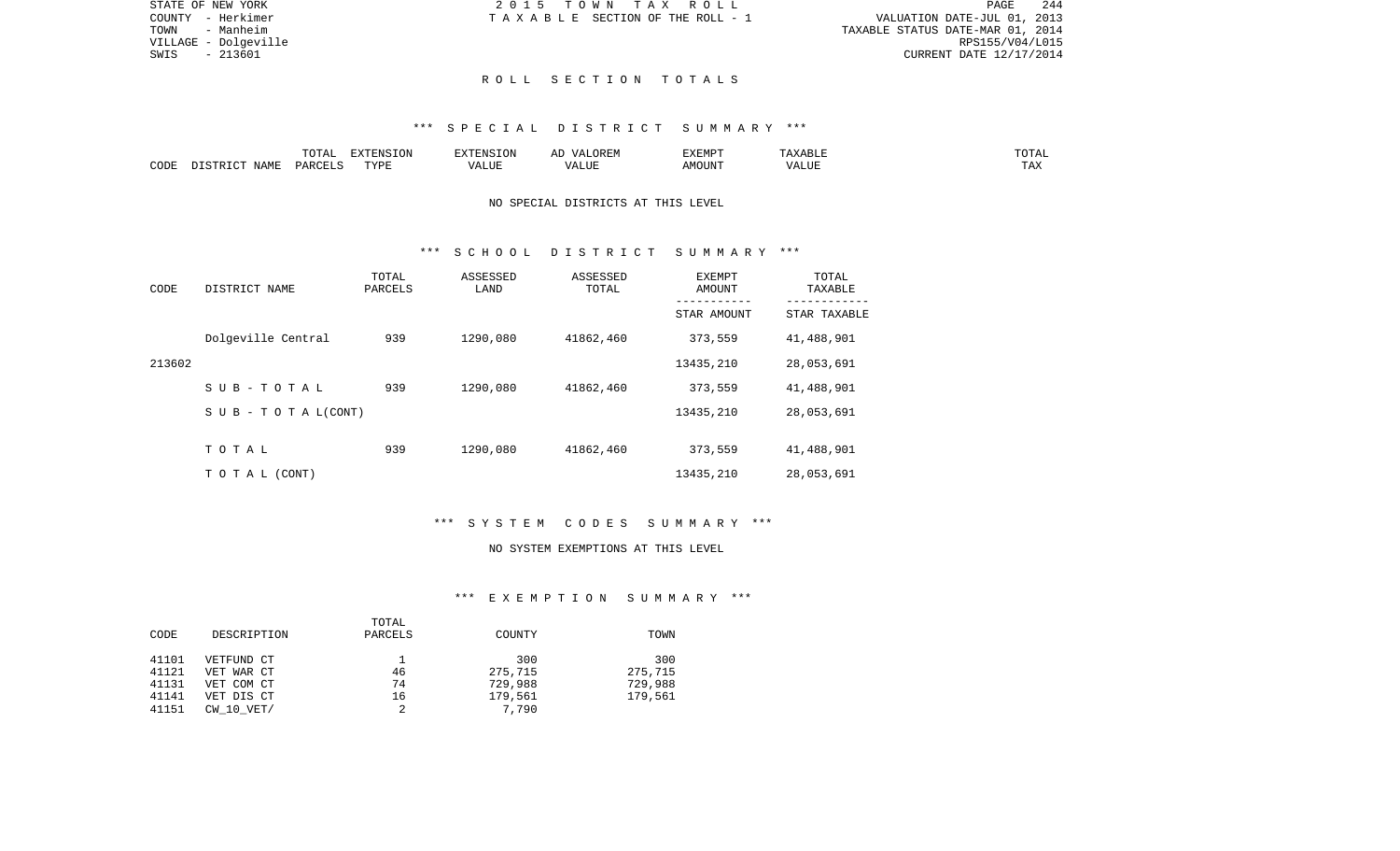|                 | 244<br>PAGE                      |  |  |  |  |  |
|-----------------|----------------------------------|--|--|--|--|--|
|                 | VALUATION DATE-JUL 01, 2013      |  |  |  |  |  |
|                 | TAXABLE STATUS DATE-MAR 01, 2014 |  |  |  |  |  |
| RPS155/V04/L015 |                                  |  |  |  |  |  |
|                 | CURRENT DATE 12/17/2014          |  |  |  |  |  |

STATE OF NEW YORK **2015 TOWN TAX ROLL** COUNTY - Herkimer  $T A X A B L E$  SECTION OF THE ROLL - 1

TOWN - Manheim VILLAGE - Dolgeville<br>SWIS - 213601

### R O L L S E C T I O N T O T A L S

### \*\*\* S P E C I A L D I S T R I C T S U M M A R Y \*\*\*

|      |                          | $m \wedge m \wedge n$<br>◡∸⊷     | $\Box$<br>NS<br>LON |                                                   | 17 D<br>▵   | <b>EXEMP1</b>                 |   | ∸∸                |
|------|--------------------------|----------------------------------|---------------------|---------------------------------------------------|-------------|-------------------------------|---|-------------------|
| CODE | NAME.<br>. ו סיד<br>ד כי | $\ldots$ DORT $\subset$<br>− ⊃∆⊾ | TVDT                | $- - - - -$<br>$\overline{\phantom{a}}$<br>ALIU P | ----<br>1U. | $1.55$ $\cap$ $T$ $T$ $T$ $T$ | ິ | <b>TRV</b><br>⊥⊷∆ |

# NO SPECIAL DISTRICTS AT THIS LEVEL

## \*\*\* S C H O O L D I S T R I C T S U M M A R Y \*\*\*

| CODE   | DISTRICT NAME                    | TOTAL<br>PARCELS | ASSESSED<br>LAND | ASSESSED<br>TOTAL | <b>EXEMPT</b><br>AMOUNT | TOTAL<br>TAXABLE<br>-------- |
|--------|----------------------------------|------------------|------------------|-------------------|-------------------------|------------------------------|
|        |                                  |                  |                  |                   | STAR AMOUNT             | STAR TAXABLE                 |
|        | Dolgeville Central               | 939              | 1290,080         | 41862,460         | 373,559                 | 41,488,901                   |
| 213602 |                                  |                  |                  |                   | 13435,210               | 28,053,691                   |
|        | SUB-TOTAL                        | 939              | 1290,080         | 41862,460         | 373,559                 | 41,488,901                   |
|        | $S \cup B - T \cup T A L (CONT)$ |                  |                  |                   | 13435,210               | 28,053,691                   |
|        |                                  |                  |                  |                   |                         |                              |
|        | TOTAL                            | 939              | 1290,080         | 41862,460         | 373,559                 | 41,488,901                   |
|        | TO TAL (CONT)                    |                  |                  |                   | 13435,210               | 28,053,691                   |

# \*\*\* S Y S T E M C O D E S S U M M A R Y \*\*\*

#### NO SYSTEM EXEMPTIONS AT THIS LEVEL

## \*\*\* E X E M P T I O N S U M M A R Y \*\*\*

|       |                | TOTAL   |         |         |
|-------|----------------|---------|---------|---------|
| CODE  | DESCRIPTION    | PARCELS | COUNTY  | TOWN    |
|       |                |         |         |         |
| 41101 | VETFUND CT     |         | 300     | 300     |
| 41121 | VET WAR CT     | 46      | 275,715 | 275,715 |
| 41131 | VET COM CT     | 74      | 729,988 | 729,988 |
| 41141 | VET DIS CT     | 16      | 179,561 | 179,561 |
| 41151 | $CW$ 10 $VET/$ |         | 7,790   |         |
|       |                |         |         |         |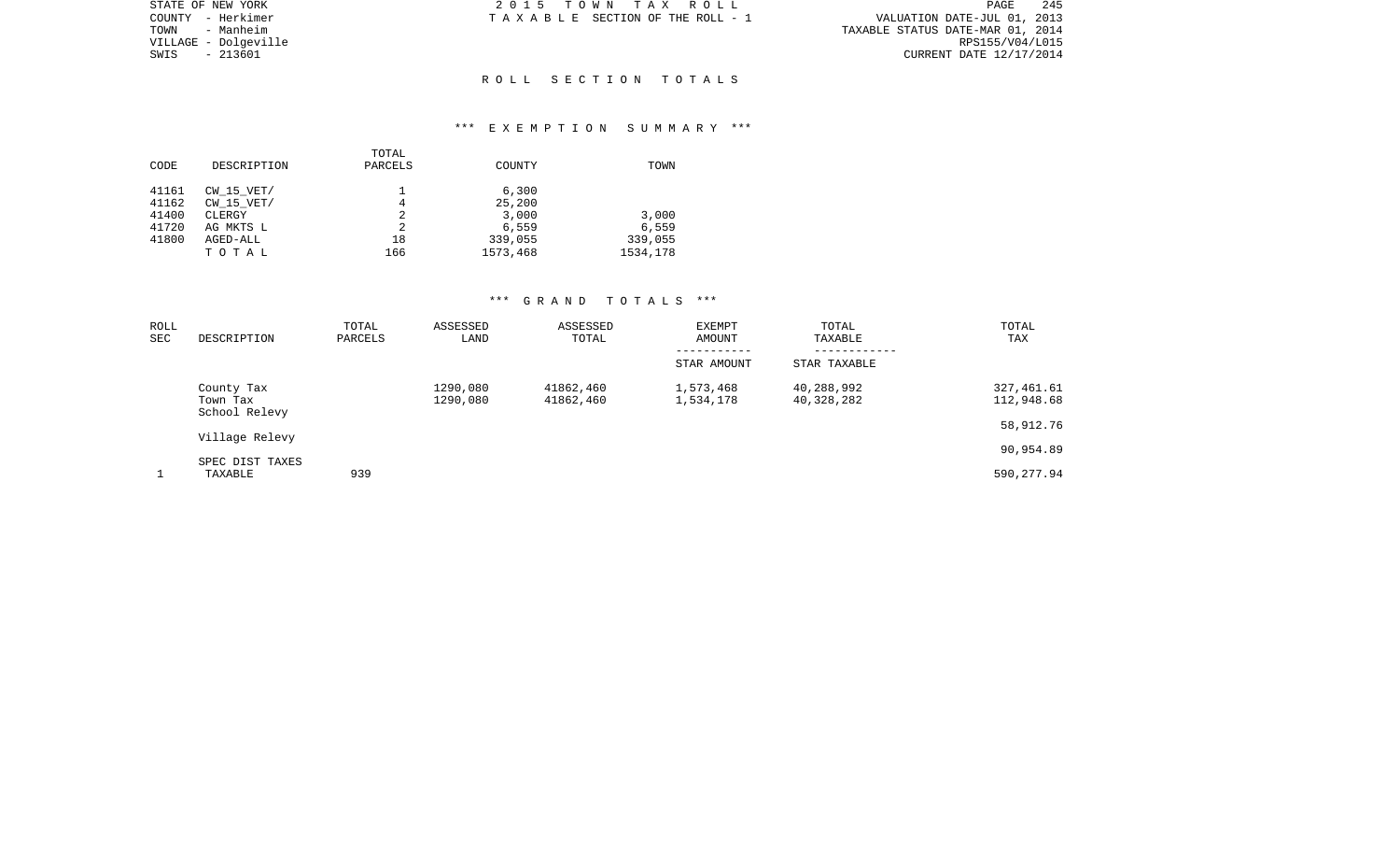| STATE OF NEW YORK    | 2015 TOWN TAX ROLL              | 245<br>PAGE                      |
|----------------------|---------------------------------|----------------------------------|
| COUNTY - Herkimer    | TAXABLE SECTION OF THE ROLL - 1 | VALUATION DATE-JUL 01, 2013      |
| TOWN<br>- Manheim    |                                 | TAXABLE STATUS DATE-MAR 01, 2014 |
| VILLAGE - Dolqeville |                                 | RPS155/V04/L015                  |
| SWIS<br>- 213601     |                                 | CURRENT DATE 12/17/2014          |
|                      |                                 |                                  |
|                      | ROLL SECTION TOTALS             |                                  |

## \*\*\* E X E M P T I O N S U M M A R Y \*\*\*

| CODE                                      | DESCRIPTION                                                              | TOTAL<br>PARCELS         | COUNTY                                                   | TOWN                                  |
|-------------------------------------------|--------------------------------------------------------------------------|--------------------------|----------------------------------------------------------|---------------------------------------|
| 41161<br>41162<br>41400<br>41720<br>41800 | $CW$ 15 $VET/$<br>CW 15 VET/<br>CLERGY<br>AG MKTS L<br>AGED-ALL<br>TOTAL | 4<br>2<br>2<br>18<br>166 | 6,300<br>25,200<br>3,000<br>6,559<br>339,055<br>1573,468 | 3,000<br>6,559<br>339,055<br>1534,178 |

| ROLL |                 | TOTAL   | ASSESSED | ASSESSED  | <b>EXEMPT</b> | TOTAL        | TOTAL      |
|------|-----------------|---------|----------|-----------|---------------|--------------|------------|
| SEC  | DESCRIPTION     | PARCELS | LAND     | TOTAL     | AMOUNT        | TAXABLE      | TAX        |
|      |                 |         |          |           |               |              |            |
|      |                 |         |          |           | STAR AMOUNT   | STAR TAXABLE |            |
|      | County Tax      |         | 1290,080 | 41862,460 | 1,573,468     | 40,288,992   | 327,461.61 |
|      | Town Tax        |         | 1290,080 | 41862,460 | 1,534,178     | 40,328,282   | 112,948.68 |
|      | School Relevy   |         |          |           |               |              |            |
|      | Village Relevy  |         |          |           |               |              | 58,912.76  |
|      |                 |         |          |           |               |              | 90,954.89  |
|      | SPEC DIST TAXES |         |          |           |               |              |            |
|      | TAXABLE         | 939     |          |           |               |              | 590,277.94 |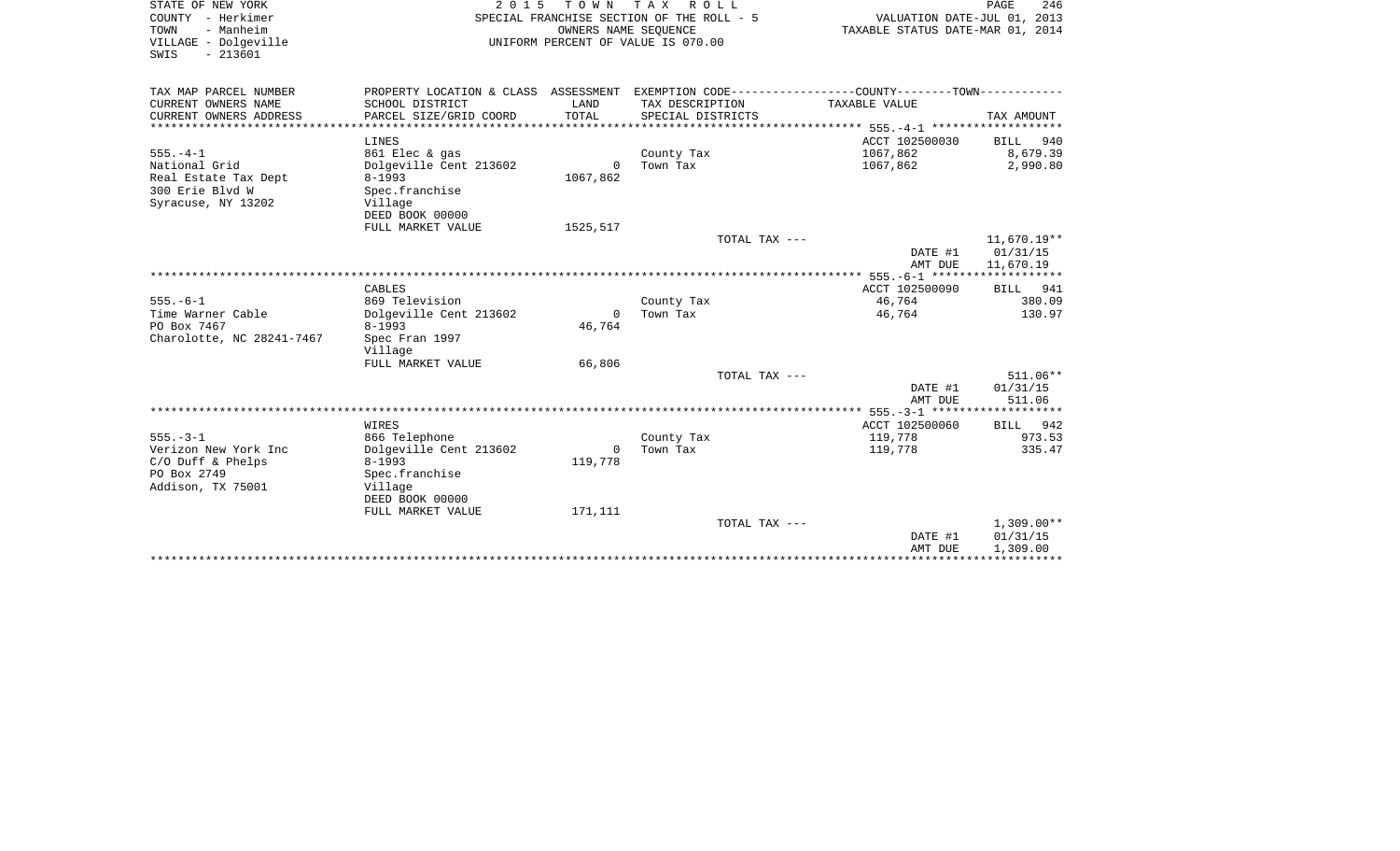| STATE OF NEW YORK<br>COUNTY - Herkimer<br>TOWN<br>- Manheim<br>VILLAGE - Dolgeville<br>$-213601$<br>SWIS | 2 0 1 5                                                    | TOWN TAX           | R O L L<br>SPECIAL FRANCHISE SECTION OF THE ROLL - 5<br>OWNERS NAME SEOUENCE<br>UNIFORM PERCENT OF VALUE IS 070.00 | VALUATION DATE-JUL 01, 2013<br>TAXABLE STATUS DATE-MAR 01, 2014 | PAGE<br>246                          |
|----------------------------------------------------------------------------------------------------------|------------------------------------------------------------|--------------------|--------------------------------------------------------------------------------------------------------------------|-----------------------------------------------------------------|--------------------------------------|
| TAX MAP PARCEL NUMBER                                                                                    |                                                            |                    | PROPERTY LOCATION & CLASS ASSESSMENT EXEMPTION CODE---------------COUNTY-------TOWN----------                      |                                                                 |                                      |
| CURRENT OWNERS NAME<br>CURRENT OWNERS ADDRESS                                                            | SCHOOL DISTRICT<br>PARCEL SIZE/GRID COORD                  | LAND<br>TOTAL      | TAX DESCRIPTION<br>SPECIAL DISTRICTS                                                                               | TAXABLE VALUE                                                   | TAX AMOUNT                           |
| **************                                                                                           | LINES                                                      |                    |                                                                                                                    | ACCT 102500030                                                  | BILL 940                             |
| $555. - 4 - 1$<br>National Grid                                                                          | 861 Elec & gas<br>Dolgeville Cent 213602                   | $\Omega$           | County Tax<br>Town Tax                                                                                             | 1067,862<br>1067,862                                            | 8,679.39<br>2,990.80                 |
| Real Estate Tax Dept<br>300 Erie Blvd W<br>Syracuse, NY 13202                                            | $8 - 1993$<br>Spec.franchise<br>Village<br>DEED BOOK 00000 | 1067,862           |                                                                                                                    |                                                                 |                                      |
|                                                                                                          | FULL MARKET VALUE                                          | 1525,517           |                                                                                                                    |                                                                 |                                      |
|                                                                                                          |                                                            |                    | TOTAL TAX ---                                                                                                      | DATE #1<br>AMT DUE                                              | 11,670.19**<br>01/31/15<br>11,670.19 |
|                                                                                                          |                                                            |                    |                                                                                                                    |                                                                 |                                      |
|                                                                                                          | CABLES                                                     |                    |                                                                                                                    | ACCT 102500090                                                  | BILL 941                             |
| $555. - 6 - 1$                                                                                           | 869 Television                                             |                    | County Tax                                                                                                         | 46,764                                                          | 380.09                               |
| Time Warner Cable<br>PO Box 7467<br>Charolotte, NC 28241-7467                                            | Dolgeville Cent 213602<br>$8 - 1993$<br>Spec Fran 1997     | $\Omega$<br>46,764 | Town Tax                                                                                                           | 46,764                                                          | 130.97                               |
|                                                                                                          | Village                                                    |                    |                                                                                                                    |                                                                 |                                      |
|                                                                                                          | FULL MARKET VALUE                                          | 66,806             |                                                                                                                    |                                                                 |                                      |
|                                                                                                          |                                                            |                    | TOTAL TAX ---                                                                                                      | DATE #1                                                         | $511.06**$<br>01/31/15               |
|                                                                                                          |                                                            |                    |                                                                                                                    | AMT DUE                                                         | 511.06                               |
|                                                                                                          | WIRES                                                      |                    |                                                                                                                    | ACCT 102500060                                                  | BILL 942                             |
| $555. - 3 - 1$                                                                                           | 866 Telephone                                              |                    | County Tax                                                                                                         | 119,778                                                         | 973.53                               |
| Verizon New York Inc                                                                                     | Dolgeville Cent 213602                                     | $\overline{0}$     | Town Tax                                                                                                           | 119,778                                                         | 335.47                               |
| $C/O$ Duff & Phelps                                                                                      | $8 - 1993$                                                 | 119,778            |                                                                                                                    |                                                                 |                                      |
| PO Box 2749<br>Addison, TX 75001                                                                         | Spec.franchise<br>Village                                  |                    |                                                                                                                    |                                                                 |                                      |
|                                                                                                          | DEED BOOK 00000                                            |                    |                                                                                                                    |                                                                 |                                      |
|                                                                                                          | FULL MARKET VALUE                                          | 171,111            | TOTAL TAX ---                                                                                                      |                                                                 | $1,309.00**$                         |
|                                                                                                          |                                                            |                    |                                                                                                                    | DATE #1                                                         | 01/31/15                             |
|                                                                                                          |                                                            |                    |                                                                                                                    | AMT DUE                                                         | 1,309.00                             |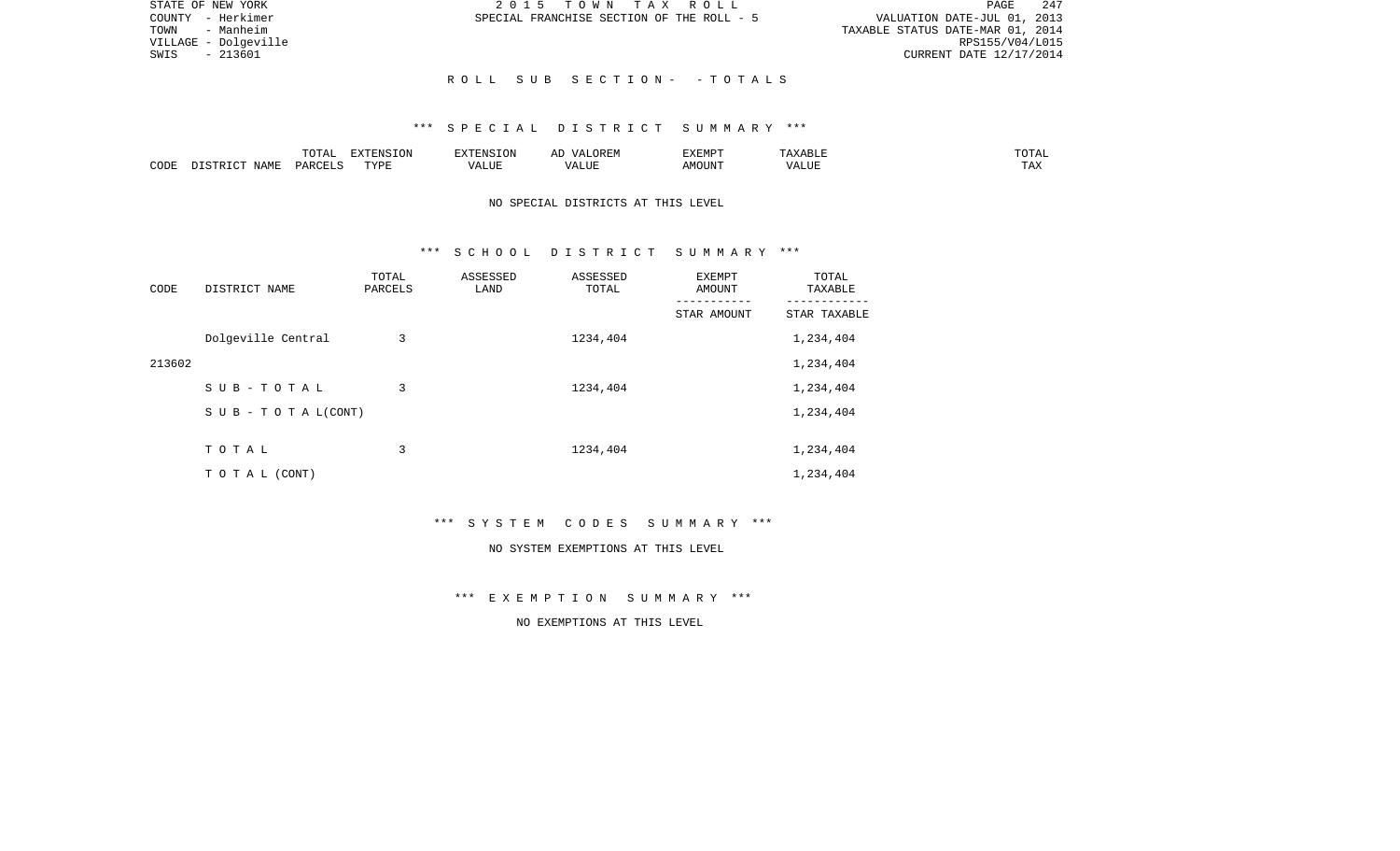| STATE OF NEW YORK    | 2015 TOWN TAX ROLL                        | 247<br>PAGE                      |
|----------------------|-------------------------------------------|----------------------------------|
| COUNTY - Herkimer    | SPECIAL FRANCHISE SECTION OF THE ROLL - 5 | VALUATION DATE-JUL 01, 2013      |
| TOWN - Manheim       |                                           | TAXABLE STATUS DATE-MAR 01, 2014 |
| VILLAGE - Dolgeville |                                           | RPS155/V04/L015                  |
| - 213601<br>SWIS     |                                           | CURRENT DATE 12/17/2014          |
|                      |                                           |                                  |
|                      | ROLL SUB SECTION- - TOTALS                |                                  |

### \*\*\* S P E C I A L D I S T R I C T S U M M A R Y \*\*\*

|      |                              | ----<br>◡∸⊷          | $\blacksquare$<br>$N \sim$<br>. ON |  | :XEMPT | $\cdots$ | JIAL |
|------|------------------------------|----------------------|------------------------------------|--|--------|----------|------|
| CODE | <b>A B ST</b><br>. .<br>NAME | <b>DODI</b><br>D V 1 | ™vnt                               |  | JUN"   | ALUP     |      |

# NO SPECIAL DISTRICTS AT THIS LEVEL

### \*\*\* S C H O O L D I S T R I C T S U M M A R Y \*\*\*

| CODE   | DISTRICT NAME      | TOTAL<br>PARCELS | ASSESSED<br>LAND | ASSESSED<br>TOTAL | <b>EXEMPT</b><br>AMOUNT | TOTAL<br>TAXABLE |
|--------|--------------------|------------------|------------------|-------------------|-------------------------|------------------|
|        |                    |                  |                  |                   | STAR AMOUNT             | STAR TAXABLE     |
|        | Dolgeville Central | 3                |                  | 1234,404          |                         | 1,234,404        |
| 213602 |                    |                  |                  |                   |                         | 1,234,404        |
|        | SUB-TOTAL          | 3                |                  | 1234,404          |                         | 1,234,404        |
|        | SUB - TO TAL(CONT) |                  |                  |                   |                         | 1,234,404        |
|        |                    |                  |                  |                   |                         |                  |
|        | TOTAL              | 3                |                  | 1234,404          |                         | 1,234,404        |
|        | T O T A L (CONT)   |                  |                  |                   |                         | 1,234,404        |

\*\*\* S Y S T E M C O D E S S U M M A R Y \*\*\*

#### NO SYSTEM EXEMPTIONS AT THIS LEVEL

\*\*\* E X E M P T I O N S U M M A R Y \*\*\*

NO EXEMPTIONS AT THIS LEVEL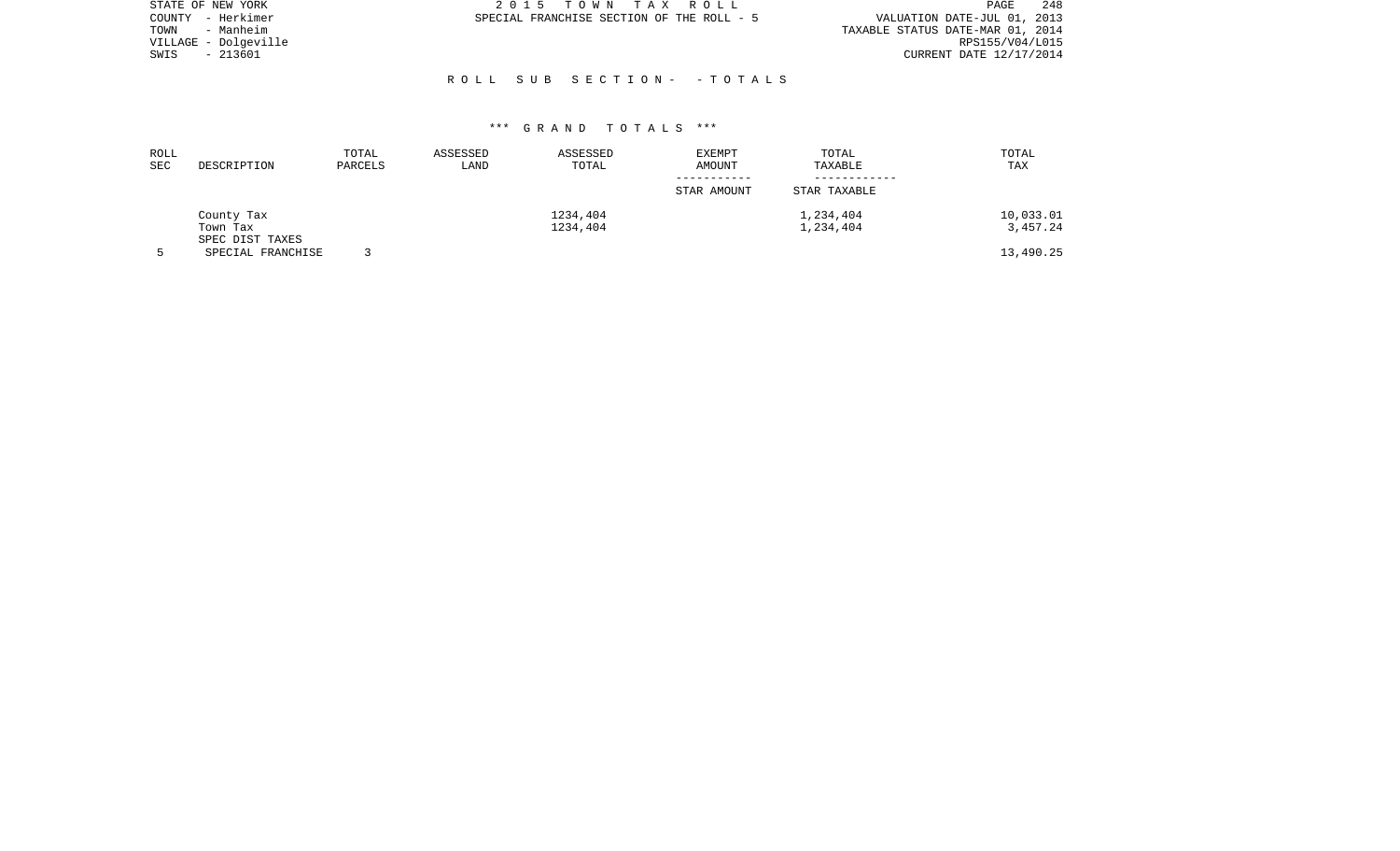| STATE OF NEW YORK    | 2015 TOWN TAX ROLL                        | 248<br>PAGE                      |
|----------------------|-------------------------------------------|----------------------------------|
| COUNTY - Herkimer    | SPECIAL FRANCHISE SECTION OF THE ROLL - 5 | VALUATION DATE-JUL 01, 2013      |
| - Manheim<br>TOWN    |                                           | TAXABLE STATUS DATE-MAR 01, 2014 |
| VILLAGE - Dolgeville |                                           | RPS155/V04/L015                  |
| - 213601<br>SWIS     |                                           | CURRENT DATE 12/17/2014          |
|                      |                                           |                                  |
|                      | ROLL SUB SECTION- - TOTALS                |                                  |

| ROLL<br><b>SEC</b> | DESCRIPTION                 | TOTAL<br>PARCELS | ASSESSED<br>LAND | ASSESSED<br>TOTAL | <b>EXEMPT</b><br>AMOUNT | TOTAL<br>TAXABLE | TOTAL<br>TAX |
|--------------------|-----------------------------|------------------|------------------|-------------------|-------------------------|------------------|--------------|
|                    |                             |                  |                  |                   | STAR AMOUNT             | STAR TAXABLE     |              |
|                    | County Tax                  |                  |                  | 1234,404          |                         | 1,234,404        | 10,033.01    |
|                    | Town Tax<br>SPEC DIST TAXES |                  |                  | 1234,404          |                         | 1,234,404        | 3,457.24     |
|                    | SPECIAL FRANCHISE           |                  |                  |                   |                         |                  | 13,490.25    |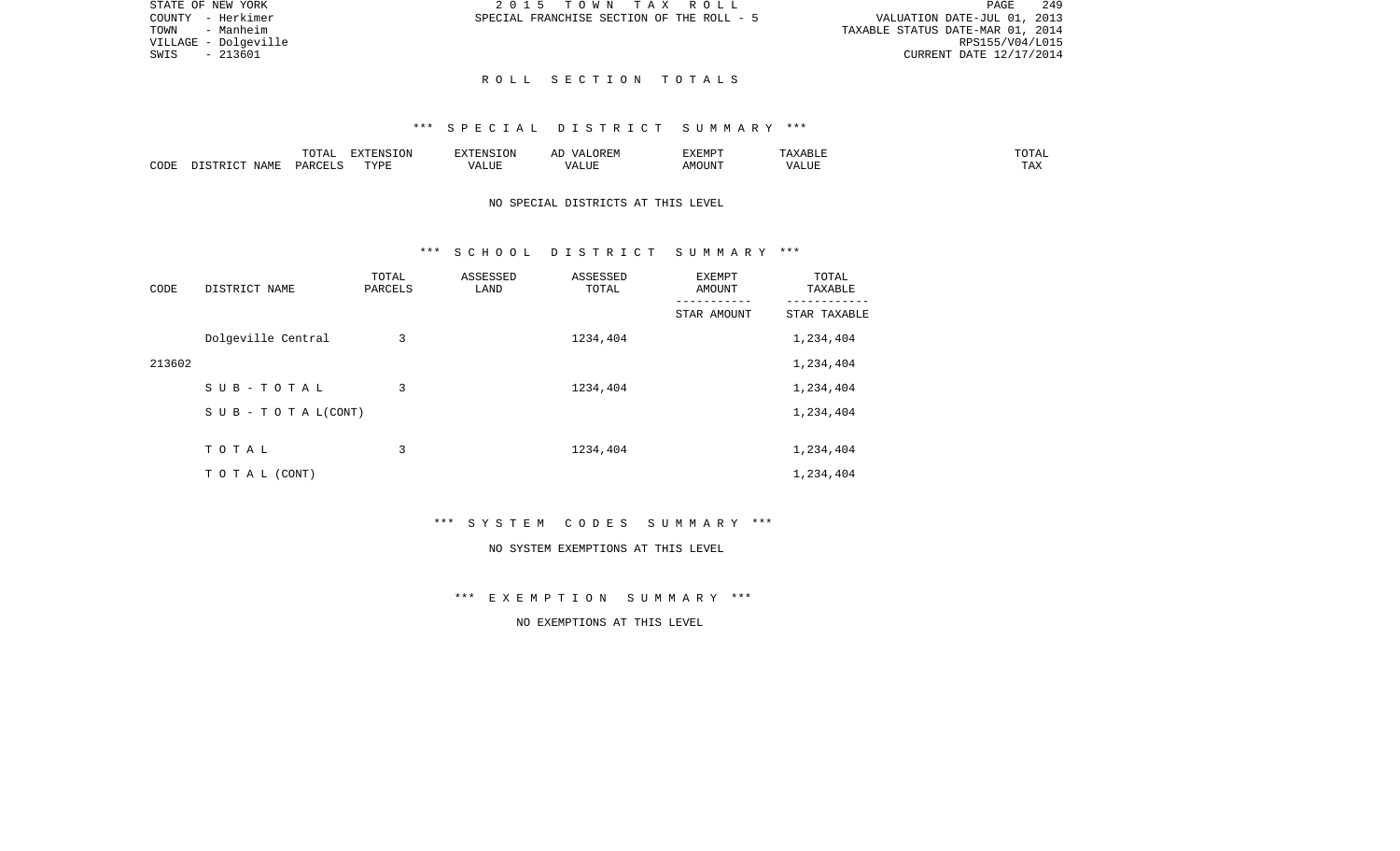PAGE 249 TOWN - Manheim TAXABLE STATUS DATE-MAR 01, 2014 RPS155/V04/L015 RPS155/V04/L015<br>SWIS - 213601 CURRENT DATE 12/17/2014 CURRENT DATE 12/17/2014

STATE OF NEW YORK **2015 TOWN TAX ROLL** COUNTY - Herkimer SPECIAL FRANCHISE SECTION OF THE ROLL - 5 VALUATION DATE-JUL 01, 2013

### R O L L S E C T I O N T O T A L S

# \*\*\* S P E C I A L D I S T R I C T S U M M A R Y \*\*\*

|      |             | ◡∸⊷   | <b>DEAIGE ONT</b><br>w |                    | <b>DIEDIS</b><br>A M P | ABLE<br>. . | ⊼ה∩ר<br>---          |
|------|-------------|-------|------------------------|--------------------|------------------------|-------------|----------------------|
| CODE | <b>NAME</b> | D ∆ ⊦ | <b>TVDI</b>            | $- - - -$<br>LIU F |                        | $- - - -$   | $m \times n$<br>⊥ ≞∡ |

NO SPECIAL DISTRICTS AT THIS LEVEL

# \*\*\* S C H O O L D I S T R I C T S U M M A R Y \*\*\*

| CODE   | DISTRICT NAME                    | TOTAL<br>PARCELS | ASSESSED<br>LAND | ASSESSED<br>TOTAL | EXEMPT<br><b>AMOUNT</b> | TOTAL<br>TAXABLE<br>-------- |
|--------|----------------------------------|------------------|------------------|-------------------|-------------------------|------------------------------|
|        |                                  |                  |                  |                   | STAR AMOUNT             | STAR TAXABLE                 |
|        | Dolgeville Central               | 3                |                  | 1234,404          |                         | 1,234,404                    |
| 213602 |                                  |                  |                  |                   |                         | 1,234,404                    |
|        | SUB-TOTAL                        | 3                |                  | 1234,404          |                         | 1,234,404                    |
|        | $S \cup B - T \cup T A L (CONT)$ |                  |                  |                   |                         | 1,234,404                    |
|        |                                  |                  |                  |                   |                         |                              |
|        | TOTAL                            | 3                |                  | 1234,404          |                         | 1,234,404                    |
|        | TO TAL (CONT)                    |                  |                  |                   |                         | 1,234,404                    |

\*\*\* S Y S T E M C O D E S S U M M A R Y \*\*\*

#### NO SYSTEM EXEMPTIONS AT THIS LEVEL

\*\*\* E X E M P T I O N S U M M A R Y \*\*\*

NO EXEMPTIONS AT THIS LEVEL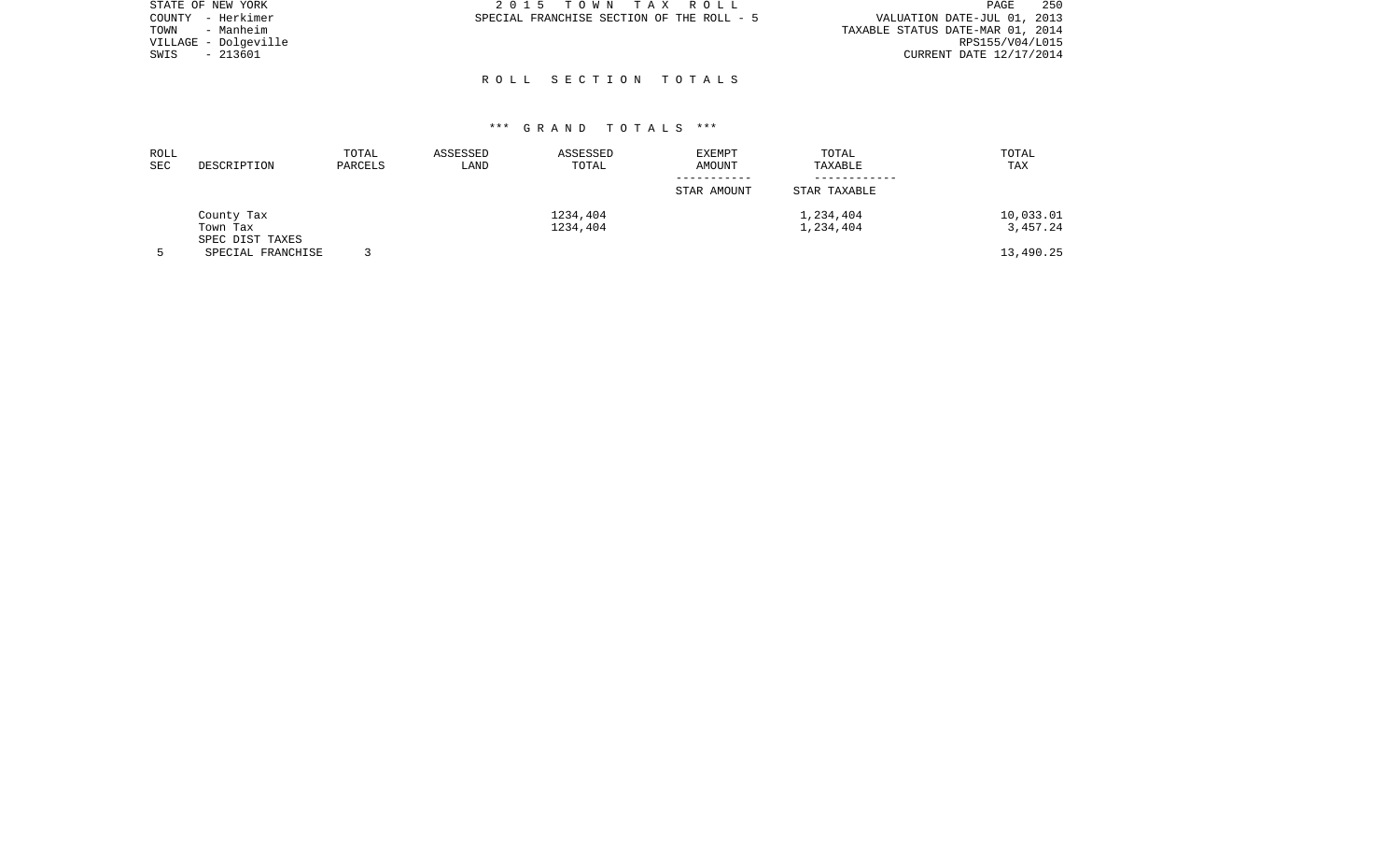| STATE OF NEW YORK    | 2015 TOWN TAX ROLL                        | 250<br>PAGE                      |
|----------------------|-------------------------------------------|----------------------------------|
| COUNTY - Herkimer    | SPECIAL FRANCHISE SECTION OF THE ROLL - 5 | VALUATION DATE-JUL 01, 2013      |
| TOWN<br>- Manheim    |                                           | TAXABLE STATUS DATE-MAR 01, 2014 |
| VILLAGE - Dolgeville |                                           | RPS155/V04/L015                  |
| - 213601<br>SWIS     |                                           | CURRENT DATE 12/17/2014          |
|                      |                                           |                                  |

R O L L S E C T I O N T O T A L S

| ROLL<br>SEC | DESCRIPTION                          | TOTAL<br>PARCELS | ASSESSED<br>LAND | ASSESSED<br>TOTAL    | <b>EXEMPT</b><br>AMOUNT | TOTAL<br>TAXABLE | TOTAL<br>TAX          |
|-------------|--------------------------------------|------------------|------------------|----------------------|-------------------------|------------------|-----------------------|
|             |                                      |                  |                  |                      | STAR AMOUNT             | STAR TAXABLE     |                       |
|             | County Tax<br>Town Tax               |                  |                  | 1234,404<br>1234,404 | 1,234,404<br>1,234,404  |                  | 10,033.01<br>3,457.24 |
|             | SPEC DIST TAXES<br>SPECIAL FRANCHISE |                  |                  |                      |                         |                  | 13,490.25             |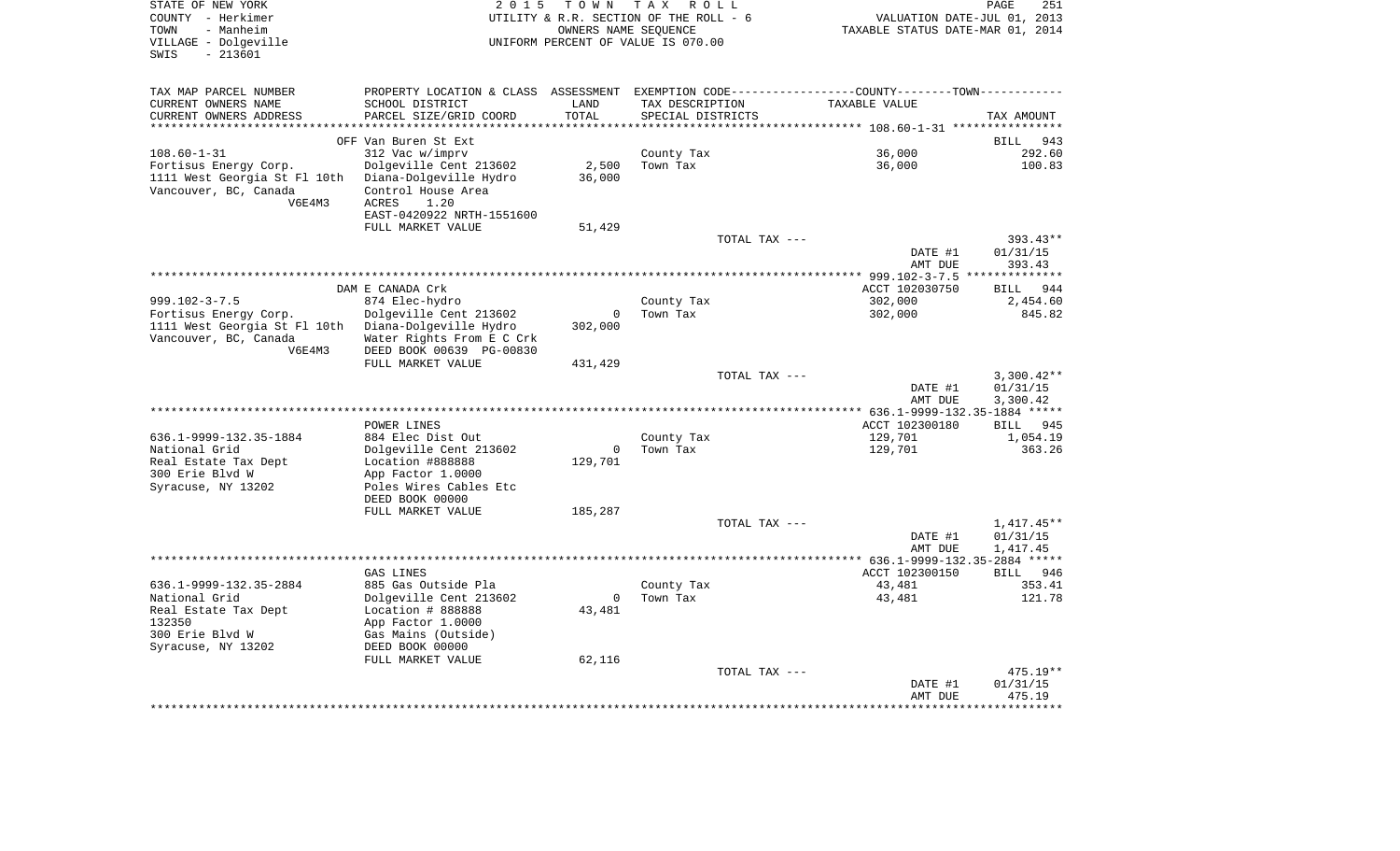| STATE OF NEW YORK<br>COUNTY - Herkimer<br>TOWN<br>- Manheim<br>VILLAGE - Dolgeville<br>$-213601$<br>SWIS | 2 0 1 5                                                                                        | T O W N                  | TAX ROLL<br>UTILITY & R.R. SECTION OF THE ROLL - 6<br>OWNERS NAME SEOUENCE<br>UNIFORM PERCENT OF VALUE IS 070.00 |               | TAXABLE STATUS DATE-MAR 01, 2014 | PAGE<br>VALUATION DATE-JUL 01, 2013 | 251                  |
|----------------------------------------------------------------------------------------------------------|------------------------------------------------------------------------------------------------|--------------------------|------------------------------------------------------------------------------------------------------------------|---------------|----------------------------------|-------------------------------------|----------------------|
| TAX MAP PARCEL NUMBER                                                                                    | PROPERTY LOCATION & CLASS ASSESSMENT EXEMPTION CODE----------------COUNTY-------TOWN---------- |                          |                                                                                                                  |               |                                  |                                     |                      |
| CURRENT OWNERS NAME                                                                                      | SCHOOL DISTRICT                                                                                | LAND                     | TAX DESCRIPTION                                                                                                  |               | TAXABLE VALUE                    |                                     |                      |
| CURRENT OWNERS ADDRESS                                                                                   | PARCEL SIZE/GRID COORD                                                                         | TOTAL                    | SPECIAL DISTRICTS                                                                                                |               |                                  | TAX AMOUNT                          |                      |
| *********************                                                                                    |                                                                                                | **********               |                                                                                                                  |               |                                  |                                     |                      |
|                                                                                                          | OFF Van Buren St Ext                                                                           |                          |                                                                                                                  |               |                                  | <b>BILL</b>                         | 943                  |
| $108.60 - 1 - 31$                                                                                        | 312 Vac w/imprv                                                                                |                          | County Tax                                                                                                       |               | 36,000                           |                                     | 292.60               |
| Fortisus Energy Corp.<br>1111 West Georgia St Fl 10th                                                    | Dolgeville Cent 213602<br>Diana-Dolgeville Hydro                                               | 2,500<br>36,000          | Town Tax                                                                                                         |               | 36,000                           |                                     | 100.83               |
| Vancouver, BC, Canada                                                                                    | Control House Area                                                                             |                          |                                                                                                                  |               |                                  |                                     |                      |
| V6E4M3                                                                                                   | ACRES<br>1.20                                                                                  |                          |                                                                                                                  |               |                                  |                                     |                      |
|                                                                                                          | EAST-0420922 NRTH-1551600                                                                      |                          |                                                                                                                  |               |                                  |                                     |                      |
|                                                                                                          | FULL MARKET VALUE                                                                              | 51,429                   |                                                                                                                  |               |                                  |                                     |                      |
|                                                                                                          |                                                                                                |                          |                                                                                                                  | TOTAL TAX --- |                                  |                                     | 393.43**             |
|                                                                                                          |                                                                                                |                          |                                                                                                                  |               | DATE #1                          | 01/31/15                            |                      |
|                                                                                                          |                                                                                                |                          |                                                                                                                  |               | AMT DUE                          |                                     | 393.43               |
|                                                                                                          |                                                                                                |                          |                                                                                                                  |               |                                  |                                     |                      |
| $999.102 - 3 - 7.5$                                                                                      | DAM E CANADA Crk<br>874 Elec-hydro                                                             |                          |                                                                                                                  |               | ACCT 102030750<br>302,000        |                                     | BILL 944<br>2,454.60 |
| Fortisus Energy Corp.                                                                                    | Dolgeville Cent 213602                                                                         | 0                        | County Tax<br>Town Tax                                                                                           |               | 302,000                          |                                     | 845.82               |
| 1111 West Georgia St Fl 10th Diana-Dolgeville Hydro                                                      |                                                                                                | 302,000                  |                                                                                                                  |               |                                  |                                     |                      |
| Vancouver, BC, Canada                                                                                    | Water Rights From E C Crk                                                                      |                          |                                                                                                                  |               |                                  |                                     |                      |
| V6E4M3                                                                                                   | DEED BOOK 00639 PG-00830                                                                       |                          |                                                                                                                  |               |                                  |                                     |                      |
|                                                                                                          | FULL MARKET VALUE                                                                              | 431,429                  |                                                                                                                  |               |                                  |                                     |                      |
|                                                                                                          |                                                                                                |                          |                                                                                                                  | TOTAL TAX --- |                                  |                                     | $3,300.42**$         |
|                                                                                                          |                                                                                                |                          |                                                                                                                  |               | DATE #1                          | 01/31/15                            |                      |
|                                                                                                          |                                                                                                |                          |                                                                                                                  |               | AMT DUE                          | 3,300.42                            |                      |
|                                                                                                          |                                                                                                |                          |                                                                                                                  |               |                                  |                                     |                      |
| 636.1-9999-132.35-1884                                                                                   | POWER LINES<br>884 Elec Dist Out                                                               |                          | County Tax                                                                                                       |               | ACCT 102300180<br>129,701        |                                     | BILL 945<br>1,054.19 |
| National Grid                                                                                            | Dolgeville Cent 213602                                                                         | $\overline{\phantom{0}}$ | Town Tax                                                                                                         |               | 129,701                          |                                     | 363.26               |
| Real Estate Tax Dept                                                                                     | Location #888888                                                                               | 129,701                  |                                                                                                                  |               |                                  |                                     |                      |
| 300 Erie Blvd W                                                                                          | App Factor 1.0000                                                                              |                          |                                                                                                                  |               |                                  |                                     |                      |
| Syracuse, NY 13202                                                                                       | Poles Wires Cables Etc                                                                         |                          |                                                                                                                  |               |                                  |                                     |                      |
|                                                                                                          | DEED BOOK 00000                                                                                |                          |                                                                                                                  |               |                                  |                                     |                      |
|                                                                                                          | FULL MARKET VALUE                                                                              | 185,287                  |                                                                                                                  |               |                                  |                                     |                      |
|                                                                                                          |                                                                                                |                          |                                                                                                                  | TOTAL TAX --- |                                  |                                     | $1,417.45**$         |
|                                                                                                          |                                                                                                |                          |                                                                                                                  |               | DATE #1                          | 01/31/15                            |                      |
|                                                                                                          |                                                                                                |                          |                                                                                                                  |               | AMT DUE                          | 1,417.45                            |                      |
|                                                                                                          | GAS LINES                                                                                      |                          |                                                                                                                  |               | ACCT 102300150                   |                                     | BILL 946             |
| 636.1-9999-132.35-2884                                                                                   | 885 Gas Outside Pla                                                                            |                          | County Tax                                                                                                       |               | 43,481                           |                                     | 353.41               |
| National Grid                                                                                            | Dolgeville Cent 213602                                                                         | $\mathbf 0$              | Town Tax                                                                                                         |               | 43,481                           |                                     | 121.78               |
| Real Estate Tax Dept                                                                                     | Location # 888888                                                                              | 43,481                   |                                                                                                                  |               |                                  |                                     |                      |
| 132350                                                                                                   | App Factor 1.0000                                                                              |                          |                                                                                                                  |               |                                  |                                     |                      |
| 300 Erie Blvd W                                                                                          | Gas Mains (Outside)                                                                            |                          |                                                                                                                  |               |                                  |                                     |                      |
| Syracuse, NY 13202                                                                                       | DEED BOOK 00000                                                                                |                          |                                                                                                                  |               |                                  |                                     |                      |
|                                                                                                          | FULL MARKET VALUE                                                                              | 62,116                   |                                                                                                                  |               |                                  |                                     |                      |
|                                                                                                          |                                                                                                |                          |                                                                                                                  | TOTAL TAX --- | DATE #1                          | 01/31/15                            | 475.19**             |
|                                                                                                          |                                                                                                |                          |                                                                                                                  |               | AMT DUE                          |                                     | 475.19               |
|                                                                                                          |                                                                                                |                          |                                                                                                                  |               |                                  |                                     |                      |
|                                                                                                          |                                                                                                |                          |                                                                                                                  |               |                                  |                                     |                      |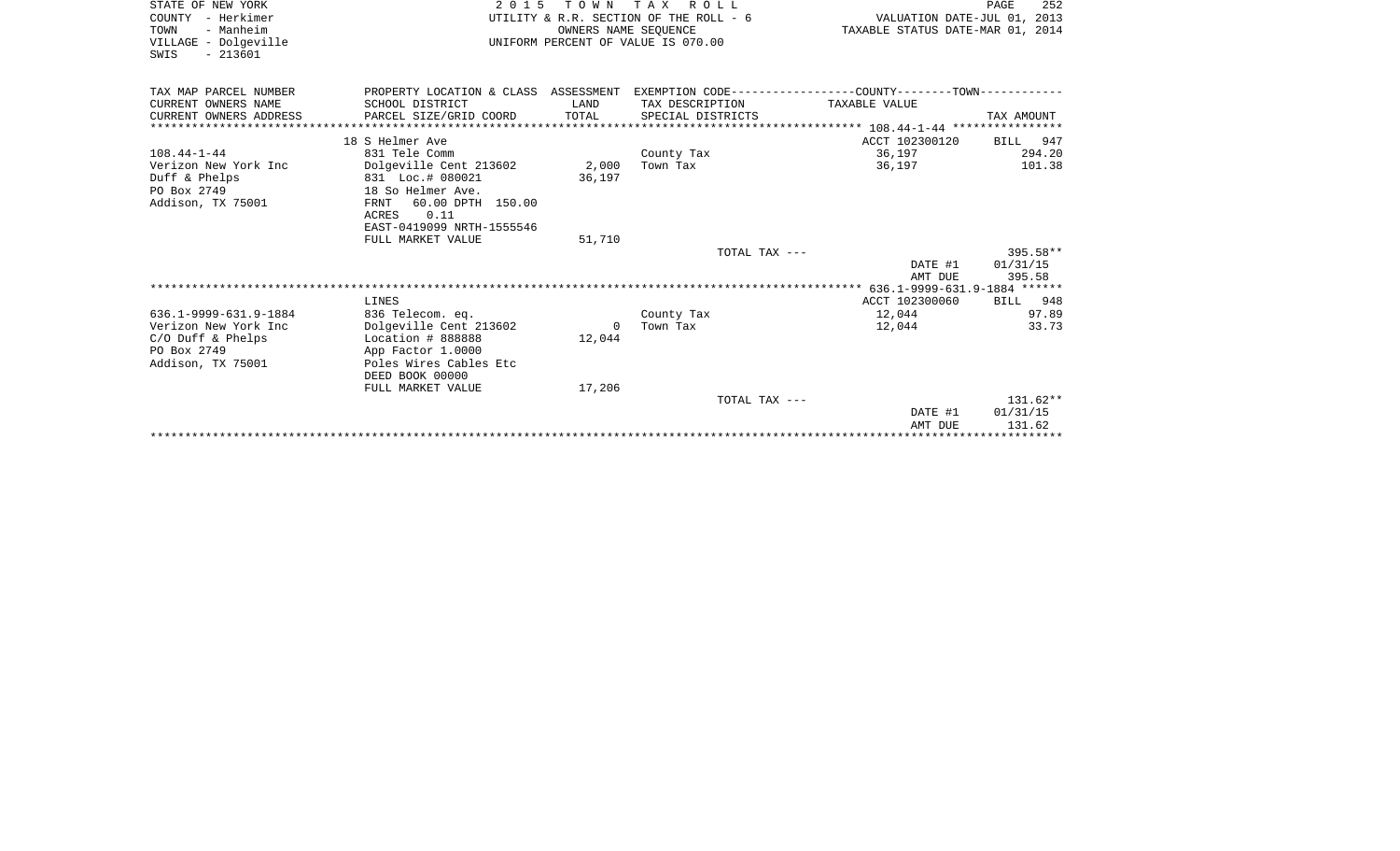| STATE OF NEW YORK      | 2 0 1 5                                                                                      |          | TOWN TAX ROLL                          |                                  | PAGE<br>252 |
|------------------------|----------------------------------------------------------------------------------------------|----------|----------------------------------------|----------------------------------|-------------|
| COUNTY - Herkimer      |                                                                                              |          | UTILITY & R.R. SECTION OF THE ROLL - 6 | VALUATION DATE-JUL 01, 2013      |             |
| TOWN<br>- Manheim      |                                                                                              |          | OWNERS NAME SEQUENCE                   | TAXABLE STATUS DATE-MAR 01, 2014 |             |
| VILLAGE - Dolgeville   |                                                                                              |          | UNIFORM PERCENT OF VALUE IS 070.00     |                                  |             |
| $-213601$<br>SWIS      |                                                                                              |          |                                        |                                  |             |
|                        |                                                                                              |          |                                        |                                  |             |
| TAX MAP PARCEL NUMBER  | PROPERTY LOCATION & CLASS ASSESSMENT EXEMPTION CODE---------------COUNTY-------TOWN--------- |          |                                        |                                  |             |
| CURRENT OWNERS NAME    | SCHOOL DISTRICT                                                                              | LAND     | TAX DESCRIPTION                        | TAXABLE VALUE                    |             |
| CURRENT OWNERS ADDRESS | PARCEL SIZE/GRID COORD                                                                       | TOTAL    | SPECIAL DISTRICTS                      |                                  | TAX AMOUNT  |
|                        |                                                                                              |          |                                        |                                  |             |
|                        | 18 S Helmer Ave                                                                              |          |                                        | ACCT 102300120                   | BILL 947    |
| $108.44 - 1 - 44$      | 831 Tele Comm                                                                                |          | County Tax                             | 36,197                           | 294.20      |
| Verizon New York Inc   | Dolgeville Cent 213602                                                                       | 2,000    | Town Tax                               | 36,197                           | 101.38      |
| Duff & Phelps          | 831 Loc.# 080021                                                                             | 36,197   |                                        |                                  |             |
| PO Box 2749            | 18 So Helmer Ave.                                                                            |          |                                        |                                  |             |
| Addison, TX 75001      | 60.00 DPTH 150.00<br>FRNT                                                                    |          |                                        |                                  |             |
|                        | ACRES 0.11                                                                                   |          |                                        |                                  |             |
|                        | EAST-0419099 NRTH-1555546                                                                    |          |                                        |                                  |             |
|                        | FULL MARKET VALUE                                                                            | 51,710   |                                        |                                  |             |
|                        |                                                                                              |          | TOTAL TAX ---                          |                                  | 395.58**    |
|                        |                                                                                              |          |                                        | DATE #1                          | 01/31/15    |
|                        |                                                                                              |          |                                        | AMT DUE                          | 395.58      |
|                        |                                                                                              |          |                                        |                                  |             |
|                        | LINES                                                                                        |          |                                        | ACCT 102300060                   | BILL 948    |
| 636.1-9999-631.9-1884  | 836 Telecom. eq.                                                                             |          | County Tax                             | 12,044                           | 97.89       |
| Verizon New York Inc   | Dolgeville Cent 213602                                                                       | $\Omega$ | Town Tax                               | 12,044                           | 33.73       |
| $C/O$ Duff & Phelps    | Location # 888888                                                                            | 12,044   |                                        |                                  |             |
| PO Box 2749            | App Factor 1.0000                                                                            |          |                                        |                                  |             |
| Addison, TX 75001      | Poles Wires Cables Etc                                                                       |          |                                        |                                  |             |
|                        | DEED BOOK 00000                                                                              |          |                                        |                                  |             |
|                        | FULL MARKET VALUE                                                                            | 17,206   |                                        |                                  |             |
|                        |                                                                                              |          | TOTAL TAX ---                          |                                  | $131.62**$  |
|                        |                                                                                              |          |                                        | DATE #1                          | 01/31/15    |
|                        |                                                                                              |          |                                        | AMT DUE                          | 131.62      |
|                        |                                                                                              |          |                                        |                                  |             |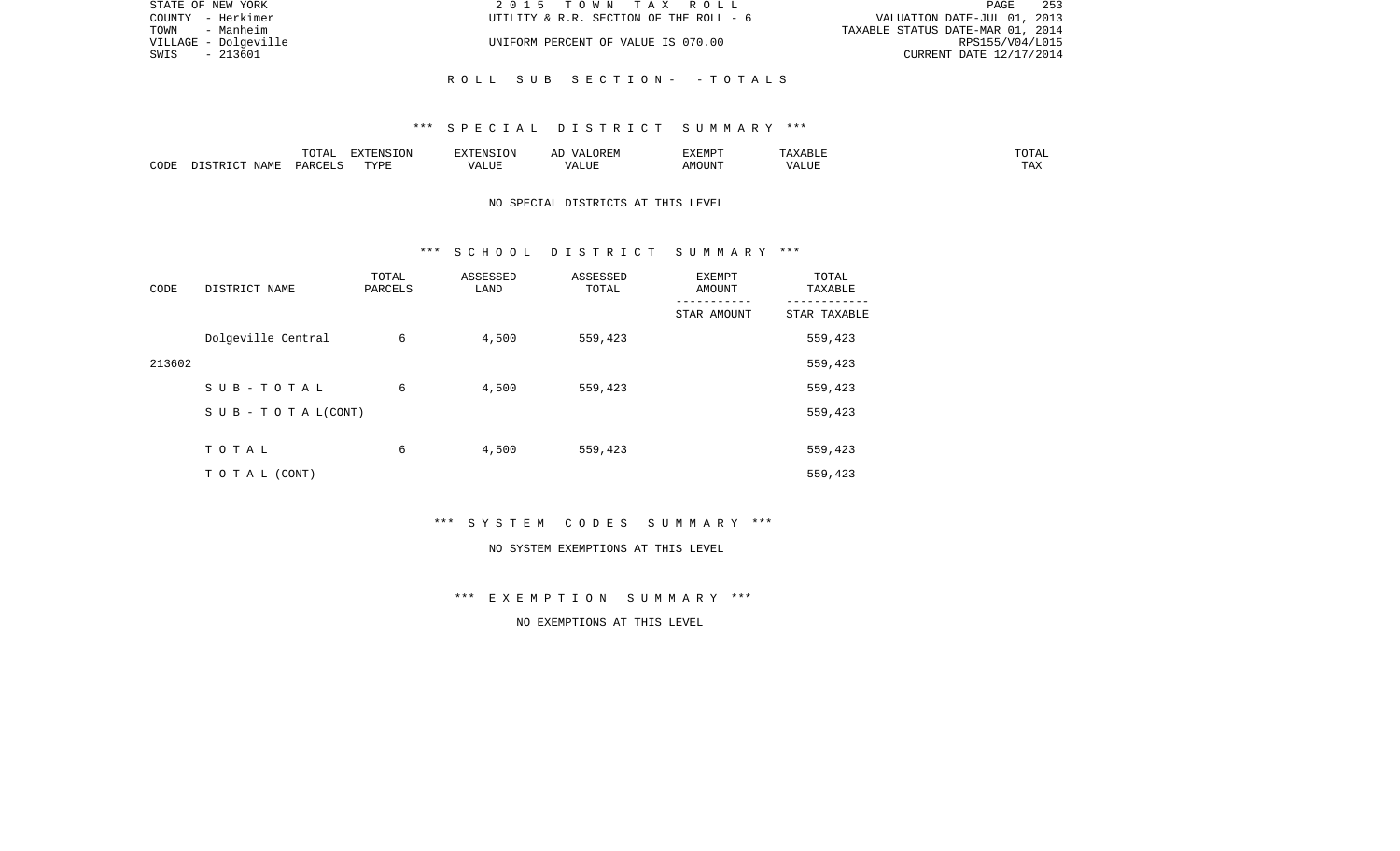| STATE OF NEW YORK    | 2015 TOWN TAX ROLL                     | 253<br>PAGE                      |
|----------------------|----------------------------------------|----------------------------------|
| COUNTY - Herkimer    | UTILITY & R.R. SECTION OF THE ROLL - 6 | VALUATION DATE-JUL 01, 2013      |
| TOWN<br>- Manheim    |                                        | TAXABLE STATUS DATE-MAR 01, 2014 |
| VILLAGE - Dolgeville | UNIFORM PERCENT OF VALUE IS 070.00     | RPS155/V04/L015                  |
| - 213601<br>SWIS     |                                        | CURRENT DATE 12/17/2014          |
|                      |                                        |                                  |
|                      | ROLL SUB SECTION- -TOTALS              |                                  |

|      |      | $\Box \land \Box \Box$<br>TOTAL | EXTENSION | $  -$ | $H^{\prime}$ H $^{\prime}$ M $^{\prime}$<br>A | EXEMP' | ABLE                 | ---        |
|------|------|---------------------------------|-----------|-------|-----------------------------------------------|--------|----------------------|------------|
| CODE | NAMF | ، جمہوری                        | TVDF<br>. |       | .TTT                                          |        | <b>T TTT</b><br>ALUI | max<br>was |

# NO SPECIAL DISTRICTS AT THIS LEVEL

#### \*\*\* S C H O O L D I S T R I C T S U M M A R Y \*\*\*

| CODE   | DISTRICT NAME                    | TOTAL<br>PARCELS | ASSESSED<br>LAND | ASSESSED<br>TOTAL | EXEMPT<br>AMOUNT | TOTAL<br>TAXABLE |
|--------|----------------------------------|------------------|------------------|-------------------|------------------|------------------|
|        |                                  |                  |                  |                   | STAR AMOUNT      | STAR TAXABLE     |
|        | Dolgeville Central               | 6                | 4,500            | 559,423           |                  | 559,423          |
| 213602 |                                  |                  |                  |                   |                  | 559,423          |
|        | SUB-TOTAL                        | 6                | 4,500            | 559,423           |                  | 559,423          |
|        | $S \cup B - T \cup T A L (CONT)$ |                  |                  |                   |                  | 559,423          |
|        |                                  |                  |                  |                   |                  |                  |
|        | TOTAL                            | 6                | 4,500            | 559,423           |                  | 559,423          |
|        | T O T A L (CONT)                 |                  |                  |                   |                  | 559,423          |

\*\*\* S Y S T E M C O D E S S U M M A R Y \*\*\*

#### NO SYSTEM EXEMPTIONS AT THIS LEVEL

\*\*\* E X E M P T I O N S U M M A R Y \*\*\*

NO EXEMPTIONS AT THIS LEVEL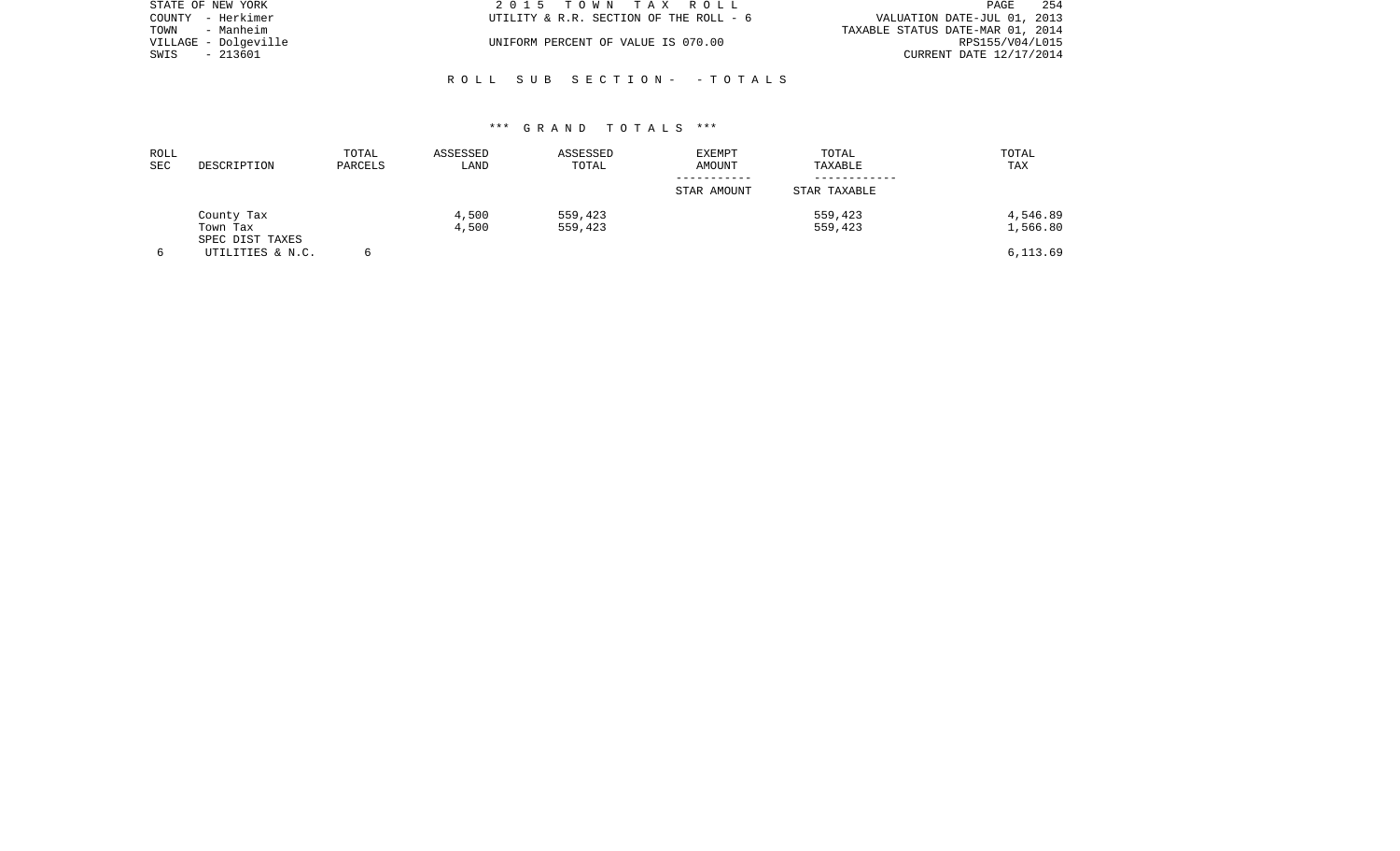| STATE OF NEW YORK    | 2015 TOWN TAX ROLL                     | -254<br>PAGE                     |
|----------------------|----------------------------------------|----------------------------------|
| COUNTY - Herkimer    | UTILITY & R.R. SECTION OF THE ROLL - 6 | VALUATION DATE-JUL 01, 2013      |
| TOWN<br>- Manheim    |                                        | TAXABLE STATUS DATE-MAR 01, 2014 |
| VILLAGE - Dolgeville | UNIFORM PERCENT OF VALUE IS 070.00     | RPS155/V04/L015                  |
| - 213601<br>SWIS     |                                        | CURRENT DATE 12/17/2014          |
|                      |                                        |                                  |

# \*\*\* G R A N D T O T A L S \*\*\*

R O L L S U B S E C T I O N - - T O T A L S

| ROLL<br><b>SEC</b> | DESCRIPTION                 | TOTAL<br>PARCELS | ASSESSED<br>LAND | ASSESSED<br>TOTAL | <b>EXEMPT</b><br>AMOUNT | TOTAL<br>TAXABLE | TOTAL<br>TAX |
|--------------------|-----------------------------|------------------|------------------|-------------------|-------------------------|------------------|--------------|
|                    |                             |                  |                  |                   | STAR AMOUNT             | STAR TAXABLE     |              |
|                    | County Tax                  |                  | 4,500            | 559,423           |                         | 559,423          | 4,546.89     |
|                    | Town Tax<br>SPEC DIST TAXES |                  | 4,500            | 559,423           |                         | 559,423          | 1,566.80     |
|                    | UTILITIES & N.C.            |                  |                  |                   |                         |                  | 6,113.69     |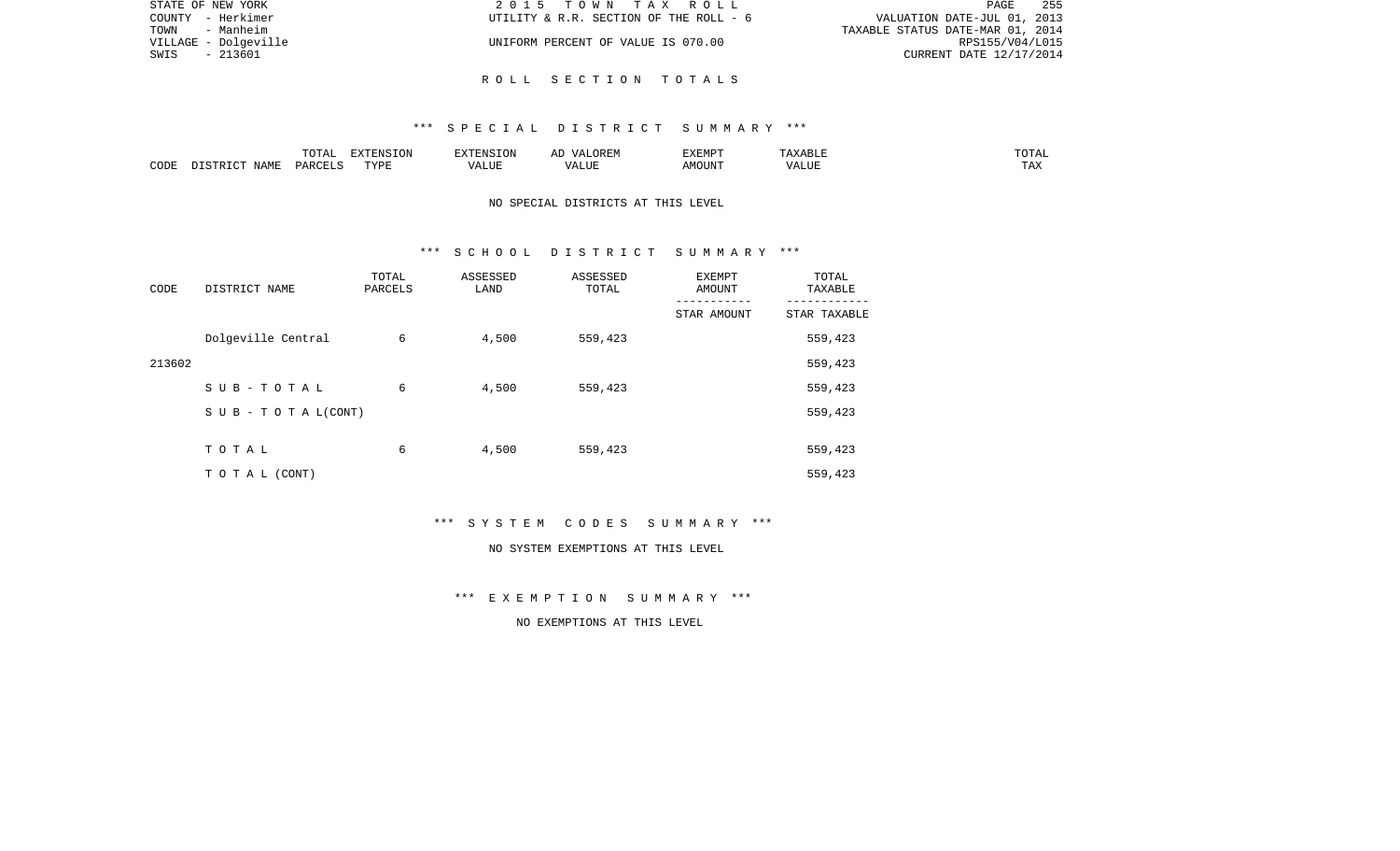| STATE OF NEW YORK    | 2015 TOWN TAX ROLL                     | 255<br>PAGE                      |
|----------------------|----------------------------------------|----------------------------------|
| COUNTY - Herkimer    | UTILITY & R.R. SECTION OF THE ROLL - 6 | VALUATION DATE-JUL 01, 2013      |
| TOWN<br>- Manheim    |                                        | TAXABLE STATUS DATE-MAR 01, 2014 |
| VILLAGE - Dolgeville | UNIFORM PERCENT OF VALUE IS 070.00     | RPS155/V04/L015                  |
| - 213601<br>SWIS     |                                        | CURRENT DATE 12/17/2014          |
|                      |                                        |                                  |

R O L L S E C T I O N T O T A L S

|      |                    | $H \cap H$<br>$\cdots$<br>. U 1 1 1 1 | סוותחצת<br><b>ION</b> |      | UKLIY                                  | F.XFMP'<br>∸∡∡⊥ | A           | .              |
|------|--------------------|---------------------------------------|-----------------------|------|----------------------------------------|-----------------|-------------|----------------|
| CODE | JAME<br>$\sqrt{2}$ | $\Box$ $\Box$ $\Box$ $\Box$ $\Box$    | <b>TITZD</b><br>.     | ALUF | " TTT.<br>$\sqrt{2}$<br>. . <i>.</i> . | MC<br>OUN.      | 77T<br>Anur | max<br>د د د . |

# NO SPECIAL DISTRICTS AT THIS LEVEL

#### \*\*\* S C H O O L D I S T R I C T S U M M A R Y \*\*\*

| CODE   | DISTRICT NAME                    | TOTAL<br>PARCELS | ASSESSED<br>LAND | ASSESSED<br>TOTAL | EXEMPT<br>AMOUNT | TOTAL<br>TAXABLE |
|--------|----------------------------------|------------------|------------------|-------------------|------------------|------------------|
|        |                                  |                  |                  |                   | STAR AMOUNT      | STAR TAXABLE     |
|        | Dolgeville Central               | 6                | 4,500            | 559,423           |                  | 559,423          |
| 213602 |                                  |                  |                  |                   |                  | 559,423          |
|        | SUB-TOTAL                        | 6                | 4,500            | 559,423           |                  | 559,423          |
|        | $S \cup B - T \cup T A L (CONT)$ |                  |                  |                   |                  | 559,423          |
|        |                                  |                  |                  |                   |                  |                  |
|        | TOTAL                            | 6                | 4,500            | 559,423           |                  | 559,423          |
|        | T O T A L (CONT)                 |                  |                  |                   |                  | 559,423          |

\*\*\* S Y S T E M C O D E S S U M M A R Y \*\*\*

#### NO SYSTEM EXEMPTIONS AT THIS LEVEL

\*\*\* E X E M P T I O N S U M M A R Y \*\*\*

NO EXEMPTIONS AT THIS LEVEL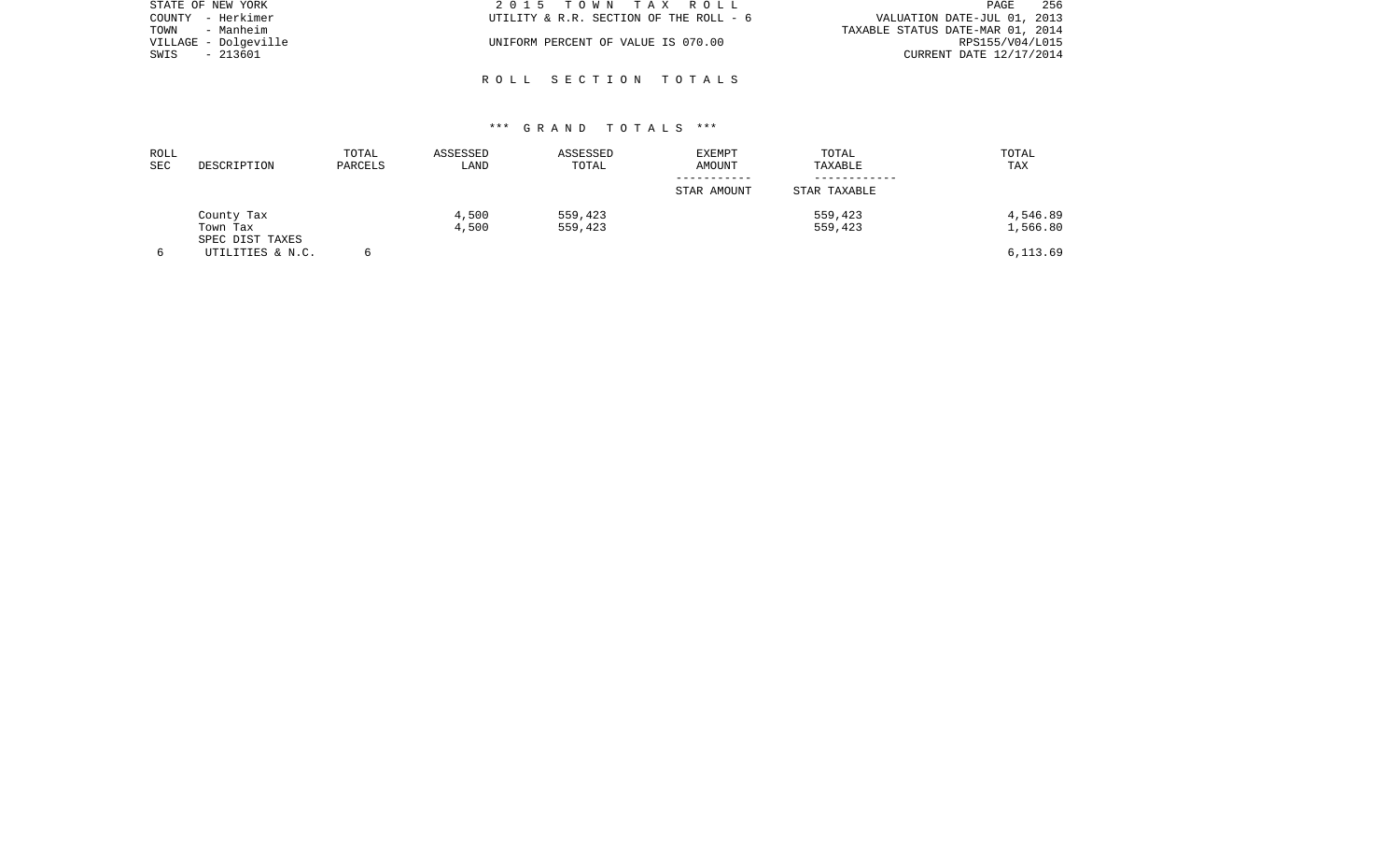| STATE OF NEW YORK    | 2015 TOWN TAX ROLL                     | 256<br>PAGE                      |
|----------------------|----------------------------------------|----------------------------------|
| COUNTY - Herkimer    | UTILITY & R.R. SECTION OF THE ROLL - 6 | VALUATION DATE-JUL 01, 2013      |
| TOWN<br>- Manheim    |                                        | TAXABLE STATUS DATE-MAR 01, 2014 |
| VILLAGE - Dolgeville | UNIFORM PERCENT OF VALUE IS 070.00     | RPS155/V04/L015                  |
| SWIS<br>- 213601     |                                        | CURRENT DATE 12/17/2014          |
|                      |                                        |                                  |

## \*\*\* G R A N D T O T A L S \*\*\*

R O L L S E C T I O N T O T A L S

| ROLL<br>SEC | DESCRIPTION                         | TOTAL<br>PARCELS | ASSESSED<br>LAND | ASSESSED<br>TOTAL | <b>EXEMPT</b><br>AMOUNT | TOTAL<br>TAXABLE | TOTAL<br>TAX |
|-------------|-------------------------------------|------------------|------------------|-------------------|-------------------------|------------------|--------------|
|             |                                     |                  |                  |                   | STAR AMOUNT             | STAR TAXABLE     |              |
|             | County Tax                          |                  | 4,500            | 559,423           |                         | 559,423          | 4,546.89     |
|             | Town Tax                            |                  | 4,500            | 559,423           |                         | 559,423          | 1,566.80     |
|             | SPEC DIST TAXES<br>UTILITIES & N.C. |                  |                  |                   |                         |                  | 6,113.69     |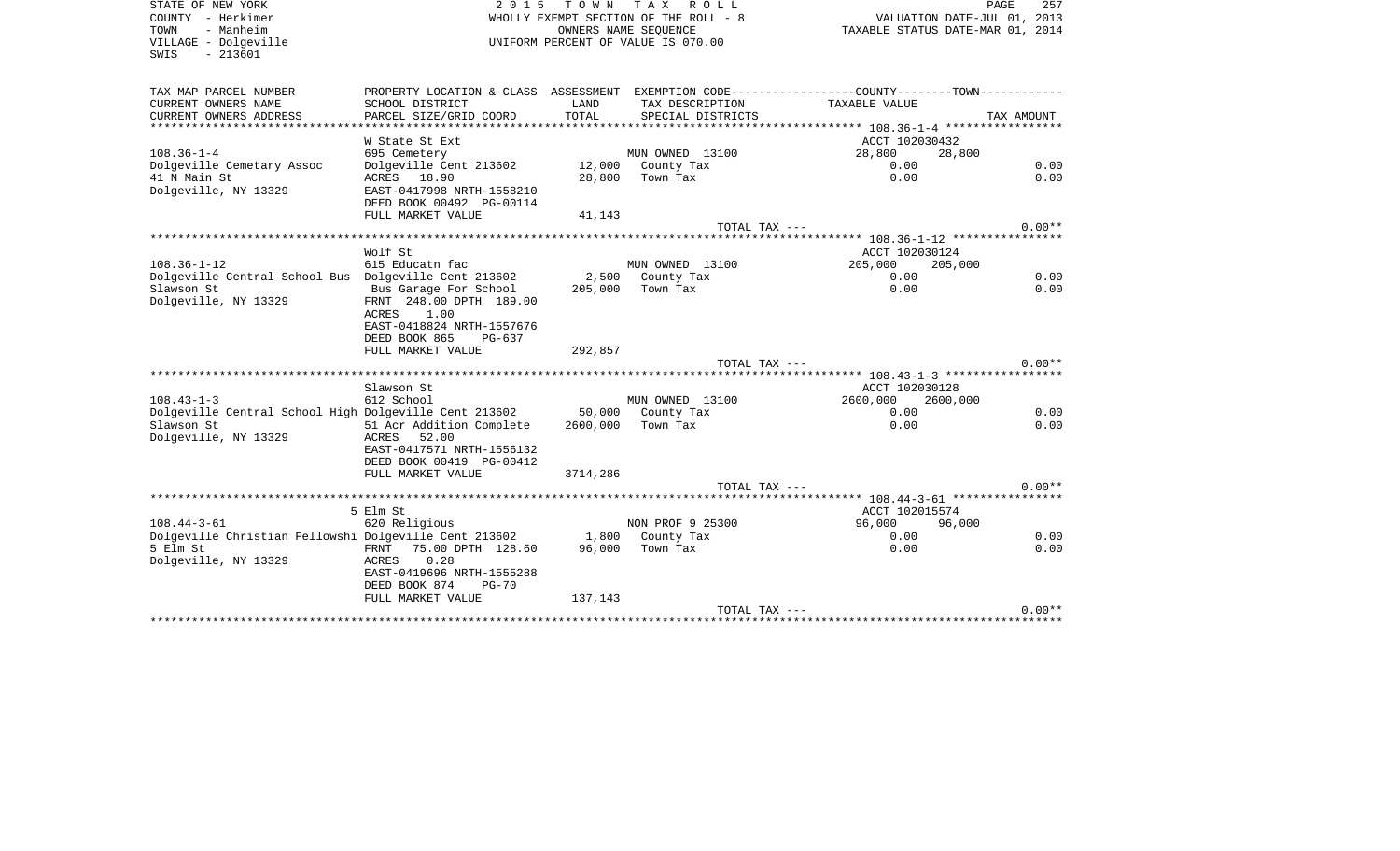SWIS - 213601

STATE OF NEW YORK **2015 TOWN TAX ROLL** COUNTY - Herkimer **WHOLLY EXEMPT SECTION OF THE ROLL - 8** VALUATION DATE-JUL 01, 2013 TOWN - Manheim OWNERS NAME SEQUENCE TAXABLE STATUS DATE-MAR 01, 2014 UNIFORM PERCENT OF VALUE IS 070.00

PAGE 257

| TAX MAP PARCEL NUMBER<br>CURRENT OWNERS NAME                                                | PROPERTY LOCATION & CLASS ASSESSMENT<br>SCHOOL DISTRICT | LAND     | EXEMPTION CODE----------------COUNTY-------TOWN-----------<br>TAX DESCRIPTION | TAXABLE VALUE             |            |
|---------------------------------------------------------------------------------------------|---------------------------------------------------------|----------|-------------------------------------------------------------------------------|---------------------------|------------|
| CURRENT OWNERS ADDRESS<br>*****************************                                     | PARCEL SIZE/GRID COORD                                  | TOTAL    | SPECIAL DISTRICTS                                                             |                           | TAX AMOUNT |
|                                                                                             | W State St Ext                                          |          |                                                                               | ACCT 102030432            |            |
| $108.36 - 1 - 4$                                                                            | 695 Cemetery                                            |          | MUN OWNED 13100                                                               | 28,800                    | 28,800     |
| Dolgeville Cemetary Assoc                                                                   | Dolgeville Cent 213602 12,000 County Tax                |          |                                                                               | 0.00                      | 0.00       |
| 41 N Main St                                                                                | ACRES 18.90                                             |          | 28,800 Town Tax                                                               | 0.00                      | 0.00       |
| Dolgeville, NY 13329                                                                        | EAST-0417998 NRTH-1558210<br>DEED BOOK 00492 PG-00114   |          |                                                                               |                           |            |
|                                                                                             | FULL MARKET VALUE                                       | 41,143   |                                                                               |                           |            |
|                                                                                             |                                                         |          | TOTAL TAX ---                                                                 |                           | $0.00**$   |
|                                                                                             |                                                         |          |                                                                               |                           |            |
|                                                                                             | Wolf St                                                 |          |                                                                               | ACCT 102030124            |            |
| $108.36 - 1 - 12$                                                                           | 615 Educatn fac                                         |          | MUN OWNED 13100                                                               | 205,000                   | 205,000    |
| Dolgeville Central School Bus Dolgeville Cent 213602                                        |                                                         |          | 2,500 County Tax                                                              | 0.00                      | 0.00       |
| Slawson St                                                                                  | Bus Garage For School 205,000                           |          | Town Tax                                                                      | 0.00                      | 0.00       |
| Dolgeville, NY 13329                                                                        | FRNT 248.00 DPTH 189.00<br>1.00<br>ACRES                |          |                                                                               |                           |            |
|                                                                                             | EAST-0418824 NRTH-1557676                               |          |                                                                               |                           |            |
|                                                                                             | DEED BOOK 865<br>PG-637                                 |          |                                                                               |                           |            |
|                                                                                             | FULL MARKET VALUE                                       | 292,857  |                                                                               |                           |            |
|                                                                                             |                                                         |          | TOTAL TAX ---                                                                 |                           | $0.00**$   |
|                                                                                             |                                                         |          |                                                                               |                           |            |
|                                                                                             | Slawson St                                              |          |                                                                               | ACCT 102030128            |            |
| $108.43 - 1 - 3$<br>Dolgeville Central School High Dolgeville Cent 213602 50,000 County Tax | 612 School                                              |          | MUN OWNED 13100                                                               | 2600,000 2600,000<br>0.00 | 0.00       |
| Slawson St                                                                                  | 51 Acr Addition Complete                                | 2600,000 | Town Tax                                                                      | 0.00                      | 0.00       |
| Dolgeville, NY 13329                                                                        | 52.00<br>ACRES                                          |          |                                                                               |                           |            |
|                                                                                             | EAST-0417571 NRTH-1556132                               |          |                                                                               |                           |            |
|                                                                                             | DEED BOOK 00419 PG-00412                                |          |                                                                               |                           |            |
|                                                                                             | FULL MARKET VALUE                                       | 3714,286 |                                                                               |                           |            |
|                                                                                             |                                                         |          | TOTAL TAX ---                                                                 |                           | $0.00**$   |
|                                                                                             |                                                         |          |                                                                               |                           |            |
| $108.44 - 3 - 61$                                                                           | 5 Elm St<br>620 Religious                               |          | NON PROF 9 25300                                                              | ACCT 102015574<br>96,000  | 96,000     |
| Dolgeville Christian Fellowshi Dolgeville Cent 213602                                       |                                                         |          | 1,800 County Tax                                                              | 0.00                      | 0.00       |
| 5 Elm St                                                                                    | FRNT 75.00 DPTH 128.60                                  | 96,000   | Town Tax                                                                      | 0.00                      | 0.00       |
| Dolgeville, NY 13329                                                                        | ACRES<br>0.28                                           |          |                                                                               |                           |            |
|                                                                                             | EAST-0419696 NRTH-1555288                               |          |                                                                               |                           |            |
|                                                                                             | DEED BOOK 874<br>$PG-70$                                |          |                                                                               |                           |            |
|                                                                                             | FULL MARKET VALUE                                       | 137,143  |                                                                               |                           | $0.00**$   |
|                                                                                             |                                                         |          | TOTAL TAX ---                                                                 |                           |            |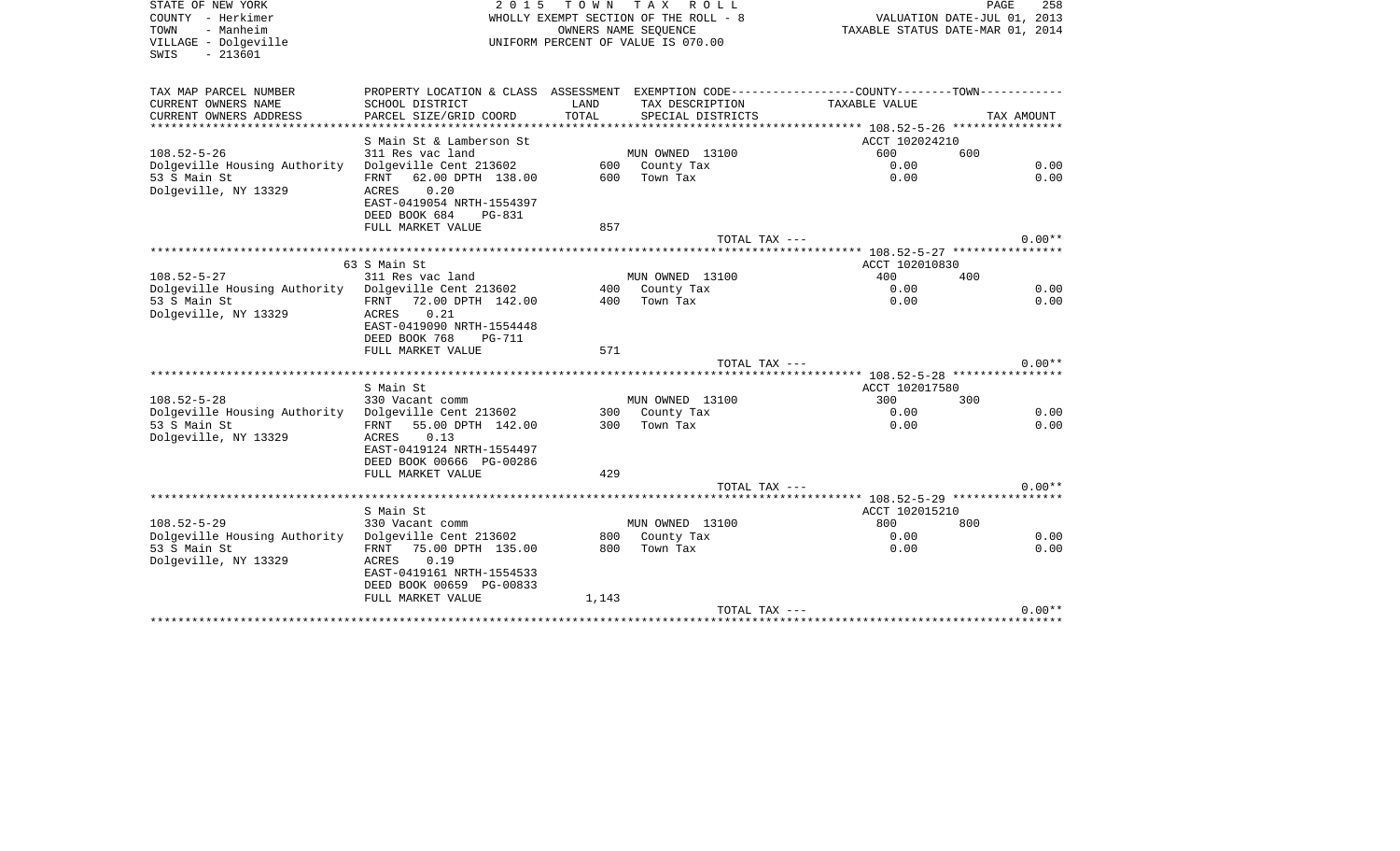| STATE OF NEW YORK<br>COUNTY - Herkimer<br>- Manheim<br>TOWN<br>VILLAGE - Dolgeville<br>$-213601$<br>SWIS | 2 0 1 5                                                    | T O W N    | TAX ROLL<br>WHOLLY EXEMPT SECTION OF THE ROLL - 8<br>OWNERS NAME SEQUENCE<br>UNIFORM PERCENT OF VALUE IS 070.00 | TAXABLE STATUS DATE-MAR 01, 2014                                                              | PAGE<br>258<br>VALUATION DATE-JUL 01, 2013 |
|----------------------------------------------------------------------------------------------------------|------------------------------------------------------------|------------|-----------------------------------------------------------------------------------------------------------------|-----------------------------------------------------------------------------------------------|--------------------------------------------|
| TAX MAP PARCEL NUMBER                                                                                    |                                                            |            |                                                                                                                 | PROPERTY LOCATION & CLASS ASSESSMENT EXEMPTION CODE---------------COUNTY-------TOWN---------- |                                            |
| CURRENT OWNERS NAME                                                                                      | SCHOOL DISTRICT                                            | LAND       | TAX DESCRIPTION                                                                                                 | TAXABLE VALUE                                                                                 |                                            |
| CURRENT OWNERS ADDRESS                                                                                   | PARCEL SIZE/GRID COORD                                     | TOTAL      | SPECIAL DISTRICTS                                                                                               |                                                                                               | TAX AMOUNT                                 |
| *********************                                                                                    |                                                            |            |                                                                                                                 |                                                                                               |                                            |
|                                                                                                          | S Main St & Lamberson St                                   |            |                                                                                                                 | ACCT 102024210<br>600                                                                         |                                            |
| $108.52 - 5 - 26$<br>Dolgeville Housing Authority                                                        | 311 Res vac land<br>Dolgeville Cent 213602                 |            | MUN OWNED 13100<br>600 County Tax                                                                               | 0.00                                                                                          | 600<br>0.00                                |
| 53 S Main St                                                                                             | FRNT<br>62.00 DPTH 138.00                                  | 600        | Town Tax                                                                                                        | 0.00                                                                                          | 0.00                                       |
| Dolgeville, NY 13329                                                                                     | 0.20<br>ACRES                                              |            |                                                                                                                 |                                                                                               |                                            |
|                                                                                                          | EAST-0419054 NRTH-1554397                                  |            |                                                                                                                 |                                                                                               |                                            |
|                                                                                                          | DEED BOOK 684<br>PG-831                                    |            |                                                                                                                 |                                                                                               |                                            |
|                                                                                                          | FULL MARKET VALUE                                          | 857        |                                                                                                                 |                                                                                               |                                            |
|                                                                                                          |                                                            |            | TOTAL TAX $---$                                                                                                 |                                                                                               | $0.00**$                                   |
|                                                                                                          |                                                            |            |                                                                                                                 |                                                                                               |                                            |
|                                                                                                          | 63 S Main St                                               |            |                                                                                                                 | ACCT 102010830                                                                                |                                            |
| $108.52 - 5 - 27$<br>Dolgeville Housing Authority Dolgeville Cent 213602                                 | 311 Res vac land                                           | 400        | MUN OWNED 13100<br>County Tax                                                                                   | 400<br>0.00                                                                                   | 400<br>0.00                                |
| 53 S Main St                                                                                             | 72.00 DPTH 142.00<br>FRNT                                  | 400        | Town Tax                                                                                                        | 0.00                                                                                          | 0.00                                       |
| Dolgeville, NY 13329                                                                                     | 0.21<br>ACRES                                              |            |                                                                                                                 |                                                                                               |                                            |
|                                                                                                          | EAST-0419090 NRTH-1554448                                  |            |                                                                                                                 |                                                                                               |                                            |
|                                                                                                          | DEED BOOK 768<br><b>PG-711</b>                             |            |                                                                                                                 |                                                                                               |                                            |
|                                                                                                          | FULL MARKET VALUE                                          | 571        |                                                                                                                 |                                                                                               |                                            |
|                                                                                                          |                                                            |            | TOTAL TAX ---                                                                                                   |                                                                                               | $0.00**$                                   |
|                                                                                                          |                                                            |            |                                                                                                                 |                                                                                               |                                            |
|                                                                                                          | S Main St                                                  |            |                                                                                                                 | ACCT 102017580                                                                                |                                            |
| $108.52 - 5 - 28$<br>Dolgeville Housing Authority                                                        | 330 Vacant comm<br>Dolgeville Cent 213602                  | 300        | MUN OWNED 13100<br>County Tax                                                                                   | 300<br>0.00                                                                                   | 300<br>0.00                                |
| 53 S Main St                                                                                             | FRNT<br>55.00 DPTH 142.00                                  | 300        | Town Tax                                                                                                        | 0.00                                                                                          | 0.00                                       |
| Dolgeville, NY 13329                                                                                     | ACRES<br>0.13                                              |            |                                                                                                                 |                                                                                               |                                            |
|                                                                                                          | EAST-0419124 NRTH-1554497                                  |            |                                                                                                                 |                                                                                               |                                            |
|                                                                                                          | DEED BOOK 00666 PG-00286                                   |            |                                                                                                                 |                                                                                               |                                            |
|                                                                                                          | FULL MARKET VALUE                                          | 429        |                                                                                                                 |                                                                                               |                                            |
|                                                                                                          |                                                            |            | TOTAL TAX ---                                                                                                   |                                                                                               | $0.00**$                                   |
|                                                                                                          |                                                            |            |                                                                                                                 |                                                                                               |                                            |
|                                                                                                          | S Main St                                                  |            |                                                                                                                 | ACCT 102015210                                                                                |                                            |
| $108.52 - 5 - 29$                                                                                        | 330 Vacant comm                                            |            | MUN OWNED 13100                                                                                                 | 800                                                                                           | 800                                        |
| Dolgeville Housing Authority<br>53 S Main St                                                             | Dolgeville Cent 213602<br>75.00 DPTH 135.00<br><b>FRNT</b> | 800<br>800 | County Tax<br>Town Tax                                                                                          | 0.00<br>0.00                                                                                  | 0.00<br>0.00                               |
| Dolgeville, NY 13329                                                                                     | 0.19<br><b>ACRES</b>                                       |            |                                                                                                                 |                                                                                               |                                            |
|                                                                                                          | EAST-0419161 NRTH-1554533                                  |            |                                                                                                                 |                                                                                               |                                            |
|                                                                                                          | DEED BOOK 00659 PG-00833                                   |            |                                                                                                                 |                                                                                               |                                            |
|                                                                                                          | FULL MARKET VALUE                                          | 1,143      |                                                                                                                 |                                                                                               |                                            |
|                                                                                                          |                                                            |            | TOTAL TAX ---                                                                                                   |                                                                                               | $0.00**$                                   |
|                                                                                                          |                                                            |            |                                                                                                                 | **********************************                                                            |                                            |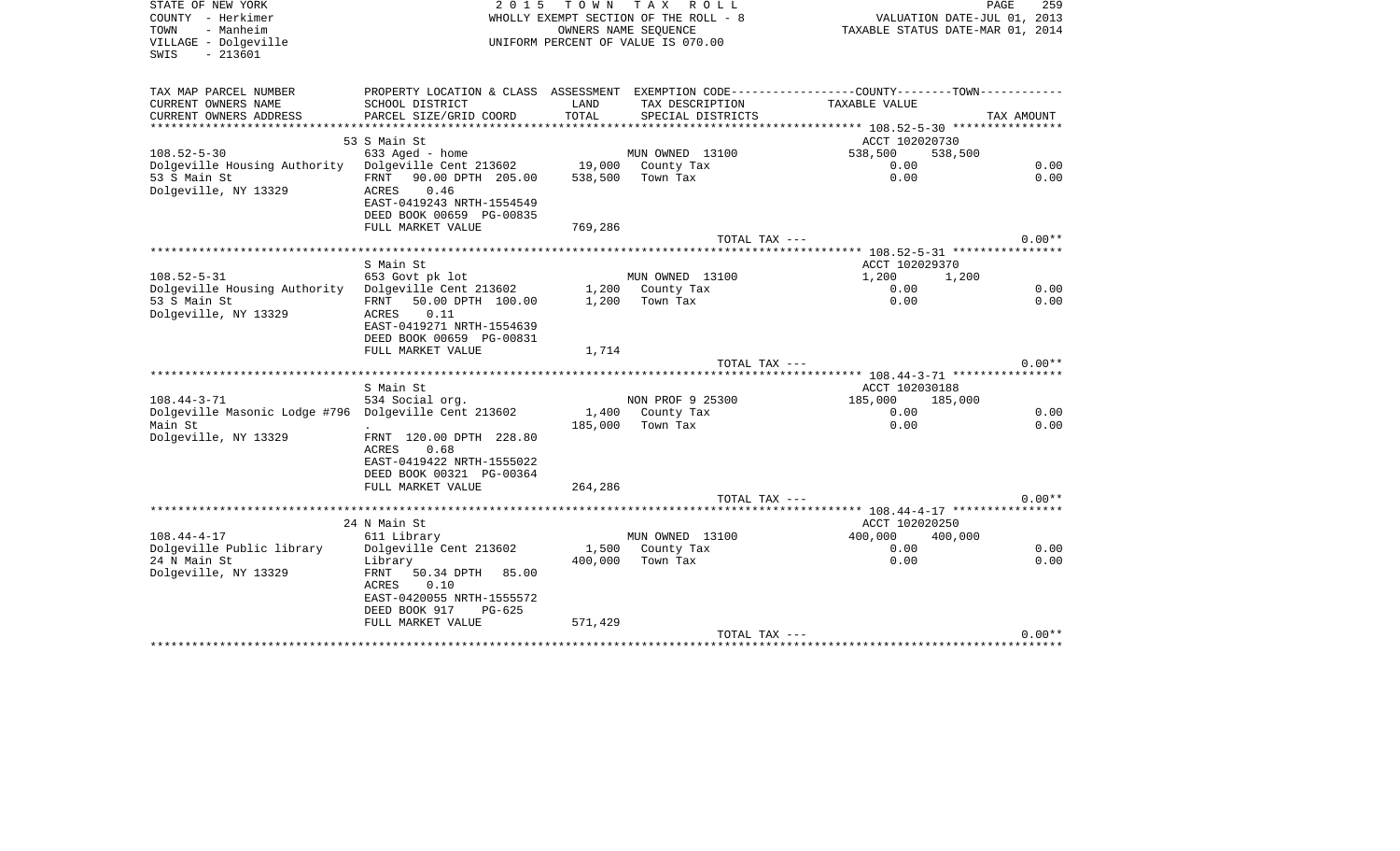| STATE OF NEW YORK<br>COUNTY - Herkimer<br>TOWN<br>- Manheim<br>VILLAGE - Dolgeville<br>$-213601$<br>SWIS | 2 0 1 5                                                                                                               |                  | TOWN TAX ROLL<br>WHOLLY EXEMPT SECTION OF THE ROLL - 8<br>OWNERS NAME SEOUENCE<br>UNIFORM PERCENT OF VALUE IS 070.00 | VALUATION DATE-JUL 01, 2013<br>TAXABLE STATUS DATE-MAR 01, 2014                               | PAGE<br>259  |
|----------------------------------------------------------------------------------------------------------|-----------------------------------------------------------------------------------------------------------------------|------------------|----------------------------------------------------------------------------------------------------------------------|-----------------------------------------------------------------------------------------------|--------------|
| TAX MAP PARCEL NUMBER                                                                                    |                                                                                                                       |                  |                                                                                                                      | PROPERTY LOCATION & CLASS ASSESSMENT EXEMPTION CODE---------------COUNTY-------TOWN---------- |              |
| CURRENT OWNERS NAME<br>CURRENT OWNERS ADDRESS                                                            | SCHOOL DISTRICT<br>PARCEL SIZE/GRID COORD                                                                             | LAND<br>TOTAL    | TAX DESCRIPTION<br>SPECIAL DISTRICTS                                                                                 | TAXABLE VALUE                                                                                 | TAX AMOUNT   |
|                                                                                                          |                                                                                                                       |                  |                                                                                                                      |                                                                                               |              |
|                                                                                                          | 53 S Main St                                                                                                          |                  |                                                                                                                      | ACCT 102020730                                                                                |              |
| $108.52 - 5 - 30$                                                                                        | 633 Aged - home                                                                                                       |                  | MUN OWNED 13100                                                                                                      | 538,500<br>538,500                                                                            |              |
| Dolgeville Housing Authority Dolgeville Cent 213602                                                      |                                                                                                                       |                  | 19,000 County Tax                                                                                                    | 0.00                                                                                          | 0.00         |
| 53 S Main St<br>Dolgeville, NY 13329                                                                     | FRNT 90.00 DPTH 205.00<br>0.46<br>ACRES<br>EAST-0419243 NRTH-1554549<br>DEED BOOK 00659 PG-00835<br>FULL MARKET VALUE | 769,286          | 538,500 Town Tax                                                                                                     | 0.00                                                                                          | 0.00         |
|                                                                                                          |                                                                                                                       |                  | TOTAL TAX ---                                                                                                        |                                                                                               | $0.00**$     |
|                                                                                                          |                                                                                                                       |                  |                                                                                                                      | ********* 108.52-5-31 *****************                                                       |              |
|                                                                                                          | S Main St                                                                                                             |                  |                                                                                                                      | ACCT 102029370                                                                                |              |
| $108.52 - 5 - 31$                                                                                        | 653 Govt pk lot                                                                                                       |                  | MUN OWNED 13100                                                                                                      | 1,200<br>1,200                                                                                |              |
| Dolgeville Housing Authority Dolgeville Cent 213602                                                      |                                                                                                                       |                  | 1,200 County Tax                                                                                                     | 0.00                                                                                          | 0.00         |
| 53 S Main St<br>Dolgeville, NY 13329                                                                     | FRNT 50.00 DPTH 100.00<br>0.11<br>ACRES<br>EAST-0419271 NRTH-1554639<br>DEED BOOK 00659 PG-00831<br>FULL MARKET VALUE | 1,714            | $1,200$ Town Tax                                                                                                     | 0.00                                                                                          | 0.00         |
|                                                                                                          |                                                                                                                       |                  | TOTAL TAX ---                                                                                                        |                                                                                               | $0.00**$     |
|                                                                                                          |                                                                                                                       |                  |                                                                                                                      |                                                                                               |              |
|                                                                                                          | S Main St                                                                                                             |                  |                                                                                                                      | ACCT 102030188                                                                                |              |
| $108.44 - 3 - 71$                                                                                        | 534 Social org.                                                                                                       |                  | NON PROF 9 25300                                                                                                     | 185,000 185,000                                                                               |              |
| Dolgeville Masonic Lodge #796 Dolgeville Cent 213602<br>Main St                                          |                                                                                                                       | 1,400<br>185,000 | County Tax<br>Town Tax                                                                                               | 0.00<br>0.00                                                                                  | 0.00<br>0.00 |
| Dolgeville, NY 13329                                                                                     | FRNT 120.00 DPTH 228.80<br>0.68<br>ACRES<br>EAST-0419422 NRTH-1555022<br>DEED BOOK 00321 PG-00364                     |                  |                                                                                                                      |                                                                                               |              |
|                                                                                                          | FULL MARKET VALUE                                                                                                     | 264,286          |                                                                                                                      |                                                                                               |              |
|                                                                                                          |                                                                                                                       |                  | TOTAL TAX ---                                                                                                        |                                                                                               | $0.00**$     |
|                                                                                                          |                                                                                                                       |                  |                                                                                                                      | **************** 108.44-4-17 *****************                                                |              |
|                                                                                                          | 24 N Main St                                                                                                          |                  |                                                                                                                      | ACCT 102020250                                                                                |              |
| $108.44 - 4 - 17$<br>Dolgeville Public library                                                           | 611 Library<br>Dolgeville Cent 213602                                                                                 |                  | MUN OWNED 13100<br>1,500 County Tax                                                                                  | 400,000<br>400,000<br>0.00                                                                    | 0.00         |
| 24 N Main St<br>Dolgeville, NY 13329                                                                     | Library<br>FRNT 50.34 DPTH 85.00                                                                                      | 400,000          | Town Tax                                                                                                             | 0.00                                                                                          | 0.00         |
|                                                                                                          | ACRES<br>0.10<br>EAST-0420055 NRTH-1555572<br>DEED BOOK 917<br>$PG-625$                                               |                  |                                                                                                                      |                                                                                               |              |
|                                                                                                          | FULL MARKET VALUE                                                                                                     | 571,429          |                                                                                                                      |                                                                                               |              |
|                                                                                                          |                                                                                                                       |                  | TOTAL TAX ---                                                                                                        |                                                                                               | $0.00**$     |
|                                                                                                          |                                                                                                                       |                  |                                                                                                                      |                                                                                               |              |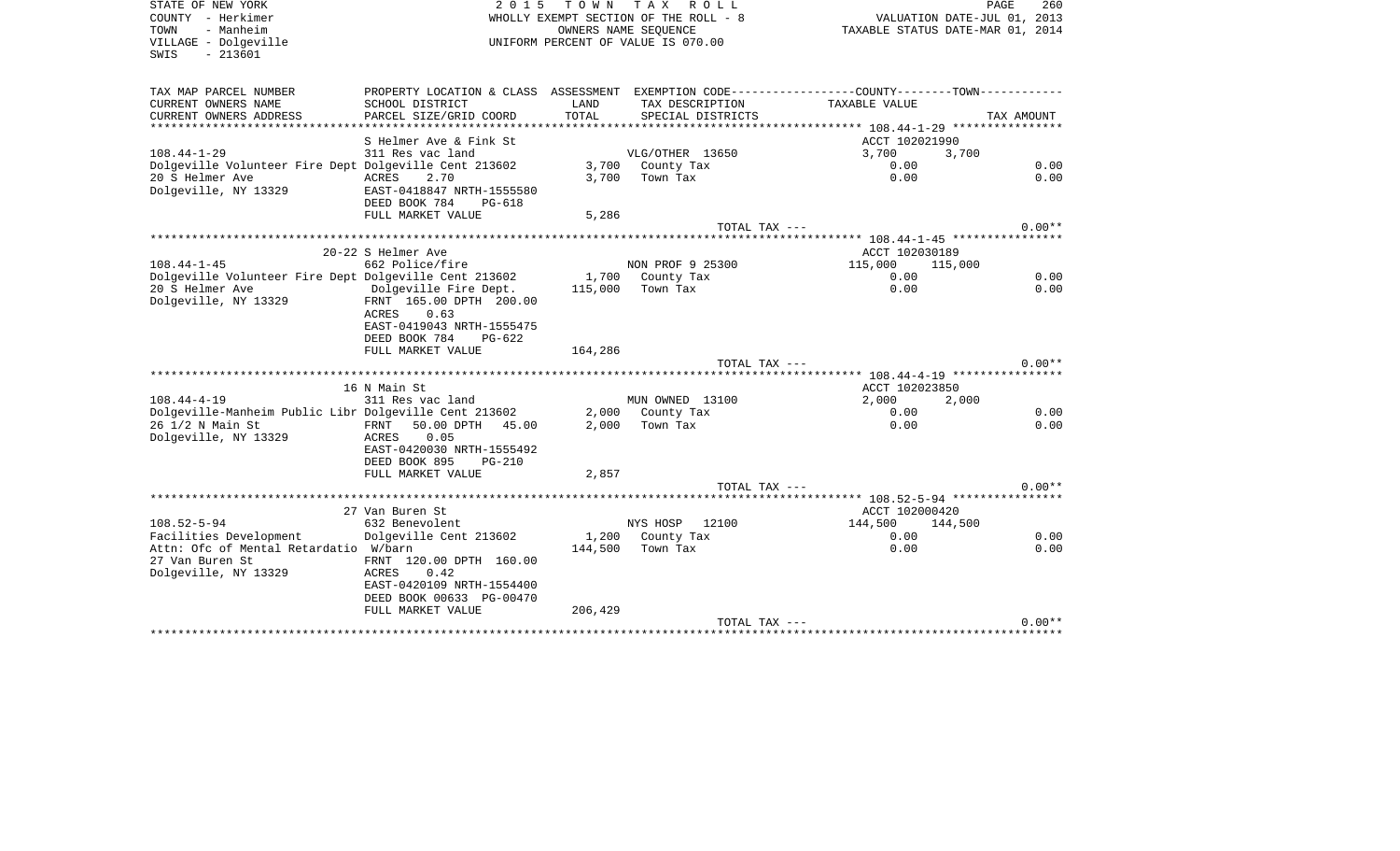SWIS - 213601

STATE OF NEW YORK **EXECUTE:**  $2015$  TOWN TAX ROLL COUNTY - Herkimer WHOLLY EXEMPT SECTION OF THE ROLL - 8 TOUNTY - Herkimer (11, 2013)<br>TOWN - Manheim - Manheim (11, 2013)<br>VILLAGE - Dolgeville (2014) UNIFORM PERCENT OF VALUE IS 070.00 UNIFORM PERCENT OF VALUE IS 070.00

PAGE 260

| TAX MAP PARCEL NUMBER                                 | PROPERTY LOCATION & CLASS      | ASSESSMENT |                   |                    |            |
|-------------------------------------------------------|--------------------------------|------------|-------------------|--------------------|------------|
| CURRENT OWNERS NAME                                   | SCHOOL DISTRICT                | LAND       | TAX DESCRIPTION   | TAXABLE VALUE      |            |
| CURRENT OWNERS ADDRESS                                | PARCEL SIZE/GRID COORD         | TOTAL      | SPECIAL DISTRICTS |                    | TAX AMOUNT |
| *************************                             | ******************             |            |                   |                    |            |
|                                                       | S Helmer Ave & Fink St         |            |                   | ACCT 102021990     |            |
| $108.44 - 1 - 29$                                     | 311 Res vac land               |            | VLG/OTHER 13650   | 3,700<br>3,700     |            |
| Dolgeville Volunteer Fire Dept Dolgeville Cent 213602 |                                |            | 3,700 County Tax  | 0.00               | 0.00       |
| 20 S Helmer Ave                                       | ACRES<br>2.70                  | 3,700      | Town Tax          | 0.00               | 0.00       |
| Dolgeville, NY 13329                                  | EAST-0418847 NRTH-1555580      |            |                   |                    |            |
|                                                       | DEED BOOK 784<br>PG-618        |            |                   |                    |            |
|                                                       | FULL MARKET VALUE              | 5,286      |                   |                    |            |
|                                                       |                                |            | TOTAL TAX ---     |                    | $0.00**$   |
|                                                       |                                |            |                   |                    |            |
|                                                       | 20-22 S Helmer Ave             |            |                   | ACCT 102030189     |            |
| $108.44 - 1 - 45$                                     | 662 Police/fire                |            | NON PROF 9 25300  | 115,000<br>115,000 |            |
| Dolgeville Volunteer Fire Dept Dolgeville Cent 213602 |                                |            | 1,700 County Tax  | 0.00               | 0.00       |
| 20 S Helmer Ave                                       | Dolgeville Fire Dept.          | 115,000    | Town Tax          | 0.00               | 0.00       |
| Dolgeville, NY 13329                                  | FRNT 165.00 DPTH 200.00        |            |                   |                    |            |
|                                                       | 0.63<br>ACRES                  |            |                   |                    |            |
|                                                       | EAST-0419043 NRTH-1555475      |            |                   |                    |            |
|                                                       | DEED BOOK 784<br>$PG-622$      |            |                   |                    |            |
|                                                       | FULL MARKET VALUE              | 164,286    |                   |                    |            |
|                                                       |                                |            | TOTAL TAX ---     |                    | $0.00**$   |
|                                                       |                                |            |                   |                    |            |
|                                                       | 16 N Main St                   |            |                   | ACCT 102023850     |            |
| $108.44 - 4 - 19$                                     | 311 Res vac land               |            | MUN OWNED 13100   | 2,000<br>2,000     |            |
| Dolgeville-Manheim Public Libr Dolgeville Cent 213602 |                                |            | 2,000 County Tax  | 0.00               | 0.00       |
| 26 1/2 N Main St                                      | 50.00 DPTH<br>FRNT<br>45.00    | 2,000      | Town Tax          | 0.00               | 0.00       |
| Dolgeville, NY 13329                                  | 0.05<br>ACRES                  |            |                   |                    |            |
|                                                       | EAST-0420030 NRTH-1555492      |            |                   |                    |            |
|                                                       | DEED BOOK 895<br><b>PG-210</b> |            |                   |                    |            |
|                                                       | FULL MARKET VALUE              | 2,857      |                   |                    |            |
|                                                       |                                |            | TOTAL TAX ---     |                    | $0.00**$   |
|                                                       |                                |            |                   |                    |            |
|                                                       | 27 Van Buren St                |            |                   | ACCT 102000420     |            |
| $108.52 - 5 - 94$                                     | 632 Benevolent                 |            | NYS HOSP<br>12100 | 144,500<br>144,500 |            |
| Facilities Development                                | Dolgeville Cent 213602         |            | 1,200 County Tax  | 0.00               | 0.00       |
| Attn: Ofc of Mental Retardatio W/barn                 |                                | 144,500    | Town Tax          | 0.00               | 0.00       |
| 27 Van Buren St                                       | FRNT 120.00 DPTH 160.00        |            |                   |                    |            |
| Dolgeville, NY 13329                                  | ACRES<br>0.42                  |            |                   |                    |            |
|                                                       | EAST-0420109 NRTH-1554400      |            |                   |                    |            |
|                                                       | DEED BOOK 00633 PG-00470       |            |                   |                    |            |
|                                                       | FULL MARKET VALUE              | 206,429    |                   |                    |            |
|                                                       |                                |            | TOTAL TAX ---     |                    | $0.00**$   |
|                                                       |                                |            |                   |                    |            |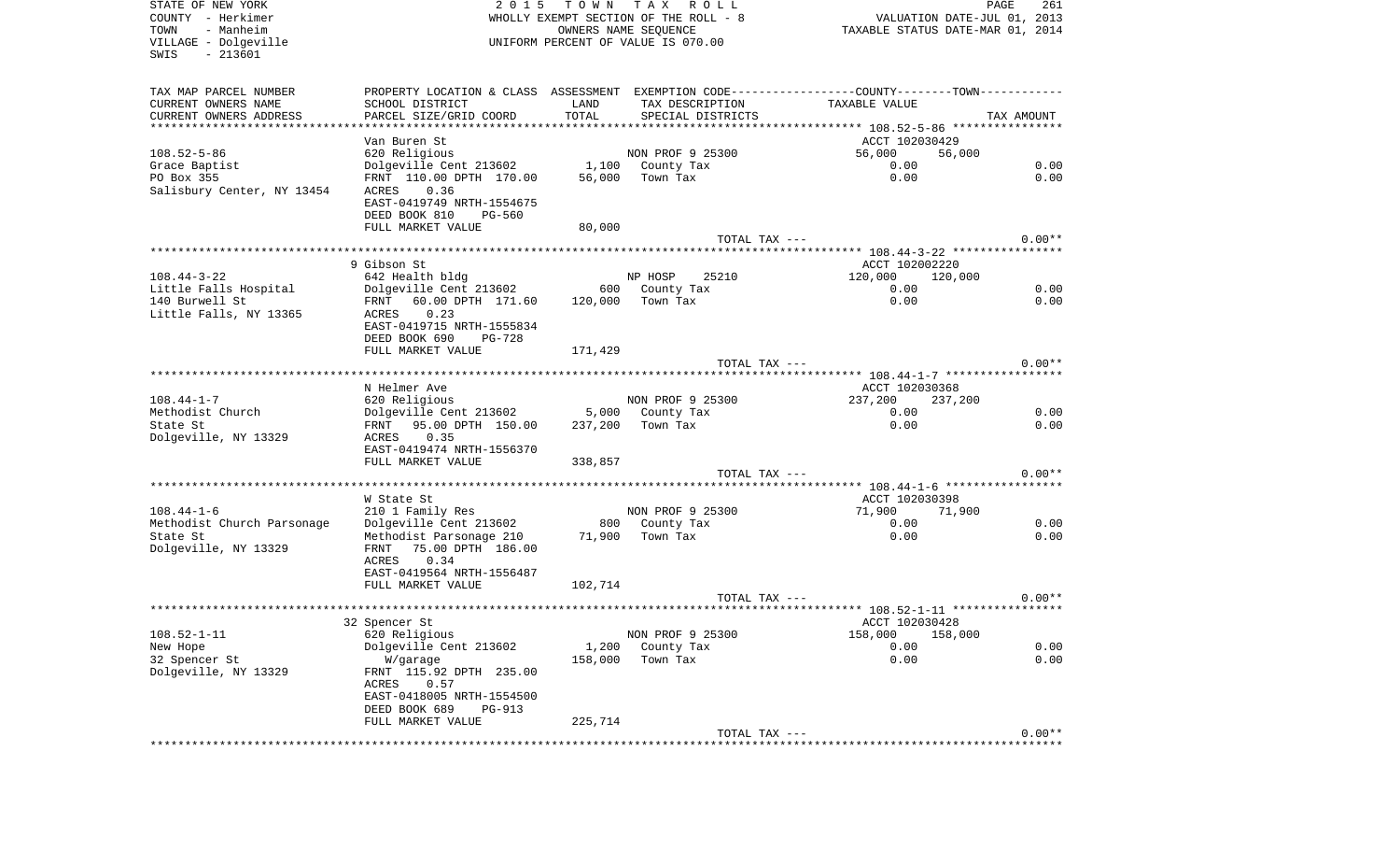| STATE OF NEW YORK<br>COUNTY - Herkimer<br>- Manheim | 2 0 1 5                                                                                       | T O W N | T A X<br>R O L L<br>WHOLLY EXEMPT SECTION OF THE ROLL - 8  |                           | PAGE<br>261<br>VALUATION DATE-JUL 01, 2013 |
|-----------------------------------------------------|-----------------------------------------------------------------------------------------------|---------|------------------------------------------------------------|---------------------------|--------------------------------------------|
| TOWN<br>VILLAGE - Dolgeville<br>$-213601$<br>SWIS   |                                                                                               |         | OWNERS NAME SEQUENCE<br>UNIFORM PERCENT OF VALUE IS 070.00 |                           | TAXABLE STATUS DATE-MAR 01, 2014           |
| TAX MAP PARCEL NUMBER                               | PROPERTY LOCATION & CLASS ASSESSMENT EXEMPTION CODE---------------COUNTY-------TOWN---------- |         |                                                            |                           |                                            |
| CURRENT OWNERS NAME                                 | SCHOOL DISTRICT                                                                               | LAND    | TAX DESCRIPTION                                            | TAXABLE VALUE             |                                            |
| CURRENT OWNERS ADDRESS                              | PARCEL SIZE/GRID COORD                                                                        | TOTAL   | SPECIAL DISTRICTS                                          |                           | TAX AMOUNT                                 |
| ***********************                             |                                                                                               |         |                                                            |                           |                                            |
| $108.52 - 5 - 86$                                   | Van Buren St<br>620 Religious                                                                 |         | NON PROF 9 25300                                           | ACCT 102030429<br>56,000  | 56,000                                     |
| Grace Baptist                                       | Dolgeville Cent 213602                                                                        |         | 1,100 County Tax                                           | 0.00                      | 0.00                                       |
| PO Box 355                                          | FRNT 110.00 DPTH 170.00                                                                       | 56,000  | Town Tax                                                   | 0.00                      | 0.00                                       |
| Salisbury Center, NY 13454                          | 0.36<br>ACRES<br>EAST-0419749 NRTH-1554675                                                    |         |                                                            |                           |                                            |
|                                                     | DEED BOOK 810<br>PG-560                                                                       |         |                                                            |                           |                                            |
|                                                     | FULL MARKET VALUE                                                                             | 80,000  |                                                            |                           |                                            |
|                                                     |                                                                                               |         | TOTAL TAX ---                                              |                           | $0.00**$                                   |
|                                                     | 9 Gibson St                                                                                   |         |                                                            | ACCT 102002220            |                                            |
| $108.44 - 3 - 22$                                   | 642 Health bldg                                                                               |         | NP HOSP<br>25210                                           | 120,000                   | 120,000                                    |
| Little Falls Hospital                               | Dolgeville Cent 213602                                                                        |         | 600 County Tax                                             | 0.00                      | 0.00                                       |
| 140 Burwell St                                      | 60.00 DPTH 171.60<br>FRNT                                                                     | 120,000 | Town Tax                                                   | 0.00                      | 0.00                                       |
| Little Falls, NY 13365                              | 0.23<br>ACRES                                                                                 |         |                                                            |                           |                                            |
|                                                     | EAST-0419715 NRTH-1555834                                                                     |         |                                                            |                           |                                            |
|                                                     | DEED BOOK 690<br><b>PG-728</b>                                                                |         |                                                            |                           |                                            |
|                                                     | FULL MARKET VALUE                                                                             | 171,429 |                                                            |                           |                                            |
|                                                     |                                                                                               |         | TOTAL TAX ---                                              |                           | $0.00**$                                   |
|                                                     |                                                                                               |         |                                                            |                           |                                            |
| $108.44 - 1 - 7$                                    | N Helmer Ave<br>620 Religious                                                                 |         | NON PROF 9 25300                                           | ACCT 102030368<br>237,200 | 237,200                                    |
| Methodist Church                                    | Dolgeville Cent 213602                                                                        | 5,000   | County Tax                                                 | 0.00                      | 0.00                                       |
| State St                                            | FRNT 95.00 DPTH 150.00                                                                        | 237,200 | Town Tax                                                   | 0.00                      | 0.00                                       |
| Dolgeville, NY 13329                                | 0.35<br>ACRES                                                                                 |         |                                                            |                           |                                            |
|                                                     | EAST-0419474 NRTH-1556370                                                                     |         |                                                            |                           |                                            |
|                                                     | FULL MARKET VALUE                                                                             | 338,857 |                                                            |                           |                                            |
|                                                     |                                                                                               |         | TOTAL TAX ---                                              |                           | $0.00**$                                   |
|                                                     | W State St                                                                                    |         |                                                            | ACCT 102030398            |                                            |
| $108.44 - 1 - 6$                                    | 210 1 Family Res                                                                              |         | NON PROF 9 25300                                           | 71,900                    | 71,900                                     |
| Methodist Church Parsonage                          | Dolgeville Cent 213602                                                                        |         | 800 County Tax                                             | 0.00                      | 0.00                                       |
| State St<br>Dolgeville, NY 13329                    | Methodist Parsonage 210<br>FRNT<br>75.00 DPTH 186.00                                          | 71,900  | Town Tax                                                   | 0.00                      | 0.00                                       |
|                                                     | ACRES<br>0.34<br>EAST-0419564 NRTH-1556487                                                    |         |                                                            |                           |                                            |
|                                                     | FULL MARKET VALUE                                                                             | 102,714 |                                                            |                           |                                            |
|                                                     |                                                                                               |         | TOTAL TAX ---                                              |                           | $0.00**$                                   |
|                                                     |                                                                                               |         |                                                            |                           |                                            |
|                                                     | 32 Spencer St                                                                                 |         |                                                            | ACCT 102030428            |                                            |
| $108.52 - 1 - 11$                                   | 620 Religious                                                                                 |         | NON PROF 9 25300                                           | 158,000                   | 158,000                                    |
| New Hope                                            | Dolgeville Cent 213602                                                                        | 1,200   | County Tax                                                 | 0.00                      | 0.00                                       |
| 32 Spencer St                                       | W/garage                                                                                      | 158,000 | Town Tax                                                   | 0.00                      | 0.00                                       |
| Dolgeville, NY 13329                                | FRNT 115.92 DPTH 235.00<br>ACRES<br>0.57                                                      |         |                                                            |                           |                                            |
|                                                     | EAST-0418005 NRTH-1554500                                                                     |         |                                                            |                           |                                            |
|                                                     | DEED BOOK 689<br>PG-913<br>FULL MARKET VALUE                                                  | 225,714 |                                                            |                           |                                            |
|                                                     |                                                                                               |         | TOTAL TAX ---                                              |                           | $0.00**$                                   |
|                                                     |                                                                                               |         |                                                            |                           |                                            |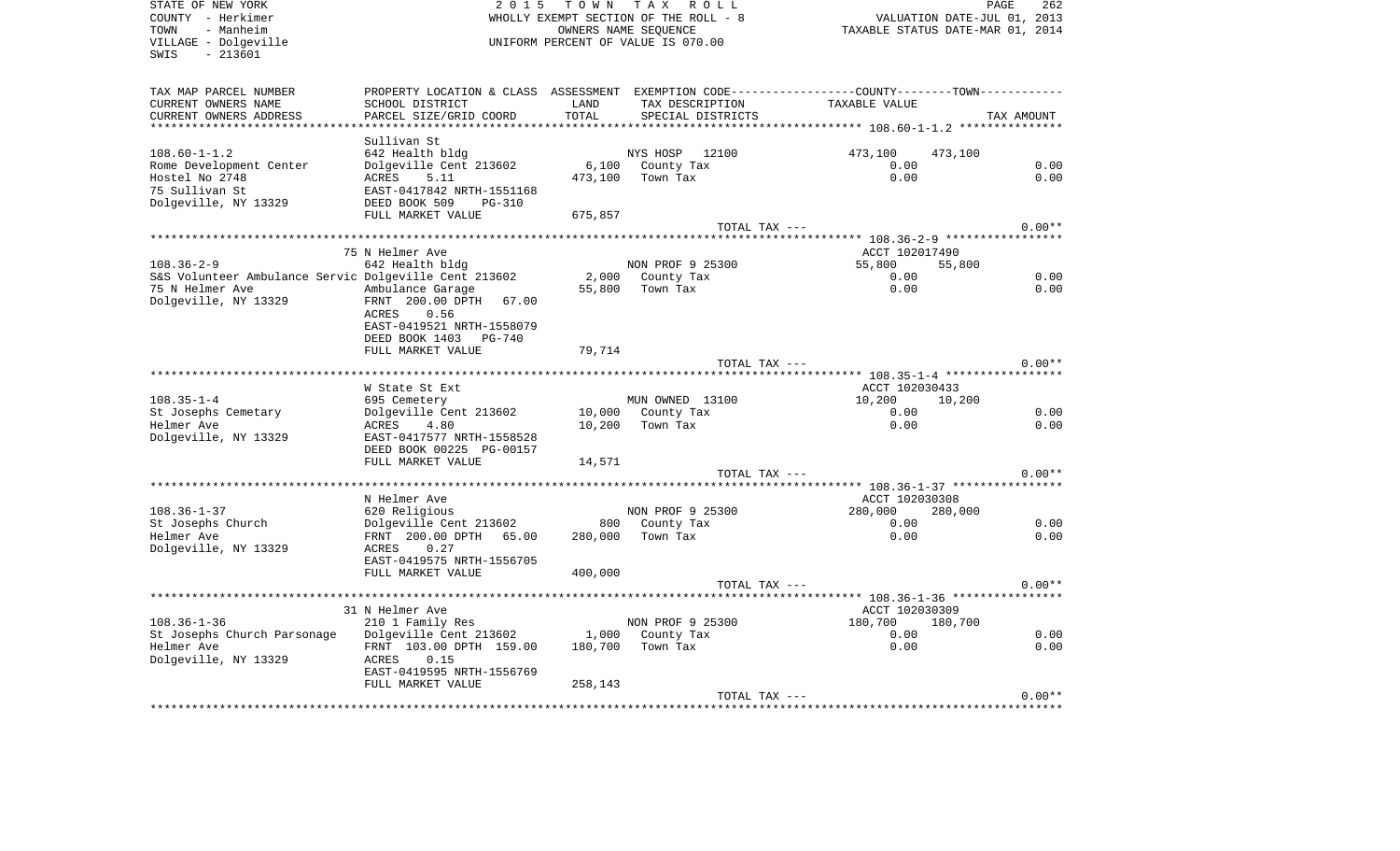COUNTY - Herkimer WHOLLY EXEMPT SECTION OF THE ROLL - 8 VALUATION DATE-JUL 01, 2013 TOWN - Manheim OWNERS NAME SEQUENCE TAXABLE STATUS DATE-MAR 01, 2014 VILLAGE - Dolgeville UNIFORM PERCENT OF VALUE IS 070.00 SWIS - 213601TAX MAP PARCEL NUMBER PROPERTY LOCATION & CLASS ASSESSMENT EXEMPTION CODE------------------COUNTY--------TOWN------------ CURRENT OWNERS NAME SCHOOL DISTRICT LAND TAX DESCRIPTION TAXABLE VALUECURRENT OWNERS ADDRESS PARCEL SIZE/GRID COORD TOTAL SPECIAL DISTRICTS TAX AMOUNT \*\*\*\*\*\*\*\*\*\*\*\*\*\*\*\*\*\*\*\*\*\*\*\*\*\*\*\*\*\*\*\*\*\*\*\*\*\*\*\*\*\*\*\*\*\*\*\*\*\*\*\*\*\*\*\*\*\*\*\*\*\*\*\*\*\*\*\*\*\*\*\*\*\*\*\*\*\*\*\*\*\*\*\*\*\*\*\*\*\*\*\*\*\*\*\*\*\*\*\*\*\*\* 108.60-1-1.2 \*\*\*\*\*\*\*\*\*\*\*\*\*\*\* Sullivan St642 Health bldg 108.60-1-1.2 642 Health bldg NYS HOSP 12100 473,100 473,100 Rome Development Center bolgeville Cent 213602 6,100 County Tax 0.00 0.00 0.00 0.00 Hostel No 2748 **ACRES** 5.11 473,100 Town Tax 0.00 0.00 0.00 75 Sullivan St EAST-0417842 NRTH-1551168Dolgeville, NY 13329 DEED BOOK 509 PG-310 FULL MARKET VALUE 675,857 TOTAL TAX  $---$  0.00\*\* \*\*\*\*\*\*\*\*\*\*\*\*\*\*\*\*\*\*\*\*\*\*\*\*\*\*\*\*\*\*\*\*\*\*\*\*\*\*\*\*\*\*\*\*\*\*\*\*\*\*\*\*\*\*\*\*\*\*\*\*\*\*\*\*\*\*\*\*\*\*\*\*\*\*\*\*\*\*\*\*\*\*\*\*\*\*\*\*\*\*\*\*\*\*\*\*\*\*\*\*\*\*\* 108.36-2-9 \*\*\*\*\*\*\*\*\*\*\*\*\*\*\*\*\* The Music of the Music of the Music of the Music of the Music of the Music of the ACCT 102017490 108.36-2-9 642 Health bldg NON PROF 9 25300 55,800 55,800 S&S Volunteer Ambulance Servic Dolgeville Cent 213602 2,000 County Tax 0.00 0.00 75 N Helmer Ave Ambulance Garage 55,800 Town Tax 0.00 0.00 Dolgeville, NY 13329 FRNT 200.00 DPTH 67.00 ACRES 0.56 EAST-0419521 NRTH-1558079 DEED BOOK 1403 PG-740FULL MARKET VALUE 79,714 TOTAL TAX  $---$  0.00\*\* \*\*\*\*\*\*\*\*\*\*\*\*\*\*\*\*\*\*\*\*\*\*\*\*\*\*\*\*\*\*\*\*\*\*\*\*\*\*\*\*\*\*\*\*\*\*\*\*\*\*\*\*\*\*\*\*\*\*\*\*\*\*\*\*\*\*\*\*\*\*\*\*\*\*\*\*\*\*\*\*\*\*\*\*\*\*\*\*\*\*\*\*\*\*\*\*\*\*\*\*\*\*\* 108.35-1-4 \*\*\*\*\*\*\*\*\*\*\*\*\*\*\*\*\*W State St Ext ACCT 102030433 108.35-1-4 695 Cemetery MUN OWNED 13100 10,200 10,200 St Josephs Cemetary 10,000 County Tax 0.00 0.00 0.00 0.00 Helmer Ave ACRES 4.80 10,200 Town Tax 0.00 0.00 Dolgeville, NY 13329 EAST-0417577 NRTH-1558528 DEED BOOK 00225 PG-00157FULL MARKET VALUE 14,571 TOTAL TAX  $---$  0.00\*\* \*\*\*\*\*\*\*\*\*\*\*\*\*\*\*\*\*\*\*\*\*\*\*\*\*\*\*\*\*\*\*\*\*\*\*\*\*\*\*\*\*\*\*\*\*\*\*\*\*\*\*\*\*\*\*\*\*\*\*\*\*\*\*\*\*\*\*\*\*\*\*\*\*\*\*\*\*\*\*\*\*\*\*\*\*\*\*\*\*\*\*\*\*\*\*\*\*\*\*\*\*\*\* 108.36-1-37 \*\*\*\*\*\*\*\*\*\*\*\*\*\*\*\* N Helmer Ave Accredit 202030308 N Helmer Ave Accredit 202030308 108.36-1-37 620 Religious NON PROF 9 25300 280,000 280,000 St Josephs Church Dolgeville Cent 213602 800 County Tax 0.00 0.00 Helmer Ave FRNT 200.00 DPTH 65.00 280,000 Town Tax 0.00 0.00 Dolgeville, NY 13329 ACRES 0.27 EAST-0419575 NRTH-1556705 FULL MARKET VALUE 400,000 TOTAL TAX  $---$  0.00\*\* \*\*\*\*\*\*\*\*\*\*\*\*\*\*\*\*\*\*\*\*\*\*\*\*\*\*\*\*\*\*\*\*\*\*\*\*\*\*\*\*\*\*\*\*\*\*\*\*\*\*\*\*\*\*\*\*\*\*\*\*\*\*\*\*\*\*\*\*\*\*\*\*\*\*\*\*\*\*\*\*\*\*\*\*\*\*\*\*\*\*\*\*\*\*\*\*\*\*\*\*\*\*\* 108.36-1-36 \*\*\*\*\*\*\*\*\*\*\*\*\*\*\*\*31 N Helmer Ave 2012 2020 12:00 12:00 12:00 12:00 12:00 12:00 12:00 12:00 12:00 12:00 12:00 12:00 12:00 12:00 1 108.36-1-36 210 1 Family Res NON PROF 9 25300 180,700 180,700 St Josephs Church Parsonage Dolgeville Cent 213602 1,000 County Tax 0.00 0.00 0.00 0.00 Helmer Ave FRNT 103.00 DPTH 159.00 180,700 Town Tax 0.00 0.00 Dolgeville, NY 13329 ACRES 0.15 EAST-0419595 NRTH-1556769FULL MARKET VALUE 258,143 TOTAL TAX  $---$  0.00\*\* \*\*\*\*\*\*\*\*\*\*\*\*\*\*\*\*\*\*\*\*\*\*\*\*\*\*\*\*\*\*\*\*\*\*\*\*\*\*\*\*\*\*\*\*\*\*\*\*\*\*\*\*\*\*\*\*\*\*\*\*\*\*\*\*\*\*\*\*\*\*\*\*\*\*\*\*\*\*\*\*\*\*\*\*\*\*\*\*\*\*\*\*\*\*\*\*\*\*\*\*\*\*\*\*\*\*\*\*\*\*\*\*\*\*\*\*\*\*\*\*\*\*\*\*\*\*\*\*\*\*\*\*

STATE OF NEW YORK 2 0 1 5 T O W N T A X R O L L PAGE 262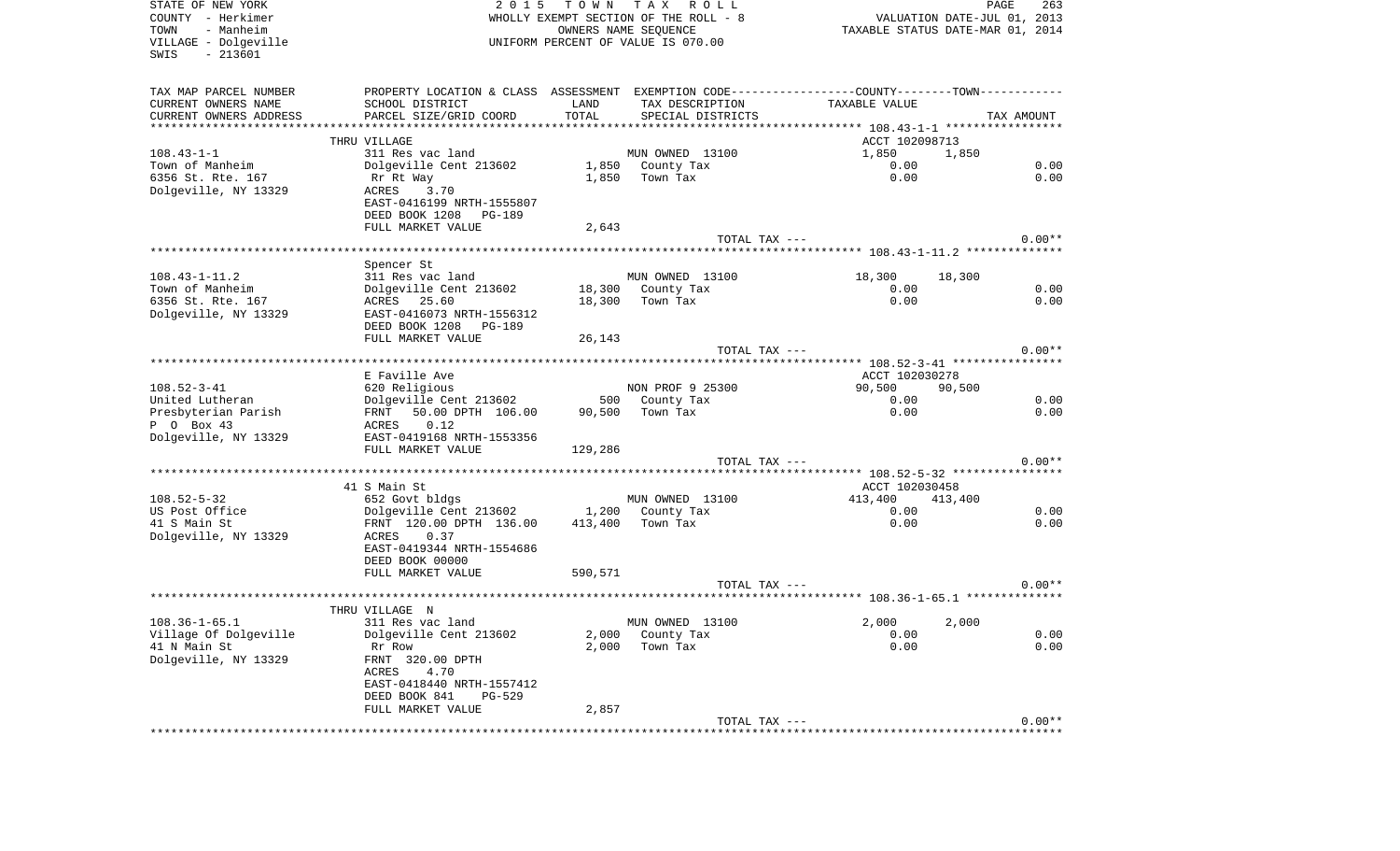| STATE OF NEW YORK<br>COUNTY - Herkimer<br>- Manheim<br>TOWN<br>VILLAGE - Dolgeville<br>$-213601$<br>SWIS | 2 0 1 5                                                                                       |         | TOWN TAX ROLL<br>WHOLLY EXEMPT SECTION OF THE ROLL - 8<br>OWNERS NAME SEQUENCE<br>UNIFORM PERCENT OF VALUE IS 070.00 |                                        | PAGE<br>263<br>VALUATION DATE-JUL 01, 2013<br>TAXABLE STATUS DATE-MAR 01, 2014 |
|----------------------------------------------------------------------------------------------------------|-----------------------------------------------------------------------------------------------|---------|----------------------------------------------------------------------------------------------------------------------|----------------------------------------|--------------------------------------------------------------------------------|
| TAX MAP PARCEL NUMBER                                                                                    | PROPERTY LOCATION & CLASS ASSESSMENT EXEMPTION CODE---------------COUNTY-------TOWN---------- |         |                                                                                                                      |                                        |                                                                                |
| CURRENT OWNERS NAME                                                                                      | SCHOOL DISTRICT                                                                               | LAND    | TAX DESCRIPTION                                                                                                      | TAXABLE VALUE                          |                                                                                |
| CURRENT OWNERS ADDRESS<br>************************                                                       | PARCEL SIZE/GRID COORD                                                                        | TOTAL   | SPECIAL DISTRICTS                                                                                                    |                                        | TAX AMOUNT                                                                     |
|                                                                                                          | THRU VILLAGE                                                                                  |         |                                                                                                                      | ACCT 102098713                         |                                                                                |
| $108.43 - 1 - 1$                                                                                         | 311 Res vac land                                                                              |         | MUN OWNED 13100                                                                                                      | 1,850                                  | 1,850                                                                          |
| Town of Manheim                                                                                          | Dolgeville Cent 213602                                                                        |         | 1,850 County Tax                                                                                                     | 0.00                                   | 0.00                                                                           |
| 6356 St. Rte. 167                                                                                        | Rr Rt Way                                                                                     | 1,850   | Town Tax                                                                                                             | 0.00                                   | 0.00                                                                           |
| Dolgeville, NY 13329                                                                                     | ACRES 3.70                                                                                    |         |                                                                                                                      |                                        |                                                                                |
|                                                                                                          | EAST-0416199 NRTH-1555807                                                                     |         |                                                                                                                      |                                        |                                                                                |
|                                                                                                          | DEED BOOK 1208 PG-189                                                                         |         |                                                                                                                      |                                        |                                                                                |
|                                                                                                          | FULL MARKET VALUE                                                                             | 2,643   | TOTAL TAX ---                                                                                                        |                                        | $0.00**$                                                                       |
|                                                                                                          |                                                                                               |         |                                                                                                                      |                                        |                                                                                |
|                                                                                                          | Spencer St                                                                                    |         |                                                                                                                      |                                        |                                                                                |
| $108.43 - 1 - 11.2$                                                                                      | 311 Res vac land                                                                              |         | MUN OWNED 13100                                                                                                      | 18,300                                 | 18,300                                                                         |
| Town of Manheim                                                                                          | Dolgeville Cent 213602                                                                        |         | 18,300 County Tax                                                                                                    | 0.00                                   | 0.00                                                                           |
| 6356 St. Rte. 167                                                                                        | ACRES 25.60                                                                                   | 18,300  | Town Tax                                                                                                             | 0.00                                   | 0.00                                                                           |
| Dolgeville, NY 13329                                                                                     | EAST-0416073 NRTH-1556312                                                                     |         |                                                                                                                      |                                        |                                                                                |
|                                                                                                          | DEED BOOK 1208 PG-189<br>FULL MARKET VALUE                                                    | 26,143  |                                                                                                                      |                                        |                                                                                |
|                                                                                                          |                                                                                               |         | TOTAL TAX ---                                                                                                        |                                        | $0.00**$                                                                       |
|                                                                                                          |                                                                                               |         |                                                                                                                      |                                        |                                                                                |
|                                                                                                          | E Faville Ave                                                                                 |         |                                                                                                                      | ACCT 102030278                         |                                                                                |
| $108.52 - 3 - 41$                                                                                        | 620 Religious                                                                                 |         | NON PROF 9 25300                                                                                                     | 90,500                                 | 90,500                                                                         |
| United Lutheran                                                                                          | Dolgeville Cent 213602                                                                        |         | 500 County Tax                                                                                                       | 0.00                                   | 0.00                                                                           |
| Presbyterian Parish                                                                                      | 50.00 DPTH 106.00<br>FRNT                                                                     | 90,500  | Town Tax                                                                                                             | 0.00                                   | 0.00                                                                           |
| P 0 Box 43<br>Dolgeville, NY 13329                                                                       | 0.12<br>ACRES<br>EAST-0419168 NRTH-1553356                                                    |         |                                                                                                                      |                                        |                                                                                |
|                                                                                                          | FULL MARKET VALUE                                                                             | 129,286 |                                                                                                                      |                                        |                                                                                |
|                                                                                                          |                                                                                               |         | TOTAL TAX ---                                                                                                        |                                        | $0.00**$                                                                       |
|                                                                                                          |                                                                                               |         |                                                                                                                      | ******** 108.52-5-32 ***************** |                                                                                |
|                                                                                                          | 41 S Main St                                                                                  |         |                                                                                                                      | ACCT 102030458                         |                                                                                |
| $108.52 - 5 - 32$                                                                                        | 652 Govt bldgs                                                                                |         | MUN OWNED 13100                                                                                                      | 413,400                                | 413,400                                                                        |
| US Post Office                                                                                           | Dolgeville Cent 213602                                                                        | 1,200   | County Tax                                                                                                           | 0.00                                   | 0.00                                                                           |
| 41 S Main St                                                                                             | FRNT 120.00 DPTH 136.00                                                                       | 413,400 | Town Tax                                                                                                             | 0.00                                   | 0.00                                                                           |
| Dolgeville, NY 13329                                                                                     | ACRES<br>0.37<br>EAST-0419344 NRTH-1554686                                                    |         |                                                                                                                      |                                        |                                                                                |
|                                                                                                          | DEED BOOK 00000                                                                               |         |                                                                                                                      |                                        |                                                                                |
|                                                                                                          | FULL MARKET VALUE                                                                             | 590,571 |                                                                                                                      |                                        |                                                                                |
|                                                                                                          |                                                                                               |         | TOTAL TAX ---                                                                                                        |                                        | $0.00**$                                                                       |
|                                                                                                          |                                                                                               |         |                                                                                                                      |                                        |                                                                                |
|                                                                                                          | THRU VILLAGE N                                                                                |         |                                                                                                                      |                                        |                                                                                |
| $108.36 - 1 - 65.1$<br>Village Of Dolgeville                                                             | 311 Res vac land<br>Dolgeville Cent 213602                                                    |         | MUN OWNED 13100<br>2,000 County Tax                                                                                  | 2,000                                  | 2,000<br>0.00                                                                  |
| 41 N Main St                                                                                             | Rr Row                                                                                        | 2,000   | Town Tax                                                                                                             | 0.00<br>0.00                           | 0.00                                                                           |
| Dolgeville, NY 13329                                                                                     | FRNT 320.00 DPTH                                                                              |         |                                                                                                                      |                                        |                                                                                |
|                                                                                                          | 4.70<br>ACRES                                                                                 |         |                                                                                                                      |                                        |                                                                                |
|                                                                                                          | EAST-0418440 NRTH-1557412                                                                     |         |                                                                                                                      |                                        |                                                                                |
|                                                                                                          | DEED BOOK 841<br>PG-529                                                                       |         |                                                                                                                      |                                        |                                                                                |
|                                                                                                          | FULL MARKET VALUE                                                                             | 2,857   |                                                                                                                      |                                        |                                                                                |
|                                                                                                          |                                                                                               |         | TOTAL TAX ---                                                                                                        |                                        | $0.00**$                                                                       |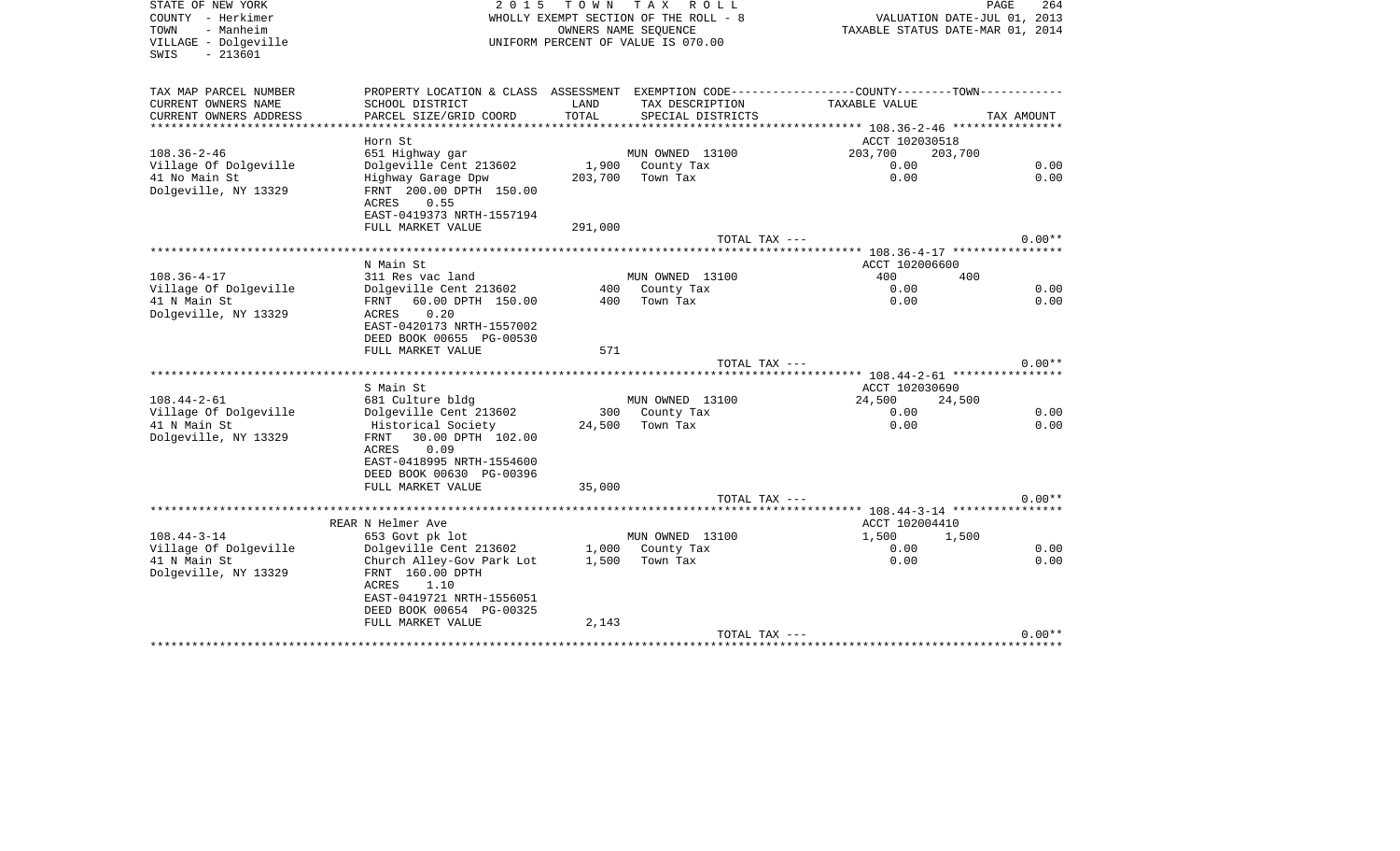| STATE OF NEW YORK<br>COUNTY - Herkimer<br>- Manheim<br>TOWN<br>VILLAGE - Dolgeville<br>$-213601$<br>SWIS | 2 0 1 5                                                                                                                          | T O W N       | T A X<br>R O L L<br>WHOLLY EXEMPT SECTION OF THE ROLL - 8<br>OWNERS NAME SEOUENCE<br>UNIFORM PERCENT OF VALUE IS 070.00 | VALUATION DATE-JUL 01, 2013<br>TAXABLE STATUS DATE-MAR 01, 2014                                | PAGE<br>264 |
|----------------------------------------------------------------------------------------------------------|----------------------------------------------------------------------------------------------------------------------------------|---------------|-------------------------------------------------------------------------------------------------------------------------|------------------------------------------------------------------------------------------------|-------------|
| TAX MAP PARCEL NUMBER                                                                                    |                                                                                                                                  |               |                                                                                                                         | PROPERTY LOCATION & CLASS ASSESSMENT EXEMPTION CODE----------------COUNTY-------TOWN---------- |             |
| CURRENT OWNERS NAME<br>CURRENT OWNERS ADDRESS                                                            | SCHOOL DISTRICT<br>PARCEL SIZE/GRID COORD                                                                                        | LAND<br>TOTAL | TAX DESCRIPTION<br>SPECIAL DISTRICTS                                                                                    | TAXABLE VALUE                                                                                  | TAX AMOUNT  |
|                                                                                                          |                                                                                                                                  |               |                                                                                                                         |                                                                                                |             |
|                                                                                                          | Horn St                                                                                                                          |               |                                                                                                                         | ACCT 102030518                                                                                 |             |
| $108.36 - 2 - 46$                                                                                        | 651 Highway gar                                                                                                                  |               | MUN OWNED 13100                                                                                                         | 203,700<br>203,700                                                                             |             |
| Village Of Dolgeville                                                                                    | Dolgeville Cent 213602                                                                                                           |               | 1,900 County Tax                                                                                                        | 0.00                                                                                           | 0.00        |
| 41 No Main St<br>Dolgeville, NY 13329                                                                    | Highway Garage Dpw<br>FRNT 200.00 DPTH 150.00<br>ACRES<br>0.55<br>EAST-0419373 NRTH-1557194                                      | 203,700       | Town Tax                                                                                                                | 0.00                                                                                           | 0.00        |
|                                                                                                          | FULL MARKET VALUE                                                                                                                | 291,000       |                                                                                                                         |                                                                                                |             |
|                                                                                                          |                                                                                                                                  |               | TOTAL TAX ---                                                                                                           |                                                                                                | $0.00**$    |
|                                                                                                          | N Main St                                                                                                                        |               |                                                                                                                         | ACCT 102006600                                                                                 |             |
| $108.36 - 4 - 17$                                                                                        | 311 Res vac land                                                                                                                 |               | MUN OWNED 13100                                                                                                         | 400<br>400                                                                                     |             |
| Village Of Dolgeville                                                                                    | Dolgeville Cent 213602                                                                                                           | 400           | County Tax                                                                                                              | 0.00                                                                                           | 0.00        |
| 41 N Main St                                                                                             | 60.00 DPTH 150.00<br>FRNT                                                                                                        | 400           | Town Tax                                                                                                                | 0.00                                                                                           | 0.00        |
| Dolgeville, NY 13329                                                                                     | 0.20<br>ACRES<br>EAST-0420173 NRTH-1557002<br>DEED BOOK 00655 PG-00530                                                           |               |                                                                                                                         |                                                                                                |             |
|                                                                                                          | FULL MARKET VALUE                                                                                                                | 571           |                                                                                                                         |                                                                                                |             |
|                                                                                                          |                                                                                                                                  |               | TOTAL TAX ---                                                                                                           |                                                                                                | $0.00**$    |
|                                                                                                          | S Main St                                                                                                                        |               |                                                                                                                         | ACCT 102030690                                                                                 |             |
| $108.44 - 2 - 61$                                                                                        | 681 Culture bldg                                                                                                                 |               | MUN OWNED 13100                                                                                                         | 24,500<br>24,500                                                                               |             |
| Village Of Dolgeville                                                                                    | Dolgeville Cent 213602                                                                                                           | 300           | County Tax                                                                                                              | 0.00                                                                                           | 0.00        |
| 41 N Main St<br>Dolgeville, NY 13329                                                                     | Historical Society<br>30.00 DPTH 102.00<br>FRNT<br><b>ACRES</b><br>0.09<br>EAST-0418995 NRTH-1554600<br>DEED BOOK 00630 PG-00396 | 24,500        | Town Tax                                                                                                                | 0.00                                                                                           | 0.00        |
|                                                                                                          | FULL MARKET VALUE                                                                                                                | 35,000        |                                                                                                                         |                                                                                                |             |
|                                                                                                          |                                                                                                                                  |               | TOTAL TAX ---                                                                                                           |                                                                                                | $0.00**$    |
|                                                                                                          |                                                                                                                                  |               |                                                                                                                         |                                                                                                |             |
| $108.44 - 3 - 14$                                                                                        | REAR N Helmer Ave<br>653 Govt pk lot                                                                                             |               | MUN OWNED 13100                                                                                                         | ACCT 102004410<br>1,500<br>1,500                                                               |             |
| Village Of Dolgeville                                                                                    | Dolgeville Cent 213602                                                                                                           |               | 1,000 County Tax                                                                                                        | 0.00                                                                                           | 0.00        |
| 41 N Main St<br>Dolgeville, NY 13329                                                                     | Church Alley-Gov Park Lot<br>FRNT 160.00 DPTH<br>ACRES<br>1.10<br>EAST-0419721 NRTH-1556051<br>DEED BOOK 00654 PG-00325          | 1,500         | Town Tax                                                                                                                | 0.00                                                                                           | 0.00        |
|                                                                                                          | FULL MARKET VALUE                                                                                                                | 2,143         |                                                                                                                         |                                                                                                |             |
|                                                                                                          |                                                                                                                                  |               | TOTAL TAX ---                                                                                                           |                                                                                                | $0.00**$    |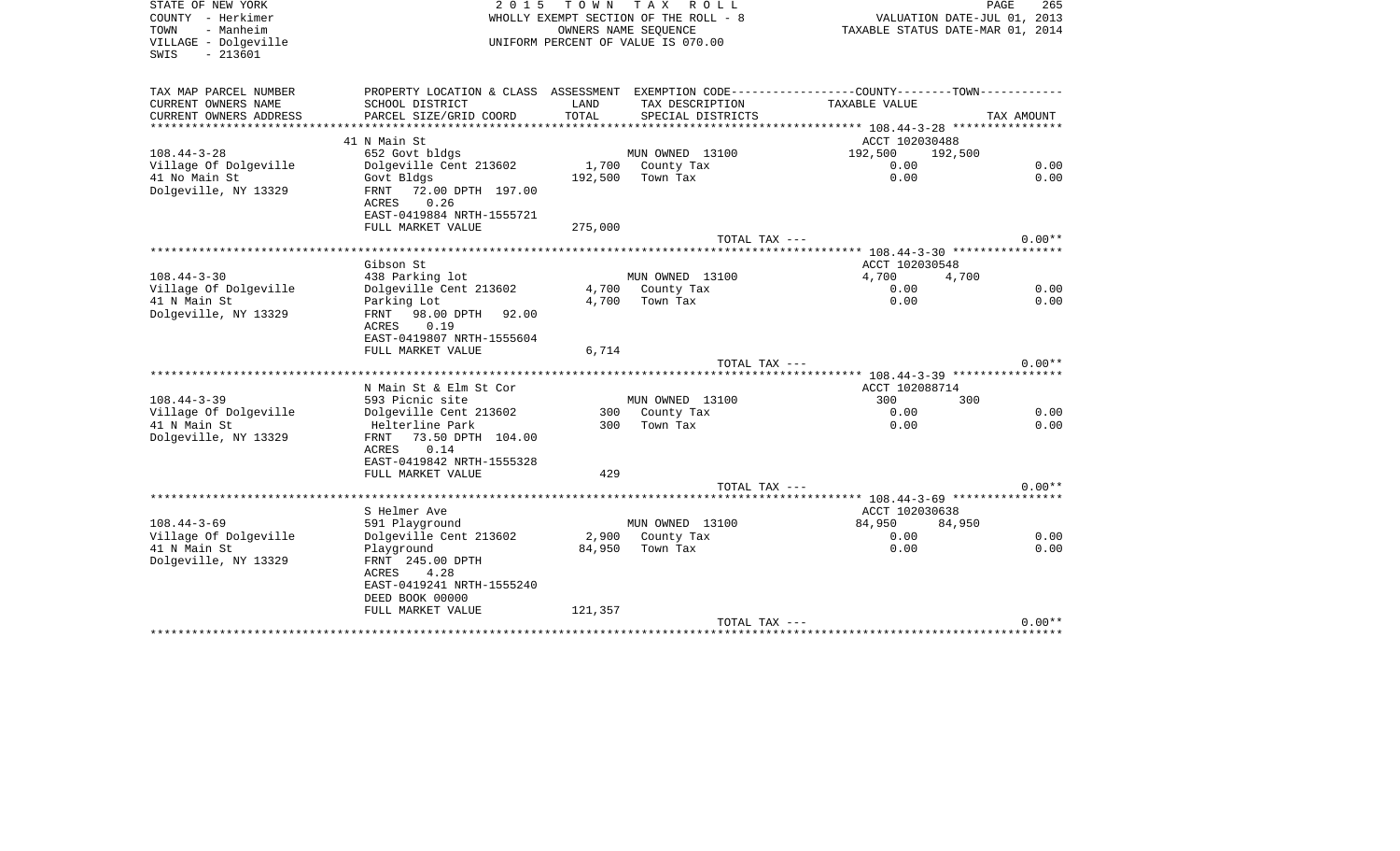| STATE OF NEW YORK<br>COUNTY - Herkimer<br>- Manheim<br>TOWN<br>VILLAGE - Dolgeville<br>$-213601$<br>SWIS | 2 0 1 5                                                                                        | T O W N         | T A X<br>R O L L<br>WHOLLY EXEMPT SECTION OF THE ROLL - 8<br>OWNERS NAME SEOUENCE<br>UNIFORM PERCENT OF VALUE IS 070.00 | VALUATION DATE-JUL 01, 2013<br>TAXABLE STATUS DATE-MAR 01, 2014                             | PAGE<br>265  |
|----------------------------------------------------------------------------------------------------------|------------------------------------------------------------------------------------------------|-----------------|-------------------------------------------------------------------------------------------------------------------------|---------------------------------------------------------------------------------------------|--------------|
| TAX MAP PARCEL NUMBER                                                                                    |                                                                                                |                 |                                                                                                                         | PROPERTY LOCATION & CLASS ASSESSMENT EXEMPTION CODE----------------COUNTY-------TOWN------- |              |
| CURRENT OWNERS NAME<br>CURRENT OWNERS ADDRESS                                                            | SCHOOL DISTRICT<br>PARCEL SIZE/GRID COORD                                                      | LAND<br>TOTAL   | TAX DESCRIPTION<br>SPECIAL DISTRICTS                                                                                    | TAXABLE VALUE                                                                               | TAX AMOUNT   |
| **********************                                                                                   | ************************                                                                       |                 |                                                                                                                         |                                                                                             |              |
|                                                                                                          | 41 N Main St                                                                                   |                 |                                                                                                                         | ACCT 102030488                                                                              |              |
| $108.44 - 3 - 28$                                                                                        | 652 Govt bldgs                                                                                 |                 | MUN OWNED 13100                                                                                                         | 192,500<br>192,500                                                                          |              |
| Village Of Dolgeville                                                                                    | Dolgeville Cent 213602                                                                         | 1,700           | County Tax                                                                                                              | 0.00                                                                                        | 0.00         |
| 41 No Main St<br>Dolgeville, NY 13329                                                                    | Govt Bldgs<br>72.00 DPTH 197.00<br>FRNT<br>0.26<br>ACRES<br>EAST-0419884 NRTH-1555721          | 192,500         | Town Tax                                                                                                                | 0.00                                                                                        | 0.00         |
|                                                                                                          | FULL MARKET VALUE                                                                              | 275,000         | TOTAL TAX ---                                                                                                           |                                                                                             | $0.00**$     |
|                                                                                                          |                                                                                                |                 |                                                                                                                         |                                                                                             |              |
|                                                                                                          | Gibson St                                                                                      |                 |                                                                                                                         | ACCT 102030548                                                                              |              |
| $108.44 - 3 - 30$                                                                                        | 438 Parking lot                                                                                |                 | MUN OWNED 13100                                                                                                         | 4,700<br>4,700                                                                              |              |
| Village Of Dolgeville                                                                                    | Dolgeville Cent 213602                                                                         | 4,700           | County Tax                                                                                                              | 0.00                                                                                        | 0.00         |
| 41 N Main St                                                                                             | Parking Lot                                                                                    | 4,700           | Town Tax                                                                                                                | 0.00                                                                                        | 0.00         |
| Dolgeville, NY 13329                                                                                     | 98.00 DPTH<br>FRNT<br>92.00<br>ACRES<br>0.19<br>EAST-0419807 NRTH-1555604<br>FULL MARKET VALUE | 6,714           |                                                                                                                         |                                                                                             |              |
|                                                                                                          |                                                                                                |                 | TOTAL TAX ---                                                                                                           |                                                                                             | $0.00**$     |
|                                                                                                          |                                                                                                |                 |                                                                                                                         |                                                                                             |              |
| $108.44 - 3 - 39$                                                                                        | N Main St & Elm St Cor<br>593 Picnic site                                                      |                 | MUN OWNED 13100                                                                                                         | ACCT 102088714<br>300<br>300                                                                |              |
| Village Of Dolgeville                                                                                    | Dolgeville Cent 213602                                                                         | 300             | County Tax                                                                                                              | 0.00                                                                                        | 0.00         |
| 41 N Main St                                                                                             | Helterline Park                                                                                | 300             | Town Tax                                                                                                                | 0.00                                                                                        | 0.00         |
| Dolgeville, NY 13329                                                                                     | 73.50 DPTH 104.00<br>FRNT<br>0.14<br>ACRES<br>EAST-0419842 NRTH-1555328                        |                 |                                                                                                                         |                                                                                             |              |
|                                                                                                          | FULL MARKET VALUE                                                                              | 429             |                                                                                                                         |                                                                                             |              |
|                                                                                                          |                                                                                                |                 | TOTAL TAX ---                                                                                                           |                                                                                             | $0.00**$     |
|                                                                                                          |                                                                                                |                 |                                                                                                                         | ***** 108.44-3-69 *****************                                                         |              |
|                                                                                                          | S Helmer Ave                                                                                   |                 |                                                                                                                         | ACCT 102030638                                                                              |              |
| $108.44 - 3 - 69$                                                                                        | 591 Playground                                                                                 |                 | MUN OWNED 13100                                                                                                         | 84,950<br>84,950<br>0.00                                                                    |              |
| Village Of Dolgeville<br>41 N Main St                                                                    | Dolgeville Cent 213602<br>Playground                                                           | 2,900<br>84,950 | County Tax<br>Town Tax                                                                                                  | 0.00                                                                                        | 0.00<br>0.00 |
| Dolgeville, NY 13329                                                                                     | FRNT 245.00 DPTH<br>4.28<br>ACRES<br>EAST-0419241 NRTH-1555240<br>DEED BOOK 00000              |                 |                                                                                                                         |                                                                                             |              |
|                                                                                                          | FULL MARKET VALUE                                                                              | 121,357         |                                                                                                                         |                                                                                             |              |
|                                                                                                          |                                                                                                |                 | TOTAL TAX ---                                                                                                           | **************************************                                                      | $0.00**$     |
|                                                                                                          |                                                                                                |                 |                                                                                                                         |                                                                                             |              |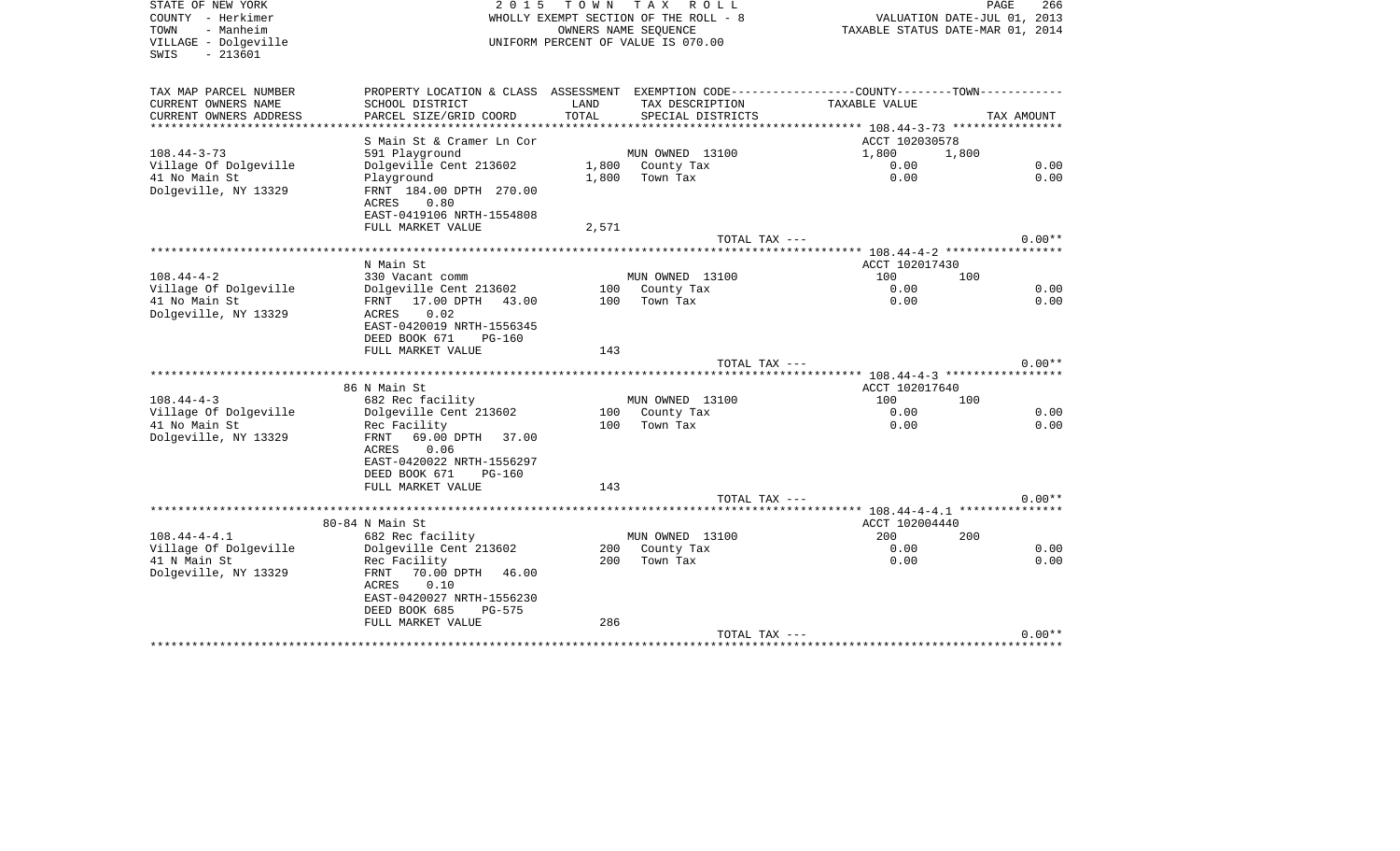| STATE OF NEW YORK<br>COUNTY - Herkimer<br>- Manheim<br>TOWN<br>VILLAGE - Dolgeville<br>$-213601$<br>SWIS | 2 0 1 5                                                                                                                  | T O W N       | T A X<br>R O L L<br>WHOLLY EXEMPT SECTION OF THE ROLL - 8<br>OWNERS NAME SEOUENCE<br>UNIFORM PERCENT OF VALUE IS 070.00 | TAXABLE STATUS DATE-MAR 01, 2014             | PAGE<br>266<br>VALUATION DATE-JUL 01, 2013 |
|----------------------------------------------------------------------------------------------------------|--------------------------------------------------------------------------------------------------------------------------|---------------|-------------------------------------------------------------------------------------------------------------------------|----------------------------------------------|--------------------------------------------|
| TAX MAP PARCEL NUMBER                                                                                    | PROPERTY LOCATION & CLASS ASSESSMENT EXEMPTION CODE----------------COUNTY-------TOWN----------                           |               |                                                                                                                         |                                              |                                            |
| CURRENT OWNERS NAME<br>CURRENT OWNERS ADDRESS                                                            | SCHOOL DISTRICT<br>PARCEL SIZE/GRID COORD                                                                                | LAND<br>TOTAL | TAX DESCRIPTION<br>SPECIAL DISTRICTS                                                                                    | TAXABLE VALUE                                | TAX AMOUNT                                 |
| ***************                                                                                          |                                                                                                                          |               |                                                                                                                         | ************** 108.44-3-73 ***************** |                                            |
|                                                                                                          | S Main St & Cramer Ln Cor                                                                                                |               |                                                                                                                         | ACCT 102030578                               |                                            |
| $108.44 - 3 - 73$                                                                                        | 591 Playground                                                                                                           |               | MUN OWNED 13100                                                                                                         | 1,800                                        | 1,800                                      |
| Village Of Dolgeville                                                                                    | Dolgeville Cent 213602                                                                                                   |               | 1,800 County Tax                                                                                                        | 0.00                                         | 0.00                                       |
| 41 No Main St<br>Dolgeville, NY 13329                                                                    | Playground<br>FRNT 184.00 DPTH 270.00<br>ACRES<br>0.80<br>EAST-0419106 NRTH-1554808                                      | 1,800         | Town Tax                                                                                                                | 0.00                                         | 0.00                                       |
|                                                                                                          | FULL MARKET VALUE                                                                                                        | 2,571         |                                                                                                                         |                                              |                                            |
|                                                                                                          |                                                                                                                          |               | TOTAL TAX ---                                                                                                           |                                              | $0.00**$                                   |
|                                                                                                          | N Main St                                                                                                                |               |                                                                                                                         | ACCT 102017430                               |                                            |
| $108.44 - 4 - 2$                                                                                         | 330 Vacant comm                                                                                                          |               | MUN OWNED 13100                                                                                                         | 100                                          | 100                                        |
| Village Of Dolgeville                                                                                    | Dolgeville Cent 213602                                                                                                   | 100           | County Tax                                                                                                              | 0.00                                         | 0.00                                       |
| 41 No Main St                                                                                            | 17.00 DPTH 43.00<br>FRNT                                                                                                 | 100           | Town Tax                                                                                                                | 0.00                                         | 0.00                                       |
| Dolgeville, NY 13329                                                                                     | 0.02<br>ACRES<br>EAST-0420019 NRTH-1556345<br>DEED BOOK 671<br><b>PG-160</b>                                             |               |                                                                                                                         |                                              |                                            |
|                                                                                                          | FULL MARKET VALUE                                                                                                        | 143           | TOTAL TAX ---                                                                                                           |                                              | $0.00**$                                   |
|                                                                                                          |                                                                                                                          |               |                                                                                                                         |                                              |                                            |
|                                                                                                          | 86 N Main St                                                                                                             |               |                                                                                                                         | ACCT 102017640                               |                                            |
| $108.44 - 4 - 3$                                                                                         | 682 Rec facility                                                                                                         |               | MUN OWNED 13100                                                                                                         | 100                                          | 100                                        |
| Village Of Dolgeville                                                                                    | Dolgeville Cent 213602                                                                                                   | 100           | County Tax                                                                                                              | 0.00                                         | 0.00                                       |
| 41 No Main St<br>Dolgeville, NY 13329                                                                    | Rec Facility<br>69.00 DPTH 37.00<br>FRNT<br>0.06<br>ACRES<br>EAST-0420022 NRTH-1556297<br>DEED BOOK 671<br><b>PG-160</b> | 100           | Town Tax                                                                                                                | 0.00                                         | 0.00                                       |
|                                                                                                          | FULL MARKET VALUE                                                                                                        | 143           |                                                                                                                         |                                              |                                            |
|                                                                                                          |                                                                                                                          |               | TOTAL TAX ---                                                                                                           | ******** 108.44-4-4.1 ****************       | $0.00**$                                   |
|                                                                                                          | 80-84 N Main St                                                                                                          |               |                                                                                                                         | ACCT 102004440                               |                                            |
| $108.44 - 4 - 4.1$                                                                                       | 682 Rec facility                                                                                                         |               | MUN OWNED 13100                                                                                                         | 200                                          | 200                                        |
| Village Of Dolgeville<br>41 N Main St<br>Dolgeville, NY 13329                                            | Dolgeville Cent 213602<br>Rec Facility<br>70.00 DPTH<br>FRNT<br>46.00                                                    | 200           | 200 County Tax<br>Town Tax                                                                                              | 0.00<br>0.00                                 | 0.00<br>0.00                               |
|                                                                                                          | ACRES<br>0.10<br>EAST-0420027 NRTH-1556230<br>DEED BOOK 685<br>$PG-575$<br>FULL MARKET VALUE                             | 286           |                                                                                                                         |                                              |                                            |
|                                                                                                          |                                                                                                                          |               | TOTAL TAX ---                                                                                                           |                                              | $0.00**$                                   |
|                                                                                                          |                                                                                                                          |               |                                                                                                                         |                                              |                                            |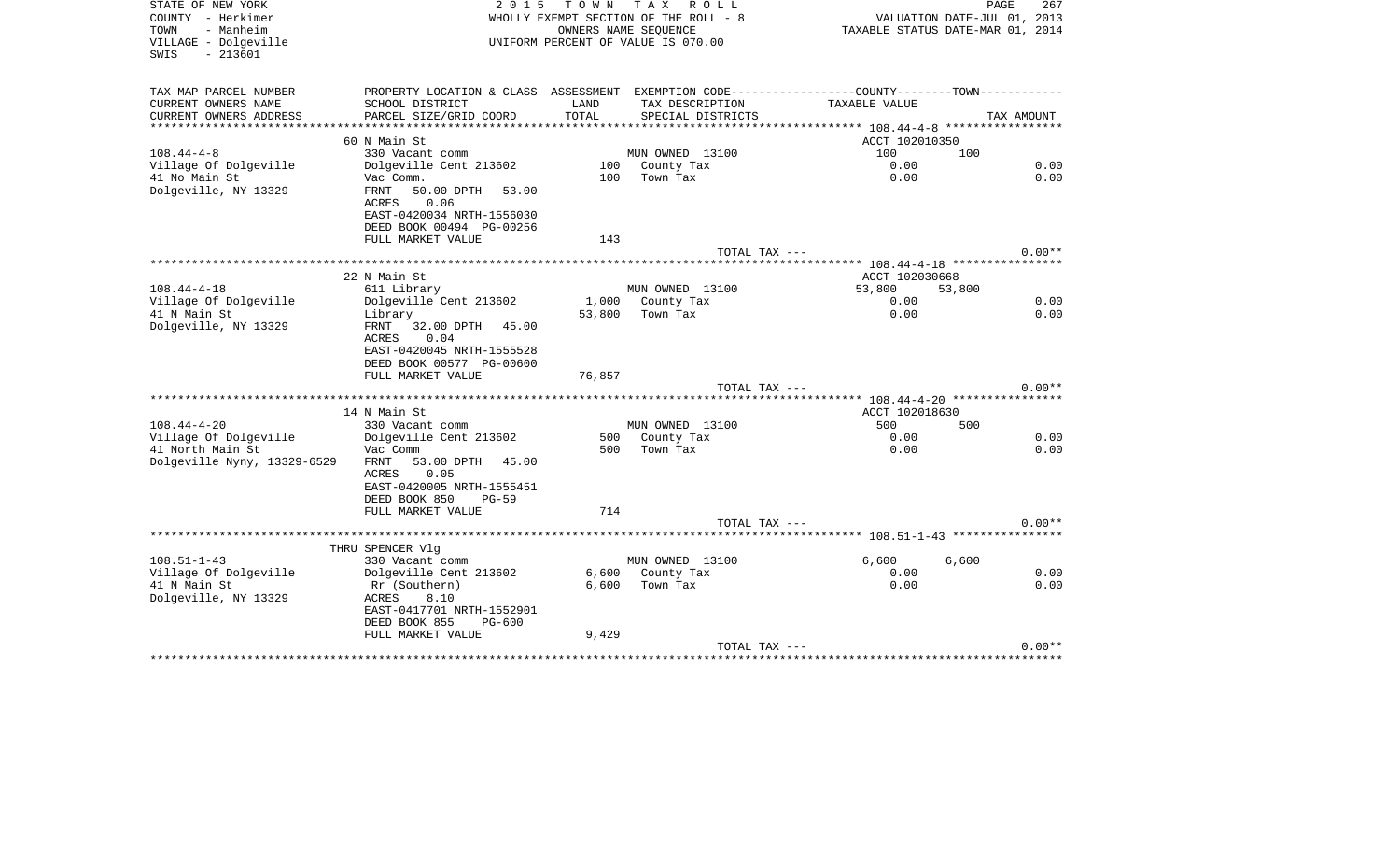| STATE OF NEW YORK<br>COUNTY - Herkimer<br>- Manheim<br>TOWN<br>VILLAGE - Dolgeville<br>$-213601$<br>SWIS | 2 0 1 5                                    | T O W N | T A X<br>R O L L<br>WHOLLY EXEMPT SECTION OF THE ROLL - 8<br>OWNERS NAME SEOUENCE<br>UNIFORM PERCENT OF VALUE IS 070.00 |                                                             | PAGE<br>267<br>VALUATION DATE-JUL 01, 2013<br>TAXABLE STATUS DATE-MAR 01, 2014 |
|----------------------------------------------------------------------------------------------------------|--------------------------------------------|---------|-------------------------------------------------------------------------------------------------------------------------|-------------------------------------------------------------|--------------------------------------------------------------------------------|
| TAX MAP PARCEL NUMBER                                                                                    | PROPERTY LOCATION & CLASS ASSESSMENT       |         |                                                                                                                         | EXEMPTION CODE-----------------COUNTY-------TOWN----------- |                                                                                |
| CURRENT OWNERS NAME                                                                                      | SCHOOL DISTRICT                            | LAND    | TAX DESCRIPTION                                                                                                         | TAXABLE VALUE                                               |                                                                                |
| CURRENT OWNERS ADDRESS<br>********************                                                           | PARCEL SIZE/GRID COORD                     | TOTAL   | SPECIAL DISTRICTS                                                                                                       | ***************** 108.44-4-8 ******************             | TAX AMOUNT                                                                     |
|                                                                                                          | 60 N Main St                               |         |                                                                                                                         | ACCT 102010350                                              |                                                                                |
| $108.44 - 4 - 8$                                                                                         | 330 Vacant comm                            |         | MUN OWNED 13100                                                                                                         | 100                                                         | 100                                                                            |
| Village Of Dolgeville                                                                                    | Dolgeville Cent 213602                     |         | 100 County Tax                                                                                                          | 0.00                                                        | 0.00                                                                           |
| 41 No Main St                                                                                            | Vac Comm.                                  | 100     | Town Tax                                                                                                                | 0.00                                                        | 0.00                                                                           |
| Dolgeville, NY 13329                                                                                     | FRNT<br>50.00 DPTH<br>53.00                |         |                                                                                                                         |                                                             |                                                                                |
|                                                                                                          | 0.06<br>ACRES<br>EAST-0420034 NRTH-1556030 |         |                                                                                                                         |                                                             |                                                                                |
|                                                                                                          | DEED BOOK 00494 PG-00256                   |         |                                                                                                                         |                                                             |                                                                                |
|                                                                                                          | FULL MARKET VALUE                          | 143     |                                                                                                                         |                                                             |                                                                                |
|                                                                                                          |                                            |         | TOTAL TAX ---                                                                                                           |                                                             | $0.00**$                                                                       |
|                                                                                                          |                                            |         |                                                                                                                         |                                                             |                                                                                |
|                                                                                                          | 22 N Main St                               |         |                                                                                                                         | ACCT 102030668                                              |                                                                                |
| $108.44 - 4 - 18$                                                                                        | 611 Library                                |         | MUN OWNED 13100                                                                                                         | 53,800                                                      | 53,800                                                                         |
| Village Of Dolgeville                                                                                    | Dolgeville Cent 213602                     |         | 1,000 County Tax                                                                                                        | 0.00                                                        | 0.00                                                                           |
| 41 N Main St<br>Dolgeville, NY 13329                                                                     | Library<br>FRNT<br>32.00 DPTH 45.00        | 53,800  | Town Tax                                                                                                                | 0.00                                                        | 0.00                                                                           |
|                                                                                                          | ACRES<br>0.04                              |         |                                                                                                                         |                                                             |                                                                                |
|                                                                                                          | EAST-0420045 NRTH-1555528                  |         |                                                                                                                         |                                                             |                                                                                |
|                                                                                                          | DEED BOOK 00577 PG-00600                   |         |                                                                                                                         |                                                             |                                                                                |
|                                                                                                          | FULL MARKET VALUE                          | 76,857  |                                                                                                                         |                                                             |                                                                                |
|                                                                                                          |                                            |         | TOTAL TAX ---                                                                                                           |                                                             | $0.00**$                                                                       |
|                                                                                                          |                                            |         |                                                                                                                         |                                                             |                                                                                |
|                                                                                                          | 14 N Main St                               |         |                                                                                                                         | ACCT 102018630                                              |                                                                                |
| $108.44 - 4 - 20$<br>Village Of Dolgeville                                                               | 330 Vacant comm<br>Dolgeville Cent 213602  | 500     | MUN OWNED 13100<br>County Tax                                                                                           | 500<br>0.00                                                 | 500<br>0.00                                                                    |
| 41 North Main St                                                                                         | Vac Comm                                   | 500     | Town Tax                                                                                                                | 0.00                                                        | 0.00                                                                           |
| Dolgeville Nyny, 13329-6529                                                                              | 53.00 DPTH 45.00<br>FRNT                   |         |                                                                                                                         |                                                             |                                                                                |
|                                                                                                          | 0.05<br>ACRES                              |         |                                                                                                                         |                                                             |                                                                                |
|                                                                                                          | EAST-0420005 NRTH-1555451                  |         |                                                                                                                         |                                                             |                                                                                |
|                                                                                                          | DEED BOOK 850<br>$PG-59$                   |         |                                                                                                                         |                                                             |                                                                                |
|                                                                                                          | FULL MARKET VALUE                          | 714     |                                                                                                                         |                                                             |                                                                                |
|                                                                                                          |                                            |         | TOTAL TAX ---                                                                                                           |                                                             | $0.00**$                                                                       |
|                                                                                                          |                                            |         |                                                                                                                         | *********** 108.51-1-43 *****************                   |                                                                                |
| $108.51 - 1 - 43$                                                                                        | THRU SPENCER Vlq<br>330 Vacant comm        |         | MUN OWNED 13100                                                                                                         | 6,600                                                       | 6,600                                                                          |
| Village Of Dolgeville                                                                                    | Dolgeville Cent 213602                     | 6,600   | County Tax                                                                                                              | 0.00                                                        | 0.00                                                                           |
| 41 N Main St                                                                                             | Rr (Southern)                              | 6,600   | Town Tax                                                                                                                | 0.00                                                        | 0.00                                                                           |
| Dolgeville, NY 13329                                                                                     | 8.10<br>ACRES                              |         |                                                                                                                         |                                                             |                                                                                |
|                                                                                                          | EAST-0417701 NRTH-1552901                  |         |                                                                                                                         |                                                             |                                                                                |
|                                                                                                          | DEED BOOK 855<br><b>PG-600</b>             |         |                                                                                                                         |                                                             |                                                                                |
|                                                                                                          | FULL MARKET VALUE                          | 9,429   |                                                                                                                         |                                                             |                                                                                |
|                                                                                                          |                                            |         | TOTAL TAX ---                                                                                                           |                                                             | $0.00**$<br>********************************                                   |
|                                                                                                          |                                            |         |                                                                                                                         |                                                             |                                                                                |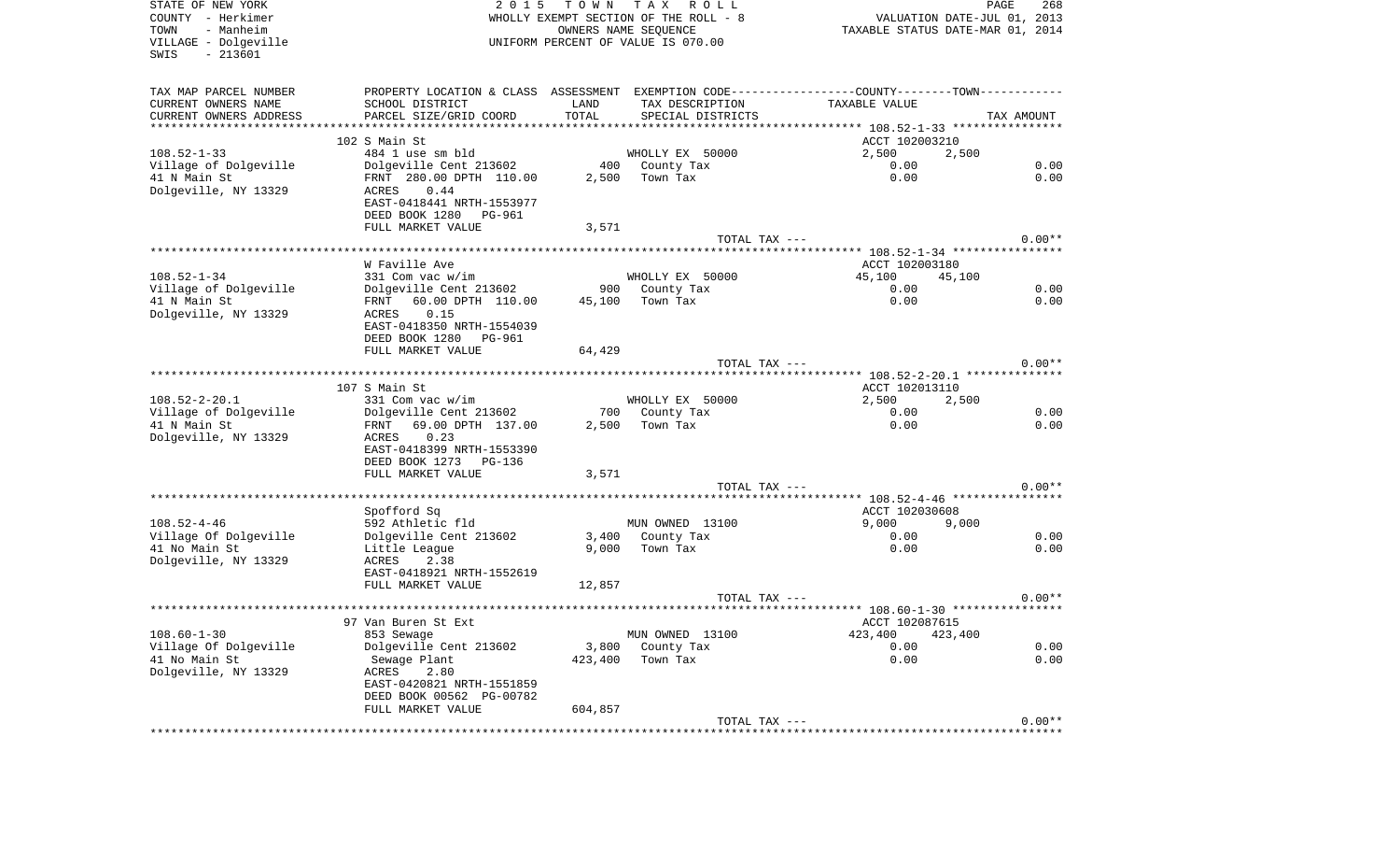| STATE OF NEW YORK<br>COUNTY - Herkimer<br>- Manheim<br>TOWN<br>VILLAGE - Dolgeville<br>$-213601$<br>SWIS | 2 0 1 5                                       | TOWN    | T A X<br>ROLL<br>WHOLLY EXEMPT SECTION OF THE ROLL - 8<br>OWNERS NAME SEQUENCE<br>UNIFORM PERCENT OF VALUE IS 070.00 | VALUATION DATE-JUL 01, 2013<br>TAXABLE STATUS DATE-MAR 01, 2014                               | PAGE<br>268 |
|----------------------------------------------------------------------------------------------------------|-----------------------------------------------|---------|----------------------------------------------------------------------------------------------------------------------|-----------------------------------------------------------------------------------------------|-------------|
| TAX MAP PARCEL NUMBER                                                                                    |                                               |         |                                                                                                                      | PROPERTY LOCATION & CLASS ASSESSMENT EXEMPTION CODE---------------COUNTY-------TOWN---------- |             |
| CURRENT OWNERS NAME                                                                                      | SCHOOL DISTRICT                               | LAND    | TAX DESCRIPTION                                                                                                      | TAXABLE VALUE                                                                                 |             |
| CURRENT OWNERS ADDRESS                                                                                   | PARCEL SIZE/GRID COORD                        | TOTAL   | SPECIAL DISTRICTS                                                                                                    |                                                                                               | TAX AMOUNT  |
| **********************                                                                                   | 102 S Main St                                 |         |                                                                                                                      |                                                                                               |             |
| $108.52 - 1 - 33$                                                                                        | 484 1 use sm bld                              |         | WHOLLY EX 50000                                                                                                      | ACCT 102003210<br>2,500<br>2,500                                                              |             |
| Village of Dolgeville                                                                                    | Dolgeville Cent 213602                        |         | 400 County Tax                                                                                                       | 0.00                                                                                          | 0.00        |
| 41 N Main St                                                                                             | FRNT 280.00 DPTH 110.00                       | 2,500   | Town Tax                                                                                                             | 0.00                                                                                          | 0.00        |
| Dolgeville, NY 13329                                                                                     | ACRES<br>0.44                                 |         |                                                                                                                      |                                                                                               |             |
|                                                                                                          | EAST-0418441 NRTH-1553977                     |         |                                                                                                                      |                                                                                               |             |
|                                                                                                          | DEED BOOK 1280<br>PG-961                      |         |                                                                                                                      |                                                                                               |             |
|                                                                                                          | FULL MARKET VALUE                             | 3,571   |                                                                                                                      |                                                                                               |             |
|                                                                                                          |                                               |         | TOTAL TAX ---                                                                                                        |                                                                                               | $0.00**$    |
|                                                                                                          | W Faville Ave                                 |         |                                                                                                                      | ACCT 102003180                                                                                |             |
| $108.52 - 1 - 34$                                                                                        | 331 Com vac w/im                              |         | WHOLLY EX 50000                                                                                                      | 45,100<br>45,100                                                                              |             |
| Village of Dolgeville                                                                                    | Dolgeville Cent 213602                        | 900 —   | County Tax                                                                                                           | 0.00                                                                                          | 0.00        |
| 41 N Main St                                                                                             | 60.00 DPTH 110.00<br>FRNT                     | 45,100  | Town Tax                                                                                                             | 0.00                                                                                          | 0.00        |
| Dolgeville, NY 13329                                                                                     | ACRES<br>0.15                                 |         |                                                                                                                      |                                                                                               |             |
|                                                                                                          | EAST-0418350 NRTH-1554039                     |         |                                                                                                                      |                                                                                               |             |
|                                                                                                          | DEED BOOK 1280 PG-961                         |         |                                                                                                                      |                                                                                               |             |
|                                                                                                          | FULL MARKET VALUE                             | 64,429  |                                                                                                                      |                                                                                               |             |
|                                                                                                          |                                               |         | TOTAL TAX ---                                                                                                        |                                                                                               | $0.00**$    |
|                                                                                                          | 107 S Main St                                 |         |                                                                                                                      | ACCT 102013110                                                                                |             |
| $108.52 - 2 - 20.1$                                                                                      | 331 Com vac w/im                              |         | WHOLLY EX 50000                                                                                                      | 2,500<br>2,500                                                                                |             |
| Village of Dolgeville                                                                                    | Dolgeville Cent 213602                        | 700     | County Tax                                                                                                           | 0.00                                                                                          | 0.00        |
| 41 N Main St                                                                                             | 69.00 DPTH 137.00<br>FRNT                     | 2,500   | Town Tax                                                                                                             | 0.00                                                                                          | 0.00        |
| Dolgeville, NY 13329                                                                                     | 0.23<br>ACRES                                 |         |                                                                                                                      |                                                                                               |             |
|                                                                                                          | EAST-0418399 NRTH-1553390                     |         |                                                                                                                      |                                                                                               |             |
|                                                                                                          | DEED BOOK 1273 PG-136                         |         |                                                                                                                      |                                                                                               |             |
|                                                                                                          | FULL MARKET VALUE                             | 3,571   | TOTAL TAX ---                                                                                                        |                                                                                               | $0.00**$    |
|                                                                                                          |                                               |         | *************************                                                                                            | ***************** 108.52-4-46 *****************                                               |             |
|                                                                                                          | Spofford Sq                                   |         |                                                                                                                      | ACCT 102030608                                                                                |             |
| $108.52 - 4 - 46$                                                                                        | 592 Athletic fld                              |         | MUN OWNED 13100                                                                                                      | 9,000<br>9,000                                                                                |             |
| Village Of Dolgeville                                                                                    | Dolgeville Cent 213602                        | 3,400   | County Tax                                                                                                           | 0.00                                                                                          | 0.00        |
| 41 No Main St                                                                                            | Little League                                 | 9,000   | Town Tax                                                                                                             | 0.00                                                                                          | 0.00        |
| Dolgeville, NY 13329                                                                                     | ACRES<br>2.38                                 |         |                                                                                                                      |                                                                                               |             |
|                                                                                                          | EAST-0418921 NRTH-1552619                     |         |                                                                                                                      |                                                                                               |             |
|                                                                                                          | FULL MARKET VALUE                             | 12,857  | TOTAL TAX ---                                                                                                        |                                                                                               | $0.00**$    |
|                                                                                                          |                                               |         |                                                                                                                      |                                                                                               |             |
|                                                                                                          | 97 Van Buren St Ext                           |         |                                                                                                                      | ACCT 102087615                                                                                |             |
| $108.60 - 1 - 30$                                                                                        | 853 Sewage                                    |         | MUN OWNED 13100                                                                                                      | 423,400<br>423,400                                                                            |             |
| Village Of Dolgeville                                                                                    | Dolgeville Cent 213602                        | 3,800   | County Tax                                                                                                           | 0.00                                                                                          | 0.00        |
| 41 No Main St                                                                                            | Sewage Plant                                  | 423,400 | Town Tax                                                                                                             | 0.00                                                                                          | 0.00        |
| Dolgeville, NY 13329                                                                                     | ACRES<br>2.80                                 |         |                                                                                                                      |                                                                                               |             |
|                                                                                                          | EAST-0420821 NRTH-1551859                     |         |                                                                                                                      |                                                                                               |             |
|                                                                                                          | DEED BOOK 00562 PG-00782<br>FULL MARKET VALUE | 604,857 |                                                                                                                      |                                                                                               |             |
|                                                                                                          |                                               |         | TOTAL TAX ---                                                                                                        |                                                                                               | $0.00**$    |
|                                                                                                          |                                               |         |                                                                                                                      |                                                                                               |             |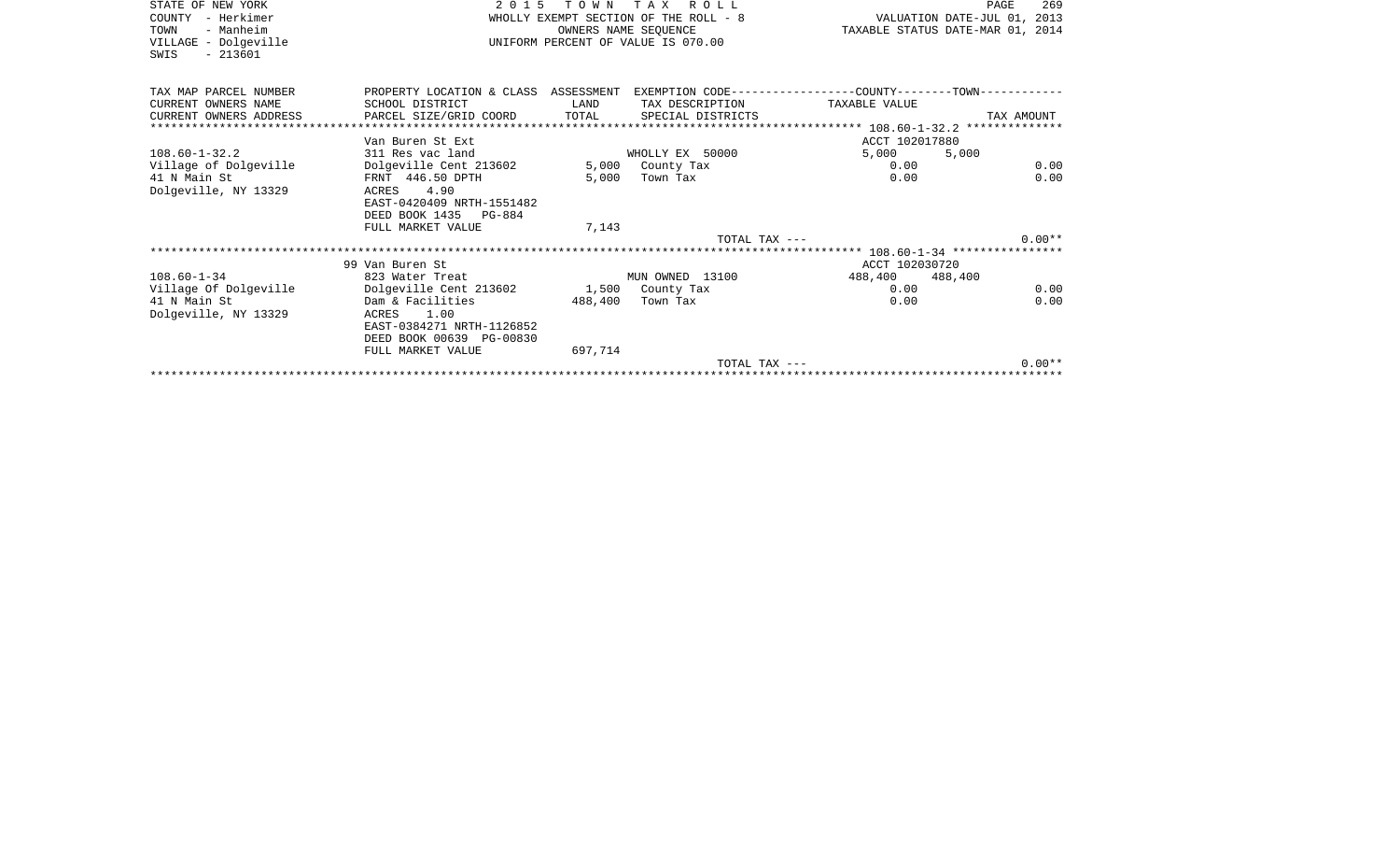| STATE OF NEW YORK<br>COUNTY - Herkimer<br>- Manheim<br>TOWN<br>VILLAGE - Dolgeville<br>$-213601$<br>SWIS |                                         |         | 2015 TOWN TAX ROLL<br>WHOLLY EXEMPT SECTION OF THE ROLL - 8 WALUATION DATE-JUL 01, 2013<br>OWNERS NAME SEOUENCE<br>UNIFORM PERCENT OF VALUE IS 070.00 |                 | PAGE<br>269<br>TAXABLE STATUS DATE-MAR 01, 2014 |
|----------------------------------------------------------------------------------------------------------|-----------------------------------------|---------|-------------------------------------------------------------------------------------------------------------------------------------------------------|-----------------|-------------------------------------------------|
| TAX MAP PARCEL NUMBER                                                                                    | PROPERTY LOCATION & CLASS ASSESSMENT    |         | EXEMPTION CODE-----------------COUNTY-------TOWN-----------                                                                                           |                 |                                                 |
| CURRENT OWNERS NAME                                                                                      | SCHOOL DISTRICT                         | LAND    | TAX DESCRIPTION                                                                                                                                       | TAXABLE VALUE   |                                                 |
| CURRENT OWNERS ADDRESS                                                                                   | PARCEL SIZE/GRID COORD                  | TOTAL   | SPECIAL DISTRICTS                                                                                                                                     |                 | TAX AMOUNT                                      |
|                                                                                                          |                                         |         |                                                                                                                                                       |                 |                                                 |
|                                                                                                          | Van Buren St Ext                        |         |                                                                                                                                                       | ACCT 102017880  |                                                 |
| $108.60 - 1 - 32.2$                                                                                      | 311 Res vac land                        |         | WHOLLY EX 50000                                                                                                                                       | 5.000           | 5,000                                           |
| Village of Dolgeville                                                                                    | Dolgeville Cent 213602                  |         | 5,000 County Tax                                                                                                                                      | 0.00            | 0.00                                            |
| 41 N Main St                                                                                             | FRNT 446.50 DPTH                        | 5,000   | Town Tax                                                                                                                                              | 0.00            | 0.00                                            |
| Dolgeville, NY 13329                                                                                     | ACRES 4.90                              |         |                                                                                                                                                       |                 |                                                 |
|                                                                                                          | EAST-0420409 NRTH-1551482               |         |                                                                                                                                                       |                 |                                                 |
|                                                                                                          | DEED BOOK 1435 PG-884                   |         |                                                                                                                                                       |                 |                                                 |
|                                                                                                          | FULL MARKET VALUE                       | 7,143   | TOTAL TAX ---                                                                                                                                         |                 | $0.00**$                                        |
|                                                                                                          |                                         |         |                                                                                                                                                       |                 |                                                 |
|                                                                                                          | 99 Van Buren St                         |         |                                                                                                                                                       | ACCT 102030720  |                                                 |
| $108.60 - 1 - 34$                                                                                        | 823 Water Treat                         |         | MUN OWNED 13100                                                                                                                                       | 488,400 488,400 |                                                 |
| Village Of Dolgeville                                                                                    | Dolgeville Cent 213602 1,500 County Tax |         |                                                                                                                                                       | 0.00            | 0.00                                            |
| 41 N Main St                                                                                             | Dam & Facilities                        | 488,400 | Town Tax                                                                                                                                              | 0.00            | 0.00                                            |
| Dolgeville, NY 13329                                                                                     | ACRES 1.00                              |         |                                                                                                                                                       |                 |                                                 |
|                                                                                                          | EAST-0384271 NRTH-1126852               |         |                                                                                                                                                       |                 |                                                 |
|                                                                                                          | DEED BOOK 00639 PG-00830                |         |                                                                                                                                                       |                 |                                                 |
|                                                                                                          | FULL MARKET VALUE                       | 697,714 |                                                                                                                                                       |                 |                                                 |
|                                                                                                          |                                         |         | TOTAL TAX ---                                                                                                                                         |                 | $0.00**$                                        |
|                                                                                                          |                                         |         |                                                                                                                                                       |                 |                                                 |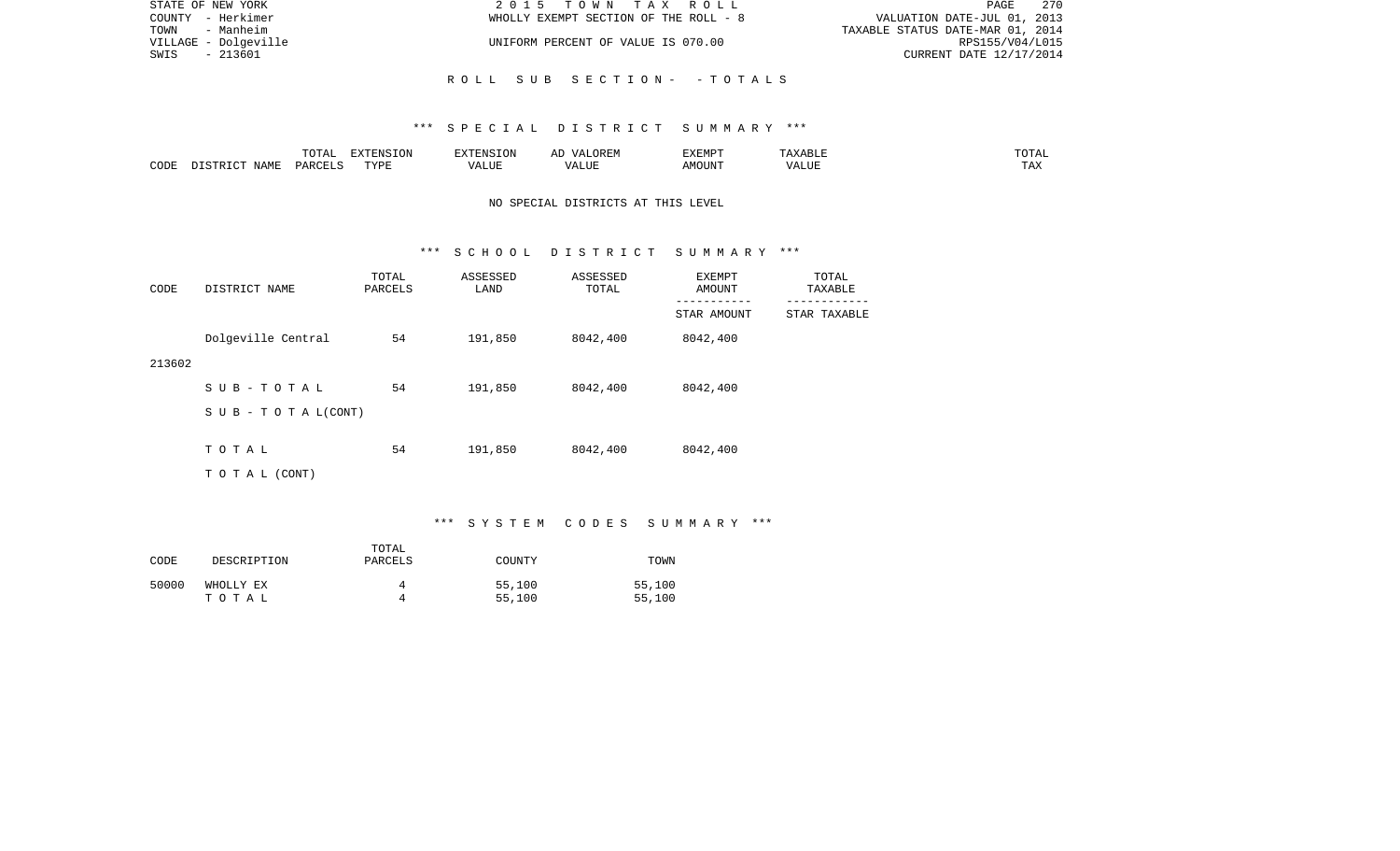| STATE OF NEW YORK    | 2015 TOWN TAX ROLL                    | 2.70<br>PAGE                     |
|----------------------|---------------------------------------|----------------------------------|
| COUNTY - Herkimer    | WHOLLY EXEMPT SECTION OF THE ROLL - 8 | VALUATION DATE-JUL 01, 2013      |
| TOWN<br>- Manheim    |                                       | TAXABLE STATUS DATE-MAR 01, 2014 |
| VILLAGE - Dolgeville | UNIFORM PERCENT OF VALUE IS 070.00    | RPS155/V04/L015                  |
| SWIS<br>- 213601     |                                       | CURRENT DATE 12/17/2014          |
|                      |                                       |                                  |
|                      | ROLL SUB SECTION- -TOTALS             |                                  |

|      |      | $m \wedge m \wedge n$<br>- 777 | $\blacksquare$ $\blacksquare$ $\blacksquare$ $\blacksquare$ $\blacksquare$ $\blacksquare$ $\blacksquare$ $\blacksquare$<br>- UN | a : INTE                | 17 D<br>▵ | <b>EXEMPT</b> |                    | ◡⊥▱                   |
|------|------|--------------------------------|---------------------------------------------------------------------------------------------------------------------------------|-------------------------|-----------|---------------|--------------------|-----------------------|
| CODE | NAME | ∩ ¤ ∆ ∪                        | TVDI<br>.                                                                                                                       | $- - - - -$<br>الليليان | 1 U J .   | ACOTTAT'      | $- - - - - -$<br>. | $m \times$<br>- - - - |

# NO SPECIAL DISTRICTS AT THIS LEVEL

#### \*\*\* S C H O O L D I S T R I C T S U M M A R Y \*\*\*

| CODE   | DISTRICT NAME                    | TOTAL<br>PARCELS | ASSESSED<br>LAND | ASSESSED<br>TOTAL | EXEMPT<br>AMOUNT       | TOTAL<br>TAXABLE |
|--------|----------------------------------|------------------|------------------|-------------------|------------------------|------------------|
|        |                                  |                  |                  |                   | -------<br>STAR AMOUNT | STAR TAXABLE     |
|        | Dolgeville Central               | 54               | 191,850          | 8042,400          | 8042,400               |                  |
| 213602 |                                  |                  |                  |                   |                        |                  |
|        | SUB-TOTAL                        | 54               | 191,850          | 8042,400          | 8042,400               |                  |
|        | $S \cup B - T \cup T A L (CONT)$ |                  |                  |                   |                        |                  |
|        |                                  |                  |                  |                   |                        |                  |
|        | TOTAL                            | 54               | 191,850          | 8042,400          | 8042,400               |                  |
|        | TO TAL (CONT)                    |                  |                  |                   |                        |                  |

# \*\*\* S Y S T E M C O D E S S U M M A R Y \*\*\*

| CODE  | DESCRIPTION        | TOTAL<br>PARCELS | COUNTY           | TOWN             |
|-------|--------------------|------------------|------------------|------------------|
| 50000 | WHOLLY EX<br>тотаь | д                | 55,100<br>55,100 | 55,100<br>55,100 |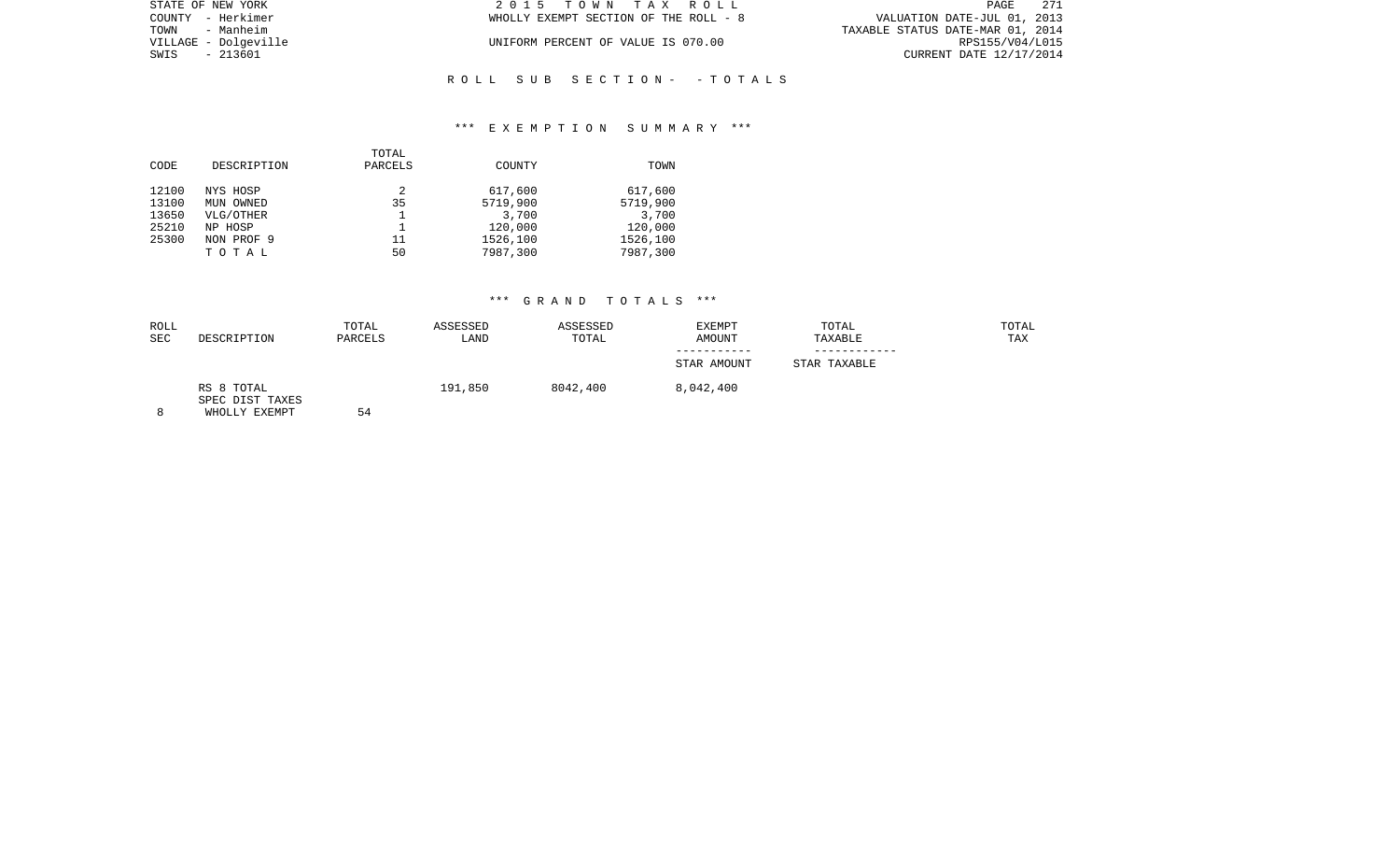| STATE OF NEW YORK    | 2015 TOWN TAX ROLL                    | 271<br>PAGE                      |
|----------------------|---------------------------------------|----------------------------------|
| COUNTY - Herkimer    | WHOLLY EXEMPT SECTION OF THE ROLL - 8 | VALUATION DATE-JUL 01, 2013      |
| - Manheim<br>TOWN    |                                       | TAXABLE STATUS DATE-MAR 01, 2014 |
| VILLAGE - Dolgeville | UNIFORM PERCENT OF VALUE IS 070.00    | RPS155/V04/L015                  |
| SWIS<br>- 213601     |                                       | CURRENT DATE 12/17/2014          |
|                      |                                       |                                  |

## \*\*\* E X E M P T I O N S U M M A R Y \*\*\*

R O L L S U B S E C T I O N - - T O T A L S

|       |             | TOTAL   |          |          |
|-------|-------------|---------|----------|----------|
| CODE  | DESCRIPTION | PARCELS | COUNTY   | TOWN     |
| 12100 | NYS HOSP    | 2       | 617,600  | 617,600  |
| 13100 | MUN OWNED   | 35      | 5719,900 | 5719,900 |
| 13650 | VLG/OTHER   |         | 3,700    | 3,700    |
| 25210 | NP HOSP     |         | 120,000  | 120,000  |
| 25300 | NON PROF 9  | 11      | 1526,100 | 1526,100 |
|       | TOTAL       | 50      | 7987,300 | 7987,300 |
|       |             |         |          |          |

| ROLL |                                                | TOTAL   | ASSESSED | ASSESSED | <b>EXEMPT</b> | TOTAL        | TOTAL |
|------|------------------------------------------------|---------|----------|----------|---------------|--------------|-------|
| SEC  | DESCRIPTION                                    | PARCELS | LAND     | TOTAL    | AMOUNT        | TAXABLE      | TAX   |
|      |                                                |         |          |          | STAR AMOUNT   | STAR TAXABLE |       |
| 8    | RS 8 TOTAL<br>SPEC DIST TAXES<br>WHOLLY EXEMPT | 54      | 191,850  | 8042,400 | 8,042,400     |              |       |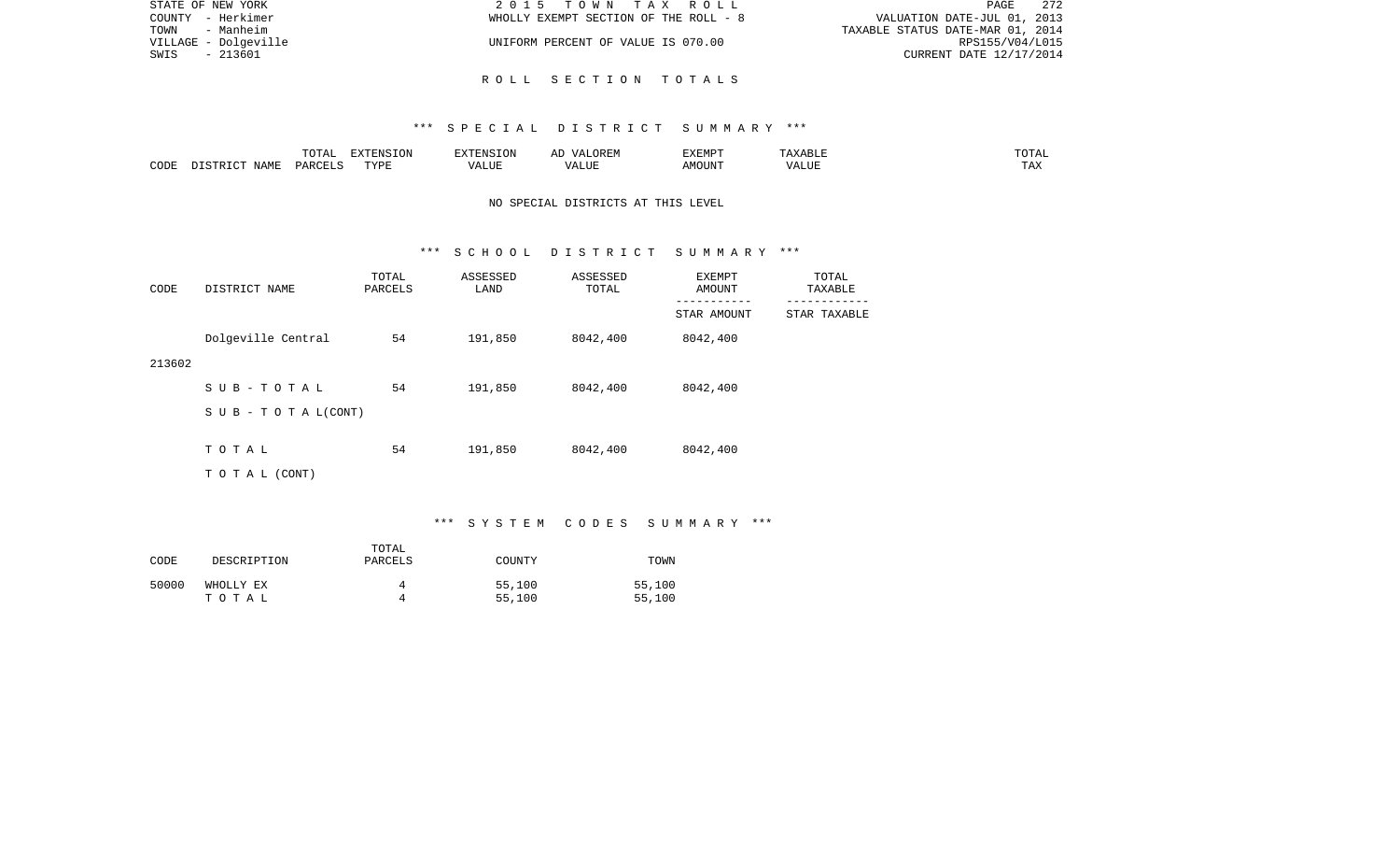| STATE OF NEW YORK    | 2015 TOWN TAX ROLL                    | - 272<br>PAGE                    |  |
|----------------------|---------------------------------------|----------------------------------|--|
| COUNTY - Herkimer    | WHOLLY EXEMPT SECTION OF THE ROLL - 8 | VALUATION DATE-JUL 01, 2013      |  |
| TOWN<br>- Manheim    |                                       | TAXABLE STATUS DATE-MAR 01, 2014 |  |
| VILLAGE - Dolgeville | UNIFORM PERCENT OF VALUE IS 070.00    | RPS155/V04/L015                  |  |
| - 213601<br>SWIS     |                                       | CURRENT DATE 12/17/2014          |  |
|                      |                                       |                                  |  |

R O L L S E C T I O N T O T A L S

|      |      | ---- | EXTENSION  |           | . JK LIV                             | "ת אים א<br>┚┵┻┸ | . .<br><b>ABLI</b> | .                     |
|------|------|------|------------|-----------|--------------------------------------|------------------|--------------------|-----------------------|
| CODI | IAME |      | $\pi$<br>. | ם דוד רגז | $^{\circ}$ TTT.<br>$\sqrt{2}$<br>,,, | MOUN.            | 77T<br>ALUT        | $m \times v$<br>T LAV |

# NO SPECIAL DISTRICTS AT THIS LEVEL

#### \*\*\* S C H O O L D I S T R I C T S U M M A R Y \*\*\*

| CODE   | DISTRICT NAME      | TOTAL<br>PARCELS | ASSESSED<br>LAND | ASSESSED<br>TOTAL | EXEMPT<br>AMOUNT         | TOTAL<br>TAXABLE         |
|--------|--------------------|------------------|------------------|-------------------|--------------------------|--------------------------|
|        |                    |                  |                  |                   | ---------<br>STAR AMOUNT | --------<br>STAR TAXABLE |
|        | Dolgeville Central | 54               | 191,850          | 8042,400          | 8042,400                 |                          |
| 213602 |                    |                  |                  |                   |                          |                          |
|        | SUB-TOTAL          | 54               | 191,850          | 8042,400          | 8042,400                 |                          |
|        | SUB - TO TAL(CONT) |                  |                  |                   |                          |                          |
|        | TOTAL              | 54               | 191,850          | 8042,400          | 8042,400                 |                          |
|        |                    |                  |                  |                   |                          |                          |
|        | T O T A L (CONT)   |                  |                  |                   |                          |                          |

# \*\*\* S Y S T E M C O D E S S U M M A R Y \*\*\*

| CODE  | DESCRIPTION        | TOTAL<br>PARCELS | COUNTY           | TOWN             |
|-------|--------------------|------------------|------------------|------------------|
| 50000 | WHOLLY EX<br>тотаь |                  | 55,100<br>55,100 | 55,100<br>55,100 |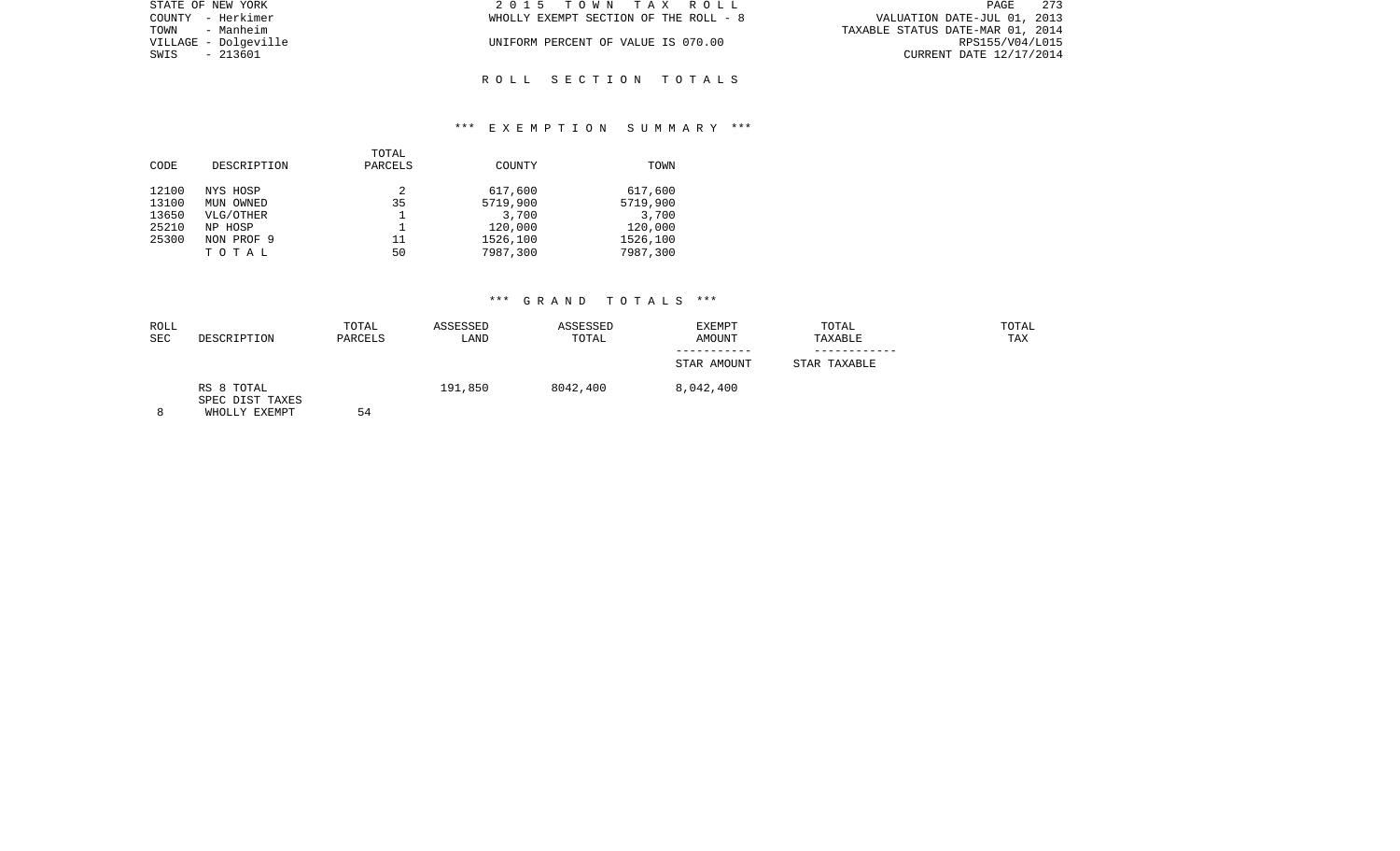| STATE OF NEW YORK    | 2015 TOWN TAX ROLL                    | 273<br>PAGE                      |
|----------------------|---------------------------------------|----------------------------------|
| COUNTY - Herkimer    | WHOLLY EXEMPT SECTION OF THE ROLL - 8 | VALUATION DATE-JUL 01, 2013      |
| TOWN<br>- Manheim    |                                       | TAXABLE STATUS DATE-MAR 01, 2014 |
| VILLAGE - Dolgeville | UNIFORM PERCENT OF VALUE IS 070.00    | RPS155/V04/L015                  |
| SWIS - 213601        |                                       | CURRENT DATE 12/17/2014          |
|                      |                                       |                                  |

R O L L S E C T I O N T O T A L S

## \*\*\* E X E M P T I O N S U M M A R Y \*\*\*

|       |             | TOTAL   |          |          |
|-------|-------------|---------|----------|----------|
| CODE  | DESCRIPTION | PARCELS | COUNTY   | TOWN     |
| 12100 | NYS HOSP    | 2       | 617,600  | 617,600  |
| 13100 | MUN OWNED   | 35      | 5719,900 | 5719,900 |
| 13650 | VLG/OTHER   |         | 3,700    | 3,700    |
| 25210 | NP HOSP     |         | 120,000  | 120,000  |
| 25300 | NON PROF 9  | 11      | 1526,100 | 1526,100 |
|       | TOTAL       | 50      | 7987,300 | 7987,300 |
|       |             |         |          |          |

| ROLL<br><b>SEC</b> | DESCRIPTION                                    | TOTAL<br>PARCELS | ASSESSED<br>LAND | ASSESSED<br>TOTAL | EXEMPT<br>AMOUNT | TOTAL<br>TAXABLE | TOTAL<br>TAX |
|--------------------|------------------------------------------------|------------------|------------------|-------------------|------------------|------------------|--------------|
|                    |                                                |                  |                  |                   | STAR AMOUNT      | STAR TAXABLE     |              |
| 8                  | RS 8 TOTAL<br>SPEC DIST TAXES<br>WHOLLY EXEMPT | 54               | 191,850          | 8042,400          | 8,042,400        |                  |              |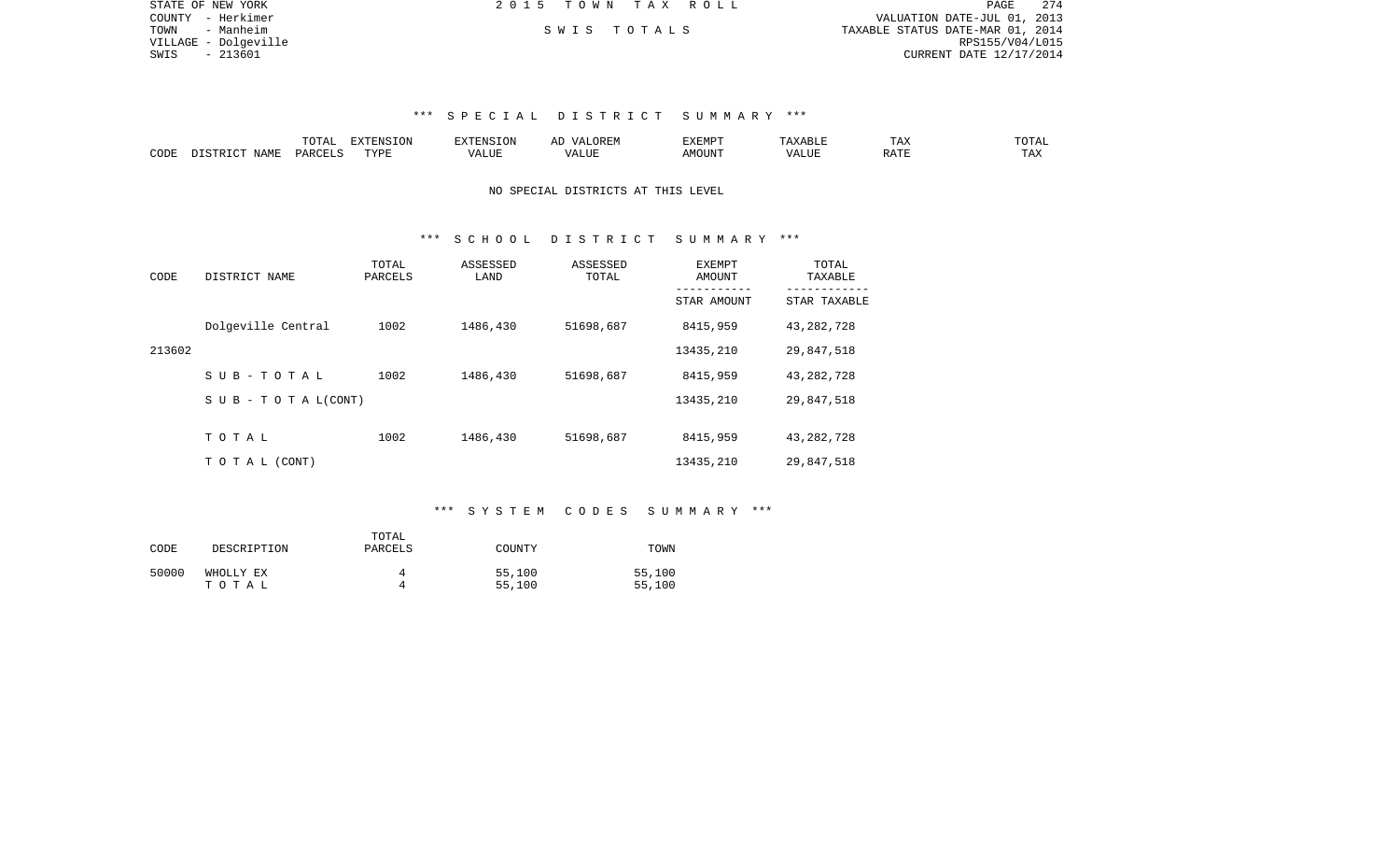| STATE OF NEW YORK    | 2015 TOWN TAX ROLL | 274<br>PAGE                      |
|----------------------|--------------------|----------------------------------|
| COUNTY - Herkimer    |                    | VALUATION DATE-JUL 01, 2013      |
| TOWN<br>- Manheim    | SWIS TOTALS        | TAXABLE STATUS DATE-MAR 01, 2014 |
| VILLAGE - Dolqeville |                    | RPS155/V04/L015                  |
| SWIS<br>- 213601     |                    | CURRENT DATE 12/17/2014          |
|                      |                    |                                  |
|                      |                    |                                  |

|      |                     | ----<br>. שבת | $\n  z = 0.37$<br>E INF<br>17 J L CT | <b>FNS</b> | A L'     | 777735555<br>⊐∡⊾⊥⊥∵⊥⊥ |      | $\overline{\phantom{a}}$<br>⊥ டு∡ | $T$ $\cap$ $T$ $\cap$ $\cap$<br>JTAL |
|------|---------------------|---------------|--------------------------------------|------------|----------|-----------------------|------|-----------------------------------|--------------------------------------|
| CODE | NAME<br>$ \sim$ $-$ |               | TVDI                                 | كاللبد     | ا "الله. | MOUNT                 | JJF. | $0.7 \text{ m}$<br>RAI.           | ⊥ டை∆                                |

#### NO SPECIAL DISTRICTS AT THIS LEVEL

### \*\*\* S C H O O L D I S T R I C T S U M M A R Y \*\*\*

| CODE   | DISTRICT NAME                    | TOTAL<br>PARCELS | ASSESSED<br>LAND | ASSESSED<br>TOTAL | EXEMPT<br>AMOUNT | TOTAL<br>TAXABLE |
|--------|----------------------------------|------------------|------------------|-------------------|------------------|------------------|
|        |                                  |                  |                  |                   | STAR AMOUNT      | STAR TAXABLE     |
|        | Dolgeville Central               | 1002             | 1486,430         | 51698,687         | 8415,959         | 43, 282, 728     |
| 213602 |                                  |                  |                  |                   | 13435,210        | 29,847,518       |
|        | SUB-TOTAL                        | 1002             | 1486,430         | 51698,687         | 8415,959         | 43, 282, 728     |
|        | $S \cup B - T \cup T A L (CONT)$ |                  |                  |                   | 13435,210        | 29,847,518       |
|        |                                  |                  |                  |                   |                  |                  |
|        | TOTAL                            | 1002             | 1486,430         | 51698,687         | 8415,959         | 43, 282, 728     |
|        | TO TAL (CONT)                    |                  |                  |                   | 13435,210        | 29,847,518       |

## \*\*\* S Y S T E M C O D E S S U M M A R Y \*\*\*

| CODE  | DESCRIPTION | TOTAL<br>PARCELS | COUNTY | TOWN   |
|-------|-------------|------------------|--------|--------|
| 50000 | WHOLLY EX   | 4                | 55,100 | 55,100 |
|       | тотаь       | 4                | 55,100 | 55,100 |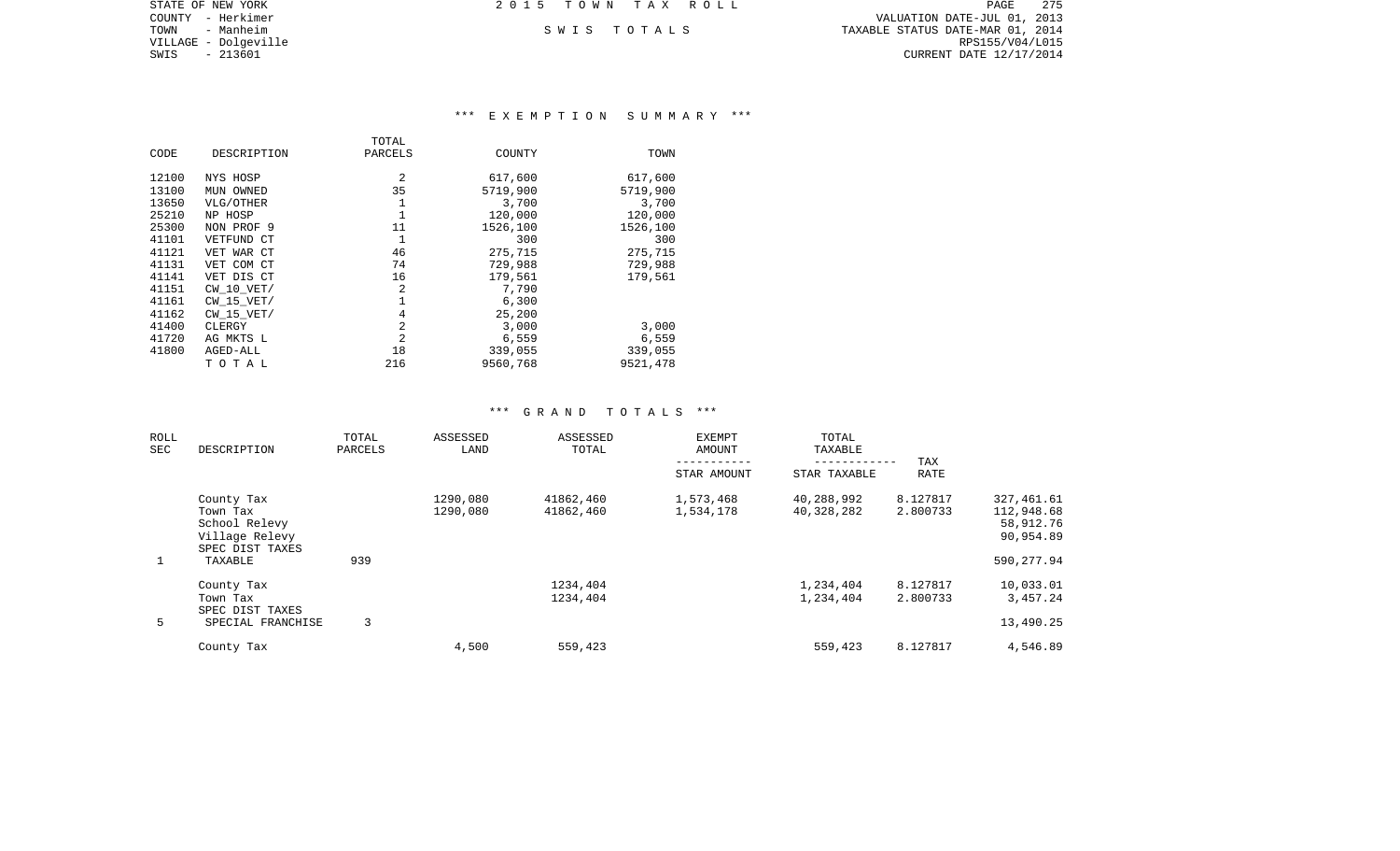COUNTY - Herkimer VALUATION DATE-JUL 01, 2013 TOWN - Manheim S W I S T O T A L S TAXABLE STATUS DATE-MAR 01, 2014 CURRENT DATE 12/17/2014

STATE OF NEW YORK **EXECUTE:**  $2015$  TOWN TAX ROLL

VILLAGE - Dolgeville<br>SWIS - 213601

# \*\*\* E X E M P T I O N S U M M A R Y \*\*\*

|       |                | TOTAL          |          |          |
|-------|----------------|----------------|----------|----------|
| CODE  | DESCRIPTION    | PARCELS        | COUNTY   | TOWN     |
| 12100 | NYS HOSP       | 2              | 617,600  | 617,600  |
| 13100 | MUN OWNED      | 35             | 5719,900 | 5719,900 |
| 13650 | VLG/OTHER      | 1              | 3,700    | 3,700    |
| 25210 | NP HOSP        | 1              | 120,000  | 120,000  |
| 25300 | NON PROF 9     | 11             | 1526,100 | 1526,100 |
| 41101 | VETFUND CT     | 1              | 300      | 300      |
| 41121 | VET WAR CT     | 46             | 275,715  | 275,715  |
| 41131 | VET COM CT     | 74             | 729,988  | 729,988  |
| 41141 | VET DIS CT     | 16             | 179,561  | 179,561  |
| 41151 | $CW$ 10 $VET/$ | 2              | 7,790    |          |
| 41161 | $CW$ 15 $VET/$ | 1              | 6,300    |          |
| 41162 | $CW$ 15 $VET/$ | 4              | 25,200   |          |
| 41400 | CLERGY         | 2              | 3,000    | 3,000    |
| 41720 | AG MKTS L      | $\overline{2}$ | 6,559    | 6,559    |
| 41800 | AGED-ALL       | 18             | 339,055  | 339,055  |
|       | TOTAL          | 216            | 9560,768 | 9521,478 |

| ROLL<br><b>SEC</b> | DESCRIPTION                 | TOTAL   | ASSESSED<br>LAND | ASSESSED<br>TOTAL | <b>EXEMPT</b><br><b>AMOUNT</b> | TOTAL<br>TAXABLE |             |            |
|--------------------|-----------------------------|---------|------------------|-------------------|--------------------------------|------------------|-------------|------------|
|                    |                             | PARCELS |                  |                   |                                |                  | TAX         |            |
|                    |                             |         |                  |                   | STAR AMOUNT                    | STAR TAXABLE     | <b>RATE</b> |            |
|                    | County Tax                  |         | 1290,080         | 41862,460         | 1,573,468                      | 40,288,992       | 8.127817    | 327,461.61 |
|                    | Town Tax                    |         | 1290,080         | 41862,460         | 1,534,178                      | 40,328,282       | 2.800733    | 112,948.68 |
|                    | School Relevy               |         |                  |                   |                                |                  |             | 58,912.76  |
|                    | Village Relevy              |         |                  |                   |                                |                  |             | 90,954.89  |
|                    | SPEC DIST TAXES             |         |                  |                   |                                |                  |             |            |
| $\mathbf{1}$       | TAXABLE                     | 939     |                  |                   |                                |                  |             | 590,277.94 |
|                    | County Tax                  |         |                  | 1234,404          |                                | 1,234,404        | 8.127817    | 10,033.01  |
|                    | Town Tax<br>SPEC DIST TAXES |         |                  | 1234,404          |                                | 1,234,404        | 2.800733    | 3,457.24   |
| 5                  | SPECIAL FRANCHISE           | 3       |                  |                   |                                |                  |             | 13,490.25  |
|                    |                             |         |                  |                   |                                |                  |             |            |
|                    | County Tax                  |         | 4,500            | 559,423           |                                | 559,423          | 8.127817    | 4,546.89   |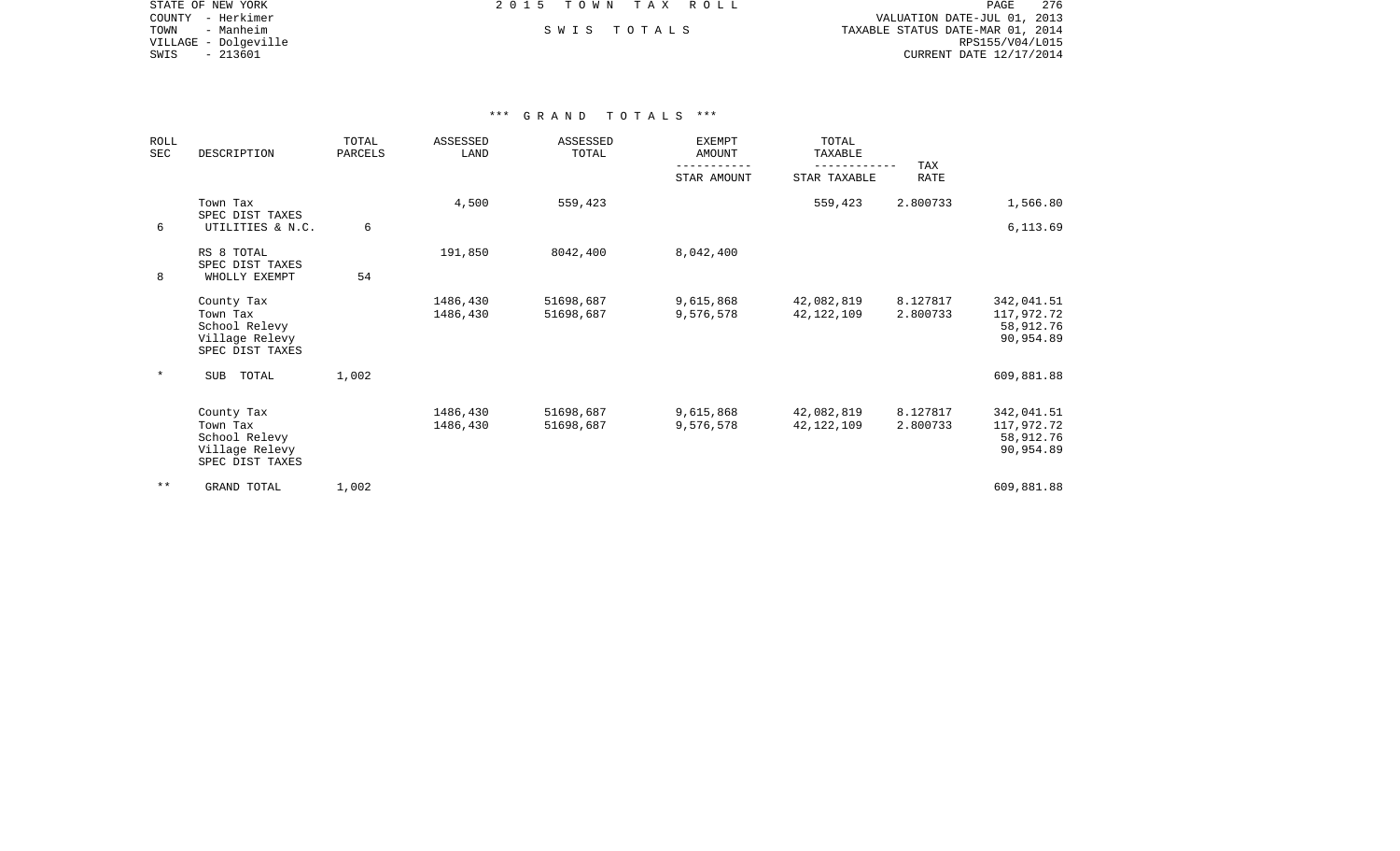STATE OF NEW YORK **EXECUTE:**  $2015$  TOWN TAX ROLL COUNTY - Herkimer VALUATION DATE-JUL 01, 2013 TOWN - Manheim S W I S T O T A L S TAXABLE STATUS DATE-MAR 01, 2014 VILLAGE - Dolgeville RPS155/V04/L015 CURRENT DATE 12/17/2014

| <b>ROLL</b><br>SEC | DESCRIPTION                                                                  | TOTAL<br>PARCELS | ASSESSED<br>LAND     | ASSESSED<br>TOTAL      | <b>EXEMPT</b><br><b>AMOUNT</b> | TOTAL<br>TAXABLE         | TAX                  |                                                    |
|--------------------|------------------------------------------------------------------------------|------------------|----------------------|------------------------|--------------------------------|--------------------------|----------------------|----------------------------------------------------|
|                    |                                                                              |                  |                      |                        | STAR AMOUNT                    | STAR TAXABLE             | <b>RATE</b>          |                                                    |
|                    | Town Tax<br>SPEC DIST TAXES                                                  |                  | 4,500                | 559,423                |                                | 559,423                  | 2.800733             | 1,566.80                                           |
| 6                  | UTILITIES & N.C.                                                             | 6                |                      |                        |                                |                          |                      | 6,113.69                                           |
|                    | RS 8 TOTAL<br>SPEC DIST TAXES                                                |                  | 191,850              | 8042,400               | 8,042,400                      |                          |                      |                                                    |
| 8                  | WHOLLY EXEMPT                                                                | 54               |                      |                        |                                |                          |                      |                                                    |
|                    | County Tax<br>Town Tax<br>School Relevy<br>Village Relevy<br>SPEC DIST TAXES |                  | 1486,430<br>1486,430 | 51698,687<br>51698,687 | 9,615,868<br>9,576,578         | 42,082,819<br>42,122,109 | 8.127817<br>2.800733 | 342,041.51<br>117,972.72<br>58,912.76<br>90,954.89 |
| $\star$            | TOTAL<br>SUB                                                                 | 1,002            |                      |                        |                                |                          |                      | 609,881.88                                         |
|                    | County Tax<br>Town Tax<br>School Relevy<br>Village Relevy<br>SPEC DIST TAXES |                  | 1486,430<br>1486,430 | 51698,687<br>51698,687 | 9,615,868<br>9,576,578         | 42,082,819<br>42,122,109 | 8.127817<br>2.800733 | 342,041.51<br>117,972.72<br>58,912.76<br>90,954.89 |
| $\star\star$       | GRAND TOTAL                                                                  | 1,002            |                      |                        |                                |                          |                      | 609,881.88                                         |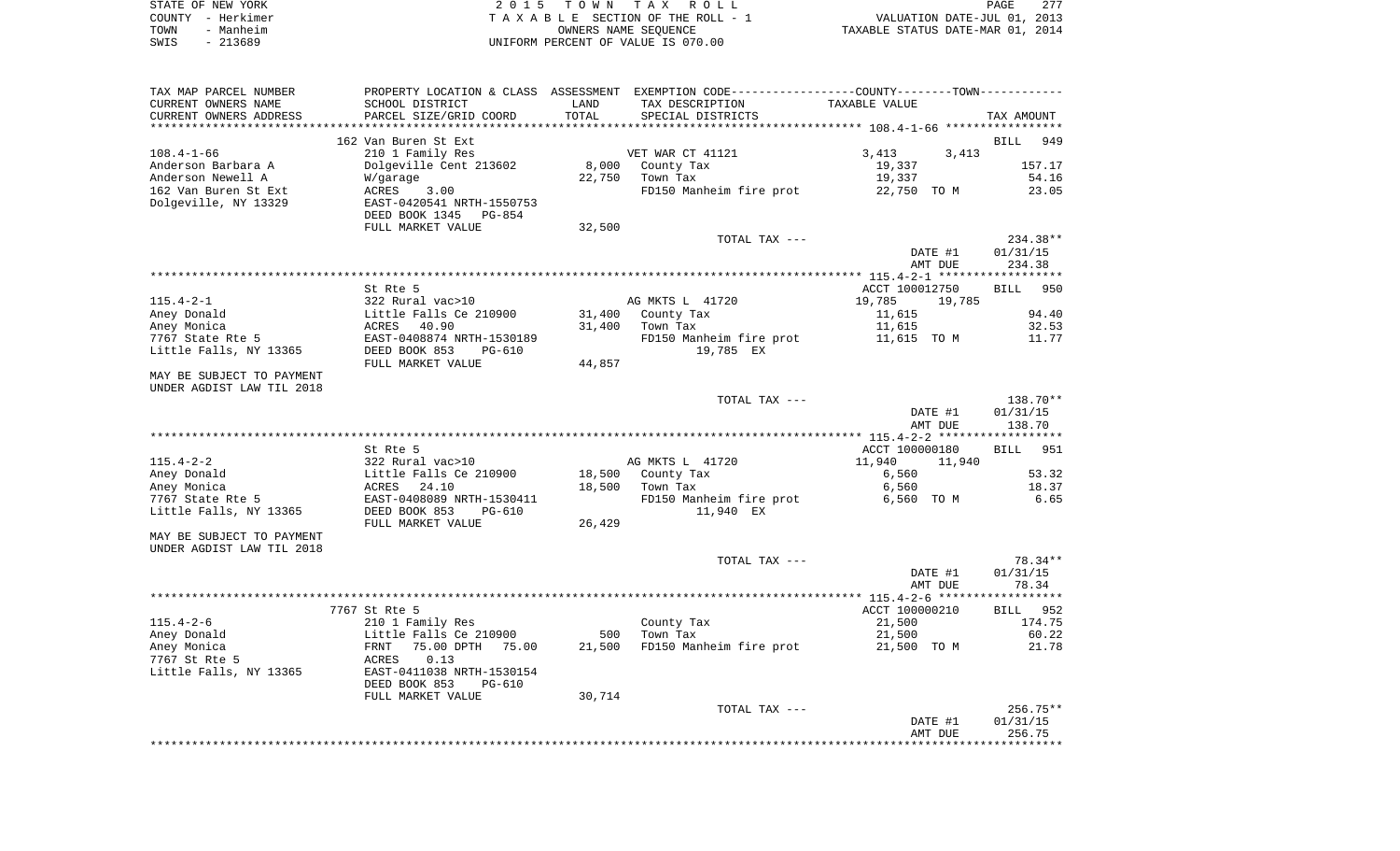|      | STATE OF NEW YORK | 2015 TOWN TAX ROLL                 | 277<br>PAGE                      |
|------|-------------------|------------------------------------|----------------------------------|
|      | COUNTY - Herkimer | TAXABLE SECTION OF THE ROLL - 1    | VALUATION DATE-JUL 01, 2013      |
| TOWN | - Manheim         | OWNERS NAME SEOUENCE               | TAXABLE STATUS DATE-MAR 01, 2014 |
| SWIS | - 213689          | UNIFORM PERCENT OF VALUE IS 070.00 |                                  |

| TAX MAP PARCEL NUMBER     |                                |        | PROPERTY LOCATION & CLASS ASSESSMENT EXEMPTION CODE---------------COUNTY-------TOWN--------- |                  |                    |
|---------------------------|--------------------------------|--------|----------------------------------------------------------------------------------------------|------------------|--------------------|
| CURRENT OWNERS NAME       | SCHOOL DISTRICT                | LAND   | TAX DESCRIPTION                                                                              | TAXABLE VALUE    |                    |
| CURRENT OWNERS ADDRESS    | PARCEL SIZE/GRID COORD         | TOTAL  | SPECIAL DISTRICTS                                                                            |                  | TAX AMOUNT         |
|                           |                                |        |                                                                                              |                  |                    |
|                           | 162 Van Buren St Ext           |        |                                                                                              |                  | BILL<br>949        |
| $108.4 - 1 - 66$          | 210 1 Family Res               |        | VET WAR CT 41121                                                                             | 3,413<br>3,413   |                    |
| Anderson Barbara A        | Dolgeville Cent 213602         | 8,000  | County Tax                                                                                   | 19,337           | 157.17             |
| Anderson Newell A         | W/garage                       | 22,750 | Town Tax                                                                                     | 19,337           | 54.16              |
| 162 Van Buren St Ext      | ACRES<br>3.00                  |        | FD150 Manheim fire prot                                                                      | 22,750 TO M      | 23.05              |
| Dolgeville, NY 13329      | EAST-0420541 NRTH-1550753      |        |                                                                                              |                  |                    |
|                           | DEED BOOK 1345<br>PG-854       |        |                                                                                              |                  |                    |
|                           | FULL MARKET VALUE              | 32,500 |                                                                                              |                  |                    |
|                           |                                |        | TOTAL TAX ---                                                                                |                  | 234.38**           |
|                           |                                |        |                                                                                              | DATE #1          | 01/31/15           |
|                           |                                |        |                                                                                              | AMT DUE          | 234.38             |
|                           |                                |        |                                                                                              |                  | ***********        |
|                           | St Rte 5                       |        |                                                                                              | ACCT 100012750   | 950<br>BILL        |
| $115.4 - 2 - 1$           | 322 Rural vac>10               |        | AG MKTS L 41720                                                                              | 19,785<br>19,785 |                    |
| Aney Donald               | Little Falls Ce 210900         | 31,400 | County Tax                                                                                   | 11,615           | 94.40              |
| Aney Monica               | ACRES<br>40.90                 | 31,400 | Town Tax                                                                                     | 11,615           | 32.53              |
| 7767 State Rte 5          | EAST-0408874 NRTH-1530189      |        | FD150 Manheim fire prot                                                                      | 11,615 TO M      | 11.77              |
| Little Falls, NY 13365    | DEED BOOK 853<br>$PG-610$      |        | 19,785 EX                                                                                    |                  |                    |
|                           | FULL MARKET VALUE              | 44,857 |                                                                                              |                  |                    |
| MAY BE SUBJECT TO PAYMENT |                                |        |                                                                                              |                  |                    |
| UNDER AGDIST LAW TIL 2018 |                                |        |                                                                                              |                  |                    |
|                           |                                |        | TOTAL TAX ---                                                                                |                  | 138.70**           |
|                           |                                |        |                                                                                              | DATE #1          | 01/31/15           |
|                           |                                |        |                                                                                              | AMT DUE          | 138.70             |
|                           |                                |        |                                                                                              |                  |                    |
|                           | St Rte 5                       |        |                                                                                              | ACCT 100000180   | 951<br><b>BILL</b> |
| $115.4 - 2 - 2$           | 322 Rural vac>10               |        | AG MKTS L 41720                                                                              | 11,940<br>11,940 |                    |
| Aney Donald               | Little Falls Ce 210900         | 18,500 | County Tax                                                                                   | 6,560            | 53.32              |
| Aney Monica               | 24.10<br>ACRES                 | 18,500 | Town Tax                                                                                     | 6,560            | 18.37              |
| 7767 State Rte 5          | EAST-0408089 NRTH-1530411      |        | FD150 Manheim fire prot                                                                      | 6,560 TO M       | 6.65               |
| Little Falls, NY 13365    | DEED BOOK 853<br>PG-610        |        | 11,940 EX                                                                                    |                  |                    |
|                           | FULL MARKET VALUE              | 26,429 |                                                                                              |                  |                    |
| MAY BE SUBJECT TO PAYMENT |                                |        |                                                                                              |                  |                    |
| UNDER AGDIST LAW TIL 2018 |                                |        |                                                                                              |                  |                    |
|                           |                                |        | TOTAL TAX ---                                                                                |                  | 78.34**            |
|                           |                                |        |                                                                                              | DATE #1          | 01/31/15           |
|                           |                                |        |                                                                                              | AMT DUE          | 78.34              |
|                           |                                |        |                                                                                              |                  |                    |
|                           | 7767 St Rte 5                  |        |                                                                                              | ACCT 100000210   | BILL 952           |
| $115.4 - 2 - 6$           | 210 1 Family Res               |        | County Tax                                                                                   | 21,500           | 174.75             |
| Aney Donald               | Little Falls Ce 210900         | 500    | Town Tax                                                                                     | 21,500           | 60.22              |
| Aney Monica               | FRNT<br>75.00 DPTH<br>75.00    | 21,500 | FD150 Manheim fire prot                                                                      | 21,500 TO M      | 21.78              |
| 7767 St Rte 5             | ACRES<br>0.13                  |        |                                                                                              |                  |                    |
| Little Falls, NY 13365    | EAST-0411038 NRTH-1530154      |        |                                                                                              |                  |                    |
|                           | DEED BOOK 853<br><b>PG-610</b> |        |                                                                                              |                  |                    |
|                           | FULL MARKET VALUE              | 30,714 |                                                                                              |                  |                    |
|                           |                                |        | TOTAL TAX ---                                                                                |                  | $256.75**$         |
|                           |                                |        |                                                                                              | DATE #1          | 01/31/15           |
|                           |                                |        |                                                                                              | AMT DUE          | 256.75             |
|                           |                                |        |                                                                                              |                  |                    |
|                           |                                |        |                                                                                              |                  |                    |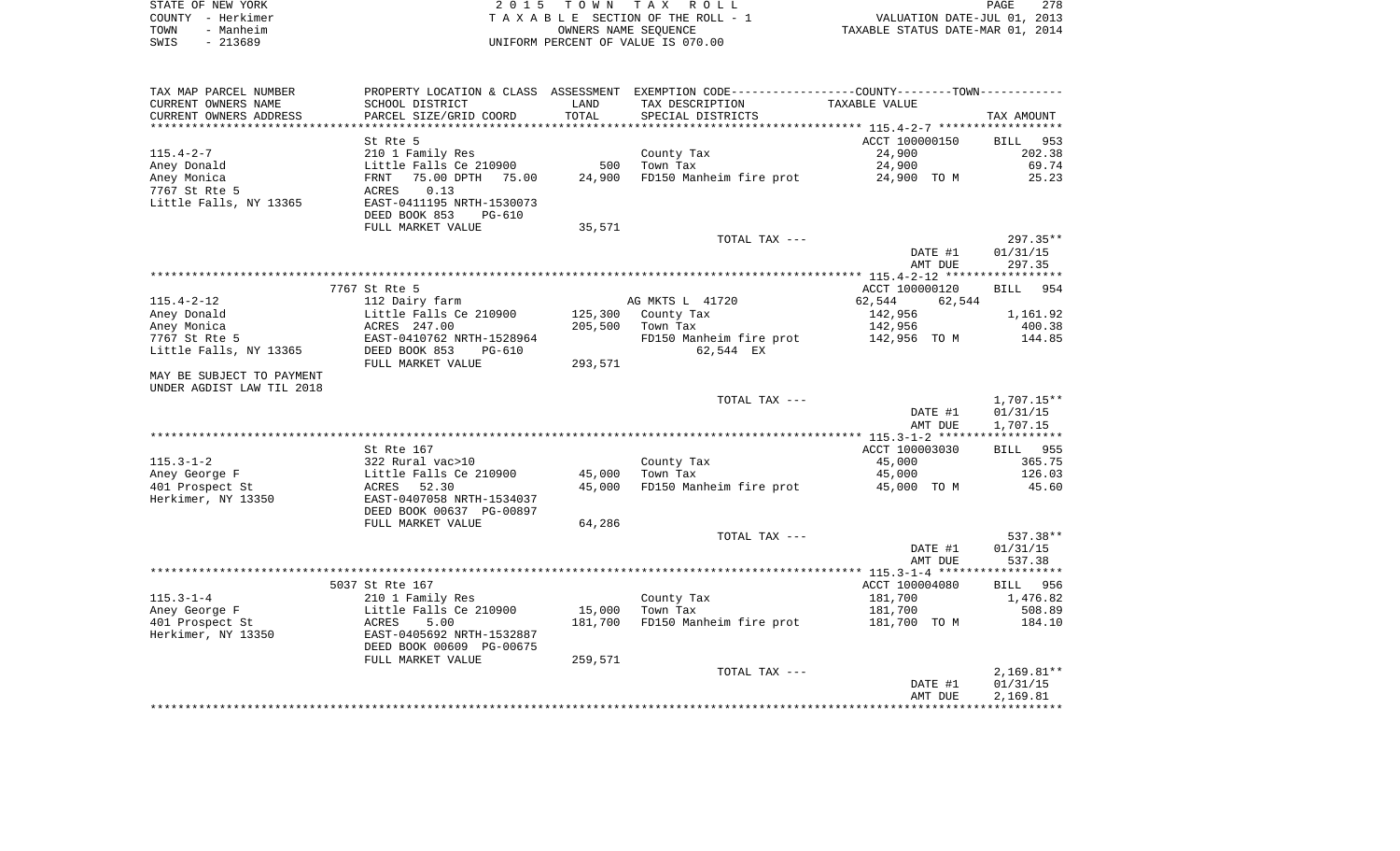|      | STATE OF NEW YORK | 2015 TOWN TAX ROLL                 | 278<br>PAGE                      |
|------|-------------------|------------------------------------|----------------------------------|
|      | COUNTY - Herkimer | TAXABLE SECTION OF THE ROLL - 1    | VALUATION DATE-JUL 01, 2013      |
| TOWN | - Manheim         | OWNERS NAME SEOUENCE               | TAXABLE STATUS DATE-MAR 01, 2014 |
| SWIS | - 213689          | UNIFORM PERCENT OF VALUE IS 070.00 |                                  |

| TAX MAP PARCEL NUMBER            |                                              |         | PROPERTY LOCATION & CLASS ASSESSMENT EXEMPTION CODE----------------COUNTY--------TOWN---------- |                    |                        |
|----------------------------------|----------------------------------------------|---------|-------------------------------------------------------------------------------------------------|--------------------|------------------------|
| CURRENT OWNERS NAME              | SCHOOL DISTRICT                              | LAND    | TAX DESCRIPTION                                                                                 | TAXABLE VALUE      |                        |
| CURRENT OWNERS ADDRESS           | PARCEL SIZE/GRID COORD                       | TOTAL   | SPECIAL DISTRICTS                                                                               |                    | TAX AMOUNT             |
| *********************            |                                              |         |                                                                                                 |                    |                        |
|                                  | St Rte 5                                     |         |                                                                                                 | ACCT 100000150     | BILL 953               |
| $115.4 - 2 - 7$                  | 210 1 Family Res                             |         | County Tax                                                                                      | 24,900             | 202.38                 |
| Aney Donald                      | Little Falls Ce 210900                       | 500     | Town Tax                                                                                        | 24,900             | 69.74                  |
| Aney Monica                      | 75.00 DPTH 75.00<br>FRNT                     | 24,900  | FD150 Manheim fire prot 24,900 TO M                                                             |                    | 25.23                  |
| 7767 St Rte 5                    | 0.13<br>ACRES                                |         |                                                                                                 |                    |                        |
| Little Falls, NY 13365           | EAST-0411195 NRTH-1530073                    |         |                                                                                                 |                    |                        |
|                                  | DEED BOOK 853<br>PG-610<br>FULL MARKET VALUE | 35,571  |                                                                                                 |                    |                        |
|                                  |                                              |         | TOTAL TAX ---                                                                                   |                    | $297.35**$             |
|                                  |                                              |         |                                                                                                 | DATE #1            | 01/31/15               |
|                                  |                                              |         |                                                                                                 | AMT DUE            | 297.35                 |
|                                  |                                              |         |                                                                                                 |                    |                        |
|                                  | 7767 St Rte 5                                |         |                                                                                                 | ACCT 100000120     | BILL 954               |
| 115.4-2-12                       | 112 Dairy farm                               |         | AG MKTS L 41720                                                                                 | 62,544<br>62,544   |                        |
| Aney Donald                      | Little Falls Ce 210900                       |         | 125,300 County Tax                                                                              | 142,956            | 1,161.92               |
| Aney Monica                      | LILLIE FAIIS<br>ACRES 247.00                 | 205,500 | Town Tax                                                                                        | 142,956            | 400.38                 |
| 7767 St Rte 5                    | EAST-0410762 NRTH-1528964                    |         | FD150 Manheim fire prot                                                                         | 142,956 TO M       | 144.85                 |
| Little Falls, NY 13365           | DEED BOOK 853<br>$PG-610$                    |         | 62,544 EX                                                                                       |                    |                        |
|                                  | FULL MARKET VALUE                            | 293,571 |                                                                                                 |                    |                        |
| MAY BE SUBJECT TO PAYMENT        |                                              |         |                                                                                                 |                    |                        |
| UNDER AGDIST LAW TIL 2018        |                                              |         |                                                                                                 |                    |                        |
|                                  |                                              |         | TOTAL TAX ---                                                                                   | DATE #1            | 1,707.15**<br>01/31/15 |
|                                  |                                              |         |                                                                                                 | AMT DUE            | 1,707.15               |
|                                  |                                              |         |                                                                                                 |                    |                        |
|                                  | St Rte 167                                   |         |                                                                                                 | ACCT 100003030     | BILL 955               |
| $115.3 - 1 - 2$                  | 322 Rural vac>10                             |         | County Tax                                                                                      | 45,000             | 365.75                 |
| Aney George F                    | Little Falls Ce 210900                       | 45,000  | Town Tax                                                                                        | 45,000             | 126.03                 |
| 401 Prospect St                  | ACRES<br>52.30                               | 45,000  | FD150 Manheim fire prot                                                                         | 45,000 TO M        | 45.60                  |
| Herkimer, NY 13350               | EAST-0407058 NRTH-1534037                    |         |                                                                                                 |                    |                        |
|                                  | DEED BOOK 00637 PG-00897                     |         |                                                                                                 |                    |                        |
|                                  | FULL MARKET VALUE                            | 64,286  |                                                                                                 |                    |                        |
|                                  |                                              |         | TOTAL TAX ---                                                                                   |                    | 537.38**               |
|                                  |                                              |         |                                                                                                 | DATE #1            | 01/31/15               |
|                                  |                                              |         |                                                                                                 | AMT DUE            | 537.38                 |
|                                  |                                              |         |                                                                                                 |                    |                        |
|                                  | 5037 St Rte 167                              |         |                                                                                                 | ACCT 100004080     | BILL 956               |
| $115.3 - 1 - 4$<br>Aney George F | 210 1 Family Res<br>Little Falls Ce 210900   | 15,000  | County Tax<br>Town Tax                                                                          | 181,700<br>181,700 | 1,476.82<br>508.89     |
| 401 Prospect St                  | 5.00<br>ACRES                                | 181,700 | FD150 Manheim fire prot                                                                         | 181,700 TO M       | 184.10                 |
| Herkimer, NY 13350               | EAST-0405692 NRTH-1532887                    |         |                                                                                                 |                    |                        |
|                                  | DEED BOOK 00609 PG-00675                     |         |                                                                                                 |                    |                        |
|                                  | FULL MARKET VALUE                            | 259,571 |                                                                                                 |                    |                        |
|                                  |                                              |         | TOTAL TAX ---                                                                                   |                    | $2,169.81**$           |
|                                  |                                              |         |                                                                                                 | DATE #1            | 01/31/15               |
|                                  |                                              |         |                                                                                                 | AMT DUE            | 2,169.81               |
|                                  |                                              |         |                                                                                                 |                    |                        |
|                                  |                                              |         |                                                                                                 |                    |                        |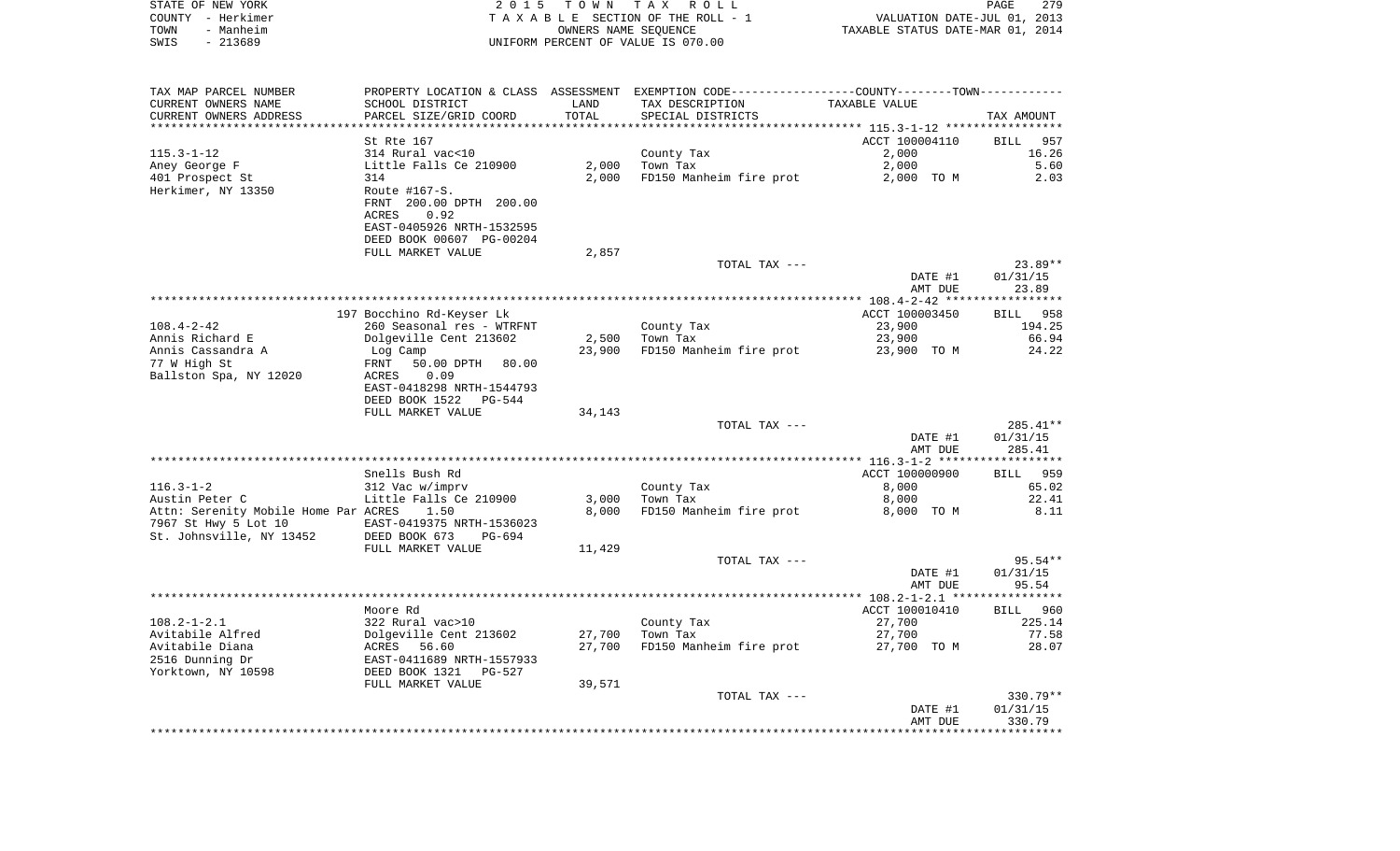| STATE OF NEW YORK |           | 2015 TOWN TAX ROLL                    |                                  | PAGE | 279 |
|-------------------|-----------|---------------------------------------|----------------------------------|------|-----|
| COUNTY - Herkimer |           | T A X A B L E SECTION OF THE ROLL - 1 | VALUATION DATE-JUL 01, 2013      |      |     |
| TOWN              | - Manheim | OWNERS NAME SEOUENCE                  | TAXABLE STATUS DATE-MAR 01, 2014 |      |     |
| SWIS              | - 213689  | UNIFORM PERCENT OF VALUE IS 070.00    |                                  |      |     |

| TAX MAP PARCEL NUMBER                | PROPERTY LOCATION & CLASS ASSESSMENT |        | EXEMPTION CODE-----------------COUNTY--------TOWN----------- |                |                    |
|--------------------------------------|--------------------------------------|--------|--------------------------------------------------------------|----------------|--------------------|
| CURRENT OWNERS NAME                  | SCHOOL DISTRICT                      | LAND   | TAX DESCRIPTION                                              | TAXABLE VALUE  |                    |
| CURRENT OWNERS ADDRESS               | PARCEL SIZE/GRID COORD               | TOTAL  | SPECIAL DISTRICTS                                            |                | TAX AMOUNT         |
| *****************                    |                                      |        |                                                              |                |                    |
|                                      | St Rte 167                           |        |                                                              | ACCT 100004110 | 957<br><b>BILL</b> |
| $115.3 - 1 - 12$                     | 314 Rural vac<10                     |        | County Tax                                                   | 2,000          | 16.26              |
| Aney George F                        | Little Falls Ce 210900               | 2,000  | Town Tax                                                     | 2,000          | 5.60               |
| 401 Prospect St                      | 314                                  | 2,000  | FD150 Manheim fire prot                                      | 2,000 TO M     | 2.03               |
| Herkimer, NY 13350                   | Route $#167-S.$                      |        |                                                              |                |                    |
|                                      | FRNT 200.00 DPTH 200.00              |        |                                                              |                |                    |
|                                      | 0.92<br>ACRES                        |        |                                                              |                |                    |
|                                      | EAST-0405926 NRTH-1532595            |        |                                                              |                |                    |
|                                      | DEED BOOK 00607 PG-00204             |        |                                                              |                |                    |
|                                      | FULL MARKET VALUE                    | 2,857  |                                                              |                |                    |
|                                      |                                      |        | TOTAL TAX ---                                                |                | $23.89**$          |
|                                      |                                      |        |                                                              |                |                    |
|                                      |                                      |        |                                                              | DATE #1        | 01/31/15<br>23.89  |
|                                      |                                      |        |                                                              | AMT DUE        |                    |
|                                      |                                      |        |                                                              |                |                    |
|                                      | 197 Bocchino Rd-Keyser Lk            |        |                                                              | ACCT 100003450 | BILL 958           |
| $108.4 - 2 - 42$                     | 260 Seasonal res - WTRFNT            |        | County Tax                                                   | 23,900         | 194.25             |
| Annis Richard E                      | Dolgeville Cent 213602               | 2,500  | Town Tax                                                     | 23,900         | 66.94              |
| Annis Cassandra A                    | Log Camp                             | 23,900 | FD150 Manheim fire prot 23,900 TO M                          |                | 24.22              |
| 77 W High St                         | FRNT<br>50.00 DPTH 80.00             |        |                                                              |                |                    |
| Ballston Spa, NY 12020               | ACRES<br>0.09                        |        |                                                              |                |                    |
|                                      | EAST-0418298 NRTH-1544793            |        |                                                              |                |                    |
|                                      | DEED BOOK 1522<br>PG-544             |        |                                                              |                |                    |
|                                      | FULL MARKET VALUE                    | 34,143 |                                                              |                |                    |
|                                      |                                      |        | TOTAL TAX ---                                                |                | 285.41**           |
|                                      |                                      |        |                                                              | DATE #1        | 01/31/15           |
|                                      |                                      |        |                                                              | AMT DUE        | 285.41             |
|                                      |                                      |        |                                                              |                |                    |
|                                      | Snells Bush Rd                       |        |                                                              | ACCT 100000900 | BILL 959           |
| $116.3 - 1 - 2$                      | 312 Vac w/imprv                      |        | County Tax                                                   | 8,000          | 65.02              |
| Austin Peter C                       | Little Falls Ce 210900               | 3,000  | Town Tax                                                     | 8,000          | 22.41              |
| Attn: Serenity Mobile Home Par ACRES | 1.50                                 | 8,000  | FD150 Manheim fire prot                                      | 8,000 TO M     | 8.11               |
| 7967 St Hwy 5 Lot 10                 | EAST-0419375 NRTH-1536023            |        |                                                              |                |                    |
| St. Johnsville, NY 13452             | DEED BOOK 673<br>PG-694              |        |                                                              |                |                    |
|                                      | FULL MARKET VALUE                    | 11,429 |                                                              |                |                    |
|                                      |                                      |        | TOTAL TAX ---                                                |                | $95.54**$          |
|                                      |                                      |        |                                                              | DATE #1        | 01/31/15           |
|                                      |                                      |        |                                                              | AMT DUE        | 95.54              |
|                                      |                                      |        |                                                              |                |                    |
|                                      | Moore Rd                             |        |                                                              | ACCT 100010410 | BILL 960           |
| $108.2 - 1 - 2.1$                    | 322 Rural vac>10                     |        | County Tax                                                   | 27,700         | 225.14             |
| Avitabile Alfred                     | Dolgeville Cent 213602               | 27,700 | Town Tax                                                     | 27,700         | 77.58              |
| Avitabile Diana                      | ACRES 56.60                          | 27,700 | FD150 Manheim fire prot                                      | 27,700 TO M    | 28.07              |
| 2516 Dunning Dr                      | EAST-0411689 NRTH-1557933            |        |                                                              |                |                    |
| Yorktown, NY 10598                   | DEED BOOK 1321 PG-527                |        |                                                              |                |                    |
|                                      | FULL MARKET VALUE                    | 39,571 |                                                              |                |                    |
|                                      |                                      |        | TOTAL TAX ---                                                |                | 330.79**           |
|                                      |                                      |        |                                                              |                |                    |
|                                      |                                      |        |                                                              | DATE #1        | 01/31/15           |
|                                      |                                      |        |                                                              | AMT DUE        | 330.79             |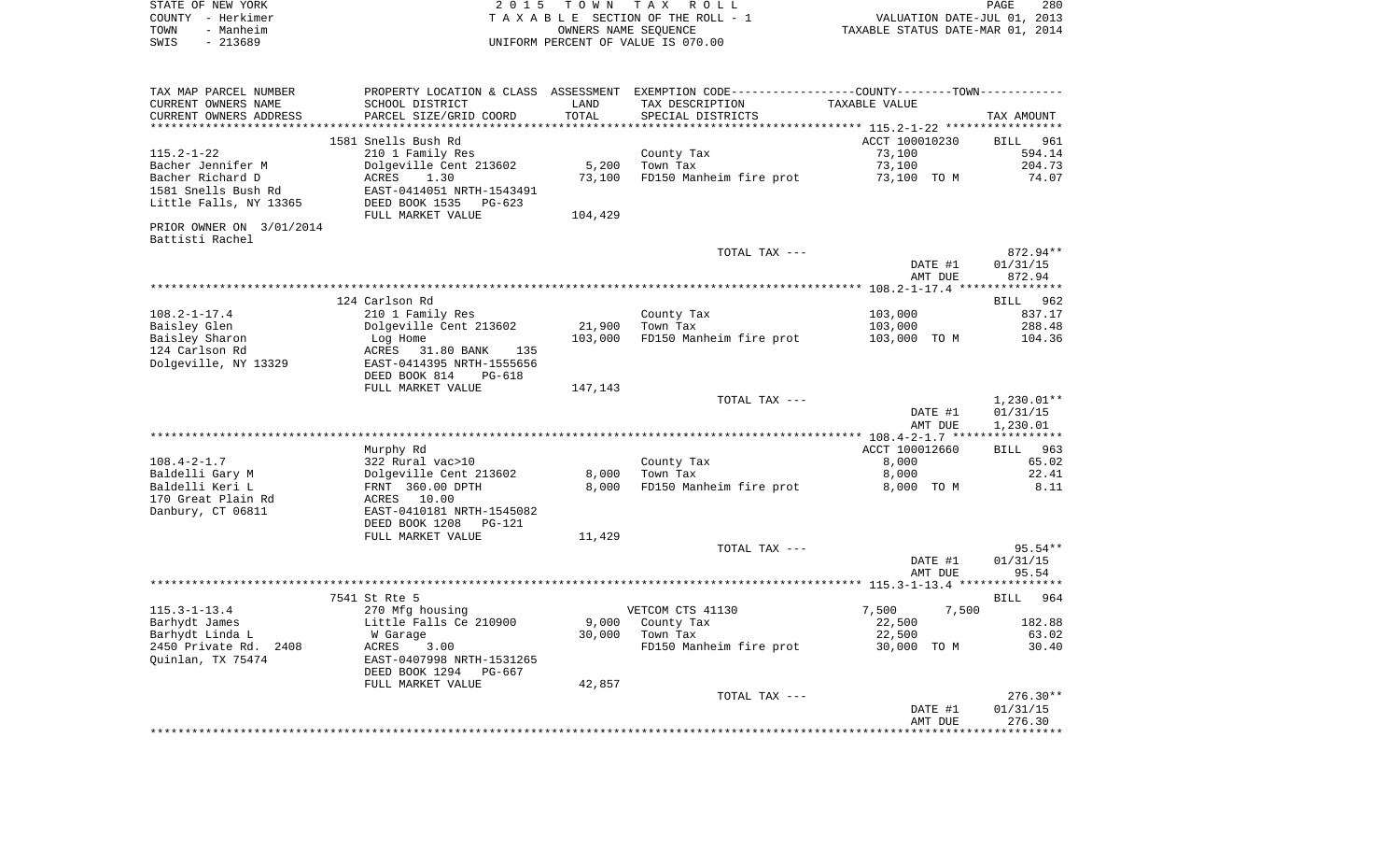|      | STATE OF NEW YORK | 2015 TOWN TAX ROLL                 | PAGE                             | 280 |
|------|-------------------|------------------------------------|----------------------------------|-----|
|      | COUNTY - Herkimer | TAXABLE SECTION OF THE ROLL - 1    | VALUATION DATE-JUL 01, 2013      |     |
| TOWN | - Manheim         | OWNERS NAME SEOUENCE               | TAXABLE STATUS DATE-MAR 01, 2014 |     |
| SWIS | $-213689$         | UNIFORM PERCENT OF VALUE IS 070.00 |                                  |     |
|      |                   |                                    |                                  |     |
|      |                   |                                    |                                  |     |
|      |                   |                                    |                                  |     |

TAX MAP PARCEL NUMBER PROPERTY LOCATION & CLASS ASSESSMENT EXEMPTION CODE------------------COUNTY--------TOWN------------

| CURRENT OWNERS NAME      | SCHOOL DISTRICT                    | LAND    | TAX DESCRIPTION                    | TAXABLE VALUE                   |                       |
|--------------------------|------------------------------------|---------|------------------------------------|---------------------------------|-----------------------|
| CURRENT OWNERS ADDRESS   | PARCEL SIZE/GRID COORD             | TOTAL   | SPECIAL DISTRICTS                  |                                 | TAX AMOUNT            |
|                          |                                    |         |                                    | ***** 115.2-1-22 ***********    |                       |
|                          | 1581 Snells Bush Rd                |         |                                    | ACCT 100010230                  | <b>BILL</b><br>961    |
| $115.2 - 1 - 22$         | 210 1 Family Res                   |         | County Tax                         | 73,100                          | 594.14                |
| Bacher Jennifer M        | Dolgeville Cent 213602             | 5,200   | Town Tax                           | 73,100                          | 204.73                |
|                          |                                    |         |                                    |                                 |                       |
| Bacher Richard D         | <b>ACRES</b><br>1.30               | 73,100  | FD150 Manheim fire prot            | 73,100 TO M                     | 74.07                 |
| 1581 Snells Bush Rd      | EAST-0414051 NRTH-1543491          |         |                                    |                                 |                       |
| Little Falls, NY 13365   | DEED BOOK 1535<br>$PG-623$         |         |                                    |                                 |                       |
|                          | FULL MARKET VALUE                  | 104,429 |                                    |                                 |                       |
| PRIOR OWNER ON 3/01/2014 |                                    |         |                                    |                                 |                       |
| Battisti Rachel          |                                    |         |                                    |                                 |                       |
|                          |                                    |         | TOTAL TAX ---                      |                                 | 872.94**              |
|                          |                                    |         |                                    | DATE #1                         | 01/31/15              |
|                          |                                    |         |                                    | AMT DUE                         | 872.94                |
|                          |                                    |         |                                    |                                 |                       |
|                          |                                    |         |                                    |                                 |                       |
|                          | 124 Carlson Rd                     |         |                                    |                                 | 962<br>BILL           |
| $108.2 - 1 - 17.4$       | 210 1 Family Res                   |         | County Tax                         | 103,000                         | 837.17                |
| Baisley Glen             | Dolgeville Cent 213602             | 21,900  | Town Tax                           | 103,000                         | 288.48                |
| Baisley Sharon           | Log Home                           | 103,000 | FD150 Manheim fire prot            | 103,000 TO M                    | 104.36                |
| 124 Carlson Rd           | ACRES<br>31.80 BANK<br>135         |         |                                    |                                 |                       |
| Dolgeville, NY 13329     | EAST-0414395 NRTH-1555656          |         |                                    |                                 |                       |
|                          | DEED BOOK 814<br>$PG-618$          |         |                                    |                                 |                       |
|                          | FULL MARKET VALUE                  | 147,143 |                                    |                                 |                       |
|                          |                                    |         | TOTAL TAX ---                      |                                 | 1,230.01**            |
|                          |                                    |         |                                    | DATE #1                         | 01/31/15              |
|                          |                                    |         |                                    |                                 |                       |
|                          |                                    |         |                                    |                                 |                       |
|                          |                                    |         |                                    | AMT DUE                         | 1,230.01              |
|                          | *****************                  |         | ********************************** | ************* 108.4-2-1.7 ***** | * * * * * * * * * * * |
|                          | Murphy Rd                          |         |                                    | ACCT 100012660                  | 963<br><b>BILL</b>    |
| $108.4 - 2 - 1.7$        | 322 Rural vac>10                   |         | County Tax                         | 8,000                           | 65.02                 |
| Baldelli Gary M          | Dolgeville Cent 213602             | 8,000   | Town Tax                           | 8,000                           | 22.41                 |
| Baldelli Keri L          |                                    | 8,000   | FD150 Manheim fire prot            | 8,000 TO M                      | 8.11                  |
| 170 Great Plain Rd       | FRNT 360.00 DPTH<br>10.00<br>ACRES |         |                                    |                                 |                       |
|                          |                                    |         |                                    |                                 |                       |
| Danbury, CT 06811        | EAST-0410181 NRTH-1545082          |         |                                    |                                 |                       |
|                          | DEED BOOK 1208<br>$PG-121$         |         |                                    |                                 |                       |
|                          | FULL MARKET VALUE                  | 11,429  |                                    |                                 |                       |
|                          |                                    |         | TOTAL TAX ---                      |                                 | $95.54**$             |
|                          |                                    |         |                                    | DATE #1                         | 01/31/15              |
|                          |                                    |         |                                    | AMT DUE                         | 95.54                 |
|                          |                                    |         |                                    |                                 |                       |
|                          | 7541 St Rte 5                      |         |                                    |                                 | 964<br>BILL           |
| $115.3 - 1 - 13.4$       | 270 Mfg housing                    |         | VETCOM CTS 41130                   | 7,500<br>7,500                  |                       |
| Barhydt James            | Little Falls Ce 210900             | 9,000   | County Tax                         | 22,500                          | 182.88                |
| Barhydt Linda L          | W Garage                           | 30,000  | Town Tax                           | 22,500                          | 63.02                 |
|                          |                                    |         |                                    |                                 |                       |
| 2450 Private Rd.<br>2408 | 3.00<br>ACRES                      |         | FD150 Manheim fire prot            | 30,000 TO M                     | 30.40                 |
| Ouinlan, TX 75474        | EAST-0407998 NRTH-1531265          |         |                                    |                                 |                       |
|                          | DEED BOOK 1294<br>PG-667           |         |                                    |                                 |                       |
|                          | FULL MARKET VALUE                  | 42,857  |                                    |                                 |                       |
|                          |                                    |         | TOTAL TAX ---                      |                                 | $276.30**$            |
|                          |                                    |         |                                    | DATE #1                         | 01/31/15              |
|                          |                                    |         |                                    | AMT DUE                         | 276.30                |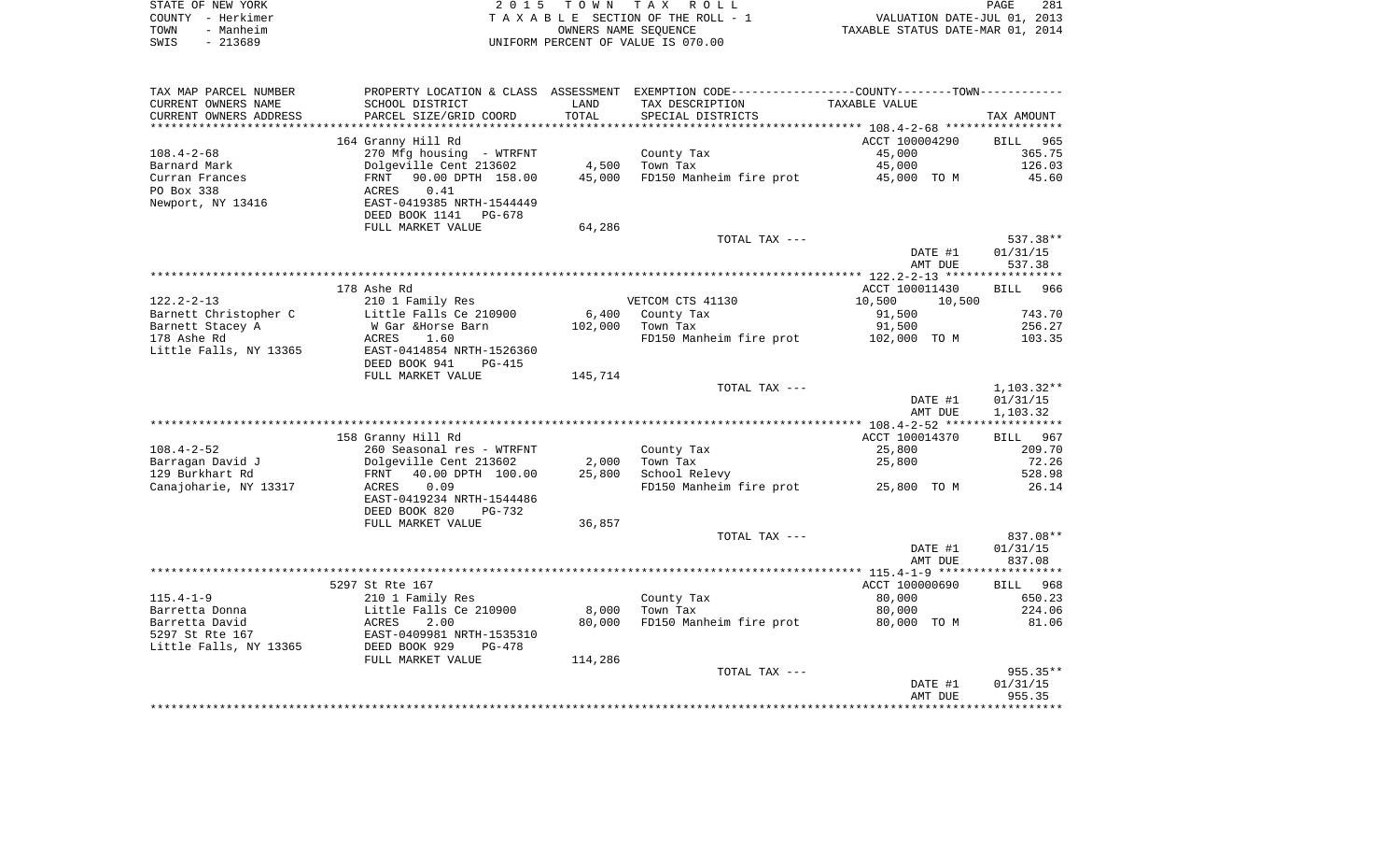| STATE OF NEW YORK | 2015 TOWN TAX ROLL                 | 281<br>PAGE                      |
|-------------------|------------------------------------|----------------------------------|
| COUNTY - Herkimer | TAXABLE SECTION OF THE ROLL - 1    | VALUATION DATE-JUL 01, 2013      |
| TOWN<br>- Manheim | OWNERS NAME SEOUENCE               | TAXABLE STATUS DATE-MAR 01, 2014 |
| - 213689<br>SWIS  | UNIFORM PERCENT OF VALUE IS 070.00 |                                  |

| TAX MAP PARCEL NUMBER  |                                |         | PROPERTY LOCATION & CLASS ASSESSMENT EXEMPTION CODE----------------COUNTY-------TOWN----------- |                  |              |
|------------------------|--------------------------------|---------|-------------------------------------------------------------------------------------------------|------------------|--------------|
| CURRENT OWNERS NAME    | SCHOOL DISTRICT                | LAND    | TAX DESCRIPTION                                                                                 | TAXABLE VALUE    |              |
| CURRENT OWNERS ADDRESS | PARCEL SIZE/GRID COORD         | TOTAL   | SPECIAL DISTRICTS                                                                               |                  | TAX AMOUNT   |
|                        |                                |         |                                                                                                 |                  |              |
|                        | 164 Granny Hill Rd             |         |                                                                                                 | ACCT 100004290   | BILL<br>965  |
| $108.4 - 2 - 68$       | 270 Mfg housing - WTRFNT       |         | County Tax                                                                                      | 45,000           | 365.75       |
| Barnard Mark           | Dolgeville Cent 213602         | 4,500   | Town Tax                                                                                        | 45,000           | 126.03       |
| Curran Frances         | FRNT 90.00 DPTH 158.00         | 45,000  | FD150 Manheim fire prot                                                                         | 45,000 TO M      | 45.60        |
| PO Box 338             | 0.41<br>ACRES                  |         |                                                                                                 |                  |              |
| Newport, NY 13416      | EAST-0419385 NRTH-1544449      |         |                                                                                                 |                  |              |
|                        | DEED BOOK 1141<br>PG-678       |         |                                                                                                 |                  |              |
|                        | FULL MARKET VALUE              | 64,286  |                                                                                                 |                  |              |
|                        |                                |         | TOTAL TAX ---                                                                                   |                  | 537.38**     |
|                        |                                |         |                                                                                                 | DATE #1          | 01/31/15     |
|                        |                                |         |                                                                                                 | AMT DUE          | 537.38       |
|                        |                                |         |                                                                                                 |                  |              |
|                        | 178 Ashe Rd                    |         |                                                                                                 | ACCT 100011430   | BILL 966     |
| $122.2 - 2 - 13$       | 210 1 Family Res               |         | VETCOM CTS 41130                                                                                | 10,500<br>10,500 |              |
| Barnett Christopher C  | Little Falls Ce 210900         | 6,400   | County Tax                                                                                      | 91,500           | 743.70       |
| Barnett Stacey A       | W Gar &Horse Barn              | 102,000 | Town Tax                                                                                        | 91,500           | 256.27       |
| 178 Ashe Rd            | ACRES<br>1.60                  |         | FD150 Manheim fire prot                                                                         | 102,000 TO M     | 103.35       |
| Little Falls, NY 13365 | EAST-0414854 NRTH-1526360      |         |                                                                                                 |                  |              |
|                        | DEED BOOK 941<br><b>PG-415</b> |         |                                                                                                 |                  |              |
|                        | FULL MARKET VALUE              | 145,714 |                                                                                                 |                  |              |
|                        |                                |         | TOTAL TAX ---                                                                                   |                  | $1,103.32**$ |
|                        |                                |         |                                                                                                 | DATE #1          | 01/31/15     |
|                        |                                |         |                                                                                                 | AMT DUE          | 1,103.32     |
|                        |                                |         |                                                                                                 |                  |              |
|                        | 158 Granny Hill Rd             |         |                                                                                                 | ACCT 100014370   | 967<br>BILL  |
| $108.4 - 2 - 52$       | 260 Seasonal res - WTRFNT      |         | County Tax                                                                                      | 25,800           | 209.70       |
| Barragan David J       | Dolgeville Cent 213602         | 2,000   | Town Tax                                                                                        | 25,800           | 72.26        |
| 129 Burkhart Rd        | 40.00 DPTH 100.00<br>FRNT      | 25,800  | School Relevy                                                                                   |                  | 528.98       |
| Canajoharie, NY 13317  | ACRES<br>0.09                  |         | FD150 Manheim fire prot                                                                         | 25,800 TO M      | 26.14        |
|                        | EAST-0419234 NRTH-1544486      |         |                                                                                                 |                  |              |
|                        | DEED BOOK 820<br>PG-732        |         |                                                                                                 |                  |              |
|                        | FULL MARKET VALUE              | 36,857  |                                                                                                 |                  |              |
|                        |                                |         | TOTAL TAX ---                                                                                   |                  | 837.08**     |
|                        |                                |         |                                                                                                 | DATE #1          | 01/31/15     |
|                        |                                |         |                                                                                                 | AMT DUE          | 837.08       |
|                        |                                |         |                                                                                                 |                  |              |
|                        | 5297 St Rte 167                |         |                                                                                                 | ACCT 100000690   | BILL 968     |
| $115.4 - 1 - 9$        | 210 1 Family Res               |         | County Tax                                                                                      | 80,000           | 650.23       |
| Barretta Donna         | Little Falls Ce 210900         | 8,000   | Town Tax                                                                                        | 80,000           | 224.06       |
| Barretta David         | ACRES<br>2.00                  | 80,000  | FD150 Manheim fire prot                                                                         | 80,000 TO M      | 81.06        |
| 5297 St Rte 167        | EAST-0409981 NRTH-1535310      |         |                                                                                                 |                  |              |
| Little Falls, NY 13365 | DEED BOOK 929<br>$PG-478$      |         |                                                                                                 |                  |              |
|                        | FULL MARKET VALUE              | 114,286 |                                                                                                 |                  |              |
|                        |                                |         | TOTAL TAX ---                                                                                   |                  | $955.35**$   |
|                        |                                |         |                                                                                                 | DATE #1          | 01/31/15     |
|                        |                                |         |                                                                                                 | AMT DUE          | 955.35       |
|                        |                                |         |                                                                                                 |                  |              |
|                        |                                |         |                                                                                                 |                  |              |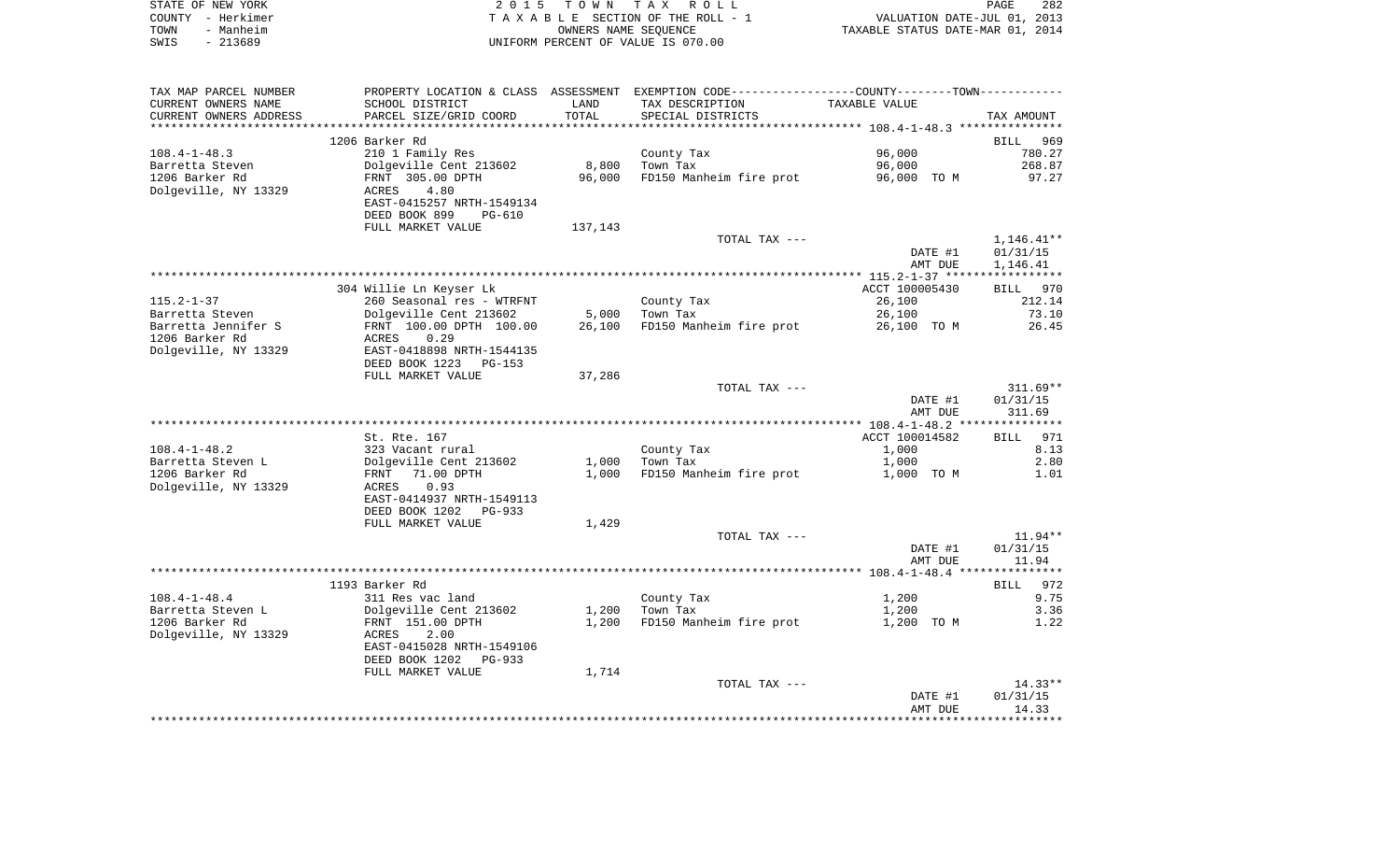| STATE OF NEW YORK | 2015 TOWN TAX ROLL                 | 282<br>PAGE                      |
|-------------------|------------------------------------|----------------------------------|
| COUNTY - Herkimer | TAXABLE SECTION OF THE ROLL - 1    | VALUATION DATE-JUL 01, 2013      |
| TOWN<br>- Manheim | OWNERS NAME SEOUENCE               | TAXABLE STATUS DATE-MAR 01, 2014 |
| - 213689<br>SWIS  | UNIFORM PERCENT OF VALUE IS 070.00 |                                  |

| TAX MAP PARCEL NUMBER  |                            |         | PROPERTY LOCATION & CLASS ASSESSMENT EXEMPTION CODE----------------COUNTY-------TOWN---------- |                |              |
|------------------------|----------------------------|---------|------------------------------------------------------------------------------------------------|----------------|--------------|
| CURRENT OWNERS NAME    | SCHOOL DISTRICT            | LAND    | TAX DESCRIPTION                                                                                | TAXABLE VALUE  |              |
| CURRENT OWNERS ADDRESS | PARCEL SIZE/GRID COORD     | TOTAL   | SPECIAL DISTRICTS                                                                              |                | TAX AMOUNT   |
|                        |                            |         |                                                                                                |                |              |
|                        | 1206 Barker Rd             |         |                                                                                                |                | BILL 969     |
| $108.4 - 1 - 48.3$     | 210 1 Family Res           |         | County Tax                                                                                     | 96,000         | 780.27       |
| Barretta Steven        | Dolgeville Cent 213602     | 8,800   | Town Tax                                                                                       | 96,000         | 268.87       |
| 1206 Barker Rd         | FRNT 305.00 DPTH           | 96,000  | FD150 Manheim fire prot                                                                        | 96,000 TO M    | 97.27        |
|                        |                            |         |                                                                                                |                |              |
| Dolgeville, NY 13329   | 4.80<br>ACRES              |         |                                                                                                |                |              |
|                        | EAST-0415257 NRTH-1549134  |         |                                                                                                |                |              |
|                        | DEED BOOK 899<br>PG-610    |         |                                                                                                |                |              |
|                        | FULL MARKET VALUE          | 137,143 |                                                                                                |                |              |
|                        |                            |         | TOTAL TAX ---                                                                                  |                | $1,146.41**$ |
|                        |                            |         |                                                                                                | DATE #1        | 01/31/15     |
|                        |                            |         |                                                                                                | AMT DUE        | 1,146.41     |
|                        |                            |         |                                                                                                |                |              |
|                        | 304 Willie Ln Keyser Lk    |         |                                                                                                | ACCT 100005430 | BILL 970     |
| $115.2 - 1 - 37$       | 260 Seasonal res - WTRFNT  |         | County Tax                                                                                     | 26,100         | 212.14       |
| Barretta Steven        | Dolgeville Cent 213602     | 5,000   | Town Tax                                                                                       | 26,100         | 73.10        |
| Barretta Jennifer S    | FRNT 100.00 DPTH 100.00    |         | 26,100 FD150 Manheim fire prot                                                                 | 26,100 TO M    | 26.45        |
| 1206 Barker Rd         | 0.29<br>ACRES              |         |                                                                                                |                |              |
|                        |                            |         |                                                                                                |                |              |
| Dolgeville, NY 13329   | EAST-0418898 NRTH-1544135  |         |                                                                                                |                |              |
|                        | DEED BOOK 1223<br>PG-153   |         |                                                                                                |                |              |
|                        | FULL MARKET VALUE          | 37,286  |                                                                                                |                |              |
|                        |                            |         | TOTAL TAX ---                                                                                  |                | $311.69**$   |
|                        |                            |         |                                                                                                | DATE #1        | 01/31/15     |
|                        |                            |         |                                                                                                | AMT DUE        | 311.69       |
|                        |                            |         |                                                                                                |                |              |
|                        | St. Rte. 167               |         |                                                                                                | ACCT 100014582 | 971<br>BILL  |
| $108.4 - 1 - 48.2$     | 323 Vacant rural           |         | County Tax                                                                                     | 1,000          | 8.13         |
| Barretta Steven L      | Dolgeville Cent 213602     | 1,000   | Town Tax                                                                                       | 1,000          | 2.80         |
| 1206 Barker Rd         | FRNT 71.00 DPTH            | 1,000   | FD150 Manheim fire prot                                                                        | 1,000 TO M     | 1.01         |
| Dolgeville, NY 13329   | 0.93<br>ACRES              |         |                                                                                                |                |              |
|                        | EAST-0414937 NRTH-1549113  |         |                                                                                                |                |              |
|                        | DEED BOOK 1202<br>$PG-933$ |         |                                                                                                |                |              |
|                        | FULL MARKET VALUE          | 1,429   |                                                                                                |                |              |
|                        |                            |         |                                                                                                |                |              |
|                        |                            |         | TOTAL TAX ---                                                                                  |                | $11.94**$    |
|                        |                            |         |                                                                                                | DATE #1        | 01/31/15     |
|                        |                            |         |                                                                                                | AMT DUE        | 11.94        |
|                        |                            |         |                                                                                                |                |              |
|                        | 1193 Barker Rd             |         |                                                                                                |                | BILL 972     |
| $108.4 - 1 - 48.4$     | 311 Res vac land           |         | County Tax                                                                                     | 1,200          | 9.75         |
| Barretta Steven L      | Dolgeville Cent 213602     | 1,200   | Town Tax                                                                                       | 1,200          | 3.36         |
| 1206 Barker Rd         | FRNT 151.00 DPTH           | 1,200   | FD150 Manheim fire prot                                                                        | 1,200 TO M     | 1.22         |
| Dolgeville, NY 13329   | ACRES<br>2.00              |         |                                                                                                |                |              |
|                        | EAST-0415028 NRTH-1549106  |         |                                                                                                |                |              |
|                        | DEED BOOK 1202<br>$PG-933$ |         |                                                                                                |                |              |
|                        |                            | 1,714   |                                                                                                |                |              |
|                        |                            |         |                                                                                                |                |              |
|                        | FULL MARKET VALUE          |         |                                                                                                |                |              |
|                        |                            |         | TOTAL TAX ---                                                                                  |                | $14.33**$    |
|                        |                            |         |                                                                                                | DATE #1        | 01/31/15     |
|                        |                            |         |                                                                                                | AMT DUE        | 14.33        |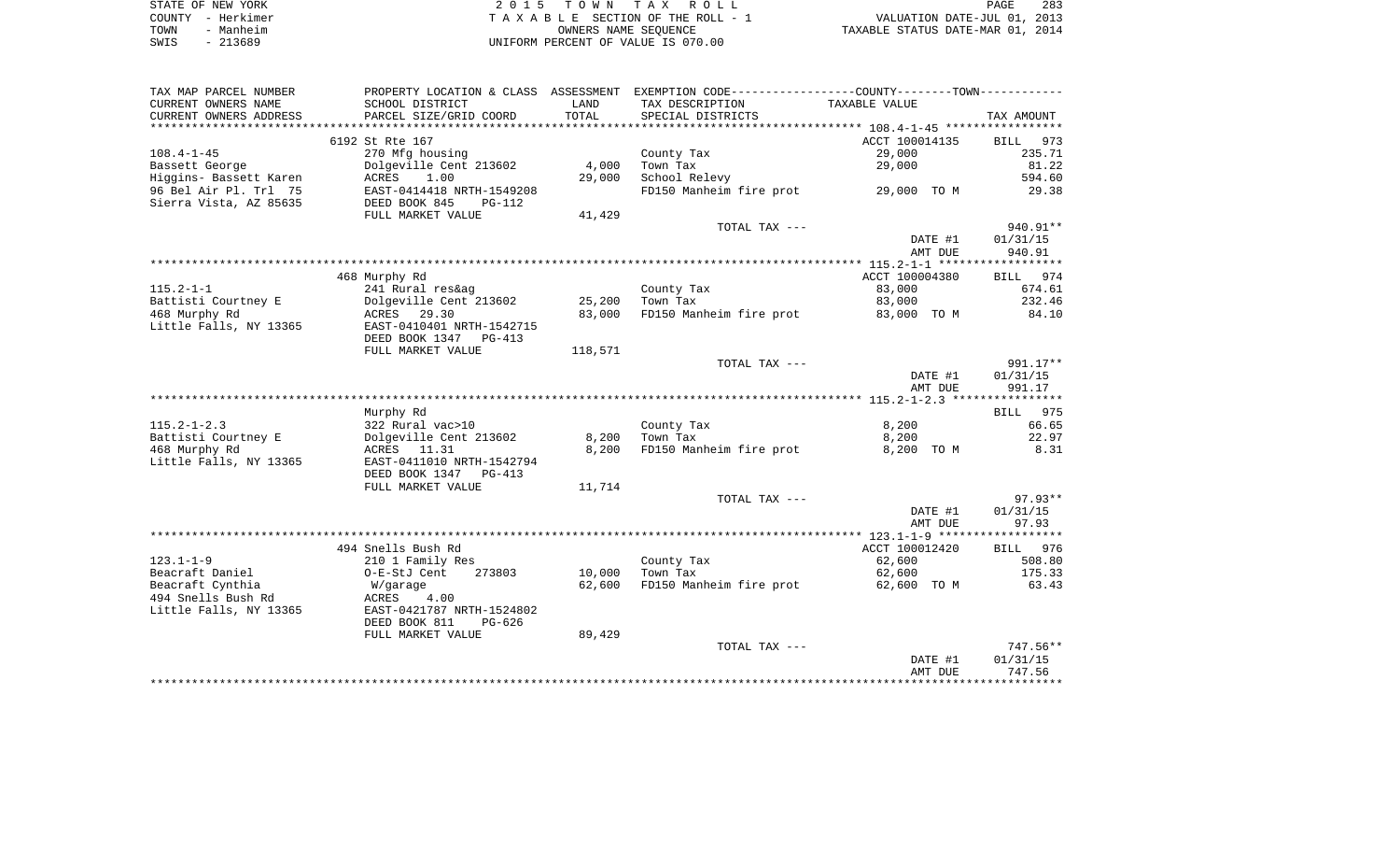|      | STATE OF NEW YORK | 2015 TOWN TAX ROLL                 | 283<br>PAGE                      |
|------|-------------------|------------------------------------|----------------------------------|
|      | COUNTY - Herkimer | TAXABLE SECTION OF THE ROLL - 1    | VALUATION DATE-JUL 01, 2013      |
| TOWN | - Manheim         | OWNERS NAME SEOUENCE               | TAXABLE STATUS DATE-MAR 01, 2014 |
| SWIS | $-213689$         | UNIFORM PERCENT OF VALUE IS 070.00 |                                  |

| TAX MAP PARCEL NUMBER                           | PROPERTY LOCATION & CLASS ASSESSMENT                   |         | EXEMPTION CODE-----------------COUNTY-------TOWN----------- |                |                              |
|-------------------------------------------------|--------------------------------------------------------|---------|-------------------------------------------------------------|----------------|------------------------------|
| CURRENT OWNERS NAME                             | SCHOOL DISTRICT                                        | LAND    | TAX DESCRIPTION                                             | TAXABLE VALUE  |                              |
| CURRENT OWNERS ADDRESS                          | PARCEL SIZE/GRID COORD                                 | TOTAL   | SPECIAL DISTRICTS                                           |                | TAX AMOUNT                   |
| *************************                       |                                                        |         |                                                             |                |                              |
|                                                 | 6192 St Rte 167                                        |         |                                                             | ACCT 100014135 | 973<br><b>BILL</b>           |
| $108.4 - 1 - 45$                                | 270 Mfg housing                                        |         | County Tax                                                  | 29,000         | 235.71                       |
| Bassett George                                  | Dolgeville Cent 213602                                 | 4,000   | Town Tax                                                    | 29,000         | 81.22                        |
| Higgins- Bassett Karen                          | 1.00<br>ACRES                                          | 29,000  | School Relevy                                               |                | 594.60                       |
| 96 Bel Air Pl. Trl 75<br>Sierra Vista, AZ 85635 | EAST-0414418 NRTH-1549208<br>DEED BOOK 845<br>$PG-112$ |         | FD150 Manheim fire prot                                     | 29,000 TO M    | 29.38                        |
|                                                 | FULL MARKET VALUE                                      | 41,429  |                                                             |                |                              |
|                                                 |                                                        |         | TOTAL TAX ---                                               |                | 940.91**                     |
|                                                 |                                                        |         |                                                             | DATE #1        | 01/31/15                     |
|                                                 |                                                        |         |                                                             | AMT DUE        | 940.91                       |
|                                                 |                                                        |         |                                                             |                |                              |
|                                                 | 468 Murphy Rd                                          |         |                                                             | ACCT 100004380 | 974<br>BILL                  |
| $115.2 - 1 - 1$                                 | 241 Rural res&ag                                       |         | County Tax                                                  | 83,000         | 674.61                       |
| Battisti Courtney E                             | Dolgeville Cent 213602                                 | 25,200  | Town Tax                                                    | 83,000         | 232.46                       |
| 468 Murphy Rd                                   | ACRES 29.30                                            | 83,000  | FD150 Manheim fire prot                                     | 83,000 TO M    | 84.10                        |
| Little Falls, NY 13365                          | EAST-0410401 NRTH-1542715                              |         |                                                             |                |                              |
|                                                 | DEED BOOK 1347 PG-413                                  |         |                                                             |                |                              |
|                                                 | FULL MARKET VALUE                                      | 118,571 |                                                             |                |                              |
|                                                 |                                                        |         | TOTAL TAX ---                                               |                | 991.17**                     |
|                                                 |                                                        |         |                                                             | DATE #1        | 01/31/15                     |
|                                                 |                                                        |         |                                                             | AMT DUE        | 991.17                       |
|                                                 |                                                        |         |                                                             |                |                              |
|                                                 | Murphy Rd                                              |         |                                                             |                | BILL 975                     |
| $115.2 - 1 - 2.3$                               | 322 Rural vac>10                                       |         | County Tax                                                  | 8,200          | 66.65                        |
| Battisti Courtney E                             | Dolgeville Cent 213602                                 | 8,200   | Town Tax                                                    | 8,200          | 22.97                        |
| 468 Murphy Rd                                   | ACRES 11.31                                            | 8,200   | FD150 Manheim fire prot                                     | 8,200 TO M     | 8.31                         |
| Little Falls, NY 13365                          | EAST-0411010 NRTH-1542794                              |         |                                                             |                |                              |
|                                                 | DEED BOOK 1347<br>PG-413                               |         |                                                             |                |                              |
|                                                 | FULL MARKET VALUE                                      | 11,714  |                                                             |                |                              |
|                                                 |                                                        |         | TOTAL TAX ---                                               |                | $97.93**$                    |
|                                                 |                                                        |         |                                                             | DATE #1        | 01/31/15                     |
|                                                 |                                                        |         |                                                             | AMT DUE        | 97.93                        |
|                                                 |                                                        |         |                                                             | ACCT 100012420 |                              |
| $123.1 - 1 - 9$                                 | 494 Snells Bush Rd<br>210 1 Family Res                 |         | County Tax                                                  | 62,600         | <b>BILL</b><br>976<br>508.80 |
| Beacraft Daniel                                 | O-E-StJ Cent<br>273803                                 | 10,000  | Town Tax                                                    | 62,600         | 175.33                       |
| Beacraft Cynthia                                | W/garage                                               | 62,600  | FD150 Manheim fire prot                                     | 62,600 TO M    | 63.43                        |
| 494 Snells Bush Rd                              | ACRES<br>4.00                                          |         |                                                             |                |                              |
| Little Falls, NY 13365                          | EAST-0421787 NRTH-1524802                              |         |                                                             |                |                              |
|                                                 | DEED BOOK 811<br>PG-626                                |         |                                                             |                |                              |
|                                                 | FULL MARKET VALUE                                      | 89,429  |                                                             |                |                              |
|                                                 |                                                        |         | TOTAL TAX ---                                               |                | 747.56**                     |
|                                                 |                                                        |         |                                                             | DATE #1        | 01/31/15                     |
|                                                 |                                                        |         |                                                             | AMT DUE        | 747.56                       |
|                                                 |                                                        |         |                                                             |                |                              |
|                                                 |                                                        |         |                                                             |                |                              |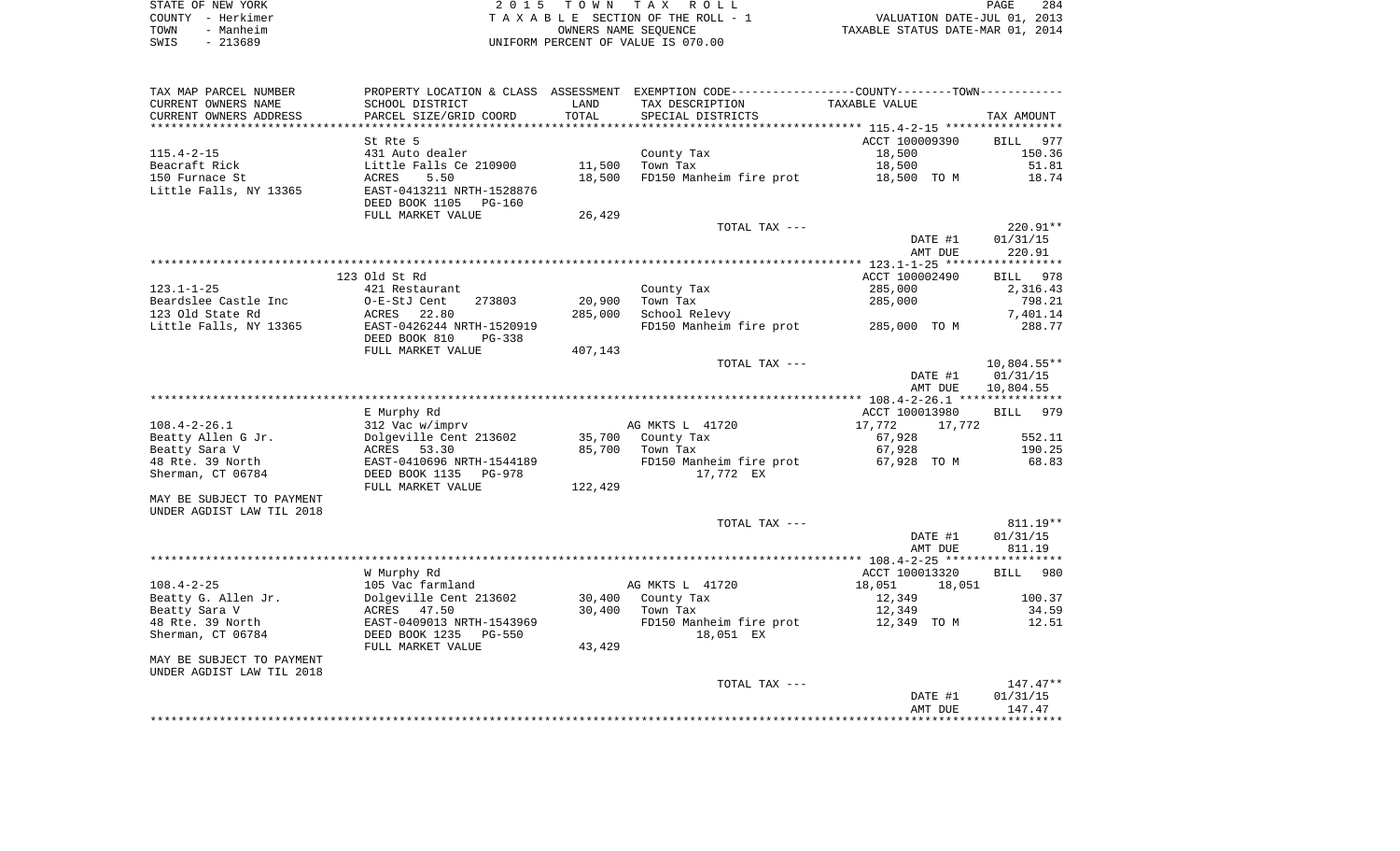| STATE OF NEW YORK | 2015 TOWN TAX ROLL                 | 284<br>PAGE                      |
|-------------------|------------------------------------|----------------------------------|
| COUNTY - Herkimer | TAXABLE SECTION OF THE ROLL - 1    | VALUATION DATE-JUL 01, 2013      |
| - Manheim<br>TOWN | OWNERS NAME SEOUENCE               | TAXABLE STATUS DATE-MAR 01, 2014 |
| $-213689$<br>SWIS | UNIFORM PERCENT OF VALUE IS 070.00 |                                  |

| TAX MAP PARCEL NUMBER     |                           |         | PROPERTY LOCATION & CLASS ASSESSMENT EXEMPTION CODE---------------COUNTY-------TOWN---------- |                    |                    |
|---------------------------|---------------------------|---------|-----------------------------------------------------------------------------------------------|--------------------|--------------------|
| CURRENT OWNERS NAME       | SCHOOL DISTRICT           | LAND    | TAX DESCRIPTION                                                                               | TAXABLE VALUE      |                    |
| CURRENT OWNERS ADDRESS    | PARCEL SIZE/GRID COORD    | TOTAL   | SPECIAL DISTRICTS                                                                             |                    | TAX AMOUNT         |
|                           |                           |         |                                                                                               |                    |                    |
|                           | St Rte 5                  |         |                                                                                               | ACCT 100009390     | 977<br>BILL        |
| $115.4 - 2 - 15$          | 431 Auto dealer           |         | County Tax                                                                                    | 18,500             | 150.36             |
| Beacraft Rick             | Little Falls Ce 210900    | 11,500  | Town Tax                                                                                      | 18,500             | 51.81              |
| 150 Furnace St            | 5.50<br>ACRES             | 18,500  | FD150 Manheim fire prot                                                                       | 18,500 TO M        | 18.74              |
| Little Falls, NY 13365    | EAST-0413211 NRTH-1528876 |         |                                                                                               |                    |                    |
|                           | DEED BOOK 1105<br>PG-160  |         |                                                                                               |                    |                    |
|                           | FULL MARKET VALUE         | 26,429  |                                                                                               |                    |                    |
|                           |                           |         | TOTAL TAX ---                                                                                 |                    | 220.91**           |
|                           |                           |         |                                                                                               | DATE #1            | 01/31/15           |
|                           |                           |         |                                                                                               | AMT DUE            | 220.91             |
|                           |                           |         |                                                                                               |                    |                    |
|                           | 123 Old St Rd             |         |                                                                                               | ACCT 100002490     | BILL 978           |
| $123.1 - 1 - 25$          | 421 Restaurant            |         | County Tax                                                                                    | 285,000            | 2,316.43           |
| Beardslee Castle Inc      | 273803<br>O-E-StJ Cent    | 20,900  | Town Tax                                                                                      | 285,000            | 798.21             |
| 123 Old State Rd          | ACRES<br>22.80            | 285,000 | School Relevy                                                                                 |                    | 7,401.14           |
| Little Falls, NY 13365    | EAST-0426244 NRTH-1520919 |         | FD150 Manheim fire prot 285,000 TO M                                                          |                    | 288.77             |
|                           | DEED BOOK 810<br>PG-338   |         |                                                                                               |                    |                    |
|                           | FULL MARKET VALUE         | 407,143 |                                                                                               |                    |                    |
|                           |                           |         | TOTAL TAX ---                                                                                 |                    | 10,804.55**        |
|                           |                           |         |                                                                                               | DATE #1            | 01/31/15           |
|                           |                           |         |                                                                                               | AMT DUE            | 10,804.55          |
|                           |                           |         |                                                                                               |                    |                    |
|                           | E Murphy Rd               |         |                                                                                               | ACCT 100013980     | BILL 979           |
| $108.4 - 2 - 26.1$        | 312 Vac w/imprv           |         | AG MKTS L 41720                                                                               | 17,772<br>17.772   |                    |
| Beatty Allen G Jr.        | Dolgeville Cent 213602    |         | 35,700 County Tax                                                                             | 67,928             | 552.11             |
| Beatty Sara V             | ACRES 53.30               | 85,700  | Town Tax                                                                                      | 67,928             | 190.25             |
| 48 Rte. 39 North          | EAST-0410696 NRTH-1544189 |         | FD150 Manheim fire prot                                                                       | 67,928 TO M        | 68.83              |
| Sherman, CT 06784         | DEED BOOK 1135<br>PG-978  |         | 17,772 EX                                                                                     |                    |                    |
|                           | FULL MARKET VALUE         | 122,429 |                                                                                               |                    |                    |
| MAY BE SUBJECT TO PAYMENT |                           |         |                                                                                               |                    |                    |
| UNDER AGDIST LAW TIL 2018 |                           |         | TOTAL TAX ---                                                                                 |                    | $811.19**$         |
|                           |                           |         |                                                                                               |                    |                    |
|                           |                           |         |                                                                                               | DATE #1<br>AMT DUE | 01/31/15<br>811.19 |
|                           |                           |         |                                                                                               |                    |                    |
|                           | W Murphy Rd               |         |                                                                                               | ACCT 100013320     | BILL 980           |
| $108.4 - 2 - 25$          | 105 Vac farmland          |         | AG MKTS L 41720                                                                               | 18,051<br>18,051   |                    |
| Beatty G. Allen Jr.       | Dolgeville Cent 213602    |         | 30,400 County Tax                                                                             | 12,349             | 100.37             |
| Beatty Sara V             | 47.50<br>ACRES            | 30,400  | Town Tax                                                                                      | 12,349             | 34.59              |
| 48 Rte. 39 North          | EAST-0409013 NRTH-1543969 |         | FD150 Manheim fire prot                                                                       | 12,349 TO M        | 12.51              |
| Sherman, CT 06784         | DEED BOOK 1235<br>PG-550  |         | 18,051 EX                                                                                     |                    |                    |
|                           | FULL MARKET VALUE         | 43,429  |                                                                                               |                    |                    |
| MAY BE SUBJECT TO PAYMENT |                           |         |                                                                                               |                    |                    |
| UNDER AGDIST LAW TIL 2018 |                           |         |                                                                                               |                    |                    |
|                           |                           |         | TOTAL TAX ---                                                                                 |                    | $147.47**$         |
|                           |                           |         |                                                                                               | DATE #1            | 01/31/15           |
|                           |                           |         |                                                                                               | AMT DUE            | 147.47             |
|                           |                           |         |                                                                                               |                    |                    |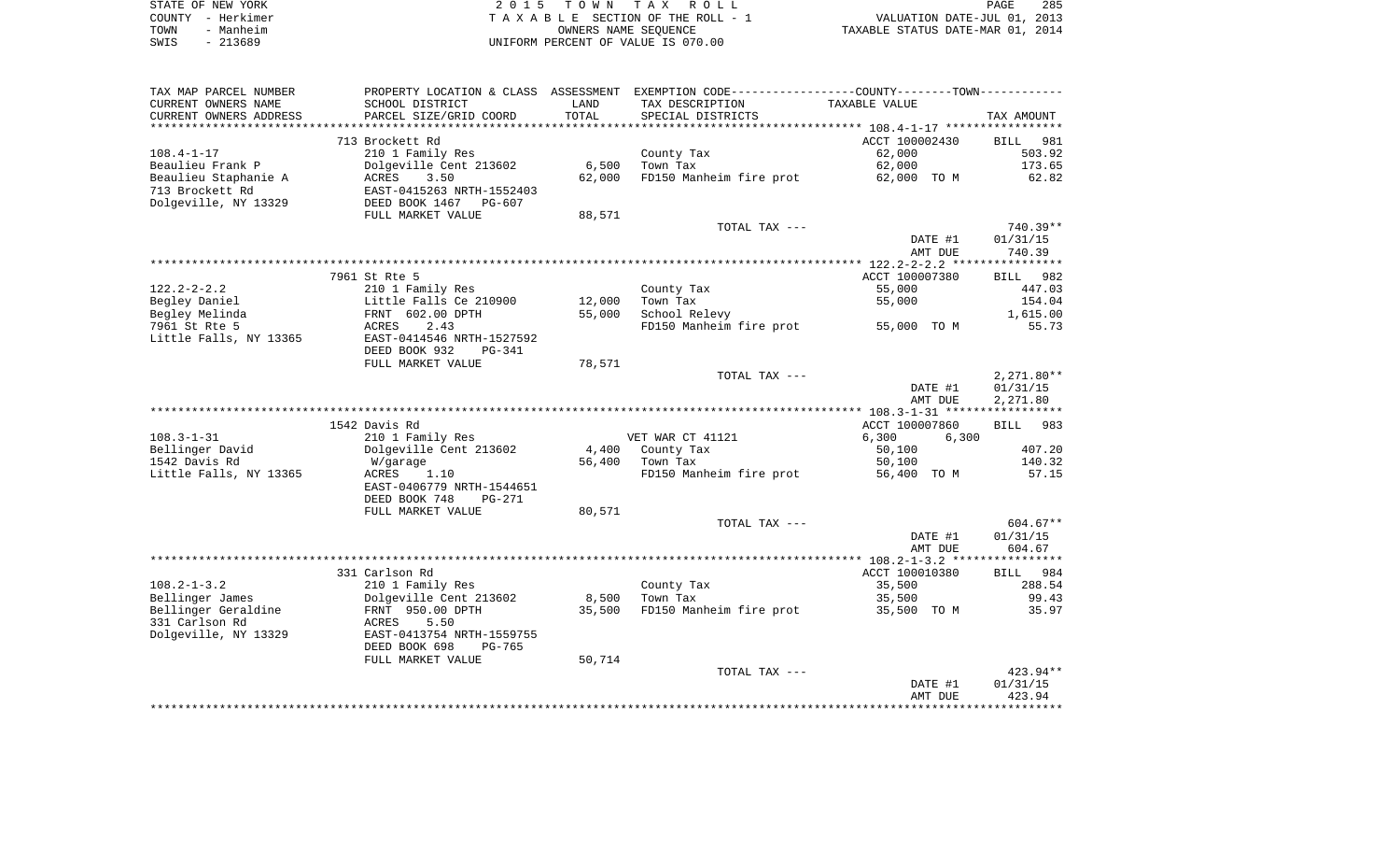| STATE OF NEW YORK | 2015 TOWN TAX ROLL                 | 285<br>PAGE                      |
|-------------------|------------------------------------|----------------------------------|
| COUNTY - Herkimer | TAXABLE SECTION OF THE ROLL - 1    | VALUATION DATE-JUL 01, 2013      |
| - Manheim<br>TOWN | OWNERS NAME SEOUENCE               | TAXABLE STATUS DATE-MAR 01, 2014 |
| SWIS<br>$-213689$ | UNIFORM PERCENT OF VALUE IS 070.00 |                                  |

285<br>2013<br>2014

| TAX MAP PARCEL NUMBER   |                                |        | PROPERTY LOCATION & CLASS ASSESSMENT EXEMPTION CODE----------------COUNTY--------TOWN----------- |                |                    |
|-------------------------|--------------------------------|--------|--------------------------------------------------------------------------------------------------|----------------|--------------------|
| CURRENT OWNERS NAME     | SCHOOL DISTRICT                | LAND   | TAX DESCRIPTION                                                                                  | TAXABLE VALUE  |                    |
| CURRENT OWNERS ADDRESS  | PARCEL SIZE/GRID COORD         | TOTAL  | SPECIAL DISTRICTS                                                                                |                | TAX AMOUNT         |
| *********************** | *****************************  |        |                                                                                                  |                |                    |
|                         | 713 Brockett Rd                |        |                                                                                                  | ACCT 100002430 | <b>BILL</b><br>981 |
| $108.4 - 1 - 17$        | 210 1 Family Res               |        | County Tax                                                                                       | 62,000         | 503.92             |
| Beaulieu Frank P        | Dolgeville Cent 213602         | 6,500  | Town Tax                                                                                         | 62,000         | 173.65             |
| Beaulieu Staphanie A    | 3.50<br>ACRES                  | 62,000 | FD150 Manheim fire prot                                                                          | 62,000 TO M    | 62.82              |
| 713 Brockett Rd         | EAST-0415263 NRTH-1552403      |        |                                                                                                  |                |                    |
| Dolgeville, NY 13329    | DEED BOOK 1467 PG-607          |        |                                                                                                  |                |                    |
|                         | FULL MARKET VALUE              | 88,571 |                                                                                                  |                |                    |
|                         |                                |        | TOTAL TAX ---                                                                                    |                | 740.39**           |
|                         |                                |        |                                                                                                  | DATE #1        | 01/31/15           |
|                         |                                |        |                                                                                                  | AMT DUE        | 740.39             |
|                         |                                |        |                                                                                                  |                |                    |
|                         | 7961 St Rte 5                  |        |                                                                                                  | ACCT 100007380 | <b>BILL</b><br>982 |
| $122.2 - 2 - 2.2$       | 210 1 Family Res               |        | County Tax                                                                                       | 55,000         | 447.03             |
| Begley Daniel           | Little Falls Ce 210900         | 12,000 | Town Tax                                                                                         | 55,000         | 154.04             |
| Begley Melinda          | FRNT 602.00 DPTH               | 55,000 | School Relevy                                                                                    |                | 1,615.00           |
| 7961 St Rte 5           | 2.43<br>ACRES                  |        | FD150 Manheim fire prot                                                                          | 55,000 TO M    | 55.73              |
| Little Falls, NY 13365  | EAST-0414546 NRTH-1527592      |        |                                                                                                  |                |                    |
|                         | DEED BOOK 932<br><b>PG-341</b> |        |                                                                                                  |                |                    |
|                         | FULL MARKET VALUE              | 78,571 |                                                                                                  |                |                    |
|                         |                                |        | TOTAL TAX ---                                                                                    |                | $2,271.80**$       |
|                         |                                |        |                                                                                                  | DATE #1        | 01/31/15           |
|                         |                                |        |                                                                                                  | AMT DUE        | 2,271.80           |
|                         | 1542 Davis Rd                  |        |                                                                                                  | ACCT 100007860 | BILL 983           |
| $108.3 - 1 - 31$        | 210 1 Family Res               |        | VET WAR CT 41121                                                                                 | 6,300<br>6,300 |                    |
| Bellinger David         | Dolgeville Cent 213602         | 4,400  | County Tax                                                                                       | 50,100         | 407.20             |
| 1542 Davis Rd           | W/garage                       | 56,400 | Town Tax                                                                                         | 50,100         | 140.32             |
| Little Falls, NY 13365  | ACRES<br>1.10                  |        | FD150 Manheim fire prot                                                                          | 56,400 TO M    | 57.15              |
|                         | EAST-0406779 NRTH-1544651      |        |                                                                                                  |                |                    |
|                         | DEED BOOK 748<br><b>PG-271</b> |        |                                                                                                  |                |                    |
|                         | FULL MARKET VALUE              | 80,571 |                                                                                                  |                |                    |
|                         |                                |        | TOTAL TAX ---                                                                                    |                | $604.67**$         |
|                         |                                |        |                                                                                                  | DATE #1        | 01/31/15           |
|                         |                                |        |                                                                                                  | AMT DUE        | 604.67             |
|                         |                                |        |                                                                                                  |                |                    |
|                         | 331 Carlson Rd                 |        |                                                                                                  | ACCT 100010380 | 984<br>BILL        |
| $108.2 - 1 - 3.2$       | 210 1 Family Res               |        | County Tax                                                                                       | 35,500         | 288.54             |
| Bellinger James         | Dolgeville Cent 213602         | 8,500  | Town Tax                                                                                         | 35,500         | 99.43              |
| Bellinger Geraldine     | FRNT 950.00 DPTH               | 35,500 | FD150 Manheim fire prot                                                                          | 35,500 TO M    | 35.97              |
| 331 Carlson Rd          | 5.50<br>ACRES                  |        |                                                                                                  |                |                    |
| Dolgeville, NY 13329    | EAST-0413754 NRTH-1559755      |        |                                                                                                  |                |                    |
|                         | DEED BOOK 698<br><b>PG-765</b> |        |                                                                                                  |                |                    |
|                         | FULL MARKET VALUE              | 50,714 |                                                                                                  |                |                    |
|                         |                                |        | TOTAL TAX ---                                                                                    |                | 423.94**           |
|                         |                                |        |                                                                                                  | DATE #1        | 01/31/15           |
|                         |                                |        |                                                                                                  | AMT DUE        | 423.94             |
|                         |                                |        |                                                                                                  |                |                    |
|                         |                                |        |                                                                                                  |                |                    |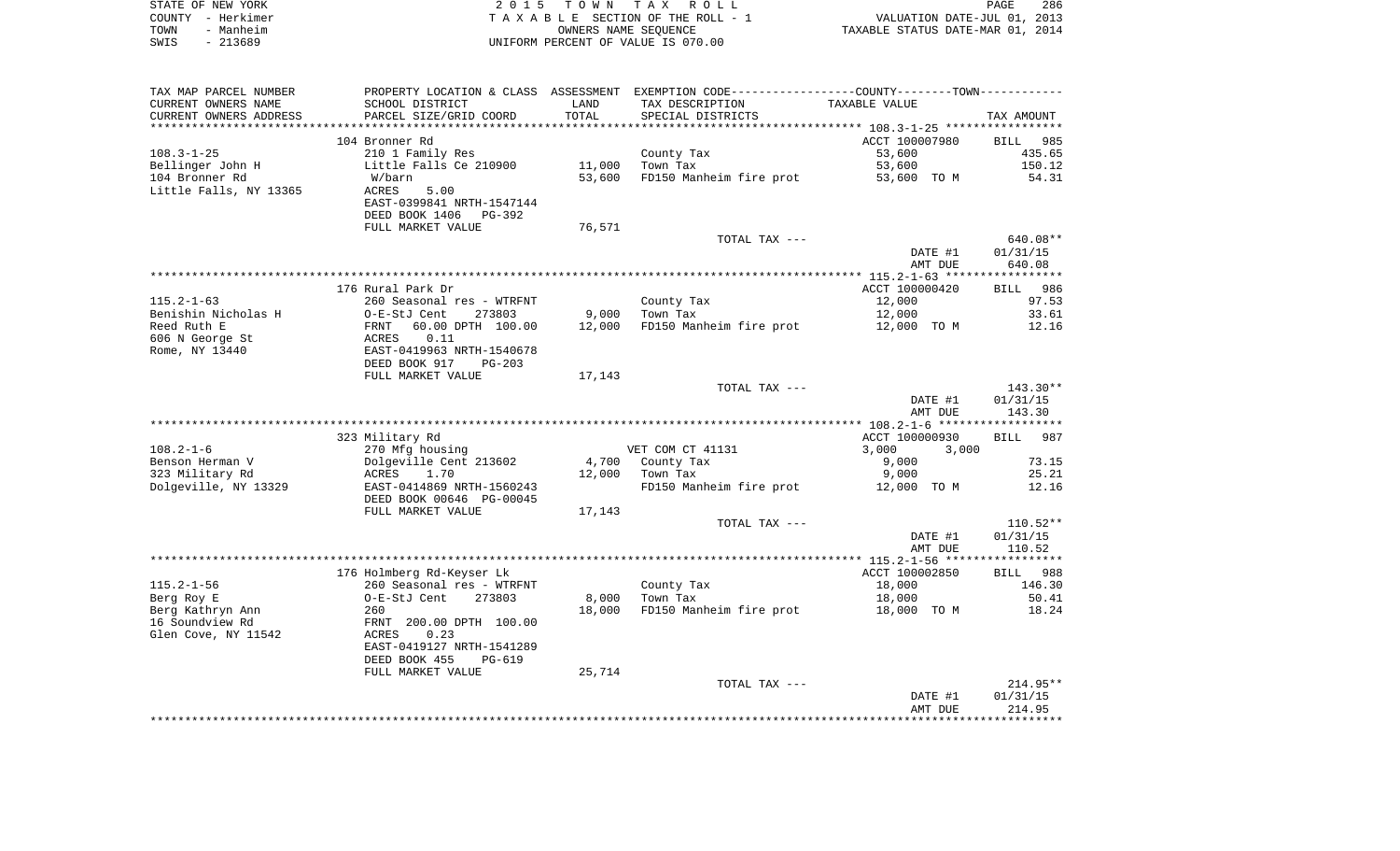|      | STATE OF NEW YORK | 2015 TOWN TAX ROLL                 | PAGE                             | 286 |
|------|-------------------|------------------------------------|----------------------------------|-----|
|      | COUNTY - Herkimer | TAXABLE SECTION OF THE ROLL - 1    | VALUATION DATE-JUL 01, 2013      |     |
| TOWN | - Manheim         | OWNERS NAME SEOUENCE               | TAXABLE STATUS DATE-MAR 01, 2014 |     |
| SWIS | - 213689          | UNIFORM PERCENT OF VALUE IS 070.00 |                                  |     |

| TAX MAP PARCEL NUMBER  |                                |        | PROPERTY LOCATION & CLASS ASSESSMENT EXEMPTION CODE----------------COUNTY-------TOWN-------- |                |             |
|------------------------|--------------------------------|--------|----------------------------------------------------------------------------------------------|----------------|-------------|
| CURRENT OWNERS NAME    | SCHOOL DISTRICT                | LAND   | TAX DESCRIPTION                                                                              | TAXABLE VALUE  |             |
| CURRENT OWNERS ADDRESS | PARCEL SIZE/GRID COORD         | TOTAL  | SPECIAL DISTRICTS                                                                            |                | TAX AMOUNT  |
|                        |                                |        |                                                                                              |                |             |
|                        | 104 Bronner Rd                 |        |                                                                                              | ACCT 100007980 | BILL 985    |
| $108.3 - 1 - 25$       | 210 1 Family Res               |        | County Tax                                                                                   | 53,600         | 435.65      |
| Bellinger John H       | Little Falls Ce 210900         | 11,000 | Town Tax                                                                                     | 53,600         | 150.12      |
| 104 Bronner Rd         | W/barn                         | 53,600 | FD150 Manheim fire prot                                                                      | 53,600 TO M    | 54.31       |
| Little Falls, NY 13365 | <b>ACRES</b><br>5.00           |        |                                                                                              |                |             |
|                        | EAST-0399841 NRTH-1547144      |        |                                                                                              |                |             |
|                        |                                |        |                                                                                              |                |             |
|                        | DEED BOOK 1406 PG-392          |        |                                                                                              |                |             |
|                        | FULL MARKET VALUE              | 76,571 |                                                                                              |                |             |
|                        |                                |        | TOTAL TAX ---                                                                                |                | $640.08**$  |
|                        |                                |        |                                                                                              | DATE #1        | 01/31/15    |
|                        |                                |        |                                                                                              | AMT DUE        | 640.08      |
|                        |                                |        |                                                                                              |                |             |
|                        | 176 Rural Park Dr              |        |                                                                                              | ACCT 100000420 | BILL 986    |
| $115.2 - 1 - 63$       | 260 Seasonal res - WTRFNT      |        | County Tax                                                                                   | 12,000         | 97.53       |
| Benishin Nicholas H    | 273803<br>O-E-StJ Cent         | 9,000  | Town Tax                                                                                     | 12,000         | 33.61       |
| Reed Ruth E            | 60.00 DPTH 100.00<br>FRNT      | 12,000 | FD150 Manheim fire prot                                                                      | 12,000 TO M    | 12.16       |
| 606 N George St        | ACRES<br>0.11                  |        |                                                                                              |                |             |
| Rome, NY 13440         | EAST-0419963 NRTH-1540678      |        |                                                                                              |                |             |
|                        | DEED BOOK 917<br>$PG-203$      |        |                                                                                              |                |             |
|                        | FULL MARKET VALUE              | 17,143 |                                                                                              |                |             |
|                        |                                |        | TOTAL TAX ---                                                                                |                | 143.30**    |
|                        |                                |        |                                                                                              | DATE #1        | 01/31/15    |
|                        |                                |        |                                                                                              | AMT DUE        | 143.30      |
|                        |                                |        |                                                                                              |                |             |
|                        |                                |        |                                                                                              |                |             |
|                        | 323 Military Rd                |        |                                                                                              | ACCT 100000930 | 987<br>BILL |
| $108.2 - 1 - 6$        | 270 Mfg housing                |        | VET COM CT 41131                                                                             | 3,000<br>3,000 |             |
| Benson Herman V        | Dolgeville Cent 213602         |        | 4,700 County Tax                                                                             | 9,000          | 73.15       |
| 323 Military Rd        | ACRES 1.70                     | 12,000 | Town Tax                                                                                     | 9,000          | 25.21       |
| Dolgeville, NY 13329   | EAST-0414869 NRTH-1560243      |        | FD150 Manheim fire prot 12,000 TO M                                                          |                | 12.16       |
|                        | DEED BOOK 00646 PG-00045       |        |                                                                                              |                |             |
|                        | FULL MARKET VALUE              | 17,143 |                                                                                              |                |             |
|                        |                                |        | TOTAL TAX ---                                                                                |                | $110.52**$  |
|                        |                                |        |                                                                                              | DATE #1        | 01/31/15    |
|                        |                                |        |                                                                                              | AMT DUE        | 110.52      |
|                        |                                |        |                                                                                              |                |             |
|                        | 176 Holmberg Rd-Keyser Lk      |        |                                                                                              | ACCT 100002850 | BILL 988    |
| $115.2 - 1 - 56$       | 260 Seasonal res - WTRFNT      |        | County Tax                                                                                   | 18,000         | 146.30      |
| Berg Roy E             | 273803<br>O-E-StJ Cent         | 8,000  | Town Tax                                                                                     | 18,000         | 50.41       |
| Berg Kathryn Ann       | 260                            | 18,000 | FD150 Manheim fire prot                                                                      | 18,000 TO M    | 18.24       |
| 16 Soundview Rd        | FRNT 200.00 DPTH 100.00        |        |                                                                                              |                |             |
|                        |                                |        |                                                                                              |                |             |
| Glen Cove, NY 11542    | ACRES<br>0.23                  |        |                                                                                              |                |             |
|                        | EAST-0419127 NRTH-1541289      |        |                                                                                              |                |             |
|                        | DEED BOOK 455<br><b>PG-619</b> |        |                                                                                              |                |             |
|                        | FULL MARKET VALUE              | 25,714 |                                                                                              |                |             |
|                        |                                |        | TOTAL TAX ---                                                                                |                | $214.95**$  |
|                        |                                |        |                                                                                              | DATE #1        | 01/31/15    |
|                        |                                |        |                                                                                              | AMT DUE        | 214.95      |
|                        |                                |        |                                                                                              |                |             |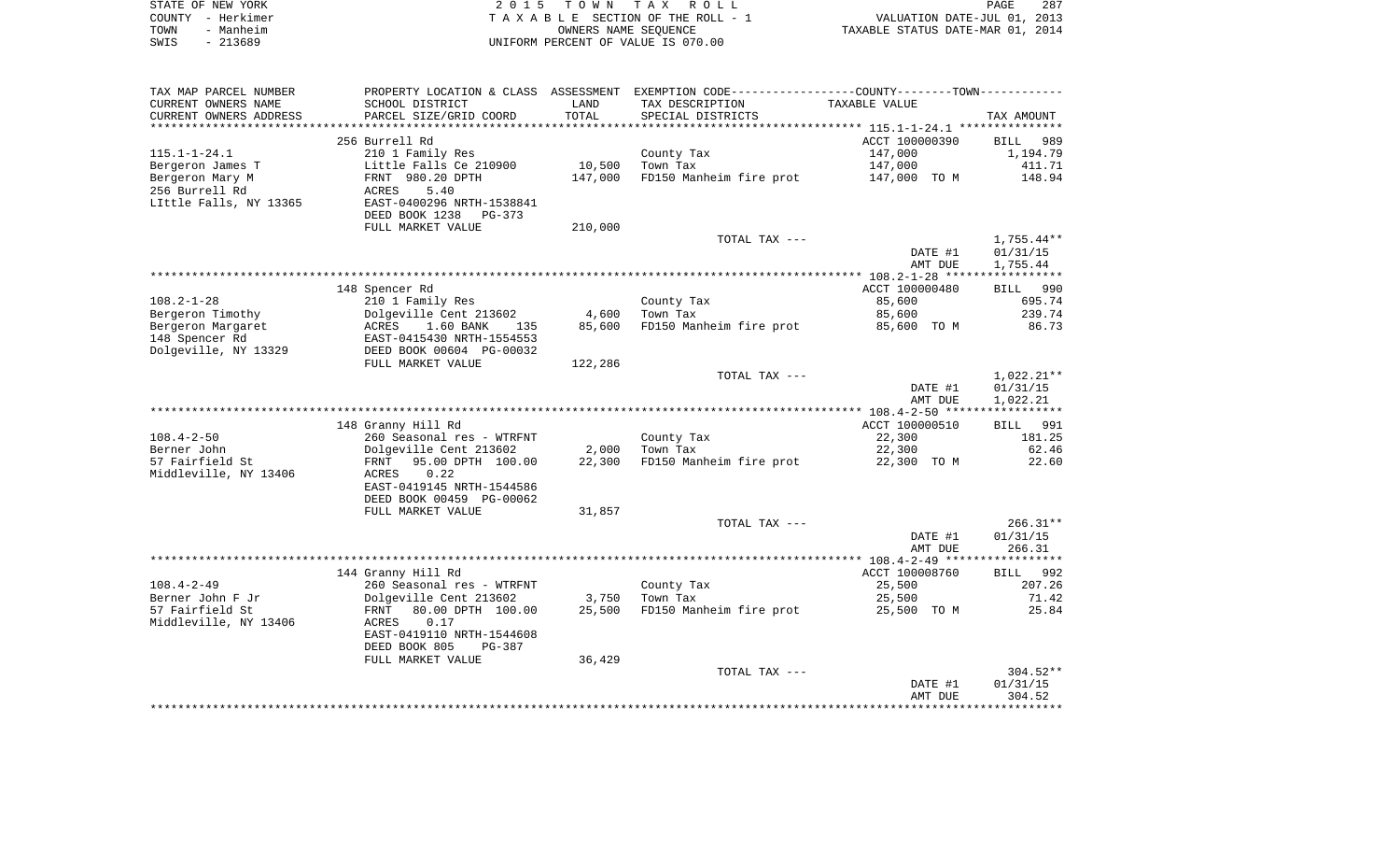|      | STATE OF NEW YORK | 2015 TOWN TAX ROLL                 | PAGE                             | 287 |
|------|-------------------|------------------------------------|----------------------------------|-----|
|      | COUNTY - Herkimer | TAXABLE SECTION OF THE ROLL - 1    | VALUATION DATE-JUL 01, 2013      |     |
| TOWN | - Manheim         | OWNERS NAME SEOUENCE               | TAXABLE STATUS DATE-MAR 01, 2014 |     |
| SWIS | - 213689          | UNIFORM PERCENT OF VALUE IS 070.00 |                                  |     |

| TAX MAP PARCEL NUMBER<br>CURRENT OWNERS NAME<br>CURRENT OWNERS ADDRESS | PROPERTY LOCATION & CLASS ASSESSMENT<br>SCHOOL DISTRICT<br>PARCEL SIZE/GRID COORD | LAND<br>TOTAL | EXEMPTION CODE-----------------COUNTY-------TOWN-----------<br>TAX DESCRIPTION<br>SPECIAL DISTRICTS | TAXABLE VALUE                                 | TAX AMOUNT            |
|------------------------------------------------------------------------|-----------------------------------------------------------------------------------|---------------|-----------------------------------------------------------------------------------------------------|-----------------------------------------------|-----------------------|
| ********************                                                   |                                                                                   | *********     | ********************************* 115        .1-1-24        .1 ***************                      |                                               |                       |
|                                                                        | 256 Burrell Rd                                                                    |               |                                                                                                     | ACCT 100000390                                | <b>BILL</b><br>989    |
| $115.1 - 1 - 24.1$                                                     | 210 1 Family Res                                                                  |               | County Tax                                                                                          | 147,000                                       | 1,194.79              |
| Bergeron James T                                                       | Little Falls Ce 210900                                                            | 10,500        | Town Tax                                                                                            | 147,000                                       | 411.71                |
| Bergeron Mary M                                                        | FRNT 980.20 DPTH                                                                  | 147,000       | FD150 Manheim fire prot                                                                             | 147,000 TO M                                  | 148.94                |
| 256 Burrell Rd                                                         | 5.40<br>ACRES                                                                     |               |                                                                                                     |                                               |                       |
| LIttle Falls, NY 13365                                                 | EAST-0400296 NRTH-1538841<br>DEED BOOK 1238<br>PG-373                             |               |                                                                                                     |                                               |                       |
|                                                                        | FULL MARKET VALUE                                                                 | 210,000       |                                                                                                     |                                               |                       |
|                                                                        |                                                                                   |               | TOTAL TAX ---                                                                                       |                                               | $1,755.44**$          |
|                                                                        |                                                                                   |               |                                                                                                     | DATE #1                                       | 01/31/15              |
|                                                                        |                                                                                   |               |                                                                                                     | AMT DUE                                       | 1,755.44              |
|                                                                        | ***************                                                                   |               | *********************************                                                                   | *************** 108.2-1-28 ****************** |                       |
|                                                                        | 148 Spencer Rd                                                                    |               |                                                                                                     | ACCT 100000480                                | BILL 990              |
| $108.2 - 1 - 28$                                                       | 210 1 Family Res                                                                  |               | County Tax                                                                                          | 85,600                                        | 695.74                |
| Bergeron Timothy<br>Bergeron Margaret                                  | Dolgeville Cent 213602<br>ACRES<br>1.60 BANK<br>135                               | 4,600         | Town Tax                                                                                            | 85,600                                        | 239.74<br>86.73       |
| 148 Spencer Rd                                                         | EAST-0415430 NRTH-1554553                                                         | 85,600        | FD150 Manheim fire prot                                                                             | 85,600 TO M                                   |                       |
| Dolgeville, NY 13329                                                   | DEED BOOK 00604 PG-00032                                                          |               |                                                                                                     |                                               |                       |
|                                                                        | FULL MARKET VALUE                                                                 | 122,286       |                                                                                                     |                                               |                       |
|                                                                        |                                                                                   |               | TOTAL TAX ---                                                                                       |                                               | $1,022.21**$          |
|                                                                        |                                                                                   |               |                                                                                                     | DATE #1                                       | 01/31/15              |
|                                                                        |                                                                                   |               |                                                                                                     | AMT DUE                                       | 1,022.21              |
|                                                                        |                                                                                   |               |                                                                                                     |                                               |                       |
| $108.4 - 2 - 50$                                                       | 148 Granny Hill Rd<br>260 Seasonal res - WTRFNT                                   |               | County Tax                                                                                          | ACCT 100000510<br>22,300                      | 991<br>BILL<br>181.25 |
| Berner John                                                            | Dolgeville Cent 213602                                                            | 2,000         | Town Tax                                                                                            | 22,300                                        | 62.46                 |
| 57 Fairfield St                                                        | FRNT<br>95.00 DPTH 100.00                                                         | 22,300        | FD150 Manheim fire prot                                                                             | 22,300 TO M                                   | 22.60                 |
| Middleville, NY 13406                                                  | 0.22<br>ACRES                                                                     |               |                                                                                                     |                                               |                       |
|                                                                        | EAST-0419145 NRTH-1544586                                                         |               |                                                                                                     |                                               |                       |
|                                                                        | DEED BOOK 00459 PG-00062                                                          |               |                                                                                                     |                                               |                       |
|                                                                        | FULL MARKET VALUE                                                                 | 31,857        |                                                                                                     |                                               |                       |
|                                                                        |                                                                                   |               | TOTAL TAX ---                                                                                       |                                               | $266.31**$            |
|                                                                        |                                                                                   |               |                                                                                                     | DATE #1<br>AMT DUE                            | 01/31/15<br>266.31    |
|                                                                        |                                                                                   |               |                                                                                                     |                                               |                       |
|                                                                        | 144 Granny Hill Rd                                                                |               |                                                                                                     | ACCT 100008760                                | 992<br>BILL           |
| $108.4 - 2 - 49$                                                       | 260 Seasonal res - WTRFNT                                                         |               | County Tax                                                                                          | 25,500                                        | 207.26                |
| Berner John F Jr                                                       | Dolgeville Cent 213602                                                            | 3,750         | Town Tax                                                                                            | 25,500                                        | 71.42                 |
| 57 Fairfield St                                                        | 80.00 DPTH 100.00<br>FRNT                                                         | 25,500        | FD150 Manheim fire prot                                                                             | 25,500 TO M                                   | 25.84                 |
| Middleville, NY 13406                                                  | 0.17<br>ACRES                                                                     |               |                                                                                                     |                                               |                       |
|                                                                        | EAST-0419110 NRTH-1544608<br>DEED BOOK 805<br>PG-387                              |               |                                                                                                     |                                               |                       |
|                                                                        | FULL MARKET VALUE                                                                 | 36,429        |                                                                                                     |                                               |                       |
|                                                                        |                                                                                   |               | TOTAL TAX ---                                                                                       |                                               | $304.52**$            |
|                                                                        |                                                                                   |               |                                                                                                     | DATE #1                                       | 01/31/15              |
|                                                                        |                                                                                   |               |                                                                                                     | AMT DUE                                       | 304.52                |
|                                                                        |                                                                                   |               |                                                                                                     |                                               |                       |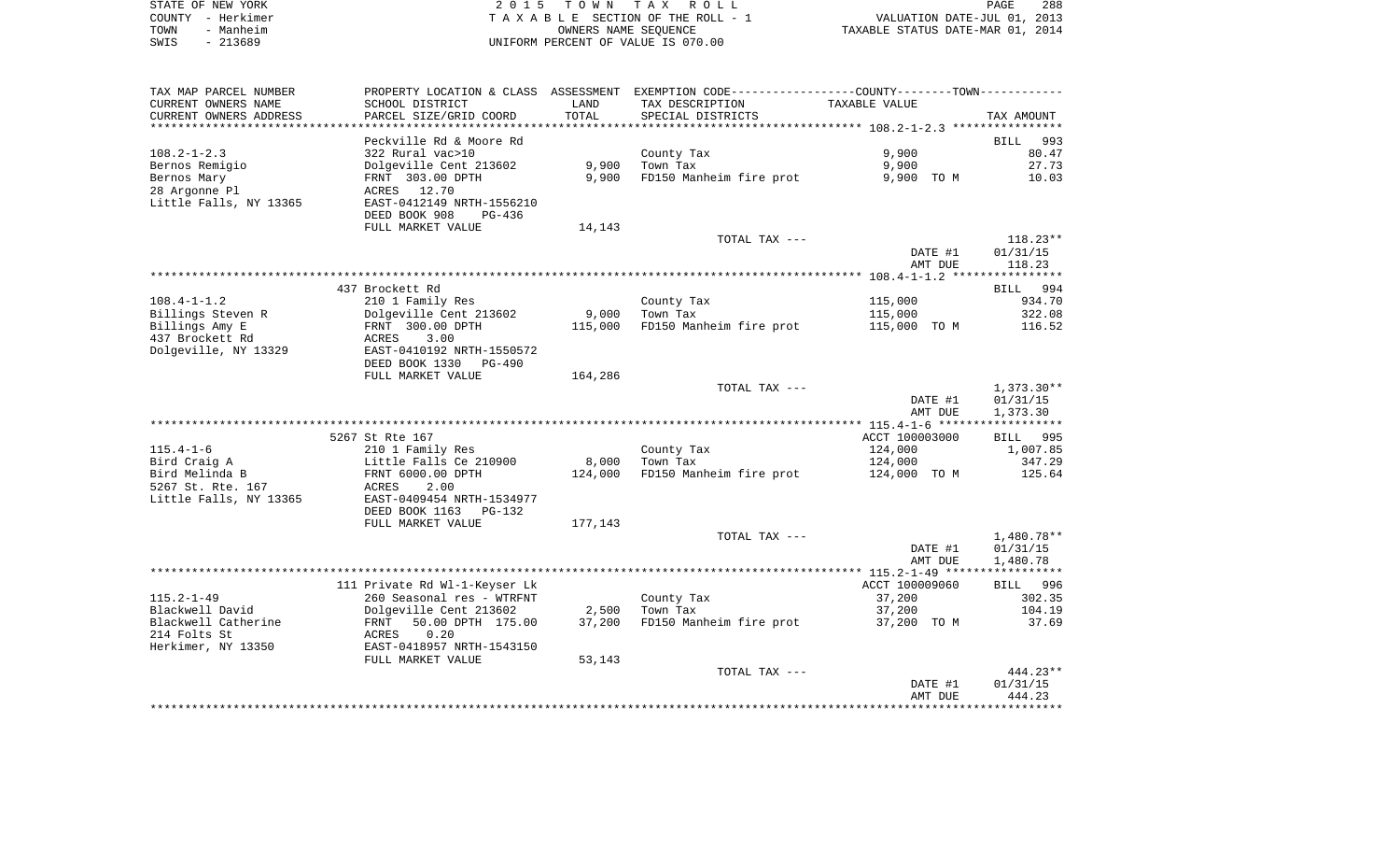| STATE OF NEW YORK | 2015 TOWN TAX ROLL                 | 288<br><b>PAGE</b>               |
|-------------------|------------------------------------|----------------------------------|
| COUNTY – Herkimer | TAXABLE SECTION OF THE ROLL - 1    | VALUATION DATE-JUL 01, 2013      |
| - Manheim<br>TOWN | OWNERS NAME SEOUENCE               | TAXABLE STATUS DATE-MAR 01, 2014 |
| - 213689<br>SWIS  | UNIFORM PERCENT OF VALUE IS 070.00 |                                  |

| TAX MAP PARCEL NUMBER<br>CURRENT OWNERS NAME<br>CURRENT OWNERS ADDRESS   | PROPERTY LOCATION & CLASS ASSESSMENT<br>SCHOOL DISTRICT<br>PARCEL SIZE/GRID COORD                                      | LAND<br>TOTAL  | EXEMPTION CODE-----------------COUNTY-------TOWN-----------<br>TAX DESCRIPTION<br>SPECIAL DISTRICTS | TAXABLE VALUE            | TAX AMOUNT                       |
|--------------------------------------------------------------------------|------------------------------------------------------------------------------------------------------------------------|----------------|-----------------------------------------------------------------------------------------------------|--------------------------|----------------------------------|
| ************************                                                 |                                                                                                                        |                |                                                                                                     |                          |                                  |
| $108.2 - 1 - 2.3$                                                        | Peckville Rd & Moore Rd<br>322 Rural vac>10                                                                            |                | County Tax                                                                                          | 9,900                    | 993<br><b>BILL</b><br>80.47      |
| Bernos Remigio<br>Bernos Mary<br>28 Argonne Pl<br>Little Falls, NY 13365 | Dolgeville Cent 213602<br>FRNT 303.00 DPTH<br>12.70<br>ACRES<br>EAST-0412149 NRTH-1556210<br>DEED BOOK 908<br>$PG-436$ | 9,900<br>9,900 | Town Tax<br>FD150 Manheim fire prot                                                                 | 9,900<br>9,900 TO M      | 27.73<br>10.03                   |
|                                                                          | FULL MARKET VALUE                                                                                                      | 14,143         |                                                                                                     |                          |                                  |
|                                                                          |                                                                                                                        |                | TOTAL TAX ---                                                                                       | DATE #1<br>AMT DUE       | $118.23**$<br>01/31/15<br>118.23 |
|                                                                          |                                                                                                                        |                |                                                                                                     |                          |                                  |
|                                                                          | 437 Brockett Rd                                                                                                        |                |                                                                                                     |                          | BILL<br>994                      |
| $108.4 - 1 - 1.2$<br>Billings Steven R                                   | 210 1 Family Res<br>Dolgeville Cent 213602                                                                             | 9,000          | County Tax<br>Town Tax                                                                              | 115,000<br>115,000       | 934.70<br>322.08                 |
| Billings Amy E<br>437 Brockett Rd                                        | FRNT 300.00 DPTH<br>ACRES<br>3.00                                                                                      | 115,000        | FD150 Manheim fire prot                                                                             | 115,000 TO M             | 116.52                           |
| Dolgeville, NY 13329                                                     | EAST-0410192 NRTH-1550572<br>DEED BOOK 1330<br>$PG-490$<br>FULL MARKET VALUE                                           | 164,286        |                                                                                                     |                          |                                  |
|                                                                          |                                                                                                                        |                | TOTAL TAX ---                                                                                       |                          | $1,373.30**$                     |
|                                                                          |                                                                                                                        |                |                                                                                                     | DATE #1<br>AMT DUE       | 01/31/15<br>1,373.30             |
|                                                                          |                                                                                                                        |                |                                                                                                     |                          | ******************               |
|                                                                          | 5267 St Rte 167                                                                                                        |                |                                                                                                     | ACCT 100003000           | <b>BILL</b><br>995               |
| $115.4 - 1 - 6$<br>Bird Craig A                                          | 210 1 Family Res<br>Little Falls Ce 210900                                                                             | 8,000          | County Tax<br>Town Tax                                                                              | 124,000<br>124,000       | 1,007.85<br>347.29               |
| Bird Melinda B                                                           | FRNT 6000.00 DPTH                                                                                                      | 124,000        | FD150 Manheim fire prot                                                                             | 124,000 TO M             | 125.64                           |
| 5267 St. Rte. 167<br>Little Falls, NY 13365                              | 2.00<br>ACRES<br>EAST-0409454 NRTH-1534977<br>DEED BOOK 1163<br>$PG-132$                                               |                |                                                                                                     |                          |                                  |
|                                                                          | FULL MARKET VALUE                                                                                                      | 177,143        |                                                                                                     |                          |                                  |
|                                                                          |                                                                                                                        |                | TOTAL TAX ---                                                                                       |                          | 1,480.78**                       |
|                                                                          |                                                                                                                        |                |                                                                                                     | DATE #1<br>AMT DUE       | 01/31/15<br>1,480.78             |
|                                                                          |                                                                                                                        |                |                                                                                                     |                          |                                  |
| $115.2 - 1 - 49$                                                         | 111 Private Rd Wl-1-Keyser Lk<br>260 Seasonal res - WTRFNT                                                             |                | County Tax                                                                                          | ACCT 100009060<br>37,200 | BILL 996<br>302.35               |
| Blackwell David                                                          | Dolgeville Cent 213602                                                                                                 | 2,500          | Town Tax                                                                                            | 37,200                   | 104.19                           |
| Blackwell Catherine<br>214 Folts St                                      | FRNT<br>50.00 DPTH 175.00<br>ACRES<br>0.20                                                                             | 37,200         | FD150 Manheim fire prot                                                                             | 37,200 TO M              | 37.69                            |
| Herkimer, NY 13350                                                       | EAST-0418957 NRTH-1543150                                                                                              |                |                                                                                                     |                          |                                  |
|                                                                          | FULL MARKET VALUE                                                                                                      | 53,143         |                                                                                                     |                          |                                  |
|                                                                          |                                                                                                                        |                | TOTAL TAX ---                                                                                       |                          | 444.23**                         |
|                                                                          |                                                                                                                        |                |                                                                                                     | DATE #1<br>AMT DUE       | 01/31/15<br>444.23               |
|                                                                          |                                                                                                                        |                |                                                                                                     |                          |                                  |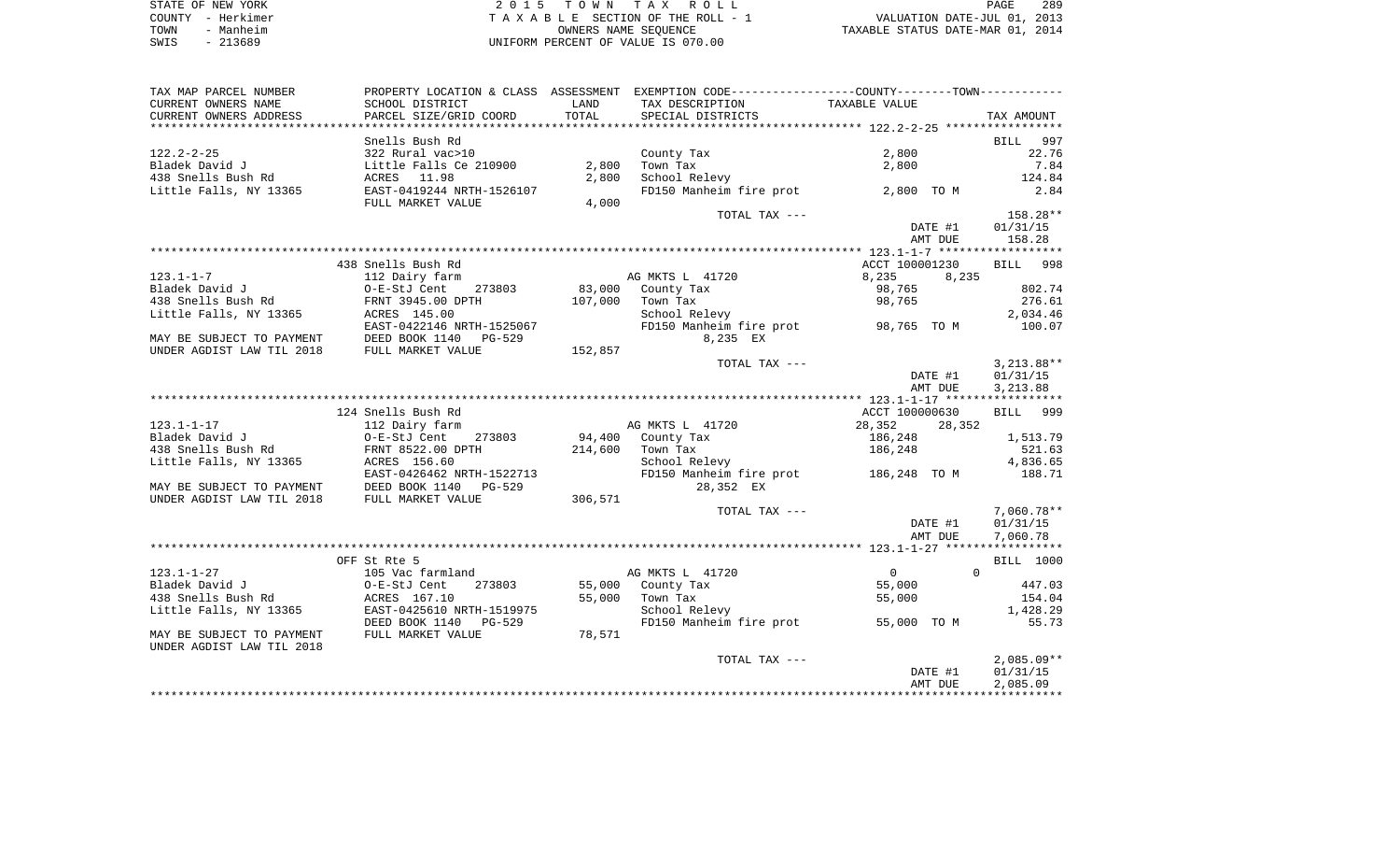| STATE OF NEW YORK | 2015 TOWN TAX ROLL                 | 289<br>PAGE                      |
|-------------------|------------------------------------|----------------------------------|
| COUNTY - Herkimer | TAXABLE SECTION OF THE ROLL - 1    | VALUATION DATE-JUL 01, 2013      |
| - Manheim<br>TOWN | OWNERS NAME SEOUENCE               | TAXABLE STATUS DATE-MAR 01, 2014 |
| $-213689$<br>SWIS | UNIFORM PERCENT OF VALUE IS 070.00 |                                  |

| TAX MAP PARCEL NUMBER     |                           |         | PROPERTY LOCATION & CLASS ASSESSMENT EXEMPTION CODE---------------COUNTY-------TOWN---------- |                      |                      |
|---------------------------|---------------------------|---------|-----------------------------------------------------------------------------------------------|----------------------|----------------------|
| CURRENT OWNERS NAME       | SCHOOL DISTRICT           | LAND    | TAX DESCRIPTION                                                                               | TAXABLE VALUE        |                      |
| CURRENT OWNERS ADDRESS    | PARCEL SIZE/GRID COORD    | TOTAL   | SPECIAL DISTRICTS                                                                             |                      | TAX AMOUNT           |
|                           |                           |         |                                                                                               |                      |                      |
|                           | Snells Bush Rd            |         |                                                                                               |                      | 997<br><b>BILL</b>   |
| $122.2 - 2 - 25$          | 322 Rural vac>10          |         | County Tax                                                                                    | 2,800                | 22.76                |
| Bladek David J            | Little Falls Ce 210900    | 2,800   | Town Tax                                                                                      | 2,800                | 7.84                 |
| 438 Snells Bush Rd        | ACRES 11.98               | 2,800   | School Relevy                                                                                 |                      | 124.84               |
| Little Falls, NY 13365    | EAST-0419244 NRTH-1526107 |         | FD150 Manheim fire prot                                                                       | 2,800 TO M           | 2.84                 |
|                           | FULL MARKET VALUE         | 4,000   |                                                                                               |                      |                      |
|                           |                           |         | TOTAL TAX ---                                                                                 |                      | 158.28**             |
|                           |                           |         |                                                                                               | DATE #1              | 01/31/15             |
|                           |                           |         |                                                                                               | AMT DUE              | 158.28               |
|                           |                           |         |                                                                                               |                      |                      |
|                           | 438 Snells Bush Rd        |         |                                                                                               | ACCT 100001230       | BILL 998             |
| $123.1 - 1 - 7$           | 112 Dairy farm            |         | AG MKTS L 41720                                                                               | 8,235<br>8,235       |                      |
| Bladek David J            | O-E-StJ Cent 273803       | 83,000  | County Tax                                                                                    | 98,765               | 802.74               |
| 438 Snells Bush Rd        | FRNT 3945.00 DPTH         | 107,000 | Town Tax                                                                                      | 98,765               | 276.61               |
| Little Falls, NY 13365    | ACRES 145.00              |         | School Relevy                                                                                 |                      | 2,034.46             |
|                           | EAST-0422146 NRTH-1525067 |         | FD150 Manheim fire prot 98,765 TO M                                                           |                      | 100.07               |
| MAY BE SUBJECT TO PAYMENT | DEED BOOK 1140<br>PG-529  |         | 8,235 EX                                                                                      |                      |                      |
| UNDER AGDIST LAW TIL 2018 | FULL MARKET VALUE         | 152,857 |                                                                                               |                      |                      |
|                           |                           |         | TOTAL TAX ---                                                                                 |                      | $3,213.88**$         |
|                           |                           |         |                                                                                               | DATE #1<br>AMT DUE   | 01/31/15<br>3,213.88 |
|                           |                           |         |                                                                                               |                      |                      |
|                           | 124 Snells Bush Rd        |         |                                                                                               | ACCT 100000630       | BILL 999             |
| $123.1 - 1 - 17$          | 112 Dairy farm            |         | AG MKTS L 41720                                                                               | 28,352<br>28,352     |                      |
| Bladek David J            | 273803<br>O-E-StJ Cent    | 94,400  | County Tax                                                                                    | 186,248              | 1,513.79             |
| 438 Snells Bush Rd        | FRNT 8522.00 DPTH         | 214,600 | Town Tax                                                                                      | 186,248              | 521.63               |
| Little Falls, NY 13365    | ACRES 156.60              |         | School Relevy                                                                                 |                      | 4,836.65             |
|                           | EAST-0426462 NRTH-1522713 |         | FD150 Manheim fire prot 186,248 TO M                                                          |                      | 188.71               |
| MAY BE SUBJECT TO PAYMENT | DEED BOOK 1140<br>PG-529  |         | 28,352 EX                                                                                     |                      |                      |
| UNDER AGDIST LAW TIL 2018 | FULL MARKET VALUE         | 306,571 |                                                                                               |                      |                      |
|                           |                           |         | TOTAL TAX ---                                                                                 |                      | 7,060.78**           |
|                           |                           |         |                                                                                               | DATE #1              | 01/31/15             |
|                           |                           |         |                                                                                               | AMT DUE              | 7,060.78             |
|                           |                           |         |                                                                                               |                      |                      |
|                           | OFF St Rte 5              |         |                                                                                               |                      | BILL 1000            |
| $123.1 - 1 - 27$          | 105 Vac farmland          |         | AG MKTS L 41720                                                                               | $\Omega$<br>$\Omega$ |                      |
| Bladek David J            | O-E-StJ Cent<br>273803    | 55,000  | County Tax                                                                                    | 55,000               | 447.03               |
| 438 Snells Bush Rd        | ACRES 167.10              |         | 55,000 Town Tax                                                                               | 55,000               | 154.04               |
| Little Falls, NY 13365    | EAST-0425610 NRTH-1519975 |         | School Relevy                                                                                 |                      | 1,428.29             |
|                           | DEED BOOK 1140 PG-529     |         | FD150 Manheim fire prot                                                                       | 55,000 TO M          | 55.73                |
| MAY BE SUBJECT TO PAYMENT | FULL MARKET VALUE         | 78,571  |                                                                                               |                      |                      |
| UNDER AGDIST LAW TIL 2018 |                           |         |                                                                                               |                      |                      |
|                           |                           |         | TOTAL TAX ---                                                                                 |                      | $2,085.09**$         |
|                           |                           |         |                                                                                               | DATE #1              | 01/31/15             |
|                           |                           |         |                                                                                               | AMT DUE              | 2,085.09             |
|                           |                           |         |                                                                                               |                      |                      |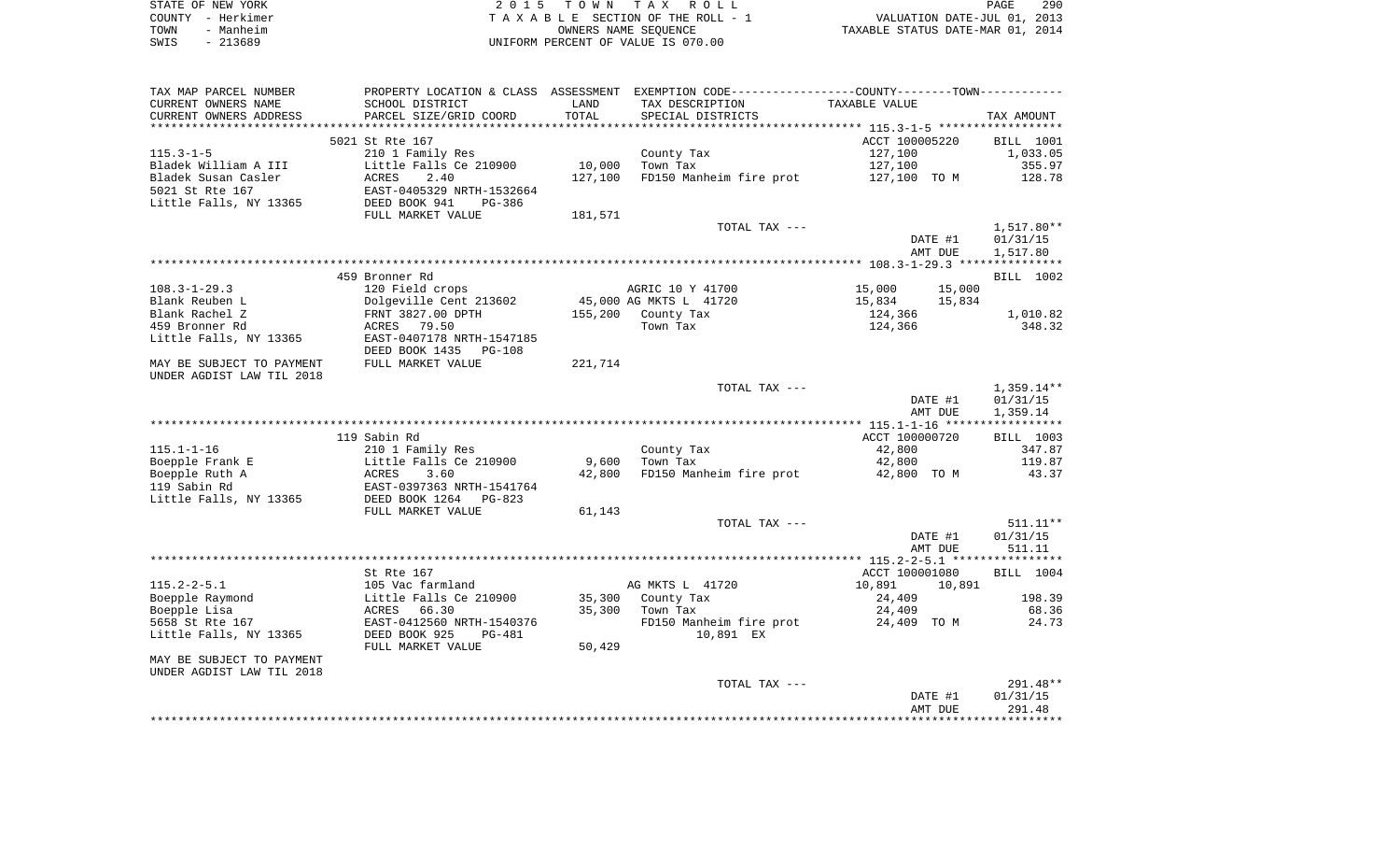| STATE OF NEW YORK |           | 2015 TOWN TAX ROLL                 | PAGE                             | 290 |
|-------------------|-----------|------------------------------------|----------------------------------|-----|
| COUNTY - Herkimer |           | TAXABLE SECTION OF THE ROLL - 1    | VALUATION DATE-JUL 01, 2013      |     |
| TOWN              | - Manheim | OWNERS NAME SEOUENCE               | TAXABLE STATUS DATE-MAR 01, 2014 |     |
| SWIS              | - 213689  | UNIFORM PERCENT OF VALUE IS 070.00 |                                  |     |

| TAX MAP PARCEL NUMBER     |                            |         | PROPERTY LOCATION & CLASS ASSESSMENT EXEMPTION CODE---------------COUNTY-------TOWN---------- |                  |                  |
|---------------------------|----------------------------|---------|-----------------------------------------------------------------------------------------------|------------------|------------------|
| CURRENT OWNERS NAME       | SCHOOL DISTRICT            | LAND    | TAX DESCRIPTION                                                                               | TAXABLE VALUE    |                  |
| CURRENT OWNERS ADDRESS    | PARCEL SIZE/GRID COORD     | TOTAL   | SPECIAL DISTRICTS                                                                             |                  | TAX AMOUNT       |
|                           |                            |         |                                                                                               |                  |                  |
|                           | 5021 St Rte 167            |         |                                                                                               | ACCT 100005220   | <b>BILL</b> 1001 |
| $115.3 - 1 - 5$           | 210 1 Family Res           |         | County Tax                                                                                    | 127,100          | 1,033.05         |
| Bladek William A III      | Little Falls Ce 210900     | 10,000  | Town Tax                                                                                      | 127,100          | 355.97           |
|                           | 2.40                       |         |                                                                                               |                  | 128.78           |
| Bladek Susan Casler       | ACRES                      | 127,100 | FD150 Manheim fire prot                                                                       | 127,100 TO M     |                  |
| 5021 St Rte 167           | EAST-0405329 NRTH-1532664  |         |                                                                                               |                  |                  |
| Little Falls, NY 13365    | DEED BOOK 941<br>$PG-386$  |         |                                                                                               |                  |                  |
|                           | FULL MARKET VALUE          | 181,571 |                                                                                               |                  |                  |
|                           |                            |         | TOTAL TAX ---                                                                                 |                  | 1,517.80**       |
|                           |                            |         |                                                                                               | DATE #1          | 01/31/15         |
|                           |                            |         |                                                                                               | AMT DUE          | 1,517.80         |
|                           |                            |         |                                                                                               |                  |                  |
|                           | 459 Bronner Rd             |         |                                                                                               |                  | BILL 1002        |
| $108.3 - 1 - 29.3$        | 120 Field crops            |         | AGRIC 10 Y 41700                                                                              | 15,000<br>15,000 |                  |
| Blank Reuben L            | Dolgeville Cent 213602     |         | 45,000 AG MKTS L 41720                                                                        | 15,834<br>15,834 |                  |
| Blank Rachel Z            | FRNT 3827.00 DPTH          | 155,200 | County Tax                                                                                    | 124,366          | 1,010.82         |
| 459 Bronner Rd            | ACRES 79.50                |         | Town Tax                                                                                      | 124,366          | 348.32           |
|                           |                            |         |                                                                                               |                  |                  |
| Little Falls, NY 13365    | EAST-0407178 NRTH-1547185  |         |                                                                                               |                  |                  |
|                           | DEED BOOK 1435<br>$PG-108$ |         |                                                                                               |                  |                  |
| MAY BE SUBJECT TO PAYMENT | FULL MARKET VALUE          | 221,714 |                                                                                               |                  |                  |
| UNDER AGDIST LAW TIL 2018 |                            |         |                                                                                               |                  |                  |
|                           |                            |         | TOTAL TAX ---                                                                                 |                  | $1,359.14**$     |
|                           |                            |         |                                                                                               | DATE #1          | 01/31/15         |
|                           |                            |         |                                                                                               | AMT DUE          | 1,359.14         |
|                           |                            |         |                                                                                               |                  |                  |
|                           | 119 Sabin Rd               |         |                                                                                               | ACCT 100000720   | <b>BILL 1003</b> |
| $115.1 - 1 - 16$          | 210 1 Family Res           |         | County Tax                                                                                    | 42,800           | 347.87           |
| Boepple Frank E           | Little Falls Ce 210900     | 9,600   | Town Tax                                                                                      | 42,800           | 119.87           |
| Boepple Ruth A            | 3.60<br>ACRES              | 42,800  | FD150 Manheim fire prot                                                                       | 42,800 TO M      | 43.37            |
| 119 Sabin Rd              | EAST-0397363 NRTH-1541764  |         |                                                                                               |                  |                  |
|                           |                            |         |                                                                                               |                  |                  |
| Little Falls, NY 13365    | DEED BOOK 1264 PG-823      |         |                                                                                               |                  |                  |
|                           | FULL MARKET VALUE          | 61,143  |                                                                                               |                  |                  |
|                           |                            |         | TOTAL TAX ---                                                                                 |                  | $511.11**$       |
|                           |                            |         |                                                                                               | DATE #1          | 01/31/15         |
|                           |                            |         |                                                                                               | AMT DUE          | 511.11           |
|                           |                            |         |                                                                                               |                  |                  |
|                           | St Rte 167                 |         |                                                                                               | ACCT 100001080   | BILL 1004        |
| $115.2 - 2 - 5.1$         | 105 Vac farmland           |         | AG MKTS L 41720                                                                               | 10,891<br>10,891 |                  |
| Boepple Raymond           | Little Falls Ce 210900     | 35,300  | County Tax                                                                                    | 24,409           | 198.39           |
| Boepple Lisa              | ACRES 66.30                | 35,300  | Town Tax                                                                                      | 24,409           | 68.36            |
| 5658 St Rte 167           | EAST-0412560 NRTH-1540376  |         | FD150 Manheim fire prot                                                                       | 24,409 TO M      | 24.73            |
| Little Falls, NY 13365    | DEED BOOK 925<br>PG-481    |         | 10,891 EX                                                                                     |                  |                  |
|                           |                            |         |                                                                                               |                  |                  |
|                           | FULL MARKET VALUE          | 50,429  |                                                                                               |                  |                  |
| MAY BE SUBJECT TO PAYMENT |                            |         |                                                                                               |                  |                  |
| UNDER AGDIST LAW TIL 2018 |                            |         |                                                                                               |                  |                  |
|                           |                            |         | TOTAL TAX ---                                                                                 |                  | 291.48**         |
|                           |                            |         |                                                                                               | DATE #1          | 01/31/15         |
|                           |                            |         |                                                                                               | AMT DUE          | 291.48           |
|                           |                            |         |                                                                                               |                  |                  |
|                           |                            |         |                                                                                               |                  |                  |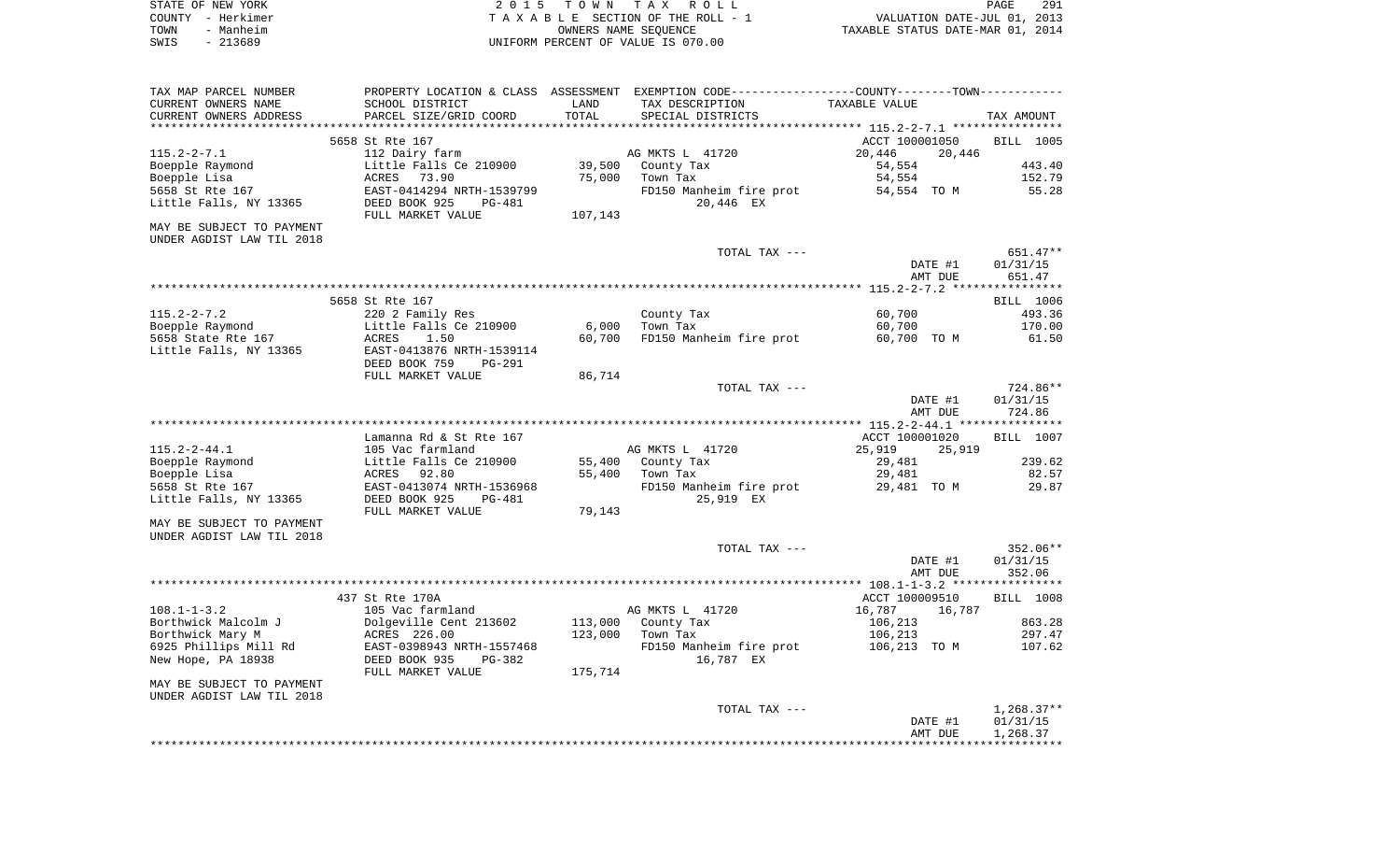| STATE OF NEW YORK | 2015 TOWN TAX ROLL                 | 291<br>PAGE                      |
|-------------------|------------------------------------|----------------------------------|
| COUNTY - Herkimer | TAXABLE SECTION OF THE ROLL - 1    | VALUATION DATE-JUL 01, 2013      |
| TOWN<br>- Manheim | OWNERS NAME SEOUENCE               | TAXABLE STATUS DATE-MAR 01, 2014 |
| SWIS<br>- 213689  | UNIFORM PERCENT OF VALUE IS 070.00 |                                  |

| TAX MAP PARCEL NUMBER                 |                                            |         | PROPERTY LOCATION & CLASS ASSESSMENT EXEMPTION CODE---------------COUNTY-------TOWN---------- |                                    |                  |
|---------------------------------------|--------------------------------------------|---------|-----------------------------------------------------------------------------------------------|------------------------------------|------------------|
| CURRENT OWNERS NAME                   | SCHOOL DISTRICT                            | LAND    | TAX DESCRIPTION                                                                               | TAXABLE VALUE                      |                  |
| CURRENT OWNERS ADDRESS                | PARCEL SIZE/GRID COORD                     | TOTAL   | SPECIAL DISTRICTS                                                                             |                                    | TAX AMOUNT       |
|                                       | 5658 St Rte 167                            |         |                                                                                               | ACCT 100001050                     | BILL 1005        |
| $115.2 - 2 - 7.1$                     | 112 Dairy farm                             |         | AG MKTS L 41720                                                                               | 20,446<br>20,446                   |                  |
| Boepple Raymond                       | Little Falls Ce 210900                     | 39,500  | County Tax                                                                                    | 54,554                             | 443.40           |
| Boepple Lisa                          | ACRES 73.90                                | 75,000  | Town Tax                                                                                      | 54,554                             | 152.79           |
| 5658 St Rte 167                       | EAST-0414294 NRTH-1539799                  |         | FD150 Manheim fire prot                                                                       | 54,554 TO M                        | 55.28            |
| Little Falls, NY 13365                | DEED BOOK 925<br>PG-481                    |         | 20,446 EX                                                                                     |                                    |                  |
|                                       | FULL MARKET VALUE                          | 107,143 |                                                                                               |                                    |                  |
| MAY BE SUBJECT TO PAYMENT             |                                            |         |                                                                                               |                                    |                  |
| UNDER AGDIST LAW TIL 2018             |                                            |         |                                                                                               |                                    |                  |
|                                       |                                            |         | TOTAL TAX ---                                                                                 |                                    | 651.47**         |
|                                       |                                            |         |                                                                                               | DATE #1                            | 01/31/15         |
|                                       |                                            |         |                                                                                               | AMT DUE                            | 651.47           |
|                                       |                                            |         |                                                                                               |                                    |                  |
|                                       | 5658 St Rte 167                            |         |                                                                                               |                                    | BILL 1006        |
| $115.2 - 2 - 7.2$<br>Boepple Raymond  | 220 2 Family Res<br>Little Falls Ce 210900 | 6,000   | County Tax<br>Town Tax                                                                        | 60,700<br>60,700                   | 493.36<br>170.00 |
| 5658 State Rte 167                    | ACRES<br>1.50                              | 60,700  | FD150 Manheim fire prot                                                                       | 60,700 TO M                        | 61.50            |
| Little Falls, NY 13365                | EAST-0413876 NRTH-1539114                  |         |                                                                                               |                                    |                  |
|                                       | DEED BOOK 759<br>PG-291                    |         |                                                                                               |                                    |                  |
|                                       | FULL MARKET VALUE                          | 86,714  |                                                                                               |                                    |                  |
|                                       |                                            |         | TOTAL TAX ---                                                                                 |                                    | 724.86**         |
|                                       |                                            |         |                                                                                               | DATE #1                            | 01/31/15         |
|                                       |                                            |         |                                                                                               | AMT DUE                            | 724.86           |
|                                       |                                            |         |                                                                                               |                                    |                  |
|                                       | Lamanna Rd & St Rte 167                    |         |                                                                                               | ACCT 100001020                     | BILL 1007        |
| $115.2 - 2 - 44.1$<br>Boepple Raymond | 105 Vac farmland<br>Little Falls Ce 210900 | 55,400  | AG MKTS L 41720<br>County Tax                                                                 | 25,919<br>25,919<br>29,481         | 239.62           |
| Boepple Lisa                          | ACRES 92.80                                | 55,400  | Town Tax                                                                                      | 29,481                             | 82.57            |
| 5658 St Rte 167                       | EAST-0413074 NRTH-1536968                  |         | FD150 Manheim fire prot                                                                       | 29,481 TO M                        | 29.87            |
| Little Falls, NY 13365                | DEED BOOK 925<br>PG-481                    |         | 25,919 EX                                                                                     |                                    |                  |
|                                       | FULL MARKET VALUE                          | 79,143  |                                                                                               |                                    |                  |
| MAY BE SUBJECT TO PAYMENT             |                                            |         |                                                                                               |                                    |                  |
| UNDER AGDIST LAW TIL 2018             |                                            |         |                                                                                               |                                    |                  |
|                                       |                                            |         | TOTAL TAX ---                                                                                 |                                    | 352.06**         |
|                                       |                                            |         |                                                                                               | DATE #1                            | 01/31/15         |
|                                       |                                            |         |                                                                                               | AMT DUE                            | 352.06           |
|                                       |                                            |         |                                                                                               |                                    |                  |
| $108.1 - 1 - 3.2$                     | 437 St Rte 170A<br>105 Vac farmland        |         | AG MKTS L 41720                                                                               | ACCT 100009510<br>16,787<br>16,787 | BILL 1008        |
| Borthwick Malcolm J                   | Dolgeville Cent 213602                     | 113,000 | County Tax                                                                                    | 106,213                            | 863.28           |
| Borthwick Mary M                      | ACRES 226.00                               | 123,000 | Town Tax                                                                                      | 106,213                            | 297.47           |
| 6925 Phillips Mill Rd                 | EAST-0398943 NRTH-1557468                  |         | FD150 Manheim fire prot                                                                       | 106,213 TO M                       | 107.62           |
| New Hope, PA 18938                    | DEED BOOK 935<br>PG-382                    |         | 16,787 EX                                                                                     |                                    |                  |
|                                       | FULL MARKET VALUE                          | 175,714 |                                                                                               |                                    |                  |
| MAY BE SUBJECT TO PAYMENT             |                                            |         |                                                                                               |                                    |                  |
| UNDER AGDIST LAW TIL 2018             |                                            |         |                                                                                               |                                    |                  |
|                                       |                                            |         | TOTAL TAX ---                                                                                 |                                    | $1,268.37**$     |
|                                       |                                            |         |                                                                                               | DATE #1                            | 01/31/15         |
|                                       |                                            |         |                                                                                               | AMT DUE                            | 1,268.37         |
|                                       |                                            |         |                                                                                               |                                    |                  |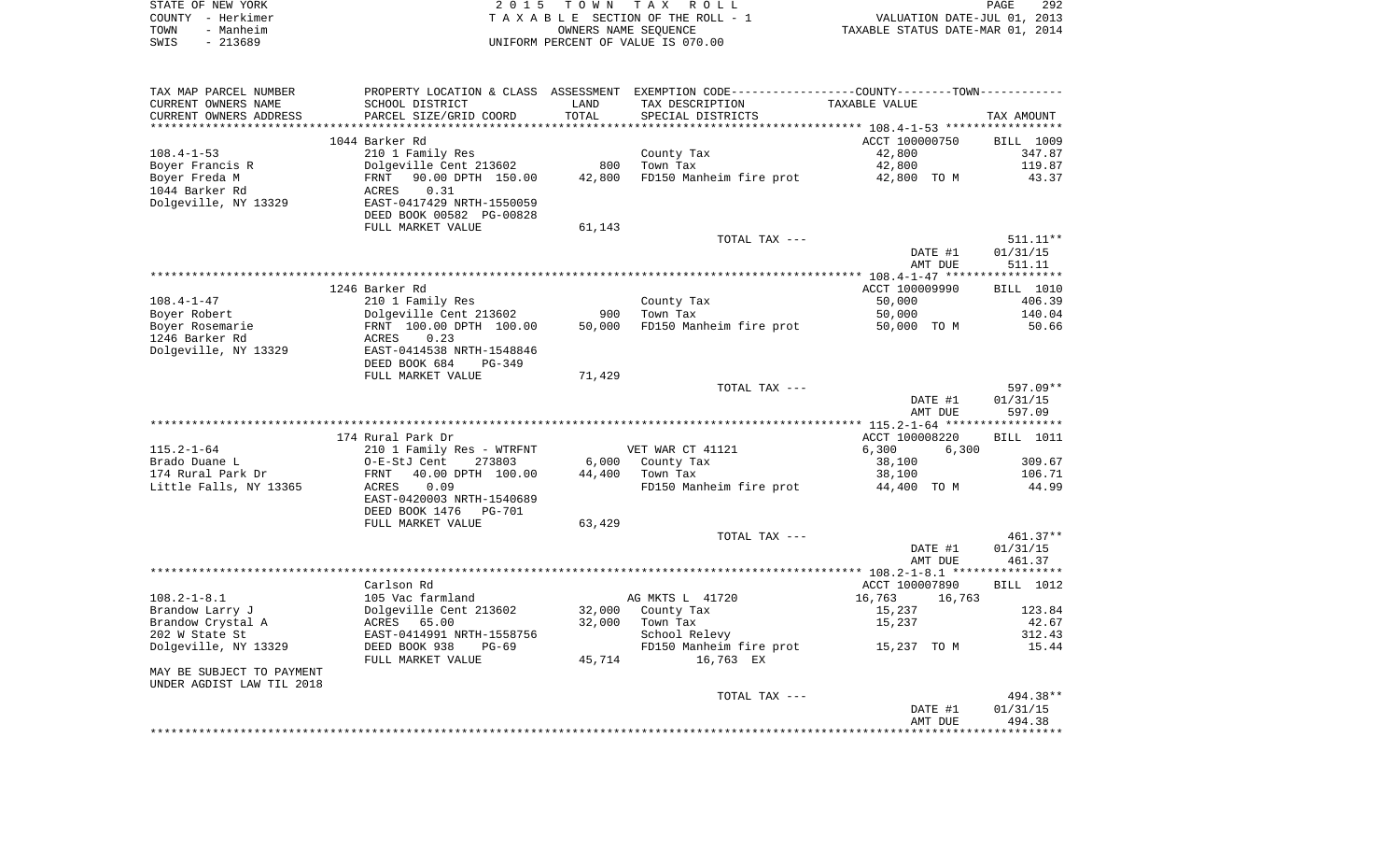|      | STATE OF NEW YORK | 2015 TOWN TAX ROLL                 | <b>PAGE</b>                      | 292 |
|------|-------------------|------------------------------------|----------------------------------|-----|
|      | COUNTY - Herkimer | TAXABLE SECTION OF THE ROLL - 1    | VALUATION DATE-JUL 01, 2013      |     |
| TOWN | - Manheim         | OWNERS NAME SEOUENCE               | TAXABLE STATUS DATE-MAR 01, 2014 |     |
| SWIS | - 213689          | UNIFORM PERCENT OF VALUE IS 070.00 |                                  |     |

| TAX MAP PARCEL NUMBER                              |                                 |        | PROPERTY LOCATION & CLASS ASSESSMENT EXEMPTION CODE---------------COUNTY-------TOWN---------- |                  |                  |
|----------------------------------------------------|---------------------------------|--------|-----------------------------------------------------------------------------------------------|------------------|------------------|
| CURRENT OWNERS NAME                                | SCHOOL DISTRICT                 | LAND   | TAX DESCRIPTION                                                                               | TAXABLE VALUE    |                  |
| CURRENT OWNERS ADDRESS                             | PARCEL SIZE/GRID COORD          | TOTAL  | SPECIAL DISTRICTS                                                                             |                  | TAX AMOUNT       |
|                                                    |                                 |        |                                                                                               |                  |                  |
|                                                    | 1044 Barker Rd                  |        |                                                                                               | ACCT 100000750   | BILL 1009        |
| $108.4 - 1 - 53$                                   | 210 1 Family Res                |        | County Tax<br>Town Tax                                                                        | 42,800           | 347.87           |
| Boyer Francis R                                    | Dolgeville Cent 213602          | 800    |                                                                                               | 42,800           | 119.87           |
| Boyer Freda M                                      | FRNT 90.00 DPTH 150.00          | 42,800 | FD150 Manheim fire prot 42,800 TO M                                                           |                  | 43.37            |
| 1044 Barker Rd                                     | 0.31<br>ACRES                   |        |                                                                                               |                  |                  |
| Dolgeville, NY 13329                               | EAST-0417429 NRTH-1550059       |        |                                                                                               |                  |                  |
|                                                    | DEED BOOK 00582 PG-00828        |        |                                                                                               |                  |                  |
|                                                    | FULL MARKET VALUE               | 61,143 |                                                                                               |                  |                  |
|                                                    |                                 |        | TOTAL TAX ---                                                                                 |                  | $511.11**$       |
|                                                    |                                 |        |                                                                                               | DATE #1          | 01/31/15         |
|                                                    |                                 |        |                                                                                               | AMT DUE          | 511.11           |
|                                                    |                                 |        |                                                                                               |                  |                  |
|                                                    | 1246 Barker Rd                  |        |                                                                                               | ACCT 100009990   | BILL 1010        |
| $108.4 - 1 - 47$                                   | 210 1 Family Res                |        | County Tax                                                                                    | 50,000           | 406.39           |
| Boyer Robert<br>Boyer Rosemarie<br>Boyer Rosemarie | Dolgeville Cent 213602          | 900    | Town Tax                                                                                      | 50,000           | 140.04           |
|                                                    | FRNT 100.00 DPTH 100.00 50,000  |        | FD150 Manheim fire prot 50,000 TO M                                                           |                  | 50.66            |
| 1246 Barker Rd                                     | 0.23<br>ACRES                   |        |                                                                                               |                  |                  |
| Dolgeville, NY 13329                               | EAST-0414538 NRTH-1548846       |        |                                                                                               |                  |                  |
|                                                    | DEED BOOK 684<br>PG-349         |        |                                                                                               |                  |                  |
|                                                    | FULL MARKET VALUE               | 71,429 |                                                                                               |                  | 597.09**         |
|                                                    |                                 |        | TOTAL TAX ---                                                                                 | DATE #1          | 01/31/15         |
|                                                    |                                 |        |                                                                                               | AMT DUE          | 597.09           |
|                                                    |                                 |        |                                                                                               |                  |                  |
|                                                    | 174 Rural Park Dr               |        |                                                                                               | ACCT 100008220   | <b>BILL</b> 1011 |
| $115.2 - 1 - 64$                                   | 210 1 Family Res - WTRFNT       |        | VET WAR CT 41121                                                                              | 6,300<br>6,300   |                  |
| Brado Duane L                                      | 0-E-StJ Cent<br>273803          |        | 6,000 County Tax                                                                              | 38,100           | 309.67           |
| 174 Rural Park Dr                                  | FRNT<br>40.00 DPTH 100.00       |        | 44,400 Town Tax                                                                               | 38,100           | 106.71           |
| Little Falls, NY 13365                             | 0.09<br>ACRES                   |        | FD150 Manheim fire prot 44,400 TO M                                                           |                  | 44.99            |
|                                                    | EAST-0420003 NRTH-1540689       |        |                                                                                               |                  |                  |
|                                                    | DEED BOOK 1476<br><b>PG-701</b> |        |                                                                                               |                  |                  |
|                                                    | FULL MARKET VALUE               | 63,429 |                                                                                               |                  |                  |
|                                                    |                                 |        | TOTAL TAX ---                                                                                 |                  | $461.37**$       |
|                                                    |                                 |        |                                                                                               | DATE #1          | 01/31/15         |
|                                                    |                                 |        |                                                                                               | AMT DUE          | 461.37           |
|                                                    |                                 |        |                                                                                               |                  |                  |
|                                                    | Carlson Rd                      |        |                                                                                               | ACCT 100007890   | BILL 1012        |
| $108.2 - 1 - 8.1$                                  | 105 Vac farmland                |        | AG MKTS L 41720                                                                               | 16,763<br>16,763 |                  |
| Brandow Larry J                                    | Dolgeville Cent 213602          |        | 32,000 County Tax                                                                             | 15,237           | 123.84           |
| Brandow Crystal A                                  | ACRES 65.00                     | 32,000 | Town Tax                                                                                      | 15,237           | 42.67            |
| 202 W State St                                     | EAST-0414991 NRTH-1558756       |        | School Relevy                                                                                 |                  | 312.43           |
| Dolgeville, NY 13329                               | DEED BOOK 938<br>PG-69          |        | FD150 Manheim fire prot 15,237 TO M                                                           |                  | 15.44            |
|                                                    | FULL MARKET VALUE               |        | 45,714 16,763 EX                                                                              |                  |                  |
| MAY BE SUBJECT TO PAYMENT                          |                                 |        |                                                                                               |                  |                  |
| UNDER AGDIST LAW TIL 2018                          |                                 |        |                                                                                               |                  |                  |
|                                                    |                                 |        | TOTAL TAX ---                                                                                 |                  | 494.38**         |
|                                                    |                                 |        |                                                                                               | DATE #1          | 01/31/15         |
|                                                    |                                 |        |                                                                                               | AMT DUE          | 494.38           |
|                                                    |                                 |        |                                                                                               |                  |                  |
|                                                    |                                 |        |                                                                                               |                  |                  |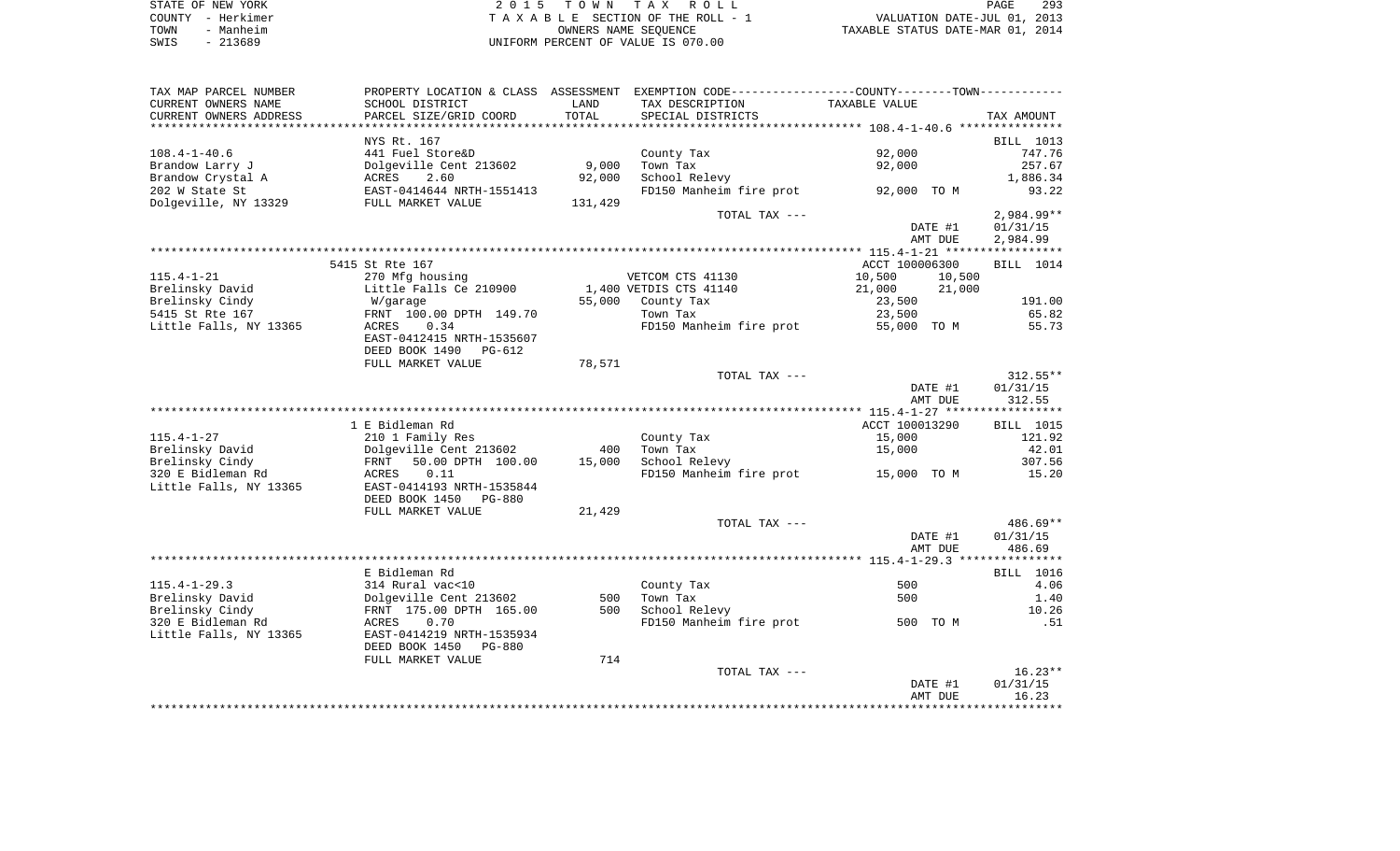| STATE OF NEW YORK | 2015 TOWN TAX ROLL                 | 293<br>PAGE                      |
|-------------------|------------------------------------|----------------------------------|
| COUNTY - Herkimer | TAXABLE SECTION OF THE ROLL - 1    | VALUATION DATE-JUL 01, 2013      |
| - Manheim<br>TOWN | OWNERS NAME SEOUENCE               | TAXABLE STATUS DATE-MAR 01, 2014 |
| $-213689$<br>SWIS | UNIFORM PERCENT OF VALUE IS 070.00 |                                  |

| TAX MAP PARCEL NUMBER  | PROPERTY LOCATION & CLASS ASSESSMENT EXEMPTION CODE---------------COUNTY-------TOWN---------- |         |                         |                  |                  |
|------------------------|-----------------------------------------------------------------------------------------------|---------|-------------------------|------------------|------------------|
| CURRENT OWNERS NAME    | SCHOOL DISTRICT                                                                               | LAND    | TAX DESCRIPTION         | TAXABLE VALUE    |                  |
| CURRENT OWNERS ADDRESS | PARCEL SIZE/GRID COORD                                                                        | TOTAL   | SPECIAL DISTRICTS       |                  | TAX AMOUNT       |
|                        |                                                                                               |         |                         |                  |                  |
|                        | NYS Rt. 167                                                                                   |         |                         |                  | <b>BILL</b> 1013 |
| $108.4 - 1 - 40.6$     | 441 Fuel Store&D                                                                              |         | County Tax              | 92,000           | 747.76           |
| Brandow Larry J        | Dolgeville Cent 213602                                                                        | 9,000   | Town Tax                | 92,000           | 257.67           |
| Brandow Crystal A      | ACRES<br>2.60                                                                                 | 92,000  | School Relevy           |                  | 1,886.34         |
| 202 W State St         | EAST-0414644 NRTH-1551413                                                                     |         | FD150 Manheim fire prot | 92,000 TO M      | 93.22            |
| Dolgeville, NY 13329   | FULL MARKET VALUE                                                                             | 131,429 |                         |                  |                  |
|                        |                                                                                               |         | TOTAL TAX ---           |                  | $2,984.99**$     |
|                        |                                                                                               |         |                         | DATE #1          | 01/31/15         |
|                        |                                                                                               |         |                         | AMT DUE          | 2,984.99         |
|                        |                                                                                               |         |                         |                  |                  |
|                        | 5415 St Rte 167                                                                               |         |                         | ACCT 100006300   | BILL 1014        |
| $115.4 - 1 - 21$       | 270 Mfg housing                                                                               |         | VETCOM CTS 41130        | 10,500<br>10,500 |                  |
| Brelinsky David        | Little Falls Ce 210900                                                                        |         | 1,400 VETDIS CTS 41140  | 21,000<br>21,000 |                  |
| Brelinsky Cindy        | W/garage                                                                                      | 55,000  | County Tax              | 23,500           | 191.00           |
| 5415 St Rte 167        | FRNT 100.00 DPTH 149.70                                                                       |         | Town Tax                | 23,500           | 65.82            |
| Little Falls, NY 13365 | ACRES<br>0.34                                                                                 |         | FD150 Manheim fire prot | 55,000 TO M      | 55.73            |
|                        | EAST-0412415 NRTH-1535607                                                                     |         |                         |                  |                  |
|                        | DEED BOOK 1490<br>PG-612                                                                      |         |                         |                  |                  |
|                        | FULL MARKET VALUE                                                                             | 78,571  |                         |                  |                  |
|                        |                                                                                               |         | TOTAL TAX ---           |                  | $312.55**$       |
|                        |                                                                                               |         |                         | DATE #1          | 01/31/15         |
|                        |                                                                                               |         |                         | AMT DUE          | 312.55           |
|                        |                                                                                               |         |                         |                  |                  |
|                        | 1 E Bidleman Rd                                                                               |         |                         | ACCT 100013290   | BILL 1015        |
| $115.4 - 1 - 27$       | 210 1 Family Res                                                                              |         | County Tax              | 15,000           | 121.92           |
| Brelinsky David        | Dolgeville Cent 213602                                                                        | 400     | Town Tax                | 15,000           | 42.01            |
| Brelinsky Cindy        | FRNT<br>50.00 DPTH 100.00                                                                     | 15,000  | School Relevy           |                  | 307.56           |
| 320 E Bidleman Rd      | 0.11<br>ACRES                                                                                 |         | FD150 Manheim fire prot | 15,000 TO M      | 15.20            |
| Little Falls, NY 13365 | EAST-0414193 NRTH-1535844                                                                     |         |                         |                  |                  |
|                        | DEED BOOK 1450<br><b>PG-880</b>                                                               |         |                         |                  |                  |
|                        | FULL MARKET VALUE                                                                             | 21,429  |                         |                  |                  |
|                        |                                                                                               |         | TOTAL TAX ---           |                  | $486.69**$       |
|                        |                                                                                               |         |                         | DATE #1          | 01/31/15         |
|                        |                                                                                               |         |                         | AMT DUE          | 486.69           |
|                        |                                                                                               |         |                         |                  |                  |
|                        | E Bidleman Rd                                                                                 |         |                         |                  | <b>BILL</b> 1016 |
| $115.4 - 1 - 29.3$     | 314 Rural vac<10                                                                              |         | County Tax              | 500              | 4.06             |
| Brelinsky David        | Dolgeville Cent 213602                                                                        | 500     | Town Tax                | 500              | 1.40             |
| Brelinsky Cindy        | FRNT 175.00 DPTH 165.00                                                                       | 500     | School Relevy           |                  | 10.26            |
| 320 E Bidleman Rd      | ACRES<br>0.70                                                                                 |         | FD150 Manheim fire prot | 500 TO M         | .51              |
| Little Falls, NY 13365 | EAST-0414219 NRTH-1535934                                                                     |         |                         |                  |                  |
|                        | DEED BOOK 1450<br><b>PG-880</b>                                                               |         |                         |                  |                  |
|                        | FULL MARKET VALUE                                                                             | 714     |                         |                  |                  |
|                        |                                                                                               |         | TOTAL TAX ---           |                  | $16.23**$        |
|                        |                                                                                               |         |                         | DATE #1          | 01/31/15         |
|                        |                                                                                               |         |                         | AMT DUE          | 16.23            |
|                        |                                                                                               |         |                         |                  |                  |
|                        |                                                                                               |         |                         |                  |                  |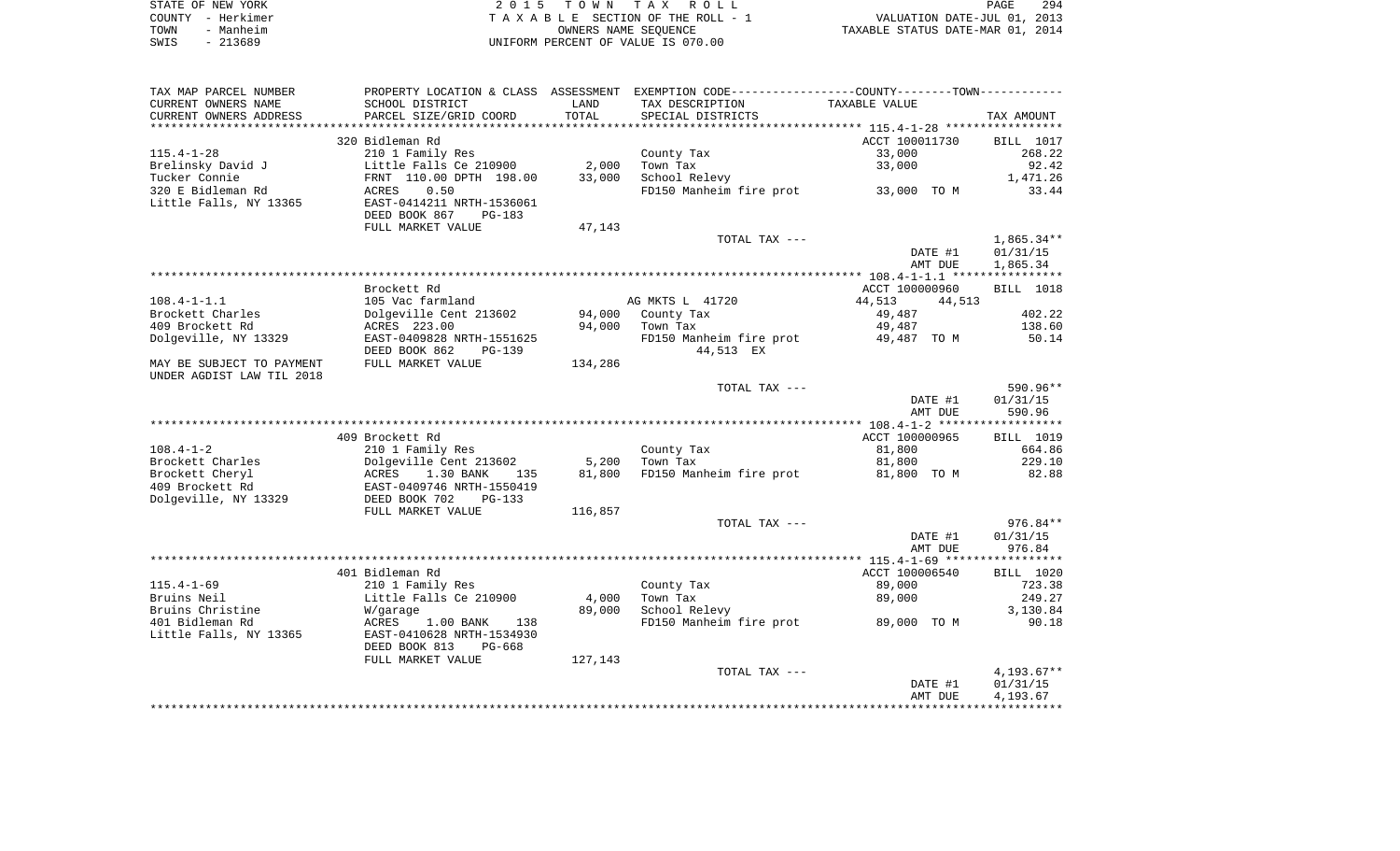|      | STATE OF NEW YORK | 2015 TOWN TAX ROLL                 | PAGE                             | 294 |
|------|-------------------|------------------------------------|----------------------------------|-----|
|      | COUNTY - Herkimer | TAXABLE SECTION OF THE ROLL - 1    | VALUATION DATE-JUL 01, 2013      |     |
| TOWN | - Manheim         | OWNERS NAME SEOUENCE               | TAXABLE STATUS DATE-MAR 01, 2014 |     |
| SWIS | - 213689          | UNIFORM PERCENT OF VALUE IS 070.00 |                                  |     |

| TAX MAP PARCEL NUMBER     | PROPERTY LOCATION & CLASS ASSESSMENT EXEMPTION CODE---------------COUNTY-------TOWN---------- |         |                         |                                    |                  |
|---------------------------|-----------------------------------------------------------------------------------------------|---------|-------------------------|------------------------------------|------------------|
| CURRENT OWNERS NAME       | SCHOOL DISTRICT                                                                               | LAND    | TAX DESCRIPTION         | TAXABLE VALUE                      |                  |
| CURRENT OWNERS ADDRESS    | PARCEL SIZE/GRID COORD                                                                        | TOTAL   | SPECIAL DISTRICTS       |                                    | TAX AMOUNT       |
|                           |                                                                                               |         |                         |                                    |                  |
|                           | 320 Bidleman Rd                                                                               |         |                         | ACCT 100011730                     | <b>BILL</b> 1017 |
| $115.4 - 1 - 28$          | 210 1 Family Res                                                                              |         | County Tax              | 33,000                             | 268.22           |
| Brelinsky David J         | Little Falls Ce 210900                                                                        | 2,000   | Town Tax                | 33,000                             | 92.42            |
| Tucker Connie             | FRNT 110.00 DPTH 198.00                                                                       | 33,000  | School Relevy           |                                    | 1,471.26         |
| 320 E Bidleman Rd         | 0.50<br>ACRES                                                                                 |         | FD150 Manheim fire prot | 33,000 TO M                        | 33.44            |
| Little Falls, NY 13365    | EAST-0414211 NRTH-1536061                                                                     |         |                         |                                    |                  |
|                           | DEED BOOK 867<br>$PG-183$                                                                     |         |                         |                                    |                  |
|                           | FULL MARKET VALUE                                                                             | 47,143  |                         |                                    |                  |
|                           |                                                                                               |         | TOTAL TAX ---           |                                    | $1,865.34**$     |
|                           |                                                                                               |         |                         | DATE #1                            | 01/31/15         |
|                           |                                                                                               |         |                         | AMT DUE                            | 1,865.34         |
|                           |                                                                                               |         |                         |                                    |                  |
| $108.4 - 1 - 1.1$         | Brockett Rd<br>105 Vac farmland                                                               |         |                         | ACCT 100000960<br>44,513<br>44,513 | <b>BILL</b> 1018 |
| Brockett Charles          | Dolgeville Cent 213602                                                                        | 94,000  | AG MKTS L 41720         | 49,487                             | 402.22           |
| 409 Brockett Rd           | ACRES 223.00                                                                                  | 94,000  | County Tax<br>Town Tax  | 49,487                             | 138.60           |
| Dolgeville, NY 13329      | EAST-0409828 NRTH-1551625                                                                     |         | FD150 Manheim fire prot | 49,487 TO M                        | 50.14            |
|                           | DEED BOOK 862<br>$PG-139$                                                                     |         | 44,513 EX               |                                    |                  |
| MAY BE SUBJECT TO PAYMENT | FULL MARKET VALUE                                                                             | 134,286 |                         |                                    |                  |
| UNDER AGDIST LAW TIL 2018 |                                                                                               |         |                         |                                    |                  |
|                           |                                                                                               |         | TOTAL TAX ---           |                                    | 590.96**         |
|                           |                                                                                               |         |                         | DATE #1                            | 01/31/15         |
|                           |                                                                                               |         |                         | AMT DUE                            | 590.96           |
|                           |                                                                                               |         |                         |                                    |                  |
|                           | 409 Brockett Rd                                                                               |         |                         | ACCT 100000965                     | <b>BILL</b> 1019 |
| $108.4 - 1 - 2$           | 210 1 Family Res                                                                              |         | County Tax              | 81,800                             | 664.86           |
| Brockett Charles          | Dolgeville Cent 213602                                                                        | 5,200   | Town Tax                | 81,800                             | 229.10           |
| Brockett Cheryl           | ACRES<br>1.30 BANK<br>135                                                                     | 81,800  | FD150 Manheim fire prot | 81,800 TO M                        | 82.88            |
| 409 Brockett Rd           | EAST-0409746 NRTH-1550419                                                                     |         |                         |                                    |                  |
| Dolgeville, NY 13329      | DEED BOOK 702<br>$PG-133$                                                                     |         |                         |                                    |                  |
|                           | FULL MARKET VALUE                                                                             | 116,857 |                         |                                    |                  |
|                           |                                                                                               |         | TOTAL TAX ---           |                                    | $976.84**$       |
|                           |                                                                                               |         |                         | DATE #1                            | 01/31/15         |
|                           |                                                                                               |         |                         | AMT DUE                            | 976.84           |
|                           |                                                                                               |         |                         | ACCT 100006540                     | BILL 1020        |
| $115.4 - 1 - 69$          | 401 Bidleman Rd<br>210 1 Family Res                                                           |         | County Tax              | 89,000                             | 723.38           |
| Bruins Neil               | Little Falls Ce 210900                                                                        | 4,000   | Town Tax                | 89,000                             | 249.27           |
| Bruins Christine          | W/garage                                                                                      | 89,000  | School Relevy           |                                    | 3,130.84         |
| 401 Bidleman Rd           | ACRES<br>1.00 BANK<br>138                                                                     |         | FD150 Manheim fire prot | 89,000 TO M                        | 90.18            |
| Little Falls, NY 13365    | EAST-0410628 NRTH-1534930                                                                     |         |                         |                                    |                  |
|                           | DEED BOOK 813<br>PG-668                                                                       |         |                         |                                    |                  |
|                           | FULL MARKET VALUE                                                                             | 127,143 |                         |                                    |                  |
|                           |                                                                                               |         | TOTAL TAX ---           |                                    | $4,193.67**$     |
|                           |                                                                                               |         |                         | DATE #1                            | 01/31/15         |
|                           |                                                                                               |         |                         | AMT DUE                            | 4,193.67         |
|                           |                                                                                               |         |                         |                                    |                  |
|                           |                                                                                               |         |                         |                                    |                  |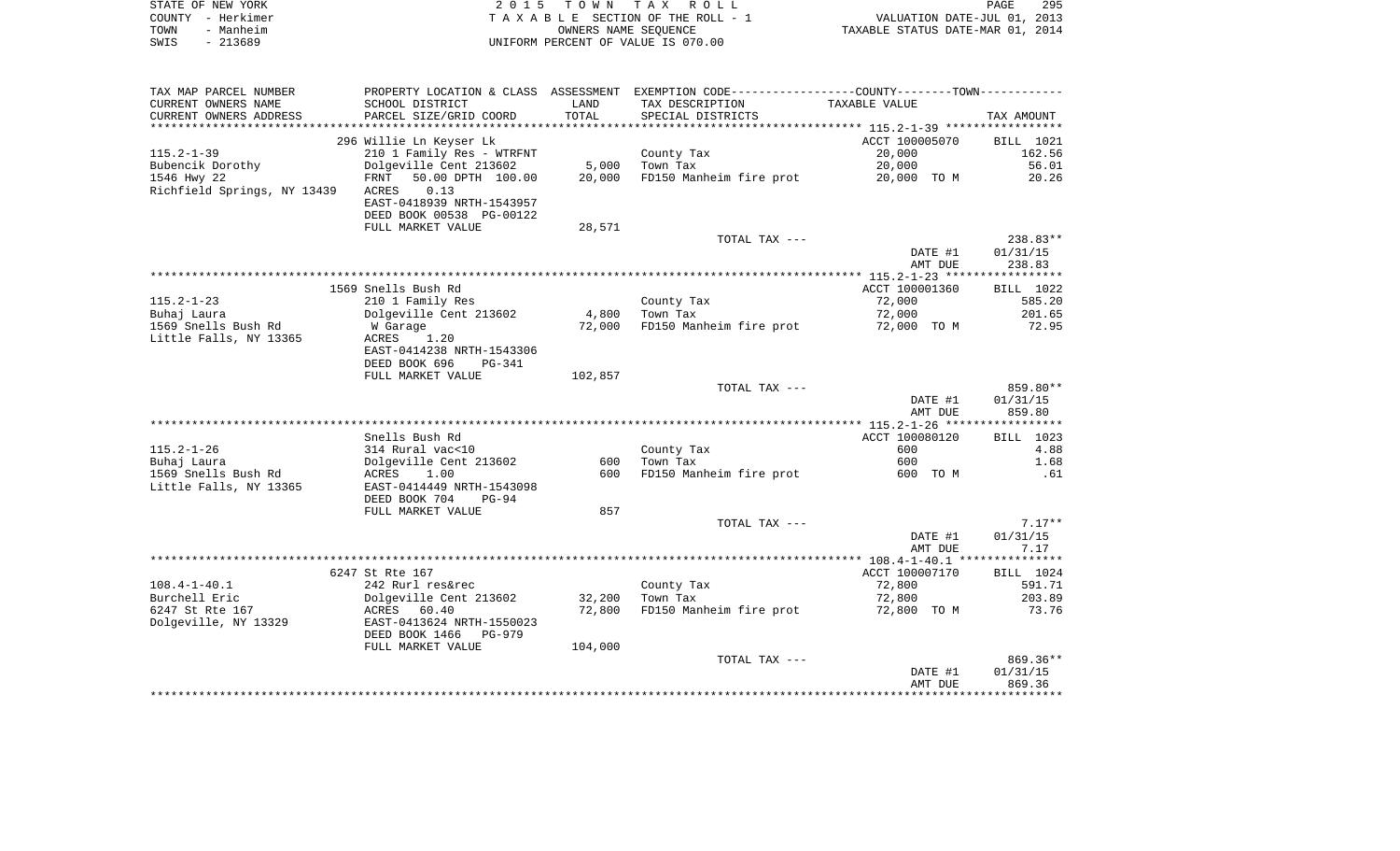|      | STATE OF NEW YORK | 2015 TOWN TAX ROLL                 | <b>PAGE</b>                      | 295 |
|------|-------------------|------------------------------------|----------------------------------|-----|
|      | COUNTY - Herkimer | TAXABLE SECTION OF THE ROLL - 1    | VALUATION DATE-JUL 01, 2013      |     |
| TOWN | - Manheim         | OWNERS NAME SEOUENCE               | TAXABLE STATUS DATE-MAR 01, 2014 |     |
| SWIS | - 213689          | UNIFORM PERCENT OF VALUE IS 070.00 |                                  |     |

| TAX MAP PARCEL NUMBER       | PROPERTY LOCATION & CLASS ASSESSMENT EXEMPTION CODE----------------COUNTY-------TOWN---------- |         |                                     |                |                  |
|-----------------------------|------------------------------------------------------------------------------------------------|---------|-------------------------------------|----------------|------------------|
| CURRENT OWNERS NAME         | SCHOOL DISTRICT                                                                                | LAND    | TAX DESCRIPTION                     | TAXABLE VALUE  |                  |
| CURRENT OWNERS ADDRESS      | PARCEL SIZE/GRID COORD                                                                         | TOTAL   | SPECIAL DISTRICTS                   |                | TAX AMOUNT       |
|                             |                                                                                                |         |                                     |                |                  |
|                             | 296 Willie Ln Keyser Lk                                                                        |         |                                     | ACCT 100005070 | <b>BILL</b> 1021 |
| $115.2 - 1 - 39$            | 210 1 Family Res - WTRFNT                                                                      |         | County Tax                          | 20,000         | 162.56           |
| Bubencik Dorothy            | Dolgeville Cent 213602                                                                         | 5,000   | Town Tax                            | 20,000         | 56.01            |
| 1546 Hwy 22                 | FRNT<br>50.00 DPTH 100.00                                                                      | 20,000  | FD150 Manheim fire prot             | 20,000 TO M    | 20.26            |
| Richfield Springs, NY 13439 | ACRES<br>0.13                                                                                  |         |                                     |                |                  |
|                             | EAST-0418939 NRTH-1543957                                                                      |         |                                     |                |                  |
|                             | DEED BOOK 00538 PG-00122                                                                       |         |                                     |                |                  |
|                             |                                                                                                |         |                                     |                |                  |
|                             | FULL MARKET VALUE                                                                              | 28,571  |                                     |                |                  |
|                             |                                                                                                |         | TOTAL TAX ---                       |                | 238.83**         |
|                             |                                                                                                |         |                                     | DATE #1        | 01/31/15         |
|                             |                                                                                                |         |                                     | AMT DUE        | 238.83           |
|                             |                                                                                                |         |                                     |                |                  |
|                             | 1569 Snells Bush Rd                                                                            |         |                                     | ACCT 100001360 | BILL 1022        |
| $115.2 - 1 - 23$            | 210 1 Family Res                                                                               |         | County Tax                          | 72,000         | 585.20           |
| Buhaj Laura                 | Dolgeville Cent 213602                                                                         | 4,800   | Town Tax                            | 72,000         | 201.65           |
| 1569 Snells Bush Rd         | W Garage                                                                                       | 72,000  | FD150 Manheim fire prot             | 72,000 TO M    | 72.95            |
| Little Falls, NY 13365      | 1.20<br>ACRES                                                                                  |         |                                     |                |                  |
|                             | EAST-0414238 NRTH-1543306                                                                      |         |                                     |                |                  |
|                             | DEED BOOK 696<br>PG-341                                                                        |         |                                     |                |                  |
|                             | FULL MARKET VALUE                                                                              | 102,857 |                                     |                |                  |
|                             |                                                                                                |         | TOTAL TAX ---                       |                | 859.80**         |
|                             |                                                                                                |         |                                     | DATE #1        | 01/31/15         |
|                             |                                                                                                |         |                                     | AMT DUE        | 859.80           |
|                             |                                                                                                |         |                                     |                |                  |
|                             | Snells Bush Rd                                                                                 |         |                                     | ACCT 100080120 | BILL 1023        |
| $115.2 - 1 - 26$            | 314 Rural vac<10                                                                               |         | County Tax                          | 600            | 4.88             |
| Buhaj Laura                 | Dolgeville Cent 213602                                                                         | 600     | Town Tax                            | 600            | 1.68             |
| 1569 Snells Bush Rd         | ACRES<br>1.00                                                                                  | 600     | FD150 Manheim fire prot             | 600 TO M       | .61              |
| Little Falls, NY 13365      | EAST-0414449 NRTH-1543098                                                                      |         |                                     |                |                  |
|                             | DEED BOOK 704<br>PG-94                                                                         |         |                                     |                |                  |
|                             | FULL MARKET VALUE                                                                              | 857     |                                     |                |                  |
|                             |                                                                                                |         | TOTAL TAX ---                       |                | $7.17**$         |
|                             |                                                                                                |         |                                     | DATE #1        | 01/31/15         |
|                             |                                                                                                |         |                                     |                | 7.17             |
|                             |                                                                                                |         |                                     | AMT DUE        |                  |
|                             |                                                                                                |         |                                     |                |                  |
|                             | 6247 St Rte 167                                                                                |         |                                     | ACCT 100007170 | BILL 1024        |
| $108.4 - 1 - 40.1$          | 242 Rurl res&rec                                                                               |         | County Tax                          | 72,800         | 591.71           |
| Burchell Eric               | Dolgeville Cent 213602                                                                         | 32,200  | Town Tax                            | 72,800         | 203.89           |
| 6247 St Rte 167             | ACRES 60.40                                                                                    | 72,800  | FD150 Manheim fire prot 72,800 TO M |                | 73.76            |
| Dolgeville, NY 13329        | EAST-0413624 NRTH-1550023                                                                      |         |                                     |                |                  |
|                             | DEED BOOK 1466 PG-979                                                                          |         |                                     |                |                  |
|                             | FULL MARKET VALUE                                                                              | 104,000 |                                     |                |                  |
|                             |                                                                                                |         | TOTAL TAX ---                       |                | $869.36**$       |
|                             |                                                                                                |         |                                     | DATE #1        | 01/31/15         |
|                             |                                                                                                |         |                                     | AMT DUE        | 869.36           |
|                             |                                                                                                |         |                                     |                |                  |
|                             |                                                                                                |         |                                     |                |                  |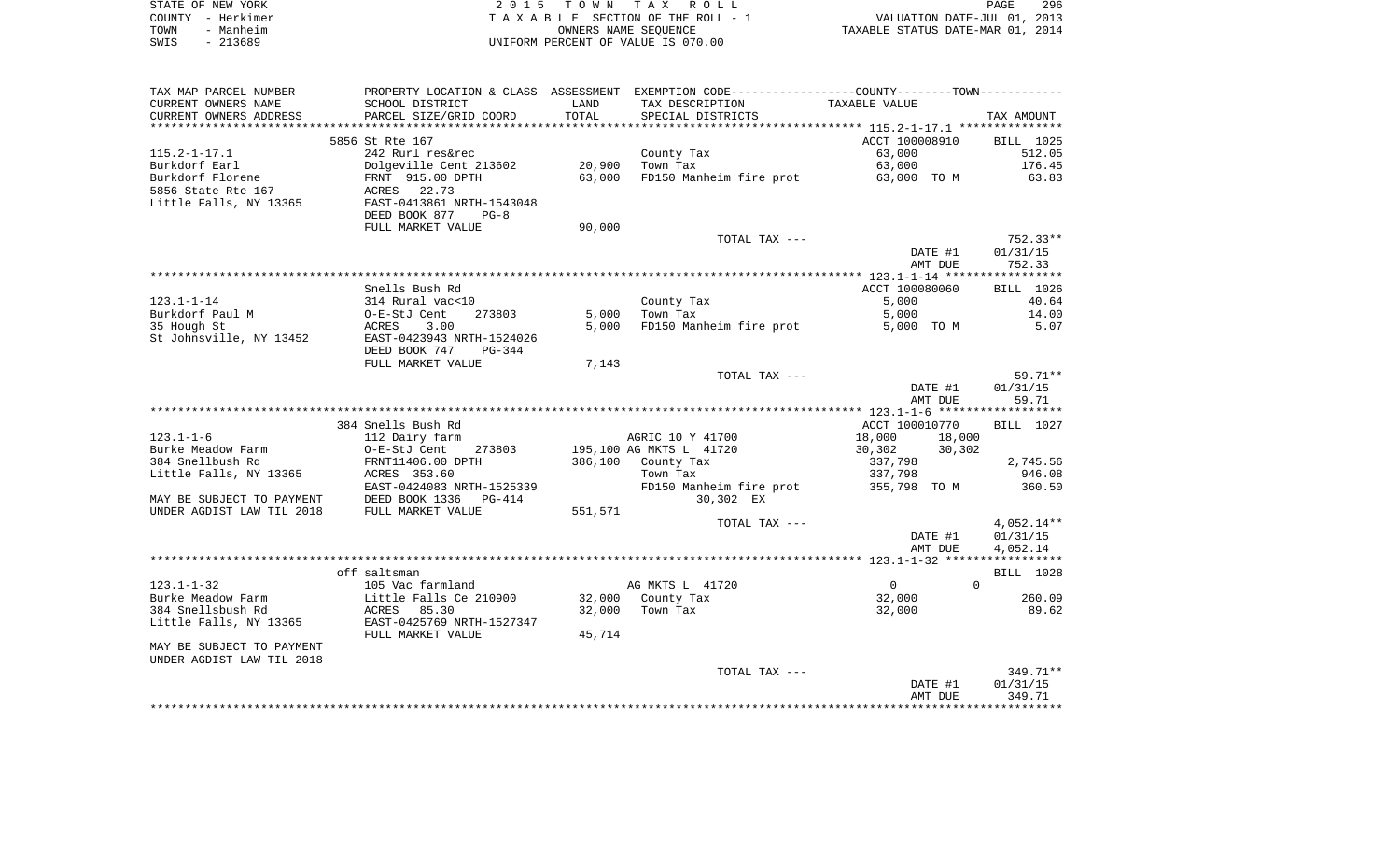|      | STATE OF NEW YORK | 2015 TOWN TAX ROLL                 | PAGE                             | 296 |
|------|-------------------|------------------------------------|----------------------------------|-----|
|      | COUNTY - Herkimer | TAXABLE SECTION OF THE ROLL - 1    | VALUATION DATE-JUL 01, 2013      |     |
| TOWN | - Manheim         | OWNERS NAME SEOUENCE               | TAXABLE STATUS DATE-MAR 01, 2014 |     |
| SWIS | - 213689          | UNIFORM PERCENT OF VALUE IS 070.00 |                                  |     |

| TAX MAP PARCEL NUMBER               |                               |                | PROPERTY LOCATION & CLASS ASSESSMENT EXEMPTION CODE---------------COUNTY-------TOWN---------- |                            |                    |
|-------------------------------------|-------------------------------|----------------|-----------------------------------------------------------------------------------------------|----------------------------|--------------------|
| CURRENT OWNERS NAME                 | SCHOOL DISTRICT               | LAND           | TAX DESCRIPTION                                                                               | TAXABLE VALUE              |                    |
| CURRENT OWNERS ADDRESS              | PARCEL SIZE/GRID COORD        | TOTAL          | SPECIAL DISTRICTS                                                                             |                            | TAX AMOUNT         |
|                                     |                               |                |                                                                                               |                            |                    |
|                                     | 5856 St Rte 167               |                |                                                                                               | ACCT 100008910             | <b>BILL 1025</b>   |
| $115.2 - 1 - 17.1$                  | 242 Rurl res&rec              |                | County Tax                                                                                    | 63,000                     | 512.05             |
| Burkdorf Earl                       | Dolgeville Cent 213602        | 20,900         | Town Tax                                                                                      | 63,000                     | 176.45             |
| Burkdorf Florene                    | FRNT 915.00 DPTH              | 63,000         | FD150 Manheim fire prot                                                                       | 63,000 TO M                | 63.83              |
| 5856 State Rte 167                  | 22.73<br>ACRES                |                |                                                                                               |                            |                    |
| Little Falls, NY 13365              | EAST-0413861 NRTH-1543048     |                |                                                                                               |                            |                    |
|                                     | DEED BOOK 877<br>$PG-8$       |                |                                                                                               |                            |                    |
|                                     | FULL MARKET VALUE             | 90,000         |                                                                                               |                            |                    |
|                                     |                               |                | TOTAL TAX ---                                                                                 |                            | $752.33**$         |
|                                     |                               |                |                                                                                               | DATE #1                    | 01/31/15           |
|                                     |                               |                |                                                                                               | AMT DUE                    | 752.33             |
|                                     | Snells Bush Rd                |                |                                                                                               | ACCT 100080060             |                    |
|                                     |                               |                |                                                                                               |                            | BILL 1026          |
| $123.1 - 1 - 14$<br>Burkdorf Paul M | 314 Rural vac<10<br>273803    |                | County Tax                                                                                    | 5,000<br>5,000             | 40.64              |
| 35 Hough St                         | O-E-StJ Cent<br>ACRES<br>3.00 | 5,000<br>5,000 | Town Tax<br>FD150 Manheim fire prot                                                           | 5,000 TO M                 | 14.00<br>5.07      |
| St Johnsville, NY 13452             | EAST-0423943 NRTH-1524026     |                |                                                                                               |                            |                    |
|                                     | DEED BOOK 747<br>$PG-344$     |                |                                                                                               |                            |                    |
|                                     | FULL MARKET VALUE             | 7,143          |                                                                                               |                            |                    |
|                                     |                               |                | TOTAL TAX ---                                                                                 |                            | $59.71**$          |
|                                     |                               |                |                                                                                               | DATE #1                    | 01/31/15           |
|                                     |                               |                |                                                                                               | AMT DUE                    | 59.71              |
|                                     |                               |                |                                                                                               |                            |                    |
|                                     | 384 Snells Bush Rd            |                |                                                                                               | ACCT 100010770             | BILL 1027          |
| $123.1 - 1 - 6$                     | 112 Dairy farm                |                | AGRIC 10 Y 41700                                                                              | 18,000<br>18,000           |                    |
| Burke Meadow Farm                   | O-E-StJ Cent<br>273803        |                | 195,100 AG MKTS L 41720                                                                       | 30,302<br>30,302           |                    |
| 384 Snellbush Rd                    | FRNT11406.00 DPTH             | 386,100        | County Tax                                                                                    | 337,798                    | 2,745.56           |
| Little Falls, NY 13365              | ACRES 353.60                  |                | Town Tax                                                                                      | 337,798                    | 946.08             |
|                                     | EAST-0424083 NRTH-1525339     |                | FD150 Manheim fire prot                                                                       | 355,798 TO M               | 360.50             |
| MAY BE SUBJECT TO PAYMENT           | DEED BOOK 1336<br>$PG-414$    |                | 30,302 EX                                                                                     |                            |                    |
| UNDER AGDIST LAW TIL 2018           | FULL MARKET VALUE             | 551,571        |                                                                                               |                            |                    |
|                                     |                               |                | TOTAL TAX ---                                                                                 |                            | 4,052.14**         |
|                                     |                               |                |                                                                                               | DATE #1                    | 01/31/15           |
|                                     |                               |                |                                                                                               | AMT DUE                    | 4,052.14           |
|                                     |                               |                |                                                                                               |                            |                    |
|                                     | off saltsman                  |                |                                                                                               |                            | BILL 1028          |
| $123.1 - 1 - 32$                    | 105 Vac farmland              |                | AG MKTS L 41720                                                                               | $\Omega$<br>$\overline{0}$ |                    |
| Burke Meadow Farm                   | Little Falls Ce 210900        |                | 32,000 County Tax                                                                             | 32,000                     | 260.09             |
| 384 Snellsbush Rd                   | ACRES 85.30                   | 32,000         | Town Tax                                                                                      | 32,000                     | 89.62              |
| Little Falls, NY 13365              | EAST-0425769 NRTH-1527347     |                |                                                                                               |                            |                    |
|                                     | FULL MARKET VALUE             | 45,714         |                                                                                               |                            |                    |
| MAY BE SUBJECT TO PAYMENT           |                               |                |                                                                                               |                            |                    |
| UNDER AGDIST LAW TIL 2018           |                               |                |                                                                                               |                            | $349.71**$         |
|                                     |                               |                | TOTAL TAX ---                                                                                 |                            |                    |
|                                     |                               |                |                                                                                               | DATE #1                    | 01/31/15<br>349.71 |
|                                     |                               |                |                                                                                               | AMT DUE                    |                    |
|                                     |                               |                |                                                                                               |                            |                    |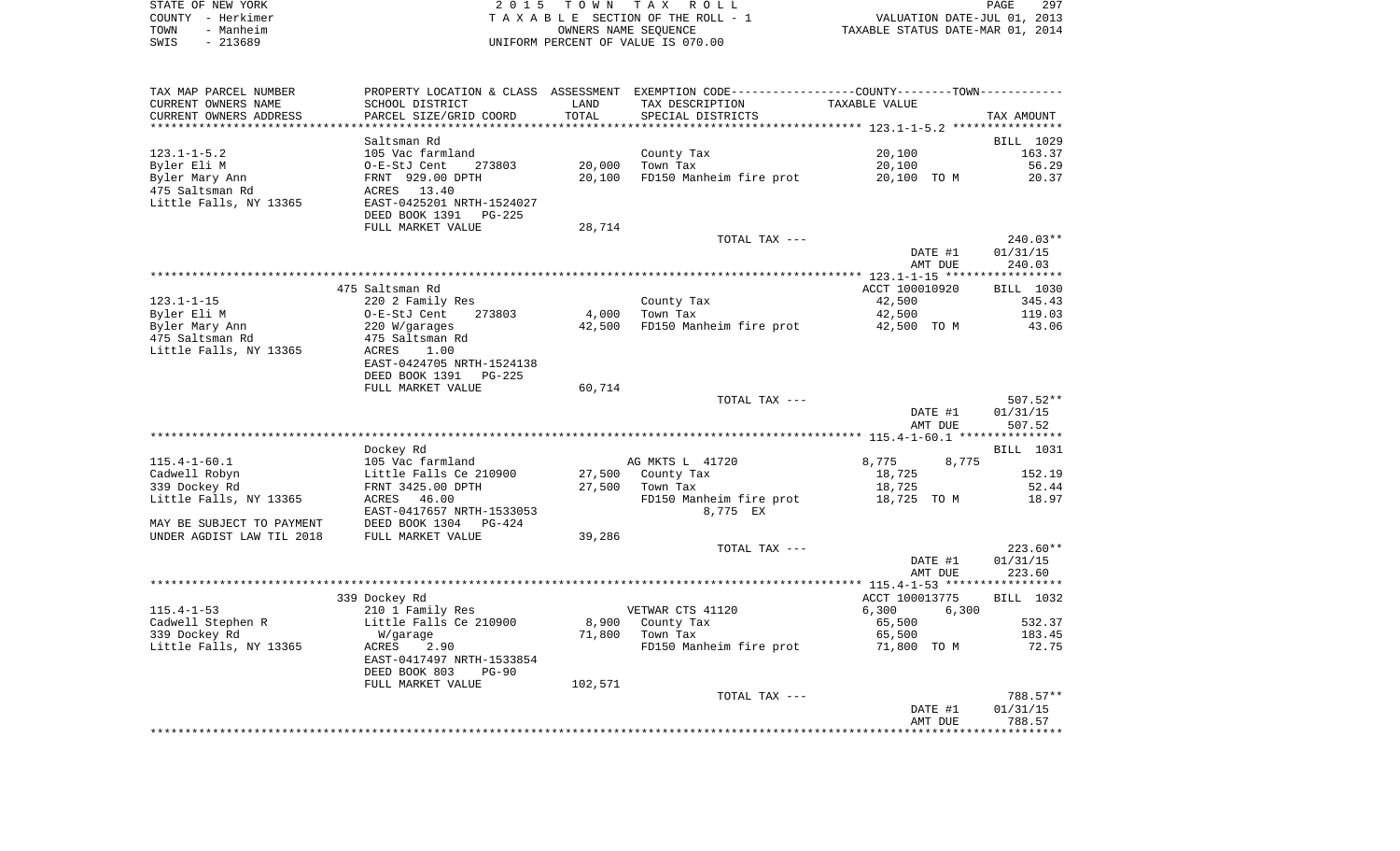| STATE OF NEW YORK | 2015 TOWN TAX ROLL                 | 297<br>PAGE                      |
|-------------------|------------------------------------|----------------------------------|
| COUNTY - Herkimer | TAXABLE SECTION OF THE ROLL - 1    | VALUATION DATE-JUL 01, 2013      |
| - Manheim<br>TOWN | OWNERS NAME SEOUENCE               | TAXABLE STATUS DATE-MAR 01, 2014 |
| SWIS<br>- 213689  | UNIFORM PERCENT OF VALUE IS 070.00 |                                  |

| TAX MAP PARCEL NUMBER<br>CURRENT OWNERS NAME | SCHOOL DISTRICT            | LAND    | PROPERTY LOCATION & CLASS ASSESSMENT EXEMPTION CODE---------------COUNTY-------TOWN----------<br>TAX DESCRIPTION | TAXABLE VALUE  |                        |
|----------------------------------------------|----------------------------|---------|------------------------------------------------------------------------------------------------------------------|----------------|------------------------|
| CURRENT OWNERS ADDRESS                       | PARCEL SIZE/GRID COORD     | TOTAL   | SPECIAL DISTRICTS                                                                                                |                | TAX AMOUNT             |
|                                              |                            |         |                                                                                                                  |                |                        |
|                                              | Saltsman Rd                |         |                                                                                                                  |                | BILL 1029              |
| $123.1 - 1 - 5.2$                            | 105 Vac farmland           |         | County Tax                                                                                                       | 20,100         | 163.37                 |
| Byler Eli M                                  | O-E-StJ Cent<br>273803     | 20,000  | Town Tax                                                                                                         | 20,100         | 56.29                  |
| Byler Mary Ann                               | FRNT 929.00 DPTH           | 20,100  | FD150 Manheim fire prot                                                                                          | 20,100 TO M    | 20.37                  |
| 475 Saltsman Rd                              | ACRES 13.40                |         |                                                                                                                  |                |                        |
| Little Falls, NY 13365                       | EAST-0425201 NRTH-1524027  |         |                                                                                                                  |                |                        |
|                                              | DEED BOOK 1391<br>PG-225   |         |                                                                                                                  |                |                        |
|                                              | FULL MARKET VALUE          | 28,714  |                                                                                                                  |                |                        |
|                                              |                            |         | TOTAL TAX ---                                                                                                    |                | $240.03**$             |
|                                              |                            |         |                                                                                                                  | DATE #1        | 01/31/15               |
|                                              |                            |         |                                                                                                                  | AMT DUE        | 240.03                 |
|                                              |                            |         |                                                                                                                  |                |                        |
|                                              | 475 Saltsman Rd            |         |                                                                                                                  | ACCT 100010920 | BILL 1030              |
| $123.1 - 1 - 15$                             | 220 2 Family Res           |         | County Tax                                                                                                       | 42,500         | 345.43                 |
| Byler Eli M                                  | 273803<br>O-E-StJ Cent     | 4,000   | Town Tax                                                                                                         | 42,500         | 119.03                 |
| Byler Mary Ann                               | 220 W/garages              | 42,500  | FD150 Manheim fire prot                                                                                          | 42,500 TO M    | 43.06                  |
| 475 Saltsman Rd                              | 475 Saltsman Rd            |         |                                                                                                                  |                |                        |
| Little Falls, NY 13365                       | ACRES<br>1.00              |         |                                                                                                                  |                |                        |
|                                              | EAST-0424705 NRTH-1524138  |         |                                                                                                                  |                |                        |
|                                              | DEED BOOK 1391<br>$PG-225$ |         |                                                                                                                  |                |                        |
|                                              | FULL MARKET VALUE          | 60,714  |                                                                                                                  |                |                        |
|                                              |                            |         | TOTAL TAX ---                                                                                                    | DATE #1        | $507.52**$<br>01/31/15 |
|                                              |                            |         |                                                                                                                  | AMT DUE        | 507.52                 |
|                                              |                            |         |                                                                                                                  |                |                        |
|                                              | Dockey Rd                  |         |                                                                                                                  |                | BILL 1031              |
| $115.4 - 1 - 60.1$                           | 105 Vac farmland           |         | AG MKTS L 41720                                                                                                  | 8,775<br>8,775 |                        |
| Cadwell Robyn                                | Little Falls Ce 210900     | 27,500  | County Tax                                                                                                       | 18,725         | 152.19                 |
| 339 Dockey Rd                                | FRNT 3425.00 DPTH          | 27,500  | Town Tax                                                                                                         | 18,725         | 52.44                  |
| Little Falls, NY 13365                       | ACRES<br>46.00             |         | FD150 Manheim fire prot                                                                                          | 18,725 TO M    | 18.97                  |
|                                              | EAST-0417657 NRTH-1533053  |         | 8,775 EX                                                                                                         |                |                        |
| MAY BE SUBJECT TO PAYMENT                    | DEED BOOK 1304<br>PG-424   |         |                                                                                                                  |                |                        |
| UNDER AGDIST LAW TIL 2018                    | FULL MARKET VALUE          | 39,286  |                                                                                                                  |                |                        |
|                                              |                            |         | TOTAL TAX ---                                                                                                    |                | $223.60**$             |
|                                              |                            |         |                                                                                                                  | DATE #1        | 01/31/15               |
|                                              |                            |         |                                                                                                                  | AMT DUE        | 223.60                 |
|                                              |                            |         |                                                                                                                  |                |                        |
|                                              | 339 Dockey Rd              |         |                                                                                                                  | ACCT 100013775 | BILL 1032              |
| $115.4 - 1 - 53$                             | 210 1 Family Res           |         | VETWAR CTS 41120                                                                                                 | 6,300<br>6,300 |                        |
| Cadwell Stephen R                            | Little Falls Ce 210900     | 8,900   | County Tax                                                                                                       | 65,500         | 532.37                 |
| 339 Dockey Rd                                | W/garage                   | 71,800  | Town Tax                                                                                                         | 65,500         | 183.45                 |
| Little Falls, NY 13365                       | ACRES<br>2.90              |         | FD150 Manheim fire prot                                                                                          | 71,800 TO M    | 72.75                  |
|                                              | EAST-0417497 NRTH-1533854  |         |                                                                                                                  |                |                        |
|                                              | DEED BOOK 803<br>$PG-90$   |         |                                                                                                                  |                |                        |
|                                              | FULL MARKET VALUE          | 102,571 |                                                                                                                  |                |                        |
|                                              |                            |         | TOTAL TAX ---                                                                                                    | DATE #1        | 788.57**<br>01/31/15   |
|                                              |                            |         |                                                                                                                  | AMT DUE        | 788.57                 |
|                                              |                            |         |                                                                                                                  |                |                        |
|                                              |                            |         |                                                                                                                  |                |                        |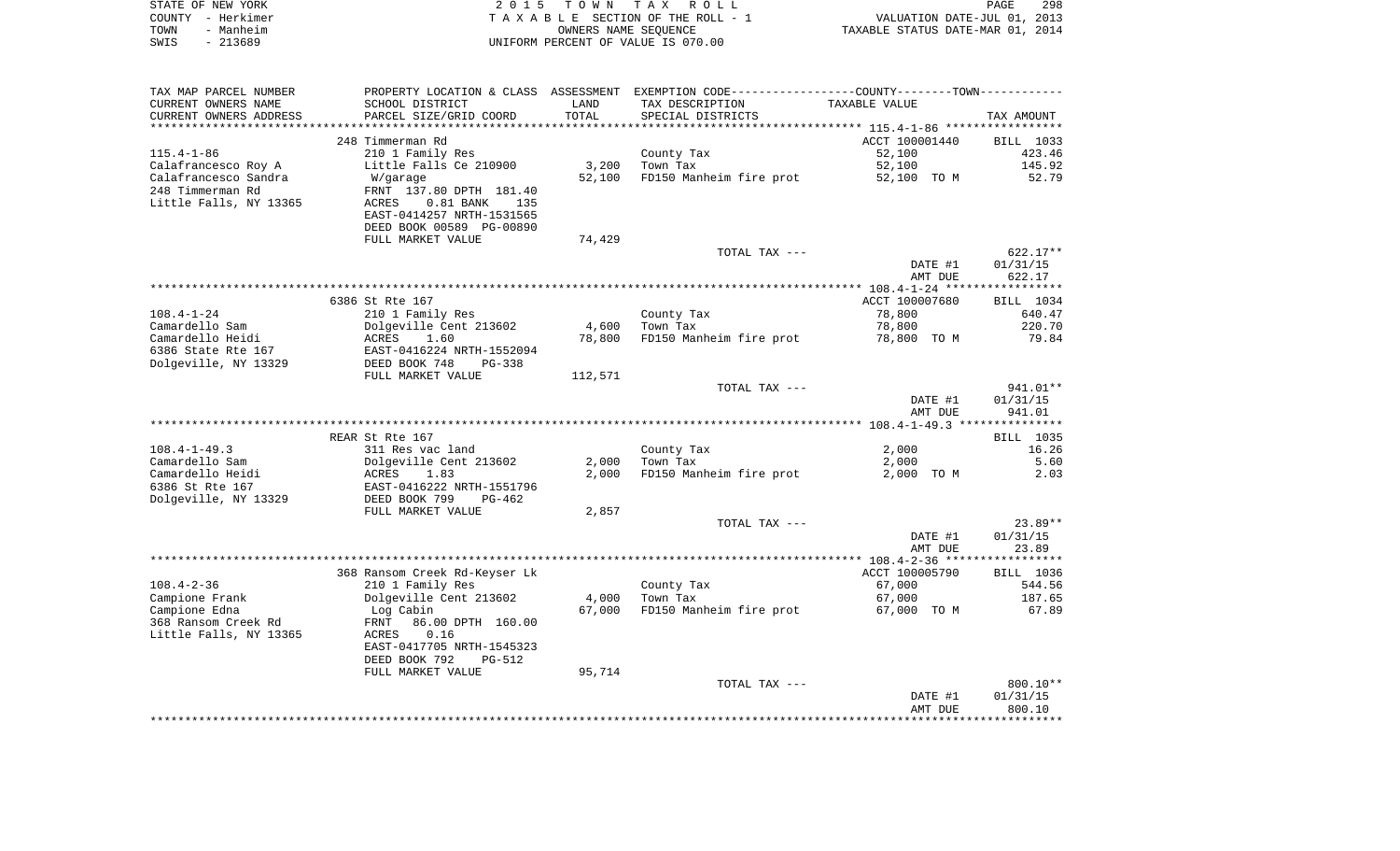| STATE OF NEW YORK | 2015 TOWN TAX ROLL                 | 298<br><b>PAGE</b>               |
|-------------------|------------------------------------|----------------------------------|
| COUNTY - Herkimer | TAXABLE SECTION OF THE ROLL - 1    | VALUATION DATE-JUL 01, 2013      |
| - Manheim<br>TOWN | OWNERS NAME SEOUENCE               | TAXABLE STATUS DATE-MAR 01, 2014 |
| SWIS<br>- 213689  | UNIFORM PERCENT OF VALUE IS 070.00 |                                  |

| TAX MAP PARCEL NUMBER  |                                |         | PROPERTY LOCATION & CLASS ASSESSMENT EXEMPTION CODE---------------COUNTY-------TOWN---------- |                |                  |
|------------------------|--------------------------------|---------|-----------------------------------------------------------------------------------------------|----------------|------------------|
| CURRENT OWNERS NAME    | SCHOOL DISTRICT                | LAND    | TAX DESCRIPTION                                                                               | TAXABLE VALUE  |                  |
| CURRENT OWNERS ADDRESS | PARCEL SIZE/GRID COORD         | TOTAL   | SPECIAL DISTRICTS                                                                             |                | TAX AMOUNT       |
|                        |                                |         |                                                                                               |                |                  |
|                        | 248 Timmerman Rd               |         |                                                                                               | ACCT 100001440 | BILL 1033        |
| $115.4 - 1 - 86$       | 210 1 Family Res               |         | County Tax                                                                                    | 52,100         | 423.46           |
| Calafrancesco Roy A    | Little Falls Ce 210900         | 3,200   | Town Tax                                                                                      | 52,100         | 145.92           |
| Calafrancesco Sandra   | W/garage                       | 52,100  | FD150 Manheim fire prot                                                                       | 52,100 TO M    | 52.79            |
| 248 Timmerman Rd       | FRNT 137.80 DPTH 181.40        |         |                                                                                               |                |                  |
| Little Falls, NY 13365 | ACRES<br>$0.81$ BANK<br>135    |         |                                                                                               |                |                  |
|                        |                                |         |                                                                                               |                |                  |
|                        | EAST-0414257 NRTH-1531565      |         |                                                                                               |                |                  |
|                        | DEED BOOK 00589 PG-00890       |         |                                                                                               |                |                  |
|                        | FULL MARKET VALUE              | 74,429  |                                                                                               |                |                  |
|                        |                                |         | TOTAL TAX ---                                                                                 |                | $622.17**$       |
|                        |                                |         |                                                                                               | DATE #1        | 01/31/15         |
|                        |                                |         |                                                                                               | AMT DUE        | 622.17           |
|                        |                                |         |                                                                                               |                |                  |
|                        | 6386 St Rte 167                |         |                                                                                               | ACCT 100007680 | BILL 1034        |
| $108.4 - 1 - 24$       | 210 1 Family Res               |         | County Tax                                                                                    | 78,800         | 640.47           |
| Camardello Sam         | Dolgeville Cent 213602         | 4,600   | Town Tax                                                                                      | 78,800         | 220.70           |
| Camardello Heidi       | 1.60<br>ACRES                  | 78,800  | FD150 Manheim fire prot                                                                       | 78,800 TO M    | 79.84            |
| 6386 State Rte 167     | EAST-0416224 NRTH-1552094      |         |                                                                                               |                |                  |
| Dolgeville, NY 13329   | DEED BOOK 748<br>PG-338        |         |                                                                                               |                |                  |
|                        | FULL MARKET VALUE              | 112,571 |                                                                                               |                |                  |
|                        |                                |         | TOTAL TAX ---                                                                                 |                | 941.01**         |
|                        |                                |         |                                                                                               | DATE #1        | 01/31/15         |
|                        |                                |         |                                                                                               | AMT DUE        | 941.01           |
|                        |                                |         |                                                                                               |                |                  |
|                        | REAR St Rte 167                |         |                                                                                               |                | <b>BILL</b> 1035 |
| $108.4 - 1 - 49.3$     | 311 Res vac land               |         |                                                                                               |                | 16.26            |
|                        |                                |         | County Tax                                                                                    | 2,000          |                  |
| Camardello Sam         | Dolgeville Cent 213602         | 2,000   | Town Tax                                                                                      | 2,000          | 5.60             |
| Camardello Heidi       | ACRES<br>1.83                  | 2,000   | FD150 Manheim fire prot                                                                       | 2,000 TO M     | 2.03             |
| 6386 St Rte 167        | EAST-0416222 NRTH-1551796      |         |                                                                                               |                |                  |
| Dolgeville, NY 13329   | DEED BOOK 799<br>$PG-462$      |         |                                                                                               |                |                  |
|                        | FULL MARKET VALUE              | 2,857   |                                                                                               |                |                  |
|                        |                                |         | TOTAL TAX ---                                                                                 |                | $23.89**$        |
|                        |                                |         |                                                                                               | DATE #1        | 01/31/15         |
|                        |                                |         |                                                                                               | AMT DUE        | 23.89            |
|                        |                                |         |                                                                                               |                |                  |
|                        | 368 Ransom Creek Rd-Keyser Lk  |         |                                                                                               | ACCT 100005790 | BILL 1036        |
| $108.4 - 2 - 36$       | 210 1 Family Res               |         | County Tax                                                                                    | 67,000         | 544.56           |
| Campione Frank         | Dolgeville Cent 213602         | 4,000   | Town Tax                                                                                      | 67,000         | 187.65           |
| Campione Edna          | Log Cabin                      | 67,000  | FD150 Manheim fire prot                                                                       | 67,000 TO M    | 67.89            |
| 368 Ransom Creek Rd    | 86.00 DPTH 160.00<br>FRNT      |         |                                                                                               |                |                  |
| Little Falls, NY 13365 | 0.16<br>ACRES                  |         |                                                                                               |                |                  |
|                        | EAST-0417705 NRTH-1545323      |         |                                                                                               |                |                  |
|                        | DEED BOOK 792<br><b>PG-512</b> |         |                                                                                               |                |                  |
|                        | FULL MARKET VALUE              | 95,714  |                                                                                               |                |                  |
|                        |                                |         | TOTAL TAX ---                                                                                 |                | $800.10**$       |
|                        |                                |         |                                                                                               | DATE #1        | 01/31/15         |
|                        |                                |         |                                                                                               | AMT DUE        | 800.10           |
|                        |                                |         |                                                                                               |                |                  |
|                        |                                |         |                                                                                               |                |                  |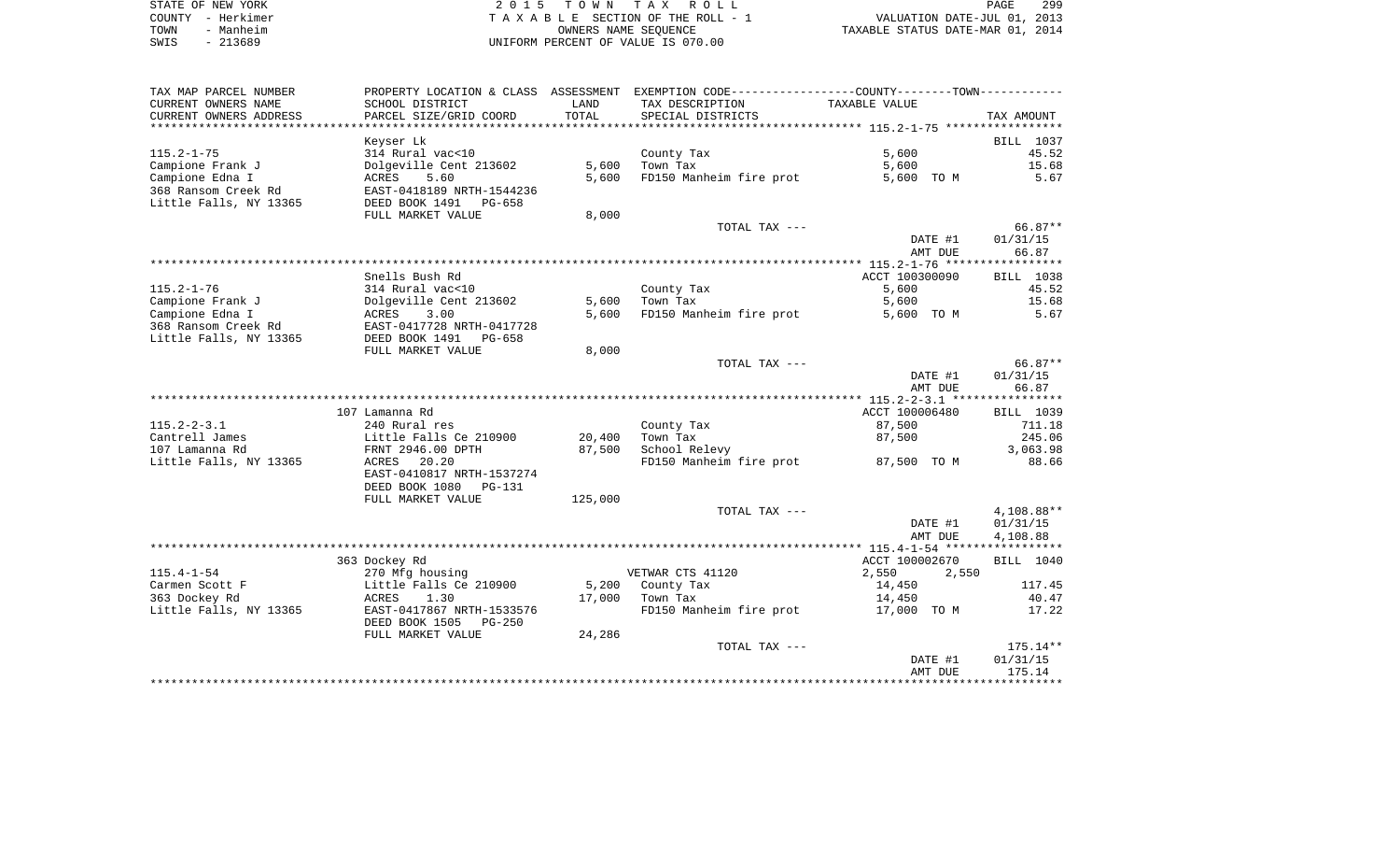| STATE OF NEW YORK | 2015 TOWN TAX ROLL                 | PAGE                             | 299 |
|-------------------|------------------------------------|----------------------------------|-----|
| COUNTY - Herkimer | TAXABLE SECTION OF THE ROLL - 1    | VALUATION DATE-JUL 01, 2013      |     |
| - Manheim<br>TOWN | OWNERS NAME SEOUENCE               | TAXABLE STATUS DATE-MAR 01, 2014 |     |
| $-213689$<br>SWIS | UNIFORM PERCENT OF VALUE IS 070.00 |                                  |     |

| TAX MAP PARCEL NUMBER  |                                 |         | PROPERTY LOCATION & CLASS ASSESSMENT EXEMPTION CODE---------------COUNTY-------TOWN---------- |                |            |
|------------------------|---------------------------------|---------|-----------------------------------------------------------------------------------------------|----------------|------------|
| CURRENT OWNERS NAME    | SCHOOL DISTRICT                 | LAND    | TAX DESCRIPTION                                                                               | TAXABLE VALUE  |            |
| CURRENT OWNERS ADDRESS | PARCEL SIZE/GRID COORD          | TOTAL   | SPECIAL DISTRICTS                                                                             |                | TAX AMOUNT |
|                        |                                 |         |                                                                                               |                |            |
|                        | Keyser Lk                       |         |                                                                                               |                | BILL 1037  |
| $115.2 - 1 - 75$       | 314 Rural vac<10                |         | County Tax                                                                                    | 5,600          | 45.52      |
| Campione Frank J       | Dolgeville Cent 213602          | 5,600   | Town Tax                                                                                      | 5,600          | 15.68      |
| Campione Edna I        | 5.60<br>ACRES                   | 5,600   | FD150 Manheim fire prot                                                                       | 5,600 TO M     | 5.67       |
| 368 Ransom Creek Rd    | EAST-0418189 NRTH-1544236       |         |                                                                                               |                |            |
| Little Falls, NY 13365 | DEED BOOK 1491<br>PG-658        |         |                                                                                               |                |            |
|                        | FULL MARKET VALUE               | 8,000   |                                                                                               |                |            |
|                        |                                 |         | TOTAL TAX ---                                                                                 |                | $66.87**$  |
|                        |                                 |         |                                                                                               | DATE #1        | 01/31/15   |
|                        |                                 |         |                                                                                               | AMT DUE        | 66.87      |
|                        | Snells Bush Rd                  |         |                                                                                               | ACCT 100300090 | BILL 1038  |
| $115.2 - 1 - 76$       | 314 Rural vac<10                |         | County Tax                                                                                    | 5,600          | 45.52      |
| Campione Frank J       | Dolgeville Cent 213602          | 5,600   | Town Tax                                                                                      | 5,600          | 15.68      |
| Campione Edna I        | ACRES<br>3.00                   | 5,600   | FD150 Manheim fire prot                                                                       | 5,600 TO M     | 5.67       |
| 368 Ransom Creek Rd    | EAST-0417728 NRTH-0417728       |         |                                                                                               |                |            |
| Little Falls, NY 13365 | DEED BOOK 1491<br>PG-658        |         |                                                                                               |                |            |
|                        | FULL MARKET VALUE               | 8,000   |                                                                                               |                |            |
|                        |                                 |         | TOTAL TAX ---                                                                                 |                | 66.87**    |
|                        |                                 |         |                                                                                               | DATE #1        | 01/31/15   |
|                        |                                 |         |                                                                                               | AMT DUE        | 66.87      |
|                        |                                 |         |                                                                                               |                |            |
|                        | 107 Lamanna Rd                  |         |                                                                                               | ACCT 100006480 | BILL 1039  |
| $115.2 - 2 - 3.1$      | 240 Rural res                   |         | County Tax                                                                                    | 87,500         | 711.18     |
| Cantrell James         | Little Falls Ce 210900          | 20,400  | Town Tax                                                                                      | 87,500         | 245.06     |
| 107 Lamanna Rd         | FRNT 2946.00 DPTH               | 87,500  | School Relevy                                                                                 |                | 3,063.98   |
| Little Falls, NY 13365 | 20.20<br>ACRES                  |         | FD150 Manheim fire prot                                                                       | 87,500 TO M    | 88.66      |
|                        | EAST-0410817 NRTH-1537274       |         |                                                                                               |                |            |
|                        | DEED BOOK 1080<br>PG-131        |         |                                                                                               |                |            |
|                        | FULL MARKET VALUE               | 125,000 |                                                                                               |                |            |
|                        |                                 |         | TOTAL TAX ---                                                                                 |                | 4,108.88** |
|                        |                                 |         |                                                                                               | DATE #1        | 01/31/15   |
|                        |                                 |         |                                                                                               | AMT DUE        | 4,108.88   |
|                        | 363 Dockey Rd                   |         |                                                                                               | ACCT 100002670 | BILL 1040  |
| $115.4 - 1 - 54$       | 270 Mfg housing                 |         | VETWAR CTS 41120                                                                              | 2,550<br>2,550 |            |
| Carmen Scott F         | Little Falls Ce 210900          | 5,200   | County Tax                                                                                    | 14,450         | 117.45     |
| 363 Dockey Rd          | ACRES<br>1.30                   | 17,000  | Town Tax                                                                                      | 14,450         | 40.47      |
| Little Falls, NY 13365 | EAST-0417867 NRTH-1533576       |         | FD150 Manheim fire prot                                                                       | 17,000 TO M    | 17.22      |
|                        | DEED BOOK 1505<br><b>PG-250</b> |         |                                                                                               |                |            |
|                        | FULL MARKET VALUE               | 24,286  |                                                                                               |                |            |
|                        |                                 |         | TOTAL TAX ---                                                                                 |                | $175.14**$ |
|                        |                                 |         |                                                                                               | DATE #1        | 01/31/15   |
|                        |                                 |         |                                                                                               | AMT DUE        | 175.14     |
|                        |                                 |         |                                                                                               |                |            |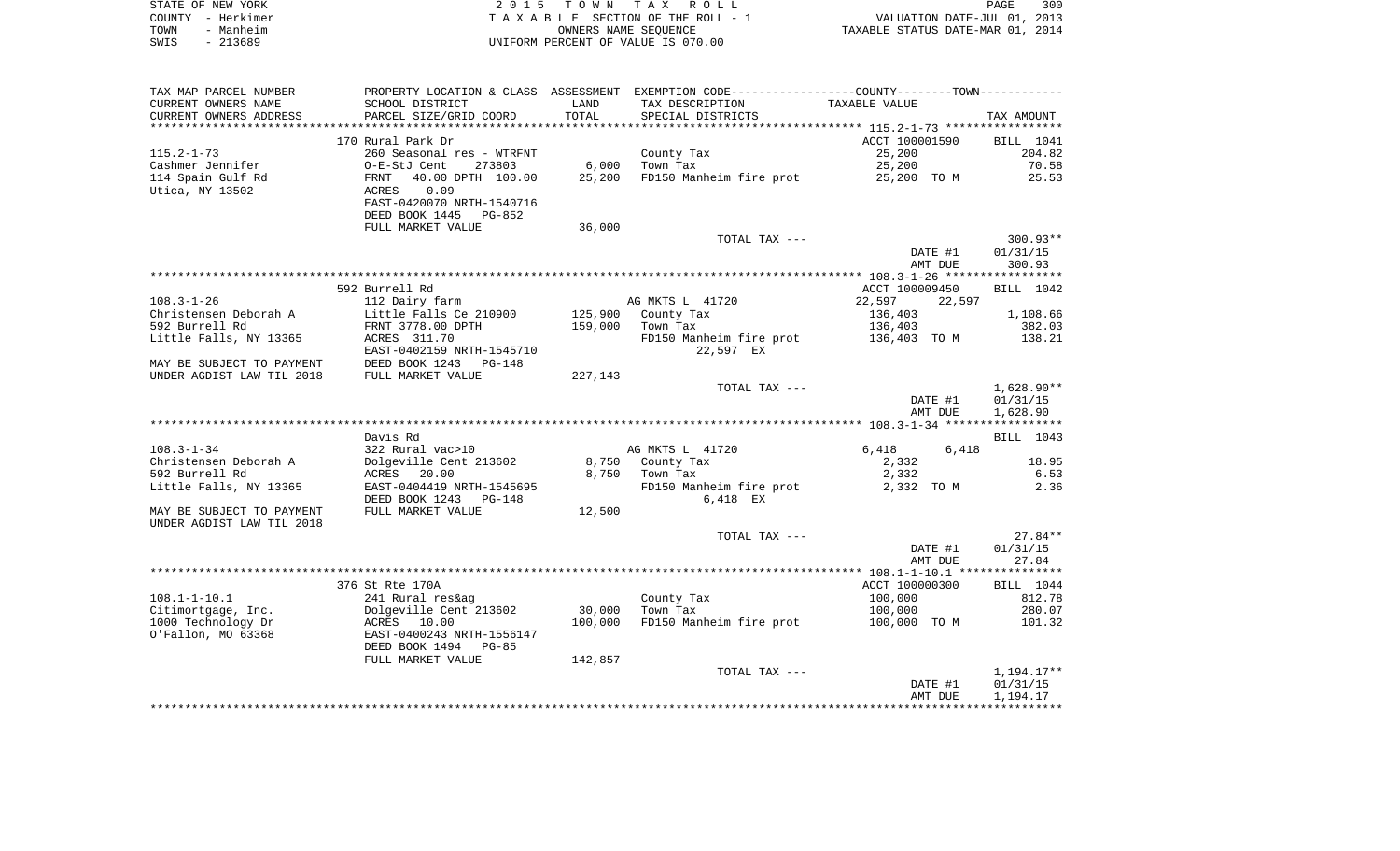| STATE OF NEW YORK | 2015 TOWN TAX ROLL                 | PAGE                             | 300 |
|-------------------|------------------------------------|----------------------------------|-----|
| COUNTY – Herkimer | TAXABLE SECTION OF THE ROLL - 1    | VALUATION DATE-JUL 01, 2013      |     |
| - Manheim<br>TOWN | OWNERS NAME SEOUENCE               | TAXABLE STATUS DATE-MAR 01, 2014 |     |
| $-213689$<br>SWIS | UNIFORM PERCENT OF VALUE IS 070.00 |                                  |     |

| TAX MAP PARCEL NUMBER                   | PROPERTY LOCATION & CLASS ASSESSMENT EXEMPTION CODE----------------COUNTY-------TOWN---------- |         |                                      |                  |                      |
|-----------------------------------------|------------------------------------------------------------------------------------------------|---------|--------------------------------------|------------------|----------------------|
| CURRENT OWNERS NAME                     | SCHOOL DISTRICT                                                                                | LAND    | TAX DESCRIPTION                      | TAXABLE VALUE    |                      |
| CURRENT OWNERS ADDRESS                  | PARCEL SIZE/GRID COORD                                                                         | TOTAL   | SPECIAL DISTRICTS                    |                  | TAX AMOUNT           |
| *******************                     | ******************************                                                                 |         |                                      |                  |                      |
|                                         | 170 Rural Park Dr                                                                              |         |                                      | ACCT 100001590   | <b>BILL</b> 1041     |
| $115.2 - 1 - 73$                        | 260 Seasonal res - WTRFNT                                                                      |         | County Tax                           | 25,200           | 204.82               |
| Cashmer Jennifer                        | O-E-StJ Cent<br>273803                                                                         | 6,000   | Town Tax                             | 25,200           | 70.58                |
| 114 Spain Gulf Rd                       | 40.00 DPTH 100.00<br>FRNT                                                                      | 25,200  | FD150 Manheim fire prot              | 25,200 TO M      | 25.53                |
| Utica, NY 13502                         | 0.09<br><b>ACRES</b>                                                                           |         |                                      |                  |                      |
|                                         | EAST-0420070 NRTH-1540716                                                                      |         |                                      |                  |                      |
|                                         | DEED BOOK 1445<br>PG-852                                                                       |         |                                      |                  |                      |
|                                         | FULL MARKET VALUE                                                                              | 36,000  |                                      |                  |                      |
|                                         |                                                                                                |         | TOTAL TAX ---                        |                  | $300.93**$           |
|                                         |                                                                                                |         |                                      | DATE #1          | 01/31/15             |
|                                         |                                                                                                |         |                                      | AMT DUE          | 300.93               |
|                                         |                                                                                                |         |                                      |                  |                      |
|                                         | 592 Burrell Rd                                                                                 |         |                                      | ACCT 100009450   | BILL 1042            |
| $108.3 - 1 - 26$                        | 112 Dairy farm                                                                                 |         | AG MKTS L 41720                      | 22,597<br>22,597 |                      |
| Christensen Deborah A<br>592 Burrell Rd | Little Falls Ce 210900                                                                         | 125,900 | County Tax                           | 136,403          | 1,108.66             |
|                                         | FRNT 3778.00 DPTH<br>ACRES 311.70                                                              | 159,000 | Town Tax                             | 136,403          | 382.03<br>138.21     |
| Little Falls, NY 13365                  | EAST-0402159 NRTH-1545710                                                                      |         | FD150 Manheim fire prot<br>22,597 EX | 136,403 TO M     |                      |
| MAY BE SUBJECT TO PAYMENT               | DEED BOOK 1243<br>PG-148                                                                       |         |                                      |                  |                      |
| UNDER AGDIST LAW TIL 2018               | FULL MARKET VALUE                                                                              | 227,143 |                                      |                  |                      |
|                                         |                                                                                                |         | TOTAL TAX ---                        |                  | $1,628.90**$         |
|                                         |                                                                                                |         |                                      | DATE #1          | 01/31/15             |
|                                         |                                                                                                |         |                                      | AMT DUE          | 1,628.90             |
|                                         |                                                                                                |         |                                      |                  |                      |
|                                         | Davis Rd                                                                                       |         |                                      |                  | BILL 1043            |
| $108.3 - 1 - 34$                        | 322 Rural vac>10                                                                               |         | AG MKTS L 41720                      | 6,418<br>6,418   |                      |
| Christensen Deborah A                   | Dolgeville Cent 213602                                                                         | 8,750   | County Tax                           | 2,332            | 18.95                |
| 592 Burrell Rd                          | ACRES 20.00                                                                                    | 8,750   | Town Tax                             | 2,332            | 6.53                 |
| Little Falls, NY 13365                  | EAST-0404419 NRTH-1545695                                                                      |         | FD150 Manheim fire prot              | 2,332 TO M       | 2.36                 |
|                                         | DEED BOOK 1243<br>PG-148                                                                       |         | 6,418 EX                             |                  |                      |
| MAY BE SUBJECT TO PAYMENT               | FULL MARKET VALUE                                                                              | 12,500  |                                      |                  |                      |
| UNDER AGDIST LAW TIL 2018               |                                                                                                |         |                                      |                  |                      |
|                                         |                                                                                                |         | TOTAL TAX ---                        |                  | $27.84**$            |
|                                         |                                                                                                |         |                                      | DATE #1          | 01/31/15             |
|                                         |                                                                                                |         |                                      | AMT DUE          | 27.84                |
|                                         |                                                                                                |         |                                      |                  |                      |
|                                         | 376 St Rte 170A                                                                                |         |                                      | ACCT 100000300   | BILL 1044            |
| $108.1 - 1 - 10.1$                      | 241 Rural res&ag                                                                               |         | County Tax                           | 100,000          | 812.78               |
| Citimortgage, Inc.                      | Dolgeville Cent 213602                                                                         | 30,000  | Town Tax                             | 100,000          | 280.07               |
| 1000 Technology Dr                      | ACRES 10.00                                                                                    | 100,000 | FD150 Manheim fire prot              | 100,000 TO M     | 101.32               |
| O'Fallon, MO 63368                      | EAST-0400243 NRTH-1556147                                                                      |         |                                      |                  |                      |
|                                         | DEED BOOK 1494 PG-85                                                                           |         |                                      |                  |                      |
|                                         | FULL MARKET VALUE                                                                              | 142,857 |                                      |                  |                      |
|                                         |                                                                                                |         | TOTAL TAX ---                        |                  | $1,194.17**$         |
|                                         |                                                                                                |         |                                      | DATE #1          | 01/31/15<br>1,194.17 |
|                                         |                                                                                                |         |                                      | AMT DUE          |                      |
|                                         |                                                                                                |         |                                      |                  |                      |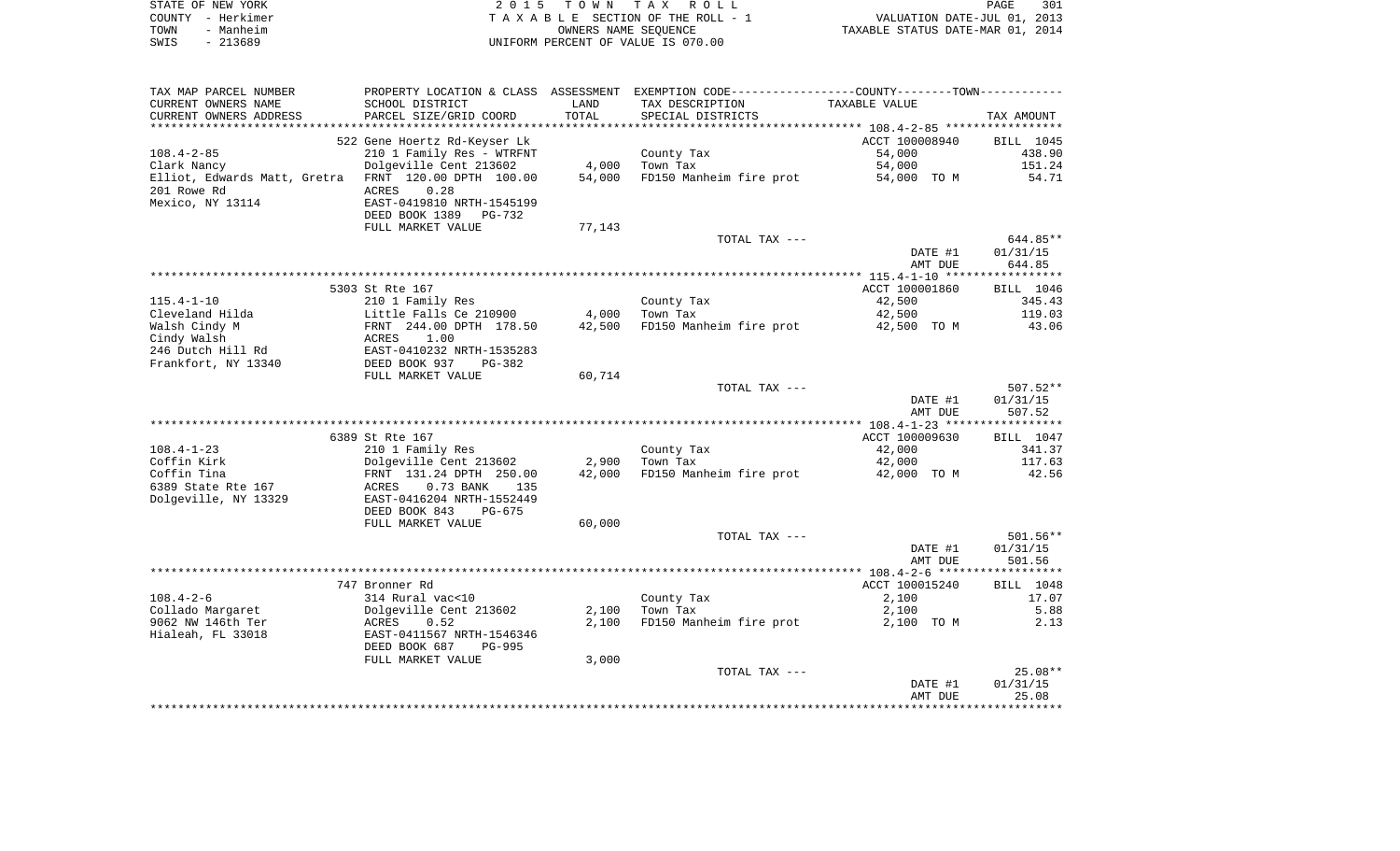| STATE OF NEW YORK | 2015 TOWN TAX ROLL                 | 301<br>PAGE                      |
|-------------------|------------------------------------|----------------------------------|
| COUNTY - Herkimer | TAXABLE SECTION OF THE ROLL - 1    | VALUATION DATE-JUL 01, 2013      |
| TOWN<br>- Manheim | OWNERS NAME SEOUENCE               | TAXABLE STATUS DATE-MAR 01, 2014 |
| SWIS<br>- 213689  | UNIFORM PERCENT OF VALUE IS 070.00 |                                  |

| TAX MAP PARCEL NUMBER    |                                                      |        | PROPERTY LOCATION & CLASS ASSESSMENT EXEMPTION CODE----------------COUNTY-------TOWN----------- |                    |            |
|--------------------------|------------------------------------------------------|--------|-------------------------------------------------------------------------------------------------|--------------------|------------|
| CURRENT OWNERS NAME      | SCHOOL DISTRICT                                      | LAND   | TAX DESCRIPTION                                                                                 | TAXABLE VALUE      |            |
| CURRENT OWNERS ADDRESS   | PARCEL SIZE/GRID COORD                               | TOTAL  | SPECIAL DISTRICTS                                                                               |                    | TAX AMOUNT |
| ************************ | ***************************                          |        |                                                                                                 |                    |            |
|                          | 522 Gene Hoertz Rd-Keyser Lk                         |        |                                                                                                 | ACCT 100008940     | BILL 1045  |
| $108.4 - 2 - 85$         | 210 1 Family Res - WTRFNT                            |        | County Tax                                                                                      | 54,000             | 438.90     |
| Clark Nancy              | Dolgeville Cent 213602                               | 4,000  | Town Tax                                                                                        | 54,000             | 151.24     |
|                          | Elliot, Edwards Matt, Gretra FRNT 120.00 DPTH 100.00 | 54,000 | FD150 Manheim fire prot                                                                         | 54,000 TO M        | 54.71      |
| 201 Rowe Rd              | ACRES<br>0.28                                        |        |                                                                                                 |                    |            |
| Mexico, NY 13114         | EAST-0419810 NRTH-1545199                            |        |                                                                                                 |                    |            |
|                          | DEED BOOK 1389<br>PG-732                             |        |                                                                                                 |                    |            |
|                          | FULL MARKET VALUE                                    | 77,143 |                                                                                                 |                    |            |
|                          |                                                      |        | TOTAL TAX ---                                                                                   |                    | 644.85**   |
|                          |                                                      |        |                                                                                                 | DATE #1            | 01/31/15   |
|                          |                                                      |        |                                                                                                 | AMT DUE            | 644.85     |
|                          |                                                      |        |                                                                                                 |                    |            |
|                          | 5303 St Rte 167                                      |        |                                                                                                 | ACCT 100001860     | BILL 1046  |
| $115.4 - 1 - 10$         | 210 1 Family Res                                     |        | County Tax                                                                                      | 42,500             | 345.43     |
| Cleveland Hilda          | Little Falls Ce 210900                               | 4,000  | Town Tax                                                                                        | 42,500             | 119.03     |
| Walsh Cindy M            | FRNT 244.00 DPTH 178.50                              | 42,500 | FD150 Manheim fire prot                                                                         | 42,500 TO M        | 43.06      |
| Cindy Walsh              | 1.00<br>ACRES                                        |        |                                                                                                 |                    |            |
| 246 Dutch Hill Rd        | EAST-0410232 NRTH-1535283                            |        |                                                                                                 |                    |            |
| Frankfort, NY 13340      | DEED BOOK 937<br>$PG-382$                            |        |                                                                                                 |                    |            |
|                          | FULL MARKET VALUE                                    | 60,714 |                                                                                                 |                    |            |
|                          |                                                      |        | TOTAL TAX ---                                                                                   |                    | $507.52**$ |
|                          |                                                      |        |                                                                                                 | DATE #1<br>AMT DUE | 01/31/15   |
|                          |                                                      |        |                                                                                                 |                    | 507.52     |
|                          | 6389 St Rte 167                                      |        |                                                                                                 | ACCT 100009630     | BILL 1047  |
| $108.4 - 1 - 23$         | 210 1 Family Res                                     |        | County Tax                                                                                      | 42,000             | 341.37     |
| Coffin Kirk              | Dolgeville Cent 213602                               | 2,900  | Town Tax                                                                                        | 42,000             | 117.63     |
| Coffin Tina              | FRNT 131.24 DPTH 250.00                              | 42,000 | FD150 Manheim fire prot                                                                         | 42,000 TO M        | 42.56      |
| 6389 State Rte 167       | ACRES<br>$0.73$ BANK<br>135                          |        |                                                                                                 |                    |            |
| Dolgeville, NY 13329     | EAST-0416204 NRTH-1552449                            |        |                                                                                                 |                    |            |
|                          | DEED BOOK 843<br>PG-675                              |        |                                                                                                 |                    |            |
|                          | FULL MARKET VALUE                                    | 60,000 |                                                                                                 |                    |            |
|                          |                                                      |        | TOTAL TAX ---                                                                                   |                    | $501.56**$ |
|                          |                                                      |        |                                                                                                 | DATE #1            | 01/31/15   |
|                          |                                                      |        |                                                                                                 | AMT DUE            | 501.56     |
|                          |                                                      |        |                                                                                                 |                    |            |
|                          | 747 Bronner Rd                                       |        |                                                                                                 | ACCT 100015240     | BILL 1048  |
| $108.4 - 2 - 6$          | 314 Rural vac<10                                     |        | County Tax                                                                                      | 2,100              | 17.07      |
| Collado Margaret         | Dolgeville Cent 213602                               | 2,100  | Town Tax                                                                                        | 2,100              | 5.88       |
| 9062 NW 146th Ter        | ACRES<br>0.52                                        | 2,100  | FD150 Manheim fire prot                                                                         | 2,100 TO M         | 2.13       |
| Hialeah, FL 33018        | EAST-0411567 NRTH-1546346                            |        |                                                                                                 |                    |            |
|                          | DEED BOOK 687<br>PG-995                              |        |                                                                                                 |                    |            |
|                          | FULL MARKET VALUE                                    | 3,000  |                                                                                                 |                    |            |
|                          |                                                      |        | TOTAL TAX ---                                                                                   |                    | $25.08**$  |
|                          |                                                      |        |                                                                                                 | DATE #1            | 01/31/15   |
|                          |                                                      |        |                                                                                                 | AMT DUE            | 25.08      |
|                          |                                                      |        |                                                                                                 |                    |            |
|                          |                                                      |        |                                                                                                 |                    |            |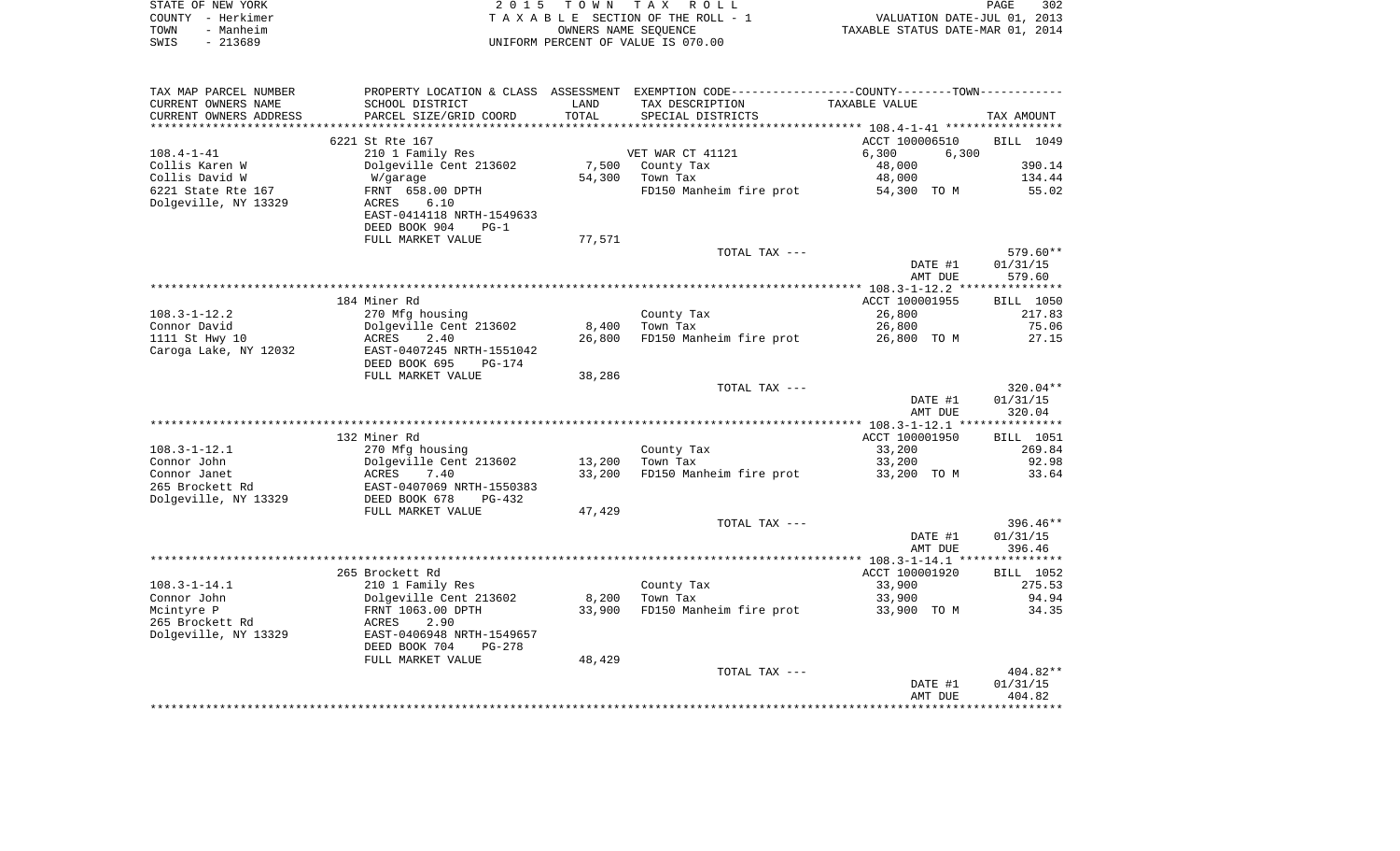|      | STATE OF NEW YORK | 2015 TOWN TAX ROLL                    | PAGE                             | 302 |
|------|-------------------|---------------------------------------|----------------------------------|-----|
|      | COUNTY - Herkimer | T A X A B L E SECTION OF THE ROLL - 1 | VALUATION DATE-JUL 01, 2013      |     |
| TOWN | - Manheim         | OWNERS NAME SEOUENCE                  | TAXABLE STATUS DATE-MAR 01, 2014 |     |
| SWIS | - 213689          | UNIFORM PERCENT OF VALUE IS 070.00    |                                  |     |
|      |                   |                                       |                                  |     |
|      |                   |                                       |                                  |     |

| TAX MAP PARCEL NUMBER  | PROPERTY LOCATION & CLASS ASSESSMENT |        | EXEMPTION CODE-----------------COUNTY-------TOWN----------- |                |                  |
|------------------------|--------------------------------------|--------|-------------------------------------------------------------|----------------|------------------|
| CURRENT OWNERS NAME    | SCHOOL DISTRICT                      | LAND   | TAX DESCRIPTION                                             | TAXABLE VALUE  |                  |
| CURRENT OWNERS ADDRESS | PARCEL SIZE/GRID COORD               | TOTAL  | SPECIAL DISTRICTS                                           |                | TAX AMOUNT       |
|                        |                                      |        |                                                             |                |                  |
|                        | 6221 St Rte 167                      |        |                                                             | ACCT 100006510 | BILL 1049        |
| $108.4 - 1 - 41$       | 210 1 Family Res                     |        | VET WAR CT 41121                                            | 6,300<br>6,300 |                  |
| Collis Karen W         | Dolgeville Cent 213602               | 7,500  | County Tax                                                  | 48,000         | 390.14           |
| Collis David W         | W/garage                             | 54,300 | Town Tax                                                    | 48,000         | 134.44           |
| 6221 State Rte 167     | FRNT 658.00 DPTH                     |        | FD150 Manheim fire prot                                     | 54,300 TO M    | 55.02            |
| Dolgeville, NY 13329   | ACRES<br>6.10                        |        |                                                             |                |                  |
|                        | EAST-0414118 NRTH-1549633            |        |                                                             |                |                  |
|                        | DEED BOOK 904<br>$PG-1$              |        |                                                             |                |                  |
|                        | FULL MARKET VALUE                    | 77,571 |                                                             |                |                  |
|                        |                                      |        | TOTAL TAX ---                                               |                | 579.60**         |
|                        |                                      |        |                                                             | DATE #1        | 01/31/15         |
|                        |                                      |        |                                                             | AMT DUE        | 579.60           |
|                        |                                      |        |                                                             |                |                  |
|                        | 184 Miner Rd                         |        |                                                             | ACCT 100001955 | BILL 1050        |
| $108.3 - 1 - 12.2$     | 270 Mfg housing                      |        | County Tax                                                  | 26,800         | 217.83           |
| Connor David           | Dolgeville Cent 213602               | 8,400  | Town Tax                                                    | 26,800         | 75.06            |
| 1111 St Hwy 10         | ACRES<br>2.40                        | 26,800 | FD150 Manheim fire prot                                     | 26,800 TO M    | 27.15            |
| Caroga Lake, NY 12032  | EAST-0407245 NRTH-1551042            |        |                                                             |                |                  |
|                        | DEED BOOK 695<br><b>PG-174</b>       |        |                                                             |                |                  |
|                        | FULL MARKET VALUE                    | 38,286 | TOTAL TAX ---                                               |                | $320.04**$       |
|                        |                                      |        |                                                             | DATE #1        | 01/31/15         |
|                        |                                      |        |                                                             | AMT DUE        | 320.04           |
|                        |                                      |        |                                                             |                |                  |
|                        | 132 Miner Rd                         |        |                                                             | ACCT 100001950 | <b>BILL</b> 1051 |
| $108.3 - 1 - 12.1$     | 270 Mfg housing                      |        | County Tax                                                  | 33,200         | 269.84           |
| Connor John            | Dolgeville Cent 213602               | 13,200 | Town Tax                                                    | 33,200         | 92.98            |
| Connor Janet           | ACRES<br>7.40                        | 33,200 | FD150 Manheim fire prot                                     | 33,200 TO M    | 33.64            |
| 265 Brockett Rd        | EAST-0407069 NRTH-1550383            |        |                                                             |                |                  |
| Dolgeville, NY 13329   | DEED BOOK 678<br>$PG-432$            |        |                                                             |                |                  |
|                        | FULL MARKET VALUE                    | 47,429 |                                                             |                |                  |
|                        |                                      |        | TOTAL TAX ---                                               |                | $396.46**$       |
|                        |                                      |        |                                                             | DATE #1        | 01/31/15         |
|                        |                                      |        |                                                             | AMT DUE        | 396.46           |
|                        |                                      |        |                                                             |                |                  |
|                        | 265 Brockett Rd                      |        |                                                             | ACCT 100001920 | BILL 1052        |
| $108.3 - 1 - 14.1$     | 210 1 Family Res                     |        | County Tax                                                  | 33,900         | 275.53           |
| Connor John            | Dolgeville Cent 213602               | 8,200  | Town Tax                                                    | 33,900         | 94.94            |
| Mcintyre P             | FRNT 1063.00 DPTH                    | 33,900 | FD150 Manheim fire prot                                     | 33,900 TO M    | 34.35            |
| 265 Brockett Rd        | <b>ACRES</b><br>2.90                 |        |                                                             |                |                  |
| Dolgeville, NY 13329   | EAST-0406948 NRTH-1549657            |        |                                                             |                |                  |
|                        | DEED BOOK 704<br>$PG-278$            |        |                                                             |                |                  |
|                        | FULL MARKET VALUE                    | 48,429 |                                                             |                |                  |
|                        |                                      |        | TOTAL TAX ---                                               |                | $404.82**$       |
|                        |                                      |        |                                                             | DATE #1        | 01/31/15         |
|                        |                                      |        |                                                             | AMT DUE        | 404.82           |
|                        |                                      |        |                                                             |                |                  |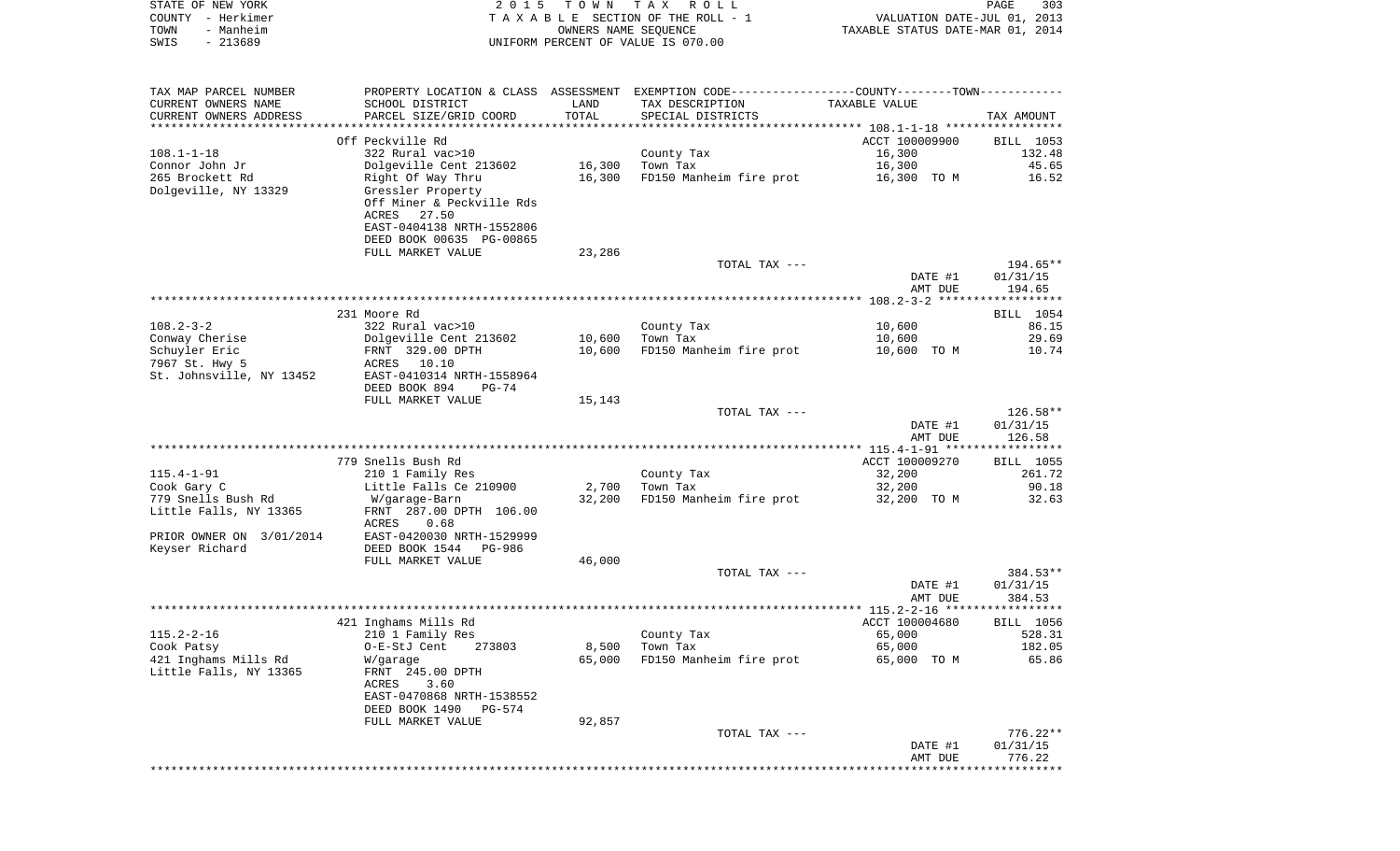|      | STATE OF NEW YORK | 2015 TOWN TAX ROLL                 |                                  | PAGE | 303 |
|------|-------------------|------------------------------------|----------------------------------|------|-----|
|      | COUNTY - Herkimer | TAXABLE SECTION OF THE ROLL - 1    | VALUATION DATE-JUL 01, 2013      |      |     |
| TOWN | - Manheim         | OWNERS NAME SEOUENCE               | TAXABLE STATUS DATE-MAR 01, 2014 |      |     |
| SWIS | $-213689$         | UNIFORM PERCENT OF VALUE IS 070.00 |                                  |      |     |
|      |                   |                                    |                                  |      |     |

| TAX MAP PARCEL NUMBER    | PROPERTY LOCATION & CLASS ASSESSMENT        |        | EXEMPTION CODE-----------------COUNTY--------TOWN----------- |                                                     |                    |
|--------------------------|---------------------------------------------|--------|--------------------------------------------------------------|-----------------------------------------------------|--------------------|
| CURRENT OWNERS NAME      | SCHOOL DISTRICT                             | LAND   | TAX DESCRIPTION                                              | TAXABLE VALUE                                       |                    |
| CURRENT OWNERS ADDRESS   | PARCEL SIZE/GRID COORD                      | TOTAL  | SPECIAL DISTRICTS                                            |                                                     | TAX AMOUNT         |
|                          | ******************************              |        |                                                              | ·******************** 108.1-1-18 ****************** |                    |
|                          | Off Peckville Rd                            |        |                                                              | ACCT 100009900                                      | BILL 1053          |
| $108.1 - 1 - 18$         | 322 Rural vac>10                            |        | County Tax                                                   | 16,300                                              | 132.48             |
| Connor John Jr           | Dolgeville Cent 213602                      | 16,300 | Town Tax                                                     | 16,300                                              | 45.65              |
| 265 Brockett Rd          | Right Of Way Thru                           | 16,300 | FD150 Manheim fire prot                                      | 16,300 TO M                                         | 16.52              |
| Dolgeville, NY 13329     | Gressler Property                           |        |                                                              |                                                     |                    |
|                          | Off Miner & Peckville Rds<br>ACRES<br>27.50 |        |                                                              |                                                     |                    |
|                          | EAST-0404138 NRTH-1552806                   |        |                                                              |                                                     |                    |
|                          | DEED BOOK 00635 PG-00865                    |        |                                                              |                                                     |                    |
|                          | FULL MARKET VALUE                           | 23,286 |                                                              |                                                     |                    |
|                          |                                             |        | TOTAL TAX ---                                                |                                                     | 194.65**           |
|                          |                                             |        |                                                              | DATE #1                                             | 01/31/15           |
|                          |                                             |        |                                                              | AMT DUE                                             | 194.65             |
|                          |                                             |        |                                                              |                                                     |                    |
|                          | 231 Moore Rd                                |        |                                                              |                                                     | BILL 1054          |
| $108.2 - 3 - 2$          | 322 Rural vac>10                            |        | County Tax                                                   | 10,600                                              | 86.15              |
| Conway Cherise           | Dolgeville Cent 213602                      | 10,600 | Town Tax                                                     | 10,600                                              | 29.69              |
| Schuyler Eric            | FRNT 329.00 DPTH                            | 10,600 | FD150 Manheim fire prot                                      | 10,600 TO M                                         | 10.74              |
| 7967 St. Hwy 5           | 10.10<br>ACRES                              |        |                                                              |                                                     |                    |
| St. Johnsville, NY 13452 | EAST-0410314 NRTH-1558964                   |        |                                                              |                                                     |                    |
|                          | DEED BOOK 894<br>PG-74                      |        |                                                              |                                                     |                    |
|                          | FULL MARKET VALUE                           | 15,143 |                                                              |                                                     |                    |
|                          |                                             |        | TOTAL TAX ---                                                |                                                     | 126.58**           |
|                          |                                             |        |                                                              | DATE #1<br>AMT DUE                                  | 01/31/15<br>126.58 |
|                          |                                             |        |                                                              |                                                     |                    |
|                          | 779 Snells Bush Rd                          |        |                                                              | ACCT 100009270                                      | BILL 1055          |
| $115.4 - 1 - 91$         | 210 1 Family Res                            |        | County Tax                                                   | 32,200                                              | 261.72             |
| Cook Gary C              | Little Falls Ce 210900                      | 2,700  | Town Tax                                                     | 32,200                                              | 90.18              |
| 779 Snells Bush Rd       | W/garage-Barn                               | 32,200 | FD150 Manheim fire prot                                      | 32,200 TO M                                         | 32.63              |
| Little Falls, NY 13365   | FRNT 287.00 DPTH 106.00                     |        |                                                              |                                                     |                    |
|                          | ACRES<br>0.68                               |        |                                                              |                                                     |                    |
| PRIOR OWNER ON 3/01/2014 | EAST-0420030 NRTH-1529999                   |        |                                                              |                                                     |                    |
| Keyser Richard           | DEED BOOK 1544<br>PG-986                    |        |                                                              |                                                     |                    |
|                          | FULL MARKET VALUE                           | 46,000 |                                                              |                                                     |                    |
|                          |                                             |        | TOTAL TAX ---                                                |                                                     | 384.53**           |
|                          |                                             |        |                                                              | DATE #1<br>AMT DUE                                  | 01/31/15<br>384.53 |
|                          |                                             |        |                                                              |                                                     |                    |
|                          | 421 Inghams Mills Rd                        |        |                                                              | ACCT 100004680                                      | BILL 1056          |
| $115.2 - 2 - 16$         | 210 1 Family Res                            |        | County Tax                                                   | 65,000                                              | 528.31             |
| Cook Patsy               | O-E-StJ Cent<br>273803                      | 8,500  | Town Tax                                                     | 65,000                                              | 182.05             |
| 421 Inghams Mills Rd     | W/garage                                    | 65,000 | FD150 Manheim fire prot                                      | 65,000 TO M                                         | 65.86              |
| Little Falls, NY 13365   | FRNT 245.00 DPTH                            |        |                                                              |                                                     |                    |
|                          | ACRES<br>3.60                               |        |                                                              |                                                     |                    |
|                          | EAST-0470868 NRTH-1538552                   |        |                                                              |                                                     |                    |
|                          | DEED BOOK 1490<br>PG-574                    |        |                                                              |                                                     |                    |
|                          | FULL MARKET VALUE                           | 92,857 |                                                              |                                                     |                    |
|                          |                                             |        | TOTAL TAX ---                                                |                                                     | $776.22**$         |
|                          |                                             |        |                                                              | DATE #1                                             | 01/31/15           |
|                          |                                             |        |                                                              | AMT DUE                                             | 776.22             |
|                          |                                             |        |                                                              |                                                     |                    |
|                          |                                             |        |                                                              |                                                     |                    |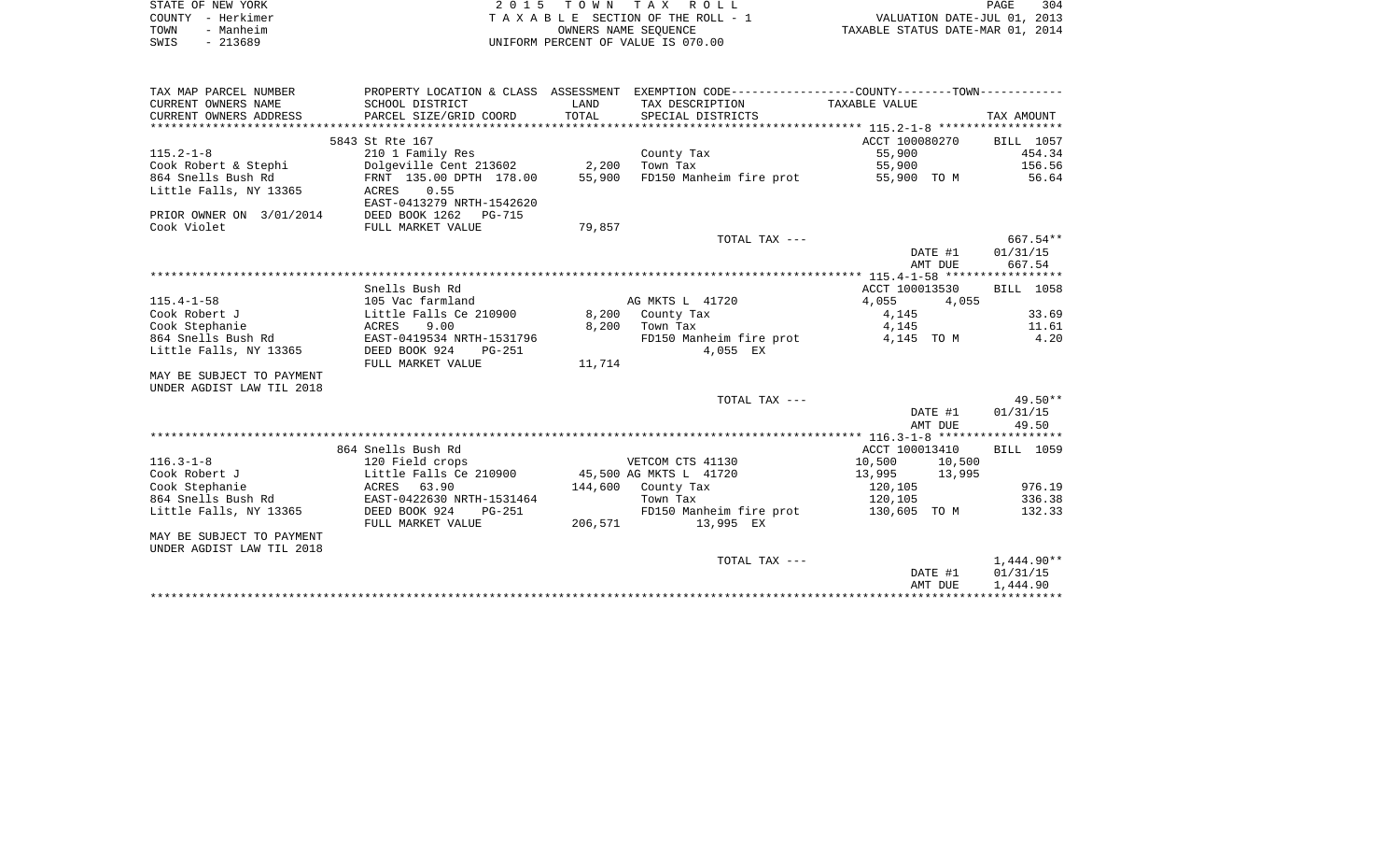| STATE OF NEW YORK | 2015 TOWN TAX ROLL                 | 304<br>PAGE                      |
|-------------------|------------------------------------|----------------------------------|
| COUNTY - Herkimer | TAXABLE SECTION OF THE ROLL - 1    | VALUATION DATE-JUL 01, 2013      |
| TOWN<br>- Manheim | OWNERS NAME SEOUENCE               | TAXABLE STATUS DATE-MAR 01, 2014 |
| - 213689<br>SWIS  | UNIFORM PERCENT OF VALUE IS 070.00 |                                  |

|                           |                                               |         |                                                                                                 | AMT DUE                  | 1,444.90          |
|---------------------------|-----------------------------------------------|---------|-------------------------------------------------------------------------------------------------|--------------------------|-------------------|
|                           |                                               |         |                                                                                                 | DATE #1                  | 01/31/15          |
| UNDER AGDIST LAW TIL 2018 |                                               |         | TOTAL TAX ---                                                                                   |                          | $1,444.90**$      |
| MAY BE SUBJECT TO PAYMENT |                                               |         |                                                                                                 |                          |                   |
|                           | FULL MARKET VALUE                             | 206,571 | 13,995 EX                                                                                       |                          |                   |
| Little Falls, NY 13365    | DEED BOOK 924<br>$PG-251$                     |         | FD150 Manheim fire prot                                                                         | 130,605 TO M             | 132.33            |
| 864 Snells Bush Rd        | EAST-0422630 NRTH-1531464                     |         | Town Tax                                                                                        | 120,105                  | 336.38            |
| Cook Stephanie            | 63.90<br>ACRES                                |         | 144,600 County Tax                                                                              | 120,105                  | 976.19            |
| Cook Robert J             | Little Falls Ce 210900 45,500 AG MKTS L 41720 |         |                                                                                                 | 13,995<br>13,995         |                   |
| $116.3 - 1 - 8$           | 120 Field crops                               |         | VETCOM CTS 41130                                                                                | 10,500<br>10,500         |                   |
|                           | 864 Snells Bush Rd                            |         |                                                                                                 | ACCT 100013410           | BILL 1059         |
|                           |                                               |         |                                                                                                 |                          |                   |
|                           |                                               |         |                                                                                                 | DATE #1<br>AMT DUE       | 01/31/15<br>49.50 |
|                           |                                               |         | TOTAL TAX ---                                                                                   |                          | $49.50**$         |
| UNDER AGDIST LAW TIL 2018 |                                               |         |                                                                                                 |                          |                   |
| MAY BE SUBJECT TO PAYMENT |                                               |         |                                                                                                 |                          |                   |
|                           | FULL MARKET VALUE                             | 11,714  |                                                                                                 |                          |                   |
| Little Falls, NY 13365    | DEED BOOK 924<br>$PG-251$                     |         | 4,055 EX                                                                                        |                          |                   |
| 864 Snells Bush Rd        | EAST-0419534 NRTH-1531796                     |         | FD150 Manheim fire prot                                                                         | 4,145 TO M               | 4.20              |
| Cook Stephanie            | ACRES<br>9.00                                 | 8,200   | Town Tax                                                                                        | 4,145                    | 11.61             |
| Cook Robert J             | Little Falls Ce 210900 8,200 County Tax       |         |                                                                                                 | 4,145                    | 33.69             |
| $115.4 - 1 - 58$          | 105 Vac farmland                              |         | AG MKTS L 41720                                                                                 | 4,055<br>4,055           |                   |
|                           | Snells Bush Rd                                |         |                                                                                                 | ACCT 100013530           | BILL 1058         |
|                           |                                               |         |                                                                                                 |                          |                   |
|                           |                                               |         |                                                                                                 | AMT DUE                  | 667.54            |
|                           |                                               |         |                                                                                                 | DATE #1                  | 01/31/15          |
| Cook Violet               | FULL MARKET VALUE                             | 79,857  | TOTAL TAX ---                                                                                   |                          | 667.54**          |
| PRIOR OWNER ON 3/01/2014  | DEED BOOK 1262<br>PG-715                      |         |                                                                                                 |                          |                   |
|                           | EAST-0413279 NRTH-1542620                     |         |                                                                                                 |                          |                   |
| Little Falls, NY 13365    | 0.55<br>ACRES                                 |         |                                                                                                 |                          |                   |
| 864 Snells Bush Rd        | FRNT 135.00 DPTH 178.00                       | 55,900  | FD150 Manheim fire prot                                                                         | 55,900 TO M 56.64        |                   |
| Cook Robert & Stephi      | Dolgeville Cent 213602 2,200                  |         | Town Tax                                                                                        | 55,900                   | 156.56            |
| $115.2 - 1 - 8$           | 210 1 Family Res                              |         | County Tax                                                                                      | 55,900                   | 454.34            |
|                           | 5843 St Rte 167                               |         |                                                                                                 | ACCT 100080270 BILL 1057 |                   |
| CURRENT OWNERS ADDRESS    | PARCEL SIZE/GRID COORD                        | TOTAL   | SPECIAL DISTRICTS                                                                               |                          | TAX AMOUNT        |
| CURRENT OWNERS NAME       | SCHOOL DISTRICT                               | LAND    | TAX DESCRIPTION TAXABLE VALUE                                                                   |                          |                   |
| TAX MAP PARCEL NUMBER     |                                               |         | PROPERTY LOCATION & CLASS ASSESSMENT EXEMPTION CODE----------------COUNTY--------TOWN---------- |                          |                   |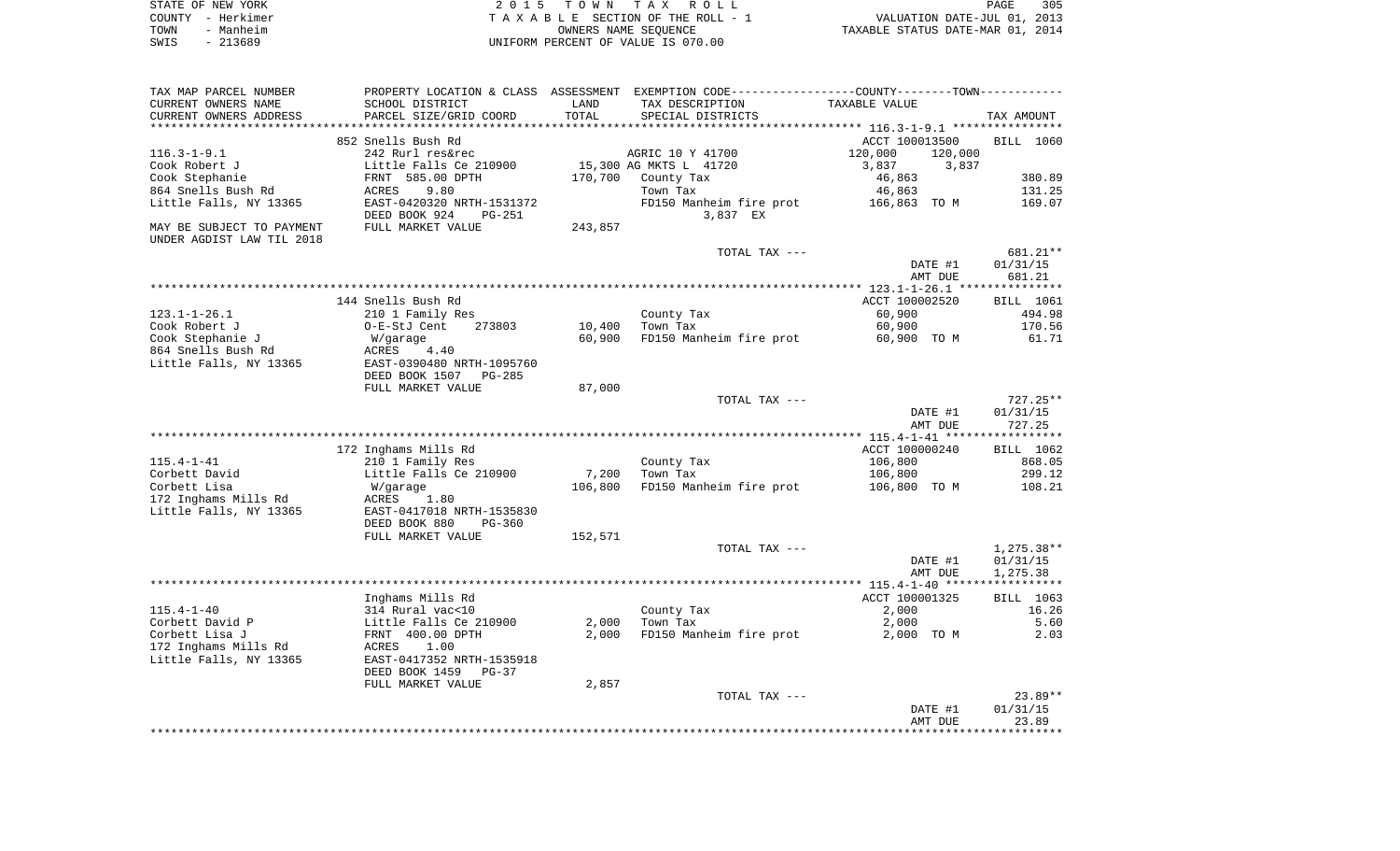| STATE OF NEW YORK | 2015 TOWN TAX ROLL                 | 305<br>PAGE                      |
|-------------------|------------------------------------|----------------------------------|
| COUNTY - Herkimer | TAXABLE SECTION OF THE ROLL - 1    | VALUATION DATE-JUL 01, 2013      |
| TOWN<br>- Manheim | OWNERS NAME SEOUENCE               | TAXABLE STATUS DATE-MAR 01, 2014 |
| SWIS<br>- 213689  | UNIFORM PERCENT OF VALUE IS 070.00 |                                  |

| TAX MAP PARCEL NUMBER     |                            |         | PROPERTY LOCATION & CLASS ASSESSMENT EXEMPTION CODE---------------COUNTY-------TOWN---------- |                                                 |              |
|---------------------------|----------------------------|---------|-----------------------------------------------------------------------------------------------|-------------------------------------------------|--------------|
| CURRENT OWNERS NAME       | SCHOOL DISTRICT            | LAND    | TAX DESCRIPTION                                                                               | TAXABLE VALUE                                   |              |
| CURRENT OWNERS ADDRESS    | PARCEL SIZE/GRID COORD     | TOTAL   | SPECIAL DISTRICTS                                                                             |                                                 | TAX AMOUNT   |
|                           |                            |         |                                                                                               | ***************** 116.3-1-9.1 ***************** |              |
|                           | 852 Snells Bush Rd         |         |                                                                                               | ACCT 100013500                                  | BILL 1060    |
| $116.3 - 1 - 9.1$         | 242 Rurl res&rec           |         | AGRIC 10 Y 41700                                                                              | 120,000<br>120,000                              |              |
| Cook Robert J             | Little Falls Ce 210900     |         | 15,300 AG MKTS L 41720                                                                        | 3,837<br>3,837                                  |              |
| Cook Stephanie            | FRNT 585.00 DPTH           | 170,700 | County Tax                                                                                    | 46,863                                          | 380.89       |
| 864 Snells Bush Rd        | 9.80<br>ACRES              |         | Town Tax                                                                                      | 46,863                                          | 131.25       |
| Little Falls, NY 13365    | EAST-0420320 NRTH-1531372  |         | FD150 Manheim fire prot                                                                       | 166,863 TO M                                    | 169.07       |
|                           | DEED BOOK 924<br>$PG-251$  |         | 3,837 EX                                                                                      |                                                 |              |
| MAY BE SUBJECT TO PAYMENT | FULL MARKET VALUE          | 243,857 |                                                                                               |                                                 |              |
| UNDER AGDIST LAW TIL 2018 |                            |         |                                                                                               |                                                 |              |
|                           |                            |         | TOTAL TAX ---                                                                                 |                                                 | 681.21**     |
|                           |                            |         |                                                                                               | DATE #1                                         | 01/31/15     |
|                           |                            |         |                                                                                               | AMT DUE                                         | 681.21       |
|                           |                            |         |                                                                                               |                                                 |              |
|                           |                            |         |                                                                                               |                                                 |              |
|                           | 144 Snells Bush Rd         |         |                                                                                               | ACCT 100002520                                  | BILL 1061    |
| $123.1 - 1 - 26.1$        | 210 1 Family Res           |         | County Tax                                                                                    | 60,900                                          | 494.98       |
| Cook Robert J             | 273803<br>O-E-StJ Cent     | 10,400  | Town Tax                                                                                      | 60,900                                          | 170.56       |
| Cook Stephanie J          | W/garage                   | 60,900  | FD150 Manheim fire prot                                                                       | 60,900 TO M                                     | 61.71        |
| 864 Snells Bush Rd        | ACRES<br>4.40              |         |                                                                                               |                                                 |              |
| Little Falls, NY 13365    | EAST-0390480 NRTH-1095760  |         |                                                                                               |                                                 |              |
|                           | DEED BOOK 1507<br>$PG-285$ |         |                                                                                               |                                                 |              |
|                           | FULL MARKET VALUE          | 87,000  |                                                                                               |                                                 |              |
|                           |                            |         | TOTAL TAX ---                                                                                 |                                                 | $727.25**$   |
|                           |                            |         |                                                                                               | DATE #1                                         | 01/31/15     |
|                           |                            |         |                                                                                               | AMT DUE                                         | 727.25       |
|                           |                            |         |                                                                                               |                                                 |              |
|                           | 172 Inghams Mills Rd       |         |                                                                                               | ACCT 100000240                                  | BILL 1062    |
| $115.4 - 1 - 41$          | 210 1 Family Res           |         | County Tax                                                                                    | 106,800                                         | 868.05       |
| Corbett David             | Little Falls Ce 210900     | 7,200   | Town Tax                                                                                      | 106,800                                         | 299.12       |
| Corbett Lisa              | W/garage                   | 106,800 | FD150 Manheim fire prot                                                                       | 106,800 TO M                                    | 108.21       |
| 172 Inghams Mills Rd      | ACRES<br>1.80              |         |                                                                                               |                                                 |              |
| Little Falls, NY 13365    | EAST-0417018 NRTH-1535830  |         |                                                                                               |                                                 |              |
|                           | DEED BOOK 880<br>PG-360    |         |                                                                                               |                                                 |              |
|                           | FULL MARKET VALUE          | 152,571 |                                                                                               |                                                 |              |
|                           |                            |         | TOTAL TAX ---                                                                                 |                                                 | $1,275.38**$ |
|                           |                            |         |                                                                                               | DATE #1                                         | 01/31/15     |
|                           |                            |         |                                                                                               | AMT DUE                                         | 1,275.38     |
|                           |                            |         |                                                                                               |                                                 |              |
|                           | Inghams Mills Rd           |         |                                                                                               | ACCT 100001325                                  | BILL 1063    |
| $115.4 - 1 - 40$          | 314 Rural vac<10           |         | County Tax                                                                                    | 2,000                                           | 16.26        |
| Corbett David P           | Little Falls Ce 210900     | 2,000   | Town Tax                                                                                      | 2,000                                           | 5.60         |
| Corbett Lisa J            | FRNT 400.00 DPTH           | 2,000   | FD150 Manheim fire prot                                                                       | 2,000 TO M                                      | 2.03         |
| 172 Inghams Mills Rd      | ACRES<br>1.00              |         |                                                                                               |                                                 |              |
|                           |                            |         |                                                                                               |                                                 |              |
| Little Falls, NY 13365    | EAST-0417352 NRTH-1535918  |         |                                                                                               |                                                 |              |
|                           | DEED BOOK 1459<br>$PG-37$  |         |                                                                                               |                                                 |              |
|                           | FULL MARKET VALUE          | 2,857   |                                                                                               |                                                 |              |
|                           |                            |         | TOTAL TAX ---                                                                                 |                                                 | $23.89**$    |
|                           |                            |         |                                                                                               | DATE #1                                         | 01/31/15     |
|                           |                            |         |                                                                                               | AMT DUE                                         | 23.89        |
|                           |                            |         |                                                                                               |                                                 |              |
|                           |                            |         |                                                                                               |                                                 |              |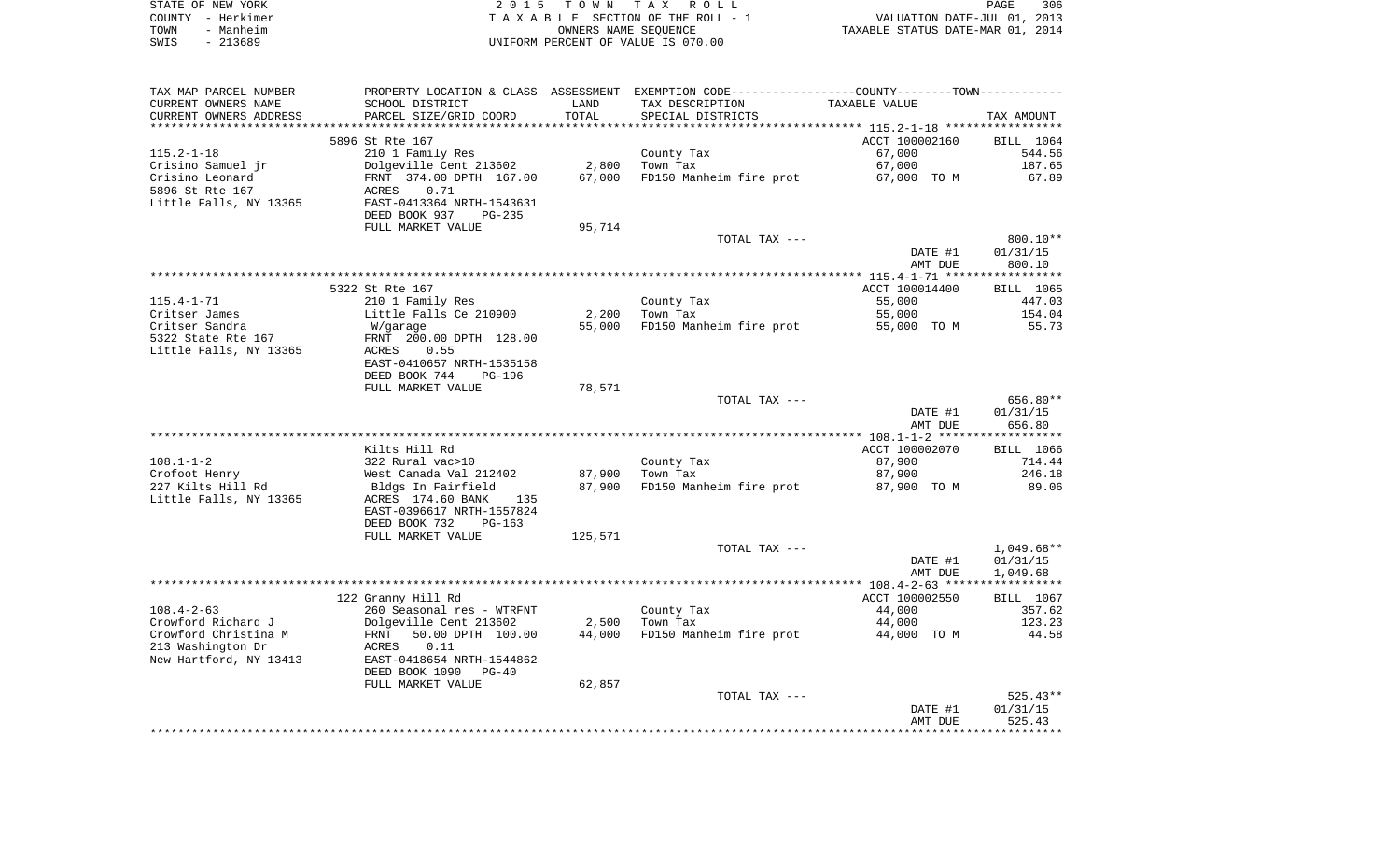| STATE OF NEW YORK | 2015 TOWN TAX ROLL                 |                                  | PAGE                        | 306 |
|-------------------|------------------------------------|----------------------------------|-----------------------------|-----|
| COUNTY - Herkimer | TAXABLE SECTION OF THE ROLL - 1    |                                  | VALUATION DATE-JUL 01, 2013 |     |
| TOWN<br>- Manheim | OWNERS NAME SEOUENCE               | TAXABLE STATUS DATE-MAR 01, 2014 |                             |     |
| $-213689$<br>SWIS | UNIFORM PERCENT OF VALUE IS 070.00 |                                  |                             |     |

| TAX MAP PARCEL NUMBER  |                                       |         | PROPERTY LOCATION & CLASS ASSESSMENT EXEMPTION CODE---------------COUNTY-------TOWN---------- |                |              |
|------------------------|---------------------------------------|---------|-----------------------------------------------------------------------------------------------|----------------|--------------|
| CURRENT OWNERS NAME    | SCHOOL DISTRICT                       | LAND    | TAX DESCRIPTION                                                                               | TAXABLE VALUE  |              |
| CURRENT OWNERS ADDRESS | PARCEL SIZE/GRID COORD                | TOTAL   | SPECIAL DISTRICTS                                                                             |                | TAX AMOUNT   |
| *******************    |                                       |         |                                                                                               |                |              |
|                        | 5896 St Rte 167                       |         |                                                                                               | ACCT 100002160 | BILL 1064    |
| $115.2 - 1 - 18$       | 210 1 Family Res                      |         | County Tax<br>Town Tax                                                                        | 67,000         | 544.56       |
| Crisino Samuel jr      | Dolgeville Cent 213602                | 2,800   | Town Tax                                                                                      | 67,000         | 187.65       |
| Crisino Leonard        | FRNT 374.00 DPTH 167.00<br>ACRES 0.71 | 67,000  | FD150 Manheim fire prot 67,000 TO M                                                           |                | 67.89        |
| 5896 St Rte 167        |                                       |         |                                                                                               |                |              |
| Little Falls, NY 13365 | EAST-0413364 NRTH-1543631             |         |                                                                                               |                |              |
|                        | DEED BOOK 937<br>PG-235               |         |                                                                                               |                |              |
|                        | FULL MARKET VALUE                     | 95,714  |                                                                                               |                |              |
|                        |                                       |         | TOTAL TAX ---                                                                                 |                | 800.10**     |
|                        |                                       |         |                                                                                               | DATE #1        | 01/31/15     |
|                        |                                       |         |                                                                                               | AMT DUE        | 800.10       |
|                        |                                       |         |                                                                                               |                |              |
|                        | 5322 St Rte 167                       |         |                                                                                               | ACCT 100014400 | BILL 1065    |
| $115.4 - 1 - 71$       | 210 1 Family Res                      |         | County Tax                                                                                    | 55,000         | 447.03       |
| Critser James          | Little Falls Ce 210900                | 2,200   | Town Tax                                                                                      | 55,000         | 154.04       |
| Critser Sandra         | W/garage                              | 55,000  | FD150 Manheim fire prot                                                                       | 55,000 TO M    | 55.73        |
| 5322 State Rte 167     | FRNT 200.00 DPTH 128.00               |         |                                                                                               |                |              |
| Little Falls, NY 13365 | 0.55<br>ACRES                         |         |                                                                                               |                |              |
|                        | EAST-0410657 NRTH-1535158             |         |                                                                                               |                |              |
|                        | DEED BOOK 744<br><b>PG-196</b>        |         |                                                                                               |                |              |
|                        | FULL MARKET VALUE                     | 78,571  |                                                                                               |                |              |
|                        |                                       |         | TOTAL TAX ---                                                                                 |                | 656.80**     |
|                        |                                       |         |                                                                                               | DATE #1        | 01/31/15     |
|                        |                                       |         |                                                                                               | AMT DUE        | 656.80       |
|                        |                                       |         |                                                                                               |                |              |
|                        | Kilts Hill Rd                         |         |                                                                                               | ACCT 100002070 | BILL 1066    |
| $108.1 - 1 - 2$        | 322 Rural vac>10                      |         | County Tax                                                                                    | 87,900         | 714.44       |
| Crofoot Henry          | West Canada Val 212402                |         | 87,900 Town Tax                                                                               | 87,900         | 246.18       |
| 227 Kilts Hill Rd      | Bldgs In Fairfield                    | 87,900  | FD150 Manheim fire prot 87,900 TO M                                                           |                | 89.06        |
| Little Falls, NY 13365 | ACRES 174.60 BANK 135                 |         |                                                                                               |                |              |
|                        | EAST-0396617 NRTH-1557824             |         |                                                                                               |                |              |
|                        | DEED BOOK 732<br>PG-163               |         |                                                                                               |                |              |
|                        | FULL MARKET VALUE                     | 125,571 |                                                                                               |                |              |
|                        |                                       |         | TOTAL TAX ---                                                                                 |                | $1,049.68**$ |
|                        |                                       |         |                                                                                               | DATE #1        | 01/31/15     |
|                        |                                       |         |                                                                                               | AMT DUE        | 1,049.68     |
|                        | 122 Granny Hill Rd                    |         |                                                                                               | ACCT 100002550 | BILL 1067    |
|                        |                                       |         | County Tax                                                                                    | 44,000         | 357.62       |
|                        |                                       |         |                                                                                               |                |              |
| $108.4 - 2 - 63$       | 260 Seasonal res - WTRFNT             |         |                                                                                               |                |              |
| Crowford Richard J     | Dolgeville Cent 213602                |         | $2,500$ Town Tax                                                                              | 44,000         | 123.23       |
| Crowford Christina M   | 50.00 DPTH 100.00<br>FRNT             | 44,000  | FD150 Manheim fire prot                                                                       | 44,000 TO M    | 44.58        |
| 213 Washington Dr      | 0.11<br>ACRES                         |         |                                                                                               |                |              |
| New Hartford, NY 13413 | EAST-0418654 NRTH-1544862             |         |                                                                                               |                |              |
|                        | DEED BOOK 1090<br>$PG-40$             |         |                                                                                               |                |              |
|                        | FULL MARKET VALUE                     | 62,857  |                                                                                               |                |              |
|                        |                                       |         | TOTAL TAX ---                                                                                 |                | $525.43**$   |
|                        |                                       |         |                                                                                               | DATE #1        | 01/31/15     |
|                        |                                       |         |                                                                                               | AMT DUE        | 525.43       |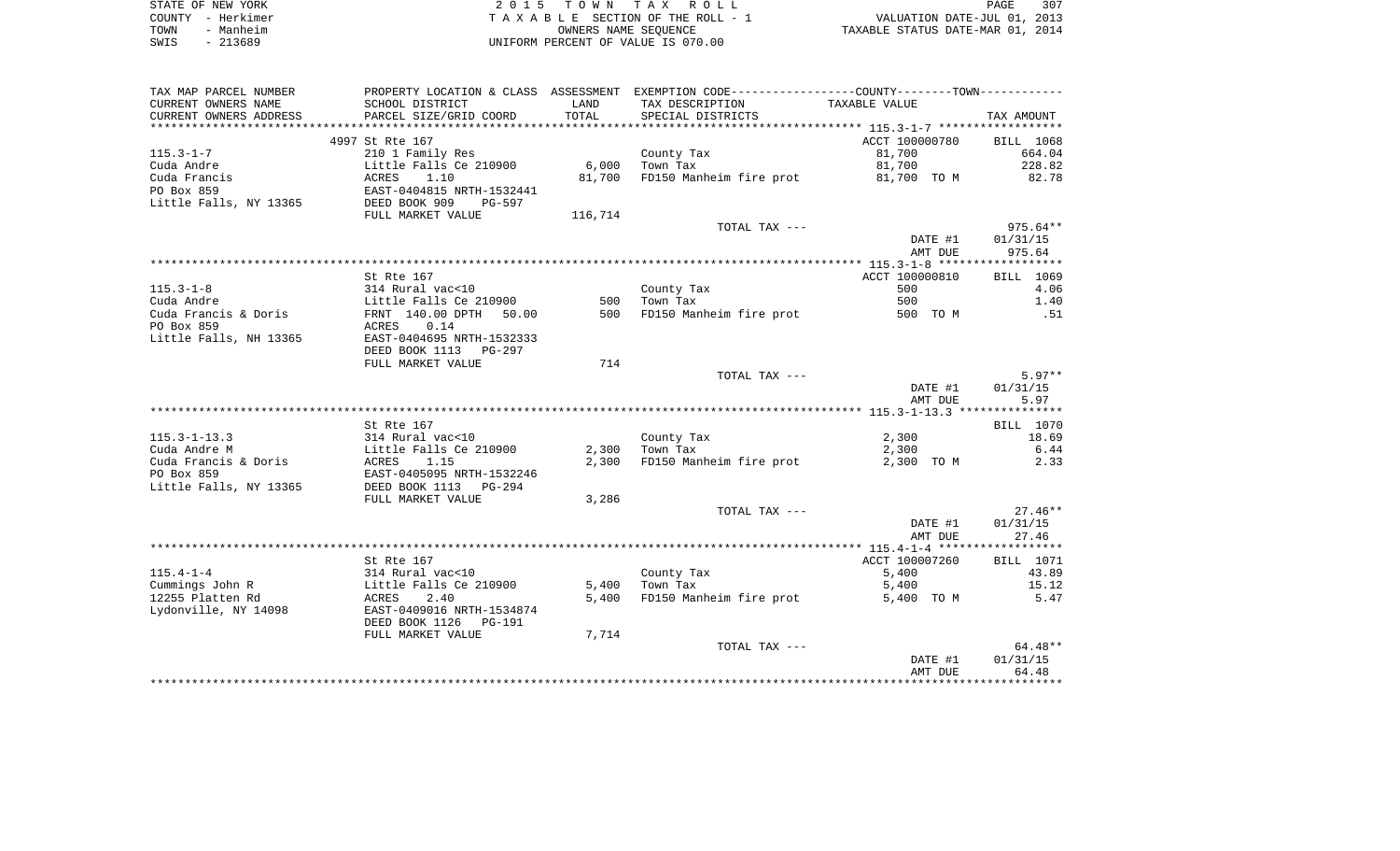| STATE OF NEW YORK |           | 2015 TOWN TAX ROLL                 | PAGE                             | 307 |
|-------------------|-----------|------------------------------------|----------------------------------|-----|
| COUNTY - Herkimer |           | TAXABLE SECTION OF THE ROLL - 1    | VALUATION DATE-JUL 01, 2013      |     |
| TOWN              | - Manheim | OWNERS NAME SEOUENCE               | TAXABLE STATUS DATE-MAR 01, 2014 |     |
| SWIS              | - 213689  | UNIFORM PERCENT OF VALUE IS 070.00 |                                  |     |

| TAX MAP PARCEL NUMBER  |                                                    |         | PROPERTY LOCATION & CLASS ASSESSMENT EXEMPTION CODE----------------COUNTY--------TOWN---------- |                |            |
|------------------------|----------------------------------------------------|---------|-------------------------------------------------------------------------------------------------|----------------|------------|
| CURRENT OWNERS NAME    | SCHOOL DISTRICT                                    | LAND    | TAX DESCRIPTION                                                                                 | TAXABLE VALUE  |            |
| CURRENT OWNERS ADDRESS | PARCEL SIZE/GRID COORD                             | TOTAL   | SPECIAL DISTRICTS                                                                               |                | TAX AMOUNT |
| *****************      | ***************************                        |         |                                                                                                 |                |            |
|                        | 4997 St Rte 167                                    |         |                                                                                                 | ACCT 100000780 | BILL 1068  |
| $115.3 - 1 - 7$        | 210 1 Family Res                                   |         | County Tax                                                                                      | 81,700         | 664.04     |
| Cuda Andre             | Little Falls Ce 210900                             | 6,000   | Town Tax                                                                                        | 81,700         | 228.82     |
| Cuda Francis           | <b>ACRES</b><br>1.10                               | 81,700  | FD150 Manheim fire prot 81,700 TO M                                                             |                | 82.78      |
| PO Box 859             | EAST-0404815 NRTH-1532441                          |         |                                                                                                 |                |            |
| Little Falls, NY 13365 | DEED BOOK 909<br>PG-597                            |         |                                                                                                 |                |            |
|                        | FULL MARKET VALUE                                  | 116,714 |                                                                                                 |                |            |
|                        |                                                    |         | TOTAL TAX ---                                                                                   |                | $975.64**$ |
|                        |                                                    |         |                                                                                                 | DATE #1        | 01/31/15   |
|                        |                                                    |         |                                                                                                 | AMT DUE        | 975.64     |
|                        |                                                    |         |                                                                                                 |                |            |
|                        | St Rte 167                                         |         |                                                                                                 | ACCT 100000810 | BILL 1069  |
| $115.3 - 1 - 8$        | 314 Rural vac<10<br>Little Falls Ce 210900         |         | County Tax                                                                                      | 500            | 4.06       |
| Cuda Andre             |                                                    | 500     | Town Tax                                                                                        | 500            | 1.40       |
| Cuda Francis & Doris   | FRNT 140.00 DPTH 50.00                             | 500     | FD150 Manheim fire prot 500 TO M                                                                |                | .51        |
| PO Box 859             | ACRES 0.14                                         |         |                                                                                                 |                |            |
| Little Falls, NH 13365 | EAST-0404695 NRTH-1532333                          |         |                                                                                                 |                |            |
|                        | DEED BOOK 1113 PG-297                              |         |                                                                                                 |                |            |
|                        | FULL MARKET VALUE                                  | 714     |                                                                                                 |                |            |
|                        |                                                    |         | TOTAL TAX ---                                                                                   |                | $5.97**$   |
|                        |                                                    |         |                                                                                                 | DATE #1        | 01/31/15   |
|                        |                                                    |         |                                                                                                 | AMT DUE        | 5.97       |
|                        |                                                    |         |                                                                                                 |                |            |
|                        | St Rte 167                                         |         |                                                                                                 |                | BILL 1070  |
| $115.3 - 1 - 13.3$     | 314 Rural vac<10<br>Little Falls Ce 210900         |         | County Tax                                                                                      | 2,300          | 18.69      |
| Cuda Andre M           |                                                    |         | $2,300$ Town Tax                                                                                | 2,300          | 6.44       |
| Cuda Francis & Doris   | <b>ACRES</b><br>1.15                               | 2,300   | FD150 Manheim fire prot                                                                         | 2,300 TO M     | 2.33       |
| PO Box 859             | EAST-0405095 NRTH-1532246<br>DEED BOOK 1113 PG-294 |         |                                                                                                 |                |            |
| Little Falls, NY 13365 |                                                    |         |                                                                                                 |                |            |
|                        | FULL MARKET VALUE                                  | 3,286   |                                                                                                 |                |            |
|                        |                                                    |         | TOTAL TAX ---                                                                                   |                | $27.46**$  |
|                        |                                                    |         |                                                                                                 | DATE #1        | 01/31/15   |
|                        |                                                    |         |                                                                                                 | AMT DUE        | 27.46      |
|                        |                                                    |         |                                                                                                 |                |            |
|                        | St Rte 167                                         |         |                                                                                                 | ACCT 100007260 | BILL 1071  |
| $115.4 - 1 - 4$        | 314 Rural vac<10                                   |         | County Tax                                                                                      | 5,400          | 43.89      |
| Cummings John R        | Little Falls Ce 210900                             | 5,400   | Town Tax                                                                                        | 5,400          | 15.12      |
| 12255 Platten Rd       | ACRES<br>2.40                                      | 5,400   | FD150 Manheim fire prot                                                                         | 5,400 TO M     | 5.47       |
| Lydonville, NY 14098   | EAST-0409016 NRTH-1534874                          |         |                                                                                                 |                |            |
|                        | DEED BOOK 1126<br>PG-191                           |         |                                                                                                 |                |            |
|                        | FULL MARKET VALUE                                  | 7,714   |                                                                                                 |                |            |
|                        |                                                    |         | TOTAL TAX ---                                                                                   |                | 64.48**    |
|                        |                                                    |         |                                                                                                 | DATE #1        | 01/31/15   |
|                        |                                                    |         |                                                                                                 | AMT DUE        | 64.48      |
|                        |                                                    |         |                                                                                                 |                |            |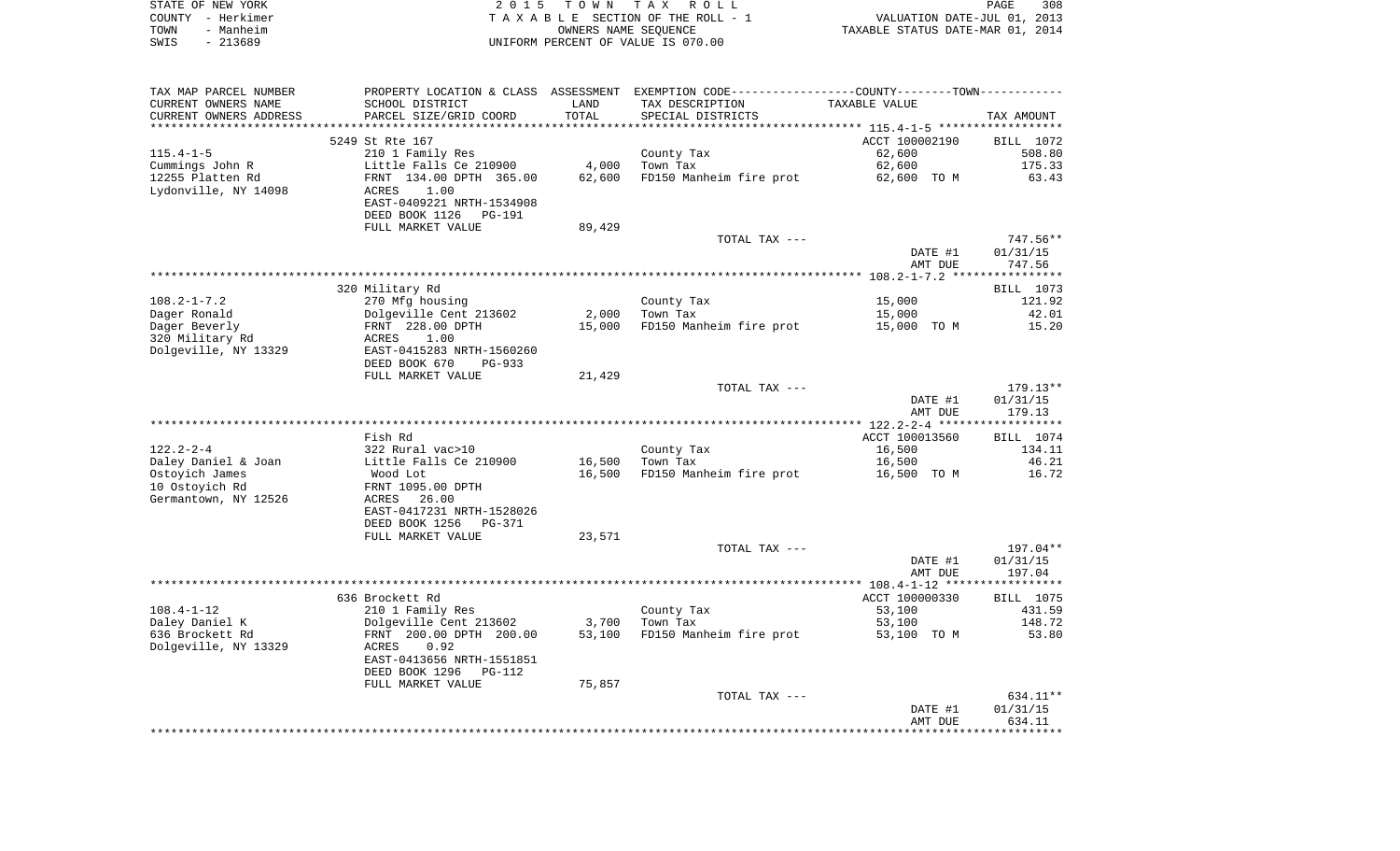|      | STATE OF NEW YORK | 2015 TOWN TAX ROLL                 | 308<br>PAGE                      |
|------|-------------------|------------------------------------|----------------------------------|
|      | COUNTY - Herkimer | TAXABLE SECTION OF THE ROLL - 1    | VALUATION DATE-JUL 01, 2013      |
| TOWN | - Manheim         | OWNERS NAME SEOUENCE               | TAXABLE STATUS DATE-MAR 01, 2014 |
| SWIS | - 213689          | UNIFORM PERCENT OF VALUE IS 070.00 |                                  |

| TAX MAP PARCEL NUMBER  | PROPERTY LOCATION & CLASS ASSESSMENT EXEMPTION CODE---------------COUNTY-------TOWN---------- |        |                         |                |            |
|------------------------|-----------------------------------------------------------------------------------------------|--------|-------------------------|----------------|------------|
| CURRENT OWNERS NAME    | SCHOOL DISTRICT                                                                               | LAND   | TAX DESCRIPTION         | TAXABLE VALUE  |            |
| CURRENT OWNERS ADDRESS | PARCEL SIZE/GRID COORD                                                                        | TOTAL  | SPECIAL DISTRICTS       |                | TAX AMOUNT |
|                        |                                                                                               |        |                         |                |            |
|                        | 5249 St Rte 167                                                                               |        |                         | ACCT 100002190 | BILL 1072  |
| $115.4 - 1 - 5$        | 210 1 Family Res                                                                              |        | County Tax              | 62,600         | 508.80     |
| Cummings John R        | Little Falls Ce 210900                                                                        | 4,000  | Town Tax                | 62,600         | 175.33     |
| 12255 Platten Rd       | FRNT 134.00 DPTH 365.00                                                                       | 62,600 | FD150 Manheim fire prot | 62,600 TO M    | 63.43      |
| Lydonville, NY 14098   | 1.00<br>ACRES                                                                                 |        |                         |                |            |
|                        | EAST-0409221 NRTH-1534908                                                                     |        |                         |                |            |
|                        | DEED BOOK 1126<br>PG-191                                                                      |        |                         |                |            |
|                        | FULL MARKET VALUE                                                                             | 89,429 |                         |                |            |
|                        |                                                                                               |        | TOTAL TAX ---           |                | 747.56**   |
|                        |                                                                                               |        |                         | DATE #1        | 01/31/15   |
|                        |                                                                                               |        |                         |                |            |
|                        |                                                                                               |        |                         | AMT DUE        | 747.56     |
|                        |                                                                                               |        |                         |                |            |
|                        | 320 Military Rd                                                                               |        |                         |                | BILL 1073  |
| $108.2 - 1 - 7.2$      | 270 Mfg housing                                                                               |        | County Tax              | 15,000         | 121.92     |
| Dager Ronald           | Dolgeville Cent 213602                                                                        | 2,000  | Town Tax                | 15,000         | 42.01      |
| Dager Beverly          | FRNT 228.00 DPTH                                                                              | 15,000 | FD150 Manheim fire prot | 15,000 TO M    | 15.20      |
| 320 Military Rd        | 1.00<br>ACRES                                                                                 |        |                         |                |            |
| Dolgeville, NY 13329   | EAST-0415283 NRTH-1560260                                                                     |        |                         |                |            |
|                        | DEED BOOK 670<br>PG-933                                                                       |        |                         |                |            |
|                        | FULL MARKET VALUE                                                                             | 21,429 |                         |                |            |
|                        |                                                                                               |        | TOTAL TAX ---           |                | 179.13**   |
|                        |                                                                                               |        |                         | DATE #1        | 01/31/15   |
|                        |                                                                                               |        |                         | AMT DUE        | 179.13     |
|                        |                                                                                               |        |                         |                |            |
|                        | Fish Rd                                                                                       |        |                         | ACCT 100013560 | BILL 1074  |
| $122.2 - 2 - 4$        | 322 Rural vac>10                                                                              |        | County Tax              | 16,500         | 134.11     |
| Daley Daniel & Joan    | Little Falls Ce 210900                                                                        | 16,500 | Town Tax                | 16,500         | 46.21      |
| Ostoyich James         | Wood Lot                                                                                      | 16,500 | FD150 Manheim fire prot | 16,500 TO M    | 16.72      |
| 10 Ostoyich Rd         | FRNT 1095.00 DPTH                                                                             |        |                         |                |            |
| Germantown, NY 12526   | ACRES<br>26.00                                                                                |        |                         |                |            |
|                        | EAST-0417231 NRTH-1528026                                                                     |        |                         |                |            |
|                        | DEED BOOK 1256<br>PG-371                                                                      |        |                         |                |            |
|                        | FULL MARKET VALUE                                                                             | 23,571 |                         |                |            |
|                        |                                                                                               |        | TOTAL TAX ---           |                | 197.04**   |
|                        |                                                                                               |        |                         | DATE #1        | 01/31/15   |
|                        |                                                                                               |        |                         | AMT DUE        | 197.04     |
|                        |                                                                                               |        |                         |                |            |
|                        | 636 Brockett Rd                                                                               |        |                         | ACCT 100000330 | BILL 1075  |
| $108.4 - 1 - 12$       | 210 1 Family Res                                                                              |        | County Tax              | 53,100         | 431.59     |
| Daley Daniel K         | Dolgeville Cent 213602                                                                        | 3,700  | Town Tax                | 53,100         | 148.72     |
| 636 Brockett Rd        | FRNT 200.00 DPTH 200.00                                                                       | 53,100 | FD150 Manheim fire prot | 53,100 TO M    | 53.80      |
| Dolgeville, NY 13329   | ACRES<br>0.92                                                                                 |        |                         |                |            |
|                        | EAST-0413656 NRTH-1551851                                                                     |        |                         |                |            |
|                        | DEED BOOK 1296<br>PG-112                                                                      |        |                         |                |            |
|                        |                                                                                               | 75,857 |                         |                |            |
|                        | FULL MARKET VALUE                                                                             |        | TOTAL TAX ---           |                | 634.11**   |
|                        |                                                                                               |        |                         |                | 01/31/15   |
|                        |                                                                                               |        |                         | DATE #1        |            |
|                        |                                                                                               |        |                         |                |            |
|                        |                                                                                               |        |                         | AMT DUE        | 634.11     |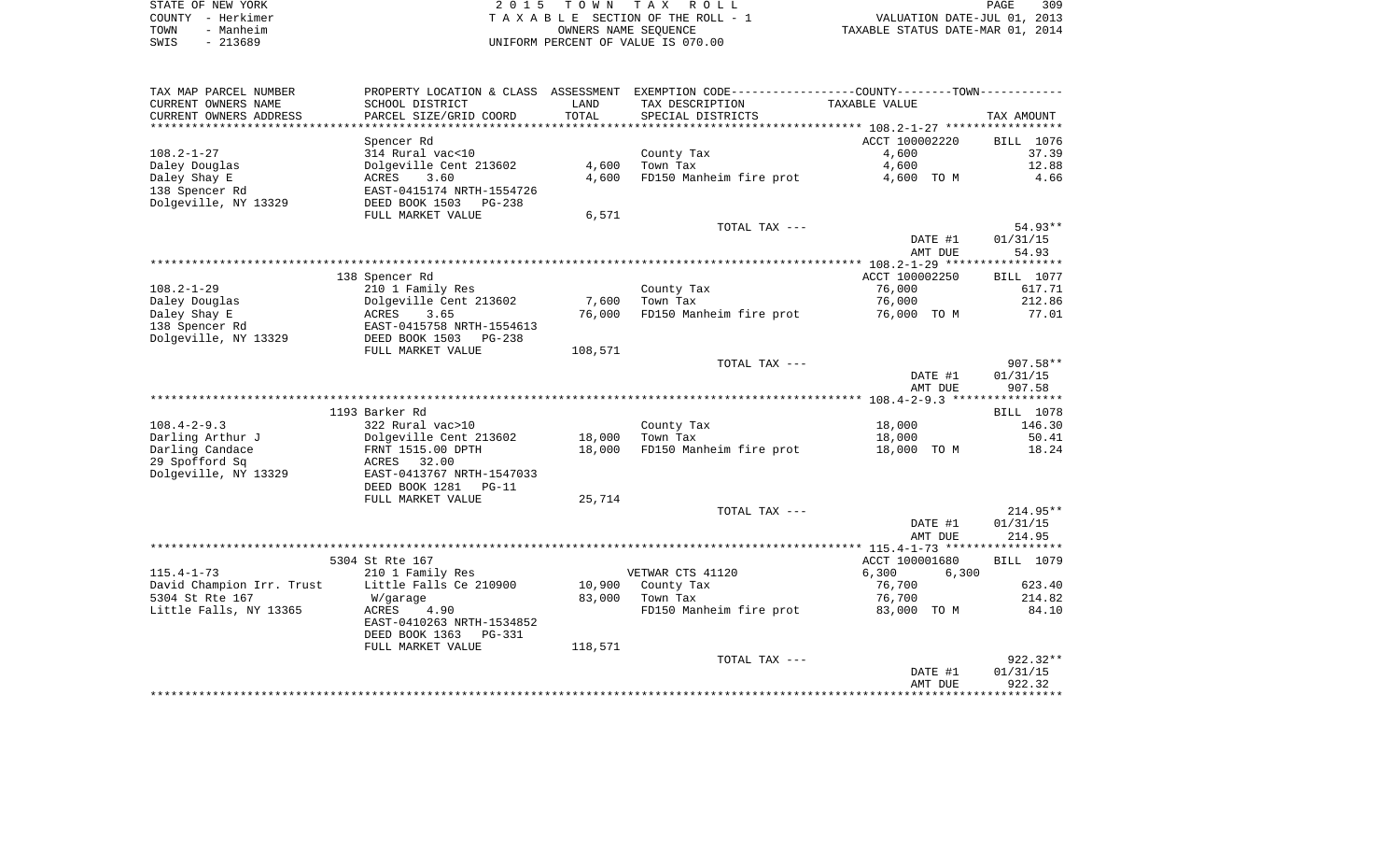|      | STATE OF NEW YORK | 2015 TOWN TAX ROLL                 | 309<br>PAGE                      |
|------|-------------------|------------------------------------|----------------------------------|
|      | COUNTY - Herkimer | TAXABLE SECTION OF THE ROLL - 1    | VALUATION DATE-JUL 01, 2013      |
| TOWN | - Manheim         | OWNERS NAME SEOUENCE               | TAXABLE STATUS DATE-MAR 01, 2014 |
| SWIS | $-213689$         | UNIFORM PERCENT OF VALUE IS 070.00 |                                  |

| TAX MAP PARCEL NUMBER     | PROPERTY LOCATION & CLASS ASSESSMENT |         | EXEMPTION CODE-----------------COUNTY-------TOWN----------- |                |                  |
|---------------------------|--------------------------------------|---------|-------------------------------------------------------------|----------------|------------------|
| CURRENT OWNERS NAME       | SCHOOL DISTRICT                      | LAND    | TAX DESCRIPTION                                             | TAXABLE VALUE  |                  |
| CURRENT OWNERS ADDRESS    | PARCEL SIZE/GRID COORD               | TOTAL   | SPECIAL DISTRICTS                                           |                | TAX AMOUNT       |
| **********************    |                                      |         |                                                             |                |                  |
|                           | Spencer Rd                           |         |                                                             | ACCT 100002220 | BILL 1076        |
| $108.2 - 1 - 27$          | 314 Rural vac<10                     |         | County Tax                                                  | 4,600          | 37.39            |
| Daley Douglas             | Dolgeville Cent 213602               | 4,600   | Town Tax                                                    | 4,600          | 12.88            |
| Daley Shay E              | 3.60<br>ACRES                        | 4,600   | FD150 Manheim fire prot                                     | 4,600 TO M     | 4.66             |
| 138 Spencer Rd            | EAST-0415174 NRTH-1554726            |         |                                                             |                |                  |
| Dolgeville, NY 13329      | DEED BOOK 1503<br>$PG-238$           |         |                                                             |                |                  |
|                           | FULL MARKET VALUE                    | 6,571   |                                                             |                |                  |
|                           |                                      |         | TOTAL TAX ---                                               |                | 54.93**          |
|                           |                                      |         |                                                             | DATE #1        | 01/31/15         |
|                           |                                      |         |                                                             | AMT DUE        | 54.93            |
|                           |                                      |         |                                                             |                | ***********      |
|                           | 138 Spencer Rd                       |         |                                                             | ACCT 100002250 | <b>BILL</b> 1077 |
| $108.2 - 1 - 29$          | 210 1 Family Res                     |         | County Tax                                                  | 76,000         | 617.71           |
| Daley Douglas             | Dolgeville Cent 213602               | 7,600   | Town Tax                                                    | 76,000         | 212.86           |
| Daley Shay E              | ACRES<br>3.65                        | 76,000  | FD150 Manheim fire prot                                     | 76,000 TO M    | 77.01            |
| 138 Spencer Rd            | EAST-0415758 NRTH-1554613            |         |                                                             |                |                  |
| Dolgeville, NY 13329      | DEED BOOK 1503<br>$PG-238$           |         |                                                             |                |                  |
|                           | FULL MARKET VALUE                    | 108,571 |                                                             |                | $907.58**$       |
|                           |                                      |         | TOTAL TAX ---                                               |                |                  |
|                           |                                      |         |                                                             | DATE #1        | 01/31/15         |
|                           |                                      |         |                                                             | AMT DUE        | 907.58           |
|                           | 1193 Barker Rd                       |         |                                                             |                | BILL 1078        |
| $108.4 - 2 - 9.3$         | 322 Rural vac>10                     |         | County Tax                                                  | 18,000         | 146.30           |
| Darling Arthur J          | Dolgeville Cent 213602               | 18,000  | Town Tax                                                    | 18,000         | 50.41            |
| Darling Candace           | FRNT 1515.00 DPTH                    | 18,000  | FD150 Manheim fire prot                                     | 18,000 TO M    | 18.24            |
| 29 Spofford Sq            | 32.00<br>ACRES                       |         |                                                             |                |                  |
| Dolgeville, NY 13329      | EAST-0413767 NRTH-1547033            |         |                                                             |                |                  |
|                           | DEED BOOK 1281<br>$PG-11$            |         |                                                             |                |                  |
|                           | FULL MARKET VALUE                    | 25,714  |                                                             |                |                  |
|                           |                                      |         | TOTAL TAX ---                                               |                | $214.95**$       |
|                           |                                      |         |                                                             | DATE #1        | 01/31/15         |
|                           |                                      |         |                                                             | AMT DUE        | 214.95           |
|                           |                                      |         |                                                             |                |                  |
|                           | 5304 St Rte 167                      |         |                                                             | ACCT 100001680 | BILL 1079        |
| $115.4 - 1 - 73$          | 210 1 Family Res                     |         | VETWAR CTS 41120                                            | 6,300<br>6,300 |                  |
| David Champion Irr. Trust | Little Falls Ce 210900               | 10,900  | County Tax                                                  | 76,700         | 623.40           |
| 5304 St Rte 167           | W/garage                             | 83,000  | Town Tax                                                    | 76,700         | 214.82           |
| Little Falls, NY 13365    | <b>ACRES</b><br>4.90                 |         | FD150 Manheim fire prot                                     | 83,000 TO M    | 84.10            |
|                           | EAST-0410263 NRTH-1534852            |         |                                                             |                |                  |
|                           | DEED BOOK 1363<br><b>PG-331</b>      |         |                                                             |                |                  |
|                           | FULL MARKET VALUE                    | 118,571 |                                                             |                |                  |
|                           |                                      |         | TOTAL TAX ---                                               |                | $922.32**$       |
|                           |                                      |         |                                                             | DATE #1        | 01/31/15         |
|                           |                                      |         |                                                             | AMT DUE        | 922.32           |
|                           |                                      |         |                                                             |                |                  |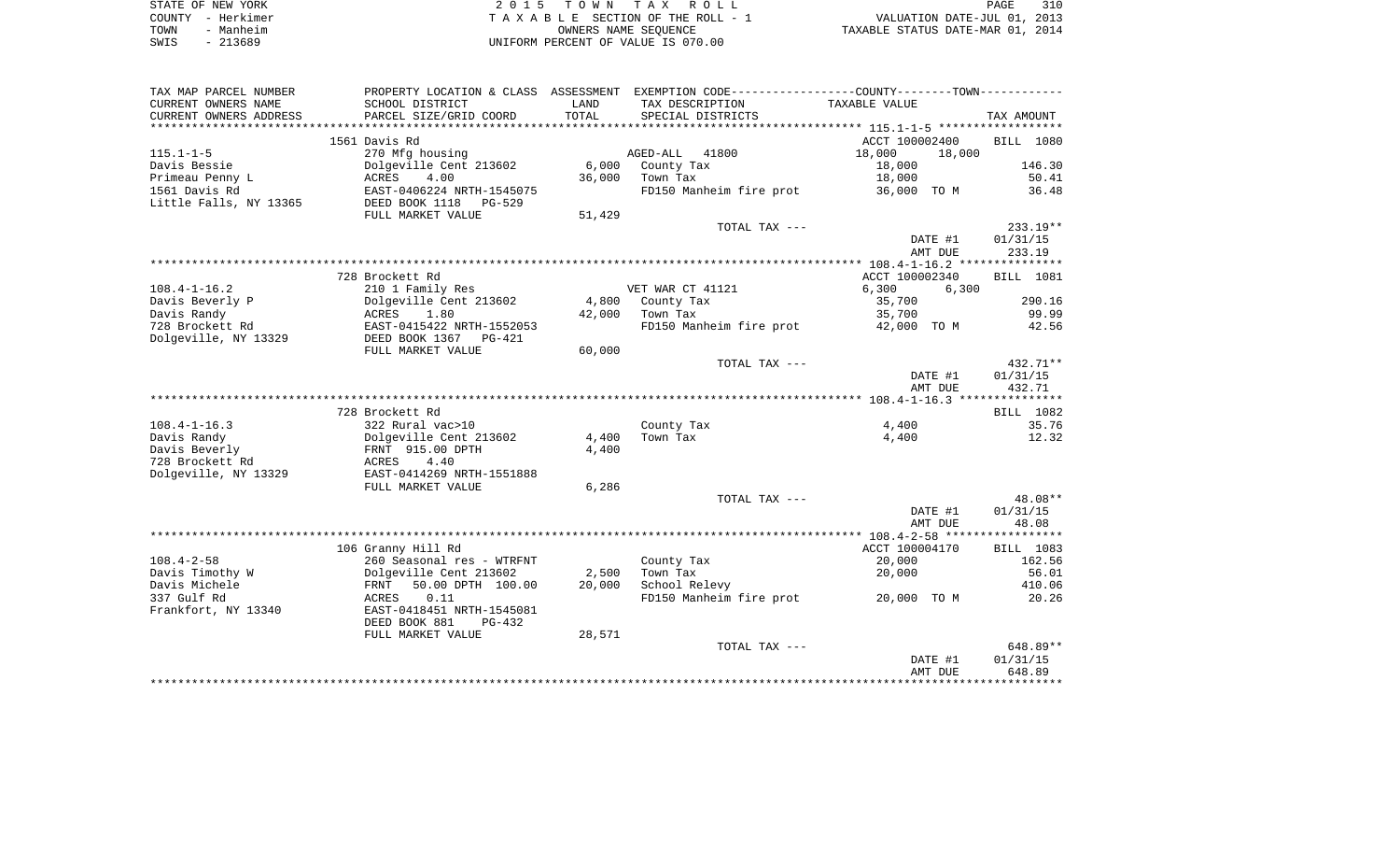| STATE OF NEW YORK | 2015 TOWN TAX ROLL                 | 310<br>PAGE                      |
|-------------------|------------------------------------|----------------------------------|
| COUNTY - Herkimer | TAXABLE SECTION OF THE ROLL - 1    | VALUATION DATE-JUL 01, 2013      |
| - Manheim<br>TOWN | OWNERS NAME SEOUENCE               | TAXABLE STATUS DATE-MAR 01, 2014 |
| - 213689<br>SWIS  | UNIFORM PERCENT OF VALUE IS 070.00 |                                  |

| TAX MAP PARCEL NUMBER  |                           |        | PROPERTY LOCATION & CLASS ASSESSMENT EXEMPTION CODE---------------COUNTY-------TOWN---------- |                  |                  |
|------------------------|---------------------------|--------|-----------------------------------------------------------------------------------------------|------------------|------------------|
| CURRENT OWNERS NAME    | SCHOOL DISTRICT           | LAND   | TAX DESCRIPTION                                                                               | TAXABLE VALUE    |                  |
| CURRENT OWNERS ADDRESS | PARCEL SIZE/GRID COORD    | TOTAL  | SPECIAL DISTRICTS                                                                             |                  | TAX AMOUNT       |
|                        |                           |        |                                                                                               |                  |                  |
|                        | 1561 Davis Rd             |        |                                                                                               | ACCT 100002400   | <b>BILL</b> 1080 |
| $115.1 - 1 - 5$        | 270 Mfg housing           |        | 41800<br>AGED-ALL                                                                             | 18,000<br>18,000 |                  |
| Davis Bessie           | Dolgeville Cent 213602    | 6,000  | County Tax                                                                                    | 18,000           | 146.30           |
| Primeau Penny L        | 4.00<br>ACRES             | 36,000 | Town Tax                                                                                      | 18,000           | 50.41            |
| 1561 Davis Rd          | EAST-0406224 NRTH-1545075 |        | FD150 Manheim fire prot                                                                       | 36,000 TO M      | 36.48            |
| Little Falls, NY 13365 | DEED BOOK 1118<br>PG-529  |        |                                                                                               |                  |                  |
|                        | FULL MARKET VALUE         | 51,429 |                                                                                               |                  |                  |
|                        |                           |        | TOTAL TAX ---                                                                                 |                  | $233.19**$       |
|                        |                           |        |                                                                                               | DATE #1          | 01/31/15         |
|                        |                           |        |                                                                                               | AMT DUE          | 233.19           |
|                        |                           |        |                                                                                               |                  |                  |
|                        | 728 Brockett Rd           |        |                                                                                               | ACCT 100002340   | BILL 1081        |
| $108.4 - 1 - 16.2$     | 210 1 Family Res          |        | VET WAR CT 41121                                                                              | 6,300<br>6,300   |                  |
| Davis Beverly P        | Dolgeville Cent 213602    | 4,800  | County Tax                                                                                    | 35,700           | 290.16           |
| Davis Randy            | ACRES<br>1.80             | 42,000 | Town Tax                                                                                      | 35,700           | 99.99            |
| 728 Brockett Rd        | EAST-0415422 NRTH-1552053 |        | FD150 Manheim fire prot                                                                       | 42,000 TO M      | 42.56            |
| Dolgeville, NY 13329   | DEED BOOK 1367<br>PG-421  |        |                                                                                               |                  |                  |
|                        | FULL MARKET VALUE         | 60,000 |                                                                                               |                  |                  |
|                        |                           |        | TOTAL TAX ---                                                                                 |                  | $432.71**$       |
|                        |                           |        |                                                                                               | DATE #1          | 01/31/15         |
|                        |                           |        |                                                                                               | AMT DUE          | 432.71           |
|                        |                           |        |                                                                                               |                  |                  |
|                        | 728 Brockett Rd           |        |                                                                                               |                  | BILL 1082        |
| $108.4 - 1 - 16.3$     | 322 Rural vac>10          |        | County Tax                                                                                    | 4,400            | 35.76            |
| Davis Randy            | Dolgeville Cent 213602    | 4,400  | Town Tax                                                                                      | 4,400            | 12.32            |
| Davis Beverly          | FRNT 915.00 DPTH          | 4,400  |                                                                                               |                  |                  |
| 728 Brockett Rd        | ACRES<br>4.40             |        |                                                                                               |                  |                  |
| Dolgeville, NY 13329   | EAST-0414269 NRTH-1551888 |        |                                                                                               |                  |                  |
|                        | FULL MARKET VALUE         | 6,286  |                                                                                               |                  |                  |
|                        |                           |        | TOTAL TAX ---                                                                                 |                  | 48.08**          |
|                        |                           |        |                                                                                               | DATE #1          | 01/31/15         |
|                        |                           |        |                                                                                               | AMT DUE          | 48.08            |
|                        |                           |        |                                                                                               |                  |                  |
|                        | 106 Granny Hill Rd        |        |                                                                                               | ACCT 100004170   | BILL 1083        |
| $108.4 - 2 - 58$       | 260 Seasonal res - WTRFNT |        | County Tax                                                                                    | 20,000           | 162.56           |
| Davis Timothy W        | Dolgeville Cent 213602    | 2,500  | Town Tax                                                                                      | 20,000           | 56.01            |
| Davis Michele          | 50.00 DPTH 100.00<br>FRNT | 20,000 | School Relevy                                                                                 |                  | 410.06           |
| 337 Gulf Rd            | ACRES<br>0.11             |        | FD150 Manheim fire prot                                                                       | 20,000 TO M      | 20.26            |
| Frankfort, NY 13340    | EAST-0418451 NRTH-1545081 |        |                                                                                               |                  |                  |
|                        | DEED BOOK 881<br>$PG-432$ |        |                                                                                               |                  |                  |
|                        | FULL MARKET VALUE         | 28,571 |                                                                                               |                  |                  |
|                        |                           |        | TOTAL TAX ---                                                                                 |                  | $648.89**$       |
|                        |                           |        |                                                                                               | DATE #1          | 01/31/15         |
|                        |                           |        |                                                                                               | AMT DUE          | 648.89           |
|                        |                           |        |                                                                                               |                  |                  |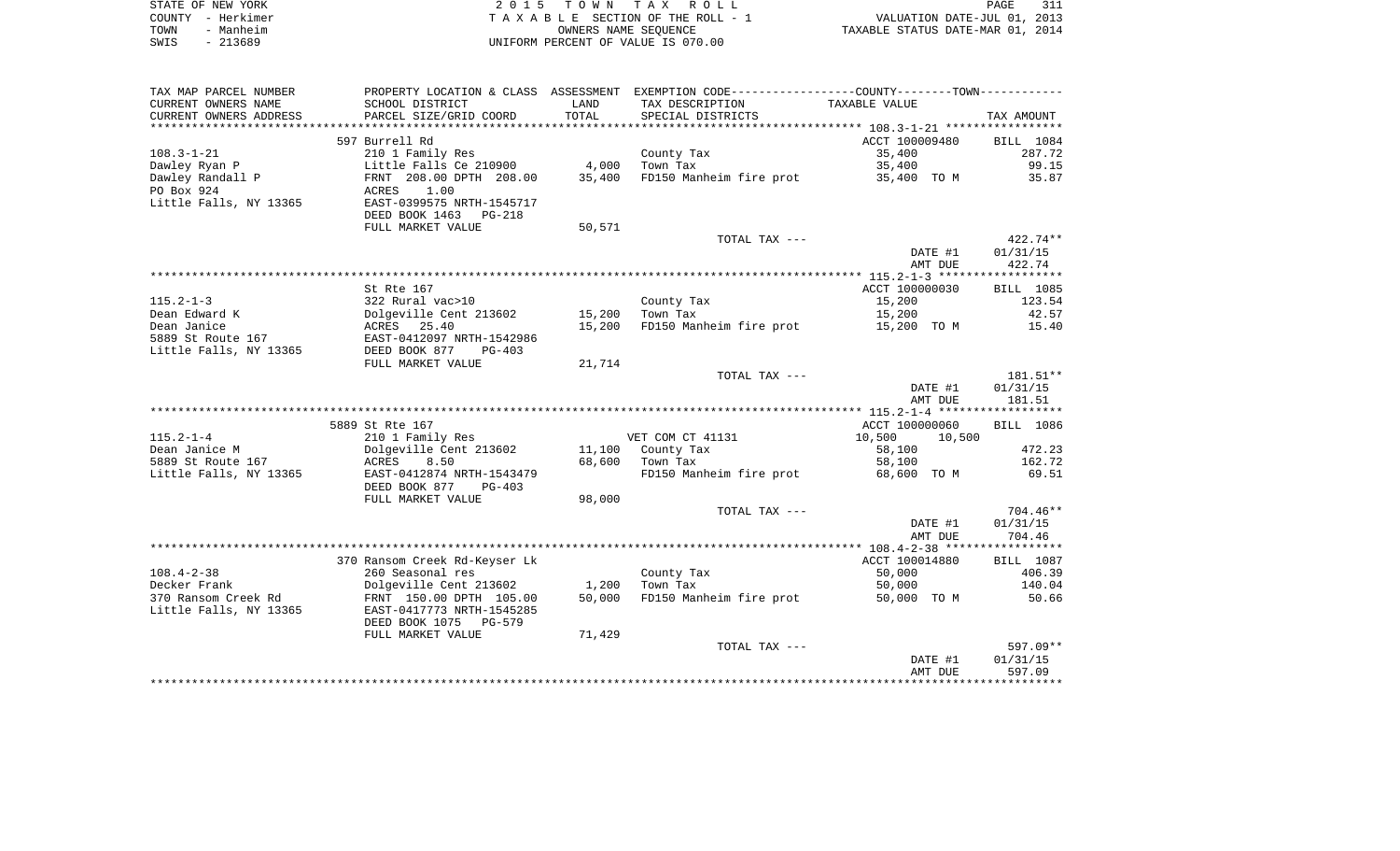| STATE OF NEW YORK | 2015 TOWN TAX ROLL                 | 311<br>PAGE                      |
|-------------------|------------------------------------|----------------------------------|
| COUNTY - Herkimer | TAXABLE SECTION OF THE ROLL - 1    | VALUATION DATE-JUL 01, 2013      |
| TOWN<br>- Manheim | OWNERS NAME SEOUENCE               | TAXABLE STATUS DATE-MAR 01, 2014 |
| $-213689$<br>SWIS | UNIFORM PERCENT OF VALUE IS 070.00 |                                  |

| CURRENT OWNERS NAME<br>SCHOOL DISTRICT<br>TAX DESCRIPTION<br>LAND<br>TAXABLE VALUE<br>TOTAL<br>CURRENT OWNERS ADDRESS<br>PARCEL SIZE/GRID COORD<br>SPECIAL DISTRICTS<br>TAX AMOUNT<br>597 Burrell Rd<br>ACCT 100009480<br>BILL 1084<br>$108.3 - 1 - 21$<br>210 1 Family Res<br>County Tax<br>35,400<br>287.72<br>Dawley Ryan P<br>Little Falls Ce 210900<br>4,000<br>35,400<br>99.15<br>Town Tax<br>Dawley Randall P<br>FRNT 208.00 DPTH 208.00<br>35,400<br>FD150 Manheim fire prot<br>35.87<br>35,400 TO M<br>PO Box 924<br>ACRES<br>1.00<br>Little Falls, NY 13365<br>EAST-0399575 NRTH-1545717<br>DEED BOOK 1463 PG-218<br>FULL MARKET VALUE<br>50,571<br>$422.74**$<br>TOTAL TAX ---<br>DATE #1<br>01/31/15<br>422.74<br>AMT DUE<br>St Rte 167<br>ACCT 100000030<br>BILL 1085<br>$115.2 - 1 - 3$<br>15,200<br>322 Rural vac>10<br>County Tax<br>123.54<br>Dean Edward K<br>Dolgeville Cent 213602<br>Town Tax<br>15,200<br>42.57<br>15,200<br>Dean Janice<br>ACRES 25.40<br>15,200<br>FD150 Manheim fire prot<br>15,200 TO M<br>15.40<br>5889 St Route 167<br>EAST-0412097 NRTH-1542986<br>Little Falls, NY 13365<br>DEED BOOK 877<br>$PG-403$<br>FULL MARKET VALUE<br>21,714<br>181.51**<br>TOTAL TAX ---<br>DATE #1<br>01/31/15<br>AMT DUE<br>181.51<br>5889 St Rte 167<br>ACCT 100000060<br>BILL 1086<br>$115.2 - 1 - 4$<br>VET COM CT 41131<br>210 1 Family Res<br>10,500<br>10,500<br>Dean Janice M<br>Dolgeville Cent 213602<br>11,100 County Tax<br>58,100<br>472.23<br>5889 St Route 167<br>68,600<br>162.72<br>ACRES<br>8.50<br>Town Tax<br>58,100<br>Little Falls, NY 13365<br>EAST-0412874 NRTH-1543479<br>FD150 Manheim fire prot<br>68,600 TO M<br>69.51<br>DEED BOOK 877<br>PG-403<br>FULL MARKET VALUE<br>98,000<br>704.46**<br>TOTAL TAX ---<br>01/31/15<br>DATE #1<br>AMT DUE<br>704.46<br>ACCT 100014880<br>370 Ransom Creek Rd-Keyser Lk<br>BILL 1087<br>$108.4 - 2 - 38$<br>260 Seasonal res<br>50,000<br>406.39<br>County Tax<br>Decker Frank<br>Dolgeville Cent 213602<br>Town Tax<br>50,000<br>140.04<br>1,200<br>370 Ransom Creek Rd<br>FD150 Manheim fire prot<br>FRNT 150.00 DPTH 105.00<br>50,000<br>50,000 TO M<br>50.66<br>Little Falls, NY 13365<br>EAST-0417773 NRTH-1545285<br>DEED BOOK 1075 PG-579<br>FULL MARKET VALUE<br>71,429<br>TOTAL TAX ---<br>01/31/15<br>DATE #1<br>AMT DUE<br>597.09 | TAX MAP PARCEL NUMBER |  | PROPERTY LOCATION & CLASS ASSESSMENT EXEMPTION CODE---------------COUNTY-------TOWN---------- |  |
|---------------------------------------------------------------------------------------------------------------------------------------------------------------------------------------------------------------------------------------------------------------------------------------------------------------------------------------------------------------------------------------------------------------------------------------------------------------------------------------------------------------------------------------------------------------------------------------------------------------------------------------------------------------------------------------------------------------------------------------------------------------------------------------------------------------------------------------------------------------------------------------------------------------------------------------------------------------------------------------------------------------------------------------------------------------------------------------------------------------------------------------------------------------------------------------------------------------------------------------------------------------------------------------------------------------------------------------------------------------------------------------------------------------------------------------------------------------------------------------------------------------------------------------------------------------------------------------------------------------------------------------------------------------------------------------------------------------------------------------------------------------------------------------------------------------------------------------------------------------------------------------------------------------------------------------------------------------------------------------------------------------------------------------------------------------------------------------------------------------------------------------------------------------------------------------------------------------------------------------------------------------------------------------------------------------------------------------|-----------------------|--|-----------------------------------------------------------------------------------------------|--|
|                                                                                                                                                                                                                                                                                                                                                                                                                                                                                                                                                                                                                                                                                                                                                                                                                                                                                                                                                                                                                                                                                                                                                                                                                                                                                                                                                                                                                                                                                                                                                                                                                                                                                                                                                                                                                                                                                                                                                                                                                                                                                                                                                                                                                                                                                                                                       |                       |  |                                                                                               |  |
|                                                                                                                                                                                                                                                                                                                                                                                                                                                                                                                                                                                                                                                                                                                                                                                                                                                                                                                                                                                                                                                                                                                                                                                                                                                                                                                                                                                                                                                                                                                                                                                                                                                                                                                                                                                                                                                                                                                                                                                                                                                                                                                                                                                                                                                                                                                                       |                       |  |                                                                                               |  |
|                                                                                                                                                                                                                                                                                                                                                                                                                                                                                                                                                                                                                                                                                                                                                                                                                                                                                                                                                                                                                                                                                                                                                                                                                                                                                                                                                                                                                                                                                                                                                                                                                                                                                                                                                                                                                                                                                                                                                                                                                                                                                                                                                                                                                                                                                                                                       |                       |  |                                                                                               |  |
|                                                                                                                                                                                                                                                                                                                                                                                                                                                                                                                                                                                                                                                                                                                                                                                                                                                                                                                                                                                                                                                                                                                                                                                                                                                                                                                                                                                                                                                                                                                                                                                                                                                                                                                                                                                                                                                                                                                                                                                                                                                                                                                                                                                                                                                                                                                                       |                       |  |                                                                                               |  |
|                                                                                                                                                                                                                                                                                                                                                                                                                                                                                                                                                                                                                                                                                                                                                                                                                                                                                                                                                                                                                                                                                                                                                                                                                                                                                                                                                                                                                                                                                                                                                                                                                                                                                                                                                                                                                                                                                                                                                                                                                                                                                                                                                                                                                                                                                                                                       |                       |  |                                                                                               |  |
|                                                                                                                                                                                                                                                                                                                                                                                                                                                                                                                                                                                                                                                                                                                                                                                                                                                                                                                                                                                                                                                                                                                                                                                                                                                                                                                                                                                                                                                                                                                                                                                                                                                                                                                                                                                                                                                                                                                                                                                                                                                                                                                                                                                                                                                                                                                                       |                       |  |                                                                                               |  |
|                                                                                                                                                                                                                                                                                                                                                                                                                                                                                                                                                                                                                                                                                                                                                                                                                                                                                                                                                                                                                                                                                                                                                                                                                                                                                                                                                                                                                                                                                                                                                                                                                                                                                                                                                                                                                                                                                                                                                                                                                                                                                                                                                                                                                                                                                                                                       |                       |  |                                                                                               |  |
|                                                                                                                                                                                                                                                                                                                                                                                                                                                                                                                                                                                                                                                                                                                                                                                                                                                                                                                                                                                                                                                                                                                                                                                                                                                                                                                                                                                                                                                                                                                                                                                                                                                                                                                                                                                                                                                                                                                                                                                                                                                                                                                                                                                                                                                                                                                                       |                       |  |                                                                                               |  |
|                                                                                                                                                                                                                                                                                                                                                                                                                                                                                                                                                                                                                                                                                                                                                                                                                                                                                                                                                                                                                                                                                                                                                                                                                                                                                                                                                                                                                                                                                                                                                                                                                                                                                                                                                                                                                                                                                                                                                                                                                                                                                                                                                                                                                                                                                                                                       |                       |  |                                                                                               |  |
|                                                                                                                                                                                                                                                                                                                                                                                                                                                                                                                                                                                                                                                                                                                                                                                                                                                                                                                                                                                                                                                                                                                                                                                                                                                                                                                                                                                                                                                                                                                                                                                                                                                                                                                                                                                                                                                                                                                                                                                                                                                                                                                                                                                                                                                                                                                                       |                       |  |                                                                                               |  |
|                                                                                                                                                                                                                                                                                                                                                                                                                                                                                                                                                                                                                                                                                                                                                                                                                                                                                                                                                                                                                                                                                                                                                                                                                                                                                                                                                                                                                                                                                                                                                                                                                                                                                                                                                                                                                                                                                                                                                                                                                                                                                                                                                                                                                                                                                                                                       |                       |  |                                                                                               |  |
|                                                                                                                                                                                                                                                                                                                                                                                                                                                                                                                                                                                                                                                                                                                                                                                                                                                                                                                                                                                                                                                                                                                                                                                                                                                                                                                                                                                                                                                                                                                                                                                                                                                                                                                                                                                                                                                                                                                                                                                                                                                                                                                                                                                                                                                                                                                                       |                       |  |                                                                                               |  |
|                                                                                                                                                                                                                                                                                                                                                                                                                                                                                                                                                                                                                                                                                                                                                                                                                                                                                                                                                                                                                                                                                                                                                                                                                                                                                                                                                                                                                                                                                                                                                                                                                                                                                                                                                                                                                                                                                                                                                                                                                                                                                                                                                                                                                                                                                                                                       |                       |  |                                                                                               |  |
|                                                                                                                                                                                                                                                                                                                                                                                                                                                                                                                                                                                                                                                                                                                                                                                                                                                                                                                                                                                                                                                                                                                                                                                                                                                                                                                                                                                                                                                                                                                                                                                                                                                                                                                                                                                                                                                                                                                                                                                                                                                                                                                                                                                                                                                                                                                                       |                       |  |                                                                                               |  |
|                                                                                                                                                                                                                                                                                                                                                                                                                                                                                                                                                                                                                                                                                                                                                                                                                                                                                                                                                                                                                                                                                                                                                                                                                                                                                                                                                                                                                                                                                                                                                                                                                                                                                                                                                                                                                                                                                                                                                                                                                                                                                                                                                                                                                                                                                                                                       |                       |  |                                                                                               |  |
|                                                                                                                                                                                                                                                                                                                                                                                                                                                                                                                                                                                                                                                                                                                                                                                                                                                                                                                                                                                                                                                                                                                                                                                                                                                                                                                                                                                                                                                                                                                                                                                                                                                                                                                                                                                                                                                                                                                                                                                                                                                                                                                                                                                                                                                                                                                                       |                       |  |                                                                                               |  |
|                                                                                                                                                                                                                                                                                                                                                                                                                                                                                                                                                                                                                                                                                                                                                                                                                                                                                                                                                                                                                                                                                                                                                                                                                                                                                                                                                                                                                                                                                                                                                                                                                                                                                                                                                                                                                                                                                                                                                                                                                                                                                                                                                                                                                                                                                                                                       |                       |  |                                                                                               |  |
|                                                                                                                                                                                                                                                                                                                                                                                                                                                                                                                                                                                                                                                                                                                                                                                                                                                                                                                                                                                                                                                                                                                                                                                                                                                                                                                                                                                                                                                                                                                                                                                                                                                                                                                                                                                                                                                                                                                                                                                                                                                                                                                                                                                                                                                                                                                                       |                       |  |                                                                                               |  |
|                                                                                                                                                                                                                                                                                                                                                                                                                                                                                                                                                                                                                                                                                                                                                                                                                                                                                                                                                                                                                                                                                                                                                                                                                                                                                                                                                                                                                                                                                                                                                                                                                                                                                                                                                                                                                                                                                                                                                                                                                                                                                                                                                                                                                                                                                                                                       |                       |  |                                                                                               |  |
|                                                                                                                                                                                                                                                                                                                                                                                                                                                                                                                                                                                                                                                                                                                                                                                                                                                                                                                                                                                                                                                                                                                                                                                                                                                                                                                                                                                                                                                                                                                                                                                                                                                                                                                                                                                                                                                                                                                                                                                                                                                                                                                                                                                                                                                                                                                                       |                       |  |                                                                                               |  |
|                                                                                                                                                                                                                                                                                                                                                                                                                                                                                                                                                                                                                                                                                                                                                                                                                                                                                                                                                                                                                                                                                                                                                                                                                                                                                                                                                                                                                                                                                                                                                                                                                                                                                                                                                                                                                                                                                                                                                                                                                                                                                                                                                                                                                                                                                                                                       |                       |  |                                                                                               |  |
|                                                                                                                                                                                                                                                                                                                                                                                                                                                                                                                                                                                                                                                                                                                                                                                                                                                                                                                                                                                                                                                                                                                                                                                                                                                                                                                                                                                                                                                                                                                                                                                                                                                                                                                                                                                                                                                                                                                                                                                                                                                                                                                                                                                                                                                                                                                                       |                       |  |                                                                                               |  |
|                                                                                                                                                                                                                                                                                                                                                                                                                                                                                                                                                                                                                                                                                                                                                                                                                                                                                                                                                                                                                                                                                                                                                                                                                                                                                                                                                                                                                                                                                                                                                                                                                                                                                                                                                                                                                                                                                                                                                                                                                                                                                                                                                                                                                                                                                                                                       |                       |  |                                                                                               |  |
|                                                                                                                                                                                                                                                                                                                                                                                                                                                                                                                                                                                                                                                                                                                                                                                                                                                                                                                                                                                                                                                                                                                                                                                                                                                                                                                                                                                                                                                                                                                                                                                                                                                                                                                                                                                                                                                                                                                                                                                                                                                                                                                                                                                                                                                                                                                                       |                       |  |                                                                                               |  |
|                                                                                                                                                                                                                                                                                                                                                                                                                                                                                                                                                                                                                                                                                                                                                                                                                                                                                                                                                                                                                                                                                                                                                                                                                                                                                                                                                                                                                                                                                                                                                                                                                                                                                                                                                                                                                                                                                                                                                                                                                                                                                                                                                                                                                                                                                                                                       |                       |  |                                                                                               |  |
|                                                                                                                                                                                                                                                                                                                                                                                                                                                                                                                                                                                                                                                                                                                                                                                                                                                                                                                                                                                                                                                                                                                                                                                                                                                                                                                                                                                                                                                                                                                                                                                                                                                                                                                                                                                                                                                                                                                                                                                                                                                                                                                                                                                                                                                                                                                                       |                       |  |                                                                                               |  |
|                                                                                                                                                                                                                                                                                                                                                                                                                                                                                                                                                                                                                                                                                                                                                                                                                                                                                                                                                                                                                                                                                                                                                                                                                                                                                                                                                                                                                                                                                                                                                                                                                                                                                                                                                                                                                                                                                                                                                                                                                                                                                                                                                                                                                                                                                                                                       |                       |  |                                                                                               |  |
|                                                                                                                                                                                                                                                                                                                                                                                                                                                                                                                                                                                                                                                                                                                                                                                                                                                                                                                                                                                                                                                                                                                                                                                                                                                                                                                                                                                                                                                                                                                                                                                                                                                                                                                                                                                                                                                                                                                                                                                                                                                                                                                                                                                                                                                                                                                                       |                       |  |                                                                                               |  |
|                                                                                                                                                                                                                                                                                                                                                                                                                                                                                                                                                                                                                                                                                                                                                                                                                                                                                                                                                                                                                                                                                                                                                                                                                                                                                                                                                                                                                                                                                                                                                                                                                                                                                                                                                                                                                                                                                                                                                                                                                                                                                                                                                                                                                                                                                                                                       |                       |  |                                                                                               |  |
|                                                                                                                                                                                                                                                                                                                                                                                                                                                                                                                                                                                                                                                                                                                                                                                                                                                                                                                                                                                                                                                                                                                                                                                                                                                                                                                                                                                                                                                                                                                                                                                                                                                                                                                                                                                                                                                                                                                                                                                                                                                                                                                                                                                                                                                                                                                                       |                       |  |                                                                                               |  |
|                                                                                                                                                                                                                                                                                                                                                                                                                                                                                                                                                                                                                                                                                                                                                                                                                                                                                                                                                                                                                                                                                                                                                                                                                                                                                                                                                                                                                                                                                                                                                                                                                                                                                                                                                                                                                                                                                                                                                                                                                                                                                                                                                                                                                                                                                                                                       |                       |  |                                                                                               |  |
|                                                                                                                                                                                                                                                                                                                                                                                                                                                                                                                                                                                                                                                                                                                                                                                                                                                                                                                                                                                                                                                                                                                                                                                                                                                                                                                                                                                                                                                                                                                                                                                                                                                                                                                                                                                                                                                                                                                                                                                                                                                                                                                                                                                                                                                                                                                                       |                       |  |                                                                                               |  |
|                                                                                                                                                                                                                                                                                                                                                                                                                                                                                                                                                                                                                                                                                                                                                                                                                                                                                                                                                                                                                                                                                                                                                                                                                                                                                                                                                                                                                                                                                                                                                                                                                                                                                                                                                                                                                                                                                                                                                                                                                                                                                                                                                                                                                                                                                                                                       |                       |  |                                                                                               |  |
|                                                                                                                                                                                                                                                                                                                                                                                                                                                                                                                                                                                                                                                                                                                                                                                                                                                                                                                                                                                                                                                                                                                                                                                                                                                                                                                                                                                                                                                                                                                                                                                                                                                                                                                                                                                                                                                                                                                                                                                                                                                                                                                                                                                                                                                                                                                                       |                       |  |                                                                                               |  |
|                                                                                                                                                                                                                                                                                                                                                                                                                                                                                                                                                                                                                                                                                                                                                                                                                                                                                                                                                                                                                                                                                                                                                                                                                                                                                                                                                                                                                                                                                                                                                                                                                                                                                                                                                                                                                                                                                                                                                                                                                                                                                                                                                                                                                                                                                                                                       |                       |  |                                                                                               |  |
|                                                                                                                                                                                                                                                                                                                                                                                                                                                                                                                                                                                                                                                                                                                                                                                                                                                                                                                                                                                                                                                                                                                                                                                                                                                                                                                                                                                                                                                                                                                                                                                                                                                                                                                                                                                                                                                                                                                                                                                                                                                                                                                                                                                                                                                                                                                                       |                       |  |                                                                                               |  |
|                                                                                                                                                                                                                                                                                                                                                                                                                                                                                                                                                                                                                                                                                                                                                                                                                                                                                                                                                                                                                                                                                                                                                                                                                                                                                                                                                                                                                                                                                                                                                                                                                                                                                                                                                                                                                                                                                                                                                                                                                                                                                                                                                                                                                                                                                                                                       |                       |  |                                                                                               |  |
| 597.09**                                                                                                                                                                                                                                                                                                                                                                                                                                                                                                                                                                                                                                                                                                                                                                                                                                                                                                                                                                                                                                                                                                                                                                                                                                                                                                                                                                                                                                                                                                                                                                                                                                                                                                                                                                                                                                                                                                                                                                                                                                                                                                                                                                                                                                                                                                                              |                       |  |                                                                                               |  |
|                                                                                                                                                                                                                                                                                                                                                                                                                                                                                                                                                                                                                                                                                                                                                                                                                                                                                                                                                                                                                                                                                                                                                                                                                                                                                                                                                                                                                                                                                                                                                                                                                                                                                                                                                                                                                                                                                                                                                                                                                                                                                                                                                                                                                                                                                                                                       |                       |  |                                                                                               |  |
|                                                                                                                                                                                                                                                                                                                                                                                                                                                                                                                                                                                                                                                                                                                                                                                                                                                                                                                                                                                                                                                                                                                                                                                                                                                                                                                                                                                                                                                                                                                                                                                                                                                                                                                                                                                                                                                                                                                                                                                                                                                                                                                                                                                                                                                                                                                                       |                       |  |                                                                                               |  |
|                                                                                                                                                                                                                                                                                                                                                                                                                                                                                                                                                                                                                                                                                                                                                                                                                                                                                                                                                                                                                                                                                                                                                                                                                                                                                                                                                                                                                                                                                                                                                                                                                                                                                                                                                                                                                                                                                                                                                                                                                                                                                                                                                                                                                                                                                                                                       |                       |  |                                                                                               |  |
|                                                                                                                                                                                                                                                                                                                                                                                                                                                                                                                                                                                                                                                                                                                                                                                                                                                                                                                                                                                                                                                                                                                                                                                                                                                                                                                                                                                                                                                                                                                                                                                                                                                                                                                                                                                                                                                                                                                                                                                                                                                                                                                                                                                                                                                                                                                                       |                       |  |                                                                                               |  |
|                                                                                                                                                                                                                                                                                                                                                                                                                                                                                                                                                                                                                                                                                                                                                                                                                                                                                                                                                                                                                                                                                                                                                                                                                                                                                                                                                                                                                                                                                                                                                                                                                                                                                                                                                                                                                                                                                                                                                                                                                                                                                                                                                                                                                                                                                                                                       |                       |  |                                                                                               |  |
|                                                                                                                                                                                                                                                                                                                                                                                                                                                                                                                                                                                                                                                                                                                                                                                                                                                                                                                                                                                                                                                                                                                                                                                                                                                                                                                                                                                                                                                                                                                                                                                                                                                                                                                                                                                                                                                                                                                                                                                                                                                                                                                                                                                                                                                                                                                                       |                       |  |                                                                                               |  |
|                                                                                                                                                                                                                                                                                                                                                                                                                                                                                                                                                                                                                                                                                                                                                                                                                                                                                                                                                                                                                                                                                                                                                                                                                                                                                                                                                                                                                                                                                                                                                                                                                                                                                                                                                                                                                                                                                                                                                                                                                                                                                                                                                                                                                                                                                                                                       |                       |  |                                                                                               |  |
|                                                                                                                                                                                                                                                                                                                                                                                                                                                                                                                                                                                                                                                                                                                                                                                                                                                                                                                                                                                                                                                                                                                                                                                                                                                                                                                                                                                                                                                                                                                                                                                                                                                                                                                                                                                                                                                                                                                                                                                                                                                                                                                                                                                                                                                                                                                                       |                       |  |                                                                                               |  |
|                                                                                                                                                                                                                                                                                                                                                                                                                                                                                                                                                                                                                                                                                                                                                                                                                                                                                                                                                                                                                                                                                                                                                                                                                                                                                                                                                                                                                                                                                                                                                                                                                                                                                                                                                                                                                                                                                                                                                                                                                                                                                                                                                                                                                                                                                                                                       |                       |  |                                                                                               |  |
|                                                                                                                                                                                                                                                                                                                                                                                                                                                                                                                                                                                                                                                                                                                                                                                                                                                                                                                                                                                                                                                                                                                                                                                                                                                                                                                                                                                                                                                                                                                                                                                                                                                                                                                                                                                                                                                                                                                                                                                                                                                                                                                                                                                                                                                                                                                                       |                       |  |                                                                                               |  |
|                                                                                                                                                                                                                                                                                                                                                                                                                                                                                                                                                                                                                                                                                                                                                                                                                                                                                                                                                                                                                                                                                                                                                                                                                                                                                                                                                                                                                                                                                                                                                                                                                                                                                                                                                                                                                                                                                                                                                                                                                                                                                                                                                                                                                                                                                                                                       |                       |  |                                                                                               |  |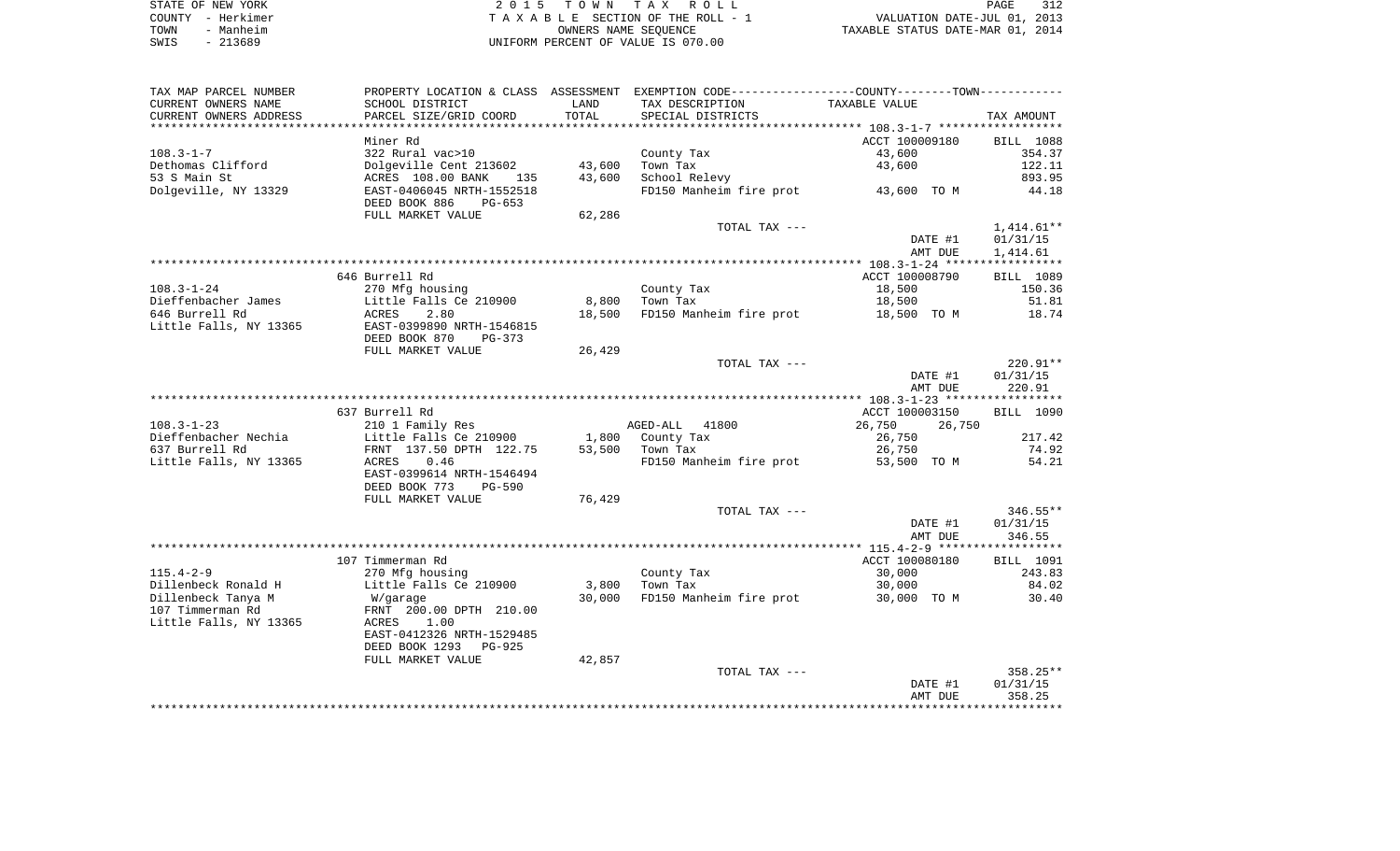| STATE OF NEW YORK | 2015 TOWN TAX ROLL                 | 312<br>PAGE                      |
|-------------------|------------------------------------|----------------------------------|
| COUNTY - Herkimer | TAXABLE SECTION OF THE ROLL - 1    | VALUATION DATE-JUL 01, 2013      |
| TOWN<br>- Manheim | OWNERS NAME SEOUENCE               | TAXABLE STATUS DATE-MAR 01, 2014 |
| SWIS<br>- 213689  | UNIFORM PERCENT OF VALUE IS 070.00 |                                  |

| TAX MAP PARCEL NUMBER  |                                |        | PROPERTY LOCATION & CLASS ASSESSMENT EXEMPTION CODE----------------COUNTY-------TOWN---------- |                  |                  |
|------------------------|--------------------------------|--------|------------------------------------------------------------------------------------------------|------------------|------------------|
| CURRENT OWNERS NAME    | SCHOOL DISTRICT                | LAND   | TAX DESCRIPTION                                                                                | TAXABLE VALUE    |                  |
| CURRENT OWNERS ADDRESS | PARCEL SIZE/GRID COORD         | TOTAL  | SPECIAL DISTRICTS                                                                              |                  | TAX AMOUNT       |
|                        |                                |        |                                                                                                |                  |                  |
|                        | Miner Rd                       |        |                                                                                                | ACCT 100009180   | <b>BILL</b> 1088 |
| $108.3 - 1 - 7$        | 322 Rural vac>10               |        | County Tax                                                                                     | 43,600           | 354.37           |
| Dethomas Clifford      | Dolgeville Cent 213602         | 43,600 | Town Tax                                                                                       | 43,600           | 122.11           |
| 53 S Main St           | ACRES 108.00 BANK<br>135       | 43,600 | School Relevy                                                                                  |                  | 893.95           |
| Dolgeville, NY 13329   | EAST-0406045 NRTH-1552518      |        | FD150 Manheim fire prot 43,600 TO M                                                            |                  | 44.18            |
|                        | DEED BOOK 886<br>PG-653        |        |                                                                                                |                  |                  |
|                        | FULL MARKET VALUE              | 62,286 |                                                                                                |                  |                  |
|                        |                                |        | TOTAL TAX ---                                                                                  |                  | $1,414.61**$     |
|                        |                                |        |                                                                                                | DATE #1          | 01/31/15         |
|                        |                                |        |                                                                                                | AMT DUE          | 1,414.61         |
|                        |                                |        |                                                                                                |                  |                  |
|                        | 646 Burrell Rd                 |        |                                                                                                | ACCT 100008790   | BILL 1089        |
| $108.3 - 1 - 24$       | 270 Mfg housing                |        | County Tax                                                                                     | 18,500           | 150.36           |
| Dieffenbacher James    | Little Falls Ce 210900         | 8,800  | Town Tax                                                                                       | 18,500           | 51.81            |
| 646 Burrell Rd         | ACRES<br>2.80                  | 18,500 | FD150 Manheim fire prot                                                                        | 18,500 TO M      | 18.74            |
| Little Falls, NY 13365 | EAST-0399890 NRTH-1546815      |        |                                                                                                |                  |                  |
|                        | DEED BOOK 870<br>PG-373        |        |                                                                                                |                  |                  |
|                        | FULL MARKET VALUE              | 26,429 |                                                                                                |                  |                  |
|                        |                                |        | TOTAL TAX ---                                                                                  |                  | 220.91**         |
|                        |                                |        |                                                                                                | DATE #1          | 01/31/15         |
|                        |                                |        |                                                                                                | AMT DUE          | 220.91           |
|                        |                                |        |                                                                                                |                  |                  |
|                        | 637 Burrell Rd                 |        |                                                                                                | ACCT 100003150   | BILL 1090        |
| $108.3 - 1 - 23$       |                                |        |                                                                                                |                  |                  |
|                        | 210 1 Family Res               |        | AGED-ALL 41800                                                                                 | 26,750<br>26,750 |                  |
| Dieffenbacher Nechia   | Little Falls Ce 210900         |        | 1,800 County Tax                                                                               | 26,750           | 217.42           |
| 637 Burrell Rd         | FRNT 137.50 DPTH 122.75        | 53,500 | Town Tax                                                                                       | 26,750           | 74.92            |
| Little Falls, NY 13365 | ACRES<br>0.46                  |        | FD150 Manheim fire prot                                                                        | 53,500 TO M      | 54.21            |
|                        | EAST-0399614 NRTH-1546494      |        |                                                                                                |                  |                  |
|                        | DEED BOOK 773<br><b>PG-590</b> |        |                                                                                                |                  |                  |
|                        | FULL MARKET VALUE              | 76,429 |                                                                                                |                  |                  |
|                        |                                |        | TOTAL TAX ---                                                                                  |                  | $346.55**$       |
|                        |                                |        |                                                                                                | DATE #1          | 01/31/15         |
|                        |                                |        |                                                                                                | AMT DUE          | 346.55           |
|                        |                                |        |                                                                                                |                  |                  |
|                        | 107 Timmerman Rd               |        |                                                                                                | ACCT 100080180   | BILL 1091        |
| $115.4 - 2 - 9$        | 270 Mfg housing                |        | County Tax                                                                                     | 30,000           | 243.83           |
| Dillenbeck Ronald H    | Little Falls Ce 210900         | 3,800  | Town Tax                                                                                       | 30,000           | 84.02            |
| Dillenbeck Tanya M     | W/garage                       | 30,000 | FD150 Manheim fire prot                                                                        | 30,000 TO M      | 30.40            |
| 107 Timmerman Rd       | FRNT 200.00 DPTH 210.00        |        |                                                                                                |                  |                  |
| Little Falls, NY 13365 | 1.00<br>ACRES                  |        |                                                                                                |                  |                  |
|                        | EAST-0412326 NRTH-1529485      |        |                                                                                                |                  |                  |
|                        | DEED BOOK 1293 PG-925          |        |                                                                                                |                  |                  |
|                        | FULL MARKET VALUE              | 42,857 |                                                                                                |                  |                  |
|                        |                                |        | TOTAL TAX ---                                                                                  |                  | 358.25**         |
|                        |                                |        |                                                                                                | DATE #1          | 01/31/15         |
|                        |                                |        |                                                                                                | AMT DUE          | 358.25           |
|                        |                                |        |                                                                                                |                  |                  |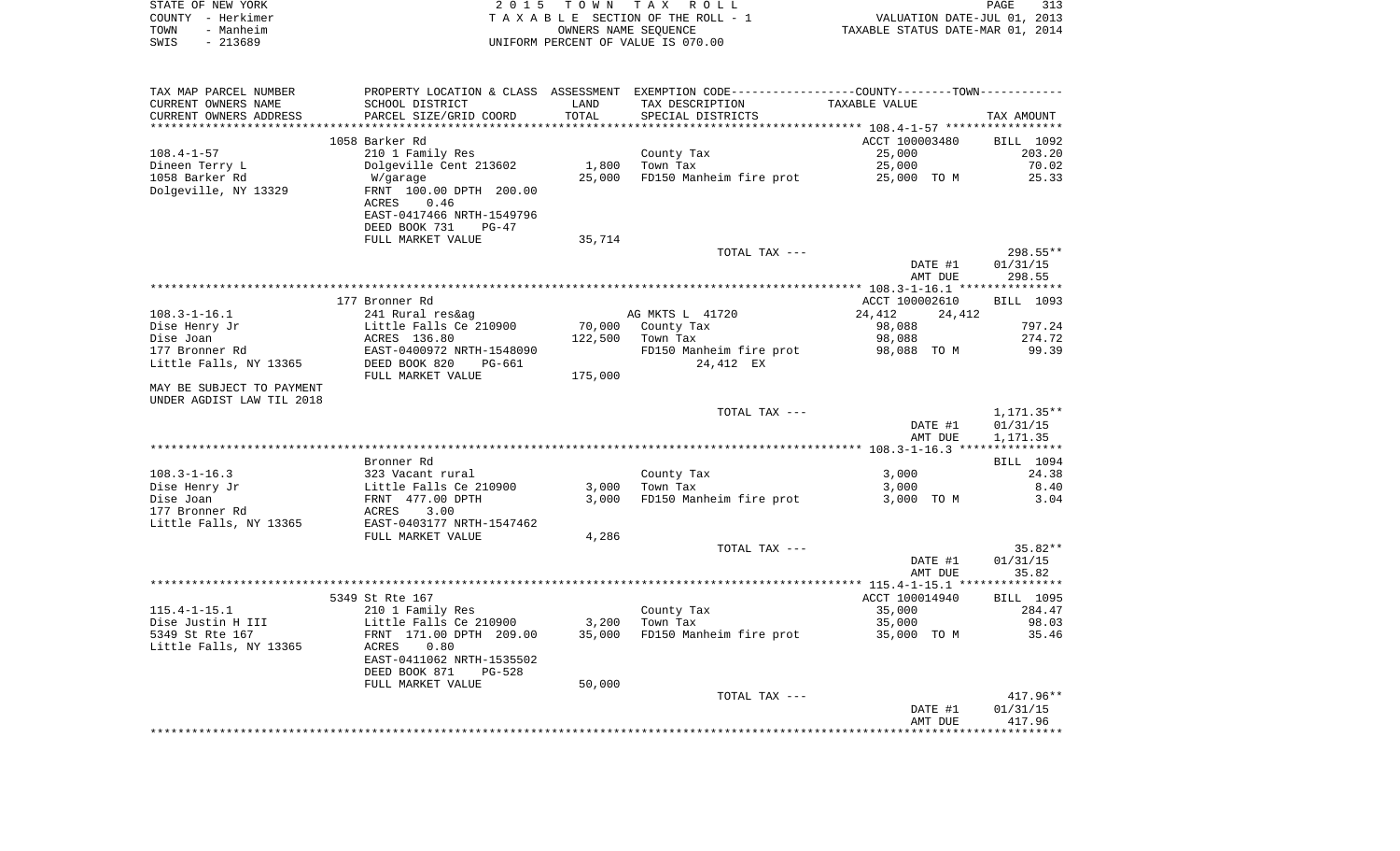|      | STATE OF NEW YORK | 2015 TOWN TAX ROLL                 | PAGE                             | 313 |
|------|-------------------|------------------------------------|----------------------------------|-----|
|      | COUNTY - Herkimer | TAXABLE SECTION OF THE ROLL - 1    | VALUATION DATE-JUL 01, 2013      |     |
| TOWN | - Manheim         | OWNERS NAME SEOUENCE               | TAXABLE STATUS DATE-MAR 01, 2014 |     |
| SWIS | $-213689$         | UNIFORM PERCENT OF VALUE IS 070.00 |                                  |     |

| TAX MAP PARCEL NUMBER     |                                                                                                       |         | PROPERTY LOCATION & CLASS ASSESSMENT EXEMPTION CODE---------------COUNTY-------TOWN---------- |                  |                  |
|---------------------------|-------------------------------------------------------------------------------------------------------|---------|-----------------------------------------------------------------------------------------------|------------------|------------------|
| CURRENT OWNERS NAME       | SCHOOL DISTRICT                                                                                       | LAND    | TAX DESCRIPTION                                                                               | TAXABLE VALUE    |                  |
| CURRENT OWNERS ADDRESS    | PARCEL SIZE/GRID COORD                                                                                | TOTAL   | SPECIAL DISTRICTS                                                                             |                  | TAX AMOUNT       |
|                           |                                                                                                       |         |                                                                                               |                  |                  |
|                           | 1058 Barker Rd                                                                                        |         |                                                                                               | ACCT 100003480   | BILL 1092        |
|                           |                                                                                                       |         |                                                                                               |                  |                  |
| $108.4 - 1 - 57$          | 210 1 Family Res                                                                                      |         | County Tax                                                                                    | 25,000           | 203.20           |
| Dineen Terry L            | Dolgeville Cent 213602                                                                                | 1,800   | Town Tax                                                                                      | 25,000           | 70.02            |
| 1058 Barker Rd            | W/garage                                                                                              | 25,000  | FD150 Manheim fire prot 25,000 TO M                                                           |                  | 25.33            |
| Dolgeville, NY 13329      | FRNT 100.00 DPTH 200.00                                                                               |         |                                                                                               |                  |                  |
|                           | 0.46<br>ACRES                                                                                         |         |                                                                                               |                  |                  |
|                           | EAST-0417466 NRTH-1549796                                                                             |         |                                                                                               |                  |                  |
|                           | DEED BOOK 731<br>$PG-47$                                                                              |         |                                                                                               |                  |                  |
|                           | FULL MARKET VALUE                                                                                     | 35,714  |                                                                                               |                  |                  |
|                           |                                                                                                       |         | TOTAL TAX ---                                                                                 |                  | 298.55**         |
|                           |                                                                                                       |         |                                                                                               | DATE #1          | 01/31/15         |
|                           |                                                                                                       |         |                                                                                               | AMT DUE          | 298.55           |
|                           |                                                                                                       |         |                                                                                               |                  |                  |
|                           |                                                                                                       |         |                                                                                               |                  |                  |
|                           | 177 Bronner Rd                                                                                        |         |                                                                                               | ACCT 100002610   | BILL 1093        |
| $108.3 - 1 - 16.1$        |                                                                                                       |         | AG MKTS L 41720                                                                               | 24,412<br>24,412 |                  |
| Dise Henry Jr             |                                                                                                       |         | 70,000 County Tax                                                                             | 98,088           | 797.24           |
| Dise Joan                 |                                                                                                       |         | 122,500 Town Tax                                                                              | 98,088           | 274.72           |
| 177 Bronner Rd            | 1988ag<br>Little Falls Ce 210900<br>ACRES 136.80<br>EAST-0400972 NDRY 11<br>EAST-0400972 NRTH-1548090 |         | FD150 Manheim fire prot                                                                       | 98,088 TO M      | 99.39            |
| Little Falls, NY 13365    | DEED BOOK 820<br>PG-661                                                                               |         | 24,412 EX                                                                                     |                  |                  |
|                           | FULL MARKET VALUE                                                                                     | 175,000 |                                                                                               |                  |                  |
| MAY BE SUBJECT TO PAYMENT |                                                                                                       |         |                                                                                               |                  |                  |
| UNDER AGDIST LAW TIL 2018 |                                                                                                       |         |                                                                                               |                  |                  |
|                           |                                                                                                       |         | TOTAL TAX ---                                                                                 |                  | 1,171.35**       |
|                           |                                                                                                       |         |                                                                                               | DATE #1          | 01/31/15         |
|                           |                                                                                                       |         |                                                                                               | AMT DUE          | 1,171.35         |
|                           |                                                                                                       |         |                                                                                               |                  |                  |
|                           | Bronner Rd                                                                                            |         |                                                                                               |                  | BILL 1094        |
| $108.3 - 1 - 16.3$        | 323 Vacant rural                                                                                      |         | County Tax                                                                                    | 3,000            | 24.38            |
| Dise Henry Jr             |                                                                                                       | 3,000   | Town Tax                                                                                      | 3,000            | 8.40             |
|                           | Little Falls Ce 210900<br>FRNT 477.00 DPTH                                                            |         |                                                                                               |                  |                  |
| Dise Joan                 |                                                                                                       | 3,000   | FD150 Manheim fire prot                                                                       | 3,000 TO M       | 3.04             |
| 177 Bronner Rd            | ACRES<br>3.00                                                                                         |         |                                                                                               |                  |                  |
| Little Falls, NY 13365    | EAST-0403177 NRTH-1547462                                                                             |         |                                                                                               |                  |                  |
|                           | FULL MARKET VALUE                                                                                     | 4,286   |                                                                                               |                  |                  |
|                           |                                                                                                       |         | TOTAL TAX ---                                                                                 |                  | $35.82**$        |
|                           |                                                                                                       |         |                                                                                               | DATE #1          | 01/31/15         |
|                           |                                                                                                       |         |                                                                                               | AMT DUE          | 35.82            |
|                           |                                                                                                       |         |                                                                                               |                  |                  |
|                           | 5349 St Rte 167                                                                                       |         |                                                                                               | ACCT 100014940   | <b>BILL 1095</b> |
| $115.4 - 1 - 15.1$        | 210 1 Family Res                                                                                      |         | County Tax                                                                                    | 35,000           | 284.47           |
| Dise Justin H III         | Little Falls Ce 210900                                                                                | 3,200   | Town Tax                                                                                      | 35,000           | 98.03            |
| 5349 St Rte 167           | FRNT 171.00 DPTH 209.00                                                                               | 35,000  | FD150 Manheim fire prot 35,000 TO M                                                           |                  | 35.46            |
| Little Falls, NY 13365    | 0.80<br>ACRES                                                                                         |         |                                                                                               |                  |                  |
|                           | EAST-0411062 NRTH-1535502                                                                             |         |                                                                                               |                  |                  |
|                           |                                                                                                       |         |                                                                                               |                  |                  |
|                           | DEED BOOK 871<br>$PG-528$                                                                             |         |                                                                                               |                  |                  |
|                           | FULL MARKET VALUE                                                                                     | 50,000  |                                                                                               |                  |                  |
|                           |                                                                                                       |         | TOTAL TAX ---                                                                                 |                  | $417.96**$       |
|                           |                                                                                                       |         |                                                                                               | DATE #1          | 01/31/15         |
|                           |                                                                                                       |         |                                                                                               | AMT DUE          | 417.96           |
|                           |                                                                                                       |         |                                                                                               |                  |                  |
|                           |                                                                                                       |         |                                                                                               |                  |                  |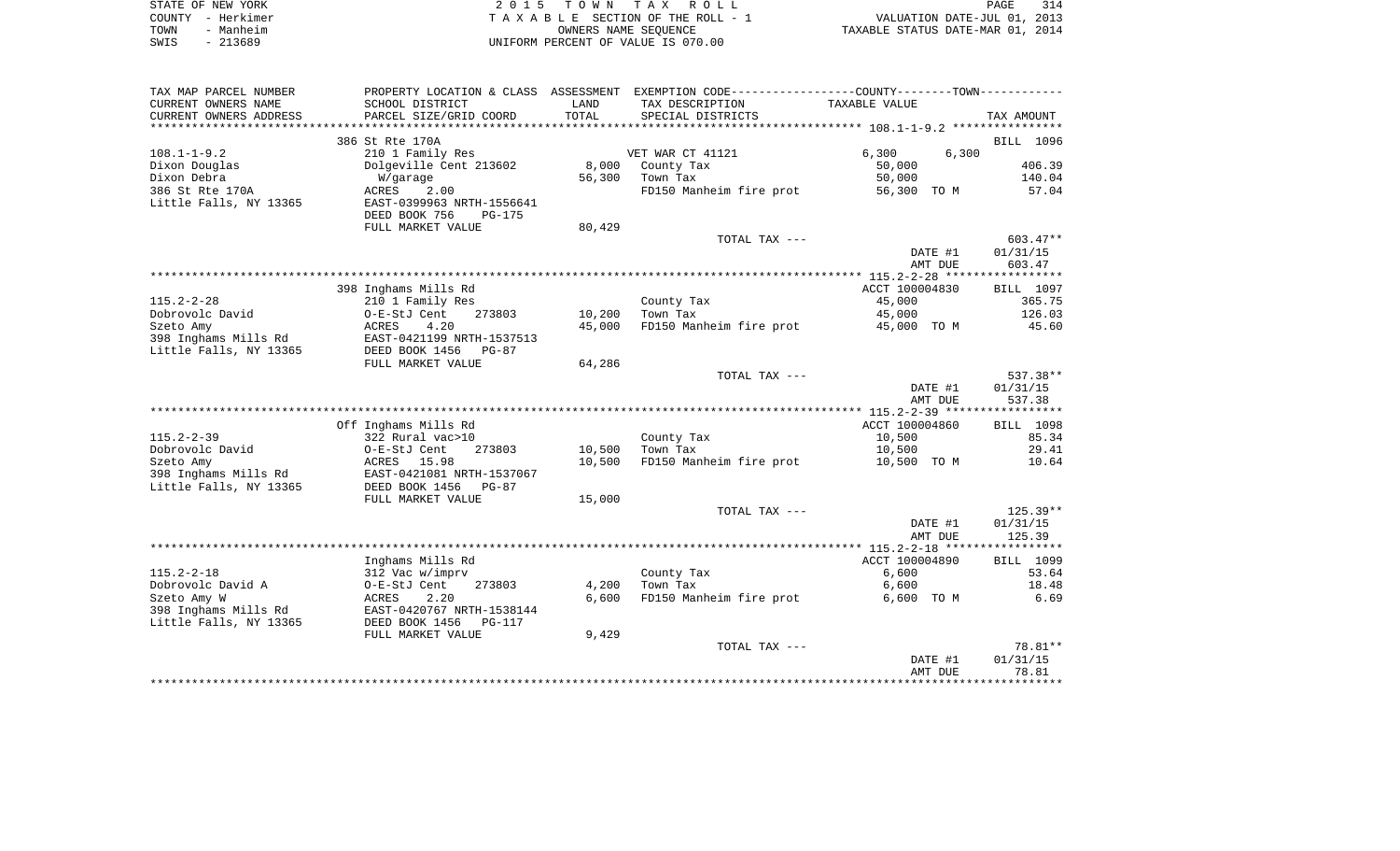| STATE OF NEW YORK | 2015 TOWN TAX ROLL                 | 314<br>PAGE                      |
|-------------------|------------------------------------|----------------------------------|
| COUNTY - Herkimer | TAXABLE SECTION OF THE ROLL - 1    | VALUATION DATE-JUL 01, 2013      |
| - Manheim<br>TOWN | OWNERS NAME SEOUENCE               | TAXABLE STATUS DATE-MAR 01, 2014 |
| $-213689$<br>SWIS | UNIFORM PERCENT OF VALUE IS 070.00 |                                  |

| TAX MAP PARCEL NUMBER  |                                |        | PROPERTY LOCATION & CLASS ASSESSMENT EXEMPTION CODE--------------COUNTY-------TOWN--------- |                |            |
|------------------------|--------------------------------|--------|---------------------------------------------------------------------------------------------|----------------|------------|
| CURRENT OWNERS NAME    | SCHOOL DISTRICT                | LAND   | TAX DESCRIPTION                                                                             | TAXABLE VALUE  |            |
| CURRENT OWNERS ADDRESS | PARCEL SIZE/GRID COORD         | TOTAL  | SPECIAL DISTRICTS                                                                           |                | TAX AMOUNT |
|                        |                                |        |                                                                                             |                |            |
|                        | 386 St Rte 170A                |        |                                                                                             |                | BILL 1096  |
| $108.1 - 1 - 9.2$      | 210 1 Family Res               |        | VET WAR CT 41121                                                                            | 6,300<br>6,300 |            |
| Dixon Douglas          | Dolgeville Cent 213602         | 8,000  | County Tax                                                                                  | 50,000         | 406.39     |
| Dixon Debra            | W/garage                       | 56,300 | Town Tax                                                                                    | 50,000         | 140.04     |
| 386 St Rte 170A        | 2.00<br>ACRES                  |        | FD150 Manheim fire prot                                                                     | 56,300 TO M    | 57.04      |
| Little Falls, NY 13365 | EAST-0399963 NRTH-1556641      |        |                                                                                             |                |            |
|                        | DEED BOOK 756<br><b>PG-175</b> |        |                                                                                             |                |            |
|                        | FULL MARKET VALUE              | 80,429 |                                                                                             |                |            |
|                        |                                |        | TOTAL TAX ---                                                                               |                | $603.47**$ |
|                        |                                |        |                                                                                             | DATE #1        | 01/31/15   |
|                        |                                |        |                                                                                             | AMT DUE        | 603.47     |
|                        |                                |        |                                                                                             |                |            |
|                        | 398 Inghams Mills Rd           |        |                                                                                             | ACCT 100004830 | BILL 1097  |
| $115.2 - 2 - 28$       | 210 1 Family Res               |        | County Tax                                                                                  | 45,000         | 365.75     |
| Dobrovolc David        | O-E-StJ Cent<br>273803         | 10,200 | Town Tax                                                                                    | 45,000         | 126.03     |
|                        | 4.20                           | 45,000 | FD150 Manheim fire prot                                                                     | 45,000 TO M    | 45.60      |
| Szeto Amy              | ACRES                          |        |                                                                                             |                |            |
| 398 Inghams Mills Rd   | EAST-0421199 NRTH-1537513      |        |                                                                                             |                |            |
| Little Falls, NY 13365 | DEED BOOK 1456<br>$PG-87$      |        |                                                                                             |                |            |
|                        | FULL MARKET VALUE              | 64,286 |                                                                                             |                |            |
|                        |                                |        | TOTAL TAX ---                                                                               |                | 537.38**   |
|                        |                                |        |                                                                                             | DATE #1        | 01/31/15   |
|                        |                                |        |                                                                                             | AMT DUE        | 537.38     |
|                        |                                |        |                                                                                             |                |            |
|                        | Off Inghams Mills Rd           |        |                                                                                             | ACCT 100004860 | BILL 1098  |
| $115.2 - 2 - 39$       | 322 Rural vac>10               |        | County Tax                                                                                  | 10,500         | 85.34      |
| Dobrovolc David        | O-E-StJ Cent<br>273803         | 10,500 | Town Tax                                                                                    | 10,500         | 29.41      |
| Szeto Amy              | ACRES 15.98                    | 10,500 | FD150 Manheim fire prot                                                                     | 10,500 TO M    | 10.64      |
| 398 Inghams Mills Rd   | EAST-0421081 NRTH-1537067      |        |                                                                                             |                |            |
| Little Falls, NY 13365 | DEED BOOK 1456<br>$PG-87$      |        |                                                                                             |                |            |
|                        | FULL MARKET VALUE              | 15,000 |                                                                                             |                |            |
|                        |                                |        | TOTAL TAX ---                                                                               |                | $125.39**$ |
|                        |                                |        |                                                                                             | DATE #1        | 01/31/15   |
|                        |                                |        |                                                                                             | AMT DUE        | 125.39     |
|                        |                                |        |                                                                                             |                |            |
|                        | Inghams Mills Rd               |        |                                                                                             | ACCT 100004890 | BILL 1099  |
| $115.2 - 2 - 18$       | 312 Vac w/imprv                |        | County Tax                                                                                  | 6,600          | 53.64      |
| Dobrovolc David A      | O-E-StJ Cent<br>273803         | 4,200  | Town Tax                                                                                    | 6,600          | 18.48      |
| Szeto Amy W            | ACRES<br>2.20                  | 6,600  | FD150 Manheim fire prot                                                                     | 6,600 TO M     | 6.69       |
| 398 Inghams Mills Rd   | EAST-0420767 NRTH-1538144      |        |                                                                                             |                |            |
| Little Falls, NY 13365 | DEED BOOK 1456<br>PG-117       |        |                                                                                             |                |            |
|                        | FULL MARKET VALUE              | 9,429  |                                                                                             |                |            |
|                        |                                |        | TOTAL TAX ---                                                                               |                | 78.81**    |
|                        |                                |        |                                                                                             | DATE #1        | 01/31/15   |
|                        |                                |        |                                                                                             | AMT DUE        | 78.81      |
|                        |                                |        |                                                                                             |                |            |
|                        |                                |        |                                                                                             |                |            |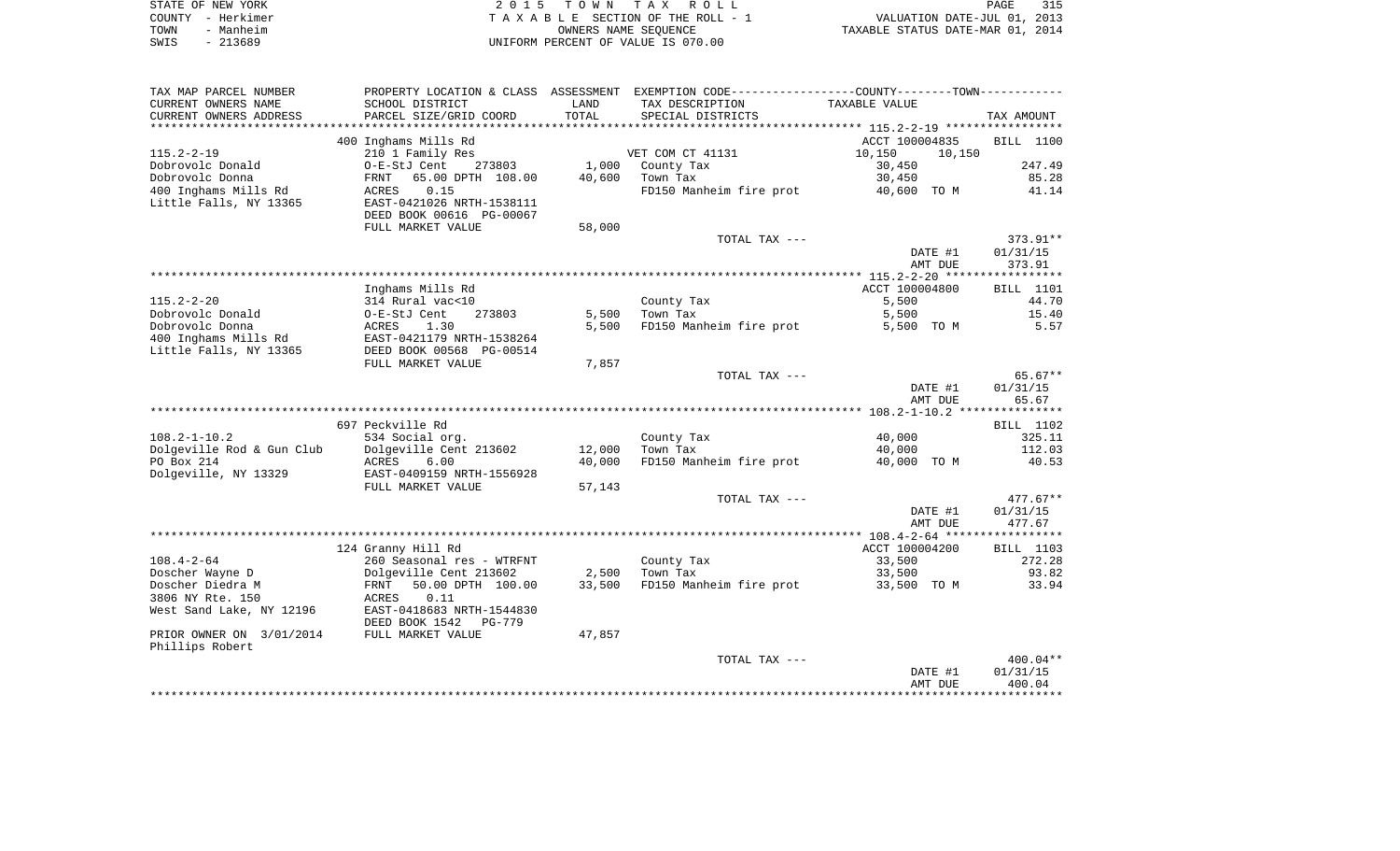| STATE OF NEW YORK | 2015 TOWN TAX ROLL                 | 315<br>PAGE                      |
|-------------------|------------------------------------|----------------------------------|
| COUNTY - Herkimer | TAXABLE SECTION OF THE ROLL - 1    | VALUATION DATE-JUL 01, 2013      |
| TOWN<br>- Manheim | OWNERS NAME SEOUENCE               | TAXABLE STATUS DATE-MAR 01, 2014 |
| $-213689$<br>SWIS | UNIFORM PERCENT OF VALUE IS 070.00 |                                  |

| TAX MAP PARCEL NUMBER     | PROPERTY LOCATION & CLASS ASSESSMENT |        | EXEMPTION CODE----------------COUNTY-------TOWN---------- |                  |                        |
|---------------------------|--------------------------------------|--------|-----------------------------------------------------------|------------------|------------------------|
| CURRENT OWNERS NAME       | SCHOOL DISTRICT                      | LAND   | TAX DESCRIPTION                                           | TAXABLE VALUE    |                        |
| CURRENT OWNERS ADDRESS    | PARCEL SIZE/GRID COORD               | TOTAL  | SPECIAL DISTRICTS                                         |                  | TAX AMOUNT             |
| ******************        | *************************            |        |                                                           |                  |                        |
|                           | 400 Inghams Mills Rd                 |        |                                                           | ACCT 100004835   | BILL 1100              |
| $115.2 - 2 - 19$          | 210 1 Family Res                     |        | VET COM CT 41131                                          | 10,150<br>10,150 |                        |
| Dobrovolc Donald          | O-E-StJ Cent<br>273803               | 1,000  | County Tax                                                | 30,450           | 247.49                 |
| Dobrovolc Donna           | 65.00 DPTH 108.00<br>FRNT            | 40,600 | Town Tax                                                  | 30,450           | 85.28                  |
| 400 Inghams Mills Rd      | 0.15<br>ACRES                        |        | FD150 Manheim fire prot                                   | 40,600 TO M      | 41.14                  |
| Little Falls, NY 13365    | EAST-0421026 NRTH-1538111            |        |                                                           |                  |                        |
|                           | DEED BOOK 00616 PG-00067             |        |                                                           |                  |                        |
|                           | FULL MARKET VALUE                    | 58,000 |                                                           |                  |                        |
|                           |                                      |        | TOTAL TAX ---                                             |                  | 373.91**               |
|                           |                                      |        |                                                           | DATE #1          | 01/31/15               |
|                           |                                      |        |                                                           | AMT DUE          | 373.91                 |
|                           |                                      |        |                                                           |                  |                        |
|                           | Inghams Mills Rd                     |        |                                                           | ACCT 100004800   | BILL 1101              |
| $115.2 - 2 - 20$          | 314 Rural vac<10                     |        | County Tax                                                | 5,500            | 44.70                  |
| Dobrovolc Donald          | O-E-StJ Cent<br>273803               | 5,500  | Town Tax                                                  | 5,500            | 15.40                  |
| Dobrovolc Donna           | 1.30<br>ACRES                        | 5,500  | FD150 Manheim fire prot                                   | 5,500 TO M       | 5.57                   |
| 400 Inghams Mills Rd      | EAST-0421179 NRTH-1538264            |        |                                                           |                  |                        |
| Little Falls, NY 13365    | DEED BOOK 00568 PG-00514             |        |                                                           |                  |                        |
|                           | FULL MARKET VALUE                    | 7,857  |                                                           |                  |                        |
|                           |                                      |        | TOTAL TAX ---                                             |                  | $65.67**$              |
|                           |                                      |        |                                                           | DATE #1          | 01/31/15               |
|                           |                                      |        |                                                           | AMT DUE          | 65.67                  |
|                           |                                      |        |                                                           |                  |                        |
|                           | 697 Peckville Rd                     |        |                                                           |                  | BILL 1102              |
| $108.2 - 1 - 10.2$        | 534 Social org.                      |        | County Tax                                                | 40,000           | 325.11                 |
| Dolgeville Rod & Gun Club | Dolgeville Cent 213602               | 12,000 | Town Tax                                                  | 40,000           | 112.03                 |
| PO Box 214                | 6.00<br>ACRES                        | 40,000 | FD150 Manheim fire prot                                   | 40,000 TO M      | 40.53                  |
| Dolgeville, NY 13329      | EAST-0409159 NRTH-1556928            |        |                                                           |                  |                        |
|                           | FULL MARKET VALUE                    | 57,143 |                                                           |                  |                        |
|                           |                                      |        | TOTAL TAX ---                                             |                  | $477.67**$             |
|                           |                                      |        |                                                           | DATE #1          | 01/31/15               |
|                           |                                      |        |                                                           | AMT DUE          | 477.67                 |
|                           |                                      |        |                                                           |                  |                        |
|                           | 124 Granny Hill Rd                   |        |                                                           | ACCT 100004200   | BILL 1103              |
| $108.4 - 2 - 64$          | 260 Seasonal res - WTRFNT            |        | County Tax                                                | 33,500           | 272.28                 |
| Doscher Wayne D           | Dolgeville Cent 213602               | 2,500  | Town Tax                                                  | 33,500           | 93.82                  |
| Doscher Diedra M          | 50.00 DPTH 100.00<br>FRNT            | 33,500 | FD150 Manheim fire prot                                   | 33,500 TO M      | 33.94                  |
| 3806 NY Rte. 150          | 0.11<br>ACRES                        |        |                                                           |                  |                        |
| West Sand Lake, NY 12196  | EAST-0418683 NRTH-1544830            |        |                                                           |                  |                        |
|                           | DEED BOOK 1542<br>PG-779             |        |                                                           |                  |                        |
| PRIOR OWNER ON 3/01/2014  | FULL MARKET VALUE                    | 47,857 |                                                           |                  |                        |
| Phillips Robert           |                                      |        |                                                           |                  |                        |
|                           |                                      |        | TOTAL TAX ---                                             | DATE #1          | $400.04**$<br>01/31/15 |
|                           |                                      |        |                                                           | AMT DUE          | 400.04                 |
|                           |                                      |        |                                                           |                  |                        |
|                           |                                      |        |                                                           |                  |                        |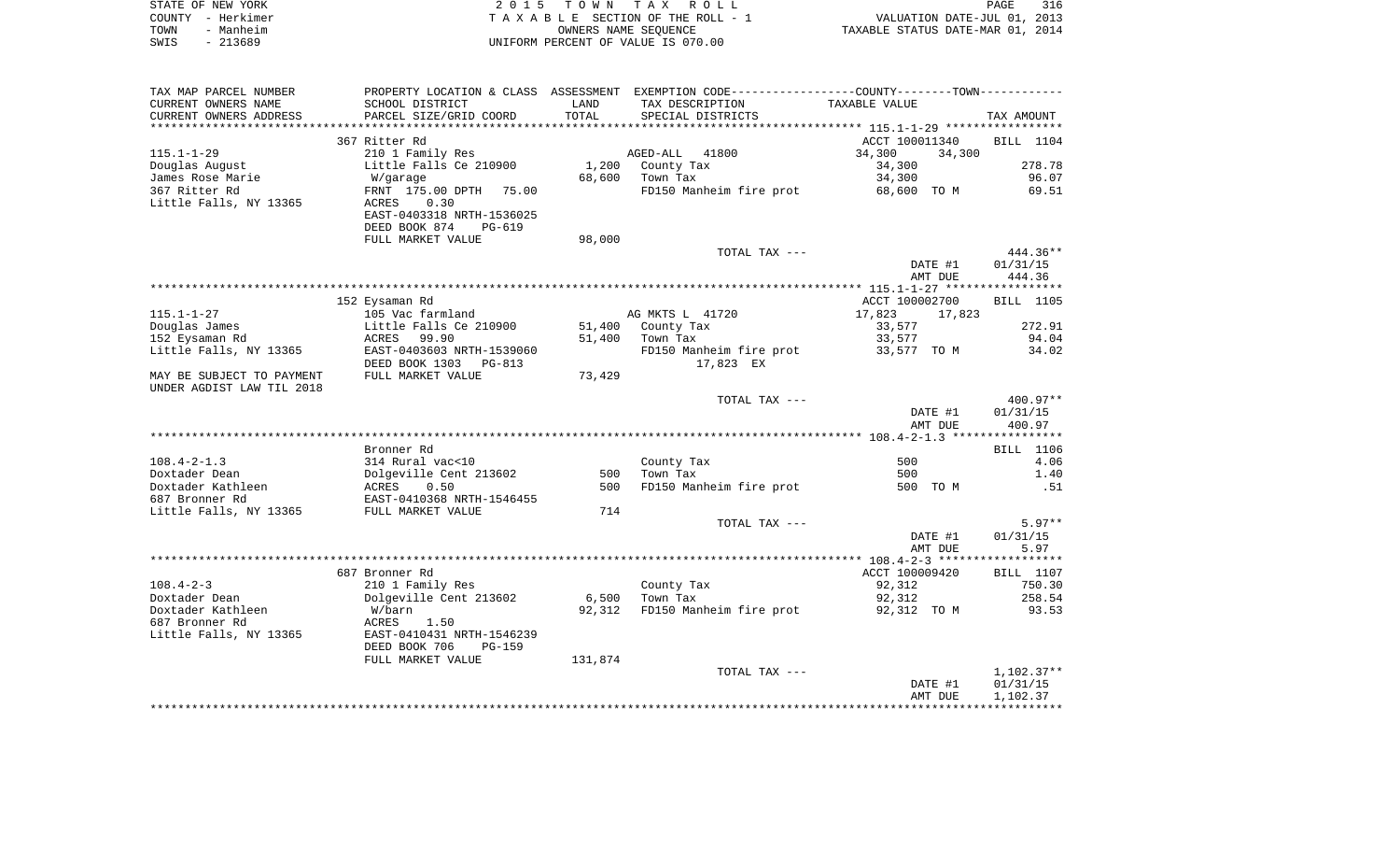|      | STATE OF NEW YORK | 2015 TOWN TAX ROLL                 | <b>PAGE</b>                      | 316 |
|------|-------------------|------------------------------------|----------------------------------|-----|
|      | COUNTY - Herkimer | TAXABLE SECTION OF THE ROLL - 1    | VALUATION DATE-JUL 01, 2013      |     |
| TOWN | - Manheim         | OWNERS NAME SEOUENCE               | TAXABLE STATUS DATE-MAR 01, 2014 |     |
| SWIS | - 213689          | UNIFORM PERCENT OF VALUE IS 070.00 |                                  |     |

| TAX MAP PARCEL NUMBER     |                             |         | PROPERTY LOCATION & CLASS ASSESSMENT EXEMPTION CODE----------------COUNTY-------TOWN----------- |                  |              |
|---------------------------|-----------------------------|---------|-------------------------------------------------------------------------------------------------|------------------|--------------|
| CURRENT OWNERS NAME       | SCHOOL DISTRICT             | LAND    | TAX DESCRIPTION                                                                                 | TAXABLE VALUE    |              |
| CURRENT OWNERS ADDRESS    | PARCEL SIZE/GRID COORD      | TOTAL   | SPECIAL DISTRICTS                                                                               |                  | TAX AMOUNT   |
| **********************    | *************************** |         |                                                                                                 |                  |              |
|                           | 367 Ritter Rd               |         |                                                                                                 | ACCT 100011340   | BILL 1104    |
| $115.1 - 1 - 29$          | 210 1 Family Res            |         | AGED-ALL<br>41800                                                                               | 34,300<br>34,300 |              |
| Douglas August            | Little Falls Ce 210900      | 1,200   | County Tax                                                                                      | 34,300           | 278.78       |
| James Rose Marie          | W/garage                    | 68,600  | Town Tax                                                                                        | 34,300           | 96.07        |
| 367 Ritter Rd             | FRNT 175.00 DPTH<br>75.00   |         | FD150 Manheim fire prot                                                                         | 68,600 TO M      | 69.51        |
| Little Falls, NY 13365    | 0.30<br>ACRES               |         |                                                                                                 |                  |              |
|                           | EAST-0403318 NRTH-1536025   |         |                                                                                                 |                  |              |
|                           | DEED BOOK 874<br>PG-619     |         |                                                                                                 |                  |              |
|                           | FULL MARKET VALUE           | 98,000  |                                                                                                 |                  |              |
|                           |                             |         | TOTAL TAX ---                                                                                   |                  | 444.36**     |
|                           |                             |         |                                                                                                 | DATE #1          | 01/31/15     |
|                           |                             |         |                                                                                                 | AMT DUE          | 444.36       |
|                           |                             |         |                                                                                                 |                  |              |
|                           | 152 Eysaman Rd              |         |                                                                                                 | ACCT 100002700   | BILL 1105    |
| $115.1 - 1 - 27$          | 105 Vac farmland            |         | AG MKTS L 41720                                                                                 | 17,823<br>17,823 |              |
| Douglas James             | Little Falls Ce 210900      | 51,400  | County Tax                                                                                      | 33,577           | 272.91       |
| 152 Eysaman Rd            | ACRES 99.90                 | 51,400  | Town Tax                                                                                        | 33,577           | 94.04        |
| Little Falls, NY 13365    | EAST-0403603 NRTH-1539060   |         | FD150 Manheim fire prot                                                                         | 33,577 TO M      | 34.02        |
|                           | DEED BOOK 1303 PG-813       |         | 17,823 EX                                                                                       |                  |              |
| MAY BE SUBJECT TO PAYMENT | FULL MARKET VALUE           | 73,429  |                                                                                                 |                  |              |
| UNDER AGDIST LAW TIL 2018 |                             |         |                                                                                                 |                  |              |
|                           |                             |         | TOTAL TAX ---                                                                                   |                  | $400.97**$   |
|                           |                             |         |                                                                                                 | DATE #1          | 01/31/15     |
|                           |                             |         |                                                                                                 | AMT DUE          | 400.97       |
|                           |                             |         |                                                                                                 |                  |              |
|                           | Bronner Rd                  |         |                                                                                                 |                  | BILL 1106    |
| $108.4 - 2 - 1.3$         | 314 Rural vac<10            |         | County Tax                                                                                      | 500              | 4.06         |
| Doxtader Dean             | Dolgeville Cent 213602      | 500     | Town Tax                                                                                        | 500              | 1.40         |
| Doxtader Kathleen         | 0.50<br>ACRES               | 500     | FD150 Manheim fire prot                                                                         | 500 TO M         | .51          |
| 687 Bronner Rd            | EAST-0410368 NRTH-1546455   |         |                                                                                                 |                  |              |
| Little Falls, NY 13365    | FULL MARKET VALUE           | 714     |                                                                                                 |                  |              |
|                           |                             |         | TOTAL TAX ---                                                                                   |                  | $5.97**$     |
|                           |                             |         |                                                                                                 | DATE #1          | 01/31/15     |
|                           |                             |         |                                                                                                 | AMT DUE          | 5.97         |
|                           |                             |         |                                                                                                 |                  |              |
|                           | 687 Bronner Rd              |         |                                                                                                 | ACCT 100009420   | BILL 1107    |
| $108.4 - 2 - 3$           |                             |         | County Tax                                                                                      |                  | 750.30       |
|                           | 210 1 Family Res            |         |                                                                                                 | 92,312           |              |
| Doxtader Dean             | Dolgeville Cent 213602      | 6,500   | Town Tax                                                                                        | 92,312           | 258.54       |
| Doxtader Kathleen         | W/barn                      | 92,312  | FD150 Manheim fire prot                                                                         | 92,312 TO M      | 93.53        |
| 687 Bronner Rd            | 1.50<br>ACRES               |         |                                                                                                 |                  |              |
| Little Falls, NY 13365    | EAST-0410431 NRTH-1546239   |         |                                                                                                 |                  |              |
|                           | DEED BOOK 706<br>$PG-159$   |         |                                                                                                 |                  |              |
|                           | FULL MARKET VALUE           | 131,874 |                                                                                                 |                  |              |
|                           |                             |         | TOTAL TAX ---                                                                                   |                  | $1,102.37**$ |
|                           |                             |         |                                                                                                 | DATE #1          | 01/31/15     |
|                           |                             |         |                                                                                                 | AMT DUE          | 1,102.37     |
|                           |                             |         |                                                                                                 |                  |              |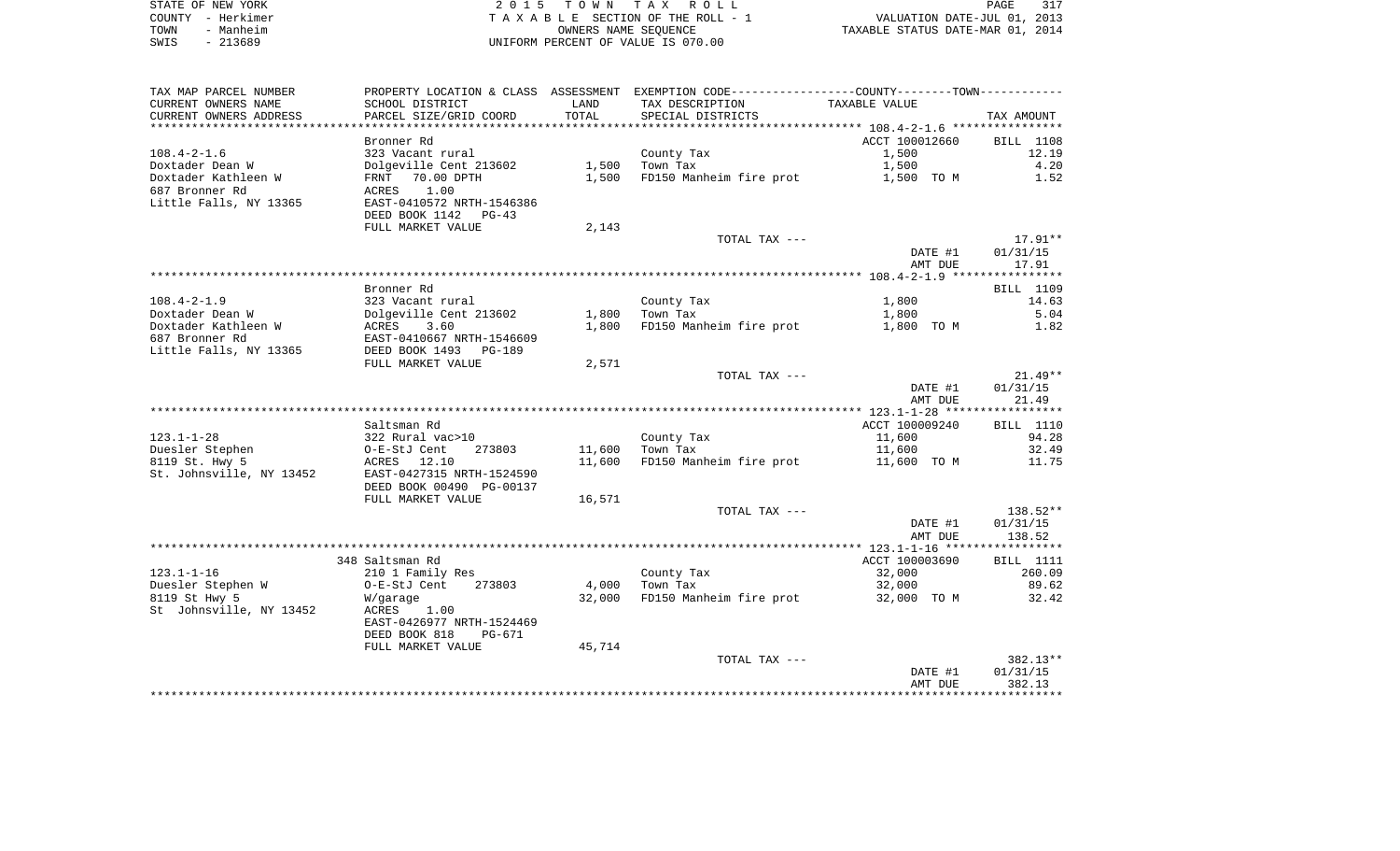| STATE OF NEW YORK | 2015 TOWN TAX ROLL                 | 317<br>PAGE                      |
|-------------------|------------------------------------|----------------------------------|
| COUNTY - Herkimer | TAXABLE SECTION OF THE ROLL - 1    | VALUATION DATE-JUL 01, 2013      |
| TOWN<br>- Manheim | OWNERS NAME SEOUENCE               | TAXABLE STATUS DATE-MAR 01, 2014 |
| SWIS<br>- 213689  | UNIFORM PERCENT OF VALUE IS 070.00 |                                  |

| TAX MAP PARCEL NUMBER    |                           |        | PROPERTY LOCATION & CLASS ASSESSMENT EXEMPTION CODE---------------COUNTY--------TOWN---------- |                |            |
|--------------------------|---------------------------|--------|------------------------------------------------------------------------------------------------|----------------|------------|
| CURRENT OWNERS NAME      | SCHOOL DISTRICT           | LAND   | TAX DESCRIPTION                                                                                | TAXABLE VALUE  |            |
| CURRENT OWNERS ADDRESS   | PARCEL SIZE/GRID COORD    | TOTAL  | SPECIAL DISTRICTS                                                                              |                | TAX AMOUNT |
| **********************   |                           |        |                                                                                                |                |            |
|                          | Bronner Rd                |        |                                                                                                | ACCT 100012660 | BILL 1108  |
| $108.4 - 2 - 1.6$        | 323 Vacant rural          |        | County Tax                                                                                     | 1,500          | 12.19      |
| Doxtader Dean W          | Dolgeville Cent 213602    | 1,500  | Town Tax                                                                                       | 1,500          | 4.20       |
| Doxtader Kathleen W      | FRNT<br>70.00 DPTH        | 1,500  | FD150 Manheim fire prot                                                                        | 1,500 TO M     | 1.52       |
| 687 Bronner Rd           | 1.00<br>ACRES             |        |                                                                                                |                |            |
| Little Falls, NY 13365   | EAST-0410572 NRTH-1546386 |        |                                                                                                |                |            |
|                          | DEED BOOK 1142<br>$PG-43$ |        |                                                                                                |                |            |
|                          | FULL MARKET VALUE         | 2,143  |                                                                                                |                |            |
|                          |                           |        | TOTAL TAX ---                                                                                  |                | $17.91**$  |
|                          |                           |        |                                                                                                | DATE #1        | 01/31/15   |
|                          |                           |        |                                                                                                | AMT DUE        | 17.91      |
|                          |                           |        |                                                                                                |                |            |
|                          | Bronner Rd                |        |                                                                                                |                | BILL 1109  |
| $108.4 - 2 - 1.9$        | 323 Vacant rural          |        | County Tax                                                                                     | 1,800          | 14.63      |
| Doxtader Dean W          | Dolgeville Cent 213602    | 1,800  | Town Tax                                                                                       | 1,800          | 5.04       |
| Doxtader Kathleen W      | ACRES<br>3.60             | 1,800  | FD150 Manheim fire prot                                                                        | 1,800 TO M     | 1.82       |
| 687 Bronner Rd           | EAST-0410667 NRTH-1546609 |        |                                                                                                |                |            |
| Little Falls, NY 13365   | DEED BOOK 1493<br>PG-189  |        |                                                                                                |                |            |
|                          | FULL MARKET VALUE         | 2,571  |                                                                                                |                |            |
|                          |                           |        | TOTAL TAX ---                                                                                  |                | $21.49**$  |
|                          |                           |        |                                                                                                | DATE #1        | 01/31/15   |
|                          |                           |        |                                                                                                | AMT DUE        | 21.49      |
|                          |                           |        |                                                                                                |                |            |
|                          | Saltsman Rd               |        |                                                                                                | ACCT 100009240 | BILL 1110  |
| $123.1 - 1 - 28$         | 322 Rural vac>10          |        | County Tax                                                                                     | 11,600         | 94.28      |
| Duesler Stephen          | O-E-StJ Cent<br>273803    | 11,600 | Town Tax                                                                                       | 11,600         | 32.49      |
| 8119 St. Hwy 5           | 12.10<br>ACRES            | 11,600 | FD150 Manheim fire prot                                                                        | 11,600 TO M    | 11.75      |
| St. Johnsville, NY 13452 | EAST-0427315 NRTH-1524590 |        |                                                                                                |                |            |
|                          | DEED BOOK 00490 PG-00137  |        |                                                                                                |                |            |
|                          | FULL MARKET VALUE         | 16,571 |                                                                                                |                |            |
|                          |                           |        | TOTAL TAX ---                                                                                  |                | 138.52**   |
|                          |                           |        |                                                                                                | DATE #1        | 01/31/15   |
|                          |                           |        |                                                                                                | AMT DUE        | 138.52     |
|                          | 348 Saltsman Rd           |        |                                                                                                | ACCT 100003690 | BILL 1111  |
| $123.1 - 1 - 16$         | 210 1 Family Res          |        | County Tax                                                                                     | 32,000         | 260.09     |
| Duesler Stephen W        | 273803<br>O-E-StJ Cent    | 4,000  | Town Tax                                                                                       | 32,000         | 89.62      |
| 8119 St Hwy 5            | W/garage                  | 32,000 | FD150 Manheim fire prot                                                                        | 32,000 TO M    | 32.42      |
| St Johnsville, NY 13452  | ACRES<br>1.00             |        |                                                                                                |                |            |
|                          | EAST-0426977 NRTH-1524469 |        |                                                                                                |                |            |
|                          | DEED BOOK 818<br>PG-671   |        |                                                                                                |                |            |
|                          | FULL MARKET VALUE         | 45,714 |                                                                                                |                |            |
|                          |                           |        | TOTAL TAX ---                                                                                  |                | 382.13**   |
|                          |                           |        |                                                                                                | DATE #1        | 01/31/15   |
|                          |                           |        |                                                                                                | AMT DUE        | 382.13     |
|                          |                           |        |                                                                                                |                |            |
|                          |                           |        |                                                                                                |                |            |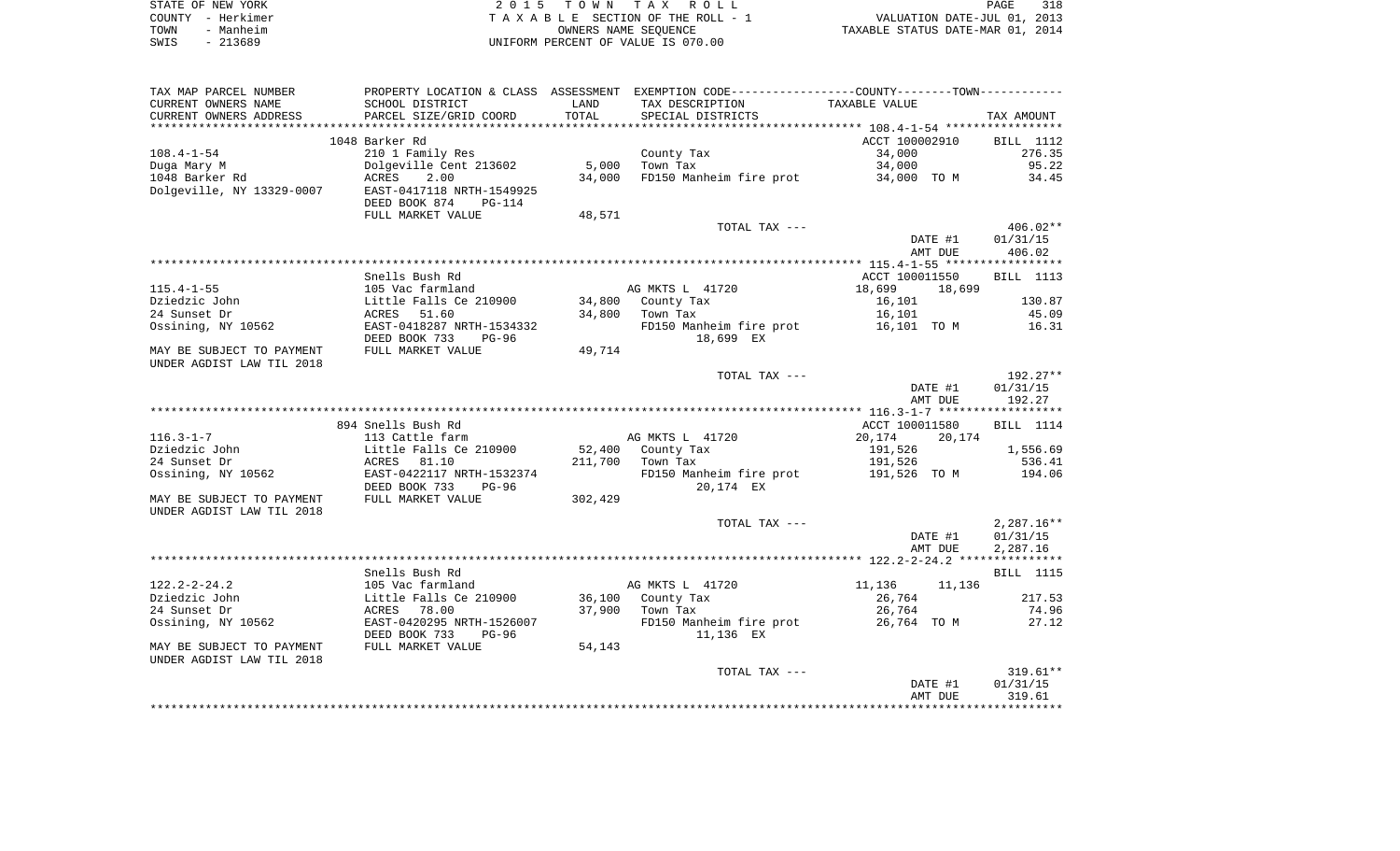|      | STATE OF NEW YORK | 2015 TOWN TAX ROLL                 | 318<br>PAGE                      |  |
|------|-------------------|------------------------------------|----------------------------------|--|
|      | COUNTY - Herkimer | TAXABLE SECTION OF THE ROLL - 1    | VALUATION DATE-JUL 01, 2013      |  |
| TOWN | - Manheim         | OWNERS NAME SEOUENCE               | TAXABLE STATUS DATE-MAR 01, 2014 |  |
| SWIS | - 213689          | UNIFORM PERCENT OF VALUE IS 070.00 |                                  |  |

| TAX MAP PARCEL NUMBER                                  |                                                             |         | PROPERTY LOCATION & CLASS ASSESSMENT EXEMPTION CODE----------------COUNTY--------TOWN----------- |                    |                    |
|--------------------------------------------------------|-------------------------------------------------------------|---------|--------------------------------------------------------------------------------------------------|--------------------|--------------------|
| CURRENT OWNERS NAME                                    | SCHOOL DISTRICT                                             | LAND    | TAX DESCRIPTION                                                                                  | TAXABLE VALUE      |                    |
| CURRENT OWNERS ADDRESS                                 | PARCEL SIZE/GRID COORD                                      | TOTAL   | SPECIAL DISTRICTS                                                                                |                    | TAX AMOUNT         |
|                                                        |                                                             |         |                                                                                                  |                    |                    |
|                                                        | 1048 Barker Rd                                              |         |                                                                                                  | ACCT 100002910     | BILL 1112          |
| $108.4 - 1 - 54$                                       | 210 1 Family Res                                            |         | County Tax                                                                                       | 34,000             | 276.35             |
| Duga Mary M                                            | Dolgeville Cent 213602                                      | 5,000   | Town Tax                                                                                         | 34,000             | 95.22              |
| 1048 Barker Rd                                         | ACRES<br>2.00                                               | 34,000  | FD150 Manheim fire prot                                                                          | 34,000 TO M        | 34.45              |
| Dolgeville, NY 13329-0007                              | EAST-0417118 NRTH-1549925<br>DEED BOOK 874<br><b>PG-114</b> |         |                                                                                                  |                    |                    |
|                                                        | FULL MARKET VALUE                                           | 48,571  |                                                                                                  |                    |                    |
|                                                        |                                                             |         | TOTAL TAX ---                                                                                    |                    | $406.02**$         |
|                                                        |                                                             |         |                                                                                                  | DATE #1<br>AMT DUE | 01/31/15<br>406.02 |
|                                                        |                                                             |         |                                                                                                  |                    |                    |
|                                                        | Snells Bush Rd                                              |         |                                                                                                  | ACCT 100011550     | BILL 1113          |
| $115.4 - 1 - 55$                                       | 105 Vac farmland                                            |         | AG MKTS L 41720                                                                                  | 18,699<br>18,699   |                    |
| Dziedzic John                                          | Little Falls Ce 210900                                      |         | 34,800 County Tax                                                                                | 16,101             | 130.87             |
| 24 Sunset Dr                                           | ACRES<br>51.60                                              | 34,800  | Town Tax                                                                                         | 16,101             | 45.09              |
| Ossining, NY 10562                                     | EAST-0418287 NRTH-1534332<br>DEED BOOK 733<br>$PG-96$       |         | FD150 Manheim fire prot<br>18,699 EX                                                             | 16,101 TO M        | 16.31              |
| MAY BE SUBJECT TO PAYMENT<br>UNDER AGDIST LAW TIL 2018 | FULL MARKET VALUE                                           | 49,714  |                                                                                                  |                    |                    |
|                                                        |                                                             |         | TOTAL TAX ---                                                                                    |                    | 192.27**           |
|                                                        |                                                             |         |                                                                                                  | DATE #1            | 01/31/15           |
|                                                        |                                                             |         |                                                                                                  | AMT DUE            | 192.27             |
|                                                        |                                                             |         |                                                                                                  |                    |                    |
|                                                        | 894 Snells Bush Rd                                          |         |                                                                                                  | ACCT 100011580     | BILL 1114          |
| $116.3 - 1 - 7$                                        | 113 Cattle farm                                             |         | AG MKTS L 41720                                                                                  | 20,174<br>20,174   |                    |
| Dziedzic John                                          | Little Falls Ce 210900                                      | 52,400  | County Tax                                                                                       | 191,526            | 1,556.69           |
| 24 Sunset Dr                                           | ACRES<br>81.10                                              | 211,700 | Town Tax                                                                                         | 191,526            | 536.41             |
| Ossining, NY 10562                                     | EAST-0422117 NRTH-1532374                                   |         | FD150 Manheim fire prot 191,526 TO M                                                             |                    | 194.06             |
|                                                        | DEED BOOK 733<br>$PG-96$                                    |         | 20,174 EX                                                                                        |                    |                    |
| MAY BE SUBJECT TO PAYMENT                              | FULL MARKET VALUE                                           | 302,429 |                                                                                                  |                    |                    |
| UNDER AGDIST LAW TIL 2018                              |                                                             |         |                                                                                                  |                    |                    |
|                                                        |                                                             |         | TOTAL TAX ---                                                                                    |                    | $2,287.16**$       |
|                                                        |                                                             |         |                                                                                                  | DATE #1            | 01/31/15           |
|                                                        |                                                             |         |                                                                                                  | AMT DUE            | 2,287.16           |
|                                                        |                                                             |         |                                                                                                  |                    |                    |
|                                                        | Snells Bush Rd                                              |         |                                                                                                  |                    | <b>BILL</b> 1115   |
| $122.2 - 2 - 24.2$                                     | 105 Vac farmland                                            |         | AG MKTS L 41720                                                                                  | 11,136<br>11,136   |                    |
| Dziedzic John                                          | Little Falls Ce 210900                                      |         | 36,100 County Tax                                                                                | 26,764             | 217.53             |
| 24 Sunset Dr                                           | 78.00<br>ACRES                                              |         | 37,900 Town Tax                                                                                  | 26,764             | 74.96              |
| Ossining, NY 10562                                     | EAST-0420295 NRTH-1526007<br>DEED BOOK 733<br>$PG-96$       |         | FD150 Manheim fire prot<br>11,136 EX                                                             | 26,764 TO M        | 27.12              |
| MAY BE SUBJECT TO PAYMENT<br>UNDER AGDIST LAW TIL 2018 | FULL MARKET VALUE                                           | 54,143  |                                                                                                  |                    |                    |
|                                                        |                                                             |         | TOTAL TAX ---                                                                                    |                    | $319.61**$         |
|                                                        |                                                             |         |                                                                                                  | DATE #1            | 01/31/15           |
|                                                        |                                                             |         |                                                                                                  | AMT DUE            | 319.61             |
|                                                        |                                                             |         |                                                                                                  |                    |                    |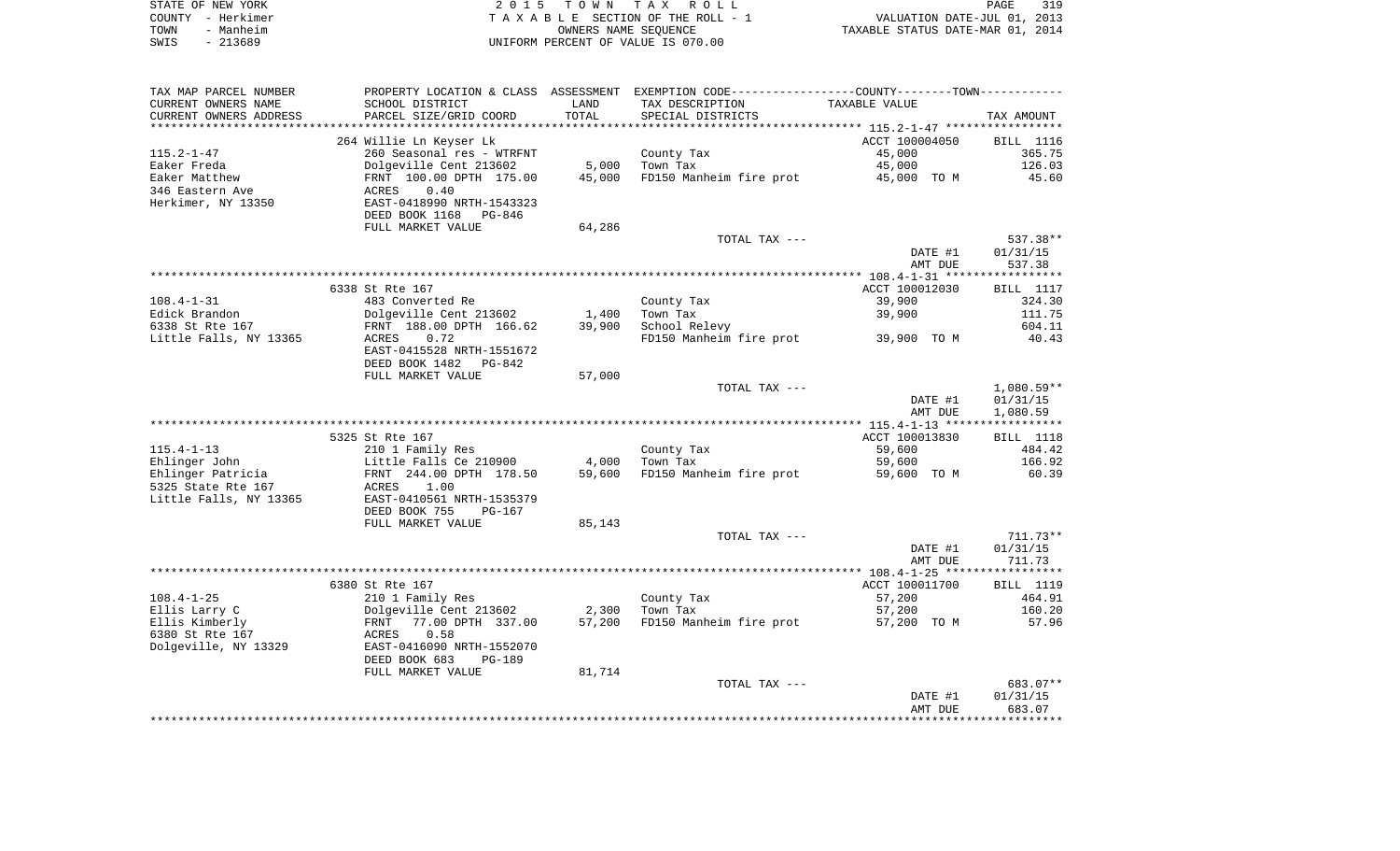| STATE OF NEW YORK | 2015 TOWN TAX ROLL                 | 319<br>PAGE                      |
|-------------------|------------------------------------|----------------------------------|
| COUNTY - Herkimer | TAXABLE SECTION OF THE ROLL - 1    | VALUATION DATE-JUL 01, 2013      |
| - Manheim<br>TOWN | OWNERS NAME SEOUENCE               | TAXABLE STATUS DATE-MAR 01, 2014 |
| - 213689<br>SWIS  | UNIFORM PERCENT OF VALUE IS 070.00 |                                  |

| TAX MAP PARCEL NUMBER  |                                                   |        | PROPERTY LOCATION & CLASS ASSESSMENT EXEMPTION CODE-----------------COUNTY--------TOWN--------- |                |                  |
|------------------------|---------------------------------------------------|--------|-------------------------------------------------------------------------------------------------|----------------|------------------|
| CURRENT OWNERS NAME    | SCHOOL DISTRICT                                   | LAND   | TAX DESCRIPTION                                                                                 | TAXABLE VALUE  |                  |
| CURRENT OWNERS ADDRESS | PARCEL SIZE/GRID COORD                            | TOTAL  | SPECIAL DISTRICTS                                                                               |                | TAX AMOUNT       |
|                        |                                                   |        |                                                                                                 |                |                  |
|                        | 264 Willie Ln Keyser Lk                           |        |                                                                                                 | ACCT 100004050 | <b>BILL</b> 1116 |
| $115.2 - 1 - 47$       | 260 Seasonal res - WTRFNT                         |        | County Tax                                                                                      | 45,000         | 365.75           |
| Eaker Freda            | Dolgeville Cent 213602                            | 5,000  | Town Tax                                                                                        | 45,000         | 126.03           |
|                        |                                                   |        |                                                                                                 |                |                  |
| Eaker Matthew          | FRNT 100.00 DPTH 175.00                           | 45,000 | FD150 Manheim fire prot 45,000 TO M                                                             |                | 45.60            |
| 346 Eastern Ave        | 0.40<br>ACRES                                     |        |                                                                                                 |                |                  |
| Herkimer, NY 13350     | EAST-0418990 NRTH-1543323                         |        |                                                                                                 |                |                  |
|                        | DEED BOOK 1168<br>PG-846                          |        |                                                                                                 |                |                  |
|                        | FULL MARKET VALUE                                 | 64,286 |                                                                                                 |                |                  |
|                        |                                                   |        | TOTAL TAX ---                                                                                   |                | 537.38**         |
|                        |                                                   |        |                                                                                                 | DATE #1        | 01/31/15         |
|                        |                                                   |        |                                                                                                 | AMT DUE        | 537.38           |
|                        |                                                   |        |                                                                                                 |                |                  |
|                        |                                                   |        |                                                                                                 |                |                  |
|                        | 6338 St Rte 167                                   |        |                                                                                                 | ACCT 100012030 | BILL 1117        |
| $108.4 - 1 - 31$       | 483 Converted Re                                  |        | County Tax                                                                                      | 39,900         | 324.30           |
| Edick Brandon          | Dolgeville Cent 213602                            | 1,400  | Town Tax                                                                                        | 39,900         | 111.75           |
| 6338 St Rte 167        | FRNT 188.00 DPTH 166.62                           | 39,900 | School Relevy                                                                                   |                | 604.11           |
| Little Falls, NY 13365 | ACRES<br>0.72                                     |        | FD150 Manheim fire prot 39,900 TO M                                                             |                | 40.43            |
|                        | EAST-0415528 NRTH-1551672                         |        |                                                                                                 |                |                  |
|                        | DEED BOOK 1482<br>PG-842                          |        |                                                                                                 |                |                  |
|                        | FULL MARKET VALUE                                 | 57,000 |                                                                                                 |                |                  |
|                        |                                                   |        | TOTAL TAX ---                                                                                   |                | $1,080.59**$     |
|                        |                                                   |        |                                                                                                 | DATE #1        | 01/31/15         |
|                        |                                                   |        |                                                                                                 |                |                  |
|                        |                                                   |        |                                                                                                 | AMT DUE        | 1,080.59         |
|                        |                                                   |        |                                                                                                 |                |                  |
|                        | 5325 St Rte 167                                   |        |                                                                                                 | ACCT 100013830 | <b>BILL</b> 1118 |
| $115.4 - 1 - 13$       | 210 1 Family Res                                  |        | County Tax                                                                                      | 59,600         | 484.42           |
| Ehlinger John          |                                                   | 4,000  | Town Tax                                                                                        | 59,600         | 166.92           |
| Ehlinger Patricia      | Little Falls Ce 210900<br>FRNT 244.00 DPTH 178.50 | 59,600 | FD150 Manheim fire prot                                                                         | 59,600 TO M    | 60.39            |
| 5325 State Rte 167     | ACRES<br>1.00                                     |        |                                                                                                 |                |                  |
| Little Falls, NY 13365 | EAST-0410561 NRTH-1535379                         |        |                                                                                                 |                |                  |
|                        | DEED BOOK 755<br>$PG-167$                         |        |                                                                                                 |                |                  |
|                        | FULL MARKET VALUE                                 | 85,143 |                                                                                                 |                |                  |
|                        |                                                   |        | TOTAL TAX ---                                                                                   |                | $711.73**$       |
|                        |                                                   |        |                                                                                                 |                |                  |
|                        |                                                   |        |                                                                                                 | DATE #1        | 01/31/15         |
|                        |                                                   |        |                                                                                                 | AMT DUE        | 711.73           |
|                        |                                                   |        |                                                                                                 |                |                  |
|                        | 6380 St Rte 167                                   |        |                                                                                                 | ACCT 100011700 | BILL 1119        |
| $108.4 - 1 - 25$       | 210 1 Family Res                                  |        | County Tax                                                                                      | 57,200         | 464.91           |
| Ellis Larry C          | Dolgeville Cent 213602                            | 2,300  | Town Tax                                                                                        | 57,200         | 160.20           |
| Ellis Kimberly         | 77.00 DPTH 337.00<br>FRNT                         | 57,200 | FD150 Manheim fire prot 57,200 TO M                                                             |                | 57.96            |
| 6380 St Rte 167        | 0.58<br>ACRES                                     |        |                                                                                                 |                |                  |
| Dolgeville, NY 13329   | EAST-0416090 NRTH-1552070                         |        |                                                                                                 |                |                  |
|                        | DEED BOOK 683<br><b>PG-189</b>                    |        |                                                                                                 |                |                  |
|                        |                                                   | 81,714 |                                                                                                 |                |                  |
|                        | FULL MARKET VALUE                                 |        |                                                                                                 |                |                  |
|                        |                                                   |        | TOTAL TAX ---                                                                                   |                | 683.07**         |
|                        |                                                   |        |                                                                                                 | DATE #1        | 01/31/15         |
|                        |                                                   |        |                                                                                                 | AMT DUE        | 683.07           |
|                        |                                                   |        |                                                                                                 |                |                  |
|                        |                                                   |        |                                                                                                 |                |                  |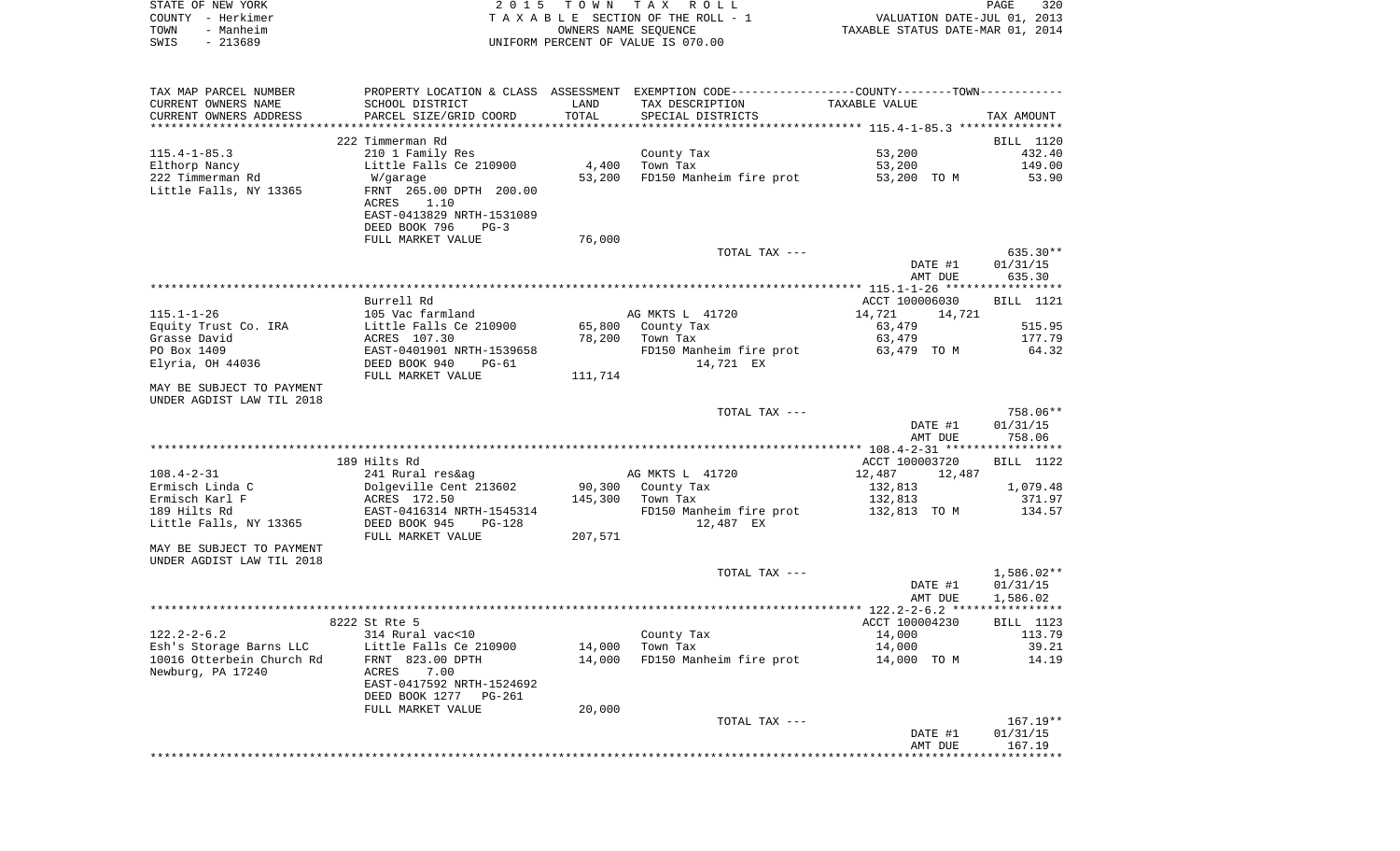|      | STATE OF NEW YORK | 2015 TOWN TAX ROLL                 | 320<br>PAGE                      |
|------|-------------------|------------------------------------|----------------------------------|
|      | COUNTY - Herkimer | TAXABLE SECTION OF THE ROLL - 1    | VALUATION DATE-JUL 01, 2013      |
| TOWN | - Manheim         | OWNERS NAME SEOUENCE               | TAXABLE STATUS DATE-MAR 01, 2014 |
| SWIS | - 213689          | UNIFORM PERCENT OF VALUE IS 070.00 |                                  |

| TAX MAP PARCEL NUMBER                      |                                               |         | PROPERTY LOCATION & CLASS ASSESSMENT EXEMPTION CODE----------------COUNTY--------TOWN---------- |                                                      |                  |
|--------------------------------------------|-----------------------------------------------|---------|-------------------------------------------------------------------------------------------------|------------------------------------------------------|------------------|
| CURRENT OWNERS NAME                        | SCHOOL DISTRICT                               | LAND    | TAX DESCRIPTION                                                                                 | TAXABLE VALUE                                        |                  |
| CURRENT OWNERS ADDRESS                     | PARCEL SIZE/GRID COORD                        | TOTAL   | SPECIAL DISTRICTS                                                                               |                                                      | TAX AMOUNT       |
|                                            |                                               |         |                                                                                                 | ********************** 115.4-1-85.3 **************** |                  |
|                                            | 222 Timmerman Rd                              |         |                                                                                                 |                                                      | BILL 1120        |
| $115.4 - 1 - 85.3$                         | 210 1 Family Res                              | 4,400   | County Tax<br>Town Tax                                                                          | 53,200                                               | 432.40           |
| Elthorp Nancy                              | Little Falls Ce 210900                        |         |                                                                                                 | 53,200                                               | 149.00           |
| 222 Timmerman Rd<br>Little Falls, NY 13365 | W/garage<br>FRNT 265.00 DPTH 200.00           | 53,200  | FD150 Manheim fire prot                                                                         | 53,200 TO M                                          | 53.90            |
|                                            | ACRES<br>1.10                                 |         |                                                                                                 |                                                      |                  |
|                                            | EAST-0413829 NRTH-1531089                     |         |                                                                                                 |                                                      |                  |
|                                            | DEED BOOK 796<br>$PG-3$                       |         |                                                                                                 |                                                      |                  |
|                                            | FULL MARKET VALUE                             | 76,000  |                                                                                                 |                                                      |                  |
|                                            |                                               |         | TOTAL TAX ---                                                                                   |                                                      | 635.30**         |
|                                            |                                               |         |                                                                                                 | DATE #1                                              | 01/31/15         |
|                                            |                                               |         |                                                                                                 | AMT DUE                                              | 635.30           |
|                                            |                                               |         |                                                                                                 |                                                      |                  |
|                                            | Burrell Rd                                    |         |                                                                                                 | ACCT 100006030                                       | <b>BILL</b> 1121 |
| $115.1 - 1 - 26$                           | 105 Vac farmland                              |         | AG MKTS L 41720                                                                                 | 14,721<br>14,721                                     |                  |
| Equity Trust Co. IRA                       | Little Falls Ce 210900                        | 65,800  | County Tax                                                                                      | 63,479                                               | 515.95           |
| Grasse David                               | ACRES 107.30                                  | 78,200  | Town Tax                                                                                        | 63,479                                               | 177.79           |
| PO Box 1409                                | EAST-0401901 NRTH-1539658                     |         | FD150 Manheim fire prot                                                                         | 63,479 TO M                                          | 64.32            |
| Elyria, OH 44036                           | DEED BOOK 940<br>$PG-61$                      |         | 14,721 EX                                                                                       |                                                      |                  |
|                                            | FULL MARKET VALUE                             | 111,714 |                                                                                                 |                                                      |                  |
| MAY BE SUBJECT TO PAYMENT                  |                                               |         |                                                                                                 |                                                      |                  |
| UNDER AGDIST LAW TIL 2018                  |                                               |         |                                                                                                 |                                                      |                  |
|                                            |                                               |         | TOTAL TAX ---                                                                                   |                                                      | 758.06**         |
|                                            |                                               |         |                                                                                                 | DATE #1                                              | 01/31/15         |
|                                            |                                               |         |                                                                                                 | AMT DUE                                              | 758.06           |
|                                            | 189 Hilts Rd                                  |         |                                                                                                 | ACCT 100003720                                       |                  |
| $108.4 - 2 - 31$                           |                                               |         | AG MKTS L 41720                                                                                 | 12,487<br>12,487                                     | BILL 1122        |
| Ermisch Linda C                            | 241 Rural res&ag<br>Dolgeville Cent 213602    | 90,300  | County Tax                                                                                      | 132,813                                              | 1,079.48         |
| Ermisch Karl F                             | ACRES 172.50                                  | 145,300 | Town Tax                                                                                        | 132,813                                              | 371.97           |
| 189 Hilts Rd                               | EAST-0416314 NRTH-1545314                     |         | FD150 Manheim fire prot                                                                         | 132,813 TO M                                         | 134.57           |
| Little Falls, NY 13365                     | DEED BOOK 945<br><b>PG-128</b>                |         | 12,487 EX                                                                                       |                                                      |                  |
|                                            | FULL MARKET VALUE                             | 207,571 |                                                                                                 |                                                      |                  |
| MAY BE SUBJECT TO PAYMENT                  |                                               |         |                                                                                                 |                                                      |                  |
| UNDER AGDIST LAW TIL 2018                  |                                               |         |                                                                                                 |                                                      |                  |
|                                            |                                               |         | TOTAL TAX ---                                                                                   |                                                      | 1,586.02**       |
|                                            |                                               |         |                                                                                                 | DATE #1                                              | 01/31/15         |
|                                            |                                               |         |                                                                                                 | AMT DUE                                              | 1,586.02         |
|                                            |                                               |         |                                                                                                 |                                                      |                  |
|                                            | 8222 St Rte 5                                 |         |                                                                                                 | ACCT 100004230                                       | BILL 1123        |
| $122.2 - 2 - 6.2$                          | 314 Rural vac<10                              |         | County Tax                                                                                      | 14,000                                               | 113.79           |
| Esh's Storage Barns LLC                    | Little Falls Ce 210900                        | 14,000  | Town Tax                                                                                        | 14,000                                               | 39.21            |
| 10016 Otterbein Church Rd                  | FRNT 823.00 DPTH                              | 14,000  | FD150 Manheim fire prot                                                                         | 14,000 TO M                                          | 14.19            |
| Newburg, PA 17240                          | ACRES<br>7.00                                 |         |                                                                                                 |                                                      |                  |
|                                            | EAST-0417592 NRTH-1524692                     |         |                                                                                                 |                                                      |                  |
|                                            | DEED BOOK 1277<br>PG-261<br>FULL MARKET VALUE | 20,000  |                                                                                                 |                                                      |                  |
|                                            |                                               |         | TOTAL TAX ---                                                                                   |                                                      | $167.19**$       |
|                                            |                                               |         |                                                                                                 | DATE #1                                              | 01/31/15         |
|                                            |                                               |         |                                                                                                 | AMT DUE                                              | 167.19           |
|                                            |                                               |         |                                                                                                 |                                                      |                  |
|                                            |                                               |         |                                                                                                 |                                                      |                  |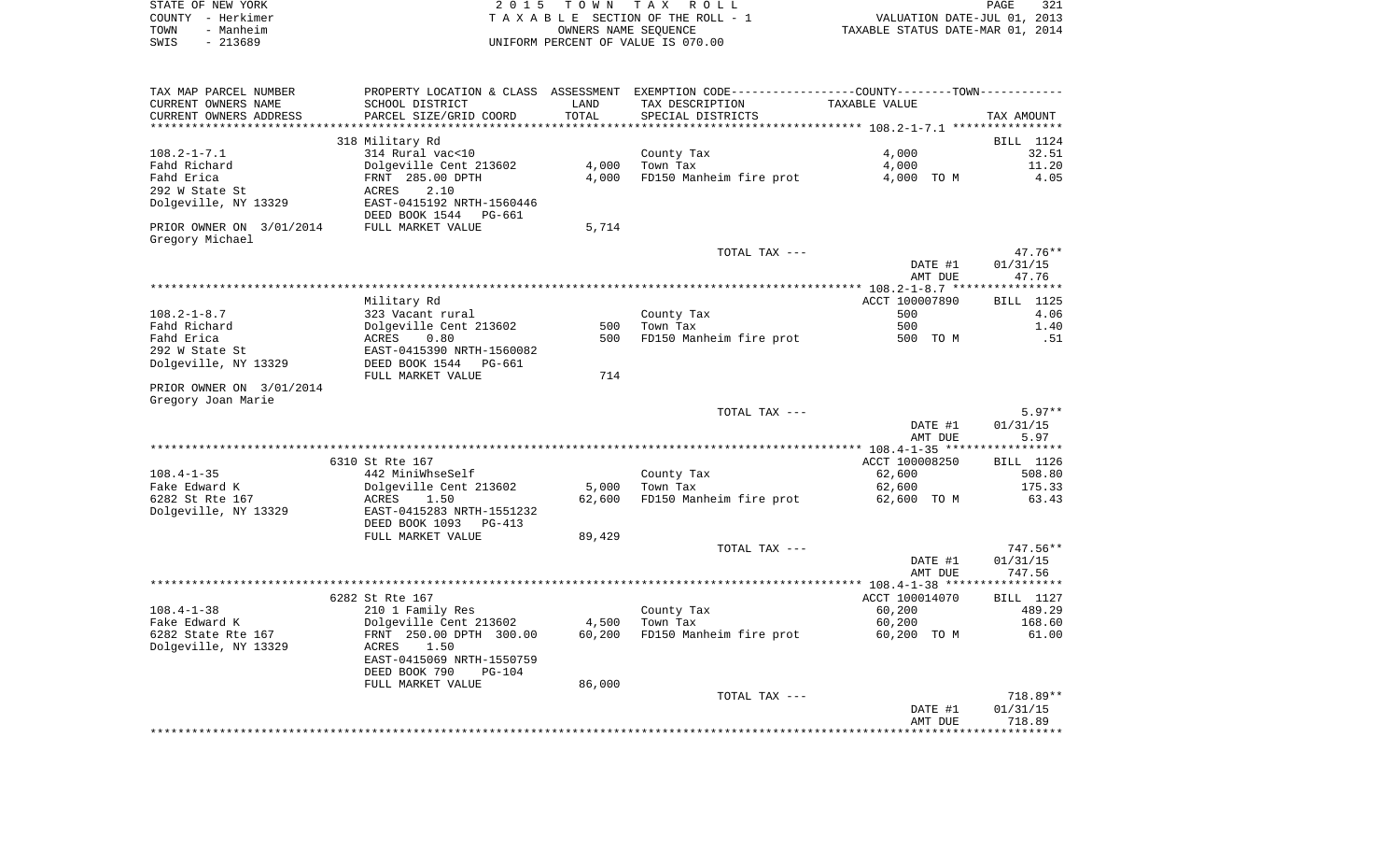|      | STATE OF NEW YORK | 2015 TOWN TAX ROLL                 | 321<br>PAGE                      |
|------|-------------------|------------------------------------|----------------------------------|
|      | COUNTY - Herkimer | TAXABLE SECTION OF THE ROLL - 1    | VALUATION DATE-JUL 01, 2013      |
| TOWN | - Manheim         | OWNERS NAME SEOUENCE               | TAXABLE STATUS DATE-MAR 01, 2014 |
| SWIS | - 213689          | UNIFORM PERCENT OF VALUE IS 070.00 |                                  |

| TAX MAP PARCEL NUMBER    |                                |        | PROPERTY LOCATION & CLASS ASSESSMENT EXEMPTION CODE---------------COUNTY-------TOWN--------- |                |            |
|--------------------------|--------------------------------|--------|----------------------------------------------------------------------------------------------|----------------|------------|
| CURRENT OWNERS NAME      | SCHOOL DISTRICT                | LAND   | TAX DESCRIPTION                                                                              | TAXABLE VALUE  |            |
| CURRENT OWNERS ADDRESS   | PARCEL SIZE/GRID COORD         | TOTAL  | SPECIAL DISTRICTS                                                                            |                | TAX AMOUNT |
|                          |                                |        |                                                                                              |                |            |
|                          | 318 Military Rd                |        |                                                                                              |                | BILL 1124  |
| $108.2 - 1 - 7.1$        | 314 Rural vac<10               |        | County Tax                                                                                   | 4,000          | 32.51      |
| Fahd Richard             | Dolgeville Cent 213602         | 4,000  | Town Tax                                                                                     | 4,000          | 11.20      |
| Fahd Erica               | FRNT 285.00 DPTH               | 4,000  | FD150 Manheim fire prot                                                                      | 4,000 TO M     | 4.05       |
| 292 W State St           | 2.10<br>ACRES                  |        |                                                                                              |                |            |
| Dolgeville, NY 13329     | EAST-0415192 NRTH-1560446      |        |                                                                                              |                |            |
|                          | DEED BOOK 1544<br>PG-661       |        |                                                                                              |                |            |
| PRIOR OWNER ON 3/01/2014 | FULL MARKET VALUE              | 5,714  |                                                                                              |                |            |
| Gregory Michael          |                                |        |                                                                                              |                |            |
|                          |                                |        | TOTAL TAX ---                                                                                |                | $47.76**$  |
|                          |                                |        |                                                                                              | DATE #1        | 01/31/15   |
|                          |                                |        |                                                                                              | AMT DUE        | 47.76      |
|                          |                                |        |                                                                                              |                |            |
|                          |                                |        |                                                                                              |                |            |
|                          | Military Rd                    |        |                                                                                              | ACCT 100007890 | BILL 1125  |
| $108.2 - 1 - 8.7$        | 323 Vacant rural               |        | County Tax                                                                                   | 500            | 4.06       |
| Fahd Richard             | Dolgeville Cent 213602         | 500    | Town Tax                                                                                     | 500            | 1.40       |
| Fahd Erica               | ACRES<br>0.80                  | 500    | FD150 Manheim fire prot                                                                      | 500 TO M       | .51        |
| 292 W State St           | EAST-0415390 NRTH-1560082      |        |                                                                                              |                |            |
| Dolgeville, NY 13329     | DEED BOOK 1544<br>PG-661       |        |                                                                                              |                |            |
|                          | FULL MARKET VALUE              | 714    |                                                                                              |                |            |
| PRIOR OWNER ON 3/01/2014 |                                |        |                                                                                              |                |            |
| Gregory Joan Marie       |                                |        |                                                                                              |                |            |
|                          |                                |        | TOTAL TAX ---                                                                                |                | $5.97**$   |
|                          |                                |        |                                                                                              | DATE #1        | 01/31/15   |
|                          |                                |        |                                                                                              | AMT DUE        | 5.97       |
|                          |                                |        |                                                                                              |                |            |
|                          | 6310 St Rte 167                |        |                                                                                              | ACCT 100008250 | BILL 1126  |
| $108.4 - 1 - 35$         | 442 MiniWhseSelf               |        | County Tax                                                                                   | 62,600         | 508.80     |
| Fake Edward K            | Dolgeville Cent 213602         | 5,000  | Town Tax                                                                                     | 62,600         | 175.33     |
| 6282 St Rte 167          | 1.50<br>ACRES                  | 62,600 | FD150 Manheim fire prot                                                                      | 62,600 TO M    | 63.43      |
| Dolgeville, NY 13329     | EAST-0415283 NRTH-1551232      |        |                                                                                              |                |            |
|                          | DEED BOOK 1093<br>PG-413       |        |                                                                                              |                |            |
|                          | FULL MARKET VALUE              | 89,429 |                                                                                              |                |            |
|                          |                                |        | TOTAL TAX ---                                                                                |                | 747.56**   |
|                          |                                |        |                                                                                              | DATE #1        | 01/31/15   |
|                          |                                |        |                                                                                              | AMT DUE        | 747.56     |
|                          |                                |        |                                                                                              |                |            |
|                          | 6282 St Rte 167                |        |                                                                                              | ACCT 100014070 | BILL 1127  |
|                          |                                |        |                                                                                              |                |            |
| $108.4 - 1 - 38$         | 210 1 Family Res               |        | County Tax                                                                                   | 60,200         | 489.29     |
| Fake Edward K            | Dolgeville Cent 213602         | 4,500  | Town Tax                                                                                     | 60,200         | 168.60     |
| 6282 State Rte 167       | FRNT 250.00 DPTH 300.00        | 60,200 | FD150 Manheim fire prot                                                                      | 60,200 TO M    | 61.00      |
| Dolgeville, NY 13329     | ACRES<br>1.50                  |        |                                                                                              |                |            |
|                          | EAST-0415069 NRTH-1550759      |        |                                                                                              |                |            |
|                          | DEED BOOK 790<br><b>PG-104</b> |        |                                                                                              |                |            |
|                          | FULL MARKET VALUE              | 86,000 |                                                                                              |                |            |
|                          |                                |        | TOTAL TAX ---                                                                                |                | 718.89**   |
|                          |                                |        |                                                                                              | DATE #1        | 01/31/15   |
|                          |                                |        |                                                                                              | AMT DUE        | 718.89     |
|                          |                                |        |                                                                                              |                |            |
|                          |                                |        |                                                                                              |                |            |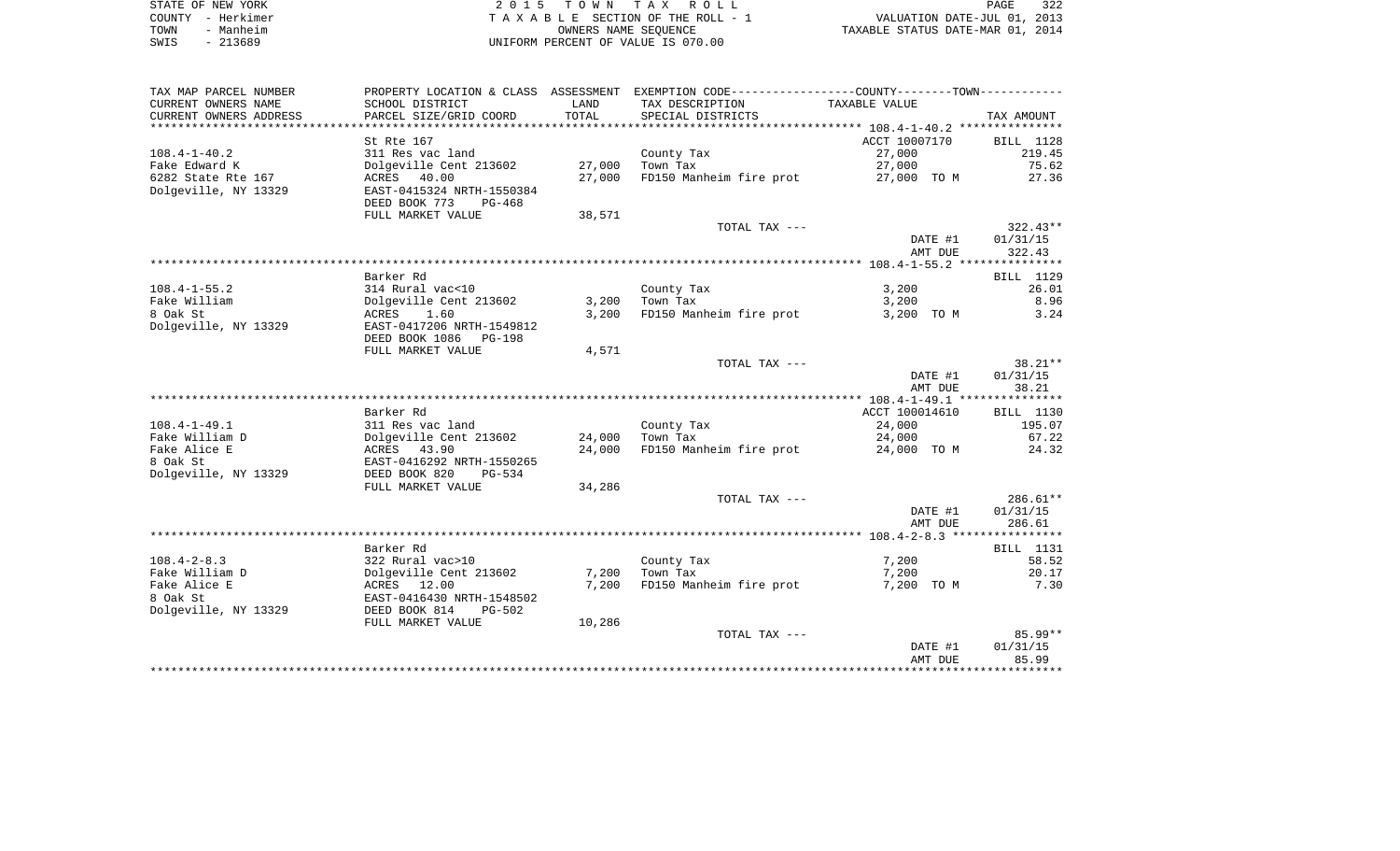|      | STATE OF NEW YORK | 2015 TOWN TAX ROLL                 | 322<br>PAGE                      |
|------|-------------------|------------------------------------|----------------------------------|
|      | COUNTY - Herkimer | TAXABLE SECTION OF THE ROLL - 1    | VALUATION DATE-JUL 01, 2013      |
| TOWN | - Manheim         | OWNERS NAME SEOUENCE               | TAXABLE STATUS DATE-MAR 01, 2014 |
| SWIS | - 213689          | UNIFORM PERCENT OF VALUE IS 070.00 |                                  |

| TAX MAP PARCEL NUMBER               |                                          |        | PROPERTY LOCATION & CLASS ASSESSMENT EXEMPTION CODE----------------COUNTY-------TOWN---------- |                  |                 |
|-------------------------------------|------------------------------------------|--------|------------------------------------------------------------------------------------------------|------------------|-----------------|
| CURRENT OWNERS NAME                 | SCHOOL DISTRICT                          | LAND   | TAX DESCRIPTION                                                                                | TAXABLE VALUE    |                 |
| CURRENT OWNERS ADDRESS              | PARCEL SIZE/GRID COORD                   | TOTAL  | SPECIAL DISTRICTS                                                                              |                  | TAX AMOUNT      |
| *************************           |                                          |        |                                                                                                |                  |                 |
|                                     | St Rte 167                               |        |                                                                                                | ACCT 10007170    | BILL 1128       |
| $108.4 - 1 - 40.2$<br>Fake Edward K | 311 Res vac land                         | 27,000 | County Tax<br>Town Tax                                                                         | 27,000<br>27,000 | 219.45<br>75.62 |
| 6282 State Rte 167                  | Dolgeville Cent 213602<br>40.00<br>ACRES | 27,000 | FD150 Manheim fire prot                                                                        | 27,000 TO M      | 27.36           |
| Dolgeville, NY 13329                | EAST-0415324 NRTH-1550384                |        |                                                                                                |                  |                 |
|                                     | DEED BOOK 773<br>PG-468                  |        |                                                                                                |                  |                 |
|                                     | FULL MARKET VALUE                        | 38,571 |                                                                                                |                  |                 |
|                                     |                                          |        | TOTAL TAX ---                                                                                  |                  | $322.43**$      |
|                                     |                                          |        |                                                                                                | DATE #1          | 01/31/15        |
|                                     |                                          |        |                                                                                                | AMT DUE          | 322.43          |
|                                     |                                          |        |                                                                                                |                  |                 |
|                                     | Barker Rd                                |        |                                                                                                |                  | BILL 1129       |
| $108.4 - 1 - 55.2$                  | 314 Rural vac<10                         |        | County Tax                                                                                     | 3,200            | 26.01           |
| Fake William                        | Dolgeville Cent 213602                   | 3,200  | Town Tax                                                                                       | 3,200            | 8.96            |
| 8 Oak St                            | ACRES<br>1.60                            | 3.200  | FD150 Manheim fire prot                                                                        | 3,200 TO M       | 3.24            |
| Dolgeville, NY 13329                | EAST-0417206 NRTH-1549812                |        |                                                                                                |                  |                 |
|                                     | DEED BOOK 1086<br>PG-198                 |        |                                                                                                |                  |                 |
|                                     | FULL MARKET VALUE                        | 4,571  | TOTAL TAX ---                                                                                  |                  | $38.21**$       |
|                                     |                                          |        |                                                                                                | DATE #1          | 01/31/15        |
|                                     |                                          |        |                                                                                                | AMT DUE          | 38.21           |
|                                     |                                          |        |                                                                                                |                  |                 |
|                                     | Barker Rd                                |        |                                                                                                | ACCT 100014610   | BILL 1130       |
| $108.4 - 1 - 49.1$                  | 311 Res vac land                         |        | County Tax                                                                                     | 24,000           | 195.07          |
| Fake William D                      | Dolgeville Cent 213602                   | 24,000 | Town Tax                                                                                       | 24,000           | 67.22           |
| Fake Alice E                        | ACRES<br>43.90                           | 24,000 | FD150 Manheim fire prot                                                                        | 24,000 TO M      | 24.32           |
| 8 Oak St                            | EAST-0416292 NRTH-1550265                |        |                                                                                                |                  |                 |
| Dolgeville, NY 13329                | DEED BOOK 820<br>PG-534                  |        |                                                                                                |                  |                 |
|                                     | FULL MARKET VALUE                        | 34,286 |                                                                                                |                  |                 |
|                                     |                                          |        | TOTAL TAX ---                                                                                  |                  | $286.61**$      |
|                                     |                                          |        |                                                                                                | DATE #1          | 01/31/15        |
|                                     |                                          |        |                                                                                                | AMT DUE          | 286.61          |
|                                     | Barker Rd                                |        |                                                                                                |                  | BILL 1131       |
| $108.4 - 2 - 8.3$                   | 322 Rural vac>10                         |        | County Tax                                                                                     | 7,200            | 58.52           |
| Fake William D                      | Dolgeville Cent 213602                   | 7,200  | Town Tax                                                                                       | 7,200            | 20.17           |
| Fake Alice E                        | ACRES<br>12.00                           | 7,200  | FD150 Manheim fire prot                                                                        | 7,200 TO M       | 7.30            |
| 8 Oak St                            | EAST-0416430 NRTH-1548502                |        |                                                                                                |                  |                 |
| Dolgeville, NY 13329                | DEED BOOK 814<br>$PG-502$                |        |                                                                                                |                  |                 |
|                                     | FULL MARKET VALUE                        | 10,286 |                                                                                                |                  |                 |
|                                     |                                          |        | TOTAL TAX ---                                                                                  |                  | $85.99**$       |
|                                     |                                          |        |                                                                                                | DATE #1          | 01/31/15        |
|                                     |                                          |        |                                                                                                | AMT DUE          | 85.99           |
|                                     |                                          |        |                                                                                                |                  |                 |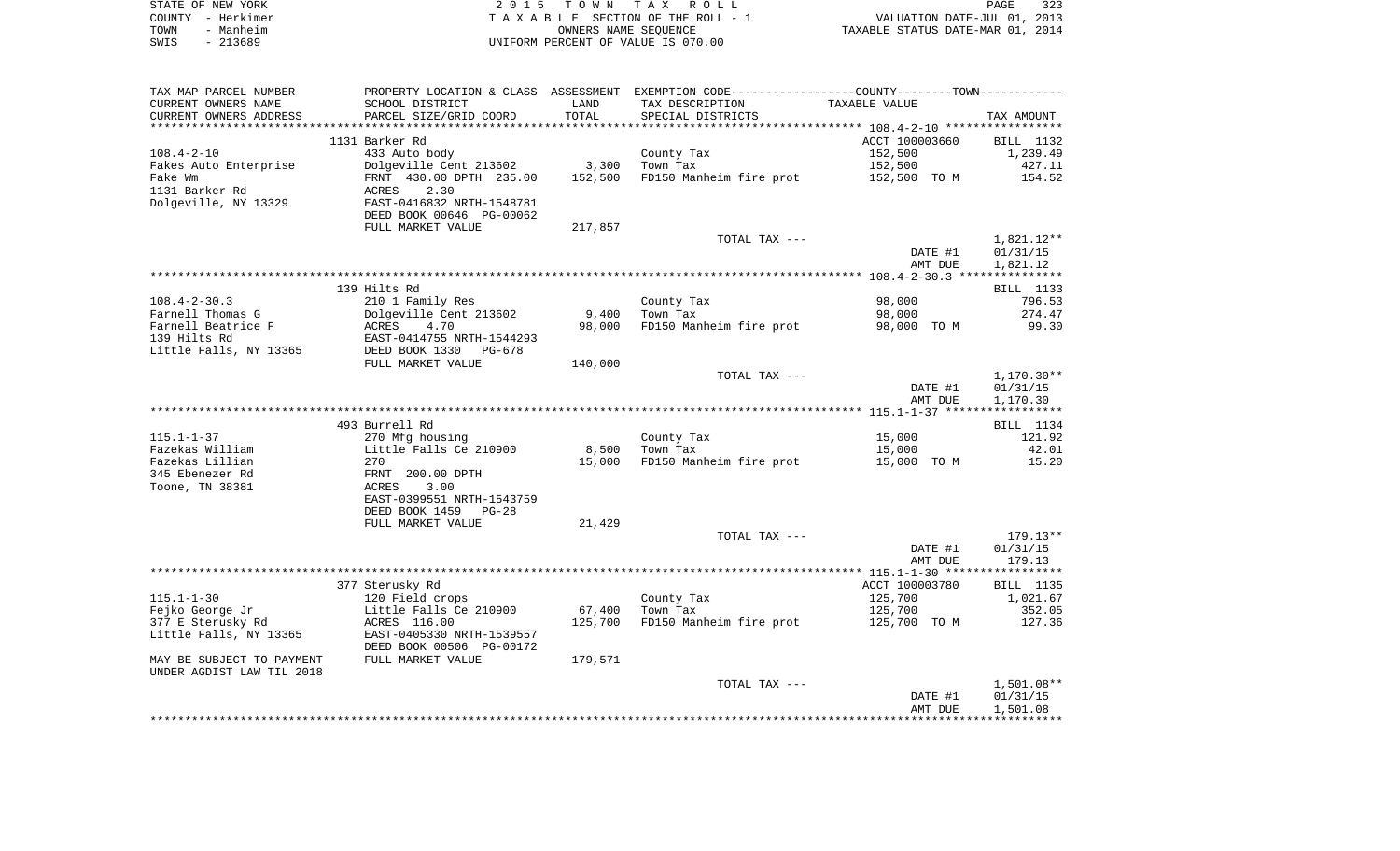| STATE OF NEW YORK | 2015 TOWN TAX ROLL                 | 323<br>PAGE                      |
|-------------------|------------------------------------|----------------------------------|
| COUNTY - Herkimer | TAXABLE SECTION OF THE ROLL - 1    | VALUATION DATE-JUL 01, 2013      |
| - Manheim<br>TOWN | OWNERS NAME SEOUENCE               | TAXABLE STATUS DATE-MAR 01, 2014 |
| SWIS<br>- 213689  | UNIFORM PERCENT OF VALUE IS 070.00 |                                  |

| SCHOOL DISTRICT<br>TAX DESCRIPTION<br>TAXABLE VALUE<br>LAND<br>TOTAL<br>CURRENT OWNERS ADDRESS<br>PARCEL SIZE/GRID COORD<br>SPECIAL DISTRICTS<br>TAX AMOUNT<br>ACCT 100003660<br>1131 Barker Rd<br>BILL 1132<br>$108.4 - 2 - 10$<br>433 Auto body<br>152,500<br>1,239.49<br>County Tax<br>3,300<br>152,500<br>Fakes Auto Enterprise<br>Dolgeville Cent 213602<br>Town Tax<br>427.11<br>Fake Wm<br>FRNT 430.00 DPTH 235.00<br>152,500<br>FD150 Manheim fire prot<br>152,500 TO M<br>154.52<br>1131 Barker Rd<br>2.30<br>ACRES<br>Dolgeville, NY 13329<br>EAST-0416832 NRTH-1548781<br>DEED BOOK 00646 PG-00062<br>FULL MARKET VALUE<br>217,857<br>TOTAL TAX ---<br>1,821.12**<br>DATE #1<br>01/31/15<br>AMT DUE<br>1,821.12<br>139 Hilts Rd<br>BILL 1133<br>210 1 Family Res<br>98,000<br>796.53<br>County Tax<br>Dolgeville Cent 213602<br>9,400<br>98,000<br>274.47<br>Town Tax<br>Farnell Beatrice F<br>98,000<br>FD150 Manheim fire prot<br>98,000 TO M<br>99.30<br>ACRES<br>4.70<br>139 Hilts Rd<br>EAST-0414755 NRTH-1544293<br>Little Falls, NY 13365<br>DEED BOOK 1330<br>PG-678<br>FULL MARKET VALUE<br>140,000<br>TOTAL TAX ---<br>1,170.30**<br>DATE #1<br>01/31/15<br>AMT DUE<br>1,170.30<br>493 Burrell Rd<br>BILL 1134<br>$115.1 - 1 - 37$<br>121.92<br>270 Mfg housing<br>County Tax<br>15,000<br>Little Falls Ce 210900<br>8,500<br>Fazekas William<br>Town Tax<br>15,000<br>42.01<br>Fazekas Lillian<br>270<br>15,000<br>FD150 Manheim fire prot<br>15,000 TO M<br>15.20<br>345 Ebenezer Rd<br>FRNT 200.00 DPTH<br>Toone, TN 38381<br>3.00<br>ACRES<br>EAST-0399551 NRTH-1543759<br>DEED BOOK 1459<br>$PG-28$<br>21,429<br>FULL MARKET VALUE<br>TOTAL TAX ---<br>$179.13**$<br>DATE #1<br>01/31/15<br>179.13<br>AMT DUE<br>377 Sterusky Rd<br>ACCT 100003780<br>BILL 1135<br>$115.1 - 1 - 30$<br>120 Field crops<br>County Tax<br>125,700<br>1,021.67<br>Fejko George Jr<br>Little Falls Ce 210900<br>67,400<br>Town Tax<br>125,700<br>352.05<br>377 E Sterusky Rd<br>ACRES 116.00<br>125,700<br>FD150 Manheim fire prot<br>125,700 TO M<br>127.36<br>Little Falls, NY 13365<br>EAST-0405330 NRTH-1539557<br>DEED BOOK 00506 PG-00172<br>179,571<br>MAY BE SUBJECT TO PAYMENT<br>FULL MARKET VALUE<br>UNDER AGDIST LAW TIL 2018<br>$1,501.08**$<br>TOTAL TAX ---<br>DATE #1<br>01/31/15<br>1,501.08<br>AMT DUE | TAX MAP PARCEL NUMBER | PROPERTY LOCATION & CLASS ASSESSMENT EXEMPTION CODE---------------COUNTY-------TOWN--------- |  |  |
|--------------------------------------------------------------------------------------------------------------------------------------------------------------------------------------------------------------------------------------------------------------------------------------------------------------------------------------------------------------------------------------------------------------------------------------------------------------------------------------------------------------------------------------------------------------------------------------------------------------------------------------------------------------------------------------------------------------------------------------------------------------------------------------------------------------------------------------------------------------------------------------------------------------------------------------------------------------------------------------------------------------------------------------------------------------------------------------------------------------------------------------------------------------------------------------------------------------------------------------------------------------------------------------------------------------------------------------------------------------------------------------------------------------------------------------------------------------------------------------------------------------------------------------------------------------------------------------------------------------------------------------------------------------------------------------------------------------------------------------------------------------------------------------------------------------------------------------------------------------------------------------------------------------------------------------------------------------------------------------------------------------------------------------------------------------------------------------------------------------------------------------------------------------------------------------------------------------------------------------------------------------------------------------------------------------------------------|-----------------------|----------------------------------------------------------------------------------------------|--|--|
|                                                                                                                                                                                                                                                                                                                                                                                                                                                                                                                                                                                                                                                                                                                                                                                                                                                                                                                                                                                                                                                                                                                                                                                                                                                                                                                                                                                                                                                                                                                                                                                                                                                                                                                                                                                                                                                                                                                                                                                                                                                                                                                                                                                                                                                                                                                                | CURRENT OWNERS NAME   |                                                                                              |  |  |
|                                                                                                                                                                                                                                                                                                                                                                                                                                                                                                                                                                                                                                                                                                                                                                                                                                                                                                                                                                                                                                                                                                                                                                                                                                                                                                                                                                                                                                                                                                                                                                                                                                                                                                                                                                                                                                                                                                                                                                                                                                                                                                                                                                                                                                                                                                                                |                       |                                                                                              |  |  |
|                                                                                                                                                                                                                                                                                                                                                                                                                                                                                                                                                                                                                                                                                                                                                                                                                                                                                                                                                                                                                                                                                                                                                                                                                                                                                                                                                                                                                                                                                                                                                                                                                                                                                                                                                                                                                                                                                                                                                                                                                                                                                                                                                                                                                                                                                                                                |                       |                                                                                              |  |  |
|                                                                                                                                                                                                                                                                                                                                                                                                                                                                                                                                                                                                                                                                                                                                                                                                                                                                                                                                                                                                                                                                                                                                                                                                                                                                                                                                                                                                                                                                                                                                                                                                                                                                                                                                                                                                                                                                                                                                                                                                                                                                                                                                                                                                                                                                                                                                |                       |                                                                                              |  |  |
|                                                                                                                                                                                                                                                                                                                                                                                                                                                                                                                                                                                                                                                                                                                                                                                                                                                                                                                                                                                                                                                                                                                                                                                                                                                                                                                                                                                                                                                                                                                                                                                                                                                                                                                                                                                                                                                                                                                                                                                                                                                                                                                                                                                                                                                                                                                                |                       |                                                                                              |  |  |
|                                                                                                                                                                                                                                                                                                                                                                                                                                                                                                                                                                                                                                                                                                                                                                                                                                                                                                                                                                                                                                                                                                                                                                                                                                                                                                                                                                                                                                                                                                                                                                                                                                                                                                                                                                                                                                                                                                                                                                                                                                                                                                                                                                                                                                                                                                                                |                       |                                                                                              |  |  |
|                                                                                                                                                                                                                                                                                                                                                                                                                                                                                                                                                                                                                                                                                                                                                                                                                                                                                                                                                                                                                                                                                                                                                                                                                                                                                                                                                                                                                                                                                                                                                                                                                                                                                                                                                                                                                                                                                                                                                                                                                                                                                                                                                                                                                                                                                                                                |                       |                                                                                              |  |  |
|                                                                                                                                                                                                                                                                                                                                                                                                                                                                                                                                                                                                                                                                                                                                                                                                                                                                                                                                                                                                                                                                                                                                                                                                                                                                                                                                                                                                                                                                                                                                                                                                                                                                                                                                                                                                                                                                                                                                                                                                                                                                                                                                                                                                                                                                                                                                |                       |                                                                                              |  |  |
|                                                                                                                                                                                                                                                                                                                                                                                                                                                                                                                                                                                                                                                                                                                                                                                                                                                                                                                                                                                                                                                                                                                                                                                                                                                                                                                                                                                                                                                                                                                                                                                                                                                                                                                                                                                                                                                                                                                                                                                                                                                                                                                                                                                                                                                                                                                                |                       |                                                                                              |  |  |
|                                                                                                                                                                                                                                                                                                                                                                                                                                                                                                                                                                                                                                                                                                                                                                                                                                                                                                                                                                                                                                                                                                                                                                                                                                                                                                                                                                                                                                                                                                                                                                                                                                                                                                                                                                                                                                                                                                                                                                                                                                                                                                                                                                                                                                                                                                                                |                       |                                                                                              |  |  |
|                                                                                                                                                                                                                                                                                                                                                                                                                                                                                                                                                                                                                                                                                                                                                                                                                                                                                                                                                                                                                                                                                                                                                                                                                                                                                                                                                                                                                                                                                                                                                                                                                                                                                                                                                                                                                                                                                                                                                                                                                                                                                                                                                                                                                                                                                                                                |                       |                                                                                              |  |  |
|                                                                                                                                                                                                                                                                                                                                                                                                                                                                                                                                                                                                                                                                                                                                                                                                                                                                                                                                                                                                                                                                                                                                                                                                                                                                                                                                                                                                                                                                                                                                                                                                                                                                                                                                                                                                                                                                                                                                                                                                                                                                                                                                                                                                                                                                                                                                |                       |                                                                                              |  |  |
|                                                                                                                                                                                                                                                                                                                                                                                                                                                                                                                                                                                                                                                                                                                                                                                                                                                                                                                                                                                                                                                                                                                                                                                                                                                                                                                                                                                                                                                                                                                                                                                                                                                                                                                                                                                                                                                                                                                                                                                                                                                                                                                                                                                                                                                                                                                                |                       |                                                                                              |  |  |
|                                                                                                                                                                                                                                                                                                                                                                                                                                                                                                                                                                                                                                                                                                                                                                                                                                                                                                                                                                                                                                                                                                                                                                                                                                                                                                                                                                                                                                                                                                                                                                                                                                                                                                                                                                                                                                                                                                                                                                                                                                                                                                                                                                                                                                                                                                                                |                       |                                                                                              |  |  |
|                                                                                                                                                                                                                                                                                                                                                                                                                                                                                                                                                                                                                                                                                                                                                                                                                                                                                                                                                                                                                                                                                                                                                                                                                                                                                                                                                                                                                                                                                                                                                                                                                                                                                                                                                                                                                                                                                                                                                                                                                                                                                                                                                                                                                                                                                                                                |                       |                                                                                              |  |  |
|                                                                                                                                                                                                                                                                                                                                                                                                                                                                                                                                                                                                                                                                                                                                                                                                                                                                                                                                                                                                                                                                                                                                                                                                                                                                                                                                                                                                                                                                                                                                                                                                                                                                                                                                                                                                                                                                                                                                                                                                                                                                                                                                                                                                                                                                                                                                |                       |                                                                                              |  |  |
|                                                                                                                                                                                                                                                                                                                                                                                                                                                                                                                                                                                                                                                                                                                                                                                                                                                                                                                                                                                                                                                                                                                                                                                                                                                                                                                                                                                                                                                                                                                                                                                                                                                                                                                                                                                                                                                                                                                                                                                                                                                                                                                                                                                                                                                                                                                                |                       |                                                                                              |  |  |
|                                                                                                                                                                                                                                                                                                                                                                                                                                                                                                                                                                                                                                                                                                                                                                                                                                                                                                                                                                                                                                                                                                                                                                                                                                                                                                                                                                                                                                                                                                                                                                                                                                                                                                                                                                                                                                                                                                                                                                                                                                                                                                                                                                                                                                                                                                                                | $108.4 - 2 - 30.3$    |                                                                                              |  |  |
|                                                                                                                                                                                                                                                                                                                                                                                                                                                                                                                                                                                                                                                                                                                                                                                                                                                                                                                                                                                                                                                                                                                                                                                                                                                                                                                                                                                                                                                                                                                                                                                                                                                                                                                                                                                                                                                                                                                                                                                                                                                                                                                                                                                                                                                                                                                                | Farnell Thomas G      |                                                                                              |  |  |
|                                                                                                                                                                                                                                                                                                                                                                                                                                                                                                                                                                                                                                                                                                                                                                                                                                                                                                                                                                                                                                                                                                                                                                                                                                                                                                                                                                                                                                                                                                                                                                                                                                                                                                                                                                                                                                                                                                                                                                                                                                                                                                                                                                                                                                                                                                                                |                       |                                                                                              |  |  |
|                                                                                                                                                                                                                                                                                                                                                                                                                                                                                                                                                                                                                                                                                                                                                                                                                                                                                                                                                                                                                                                                                                                                                                                                                                                                                                                                                                                                                                                                                                                                                                                                                                                                                                                                                                                                                                                                                                                                                                                                                                                                                                                                                                                                                                                                                                                                |                       |                                                                                              |  |  |
|                                                                                                                                                                                                                                                                                                                                                                                                                                                                                                                                                                                                                                                                                                                                                                                                                                                                                                                                                                                                                                                                                                                                                                                                                                                                                                                                                                                                                                                                                                                                                                                                                                                                                                                                                                                                                                                                                                                                                                                                                                                                                                                                                                                                                                                                                                                                |                       |                                                                                              |  |  |
|                                                                                                                                                                                                                                                                                                                                                                                                                                                                                                                                                                                                                                                                                                                                                                                                                                                                                                                                                                                                                                                                                                                                                                                                                                                                                                                                                                                                                                                                                                                                                                                                                                                                                                                                                                                                                                                                                                                                                                                                                                                                                                                                                                                                                                                                                                                                |                       |                                                                                              |  |  |
|                                                                                                                                                                                                                                                                                                                                                                                                                                                                                                                                                                                                                                                                                                                                                                                                                                                                                                                                                                                                                                                                                                                                                                                                                                                                                                                                                                                                                                                                                                                                                                                                                                                                                                                                                                                                                                                                                                                                                                                                                                                                                                                                                                                                                                                                                                                                |                       |                                                                                              |  |  |
|                                                                                                                                                                                                                                                                                                                                                                                                                                                                                                                                                                                                                                                                                                                                                                                                                                                                                                                                                                                                                                                                                                                                                                                                                                                                                                                                                                                                                                                                                                                                                                                                                                                                                                                                                                                                                                                                                                                                                                                                                                                                                                                                                                                                                                                                                                                                |                       |                                                                                              |  |  |
|                                                                                                                                                                                                                                                                                                                                                                                                                                                                                                                                                                                                                                                                                                                                                                                                                                                                                                                                                                                                                                                                                                                                                                                                                                                                                                                                                                                                                                                                                                                                                                                                                                                                                                                                                                                                                                                                                                                                                                                                                                                                                                                                                                                                                                                                                                                                |                       |                                                                                              |  |  |
|                                                                                                                                                                                                                                                                                                                                                                                                                                                                                                                                                                                                                                                                                                                                                                                                                                                                                                                                                                                                                                                                                                                                                                                                                                                                                                                                                                                                                                                                                                                                                                                                                                                                                                                                                                                                                                                                                                                                                                                                                                                                                                                                                                                                                                                                                                                                |                       |                                                                                              |  |  |
|                                                                                                                                                                                                                                                                                                                                                                                                                                                                                                                                                                                                                                                                                                                                                                                                                                                                                                                                                                                                                                                                                                                                                                                                                                                                                                                                                                                                                                                                                                                                                                                                                                                                                                                                                                                                                                                                                                                                                                                                                                                                                                                                                                                                                                                                                                                                |                       |                                                                                              |  |  |
|                                                                                                                                                                                                                                                                                                                                                                                                                                                                                                                                                                                                                                                                                                                                                                                                                                                                                                                                                                                                                                                                                                                                                                                                                                                                                                                                                                                                                                                                                                                                                                                                                                                                                                                                                                                                                                                                                                                                                                                                                                                                                                                                                                                                                                                                                                                                |                       |                                                                                              |  |  |
|                                                                                                                                                                                                                                                                                                                                                                                                                                                                                                                                                                                                                                                                                                                                                                                                                                                                                                                                                                                                                                                                                                                                                                                                                                                                                                                                                                                                                                                                                                                                                                                                                                                                                                                                                                                                                                                                                                                                                                                                                                                                                                                                                                                                                                                                                                                                |                       |                                                                                              |  |  |
|                                                                                                                                                                                                                                                                                                                                                                                                                                                                                                                                                                                                                                                                                                                                                                                                                                                                                                                                                                                                                                                                                                                                                                                                                                                                                                                                                                                                                                                                                                                                                                                                                                                                                                                                                                                                                                                                                                                                                                                                                                                                                                                                                                                                                                                                                                                                |                       |                                                                                              |  |  |
|                                                                                                                                                                                                                                                                                                                                                                                                                                                                                                                                                                                                                                                                                                                                                                                                                                                                                                                                                                                                                                                                                                                                                                                                                                                                                                                                                                                                                                                                                                                                                                                                                                                                                                                                                                                                                                                                                                                                                                                                                                                                                                                                                                                                                                                                                                                                |                       |                                                                                              |  |  |
|                                                                                                                                                                                                                                                                                                                                                                                                                                                                                                                                                                                                                                                                                                                                                                                                                                                                                                                                                                                                                                                                                                                                                                                                                                                                                                                                                                                                                                                                                                                                                                                                                                                                                                                                                                                                                                                                                                                                                                                                                                                                                                                                                                                                                                                                                                                                |                       |                                                                                              |  |  |
|                                                                                                                                                                                                                                                                                                                                                                                                                                                                                                                                                                                                                                                                                                                                                                                                                                                                                                                                                                                                                                                                                                                                                                                                                                                                                                                                                                                                                                                                                                                                                                                                                                                                                                                                                                                                                                                                                                                                                                                                                                                                                                                                                                                                                                                                                                                                |                       |                                                                                              |  |  |
|                                                                                                                                                                                                                                                                                                                                                                                                                                                                                                                                                                                                                                                                                                                                                                                                                                                                                                                                                                                                                                                                                                                                                                                                                                                                                                                                                                                                                                                                                                                                                                                                                                                                                                                                                                                                                                                                                                                                                                                                                                                                                                                                                                                                                                                                                                                                |                       |                                                                                              |  |  |
|                                                                                                                                                                                                                                                                                                                                                                                                                                                                                                                                                                                                                                                                                                                                                                                                                                                                                                                                                                                                                                                                                                                                                                                                                                                                                                                                                                                                                                                                                                                                                                                                                                                                                                                                                                                                                                                                                                                                                                                                                                                                                                                                                                                                                                                                                                                                |                       |                                                                                              |  |  |
|                                                                                                                                                                                                                                                                                                                                                                                                                                                                                                                                                                                                                                                                                                                                                                                                                                                                                                                                                                                                                                                                                                                                                                                                                                                                                                                                                                                                                                                                                                                                                                                                                                                                                                                                                                                                                                                                                                                                                                                                                                                                                                                                                                                                                                                                                                                                |                       |                                                                                              |  |  |
|                                                                                                                                                                                                                                                                                                                                                                                                                                                                                                                                                                                                                                                                                                                                                                                                                                                                                                                                                                                                                                                                                                                                                                                                                                                                                                                                                                                                                                                                                                                                                                                                                                                                                                                                                                                                                                                                                                                                                                                                                                                                                                                                                                                                                                                                                                                                |                       |                                                                                              |  |  |
|                                                                                                                                                                                                                                                                                                                                                                                                                                                                                                                                                                                                                                                                                                                                                                                                                                                                                                                                                                                                                                                                                                                                                                                                                                                                                                                                                                                                                                                                                                                                                                                                                                                                                                                                                                                                                                                                                                                                                                                                                                                                                                                                                                                                                                                                                                                                |                       |                                                                                              |  |  |
|                                                                                                                                                                                                                                                                                                                                                                                                                                                                                                                                                                                                                                                                                                                                                                                                                                                                                                                                                                                                                                                                                                                                                                                                                                                                                                                                                                                                                                                                                                                                                                                                                                                                                                                                                                                                                                                                                                                                                                                                                                                                                                                                                                                                                                                                                                                                |                       |                                                                                              |  |  |
|                                                                                                                                                                                                                                                                                                                                                                                                                                                                                                                                                                                                                                                                                                                                                                                                                                                                                                                                                                                                                                                                                                                                                                                                                                                                                                                                                                                                                                                                                                                                                                                                                                                                                                                                                                                                                                                                                                                                                                                                                                                                                                                                                                                                                                                                                                                                |                       |                                                                                              |  |  |
|                                                                                                                                                                                                                                                                                                                                                                                                                                                                                                                                                                                                                                                                                                                                                                                                                                                                                                                                                                                                                                                                                                                                                                                                                                                                                                                                                                                                                                                                                                                                                                                                                                                                                                                                                                                                                                                                                                                                                                                                                                                                                                                                                                                                                                                                                                                                |                       |                                                                                              |  |  |
|                                                                                                                                                                                                                                                                                                                                                                                                                                                                                                                                                                                                                                                                                                                                                                                                                                                                                                                                                                                                                                                                                                                                                                                                                                                                                                                                                                                                                                                                                                                                                                                                                                                                                                                                                                                                                                                                                                                                                                                                                                                                                                                                                                                                                                                                                                                                |                       |                                                                                              |  |  |
|                                                                                                                                                                                                                                                                                                                                                                                                                                                                                                                                                                                                                                                                                                                                                                                                                                                                                                                                                                                                                                                                                                                                                                                                                                                                                                                                                                                                                                                                                                                                                                                                                                                                                                                                                                                                                                                                                                                                                                                                                                                                                                                                                                                                                                                                                                                                |                       |                                                                                              |  |  |
|                                                                                                                                                                                                                                                                                                                                                                                                                                                                                                                                                                                                                                                                                                                                                                                                                                                                                                                                                                                                                                                                                                                                                                                                                                                                                                                                                                                                                                                                                                                                                                                                                                                                                                                                                                                                                                                                                                                                                                                                                                                                                                                                                                                                                                                                                                                                |                       |                                                                                              |  |  |
|                                                                                                                                                                                                                                                                                                                                                                                                                                                                                                                                                                                                                                                                                                                                                                                                                                                                                                                                                                                                                                                                                                                                                                                                                                                                                                                                                                                                                                                                                                                                                                                                                                                                                                                                                                                                                                                                                                                                                                                                                                                                                                                                                                                                                                                                                                                                |                       |                                                                                              |  |  |
|                                                                                                                                                                                                                                                                                                                                                                                                                                                                                                                                                                                                                                                                                                                                                                                                                                                                                                                                                                                                                                                                                                                                                                                                                                                                                                                                                                                                                                                                                                                                                                                                                                                                                                                                                                                                                                                                                                                                                                                                                                                                                                                                                                                                                                                                                                                                |                       |                                                                                              |  |  |
|                                                                                                                                                                                                                                                                                                                                                                                                                                                                                                                                                                                                                                                                                                                                                                                                                                                                                                                                                                                                                                                                                                                                                                                                                                                                                                                                                                                                                                                                                                                                                                                                                                                                                                                                                                                                                                                                                                                                                                                                                                                                                                                                                                                                                                                                                                                                |                       |                                                                                              |  |  |
|                                                                                                                                                                                                                                                                                                                                                                                                                                                                                                                                                                                                                                                                                                                                                                                                                                                                                                                                                                                                                                                                                                                                                                                                                                                                                                                                                                                                                                                                                                                                                                                                                                                                                                                                                                                                                                                                                                                                                                                                                                                                                                                                                                                                                                                                                                                                |                       |                                                                                              |  |  |
|                                                                                                                                                                                                                                                                                                                                                                                                                                                                                                                                                                                                                                                                                                                                                                                                                                                                                                                                                                                                                                                                                                                                                                                                                                                                                                                                                                                                                                                                                                                                                                                                                                                                                                                                                                                                                                                                                                                                                                                                                                                                                                                                                                                                                                                                                                                                |                       |                                                                                              |  |  |
|                                                                                                                                                                                                                                                                                                                                                                                                                                                                                                                                                                                                                                                                                                                                                                                                                                                                                                                                                                                                                                                                                                                                                                                                                                                                                                                                                                                                                                                                                                                                                                                                                                                                                                                                                                                                                                                                                                                                                                                                                                                                                                                                                                                                                                                                                                                                |                       |                                                                                              |  |  |
|                                                                                                                                                                                                                                                                                                                                                                                                                                                                                                                                                                                                                                                                                                                                                                                                                                                                                                                                                                                                                                                                                                                                                                                                                                                                                                                                                                                                                                                                                                                                                                                                                                                                                                                                                                                                                                                                                                                                                                                                                                                                                                                                                                                                                                                                                                                                |                       |                                                                                              |  |  |
|                                                                                                                                                                                                                                                                                                                                                                                                                                                                                                                                                                                                                                                                                                                                                                                                                                                                                                                                                                                                                                                                                                                                                                                                                                                                                                                                                                                                                                                                                                                                                                                                                                                                                                                                                                                                                                                                                                                                                                                                                                                                                                                                                                                                                                                                                                                                |                       |                                                                                              |  |  |
|                                                                                                                                                                                                                                                                                                                                                                                                                                                                                                                                                                                                                                                                                                                                                                                                                                                                                                                                                                                                                                                                                                                                                                                                                                                                                                                                                                                                                                                                                                                                                                                                                                                                                                                                                                                                                                                                                                                                                                                                                                                                                                                                                                                                                                                                                                                                |                       |                                                                                              |  |  |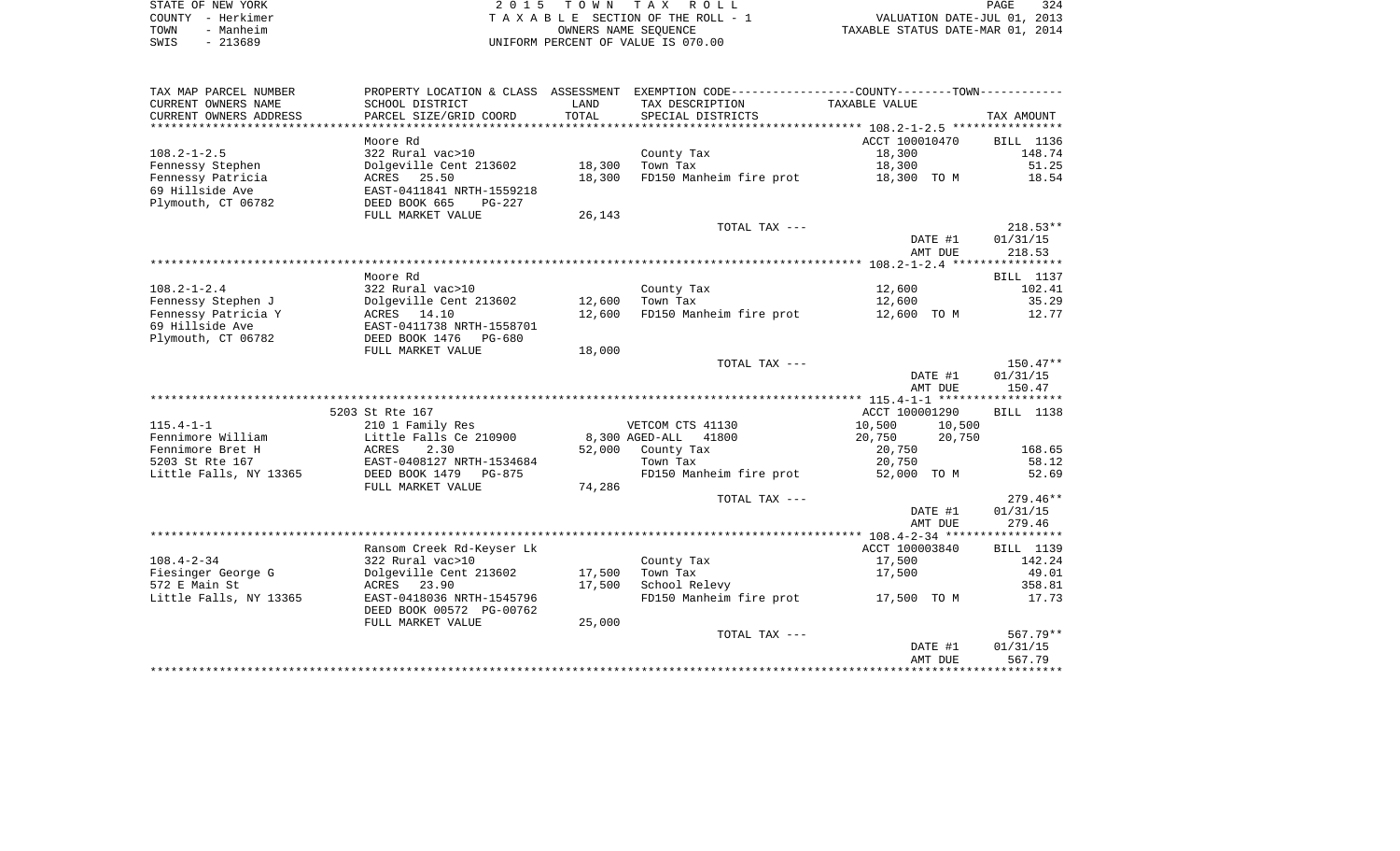| STATE OF NEW YORK | 2015 TOWN TAX ROLL                 | 324<br>PAGE                      |
|-------------------|------------------------------------|----------------------------------|
| COUNTY - Herkimer | TAXABLE SECTION OF THE ROLL - 1    | VALUATION DATE-JUL 01, 2013      |
| - Manheim<br>TOWN | OWNERS NAME SEOUENCE               | TAXABLE STATUS DATE-MAR 01, 2014 |
| $-213689$<br>SWIS | UNIFORM PERCENT OF VALUE IS 070.00 |                                  |

| TAX MAP PARCEL NUMBER  | PROPERTY LOCATION & CLASS ASSESSMENT |        | EXEMPTION CODE-----------------COUNTY-------TOWN----------- |                  |            |
|------------------------|--------------------------------------|--------|-------------------------------------------------------------|------------------|------------|
| CURRENT OWNERS NAME    | SCHOOL DISTRICT                      | LAND   | TAX DESCRIPTION                                             | TAXABLE VALUE    |            |
| CURRENT OWNERS ADDRESS | PARCEL SIZE/GRID COORD               | TOTAL  | SPECIAL DISTRICTS                                           |                  | TAX AMOUNT |
|                        |                                      |        |                                                             |                  |            |
|                        | Moore Rd                             |        |                                                             | ACCT 100010470   | BILL 1136  |
| $108.2 - 1 - 2.5$      | 322 Rural vac>10                     |        | County Tax                                                  | 18,300           | 148.74     |
| Fennessy Stephen       | Dolgeville Cent 213602               | 18,300 | Town Tax                                                    | 18,300           | 51.25      |
| Fennessy Patricia      | ACRES 25.50                          | 18,300 | FD150 Manheim fire prot                                     | 18,300 TO M      | 18.54      |
| 69 Hillside Ave        | EAST-0411841 NRTH-1559218            |        |                                                             |                  |            |
| Plymouth, CT 06782     | DEED BOOK 665<br>PG-227              |        |                                                             |                  |            |
|                        | FULL MARKET VALUE                    | 26,143 |                                                             |                  |            |
|                        |                                      |        | TOTAL TAX ---                                               |                  | $218.53**$ |
|                        |                                      |        |                                                             | DATE #1          | 01/31/15   |
|                        |                                      |        |                                                             | AMT DUE          | 218.53     |
|                        |                                      |        |                                                             |                  |            |
|                        | Moore Rd                             |        |                                                             |                  | BILL 1137  |
| $108.2 - 1 - 2.4$      | 322 Rural vac>10                     |        | County Tax                                                  | 12,600           | 102.41     |
| Fennessy Stephen J     | Dolgeville Cent 213602               | 12,600 | Town Tax                                                    | 12,600           | 35.29      |
| Fennessy Patricia Y    | ACRES 14.10                          | 12,600 | FD150 Manheim fire prot                                     | 12,600 TO M      | 12.77      |
| 69 Hillside Ave        | EAST-0411738 NRTH-1558701            |        |                                                             |                  |            |
| Plymouth, CT 06782     | DEED BOOK 1476 PG-680                |        |                                                             |                  |            |
|                        | FULL MARKET VALUE                    | 18,000 |                                                             |                  |            |
|                        |                                      |        | TOTAL TAX ---                                               |                  | $150.47**$ |
|                        |                                      |        |                                                             | DATE #1          | 01/31/15   |
|                        |                                      |        |                                                             | AMT DUE          | 150.47     |
|                        |                                      |        |                                                             |                  |            |
|                        | 5203 St Rte 167                      |        |                                                             | ACCT 100001290   | BILL 1138  |
| $115.4 - 1 - 1$        | 210 1 Family Res                     |        | VETCOM CTS 41130                                            | 10,500<br>10,500 |            |
| Fennimore William      | Little Falls Ce 210900               |        | 8,300 AGED-ALL 41800                                        | 20,750<br>20,750 |            |
| Fennimore Bret H       | ACRES<br>2.30                        | 52,000 | County Tax                                                  | 20,750           | 168.65     |
| 5203 St Rte 167        | EAST-0408127 NRTH-1534684            |        | Town Tax                                                    | 20,750           | 58.12      |
| Little Falls, NY 13365 | DEED BOOK 1479<br>PG-875             |        | FD150 Manheim fire prot                                     | 52,000 TO M      | 52.69      |
|                        | FULL MARKET VALUE                    | 74,286 |                                                             |                  |            |
|                        |                                      |        | TOTAL TAX ---                                               |                  | $279.46**$ |
|                        |                                      |        |                                                             | DATE #1          | 01/31/15   |
|                        |                                      |        |                                                             | AMT DUE          | 279.46     |
|                        |                                      |        |                                                             |                  |            |
|                        | Ransom Creek Rd-Keyser Lk            |        |                                                             | ACCT 100003840   | BILL 1139  |
| $108.4 - 2 - 34$       | 322 Rural vac>10                     |        | County Tax                                                  | 17,500           | 142.24     |
| Fiesinger George G     | Dolgeville Cent 213602               | 17,500 | Town Tax                                                    | 17,500           | 49.01      |
| 572 E Main St          | ACRES<br>23.90                       | 17,500 | School Relevy                                               |                  | 358.81     |
| Little Falls, NY 13365 | EAST-0418036 NRTH-1545796            |        | FD150 Manheim fire prot                                     | 17,500 TO M      | 17.73      |
|                        | DEED BOOK 00572 PG-00762             |        |                                                             |                  |            |
|                        | FULL MARKET VALUE                    | 25,000 |                                                             |                  |            |
|                        |                                      |        | TOTAL TAX ---                                               |                  | 567.79**   |
|                        |                                      |        |                                                             | DATE #1          | 01/31/15   |
|                        |                                      |        |                                                             | AMT DUE          | 567.79     |
|                        |                                      |        |                                                             |                  |            |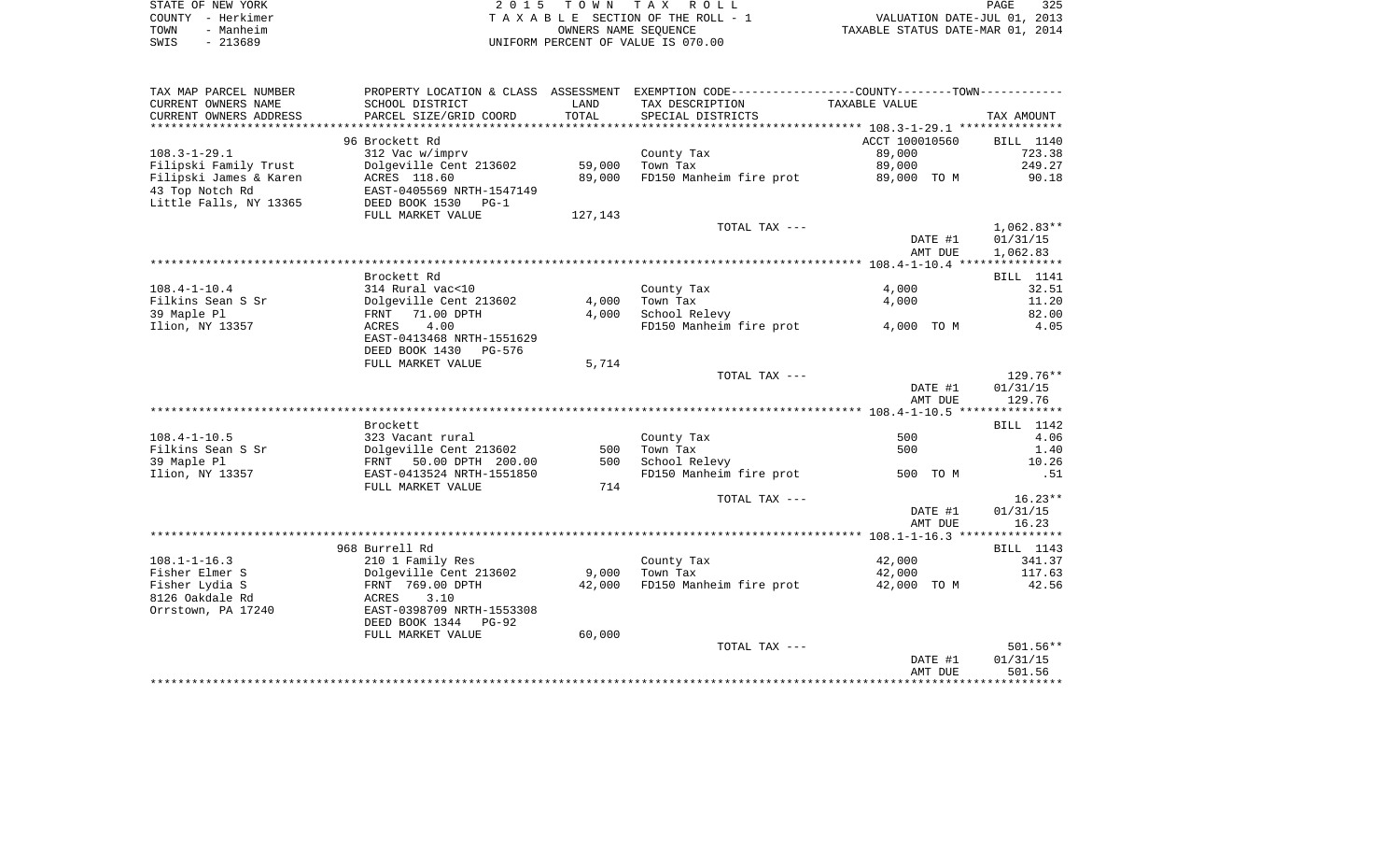|      | STATE OF NEW YORK | 2015 TOWN TAX ROLL                 | 325<br>PAGE                      |
|------|-------------------|------------------------------------|----------------------------------|
|      | COUNTY - Herkimer | TAXABLE SECTION OF THE ROLL - 1    | VALUATION DATE-JUL 01, 2013      |
| TOWN | - Manheim         | OWNERS NAME SEOUENCE               | TAXABLE STATUS DATE-MAR 01, 2014 |
| SWIS | - 213689          | UNIFORM PERCENT OF VALUE IS 070.00 |                                  |

| TAX MAP PARCEL NUMBER  | PROPERTY LOCATION & CLASS ASSESSMENT |                | EXEMPTION CODE-----------------COUNTY-------TOWN----------- |                |              |
|------------------------|--------------------------------------|----------------|-------------------------------------------------------------|----------------|--------------|
| CURRENT OWNERS NAME    | SCHOOL DISTRICT                      | LAND           | TAX DESCRIPTION                                             | TAXABLE VALUE  |              |
| CURRENT OWNERS ADDRESS | PARCEL SIZE/GRID COORD               | TOTAL          | SPECIAL DISTRICTS                                           |                | TAX AMOUNT   |
| ********************   |                                      | ************** |                                                             |                |              |
|                        | 96 Brockett Rd                       |                |                                                             | ACCT 100010560 | BILL 1140    |
| $108.3 - 1 - 29.1$     | 312 Vac w/imprv                      |                | County Tax                                                  | 89,000         | 723.38       |
| Filipski Family Trust  | Dolgeville Cent 213602               | 59,000         | Town Tax                                                    | 89,000         | 249.27       |
| Filipski James & Karen | ACRES 118.60                         | 89,000         | FD150 Manheim fire prot                                     | 89,000 TO M    | 90.18        |
| 43 Top Notch Rd        | EAST-0405569 NRTH-1547149            |                |                                                             |                |              |
| Little Falls, NY 13365 | DEED BOOK 1530<br>$PG-1$             |                |                                                             |                |              |
|                        | FULL MARKET VALUE                    | 127,143        |                                                             |                |              |
|                        |                                      |                | TOTAL TAX ---                                               |                | $1,062.83**$ |
|                        |                                      |                |                                                             | DATE #1        | 01/31/15     |
|                        |                                      |                |                                                             | AMT DUE        | 1,062.83     |
|                        |                                      |                |                                                             |                |              |
|                        | Brockett Rd                          |                |                                                             |                | BILL 1141    |
| $108.4 - 1 - 10.4$     | 314 Rural vac<10                     |                | County Tax                                                  | 4,000          | 32.51        |
| Filkins Sean S Sr      | Dolgeville Cent 213602               | 4,000          | Town Tax                                                    | 4,000          | 11.20        |
| 39 Maple Pl            | 71.00 DPTH<br>FRNT                   | 4,000          | School Relevy                                               |                | 82.00        |
| Ilion, NY 13357        | 4.00<br>ACRES                        |                | FD150 Manheim fire prot                                     | 4,000 TO M     | 4.05         |
|                        | EAST-0413468 NRTH-1551629            |                |                                                             |                |              |
|                        | DEED BOOK 1430 PG-576                |                |                                                             |                |              |
|                        | FULL MARKET VALUE                    | 5,714          |                                                             |                |              |
|                        |                                      |                | TOTAL TAX ---                                               |                | $129.76**$   |
|                        |                                      |                |                                                             | DATE #1        | 01/31/15     |
|                        |                                      |                |                                                             | AMT DUE        | 129.76       |
|                        |                                      |                |                                                             |                |              |
|                        | Brockett                             |                |                                                             |                | BILL 1142    |
| $108.4 - 1 - 10.5$     | 323 Vacant rural                     |                | County Tax                                                  | 500            | 4.06         |
| Filkins Sean S Sr      | Dolgeville Cent 213602               | 500            | Town Tax                                                    | 500            | 1.40         |
| 39 Maple Pl            | FRNT 50.00 DPTH 200.00               | 500            | School Relevy                                               |                | 10.26        |
| Ilion, NY 13357        | EAST-0413524 NRTH-1551850            |                | FD150 Manheim fire prot                                     | 500 TO M       | .51          |
|                        | FULL MARKET VALUE                    | 714            |                                                             |                |              |
|                        |                                      |                | TOTAL TAX ---                                               |                | $16.23**$    |
|                        |                                      |                |                                                             | DATE #1        | 01/31/15     |
|                        |                                      |                |                                                             | AMT DUE        | 16.23        |
|                        |                                      |                |                                                             |                |              |
|                        | 968 Burrell Rd                       |                |                                                             |                | BILL 1143    |
| $108.1 - 1 - 16.3$     | 210 1 Family Res                     |                | County Tax                                                  | 42,000         | 341.37       |
| Fisher Elmer S         | Dolgeville Cent 213602               | 9,000          | Town Tax                                                    | 42,000         | 117.63       |
| Fisher Lydia S         | FRNT 769.00 DPTH                     | 42,000         | FD150 Manheim fire prot                                     | 42,000 TO M    | 42.56        |
| 8126 Oakdale Rd        | ACRES<br>3.10                        |                |                                                             |                |              |
| Orrstown, PA 17240     | EAST-0398709 NRTH-1553308            |                |                                                             |                |              |
|                        | DEED BOOK 1344<br>$PG-92$            |                |                                                             |                |              |
|                        | FULL MARKET VALUE                    | 60,000         |                                                             |                |              |
|                        |                                      |                | TOTAL TAX ---                                               |                | 501.56**     |
|                        |                                      |                |                                                             | DATE #1        | 01/31/15     |
|                        |                                      |                |                                                             | AMT DUE        | 501.56       |
|                        |                                      |                |                                                             |                |              |
|                        |                                      |                |                                                             |                |              |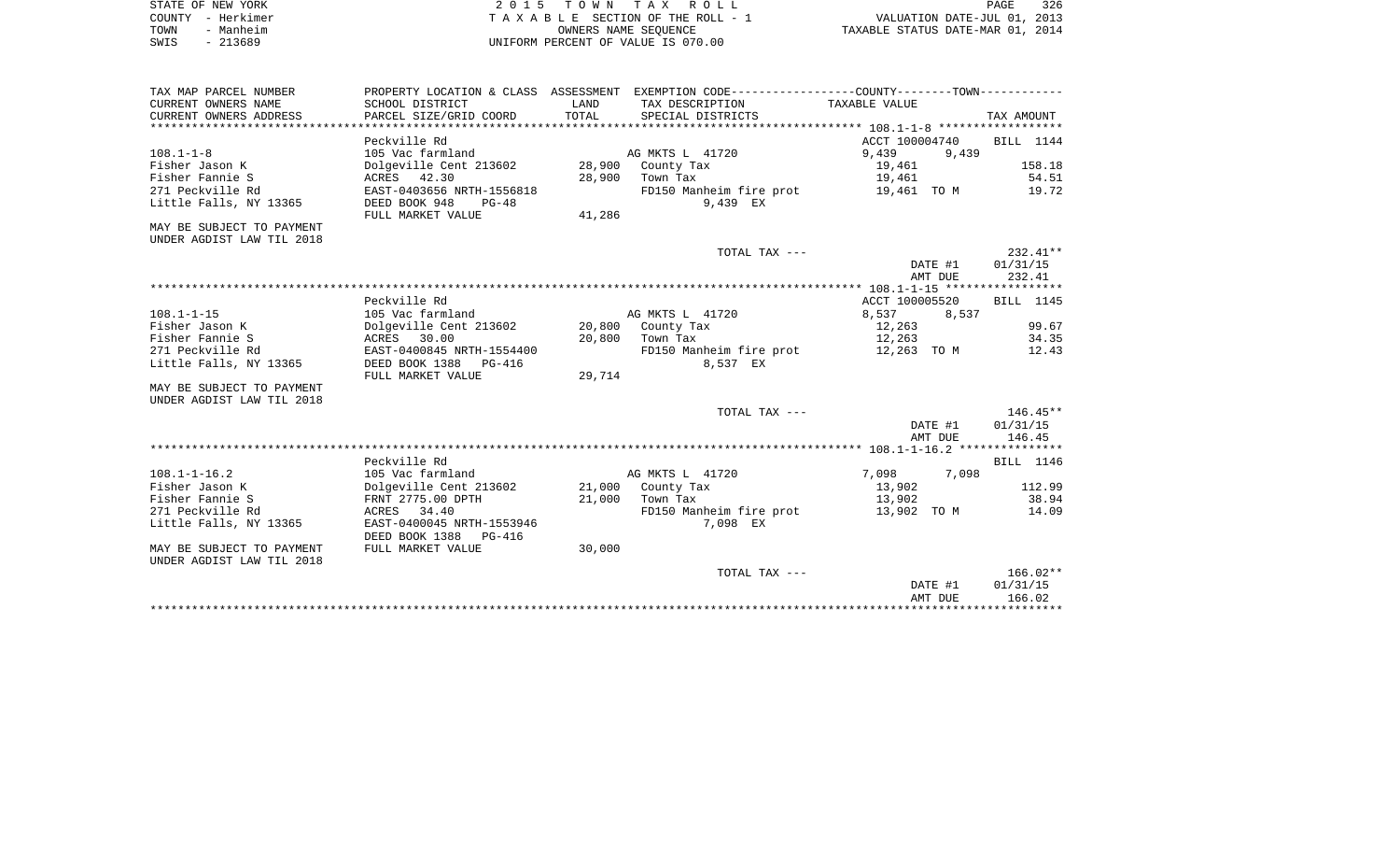|      | STATE OF NEW YORK | 2015 TOWN TAX ROLL                 | PAGE                             | 326 |
|------|-------------------|------------------------------------|----------------------------------|-----|
|      | COUNTY - Herkimer | TAXABLE SECTION OF THE ROLL - 1    | VALUATION DATE-JUL 01, 2013      |     |
| TOWN | - Manheim         | OWNERS NAME SEOUENCE               | TAXABLE STATUS DATE-MAR 01, 2014 |     |
| SWIS | $-213689$         | UNIFORM PERCENT OF VALUE IS 070.00 |                                  |     |

| PROPERTY LOCATION & CLASS ASSESSMENT EXEMPTION CODE----------------COUNTY--------TOWN----------<br>CURRENT OWNERS NAME<br>SCHOOL DISTRICT<br>LAND<br>TAX DESCRIPTION<br>TAXABLE VALUE<br>TOTAL<br>PARCEL SIZE/GRID COORD<br>CURRENT OWNERS ADDRESS<br>SPECIAL DISTRICTS |                  |
|-------------------------------------------------------------------------------------------------------------------------------------------------------------------------------------------------------------------------------------------------------------------------|------------------|
|                                                                                                                                                                                                                                                                         |                  |
|                                                                                                                                                                                                                                                                         | TAX AMOUNT       |
|                                                                                                                                                                                                                                                                         |                  |
| Peckville Rd<br>ACCT 100004740                                                                                                                                                                                                                                          | BILL 1144        |
| $108.1 - 1 - 8$<br>9,439<br>9,439<br>105 Vac farmland<br>AG MKTS L 41720                                                                                                                                                                                                |                  |
| Fisher Jason K<br>Dolgeville Cent 213602 28,900<br>County Tax<br>19,461                                                                                                                                                                                                 | 158.18           |
| Fisher Fannie S<br>ACRES 42.30<br>28,900<br>Town Tax<br>19,461                                                                                                                                                                                                          | 54.51            |
| 271 Peckville Rd<br>EAST-0403656 NRTH-1556818<br>FD150 Manheim fire prot<br>19,461 TO M                                                                                                                                                                                 | 19.72            |
| Little Falls, NY 13365<br>DEED BOOK 948<br>9,439 EX<br>$PG-48$                                                                                                                                                                                                          |                  |
| 41,286<br>FULL MARKET VALUE                                                                                                                                                                                                                                             |                  |
| MAY BE SUBJECT TO PAYMENT                                                                                                                                                                                                                                               |                  |
| UNDER AGDIST LAW TIL 2018                                                                                                                                                                                                                                               |                  |
| TOTAL TAX ---                                                                                                                                                                                                                                                           | $232.41**$       |
| DATE #1                                                                                                                                                                                                                                                                 | 01/31/15         |
| AMT DUE                                                                                                                                                                                                                                                                 | 232.41           |
|                                                                                                                                                                                                                                                                         |                  |
| Peckville Rd<br>ACCT 100005520                                                                                                                                                                                                                                          | BILL 1145        |
| $108.1 - 1 - 15$<br>105 Vac farmland<br>AG MKTS L 41720<br>8,537<br>8,537                                                                                                                                                                                               |                  |
| Fisher Jason K<br>Dolgeville Cent 213602<br>20,800 County Tax<br>12,263                                                                                                                                                                                                 | 99.67            |
| 20,800<br>Fisher Fannie S<br>30.00<br>12,263<br>ACRES<br>Town Tax                                                                                                                                                                                                       | 34.35            |
| 271 Peckville Rd<br>EAST-0400845 NRTH-1554400<br>FD150 Manheim fire prot<br>12,263 TO M                                                                                                                                                                                 | 12.43            |
| Little Falls, NY 13365<br>DEED BOOK 1388<br>8,537 EX<br>PG-416                                                                                                                                                                                                          |                  |
| 29,714<br>FULL MARKET VALUE                                                                                                                                                                                                                                             |                  |
| MAY BE SUBJECT TO PAYMENT                                                                                                                                                                                                                                               |                  |
| UNDER AGDIST LAW TIL 2018                                                                                                                                                                                                                                               |                  |
| TOTAL TAX ---                                                                                                                                                                                                                                                           | $146.45**$       |
| DATE #1                                                                                                                                                                                                                                                                 | 01/31/15         |
| AMT DUE                                                                                                                                                                                                                                                                 | 146.45           |
|                                                                                                                                                                                                                                                                         |                  |
| Peckville Rd                                                                                                                                                                                                                                                            | <b>BILL</b> 1146 |
| 7,098 7,098<br>$108.1 - 1 - 16.2$<br>105 Vac farmland<br>AG MKTS L 41720                                                                                                                                                                                                |                  |
| Fisher Jason K<br>Dolgeville Cent 213602<br>21,000<br>County Tax<br>13,902                                                                                                                                                                                              | 112.99           |
| FRNT 2775.00 DPTH<br>13,902<br>Fisher Fannie S<br>21,000<br>Town Tax                                                                                                                                                                                                    | 38.94            |
| 271 Peckville Rd<br>ACRES 34.40<br>FD150 Manheim fire prot<br>13,902 TO M                                                                                                                                                                                               | 14.09            |
| Little Falls, NY 13365<br>EAST-0400045 NRTH-1553946<br>7,098 EX                                                                                                                                                                                                         |                  |
| DEED BOOK 1388<br>PG-416                                                                                                                                                                                                                                                |                  |
| FULL MARKET VALUE<br>30,000<br>MAY BE SUBJECT TO PAYMENT                                                                                                                                                                                                                |                  |
| UNDER AGDIST LAW TIL 2018                                                                                                                                                                                                                                               |                  |
| TOTAL TAX ---                                                                                                                                                                                                                                                           | $166.02**$       |
| DATE #1                                                                                                                                                                                                                                                                 | 01/31/15         |
|                                                                                                                                                                                                                                                                         | 166.02           |
| AMT DUE                                                                                                                                                                                                                                                                 |                  |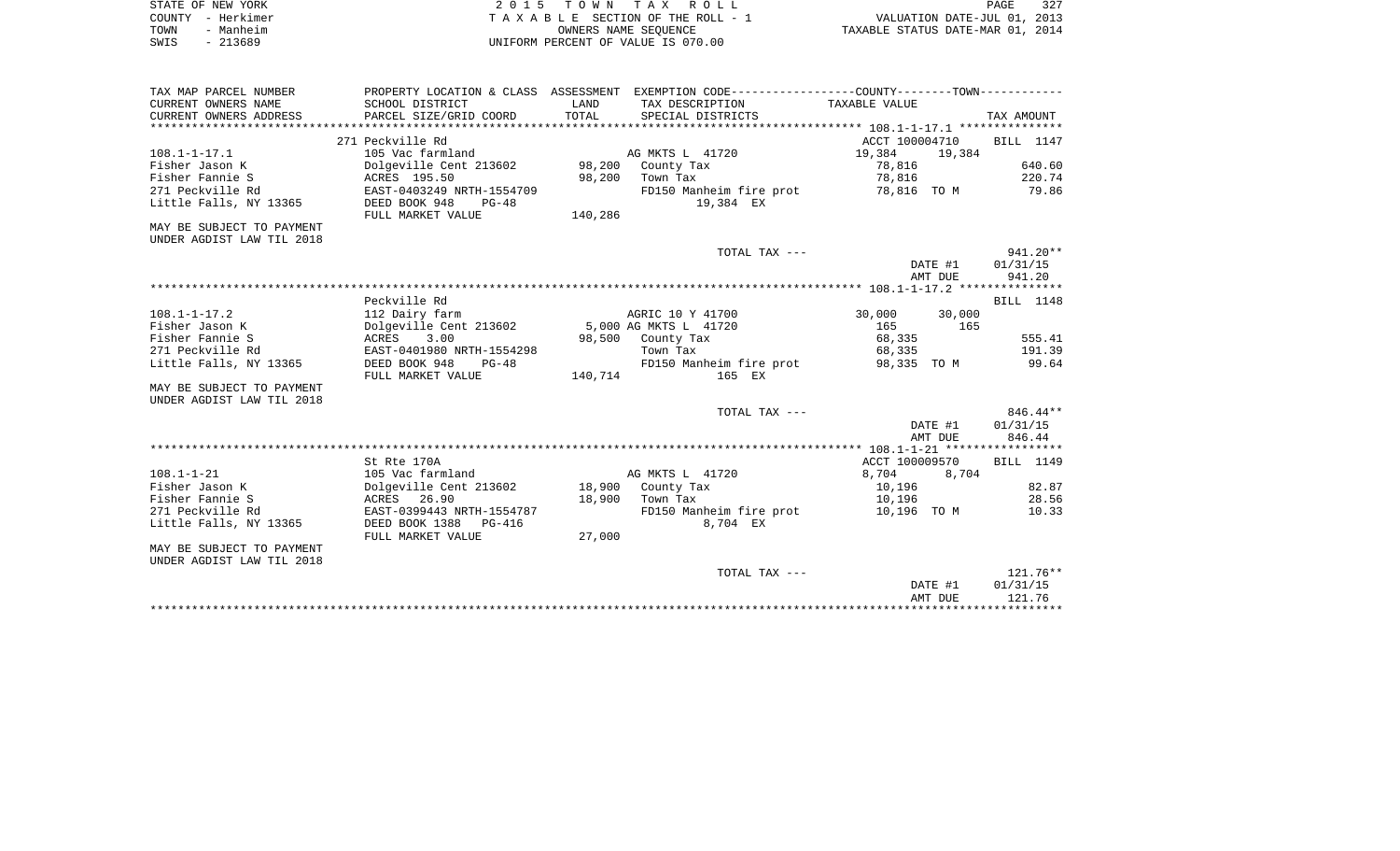| STATE OF NEW YORK |           | 2015 TOWN TAX ROLL                 | PAGE                             | 327 |
|-------------------|-----------|------------------------------------|----------------------------------|-----|
| COUNTY - Herkimer |           | TAXABLE SECTION OF THE ROLL - 1    | VALUATION DATE-JUL 01, 2013      |     |
| TOWN              | - Manheim | OWNERS NAME SEOUENCE               | TAXABLE STATUS DATE-MAR 01, 2014 |     |
| SWIS              | - 213689  | UNIFORM PERCENT OF VALUE IS 070.00 |                                  |     |

| TAX MAP PARCEL NUMBER     |                                          |         | PROPERTY LOCATION & CLASS ASSESSMENT EXEMPTION CODE----------------COUNTY--------TOWN---------- |                  |            |
|---------------------------|------------------------------------------|---------|-------------------------------------------------------------------------------------------------|------------------|------------|
| CURRENT OWNERS NAME       | SCHOOL DISTRICT                          | LAND    | TAX DESCRIPTION                                                                                 | TAXABLE VALUE    |            |
| CURRENT OWNERS ADDRESS    | PARCEL SIZE/GRID COORD                   | TOTAL   | SPECIAL DISTRICTS                                                                               |                  | TAX AMOUNT |
|                           |                                          |         |                                                                                                 |                  |            |
|                           | 271 Peckville Rd                         |         |                                                                                                 | ACCT 100004710   | BILL 1147  |
| $108.1 - 1 - 17.1$        | 105 Vac farmland                         |         | AG MKTS L 41720                                                                                 | 19,384<br>19,384 |            |
| Fisher Jason K            | Dolgeville Cent 213602 98,200            |         | County Tax                                                                                      | 78,816           | 640.60     |
| Fisher Fannie S           | ACRES 195.50                             |         | 98,200 Town Tax                                                                                 | 78,816           | 220.74     |
| 271 Peckville Rd          | EAST-0403249 NRTH-1554709                |         | FD150 Manheim fire prot                                                                         | 78,816   TO M    | 79.86      |
| Little Falls, NY 13365    | DEED BOOK 948<br>$PG-48$                 |         | 19,384 EX                                                                                       |                  |            |
|                           | FULL MARKET VALUE                        | 140,286 |                                                                                                 |                  |            |
| MAY BE SUBJECT TO PAYMENT |                                          |         |                                                                                                 |                  |            |
| UNDER AGDIST LAW TIL 2018 |                                          |         |                                                                                                 |                  |            |
|                           |                                          |         | TOTAL TAX ---                                                                                   |                  | 941.20**   |
|                           |                                          |         |                                                                                                 | DATE #1          | 01/31/15   |
|                           |                                          |         |                                                                                                 | AMT DUE          | 941.20     |
|                           |                                          |         |                                                                                                 |                  |            |
|                           | Peckville Rd                             |         |                                                                                                 |                  | BILL 1148  |
| $108.1 - 1 - 17.2$        | 112 Dairy farm                           |         | AGRIC 10 Y 41700                                                                                | 30,000<br>30,000 |            |
| Fisher Jason K            | Dolgeville Cent 213602                   |         | 5,000 AG MKTS L 41720                                                                           | 165<br>165       |            |
| Fisher Fannie S           | 3.00<br>ACRES                            |         | 98,500 County Tax                                                                               | 68,335           | 555.41     |
| 271 Peckville Rd          | EAST-0401980 NRTH-1554298                |         | Town Tax                                                                                        | 68,335           | 191.39     |
| Little Falls, NY 13365    | DEED BOOK 948<br>PG-48                   |         | FD150 Manheim fire prot                                                                         | 98,335 TO M      | 99.64      |
|                           | FULL MARKET VALUE                        | 140,714 | 165 EX                                                                                          |                  |            |
| MAY BE SUBJECT TO PAYMENT |                                          |         |                                                                                                 |                  |            |
| UNDER AGDIST LAW TIL 2018 |                                          |         |                                                                                                 |                  |            |
|                           |                                          |         | TOTAL TAX ---                                                                                   |                  | $846.44**$ |
|                           |                                          |         |                                                                                                 | DATE #1          | 01/31/15   |
|                           |                                          |         |                                                                                                 | AMT DUE          | 846.44     |
|                           |                                          |         |                                                                                                 |                  |            |
|                           | St Rte 170A                              |         |                                                                                                 | ACCT 100009570   | BILL 1149  |
| $108.1 - 1 - 21$          | 105 Vac farmland                         |         | AG MKTS L 41720                                                                                 | 8,704<br>8,704   |            |
| Fisher Jason K            | Dolgeville Cent 213602 18,900 County Tax |         |                                                                                                 | 10,196           | 82.87      |
| Fisher Fannie S           | ACRES 26.90                              |         | 18,900 Town Tax                                                                                 | 10,196           | 28.56      |
| 271 Peckville Rd          | EAST-0399443 NRTH-1554787                |         | FD150 Manheim fire prot                                                                         | 10,196 TO M      | 10.33      |
| Little Falls, NY 13365    | DEED BOOK 1388 PG-416                    |         | 8,704 EX                                                                                        |                  |            |
|                           | FULL MARKET VALUE                        | 27,000  |                                                                                                 |                  |            |
| MAY BE SUBJECT TO PAYMENT |                                          |         |                                                                                                 |                  |            |
| UNDER AGDIST LAW TIL 2018 |                                          |         |                                                                                                 |                  |            |
|                           |                                          |         | TOTAL TAX ---                                                                                   |                  | 121.76**   |
|                           |                                          |         |                                                                                                 | DATE #1          | 01/31/15   |
|                           |                                          |         |                                                                                                 | AMT DUE          | 121.76     |
|                           |                                          |         |                                                                                                 |                  |            |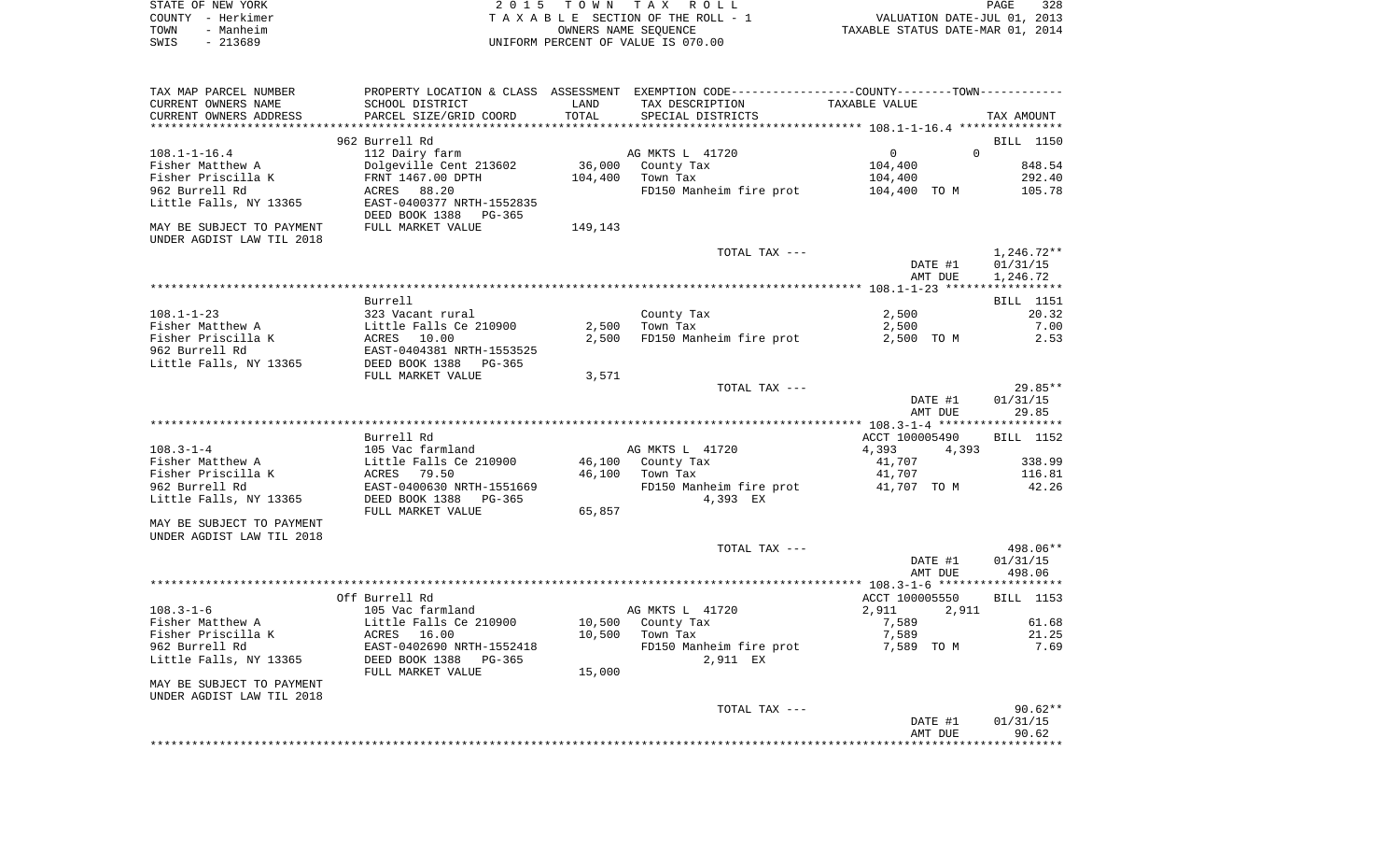| STATE OF NEW YORK | 2015 TOWN TAX ROLL                 | 328<br>PAGE                      |
|-------------------|------------------------------------|----------------------------------|
| COUNTY - Herkimer | TAXABLE SECTION OF THE ROLL - 1    | VALUATION DATE-JUL 01, 2013      |
| TOWN<br>- Manheim | OWNERS NAME SEOUENCE               | TAXABLE STATUS DATE-MAR 01, 2014 |
| SWIS<br>- 213689  | UNIFORM PERCENT OF VALUE IS 070.00 |                                  |

| TAX MAP PARCEL NUMBER                                                            | PROPERTY LOCATION & CLASS ASSESSMENT EXEMPTION CODE----------------COUNTY--------TOWN----------- |         |                         |                                               |              |
|----------------------------------------------------------------------------------|--------------------------------------------------------------------------------------------------|---------|-------------------------|-----------------------------------------------|--------------|
| CURRENT OWNERS NAME                                                              | SCHOOL DISTRICT                                                                                  | LAND    | TAX DESCRIPTION         | TAXABLE VALUE                                 |              |
| CURRENT OWNERS ADDRESS                                                           | PARCEL SIZE/GRID COORD                                                                           | TOTAL   | SPECIAL DISTRICTS       |                                               | TAX AMOUNT   |
|                                                                                  |                                                                                                  |         |                         | *************** 108.1-1-16.4 **************** |              |
|                                                                                  | 962 Burrell Rd                                                                                   |         |                         |                                               | BILL 1150    |
| $108.1 - 1 - 16.4$                                                               | 112 Dairy farm                                                                                   |         | AG MKTS L 41720         | $\mathbf 0$<br>$\Omega$                       |              |
| Fisher Matthew A                                                                 | Dolgeville Cent 213602                                                                           | 36,000  | County Tax              | 104,400                                       | 848.54       |
| Fisher Priscilla K                                                               | FRNT 1467.00 DPTH                                                                                | 104,400 | Town Tax                | 104,400                                       | 292.40       |
| 962 Burrell Rd                                                                   | ACRES<br>88.20                                                                                   |         | FD150 Manheim fire prot | 104,400 TO M                                  | 105.78       |
| Little Falls, NY 13365                                                           | EAST-0400377 NRTH-1552835                                                                        |         |                         |                                               |              |
|                                                                                  | DEED BOOK 1388<br>PG-365                                                                         |         |                         |                                               |              |
| MAY BE SUBJECT TO PAYMENT                                                        | FULL MARKET VALUE                                                                                | 149,143 |                         |                                               |              |
| UNDER AGDIST LAW TIL 2018                                                        |                                                                                                  |         |                         |                                               |              |
|                                                                                  |                                                                                                  |         | TOTAL TAX ---           |                                               | $1,246.72**$ |
|                                                                                  |                                                                                                  |         |                         | DATE #1                                       | 01/31/15     |
|                                                                                  |                                                                                                  |         |                         | AMT DUE                                       | 1,246.72     |
|                                                                                  |                                                                                                  |         |                         |                                               |              |
|                                                                                  | Burrell                                                                                          |         |                         |                                               | BILL 1151    |
| $108.1 - 1 - 23$                                                                 | 323 Vacant rural                                                                                 |         | County Tax              | 2,500                                         | 20.32        |
| Fisher Matthew A                                                                 | Little Falls Ce 210900                                                                           | 2,500   | Town Tax                | 2,500                                         | 7.00         |
| Fisher Priscilla K                                                               | ACRES 10.00                                                                                      | 2,500   | FD150 Manheim fire prot | 2,500 TO M                                    | 2.53         |
| 962 Burrell Rd                                                                   | EAST-0404381 NRTH-1553525                                                                        |         |                         |                                               |              |
| Little Falls, NY 13365                                                           | DEED BOOK 1388<br>PG-365                                                                         |         |                         |                                               |              |
|                                                                                  | FULL MARKET VALUE                                                                                | 3,571   |                         |                                               |              |
|                                                                                  |                                                                                                  |         | TOTAL TAX ---           |                                               | 29.85**      |
|                                                                                  |                                                                                                  |         |                         | DATE #1                                       | 01/31/15     |
|                                                                                  |                                                                                                  |         |                         | AMT DUE                                       | 29.85        |
|                                                                                  |                                                                                                  |         |                         |                                               |              |
|                                                                                  |                                                                                                  |         |                         |                                               |              |
|                                                                                  | Burrell Rd                                                                                       |         |                         | ACCT 100005490                                | BILL 1152    |
| $108.3 - 1 - 4$                                                                  | 105 Vac farmland                                                                                 |         | AG MKTS L 41720         | 4,393<br>4,393                                |              |
| Fisher Matthew A                                                                 | Little Falls Ce 210900                                                                           | 46,100  | County Tax              | 41,707                                        | 338.99       |
| Fisher Priscilla K                                                               | ACRES<br>79.50                                                                                   | 46,100  | Town Tax                | 41,707                                        | 116.81       |
| 962 Burrell Rd                                                                   | EAST-0400630 NRTH-1551669                                                                        |         | FD150 Manheim fire prot | 41,707 TO M                                   | 42.26        |
| Little Falls, NY 13365                                                           | DEED BOOK 1388<br>$PG-365$                                                                       |         | 4,393 EX                |                                               |              |
|                                                                                  | FULL MARKET VALUE                                                                                | 65,857  |                         |                                               |              |
|                                                                                  |                                                                                                  |         |                         |                                               |              |
|                                                                                  |                                                                                                  |         |                         |                                               |              |
|                                                                                  |                                                                                                  |         | TOTAL TAX ---           |                                               | 498.06**     |
| MAY BE SUBJECT TO PAYMENT<br>UNDER AGDIST LAW TIL 2018                           |                                                                                                  |         |                         | DATE #1                                       | 01/31/15     |
|                                                                                  |                                                                                                  |         |                         | AMT DUE                                       | 498.06       |
|                                                                                  |                                                                                                  |         |                         |                                               |              |
|                                                                                  | Off Burrell Rd                                                                                   |         |                         | ACCT 100005550                                | BILL 1153    |
| $108.3 - 1 - 6$                                                                  | 105 Vac farmland                                                                                 |         | AG MKTS L 41720         | 2,911<br>2,911                                |              |
| Fisher Matthew A                                                                 | Little Falls Ce 210900                                                                           | 10,500  | County Tax              | 7,589                                         | 61.68        |
| Fisher Priscilla K                                                               | ACRES 16.00                                                                                      | 10,500  | Town Tax                | 7,589                                         | 21.25        |
| 962 Burrell Rd                                                                   | EAST-0402690 NRTH-1552418                                                                        |         | FD150 Manheim fire prot | 7,589 TO M                                    | 7.69         |
|                                                                                  | DEED BOOK 1388<br>PG-365                                                                         |         | 2,911 EX                |                                               |              |
|                                                                                  | FULL MARKET VALUE                                                                                | 15,000  |                         |                                               |              |
|                                                                                  |                                                                                                  |         |                         |                                               |              |
|                                                                                  |                                                                                                  |         |                         |                                               |              |
|                                                                                  |                                                                                                  |         | TOTAL TAX ---           |                                               | $90.62**$    |
| Little Falls, NY 13365<br>MAY BE SUBJECT TO PAYMENT<br>UNDER AGDIST LAW TIL 2018 |                                                                                                  |         |                         | DATE #1                                       | 01/31/15     |
|                                                                                  |                                                                                                  |         |                         | AMT DUE                                       | 90.62        |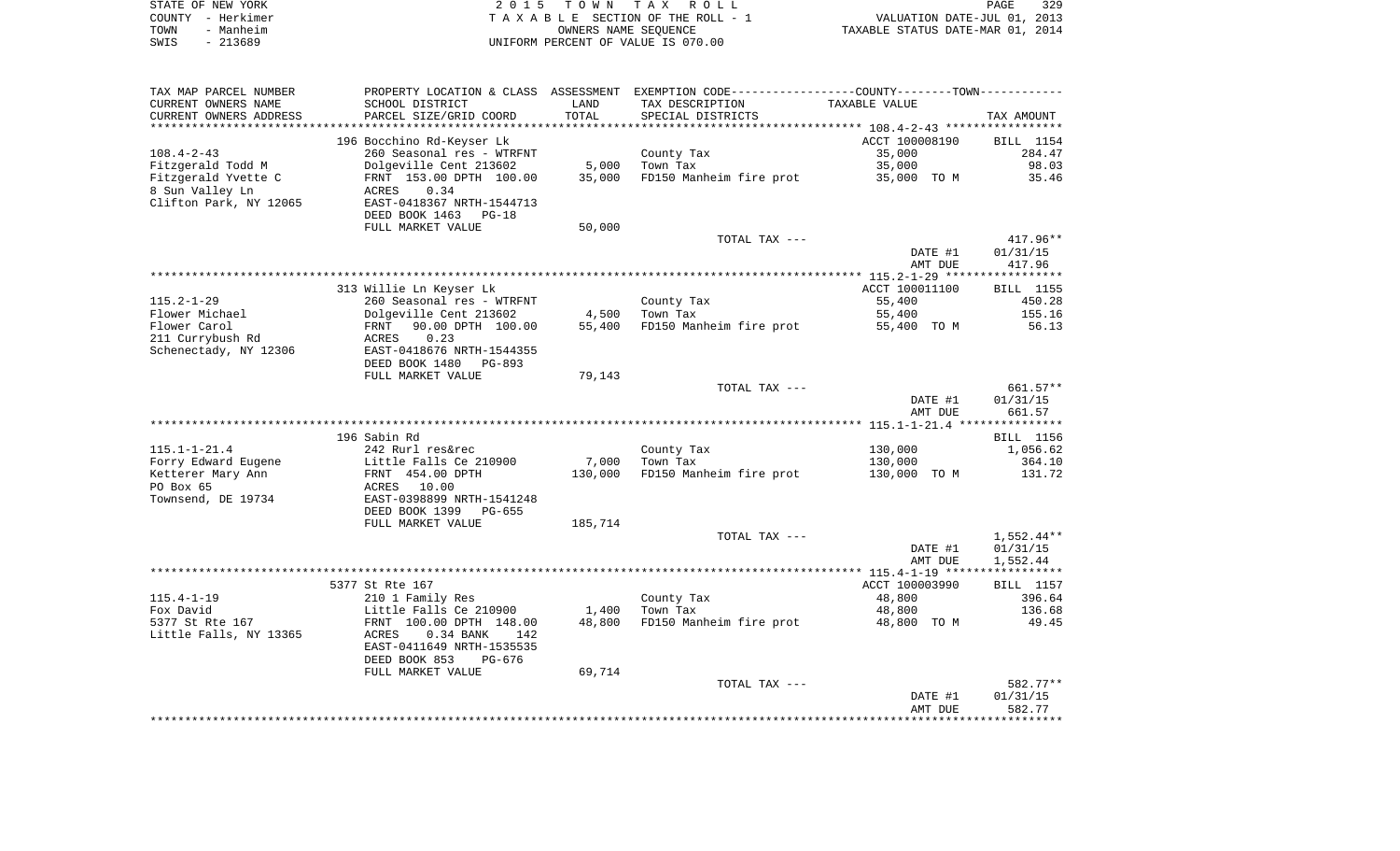|      | STATE OF NEW YORK | 2015 TOWN TAX ROLL                 | 329<br><b>PAGE</b>               |
|------|-------------------|------------------------------------|----------------------------------|
|      | COUNTY - Herkimer | TAXABLE SECTION OF THE ROLL - 1    | VALUATION DATE-JUL 01, 2013      |
| TOWN | - Manheim         | OWNERS NAME SEOUENCE               | TAXABLE STATUS DATE-MAR 01, 2014 |
| SWIS | - 213689          | UNIFORM PERCENT OF VALUE IS 070.00 |                                  |

| TAX MAP PARCEL NUMBER  | PROPERTY LOCATION & CLASS ASSESSMENT EXEMPTION CODE---------------COUNTY-------TOWN---------- |         |                                     |                |                  |
|------------------------|-----------------------------------------------------------------------------------------------|---------|-------------------------------------|----------------|------------------|
| CURRENT OWNERS NAME    | SCHOOL DISTRICT                                                                               | LAND    | TAX DESCRIPTION                     | TAXABLE VALUE  |                  |
| CURRENT OWNERS ADDRESS | PARCEL SIZE/GRID COORD                                                                        | TOTAL   | SPECIAL DISTRICTS                   |                | TAX AMOUNT       |
|                        |                                                                                               |         |                                     |                |                  |
|                        | 196 Bocchino Rd-Keyser Lk                                                                     |         |                                     | ACCT 100008190 | <b>BILL</b> 1154 |
| $108.4 - 2 - 43$       | 260 Seasonal res - WTRFNT                                                                     |         | County Tax                          | 35,000         | 284.47           |
| Fitzgerald Todd M      | Dolgeville Cent 213602                                                                        | 5,000   | Town Tax                            | 35,000         | 98.03            |
| Fitzgerald Yvette C    | FRNT 153.00 DPTH 100.00                                                                       | 35,000  | FD150 Manheim fire prot 35,000 TO M |                | 35.46            |
| 8 Sun Valley Ln        | 0.34                                                                                          |         |                                     |                |                  |
|                        | ACRES                                                                                         |         |                                     |                |                  |
| Clifton Park, NY 12065 | EAST-0418367 NRTH-1544713                                                                     |         |                                     |                |                  |
|                        | DEED BOOK 1463<br>$PG-18$                                                                     |         |                                     |                |                  |
|                        | FULL MARKET VALUE                                                                             | 50,000  |                                     |                |                  |
|                        |                                                                                               |         | TOTAL TAX ---                       |                | $417.96**$       |
|                        |                                                                                               |         |                                     | DATE #1        | 01/31/15         |
|                        |                                                                                               |         |                                     | AMT DUE        | 417.96           |
|                        |                                                                                               |         |                                     |                |                  |
|                        | 313 Willie Ln Keyser Lk                                                                       |         |                                     | ACCT 100011100 | BILL 1155        |
| $115.2 - 1 - 29$       | 260 Seasonal res - WTRFNT                                                                     |         | County Tax                          | 55,400         | 450.28           |
| Flower Michael         | Dolgeville Cent 213602                                                                        | 4,500   | Town Tax                            | 55,400         | 155.16           |
| Flower Carol           | 90.00 DPTH 100.00<br>FRNT                                                                     | 55,400  | FD150 Manheim fire prot             | 55,400 TO M    | 56.13            |
| 211 Currybush Rd       | 0.23<br>ACRES                                                                                 |         |                                     |                |                  |
| Schenectady, NY 12306  | EAST-0418676 NRTH-1544355                                                                     |         |                                     |                |                  |
|                        | DEED BOOK 1480<br>PG-893                                                                      |         |                                     |                |                  |
|                        | FULL MARKET VALUE                                                                             | 79,143  |                                     |                |                  |
|                        |                                                                                               |         | TOTAL TAX ---                       |                | 661.57**         |
|                        |                                                                                               |         |                                     | DATE #1        | 01/31/15         |
|                        |                                                                                               |         |                                     | AMT DUE        | 661.57           |
|                        |                                                                                               |         |                                     |                |                  |
|                        |                                                                                               |         |                                     |                |                  |
|                        | 196 Sabin Rd                                                                                  |         |                                     |                | BILL 1156        |
| $115.1 - 1 - 21.4$     | 242 Rurl res&rec                                                                              |         | County Tax                          | 130,000        | 1,056.62         |
| Forry Edward Eugene    | Little Falls Ce 210900                                                                        | 7,000   | Town Tax                            | 130,000        | 364.10           |
| Ketterer Mary Ann      | FRNT 454.00 DPTH                                                                              | 130,000 | FD150 Manheim fire prot             | 130,000 TO M   | 131.72           |
| PO Box 65              | ACRES 10.00                                                                                   |         |                                     |                |                  |
| Townsend, DE 19734     | EAST-0398899 NRTH-1541248                                                                     |         |                                     |                |                  |
|                        | DEED BOOK 1399<br>PG-655                                                                      |         |                                     |                |                  |
|                        | FULL MARKET VALUE                                                                             | 185,714 |                                     |                |                  |
|                        |                                                                                               |         | TOTAL TAX ---                       |                | $1,552.44**$     |
|                        |                                                                                               |         |                                     | DATE #1        | 01/31/15         |
|                        |                                                                                               |         |                                     | AMT DUE        | 1,552.44         |
|                        |                                                                                               |         |                                     |                |                  |
|                        | 5377 St Rte 167                                                                               |         |                                     | ACCT 100003990 | BILL 1157        |
| $115.4 - 1 - 19$       | 210 1 Family Res                                                                              |         | County Tax                          | 48,800         | 396.64           |
| Fox David              | Little Falls Ce 210900                                                                        | 1,400   | Town Tax                            | 48,800         | 136.68           |
| 5377 St Rte 167        | FRNT 100.00 DPTH 148.00                                                                       | 48,800  | FD150 Manheim fire prot             | 48,800 TO M    | 49.45            |
| Little Falls, NY 13365 | 0.34 BANK<br>ACRES<br>142                                                                     |         |                                     |                |                  |
|                        | EAST-0411649 NRTH-1535535                                                                     |         |                                     |                |                  |
|                        | DEED BOOK 853<br>PG-676                                                                       |         |                                     |                |                  |
|                        |                                                                                               | 69,714  |                                     |                |                  |
|                        | FULL MARKET VALUE                                                                             |         |                                     |                | 582.77**         |
|                        |                                                                                               |         | TOTAL TAX ---                       |                |                  |
|                        |                                                                                               |         |                                     | DATE #1        | 01/31/15         |
|                        |                                                                                               |         |                                     | AMT DUE        | 582.77           |
|                        |                                                                                               |         |                                     |                |                  |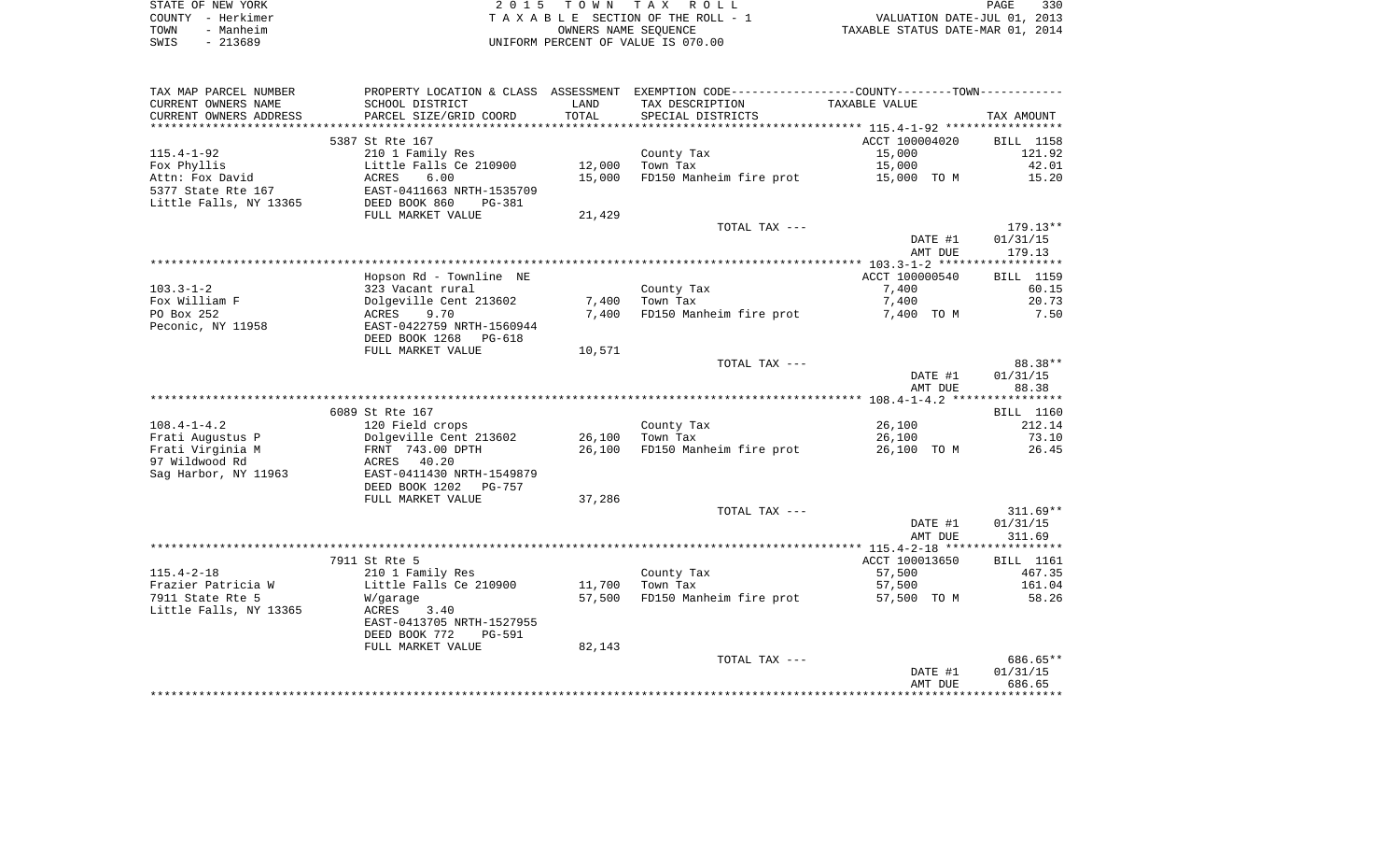|      | STATE OF NEW YORK | 2015 TOWN TAX ROLL                 | PAGE                             | 330 |
|------|-------------------|------------------------------------|----------------------------------|-----|
|      | COUNTY - Herkimer | TAXABLE SECTION OF THE ROLL - 1    | VALUATION DATE-JUL 01, 2013      |     |
| TOWN | - Manheim         | OWNERS NAME SEOUENCE               | TAXABLE STATUS DATE-MAR 01, 2014 |     |
| SWIS | - 213689          | UNIFORM PERCENT OF VALUE IS 070.00 |                                  |     |

| TAX MAP PARCEL NUMBER   |                                                            |        | PROPERTY LOCATION & CLASS ASSESSMENT EXEMPTION CODE---------------COUNTY-------TOWN---------- |                |                  |
|-------------------------|------------------------------------------------------------|--------|-----------------------------------------------------------------------------------------------|----------------|------------------|
| CURRENT OWNERS NAME     | SCHOOL DISTRICT                                            | LAND   | TAX DESCRIPTION                                                                               | TAXABLE VALUE  |                  |
| CURRENT OWNERS ADDRESS  | PARCEL SIZE/GRID COORD                                     | TOTAL  | SPECIAL DISTRICTS                                                                             |                | TAX AMOUNT       |
| *********************** | **************************                                 |        |                                                                                               |                |                  |
|                         | 5387 St Rte 167                                            |        |                                                                                               | ACCT 100004020 | <b>BILL</b> 1158 |
| $115.4 - 1 - 92$        | 210 1 Family Res                                           |        | County Tax                                                                                    | 15,000         | 121.92           |
| Fox Phyllis             | Little Falls Ce 210900                                     | 12,000 | Town Tax                                                                                      | 15,000         | 42.01            |
| Attn: Fox David         | ACRES 6.00<br>EAST-0411663 NRTH-1535709<br>EAST-040 PG-381 | 15,000 | FD150 Manheim fire prot 15,000 TO M                                                           |                | 15.20            |
| 5377 State Rte 167      |                                                            |        |                                                                                               |                |                  |
| Little Falls, NY 13365  | DEED BOOK 860                                              |        |                                                                                               |                |                  |
|                         | FULL MARKET VALUE                                          | 21,429 |                                                                                               |                |                  |
|                         |                                                            |        | TOTAL TAX ---                                                                                 |                | 179.13**         |
|                         |                                                            |        |                                                                                               | DATE #1        | 01/31/15         |
|                         |                                                            |        |                                                                                               | AMT DUE        | 179.13           |
|                         |                                                            |        |                                                                                               |                |                  |
|                         | Hopson Rd - Townline NE                                    |        |                                                                                               | ACCT 100000540 | BILL 1159        |
| $103.3 - 1 - 2$         | 323 Vacant rural                                           |        | County Tax                                                                                    | 7,400          | 60.15            |
| Fox William F           |                                                            | 7,400  | Town Tax                                                                                      | 7,400          | 20.73            |
| PO Box 252              |                                                            | 7,400  | FD150 Manheim fire prot                                                                       | 7,400 TO M     | 7.50             |
| Peconic, NY 11958       | EAST-0422759 NRTH-1560944                                  |        |                                                                                               |                |                  |
|                         | DEED BOOK 1268<br>PG-618                                   |        |                                                                                               |                |                  |
|                         | FULL MARKET VALUE                                          | 10,571 |                                                                                               |                |                  |
|                         |                                                            |        | TOTAL TAX ---                                                                                 |                | 88.38**          |
|                         |                                                            |        |                                                                                               | DATE #1        | 01/31/15         |
|                         |                                                            |        |                                                                                               | AMT DUE        | 88.38            |
|                         | 6089 St Rte 167                                            |        |                                                                                               |                | BILL 1160        |
| $108.4 - 1 - 4.2$       | 120 Field crops                                            |        | County Tax                                                                                    | 26,100         | 212.14           |
| Frati Augustus P        | Dolgeville Cent 213602                                     |        | 26,100 Town Tax                                                                               | 26,100         | 73.10            |
| Frati Virginia M        |                                                            | 26,100 | FD150 Manheim fire prot                                                                       | 26,100 TO M    | 26.45            |
| 97 Wildwood Rd          | FRNT 743.00 DPTH<br>ACRES 40.20                            |        |                                                                                               |                |                  |
| Sag Harbor, NY 11963    | EAST-0411430 NRTH-1549879                                  |        |                                                                                               |                |                  |
|                         | DEED BOOK 1202<br>PG-757                                   |        |                                                                                               |                |                  |
|                         | FULL MARKET VALUE                                          | 37,286 |                                                                                               |                |                  |
|                         |                                                            |        | TOTAL TAX ---                                                                                 |                | $311.69**$       |
|                         |                                                            |        |                                                                                               | DATE #1        | 01/31/15         |
|                         |                                                            |        |                                                                                               | AMT DUE        | 311.69           |
|                         |                                                            |        |                                                                                               |                |                  |
|                         | 7911 St Rte 5                                              |        |                                                                                               | ACCT 100013650 | BILL 1161        |
| $115.4 - 2 - 18$        | 210 1 Family Res                                           |        | County Tax                                                                                    | 57,500         | 467.35           |
| Frazier Patricia W      | Little Falls Ce 210900                                     | 11,700 | Town Tax                                                                                      | 57,500         | 161.04           |
| 7911 State Rte 5        | W/garage                                                   |        | 57,500 FD150 Manheim fire prot                                                                | 57,500 TO M    | 58.26            |
| Little Falls, NY 13365  | ACRES<br>3.40                                              |        |                                                                                               |                |                  |
|                         | EAST-0413705 NRTH-1527955                                  |        |                                                                                               |                |                  |
|                         | DEED BOOK 772<br>PG-591                                    |        |                                                                                               |                |                  |
|                         | FULL MARKET VALUE                                          | 82,143 |                                                                                               |                |                  |
|                         |                                                            |        | TOTAL TAX ---                                                                                 |                | 686.65**         |
|                         |                                                            |        |                                                                                               | DATE #1        | 01/31/15         |
|                         |                                                            |        |                                                                                               | AMT DUE        | 686.65           |
|                         |                                                            |        |                                                                                               |                |                  |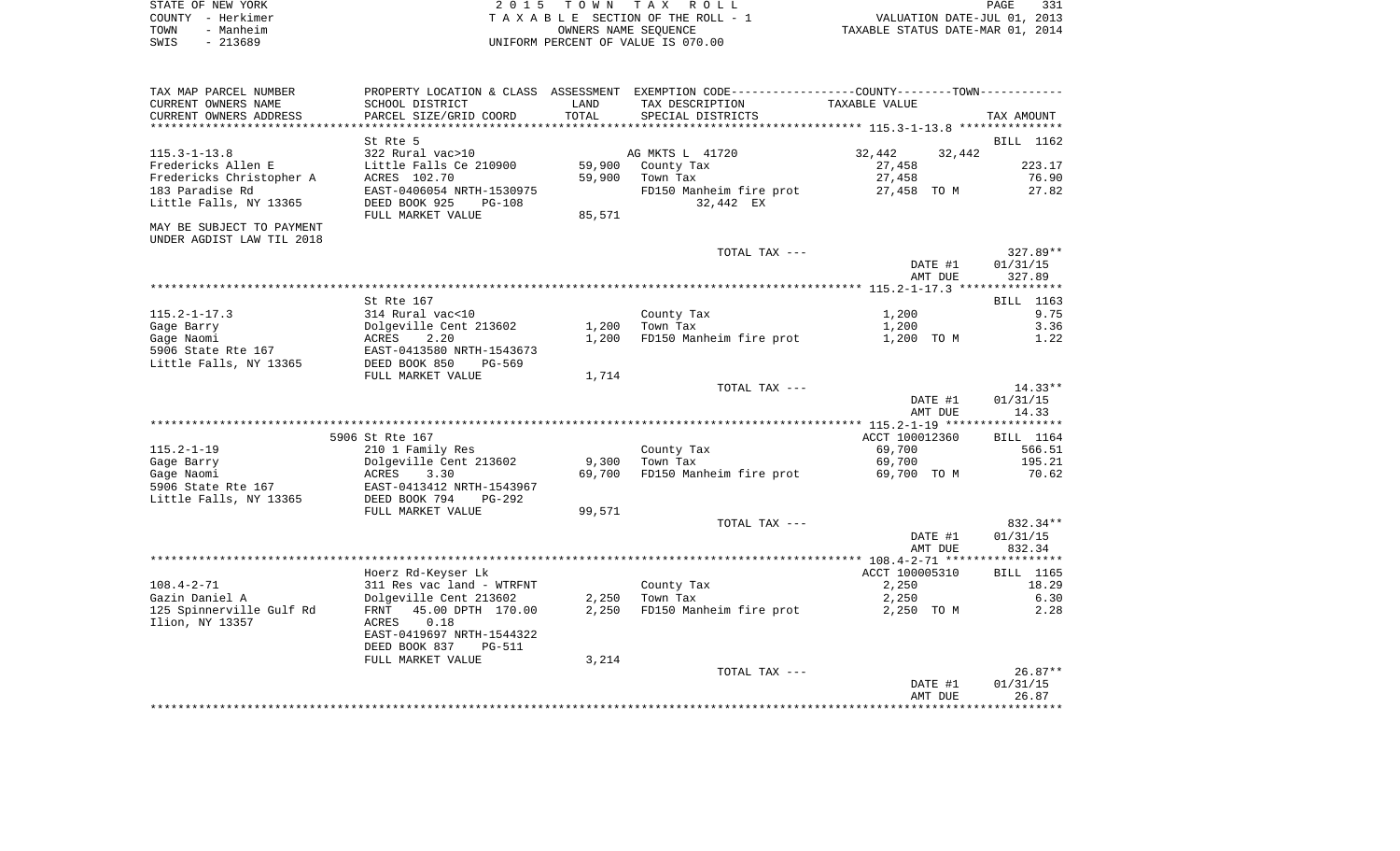| STATE OF NEW YORK | 2015 TOWN TAX ROLL                    | PAGE                             | 331 |
|-------------------|---------------------------------------|----------------------------------|-----|
| COUNTY - Herkimer | T A X A B L E SECTION OF THE ROLL - 1 | VALUATION DATE-JUL 01, 2013      |     |
| TOWN<br>- Manheim | OWNERS NAME SEOUENCE                  | TAXABLE STATUS DATE-MAR 01, 2014 |     |
| $-213689$<br>SWIS | UNIFORM PERCENT OF VALUE IS 070.00    |                                  |     |

| TAX MAP PARCEL NUMBER     |                           |            | PROPERTY LOCATION & CLASS ASSESSMENT EXEMPTION CODE---------------COUNTY-------TOWN---------- |                  |            |
|---------------------------|---------------------------|------------|-----------------------------------------------------------------------------------------------|------------------|------------|
| CURRENT OWNERS NAME       | SCHOOL DISTRICT           | LAND       | TAX DESCRIPTION                                                                               | TAXABLE VALUE    |            |
| CURRENT OWNERS ADDRESS    | PARCEL SIZE/GRID COORD    | TOTAL      | SPECIAL DISTRICTS                                                                             |                  | TAX AMOUNT |
|                           |                           | ********** |                                                                                               |                  |            |
|                           | St Rte 5                  |            |                                                                                               |                  | BILL 1162  |
| $115.3 - 1 - 13.8$        | 322 Rural vac>10          |            | AG MKTS L 41720                                                                               | 32,442<br>32,442 |            |
| Fredericks Allen E        | Little Falls Ce 210900    | 59,900     | County Tax                                                                                    | 27,458           | 223.17     |
| Fredericks Christopher A  | ACRES 102.70              | 59,900     | Town Tax                                                                                      | 27,458           | 76.90      |
| 183 Paradise Rd           | EAST-0406054 NRTH-1530975 |            | FD150 Manheim fire prot                                                                       | 27,458 TO M      | 27.82      |
| Little Falls, NY 13365    | DEED BOOK 925<br>PG-108   |            | 32,442 EX                                                                                     |                  |            |
|                           | FULL MARKET VALUE         | 85,571     |                                                                                               |                  |            |
| MAY BE SUBJECT TO PAYMENT |                           |            |                                                                                               |                  |            |
| UNDER AGDIST LAW TIL 2018 |                           |            |                                                                                               |                  |            |
|                           |                           |            | TOTAL TAX ---                                                                                 |                  | $327.89**$ |
|                           |                           |            |                                                                                               | DATE #1          | 01/31/15   |
|                           |                           |            |                                                                                               | AMT DUE          | 327.89     |
|                           |                           |            |                                                                                               |                  |            |
|                           | St Rte 167                |            |                                                                                               |                  | BILL 1163  |
| $115.2 - 1 - 17.3$        | 314 Rural vac<10          |            | County Tax                                                                                    | 1,200            | 9.75       |
| Gage Barry                | Dolgeville Cent 213602    | 1,200      | Town Tax                                                                                      | 1,200            | 3.36       |
| Gage Naomi                | ACRES<br>2.20             | 1,200      | FD150 Manheim fire prot                                                                       | 1,200 TO M       | 1.22       |
| 5906 State Rte 167        | EAST-0413580 NRTH-1543673 |            |                                                                                               |                  |            |
| Little Falls, NY 13365    | DEED BOOK 850<br>PG-569   |            |                                                                                               |                  |            |
|                           | FULL MARKET VALUE         | 1,714      | TOTAL TAX ---                                                                                 |                  | $14.33**$  |
|                           |                           |            |                                                                                               | DATE #1          | 01/31/15   |
|                           |                           |            |                                                                                               | AMT DUE          | 14.33      |
|                           |                           |            |                                                                                               |                  |            |
|                           | 5906 St Rte 167           |            |                                                                                               | ACCT 100012360   | BILL 1164  |
| $115.2 - 1 - 19$          | 210 1 Family Res          |            | County Tax                                                                                    | 69,700           | 566.51     |
| Gage Barry                | Dolgeville Cent 213602    | 9,300      | Town Tax                                                                                      | 69,700           | 195.21     |
| Gage Naomi                | ACRES<br>3.30             | 69,700     | FD150 Manheim fire prot                                                                       | 69,700 TO M      | 70.62      |
| 5906 State Rte 167        | EAST-0413412 NRTH-1543967 |            |                                                                                               |                  |            |
| Little Falls, NY 13365    | DEED BOOK 794<br>PG-292   |            |                                                                                               |                  |            |
|                           | FULL MARKET VALUE         | 99,571     |                                                                                               |                  |            |
|                           |                           |            | TOTAL TAX ---                                                                                 |                  | 832.34**   |
|                           |                           |            |                                                                                               | DATE #1          | 01/31/15   |
|                           |                           |            |                                                                                               | AMT DUE          | 832.34     |
|                           |                           |            |                                                                                               |                  |            |
|                           | Hoerz Rd-Keyser Lk        |            |                                                                                               | ACCT 100005310   | BILL 1165  |
| $108.4 - 2 - 71$          | 311 Res vac land - WTRFNT |            | County Tax                                                                                    | 2,250            | 18.29      |
| Gazin Daniel A            | Dolgeville Cent 213602    | 2,250      | Town Tax                                                                                      | 2,250            | 6.30       |
| 125 Spinnerville Gulf Rd  | FRNT<br>45.00 DPTH 170.00 | 2,250      | FD150 Manheim fire prot                                                                       | 2,250 TO M       | 2.28       |
| Ilion, NY 13357           | ACRES<br>0.18             |            |                                                                                               |                  |            |
|                           | EAST-0419697 NRTH-1544322 |            |                                                                                               |                  |            |
|                           | DEED BOOK 837<br>PG-511   |            |                                                                                               |                  |            |
|                           | FULL MARKET VALUE         | 3,214      | TOTAL TAX ---                                                                                 |                  | $26.87**$  |
|                           |                           |            |                                                                                               | DATE #1          | 01/31/15   |
|                           |                           |            |                                                                                               | AMT DUE          | 26.87      |
|                           |                           |            |                                                                                               |                  |            |
|                           |                           |            |                                                                                               |                  |            |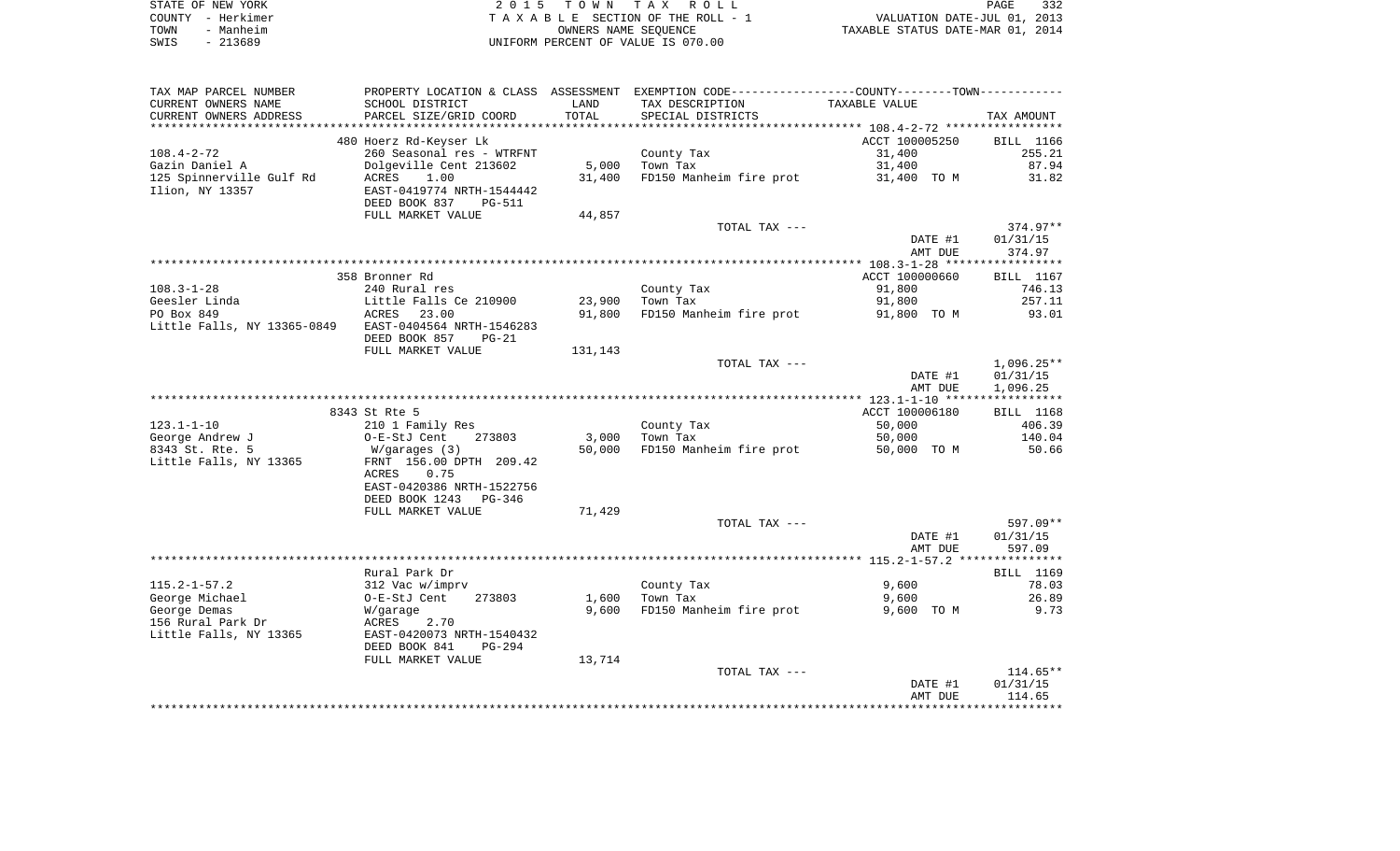|      | STATE OF NEW YORK | 2015 TOWN TAX ROLL                 | PAGE                             | 332 |
|------|-------------------|------------------------------------|----------------------------------|-----|
|      | COUNTY - Herkimer | TAXABLE SECTION OF THE ROLL - 1    | VALUATION DATE-JUL 01, 2013      |     |
| TOWN | - Manheim         | OWNERS NAME SEOUENCE               | TAXABLE STATUS DATE-MAR 01, 2014 |     |
| SWIS | - 213689          | UNIFORM PERCENT OF VALUE IS 070.00 |                                  |     |

| SCHOOL DISTRICT<br>TAX DESCRIPTION<br>TAXABLE VALUE<br>LAND<br>TOTAL<br>PARCEL SIZE/GRID COORD<br>SPECIAL DISTRICTS<br>TAX AMOUNT<br>***************************<br>480 Hoerz Rd-Keyser Lk<br>ACCT 100005250<br><b>BILL</b> 1166<br>260 Seasonal res - WTRFNT<br>County Tax<br>31,400<br>255.21<br>87.94<br>Gazin Daniel A<br>Dolgeville Cent 213602<br>5,000<br>Town Tax<br>31,400<br>125 Spinnerville Gulf Rd<br>FD150 Manheim fire prot<br>31.82<br>ACRES<br>1.00<br>31,400<br>31,400 TO M<br>Ilion, NY 13357<br>EAST-0419774 NRTH-1544442<br>DEED BOOK 837<br>PG-511<br>FULL MARKET VALUE<br>44,857<br>TOTAL TAX ---<br>374.97**<br>DATE #1<br>01/31/15<br>AMT DUE<br>374.97<br>358 Bronner Rd<br>ACCT 100000660<br>BILL 1167<br>$108.3 - 1 - 28$<br>County Tax<br>240 Rural res<br>91,800<br>746.13<br>Geesler Linda<br>Little Falls Ce 210900<br>23,900<br>Town Tax<br>91,800<br>257.11<br>ACRES 23.00<br>91,800<br>FD150 Manheim fire prot<br>93.01<br>91,800 TO M<br>Little Falls, NY 13365-0849 EAST-0404564 NRTH-1546283<br>DEED BOOK 857<br>$PG-21$<br>FULL MARKET VALUE<br>131,143<br>$1,096.25**$<br>TOTAL TAX ---<br>DATE #1<br>01/31/15<br>1,096.25<br>AMT DUE<br>8343 St Rte 5<br>ACCT 100006180<br>BILL 1168<br>$123.1 - 1 - 10$<br>County Tax<br>406.39<br>210 1 Family Res<br>50,000<br>George Andrew J<br>273803<br>3,000<br>Town Tax<br>50,000<br>140.04<br>O-E-StJ Cent<br>8343 St. Rte. 5<br>50,000<br>FD150 Manheim fire prot<br>50.66<br>W/garages (3)<br>50,000 TO M<br>Little Falls, NY 13365<br>FRNT 156.00 DPTH 209.42<br>ACRES<br>0.75<br>EAST-0420386 NRTH-1522756<br>DEED BOOK 1243 PG-346<br>FULL MARKET VALUE<br>71,429<br>TOTAL TAX ---<br>597.09**<br>DATE #1<br>01/31/15<br>AMT DUE<br>597.09<br>Rural Park Dr<br>BILL 1169<br>$115.2 - 1 - 57.2$<br>9,600<br>78.03<br>312 Vac w/imprv<br>County Tax<br>George Michael<br>273803<br>1,600<br>Town Tax<br>9,600<br>26.89<br>O-E-StJ Cent<br>9,600 FD150 Manheim fire prot<br>George Demas<br>9,600 TO M<br>9.73<br>W/garage<br>156 Rural Park Dr<br>2.70<br>ACRES<br>EAST-0420073 NRTH-1540432<br>Little Falls, NY 13365<br>DEED BOOK 841<br>$PG-294$<br>FULL MARKET VALUE<br>13,714<br>$114.65**$<br>TOTAL TAX ---<br>DATE #1<br>01/31/15<br>AMT DUE<br>114.65 | TAX MAP PARCEL NUMBER  |  | PROPERTY LOCATION & CLASS ASSESSMENT EXEMPTION CODE---------------COUNTY-------TOWN---------- |  |
|-----------------------------------------------------------------------------------------------------------------------------------------------------------------------------------------------------------------------------------------------------------------------------------------------------------------------------------------------------------------------------------------------------------------------------------------------------------------------------------------------------------------------------------------------------------------------------------------------------------------------------------------------------------------------------------------------------------------------------------------------------------------------------------------------------------------------------------------------------------------------------------------------------------------------------------------------------------------------------------------------------------------------------------------------------------------------------------------------------------------------------------------------------------------------------------------------------------------------------------------------------------------------------------------------------------------------------------------------------------------------------------------------------------------------------------------------------------------------------------------------------------------------------------------------------------------------------------------------------------------------------------------------------------------------------------------------------------------------------------------------------------------------------------------------------------------------------------------------------------------------------------------------------------------------------------------------------------------------------------------------------------------------------------------------------------------------------------------------------------------------------------------------------------------------------------------------------------------------------------------------------|------------------------|--|-----------------------------------------------------------------------------------------------|--|
|                                                                                                                                                                                                                                                                                                                                                                                                                                                                                                                                                                                                                                                                                                                                                                                                                                                                                                                                                                                                                                                                                                                                                                                                                                                                                                                                                                                                                                                                                                                                                                                                                                                                                                                                                                                                                                                                                                                                                                                                                                                                                                                                                                                                                                                     | CURRENT OWNERS NAME    |  |                                                                                               |  |
|                                                                                                                                                                                                                                                                                                                                                                                                                                                                                                                                                                                                                                                                                                                                                                                                                                                                                                                                                                                                                                                                                                                                                                                                                                                                                                                                                                                                                                                                                                                                                                                                                                                                                                                                                                                                                                                                                                                                                                                                                                                                                                                                                                                                                                                     | CURRENT OWNERS ADDRESS |  |                                                                                               |  |
|                                                                                                                                                                                                                                                                                                                                                                                                                                                                                                                                                                                                                                                                                                                                                                                                                                                                                                                                                                                                                                                                                                                                                                                                                                                                                                                                                                                                                                                                                                                                                                                                                                                                                                                                                                                                                                                                                                                                                                                                                                                                                                                                                                                                                                                     | ********************   |  |                                                                                               |  |
|                                                                                                                                                                                                                                                                                                                                                                                                                                                                                                                                                                                                                                                                                                                                                                                                                                                                                                                                                                                                                                                                                                                                                                                                                                                                                                                                                                                                                                                                                                                                                                                                                                                                                                                                                                                                                                                                                                                                                                                                                                                                                                                                                                                                                                                     |                        |  |                                                                                               |  |
|                                                                                                                                                                                                                                                                                                                                                                                                                                                                                                                                                                                                                                                                                                                                                                                                                                                                                                                                                                                                                                                                                                                                                                                                                                                                                                                                                                                                                                                                                                                                                                                                                                                                                                                                                                                                                                                                                                                                                                                                                                                                                                                                                                                                                                                     | $108.4 - 2 - 72$       |  |                                                                                               |  |
|                                                                                                                                                                                                                                                                                                                                                                                                                                                                                                                                                                                                                                                                                                                                                                                                                                                                                                                                                                                                                                                                                                                                                                                                                                                                                                                                                                                                                                                                                                                                                                                                                                                                                                                                                                                                                                                                                                                                                                                                                                                                                                                                                                                                                                                     |                        |  |                                                                                               |  |
|                                                                                                                                                                                                                                                                                                                                                                                                                                                                                                                                                                                                                                                                                                                                                                                                                                                                                                                                                                                                                                                                                                                                                                                                                                                                                                                                                                                                                                                                                                                                                                                                                                                                                                                                                                                                                                                                                                                                                                                                                                                                                                                                                                                                                                                     |                        |  |                                                                                               |  |
|                                                                                                                                                                                                                                                                                                                                                                                                                                                                                                                                                                                                                                                                                                                                                                                                                                                                                                                                                                                                                                                                                                                                                                                                                                                                                                                                                                                                                                                                                                                                                                                                                                                                                                                                                                                                                                                                                                                                                                                                                                                                                                                                                                                                                                                     |                        |  |                                                                                               |  |
|                                                                                                                                                                                                                                                                                                                                                                                                                                                                                                                                                                                                                                                                                                                                                                                                                                                                                                                                                                                                                                                                                                                                                                                                                                                                                                                                                                                                                                                                                                                                                                                                                                                                                                                                                                                                                                                                                                                                                                                                                                                                                                                                                                                                                                                     |                        |  |                                                                                               |  |
|                                                                                                                                                                                                                                                                                                                                                                                                                                                                                                                                                                                                                                                                                                                                                                                                                                                                                                                                                                                                                                                                                                                                                                                                                                                                                                                                                                                                                                                                                                                                                                                                                                                                                                                                                                                                                                                                                                                                                                                                                                                                                                                                                                                                                                                     |                        |  |                                                                                               |  |
|                                                                                                                                                                                                                                                                                                                                                                                                                                                                                                                                                                                                                                                                                                                                                                                                                                                                                                                                                                                                                                                                                                                                                                                                                                                                                                                                                                                                                                                                                                                                                                                                                                                                                                                                                                                                                                                                                                                                                                                                                                                                                                                                                                                                                                                     |                        |  |                                                                                               |  |
|                                                                                                                                                                                                                                                                                                                                                                                                                                                                                                                                                                                                                                                                                                                                                                                                                                                                                                                                                                                                                                                                                                                                                                                                                                                                                                                                                                                                                                                                                                                                                                                                                                                                                                                                                                                                                                                                                                                                                                                                                                                                                                                                                                                                                                                     |                        |  |                                                                                               |  |
|                                                                                                                                                                                                                                                                                                                                                                                                                                                                                                                                                                                                                                                                                                                                                                                                                                                                                                                                                                                                                                                                                                                                                                                                                                                                                                                                                                                                                                                                                                                                                                                                                                                                                                                                                                                                                                                                                                                                                                                                                                                                                                                                                                                                                                                     |                        |  |                                                                                               |  |
|                                                                                                                                                                                                                                                                                                                                                                                                                                                                                                                                                                                                                                                                                                                                                                                                                                                                                                                                                                                                                                                                                                                                                                                                                                                                                                                                                                                                                                                                                                                                                                                                                                                                                                                                                                                                                                                                                                                                                                                                                                                                                                                                                                                                                                                     |                        |  |                                                                                               |  |
|                                                                                                                                                                                                                                                                                                                                                                                                                                                                                                                                                                                                                                                                                                                                                                                                                                                                                                                                                                                                                                                                                                                                                                                                                                                                                                                                                                                                                                                                                                                                                                                                                                                                                                                                                                                                                                                                                                                                                                                                                                                                                                                                                                                                                                                     |                        |  |                                                                                               |  |
|                                                                                                                                                                                                                                                                                                                                                                                                                                                                                                                                                                                                                                                                                                                                                                                                                                                                                                                                                                                                                                                                                                                                                                                                                                                                                                                                                                                                                                                                                                                                                                                                                                                                                                                                                                                                                                                                                                                                                                                                                                                                                                                                                                                                                                                     |                        |  |                                                                                               |  |
|                                                                                                                                                                                                                                                                                                                                                                                                                                                                                                                                                                                                                                                                                                                                                                                                                                                                                                                                                                                                                                                                                                                                                                                                                                                                                                                                                                                                                                                                                                                                                                                                                                                                                                                                                                                                                                                                                                                                                                                                                                                                                                                                                                                                                                                     | PO Box 849             |  |                                                                                               |  |
|                                                                                                                                                                                                                                                                                                                                                                                                                                                                                                                                                                                                                                                                                                                                                                                                                                                                                                                                                                                                                                                                                                                                                                                                                                                                                                                                                                                                                                                                                                                                                                                                                                                                                                                                                                                                                                                                                                                                                                                                                                                                                                                                                                                                                                                     |                        |  |                                                                                               |  |
|                                                                                                                                                                                                                                                                                                                                                                                                                                                                                                                                                                                                                                                                                                                                                                                                                                                                                                                                                                                                                                                                                                                                                                                                                                                                                                                                                                                                                                                                                                                                                                                                                                                                                                                                                                                                                                                                                                                                                                                                                                                                                                                                                                                                                                                     |                        |  |                                                                                               |  |
|                                                                                                                                                                                                                                                                                                                                                                                                                                                                                                                                                                                                                                                                                                                                                                                                                                                                                                                                                                                                                                                                                                                                                                                                                                                                                                                                                                                                                                                                                                                                                                                                                                                                                                                                                                                                                                                                                                                                                                                                                                                                                                                                                                                                                                                     |                        |  |                                                                                               |  |
|                                                                                                                                                                                                                                                                                                                                                                                                                                                                                                                                                                                                                                                                                                                                                                                                                                                                                                                                                                                                                                                                                                                                                                                                                                                                                                                                                                                                                                                                                                                                                                                                                                                                                                                                                                                                                                                                                                                                                                                                                                                                                                                                                                                                                                                     |                        |  |                                                                                               |  |
|                                                                                                                                                                                                                                                                                                                                                                                                                                                                                                                                                                                                                                                                                                                                                                                                                                                                                                                                                                                                                                                                                                                                                                                                                                                                                                                                                                                                                                                                                                                                                                                                                                                                                                                                                                                                                                                                                                                                                                                                                                                                                                                                                                                                                                                     |                        |  |                                                                                               |  |
|                                                                                                                                                                                                                                                                                                                                                                                                                                                                                                                                                                                                                                                                                                                                                                                                                                                                                                                                                                                                                                                                                                                                                                                                                                                                                                                                                                                                                                                                                                                                                                                                                                                                                                                                                                                                                                                                                                                                                                                                                                                                                                                                                                                                                                                     |                        |  |                                                                                               |  |
|                                                                                                                                                                                                                                                                                                                                                                                                                                                                                                                                                                                                                                                                                                                                                                                                                                                                                                                                                                                                                                                                                                                                                                                                                                                                                                                                                                                                                                                                                                                                                                                                                                                                                                                                                                                                                                                                                                                                                                                                                                                                                                                                                                                                                                                     |                        |  |                                                                                               |  |
|                                                                                                                                                                                                                                                                                                                                                                                                                                                                                                                                                                                                                                                                                                                                                                                                                                                                                                                                                                                                                                                                                                                                                                                                                                                                                                                                                                                                                                                                                                                                                                                                                                                                                                                                                                                                                                                                                                                                                                                                                                                                                                                                                                                                                                                     |                        |  |                                                                                               |  |
|                                                                                                                                                                                                                                                                                                                                                                                                                                                                                                                                                                                                                                                                                                                                                                                                                                                                                                                                                                                                                                                                                                                                                                                                                                                                                                                                                                                                                                                                                                                                                                                                                                                                                                                                                                                                                                                                                                                                                                                                                                                                                                                                                                                                                                                     |                        |  |                                                                                               |  |
|                                                                                                                                                                                                                                                                                                                                                                                                                                                                                                                                                                                                                                                                                                                                                                                                                                                                                                                                                                                                                                                                                                                                                                                                                                                                                                                                                                                                                                                                                                                                                                                                                                                                                                                                                                                                                                                                                                                                                                                                                                                                                                                                                                                                                                                     |                        |  |                                                                                               |  |
|                                                                                                                                                                                                                                                                                                                                                                                                                                                                                                                                                                                                                                                                                                                                                                                                                                                                                                                                                                                                                                                                                                                                                                                                                                                                                                                                                                                                                                                                                                                                                                                                                                                                                                                                                                                                                                                                                                                                                                                                                                                                                                                                                                                                                                                     |                        |  |                                                                                               |  |
|                                                                                                                                                                                                                                                                                                                                                                                                                                                                                                                                                                                                                                                                                                                                                                                                                                                                                                                                                                                                                                                                                                                                                                                                                                                                                                                                                                                                                                                                                                                                                                                                                                                                                                                                                                                                                                                                                                                                                                                                                                                                                                                                                                                                                                                     |                        |  |                                                                                               |  |
|                                                                                                                                                                                                                                                                                                                                                                                                                                                                                                                                                                                                                                                                                                                                                                                                                                                                                                                                                                                                                                                                                                                                                                                                                                                                                                                                                                                                                                                                                                                                                                                                                                                                                                                                                                                                                                                                                                                                                                                                                                                                                                                                                                                                                                                     |                        |  |                                                                                               |  |
|                                                                                                                                                                                                                                                                                                                                                                                                                                                                                                                                                                                                                                                                                                                                                                                                                                                                                                                                                                                                                                                                                                                                                                                                                                                                                                                                                                                                                                                                                                                                                                                                                                                                                                                                                                                                                                                                                                                                                                                                                                                                                                                                                                                                                                                     |                        |  |                                                                                               |  |
|                                                                                                                                                                                                                                                                                                                                                                                                                                                                                                                                                                                                                                                                                                                                                                                                                                                                                                                                                                                                                                                                                                                                                                                                                                                                                                                                                                                                                                                                                                                                                                                                                                                                                                                                                                                                                                                                                                                                                                                                                                                                                                                                                                                                                                                     |                        |  |                                                                                               |  |
|                                                                                                                                                                                                                                                                                                                                                                                                                                                                                                                                                                                                                                                                                                                                                                                                                                                                                                                                                                                                                                                                                                                                                                                                                                                                                                                                                                                                                                                                                                                                                                                                                                                                                                                                                                                                                                                                                                                                                                                                                                                                                                                                                                                                                                                     |                        |  |                                                                                               |  |
|                                                                                                                                                                                                                                                                                                                                                                                                                                                                                                                                                                                                                                                                                                                                                                                                                                                                                                                                                                                                                                                                                                                                                                                                                                                                                                                                                                                                                                                                                                                                                                                                                                                                                                                                                                                                                                                                                                                                                                                                                                                                                                                                                                                                                                                     |                        |  |                                                                                               |  |
|                                                                                                                                                                                                                                                                                                                                                                                                                                                                                                                                                                                                                                                                                                                                                                                                                                                                                                                                                                                                                                                                                                                                                                                                                                                                                                                                                                                                                                                                                                                                                                                                                                                                                                                                                                                                                                                                                                                                                                                                                                                                                                                                                                                                                                                     |                        |  |                                                                                               |  |
|                                                                                                                                                                                                                                                                                                                                                                                                                                                                                                                                                                                                                                                                                                                                                                                                                                                                                                                                                                                                                                                                                                                                                                                                                                                                                                                                                                                                                                                                                                                                                                                                                                                                                                                                                                                                                                                                                                                                                                                                                                                                                                                                                                                                                                                     |                        |  |                                                                                               |  |
|                                                                                                                                                                                                                                                                                                                                                                                                                                                                                                                                                                                                                                                                                                                                                                                                                                                                                                                                                                                                                                                                                                                                                                                                                                                                                                                                                                                                                                                                                                                                                                                                                                                                                                                                                                                                                                                                                                                                                                                                                                                                                                                                                                                                                                                     |                        |  |                                                                                               |  |
|                                                                                                                                                                                                                                                                                                                                                                                                                                                                                                                                                                                                                                                                                                                                                                                                                                                                                                                                                                                                                                                                                                                                                                                                                                                                                                                                                                                                                                                                                                                                                                                                                                                                                                                                                                                                                                                                                                                                                                                                                                                                                                                                                                                                                                                     |                        |  |                                                                                               |  |
|                                                                                                                                                                                                                                                                                                                                                                                                                                                                                                                                                                                                                                                                                                                                                                                                                                                                                                                                                                                                                                                                                                                                                                                                                                                                                                                                                                                                                                                                                                                                                                                                                                                                                                                                                                                                                                                                                                                                                                                                                                                                                                                                                                                                                                                     |                        |  |                                                                                               |  |
|                                                                                                                                                                                                                                                                                                                                                                                                                                                                                                                                                                                                                                                                                                                                                                                                                                                                                                                                                                                                                                                                                                                                                                                                                                                                                                                                                                                                                                                                                                                                                                                                                                                                                                                                                                                                                                                                                                                                                                                                                                                                                                                                                                                                                                                     |                        |  |                                                                                               |  |
|                                                                                                                                                                                                                                                                                                                                                                                                                                                                                                                                                                                                                                                                                                                                                                                                                                                                                                                                                                                                                                                                                                                                                                                                                                                                                                                                                                                                                                                                                                                                                                                                                                                                                                                                                                                                                                                                                                                                                                                                                                                                                                                                                                                                                                                     |                        |  |                                                                                               |  |
|                                                                                                                                                                                                                                                                                                                                                                                                                                                                                                                                                                                                                                                                                                                                                                                                                                                                                                                                                                                                                                                                                                                                                                                                                                                                                                                                                                                                                                                                                                                                                                                                                                                                                                                                                                                                                                                                                                                                                                                                                                                                                                                                                                                                                                                     |                        |  |                                                                                               |  |
|                                                                                                                                                                                                                                                                                                                                                                                                                                                                                                                                                                                                                                                                                                                                                                                                                                                                                                                                                                                                                                                                                                                                                                                                                                                                                                                                                                                                                                                                                                                                                                                                                                                                                                                                                                                                                                                                                                                                                                                                                                                                                                                                                                                                                                                     |                        |  |                                                                                               |  |
|                                                                                                                                                                                                                                                                                                                                                                                                                                                                                                                                                                                                                                                                                                                                                                                                                                                                                                                                                                                                                                                                                                                                                                                                                                                                                                                                                                                                                                                                                                                                                                                                                                                                                                                                                                                                                                                                                                                                                                                                                                                                                                                                                                                                                                                     |                        |  |                                                                                               |  |
|                                                                                                                                                                                                                                                                                                                                                                                                                                                                                                                                                                                                                                                                                                                                                                                                                                                                                                                                                                                                                                                                                                                                                                                                                                                                                                                                                                                                                                                                                                                                                                                                                                                                                                                                                                                                                                                                                                                                                                                                                                                                                                                                                                                                                                                     |                        |  |                                                                                               |  |
|                                                                                                                                                                                                                                                                                                                                                                                                                                                                                                                                                                                                                                                                                                                                                                                                                                                                                                                                                                                                                                                                                                                                                                                                                                                                                                                                                                                                                                                                                                                                                                                                                                                                                                                                                                                                                                                                                                                                                                                                                                                                                                                                                                                                                                                     |                        |  |                                                                                               |  |
|                                                                                                                                                                                                                                                                                                                                                                                                                                                                                                                                                                                                                                                                                                                                                                                                                                                                                                                                                                                                                                                                                                                                                                                                                                                                                                                                                                                                                                                                                                                                                                                                                                                                                                                                                                                                                                                                                                                                                                                                                                                                                                                                                                                                                                                     |                        |  |                                                                                               |  |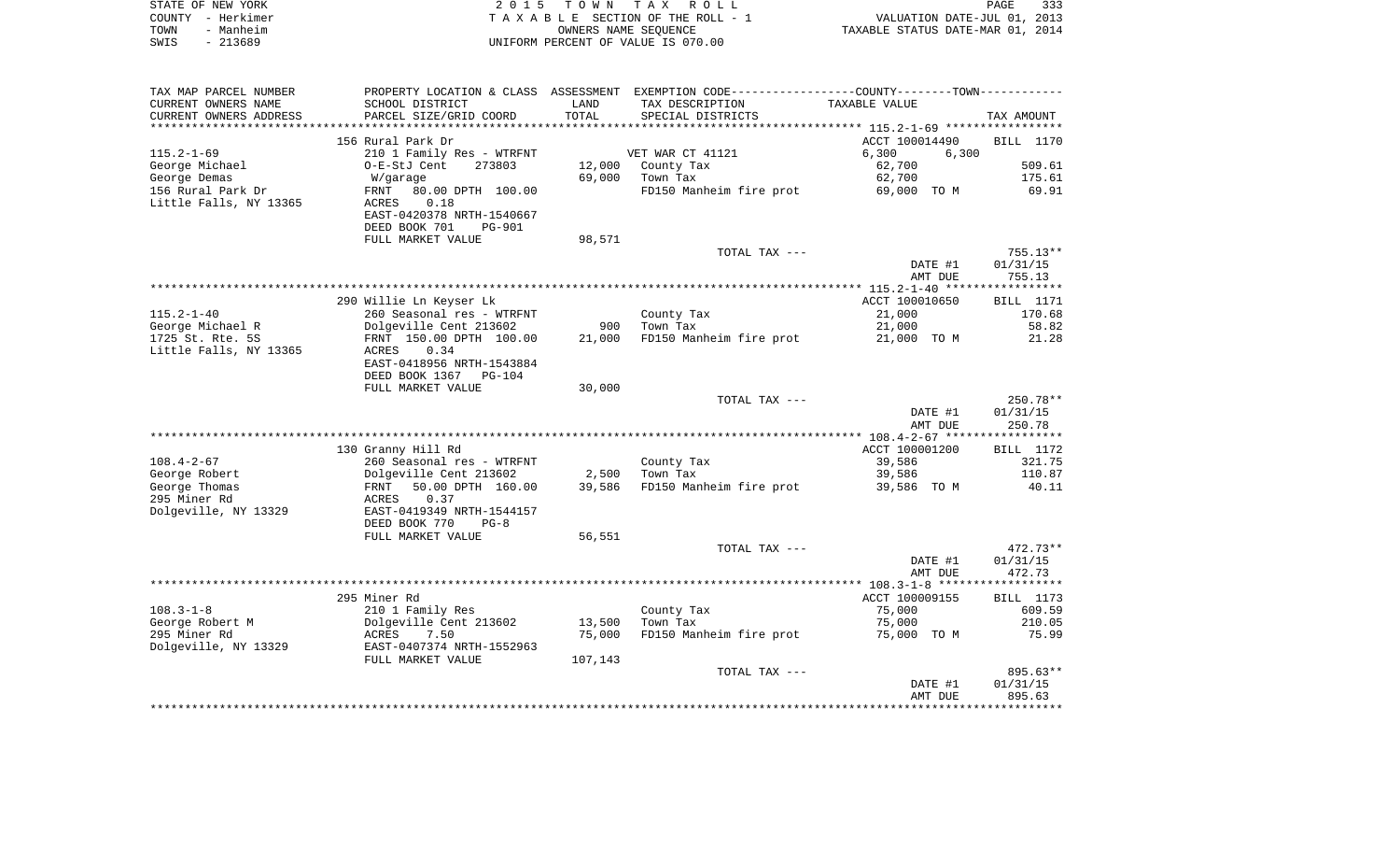| STATE OF NEW YORK                                   | 2 0 1 5                                                               | T O W N | T A X<br><b>ROLL</b>                                        |                                  | PAGE<br>333      |
|-----------------------------------------------------|-----------------------------------------------------------------------|---------|-------------------------------------------------------------|----------------------------------|------------------|
| COUNTY<br>- Herkimer                                |                                                                       |         | TAXABLE SECTION OF THE ROLL - 1                             | VALUATION DATE-JUL 01, 2013      |                  |
| TOWN<br>- Manheim                                   |                                                                       |         | OWNERS NAME SEQUENCE                                        | TAXABLE STATUS DATE-MAR 01, 2014 |                  |
| SWIS<br>$-213689$                                   |                                                                       |         | UNIFORM PERCENT OF VALUE IS 070.00                          |                                  |                  |
| TAX MAP PARCEL NUMBER                               | PROPERTY LOCATION & CLASS ASSESSMENT                                  |         | EXEMPTION CODE-----------------COUNTY-------TOWN----------- |                                  |                  |
| CURRENT OWNERS NAME                                 | SCHOOL DISTRICT                                                       | LAND    | TAX DESCRIPTION                                             | TAXABLE VALUE                    |                  |
| CURRENT OWNERS ADDRESS<br>************************* | PARCEL SIZE/GRID COORD                                                | TOTAL   | SPECIAL DISTRICTS                                           |                                  | TAX AMOUNT       |
|                                                     | 156 Rural Park Dr                                                     |         |                                                             | ACCT 100014490                   | BILL 1170        |
| $115.2 - 1 - 69$                                    | 210 1 Family Res - WTRFNT                                             |         | VET WAR CT 41121                                            | 6,300<br>6,300                   |                  |
| George Michael                                      | O-E-StJ Cent<br>273803                                                | 12,000  | County Tax                                                  | 62,700                           | 509.61           |
| George Demas                                        | W/garage                                                              | 69,000  | Town Tax                                                    | 62,700                           | 175.61           |
| 156 Rural Park Dr                                   | 80.00 DPTH 100.00<br>FRNT                                             |         | FD150 Manheim fire prot                                     | 69,000 TO M                      | 69.91            |
| Little Falls, NY 13365                              | 0.18<br>ACRES<br>EAST-0420378 NRTH-1540667<br>DEED BOOK 701<br>PG-901 |         |                                                             |                                  |                  |
|                                                     | FULL MARKET VALUE                                                     | 98,571  |                                                             |                                  |                  |
|                                                     |                                                                       |         | TOTAL TAX ---                                               |                                  | $755.13**$       |
|                                                     |                                                                       |         |                                                             | DATE #1                          | 01/31/15         |
|                                                     |                                                                       |         |                                                             | AMT DUE                          | 755.13           |
|                                                     | 290 Willie Ln Keyser Lk                                               |         |                                                             | ACCT 100010650                   | <b>BILL</b> 1171 |
| $115.2 - 1 - 40$                                    | 260 Seasonal res - WTRFNT                                             |         | County Tax                                                  | 21,000                           | 170.68           |
| George Michael R                                    | Dolgeville Cent 213602                                                | 900     | Town Tax                                                    | 21,000                           | 58.82            |
| 1725 St. Rte. 5S                                    | FRNT 150.00 DPTH 100.00                                               | 21,000  | FD150 Manheim fire prot                                     | 21,000 TO M                      | 21.28            |
| Little Falls, NY 13365                              | ACRES<br>0.34<br>EAST-0418956 NRTH-1543884<br>DEED BOOK 1367 PG-104   |         |                                                             |                                  |                  |
|                                                     | FULL MARKET VALUE                                                     | 30,000  |                                                             |                                  |                  |
|                                                     |                                                                       |         | TOTAL TAX ---                                               |                                  | 250.78**         |
|                                                     |                                                                       |         |                                                             | DATE #1                          | 01/31/15         |
|                                                     |                                                                       |         |                                                             | AMT DUE                          | 250.78           |
|                                                     |                                                                       |         |                                                             |                                  |                  |
|                                                     | 130 Granny Hill Rd                                                    |         |                                                             | ACCT 100001200                   | BILL 1172        |
| $108.4 - 2 - 67$                                    | 260 Seasonal res - WTRFNT                                             |         | County Tax                                                  | 39,586                           | 321.75           |
| George Robert                                       | Dolgeville Cent 213602                                                | 2,500   | Town Tax                                                    | 39,586                           | 110.87           |
| George Thomas<br>295 Miner Rd                       | FRNT<br>50.00 DPTH 160.00<br>ACRES<br>0.37                            | 39,586  | FD150 Manheim fire prot                                     | 39,586 TO M                      | 40.11            |

| Dolgeville, NY 13329 | EAST-0419349 NRTH-1544157<br>DEED BOOK 770<br>$PG-8$<br>FULL MARKET VALUE | 56,551  |                         |                                     |            |  |
|----------------------|---------------------------------------------------------------------------|---------|-------------------------|-------------------------------------|------------|--|
|                      |                                                                           |         | TOTAL TAX ---           |                                     | $472.73**$ |  |
|                      |                                                                           |         |                         | DATE #1                             | 01/31/15   |  |
|                      |                                                                           |         |                         | AMT DUE                             | 472.73     |  |
|                      |                                                                           |         |                         | $108.3 - 1 - 8$ ******************* |            |  |
|                      | 295 Miner Rd                                                              |         |                         | ACCT 100009155                      | BILL 1173  |  |
| $108.3 - 1 - 8$      | 210 1 Family Res                                                          |         | County Tax              | 75,000                              | 609.59     |  |
| George Robert M      | Dolgeville Cent 213602                                                    | 13,500  | Town Tax                | 75,000                              | 210.05     |  |
| 295 Miner Rd         | 7.50<br>ACRES                                                             | 75,000  | FD150 Manheim fire prot | 75,000<br>TO M                      | 75.99      |  |
| Dolgeville, NY 13329 | EAST-0407374 NRTH-1552963                                                 |         |                         |                                     |            |  |
|                      | FULL MARKET VALUE                                                         | 107,143 |                         |                                     |            |  |
|                      |                                                                           |         | TOTAL TAX ---           |                                     | 895.63**   |  |
|                      |                                                                           |         |                         | DATE #1                             | 01/31/15   |  |
|                      |                                                                           |         |                         | AMT DUE                             | 895.63     |  |
|                      |                                                                           |         |                         |                                     |            |  |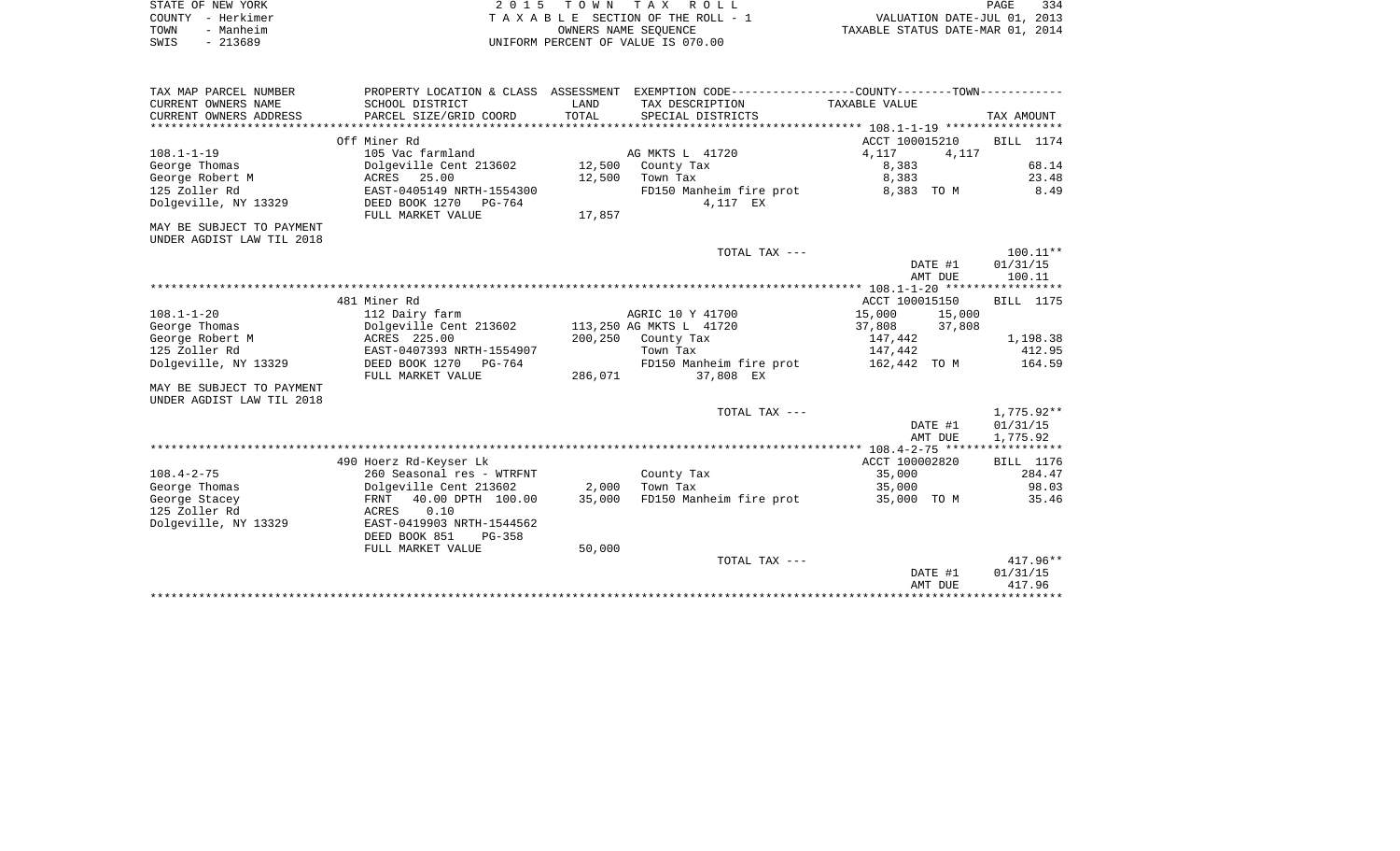| STATE OF NEW YORK | 2015 TOWN TAX ROLL                 | 334<br>PAGE                      |
|-------------------|------------------------------------|----------------------------------|
| COUNTY - Herkimer | TAXABLE SECTION OF THE ROLL - 1    | VALUATION DATE-JUL 01, 2013      |
| TOWN<br>- Manheim | OWNERS NAME SEOUENCE               | TAXABLE STATUS DATE-MAR 01, 2014 |
| $-213689$<br>SWIS | UNIFORM PERCENT OF VALUE IS 070.00 |                                  |

| TAX MAP PARCEL NUMBER     | PROPERTY LOCATION & CLASS ASSESSMENT |         | EXEMPTION CODE----------------COUNTY-------TOWN----------- |                  |                  |
|---------------------------|--------------------------------------|---------|------------------------------------------------------------|------------------|------------------|
| CURRENT OWNERS NAME       | SCHOOL DISTRICT                      | LAND    | TAX DESCRIPTION                                            | TAXABLE VALUE    |                  |
| CURRENT OWNERS ADDRESS    | PARCEL SIZE/GRID COORD               | TOTAL   | SPECIAL DISTRICTS                                          |                  | TAX AMOUNT       |
|                           |                                      |         |                                                            |                  |                  |
|                           | Off Miner Rd                         |         |                                                            | ACCT 100015210   | BILL 1174        |
| $108.1 - 1 - 19$          | 105 Vac farmland                     |         | AG MKTS L 41720                                            | 4,117<br>4,117   |                  |
| George Thomas             | Dolgeville Cent 213602               | 12,500  | County Tax                                                 | 8,383            | 68.14            |
| George Robert M           | ACRES 25.00                          | 12,500  | Town Tax                                                   | 8,383            | 23.48            |
| 125 Zoller Rd             | EAST-0405149 NRTH-1554300            |         | FD150 Manheim fire prot                                    | 8,383 TO M       | 8.49             |
| Dolgeville, NY 13329      | DEED BOOK 1270<br>PG-764             |         | 4,117 EX                                                   |                  |                  |
|                           | FULL MARKET VALUE                    | 17,857  |                                                            |                  |                  |
| MAY BE SUBJECT TO PAYMENT |                                      |         |                                                            |                  |                  |
| UNDER AGDIST LAW TIL 2018 |                                      |         |                                                            |                  |                  |
|                           |                                      |         | TOTAL TAX ---                                              |                  | $100.11**$       |
|                           |                                      |         |                                                            | DATE #1          | 01/31/15         |
|                           |                                      |         |                                                            | AMT DUE          | 100.11           |
|                           |                                      |         |                                                            |                  |                  |
|                           | 481 Miner Rd                         |         |                                                            | ACCT 100015150   | BILL 1175        |
| $108.1 - 1 - 20$          | 112 Dairy farm                       |         | AGRIC 10 Y 41700                                           | 15,000<br>15,000 |                  |
| George Thomas             | Dolgeville Cent 213602               |         | 113,250 AG MKTS L 41720                                    | 37,808<br>37,808 |                  |
| George Robert M           | ACRES 225.00                         | 200,250 | County Tax                                                 | 147,442          | 1,198.38         |
| 125 Zoller Rd             | EAST-0407393 NRTH-1554907            |         | Town Tax                                                   | 147,442          | 412.95           |
| Dolgeville, NY 13329      | DEED BOOK 1270<br>PG-764             |         | FD150 Manheim fire prot                                    | 162,442 TO M     | 164.59           |
|                           | FULL MARKET VALUE                    | 286,071 | 37,808 EX                                                  |                  |                  |
| MAY BE SUBJECT TO PAYMENT |                                      |         |                                                            |                  |                  |
| UNDER AGDIST LAW TIL 2018 |                                      |         |                                                            |                  |                  |
|                           |                                      |         | TOTAL TAX ---                                              |                  | 1,775.92**       |
|                           |                                      |         |                                                            | DATE #1          | 01/31/15         |
|                           |                                      |         |                                                            | AMT DUE          | 1,775.92         |
|                           |                                      |         |                                                            |                  |                  |
|                           | 490 Hoerz Rd-Keyser Lk               |         |                                                            | ACCT 100002820   | <b>BILL</b> 1176 |
| $108.4 - 2 - 75$          | 260 Seasonal res - WTRFNT            |         | County Tax                                                 | 35,000           | 284.47           |
| George Thomas             | Dolgeville Cent 213602               | 2,000   | Town Tax                                                   | 35,000           | 98.03            |
| George Stacey             | 40.00 DPTH 100.00<br>FRNT            | 35,000  | FD150 Manheim fire prot                                    | 35,000 TO M      | 35.46            |
| 125 Zoller Rd             | 0.10<br>ACRES                        |         |                                                            |                  |                  |
| Dolgeville, NY 13329      | EAST-0419903 NRTH-1544562            |         |                                                            |                  |                  |
|                           | DEED BOOK 851<br>$PG-358$            |         |                                                            |                  |                  |
|                           | FULL MARKET VALUE                    | 50,000  |                                                            |                  |                  |
|                           |                                      |         | TOTAL TAX ---                                              |                  | $417.96**$       |
|                           |                                      |         |                                                            | DATE #1          | 01/31/15         |
|                           |                                      |         |                                                            | AMT DUE          | 417.96           |
|                           |                                      |         |                                                            |                  |                  |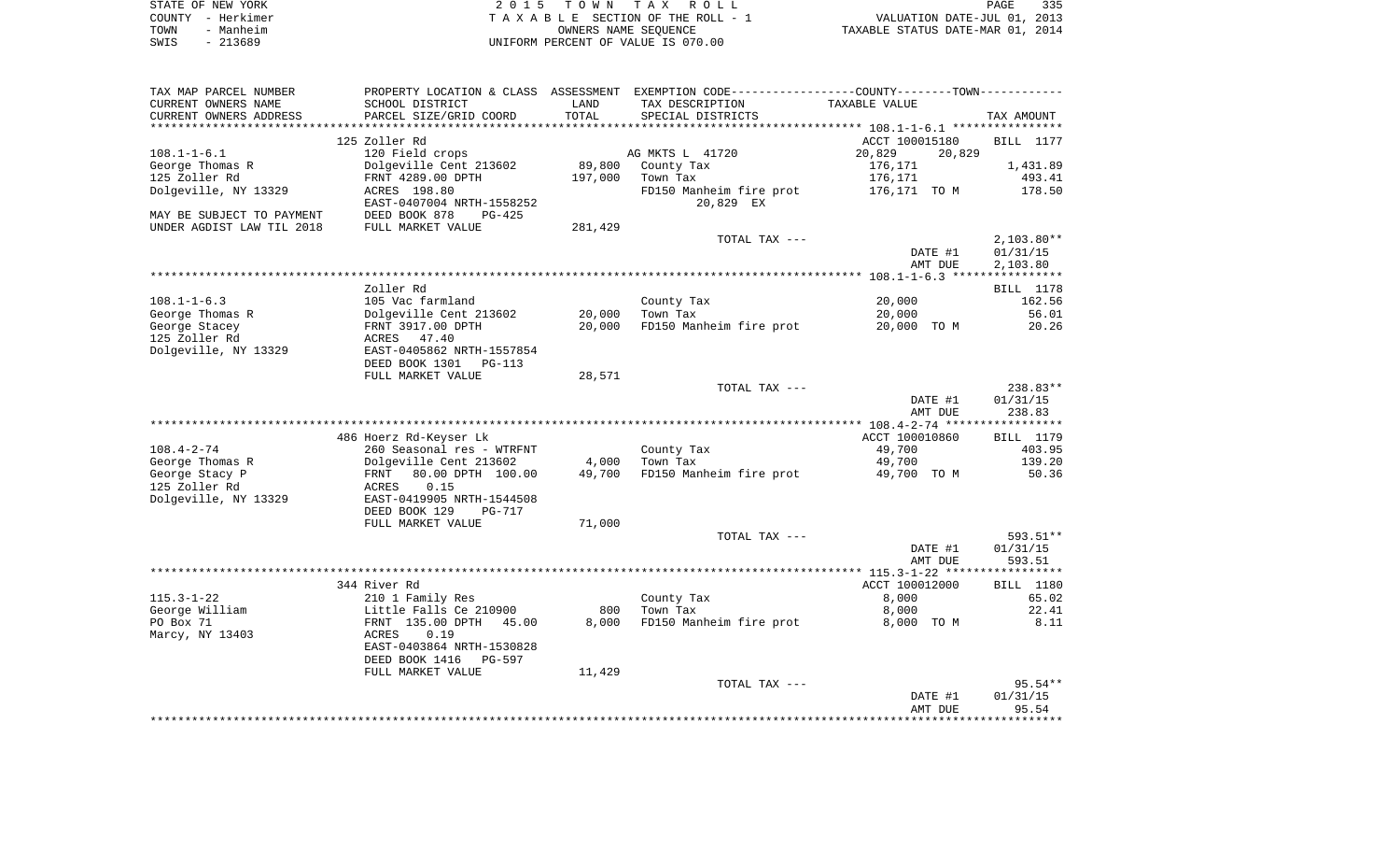| STATE OF NEW YORK | 2015 TOWN TAX ROLL                 | 335<br>PAGE                      |
|-------------------|------------------------------------|----------------------------------|
| COUNTY - Herkimer | TAXABLE SECTION OF THE ROLL - 1    | VALUATION DATE-JUL 01, 2013      |
| - Manheim<br>TOWN | OWNERS NAME SEOUENCE               | TAXABLE STATUS DATE-MAR 01, 2014 |
| $-213689$<br>SWIS | UNIFORM PERCENT OF VALUE IS 070.00 |                                  |

| TAX MAP PARCEL NUMBER     |                                 |         | PROPERTY LOCATION & CLASS ASSESSMENT EXEMPTION CODE---------------COUNTY-------TOWN---------- |                  |                  |
|---------------------------|---------------------------------|---------|-----------------------------------------------------------------------------------------------|------------------|------------------|
| CURRENT OWNERS NAME       | SCHOOL DISTRICT                 | LAND    | TAX DESCRIPTION                                                                               | TAXABLE VALUE    |                  |
| CURRENT OWNERS ADDRESS    | PARCEL SIZE/GRID COORD          | TOTAL   | SPECIAL DISTRICTS                                                                             |                  | TAX AMOUNT       |
|                           |                                 |         |                                                                                               |                  |                  |
|                           | 125 Zoller Rd                   |         |                                                                                               | ACCT 100015180   | <b>BILL</b> 1177 |
| $108.1 - 1 - 6.1$         | 120 Field crops                 |         | AG MKTS L 41720                                                                               | 20,829<br>20,829 |                  |
| George Thomas R           | Dolgeville Cent 213602          | 89,800  | County Tax                                                                                    | 176,171          | 1,431.89         |
| 125 Zoller Rd             | FRNT 4289.00 DPTH               | 197,000 | Town Tax                                                                                      | 176,171          | 493.41           |
| Dolgeville, NY 13329      | ACRES 198.80                    |         | FD150 Manheim fire prot                                                                       | 176,171   TO  M  | 178.50           |
|                           | EAST-0407004 NRTH-1558252       |         | 20,829 EX                                                                                     |                  |                  |
| MAY BE SUBJECT TO PAYMENT | DEED BOOK 878<br>PG-425         |         |                                                                                               |                  |                  |
|                           |                                 |         |                                                                                               |                  |                  |
| UNDER AGDIST LAW TIL 2018 | FULL MARKET VALUE               | 281,429 |                                                                                               |                  |                  |
|                           |                                 |         | TOTAL TAX ---                                                                                 |                  | $2,103.80**$     |
|                           |                                 |         |                                                                                               | DATE #1          | 01/31/15         |
|                           |                                 |         |                                                                                               | AMT DUE          | 2,103.80         |
|                           |                                 |         |                                                                                               |                  |                  |
|                           | Zoller Rd                       |         |                                                                                               |                  | BILL 1178        |
| $108.1 - 1 - 6.3$         | 105 Vac farmland                |         | County Tax                                                                                    | 20,000           | 162.56           |
| George Thomas R           | Dolgeville Cent 213602          | 20,000  | Town Tax                                                                                      | 20,000           | 56.01            |
| George Stacey             | FRNT 3917.00 DPTH               | 20,000  | FD150 Manheim fire prot                                                                       | 20,000 TO M      | 20.26            |
| 125 Zoller Rd             | ACRES 47.40                     |         |                                                                                               |                  |                  |
| Dolgeville, NY 13329      | EAST-0405862 NRTH-1557854       |         |                                                                                               |                  |                  |
|                           | DEED BOOK 1301<br>PG-113        |         |                                                                                               |                  |                  |
|                           | FULL MARKET VALUE               | 28,571  |                                                                                               |                  |                  |
|                           |                                 |         | TOTAL TAX ---                                                                                 |                  | 238.83**         |
|                           |                                 |         |                                                                                               | DATE #1          | 01/31/15         |
|                           |                                 |         |                                                                                               | AMT DUE          | 238.83           |
|                           |                                 |         |                                                                                               |                  |                  |
|                           |                                 |         |                                                                                               |                  |                  |
|                           | 486 Hoerz Rd-Keyser Lk          |         |                                                                                               | ACCT 100010860   | BILL 1179        |
| $108.4 - 2 - 74$          | 260 Seasonal res - WTRFNT       |         | County Tax                                                                                    | 49,700           | 403.95           |
| George Thomas R           | Dolgeville Cent 213602          | 4,000   | Town Tax                                                                                      | 49,700           | 139.20           |
| George Stacy P            | 80.00 DPTH 100.00<br>FRNT       | 49,700  | FD150 Manheim fire prot                                                                       | 49,700 TO M      | 50.36            |
| 125 Zoller Rd             | 0.15<br>ACRES                   |         |                                                                                               |                  |                  |
| Dolgeville, NY 13329      | EAST-0419905 NRTH-1544508       |         |                                                                                               |                  |                  |
|                           | DEED BOOK 129<br><b>PG-717</b>  |         |                                                                                               |                  |                  |
|                           | FULL MARKET VALUE               | 71,000  |                                                                                               |                  |                  |
|                           |                                 |         | TOTAL TAX ---                                                                                 |                  | 593.51**         |
|                           |                                 |         |                                                                                               | DATE #1          | 01/31/15         |
|                           |                                 |         |                                                                                               | AMT DUE          | 593.51           |
|                           |                                 |         |                                                                                               |                  |                  |
|                           | 344 River Rd                    |         |                                                                                               | ACCT 100012000   | BILL 1180        |
| $115.3 - 1 - 22$          | 210 1 Family Res                |         | County Tax                                                                                    | 8,000            | 65.02            |
| George William            | Little Falls Ce 210900          | 800     | Town Tax                                                                                      | 8,000            | 22.41            |
| PO Box 71                 | FRNT 135.00 DPTH<br>45.00       | 8,000   | FD150 Manheim fire prot                                                                       |                  |                  |
|                           |                                 |         |                                                                                               | 8,000 TO M       | 8.11             |
| Marcy, NY 13403           | 0.19<br>ACRES                   |         |                                                                                               |                  |                  |
|                           | EAST-0403864 NRTH-1530828       |         |                                                                                               |                  |                  |
|                           | DEED BOOK 1416<br><b>PG-597</b> |         |                                                                                               |                  |                  |
|                           | FULL MARKET VALUE               | 11,429  |                                                                                               |                  |                  |
|                           |                                 |         | TOTAL TAX ---                                                                                 |                  | $95.54**$        |
|                           |                                 |         |                                                                                               | DATE #1          | 01/31/15         |
|                           |                                 |         |                                                                                               | AMT DUE          | 95.54            |
|                           |                                 |         |                                                                                               |                  |                  |
|                           |                                 |         |                                                                                               |                  |                  |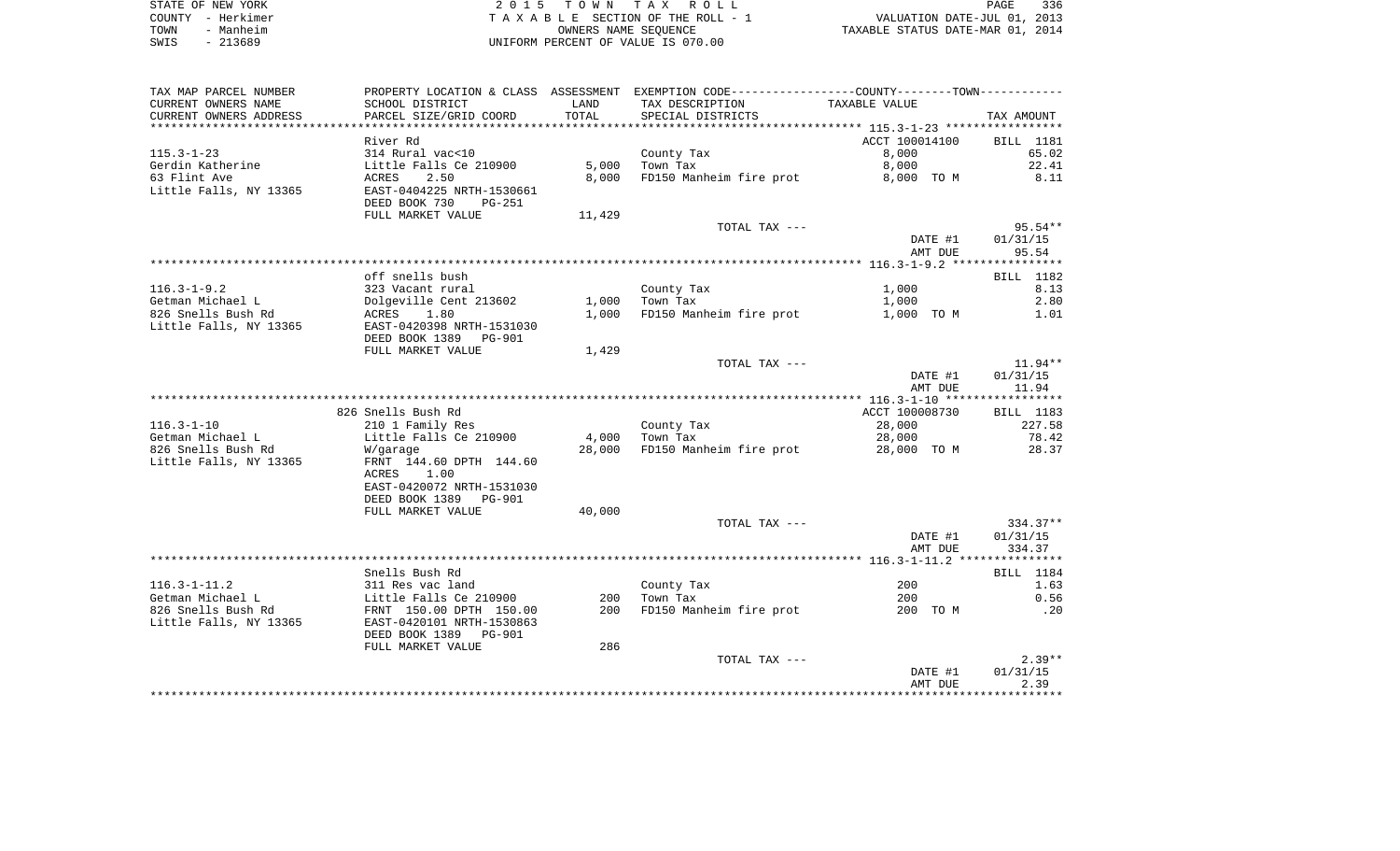|      | STATE OF NEW YORK | 2015 TOWN TAX ROLL                 | PAGE                             | 336 |
|------|-------------------|------------------------------------|----------------------------------|-----|
|      | COUNTY - Herkimer | TAXABLE SECTION OF THE ROLL - 1    | VALUATION DATE-JUL 01, 2013      |     |
| TOWN | - Manheim         | OWNERS NAME SEOUENCE               | TAXABLE STATUS DATE-MAR 01, 2014 |     |
| SWIS | $-213689$         | UNIFORM PERCENT OF VALUE IS 070.00 |                                  |     |

| TAX MAP PARCEL NUMBER  |                           |        | PROPERTY LOCATION & CLASS ASSESSMENT EXEMPTION CODE----------------COUNTY-------TOWN---------- |                |            |
|------------------------|---------------------------|--------|------------------------------------------------------------------------------------------------|----------------|------------|
| CURRENT OWNERS NAME    | SCHOOL DISTRICT           | LAND   | TAX DESCRIPTION                                                                                | TAXABLE VALUE  |            |
| CURRENT OWNERS ADDRESS | PARCEL SIZE/GRID COORD    | TOTAL  | SPECIAL DISTRICTS                                                                              |                | TAX AMOUNT |
|                        |                           |        |                                                                                                |                |            |
|                        | River Rd                  |        |                                                                                                | ACCT 100014100 | BILL 1181  |
| $115.3 - 1 - 23$       | 314 Rural vac<10          |        | County Tax                                                                                     | 8,000          | 65.02      |
| Gerdin Katherine       | Little Falls Ce 210900    | 5,000  | Town Tax                                                                                       | 8,000          | 22.41      |
| 63 Flint Ave           | 2.50<br>ACRES             | 8,000  | FD150 Manheim fire prot                                                                        | 8,000 TO M     | 8.11       |
| Little Falls, NY 13365 | EAST-0404225 NRTH-1530661 |        |                                                                                                |                |            |
|                        | DEED BOOK 730<br>PG-251   |        |                                                                                                |                |            |
|                        | FULL MARKET VALUE         | 11,429 |                                                                                                |                |            |
|                        |                           |        | TOTAL TAX ---                                                                                  |                | $95.54**$  |
|                        |                           |        |                                                                                                | DATE #1        | 01/31/15   |
|                        |                           |        |                                                                                                | AMT DUE        | 95.54      |
|                        |                           |        |                                                                                                |                |            |
|                        | off snells bush           |        |                                                                                                |                | BILL 1182  |
| $116.3 - 1 - 9.2$      | 323 Vacant rural          |        | County Tax                                                                                     | 1,000          | 8.13       |
| Getman Michael L       | Dolgeville Cent 213602    | 1,000  | Town Tax                                                                                       | 1,000          | 2.80       |
| 826 Snells Bush Rd     | ACRES<br>1.80             | 1,000  | FD150 Manheim fire prot                                                                        | 1,000 TO M     | 1.01       |
| Little Falls, NY 13365 | EAST-0420398 NRTH-1531030 |        |                                                                                                |                |            |
|                        | DEED BOOK 1389 PG-901     |        |                                                                                                |                |            |
|                        | FULL MARKET VALUE         | 1,429  |                                                                                                |                |            |
|                        |                           |        | TOTAL TAX ---                                                                                  |                | $11.94**$  |
|                        |                           |        |                                                                                                | DATE #1        | 01/31/15   |
|                        |                           |        |                                                                                                | AMT DUE        | 11.94      |
|                        | 826 Snells Bush Rd        |        |                                                                                                | ACCT 100008730 | BILL 1183  |
| $116.3 - 1 - 10$       | 210 1 Family Res          |        | County Tax                                                                                     | 28,000         | 227.58     |
| Getman Michael L       | Little Falls Ce 210900    | 4,000  | Town Tax                                                                                       | 28,000         | 78.42      |
| 826 Snells Bush Rd     | W/garage                  | 28,000 | FD150 Manheim fire prot                                                                        | 28,000 TO M    | 28.37      |
| Little Falls, NY 13365 | FRNT 144.60 DPTH 144.60   |        |                                                                                                |                |            |
|                        | ACRES<br>1.00             |        |                                                                                                |                |            |
|                        | EAST-0420072 NRTH-1531030 |        |                                                                                                |                |            |
|                        | DEED BOOK 1389 PG-901     |        |                                                                                                |                |            |
|                        | FULL MARKET VALUE         | 40,000 |                                                                                                |                |            |
|                        |                           |        | TOTAL TAX ---                                                                                  |                | $334.37**$ |
|                        |                           |        |                                                                                                | DATE #1        | 01/31/15   |
|                        |                           |        |                                                                                                | AMT DUE        | 334.37     |
|                        |                           |        |                                                                                                |                |            |
|                        | Snells Bush Rd            |        |                                                                                                |                | BILL 1184  |
| $116.3 - 1 - 11.2$     | 311 Res vac land          |        | County Tax                                                                                     | 200            | 1.63       |
| Getman Michael L       | Little Falls Ce 210900    | 200    | Town Tax                                                                                       | 200            | 0.56       |
| 826 Snells Bush Rd     | FRNT 150.00 DPTH 150.00   | 200    | FD150 Manheim fire prot                                                                        | 200 TO M       | .20        |
| Little Falls, NY 13365 | EAST-0420101 NRTH-1530863 |        |                                                                                                |                |            |
|                        | DEED BOOK 1389 PG-901     |        |                                                                                                |                |            |
|                        | FULL MARKET VALUE         | 286    |                                                                                                |                |            |
|                        |                           |        | TOTAL TAX ---                                                                                  |                | $2.39**$   |
|                        |                           |        |                                                                                                | DATE #1        | 01/31/15   |
|                        |                           |        |                                                                                                | AMT DUE        | 2.39       |
|                        |                           |        |                                                                                                |                |            |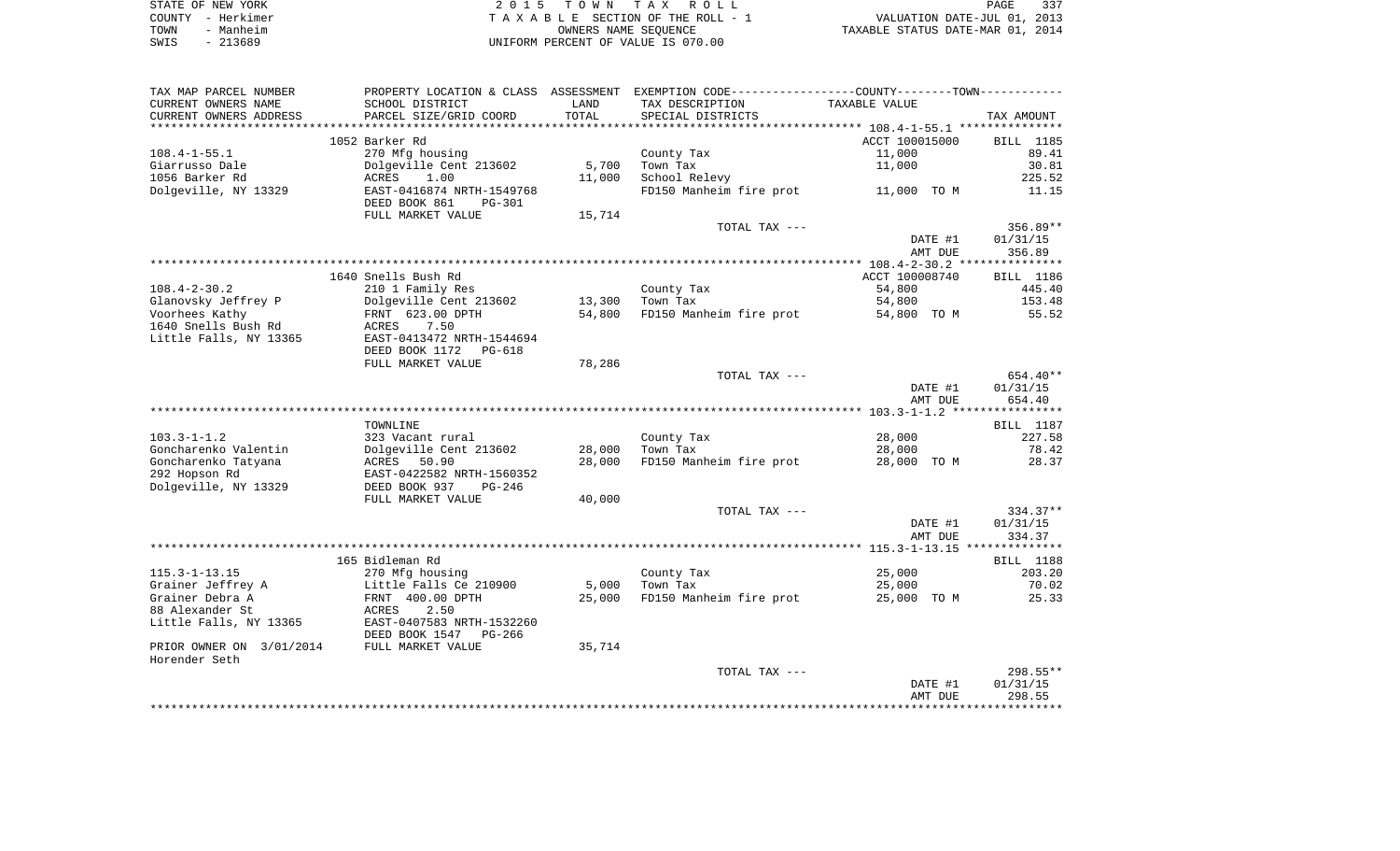|      | STATE OF NEW YORK | 2015 TOWN TAX ROLL                 | PAGE                             | 337 |
|------|-------------------|------------------------------------|----------------------------------|-----|
|      | COUNTY - Herkimer | TAXABLE SECTION OF THE ROLL - 1    | VALUATION DATE-JUL 01, 2013      |     |
| TOWN | - Manheim         | OWNERS NAME SEOUENCE               | TAXABLE STATUS DATE-MAR 01, 2014 |     |
| SWIS | $-213689$         | UNIFORM PERCENT OF VALUE IS 070.00 |                                  |     |

| TAX MAP PARCEL NUMBER    | PROPERTY LOCATION & CLASS ASSESSMENT                  |                      | EXEMPTION CODE-----------------COUNTY-------TOWN----------- |                    |                    |
|--------------------------|-------------------------------------------------------|----------------------|-------------------------------------------------------------|--------------------|--------------------|
| CURRENT OWNERS NAME      | SCHOOL DISTRICT                                       | LAND                 | TAX DESCRIPTION                                             | TAXABLE VALUE      |                    |
| CURRENT OWNERS ADDRESS   | PARCEL SIZE/GRID COORD                                | TOTAL<br>*********** | SPECIAL DISTRICTS                                           |                    | TAX AMOUNT         |
|                          |                                                       |                      |                                                             |                    |                    |
|                          | 1052 Barker Rd                                        |                      |                                                             | ACCT 100015000     | BILL 1185          |
| $108.4 - 1 - 55.1$       | 270 Mfg housing                                       |                      | County Tax                                                  | 11,000             | 89.41              |
| Giarrusso Dale           | Dolgeville Cent 213602                                | 5,700                | Town Tax                                                    | 11,000             | 30.81              |
| 1056 Barker Rd           | ACRES<br>1.00                                         | 11,000               | School Relevy                                               |                    | 225.52             |
| Dolgeville, NY 13329     | EAST-0416874 NRTH-1549768                             |                      | FD150 Manheim fire prot                                     | 11,000 TO M        | 11.15              |
|                          | DEED BOOK 861<br><b>PG-301</b>                        |                      |                                                             |                    |                    |
|                          | FULL MARKET VALUE                                     | 15,714               |                                                             |                    |                    |
|                          |                                                       |                      | TOTAL TAX ---                                               |                    | 356.89**           |
|                          |                                                       |                      |                                                             | DATE #1<br>AMT DUE | 01/31/15<br>356.89 |
|                          |                                                       |                      |                                                             |                    |                    |
|                          | 1640 Snells Bush Rd                                   |                      |                                                             | ACCT 100008740     | BILL 1186          |
| $108.4 - 2 - 30.2$       | 210 1 Family Res                                      |                      | County Tax                                                  | 54,800             | 445.40             |
| Glanovsky Jeffrey P      | Dolgeville Cent 213602                                | 13,300               | Town Tax                                                    | 54,800             | 153.48             |
| Voorhees Kathy           | FRNT 623.00 DPTH                                      | 54,800               | FD150 Manheim fire prot                                     | 54,800 TO M        | 55.52              |
| 1640 Snells Bush Rd      | 7.50<br>ACRES                                         |                      |                                                             |                    |                    |
| Little Falls, NY 13365   | EAST-0413472 NRTH-1544694                             |                      |                                                             |                    |                    |
|                          | DEED BOOK 1172<br>PG-618                              |                      |                                                             |                    |                    |
|                          | FULL MARKET VALUE                                     | 78,286               |                                                             |                    |                    |
|                          |                                                       |                      | TOTAL TAX ---                                               |                    | 654.40**           |
|                          |                                                       |                      |                                                             | DATE #1            | 01/31/15           |
|                          |                                                       |                      |                                                             | AMT DUE            | 654.40             |
|                          |                                                       |                      |                                                             |                    |                    |
|                          | TOWNLINE                                              |                      |                                                             |                    | BILL 1187          |
| $103.3 - 1 - 1.2$        | 323 Vacant rural                                      |                      | County Tax                                                  | 28,000             | 227.58             |
| Goncharenko Valentin     | Dolgeville Cent 213602                                | 28,000               | Town Tax                                                    | 28,000             | 78.42              |
| Goncharenko Tatyana      | ACRES<br>50.90                                        | 28,000               | FD150 Manheim fire prot                                     | 28,000 TO M        | 28.37              |
| 292 Hopson Rd            | EAST-0422582 NRTH-1560352                             |                      |                                                             |                    |                    |
| Dolgeville, NY 13329     | DEED BOOK 937<br>PG-246                               |                      |                                                             |                    |                    |
|                          | FULL MARKET VALUE                                     | 40,000               |                                                             |                    |                    |
|                          |                                                       |                      | TOTAL TAX ---                                               |                    | $334.37**$         |
|                          |                                                       |                      |                                                             | DATE #1            | 01/31/15           |
|                          |                                                       |                      |                                                             | AMT DUE            | 334.37             |
|                          |                                                       |                      |                                                             |                    |                    |
|                          | 165 Bidleman Rd                                       |                      |                                                             |                    | BILL 1188          |
| $115.3 - 1 - 13.15$      | 270 Mfg housing                                       |                      | County Tax                                                  | 25,000             | 203.20             |
| Grainer Jeffrey A        | Little Falls Ce 210900                                | 5,000                | Town Tax                                                    | 25,000             | 70.02              |
| Grainer Debra A          | FRNT 400.00 DPTH                                      | 25,000               | FD150 Manheim fire prot                                     | 25,000 TO M        | 25.33              |
| 88 Alexander St          | 2.50<br>ACRES                                         |                      |                                                             |                    |                    |
| Little Falls, NY 13365   | EAST-0407583 NRTH-1532260<br>DEED BOOK 1547<br>PG-266 |                      |                                                             |                    |                    |
| PRIOR OWNER ON 3/01/2014 | FULL MARKET VALUE                                     | 35,714               |                                                             |                    |                    |
| Horender Seth            |                                                       |                      |                                                             |                    |                    |
|                          |                                                       |                      | TOTAL TAX ---                                               |                    | 298.55**           |
|                          |                                                       |                      |                                                             | DATE #1            | 01/31/15           |
|                          |                                                       |                      |                                                             | AMT DUE            | 298.55             |
|                          |                                                       |                      |                                                             |                    |                    |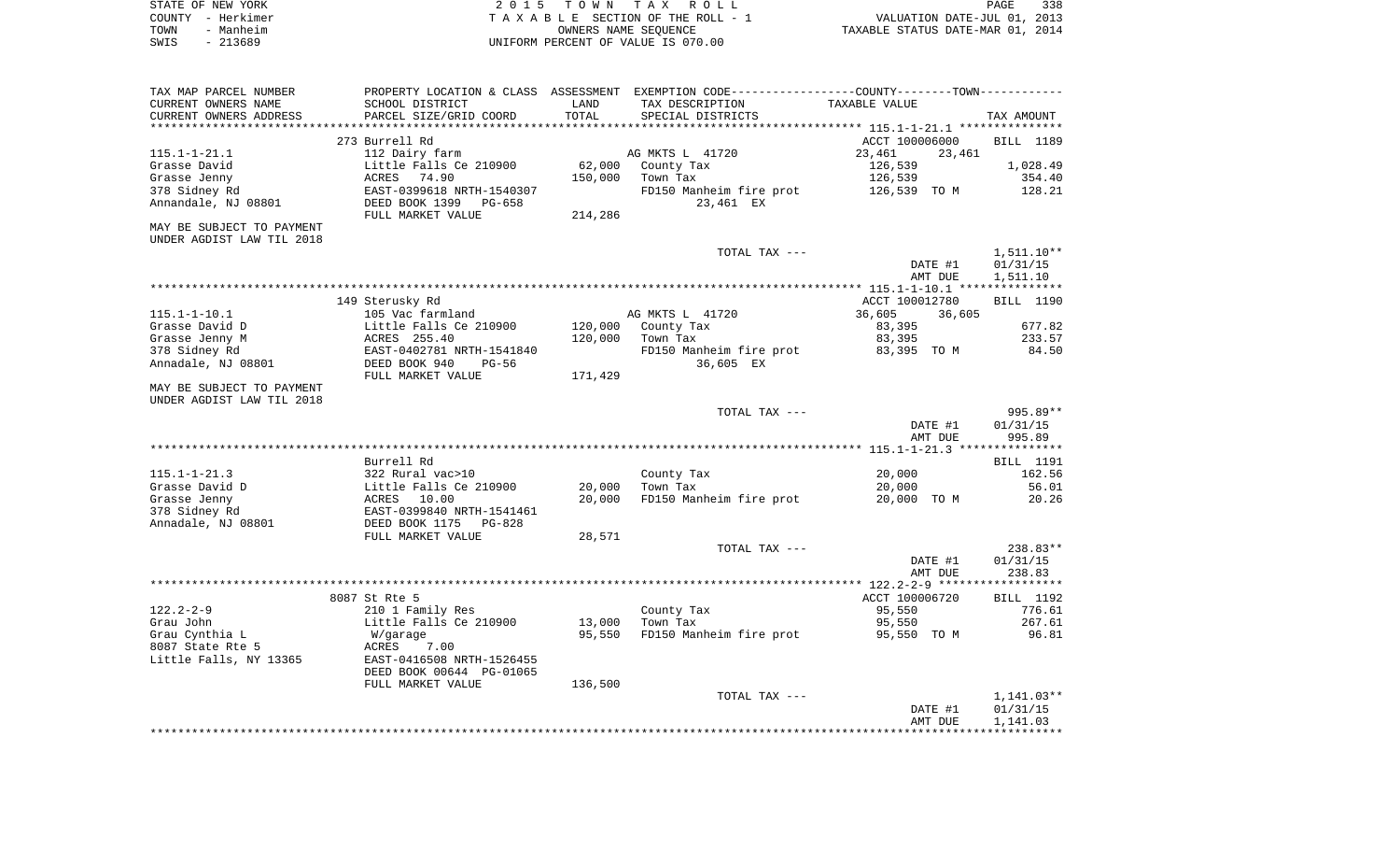| STATE OF NEW YORK |                   | 2015 TOWN TAX ROLL                 | 338<br>PAGE                      |
|-------------------|-------------------|------------------------------------|----------------------------------|
|                   | COUNTY – Herkimer | TAXABLE SECTION OF THE ROLL - 1    | VALUATION DATE-JUL 01, 2013      |
| TOWN              | - Manheim         | OWNERS NAME SEOUENCE               | TAXABLE STATUS DATE-MAR 01, 2014 |
| SWIS              | $-213689$         | UNIFORM PERCENT OF VALUE IS 070.00 |                                  |

| TAX MAP PARCEL NUMBER     |                                               |         | PROPERTY LOCATION & CLASS ASSESSMENT EXEMPTION CODE---------------COUNTY-------TOWN---------- |                  |                  |
|---------------------------|-----------------------------------------------|---------|-----------------------------------------------------------------------------------------------|------------------|------------------|
| CURRENT OWNERS NAME       | SCHOOL DISTRICT                               | LAND    | TAX DESCRIPTION                                                                               | TAXABLE VALUE    |                  |
| CURRENT OWNERS ADDRESS    | PARCEL SIZE/GRID COORD                        | TOTAL   | SPECIAL DISTRICTS                                                                             |                  | TAX AMOUNT       |
| **********************    |                                               |         |                                                                                               |                  |                  |
|                           | 273 Burrell Rd                                |         |                                                                                               | ACCT 100006000   | BILL 1189        |
| $115.1 - 1 - 21.1$        | 112 Dairy farm                                |         | AG MKTS L 41720                                                                               | 23,461<br>23,461 |                  |
| Grasse David              | Little Falls Ce 210900                        | 62,000  | County Tax                                                                                    | 126,539          | 1,028.49         |
| Grasse Jenny              | 74.90<br>ACRES                                | 150,000 | Town Tax                                                                                      | 126,539          | 354.40           |
| 378 Sidney Rd             | EAST-0399618 NRTH-1540307                     |         | FD150 Manheim fire prot                                                                       | 126,539 TO M     | 128.21           |
| Annandale, NJ 08801       | DEED BOOK 1399<br>PG-658                      |         | 23,461 EX                                                                                     |                  |                  |
|                           | FULL MARKET VALUE                             | 214,286 |                                                                                               |                  |                  |
| MAY BE SUBJECT TO PAYMENT |                                               |         |                                                                                               |                  |                  |
| UNDER AGDIST LAW TIL 2018 |                                               |         |                                                                                               |                  |                  |
|                           |                                               |         | TOTAL TAX ---                                                                                 |                  | $1,511.10**$     |
|                           |                                               |         |                                                                                               | DATE #1          | 01/31/15         |
|                           |                                               |         |                                                                                               | AMT DUE          | 1,511.10         |
|                           |                                               |         |                                                                                               |                  |                  |
|                           | 149 Sterusky Rd                               |         |                                                                                               | ACCT 100012780   | BILL 1190        |
| $115.1 - 1 - 10.1$        | 105 Vac farmland                              |         | AG MKTS L 41720                                                                               | 36,605<br>36,605 |                  |
| Grasse David D            | Little Falls Ce 210900                        | 120,000 | County Tax                                                                                    | 83,395           | 677.82           |
| Grasse Jenny M            | ACRES 255.40                                  | 120,000 | Town Tax                                                                                      | 83,395           | 233.57           |
| 378 Sidney Rd             | EAST-0402781 NRTH-1541840                     |         | FD150 Manheim fire prot                                                                       | 83,395 TO M      | 84.50            |
| Annadale, NJ 08801        | DEED BOOK 940<br>$PG-56$<br>FULL MARKET VALUE | 171,429 | 36,605 EX                                                                                     |                  |                  |
| MAY BE SUBJECT TO PAYMENT |                                               |         |                                                                                               |                  |                  |
| UNDER AGDIST LAW TIL 2018 |                                               |         |                                                                                               |                  |                  |
|                           |                                               |         | TOTAL TAX ---                                                                                 |                  | 995.89**         |
|                           |                                               |         |                                                                                               | DATE #1          | 01/31/15         |
|                           |                                               |         |                                                                                               | AMT DUE          | 995.89           |
|                           |                                               |         |                                                                                               |                  |                  |
|                           | Burrell Rd                                    |         |                                                                                               |                  | BILL 1191        |
| $115.1 - 1 - 21.3$        | 322 Rural vac>10                              |         | County Tax                                                                                    | 20,000           | 162.56           |
| Grasse David D            | Little Falls Ce 210900                        | 20,000  | Town Tax                                                                                      | 20,000           | 56.01            |
| Grasse Jenny              | ACRES<br>10.00                                | 20,000  | FD150 Manheim fire prot                                                                       | 20,000 TO M      | 20.26            |
| 378 Sidney Rd             | EAST-0399840 NRTH-1541461                     |         |                                                                                               |                  |                  |
| Annadale, NJ 08801        | DEED BOOK 1175<br>$PG-828$                    |         |                                                                                               |                  |                  |
|                           | FULL MARKET VALUE                             | 28,571  |                                                                                               |                  |                  |
|                           |                                               |         | TOTAL TAX ---                                                                                 |                  | $238.83**$       |
|                           |                                               |         |                                                                                               | DATE #1          | 01/31/15         |
|                           |                                               |         |                                                                                               | AMT DUE          | 238.83           |
|                           |                                               |         |                                                                                               |                  |                  |
|                           | 8087 St Rte 5                                 |         |                                                                                               | ACCT 100006720   | <b>BILL</b> 1192 |
| $122.2 - 2 - 9$           | 210 1 Family Res                              |         | County Tax                                                                                    | 95,550           | 776.61           |
| Grau John                 | Little Falls Ce 210900                        | 13,000  | Town Tax                                                                                      | 95,550           | 267.61           |
| Grau Cynthia L            | W/garage                                      | 95,550  | FD150 Manheim fire prot                                                                       | 95,550 TO M      | 96.81            |
| 8087 State Rte 5          | ACRES<br>7.00                                 |         |                                                                                               |                  |                  |
| Little Falls, NY 13365    | EAST-0416508 NRTH-1526455                     |         |                                                                                               |                  |                  |
|                           | DEED BOOK 00644 PG-01065                      |         |                                                                                               |                  |                  |
|                           | FULL MARKET VALUE                             | 136,500 |                                                                                               |                  |                  |
|                           |                                               |         | TOTAL TAX ---                                                                                 |                  | $1,141.03**$     |
|                           |                                               |         |                                                                                               | DATE #1          | 01/31/15         |
|                           |                                               |         |                                                                                               | AMT DUE          | 1,141.03         |
|                           |                                               |         |                                                                                               |                  |                  |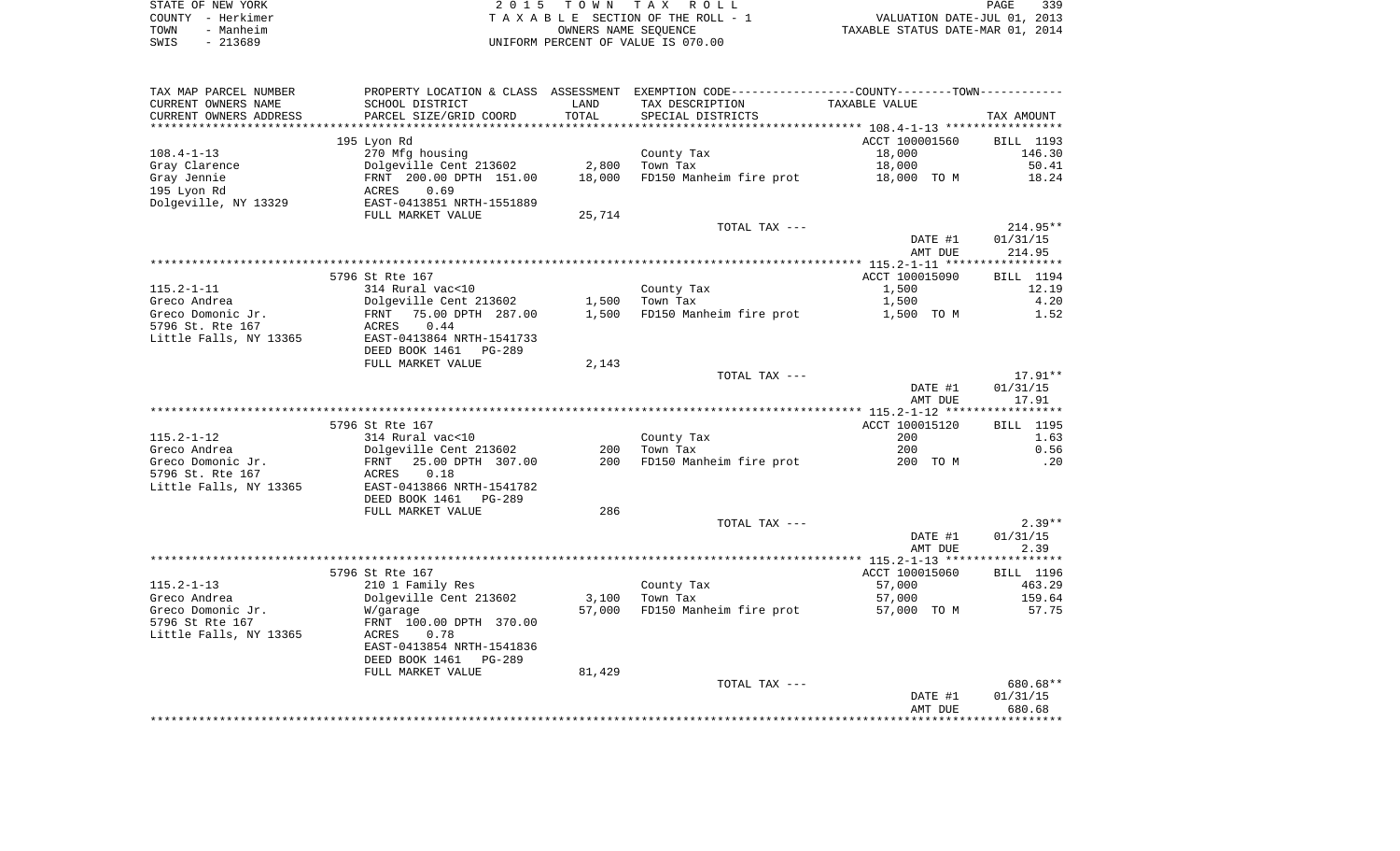|      | STATE OF NEW YORK | 2015 TOWN TAX ROLL                 | 339<br>PAGE                      |
|------|-------------------|------------------------------------|----------------------------------|
|      | COUNTY - Herkimer | TAXABLE SECTION OF THE ROLL - 1    | VALUATION DATE-JUL 01, 2013      |
| TOWN | - Manheim         | OWNERS NAME SEOUENCE               | TAXABLE STATUS DATE-MAR 01, 2014 |
| SWIS | - 213689          | UNIFORM PERCENT OF VALUE IS 070.00 |                                  |

| TAX MAP PARCEL NUMBER  | PROPERTY LOCATION & CLASS ASSESSMENT EXEMPTION CODE---------------COUNTY-------TOWN----------             |                |                         |                |            |
|------------------------|-----------------------------------------------------------------------------------------------------------|----------------|-------------------------|----------------|------------|
| CURRENT OWNERS NAME    | SCHOOL DISTRICT                                                                                           | LAND           | TAX DESCRIPTION         | TAXABLE VALUE  |            |
| CURRENT OWNERS ADDRESS | PARCEL SIZE/GRID COORD                                                                                    | TOTAL          | SPECIAL DISTRICTS       |                | TAX AMOUNT |
|                        |                                                                                                           |                |                         |                |            |
|                        | 195 Lyon Rd                                                                                               |                |                         | ACCT 100001560 | BILL 1193  |
| $108.4 - 1 - 13$       | 270 Mfg housing                                                                                           |                | County Tax              | 18,000         | 146.30     |
| Gray Clarence          |                                                                                                           |                | Town Tax                | 18,000         | 50.41      |
| Gray Jennie            |                                                                                                           |                | FD150 Manheim fire prot | 18,000 TO M    | 18.24      |
| 195 Lyon Rd            | Dolgeville Cent 213602 2,800<br>FRNT 200.00 DPTH 151.00 18,000<br>ACRES 0.69<br>EAST-0413851 NRTH-1551889 |                |                         |                |            |
| Dolgeville, NY 13329   |                                                                                                           |                |                         |                |            |
|                        | FULL MARKET VALUE                                                                                         | 25,714         |                         |                |            |
|                        |                                                                                                           |                | TOTAL TAX ---           |                | 214.95**   |
|                        |                                                                                                           |                |                         | DATE #1        | 01/31/15   |
|                        |                                                                                                           |                |                         | AMT DUE        | 214.95     |
|                        |                                                                                                           |                |                         |                |            |
|                        | 5796 St Rte 167                                                                                           |                |                         | ACCT 100015090 | BILL 1194  |
| 115.2-1-11             | 314 Rural vac<10                                                                                          |                | County Tax              | 1,500          | 12.19      |
| Greco Andrea           | Dolgeville Cent 213602<br>FRNT 75.00 DPTH 287.00                                                          |                | $1,500$ Town Tax        | 1,500          | 4.20       |
| Greco Domonic Jr.      |                                                                                                           | 1,500          | FD150 Manheim fire prot | 1,500 TO M     | 1.52       |
| 5796 St. Rte 167       | ACRES 0.44                                                                                                |                |                         |                |            |
|                        | Little Falls, NY 13365 EAST-0413864 NRTH-1541733                                                          |                |                         |                |            |
|                        | DEED BOOK 1461 PG-289                                                                                     |                |                         |                |            |
|                        | FULL MARKET VALUE                                                                                         | 2,143          |                         |                |            |
|                        |                                                                                                           |                | TOTAL TAX ---           |                | $17.91**$  |
|                        |                                                                                                           |                |                         | DATE #1        | 01/31/15   |
|                        |                                                                                                           |                |                         | AMT DUE        | 17.91      |
|                        |                                                                                                           |                |                         |                |            |
|                        | 5796 St Rte 167                                                                                           |                |                         | ACCT 100015120 | BILL 1195  |
| 115.2-1-12             | 314 Rural vac<10                                                                                          |                | County Tax              | 200            | 1.63       |
| Greco Andrea           | Dolgeville Cent 213602<br>FRNT 25.00 DPTH 307.00                                                          |                | 200 Town Tax            | 200            | 0.56       |
| Greco Domonic Jr.      |                                                                                                           | 200            | FD150 Manheim fire prot | 200 TO M       | .20        |
| 5796 St. Rte 167       | ACRES<br>0.18                                                                                             |                |                         |                |            |
| Little Falls, NY 13365 | EAST-0413866 NRTH-1541782                                                                                 |                |                         |                |            |
|                        | DEED BOOK 1461 PG-289                                                                                     |                |                         |                |            |
|                        | FULL MARKET VALUE                                                                                         | 286            |                         |                |            |
|                        |                                                                                                           |                | TOTAL TAX ---           |                | $2.39**$   |
|                        |                                                                                                           |                |                         | DATE #1        | 01/31/15   |
|                        |                                                                                                           |                |                         | AMT DUE        | 2.39       |
|                        |                                                                                                           |                |                         |                |            |
|                        | 5796 St Rte 167                                                                                           |                |                         | ACCT 100015060 | BILL 1196  |
| 115.2-1-13             | 210 1 Family Res                                                                                          |                | County Tax              | 57,000         | 463.29     |
| Greco Andrea           | Dolgeville Cent 213602                                                                                    | 3,100 Town Tax |                         | 57,000         | 159.64     |
| Greco Domonic Jr.      | W/garage                                                                                                  | 57,000         | FD150 Manheim fire prot | 57,000 TO M    | 57.75      |
| 5796 St Rte 167        | FRNT 100.00 DPTH 370.00                                                                                   |                |                         |                |            |
| Little Falls, NY 13365 | ACRES<br>0.78                                                                                             |                |                         |                |            |
|                        | EAST-0413854 NRTH-1541836                                                                                 |                |                         |                |            |
|                        | DEED BOOK 1461<br>PG-289                                                                                  |                |                         |                |            |
|                        | FULL MARKET VALUE                                                                                         | 81,429         |                         |                |            |
|                        |                                                                                                           |                | TOTAL TAX ---           |                | 680.68**   |
|                        |                                                                                                           |                |                         | DATE #1        | 01/31/15   |
|                        |                                                                                                           |                |                         | AMT DUE        | 680.68     |
|                        |                                                                                                           |                |                         |                |            |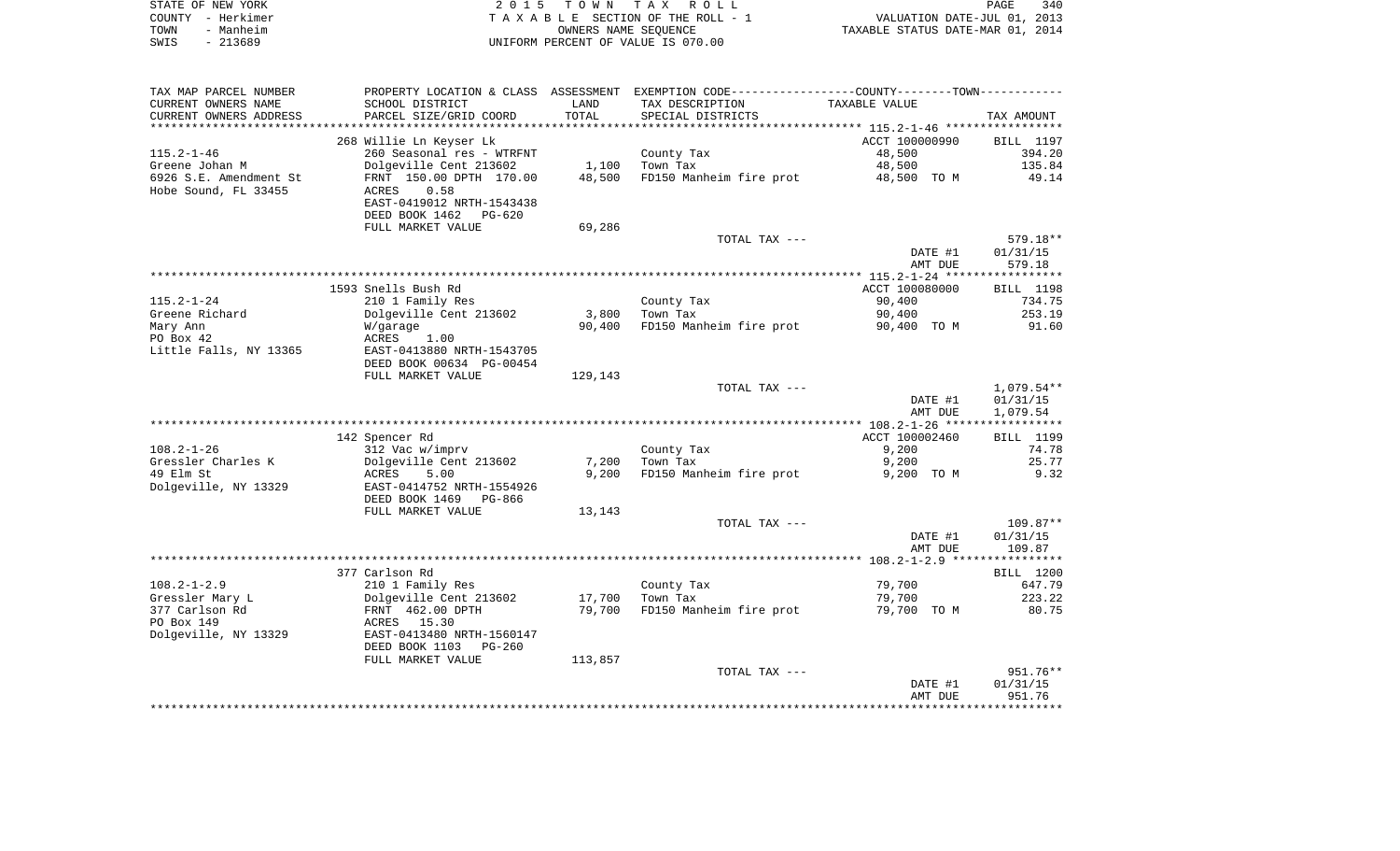|      | STATE OF NEW YORK | 2015 TOWN TAX ROLL                 | 340<br>PAGE                      |
|------|-------------------|------------------------------------|----------------------------------|
|      | COUNTY - Herkimer | TAXABLE SECTION OF THE ROLL - 1    | VALUATION DATE-JUL 01, 2013      |
| TOWN | - Manheim         | OWNERS NAME SEOUENCE               | TAXABLE STATUS DATE-MAR 01, 2014 |
| SWIS | $-213689$         | UNIFORM PERCENT OF VALUE IS 070.00 |                                  |

| TAX MAP PARCEL NUMBER  | PROPERTY LOCATION & CLASS |         | ASSESSMENT EXEMPTION CODE------------------COUNTY-------TOWN--------- |                |                  |
|------------------------|---------------------------|---------|-----------------------------------------------------------------------|----------------|------------------|
| CURRENT OWNERS NAME    | SCHOOL DISTRICT           | LAND    | TAX DESCRIPTION                                                       | TAXABLE VALUE  |                  |
| CURRENT OWNERS ADDRESS | PARCEL SIZE/GRID COORD    | TOTAL   | SPECIAL DISTRICTS                                                     |                | TAX AMOUNT       |
|                        |                           |         |                                                                       |                |                  |
|                        | 268 Willie Ln Keyser Lk   |         |                                                                       | ACCT 100000990 | <b>BILL</b> 1197 |
| $115.2 - 1 - 46$       | 260 Seasonal res - WTRFNT |         | County Tax                                                            | 48,500         | 394.20           |
| Greene Johan M         | Dolgeville Cent 213602    | 1,100   | Town Tax                                                              | 48,500         | 135.84           |
|                        |                           |         |                                                                       |                |                  |
| 6926 S.E. Amendment St | FRNT 150.00 DPTH 170.00   | 48,500  | FD150 Manheim fire prot                                               | 48,500 TO M    | 49.14            |
| Hobe Sound, FL 33455   | 0.58<br>ACRES             |         |                                                                       |                |                  |
|                        | EAST-0419012 NRTH-1543438 |         |                                                                       |                |                  |
|                        | DEED BOOK 1462<br>PG-620  |         |                                                                       |                |                  |
|                        | FULL MARKET VALUE         | 69,286  |                                                                       |                |                  |
|                        |                           |         | TOTAL TAX ---                                                         |                | 579.18**         |
|                        |                           |         |                                                                       | DATE #1        | 01/31/15         |
|                        |                           |         |                                                                       | AMT DUE        | 579.18           |
|                        |                           |         |                                                                       |                |                  |
|                        | 1593 Snells Bush Rd       |         |                                                                       | ACCT 100080000 | BILL 1198        |
| $115.2 - 1 - 24$       | 210 1 Family Res          |         | County Tax                                                            | 90,400         | 734.75           |
| Greene Richard         | Dolgeville Cent 213602    | 3,800   | Town Tax                                                              | 90,400         | 253.19           |
| Mary Ann               | W/garage                  | 90,400  | FD150 Manheim fire prot                                               | 90,400 TO M    | 91.60            |
|                        |                           |         |                                                                       |                |                  |
| PO Box 42              | ACRES<br>1.00             |         |                                                                       |                |                  |
| Little Falls, NY 13365 | EAST-0413880 NRTH-1543705 |         |                                                                       |                |                  |
|                        | DEED BOOK 00634 PG-00454  |         |                                                                       |                |                  |
|                        | FULL MARKET VALUE         | 129,143 |                                                                       |                |                  |
|                        |                           |         | TOTAL TAX ---                                                         |                | $1,079.54**$     |
|                        |                           |         |                                                                       | DATE #1        | 01/31/15         |
|                        |                           |         |                                                                       | AMT DUE        | 1,079.54         |
|                        |                           |         |                                                                       |                |                  |
|                        | 142 Spencer Rd            |         |                                                                       | ACCT 100002460 | BILL 1199        |
| $108.2 - 1 - 26$       | 312 Vac w/imprv           |         | County Tax                                                            | 9,200          | 74.78            |
| Gressler Charles K     | Dolgeville Cent 213602    | 7,200   | Town Tax                                                              | 9,200          | 25.77            |
| 49 Elm St              | ACRES<br>5.00             | 9,200   | FD150 Manheim fire prot                                               | 9,200 TO M     | 9.32             |
| Dolgeville, NY 13329   | EAST-0414752 NRTH-1554926 |         |                                                                       |                |                  |
|                        | DEED BOOK 1469<br>PG-866  |         |                                                                       |                |                  |
|                        | FULL MARKET VALUE         | 13,143  |                                                                       |                |                  |
|                        |                           |         | TOTAL TAX ---                                                         |                | $109.87**$       |
|                        |                           |         |                                                                       |                |                  |
|                        |                           |         |                                                                       | DATE #1        | 01/31/15         |
|                        |                           |         |                                                                       | AMT DUE        | 109.87           |
|                        |                           |         |                                                                       |                |                  |
|                        | 377 Carlson Rd            |         |                                                                       |                | BILL 1200        |
| $108.2 - 1 - 2.9$      | 210 1 Family Res          |         | County Tax                                                            | 79,700         | 647.79           |
| Gressler Mary L        | Dolgeville Cent 213602    | 17,700  | Town Tax                                                              | 79,700         | 223.22           |
| 377 Carlson Rd         | FRNT 462.00 DPTH          | 79,700  | FD150 Manheim fire prot                                               | 79,700 TO M    | 80.75            |
| PO Box 149             | ACRES 15.30               |         |                                                                       |                |                  |
| Dolgeville, NY 13329   | EAST-0413480 NRTH-1560147 |         |                                                                       |                |                  |
|                        | DEED BOOK 1103<br>PG-260  |         |                                                                       |                |                  |
|                        | FULL MARKET VALUE         | 113,857 |                                                                       |                |                  |
|                        |                           |         | TOTAL TAX ---                                                         |                | 951.76**         |
|                        |                           |         |                                                                       | DATE #1        | 01/31/15         |
|                        |                           |         |                                                                       | AMT DUE        | 951.76           |
|                        |                           |         |                                                                       |                |                  |
|                        |                           |         |                                                                       |                |                  |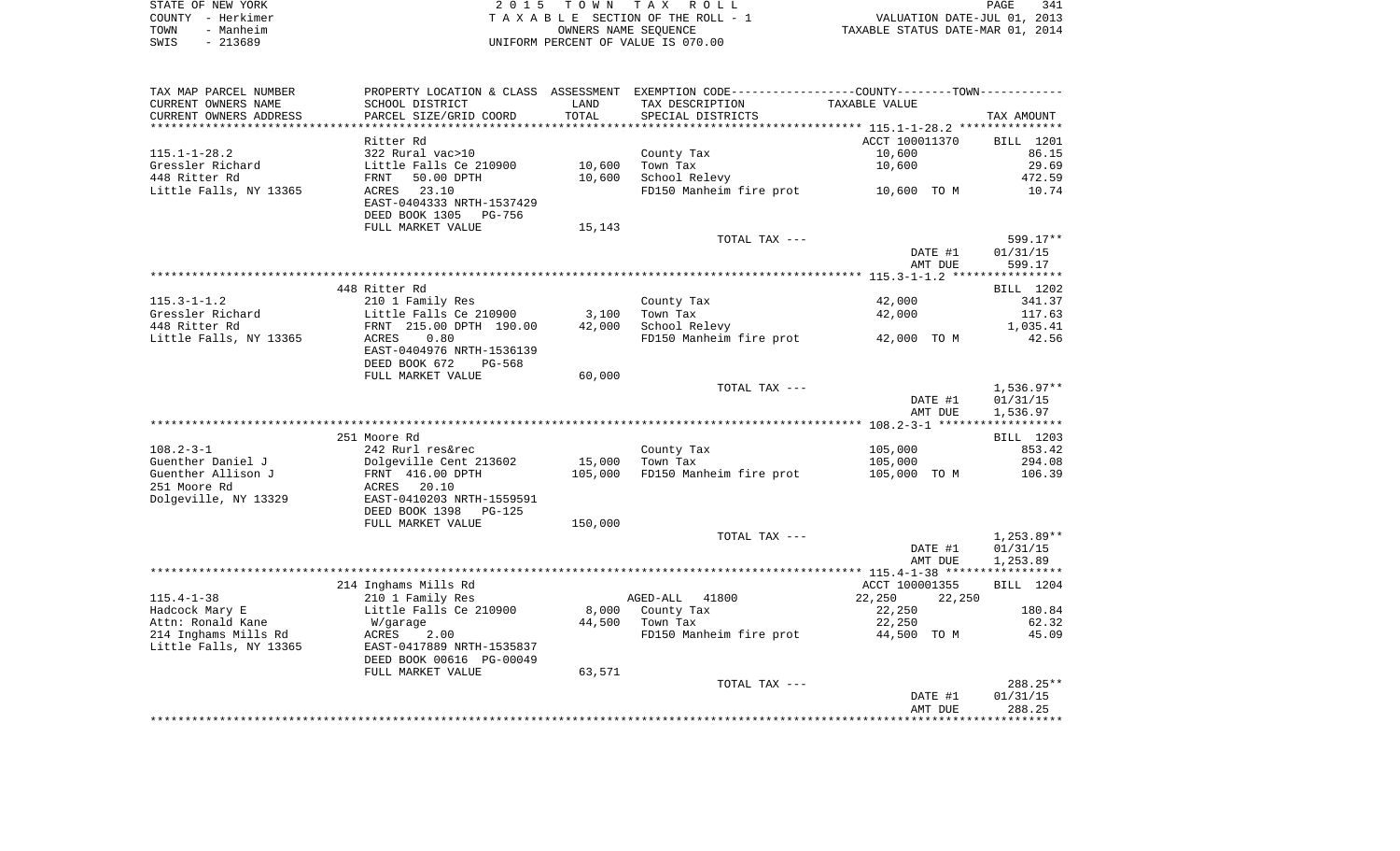| STATE OF NEW YORK | 2015 TOWN TAX ROLL                 | 341<br>PAGE                      |
|-------------------|------------------------------------|----------------------------------|
| COUNTY - Herkimer | TAXABLE SECTION OF THE ROLL - 1    | VALUATION DATE-JUL 01, 2013      |
| - Manheim<br>TOWN | OWNERS NAME SEOUENCE               | TAXABLE STATUS DATE-MAR 01, 2014 |
| - 213689<br>SWIS  | UNIFORM PERCENT OF VALUE IS 070.00 |                                  |

| TAX MAP PARCEL NUMBER               | PROPERTY LOCATION & CLASS ASSESSMENT EXEMPTION CODE---------------COUNTY--------TOWN---------- |         |                                     |                            |                 |
|-------------------------------------|------------------------------------------------------------------------------------------------|---------|-------------------------------------|----------------------------|-----------------|
| CURRENT OWNERS NAME                 | SCHOOL DISTRICT                                                                                | LAND    | TAX DESCRIPTION                     | TAXABLE VALUE              |                 |
| CURRENT OWNERS ADDRESS              | PARCEL SIZE/GRID COORD                                                                         | TOTAL   | SPECIAL DISTRICTS                   |                            | TAX AMOUNT      |
|                                     |                                                                                                |         |                                     |                            |                 |
|                                     | Ritter Rd                                                                                      |         |                                     | ACCT 100011370             | BILL 1201       |
| $115.1 - 1 - 28.2$                  | 322 Rural vac>10                                                                               |         | County Tax                          | 10,600                     | 86.15           |
| Gressler Richard                    | Little Falls Ce 210900                                                                         | 10,600  | Town Tax                            | 10,600                     | 29.69           |
| 448 Ritter Rd                       | FRNT 50.00 DPTH                                                                                | 10,600  | School Relevy                       |                            | 472.59          |
| Little Falls, NY 13365              | ACRES 23.10                                                                                    |         | FD150 Manheim fire prot 10,600 TO M |                            | 10.74           |
|                                     | EAST-0404333 NRTH-1537429                                                                      |         |                                     |                            |                 |
|                                     | DEED BOOK 1305 PG-756                                                                          |         |                                     |                            |                 |
|                                     | FULL MARKET VALUE                                                                              | 15,143  |                                     |                            |                 |
|                                     |                                                                                                |         | TOTAL TAX ---                       |                            | 599.17**        |
|                                     |                                                                                                |         |                                     | DATE #1                    | 01/31/15        |
|                                     |                                                                                                |         |                                     | AMT DUE                    | 599.17          |
|                                     |                                                                                                |         |                                     |                            |                 |
|                                     | 448 Ritter Rd                                                                                  |         |                                     |                            | BILL 1202       |
| $115.3 - 1 - 1.2$                   | 210 1 Family Res                                                                               |         | County Tax                          | 42,000                     | 341.37          |
| Gressler Richard                    | Little Falls Ce 210900                                                                         | 3,100   | Town Tax                            | 42,000                     | 117.63          |
| 448 Ritter Rd                       | FRNT 215.00 DPTH 190.00                                                                        | 42,000  | School Relevy                       |                            | 1,035.41        |
| Little Falls, NY 13365 ACRES        | 0.80                                                                                           |         | FD150 Manheim fire prot 42,000 TO M |                            | 42.56           |
|                                     | EAST-0404976 NRTH-1536139                                                                      |         |                                     |                            |                 |
|                                     | DEED BOOK 672<br>PG-568                                                                        |         |                                     |                            |                 |
|                                     | FULL MARKET VALUE                                                                              | 60,000  |                                     |                            |                 |
|                                     |                                                                                                |         | TOTAL TAX ---                       |                            | $1,536.97**$    |
|                                     |                                                                                                |         |                                     | DATE #1                    | 01/31/15        |
|                                     |                                                                                                |         |                                     | AMT DUE                    | 1,536.97        |
|                                     |                                                                                                |         |                                     |                            |                 |
|                                     | 251 Moore Rd                                                                                   |         |                                     |                            | BILL 1203       |
| $108.2 - 3 - 1$                     | 242 Rurl res&rec                                                                               |         | County Tax                          | 105,000                    | 853.42          |
| Guenther Daniel J                   | 242 Auil 10000011<br>Dolgeville Cent 213602<br>FRNT 416.00 DPTH<br>ACES 20.1000 NPTH-1559591   |         | 15,000 Town Tax                     | 105,000                    | 294.08          |
| Guenther Allison J                  |                                                                                                | 105,000 | FD150 Manheim fire prot             | 105,000 TO M               | 106.39          |
| 251 Moore Rd                        |                                                                                                |         |                                     |                            |                 |
| Dolgeville, NY 13329                | EAST-0410203 NRTH-1559591                                                                      |         |                                     |                            |                 |
|                                     | DEED BOOK 1398 PG-125                                                                          |         |                                     |                            |                 |
|                                     | FULL MARKET VALUE                                                                              | 150,000 |                                     |                            |                 |
|                                     |                                                                                                |         | TOTAL TAX ---                       |                            | 1,253.89**      |
|                                     |                                                                                                |         |                                     | DATE #1                    | 01/31/15        |
|                                     |                                                                                                |         |                                     | AMT DUE                    | 1,253.89        |
|                                     |                                                                                                |         |                                     |                            |                 |
| $115.4 - 1 - 38$                    | 214 Inghams Mills Rd                                                                           |         | AGED-ALL<br>41800                   | ACCT 100001355             | BILL 1204       |
|                                     | 210 1 Family Res                                                                               |         |                                     | 22,250<br>22,250<br>22,250 |                 |
| Hadcock Mary E<br>Attn: Ronald Kane | Little Falls Ce 210900                                                                         |         | 8,000 County Tax<br>44,500 Town Tax | 22,250                     | 180.84<br>62.32 |
| 214 Inghams Mills Rd                | W/garage<br>ACRES<br>2.00                                                                      |         | FD150 Manheim fire prot             | 44,500 TO M                | 45.09           |
| Little Falls, NY 13365              | EAST-0417889 NRTH-1535837                                                                      |         |                                     |                            |                 |
|                                     | DEED BOOK 00616 PG-00049                                                                       |         |                                     |                            |                 |
|                                     | FULL MARKET VALUE                                                                              | 63,571  |                                     |                            |                 |
|                                     |                                                                                                |         | TOTAL TAX ---                       |                            | 288.25**        |
|                                     |                                                                                                |         |                                     | DATE #1                    | 01/31/15        |
|                                     |                                                                                                |         |                                     | AMT DUE                    | 288.25          |
|                                     |                                                                                                |         |                                     |                            |                 |
|                                     |                                                                                                |         |                                     |                            |                 |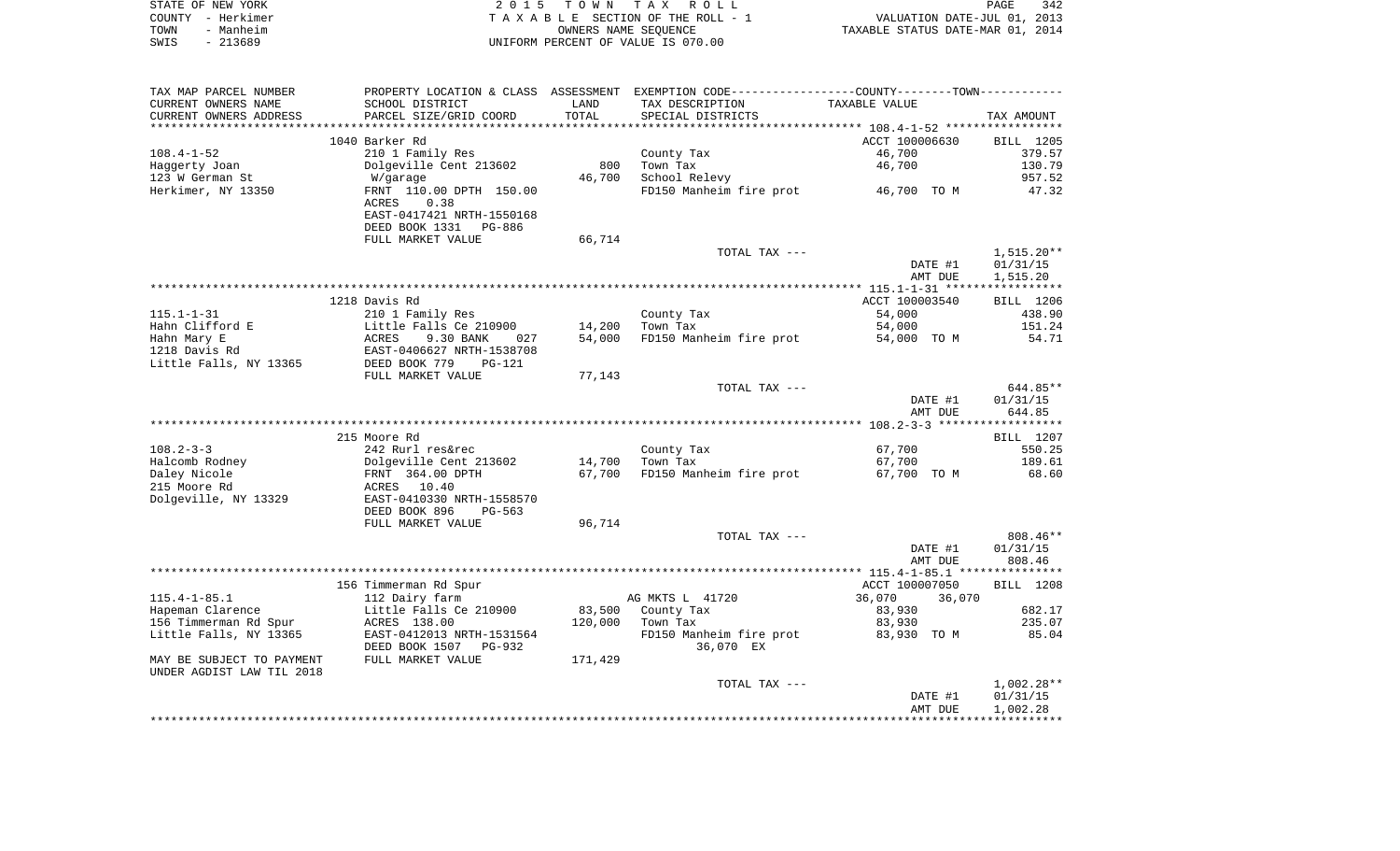| STATE OF NEW YORK |                   | 2015 TOWN TAX ROLL                 | 342<br>PAGE                      |
|-------------------|-------------------|------------------------------------|----------------------------------|
|                   | COUNTY - Herkimer | TAXABLE SECTION OF THE ROLL - 1    | VALUATION DATE-JUL 01, 2013      |
| TOWN              | - Manheim         | OWNERS NAME SEOUENCE               | TAXABLE STATUS DATE-MAR 01, 2014 |
| SWIS              | $-213689$         | UNIFORM PERCENT OF VALUE IS 070.00 |                                  |

| TAX MAP PARCEL NUMBER     |                           |         | PROPERTY LOCATION & CLASS ASSESSMENT EXEMPTION CODE----------------COUNTY--------TOWN---------- |                    |                      |
|---------------------------|---------------------------|---------|-------------------------------------------------------------------------------------------------|--------------------|----------------------|
| CURRENT OWNERS NAME       | SCHOOL DISTRICT           | LAND    | TAX DESCRIPTION                                                                                 | TAXABLE VALUE      |                      |
| CURRENT OWNERS ADDRESS    | PARCEL SIZE/GRID COORD    | TOTAL   | SPECIAL DISTRICTS                                                                               |                    | TAX AMOUNT           |
|                           |                           |         |                                                                                                 |                    |                      |
|                           | 1040 Barker Rd            |         |                                                                                                 | ACCT 100006630     | BILL 1205            |
| $108.4 - 1 - 52$          | 210 1 Family Res          |         | County Tax                                                                                      | 46,700             | 379.57               |
| Haggerty Joan             | Dolgeville Cent 213602    | 800     | Town Tax                                                                                        | 46,700             | 130.79               |
| 123 W German St           | W/garage                  | 46,700  | School Relevy                                                                                   |                    | 957.52               |
| Herkimer, NY 13350        | FRNT 110.00 DPTH 150.00   |         | FD150 Manheim fire prot 46,700 TO M                                                             |                    | 47.32                |
|                           | ACRES<br>0.38             |         |                                                                                                 |                    |                      |
|                           | EAST-0417421 NRTH-1550168 |         |                                                                                                 |                    |                      |
|                           | DEED BOOK 1331<br>PG-886  |         |                                                                                                 |                    |                      |
|                           | FULL MARKET VALUE         | 66,714  |                                                                                                 |                    |                      |
|                           |                           |         | TOTAL TAX ---                                                                                   |                    | $1,515.20**$         |
|                           |                           |         |                                                                                                 | DATE #1            | 01/31/15             |
|                           |                           |         |                                                                                                 | AMT DUE            | 1,515.20             |
|                           |                           |         |                                                                                                 |                    |                      |
|                           | 1218 Davis Rd             |         |                                                                                                 | ACCT 100003540     | BILL 1206            |
| 115.1-1-31                | 210 1 Family Res          |         | County Tax                                                                                      | 54,000             | 438.90               |
| Hahn Clifford E           | Little Falls Ce 210900    | 14,200  | Town Tax                                                                                        | 54,000             | 151.24               |
| Hahn Mary E               | ACRES<br>9.30 BANK<br>027 | 54,000  | FD150 Manheim fire prot                                                                         | 54,000 TO M        | 54.71                |
| 1218 Davis Rd             | EAST-0406627 NRTH-1538708 |         |                                                                                                 |                    |                      |
| Little Falls, NY 13365    | DEED BOOK 779<br>$PG-121$ |         |                                                                                                 |                    |                      |
|                           | FULL MARKET VALUE         | 77,143  |                                                                                                 |                    |                      |
|                           |                           |         | TOTAL TAX ---                                                                                   |                    | 644.85**             |
|                           |                           |         |                                                                                                 | DATE #1            | 01/31/15             |
|                           |                           |         |                                                                                                 | AMT DUE            | 644.85               |
|                           |                           |         |                                                                                                 |                    |                      |
|                           | 215 Moore Rd              |         |                                                                                                 |                    | BILL 1207            |
| $108.2 - 3 - 3$           | 242 Rurl res&rec          |         | County Tax                                                                                      | 67,700             | 550.25               |
| Halcomb Rodney            | Dolgeville Cent 213602    | 14,700  | Town Tax                                                                                        | 67,700             | 189.61               |
| Daley Nicole              | FRNT 364.00 DPTH          | 67,700  | FD150 Manheim fire prot                                                                         | 67,700 TO M        | 68.60                |
| 215 Moore Rd              | ACRES 10.40               |         |                                                                                                 |                    |                      |
| Dolgeville, NY 13329      | EAST-0410330 NRTH-1558570 |         |                                                                                                 |                    |                      |
|                           | DEED BOOK 896<br>PG-563   |         |                                                                                                 |                    |                      |
|                           | FULL MARKET VALUE         | 96,714  |                                                                                                 |                    |                      |
|                           |                           |         | TOTAL TAX ---                                                                                   |                    | $808.46**$           |
|                           |                           |         |                                                                                                 | DATE #1            | 01/31/15             |
|                           |                           |         |                                                                                                 | AMT DUE            | 808.46               |
|                           |                           |         |                                                                                                 |                    |                      |
|                           | 156 Timmerman Rd Spur     |         |                                                                                                 | ACCT 100007050     | BILL 1208            |
| $115.4 - 1 - 85.1$        | 112 Dairy farm            |         | AG MKTS L 41720                                                                                 | 36,070<br>36,070   |                      |
| Hapeman Clarence          | Little Falls Ce 210900    | 83,500  | County Tax                                                                                      | 83,930             | 682.17               |
| 156 Timmerman Rd Spur     | ACRES 138.00              | 120,000 | Town Tax                                                                                        | 83,930             | 235.07               |
| Little Falls, NY 13365    | EAST-0412013 NRTH-1531564 |         | FD150 Manheim fire prot                                                                         | 83,930 TO M        | 85.04                |
|                           | DEED BOOK 1507 PG-932     |         | 36,070 EX                                                                                       |                    |                      |
| MAY BE SUBJECT TO PAYMENT | FULL MARKET VALUE         | 171,429 |                                                                                                 |                    |                      |
| UNDER AGDIST LAW TIL 2018 |                           |         |                                                                                                 |                    |                      |
|                           |                           |         | TOTAL TAX ---                                                                                   |                    | $1,002.28**$         |
|                           |                           |         |                                                                                                 | DATE #1<br>AMT DUE | 01/31/15<br>1,002.28 |
|                           |                           |         |                                                                                                 |                    |                      |
|                           |                           |         |                                                                                                 |                    |                      |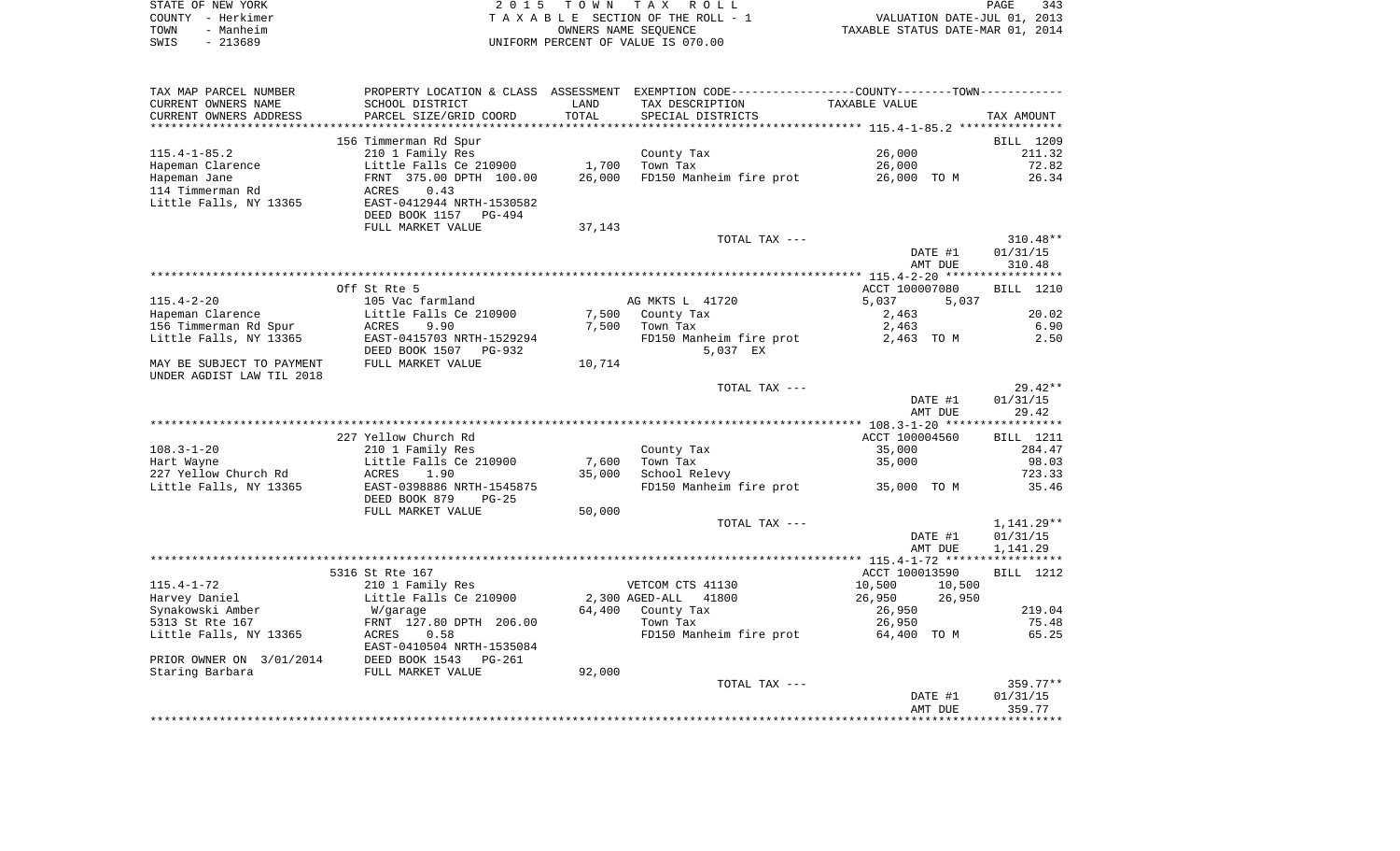|      | STATE OF NEW YORK | 2015 TOWN TAX ROLL                 | PAGE                             | 343 |
|------|-------------------|------------------------------------|----------------------------------|-----|
|      | COUNTY - Herkimer | TAXABLE SECTION OF THE ROLL - 1    | VALUATION DATE-JUL 01, 2013      |     |
| TOWN | - Manheim         | OWNERS NAME SEOUENCE               | TAXABLE STATUS DATE-MAR 01, 2014 |     |
| SWIS | - 213689          | UNIFORM PERCENT OF VALUE IS 070.00 |                                  |     |

| TAX MAP PARCEL NUMBER                                  | PROPERTY LOCATION & CLASS ASSESSMENT |        | EXEMPTION CODE-----------------COUNTY--------TOWN----------- |                  |                  |
|--------------------------------------------------------|--------------------------------------|--------|--------------------------------------------------------------|------------------|------------------|
| CURRENT OWNERS NAME                                    | SCHOOL DISTRICT                      | LAND   | TAX DESCRIPTION                                              | TAXABLE VALUE    |                  |
| CURRENT OWNERS ADDRESS                                 | PARCEL SIZE/GRID COORD               | TOTAL  | SPECIAL DISTRICTS                                            |                  | TAX AMOUNT       |
|                                                        |                                      |        |                                                              |                  |                  |
|                                                        | 156 Timmerman Rd Spur                |        |                                                              |                  | BILL 1209        |
| $115.4 - 1 - 85.2$                                     | 210 1 Family Res                     |        | County Tax                                                   | 26,000           | 211.32           |
| Hapeman Clarence                                       | Little Falls Ce 210900               | 1,700  | Town Tax                                                     | 26,000           | 72.82            |
| Hapeman Jane                                           | FRNT 375.00 DPTH 100.00              | 26,000 | FD150 Manheim fire prot                                      | 26,000 TO M      | 26.34            |
| 114 Timmerman Rd                                       | ACRES<br>0.43                        |        |                                                              |                  |                  |
| Little Falls, NY 13365                                 | EAST-0412944 NRTH-1530582            |        |                                                              |                  |                  |
|                                                        | DEED BOOK 1157<br>PG-494             |        |                                                              |                  |                  |
|                                                        | FULL MARKET VALUE                    | 37,143 |                                                              |                  |                  |
|                                                        |                                      |        | TOTAL TAX ---                                                |                  | $310.48**$       |
|                                                        |                                      |        |                                                              | DATE #1          | 01/31/15         |
|                                                        |                                      |        |                                                              | AMT DUE          | 310.48           |
|                                                        |                                      |        |                                                              |                  |                  |
|                                                        | Off St Rte 5                         |        |                                                              | ACCT 100007080   | BILL 1210        |
| $115.4 - 2 - 20$                                       | 105 Vac farmland                     |        | AG MKTS L 41720                                              | 5,037<br>5,037   |                  |
| Hapeman Clarence                                       | Little Falls Ce 210900               | 7,500  |                                                              |                  | 20.02            |
|                                                        |                                      |        | County Tax                                                   | 2,463            |                  |
| 156 Timmerman Rd Spur                                  | ACRES<br>9.90                        | 7,500  | Town Tax                                                     | 2,463            | 6.90             |
| Little Falls, NY 13365                                 | EAST-0415703 NRTH-1529294            |        | FD150 Manheim fire prot                                      | 2,463 TO M       | 2.50             |
|                                                        | DEED BOOK 1507 PG-932                |        | 5,037 EX                                                     |                  |                  |
| MAY BE SUBJECT TO PAYMENT<br>UNDER AGDIST LAW TIL 2018 | FULL MARKET VALUE                    | 10,714 |                                                              |                  |                  |
|                                                        |                                      |        | TOTAL TAX ---                                                |                  | $29.42**$        |
|                                                        |                                      |        |                                                              | DATE #1          | 01/31/15         |
|                                                        |                                      |        |                                                              | AMT DUE          | 29.42            |
|                                                        |                                      |        |                                                              |                  |                  |
|                                                        | 227 Yellow Church Rd                 |        |                                                              | ACCT 100004560   | <b>BILL</b> 1211 |
| $108.3 - 1 - 20$                                       | 210 1 Family Res                     |        | County Tax                                                   | 35,000           | 284.47           |
| Hart Wayne                                             | Little Falls Ce 210900               | 7,600  | Town Tax                                                     | 35,000           | 98.03            |
| 227 Yellow Church Rd                                   | ACRES<br>1.90                        | 35,000 | School Relevy                                                |                  | 723.33           |
| Little Falls, NY 13365                                 | EAST-0398886 NRTH-1545875            |        | FD150 Manheim fire prot                                      | 35,000 TO M      | 35.46            |
|                                                        |                                      |        |                                                              |                  |                  |
|                                                        | DEED BOOK 879<br>$PG-25$             |        |                                                              |                  |                  |
|                                                        | FULL MARKET VALUE                    | 50,000 | TOTAL TAX ---                                                |                  |                  |
|                                                        |                                      |        |                                                              |                  | 1,141.29**       |
|                                                        |                                      |        |                                                              | DATE #1          | 01/31/15         |
|                                                        |                                      |        |                                                              | AMT DUE          | 1,141.29         |
|                                                        |                                      |        |                                                              |                  |                  |
|                                                        | 5316 St Rte 167                      |        |                                                              | ACCT 100013590   | BILL 1212        |
| $115.4 - 1 - 72$                                       | 210 1 Family Res                     |        | VETCOM CTS 41130                                             | 10,500<br>10,500 |                  |
| Harvey Daniel                                          | Little Falls Ce 210900               |        | 2,300 AGED-ALL<br>41800                                      | 26,950<br>26,950 |                  |
| Synakowski Amber                                       | W/garage                             | 64,400 | County Tax                                                   | 26,950           | 219.04           |
| 5313 St Rte 167                                        | FRNT 127.80 DPTH 206.00              |        | Town Tax                                                     | 26,950           | 75.48            |
| Little Falls, NY 13365                                 | 0.58<br>ACRES                        |        | FD150 Manheim fire prot                                      | 64,400 TO M      | 65.25            |
|                                                        | EAST-0410504 NRTH-1535084            |        |                                                              |                  |                  |
| PRIOR OWNER ON 3/01/2014                               | DEED BOOK 1543<br>PG-261             |        |                                                              |                  |                  |
| Staring Barbara                                        | FULL MARKET VALUE                    | 92,000 |                                                              |                  |                  |
|                                                        |                                      |        | TOTAL TAX ---                                                |                  | $359.77**$       |
|                                                        |                                      |        |                                                              | DATE #1          | 01/31/15         |
|                                                        |                                      |        |                                                              |                  |                  |
|                                                        |                                      |        |                                                              | AMT DUE          | 359.77           |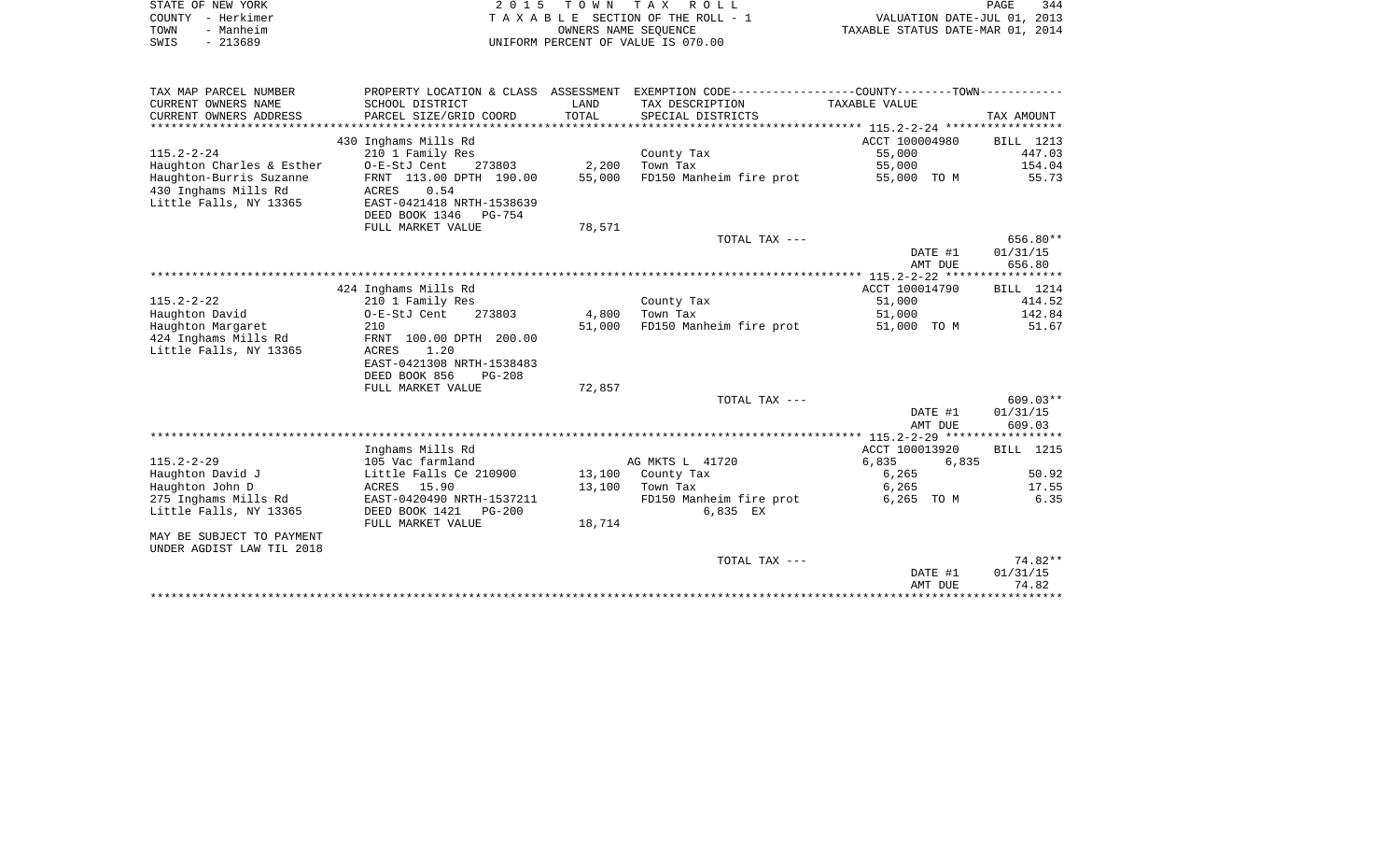|      | STATE OF NEW YORK | 2015 TOWN TAX ROLL                    | PAGE                             | 344 |
|------|-------------------|---------------------------------------|----------------------------------|-----|
|      | COUNTY - Herkimer | T A X A B L E SECTION OF THE ROLL - 1 | VALUATION DATE-JUL 01, 2013      |     |
| TOWN | - Manheim         | OWNERS NAME SEOUENCE                  | TAXABLE STATUS DATE-MAR 01, 2014 |     |
| SWIS | - 213689          | UNIFORM PERCENT OF VALUE IS 070.00    |                                  |     |

| TAX MAP PARCEL NUMBER     |                                 |        | PROPERTY LOCATION & CLASS ASSESSMENT EXEMPTION CODE---------------COUNTY--------TOWN---------- |                |                  |
|---------------------------|---------------------------------|--------|------------------------------------------------------------------------------------------------|----------------|------------------|
| CURRENT OWNERS NAME       | SCHOOL DISTRICT                 | LAND   | TAX DESCRIPTION                                                                                | TAXABLE VALUE  |                  |
| CURRENT OWNERS ADDRESS    | PARCEL SIZE/GRID COORD          | TOTAL  | SPECIAL DISTRICTS                                                                              |                | TAX AMOUNT       |
|                           |                                 |        |                                                                                                |                |                  |
|                           | 430 Inghams Mills Rd            |        |                                                                                                | ACCT 100004980 | BILL 1213        |
| $115.2 - 2 - 24$          | 210 1 Family Res                |        | County Tax                                                                                     | 55,000         | 447.03           |
| Haughton Charles & Esther | 273803<br>O-E-StJ Cent          | 2,200  | Town Tax                                                                                       | 55,000         | 154.04           |
| Haughton-Burris Suzanne   | FRNT 113.00 DPTH 190.00         | 55,000 | FD150 Manheim fire prot                                                                        | 55,000 TO M    | 55.73            |
| 430 Inghams Mills Rd      | 0.54<br><b>ACRES</b>            |        |                                                                                                |                |                  |
| Little Falls, NY 13365    | EAST-0421418 NRTH-1538639       |        |                                                                                                |                |                  |
|                           | DEED BOOK 1346<br><b>PG-754</b> |        |                                                                                                |                |                  |
|                           | FULL MARKET VALUE               | 78,571 |                                                                                                |                |                  |
|                           |                                 |        | TOTAL TAX ---                                                                                  |                | 656.80**         |
|                           |                                 |        |                                                                                                | DATE #1        | 01/31/15         |
|                           |                                 |        |                                                                                                | AMT DUE        | 656.80           |
|                           |                                 |        |                                                                                                |                |                  |
|                           | 424 Inghams Mills Rd            |        |                                                                                                | ACCT 100014790 | BILL 1214        |
| $115.2 - 2 - 22$          | 210 1 Family Res                |        | County Tax                                                                                     | 51,000         | 414.52           |
| Haughton David            | O-E-StJ Cent<br>273803          | 4,800  | Town Tax                                                                                       | 51,000         | 142.84           |
| Haughton Margaret         | 210                             | 51,000 | FD150 Manheim fire prot                                                                        | 51,000 TO M    | 51.67            |
| 424 Inghams Mills Rd      | FRNT 100.00 DPTH 200.00         |        |                                                                                                |                |                  |
| Little Falls, NY 13365    | ACRES<br>1.20                   |        |                                                                                                |                |                  |
|                           | EAST-0421308 NRTH-1538483       |        |                                                                                                |                |                  |
|                           | DEED BOOK 856<br>$PG-208$       |        |                                                                                                |                |                  |
|                           | FULL MARKET VALUE               | 72,857 |                                                                                                |                |                  |
|                           |                                 |        | TOTAL TAX ---                                                                                  |                | $609.03**$       |
|                           |                                 |        |                                                                                                | DATE #1        | 01/31/15         |
|                           |                                 |        |                                                                                                | AMT DUE        | 609.03           |
|                           |                                 |        |                                                                                                |                |                  |
|                           | Inghams Mills Rd                |        |                                                                                                | ACCT 100013920 | <b>BILL</b> 1215 |
| $115.2 - 2 - 29$          | 105 Vac farmland                |        | AG MKTS L 41720                                                                                | 6,835<br>6,835 |                  |
| Haughton David J          | Little Falls Ce 210900          |        | 13,100 County Tax                                                                              | 6,265          | 50.92            |
| Haughton John D           | ACRES 15.90                     | 13,100 | Town Tax                                                                                       | 6,265          | 17.55            |
| 275 Inghams Mills Rd      | EAST-0420490 NRTH-1537211       |        | FD150 Manheim fire prot                                                                        | 6,265 TO M     | 6.35             |
| Little Falls, NY 13365    | DEED BOOK 1421<br>PG-200        |        | 6,835 EX                                                                                       |                |                  |
|                           | FULL MARKET VALUE               | 18,714 |                                                                                                |                |                  |
| MAY BE SUBJECT TO PAYMENT |                                 |        |                                                                                                |                |                  |
| UNDER AGDIST LAW TIL 2018 |                                 |        |                                                                                                |                |                  |
|                           |                                 |        | TOTAL TAX ---                                                                                  |                | 74.82**          |
|                           |                                 |        |                                                                                                | DATE #1        | 01/31/15         |
|                           |                                 |        |                                                                                                | AMT DUE        | 74.82            |
|                           |                                 |        |                                                                                                |                |                  |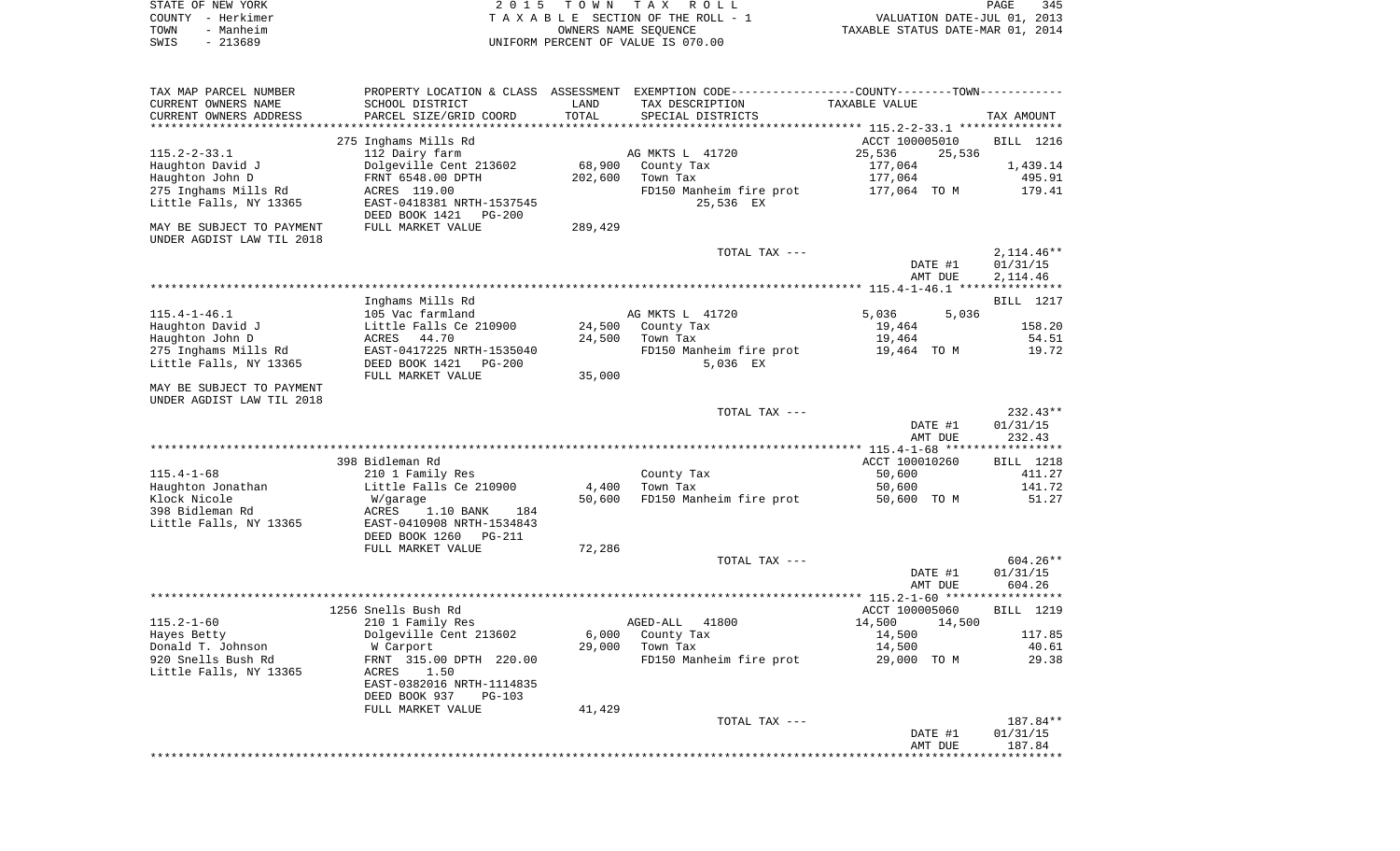| STATE OF NEW YORK |           | 2015 TOWN TAX ROLL                 | 345<br>PAGE                      |
|-------------------|-----------|------------------------------------|----------------------------------|
| COUNTY - Herkimer |           | TAXABLE SECTION OF THE ROLL - 1    | VALUATION DATE-JUL 01, 2013      |
| TOWN              | - Manheim | OWNERS NAME SEOUENCE               | TAXABLE STATUS DATE-MAR 01, 2014 |
| SWIS              | - 213689  | UNIFORM PERCENT OF VALUE IS 070.00 |                                  |

| TAX MAP PARCEL NUMBER     | PROPERTY LOCATION & CLASS                                    | ASSESSMENT | EXEMPTION CODE-----------------COUNTY-------TOWN--------- |                                                    |              |
|---------------------------|--------------------------------------------------------------|------------|-----------------------------------------------------------|----------------------------------------------------|--------------|
| CURRENT OWNERS NAME       | SCHOOL DISTRICT                                              | LAND       | TAX DESCRIPTION                                           | TAXABLE VALUE                                      |              |
| CURRENT OWNERS ADDRESS    | PARCEL SIZE/GRID COORD                                       | TOTAL      | SPECIAL DISTRICTS                                         |                                                    | TAX AMOUNT   |
| *********************     |                                                              |            |                                                           | ******************** 115.2-2-33.1 **************** |              |
|                           | 275 Inghams Mills Rd                                         |            |                                                           | ACCT 100005010                                     | BILL 1216    |
| $115.2 - 2 - 33.1$        | 112 Dairy farm                                               |            | AG MKTS L 41720                                           | 25,536<br>25,536                                   |              |
| Haughton David J          | Dolgeville Cent 213602                                       | 68,900     | County Tax                                                | 177,064                                            | 1,439.14     |
| Haughton John D           | FRNT 6548.00 DPTH                                            | 202,600    | Town Tax                                                  | 177,064                                            | 495.91       |
| 275 Inghams Mills Rd      | ACRES 119.00                                                 |            | FD150 Manheim fire prot                                   | 177,064 TO M                                       | 179.41       |
| Little Falls, NY 13365    | EAST-0418381 NRTH-1537545<br>DEED BOOK 1421<br><b>PG-200</b> |            | 25,536 EX                                                 |                                                    |              |
| MAY BE SUBJECT TO PAYMENT | FULL MARKET VALUE                                            | 289,429    |                                                           |                                                    |              |
| UNDER AGDIST LAW TIL 2018 |                                                              |            |                                                           |                                                    |              |
|                           |                                                              |            | TOTAL TAX ---                                             |                                                    | $2,114.46**$ |
|                           |                                                              |            |                                                           | DATE #1                                            | 01/31/15     |
|                           |                                                              |            |                                                           | AMT DUE                                            | 2,114.46     |
|                           |                                                              |            |                                                           |                                                    |              |
|                           | Inghams Mills Rd                                             |            |                                                           |                                                    | BILL 1217    |
| $115.4 - 1 - 46.1$        | 105 Vac farmland                                             |            | AG MKTS L 41720                                           | 5,036<br>5,036                                     |              |
| Haughton David J          | Little Falls Ce 210900                                       | 24,500     | County Tax                                                | 19,464                                             | 158.20       |
| Haughton John D           | 44.70<br>ACRES                                               | 24,500     | Town Tax                                                  | 19,464                                             | 54.51        |
| 275 Inghams Mills Rd      | EAST-0417225 NRTH-1535040                                    |            | FD150 Manheim fire prot                                   | 19,464 TO M                                        | 19.72        |
| Little Falls, NY 13365    | DEED BOOK 1421<br>$PG-200$                                   |            | 5,036 EX                                                  |                                                    |              |
|                           | FULL MARKET VALUE                                            | 35,000     |                                                           |                                                    |              |
| MAY BE SUBJECT TO PAYMENT |                                                              |            |                                                           |                                                    |              |
| UNDER AGDIST LAW TIL 2018 |                                                              |            |                                                           |                                                    |              |
|                           |                                                              |            | TOTAL TAX ---                                             |                                                    | 232.43**     |
|                           |                                                              |            |                                                           | DATE #1                                            | 01/31/15     |
|                           |                                                              |            |                                                           | AMT DUE                                            | 232.43       |
|                           |                                                              |            |                                                           |                                                    | ************ |
|                           | 398 Bidleman Rd                                              |            |                                                           | ACCT 100010260                                     | BILL 1218    |
| $115.4 - 1 - 68$          | 210 1 Family Res                                             |            | County Tax                                                | 50,600                                             | 411.27       |
| Haughton Jonathan         | Little Falls Ce 210900                                       | 4,400      | Town Tax                                                  | 50,600                                             | 141.72       |
| Klock Nicole              | W/garage                                                     | 50,600     | FD150 Manheim fire prot                                   | 50,600 TO M                                        | 51.27        |
| 398 Bidleman Rd           | ACRES<br>1.10 BANK<br>184                                    |            |                                                           |                                                    |              |
| Little Falls, NY 13365    | EAST-0410908 NRTH-1534843                                    |            |                                                           |                                                    |              |
|                           | DEED BOOK 1260<br>PG-211                                     |            |                                                           |                                                    |              |
|                           | FULL MARKET VALUE                                            | 72,286     |                                                           |                                                    |              |
|                           |                                                              |            | TOTAL TAX ---                                             |                                                    | $604.26**$   |
|                           |                                                              |            |                                                           | DATE #1                                            | 01/31/15     |
|                           |                                                              |            |                                                           | AMT DUE                                            | 604.26       |
|                           |                                                              |            |                                                           |                                                    |              |
|                           | 1256 Snells Bush Rd                                          |            |                                                           | ACCT 100005060                                     | BILL 1219    |
| $115.2 - 1 - 60$          | 210 1 Family Res                                             |            | AGED-ALL<br>41800                                         | 14,500<br>14,500                                   |              |
| Hayes Betty               | Dolgeville Cent 213602                                       | 6,000      | County Tax                                                | 14,500                                             | 117.85       |
| Donald T. Johnson         | W Carport                                                    | 29,000     | Town Tax                                                  | 14,500                                             | 40.61        |
| 920 Snells Bush Rd        | FRNT 315.00 DPTH 220.00                                      |            | FD150 Manheim fire prot                                   | 29,000 TO M                                        | 29.38        |
| Little Falls, NY 13365    | ACRES<br>1.50                                                |            |                                                           |                                                    |              |
|                           | EAST-0382016 NRTH-1114835                                    |            |                                                           |                                                    |              |
|                           | DEED BOOK 937<br>$PG-103$                                    |            |                                                           |                                                    |              |
|                           | FULL MARKET VALUE                                            | 41,429     |                                                           |                                                    |              |
|                           |                                                              |            | TOTAL TAX ---                                             |                                                    | 187.84**     |
|                           |                                                              |            |                                                           | DATE #1                                            | 01/31/15     |
|                           |                                                              |            |                                                           | AMT DUE                                            | 187.84       |
|                           |                                                              |            |                                                           |                                                    |              |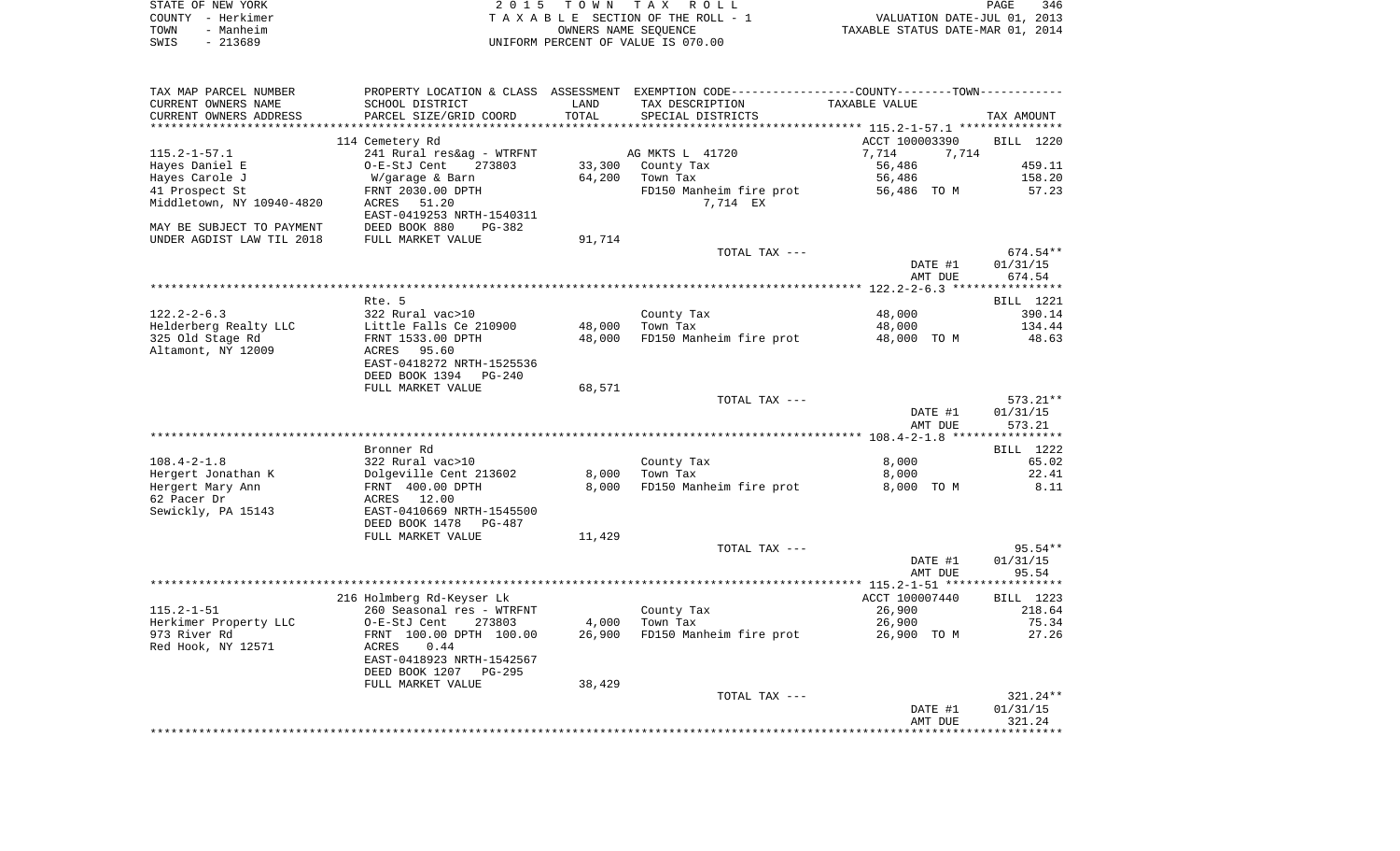| STATE OF NEW YORK | 2015 TOWN TAX ROLL                 | 346<br><b>PAGE</b>               |
|-------------------|------------------------------------|----------------------------------|
| COUNTY - Herkimer | TAXABLE SECTION OF THE ROLL - 1    | VALUATION DATE-JUL 01, 2013      |
| TOWN<br>- Manheim | OWNERS NAME SEOUENCE               | TAXABLE STATUS DATE-MAR 01, 2014 |
| - 213689<br>SWIS  | UNIFORM PERCENT OF VALUE IS 070.00 |                                  |

| TAX MAP PARCEL NUMBER     |                                             |                         | PROPERTY LOCATION & CLASS ASSESSMENT EXEMPTION CODE---------------COUNTY-------TOWN---------- |                                                           |                   |
|---------------------------|---------------------------------------------|-------------------------|-----------------------------------------------------------------------------------------------|-----------------------------------------------------------|-------------------|
| CURRENT OWNERS NAME       | SCHOOL DISTRICT                             | LAND                    | TAX DESCRIPTION                                                                               | TAXABLE VALUE                                             |                   |
| CURRENT OWNERS ADDRESS    | PARCEL SIZE/GRID COORD                      | TOTAL                   | SPECIAL DISTRICTS                                                                             |                                                           | TAX AMOUNT        |
| ***********************   | ***************************                 | *********************** |                                                                                               | **************************** 115.2-1-57.1 *************** |                   |
|                           | 114 Cemetery Rd                             |                         |                                                                                               | ACCT 100003390                                            | BILL 1220         |
| $115.2 - 1 - 57.1$        | 241 Rural res&ag - WTRFNT                   |                         | AG MKTS L 41720                                                                               | 7,714<br>7,714                                            |                   |
| Hayes Daniel E            | O-E-StJ Cent<br>273803                      | 33,300                  | County Tax                                                                                    | 56,486                                                    | 459.11            |
| Hayes Carole J            | W/garage & Barn                             | 64,200                  | Town Tax                                                                                      | 56,486                                                    | 158.20            |
| 41 Prospect St            | FRNT 2030.00 DPTH                           |                         | FD150 Manheim fire prot<br>7,714 EX                                                           | 56,486 TO M                                               | 57.23             |
| Middletown, NY 10940-4820 | ACRES<br>51.20<br>EAST-0419253 NRTH-1540311 |                         |                                                                                               |                                                           |                   |
| MAY BE SUBJECT TO PAYMENT | DEED BOOK 880<br>$PG-382$                   |                         |                                                                                               |                                                           |                   |
| UNDER AGDIST LAW TIL 2018 | FULL MARKET VALUE                           | 91,714                  |                                                                                               |                                                           |                   |
|                           |                                             |                         | TOTAL TAX ---                                                                                 |                                                           | 674.54**          |
|                           |                                             |                         |                                                                                               | DATE #1                                                   | 01/31/15          |
|                           |                                             |                         |                                                                                               | AMT DUE                                                   | 674.54            |
|                           |                                             |                         |                                                                                               |                                                           |                   |
|                           | Rte. 5                                      |                         |                                                                                               |                                                           | BILL 1221         |
| $122.2 - 2 - 6.3$         | 322 Rural vac>10                            |                         | County Tax                                                                                    | 48,000                                                    | 390.14            |
| Helderberg Realty LLC     | Little Falls Ce 210900                      | 48,000                  | Town Tax                                                                                      | 48,000                                                    | 134.44            |
| 325 Old Stage Rd          | FRNT 1533.00 DPTH                           | 48,000                  | FD150 Manheim fire prot                                                                       | 48,000 TO M                                               | 48.63             |
| Altamont, NY 12009        | 95.60<br>ACRES                              |                         |                                                                                               |                                                           |                   |
|                           | EAST-0418272 NRTH-1525536                   |                         |                                                                                               |                                                           |                   |
|                           | DEED BOOK 1394 PG-240<br>FULL MARKET VALUE  |                         |                                                                                               |                                                           |                   |
|                           |                                             | 68,571                  | TOTAL TAX ---                                                                                 |                                                           | 573.21**          |
|                           |                                             |                         |                                                                                               | DATE #1                                                   | 01/31/15          |
|                           |                                             |                         |                                                                                               | AMT DUE                                                   | 573.21            |
|                           |                                             |                         |                                                                                               |                                                           |                   |
|                           | Bronner Rd                                  |                         |                                                                                               |                                                           | BILL 1222         |
| $108.4 - 2 - 1.8$         | 322 Rural vac>10                            |                         | County Tax                                                                                    | 8,000                                                     | 65.02             |
| Hergert Jonathan K        | Dolgeville Cent 213602                      | 8,000                   | Town Tax                                                                                      | 8,000                                                     | 22.41             |
| Hergert Mary Ann          | FRNT 400.00 DPTH                            | 8,000                   | FD150 Manheim fire prot                                                                       | 8,000 TO M                                                | 8.11              |
| 62 Pacer Dr               | ACRES 12.00                                 |                         |                                                                                               |                                                           |                   |
| Sewickly, PA 15143        | EAST-0410669 NRTH-1545500                   |                         |                                                                                               |                                                           |                   |
|                           | DEED BOOK 1478<br>PG-487                    |                         |                                                                                               |                                                           |                   |
|                           | FULL MARKET VALUE                           | 11,429                  |                                                                                               |                                                           |                   |
|                           |                                             |                         | TOTAL TAX ---                                                                                 |                                                           | $95.54**$         |
|                           |                                             |                         |                                                                                               | DATE #1<br>AMT DUE                                        | 01/31/15<br>95.54 |
|                           |                                             |                         |                                                                                               |                                                           |                   |
|                           | 216 Holmberg Rd-Keyser Lk                   |                         |                                                                                               | ACCT 100007440                                            | BILL 1223         |
| $115.2 - 1 - 51$          | 260 Seasonal res - WTRFNT                   |                         | County Tax                                                                                    | 26,900                                                    | 218.64            |
| Herkimer Property LLC     | 273803<br>O-E-StJ Cent                      | 4,000                   | Town Tax                                                                                      | 26,900                                                    | 75.34             |
| 973 River Rd              | FRNT 100.00 DPTH 100.00                     | 26,900                  | FD150 Manheim fire prot                                                                       | 26,900 TO M                                               | 27.26             |
| Red Hook, NY 12571        | 0.44<br>ACRES                               |                         |                                                                                               |                                                           |                   |
|                           | EAST-0418923 NRTH-1542567                   |                         |                                                                                               |                                                           |                   |
|                           | DEED BOOK 1207<br>PG-295                    |                         |                                                                                               |                                                           |                   |
|                           | FULL MARKET VALUE                           | 38,429                  |                                                                                               |                                                           |                   |
|                           |                                             |                         | TOTAL TAX ---                                                                                 |                                                           | $321.24**$        |
|                           |                                             |                         |                                                                                               | DATE #1                                                   | 01/31/15          |
|                           |                                             |                         |                                                                                               | AMT DUE                                                   | 321.24            |
|                           |                                             |                         |                                                                                               |                                                           |                   |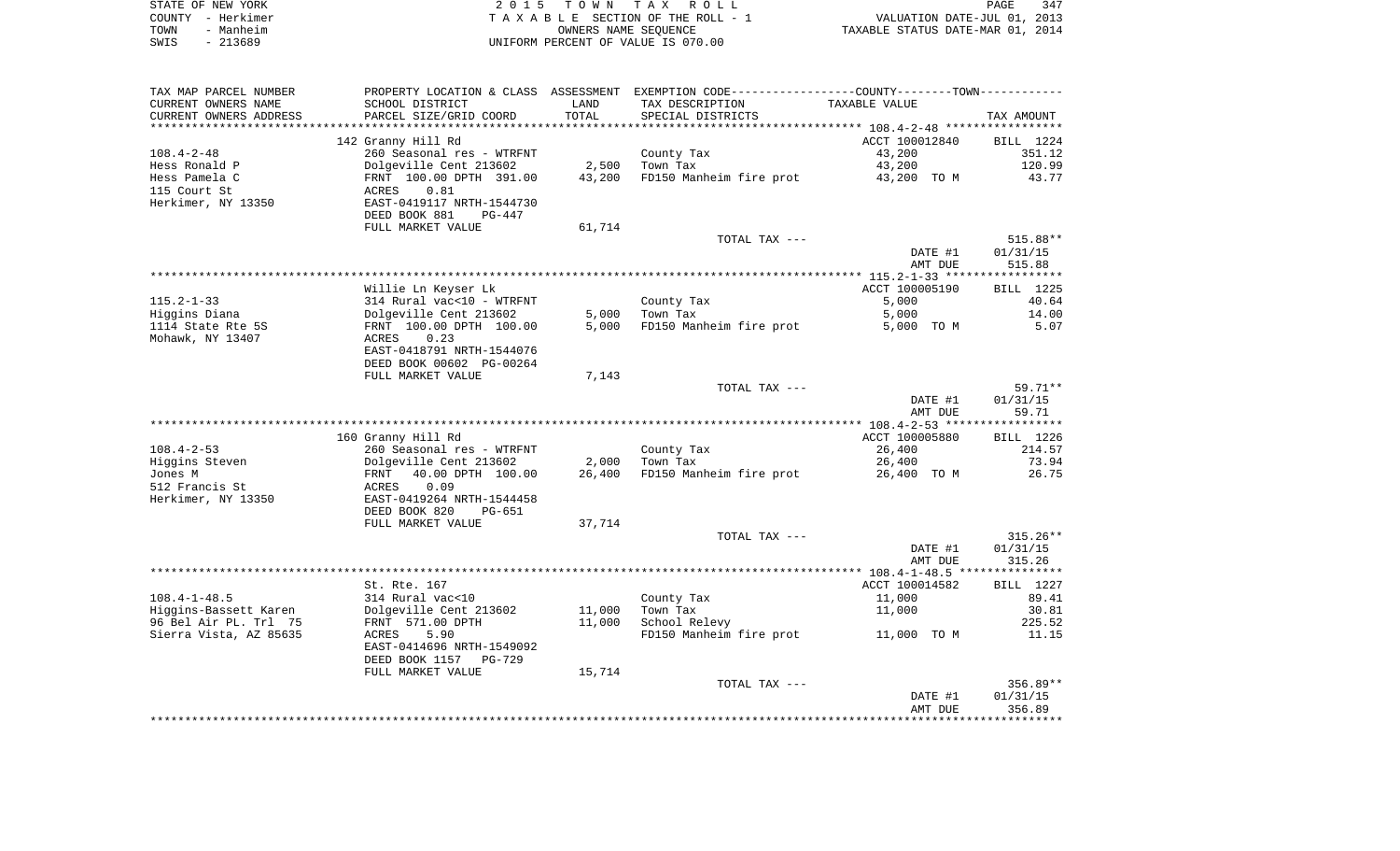| STATE OF NEW YORK |           | 2015 TOWN TAX ROLL                 |                      |  | 347<br>PAGE                      |  |
|-------------------|-----------|------------------------------------|----------------------|--|----------------------------------|--|
| COUNTY - Herkimer |           | TAXABLE SECTION OF THE ROLL - 7    |                      |  | VALUATION DATE-JUL 01, 2013      |  |
| TOWN              | - Manheim |                                    | OWNERS NAME SEOUENCE |  | TAXABLE STATUS DATE-MAR 01, 2014 |  |
| - 213689<br>SWIS  |           | UNIFORM PERCENT OF VALUE IS 070.00 |                      |  |                                  |  |

| TAX MAP PARCEL NUMBER  |                           |        | PROPERTY LOCATION & CLASS ASSESSMENT EXEMPTION CODE----------------COUNTY--------TOWN----------- |                |            |
|------------------------|---------------------------|--------|--------------------------------------------------------------------------------------------------|----------------|------------|
| CURRENT OWNERS NAME    | SCHOOL DISTRICT           | LAND   | TAX DESCRIPTION                                                                                  | TAXABLE VALUE  |            |
| CURRENT OWNERS ADDRESS | PARCEL SIZE/GRID COORD    | TOTAL  | SPECIAL DISTRICTS                                                                                |                | TAX AMOUNT |
|                        |                           |        |                                                                                                  |                |            |
|                        | 142 Granny Hill Rd        |        |                                                                                                  | ACCT 100012840 | BILL 1224  |
| $108.4 - 2 - 48$       | 260 Seasonal res - WTRFNT |        | County Tax                                                                                       | 43,200         | 351.12     |
| Hess Ronald P          | Dolgeville Cent 213602    | 2,500  | Town Tax                                                                                         | 43,200         | 120.99     |
| Hess Pamela C          | FRNT 100.00 DPTH 391.00   | 43,200 |                                                                                                  | 43,200 TO M    | 43.77      |
|                        |                           |        | FD150 Manheim fire prot                                                                          |                |            |
| 115 Court St           | 0.81<br>ACRES             |        |                                                                                                  |                |            |
| Herkimer, NY 13350     | EAST-0419117 NRTH-1544730 |        |                                                                                                  |                |            |
|                        | DEED BOOK 881<br>PG-447   |        |                                                                                                  |                |            |
|                        | FULL MARKET VALUE         | 61,714 |                                                                                                  |                |            |
|                        |                           |        | TOTAL TAX ---                                                                                    |                | 515.88**   |
|                        |                           |        |                                                                                                  | DATE #1        | 01/31/15   |
|                        |                           |        |                                                                                                  | AMT DUE        | 515.88     |
|                        |                           |        |                                                                                                  |                |            |
|                        | Willie Ln Keyser Lk       |        |                                                                                                  | ACCT 100005190 | BILL 1225  |
| $115.2 - 1 - 33$       | 314 Rural vac<10 - WTRFNT |        | County Tax                                                                                       | 5,000          | 40.64      |
| Higgins Diana          | Dolgeville Cent 213602    | 5,000  | Town Tax                                                                                         | 5,000          | 14.00      |
| 1114 State Rte 5S      | FRNT 100.00 DPTH 100.00   | 5,000  | FD150 Manheim fire prot                                                                          | 5,000 TO M     | 5.07       |
| Mohawk, NY 13407       | ACRES<br>0.23             |        |                                                                                                  |                |            |
|                        | EAST-0418791 NRTH-1544076 |        |                                                                                                  |                |            |
|                        | DEED BOOK 00602 PG-00264  |        |                                                                                                  |                |            |
|                        |                           |        |                                                                                                  |                |            |
|                        | FULL MARKET VALUE         | 7,143  |                                                                                                  |                |            |
|                        |                           |        | TOTAL TAX ---                                                                                    |                | $59.71**$  |
|                        |                           |        |                                                                                                  | DATE #1        | 01/31/15   |
|                        |                           |        |                                                                                                  | AMT DUE        | 59.71      |
|                        |                           |        |                                                                                                  |                |            |
|                        | 160 Granny Hill Rd        |        |                                                                                                  | ACCT 100005880 | BILL 1226  |
| $108.4 - 2 - 53$       | 260 Seasonal res - WTRFNT |        | County Tax                                                                                       | 26,400         | 214.57     |
| Higgins Steven         | Dolgeville Cent 213602    | 2,000  | Town Tax                                                                                         | 26,400         | 73.94      |
| Jones M                | FRNT 40.00 DPTH 100.00    | 26,400 | FD150 Manheim fire prot                                                                          | 26,400 TO M    | 26.75      |
| 512 Francis St         | ACRES<br>0.09             |        |                                                                                                  |                |            |
| Herkimer, NY 13350     | EAST-0419264 NRTH-1544458 |        |                                                                                                  |                |            |
|                        | DEED BOOK 820<br>PG-651   |        |                                                                                                  |                |            |
|                        | FULL MARKET VALUE         | 37,714 |                                                                                                  |                |            |
|                        |                           |        | TOTAL TAX ---                                                                                    |                | $315.26**$ |
|                        |                           |        |                                                                                                  |                | 01/31/15   |
|                        |                           |        |                                                                                                  |                |            |
|                        |                           |        |                                                                                                  | DATE #1        |            |
|                        |                           |        |                                                                                                  | AMT DUE        | 315.26     |
|                        |                           |        |                                                                                                  |                |            |
|                        | St. Rte. 167              |        |                                                                                                  | ACCT 100014582 | BILL 1227  |
| $108.4 - 1 - 48.5$     | 314 Rural vac<10          |        | County Tax                                                                                       | 11,000         | 89.41      |
| Higgins-Bassett Karen  | Dolgeville Cent 213602    | 11,000 | Town Tax                                                                                         | 11,000         | 30.81      |
| 96 Bel Air PL. Trl 75  | FRNT 571.00 DPTH          | 11,000 | School Relevy                                                                                    |                | 225.52     |
|                        | 5.90<br>ACRES             |        | FD150 Manheim fire prot                                                                          | 11,000 TO M    | 11.15      |
| Sierra Vista, AZ 85635 | EAST-0414696 NRTH-1549092 |        |                                                                                                  |                |            |
|                        | DEED BOOK 1157<br>PG-729  |        |                                                                                                  |                |            |
|                        | FULL MARKET VALUE         | 15,714 |                                                                                                  |                |            |
|                        |                           |        | TOTAL TAX ---                                                                                    |                | $356.89**$ |
|                        |                           |        |                                                                                                  | DATE #1        | 01/31/15   |
|                        |                           |        |                                                                                                  | AMT DUE        | 356.89     |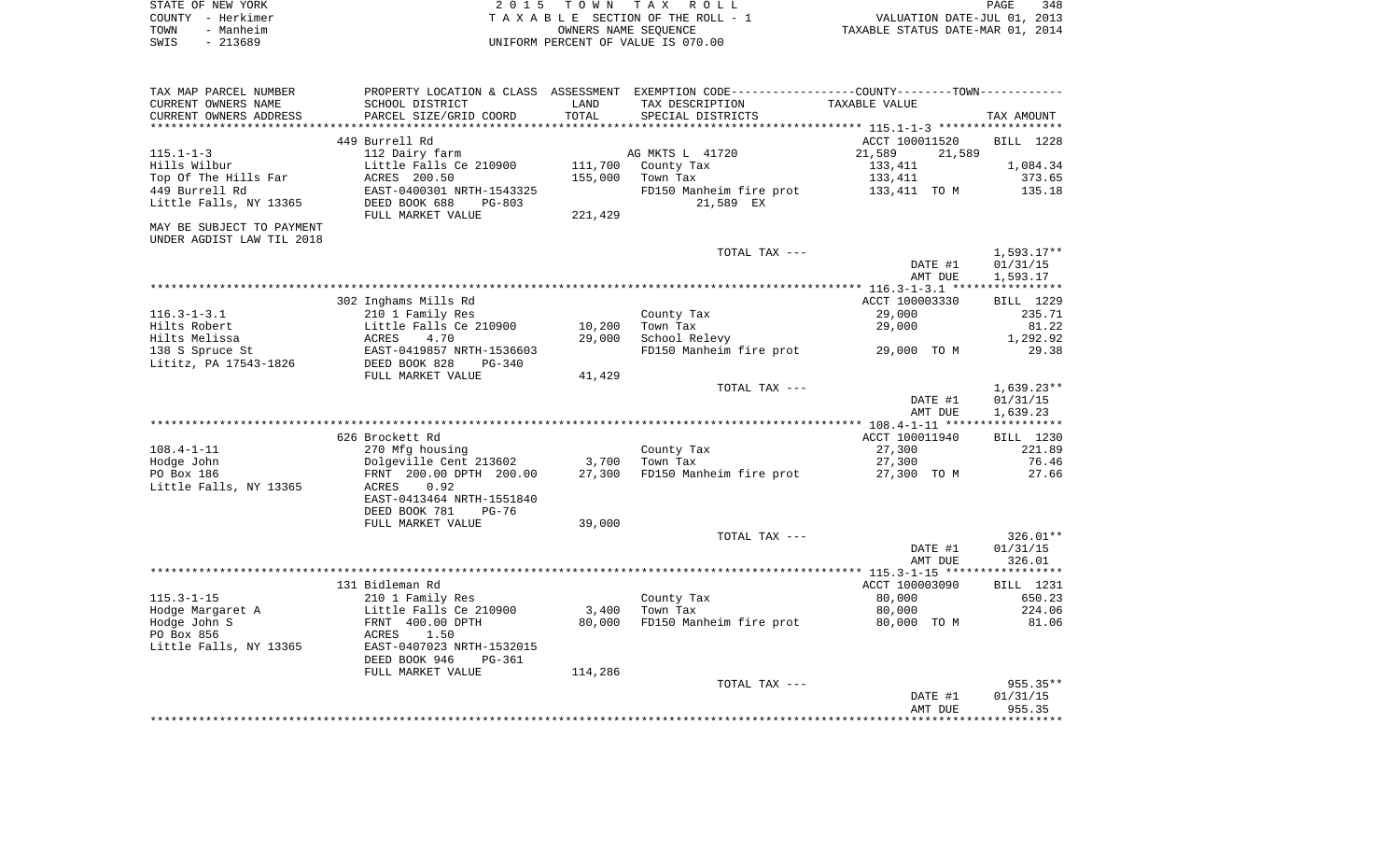|      | STATE OF NEW YORK | 2015 TOWN TAX ROLL                 | 348<br>PAGE                      |
|------|-------------------|------------------------------------|----------------------------------|
|      | COUNTY - Herkimer | TAXABLE SECTION OF THE ROLL - 1    | VALUATION DATE-JUL 01, 2013      |
| TOWN | - Manheim         | OWNERS NAME SEOUENCE               | TAXABLE STATUS DATE-MAR 01, 2014 |
| SWIS | - 213689          | UNIFORM PERCENT OF VALUE IS 070.00 |                                  |

|                            |                                                                                                  |         |                         | DATE #1<br>AMT DUE | 01/31/15<br>955.35 |
|----------------------------|--------------------------------------------------------------------------------------------------|---------|-------------------------|--------------------|--------------------|
|                            |                                                                                                  |         |                         |                    |                    |
|                            |                                                                                                  |         |                         |                    |                    |
|                            |                                                                                                  |         | TOTAL TAX ---           |                    | $955.35**$         |
|                            | FULL MARKET VALUE                                                                                | 114,286 |                         |                    |                    |
|                            | DEED BOOK 946<br>PG-361                                                                          |         |                         |                    |                    |
| Little Falls, NY 13365     | EAST-0407023 NRTH-1532015                                                                        |         |                         |                    |                    |
| Hodge John S<br>PO Box 856 | FRNT 400.00 DPTH<br>1.50<br>ACRES                                                                | 80,000  |                         | 80,000 TO M        | 81.06              |
|                            |                                                                                                  |         | FD150 Manheim fire prot |                    |                    |
| Hodge Margaret A           | Little Falls Ce 210900                                                                           | 3,400   | Town Tax                | 80,000             | 224.06             |
| $115.3 - 1 - 15$           | 210 1 Family Res                                                                                 |         | County Tax              | 80,000             | 650.23             |
|                            | 131 Bidleman Rd                                                                                  |         |                         | ACCT 100003090     | <b>BILL</b> 1231   |
|                            |                                                                                                  |         |                         |                    |                    |
|                            |                                                                                                  |         |                         | AMT DUE            | 326.01             |
|                            |                                                                                                  |         |                         | DATE #1            | 01/31/15           |
|                            |                                                                                                  |         | TOTAL TAX ---           |                    | $326.01**$         |
|                            | FULL MARKET VALUE                                                                                | 39,000  |                         |                    |                    |
|                            | DEED BOOK 781<br>$PG-76$                                                                         |         |                         |                    |                    |
|                            | EAST-0413464 NRTH-1551840                                                                        |         |                         |                    |                    |
| Little Falls, NY 13365     | 0.92<br>ACRES                                                                                    |         |                         |                    |                    |
| PO Box 186                 | FRNT 200.00 DPTH 200.00                                                                          | 27,300  | FD150 Manheim fire prot | 27,300 TO M        | 27.66              |
|                            | Dolgeville Cent 213602                                                                           |         |                         | 27,300             |                    |
| Hodge John                 |                                                                                                  | 3,700   | Town Tax                |                    | 76.46              |
| $108.4 - 1 - 11$           | 270 Mfg housing                                                                                  |         | County Tax              | 27,300             | 221.89             |
|                            | 626 Brockett Rd                                                                                  |         |                         | ACCT 100011940     | BILL 1230          |
|                            |                                                                                                  |         |                         |                    |                    |
|                            |                                                                                                  |         |                         | AMT DUE            | 1,639.23           |
|                            |                                                                                                  |         |                         | DATE #1            | 01/31/15           |
|                            |                                                                                                  |         | TOTAL TAX ---           |                    | $1,639.23**$       |
|                            | FULL MARKET VALUE                                                                                | 41,429  |                         |                    |                    |
| Lititz, PA 17543-1826      | DEED BOOK 828<br>$PG-340$                                                                        |         |                         |                    |                    |
| 138 S Spruce St            | EAST-0419857 NRTH-1536603                                                                        |         | FD150 Manheim fire prot | 29,000 TO M        | 29.38              |
| Hilts Melissa              | ACRES<br>4.70                                                                                    | 29,000  | School Relevy           |                    | 1,292.92           |
| Hilts Robert               | Little Falls Ce 210900                                                                           | 10,200  | Town Tax                | 29,000             | 81.22              |
| $116.3 - 1 - 3.1$          | 210 1 Family Res                                                                                 |         | County Tax              | 29,000             | 235.71             |
|                            |                                                                                                  |         |                         |                    |                    |
|                            | 302 Inghams Mills Rd                                                                             |         |                         | ACCT 100003330     | BILL 1229          |
|                            |                                                                                                  |         |                         |                    |                    |
|                            |                                                                                                  |         |                         | AMT DUE            | 1,593.17           |
|                            |                                                                                                  |         |                         | DATE #1            | 01/31/15           |
|                            |                                                                                                  |         | TOTAL TAX ---           |                    | $1,593.17**$       |
| UNDER AGDIST LAW TIL 2018  |                                                                                                  |         |                         |                    |                    |
| MAY BE SUBJECT TO PAYMENT  |                                                                                                  |         |                         |                    |                    |
|                            | FULL MARKET VALUE                                                                                | 221,429 |                         |                    |                    |
| Little Falls, NY 13365     | DEED BOOK 688<br>$PG-803$                                                                        |         | 21,589 EX               |                    |                    |
| 449 Burrell Rd             | EAST-0400301 NRTH-1543325                                                                        |         | FD150 Manheim fire prot | 133,411 TO M       | 135.18             |
| Top Of The Hills Far       | ACRES 200.50                                                                                     | 155,000 | Town Tax                | 133,411            | 373.65             |
| Hills Wilbur               | Little Falls Ce 210900                                                                           | 111,700 | County Tax              | 133,411            | 1,084.34           |
| $115.1 - 1 - 3$            | 112 Dairy farm                                                                                   |         | AG MKTS L 41720         | 21,589<br>21,589   |                    |
|                            | 449 Burrell Rd                                                                                   |         |                         | ACCT 100011520     | BILL 1228          |
|                            |                                                                                                  |         |                         |                    |                    |
|                            |                                                                                                  |         |                         |                    |                    |
| CURRENT OWNERS ADDRESS     | PARCEL SIZE/GRID COORD                                                                           | TOTAL   | SPECIAL DISTRICTS       |                    | TAX AMOUNT         |
| CURRENT OWNERS NAME        | SCHOOL DISTRICT                                                                                  | LAND    | TAX DESCRIPTION         | TAXABLE VALUE      |                    |
| TAX MAP PARCEL NUMBER      | PROPERTY LOCATION & CLASS ASSESSMENT EXEMPTION CODE----------------COUNTY--------TOWN----------- |         |                         |                    |                    |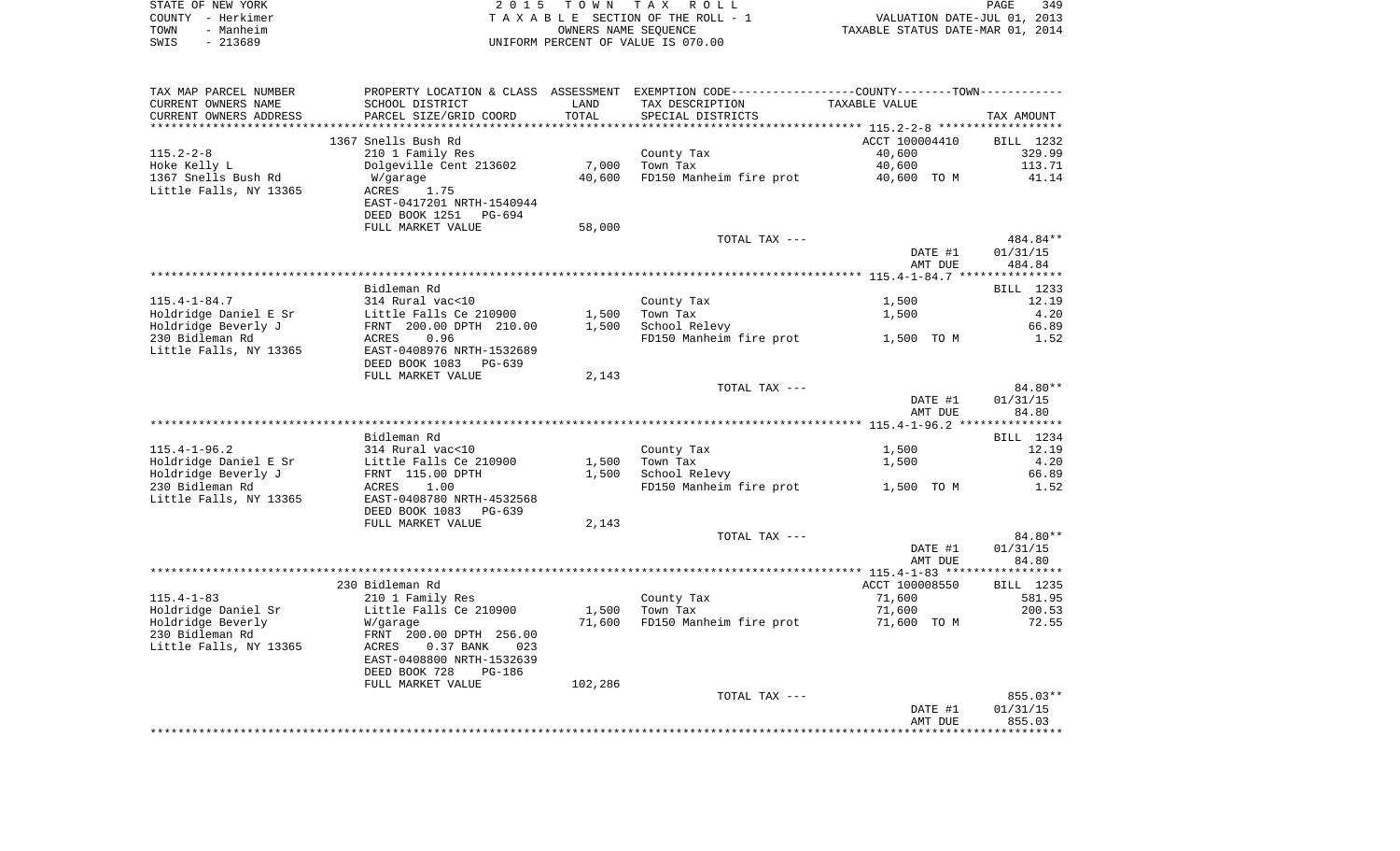|      | STATE OF NEW YORK | 2015 TOWN TAX ROLL                 | PAGE                             | 349 |
|------|-------------------|------------------------------------|----------------------------------|-----|
|      | COUNTY - Herkimer | TAXABLE SECTION OF THE ROLL - 1    | VALUATION DATE-JUL 01, 2013      |     |
| TOWN | - Manheim         | OWNERS NAME SEOUENCE               | TAXABLE STATUS DATE-MAR 01, 2014 |     |
| SWIS | - 213689          | UNIFORM PERCENT OF VALUE IS 070.00 |                                  |     |

| TAX MAP PARCEL NUMBER  |                                |         | PROPERTY LOCATION & CLASS ASSESSMENT EXEMPTION CODE----------------COUNTY-------TOWN---------- |                |            |
|------------------------|--------------------------------|---------|------------------------------------------------------------------------------------------------|----------------|------------|
| CURRENT OWNERS NAME    | SCHOOL DISTRICT                | LAND    | TAX DESCRIPTION                                                                                | TAXABLE VALUE  |            |
| CURRENT OWNERS ADDRESS | PARCEL SIZE/GRID COORD         | TOTAL   | SPECIAL DISTRICTS                                                                              |                | TAX AMOUNT |
|                        |                                |         |                                                                                                |                |            |
|                        | 1367 Snells Bush Rd            |         |                                                                                                | ACCT 100004410 | BILL 1232  |
| $115.2 - 2 - 8$        | 210 1 Family Res               |         | County Tax                                                                                     | 40,600         | 329.99     |
| Hoke Kelly L           | Dolgeville Cent 213602         | 7,000   | Town Tax                                                                                       | 40,600         | 113.71     |
| 1367 Snells Bush Rd    | W/garage                       | 40,600  | FD150 Manheim fire prot                                                                        | 40,600 TO M    | 41.14      |
| Little Falls, NY 13365 | ACRES<br>1.75                  |         |                                                                                                |                |            |
|                        | EAST-0417201 NRTH-1540944      |         |                                                                                                |                |            |
|                        | DEED BOOK 1251 PG-694          |         |                                                                                                |                |            |
|                        | FULL MARKET VALUE              | 58,000  |                                                                                                |                |            |
|                        |                                |         | TOTAL TAX ---                                                                                  |                | 484.84**   |
|                        |                                |         |                                                                                                | DATE #1        | 01/31/15   |
|                        |                                |         |                                                                                                | AMT DUE        | 484.84     |
|                        |                                |         |                                                                                                |                |            |
|                        | Bidleman Rd                    |         |                                                                                                |                |            |
|                        |                                |         |                                                                                                |                | BILL 1233  |
| $115.4 - 1 - 84.7$     | 314 Rural vac<10               |         | County Tax                                                                                     | 1,500          | 12.19      |
| Holdridge Daniel E Sr  | Little Falls Ce 210900         | 1,500   | Town Tax                                                                                       | 1,500          | 4.20       |
| Holdridge Beverly J    | FRNT 200.00 DPTH 210.00        | 1,500   | School Relevy                                                                                  |                | 66.89      |
| 230 Bidleman Rd        | 0.96<br>ACRES                  |         | FD150 Manheim fire prot                                                                        | 1,500 TO M     | 1.52       |
| Little Falls, NY 13365 | EAST-0408976 NRTH-1532689      |         |                                                                                                |                |            |
|                        | DEED BOOK 1083<br>PG-639       |         |                                                                                                |                |            |
|                        | FULL MARKET VALUE              | 2,143   |                                                                                                |                |            |
|                        |                                |         | TOTAL TAX ---                                                                                  |                | 84.80**    |
|                        |                                |         |                                                                                                | DATE #1        | 01/31/15   |
|                        |                                |         |                                                                                                | AMT DUE        | 84.80      |
|                        |                                |         |                                                                                                |                |            |
|                        | Bidleman Rd                    |         |                                                                                                |                | BILL 1234  |
| $115.4 - 1 - 96.2$     | 314 Rural vac<10               |         | County Tax                                                                                     | 1,500          | 12.19      |
| Holdridge Daniel E Sr  | Little Falls Ce 210900         | 1,500   | Town Tax                                                                                       | 1,500          | 4.20       |
| Holdridge Beverly J    | FRNT 115.00 DPTH               | 1,500   | School Relevy                                                                                  |                | 66.89      |
| 230 Bidleman Rd        | ACRES<br>1.00                  |         | FD150 Manheim fire prot                                                                        | 1,500 TO M     | 1.52       |
| Little Falls, NY 13365 | EAST-0408780 NRTH-4532568      |         |                                                                                                |                |            |
|                        | DEED BOOK 1083<br>$PG-639$     |         |                                                                                                |                |            |
|                        | FULL MARKET VALUE              | 2,143   |                                                                                                |                |            |
|                        |                                |         | TOTAL TAX ---                                                                                  |                | 84.80**    |
|                        |                                |         |                                                                                                | DATE #1        | 01/31/15   |
|                        |                                |         |                                                                                                | AMT DUE        | 84.80      |
|                        |                                |         |                                                                                                |                |            |
|                        | 230 Bidleman Rd                |         |                                                                                                | ACCT 100008550 | BILL 1235  |
| $115.4 - 1 - 83$       | 210 1 Family Res               |         | County Tax                                                                                     | 71,600         | 581.95     |
| Holdridge Daniel Sr    | Little Falls Ce 210900         | 1,500   | Town Tax                                                                                       | 71,600         | 200.53     |
| Holdridge Beverly      | W/garage                       | 71,600  | FD150 Manheim fire prot                                                                        | 71,600 TO M    | 72.55      |
| 230 Bidleman Rd        | FRNT 200.00 DPTH 256.00        |         |                                                                                                |                |            |
| Little Falls, NY 13365 | ACRES<br>0.37 BANK<br>023      |         |                                                                                                |                |            |
|                        | EAST-0408800 NRTH-1532639      |         |                                                                                                |                |            |
|                        | DEED BOOK 728<br><b>PG-186</b> |         |                                                                                                |                |            |
|                        | FULL MARKET VALUE              | 102,286 |                                                                                                |                |            |
|                        |                                |         | TOTAL TAX ---                                                                                  |                | $855.03**$ |
|                        |                                |         |                                                                                                | DATE #1        | 01/31/15   |
|                        |                                |         |                                                                                                | AMT DUE        | 855.03     |
|                        |                                |         |                                                                                                |                |            |
|                        |                                |         |                                                                                                |                |            |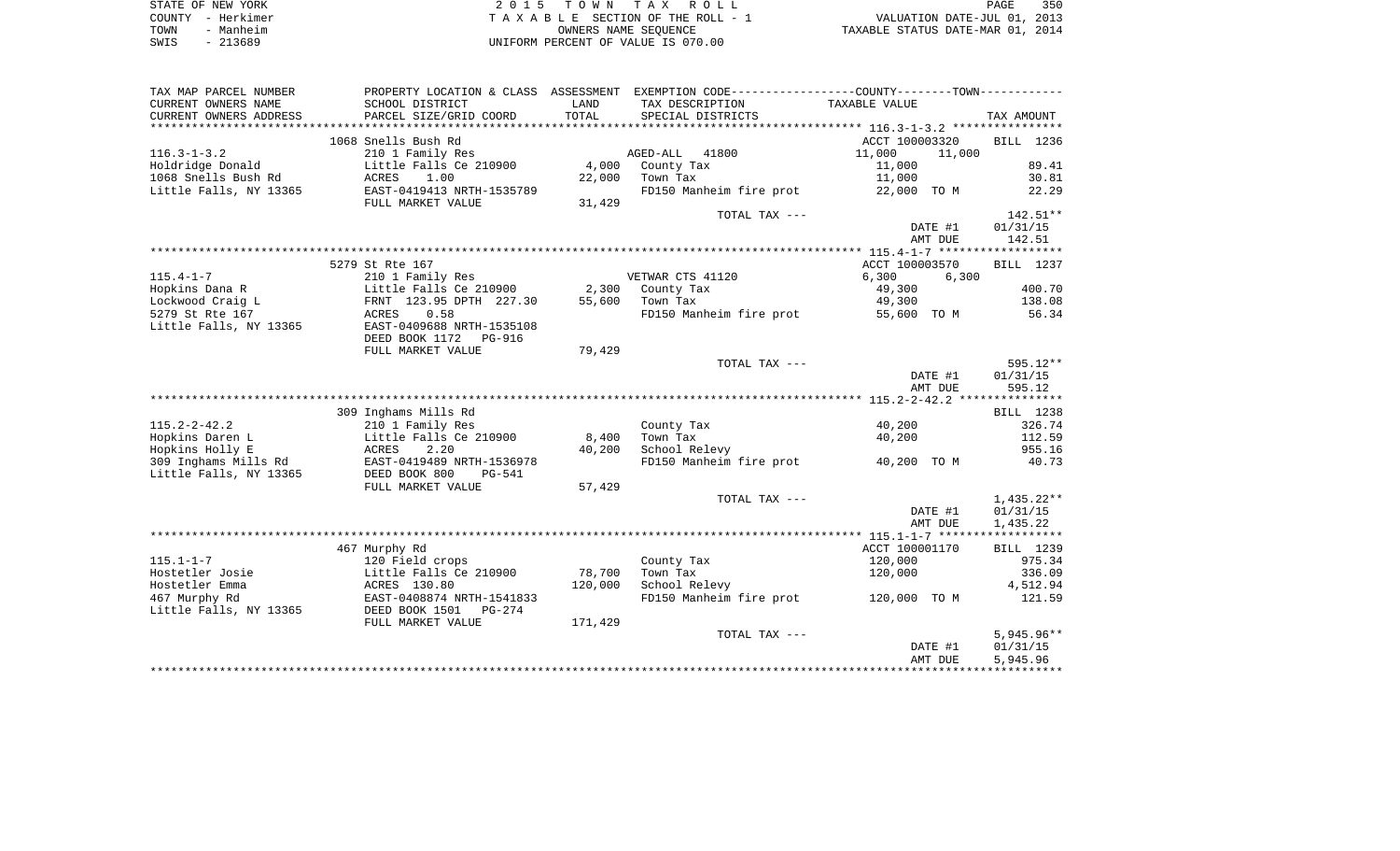| STATE OF NEW YORK |           | 2015 TOWN TAX ROLL                 |                      |                                  | PAGE | 350 |
|-------------------|-----------|------------------------------------|----------------------|----------------------------------|------|-----|
| COUNTY - Herkimer |           | TAXABLE SECTION OF THE ROLL - 1    |                      | VALUATION DATE-JUL 01, 2013      |      |     |
| TOWN              | - Manheim |                                    | OWNERS NAME SEOUENCE | TAXABLE STATUS DATE-MAR 01, 2014 |      |     |
| SWIS<br>- 213689  |           | UNIFORM PERCENT OF VALUE IS 070.00 |                      |                                  |      |     |

| TAX MAP PARCEL NUMBER   | PROPERTY LOCATION & CLASS |         | ASSESSMENT EXEMPTION CODE-----------------COUNTY-------TOWN----------- |                  |              |
|-------------------------|---------------------------|---------|------------------------------------------------------------------------|------------------|--------------|
| CURRENT OWNERS NAME     | SCHOOL DISTRICT           | LAND    | TAX DESCRIPTION                                                        | TAXABLE VALUE    |              |
| CURRENT OWNERS ADDRESS  | PARCEL SIZE/GRID COORD    | TOTAL   | SPECIAL DISTRICTS                                                      |                  | TAX AMOUNT   |
| *********************** |                           |         |                                                                        |                  |              |
|                         | 1068 Snells Bush Rd       |         |                                                                        | ACCT 100003320   | BILL 1236    |
| $116.3 - 1 - 3.2$       | 210 1 Family Res          |         | AGED-ALL<br>41800                                                      | 11,000<br>11,000 |              |
| Holdridge Donald        | Little Falls Ce 210900    | 4,000   | County Tax                                                             | 11,000           | 89.41        |
| 1068 Snells Bush Rd     | 1.00<br>ACRES             | 22,000  | Town Tax                                                               | 11,000           | 30.81        |
| Little Falls, NY 13365  | EAST-0419413 NRTH-1535789 |         | FD150 Manheim fire prot                                                | 22,000 TO M      | 22.29        |
|                         | FULL MARKET VALUE         | 31,429  |                                                                        |                  |              |
|                         |                           |         | TOTAL TAX ---                                                          |                  | $142.51**$   |
|                         |                           |         |                                                                        | DATE #1          | 01/31/15     |
|                         |                           |         |                                                                        | AMT DUE          | 142.51       |
|                         |                           |         |                                                                        |                  |              |
|                         |                           |         |                                                                        |                  |              |
|                         | 5279 St Rte 167           |         |                                                                        | ACCT 100003570   | BILL 1237    |
| $115.4 - 1 - 7$         | 210 1 Family Res          |         | VETWAR CTS 41120                                                       | 6,300<br>6,300   |              |
| Hopkins Dana R          | Little Falls Ce 210900    | 2,300   | County Tax                                                             | 49,300           | 400.70       |
| Lockwood Craig L        | FRNT 123.95 DPTH 227.30   | 55,600  | Town Tax                                                               | 49,300           | 138.08       |
| 5279 St Rte 167         | 0.58<br>ACRES             |         | FD150 Manheim fire prot                                                | 55,600 TO M      | 56.34        |
| Little Falls, NY 13365  | EAST-0409688 NRTH-1535108 |         |                                                                        |                  |              |
|                         | DEED BOOK 1172<br>PG-916  |         |                                                                        |                  |              |
|                         | FULL MARKET VALUE         | 79,429  |                                                                        |                  |              |
|                         |                           |         | TOTAL TAX ---                                                          |                  | $595.12**$   |
|                         |                           |         |                                                                        | DATE #1          | 01/31/15     |
|                         |                           |         |                                                                        | AMT DUE          | 595.12       |
|                         |                           |         |                                                                        |                  |              |
|                         | 309 Inghams Mills Rd      |         |                                                                        |                  | BILL 1238    |
| $115.2 - 2 - 42.2$      | 210 1 Family Res          |         | County Tax                                                             | 40,200           | 326.74       |
| Hopkins Daren L         | Little Falls Ce 210900    | 8,400   | Town Tax                                                               | 40,200           | 112.59       |
| Hopkins Holly E         | ACRES<br>2.20             | 40,200  | School Relevy                                                          |                  | 955.16       |
| 309 Inghams Mills Rd    | EAST-0419489 NRTH-1536978 |         | FD150 Manheim fire prot                                                | 40,200 TO M      | 40.73        |
| Little Falls, NY 13365  | DEED BOOK 800<br>PG-541   |         |                                                                        |                  |              |
|                         | FULL MARKET VALUE         | 57,429  |                                                                        |                  |              |
|                         |                           |         | TOTAL TAX ---                                                          |                  | $1,435.22**$ |
|                         |                           |         |                                                                        | DATE #1          | 01/31/15     |
|                         |                           |         |                                                                        | AMT DUE          | 1,435.22     |
|                         |                           |         |                                                                        |                  |              |
|                         | 467 Murphy Rd             |         |                                                                        | ACCT 100001170   | BILL 1239    |
| $115.1 - 1 - 7$         | 120 Field crops           |         | County Tax                                                             | 120,000          | 975.34       |
| Hostetler Josie         | Little Falls Ce 210900    | 78,700  | Town Tax                                                               | 120,000          | 336.09       |
| Hostetler Emma          | ACRES 130.80              | 120,000 | School Relevy                                                          |                  | 4,512.94     |
| 467 Murphy Rd           | EAST-0408874 NRTH-1541833 |         | FD150 Manheim fire prot                                                | 120,000 TO M     | 121.59       |
|                         |                           |         |                                                                        |                  |              |
| Little Falls, NY 13365  | DEED BOOK 1501<br>PG-274  |         |                                                                        |                  |              |
|                         | FULL MARKET VALUE         | 171,429 |                                                                        |                  |              |
|                         |                           |         | TOTAL TAX ---                                                          |                  | $5,945.96**$ |
|                         |                           |         |                                                                        | DATE #1          | 01/31/15     |
|                         |                           |         |                                                                        | AMT DUE          | 5,945.96     |
|                         |                           |         |                                                                        |                  |              |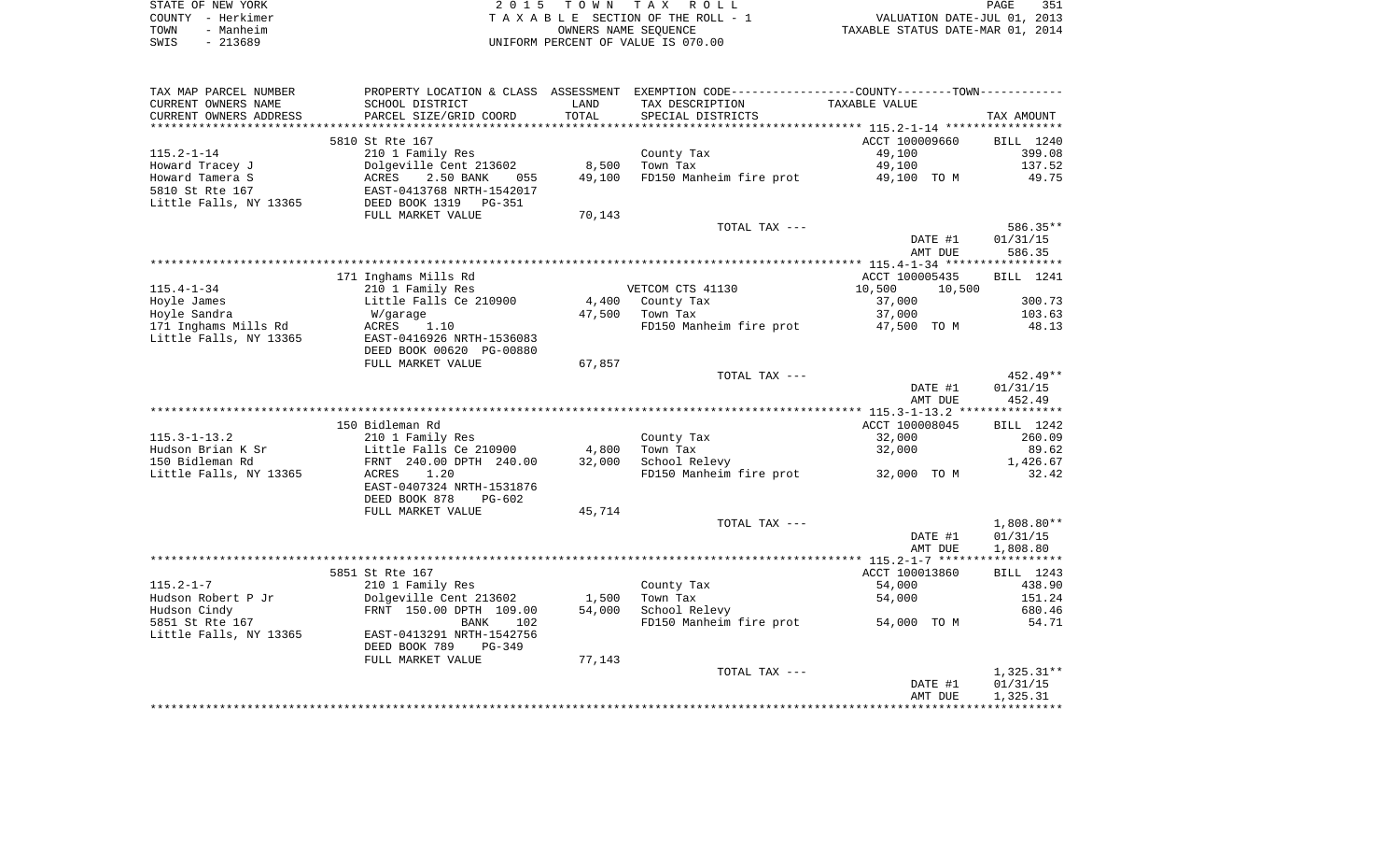| STATE OF NEW YORK | 2015 TOWN TAX ROLL                 | 351<br>PAGE                      |
|-------------------|------------------------------------|----------------------------------|
| COUNTY - Herkimer | TAXABLE SECTION OF THE ROLL - 1    | VALUATION DATE-JUL 01, 2013      |
| - Manheim<br>TOWN | OWNERS NAME SEOUENCE               | TAXABLE STATUS DATE-MAR 01, 2014 |
| SWIS<br>- 213689  | UNIFORM PERCENT OF VALUE IS 070.00 |                                  |

| TAX MAP PARCEL NUMBER  |                           |        | PROPERTY LOCATION & CLASS ASSESSMENT EXEMPTION CODE---------------COUNTY-------TOWN---------- |                  |                  |
|------------------------|---------------------------|--------|-----------------------------------------------------------------------------------------------|------------------|------------------|
| CURRENT OWNERS NAME    | SCHOOL DISTRICT           | LAND   | TAX DESCRIPTION                                                                               | TAXABLE VALUE    |                  |
| CURRENT OWNERS ADDRESS | PARCEL SIZE/GRID COORD    | TOTAL  | SPECIAL DISTRICTS                                                                             |                  | TAX AMOUNT       |
|                        |                           |        |                                                                                               |                  |                  |
|                        | 5810 St Rte 167           |        |                                                                                               | ACCT 100009660   | BILL 1240        |
| $115.2 - 1 - 14$       | 210 1 Family Res          |        | County Tax                                                                                    | 49,100           | 399.08           |
| Howard Tracey J        | Dolgeville Cent 213602    | 8,500  | Town Tax                                                                                      | 49,100           | 137.52           |
| Howard Tamera S        | ACRES<br>2.50 BANK<br>055 | 49,100 | FD150 Manheim fire prot                                                                       | 49,100 TO M      | 49.75            |
| 5810 St Rte 167        | EAST-0413768 NRTH-1542017 |        |                                                                                               |                  |                  |
| Little Falls, NY 13365 | DEED BOOK 1319<br>PG-351  |        |                                                                                               |                  |                  |
|                        | FULL MARKET VALUE         | 70,143 |                                                                                               |                  |                  |
|                        |                           |        | TOTAL TAX ---                                                                                 |                  | 586.35**         |
|                        |                           |        |                                                                                               | DATE #1          | 01/31/15         |
|                        |                           |        |                                                                                               | AMT DUE          | 586.35           |
|                        |                           |        |                                                                                               |                  |                  |
|                        | 171 Inghams Mills Rd      |        |                                                                                               | ACCT 100005435   | <b>BILL</b> 1241 |
| $115.4 - 1 - 34$       | 210 1 Family Res          |        | VETCOM CTS 41130                                                                              | 10,500<br>10,500 |                  |
| Hoyle James            | Little Falls Ce 210900    | 4,400  | County Tax                                                                                    | 37,000           | 300.73           |
| Hoyle Sandra           | W/garage                  | 47,500 | Town Tax                                                                                      | 37,000           | 103.63           |
| 171 Inghams Mills Rd   | ACRES<br>1.10             |        | FD150 Manheim fire prot 47,500 TO M                                                           |                  | 48.13            |
| Little Falls, NY 13365 | EAST-0416926 NRTH-1536083 |        |                                                                                               |                  |                  |
|                        | DEED BOOK 00620 PG-00880  |        |                                                                                               |                  |                  |
|                        | FULL MARKET VALUE         | 67,857 |                                                                                               |                  |                  |
|                        |                           |        | TOTAL TAX ---                                                                                 |                  | $452.49**$       |
|                        |                           |        |                                                                                               | DATE #1          | 01/31/15         |
|                        |                           |        |                                                                                               | AMT DUE          | 452.49           |
|                        |                           |        |                                                                                               |                  |                  |
|                        | 150 Bidleman Rd           |        |                                                                                               | ACCT 100008045   | BILL 1242        |
| $115.3 - 1 - 13.2$     | 210 1 Family Res          |        | County Tax                                                                                    | 32,000           | 260.09           |
| Hudson Brian K Sr      | Little Falls Ce 210900    | 4,800  | Town Tax                                                                                      | 32,000           | 89.62            |
| 150 Bidleman Rd        | FRNT 240.00 DPTH 240.00   | 32,000 | School Relevy                                                                                 |                  | 1,426.67         |
| Little Falls, NY 13365 | ACRES<br>1.20             |        | FD150 Manheim fire prot 32,000 TO M                                                           |                  | 32.42            |
|                        | EAST-0407324 NRTH-1531876 |        |                                                                                               |                  |                  |
|                        | DEED BOOK 878<br>PG-602   |        |                                                                                               |                  |                  |
|                        | FULL MARKET VALUE         | 45,714 |                                                                                               |                  |                  |
|                        |                           |        | TOTAL TAX ---                                                                                 |                  | $1,808.80**$     |
|                        |                           |        |                                                                                               | DATE #1          | 01/31/15         |
|                        |                           |        |                                                                                               | AMT DUE          | 1,808.80         |
|                        |                           |        |                                                                                               |                  |                  |
|                        | 5851 St Rte 167           |        |                                                                                               | ACCT 100013860   | BILL 1243        |
| $115.2 - 1 - 7$        | 210 1 Family Res          |        | County Tax                                                                                    | 54,000           | 438.90           |
| Hudson Robert P Jr     | Dolgeville Cent 213602    | 1,500  | Town Tax                                                                                      | 54,000           | 151.24           |
| Hudson Cindy           | FRNT 150.00 DPTH 109.00   | 54,000 | School Relevy                                                                                 |                  | 680.46           |
| 5851 St Rte 167        | <b>BANK</b><br>102        |        | FD150 Manheim fire prot                                                                       | 54,000 TO M      | 54.71            |
| Little Falls, NY 13365 | EAST-0413291 NRTH-1542756 |        |                                                                                               |                  |                  |
|                        | DEED BOOK 789<br>PG-349   |        |                                                                                               |                  |                  |
|                        | FULL MARKET VALUE         | 77,143 |                                                                                               |                  |                  |
|                        |                           |        | TOTAL TAX ---                                                                                 |                  | $1,325.31**$     |
|                        |                           |        |                                                                                               | DATE #1          | 01/31/15         |
|                        |                           |        |                                                                                               | AMT DUE          | 1,325.31         |
|                        |                           |        |                                                                                               |                  |                  |
|                        |                           |        |                                                                                               |                  |                  |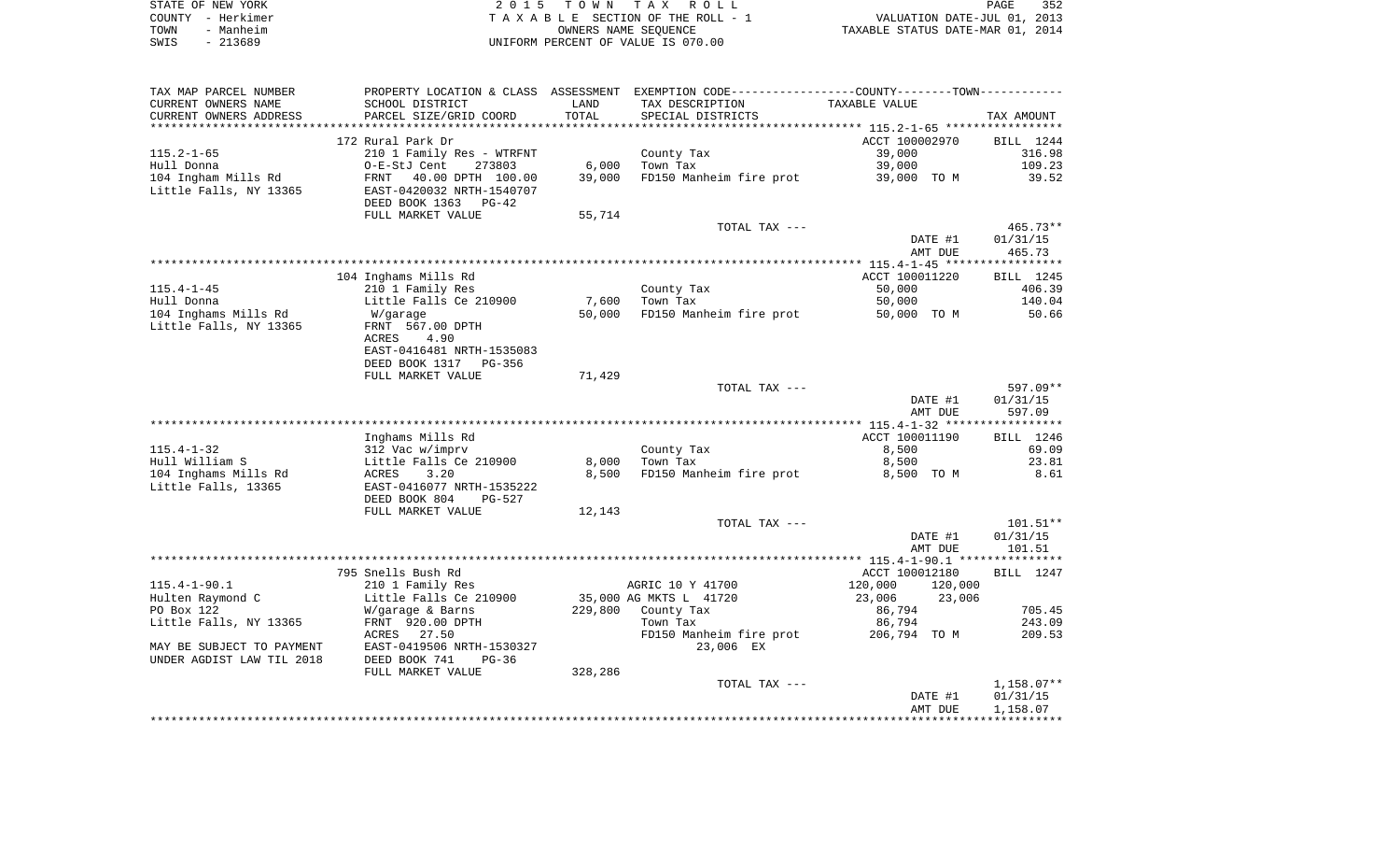| STATE OF NEW YORK |           | 2015 TOWN TAX ROLL                 | PAGE                             | 352 |
|-------------------|-----------|------------------------------------|----------------------------------|-----|
| COUNTY - Herkimer |           | TAXABLE SECTION OF THE ROLL - 1    | VALUATION DATE-JUL 01, 2013      |     |
| TOWN              | - Manheim | OWNERS NAME SEOUENCE               | TAXABLE STATUS DATE-MAR 01, 2014 |     |
| SWIS              | $-213689$ | UNIFORM PERCENT OF VALUE IS 070.00 |                                  |     |

| TAX MAP PARCEL NUMBER     |                           |         | PROPERTY LOCATION & CLASS ASSESSMENT EXEMPTION CODE----------------COUNTY--------TOWN----------- |                    |              |
|---------------------------|---------------------------|---------|--------------------------------------------------------------------------------------------------|--------------------|--------------|
| CURRENT OWNERS NAME       | SCHOOL DISTRICT           | LAND    | TAX DESCRIPTION                                                                                  | TAXABLE VALUE      |              |
| CURRENT OWNERS ADDRESS    | PARCEL SIZE/GRID COORD    | TOTAL   | SPECIAL DISTRICTS                                                                                |                    | TAX AMOUNT   |
|                           |                           |         |                                                                                                  |                    |              |
|                           | 172 Rural Park Dr         |         |                                                                                                  | ACCT 100002970     | BILL 1244    |
| $115.2 - 1 - 65$          | 210 1 Family Res - WTRFNT |         | County Tax                                                                                       | 39,000             | 316.98       |
| Hull Donna                | O-E-StJ Cent<br>273803    | 6,000   | Town Tax                                                                                         | 39,000             | 109.23       |
| 104 Ingham Mills Rd       | FRNT<br>40.00 DPTH 100.00 | 39,000  | FD150 Manheim fire prot                                                                          | 39,000 TO M        | 39.52        |
| Little Falls, NY 13365    | EAST-0420032 NRTH-1540707 |         |                                                                                                  |                    |              |
|                           | DEED BOOK 1363<br>$PG-42$ |         |                                                                                                  |                    |              |
|                           | FULL MARKET VALUE         | 55,714  |                                                                                                  |                    |              |
|                           |                           |         | TOTAL TAX ---                                                                                    |                    | 465.73**     |
|                           |                           |         |                                                                                                  | DATE #1            | 01/31/15     |
|                           |                           |         |                                                                                                  | AMT DUE            | 465.73       |
|                           |                           |         |                                                                                                  |                    |              |
|                           | 104 Inghams Mills Rd      |         |                                                                                                  | ACCT 100011220     | BILL 1245    |
| $115.4 - 1 - 45$          | 210 1 Family Res          |         | County Tax                                                                                       | 50,000             | 406.39       |
| Hull Donna                | Little Falls Ce 210900    | 7,600   | Town Tax                                                                                         | 50,000             | 140.04       |
| 104 Inghams Mills Rd      | W/garage                  | 50,000  | FD150 Manheim fire prot                                                                          | 50,000 TO M        | 50.66        |
| Little Falls, NY 13365    | FRNT 567.00 DPTH          |         |                                                                                                  |                    |              |
|                           | ACRES<br>4.90             |         |                                                                                                  |                    |              |
|                           | EAST-0416481 NRTH-1535083 |         |                                                                                                  |                    |              |
|                           |                           |         |                                                                                                  |                    |              |
|                           | DEED BOOK 1317 PG-356     |         |                                                                                                  |                    |              |
|                           | FULL MARKET VALUE         | 71,429  |                                                                                                  |                    |              |
|                           |                           |         | TOTAL TAX ---                                                                                    |                    | $597.09**$   |
|                           |                           |         |                                                                                                  | DATE #1            | 01/31/15     |
|                           |                           |         |                                                                                                  | AMT DUE            | 597.09       |
|                           |                           |         |                                                                                                  |                    |              |
|                           | Inghams Mills Rd          |         |                                                                                                  | ACCT 100011190     | BILL 1246    |
| $115.4 - 1 - 32$          | 312 Vac w/imprv           |         | County Tax                                                                                       | 8,500              | 69.09        |
| Hull William S            | Little Falls Ce 210900    | 8,000   | Town Tax                                                                                         | 8,500              | 23.81        |
| 104 Inghams Mills Rd      | ACRES<br>3.20             | 8,500   | FD150 Manheim fire prot                                                                          | 8,500 TO M         | 8.61         |
| Little Falls, 13365       | EAST-0416077 NRTH-1535222 |         |                                                                                                  |                    |              |
|                           | DEED BOOK 804<br>PG-527   |         |                                                                                                  |                    |              |
|                           | FULL MARKET VALUE         | 12,143  |                                                                                                  |                    |              |
|                           |                           |         | TOTAL TAX ---                                                                                    |                    | $101.51**$   |
|                           |                           |         |                                                                                                  | DATE #1            | 01/31/15     |
|                           |                           |         |                                                                                                  | AMT DUE            | 101.51       |
|                           |                           |         |                                                                                                  |                    |              |
|                           | 795 Snells Bush Rd        |         |                                                                                                  | ACCT 100012180     | BILL 1247    |
| $115.4 - 1 - 90.1$        | 210 1 Family Res          |         | AGRIC 10 Y 41700                                                                                 | 120,000<br>120,000 |              |
| Hulten Raymond C          | Little Falls Ce 210900    |         | 35,000 AG MKTS L 41720                                                                           | 23,006<br>23,006   |              |
| PO Box 122                | W/garage & Barns          |         | 229,800 County Tax                                                                               | 86,794             | 705.45       |
| Little Falls, NY 13365    | FRNT 920.00 DPTH          |         | Town Tax                                                                                         | 86,794             | 243.09       |
|                           | ACRES 27.50               |         | FD150 Manheim fire prot                                                                          | 206,794 TO M       | 209.53       |
| MAY BE SUBJECT TO PAYMENT | EAST-0419506 NRTH-1530327 |         | 23,006 EX                                                                                        |                    |              |
| UNDER AGDIST LAW TIL 2018 | DEED BOOK 741<br>$PG-36$  |         |                                                                                                  |                    |              |
|                           | FULL MARKET VALUE         | 328,286 |                                                                                                  |                    |              |
|                           |                           |         | TOTAL TAX ---                                                                                    |                    | $1,158.07**$ |
|                           |                           |         |                                                                                                  | DATE #1            | 01/31/15     |
|                           |                           |         |                                                                                                  | AMT DUE            | 1,158.07     |
|                           |                           |         |                                                                                                  |                    |              |
|                           |                           |         |                                                                                                  |                    |              |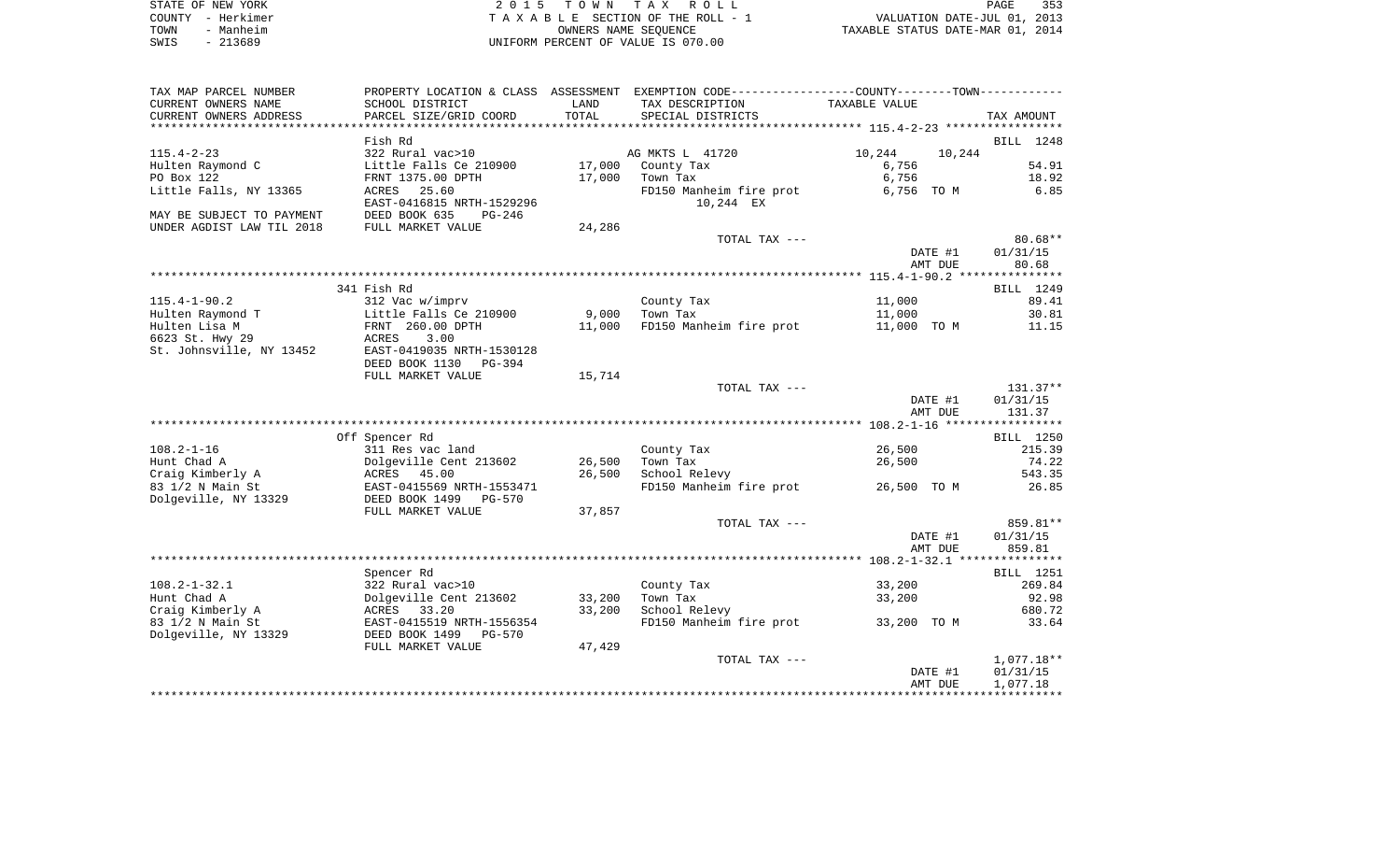|      | STATE OF NEW YORK | 2015 TOWN TAX ROLL                 | 353<br>PAGE                      |
|------|-------------------|------------------------------------|----------------------------------|
|      | COUNTY – Herkimer | TAXABLE SECTION OF THE ROLL - 1    | VALUATION DATE-JUL 01, 2013      |
| TOWN | - Manheim         | OWNERS NAME SEOUENCE               | TAXABLE STATUS DATE-MAR 01, 2014 |
| SWIS | - 213689          | UNIFORM PERCENT OF VALUE IS 070.00 |                                  |

| $108.2 - 1 - 32.1$                   | DEED BOOK 1499 PG-570<br>FULL MARKET VALUE<br>Spencer Rd<br>322 Rural vac>10 | 37,857 | TOTAL TAX ---<br>County Tax | DATE #1<br>AMT DUE<br>33,200 | 859.81**<br>01/31/15<br>859.81<br>BILL 1251<br>269.84 |
|--------------------------------------|------------------------------------------------------------------------------|--------|-----------------------------|------------------------------|-------------------------------------------------------|
| Dolgeville, NY 13329                 |                                                                              |        |                             |                              |                                                       |
|                                      |                                                                              |        |                             |                              |                                                       |
|                                      |                                                                              |        |                             |                              |                                                       |
|                                      |                                                                              |        |                             |                              |                                                       |
|                                      |                                                                              |        |                             |                              |                                                       |
|                                      |                                                                              |        |                             |                              |                                                       |
|                                      |                                                                              |        |                             |                              |                                                       |
|                                      |                                                                              |        |                             |                              |                                                       |
|                                      | EAST-0415569 NRTH-1553471                                                    |        | FD150 Manheim fire prot     | 26,500 TO M                  | 26.85                                                 |
| Craig Kimberly A<br>83 1/2 N Main St |                                                                              |        | School Relevy               |                              |                                                       |
|                                      | ACRES 45.00                                                                  | 26,500 |                             | 26,500                       | 543.35                                                |
| Hunt Chad A                          | Dolgeville Cent 213602                                                       | 26,500 | Town Tax                    |                              | 74.22                                                 |
| $108.2 - 1 - 16$                     | 311 Res vac land                                                             |        | County Tax                  | 26,500                       | 215.39                                                |
|                                      | Off Spencer Rd                                                               |        |                             |                              | BILL 1250                                             |
|                                      |                                                                              |        |                             |                              |                                                       |
|                                      |                                                                              |        |                             | AMT DUE                      | 131.37                                                |
|                                      |                                                                              |        |                             | DATE #1                      | 01/31/15                                              |
|                                      |                                                                              |        | TOTAL TAX ---               |                              | $131.37**$                                            |
|                                      | FULL MARKET VALUE                                                            | 15,714 |                             |                              |                                                       |
|                                      | DEED BOOK 1130 PG-394                                                        |        |                             |                              |                                                       |
| St. Johnsville, NY 13452             | EAST-0419035 NRTH-1530128                                                    |        |                             |                              |                                                       |
| 6623 St. Hwy 29                      | ACRES<br>3.00                                                                |        |                             |                              |                                                       |
| Hulten Lisa M                        | FRNT 260.00 DPTH                                                             | 11,000 | FD150 Manheim fire prot     | 11,000 TO M                  | 11.15                                                 |
| Hulten Raymond T                     | Little Falls Ce 210900                                                       | 9,000  | Town Tax                    | 11,000                       | 30.81                                                 |
| $115.4 - 1 - 90.2$                   | 312 Vac w/imprv                                                              |        | County Tax                  | 11,000                       | 89.41                                                 |
|                                      | 341 Fish Rd                                                                  |        |                             |                              | BILL 1249                                             |
|                                      |                                                                              |        |                             | AMT DUE                      | 80.68                                                 |
|                                      |                                                                              |        |                             | DATE #1                      | 01/31/15                                              |
|                                      |                                                                              |        | TOTAL TAX ---               |                              | $80.68**$                                             |
| UNDER AGDIST LAW TIL 2018            | FULL MARKET VALUE                                                            | 24,286 |                             |                              |                                                       |
| MAY BE SUBJECT TO PAYMENT            | DEED BOOK 635<br>PG-246                                                      |        |                             |                              |                                                       |
|                                      | EAST-0416815 NRTH-1529296                                                    |        | 10,244 EX                   |                              |                                                       |
| Little Falls, NY 13365               | 25.60<br>ACRES                                                               |        | FD150 Manheim fire prot     | 6,756 TO M                   | 6.85                                                  |
| PO Box 122                           | FRNT 1375.00 DPTH                                                            | 17,000 | Town Tax                    | 6,756                        | 18.92                                                 |
| Hulten Raymond C                     | Little Falls Ce 210900                                                       | 17,000 | County Tax                  | 6,756                        | 54.91                                                 |
| $115.4 - 2 - 23$                     | 322 Rural vac>10                                                             |        | AG MKTS L 41720             | 10,244<br>10,244             |                                                       |
|                                      | Fish Rd                                                                      |        |                             |                              | BILL 1248                                             |
|                                      |                                                                              |        |                             |                              |                                                       |
| CURRENT OWNERS ADDRESS               | PARCEL SIZE/GRID COORD                                                       | TOTAL  | SPECIAL DISTRICTS           |                              | TAX AMOUNT                                            |
|                                      | SCHOOL DISTRICT                                                              | LAND   | TAX DESCRIPTION             | TAXABLE VALUE                |                                                       |
| CURRENT OWNERS NAME                  |                                                                              |        |                             |                              |                                                       |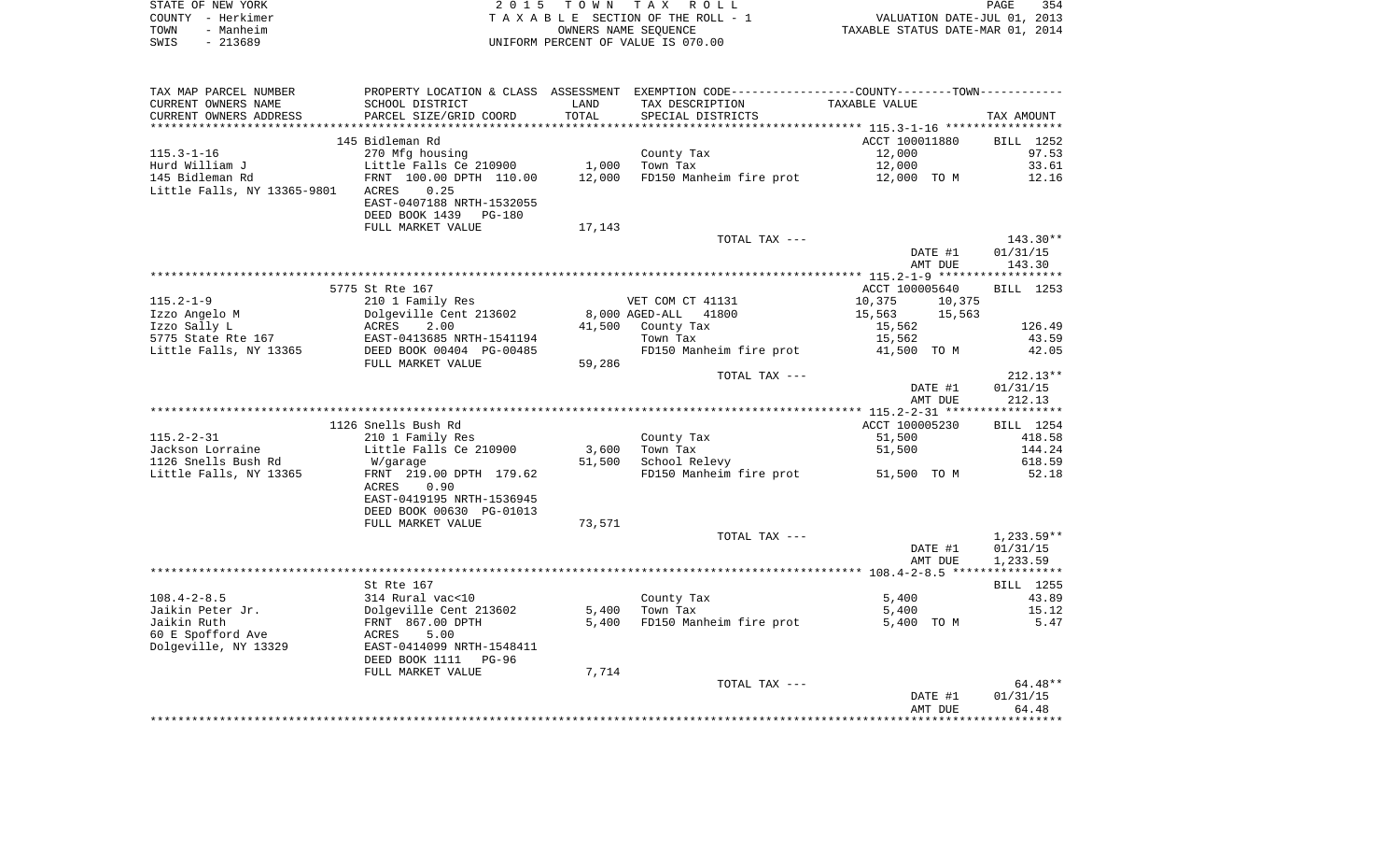|      | STATE OF NEW YORK | 2015 TOWN TAX ROLL                 | PAGE                             | 354 |
|------|-------------------|------------------------------------|----------------------------------|-----|
|      | COUNTY - Herkimer | TAXABLE SECTION OF THE ROLL - 1    | VALUATION DATE-JUL 01, 2013      |     |
| TOWN | - Manheim         | OWNERS NAME SEOUENCE               | TAXABLE STATUS DATE-MAR 01, 2014 |     |
| SWIS | - 213689          | UNIFORM PERCENT OF VALUE IS 070.00 |                                  |     |

| TAX MAP PARCEL NUMBER       |                                                       |        | PROPERTY LOCATION & CLASS ASSESSMENT EXEMPTION CODE---------------COUNTY-------TOWN---------- |                |              |
|-----------------------------|-------------------------------------------------------|--------|-----------------------------------------------------------------------------------------------|----------------|--------------|
| CURRENT OWNERS NAME         | SCHOOL DISTRICT                                       | LAND   | TAX DESCRIPTION                                                                               | TAXABLE VALUE  |              |
| CURRENT OWNERS ADDRESS      | PARCEL SIZE/GRID COORD                                | TOTAL  | SPECIAL DISTRICTS                                                                             |                | TAX AMOUNT   |
|                             |                                                       |        |                                                                                               |                |              |
|                             | 145 Bidleman Rd                                       |        |                                                                                               | ACCT 100011880 | BILL 1252    |
| $115.3 - 1 - 16$            | 270 Mfg housing                                       |        | County Tax                                                                                    | 12,000         | 97.53        |
| Hurd William J              | Little Falls Ce 210900                                | 1,000  | Town Tax                                                                                      | 12,000         | 33.61        |
| 145 Bidleman Rd             | ERNT 100.00 DPTH 110.00                               | 12,000 | FD150 Manheim fire prot 12,000 TO M                                                           |                | 12.16        |
|                             |                                                       |        |                                                                                               |                |              |
| Little Falls, NY 13365-9801 | ACRES<br>0.25                                         |        |                                                                                               |                |              |
|                             | EAST-0407188 NRTH-1532055                             |        |                                                                                               |                |              |
|                             | DEED BOOK 1439 PG-180                                 |        |                                                                                               |                |              |
|                             | FULL MARKET VALUE                                     | 17,143 |                                                                                               |                |              |
|                             |                                                       |        | TOTAL TAX ---                                                                                 |                | 143.30**     |
|                             |                                                       |        |                                                                                               | DATE #1        | 01/31/15     |
|                             |                                                       |        |                                                                                               | AMT DUE        | 143.30       |
|                             |                                                       |        |                                                                                               |                |              |
|                             | 5775 St Rte 167                                       |        |                                                                                               | ACCT 100005640 | BILL 1253    |
| $115.2 - 1 - 9$             | 210 1 Family Res                                      |        | VET COM CT 41131                                                                              | 10,375         | 10,375       |
| Izzo Angelo M               |                                                       |        | 8,000 AGED-ALL 41800                                                                          | 15,563         | 15,563       |
| Izzo Sally L                | Dolgeville Cent 213602<br>ACRES 2.00                  |        | 41,500 County Tax                                                                             | 15,562         | 126.49       |
| 5775 State Rte 167          |                                                       |        | Town Tax                                                                                      | 15,562         | 43.59        |
| Little Falls, NY 13365      | EAST-0413685 NRTH-1541194<br>DEED BOOK 00404 PG-00485 |        | FD150 Manheim fire prot                                                                       | 41,500 TO M    | 42.05        |
|                             | FULL MARKET VALUE                                     | 59,286 |                                                                                               |                |              |
|                             |                                                       |        | TOTAL TAX ---                                                                                 |                | $212.13**$   |
|                             |                                                       |        |                                                                                               |                |              |
|                             |                                                       |        |                                                                                               | DATE #1        | 01/31/15     |
|                             |                                                       |        |                                                                                               | AMT DUE        | 212.13       |
|                             |                                                       |        |                                                                                               |                |              |
|                             | 1126 Snells Bush Rd                                   |        |                                                                                               | ACCT 100005230 | BILL 1254    |
| $115.2 - 2 - 31$            | 210 1 Family Res                                      |        | County Tax                                                                                    | 51,500         | 418.58       |
| Jackson Lorraine            | Little Falls Ce 210900                                | 3,600  | Town Tax                                                                                      | 51,500         | 144.24       |
| 1126 Snells Bush Rd         | W/garage                                              | 51,500 | School Relevy                                                                                 |                | 618.59       |
| Little Falls, NY 13365      | FRNT 219.00 DPTH 179.62                               |        | FD150 Manheim fire prot 51,500 TO M                                                           |                | 52.18        |
|                             | 0.90<br>ACRES                                         |        |                                                                                               |                |              |
|                             | EAST-0419195 NRTH-1536945                             |        |                                                                                               |                |              |
|                             | DEED BOOK 00630 PG-01013                              |        |                                                                                               |                |              |
|                             | FULL MARKET VALUE                                     | 73,571 |                                                                                               |                |              |
|                             |                                                       |        | TOTAL TAX ---                                                                                 |                | $1,233.59**$ |
|                             |                                                       |        |                                                                                               | DATE #1        | 01/31/15     |
|                             |                                                       |        |                                                                                               | AMT DUE        | 1,233.59     |
|                             |                                                       |        |                                                                                               |                |              |
|                             | St Rte 167                                            |        |                                                                                               |                | BILL 1255    |
| $108.4 - 2 - 8.5$           | 314 Rural vac<10                                      |        | County Tax                                                                                    | 5,400          | 43.89        |
| Jaikin Peter Jr.            |                                                       |        | $5,400$ Town Tax                                                                              | 5,400          | 15.12        |
|                             | Dolgeville Cent 213602<br>FRNT 867.00 DPTH            |        |                                                                                               |                |              |
| Jaikin Ruth                 |                                                       | 5,400  | FD150 Manheim fire prot                                                                       | 5,400 TO M     | 5.47         |
| 60 E Spofford Ave           | <b>ACRES</b><br>5.00                                  |        |                                                                                               |                |              |
| Dolgeville, NY 13329        | EAST-0414099 NRTH-1548411                             |        |                                                                                               |                |              |
|                             | DEED BOOK 1111 PG-96                                  |        |                                                                                               |                |              |
|                             | FULL MARKET VALUE                                     | 7,714  |                                                                                               |                |              |
|                             |                                                       |        | TOTAL TAX ---                                                                                 |                | $64.48**$    |
|                             |                                                       |        |                                                                                               | DATE #1        | 01/31/15     |
|                             |                                                       |        |                                                                                               | AMT DUE        | 64.48        |
|                             |                                                       |        |                                                                                               |                |              |
|                             |                                                       |        |                                                                                               |                |              |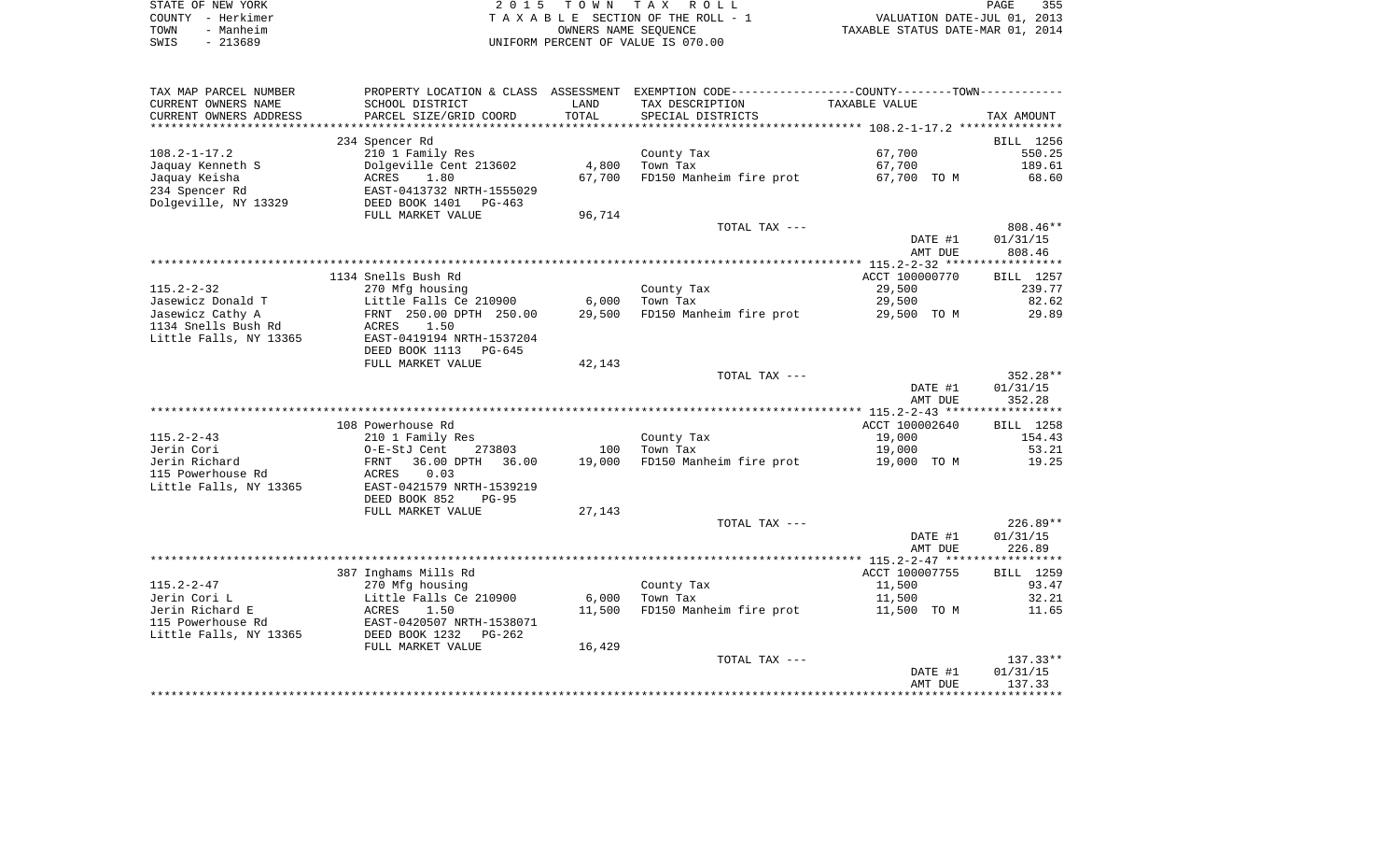|      | STATE OF NEW YORK | 2015 TOWN TAX ROLL                 | 355<br>PAGE                      |
|------|-------------------|------------------------------------|----------------------------------|
|      | COUNTY - Herkimer | TAXABLE SECTION OF THE ROLL - 1    | VALUATION DATE-JUL 01, 2013      |
| TOWN | - Manheim         | OWNERS NAME SEOUENCE               | TAXABLE STATUS DATE-MAR 01, 2014 |
| SWIS | - 213689          | UNIFORM PERCENT OF VALUE IS 070.00 |                                  |

| TAX MAP PARCEL NUMBER            |                                            |        | PROPERTY LOCATION & CLASS ASSESSMENT EXEMPTION CODE---------------COUNTY-------TOWN---------- |                  |                |
|----------------------------------|--------------------------------------------|--------|-----------------------------------------------------------------------------------------------|------------------|----------------|
| CURRENT OWNERS NAME              | SCHOOL DISTRICT                            | LAND   | TAX DESCRIPTION                                                                               | TAXABLE VALUE    |                |
| CURRENT OWNERS ADDRESS           | PARCEL SIZE/GRID COORD                     | TOTAL  | SPECIAL DISTRICTS                                                                             |                  | TAX AMOUNT     |
|                                  |                                            |        |                                                                                               |                  |                |
|                                  | 234 Spencer Rd                             |        |                                                                                               |                  | BILL 1256      |
| $108.2 - 1 - 17.2$               | 210 1 Family Res                           |        | County Tax                                                                                    | 67,700           | 550.25         |
| Jaquay Kenneth S                 | Dolgeville Cent 213602                     | 4,800  | Town Tax                                                                                      | 67,700           | 189.61         |
| Jaquay Keisha                    | ACRES<br>1.80                              | 67,700 | FD150 Manheim fire prot                                                                       | 67,700 TO M      | 68.60          |
| 234 Spencer Rd                   | EAST-0413732 NRTH-1555029                  |        |                                                                                               |                  |                |
| Dolgeville, NY 13329             | DEED BOOK 1401<br>PG-463                   |        |                                                                                               |                  |                |
|                                  | FULL MARKET VALUE                          | 96,714 |                                                                                               |                  |                |
|                                  |                                            |        | TOTAL TAX ---                                                                                 |                  | 808.46**       |
|                                  |                                            |        |                                                                                               | DATE #1          | 01/31/15       |
|                                  |                                            |        |                                                                                               | AMT DUE          | 808.46         |
|                                  |                                            |        |                                                                                               |                  |                |
|                                  | 1134 Snells Bush Rd                        |        |                                                                                               | ACCT 100000770   | BILL 1257      |
| $115.2 - 2 - 32$                 | 270 Mfg housing                            |        | County Tax                                                                                    | 29,500           | 239.77         |
| Jasewicz Donald T                | Little Falls Ce 210900                     | 6,000  | Town Tax                                                                                      | 29,500           | 82.62          |
| Jasewicz Cathy A                 | FRNT 250.00 DPTH 250.00                    | 29,500 | FD150 Manheim fire prot                                                                       | 29,500 TO M      | 29.89          |
| 1134 Snells Bush Rd              | ACRES<br>1.50                              |        |                                                                                               |                  |                |
| Little Falls, NY 13365           | EAST-0419194 NRTH-1537204                  |        |                                                                                               |                  |                |
|                                  | DEED BOOK 1113<br>PG-645                   |        |                                                                                               |                  |                |
|                                  | FULL MARKET VALUE                          | 42,143 |                                                                                               |                  |                |
|                                  |                                            |        | TOTAL TAX ---                                                                                 |                  | $352.28**$     |
|                                  |                                            |        |                                                                                               | DATE #1          | 01/31/15       |
|                                  |                                            |        |                                                                                               | AMT DUE          | 352.28         |
|                                  |                                            |        |                                                                                               |                  | ***********    |
|                                  | 108 Powerhouse Rd                          |        |                                                                                               | ACCT 100002640   | BILL 1258      |
| $115.2 - 2 - 43$                 | 210 1 Family Res                           |        | County Tax                                                                                    | 19,000           | 154.43         |
| Jerin Cori                       | O-E-StJ Cent<br>273803                     | 100    | Town Tax                                                                                      | 19,000           | 53.21          |
| Jerin Richard                    | 36.00 DPTH<br>FRNT<br>36.00                | 19,000 | FD150 Manheim fire prot                                                                       | 19,000 TO M      | 19.25          |
| 115 Powerhouse Rd                | ACRES<br>0.03                              |        |                                                                                               |                  |                |
| Little Falls, NY 13365           | EAST-0421579 NRTH-1539219                  |        |                                                                                               |                  |                |
|                                  | DEED BOOK 852<br>$PG-95$                   |        |                                                                                               |                  |                |
|                                  | FULL MARKET VALUE                          | 27,143 |                                                                                               |                  |                |
|                                  |                                            |        | TOTAL TAX ---                                                                                 |                  | $226.89**$     |
|                                  |                                            |        |                                                                                               | DATE #1          | 01/31/15       |
|                                  |                                            |        |                                                                                               | AMT DUE          | 226.89         |
|                                  |                                            |        |                                                                                               |                  |                |
|                                  | 387 Inghams Mills Rd                       |        |                                                                                               | ACCT 100007755   | BILL 1259      |
| $115.2 - 2 - 47$<br>Jerin Cori L | 270 Mfg housing<br>Little Falls Ce 210900  | 6,000  | County Tax<br>Town Tax                                                                        | 11,500<br>11,500 | 93.47<br>32.21 |
| Jerin Richard E                  |                                            | 11,500 | FD150 Manheim fire prot                                                                       |                  | 11.65          |
| 115 Powerhouse Rd                | ACRES<br>1.50<br>EAST-0420507 NRTH-1538071 |        |                                                                                               | 11,500 TO M      |                |
|                                  |                                            |        |                                                                                               |                  |                |
| Little Falls, NY 13365           | DEED BOOK 1232<br>PG-262                   |        |                                                                                               |                  |                |
|                                  | FULL MARKET VALUE                          | 16,429 | TOTAL TAX ---                                                                                 |                  | $137.33**$     |
|                                  |                                            |        |                                                                                               | DATE #1          | 01/31/15       |
|                                  |                                            |        |                                                                                               | AMT DUE          | 137.33         |
|                                  |                                            |        |                                                                                               |                  |                |
|                                  |                                            |        |                                                                                               |                  |                |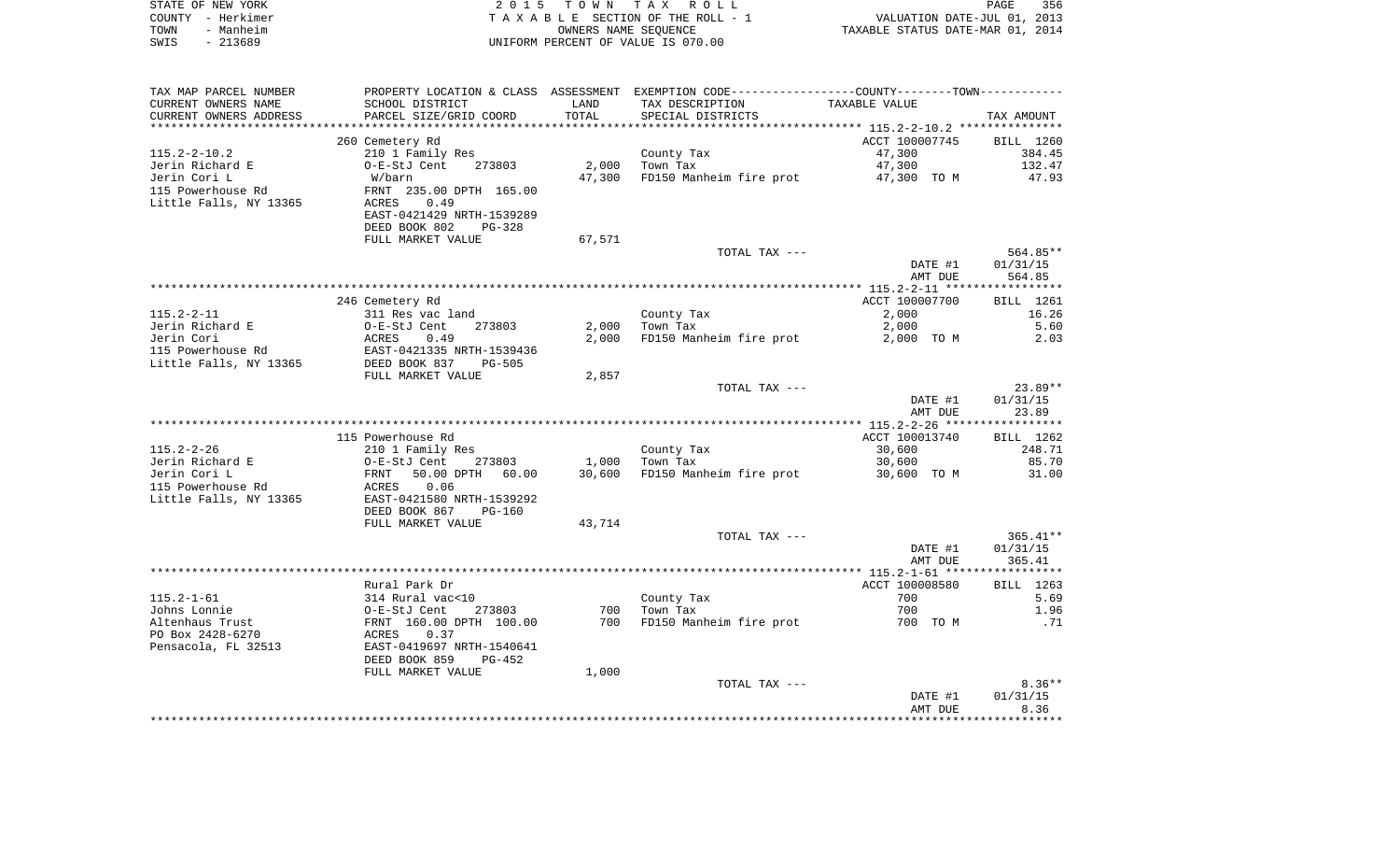| STATE OF NEW YORK | 2015 TOWN TAX ROLL                 | PAGE                             | 356 |
|-------------------|------------------------------------|----------------------------------|-----|
| COUNTY - Herkimer | TAXABLE SECTION OF THE ROLL - 1    | VALUATION DATE-JUL 01, 2013      |     |
| TOWN<br>- Manheim | OWNERS NAME SEOUENCE               | TAXABLE STATUS DATE-MAR 01, 2014 |     |
| SWIS<br>- 213689  | UNIFORM PERCENT OF VALUE IS 070.00 |                                  |     |

| TAX MAP PARCEL NUMBER                                                                                                                                                                                                          |                                                                                  |        | PROPERTY LOCATION & CLASS ASSESSMENT EXEMPTION CODE---------------COUNTY-------TOWN--------- |                |            |
|--------------------------------------------------------------------------------------------------------------------------------------------------------------------------------------------------------------------------------|----------------------------------------------------------------------------------|--------|----------------------------------------------------------------------------------------------|----------------|------------|
| CURRENT OWNERS NAME                                                                                                                                                                                                            | SCHOOL DISTRICT                                                                  | LAND   | TAX DESCRIPTION                                                                              | TAXABLE VALUE  |            |
| CURRENT OWNERS ADDRESS                                                                                                                                                                                                         | PARCEL SIZE/GRID COORD                                                           | TOTAL  | SPECIAL DISTRICTS                                                                            |                | TAX AMOUNT |
|                                                                                                                                                                                                                                |                                                                                  |        |                                                                                              |                |            |
|                                                                                                                                                                                                                                | 260 Cemetery Rd                                                                  |        |                                                                                              | ACCT 100007745 | BILL 1260  |
| $115.2 - 2 - 10.2$                                                                                                                                                                                                             | 210 1 Family Res                                                                 |        | County Tax                                                                                   | 47,300         | 384.45     |
| Jerin Richard E                                                                                                                                                                                                                | 273803<br>O-E-StJ Cent                                                           | 2,000  | Town Tax                                                                                     | 47,300         | 132.47     |
| Jerin Cori L                                                                                                                                                                                                                   | W/barn                                                                           | 47,300 | FD150 Manheim fire prot 47,300 TO M                                                          |                | 47.93      |
|                                                                                                                                                                                                                                |                                                                                  |        |                                                                                              |                |            |
| 115 Powerhouse Rd                                                                                                                                                                                                              | FRNT 235.00 DPTH 165.00                                                          |        |                                                                                              |                |            |
| Little Falls, NY 13365                                                                                                                                                                                                         | ACRES<br>0.49                                                                    |        |                                                                                              |                |            |
|                                                                                                                                                                                                                                | EAST-0421429 NRTH-1539289                                                        |        |                                                                                              |                |            |
|                                                                                                                                                                                                                                | DEED BOOK 802<br>PG-328                                                          |        |                                                                                              |                |            |
|                                                                                                                                                                                                                                | FULL MARKET VALUE                                                                | 67,571 |                                                                                              |                |            |
|                                                                                                                                                                                                                                |                                                                                  |        | TOTAL TAX ---                                                                                |                | 564.85**   |
|                                                                                                                                                                                                                                |                                                                                  |        |                                                                                              | DATE #1        | 01/31/15   |
|                                                                                                                                                                                                                                |                                                                                  |        |                                                                                              | AMT DUE        | 564.85     |
|                                                                                                                                                                                                                                |                                                                                  |        |                                                                                              |                |            |
|                                                                                                                                                                                                                                | 246 Cemetery Rd                                                                  |        |                                                                                              | ACCT 100007700 | BILL 1261  |
| $115.2 - 2 - 11$                                                                                                                                                                                                               | 311 Res vac land                                                                 |        | County Tax                                                                                   | 2,000          | 16.26      |
|                                                                                                                                                                                                                                |                                                                                  |        | $2,000$ Town Tax                                                                             | 2,000          | 5.60       |
|                                                                                                                                                                                                                                |                                                                                  | 2,000  | FD150 Manheim fire prot                                                                      | 2,000 TO M     | 2.03       |
| Jerin Richard E and B and B and B and B and B and B and B and B and B and B and B and B and B and B and B and B and B and B and B and B and B and B and B and B and B and B and B and B and B and B and B and B and B and B an |                                                                                  |        |                                                                                              |                |            |
|                                                                                                                                                                                                                                |                                                                                  |        |                                                                                              |                |            |
|                                                                                                                                                                                                                                | FULL MARKET VALUE                                                                | 2,857  |                                                                                              |                |            |
|                                                                                                                                                                                                                                |                                                                                  |        | TOTAL TAX ---                                                                                |                | $23.89**$  |
|                                                                                                                                                                                                                                |                                                                                  |        |                                                                                              | DATE #1        | 01/31/15   |
|                                                                                                                                                                                                                                |                                                                                  |        |                                                                                              | AMT DUE        | 23.89      |
|                                                                                                                                                                                                                                |                                                                                  |        |                                                                                              |                |            |
|                                                                                                                                                                                                                                |                                                                                  |        |                                                                                              |                |            |
|                                                                                                                                                                                                                                | 115 Powerhouse Rd                                                                |        |                                                                                              | ACCT 100013740 | BILL 1262  |
| $115.2 - 2 - 26$                                                                                                                                                                                                               | 210 1 Family Res                                                                 |        | County Tax                                                                                   | 30,600         | 248.71     |
| Friend Richard E and C-E-StJ Cent<br>Jerin Cori L FRNT 50.00<br>115 Powerhouse Rd ACRES 0.06                                                                                                                                   | 273803                                                                           |        | $1,000$ Town Tax                                                                             | 30,600         | 85.70      |
|                                                                                                                                                                                                                                | 50.00 DPTH 60.00                                                                 | 30,600 | FD150 Manheim fire prot 30,600 TO M                                                          |                | 31.00      |
|                                                                                                                                                                                                                                | 0.06                                                                             |        |                                                                                              |                |            |
| Little Falls, NY 13365                                                                                                                                                                                                         | EAST-0421580 NRTH-1539292                                                        |        |                                                                                              |                |            |
|                                                                                                                                                                                                                                | DEED BOOK 867<br>PG-160                                                          |        |                                                                                              |                |            |
|                                                                                                                                                                                                                                | FULL MARKET VALUE                                                                | 43,714 |                                                                                              |                |            |
|                                                                                                                                                                                                                                |                                                                                  |        | TOTAL TAX ---                                                                                |                | $365.41**$ |
|                                                                                                                                                                                                                                |                                                                                  |        |                                                                                              | DATE #1        | 01/31/15   |
|                                                                                                                                                                                                                                |                                                                                  |        |                                                                                              | AMT DUE        | 365.41     |
|                                                                                                                                                                                                                                |                                                                                  |        |                                                                                              |                |            |
|                                                                                                                                                                                                                                | Rural Park Dr                                                                    |        |                                                                                              | ACCT 100008580 | BILL 1263  |
| $115.2 - 1 - 61$                                                                                                                                                                                                               |                                                                                  |        | County Tax                                                                                   | 700            | 5.69       |
| Johns Lonnie                                                                                                                                                                                                                   |                                                                                  | 700    | Town Tax                                                                                     | 700            | 1.96       |
| Altenhaus Trust                                                                                                                                                                                                                | 314 Rural vac<10<br>0-E-StJ Cent 273803<br>FRNT 160.00 DPTH 100.00<br>ACRES 0.37 | 700    | FD150 Manheim fire prot 500 700 TO M                                                         |                | .71        |
| PO Box 2428-6270                                                                                                                                                                                                               |                                                                                  |        |                                                                                              |                |            |
| Pensacola, FL 32513                                                                                                                                                                                                            | EAST-0419697 NRTH-1540641                                                        |        |                                                                                              |                |            |
|                                                                                                                                                                                                                                | PG-452                                                                           |        |                                                                                              |                |            |
|                                                                                                                                                                                                                                | DEED BOOK 859                                                                    |        |                                                                                              |                |            |
|                                                                                                                                                                                                                                | FULL MARKET VALUE                                                                | 1,000  |                                                                                              |                |            |
|                                                                                                                                                                                                                                |                                                                                  |        | TOTAL TAX ---                                                                                |                | $8.36**$   |
|                                                                                                                                                                                                                                |                                                                                  |        |                                                                                              | DATE #1        | 01/31/15   |
|                                                                                                                                                                                                                                |                                                                                  |        |                                                                                              | AMT DUE        | 8.36       |
|                                                                                                                                                                                                                                |                                                                                  |        |                                                                                              |                |            |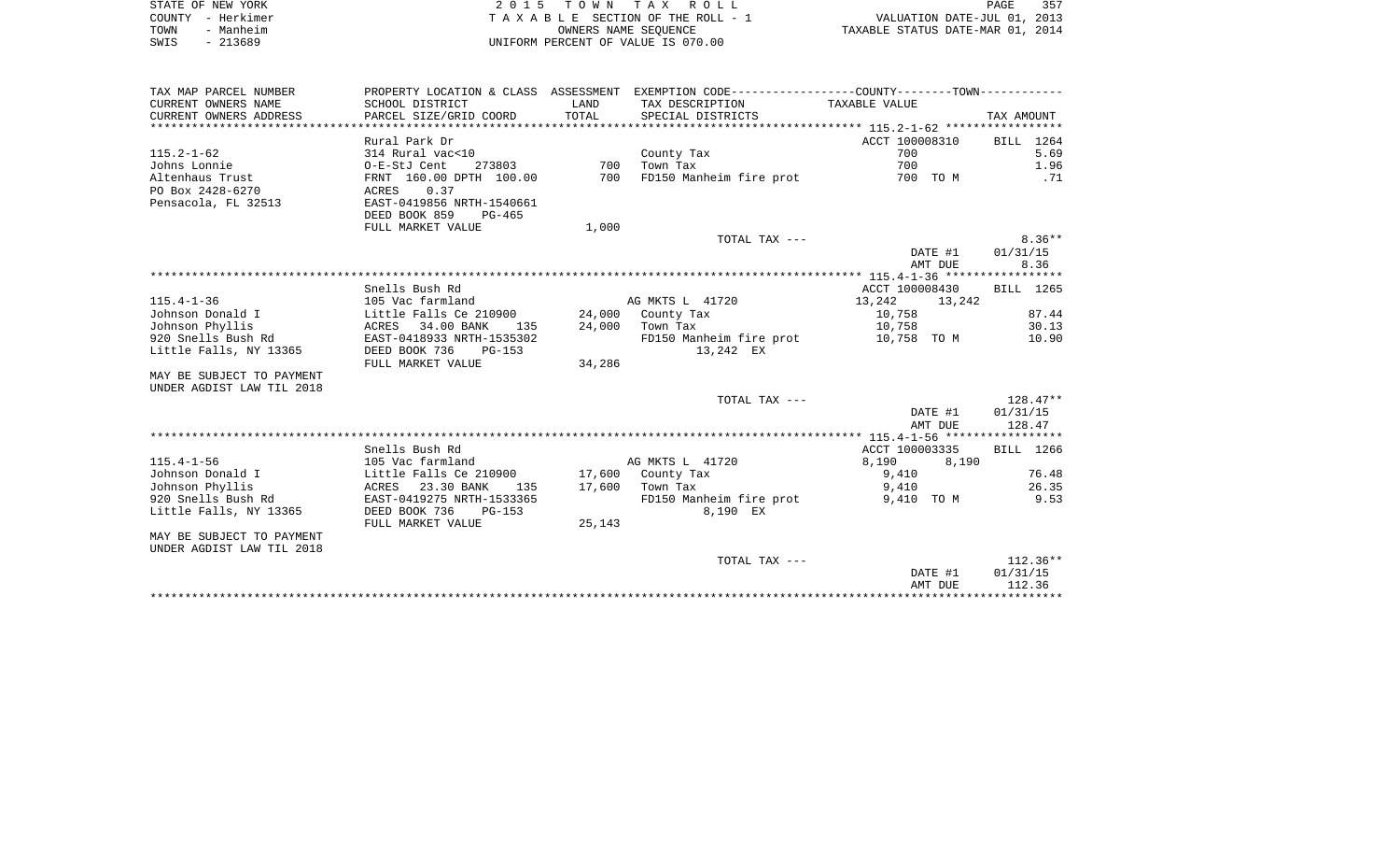|      | STATE OF NEW YORK | 2015 TOWN TAX ROLL                 | PAGE                             | 357 |
|------|-------------------|------------------------------------|----------------------------------|-----|
|      | COUNTY - Herkimer | TAXABLE SECTION OF THE ROLL - 1    | VALUATION DATE-JUL 01, 2013      |     |
| TOWN | - Manheim         | OWNERS NAME SEOUENCE               | TAXABLE STATUS DATE-MAR 01, 2014 |     |
| SWIS | $-213689$         | UNIFORM PERCENT OF VALUE IS 070.00 |                                  |     |

| TAX MAP PARCEL NUMBER<br>CURRENT OWNERS NAME                                                                                                                      | SCHOOL DISTRICT                                                                                                                                                                          | LAND                      | PROPERTY LOCATION & CLASS ASSESSMENT EXEMPTION CODE----------------COUNTY-------TOWN----------<br>TAX DESCRIPTION | TAXABLE VALUE                                                    |                                     |
|-------------------------------------------------------------------------------------------------------------------------------------------------------------------|------------------------------------------------------------------------------------------------------------------------------------------------------------------------------------------|---------------------------|-------------------------------------------------------------------------------------------------------------------|------------------------------------------------------------------|-------------------------------------|
| CURRENT OWNERS ADDRESS                                                                                                                                            | PARCEL SIZE/GRID COORD                                                                                                                                                                   | TOTAL                     | SPECIAL DISTRICTS                                                                                                 |                                                                  | TAX AMOUNT                          |
| $115.2 - 1 - 62$<br>Johns Lonnie<br>Altenhaus Trust<br>PO Box 2428-6270<br>Pensacola, FL 32513                                                                    | Rural Park Dr<br>314 Rural vac<10<br>O-E-StJ Cent<br>273803<br>FRNT 160.00 DPTH 100.00<br>ACRES 0.37<br>EAST-0419856 NRTH-1540661<br>DEED BOOK 859<br>PG-465                             | 700<br>700                | County Tax<br>Town Tax<br>FD150 Manheim fire prot                                                                 | ACCT 100008310<br>700<br>700<br>700 TO M                         | BILL 1264<br>5.69<br>1.96<br>.71    |
|                                                                                                                                                                   | FULL MARKET VALUE                                                                                                                                                                        | 1,000                     | TOTAL TAX ---                                                                                                     | DATE #1<br>AMT DUE                                               | $8.36**$<br>01/31/15<br>8.36        |
|                                                                                                                                                                   |                                                                                                                                                                                          |                           |                                                                                                                   |                                                                  |                                     |
| $115.4 - 1 - 36$                                                                                                                                                  | Snells Bush Rd<br>105 Vac farmland                                                                                                                                                       |                           | AG MKTS L 41720                                                                                                   | ACCT 100008430<br>13,242<br>13,242                               | BILL 1265                           |
| Johnson Donald I<br>Johnson Phyllis<br>920 Snells Bush Rd<br>Little Falls, NY 13365<br>MAY BE SUBJECT TO PAYMENT                                                  | Little Falls Ce 210900<br>ACRES 34.00 BANK<br>135<br>EAST-0418933 NRTH-1535302<br>DEED BOOK 736<br>$PG-153$<br>FULL MARKET VALUE                                                         | 24,000<br>34,286          | 24,000 County Tax<br>Town Tax<br>FD150 Manheim fire prot<br>13,242 EX                                             | 10,758<br>10,758<br>10,758 TO M                                  | 87.44<br>30.13<br>10.90             |
| UNDER AGDIST LAW TIL 2018                                                                                                                                         |                                                                                                                                                                                          |                           |                                                                                                                   |                                                                  |                                     |
|                                                                                                                                                                   |                                                                                                                                                                                          |                           | TOTAL TAX ---                                                                                                     | DATE #1<br>AMT DUE                                               | $128.47**$<br>01/31/15<br>128.47    |
|                                                                                                                                                                   |                                                                                                                                                                                          |                           |                                                                                                                   |                                                                  |                                     |
| $115.4 - 1 - 56$<br>Johnson Donald I<br>Johnson Phyllis<br>920 Snells Bush Rd<br>Little Falls, NY 13365<br>MAY BE SUBJECT TO PAYMENT<br>UNDER AGDIST LAW TIL 2018 | Snells Bush Rd<br>105 Vac farmland<br>Little Falls Ce 210900 17,600 County Tax<br>ACRES 23.30 BANK<br>135<br>EAST-0419275 NRTH-1533365<br>DEED BOOK 736<br>$PG-153$<br>FULL MARKET VALUE | 17,600 Town Tax<br>25,143 | AG MKTS L 41720<br>FD150 Manheim fire prot<br>8,190 EX                                                            | ACCT 100003335<br>8,190<br>8,190<br>9,410<br>9,410<br>9,410 TO M | BILL 1266<br>76.48<br>26.35<br>9.53 |
|                                                                                                                                                                   |                                                                                                                                                                                          |                           | TOTAL TAX ---                                                                                                     | DATE #1<br>AMT DUE                                               | $112.36**$<br>01/31/15<br>112.36    |
|                                                                                                                                                                   |                                                                                                                                                                                          |                           |                                                                                                                   |                                                                  |                                     |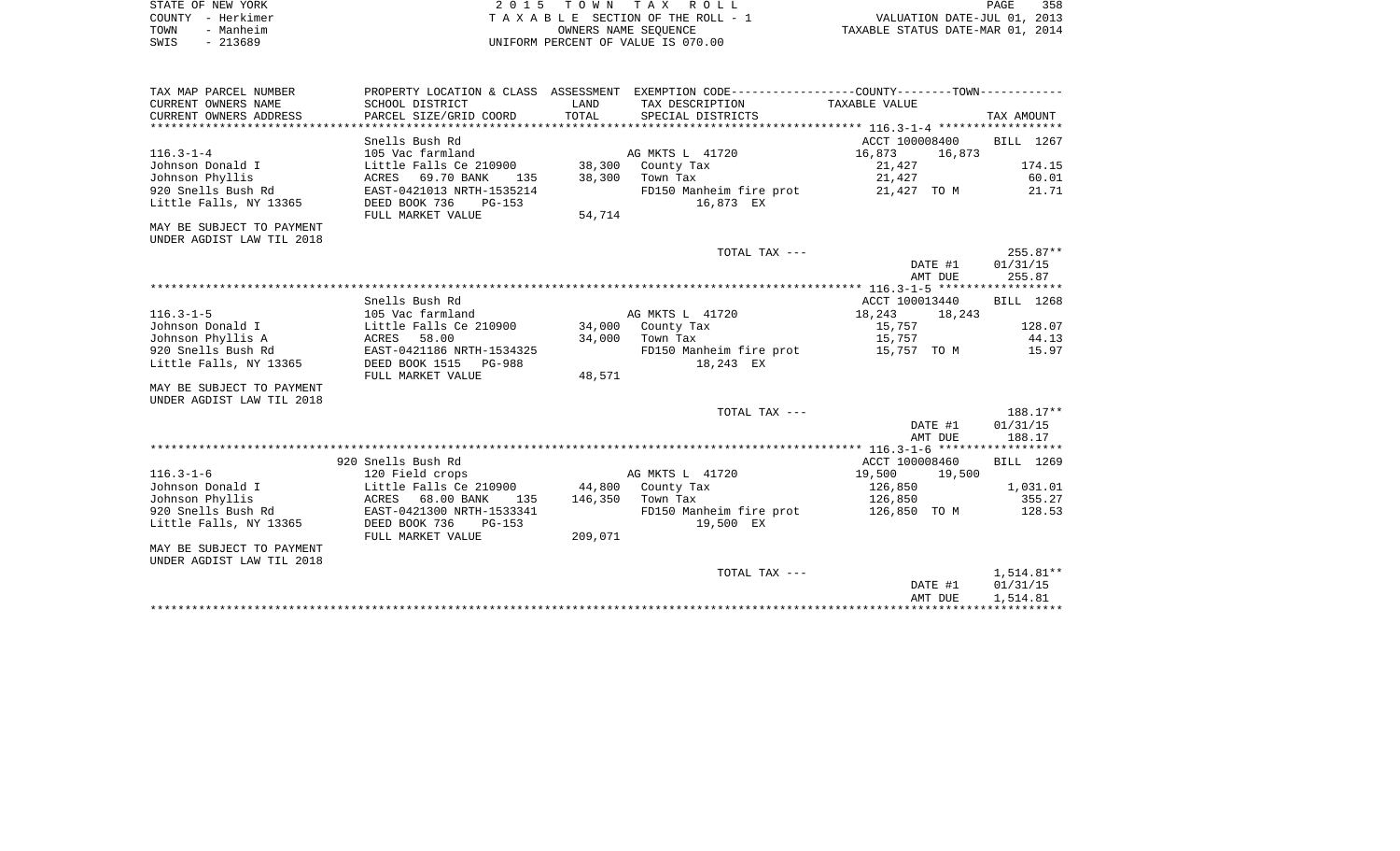| STATE OF NEW YORK | 2015 TOWN TAX ROLL                 | 358<br>PAGE                      |
|-------------------|------------------------------------|----------------------------------|
| COUNTY - Herkimer | TAXABLE SECTION OF THE ROLL - 1    | VALUATION DATE-JUL 01, 2013      |
| - Manheim<br>TOWN | OWNERS NAME SEOUENCE               | TAXABLE STATUS DATE-MAR 01, 2014 |
| - 213689<br>SWIS  | UNIFORM PERCENT OF VALUE IS 070.00 |                                  |

| TAX MAP PARCEL NUMBER     |                           |         | PROPERTY LOCATION & CLASS ASSESSMENT EXEMPTION CODE---------------COUNTY-------TOWN---------- |                  |              |
|---------------------------|---------------------------|---------|-----------------------------------------------------------------------------------------------|------------------|--------------|
| CURRENT OWNERS NAME       | SCHOOL DISTRICT           | LAND    | TAX DESCRIPTION                                                                               | TAXABLE VALUE    |              |
| CURRENT OWNERS ADDRESS    | PARCEL SIZE/GRID COORD    | TOTAL   | SPECIAL DISTRICTS                                                                             |                  | TAX AMOUNT   |
|                           |                           |         |                                                                                               |                  |              |
|                           | Snells Bush Rd            |         |                                                                                               | ACCT 100008400   | BILL 1267    |
| $116.3 - 1 - 4$           | 105 Vac farmland          |         | AG MKTS L 41720                                                                               | 16,873<br>16,873 |              |
| Johnson Donald I          | Little Falls Ce 210900    | 38,300  | County Tax                                                                                    | 21,427           | 174.15       |
| Johnson Phyllis           | ACRES 69.70 BANK<br>135   | 38,300  | Town Tax                                                                                      | 21,427           | 60.01        |
| 920 Snells Bush Rd        | EAST-0421013 NRTH-1535214 |         | FD150 Manheim fire prot                                                                       | 21,427 TO M      | 21.71        |
| Little Falls, NY 13365    | DEED BOOK 736<br>$PG-153$ |         | 16,873 EX                                                                                     |                  |              |
|                           | FULL MARKET VALUE         | 54,714  |                                                                                               |                  |              |
| MAY BE SUBJECT TO PAYMENT |                           |         |                                                                                               |                  |              |
| UNDER AGDIST LAW TIL 2018 |                           |         |                                                                                               |                  |              |
|                           |                           |         | TOTAL TAX ---                                                                                 |                  | $255.87**$   |
|                           |                           |         |                                                                                               | DATE #1          | 01/31/15     |
|                           |                           |         |                                                                                               | AMT DUE          | 255.87       |
|                           |                           |         |                                                                                               |                  |              |
|                           | Snells Bush Rd            |         |                                                                                               | ACCT 100013440   | BILL 1268    |
| $116.3 - 1 - 5$           | 105 Vac farmland          |         | AG MKTS L 41720                                                                               | 18,243<br>18,243 |              |
| Johnson Donald I          | Little Falls Ce 210900    |         | 34,000 County Tax                                                                             | 15,757           | 128.07       |
| Johnson Phyllis A         | 58.00<br>ACRES            | 34,000  | Town Tax                                                                                      | 15,757           | 44.13        |
| 920 Snells Bush Rd        | EAST-0421186 NRTH-1534325 |         | FD150 Manheim fire prot                                                                       | 15,757 TO M      | 15.97        |
| Little Falls, NY 13365    | DEED BOOK 1515<br>PG-988  |         | 18,243 EX                                                                                     |                  |              |
|                           | FULL MARKET VALUE         | 48,571  |                                                                                               |                  |              |
| MAY BE SUBJECT TO PAYMENT |                           |         |                                                                                               |                  |              |
| UNDER AGDIST LAW TIL 2018 |                           |         |                                                                                               |                  |              |
|                           |                           |         | TOTAL TAX ---                                                                                 |                  | 188.17**     |
|                           |                           |         |                                                                                               | DATE #1          | 01/31/15     |
|                           |                           |         |                                                                                               | AMT DUE          | 188.17       |
|                           |                           |         |                                                                                               |                  |              |
|                           | 920 Snells Bush Rd        |         |                                                                                               | ACCT 100008460   | BILL 1269    |
| $116.3 - 1 - 6$           | 120 Field crops           |         | AG MKTS L 41720                                                                               | 19,500<br>19,500 |              |
| Johnson Donald I          | Little Falls Ce 210900    | 44,800  | County Tax                                                                                    | 126,850          | 1,031.01     |
| Johnson Phyllis           | ACRES 68.00 BANK<br>135   |         | 146,350 Town Tax                                                                              | 126,850          | 355.27       |
| 920 Snells Bush Rd        | EAST-0421300 NRTH-1533341 |         | FD150 Manheim fire prot                                                                       | 126,850 TO M     | 128.53       |
| Little Falls, NY 13365    | DEED BOOK 736<br>$PG-153$ |         | 19,500 EX                                                                                     |                  |              |
|                           | FULL MARKET VALUE         | 209,071 |                                                                                               |                  |              |
| MAY BE SUBJECT TO PAYMENT |                           |         |                                                                                               |                  |              |
| UNDER AGDIST LAW TIL 2018 |                           |         |                                                                                               |                  |              |
|                           |                           |         | TOTAL TAX ---                                                                                 |                  | $1,514.81**$ |
|                           |                           |         |                                                                                               | DATE #1          | 01/31/15     |
|                           |                           |         |                                                                                               | AMT DUE          | 1,514.81     |
|                           |                           |         |                                                                                               |                  |              |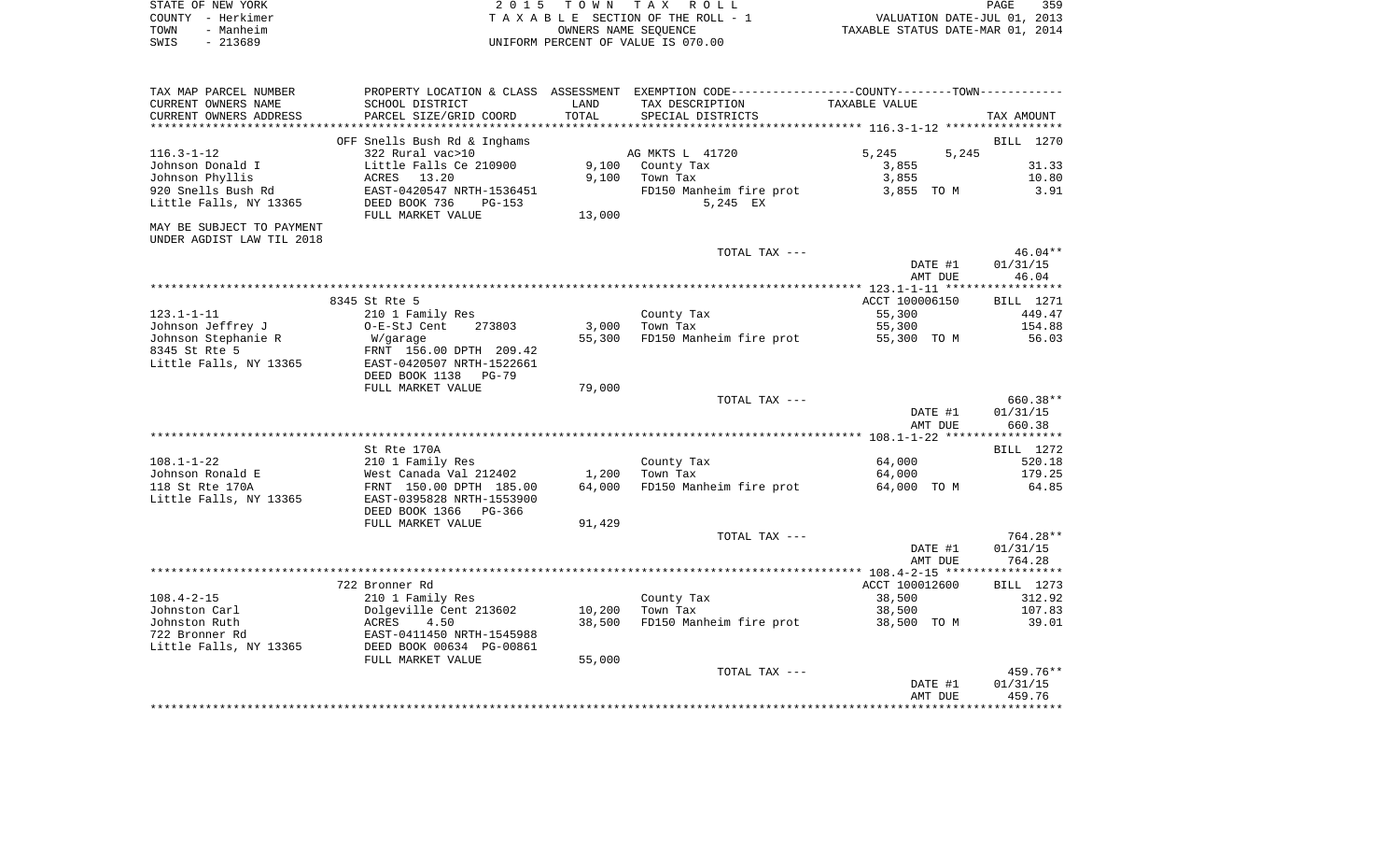| STATE OF NEW YORK | 2015 TOWN TAX ROLL                 | 359<br>PAGE                      |
|-------------------|------------------------------------|----------------------------------|
| COUNTY - Herkimer | TAXABLE SECTION OF THE ROLL - 1    | VALUATION DATE-JUL 01, 2013      |
| TOWN<br>- Manheim | OWNERS NAME SEOUENCE               | TAXABLE STATUS DATE-MAR 01, 2014 |
| $-213689$<br>SWIS | UNIFORM PERCENT OF VALUE IS 070.00 |                                  |

| TAX MAP PARCEL NUMBER     | PROPERTY LOCATION & CLASS                  |        | ASSESSMENT EXEMPTION CODE-----------------COUNTY-------TOWN---------- |                |            |
|---------------------------|--------------------------------------------|--------|-----------------------------------------------------------------------|----------------|------------|
| CURRENT OWNERS NAME       | SCHOOL DISTRICT                            | LAND   | TAX DESCRIPTION                                                       | TAXABLE VALUE  |            |
| CURRENT OWNERS ADDRESS    | PARCEL SIZE/GRID COORD                     | TOTAL  | SPECIAL DISTRICTS                                                     |                | TAX AMOUNT |
|                           |                                            |        |                                                                       |                |            |
|                           | OFF Snells Bush Rd & Inghams               |        |                                                                       |                | BILL 1270  |
| $116.3 - 1 - 12$          | 322 Rural vac>10                           |        | AG MKTS L 41720                                                       | 5,245<br>5,245 |            |
| Johnson Donald I          | Little Falls Ce 210900                     | 9,100  | County Tax                                                            | 3,855          | 31.33      |
| Johnson Phyllis           | ACRES<br>13.20                             | 9,100  | Town Tax                                                              | 3,855          | 10.80      |
| 920 Snells Bush Rd        | EAST-0420547 NRTH-1536451                  |        | FD150 Manheim fire prot                                               | 3,855 TO M     | 3.91       |
| Little Falls, NY 13365    | DEED BOOK 736<br>$PG-153$                  |        | 5,245 EX                                                              |                |            |
|                           | FULL MARKET VALUE                          | 13,000 |                                                                       |                |            |
| MAY BE SUBJECT TO PAYMENT |                                            |        |                                                                       |                |            |
| UNDER AGDIST LAW TIL 2018 |                                            |        |                                                                       |                |            |
|                           |                                            |        | TOTAL TAX ---                                                         |                | $46.04**$  |
|                           |                                            |        |                                                                       | DATE #1        | 01/31/15   |
|                           |                                            |        |                                                                       | AMT DUE        | 46.04      |
|                           |                                            |        |                                                                       |                |            |
|                           | 8345 St Rte 5                              |        |                                                                       | ACCT 100006150 | BILL 1271  |
| $123.1 - 1 - 11$          |                                            |        |                                                                       | 55,300         | 449.47     |
| Johnson Jeffrey J         | 210 1 Family Res<br>O-E-StJ Cent<br>273803 | 3,000  | County Tax<br>Town Tax                                                | 55,300         | 154.88     |
|                           |                                            |        |                                                                       |                |            |
| Johnson Stephanie R       | W/garage                                   | 55,300 | FD150 Manheim fire prot                                               | 55,300 TO M    | 56.03      |
| 8345 St Rte 5             | FRNT 156.00 DPTH 209.42                    |        |                                                                       |                |            |
| Little Falls, NY 13365    | EAST-0420507 NRTH-1522661                  |        |                                                                       |                |            |
|                           | DEED BOOK 1138<br><b>PG-79</b>             |        |                                                                       |                |            |
|                           | FULL MARKET VALUE                          | 79,000 |                                                                       |                |            |
|                           |                                            |        | TOTAL TAX ---                                                         |                | 660.38**   |
|                           |                                            |        |                                                                       | DATE #1        | 01/31/15   |
|                           |                                            |        |                                                                       | AMT DUE        | 660.38     |
|                           |                                            |        |                                                                       |                |            |
|                           | St Rte 170A                                |        |                                                                       |                | BILL 1272  |
| $108.1 - 1 - 22$          | 210 1 Family Res                           |        | County Tax                                                            | 64,000         | 520.18     |
| Johnson Ronald E          | West Canada Val 212402                     | 1,200  | Town Tax                                                              | 64,000         | 179.25     |
| 118 St Rte 170A           | FRNT 150.00 DPTH 185.00                    | 64,000 | FD150 Manheim fire prot                                               | 64,000 TO M    | 64.85      |
| Little Falls, NY 13365    | EAST-0395828 NRTH-1553900                  |        |                                                                       |                |            |
|                           | DEED BOOK 1366<br>PG-366                   |        |                                                                       |                |            |
|                           | FULL MARKET VALUE                          | 91,429 |                                                                       |                |            |
|                           |                                            |        | TOTAL TAX ---                                                         |                | $764.28**$ |
|                           |                                            |        |                                                                       | DATE #1        | 01/31/15   |
|                           |                                            |        |                                                                       | AMT DUE        | 764.28     |
|                           |                                            |        |                                                                       |                |            |
|                           | 722 Bronner Rd                             |        |                                                                       | ACCT 100012600 | BILL 1273  |
| $108.4 - 2 - 15$          | 210 1 Family Res                           |        | County Tax                                                            | 38,500         | 312.92     |
| Johnston Carl             | Dolgeville Cent 213602                     | 10,200 | Town Tax                                                              | 38,500         | 107.83     |
| Johnston Ruth             | ACRES<br>4.50                              | 38,500 | FD150 Manheim fire prot                                               | 38,500 TO M    | 39.01      |
| 722 Bronner Rd            | EAST-0411450 NRTH-1545988                  |        |                                                                       |                |            |
| Little Falls, NY 13365    | DEED BOOK 00634 PG-00861                   |        |                                                                       |                |            |
|                           | FULL MARKET VALUE                          | 55,000 |                                                                       |                |            |
|                           |                                            |        | TOTAL TAX ---                                                         |                | 459.76**   |
|                           |                                            |        |                                                                       | DATE #1        | 01/31/15   |
|                           |                                            |        |                                                                       | AMT DUE        | 459.76     |
|                           |                                            |        |                                                                       |                |            |
|                           |                                            |        |                                                                       |                |            |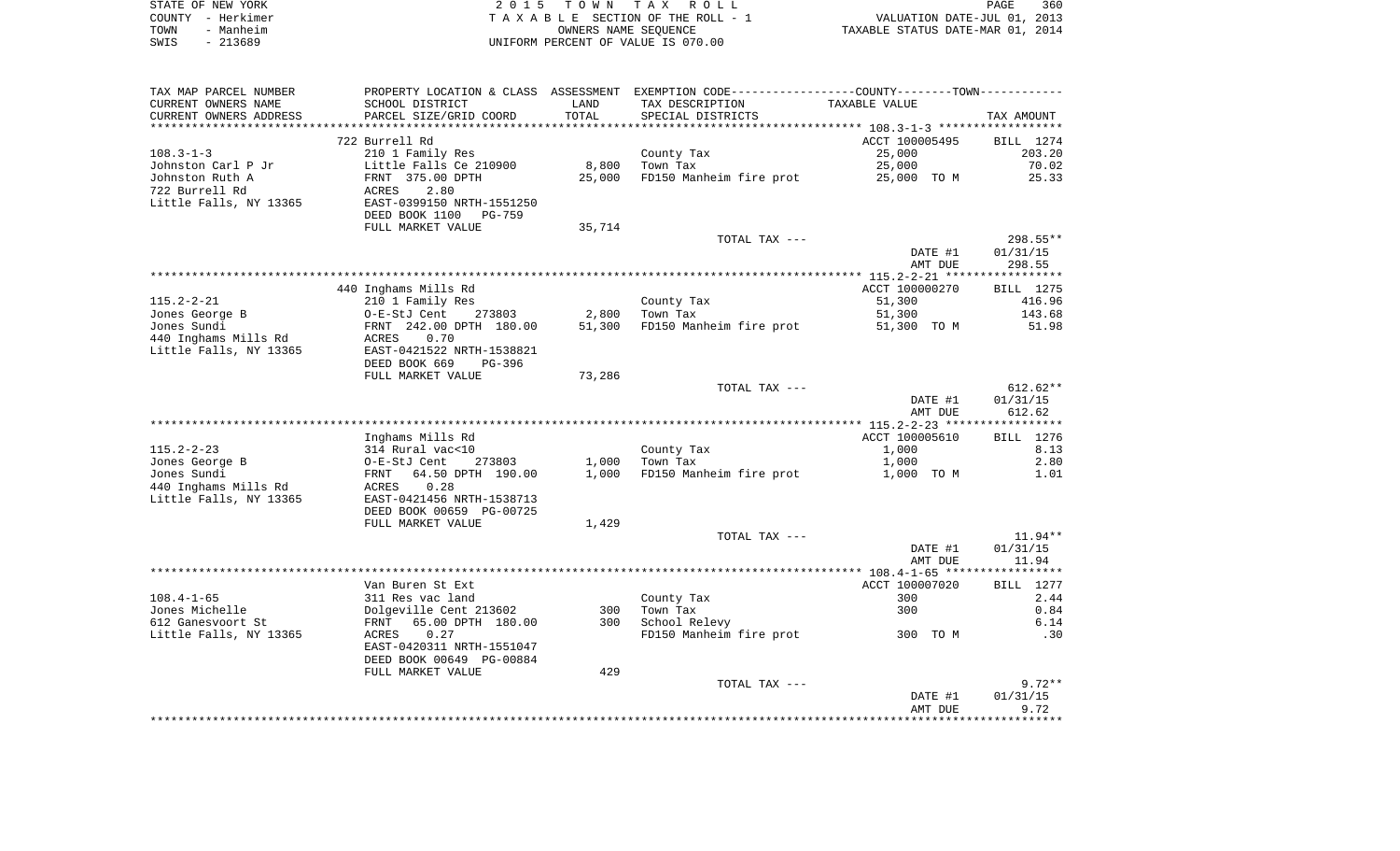|      | STATE OF NEW YORK | 2015 TOWN TAX ROLL                 | 360<br>PAGE                      |
|------|-------------------|------------------------------------|----------------------------------|
|      | COUNTY – Herkimer | TAXABLE SECTION OF THE ROLL - 1    | VALUATION DATE-JUL 01, 2013      |
| TOWN | - Manheim         | OWNERS NAME SEOUENCE               | TAXABLE STATUS DATE-MAR 01, 2014 |
| SWIS | - 213689          | UNIFORM PERCENT OF VALUE IS 070.00 |                                  |

| TAX MAP PARCEL NUMBER                    | PROPERTY LOCATION & CLASS ASSESSMENT EXEMPTION CODE---------------COUNTY-------TOWN---------- |        |                         |                         |                      |
|------------------------------------------|-----------------------------------------------------------------------------------------------|--------|-------------------------|-------------------------|----------------------|
| CURRENT OWNERS NAME                      | SCHOOL DISTRICT                                                                               | LAND   | TAX DESCRIPTION         | TAXABLE VALUE           |                      |
| CURRENT OWNERS ADDRESS                   | PARCEL SIZE/GRID COORD                                                                        | TOTAL  | SPECIAL DISTRICTS       |                         | TAX AMOUNT           |
|                                          |                                                                                               |        |                         |                         |                      |
|                                          | 722 Burrell Rd                                                                                |        |                         | ACCT 100005495          | BILL 1274            |
| $108.3 - 1 - 3$                          | 210 1 Family Res                                                                              |        | County Tax              | 25,000                  | 203.20               |
| Johnston Carl P Jr                       | Little Falls Ce 210900                                                                        | 8,800  | Town Tax                | 25,000                  | 70.02                |
| Johnston Ruth A                          | FRNT 375.00 DPTH                                                                              | 25,000 | FD150 Manheim fire prot | 25,000 TO M             | 25.33                |
| 722 Burrell Rd<br>Little Falls, NY 13365 | 2.80<br>ACRES<br>EAST-0399150 NRTH-1551250                                                    |        |                         |                         |                      |
|                                          | DEED BOOK 1100<br>PG-759                                                                      |        |                         |                         |                      |
|                                          | FULL MARKET VALUE                                                                             | 35,714 |                         |                         |                      |
|                                          |                                                                                               |        | TOTAL TAX ---           |                         | 298.55**             |
|                                          |                                                                                               |        |                         | DATE #1                 | 01/31/15             |
|                                          |                                                                                               |        |                         | AMT DUE                 | 298.55               |
|                                          |                                                                                               |        |                         |                         |                      |
|                                          | 440 Inghams Mills Rd                                                                          |        |                         | ACCT 100000270          | BILL 1275            |
| $115.2 - 2 - 21$                         | 210 1 Family Res                                                                              |        | County Tax              | 51,300                  | 416.96               |
| Jones George B                           | O-E-StJ Cent<br>273803                                                                        | 2,800  | Town Tax                | 51,300                  | 143.68               |
| Jones Sundi                              | FRNT 242.00 DPTH 180.00                                                                       | 51,300 | FD150 Manheim fire prot | 51,300 TO M             | 51.98                |
| 440 Inghams Mills Rd                     | <b>ACRES</b><br>0.70                                                                          |        |                         |                         |                      |
| Little Falls, NY 13365                   | EAST-0421522 NRTH-1538821                                                                     |        |                         |                         |                      |
|                                          | DEED BOOK 669<br>PG-396                                                                       |        |                         |                         |                      |
|                                          | FULL MARKET VALUE                                                                             | 73,286 |                         |                         |                      |
|                                          |                                                                                               |        | TOTAL TAX ---           |                         | $612.62**$           |
|                                          |                                                                                               |        |                         | DATE #1                 | 01/31/15             |
|                                          |                                                                                               |        |                         | AMT DUE                 | 612.62               |
|                                          |                                                                                               |        |                         |                         |                      |
| 115.2-2-23                               | Inghams Mills Rd                                                                              |        |                         | ACCT 100005610<br>1,000 | BILL 1276<br>8.13    |
| Jones George B                           | 314 Rural vac<10<br>273803                                                                    | 1,000  | County Tax<br>Town Tax  | 1,000                   | 2.80                 |
| Jones Sundi                              | O-E-StJ Cent<br>FRNT 64.50 DPTH 190.00                                                        | 1,000  | FD150 Manheim fire prot | 1,000 TO M              | 1.01                 |
| 440 Inghams Mills Rd                     | <b>ACRES</b><br>0.28                                                                          |        |                         |                         |                      |
| Little Falls, NY 13365                   | EAST-0421456 NRTH-1538713                                                                     |        |                         |                         |                      |
|                                          | DEED BOOK 00659 PG-00725                                                                      |        |                         |                         |                      |
|                                          | FULL MARKET VALUE                                                                             | 1,429  |                         |                         |                      |
|                                          |                                                                                               |        | TOTAL TAX ---           |                         | $11.94**$            |
|                                          |                                                                                               |        |                         | DATE #1                 | 01/31/15             |
|                                          |                                                                                               |        |                         | AMT DUE                 | 11.94                |
|                                          |                                                                                               |        |                         |                         |                      |
|                                          | Van Buren St Ext                                                                              |        |                         | ACCT 100007020          | BILL 1277            |
| $108.4 - 1 - 65$                         | 311 Res vac land                                                                              |        | County Tax              | 300                     | 2.44                 |
| Jones Michelle                           | Dolgeville Cent 213602                                                                        | 300    | Town Tax                | 300                     | 0.84                 |
| 612 Ganesvoort St                        | FRNT 65.00 DPTH 180.00                                                                        | 300    | School Relevy           |                         | 6.14                 |
| Little Falls, NY 13365                   | ACRES<br>0.27                                                                                 |        | FD150 Manheim fire prot | 300 TO M                | .30                  |
|                                          | EAST-0420311 NRTH-1551047                                                                     |        |                         |                         |                      |
|                                          | DEED BOOK 00649 PG-00884                                                                      |        |                         |                         |                      |
|                                          | FULL MARKET VALUE                                                                             | 429    |                         |                         |                      |
|                                          |                                                                                               |        | TOTAL TAX ---           | DATE #1                 | $9.72**$<br>01/31/15 |
|                                          |                                                                                               |        |                         | AMT DUE                 | 9.72                 |
|                                          |                                                                                               |        |                         |                         |                      |
|                                          |                                                                                               |        |                         |                         |                      |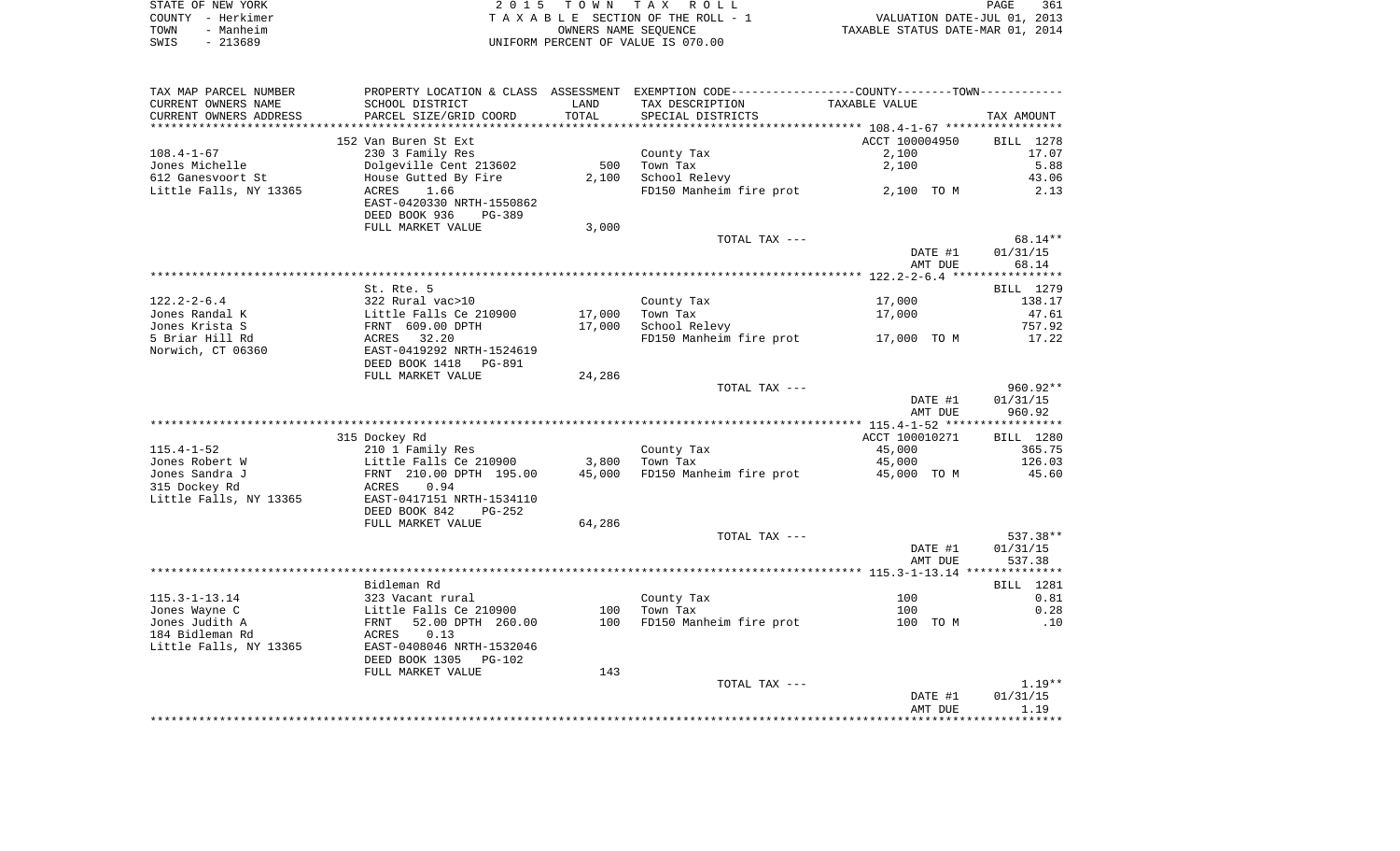| STATE OF NEW YORK |           | 2015 TOWN TAX ROLL                 | PAGE                             | 361 |
|-------------------|-----------|------------------------------------|----------------------------------|-----|
| COUNTY – Herkimer |           | TAXABLE SECTION OF THE ROLL - 1    | VALUATION DATE-JUL 01, 2013      |     |
| TOWN              | - Manheim | OWNERS NAME SEOUENCE               | TAXABLE STATUS DATE-MAR 01, 2014 |     |
| SWIS              | $-213689$ | UNIFORM PERCENT OF VALUE IS 070.00 |                                  |     |

| CURRENT OWNERS NAME<br>SCHOOL DISTRICT<br>TAX DESCRIPTION<br>TAXABLE VALUE<br>LAND<br>CURRENT OWNERS ADDRESS<br>PARCEL SIZE/GRID COORD<br>TOTAL<br>SPECIAL DISTRICTS<br>TAX AMOUNT<br>**********************<br>****************************<br>152 Van Buren St Ext<br>ACCT 100004950<br>$108.4 - 1 - 67$<br>230 3 Family Res<br>County Tax<br>2,100<br>Dolgeville Cent 213602<br>500<br>Town Tax<br>2,100<br>612 Ganesvoort St<br>House Gutted By Fire<br>2,100<br>School Relevy<br>Little Falls, NY 13365<br>1.66<br>FD150 Manheim fire prot<br>2,100 TO M<br>ACRES<br>EAST-0420330 NRTH-1550862<br>DEED BOOK 936<br><b>PG-389</b><br>3,000<br>FULL MARKET VALUE<br>TOTAL TAX ---<br>01/31/15<br>DATE #1<br>AMT DUE<br>St. Rte. 5<br>$122.2 - 2 - 6.4$<br>322 Rural vac>10<br>17,000<br>County Tax<br>Jones Randal K<br>17,000<br>Town Tax<br>Little Falls Ce 210900<br>17,000 | BILL 1278<br>17.07<br>5.88<br>43.06<br>2.13<br>$68.14**$<br>68.14 |
|-----------------------------------------------------------------------------------------------------------------------------------------------------------------------------------------------------------------------------------------------------------------------------------------------------------------------------------------------------------------------------------------------------------------------------------------------------------------------------------------------------------------------------------------------------------------------------------------------------------------------------------------------------------------------------------------------------------------------------------------------------------------------------------------------------------------------------------------------------------------------------------|-------------------------------------------------------------------|
| Jones Michelle                                                                                                                                                                                                                                                                                                                                                                                                                                                                                                                                                                                                                                                                                                                                                                                                                                                                    |                                                                   |
|                                                                                                                                                                                                                                                                                                                                                                                                                                                                                                                                                                                                                                                                                                                                                                                                                                                                                   |                                                                   |
|                                                                                                                                                                                                                                                                                                                                                                                                                                                                                                                                                                                                                                                                                                                                                                                                                                                                                   |                                                                   |
|                                                                                                                                                                                                                                                                                                                                                                                                                                                                                                                                                                                                                                                                                                                                                                                                                                                                                   |                                                                   |
|                                                                                                                                                                                                                                                                                                                                                                                                                                                                                                                                                                                                                                                                                                                                                                                                                                                                                   |                                                                   |
|                                                                                                                                                                                                                                                                                                                                                                                                                                                                                                                                                                                                                                                                                                                                                                                                                                                                                   |                                                                   |
|                                                                                                                                                                                                                                                                                                                                                                                                                                                                                                                                                                                                                                                                                                                                                                                                                                                                                   |                                                                   |
|                                                                                                                                                                                                                                                                                                                                                                                                                                                                                                                                                                                                                                                                                                                                                                                                                                                                                   |                                                                   |
|                                                                                                                                                                                                                                                                                                                                                                                                                                                                                                                                                                                                                                                                                                                                                                                                                                                                                   |                                                                   |
|                                                                                                                                                                                                                                                                                                                                                                                                                                                                                                                                                                                                                                                                                                                                                                                                                                                                                   |                                                                   |
|                                                                                                                                                                                                                                                                                                                                                                                                                                                                                                                                                                                                                                                                                                                                                                                                                                                                                   |                                                                   |
|                                                                                                                                                                                                                                                                                                                                                                                                                                                                                                                                                                                                                                                                                                                                                                                                                                                                                   |                                                                   |
|                                                                                                                                                                                                                                                                                                                                                                                                                                                                                                                                                                                                                                                                                                                                                                                                                                                                                   |                                                                   |
|                                                                                                                                                                                                                                                                                                                                                                                                                                                                                                                                                                                                                                                                                                                                                                                                                                                                                   |                                                                   |
|                                                                                                                                                                                                                                                                                                                                                                                                                                                                                                                                                                                                                                                                                                                                                                                                                                                                                   |                                                                   |
|                                                                                                                                                                                                                                                                                                                                                                                                                                                                                                                                                                                                                                                                                                                                                                                                                                                                                   | BILL 1279                                                         |
|                                                                                                                                                                                                                                                                                                                                                                                                                                                                                                                                                                                                                                                                                                                                                                                                                                                                                   | 138.17                                                            |
|                                                                                                                                                                                                                                                                                                                                                                                                                                                                                                                                                                                                                                                                                                                                                                                                                                                                                   | 47.61                                                             |
| Jones Krista S<br>FRNT 609.00 DPTH<br>17,000<br>School Relevy                                                                                                                                                                                                                                                                                                                                                                                                                                                                                                                                                                                                                                                                                                                                                                                                                     | 757.92                                                            |
| 5 Briar Hill Rd<br>32.20<br>FD150 Manheim fire prot<br>17,000 TO M<br>ACRES                                                                                                                                                                                                                                                                                                                                                                                                                                                                                                                                                                                                                                                                                                                                                                                                       | 17.22                                                             |
| EAST-0419292 NRTH-1524619<br>Norwich, CT 06360                                                                                                                                                                                                                                                                                                                                                                                                                                                                                                                                                                                                                                                                                                                                                                                                                                    |                                                                   |
| DEED BOOK 1418<br>PG-891                                                                                                                                                                                                                                                                                                                                                                                                                                                                                                                                                                                                                                                                                                                                                                                                                                                          |                                                                   |
| 24,286<br>FULL MARKET VALUE                                                                                                                                                                                                                                                                                                                                                                                                                                                                                                                                                                                                                                                                                                                                                                                                                                                       |                                                                   |
| TOTAL TAX ---                                                                                                                                                                                                                                                                                                                                                                                                                                                                                                                                                                                                                                                                                                                                                                                                                                                                     | 960.92**                                                          |
| DATE #1                                                                                                                                                                                                                                                                                                                                                                                                                                                                                                                                                                                                                                                                                                                                                                                                                                                                           | 01/31/15                                                          |
| AMT DUE                                                                                                                                                                                                                                                                                                                                                                                                                                                                                                                                                                                                                                                                                                                                                                                                                                                                           | 960.92                                                            |
| ACCT 100010271<br>315 Dockey Rd                                                                                                                                                                                                                                                                                                                                                                                                                                                                                                                                                                                                                                                                                                                                                                                                                                                   | BILL 1280                                                         |
| $115.4 - 1 - 52$<br>210 1 Family Res<br>45,000<br>County Tax                                                                                                                                                                                                                                                                                                                                                                                                                                                                                                                                                                                                                                                                                                                                                                                                                      | 365.75                                                            |
| Little Falls Ce 210900<br>3,800<br>Town Tax<br>45,000<br>Jones Robert W                                                                                                                                                                                                                                                                                                                                                                                                                                                                                                                                                                                                                                                                                                                                                                                                           | 126.03                                                            |
| FD150 Manheim fire prot<br>Jones Sandra J<br>FRNT 210.00 DPTH 195.00<br>45,000<br>45,000 TO M                                                                                                                                                                                                                                                                                                                                                                                                                                                                                                                                                                                                                                                                                                                                                                                     | 45.60                                                             |
| 315 Dockey Rd<br>ACRES<br>0.94                                                                                                                                                                                                                                                                                                                                                                                                                                                                                                                                                                                                                                                                                                                                                                                                                                                    |                                                                   |
| Little Falls, NY 13365<br>EAST-0417151 NRTH-1534110                                                                                                                                                                                                                                                                                                                                                                                                                                                                                                                                                                                                                                                                                                                                                                                                                               |                                                                   |
| DEED BOOK 842<br>$PG-252$                                                                                                                                                                                                                                                                                                                                                                                                                                                                                                                                                                                                                                                                                                                                                                                                                                                         |                                                                   |
| FULL MARKET VALUE<br>64,286                                                                                                                                                                                                                                                                                                                                                                                                                                                                                                                                                                                                                                                                                                                                                                                                                                                       |                                                                   |
| TOTAL TAX ---                                                                                                                                                                                                                                                                                                                                                                                                                                                                                                                                                                                                                                                                                                                                                                                                                                                                     | 537.38**                                                          |
| DATE #1<br>01/31/15                                                                                                                                                                                                                                                                                                                                                                                                                                                                                                                                                                                                                                                                                                                                                                                                                                                               |                                                                   |
| AMT DUE                                                                                                                                                                                                                                                                                                                                                                                                                                                                                                                                                                                                                                                                                                                                                                                                                                                                           | 537.38                                                            |
|                                                                                                                                                                                                                                                                                                                                                                                                                                                                                                                                                                                                                                                                                                                                                                                                                                                                                   |                                                                   |
| Bidleman Rd                                                                                                                                                                                                                                                                                                                                                                                                                                                                                                                                                                                                                                                                                                                                                                                                                                                                       | BILL 1281                                                         |
| $115.3 - 1 - 13.14$<br>323 Vacant rural<br>County Tax<br>100                                                                                                                                                                                                                                                                                                                                                                                                                                                                                                                                                                                                                                                                                                                                                                                                                      | 0.81                                                              |
| Jones Wayne C<br>Little Falls Ce 210900<br>100<br>Town Tax<br>100                                                                                                                                                                                                                                                                                                                                                                                                                                                                                                                                                                                                                                                                                                                                                                                                                 | 0.28                                                              |
| Jones Judith A<br>52.00 DPTH 260.00<br>100<br>100 TO M<br>FRNT<br>FD150 Manheim fire prot                                                                                                                                                                                                                                                                                                                                                                                                                                                                                                                                                                                                                                                                                                                                                                                         | .10                                                               |
| 184 Bidleman Rd<br>ACRES<br>0.13                                                                                                                                                                                                                                                                                                                                                                                                                                                                                                                                                                                                                                                                                                                                                                                                                                                  |                                                                   |
|                                                                                                                                                                                                                                                                                                                                                                                                                                                                                                                                                                                                                                                                                                                                                                                                                                                                                   |                                                                   |
|                                                                                                                                                                                                                                                                                                                                                                                                                                                                                                                                                                                                                                                                                                                                                                                                                                                                                   |                                                                   |
| EAST-0408046 NRTH-1532046<br>Little Falls, NY 13365<br>DEED BOOK 1305<br>PG-102                                                                                                                                                                                                                                                                                                                                                                                                                                                                                                                                                                                                                                                                                                                                                                                                   |                                                                   |
| 143<br>FULL MARKET VALUE                                                                                                                                                                                                                                                                                                                                                                                                                                                                                                                                                                                                                                                                                                                                                                                                                                                          |                                                                   |
| TOTAL TAX ---                                                                                                                                                                                                                                                                                                                                                                                                                                                                                                                                                                                                                                                                                                                                                                                                                                                                     | $1.19**$                                                          |
| 01/31/15<br>DATE #1                                                                                                                                                                                                                                                                                                                                                                                                                                                                                                                                                                                                                                                                                                                                                                                                                                                               |                                                                   |
| AMT DUE                                                                                                                                                                                                                                                                                                                                                                                                                                                                                                                                                                                                                                                                                                                                                                                                                                                                           | 1.19                                                              |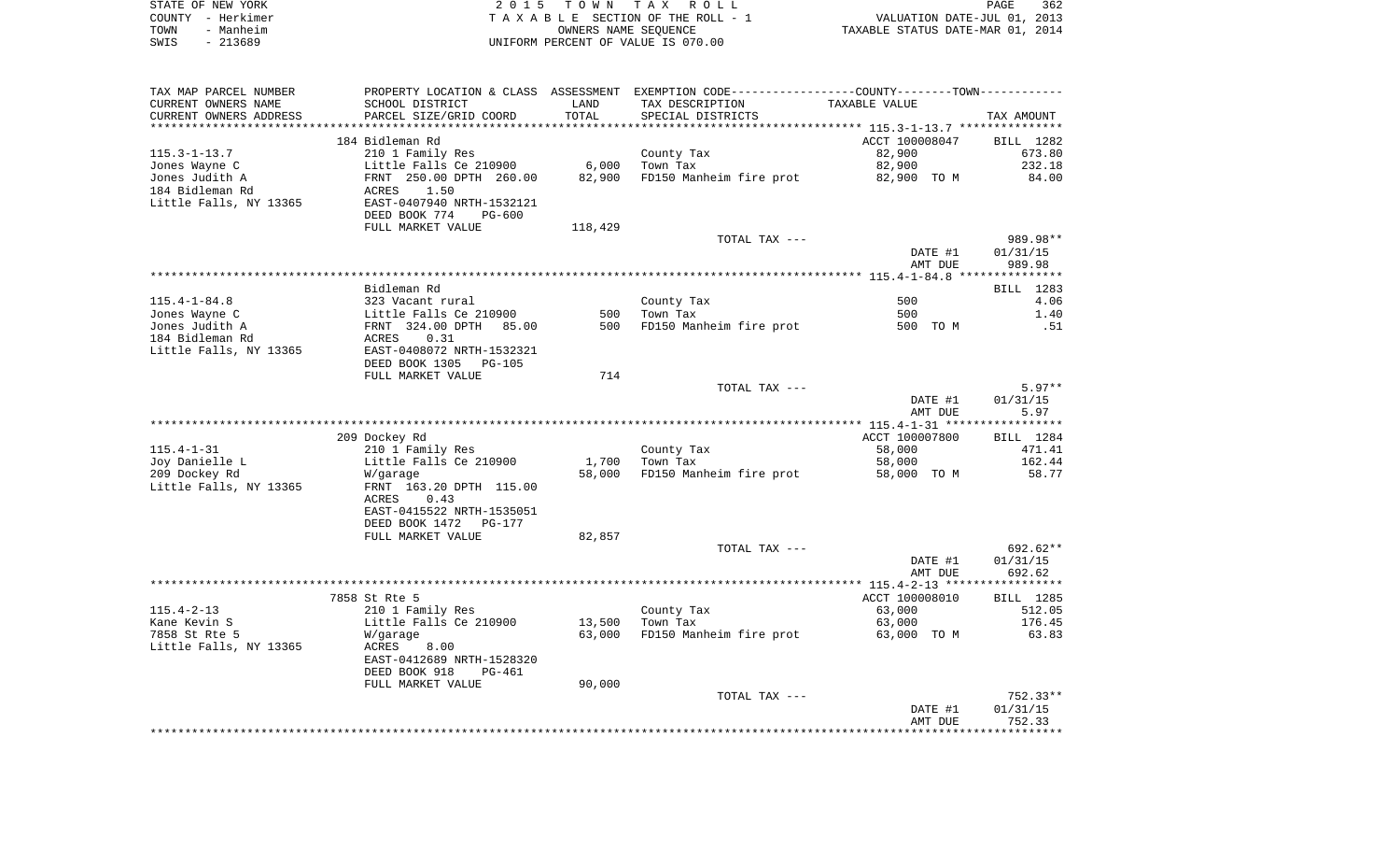|      | STATE OF NEW YORK | 2015 TOWN TAX ROLL                 | 362<br>PAGE                      |
|------|-------------------|------------------------------------|----------------------------------|
|      | COUNTY - Herkimer | TAXABLE SECTION OF THE ROLL - 1    | VALUATION DATE-JUL 01, 2013      |
| TOWN | - Manheim         | OWNERS NAME SEOUENCE               | TAXABLE STATUS DATE-MAR 01, 2014 |
| SWIS | - 213689          | UNIFORM PERCENT OF VALUE IS 070.00 |                                  |

| TAX MAP PARCEL NUMBER             |                                                  |            | PROPERTY LOCATION & CLASS ASSESSMENT EXEMPTION CODE----------------COUNTY--------TOWN---------- |                |                  |
|-----------------------------------|--------------------------------------------------|------------|-------------------------------------------------------------------------------------------------|----------------|------------------|
| CURRENT OWNERS NAME               | SCHOOL DISTRICT                                  | LAND       | TAX DESCRIPTION                                                                                 | TAXABLE VALUE  |                  |
| CURRENT OWNERS ADDRESS            | PARCEL SIZE/GRID COORD                           | TOTAL      | SPECIAL DISTRICTS                                                                               |                | TAX AMOUNT       |
|                                   |                                                  |            |                                                                                                 |                |                  |
|                                   | 184 Bidleman Rd                                  |            |                                                                                                 | ACCT 100008047 | BILL 1282        |
| $115.3 - 1 - 13.7$                | 210 1 Family Res                                 |            | County Tax                                                                                      | 82,900         | 673.80           |
| Jones Wayne C                     | Little Falls Ce 210900                           | 6,000      | Town Tax                                                                                        | 82,900         | 232.18           |
| Jones Judith A                    | FRNT 250.00 DPTH 260.00                          | 82,900     | FD150 Manheim fire prot                                                                         | 82,900 TO M    | 84.00            |
| 184 Bidleman Rd                   | 1.50<br>ACRES                                    |            |                                                                                                 |                |                  |
| Little Falls, NY 13365            | EAST-0407940 NRTH-1532121                        |            |                                                                                                 |                |                  |
|                                   | DEED BOOK 774<br>$PG-600$                        |            |                                                                                                 |                |                  |
|                                   | FULL MARKET VALUE                                | 118,429    |                                                                                                 |                |                  |
|                                   |                                                  |            | TOTAL TAX ---                                                                                   |                | 989.98**         |
|                                   |                                                  |            |                                                                                                 | DATE #1        | 01/31/15         |
|                                   |                                                  |            |                                                                                                 | AMT DUE        | 989.98           |
|                                   |                                                  |            |                                                                                                 |                |                  |
|                                   | Bidleman Rd                                      |            |                                                                                                 |                | BILL 1283        |
| $115.4 - 1 - 84.8$                | 323 Vacant rural                                 |            | County Tax                                                                                      | 500            | 4.06             |
| Jones Wayne C                     | Little Falls Ce 210900<br>FRNT 324.00 DPTH 85.00 | 500<br>500 | Town Tax                                                                                        | 500            | 1.40             |
| Jones Judith A<br>184 Bidleman Rd | ACRES<br>0.31                                    |            | FD150 Manheim fire prot                                                                         | 500 TO M       | .51              |
| Little Falls, NY 13365            | EAST-0408072 NRTH-1532321                        |            |                                                                                                 |                |                  |
|                                   | DEED BOOK 1305<br>PG-105                         |            |                                                                                                 |                |                  |
|                                   | FULL MARKET VALUE                                | 714        |                                                                                                 |                |                  |
|                                   |                                                  |            | TOTAL TAX ---                                                                                   |                | $5.97**$         |
|                                   |                                                  |            |                                                                                                 | DATE #1        | 01/31/15         |
|                                   |                                                  |            |                                                                                                 | AMT DUE        | 5.97             |
|                                   |                                                  |            |                                                                                                 |                |                  |
|                                   | 209 Dockey Rd                                    |            |                                                                                                 | ACCT 100007800 | BILL 1284        |
| $115.4 - 1 - 31$                  | 210 1 Family Res                                 |            | County Tax                                                                                      | 58,000         | 471.41           |
| Joy Danielle L                    | Little Falls Ce 210900                           | 1,700      | Town Tax                                                                                        | 58,000         | 162.44           |
| 209 Dockey Rd                     | W/garage                                         | 58,000     | FD150 Manheim fire prot                                                                         | 58,000 TO M    | 58.77            |
| Little Falls, NY 13365            | FRNT 163.20 DPTH 115.00                          |            |                                                                                                 |                |                  |
|                                   | 0.43<br>ACRES                                    |            |                                                                                                 |                |                  |
|                                   | EAST-0415522 NRTH-1535051                        |            |                                                                                                 |                |                  |
|                                   | DEED BOOK 1472<br>PG-177                         |            |                                                                                                 |                |                  |
|                                   | FULL MARKET VALUE                                | 82,857     |                                                                                                 |                |                  |
|                                   |                                                  |            | TOTAL TAX ---                                                                                   |                | 692.62**         |
|                                   |                                                  |            |                                                                                                 | DATE #1        | 01/31/15         |
|                                   |                                                  |            |                                                                                                 | AMT DUE        | 692.62           |
|                                   | 7858 St Rte 5                                    |            |                                                                                                 | ACCT 100008010 | <b>BILL</b> 1285 |
| $115.4 - 2 - 13$                  | 210 1 Family Res                                 |            | County Tax                                                                                      | 63,000         | 512.05           |
| Kane Kevin S                      | Little Falls Ce 210900                           | 13,500     | Town Tax                                                                                        | 63,000         | 176.45           |
| 7858 St Rte 5                     | W/garage                                         | 63,000     | FD150 Manheim fire prot                                                                         | 63,000 TO M    | 63.83            |
| Little Falls, NY 13365            | ACRES<br>8.00                                    |            |                                                                                                 |                |                  |
|                                   | EAST-0412689 NRTH-1528320                        |            |                                                                                                 |                |                  |
|                                   | DEED BOOK 918<br>PG-461                          |            |                                                                                                 |                |                  |
|                                   | FULL MARKET VALUE                                | 90,000     |                                                                                                 |                |                  |
|                                   |                                                  |            | TOTAL TAX ---                                                                                   |                | 752.33**         |
|                                   |                                                  |            |                                                                                                 | DATE #1        | 01/31/15         |
|                                   |                                                  |            |                                                                                                 | AMT DUE        | 752.33           |
|                                   |                                                  |            |                                                                                                 |                |                  |
|                                   |                                                  |            |                                                                                                 |                |                  |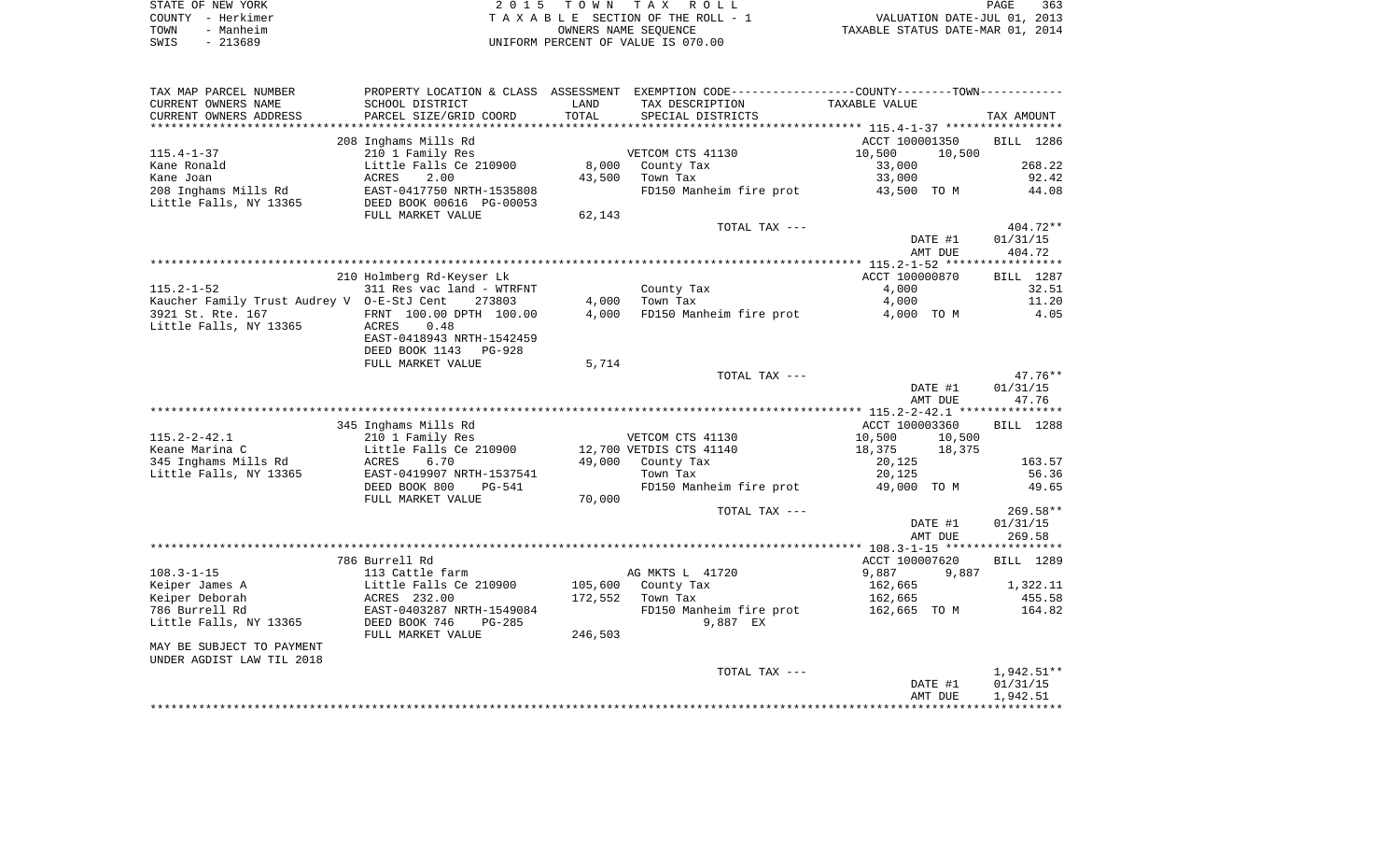| STATE OF NEW YORK | 2015 TOWN TAX ROLL                 | 363<br><b>PAGE</b>               |
|-------------------|------------------------------------|----------------------------------|
| COUNTY - Herkimer | TAXABLE SECTION OF THE ROLL - 1    | VALUATION DATE-JUL 01, 2013      |
| TOWN<br>- Manheim | OWNERS NAME SEOUENCE               | TAXABLE STATUS DATE-MAR 01, 2014 |
| $-213689$<br>SWIS | UNIFORM PERCENT OF VALUE IS 070.00 |                                  |

| TAX MAP PARCEL NUMBER                      |                                |             | PROPERTY LOCATION & CLASS ASSESSMENT EXEMPTION CODE---------------COUNTY-------TOWN---------- |                    |                    |
|--------------------------------------------|--------------------------------|-------------|-----------------------------------------------------------------------------------------------|--------------------|--------------------|
| CURRENT OWNERS NAME                        | SCHOOL DISTRICT                | LAND        | TAX DESCRIPTION                                                                               | TAXABLE VALUE      |                    |
| CURRENT OWNERS ADDRESS                     | PARCEL SIZE/GRID COORD         | TOTAL       | SPECIAL DISTRICTS                                                                             |                    | TAX AMOUNT         |
| *******************                        | *********************          | *********** |                                                                                               |                    |                    |
|                                            | 208 Inghams Mills Rd           |             |                                                                                               | ACCT 100001350     | BILL 1286          |
| $115.4 - 1 - 37$                           | 210 1 Family Res               |             | VETCOM CTS 41130                                                                              | 10,500<br>10,500   |                    |
| Kane Ronald                                | Little Falls Ce 210900         | 8,000       | County Tax                                                                                    | 33,000             | 268.22             |
| Kane Joan                                  | ACRES<br>2.00                  | 43,500      | Town Tax                                                                                      | 33,000             | 92.42              |
| 208 Inghams Mills Rd                       | EAST-0417750 NRTH-1535808      |             | FD150 Manheim fire prot                                                                       | 43,500 TO M        | 44.08              |
| Little Falls, NY 13365                     | DEED BOOK 00616 PG-00053       |             |                                                                                               |                    |                    |
|                                            | FULL MARKET VALUE              | 62,143      |                                                                                               |                    |                    |
|                                            |                                |             | TOTAL TAX ---                                                                                 |                    | 404.72**           |
|                                            |                                |             |                                                                                               | DATE #1<br>AMT DUE | 01/31/15<br>404.72 |
|                                            |                                |             |                                                                                               |                    |                    |
|                                            | 210 Holmberg Rd-Keyser Lk      |             |                                                                                               | ACCT 100000870     | <b>BILL</b> 1287   |
| $115.2 - 1 - 52$                           | 311 Res vac land - WTRFNT      |             | County Tax                                                                                    | 4,000              | 32.51              |
| Kaucher Family Trust Audrey V 0-E-StJ Cent | 273803                         | 4,000       | Town Tax                                                                                      | 4,000              | 11.20              |
| 3921 St. Rte. 167                          | FRNT 100.00 DPTH 100.00        | 4,000       | FD150 Manheim fire prot                                                                       | 4,000 TO M         | 4.05               |
| Little Falls, NY 13365                     | ACRES<br>0.48                  |             |                                                                                               |                    |                    |
|                                            | EAST-0418943 NRTH-1542459      |             |                                                                                               |                    |                    |
|                                            | DEED BOOK 1143<br>$PG-928$     |             |                                                                                               |                    |                    |
|                                            | FULL MARKET VALUE              | 5,714       |                                                                                               |                    |                    |
|                                            |                                |             | TOTAL TAX ---                                                                                 |                    | $47.76**$          |
|                                            |                                |             |                                                                                               | DATE #1            | 01/31/15           |
|                                            |                                |             |                                                                                               | AMT DUE            | 47.76              |
|                                            |                                |             |                                                                                               |                    |                    |
|                                            | 345 Inghams Mills Rd           |             |                                                                                               | ACCT 100003360     | BILL 1288          |
| $115.2 - 2 - 42.1$                         | 210 1 Family Res               |             | VETCOM CTS 41130                                                                              | 10,500<br>10,500   |                    |
| Keane Marina C                             | Little Falls Ce 210900         |             | 12,700 VETDIS CTS 41140                                                                       | 18,375<br>18,375   |                    |
| 345 Inghams Mills Rd                       | ACRES<br>6.70                  | 49,000      | County Tax                                                                                    | 20,125             | 163.57             |
| Little Falls, NY 13365                     | EAST-0419907 NRTH-1537541      |             | Town Tax                                                                                      | 20,125             | 56.36              |
|                                            | DEED BOOK 800<br><b>PG-541</b> |             | FD150 Manheim fire prot                                                                       | 49,000 TO M        | 49.65              |
|                                            | FULL MARKET VALUE              | 70,000      |                                                                                               |                    |                    |
|                                            |                                |             | TOTAL TAX ---                                                                                 |                    | 269.58**           |
|                                            |                                |             |                                                                                               | DATE #1<br>AMT DUE | 01/31/15<br>269.58 |
|                                            |                                |             |                                                                                               |                    |                    |
|                                            | 786 Burrell Rd                 |             |                                                                                               | ACCT 100007620     | <b>BILL</b> 1289   |
| $108.3 - 1 - 15$                           | 113 Cattle farm                |             | AG MKTS L 41720                                                                               | 9,887<br>9,887     |                    |
| Keiper James A                             | Little Falls Ce 210900         | 105,600     | County Tax                                                                                    | 162,665            | 1,322.11           |
| Keiper Deborah                             | ACRES 232.00                   | 172,552     | Town Tax                                                                                      | 162,665            | 455.58             |
| 786 Burrell Rd                             | EAST-0403287 NRTH-1549084      |             | FD150 Manheim fire prot                                                                       | 162,665 TO M       | 164.82             |
| Little Falls, NY 13365                     | DEED BOOK 746<br>$PG-285$      |             | 9,887 EX                                                                                      |                    |                    |
|                                            | FULL MARKET VALUE              | 246,503     |                                                                                               |                    |                    |
| MAY BE SUBJECT TO PAYMENT                  |                                |             |                                                                                               |                    |                    |
| UNDER AGDIST LAW TIL 2018                  |                                |             |                                                                                               |                    |                    |
|                                            |                                |             | TOTAL TAX ---                                                                                 |                    | $1,942.51**$       |
|                                            |                                |             |                                                                                               | DATE #1            | 01/31/15           |
|                                            |                                |             |                                                                                               | AMT DUE            | 1,942.51           |
|                                            |                                |             |                                                                                               |                    |                    |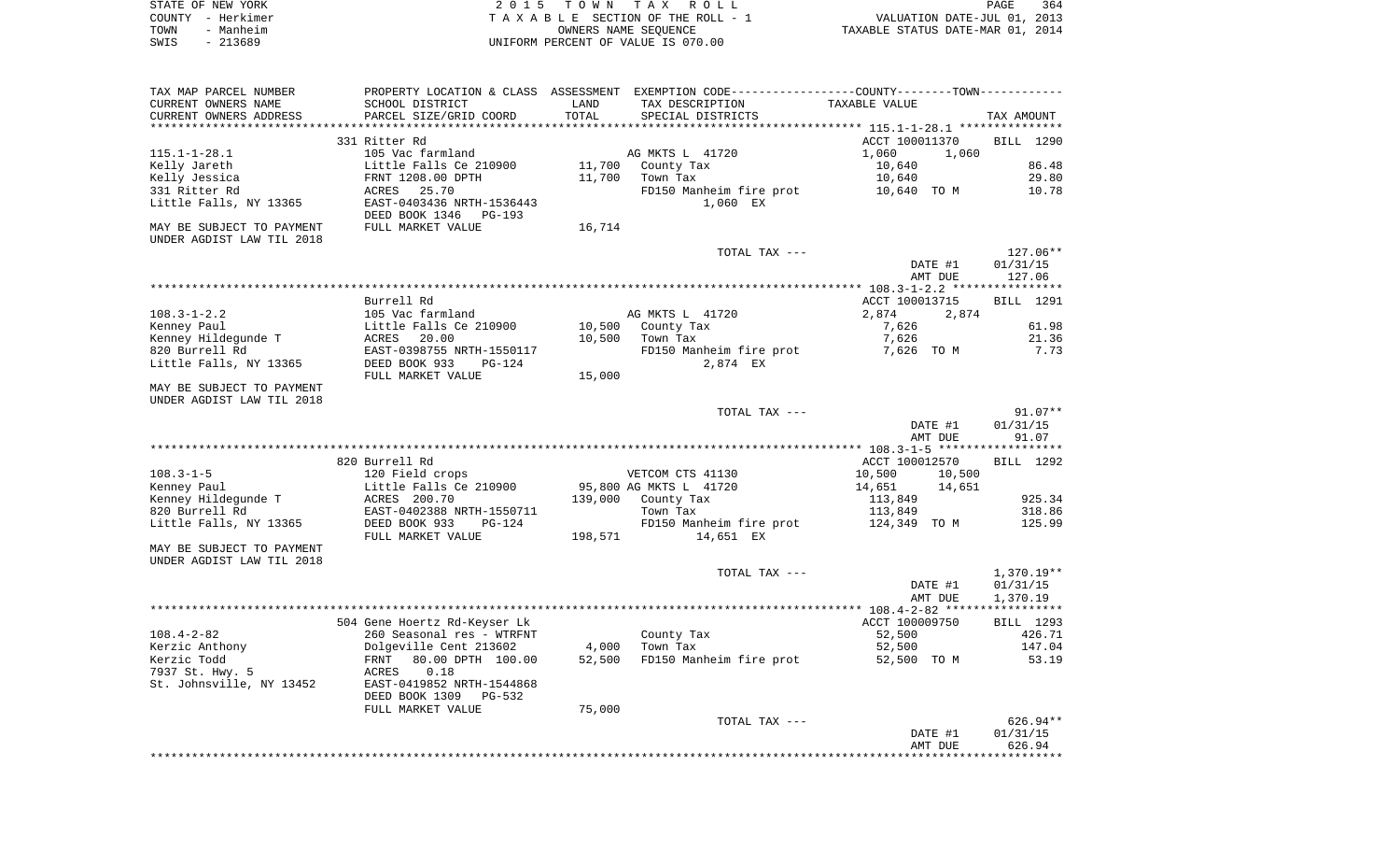|      | STATE OF NEW YORK | 2015 TOWN TAX ROLL                 | 364<br>PAGE                      |
|------|-------------------|------------------------------------|----------------------------------|
|      | COUNTY - Herkimer | TAXABLE SECTION OF THE ROLL - 1    | VALUATION DATE-JUL 01, 2013      |
| TOWN | - Manheim         | OWNERS NAME SEOUENCE               | TAXABLE STATUS DATE-MAR 01, 2014 |
| SWIS | - 213689          | UNIFORM PERCENT OF VALUE IS 070.00 |                                  |

| TAX MAP PARCEL NUMBER     |                              |         | PROPERTY LOCATION & CLASS ASSESSMENT EXEMPTION CODE----------------COUNTY-------TOWN---------- |                                                |                   |
|---------------------------|------------------------------|---------|------------------------------------------------------------------------------------------------|------------------------------------------------|-------------------|
| CURRENT OWNERS NAME       | SCHOOL DISTRICT              | LAND    | TAX DESCRIPTION                                                                                | TAXABLE VALUE                                  |                   |
| CURRENT OWNERS ADDRESS    | PARCEL SIZE/GRID COORD       | TOTAL   | SPECIAL DISTRICTS                                                                              |                                                | TAX AMOUNT        |
|                           |                              |         |                                                                                                | **************** 115.1-1-28.1 **************** |                   |
|                           | 331 Ritter Rd                |         |                                                                                                | ACCT 100011370                                 | BILL 1290         |
| $115.1 - 1 - 28.1$        | 105 Vac farmland             |         | AG MKTS L 41720                                                                                | 1,060<br>1,060                                 |                   |
| Kelly Jareth              | Little Falls Ce 210900       | 11,700  | County Tax                                                                                     | 10,640                                         | 86.48             |
| Kelly Jessica             | FRNT 1208.00 DPTH            | 11,700  | Town Tax                                                                                       | 10,640                                         | 29.80             |
| 331 Ritter Rd             | 25.70<br>ACRES               |         | FD150 Manheim fire prot                                                                        | 10,640 TO M                                    | 10.78             |
| Little Falls, NY 13365    | EAST-0403436 NRTH-1536443    |         | 1,060 EX                                                                                       |                                                |                   |
|                           | DEED BOOK 1346<br>PG-193     |         |                                                                                                |                                                |                   |
| MAY BE SUBJECT TO PAYMENT | FULL MARKET VALUE            | 16,714  |                                                                                                |                                                |                   |
| UNDER AGDIST LAW TIL 2018 |                              |         |                                                                                                |                                                |                   |
|                           |                              |         | TOTAL TAX ---                                                                                  |                                                | $127.06**$        |
|                           |                              |         |                                                                                                | DATE #1                                        | 01/31/15          |
|                           |                              |         |                                                                                                | AMT DUE                                        | 127.06            |
|                           |                              |         |                                                                                                |                                                |                   |
|                           | Burrell Rd                   |         |                                                                                                | ACCT 100013715                                 | BILL 1291         |
| $108.3 - 1 - 2.2$         | 105 Vac farmland             |         | AG MKTS L 41720                                                                                | 2,874<br>2,874                                 |                   |
| Kenney Paul               | Little Falls Ce 210900       | 10,500  | County Tax                                                                                     | 7,626                                          | 61.98             |
| Kenney Hildegunde T       | ACRES<br>20.00               | 10,500  | Town Tax                                                                                       | 7,626                                          | 21.36             |
| 820 Burrell Rd            | EAST-0398755 NRTH-1550117    |         | FD150 Manheim fire prot                                                                        | 7,626 TO M                                     | 7.73              |
| Little Falls, NY 13365    | DEED BOOK 933<br>$PG-124$    |         | 2,874 EX                                                                                       |                                                |                   |
|                           | FULL MARKET VALUE            | 15,000  |                                                                                                |                                                |                   |
| MAY BE SUBJECT TO PAYMENT |                              |         |                                                                                                |                                                |                   |
| UNDER AGDIST LAW TIL 2018 |                              |         |                                                                                                |                                                |                   |
|                           |                              |         | TOTAL TAX ---                                                                                  |                                                | $91.07**$         |
|                           |                              |         |                                                                                                |                                                |                   |
|                           |                              |         |                                                                                                | DATE #1<br>AMT DUE                             | 01/31/15<br>91.07 |
|                           |                              |         |                                                                                                |                                                |                   |
|                           |                              |         |                                                                                                |                                                |                   |
|                           | 820 Burrell Rd               |         |                                                                                                | ACCT 100012570                                 | BILL 1292         |
| $108.3 - 1 - 5$           | 120 Field crops              |         | VETCOM CTS 41130                                                                               | 10,500<br>10,500                               |                   |
| Kenney Paul               | Little Falls Ce 210900       |         | 95,800 AG MKTS L 41720                                                                         | 14,651<br>14,651                               |                   |
| Kenney Hildegunde T       | ACRES 200.70                 | 139,000 | County Tax                                                                                     | 113,849                                        | 925.34            |
| 820 Burrell Rd            | EAST-0402388 NRTH-1550711    |         | Town Tax                                                                                       | 113,849                                        | 318.86            |
| Little Falls, NY 13365    | DEED BOOK 933<br>PG-124      |         | FD150 Manheim fire prot                                                                        | 124,349 TO M                                   | 125.99            |
|                           | FULL MARKET VALUE            | 198,571 | 14,651 EX                                                                                      |                                                |                   |
| MAY BE SUBJECT TO PAYMENT |                              |         |                                                                                                |                                                |                   |
| UNDER AGDIST LAW TIL 2018 |                              |         |                                                                                                |                                                |                   |
|                           |                              |         | TOTAL TAX ---                                                                                  |                                                | $1,370.19**$      |
|                           |                              |         |                                                                                                | DATE #1                                        | 01/31/15          |
|                           |                              |         |                                                                                                | AMT DUE                                        | 1,370.19          |
|                           |                              |         |                                                                                                |                                                |                   |
|                           | 504 Gene Hoertz Rd-Keyser Lk |         |                                                                                                | ACCT 100009750                                 | <b>BILL</b> 1293  |
| $108.4 - 2 - 82$          | 260 Seasonal res - WTRFNT    |         | County Tax                                                                                     | 52,500                                         | 426.71            |
| Kerzic Anthony            | Dolgeville Cent 213602       | 4,000   | Town Tax                                                                                       | 52,500                                         | 147.04            |
| Kerzic Todd               | 80.00 DPTH 100.00<br>FRNT    | 52,500  | FD150 Manheim fire prot                                                                        | 52,500 TO M                                    | 53.19             |
| 7937 St. Hwy. 5           | ACRES<br>0.18                |         |                                                                                                |                                                |                   |
| St. Johnsville, NY 13452  | EAST-0419852 NRTH-1544868    |         |                                                                                                |                                                |                   |
|                           | DEED BOOK 1309<br>PG-532     |         |                                                                                                |                                                |                   |
|                           | FULL MARKET VALUE            | 75,000  |                                                                                                |                                                |                   |
|                           |                              |         | TOTAL TAX ---                                                                                  |                                                | 626.94**          |
|                           |                              |         |                                                                                                | DATE #1                                        | 01/31/15          |
|                           |                              |         |                                                                                                | AMT DUE                                        | 626.94            |
|                           |                              |         |                                                                                                |                                                |                   |
|                           |                              |         |                                                                                                |                                                |                   |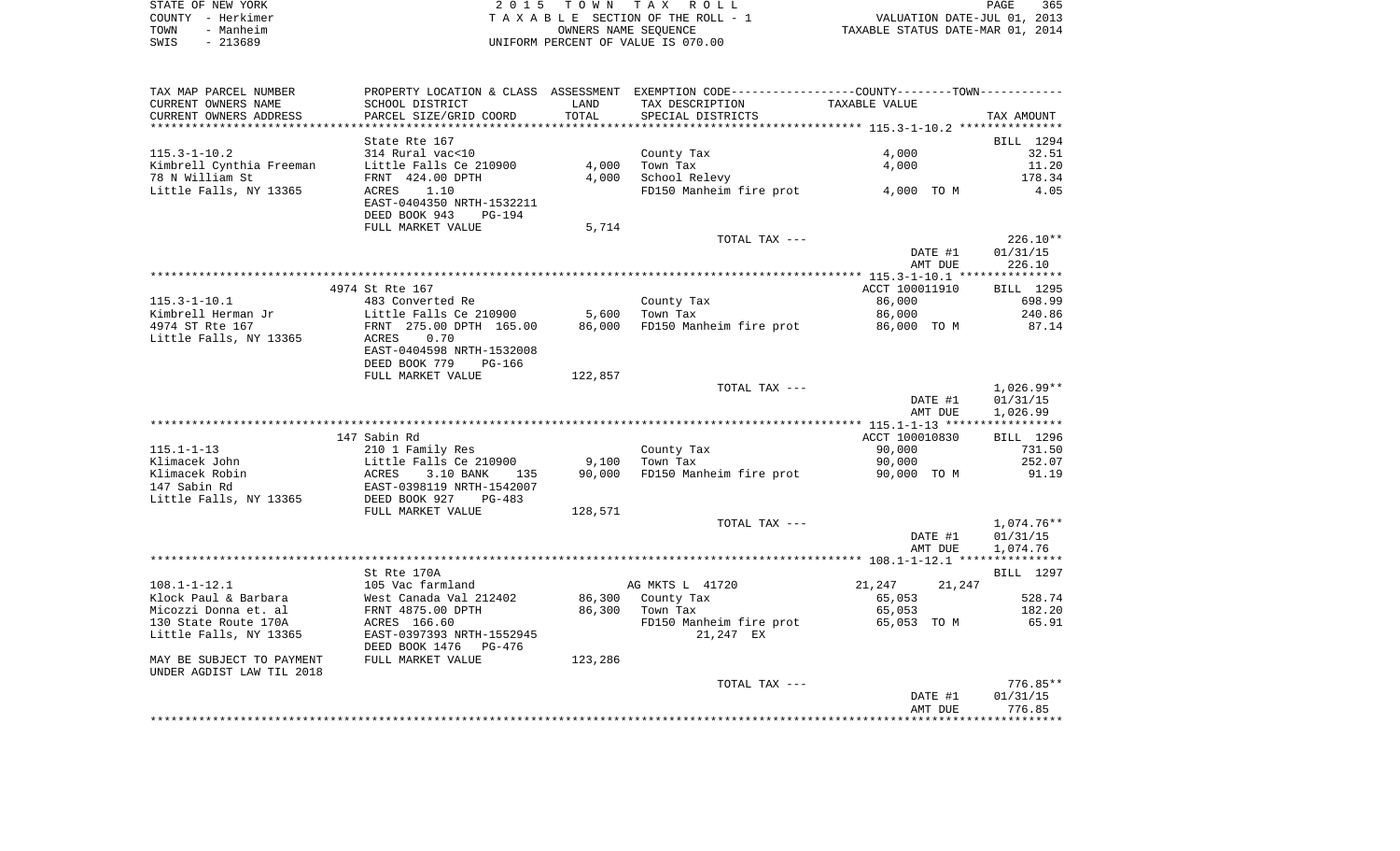| STATE OF NEW YORK | 2015 TOWN TAX ROLL                 | 365<br>PAGE                      |
|-------------------|------------------------------------|----------------------------------|
| COUNTY - Herkimer | TAXABLE SECTION OF THE ROLL - 1    | VALUATION DATE-JUL 01, 2013      |
| - Manheim<br>TOWN | OWNERS NAME SEOUENCE               | TAXABLE STATUS DATE-MAR 01, 2014 |
| SWIS<br>- 213689  | UNIFORM PERCENT OF VALUE IS 070.00 |                                  |

| SCHOOL DISTRICT<br>LAND<br>TAX DESCRIPTION<br>TAXABLE VALUE<br>TOTAL<br>PARCEL SIZE/GRID COORD<br>SPECIAL DISTRICTS<br>TAX AMOUNT<br>State Rte 167<br>BILL 1294<br>$115.3 - 1 - 10.2$<br>314 Rural vac<10<br>4,000<br>32.51<br>County Tax<br>Kimbrell Cynthia Freeman<br>Little Falls Ce 210900<br>4,000<br>Town Tax<br>11.20<br>4,000<br>78 N William St<br>FRNT 424.00 DPTH<br>4,000<br>School Relevy<br>178.34<br>FD150 Manheim fire prot<br>Little Falls, NY 13365<br>1.10<br>4,000 TO M<br>4.05<br>ACRES<br>EAST-0404350 NRTH-1532211<br>DEED BOOK 943<br>PG-194<br>FULL MARKET VALUE<br>5,714<br>$226.10**$<br>TOTAL TAX ---<br>DATE #1<br>01/31/15<br>226.10<br>AMT DUE<br>4974 St Rte 167<br>BILL 1295<br>ACCT 100011910<br>86,000<br>698.99<br>483 Converted Re<br>County Tax<br>5,600<br>Town Tax<br>240.86<br>Little Falls Ce 210900<br>86,000<br>4974 ST Rte 167<br>FRNT 275.00 DPTH 165.00<br>86,000<br>FD150 Manheim fire prot<br>86,000 TO M<br>87.14<br>Little Falls, NY 13365<br>0.70<br>ACRES<br>EAST-0404598 NRTH-1532008<br>DEED BOOK 779<br><b>PG-166</b><br>122,857<br>FULL MARKET VALUE<br>$1,026.99**$<br>TOTAL TAX ---<br>DATE #1<br>01/31/15<br>1,026.99<br>AMT DUE<br>147 Sabin Rd<br>ACCT 100010830<br><b>BILL</b> 1296<br>$115.1 - 1 - 13$<br>210 1 Family Res<br>County Tax<br>90,000<br>731.50<br>Klimacek John<br>Little Falls Ce 210900<br>9,100<br>Town Tax<br>90,000<br>252.07<br>90,000<br>FD150 Manheim fire prot<br>90,000 TO M<br>91.19<br>ACRES<br>3.10 BANK<br>135<br>EAST-0398119 NRTH-1542007<br>DEED BOOK 927<br>$PG-483$<br>FULL MARKET VALUE<br>128,571<br>TOTAL TAX ---<br>1,074.76**<br>DATE #1<br>01/31/15<br>AMT DUE<br>1,074.76<br>St Rte 170A<br>BILL 1297<br>$108.1 - 1 - 12.1$<br>105 Vac farmland<br>AG MKTS L 41720<br>21,247<br>21,247<br>86,300<br>528.74<br>Klock Paul & Barbara<br>West Canada Val 212402<br>County Tax<br>65,053<br>86,300<br>Micozzi Donna et. al<br>FRNT 4875.00 DPTH<br>Town Tax<br>65,053<br>182.20<br>130 State Route 170A<br>ACRES 166.60<br>FD150 Manheim fire prot<br>65,053 TO M<br>65.91<br>Little Falls, NY 13365<br>EAST-0397393 NRTH-1552945<br>21,247 EX<br>DEED BOOK 1476<br>PG-476<br>MAY BE SUBJECT TO PAYMENT<br>FULL MARKET VALUE<br>123,286<br>776.85**<br>TOTAL TAX ---<br>DATE #1<br>01/31/15<br>776.85<br>AMT DUE | TAX MAP PARCEL NUMBER     |  | PROPERTY LOCATION & CLASS ASSESSMENT EXEMPTION CODE----------------COUNTY--------TOWN----------- |  |
|-----------------------------------------------------------------------------------------------------------------------------------------------------------------------------------------------------------------------------------------------------------------------------------------------------------------------------------------------------------------------------------------------------------------------------------------------------------------------------------------------------------------------------------------------------------------------------------------------------------------------------------------------------------------------------------------------------------------------------------------------------------------------------------------------------------------------------------------------------------------------------------------------------------------------------------------------------------------------------------------------------------------------------------------------------------------------------------------------------------------------------------------------------------------------------------------------------------------------------------------------------------------------------------------------------------------------------------------------------------------------------------------------------------------------------------------------------------------------------------------------------------------------------------------------------------------------------------------------------------------------------------------------------------------------------------------------------------------------------------------------------------------------------------------------------------------------------------------------------------------------------------------------------------------------------------------------------------------------------------------------------------------------------------------------------------------------------------------------------------------------------------------------------------------------------------------------------------------------------------------------------------------------------------------------------------------------|---------------------------|--|--------------------------------------------------------------------------------------------------|--|
|                                                                                                                                                                                                                                                                                                                                                                                                                                                                                                                                                                                                                                                                                                                                                                                                                                                                                                                                                                                                                                                                                                                                                                                                                                                                                                                                                                                                                                                                                                                                                                                                                                                                                                                                                                                                                                                                                                                                                                                                                                                                                                                                                                                                                                                                                                                       | CURRENT OWNERS NAME       |  |                                                                                                  |  |
|                                                                                                                                                                                                                                                                                                                                                                                                                                                                                                                                                                                                                                                                                                                                                                                                                                                                                                                                                                                                                                                                                                                                                                                                                                                                                                                                                                                                                                                                                                                                                                                                                                                                                                                                                                                                                                                                                                                                                                                                                                                                                                                                                                                                                                                                                                                       | CURRENT OWNERS ADDRESS    |  |                                                                                                  |  |
|                                                                                                                                                                                                                                                                                                                                                                                                                                                                                                                                                                                                                                                                                                                                                                                                                                                                                                                                                                                                                                                                                                                                                                                                                                                                                                                                                                                                                                                                                                                                                                                                                                                                                                                                                                                                                                                                                                                                                                                                                                                                                                                                                                                                                                                                                                                       |                           |  |                                                                                                  |  |
|                                                                                                                                                                                                                                                                                                                                                                                                                                                                                                                                                                                                                                                                                                                                                                                                                                                                                                                                                                                                                                                                                                                                                                                                                                                                                                                                                                                                                                                                                                                                                                                                                                                                                                                                                                                                                                                                                                                                                                                                                                                                                                                                                                                                                                                                                                                       |                           |  |                                                                                                  |  |
|                                                                                                                                                                                                                                                                                                                                                                                                                                                                                                                                                                                                                                                                                                                                                                                                                                                                                                                                                                                                                                                                                                                                                                                                                                                                                                                                                                                                                                                                                                                                                                                                                                                                                                                                                                                                                                                                                                                                                                                                                                                                                                                                                                                                                                                                                                                       |                           |  |                                                                                                  |  |
|                                                                                                                                                                                                                                                                                                                                                                                                                                                                                                                                                                                                                                                                                                                                                                                                                                                                                                                                                                                                                                                                                                                                                                                                                                                                                                                                                                                                                                                                                                                                                                                                                                                                                                                                                                                                                                                                                                                                                                                                                                                                                                                                                                                                                                                                                                                       |                           |  |                                                                                                  |  |
|                                                                                                                                                                                                                                                                                                                                                                                                                                                                                                                                                                                                                                                                                                                                                                                                                                                                                                                                                                                                                                                                                                                                                                                                                                                                                                                                                                                                                                                                                                                                                                                                                                                                                                                                                                                                                                                                                                                                                                                                                                                                                                                                                                                                                                                                                                                       |                           |  |                                                                                                  |  |
|                                                                                                                                                                                                                                                                                                                                                                                                                                                                                                                                                                                                                                                                                                                                                                                                                                                                                                                                                                                                                                                                                                                                                                                                                                                                                                                                                                                                                                                                                                                                                                                                                                                                                                                                                                                                                                                                                                                                                                                                                                                                                                                                                                                                                                                                                                                       |                           |  |                                                                                                  |  |
|                                                                                                                                                                                                                                                                                                                                                                                                                                                                                                                                                                                                                                                                                                                                                                                                                                                                                                                                                                                                                                                                                                                                                                                                                                                                                                                                                                                                                                                                                                                                                                                                                                                                                                                                                                                                                                                                                                                                                                                                                                                                                                                                                                                                                                                                                                                       |                           |  |                                                                                                  |  |
|                                                                                                                                                                                                                                                                                                                                                                                                                                                                                                                                                                                                                                                                                                                                                                                                                                                                                                                                                                                                                                                                                                                                                                                                                                                                                                                                                                                                                                                                                                                                                                                                                                                                                                                                                                                                                                                                                                                                                                                                                                                                                                                                                                                                                                                                                                                       |                           |  |                                                                                                  |  |
|                                                                                                                                                                                                                                                                                                                                                                                                                                                                                                                                                                                                                                                                                                                                                                                                                                                                                                                                                                                                                                                                                                                                                                                                                                                                                                                                                                                                                                                                                                                                                                                                                                                                                                                                                                                                                                                                                                                                                                                                                                                                                                                                                                                                                                                                                                                       |                           |  |                                                                                                  |  |
|                                                                                                                                                                                                                                                                                                                                                                                                                                                                                                                                                                                                                                                                                                                                                                                                                                                                                                                                                                                                                                                                                                                                                                                                                                                                                                                                                                                                                                                                                                                                                                                                                                                                                                                                                                                                                                                                                                                                                                                                                                                                                                                                                                                                                                                                                                                       |                           |  |                                                                                                  |  |
|                                                                                                                                                                                                                                                                                                                                                                                                                                                                                                                                                                                                                                                                                                                                                                                                                                                                                                                                                                                                                                                                                                                                                                                                                                                                                                                                                                                                                                                                                                                                                                                                                                                                                                                                                                                                                                                                                                                                                                                                                                                                                                                                                                                                                                                                                                                       |                           |  |                                                                                                  |  |
|                                                                                                                                                                                                                                                                                                                                                                                                                                                                                                                                                                                                                                                                                                                                                                                                                                                                                                                                                                                                                                                                                                                                                                                                                                                                                                                                                                                                                                                                                                                                                                                                                                                                                                                                                                                                                                                                                                                                                                                                                                                                                                                                                                                                                                                                                                                       |                           |  |                                                                                                  |  |
|                                                                                                                                                                                                                                                                                                                                                                                                                                                                                                                                                                                                                                                                                                                                                                                                                                                                                                                                                                                                                                                                                                                                                                                                                                                                                                                                                                                                                                                                                                                                                                                                                                                                                                                                                                                                                                                                                                                                                                                                                                                                                                                                                                                                                                                                                                                       |                           |  |                                                                                                  |  |
|                                                                                                                                                                                                                                                                                                                                                                                                                                                                                                                                                                                                                                                                                                                                                                                                                                                                                                                                                                                                                                                                                                                                                                                                                                                                                                                                                                                                                                                                                                                                                                                                                                                                                                                                                                                                                                                                                                                                                                                                                                                                                                                                                                                                                                                                                                                       |                           |  |                                                                                                  |  |
|                                                                                                                                                                                                                                                                                                                                                                                                                                                                                                                                                                                                                                                                                                                                                                                                                                                                                                                                                                                                                                                                                                                                                                                                                                                                                                                                                                                                                                                                                                                                                                                                                                                                                                                                                                                                                                                                                                                                                                                                                                                                                                                                                                                                                                                                                                                       |                           |  |                                                                                                  |  |
|                                                                                                                                                                                                                                                                                                                                                                                                                                                                                                                                                                                                                                                                                                                                                                                                                                                                                                                                                                                                                                                                                                                                                                                                                                                                                                                                                                                                                                                                                                                                                                                                                                                                                                                                                                                                                                                                                                                                                                                                                                                                                                                                                                                                                                                                                                                       | $115.3 - 1 - 10.1$        |  |                                                                                                  |  |
|                                                                                                                                                                                                                                                                                                                                                                                                                                                                                                                                                                                                                                                                                                                                                                                                                                                                                                                                                                                                                                                                                                                                                                                                                                                                                                                                                                                                                                                                                                                                                                                                                                                                                                                                                                                                                                                                                                                                                                                                                                                                                                                                                                                                                                                                                                                       | Kimbrell Herman Jr        |  |                                                                                                  |  |
|                                                                                                                                                                                                                                                                                                                                                                                                                                                                                                                                                                                                                                                                                                                                                                                                                                                                                                                                                                                                                                                                                                                                                                                                                                                                                                                                                                                                                                                                                                                                                                                                                                                                                                                                                                                                                                                                                                                                                                                                                                                                                                                                                                                                                                                                                                                       |                           |  |                                                                                                  |  |
|                                                                                                                                                                                                                                                                                                                                                                                                                                                                                                                                                                                                                                                                                                                                                                                                                                                                                                                                                                                                                                                                                                                                                                                                                                                                                                                                                                                                                                                                                                                                                                                                                                                                                                                                                                                                                                                                                                                                                                                                                                                                                                                                                                                                                                                                                                                       |                           |  |                                                                                                  |  |
|                                                                                                                                                                                                                                                                                                                                                                                                                                                                                                                                                                                                                                                                                                                                                                                                                                                                                                                                                                                                                                                                                                                                                                                                                                                                                                                                                                                                                                                                                                                                                                                                                                                                                                                                                                                                                                                                                                                                                                                                                                                                                                                                                                                                                                                                                                                       |                           |  |                                                                                                  |  |
|                                                                                                                                                                                                                                                                                                                                                                                                                                                                                                                                                                                                                                                                                                                                                                                                                                                                                                                                                                                                                                                                                                                                                                                                                                                                                                                                                                                                                                                                                                                                                                                                                                                                                                                                                                                                                                                                                                                                                                                                                                                                                                                                                                                                                                                                                                                       |                           |  |                                                                                                  |  |
|                                                                                                                                                                                                                                                                                                                                                                                                                                                                                                                                                                                                                                                                                                                                                                                                                                                                                                                                                                                                                                                                                                                                                                                                                                                                                                                                                                                                                                                                                                                                                                                                                                                                                                                                                                                                                                                                                                                                                                                                                                                                                                                                                                                                                                                                                                                       |                           |  |                                                                                                  |  |
|                                                                                                                                                                                                                                                                                                                                                                                                                                                                                                                                                                                                                                                                                                                                                                                                                                                                                                                                                                                                                                                                                                                                                                                                                                                                                                                                                                                                                                                                                                                                                                                                                                                                                                                                                                                                                                                                                                                                                                                                                                                                                                                                                                                                                                                                                                                       |                           |  |                                                                                                  |  |
|                                                                                                                                                                                                                                                                                                                                                                                                                                                                                                                                                                                                                                                                                                                                                                                                                                                                                                                                                                                                                                                                                                                                                                                                                                                                                                                                                                                                                                                                                                                                                                                                                                                                                                                                                                                                                                                                                                                                                                                                                                                                                                                                                                                                                                                                                                                       |                           |  |                                                                                                  |  |
|                                                                                                                                                                                                                                                                                                                                                                                                                                                                                                                                                                                                                                                                                                                                                                                                                                                                                                                                                                                                                                                                                                                                                                                                                                                                                                                                                                                                                                                                                                                                                                                                                                                                                                                                                                                                                                                                                                                                                                                                                                                                                                                                                                                                                                                                                                                       |                           |  |                                                                                                  |  |
|                                                                                                                                                                                                                                                                                                                                                                                                                                                                                                                                                                                                                                                                                                                                                                                                                                                                                                                                                                                                                                                                                                                                                                                                                                                                                                                                                                                                                                                                                                                                                                                                                                                                                                                                                                                                                                                                                                                                                                                                                                                                                                                                                                                                                                                                                                                       |                           |  |                                                                                                  |  |
|                                                                                                                                                                                                                                                                                                                                                                                                                                                                                                                                                                                                                                                                                                                                                                                                                                                                                                                                                                                                                                                                                                                                                                                                                                                                                                                                                                                                                                                                                                                                                                                                                                                                                                                                                                                                                                                                                                                                                                                                                                                                                                                                                                                                                                                                                                                       |                           |  |                                                                                                  |  |
|                                                                                                                                                                                                                                                                                                                                                                                                                                                                                                                                                                                                                                                                                                                                                                                                                                                                                                                                                                                                                                                                                                                                                                                                                                                                                                                                                                                                                                                                                                                                                                                                                                                                                                                                                                                                                                                                                                                                                                                                                                                                                                                                                                                                                                                                                                                       |                           |  |                                                                                                  |  |
|                                                                                                                                                                                                                                                                                                                                                                                                                                                                                                                                                                                                                                                                                                                                                                                                                                                                                                                                                                                                                                                                                                                                                                                                                                                                                                                                                                                                                                                                                                                                                                                                                                                                                                                                                                                                                                                                                                                                                                                                                                                                                                                                                                                                                                                                                                                       |                           |  |                                                                                                  |  |
|                                                                                                                                                                                                                                                                                                                                                                                                                                                                                                                                                                                                                                                                                                                                                                                                                                                                                                                                                                                                                                                                                                                                                                                                                                                                                                                                                                                                                                                                                                                                                                                                                                                                                                                                                                                                                                                                                                                                                                                                                                                                                                                                                                                                                                                                                                                       |                           |  |                                                                                                  |  |
|                                                                                                                                                                                                                                                                                                                                                                                                                                                                                                                                                                                                                                                                                                                                                                                                                                                                                                                                                                                                                                                                                                                                                                                                                                                                                                                                                                                                                                                                                                                                                                                                                                                                                                                                                                                                                                                                                                                                                                                                                                                                                                                                                                                                                                                                                                                       | Klimacek Robin            |  |                                                                                                  |  |
|                                                                                                                                                                                                                                                                                                                                                                                                                                                                                                                                                                                                                                                                                                                                                                                                                                                                                                                                                                                                                                                                                                                                                                                                                                                                                                                                                                                                                                                                                                                                                                                                                                                                                                                                                                                                                                                                                                                                                                                                                                                                                                                                                                                                                                                                                                                       | 147 Sabin Rd              |  |                                                                                                  |  |
|                                                                                                                                                                                                                                                                                                                                                                                                                                                                                                                                                                                                                                                                                                                                                                                                                                                                                                                                                                                                                                                                                                                                                                                                                                                                                                                                                                                                                                                                                                                                                                                                                                                                                                                                                                                                                                                                                                                                                                                                                                                                                                                                                                                                                                                                                                                       | Little Falls, NY 13365    |  |                                                                                                  |  |
|                                                                                                                                                                                                                                                                                                                                                                                                                                                                                                                                                                                                                                                                                                                                                                                                                                                                                                                                                                                                                                                                                                                                                                                                                                                                                                                                                                                                                                                                                                                                                                                                                                                                                                                                                                                                                                                                                                                                                                                                                                                                                                                                                                                                                                                                                                                       |                           |  |                                                                                                  |  |
|                                                                                                                                                                                                                                                                                                                                                                                                                                                                                                                                                                                                                                                                                                                                                                                                                                                                                                                                                                                                                                                                                                                                                                                                                                                                                                                                                                                                                                                                                                                                                                                                                                                                                                                                                                                                                                                                                                                                                                                                                                                                                                                                                                                                                                                                                                                       |                           |  |                                                                                                  |  |
|                                                                                                                                                                                                                                                                                                                                                                                                                                                                                                                                                                                                                                                                                                                                                                                                                                                                                                                                                                                                                                                                                                                                                                                                                                                                                                                                                                                                                                                                                                                                                                                                                                                                                                                                                                                                                                                                                                                                                                                                                                                                                                                                                                                                                                                                                                                       |                           |  |                                                                                                  |  |
|                                                                                                                                                                                                                                                                                                                                                                                                                                                                                                                                                                                                                                                                                                                                                                                                                                                                                                                                                                                                                                                                                                                                                                                                                                                                                                                                                                                                                                                                                                                                                                                                                                                                                                                                                                                                                                                                                                                                                                                                                                                                                                                                                                                                                                                                                                                       |                           |  |                                                                                                  |  |
|                                                                                                                                                                                                                                                                                                                                                                                                                                                                                                                                                                                                                                                                                                                                                                                                                                                                                                                                                                                                                                                                                                                                                                                                                                                                                                                                                                                                                                                                                                                                                                                                                                                                                                                                                                                                                                                                                                                                                                                                                                                                                                                                                                                                                                                                                                                       |                           |  |                                                                                                  |  |
|                                                                                                                                                                                                                                                                                                                                                                                                                                                                                                                                                                                                                                                                                                                                                                                                                                                                                                                                                                                                                                                                                                                                                                                                                                                                                                                                                                                                                                                                                                                                                                                                                                                                                                                                                                                                                                                                                                                                                                                                                                                                                                                                                                                                                                                                                                                       |                           |  |                                                                                                  |  |
|                                                                                                                                                                                                                                                                                                                                                                                                                                                                                                                                                                                                                                                                                                                                                                                                                                                                                                                                                                                                                                                                                                                                                                                                                                                                                                                                                                                                                                                                                                                                                                                                                                                                                                                                                                                                                                                                                                                                                                                                                                                                                                                                                                                                                                                                                                                       |                           |  |                                                                                                  |  |
|                                                                                                                                                                                                                                                                                                                                                                                                                                                                                                                                                                                                                                                                                                                                                                                                                                                                                                                                                                                                                                                                                                                                                                                                                                                                                                                                                                                                                                                                                                                                                                                                                                                                                                                                                                                                                                                                                                                                                                                                                                                                                                                                                                                                                                                                                                                       |                           |  |                                                                                                  |  |
|                                                                                                                                                                                                                                                                                                                                                                                                                                                                                                                                                                                                                                                                                                                                                                                                                                                                                                                                                                                                                                                                                                                                                                                                                                                                                                                                                                                                                                                                                                                                                                                                                                                                                                                                                                                                                                                                                                                                                                                                                                                                                                                                                                                                                                                                                                                       |                           |  |                                                                                                  |  |
|                                                                                                                                                                                                                                                                                                                                                                                                                                                                                                                                                                                                                                                                                                                                                                                                                                                                                                                                                                                                                                                                                                                                                                                                                                                                                                                                                                                                                                                                                                                                                                                                                                                                                                                                                                                                                                                                                                                                                                                                                                                                                                                                                                                                                                                                                                                       |                           |  |                                                                                                  |  |
|                                                                                                                                                                                                                                                                                                                                                                                                                                                                                                                                                                                                                                                                                                                                                                                                                                                                                                                                                                                                                                                                                                                                                                                                                                                                                                                                                                                                                                                                                                                                                                                                                                                                                                                                                                                                                                                                                                                                                                                                                                                                                                                                                                                                                                                                                                                       |                           |  |                                                                                                  |  |
|                                                                                                                                                                                                                                                                                                                                                                                                                                                                                                                                                                                                                                                                                                                                                                                                                                                                                                                                                                                                                                                                                                                                                                                                                                                                                                                                                                                                                                                                                                                                                                                                                                                                                                                                                                                                                                                                                                                                                                                                                                                                                                                                                                                                                                                                                                                       |                           |  |                                                                                                  |  |
|                                                                                                                                                                                                                                                                                                                                                                                                                                                                                                                                                                                                                                                                                                                                                                                                                                                                                                                                                                                                                                                                                                                                                                                                                                                                                                                                                                                                                                                                                                                                                                                                                                                                                                                                                                                                                                                                                                                                                                                                                                                                                                                                                                                                                                                                                                                       |                           |  |                                                                                                  |  |
|                                                                                                                                                                                                                                                                                                                                                                                                                                                                                                                                                                                                                                                                                                                                                                                                                                                                                                                                                                                                                                                                                                                                                                                                                                                                                                                                                                                                                                                                                                                                                                                                                                                                                                                                                                                                                                                                                                                                                                                                                                                                                                                                                                                                                                                                                                                       |                           |  |                                                                                                  |  |
|                                                                                                                                                                                                                                                                                                                                                                                                                                                                                                                                                                                                                                                                                                                                                                                                                                                                                                                                                                                                                                                                                                                                                                                                                                                                                                                                                                                                                                                                                                                                                                                                                                                                                                                                                                                                                                                                                                                                                                                                                                                                                                                                                                                                                                                                                                                       | UNDER AGDIST LAW TIL 2018 |  |                                                                                                  |  |
|                                                                                                                                                                                                                                                                                                                                                                                                                                                                                                                                                                                                                                                                                                                                                                                                                                                                                                                                                                                                                                                                                                                                                                                                                                                                                                                                                                                                                                                                                                                                                                                                                                                                                                                                                                                                                                                                                                                                                                                                                                                                                                                                                                                                                                                                                                                       |                           |  |                                                                                                  |  |
|                                                                                                                                                                                                                                                                                                                                                                                                                                                                                                                                                                                                                                                                                                                                                                                                                                                                                                                                                                                                                                                                                                                                                                                                                                                                                                                                                                                                                                                                                                                                                                                                                                                                                                                                                                                                                                                                                                                                                                                                                                                                                                                                                                                                                                                                                                                       |                           |  |                                                                                                  |  |
|                                                                                                                                                                                                                                                                                                                                                                                                                                                                                                                                                                                                                                                                                                                                                                                                                                                                                                                                                                                                                                                                                                                                                                                                                                                                                                                                                                                                                                                                                                                                                                                                                                                                                                                                                                                                                                                                                                                                                                                                                                                                                                                                                                                                                                                                                                                       |                           |  |                                                                                                  |  |
|                                                                                                                                                                                                                                                                                                                                                                                                                                                                                                                                                                                                                                                                                                                                                                                                                                                                                                                                                                                                                                                                                                                                                                                                                                                                                                                                                                                                                                                                                                                                                                                                                                                                                                                                                                                                                                                                                                                                                                                                                                                                                                                                                                                                                                                                                                                       |                           |  |                                                                                                  |  |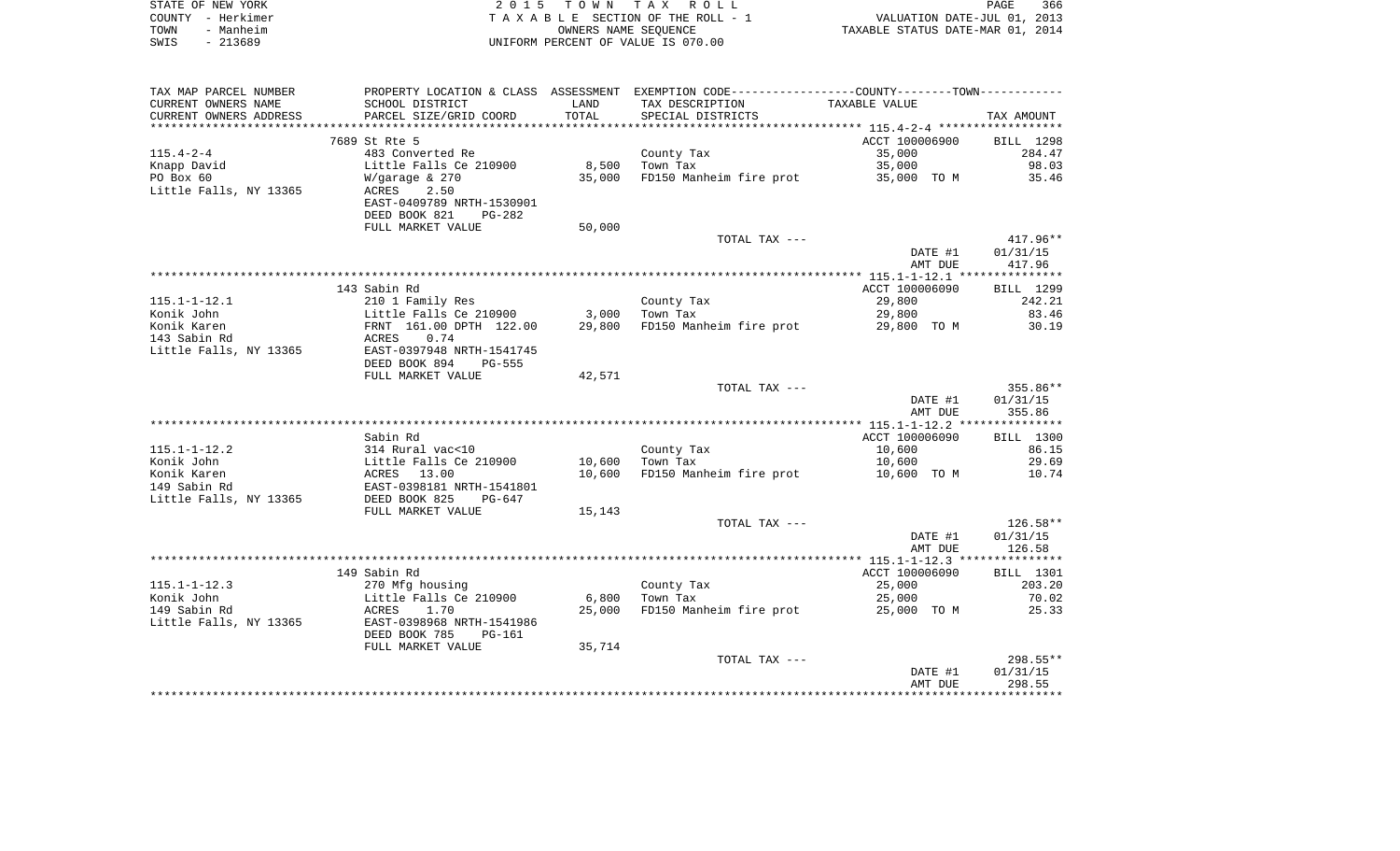|      | STATE OF NEW YORK | 2015 TOWN TAX ROLL                 | 366<br>PAGE                      |
|------|-------------------|------------------------------------|----------------------------------|
|      | COUNTY - Herkimer | TAXABLE SECTION OF THE ROLL - 1    | VALUATION DATE-JUL 01, 2013      |
| TOWN | - Manheim         | OWNERS NAME SEOUENCE               | TAXABLE STATUS DATE-MAR 01, 2014 |
| SWIS | - 213689          | UNIFORM PERCENT OF VALUE IS 070.00 |                                  |

| TAX MAP PARCEL NUMBER     | PROPERTY LOCATION & CLASS ASSESSMENT                 |        | EXEMPTION CODE----------------COUNTY-------TOWN----------- |                |                |
|---------------------------|------------------------------------------------------|--------|------------------------------------------------------------|----------------|----------------|
| CURRENT OWNERS NAME       | SCHOOL DISTRICT                                      | LAND   | TAX DESCRIPTION                                            | TAXABLE VALUE  |                |
| CURRENT OWNERS ADDRESS    | PARCEL SIZE/GRID COORD                               | TOTAL  | SPECIAL DISTRICTS                                          |                | TAX AMOUNT     |
|                           |                                                      |        |                                                            |                |                |
|                           | 7689 St Rte 5                                        |        |                                                            | ACCT 100006900 | BILL 1298      |
| $115.4 - 2 - 4$           | 483 Converted Re                                     |        | County Tax                                                 | 35,000         | 284.47         |
| Knapp David               | Little Falls Ce 210900                               | 8,500  | Town Tax                                                   | 35,000         | 98.03          |
| PO Box 60                 | $W/$ qaraqe & 270                                    | 35,000 | FD150 Manheim fire prot                                    | 35,000 TO M    | 35.46          |
| Little Falls, NY 13365    | ACRES<br>2.50                                        |        |                                                            |                |                |
|                           | EAST-0409789 NRTH-1530901                            |        |                                                            |                |                |
|                           | DEED BOOK 821<br>PG-282                              |        |                                                            |                |                |
|                           | FULL MARKET VALUE                                    | 50,000 |                                                            |                |                |
|                           |                                                      |        | TOTAL TAX ---                                              |                | 417.96**       |
|                           |                                                      |        |                                                            | DATE #1        | 01/31/15       |
|                           |                                                      |        |                                                            | AMT DUE        | 417.96         |
|                           |                                                      |        |                                                            |                |                |
|                           | 143 Sabin Rd                                         |        |                                                            | ACCT 100006090 | BILL 1299      |
| $115.1 - 1 - 12.1$        | 210 1 Family Res                                     |        | County Tax                                                 | 29,800         | 242.21         |
| Konik John                | Little Falls Ce 210900                               | 3,000  | Town Tax                                                   | 29,800         | 83.46          |
| Konik Karen               | FRNT 161.00 DPTH 122.00                              | 29,800 | FD150 Manheim fire prot                                    | 29,800 TO M    | 30.19          |
| 143 Sabin Rd              | ACRES<br>0.74                                        |        |                                                            |                |                |
| Little Falls, NY 13365    | EAST-0397948 NRTH-1541745                            |        |                                                            |                |                |
|                           | DEED BOOK 894<br>PG-555                              |        |                                                            |                |                |
|                           | FULL MARKET VALUE                                    | 42,571 |                                                            |                |                |
|                           |                                                      |        | TOTAL TAX ---                                              |                | 355.86**       |
|                           |                                                      |        |                                                            | DATE #1        | 01/31/15       |
|                           |                                                      |        |                                                            | AMT DUE        | 355.86         |
|                           |                                                      |        |                                                            |                |                |
|                           | Sabin Rd                                             |        |                                                            | ACCT 100006090 | BILL 1300      |
| $115.1 - 1 - 12.2$        | 314 Rural vac<10                                     |        | County Tax                                                 | 10,600         | 86.15          |
| Konik John<br>Konik Karen | Little Falls Ce 210900<br>13.00                      | 10,600 | Town Tax                                                   | 10,600         | 29.69<br>10.74 |
|                           | ACRES                                                | 10,600 | FD150 Manheim fire prot                                    | 10,600 TO M    |                |
| 149 Sabin Rd              | EAST-0398181 NRTH-1541801<br>DEED BOOK 825<br>PG-647 |        |                                                            |                |                |
| Little Falls, NY 13365    | FULL MARKET VALUE                                    |        |                                                            |                |                |
|                           |                                                      | 15,143 | TOTAL TAX ---                                              |                | $126.58**$     |
|                           |                                                      |        |                                                            | DATE #1        | 01/31/15       |
|                           |                                                      |        |                                                            | AMT DUE        | 126.58         |
|                           |                                                      |        |                                                            |                |                |
|                           | 149 Sabin Rd                                         |        |                                                            | ACCT 100006090 | BILL 1301      |
| $115.1 - 1 - 12.3$        | 270 Mfg housing                                      |        | County Tax                                                 | 25,000         | 203.20         |
| Konik John                | Little Falls Ce 210900                               | 6,800  | Town Tax                                                   | 25,000         | 70.02          |
| 149 Sabin Rd              | 1.70<br>ACRES                                        | 25,000 | FD150 Manheim fire prot                                    | 25,000 TO M    | 25.33          |
| Little Falls, NY 13365    | EAST-0398968 NRTH-1541986                            |        |                                                            |                |                |
|                           | DEED BOOK 785<br>PG-161                              |        |                                                            |                |                |
|                           | FULL MARKET VALUE                                    | 35,714 |                                                            |                |                |
|                           |                                                      |        | TOTAL TAX ---                                              |                | $298.55**$     |
|                           |                                                      |        |                                                            | DATE #1        | 01/31/15       |
|                           |                                                      |        |                                                            | AMT DUE        | 298.55         |
|                           |                                                      |        |                                                            |                |                |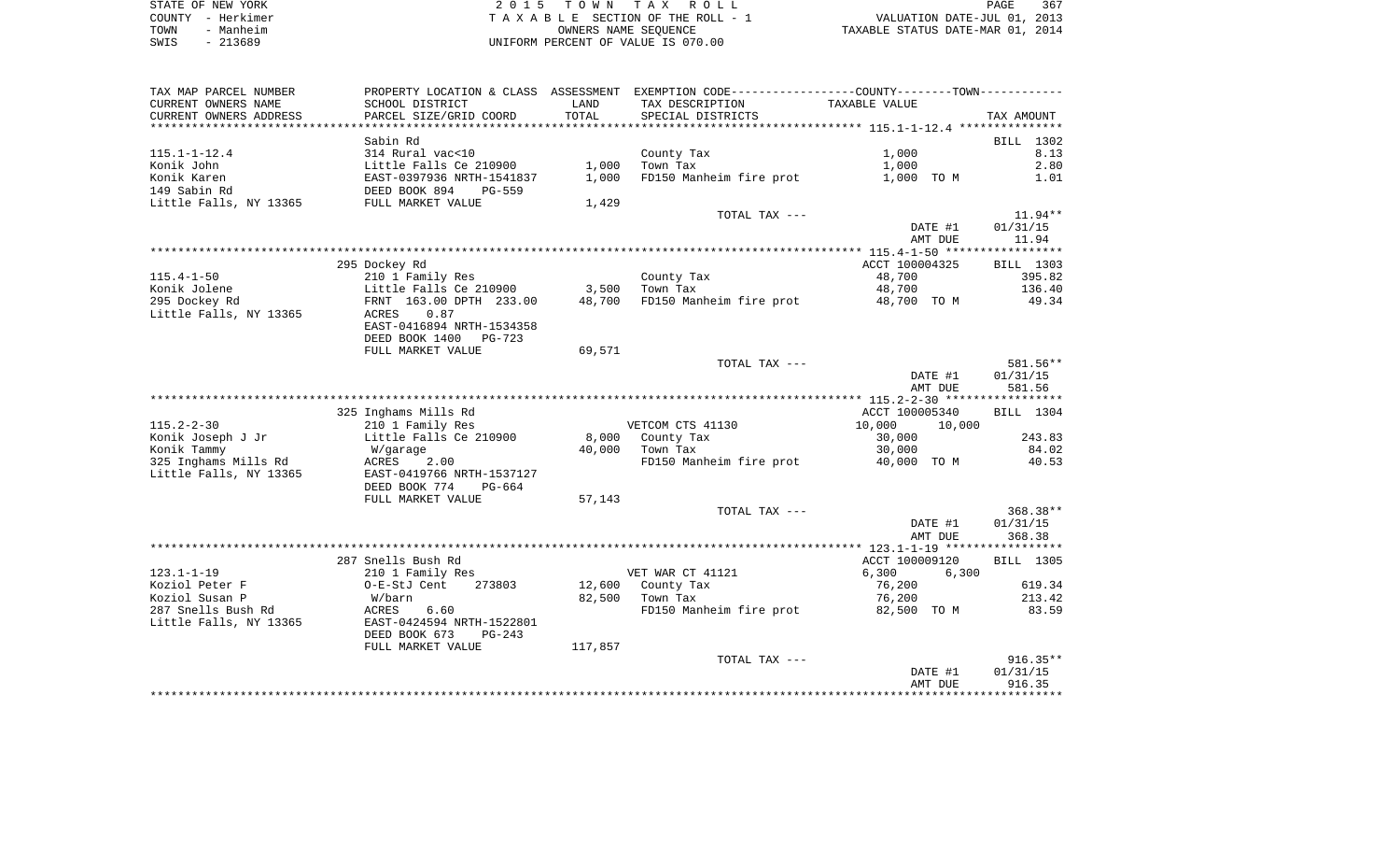| STATE OF NEW YORK | 2015 TOWN TAX ROLL                 | 367<br>PAGE                      |
|-------------------|------------------------------------|----------------------------------|
| COUNTY - Herkimer | TAXABLE SECTION OF THE ROLL - 1    | VALUATION DATE-JUL 01, 2013      |
| - Manheim<br>TOWN | OWNERS NAME SEOUENCE               | TAXABLE STATUS DATE-MAR 01, 2014 |
| $-213689$<br>SWIS | UNIFORM PERCENT OF VALUE IS 070.00 |                                  |

| TAX MAP PARCEL NUMBER  | PROPERTY LOCATION & CLASS ASSESSMENT |             | EXEMPTION CODE-----------------COUNTY-------TOWN----------- |                  |            |
|------------------------|--------------------------------------|-------------|-------------------------------------------------------------|------------------|------------|
| CURRENT OWNERS NAME    | SCHOOL DISTRICT                      | LAND        | TAX DESCRIPTION                                             | TAXABLE VALUE    |            |
| CURRENT OWNERS ADDRESS | PARCEL SIZE/GRID COORD               | TOTAL       | SPECIAL DISTRICTS                                           |                  | TAX AMOUNT |
| ********************   | *******************                  | *********** |                                                             |                  |            |
|                        | Sabin Rd                             |             |                                                             |                  | BILL 1302  |
| $115.1 - 1 - 12.4$     | 314 Rural vac<10                     |             | County Tax                                                  | 1,000            | 8.13       |
| Konik John             | Little Falls Ce 210900               | 1,000       | Town Tax                                                    | 1,000            | 2.80       |
| Konik Karen            | EAST-0397936 NRTH-1541837            | 1,000       | FD150 Manheim fire prot                                     | 1,000 TO M       | 1.01       |
| 149 Sabin Rd           | DEED BOOK 894<br>PG-559              |             |                                                             |                  |            |
| Little Falls, NY 13365 | FULL MARKET VALUE                    | 1,429       |                                                             |                  |            |
|                        |                                      |             | TOTAL TAX ---                                               |                  | $11.94**$  |
|                        |                                      |             |                                                             | DATE #1          | 01/31/15   |
|                        |                                      |             |                                                             | AMT DUE          | 11.94      |
|                        |                                      |             |                                                             |                  |            |
|                        | 295 Dockey Rd                        |             |                                                             | ACCT 100004325   | BILL 1303  |
| $115.4 - 1 - 50$       | 210 1 Family Res                     |             | County Tax                                                  | 48,700           | 395.82     |
| Konik Jolene           | Little Falls Ce 210900               | 3,500       | Town Tax                                                    | 48,700           | 136.40     |
| 295 Dockey Rd          | FRNT 163.00 DPTH 233.00              | 48,700      | FD150 Manheim fire prot 48,700 TO M                         |                  | 49.34      |
| Little Falls, NY 13365 | ACRES<br>0.87                        |             |                                                             |                  |            |
|                        | EAST-0416894 NRTH-1534358            |             |                                                             |                  |            |
|                        | DEED BOOK 1400 PG-723                |             |                                                             |                  |            |
|                        | FULL MARKET VALUE                    | 69,571      |                                                             |                  |            |
|                        |                                      |             | TOTAL TAX ---                                               |                  | 581.56**   |
|                        |                                      |             |                                                             | DATE #1          | 01/31/15   |
|                        |                                      |             |                                                             | AMT DUE          | 581.56     |
|                        | 325 Inghams Mills Rd                 |             |                                                             | ACCT 100005340   | BILL 1304  |
| $115.2 - 2 - 30$       | 210 1 Family Res                     |             | VETCOM CTS 41130                                            | 10,000<br>10,000 |            |
| Konik Joseph J Jr      | Little Falls Ce 210900               | 8,000       | County Tax                                                  | 30,000           | 243.83     |
| Konik Tammy            | W/garage                             | 40,000      | Town Tax                                                    | 30,000           | 84.02      |
| 325 Inghams Mills Rd   | ACRES<br>2.00                        |             | FD150 Manheim fire prot                                     | 40,000 TO M      | 40.53      |
| Little Falls, NY 13365 | EAST-0419766 NRTH-1537127            |             |                                                             |                  |            |
|                        | DEED BOOK 774<br>PG-664              |             |                                                             |                  |            |
|                        | FULL MARKET VALUE                    | 57,143      |                                                             |                  |            |
|                        |                                      |             | TOTAL TAX ---                                               |                  | 368.38**   |
|                        |                                      |             |                                                             | DATE #1          | 01/31/15   |
|                        |                                      |             |                                                             | AMT DUE          | 368.38     |
|                        |                                      |             |                                                             |                  |            |
|                        | 287 Snells Bush Rd                   |             |                                                             | ACCT 100009120   | BILL 1305  |
| $123.1 - 1 - 19$       | 210 1 Family Res                     |             | VET WAR CT 41121                                            | 6,300<br>6,300   |            |
| Koziol Peter F         | 273803<br>O-E-StJ Cent               | 12,600      | County Tax                                                  | 76,200           | 619.34     |
| Koziol Susan P         | W/barn                               | 82,500      | Town Tax                                                    | 76,200           | 213.42     |
| 287 Snells Bush Rd     | ACRES<br>6.60                        |             | FD150 Manheim fire prot                                     | 82,500 TO M      | 83.59      |
| Little Falls, NY 13365 | EAST-0424594 NRTH-1522801            |             |                                                             |                  |            |
|                        | DEED BOOK 673<br>$PG-243$            |             |                                                             |                  |            |
|                        | FULL MARKET VALUE                    | 117,857     |                                                             |                  |            |
|                        |                                      |             | TOTAL TAX ---                                               |                  | $916.35**$ |
|                        |                                      |             |                                                             | DATE #1          | 01/31/15   |
|                        |                                      |             |                                                             | AMT DUE          | 916.35     |
|                        |                                      |             |                                                             |                  |            |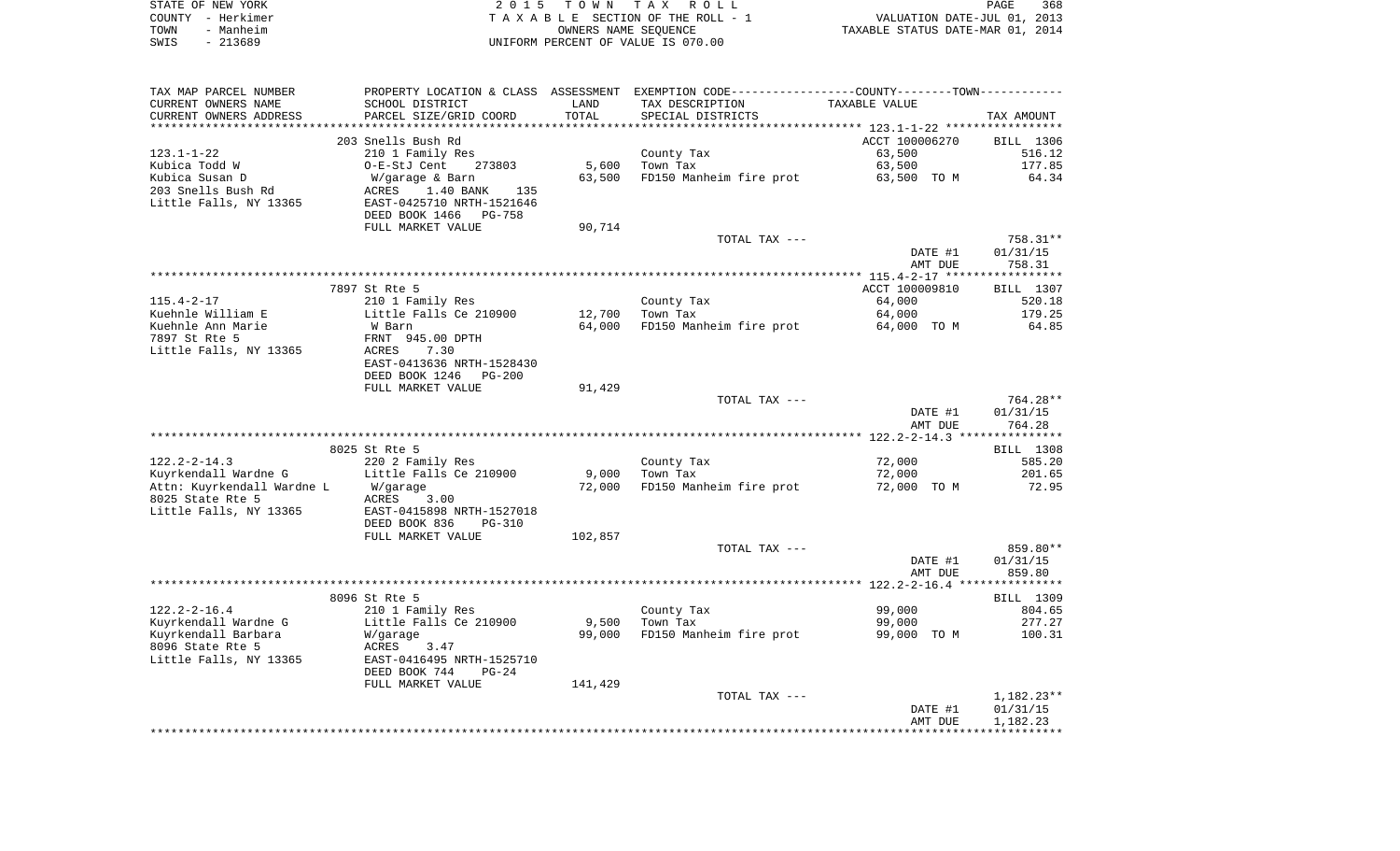| STATE OF NEW YORK | 2015 TOWN TAX ROLL                 | 368<br><b>PAGE</b>               |
|-------------------|------------------------------------|----------------------------------|
| COUNTY - Herkimer | TAXABLE SECTION OF THE ROLL - 1    | VALUATION DATE-JUL 01, 2013      |
| TOWN<br>- Manheim | OWNERS NAME SEOUENCE               | TAXABLE STATUS DATE-MAR 01, 2014 |
| - 213689<br>SWIS  | UNIFORM PERCENT OF VALUE IS 070.00 |                                  |

| TAX MAP PARCEL NUMBER                 |                                 |         | PROPERTY LOCATION & CLASS ASSESSMENT EXEMPTION CODE----------------COUNTY--------TOWN----------- |                |                     |
|---------------------------------------|---------------------------------|---------|--------------------------------------------------------------------------------------------------|----------------|---------------------|
| CURRENT OWNERS NAME                   | SCHOOL DISTRICT                 | LAND    | TAX DESCRIPTION                                                                                  | TAXABLE VALUE  |                     |
| CURRENT OWNERS ADDRESS                | PARCEL SIZE/GRID COORD          | TOTAL   | SPECIAL DISTRICTS                                                                                |                | TAX AMOUNT          |
|                                       |                                 |         |                                                                                                  |                |                     |
|                                       | 203 Snells Bush Rd              |         |                                                                                                  | ACCT 100006270 | BILL 1306           |
| $123.1 - 1 - 22$                      | 210 1 Family Res                |         | County Tax                                                                                       | 63,500         | 516.12              |
| Kubica Todd W                         | O-E-StJ Cent<br>273803          | 5,600   | Town Tax                                                                                         | 63,500         | 177.85              |
| Kubica Susan D                        | W/garage & Barn                 | 63,500  | FD150 Manheim fire prot                                                                          | 63,500 TO M    | 64.34               |
| 203 Snells Bush Rd                    | 1.40 BANK<br>ACRES<br>135       |         |                                                                                                  |                |                     |
| Little Falls, NY 13365                | EAST-0425710 NRTH-1521646       |         |                                                                                                  |                |                     |
|                                       | DEED BOOK 1466<br><b>PG-758</b> |         |                                                                                                  |                |                     |
|                                       | FULL MARKET VALUE               | 90,714  |                                                                                                  |                |                     |
|                                       |                                 |         | TOTAL TAX ---                                                                                    |                | 758.31**            |
|                                       |                                 |         |                                                                                                  | DATE #1        | 01/31/15            |
|                                       |                                 |         |                                                                                                  | AMT DUE        | 758.31              |
|                                       | 7897 St Rte 5                   |         |                                                                                                  | ACCT 100009810 |                     |
|                                       | 210 1 Family Res                |         |                                                                                                  | 64,000         | BILL 1307<br>520.18 |
| $115.4 - 2 - 17$<br>Kuehnle William E | Little Falls Ce 210900          | 12,700  | County Tax<br>Town Tax                                                                           | 64,000         | 179.25              |
| Kuehnle Ann Marie                     | W Barn                          | 64,000  | FD150 Manheim fire prot                                                                          | 64,000 TO M    | 64.85               |
| 7897 St Rte 5                         | FRNT 945.00 DPTH                |         |                                                                                                  |                |                     |
| Little Falls, NY 13365                | ACRES<br>7.30                   |         |                                                                                                  |                |                     |
|                                       | EAST-0413636 NRTH-1528430       |         |                                                                                                  |                |                     |
|                                       | DEED BOOK 1246<br>PG-200        |         |                                                                                                  |                |                     |
|                                       | FULL MARKET VALUE               | 91,429  |                                                                                                  |                |                     |
|                                       |                                 |         | TOTAL TAX ---                                                                                    |                | 764.28**            |
|                                       |                                 |         |                                                                                                  | DATE #1        | 01/31/15            |
|                                       |                                 |         |                                                                                                  | AMT DUE        | 764.28              |
|                                       |                                 |         |                                                                                                  |                |                     |
|                                       | 8025 St Rte 5                   |         |                                                                                                  |                | BILL 1308           |
| $122.2 - 2 - 14.3$                    | 220 2 Family Res                |         | County Tax                                                                                       | 72,000         | 585.20              |
| Kuyrkendall Wardne G                  | Little Falls Ce 210900          | 9,000   | Town Tax                                                                                         | 72,000         | 201.65              |
| Attn: Kuyrkendall Wardne L            | W/garage                        | 72,000  | FD150 Manheim fire prot                                                                          | 72,000 TO M    | 72.95               |
| 8025 State Rte 5                      | ACRES<br>3.00                   |         |                                                                                                  |                |                     |
| Little Falls, NY 13365                | EAST-0415898 NRTH-1527018       |         |                                                                                                  |                |                     |
|                                       | DEED BOOK 836<br>$PG-310$       |         |                                                                                                  |                |                     |
|                                       | FULL MARKET VALUE               | 102,857 |                                                                                                  |                |                     |
|                                       |                                 |         | TOTAL TAX ---                                                                                    |                | 859.80**            |
|                                       |                                 |         |                                                                                                  | DATE #1        | 01/31/15            |
|                                       |                                 |         |                                                                                                  | AMT DUE        | 859.80              |
|                                       | 8096 St Rte 5                   |         |                                                                                                  |                | BILL 1309           |
| $122.2 - 2 - 16.4$                    | 210 1 Family Res                |         | County Tax                                                                                       | 99,000         | 804.65              |
| Kuyrkendall Wardne G                  | Little Falls Ce 210900          | 9,500   | Town Tax                                                                                         | 99,000         | 277.27              |
| Kuyrkendall Barbara                   | W/garage                        | 99,000  | FD150 Manheim fire prot                                                                          | 99,000 TO M    | 100.31              |
| 8096 State Rte 5                      | ACRES<br>3.47                   |         |                                                                                                  |                |                     |
| Little Falls, NY 13365                | EAST-0416495 NRTH-1525710       |         |                                                                                                  |                |                     |
|                                       | DEED BOOK 744<br>$PG-24$        |         |                                                                                                  |                |                     |
|                                       | FULL MARKET VALUE               | 141,429 |                                                                                                  |                |                     |
|                                       |                                 |         | TOTAL TAX ---                                                                                    |                | $1,182.23**$        |
|                                       |                                 |         |                                                                                                  | DATE #1        | 01/31/15            |
|                                       |                                 |         |                                                                                                  | AMT DUE        | 1,182.23            |
|                                       |                                 |         |                                                                                                  |                |                     |
|                                       |                                 |         |                                                                                                  |                |                     |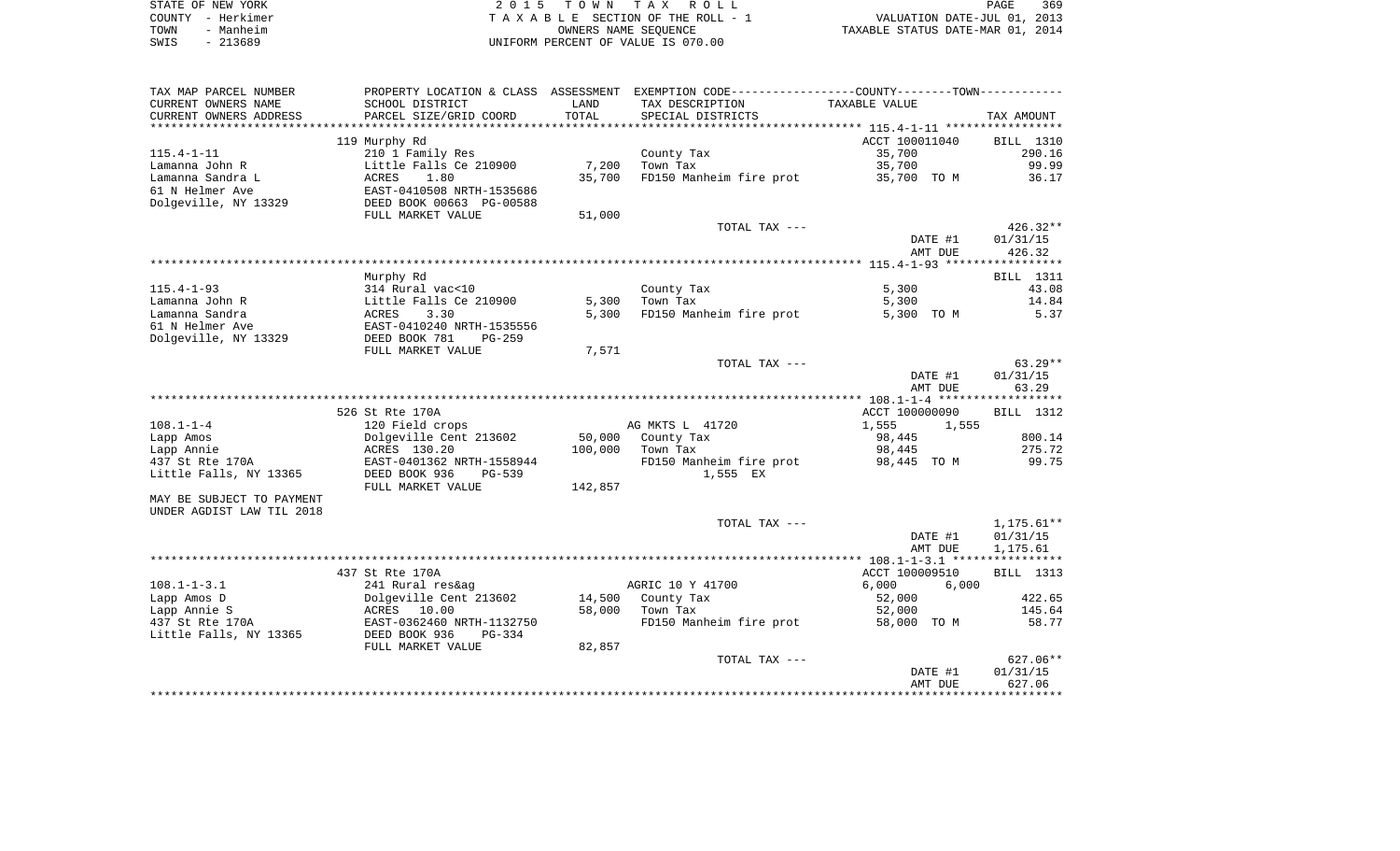| STATE OF NEW YORK | 2015 TOWN TAX ROLL                 | 369<br>PAGE                      |
|-------------------|------------------------------------|----------------------------------|
| COUNTY - Herkimer | TAXABLE SECTION OF THE ROLL - 1    | VALUATION DATE-JUL 01, 2013      |
| - Manheim<br>TOWN | OWNERS NAME SEOUENCE               | TAXABLE STATUS DATE-MAR 01, 2014 |
| - 213689<br>SWIS  | UNIFORM PERCENT OF VALUE IS 070.00 |                                  |

| TAX MAP PARCEL NUMBER     | PROPERTY LOCATION & CLASS      | ASSESSMENT | EXEMPTION CODE-----------------COUNTY-------TOWN-----------    |                |                  |
|---------------------------|--------------------------------|------------|----------------------------------------------------------------|----------------|------------------|
| CURRENT OWNERS NAME       | SCHOOL DISTRICT                | LAND       | TAX DESCRIPTION                                                | TAXABLE VALUE  |                  |
| CURRENT OWNERS ADDRESS    | PARCEL SIZE/GRID COORD         | TOTAL      | SPECIAL DISTRICTS                                              |                | TAX AMOUNT       |
| *******************       | *************************      | ********** | ********************************* 115.4-1-11 ***************** |                |                  |
|                           | 119 Murphy Rd                  |            |                                                                | ACCT 100011040 | <b>BILL</b> 1310 |
| $115.4 - 1 - 11$          | 210 1 Family Res               |            | County Tax                                                     | 35,700         | 290.16           |
| Lamanna John R            | Little Falls Ce 210900         | 7,200      | Town Tax                                                       | 35,700         | 99.99            |
| Lamanna Sandra L          | ACRES<br>1.80                  | 35,700     | FD150 Manheim fire prot                                        | 35,700 TO M    | 36.17            |
| 61 N Helmer Ave           | EAST-0410508 NRTH-1535686      |            |                                                                |                |                  |
| Dolgeville, NY 13329      | DEED BOOK 00663 PG-00588       |            |                                                                |                |                  |
|                           | FULL MARKET VALUE              | 51,000     |                                                                |                |                  |
|                           |                                |            | TOTAL TAX ---                                                  |                | 426.32**         |
|                           |                                |            |                                                                | DATE #1        | 01/31/15         |
|                           |                                |            |                                                                | AMT DUE        | 426.32           |
|                           |                                |            |                                                                |                |                  |
|                           | Murphy Rd                      |            |                                                                |                | <b>BILL</b> 1311 |
| $115.4 - 1 - 93$          | 314 Rural vac<10               |            | County Tax                                                     | 5,300          | 43.08            |
| Lamanna John R            | Little Falls Ce 210900         | 5,300      | Town Tax                                                       | 5,300          | 14.84            |
| Lamanna Sandra            | 3.30<br>ACRES                  | 5,300      | FD150 Manheim fire prot                                        | 5,300 TO M     | 5.37             |
| 61 N Helmer Ave           | EAST-0410240 NRTH-1535556      |            |                                                                |                |                  |
| Dolgeville, NY 13329      | DEED BOOK 781<br>$PG-259$      |            |                                                                |                |                  |
|                           | FULL MARKET VALUE              | 7,571      |                                                                |                |                  |
|                           |                                |            | TOTAL TAX ---                                                  |                | $63.29**$        |
|                           |                                |            |                                                                | DATE #1        | 01/31/15         |
|                           |                                |            |                                                                | AMT DUE        | 63.29            |
|                           | 526 St Rte 170A                |            |                                                                | ACCT 100000090 | BILL 1312        |
| $108.1 - 1 - 4$           | 120 Field crops                |            | AG MKTS L 41720                                                | 1,555<br>1,555 |                  |
| Lapp Amos                 | Dolgeville Cent 213602         | 50,000     | County Tax                                                     | 98,445         | 800.14           |
| Lapp Annie                | ACRES 130.20                   | 100,000    | Town Tax                                                       | 98,445         | 275.72           |
| 437 St Rte 170A           | EAST-0401362 NRTH-1558944      |            | FD150 Manheim fire prot                                        | 98,445 TO M    | 99.75            |
| Little Falls, NY 13365    | DEED BOOK 936<br><b>PG-539</b> |            | 1,555 EX                                                       |                |                  |
|                           | FULL MARKET VALUE              | 142,857    |                                                                |                |                  |
| MAY BE SUBJECT TO PAYMENT |                                |            |                                                                |                |                  |
| UNDER AGDIST LAW TIL 2018 |                                |            |                                                                |                |                  |
|                           |                                |            | TOTAL TAX ---                                                  |                | $1,175.61**$     |
|                           |                                |            |                                                                | DATE #1        | 01/31/15         |
|                           |                                |            |                                                                | AMT DUE        | 1,175.61         |
|                           |                                |            |                                                                |                |                  |
|                           | 437 St Rte 170A                |            |                                                                | ACCT 100009510 | <b>BILL</b> 1313 |
| $108.1 - 1 - 3.1$         | 241 Rural res&ag               |            | AGRIC 10 Y 41700                                               | 6,000<br>6.000 |                  |
| Lapp Amos D               | Dolgeville Cent 213602         | 14,500     | County Tax                                                     | 52,000         | 422.65           |
| Lapp Annie S              | ACRES 10.00                    | 58,000     | Town Tax                                                       | 52,000         | 145.64           |
| 437 St Rte 170A           | EAST-0362460 NRTH-1132750      |            | FD150 Manheim fire prot                                        | 58,000 TO M    | 58.77            |
| Little Falls, NY 13365    | DEED BOOK 936<br>$PG-334$      |            |                                                                |                |                  |
|                           | FULL MARKET VALUE              | 82,857     |                                                                |                |                  |
|                           |                                |            | TOTAL TAX ---                                                  |                | $627.06**$       |
|                           |                                |            |                                                                | DATE #1        | 01/31/15         |
|                           |                                |            |                                                                | AMT DUE        | 627.06           |
|                           |                                |            |                                                                |                |                  |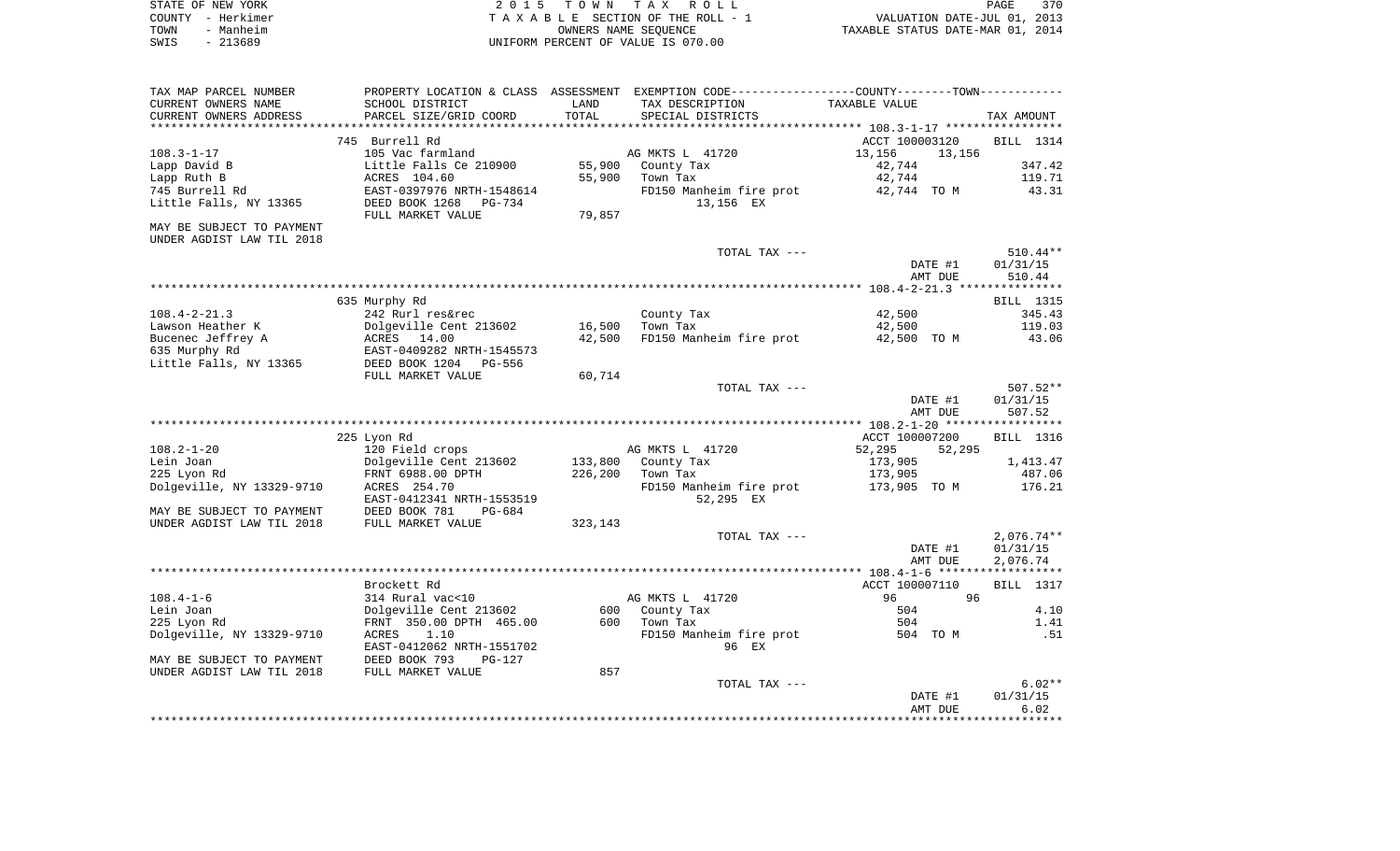|      | STATE OF NEW YORK | 2015 TOWN TAX ROLL                 | PAGE                             | 370 |
|------|-------------------|------------------------------------|----------------------------------|-----|
|      | COUNTY - Herkimer | TAXABLE SECTION OF THE ROLL - 1    | VALUATION DATE-JUL 01, 2013      |     |
| TOWN | - Manheim         | OWNERS NAME SEOUENCE               | TAXABLE STATUS DATE-MAR 01, 2014 |     |
| SWIS | - 213689          | UNIFORM PERCENT OF VALUE IS 070.00 |                                  |     |

| TAX MAP PARCEL NUMBER     | PROPERTY LOCATION & CLASS | ASSESSMENT | EXEMPTION CODE----------------COUNTY-------TOWN----------- |                  |                  |
|---------------------------|---------------------------|------------|------------------------------------------------------------|------------------|------------------|
| CURRENT OWNERS NAME       | SCHOOL DISTRICT           | LAND       | TAX DESCRIPTION                                            | TAXABLE VALUE    |                  |
| CURRENT OWNERS ADDRESS    | PARCEL SIZE/GRID COORD    | TOTAL      | SPECIAL DISTRICTS                                          |                  | TAX AMOUNT       |
|                           |                           |            |                                                            |                  |                  |
|                           | 745 Burrell Rd            |            |                                                            | ACCT 100003120   | <b>BILL</b> 1314 |
| $108.3 - 1 - 17$          | 105 Vac farmland          |            | AG MKTS L 41720                                            | 13,156<br>13,156 |                  |
| Lapp David B              | Little Falls Ce 210900    | 55,900     | County Tax                                                 | 42,744           | 347.42           |
|                           |                           |            |                                                            |                  |                  |
| Lapp Ruth B               | ACRES 104.60              | 55,900     | Town Tax                                                   | 42,744           | 119.71           |
| 745 Burrell Rd            | EAST-0397976 NRTH-1548614 |            | FD150 Manheim fire prot                                    | 42,744 TO M      | 43.31            |
| Little Falls, NY 13365    | DEED BOOK 1268<br>PG-734  |            | 13,156 EX                                                  |                  |                  |
|                           | FULL MARKET VALUE         | 79,857     |                                                            |                  |                  |
| MAY BE SUBJECT TO PAYMENT |                           |            |                                                            |                  |                  |
| UNDER AGDIST LAW TIL 2018 |                           |            |                                                            |                  |                  |
|                           |                           |            | TOTAL TAX ---                                              |                  | $510.44**$       |
|                           |                           |            |                                                            | DATE #1          | 01/31/15         |
|                           |                           |            |                                                            | AMT DUE          | 510.44           |
|                           |                           |            |                                                            |                  |                  |
|                           | 635 Murphy Rd             |            |                                                            |                  | <b>BILL</b> 1315 |
| $108.4 - 2 - 21.3$        | 242 Rurl res&rec          |            | County Tax                                                 | 42,500           | 345.43           |
| Lawson Heather K          | Dolgeville Cent 213602    | 16,500     | Town Tax                                                   | 42,500           | 119.03           |
| Bucenec Jeffrey A         | ACRES 14.00               | 42,500     | FD150 Manheim fire prot                                    | 42,500 TO M      | 43.06            |
|                           |                           |            |                                                            |                  |                  |
| 635 Murphy Rd             | EAST-0409282 NRTH-1545573 |            |                                                            |                  |                  |
| Little Falls, NY 13365    | DEED BOOK 1204<br>PG-556  |            |                                                            |                  |                  |
|                           | FULL MARKET VALUE         | 60,714     |                                                            |                  |                  |
|                           |                           |            | TOTAL TAX ---                                              |                  | $507.52**$       |
|                           |                           |            |                                                            | DATE #1          | 01/31/15         |
|                           |                           |            |                                                            | AMT DUE          | 507.52           |
|                           |                           |            |                                                            |                  |                  |
|                           | 225 Lyon Rd               |            |                                                            | ACCT 100007200   | <b>BILL</b> 1316 |
| $108.2 - 1 - 20$          | 120 Field crops           |            | AG MKTS L 41720                                            | 52,295<br>52,295 |                  |
| Lein Joan                 | Dolgeville Cent 213602    | 133,800    | County Tax                                                 | 173,905          | 1,413.47         |
| 225 Lyon Rd               | FRNT 6988.00 DPTH         | 226,200    | Town Tax                                                   | 173,905          | 487.06           |
| Dolgeville, NY 13329-9710 | ACRES 254.70              |            | FD150 Manheim fire prot                                    | 173,905 TO M     | 176.21           |
|                           | EAST-0412341 NRTH-1553519 |            | 52,295 EX                                                  |                  |                  |
| MAY BE SUBJECT TO PAYMENT | DEED BOOK 781<br>$PG-684$ |            |                                                            |                  |                  |
| UNDER AGDIST LAW TIL 2018 | FULL MARKET VALUE         | 323,143    |                                                            |                  |                  |
|                           |                           |            | TOTAL TAX ---                                              |                  | $2,076.74**$     |
|                           |                           |            |                                                            | DATE #1          | 01/31/15         |
|                           |                           |            |                                                            |                  |                  |
|                           |                           |            |                                                            | AMT DUE          | 2,076.74         |
|                           |                           |            |                                                            |                  |                  |
|                           | Brockett Rd               |            |                                                            | ACCT 100007110   | <b>BILL</b> 1317 |
| $108.4 - 1 - 6$           | 314 Rural vac<10          |            | AG MKTS L 41720                                            | 96<br>96         |                  |
| Lein Joan                 | Dolgeville Cent 213602    | 600        | County Tax                                                 | 504              | 4.10             |
| 225 Lyon Rd               | FRNT 350.00 DPTH 465.00   | 600        | Town Tax                                                   | 504              | 1.41             |
| Dolgeville, NY 13329-9710 | 1.10<br>ACRES             |            | FD150 Manheim fire prot                                    | 504 TO M         | .51              |
|                           | EAST-0412062 NRTH-1551702 |            | 96 EX                                                      |                  |                  |
| MAY BE SUBJECT TO PAYMENT | DEED BOOK 793<br>$PG-127$ |            |                                                            |                  |                  |
| UNDER AGDIST LAW TIL 2018 | FULL MARKET VALUE         | 857        |                                                            |                  |                  |
|                           |                           |            | TOTAL TAX ---                                              |                  | $6.02**$         |
|                           |                           |            |                                                            | DATE #1          | 01/31/15         |
|                           |                           |            |                                                            | AMT DUE          | 6.02             |
|                           |                           |            |                                                            |                  |                  |
|                           |                           |            |                                                            |                  |                  |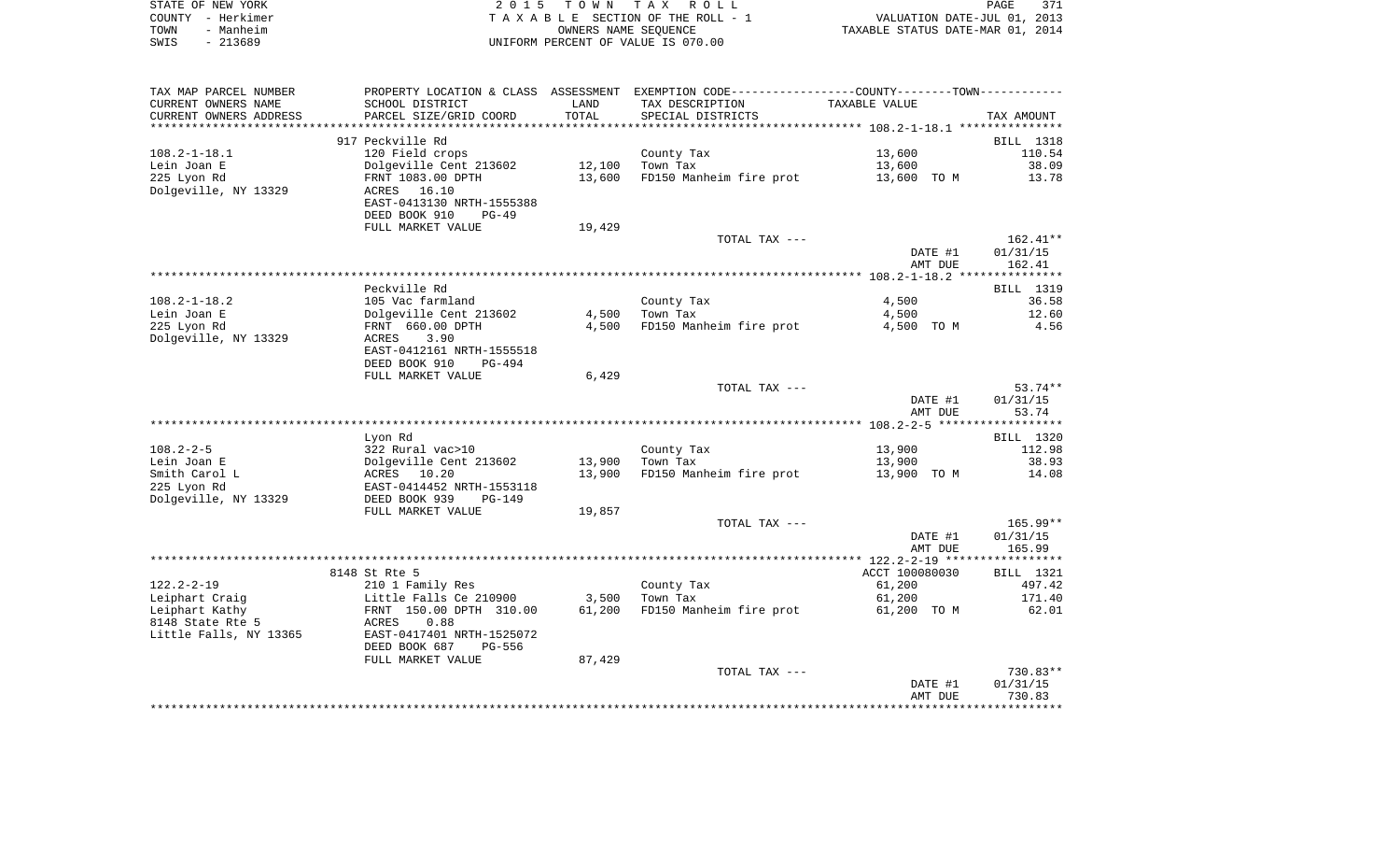| STATE OF NEW YORK |           | 2015 TOWN TAX ROLL                 | PAGE                             | 371 |
|-------------------|-----------|------------------------------------|----------------------------------|-----|
| COUNTY - Herkimer |           | TAXABLE SECTION OF THE ROLL - 1    | VALUATION DATE-JUL 01, 2013      |     |
| TOWN              | - Manheim | OWNERS NAME SEOUENCE               | TAXABLE STATUS DATE-MAR 01, 2014 |     |
| SWIS              | $-213689$ | UNIFORM PERCENT OF VALUE IS 070.00 |                                  |     |

| SCHOOL DISTRICT<br>LAND<br>TAX DESCRIPTION<br>TAXABLE VALUE<br>TOTAL<br>PARCEL SIZE/GRID COORD<br>SPECIAL DISTRICTS<br>TAX AMOUNT<br>*********************<br>***************************<br>917 Peckville Rd<br>BILL 1318<br>120 Field crops<br>13,600<br>County Tax<br>110.54<br>Dolgeville Cent 213602<br>Town Tax<br>38.09<br>12,100<br>13,600<br>FD150 Manheim fire prot<br>FRNT 1083.00 DPTH<br>13,600<br>13,600 TO M<br>13.78<br>16.10<br>ACRES<br>EAST-0413130 NRTH-1555388<br>DEED BOOK 910<br>$PG-49$<br>FULL MARKET VALUE<br>19,429<br>TOTAL TAX ---<br>$162.41**$<br>DATE #1<br>01/31/15<br>162.41<br>AMT DUE<br>Peckville Rd<br>BILL 1319<br>105 Vac farmland<br>County Tax<br>4,500<br>36.58<br>Dolgeville Cent 213602<br>Town Tax<br>12.60<br>4,500<br>4,500<br>FRNT 660.00 DPTH<br>4,500<br>FD150 Manheim fire prot<br>4,500 TO M<br>4.56<br>3.90<br>ACRES<br>EAST-0412161 NRTH-1555518<br>DEED BOOK 910<br>$PG-494$<br>FULL MARKET VALUE<br>6,429<br>$53.74**$<br>TOTAL TAX ---<br>DATE #1<br>01/31/15<br>53.74<br>AMT DUE<br>Lyon Rd<br>BILL 1320<br>322 Rural vac>10<br>13,900<br>112.98<br>County Tax<br>13,900<br>Town Tax<br>Dolgeville Cent 213602<br>13,900<br>38.93<br>13,900<br>FD150 Manheim fire prot<br>14.08<br>ACRES 10.20<br>13,900 TO M<br>EAST-0414452 NRTH-1553118<br>DEED BOOK 939<br><b>PG-149</b><br>FULL MARKET VALUE<br>19,857<br>$165.99**$<br>TOTAL TAX ---<br>DATE #1<br>01/31/15<br>165.99<br>AMT DUE<br>8148 St Rte 5<br>ACCT 100080030<br>BILL 1321<br>61,200<br>210 1 Family Res<br>County Tax<br>497.42<br>3,500<br>Town Tax<br>171.40<br>Little Falls Ce 210900<br>61,200<br>FD150 Manheim fire prot<br>FRNT 150.00 DPTH 310.00<br>61,200<br>61,200 TO M<br>62.01<br>ACRES<br>0.88<br>EAST-0417401 NRTH-1525072<br>DEED BOOK 687<br><b>PG-556</b><br>FULL MARKET VALUE<br>87,429<br>730.83**<br>TOTAL TAX ---<br>DATE #1<br>01/31/15<br>730.83<br>AMT DUE | TAX MAP PARCEL NUMBER  |  | PROPERTY LOCATION & CLASS ASSESSMENT EXEMPTION CODE----------------COUNTY-------TOWN----------- |  |
|------------------------------------------------------------------------------------------------------------------------------------------------------------------------------------------------------------------------------------------------------------------------------------------------------------------------------------------------------------------------------------------------------------------------------------------------------------------------------------------------------------------------------------------------------------------------------------------------------------------------------------------------------------------------------------------------------------------------------------------------------------------------------------------------------------------------------------------------------------------------------------------------------------------------------------------------------------------------------------------------------------------------------------------------------------------------------------------------------------------------------------------------------------------------------------------------------------------------------------------------------------------------------------------------------------------------------------------------------------------------------------------------------------------------------------------------------------------------------------------------------------------------------------------------------------------------------------------------------------------------------------------------------------------------------------------------------------------------------------------------------------------------------------------------------------------------------------------------------------------------------------------------------------|------------------------|--|-------------------------------------------------------------------------------------------------|--|
|                                                                                                                                                                                                                                                                                                                                                                                                                                                                                                                                                                                                                                                                                                                                                                                                                                                                                                                                                                                                                                                                                                                                                                                                                                                                                                                                                                                                                                                                                                                                                                                                                                                                                                                                                                                                                                                                                                            | CURRENT OWNERS NAME    |  |                                                                                                 |  |
|                                                                                                                                                                                                                                                                                                                                                                                                                                                                                                                                                                                                                                                                                                                                                                                                                                                                                                                                                                                                                                                                                                                                                                                                                                                                                                                                                                                                                                                                                                                                                                                                                                                                                                                                                                                                                                                                                                            | CURRENT OWNERS ADDRESS |  |                                                                                                 |  |
|                                                                                                                                                                                                                                                                                                                                                                                                                                                                                                                                                                                                                                                                                                                                                                                                                                                                                                                                                                                                                                                                                                                                                                                                                                                                                                                                                                                                                                                                                                                                                                                                                                                                                                                                                                                                                                                                                                            |                        |  |                                                                                                 |  |
|                                                                                                                                                                                                                                                                                                                                                                                                                                                                                                                                                                                                                                                                                                                                                                                                                                                                                                                                                                                                                                                                                                                                                                                                                                                                                                                                                                                                                                                                                                                                                                                                                                                                                                                                                                                                                                                                                                            |                        |  |                                                                                                 |  |
|                                                                                                                                                                                                                                                                                                                                                                                                                                                                                                                                                                                                                                                                                                                                                                                                                                                                                                                                                                                                                                                                                                                                                                                                                                                                                                                                                                                                                                                                                                                                                                                                                                                                                                                                                                                                                                                                                                            | $108.2 - 1 - 18.1$     |  |                                                                                                 |  |
|                                                                                                                                                                                                                                                                                                                                                                                                                                                                                                                                                                                                                                                                                                                                                                                                                                                                                                                                                                                                                                                                                                                                                                                                                                                                                                                                                                                                                                                                                                                                                                                                                                                                                                                                                                                                                                                                                                            | Lein Joan E            |  |                                                                                                 |  |
|                                                                                                                                                                                                                                                                                                                                                                                                                                                                                                                                                                                                                                                                                                                                                                                                                                                                                                                                                                                                                                                                                                                                                                                                                                                                                                                                                                                                                                                                                                                                                                                                                                                                                                                                                                                                                                                                                                            | 225 Lyon Rd            |  |                                                                                                 |  |
|                                                                                                                                                                                                                                                                                                                                                                                                                                                                                                                                                                                                                                                                                                                                                                                                                                                                                                                                                                                                                                                                                                                                                                                                                                                                                                                                                                                                                                                                                                                                                                                                                                                                                                                                                                                                                                                                                                            | Dolgeville, NY 13329   |  |                                                                                                 |  |
|                                                                                                                                                                                                                                                                                                                                                                                                                                                                                                                                                                                                                                                                                                                                                                                                                                                                                                                                                                                                                                                                                                                                                                                                                                                                                                                                                                                                                                                                                                                                                                                                                                                                                                                                                                                                                                                                                                            |                        |  |                                                                                                 |  |
|                                                                                                                                                                                                                                                                                                                                                                                                                                                                                                                                                                                                                                                                                                                                                                                                                                                                                                                                                                                                                                                                                                                                                                                                                                                                                                                                                                                                                                                                                                                                                                                                                                                                                                                                                                                                                                                                                                            |                        |  |                                                                                                 |  |
|                                                                                                                                                                                                                                                                                                                                                                                                                                                                                                                                                                                                                                                                                                                                                                                                                                                                                                                                                                                                                                                                                                                                                                                                                                                                                                                                                                                                                                                                                                                                                                                                                                                                                                                                                                                                                                                                                                            |                        |  |                                                                                                 |  |
|                                                                                                                                                                                                                                                                                                                                                                                                                                                                                                                                                                                                                                                                                                                                                                                                                                                                                                                                                                                                                                                                                                                                                                                                                                                                                                                                                                                                                                                                                                                                                                                                                                                                                                                                                                                                                                                                                                            |                        |  |                                                                                                 |  |
|                                                                                                                                                                                                                                                                                                                                                                                                                                                                                                                                                                                                                                                                                                                                                                                                                                                                                                                                                                                                                                                                                                                                                                                                                                                                                                                                                                                                                                                                                                                                                                                                                                                                                                                                                                                                                                                                                                            |                        |  |                                                                                                 |  |
|                                                                                                                                                                                                                                                                                                                                                                                                                                                                                                                                                                                                                                                                                                                                                                                                                                                                                                                                                                                                                                                                                                                                                                                                                                                                                                                                                                                                                                                                                                                                                                                                                                                                                                                                                                                                                                                                                                            |                        |  |                                                                                                 |  |
|                                                                                                                                                                                                                                                                                                                                                                                                                                                                                                                                                                                                                                                                                                                                                                                                                                                                                                                                                                                                                                                                                                                                                                                                                                                                                                                                                                                                                                                                                                                                                                                                                                                                                                                                                                                                                                                                                                            |                        |  |                                                                                                 |  |
|                                                                                                                                                                                                                                                                                                                                                                                                                                                                                                                                                                                                                                                                                                                                                                                                                                                                                                                                                                                                                                                                                                                                                                                                                                                                                                                                                                                                                                                                                                                                                                                                                                                                                                                                                                                                                                                                                                            |                        |  |                                                                                                 |  |
|                                                                                                                                                                                                                                                                                                                                                                                                                                                                                                                                                                                                                                                                                                                                                                                                                                                                                                                                                                                                                                                                                                                                                                                                                                                                                                                                                                                                                                                                                                                                                                                                                                                                                                                                                                                                                                                                                                            | $108.2 - 1 - 18.2$     |  |                                                                                                 |  |
|                                                                                                                                                                                                                                                                                                                                                                                                                                                                                                                                                                                                                                                                                                                                                                                                                                                                                                                                                                                                                                                                                                                                                                                                                                                                                                                                                                                                                                                                                                                                                                                                                                                                                                                                                                                                                                                                                                            | Lein Joan E            |  |                                                                                                 |  |
|                                                                                                                                                                                                                                                                                                                                                                                                                                                                                                                                                                                                                                                                                                                                                                                                                                                                                                                                                                                                                                                                                                                                                                                                                                                                                                                                                                                                                                                                                                                                                                                                                                                                                                                                                                                                                                                                                                            | 225 Lyon Rd            |  |                                                                                                 |  |
|                                                                                                                                                                                                                                                                                                                                                                                                                                                                                                                                                                                                                                                                                                                                                                                                                                                                                                                                                                                                                                                                                                                                                                                                                                                                                                                                                                                                                                                                                                                                                                                                                                                                                                                                                                                                                                                                                                            | Dolgeville, NY 13329   |  |                                                                                                 |  |
|                                                                                                                                                                                                                                                                                                                                                                                                                                                                                                                                                                                                                                                                                                                                                                                                                                                                                                                                                                                                                                                                                                                                                                                                                                                                                                                                                                                                                                                                                                                                                                                                                                                                                                                                                                                                                                                                                                            |                        |  |                                                                                                 |  |
|                                                                                                                                                                                                                                                                                                                                                                                                                                                                                                                                                                                                                                                                                                                                                                                                                                                                                                                                                                                                                                                                                                                                                                                                                                                                                                                                                                                                                                                                                                                                                                                                                                                                                                                                                                                                                                                                                                            |                        |  |                                                                                                 |  |
|                                                                                                                                                                                                                                                                                                                                                                                                                                                                                                                                                                                                                                                                                                                                                                                                                                                                                                                                                                                                                                                                                                                                                                                                                                                                                                                                                                                                                                                                                                                                                                                                                                                                                                                                                                                                                                                                                                            |                        |  |                                                                                                 |  |
|                                                                                                                                                                                                                                                                                                                                                                                                                                                                                                                                                                                                                                                                                                                                                                                                                                                                                                                                                                                                                                                                                                                                                                                                                                                                                                                                                                                                                                                                                                                                                                                                                                                                                                                                                                                                                                                                                                            |                        |  |                                                                                                 |  |
|                                                                                                                                                                                                                                                                                                                                                                                                                                                                                                                                                                                                                                                                                                                                                                                                                                                                                                                                                                                                                                                                                                                                                                                                                                                                                                                                                                                                                                                                                                                                                                                                                                                                                                                                                                                                                                                                                                            |                        |  |                                                                                                 |  |
|                                                                                                                                                                                                                                                                                                                                                                                                                                                                                                                                                                                                                                                                                                                                                                                                                                                                                                                                                                                                                                                                                                                                                                                                                                                                                                                                                                                                                                                                                                                                                                                                                                                                                                                                                                                                                                                                                                            |                        |  |                                                                                                 |  |
|                                                                                                                                                                                                                                                                                                                                                                                                                                                                                                                                                                                                                                                                                                                                                                                                                                                                                                                                                                                                                                                                                                                                                                                                                                                                                                                                                                                                                                                                                                                                                                                                                                                                                                                                                                                                                                                                                                            |                        |  |                                                                                                 |  |
|                                                                                                                                                                                                                                                                                                                                                                                                                                                                                                                                                                                                                                                                                                                                                                                                                                                                                                                                                                                                                                                                                                                                                                                                                                                                                                                                                                                                                                                                                                                                                                                                                                                                                                                                                                                                                                                                                                            |                        |  |                                                                                                 |  |
|                                                                                                                                                                                                                                                                                                                                                                                                                                                                                                                                                                                                                                                                                                                                                                                                                                                                                                                                                                                                                                                                                                                                                                                                                                                                                                                                                                                                                                                                                                                                                                                                                                                                                                                                                                                                                                                                                                            | $108.2 - 2 - 5$        |  |                                                                                                 |  |
|                                                                                                                                                                                                                                                                                                                                                                                                                                                                                                                                                                                                                                                                                                                                                                                                                                                                                                                                                                                                                                                                                                                                                                                                                                                                                                                                                                                                                                                                                                                                                                                                                                                                                                                                                                                                                                                                                                            | Lein Joan E            |  |                                                                                                 |  |
|                                                                                                                                                                                                                                                                                                                                                                                                                                                                                                                                                                                                                                                                                                                                                                                                                                                                                                                                                                                                                                                                                                                                                                                                                                                                                                                                                                                                                                                                                                                                                                                                                                                                                                                                                                                                                                                                                                            | Smith Carol L          |  |                                                                                                 |  |
|                                                                                                                                                                                                                                                                                                                                                                                                                                                                                                                                                                                                                                                                                                                                                                                                                                                                                                                                                                                                                                                                                                                                                                                                                                                                                                                                                                                                                                                                                                                                                                                                                                                                                                                                                                                                                                                                                                            | 225 Lyon Rd            |  |                                                                                                 |  |
|                                                                                                                                                                                                                                                                                                                                                                                                                                                                                                                                                                                                                                                                                                                                                                                                                                                                                                                                                                                                                                                                                                                                                                                                                                                                                                                                                                                                                                                                                                                                                                                                                                                                                                                                                                                                                                                                                                            | Dolgeville, NY 13329   |  |                                                                                                 |  |
|                                                                                                                                                                                                                                                                                                                                                                                                                                                                                                                                                                                                                                                                                                                                                                                                                                                                                                                                                                                                                                                                                                                                                                                                                                                                                                                                                                                                                                                                                                                                                                                                                                                                                                                                                                                                                                                                                                            |                        |  |                                                                                                 |  |
|                                                                                                                                                                                                                                                                                                                                                                                                                                                                                                                                                                                                                                                                                                                                                                                                                                                                                                                                                                                                                                                                                                                                                                                                                                                                                                                                                                                                                                                                                                                                                                                                                                                                                                                                                                                                                                                                                                            |                        |  |                                                                                                 |  |
|                                                                                                                                                                                                                                                                                                                                                                                                                                                                                                                                                                                                                                                                                                                                                                                                                                                                                                                                                                                                                                                                                                                                                                                                                                                                                                                                                                                                                                                                                                                                                                                                                                                                                                                                                                                                                                                                                                            |                        |  |                                                                                                 |  |
|                                                                                                                                                                                                                                                                                                                                                                                                                                                                                                                                                                                                                                                                                                                                                                                                                                                                                                                                                                                                                                                                                                                                                                                                                                                                                                                                                                                                                                                                                                                                                                                                                                                                                                                                                                                                                                                                                                            |                        |  |                                                                                                 |  |
|                                                                                                                                                                                                                                                                                                                                                                                                                                                                                                                                                                                                                                                                                                                                                                                                                                                                                                                                                                                                                                                                                                                                                                                                                                                                                                                                                                                                                                                                                                                                                                                                                                                                                                                                                                                                                                                                                                            |                        |  |                                                                                                 |  |
|                                                                                                                                                                                                                                                                                                                                                                                                                                                                                                                                                                                                                                                                                                                                                                                                                                                                                                                                                                                                                                                                                                                                                                                                                                                                                                                                                                                                                                                                                                                                                                                                                                                                                                                                                                                                                                                                                                            |                        |  |                                                                                                 |  |
|                                                                                                                                                                                                                                                                                                                                                                                                                                                                                                                                                                                                                                                                                                                                                                                                                                                                                                                                                                                                                                                                                                                                                                                                                                                                                                                                                                                                                                                                                                                                                                                                                                                                                                                                                                                                                                                                                                            | $122.2 - 2 - 19$       |  |                                                                                                 |  |
|                                                                                                                                                                                                                                                                                                                                                                                                                                                                                                                                                                                                                                                                                                                                                                                                                                                                                                                                                                                                                                                                                                                                                                                                                                                                                                                                                                                                                                                                                                                                                                                                                                                                                                                                                                                                                                                                                                            | Leiphart Craig         |  |                                                                                                 |  |
|                                                                                                                                                                                                                                                                                                                                                                                                                                                                                                                                                                                                                                                                                                                                                                                                                                                                                                                                                                                                                                                                                                                                                                                                                                                                                                                                                                                                                                                                                                                                                                                                                                                                                                                                                                                                                                                                                                            | Leiphart Kathy         |  |                                                                                                 |  |
|                                                                                                                                                                                                                                                                                                                                                                                                                                                                                                                                                                                                                                                                                                                                                                                                                                                                                                                                                                                                                                                                                                                                                                                                                                                                                                                                                                                                                                                                                                                                                                                                                                                                                                                                                                                                                                                                                                            | 8148 State Rte 5       |  |                                                                                                 |  |
|                                                                                                                                                                                                                                                                                                                                                                                                                                                                                                                                                                                                                                                                                                                                                                                                                                                                                                                                                                                                                                                                                                                                                                                                                                                                                                                                                                                                                                                                                                                                                                                                                                                                                                                                                                                                                                                                                                            | Little Falls, NY 13365 |  |                                                                                                 |  |
|                                                                                                                                                                                                                                                                                                                                                                                                                                                                                                                                                                                                                                                                                                                                                                                                                                                                                                                                                                                                                                                                                                                                                                                                                                                                                                                                                                                                                                                                                                                                                                                                                                                                                                                                                                                                                                                                                                            |                        |  |                                                                                                 |  |
|                                                                                                                                                                                                                                                                                                                                                                                                                                                                                                                                                                                                                                                                                                                                                                                                                                                                                                                                                                                                                                                                                                                                                                                                                                                                                                                                                                                                                                                                                                                                                                                                                                                                                                                                                                                                                                                                                                            |                        |  |                                                                                                 |  |
|                                                                                                                                                                                                                                                                                                                                                                                                                                                                                                                                                                                                                                                                                                                                                                                                                                                                                                                                                                                                                                                                                                                                                                                                                                                                                                                                                                                                                                                                                                                                                                                                                                                                                                                                                                                                                                                                                                            |                        |  |                                                                                                 |  |
|                                                                                                                                                                                                                                                                                                                                                                                                                                                                                                                                                                                                                                                                                                                                                                                                                                                                                                                                                                                                                                                                                                                                                                                                                                                                                                                                                                                                                                                                                                                                                                                                                                                                                                                                                                                                                                                                                                            |                        |  |                                                                                                 |  |
|                                                                                                                                                                                                                                                                                                                                                                                                                                                                                                                                                                                                                                                                                                                                                                                                                                                                                                                                                                                                                                                                                                                                                                                                                                                                                                                                                                                                                                                                                                                                                                                                                                                                                                                                                                                                                                                                                                            |                        |  |                                                                                                 |  |
|                                                                                                                                                                                                                                                                                                                                                                                                                                                                                                                                                                                                                                                                                                                                                                                                                                                                                                                                                                                                                                                                                                                                                                                                                                                                                                                                                                                                                                                                                                                                                                                                                                                                                                                                                                                                                                                                                                            |                        |  |                                                                                                 |  |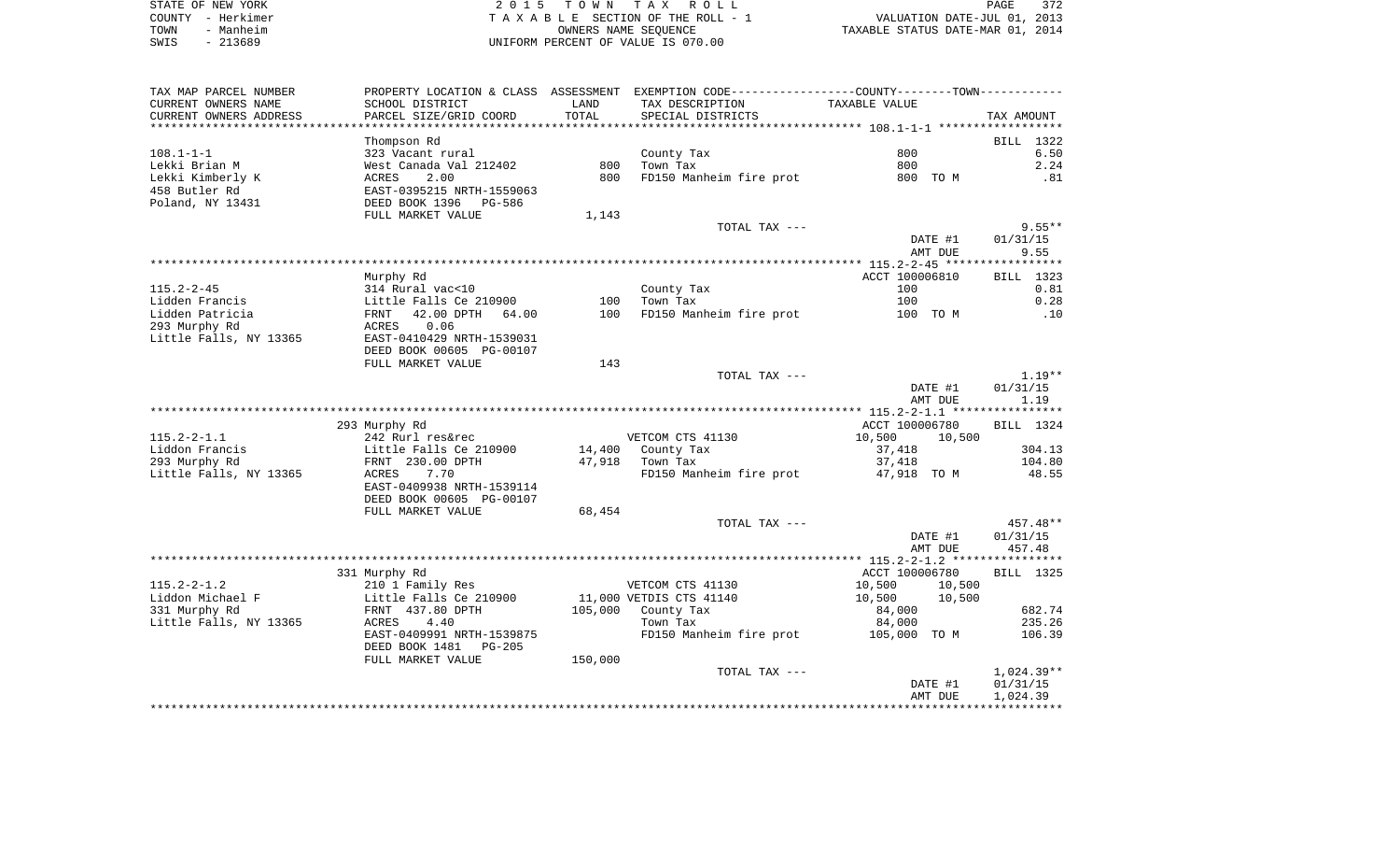| STATE OF NEW YORK | 2015 TOWN TAX ROLL                 | 372<br>PAGE                      |
|-------------------|------------------------------------|----------------------------------|
| COUNTY - Herkimer | TAXABLE SECTION OF THE ROLL - 1    | VALUATION DATE-JUL 01, 2013      |
| - Manheim<br>TOWN | OWNERS NAME SEOUENCE               | TAXABLE STATUS DATE-MAR 01, 2014 |
| $-213689$<br>SWIS | UNIFORM PERCENT OF VALUE IS 070.00 |                                  |

| TAX MAP PARCEL NUMBER                   |                                     |         | PROPERTY LOCATION & CLASS ASSESSMENT EXEMPTION CODE---------------COUNTY-------TOWN---------- |                  |              |
|-----------------------------------------|-------------------------------------|---------|-----------------------------------------------------------------------------------------------|------------------|--------------|
| CURRENT OWNERS NAME                     | SCHOOL DISTRICT                     | LAND    | TAX DESCRIPTION                                                                               | TAXABLE VALUE    |              |
| CURRENT OWNERS ADDRESS                  | PARCEL SIZE/GRID COORD              | TOTAL   | SPECIAL DISTRICTS                                                                             |                  | TAX AMOUNT   |
|                                         |                                     |         |                                                                                               |                  |              |
|                                         | Thompson Rd                         |         |                                                                                               |                  | BILL 1322    |
| $108.1 - 1 - 1$                         | 323 Vacant rural                    |         | County Tax                                                                                    | 800              | 6.50         |
| Lekki Brian M                           | West Canada Val 212402              | 800     | Town Tax                                                                                      | 800              | 2.24         |
| Lekki Kimberly K                        | ACRES<br>2.00                       | 800     | FD150 Manheim fire prot                                                                       | 800 TO M         | .81          |
| 458 Butler Rd                           | EAST-0395215 NRTH-1559063           |         |                                                                                               |                  |              |
| Poland, NY 13431                        | DEED BOOK 1396<br>PG-586            |         |                                                                                               |                  |              |
|                                         | FULL MARKET VALUE                   | 1,143   |                                                                                               |                  |              |
|                                         |                                     |         | TOTAL TAX ---                                                                                 |                  | $9.55**$     |
|                                         |                                     |         |                                                                                               | DATE #1          | 01/31/15     |
|                                         |                                     |         |                                                                                               | AMT DUE          | 9.55         |
|                                         |                                     |         |                                                                                               |                  |              |
|                                         | Murphy Rd                           |         |                                                                                               | ACCT 100006810   | BILL 1323    |
| $115.2 - 2 - 45$                        | 314 Rural vac<10                    |         | County Tax                                                                                    | 100              | 0.81         |
| Lidden Francis                          | Little Falls Ce 210900              | 100     | Town Tax                                                                                      | 100              | 0.28         |
| Lidden Patricia                         | FRNT<br>42.00 DPTH<br>64.00<br>0.06 | 100     | FD150 Manheim fire prot                                                                       | 100 TO M         | .10          |
| 293 Murphy Rd<br>Little Falls, NY 13365 | ACRES<br>EAST-0410429 NRTH-1539031  |         |                                                                                               |                  |              |
|                                         | DEED BOOK 00605 PG-00107            |         |                                                                                               |                  |              |
|                                         | FULL MARKET VALUE                   | 143     |                                                                                               |                  |              |
|                                         |                                     |         | TOTAL TAX ---                                                                                 |                  | $1.19**$     |
|                                         |                                     |         |                                                                                               | DATE #1          | 01/31/15     |
|                                         |                                     |         |                                                                                               | AMT DUE          | 1.19         |
|                                         |                                     |         |                                                                                               |                  |              |
|                                         | 293 Murphy Rd                       |         |                                                                                               | ACCT 100006780   | BILL 1324    |
| $115.2 - 2 - 1.1$                       | 242 Rurl res&rec                    |         | VETCOM CTS 41130                                                                              | 10,500<br>10,500 |              |
| Liddon Francis                          | Little Falls Ce 210900              | 14,400  | County Tax                                                                                    | 37,418           | 304.13       |
| 293 Murphy Rd                           | FRNT 230.00 DPTH                    | 47,918  | Town Tax                                                                                      | 37,418           | 104.80       |
| Little Falls, NY 13365                  | 7.70<br>ACRES                       |         | FD150 Manheim fire prot                                                                       | 47,918 TO M      | 48.55        |
|                                         | EAST-0409938 NRTH-1539114           |         |                                                                                               |                  |              |
|                                         | DEED BOOK 00605 PG-00107            |         |                                                                                               |                  |              |
|                                         | FULL MARKET VALUE                   | 68,454  |                                                                                               |                  |              |
|                                         |                                     |         | TOTAL TAX ---                                                                                 |                  | 457.48**     |
|                                         |                                     |         |                                                                                               | DATE #1          | 01/31/15     |
|                                         |                                     |         |                                                                                               | AMT DUE          | 457.48       |
|                                         |                                     |         |                                                                                               |                  |              |
|                                         | 331 Murphy Rd                       |         |                                                                                               | ACCT 100006780   | BILL 1325    |
| $115.2 - 2 - 1.2$                       | 210 1 Family Res                    |         | VETCOM CTS 41130                                                                              | 10,500<br>10,500 |              |
| Liddon Michael F                        | Little Falls Ce 210900              |         | 11,000 VETDIS CTS 41140                                                                       | 10,500<br>10,500 |              |
| 331 Murphy Rd                           | FRNT 437.80 DPTH                    |         | 105,000 County Tax                                                                            | 84,000           | 682.74       |
| Little Falls, NY 13365                  | 4.40<br>ACRES                       |         | Town Tax                                                                                      | 84,000           | 235.26       |
|                                         | EAST-0409991 NRTH-1539875           |         | FD150 Manheim fire prot                                                                       | 105,000 TO M     | 106.39       |
|                                         | DEED BOOK 1481<br>PG-205            |         |                                                                                               |                  |              |
|                                         | FULL MARKET VALUE                   | 150,000 | TOTAL TAX ---                                                                                 |                  | $1,024.39**$ |
|                                         |                                     |         |                                                                                               | DATE #1          | 01/31/15     |
|                                         |                                     |         |                                                                                               | AMT DUE          | 1,024.39     |
|                                         |                                     |         |                                                                                               |                  |              |
|                                         |                                     |         |                                                                                               |                  |              |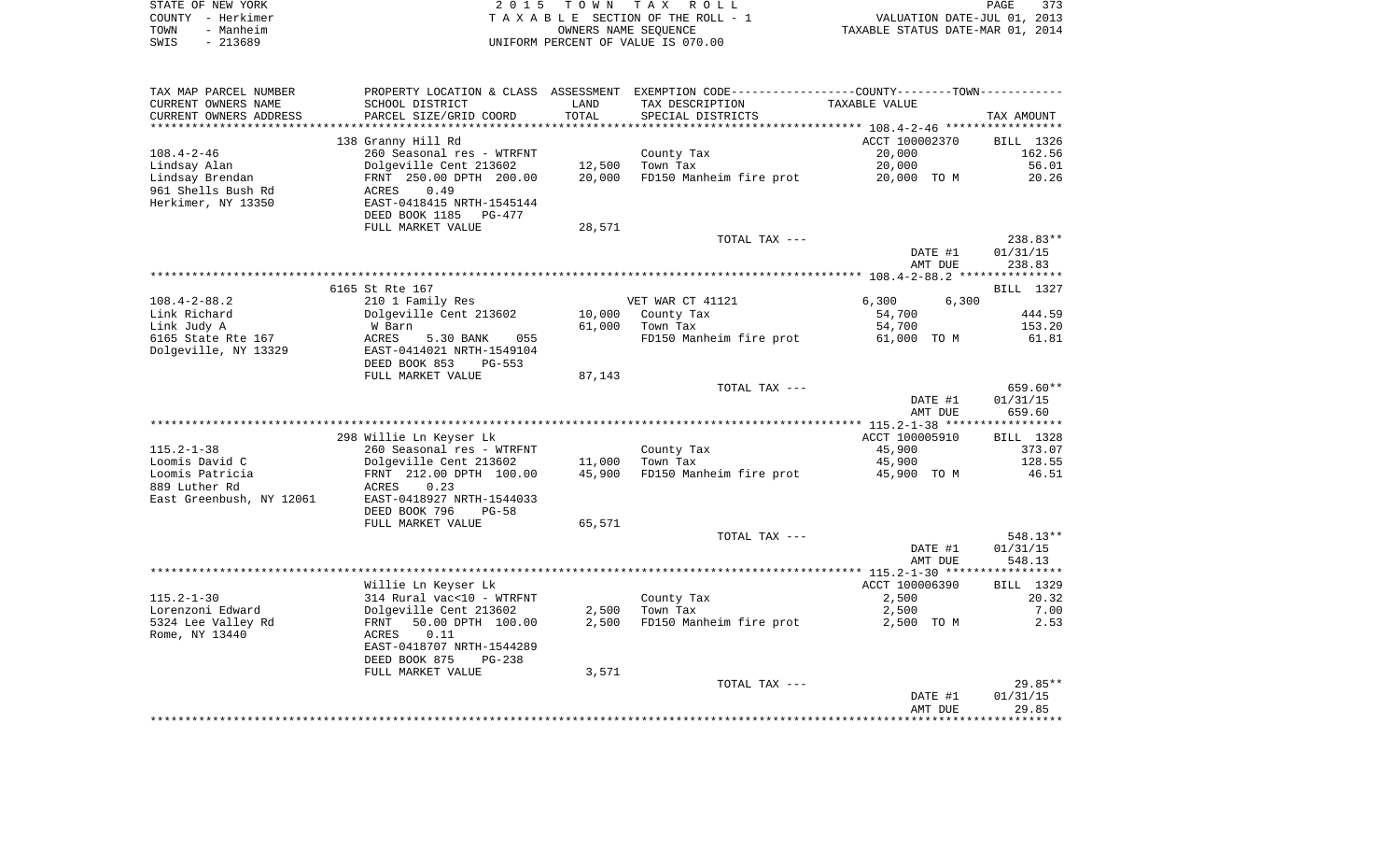|      | STATE OF NEW YORK | 2015 TOWN TAX ROLL                 | 373<br>PAGE                      |
|------|-------------------|------------------------------------|----------------------------------|
|      | COUNTY - Herkimer | TAXABLE SECTION OF THE ROLL - 1    | VALUATION DATE-JUL 01, 2013      |
| TOWN | - Manheim         | OWNERS NAME SEOUENCE               | TAXABLE STATUS DATE-MAR 01, 2014 |
| SWIS | - 213689          | UNIFORM PERCENT OF VALUE IS 070.00 |                                  |

| TAX MAP PARCEL NUMBER<br>CURRENT OWNERS NAME | PROPERTY LOCATION & CLASS ASSESSMENT<br>SCHOOL DISTRICT | LAND            | EXEMPTION CODE-----------------COUNTY-------TOWN-----------<br>TAX DESCRIPTION | TAXABLE VALUE                              |                     |
|----------------------------------------------|---------------------------------------------------------|-----------------|--------------------------------------------------------------------------------|--------------------------------------------|---------------------|
| CURRENT OWNERS ADDRESS                       | PARCEL SIZE/GRID COORD                                  | TOTAL<br>****** | SPECIAL DISTRICTS                                                              | ************ 108.4-2-46 ****************** | TAX AMOUNT          |
|                                              | 138 Granny Hill Rd                                      |                 |                                                                                | ACCT 100002370                             | BILL 1326           |
| $108.4 - 2 - 46$                             | 260 Seasonal res - WTRFNT                               |                 | County Tax                                                                     | 20,000                                     | 162.56              |
| Lindsay Alan                                 | Dolgeville Cent 213602                                  | 12,500          | Town Tax                                                                       | 20,000                                     | 56.01               |
| Lindsay Brendan                              | FRNT 250.00 DPTH 200.00                                 | 20,000          | FD150 Manheim fire prot                                                        | 20,000 TO M                                | 20.26               |
| 961 Shells Bush Rd                           | 0.49<br>ACRES                                           |                 |                                                                                |                                            |                     |
| Herkimer, NY 13350                           | EAST-0418415 NRTH-1545144                               |                 |                                                                                |                                            |                     |
|                                              | DEED BOOK 1185<br>PG-477                                |                 |                                                                                |                                            |                     |
|                                              | FULL MARKET VALUE                                       | 28,571          |                                                                                |                                            |                     |
|                                              |                                                         |                 | TOTAL TAX ---                                                                  |                                            | 238.83**            |
|                                              |                                                         |                 |                                                                                | DATE #1                                    | 01/31/15            |
|                                              |                                                         |                 |                                                                                | AMT DUE                                    | 238.83              |
|                                              |                                                         |                 |                                                                                |                                            |                     |
|                                              | 6165 St Rte 167                                         |                 |                                                                                |                                            | BILL 1327           |
| $108.4 - 2 - 88.2$                           | 210 1 Family Res                                        |                 | VET WAR CT 41121                                                               | 6,300<br>6,300                             |                     |
| Link Richard                                 | Dolgeville Cent 213602                                  | 10,000          | County Tax                                                                     | 54,700                                     | 444.59              |
| Link Judy A                                  | W Barn                                                  | 61,000          | Town Tax                                                                       | 54,700                                     | 153.20              |
| 6165 State Rte 167                           | ACRES<br>5.30 BANK<br>055                               |                 | FD150 Manheim fire prot                                                        | 61,000 TO M                                | 61.81               |
| Dolgeville, NY 13329                         | EAST-0414021 NRTH-1549104                               |                 |                                                                                |                                            |                     |
|                                              | DEED BOOK 853<br>$PG-553$                               |                 |                                                                                |                                            |                     |
|                                              | FULL MARKET VALUE                                       | 87,143          | TOTAL TAX ---                                                                  |                                            | 659.60**            |
|                                              |                                                         |                 |                                                                                | DATE #1                                    | 01/31/15            |
|                                              |                                                         |                 |                                                                                | AMT DUE                                    | 659.60              |
|                                              |                                                         |                 |                                                                                |                                            |                     |
|                                              |                                                         |                 |                                                                                |                                            |                     |
|                                              |                                                         |                 |                                                                                |                                            |                     |
|                                              | 298 Willie Ln Keyser Lk                                 |                 |                                                                                | ACCT 100005910                             | BILL 1328<br>373.07 |
| $115.2 - 1 - 38$<br>Loomis David C           | 260 Seasonal res - WTRFNT<br>Dolgeville Cent 213602     | 11,000          | County Tax<br>Town Tax                                                         | 45,900<br>45,900                           | 128.55              |
| Loomis Patricia                              | FRNT 212.00 DPTH 100.00                                 | 45,900          | FD150 Manheim fire prot                                                        | 45,900 TO M                                | 46.51               |
| 889 Luther Rd                                | 0.23<br>ACRES                                           |                 |                                                                                |                                            |                     |
| East Greenbush, NY 12061                     | EAST-0418927 NRTH-1544033                               |                 |                                                                                |                                            |                     |
|                                              | DEED BOOK 796<br>$PG-58$                                |                 |                                                                                |                                            |                     |
|                                              | FULL MARKET VALUE                                       | 65,571          |                                                                                |                                            |                     |
|                                              |                                                         |                 | TOTAL TAX ---                                                                  |                                            | 548.13**            |
|                                              |                                                         |                 |                                                                                | DATE #1                                    | 01/31/15            |
|                                              |                                                         |                 |                                                                                | AMT DUE                                    | 548.13              |
|                                              |                                                         |                 |                                                                                |                                            |                     |
|                                              | Willie Ln Keyser Lk                                     |                 |                                                                                | ACCT 100006390                             | BILL 1329           |
| $115.2 - 1 - 30$                             | 314 Rural vac<10 - WTRFNT                               |                 | County Tax                                                                     | 2,500                                      | 20.32               |
| Lorenzoni Edward                             | Dolgeville Cent 213602                                  | 2,500           | Town Tax                                                                       | 2,500                                      | 7.00                |
| 5324 Lee Valley Rd                           | 50.00 DPTH 100.00<br>FRNT                               | 2,500           | FD150 Manheim fire prot                                                        | 2,500 TO M                                 | 2.53                |
| Rome, NY 13440                               | ACRES<br>0.11                                           |                 |                                                                                |                                            |                     |
|                                              | EAST-0418707 NRTH-1544289<br>DEED BOOK 875<br>$PG-238$  |                 |                                                                                |                                            |                     |
|                                              | FULL MARKET VALUE                                       | 3,571           |                                                                                |                                            |                     |
|                                              |                                                         |                 | TOTAL TAX ---                                                                  |                                            | 29.85**             |
|                                              |                                                         |                 |                                                                                | DATE #1                                    | 01/31/15            |
|                                              |                                                         |                 |                                                                                | AMT DUE                                    | 29.85               |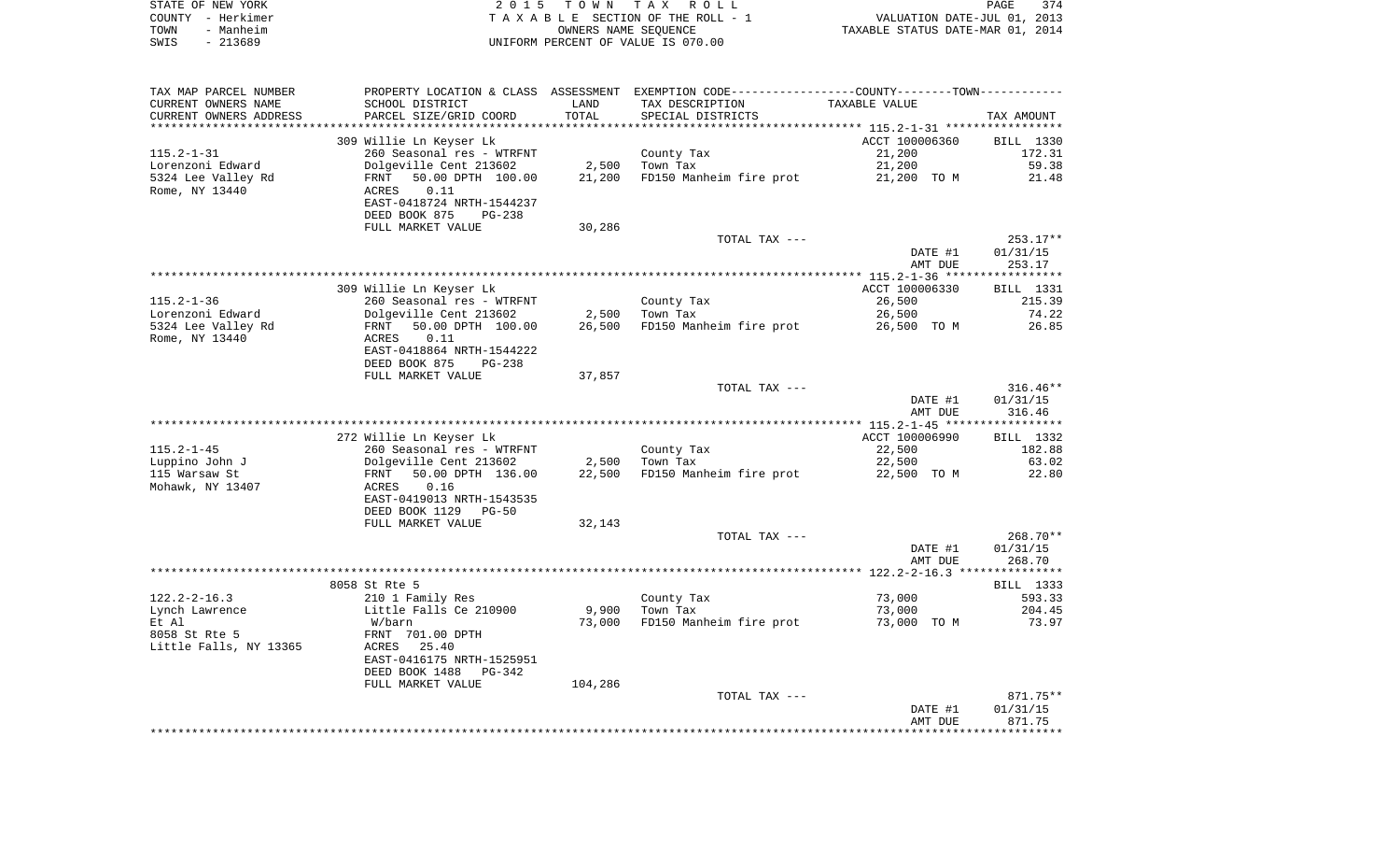| STATE OF NEW YORK | 2015 TOWN TAX ROLL                 | 374<br>PAGE                      |
|-------------------|------------------------------------|----------------------------------|
| COUNTY - Herkimer | TAXABLE SECTION OF THE ROLL - 1    | VALUATION DATE-JUL 01, 2013      |
| - Manheim<br>TOWN | OWNERS NAME SEOUENCE               | TAXABLE STATUS DATE-MAR 01, 2014 |
| - 213689<br>SWIS  | UNIFORM PERCENT OF VALUE IS 070.00 |                                  |

| TAX MAP PARCEL NUMBER                |                                                        |         | PROPERTY LOCATION & CLASS ASSESSMENT EXEMPTION CODE---------------COUNTY-------TOWN---------- |                    |                     |
|--------------------------------------|--------------------------------------------------------|---------|-----------------------------------------------------------------------------------------------|--------------------|---------------------|
| CURRENT OWNERS NAME                  | SCHOOL DISTRICT                                        | LAND    | TAX DESCRIPTION                                                                               | TAXABLE VALUE      |                     |
| CURRENT OWNERS ADDRESS               | PARCEL SIZE/GRID COORD                                 | TOTAL   | SPECIAL DISTRICTS                                                                             |                    | TAX AMOUNT          |
|                                      |                                                        |         |                                                                                               |                    |                     |
|                                      | 309 Willie Ln Keyser Lk                                |         |                                                                                               | ACCT 100006360     | BILL 1330<br>172.31 |
| $115.2 - 1 - 31$<br>Lorenzoni Edward | 260 Seasonal res - WTRFNT<br>Dolgeville Cent 213602    | 2,500   | County Tax<br>Town Tax                                                                        | 21,200<br>21,200   | 59.38               |
| 5324 Lee Valley Rd                   | 50.00 DPTH 100.00<br>FRNT                              | 21,200  | FD150 Manheim fire prot                                                                       | 21,200 TO M        | 21.48               |
| Rome, NY 13440                       | ACRES<br>0.11                                          |         |                                                                                               |                    |                     |
|                                      | EAST-0418724 NRTH-1544237                              |         |                                                                                               |                    |                     |
|                                      | DEED BOOK 875<br>$PG-238$                              |         |                                                                                               |                    |                     |
|                                      | FULL MARKET VALUE                                      | 30,286  |                                                                                               |                    |                     |
|                                      |                                                        |         | TOTAL TAX ---                                                                                 |                    | $253.17**$          |
|                                      |                                                        |         |                                                                                               | DATE #1            | 01/31/15            |
|                                      |                                                        |         |                                                                                               | AMT DUE            | 253.17              |
|                                      |                                                        |         |                                                                                               |                    |                     |
|                                      | 309 Willie Ln Keyser Lk                                |         |                                                                                               | ACCT 100006330     | <b>BILL 1331</b>    |
| $115.2 - 1 - 36$                     | 260 Seasonal res - WTRFNT                              |         | County Tax                                                                                    | 26,500             | 215.39              |
| Lorenzoni Edward                     | Dolgeville Cent 213602                                 | 2,500   | Town Tax                                                                                      | 26,500             | 74.22               |
| 5324 Lee Valley Rd                   | 50.00 DPTH 100.00<br>FRNT                              | 26,500  | FD150 Manheim fire prot                                                                       | 26,500 TO M        | 26.85               |
| Rome, NY 13440                       | ACRES<br>0.11                                          |         |                                                                                               |                    |                     |
|                                      | EAST-0418864 NRTH-1544222<br>DEED BOOK 875<br>$PG-238$ |         |                                                                                               |                    |                     |
|                                      | FULL MARKET VALUE                                      | 37,857  |                                                                                               |                    |                     |
|                                      |                                                        |         | TOTAL TAX ---                                                                                 |                    | $316.46**$          |
|                                      |                                                        |         |                                                                                               | DATE #1            | 01/31/15            |
|                                      |                                                        |         |                                                                                               | AMT DUE            | 316.46              |
|                                      |                                                        |         |                                                                                               |                    |                     |
|                                      | 272 Willie Ln Keyser Lk                                |         |                                                                                               | ACCT 100006990     | BILL 1332           |
| $115.2 - 1 - 45$                     | 260 Seasonal res - WTRFNT                              |         | County Tax                                                                                    | 22,500             | 182.88              |
| Luppino John J                       | Dolgeville Cent 213602                                 | 2,500   | Town Tax                                                                                      | 22,500             | 63.02               |
| 115 Warsaw St                        | 50.00 DPTH 136.00<br>FRNT                              | 22,500  | FD150 Manheim fire prot                                                                       | 22,500 TO M        | 22.80               |
| Mohawk, NY 13407                     | 0.16<br>ACRES                                          |         |                                                                                               |                    |                     |
|                                      | EAST-0419013 NRTH-1543535                              |         |                                                                                               |                    |                     |
|                                      | DEED BOOK 1129<br>$PG-50$                              |         |                                                                                               |                    |                     |
|                                      | FULL MARKET VALUE                                      | 32,143  | TOTAL TAX ---                                                                                 |                    | 268.70**            |
|                                      |                                                        |         |                                                                                               | DATE #1            | 01/31/15            |
|                                      |                                                        |         |                                                                                               | AMT DUE            | 268.70              |
|                                      |                                                        |         |                                                                                               |                    |                     |
|                                      | 8058 St Rte 5                                          |         |                                                                                               |                    | BILL 1333           |
| $122.2 - 2 - 16.3$                   | 210 1 Family Res                                       |         | County Tax                                                                                    | 73,000             | 593.33              |
| Lynch Lawrence                       | Little Falls Ce 210900                                 | 9,900   | Town Tax                                                                                      | 73,000             | 204.45              |
| Et Al                                | W/barn                                                 | 73,000  | FD150 Manheim fire prot                                                                       | 73,000 TO M        | 73.97               |
| 8058 St Rte 5                        | FRNT 701.00 DPTH                                       |         |                                                                                               |                    |                     |
| Little Falls, NY 13365               | 25.40<br>ACRES                                         |         |                                                                                               |                    |                     |
|                                      | EAST-0416175 NRTH-1525951                              |         |                                                                                               |                    |                     |
|                                      | DEED BOOK 1488<br>PG-342                               |         |                                                                                               |                    |                     |
|                                      | FULL MARKET VALUE                                      | 104,286 |                                                                                               |                    |                     |
|                                      |                                                        |         | TOTAL TAX ---                                                                                 |                    | 871.75**            |
|                                      |                                                        |         |                                                                                               | DATE #1<br>AMT DUE | 01/31/15<br>871.75  |
|                                      |                                                        |         |                                                                                               |                    |                     |
|                                      |                                                        |         |                                                                                               |                    |                     |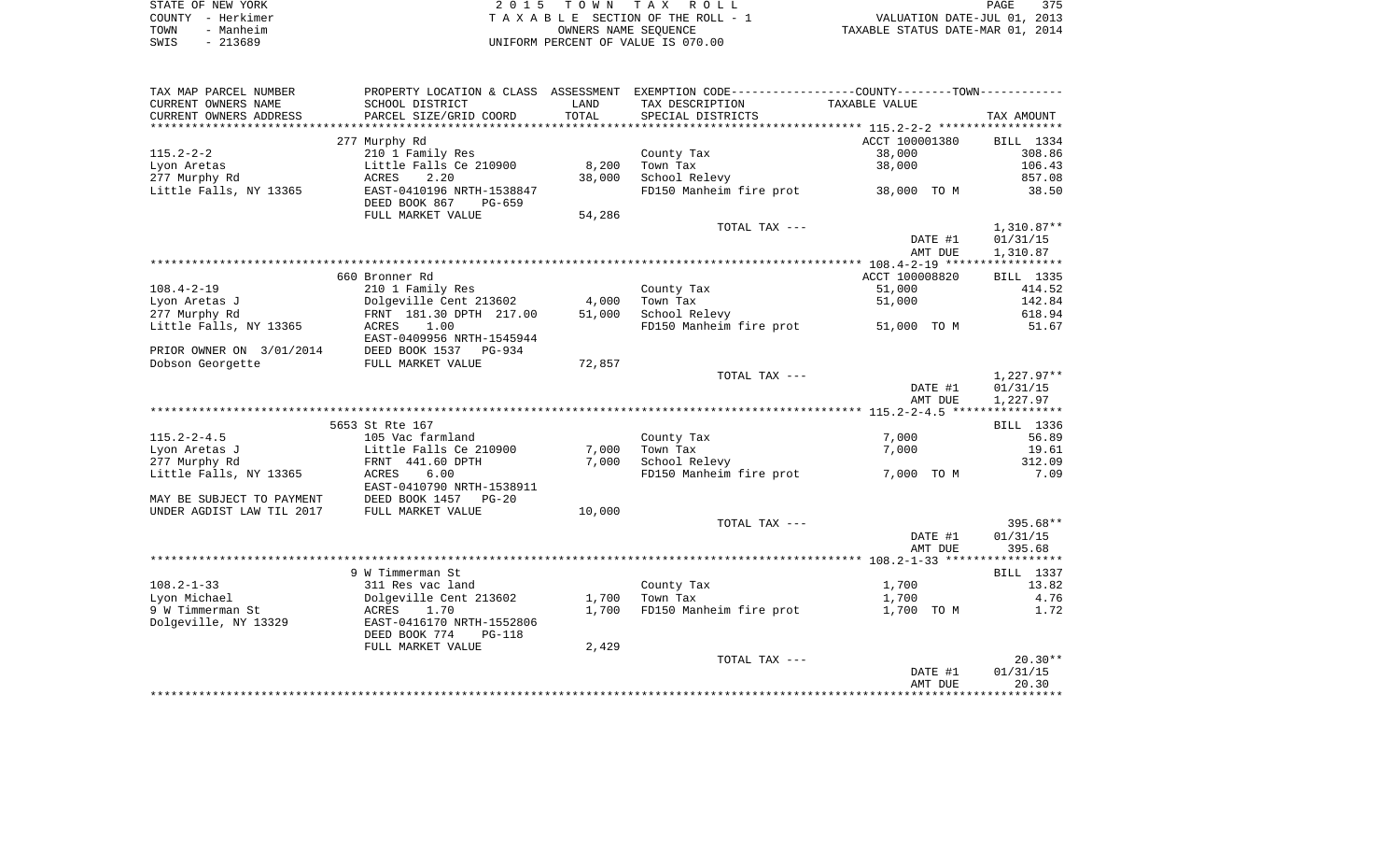| STATE OF NEW YORK |           | 2015 TOWN TAX ROLL                 | 375<br>PAGE                      |  |
|-------------------|-----------|------------------------------------|----------------------------------|--|
| COUNTY - Herkimer |           | TAXABLE SECTION OF THE ROLL - 1    | VALUATION DATE-JUL 01, 2013      |  |
| TOWN              | - Manheim | OWNERS NAME SEOUENCE               | TAXABLE STATUS DATE-MAR 01, 2014 |  |
| SWIS              | $-213689$ | UNIFORM PERCENT OF VALUE IS 070.00 |                                  |  |

| TAX MAP PARCEL NUMBER                          |                                |        | PROPERTY LOCATION & CLASS ASSESSMENT EXEMPTION CODE----------------COUNTY--------TOWN---------- |                |              |
|------------------------------------------------|--------------------------------|--------|-------------------------------------------------------------------------------------------------|----------------|--------------|
| CURRENT OWNERS NAME                            | SCHOOL DISTRICT                | LAND   | TAX DESCRIPTION                                                                                 | TAXABLE VALUE  |              |
| CURRENT OWNERS ADDRESS                         | PARCEL SIZE/GRID COORD         | TOTAL  | SPECIAL DISTRICTS                                                                               |                | TAX AMOUNT   |
| ***********************                        |                                |        |                                                                                                 |                |              |
|                                                | 277 Murphy Rd                  |        |                                                                                                 | ACCT 100001380 | BILL 1334    |
| $115.2 - 2 - 2$                                | 210 1 Family Res               |        | County Tax                                                                                      | 38,000         | 308.86       |
| Lyon Aretas                                    | Little Falls Ce 210900         | 8,200  | Town Tax                                                                                        | 38,000         | 106.43       |
| 277 Murphy Rd                                  | ACRES<br>2.20                  | 38,000 | School Relevy                                                                                   |                | 857.08       |
| Little Falls, NY 13365                         | EAST-0410196 NRTH-1538847      |        | FD150 Manheim fire prot                                                                         | 38,000 TO M    | 38.50        |
|                                                | DEED BOOK 867<br>PG-659        |        |                                                                                                 |                |              |
|                                                | FULL MARKET VALUE              | 54,286 |                                                                                                 |                |              |
|                                                |                                |        | TOTAL TAX ---                                                                                   |                | $1,310.87**$ |
|                                                |                                |        |                                                                                                 | DATE #1        | 01/31/15     |
|                                                |                                |        |                                                                                                 | AMT DUE        | 1,310.87     |
|                                                |                                |        |                                                                                                 |                |              |
|                                                | 660 Bronner Rd                 |        |                                                                                                 | ACCT 100008820 | BILL 1335    |
| $108.4 - 2 - 19$                               | 210 1 Family Res               |        | County Tax                                                                                      | 51,000         | 414.52       |
| Lyon Aretas J                                  | Dolgeville Cent 213602         | 4,000  | Town Tax                                                                                        | 51,000         | 142.84       |
| 277 Murphy Rd                                  | FRNT 181.30 DPTH 217.00        | 51,000 | School Relevy                                                                                   |                | 618.94       |
| Little Falls, NY 13365                         | ACRES<br>1.00                  |        | FD150 Manheim fire prot 51,000 TO M                                                             |                | 51.67        |
|                                                | EAST-0409956 NRTH-1545944      |        |                                                                                                 |                |              |
| PRIOR OWNER ON 3/01/2014 DEED BOOK 1537 PG-934 |                                |        |                                                                                                 |                |              |
| Dobson Georgette                               | FULL MARKET VALUE              | 72,857 |                                                                                                 |                |              |
|                                                |                                |        | TOTAL TAX ---                                                                                   |                | 1,227.97**   |
|                                                |                                |        |                                                                                                 | DATE #1        | 01/31/15     |
|                                                |                                |        |                                                                                                 | AMT DUE        | 1,227.97     |
|                                                |                                |        |                                                                                                 |                |              |
|                                                | 5653 St Rte 167                |        |                                                                                                 |                | BILL 1336    |
| $115.2 - 2 - 4.5$                              | 105 Vac farmland               |        | County Tax                                                                                      | 7,000          | 56.89        |
| Lyon Aretas J                                  | Little Falls Ce 210900         | 7,000  | Town Tax                                                                                        | 7,000          | 19.61        |
| 277 Murphy Rd                                  | FRNT 441.60 DPTH               | 7,000  | School Relevy                                                                                   |                | 312.09       |
| Little Falls, NY 13365                         | 6.00<br>ACRES                  |        | FD150 Manheim fire prot                                                                         | 7,000 TO M     | 7.09         |
|                                                | EAST-0410790 NRTH-1538911      |        |                                                                                                 |                |              |
| MAY BE SUBJECT TO PAYMENT                      | DEED BOOK 1457<br>$PG-20$      |        |                                                                                                 |                |              |
| UNDER AGDIST LAW TIL 2017                      | FULL MARKET VALUE              | 10,000 |                                                                                                 |                |              |
|                                                |                                |        | TOTAL TAX ---                                                                                   |                | 395.68**     |
|                                                |                                |        |                                                                                                 | DATE #1        | 01/31/15     |
|                                                |                                |        |                                                                                                 | AMT DUE        | 395.68       |
|                                                |                                |        |                                                                                                 |                |              |
|                                                | 9 W Timmerman St               |        |                                                                                                 |                | BILL 1337    |
| $108.2 - 1 - 33$                               | 311 Res vac land               |        | County Tax                                                                                      | 1,700          | 13.82        |
| Lyon Michael                                   | Dolgeville Cent 213602         | 1,700  | Town Tax                                                                                        | 1,700          | 4.76         |
| 9 W Timmerman St                               | ACRES<br>1.70                  | 1,700  | FD150 Manheim fire prot                                                                         | 1,700 TO M     | 1.72         |
| Dolgeville, NY 13329                           | EAST-0416170 NRTH-1552806      |        |                                                                                                 |                |              |
|                                                | DEED BOOK 774<br><b>PG-118</b> |        |                                                                                                 |                |              |
|                                                | FULL MARKET VALUE              | 2,429  |                                                                                                 |                |              |
|                                                |                                |        | TOTAL TAX ---                                                                                   |                | $20.30**$    |
|                                                |                                |        |                                                                                                 | DATE #1        | 01/31/15     |
|                                                |                                |        |                                                                                                 | AMT DUE        | 20.30        |
|                                                |                                |        |                                                                                                 |                |              |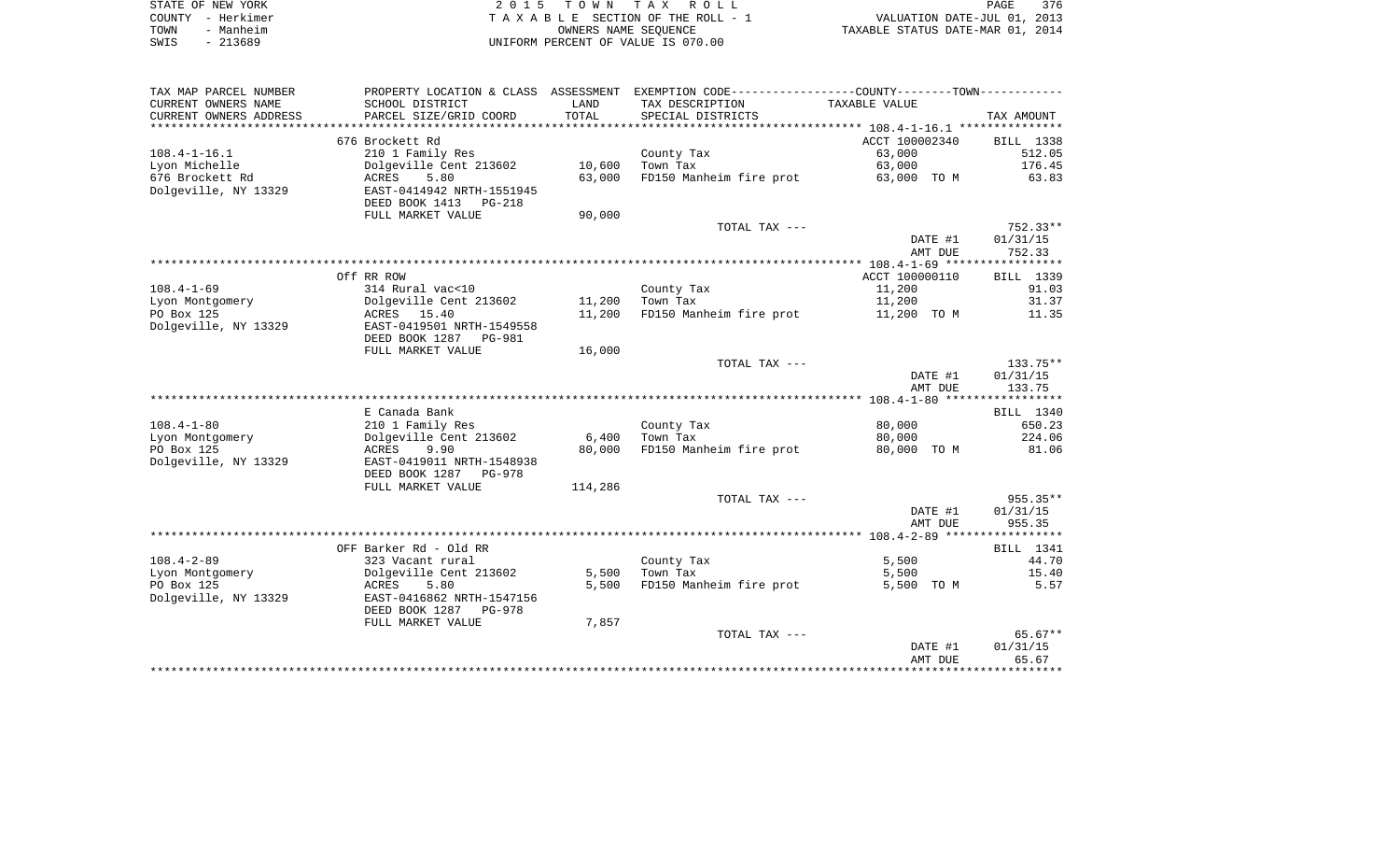| STATE OF NEW YORK | 2015 TOWN TAX ROLL<br>PAGE                                     | 376 |
|-------------------|----------------------------------------------------------------|-----|
| COUNTY - Herkimer | VALUATION DATE-JUL 01, 2013<br>TAXABLE SECTION OF THE ROLL - 1 |     |
| - Manheim<br>TOWN | TAXABLE STATUS DATE-MAR 01, 2014<br>OWNERS NAME SEOUENCE       |     |
| SWIS<br>- 213689  | UNIFORM PERCENT OF VALUE IS 070.00                             |     |

| TAX MAP PARCEL NUMBER  | PROPERTY LOCATION & CLASS ASSESSMENT |            | EXEMPTION CODE-----------------COUNTY--------TOWN----------- |                |             |
|------------------------|--------------------------------------|------------|--------------------------------------------------------------|----------------|-------------|
| CURRENT OWNERS NAME    | SCHOOL DISTRICT                      | LAND       | TAX DESCRIPTION                                              | TAXABLE VALUE  |             |
| CURRENT OWNERS ADDRESS | PARCEL SIZE/GRID COORD               | TOTAL      | SPECIAL DISTRICTS                                            |                | TAX AMOUNT  |
| *******************    |                                      | ********** |                                                              |                |             |
|                        | 676 Brockett Rd                      |            |                                                              | ACCT 100002340 | BILL 1338   |
| $108.4 - 1 - 16.1$     | 210 1 Family Res                     |            | County Tax                                                   | 63,000         | 512.05      |
| Lyon Michelle          | Dolgeville Cent 213602               | 10,600     | Town Tax                                                     | 63,000         | 176.45      |
| 676 Brockett Rd        | 5.80<br>ACRES                        | 63,000     | FD150 Manheim fire prot                                      | 63,000 TO M    | 63.83       |
| Dolgeville, NY 13329   | EAST-0414942 NRTH-1551945            |            |                                                              |                |             |
|                        | DEED BOOK 1413<br>PG-218             |            |                                                              |                |             |
|                        | FULL MARKET VALUE                    | 90,000     |                                                              |                |             |
|                        |                                      |            | TOTAL TAX ---                                                |                | 752.33**    |
|                        |                                      |            |                                                              | DATE #1        | 01/31/15    |
|                        |                                      |            |                                                              | AMT DUE        | 752.33      |
|                        |                                      |            |                                                              |                |             |
|                        | Off RR ROW                           |            |                                                              | ACCT 100000110 | BILL 1339   |
| $108.4 - 1 - 69$       | 314 Rural vac<10                     |            | County Tax                                                   | 11,200         | 91.03       |
| Lyon Montgomery        | Dolgeville Cent 213602               | 11,200     | Town Tax                                                     | 11,200         | 31.37       |
| PO Box 125             | ACRES 15.40                          | 11,200     | FD150 Manheim fire prot                                      | 11,200 TO M    | 11.35       |
| Dolgeville, NY 13329   | EAST-0419501 NRTH-1549558            |            |                                                              |                |             |
|                        | DEED BOOK 1287 PG-981                |            |                                                              |                |             |
|                        | FULL MARKET VALUE                    | 16,000     |                                                              |                |             |
|                        |                                      |            | TOTAL TAX ---                                                |                | 133.75**    |
|                        |                                      |            |                                                              | DATE #1        | 01/31/15    |
|                        |                                      |            |                                                              | AMT DUE        | 133.75      |
|                        |                                      |            |                                                              |                |             |
|                        | E Canada Bank                        |            |                                                              |                | BILL 1340   |
| $108.4 - 1 - 80$       | 210 1 Family Res                     |            | County Tax                                                   | 80,000         | 650.23      |
| Lyon Montgomery        | Dolgeville Cent 213602               | 6,400      | Town Tax                                                     | 80,000         | 224.06      |
| PO Box 125             | ACRES<br>9.90                        | 80,000     | FD150 Manheim fire prot                                      | 80,000 TO M    | 81.06       |
| Dolgeville, NY 13329   | EAST-0419011 NRTH-1548938            |            |                                                              |                |             |
|                        | DEED BOOK 1287 PG-978                |            |                                                              |                |             |
|                        | FULL MARKET VALUE                    | 114,286    |                                                              |                |             |
|                        |                                      |            | TOTAL TAX ---                                                |                | 955.35**    |
|                        |                                      |            |                                                              | DATE #1        | 01/31/15    |
|                        |                                      |            |                                                              | AMT DUE        | 955.35      |
|                        |                                      |            |                                                              |                |             |
|                        | OFF Barker Rd - Old RR               |            |                                                              |                | BILL 1341   |
| $108.4 - 2 - 89$       | 323 Vacant rural                     |            | County Tax                                                   | 5,500          | 44.70       |
| Lyon Montgomery        | Dolgeville Cent 213602               | 5,500      | Town Tax                                                     | 5,500          | 15.40       |
| PO Box 125             | <b>ACRES</b><br>5.80                 | 5,500      | FD150 Manheim fire prot                                      | 5,500 TO M     | 5.57        |
| Dolgeville, NY 13329   | EAST-0416862 NRTH-1547156            |            |                                                              |                |             |
|                        | DEED BOOK 1287 PG-978                |            |                                                              |                |             |
|                        | FULL MARKET VALUE                    | 7,857      |                                                              |                |             |
|                        |                                      |            | TOTAL TAX ---                                                |                | $65.67**$   |
|                        |                                      |            |                                                              | DATE #1        | 01/31/15    |
|                        |                                      |            |                                                              | AMT DUE        | 65.67       |
|                        |                                      |            |                                                              |                | *********** |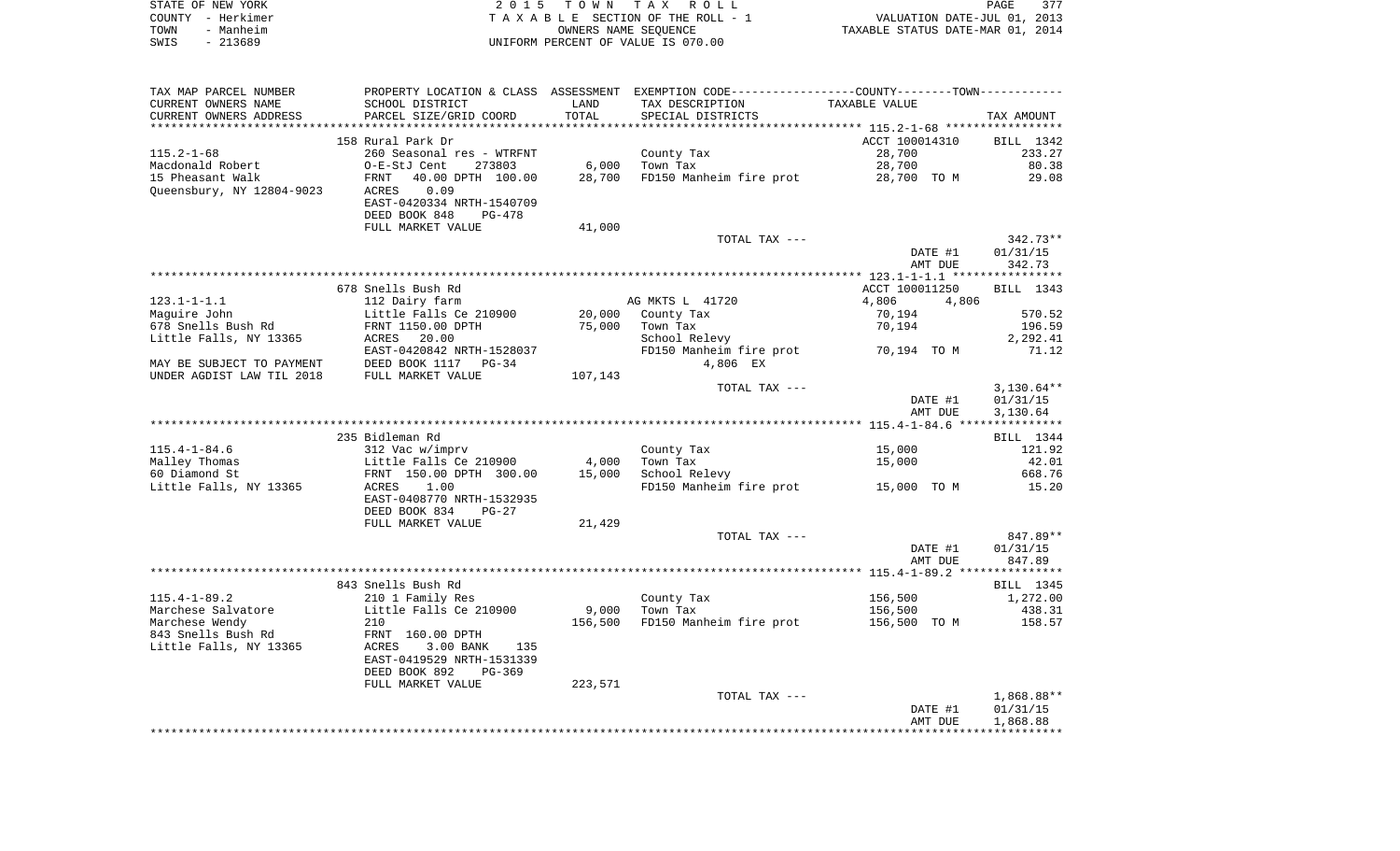| STATE OF NEW YORK | 2015 TOWN TAX ROLL                 |                      |                                  | PAGE | 377 |
|-------------------|------------------------------------|----------------------|----------------------------------|------|-----|
| COUNTY - Herkimer | TAXABLE SECTION OF THE ROLL - 1    |                      | VALUATION DATE-JUL 01, 2013      |      |     |
| - Manheim<br>TOWN |                                    | OWNERS NAME SEOUENCE | TAXABLE STATUS DATE-MAR 01, 2014 |      |     |
| $-213689$<br>SWIS | UNIFORM PERCENT OF VALUE IS 070.00 |                      |                                  |      |     |

| TAX MAP PARCEL NUMBER     |                                             |         | PROPERTY LOCATION & CLASS ASSESSMENT EXEMPTION CODE---------------COUNTY-------TOWN---------- |                |              |
|---------------------------|---------------------------------------------|---------|-----------------------------------------------------------------------------------------------|----------------|--------------|
| CURRENT OWNERS NAME       | SCHOOL DISTRICT                             | LAND    | TAX DESCRIPTION                                                                               | TAXABLE VALUE  |              |
| CURRENT OWNERS ADDRESS    | PARCEL SIZE/GRID COORD                      | TOTAL   | SPECIAL DISTRICTS                                                                             |                | TAX AMOUNT   |
|                           |                                             |         |                                                                                               |                |              |
|                           | 158 Rural Park Dr                           |         |                                                                                               | ACCT 100014310 | BILL 1342    |
| $115.2 - 1 - 68$          | 260 Seasonal res - WTRFNT                   |         | County Tax                                                                                    | 28,700         | 233.27       |
| Macdonald Robert          | O-E-StJ Cent<br>273803                      | 6,000   | Town Tax                                                                                      | 28,700         | 80.38        |
| 15 Pheasant Walk          | 40.00 DPTH 100.00<br>FRNT                   | 28,700  | FD150 Manheim fire prot                                                                       | 28,700 TO M    | 29.08        |
| Queensbury, NY 12804-9023 | 0.09<br>ACRES                               |         |                                                                                               |                |              |
|                           | EAST-0420334 NRTH-1540709                   |         |                                                                                               |                |              |
|                           | DEED BOOK 848<br>PG-478                     |         |                                                                                               |                |              |
|                           | FULL MARKET VALUE                           | 41,000  |                                                                                               |                |              |
|                           |                                             |         | TOTAL TAX ---                                                                                 |                | 342.73**     |
|                           |                                             |         |                                                                                               | DATE #1        | 01/31/15     |
|                           |                                             |         |                                                                                               | AMT DUE        | 342.73       |
|                           |                                             |         |                                                                                               |                |              |
|                           | 678 Snells Bush Rd                          |         |                                                                                               | ACCT 100011250 | BILL 1343    |
|                           |                                             |         |                                                                                               |                |              |
| $123.1 - 1 - 1.1$         | 112 Dairy farm                              |         | AG MKTS L 41720                                                                               | 4,806<br>4,806 |              |
| Maquire John              | Little Falls Ce 210900<br>FRNT 1150.00 DPTH |         | 20,000 County Tax                                                                             | 70,194         | 570.52       |
| 678 Snells Bush Rd        |                                             | 75,000  | Town Tax                                                                                      | 70,194         | 196.59       |
| Little Falls, NY 13365    | ACRES 20.00                                 |         | School Relevy                                                                                 |                | 2,292.41     |
|                           | EAST-0420842 NRTH-1528037                   |         | FD150 Manheim fire prot 70,194 TO M                                                           |                | 71.12        |
| MAY BE SUBJECT TO PAYMENT | DEED BOOK 1117 PG-34                        |         | 4,806 EX                                                                                      |                |              |
| UNDER AGDIST LAW TIL 2018 | FULL MARKET VALUE                           | 107,143 |                                                                                               |                |              |
|                           |                                             |         | TOTAL TAX ---                                                                                 |                | $3,130.64**$ |
|                           |                                             |         |                                                                                               | DATE #1        | 01/31/15     |
|                           |                                             |         |                                                                                               | AMT DUE        | 3,130.64     |
|                           |                                             |         |                                                                                               |                |              |
|                           | 235 Bidleman Rd                             |         |                                                                                               |                | BILL 1344    |
| $115.4 - 1 - 84.6$        | 312 Vac w/imprv                             |         | County Tax                                                                                    | 15,000         | 121.92       |
| Malley Thomas             | Little Falls Ce 210900                      | 4,000   | Town Tax                                                                                      | 15,000         | 42.01        |
| 60 Diamond St             | FRNT 150.00 DPTH 300.00                     | 15,000  | School Relevy                                                                                 |                | 668.76       |
| Little Falls, NY 13365    | ACRES<br>1.00                               |         | FD150 Manheim fire prot 15,000 TO M                                                           |                | 15.20        |
|                           | EAST-0408770 NRTH-1532935                   |         |                                                                                               |                |              |
|                           | DEED BOOK 834<br>$PG-27$                    |         |                                                                                               |                |              |
|                           | FULL MARKET VALUE                           | 21,429  |                                                                                               |                |              |
|                           |                                             |         | TOTAL TAX ---                                                                                 |                | 847.89**     |
|                           |                                             |         |                                                                                               | DATE #1        | 01/31/15     |
|                           |                                             |         |                                                                                               | AMT DUE        | 847.89       |
|                           |                                             |         |                                                                                               |                |              |
|                           | 843 Snells Bush Rd                          |         |                                                                                               |                | BILL 1345    |
| $115.4 - 1 - 89.2$        | 210 1 Family Res                            |         | County Tax                                                                                    | 156,500        | 1,272.00     |
| Marchese Salvatore        | Little Falls Ce 210900                      | 9,000   | Town Tax                                                                                      | 156,500        | 438.31       |
| Marchese Wendy            | 210                                         | 156,500 | FD150 Manheim fire prot                                                                       | 156,500 TO M   | 158.57       |
| 843 Snells Bush Rd        | FRNT 160.00 DPTH                            |         |                                                                                               |                |              |
| Little Falls, NY 13365    | ACRES<br>3.00 BANK<br>135                   |         |                                                                                               |                |              |
|                           | EAST-0419529 NRTH-1531339                   |         |                                                                                               |                |              |
|                           | DEED BOOK 892<br>$PG-369$                   |         |                                                                                               |                |              |
|                           | FULL MARKET VALUE                           | 223,571 |                                                                                               |                |              |
|                           |                                             |         | TOTAL TAX ---                                                                                 |                | 1,868.88**   |
|                           |                                             |         |                                                                                               | DATE #1        | 01/31/15     |
|                           |                                             |         |                                                                                               | AMT DUE        | 1,868.88     |
|                           |                                             |         |                                                                                               |                |              |
|                           |                                             |         |                                                                                               |                |              |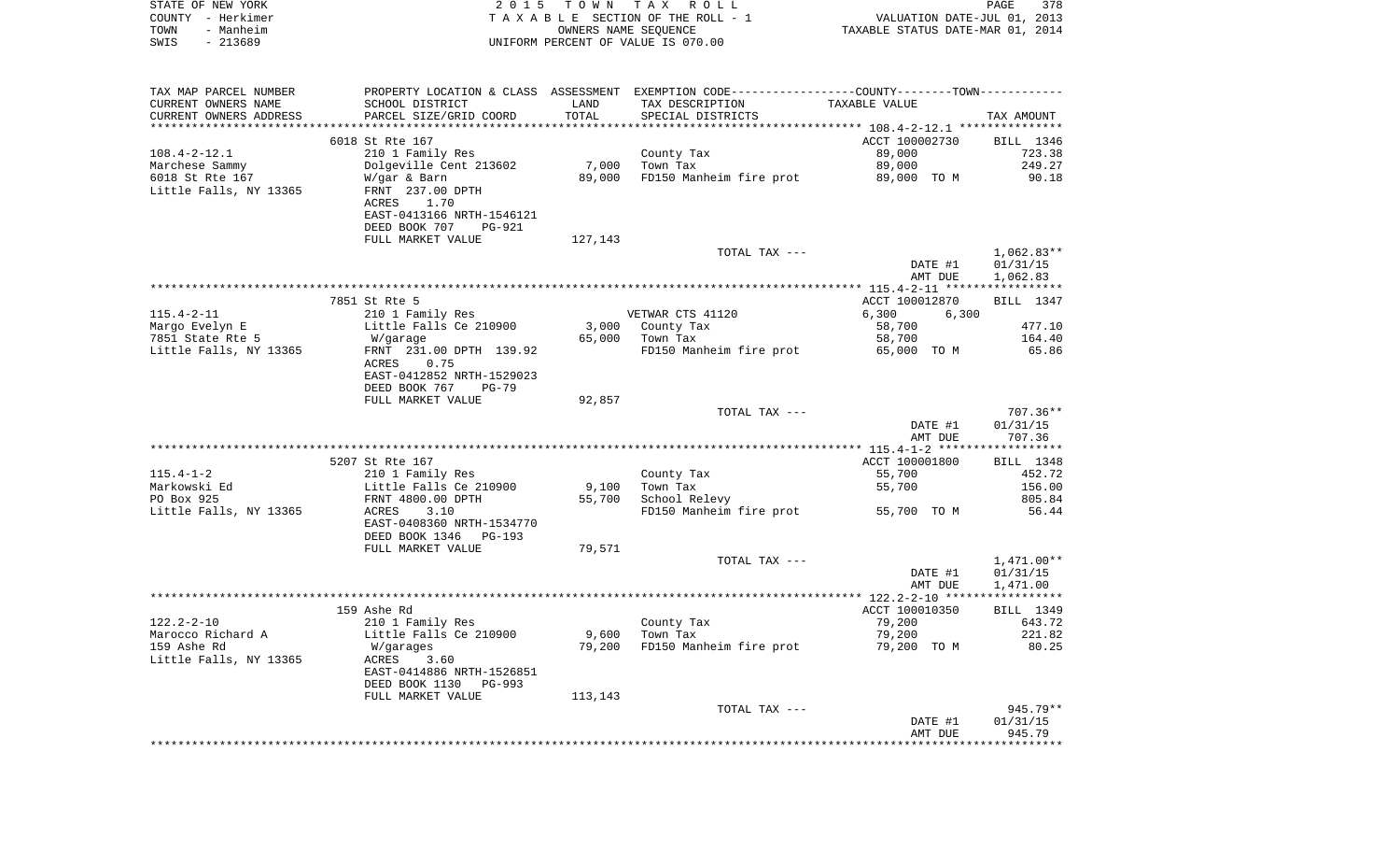| STATE OF NEW YORK<br>COUNTY - Herkimer<br>- Manheim<br>TOWN<br>$-213689$<br>SWIS | 2 0 1 5                                       | T O W N             | TAX ROLL<br>TAXABLE SECTION OF THE ROLL - 1<br>OWNERS NAME SEQUENCE<br>UNIFORM PERCENT OF VALUE IS 070.00 | VALUATION DATE-JUL 01, 2013<br>TAXABLE STATUS DATE-MAR 01, 2014 | PAGE<br>378          |
|----------------------------------------------------------------------------------|-----------------------------------------------|---------------------|-----------------------------------------------------------------------------------------------------------|-----------------------------------------------------------------|----------------------|
| TAX MAP PARCEL NUMBER                                                            |                                               |                     | PROPERTY LOCATION & CLASS ASSESSMENT EXEMPTION CODE---------------COUNTY-------TOWN----------             |                                                                 |                      |
| CURRENT OWNERS NAME                                                              | SCHOOL DISTRICT                               | LAND                | TAX DESCRIPTION                                                                                           | TAXABLE VALUE                                                   |                      |
| CURRENT OWNERS ADDRESS<br>************************                               | PARCEL SIZE/GRID COORD                        | TOTAL<br>********** | SPECIAL DISTRICTS                                                                                         |                                                                 | TAX AMOUNT           |
|                                                                                  | 6018 St Rte 167                               |                     |                                                                                                           | ACCT 100002730                                                  | BILL 1346            |
| $108.4 - 2 - 12.1$                                                               | 210 1 Family Res                              |                     | County Tax                                                                                                | 89,000                                                          | 723.38               |
| Marchese Sammy                                                                   | Dolgeville Cent 213602                        | 7,000               | Town Tax                                                                                                  | 89,000                                                          | 249.27               |
| 6018 St Rte 167                                                                  | W/gar & Barn                                  | 89,000              | FD150 Manheim fire prot                                                                                   | 89,000 TO M                                                     | 90.18                |
| Little Falls, NY 13365                                                           | FRNT 237.00 DPTH                              |                     |                                                                                                           |                                                                 |                      |
|                                                                                  | ACRES<br>1.70<br>EAST-0413166 NRTH-1546121    |                     |                                                                                                           |                                                                 |                      |
|                                                                                  | DEED BOOK 707<br>PG-921                       |                     |                                                                                                           |                                                                 |                      |
|                                                                                  | FULL MARKET VALUE                             | 127,143             |                                                                                                           |                                                                 |                      |
|                                                                                  |                                               |                     | TOTAL TAX ---                                                                                             |                                                                 | $1,062.83**$         |
|                                                                                  |                                               |                     |                                                                                                           | DATE #1<br>AMT DUE                                              | 01/31/15             |
|                                                                                  |                                               |                     |                                                                                                           |                                                                 | 1,062.83             |
|                                                                                  | 7851 St Rte 5                                 |                     |                                                                                                           | ACCT 100012870                                                  | BILL 1347            |
| $115.4 - 2 - 11$                                                                 | 210 1 Family Res                              |                     | VETWAR CTS 41120                                                                                          | 6,300<br>6,300                                                  |                      |
| Margo Evelyn E                                                                   | Little Falls Ce 210900                        | 3,000               | County Tax                                                                                                | 58,700                                                          | 477.10               |
| 7851 State Rte 5<br>Little Falls, NY 13365                                       | W/garage<br>FRNT 231.00 DPTH 139.92           | 65,000              | Town Tax<br>FD150 Manheim fire prot                                                                       | 58,700<br>65,000 TO M                                           | 164.40<br>65.86      |
|                                                                                  | ACRES<br>0.75<br>EAST-0412852 NRTH-1529023    |                     |                                                                                                           |                                                                 |                      |
|                                                                                  | DEED BOOK 767<br>$PG-79$<br>FULL MARKET VALUE | 92,857              |                                                                                                           |                                                                 |                      |
|                                                                                  |                                               |                     | TOTAL TAX ---                                                                                             |                                                                 | $707.36**$           |
|                                                                                  |                                               |                     |                                                                                                           | DATE #1<br>AMT DUE                                              | 01/31/15<br>707.36   |
|                                                                                  |                                               |                     |                                                                                                           |                                                                 |                      |
| $115.4 - 1 - 2$                                                                  | 5207 St Rte 167<br>210 1 Family Res           |                     | County Tax                                                                                                | ACCT 100001800<br>55,700                                        | BILL 1348<br>452.72  |
| Markowski Ed                                                                     | Little Falls Ce 210900                        | 9,100               | Town Tax                                                                                                  | 55,700                                                          | 156.00               |
| PO Box 925                                                                       | FRNT 4800.00 DPTH                             | 55,700              | School Relevy                                                                                             |                                                                 | 805.84               |
| Little Falls, NY 13365                                                           | ACRES<br>3.10<br>EAST-0408360 NRTH-1534770    |                     | FD150 Manheim fire prot                                                                                   | 55,700 TO M                                                     | 56.44                |
|                                                                                  | DEED BOOK 1346<br>PG-193<br>FULL MARKET VALUE | 79,571              |                                                                                                           |                                                                 |                      |
|                                                                                  |                                               |                     | TOTAL TAX ---                                                                                             |                                                                 | $1,471.00**$         |
|                                                                                  |                                               |                     |                                                                                                           | DATE #1<br>AMT DUE                                              | 01/31/15<br>1,471.00 |
|                                                                                  |                                               |                     |                                                                                                           |                                                                 |                      |
|                                                                                  | 159 Ashe Rd                                   |                     |                                                                                                           | ACCT 100010350                                                  | BILL 1349            |
| 122.2-2-10<br>Marocco Richard A                                                  | 210 1 Family Res<br>Little Falls Ce 210900    | 9,600               | County Tax<br>Town Tax                                                                                    | 79,200<br>79,200                                                | 643.72<br>221.82     |
| 159 Ashe Rd                                                                      | W/garages                                     | 79,200              | FD150 Manheim fire prot                                                                                   | 79,200 TO M                                                     | 80.25                |
| Little Falls, NY 13365                                                           | ACRES<br>3.60<br>EAST-0414886 NRTH-1526851    |                     |                                                                                                           |                                                                 |                      |
|                                                                                  | DEED BOOK 1130<br>PG-993                      |                     |                                                                                                           |                                                                 |                      |
|                                                                                  | FULL MARKET VALUE                             | 113,143             | TOTAL TAX ---                                                                                             |                                                                 | 945.79**             |
|                                                                                  |                                               |                     |                                                                                                           | DATE #1                                                         | 01/31/15             |
|                                                                                  |                                               |                     |                                                                                                           | AMT DUE                                                         | 945.79               |
|                                                                                  |                                               |                     |                                                                                                           | ****************************                                    |                      |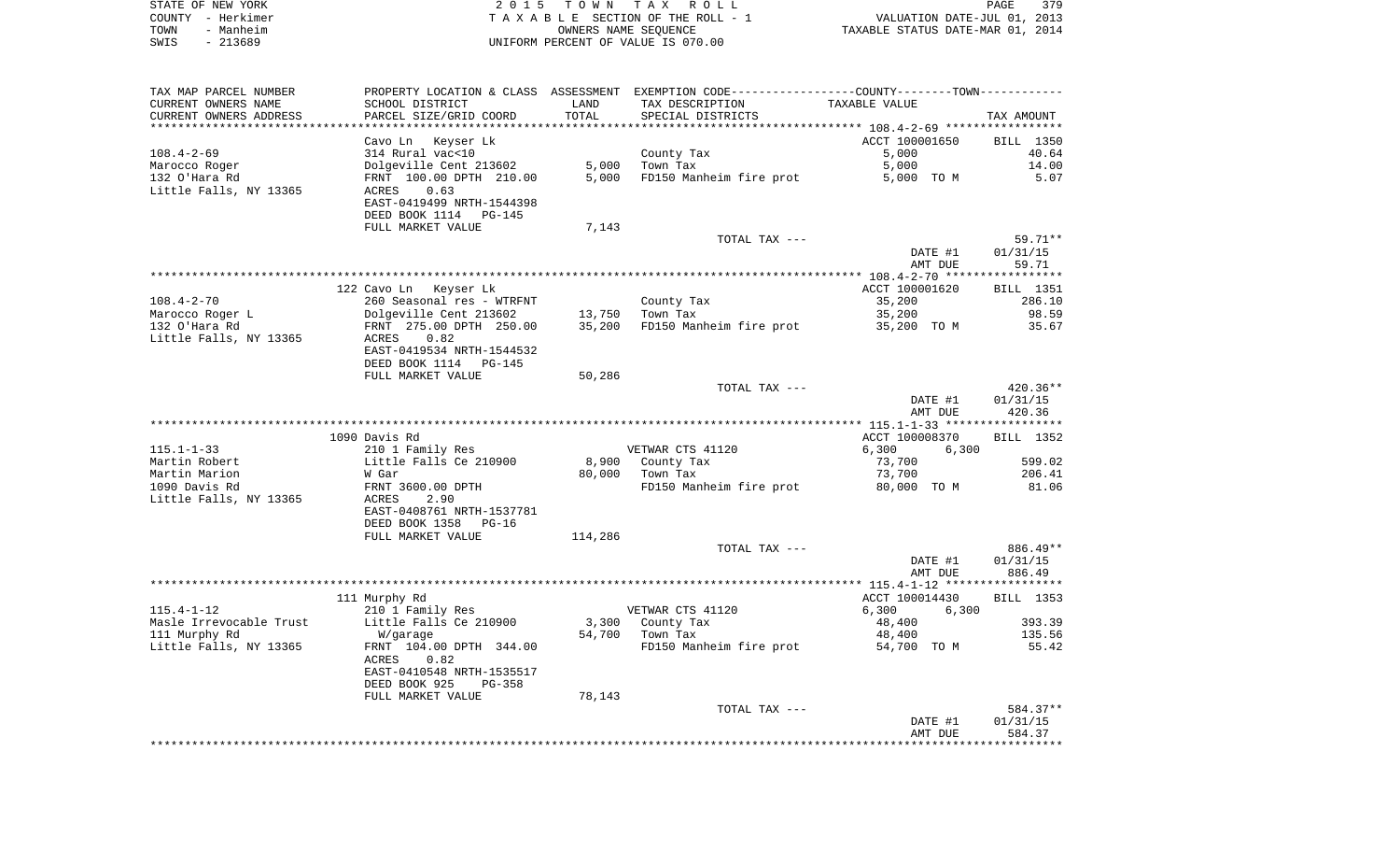| STATE OF NEW YORK | 2015 TOWN TAX ROLL                 | 379<br>PAGE                      |
|-------------------|------------------------------------|----------------------------------|
| COUNTY - Herkimer | TAXABLE SECTION OF THE ROLL - 1    | VALUATION DATE-JUL 01, 2013      |
| - Manheim<br>TOWN | OWNERS NAME SEOUENCE               | TAXABLE STATUS DATE-MAR 01, 2014 |
| $-213689$<br>SWIS | UNIFORM PERCENT OF VALUE IS 070.00 |                                  |

| TAX MAP PARCEL NUMBER                       |                                            |         | PROPERTY LOCATION & CLASS ASSESSMENT EXEMPTION CODE----------------COUNTY-------TOWN----------- |                    |                    |
|---------------------------------------------|--------------------------------------------|---------|-------------------------------------------------------------------------------------------------|--------------------|--------------------|
| CURRENT OWNERS NAME                         | SCHOOL DISTRICT                            | LAND    | TAX DESCRIPTION                                                                                 | TAXABLE VALUE      |                    |
| CURRENT OWNERS ADDRESS                      | PARCEL SIZE/GRID COORD                     | TOTAL   | SPECIAL DISTRICTS                                                                               |                    | TAX AMOUNT         |
|                                             |                                            |         |                                                                                                 |                    |                    |
|                                             | Cavo Ln Keyser Lk                          |         |                                                                                                 | ACCT 100001650     | BILL 1350          |
| $108.4 - 2 - 69$                            | 314 Rural vac<10                           |         | County Tax                                                                                      | 5,000              | 40.64              |
| Marocco Roger                               | Dolgeville Cent 213602                     | 5,000   | Town Tax                                                                                        | 5,000              | 14.00              |
| 132 O'Hara Rd<br>Little Falls, NY 13365     | FRNT 100.00 DPTH 210.00<br>0.63<br>ACRES   | 5,000   | FD150 Manheim fire prot                                                                         | 5,000 TO M         | 5.07               |
|                                             | EAST-0419499 NRTH-1544398                  |         |                                                                                                 |                    |                    |
|                                             | DEED BOOK 1114 PG-145                      |         |                                                                                                 |                    |                    |
|                                             | FULL MARKET VALUE                          | 7,143   |                                                                                                 |                    |                    |
|                                             |                                            |         | TOTAL TAX ---                                                                                   |                    | 59.71**            |
|                                             |                                            |         |                                                                                                 | DATE #1            | 01/31/15           |
|                                             |                                            |         |                                                                                                 | AMT DUE            | 59.71              |
|                                             |                                            |         |                                                                                                 |                    |                    |
|                                             | 122 Cavo Ln Keyser Lk                      |         |                                                                                                 | ACCT 100001620     | <b>BILL</b> 1351   |
| $108.4 - 2 - 70$                            | 260 Seasonal res - WTRFNT                  |         | County Tax                                                                                      | 35,200             | 286.10             |
| Marocco Roger L                             | Dolgeville Cent 213602                     | 13,750  | Town Tax                                                                                        | 35,200             | 98.59              |
| 132 O'Hara Rd                               | FRNT 275.00 DPTH 250.00                    | 35,200  | FD150 Manheim fire prot                                                                         | 35,200 TO M        | 35.67              |
| Little Falls, NY 13365                      | 0.82<br>ACRES                              |         |                                                                                                 |                    |                    |
|                                             | EAST-0419534 NRTH-1544532                  |         |                                                                                                 |                    |                    |
|                                             | DEED BOOK 1114<br>PG-145                   |         |                                                                                                 |                    |                    |
|                                             | FULL MARKET VALUE                          | 50,286  |                                                                                                 |                    |                    |
|                                             |                                            |         | TOTAL TAX ---                                                                                   |                    | $420.36**$         |
|                                             |                                            |         |                                                                                                 | DATE #1<br>AMT DUE | 01/31/15<br>420.36 |
|                                             |                                            |         |                                                                                                 |                    |                    |
|                                             | 1090 Davis Rd                              |         |                                                                                                 | ACCT 100008370     | BILL 1352          |
| $115.1 - 1 - 33$                            | 210 1 Family Res                           |         | VETWAR CTS 41120                                                                                | 6,300<br>6,300     |                    |
| Martin Robert                               | Little Falls Ce 210900                     | 8,900   | County Tax                                                                                      | 73,700             | 599.02             |
| Martin Marion                               | W Gar                                      | 80,000  | Town Tax                                                                                        | 73,700             | 206.41             |
| 1090 Davis Rd                               | FRNT 3600.00 DPTH                          |         | FD150 Manheim fire prot                                                                         | 80,000 TO M        | 81.06              |
| Little Falls, NY 13365                      | ACRES<br>2.90                              |         |                                                                                                 |                    |                    |
|                                             | EAST-0408761 NRTH-1537781                  |         |                                                                                                 |                    |                    |
|                                             | DEED BOOK 1358<br>PG-16                    |         |                                                                                                 |                    |                    |
|                                             | FULL MARKET VALUE                          | 114,286 |                                                                                                 |                    |                    |
|                                             |                                            |         | TOTAL TAX ---                                                                                   |                    | 886.49**           |
|                                             |                                            |         |                                                                                                 | DATE #1            | 01/31/15           |
|                                             |                                            |         |                                                                                                 | AMT DUE            | 886.49             |
|                                             |                                            |         |                                                                                                 |                    |                    |
|                                             | 111 Murphy Rd                              |         |                                                                                                 | ACCT 100014430     | BILL 1353          |
| $115.4 - 1 - 12$<br>Masle Irrevocable Trust | 210 1 Family Res<br>Little Falls Ce 210900 |         | VETWAR CTS 41120<br>3,300 County Tax                                                            | 6,300<br>6,300     | 393.39             |
| 111 Murphy Rd                               | W/garage                                   |         | 54,700 Town Tax                                                                                 | 48,400<br>48,400   | 135.56             |
| Little Falls, NY 13365                      | FRNT 104.00 DPTH 344.00                    |         | FD150 Manheim fire prot                                                                         | 54,700 TO M        | 55.42              |
|                                             | ACRES<br>0.82                              |         |                                                                                                 |                    |                    |
|                                             | EAST-0410548 NRTH-1535517                  |         |                                                                                                 |                    |                    |
|                                             | DEED BOOK 925<br>$PG-358$                  |         |                                                                                                 |                    |                    |
|                                             | FULL MARKET VALUE                          | 78,143  |                                                                                                 |                    |                    |
|                                             |                                            |         | TOTAL TAX ---                                                                                   |                    | 584.37**           |
|                                             |                                            |         |                                                                                                 | DATE #1            | 01/31/15           |
|                                             |                                            |         |                                                                                                 | AMT DUE            | 584.37             |
|                                             |                                            |         |                                                                                                 |                    |                    |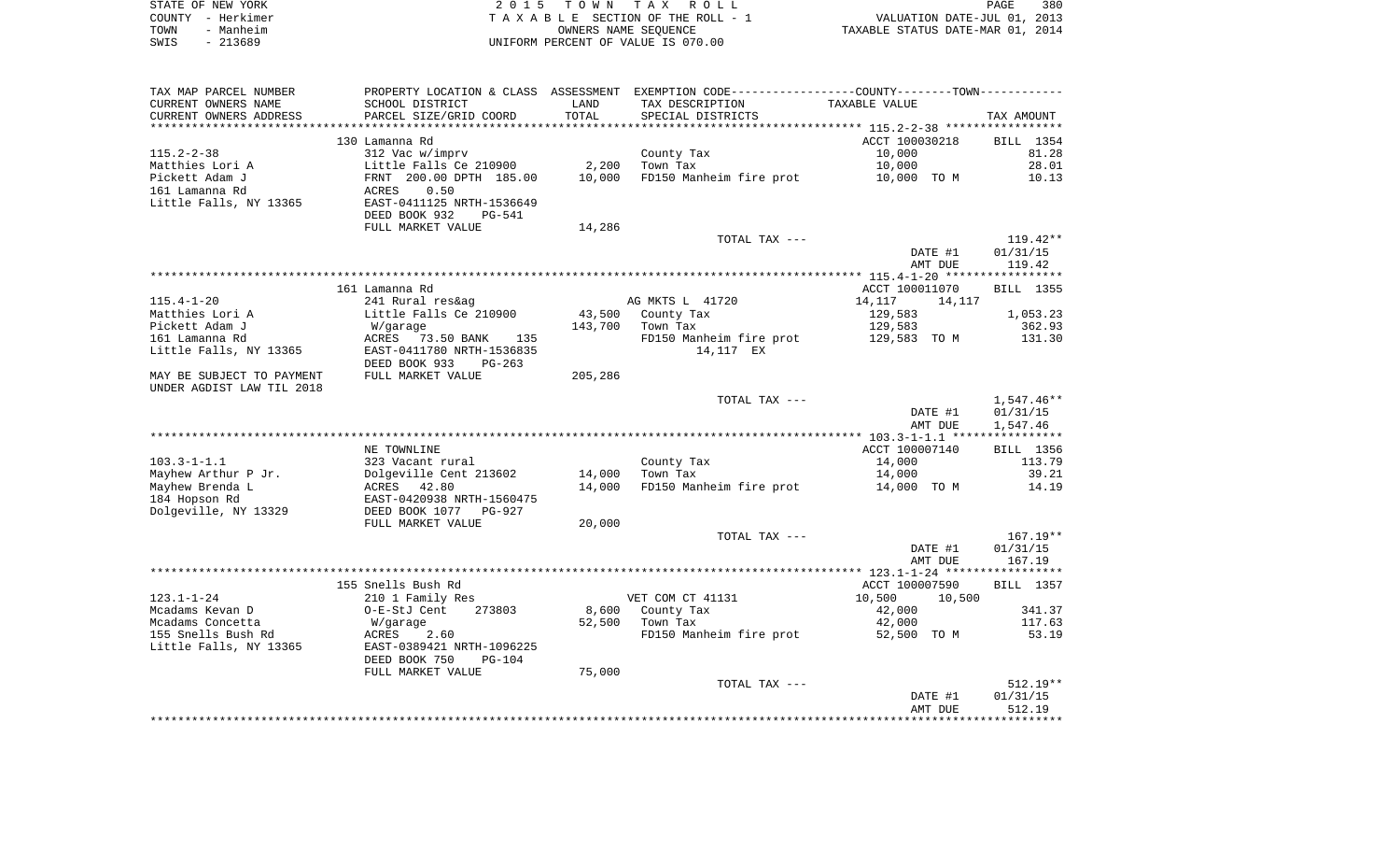| STATE OF NEW YORK |                   | 2015 TOWN TAX ROLL                 | PAGE                             | 380 |
|-------------------|-------------------|------------------------------------|----------------------------------|-----|
|                   | COUNTY - Herkimer | TAXABLE SECTION OF THE ROLL - 1    | VALUATION DATE-JUL 01, 2013      |     |
| TOWN              | - Manheim         | OWNERS NAME SEOUENCE               | TAXABLE STATUS DATE-MAR 01, 2014 |     |
| SWIS              | - 213689          | UNIFORM PERCENT OF VALUE IS 070.00 |                                  |     |

| TAX MAP PARCEL NUMBER     | PROPERTY LOCATION & CLASS ASSESSMENT EXEMPTION CODE----------------COUNTY--------TOWN----------- |         |                         |                  |                  |
|---------------------------|--------------------------------------------------------------------------------------------------|---------|-------------------------|------------------|------------------|
| CURRENT OWNERS NAME       | SCHOOL DISTRICT                                                                                  | LAND    | TAX DESCRIPTION         | TAXABLE VALUE    |                  |
| CURRENT OWNERS ADDRESS    | PARCEL SIZE/GRID COORD                                                                           | TOTAL   | SPECIAL DISTRICTS       |                  | TAX AMOUNT       |
| **********************    | *****************************                                                                    |         |                         |                  |                  |
|                           | 130 Lamanna Rd                                                                                   |         |                         | ACCT 100030218   | BILL 1354        |
| $115.2 - 2 - 38$          | 312 Vac w/imprv                                                                                  |         | County Tax              | 10,000           | 81.28            |
| Matthies Lori A           | Little Falls Ce 210900                                                                           | 2,200   | Town Tax                | 10,000           | 28.01            |
| Pickett Adam J            | FRNT 200.00 DPTH 185.00                                                                          | 10,000  | FD150 Manheim fire prot | 10,000 TO M      | 10.13            |
| 161 Lamanna Rd            | 0.50<br>ACRES                                                                                    |         |                         |                  |                  |
| Little Falls, NY 13365    | EAST-0411125 NRTH-1536649                                                                        |         |                         |                  |                  |
|                           | DEED BOOK 932<br>$PG-541$                                                                        |         |                         |                  |                  |
|                           | FULL MARKET VALUE                                                                                | 14,286  |                         |                  |                  |
|                           |                                                                                                  |         | TOTAL TAX ---           |                  | $119.42**$       |
|                           |                                                                                                  |         |                         | DATE #1          | 01/31/15         |
|                           |                                                                                                  |         |                         | AMT DUE          | 119.42           |
|                           |                                                                                                  |         |                         |                  |                  |
|                           | 161 Lamanna Rd                                                                                   |         |                         | ACCT 100011070   | BILL 1355        |
| $115.4 - 1 - 20$          | 241 Rural res&ag                                                                                 |         | AG MKTS L 41720         | 14,117<br>14,117 |                  |
| Matthies Lori A           | Little Falls Ce 210900                                                                           | 43,500  | County Tax              | 129,583          | 1,053.23         |
| Pickett Adam J            | W/garage                                                                                         | 143,700 | Town Tax                | 129,583          | 362.93           |
| 161 Lamanna Rd            | ACRES 73.50 BANK<br>135                                                                          |         | FD150 Manheim fire prot | 129,583 TO M     | 131.30           |
| Little Falls, NY 13365    | EAST-0411780 NRTH-1536835                                                                        |         | 14,117 EX               |                  |                  |
|                           | DEED BOOK 933<br>$PG-263$                                                                        |         |                         |                  |                  |
| MAY BE SUBJECT TO PAYMENT | FULL MARKET VALUE                                                                                | 205,286 |                         |                  |                  |
| UNDER AGDIST LAW TIL 2018 |                                                                                                  |         |                         |                  |                  |
|                           |                                                                                                  |         | TOTAL TAX ---           |                  | 1,547.46**       |
|                           |                                                                                                  |         |                         | DATE #1          | 01/31/15         |
|                           |                                                                                                  |         |                         | AMT DUE          | 1,547.46         |
|                           |                                                                                                  |         |                         |                  |                  |
|                           | NE TOWNLINE                                                                                      |         |                         | ACCT 100007140   | BILL 1356        |
| $103.3 - 1 - 1.1$         | 323 Vacant rural                                                                                 |         | County Tax              | 14,000           | 113.79           |
| Mayhew Arthur P Jr.       | Dolgeville Cent 213602                                                                           | 14,000  | Town Tax                | 14,000           | 39.21            |
| Mayhew Brenda L           | ACRES 42.80                                                                                      | 14,000  | FD150 Manheim fire prot | 14,000 TO M      | 14.19            |
| 184 Hopson Rd             | EAST-0420938 NRTH-1560475                                                                        |         |                         |                  |                  |
| Dolgeville, NY 13329      | DEED BOOK 1077<br>PG-927                                                                         |         |                         |                  |                  |
|                           | FULL MARKET VALUE                                                                                | 20,000  |                         |                  |                  |
|                           |                                                                                                  |         | TOTAL TAX ---           |                  | $167.19**$       |
|                           |                                                                                                  |         |                         | DATE #1          | 01/31/15         |
|                           |                                                                                                  |         |                         | AMT DUE          | 167.19           |
|                           |                                                                                                  |         |                         |                  |                  |
|                           | 155 Snells Bush Rd                                                                               |         |                         | ACCT 100007590   | <b>BILL</b> 1357 |
| $123.1 - 1 - 24$          | 210 1 Family Res                                                                                 |         | VET COM CT 41131        | 10,500<br>10,500 |                  |
| Mcadams Kevan D           | O-E-StJ Cent<br>273803                                                                           | 8,600   | County Tax              | 42,000           | 341.37           |
| Mcadams Concetta          | W/garage                                                                                         | 52,500  | Town Tax                | 42,000           | 117.63           |
| 155 Snells Bush Rd        | 2.60<br>ACRES                                                                                    |         | FD150 Manheim fire prot | 52,500 TO M      | 53.19            |
| Little Falls, NY 13365    | EAST-0389421 NRTH-1096225                                                                        |         |                         |                  |                  |
|                           | DEED BOOK 750<br>$PG-104$                                                                        |         |                         |                  |                  |
|                           | FULL MARKET VALUE                                                                                | 75,000  |                         |                  |                  |
|                           |                                                                                                  |         | TOTAL TAX ---           |                  | $512.19**$       |
|                           |                                                                                                  |         |                         | DATE #1          | 01/31/15         |
|                           |                                                                                                  |         |                         | AMT DUE          | 512.19           |
|                           |                                                                                                  |         |                         |                  |                  |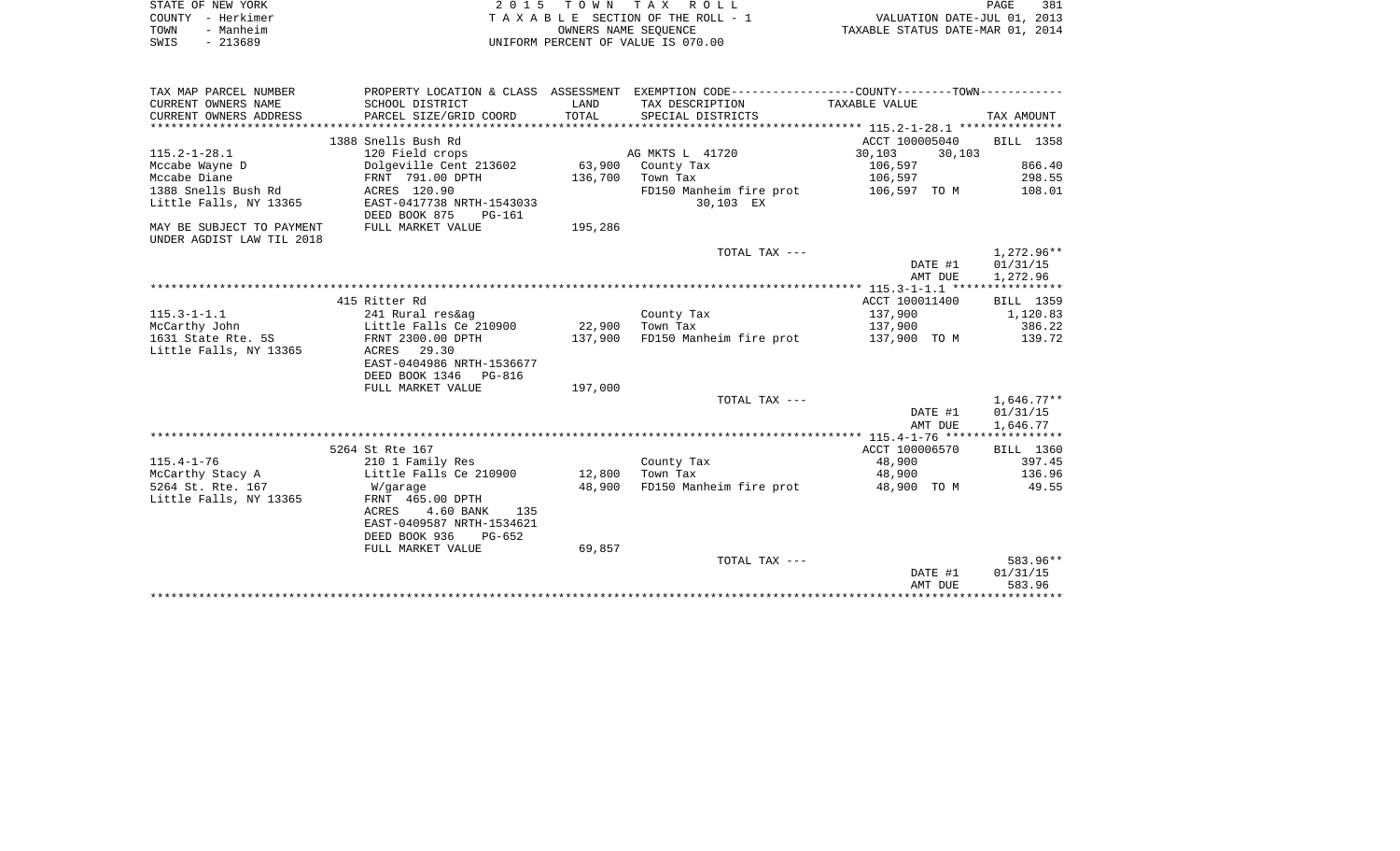| STATE OF NEW YORK | 2015 TOWN TAX ROLL                 | 381<br>PAGE                      |
|-------------------|------------------------------------|----------------------------------|
| COUNTY - Herkimer | TAXABLE SECTION OF THE ROLL - 7    | VALUATION DATE-JUL 01, 2013      |
| TOWN<br>- Manheim | OWNERS NAME SEOUENCE               | TAXABLE STATUS DATE-MAR 01, 2014 |
| $-213689$<br>SWIS | UNIFORM PERCENT OF VALUE IS 070.00 |                                  |

| TAX MAP PARCEL NUMBER     |                               |         | PROPERTY LOCATION & CLASS ASSESSMENT EXEMPTION CODE----------------COUNTY--------TOWN---------- |                   |                    |
|---------------------------|-------------------------------|---------|-------------------------------------------------------------------------------------------------|-------------------|--------------------|
| CURRENT OWNERS NAME       | SCHOOL DISTRICT               | LAND    | TAX DESCRIPTION TAXABLE VALUE                                                                   |                   |                    |
| CURRENT OWNERS ADDRESS    | PARCEL SIZE/GRID COORD        | TOTAL   | SPECIAL DISTRICTS                                                                               |                   | TAX AMOUNT         |
|                           |                               |         |                                                                                                 |                   |                    |
|                           | 1388 Snells Bush Rd           |         |                                                                                                 | ACCT 100005040    | BILL 1358          |
| $115.2 - 1 - 28.1$        | 120 Field crops               |         | AG MKTS L 41720                                                                                 | 30,103<br>30, 103 |                    |
| Mccabe Wayne D            | Dolgeville Cent 213602        |         | 63,900 County Tax                                                                               | 106,597           | 866.40             |
| Mccabe Diane              | FRNT 791.00 DPTH              | 136,700 | Town Tax                                                                                        | 106,597           | 298.55             |
| 1388 Snells Bush Rd       | ACRES 120.90                  |         | FD150 Manheim fire prot                                                                         | 106,597 TO M      | 108.01             |
| Little Falls, NY 13365    | EAST-0417738 NRTH-1543033     |         | 30,103 EX                                                                                       |                   |                    |
|                           | DEED BOOK 875<br>PG-161       |         |                                                                                                 |                   |                    |
| MAY BE SUBJECT TO PAYMENT | FULL MARKET VALUE             | 195,286 |                                                                                                 |                   |                    |
| UNDER AGDIST LAW TIL 2018 |                               |         |                                                                                                 |                   |                    |
|                           |                               |         | TOTAL TAX ---                                                                                   |                   | 1,272.96**         |
|                           |                               |         |                                                                                                 | DATE #1           | 01/31/15           |
|                           |                               |         |                                                                                                 | AMT DUE           | 1,272.96           |
|                           |                               |         |                                                                                                 |                   |                    |
|                           | 415 Ritter Rd                 |         |                                                                                                 | ACCT 100011400    | BILL 1359          |
| $115.3 - 1 - 1.1$         | 241 Rural res&ag              |         | County Tax                                                                                      | 137,900           | 1,120.83           |
| McCarthy John             | Little Falls Ce 210900 22,900 |         | Town Tax                                                                                        | 137,900           | 386.22             |
| 1631 State Rte. 5S        | FRNT 2300.00 DPTH             | 137,900 | FD150 Manheim fire prot 137,900 TO M                                                            |                   | 139.72             |
| Little Falls, NY 13365    | ACRES 29.30                   |         |                                                                                                 |                   |                    |
|                           | EAST-0404986 NRTH-1536677     |         |                                                                                                 |                   |                    |
|                           | DEED BOOK 1346 PG-816         |         |                                                                                                 |                   |                    |
|                           | FULL MARKET VALUE             | 197,000 |                                                                                                 |                   |                    |
|                           |                               |         | TOTAL TAX ---                                                                                   |                   | $1,646.77**$       |
|                           |                               |         |                                                                                                 | DATE #1           | 01/31/15           |
|                           |                               |         |                                                                                                 | AMT DUE           | 1,646.77           |
|                           |                               |         |                                                                                                 |                   |                    |
|                           | 5264 St Rte 167               |         |                                                                                                 | ACCT 100006570    | BILL 1360          |
| $115.4 - 1 - 76$          | 210 1 Family Res              |         | County Tax                                                                                      | 48,900            | 397.45             |
| McCarthy Stacy A          | Little Falls Ce 210900        | 12,800  | Town Tax                                                                                        | 48,900            | 136.96             |
| 5264 St. Rte. 167         | W/garage                      | 48,900  | FD150 Manheim fire prot                                                                         | 48,900 TO M       | 49.55              |
| Little Falls, NY 13365    | FRNT 465.00 DPTH              |         |                                                                                                 |                   |                    |
|                           | ACRES<br>4.60 BANK<br>135     |         |                                                                                                 |                   |                    |
|                           | EAST-0409587 NRTH-1534621     |         |                                                                                                 |                   |                    |
|                           | DEED BOOK 936<br>$PG-652$     |         |                                                                                                 |                   |                    |
|                           | FULL MARKET VALUE             | 69,857  | TOTAL TAX ---                                                                                   |                   | 583.96**           |
|                           |                               |         |                                                                                                 |                   |                    |
|                           |                               |         |                                                                                                 | DATE #1           | 01/31/15<br>583.96 |
|                           |                               |         |                                                                                                 | AMT DUE           |                    |
|                           |                               |         |                                                                                                 |                   |                    |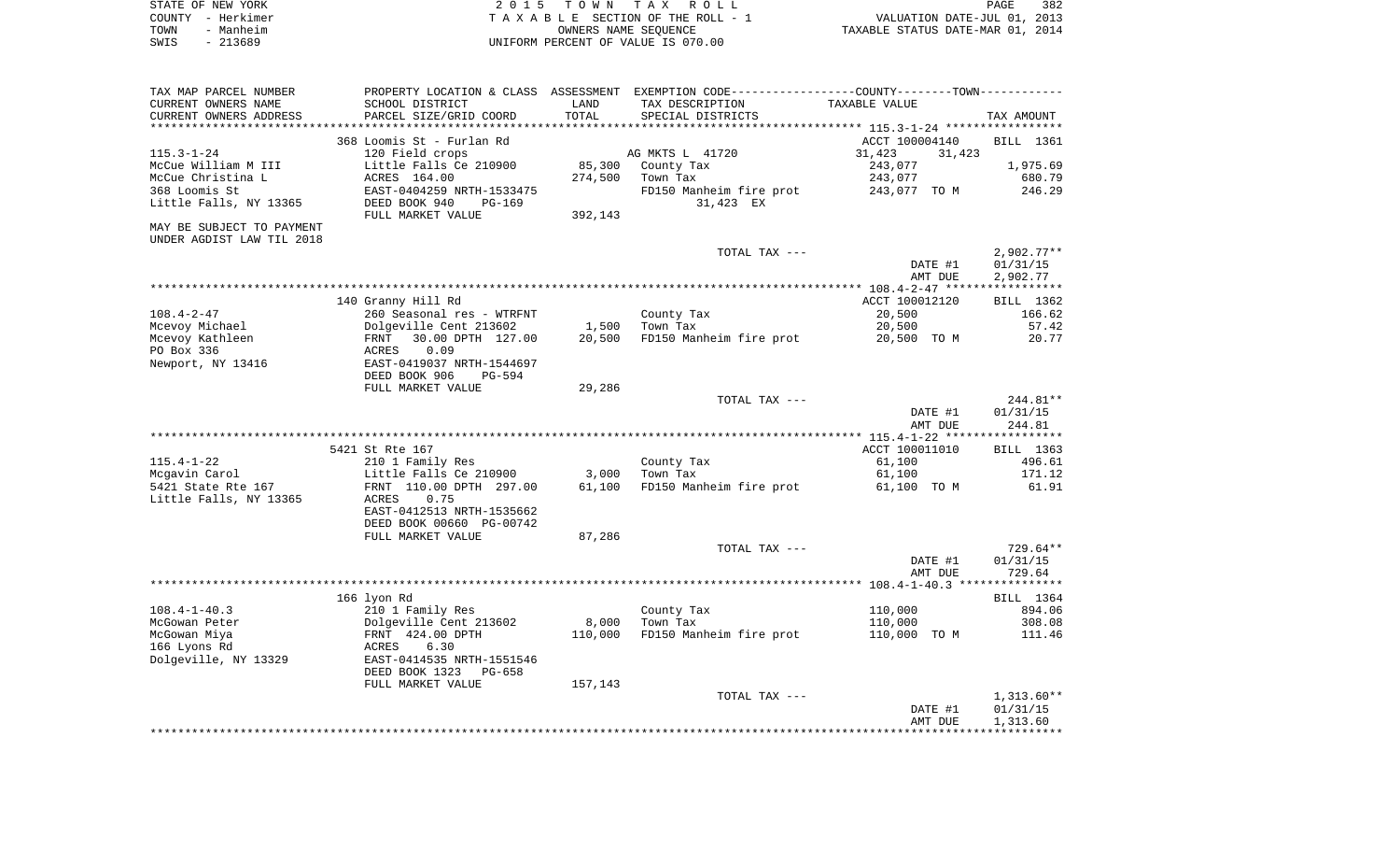| STATE OF NEW YORK | 2015 TOWN TAX ROLL                 | 382<br>PAGE                      |
|-------------------|------------------------------------|----------------------------------|
| COUNTY - Herkimer | TAXABLE SECTION OF THE ROLL - 1    | VALUATION DATE-JUL 01, 2013      |
| TOWN<br>- Manheim | OWNERS NAME SEOUENCE               | TAXABLE STATUS DATE-MAR 01, 2014 |
| SWIS<br>- 213689  | UNIFORM PERCENT OF VALUE IS 070.00 |                                  |

| TAX MAP PARCEL NUMBER     |                           |         | PROPERTY LOCATION & CLASS ASSESSMENT EXEMPTION CODE---------------COUNTY-------TOWN--------- |                                                |              |
|---------------------------|---------------------------|---------|----------------------------------------------------------------------------------------------|------------------------------------------------|--------------|
| CURRENT OWNERS NAME       | SCHOOL DISTRICT           | LAND    | TAX DESCRIPTION                                                                              | TAXABLE VALUE                                  |              |
| CURRENT OWNERS ADDRESS    | PARCEL SIZE/GRID COORD    | TOTAL   | SPECIAL DISTRICTS                                                                            |                                                | TAX AMOUNT   |
|                           |                           |         |                                                                                              | **************** 115.3-1-24 ****************** |              |
|                           | 368 Loomis St - Furlan Rd |         |                                                                                              | ACCT 100004140                                 | BILL 1361    |
| $115.3 - 1 - 24$          | 120 Field crops           |         | AG MKTS L 41720                                                                              | 31,423<br>31,423                               |              |
| McCue William M III       | Little Falls Ce 210900    | 85,300  | County Tax                                                                                   | 243,077                                        | 1,975.69     |
| McCue Christina L         | ACRES 164.00              | 274,500 | Town Tax                                                                                     | 243,077                                        | 680.79       |
| 368 Loomis St             | EAST-0404259 NRTH-1533475 |         | FD150 Manheim fire prot                                                                      | 243,077 TO M                                   | 246.29       |
| Little Falls, NY 13365    | DEED BOOK 940<br>PG-169   |         | 31,423 EX                                                                                    |                                                |              |
|                           | FULL MARKET VALUE         | 392,143 |                                                                                              |                                                |              |
| MAY BE SUBJECT TO PAYMENT |                           |         |                                                                                              |                                                |              |
| UNDER AGDIST LAW TIL 2018 |                           |         |                                                                                              |                                                |              |
|                           |                           |         | TOTAL TAX ---                                                                                |                                                | $2,902.77**$ |
|                           |                           |         |                                                                                              | DATE #1                                        | 01/31/15     |
|                           |                           |         |                                                                                              | AMT DUE                                        | 2,902.77     |
|                           |                           |         |                                                                                              |                                                |              |
|                           |                           |         |                                                                                              |                                                |              |
|                           | 140 Granny Hill Rd        |         |                                                                                              | ACCT 100012120                                 | BILL 1362    |
| $108.4 - 2 - 47$          | 260 Seasonal res - WTRFNT |         | County Tax                                                                                   | 20,500                                         | 166.62       |
| Mcevoy Michael            | Dolgeville Cent 213602    | 1,500   | Town Tax                                                                                     | 20,500                                         | 57.42        |
| Mcevoy Kathleen           | 30.00 DPTH 127.00<br>FRNT | 20,500  | FD150 Manheim fire prot                                                                      | 20,500 TO M                                    | 20.77        |
| PO Box 336                | 0.09<br>ACRES             |         |                                                                                              |                                                |              |
| Newport, NY 13416         | EAST-0419037 NRTH-1544697 |         |                                                                                              |                                                |              |
|                           | DEED BOOK 906<br>PG-594   |         |                                                                                              |                                                |              |
|                           | FULL MARKET VALUE         | 29,286  |                                                                                              |                                                |              |
|                           |                           |         | TOTAL TAX ---                                                                                |                                                | 244.81**     |
|                           |                           |         |                                                                                              | DATE #1                                        | 01/31/15     |
|                           |                           |         |                                                                                              | AMT DUE                                        | 244.81       |
|                           |                           |         |                                                                                              |                                                |              |
|                           | 5421 St Rte 167           |         |                                                                                              | ACCT 100011010                                 | BILL 1363    |
| $115.4 - 1 - 22$          | 210 1 Family Res          |         | County Tax                                                                                   | 61,100                                         | 496.61       |
| Mcgavin Carol             | Little Falls Ce 210900    | 3,000   | Town Tax                                                                                     | 61,100                                         | 171.12       |
| 5421 State Rte 167        | FRNT 110.00 DPTH 297.00   | 61,100  | FD150 Manheim fire prot                                                                      | 61,100 TO M                                    | 61.91        |
| Little Falls, NY 13365    | 0.75<br>ACRES             |         |                                                                                              |                                                |              |
|                           | EAST-0412513 NRTH-1535662 |         |                                                                                              |                                                |              |
|                           | DEED BOOK 00660 PG-00742  |         |                                                                                              |                                                |              |
|                           | FULL MARKET VALUE         | 87,286  |                                                                                              |                                                |              |
|                           |                           |         | TOTAL TAX ---                                                                                |                                                | 729.64**     |
|                           |                           |         |                                                                                              | DATE #1                                        | 01/31/15     |
|                           |                           |         |                                                                                              | AMT DUE                                        | 729.64       |
|                           |                           |         |                                                                                              |                                                |              |
|                           | 166 lyon Rd               |         |                                                                                              |                                                | BILL 1364    |
| $108.4 - 1 - 40.3$        | 210 1 Family Res          |         | County Tax                                                                                   | 110,000                                        | 894.06       |
| McGowan Peter             | Dolgeville Cent 213602    | 8,000   | Town Tax                                                                                     | 110,000                                        | 308.08       |
| McGowan Miya              | FRNT 424.00 DPTH          | 110,000 | FD150 Manheim fire prot                                                                      | 110,000 TO M                                   | 111.46       |
| 166 Lyons Rd              | ACRES<br>6.30             |         |                                                                                              |                                                |              |
|                           |                           |         |                                                                                              |                                                |              |
| Dolgeville, NY 13329      | EAST-0414535 NRTH-1551546 |         |                                                                                              |                                                |              |
|                           | DEED BOOK 1323<br>PG-658  |         |                                                                                              |                                                |              |
|                           | FULL MARKET VALUE         | 157,143 |                                                                                              |                                                |              |
|                           |                           |         | TOTAL TAX ---                                                                                |                                                | $1,313.60**$ |
|                           |                           |         |                                                                                              | DATE #1                                        | 01/31/15     |
|                           |                           |         |                                                                                              | AMT DUE                                        | 1,313.60     |
|                           |                           |         |                                                                                              |                                                |              |
|                           |                           |         |                                                                                              |                                                |              |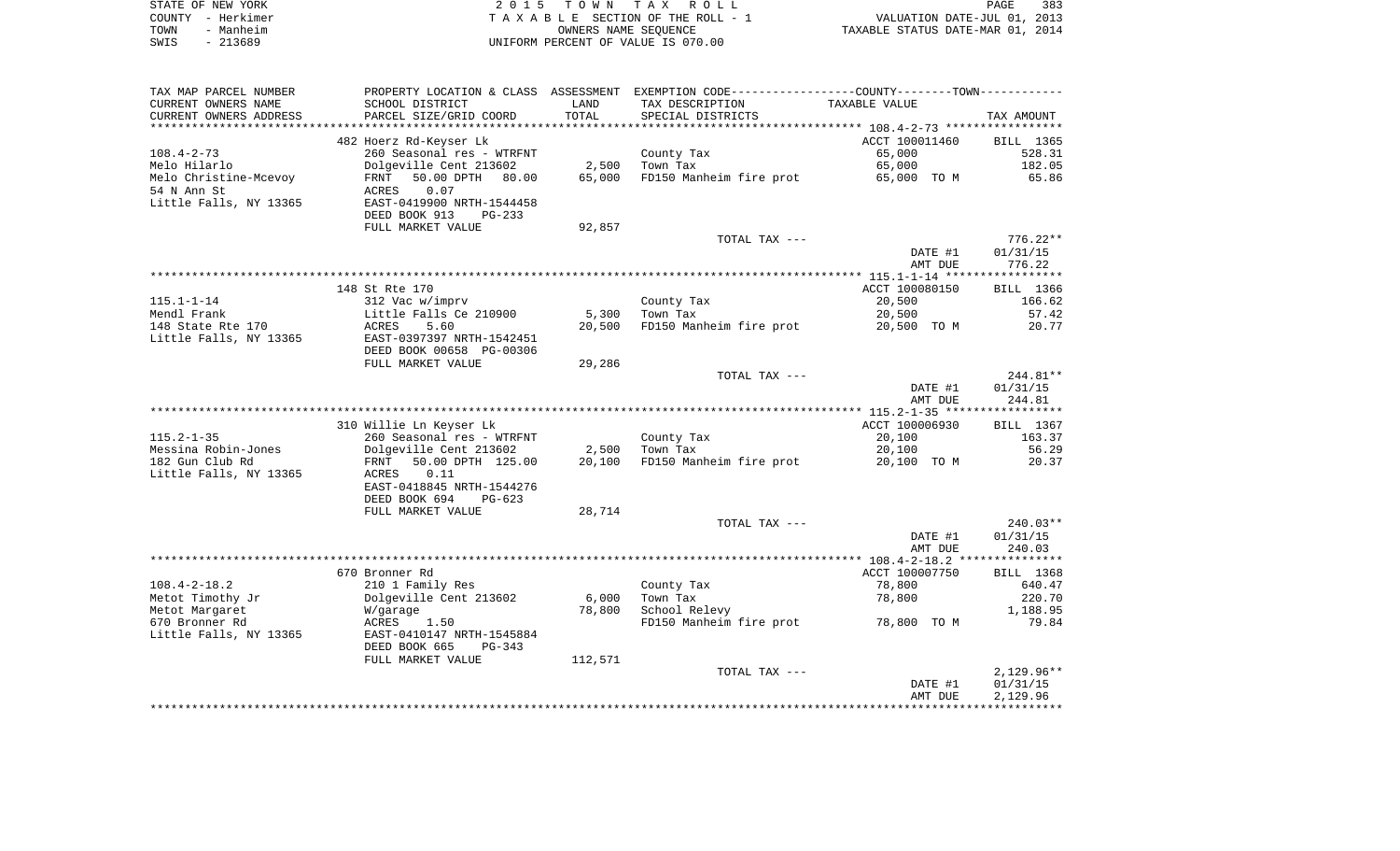|      | STATE OF NEW YORK | 2015 TOWN TAX ROLL                 | 383<br>PAGE                      |
|------|-------------------|------------------------------------|----------------------------------|
|      | COUNTY - Herkimer | TAXABLE SECTION OF THE ROLL - 1    | VALUATION DATE-JUL 01, 2013      |
| TOWN | - Manheim         | OWNERS NAME SEOUENCE               | TAXABLE STATUS DATE-MAR 01, 2014 |
| SWIS | - 213689          | UNIFORM PERCENT OF VALUE IS 070.00 |                                  |

| TAX MAP PARCEL NUMBER  | PROPERTY LOCATION & CLASS ASSESSMENT EXEMPTION CODE----------------COUNTY-------TOWN-------- |         |                         |                |              |
|------------------------|----------------------------------------------------------------------------------------------|---------|-------------------------|----------------|--------------|
| CURRENT OWNERS NAME    | SCHOOL DISTRICT                                                                              | LAND    | TAX DESCRIPTION         | TAXABLE VALUE  |              |
| CURRENT OWNERS ADDRESS | PARCEL SIZE/GRID COORD                                                                       | TOTAL   | SPECIAL DISTRICTS       |                | TAX AMOUNT   |
|                        |                                                                                              |         |                         |                |              |
|                        | 482 Hoerz Rd-Keyser Lk                                                                       |         |                         | ACCT 100011460 | BILL 1365    |
| $108.4 - 2 - 73$       | 260 Seasonal res - WTRFNT                                                                    |         | County Tax              | 65,000         | 528.31       |
| Melo Hilarlo           | Dolgeville Cent 213602                                                                       | 2,500   | Town Tax                | 65,000         | 182.05       |
| Melo Christine-Mcevoy  | 50.00 DPTH<br>80.00<br>FRNT                                                                  | 65,000  | FD150 Manheim fire prot | 65,000 TO M    | 65.86        |
| 54 N Ann St            | 0.07<br>ACRES                                                                                |         |                         |                |              |
| Little Falls, NY 13365 | EAST-0419900 NRTH-1544458                                                                    |         |                         |                |              |
|                        | DEED BOOK 913<br>$PG-233$                                                                    |         |                         |                |              |
|                        | FULL MARKET VALUE                                                                            | 92,857  |                         |                |              |
|                        |                                                                                              |         | TOTAL TAX ---           |                | $776.22**$   |
|                        |                                                                                              |         |                         | DATE #1        | 01/31/15     |
|                        |                                                                                              |         |                         | AMT DUE        | 776.22       |
|                        |                                                                                              |         |                         |                |              |
|                        | 148 St Rte 170                                                                               |         |                         | ACCT 100080150 | BILL 1366    |
| $115.1 - 1 - 14$       | 312 Vac w/imprv                                                                              |         | County Tax              | 20,500         | 166.62       |
| Mendl Frank            | Little Falls Ce 210900                                                                       | 5,300   | Town Tax                | 20,500         | 57.42        |
| 148 State Rte 170      | ACRES<br>5.60                                                                                | 20,500  | FD150 Manheim fire prot | 20,500 TO M    | 20.77        |
| Little Falls, NY 13365 | EAST-0397397 NRTH-1542451                                                                    |         |                         |                |              |
|                        | DEED BOOK 00658 PG-00306                                                                     |         |                         |                |              |
|                        | FULL MARKET VALUE                                                                            | 29,286  |                         |                |              |
|                        |                                                                                              |         | TOTAL TAX ---           |                | 244.81**     |
|                        |                                                                                              |         |                         | DATE #1        | 01/31/15     |
|                        |                                                                                              |         |                         | AMT DUE        | 244.81       |
|                        |                                                                                              |         |                         |                |              |
|                        | 310 Willie Ln Keyser Lk                                                                      |         |                         | ACCT 100006930 | BILL 1367    |
| $115.2 - 1 - 35$       | 260 Seasonal res - WTRFNT                                                                    |         | County Tax              | 20,100         | 163.37       |
| Messina Robin-Jones    | Dolgeville Cent 213602                                                                       | 2,500   | Town Tax                | 20,100         | 56.29        |
| 182 Gun Club Rd        | 50.00 DPTH 125.00<br>FRNT                                                                    | 20,100  | FD150 Manheim fire prot | 20,100 TO M    | 20.37        |
| Little Falls, NY 13365 | ACRES<br>0.11                                                                                |         |                         |                |              |
|                        | EAST-0418845 NRTH-1544276                                                                    |         |                         |                |              |
|                        | DEED BOOK 694<br>$PG-623$                                                                    |         |                         |                |              |
|                        | FULL MARKET VALUE                                                                            | 28,714  |                         |                |              |
|                        |                                                                                              |         | TOTAL TAX ---           |                | $240.03**$   |
|                        |                                                                                              |         |                         | DATE #1        | 01/31/15     |
|                        |                                                                                              |         |                         | AMT DUE        | 240.03       |
|                        |                                                                                              |         |                         |                |              |
|                        | 670 Bronner Rd                                                                               |         |                         | ACCT 100007750 | BILL 1368    |
| $108.4 - 2 - 18.2$     | 210 1 Family Res                                                                             |         | County Tax              | 78,800         | 640.47       |
| Metot Timothy Jr       | Dolgeville Cent 213602                                                                       | 6,000   | Town Tax                | 78,800         | 220.70       |
| Metot Margaret         | W/garage                                                                                     | 78,800  | School Relevy           |                | 1,188.95     |
| 670 Bronner Rd         | 1.50<br>ACRES                                                                                |         | FD150 Manheim fire prot | 78,800 TO M    | 79.84        |
| Little Falls, NY 13365 | EAST-0410147 NRTH-1545884                                                                    |         |                         |                |              |
|                        | DEED BOOK 665<br>$PG-343$                                                                    |         |                         |                |              |
|                        | FULL MARKET VALUE                                                                            | 112,571 |                         |                |              |
|                        |                                                                                              |         | TOTAL TAX ---           |                | $2,129.96**$ |
|                        |                                                                                              |         |                         | DATE #1        | 01/31/15     |
|                        |                                                                                              |         |                         | AMT DUE        | 2,129.96     |
|                        |                                                                                              |         |                         |                |              |
|                        |                                                                                              |         |                         |                |              |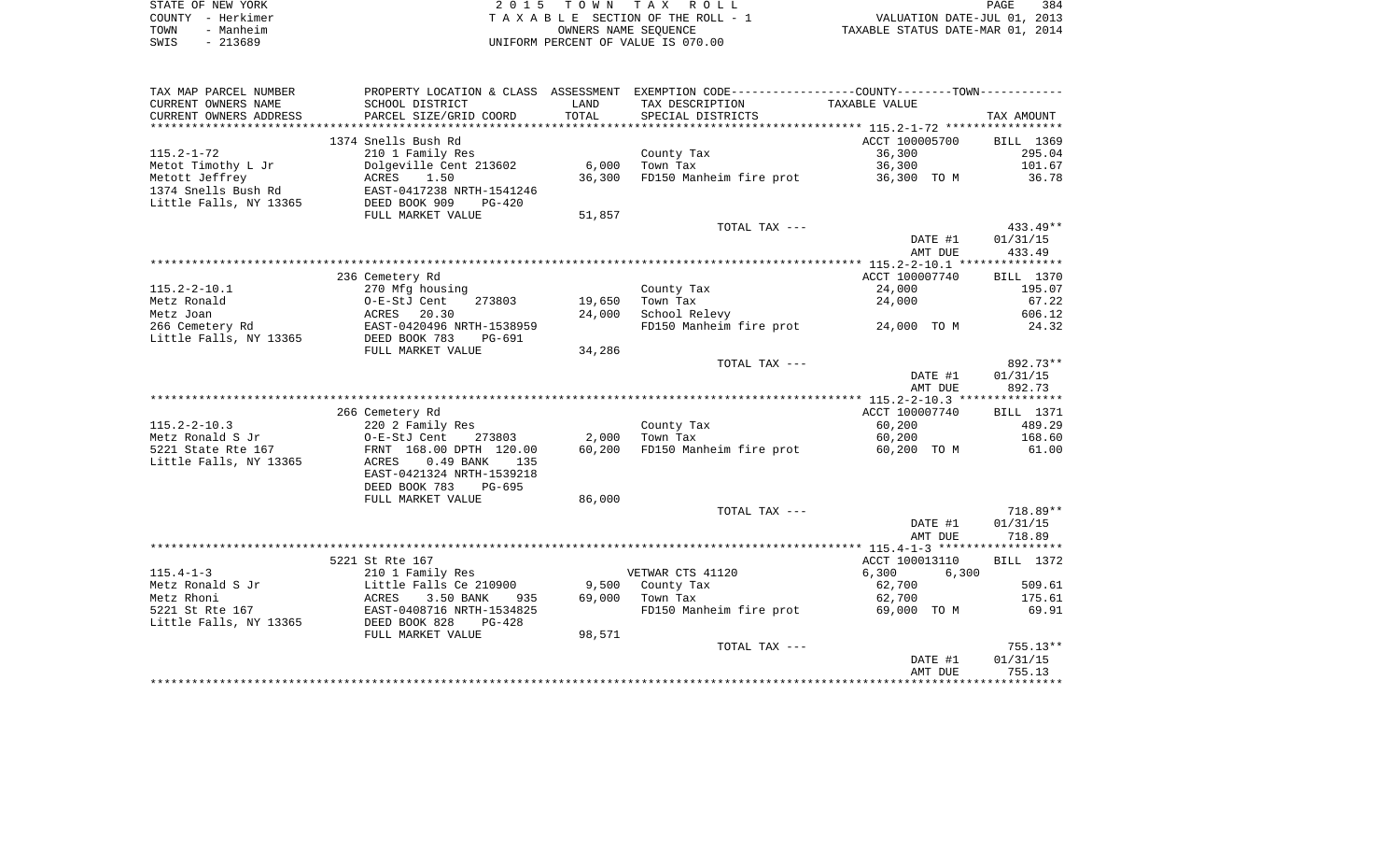|      | STATE OF NEW YORK | 2015 TOWN TAX ROLL                 | PAGE                             | 384 |
|------|-------------------|------------------------------------|----------------------------------|-----|
|      | COUNTY - Herkimer | TAXABLE SECTION OF THE ROLL - 1    | VALUATION DATE-JUL 01, 2013      |     |
| TOWN | - Manheim         | OWNERS NAME SEOUENCE               | TAXABLE STATUS DATE-MAR 01, 2014 |     |
| SWIS | - 213689          | UNIFORM PERCENT OF VALUE IS 070.00 |                                  |     |

384<br>2013<br>2014

| TAX MAP PARCEL NUMBER  |                             |        | PROPERTY LOCATION & CLASS ASSESSMENT EXEMPTION CODE----------------COUNTY--------TOWN---------- |                |                  |
|------------------------|-----------------------------|--------|-------------------------------------------------------------------------------------------------|----------------|------------------|
| CURRENT OWNERS NAME    | SCHOOL DISTRICT             | LAND   | TAX DESCRIPTION                                                                                 | TAXABLE VALUE  |                  |
| CURRENT OWNERS ADDRESS | PARCEL SIZE/GRID COORD      | TOTAL  | SPECIAL DISTRICTS                                                                               |                | TAX AMOUNT       |
|                        |                             |        |                                                                                                 |                |                  |
|                        | 1374 Snells Bush Rd         |        |                                                                                                 | ACCT 100005700 | BILL 1369        |
| $115.2 - 1 - 72$       | 210 1 Family Res            |        | County Tax                                                                                      | 36,300         | 295.04           |
| Metot Timothy L Jr     | Dolgeville Cent 213602      | 6,000  | Town Tax                                                                                        | 36,300         | 101.67           |
| Metott Jeffrey         | 1.50<br>ACRES               | 36,300 | FD150 Manheim fire prot                                                                         | 36,300 TO M    | 36.78            |
| 1374 Snells Bush Rd    | EAST-0417238 NRTH-1541246   |        |                                                                                                 |                |                  |
| Little Falls, NY 13365 | DEED BOOK 909<br>$PG-420$   |        |                                                                                                 |                |                  |
|                        | FULL MARKET VALUE           | 51,857 |                                                                                                 |                |                  |
|                        |                             |        | TOTAL TAX ---                                                                                   |                | $433.49**$       |
|                        |                             |        |                                                                                                 | DATE #1        | 01/31/15         |
|                        |                             |        |                                                                                                 | AMT DUE        | 433.49           |
|                        |                             |        |                                                                                                 |                |                  |
|                        | 236 Cemetery Rd             |        |                                                                                                 | ACCT 100007740 | BILL 1370        |
| $115.2 - 2 - 10.1$     | 270 Mfg housing             |        | County Tax                                                                                      | 24,000         | 195.07           |
| Metz Ronald            | 273803<br>O-E-StJ Cent      | 19,650 | Town Tax                                                                                        | 24,000         | 67.22            |
| Metz Joan              | ACRES<br>20.30              | 24,000 | School Relevy                                                                                   |                | 606.12           |
| 266 Cemetery Rd        | EAST-0420496 NRTH-1538959   |        | FD150 Manheim fire prot 24,000 TO M                                                             |                | 24.32            |
| Little Falls, NY 13365 | DEED BOOK 783<br>PG-691     |        |                                                                                                 |                |                  |
|                        | FULL MARKET VALUE           | 34,286 |                                                                                                 |                |                  |
|                        |                             |        | TOTAL TAX ---                                                                                   |                | 892.73**         |
|                        |                             |        |                                                                                                 | DATE #1        | 01/31/15         |
|                        |                             |        |                                                                                                 | AMT DUE        | 892.73           |
|                        | 266 Cemetery Rd             |        |                                                                                                 | ACCT 100007740 | <b>BILL</b> 1371 |
| $115.2 - 2 - 10.3$     | 220 2 Family Res            |        | County Tax                                                                                      | 60,200         | 489.29           |
| Metz Ronald S Jr       | O-E-StJ Cent<br>273803      | 2,000  | Town Tax                                                                                        | 60,200         | 168.60           |
| 5221 State Rte 167     | FRNT 168.00 DPTH 120.00     | 60,200 | FD150 Manheim fire prot                                                                         | 60,200 TO M    | 61.00            |
| Little Falls, NY 13365 | ACRES<br>$0.49$ BANK<br>135 |        |                                                                                                 |                |                  |
|                        | EAST-0421324 NRTH-1539218   |        |                                                                                                 |                |                  |
|                        | DEED BOOK 783<br>PG-695     |        |                                                                                                 |                |                  |
|                        | FULL MARKET VALUE           | 86,000 |                                                                                                 |                |                  |
|                        |                             |        | TOTAL TAX ---                                                                                   |                | 718.89**         |
|                        |                             |        |                                                                                                 | DATE #1        | 01/31/15         |
|                        |                             |        |                                                                                                 | AMT DUE        | 718.89           |
|                        |                             |        |                                                                                                 |                |                  |
|                        | 5221 St Rte 167             |        |                                                                                                 | ACCT 100013110 | BILL 1372        |
| $115.4 - 1 - 3$        | 210 1 Family Res            |        | VETWAR CTS 41120                                                                                | 6,300<br>6,300 |                  |
| Metz Ronald S Jr       | Little Falls Ce 210900      | 9,500  | County Tax                                                                                      | 62,700         | 509.61           |
| Metz Rhoni             | 3.50 BANK<br>ACRES<br>935   | 69,000 | Town Tax                                                                                        | 62,700         | 175.61           |
| 5221 St Rte 167        | EAST-0408716 NRTH-1534825   |        | FD150 Manheim fire prot                                                                         | 69,000 TO M    | 69.91            |
| Little Falls, NY 13365 | DEED BOOK 828<br>PG-428     |        |                                                                                                 |                |                  |
|                        | FULL MARKET VALUE           | 98,571 |                                                                                                 |                |                  |
|                        |                             |        | TOTAL TAX ---                                                                                   |                | $755.13**$       |
|                        |                             |        |                                                                                                 | DATE #1        | 01/31/15         |
|                        |                             |        |                                                                                                 | AMT DUE        | 755.13           |
|                        |                             |        |                                                                                                 |                |                  |
|                        |                             |        |                                                                                                 |                |                  |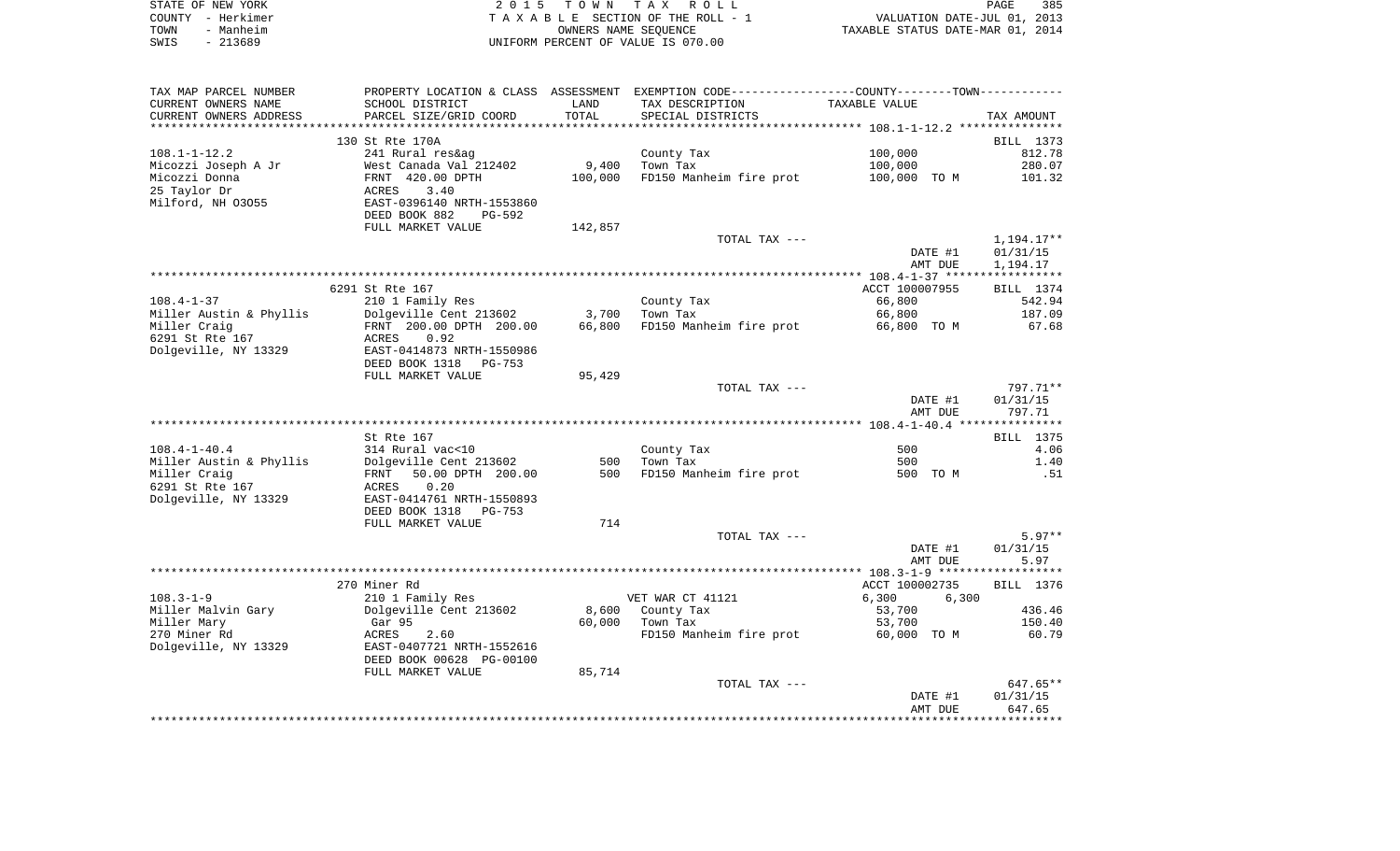|      | STATE OF NEW YORK | 2015 TOWN TAX ROLL                 | 385<br>PAGE                      |
|------|-------------------|------------------------------------|----------------------------------|
|      | COUNTY - Herkimer | TAXABLE SECTION OF THE ROLL - 1    | VALUATION DATE-JUL 01, 2013      |
| TOWN | - Manheim         | OWNERS NAME SEOUENCE               | TAXABLE STATUS DATE-MAR 01, 2014 |
| SWIS | - 213689          | UNIFORM PERCENT OF VALUE IS 070.00 |                                  |

| TAX MAP PARCEL NUMBER   |                                |         | PROPERTY LOCATION & CLASS ASSESSMENT EXEMPTION CODE---------------COUNTY-------TOWN---------- |                |                  |
|-------------------------|--------------------------------|---------|-----------------------------------------------------------------------------------------------|----------------|------------------|
| CURRENT OWNERS NAME     | SCHOOL DISTRICT                | LAND    | TAX DESCRIPTION                                                                               | TAXABLE VALUE  |                  |
| CURRENT OWNERS ADDRESS  | PARCEL SIZE/GRID COORD         | TOTAL   | SPECIAL DISTRICTS                                                                             |                | TAX AMOUNT       |
|                         | ****************************** |         |                                                                                               |                |                  |
|                         | 130 St Rte 170A                |         |                                                                                               |                | BILL 1373        |
| $108.1 - 1 - 12.2$      | 241 Rural res&ag               |         | County Tax                                                                                    | 100,000        | 812.78           |
| Micozzi Joseph A Jr     | West Canada Val 212402         | 9,400   | Town Tax                                                                                      | 100,000        | 280.07           |
| Micozzi Donna           | FRNT 420.00 DPTH               | 100,000 | FD150 Manheim fire prot                                                                       | 100,000 TO M   | 101.32           |
|                         |                                |         |                                                                                               |                |                  |
| 25 Taylor Dr            | ACRES<br>3.40                  |         |                                                                                               |                |                  |
| Milford, NH 03055       | EAST-0396140 NRTH-1553860      |         |                                                                                               |                |                  |
|                         | DEED BOOK 882<br>PG-592        |         |                                                                                               |                |                  |
|                         | FULL MARKET VALUE              | 142,857 |                                                                                               |                |                  |
|                         |                                |         | TOTAL TAX ---                                                                                 |                | 1,194.17**       |
|                         |                                |         |                                                                                               | DATE #1        | 01/31/15         |
|                         |                                |         |                                                                                               | AMT DUE        | 1,194.17         |
|                         |                                |         |                                                                                               |                |                  |
|                         | 6291 St Rte 167                |         |                                                                                               | ACCT 100007955 | BILL 1374        |
| $108.4 - 1 - 37$        | 210 1 Family Res               |         | County Tax                                                                                    | 66,800         | 542.94           |
| Miller Austin & Phyllis | Dolgeville Cent 213602 3,700   |         | Town Tax                                                                                      | 66,800         | 187.09           |
| Miller Craig            | FRNT 200.00 DPTH 200.00        | 66,800  | FD150 Manheim fire prot                                                                       | 66,800 TO M    | 67.68            |
| 6291 St Rte 167         | ACRES<br>0.92                  |         |                                                                                               |                |                  |
| Dolgeville, NY 13329    | EAST-0414873 NRTH-1550986      |         |                                                                                               |                |                  |
|                         |                                |         |                                                                                               |                |                  |
|                         | DEED BOOK 1318<br>PG-753       |         |                                                                                               |                |                  |
|                         | FULL MARKET VALUE              | 95,429  |                                                                                               |                |                  |
|                         |                                |         | TOTAL TAX ---                                                                                 |                | 797.71**         |
|                         |                                |         |                                                                                               | DATE #1        | 01/31/15         |
|                         |                                |         |                                                                                               | AMT DUE        | 797.71           |
|                         |                                |         |                                                                                               |                |                  |
|                         | St Rte 167                     |         |                                                                                               |                | <b>BILL</b> 1375 |
| $108.4 - 1 - 40.4$      | 314 Rural vac<10               |         | County Tax                                                                                    | 500            | 4.06             |
| Miller Austin & Phyllis | Dolgeville Cent 213602         | 500     | Town Tax                                                                                      | 500            | 1.40             |
| Miller Craig            | FRNT 50.00 DPTH 200.00         | 500     | FD150 Manheim fire prot                                                                       | 500 TO M       | .51              |
| 6291 St Rte 167         | 0.20<br>ACRES                  |         |                                                                                               |                |                  |
| Dolgeville, NY 13329    | EAST-0414761 NRTH-1550893      |         |                                                                                               |                |                  |
|                         | DEED BOOK 1318<br>PG-753       |         |                                                                                               |                |                  |
|                         | FULL MARKET VALUE              | 714     |                                                                                               |                |                  |
|                         |                                |         | TOTAL TAX ---                                                                                 |                | $5.97**$         |
|                         |                                |         |                                                                                               | DATE #1        | 01/31/15         |
|                         |                                |         |                                                                                               |                | 5.97             |
|                         |                                |         |                                                                                               | AMT DUE        |                  |
|                         |                                |         |                                                                                               |                |                  |
|                         | 270 Miner Rd                   |         |                                                                                               | ACCT 100002735 | BILL 1376        |
| $108.3 - 1 - 9$         | 210 1 Family Res               |         | VET WAR CT 41121                                                                              | 6,300<br>6,300 |                  |
| Miller Malvin Gary      | Dolgeville Cent 213602         | 8,600   | County Tax                                                                                    | 53,700         | 436.46           |
| Miller Mary             | Gar 95                         | 60,000  | Town Tax                                                                                      | 53,700         | 150.40           |
| 270 Miner Rd            | ACRES<br>2.60                  |         | FD150 Manheim fire prot 60,000 TO M                                                           |                | 60.79            |
| Dolgeville, NY 13329    | EAST-0407721 NRTH-1552616      |         |                                                                                               |                |                  |
|                         | DEED BOOK 00628 PG-00100       |         |                                                                                               |                |                  |
|                         | FULL MARKET VALUE              | 85,714  |                                                                                               |                |                  |
|                         |                                |         | TOTAL TAX ---                                                                                 |                | 647.65**         |
|                         |                                |         |                                                                                               | DATE #1        | 01/31/15         |
|                         |                                |         |                                                                                               | AMT DUE        | 647.65           |
|                         |                                |         |                                                                                               |                |                  |
|                         |                                |         |                                                                                               |                |                  |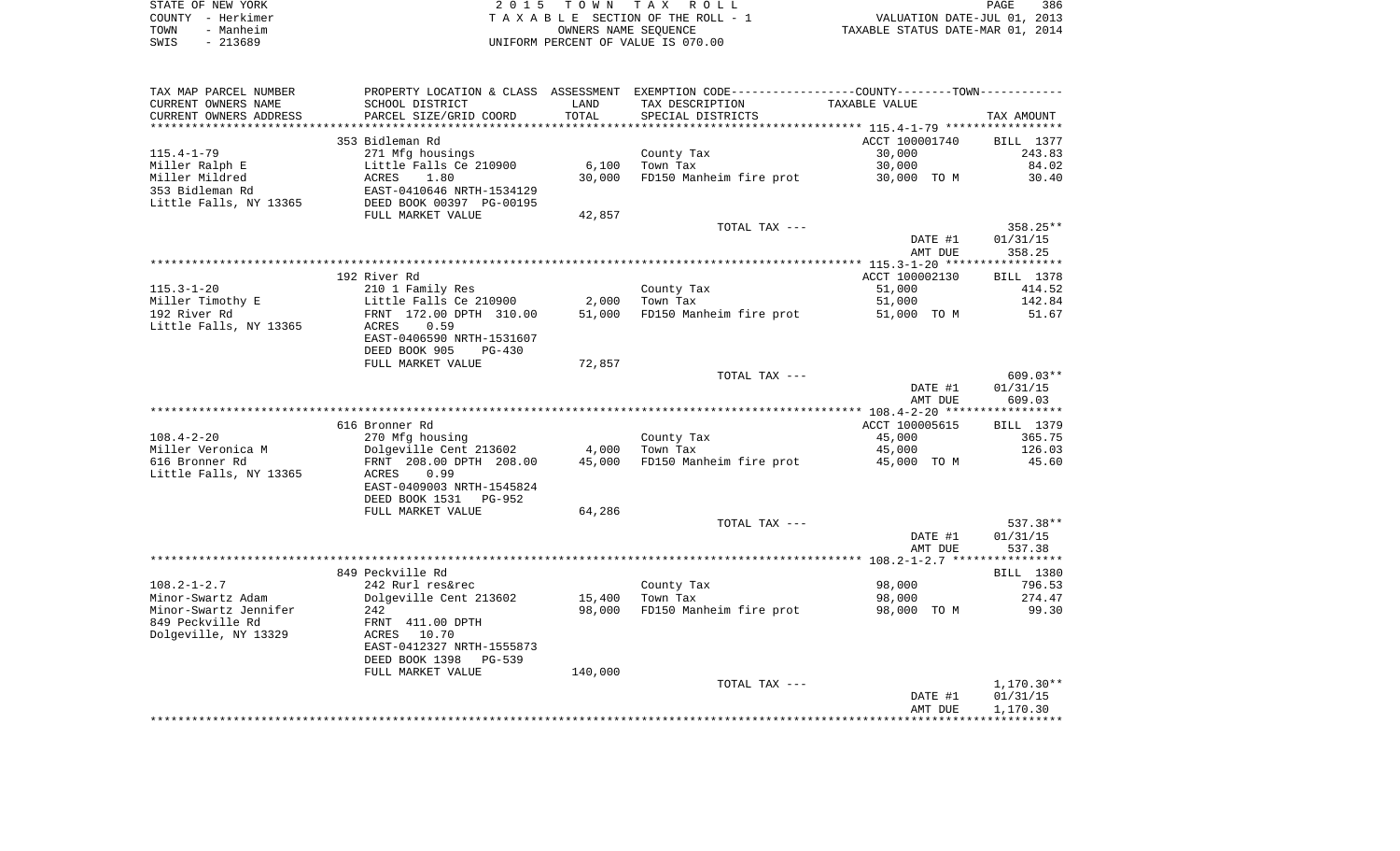|      | STATE OF NEW YORK | 2015 TOWN TAX ROLL                 | 386<br>PAGE                      |
|------|-------------------|------------------------------------|----------------------------------|
|      | COUNTY - Herkimer | TAXABLE SECTION OF THE ROLL - 1    | VALUATION DATE-JUL 01, 2013      |
| TOWN | - Manheim         | OWNERS NAME SEOUENCE               | TAXABLE STATUS DATE-MAR 01, 2014 |
| SWIS | - 213689          | UNIFORM PERCENT OF VALUE IS 070.00 |                                  |

| TAX MAP PARCEL NUMBER                 |                                           |         | PROPERTY LOCATION & CLASS ASSESSMENT EXEMPTION CODE----------------COUNTY--------TOWN----------- |                |                     |
|---------------------------------------|-------------------------------------------|---------|--------------------------------------------------------------------------------------------------|----------------|---------------------|
| CURRENT OWNERS NAME                   | SCHOOL DISTRICT                           | LAND    | TAX DESCRIPTION                                                                                  | TAXABLE VALUE  |                     |
| CURRENT OWNERS ADDRESS                | PARCEL SIZE/GRID COORD                    | TOTAL   | SPECIAL DISTRICTS                                                                                |                | TAX AMOUNT          |
| ************************              |                                           |         |                                                                                                  |                |                     |
|                                       | 353 Bidleman Rd                           |         |                                                                                                  | ACCT 100001740 | BILL 1377           |
| $115.4 - 1 - 79$                      | 271 Mfg housings                          |         | County Tax                                                                                       | 30,000         | 243.83              |
| Miller Ralph E                        | Little Falls Ce 210900                    | 6,100   | Town Tax                                                                                         | 30,000         | 84.02               |
| Miller Mildred                        | ACRES<br>1.80                             | 30,000  | FD150 Manheim fire prot                                                                          | 30,000 TO M    | 30.40               |
| 353 Bidleman Rd                       | EAST-0410646 NRTH-1534129                 |         |                                                                                                  |                |                     |
| Little Falls, NY 13365                | DEED BOOK 00397 PG-00195                  |         |                                                                                                  |                |                     |
|                                       | FULL MARKET VALUE                         | 42,857  |                                                                                                  |                |                     |
|                                       |                                           |         | TOTAL TAX ---                                                                                    |                | $358.25**$          |
|                                       |                                           |         |                                                                                                  | DATE #1        | 01/31/15            |
|                                       |                                           |         |                                                                                                  | AMT DUE        | 358.25              |
|                                       |                                           |         |                                                                                                  |                |                     |
|                                       | 192 River Rd                              |         |                                                                                                  | ACCT 100002130 | BILL 1378           |
| $115.3 - 1 - 20$                      | 210 1 Family Res                          |         | County Tax                                                                                       | 51,000         | 414.52              |
| Miller Timothy E                      | Little Falls Ce 210900                    | 2,000   | Town Tax                                                                                         | 51,000         | 142.84              |
| 192 River Rd                          | FRNT 172.00 DPTH 310.00                   | 51,000  | FD150 Manheim fire prot                                                                          | 51,000 TO M    | 51.67               |
| Little Falls, NY 13365                | 0.59<br>ACRES                             |         |                                                                                                  |                |                     |
|                                       | EAST-0406590 NRTH-1531607                 |         |                                                                                                  |                |                     |
|                                       | DEED BOOK 905<br>$PG-430$                 |         |                                                                                                  |                |                     |
|                                       | FULL MARKET VALUE                         | 72,857  |                                                                                                  |                |                     |
|                                       |                                           |         | TOTAL TAX ---                                                                                    |                | $609.03**$          |
|                                       |                                           |         |                                                                                                  | DATE #1        | 01/31/15            |
|                                       |                                           |         |                                                                                                  | AMT DUE        | 609.03              |
|                                       | 616 Bronner Rd                            |         |                                                                                                  | ACCT 100005615 |                     |
|                                       |                                           |         |                                                                                                  |                | BILL 1379<br>365.75 |
| $108.4 - 2 - 20$<br>Miller Veronica M | 270 Mfg housing<br>Dolgeville Cent 213602 | 4,000   | County Tax<br>Town Tax                                                                           | 45,000         | 126.03              |
| 616 Bronner Rd                        | FRNT 208.00 DPTH 208.00                   | 45,000  |                                                                                                  | 45,000         | 45.60               |
| Little Falls, NY 13365                | 0.99<br>ACRES                             |         | FD150 Manheim fire prot                                                                          | 45,000 TO M    |                     |
|                                       | EAST-0409003 NRTH-1545824                 |         |                                                                                                  |                |                     |
|                                       | DEED BOOK 1531<br>PG-952                  |         |                                                                                                  |                |                     |
|                                       | FULL MARKET VALUE                         | 64,286  |                                                                                                  |                |                     |
|                                       |                                           |         | TOTAL TAX ---                                                                                    |                | 537.38**            |
|                                       |                                           |         |                                                                                                  | DATE #1        | 01/31/15            |
|                                       |                                           |         |                                                                                                  | AMT DUE        | 537.38              |
|                                       |                                           |         |                                                                                                  |                |                     |
|                                       | 849 Peckville Rd                          |         |                                                                                                  |                | <b>BILL 1380</b>    |
| $108.2 - 1 - 2.7$                     | 242 Rurl res&rec                          |         | County Tax                                                                                       | 98,000         | 796.53              |
| Minor-Swartz Adam                     | Dolgeville Cent 213602                    | 15,400  | Town Tax                                                                                         | 98,000         | 274.47              |
| Minor-Swartz Jennifer                 | 242                                       | 98,000  | FD150 Manheim fire prot                                                                          | 98,000 TO M    | 99.30               |
| 849 Peckville Rd                      | FRNT 411.00 DPTH                          |         |                                                                                                  |                |                     |
| Dolgeville, NY 13329                  | ACRES 10.70                               |         |                                                                                                  |                |                     |
|                                       | EAST-0412327 NRTH-1555873                 |         |                                                                                                  |                |                     |
|                                       | DEED BOOK 1398<br>PG-539                  |         |                                                                                                  |                |                     |
|                                       | FULL MARKET VALUE                         | 140,000 |                                                                                                  |                |                     |
|                                       |                                           |         | TOTAL TAX ---                                                                                    |                | 1,170.30**          |
|                                       |                                           |         |                                                                                                  | DATE #1        | 01/31/15            |
|                                       |                                           |         |                                                                                                  | AMT DUE        | 1,170.30            |
|                                       |                                           |         |                                                                                                  |                |                     |
|                                       |                                           |         |                                                                                                  |                |                     |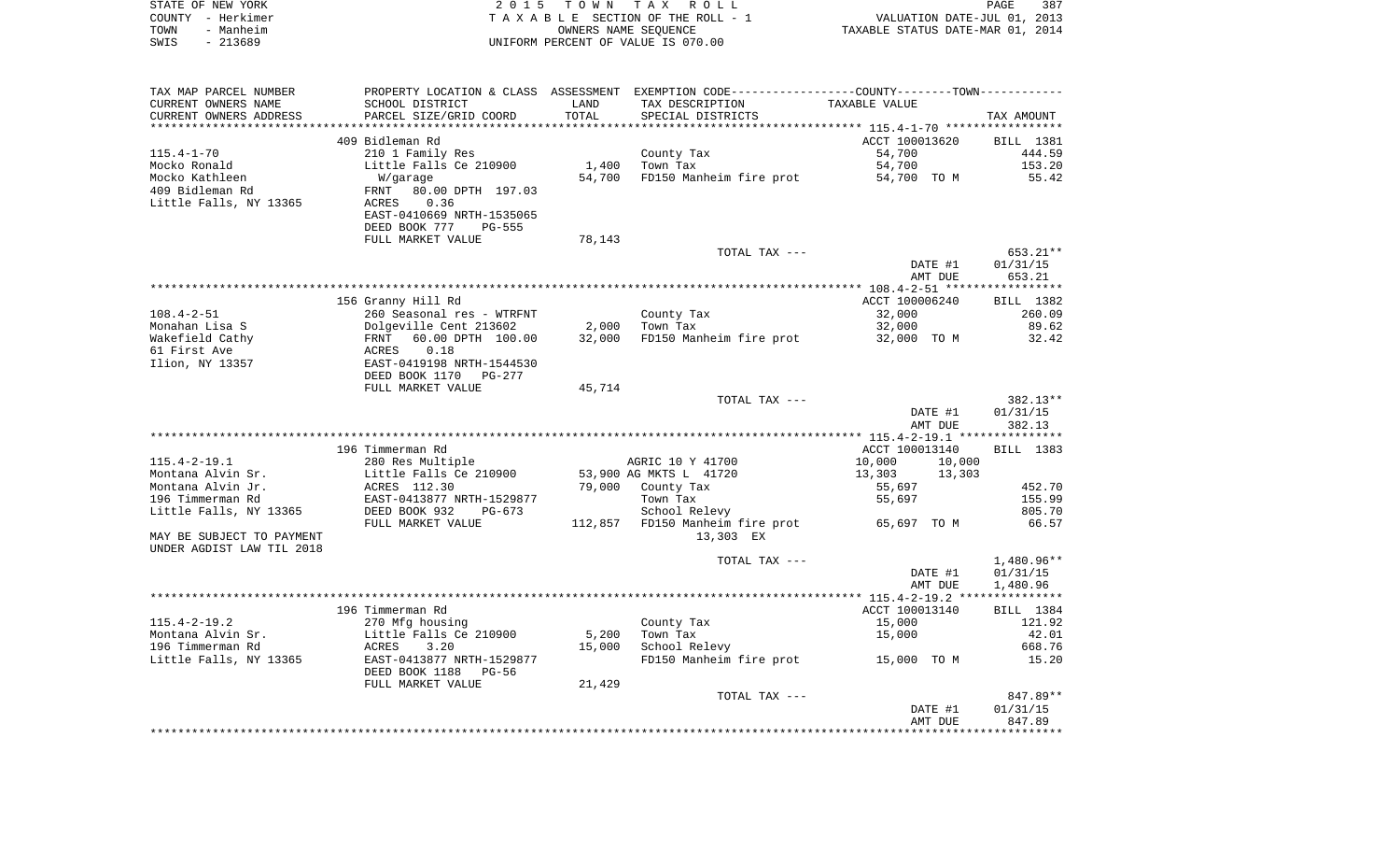| STATE OF NEW YORK | 2015 TOWN TAX ROLL                 | 387<br><b>PAGE</b>               |
|-------------------|------------------------------------|----------------------------------|
| COUNTY - Herkimer | TAXABLE SECTION OF THE ROLL - 1    | VALUATION DATE-JUL 01, 2013      |
| - Manheim<br>TOWN | OWNERS NAME SEOUENCE               | TAXABLE STATUS DATE-MAR 01, 2014 |
| - 213689<br>SWIS  | UNIFORM PERCENT OF VALUE IS 070.00 |                                  |

| TAX MAP PARCEL NUMBER                                  |                                            |        | PROPERTY LOCATION & CLASS ASSESSMENT EXEMPTION CODE----------------COUNTY--------TOWN----------- |                  |                  |
|--------------------------------------------------------|--------------------------------------------|--------|--------------------------------------------------------------------------------------------------|------------------|------------------|
| CURRENT OWNERS NAME                                    | SCHOOL DISTRICT                            | LAND   | TAX DESCRIPTION                                                                                  | TAXABLE VALUE    |                  |
| CURRENT OWNERS ADDRESS                                 | PARCEL SIZE/GRID COORD                     | TOTAL  | SPECIAL DISTRICTS                                                                                |                  | TAX AMOUNT       |
|                                                        | 409 Bidleman Rd                            |        |                                                                                                  | ACCT 100013620   |                  |
|                                                        |                                            |        |                                                                                                  |                  | BILL 1381        |
| $115.4 - 1 - 70$<br>Mocko Ronald                       | 210 1 Family Res<br>Little Falls Ce 210900 | 1,400  | County Tax<br>Town Tax                                                                           | 54,700<br>54,700 | 444.59<br>153.20 |
|                                                        |                                            | 54,700 | FD150 Manheim fire prot                                                                          |                  |                  |
| Mocko Kathleen<br>409 Bidleman Rd                      | W/garage<br>80.00 DPTH 197.03<br>FRNT      |        |                                                                                                  | 54,700 TO M      | 55.42            |
| Little Falls, NY 13365                                 | ACRES<br>0.36                              |        |                                                                                                  |                  |                  |
|                                                        | EAST-0410669 NRTH-1535065                  |        |                                                                                                  |                  |                  |
|                                                        | DEED BOOK 777<br>PG-555                    |        |                                                                                                  |                  |                  |
|                                                        | FULL MARKET VALUE                          | 78,143 |                                                                                                  |                  |                  |
|                                                        |                                            |        | TOTAL TAX ---                                                                                    |                  | 653.21**         |
|                                                        |                                            |        |                                                                                                  | DATE #1          | 01/31/15         |
|                                                        |                                            |        |                                                                                                  | AMT DUE          | 653.21           |
|                                                        |                                            |        |                                                                                                  |                  |                  |
|                                                        | 156 Granny Hill Rd                         |        |                                                                                                  | ACCT 100006240   | BILL 1382        |
| $108.4 - 2 - 51$                                       | 260 Seasonal res - WTRFNT                  |        | County Tax                                                                                       | 32,000           | 260.09           |
| Monahan Lisa S                                         | Dolgeville Cent 213602                     | 2,000  | Town Tax                                                                                         | 32,000           | 89.62            |
| Wakefield Cathy                                        | 60.00 DPTH 100.00<br>FRNT                  | 32,000 | FD150 Manheim fire prot                                                                          | 32,000 TO M      | 32.42            |
| 61 First Ave                                           | 0.18<br>ACRES                              |        |                                                                                                  |                  |                  |
| Ilion, NY 13357                                        | EAST-0419198 NRTH-1544530                  |        |                                                                                                  |                  |                  |
|                                                        | DEED BOOK 1170<br>PG-277                   |        |                                                                                                  |                  |                  |
|                                                        | FULL MARKET VALUE                          | 45,714 |                                                                                                  |                  |                  |
|                                                        |                                            |        | TOTAL TAX ---                                                                                    |                  | 382.13**         |
|                                                        |                                            |        |                                                                                                  | DATE #1          | 01/31/15         |
|                                                        |                                            |        |                                                                                                  | AMT DUE          | 382.13           |
|                                                        |                                            |        |                                                                                                  |                  |                  |
|                                                        | 196 Timmerman Rd                           |        |                                                                                                  | ACCT 100013140   | BILL 1383        |
| $115.4 - 2 - 19.1$                                     | 280 Res Multiple                           |        | AGRIC 10 Y 41700                                                                                 | 10,000<br>10,000 |                  |
| Montana Alvin Sr.                                      | Little Falls Ce 210900                     |        | 53,900 AG MKTS L 41720                                                                           | 13,303<br>13,303 |                  |
| Montana Alvin Jr.                                      | ACRES 112.30                               |        | 79,000 County Tax                                                                                | 55,697           | 452.70           |
| 196 Timmerman Rd                                       | EAST-0413877 NRTH-1529877                  |        | Town Tax                                                                                         | 55,697           | 155.99           |
| Little Falls, NY 13365                                 | DEED BOOK 932<br>PG-673                    |        | School Relevy                                                                                    |                  | 805.70           |
|                                                        | FULL MARKET VALUE                          |        | 112,857 FD150 Manheim fire prot                                                                  | 65,697 TO M      | 66.57            |
| MAY BE SUBJECT TO PAYMENT<br>UNDER AGDIST LAW TIL 2018 |                                            |        | 13,303 EX                                                                                        |                  |                  |
|                                                        |                                            |        | TOTAL TAX ---                                                                                    |                  | $1,480.96**$     |
|                                                        |                                            |        |                                                                                                  | DATE #1          | 01/31/15         |
|                                                        |                                            |        |                                                                                                  | AMT DUE          | 1,480.96         |
|                                                        |                                            |        |                                                                                                  |                  |                  |
|                                                        | 196 Timmerman Rd                           |        |                                                                                                  | ACCT 100013140   | BILL 1384        |
| $115.4 - 2 - 19.2$                                     | 270 Mfg housing                            |        | County Tax                                                                                       | 15,000           | 121.92           |
| Montana Alvin Sr.                                      | Little Falls Ce 210900                     | 5,200  | Town Tax                                                                                         | 15,000           | 42.01            |
| 196 Timmerman Rd                                       | ACRES<br>3.20                              | 15,000 | School Relevy                                                                                    |                  | 668.76           |
| Little Falls, NY 13365                                 | EAST-0413877 NRTH-1529877                  |        | FD150 Manheim fire prot                                                                          | 15,000 TO M      | 15.20            |
|                                                        | DEED BOOK 1188<br>PG-56                    |        |                                                                                                  |                  |                  |
|                                                        | FULL MARKET VALUE                          | 21,429 |                                                                                                  |                  |                  |
|                                                        |                                            |        | TOTAL TAX ---                                                                                    |                  | 847.89**         |
|                                                        |                                            |        |                                                                                                  | DATE #1          | 01/31/15         |
|                                                        |                                            |        |                                                                                                  | AMT DUE          | 847.89           |
|                                                        |                                            |        |                                                                                                  |                  |                  |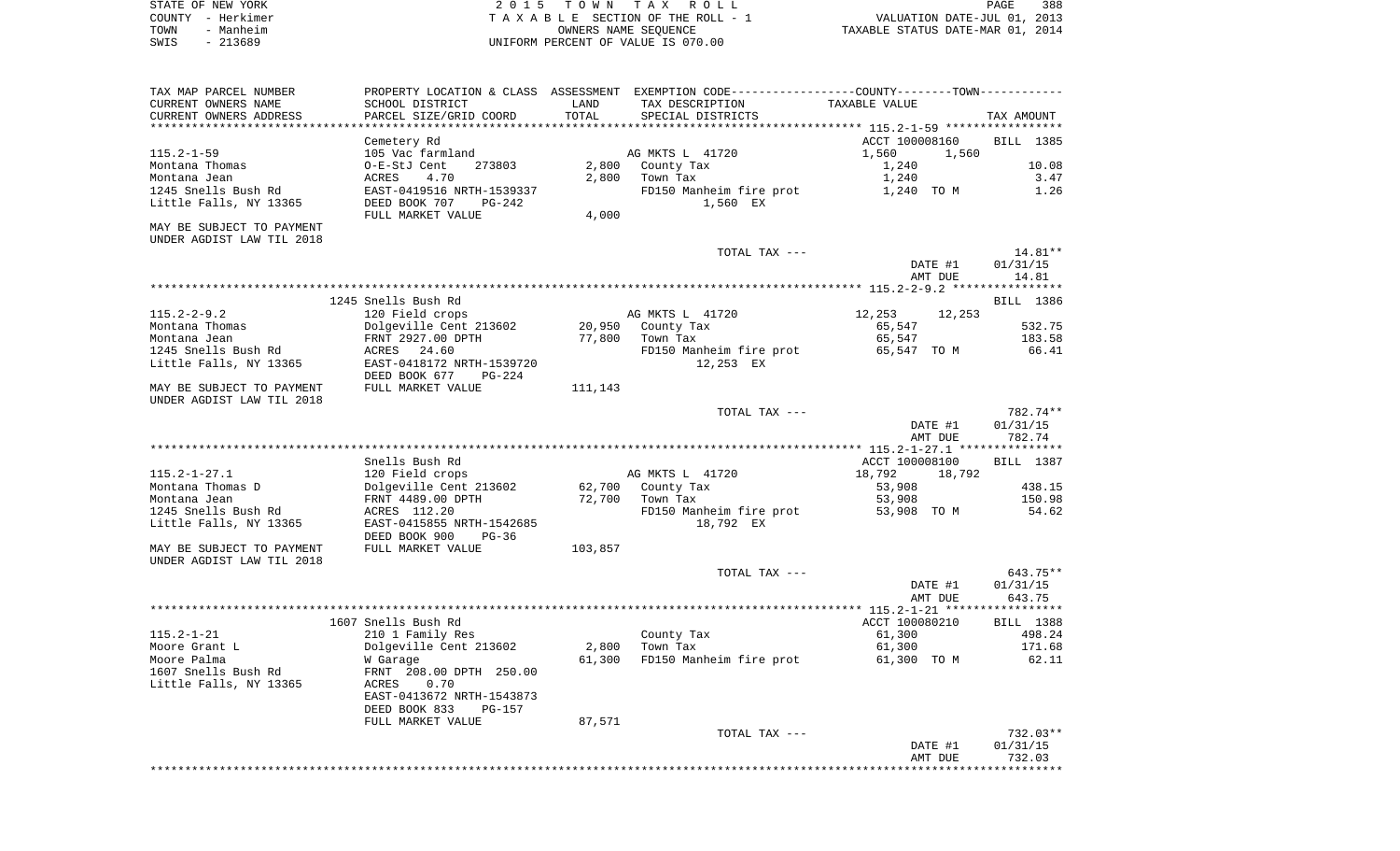| STATE OF NEW YORK | 2015 TOWN TAX ROLL                 | 388<br>PAGE                      |
|-------------------|------------------------------------|----------------------------------|
| COUNTY - Herkimer | TAXABLE SECTION OF THE ROLL - 1    | VALUATION DATE-JUL 01, 2013      |
| TOWN<br>- Manheim | OWNERS NAME SEOUENCE               | TAXABLE STATUS DATE-MAR 01, 2014 |
| $-213689$<br>SWIS | UNIFORM PERCENT OF VALUE IS 070.00 |                                  |

| TAX MAP PARCEL NUMBER<br>CURRENT OWNERS NAME<br>CURRENT OWNERS ADDRESS                              | SCHOOL DISTRICT<br>PARCEL SIZE/GRID COORD                                                                                                               | LAND<br>TOTAL           | PROPERTY LOCATION & CLASS ASSESSMENT EXEMPTION CODE----------------COUNTY-------TOWN----------<br>TAX DESCRIPTION<br>SPECIAL DISTRICTS | TAXABLE VALUE                                                    | TAX AMOUNT                         |
|-----------------------------------------------------------------------------------------------------|---------------------------------------------------------------------------------------------------------------------------------------------------------|-------------------------|----------------------------------------------------------------------------------------------------------------------------------------|------------------------------------------------------------------|------------------------------------|
| $115.2 - 1 - 59$<br>Montana Thomas<br>Montana Jean<br>1245 Snells Bush Rd<br>Little Falls, NY 13365 | Cemetery Rd<br>105 Vac farmland<br>O-E-StJ Cent<br>273803<br>4.70<br>ACRES<br>EAST-0419516 NRTH-1539337<br>DEED BOOK 707<br>PG-242<br>FULL MARKET VALUE | 2,800<br>2,800<br>4,000 | AG MKTS L 41720<br>County Tax<br>Town Tax<br>FD150 Manheim fire prot<br>1,560 EX                                                       | ACCT 100008160<br>1,560<br>1,560<br>1,240<br>1,240<br>1,240 TO M | BILL 1385<br>10.08<br>3.47<br>1.26 |
| MAY BE SUBJECT TO PAYMENT<br>UNDER AGDIST LAW TIL 2018                                              |                                                                                                                                                         |                         | TOTAL TAX ---                                                                                                                          |                                                                  | 14.81**                            |
|                                                                                                     |                                                                                                                                                         |                         |                                                                                                                                        | DATE #1<br>AMT DUE                                               | 01/31/15<br>14.81                  |
|                                                                                                     |                                                                                                                                                         |                         |                                                                                                                                        |                                                                  |                                    |
|                                                                                                     | 1245 Snells Bush Rd                                                                                                                                     |                         |                                                                                                                                        |                                                                  | BILL 1386                          |
| $115.2 - 2 - 9.2$                                                                                   | 120 Field crops                                                                                                                                         |                         | AG MKTS L 41720                                                                                                                        | 12,253<br>12,253                                                 |                                    |
| Montana Thomas                                                                                      | Dolgeville Cent 213602                                                                                                                                  | 20,950                  | County Tax                                                                                                                             | 65,547                                                           | 532.75                             |
| Montana Jean                                                                                        | FRNT 2927.00 DPTH                                                                                                                                       | 77,800                  | Town Tax                                                                                                                               | 65,547                                                           | 183.58                             |
| 1245 Snells Bush Rd                                                                                 | ACRES 24.60                                                                                                                                             |                         | FD150 Manheim fire prot                                                                                                                | 65,547 TO M                                                      | 66.41                              |
| Little Falls, NY 13365                                                                              | EAST-0418172 NRTH-1539720                                                                                                                               |                         | 12,253 EX                                                                                                                              |                                                                  |                                    |
| MAY BE SUBJECT TO PAYMENT<br>UNDER AGDIST LAW TIL 2018                                              | DEED BOOK 677<br>$PG-224$<br>FULL MARKET VALUE                                                                                                          | 111,143                 |                                                                                                                                        |                                                                  |                                    |
|                                                                                                     |                                                                                                                                                         |                         | TOTAL TAX ---                                                                                                                          |                                                                  | 782.74**                           |
|                                                                                                     |                                                                                                                                                         |                         |                                                                                                                                        | DATE #1<br>AMT DUE                                               | 01/31/15<br>782.74                 |
|                                                                                                     |                                                                                                                                                         |                         |                                                                                                                                        |                                                                  |                                    |
|                                                                                                     | Snells Bush Rd                                                                                                                                          |                         |                                                                                                                                        | ACCT 100008100                                                   | BILL 1387                          |
| $115.2 - 1 - 27.1$                                                                                  | 120 Field crops                                                                                                                                         |                         | AG MKTS L 41720                                                                                                                        | 18,792<br>18,792                                                 |                                    |
| Montana Thomas D                                                                                    | Dolgeville Cent 213602                                                                                                                                  | 62,700                  | County Tax                                                                                                                             | 53,908                                                           | 438.15                             |
| Montana Jean                                                                                        | FRNT 4489.00 DPTH                                                                                                                                       | 72,700                  | Town Tax                                                                                                                               | 53,908                                                           | 150.98                             |
| 1245 Snells Bush Rd<br>Little Falls, NY 13365                                                       | ACRES 112.20<br>EAST-0415855 NRTH-1542685<br>DEED BOOK 900<br>$PG-36$                                                                                   |                         | FD150 Manheim fire prot<br>18,792 EX                                                                                                   | 53,908 TO M                                                      | 54.62                              |
| MAY BE SUBJECT TO PAYMENT<br>UNDER AGDIST LAW TIL 2018                                              | FULL MARKET VALUE                                                                                                                                       | 103,857                 |                                                                                                                                        |                                                                  |                                    |
|                                                                                                     |                                                                                                                                                         |                         | TOTAL TAX ---                                                                                                                          |                                                                  | 643.75**                           |
|                                                                                                     |                                                                                                                                                         |                         |                                                                                                                                        | DATE #1                                                          | 01/31/15                           |
|                                                                                                     |                                                                                                                                                         |                         |                                                                                                                                        | AMT DUE                                                          | 643.75<br>* * * * * * * * *        |
|                                                                                                     |                                                                                                                                                         |                         |                                                                                                                                        | *** $115.2 - 1 - 21$ ****                                        |                                    |
|                                                                                                     | 1607 Snells Bush Rd                                                                                                                                     |                         |                                                                                                                                        | ACCT 100080210                                                   | BILL 1388                          |
| $115.2 - 1 - 21$                                                                                    | 210 1 Family Res                                                                                                                                        |                         | County Tax                                                                                                                             | 61,300                                                           | 498.24                             |
| Moore Grant L                                                                                       | Dolgeville Cent 213602                                                                                                                                  | 2,800                   | Town Tax                                                                                                                               | 61,300                                                           | 171.68                             |
| Moore Palma<br>1607 Snells Bush Rd                                                                  | W Garage<br>FRNT 208.00 DPTH 250.00                                                                                                                     | 61,300                  | FD150 Manheim fire prot                                                                                                                | 61,300 TO M                                                      | 62.11                              |
| Little Falls, NY 13365                                                                              | ACRES<br>0.70<br>EAST-0413672 NRTH-1543873<br>DEED BOOK 833<br>PG-157                                                                                   |                         |                                                                                                                                        |                                                                  |                                    |
|                                                                                                     | FULL MARKET VALUE                                                                                                                                       | 87,571                  |                                                                                                                                        |                                                                  |                                    |
|                                                                                                     |                                                                                                                                                         |                         | TOTAL TAX ---                                                                                                                          |                                                                  | $732.03**$                         |
|                                                                                                     |                                                                                                                                                         |                         |                                                                                                                                        | DATE #1                                                          | 01/31/15                           |
|                                                                                                     |                                                                                                                                                         |                         |                                                                                                                                        | AMT DUE                                                          | 732.03                             |
|                                                                                                     |                                                                                                                                                         |                         |                                                                                                                                        |                                                                  |                                    |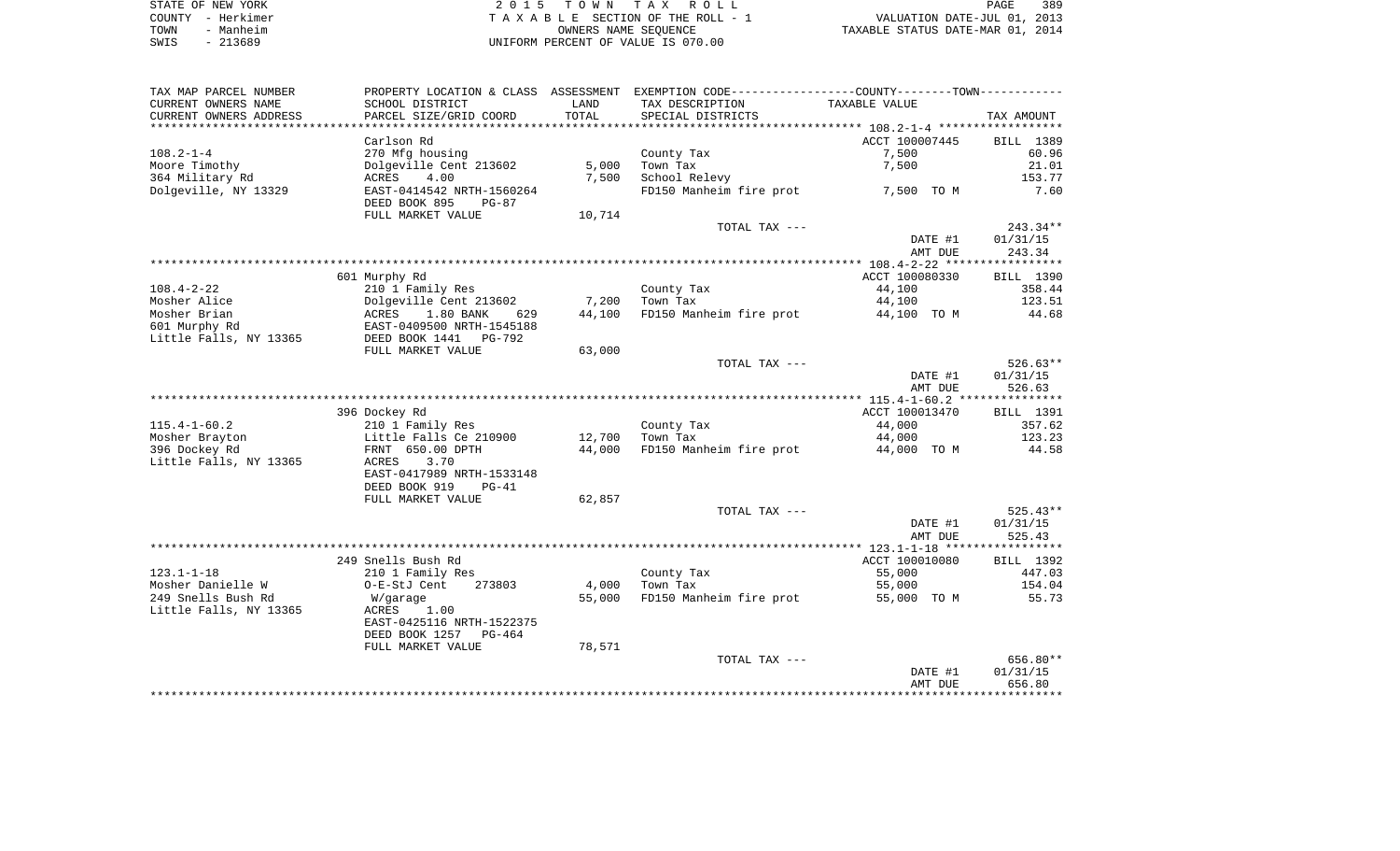| STATE OF NEW YORK | 2015 TOWN TAX ROLL                 | 389<br>PAGE                      |
|-------------------|------------------------------------|----------------------------------|
| COUNTY - Herkimer | TAXABLE SECTION OF THE ROLL - 1    | VALUATION DATE-JUL 01, 2013      |
| Manheim<br>TOWN   | OWNERS NAME SEOUENCE               | TAXABLE STATUS DATE-MAR 01, 2014 |
| $-213689$<br>SWIS | UNIFORM PERCENT OF VALUE IS 070.00 |                                  |

| TAX MAP PARCEL NUMBER      |                                                       |        | PROPERTY LOCATION & CLASS ASSESSMENT EXEMPTION CODE---------------COUNTY-------TOWN--------- |                |                  |
|----------------------------|-------------------------------------------------------|--------|----------------------------------------------------------------------------------------------|----------------|------------------|
| CURRENT OWNERS NAME        | SCHOOL DISTRICT                                       | LAND   | TAX DESCRIPTION                                                                              | TAXABLE VALUE  |                  |
| CURRENT OWNERS ADDRESS     | PARCEL SIZE/GRID COORD                                | TOTAL  | SPECIAL DISTRICTS                                                                            |                | TAX AMOUNT       |
| ************************** |                                                       |        |                                                                                              |                |                  |
|                            | Carlson Rd                                            |        |                                                                                              | ACCT 100007445 | BILL 1389        |
| $108.2 - 1 - 4$            | 270 Mfg housing                                       |        | County Tax                                                                                   | 7,500          | 60.96            |
| Moore Timothy              | Dolgeville Cent 213602                                | 5,000  | Town Tax                                                                                     | 7,500          | 21.01            |
| 364 Military Rd            | 4.00<br>ACRES                                         | 7,500  | School Relevy                                                                                |                | 153.77           |
| Dolgeville, NY 13329       | EAST-0414542 NRTH-1560264<br>DEED BOOK 895<br>$PG-87$ |        | FD150 Manheim fire prot                                                                      | 7,500 TO M     | 7.60             |
|                            | FULL MARKET VALUE                                     | 10,714 |                                                                                              |                |                  |
|                            |                                                       |        | TOTAL TAX ---                                                                                |                | 243.34**         |
|                            |                                                       |        |                                                                                              | DATE #1        | 01/31/15         |
|                            |                                                       |        |                                                                                              | AMT DUE        | 243.34           |
|                            |                                                       |        |                                                                                              |                |                  |
|                            | 601 Murphy Rd                                         |        |                                                                                              | ACCT 100080330 | BILL 1390        |
| 108.4-2-22                 | 210 1 Family Res                                      |        | County Tax                                                                                   | 44,100         | 358.44           |
| Mosher Alice               | Dolgeville Cent 213602<br>ACRES                       | 7,200  | Town Tax                                                                                     | 44,100         | 123.51           |
| Mosher Brian               | 1.80 BANK<br>629                                      | 44,100 | FD150 Manheim fire prot                                                                      | 44,100 TO M    | 44.68            |
| 601 Murphy Rd              | EAST-0409500 NRTH-1545188                             |        |                                                                                              |                |                  |
| Little Falls, NY 13365     | DEED BOOK 1441<br>PG-792                              |        |                                                                                              |                |                  |
|                            | FULL MARKET VALUE                                     | 63,000 |                                                                                              |                |                  |
|                            |                                                       |        | TOTAL TAX ---                                                                                |                | $526.63**$       |
|                            |                                                       |        |                                                                                              | DATE #1        | 01/31/15         |
|                            |                                                       |        |                                                                                              | AMT DUE        | 526.63           |
|                            | 396 Dockey Rd                                         |        |                                                                                              | ACCT 100013470 | <b>BILL</b> 1391 |
| $115.4 - 1 - 60.2$         | 210 1 Family Res                                      |        | County Tax                                                                                   | 44,000         | 357.62           |
| Mosher Brayton             | Little Falls Ce 210900                                | 12,700 | Town Tax                                                                                     | 44,000         | 123.23           |
| 396 Dockey Rd              | FRNT 650.00 DPTH                                      | 44,000 | FD150 Manheim fire prot                                                                      | 44,000 TO M    | 44.58            |
| Little Falls, NY 13365     | 3.70<br>ACRES                                         |        |                                                                                              |                |                  |
|                            | EAST-0417989 NRTH-1533148                             |        |                                                                                              |                |                  |
|                            | DEED BOOK 919<br>$PG-41$                              |        |                                                                                              |                |                  |
|                            | FULL MARKET VALUE                                     | 62,857 |                                                                                              |                |                  |
|                            |                                                       |        | TOTAL TAX ---                                                                                |                | $525.43**$       |
|                            |                                                       |        |                                                                                              | DATE #1        | 01/31/15         |
|                            |                                                       |        |                                                                                              | AMT DUE        | 525.43           |
|                            |                                                       |        |                                                                                              |                |                  |
|                            | 249 Snells Bush Rd                                    |        |                                                                                              | ACCT 100010080 | BILL 1392        |
| $123.1 - 1 - 18$           | 210 1 Family Res                                      |        | County Tax                                                                                   | 55,000         | 447.03           |
| Mosher Danielle W          | 273803<br>O-E-StJ Cent                                | 4,000  | Town Tax                                                                                     | 55,000         | 154.04           |
| 249 Snells Bush Rd         | W/garage                                              | 55,000 | FD150 Manheim fire prot                                                                      | 55,000 TO M    | 55.73            |
| Little Falls, NY 13365     | 1.00<br>ACRES                                         |        |                                                                                              |                |                  |
|                            | EAST-0425116 NRTH-1522375                             |        |                                                                                              |                |                  |
|                            | DEED BOOK 1257 PG-464                                 |        |                                                                                              |                |                  |
|                            | FULL MARKET VALUE                                     | 78,571 |                                                                                              |                |                  |
|                            |                                                       |        | TOTAL TAX ---                                                                                |                | 656.80**         |
|                            |                                                       |        |                                                                                              | DATE #1        | 01/31/15         |
|                            |                                                       |        |                                                                                              | AMT DUE        | 656.80           |
|                            |                                                       |        |                                                                                              |                |                  |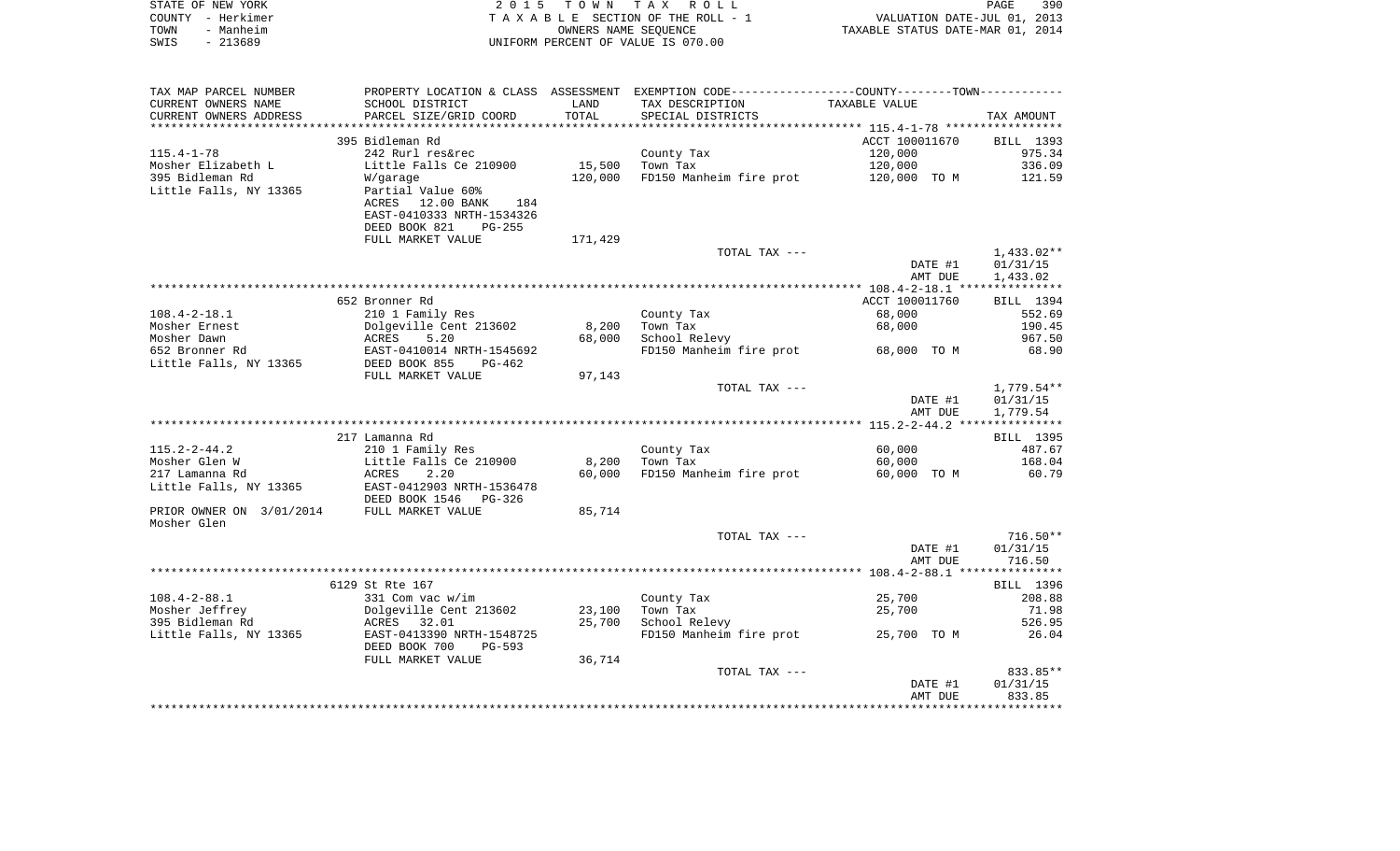| STATE OF NEW YORK        | 2 0 1 5                    | T O W N | T A X<br>R O L L                                                                              |                                  | PAGE<br>390  |
|--------------------------|----------------------------|---------|-----------------------------------------------------------------------------------------------|----------------------------------|--------------|
| COUNTY - Herkimer        |                            |         | TAXABLE SECTION OF THE ROLL - 1                                                               | VALUATION DATE-JUL 01, 2013      |              |
| - Manheim<br>TOWN        |                            |         | OWNERS NAME SEQUENCE                                                                          | TAXABLE STATUS DATE-MAR 01, 2014 |              |
| $-213689$<br>SWIS        |                            |         | UNIFORM PERCENT OF VALUE IS 070.00                                                            |                                  |              |
|                          |                            |         |                                                                                               |                                  |              |
|                          |                            |         |                                                                                               |                                  |              |
| TAX MAP PARCEL NUMBER    |                            |         | PROPERTY LOCATION & CLASS ASSESSMENT EXEMPTION CODE---------------COUNTY-------TOWN---------- |                                  |              |
| CURRENT OWNERS NAME      | SCHOOL DISTRICT            | LAND    | TAX DESCRIPTION                                                                               | TAXABLE VALUE                    |              |
| CURRENT OWNERS ADDRESS   | PARCEL SIZE/GRID COORD     | TOTAL   | SPECIAL DISTRICTS                                                                             |                                  | TAX AMOUNT   |
|                          |                            |         |                                                                                               |                                  |              |
|                          | 395 Bidleman Rd            |         |                                                                                               | ACCT 100011670                   | BILL 1393    |
| $115.4 - 1 - 78$         | 242 Rurl res&rec           |         | County Tax                                                                                    | 120,000                          | 975.34       |
| Mosher Elizabeth L       | Little Falls Ce 210900     | 15,500  | Town Tax                                                                                      | 120,000                          | 336.09       |
| 395 Bidleman Rd          | W/garage                   | 120,000 | FD150 Manheim fire prot                                                                       | 120,000 TO M                     | 121.59       |
| Little Falls, NY 13365   | Partial Value 60%          |         |                                                                                               |                                  |              |
|                          | ACRES<br>12.00 BANK<br>184 |         |                                                                                               |                                  |              |
|                          | EAST-0410333 NRTH-1534326  |         |                                                                                               |                                  |              |
|                          | DEED BOOK 821<br>PG-255    |         |                                                                                               |                                  |              |
|                          | FULL MARKET VALUE          | 171,429 |                                                                                               |                                  |              |
|                          |                            |         | TOTAL TAX ---                                                                                 |                                  | $1,433.02**$ |
|                          |                            |         |                                                                                               | DATE #1                          | 01/31/15     |
|                          |                            |         |                                                                                               | AMT DUE                          | 1,433.02     |
|                          |                            |         |                                                                                               |                                  |              |
|                          | 652 Bronner Rd             |         |                                                                                               | ACCT 100011760                   | BILL 1394    |
| $108.4 - 2 - 18.1$       | 210 1 Family Res           |         | County Tax                                                                                    | 68,000                           | 552.69       |
| Mosher Ernest            | Dolgeville Cent 213602     | 8,200   | Town Tax                                                                                      | 68,000                           | 190.45       |
| Mosher Dawn              | ACRES<br>5.20              | 68,000  | School Relevy                                                                                 |                                  | 967.50       |
| 652 Bronner Rd           | EAST-0410014 NRTH-1545692  |         | FD150 Manheim fire prot                                                                       | 68,000 TO M                      | 68.90        |
| Little Falls, NY 13365   | DEED BOOK 855<br>PG-462    |         |                                                                                               |                                  |              |
|                          | FULL MARKET VALUE          | 97,143  |                                                                                               |                                  |              |
|                          |                            |         | TOTAL TAX ---                                                                                 |                                  | $1,779.54**$ |
|                          |                            |         |                                                                                               | DATE #1                          | 01/31/15     |
|                          |                            |         |                                                                                               | AMT DUE                          | 1,779.54     |
|                          |                            |         |                                                                                               |                                  |              |
|                          | 217 Lamanna Rd             |         |                                                                                               |                                  | BILL 1395    |
| $115.2 - 2 - 44.2$       | 210 1 Family Res           |         | County Tax                                                                                    | 60,000                           | 487.67       |
| Mosher Glen W            | Little Falls Ce 210900     | 8,200   | Town Tax                                                                                      | 60,000                           | 168.04       |
| 217 Lamanna Rd           | ACRES<br>2.20              | 60,000  | FD150 Manheim fire prot                                                                       | 60,000 TO M                      | 60.79        |
| Little Falls, NY 13365   | EAST-0412903 NRTH-1536478  |         |                                                                                               |                                  |              |
|                          | DEED BOOK 1546 PG-326      |         |                                                                                               |                                  |              |
| PRIOR OWNER ON 3/01/2014 | FULL MARKET VALUE          | 85,714  |                                                                                               |                                  |              |
| Mosher Glen              |                            |         |                                                                                               |                                  |              |
|                          |                            |         | TOTAL TAX ---                                                                                 |                                  | $716.50**$   |
|                          |                            |         |                                                                                               | DATE #1                          | 01/31/15     |
|                          |                            |         |                                                                                               | AMT DUE                          | 716.50       |
|                          |                            |         |                                                                                               |                                  |              |
|                          | 6129 St Rte 167            |         |                                                                                               |                                  | BILL 1396    |
| $108.4 - 2 - 88.1$       | 331 Com vac w/im           |         | County Tax                                                                                    | 25,700                           | 208.88       |
| Mosher Jeffrey           | Dolgeville Cent 213602     | 23,100  | Town Tax                                                                                      | 25,700                           | 71.98        |
| 395 Bidleman Rd          | 32.01<br>ACRES             | 25,700  | School Relevy                                                                                 |                                  | 526.95       |
| Little Falls, NY 13365   | EAST-0413390 NRTH-1548725  |         | FD150 Manheim fire prot                                                                       | 25,700 TO M                      | 26.04        |
|                          | DEED BOOK 700<br>$PG-593$  |         |                                                                                               |                                  |              |
|                          | FULL MARKET VALUE          | 36,714  |                                                                                               |                                  |              |

TOTAL TAX  $---$ 833.85\*\* DATE #1 01/31/15 AMT DUE 833.85\*\*\*\*\*\*\*\*\*\*\*\*\*\*\*\*\*\*\*\*\*\*\*\*\*\*\*\*\*\*\*\*\*\*\*\*\*\*\*\*\*\*\*\*\*\*\*\*\*\*\*\*\*\*\*\*\*\*\*\*\*\*\*\*\*\*\*\*\*\*\*\*\*\*\*\*\*\*\*\*\*\*\*\*\*\*\*\*\*\*\*\*\*\*\*\*\*\*\*\*\*\*\*\*\*\*\*\*\*\*\*\*\*\*\*\*\*\*\*\*\*\*\*\*\*\*\*\*\*\*\*\*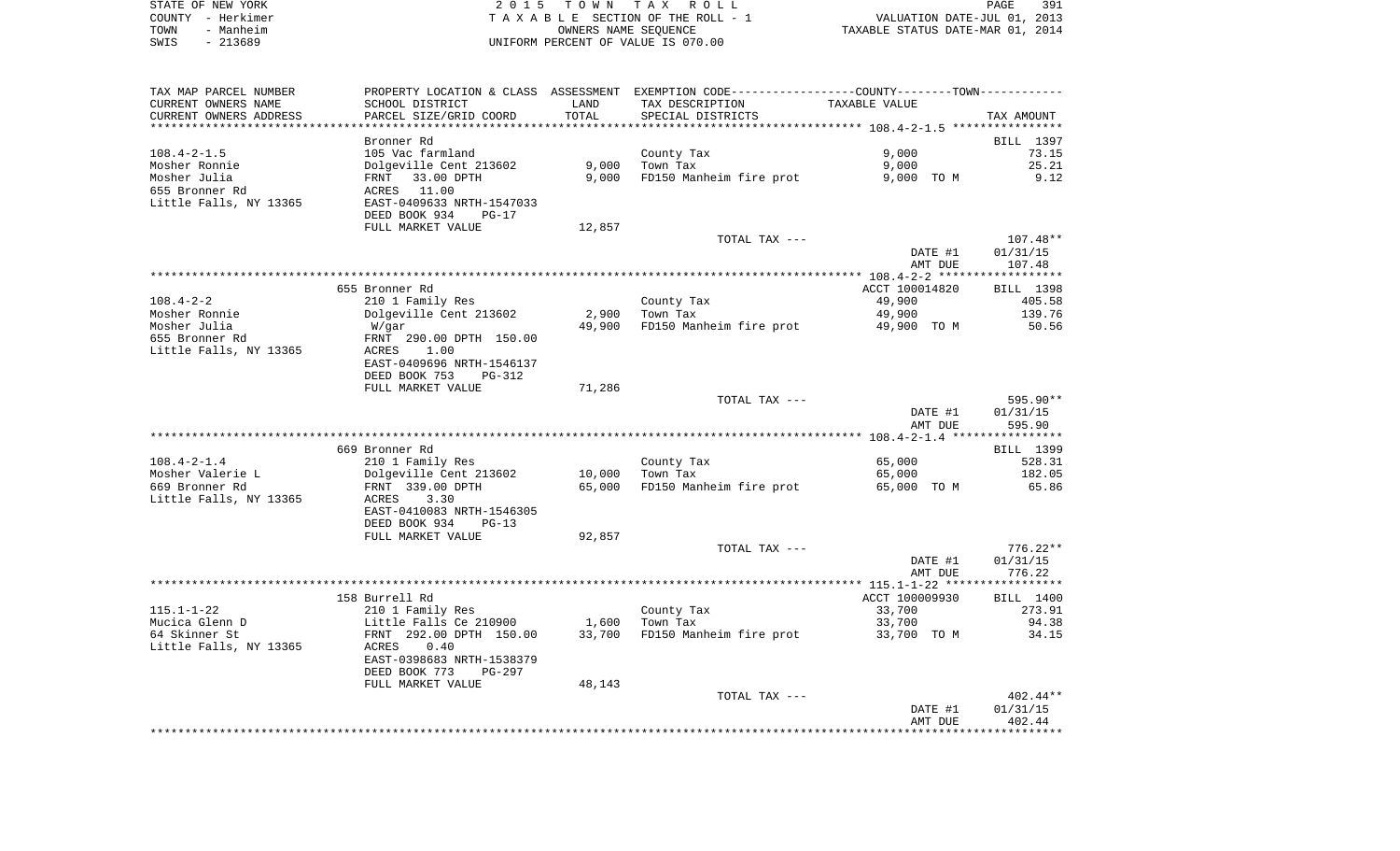|      | STATE OF NEW YORK | 2015 TOWN TAX ROLL                 | 391<br>PAGE                      |
|------|-------------------|------------------------------------|----------------------------------|
|      | COUNTY - Herkimer | TAXABLE SECTION OF THE ROLL - 1    | VALUATION DATE-JUL 01, 2013      |
| TOWN | - Manheim         | OWNERS NAME SEOUENCE               | TAXABLE STATUS DATE-MAR 01, 2014 |
| SWIS | - 213689          | UNIFORM PERCENT OF VALUE IS 070.00 |                                  |

| TAX MAP PARCEL NUMBER  |                                                     |        | PROPERTY LOCATION & CLASS ASSESSMENT EXEMPTION CODE---------------COUNTY-------TOWN---------- |                |            |
|------------------------|-----------------------------------------------------|--------|-----------------------------------------------------------------------------------------------|----------------|------------|
| CURRENT OWNERS NAME    | SCHOOL DISTRICT                                     | LAND   | TAX DESCRIPTION                                                                               | TAXABLE VALUE  |            |
| CURRENT OWNERS ADDRESS | PARCEL SIZE/GRID COORD                              | TOTAL  | SPECIAL DISTRICTS                                                                             |                | TAX AMOUNT |
|                        |                                                     |        |                                                                                               |                |            |
|                        | Bronner Rd                                          |        |                                                                                               |                | BILL 1397  |
| $108.4 - 2 - 1.5$      | 105 Vac farmland                                    |        | County Tax                                                                                    | 9,000          | 73.15      |
| Mosher Ronnie          | Dolgeville Cent 213602                              | 9,000  | Town Tax                                                                                      | 9,000          | 25.21      |
| Mosher Julia           | 33.00 DPTH<br>FRNT                                  | 9,000  | FD150 Manheim fire prot                                                                       | 9,000 TO M     | 9.12       |
| 655 Bronner Rd         | 11.00<br>ACRES                                      |        |                                                                                               |                |            |
| Little Falls, NY 13365 | EAST-0409633 NRTH-1547033<br>DEED BOOK 934<br>PG-17 |        |                                                                                               |                |            |
|                        | FULL MARKET VALUE                                   | 12,857 |                                                                                               |                |            |
|                        |                                                     |        | TOTAL TAX ---                                                                                 |                | $107.48**$ |
|                        |                                                     |        |                                                                                               | DATE #1        | 01/31/15   |
|                        |                                                     |        |                                                                                               | AMT DUE        | 107.48     |
|                        |                                                     |        |                                                                                               |                |            |
|                        | 655 Bronner Rd                                      |        |                                                                                               | ACCT 100014820 | BILL 1398  |
| $108.4 - 2 - 2$        | 210 1 Family Res                                    |        | County Tax                                                                                    | 49,900         | 405.58     |
| Mosher Ronnie          | Dolgeville Cent 213602                              | 2,900  | Town Tax                                                                                      | 49,900         | 139.76     |
| Mosher Julia           | W/gar                                               | 49,900 | FD150 Manheim fire prot                                                                       | 49,900 TO M    | 50.56      |
| 655 Bronner Rd         | FRNT 290.00 DPTH 150.00                             |        |                                                                                               |                |            |
| Little Falls, NY 13365 | ACRES<br>1.00                                       |        |                                                                                               |                |            |
|                        | EAST-0409696 NRTH-1546137                           |        |                                                                                               |                |            |
|                        | DEED BOOK 753<br>PG-312                             |        |                                                                                               |                |            |
|                        | FULL MARKET VALUE                                   | 71,286 |                                                                                               |                |            |
|                        |                                                     |        | TOTAL TAX ---                                                                                 |                | 595.90**   |
|                        |                                                     |        |                                                                                               | DATE #1        | 01/31/15   |
|                        |                                                     |        |                                                                                               | AMT DUE        | 595.90     |
|                        | 669 Bronner Rd                                      |        |                                                                                               |                | BILL 1399  |
| $108.4 - 2 - 1.4$      | 210 1 Family Res                                    |        | County Tax                                                                                    | 65,000         | 528.31     |
| Mosher Valerie L       | Dolgeville Cent 213602                              | 10,000 | Town Tax                                                                                      | 65,000         | 182.05     |
| 669 Bronner Rd         | FRNT 339.00 DPTH                                    | 65,000 | FD150 Manheim fire prot                                                                       | 65,000 TO M    | 65.86      |
| Little Falls, NY 13365 | ACRES<br>3.30                                       |        |                                                                                               |                |            |
|                        | EAST-0410083 NRTH-1546305                           |        |                                                                                               |                |            |
|                        | DEED BOOK 934<br>$PG-13$                            |        |                                                                                               |                |            |
|                        | FULL MARKET VALUE                                   | 92,857 |                                                                                               |                |            |
|                        |                                                     |        | TOTAL TAX ---                                                                                 |                | $776.22**$ |
|                        |                                                     |        |                                                                                               | DATE #1        | 01/31/15   |
|                        |                                                     |        |                                                                                               | AMT DUE        | 776.22     |
|                        |                                                     |        |                                                                                               |                |            |
|                        | 158 Burrell Rd                                      |        |                                                                                               | ACCT 100009930 | BILL 1400  |
| $115.1 - 1 - 22$       | 210 1 Family Res                                    |        | County Tax                                                                                    | 33,700         | 273.91     |
| Mucica Glenn D         | Little Falls Ce 210900                              | 1,600  | Town Tax                                                                                      | 33,700         | 94.38      |
| 64 Skinner St          | FRNT 292.00 DPTH 150.00                             | 33,700 | FD150 Manheim fire prot                                                                       | 33,700 TO M    | 34.15      |
| Little Falls, NY 13365 | ACRES<br>0.40                                       |        |                                                                                               |                |            |
|                        | EAST-0398683 NRTH-1538379                           |        |                                                                                               |                |            |
|                        | DEED BOOK 773<br>PG-297                             |        |                                                                                               |                |            |
|                        | FULL MARKET VALUE                                   | 48,143 |                                                                                               |                |            |
|                        |                                                     |        | TOTAL TAX ---                                                                                 |                | $402.44**$ |
|                        |                                                     |        |                                                                                               | DATE #1        | 01/31/15   |
|                        |                                                     |        |                                                                                               | AMT DUE        | 402.44     |
|                        |                                                     |        |                                                                                               |                |            |
|                        |                                                     |        |                                                                                               |                |            |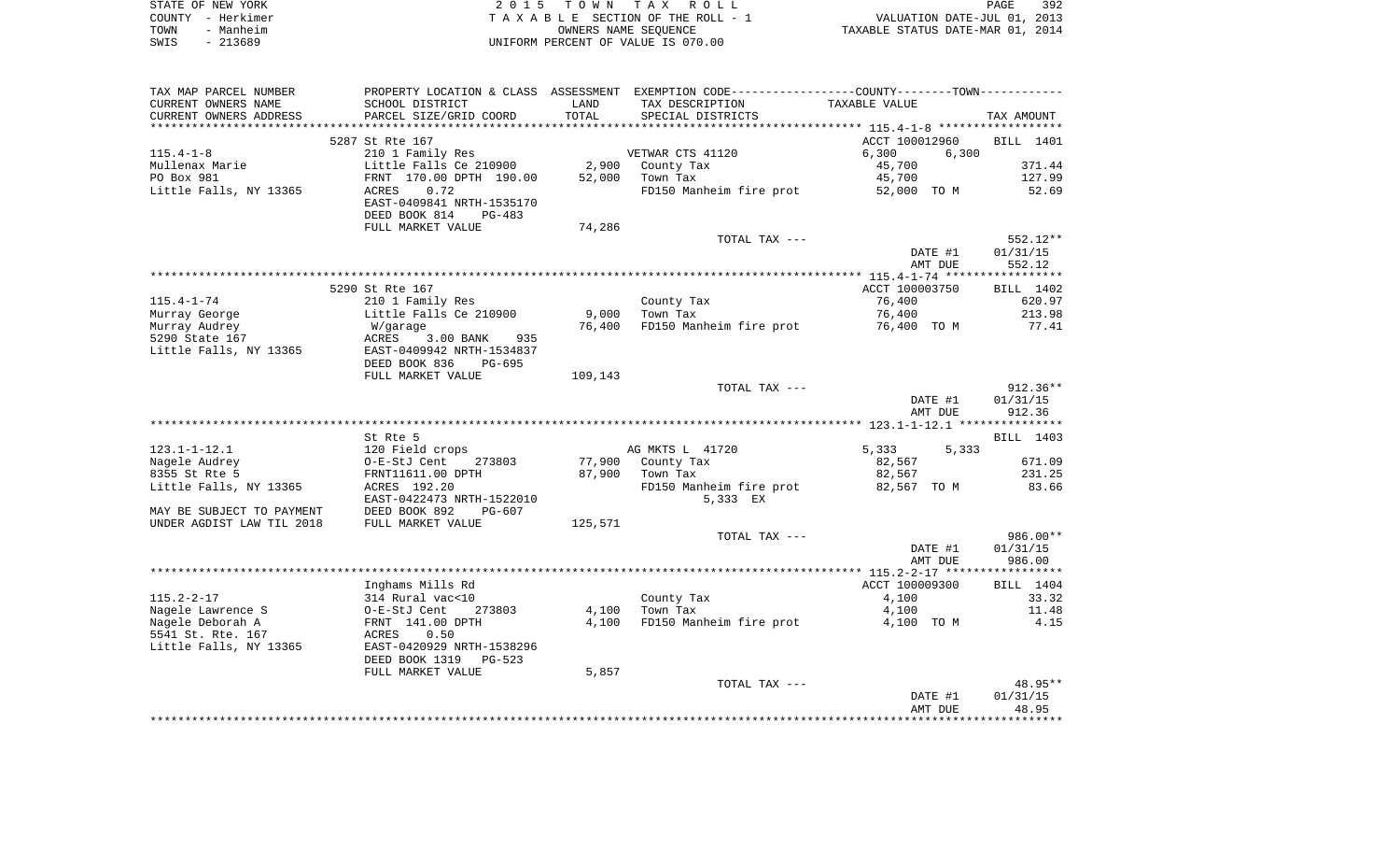| STATE OF NEW YORK | 2015 TOWN TAX ROLL                 | 392<br>PAGE                      |
|-------------------|------------------------------------|----------------------------------|
| COUNTY - Herkimer | TAXABLE SECTION OF THE ROLL - 1    | VALUATION DATE-JUL 01, 2013      |
| - Manheim<br>TOWN | OWNERS NAME SEOUENCE               | TAXABLE STATUS DATE-MAR 01, 2014 |
| $-213689$<br>SWIS | UNIFORM PERCENT OF VALUE IS 070.00 |                                  |

| TAX MAP PARCEL NUMBER     |                           |         | PROPERTY LOCATION & CLASS ASSESSMENT EXEMPTION CODE---------------COUNTY-------TOWN---------- |                                                     |                  |
|---------------------------|---------------------------|---------|-----------------------------------------------------------------------------------------------|-----------------------------------------------------|------------------|
| CURRENT OWNERS NAME       | SCHOOL DISTRICT           | LAND    | TAX DESCRIPTION                                                                               | TAXABLE VALUE                                       |                  |
| CURRENT OWNERS ADDRESS    | PARCEL SIZE/GRID COORD    | TOTAL   | SPECIAL DISTRICTS                                                                             |                                                     | TAX AMOUNT       |
|                           |                           |         |                                                                                               | ********************* 115.4-1-8 ******************* |                  |
|                           | 5287 St Rte 167           |         |                                                                                               | ACCT 100012960                                      | BILL 1401        |
| $115.4 - 1 - 8$           | 210 1 Family Res          |         | VETWAR CTS 41120                                                                              | 6,300<br>6,300                                      |                  |
| Mullenax Marie            | Little Falls Ce 210900    | 2,900   | County Tax                                                                                    | 45,700                                              | 371.44           |
| PO Box 981                | FRNT 170.00 DPTH 190.00   | 52,000  | Town Tax                                                                                      | 45,700                                              | 127.99           |
|                           |                           |         |                                                                                               |                                                     |                  |
| Little Falls, NY 13365    | 0.72<br>ACRES             |         | FD150 Manheim fire prot 52,000 TO M                                                           |                                                     | 52.69            |
|                           | EAST-0409841 NRTH-1535170 |         |                                                                                               |                                                     |                  |
|                           | DEED BOOK 814<br>PG-483   |         |                                                                                               |                                                     |                  |
|                           | FULL MARKET VALUE         | 74,286  |                                                                                               |                                                     |                  |
|                           |                           |         | TOTAL TAX ---                                                                                 |                                                     | 552.12**         |
|                           |                           |         |                                                                                               | DATE #1                                             | 01/31/15         |
|                           |                           |         |                                                                                               | AMT DUE                                             | 552.12           |
|                           |                           |         |                                                                                               |                                                     |                  |
|                           | 5290 St Rte 167           |         |                                                                                               | ACCT 100003750                                      | BILL 1402        |
| $115.4 - 1 - 74$          | 210 1 Family Res          |         | County Tax                                                                                    | 76,400                                              | 620.97           |
| Murray George             | Little Falls Ce 210900    | 9,000   | Town Tax                                                                                      | 76,400                                              | 213.98           |
| Murray Audrey             | W/garage                  | 76,400  | FD150 Manheim fire prot                                                                       | 76,400 TO M                                         | 77.41            |
| 5290 State 167            | ACRES<br>3.00 BANK 935    |         |                                                                                               |                                                     |                  |
| Little Falls, NY 13365    | EAST-0409942 NRTH-1534837 |         |                                                                                               |                                                     |                  |
|                           | DEED BOOK 836<br>PG-695   |         |                                                                                               |                                                     |                  |
|                           | FULL MARKET VALUE         |         |                                                                                               |                                                     |                  |
|                           |                           | 109,143 |                                                                                               |                                                     |                  |
|                           |                           |         | TOTAL TAX ---                                                                                 |                                                     | $912.36**$       |
|                           |                           |         |                                                                                               | DATE #1                                             | 01/31/15         |
|                           |                           |         |                                                                                               | AMT DUE                                             | 912.36           |
|                           |                           |         |                                                                                               |                                                     |                  |
|                           | St Rte 5                  |         |                                                                                               |                                                     | <b>BILL</b> 1403 |
| $123.1 - 1 - 12.1$        | 120 Field crops           |         | AG MKTS L 41720                                                                               | 5,333<br>5,333                                      |                  |
| Nagele Audrey             | O-E-StJ Cent<br>273803    |         | 77,900 County Tax                                                                             | 82,567                                              | 671.09           |
| 8355 St Rte 5             | FRNT11611.00 DPTH         | 87,900  | Town Tax                                                                                      | 82,567                                              | 231.25           |
| Little Falls, NY 13365    | ACRES 192.20              |         | FD150 Manheim fire prot 82,567 TO M                                                           |                                                     | 83.66            |
|                           | EAST-0422473 NRTH-1522010 |         | 5,333 EX                                                                                      |                                                     |                  |
| MAY BE SUBJECT TO PAYMENT | DEED BOOK 892<br>PG-607   |         |                                                                                               |                                                     |                  |
| UNDER AGDIST LAW TIL 2018 | FULL MARKET VALUE         | 125,571 |                                                                                               |                                                     |                  |
|                           |                           |         | TOTAL TAX ---                                                                                 |                                                     | 986.00**         |
|                           |                           |         |                                                                                               | DATE #1                                             | 01/31/15         |
|                           |                           |         |                                                                                               | AMT DUE                                             | 986.00           |
|                           |                           |         |                                                                                               |                                                     |                  |
|                           | Inghams Mills Rd          |         |                                                                                               | ACCT 100009300                                      | BILL 1404        |
| $115.2 - 2 - 17$          | 314 Rural vac<10          |         | County Tax                                                                                    | 4,100                                               | 33.32            |
|                           |                           |         |                                                                                               |                                                     |                  |
| Nagele Lawrence S         | O-E-StJ Cent<br>273803    | 4,100   | Town Tax                                                                                      | 4,100                                               | 11.48            |
| Nagele Deborah A          | FRNT 141.00 DPTH          | 4,100   | FD150 Manheim fire prot                                                                       | 4,100 TO M                                          | 4.15             |
| 5541 St. Rte. 167         | 0.50<br>ACRES             |         |                                                                                               |                                                     |                  |
| Little Falls, NY 13365    | EAST-0420929 NRTH-1538296 |         |                                                                                               |                                                     |                  |
|                           | DEED BOOK 1319<br>PG-523  |         |                                                                                               |                                                     |                  |
|                           | FULL MARKET VALUE         | 5,857   |                                                                                               |                                                     |                  |
|                           |                           |         | TOTAL TAX ---                                                                                 |                                                     | 48.95**          |
|                           |                           |         |                                                                                               | DATE #1                                             | 01/31/15         |
|                           |                           |         |                                                                                               | AMT DUE                                             | 48.95            |
|                           |                           |         |                                                                                               |                                                     |                  |
|                           |                           |         |                                                                                               |                                                     |                  |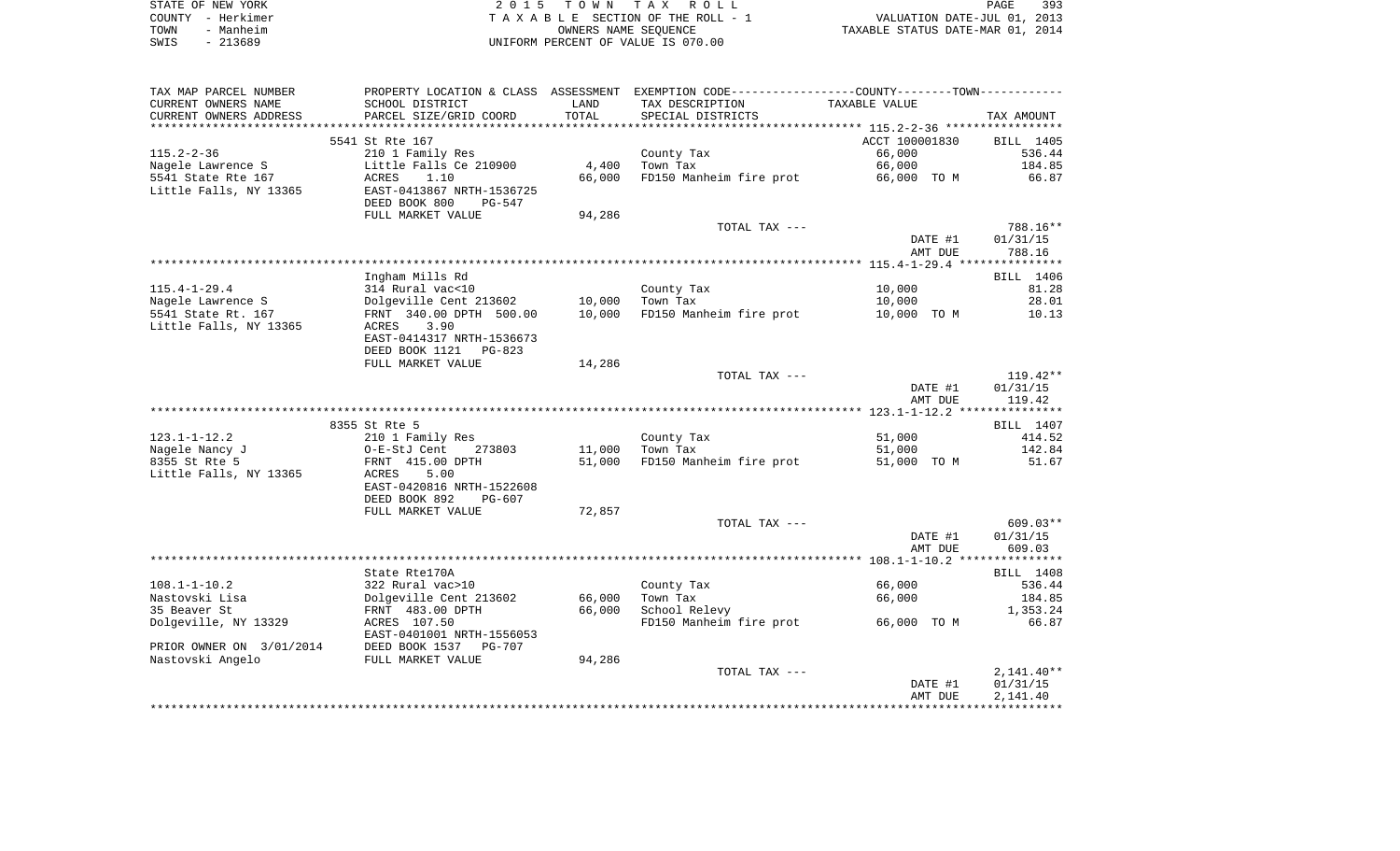| STATE OF NEW YORK | 2015 TOWN TAX ROLL<br>PAGE                                     | 393 |
|-------------------|----------------------------------------------------------------|-----|
| COUNTY - Herkimer | VALUATION DATE-JUL 01, 2013<br>TAXABLE SECTION OF THE ROLL - 1 |     |
| - Manheim<br>TOWN | TAXABLE STATUS DATE-MAR 01, 2014<br>OWNERS NAME SEOUENCE       |     |
| - 213689<br>SWIS  | UNIFORM PERCENT OF VALUE IS 070.00                             |     |

| TAX MAP PARCEL NUMBER    |                                     |        | PROPERTY LOCATION & CLASS ASSESSMENT EXEMPTION CODE---------------COUNTY-------TOWN---------- |                |                    |
|--------------------------|-------------------------------------|--------|-----------------------------------------------------------------------------------------------|----------------|--------------------|
| CURRENT OWNERS NAME      | SCHOOL DISTRICT                     | LAND   | TAX DESCRIPTION                                                                               | TAXABLE VALUE  |                    |
| CURRENT OWNERS ADDRESS   | PARCEL SIZE/GRID COORD              | TOTAL  | SPECIAL DISTRICTS                                                                             |                | TAX AMOUNT         |
|                          |                                     |        |                                                                                               |                |                    |
|                          | 5541 St Rte 167                     |        |                                                                                               | ACCT 100001830 | BILL 1405          |
| $115.2 - 2 - 36$         | 210 1 Family Res                    |        | County Tax                                                                                    | 66,000         | 536.44             |
| Nagele Lawrence S        | Little Falls Ce 210900              | 4,400  | Town Tax                                                                                      | 66,000         | 184.85             |
| 5541 State Rte 167       | ACRES<br>1.10                       | 66,000 | FD150 Manheim fire prot                                                                       | 66,000 TO M    | 66.87              |
| Little Falls, NY 13365   | EAST-0413867 NRTH-1536725           |        |                                                                                               |                |                    |
|                          | DEED BOOK 800<br>PG-547             |        |                                                                                               |                |                    |
|                          | FULL MARKET VALUE                   | 94,286 |                                                                                               |                |                    |
|                          |                                     |        | TOTAL TAX ---                                                                                 |                | 788.16**           |
|                          |                                     |        |                                                                                               | DATE #1        | 01/31/15           |
|                          |                                     |        |                                                                                               | AMT DUE        | 788.16             |
|                          |                                     |        |                                                                                               |                |                    |
| $115.4 - 1 - 29.4$       | Ingham Mills Rd<br>314 Rural vac<10 |        | County Tax                                                                                    | 10,000         | BILL 1406<br>81.28 |
| Nagele Lawrence S        | Dolgeville Cent 213602              | 10,000 | Town Tax                                                                                      | 10,000         | 28.01              |
| 5541 State Rt. 167       | FRNT 340.00 DPTH 500.00             | 10,000 | FD150 Manheim fire prot                                                                       | 10,000 TO M    | 10.13              |
| Little Falls, NY 13365   | 3.90<br>ACRES                       |        |                                                                                               |                |                    |
|                          | EAST-0414317 NRTH-1536673           |        |                                                                                               |                |                    |
|                          | DEED BOOK 1121<br>PG-823            |        |                                                                                               |                |                    |
|                          | FULL MARKET VALUE                   | 14,286 |                                                                                               |                |                    |
|                          |                                     |        | TOTAL TAX ---                                                                                 |                | $119.42**$         |
|                          |                                     |        |                                                                                               | DATE #1        | 01/31/15           |
|                          |                                     |        |                                                                                               | AMT DUE        | 119.42             |
|                          |                                     |        |                                                                                               |                |                    |
|                          | 8355 St Rte 5                       |        |                                                                                               |                | BILL 1407          |
| $123.1 - 1 - 12.2$       | 210 1 Family Res                    |        | County Tax                                                                                    | 51,000         | 414.52             |
| Nagele Nancy J           | O-E-StJ Cent<br>273803              | 11,000 | Town Tax                                                                                      | 51,000         | 142.84             |
| 8355 St Rte 5            | FRNT 415.00 DPTH                    | 51,000 | FD150 Manheim fire prot                                                                       | 51,000 TO M    | 51.67              |
| Little Falls, NY 13365   | ACRES<br>5.00                       |        |                                                                                               |                |                    |
|                          | EAST-0420816 NRTH-1522608           |        |                                                                                               |                |                    |
|                          | DEED BOOK 892<br>$PG-607$           |        |                                                                                               |                |                    |
|                          | FULL MARKET VALUE                   | 72,857 |                                                                                               |                |                    |
|                          |                                     |        | TOTAL TAX ---                                                                                 |                | $609.03**$         |
|                          |                                     |        |                                                                                               | DATE #1        | 01/31/15           |
|                          |                                     |        |                                                                                               | AMT DUE        | 609.03             |
|                          | State Rte170A                       |        |                                                                                               |                | BILL 1408          |
| $108.1 - 1 - 10.2$       | 322 Rural vac>10                    |        | County Tax                                                                                    | 66,000         | 536.44             |
| Nastovski Lisa           | Dolgeville Cent 213602              | 66,000 | Town Tax                                                                                      | 66,000         | 184.85             |
| 35 Beaver St             | FRNT 483.00 DPTH                    | 66,000 | School Relevy                                                                                 |                | 1,353.24           |
| Dolgeville, NY 13329     | ACRES 107.50                        |        | FD150 Manheim fire prot                                                                       | 66,000 TO M    | 66.87              |
|                          | EAST-0401001 NRTH-1556053           |        |                                                                                               |                |                    |
| PRIOR OWNER ON 3/01/2014 | DEED BOOK 1537<br><b>PG-707</b>     |        |                                                                                               |                |                    |
| Nastovski Angelo         | FULL MARKET VALUE                   | 94,286 |                                                                                               |                |                    |
|                          |                                     |        | TOTAL TAX ---                                                                                 |                | $2,141.40**$       |
|                          |                                     |        |                                                                                               | DATE #1        | 01/31/15           |
|                          |                                     |        |                                                                                               | AMT DUE        | 2,141.40           |
|                          |                                     |        |                                                                                               |                |                    |
|                          |                                     |        |                                                                                               |                |                    |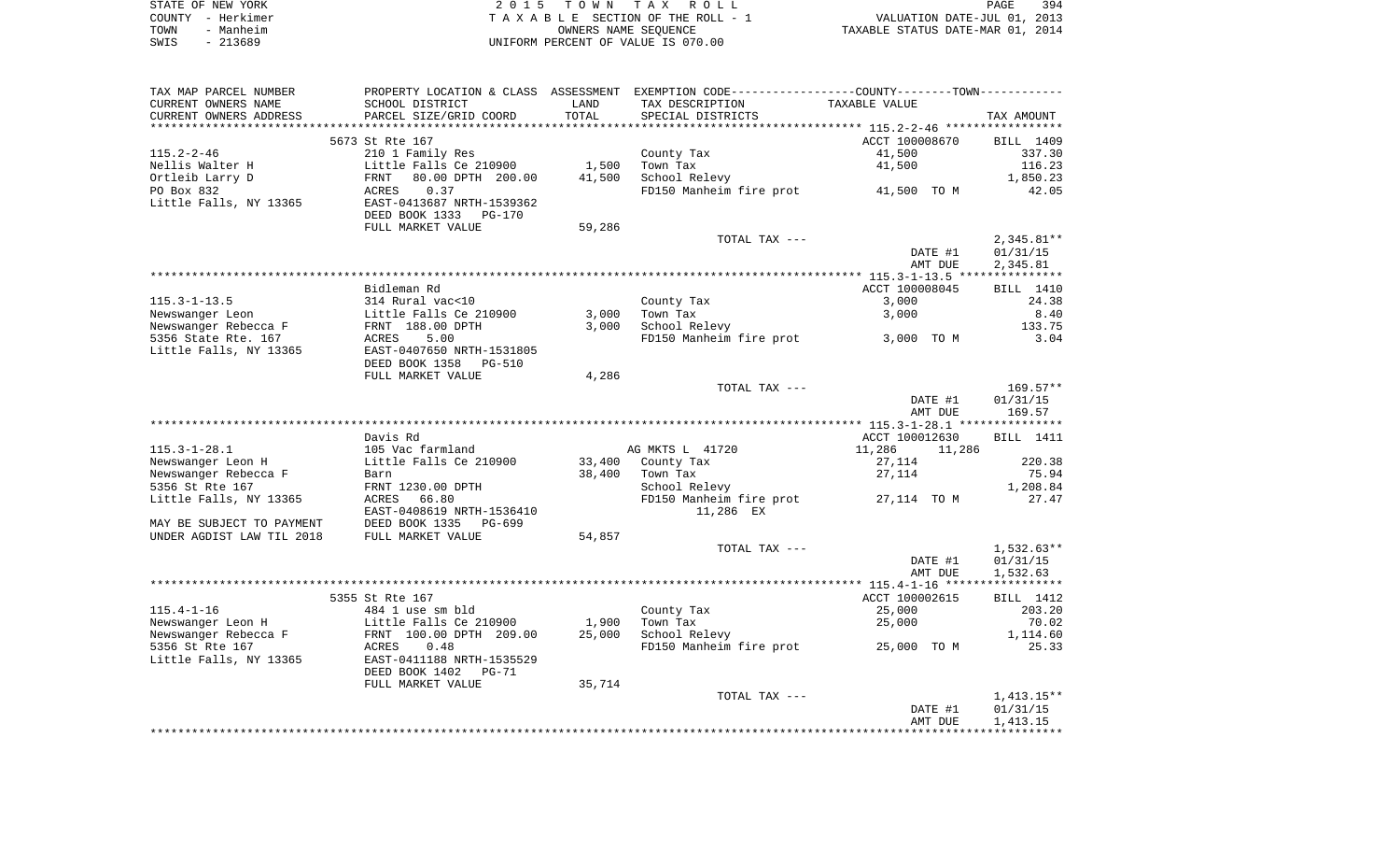|      | STATE OF NEW YORK | 2015 TOWN TAX ROLL                 | 394<br>PAGE                      |  |
|------|-------------------|------------------------------------|----------------------------------|--|
|      | COUNTY - Herkimer | TAXABLE SECTION OF THE ROLL - 1    | VALUATION DATE-JUL 01, 2013      |  |
| TOWN | - Manheim         | OWNERS NAME SEOUENCE               | TAXABLE STATUS DATE-MAR 01, 2014 |  |
| SWIS | $-213689$         | UNIFORM PERCENT OF VALUE IS 070.00 |                                  |  |

| TAX MAP PARCEL NUMBER     |                                                        |        | PROPERTY LOCATION & CLASS ASSESSMENT EXEMPTION CODE---------------COUNTY-------TOWN---------- |                  |                  |
|---------------------------|--------------------------------------------------------|--------|-----------------------------------------------------------------------------------------------|------------------|------------------|
| CURRENT OWNERS NAME       | SCHOOL DISTRICT                                        | LAND   | TAX DESCRIPTION                                                                               | TAXABLE VALUE    |                  |
| CURRENT OWNERS ADDRESS    | PARCEL SIZE/GRID COORD                                 | TOTAL  | SPECIAL DISTRICTS                                                                             |                  | TAX AMOUNT       |
|                           |                                                        |        |                                                                                               |                  |                  |
|                           | 5673 St Rte 167                                        |        |                                                                                               | ACCT 100008670   | BILL 1409        |
| $115.2 - 2 - 46$          | 210 1 Family Res                                       |        | County Tax                                                                                    | 41,500           | 337.30           |
| Nellis Walter H           | Little Falls Ce 210900                                 | 1,500  | Town Tax                                                                                      | 41,500           | 116.23           |
| Ortleib Larry D           | 80.00 DPTH 200.00<br>FRNT                              | 41,500 | School Relevy                                                                                 |                  | 1,850.23         |
| PO Box 832                | ACRES<br>0.37                                          |        | FD150 Manheim fire prot 41,500 TO M                                                           |                  | 42.05            |
| Little Falls, NY 13365    | EAST-0413687 NRTH-1539362<br>DEED BOOK 1333<br>PG-170  |        |                                                                                               |                  |                  |
|                           | FULL MARKET VALUE                                      | 59,286 |                                                                                               |                  |                  |
|                           |                                                        |        | TOTAL TAX ---                                                                                 |                  | $2,345.81**$     |
|                           |                                                        |        |                                                                                               | DATE #1          | 01/31/15         |
|                           |                                                        |        |                                                                                               | AMT DUE          | 2,345.81         |
|                           |                                                        |        |                                                                                               |                  |                  |
|                           | Bidleman Rd                                            |        |                                                                                               | ACCT 100008045   | BILL 1410        |
| $115.3 - 1 - 13.5$        | 314 Rural vac<10                                       |        | County Tax                                                                                    | 3,000            | 24.38            |
| Newswanger Leon           | Little Falls Ce 210900                                 | 3,000  | Town Tax                                                                                      | 3,000            | 8.40             |
| Newswanger Rebecca F      | FRNT 188.00 DPTH                                       | 3,000  | School Relevy                                                                                 |                  | 133.75           |
| 5356 State Rte. 167       | ACRES<br>5.00                                          |        | FD150 Manheim fire prot                                                                       | 3,000 TO M       | 3.04             |
| Little Falls, NY 13365    | EAST-0407650 NRTH-1531805                              |        |                                                                                               |                  |                  |
|                           | DEED BOOK 1358<br>PG-510                               |        |                                                                                               |                  |                  |
|                           | FULL MARKET VALUE                                      | 4,286  |                                                                                               |                  |                  |
|                           |                                                        |        | TOTAL TAX ---                                                                                 |                  | $169.57**$       |
|                           |                                                        |        |                                                                                               | DATE #1          | 01/31/15         |
|                           |                                                        |        |                                                                                               | AMT DUE          | 169.57           |
|                           |                                                        |        |                                                                                               |                  |                  |
|                           | Davis Rd                                               |        |                                                                                               | ACCT 100012630   | <b>BILL</b> 1411 |
| $115.3 - 1 - 28.1$        | 105 Vac farmland                                       |        | AG MKTS L 41720                                                                               | 11,286<br>11,286 |                  |
| Newswanger Leon H         | Little Falls Ce 210900                                 | 33,400 | County Tax                                                                                    | 27,114           | 220.38           |
| Newswanger Rebecca F      | Barn                                                   | 38,400 | Town Tax                                                                                      | 27,114           | 75.94            |
| 5356 St Rte 167           | FRNT 1230.00 DPTH                                      |        | School Relevy                                                                                 |                  | 1,208.84         |
| Little Falls, NY 13365    | ACRES<br>66.80                                         |        | FD150 Manheim fire prot                                                                       | 27,114 TO M      | 27.47            |
|                           | EAST-0408619 NRTH-1536410                              |        | 11,286 EX                                                                                     |                  |                  |
| MAY BE SUBJECT TO PAYMENT | DEED BOOK 1335<br>PG-699                               |        |                                                                                               |                  |                  |
| UNDER AGDIST LAW TIL 2018 | FULL MARKET VALUE                                      | 54,857 |                                                                                               |                  |                  |
|                           |                                                        |        | TOTAL TAX ---                                                                                 |                  | $1,532.63**$     |
|                           |                                                        |        |                                                                                               | DATE #1          | 01/31/15         |
|                           |                                                        |        |                                                                                               | AMT DUE          | 1,532.63         |
|                           |                                                        |        |                                                                                               |                  |                  |
|                           | 5355 St Rte 167                                        |        |                                                                                               | ACCT 100002615   | BILL 1412        |
| $115.4 - 1 - 16$          | 484 1 use sm bld                                       |        | County Tax                                                                                    | 25,000           | 203.20           |
| Newswanger Leon H         | Little Falls Ce 210900                                 | 1,900  | Town Tax                                                                                      | 25,000           | 70.02            |
| Newswanger Rebecca F      | FRNT 100.00 DPTH 209.00                                | 25,000 | School Relevy                                                                                 |                  | 1,114.60         |
| 5356 St Rte 167           | 0.48<br>ACRES                                          |        | FD150 Manheim fire prot                                                                       | 25,000 TO M      | 25.33            |
| Little Falls, NY 13365    | EAST-0411188 NRTH-1535529<br>DEED BOOK 1402<br>$PG-71$ |        |                                                                                               |                  |                  |
|                           | FULL MARKET VALUE                                      | 35,714 |                                                                                               |                  |                  |
|                           |                                                        |        | TOTAL TAX ---                                                                                 |                  | $1,413.15**$     |
|                           |                                                        |        |                                                                                               | DATE #1          | 01/31/15         |
|                           |                                                        |        |                                                                                               | AMT DUE          | 1,413.15         |
|                           |                                                        |        |                                                                                               |                  |                  |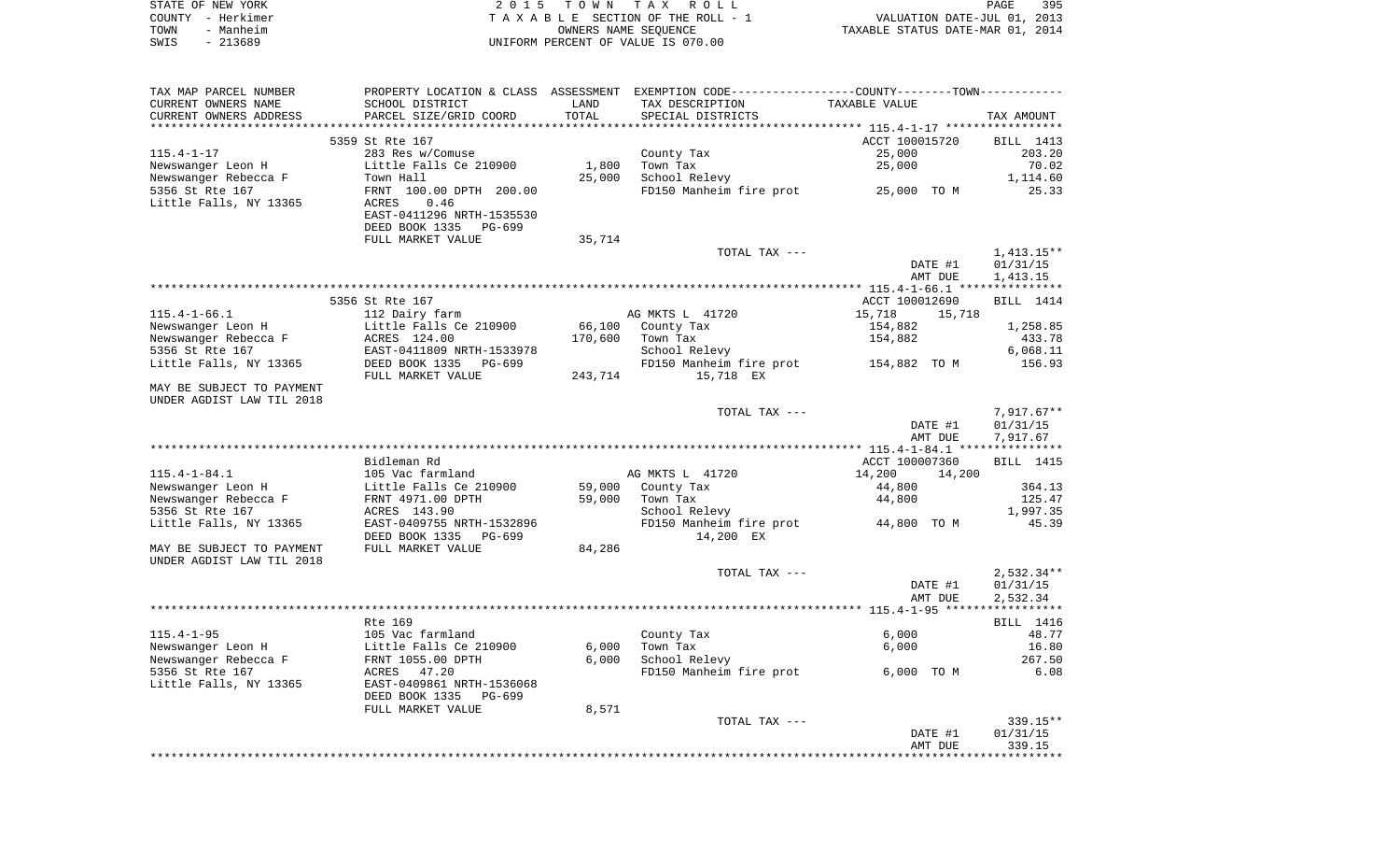|      | STATE OF NEW YORK | 2015 TOWN TAX ROLL                 | 395<br>PAGE                      |
|------|-------------------|------------------------------------|----------------------------------|
|      | COUNTY - Herkimer | TAXABLE SECTION OF THE ROLL - 1    | VALUATION DATE-JUL 01, 2013      |
| TOWN | - Manheim         | OWNERS NAME SEOUENCE               | TAXABLE STATUS DATE-MAR 01, 2014 |
| SWIS | - 213689          | UNIFORM PERCENT OF VALUE IS 070.00 |                                  |

| TAX MAP PARCEL NUMBER     |                               |                 | PROPERTY LOCATION & CLASS ASSESSMENT EXEMPTION CODE----------------COUNTY-------TOWN---------- |                |         |                  |
|---------------------------|-------------------------------|-----------------|------------------------------------------------------------------------------------------------|----------------|---------|------------------|
| CURRENT OWNERS NAME       | SCHOOL DISTRICT               | LAND            | TAX DESCRIPTION                                                                                | TAXABLE VALUE  |         |                  |
| CURRENT OWNERS ADDRESS    | PARCEL SIZE/GRID COORD        | TOTAL           | SPECIAL DISTRICTS                                                                              |                |         | TAX AMOUNT       |
| ************************  | ***************************** | *************** | *************************** 115.4-1-17 *****************                                       |                |         |                  |
|                           | 5359 St Rte 167               |                 |                                                                                                | ACCT 100015720 |         | BILL 1413        |
| $115.4 - 1 - 17$          | 283 Res w/Comuse              |                 | County Tax                                                                                     | 25,000         |         | 203.20           |
| Newswanger Leon H         | Little Falls Ce 210900        | 1,800           | Town Tax                                                                                       | 25,000         |         | 70.02            |
| Newswanger Rebecca F      | Town Hall                     | 25,000          | School Relevy                                                                                  |                |         | 1,114.60         |
| 5356 St Rte 167           | FRNT 100.00 DPTH 200.00       |                 | FD150 Manheim fire prot                                                                        | 25,000 TO M    |         | 25.33            |
| Little Falls, NY 13365    | 0.46<br>ACRES                 |                 |                                                                                                |                |         |                  |
|                           | EAST-0411296 NRTH-1535530     |                 |                                                                                                |                |         |                  |
|                           | DEED BOOK 1335<br>PG-699      |                 |                                                                                                |                |         |                  |
|                           | FULL MARKET VALUE             | 35,714          |                                                                                                |                |         |                  |
|                           |                               |                 | TOTAL TAX ---                                                                                  |                |         | $1,413.15**$     |
|                           |                               |                 |                                                                                                |                | DATE #1 | 01/31/15         |
|                           |                               |                 |                                                                                                |                | AMT DUE | 1,413.15         |
|                           | 5356 St Rte 167               |                 |                                                                                                | ACCT 100012690 |         | <b>BILL</b> 1414 |
| $115.4 - 1 - 66.1$        | 112 Dairy farm                |                 | AG MKTS L 41720                                                                                | 15,718         | 15,718  |                  |
| Newswanger Leon H         | Little Falls Ce 210900        | 66,100          | County Tax                                                                                     | 154,882        |         | 1,258.85         |
| Newswanger Rebecca F      | ACRES 124.00                  | 170,600         | Town Tax                                                                                       | 154,882        |         | 433.78           |
| 5356 St Rte 167           | EAST-0411809 NRTH-1533978     |                 | School Relevy                                                                                  |                |         | 6,068.11         |
| Little Falls, NY 13365    | DEED BOOK 1335<br>PG-699      |                 | FD150 Manheim fire prot                                                                        | 154,882 TO M   |         | 156.93           |
|                           | FULL MARKET VALUE             | 243,714         | 15,718 EX                                                                                      |                |         |                  |
| MAY BE SUBJECT TO PAYMENT |                               |                 |                                                                                                |                |         |                  |
| UNDER AGDIST LAW TIL 2018 |                               |                 |                                                                                                |                |         |                  |
|                           |                               |                 | TOTAL TAX ---                                                                                  |                |         | $7,917.67**$     |
|                           |                               |                 |                                                                                                |                | DATE #1 | 01/31/15         |
|                           |                               |                 |                                                                                                |                | AMT DUE | 7,917.67         |
|                           |                               |                 |                                                                                                |                |         |                  |
|                           | Bidleman Rd                   |                 |                                                                                                | ACCT 100007360 |         | BILL 1415        |
| $115.4 - 1 - 84.1$        | 105 Vac farmland              |                 | AG MKTS L 41720                                                                                | 14,200         | 14,200  |                  |
| Newswanger Leon H         | Little Falls Ce 210900        | 59,000          | County Tax                                                                                     | 44,800         |         | 364.13           |
| Newswanger Rebecca F      | FRNT 4971.00 DPTH             | 59,000          | Town Tax                                                                                       | 44,800         |         | 125.47           |
| 5356 St Rte 167           | ACRES 143.90                  |                 | School Relevy                                                                                  |                |         | 1,997.35         |
| Little Falls, NY 13365    | EAST-0409755 NRTH-1532896     |                 | FD150 Manheim fire prot                                                                        | 44,800 TO M    |         | 45.39            |
|                           | DEED BOOK 1335<br>PG-699      |                 | 14,200 EX                                                                                      |                |         |                  |
| MAY BE SUBJECT TO PAYMENT | FULL MARKET VALUE             | 84,286          |                                                                                                |                |         |                  |
| UNDER AGDIST LAW TIL 2018 |                               |                 |                                                                                                |                |         |                  |
|                           |                               |                 | TOTAL TAX ---                                                                                  |                |         | $2,532.34**$     |
|                           |                               |                 |                                                                                                |                | DATE #1 | 01/31/15         |
|                           |                               |                 |                                                                                                |                | AMT DUE | 2,532.34         |
|                           |                               |                 |                                                                                                |                |         |                  |
|                           | Rte 169                       |                 |                                                                                                |                |         | BILL 1416        |
| $115.4 - 1 - 95$          | 105 Vac farmland              |                 | County Tax                                                                                     | 6,000          |         | 48.77            |
| Newswanger Leon H         | Little Falls Ce 210900        | 6,000           | Town Tax                                                                                       | 6,000          |         | 16.80            |
| Newswanger Rebecca F      | FRNT 1055.00 DPTH             | 6,000           | School Relevy                                                                                  |                |         | 267.50           |
| 5356 St Rte 167           | 47.20<br>ACRES                |                 | FD150 Manheim fire prot                                                                        | 6,000 TO M     |         | 6.08             |
| Little Falls, NY 13365    | EAST-0409861 NRTH-1536068     |                 |                                                                                                |                |         |                  |
|                           | DEED BOOK 1335<br>PG-699      |                 |                                                                                                |                |         |                  |
|                           | FULL MARKET VALUE             | 8,571           | TOTAL TAX ---                                                                                  |                |         | 339.15**         |
|                           |                               |                 |                                                                                                |                | DATE #1 | 01/31/15         |
|                           |                               |                 |                                                                                                |                | AMT DUE | 339.15           |
|                           |                               |                 |                                                                                                |                |         |                  |
|                           |                               |                 |                                                                                                |                |         |                  |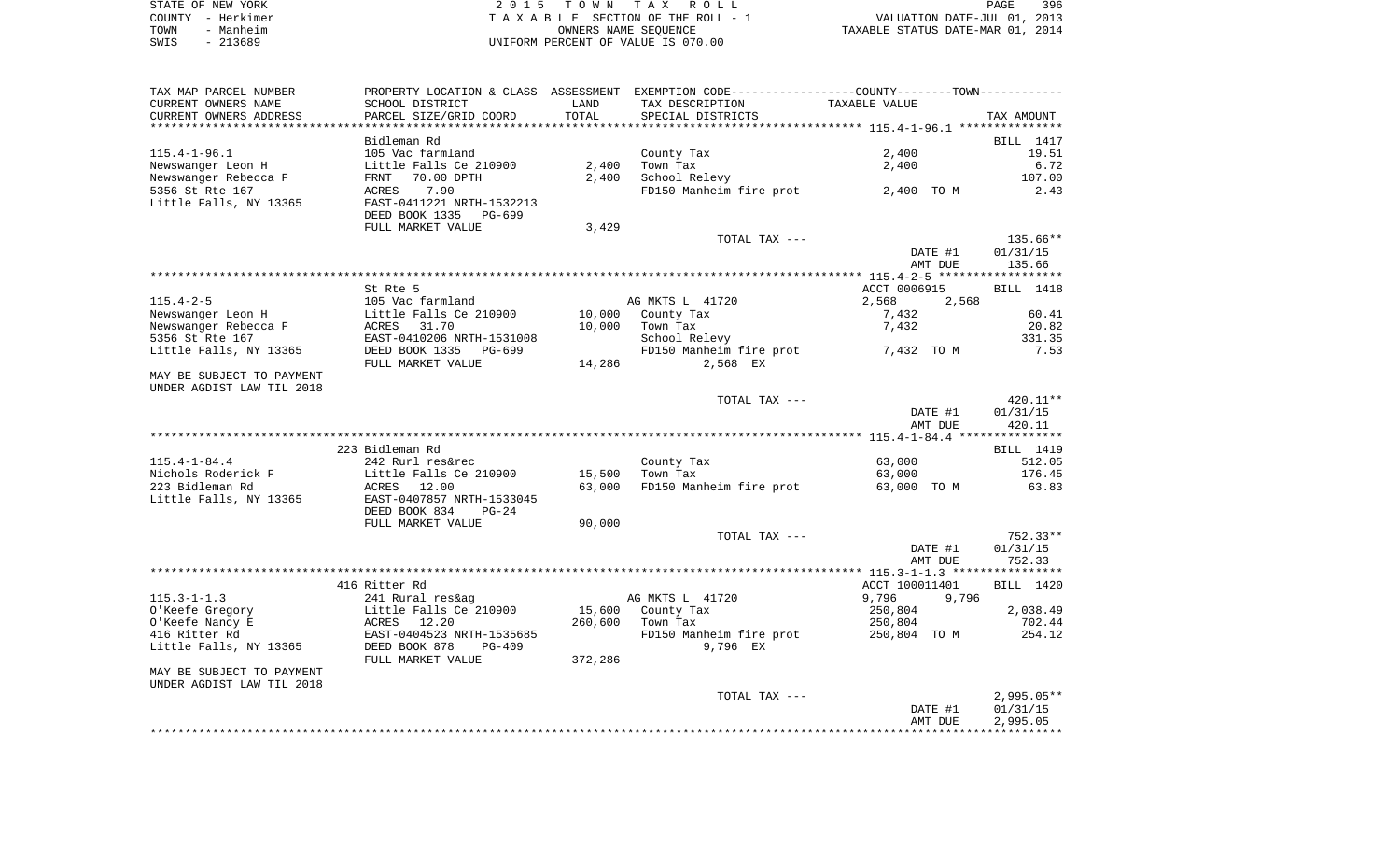| STATE OF NEW YORK |           | 2015 TOWN TAX ROLL                 |                      |                                  | PAGE | 396 |
|-------------------|-----------|------------------------------------|----------------------|----------------------------------|------|-----|
| COUNTY - Herkimer |           | TAXABLE SECTION OF THE ROLL - 1    |                      | VALUATION DATE-JUL 01, 2013      |      |     |
| TOWN              | - Manheim |                                    | OWNERS NAME SEOUENCE | TAXABLE STATUS DATE-MAR 01, 2014 |      |     |
| SWIS              | - 213689  | UNIFORM PERCENT OF VALUE IS 070.00 |                      |                                  |      |     |

| TAX MAP PARCEL NUMBER     |                                                          |         | PROPERTY LOCATION & CLASS ASSESSMENT EXEMPTION CODE----------------COUNTY--------TOWN----------- |                |              |
|---------------------------|----------------------------------------------------------|---------|--------------------------------------------------------------------------------------------------|----------------|--------------|
| CURRENT OWNERS NAME       | SCHOOL DISTRICT                                          | LAND    | TAX DESCRIPTION                                                                                  | TAXABLE VALUE  |              |
| CURRENT OWNERS ADDRESS    | PARCEL SIZE/GRID COORD                                   | TOTAL   | SPECIAL DISTRICTS                                                                                |                | TAX AMOUNT   |
|                           |                                                          |         |                                                                                                  |                |              |
|                           | Bidleman Rd                                              |         |                                                                                                  |                | BILL 1417    |
| $115.4 - 1 - 96.1$        | 105 Vac farmland                                         |         | County Tax                                                                                       | 2,400          | 19.51        |
| Newswanger Leon H         | Little Falls Ce 210900                                   | 2,400   | Town Tax                                                                                         | 2,400          | 6.72         |
| Newswanger Rebecca F      | FRNT<br>70.00 DPTH                                       | 2,400   | School Relevy                                                                                    |                | 107.00       |
| 5356 St Rte 167           | ACRES<br>7.90                                            |         | FD150 Manheim fire prot 2,400 TO M                                                               |                | 2.43         |
| Little Falls, NY 13365    | EAST-0411221 NRTH-1532213                                |         |                                                                                                  |                |              |
|                           | DEED BOOK 1335<br>PG-699                                 |         |                                                                                                  |                |              |
|                           | FULL MARKET VALUE                                        | 3,429   |                                                                                                  |                |              |
|                           |                                                          |         | TOTAL TAX ---                                                                                    |                | 135.66**     |
|                           |                                                          |         |                                                                                                  | DATE #1        | 01/31/15     |
|                           |                                                          |         |                                                                                                  | AMT DUE        | 135.66       |
|                           |                                                          |         |                                                                                                  |                |              |
|                           | St Rte 5                                                 |         |                                                                                                  | ACCT 0006915   | BILL 1418    |
| $115.4 - 2 - 5$           |                                                          |         | AG MKTS L 41720                                                                                  | 2,568<br>2,568 |              |
| Newswanger Leon H         | Le vac Larmland<br>Little Falls Ce 210900<br>ACRES 31.70 | 10,000  | County Tax                                                                                       | 7,432          | 60.41        |
| Newswanger Rebecca F      |                                                          | 10,000  | Town Tax                                                                                         | 7,432          | 20.82        |
| 5356 St Rte 167           | EAST-0410206 NRTH-1531008                                |         | School Relevy                                                                                    |                | 331.35       |
| Little Falls, NY 13365    | DEED BOOK 1335<br>PG-699                                 |         | FD150 Manheim fire prot 7,432 TO M                                                               |                | 7.53         |
|                           | FULL MARKET VALUE                                        | 14,286  | 2,568 EX                                                                                         |                |              |
| MAY BE SUBJECT TO PAYMENT |                                                          |         |                                                                                                  |                |              |
| UNDER AGDIST LAW TIL 2018 |                                                          |         |                                                                                                  |                |              |
|                           |                                                          |         | TOTAL TAX ---                                                                                    |                | 420.11**     |
|                           |                                                          |         |                                                                                                  | DATE #1        | 01/31/15     |
|                           |                                                          |         |                                                                                                  | AMT DUE        | 420.11       |
|                           |                                                          |         |                                                                                                  |                |              |
|                           | 223 Bidleman Rd                                          |         |                                                                                                  |                | BILL 1419    |
| $115.4 - 1 - 84.4$        | 242 Rurl res&rec                                         |         | County Tax                                                                                       | 63,000         | 512.05       |
| Nichols Roderick F        | Little Falls Ce 210900                                   | 15,500  | Town Tax                                                                                         | 63,000         | 176.45       |
| 223 Bidleman Rd           | ACRES 12.00                                              | 63,000  | FD150 Manheim fire prot                                                                          | 63,000 TO M    | 63.83        |
| Little Falls, NY 13365    | EAST-0407857 NRTH-1533045                                |         |                                                                                                  |                |              |
|                           | DEED BOOK 834<br>$PG-24$                                 |         |                                                                                                  |                |              |
|                           | FULL MARKET VALUE                                        | 90,000  |                                                                                                  |                |              |
|                           |                                                          |         | TOTAL TAX ---                                                                                    |                | 752.33**     |
|                           |                                                          |         |                                                                                                  | DATE #1        | 01/31/15     |
|                           |                                                          |         |                                                                                                  | AMT DUE        | 752.33       |
|                           |                                                          |         |                                                                                                  |                |              |
|                           | 416 Ritter Rd                                            |         |                                                                                                  | ACCT 100011401 | BILL 1420    |
| $115.3 - 1 - 1.3$         | 241 Rural res&ag                                         |         | AG MKTS L 41720                                                                                  | 9,796<br>9,796 |              |
| O'Keefe Gregory           | Little Falls Ce 210900                                   | 15,600  | County Tax                                                                                       | 250,804        | 2,038.49     |
| O'Keefe Nancy E           | ACRES 12.20                                              | 260,600 | Town Tax                                                                                         | 250,804        | 702.44       |
| 416 Ritter Rd             | EAST-0404523 NRTH-1535685                                |         | FD150 Manheim fire prot 250,804 TO M                                                             |                | 254.12       |
| Little Falls, NY 13365    | DEED BOOK 878<br>$PG-409$                                |         | 9,796 EX                                                                                         |                |              |
|                           | FULL MARKET VALUE                                        | 372,286 |                                                                                                  |                |              |
| MAY BE SUBJECT TO PAYMENT |                                                          |         |                                                                                                  |                |              |
| UNDER AGDIST LAW TIL 2018 |                                                          |         |                                                                                                  |                |              |
|                           |                                                          |         | TOTAL TAX ---                                                                                    |                | $2,995.05**$ |
|                           |                                                          |         |                                                                                                  | DATE #1        | 01/31/15     |
|                           |                                                          |         |                                                                                                  | AMT DUE        | 2,995.05     |
|                           |                                                          |         |                                                                                                  |                |              |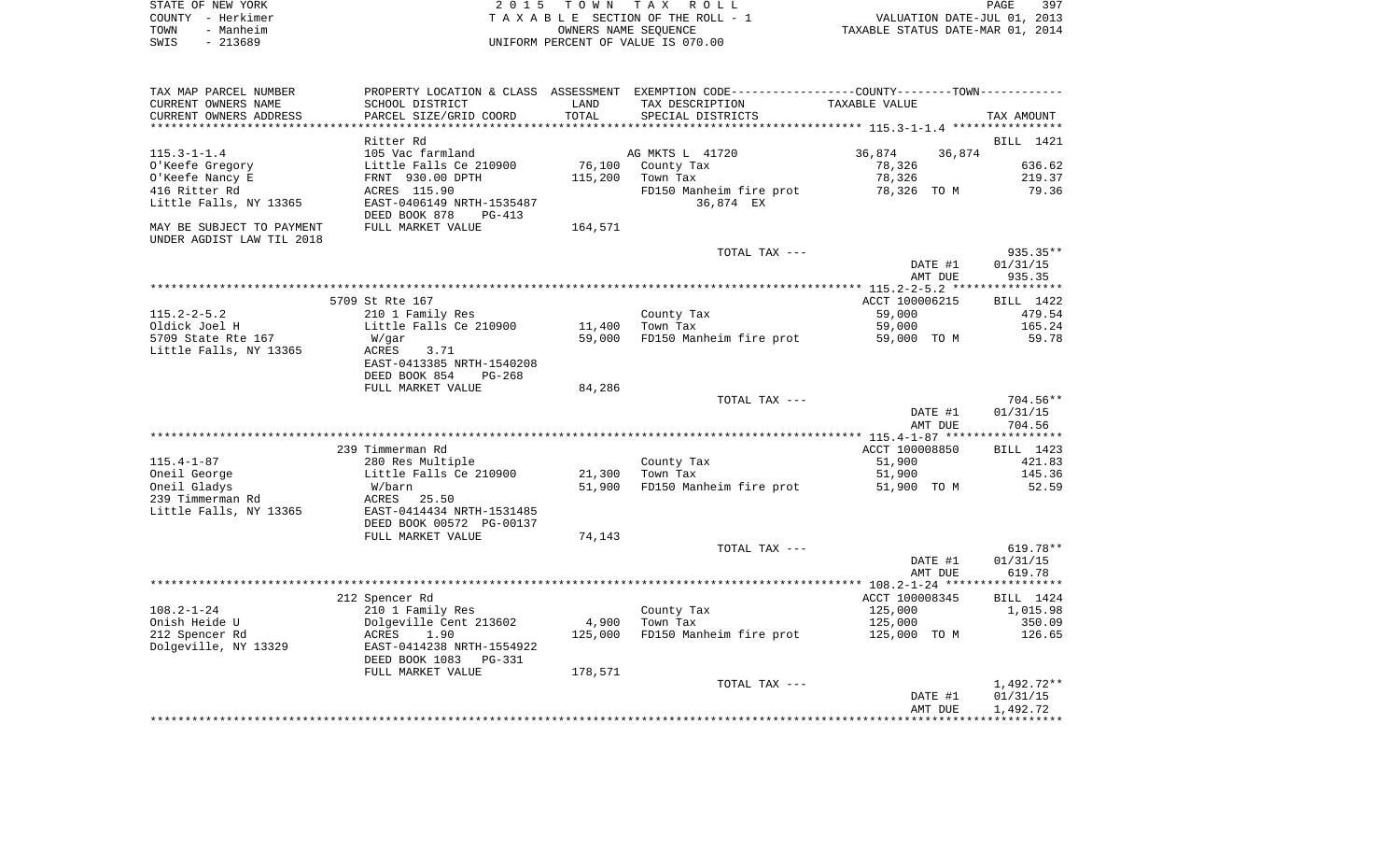|      | STATE OF NEW YORK | 2015 TOWN TAX ROLL                 | PAGE                             | 397 |
|------|-------------------|------------------------------------|----------------------------------|-----|
|      | COUNTY - Herkimer | TAXABLE SECTION OF THE ROLL - 1    | VALUATION DATE-JUL 01, 2013      |     |
| TOWN | - Manheim         | OWNERS NAME SEOUENCE               | TAXABLE STATUS DATE-MAR 01, 2014 |     |
| SWIS | - 213689          | UNIFORM PERCENT OF VALUE IS 070.00 |                                  |     |

| TAX MAP PARCEL NUMBER                                  |                                                        |         | PROPERTY LOCATION & CLASS ASSESSMENT EXEMPTION CODE----------------COUNTY-------TOWN---------- |                  |            |
|--------------------------------------------------------|--------------------------------------------------------|---------|------------------------------------------------------------------------------------------------|------------------|------------|
| CURRENT OWNERS NAME                                    | SCHOOL DISTRICT                                        | LAND    | TAX DESCRIPTION                                                                                | TAXABLE VALUE    |            |
| CURRENT OWNERS ADDRESS                                 | PARCEL SIZE/GRID COORD                                 | TOTAL   | SPECIAL DISTRICTS                                                                              |                  | TAX AMOUNT |
|                                                        |                                                        |         |                                                                                                |                  |            |
|                                                        | Ritter Rd                                              |         |                                                                                                |                  | BILL 1421  |
| $115.3 - 1 - 1.4$                                      | 105 Vac farmland                                       |         | AG MKTS L 41720                                                                                | 36,874<br>36,874 |            |
| O'Keefe Gregory                                        | Little Falls Ce 210900                                 | 76,100  | County Tax                                                                                     | 78,326           | 636.62     |
|                                                        |                                                        |         |                                                                                                |                  |            |
| O'Keefe Nancy E                                        | FRNT 930.00 DPTH                                       | 115,200 | Town Tax                                                                                       | 78,326           | 219.37     |
| 416 Ritter Rd                                          | ACRES 115.90                                           |         | FD150 Manheim fire prot                                                                        | 78,326 TO M      | 79.36      |
| Little Falls, NY 13365                                 | EAST-0406149 NRTH-1535487<br>DEED BOOK 878<br>$PG-413$ |         | 36,874 EX                                                                                      |                  |            |
|                                                        |                                                        |         |                                                                                                |                  |            |
| MAY BE SUBJECT TO PAYMENT<br>UNDER AGDIST LAW TIL 2018 | FULL MARKET VALUE                                      | 164,571 |                                                                                                |                  |            |
|                                                        |                                                        |         | TOTAL TAX ---                                                                                  |                  | 935.35**   |
|                                                        |                                                        |         |                                                                                                | DATE #1          | 01/31/15   |
|                                                        |                                                        |         |                                                                                                | AMT DUE          | 935.35     |
|                                                        |                                                        |         |                                                                                                |                  |            |
|                                                        | 5709 St Rte 167                                        |         |                                                                                                | ACCT 100006215   | BILL 1422  |
| $115.2 - 2 - 5.2$                                      | 210 1 Family Res                                       |         | County Tax                                                                                     | 59,000           | 479.54     |
| Oldick Joel H                                          |                                                        | 11,400  | Town Tax                                                                                       | 59,000           | 165.24     |
|                                                        | Little Falls Ce 210900                                 |         |                                                                                                |                  |            |
| 5709 State Rte 167                                     | W/gar                                                  | 59,000  | FD150 Manheim fire prot                                                                        | 59,000 TO M      | 59.78      |
| Little Falls, NY 13365                                 | ACRES<br>3.71                                          |         |                                                                                                |                  |            |
|                                                        | EAST-0413385 NRTH-1540208                              |         |                                                                                                |                  |            |
|                                                        | DEED BOOK 854<br>$PG-268$                              |         |                                                                                                |                  |            |
|                                                        | FULL MARKET VALUE                                      | 84,286  |                                                                                                |                  |            |
|                                                        |                                                        |         | TOTAL TAX ---                                                                                  |                  | $704.56**$ |
|                                                        |                                                        |         |                                                                                                | DATE #1          | 01/31/15   |
|                                                        |                                                        |         |                                                                                                | AMT DUE          | 704.56     |
|                                                        |                                                        |         |                                                                                                |                  |            |
|                                                        | 239 Timmerman Rd                                       |         |                                                                                                | ACCT 100008850   | BILL 1423  |
| $115.4 - 1 - 87$                                       | 280 Res Multiple                                       |         | County Tax                                                                                     | 51,900           | 421.83     |
| Oneil George                                           | Little Falls Ce 210900                                 | 21,300  | Town Tax                                                                                       | 51,900           | 145.36     |
| Oneil Gladys                                           | W/barn                                                 | 51,900  | FD150 Manheim fire prot                                                                        | 51,900 TO M      | 52.59      |
|                                                        |                                                        |         |                                                                                                |                  |            |
| 239 Timmerman Rd                                       | ACRES<br>25.50                                         |         |                                                                                                |                  |            |
| Little Falls, NY 13365                                 | EAST-0414434 NRTH-1531485                              |         |                                                                                                |                  |            |
|                                                        | DEED BOOK 00572 PG-00137                               |         |                                                                                                |                  |            |
|                                                        | FULL MARKET VALUE                                      | 74,143  |                                                                                                |                  |            |
|                                                        |                                                        |         | TOTAL TAX ---                                                                                  |                  | $619.78**$ |
|                                                        |                                                        |         |                                                                                                | DATE #1          | 01/31/15   |
|                                                        |                                                        |         |                                                                                                | AMT DUE          | 619.78     |
|                                                        |                                                        |         |                                                                                                |                  |            |
|                                                        | 212 Spencer Rd                                         |         |                                                                                                | ACCT 100008345   | BILL 1424  |
| $108.2 - 1 - 24$                                       | 210 1 Family Res                                       |         | County Tax                                                                                     | 125,000          | 1,015.98   |
| Onish Heide U                                          | Dolgeville Cent 213602                                 | 4,900   | Town Tax                                                                                       | 125,000          | 350.09     |
| 212 Spencer Rd                                         | 1.90<br>ACRES                                          | 125,000 | FD150 Manheim fire prot                                                                        | 125,000 TO M     | 126.65     |
| Dolgeville, NY 13329                                   | EAST-0414238 NRTH-1554922                              |         |                                                                                                |                  |            |
|                                                        |                                                        |         |                                                                                                |                  |            |
|                                                        | DEED BOOK 1083<br><b>PG-331</b>                        |         |                                                                                                |                  |            |
|                                                        | FULL MARKET VALUE                                      | 178,571 |                                                                                                |                  |            |
|                                                        |                                                        |         | TOTAL TAX ---                                                                                  |                  | 1,492.72** |
|                                                        |                                                        |         |                                                                                                | DATE #1          | 01/31/15   |
|                                                        |                                                        |         |                                                                                                | AMT DUE          | 1,492.72   |
|                                                        |                                                        |         |                                                                                                |                  |            |
|                                                        |                                                        |         |                                                                                                |                  |            |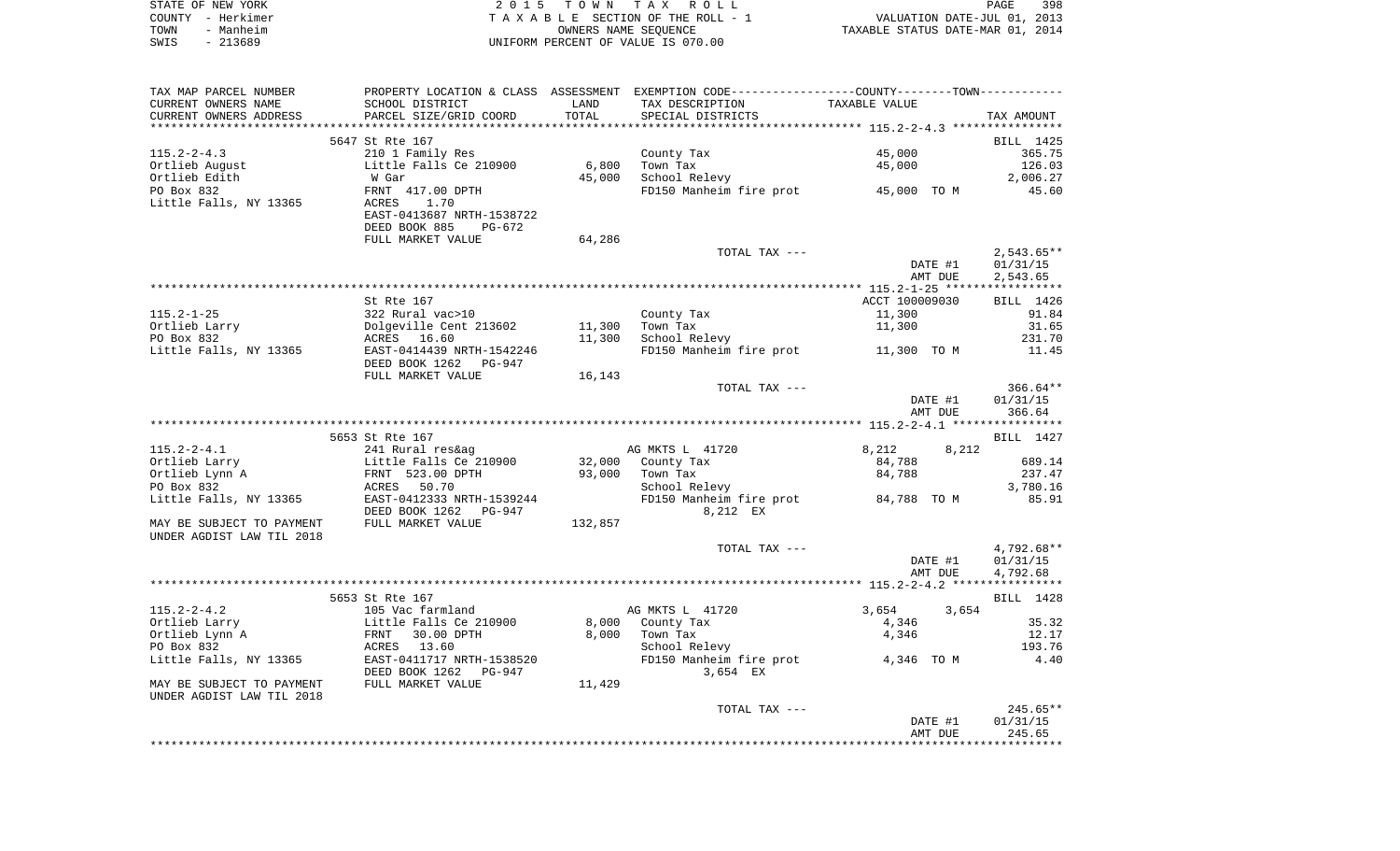|      | STATE OF NEW YORK | 2015 TOWN TAX ROLL                 | 398<br>PAGE                      |
|------|-------------------|------------------------------------|----------------------------------|
|      | COUNTY - Herkimer | TAXABLE SECTION OF THE ROLL - 1    | VALUATION DATE-JUL 01, 2013      |
| TOWN | - Manheim         | OWNERS NAME SEOUENCE               | TAXABLE STATUS DATE-MAR 01, 2014 |
| SWIS | - 213689          | UNIFORM PERCENT OF VALUE IS 070.00 |                                  |

| TAX MAP PARCEL NUMBER     |                                                       |         | PROPERTY LOCATION & CLASS ASSESSMENT EXEMPTION CODE---------------COUNTY-------TOWN---------- |                |         |                |
|---------------------------|-------------------------------------------------------|---------|-----------------------------------------------------------------------------------------------|----------------|---------|----------------|
| CURRENT OWNERS NAME       | SCHOOL DISTRICT                                       | LAND    | TAX DESCRIPTION                                                                               | TAXABLE VALUE  |         |                |
| CURRENT OWNERS ADDRESS    | PARCEL SIZE/GRID COORD                                | TOTAL   | SPECIAL DISTRICTS                                                                             |                |         | TAX AMOUNT     |
|                           |                                                       |         |                                                                                               |                |         |                |
|                           | 5647 St Rte 167                                       |         |                                                                                               |                |         | BILL 1425      |
| $115.2 - 2 - 4.3$         | 210 1 Family Res                                      |         | County Tax                                                                                    | 45,000         |         | 365.75         |
| Ortlieb August            | Little Falls Ce 210900                                | 6,800   | Town Tax                                                                                      | 45,000         |         | 126.03         |
| Ortlieb Edith             | W Gar                                                 | 45,000  | School Relevy                                                                                 |                |         | 2,006.27       |
| PO Box 832                | FRNT 417.00 DPTH                                      |         | FD150 Manheim fire prot 45,000 TO M                                                           |                |         | 45.60          |
| Little Falls, NY 13365    | ACRES<br>1.70<br>EAST-0413687 NRTH-1538722            |         |                                                                                               |                |         |                |
|                           | DEED BOOK 885<br>PG-672                               |         |                                                                                               |                |         |                |
|                           | FULL MARKET VALUE                                     | 64,286  |                                                                                               |                |         |                |
|                           |                                                       |         | TOTAL TAX ---                                                                                 |                |         | $2,543.65**$   |
|                           |                                                       |         |                                                                                               |                | DATE #1 | 01/31/15       |
|                           |                                                       |         |                                                                                               |                | AMT DUE | 2,543.65       |
|                           |                                                       |         |                                                                                               |                |         |                |
|                           | St Rte 167                                            |         |                                                                                               | ACCT 100009030 |         | BILL 1426      |
| $115.2 - 1 - 25$          | 322 Rural vac>10                                      |         | County Tax                                                                                    | 11,300         |         | 91.84          |
| Ortlieb Larry             | Dolgeville Cent 213602                                | 11,300  | Town Tax                                                                                      | 11,300         |         | 31.65          |
| PO Box 832                | ACRES 16.60                                           | 11,300  | School Relevy                                                                                 |                |         | 231.70         |
| Little Falls, NY 13365    | EAST-0414439 NRTH-1542246                             |         | FD150 Manheim fire prot 11,300 TO M                                                           |                |         | 11.45          |
|                           | DEED BOOK 1262<br>PG-947                              |         |                                                                                               |                |         |                |
|                           | FULL MARKET VALUE                                     | 16,143  |                                                                                               |                |         |                |
|                           |                                                       |         | TOTAL TAX ---                                                                                 |                |         | $366.64**$     |
|                           |                                                       |         |                                                                                               |                | DATE #1 | 01/31/15       |
|                           |                                                       |         |                                                                                               |                | AMT DUE | 366.64         |
|                           | 5653 St Rte 167                                       |         |                                                                                               |                |         | BILL 1427      |
| $115.2 - 2 - 4.1$         | 241 Rural res&ag                                      |         | AG MKTS L 41720                                                                               | 8,212          | 8,212   |                |
| Ortlieb Larry             | Little Falls Ce 210900                                |         | 32,000 County Tax                                                                             | 84,788         |         | 689.14         |
| Ortlieb Lynn A            | FRNT 523.00 DPTH                                      | 93,000  | Town Tax                                                                                      | 84,788         |         | 237.47         |
| PO Box 832                | ACRES 50.70                                           |         | School Relevy                                                                                 |                |         | 3,780.16       |
| Little Falls, NY 13365    | EAST-0412333 NRTH-1539244                             |         | FD150 Manheim fire prot                                                                       | 84,788 TO M    |         | 85.91          |
|                           | DEED BOOK 1262<br>PG-947                              |         | 8,212 EX                                                                                      |                |         |                |
| MAY BE SUBJECT TO PAYMENT | FULL MARKET VALUE                                     | 132,857 |                                                                                               |                |         |                |
| UNDER AGDIST LAW TIL 2018 |                                                       |         |                                                                                               |                |         |                |
|                           |                                                       |         | TOTAL TAX ---                                                                                 |                |         | $4,792.68**$   |
|                           |                                                       |         |                                                                                               |                | DATE #1 | 01/31/15       |
|                           |                                                       |         |                                                                                               |                | AMT DUE | 4,792.68       |
|                           |                                                       |         |                                                                                               |                |         |                |
|                           | 5653 St Rte 167                                       |         |                                                                                               |                |         | BILL 1428      |
| $115.2 - 2 - 4.2$         | 105 Vac farmland                                      |         | AG MKTS L 41720                                                                               | 3,654          | 3,654   |                |
| Ortlieb Larry             | Little Falls Ce 210900                                | 8,000   | County Tax                                                                                    | 4,346          |         | 35.32          |
| Ortlieb Lynn A            | FRNT<br>30.00 DPTH                                    | 8,000   | Town Tax                                                                                      | 4,346          |         | 12.17          |
| PO Box 832                | ACRES 13.60                                           |         | School Relevy                                                                                 |                |         | 193.76<br>4.40 |
| Little Falls, NY 13365    | EAST-0411717 NRTH-1538520<br>DEED BOOK 1262<br>PG-947 |         | FD150 Manheim fire prot<br>3,654 EX                                                           | 4,346 TO M     |         |                |
| MAY BE SUBJECT TO PAYMENT | FULL MARKET VALUE                                     | 11,429  |                                                                                               |                |         |                |
| UNDER AGDIST LAW TIL 2018 |                                                       |         |                                                                                               |                |         |                |
|                           |                                                       |         | TOTAL TAX ---                                                                                 |                |         | 245.65**       |
|                           |                                                       |         |                                                                                               |                | DATE #1 | 01/31/15       |
|                           |                                                       |         |                                                                                               |                | AMT DUE | 245.65         |
|                           |                                                       |         |                                                                                               |                |         |                |
|                           |                                                       |         |                                                                                               |                |         |                |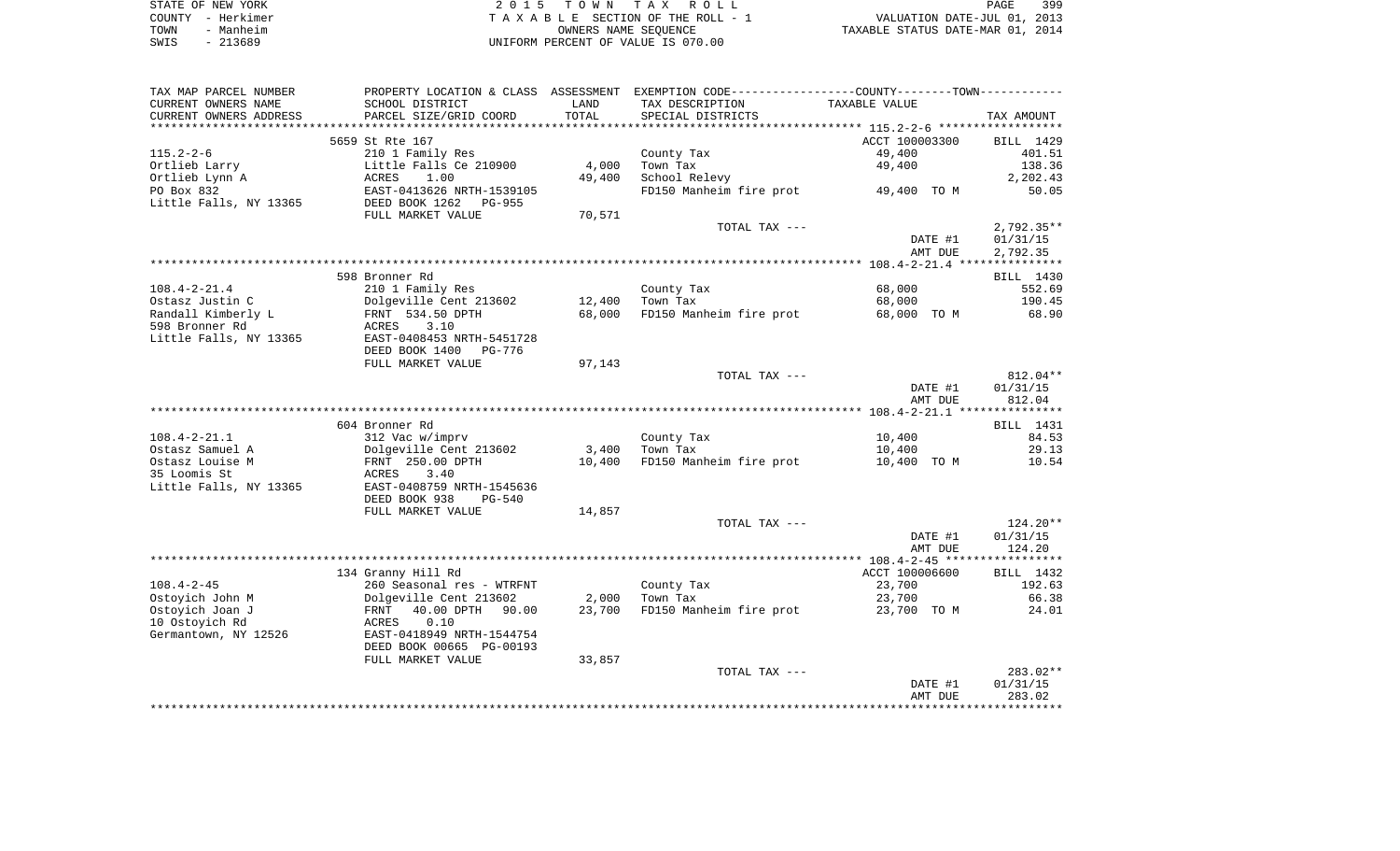|      | STATE OF NEW YORK | 2015 TOWN TAX ROLL                 | PAGE                             | 399 |
|------|-------------------|------------------------------------|----------------------------------|-----|
|      | COUNTY - Herkimer | TAXABLE SECTION OF THE ROLL - 1    | VALUATION DATE-JUL 01, 2013      |     |
| TOWN | - Manheim         | OWNERS NAME SEOUENCE               | TAXABLE STATUS DATE-MAR 01, 2014 |     |
| SWIS | - 213689          | UNIFORM PERCENT OF VALUE IS 070.00 |                                  |     |

| TAX MAP PARCEL NUMBER    | PROPERTY LOCATION & CLASS ASSESSMENT EXEMPTION CODE----------------COUNTY--------TOWN----------- |        |                         |                |              |
|--------------------------|--------------------------------------------------------------------------------------------------|--------|-------------------------|----------------|--------------|
| CURRENT OWNERS NAME      | SCHOOL DISTRICT                                                                                  | LAND   | TAX DESCRIPTION         | TAXABLE VALUE  |              |
| CURRENT OWNERS ADDRESS   | PARCEL SIZE/GRID COORD                                                                           | TOTAL  | SPECIAL DISTRICTS       |                | TAX AMOUNT   |
| ************************ | ***************************                                                                      |        |                         |                |              |
|                          | 5659 St Rte 167                                                                                  |        |                         | ACCT 100003300 | BILL 1429    |
| $115.2 - 2 - 6$          | 210 1 Family Res                                                                                 |        | County Tax              | 49,400         | 401.51       |
| Ortlieb Larry            | Little Falls Ce 210900                                                                           | 4,000  | Town Tax                | 49,400         | 138.36       |
| Ortlieb Lynn A           | 1.00<br>ACRES                                                                                    | 49,400 | School Relevy           |                | 2,202.43     |
| PO Box 832               | EAST-0413626 NRTH-1539105                                                                        |        | FD150 Manheim fire prot | 49,400 TO M    | 50.05        |
| Little Falls, NY 13365   | DEED BOOK 1262<br>PG-955                                                                         |        |                         |                |              |
|                          | FULL MARKET VALUE                                                                                | 70,571 |                         |                |              |
|                          |                                                                                                  |        | TOTAL TAX ---           |                | $2,792.35**$ |
|                          |                                                                                                  |        |                         | DATE #1        | 01/31/15     |
|                          |                                                                                                  |        |                         | AMT DUE        | 2,792.35     |
|                          |                                                                                                  |        |                         |                |              |
|                          | 598 Bronner Rd                                                                                   |        |                         |                | BILL 1430    |
| $108.4 - 2 - 21.4$       | 210 1 Family Res                                                                                 |        | County Tax              | 68,000         | 552.69       |
| Ostasz Justin C          | Dolgeville Cent 213602                                                                           | 12,400 | Town Tax                | 68,000         | 190.45       |
| Randall Kimberly L       | FRNT 534.50 DPTH                                                                                 | 68,000 | FD150 Manheim fire prot | 68,000 TO M    | 68.90        |
| 598 Bronner Rd           | ACRES<br>3.10                                                                                    |        |                         |                |              |
| Little Falls, NY 13365   | EAST-0408453 NRTH-5451728<br>PG-776                                                              |        |                         |                |              |
|                          | DEED BOOK 1400<br>FULL MARKET VALUE                                                              | 97,143 |                         |                |              |
|                          |                                                                                                  |        | TOTAL TAX ---           |                | $812.04**$   |
|                          |                                                                                                  |        |                         | DATE #1        | 01/31/15     |
|                          |                                                                                                  |        |                         | AMT DUE        | 812.04       |
|                          |                                                                                                  |        |                         |                |              |
|                          | 604 Bronner Rd                                                                                   |        |                         |                | BILL 1431    |
| $108.4 - 2 - 21.1$       | 312 Vac w/imprv                                                                                  |        | County Tax              | 10,400         | 84.53        |
| Ostasz Samuel A          | Dolgeville Cent 213602                                                                           | 3,400  | Town Tax                | 10,400         | 29.13        |
| Ostasz Louise M          | FRNT 250.00 DPTH                                                                                 | 10,400 | FD150 Manheim fire prot | 10,400 TO M    | 10.54        |
| 35 Loomis St             | 3.40<br>ACRES                                                                                    |        |                         |                |              |
| Little Falls, NY 13365   | EAST-0408759 NRTH-1545636                                                                        |        |                         |                |              |
|                          | DEED BOOK 938<br>$PG-540$                                                                        |        |                         |                |              |
|                          | FULL MARKET VALUE                                                                                | 14,857 |                         |                |              |
|                          |                                                                                                  |        | TOTAL TAX ---           |                | 124.20**     |
|                          |                                                                                                  |        |                         | DATE #1        | 01/31/15     |
|                          |                                                                                                  |        |                         | AMT DUE        | 124.20       |
|                          |                                                                                                  |        |                         |                |              |
|                          | 134 Granny Hill Rd                                                                               |        |                         | ACCT 100006600 | BILL 1432    |
| $108.4 - 2 - 45$         | 260 Seasonal res - WTRFNT                                                                        |        | County Tax              | 23,700         | 192.63       |
| Ostoyich John M          | Dolgeville Cent 213602                                                                           | 2,000  | Town Tax                | 23,700         | 66.38        |
| Ostoyich Joan J          | FRNT<br>40.00 DPTH<br>90.00                                                                      | 23,700 | FD150 Manheim fire prot | 23,700 TO M    | 24.01        |
| 10 Ostoyich Rd           | 0.10<br>ACRES                                                                                    |        |                         |                |              |
| Germantown, NY 12526     | EAST-0418949 NRTH-1544754                                                                        |        |                         |                |              |
|                          | DEED BOOK 00665 PG-00193                                                                         |        |                         |                |              |
|                          | FULL MARKET VALUE                                                                                | 33,857 |                         |                |              |
|                          |                                                                                                  |        | TOTAL TAX ---           |                | 283.02**     |
|                          |                                                                                                  |        |                         | DATE #1        | 01/31/15     |
|                          |                                                                                                  |        |                         | AMT DUE        | 283.02       |
|                          |                                                                                                  |        |                         |                |              |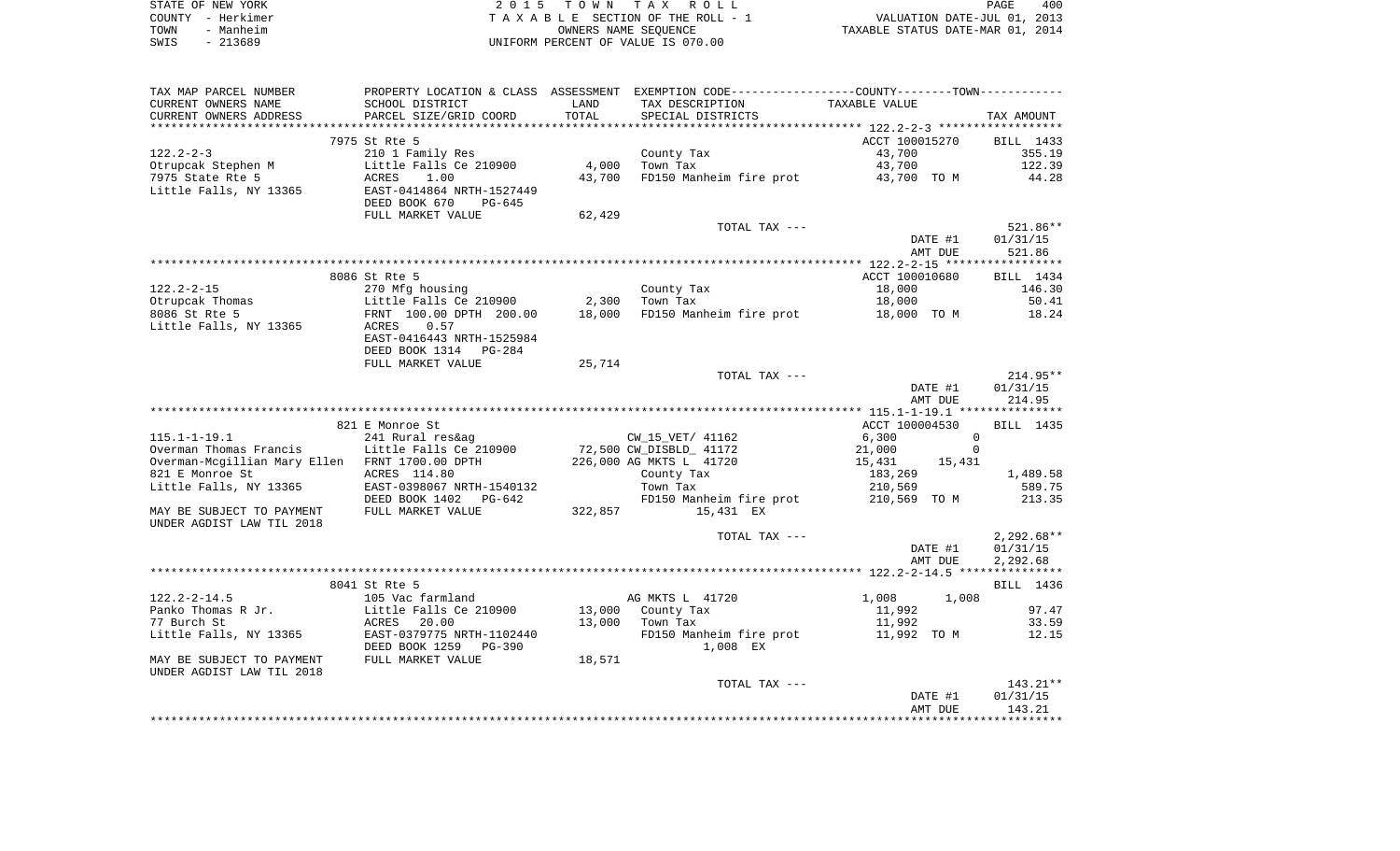|      | STATE OF NEW YORK | 2015 TOWN TAX ROLL                 | 400<br>PAGE                      |
|------|-------------------|------------------------------------|----------------------------------|
|      | COUNTY - Herkimer | TAXABLE SECTION OF THE ROLL - 1    | VALUATION DATE-JUL 01, 2013      |
| TOWN | - Manheim         | OWNERS NAME SEOUENCE               | TAXABLE STATUS DATE-MAR 01, 2014 |
| SWIS | - 213689          | UNIFORM PERCENT OF VALUE IS 070.00 |                                  |

| TAX MAP PARCEL NUMBER                                             |                                              |         | PROPERTY LOCATION & CLASS ASSESSMENT EXEMPTION CODE----------------COUNTY--------TOWN----------- |                             |                    |
|-------------------------------------------------------------------|----------------------------------------------|---------|--------------------------------------------------------------------------------------------------|-----------------------------|--------------------|
| CURRENT OWNERS NAME                                               | SCHOOL DISTRICT                              | LAND    | TAX DESCRIPTION                                                                                  | TAXABLE VALUE               |                    |
| CURRENT OWNERS ADDRESS                                            | PARCEL SIZE/GRID COORD                       | TOTAL   | SPECIAL DISTRICTS                                                                                |                             | TAX AMOUNT         |
|                                                                   |                                              |         |                                                                                                  |                             |                    |
|                                                                   | 7975 St Rte 5                                |         |                                                                                                  | ACCT 100015270              | BILL 1433          |
| $122.2 - 2 - 3$                                                   | 210 1 Family Res                             |         | County Tax                                                                                       | 43,700                      | 355.19             |
| Otrupcak Stephen M                                                | Little Falls Ce 210900                       | 4,000   | Town Tax                                                                                         | 43,700                      | 122.39             |
| 7975 State Rte 5                                                  | ACRES<br>1.00                                | 43,700  | FD150 Manheim fire prot                                                                          | 43,700 TO M                 | 44.28              |
| Little Falls, NY 13365                                            | EAST-0414864 NRTH-1527449                    |         |                                                                                                  |                             |                    |
|                                                                   | DEED BOOK 670<br>PG-645<br>FULL MARKET VALUE | 62,429  |                                                                                                  |                             |                    |
|                                                                   |                                              |         | TOTAL TAX ---                                                                                    |                             | 521.86**           |
|                                                                   |                                              |         |                                                                                                  | DATE #1                     | 01/31/15           |
|                                                                   |                                              |         |                                                                                                  | AMT DUE                     | 521.86             |
|                                                                   |                                              |         |                                                                                                  |                             |                    |
|                                                                   | 8086 St Rte 5                                |         |                                                                                                  | ACCT 100010680              | BILL 1434          |
| $122.2 - 2 - 15$                                                  | 270 Mfg housing                              |         | County Tax                                                                                       | 18,000                      | 146.30             |
| Otrupcak Thomas                                                   | Little Falls Ce 210900                       | 2,300   | Town Tax                                                                                         | 18,000                      | 50.41              |
| 8086 St Rte 5                                                     | FRNT 100.00 DPTH 200.00                      | 18,000  | FD150 Manheim fire prot                                                                          | 18,000 TO M                 | 18.24              |
| Little Falls, NY 13365                                            | 0.57<br>ACRES                                |         |                                                                                                  |                             |                    |
|                                                                   | EAST-0416443 NRTH-1525984                    |         |                                                                                                  |                             |                    |
|                                                                   | DEED BOOK 1314 PG-284                        |         |                                                                                                  |                             |                    |
|                                                                   | FULL MARKET VALUE                            | 25,714  |                                                                                                  |                             |                    |
|                                                                   |                                              |         | TOTAL TAX ---                                                                                    |                             | $214.95**$         |
|                                                                   |                                              |         |                                                                                                  | DATE #1                     | 01/31/15           |
|                                                                   |                                              |         |                                                                                                  | AMT DUE                     | 214.95             |
|                                                                   |                                              |         |                                                                                                  |                             |                    |
|                                                                   | 821 E Monroe St                              |         |                                                                                                  | ACCT 100004530              | BILL 1435          |
| $115.1 - 1 - 19.1$                                                | 241 Rural res&ag                             |         | CW_15_VET/ 41162                                                                                 | 6,300<br>$\mathbf 0$        |                    |
| Overman Thomas Francis                                            | Little Falls Ce 210900                       |         | 72,500 CW_DISBLD_ 41172                                                                          | 21,000<br>$\mathbf 0$       |                    |
| Overman-Mcgillian Mary Ellen FRNT 1700.00 DPTH<br>821 E Monroe St | ACRES 114.80                                 |         | 226,000 AG MKTS L 41720<br>County Tax                                                            | 15,431<br>15,431<br>183,269 | 1,489.58           |
| Little Falls, NY 13365                                            | EAST-0398067 NRTH-1540132                    |         | Town Tax                                                                                         | 210,569                     | 589.75             |
|                                                                   | DEED BOOK 1402 PG-642                        |         | FD150 Manheim fire prot                                                                          | 210,569 TO M                | 213.35             |
| MAY BE SUBJECT TO PAYMENT                                         | FULL MARKET VALUE                            | 322,857 | 15,431 EX                                                                                        |                             |                    |
| UNDER AGDIST LAW TIL 2018                                         |                                              |         |                                                                                                  |                             |                    |
|                                                                   |                                              |         | TOTAL TAX ---                                                                                    |                             | $2,292.68**$       |
|                                                                   |                                              |         |                                                                                                  | DATE #1                     | 01/31/15           |
|                                                                   |                                              |         |                                                                                                  | AMT DUE                     | 2,292.68           |
|                                                                   |                                              |         |                                                                                                  |                             |                    |
|                                                                   | 8041 St Rte 5                                |         |                                                                                                  |                             | BILL 1436          |
| $122.2 - 2 - 14.5$                                                | 105 Vac farmland                             |         | AG MKTS L 41720                                                                                  | 1,008<br>1,008              |                    |
| Panko Thomas R Jr.                                                | Little Falls Ce 210900                       |         | 13,000 County Tax                                                                                | 11,992                      | 97.47              |
| 77 Burch St                                                       | ACRES<br>20.00                               | 13,000  | Town Tax                                                                                         | 11,992                      | 33.59              |
| Little Falls, NY 13365                                            | EAST-0379775 NRTH-1102440                    |         | FD150 Manheim fire prot                                                                          | 11,992 TO M                 | 12.15              |
|                                                                   | DEED BOOK 1259<br>PG-390                     |         | 1,008 EX                                                                                         |                             |                    |
| MAY BE SUBJECT TO PAYMENT                                         | FULL MARKET VALUE                            | 18,571  |                                                                                                  |                             |                    |
| UNDER AGDIST LAW TIL 2018                                         |                                              |         |                                                                                                  |                             |                    |
|                                                                   |                                              |         | TOTAL TAX ---                                                                                    |                             | 143.21**           |
|                                                                   |                                              |         |                                                                                                  | DATE #1                     | 01/31/15<br>143.21 |
|                                                                   |                                              |         |                                                                                                  | AMT DUE                     |                    |
|                                                                   |                                              |         |                                                                                                  |                             |                    |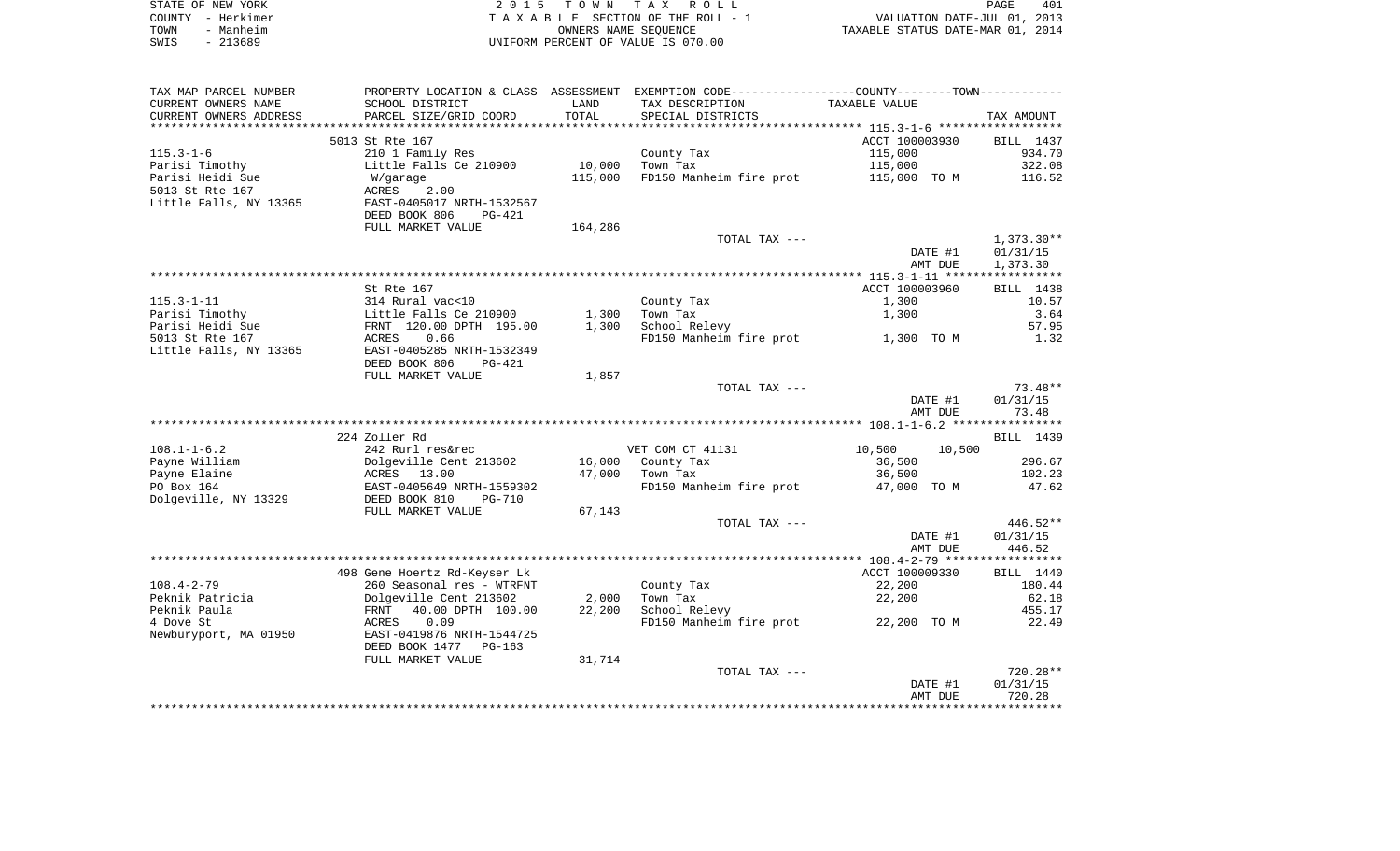|      | STATE OF NEW YORK | 2015 TOWN TAX ROLL                 | PAGE                             | 401 |
|------|-------------------|------------------------------------|----------------------------------|-----|
|      | COUNTY - Herkimer | TAXABLE SECTION OF THE ROLL - 1    | VALUATION DATE-JUL 01, 2013      |     |
| TOWN | - Manheim         | OWNERS NAME SEOUENCE               | TAXABLE STATUS DATE-MAR 01, 2014 |     |
| SWIS | $-213689$         | UNIFORM PERCENT OF VALUE IS 070.00 |                                  |     |

| TAX MAP PARCEL NUMBER  | PROPERTY LOCATION & CLASS ASSESSMENT EXEMPTION CODE-----------------COUNTY-------TOWN-------- |         |                         |                  |              |
|------------------------|-----------------------------------------------------------------------------------------------|---------|-------------------------|------------------|--------------|
| CURRENT OWNERS NAME    | SCHOOL DISTRICT                                                                               | LAND    | TAX DESCRIPTION         | TAXABLE VALUE    |              |
| CURRENT OWNERS ADDRESS | PARCEL SIZE/GRID COORD                                                                        | TOTAL   | SPECIAL DISTRICTS       |                  | TAX AMOUNT   |
|                        |                                                                                               |         |                         |                  |              |
|                        | 5013 St Rte 167                                                                               |         |                         | ACCT 100003930   | BILL 1437    |
| $115.3 - 1 - 6$        | 210 1 Family Res                                                                              |         | County Tax              | 115,000          | 934.70       |
| Parisi Timothy         | Little Falls Ce 210900                                                                        | 10,000  | Town Tax                | 115,000          | 322.08       |
| Parisi Heidi Sue       | W/garage                                                                                      | 115,000 | FD150 Manheim fire prot | 115,000 TO M     | 116.52       |
| 5013 St Rte 167        | ACRES<br>2.00                                                                                 |         |                         |                  |              |
| Little Falls, NY 13365 | EAST-0405017 NRTH-1532567                                                                     |         |                         |                  |              |
|                        | DEED BOOK 806<br>PG-421                                                                       |         |                         |                  |              |
|                        | FULL MARKET VALUE                                                                             | 164,286 |                         |                  |              |
|                        |                                                                                               |         | TOTAL TAX ---           |                  | $1,373.30**$ |
|                        |                                                                                               |         |                         | DATE #1          | 01/31/15     |
|                        |                                                                                               |         |                         | AMT DUE          | 1,373.30     |
|                        |                                                                                               |         |                         |                  |              |
|                        | St Rte 167                                                                                    |         |                         | ACCT 100003960   | BILL 1438    |
| $115.3 - 1 - 11$       | 314 Rural vac<10                                                                              |         | County Tax              | 1,300            | 10.57        |
| Parisi Timothy         | Little Falls Ce 210900                                                                        | 1,300   | Town Tax                | 1,300            | 3.64         |
| Parisi Heidi Sue       | FRNT 120.00 DPTH 195.00                                                                       | 1,300   | School Relevy           |                  | 57.95        |
| 5013 St Rte 167        | 0.66<br>ACRES                                                                                 |         | FD150 Manheim fire prot | 1,300 TO M       | 1.32         |
| Little Falls, NY 13365 | EAST-0405285 NRTH-1532349                                                                     |         |                         |                  |              |
|                        | DEED BOOK 806<br>PG-421                                                                       |         |                         |                  |              |
|                        | FULL MARKET VALUE                                                                             | 1,857   |                         |                  |              |
|                        |                                                                                               |         | TOTAL TAX ---           |                  | $73.48**$    |
|                        |                                                                                               |         |                         | DATE #1          | 01/31/15     |
|                        |                                                                                               |         |                         | AMT DUE          | 73.48        |
|                        |                                                                                               |         |                         |                  |              |
|                        | 224 Zoller Rd                                                                                 |         |                         |                  | BILL 1439    |
| $108.1 - 1 - 6.2$      | 242 Rurl res&rec                                                                              |         | VET COM CT 41131        | 10,500<br>10,500 |              |
| Payne William          | Dolgeville Cent 213602                                                                        | 16,000  | County Tax              | 36,500           | 296.67       |
| Payne Elaine           | ACRES<br>13.00                                                                                | 47,000  | Town Tax                | 36,500           | 102.23       |
| PO Box 164             | EAST-0405649 NRTH-1559302                                                                     |         | FD150 Manheim fire prot | 47,000 TO M      | 47.62        |
| Dolgeville, NY 13329   | DEED BOOK 810<br>PG-710                                                                       |         |                         |                  |              |
|                        | FULL MARKET VALUE                                                                             | 67,143  |                         |                  |              |
|                        |                                                                                               |         | TOTAL TAX ---           |                  | $446.52**$   |
|                        |                                                                                               |         |                         | DATE #1          | 01/31/15     |
|                        |                                                                                               |         |                         | AMT DUE          | 446.52       |
|                        |                                                                                               |         |                         |                  |              |
|                        | 498 Gene Hoertz Rd-Keyser Lk                                                                  |         |                         | ACCT 100009330   | BILL 1440    |
| $108.4 - 2 - 79$       | 260 Seasonal res - WTRFNT                                                                     |         | County Tax              | 22,200           | 180.44       |
| Peknik Patricia        | Dolgeville Cent 213602                                                                        | 2,000   | Town Tax                | 22,200           | 62.18        |
| Peknik Paula           | 40.00 DPTH 100.00<br>FRNT                                                                     | 22,200  | School Relevy           |                  | 455.17       |
| 4 Dove St              | 0.09<br>ACRES                                                                                 |         | FD150 Manheim fire prot | 22,200 TO M      | 22.49        |
| Newburyport, MA 01950  | EAST-0419876 NRTH-1544725                                                                     |         |                         |                  |              |
|                        | DEED BOOK 1477 PG-163                                                                         |         |                         |                  |              |
|                        | FULL MARKET VALUE                                                                             | 31,714  |                         |                  |              |
|                        |                                                                                               |         | TOTAL TAX ---           |                  | $720.28**$   |
|                        |                                                                                               |         |                         | DATE #1          | 01/31/15     |
|                        |                                                                                               |         |                         | AMT DUE          | 720.28       |
|                        |                                                                                               |         |                         |                  |              |
|                        |                                                                                               |         |                         |                  |              |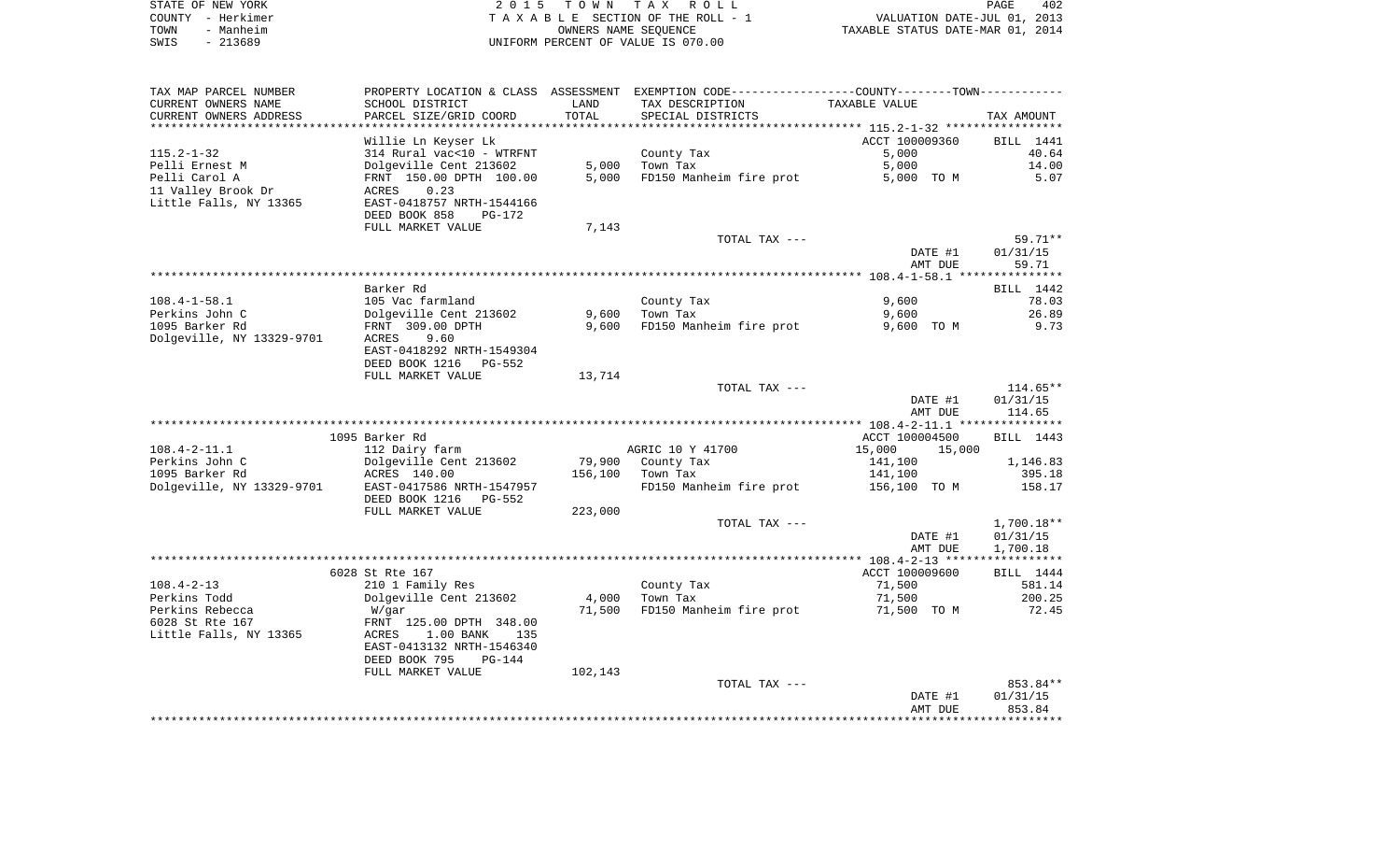| STATE OF NEW YORK | 2015 TOWN TAX ROLL                 | 402<br>PAGE                      |
|-------------------|------------------------------------|----------------------------------|
| COUNTY - Herkimer | TAXABLE SECTION OF THE ROLL - 1    | VALUATION DATE-JUL 01, 2013      |
| TOWN<br>- Manheim | OWNERS NAME SEOUENCE               | TAXABLE STATUS DATE-MAR 01, 2014 |
| $-213689$<br>SWIS | UNIFORM PERCENT OF VALUE IS 070.00 |                                  |

| TAX MAP PARCEL NUMBER     |                           |         | PROPERTY LOCATION & CLASS ASSESSMENT EXEMPTION CODE----------------COUNTY-------TOWN----------- |                  |              |
|---------------------------|---------------------------|---------|-------------------------------------------------------------------------------------------------|------------------|--------------|
| CURRENT OWNERS NAME       | SCHOOL DISTRICT           | LAND    | TAX DESCRIPTION                                                                                 | TAXABLE VALUE    |              |
| CURRENT OWNERS ADDRESS    | PARCEL SIZE/GRID COORD    | TOTAL   | SPECIAL DISTRICTS                                                                               |                  | TAX AMOUNT   |
| **********************    |                           |         |                                                                                                 |                  |              |
|                           | Willie Ln Keyser Lk       |         |                                                                                                 | ACCT 100009360   | BILL 1441    |
| $115.2 - 1 - 32$          | 314 Rural vac<10 - WTRFNT |         | County Tax                                                                                      | 5,000            | 40.64        |
| Pelli Ernest M            | Dolgeville Cent 213602    | 5,000   | Town Tax                                                                                        | 5,000            | 14.00        |
| Pelli Carol A             | FRNT 150.00 DPTH 100.00   | 5,000   | FD150 Manheim fire prot                                                                         | 5,000 TO M       | 5.07         |
| 11 Valley Brook Dr        | 0.23<br>ACRES             |         |                                                                                                 |                  |              |
| Little Falls, NY 13365    | EAST-0418757 NRTH-1544166 |         |                                                                                                 |                  |              |
|                           | DEED BOOK 858<br>PG-172   |         |                                                                                                 |                  |              |
|                           | FULL MARKET VALUE         | 7,143   |                                                                                                 |                  |              |
|                           |                           |         | TOTAL TAX ---                                                                                   |                  | 59.71**      |
|                           |                           |         |                                                                                                 | DATE #1          | 01/31/15     |
|                           |                           |         |                                                                                                 | AMT DUE          | 59.71        |
|                           |                           |         |                                                                                                 |                  |              |
|                           | Barker Rd                 |         |                                                                                                 |                  | BILL 1442    |
| $108.4 - 1 - 58.1$        | 105 Vac farmland          |         | County Tax                                                                                      | 9,600            | 78.03        |
| Perkins John C            | Dolgeville Cent 213602    | 9,600   | Town Tax                                                                                        | 9,600            | 26.89        |
| 1095 Barker Rd            | FRNT 309.00 DPTH          | 9,600   | FD150 Manheim fire prot                                                                         | 9,600 TO M       | 9.73         |
| Dolgeville, NY 13329-9701 | ACRES<br>9.60             |         |                                                                                                 |                  |              |
|                           | EAST-0418292 NRTH-1549304 |         |                                                                                                 |                  |              |
|                           | DEED BOOK 1216<br>PG-552  |         |                                                                                                 |                  |              |
|                           | FULL MARKET VALUE         | 13,714  |                                                                                                 |                  |              |
|                           |                           |         | TOTAL TAX ---                                                                                   |                  | $114.65**$   |
|                           |                           |         |                                                                                                 | DATE #1          | 01/31/15     |
|                           |                           |         |                                                                                                 | AMT DUE          | 114.65       |
|                           |                           |         |                                                                                                 |                  |              |
|                           | 1095 Barker Rd            |         |                                                                                                 | ACCT 100004500   | BILL 1443    |
| $108.4 - 2 - 11.1$        | 112 Dairy farm            |         | AGRIC 10 Y 41700                                                                                | 15,000<br>15,000 |              |
| Perkins John C            | Dolgeville Cent 213602    | 79,900  | County Tax                                                                                      | 141,100          | 1,146.83     |
| 1095 Barker Rd            | ACRES 140.00              | 156,100 | Town Tax                                                                                        | 141,100          | 395.18       |
| Dolgeville, NY 13329-9701 | EAST-0417586 NRTH-1547957 |         | FD150 Manheim fire prot                                                                         | 156,100 TO M     | 158.17       |
|                           | DEED BOOK 1216<br>PG-552  |         |                                                                                                 |                  |              |
|                           | FULL MARKET VALUE         | 223,000 |                                                                                                 |                  |              |
|                           |                           |         | TOTAL TAX ---                                                                                   |                  | $1,700.18**$ |
|                           |                           |         |                                                                                                 | DATE #1          | 01/31/15     |
|                           |                           |         |                                                                                                 | AMT DUE          | 1,700.18     |
|                           |                           |         |                                                                                                 |                  |              |
|                           | 6028 St Rte 167           |         |                                                                                                 | ACCT 100009600   | BILL 1444    |
| $108.4 - 2 - 13$          | 210 1 Family Res          |         | County Tax                                                                                      | 71,500           | 581.14       |
| Perkins Todd              | Dolgeville Cent 213602    | 4,000   | Town Tax                                                                                        | 71,500           | 200.25       |
| Perkins Rebecca           | W/gar                     | 71,500  | FD150 Manheim fire prot                                                                         | 71,500 TO M      | 72.45        |
| 6028 St Rte 167           | FRNT 125.00 DPTH 348.00   |         |                                                                                                 |                  |              |
| Little Falls, NY 13365    | 1.00 BANK<br>ACRES<br>135 |         |                                                                                                 |                  |              |
|                           | EAST-0413132 NRTH-1546340 |         |                                                                                                 |                  |              |
|                           | DEED BOOK 795<br>$PG-144$ |         |                                                                                                 |                  |              |
|                           | FULL MARKET VALUE         | 102,143 |                                                                                                 |                  |              |
|                           |                           |         | TOTAL TAX ---                                                                                   |                  | 853.84**     |
|                           |                           |         |                                                                                                 |                  |              |
|                           |                           |         |                                                                                                 | DATE #1          | 01/31/15     |
|                           |                           |         |                                                                                                 | AMT DUE          | 853.84       |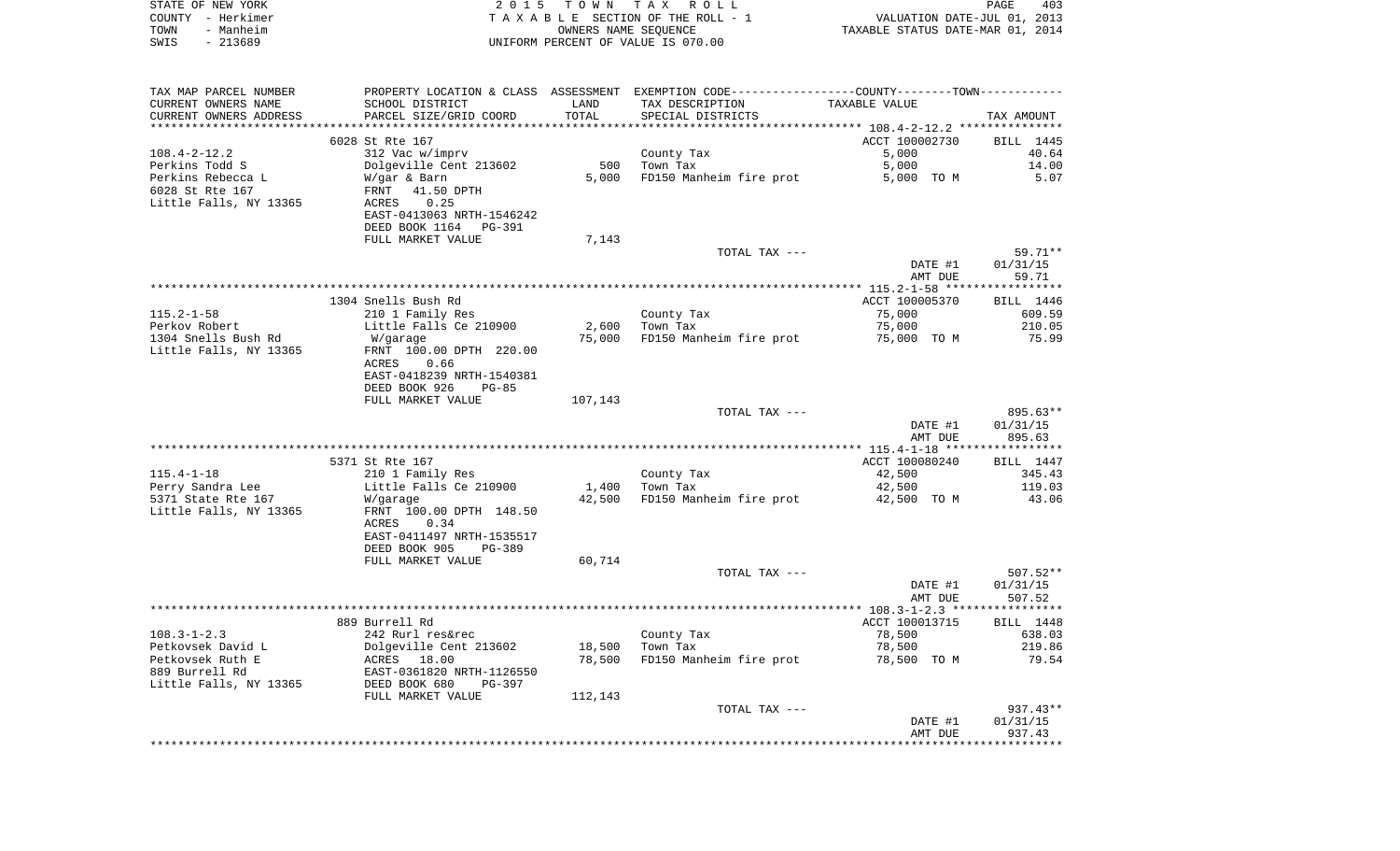| STATE OF NEW YORK<br>COUNTY - Herkimer<br>TOWN                 | 2 0 1 5                                                                  | TOWN TAX             | ROLL<br>TAXABLE SECTION OF THE ROLL - 1                                                       | VALUATION DATE-JUL 01, 2013      | PAGE<br>403        |
|----------------------------------------------------------------|--------------------------------------------------------------------------|----------------------|-----------------------------------------------------------------------------------------------|----------------------------------|--------------------|
| - Manheim<br>$-213689$<br>SWIS                                 |                                                                          | OWNERS NAME SEQUENCE | UNIFORM PERCENT OF VALUE IS 070.00                                                            | TAXABLE STATUS DATE-MAR 01, 2014 |                    |
| TAX MAP PARCEL NUMBER                                          |                                                                          |                      | PROPERTY LOCATION & CLASS ASSESSMENT EXEMPTION CODE---------------COUNTY-------TOWN---------- |                                  |                    |
| CURRENT OWNERS NAME                                            | SCHOOL DISTRICT                                                          | LAND                 | TAX DESCRIPTION                                                                               | TAXABLE VALUE                    |                    |
| CURRENT OWNERS ADDRESS                                         | PARCEL SIZE/GRID COORD                                                   | TOTAL                | SPECIAL DISTRICTS                                                                             |                                  | TAX AMOUNT         |
|                                                                |                                                                          |                      |                                                                                               |                                  |                    |
|                                                                | 6028 St Rte 167                                                          |                      |                                                                                               | ACCT 100002730                   | BILL 1445          |
| 108.4-2-12.2                                                   | 312 Vac w/imprv                                                          |                      | County Tax                                                                                    | 5,000                            | 40.64              |
| Perkins Todd S                                                 | Dolgeville Cent 213602                                                   | 500                  | Town Tax                                                                                      | 5,000                            | 14.00              |
| Perkins Rebecca L<br>6028 St Rte 167<br>Little Falls, NY 13365 | W/gar & Barn<br>41.50 DPTH<br>FRNT<br>0.25<br>ACRES                      | 5,000                | FD150 Manheim fire prot                                                                       | 5,000 TO M                       | 5.07               |
|                                                                | EAST-0413063 NRTH-1546242<br>DEED BOOK 1164<br>PG-391                    |                      |                                                                                               |                                  |                    |
|                                                                | FULL MARKET VALUE                                                        | 7,143                |                                                                                               |                                  |                    |
|                                                                |                                                                          |                      | TOTAL TAX ---                                                                                 |                                  | 59.71**            |
|                                                                |                                                                          |                      |                                                                                               | DATE #1                          | 01/31/15           |
|                                                                |                                                                          |                      |                                                                                               | AMT DUE                          | 59.71              |
|                                                                | 1304 Snells Bush Rd                                                      |                      |                                                                                               | ACCT 100005370                   | BILL 1446          |
| $115.2 - 1 - 58$                                               | 210 1 Family Res                                                         |                      | County Tax                                                                                    | 75,000                           | 609.59             |
| Perkov Robert                                                  | Little Falls Ce 210900                                                   | 2,600                | Town Tax                                                                                      | 75,000                           | 210.05             |
| 1304 Snells Bush Rd                                            | W/garage                                                                 | 75,000               | FD150 Manheim fire prot                                                                       | 75,000 TO M                      | 75.99              |
| Little Falls, NY 13365                                         | FRNT 100.00 DPTH 220.00<br>ACRES<br>0.66                                 |                      |                                                                                               |                                  |                    |
|                                                                | EAST-0418239 NRTH-1540381<br>DEED BOOK 926<br>PG-85<br>FULL MARKET VALUE | 107,143              |                                                                                               |                                  |                    |
|                                                                |                                                                          |                      | TOTAL TAX ---                                                                                 |                                  | 895.63**           |
|                                                                |                                                                          |                      |                                                                                               | DATE #1<br>AMT DUE               | 01/31/15<br>895.63 |
|                                                                |                                                                          |                      |                                                                                               |                                  |                    |
|                                                                | 5371 St Rte 167                                                          |                      |                                                                                               | ACCT 100080240                   | BILL 1447          |
| 115.4–1–18<br>Perry Sandra Lee                                 | 210 1 Family Res<br>Little Falls Ce 210900                               | 1,400                | County Tax<br>Town Tax                                                                        | 42,500<br>42,500                 | 345.43<br>119.03   |
| 5371 State Rte 167                                             | W/garage                                                                 | 42,500               | FD150 Manheim fire prot                                                                       | 42,500 TO M                      | 43.06              |
| Little Falls, NY 13365                                         | FRNT 100.00 DPTH 148.50<br>ACRES<br>0.34                                 |                      |                                                                                               |                                  |                    |
|                                                                | EAST-0411497 NRTH-1535517<br>DEED BOOK 905<br>$PG-389$                   |                      |                                                                                               |                                  |                    |
|                                                                | FULL MARKET VALUE                                                        | 60,714               |                                                                                               |                                  | $507.52**$         |
|                                                                |                                                                          |                      | TOTAL TAX ---                                                                                 | DATE #1<br>AMT DUE               | 01/31/15<br>507.52 |
|                                                                |                                                                          |                      |                                                                                               |                                  |                    |
|                                                                | 889 Burrell Rd                                                           |                      |                                                                                               | ACCT 100013715                   | BILL 1448          |
| $108.3 - 1 - 2.3$                                              | 242 Rurl res&rec                                                         |                      | County Tax                                                                                    | 78,500                           | 638.03             |
| Petkovsek David L                                              | Dolgeville Cent 213602                                                   | 18,500               | Town Tax                                                                                      | 78,500                           | 219.86             |
| Petkovsek Ruth E<br>889 Burrell Rd                             | 18.00<br>ACRES<br>EAST-0361820 NRTH-1126550                              | 78,500               | FD150 Manheim fire prot                                                                       | 78,500 TO M                      | 79.54              |
| Little Falls, NY 13365                                         | DEED BOOK 680<br>$PG-397$                                                |                      |                                                                                               |                                  |                    |
|                                                                | FULL MARKET VALUE                                                        | 112,143              |                                                                                               |                                  |                    |
|                                                                |                                                                          |                      | TOTAL TAX ---                                                                                 |                                  | $937.43**$         |
|                                                                |                                                                          |                      |                                                                                               | DATE #1                          | 01/31/15           |
|                                                                |                                                                          |                      |                                                                                               | AMT DUE                          | 937.43             |
|                                                                |                                                                          |                      |                                                                                               |                                  |                    |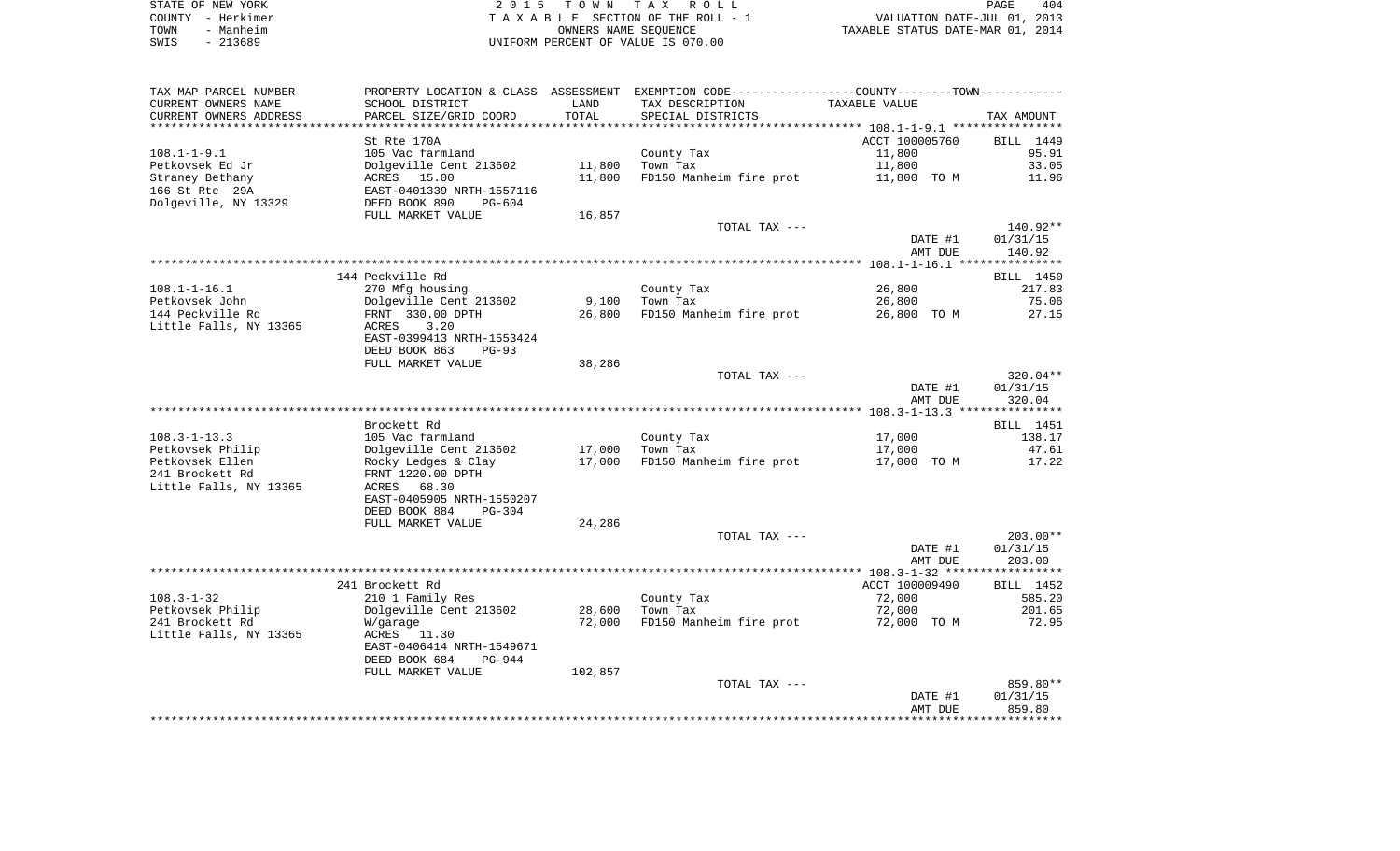| STATE OF NEW YORK | 2015 TOWN TAX ROLL                 | 404<br>PAGE                      |
|-------------------|------------------------------------|----------------------------------|
| COUNTY - Herkimer | TAXABLE SECTION OF THE ROLL - 1    | VALUATION DATE-JUL 01, 2013      |
| TOWN<br>Manheim   | OWNERS NAME SEOUENCE               | TAXABLE STATUS DATE-MAR 01, 2014 |
| $-213689$<br>SWIS | UNIFORM PERCENT OF VALUE IS 070.00 |                                  |

| SCHOOL DISTRICT<br>TAX DESCRIPTION<br>TAXABLE VALUE<br>LAND<br>TOTAL<br>CURRENT OWNERS ADDRESS<br>PARCEL SIZE/GRID COORD<br>SPECIAL DISTRICTS<br>TAX AMOUNT<br>***********************<br>**************************<br>ACCT 100005760<br>St Rte 170A<br>BILL 1449<br>$108.1 - 1 - 9.1$<br>105 Vac farmland<br>County Tax<br>11,800<br>95.91<br>Petkovsek Ed Jr<br>Dolgeville Cent 213602<br>11,800<br>Town Tax<br>11,800<br>33.05<br>ACRES 15.00<br>11,800<br>FD150 Manheim fire prot<br>Straney Bethany<br>11,800 TO M<br>11.96<br>166 St Rte 29A<br>EAST-0401339 NRTH-1557116<br>Dolgeville, NY 13329<br>DEED BOOK 890<br>$PG-604$<br>FULL MARKET VALUE<br>16,857<br>140.92**<br>TOTAL TAX ---<br>DATE #1<br>01/31/15<br>AMT DUE<br>140.92<br>144 Peckville Rd<br>BILL 1450<br>26,800<br>270 Mfg housing<br>County Tax<br>217.83<br>Dolgeville Cent 213602<br>9,100<br>75.06<br>Town Tax<br>26,800<br>FRNT 330.00 DPTH<br>26,800<br>FD150 Manheim fire prot<br>26,800 TO M<br>27.15<br>ACRES<br>3.20<br>EAST-0399413 NRTH-1553424<br>DEED BOOK 863<br>$PG-93$<br>FULL MARKET VALUE<br>38,286<br>320.04**<br>TOTAL TAX ---<br>DATE #1<br>01/31/15<br>AMT DUE<br>320.04<br>Brockett Rd<br>BILL 1451<br>$108.3 - 1 - 13.3$<br>17,000<br>138.17<br>105 Vac farmland<br>County Tax<br>Dolgeville Cent 213602<br>17,000<br>Town Tax<br>17,000<br>47.61<br>Rocky Ledges & Clay<br>17,000<br>FD150 Manheim fire prot<br>17,000 TO M<br>17.22<br>FRNT 1220.00 DPTH<br>ACRES 68.30<br>EAST-0405905 NRTH-1550207<br>DEED BOOK 884<br>PG-304<br>24,286<br>FULL MARKET VALUE<br>$203.00**$<br>TOTAL TAX ---<br>DATE #1<br>01/31/15<br>AMT DUE<br>203.00<br>241 Brockett Rd<br>ACCT 100009490<br>BILL 1452<br>210 1 Family Res<br>County Tax<br>72,000<br>585.20<br>Dolgeville Cent 213602<br>28,600<br>Town Tax<br>72,000<br>201.65<br>72,000<br>FD150 Manheim fire prot<br>72.95<br>W/garage<br>72,000 TO M<br>ACRES 11.30<br>EAST-0406414 NRTH-1549671<br>DEED BOOK 684<br>PG-944<br>102,857<br>FULL MARKET VALUE<br>859.80**<br>TOTAL TAX ---<br>DATE #1<br>01/31/15<br>859.80<br>AMT DUE | TAX MAP PARCEL NUMBER  |  | PROPERTY LOCATION & CLASS ASSESSMENT EXEMPTION CODE----------------COUNTY--------TOWN----------- |  |
|------------------------------------------------------------------------------------------------------------------------------------------------------------------------------------------------------------------------------------------------------------------------------------------------------------------------------------------------------------------------------------------------------------------------------------------------------------------------------------------------------------------------------------------------------------------------------------------------------------------------------------------------------------------------------------------------------------------------------------------------------------------------------------------------------------------------------------------------------------------------------------------------------------------------------------------------------------------------------------------------------------------------------------------------------------------------------------------------------------------------------------------------------------------------------------------------------------------------------------------------------------------------------------------------------------------------------------------------------------------------------------------------------------------------------------------------------------------------------------------------------------------------------------------------------------------------------------------------------------------------------------------------------------------------------------------------------------------------------------------------------------------------------------------------------------------------------------------------------------------------------------------------------------------------------------------------------------------------------------------------------------------------------------------------------------------------------------|------------------------|--|--------------------------------------------------------------------------------------------------|--|
|                                                                                                                                                                                                                                                                                                                                                                                                                                                                                                                                                                                                                                                                                                                                                                                                                                                                                                                                                                                                                                                                                                                                                                                                                                                                                                                                                                                                                                                                                                                                                                                                                                                                                                                                                                                                                                                                                                                                                                                                                                                                                    | CURRENT OWNERS NAME    |  |                                                                                                  |  |
|                                                                                                                                                                                                                                                                                                                                                                                                                                                                                                                                                                                                                                                                                                                                                                                                                                                                                                                                                                                                                                                                                                                                                                                                                                                                                                                                                                                                                                                                                                                                                                                                                                                                                                                                                                                                                                                                                                                                                                                                                                                                                    |                        |  |                                                                                                  |  |
|                                                                                                                                                                                                                                                                                                                                                                                                                                                                                                                                                                                                                                                                                                                                                                                                                                                                                                                                                                                                                                                                                                                                                                                                                                                                                                                                                                                                                                                                                                                                                                                                                                                                                                                                                                                                                                                                                                                                                                                                                                                                                    |                        |  |                                                                                                  |  |
|                                                                                                                                                                                                                                                                                                                                                                                                                                                                                                                                                                                                                                                                                                                                                                                                                                                                                                                                                                                                                                                                                                                                                                                                                                                                                                                                                                                                                                                                                                                                                                                                                                                                                                                                                                                                                                                                                                                                                                                                                                                                                    |                        |  |                                                                                                  |  |
|                                                                                                                                                                                                                                                                                                                                                                                                                                                                                                                                                                                                                                                                                                                                                                                                                                                                                                                                                                                                                                                                                                                                                                                                                                                                                                                                                                                                                                                                                                                                                                                                                                                                                                                                                                                                                                                                                                                                                                                                                                                                                    |                        |  |                                                                                                  |  |
|                                                                                                                                                                                                                                                                                                                                                                                                                                                                                                                                                                                                                                                                                                                                                                                                                                                                                                                                                                                                                                                                                                                                                                                                                                                                                                                                                                                                                                                                                                                                                                                                                                                                                                                                                                                                                                                                                                                                                                                                                                                                                    |                        |  |                                                                                                  |  |
|                                                                                                                                                                                                                                                                                                                                                                                                                                                                                                                                                                                                                                                                                                                                                                                                                                                                                                                                                                                                                                                                                                                                                                                                                                                                                                                                                                                                                                                                                                                                                                                                                                                                                                                                                                                                                                                                                                                                                                                                                                                                                    |                        |  |                                                                                                  |  |
|                                                                                                                                                                                                                                                                                                                                                                                                                                                                                                                                                                                                                                                                                                                                                                                                                                                                                                                                                                                                                                                                                                                                                                                                                                                                                                                                                                                                                                                                                                                                                                                                                                                                                                                                                                                                                                                                                                                                                                                                                                                                                    |                        |  |                                                                                                  |  |
|                                                                                                                                                                                                                                                                                                                                                                                                                                                                                                                                                                                                                                                                                                                                                                                                                                                                                                                                                                                                                                                                                                                                                                                                                                                                                                                                                                                                                                                                                                                                                                                                                                                                                                                                                                                                                                                                                                                                                                                                                                                                                    |                        |  |                                                                                                  |  |
|                                                                                                                                                                                                                                                                                                                                                                                                                                                                                                                                                                                                                                                                                                                                                                                                                                                                                                                                                                                                                                                                                                                                                                                                                                                                                                                                                                                                                                                                                                                                                                                                                                                                                                                                                                                                                                                                                                                                                                                                                                                                                    |                        |  |                                                                                                  |  |
|                                                                                                                                                                                                                                                                                                                                                                                                                                                                                                                                                                                                                                                                                                                                                                                                                                                                                                                                                                                                                                                                                                                                                                                                                                                                                                                                                                                                                                                                                                                                                                                                                                                                                                                                                                                                                                                                                                                                                                                                                                                                                    |                        |  |                                                                                                  |  |
|                                                                                                                                                                                                                                                                                                                                                                                                                                                                                                                                                                                                                                                                                                                                                                                                                                                                                                                                                                                                                                                                                                                                                                                                                                                                                                                                                                                                                                                                                                                                                                                                                                                                                                                                                                                                                                                                                                                                                                                                                                                                                    |                        |  |                                                                                                  |  |
|                                                                                                                                                                                                                                                                                                                                                                                                                                                                                                                                                                                                                                                                                                                                                                                                                                                                                                                                                                                                                                                                                                                                                                                                                                                                                                                                                                                                                                                                                                                                                                                                                                                                                                                                                                                                                                                                                                                                                                                                                                                                                    |                        |  |                                                                                                  |  |
|                                                                                                                                                                                                                                                                                                                                                                                                                                                                                                                                                                                                                                                                                                                                                                                                                                                                                                                                                                                                                                                                                                                                                                                                                                                                                                                                                                                                                                                                                                                                                                                                                                                                                                                                                                                                                                                                                                                                                                                                                                                                                    |                        |  |                                                                                                  |  |
|                                                                                                                                                                                                                                                                                                                                                                                                                                                                                                                                                                                                                                                                                                                                                                                                                                                                                                                                                                                                                                                                                                                                                                                                                                                                                                                                                                                                                                                                                                                                                                                                                                                                                                                                                                                                                                                                                                                                                                                                                                                                                    |                        |  |                                                                                                  |  |
|                                                                                                                                                                                                                                                                                                                                                                                                                                                                                                                                                                                                                                                                                                                                                                                                                                                                                                                                                                                                                                                                                                                                                                                                                                                                                                                                                                                                                                                                                                                                                                                                                                                                                                                                                                                                                                                                                                                                                                                                                                                                                    | $108.1 - 1 - 16.1$     |  |                                                                                                  |  |
|                                                                                                                                                                                                                                                                                                                                                                                                                                                                                                                                                                                                                                                                                                                                                                                                                                                                                                                                                                                                                                                                                                                                                                                                                                                                                                                                                                                                                                                                                                                                                                                                                                                                                                                                                                                                                                                                                                                                                                                                                                                                                    | Petkovsek John         |  |                                                                                                  |  |
|                                                                                                                                                                                                                                                                                                                                                                                                                                                                                                                                                                                                                                                                                                                                                                                                                                                                                                                                                                                                                                                                                                                                                                                                                                                                                                                                                                                                                                                                                                                                                                                                                                                                                                                                                                                                                                                                                                                                                                                                                                                                                    | 144 Peckville Rd       |  |                                                                                                  |  |
|                                                                                                                                                                                                                                                                                                                                                                                                                                                                                                                                                                                                                                                                                                                                                                                                                                                                                                                                                                                                                                                                                                                                                                                                                                                                                                                                                                                                                                                                                                                                                                                                                                                                                                                                                                                                                                                                                                                                                                                                                                                                                    | Little Falls, NY 13365 |  |                                                                                                  |  |
|                                                                                                                                                                                                                                                                                                                                                                                                                                                                                                                                                                                                                                                                                                                                                                                                                                                                                                                                                                                                                                                                                                                                                                                                                                                                                                                                                                                                                                                                                                                                                                                                                                                                                                                                                                                                                                                                                                                                                                                                                                                                                    |                        |  |                                                                                                  |  |
|                                                                                                                                                                                                                                                                                                                                                                                                                                                                                                                                                                                                                                                                                                                                                                                                                                                                                                                                                                                                                                                                                                                                                                                                                                                                                                                                                                                                                                                                                                                                                                                                                                                                                                                                                                                                                                                                                                                                                                                                                                                                                    |                        |  |                                                                                                  |  |
|                                                                                                                                                                                                                                                                                                                                                                                                                                                                                                                                                                                                                                                                                                                                                                                                                                                                                                                                                                                                                                                                                                                                                                                                                                                                                                                                                                                                                                                                                                                                                                                                                                                                                                                                                                                                                                                                                                                                                                                                                                                                                    |                        |  |                                                                                                  |  |
|                                                                                                                                                                                                                                                                                                                                                                                                                                                                                                                                                                                                                                                                                                                                                                                                                                                                                                                                                                                                                                                                                                                                                                                                                                                                                                                                                                                                                                                                                                                                                                                                                                                                                                                                                                                                                                                                                                                                                                                                                                                                                    |                        |  |                                                                                                  |  |
|                                                                                                                                                                                                                                                                                                                                                                                                                                                                                                                                                                                                                                                                                                                                                                                                                                                                                                                                                                                                                                                                                                                                                                                                                                                                                                                                                                                                                                                                                                                                                                                                                                                                                                                                                                                                                                                                                                                                                                                                                                                                                    |                        |  |                                                                                                  |  |
|                                                                                                                                                                                                                                                                                                                                                                                                                                                                                                                                                                                                                                                                                                                                                                                                                                                                                                                                                                                                                                                                                                                                                                                                                                                                                                                                                                                                                                                                                                                                                                                                                                                                                                                                                                                                                                                                                                                                                                                                                                                                                    |                        |  |                                                                                                  |  |
|                                                                                                                                                                                                                                                                                                                                                                                                                                                                                                                                                                                                                                                                                                                                                                                                                                                                                                                                                                                                                                                                                                                                                                                                                                                                                                                                                                                                                                                                                                                                                                                                                                                                                                                                                                                                                                                                                                                                                                                                                                                                                    |                        |  |                                                                                                  |  |
|                                                                                                                                                                                                                                                                                                                                                                                                                                                                                                                                                                                                                                                                                                                                                                                                                                                                                                                                                                                                                                                                                                                                                                                                                                                                                                                                                                                                                                                                                                                                                                                                                                                                                                                                                                                                                                                                                                                                                                                                                                                                                    |                        |  |                                                                                                  |  |
|                                                                                                                                                                                                                                                                                                                                                                                                                                                                                                                                                                                                                                                                                                                                                                                                                                                                                                                                                                                                                                                                                                                                                                                                                                                                                                                                                                                                                                                                                                                                                                                                                                                                                                                                                                                                                                                                                                                                                                                                                                                                                    |                        |  |                                                                                                  |  |
|                                                                                                                                                                                                                                                                                                                                                                                                                                                                                                                                                                                                                                                                                                                                                                                                                                                                                                                                                                                                                                                                                                                                                                                                                                                                                                                                                                                                                                                                                                                                                                                                                                                                                                                                                                                                                                                                                                                                                                                                                                                                                    | Petkovsek Philip       |  |                                                                                                  |  |
|                                                                                                                                                                                                                                                                                                                                                                                                                                                                                                                                                                                                                                                                                                                                                                                                                                                                                                                                                                                                                                                                                                                                                                                                                                                                                                                                                                                                                                                                                                                                                                                                                                                                                                                                                                                                                                                                                                                                                                                                                                                                                    | Petkovsek Ellen        |  |                                                                                                  |  |
|                                                                                                                                                                                                                                                                                                                                                                                                                                                                                                                                                                                                                                                                                                                                                                                                                                                                                                                                                                                                                                                                                                                                                                                                                                                                                                                                                                                                                                                                                                                                                                                                                                                                                                                                                                                                                                                                                                                                                                                                                                                                                    | 241 Brockett Rd        |  |                                                                                                  |  |
|                                                                                                                                                                                                                                                                                                                                                                                                                                                                                                                                                                                                                                                                                                                                                                                                                                                                                                                                                                                                                                                                                                                                                                                                                                                                                                                                                                                                                                                                                                                                                                                                                                                                                                                                                                                                                                                                                                                                                                                                                                                                                    | Little Falls, NY 13365 |  |                                                                                                  |  |
|                                                                                                                                                                                                                                                                                                                                                                                                                                                                                                                                                                                                                                                                                                                                                                                                                                                                                                                                                                                                                                                                                                                                                                                                                                                                                                                                                                                                                                                                                                                                                                                                                                                                                                                                                                                                                                                                                                                                                                                                                                                                                    |                        |  |                                                                                                  |  |
|                                                                                                                                                                                                                                                                                                                                                                                                                                                                                                                                                                                                                                                                                                                                                                                                                                                                                                                                                                                                                                                                                                                                                                                                                                                                                                                                                                                                                                                                                                                                                                                                                                                                                                                                                                                                                                                                                                                                                                                                                                                                                    |                        |  |                                                                                                  |  |
|                                                                                                                                                                                                                                                                                                                                                                                                                                                                                                                                                                                                                                                                                                                                                                                                                                                                                                                                                                                                                                                                                                                                                                                                                                                                                                                                                                                                                                                                                                                                                                                                                                                                                                                                                                                                                                                                                                                                                                                                                                                                                    |                        |  |                                                                                                  |  |
|                                                                                                                                                                                                                                                                                                                                                                                                                                                                                                                                                                                                                                                                                                                                                                                                                                                                                                                                                                                                                                                                                                                                                                                                                                                                                                                                                                                                                                                                                                                                                                                                                                                                                                                                                                                                                                                                                                                                                                                                                                                                                    |                        |  |                                                                                                  |  |
|                                                                                                                                                                                                                                                                                                                                                                                                                                                                                                                                                                                                                                                                                                                                                                                                                                                                                                                                                                                                                                                                                                                                                                                                                                                                                                                                                                                                                                                                                                                                                                                                                                                                                                                                                                                                                                                                                                                                                                                                                                                                                    |                        |  |                                                                                                  |  |
|                                                                                                                                                                                                                                                                                                                                                                                                                                                                                                                                                                                                                                                                                                                                                                                                                                                                                                                                                                                                                                                                                                                                                                                                                                                                                                                                                                                                                                                                                                                                                                                                                                                                                                                                                                                                                                                                                                                                                                                                                                                                                    |                        |  |                                                                                                  |  |
|                                                                                                                                                                                                                                                                                                                                                                                                                                                                                                                                                                                                                                                                                                                                                                                                                                                                                                                                                                                                                                                                                                                                                                                                                                                                                                                                                                                                                                                                                                                                                                                                                                                                                                                                                                                                                                                                                                                                                                                                                                                                                    |                        |  |                                                                                                  |  |
|                                                                                                                                                                                                                                                                                                                                                                                                                                                                                                                                                                                                                                                                                                                                                                                                                                                                                                                                                                                                                                                                                                                                                                                                                                                                                                                                                                                                                                                                                                                                                                                                                                                                                                                                                                                                                                                                                                                                                                                                                                                                                    |                        |  |                                                                                                  |  |
|                                                                                                                                                                                                                                                                                                                                                                                                                                                                                                                                                                                                                                                                                                                                                                                                                                                                                                                                                                                                                                                                                                                                                                                                                                                                                                                                                                                                                                                                                                                                                                                                                                                                                                                                                                                                                                                                                                                                                                                                                                                                                    | $108.3 - 1 - 32$       |  |                                                                                                  |  |
|                                                                                                                                                                                                                                                                                                                                                                                                                                                                                                                                                                                                                                                                                                                                                                                                                                                                                                                                                                                                                                                                                                                                                                                                                                                                                                                                                                                                                                                                                                                                                                                                                                                                                                                                                                                                                                                                                                                                                                                                                                                                                    | Petkovsek Philip       |  |                                                                                                  |  |
|                                                                                                                                                                                                                                                                                                                                                                                                                                                                                                                                                                                                                                                                                                                                                                                                                                                                                                                                                                                                                                                                                                                                                                                                                                                                                                                                                                                                                                                                                                                                                                                                                                                                                                                                                                                                                                                                                                                                                                                                                                                                                    | 241 Brockett Rd        |  |                                                                                                  |  |
|                                                                                                                                                                                                                                                                                                                                                                                                                                                                                                                                                                                                                                                                                                                                                                                                                                                                                                                                                                                                                                                                                                                                                                                                                                                                                                                                                                                                                                                                                                                                                                                                                                                                                                                                                                                                                                                                                                                                                                                                                                                                                    | Little Falls, NY 13365 |  |                                                                                                  |  |
|                                                                                                                                                                                                                                                                                                                                                                                                                                                                                                                                                                                                                                                                                                                                                                                                                                                                                                                                                                                                                                                                                                                                                                                                                                                                                                                                                                                                                                                                                                                                                                                                                                                                                                                                                                                                                                                                                                                                                                                                                                                                                    |                        |  |                                                                                                  |  |
|                                                                                                                                                                                                                                                                                                                                                                                                                                                                                                                                                                                                                                                                                                                                                                                                                                                                                                                                                                                                                                                                                                                                                                                                                                                                                                                                                                                                                                                                                                                                                                                                                                                                                                                                                                                                                                                                                                                                                                                                                                                                                    |                        |  |                                                                                                  |  |
|                                                                                                                                                                                                                                                                                                                                                                                                                                                                                                                                                                                                                                                                                                                                                                                                                                                                                                                                                                                                                                                                                                                                                                                                                                                                                                                                                                                                                                                                                                                                                                                                                                                                                                                                                                                                                                                                                                                                                                                                                                                                                    |                        |  |                                                                                                  |  |
|                                                                                                                                                                                                                                                                                                                                                                                                                                                                                                                                                                                                                                                                                                                                                                                                                                                                                                                                                                                                                                                                                                                                                                                                                                                                                                                                                                                                                                                                                                                                                                                                                                                                                                                                                                                                                                                                                                                                                                                                                                                                                    |                        |  |                                                                                                  |  |
|                                                                                                                                                                                                                                                                                                                                                                                                                                                                                                                                                                                                                                                                                                                                                                                                                                                                                                                                                                                                                                                                                                                                                                                                                                                                                                                                                                                                                                                                                                                                                                                                                                                                                                                                                                                                                                                                                                                                                                                                                                                                                    |                        |  |                                                                                                  |  |
|                                                                                                                                                                                                                                                                                                                                                                                                                                                                                                                                                                                                                                                                                                                                                                                                                                                                                                                                                                                                                                                                                                                                                                                                                                                                                                                                                                                                                                                                                                                                                                                                                                                                                                                                                                                                                                                                                                                                                                                                                                                                                    |                        |  |                                                                                                  |  |
|                                                                                                                                                                                                                                                                                                                                                                                                                                                                                                                                                                                                                                                                                                                                                                                                                                                                                                                                                                                                                                                                                                                                                                                                                                                                                                                                                                                                                                                                                                                                                                                                                                                                                                                                                                                                                                                                                                                                                                                                                                                                                    |                        |  |                                                                                                  |  |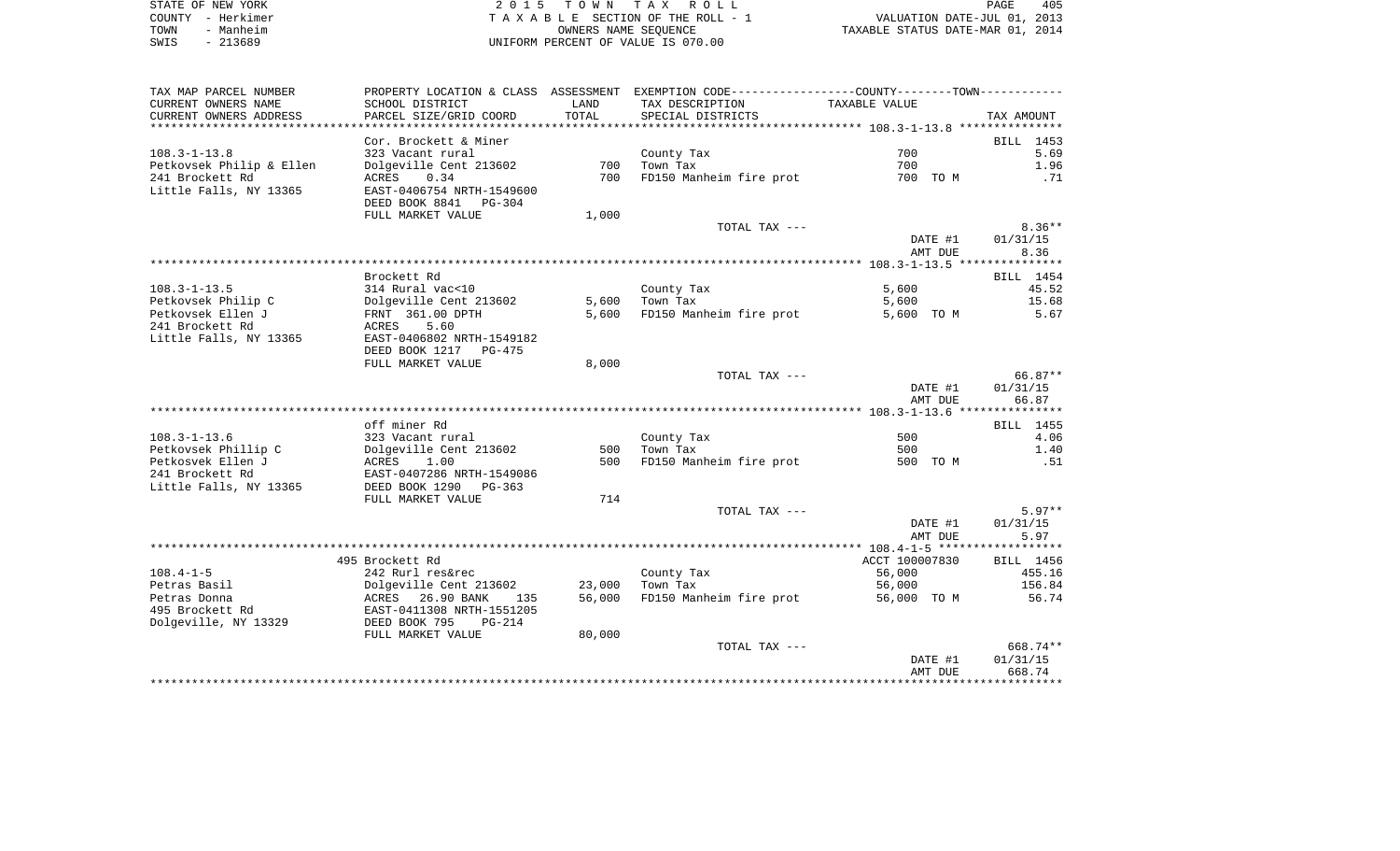| STATE OF NEW YORK | 2015 TOWN TAX ROLL                 | 405<br>PAGE                      |
|-------------------|------------------------------------|----------------------------------|
| COUNTY - Herkimer | TAXABLE SECTION OF THE ROLL - 1    | VALUATION DATE-JUL 01, 2013      |
| - Manheim<br>TOWN | OWNERS NAME SEOUENCE               | TAXABLE STATUS DATE-MAR 01, 2014 |
| - 213689<br>SWIS  | UNIFORM PERCENT OF VALUE IS 070.00 |                                  |

| TAX MAP PARCEL NUMBER           |                                                      |                  | PROPERTY LOCATION & CLASS ASSESSMENT EXEMPTION CODE---------------COUNTY-------TOWN---------- |                    |                   |
|---------------------------------|------------------------------------------------------|------------------|-----------------------------------------------------------------------------------------------|--------------------|-------------------|
| CURRENT OWNERS NAME             | SCHOOL DISTRICT                                      | LAND             | TAX DESCRIPTION                                                                               | TAXABLE VALUE      |                   |
| CURRENT OWNERS ADDRESS          | PARCEL SIZE/GRID COORD                               | TOTAL            | SPECIAL DISTRICTS                                                                             |                    | TAX AMOUNT        |
|                                 |                                                      |                  |                                                                                               |                    |                   |
|                                 | Cor. Brockett & Miner                                |                  |                                                                                               |                    | BILL 1453         |
| $108.3 - 1 - 13.8$              | 323 Vacant rural                                     |                  | County Tax                                                                                    | 700                | 5.69              |
| Petkovsek Philip & Ellen        | Dolgeville Cent 213602                               | 700              | Town Tax                                                                                      | 700                | 1.96              |
| 241 Brockett Rd                 | 0.34<br>ACRES                                        | 700              | FD150 Manheim fire prot                                                                       | 700 TO M           | .71               |
| Little Falls, NY 13365          | EAST-0406754 NRTH-1549600<br>DEED BOOK 8841 PG-304   |                  |                                                                                               |                    |                   |
|                                 | FULL MARKET VALUE                                    | 1,000            |                                                                                               |                    |                   |
|                                 |                                                      |                  | TOTAL TAX ---                                                                                 |                    | $8.36**$          |
|                                 |                                                      |                  |                                                                                               | DATE #1            | 01/31/15          |
|                                 |                                                      |                  |                                                                                               | AMT DUE            | 8.36              |
|                                 |                                                      |                  |                                                                                               |                    |                   |
|                                 | Brockett Rd                                          |                  |                                                                                               |                    | BILL 1454         |
| $108.3 - 1 - 13.5$              | 314 Rural vac<10                                     |                  | County Tax                                                                                    | 5,600              | 45.52             |
| Petkovsek Philip C              | Dolgeville Cent 213602                               | 5,600            | Town Tax                                                                                      | 5,600              | 15.68             |
| Petkovsek Ellen J               | FRNT 361.00 DPTH                                     | 5,600            | FD150 Manheim fire prot                                                                       | 5,600 TO M         | 5.67              |
| 241 Brockett Rd                 | ACRES<br>5.60                                        |                  |                                                                                               |                    |                   |
| Little Falls, NY 13365          | EAST-0406802 NRTH-1549182<br>DEED BOOK 1217 PG-475   |                  |                                                                                               |                    |                   |
|                                 | FULL MARKET VALUE                                    | 8,000            |                                                                                               |                    |                   |
|                                 |                                                      |                  | TOTAL TAX ---                                                                                 |                    | 66.87**           |
|                                 |                                                      |                  |                                                                                               | DATE #1<br>AMT DUE | 01/31/15<br>66.87 |
|                                 |                                                      |                  |                                                                                               |                    |                   |
|                                 | off miner Rd                                         |                  |                                                                                               |                    | BILL 1455         |
| $108.3 - 1 - 13.6$              | 323 Vacant rural                                     |                  | County Tax                                                                                    | 500                | 4.06              |
| Petkovsek Phillip C             | Dolgeville Cent 213602                               | 500              | Town Tax                                                                                      | 500                | 1.40              |
| Petkosvek Ellen J               | ACRES<br>1.00                                        | 500              | FD150 Manheim fire prot                                                                       | 500 TO M           | .51               |
| 241 Brockett Rd                 | EAST-0407286 NRTH-1549086                            |                  |                                                                                               |                    |                   |
| Little Falls, NY 13365          | DEED BOOK 1290 PG-363                                |                  |                                                                                               |                    |                   |
|                                 | FULL MARKET VALUE                                    | 714              |                                                                                               |                    |                   |
|                                 |                                                      |                  | TOTAL TAX ---                                                                                 |                    | $5.97**$          |
|                                 |                                                      |                  |                                                                                               | DATE #1            | 01/31/15          |
|                                 |                                                      |                  |                                                                                               | AMT DUE            | 5.97              |
|                                 |                                                      |                  |                                                                                               |                    |                   |
|                                 | 495 Brockett Rd                                      |                  |                                                                                               | ACCT 100007830     | BILL 1456         |
| $108.4 - 1 - 5$                 | 242 Rurl res&rec                                     |                  | County Tax                                                                                    | 56,000             | 455.16            |
| Petras Basil                    | Dolgeville Cent 213602                               | 23,000<br>56,000 | Town Tax<br>FD150 Manheim fire prot                                                           | 56,000             | 156.84<br>56.74   |
| Petras Donna<br>495 Brockett Rd | ACRES 26.90 BANK<br>135<br>EAST-0411308 NRTH-1551205 |                  |                                                                                               | 56,000 TO M        |                   |
| Dolgeville, NY 13329            | DEED BOOK 795<br>$PG-214$                            |                  |                                                                                               |                    |                   |
|                                 | FULL MARKET VALUE                                    | 80,000           |                                                                                               |                    |                   |
|                                 |                                                      |                  | TOTAL TAX ---                                                                                 |                    | 668.74**          |
|                                 |                                                      |                  |                                                                                               | DATE #1            | 01/31/15          |
|                                 |                                                      |                  |                                                                                               | AMT DUE            | 668.74            |
|                                 |                                                      |                  |                                                                                               |                    |                   |
|                                 |                                                      |                  |                                                                                               |                    |                   |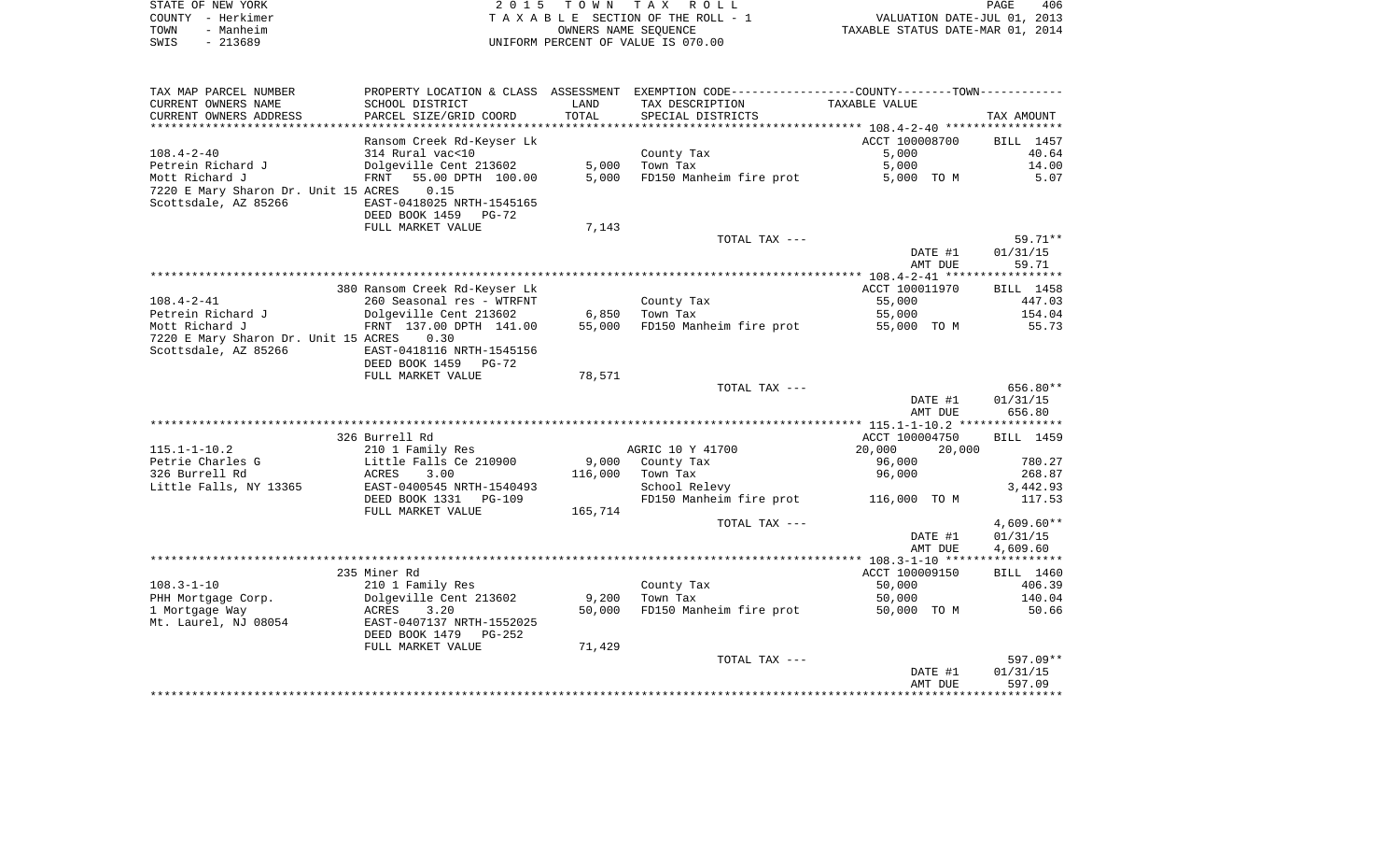| STATE OF NEW YORK | 2015 TOWN TAX ROLL                 | 406<br>PAGE                      |
|-------------------|------------------------------------|----------------------------------|
| COUNTY - Herkimer | TAXABLE SECTION OF THE ROLL - 1    | VALUATION DATE-JUL 01, 2013      |
| TOWN<br>- Manheim | OWNERS NAME SEOUENCE               | TAXABLE STATUS DATE-MAR 01, 2014 |
| SWIS<br>- 213689  | UNIFORM PERCENT OF VALUE IS 070.00 |                                  |

| TAX MAP PARCEL NUMBER                |                                |         | PROPERTY LOCATION & CLASS ASSESSMENT EXEMPTION CODE---------------COUNTY--------TOWN---------- |                  |              |
|--------------------------------------|--------------------------------|---------|------------------------------------------------------------------------------------------------|------------------|--------------|
| CURRENT OWNERS NAME                  | SCHOOL DISTRICT                | LAND    | TAX DESCRIPTION                                                                                | TAXABLE VALUE    |              |
| CURRENT OWNERS ADDRESS               | PARCEL SIZE/GRID COORD         | TOTAL   | SPECIAL DISTRICTS                                                                              |                  | TAX AMOUNT   |
|                                      |                                |         |                                                                                                |                  |              |
|                                      | Ransom Creek Rd-Keyser Lk      |         |                                                                                                | ACCT 100008700   | BILL 1457    |
| $108.4 - 2 - 40$                     | 314 Rural vac<10               |         | County Tax                                                                                     | 5,000            | 40.64        |
| Petrein Richard J                    | Dolgeville Cent 213602         | 5,000   | Town Tax                                                                                       | 5,000            | 14.00        |
| Mott Richard J                       | FRNT 55.00 DPTH 100.00         | 5,000   | FD150 Manheim fire prot                                                                        | 5,000 TO M       | 5.07         |
| 7220 E Mary Sharon Dr. Unit 15 ACRES | 0.15                           |         |                                                                                                |                  |              |
| Scottsdale, AZ 85266                 | EAST-0418025 NRTH-1545165      |         |                                                                                                |                  |              |
|                                      | DEED BOOK 1459<br><b>PG-72</b> |         |                                                                                                |                  |              |
|                                      | FULL MARKET VALUE              | 7,143   |                                                                                                |                  |              |
|                                      |                                |         | TOTAL TAX ---                                                                                  |                  | 59.71**      |
|                                      |                                |         |                                                                                                | DATE #1          | 01/31/15     |
|                                      |                                |         |                                                                                                | AMT DUE          | 59.71        |
|                                      |                                |         |                                                                                                |                  |              |
|                                      | 380 Ransom Creek Rd-Keyser Lk  |         |                                                                                                | ACCT 100011970   | BILL 1458    |
| $108.4 - 2 - 41$                     | 260 Seasonal res - WTRFNT      |         | County Tax                                                                                     | 55,000           | 447.03       |
| Petrein Richard J                    | Dolgeville Cent 213602         | 6,850   | Town Tax                                                                                       | 55,000           | 154.04       |
| Mott Richard J                       | FRNT 137.00 DPTH 141.00        | 55,000  | FD150 Manheim fire prot                                                                        | 55,000 TO M      | 55.73        |
| 7220 E Mary Sharon Dr. Unit 15 ACRES | 0.30                           |         |                                                                                                |                  |              |
| Scottsdale, AZ 85266                 | EAST-0418116 NRTH-1545156      |         |                                                                                                |                  |              |
|                                      | DEED BOOK 1459<br>PG-72        |         |                                                                                                |                  |              |
|                                      | FULL MARKET VALUE              | 78,571  |                                                                                                |                  |              |
|                                      |                                |         | TOTAL TAX ---                                                                                  |                  | 656.80**     |
|                                      |                                |         |                                                                                                | DATE #1          | 01/31/15     |
|                                      |                                |         |                                                                                                | AMT DUE          | 656.80       |
|                                      |                                |         |                                                                                                |                  |              |
|                                      | 326 Burrell Rd                 |         |                                                                                                | ACCT 100004750   | BILL 1459    |
| $115.1 - 1 - 10.2$                   | 210 1 Family Res               |         | AGRIC 10 Y 41700                                                                               | 20,000<br>20,000 |              |
| Petrie Charles G                     | Little Falls Ce 210900         | 9,000   | County Tax                                                                                     | 96,000           | 780.27       |
| 326 Burrell Rd                       | 3.00<br>ACRES                  | 116,000 | Town Tax                                                                                       | 96,000           | 268.87       |
| Little Falls, NY 13365               | EAST-0400545 NRTH-1540493      |         | School Relevy                                                                                  |                  | 3,442.93     |
|                                      | DEED BOOK 1331<br>PG-109       |         | FD150 Manheim fire prot                                                                        | 116,000 TO M     | 117.53       |
|                                      | FULL MARKET VALUE              | 165,714 |                                                                                                |                  |              |
|                                      |                                |         | TOTAL TAX ---                                                                                  |                  | $4,609.60**$ |
|                                      |                                |         |                                                                                                | DATE #1          | 01/31/15     |
|                                      |                                |         |                                                                                                | AMT DUE          | 4,609.60     |
|                                      |                                |         |                                                                                                |                  |              |
|                                      | 235 Miner Rd                   |         |                                                                                                | ACCT 100009150   | BILL 1460    |
| $108.3 - 1 - 10$                     | 210 1 Family Res               |         | County Tax                                                                                     | 50,000           | 406.39       |
| PHH Mortgage Corp.                   | Dolgeville Cent 213602         | 9,200   | Town Tax                                                                                       | 50,000           | 140.04       |
| 1 Mortgage Way                       | ACRES<br>3.20                  | 50,000  | FD150 Manheim fire prot                                                                        | 50,000 TO M      | 50.66        |
| Mt. Laurel, NJ 08054                 | EAST-0407137 NRTH-1552025      |         |                                                                                                |                  |              |
|                                      | DEED BOOK 1479<br>PG-252       |         |                                                                                                |                  |              |
|                                      | FULL MARKET VALUE              | 71,429  |                                                                                                |                  |              |
|                                      |                                |         | TOTAL TAX ---                                                                                  |                  | 597.09**     |
|                                      |                                |         |                                                                                                | DATE #1          | 01/31/15     |
|                                      |                                |         |                                                                                                | AMT DUE          | 597.09       |
|                                      |                                |         |                                                                                                |                  |              |
|                                      |                                |         |                                                                                                |                  |              |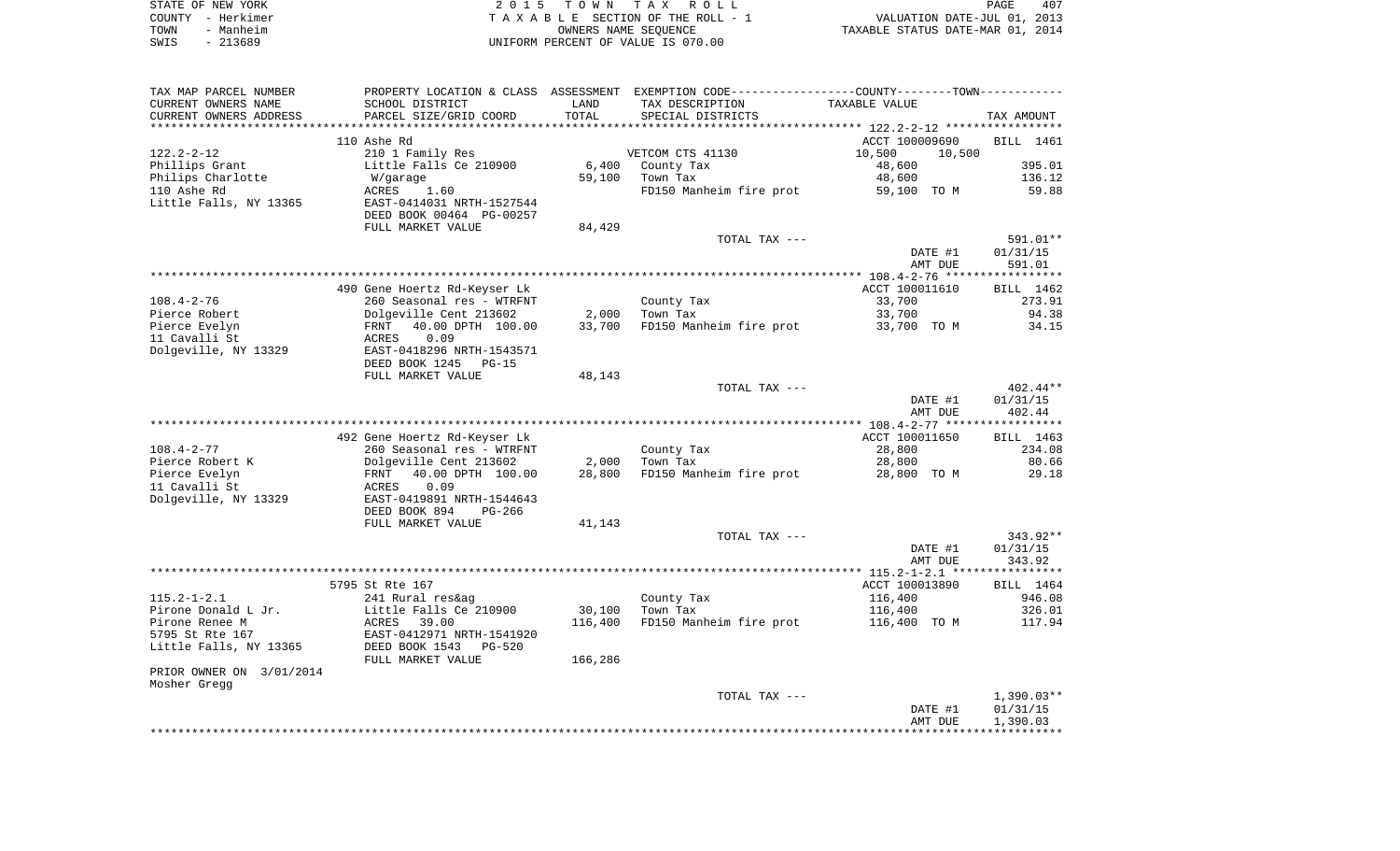|      | STATE OF NEW YORK | 2015 TOWN TAX ROLL                 | <b>PAGE</b>                      | 407 |
|------|-------------------|------------------------------------|----------------------------------|-----|
|      | COUNTY - Herkimer | TAXABLE SECTION OF THE ROLL - 1    | VALUATION DATE-JUL 01, 2013      |     |
| TOWN | - Manheim         | OWNERS NAME SEOUENCE               | TAXABLE STATUS DATE-MAR 01, 2014 |     |
| SWIS | - 213689          | UNIFORM PERCENT OF VALUE IS 070.00 |                                  |     |

| TAX MAP PARCEL NUMBER    |                                |         | PROPERTY LOCATION & CLASS ASSESSMENT EXEMPTION CODE----------------COUNTY-------TOWN---------- |                                                  |            |
|--------------------------|--------------------------------|---------|------------------------------------------------------------------------------------------------|--------------------------------------------------|------------|
| CURRENT OWNERS NAME      | SCHOOL DISTRICT                | LAND    | TAX DESCRIPTION                                                                                | TAXABLE VALUE                                    |            |
| CURRENT OWNERS ADDRESS   | PARCEL SIZE/GRID COORD         | TOTAL   | SPECIAL DISTRICTS                                                                              |                                                  | TAX AMOUNT |
|                          |                                |         |                                                                                                | ******************* 122.2-2-12 ***************** |            |
|                          | 110 Ashe Rd                    |         |                                                                                                | ACCT 100009690                                   | BILL 1461  |
| $122.2 - 2 - 12$         | 210 1 Family Res               |         | VETCOM CTS 41130                                                                               | 10,500<br>10,500                                 |            |
| Phillips Grant           | Little Falls Ce 210900         | 6,400   | County Tax                                                                                     | 48,600                                           | 395.01     |
| Philips Charlotte        | W/garage                       | 59,100  | Town Tax                                                                                       | 48,600                                           | 136.12     |
| 110 Ashe Rd              | ACRES<br>1.60                  |         | FD150 Manheim fire prot                                                                        | 59,100 TO M                                      | 59.88      |
| Little Falls, NY 13365   | EAST-0414031 NRTH-1527544      |         |                                                                                                |                                                  |            |
|                          | DEED BOOK 00464 PG-00257       |         |                                                                                                |                                                  |            |
|                          | FULL MARKET VALUE              | 84,429  |                                                                                                |                                                  |            |
|                          |                                |         | TOTAL TAX ---                                                                                  |                                                  | 591.01**   |
|                          |                                |         |                                                                                                | DATE #1                                          | 01/31/15   |
|                          |                                |         |                                                                                                |                                                  |            |
|                          |                                |         |                                                                                                | AMT DUE                                          | 591.01     |
|                          |                                |         |                                                                                                |                                                  |            |
|                          | 490 Gene Hoertz Rd-Keyser Lk   |         |                                                                                                | ACCT 100011610                                   | BILL 1462  |
| $108.4 - 2 - 76$         | 260 Seasonal res - WTRFNT      |         | County Tax                                                                                     | 33,700                                           | 273.91     |
| Pierce Robert            | Dolgeville Cent 213602         | 2,000   | Town Tax                                                                                       | 33,700                                           | 94.38      |
| Pierce Evelyn            | 40.00 DPTH 100.00<br>FRNT      | 33,700  | FD150 Manheim fire prot 33,700 TO M                                                            |                                                  | 34.15      |
| 11 Cavalli St            | 0.09<br>ACRES                  |         |                                                                                                |                                                  |            |
| Dolgeville, NY 13329     | EAST-0418296 NRTH-1543571      |         |                                                                                                |                                                  |            |
|                          | DEED BOOK 1245<br><b>PG-15</b> |         |                                                                                                |                                                  |            |
|                          | FULL MARKET VALUE              | 48,143  |                                                                                                |                                                  |            |
|                          |                                |         | TOTAL TAX ---                                                                                  |                                                  | 402.44**   |
|                          |                                |         |                                                                                                | DATE #1                                          | 01/31/15   |
|                          |                                |         |                                                                                                | AMT DUE                                          | 402.44     |
|                          |                                |         |                                                                                                |                                                  |            |
|                          | 492 Gene Hoertz Rd-Keyser Lk   |         |                                                                                                | ACCT 100011650                                   | BILL 1463  |
| $108.4 - 2 - 77$         | 260 Seasonal res - WTRFNT      |         | County Tax                                                                                     | 28,800                                           | 234.08     |
| Pierce Robert K          | Dolgeville Cent 213602         | 2,000   | Town Tax                                                                                       | 28,800                                           | 80.66      |
| Pierce Evelyn            | 40.00 DPTH 100.00<br>FRNT      | 28,800  | FD150 Manheim fire prot                                                                        | 28,800 TO M                                      | 29.18      |
| 11 Cavalli St            | 0.09<br>ACRES                  |         |                                                                                                |                                                  |            |
| Dolgeville, NY 13329     | EAST-0419891 NRTH-1544643      |         |                                                                                                |                                                  |            |
|                          | DEED BOOK 894<br>PG-266        |         |                                                                                                |                                                  |            |
|                          | FULL MARKET VALUE              | 41,143  |                                                                                                |                                                  |            |
|                          |                                |         | TOTAL TAX ---                                                                                  |                                                  | 343.92**   |
|                          |                                |         |                                                                                                | DATE #1                                          | 01/31/15   |
|                          |                                |         |                                                                                                | AMT DUE                                          | 343.92     |
|                          |                                |         |                                                                                                |                                                  |            |
|                          |                                |         |                                                                                                |                                                  | BILL 1464  |
| $115.2 - 1 - 2.1$        | 5795 St Rte 167                |         |                                                                                                | ACCT 100013890                                   |            |
|                          | 241 Rural res&ag               |         | County Tax                                                                                     | 116,400                                          | 946.08     |
| Pirone Donald L Jr.      | Little Falls Ce 210900         | 30,100  | Town Tax                                                                                       | 116,400                                          | 326.01     |
| Pirone Renee M           | ACRES 39.00                    | 116,400 | FD150 Manheim fire prot                                                                        | 116,400 TO M                                     | 117.94     |
| 5795 St Rte 167          | EAST-0412971 NRTH-1541920      |         |                                                                                                |                                                  |            |
| Little Falls, NY 13365   | DEED BOOK 1543<br>PG-520       |         |                                                                                                |                                                  |            |
|                          | FULL MARKET VALUE              | 166,286 |                                                                                                |                                                  |            |
| PRIOR OWNER ON 3/01/2014 |                                |         |                                                                                                |                                                  |            |
| Mosher Gregg             |                                |         |                                                                                                |                                                  |            |
|                          |                                |         | TOTAL TAX ---                                                                                  |                                                  | 1,390.03** |
|                          |                                |         |                                                                                                | DATE #1                                          | 01/31/15   |
|                          |                                |         |                                                                                                | AMT DUE                                          | 1,390.03   |
|                          |                                |         |                                                                                                |                                                  |            |
|                          |                                |         |                                                                                                |                                                  |            |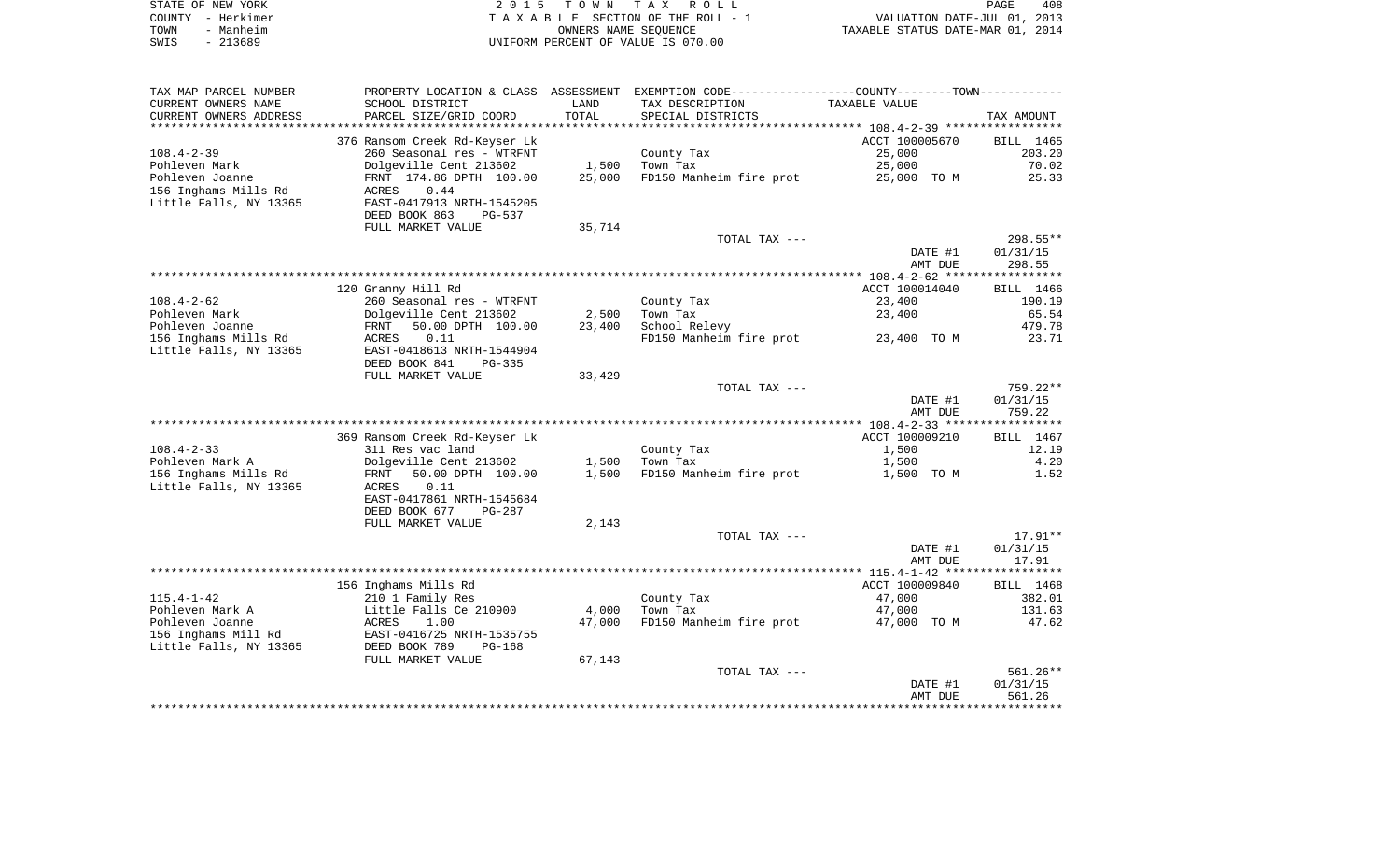| STATE OF NEW YORK |           | 2015 TOWN TAX ROLL                 | 408<br>PAGE                      |  |
|-------------------|-----------|------------------------------------|----------------------------------|--|
| COUNTY – Herkimer |           | TAXABLE SECTION OF THE ROLL - 1    | VALUATION DATE-JUL 01, 2013      |  |
| TOWN              | - Manheim | OWNERS NAME SEOUENCE               | TAXABLE STATUS DATE-MAR 01, 2014 |  |
| SWIS              | - 213689  | UNIFORM PERCENT OF VALUE IS 070.00 |                                  |  |

| TAX MAP PARCEL NUMBER  | PROPERTY LOCATION & CLASS      |        | ASSESSMENT EXEMPTION CODE-----------------COUNTY-------TOWN----------- |                |            |
|------------------------|--------------------------------|--------|------------------------------------------------------------------------|----------------|------------|
| CURRENT OWNERS NAME    | SCHOOL DISTRICT                | LAND   | TAX DESCRIPTION                                                        | TAXABLE VALUE  |            |
| CURRENT OWNERS ADDRESS | PARCEL SIZE/GRID COORD         | TOTAL  | SPECIAL DISTRICTS                                                      |                | TAX AMOUNT |
| *******************    | ****************************   |        |                                                                        |                |            |
|                        | 376 Ransom Creek Rd-Keyser Lk  |        |                                                                        | ACCT 100005670 | BILL 1465  |
| $108.4 - 2 - 39$       | 260 Seasonal res - WTRFNT      |        | County Tax                                                             | 25,000         | 203.20     |
| Pohleven Mark          | Dolgeville Cent 213602         | 1,500  | Town Tax                                                               | 25,000         | 70.02      |
| Pohleven Joanne        | FRNT 174.86 DPTH 100.00        | 25,000 | FD150 Manheim fire prot                                                | 25,000 TO M    | 25.33      |
| 156 Inghams Mills Rd   | <b>ACRES</b><br>0.44           |        |                                                                        |                |            |
| Little Falls, NY 13365 | EAST-0417913 NRTH-1545205      |        |                                                                        |                |            |
|                        | DEED BOOK 863<br>PG-537        |        |                                                                        |                |            |
|                        | FULL MARKET VALUE              | 35,714 |                                                                        |                |            |
|                        |                                |        | TOTAL TAX ---                                                          |                | 298.55**   |
|                        |                                |        |                                                                        | DATE #1        | 01/31/15   |
|                        |                                |        |                                                                        | AMT DUE        | 298.55     |
|                        |                                |        |                                                                        |                |            |
|                        | 120 Granny Hill Rd             |        |                                                                        | ACCT 100014040 | BILL 1466  |
| $108.4 - 2 - 62$       | 260 Seasonal res - WTRFNT      |        | County Tax                                                             | 23,400         | 190.19     |
| Pohleven Mark          | Dolgeville Cent 213602         | 2,500  | Town Tax                                                               | 23,400         | 65.54      |
| Pohleven Joanne        | 50.00 DPTH 100.00<br>FRNT      | 23,400 | School Relevy                                                          |                | 479.78     |
| 156 Inghams Mills Rd   | 0.11<br>ACRES                  |        | FD150 Manheim fire prot                                                | 23,400 TO M    | 23.71      |
| Little Falls, NY 13365 | EAST-0418613 NRTH-1544904      |        |                                                                        |                |            |
|                        | DEED BOOK 841<br>$PG-335$      |        |                                                                        |                |            |
|                        | FULL MARKET VALUE              | 33,429 | TOTAL TAX ---                                                          |                | 759.22**   |
|                        |                                |        |                                                                        | DATE #1        | 01/31/15   |
|                        |                                |        |                                                                        | AMT DUE        | 759.22     |
|                        |                                |        |                                                                        |                |            |
|                        | 369 Ransom Creek Rd-Keyser Lk  |        |                                                                        | ACCT 100009210 | BILL 1467  |
| $108.4 - 2 - 33$       | 311 Res vac land               |        | County Tax                                                             | 1,500          | 12.19      |
| Pohleven Mark A        | Dolgeville Cent 213602         | 1,500  | Town Tax                                                               | 1,500          | 4.20       |
| 156 Inghams Mills Rd   | 50.00 DPTH 100.00<br>FRNT      | 1,500  | FD150 Manheim fire prot                                                | 1,500 TO M     | 1.52       |
| Little Falls, NY 13365 | ACRES<br>0.11                  |        |                                                                        |                |            |
|                        | EAST-0417861 NRTH-1545684      |        |                                                                        |                |            |
|                        | DEED BOOK 677<br>PG-287        |        |                                                                        |                |            |
|                        | FULL MARKET VALUE              | 2,143  |                                                                        |                |            |
|                        |                                |        | TOTAL TAX ---                                                          |                | $17.91**$  |
|                        |                                |        |                                                                        | DATE #1        | 01/31/15   |
|                        |                                |        |                                                                        | AMT DUE        | 17.91      |
|                        |                                |        |                                                                        |                |            |
|                        | 156 Inghams Mills Rd           |        |                                                                        | ACCT 100009840 | BILL 1468  |
| $115.4 - 1 - 42$       | 210 1 Family Res               |        | County Tax                                                             | 47,000         | 382.01     |
| Pohleven Mark A        | Little Falls Ce 210900         | 4,000  | Town Tax                                                               | 47,000         | 131.63     |
| Pohleven Joanne        | ACRES<br>1.00                  | 47,000 | FD150 Manheim fire prot                                                | 47,000 TO M    | 47.62      |
| 156 Inghams Mill Rd    | EAST-0416725 NRTH-1535755      |        |                                                                        |                |            |
| Little Falls, NY 13365 | DEED BOOK 789<br><b>PG-168</b> |        |                                                                        |                |            |
|                        | FULL MARKET VALUE              | 67,143 |                                                                        |                |            |
|                        |                                |        | TOTAL TAX ---                                                          |                | 561.26**   |
|                        |                                |        |                                                                        | DATE #1        | 01/31/15   |
|                        |                                |        |                                                                        | AMT DUE        | 561.26     |
|                        |                                |        |                                                                        |                |            |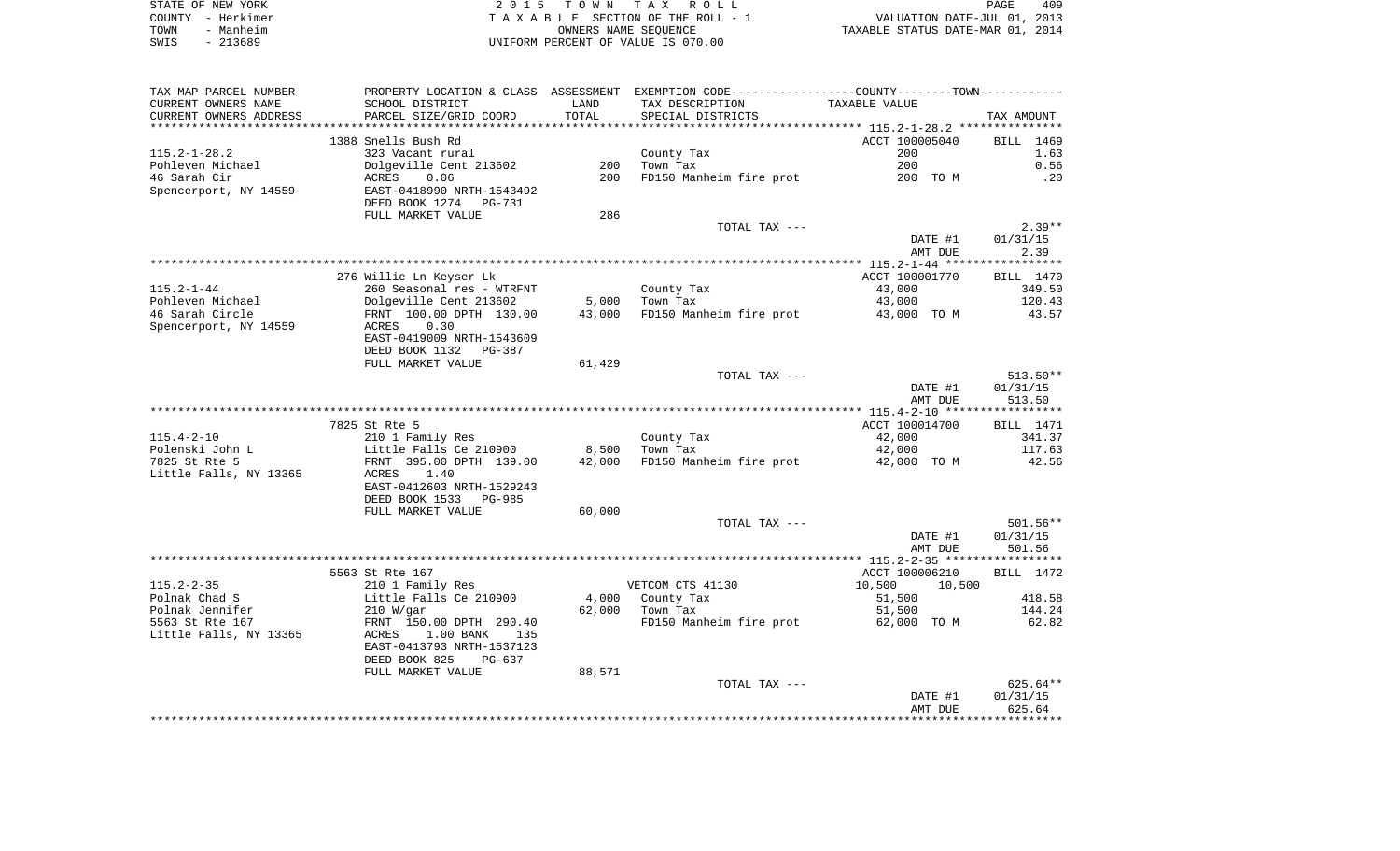| STATE OF NEW YORK | 2015 TOWN TAX ROLL<br>PAGE                                     | 409 |
|-------------------|----------------------------------------------------------------|-----|
| COUNTY - Herkimer | VALUATION DATE-JUL 01, 2013<br>TAXABLE SECTION OF THE ROLL - 1 |     |
| - Manheim<br>TOWN | TAXABLE STATUS DATE-MAR 01, 2014<br>OWNERS NAME SEOUENCE       |     |
| - 213689<br>SWIS  | UNIFORM PERCENT OF VALUE IS 070.00                             |     |

| TAX MAP PARCEL NUMBER                         |                                           |               | PROPERTY LOCATION & CLASS ASSESSMENT EXEMPTION CODE---------------COUNTY-------TOWN---------- | TAXABLE VALUE    |                  |
|-----------------------------------------------|-------------------------------------------|---------------|-----------------------------------------------------------------------------------------------|------------------|------------------|
| CURRENT OWNERS NAME<br>CURRENT OWNERS ADDRESS | SCHOOL DISTRICT<br>PARCEL SIZE/GRID COORD | LAND<br>TOTAL | TAX DESCRIPTION<br>SPECIAL DISTRICTS                                                          |                  | TAX AMOUNT       |
| ************************                      |                                           |               |                                                                                               |                  |                  |
|                                               | 1388 Snells Bush Rd                       |               |                                                                                               | ACCT 100005040   | BILL 1469        |
| $115.2 - 1 - 28.2$                            | 323 Vacant rural                          |               | County Tax                                                                                    | 200              | 1.63             |
| Pohleven Michael                              | Dolgeville Cent 213602                    | 200           | Town Tax                                                                                      | 200              | 0.56             |
| 46 Sarah Cir                                  | ACRES<br>0.06                             | 200           | FD150 Manheim fire prot                                                                       | 200 TO M         | .20              |
| Spencerport, NY 14559                         | EAST-0418990 NRTH-1543492                 |               |                                                                                               |                  |                  |
|                                               | DEED BOOK 1274<br>PG-731                  |               |                                                                                               |                  |                  |
|                                               | FULL MARKET VALUE                         | 286           |                                                                                               |                  |                  |
|                                               |                                           |               | TOTAL TAX ---                                                                                 |                  | $2.39**$         |
|                                               |                                           |               |                                                                                               | DATE #1          | 01/31/15         |
|                                               |                                           |               |                                                                                               | AMT DUE          | 2.39             |
|                                               |                                           |               |                                                                                               |                  |                  |
|                                               | 276 Willie Ln Keyser Lk                   |               |                                                                                               | ACCT 100001770   | BILL 1470        |
| $115.2 - 1 - 44$                              | 260 Seasonal res - WTRFNT                 |               | County Tax                                                                                    | 43,000           | 349.50           |
| Pohleven Michael                              | Dolgeville Cent 213602                    | 5,000         | Town Tax                                                                                      | 43,000           | 120.43           |
| 46 Sarah Circle                               | FRNT 100.00 DPTH 130.00                   | 43,000        | FD150 Manheim fire prot                                                                       | 43,000 TO M      | 43.57            |
| Spencerport, NY 14559                         | 0.30<br>ACRES                             |               |                                                                                               |                  |                  |
|                                               | EAST-0419009 NRTH-1543609                 |               |                                                                                               |                  |                  |
|                                               | DEED BOOK 1132<br>PG-387                  |               |                                                                                               |                  |                  |
|                                               | FULL MARKET VALUE                         | 61,429        |                                                                                               |                  |                  |
|                                               |                                           |               | TOTAL TAX ---                                                                                 |                  | $513.50**$       |
|                                               |                                           |               |                                                                                               | DATE #1          | 01/31/15         |
|                                               |                                           |               |                                                                                               | AMT DUE          | 513.50           |
|                                               |                                           |               |                                                                                               |                  |                  |
|                                               | 7825 St Rte 5                             |               |                                                                                               | ACCT 100014700   | BILL 1471        |
| $115.4 - 2 - 10$                              | 210 1 Family Res                          |               | County Tax                                                                                    | 42,000           | 341.37           |
| Polenski John L                               | Little Falls Ce 210900                    | 8,500         | Town Tax                                                                                      | 42,000           | 117.63           |
| 7825 St Rte 5                                 | FRNT 395.00 DPTH 139.00                   | 42,000        | FD150 Manheim fire prot                                                                       | 42,000 TO M      | 42.56            |
| Little Falls, NY 13365                        | ACRES<br>1.40                             |               |                                                                                               |                  |                  |
|                                               | EAST-0412603 NRTH-1529243                 |               |                                                                                               |                  |                  |
|                                               | DEED BOOK 1533<br>PG-985                  |               |                                                                                               |                  |                  |
|                                               | FULL MARKET VALUE                         | 60,000        |                                                                                               |                  |                  |
|                                               |                                           |               | TOTAL TAX ---                                                                                 |                  | 501.56**         |
|                                               |                                           |               |                                                                                               | DATE #1          | 01/31/15         |
|                                               |                                           |               |                                                                                               | AMT DUE          | 501.56           |
|                                               |                                           |               |                                                                                               |                  |                  |
|                                               | 5563 St Rte 167                           |               |                                                                                               | ACCT 100006210   | <b>BILL</b> 1472 |
| $115.2 - 2 - 35$                              | 210 1 Family Res                          |               | VETCOM CTS 41130                                                                              | 10,500<br>10,500 |                  |
| Polnak Chad S                                 | Little Falls Ce 210900                    | 4,000         | County Tax                                                                                    | 51,500           | 418.58           |
| Polnak Jennifer                               | 210 W/qar                                 | 62,000        | Town Tax                                                                                      | 51,500           | 144.24           |
| 5563 St Rte 167                               | FRNT 150.00 DPTH 290.40                   |               | FD150 Manheim fire prot                                                                       | 62,000 TO M      | 62.82            |
| Little Falls, NY 13365                        | 1.00 BANK<br>ACRES<br>135                 |               |                                                                                               |                  |                  |
|                                               | EAST-0413793 NRTH-1537123                 |               |                                                                                               |                  |                  |
|                                               | DEED BOOK 825<br>PG-637                   |               |                                                                                               |                  |                  |
|                                               | FULL MARKET VALUE                         | 88,571        |                                                                                               |                  |                  |
|                                               |                                           |               | TOTAL TAX ---                                                                                 |                  | 625.64**         |
|                                               |                                           |               |                                                                                               | DATE #1          | 01/31/15         |
|                                               |                                           |               |                                                                                               | AMT DUE          | 625.64           |
|                                               |                                           |               |                                                                                               |                  |                  |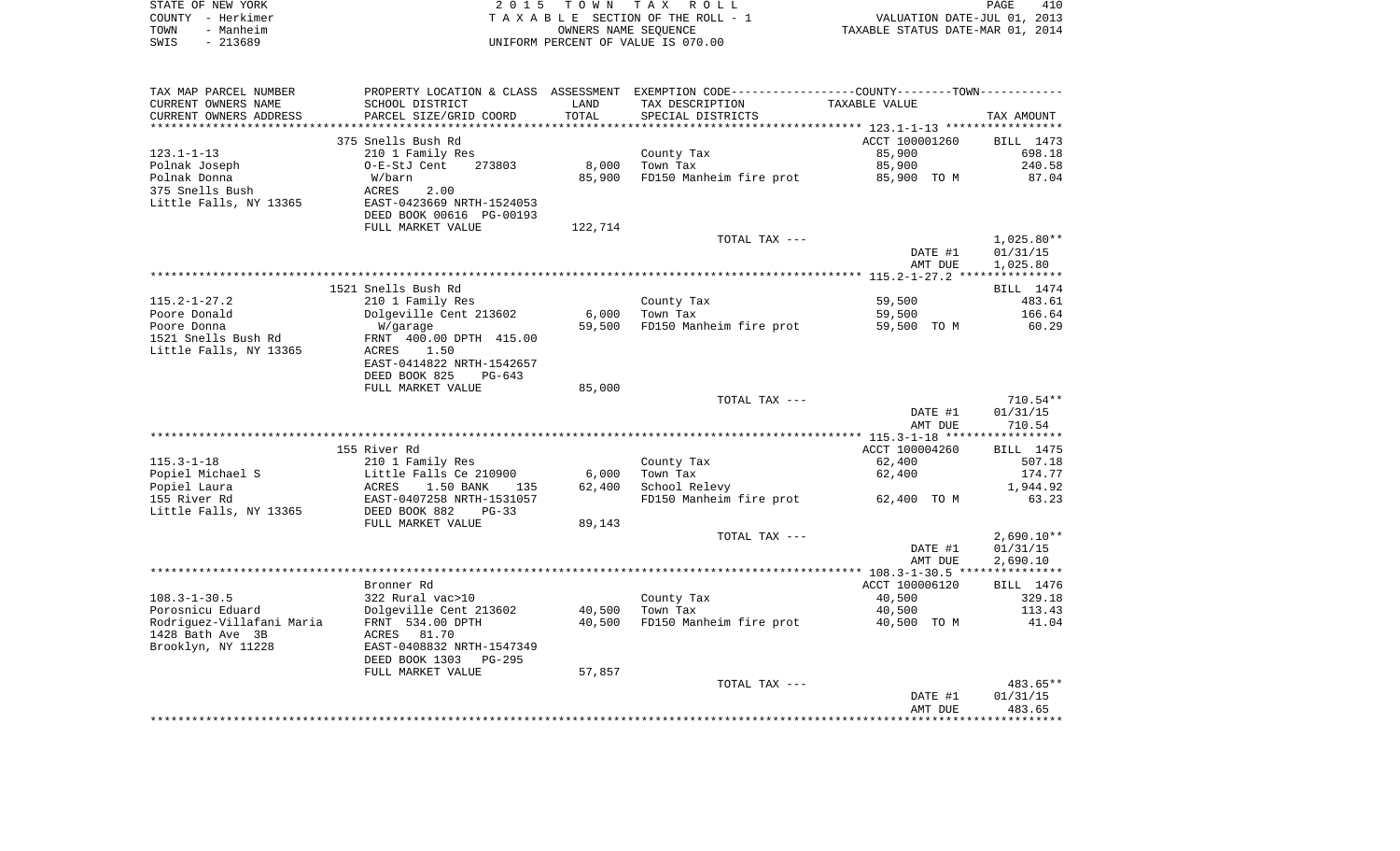|      | STATE OF NEW YORK | 2015 TOWN TAX ROLL                 | PAGE                             | 410 |
|------|-------------------|------------------------------------|----------------------------------|-----|
|      | COUNTY - Herkimer | TAXABLE SECTION OF THE ROLL - 1    | VALUATION DATE-JUL 01, 2013      |     |
| TOWN | - Manheim         | OWNERS NAME SEOUENCE               | TAXABLE STATUS DATE-MAR 01, 2014 |     |
| SWIS | - 213689          | UNIFORM PERCENT OF VALUE IS 070.00 |                                  |     |

| SCHOOL DISTRICT<br>TAX DESCRIPTION<br>TAXABLE VALUE<br>LAND<br>TOTAL<br>PARCEL SIZE/GRID COORD<br>SPECIAL DISTRICTS<br>TAX AMOUNT<br>ACCT 100001260<br>375 Snells Bush Rd<br>BILL 1473<br>$123.1 - 1 - 13$<br>210 1 Family Res<br>County Tax<br>85,900<br>698.18<br>Town Tax<br>Polnak Joseph<br>O-E-StJ Cent<br>273803<br>8,000<br>85,900<br>240.58<br>Polnak Donna<br>85,900<br>FD150 Manheim fire prot<br>85,900 TO M<br>87.04<br>W/barn<br>375 Snells Bush<br>2.00<br>ACRES<br>Little Falls, NY 13365<br>EAST-0423669 NRTH-1524053<br>DEED BOOK 00616 PG-00193<br>FULL MARKET VALUE<br>122,714<br>TOTAL TAX ---<br>$1,025.80**$<br>DATE #1<br>01/31/15<br>AMT DUE<br>1,025.80<br>1521 Snells Bush Rd<br>BILL 1474<br>59,500<br>483.61<br>210 1 Family Res<br>County Tax<br>6,000<br>166.64<br>Dolgeville Cent 213602<br>Town Tax<br>59,500<br>FD150 Manheim fire prot<br>W/garage<br>59,500<br>59,500 TO M<br>60.29<br>1521 Snells Bush Rd<br>FRNT 400.00 DPTH 415.00<br>Little Falls, NY 13365<br>1.50<br>ACRES<br>EAST-0414822 NRTH-1542657<br>DEED BOOK 825<br>$PG-643$<br>FULL MARKET VALUE<br>85,000<br>TOTAL TAX ---<br>DATE #1<br>01/31/15<br>710.54<br>AMT DUE<br>155 River Rd<br>ACCT 100004260<br><b>BILL</b> 1475<br>$115.3 - 1 - 18$<br>210 1 Family Res<br>62,400<br>507.18<br>County Tax<br>Popiel Michael S<br>Little Falls Ce 210900<br>6,000<br>Town Tax<br>62,400<br>174.77<br><b>ACRES</b><br>Popiel Laura<br>62,400<br>School Relevy<br>1,944.92<br>1.50 BANK<br>135<br>155 River Rd<br>EAST-0407258 NRTH-1531057<br>FD150 Manheim fire prot<br>62,400 TO M<br>63.23<br>DEED BOOK 882<br>$PG-33$<br>89,143<br>FULL MARKET VALUE<br>$2,690.10**$<br>TOTAL TAX ---<br>01/31/15<br>DATE #1<br>AMT DUE<br>2,690.10<br>Bronner Rd<br>ACCT 100006120<br>BILL 1476<br>$108.3 - 1 - 30.5$<br>322 Rural vac>10<br>County Tax<br>40,500<br>329.18<br>Porosnicu Eduard<br>Dolgeville Cent 213602<br>113.43<br>40,500<br>Town Tax<br>40,500<br>FD150 Manheim fire prot<br>Rodriguez-Villafani Maria<br>FRNT 534.00 DPTH<br>40,500<br>40,500 TO M<br>41.04<br>1428 Bath Ave 3B<br>ACRES 81.70<br>Brooklyn, NY 11228<br>EAST-0408832 NRTH-1547349<br>DEED BOOK 1303<br><b>PG-295</b><br>FULL MARKET VALUE<br>57,857<br>TOTAL TAX ---<br>483.65**<br>DATE #1<br>01/31/15<br>483.65<br>AMT DUE | TAX MAP PARCEL NUMBER  |  | PROPERTY LOCATION & CLASS ASSESSMENT EXEMPTION CODE---------------COUNTY-------TOWN---------- |  |
|--------------------------------------------------------------------------------------------------------------------------------------------------------------------------------------------------------------------------------------------------------------------------------------------------------------------------------------------------------------------------------------------------------------------------------------------------------------------------------------------------------------------------------------------------------------------------------------------------------------------------------------------------------------------------------------------------------------------------------------------------------------------------------------------------------------------------------------------------------------------------------------------------------------------------------------------------------------------------------------------------------------------------------------------------------------------------------------------------------------------------------------------------------------------------------------------------------------------------------------------------------------------------------------------------------------------------------------------------------------------------------------------------------------------------------------------------------------------------------------------------------------------------------------------------------------------------------------------------------------------------------------------------------------------------------------------------------------------------------------------------------------------------------------------------------------------------------------------------------------------------------------------------------------------------------------------------------------------------------------------------------------------------------------------------------------------------------------------------------------------------------------------------------------------------------------------------------------------------------------------------------------------------------------------------------|------------------------|--|-----------------------------------------------------------------------------------------------|--|
|                                                                                                                                                                                                                                                                                                                                                                                                                                                                                                                                                                                                                                                                                                                                                                                                                                                                                                                                                                                                                                                                                                                                                                                                                                                                                                                                                                                                                                                                                                                                                                                                                                                                                                                                                                                                                                                                                                                                                                                                                                                                                                                                                                                                                                                                                                        | CURRENT OWNERS NAME    |  |                                                                                               |  |
|                                                                                                                                                                                                                                                                                                                                                                                                                                                                                                                                                                                                                                                                                                                                                                                                                                                                                                                                                                                                                                                                                                                                                                                                                                                                                                                                                                                                                                                                                                                                                                                                                                                                                                                                                                                                                                                                                                                                                                                                                                                                                                                                                                                                                                                                                                        | CURRENT OWNERS ADDRESS |  |                                                                                               |  |
|                                                                                                                                                                                                                                                                                                                                                                                                                                                                                                                                                                                                                                                                                                                                                                                                                                                                                                                                                                                                                                                                                                                                                                                                                                                                                                                                                                                                                                                                                                                                                                                                                                                                                                                                                                                                                                                                                                                                                                                                                                                                                                                                                                                                                                                                                                        |                        |  |                                                                                               |  |
|                                                                                                                                                                                                                                                                                                                                                                                                                                                                                                                                                                                                                                                                                                                                                                                                                                                                                                                                                                                                                                                                                                                                                                                                                                                                                                                                                                                                                                                                                                                                                                                                                                                                                                                                                                                                                                                                                                                                                                                                                                                                                                                                                                                                                                                                                                        |                        |  |                                                                                               |  |
| $710.54**$                                                                                                                                                                                                                                                                                                                                                                                                                                                                                                                                                                                                                                                                                                                                                                                                                                                                                                                                                                                                                                                                                                                                                                                                                                                                                                                                                                                                                                                                                                                                                                                                                                                                                                                                                                                                                                                                                                                                                                                                                                                                                                                                                                                                                                                                                             |                        |  |                                                                                               |  |
|                                                                                                                                                                                                                                                                                                                                                                                                                                                                                                                                                                                                                                                                                                                                                                                                                                                                                                                                                                                                                                                                                                                                                                                                                                                                                                                                                                                                                                                                                                                                                                                                                                                                                                                                                                                                                                                                                                                                                                                                                                                                                                                                                                                                                                                                                                        |                        |  |                                                                                               |  |
|                                                                                                                                                                                                                                                                                                                                                                                                                                                                                                                                                                                                                                                                                                                                                                                                                                                                                                                                                                                                                                                                                                                                                                                                                                                                                                                                                                                                                                                                                                                                                                                                                                                                                                                                                                                                                                                                                                                                                                                                                                                                                                                                                                                                                                                                                                        |                        |  |                                                                                               |  |
|                                                                                                                                                                                                                                                                                                                                                                                                                                                                                                                                                                                                                                                                                                                                                                                                                                                                                                                                                                                                                                                                                                                                                                                                                                                                                                                                                                                                                                                                                                                                                                                                                                                                                                                                                                                                                                                                                                                                                                                                                                                                                                                                                                                                                                                                                                        |                        |  |                                                                                               |  |
|                                                                                                                                                                                                                                                                                                                                                                                                                                                                                                                                                                                                                                                                                                                                                                                                                                                                                                                                                                                                                                                                                                                                                                                                                                                                                                                                                                                                                                                                                                                                                                                                                                                                                                                                                                                                                                                                                                                                                                                                                                                                                                                                                                                                                                                                                                        |                        |  |                                                                                               |  |
|                                                                                                                                                                                                                                                                                                                                                                                                                                                                                                                                                                                                                                                                                                                                                                                                                                                                                                                                                                                                                                                                                                                                                                                                                                                                                                                                                                                                                                                                                                                                                                                                                                                                                                                                                                                                                                                                                                                                                                                                                                                                                                                                                                                                                                                                                                        |                        |  |                                                                                               |  |
|                                                                                                                                                                                                                                                                                                                                                                                                                                                                                                                                                                                                                                                                                                                                                                                                                                                                                                                                                                                                                                                                                                                                                                                                                                                                                                                                                                                                                                                                                                                                                                                                                                                                                                                                                                                                                                                                                                                                                                                                                                                                                                                                                                                                                                                                                                        |                        |  |                                                                                               |  |
|                                                                                                                                                                                                                                                                                                                                                                                                                                                                                                                                                                                                                                                                                                                                                                                                                                                                                                                                                                                                                                                                                                                                                                                                                                                                                                                                                                                                                                                                                                                                                                                                                                                                                                                                                                                                                                                                                                                                                                                                                                                                                                                                                                                                                                                                                                        |                        |  |                                                                                               |  |
|                                                                                                                                                                                                                                                                                                                                                                                                                                                                                                                                                                                                                                                                                                                                                                                                                                                                                                                                                                                                                                                                                                                                                                                                                                                                                                                                                                                                                                                                                                                                                                                                                                                                                                                                                                                                                                                                                                                                                                                                                                                                                                                                                                                                                                                                                                        |                        |  |                                                                                               |  |
|                                                                                                                                                                                                                                                                                                                                                                                                                                                                                                                                                                                                                                                                                                                                                                                                                                                                                                                                                                                                                                                                                                                                                                                                                                                                                                                                                                                                                                                                                                                                                                                                                                                                                                                                                                                                                                                                                                                                                                                                                                                                                                                                                                                                                                                                                                        |                        |  |                                                                                               |  |
|                                                                                                                                                                                                                                                                                                                                                                                                                                                                                                                                                                                                                                                                                                                                                                                                                                                                                                                                                                                                                                                                                                                                                                                                                                                                                                                                                                                                                                                                                                                                                                                                                                                                                                                                                                                                                                                                                                                                                                                                                                                                                                                                                                                                                                                                                                        |                        |  |                                                                                               |  |
|                                                                                                                                                                                                                                                                                                                                                                                                                                                                                                                                                                                                                                                                                                                                                                                                                                                                                                                                                                                                                                                                                                                                                                                                                                                                                                                                                                                                                                                                                                                                                                                                                                                                                                                                                                                                                                                                                                                                                                                                                                                                                                                                                                                                                                                                                                        |                        |  |                                                                                               |  |
|                                                                                                                                                                                                                                                                                                                                                                                                                                                                                                                                                                                                                                                                                                                                                                                                                                                                                                                                                                                                                                                                                                                                                                                                                                                                                                                                                                                                                                                                                                                                                                                                                                                                                                                                                                                                                                                                                                                                                                                                                                                                                                                                                                                                                                                                                                        |                        |  |                                                                                               |  |
|                                                                                                                                                                                                                                                                                                                                                                                                                                                                                                                                                                                                                                                                                                                                                                                                                                                                                                                                                                                                                                                                                                                                                                                                                                                                                                                                                                                                                                                                                                                                                                                                                                                                                                                                                                                                                                                                                                                                                                                                                                                                                                                                                                                                                                                                                                        | $115.2 - 1 - 27.2$     |  |                                                                                               |  |
|                                                                                                                                                                                                                                                                                                                                                                                                                                                                                                                                                                                                                                                                                                                                                                                                                                                                                                                                                                                                                                                                                                                                                                                                                                                                                                                                                                                                                                                                                                                                                                                                                                                                                                                                                                                                                                                                                                                                                                                                                                                                                                                                                                                                                                                                                                        | Poore Donald           |  |                                                                                               |  |
|                                                                                                                                                                                                                                                                                                                                                                                                                                                                                                                                                                                                                                                                                                                                                                                                                                                                                                                                                                                                                                                                                                                                                                                                                                                                                                                                                                                                                                                                                                                                                                                                                                                                                                                                                                                                                                                                                                                                                                                                                                                                                                                                                                                                                                                                                                        | Poore Donna            |  |                                                                                               |  |
|                                                                                                                                                                                                                                                                                                                                                                                                                                                                                                                                                                                                                                                                                                                                                                                                                                                                                                                                                                                                                                                                                                                                                                                                                                                                                                                                                                                                                                                                                                                                                                                                                                                                                                                                                                                                                                                                                                                                                                                                                                                                                                                                                                                                                                                                                                        |                        |  |                                                                                               |  |
|                                                                                                                                                                                                                                                                                                                                                                                                                                                                                                                                                                                                                                                                                                                                                                                                                                                                                                                                                                                                                                                                                                                                                                                                                                                                                                                                                                                                                                                                                                                                                                                                                                                                                                                                                                                                                                                                                                                                                                                                                                                                                                                                                                                                                                                                                                        |                        |  |                                                                                               |  |
|                                                                                                                                                                                                                                                                                                                                                                                                                                                                                                                                                                                                                                                                                                                                                                                                                                                                                                                                                                                                                                                                                                                                                                                                                                                                                                                                                                                                                                                                                                                                                                                                                                                                                                                                                                                                                                                                                                                                                                                                                                                                                                                                                                                                                                                                                                        |                        |  |                                                                                               |  |
|                                                                                                                                                                                                                                                                                                                                                                                                                                                                                                                                                                                                                                                                                                                                                                                                                                                                                                                                                                                                                                                                                                                                                                                                                                                                                                                                                                                                                                                                                                                                                                                                                                                                                                                                                                                                                                                                                                                                                                                                                                                                                                                                                                                                                                                                                                        |                        |  |                                                                                               |  |
|                                                                                                                                                                                                                                                                                                                                                                                                                                                                                                                                                                                                                                                                                                                                                                                                                                                                                                                                                                                                                                                                                                                                                                                                                                                                                                                                                                                                                                                                                                                                                                                                                                                                                                                                                                                                                                                                                                                                                                                                                                                                                                                                                                                                                                                                                                        |                        |  |                                                                                               |  |
|                                                                                                                                                                                                                                                                                                                                                                                                                                                                                                                                                                                                                                                                                                                                                                                                                                                                                                                                                                                                                                                                                                                                                                                                                                                                                                                                                                                                                                                                                                                                                                                                                                                                                                                                                                                                                                                                                                                                                                                                                                                                                                                                                                                                                                                                                                        |                        |  |                                                                                               |  |
|                                                                                                                                                                                                                                                                                                                                                                                                                                                                                                                                                                                                                                                                                                                                                                                                                                                                                                                                                                                                                                                                                                                                                                                                                                                                                                                                                                                                                                                                                                                                                                                                                                                                                                                                                                                                                                                                                                                                                                                                                                                                                                                                                                                                                                                                                                        |                        |  |                                                                                               |  |
|                                                                                                                                                                                                                                                                                                                                                                                                                                                                                                                                                                                                                                                                                                                                                                                                                                                                                                                                                                                                                                                                                                                                                                                                                                                                                                                                                                                                                                                                                                                                                                                                                                                                                                                                                                                                                                                                                                                                                                                                                                                                                                                                                                                                                                                                                                        |                        |  |                                                                                               |  |
|                                                                                                                                                                                                                                                                                                                                                                                                                                                                                                                                                                                                                                                                                                                                                                                                                                                                                                                                                                                                                                                                                                                                                                                                                                                                                                                                                                                                                                                                                                                                                                                                                                                                                                                                                                                                                                                                                                                                                                                                                                                                                                                                                                                                                                                                                                        |                        |  |                                                                                               |  |
|                                                                                                                                                                                                                                                                                                                                                                                                                                                                                                                                                                                                                                                                                                                                                                                                                                                                                                                                                                                                                                                                                                                                                                                                                                                                                                                                                                                                                                                                                                                                                                                                                                                                                                                                                                                                                                                                                                                                                                                                                                                                                                                                                                                                                                                                                                        |                        |  |                                                                                               |  |
|                                                                                                                                                                                                                                                                                                                                                                                                                                                                                                                                                                                                                                                                                                                                                                                                                                                                                                                                                                                                                                                                                                                                                                                                                                                                                                                                                                                                                                                                                                                                                                                                                                                                                                                                                                                                                                                                                                                                                                                                                                                                                                                                                                                                                                                                                                        |                        |  |                                                                                               |  |
|                                                                                                                                                                                                                                                                                                                                                                                                                                                                                                                                                                                                                                                                                                                                                                                                                                                                                                                                                                                                                                                                                                                                                                                                                                                                                                                                                                                                                                                                                                                                                                                                                                                                                                                                                                                                                                                                                                                                                                                                                                                                                                                                                                                                                                                                                                        |                        |  |                                                                                               |  |
|                                                                                                                                                                                                                                                                                                                                                                                                                                                                                                                                                                                                                                                                                                                                                                                                                                                                                                                                                                                                                                                                                                                                                                                                                                                                                                                                                                                                                                                                                                                                                                                                                                                                                                                                                                                                                                                                                                                                                                                                                                                                                                                                                                                                                                                                                                        |                        |  |                                                                                               |  |
|                                                                                                                                                                                                                                                                                                                                                                                                                                                                                                                                                                                                                                                                                                                                                                                                                                                                                                                                                                                                                                                                                                                                                                                                                                                                                                                                                                                                                                                                                                                                                                                                                                                                                                                                                                                                                                                                                                                                                                                                                                                                                                                                                                                                                                                                                                        |                        |  |                                                                                               |  |
|                                                                                                                                                                                                                                                                                                                                                                                                                                                                                                                                                                                                                                                                                                                                                                                                                                                                                                                                                                                                                                                                                                                                                                                                                                                                                                                                                                                                                                                                                                                                                                                                                                                                                                                                                                                                                                                                                                                                                                                                                                                                                                                                                                                                                                                                                                        |                        |  |                                                                                               |  |
|                                                                                                                                                                                                                                                                                                                                                                                                                                                                                                                                                                                                                                                                                                                                                                                                                                                                                                                                                                                                                                                                                                                                                                                                                                                                                                                                                                                                                                                                                                                                                                                                                                                                                                                                                                                                                                                                                                                                                                                                                                                                                                                                                                                                                                                                                                        | Little Falls, NY 13365 |  |                                                                                               |  |
|                                                                                                                                                                                                                                                                                                                                                                                                                                                                                                                                                                                                                                                                                                                                                                                                                                                                                                                                                                                                                                                                                                                                                                                                                                                                                                                                                                                                                                                                                                                                                                                                                                                                                                                                                                                                                                                                                                                                                                                                                                                                                                                                                                                                                                                                                                        |                        |  |                                                                                               |  |
|                                                                                                                                                                                                                                                                                                                                                                                                                                                                                                                                                                                                                                                                                                                                                                                                                                                                                                                                                                                                                                                                                                                                                                                                                                                                                                                                                                                                                                                                                                                                                                                                                                                                                                                                                                                                                                                                                                                                                                                                                                                                                                                                                                                                                                                                                                        |                        |  |                                                                                               |  |
|                                                                                                                                                                                                                                                                                                                                                                                                                                                                                                                                                                                                                                                                                                                                                                                                                                                                                                                                                                                                                                                                                                                                                                                                                                                                                                                                                                                                                                                                                                                                                                                                                                                                                                                                                                                                                                                                                                                                                                                                                                                                                                                                                                                                                                                                                                        |                        |  |                                                                                               |  |
|                                                                                                                                                                                                                                                                                                                                                                                                                                                                                                                                                                                                                                                                                                                                                                                                                                                                                                                                                                                                                                                                                                                                                                                                                                                                                                                                                                                                                                                                                                                                                                                                                                                                                                                                                                                                                                                                                                                                                                                                                                                                                                                                                                                                                                                                                                        |                        |  |                                                                                               |  |
|                                                                                                                                                                                                                                                                                                                                                                                                                                                                                                                                                                                                                                                                                                                                                                                                                                                                                                                                                                                                                                                                                                                                                                                                                                                                                                                                                                                                                                                                                                                                                                                                                                                                                                                                                                                                                                                                                                                                                                                                                                                                                                                                                                                                                                                                                                        |                        |  |                                                                                               |  |
|                                                                                                                                                                                                                                                                                                                                                                                                                                                                                                                                                                                                                                                                                                                                                                                                                                                                                                                                                                                                                                                                                                                                                                                                                                                                                                                                                                                                                                                                                                                                                                                                                                                                                                                                                                                                                                                                                                                                                                                                                                                                                                                                                                                                                                                                                                        |                        |  |                                                                                               |  |
|                                                                                                                                                                                                                                                                                                                                                                                                                                                                                                                                                                                                                                                                                                                                                                                                                                                                                                                                                                                                                                                                                                                                                                                                                                                                                                                                                                                                                                                                                                                                                                                                                                                                                                                                                                                                                                                                                                                                                                                                                                                                                                                                                                                                                                                                                                        |                        |  |                                                                                               |  |
|                                                                                                                                                                                                                                                                                                                                                                                                                                                                                                                                                                                                                                                                                                                                                                                                                                                                                                                                                                                                                                                                                                                                                                                                                                                                                                                                                                                                                                                                                                                                                                                                                                                                                                                                                                                                                                                                                                                                                                                                                                                                                                                                                                                                                                                                                                        |                        |  |                                                                                               |  |
|                                                                                                                                                                                                                                                                                                                                                                                                                                                                                                                                                                                                                                                                                                                                                                                                                                                                                                                                                                                                                                                                                                                                                                                                                                                                                                                                                                                                                                                                                                                                                                                                                                                                                                                                                                                                                                                                                                                                                                                                                                                                                                                                                                                                                                                                                                        |                        |  |                                                                                               |  |
|                                                                                                                                                                                                                                                                                                                                                                                                                                                                                                                                                                                                                                                                                                                                                                                                                                                                                                                                                                                                                                                                                                                                                                                                                                                                                                                                                                                                                                                                                                                                                                                                                                                                                                                                                                                                                                                                                                                                                                                                                                                                                                                                                                                                                                                                                                        |                        |  |                                                                                               |  |
|                                                                                                                                                                                                                                                                                                                                                                                                                                                                                                                                                                                                                                                                                                                                                                                                                                                                                                                                                                                                                                                                                                                                                                                                                                                                                                                                                                                                                                                                                                                                                                                                                                                                                                                                                                                                                                                                                                                                                                                                                                                                                                                                                                                                                                                                                                        |                        |  |                                                                                               |  |
|                                                                                                                                                                                                                                                                                                                                                                                                                                                                                                                                                                                                                                                                                                                                                                                                                                                                                                                                                                                                                                                                                                                                                                                                                                                                                                                                                                                                                                                                                                                                                                                                                                                                                                                                                                                                                                                                                                                                                                                                                                                                                                                                                                                                                                                                                                        |                        |  |                                                                                               |  |
|                                                                                                                                                                                                                                                                                                                                                                                                                                                                                                                                                                                                                                                                                                                                                                                                                                                                                                                                                                                                                                                                                                                                                                                                                                                                                                                                                                                                                                                                                                                                                                                                                                                                                                                                                                                                                                                                                                                                                                                                                                                                                                                                                                                                                                                                                                        |                        |  |                                                                                               |  |
|                                                                                                                                                                                                                                                                                                                                                                                                                                                                                                                                                                                                                                                                                                                                                                                                                                                                                                                                                                                                                                                                                                                                                                                                                                                                                                                                                                                                                                                                                                                                                                                                                                                                                                                                                                                                                                                                                                                                                                                                                                                                                                                                                                                                                                                                                                        |                        |  |                                                                                               |  |
|                                                                                                                                                                                                                                                                                                                                                                                                                                                                                                                                                                                                                                                                                                                                                                                                                                                                                                                                                                                                                                                                                                                                                                                                                                                                                                                                                                                                                                                                                                                                                                                                                                                                                                                                                                                                                                                                                                                                                                                                                                                                                                                                                                                                                                                                                                        |                        |  |                                                                                               |  |
|                                                                                                                                                                                                                                                                                                                                                                                                                                                                                                                                                                                                                                                                                                                                                                                                                                                                                                                                                                                                                                                                                                                                                                                                                                                                                                                                                                                                                                                                                                                                                                                                                                                                                                                                                                                                                                                                                                                                                                                                                                                                                                                                                                                                                                                                                                        |                        |  |                                                                                               |  |
|                                                                                                                                                                                                                                                                                                                                                                                                                                                                                                                                                                                                                                                                                                                                                                                                                                                                                                                                                                                                                                                                                                                                                                                                                                                                                                                                                                                                                                                                                                                                                                                                                                                                                                                                                                                                                                                                                                                                                                                                                                                                                                                                                                                                                                                                                                        |                        |  |                                                                                               |  |
|                                                                                                                                                                                                                                                                                                                                                                                                                                                                                                                                                                                                                                                                                                                                                                                                                                                                                                                                                                                                                                                                                                                                                                                                                                                                                                                                                                                                                                                                                                                                                                                                                                                                                                                                                                                                                                                                                                                                                                                                                                                                                                                                                                                                                                                                                                        |                        |  |                                                                                               |  |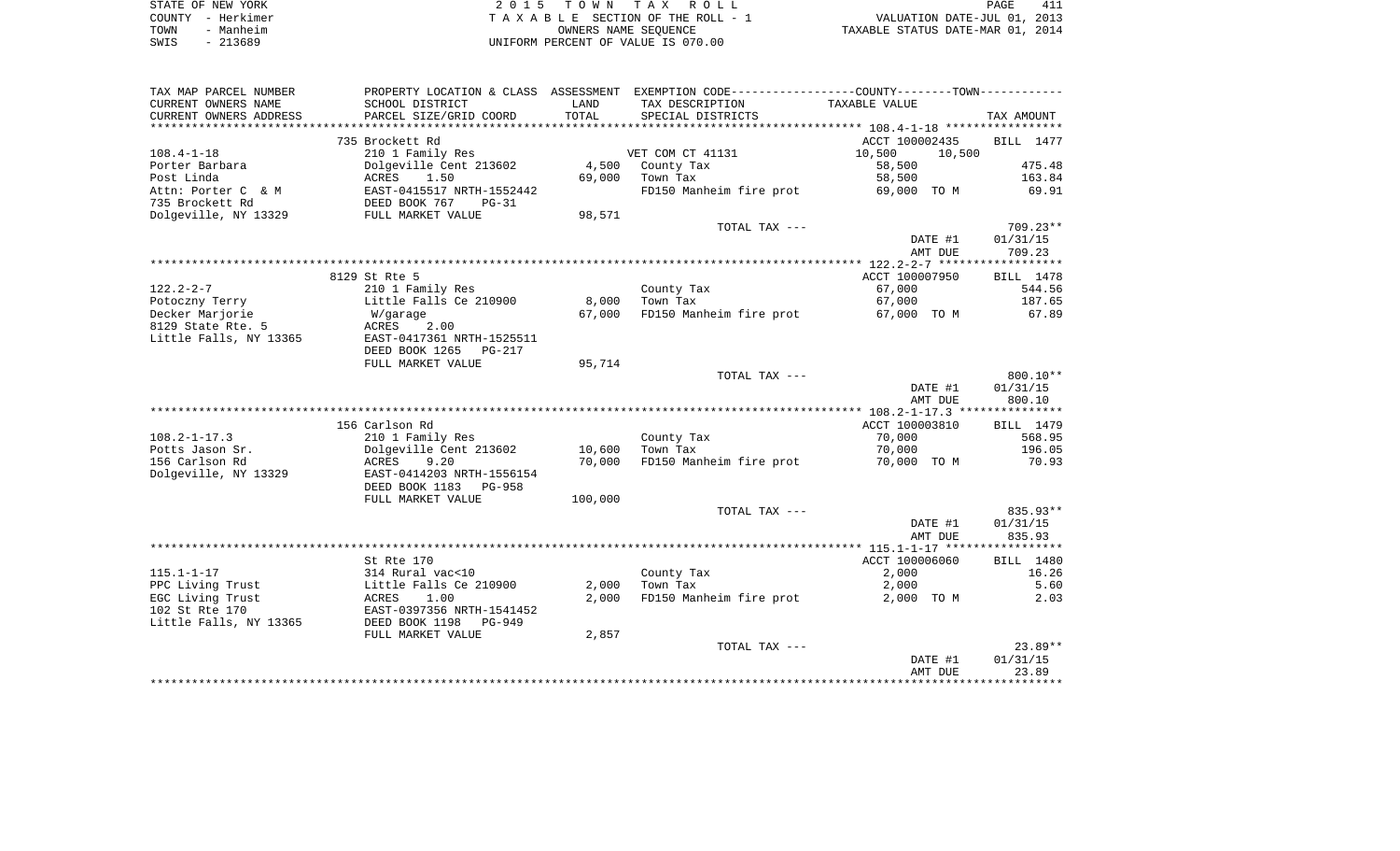|      | STATE OF NEW YORK | 2015 TOWN TAX ROLL                 | 411<br>PAGE                      |
|------|-------------------|------------------------------------|----------------------------------|
|      | COUNTY - Herkimer | TAXABLE SECTION OF THE ROLL - 1    | VALUATION DATE-JUL 01, 2013      |
| TOWN | - Manheim         | OWNERS NAME SEOUENCE               | TAXABLE STATUS DATE-MAR 01, 2014 |
| SWIS | - 213689          | UNIFORM PERCENT OF VALUE IS 070.00 |                                  |

| SCHOOL DISTRICT<br>LAND<br>TAX DESCRIPTION<br>TAXABLE VALUE<br>TOTAL<br>PARCEL SIZE/GRID COORD<br>SPECIAL DISTRICTS<br>TAX AMOUNT<br>************<br>735 Brockett Rd<br>ACCT 100002435<br>BILL 1477<br>210 1 Family Res<br>VET COM CT 41131<br>10,500<br>10,500<br>475.48<br>Dolgeville Cent 213602<br>4,500<br>58,500<br>Porter Barbara<br>County Tax<br>163.84<br>Post Linda<br>ACRES<br>1.50<br>69,000<br>Town Tax<br>58,500<br>Attn: Porter C & M<br>EAST-0415517 NRTH-1552442<br>FD150 Manheim fire prot<br>69,000 TO M<br>69.91<br>735 Brockett Rd<br>DEED BOOK 767<br>$PG-31$<br>Dolgeville, NY 13329<br>FULL MARKET VALUE<br>98,571<br>$709.23**$<br>TOTAL TAX ---<br>DATE #1<br>01/31/15<br>AMT DUE<br>709.23<br>8129 St Rte 5<br>ACCT 100007950<br>BILL 1478<br>$122.2 - 2 - 7$<br>67,000<br>210 1 Family Res<br>County Tax<br>544.56<br>Little Falls Ce 210900<br>8,000<br>Town Tax<br>67,000<br>187.65<br>Potoczny Terry<br>Decker Marjorie<br>FD150 Manheim fire prot<br>67.89<br>67,000<br>67,000 TO M<br>W/garage<br>8129 State Rte. 5<br>ACRES<br>2.00<br>Little Falls, NY 13365<br>EAST-0417361 NRTH-1525511<br>DEED BOOK 1265<br>$PG-217$<br>FULL MARKET VALUE<br>95,714<br>TOTAL TAX ---<br>$800.10**$<br>DATE #1<br>01/31/15<br>AMT DUE<br>800.10<br>156 Carlson Rd<br>ACCT 100003810<br>BILL 1479<br>210 1 Family Res<br>County Tax<br>70,000<br>568.95<br>Dolgeville Cent 213602<br>10,600<br>Town Tax<br>70,000<br>196.05<br>70,000<br>FD150 Manheim fire prot<br>ACRES<br>9.20<br>70,000 TO M<br>70.93<br>Dolgeville, NY 13329<br>EAST-0414203 NRTH-1556154<br>DEED BOOK 1183<br><b>PG-958</b><br>100,000<br>FULL MARKET VALUE<br>835.93**<br>TOTAL TAX ---<br>DATE #1<br>01/31/15<br>AMT DUE<br>835.93<br>St Rte 170<br>ACCT 100006060<br>BILL 1480<br>$115.1 - 1 - 17$<br>County Tax<br>314 Rural vac<10<br>2,000<br>16.26<br>PPC Living Trust<br>Little Falls Ce 210900<br>2,000<br>Town Tax<br>2,000<br>5.60<br>EGC Living Trust<br>ACRES<br>1.00<br>2,000<br>FD150 Manheim fire prot<br>2,000 TO M<br>2.03<br>102 St Rte 170<br>EAST-0397356 NRTH-1541452<br>Little Falls, NY 13365<br>DEED BOOK 1198<br><b>PG-949</b><br>2,857<br>FULL MARKET VALUE<br>$23.89**$<br>TOTAL TAX ---<br>01/31/15<br>DATE #1<br>AMT DUE<br>23.89 | TAX MAP PARCEL NUMBER  | PROPERTY LOCATION & CLASS | ASSESSMENT EXEMPTION CODE-----------------COUNTY-------TOWN----------- |  |
|------------------------------------------------------------------------------------------------------------------------------------------------------------------------------------------------------------------------------------------------------------------------------------------------------------------------------------------------------------------------------------------------------------------------------------------------------------------------------------------------------------------------------------------------------------------------------------------------------------------------------------------------------------------------------------------------------------------------------------------------------------------------------------------------------------------------------------------------------------------------------------------------------------------------------------------------------------------------------------------------------------------------------------------------------------------------------------------------------------------------------------------------------------------------------------------------------------------------------------------------------------------------------------------------------------------------------------------------------------------------------------------------------------------------------------------------------------------------------------------------------------------------------------------------------------------------------------------------------------------------------------------------------------------------------------------------------------------------------------------------------------------------------------------------------------------------------------------------------------------------------------------------------------------------------------------------------------------------------------------------------------------------------------------------------------------------------------------------------------------------------------------------------------------------------------------------------------------------------------------------------------|------------------------|---------------------------|------------------------------------------------------------------------|--|
|                                                                                                                                                                                                                                                                                                                                                                                                                                                                                                                                                                                                                                                                                                                                                                                                                                                                                                                                                                                                                                                                                                                                                                                                                                                                                                                                                                                                                                                                                                                                                                                                                                                                                                                                                                                                                                                                                                                                                                                                                                                                                                                                                                                                                                                            | CURRENT OWNERS NAME    |                           |                                                                        |  |
|                                                                                                                                                                                                                                                                                                                                                                                                                                                                                                                                                                                                                                                                                                                                                                                                                                                                                                                                                                                                                                                                                                                                                                                                                                                                                                                                                                                                                                                                                                                                                                                                                                                                                                                                                                                                                                                                                                                                                                                                                                                                                                                                                                                                                                                            | CURRENT OWNERS ADDRESS |                           |                                                                        |  |
|                                                                                                                                                                                                                                                                                                                                                                                                                                                                                                                                                                                                                                                                                                                                                                                                                                                                                                                                                                                                                                                                                                                                                                                                                                                                                                                                                                                                                                                                                                                                                                                                                                                                                                                                                                                                                                                                                                                                                                                                                                                                                                                                                                                                                                                            |                        |                           |                                                                        |  |
|                                                                                                                                                                                                                                                                                                                                                                                                                                                                                                                                                                                                                                                                                                                                                                                                                                                                                                                                                                                                                                                                                                                                                                                                                                                                                                                                                                                                                                                                                                                                                                                                                                                                                                                                                                                                                                                                                                                                                                                                                                                                                                                                                                                                                                                            |                        |                           |                                                                        |  |
|                                                                                                                                                                                                                                                                                                                                                                                                                                                                                                                                                                                                                                                                                                                                                                                                                                                                                                                                                                                                                                                                                                                                                                                                                                                                                                                                                                                                                                                                                                                                                                                                                                                                                                                                                                                                                                                                                                                                                                                                                                                                                                                                                                                                                                                            | $108.4 - 1 - 18$       |                           |                                                                        |  |
|                                                                                                                                                                                                                                                                                                                                                                                                                                                                                                                                                                                                                                                                                                                                                                                                                                                                                                                                                                                                                                                                                                                                                                                                                                                                                                                                                                                                                                                                                                                                                                                                                                                                                                                                                                                                                                                                                                                                                                                                                                                                                                                                                                                                                                                            |                        |                           |                                                                        |  |
|                                                                                                                                                                                                                                                                                                                                                                                                                                                                                                                                                                                                                                                                                                                                                                                                                                                                                                                                                                                                                                                                                                                                                                                                                                                                                                                                                                                                                                                                                                                                                                                                                                                                                                                                                                                                                                                                                                                                                                                                                                                                                                                                                                                                                                                            |                        |                           |                                                                        |  |
|                                                                                                                                                                                                                                                                                                                                                                                                                                                                                                                                                                                                                                                                                                                                                                                                                                                                                                                                                                                                                                                                                                                                                                                                                                                                                                                                                                                                                                                                                                                                                                                                                                                                                                                                                                                                                                                                                                                                                                                                                                                                                                                                                                                                                                                            |                        |                           |                                                                        |  |
|                                                                                                                                                                                                                                                                                                                                                                                                                                                                                                                                                                                                                                                                                                                                                                                                                                                                                                                                                                                                                                                                                                                                                                                                                                                                                                                                                                                                                                                                                                                                                                                                                                                                                                                                                                                                                                                                                                                                                                                                                                                                                                                                                                                                                                                            |                        |                           |                                                                        |  |
|                                                                                                                                                                                                                                                                                                                                                                                                                                                                                                                                                                                                                                                                                                                                                                                                                                                                                                                                                                                                                                                                                                                                                                                                                                                                                                                                                                                                                                                                                                                                                                                                                                                                                                                                                                                                                                                                                                                                                                                                                                                                                                                                                                                                                                                            |                        |                           |                                                                        |  |
|                                                                                                                                                                                                                                                                                                                                                                                                                                                                                                                                                                                                                                                                                                                                                                                                                                                                                                                                                                                                                                                                                                                                                                                                                                                                                                                                                                                                                                                                                                                                                                                                                                                                                                                                                                                                                                                                                                                                                                                                                                                                                                                                                                                                                                                            |                        |                           |                                                                        |  |
|                                                                                                                                                                                                                                                                                                                                                                                                                                                                                                                                                                                                                                                                                                                                                                                                                                                                                                                                                                                                                                                                                                                                                                                                                                                                                                                                                                                                                                                                                                                                                                                                                                                                                                                                                                                                                                                                                                                                                                                                                                                                                                                                                                                                                                                            |                        |                           |                                                                        |  |
|                                                                                                                                                                                                                                                                                                                                                                                                                                                                                                                                                                                                                                                                                                                                                                                                                                                                                                                                                                                                                                                                                                                                                                                                                                                                                                                                                                                                                                                                                                                                                                                                                                                                                                                                                                                                                                                                                                                                                                                                                                                                                                                                                                                                                                                            |                        |                           |                                                                        |  |
|                                                                                                                                                                                                                                                                                                                                                                                                                                                                                                                                                                                                                                                                                                                                                                                                                                                                                                                                                                                                                                                                                                                                                                                                                                                                                                                                                                                                                                                                                                                                                                                                                                                                                                                                                                                                                                                                                                                                                                                                                                                                                                                                                                                                                                                            |                        |                           |                                                                        |  |
|                                                                                                                                                                                                                                                                                                                                                                                                                                                                                                                                                                                                                                                                                                                                                                                                                                                                                                                                                                                                                                                                                                                                                                                                                                                                                                                                                                                                                                                                                                                                                                                                                                                                                                                                                                                                                                                                                                                                                                                                                                                                                                                                                                                                                                                            |                        |                           |                                                                        |  |
|                                                                                                                                                                                                                                                                                                                                                                                                                                                                                                                                                                                                                                                                                                                                                                                                                                                                                                                                                                                                                                                                                                                                                                                                                                                                                                                                                                                                                                                                                                                                                                                                                                                                                                                                                                                                                                                                                                                                                                                                                                                                                                                                                                                                                                                            |                        |                           |                                                                        |  |
|                                                                                                                                                                                                                                                                                                                                                                                                                                                                                                                                                                                                                                                                                                                                                                                                                                                                                                                                                                                                                                                                                                                                                                                                                                                                                                                                                                                                                                                                                                                                                                                                                                                                                                                                                                                                                                                                                                                                                                                                                                                                                                                                                                                                                                                            |                        |                           |                                                                        |  |
|                                                                                                                                                                                                                                                                                                                                                                                                                                                                                                                                                                                                                                                                                                                                                                                                                                                                                                                                                                                                                                                                                                                                                                                                                                                                                                                                                                                                                                                                                                                                                                                                                                                                                                                                                                                                                                                                                                                                                                                                                                                                                                                                                                                                                                                            |                        |                           |                                                                        |  |
|                                                                                                                                                                                                                                                                                                                                                                                                                                                                                                                                                                                                                                                                                                                                                                                                                                                                                                                                                                                                                                                                                                                                                                                                                                                                                                                                                                                                                                                                                                                                                                                                                                                                                                                                                                                                                                                                                                                                                                                                                                                                                                                                                                                                                                                            |                        |                           |                                                                        |  |
|                                                                                                                                                                                                                                                                                                                                                                                                                                                                                                                                                                                                                                                                                                                                                                                                                                                                                                                                                                                                                                                                                                                                                                                                                                                                                                                                                                                                                                                                                                                                                                                                                                                                                                                                                                                                                                                                                                                                                                                                                                                                                                                                                                                                                                                            |                        |                           |                                                                        |  |
|                                                                                                                                                                                                                                                                                                                                                                                                                                                                                                                                                                                                                                                                                                                                                                                                                                                                                                                                                                                                                                                                                                                                                                                                                                                                                                                                                                                                                                                                                                                                                                                                                                                                                                                                                                                                                                                                                                                                                                                                                                                                                                                                                                                                                                                            |                        |                           |                                                                        |  |
|                                                                                                                                                                                                                                                                                                                                                                                                                                                                                                                                                                                                                                                                                                                                                                                                                                                                                                                                                                                                                                                                                                                                                                                                                                                                                                                                                                                                                                                                                                                                                                                                                                                                                                                                                                                                                                                                                                                                                                                                                                                                                                                                                                                                                                                            |                        |                           |                                                                        |  |
|                                                                                                                                                                                                                                                                                                                                                                                                                                                                                                                                                                                                                                                                                                                                                                                                                                                                                                                                                                                                                                                                                                                                                                                                                                                                                                                                                                                                                                                                                                                                                                                                                                                                                                                                                                                                                                                                                                                                                                                                                                                                                                                                                                                                                                                            |                        |                           |                                                                        |  |
|                                                                                                                                                                                                                                                                                                                                                                                                                                                                                                                                                                                                                                                                                                                                                                                                                                                                                                                                                                                                                                                                                                                                                                                                                                                                                                                                                                                                                                                                                                                                                                                                                                                                                                                                                                                                                                                                                                                                                                                                                                                                                                                                                                                                                                                            |                        |                           |                                                                        |  |
|                                                                                                                                                                                                                                                                                                                                                                                                                                                                                                                                                                                                                                                                                                                                                                                                                                                                                                                                                                                                                                                                                                                                                                                                                                                                                                                                                                                                                                                                                                                                                                                                                                                                                                                                                                                                                                                                                                                                                                                                                                                                                                                                                                                                                                                            |                        |                           |                                                                        |  |
|                                                                                                                                                                                                                                                                                                                                                                                                                                                                                                                                                                                                                                                                                                                                                                                                                                                                                                                                                                                                                                                                                                                                                                                                                                                                                                                                                                                                                                                                                                                                                                                                                                                                                                                                                                                                                                                                                                                                                                                                                                                                                                                                                                                                                                                            |                        |                           |                                                                        |  |
|                                                                                                                                                                                                                                                                                                                                                                                                                                                                                                                                                                                                                                                                                                                                                                                                                                                                                                                                                                                                                                                                                                                                                                                                                                                                                                                                                                                                                                                                                                                                                                                                                                                                                                                                                                                                                                                                                                                                                                                                                                                                                                                                                                                                                                                            |                        |                           |                                                                        |  |
|                                                                                                                                                                                                                                                                                                                                                                                                                                                                                                                                                                                                                                                                                                                                                                                                                                                                                                                                                                                                                                                                                                                                                                                                                                                                                                                                                                                                                                                                                                                                                                                                                                                                                                                                                                                                                                                                                                                                                                                                                                                                                                                                                                                                                                                            |                        |                           |                                                                        |  |
|                                                                                                                                                                                                                                                                                                                                                                                                                                                                                                                                                                                                                                                                                                                                                                                                                                                                                                                                                                                                                                                                                                                                                                                                                                                                                                                                                                                                                                                                                                                                                                                                                                                                                                                                                                                                                                                                                                                                                                                                                                                                                                                                                                                                                                                            | $108.2 - 1 - 17.3$     |                           |                                                                        |  |
|                                                                                                                                                                                                                                                                                                                                                                                                                                                                                                                                                                                                                                                                                                                                                                                                                                                                                                                                                                                                                                                                                                                                                                                                                                                                                                                                                                                                                                                                                                                                                                                                                                                                                                                                                                                                                                                                                                                                                                                                                                                                                                                                                                                                                                                            | Potts Jason Sr.        |                           |                                                                        |  |
|                                                                                                                                                                                                                                                                                                                                                                                                                                                                                                                                                                                                                                                                                                                                                                                                                                                                                                                                                                                                                                                                                                                                                                                                                                                                                                                                                                                                                                                                                                                                                                                                                                                                                                                                                                                                                                                                                                                                                                                                                                                                                                                                                                                                                                                            | 156 Carlson Rd         |                           |                                                                        |  |
|                                                                                                                                                                                                                                                                                                                                                                                                                                                                                                                                                                                                                                                                                                                                                                                                                                                                                                                                                                                                                                                                                                                                                                                                                                                                                                                                                                                                                                                                                                                                                                                                                                                                                                                                                                                                                                                                                                                                                                                                                                                                                                                                                                                                                                                            |                        |                           |                                                                        |  |
|                                                                                                                                                                                                                                                                                                                                                                                                                                                                                                                                                                                                                                                                                                                                                                                                                                                                                                                                                                                                                                                                                                                                                                                                                                                                                                                                                                                                                                                                                                                                                                                                                                                                                                                                                                                                                                                                                                                                                                                                                                                                                                                                                                                                                                                            |                        |                           |                                                                        |  |
|                                                                                                                                                                                                                                                                                                                                                                                                                                                                                                                                                                                                                                                                                                                                                                                                                                                                                                                                                                                                                                                                                                                                                                                                                                                                                                                                                                                                                                                                                                                                                                                                                                                                                                                                                                                                                                                                                                                                                                                                                                                                                                                                                                                                                                                            |                        |                           |                                                                        |  |
|                                                                                                                                                                                                                                                                                                                                                                                                                                                                                                                                                                                                                                                                                                                                                                                                                                                                                                                                                                                                                                                                                                                                                                                                                                                                                                                                                                                                                                                                                                                                                                                                                                                                                                                                                                                                                                                                                                                                                                                                                                                                                                                                                                                                                                                            |                        |                           |                                                                        |  |
|                                                                                                                                                                                                                                                                                                                                                                                                                                                                                                                                                                                                                                                                                                                                                                                                                                                                                                                                                                                                                                                                                                                                                                                                                                                                                                                                                                                                                                                                                                                                                                                                                                                                                                                                                                                                                                                                                                                                                                                                                                                                                                                                                                                                                                                            |                        |                           |                                                                        |  |
|                                                                                                                                                                                                                                                                                                                                                                                                                                                                                                                                                                                                                                                                                                                                                                                                                                                                                                                                                                                                                                                                                                                                                                                                                                                                                                                                                                                                                                                                                                                                                                                                                                                                                                                                                                                                                                                                                                                                                                                                                                                                                                                                                                                                                                                            |                        |                           |                                                                        |  |
|                                                                                                                                                                                                                                                                                                                                                                                                                                                                                                                                                                                                                                                                                                                                                                                                                                                                                                                                                                                                                                                                                                                                                                                                                                                                                                                                                                                                                                                                                                                                                                                                                                                                                                                                                                                                                                                                                                                                                                                                                                                                                                                                                                                                                                                            |                        |                           |                                                                        |  |
|                                                                                                                                                                                                                                                                                                                                                                                                                                                                                                                                                                                                                                                                                                                                                                                                                                                                                                                                                                                                                                                                                                                                                                                                                                                                                                                                                                                                                                                                                                                                                                                                                                                                                                                                                                                                                                                                                                                                                                                                                                                                                                                                                                                                                                                            |                        |                           |                                                                        |  |
|                                                                                                                                                                                                                                                                                                                                                                                                                                                                                                                                                                                                                                                                                                                                                                                                                                                                                                                                                                                                                                                                                                                                                                                                                                                                                                                                                                                                                                                                                                                                                                                                                                                                                                                                                                                                                                                                                                                                                                                                                                                                                                                                                                                                                                                            |                        |                           |                                                                        |  |
|                                                                                                                                                                                                                                                                                                                                                                                                                                                                                                                                                                                                                                                                                                                                                                                                                                                                                                                                                                                                                                                                                                                                                                                                                                                                                                                                                                                                                                                                                                                                                                                                                                                                                                                                                                                                                                                                                                                                                                                                                                                                                                                                                                                                                                                            |                        |                           |                                                                        |  |
|                                                                                                                                                                                                                                                                                                                                                                                                                                                                                                                                                                                                                                                                                                                                                                                                                                                                                                                                                                                                                                                                                                                                                                                                                                                                                                                                                                                                                                                                                                                                                                                                                                                                                                                                                                                                                                                                                                                                                                                                                                                                                                                                                                                                                                                            |                        |                           |                                                                        |  |
|                                                                                                                                                                                                                                                                                                                                                                                                                                                                                                                                                                                                                                                                                                                                                                                                                                                                                                                                                                                                                                                                                                                                                                                                                                                                                                                                                                                                                                                                                                                                                                                                                                                                                                                                                                                                                                                                                                                                                                                                                                                                                                                                                                                                                                                            |                        |                           |                                                                        |  |
|                                                                                                                                                                                                                                                                                                                                                                                                                                                                                                                                                                                                                                                                                                                                                                                                                                                                                                                                                                                                                                                                                                                                                                                                                                                                                                                                                                                                                                                                                                                                                                                                                                                                                                                                                                                                                                                                                                                                                                                                                                                                                                                                                                                                                                                            |                        |                           |                                                                        |  |
|                                                                                                                                                                                                                                                                                                                                                                                                                                                                                                                                                                                                                                                                                                                                                                                                                                                                                                                                                                                                                                                                                                                                                                                                                                                                                                                                                                                                                                                                                                                                                                                                                                                                                                                                                                                                                                                                                                                                                                                                                                                                                                                                                                                                                                                            |                        |                           |                                                                        |  |
|                                                                                                                                                                                                                                                                                                                                                                                                                                                                                                                                                                                                                                                                                                                                                                                                                                                                                                                                                                                                                                                                                                                                                                                                                                                                                                                                                                                                                                                                                                                                                                                                                                                                                                                                                                                                                                                                                                                                                                                                                                                                                                                                                                                                                                                            |                        |                           |                                                                        |  |
|                                                                                                                                                                                                                                                                                                                                                                                                                                                                                                                                                                                                                                                                                                                                                                                                                                                                                                                                                                                                                                                                                                                                                                                                                                                                                                                                                                                                                                                                                                                                                                                                                                                                                                                                                                                                                                                                                                                                                                                                                                                                                                                                                                                                                                                            |                        |                           |                                                                        |  |
|                                                                                                                                                                                                                                                                                                                                                                                                                                                                                                                                                                                                                                                                                                                                                                                                                                                                                                                                                                                                                                                                                                                                                                                                                                                                                                                                                                                                                                                                                                                                                                                                                                                                                                                                                                                                                                                                                                                                                                                                                                                                                                                                                                                                                                                            |                        |                           |                                                                        |  |
|                                                                                                                                                                                                                                                                                                                                                                                                                                                                                                                                                                                                                                                                                                                                                                                                                                                                                                                                                                                                                                                                                                                                                                                                                                                                                                                                                                                                                                                                                                                                                                                                                                                                                                                                                                                                                                                                                                                                                                                                                                                                                                                                                                                                                                                            |                        |                           |                                                                        |  |
|                                                                                                                                                                                                                                                                                                                                                                                                                                                                                                                                                                                                                                                                                                                                                                                                                                                                                                                                                                                                                                                                                                                                                                                                                                                                                                                                                                                                                                                                                                                                                                                                                                                                                                                                                                                                                                                                                                                                                                                                                                                                                                                                                                                                                                                            |                        |                           |                                                                        |  |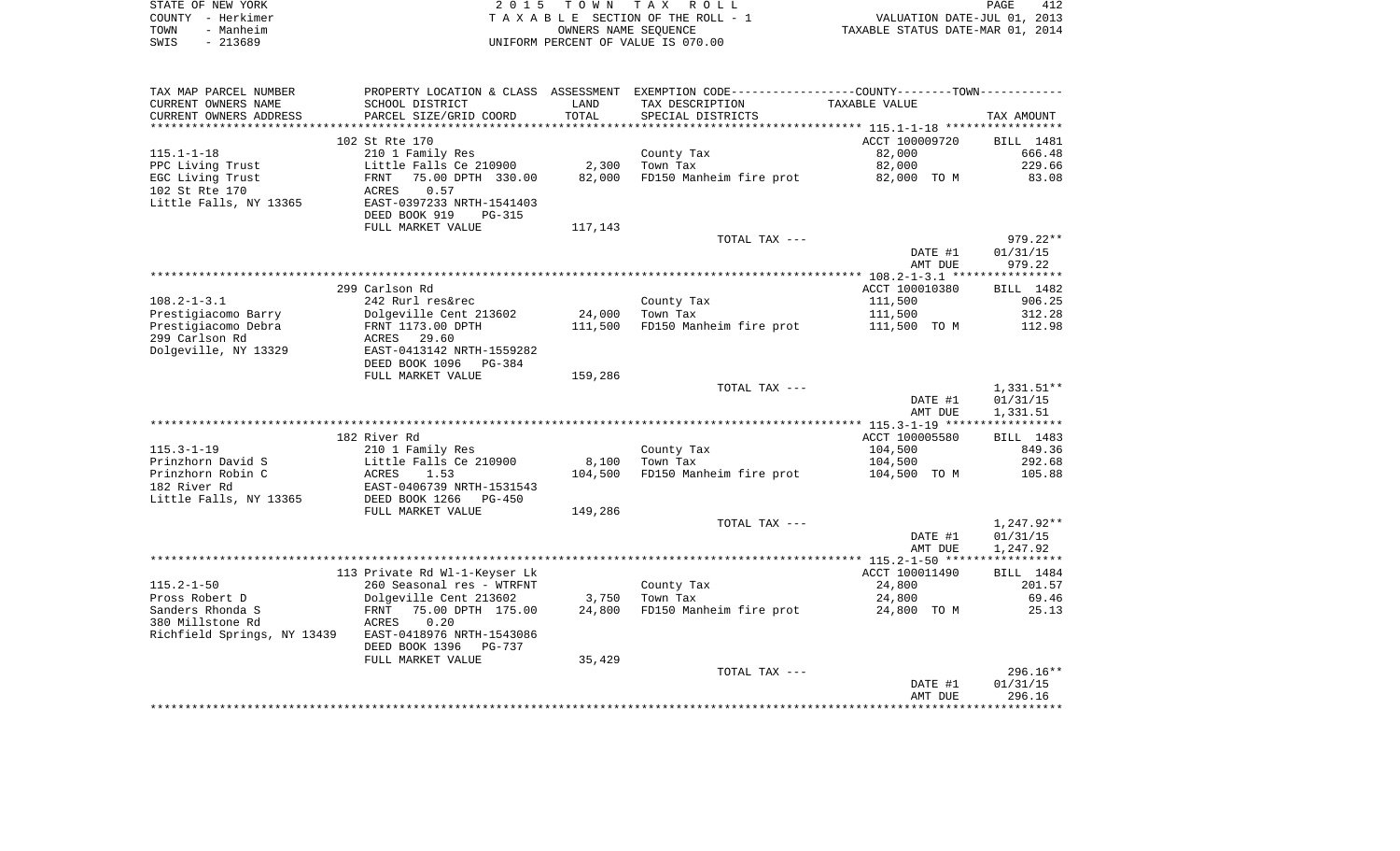| STATE OF NEW YORK | 2015 TOWN TAX ROLL                 | 412<br>PAGE                      |
|-------------------|------------------------------------|----------------------------------|
| COUNTY - Herkimer | TAXABLE SECTION OF THE ROLL - 1    | VALUATION DATE-JUL 01, 2013      |
| TOWN<br>- Manheim | OWNERS NAME SEOUENCE               | TAXABLE STATUS DATE-MAR 01, 2014 |
| SWIS<br>- 213689  | UNIFORM PERCENT OF VALUE IS 070.00 |                                  |

| TAX MAP PARCEL NUMBER       |                               |         | PROPERTY LOCATION & CLASS ASSESSMENT EXEMPTION CODE----------------COUNTY--------TOWN----------- |                |              |
|-----------------------------|-------------------------------|---------|--------------------------------------------------------------------------------------------------|----------------|--------------|
| CURRENT OWNERS NAME         | SCHOOL DISTRICT               | LAND    | TAX DESCRIPTION                                                                                  | TAXABLE VALUE  |              |
| CURRENT OWNERS ADDRESS      | PARCEL SIZE/GRID COORD        | TOTAL   | SPECIAL DISTRICTS                                                                                |                | TAX AMOUNT   |
|                             |                               |         |                                                                                                  |                |              |
|                             | 102 St Rte 170                |         |                                                                                                  | ACCT 100009720 | BILL 1481    |
| $115.1 - 1 - 18$            | 210 1 Family Res              |         | County Tax                                                                                       | 82,000         | 666.48       |
| PPC Living Trust            | Little Falls Ce 210900        | 2,300   | Town Tax                                                                                         | 82,000         | 229.66       |
| EGC Living Trust            | FRNT<br>75.00 DPTH 330.00     | 82,000  | FD150 Manheim fire prot                                                                          | 82,000 TO M    | 83.08        |
| 102 St Rte 170              | 0.57<br>ACRES                 |         |                                                                                                  |                |              |
| Little Falls, NY 13365      | EAST-0397233 NRTH-1541403     |         |                                                                                                  |                |              |
|                             | DEED BOOK 919<br>PG-315       |         |                                                                                                  |                |              |
|                             | FULL MARKET VALUE             | 117,143 |                                                                                                  |                |              |
|                             |                               |         | TOTAL TAX ---                                                                                    |                | $979.22**$   |
|                             |                               |         |                                                                                                  | DATE #1        | 01/31/15     |
|                             |                               |         |                                                                                                  | AMT DUE        | 979.22       |
|                             |                               |         |                                                                                                  |                |              |
|                             | 299 Carlson Rd                |         |                                                                                                  | ACCT 100010380 | BILL 1482    |
| $108.2 - 1 - 3.1$           | 242 Rurl res&rec              |         | County Tax                                                                                       | 111,500        | 906.25       |
| Prestigiacomo Barry         | Dolgeville Cent 213602        | 24,000  | Town Tax                                                                                         | 111,500        | 312.28       |
| Prestigiacomo Debra         | FRNT 1173.00 DPTH             | 111,500 | FD150 Manheim fire prot                                                                          | 111,500 TO M   | 112.98       |
| 299 Carlson Rd              | ACRES<br>29.60                |         |                                                                                                  |                |              |
| Dolgeville, NY 13329        | EAST-0413142 NRTH-1559282     |         |                                                                                                  |                |              |
|                             | DEED BOOK 1096<br>PG-384      |         |                                                                                                  |                |              |
|                             | FULL MARKET VALUE             | 159,286 |                                                                                                  |                |              |
|                             |                               |         | TOTAL TAX ---                                                                                    |                | $1,331.51**$ |
|                             |                               |         |                                                                                                  | DATE #1        | 01/31/15     |
|                             |                               |         |                                                                                                  | AMT DUE        | 1,331.51     |
|                             |                               |         |                                                                                                  |                |              |
|                             | 182 River Rd                  |         |                                                                                                  | ACCT 100005580 | BILL 1483    |
| $115.3 - 1 - 19$            | 210 1 Family Res              |         | County Tax                                                                                       | 104,500        | 849.36       |
| Prinzhorn David S           | Little Falls Ce 210900        | 8,100   | Town Tax                                                                                         | 104,500        | 292.68       |
| Prinzhorn Robin C           | 1.53<br>ACRES                 | 104,500 | FD150 Manheim fire prot                                                                          | 104,500 TO M   | 105.88       |
| 182 River Rd                | EAST-0406739 NRTH-1531543     |         |                                                                                                  |                |              |
| Little Falls, NY 13365      | DEED BOOK 1266<br>$PG-450$    |         |                                                                                                  |                |              |
|                             | FULL MARKET VALUE             | 149,286 |                                                                                                  |                |              |
|                             |                               |         | TOTAL TAX ---                                                                                    |                | 1,247.92**   |
|                             |                               |         |                                                                                                  | DATE #1        | 01/31/15     |
|                             |                               |         |                                                                                                  | AMT DUE        | 1,247.92     |
|                             | 113 Private Rd Wl-1-Keyser Lk |         |                                                                                                  | ACCT 100011490 | BILL 1484    |
| $115.2 - 1 - 50$            | 260 Seasonal res - WTRFNT     |         | County Tax                                                                                       | 24,800         | 201.57       |
| Pross Robert D              | Dolgeville Cent 213602        | 3,750   | Town Tax                                                                                         | 24,800         | 69.46        |
| Sanders Rhonda S            | 75.00 DPTH 175.00<br>FRNT     | 24,800  | FD150 Manheim fire prot                                                                          | 24,800 TO M    | 25.13        |
| 380 Millstone Rd            | 0.20<br>ACRES                 |         |                                                                                                  |                |              |
| Richfield Springs, NY 13439 | EAST-0418976 NRTH-1543086     |         |                                                                                                  |                |              |
|                             | DEED BOOK 1396<br>PG-737      |         |                                                                                                  |                |              |
|                             | FULL MARKET VALUE             | 35,429  |                                                                                                  |                |              |
|                             |                               |         | TOTAL TAX ---                                                                                    |                | $296.16**$   |
|                             |                               |         |                                                                                                  | DATE #1        | 01/31/15     |
|                             |                               |         |                                                                                                  | AMT DUE        | 296.16       |
|                             |                               |         |                                                                                                  |                |              |
|                             |                               |         |                                                                                                  |                |              |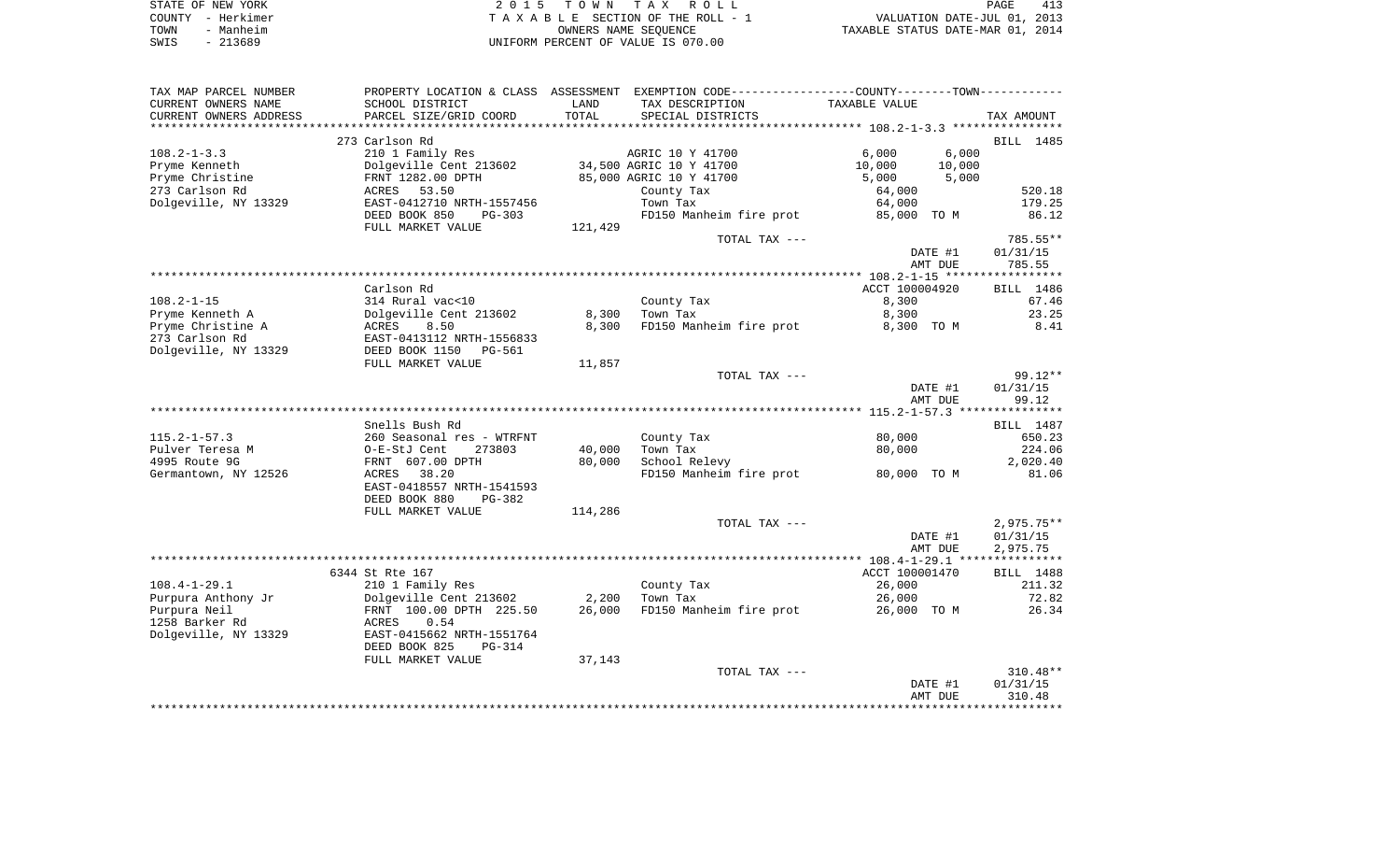| STATE OF NEW YORK | 2015 TOWN TAX ROLL                 | 413<br>PAGE                      |
|-------------------|------------------------------------|----------------------------------|
| COUNTY - Herkimer | TAXABLE SECTION OF THE ROLL - 1    | VALUATION DATE-JUL 01, 2013      |
| TOWN<br>- Manheim | OWNERS NAME SEOUENCE               | TAXABLE STATUS DATE-MAR 01, 2014 |
| $-213689$<br>SWIS | UNIFORM PERCENT OF VALUE IS 070.00 |                                  |

| TAX MAP PARCEL NUMBER  |                              |         | PROPERTY LOCATION & CLASS ASSESSMENT EXEMPTION CODE---------------COUNTY-------TOWN---------- |                |              |
|------------------------|------------------------------|---------|-----------------------------------------------------------------------------------------------|----------------|--------------|
| CURRENT OWNERS NAME    | SCHOOL DISTRICT              | LAND    | TAX DESCRIPTION                                                                               | TAXABLE VALUE  |              |
| CURRENT OWNERS ADDRESS | PARCEL SIZE/GRID COORD       | TOTAL   | SPECIAL DISTRICTS                                                                             |                | TAX AMOUNT   |
|                        |                              |         |                                                                                               |                |              |
|                        | 273 Carlson Rd               |         |                                                                                               |                | BILL 1485    |
| $108.2 - 1 - 3.3$      | 210 1 Family Res             |         | AGRIC 10 Y 41700                                                                              | 6,000          | 6,000        |
| Pryme Kenneth          | Dolgeville Cent 213602       |         | 34,500 AGRIC 10 Y 41700                                                                       | 10,000         | 10,000       |
|                        |                              |         |                                                                                               |                |              |
| Pryme Christine        | FRNT 1282.00 DPTH            |         | 85,000 AGRIC 10 Y 41700                                                                       | 5,000          | 5,000        |
| 273 Carlson Rd         | ACRES 53.50                  |         | County Tax                                                                                    | 64,000         | 520.18       |
| Dolgeville, NY 13329   | EAST-0412710 NRTH-1557456    |         | Town Tax                                                                                      | 64,000         | 179.25       |
|                        | DEED BOOK 850<br>PG-303      |         | FD150 Manheim fire prot 85,000 TO M                                                           |                | 86.12        |
|                        | FULL MARKET VALUE            | 121,429 |                                                                                               |                |              |
|                        |                              |         | TOTAL TAX ---                                                                                 |                | 785.55**     |
|                        |                              |         |                                                                                               | DATE #1        | 01/31/15     |
|                        |                              |         |                                                                                               | AMT DUE        | 785.55       |
|                        |                              |         |                                                                                               |                |              |
|                        | Carlson Rd                   |         |                                                                                               | ACCT 100004920 | BILL 1486    |
| $108.2 - 1 - 15$       | 314 Rural vac<10             |         | County Tax                                                                                    | 8,300          | 67.46        |
|                        |                              |         |                                                                                               |                |              |
| Pryme Kenneth A        | Dolgeville Cent 213602       | 8,300   | Town Tax                                                                                      | 8,300          | 23.25        |
| Pryme Christine A      | ACRES<br>8.50                | 8,300   | FD150 Manheim fire prot                                                                       | 8,300 TO M     | 8.41         |
| 273 Carlson Rd         | EAST-0413112 NRTH-1556833    |         |                                                                                               |                |              |
| Dolgeville, NY 13329   | DEED BOOK 1150<br>PG-561     |         |                                                                                               |                |              |
|                        | FULL MARKET VALUE            | 11,857  |                                                                                               |                |              |
|                        |                              |         | TOTAL TAX ---                                                                                 |                | $99.12**$    |
|                        |                              |         |                                                                                               | DATE #1        | 01/31/15     |
|                        |                              |         |                                                                                               | AMT DUE        | 99.12        |
|                        |                              |         |                                                                                               |                |              |
|                        | Snells Bush Rd               |         |                                                                                               |                | BILL 1487    |
| $115.2 - 1 - 57.3$     | 260 Seasonal res - WTRFNT    |         | County Tax                                                                                    | 80,000         | 650.23       |
| Pulver Teresa M        | O-E-StJ Cent<br>273803       | 40,000  | Town Tax                                                                                      | 80,000         | 224.06       |
|                        |                              |         |                                                                                               |                |              |
| 4995 Route 9G          | FRNT 607.00 DPTH             | 80,000  | School Relevy                                                                                 |                | 2,020.40     |
| Germantown, NY 12526   | ACRES 38.20                  |         | FD150 Manheim fire prot                                                                       | 80,000 TO M    | 81.06        |
|                        | EAST-0418557 NRTH-1541593    |         |                                                                                               |                |              |
|                        | DEED BOOK 880<br>PG-382      |         |                                                                                               |                |              |
|                        | FULL MARKET VALUE            | 114,286 |                                                                                               |                |              |
|                        |                              |         | TOTAL TAX ---                                                                                 |                | $2,975.75**$ |
|                        |                              |         |                                                                                               | DATE #1        | 01/31/15     |
|                        |                              |         |                                                                                               | AMT DUE        | 2,975.75     |
|                        |                              |         |                                                                                               |                |              |
|                        | 6344 St Rte 167              |         |                                                                                               | ACCT 100001470 | BILL 1488    |
| $108.4 - 1 - 29.1$     | 210 1 Family Res             |         | County Tax                                                                                    | 26,000         | 211.32       |
|                        | Dolgeville Cent 213602 2,200 |         | Town Tax                                                                                      |                |              |
| Purpura Anthony Jr     |                              |         |                                                                                               | 26,000         | 72.82        |
| Purpura Neil           | FRNT 100.00 DPTH 225.50      |         | 26,000 FD150 Manheim fire prot                                                                | 26,000 TO M    | 26.34        |
| 1258 Barker Rd         | 0.54<br>ACRES                |         |                                                                                               |                |              |
| Dolgeville, NY 13329   | EAST-0415662 NRTH-1551764    |         |                                                                                               |                |              |
|                        | DEED BOOK 825<br>PG-314      |         |                                                                                               |                |              |
|                        | FULL MARKET VALUE            | 37,143  |                                                                                               |                |              |
|                        |                              |         | TOTAL TAX ---                                                                                 |                | $310.48**$   |
|                        |                              |         |                                                                                               | DATE #1        | 01/31/15     |
|                        |                              |         |                                                                                               | AMT DUE        | 310.48       |
|                        |                              |         |                                                                                               |                |              |
|                        |                              |         |                                                                                               |                |              |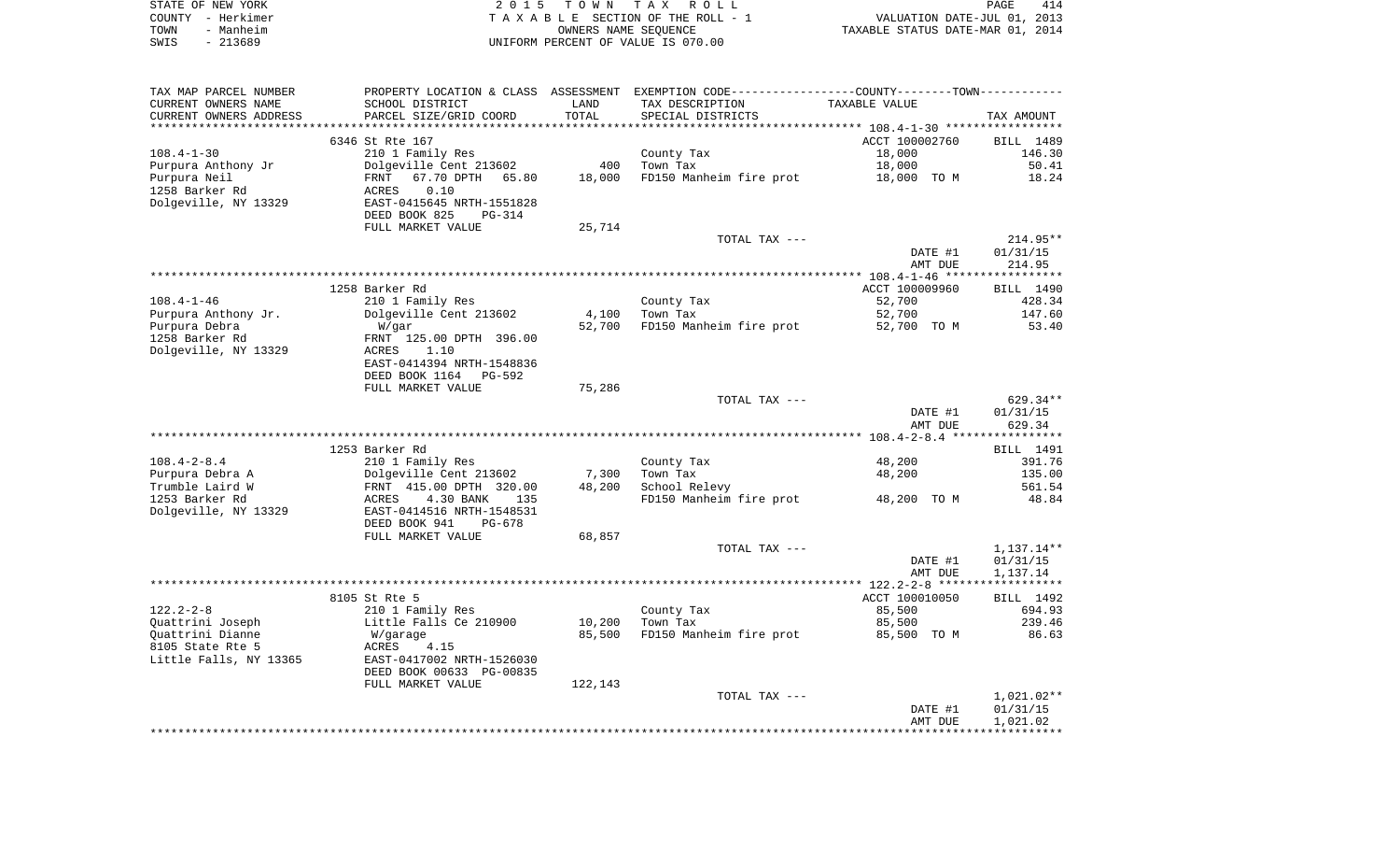|      | STATE OF NEW YORK | 2015 TOWN TAX ROLL                 | 414<br>PAGE                      |
|------|-------------------|------------------------------------|----------------------------------|
|      | COUNTY - Herkimer | TAXABLE SECTION OF THE ROLL - 1    | VALUATION DATE-JUL 01, 2013      |
| TOWN | - Manheim         | OWNERS NAME SEOUENCE               | TAXABLE STATUS DATE-MAR 01, 2014 |
| SWIS | - 213689          | UNIFORM PERCENT OF VALUE IS 070.00 |                                  |

| TAX MAP PARCEL NUMBER  |                                |         | PROPERTY LOCATION & CLASS ASSESSMENT EXEMPTION CODE----------------COUNTY-------TOWN---------- |                                                  |                        |
|------------------------|--------------------------------|---------|------------------------------------------------------------------------------------------------|--------------------------------------------------|------------------------|
| CURRENT OWNERS NAME    | SCHOOL DISTRICT                | LAND    | TAX DESCRIPTION                                                                                | TAXABLE VALUE                                    |                        |
| CURRENT OWNERS ADDRESS | PARCEL SIZE/GRID COORD         | TOTAL   | SPECIAL DISTRICTS                                                                              |                                                  | TAX AMOUNT             |
|                        |                                |         |                                                                                                | ****************** 108.4-1-30 ****************** |                        |
|                        | 6346 St Rte 167                |         |                                                                                                | ACCT 100002760                                   | BILL 1489              |
| $108.4 - 1 - 30$       | 210 1 Family Res               |         | County Tax                                                                                     | 18,000                                           | 146.30                 |
| Purpura Anthony Jr     | Dolgeville Cent 213602         | 400     | Town Tax                                                                                       | 18,000                                           | 50.41                  |
| Purpura Neil           | 67.70 DPTH<br>65.80<br>FRNT    | 18,000  | FD150 Manheim fire prot                                                                        | 18,000 TO M                                      | 18.24                  |
| 1258 Barker Rd         | ACRES<br>0.10                  |         |                                                                                                |                                                  |                        |
| Dolgeville, NY 13329   | EAST-0415645 NRTH-1551828      |         |                                                                                                |                                                  |                        |
|                        | DEED BOOK 825<br><b>PG-314</b> |         |                                                                                                |                                                  |                        |
|                        |                                |         |                                                                                                |                                                  |                        |
|                        | FULL MARKET VALUE              | 25,714  |                                                                                                |                                                  |                        |
|                        |                                |         | TOTAL TAX ---                                                                                  |                                                  | 214.95**               |
|                        |                                |         |                                                                                                | DATE #1                                          | 01/31/15               |
|                        |                                |         |                                                                                                | AMT DUE                                          | 214.95                 |
|                        |                                |         |                                                                                                |                                                  |                        |
|                        | 1258 Barker Rd                 |         |                                                                                                | ACCT 100009960                                   | BILL 1490              |
| $108.4 - 1 - 46$       | 210 1 Family Res               |         | County Tax                                                                                     | 52,700                                           | 428.34                 |
| Purpura Anthony Jr.    | Dolgeville Cent 213602         | 4,100   | Town Tax                                                                                       | 52,700                                           | 147.60                 |
| Purpura Debra          | W/gar                          | 52,700  | FD150 Manheim fire prot                                                                        | 52,700 TO M                                      | 53.40                  |
| 1258 Barker Rd         | FRNT 125.00 DPTH 396.00        |         |                                                                                                |                                                  |                        |
| Dolgeville, NY 13329   | ACRES<br>1.10                  |         |                                                                                                |                                                  |                        |
|                        | EAST-0414394 NRTH-1548836      |         |                                                                                                |                                                  |                        |
|                        | DEED BOOK 1164<br>PG-592       |         |                                                                                                |                                                  |                        |
|                        | FULL MARKET VALUE              | 75,286  |                                                                                                |                                                  |                        |
|                        |                                |         | TOTAL TAX ---                                                                                  |                                                  | 629.34**               |
|                        |                                |         |                                                                                                | DATE #1                                          | 01/31/15               |
|                        |                                |         |                                                                                                | AMT DUE                                          | 629.34                 |
|                        |                                |         |                                                                                                |                                                  |                        |
|                        | 1253 Barker Rd                 |         |                                                                                                |                                                  | BILL 1491              |
| $108.4 - 2 - 8.4$      | 210 1 Family Res               |         | County Tax                                                                                     | 48,200                                           | 391.76                 |
| Purpura Debra A        | Dolgeville Cent 213602         | 7,300   | Town Tax                                                                                       | 48,200                                           | 135.00                 |
| Trumble Laird W        | FRNT 415.00 DPTH 320.00        | 48,200  | School Relevy                                                                                  |                                                  | 561.54                 |
| 1253 Barker Rd         | 4.30 BANK<br>135<br>ACRES      |         | FD150 Manheim fire prot                                                                        | 48,200 TO M                                      | 48.84                  |
| Dolgeville, NY 13329   | EAST-0414516 NRTH-1548531      |         |                                                                                                |                                                  |                        |
|                        | DEED BOOK 941<br>$PG-678$      |         |                                                                                                |                                                  |                        |
|                        | FULL MARKET VALUE              | 68,857  |                                                                                                |                                                  |                        |
|                        |                                |         | TOTAL TAX ---                                                                                  |                                                  |                        |
|                        |                                |         |                                                                                                | DATE #1                                          | 1,137.14**<br>01/31/15 |
|                        |                                |         |                                                                                                |                                                  |                        |
|                        |                                |         |                                                                                                | AMT DUE                                          | 1,137.14               |
|                        |                                |         |                                                                                                |                                                  |                        |
|                        | 8105 St Rte 5                  |         |                                                                                                | ACCT 100010050                                   | BILL 1492              |
| $122.2 - 2 - 8$        | 210 1 Family Res               |         | County Tax                                                                                     | 85,500                                           | 694.93                 |
| Quattrini Joseph       | Little Falls Ce 210900         | 10,200  | Town Tax                                                                                       | 85,500                                           | 239.46                 |
| Quattrini Dianne       | W/garage                       | 85,500  | FD150 Manheim fire prot                                                                        | 85,500 TO M                                      | 86.63                  |
| 8105 State Rte 5       | ACRES<br>4.15                  |         |                                                                                                |                                                  |                        |
| Little Falls, NY 13365 | EAST-0417002 NRTH-1526030      |         |                                                                                                |                                                  |                        |
|                        | DEED BOOK 00633 PG-00835       |         |                                                                                                |                                                  |                        |
|                        | FULL MARKET VALUE              | 122,143 |                                                                                                |                                                  |                        |
|                        |                                |         | TOTAL TAX ---                                                                                  |                                                  | $1,021.02**$           |
|                        |                                |         |                                                                                                | DATE #1                                          | 01/31/15               |
|                        |                                |         |                                                                                                | AMT DUE                                          | 1,021.02               |
|                        |                                |         |                                                                                                |                                                  |                        |
|                        |                                |         |                                                                                                |                                                  |                        |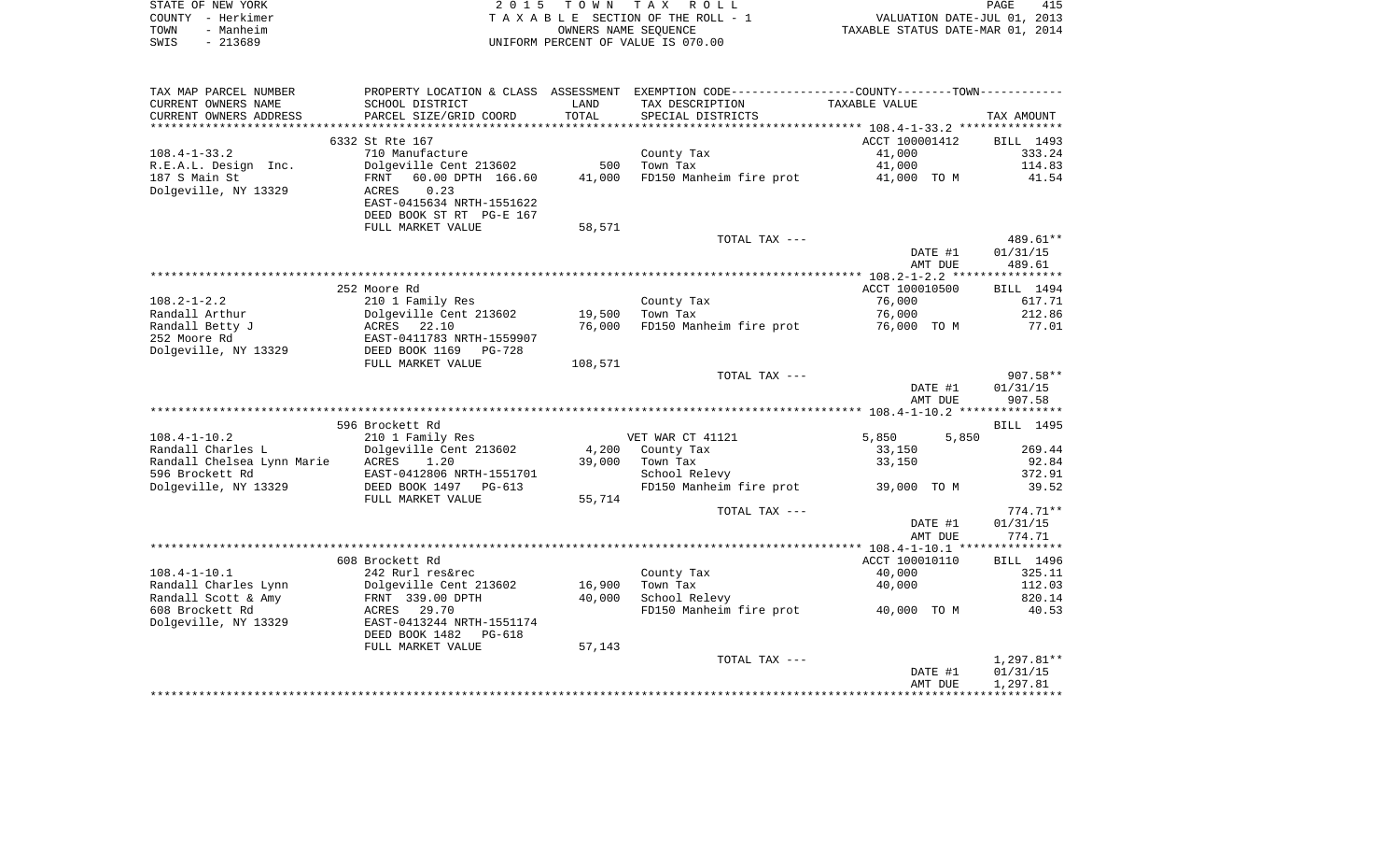| STATE OF NEW YORK | 2015 TOWN TAX ROLL                 | 415<br>PAGE                      |
|-------------------|------------------------------------|----------------------------------|
| COUNTY - Herkimer | TAXABLE SECTION OF THE ROLL - 1    | VALUATION DATE-JUL 01, 2013      |
| TOWN<br>- Manheim | OWNERS NAME SEOUENCE               | TAXABLE STATUS DATE-MAR 01, 2014 |
| - 213689<br>SWIS  | UNIFORM PERCENT OF VALUE IS 070.00 |                                  |

| TAX MAP PARCEL NUMBER      | PROPERTY LOCATION & CLASS ASSESSMENT       |         | EXEMPTION CODE----------------COUNTY-------TOWN----------- |                |              |
|----------------------------|--------------------------------------------|---------|------------------------------------------------------------|----------------|--------------|
| CURRENT OWNERS NAME        | SCHOOL DISTRICT                            | LAND    | TAX DESCRIPTION                                            | TAXABLE VALUE  |              |
| CURRENT OWNERS ADDRESS     | PARCEL SIZE/GRID COORD                     | TOTAL   | SPECIAL DISTRICTS                                          |                | TAX AMOUNT   |
|                            |                                            |         |                                                            |                |              |
|                            | 6332 St Rte 167                            |         |                                                            | ACCT 100001412 | BILL 1493    |
| $108.4 - 1 - 33.2$         | 710 Manufacture                            |         | County Tax                                                 | 41,000         | 333.24       |
| R.E.A.L. Design Inc.       | Dolgeville Cent 213602                     | 500     | Town Tax                                                   | 41,000         | 114.83       |
| 187 S Main St              | 60.00 DPTH 166.60<br>FRNT                  | 41,000  | FD150 Manheim fire prot                                    | 41,000 TO M    | 41.54        |
| Dolgeville, NY 13329       | 0.23<br>ACRES                              |         |                                                            |                |              |
|                            | EAST-0415634 NRTH-1551622                  |         |                                                            |                |              |
|                            | DEED BOOK ST RT PG-E 167                   |         |                                                            |                |              |
|                            | FULL MARKET VALUE                          | 58,571  |                                                            |                |              |
|                            |                                            |         | TOTAL TAX ---                                              |                | 489.61**     |
|                            |                                            |         |                                                            | DATE #1        | 01/31/15     |
|                            |                                            |         |                                                            | AMT DUE        | 489.61       |
|                            |                                            |         |                                                            |                |              |
|                            | 252 Moore Rd                               |         |                                                            | ACCT 100010500 | BILL 1494    |
| $108.2 - 1 - 2.2$          | 210 1 Family Res                           |         | County Tax                                                 | 76,000         | 617.71       |
| Randall Arthur             | Dolgeville Cent 213602                     | 19,500  | Town Tax                                                   | 76,000         | 212.86       |
| Randall Betty J            | ACRES 22.10                                | 76,000  | FD150 Manheim fire prot                                    | 76,000 TO M    | 77.01        |
| 252 Moore Rd               | EAST-0411783 NRTH-1559907                  |         |                                                            |                |              |
| Dolgeville, NY 13329       | DEED BOOK 1169 PG-728                      |         |                                                            |                |              |
|                            | FULL MARKET VALUE                          | 108,571 |                                                            |                |              |
|                            |                                            |         | TOTAL TAX ---                                              |                | $907.58**$   |
|                            |                                            |         |                                                            | DATE #1        | 01/31/15     |
|                            |                                            |         |                                                            | AMT DUE        | 907.58       |
|                            |                                            |         |                                                            |                |              |
| $108.4 - 1 - 10.2$         | 596 Brockett Rd                            |         | VET WAR CT 41121                                           | 5,850<br>5,850 | BILL 1495    |
| Randall Charles L          | 210 1 Family Res<br>Dolgeville Cent 213602 | 4,200   | County Tax                                                 | 33,150         | 269.44       |
| Randall Chelsea Lynn Marie | ACRES<br>1.20                              | 39,000  | Town Tax                                                   | 33,150         | 92.84        |
| 596 Brockett Rd            | EAST-0412806 NRTH-1551701                  |         | School Relevy                                              |                | 372.91       |
| Dolgeville, NY 13329       | DEED BOOK 1497 PG-613                      |         | FD150 Manheim fire prot                                    | 39,000 TO M    | 39.52        |
|                            | FULL MARKET VALUE                          | 55,714  |                                                            |                |              |
|                            |                                            |         | TOTAL TAX ---                                              |                | $774.71**$   |
|                            |                                            |         |                                                            | DATE #1        | 01/31/15     |
|                            |                                            |         |                                                            | AMT DUE        | 774.71       |
|                            |                                            |         |                                                            |                |              |
|                            | 608 Brockett Rd                            |         |                                                            | ACCT 100010110 | BILL 1496    |
| $108.4 - 1 - 10.1$         | 242 Rurl res&rec                           |         | County Tax                                                 | 40,000         | 325.11       |
| Randall Charles Lynn       | Dolgeville Cent 213602                     | 16,900  | Town Tax                                                   | 40,000         | 112.03       |
| Randall Scott & Amy        | FRNT 339.00 DPTH                           | 40,000  | School Relevy                                              |                | 820.14       |
| 608 Brockett Rd            | ACRES 29.70                                |         | FD150 Manheim fire prot                                    | 40,000 TO M    | 40.53        |
| Dolgeville, NY 13329       | EAST-0413244 NRTH-1551174                  |         |                                                            |                |              |
|                            | DEED BOOK 1482 PG-618                      |         |                                                            |                |              |
|                            | FULL MARKET VALUE                          | 57,143  |                                                            |                |              |
|                            |                                            |         | TOTAL TAX ---                                              |                | $1,297.81**$ |
|                            |                                            |         |                                                            | DATE #1        | 01/31/15     |
|                            |                                            |         |                                                            | AMT DUE        | 1,297.81     |
|                            |                                            |         |                                                            |                |              |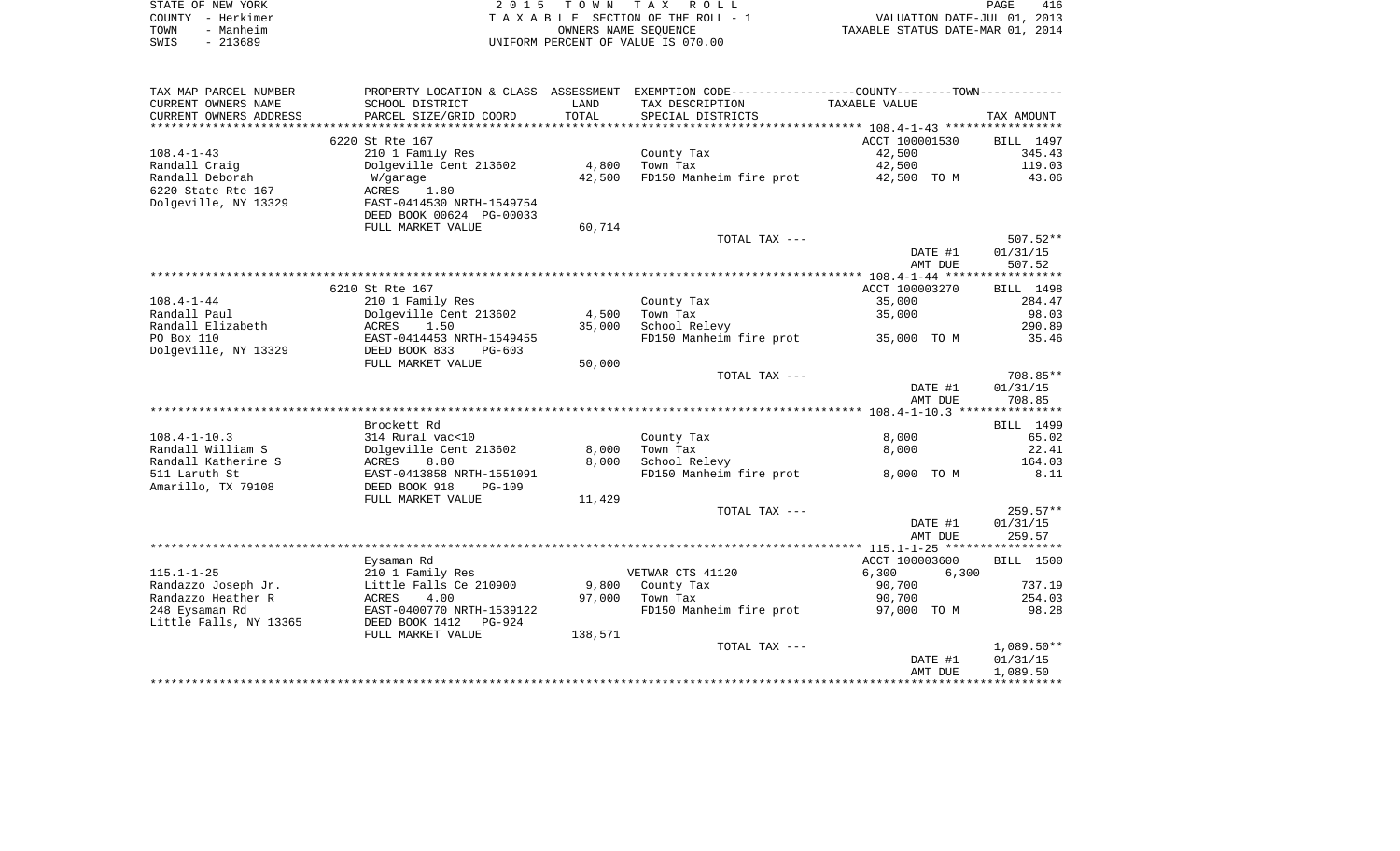|      | STATE OF NEW YORK | 2015 TOWN TAX ROLL                 | 416<br>PAGE                      |
|------|-------------------|------------------------------------|----------------------------------|
|      | COUNTY - Herkimer | TAXABLE SECTION OF THE ROLL - 1    | VALUATION DATE-JUL 01, 2013      |
| TOWN | - Manheim         | OWNERS NAME SEOUENCE               | TAXABLE STATUS DATE-MAR 01, 2014 |
| SWIS | - 213689          | UNIFORM PERCENT OF VALUE IS 070.00 |                                  |

| TAX MAP PARCEL NUMBER  |                           |         | PROPERTY LOCATION & CLASS ASSESSMENT EXEMPTION CODE---------------COUNTY-------TOWN---------- |                |                  |
|------------------------|---------------------------|---------|-----------------------------------------------------------------------------------------------|----------------|------------------|
| CURRENT OWNERS NAME    | SCHOOL DISTRICT           | LAND    | TAX DESCRIPTION                                                                               | TAXABLE VALUE  |                  |
| CURRENT OWNERS ADDRESS | PARCEL SIZE/GRID COORD    | TOTAL   | SPECIAL DISTRICTS                                                                             |                | TAX AMOUNT       |
|                        |                           |         |                                                                                               |                |                  |
|                        | 6220 St Rte 167           |         |                                                                                               | ACCT 100001530 | BILL 1497        |
| $108.4 - 1 - 43$       | 210 1 Family Res          |         | County Tax                                                                                    | 42,500         | 345.43           |
| Randall Craig          | Dolgeville Cent 213602    | 4,800   | Town Tax                                                                                      | 42,500         | 119.03           |
| Randall Deborah        | W/garage                  | 42,500  | FD150 Manheim fire prot                                                                       | 42,500 TO M    | 43.06            |
| 6220 State Rte 167     | <b>ACRES</b><br>1.80      |         |                                                                                               |                |                  |
| Dolgeville, NY 13329   | EAST-0414530 NRTH-1549754 |         |                                                                                               |                |                  |
|                        | DEED BOOK 00624 PG-00033  |         |                                                                                               |                |                  |
|                        | FULL MARKET VALUE         | 60,714  |                                                                                               |                |                  |
|                        |                           |         | TOTAL TAX ---                                                                                 |                | $507.52**$       |
|                        |                           |         |                                                                                               | DATE #1        | 01/31/15         |
|                        |                           |         |                                                                                               | AMT DUE        | 507.52           |
|                        |                           |         |                                                                                               |                |                  |
|                        | 6210 St Rte 167           |         |                                                                                               | ACCT 100003270 | <b>BILL</b> 1498 |
| $108.4 - 1 - 44$       | 210 1 Family Res          |         | County Tax                                                                                    | 35,000         | 284.47           |
| Randall Paul           | Dolgeville Cent 213602    | 4,500   | Town Tax                                                                                      | 35,000         | 98.03            |
| Randall Elizabeth      | ACRES<br>1.50             | 35,000  | School Relevy                                                                                 |                | 290.89           |
| PO Box 110             | EAST-0414453 NRTH-1549455 |         | FD150 Manheim fire prot                                                                       | 35,000 TO M    | 35.46            |
| Dolgeville, NY 13329   | DEED BOOK 833<br>$PG-603$ |         |                                                                                               |                |                  |
|                        | FULL MARKET VALUE         | 50,000  |                                                                                               |                |                  |
|                        |                           |         | TOTAL TAX ---                                                                                 |                | 708.85**         |
|                        |                           |         |                                                                                               | DATE #1        | 01/31/15         |
|                        |                           |         |                                                                                               | AMT DUE        | 708.85           |
|                        |                           |         |                                                                                               |                |                  |
|                        | Brockett Rd               |         |                                                                                               |                | BILL 1499        |
| $108.4 - 1 - 10.3$     | 314 Rural vac<10          |         | County Tax                                                                                    | 8,000          | 65.02            |
| Randall William S      | Dolgeville Cent 213602    | 8,000   | Town Tax                                                                                      | 8,000          | 22.41            |
| Randall Katherine S    | ACRES<br>8.80             | 8,000   | School Relevy                                                                                 |                | 164.03           |
| 511 Laruth St          | EAST-0413858 NRTH-1551091 |         | FD150 Manheim fire prot                                                                       | 8,000 TO M     | 8.11             |
| Amarillo, TX 79108     | DEED BOOK 918<br>$PG-109$ |         |                                                                                               |                |                  |
|                        | FULL MARKET VALUE         | 11,429  |                                                                                               |                |                  |
|                        |                           |         | TOTAL TAX ---                                                                                 |                | $259.57**$       |
|                        |                           |         |                                                                                               | DATE #1        | 01/31/15         |
|                        |                           |         |                                                                                               | AMT DUE        | 259.57           |
|                        |                           |         |                                                                                               |                |                  |
|                        | Eysaman Rd                |         |                                                                                               | ACCT 100003600 | <b>BILL</b> 1500 |
| $115.1 - 1 - 25$       | 210 1 Family Res          |         | VETWAR CTS 41120                                                                              | 6,300<br>6,300 |                  |
| Randazzo Joseph Jr.    | Little Falls Ce 210900    | 9,800   | County Tax                                                                                    | 90,700         | 737.19           |
| Randazzo Heather R     | ACRES<br>4.00             | 97,000  | Town Tax                                                                                      | 90,700         | 254.03           |
| 248 Eysaman Rd         | EAST-0400770 NRTH-1539122 |         | FD150 Manheim fire prot                                                                       | 97,000 TO M    | 98.28            |
| Little Falls, NY 13365 | DEED BOOK 1412<br>PG-924  |         |                                                                                               |                |                  |
|                        | FULL MARKET VALUE         | 138,571 |                                                                                               |                |                  |
|                        |                           |         | TOTAL TAX ---                                                                                 |                | $1,089.50**$     |
|                        |                           |         |                                                                                               | DATE #1        | 01/31/15         |
|                        |                           |         |                                                                                               | AMT DUE        | 1,089.50         |
|                        |                           |         |                                                                                               |                |                  |
|                        |                           |         |                                                                                               |                |                  |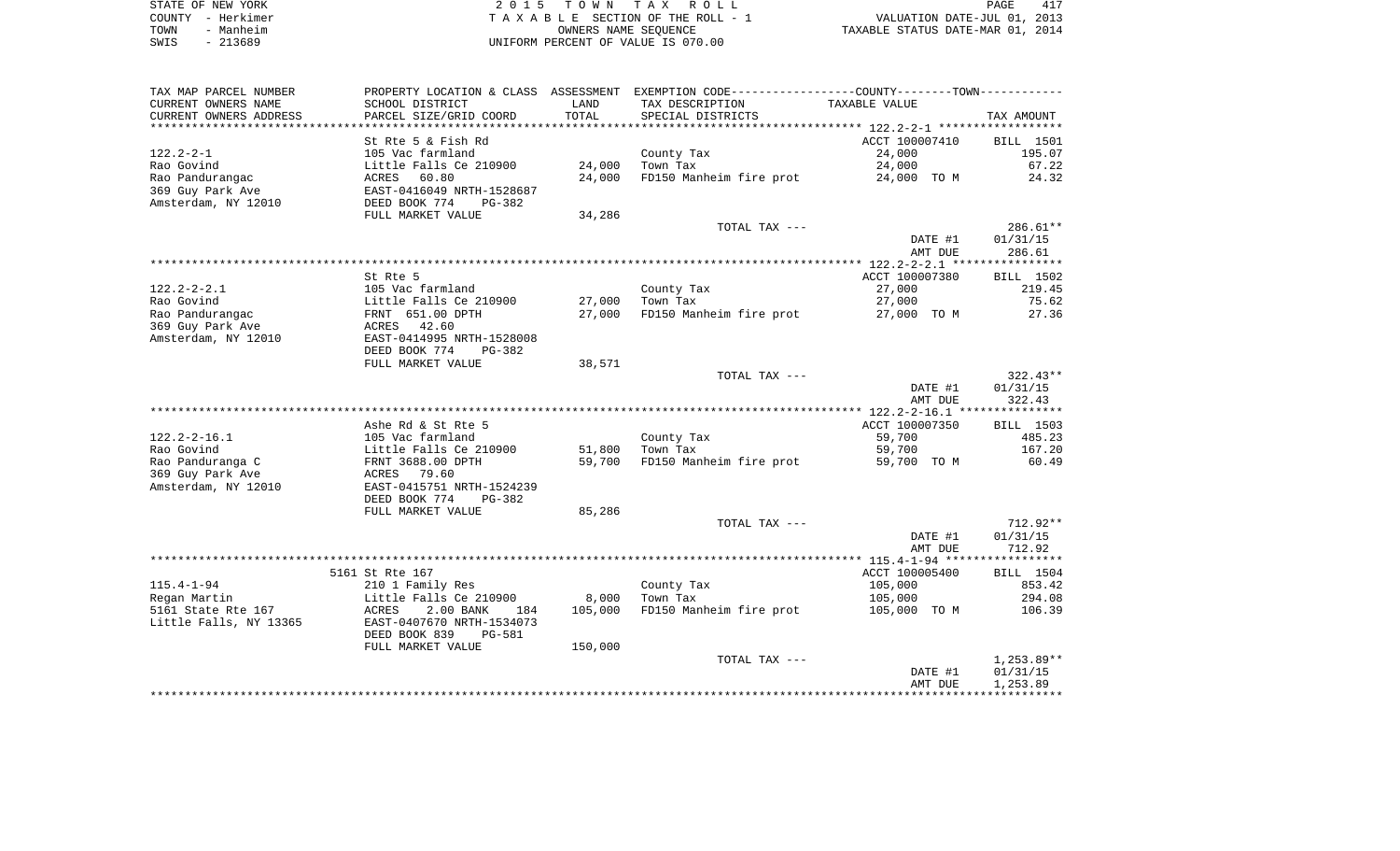| STATE OF NEW YORK | 2015 TOWN TAX ROLL<br>PAGE                                     | 417 |
|-------------------|----------------------------------------------------------------|-----|
| COUNTY - Herkimer | VALUATION DATE-JUL 01, 2013<br>TAXABLE SECTION OF THE ROLL - 1 |     |
| TOWN<br>- Manheim | TAXABLE STATUS DATE-MAR 01, 2014<br>OWNERS NAME SEOUENCE       |     |
| $-213689$<br>SWIS | UNIFORM PERCENT OF VALUE IS 070.00                             |     |

| TAX MAP PARCEL NUMBER  |                                |         | PROPERTY LOCATION & CLASS ASSESSMENT EXEMPTION CODE---------------COUNTY-------TOWN---------- |                |              |
|------------------------|--------------------------------|---------|-----------------------------------------------------------------------------------------------|----------------|--------------|
| CURRENT OWNERS NAME    | SCHOOL DISTRICT                | LAND    | TAX DESCRIPTION                                                                               | TAXABLE VALUE  |              |
| CURRENT OWNERS ADDRESS | PARCEL SIZE/GRID COORD         | TOTAL   | SPECIAL DISTRICTS                                                                             |                | TAX AMOUNT   |
|                        |                                |         |                                                                                               |                |              |
|                        | St Rte 5 & Fish Rd             |         |                                                                                               | ACCT 100007410 | BILL 1501    |
| $122.2 - 2 - 1$        | 105 Vac farmland               |         | County Tax                                                                                    | 24,000         | 195.07       |
| Rao Govind             | Little Falls Ce 210900         | 24,000  | Town Tax                                                                                      | 24,000         | 67.22        |
| Rao Pandurangac        | 60.80<br>ACRES                 | 24,000  | FD150 Manheim fire prot                                                                       | 24,000 TO M    | 24.32        |
| 369 Guy Park Ave       | EAST-0416049 NRTH-1528687      |         |                                                                                               |                |              |
| Amsterdam, NY 12010    | DEED BOOK 774<br>PG-382        |         |                                                                                               |                |              |
|                        | FULL MARKET VALUE              | 34,286  |                                                                                               |                |              |
|                        |                                |         | TOTAL TAX ---                                                                                 |                | $286.61**$   |
|                        |                                |         |                                                                                               | DATE #1        | 01/31/15     |
|                        |                                |         |                                                                                               | AMT DUE        | 286.61       |
|                        |                                |         |                                                                                               |                |              |
|                        | St Rte 5                       |         |                                                                                               | ACCT 100007380 | BILL 1502    |
| $122.2 - 2 - 2.1$      | 105 Vac farmland               |         | County Tax                                                                                    | 27,000         | 219.45       |
| Rao Govind             | Little Falls Ce 210900         | 27,000  | Town Tax                                                                                      | 27,000         | 75.62        |
| Rao Pandurangac        | FRNT 651.00 DPTH               | 27,000  | FD150 Manheim fire prot                                                                       | 27,000 TO M    | 27.36        |
| 369 Guy Park Ave       | ACRES<br>42.60                 |         |                                                                                               |                |              |
| Amsterdam, NY 12010    | EAST-0414995 NRTH-1528008      |         |                                                                                               |                |              |
|                        | DEED BOOK 774<br>PG-382        |         |                                                                                               |                |              |
|                        | FULL MARKET VALUE              | 38,571  | TOTAL TAX ---                                                                                 |                | $322.43**$   |
|                        |                                |         |                                                                                               | DATE #1        | 01/31/15     |
|                        |                                |         |                                                                                               | AMT DUE        | 322.43       |
|                        |                                |         |                                                                                               |                |              |
|                        | Ashe Rd & St Rte 5             |         |                                                                                               | ACCT 100007350 | BILL 1503    |
| $122.2 - 2 - 16.1$     | 105 Vac farmland               |         | County Tax                                                                                    | 59,700         | 485.23       |
| Rao Govind             | Little Falls Ce 210900         | 51,800  | Town Tax                                                                                      | 59,700         | 167.20       |
| Rao Panduranga C       | FRNT 3688.00 DPTH              | 59,700  | FD150 Manheim fire prot                                                                       | 59,700 TO M    | 60.49        |
| 369 Guy Park Ave       | 79.60<br>ACRES                 |         |                                                                                               |                |              |
| Amsterdam, NY 12010    | EAST-0415751 NRTH-1524239      |         |                                                                                               |                |              |
|                        | DEED BOOK 774<br>PG-382        |         |                                                                                               |                |              |
|                        | FULL MARKET VALUE              | 85,286  |                                                                                               |                |              |
|                        |                                |         | TOTAL TAX ---                                                                                 |                | $712.92**$   |
|                        |                                |         |                                                                                               | DATE #1        | 01/31/15     |
|                        |                                |         |                                                                                               | AMT DUE        | 712.92       |
|                        |                                |         |                                                                                               |                |              |
|                        | 5161 St Rte 167                |         |                                                                                               | ACCT 100005400 | BILL 1504    |
| $115.4 - 1 - 94$       | 210 1 Family Res               |         | County Tax                                                                                    | 105,000        | 853.42       |
| Regan Martin           | Little Falls Ce 210900         | 8,000   | Town Tax                                                                                      | 105,000        | 294.08       |
| 5161 State Rte 167     | ACRES<br>2.00 BANK<br>184      | 105,000 | FD150 Manheim fire prot                                                                       | 105,000 TO M   | 106.39       |
| Little Falls, NY 13365 | EAST-0407670 NRTH-1534073      |         |                                                                                               |                |              |
|                        | DEED BOOK 839<br><b>PG-581</b> |         |                                                                                               |                |              |
|                        | FULL MARKET VALUE              | 150,000 |                                                                                               |                |              |
|                        |                                |         | TOTAL TAX ---                                                                                 |                | $1,253.89**$ |
|                        |                                |         |                                                                                               | DATE #1        | 01/31/15     |
|                        |                                |         |                                                                                               | AMT DUE        | 1,253.89     |
|                        |                                |         |                                                                                               |                |              |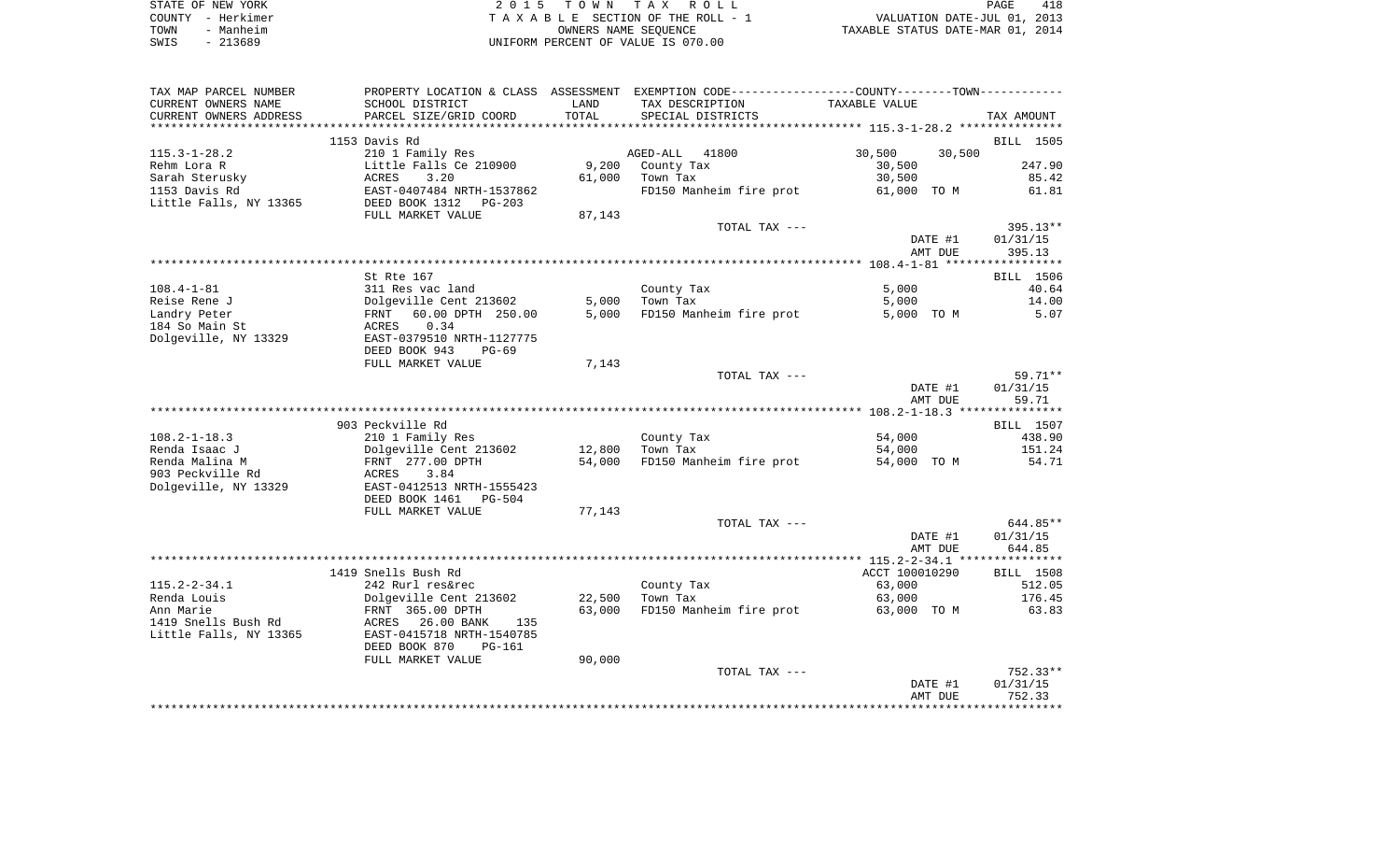|      | STATE OF NEW YORK | 2015 TOWN TAX ROLL                 | PAGE                             | 418 |
|------|-------------------|------------------------------------|----------------------------------|-----|
|      | COUNTY - Herkimer | TAXABLE SECTION OF THE ROLL - 1    | VALUATION DATE-JUL 01, 2013      |     |
| TOWN | - Manheim         | OWNERS NAME SEOUENCE               | TAXABLE STATUS DATE-MAR 01, 2014 |     |
| SWIS | $-213689$         | UNIFORM PERCENT OF VALUE IS 070.00 |                                  |     |

| TAX MAP PARCEL NUMBER  |                                               |        | PROPERTY LOCATION & CLASS ASSESSMENT EXEMPTION CODE----------------COUNTY--------TOWN---------- |                  |            |
|------------------------|-----------------------------------------------|--------|-------------------------------------------------------------------------------------------------|------------------|------------|
| CURRENT OWNERS NAME    | SCHOOL DISTRICT                               | LAND   | TAX DESCRIPTION                                                                                 | TAXABLE VALUE    |            |
| CURRENT OWNERS ADDRESS | PARCEL SIZE/GRID COORD                        | TOTAL  | SPECIAL DISTRICTS                                                                               |                  | TAX AMOUNT |
|                        |                                               |        |                                                                                                 |                  |            |
|                        | 1153 Davis Rd                                 |        |                                                                                                 |                  | BILL 1505  |
| $115.3 - 1 - 28.2$     | 210 1 Family Res                              |        | 41800<br>AGED-ALL                                                                               | 30,500<br>30,500 |            |
| Rehm Lora R            | Little Falls Ce 210900                        | 9,200  | County Tax                                                                                      | 30,500           | 247.90     |
| Sarah Sterusky         | 3.20<br>ACRES                                 | 61,000 | Town Tax                                                                                        | 30,500           | 85.42      |
| 1153 Davis Rd          | EAST-0407484 NRTH-1537862                     |        | FD150 Manheim fire prot                                                                         | 61,000 TO M      | 61.81      |
| Little Falls, NY 13365 | DEED BOOK 1312<br>$PG-203$                    |        |                                                                                                 |                  |            |
|                        | FULL MARKET VALUE                             | 87,143 |                                                                                                 |                  |            |
|                        |                                               |        | TOTAL TAX ---                                                                                   |                  | $395.13**$ |
|                        |                                               |        |                                                                                                 | DATE #1          | 01/31/15   |
|                        |                                               |        |                                                                                                 | AMT DUE          | 395.13     |
|                        |                                               |        |                                                                                                 |                  |            |
|                        | St Rte 167                                    |        |                                                                                                 |                  | BILL 1506  |
| $108.4 - 1 - 81$       | 311 Res vac land                              |        | County Tax                                                                                      | 5,000            | 40.64      |
| Reise Rene J           | Dolgeville Cent 213602                        | 5,000  | Town Tax                                                                                        | 5,000            | 14.00      |
| Landry Peter           | 60.00 DPTH 250.00<br>FRNT                     | 5,000  | FD150 Manheim fire prot                                                                         | 5,000 TO M       | 5.07       |
| 184 So Main St         | 0.34<br>ACRES                                 |        |                                                                                                 |                  |            |
| Dolgeville, NY 13329   | EAST-0379510 NRTH-1127775                     |        |                                                                                                 |                  |            |
|                        | DEED BOOK 943<br>$PG-69$<br>FULL MARKET VALUE | 7,143  |                                                                                                 |                  |            |
|                        |                                               |        | TOTAL TAX ---                                                                                   |                  | $59.71**$  |
|                        |                                               |        |                                                                                                 | DATE #1          | 01/31/15   |
|                        |                                               |        |                                                                                                 | AMT DUE          | 59.71      |
|                        |                                               |        |                                                                                                 |                  |            |
|                        | 903 Peckville Rd                              |        |                                                                                                 |                  | BILL 1507  |
| $108.2 - 1 - 18.3$     | 210 1 Family Res                              |        | County Tax                                                                                      | 54,000           | 438.90     |
| Renda Isaac J          | Dolgeville Cent 213602                        | 12,800 | Town Tax                                                                                        | 54,000           | 151.24     |
| Renda Malina M         | FRNT 277.00 DPTH                              | 54,000 | FD150 Manheim fire prot                                                                         | 54,000 TO M      | 54.71      |
| 903 Peckville Rd       | ACRES<br>3.84                                 |        |                                                                                                 |                  |            |
| Dolgeville, NY 13329   | EAST-0412513 NRTH-1555423                     |        |                                                                                                 |                  |            |
|                        | DEED BOOK 1461 PG-504                         |        |                                                                                                 |                  |            |
|                        | FULL MARKET VALUE                             | 77,143 |                                                                                                 |                  |            |
|                        |                                               |        | TOTAL TAX ---                                                                                   |                  | 644.85**   |
|                        |                                               |        |                                                                                                 | DATE #1          | 01/31/15   |
|                        |                                               |        |                                                                                                 | AMT DUE          | 644.85     |
|                        |                                               |        |                                                                                                 |                  |            |
|                        | 1419 Snells Bush Rd                           |        |                                                                                                 | ACCT 100010290   | BILL 1508  |
| $115.2 - 2 - 34.1$     | 242 Rurl res&rec                              |        | County Tax                                                                                      | 63,000           | 512.05     |
| Renda Louis            | Dolgeville Cent 213602                        | 22,500 | Town Tax                                                                                        | 63,000           | 176.45     |
| Ann Marie              | FRNT 365.00 DPTH                              | 63,000 | FD150 Manheim fire prot                                                                         | 63,000 TO M      | 63.83      |
| 1419 Snells Bush Rd    | 26.00 BANK<br>ACRES<br>135                    |        |                                                                                                 |                  |            |
| Little Falls, NY 13365 | EAST-0415718 NRTH-1540785                     |        |                                                                                                 |                  |            |
|                        | DEED BOOK 870<br>PG-161                       |        |                                                                                                 |                  |            |
|                        | FULL MARKET VALUE                             | 90,000 |                                                                                                 |                  |            |
|                        |                                               |        | TOTAL TAX ---                                                                                   |                  | $752.33**$ |
|                        |                                               |        |                                                                                                 | DATE #1          | 01/31/15   |
|                        |                                               |        |                                                                                                 | AMT DUE          | 752.33     |
|                        |                                               |        |                                                                                                 |                  |            |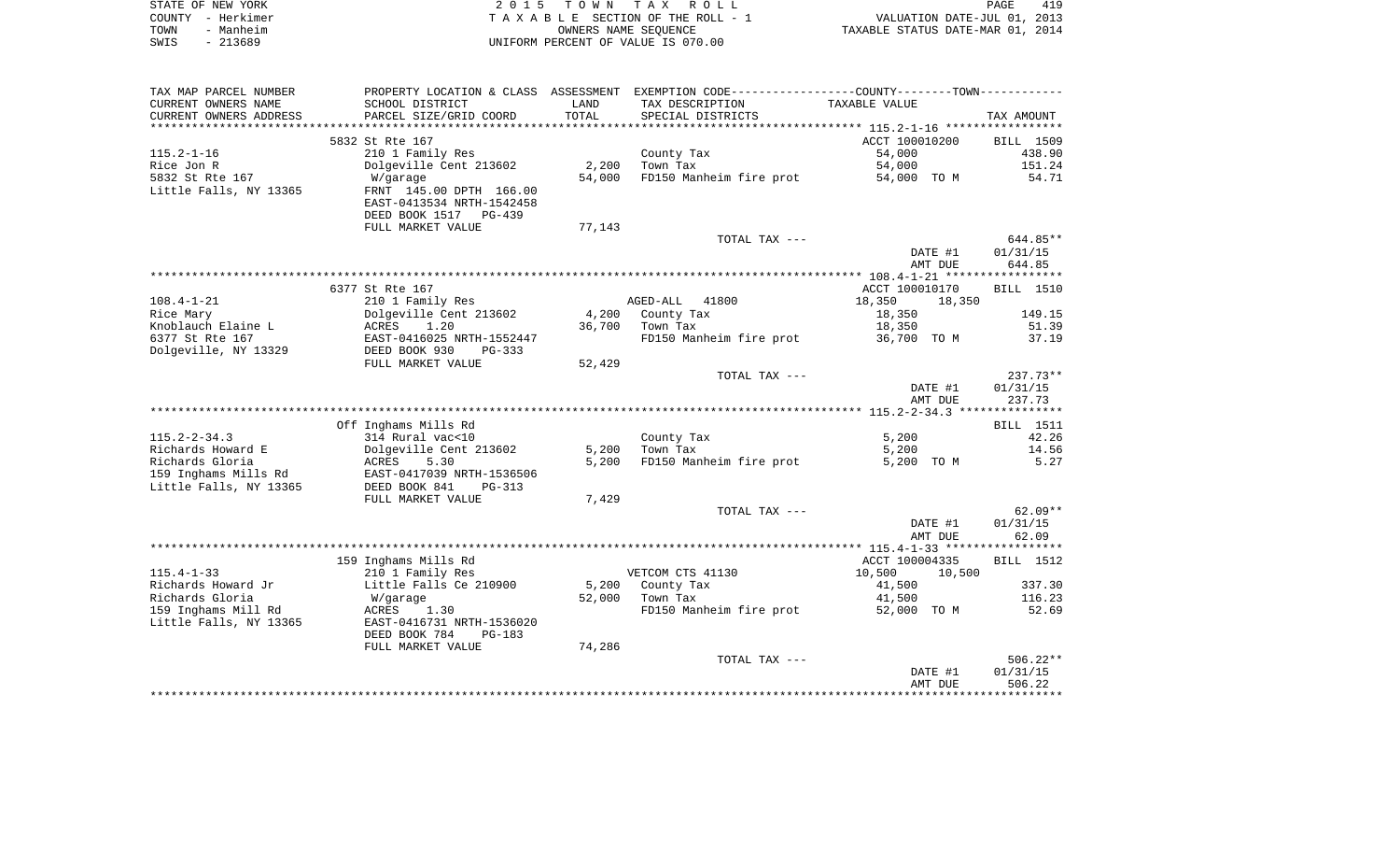|      | STATE OF NEW YORK | 2015 TOWN TAX ROLL                 | 419<br>PAGE                      |
|------|-------------------|------------------------------------|----------------------------------|
|      | COUNTY - Herkimer | TAXABLE SECTION OF THE ROLL - 1    | VALUATION DATE-JUL 01, 2013      |
| TOWN | - Manheim         | OWNERS NAME SEOUENCE               | TAXABLE STATUS DATE-MAR 01, 2014 |
| SWIS | - 213689          | UNIFORM PERCENT OF VALUE IS 070.00 |                                  |

| TAX MAP PARCEL NUMBER  |                                          |        | PROPERTY LOCATION & CLASS ASSESSMENT EXEMPTION CODE---------------COUNTY-------TOWN---------- |                  |                  |
|------------------------|------------------------------------------|--------|-----------------------------------------------------------------------------------------------|------------------|------------------|
| CURRENT OWNERS NAME    | SCHOOL DISTRICT                          | LAND   | TAX DESCRIPTION                                                                               | TAXABLE VALUE    |                  |
| CURRENT OWNERS ADDRESS | PARCEL SIZE/GRID COORD                   | TOTAL  | SPECIAL DISTRICTS                                                                             |                  | TAX AMOUNT       |
|                        |                                          |        |                                                                                               |                  |                  |
|                        | 5832 St Rte 167                          |        |                                                                                               | ACCT 100010200   | BILL 1509        |
| $115.2 - 1 - 16$       | 210 1 Family Res                         |        | County Tax                                                                                    | 54,000           | 438.90           |
| Rice Jon R             | Dolgeville Cent 213602                   | 2,200  | Town Tax                                                                                      | 54,000           | 151.24           |
| 5832 St Rte 167        | W/garage                                 | 54,000 | FD150 Manheim fire prot                                                                       | 54,000 TO M      | 54.71            |
| Little Falls, NY 13365 | FRNT 145.00 DPTH 166.00                  |        |                                                                                               |                  |                  |
|                        | EAST-0413534 NRTH-1542458                |        |                                                                                               |                  |                  |
|                        | DEED BOOK 1517 PG-439                    |        |                                                                                               |                  |                  |
|                        | FULL MARKET VALUE                        | 77,143 |                                                                                               |                  |                  |
|                        |                                          |        | TOTAL TAX ---                                                                                 |                  | 644.85**         |
|                        |                                          |        |                                                                                               | DATE #1          | 01/31/15         |
|                        |                                          |        |                                                                                               | AMT DUE          | 644.85           |
|                        |                                          |        |                                                                                               |                  |                  |
|                        | 6377 St Rte 167                          |        |                                                                                               | ACCT 100010170   | BILL 1510        |
| $108.4 - 1 - 21$       | 210 1 Family Res                         |        | AGED-ALL 41800                                                                                | 18,350<br>18,350 |                  |
| Rice Mary              | Dolgeville Cent 213602                   | 4,200  | County Tax                                                                                    | 18,350           | 149.15           |
| Knoblauch Elaine L     | ACRES<br>1.20                            | 36,700 | Town Tax                                                                                      | 18,350           | 51.39            |
| 6377 St Rte 167        | EAST-0416025 NRTH-1552447                |        | FD150 Manheim fire prot 36,700 TO M                                                           |                  | 37.19            |
| Dolgeville, NY 13329   | DEED BOOK 930<br>$PG-333$                |        |                                                                                               |                  |                  |
|                        | FULL MARKET VALUE                        | 52,429 |                                                                                               |                  |                  |
|                        |                                          |        | TOTAL TAX ---                                                                                 |                  | $237.73**$       |
|                        |                                          |        |                                                                                               | DATE #1          | 01/31/15         |
|                        |                                          |        |                                                                                               | AMT DUE          | 237.73           |
|                        |                                          |        |                                                                                               |                  | <b>BILL</b> 1511 |
| $115.2 - 2 - 34.3$     | Off Inghams Mills Rd<br>314 Rural vac<10 |        |                                                                                               | 5,200            | 42.26            |
| Richards Howard E      | Dolgeville Cent 213602                   | 5,200  | County Tax<br>Town Tax                                                                        | 5,200            | 14.56            |
| Richards Gloria        | ACRES<br>5.30                            | 5,200  | FD150 Manheim fire prot                                                                       | 5,200 TO M       | 5.27             |
| 159 Inghams Mills Rd   | EAST-0417039 NRTH-1536506                |        |                                                                                               |                  |                  |
| Little Falls, NY 13365 | DEED BOOK 841<br>$PG-313$                |        |                                                                                               |                  |                  |
|                        | FULL MARKET VALUE                        | 7,429  |                                                                                               |                  |                  |
|                        |                                          |        | TOTAL TAX ---                                                                                 |                  | $62.09**$        |
|                        |                                          |        |                                                                                               | DATE #1          | 01/31/15         |
|                        |                                          |        |                                                                                               | AMT DUE          | 62.09            |
|                        |                                          |        |                                                                                               |                  |                  |
|                        | 159 Inghams Mills Rd                     |        |                                                                                               | ACCT 100004335   | BILL 1512        |
| $115.4 - 1 - 33$       | 210 1 Family Res                         |        | VETCOM CTS 41130                                                                              | 10,500<br>10,500 |                  |
| Richards Howard Jr     | Little Falls Ce 210900                   | 5,200  | County Tax                                                                                    | 41,500           | 337.30           |
| Richards Gloria        | W/garage                                 | 52,000 | Town Tax                                                                                      | 41,500           | 116.23           |
| 159 Inghams Mill Rd    | ACRES<br>1.30                            |        | FD150 Manheim fire prot                                                                       | 52,000 TO M      | 52.69            |
| Little Falls, NY 13365 | EAST-0416731 NRTH-1536020                |        |                                                                                               |                  |                  |
|                        | DEED BOOK 784<br>PG-183                  |        |                                                                                               |                  |                  |
|                        | FULL MARKET VALUE                        | 74,286 |                                                                                               |                  |                  |
|                        |                                          |        | TOTAL TAX ---                                                                                 |                  | $506.22**$       |
|                        |                                          |        |                                                                                               | DATE #1          | 01/31/15         |
|                        |                                          |        |                                                                                               | AMT DUE          | 506.22           |
|                        |                                          |        |                                                                                               |                  |                  |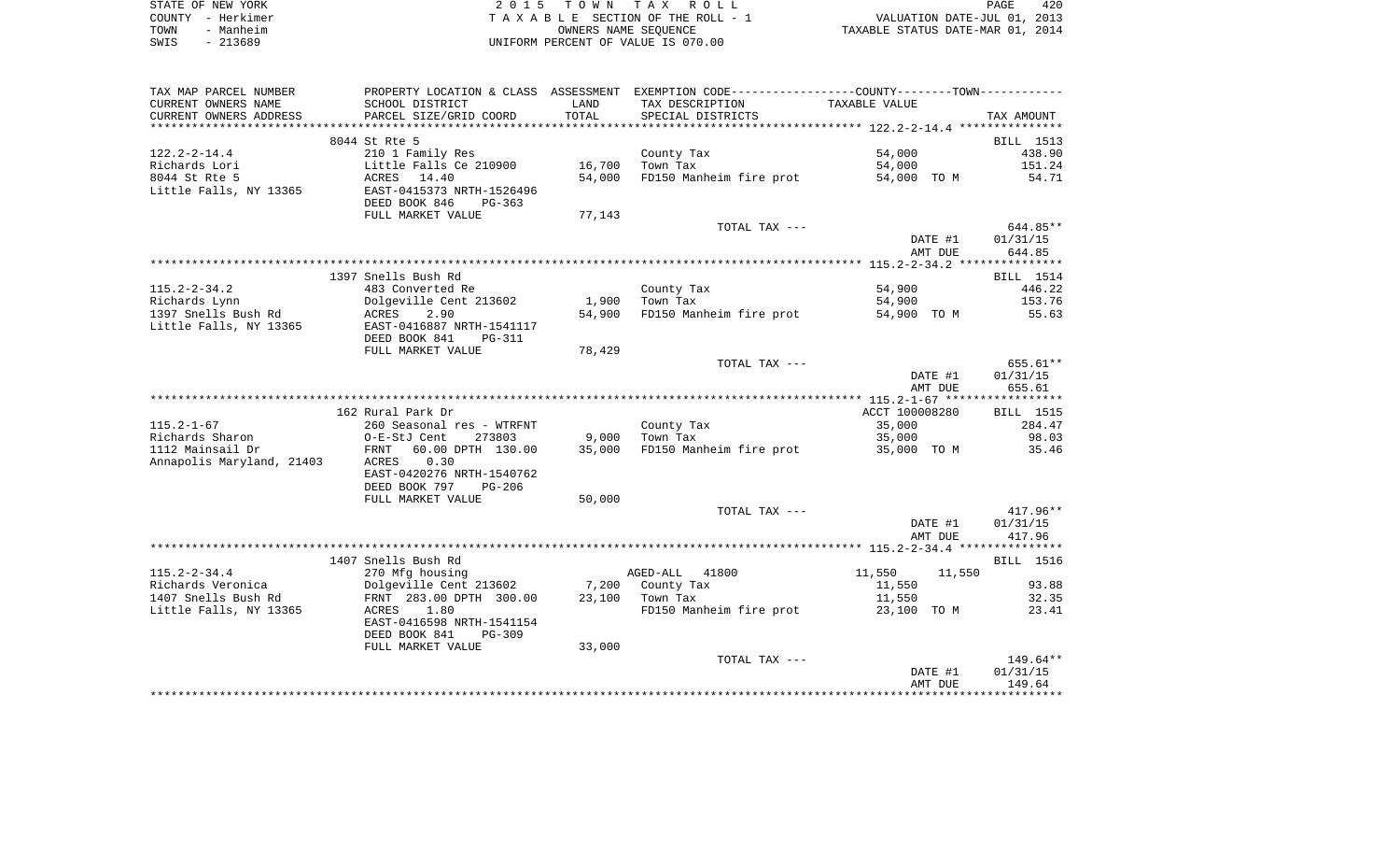|      | STATE OF NEW YORK | 2015 TOWN TAX ROLL                 | 420<br><b>PAGE</b>               |
|------|-------------------|------------------------------------|----------------------------------|
|      | COUNTY – Herkimer | TAXABLE SECTION OF THE ROLL - 1    | VALUATION DATE-JUL 01, 2013      |
| TOWN | - Manheim         | OWNERS NAME SEOUENCE               | TAXABLE STATUS DATE-MAR 01, 2014 |
| SWIS | - 213689          | UNIFORM PERCENT OF VALUE IS 070.00 |                                  |

| TAX MAP PARCEL NUMBER<br>CURRENT OWNERS NAME  | PROPERTY LOCATION & CLASS ASSESSMENT<br>SCHOOL DISTRICT                                            | LAND   | EXEMPTION CODE-----------------COUNTY-------TOWN-----------<br>TAX DESCRIPTION | TAXABLE VALUE    |                  |
|-----------------------------------------------|----------------------------------------------------------------------------------------------------|--------|--------------------------------------------------------------------------------|------------------|------------------|
| CURRENT OWNERS ADDRESS                        | PARCEL SIZE/GRID COORD                                                                             | TOTAL  | SPECIAL DISTRICTS                                                              |                  | TAX AMOUNT       |
| *************************                     |                                                                                                    |        |                                                                                |                  |                  |
|                                               | 8044 St Rte 5                                                                                      |        |                                                                                |                  | BILL 1513        |
| $122.2 - 2 - 14.4$                            | 210 1 Family Res                                                                                   |        | County Tax                                                                     | 54,000           | 438.90           |
| Richards Lori                                 | Little Falls Ce 210900                                                                             | 16,700 | Town Tax                                                                       | 54,000           | 151.24           |
| 8044 St Rte 5<br>Little Falls, NY 13365       | ACRES 14.40<br>EAST-0415373 NRTH-1526496<br>DEED BOOK 846<br>$PG-363$                              | 54,000 | FD150 Manheim fire prot                                                        | 54,000 TO M      | 54.71            |
|                                               | FULL MARKET VALUE                                                                                  | 77,143 | TOTAL TAX ---                                                                  |                  | 644.85**         |
|                                               |                                                                                                    |        |                                                                                | DATE #1          | 01/31/15         |
|                                               |                                                                                                    |        |                                                                                | AMT DUE          | 644.85           |
|                                               |                                                                                                    |        |                                                                                |                  |                  |
|                                               | 1397 Snells Bush Rd                                                                                |        |                                                                                |                  | BILL 1514        |
| $115.2 - 2 - 34.2$                            | 483 Converted Re                                                                                   |        | County Tax                                                                     | 54,900           | 446.22           |
| Richards Lynn                                 | Dolgeville Cent 213602                                                                             | 1,900  | Town Tax                                                                       | 54,900           | 153.76           |
| 1397 Snells Bush Rd                           | ACRES<br>2.90                                                                                      | 54,900 | FD150 Manheim fire prot                                                        | 54,900 TO M      | 55.63            |
| Little Falls, NY 13365                        | EAST-0416887 NRTH-1541117<br>DEED BOOK 841<br><b>PG-311</b>                                        |        |                                                                                |                  |                  |
|                                               | FULL MARKET VALUE                                                                                  | 78,429 |                                                                                |                  |                  |
|                                               |                                                                                                    |        | TOTAL TAX ---                                                                  |                  | 655.61**         |
|                                               |                                                                                                    |        |                                                                                | DATE #1          | 01/31/15         |
|                                               |                                                                                                    |        |                                                                                | AMT DUE          | 655.61           |
|                                               |                                                                                                    |        |                                                                                |                  |                  |
|                                               | 162 Rural Park Dr                                                                                  |        |                                                                                | ACCT 100008280   | <b>BILL</b> 1515 |
| $115.2 - 1 - 67$                              | 260 Seasonal res - WTRFNT                                                                          |        | County Tax                                                                     | 35,000           | 284.47           |
| Richards Sharon                               | O-E-StJ Cent<br>273803                                                                             | 9,000  | Town Tax                                                                       | 35,000           | 98.03            |
| 1112 Mainsail Dr<br>Annapolis Maryland, 21403 | 60.00 DPTH 130.00<br>FRNT<br>0.30<br>ACRES<br>EAST-0420276 NRTH-1540762<br>DEED BOOK 797<br>PG-206 | 35,000 | FD150 Manheim fire prot                                                        | 35,000 TO M      | 35.46            |
|                                               | FULL MARKET VALUE                                                                                  | 50,000 |                                                                                |                  |                  |
|                                               |                                                                                                    |        | TOTAL TAX ---                                                                  |                  | $417.96**$       |
|                                               |                                                                                                    |        |                                                                                | DATE #1          | 01/31/15         |
|                                               |                                                                                                    |        |                                                                                | AMT DUE          | 417.96           |
|                                               |                                                                                                    |        |                                                                                |                  |                  |
|                                               | 1407 Snells Bush Rd                                                                                |        |                                                                                |                  | BILL 1516        |
| $115.2 - 2 - 34.4$                            | 270 Mfg housing                                                                                    |        | AGED-ALL<br>41800                                                              | 11,550<br>11,550 |                  |
| Richards Veronica                             | Dolgeville Cent 213602                                                                             | 7,200  | County Tax                                                                     | 11,550           | 93.88            |
| 1407 Snells Bush Rd                           | FRNT 283.00 DPTH 300.00                                                                            | 23,100 | Town Tax                                                                       | 11,550           | 32.35            |
| Little Falls, NY 13365                        | 1.80<br>ACRES                                                                                      |        | FD150 Manheim fire prot                                                        | 23,100 TO M      | 23.41            |
|                                               | EAST-0416598 NRTH-1541154<br>DEED BOOK 841<br>PG-309                                               |        |                                                                                |                  |                  |
|                                               | FULL MARKET VALUE                                                                                  | 33,000 |                                                                                |                  |                  |
|                                               |                                                                                                    |        | TOTAL TAX ---                                                                  |                  | $149.64**$       |
|                                               |                                                                                                    |        |                                                                                | DATE #1          | 01/31/15         |
|                                               |                                                                                                    |        |                                                                                | AMT DUE          | 149.64           |
|                                               |                                                                                                    |        |                                                                                |                  |                  |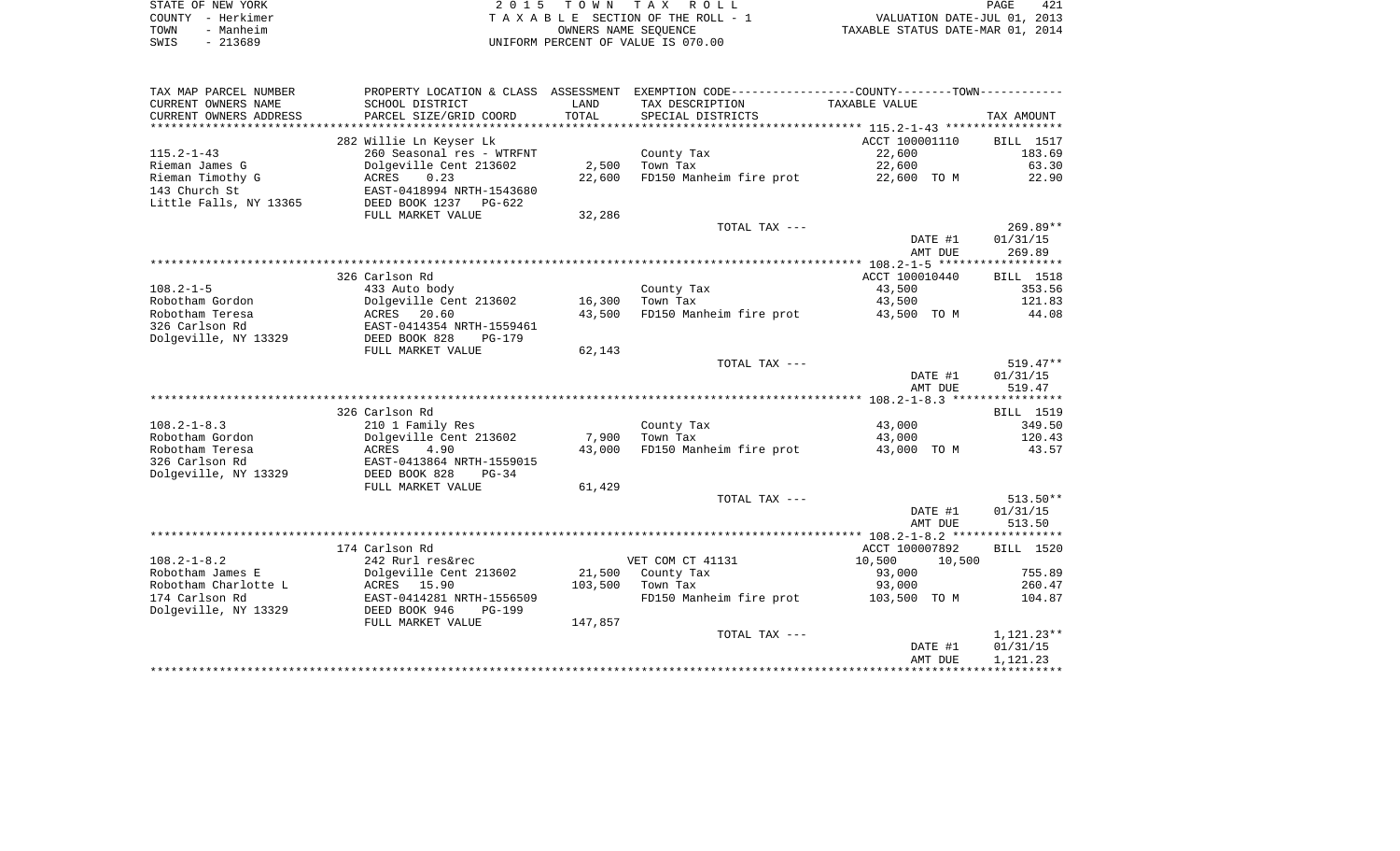|      | STATE OF NEW YORK | 2015 TOWN TAX ROLL                 |                                  | 421<br>PAGE |
|------|-------------------|------------------------------------|----------------------------------|-------------|
|      | COUNTY - Herkimer | TAXABLE SECTION OF THE ROLL - 1    | VALUATION DATE-JUL 01, 2013      |             |
| TOWN | - Manheim         | OWNERS NAME SEOUENCE               | TAXABLE STATUS DATE-MAR 01, 2014 |             |
| SWIS | - 213689          | UNIFORM PERCENT OF VALUE IS 070.00 |                                  |             |

 $\begin{array}{c} 421 \\ 2013 \\ 2014 \end{array}$ 

| CURRENT OWNERS NAME<br>TAX DESCRIPTION<br>TAXABLE VALUE<br>SCHOOL DISTRICT<br>LAND<br>CURRENT OWNERS ADDRESS<br>PARCEL SIZE/GRID COORD<br>TOTAL<br>SPECIAL DISTRICTS<br>TAX AMOUNT<br>************************<br>*************************<br>282 Willie Ln Keyser Lk<br>ACCT 100001110<br>BILL 1517<br>183.69<br>$115.2 - 1 - 43$<br>260 Seasonal res - WTRFNT<br>22,600<br>County Tax<br>2,500<br>22,600<br>63.30<br>Rieman James G<br>Dolgeville Cent 213602<br>Town Tax<br>Rieman Timothy G<br>0.23<br>22,600<br>FD150 Manheim fire prot<br>22.90<br>ACRES<br>22,600 TO M<br>143 Church St<br>EAST-0418994 NRTH-1543680<br>Little Falls, NY 13365<br>DEED BOOK 1237<br>PG-622<br>FULL MARKET VALUE<br>32,286<br>$269.89**$<br>TOTAL TAX ---<br>DATE #1<br>01/31/15<br>269.89<br>AMT DUE<br>******************<br>326 Carlson Rd<br>ACCT 100010440<br>BILL 1518<br>$108.2 - 1 - 5$<br>433 Auto body<br>County Tax<br>43,500<br>353.56<br>Robotham Gordon<br>Dolgeville Cent 213602<br>16,300<br>Town Tax<br>43,500<br>121.83<br>Robotham Teresa<br>ACRES 20.60<br>43,500<br>FD150 Manheim fire prot<br>44.08<br>43,500 TO M<br>326 Carlson Rd<br>EAST-0414354 NRTH-1559461<br>Dolgeville, NY 13329<br>DEED BOOK 828<br>$PG-179$<br>FULL MARKET VALUE<br>62,143<br>$519.47**$<br>TOTAL TAX ---<br>DATE #1<br>01/31/15<br>519.47<br>AMT DUE<br>326 Carlson Rd<br>BILL 1519<br>349.50<br>$108.2 - 1 - 8.3$<br>210 1 Family Res<br>43,000<br>County Tax<br>Robotham Gordon<br>Dolgeville Cent 213602<br>7,900<br>Town Tax<br>43,000<br>120.43<br>FD150 Manheim fire prot<br>Robotham Teresa<br>43,000<br>43.57<br>ACRES<br>4.90<br>43,000 TO M<br>326 Carlson Rd<br>EAST-0413864 NRTH-1559015<br>Dolgeville, NY 13329<br>DEED BOOK 828<br>$PG-34$<br>61,429<br>FULL MARKET VALUE<br>TOTAL TAX ---<br>$513.50**$<br>DATE #1<br>01/31/15<br>513.50<br>AMT DUE |
|-------------------------------------------------------------------------------------------------------------------------------------------------------------------------------------------------------------------------------------------------------------------------------------------------------------------------------------------------------------------------------------------------------------------------------------------------------------------------------------------------------------------------------------------------------------------------------------------------------------------------------------------------------------------------------------------------------------------------------------------------------------------------------------------------------------------------------------------------------------------------------------------------------------------------------------------------------------------------------------------------------------------------------------------------------------------------------------------------------------------------------------------------------------------------------------------------------------------------------------------------------------------------------------------------------------------------------------------------------------------------------------------------------------------------------------------------------------------------------------------------------------------------------------------------------------------------------------------------------------------------------------------------------------------------------------------------------------------------------------------------------------------------------------------------------------------------------------------------------------|
|                                                                                                                                                                                                                                                                                                                                                                                                                                                                                                                                                                                                                                                                                                                                                                                                                                                                                                                                                                                                                                                                                                                                                                                                                                                                                                                                                                                                                                                                                                                                                                                                                                                                                                                                                                                                                                                             |
|                                                                                                                                                                                                                                                                                                                                                                                                                                                                                                                                                                                                                                                                                                                                                                                                                                                                                                                                                                                                                                                                                                                                                                                                                                                                                                                                                                                                                                                                                                                                                                                                                                                                                                                                                                                                                                                             |
|                                                                                                                                                                                                                                                                                                                                                                                                                                                                                                                                                                                                                                                                                                                                                                                                                                                                                                                                                                                                                                                                                                                                                                                                                                                                                                                                                                                                                                                                                                                                                                                                                                                                                                                                                                                                                                                             |
|                                                                                                                                                                                                                                                                                                                                                                                                                                                                                                                                                                                                                                                                                                                                                                                                                                                                                                                                                                                                                                                                                                                                                                                                                                                                                                                                                                                                                                                                                                                                                                                                                                                                                                                                                                                                                                                             |
|                                                                                                                                                                                                                                                                                                                                                                                                                                                                                                                                                                                                                                                                                                                                                                                                                                                                                                                                                                                                                                                                                                                                                                                                                                                                                                                                                                                                                                                                                                                                                                                                                                                                                                                                                                                                                                                             |
|                                                                                                                                                                                                                                                                                                                                                                                                                                                                                                                                                                                                                                                                                                                                                                                                                                                                                                                                                                                                                                                                                                                                                                                                                                                                                                                                                                                                                                                                                                                                                                                                                                                                                                                                                                                                                                                             |
|                                                                                                                                                                                                                                                                                                                                                                                                                                                                                                                                                                                                                                                                                                                                                                                                                                                                                                                                                                                                                                                                                                                                                                                                                                                                                                                                                                                                                                                                                                                                                                                                                                                                                                                                                                                                                                                             |
|                                                                                                                                                                                                                                                                                                                                                                                                                                                                                                                                                                                                                                                                                                                                                                                                                                                                                                                                                                                                                                                                                                                                                                                                                                                                                                                                                                                                                                                                                                                                                                                                                                                                                                                                                                                                                                                             |
|                                                                                                                                                                                                                                                                                                                                                                                                                                                                                                                                                                                                                                                                                                                                                                                                                                                                                                                                                                                                                                                                                                                                                                                                                                                                                                                                                                                                                                                                                                                                                                                                                                                                                                                                                                                                                                                             |
|                                                                                                                                                                                                                                                                                                                                                                                                                                                                                                                                                                                                                                                                                                                                                                                                                                                                                                                                                                                                                                                                                                                                                                                                                                                                                                                                                                                                                                                                                                                                                                                                                                                                                                                                                                                                                                                             |
|                                                                                                                                                                                                                                                                                                                                                                                                                                                                                                                                                                                                                                                                                                                                                                                                                                                                                                                                                                                                                                                                                                                                                                                                                                                                                                                                                                                                                                                                                                                                                                                                                                                                                                                                                                                                                                                             |
|                                                                                                                                                                                                                                                                                                                                                                                                                                                                                                                                                                                                                                                                                                                                                                                                                                                                                                                                                                                                                                                                                                                                                                                                                                                                                                                                                                                                                                                                                                                                                                                                                                                                                                                                                                                                                                                             |
|                                                                                                                                                                                                                                                                                                                                                                                                                                                                                                                                                                                                                                                                                                                                                                                                                                                                                                                                                                                                                                                                                                                                                                                                                                                                                                                                                                                                                                                                                                                                                                                                                                                                                                                                                                                                                                                             |
|                                                                                                                                                                                                                                                                                                                                                                                                                                                                                                                                                                                                                                                                                                                                                                                                                                                                                                                                                                                                                                                                                                                                                                                                                                                                                                                                                                                                                                                                                                                                                                                                                                                                                                                                                                                                                                                             |
|                                                                                                                                                                                                                                                                                                                                                                                                                                                                                                                                                                                                                                                                                                                                                                                                                                                                                                                                                                                                                                                                                                                                                                                                                                                                                                                                                                                                                                                                                                                                                                                                                                                                                                                                                                                                                                                             |
|                                                                                                                                                                                                                                                                                                                                                                                                                                                                                                                                                                                                                                                                                                                                                                                                                                                                                                                                                                                                                                                                                                                                                                                                                                                                                                                                                                                                                                                                                                                                                                                                                                                                                                                                                                                                                                                             |
|                                                                                                                                                                                                                                                                                                                                                                                                                                                                                                                                                                                                                                                                                                                                                                                                                                                                                                                                                                                                                                                                                                                                                                                                                                                                                                                                                                                                                                                                                                                                                                                                                                                                                                                                                                                                                                                             |
|                                                                                                                                                                                                                                                                                                                                                                                                                                                                                                                                                                                                                                                                                                                                                                                                                                                                                                                                                                                                                                                                                                                                                                                                                                                                                                                                                                                                                                                                                                                                                                                                                                                                                                                                                                                                                                                             |
|                                                                                                                                                                                                                                                                                                                                                                                                                                                                                                                                                                                                                                                                                                                                                                                                                                                                                                                                                                                                                                                                                                                                                                                                                                                                                                                                                                                                                                                                                                                                                                                                                                                                                                                                                                                                                                                             |
|                                                                                                                                                                                                                                                                                                                                                                                                                                                                                                                                                                                                                                                                                                                                                                                                                                                                                                                                                                                                                                                                                                                                                                                                                                                                                                                                                                                                                                                                                                                                                                                                                                                                                                                                                                                                                                                             |
|                                                                                                                                                                                                                                                                                                                                                                                                                                                                                                                                                                                                                                                                                                                                                                                                                                                                                                                                                                                                                                                                                                                                                                                                                                                                                                                                                                                                                                                                                                                                                                                                                                                                                                                                                                                                                                                             |
|                                                                                                                                                                                                                                                                                                                                                                                                                                                                                                                                                                                                                                                                                                                                                                                                                                                                                                                                                                                                                                                                                                                                                                                                                                                                                                                                                                                                                                                                                                                                                                                                                                                                                                                                                                                                                                                             |
|                                                                                                                                                                                                                                                                                                                                                                                                                                                                                                                                                                                                                                                                                                                                                                                                                                                                                                                                                                                                                                                                                                                                                                                                                                                                                                                                                                                                                                                                                                                                                                                                                                                                                                                                                                                                                                                             |
|                                                                                                                                                                                                                                                                                                                                                                                                                                                                                                                                                                                                                                                                                                                                                                                                                                                                                                                                                                                                                                                                                                                                                                                                                                                                                                                                                                                                                                                                                                                                                                                                                                                                                                                                                                                                                                                             |
|                                                                                                                                                                                                                                                                                                                                                                                                                                                                                                                                                                                                                                                                                                                                                                                                                                                                                                                                                                                                                                                                                                                                                                                                                                                                                                                                                                                                                                                                                                                                                                                                                                                                                                                                                                                                                                                             |
|                                                                                                                                                                                                                                                                                                                                                                                                                                                                                                                                                                                                                                                                                                                                                                                                                                                                                                                                                                                                                                                                                                                                                                                                                                                                                                                                                                                                                                                                                                                                                                                                                                                                                                                                                                                                                                                             |
|                                                                                                                                                                                                                                                                                                                                                                                                                                                                                                                                                                                                                                                                                                                                                                                                                                                                                                                                                                                                                                                                                                                                                                                                                                                                                                                                                                                                                                                                                                                                                                                                                                                                                                                                                                                                                                                             |
|                                                                                                                                                                                                                                                                                                                                                                                                                                                                                                                                                                                                                                                                                                                                                                                                                                                                                                                                                                                                                                                                                                                                                                                                                                                                                                                                                                                                                                                                                                                                                                                                                                                                                                                                                                                                                                                             |
|                                                                                                                                                                                                                                                                                                                                                                                                                                                                                                                                                                                                                                                                                                                                                                                                                                                                                                                                                                                                                                                                                                                                                                                                                                                                                                                                                                                                                                                                                                                                                                                                                                                                                                                                                                                                                                                             |
|                                                                                                                                                                                                                                                                                                                                                                                                                                                                                                                                                                                                                                                                                                                                                                                                                                                                                                                                                                                                                                                                                                                                                                                                                                                                                                                                                                                                                                                                                                                                                                                                                                                                                                                                                                                                                                                             |
|                                                                                                                                                                                                                                                                                                                                                                                                                                                                                                                                                                                                                                                                                                                                                                                                                                                                                                                                                                                                                                                                                                                                                                                                                                                                                                                                                                                                                                                                                                                                                                                                                                                                                                                                                                                                                                                             |
|                                                                                                                                                                                                                                                                                                                                                                                                                                                                                                                                                                                                                                                                                                                                                                                                                                                                                                                                                                                                                                                                                                                                                                                                                                                                                                                                                                                                                                                                                                                                                                                                                                                                                                                                                                                                                                                             |
|                                                                                                                                                                                                                                                                                                                                                                                                                                                                                                                                                                                                                                                                                                                                                                                                                                                                                                                                                                                                                                                                                                                                                                                                                                                                                                                                                                                                                                                                                                                                                                                                                                                                                                                                                                                                                                                             |
|                                                                                                                                                                                                                                                                                                                                                                                                                                                                                                                                                                                                                                                                                                                                                                                                                                                                                                                                                                                                                                                                                                                                                                                                                                                                                                                                                                                                                                                                                                                                                                                                                                                                                                                                                                                                                                                             |
|                                                                                                                                                                                                                                                                                                                                                                                                                                                                                                                                                                                                                                                                                                                                                                                                                                                                                                                                                                                                                                                                                                                                                                                                                                                                                                                                                                                                                                                                                                                                                                                                                                                                                                                                                                                                                                                             |
| 174 Carlson Rd<br>ACCT 100007892<br>BILL 1520                                                                                                                                                                                                                                                                                                                                                                                                                                                                                                                                                                                                                                                                                                                                                                                                                                                                                                                                                                                                                                                                                                                                                                                                                                                                                                                                                                                                                                                                                                                                                                                                                                                                                                                                                                                                               |
| $108.2 - 1 - 8.2$<br>242 Rurl res&rec<br>VET COM CT 41131<br>10,500<br>10,500                                                                                                                                                                                                                                                                                                                                                                                                                                                                                                                                                                                                                                                                                                                                                                                                                                                                                                                                                                                                                                                                                                                                                                                                                                                                                                                                                                                                                                                                                                                                                                                                                                                                                                                                                                               |
| Robotham James E<br>Dolgeville Cent 213602<br>21,500<br>County Tax<br>93,000<br>755.89                                                                                                                                                                                                                                                                                                                                                                                                                                                                                                                                                                                                                                                                                                                                                                                                                                                                                                                                                                                                                                                                                                                                                                                                                                                                                                                                                                                                                                                                                                                                                                                                                                                                                                                                                                      |
| Robotham Charlotte L<br>ACRES 15.90<br>103,500<br>Town Tax<br>93,000<br>260.47                                                                                                                                                                                                                                                                                                                                                                                                                                                                                                                                                                                                                                                                                                                                                                                                                                                                                                                                                                                                                                                                                                                                                                                                                                                                                                                                                                                                                                                                                                                                                                                                                                                                                                                                                                              |
| 174 Carlson Rd<br>EAST-0414281 NRTH-1556509<br>FD150 Manheim fire prot<br>103,500 TO M<br>104.87                                                                                                                                                                                                                                                                                                                                                                                                                                                                                                                                                                                                                                                                                                                                                                                                                                                                                                                                                                                                                                                                                                                                                                                                                                                                                                                                                                                                                                                                                                                                                                                                                                                                                                                                                            |
| Dolgeville, NY 13329<br>DEED BOOK 946<br>PG-199                                                                                                                                                                                                                                                                                                                                                                                                                                                                                                                                                                                                                                                                                                                                                                                                                                                                                                                                                                                                                                                                                                                                                                                                                                                                                                                                                                                                                                                                                                                                                                                                                                                                                                                                                                                                             |
| FULL MARKET VALUE<br>147,857                                                                                                                                                                                                                                                                                                                                                                                                                                                                                                                                                                                                                                                                                                                                                                                                                                                                                                                                                                                                                                                                                                                                                                                                                                                                                                                                                                                                                                                                                                                                                                                                                                                                                                                                                                                                                                |
| TOTAL TAX ---<br>$1,121.23**$                                                                                                                                                                                                                                                                                                                                                                                                                                                                                                                                                                                                                                                                                                                                                                                                                                                                                                                                                                                                                                                                                                                                                                                                                                                                                                                                                                                                                                                                                                                                                                                                                                                                                                                                                                                                                               |
| DATE #1<br>01/31/15                                                                                                                                                                                                                                                                                                                                                                                                                                                                                                                                                                                                                                                                                                                                                                                                                                                                                                                                                                                                                                                                                                                                                                                                                                                                                                                                                                                                                                                                                                                                                                                                                                                                                                                                                                                                                                         |
| 1,121.23<br>AMT DUE                                                                                                                                                                                                                                                                                                                                                                                                                                                                                                                                                                                                                                                                                                                                                                                                                                                                                                                                                                                                                                                                                                                                                                                                                                                                                                                                                                                                                                                                                                                                                                                                                                                                                                                                                                                                                                         |
|                                                                                                                                                                                                                                                                                                                                                                                                                                                                                                                                                                                                                                                                                                                                                                                                                                                                                                                                                                                                                                                                                                                                                                                                                                                                                                                                                                                                                                                                                                                                                                                                                                                                                                                                                                                                                                                             |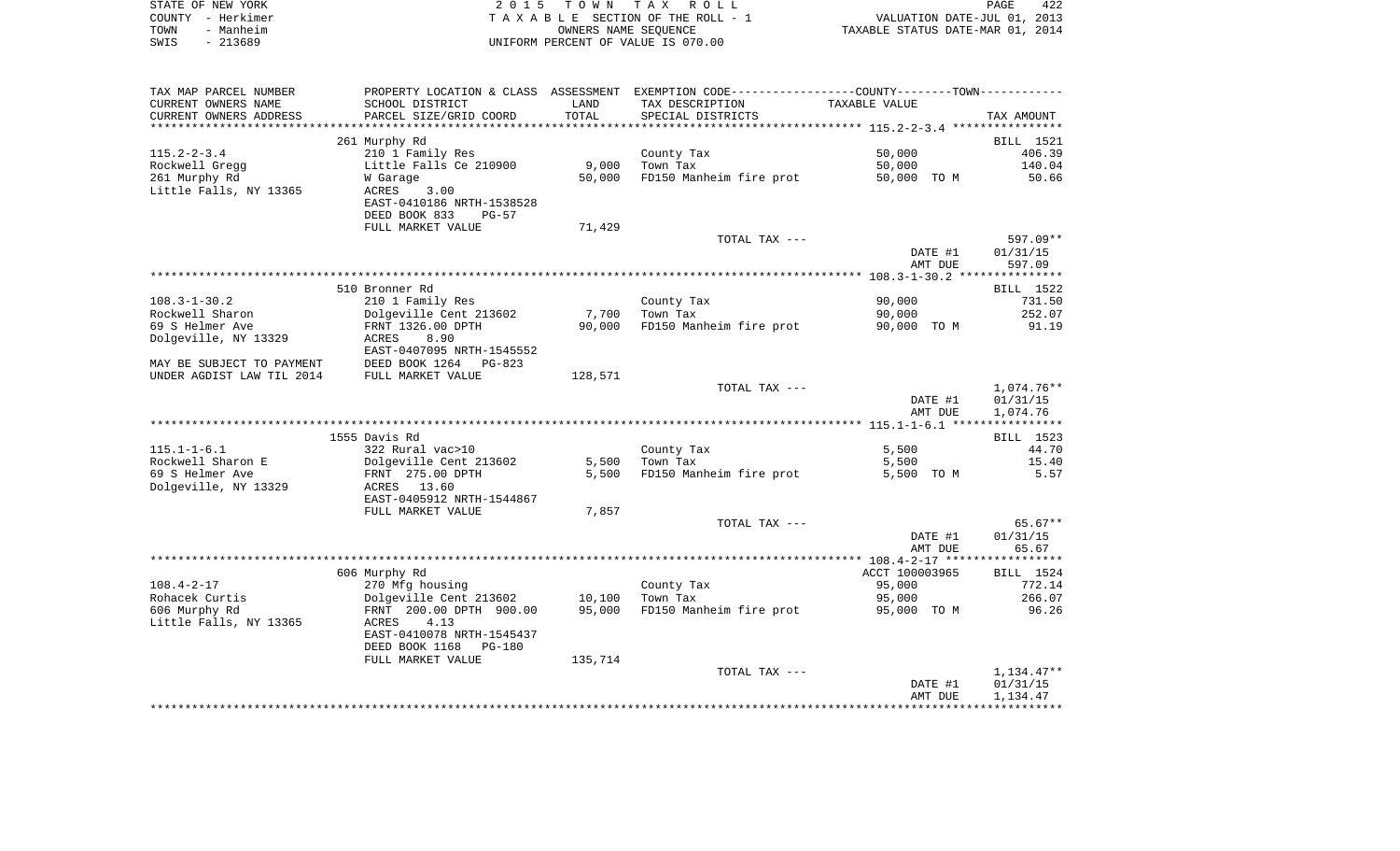|      | STATE OF NEW YORK | 2015 TOWN TAX ROLL                 | <b>PAGE</b>                      | 422 |
|------|-------------------|------------------------------------|----------------------------------|-----|
|      | COUNTY - Herkimer | TAXABLE SECTION OF THE ROLL - 1    | VALUATION DATE-JUL 01, 2013      |     |
| TOWN | - Manheim         | OWNERS NAME SEOUENCE               | TAXABLE STATUS DATE-MAR 01, 2014 |     |
| SWIS | - 213689          | UNIFORM PERCENT OF VALUE IS 070.00 |                                  |     |

| TAX MAP PARCEL NUMBER                                  | PROPERTY LOCATION & CLASS ASSESSMENT EXEMPTION CODE-----------------COUNTY--------TOWN--------- |         |                         |                |            |
|--------------------------------------------------------|-------------------------------------------------------------------------------------------------|---------|-------------------------|----------------|------------|
| CURRENT OWNERS NAME                                    | SCHOOL DISTRICT                                                                                 | LAND    | TAX DESCRIPTION         | TAXABLE VALUE  |            |
| CURRENT OWNERS ADDRESS                                 | PARCEL SIZE/GRID COORD                                                                          | TOTAL   | SPECIAL DISTRICTS       |                | TAX AMOUNT |
|                                                        |                                                                                                 |         |                         |                |            |
|                                                        | 261 Murphy Rd                                                                                   |         |                         |                | BILL 1521  |
| $115.2 - 2 - 3.4$                                      | 210 1 Family Res                                                                                |         | County Tax              | 50,000         | 406.39     |
| Rockwell Gregg                                         | Little Falls Ce 210900                                                                          | 9,000   | Town Tax                | 50,000         | 140.04     |
| 261 Murphy Rd                                          | W Garage                                                                                        | 50,000  | FD150 Manheim fire prot | 50,000 TO M    | 50.66      |
| Little Falls, NY 13365                                 | ACRES<br>3.00                                                                                   |         |                         |                |            |
|                                                        | EAST-0410186 NRTH-1538528                                                                       |         |                         |                |            |
|                                                        | DEED BOOK 833<br>$PG-57$                                                                        |         |                         |                |            |
|                                                        | FULL MARKET VALUE                                                                               | 71,429  |                         |                |            |
|                                                        |                                                                                                 |         | TOTAL TAX ---           |                | 597.09**   |
|                                                        |                                                                                                 |         |                         | DATE #1        | 01/31/15   |
|                                                        |                                                                                                 |         |                         | AMT DUE        | 597.09     |
|                                                        |                                                                                                 |         |                         |                |            |
|                                                        | 510 Bronner Rd                                                                                  |         |                         |                | BILL 1522  |
| $108.3 - 1 - 30.2$                                     | 210 1 Family Res                                                                                |         | County Tax              | 90,000         | 731.50     |
| Rockwell Sharon                                        | Dolgeville Cent 213602                                                                          | 7,700   | Town Tax                | 90,000         | 252.07     |
| 69 S Helmer Ave                                        | FRNT 1326.00 DPTH                                                                               | 90,000  | FD150 Manheim fire prot | 90,000 TO M    | 91.19      |
| Dolgeville, NY 13329                                   | 8.90<br>ACRES                                                                                   |         |                         |                |            |
|                                                        | EAST-0407095 NRTH-1545552<br>DEED BOOK 1264<br>$PG-823$                                         |         |                         |                |            |
| MAY BE SUBJECT TO PAYMENT<br>UNDER AGDIST LAW TIL 2014 | FULL MARKET VALUE                                                                               | 128,571 |                         |                |            |
|                                                        |                                                                                                 |         | TOTAL TAX ---           |                | 1,074.76** |
|                                                        |                                                                                                 |         |                         | DATE #1        | 01/31/15   |
|                                                        |                                                                                                 |         |                         | AMT DUE        | 1,074.76   |
|                                                        |                                                                                                 |         |                         |                |            |
|                                                        | 1555 Davis Rd                                                                                   |         |                         |                | BILL 1523  |
| $115.1 - 1 - 6.1$                                      | 322 Rural vac>10                                                                                |         | County Tax              | 5,500          | 44.70      |
| Rockwell Sharon E                                      | Dolgeville Cent 213602                                                                          | 5,500   | Town Tax                | 5,500          | 15.40      |
| 69 S Helmer Ave                                        | FRNT 275.00 DPTH                                                                                | 5,500   | FD150 Manheim fire prot | 5,500 TO M     | 5.57       |
| Dolgeville, NY 13329                                   | ACRES 13.60                                                                                     |         |                         |                |            |
|                                                        | EAST-0405912 NRTH-1544867                                                                       |         |                         |                |            |
|                                                        | FULL MARKET VALUE                                                                               | 7,857   |                         |                |            |
|                                                        |                                                                                                 |         | TOTAL TAX ---           |                | $65.67**$  |
|                                                        |                                                                                                 |         |                         | DATE #1        | 01/31/15   |
|                                                        |                                                                                                 |         |                         | AMT DUE        | 65.67      |
|                                                        |                                                                                                 |         |                         |                |            |
|                                                        | 606 Murphy Rd                                                                                   |         |                         | ACCT 100003965 | BILL 1524  |
| $108.4 - 2 - 17$                                       | 270 Mfg housing                                                                                 |         | County Tax              | 95,000         | 772.14     |
| Rohacek Curtis                                         | Dolgeville Cent 213602 10,100                                                                   |         | Town Tax                | 95,000         | 266.07     |
| 606 Murphy Rd                                          | FRNT 200.00 DPTH 900.00                                                                         | 95,000  | FD150 Manheim fire prot | 95,000 TO M    | 96.26      |
| Little Falls, NY 13365                                 | 4.13<br><b>ACRES</b>                                                                            |         |                         |                |            |
|                                                        | EAST-0410078 NRTH-1545437                                                                       |         |                         |                |            |
|                                                        | DEED BOOK 1168<br>PG-180                                                                        |         |                         |                |            |
|                                                        | FULL MARKET VALUE                                                                               | 135,714 |                         |                |            |
|                                                        |                                                                                                 |         | TOTAL TAX ---           |                | 1,134.47** |
|                                                        |                                                                                                 |         |                         | DATE #1        | 01/31/15   |
|                                                        |                                                                                                 |         |                         | AMT DUE        | 1,134.47   |
|                                                        |                                                                                                 |         |                         |                |            |
|                                                        |                                                                                                 |         |                         |                |            |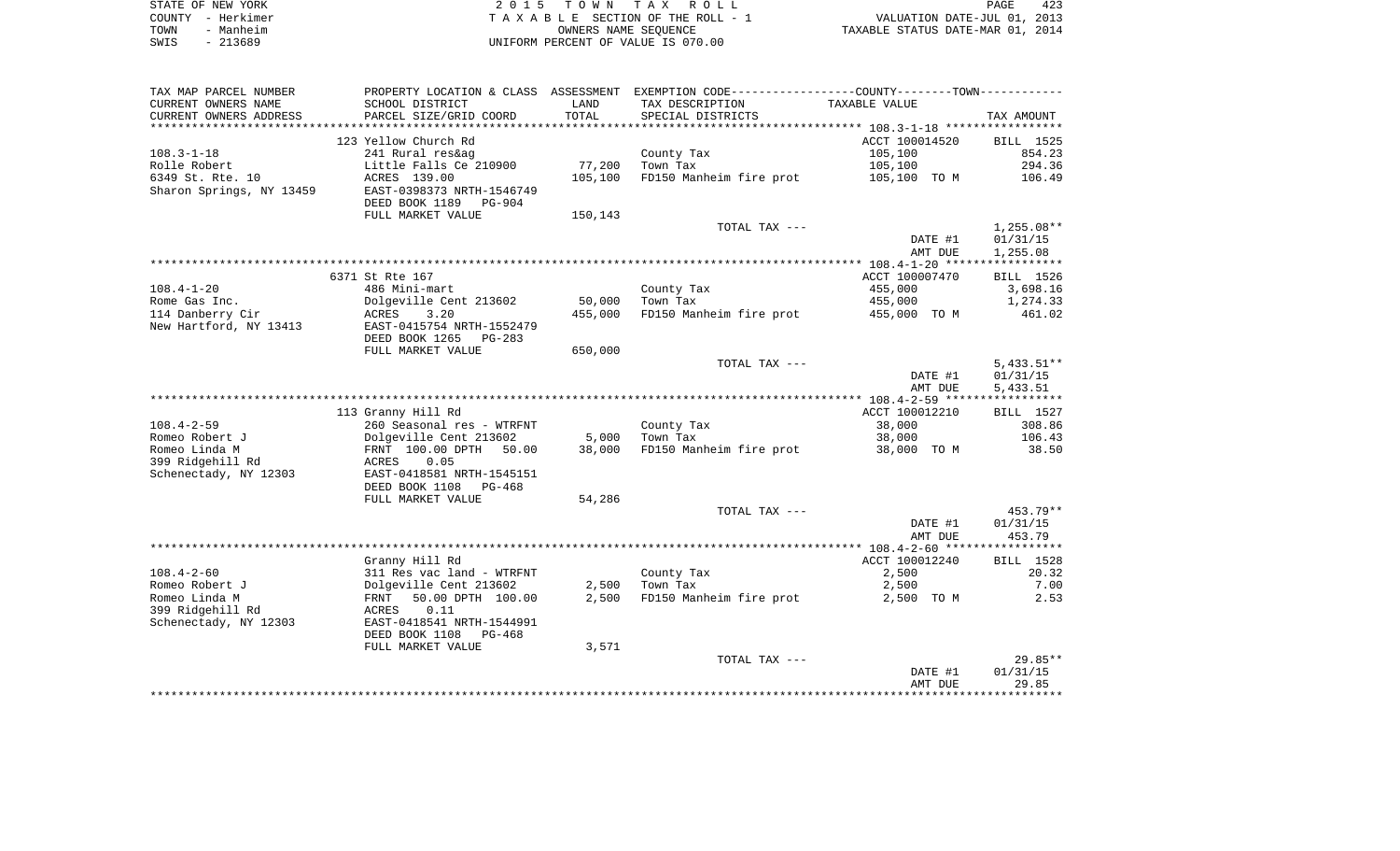|      | STATE OF NEW YORK | 2015 TOWN TAX ROLL                 | PAGE                             | 423 |
|------|-------------------|------------------------------------|----------------------------------|-----|
|      | COUNTY - Herkimer | TAXABLE SECTION OF THE ROLL - 1    | VALUATION DATE-JUL 01, 2013      |     |
| TOWN | - Manheim         | OWNERS NAME SEOUENCE               | TAXABLE STATUS DATE-MAR 01, 2014 |     |
| SWIS | - 213689          | UNIFORM PERCENT OF VALUE IS 070.00 |                                  |     |

 $\begin{array}{c} 423 \\ 2013 \\ 2014 \end{array}$ 

| SCHOOL DISTRICT<br>LAND<br>TAX DESCRIPTION<br>TAXABLE VALUE<br>TOTAL<br>PARCEL SIZE/GRID COORD<br>SPECIAL DISTRICTS<br>TAX AMOUNT<br>*******************<br>****************************<br>123 Yellow Church Rd<br>ACCT 100014520<br>BILL 1525<br>241 Rural res&ag<br>854.23<br>County Tax<br>105,100<br>77,200<br>105,100<br>Little Falls Ce 210900<br>Town Tax<br>294.36<br>FD150 Manheim fire prot<br>ACRES 139.00<br>105,100<br>106.49<br>105,100 TO M<br>EAST-0398373 NRTH-1546749<br>DEED BOOK 1189 PG-904<br>FULL MARKET VALUE<br>150,143<br>$1,255.08**$<br>TOTAL TAX ---<br>DATE #1<br>01/31/15<br>AMT DUE<br>1,255.08<br>6371 St Rte 167<br>ACCT 100007470<br>BILL 1526<br>$108.4 - 1 - 20$<br>486 Mini-mart<br>County Tax<br>455,000<br>3,698.16<br>Rome Gas Inc.<br>Dolgeville Cent 213602<br>50,000<br>Town Tax<br>455,000<br>1,274.33<br>114 Danberry Cir<br>ACRES<br>3.20<br>455,000<br>FD150 Manheim fire prot<br>461.02<br>455,000 TO M<br>New Hartford, NY 13413<br>EAST-0415754 NRTH-1552479<br>DEED BOOK 1265<br>$PG-283$<br>650,000<br>FULL MARKET VALUE<br>TOTAL TAX ---<br>$5,433.51**$<br>DATE #1<br>01/31/15<br>AMT DUE<br>5,433.51<br>113 Granny Hill Rd<br>ACCT 100012210<br>BILL 1527<br>$108.4 - 2 - 59$<br>260 Seasonal res - WTRFNT<br>38,000<br>308.86<br>County Tax<br>5,000<br>Town Tax<br>106.43<br>Romeo Robert J<br>Dolgeville Cent 213602<br>38,000<br>Romeo Linda M<br>38,000<br>FD150 Manheim fire prot<br>38.50<br>FRNT 100.00 DPTH 50.00<br>38,000 TO M<br>399 Ridgehill Rd<br>0.05<br>ACRES<br>EAST-0418581 NRTH-1545151<br>Schenectady, NY 12303<br>DEED BOOK 1108 PG-468<br>54,286<br>FULL MARKET VALUE<br>453.79**<br>TOTAL TAX ---<br>DATE #1<br>01/31/15<br>AMT DUE<br>453.79<br>ACCT 100012240<br>Granny Hill Rd<br>BILL 1528<br>2,500<br>20.32<br>$108.4 - 2 - 60$<br>311 Res vac land - WTRFNT<br>County Tax<br>Romeo Robert J<br>Dolgeville Cent 213602<br>2,500<br>Town Tax<br>2,500<br>7.00<br>50.00 DPTH 100.00<br>2,500<br>FD150 Manheim fire prot<br>2.53<br>Romeo Linda M<br>FRNT<br>2,500 TO M<br>399 Ridgehill Rd<br>ACRES<br>0.11<br>Schenectady, NY 12303<br>EAST-0418541 NRTH-1544991<br>DEED BOOK 1108<br>PG-468<br>3,571<br>FULL MARKET VALUE<br>$29.85**$<br>TOTAL TAX ---<br>01/31/15<br>DATE #1<br>29.85<br>AMT DUE | TAX MAP PARCEL NUMBER    | PROPERTY LOCATION & CLASS ASSESSMENT | EXEMPTION CODE----------------COUNTY-------TOWN----------- |  |
|------------------------------------------------------------------------------------------------------------------------------------------------------------------------------------------------------------------------------------------------------------------------------------------------------------------------------------------------------------------------------------------------------------------------------------------------------------------------------------------------------------------------------------------------------------------------------------------------------------------------------------------------------------------------------------------------------------------------------------------------------------------------------------------------------------------------------------------------------------------------------------------------------------------------------------------------------------------------------------------------------------------------------------------------------------------------------------------------------------------------------------------------------------------------------------------------------------------------------------------------------------------------------------------------------------------------------------------------------------------------------------------------------------------------------------------------------------------------------------------------------------------------------------------------------------------------------------------------------------------------------------------------------------------------------------------------------------------------------------------------------------------------------------------------------------------------------------------------------------------------------------------------------------------------------------------------------------------------------------------------------------------------------------------------------------------------------------------------------------------------------------------------------------------------------------------------------------------------------------------------------------------------------------------|--------------------------|--------------------------------------|------------------------------------------------------------|--|
|                                                                                                                                                                                                                                                                                                                                                                                                                                                                                                                                                                                                                                                                                                                                                                                                                                                                                                                                                                                                                                                                                                                                                                                                                                                                                                                                                                                                                                                                                                                                                                                                                                                                                                                                                                                                                                                                                                                                                                                                                                                                                                                                                                                                                                                                                          | CURRENT OWNERS NAME      |                                      |                                                            |  |
|                                                                                                                                                                                                                                                                                                                                                                                                                                                                                                                                                                                                                                                                                                                                                                                                                                                                                                                                                                                                                                                                                                                                                                                                                                                                                                                                                                                                                                                                                                                                                                                                                                                                                                                                                                                                                                                                                                                                                                                                                                                                                                                                                                                                                                                                                          | CURRENT OWNERS ADDRESS   |                                      |                                                            |  |
|                                                                                                                                                                                                                                                                                                                                                                                                                                                                                                                                                                                                                                                                                                                                                                                                                                                                                                                                                                                                                                                                                                                                                                                                                                                                                                                                                                                                                                                                                                                                                                                                                                                                                                                                                                                                                                                                                                                                                                                                                                                                                                                                                                                                                                                                                          |                          |                                      |                                                            |  |
|                                                                                                                                                                                                                                                                                                                                                                                                                                                                                                                                                                                                                                                                                                                                                                                                                                                                                                                                                                                                                                                                                                                                                                                                                                                                                                                                                                                                                                                                                                                                                                                                                                                                                                                                                                                                                                                                                                                                                                                                                                                                                                                                                                                                                                                                                          |                          |                                      |                                                            |  |
|                                                                                                                                                                                                                                                                                                                                                                                                                                                                                                                                                                                                                                                                                                                                                                                                                                                                                                                                                                                                                                                                                                                                                                                                                                                                                                                                                                                                                                                                                                                                                                                                                                                                                                                                                                                                                                                                                                                                                                                                                                                                                                                                                                                                                                                                                          | $108.3 - 1 - 18$         |                                      |                                                            |  |
|                                                                                                                                                                                                                                                                                                                                                                                                                                                                                                                                                                                                                                                                                                                                                                                                                                                                                                                                                                                                                                                                                                                                                                                                                                                                                                                                                                                                                                                                                                                                                                                                                                                                                                                                                                                                                                                                                                                                                                                                                                                                                                                                                                                                                                                                                          | Rolle Robert             |                                      |                                                            |  |
|                                                                                                                                                                                                                                                                                                                                                                                                                                                                                                                                                                                                                                                                                                                                                                                                                                                                                                                                                                                                                                                                                                                                                                                                                                                                                                                                                                                                                                                                                                                                                                                                                                                                                                                                                                                                                                                                                                                                                                                                                                                                                                                                                                                                                                                                                          | 6349 St. Rte. 10         |                                      |                                                            |  |
|                                                                                                                                                                                                                                                                                                                                                                                                                                                                                                                                                                                                                                                                                                                                                                                                                                                                                                                                                                                                                                                                                                                                                                                                                                                                                                                                                                                                                                                                                                                                                                                                                                                                                                                                                                                                                                                                                                                                                                                                                                                                                                                                                                                                                                                                                          | Sharon Springs, NY 13459 |                                      |                                                            |  |
|                                                                                                                                                                                                                                                                                                                                                                                                                                                                                                                                                                                                                                                                                                                                                                                                                                                                                                                                                                                                                                                                                                                                                                                                                                                                                                                                                                                                                                                                                                                                                                                                                                                                                                                                                                                                                                                                                                                                                                                                                                                                                                                                                                                                                                                                                          |                          |                                      |                                                            |  |
|                                                                                                                                                                                                                                                                                                                                                                                                                                                                                                                                                                                                                                                                                                                                                                                                                                                                                                                                                                                                                                                                                                                                                                                                                                                                                                                                                                                                                                                                                                                                                                                                                                                                                                                                                                                                                                                                                                                                                                                                                                                                                                                                                                                                                                                                                          |                          |                                      |                                                            |  |
|                                                                                                                                                                                                                                                                                                                                                                                                                                                                                                                                                                                                                                                                                                                                                                                                                                                                                                                                                                                                                                                                                                                                                                                                                                                                                                                                                                                                                                                                                                                                                                                                                                                                                                                                                                                                                                                                                                                                                                                                                                                                                                                                                                                                                                                                                          |                          |                                      |                                                            |  |
|                                                                                                                                                                                                                                                                                                                                                                                                                                                                                                                                                                                                                                                                                                                                                                                                                                                                                                                                                                                                                                                                                                                                                                                                                                                                                                                                                                                                                                                                                                                                                                                                                                                                                                                                                                                                                                                                                                                                                                                                                                                                                                                                                                                                                                                                                          |                          |                                      |                                                            |  |
|                                                                                                                                                                                                                                                                                                                                                                                                                                                                                                                                                                                                                                                                                                                                                                                                                                                                                                                                                                                                                                                                                                                                                                                                                                                                                                                                                                                                                                                                                                                                                                                                                                                                                                                                                                                                                                                                                                                                                                                                                                                                                                                                                                                                                                                                                          |                          |                                      |                                                            |  |
|                                                                                                                                                                                                                                                                                                                                                                                                                                                                                                                                                                                                                                                                                                                                                                                                                                                                                                                                                                                                                                                                                                                                                                                                                                                                                                                                                                                                                                                                                                                                                                                                                                                                                                                                                                                                                                                                                                                                                                                                                                                                                                                                                                                                                                                                                          |                          |                                      |                                                            |  |
|                                                                                                                                                                                                                                                                                                                                                                                                                                                                                                                                                                                                                                                                                                                                                                                                                                                                                                                                                                                                                                                                                                                                                                                                                                                                                                                                                                                                                                                                                                                                                                                                                                                                                                                                                                                                                                                                                                                                                                                                                                                                                                                                                                                                                                                                                          |                          |                                      |                                                            |  |
|                                                                                                                                                                                                                                                                                                                                                                                                                                                                                                                                                                                                                                                                                                                                                                                                                                                                                                                                                                                                                                                                                                                                                                                                                                                                                                                                                                                                                                                                                                                                                                                                                                                                                                                                                                                                                                                                                                                                                                                                                                                                                                                                                                                                                                                                                          |                          |                                      |                                                            |  |
|                                                                                                                                                                                                                                                                                                                                                                                                                                                                                                                                                                                                                                                                                                                                                                                                                                                                                                                                                                                                                                                                                                                                                                                                                                                                                                                                                                                                                                                                                                                                                                                                                                                                                                                                                                                                                                                                                                                                                                                                                                                                                                                                                                                                                                                                                          |                          |                                      |                                                            |  |
|                                                                                                                                                                                                                                                                                                                                                                                                                                                                                                                                                                                                                                                                                                                                                                                                                                                                                                                                                                                                                                                                                                                                                                                                                                                                                                                                                                                                                                                                                                                                                                                                                                                                                                                                                                                                                                                                                                                                                                                                                                                                                                                                                                                                                                                                                          |                          |                                      |                                                            |  |
|                                                                                                                                                                                                                                                                                                                                                                                                                                                                                                                                                                                                                                                                                                                                                                                                                                                                                                                                                                                                                                                                                                                                                                                                                                                                                                                                                                                                                                                                                                                                                                                                                                                                                                                                                                                                                                                                                                                                                                                                                                                                                                                                                                                                                                                                                          |                          |                                      |                                                            |  |
|                                                                                                                                                                                                                                                                                                                                                                                                                                                                                                                                                                                                                                                                                                                                                                                                                                                                                                                                                                                                                                                                                                                                                                                                                                                                                                                                                                                                                                                                                                                                                                                                                                                                                                                                                                                                                                                                                                                                                                                                                                                                                                                                                                                                                                                                                          |                          |                                      |                                                            |  |
|                                                                                                                                                                                                                                                                                                                                                                                                                                                                                                                                                                                                                                                                                                                                                                                                                                                                                                                                                                                                                                                                                                                                                                                                                                                                                                                                                                                                                                                                                                                                                                                                                                                                                                                                                                                                                                                                                                                                                                                                                                                                                                                                                                                                                                                                                          |                          |                                      |                                                            |  |
|                                                                                                                                                                                                                                                                                                                                                                                                                                                                                                                                                                                                                                                                                                                                                                                                                                                                                                                                                                                                                                                                                                                                                                                                                                                                                                                                                                                                                                                                                                                                                                                                                                                                                                                                                                                                                                                                                                                                                                                                                                                                                                                                                                                                                                                                                          |                          |                                      |                                                            |  |
|                                                                                                                                                                                                                                                                                                                                                                                                                                                                                                                                                                                                                                                                                                                                                                                                                                                                                                                                                                                                                                                                                                                                                                                                                                                                                                                                                                                                                                                                                                                                                                                                                                                                                                                                                                                                                                                                                                                                                                                                                                                                                                                                                                                                                                                                                          |                          |                                      |                                                            |  |
|                                                                                                                                                                                                                                                                                                                                                                                                                                                                                                                                                                                                                                                                                                                                                                                                                                                                                                                                                                                                                                                                                                                                                                                                                                                                                                                                                                                                                                                                                                                                                                                                                                                                                                                                                                                                                                                                                                                                                                                                                                                                                                                                                                                                                                                                                          |                          |                                      |                                                            |  |
|                                                                                                                                                                                                                                                                                                                                                                                                                                                                                                                                                                                                                                                                                                                                                                                                                                                                                                                                                                                                                                                                                                                                                                                                                                                                                                                                                                                                                                                                                                                                                                                                                                                                                                                                                                                                                                                                                                                                                                                                                                                                                                                                                                                                                                                                                          |                          |                                      |                                                            |  |
|                                                                                                                                                                                                                                                                                                                                                                                                                                                                                                                                                                                                                                                                                                                                                                                                                                                                                                                                                                                                                                                                                                                                                                                                                                                                                                                                                                                                                                                                                                                                                                                                                                                                                                                                                                                                                                                                                                                                                                                                                                                                                                                                                                                                                                                                                          |                          |                                      |                                                            |  |
|                                                                                                                                                                                                                                                                                                                                                                                                                                                                                                                                                                                                                                                                                                                                                                                                                                                                                                                                                                                                                                                                                                                                                                                                                                                                                                                                                                                                                                                                                                                                                                                                                                                                                                                                                                                                                                                                                                                                                                                                                                                                                                                                                                                                                                                                                          |                          |                                      |                                                            |  |
|                                                                                                                                                                                                                                                                                                                                                                                                                                                                                                                                                                                                                                                                                                                                                                                                                                                                                                                                                                                                                                                                                                                                                                                                                                                                                                                                                                                                                                                                                                                                                                                                                                                                                                                                                                                                                                                                                                                                                                                                                                                                                                                                                                                                                                                                                          |                          |                                      |                                                            |  |
|                                                                                                                                                                                                                                                                                                                                                                                                                                                                                                                                                                                                                                                                                                                                                                                                                                                                                                                                                                                                                                                                                                                                                                                                                                                                                                                                                                                                                                                                                                                                                                                                                                                                                                                                                                                                                                                                                                                                                                                                                                                                                                                                                                                                                                                                                          |                          |                                      |                                                            |  |
|                                                                                                                                                                                                                                                                                                                                                                                                                                                                                                                                                                                                                                                                                                                                                                                                                                                                                                                                                                                                                                                                                                                                                                                                                                                                                                                                                                                                                                                                                                                                                                                                                                                                                                                                                                                                                                                                                                                                                                                                                                                                                                                                                                                                                                                                                          |                          |                                      |                                                            |  |
|                                                                                                                                                                                                                                                                                                                                                                                                                                                                                                                                                                                                                                                                                                                                                                                                                                                                                                                                                                                                                                                                                                                                                                                                                                                                                                                                                                                                                                                                                                                                                                                                                                                                                                                                                                                                                                                                                                                                                                                                                                                                                                                                                                                                                                                                                          |                          |                                      |                                                            |  |
|                                                                                                                                                                                                                                                                                                                                                                                                                                                                                                                                                                                                                                                                                                                                                                                                                                                                                                                                                                                                                                                                                                                                                                                                                                                                                                                                                                                                                                                                                                                                                                                                                                                                                                                                                                                                                                                                                                                                                                                                                                                                                                                                                                                                                                                                                          |                          |                                      |                                                            |  |
|                                                                                                                                                                                                                                                                                                                                                                                                                                                                                                                                                                                                                                                                                                                                                                                                                                                                                                                                                                                                                                                                                                                                                                                                                                                                                                                                                                                                                                                                                                                                                                                                                                                                                                                                                                                                                                                                                                                                                                                                                                                                                                                                                                                                                                                                                          |                          |                                      |                                                            |  |
|                                                                                                                                                                                                                                                                                                                                                                                                                                                                                                                                                                                                                                                                                                                                                                                                                                                                                                                                                                                                                                                                                                                                                                                                                                                                                                                                                                                                                                                                                                                                                                                                                                                                                                                                                                                                                                                                                                                                                                                                                                                                                                                                                                                                                                                                                          |                          |                                      |                                                            |  |
|                                                                                                                                                                                                                                                                                                                                                                                                                                                                                                                                                                                                                                                                                                                                                                                                                                                                                                                                                                                                                                                                                                                                                                                                                                                                                                                                                                                                                                                                                                                                                                                                                                                                                                                                                                                                                                                                                                                                                                                                                                                                                                                                                                                                                                                                                          |                          |                                      |                                                            |  |
|                                                                                                                                                                                                                                                                                                                                                                                                                                                                                                                                                                                                                                                                                                                                                                                                                                                                                                                                                                                                                                                                                                                                                                                                                                                                                                                                                                                                                                                                                                                                                                                                                                                                                                                                                                                                                                                                                                                                                                                                                                                                                                                                                                                                                                                                                          |                          |                                      |                                                            |  |
|                                                                                                                                                                                                                                                                                                                                                                                                                                                                                                                                                                                                                                                                                                                                                                                                                                                                                                                                                                                                                                                                                                                                                                                                                                                                                                                                                                                                                                                                                                                                                                                                                                                                                                                                                                                                                                                                                                                                                                                                                                                                                                                                                                                                                                                                                          |                          |                                      |                                                            |  |
|                                                                                                                                                                                                                                                                                                                                                                                                                                                                                                                                                                                                                                                                                                                                                                                                                                                                                                                                                                                                                                                                                                                                                                                                                                                                                                                                                                                                                                                                                                                                                                                                                                                                                                                                                                                                                                                                                                                                                                                                                                                                                                                                                                                                                                                                                          |                          |                                      |                                                            |  |
|                                                                                                                                                                                                                                                                                                                                                                                                                                                                                                                                                                                                                                                                                                                                                                                                                                                                                                                                                                                                                                                                                                                                                                                                                                                                                                                                                                                                                                                                                                                                                                                                                                                                                                                                                                                                                                                                                                                                                                                                                                                                                                                                                                                                                                                                                          |                          |                                      |                                                            |  |
|                                                                                                                                                                                                                                                                                                                                                                                                                                                                                                                                                                                                                                                                                                                                                                                                                                                                                                                                                                                                                                                                                                                                                                                                                                                                                                                                                                                                                                                                                                                                                                                                                                                                                                                                                                                                                                                                                                                                                                                                                                                                                                                                                                                                                                                                                          |                          |                                      |                                                            |  |
|                                                                                                                                                                                                                                                                                                                                                                                                                                                                                                                                                                                                                                                                                                                                                                                                                                                                                                                                                                                                                                                                                                                                                                                                                                                                                                                                                                                                                                                                                                                                                                                                                                                                                                                                                                                                                                                                                                                                                                                                                                                                                                                                                                                                                                                                                          |                          |                                      |                                                            |  |
|                                                                                                                                                                                                                                                                                                                                                                                                                                                                                                                                                                                                                                                                                                                                                                                                                                                                                                                                                                                                                                                                                                                                                                                                                                                                                                                                                                                                                                                                                                                                                                                                                                                                                                                                                                                                                                                                                                                                                                                                                                                                                                                                                                                                                                                                                          |                          |                                      |                                                            |  |
|                                                                                                                                                                                                                                                                                                                                                                                                                                                                                                                                                                                                                                                                                                                                                                                                                                                                                                                                                                                                                                                                                                                                                                                                                                                                                                                                                                                                                                                                                                                                                                                                                                                                                                                                                                                                                                                                                                                                                                                                                                                                                                                                                                                                                                                                                          |                          |                                      |                                                            |  |
|                                                                                                                                                                                                                                                                                                                                                                                                                                                                                                                                                                                                                                                                                                                                                                                                                                                                                                                                                                                                                                                                                                                                                                                                                                                                                                                                                                                                                                                                                                                                                                                                                                                                                                                                                                                                                                                                                                                                                                                                                                                                                                                                                                                                                                                                                          |                          |                                      |                                                            |  |
|                                                                                                                                                                                                                                                                                                                                                                                                                                                                                                                                                                                                                                                                                                                                                                                                                                                                                                                                                                                                                                                                                                                                                                                                                                                                                                                                                                                                                                                                                                                                                                                                                                                                                                                                                                                                                                                                                                                                                                                                                                                                                                                                                                                                                                                                                          |                          |                                      |                                                            |  |
|                                                                                                                                                                                                                                                                                                                                                                                                                                                                                                                                                                                                                                                                                                                                                                                                                                                                                                                                                                                                                                                                                                                                                                                                                                                                                                                                                                                                                                                                                                                                                                                                                                                                                                                                                                                                                                                                                                                                                                                                                                                                                                                                                                                                                                                                                          |                          |                                      |                                                            |  |
|                                                                                                                                                                                                                                                                                                                                                                                                                                                                                                                                                                                                                                                                                                                                                                                                                                                                                                                                                                                                                                                                                                                                                                                                                                                                                                                                                                                                                                                                                                                                                                                                                                                                                                                                                                                                                                                                                                                                                                                                                                                                                                                                                                                                                                                                                          |                          |                                      |                                                            |  |
|                                                                                                                                                                                                                                                                                                                                                                                                                                                                                                                                                                                                                                                                                                                                                                                                                                                                                                                                                                                                                                                                                                                                                                                                                                                                                                                                                                                                                                                                                                                                                                                                                                                                                                                                                                                                                                                                                                                                                                                                                                                                                                                                                                                                                                                                                          |                          |                                      |                                                            |  |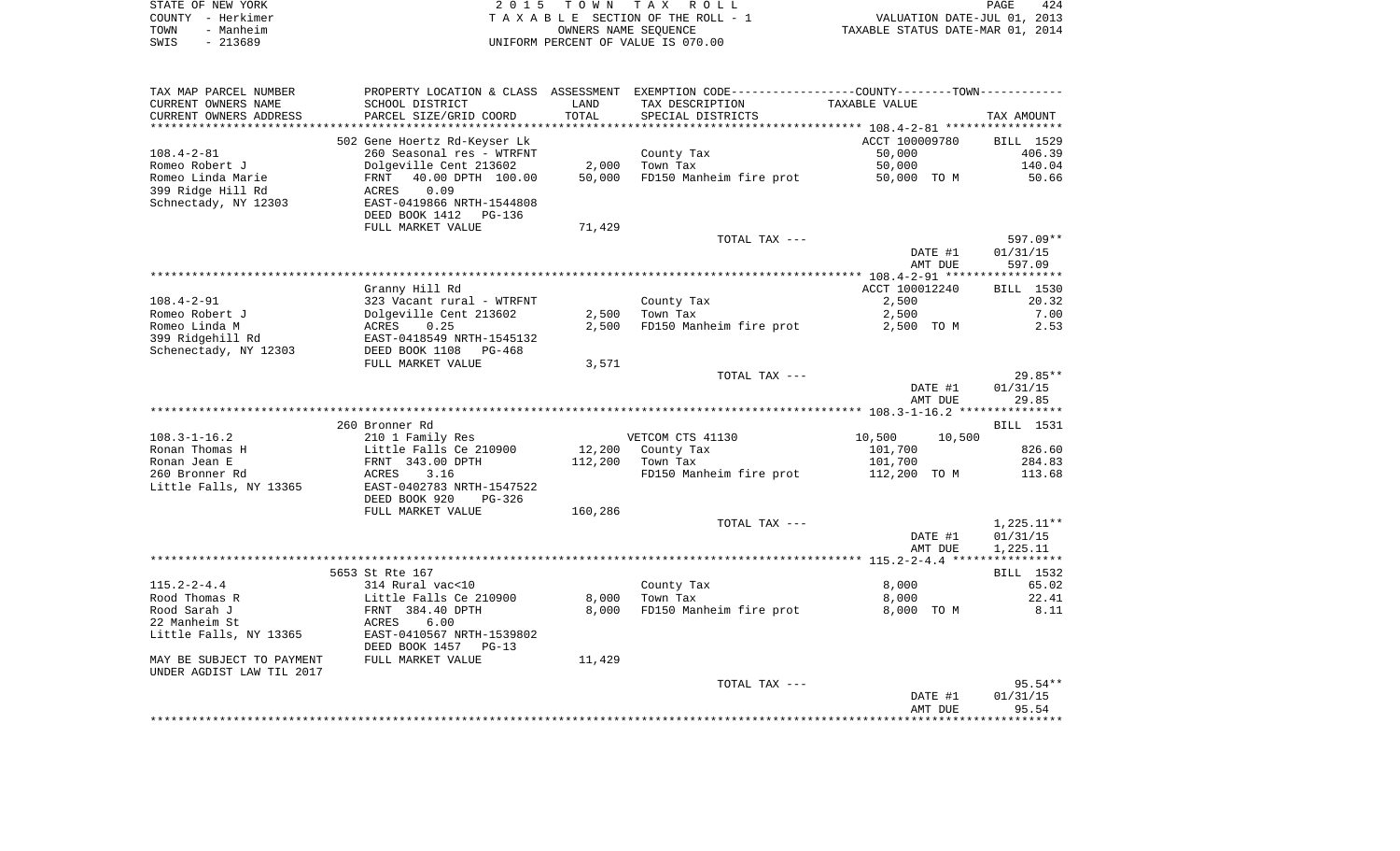| STATE OF NEW YORK | 2015 TOWN TAX ROLL                 | 424<br>PAGE                      |
|-------------------|------------------------------------|----------------------------------|
| COUNTY - Herkimer | TAXABLE SECTION OF THE ROLL - 1    | VALUATION DATE-JUL 01, 2013      |
| TOWN<br>- Manheim | OWNERS NAME SEOUENCE               | TAXABLE STATUS DATE-MAR 01, 2014 |
| SWIS<br>- 213689  | UNIFORM PERCENT OF VALUE IS 070.00 |                                  |

| TAX MAP PARCEL NUMBER     | PROPERTY LOCATION & CLASS ASSESSMENT EXEMPTION CODE---------------COUNTY-------TOWN---------- |         |                         |                                                    |            |
|---------------------------|-----------------------------------------------------------------------------------------------|---------|-------------------------|----------------------------------------------------|------------|
| CURRENT OWNERS NAME       | SCHOOL DISTRICT                                                                               | LAND    | TAX DESCRIPTION         | TAXABLE VALUE                                      |            |
| CURRENT OWNERS ADDRESS    | PARCEL SIZE/GRID COORD                                                                        | TOTAL   | SPECIAL DISTRICTS       |                                                    | TAX AMOUNT |
|                           |                                                                                               |         |                         | ******************** 108.4-2-81 ****************** |            |
|                           | 502 Gene Hoertz Rd-Keyser Lk                                                                  |         |                         | ACCT 100009780                                     | BILL 1529  |
| $108.4 - 2 - 81$          | 260 Seasonal res - WTRFNT                                                                     |         | County Tax              | 50,000                                             | 406.39     |
| Romeo Robert J            | Dolgeville Cent 213602                                                                        | 2,000   | Town Tax                | 50,000                                             | 140.04     |
| Romeo Linda Marie         | 40.00 DPTH 100.00<br>FRNT                                                                     | 50,000  | FD150 Manheim fire prot | 50,000 TO M                                        | 50.66      |
| 399 Ridge Hill Rd         | 0.09                                                                                          |         |                         |                                                    |            |
|                           | ACRES<br>EAST-0419866 NRTH-1544808                                                            |         |                         |                                                    |            |
| Schnectady, NY 12303      |                                                                                               |         |                         |                                                    |            |
|                           | DEED BOOK 1412 PG-136                                                                         |         |                         |                                                    |            |
|                           | FULL MARKET VALUE                                                                             | 71,429  |                         |                                                    |            |
|                           |                                                                                               |         | TOTAL TAX ---           |                                                    | 597.09**   |
|                           |                                                                                               |         |                         | DATE #1                                            | 01/31/15   |
|                           |                                                                                               |         |                         | AMT DUE                                            | 597.09     |
|                           |                                                                                               |         |                         |                                                    |            |
|                           | Granny Hill Rd                                                                                |         |                         | ACCT 100012240                                     | BILL 1530  |
| $108.4 - 2 - 91$          | 323 Vacant rural - WTRFNT                                                                     |         | County Tax              | 2,500                                              | 20.32      |
| Romeo Robert J            |                                                                                               | 2,500   | Town Tax                | 2,500                                              | 7.00       |
| Romeo Linda M             | Dolgeville Cent 213602<br>ACRES    0.25                                                       | 2,500   | FD150 Manheim fire prot | 2,500 TO M                                         | 2.53       |
| 399 Ridgehill Rd          | EAST-0418549 NRTH-1545132                                                                     |         |                         |                                                    |            |
| Schenectady, NY 12303     | DEED BOOK 1108<br>PG-468                                                                      |         |                         |                                                    |            |
|                           | FULL MARKET VALUE                                                                             | 3,571   |                         |                                                    |            |
|                           |                                                                                               |         | TOTAL TAX ---           |                                                    | $29.85**$  |
|                           |                                                                                               |         |                         | DATE #1                                            | 01/31/15   |
|                           |                                                                                               |         |                         | AMT DUE                                            | 29.85      |
|                           |                                                                                               |         |                         |                                                    |            |
|                           | 260 Bronner Rd                                                                                |         |                         |                                                    | BILL 1531  |
| $108.3 - 1 - 16.2$        | 210 1 Family Res                                                                              |         | VETCOM CTS 41130        | 10,500<br>10,500                                   |            |
| Ronan Thomas H            | Little Falls Ce 210900                                                                        |         | 12,200 County Tax       | 101,700                                            | 826.60     |
| Ronan Jean E              | FRNT 343.00 DPTH                                                                              | 112,200 | Town Tax                | 101,700                                            | 284.83     |
| 260 Bronner Rd            | ACRES<br>3.16                                                                                 |         | FD150 Manheim fire prot | 112,200 TO M                                       | 113.68     |
| Little Falls, NY 13365    | EAST-0402783 NRTH-1547522                                                                     |         |                         |                                                    |            |
|                           |                                                                                               |         |                         |                                                    |            |
|                           | DEED BOOK 920<br>PG-326                                                                       |         |                         |                                                    |            |
|                           | FULL MARKET VALUE                                                                             | 160,286 |                         |                                                    |            |
|                           |                                                                                               |         | TOTAL TAX ---           |                                                    | 1,225.11** |
|                           |                                                                                               |         |                         | DATE #1                                            | 01/31/15   |
|                           |                                                                                               |         |                         | AMT DUE                                            | 1,225.11   |
|                           |                                                                                               |         |                         |                                                    |            |
|                           | 5653 St Rte 167                                                                               |         |                         |                                                    | BILL 1532  |
| $115.2 - 2 - 4.4$         | 314 Rural vac<10                                                                              |         | County Tax              | 8,000                                              | 65.02      |
| Rood Thomas R             | Little Falls Ce 210900<br>Little Falls Ce 21<br>FRNT  384.40 DPTH                             | 8,000   | Town Tax                | 8,000                                              | 22.41      |
| Rood Sarah J              |                                                                                               | 8,000   | FD150 Manheim fire prot | 8,000 TO M                                         | 8.11       |
| 22 Manheim St             | 6.00<br>ACRES                                                                                 |         |                         |                                                    |            |
| Little Falls, NY 13365    | EAST-0410567 NRTH-1539802                                                                     |         |                         |                                                    |            |
|                           | DEED BOOK 1457 PG-13                                                                          |         |                         |                                                    |            |
| MAY BE SUBJECT TO PAYMENT | FULL MARKET VALUE                                                                             | 11,429  |                         |                                                    |            |
| UNDER AGDIST LAW TIL 2017 |                                                                                               |         |                         |                                                    |            |
|                           |                                                                                               |         | TOTAL TAX ---           |                                                    | $95.54**$  |
|                           |                                                                                               |         |                         | DATE #1                                            | 01/31/15   |
|                           |                                                                                               |         |                         | AMT DUE                                            | 95.54      |
|                           |                                                                                               |         |                         |                                                    |            |
|                           |                                                                                               |         |                         |                                                    |            |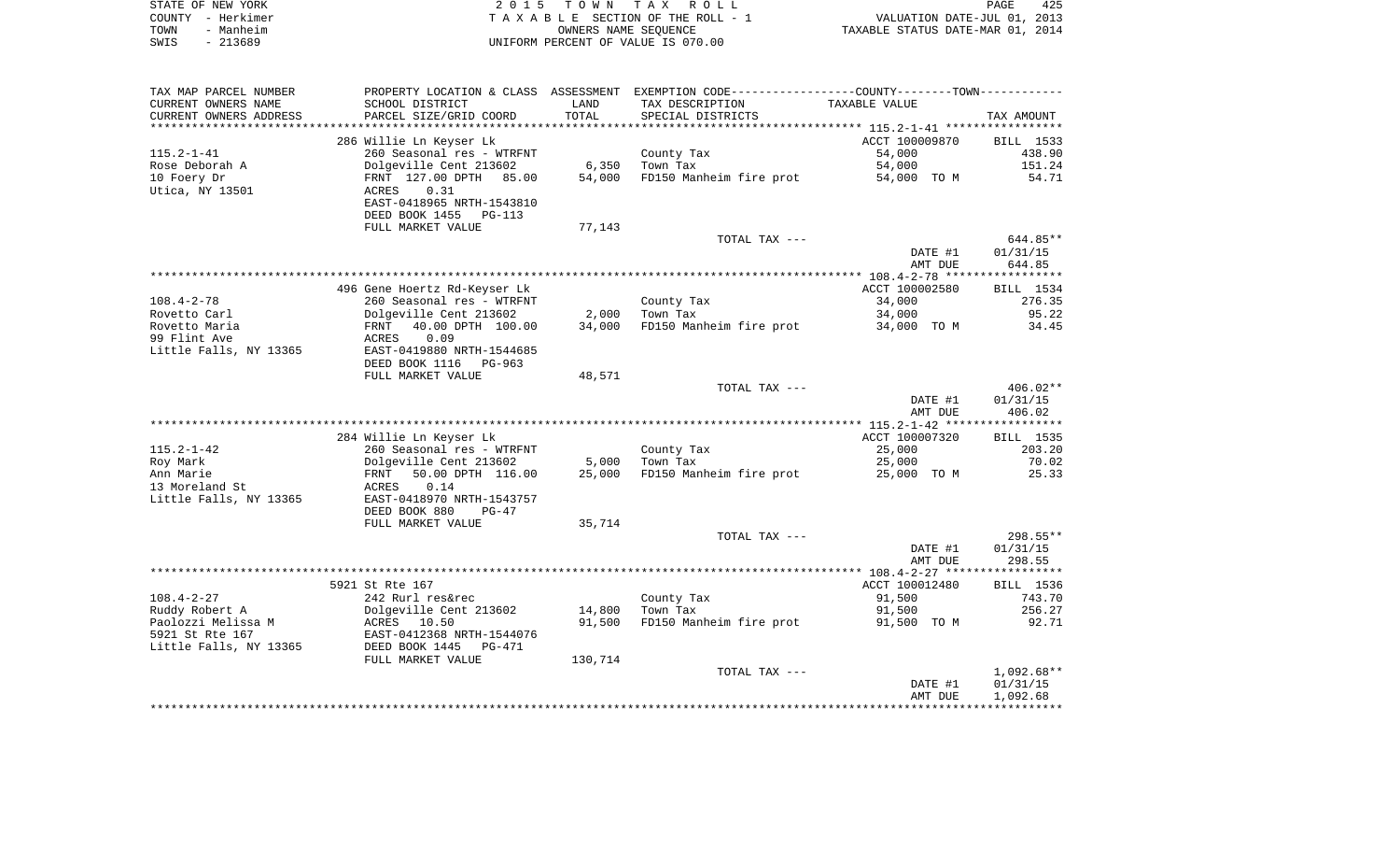| STATE OF NEW YORK | 2015 TOWN TAX ROLL                 | 425<br>PAGE                      |
|-------------------|------------------------------------|----------------------------------|
| COUNTY - Herkimer | TAXABLE SECTION OF THE ROLL - 1    | VALUATION DATE-JUL 01, 2013      |
| TOWN<br>- Manheim | OWNERS NAME SEOUENCE               | TAXABLE STATUS DATE-MAR 01, 2014 |
| - 213689<br>SWIS  | UNIFORM PERCENT OF VALUE IS 070.00 |                                  |

| TAX MAP PARCEL NUMBER                                                             |                                                                                                                     |                             | PROPERTY LOCATION & CLASS ASSESSMENT EXEMPTION CODE----------------COUNTY-------TOWN----------- |                                             |                                               |
|-----------------------------------------------------------------------------------|---------------------------------------------------------------------------------------------------------------------|-----------------------------|-------------------------------------------------------------------------------------------------|---------------------------------------------|-----------------------------------------------|
| CURRENT OWNERS NAME                                                               | SCHOOL DISTRICT                                                                                                     | LAND                        | TAX DESCRIPTION                                                                                 | TAXABLE VALUE                               |                                               |
| CURRENT OWNERS ADDRESS                                                            | PARCEL SIZE/GRID COORD                                                                                              | TOTAL                       | SPECIAL DISTRICTS                                                                               |                                             | TAX AMOUNT                                    |
| *******************                                                               |                                                                                                                     |                             |                                                                                                 |                                             |                                               |
|                                                                                   | 286 Willie Ln Keyser Lk                                                                                             |                             |                                                                                                 | ACCT 100009870                              | BILL 1533                                     |
| $115.2 - 1 - 41$                                                                  | 260 Seasonal res - WTRFNT                                                                                           |                             | County Tax                                                                                      | 54,000                                      | 438.90                                        |
| Rose Deborah A                                                                    | Dolgeville Cent 213602                                                                                              | 6,350                       | Town Tax                                                                                        | 54,000                                      | 151.24                                        |
| 10 Foery Dr                                                                       | FRNT 127.00 DPTH 85.00                                                                                              | 54,000                      | FD150 Manheim fire prot                                                                         | 54,000 TO M                                 | 54.71                                         |
| Utica, NY 13501                                                                   | 0.31<br>ACRES                                                                                                       |                             |                                                                                                 |                                             |                                               |
|                                                                                   | EAST-0418965 NRTH-1543810                                                                                           |                             |                                                                                                 |                                             |                                               |
|                                                                                   | DEED BOOK 1455<br>PG-113                                                                                            |                             |                                                                                                 |                                             |                                               |
|                                                                                   | FULL MARKET VALUE                                                                                                   | 77,143                      |                                                                                                 |                                             |                                               |
|                                                                                   |                                                                                                                     |                             | TOTAL TAX ---                                                                                   |                                             | $644.85**$                                    |
|                                                                                   |                                                                                                                     |                             |                                                                                                 | DATE #1                                     | 01/31/15                                      |
|                                                                                   |                                                                                                                     |                             |                                                                                                 | AMT DUE                                     | 644.85                                        |
|                                                                                   |                                                                                                                     |                             |                                                                                                 |                                             |                                               |
|                                                                                   | 496 Gene Hoertz Rd-Keyser Lk                                                                                        |                             |                                                                                                 | ACCT 100002580                              | BILL 1534                                     |
| $108.4 - 2 - 78$                                                                  | 260 Seasonal res - WTRFNT                                                                                           |                             | County Tax                                                                                      | 34,000                                      | 276.35                                        |
| Rovetto Carl<br>Rovetto Maria                                                     | Dolgeville Cent 213602<br>40.00 DPTH 100.00                                                                         | 2,000<br>34,000             | Town Tax<br>FD150 Manheim fire prot                                                             | 34,000                                      | 95.22<br>34.45                                |
| 99 Flint Ave                                                                      | FRNT<br>0.09<br>ACRES                                                                                               |                             |                                                                                                 | 34,000 TO M                                 |                                               |
| Little Falls, NY 13365                                                            | EAST-0419880 NRTH-1544685                                                                                           |                             |                                                                                                 |                                             |                                               |
|                                                                                   | DEED BOOK 1116<br>PG-963                                                                                            |                             |                                                                                                 |                                             |                                               |
|                                                                                   | FULL MARKET VALUE                                                                                                   | 48,571                      |                                                                                                 |                                             |                                               |
|                                                                                   |                                                                                                                     |                             | TOTAL TAX ---                                                                                   |                                             | 406.02**                                      |
|                                                                                   |                                                                                                                     |                             |                                                                                                 | DATE #1                                     | 01/31/15                                      |
|                                                                                   |                                                                                                                     |                             |                                                                                                 | AMT DUE                                     | 406.02                                        |
|                                                                                   |                                                                                                                     |                             |                                                                                                 |                                             |                                               |
|                                                                                   | 284 Willie Ln Keyser Lk                                                                                             |                             |                                                                                                 | ACCT 100007320                              | BILL 1535                                     |
| $115.2 - 1 - 42$                                                                  | 260 Seasonal res - WTRFNT                                                                                           |                             | County Tax                                                                                      | 25,000                                      | 203.20                                        |
| Roy Mark                                                                          | Dolgeville Cent 213602                                                                                              | 5,000                       | Town Tax                                                                                        | 25,000                                      | 70.02                                         |
| Ann Marie                                                                         | 50.00 DPTH 116.00<br>FRNT                                                                                           | 25,000                      | FD150 Manheim fire prot                                                                         | 25,000 TO M                                 | 25.33                                         |
| 13 Moreland St                                                                    | ACRES<br>0.14                                                                                                       |                             |                                                                                                 |                                             |                                               |
| Little Falls, NY 13365                                                            | EAST-0418970 NRTH-1543757                                                                                           |                             |                                                                                                 |                                             |                                               |
|                                                                                   | DEED BOOK 880<br>$PG-47$                                                                                            |                             |                                                                                                 |                                             |                                               |
|                                                                                   | FULL MARKET VALUE                                                                                                   | 35,714                      |                                                                                                 |                                             |                                               |
|                                                                                   |                                                                                                                     |                             | TOTAL TAX ---                                                                                   |                                             | $298.55**$                                    |
|                                                                                   |                                                                                                                     |                             |                                                                                                 | DATE #1                                     | 01/31/15                                      |
|                                                                                   |                                                                                                                     |                             |                                                                                                 | AMT DUE                                     | 298.55                                        |
|                                                                                   |                                                                                                                     |                             |                                                                                                 |                                             |                                               |
|                                                                                   | 5921 St Rte 167                                                                                                     |                             |                                                                                                 | ACCT 100012480                              | BILL 1536                                     |
| $108.4 - 2 - 27$                                                                  | 242 Rurl res&rec                                                                                                    |                             | County Tax                                                                                      | 91,500                                      | 743.70                                        |
|                                                                                   |                                                                                                                     |                             |                                                                                                 |                                             | 256.27                                        |
|                                                                                   |                                                                                                                     |                             |                                                                                                 |                                             |                                               |
|                                                                                   |                                                                                                                     |                             |                                                                                                 |                                             |                                               |
|                                                                                   |                                                                                                                     |                             |                                                                                                 |                                             |                                               |
|                                                                                   |                                                                                                                     |                             |                                                                                                 |                                             |                                               |
|                                                                                   |                                                                                                                     |                             |                                                                                                 |                                             |                                               |
|                                                                                   |                                                                                                                     |                             |                                                                                                 |                                             |                                               |
|                                                                                   |                                                                                                                     |                             |                                                                                                 |                                             |                                               |
| Ruddy Robert A<br>Paolozzi Melissa M<br>5921 St Rte 167<br>Little Falls, NY 13365 | Dolgeville Cent 213602<br>ACRES 10.50<br>EAST-0412368 NRTH-1544076<br>DEED BOOK 1445<br>PG-471<br>FULL MARKET VALUE | 14,800<br>91,500<br>130,714 | Town Tax<br>FD150 Manheim fire prot<br>TOTAL TAX ---                                            | 91,500<br>91,500 TO M<br>DATE #1<br>AMT DUE | 92.71<br>$1,092.68**$<br>01/31/15<br>1,092.68 |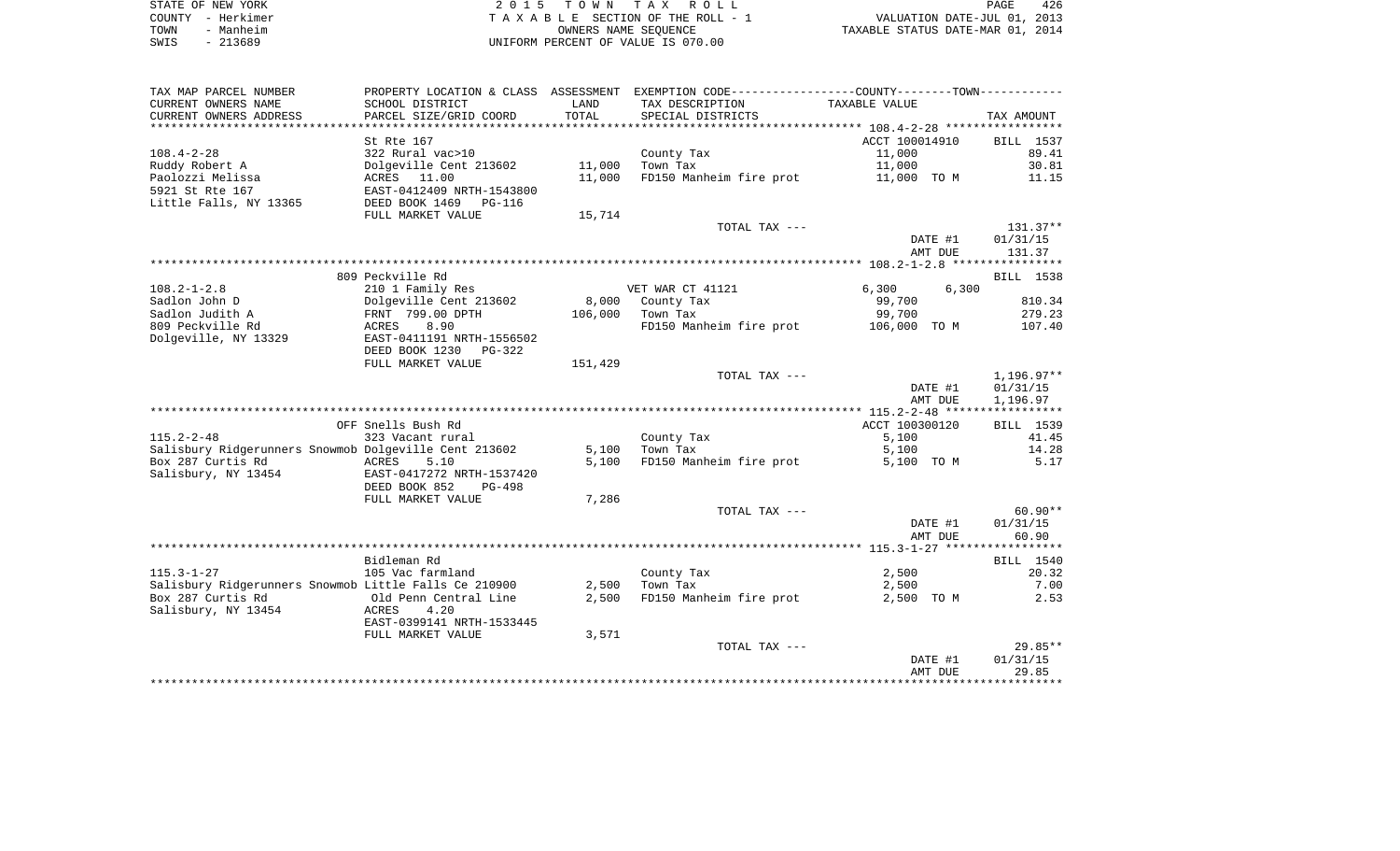| STATE OF NEW YORK     | 2015 TOWN TAX ROLL                 | 426<br>PAGE                      |
|-----------------------|------------------------------------|----------------------------------|
| COUNTY - Herkimer     | TAXABLE SECTION OF THE ROLL - 1    | VALUATION DATE-JUL 01, 2013      |
| - Manheim<br>TOWN     | OWNERS NAME SEOUENCE               | TAXABLE STATUS DATE-MAR 01, 2014 |
| 213689<br>SWIS<br>$-$ | UNIFORM PERCENT OF VALUE IS 070.00 |                                  |

| TAX MAP PARCEL NUMBER                                                      |                                 |                | PROPERTY LOCATION & CLASS ASSESSMENT EXEMPTION CODE---------------COUNTY-------TOWN---------- |                    |                    |
|----------------------------------------------------------------------------|---------------------------------|----------------|-----------------------------------------------------------------------------------------------|--------------------|--------------------|
| CURRENT OWNERS NAME                                                        | SCHOOL DISTRICT                 | LAND           | TAX DESCRIPTION                                                                               | TAXABLE VALUE      |                    |
| CURRENT OWNERS ADDRESS                                                     | PARCEL SIZE/GRID COORD          | TOTAL          | SPECIAL DISTRICTS                                                                             |                    | TAX AMOUNT         |
|                                                                            |                                 |                |                                                                                               |                    |                    |
|                                                                            | St Rte 167                      |                |                                                                                               | ACCT 100014910     | BILL 1537          |
| $108.4 - 2 - 28$                                                           | 322 Rural vac>10                |                | County Tax                                                                                    | 11,000             | 89.41              |
| Ruddy Robert A                                                             | Dolgeville Cent 213602          | 11,000         | Town Tax                                                                                      | 11,000             | 30.81              |
| Paolozzi Melissa                                                           | ACRES 11.00                     | 11,000         | FD150 Manheim fire prot                                                                       | 11,000 TO M        | 11.15              |
| 5921 St Rte 167                                                            | EAST-0412409 NRTH-1543800       |                |                                                                                               |                    |                    |
| Little Falls, NY 13365                                                     | DEED BOOK 1469<br><b>PG-116</b> |                |                                                                                               |                    |                    |
|                                                                            | FULL MARKET VALUE               | 15,714         |                                                                                               |                    |                    |
|                                                                            |                                 |                | TOTAL TAX ---                                                                                 |                    | $131.37**$         |
|                                                                            |                                 |                |                                                                                               | DATE #1<br>AMT DUE | 01/31/15<br>131.37 |
|                                                                            |                                 |                |                                                                                               |                    |                    |
|                                                                            | 809 Peckville Rd                |                |                                                                                               |                    | BILL 1538          |
| $108.2 - 1 - 2.8$                                                          | 210 1 Family Res                |                | VET WAR CT 41121                                                                              | 6,300<br>6,300     |                    |
| Sadlon John D                                                              | Dolgeville Cent 213602          | 8,000          | County Tax                                                                                    | 99,700             | 810.34             |
| Sadlon Judith A                                                            | FRNT 799.00 DPTH                | 106,000        | Town Tax                                                                                      | 99,700             | 279.23             |
| 809 Peckville Rd                                                           | ACRES<br>8.90                   |                | FD150 Manheim fire prot                                                                       | 106,000 TO M       | 107.40             |
| Dolgeville, NY 13329                                                       | EAST-0411191 NRTH-1556502       |                |                                                                                               |                    |                    |
|                                                                            | DEED BOOK 1230 PG-322           |                |                                                                                               |                    |                    |
|                                                                            | FULL MARKET VALUE               | 151,429        |                                                                                               |                    |                    |
|                                                                            |                                 |                | TOTAL TAX ---                                                                                 |                    | $1,196.97**$       |
|                                                                            |                                 |                |                                                                                               | DATE #1            | 01/31/15           |
|                                                                            |                                 |                |                                                                                               | AMT DUE            | 1,196.97           |
|                                                                            |                                 |                |                                                                                               |                    |                    |
|                                                                            | OFF Snells Bush Rd              |                |                                                                                               | ACCT 100300120     | BILL 1539          |
| $115.2 - 2 - 48$                                                           | 323 Vacant rural                |                | County Tax                                                                                    | 5,100              | 41.45              |
| Salisbury Ridgerunners Snowmob Dolgeville Cent 213602<br>Box 287 Curtis Rd | <b>ACRES</b><br>5.10            | 5,100<br>5.100 | Town Tax                                                                                      | 5,100              | 14.28<br>5.17      |
| Salisbury, NY 13454                                                        | EAST-0417272 NRTH-1537420       |                | FD150 Manheim fire prot                                                                       | 5,100 TO M         |                    |
|                                                                            | DEED BOOK 852<br>PG-498         |                |                                                                                               |                    |                    |
|                                                                            | FULL MARKET VALUE               | 7,286          |                                                                                               |                    |                    |
|                                                                            |                                 |                | TOTAL TAX ---                                                                                 |                    | $60.90**$          |
|                                                                            |                                 |                |                                                                                               | DATE #1            | 01/31/15           |
|                                                                            |                                 |                |                                                                                               | AMT DUE            | 60.90              |
|                                                                            |                                 |                |                                                                                               |                    |                    |
|                                                                            | Bidleman Rd                     |                |                                                                                               |                    | BILL 1540          |
| $115.3 - 1 - 27$                                                           | 105 Vac farmland                |                | County Tax                                                                                    | 2,500              | 20.32              |
| Salisbury Ridgerunners Snowmob Little Falls Ce 210900                      |                                 | 2,500          | Town Tax                                                                                      | 2,500              | 7.00               |
| Box 287 Curtis Rd                                                          | Old Penn Central Line           | 2,500          | FD150 Manheim fire prot                                                                       | 2,500 TO M         | 2.53               |
| Salisbury, NY 13454                                                        | ACRES<br>4.20                   |                |                                                                                               |                    |                    |
|                                                                            | EAST-0399141 NRTH-1533445       |                |                                                                                               |                    |                    |
|                                                                            | FULL MARKET VALUE               | 3,571          |                                                                                               |                    |                    |
|                                                                            |                                 |                | TOTAL TAX ---                                                                                 |                    | $29.85**$          |
|                                                                            |                                 |                |                                                                                               | DATE #1            | 01/31/15           |
|                                                                            |                                 |                |                                                                                               | AMT DUE            | 29.85              |
|                                                                            |                                 |                |                                                                                               |                    |                    |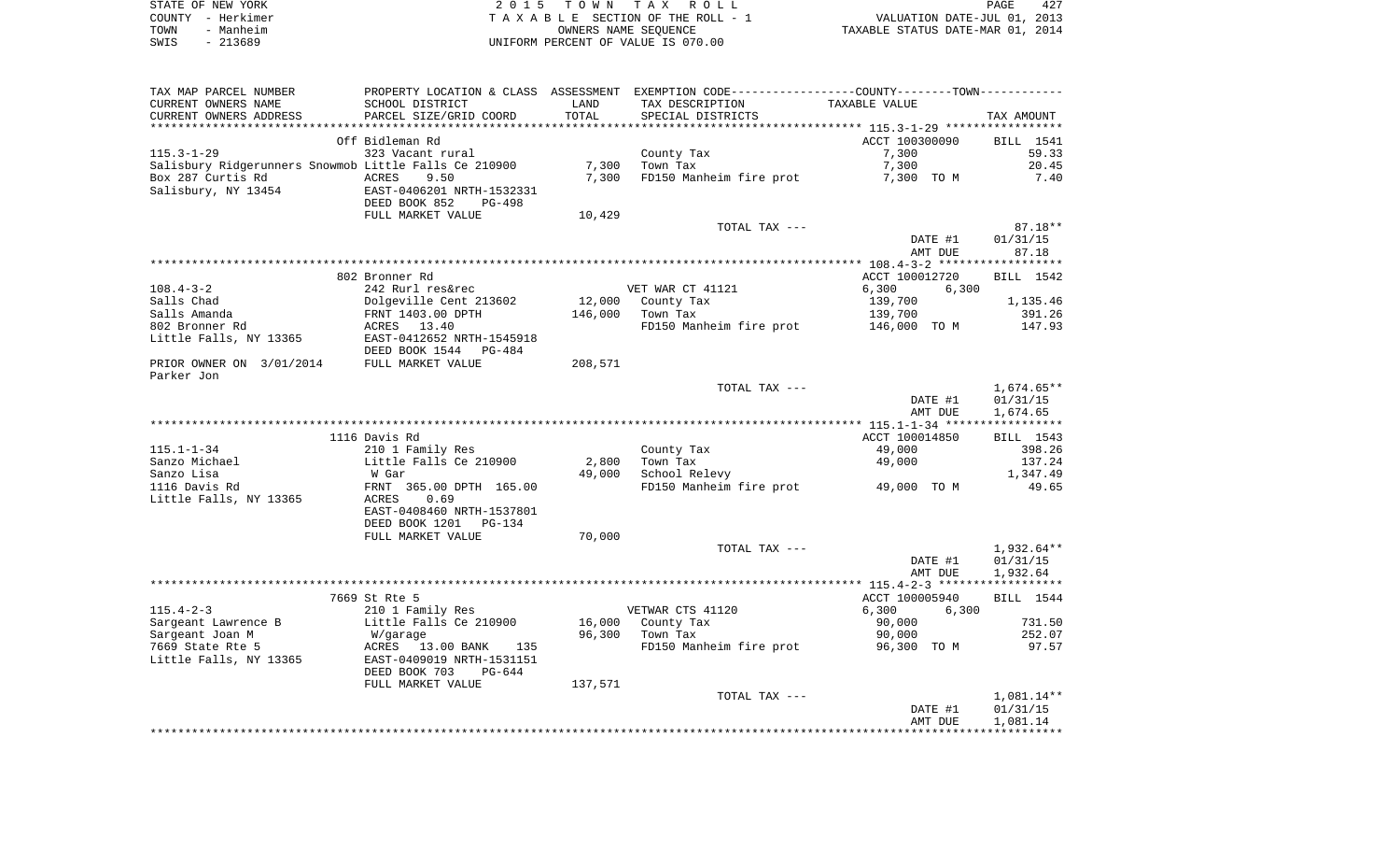| STATE OF NEW YORK | 2015 TOWN TAX ROLL                 | 427<br>PAGE                      |
|-------------------|------------------------------------|----------------------------------|
| COUNTY - Herkimer | TAXABLE SECTION OF THE ROLL - 1    | VALUATION DATE-JUL 01, 2013      |
| - Manheim<br>TOWN | OWNERS NAME SEOUENCE               | TAXABLE STATUS DATE-MAR 01, 2014 |
| - 213689<br>SWIS  | UNIFORM PERCENT OF VALUE IS 070.00 |                                  |

| TAX MAP PARCEL NUMBER                                         |                           |         | PROPERTY LOCATION & CLASS ASSESSMENT EXEMPTION CODE---------------COUNTY--------TOWN---------- |                |            |
|---------------------------------------------------------------|---------------------------|---------|------------------------------------------------------------------------------------------------|----------------|------------|
| CURRENT OWNERS NAME                                           | SCHOOL DISTRICT           | LAND    | TAX DESCRIPTION                                                                                | TAXABLE VALUE  |            |
| CURRENT OWNERS ADDRESS                                        | PARCEL SIZE/GRID COORD    | TOTAL   | SPECIAL DISTRICTS                                                                              |                | TAX AMOUNT |
|                                                               |                           |         |                                                                                                |                |            |
|                                                               | Off Bidleman Rd           |         |                                                                                                | ACCT 100300090 | BILL 1541  |
| 115.3-1-29                                                    | 323 Vacant rural          |         | County Tax                                                                                     | 7,300          | 59.33      |
| Salisbury Ridgerunners Snowmob Little Falls Ce 210900 197,300 |                           |         | Town Tax                                                                                       | 7,300          | 20.45      |
| Box 287 Curtis Rd<br><b>ACRES</b>                             | 9.50                      | 7,300   | FD150 Manheim fire prot                                                                        | 7,300 TO M     | 7.40       |
| Salisbury, NY 13454                                           | EAST-0406201 NRTH-1532331 |         |                                                                                                |                |            |
|                                                               | DEED BOOK 852<br>PG-498   |         |                                                                                                |                |            |
|                                                               | FULL MARKET VALUE         | 10,429  |                                                                                                |                |            |
|                                                               |                           |         | TOTAL TAX ---                                                                                  |                | $87.18**$  |
|                                                               |                           |         |                                                                                                | DATE #1        | 01/31/15   |
|                                                               |                           |         |                                                                                                | AMT DUE        | 87.18      |
|                                                               |                           |         |                                                                                                |                |            |
|                                                               | 802 Bronner Rd            |         |                                                                                                | ACCT 100012720 | BILL 1542  |
| $108.4 - 3 - 2$                                               | 242 Rurl res&rec          |         | VET WAR CT 41121                                                                               | 6,300<br>6,300 |            |
| Salls Chad                                                    | Dolgeville Cent 213602    |         | 12,000 County Tax                                                                              | 139,700        | 1,135.46   |
| Salls Amanda                                                  | FRNT 1403.00 DPTH         | 146,000 | Town Tax                                                                                       | 139,700        | 391.26     |
| 802 Bronner Rd                                                | ACRES 13.40               |         | FD150 Manheim fire prot 146,000 TO M                                                           |                | 147.93     |
| Little Falls, NY 13365                                        | EAST-0412652 NRTH-1545918 |         |                                                                                                |                |            |
|                                                               | DEED BOOK 1544 PG-484     |         |                                                                                                |                |            |
| PRIOR OWNER ON 3/01/2014 FULL MARKET VALUE                    |                           | 208,571 |                                                                                                |                |            |
| Parker Jon                                                    |                           |         |                                                                                                |                |            |
|                                                               |                           |         | TOTAL TAX ---                                                                                  |                | 1,674.65** |
|                                                               |                           |         |                                                                                                | DATE #1        | 01/31/15   |
|                                                               |                           |         |                                                                                                | AMT DUE        | 1,674.65   |
|                                                               |                           |         |                                                                                                |                |            |
|                                                               | 1116 Davis Rd             |         |                                                                                                | ACCT 100014850 | BILL 1543  |
| $115.1 - 1 - 34$                                              | 210 1 Family Res          |         | County Tax                                                                                     | 49,000         | 398.26     |
| Sanzo Michael                                                 | Little Falls Ce 210900    | 2,800   | Town Tax                                                                                       | 49,000         | 137.24     |
| Sanzo Lisa                                                    | W Gar                     | 49,000  | School Relevy                                                                                  |                | 1,347.49   |
| 1116 Davis Rd                                                 | FRNT 365.00 DPTH 165.00   |         | FD150 Manheim fire prot 49,000 TO M                                                            |                | 49.65      |
| Little Falls, NY 13365                                        | ACRES<br>0.69             |         |                                                                                                |                |            |
|                                                               | EAST-0408460 NRTH-1537801 |         |                                                                                                |                |            |
|                                                               | DEED BOOK 1201 PG-134     |         |                                                                                                |                |            |
|                                                               | FULL MARKET VALUE         | 70,000  |                                                                                                |                |            |
|                                                               |                           |         | TOTAL TAX ---                                                                                  |                | 1,932.64** |
|                                                               |                           |         |                                                                                                | DATE #1        | 01/31/15   |
|                                                               |                           |         |                                                                                                | AMT DUE        | 1,932.64   |
|                                                               |                           |         |                                                                                                |                |            |
|                                                               | 7669 St Rte 5             |         |                                                                                                | ACCT 100005940 | BILL 1544  |
| $115.4 - 2 - 3$                                               | 210 1 Family Res          |         | VETWAR CTS 41120                                                                               | 6,300<br>6,300 |            |
| Sargeant Lawrence B                                           | Little Falls Ce 210900    |         | 16,000 County Tax<br>06.300 Town Tax                                                           | 90,000         | 731.50     |
| Sargeant Joan M                                               | W/garage                  |         |                                                                                                | 90,000         | 252.07     |
| 7669 State Rte 5                                              | ACRES 13.00 BANK 135      |         | FD150 Manheim fire prot                                                                        | 96,300 TO M    | 97.57      |
| Little Falls, NY 13365                                        | EAST-0409019 NRTH-1531151 |         |                                                                                                |                |            |
|                                                               | DEED BOOK 703<br>PG-644   |         |                                                                                                |                |            |
|                                                               | FULL MARKET VALUE         | 137,571 |                                                                                                |                |            |
|                                                               |                           |         | TOTAL TAX ---                                                                                  |                | 1,081.14** |
|                                                               |                           |         |                                                                                                | DATE #1        | 01/31/15   |
|                                                               |                           |         |                                                                                                | AMT DUE        | 1,081.14   |
|                                                               |                           |         |                                                                                                |                |            |
|                                                               |                           |         |                                                                                                |                |            |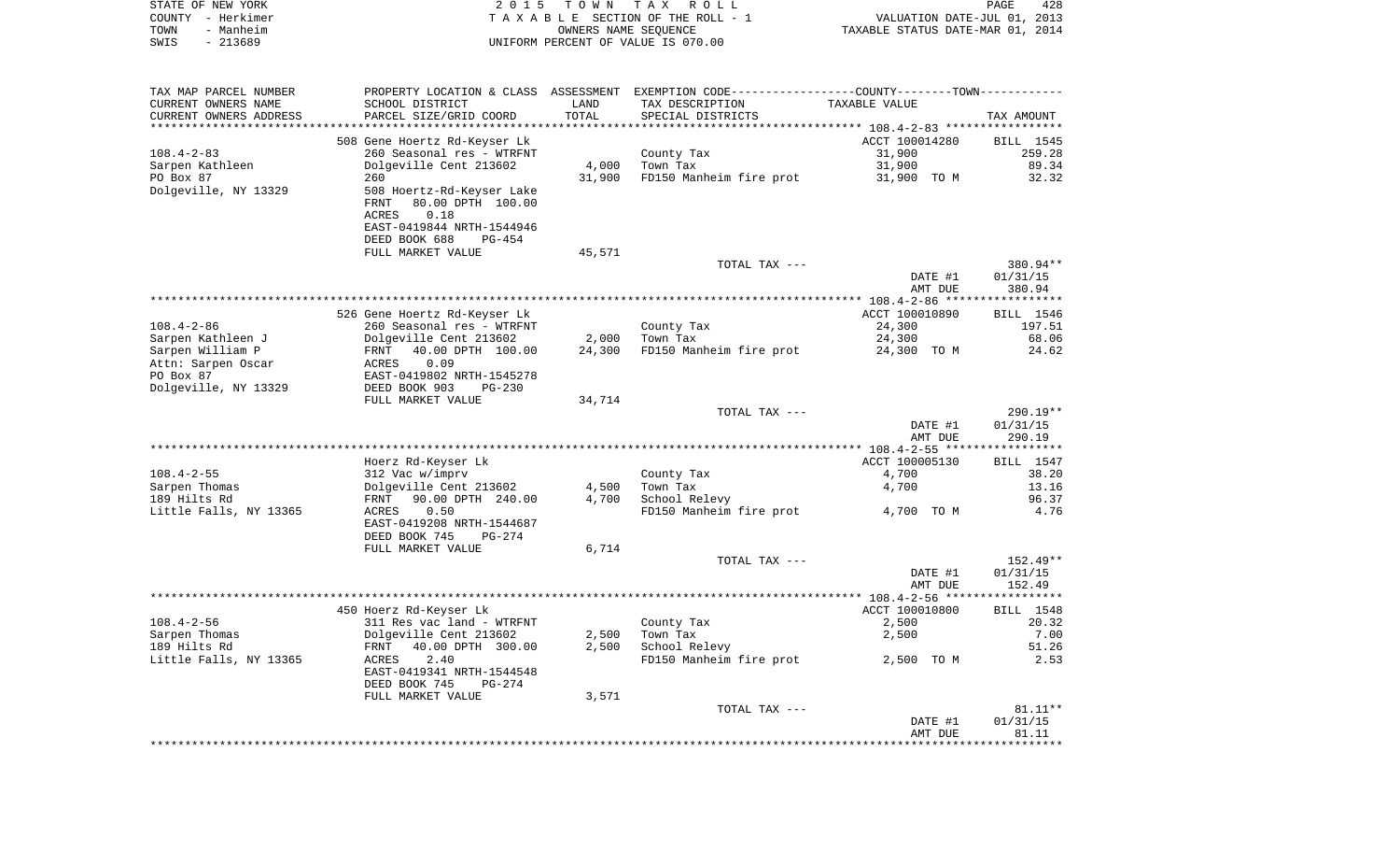|      | STATE OF NEW YORK | 2015 TOWN TAX ROLL                 |                                  | PAGE | 428 |
|------|-------------------|------------------------------------|----------------------------------|------|-----|
|      | COUNTY - Herkimer | TAXABLE SECTION OF THE ROLL - 1    | VALUATION DATE-JUL 01, 2013      |      |     |
| TOWN | - Manheim         | OWNERS NAME SEOUENCE               | TAXABLE STATUS DATE-MAR 01, 2014 |      |     |
| SWIS | - 213689          | UNIFORM PERCENT OF VALUE IS 070.00 |                                  |      |     |

| TAX MAP PARCEL NUMBER  | PROPERTY LOCATION & CLASS ASSESSMENT                                    |              | EXEMPTION CODE----------------COUNTY-------TOWN---------- |                                                  |                    |
|------------------------|-------------------------------------------------------------------------|--------------|-----------------------------------------------------------|--------------------------------------------------|--------------------|
| CURRENT OWNERS NAME    | SCHOOL DISTRICT                                                         | LAND         | TAX DESCRIPTION                                           | TAXABLE VALUE                                    |                    |
| CURRENT OWNERS ADDRESS | PARCEL SIZE/GRID COORD                                                  | TOTAL        | SPECIAL DISTRICTS                                         |                                                  | TAX AMOUNT         |
|                        |                                                                         | ************ |                                                           | ****************** 108.4-2-83 ****************** |                    |
|                        | 508 Gene Hoertz Rd-Keyser Lk                                            |              |                                                           | ACCT 100014280                                   | BILL 1545          |
| $108.4 - 2 - 83$       | 260 Seasonal res - WTRFNT                                               |              | County Tax                                                | 31,900                                           | 259.28             |
| Sarpen Kathleen        | Dolgeville Cent 213602                                                  | 4,000        | Town Tax                                                  | 31,900                                           | 89.34              |
| PO Box 87              | 260                                                                     | 31,900       | FD150 Manheim fire prot                                   | 31,900 TO M                                      | 32.32              |
| Dolgeville, NY 13329   | 508 Hoertz-Rd-Keyser Lake<br>80.00 DPTH 100.00<br>FRNT<br>ACRES<br>0.18 |              |                                                           |                                                  |                    |
|                        | EAST-0419844 NRTH-1544946<br>DEED BOOK 688<br>PG-454                    |              |                                                           |                                                  |                    |
|                        | FULL MARKET VALUE                                                       | 45,571       |                                                           |                                                  |                    |
|                        |                                                                         |              | TOTAL TAX ---                                             |                                                  | 380.94**           |
|                        |                                                                         |              |                                                           | DATE #1                                          | 01/31/15           |
|                        |                                                                         |              |                                                           | AMT DUE                                          | 380.94             |
|                        |                                                                         |              |                                                           |                                                  |                    |
|                        | 526 Gene Hoertz Rd-Keyser Lk                                            |              |                                                           | ACCT 100010890                                   | <b>BILL</b> 1546   |
| $108.4 - 2 - 86$       | 260 Seasonal res - WTRFNT                                               |              | County Tax                                                | 24,300                                           | 197.51             |
| Sarpen Kathleen J      | Dolgeville Cent 213602                                                  | 2,000        | Town Tax                                                  | 24,300                                           | 68.06              |
| Sarpen William P       | 40.00 DPTH 100.00<br>FRNT                                               | 24,300       | FD150 Manheim fire prot                                   | 24,300 TO M                                      | 24.62              |
| Attn: Sarpen Oscar     | 0.09<br>ACRES                                                           |              |                                                           |                                                  |                    |
| PO Box 87              | EAST-0419802 NRTH-1545278                                               |              |                                                           |                                                  |                    |
| Dolgeville, NY 13329   | DEED BOOK 903<br>$PG-230$                                               |              |                                                           |                                                  |                    |
|                        | FULL MARKET VALUE                                                       | 34,714       | TOTAL TAX ---                                             |                                                  | 290.19**           |
|                        |                                                                         |              |                                                           | DATE #1                                          | 01/31/15           |
|                        |                                                                         |              |                                                           | AMT DUE                                          | 290.19             |
|                        |                                                                         |              |                                                           |                                                  |                    |
|                        | Hoerz Rd-Keyser Lk                                                      |              |                                                           | ACCT 100005130                                   | BILL 1547          |
| $108.4 - 2 - 55$       | 312 Vac w/imprv                                                         |              | County Tax                                                | 4,700                                            | 38.20              |
| Sarpen Thomas          | Dolgeville Cent 213602                                                  | 4,500        | Town Tax                                                  | 4,700                                            | 13.16              |
| 189 Hilts Rd           | 90.00 DPTH 240.00<br>FRNT                                               | 4,700        | School Relevy                                             |                                                  | 96.37              |
| Little Falls, NY 13365 | 0.50<br>ACRES<br>EAST-0419208 NRTH-1544687                              |              | FD150 Manheim fire prot                                   | 4,700 TO M                                       | 4.76               |
|                        | DEED BOOK 745<br>$PG-274$                                               |              |                                                           |                                                  |                    |
|                        | FULL MARKET VALUE                                                       | 6,714        |                                                           |                                                  |                    |
|                        |                                                                         |              | TOTAL TAX ---                                             |                                                  | $152.49**$         |
|                        |                                                                         |              |                                                           | DATE #1<br>AMT DUE                               | 01/31/15<br>152.49 |
|                        |                                                                         |              |                                                           | *********** 108.4-2-56 ***                       | * * * * * * * * *  |
|                        | 450 Hoerz Rd-Keyser Lk                                                  |              |                                                           | ACCT 100010800                                   | BILL 1548          |
| $108.4 - 2 - 56$       | 311 Res vac land - WTRFNT                                               |              | County Tax                                                | 2,500                                            | 20.32              |
| Sarpen Thomas          | Dolgeville Cent 213602                                                  | 2,500        | Town Tax                                                  | 2,500                                            | 7.00               |
| 189 Hilts Rd           | 40.00 DPTH 300.00<br>FRNT                                               | 2,500        | School Relevy                                             |                                                  | 51.26              |
| Little Falls, NY 13365 | ACRES<br>2.40                                                           |              | FD150 Manheim fire prot                                   | 2,500 TO M                                       | 2.53               |
|                        | EAST-0419341 NRTH-1544548<br>DEED BOOK 745<br>$PG-274$                  |              |                                                           |                                                  |                    |
|                        | FULL MARKET VALUE                                                       | 3,571        |                                                           |                                                  |                    |
|                        |                                                                         |              | TOTAL TAX ---                                             |                                                  | 81.11**            |
|                        |                                                                         |              |                                                           | DATE #1                                          | 01/31/15           |
|                        |                                                                         |              |                                                           | AMT DUE                                          | 81.11              |
|                        |                                                                         |              |                                                           |                                                  |                    |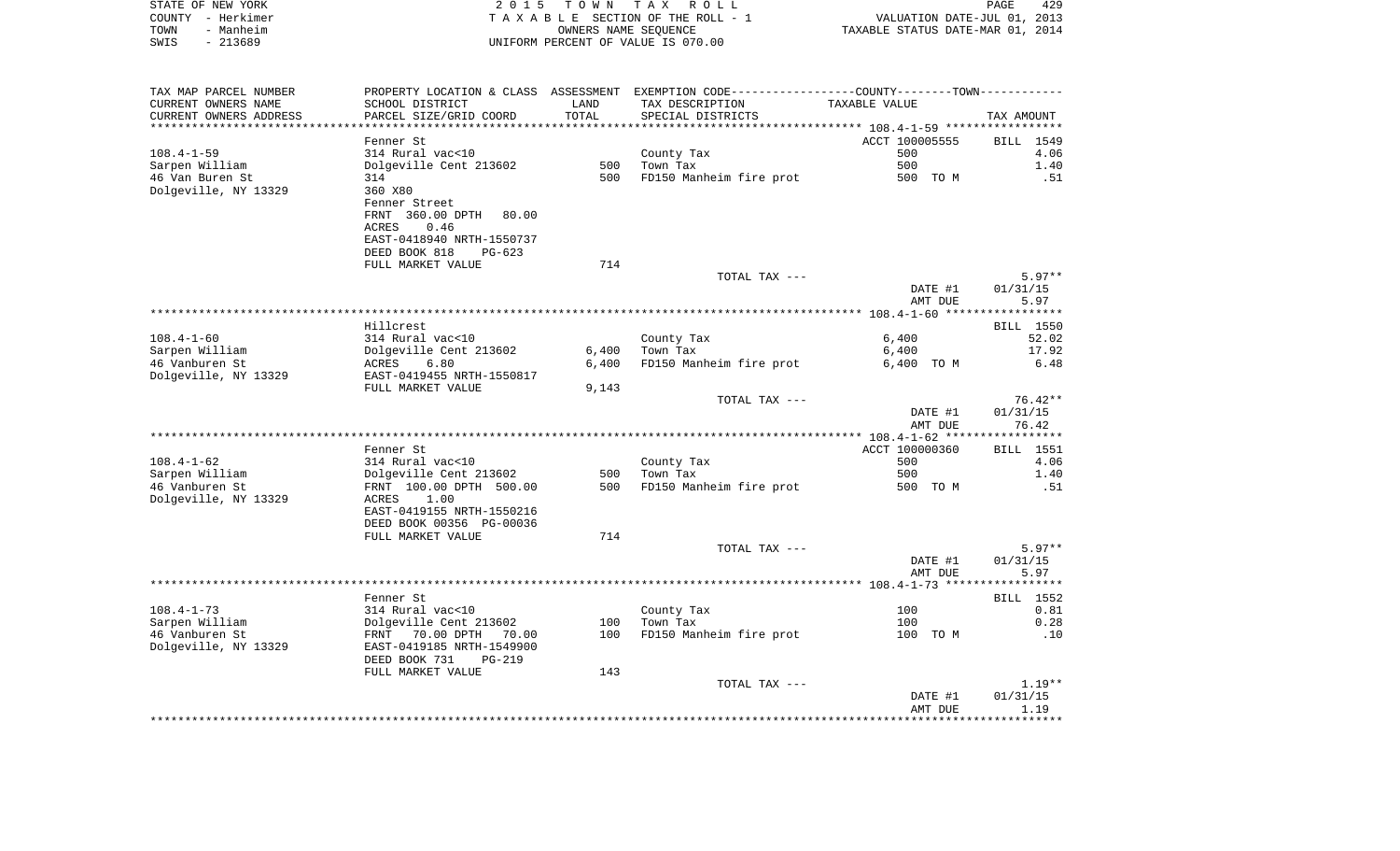| STATE OF NEW YORK<br>COUNTY - Herkimer<br>TOWN<br>- Manheim<br>$-213689$<br>SWIS |                                                                         |       | 2015 TOWN TAX ROLL<br>TAXABLE SECTION OF THE ROLL - 1<br>OWNERS NAME SEQUENCE<br>UNIFORM PERCENT OF VALUE IS 070.00 | PAGE 429<br>VALUATION DATE-JUL 01, 2013<br>TAXABLE STATUS DATE-MAR 01, 2014 |                             |
|----------------------------------------------------------------------------------|-------------------------------------------------------------------------|-------|---------------------------------------------------------------------------------------------------------------------|-----------------------------------------------------------------------------|-----------------------------|
|                                                                                  |                                                                         |       |                                                                                                                     |                                                                             |                             |
| TAX MAP PARCEL NUMBER                                                            |                                                                         |       | PROPERTY LOCATION & CLASS ASSESSMENT EXEMPTION CODE----------------COUNTY--------TOWN----------                     |                                                                             |                             |
| CURRENT OWNERS NAME                                                              | SCHOOL DISTRICT                                                         | LAND  | TAX DESCRIPTION                                                                                                     | TAXABLE VALUE                                                               |                             |
| CURRENT OWNERS ADDRESS                                                           | PARCEL SIZE/GRID COORD                                                  | TOTAL | SPECIAL DISTRICTS                                                                                                   |                                                                             | TAX AMOUNT                  |
| *************************                                                        |                                                                         |       |                                                                                                                     |                                                                             |                             |
| 108.4-1-59                                                                       | Fenner St<br>314 Rural vac<10                                           |       | County Tax                                                                                                          | ACCT 100005555<br>500                                                       | BILL 1549<br>4.06           |
| Sarpen William                                                                   | Dolgeville Cent 213602                                                  |       | 500 Town Tax                                                                                                        | 500                                                                         | 1.40                        |
| 46 Van Buren St                                                                  | 314                                                                     | 500   | FD150 Manheim fire prot                                                                                             | 500 TO M                                                                    | .51                         |
| Dolgeville, NY 13329                                                             | 360 X80                                                                 |       |                                                                                                                     |                                                                             |                             |
|                                                                                  | Fenner Street                                                           |       |                                                                                                                     |                                                                             |                             |
|                                                                                  | FRNT 360.00 DPTH 80.00                                                  |       |                                                                                                                     |                                                                             |                             |
|                                                                                  | 0.46<br>ACRES                                                           |       |                                                                                                                     |                                                                             |                             |
|                                                                                  | EAST-0418940 NRTH-1550737                                               |       |                                                                                                                     |                                                                             |                             |
|                                                                                  | DEED BOOK 818<br>PG-623                                                 | 714   |                                                                                                                     |                                                                             |                             |
|                                                                                  | FULL MARKET VALUE                                                       |       | TOTAL TAX ---                                                                                                       |                                                                             | $5.97**$                    |
|                                                                                  |                                                                         |       |                                                                                                                     | DATE #1                                                                     | 01/31/15                    |
|                                                                                  |                                                                         |       |                                                                                                                     | AMT DUE                                                                     | 5.97                        |
|                                                                                  |                                                                         |       |                                                                                                                     |                                                                             |                             |
|                                                                                  | Hillcrest                                                               |       |                                                                                                                     |                                                                             | <b>BILL</b> 1550            |
| 108.4-1-60                                                                       | 314 Rural vac<10                                                        |       | County Tax                                                                                                          | 6,400                                                                       | 52.02                       |
| Sarpen William                                                                   | Dolgeville Cent 213602<br>ACRES 6.80                                    |       | $6,400$ Town Tax                                                                                                    | 6,400                                                                       | 17.92                       |
| 46 Vanburen St                                                                   |                                                                         | 6,400 | FD150 Manheim fire prot                                                                                             | 6,400 TO M                                                                  | 6.48                        |
| Dolgeville, NY 13329                                                             | EAST-0419455 NRTH-1550817<br>FULL MARKET VALUE                          | 9,143 |                                                                                                                     |                                                                             |                             |
|                                                                                  |                                                                         |       | TOTAL TAX ---                                                                                                       |                                                                             | $76.42**$                   |
|                                                                                  |                                                                         |       |                                                                                                                     | DATE #1                                                                     | 01/31/15                    |
|                                                                                  |                                                                         |       |                                                                                                                     | AMT DUE                                                                     | 76.42                       |
|                                                                                  |                                                                         |       |                                                                                                                     |                                                                             |                             |
|                                                                                  | Fenner St                                                               |       |                                                                                                                     | ACCT 100000360                                                              | BILL 1551                   |
| 108.4-1-62                                                                       | 314 Rural vac<10                                                        |       | County Tax                                                                                                          | 500                                                                         | 4.06                        |
| Sarpen William                                                                   | Dolgeville Cent 213602<br>FRNT 100.00 DPTH 500.00                       | 500   | Town Tax                                                                                                            | 500                                                                         | 1.40                        |
| 46 Vanburen St<br>Dolgeville, NY 13329                                           | ACRES 1.00                                                              | 500   | FD150 Manheim fire prot                                                                                             | 500 TO M                                                                    | .51                         |
|                                                                                  | EAST-0419155 NRTH-1550216                                               |       |                                                                                                                     |                                                                             |                             |
|                                                                                  | DEED BOOK 00356 PG-00036                                                |       |                                                                                                                     |                                                                             |                             |
|                                                                                  | FULL MARKET VALUE                                                       | 714   |                                                                                                                     |                                                                             |                             |
|                                                                                  |                                                                         |       | TOTAL TAX ---                                                                                                       |                                                                             | $5.97**$                    |
|                                                                                  |                                                                         |       |                                                                                                                     | DATE #1                                                                     | 01/31/15                    |
|                                                                                  |                                                                         |       |                                                                                                                     | AMT DUE                                                                     | 5.97                        |
|                                                                                  |                                                                         |       |                                                                                                                     |                                                                             |                             |
| $108.4 - 1 - 73$                                                                 | Fenner St                                                               |       | County Tax                                                                                                          | 100                                                                         | <b>BILL</b> 1552<br>0.81    |
| Sarpen William                                                                   | 314 Rural vac<10<br>Dolgeville Cent 213602<br>FRNT   70.00 DPTH   70.00 |       | 100    Town Tax                                                                                                     | 100                                                                         | 0.28                        |
| 46 Vanburen St                                                                   |                                                                         |       | 100 FD150 Manheim fire prot                                                                                         | 100 TO M                                                                    | .10                         |
| Dolgeville, NY 13329                                                             | EAST-0419185 NRTH-1549900                                               |       |                                                                                                                     |                                                                             |                             |
|                                                                                  | DEED BOOK 731<br>$PG-219$                                               |       |                                                                                                                     |                                                                             |                             |
|                                                                                  | FULL MARKET VALUE                                                       | 143   |                                                                                                                     |                                                                             |                             |
|                                                                                  |                                                                         |       | TOTAL TAX ---                                                                                                       |                                                                             | $1.19**$                    |
|                                                                                  |                                                                         |       |                                                                                                                     | DATE #1                                                                     | 01/31/15                    |
|                                                                                  |                                                                         |       |                                                                                                                     | AMT DUE                                                                     | 1.19<br>* * * * * * * * * * |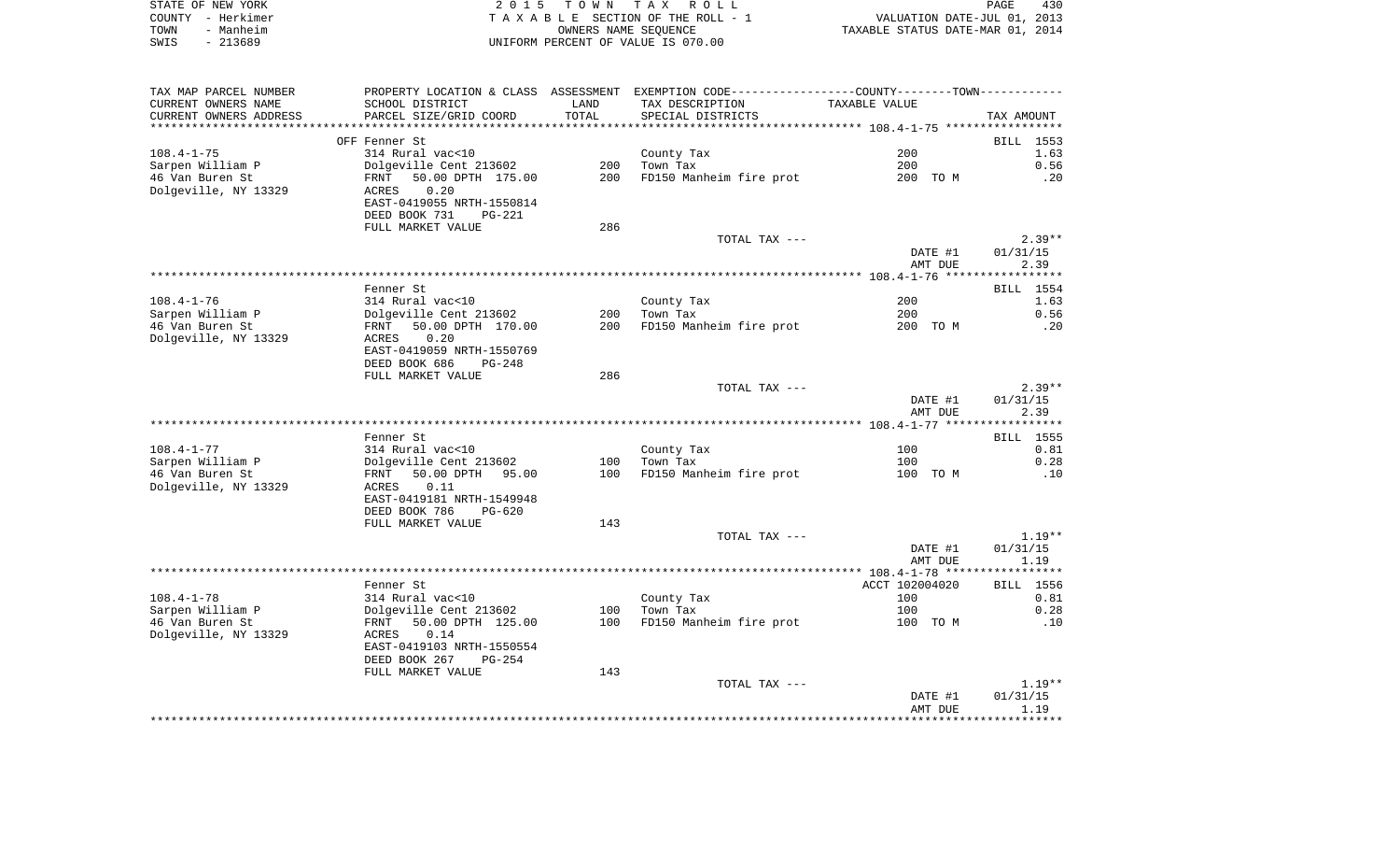| STATE OF NEW YORK |                                    | 2015 TOWN TAX ROLL              | PAGE                             | 430 |
|-------------------|------------------------------------|---------------------------------|----------------------------------|-----|
| COUNTY - Herkimer |                                    | TAXABLE SECTION OF THE ROLL - 1 | VALUATION DATE-JUL 01, 2013      |     |
| - Manheim<br>TOWN |                                    | OWNERS NAME SEOUENCE            | TAXABLE STATUS DATE-MAR 01, 2014 |     |
| - 213689<br>SWIS  | UNIFORM PERCENT OF VALUE IS 070.00 |                                 |                                  |     |

| TAX MAP PARCEL NUMBER  | PROPERTY LOCATION & CLASS ASSESSMENT EXEMPTION CODE----------------COUNTY-------TOWN-------- |       |                         |                |            |
|------------------------|----------------------------------------------------------------------------------------------|-------|-------------------------|----------------|------------|
| CURRENT OWNERS NAME    | SCHOOL DISTRICT                                                                              | LAND  | TAX DESCRIPTION         | TAXABLE VALUE  |            |
| CURRENT OWNERS ADDRESS | PARCEL SIZE/GRID COORD                                                                       | TOTAL | SPECIAL DISTRICTS       |                | TAX AMOUNT |
|                        |                                                                                              |       |                         |                |            |
|                        | OFF Fenner St                                                                                |       |                         |                | BILL 1553  |
| $108.4 - 1 - 75$       | 314 Rural vac<10                                                                             |       | County Tax              | 200            | 1.63       |
| Sarpen William P       | Dolgeville Cent 213602                                                                       | 200   | Town Tax                | 200            | 0.56       |
| 46 Van Buren St        | 50.00 DPTH 175.00<br>FRNT                                                                    | 200   | FD150 Manheim fire prot | 200 TO M       | .20        |
| Dolgeville, NY 13329   | 0.20<br>ACRES                                                                                |       |                         |                |            |
|                        | EAST-0419055 NRTH-1550814                                                                    |       |                         |                |            |
|                        | DEED BOOK 731<br><b>PG-221</b>                                                               |       |                         |                |            |
|                        | FULL MARKET VALUE                                                                            | 286   |                         |                |            |
|                        |                                                                                              |       | TOTAL TAX ---           |                | $2.39**$   |
|                        |                                                                                              |       |                         | DATE #1        | 01/31/15   |
|                        |                                                                                              |       |                         | AMT DUE        | 2.39       |
|                        |                                                                                              |       |                         |                |            |
|                        | Fenner St                                                                                    |       |                         |                | BILL 1554  |
| $108.4 - 1 - 76$       | 314 Rural vac<10                                                                             |       | County Tax              | 200            | 1.63       |
| Sarpen William P       | Dolgeville Cent 213602                                                                       | 200   | Town Tax                | 200            | 0.56       |
| 46 Van Buren St        | 50.00 DPTH 170.00<br>FRNT                                                                    | 200   | FD150 Manheim fire prot | 200 TO M       | .20        |
| Dolgeville, NY 13329   | ACRES<br>0.20                                                                                |       |                         |                |            |
|                        | EAST-0419059 NRTH-1550769                                                                    |       |                         |                |            |
|                        | DEED BOOK 686<br>PG-248                                                                      |       |                         |                |            |
|                        | FULL MARKET VALUE                                                                            | 286   |                         |                |            |
|                        |                                                                                              |       | TOTAL TAX ---           |                | $2.39**$   |
|                        |                                                                                              |       |                         | DATE #1        | 01/31/15   |
|                        |                                                                                              |       |                         | AMT DUE        | 2.39       |
|                        |                                                                                              |       |                         |                |            |
|                        | Fenner St.                                                                                   |       |                         |                | BILL 1555  |
| $108.4 - 1 - 77$       | 314 Rural vac<10                                                                             |       | County Tax              | 100            | 0.81       |
| Sarpen William P       | Dolgeville Cent 213602                                                                       | 100   | Town Tax                | 100            | 0.28       |
| 46 Van Buren St        | 50.00 DPTH 95.00<br>FRNT                                                                     | 100   | FD150 Manheim fire prot | 100 TO M       | .10        |
| Dolgeville, NY 13329   | 0.11<br>ACRES                                                                                |       |                         |                |            |
|                        | EAST-0419181 NRTH-1549948                                                                    |       |                         |                |            |
|                        | DEED BOOK 786<br>$PG-620$                                                                    |       |                         |                |            |
|                        | FULL MARKET VALUE                                                                            | 143   |                         |                |            |
|                        |                                                                                              |       | TOTAL TAX ---           |                | $1.19**$   |
|                        |                                                                                              |       |                         | DATE #1        | 01/31/15   |
|                        |                                                                                              |       |                         | AMT DUE        | 1.19       |
|                        |                                                                                              |       |                         |                |            |
|                        | Fenner St                                                                                    |       |                         | ACCT 102004020 | BILL 1556  |
| $108.4 - 1 - 78$       | 314 Rural vac<10                                                                             |       | County Tax              | 100            | 0.81       |
| Sarpen William P       | Dolgeville Cent 213602                                                                       | 100   | Town Tax                | 100            | 0.28       |
| 46 Van Buren St        | 50.00 DPTH 125.00<br>FRNT                                                                    | 100   | FD150 Manheim fire prot | 100 TO M       | .10        |
| Dolgeville, NY 13329   | ACRES<br>0.14                                                                                |       |                         |                |            |
|                        | EAST-0419103 NRTH-1550554                                                                    |       |                         |                |            |
|                        | DEED BOOK 267<br>$PG-254$                                                                    |       |                         |                |            |
|                        | FULL MARKET VALUE                                                                            | 143   |                         |                |            |
|                        |                                                                                              |       | TOTAL TAX ---           |                | $1.19**$   |
|                        |                                                                                              |       |                         | DATE #1        | 01/31/15   |
|                        |                                                                                              |       |                         | AMT DUE        | 1.19       |
|                        |                                                                                              |       |                         |                |            |
|                        |                                                                                              |       |                         |                |            |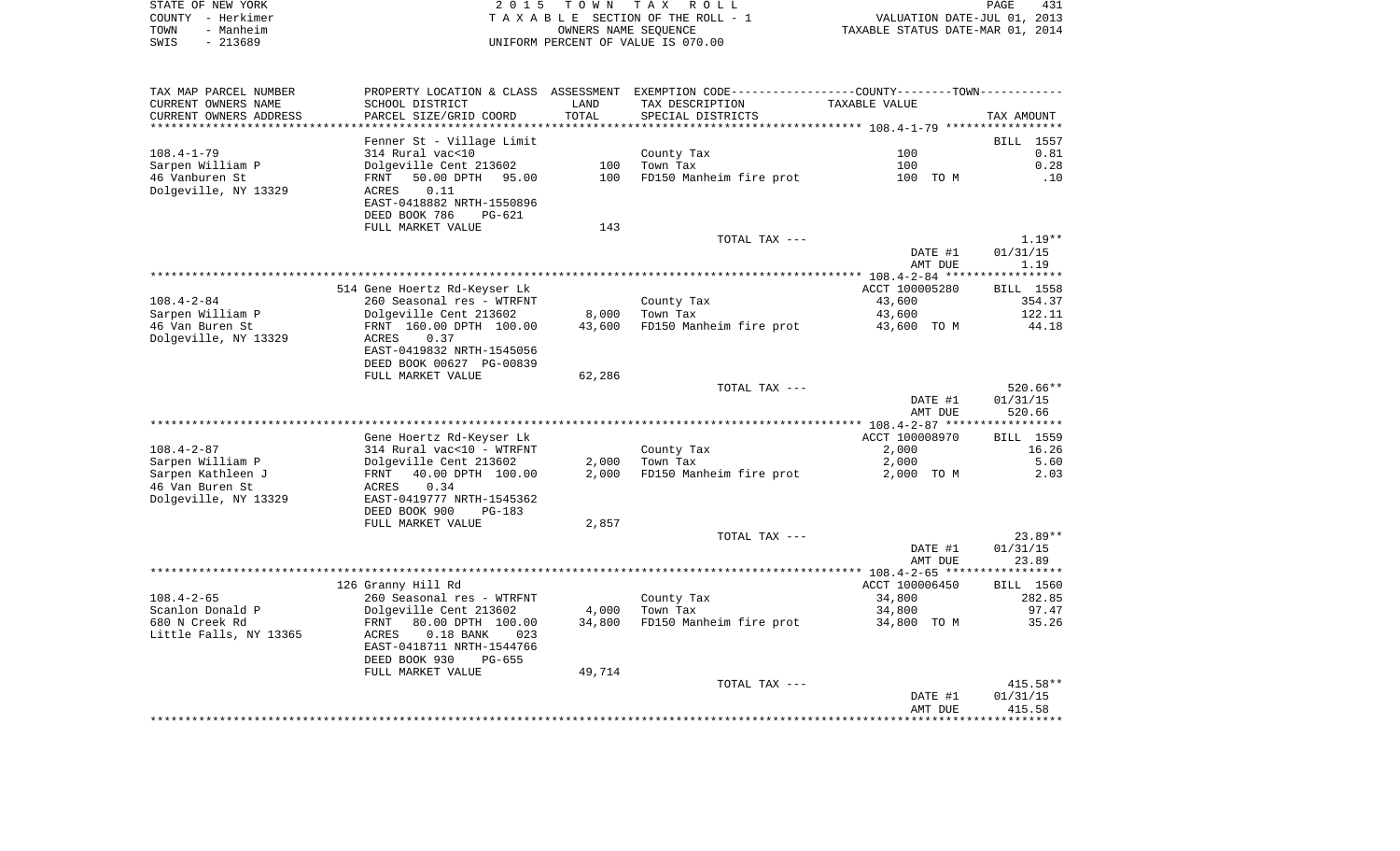| STATE OF NEW YORK | 2015 TOWN TAX ROLL                 | PAGE                             | 431 |
|-------------------|------------------------------------|----------------------------------|-----|
| COUNTY – Herkimer | TAXABLE SECTION OF THE ROLL - 1    | VALUATION DATE-JUL 01, 2013      |     |
| - Manheim<br>TOWN | OWNERS NAME SEOUENCE               | TAXABLE STATUS DATE-MAR 01, 2014 |     |
| $-213689$<br>SWIS | UNIFORM PERCENT OF VALUE IS 070.00 |                                  |     |

| TAX MAP PARCEL NUMBER  |                                                     |        | PROPERTY LOCATION & CLASS ASSESSMENT EXEMPTION CODE----------------COUNTY-------TOWN---------- |                       |            |
|------------------------|-----------------------------------------------------|--------|------------------------------------------------------------------------------------------------|-----------------------|------------|
| CURRENT OWNERS NAME    | SCHOOL DISTRICT                                     | LAND   | TAX DESCRIPTION                                                                                | TAXABLE VALUE         |            |
| CURRENT OWNERS ADDRESS | PARCEL SIZE/GRID COORD                              | TOTAL  | SPECIAL DISTRICTS                                                                              |                       | TAX AMOUNT |
|                        |                                                     |        |                                                                                                |                       |            |
|                        | Fenner St - Village Limit                           |        |                                                                                                |                       | BILL 1557  |
| $108.4 - 1 - 79$       | 314 Rural vac<10                                    |        | County Tax                                                                                     | 100                   | 0.81       |
| Sarpen William P       | Dolgeville Cent 213602                              | 100    | Town Tax                                                                                       | 100                   | 0.28       |
| 46 Vanburen St         | 50.00 DPTH<br>95.00<br>FRNT                         | 100    | FD150 Manheim fire prot                                                                        | 100 TO M              | .10        |
| Dolgeville, NY 13329   | 0.11<br>ACRES                                       |        |                                                                                                |                       |            |
|                        | EAST-0418882 NRTH-1550896                           |        |                                                                                                |                       |            |
|                        | DEED BOOK 786<br>PG-621                             |        |                                                                                                |                       |            |
|                        | FULL MARKET VALUE                                   | 143    |                                                                                                |                       |            |
|                        |                                                     |        | TOTAL TAX ---                                                                                  |                       | $1.19**$   |
|                        |                                                     |        |                                                                                                | DATE #1               | 01/31/15   |
|                        |                                                     |        |                                                                                                | AMT DUE               | 1.19       |
|                        | 514 Gene Hoertz Rd-Keyser Lk                        |        |                                                                                                | ACCT 100005280        | BILL 1558  |
| $108.4 - 2 - 84$       |                                                     |        |                                                                                                | 43,600                | 354.37     |
| Sarpen William P       | 260 Seasonal res - WTRFNT<br>Dolgeville Cent 213602 | 8,000  | County Tax<br>Town Tax                                                                         |                       | 122.11     |
| 46 Van Buren St        | FRNT 160.00 DPTH 100.00                             | 43,600 | FD150 Manheim fire prot                                                                        | 43,600<br>43,600 TO M | 44.18      |
| Dolgeville, NY 13329   | 0.37<br>ACRES                                       |        |                                                                                                |                       |            |
|                        | EAST-0419832 NRTH-1545056                           |        |                                                                                                |                       |            |
|                        | DEED BOOK 00627 PG-00839                            |        |                                                                                                |                       |            |
|                        | FULL MARKET VALUE                                   | 62,286 |                                                                                                |                       |            |
|                        |                                                     |        | TOTAL TAX ---                                                                                  |                       | $520.66**$ |
|                        |                                                     |        |                                                                                                | DATE #1               | 01/31/15   |
|                        |                                                     |        |                                                                                                | AMT DUE               | 520.66     |
|                        |                                                     |        |                                                                                                |                       |            |
|                        | Gene Hoertz Rd-Keyser Lk                            |        |                                                                                                | ACCT 100008970        | BILL 1559  |
| $108.4 - 2 - 87$       | 314 Rural vac<10 - WTRFNT                           |        | County Tax                                                                                     | 2,000                 | 16.26      |
| Sarpen William P       | Dolgeville Cent 213602                              | 2,000  | Town Tax                                                                                       | 2,000                 | 5.60       |
| Sarpen Kathleen J      | 40.00 DPTH 100.00<br>FRNT                           | 2,000  | FD150 Manheim fire prot                                                                        | 2,000 TO M            | 2.03       |
| 46 Van Buren St        | 0.34<br>ACRES                                       |        |                                                                                                |                       |            |
| Dolgeville, NY 13329   | EAST-0419777 NRTH-1545362                           |        |                                                                                                |                       |            |
|                        | DEED BOOK 900<br>$PG-183$                           |        |                                                                                                |                       |            |
|                        | FULL MARKET VALUE                                   | 2,857  |                                                                                                |                       |            |
|                        |                                                     |        | TOTAL TAX ---                                                                                  |                       | $23.89**$  |
|                        |                                                     |        |                                                                                                | DATE #1               | 01/31/15   |
|                        |                                                     |        |                                                                                                | AMT DUE               | 23.89      |
|                        |                                                     |        |                                                                                                |                       |            |
|                        | 126 Granny Hill Rd                                  |        |                                                                                                | ACCT 100006450        | BILL 1560  |
| $108.4 - 2 - 65$       | 260 Seasonal res - WTRFNT                           |        | County Tax                                                                                     | 34,800                | 282.85     |
| Scanlon Donald P       | Dolgeville Cent 213602                              | 4,000  | Town Tax                                                                                       | 34,800                | 97.47      |
| 680 N Creek Rd         | 80.00 DPTH 100.00<br>FRNT                           | 34,800 | FD150 Manheim fire prot                                                                        | 34,800 TO M           | 35.26      |
| Little Falls, NY 13365 | $0.18$ BANK<br>ACRES<br>023                         |        |                                                                                                |                       |            |
|                        | EAST-0418711 NRTH-1544766                           |        |                                                                                                |                       |            |
|                        | DEED BOOK 930<br>PG-655                             |        |                                                                                                |                       |            |
|                        | FULL MARKET VALUE                                   | 49,714 |                                                                                                |                       |            |
|                        |                                                     |        | TOTAL TAX ---                                                                                  |                       | $415.58**$ |
|                        |                                                     |        |                                                                                                | DATE #1               | 01/31/15   |
|                        |                                                     |        |                                                                                                | AMT DUE               | 415.58     |
|                        |                                                     |        |                                                                                                |                       |            |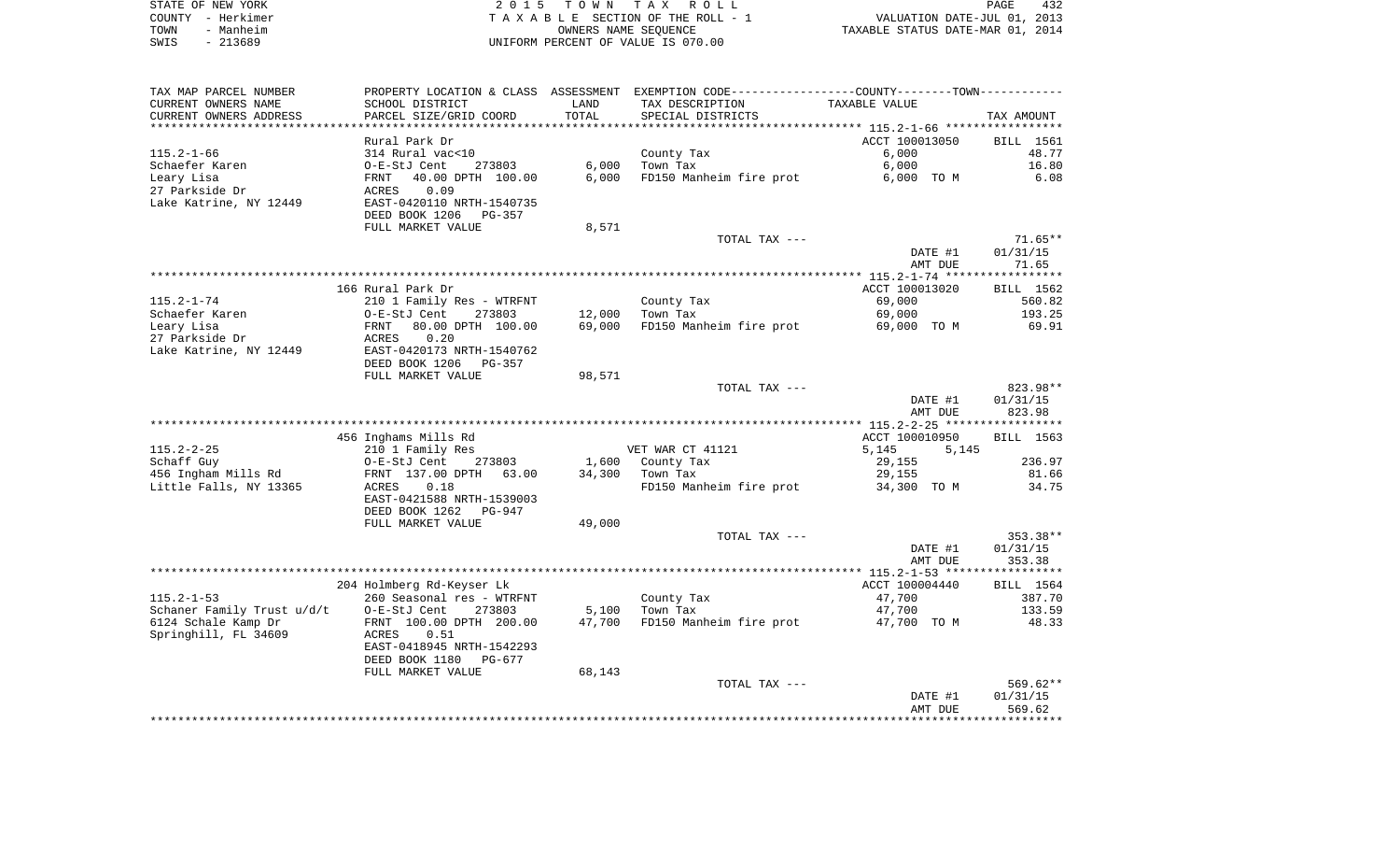|      | STATE OF NEW YORK | 2015 TOWN TAX ROLL                 | 432<br>PAGE                      |
|------|-------------------|------------------------------------|----------------------------------|
|      | COUNTY - Herkimer | TAXABLE SECTION OF THE ROLL - 1    | VALUATION DATE-JUL 01, 2013      |
| TOWN | - Manheim         | OWNERS NAME SEOUENCE               | TAXABLE STATUS DATE-MAR 01, 2014 |
| SWIS | - 213689          | UNIFORM PERCENT OF VALUE IS 070.00 |                                  |

| TAX MAP PARCEL NUMBER      |                                                       |        | PROPERTY LOCATION & CLASS ASSESSMENT EXEMPTION CODE----------------COUNTY--------TOWN----------- |                |                  |
|----------------------------|-------------------------------------------------------|--------|--------------------------------------------------------------------------------------------------|----------------|------------------|
| CURRENT OWNERS NAME        | SCHOOL DISTRICT                                       | LAND   | TAX DESCRIPTION                                                                                  | TAXABLE VALUE  |                  |
| CURRENT OWNERS ADDRESS     | PARCEL SIZE/GRID COORD                                | TOTAL  | SPECIAL DISTRICTS                                                                                |                | TAX AMOUNT       |
|                            |                                                       |        |                                                                                                  |                |                  |
|                            | Rural Park Dr                                         |        |                                                                                                  | ACCT 100013050 | <b>BILL</b> 1561 |
| $115.2 - 1 - 66$           | 314 Rural vac<10                                      |        | County Tax                                                                                       | 6,000          | 48.77            |
| Schaefer Karen             | O-E-StJ Cent<br>273803                                | 6,000  | Town Tax                                                                                         | 6,000          | 16.80            |
| Leary Lisa                 | 40.00 DPTH 100.00<br>FRNT                             | 6,000  | FD150 Manheim fire prot                                                                          | 6,000 TO M     | 6.08             |
| 27 Parkside Dr             | 0.09<br>ACRES                                         |        |                                                                                                  |                |                  |
| Lake Katrine, NY 12449     | EAST-0420110 NRTH-1540735<br>DEED BOOK 1206<br>PG-357 |        |                                                                                                  |                |                  |
|                            | FULL MARKET VALUE                                     | 8,571  |                                                                                                  |                |                  |
|                            |                                                       |        | TOTAL TAX ---                                                                                    |                | $71.65**$        |
|                            |                                                       |        |                                                                                                  | DATE #1        | 01/31/15         |
|                            |                                                       |        |                                                                                                  | AMT DUE        | 71.65            |
|                            |                                                       |        |                                                                                                  |                |                  |
|                            | 166 Rural Park Dr                                     |        |                                                                                                  | ACCT 100013020 | BILL 1562        |
| $115.2 - 1 - 74$           | 210 1 Family Res - WTRFNT                             |        | County Tax                                                                                       | 69,000         | 560.82           |
| Schaefer Karen             | O-E-StJ Cent<br>273803                                | 12,000 | Town Tax                                                                                         | 69,000         | 193.25           |
| Leary Lisa                 | FRNT<br>80.00 DPTH 100.00                             | 69,000 | FD150 Manheim fire prot                                                                          | 69,000 TO M    | 69.91            |
| 27 Parkside Dr             | 0.20<br>ACRES                                         |        |                                                                                                  |                |                  |
| Lake Katrine, NY 12449     | EAST-0420173 NRTH-1540762                             |        |                                                                                                  |                |                  |
|                            | DEED BOOK 1206<br>PG-357                              |        |                                                                                                  |                |                  |
|                            | FULL MARKET VALUE                                     | 98,571 |                                                                                                  |                |                  |
|                            |                                                       |        | TOTAL TAX ---                                                                                    |                | 823.98**         |
|                            |                                                       |        |                                                                                                  | DATE #1        | 01/31/15         |
|                            |                                                       |        |                                                                                                  | AMT DUE        | 823.98           |
|                            |                                                       |        |                                                                                                  | ACCT 100010950 | BILL 1563        |
| $115.2 - 2 - 25$           | 456 Inghams Mills Rd<br>210 1 Family Res              |        | VET WAR CT 41121                                                                                 | 5,145<br>5,145 |                  |
| Schaff Guy                 | 273803<br>O-E-StJ Cent                                | 1,600  | County Tax                                                                                       | 29,155         | 236.97           |
| 456 Ingham Mills Rd        | FRNT 137.00 DPTH 63.00                                | 34,300 | Town Tax                                                                                         | 29,155         | 81.66            |
| Little Falls, NY 13365     | 0.18<br>ACRES                                         |        | FD150 Manheim fire prot                                                                          | 34,300 TO M    | 34.75            |
|                            | EAST-0421588 NRTH-1539003                             |        |                                                                                                  |                |                  |
|                            | DEED BOOK 1262<br>PG-947                              |        |                                                                                                  |                |                  |
|                            | FULL MARKET VALUE                                     | 49,000 |                                                                                                  |                |                  |
|                            |                                                       |        | TOTAL TAX ---                                                                                    |                | 353.38**         |
|                            |                                                       |        |                                                                                                  | DATE #1        | 01/31/15         |
|                            |                                                       |        |                                                                                                  | AMT DUE        | 353.38           |
|                            |                                                       |        |                                                                                                  |                |                  |
|                            | 204 Holmberg Rd-Keyser Lk                             |        |                                                                                                  | ACCT 100004440 | BILL 1564        |
| $115.2 - 1 - 53$           | 260 Seasonal res - WTRFNT                             |        | County Tax                                                                                       | 47,700         | 387.70           |
| Schaner Family Trust u/d/t | O-E-StJ Cent<br>273803                                | 5,100  | Town Tax                                                                                         | 47,700         | 133.59           |
| 6124 Schale Kamp Dr        | FRNT 100.00 DPTH 200.00                               | 47,700 | FD150 Manheim fire prot                                                                          | 47,700 TO M    | 48.33            |
| Springhill, FL 34609       | 0.51<br>ACRES                                         |        |                                                                                                  |                |                  |
|                            | EAST-0418945 NRTH-1542293                             |        |                                                                                                  |                |                  |
|                            | DEED BOOK 1180<br>PG-677                              |        |                                                                                                  |                |                  |
|                            | FULL MARKET VALUE                                     | 68,143 | TOTAL TAX ---                                                                                    |                | $569.62**$       |
|                            |                                                       |        |                                                                                                  | DATE #1        | 01/31/15         |
|                            |                                                       |        |                                                                                                  | AMT DUE        | 569.62           |
|                            |                                                       |        |                                                                                                  |                |                  |
|                            |                                                       |        |                                                                                                  |                |                  |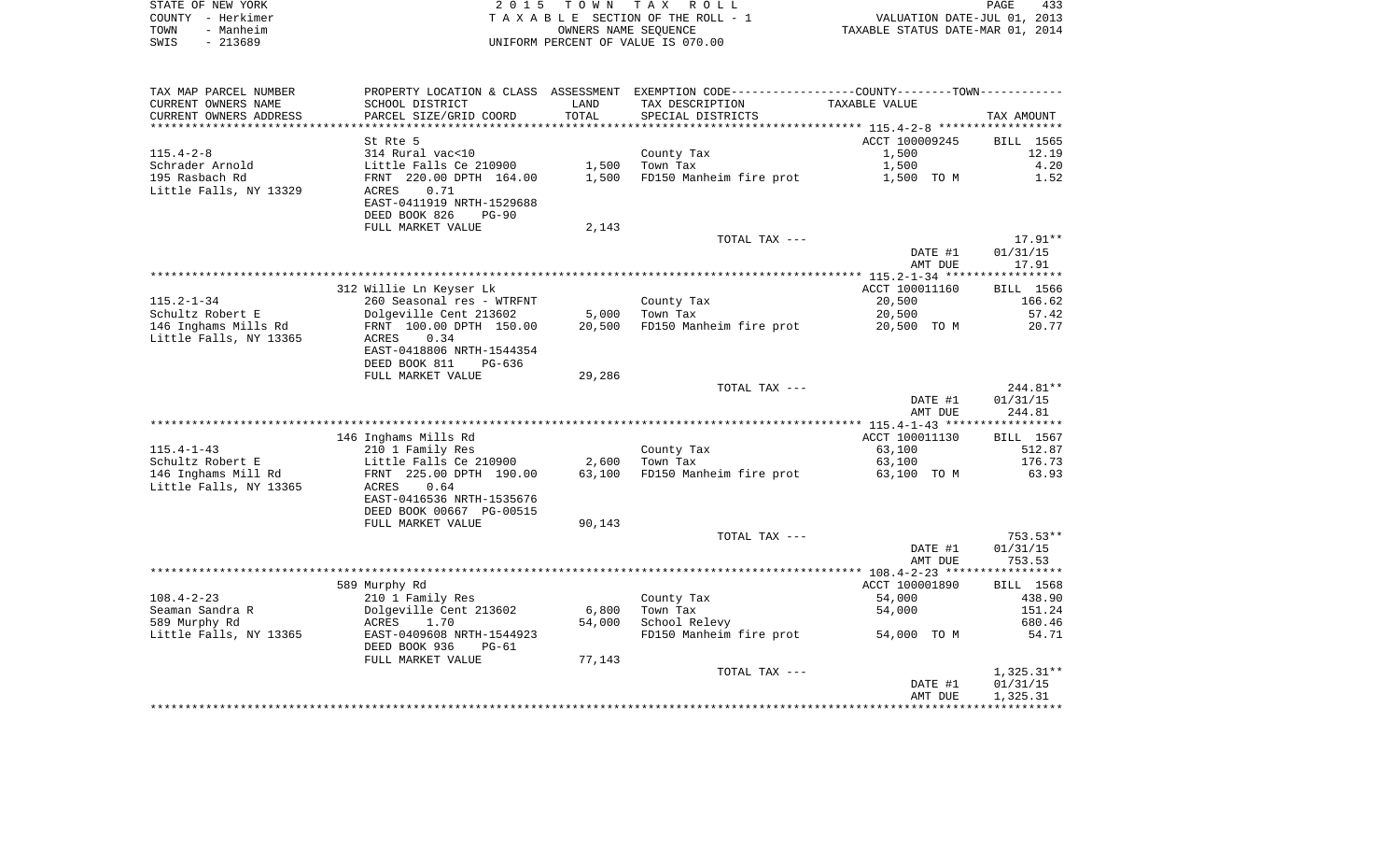|      | STATE OF NEW YORK | 2015 TOWN TAX ROLL                 | PAGE                             | 433 |
|------|-------------------|------------------------------------|----------------------------------|-----|
|      | COUNTY - Herkimer | TAXABLE SECTION OF THE ROLL - 1    | VALUATION DATE-JUL 01, 2013      |     |
| TOWN | - Manheim         | OWNERS NAME SEOUENCE               | TAXABLE STATUS DATE-MAR 01, 2014 |     |
| SWIS | - 213689          | UNIFORM PERCENT OF VALUE IS 070.00 |                                  |     |

 $\begin{array}{c} 433 \\ 2013 \\ 2014 \end{array}$ 

| TAX MAP PARCEL NUMBER                         |                                                   |                 | PROPERTY LOCATION & CLASS ASSESSMENT EXEMPTION CODE---------------COUNTY-------TOWN---------- |                       |                        |
|-----------------------------------------------|---------------------------------------------------|-----------------|-----------------------------------------------------------------------------------------------|-----------------------|------------------------|
| CURRENT OWNERS NAME                           | SCHOOL DISTRICT                                   | LAND            | TAX DESCRIPTION                                                                               | TAXABLE VALUE         |                        |
| CURRENT OWNERS ADDRESS                        | PARCEL SIZE/GRID COORD                            | TOTAL           | SPECIAL DISTRICTS                                                                             |                       | TAX AMOUNT             |
| **********************                        |                                                   |                 |                                                                                               |                       |                        |
|                                               | St Rte 5                                          |                 |                                                                                               | ACCT 100009245        | BILL 1565              |
| $115.4 - 2 - 8$                               | 314 Rural vac<10                                  |                 | County Tax                                                                                    | 1,500                 | 12.19                  |
| Schrader Arnold                               | Little Falls Ce 210900                            | 1,500           | Town Tax                                                                                      | 1,500                 | 4.20                   |
| 195 Rasbach Rd                                | FRNT 220.00 DPTH 164.00                           | 1,500           | FD150 Manheim fire prot                                                                       | 1,500 TO M            | 1.52                   |
| Little Falls, NY 13329                        | 0.71<br>ACRES                                     |                 |                                                                                               |                       |                        |
|                                               | EAST-0411919 NRTH-1529688                         |                 |                                                                                               |                       |                        |
|                                               | DEED BOOK 826<br>PG-90                            |                 |                                                                                               |                       |                        |
|                                               | FULL MARKET VALUE                                 | 2,143           |                                                                                               |                       |                        |
|                                               |                                                   |                 | TOTAL TAX ---                                                                                 |                       | 17.91**                |
|                                               |                                                   |                 |                                                                                               | DATE #1<br>AMT DUE    | 01/31/15<br>17.91      |
|                                               |                                                   |                 |                                                                                               |                       |                        |
|                                               | 312 Willie Ln Keyser Lk                           |                 |                                                                                               | ACCT 100011160        | BILL 1566              |
| $115.2 - 1 - 34$                              | 260 Seasonal res - WTRFNT                         |                 | County Tax                                                                                    | 20,500                | 166.62                 |
| Schultz Robert E                              | Dolgeville Cent 213602                            | 5,000           | Town Tax                                                                                      | 20,500                | 57.42                  |
| 146 Inghams Mills Rd                          | FRNT 100.00 DPTH 150.00                           | 20,500          | FD150 Manheim fire prot                                                                       | 20,500 TO M           | 20.77                  |
| Little Falls, NY 13365                        | 0.34<br>ACRES                                     |                 |                                                                                               |                       |                        |
|                                               | EAST-0418806 NRTH-1544354                         |                 |                                                                                               |                       |                        |
|                                               | DEED BOOK 811<br>PG-636                           |                 |                                                                                               |                       |                        |
|                                               | FULL MARKET VALUE                                 | 29,286          |                                                                                               |                       |                        |
|                                               |                                                   |                 | TOTAL TAX ---                                                                                 |                       | 244.81**               |
|                                               |                                                   |                 |                                                                                               | DATE #1               | 01/31/15               |
|                                               |                                                   |                 |                                                                                               | AMT DUE               | 244.81                 |
|                                               |                                                   |                 |                                                                                               |                       |                        |
|                                               | 146 Inghams Mills Rd                              |                 | County Tax                                                                                    | ACCT 100011130        | BILL 1567              |
| 115.4-1-43                                    | 210 1 Family Res                                  |                 |                                                                                               | 63,100                | 512.87                 |
| Schultz Robert E                              | Little Falls Ce 210900<br>FRNT 225.00 DPTH 190.00 | 2,600<br>63,100 | FD150 Manheim fire prot                                                                       | 63,100<br>63,100 TO M | 176.73<br>63.93        |
| 146 Inghams Mill Rd<br>Little Falls, NY 13365 | ACRES<br>0.64                                     |                 |                                                                                               |                       |                        |
|                                               | EAST-0416536 NRTH-1535676                         |                 |                                                                                               |                       |                        |
|                                               | DEED BOOK 00667 PG-00515                          |                 |                                                                                               |                       |                        |
|                                               | FULL MARKET VALUE                                 | 90,143          |                                                                                               |                       |                        |
|                                               |                                                   |                 | TOTAL TAX ---                                                                                 |                       | 753.53**               |
|                                               |                                                   |                 |                                                                                               | DATE #1               | 01/31/15               |
|                                               |                                                   |                 |                                                                                               | AMT DUE               | 753.53                 |
|                                               |                                                   |                 |                                                                                               |                       |                        |
|                                               | 589 Murphy Rd                                     |                 |                                                                                               | ACCT 100001890        | BILL 1568              |
| $108.4 - 2 - 23$                              | 210 1 Family Res                                  |                 | County Tax                                                                                    | 54,000                | 438.90                 |
| Seaman Sandra R                               | Dolgeville Cent 213602                            | 6,800           | Town Tax                                                                                      | 54,000                | 151.24                 |
| 589 Murphy Rd                                 | ACRES<br>1.70                                     | 54,000          | School Relevy                                                                                 |                       | 680.46                 |
| Little Falls, NY 13365                        | EAST-0409608 NRTH-1544923                         |                 | FD150 Manheim fire prot                                                                       | 54,000 TO M           | 54.71                  |
|                                               | DEED BOOK 936<br>PG-61                            |                 |                                                                                               |                       |                        |
|                                               | FULL MARKET VALUE                                 | 77,143          |                                                                                               |                       |                        |
|                                               |                                                   |                 | TOTAL TAX ---                                                                                 | DATE #1               | 1,325.31**<br>01/31/15 |
|                                               |                                                   |                 |                                                                                               | AMT DUE               | 1,325.31               |
|                                               |                                                   |                 |                                                                                               |                       |                        |
|                                               |                                                   |                 |                                                                                               |                       |                        |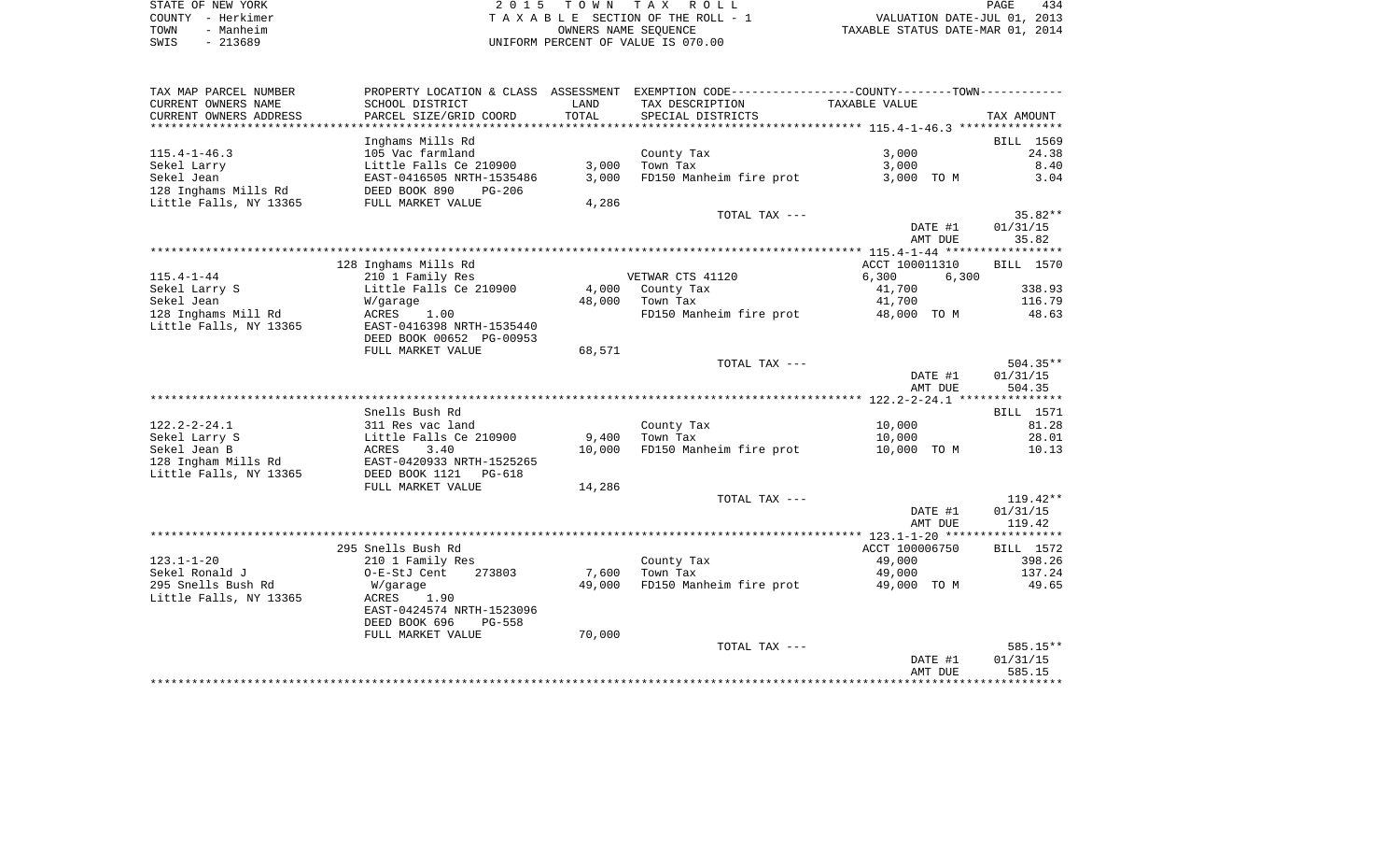| STATE OF NEW YORK                          | 2015 TOWN TAX ROLL                 | 434<br>PAGE                      |
|--------------------------------------------|------------------------------------|----------------------------------|
| COUNTY - Herkimer                          | TAXABLE SECTION OF THE ROLL - 1    | VALUATION DATE-JUL 01, 2013      |
| Manheim<br>TOWN                            | OWNERS NAME SEOUENCE               | TAXABLE STATUS DATE-MAR 01, 2014 |
| 213689<br>SWIS<br>$\overline{\phantom{0}}$ | UNIFORM PERCENT OF VALUE IS 070.00 |                                  |

| TAX MAP PARCEL NUMBER      | PROPERTY LOCATION & CLASS ASSESSMENT |        | EXEMPTION CODE-----------------COUNTY-------TOWN----------- |                |                    |
|----------------------------|--------------------------------------|--------|-------------------------------------------------------------|----------------|--------------------|
| CURRENT OWNERS NAME        | SCHOOL DISTRICT                      | LAND   | TAX DESCRIPTION                                             | TAXABLE VALUE  |                    |
| CURRENT OWNERS ADDRESS     | PARCEL SIZE/GRID COORD               | TOTAL  | SPECIAL DISTRICTS                                           |                | TAX AMOUNT         |
| ************************** |                                      |        |                                                             |                |                    |
|                            | Inghams Mills Rd                     |        |                                                             |                | BILL 1569          |
| $115.4 - 1 - 46.3$         | 105 Vac farmland                     |        | County Tax                                                  | 3,000          | 24.38              |
| Sekel Larry                | Little Falls Ce 210900               | 3,000  | Town Tax                                                    | 3,000          | 8.40               |
| Sekel Jean                 | EAST-0416505 NRTH-1535486            | 3,000  | FD150 Manheim fire prot                                     | 3,000 TO M     | 3.04               |
| 128 Inghams Mills Rd       | DEED BOOK 890<br>$PG-206$            |        |                                                             |                |                    |
| Little Falls, NY 13365     | FULL MARKET VALUE                    | 4,286  |                                                             |                |                    |
|                            |                                      |        | TOTAL TAX ---                                               |                | 35.82**            |
|                            |                                      |        |                                                             | DATE #1        | 01/31/15           |
|                            |                                      |        |                                                             | AMT DUE        | 35.82              |
|                            |                                      |        |                                                             |                |                    |
|                            | 128 Inghams Mills Rd                 |        |                                                             | ACCT 100011310 | BILL 1570          |
| $115.4 - 1 - 44$           | 210 1 Family Res                     |        | VETWAR CTS 41120                                            | 6,300<br>6,300 |                    |
| Sekel Larry S              | Little Falls Ce 210900               | 4,000  | County Tax                                                  | 41,700         | 338.93             |
| Sekel Jean                 | W/garage                             | 48,000 | Town Tax                                                    | 41,700         | 116.79             |
| 128 Inghams Mill Rd        | ACRES<br>1.00                        |        | FD150 Manheim fire prot                                     | 48,000 TO M    | 48.63              |
| Little Falls, NY 13365     | EAST-0416398 NRTH-1535440            |        |                                                             |                |                    |
|                            | DEED BOOK 00652 PG-00953             |        |                                                             |                |                    |
|                            | FULL MARKET VALUE                    | 68,571 |                                                             |                |                    |
|                            |                                      |        | TOTAL TAX ---                                               |                | $504.35**$         |
|                            |                                      |        |                                                             | DATE #1        | 01/31/15           |
|                            |                                      |        |                                                             | AMT DUE        | 504.35             |
|                            | Snells Bush Rd                       |        |                                                             |                |                    |
| $122.2 - 2 - 24.1$         | 311 Res vac land                     |        | County Tax                                                  | 10,000         | BILL 1571<br>81.28 |
| Sekel Larry S              | Little Falls Ce 210900               | 9,400  | Town Tax                                                    | 10,000         | 28.01              |
| Sekel Jean B               | ACRES<br>3.40                        | 10,000 | FD150 Manheim fire prot                                     | 10,000 TO M    | 10.13              |
| 128 Ingham Mills Rd        | EAST-0420933 NRTH-1525265            |        |                                                             |                |                    |
| Little Falls, NY 13365     | DEED BOOK 1121 PG-618                |        |                                                             |                |                    |
|                            | FULL MARKET VALUE                    | 14,286 |                                                             |                |                    |
|                            |                                      |        | TOTAL TAX ---                                               |                | $119.42**$         |
|                            |                                      |        |                                                             | DATE #1        | 01/31/15           |
|                            |                                      |        |                                                             | AMT DUE        | 119.42             |
|                            |                                      |        |                                                             |                |                    |
|                            | 295 Snells Bush Rd                   |        |                                                             | ACCT 100006750 | BILL 1572          |
| $123.1 - 1 - 20$           | 210 1 Family Res                     |        | County Tax                                                  | 49,000         | 398.26             |
| Sekel Ronald J             | 273803<br>O-E-StJ Cent               | 7,600  | Town Tax                                                    | 49,000         | 137.24             |
| 295 Snells Bush Rd         | W/garage                             | 49,000 | FD150 Manheim fire prot                                     | 49,000 TO M    | 49.65              |
| Little Falls, NY 13365     | ACRES<br>1.90                        |        |                                                             |                |                    |
|                            | EAST-0424574 NRTH-1523096            |        |                                                             |                |                    |
|                            | DEED BOOK 696<br>PG-558              |        |                                                             |                |                    |
|                            | FULL MARKET VALUE                    | 70,000 |                                                             |                |                    |
|                            |                                      |        | TOTAL TAX ---                                               |                | 585.15**           |
|                            |                                      |        |                                                             | DATE #1        | 01/31/15           |
|                            |                                      |        |                                                             | AMT DUE        | 585.15             |
|                            |                                      |        |                                                             |                |                    |
|                            |                                      |        |                                                             |                |                    |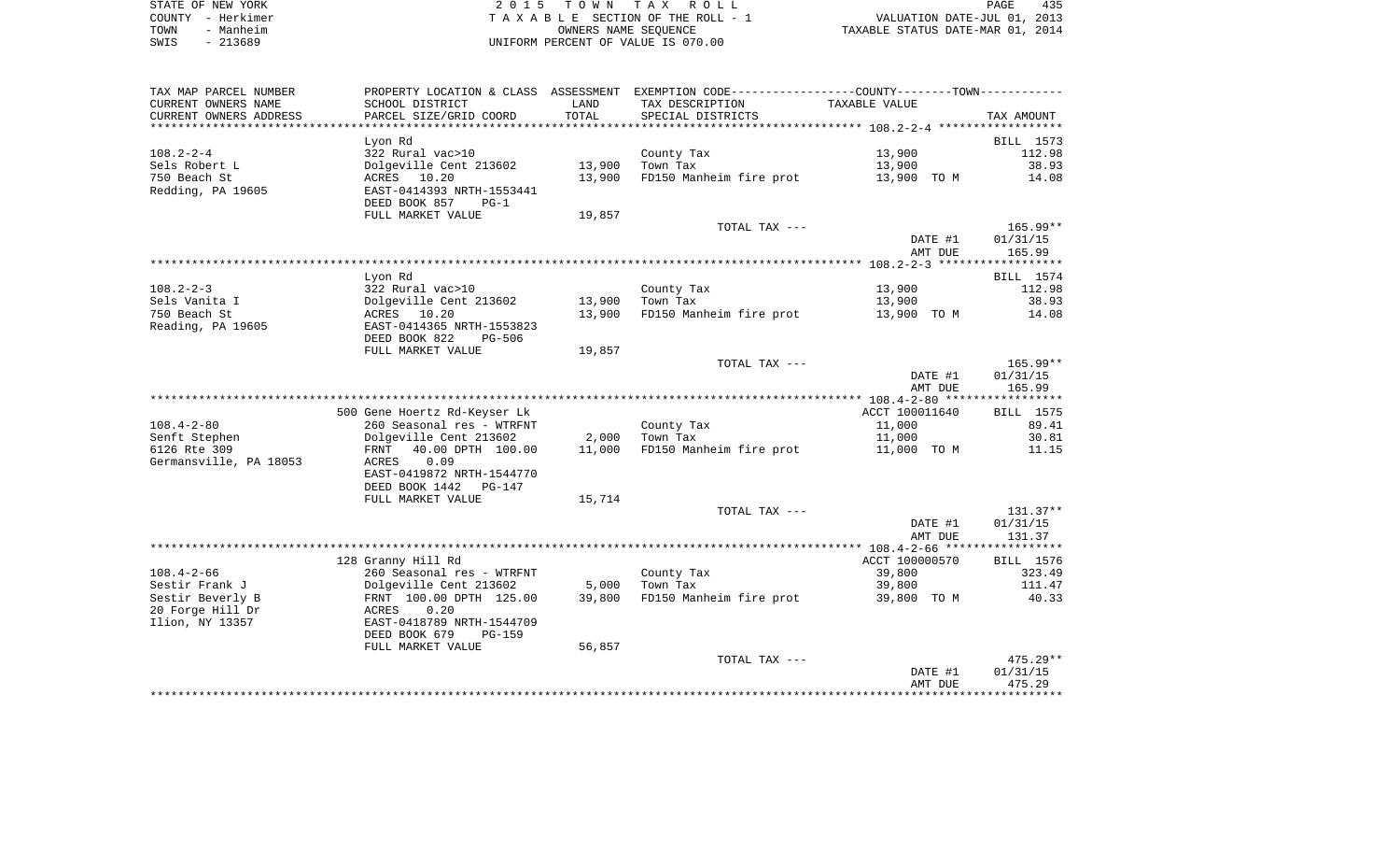| STATE OF NEW YORK | 2015 TOWN TAX ROLL                 | 435<br>PAGE                      |
|-------------------|------------------------------------|----------------------------------|
| COUNTY - Herkimer | TAXABLE SECTION OF THE ROLL - 1    | VALUATION DATE-JUL 01, 2013      |
| - Manheim<br>TOWN | OWNERS NAME SEOUENCE               | TAXABLE STATUS DATE-MAR 01, 2014 |
| - 213689<br>SWIS  | UNIFORM PERCENT OF VALUE IS 070.00 |                                  |

| TAX MAP PARCEL NUMBER                |                                          |        | PROPERTY LOCATION & CLASS ASSESSMENT EXEMPTION CODE----------------COUNTY--------TOWN----------- |                |            |
|--------------------------------------|------------------------------------------|--------|--------------------------------------------------------------------------------------------------|----------------|------------|
| CURRENT OWNERS NAME                  | SCHOOL DISTRICT                          | LAND   | TAX DESCRIPTION                                                                                  | TAXABLE VALUE  |            |
| CURRENT OWNERS ADDRESS               | PARCEL SIZE/GRID COORD                   | TOTAL  | SPECIAL DISTRICTS                                                                                |                | TAX AMOUNT |
| *********************                | **********************                   |        |                                                                                                  |                |            |
|                                      | Lyon Rd                                  |        |                                                                                                  |                | BILL 1573  |
| $108.2 - 2 - 4$                      | 322 Rural vac>10                         |        | County Tax                                                                                       | 13,900         | 112.98     |
| Sels Robert L                        | Dolgeville Cent 213602                   | 13,900 | Town Tax                                                                                         | 13,900         | 38.93      |
| 750 Beach St                         | ACRES 10.20                              | 13,900 | FD150 Manheim fire prot                                                                          | 13,900 TO M    | 14.08      |
| Redding, PA 19605                    | EAST-0414393 NRTH-1553441                |        |                                                                                                  |                |            |
|                                      | DEED BOOK 857<br>$PG-1$                  |        |                                                                                                  |                |            |
|                                      | FULL MARKET VALUE                        | 19,857 |                                                                                                  |                |            |
|                                      |                                          |        | TOTAL TAX ---                                                                                    |                | 165.99**   |
|                                      |                                          |        |                                                                                                  | DATE #1        | 01/31/15   |
|                                      |                                          |        |                                                                                                  | AMT DUE        | 165.99     |
|                                      |                                          |        |                                                                                                  |                |            |
|                                      | Lyon Rd                                  |        |                                                                                                  |                | BILL 1574  |
| 108.2-2-3                            | 322 Rural vac>10                         |        | County Tax                                                                                       | 13,900         | 112.98     |
| Sels Vanita I                        | Dolgeville Cent 213602<br>ACRES 10.20    | 13,900 | Town Tax                                                                                         | 13,900         | 38.93      |
| 750 Beach St<br>Reading, PA 19605    | EAST-0414365 NRTH-1553823                | 13,900 | FD150 Manheim fire prot                                                                          | 13,900 TO M    | 14.08      |
|                                      | DEED BOOK 822<br>PG-506                  |        |                                                                                                  |                |            |
|                                      | FULL MARKET VALUE                        | 19,857 |                                                                                                  |                |            |
|                                      |                                          |        | TOTAL TAX ---                                                                                    |                | 165.99**   |
|                                      |                                          |        |                                                                                                  | DATE #1        | 01/31/15   |
|                                      |                                          |        |                                                                                                  | AMT DUE        | 165.99     |
|                                      |                                          |        |                                                                                                  |                |            |
|                                      | 500 Gene Hoertz Rd-Keyser Lk             |        |                                                                                                  | ACCT 100011640 | BILL 1575  |
| $108.4 - 2 - 80$                     | 260 Seasonal res - WTRFNT                |        | County Tax                                                                                       | 11,000         | 89.41      |
| Senft Stephen                        | Dolgeville Cent 213602                   |        | 2,000 Town Tax                                                                                   | 11,000         | 30.81      |
| 6126 Rte 309                         | 40.00 DPTH 100.00<br>FRNT                | 11,000 | FD150 Manheim fire prot                                                                          | 11,000 TO M    | 11.15      |
| Germansville, PA 18053               | 0.09<br>ACRES                            |        |                                                                                                  |                |            |
|                                      | EAST-0419872 NRTH-1544770                |        |                                                                                                  |                |            |
|                                      | DEED BOOK 1442 PG-147                    |        |                                                                                                  |                |            |
|                                      | FULL MARKET VALUE                        | 15,714 |                                                                                                  |                |            |
|                                      |                                          |        | TOTAL TAX ---                                                                                    |                | 131.37**   |
|                                      |                                          |        |                                                                                                  | DATE #1        | 01/31/15   |
|                                      |                                          |        |                                                                                                  | AMT DUE        | 131.37     |
|                                      |                                          |        |                                                                                                  |                |            |
|                                      | 128 Granny Hill Rd                       |        |                                                                                                  | ACCT 100000570 | BILL 1576  |
| 108.4-2-66                           | 260 Seasonal res - WTRFNT                |        | County Tax                                                                                       | 39,800         | 323.49     |
| Sestir Frank J                       | Dolgeville Cent 213602                   | 5,000  | Town Tax                                                                                         | 39,800         | 111.47     |
| Sestir Beverly B<br>20 Forge Hill Dr | FRNT 100.00 DPTH 125.00<br>ACRES<br>0.20 |        | 39,800 FD150 Manheim fire prot                                                                   | 39,800 TO M    | 40.33      |
| Ilion, NY 13357                      | EAST-0418789 NRTH-1544709                |        |                                                                                                  |                |            |
|                                      | DEED BOOK 679<br>PG-159                  |        |                                                                                                  |                |            |
|                                      | FULL MARKET VALUE                        | 56,857 |                                                                                                  |                |            |
|                                      |                                          |        | TOTAL TAX ---                                                                                    |                | $475.29**$ |
|                                      |                                          |        |                                                                                                  | DATE #1        | 01/31/15   |
|                                      |                                          |        |                                                                                                  | AMT DUE        | 475.29     |
|                                      |                                          |        |                                                                                                  |                |            |
|                                      |                                          |        |                                                                                                  |                |            |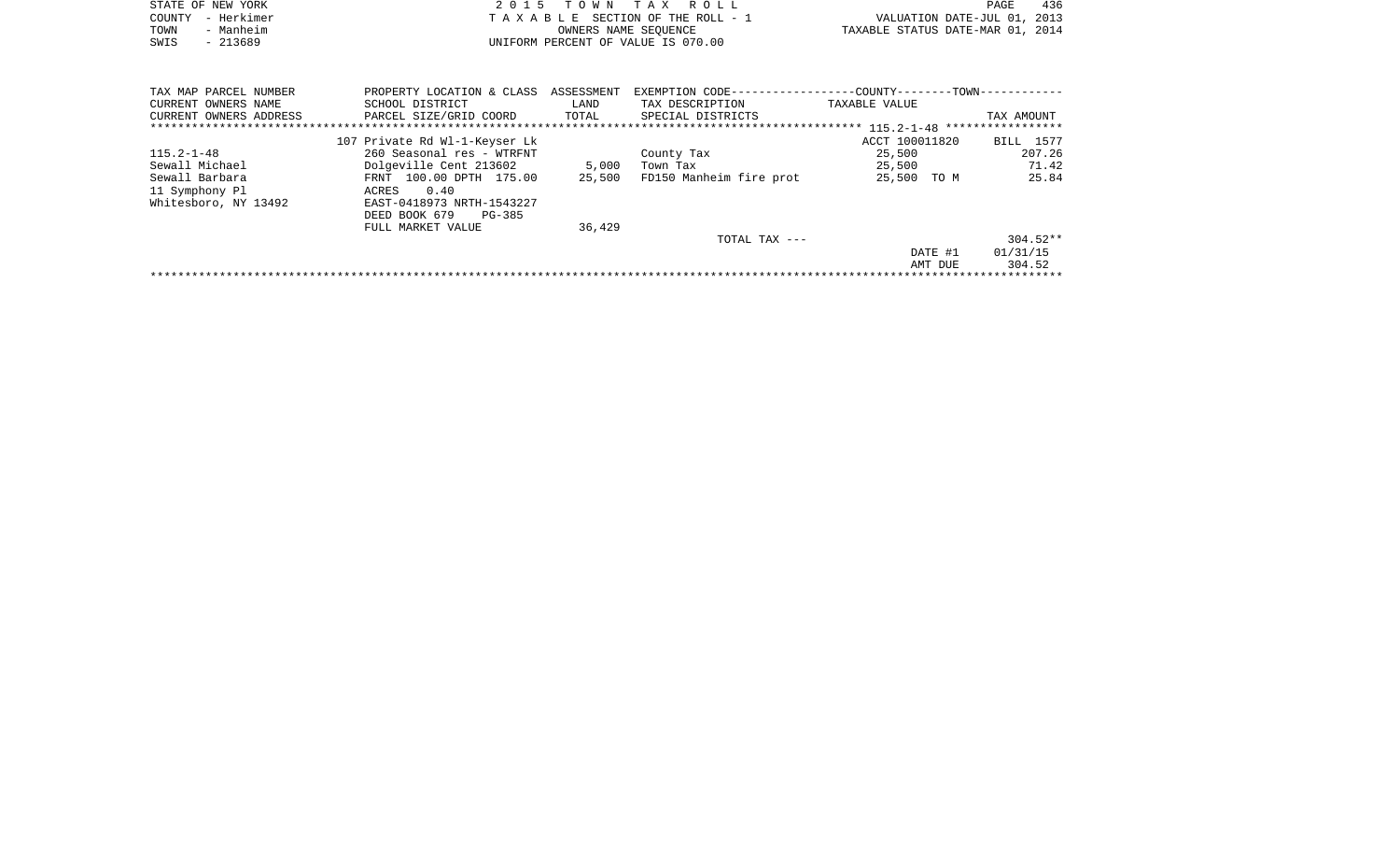|      | STATE OF NEW YORK | 2015 TOWN TAX ROLL                 |                                  | PAGE | 436 |
|------|-------------------|------------------------------------|----------------------------------|------|-----|
|      | COUNTY - Herkimer | TAXABLE SECTION OF THE ROLL - 1    | VALUATION DATE-JUL 01, 2013      |      |     |
| TOWN | - Manheim         | OWNERS NAME SEOUENCE               | TAXABLE STATUS DATE-MAR 01, 2014 |      |     |
| SWIS | $-213689$         | UNIFORM PERCENT OF VALUE IS 070.00 |                                  |      |     |
|      |                   |                                    |                                  |      |     |
|      |                   |                                    |                                  |      |     |

| TAX MAP PARCEL NUMBER<br>CURRENT OWNERS NAME<br>CURRENT OWNERS ADDRESS | PROPERTY LOCATION & CLASS<br>SCHOOL DISTRICT<br>PARCEL SIZE/GRID COORD | ASSESSMENT<br>LAND<br>TOTAL | EXEMPTION CODE-----------------COUNTY-------TOWN------------<br>TAX DESCRIPTION<br>SPECIAL DISTRICTS | TAXABLE VALUE  | TAX AMOUNT |
|------------------------------------------------------------------------|------------------------------------------------------------------------|-----------------------------|------------------------------------------------------------------------------------------------------|----------------|------------|
| ******************************                                         |                                                                        |                             |                                                                                                      |                |            |
|                                                                        | 107 Private Rd Wl-1-Keyser Lk                                          |                             |                                                                                                      | ACCT 100011820 | BILL 1577  |
| $115.2 - 1 - 48$                                                       | 260 Seasonal res - WTRFNT                                              |                             | County Tax                                                                                           | 25,500         | 207.26     |
| Sewall Michael                                                         | Dolgeville Cent 213602                                                 | 5,000                       | Town Tax                                                                                             | 25,500         | 71.42      |
| Sewall Barbara                                                         | FRNT 100.00 DPTH 175.00                                                | 25,500                      | FD150 Manheim fire prot                                                                              | 25,500<br>TO M | 25.84      |
| 11 Symphony Pl                                                         | 0.40<br>ACRES                                                          |                             |                                                                                                      |                |            |
| Whitesboro, NY 13492                                                   | EAST-0418973 NRTH-1543227                                              |                             |                                                                                                      |                |            |
|                                                                        | DEED BOOK 679<br>PG-385                                                |                             |                                                                                                      |                |            |
|                                                                        | FULL MARKET VALUE                                                      | 36,429                      |                                                                                                      |                |            |
|                                                                        |                                                                        |                             | TOTAL TAX $---$                                                                                      |                | $304.52**$ |
|                                                                        |                                                                        |                             |                                                                                                      | DATE #1        | 01/31/15   |
|                                                                        |                                                                        |                             |                                                                                                      | AMT DUE        | 304.52     |
|                                                                        |                                                                        |                             |                                                                                                      |                |            |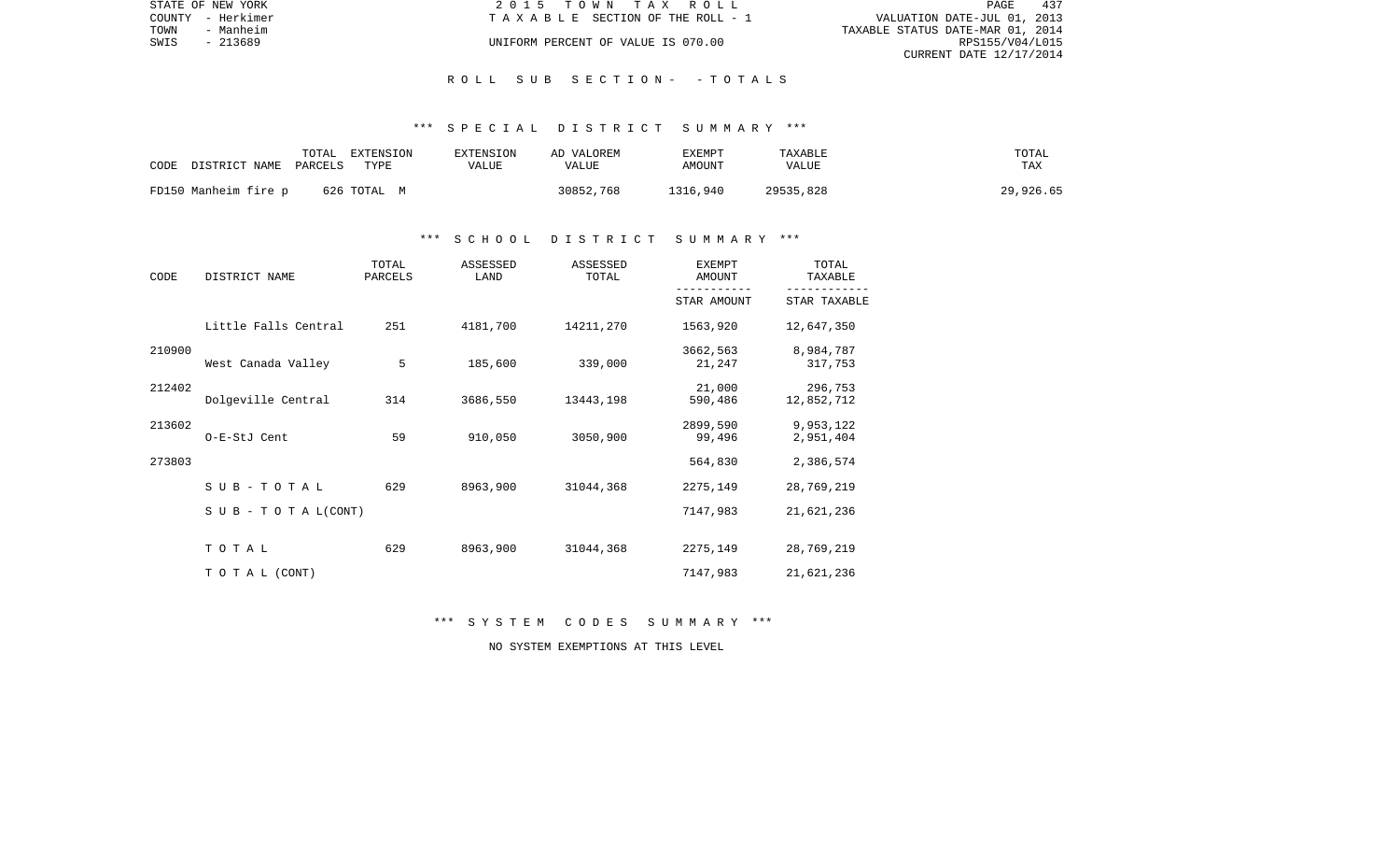|      | STATE OF NEW YORK | 2015 TOWN TAX ROLL                 | PAGE                        | 437 |
|------|-------------------|------------------------------------|-----------------------------|-----|
|      | COUNTY - Herkimer | TAXABLE SECTION OF THE ROLL - 1    | VALUATION DATE-JUL 01, 2013 |     |
| TOWN | - Manheim         | TAXABLE STATUS DATE-MAR 01, 2014   |                             |     |
| SWIS | - 213689          | UNIFORM PERCENT OF VALUE IS 070.00 | RPS155/V04/L015             |     |
|      |                   |                                    | CURRENT DATE 12/17/2014     |     |

#### R O L L S U B S E C T I O N - - T O T A L S

## \*\*\* S P E C I A L D I S T R I C T S U M M A R Y \*\*\*

| CODE | DISTRICT NAME PARCELS | TOTAL | EXTENSION<br>TYPE | EXTENSION<br>VALUE | AD VALOREM<br>VALUE | EXEMPT<br>AMOUNT | TAXABLE<br>VALUE | TOTAL<br>TAX |
|------|-----------------------|-------|-------------------|--------------------|---------------------|------------------|------------------|--------------|
|      | FD150 Manheim fire p  |       | 626 TOTAL M       |                    | 30852,768           | 1316,940         | 29535,828        | 29,926.65    |

## \*\*\* S C H O O L D I S T R I C T S U M M A R Y \*\*\*

| CODE   | DISTRICT NAME                    | TOTAL<br>PARCELS | ASSESSED<br>LAND | ASSESSED<br>TOTAL | <b>EXEMPT</b><br>AMOUNT | TOTAL<br>TAXABLE       |
|--------|----------------------------------|------------------|------------------|-------------------|-------------------------|------------------------|
|        |                                  |                  |                  |                   | STAR AMOUNT             | STAR TAXABLE           |
|        | Little Falls Central             | 251              | 4181,700         | 14211,270         | 1563,920                | 12,647,350             |
| 210900 | West Canada Valley               | 5                | 185,600          | 339,000           | 3662,563<br>21,247      | 8,984,787<br>317,753   |
| 212402 | Dolgeville Central               | 314              | 3686,550         | 13443,198         | 21,000<br>590,486       | 296,753<br>12,852,712  |
| 213602 | O-E-StJ Cent                     | 59               | 910,050          | 3050,900          | 2899,590<br>99,496      | 9,953,122<br>2,951,404 |
| 273803 |                                  |                  |                  |                   | 564,830                 | 2,386,574              |
|        | SUB-TOTAL                        | 629              | 8963,900         | 31044,368         | 2275,149                | 28,769,219             |
|        | $S \cup B - T \cup T A L (CONT)$ |                  |                  |                   | 7147,983                | 21,621,236             |
|        | TOTAL                            | 629              | 8963,900         | 31044,368         | 2275,149                | 28,769,219             |
|        | TO TAL (CONT)                    |                  |                  |                   | 7147,983                | 21,621,236             |

\*\*\* S Y S T E M C O D E S S U M M A R Y \*\*\*

NO SYSTEM EXEMPTIONS AT THIS LEVEL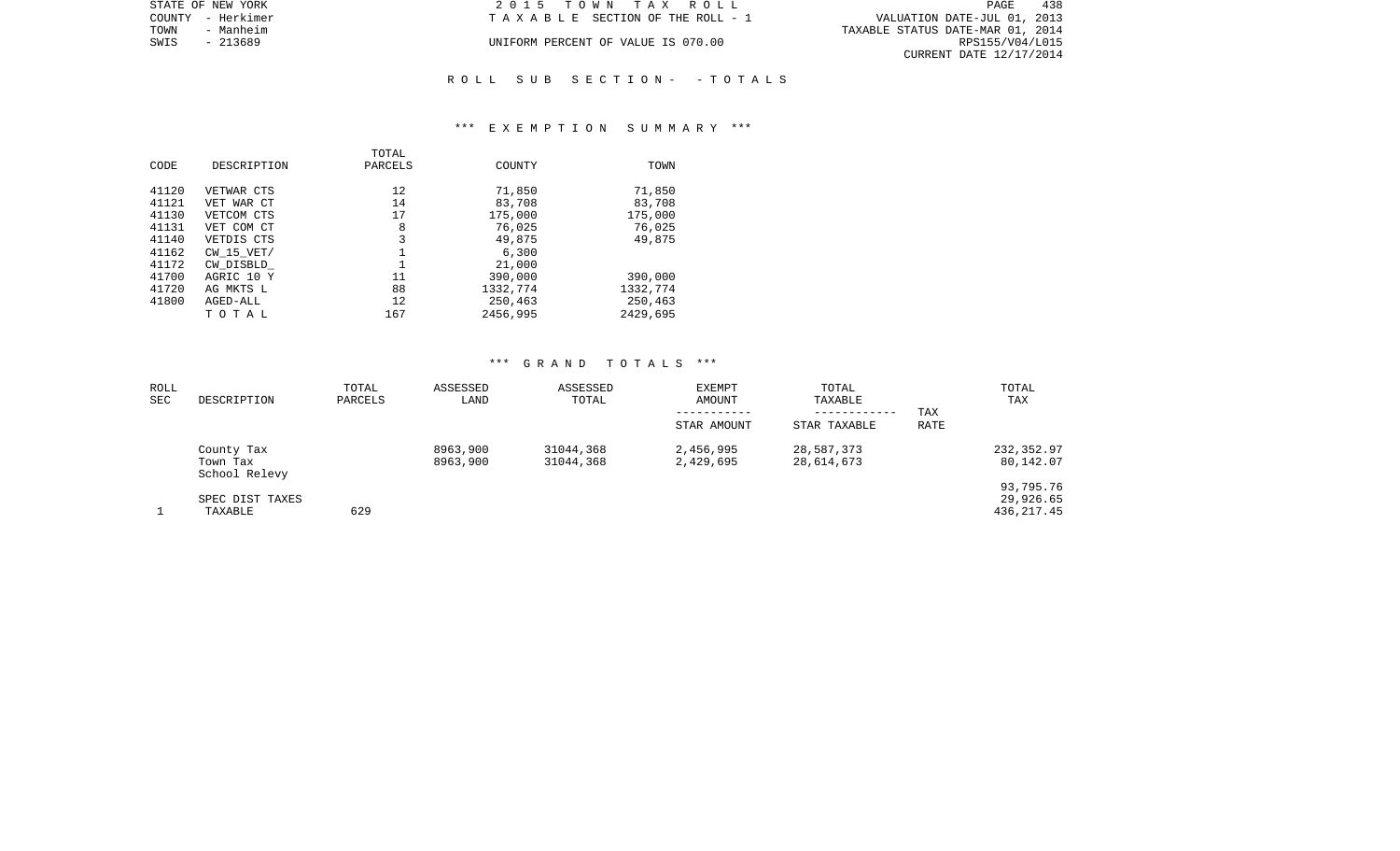| STATE OF NEW YORK | 2015 TOWN TAX ROLL                 | 438<br>PAGE                      |
|-------------------|------------------------------------|----------------------------------|
| COUNTY - Herkimer | TAXABLE SECTION OF THE ROLL - 1    | VALUATION DATE-JUL 01, 2013      |
| TOWN<br>- Manheim |                                    | TAXABLE STATUS DATE-MAR 01, 2014 |
| SWIS<br>- 213689  | UNIFORM PERCENT OF VALUE IS 070.00 | RPS155/V04/L015                  |
|                   |                                    | CURRENT DATE 12/17/2014          |
|                   |                                    |                                  |

# R O L L S U B S E C T I O N - - T O T A L S

#### \*\*\* E X E M P T I O N S U M M A R Y \*\*\*

|       |                | TOTAL   |          |          |
|-------|----------------|---------|----------|----------|
| CODE  | DESCRIPTION    | PARCELS | COUNTY   | TOWN     |
|       |                |         |          |          |
| 41120 | VETWAR CTS     | 12      | 71,850   | 71,850   |
| 41121 | VET WAR CT     | 14      | 83,708   | 83,708   |
| 41130 | VETCOM CTS     | 17      | 175,000  | 175,000  |
| 41131 | VET COM CT     | 8       | 76,025   | 76,025   |
| 41140 | VETDIS CTS     | 3       | 49,875   | 49,875   |
| 41162 | $CW$ 15 $VET/$ |         | 6,300    |          |
| 41172 | CW DISBLD      |         | 21,000   |          |
| 41700 | AGRIC 10 Y     | 11      | 390,000  | 390,000  |
| 41720 | AG MKTS L      | 88      | 1332,774 | 1332,774 |
| 41800 | AGED-ALL       | 12      | 250,463  | 250,463  |
|       | тотаь          | 167     | 2456,995 | 2429,695 |

## \*\*\* G R A N D T O T A L S \*\*\*

| ROLL<br><b>SEC</b> | DESCRIPTION                             | TOTAL<br>PARCELS | ASSESSED<br>LAND     | ASSESSED<br>TOTAL      | EXEMPT<br>AMOUNT       | TOTAL<br>TAXABLE<br>------------ | TAX  | TOTAL<br>TAX                         |
|--------------------|-----------------------------------------|------------------|----------------------|------------------------|------------------------|----------------------------------|------|--------------------------------------|
|                    |                                         |                  |                      |                        | STAR AMOUNT            | STAR TAXABLE                     | RATE |                                      |
|                    | County Tax<br>Town Tax<br>School Relevy |                  | 8963,900<br>8963,900 | 31044,368<br>31044,368 | 2,456,995<br>2,429,695 | 28,587,373<br>28,614,673         |      | 232,352.97<br>80,142.07              |
|                    | SPEC DIST TAXES<br>TAXABLE              | 629              |                      |                        |                        |                                  |      | 93,795.76<br>29,926.65<br>436,217.45 |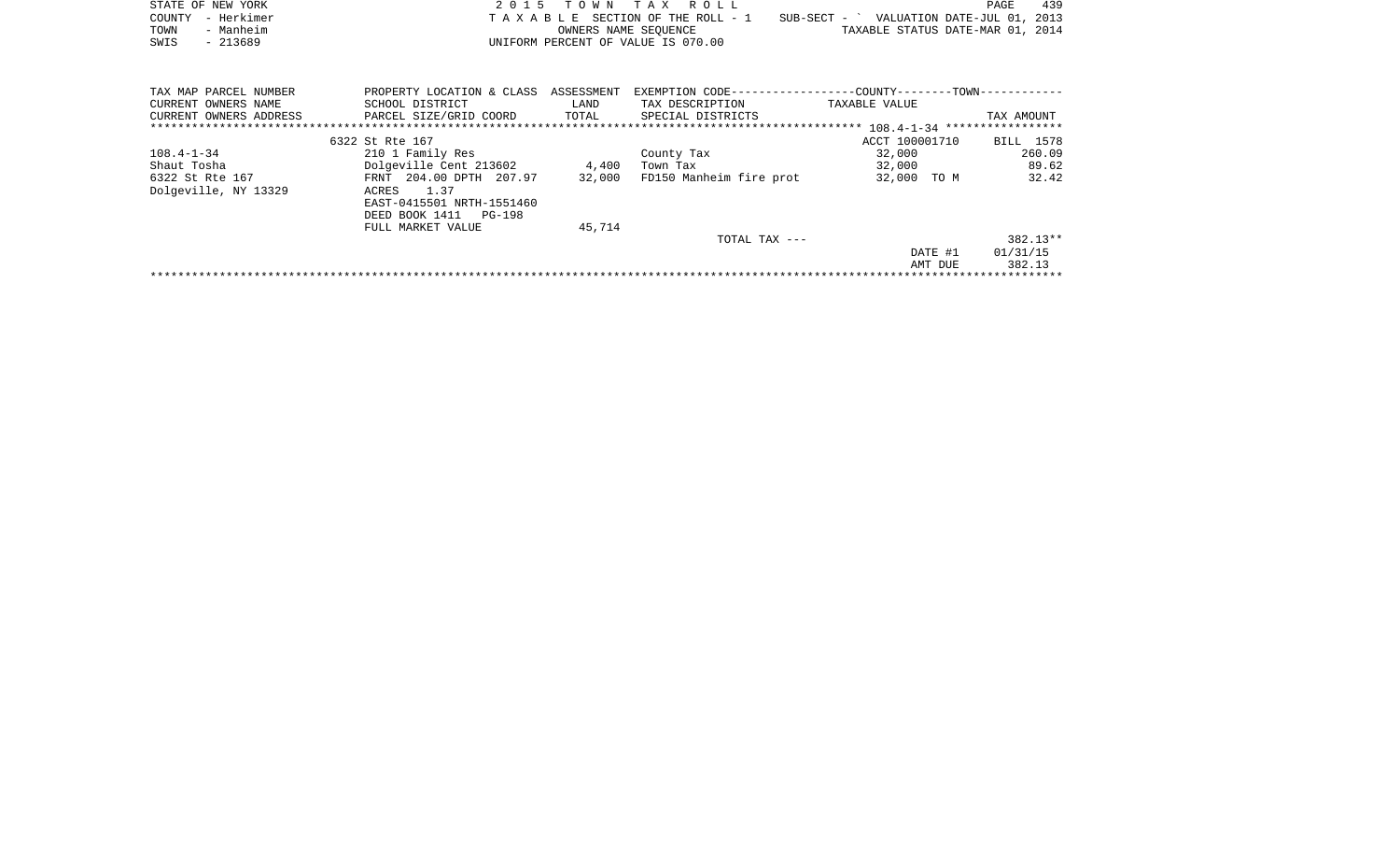|      | STATE OF NEW YORK | 2015 TOWN TAX ROLL                 |                                          | PAGE | 439 |
|------|-------------------|------------------------------------|------------------------------------------|------|-----|
|      | COUNTY - Herkimer | TAXABLE SECTION OF THE ROLL - 1    | SUB-SECT - ` VALUATION DATE-JUL 01, 2013 |      |     |
| TOWN | - Manheim         | OWNERS NAME SEOUENCE               | TAXABLE STATUS DATE-MAR 01, 2014         |      |     |
| SWIS | - 213689          | UNIFORM PERCENT OF VALUE IS 070.00 |                                          |      |     |
|      |                   |                                    |                                          |      |     |

| TAX MAP PARCEL NUMBER  | PROPERTY LOCATION & CLASS ASSESSMENT |        |                         | --COUNTY--------TOWN------------ |            |
|------------------------|--------------------------------------|--------|-------------------------|----------------------------------|------------|
| CURRENT OWNERS NAME    | SCHOOL DISTRICT                      | LAND   | TAX DESCRIPTION         | TAXABLE VALUE                    |            |
| CURRENT OWNERS ADDRESS | PARCEL SIZE/GRID COORD               | TOTAL  | SPECIAL DISTRICTS       |                                  | TAX AMOUNT |
|                        |                                      |        |                         |                                  |            |
|                        | 6322 St Rte 167                      |        |                         | ACCT 100001710                   | BILL 1578  |
| $108.4 - 1 - 34$       | 210 1 Family Res                     |        | County Tax              | 32,000                           | 260.09     |
| Shaut Tosha            | Dolgeville Cent 213602               | 4,400  | Town Tax                | 32,000                           | 89.62      |
| 6322 St Rte 167        | FRNT 204.00 DPTH 207.97              | 32,000 | FD150 Manheim fire prot | 32,000<br>TO M                   | 32.42      |
| Dolgeville, NY 13329   | 1.37<br>ACRES                        |        |                         |                                  |            |
|                        | EAST-0415501 NRTH-1551460            |        |                         |                                  |            |
|                        | DEED BOOK 1411 PG-198                |        |                         |                                  |            |
|                        | FULL MARKET VALUE                    | 45,714 |                         |                                  |            |
|                        |                                      |        | TOTAL TAX ---           |                                  | $382.13**$ |
|                        |                                      |        |                         | DATE #1                          | 01/31/15   |
|                        |                                      |        |                         | AMT DUE                          | 382.13     |
|                        |                                      |        |                         |                                  |            |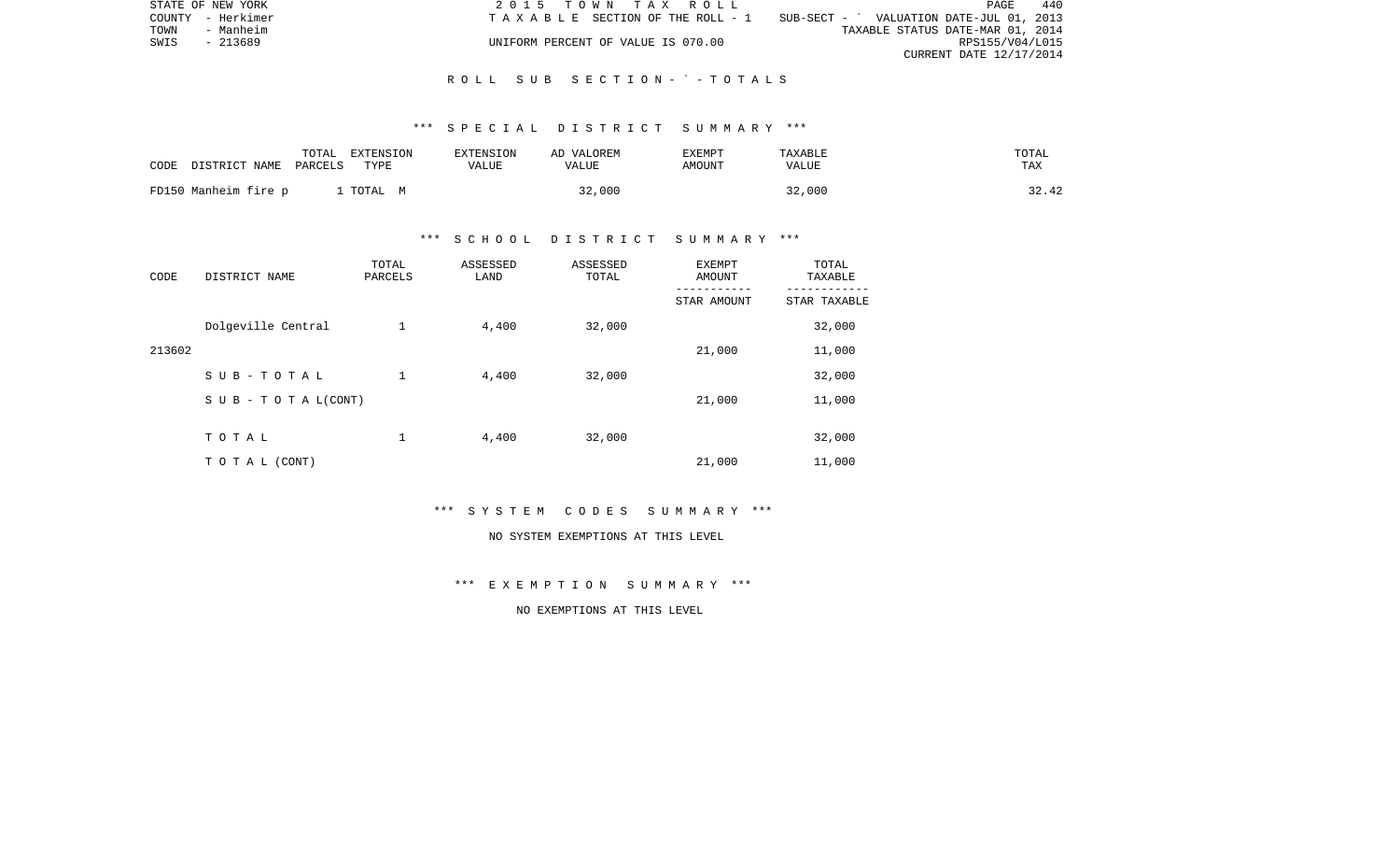|      | STATE OF NEW YORK | 2015 TOWN TAX ROLL                 |                                          | PAGE                    | 440 |
|------|-------------------|------------------------------------|------------------------------------------|-------------------------|-----|
|      | COUNTY - Herkimer | TAXABLE SECTION OF THE ROLL - 1    | SUB-SECT - ` VALUATION DATE-JUL 01, 2013 |                         |     |
| TOWN | - Manheim         |                                    | TAXABLE STATUS DATE-MAR 01, 2014         |                         |     |
| SWIS | - 213689          | UNIFORM PERCENT OF VALUE IS 070.00 |                                          | RPS155/V04/L015         |     |
|      |                   |                                    |                                          | CURRENT DATE 12/17/2014 |     |

#### R O L L S U B S E C T I O N - ` - T O T A L S

#### \*\*\* S P E C I A L D I S T R I C T S U M M A R Y \*\*\*

| CODE | DISTRICT NAME        | TOTAL<br>PARCELS | EXTENSION<br>TYPE | EXTENSION<br>VALUE | AD VALOREM<br>VALUE | <b>EXEMPT</b><br>AMOUNT | TAXABLE<br>VALUE | TOTAL<br>TAX |
|------|----------------------|------------------|-------------------|--------------------|---------------------|-------------------------|------------------|--------------|
|      | FD150 Manheim fire p |                  | TOTAL<br>M        |                    | 32,000              |                         | 32,000           | 32.42        |

# \*\*\* S C H O O L D I S T R I C T S U M M A R Y \*\*\*

| CODE   | DISTRICT NAME                    | TOTAL<br>PARCELS | ASSESSED<br>LAND | ASSESSED<br>TOTAL | <b>EXEMPT</b><br>AMOUNT | TOTAL<br>TAXABLE |
|--------|----------------------------------|------------------|------------------|-------------------|-------------------------|------------------|
|        |                                  |                  |                  |                   | STAR AMOUNT             | STAR TAXABLE     |
|        | Dolgeville Central               | $\mathbf 1$      | 4,400            | 32,000            |                         | 32,000           |
| 213602 |                                  |                  |                  |                   | 21,000                  | 11,000           |
|        | SUB-TOTAL                        | $\mathbf 1$      | 4,400            | 32,000            |                         | 32,000           |
|        | $S \cup B - T \cup T A L (CONT)$ |                  |                  |                   | 21,000                  | 11,000           |
|        |                                  |                  |                  |                   |                         |                  |
|        | TOTAL                            | 1                | 4,400            | 32,000            |                         | 32,000           |
|        | TO TAL (CONT)                    |                  |                  |                   | 21,000                  | 11,000           |

\*\*\* S Y S T E M C O D E S S U M M A R Y \*\*\*

#### NO SYSTEM EXEMPTIONS AT THIS LEVEL

\*\*\* E X E M P T I O N S U M M A R Y \*\*\*

NO EXEMPTIONS AT THIS LEVEL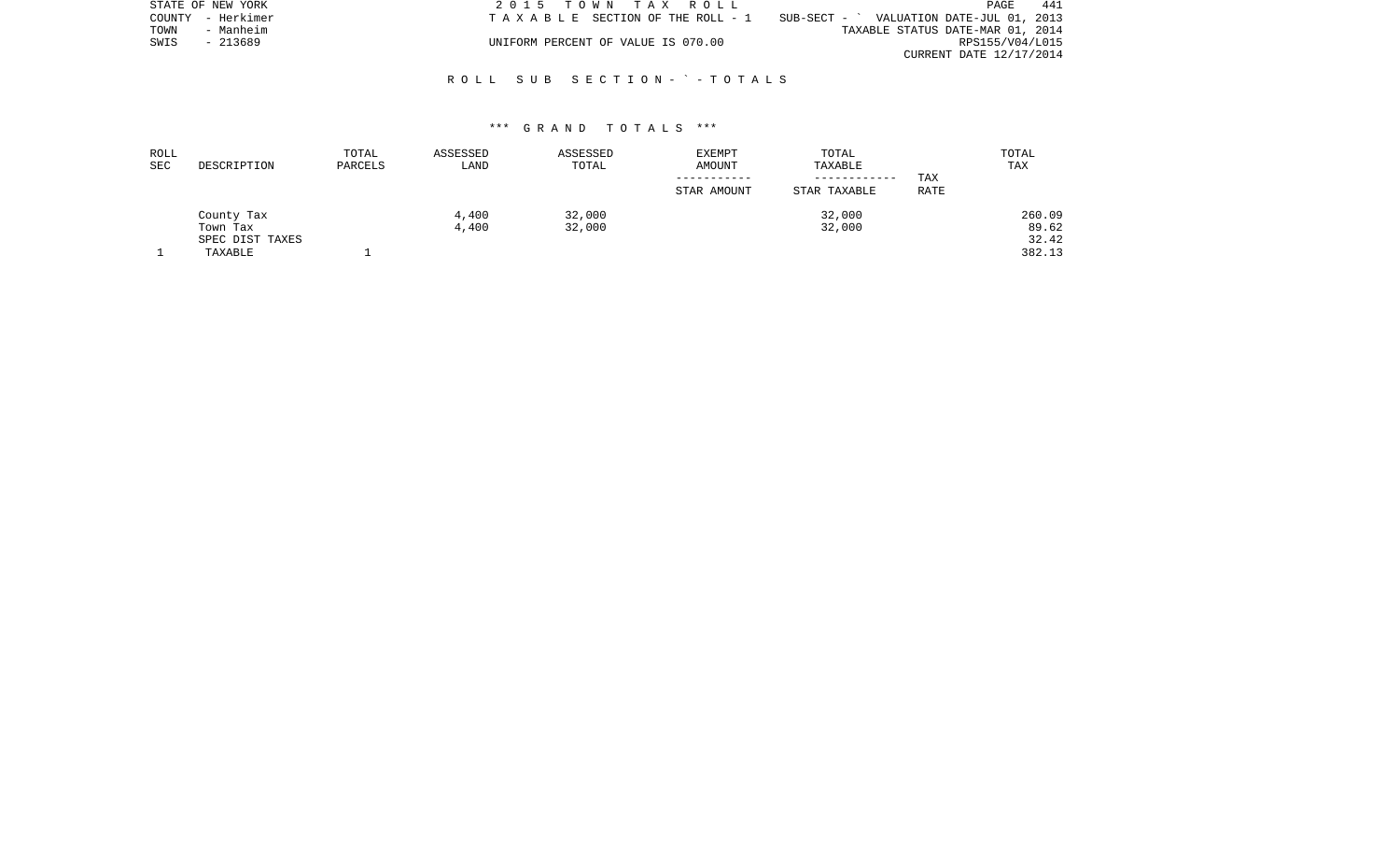|      | STATE OF NEW YORK | 2015 TOWN TAX ROLL                    |                                          | PAGE                    | 441 |
|------|-------------------|---------------------------------------|------------------------------------------|-------------------------|-----|
|      | COUNTY - Herkimer | T A X A B L E SECTION OF THE ROLL - 1 | SUB-SECT - ` VALUATION DATE-JUL 01, 2013 |                         |     |
| TOWN | - Manheim         |                                       | TAXABLE STATUS DATE-MAR 01, 2014         |                         |     |
| SWIS | - 213689          | UNIFORM PERCENT OF VALUE IS 070.00    |                                          | RPS155/V04/L015         |     |
|      |                   |                                       |                                          | CURRENT DATE 12/17/2014 |     |

# R O L L S U B S E C T I O N - ` - T O T A L S

## \*\*\* G R A N D T O T A L S \*\*\*

| ROLL       |                 | TOTAL   | ASSESSED | ASSESSED | <b>EXEMPT</b> | TOTAL        |      | TOTAL  |
|------------|-----------------|---------|----------|----------|---------------|--------------|------|--------|
| <b>SEC</b> | DESCRIPTION     | PARCELS | LAND     | TOTAL    | AMOUNT        | TAXABLE      |      | TAX    |
|            |                 |         |          |          |               | ------------ | TAX  |        |
|            |                 |         |          |          | STAR AMOUNT   | STAR TAXABLE | RATE |        |
|            | County Tax      |         | 4,400    | 32,000   |               | 32,000       |      | 260.09 |
|            | Town Tax        |         | 4,400    | 32,000   |               | 32,000       |      | 89.62  |
|            | SPEC DIST TAXES |         |          |          |               |              |      | 32.42  |
|            | TAXABLE         |         |          |          |               |              |      | 382.13 |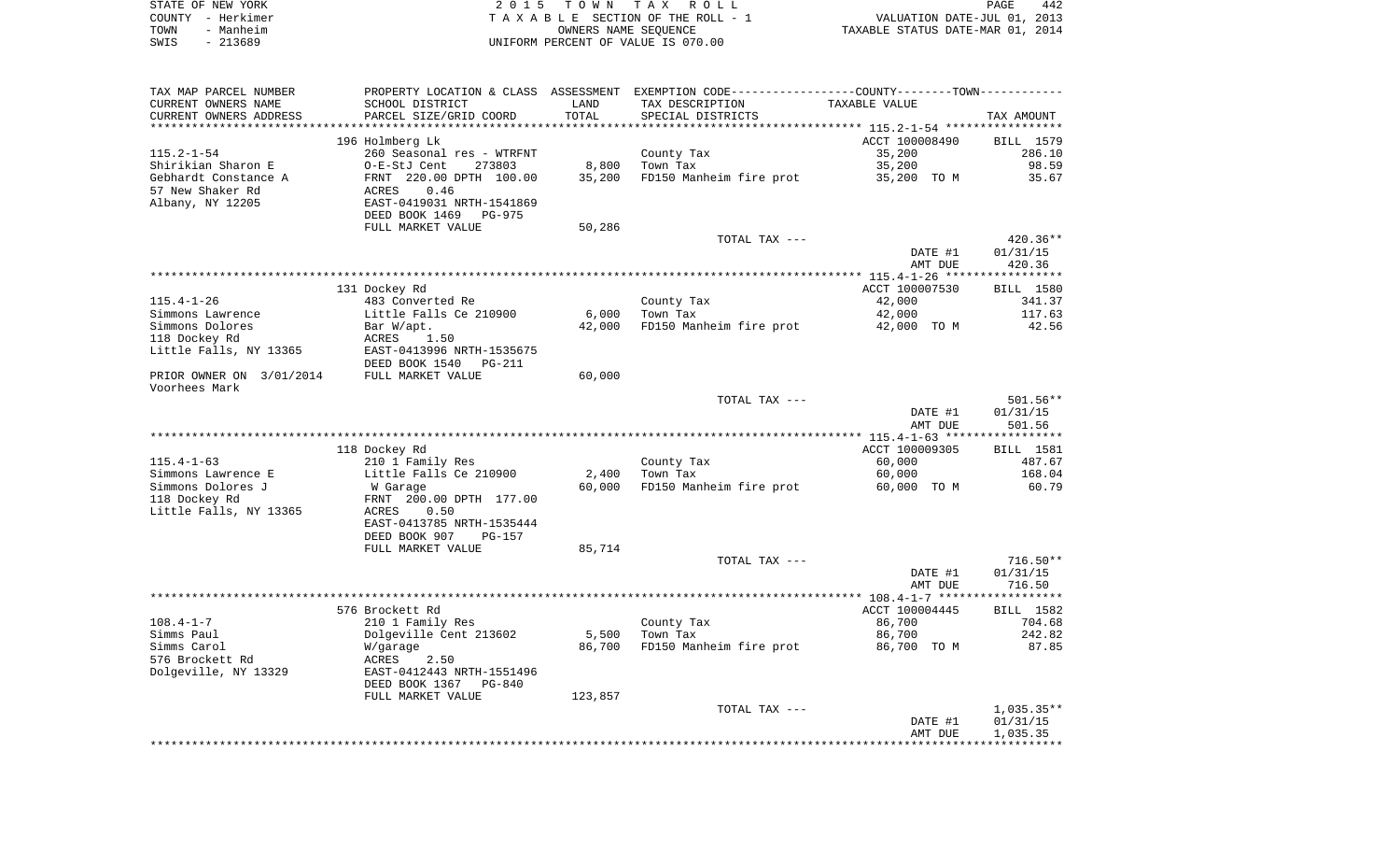| STATE OF NEW YORK |           | 2015 TOWN TAX ROLL                 | 442<br>PAGE                      |
|-------------------|-----------|------------------------------------|----------------------------------|
| COUNTY - Herkimer |           | TAXABLE SECTION OF THE ROLL - 1    | VALUATION DATE-JUL 01, 2013      |
| TOWN              | - Manheim | OWNERS NAME SEOUENCE               | TAXABLE STATUS DATE-MAR 01, 2014 |
| SWIS              | - 213689  | UNIFORM PERCENT OF VALUE IS 070.00 |                                  |

| TAX MAP PARCEL NUMBER     |                                             |                 | PROPERTY LOCATION & CLASS ASSESSMENT EXEMPTION CODE---------------COUNTY-------TOWN---------- |                       |                  |
|---------------------------|---------------------------------------------|-----------------|-----------------------------------------------------------------------------------------------|-----------------------|------------------|
| CURRENT OWNERS NAME       | SCHOOL DISTRICT                             | LAND            | TAX DESCRIPTION                                                                               | TAXABLE VALUE         |                  |
| CURRENT OWNERS ADDRESS    | PARCEL SIZE/GRID COORD                      | TOTAL           | SPECIAL DISTRICTS                                                                             |                       | TAX AMOUNT       |
|                           |                                             |                 |                                                                                               |                       |                  |
|                           | 196 Holmberg Lk                             |                 |                                                                                               | ACCT 100008490        | BILL 1579        |
| $115.2 - 1 - 54$          | 260 Seasonal res - WTRFNT                   |                 | County Tax                                                                                    | 35,200                | 286.10           |
| Shirikian Sharon E        | O-E-StJ Cent<br>273803                      | 8,800           | Town Tax                                                                                      | 35,200                | 98.59            |
| Gebhardt Constance A      | FRNT 220.00 DPTH 100.00                     | 35,200          | FD150 Manheim fire prot                                                                       | 35,200 TO M           | 35.67            |
| 57 New Shaker Rd          | ACRES<br>0.46                               |                 |                                                                                               |                       |                  |
| Albany, NY 12205          | EAST-0419031 NRTH-1541869<br>DEED BOOK 1469 |                 |                                                                                               |                       |                  |
|                           | <b>PG-975</b><br>FULL MARKET VALUE          | 50,286          |                                                                                               |                       |                  |
|                           |                                             |                 | TOTAL TAX ---                                                                                 |                       | $420.36**$       |
|                           |                                             |                 |                                                                                               | DATE #1               | 01/31/15         |
|                           |                                             |                 |                                                                                               | AMT DUE               | 420.36           |
|                           |                                             |                 |                                                                                               |                       |                  |
|                           | 131 Dockey Rd                               |                 |                                                                                               | ACCT 100007530        | <b>BILL</b> 1580 |
| $115.4 - 1 - 26$          | 483 Converted Re                            |                 | County Tax                                                                                    | 42,000                | 341.37           |
| Simmons Lawrence          | Little Falls Ce 210900                      | 6,000           | Town Tax                                                                                      | 42,000                | 117.63           |
| Simmons Dolores           | Bar W/apt.                                  | 42,000          | FD150 Manheim fire prot                                                                       | 42,000 TO M           | 42.56            |
| 118 Dockey Rd             | ACRES<br>1.50                               |                 |                                                                                               |                       |                  |
| Little Falls, NY 13365    | EAST-0413996 NRTH-1535675                   |                 |                                                                                               |                       |                  |
|                           | DEED BOOK 1540<br>PG-211                    |                 |                                                                                               |                       |                  |
| PRIOR OWNER ON 3/01/2014  | FULL MARKET VALUE                           | 60,000          |                                                                                               |                       |                  |
| Voorhees Mark             |                                             |                 |                                                                                               |                       |                  |
|                           |                                             |                 | TOTAL TAX ---                                                                                 |                       | $501.56**$       |
|                           |                                             |                 |                                                                                               | DATE #1               | 01/31/15         |
|                           |                                             |                 |                                                                                               | AMT DUE               | 501.56           |
|                           | 118 Dockey Rd                               |                 |                                                                                               | ACCT 100009305        | BILL 1581        |
| $115.4 - 1 - 63$          | 210 1 Family Res                            |                 | County Tax                                                                                    | 60,000                | 487.67           |
| Simmons Lawrence E        | Little Falls Ce 210900                      | 2,400           | Town Tax                                                                                      | 60,000                | 168.04           |
| Simmons Dolores J         | W Garage                                    | 60,000          | FD150 Manheim fire prot                                                                       | 60,000 TO M           | 60.79            |
| 118 Dockey Rd             | FRNT 200.00 DPTH 177.00                     |                 |                                                                                               |                       |                  |
| Little Falls, NY 13365    | 0.50<br>ACRES                               |                 |                                                                                               |                       |                  |
|                           | EAST-0413785 NRTH-1535444                   |                 |                                                                                               |                       |                  |
|                           | DEED BOOK 907<br><b>PG-157</b>              |                 |                                                                                               |                       |                  |
|                           | FULL MARKET VALUE                           | 85,714          |                                                                                               |                       |                  |
|                           |                                             |                 | TOTAL TAX ---                                                                                 |                       | $716.50**$       |
|                           |                                             |                 |                                                                                               | DATE #1               | 01/31/15         |
|                           |                                             |                 |                                                                                               | AMT DUE               | 716.50           |
|                           |                                             |                 |                                                                                               |                       |                  |
|                           | 576 Brockett Rd                             |                 |                                                                                               | ACCT 100004445        | BILL 1582        |
| $108.4 - 1 - 7$           | 210 1 Family Res                            |                 | County Tax                                                                                    | 86,700                | 704.68           |
| Simms Paul<br>Simms Carol | Dolgeville Cent 213602                      | 5,500<br>86,700 | Town Tax<br>FD150 Manheim fire prot                                                           | 86,700<br>86,700 TO M | 242.82<br>87.85  |
| 576 Brockett Rd           | W/garage<br>2.50<br>ACRES                   |                 |                                                                                               |                       |                  |
| Dolgeville, NY 13329      | EAST-0412443 NRTH-1551496                   |                 |                                                                                               |                       |                  |
|                           | DEED BOOK 1367 PG-840                       |                 |                                                                                               |                       |                  |
|                           | FULL MARKET VALUE                           | 123,857         |                                                                                               |                       |                  |
|                           |                                             |                 | TOTAL TAX ---                                                                                 |                       | $1,035.35**$     |
|                           |                                             |                 |                                                                                               | DATE #1               | 01/31/15         |
|                           |                                             |                 |                                                                                               | AMT DUE               | 1,035.35         |
|                           |                                             |                 |                                                                                               |                       |                  |
|                           |                                             |                 |                                                                                               |                       |                  |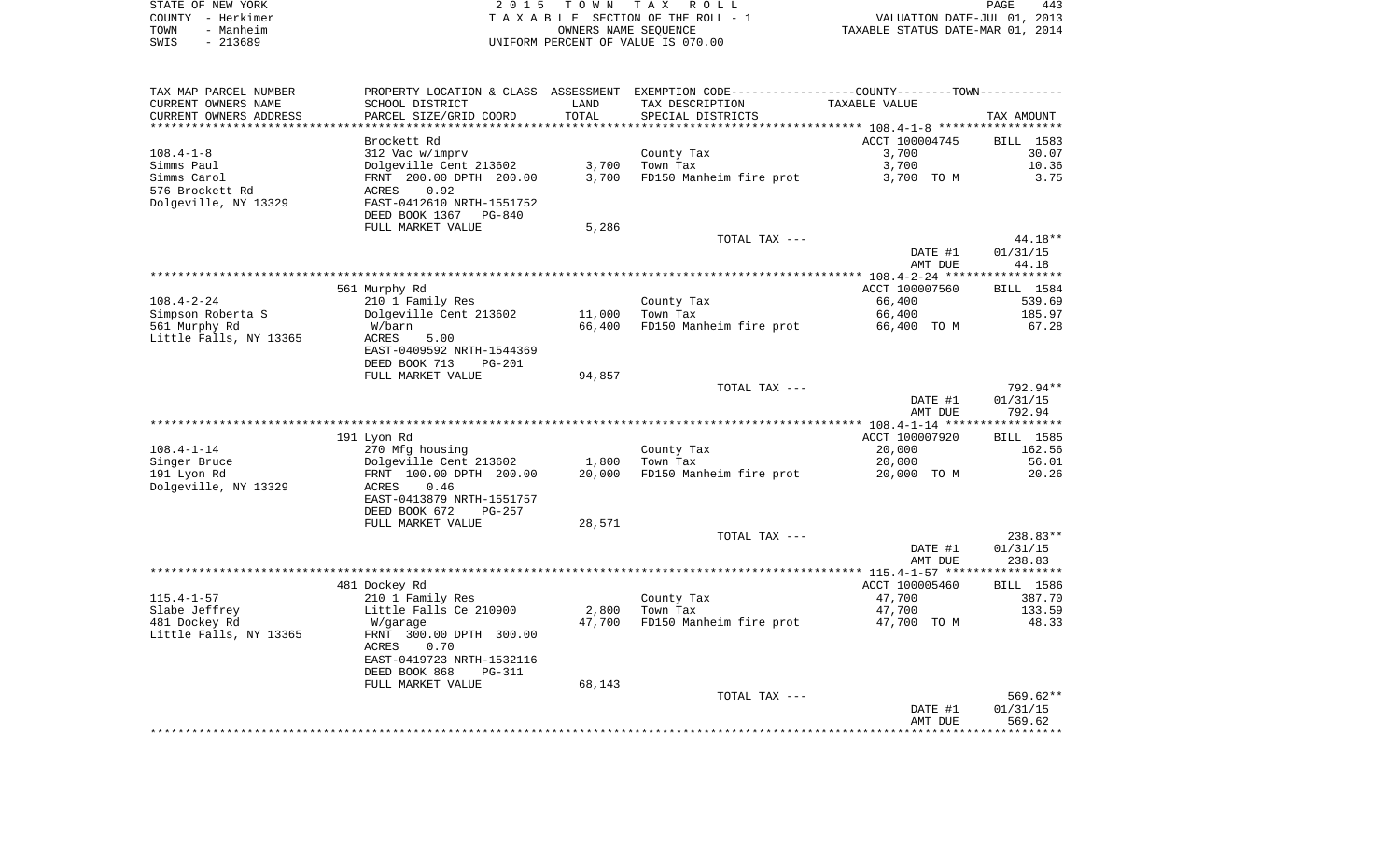|      | STATE OF NEW YORK | 2015 TOWN TAX ROLL                 | 443<br>PAGE                      |
|------|-------------------|------------------------------------|----------------------------------|
|      | COUNTY - Herkimer | TAXABLE SECTION OF THE ROLL - 1    | VALUATION DATE-JUL 01, 2013      |
| TOWN | - Manheim         | OWNERS NAME SEOUENCE               | TAXABLE STATUS DATE-MAR 01, 2014 |
| SWIS | - 213689          | UNIFORM PERCENT OF VALUE IS 070.00 |                                  |

| TAX MAP PARCEL NUMBER<br>CURRENT OWNERS NAME | SCHOOL DISTRICT                              | LAND   | PROPERTY LOCATION & CLASS ASSESSMENT EXEMPTION CODE---------------COUNTY-------TOWN----------<br>TAX DESCRIPTION | TAXABLE VALUE      |                    |
|----------------------------------------------|----------------------------------------------|--------|------------------------------------------------------------------------------------------------------------------|--------------------|--------------------|
| CURRENT OWNERS ADDRESS                       | PARCEL SIZE/GRID COORD                       | TOTAL  | SPECIAL DISTRICTS                                                                                                |                    | TAX AMOUNT         |
|                                              |                                              |        |                                                                                                                  |                    |                    |
| $108.4 - 1 - 8$                              | Brockett Rd<br>312 Vac w/imprv               |        |                                                                                                                  | ACCT 100004745     | BILL 1583<br>30.07 |
| Simms Paul                                   | Dolgeville Cent 213602                       | 3,700  | County Tax<br>Town Tax                                                                                           | 3,700<br>3,700     | 10.36              |
| Simms Carol                                  | FRNT 200.00 DPTH 200.00                      | 3,700  | FD150 Manheim fire prot                                                                                          | 3,700 TO M         | 3.75               |
| 576 Brockett Rd                              | 0.92<br>ACRES                                |        |                                                                                                                  |                    |                    |
| Dolgeville, NY 13329                         | EAST-0412610 NRTH-1551752                    |        |                                                                                                                  |                    |                    |
|                                              | DEED BOOK 1367 PG-840                        |        |                                                                                                                  |                    |                    |
|                                              | FULL MARKET VALUE                            | 5,286  |                                                                                                                  |                    |                    |
|                                              |                                              |        | TOTAL TAX ---                                                                                                    |                    | 44.18**            |
|                                              |                                              |        |                                                                                                                  | DATE #1            | 01/31/15           |
|                                              |                                              |        |                                                                                                                  | AMT DUE            | 44.18              |
|                                              |                                              |        |                                                                                                                  |                    |                    |
|                                              | 561 Murphy Rd                                |        |                                                                                                                  | ACCT 100007560     | BILL 1584          |
| 108.4-2-24                                   | 210 1 Family Res                             |        | County Tax                                                                                                       | 66,400             | 539.69             |
| Simpson Roberta S                            | Dolgeville Cent 213602                       | 11,000 | Town Tax                                                                                                         | 66,400             | 185.97             |
| 561 Murphy Rd                                | W/barn                                       | 66,400 | FD150 Manheim fire prot                                                                                          | 66,400 TO M        | 67.28              |
| Little Falls, NY 13365                       | ACRES<br>5.00<br>EAST-0409592 NRTH-1544369   |        |                                                                                                                  |                    |                    |
|                                              | DEED BOOK 713<br>PG-201                      |        |                                                                                                                  |                    |                    |
|                                              | FULL MARKET VALUE                            | 94,857 |                                                                                                                  |                    |                    |
|                                              |                                              |        | TOTAL TAX ---                                                                                                    |                    | 792.94**           |
|                                              |                                              |        |                                                                                                                  | DATE #1            | 01/31/15           |
|                                              |                                              |        |                                                                                                                  | AMT DUE            | 792.94             |
|                                              |                                              |        |                                                                                                                  |                    |                    |
|                                              | 191 Lyon Rd                                  |        |                                                                                                                  | ACCT 100007920     | BILL 1585          |
| $108.4 - 1 - 14$                             | 270 Mfg housing                              |        | County Tax                                                                                                       | 20,000             | 162.56             |
| Singer Bruce                                 | Dolgeville Cent 213602                       | 1,800  | Town Tax                                                                                                         | 20,000             | 56.01              |
| 191 Lyon Rd                                  | FRNT 100.00 DPTH 200.00                      | 20,000 | FD150 Manheim fire prot                                                                                          | 20,000 TO M        | 20.26              |
| Dolgeville, NY 13329                         | ACRES<br>0.46                                |        |                                                                                                                  |                    |                    |
|                                              | EAST-0413879 NRTH-1551757                    |        |                                                                                                                  |                    |                    |
|                                              | DEED BOOK 672<br>PG-257<br>FULL MARKET VALUE | 28,571 |                                                                                                                  |                    |                    |
|                                              |                                              |        | TOTAL TAX ---                                                                                                    |                    | 238.83**           |
|                                              |                                              |        |                                                                                                                  | DATE #1            | 01/31/15           |
|                                              |                                              |        |                                                                                                                  | AMT DUE            | 238.83             |
|                                              |                                              |        |                                                                                                                  |                    |                    |
|                                              | 481 Dockey Rd                                |        |                                                                                                                  | ACCT 100005460     | BILL 1586          |
| $115.4 - 1 - 57$                             | 210 1 Family Res                             |        | County Tax                                                                                                       | 47,700             | 387.70             |
| Slabe Jeffrey                                | Little Falls Ce 210900                       | 2,800  | Town Tax                                                                                                         | 47,700             | 133.59             |
| 481 Dockey Rd                                | W/garage                                     | 47,700 | FD150 Manheim fire prot                                                                                          | 47,700 TO M        | 48.33              |
| Little Falls, NY 13365                       | FRNT 300.00 DPTH 300.00                      |        |                                                                                                                  |                    |                    |
|                                              | 0.70<br>ACRES                                |        |                                                                                                                  |                    |                    |
|                                              | EAST-0419723 NRTH-1532116                    |        |                                                                                                                  |                    |                    |
|                                              | DEED BOOK 868<br>PG-311                      |        |                                                                                                                  |                    |                    |
|                                              | FULL MARKET VALUE                            | 68,143 |                                                                                                                  |                    |                    |
|                                              |                                              |        | TOTAL TAX ---                                                                                                    |                    | 569.62**           |
|                                              |                                              |        |                                                                                                                  | DATE #1<br>AMT DUE | 01/31/15           |
|                                              |                                              |        |                                                                                                                  |                    | 569.62             |
|                                              |                                              |        |                                                                                                                  |                    |                    |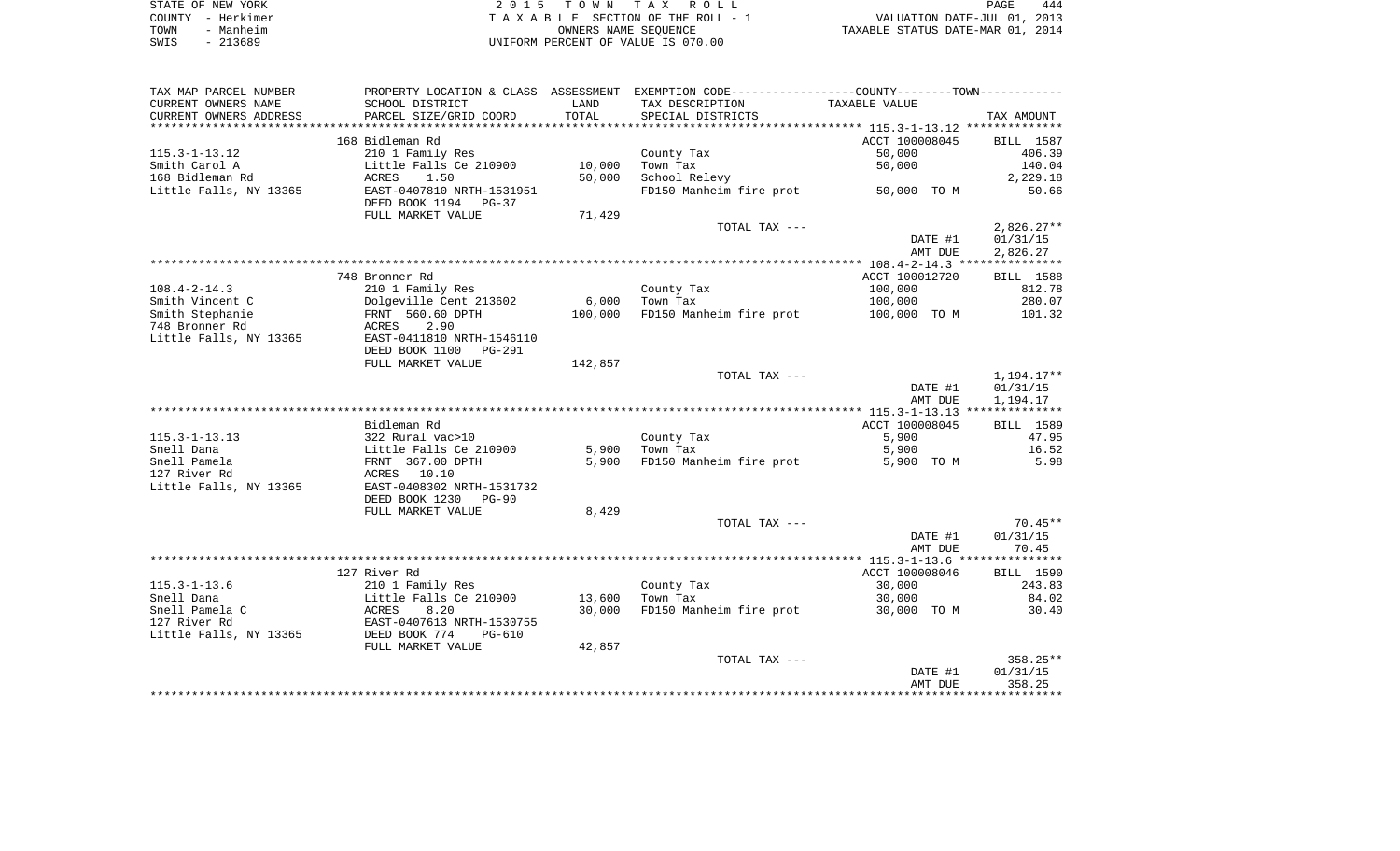| STATE OF NEW YORK | 2015 TOWN TAX ROLL                 | 444<br>PAGE                      |
|-------------------|------------------------------------|----------------------------------|
| COUNTY - Herkimer | TAXABLE SECTION OF THE ROLL - 1    | VALUATION DATE-JUL 01, 2013      |
| TOWN<br>- Manheim | OWNERS NAME SEOUENCE               | TAXABLE STATUS DATE-MAR 01, 2014 |
| - 213689<br>SWIS  | UNIFORM PERCENT OF VALUE IS 070.00 |                                  |

| TAX MAP PARCEL NUMBER     |                                                   |         | PROPERTY LOCATION & CLASS ASSESSMENT EXEMPTION CODE---------------COUNTY-------TOWN---------- |                |                  |
|---------------------------|---------------------------------------------------|---------|-----------------------------------------------------------------------------------------------|----------------|------------------|
| CURRENT OWNERS NAME       | SCHOOL DISTRICT                                   | LAND    | TAX DESCRIPTION                                                                               | TAXABLE VALUE  |                  |
| CURRENT OWNERS ADDRESS    | PARCEL SIZE/GRID COORD                            | TOTAL   | SPECIAL DISTRICTS                                                                             |                | TAX AMOUNT       |
| ************************* |                                                   |         |                                                                                               |                |                  |
|                           | 168 Bidleman Rd                                   |         |                                                                                               | ACCT 100008045 | <b>BILL</b> 1587 |
| $115.3 - 1 - 13.12$       | 210 1 Family Res                                  |         | County Tax                                                                                    | 50,000         | 406.39           |
| Smith Carol A             | Little Falls Ce 210900                            | 10,000  | Town Tax                                                                                      | 50,000         | 140.04           |
| 168 Bidleman Rd           | ACRES<br>1.50                                     | 50,000  | School Relevy                                                                                 |                | 2,229.18         |
| Little Falls, NY 13365    | EAST-0407810 NRTH-1531951<br>DEED BOOK 1194 PG-37 |         | FD150 Manheim fire prot                                                                       | 50,000 TO M    | 50.66            |
|                           | FULL MARKET VALUE                                 | 71,429  |                                                                                               |                |                  |
|                           |                                                   |         | TOTAL TAX ---                                                                                 |                | $2,826.27**$     |
|                           |                                                   |         |                                                                                               | DATE #1        | 01/31/15         |
|                           |                                                   |         |                                                                                               | AMT DUE        | 2,826.27         |
|                           |                                                   |         |                                                                                               |                |                  |
|                           | 748 Bronner Rd                                    |         |                                                                                               | ACCT 100012720 | BILL 1588        |
| $108.4 - 2 - 14.3$        | 210 1 Family Res                                  |         | County Tax                                                                                    | 100,000        | 812.78           |
| Smith Vincent C           | Dolgeville Cent 213602                            | 6,000   | Town Tax                                                                                      | 100,000        | 280.07           |
| Smith Stephanie           | FRNT 560.60 DPTH                                  | 100,000 | FD150 Manheim fire prot                                                                       | 100,000 TO M   | 101.32           |
| 748 Bronner Rd            | ACRES<br>2.90                                     |         |                                                                                               |                |                  |
| Little Falls, NY 13365    | EAST-0411810 NRTH-1546110                         |         |                                                                                               |                |                  |
|                           | DEED BOOK 1100<br>PG-291                          |         |                                                                                               |                |                  |
|                           | FULL MARKET VALUE                                 | 142,857 |                                                                                               |                |                  |
|                           |                                                   |         | TOTAL TAX ---                                                                                 |                | 1,194.17**       |
|                           |                                                   |         |                                                                                               | DATE #1        | 01/31/15         |
|                           |                                                   |         |                                                                                               | AMT DUE        | 1,194.17         |
|                           | Bidleman Rd                                       |         |                                                                                               | ACCT 100008045 | BILL 1589        |
| $115.3 - 1 - 13.13$       | 322 Rural vac>10                                  |         | County Tax                                                                                    | 5,900          | 47.95            |
| Snell Dana                |                                                   | 5,900   | Town Tax                                                                                      | 5,900          | 16.52            |
| Snell Pamela              | Little Falls Ce 210900<br>FRNT 367.00 DPTH        | 5,900   | FD150 Manheim fire prot                                                                       | 5,900 TO M     | 5.98             |
| 127 River Rd              | ACRES 10.10                                       |         |                                                                                               |                |                  |
| Little Falls, NY 13365    | EAST-0408302 NRTH-1531732                         |         |                                                                                               |                |                  |
|                           | DEED BOOK 1230<br><b>PG-90</b>                    |         |                                                                                               |                |                  |
|                           | FULL MARKET VALUE                                 | 8,429   |                                                                                               |                |                  |
|                           |                                                   |         | TOTAL TAX ---                                                                                 |                | 70.45**          |
|                           |                                                   |         |                                                                                               | DATE #1        | 01/31/15         |
|                           |                                                   |         |                                                                                               | AMT DUE        | 70.45            |
|                           |                                                   |         |                                                                                               |                |                  |
|                           | 127 River Rd                                      |         |                                                                                               | ACCT 100008046 | BILL 1590        |
| $115.3 - 1 - 13.6$        | 210 1 Family Res                                  |         | County Tax                                                                                    | 30,000         | 243.83           |
| Snell Dana                | Little Falls Ce 210900                            | 13,600  | Town Tax                                                                                      | 30,000         | 84.02            |
| Snell Pamela C            | ACRES<br>8.20                                     | 30,000  | FD150 Manheim fire prot                                                                       | 30,000 TO M    | 30.40            |
| 127 River Rd              | EAST-0407613 NRTH-1530755                         |         |                                                                                               |                |                  |
| Little Falls, NY 13365    | DEED BOOK 774<br>$PG-610$                         |         |                                                                                               |                |                  |
|                           | FULL MARKET VALUE                                 | 42,857  |                                                                                               |                |                  |
|                           |                                                   |         | TOTAL TAX ---                                                                                 |                | 358.25**         |
|                           |                                                   |         |                                                                                               | DATE #1        | 01/31/15         |
|                           |                                                   |         |                                                                                               | AMT DUE        | 358.25           |
|                           |                                                   |         |                                                                                               |                |                  |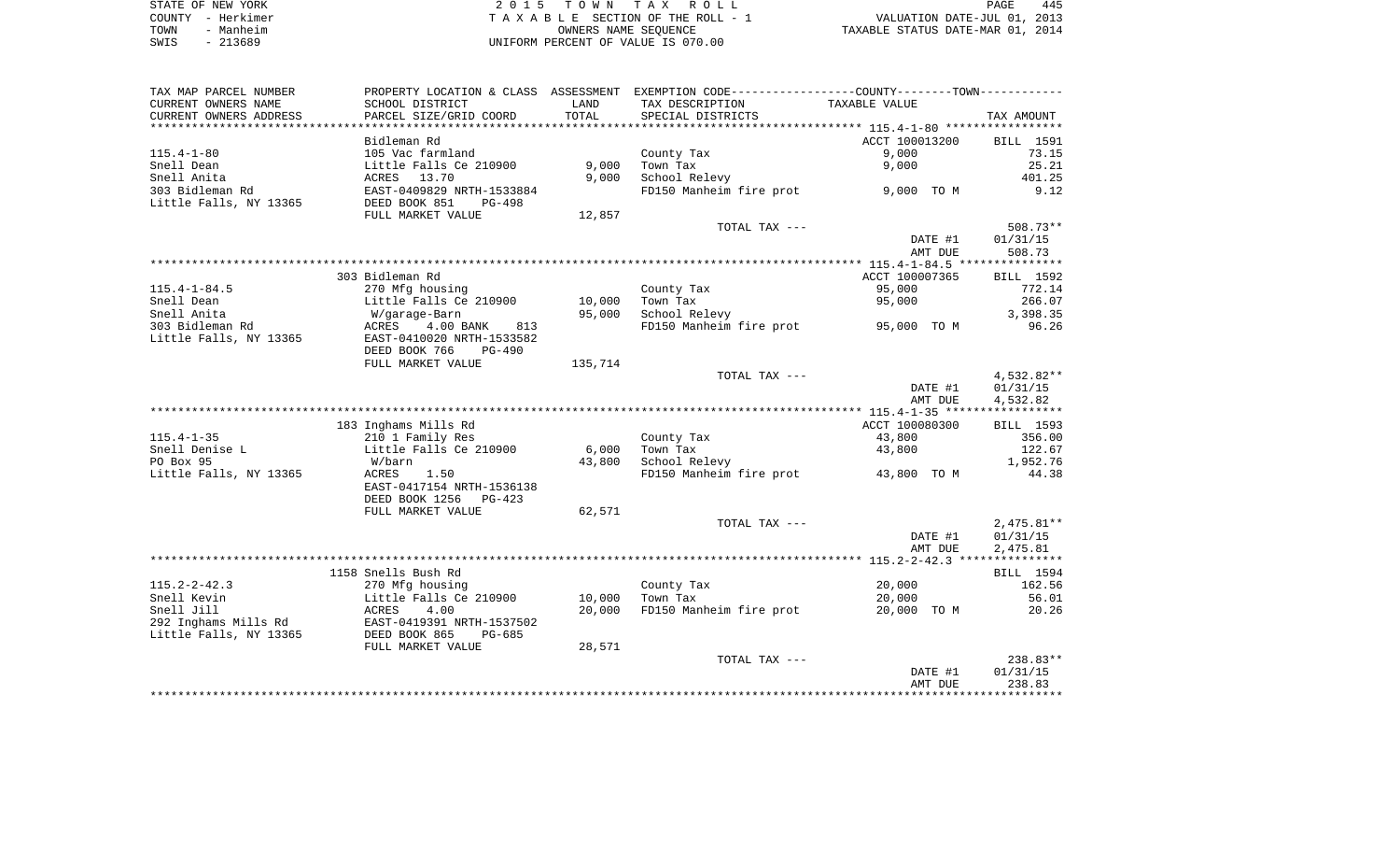| STATE OF NEW YORK | 2015 TOWN TAX ROLL                 | 445<br>PAGE                      |
|-------------------|------------------------------------|----------------------------------|
| COUNTY - Herkimer | TAXABLE SECTION OF THE ROLL - 1    | VALUATION DATE-JUL 01, 2013      |
| - Manheim<br>TOWN | OWNERS NAME SEOUENCE               | TAXABLE STATUS DATE-MAR 01, 2014 |
| $-213689$<br>SWIS | UNIFORM PERCENT OF VALUE IS 070.00 |                                  |

| TAX MAP PARCEL NUMBER          |                                            |              | PROPERTY LOCATION & CLASS ASSESSMENT EXEMPTION CODE----------------COUNTY--------TOWN----------- |                |                      |
|--------------------------------|--------------------------------------------|--------------|--------------------------------------------------------------------------------------------------|----------------|----------------------|
| CURRENT OWNERS NAME            | SCHOOL DISTRICT                            | LAND         | TAX DESCRIPTION                                                                                  | TAXABLE VALUE  |                      |
| CURRENT OWNERS ADDRESS         | PARCEL SIZE/GRID COORD                     | TOTAL        | SPECIAL DISTRICTS                                                                                |                | TAX AMOUNT           |
|                                |                                            | ************ |                                                                                                  |                |                      |
|                                | Bidleman Rd                                |              |                                                                                                  | ACCT 100013200 | BILL 1591            |
| $115.4 - 1 - 80$               | 105 Vac farmland                           |              | County Tax                                                                                       | 9,000          | 73.15                |
| Snell Dean                     | Little Falls Ce 210900                     | 9,000        | Town Tax                                                                                         | 9,000          | 25.21                |
| Snell Anita                    | ACRES<br>13.70                             | 9,000        | School Relevy                                                                                    |                | 401.25               |
| 303 Bidleman Rd                | EAST-0409829 NRTH-1533884                  |              | FD150 Manheim fire prot                                                                          | 9,000 TO M     | 9.12                 |
| Little Falls, NY 13365         | DEED BOOK 851<br>PG-498                    |              |                                                                                                  |                |                      |
|                                | FULL MARKET VALUE                          | 12,857       |                                                                                                  |                |                      |
|                                |                                            |              | TOTAL TAX ---                                                                                    |                | 508.73**             |
|                                |                                            |              |                                                                                                  | DATE #1        | 01/31/15             |
|                                |                                            |              |                                                                                                  | AMT DUE        | 508.73               |
|                                |                                            |              |                                                                                                  |                |                      |
|                                | 303 Bidleman Rd                            |              |                                                                                                  | ACCT 100007365 | BILL 1592            |
| $115.4 - 1 - 84.5$             | 270 Mfg housing                            |              | County Tax                                                                                       | 95,000         | 772.14               |
| Snell Dean                     | Little Falls Ce 210900                     | 10,000       | Town Tax                                                                                         | 95,000         | 266.07               |
| Snell Anita<br>303 Bidleman Rd | W/garage-Barn<br>ACRES<br>4.00 BANK<br>813 | 95,000       | School Relevy<br>FD150 Manheim fire prot 95,000 TO M                                             |                | 3,398.35<br>96.26    |
| Little Falls, NY 13365         | EAST-0410020 NRTH-1533582                  |              |                                                                                                  |                |                      |
|                                | DEED BOOK 766<br>PG-490                    |              |                                                                                                  |                |                      |
|                                | FULL MARKET VALUE                          | 135,714      |                                                                                                  |                |                      |
|                                |                                            |              | TOTAL TAX ---                                                                                    |                | 4,532.82**           |
|                                |                                            |              |                                                                                                  | DATE #1        | 01/31/15             |
|                                |                                            |              |                                                                                                  | AMT DUE        | 4,532.82             |
|                                |                                            |              |                                                                                                  |                |                      |
|                                | 183 Inghams Mills Rd                       |              |                                                                                                  | ACCT 100080300 | BILL 1593            |
| $115.4 - 1 - 35$               | 210 1 Family Res                           |              | County Tax                                                                                       | 43,800         | 356.00               |
| Snell Denise L                 | Little Falls Ce 210900                     | 6,000        | Town Tax                                                                                         | 43,800         | 122.67               |
| PO Box 95                      | W/barn                                     | 43,800       | School Relevy                                                                                    |                | 1,952.76             |
| Little Falls, NY 13365         | ACRES<br>1.50                              |              | FD150 Manheim fire prot                                                                          | 43,800 TO M    | 44.38                |
|                                | EAST-0417154 NRTH-1536138                  |              |                                                                                                  |                |                      |
|                                | DEED BOOK 1256<br>$PG-423$                 |              |                                                                                                  |                |                      |
|                                | FULL MARKET VALUE                          | 62,571       |                                                                                                  |                |                      |
|                                |                                            |              | TOTAL TAX ---                                                                                    |                | $2,475.81**$         |
|                                |                                            |              |                                                                                                  | DATE #1        | 01/31/15             |
|                                |                                            |              |                                                                                                  | AMT DUE        | 2,475.81             |
|                                |                                            |              |                                                                                                  |                |                      |
|                                | 1158 Snells Bush Rd                        |              |                                                                                                  |                | BILL 1594            |
| $115.2 - 2 - 42.3$             | 270 Mfg housing                            |              | County Tax                                                                                       | 20,000         | 162.56               |
| Snell Kevin                    | Little Falls Ce 210900                     | 10,000       | Town Tax                                                                                         | 20,000         | 56.01                |
| Snell Jill                     | ACRES<br>4.00                              | 20,000       | FD150 Manheim fire prot                                                                          | 20,000 TO M    | 20.26                |
| 292 Inghams Mills Rd           | EAST-0419391 NRTH-1537502                  |              |                                                                                                  |                |                      |
| Little Falls, NY 13365         | DEED BOOK 865<br>$PG-685$                  |              |                                                                                                  |                |                      |
|                                | FULL MARKET VALUE                          | 28,571       |                                                                                                  |                |                      |
|                                |                                            |              | TOTAL TAX ---                                                                                    | DATE #1        | 238.83**<br>01/31/15 |
|                                |                                            |              |                                                                                                  | AMT DUE        | 238.83               |
|                                |                                            |              |                                                                                                  |                |                      |
|                                |                                            |              |                                                                                                  |                |                      |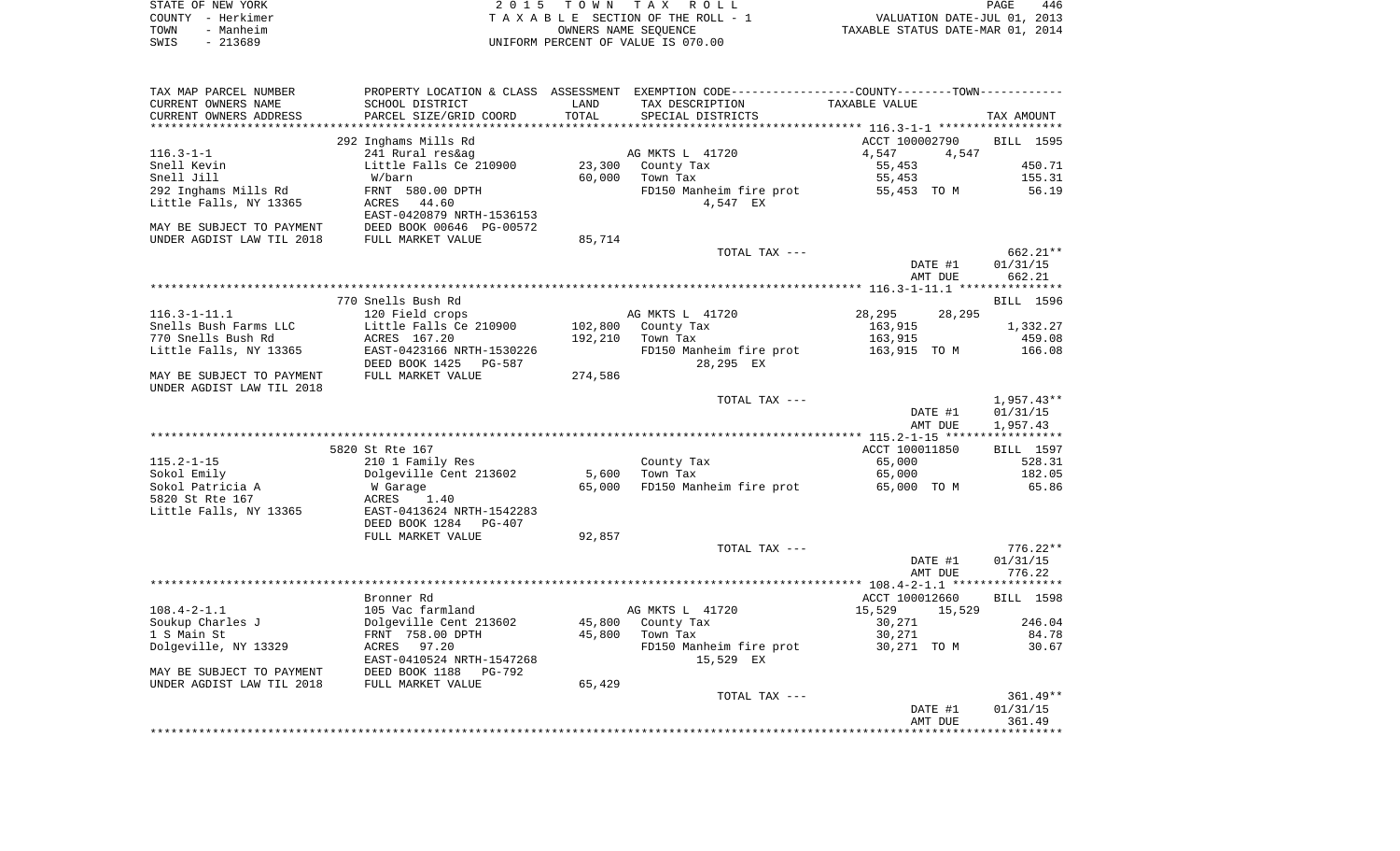|      | STATE OF NEW YORK | 2015 TOWN TAX ROLL                 | PAGE                             | 446 |
|------|-------------------|------------------------------------|----------------------------------|-----|
|      | COUNTY - Herkimer | TAXABLE SECTION OF THE ROLL - 1    | VALUATION DATE-JUL 01, 2013      |     |
| TOWN | - Manheim         | OWNERS NAME SEOUENCE               | TAXABLE STATUS DATE-MAR 01, 2014 |     |
| SWIS | - 213689          | UNIFORM PERCENT OF VALUE IS 070.00 |                                  |     |

| TAX MAP PARCEL NUMBER<br>CURRENT OWNERS NAME<br>CURRENT OWNERS ADDRESS | PROPERTY LOCATION & CLASS<br>SCHOOL DISTRICT<br>PARCEL SIZE/GRID COORD | ASSESSMENT<br>LAND<br>TOTAL | EXEMPTION CODE----------------COUNTY-------TOWN-----------<br>TAX DESCRIPTION<br>SPECIAL DISTRICTS | TAXABLE VALUE                                             | TAX AMOUNT             |
|------------------------------------------------------------------------|------------------------------------------------------------------------|-----------------------------|----------------------------------------------------------------------------------------------------|-----------------------------------------------------------|------------------------|
| *******************                                                    | *****************                                                      | * * * * * * * * *           |                                                                                                    | **************************** 116.3-1-1 ****************** |                        |
|                                                                        | 292 Inghams Mills Rd                                                   |                             |                                                                                                    | ACCT 100002790                                            | <b>BILL</b> 1595       |
| $116.3 - 1 - 1$                                                        | 241 Rural res&ag                                                       |                             | AG MKTS L 41720                                                                                    | 4,547<br>4,547                                            |                        |
| Snell Kevin                                                            | Little Falls Ce 210900                                                 | 23,300                      | County Tax                                                                                         | 55,453                                                    | 450.71                 |
| Snell Jill                                                             | W/barn                                                                 | 60,000                      | Town Tax                                                                                           | 55,453                                                    | 155.31                 |
| 292 Inghams Mills Rd                                                   | FRNT 580.00 DPTH                                                       |                             | FD150 Manheim fire prot                                                                            | 55,453 TO M                                               | 56.19                  |
| Little Falls, NY 13365                                                 | 44.60<br>ACRES                                                         |                             | 4,547 EX                                                                                           |                                                           |                        |
|                                                                        | EAST-0420879 NRTH-1536153                                              |                             |                                                                                                    |                                                           |                        |
| MAY BE SUBJECT TO PAYMENT                                              | DEED BOOK 00646 PG-00572                                               |                             |                                                                                                    |                                                           |                        |
| UNDER AGDIST LAW TIL 2018                                              | FULL MARKET VALUE                                                      | 85,714                      |                                                                                                    |                                                           |                        |
|                                                                        |                                                                        |                             | TOTAL TAX ---                                                                                      |                                                           | 662.21**               |
|                                                                        |                                                                        |                             |                                                                                                    | DATE #1                                                   | 01/31/15               |
|                                                                        |                                                                        |                             |                                                                                                    | AMT DUE                                                   | 662.21                 |
|                                                                        | 770 Snells Bush Rd                                                     |                             |                                                                                                    |                                                           | <b>BILL</b> 1596       |
| $116.3 - 1 - 11.1$                                                     | 120 Field crops                                                        |                             | AG MKTS L 41720                                                                                    | 28,295<br>28,295                                          |                        |
| Snells Bush Farms LLC                                                  | Little Falls Ce 210900                                                 | 102,800                     | County Tax                                                                                         | 163,915                                                   | 1,332.27               |
| 770 Snells Bush Rd                                                     | ACRES 167.20                                                           | 192,210                     | Town Tax                                                                                           | 163,915                                                   | 459.08                 |
| Little Falls, NY 13365                                                 | EAST-0423166 NRTH-1530226                                              |                             | FD150 Manheim fire prot                                                                            | 163,915 TO M                                              | 166.08                 |
|                                                                        | DEED BOOK 1425<br>PG-587                                               |                             | 28,295 EX                                                                                          |                                                           |                        |
| MAY BE SUBJECT TO PAYMENT                                              | FULL MARKET VALUE                                                      | 274,586                     |                                                                                                    |                                                           |                        |
| UNDER AGDIST LAW TIL 2018                                              |                                                                        |                             |                                                                                                    |                                                           |                        |
|                                                                        |                                                                        |                             | TOTAL TAX ---                                                                                      |                                                           | $1,957.43**$           |
|                                                                        |                                                                        |                             |                                                                                                    | DATE #1                                                   | 01/31/15               |
|                                                                        |                                                                        |                             |                                                                                                    | AMT DUE                                                   | 1,957.43               |
|                                                                        |                                                                        |                             |                                                                                                    |                                                           |                        |
|                                                                        | 5820 St Rte 167                                                        |                             |                                                                                                    | ACCT 100011850                                            | BILL 1597              |
| $115.2 - 1 - 15$                                                       | 210 1 Family Res                                                       |                             | County Tax                                                                                         | 65,000                                                    | 528.31                 |
| Sokol Emily                                                            | Dolgeville Cent 213602                                                 | 5,600                       | Town Tax                                                                                           | 65,000                                                    | 182.05                 |
| Sokol Patricia A                                                       | W Garage                                                               | 65,000                      | FD150 Manheim fire prot                                                                            | 65,000 TO M                                               | 65.86                  |
| 5820 St Rte 167                                                        | ACRES<br>1.40                                                          |                             |                                                                                                    |                                                           |                        |
| Little Falls, NY 13365                                                 | EAST-0413624 NRTH-1542283                                              |                             |                                                                                                    |                                                           |                        |
|                                                                        | DEED BOOK 1284<br>$PG-407$                                             |                             |                                                                                                    |                                                           |                        |
|                                                                        | FULL MARKET VALUE                                                      | 92,857                      |                                                                                                    |                                                           |                        |
|                                                                        |                                                                        |                             | TOTAL TAX ---                                                                                      | DATE #1                                                   | $776.22**$<br>01/31/15 |
|                                                                        |                                                                        |                             |                                                                                                    | AMT DUE                                                   | 776.22                 |
|                                                                        |                                                                        |                             |                                                                                                    |                                                           |                        |
|                                                                        | Bronner Rd                                                             |                             |                                                                                                    | ACCT 100012660                                            | <b>BILL</b> 1598       |
| $108.4 - 2 - 1.1$                                                      | 105 Vac farmland                                                       |                             | AG MKTS L 41720                                                                                    | 15,529<br>15,529                                          |                        |
| Soukup Charles J                                                       | Dolgeville Cent 213602                                                 | 45,800                      | County Tax                                                                                         | 30,271                                                    | 246.04                 |
| 1 S Main St                                                            | FRNT 758.00 DPTH                                                       | 45,800                      | Town Tax                                                                                           | 30,271                                                    | 84.78                  |
| Dolgeville, NY 13329                                                   | ACRES 97.20                                                            |                             | FD150 Manheim fire prot                                                                            | 30,271 TO M                                               | 30.67                  |
|                                                                        | EAST-0410524 NRTH-1547268                                              |                             | 15,529 EX                                                                                          |                                                           |                        |
| MAY BE SUBJECT TO PAYMENT                                              | DEED BOOK 1188<br>PG-792                                               |                             |                                                                                                    |                                                           |                        |
| UNDER AGDIST LAW TIL 2018                                              | FULL MARKET VALUE                                                      | 65,429                      |                                                                                                    |                                                           |                        |
|                                                                        |                                                                        |                             | TOTAL TAX ---                                                                                      |                                                           | 361.49**               |
|                                                                        |                                                                        |                             |                                                                                                    | DATE #1                                                   | 01/31/15               |
|                                                                        |                                                                        |                             |                                                                                                    | AMT DUE                                                   | 361.49                 |
|                                                                        |                                                                        |                             |                                                                                                    |                                                           |                        |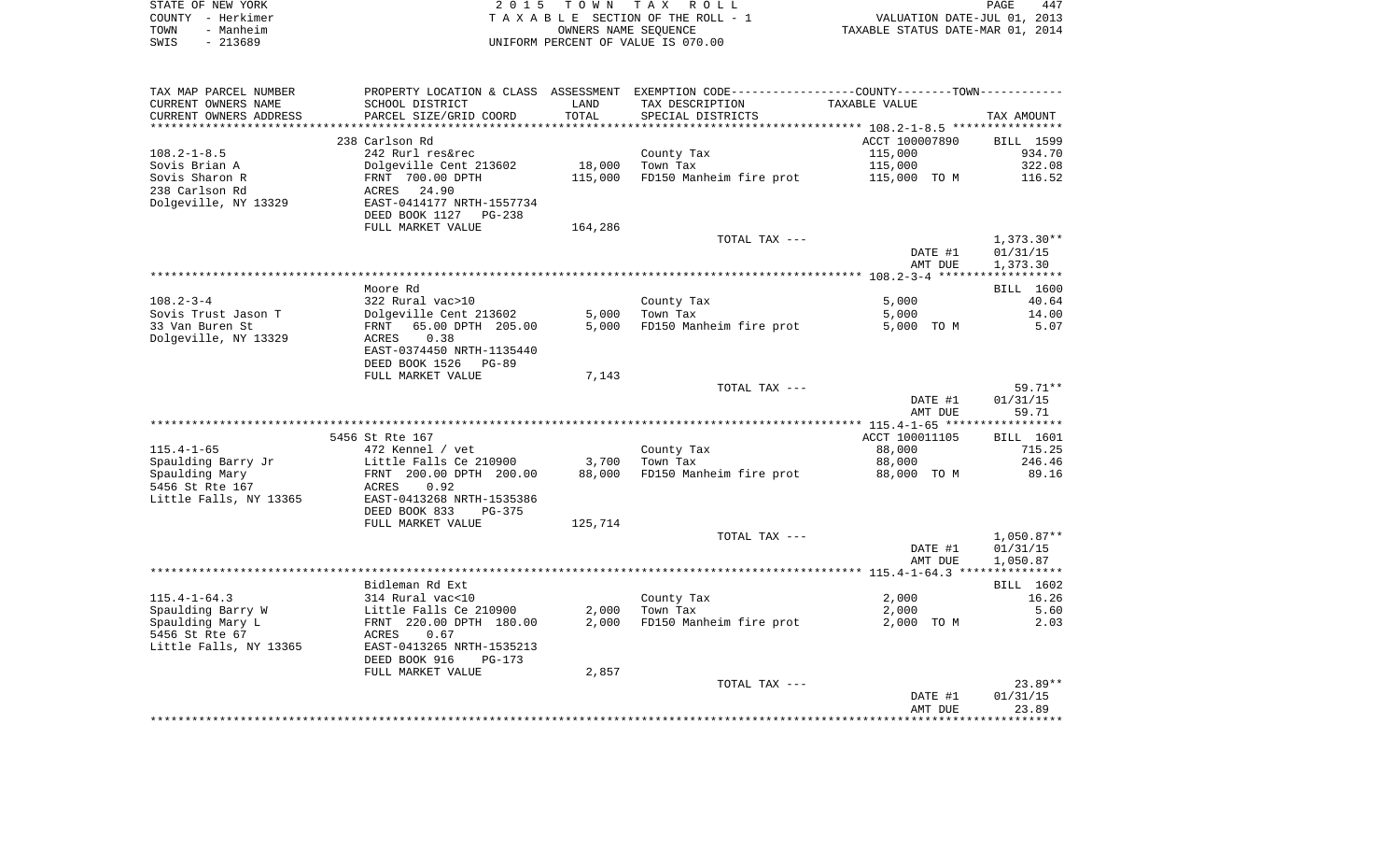| STATE OF NEW YORK | 2015 TOWN TAX ROLL                 | 447<br>PAGE                      |
|-------------------|------------------------------------|----------------------------------|
| COUNTY - Herkimer | TAXABLE SECTION OF THE ROLL - 1    | VALUATION DATE-JUL 01, 2013      |
| TOWN<br>- Manheim | OWNERS NAME SEOUENCE               | TAXABLE STATUS DATE-MAR 01, 2014 |
| SWIS<br>- 213689  | UNIFORM PERCENT OF VALUE IS 070.00 |                                  |

| TAX MAP PARCEL NUMBER  |                                                                 |         | PROPERTY LOCATION & CLASS ASSESSMENT EXEMPTION CODE---------------COUNTY-------TOWN---------- |                |              |
|------------------------|-----------------------------------------------------------------|---------|-----------------------------------------------------------------------------------------------|----------------|--------------|
| CURRENT OWNERS NAME    | SCHOOL DISTRICT                                                 | LAND    | TAX DESCRIPTION                                                                               | TAXABLE VALUE  |              |
| CURRENT OWNERS ADDRESS | PARCEL SIZE/GRID COORD                                          | TOTAL   | SPECIAL DISTRICTS                                                                             |                | TAX AMOUNT   |
|                        | *************************                                       |         |                                                                                               |                |              |
|                        | 238 Carlson Rd                                                  |         |                                                                                               | ACCT 100007890 | BILL 1599    |
| $108.2 - 1 - 8.5$      | 242 Rurl res&rec                                                |         | County Tax                                                                                    | 115,000        | 934.70       |
| Sovis Brian A          | Dolgeville Cent 213602                                          | 18,000  | Town Tax                                                                                      | 115,000        | 322.08       |
| Sovis Sharon R         | FRNT 700.00 DPTH                                                | 115,000 | FD150 Manheim fire prot                                                                       | 115,000 TO M   | 116.52       |
| 238 Carlson Rd         | ACRES 24.90                                                     |         |                                                                                               |                |              |
|                        |                                                                 |         |                                                                                               |                |              |
| Dolgeville, NY 13329   | EAST-0414177 NRTH-1557734<br>DEED BOOK 1127 PG-238              |         |                                                                                               |                |              |
|                        | FULL MARKET VALUE                                               | 164,286 |                                                                                               |                |              |
|                        |                                                                 |         | TOTAL TAX ---                                                                                 |                | $1,373.30**$ |
|                        |                                                                 |         |                                                                                               | DATE #1        | 01/31/15     |
|                        |                                                                 |         |                                                                                               | AMT DUE        | 1,373.30     |
|                        |                                                                 |         |                                                                                               |                |              |
|                        | Moore Rd                                                        |         |                                                                                               |                | BILL 1600    |
|                        |                                                                 |         |                                                                                               |                | 40.64        |
| $108.2 - 3 - 4$        | 322 Rural vac>10                                                |         | County Tax                                                                                    | 5,000          |              |
| Sovis Trust Jason T    | Dolgeville Cent 213602                                          | 5,000   | Town Tax                                                                                      | 5,000          | 14.00        |
| 33 Van Buren St        | FRNT 65.00 DPTH 205.00                                          |         | 5,000 FD150 Manheim fire prot                                                                 | 5,000 TO M     | 5.07         |
| Dolgeville, NY 13329   | ACRES<br>0.38                                                   |         |                                                                                               |                |              |
|                        | EAST-0374450 NRTH-1135440                                       |         |                                                                                               |                |              |
|                        | DEED BOOK 1526<br>$PG-89$                                       |         |                                                                                               |                |              |
|                        | FULL MARKET VALUE                                               | 7,143   |                                                                                               |                |              |
|                        |                                                                 |         | TOTAL TAX ---                                                                                 |                | 59.71**      |
|                        |                                                                 |         |                                                                                               | DATE #1        | 01/31/15     |
|                        |                                                                 |         |                                                                                               | AMT DUE        | 59.71        |
|                        |                                                                 |         |                                                                                               |                |              |
|                        | 5456 St Rte 167                                                 |         |                                                                                               | ACCT 100011105 | BILL 1601    |
| $115.4 - 1 - 65$       | 472 Kennel / vet                                                |         | County Tax                                                                                    | 88,000         | 715.25       |
| Spaulding Barry Jr     |                                                                 | 3,700   | Town Tax                                                                                      | 88,000         | 246.46       |
| Spaulding Mary         | Little Falls Ce 210900<br>FRNT 200.00 DPTH 200.00<br>ACRES 0.92 | 88,000  | FD150 Manheim fire prot                                                                       | 88,000 TO M    | 89.16        |
| 5456 St Rte 167        |                                                                 |         |                                                                                               |                |              |
| Little Falls, NY 13365 | EAST-0413268 NRTH-1535386                                       |         |                                                                                               |                |              |
|                        | DEED BOOK 833<br>$PG-375$                                       |         |                                                                                               |                |              |
|                        |                                                                 |         |                                                                                               |                |              |
|                        | FULL MARKET VALUE                                               | 125,714 |                                                                                               |                |              |
|                        |                                                                 |         | TOTAL TAX ---                                                                                 |                | $1,050.87**$ |
|                        |                                                                 |         |                                                                                               | DATE #1        | 01/31/15     |
|                        |                                                                 |         |                                                                                               | AMT DUE        | 1,050.87     |
|                        |                                                                 |         |                                                                                               |                |              |
|                        | Bidleman Rd Ext                                                 |         |                                                                                               |                | BILL 1602    |
| $115.4 - 1 - 64.3$     | 314 Rural vac<10                                                |         | County Tax                                                                                    | 2,000          | 16.26        |
| Spaulding Barry W      | Little Falls Ce 210900                                          | 2,000   | Town Tax                                                                                      | 2,000          | 5.60         |
| Spaulding Mary L       | FRNT 220.00 DPTH 180.00                                         | 2,000   | FD150 Manheim fire prot                                                                       | 2,000 TO M     | 2.03         |
| 5456 St Rte 67         | ACRES<br>0.67                                                   |         |                                                                                               |                |              |
| Little Falls, NY 13365 | EAST-0413265 NRTH-1535213                                       |         |                                                                                               |                |              |
|                        | DEED BOOK 916<br>$PG-173$                                       |         |                                                                                               |                |              |
|                        | FULL MARKET VALUE                                               | 2,857   |                                                                                               |                |              |
|                        |                                                                 |         | TOTAL TAX ---                                                                                 |                | $23.89**$    |
|                        |                                                                 |         |                                                                                               | DATE #1        | 01/31/15     |
|                        |                                                                 |         |                                                                                               | AMT DUE        | 23.89        |
|                        |                                                                 |         |                                                                                               |                |              |
|                        |                                                                 |         |                                                                                               |                |              |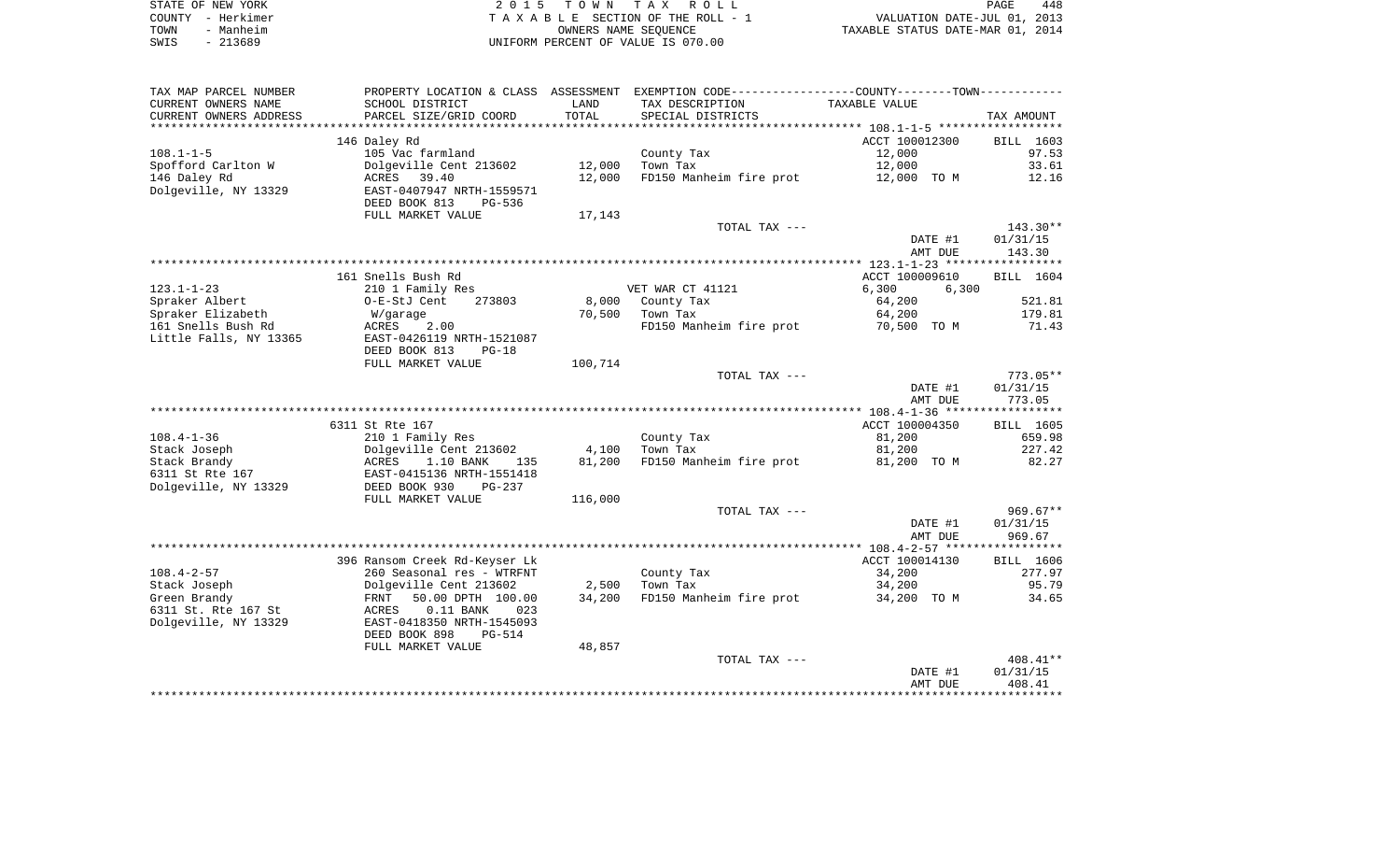| STATE OF NEW YORK |                   | 2015 TOWN TAX ROLL                 | PAGE                             | 448 |
|-------------------|-------------------|------------------------------------|----------------------------------|-----|
|                   | COUNTY - Herkimer | TAXABLE SECTION OF THE ROLL - 1    | VALUATION DATE-JUL 01, 2013      |     |
| TOWN              | - Manheim         | OWNERS NAME SEOUENCE               | TAXABLE STATUS DATE-MAR 01, 2014 |     |
| SWIS              | - 213689          | UNIFORM PERCENT OF VALUE IS 070.00 |                                  |     |

| TAX MAP PARCEL NUMBER    |                               |         | PROPERTY LOCATION & CLASS ASSESSMENT EXEMPTION CODE---------------COUNTY-------TOWN---------- |                |            |
|--------------------------|-------------------------------|---------|-----------------------------------------------------------------------------------------------|----------------|------------|
| CURRENT OWNERS NAME      | SCHOOL DISTRICT               | LAND    | TAX DESCRIPTION                                                                               | TAXABLE VALUE  |            |
| CURRENT OWNERS ADDRESS   | PARCEL SIZE/GRID COORD        | TOTAL   | SPECIAL DISTRICTS                                                                             |                | TAX AMOUNT |
| ************************ |                               |         |                                                                                               |                |            |
|                          | 146 Daley Rd                  |         |                                                                                               | ACCT 100012300 | BILL 1603  |
| $108.1 - 1 - 5$          | 105 Vac farmland              |         | County Tax                                                                                    | 12,000         | 97.53      |
| Spofford Carlton W       | Dolgeville Cent 213602        | 12,000  | Town Tax                                                                                      | 12,000         | 33.61      |
| 146 Daley Rd             | ACRES 39.40                   | 12,000  | FD150 Manheim fire prot                                                                       | 12,000 TO M    | 12.16      |
| Dolgeville, NY 13329     | EAST-0407947 NRTH-1559571     |         |                                                                                               |                |            |
|                          | DEED BOOK 813<br>$PG-536$     |         |                                                                                               |                |            |
|                          | FULL MARKET VALUE             | 17,143  |                                                                                               |                |            |
|                          |                               |         | TOTAL TAX ---                                                                                 |                | $143.30**$ |
|                          |                               |         |                                                                                               | DATE #1        | 01/31/15   |
|                          |                               |         |                                                                                               | AMT DUE        | 143.30     |
|                          |                               |         |                                                                                               |                |            |
|                          | 161 Snells Bush Rd            |         |                                                                                               | ACCT 100009610 | BILL 1604  |
| $123.1 - 1 - 23$         | 210 1 Family Res              |         | VET WAR CT 41121                                                                              | 6,300<br>6,300 |            |
| Spraker Albert           | O-E-StJ Cent<br>273803        |         | 8,000 County Tax                                                                              | 64,200         | 521.81     |
| Spraker Elizabeth        | W/garage                      | 70,500  | Town Tax                                                                                      | 64,200         | 179.81     |
| 161 Snells Bush Rd       | ACRES<br>2.00                 |         | FD150 Manheim fire prot                                                                       | 70,500 TO M    | 71.43      |
| Little Falls, NY 13365   | EAST-0426119 NRTH-1521087     |         |                                                                                               |                |            |
|                          | DEED BOOK 813<br>$PG-18$      |         |                                                                                               |                |            |
|                          | FULL MARKET VALUE             | 100,714 |                                                                                               |                |            |
|                          |                               |         | TOTAL TAX ---                                                                                 |                | $773.05**$ |
|                          |                               |         |                                                                                               | DATE #1        | 01/31/15   |
|                          |                               |         |                                                                                               | AMT DUE        | 773.05     |
|                          |                               |         |                                                                                               |                |            |
|                          | 6311 St Rte 167               |         |                                                                                               | ACCT 100004350 | BILL 1605  |
| $108.4 - 1 - 36$         | 210 1 Family Res              |         | County Tax                                                                                    | 81,200         | 659.98     |
| Stack Joseph             | Dolgeville Cent 213602        | 4,100   | Town Tax                                                                                      | 81,200         | 227.42     |
| Stack Brandy             | ACRES<br>1.10 BANK<br>135     | 81,200  | FD150 Manheim fire prot                                                                       | 81,200 TO M    | 82.27      |
| 6311 St Rte 167          | EAST-0415136 NRTH-1551418     |         |                                                                                               |                |            |
| Dolgeville, NY 13329     | DEED BOOK 930<br>PG-237       |         |                                                                                               |                |            |
|                          | FULL MARKET VALUE             | 116,000 | TOTAL TAX ---                                                                                 |                | $969.67**$ |
|                          |                               |         |                                                                                               | DATE #1        | 01/31/15   |
|                          |                               |         |                                                                                               | AMT DUE        | 969.67     |
|                          |                               |         |                                                                                               |                |            |
|                          | 396 Ransom Creek Rd-Keyser Lk |         |                                                                                               | ACCT 100014130 | BILL 1606  |
| $108.4 - 2 - 57$         | 260 Seasonal res - WTRFNT     |         | County Tax                                                                                    | 34,200         | 277.97     |
| Stack Joseph             | Dolgeville Cent 213602        | 2,500   | Town Tax                                                                                      | 34,200         | 95.79      |
| Green Brandy             | 50.00 DPTH 100.00<br>FRNT     | 34,200  | FD150 Manheim fire prot                                                                       | 34,200 TO M    | 34.65      |
| 6311 St. Rte 167 St      | 023<br>ACRES<br>$0.11$ BANK   |         |                                                                                               |                |            |
| Dolgeville, NY 13329     | EAST-0418350 NRTH-1545093     |         |                                                                                               |                |            |
|                          | DEED BOOK 898<br>$PG-514$     |         |                                                                                               |                |            |
|                          | FULL MARKET VALUE             | 48,857  |                                                                                               |                |            |
|                          |                               |         | TOTAL TAX ---                                                                                 |                | $408.41**$ |
|                          |                               |         |                                                                                               | DATE #1        | 01/31/15   |
|                          |                               |         |                                                                                               | AMT DUE        | 408.41     |
|                          |                               |         |                                                                                               |                |            |
|                          |                               |         |                                                                                               |                |            |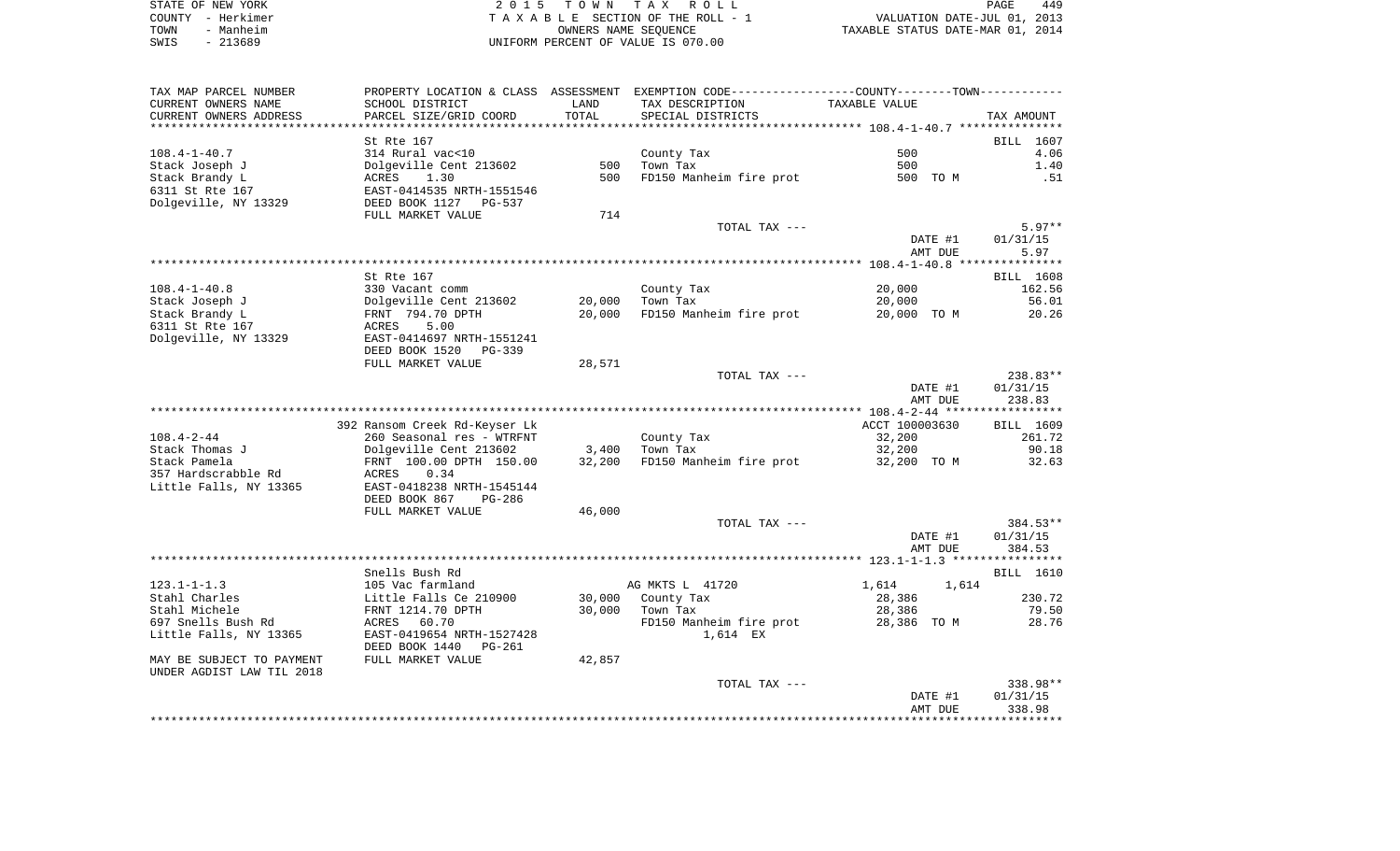| STATE OF NEW YORK |                   | 2015 TOWN TAX ROLL                 | PAGE                             | 449 |
|-------------------|-------------------|------------------------------------|----------------------------------|-----|
|                   | COUNTY - Herkimer | TAXABLE SECTION OF THE ROLL - 1    | VALUATION DATE-JUL 01, 2013      |     |
| TOWN              | - Manheim         | OWNERS NAME SEOUENCE               | TAXABLE STATUS DATE-MAR 01, 2014 |     |
| SWIS              | $-213689$         | UNIFORM PERCENT OF VALUE IS 070.00 |                                  |     |

| TAX MAP PARCEL NUMBER     |                               |        | PROPERTY LOCATION & CLASS ASSESSMENT EXEMPTION CODE----------------COUNTY-------TOWN---------- |                      |            |
|---------------------------|-------------------------------|--------|------------------------------------------------------------------------------------------------|----------------------|------------|
| CURRENT OWNERS NAME       | SCHOOL DISTRICT               | LAND   | TAX DESCRIPTION                                                                                | <b>TAXABLE VALUE</b> |            |
| CURRENT OWNERS ADDRESS    | PARCEL SIZE/GRID COORD        | TOTAL  | SPECIAL DISTRICTS                                                                              |                      | TAX AMOUNT |
| *********************     | ************************      |        |                                                                                                |                      |            |
|                           | St Rte 167                    |        |                                                                                                |                      | BILL 1607  |
| $108.4 - 1 - 40.7$        | 314 Rural vac<10              |        | County Tax                                                                                     | 500                  | 4.06       |
| Stack Joseph J            | Dolgeville Cent 213602        | 500    | Town Tax                                                                                       | 500                  | 1.40       |
| Stack Brandy L            | ACRES<br>1.30                 | 500    | FD150 Manheim fire prot                                                                        | 500 TO M             | .51        |
| 6311 St Rte 167           | EAST-0414535 NRTH-1551546     |        |                                                                                                |                      |            |
| Dolgeville, NY 13329      | DEED BOOK 1127<br>PG-537      |        |                                                                                                |                      |            |
|                           | FULL MARKET VALUE             | 714    |                                                                                                |                      |            |
|                           |                               |        | TOTAL TAX ---                                                                                  |                      | $5.97**$   |
|                           |                               |        |                                                                                                | DATE #1              | 01/31/15   |
|                           |                               |        |                                                                                                | AMT DUE              | 5.97       |
|                           | St Rte 167                    |        |                                                                                                |                      | BILL 1608  |
| $108.4 - 1 - 40.8$        | 330 Vacant comm               |        | County Tax                                                                                     | 20,000               | 162.56     |
| Stack Joseph J            | Dolgeville Cent 213602        | 20,000 | Town Tax                                                                                       | 20,000               | 56.01      |
| Stack Brandy L            | FRNT 794.70 DPTH              | 20,000 | FD150 Manheim fire prot                                                                        | 20,000 TO M          | 20.26      |
| 6311 St Rte 167           | 5.00<br>ACRES                 |        |                                                                                                |                      |            |
| Dolgeville, NY 13329      | EAST-0414697 NRTH-1551241     |        |                                                                                                |                      |            |
|                           | DEED BOOK 1520<br>PG-339      |        |                                                                                                |                      |            |
|                           | FULL MARKET VALUE             | 28,571 |                                                                                                |                      |            |
|                           |                               |        | TOTAL TAX ---                                                                                  |                      | 238.83**   |
|                           |                               |        |                                                                                                | DATE #1              | 01/31/15   |
|                           |                               |        |                                                                                                | AMT DUE              | 238.83     |
|                           |                               |        |                                                                                                |                      |            |
|                           | 392 Ransom Creek Rd-Keyser Lk |        |                                                                                                | ACCT 100003630       | BILL 1609  |
| $108.4 - 2 - 44$          | 260 Seasonal res - WTRFNT     |        | County Tax                                                                                     | 32,200               | 261.72     |
| Stack Thomas J            | Dolgeville Cent 213602        | 3,400  | Town Tax                                                                                       | 32,200               | 90.18      |
| Stack Pamela              | FRNT 100.00 DPTH 150.00       | 32,200 | FD150 Manheim fire prot                                                                        | 32,200 TO M          | 32.63      |
| 357 Hardscrabble Rd       | ACRES<br>0.34                 |        |                                                                                                |                      |            |
| Little Falls, NY 13365    | EAST-0418238 NRTH-1545144     |        |                                                                                                |                      |            |
|                           | DEED BOOK 867<br>PG-286       |        |                                                                                                |                      |            |
|                           | FULL MARKET VALUE             | 46,000 | TOTAL TAX ---                                                                                  |                      | 384.53**   |
|                           |                               |        |                                                                                                | DATE #1              | 01/31/15   |
|                           |                               |        |                                                                                                | AMT DUE              | 384.53     |
|                           |                               |        |                                                                                                |                      |            |
|                           | Snells Bush Rd                |        |                                                                                                |                      | BILL 1610  |
| $123.1 - 1 - 1.3$         | 105 Vac farmland              |        | AG MKTS L 41720                                                                                | 1,614<br>1,614       |            |
| Stahl Charles             | Little Falls Ce 210900        | 30,000 | County Tax                                                                                     | 28,386               | 230.72     |
| Stahl Michele             | FRNT 1214.70 DPTH             | 30,000 | Town Tax                                                                                       | 28,386               | 79.50      |
| 697 Snells Bush Rd        | ACRES<br>60.70                |        | FD150 Manheim fire prot                                                                        | 28,386 TO M          | 28.76      |
| Little Falls, NY 13365    | EAST-0419654 NRTH-1527428     |        | 1,614 EX                                                                                       |                      |            |
|                           | DEED BOOK 1440<br>PG-261      |        |                                                                                                |                      |            |
| MAY BE SUBJECT TO PAYMENT | FULL MARKET VALUE             | 42,857 |                                                                                                |                      |            |
| UNDER AGDIST LAW TIL 2018 |                               |        |                                                                                                |                      |            |
|                           |                               |        | TOTAL TAX ---                                                                                  |                      | 338.98**   |
|                           |                               |        |                                                                                                | DATE #1              | 01/31/15   |
|                           |                               |        |                                                                                                | AMT DUE              | 338.98     |
|                           |                               |        |                                                                                                |                      |            |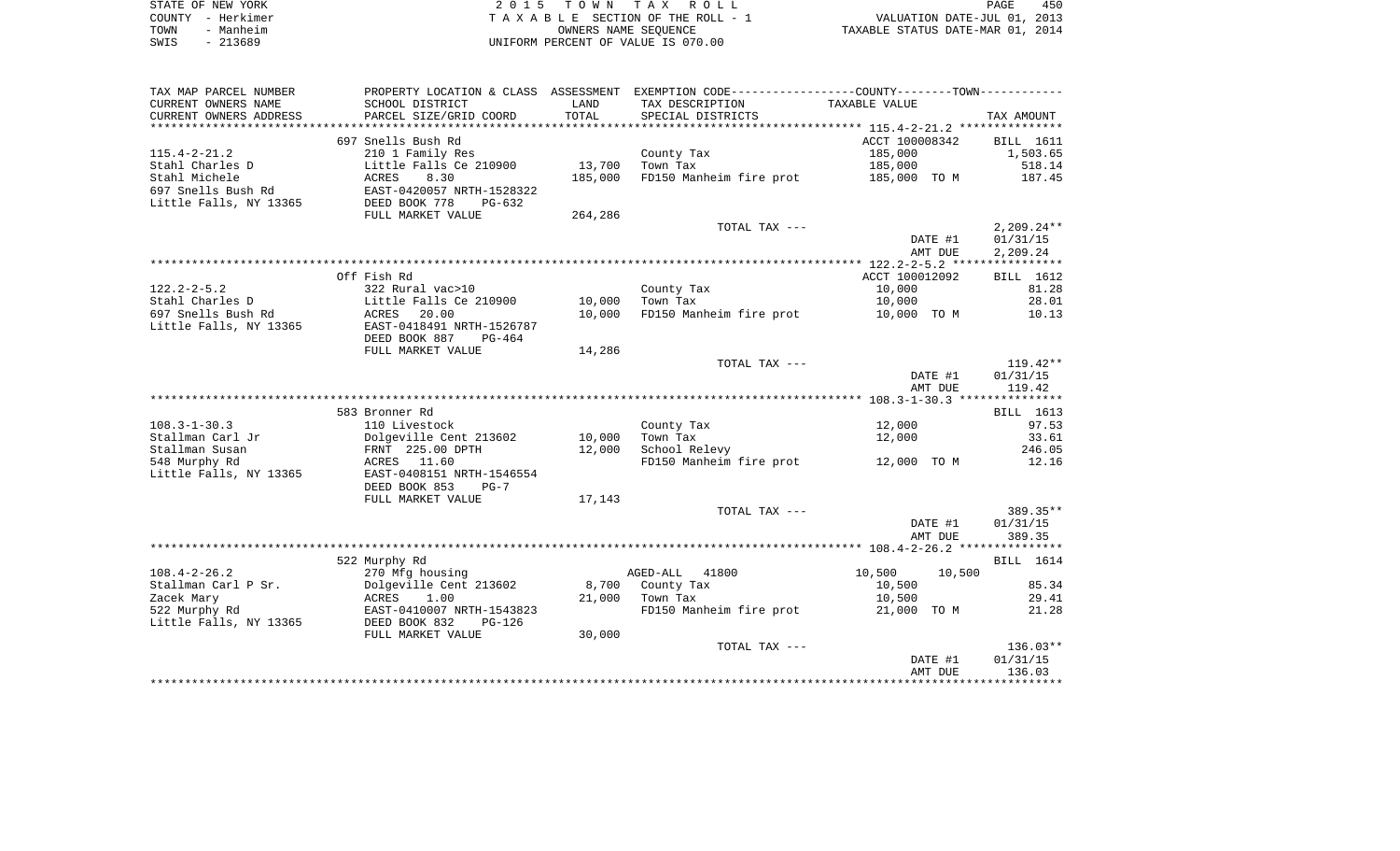| STATE OF NEW YORK | 2015 TOWN TAX ROLL                 | 450<br>PAGE                      |
|-------------------|------------------------------------|----------------------------------|
| COUNTY - Herkimer | TAXABLE SECTION OF THE ROLL - 1    | VALUATION DATE-JUL 01, 2013      |
| TOWN<br>- Manheim | OWNERS NAME SEOUENCE               | TAXABLE STATUS DATE-MAR 01, 2014 |
| $-213689$<br>SWIS | UNIFORM PERCENT OF VALUE IS 070.00 |                                  |

| TAX MAP PARCEL NUMBER  | PROPERTY LOCATION & CLASS ASSESSMENT |            | EXEMPTION CODE-----------------COUNTY-------TOWN----------- |                  |                  |
|------------------------|--------------------------------------|------------|-------------------------------------------------------------|------------------|------------------|
| CURRENT OWNERS NAME    | SCHOOL DISTRICT                      | LAND       | TAX DESCRIPTION                                             | TAXABLE VALUE    |                  |
| CURRENT OWNERS ADDRESS | PARCEL SIZE/GRID COORD               | TOTAL      | SPECIAL DISTRICTS                                           |                  | TAX AMOUNT       |
| *****************      | *******************                  | ********** |                                                             |                  |                  |
|                        | 697 Snells Bush Rd                   |            |                                                             | ACCT 100008342   | <b>BILL</b> 1611 |
| $115.4 - 2 - 21.2$     | 210 1 Family Res                     |            | County Tax                                                  | 185,000          | 1,503.65         |
| Stahl Charles D        | Little Falls Ce 210900               | 13,700     | Town Tax                                                    | 185,000          | 518.14           |
| Stahl Michele          | ACRES<br>8.30                        | 185,000    | FD150 Manheim fire prot                                     | 185,000 TO M     | 187.45           |
| 697 Snells Bush Rd     | EAST-0420057 NRTH-1528322            |            |                                                             |                  |                  |
| Little Falls, NY 13365 | DEED BOOK 778<br>$PG-632$            |            |                                                             |                  |                  |
|                        | FULL MARKET VALUE                    | 264,286    |                                                             |                  |                  |
|                        |                                      |            | TOTAL TAX ---                                               |                  | $2,209.24**$     |
|                        |                                      |            |                                                             | DATE #1          | 01/31/15         |
|                        |                                      |            |                                                             | AMT DUE          | 2,209.24         |
|                        |                                      |            |                                                             |                  |                  |
|                        | Off Fish Rd                          |            |                                                             | ACCT 100012092   | BILL 1612        |
| $122.2 - 2 - 5.2$      | 322 Rural vac>10                     |            | County Tax                                                  | 10,000           | 81.28            |
| Stahl Charles D        | Little Falls Ce 210900               | 10,000     | Town Tax                                                    | 10,000           | 28.01            |
| 697 Snells Bush Rd     | ACRES<br>20.00                       | 10,000     | FD150 Manheim fire prot                                     | 10,000 TO M      | 10.13            |
| Little Falls, NY 13365 | EAST-0418491 NRTH-1526787            |            |                                                             |                  |                  |
|                        | DEED BOOK 887<br>$PG-464$            |            |                                                             |                  |                  |
|                        | FULL MARKET VALUE                    | 14,286     |                                                             |                  |                  |
|                        |                                      |            | TOTAL TAX ---                                               |                  | $119.42**$       |
|                        |                                      |            |                                                             | DATE #1          | 01/31/15         |
|                        |                                      |            |                                                             | AMT DUE          | 119.42           |
|                        |                                      |            |                                                             |                  |                  |
|                        | 583 Bronner Rd                       |            |                                                             |                  | BILL 1613        |
| $108.3 - 1 - 30.3$     | 110 Livestock                        |            | County Tax                                                  | 12,000           | 97.53            |
| Stallman Carl Jr       | Dolgeville Cent 213602               | 10,000     | Town Tax                                                    | 12,000           | 33.61            |
| Stallman Susan         | FRNT 225.00 DPTH                     | 12,000     | School Relevy                                               |                  | 246.05           |
| 548 Murphy Rd          | ACRES<br>11.60                       |            | FD150 Manheim fire prot 12,000 TO M                         |                  | 12.16            |
| Little Falls, NY 13365 | EAST-0408151 NRTH-1546554            |            |                                                             |                  |                  |
|                        | DEED BOOK 853<br>$PG-7$              |            |                                                             |                  |                  |
|                        | FULL MARKET VALUE                    | 17,143     |                                                             |                  |                  |
|                        |                                      |            | TOTAL TAX ---                                               |                  | 389.35**         |
|                        |                                      |            |                                                             | DATE #1          | 01/31/15         |
|                        |                                      |            |                                                             | AMT DUE          | 389.35           |
|                        |                                      |            |                                                             |                  |                  |
|                        | 522 Murphy Rd                        |            |                                                             |                  | BILL 1614        |
| $108.4 - 2 - 26.2$     | 270 Mfg housing                      |            | AGED-ALL 41800                                              | 10,500<br>10,500 |                  |
| Stallman Carl P Sr.    | Dolgeville Cent 213602               | 8,700      | County Tax                                                  | 10,500           | 85.34            |
| Zacek Mary             | ACRES<br>1.00                        | 21,000     | Town Tax                                                    | 10,500           | 29.41            |
| 522 Murphy Rd          | EAST-0410007 NRTH-1543823            |            | FD150 Manheim fire prot                                     | 21,000 TO M      | 21.28            |
| Little Falls, NY 13365 | DEED BOOK 832<br>PG-126              |            |                                                             |                  |                  |
|                        | FULL MARKET VALUE                    | 30,000     | TOTAL TAX ---                                               |                  | $136.03**$       |
|                        |                                      |            |                                                             | DATE #1          | 01/31/15         |
|                        |                                      |            |                                                             | AMT DUE          | 136.03           |
|                        |                                      |            |                                                             |                  |                  |
|                        |                                      |            |                                                             |                  |                  |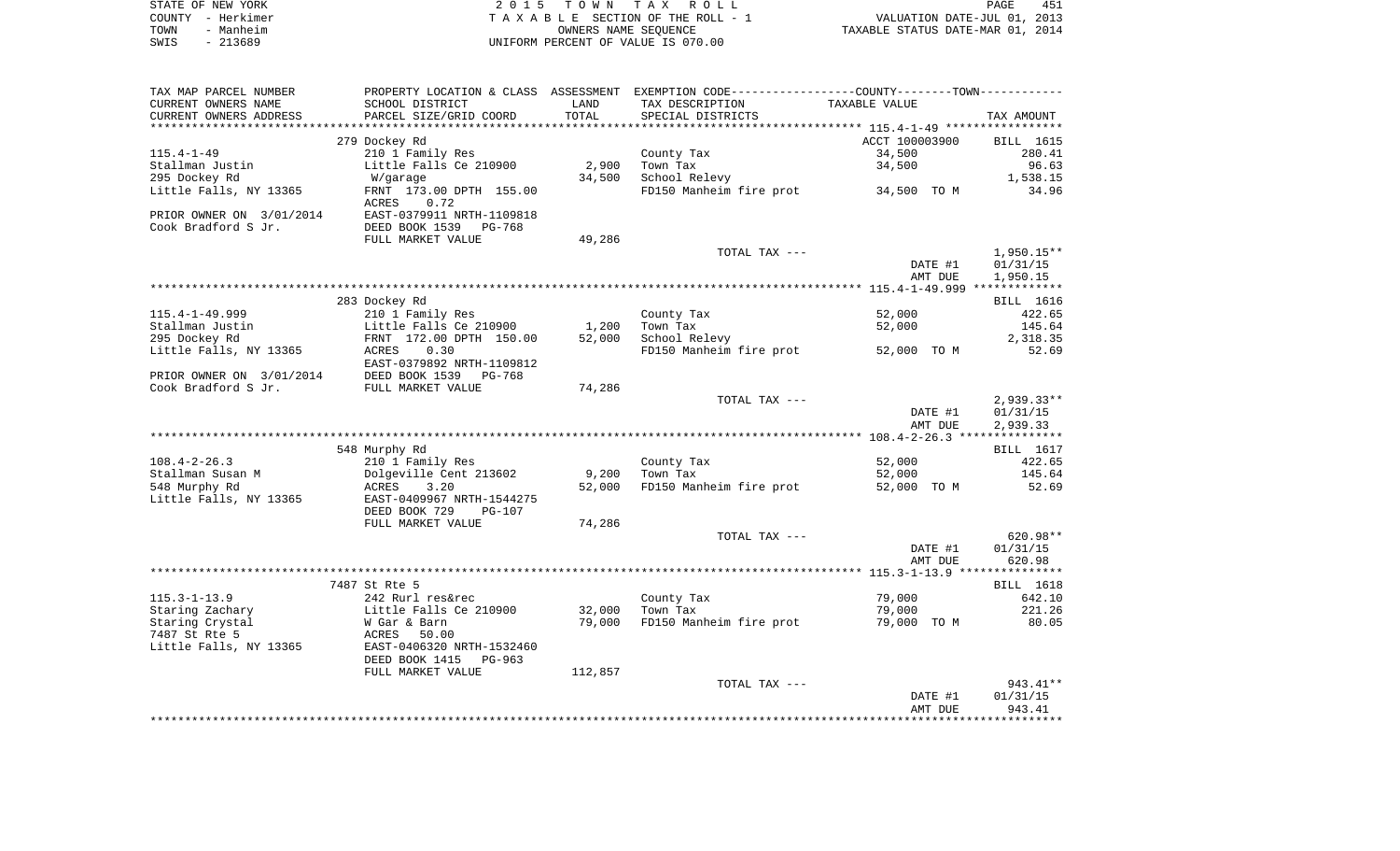|      | STATE OF NEW YORK | 2015 TOWN TAX ROLL                 | 451<br>PAGE                      |
|------|-------------------|------------------------------------|----------------------------------|
|      | COUNTY - Herkimer | TAXABLE SECTION OF THE ROLL - 1    | VALUATION DATE-JUL 01, 2013      |
| TOWN | - Manheim         | OWNERS NAME SEOUENCE               | TAXABLE STATUS DATE-MAR 01, 2014 |
| SWIS | - 213689          | UNIFORM PERCENT OF VALUE IS 070.00 |                                  |

| TAX MAP PARCEL NUMBER    | PROPERTY LOCATION & CLASS ASSESSMENT EXEMPTION CODE---------------COUNTY-------TOWN---------- |         |                         |                                     |                  |
|--------------------------|-----------------------------------------------------------------------------------------------|---------|-------------------------|-------------------------------------|------------------|
| CURRENT OWNERS NAME      | SCHOOL DISTRICT                                                                               | LAND    | TAX DESCRIPTION         | TAXABLE VALUE                       |                  |
| CURRENT OWNERS ADDRESS   | PARCEL SIZE/GRID COORD                                                                        | TOTAL   | SPECIAL DISTRICTS       |                                     | TAX AMOUNT       |
|                          |                                                                                               |         |                         |                                     |                  |
|                          | 279 Dockey Rd                                                                                 |         |                         | ACCT 100003900                      | <b>BILL</b> 1615 |
| $115.4 - 1 - 49$         | 210 1 Family Res                                                                              |         | County Tax              | 34,500                              | 280.41           |
| Stallman Justin          | Little Falls Ce 210900                                                                        | 2,900   | Town Tax                | 34,500                              | 96.63            |
| 295 Dockey Rd            | W/garage                                                                                      | 34,500  | School Relevy           |                                     | 1,538.15         |
| Little Falls, NY 13365   | FRNT 173.00 DPTH 155.00                                                                       |         |                         | FD150 Manheim fire prot 34,500 TO M | 34.96            |
|                          | ACRES<br>0.72                                                                                 |         |                         |                                     |                  |
| PRIOR OWNER ON 3/01/2014 | EAST-0379911 NRTH-1109818                                                                     |         |                         |                                     |                  |
| Cook Bradford S Jr.      | DEED BOOK 1539<br>PG-768                                                                      |         |                         |                                     |                  |
|                          | FULL MARKET VALUE                                                                             | 49,286  |                         |                                     |                  |
|                          |                                                                                               |         | TOTAL TAX ---           |                                     | $1,950.15**$     |
|                          |                                                                                               |         |                         | DATE #1                             | 01/31/15         |
|                          |                                                                                               |         |                         | AMT DUE                             | 1,950.15         |
|                          |                                                                                               |         |                         |                                     |                  |
|                          | 283 Dockey Rd                                                                                 |         |                         |                                     | BILL 1616        |
| $115.4 - 1 - 49.999$     | 210 1 Family Res                                                                              |         | County Tax              | 52,000                              | 422.65           |
| Stallman Justin          | Little Falls Ce 210900                                                                        | 1,200   | Town Tax                | 52,000                              | 145.64           |
|                          |                                                                                               |         |                         |                                     |                  |
| 295 Dockey Rd            | FRNT 172.00 DPTH 150.00                                                                       | 52,000  | School Relevy           |                                     | 2,318.35         |
| Little Falls, NY 13365   | ACRES<br>0.30                                                                                 |         |                         | FD150 Manheim fire prot 52,000 TO M | 52.69            |
|                          | EAST-0379892 NRTH-1109812                                                                     |         |                         |                                     |                  |
| PRIOR OWNER ON 3/01/2014 | DEED BOOK 1539<br>PG-768                                                                      |         |                         |                                     |                  |
| Cook Bradford S Jr.      | FULL MARKET VALUE                                                                             | 74,286  |                         |                                     |                  |
|                          |                                                                                               |         | TOTAL TAX ---           |                                     | $2,939.33**$     |
|                          |                                                                                               |         |                         | DATE #1                             | 01/31/15         |
|                          |                                                                                               |         |                         | AMT DUE                             | 2,939.33         |
|                          |                                                                                               |         |                         |                                     |                  |
|                          | 548 Murphy Rd                                                                                 |         |                         |                                     | BILL 1617        |
| $108.4 - 2 - 26.3$       | 210 1 Family Res                                                                              |         | County Tax              | 52,000                              | 422.65           |
| Stallman Susan M         | Dolgeville Cent 213602                                                                        | 9,200   | Town Tax                | 52,000                              | 145.64           |
| 548 Murphy Rd            | 3.20<br>ACRES                                                                                 | 52,000  | FD150 Manheim fire prot | 52,000 TO M                         | 52.69            |
| Little Falls, NY 13365   | EAST-0409967 NRTH-1544275                                                                     |         |                         |                                     |                  |
|                          | DEED BOOK 729<br><b>PG-107</b>                                                                |         |                         |                                     |                  |
|                          | FULL MARKET VALUE                                                                             | 74,286  |                         |                                     |                  |
|                          |                                                                                               |         | TOTAL TAX ---           |                                     | $620.98**$       |
|                          |                                                                                               |         |                         | DATE #1                             | 01/31/15         |
|                          |                                                                                               |         |                         | AMT DUE                             | 620.98           |
|                          |                                                                                               |         |                         |                                     |                  |
|                          | 7487 St Rte 5                                                                                 |         |                         |                                     | BILL 1618        |
| $115.3 - 1 - 13.9$       | 242 Rurl res&rec                                                                              |         | County Tax              | 79,000                              | 642.10           |
| Staring Zachary          | Little Falls Ce 210900                                                                        | 32,000  | Town Tax                | 79,000                              | 221.26           |
| Staring Crystal          | W Gar & Barn                                                                                  | 79,000  | FD150 Manheim fire prot | 79,000 TO M                         | 80.05            |
| 7487 St Rte 5            | ACRES<br>50.00                                                                                |         |                         |                                     |                  |
| Little Falls, NY 13365   | EAST-0406320 NRTH-1532460                                                                     |         |                         |                                     |                  |
|                          | DEED BOOK 1415<br>PG-963                                                                      |         |                         |                                     |                  |
|                          | FULL MARKET VALUE                                                                             | 112,857 |                         |                                     |                  |
|                          |                                                                                               |         | TOTAL TAX ---           |                                     | 943.41**         |
|                          |                                                                                               |         |                         | DATE #1                             | 01/31/15         |
|                          |                                                                                               |         |                         | AMT DUE                             | 943.41           |
|                          |                                                                                               |         |                         |                                     |                  |
|                          |                                                                                               |         |                         |                                     |                  |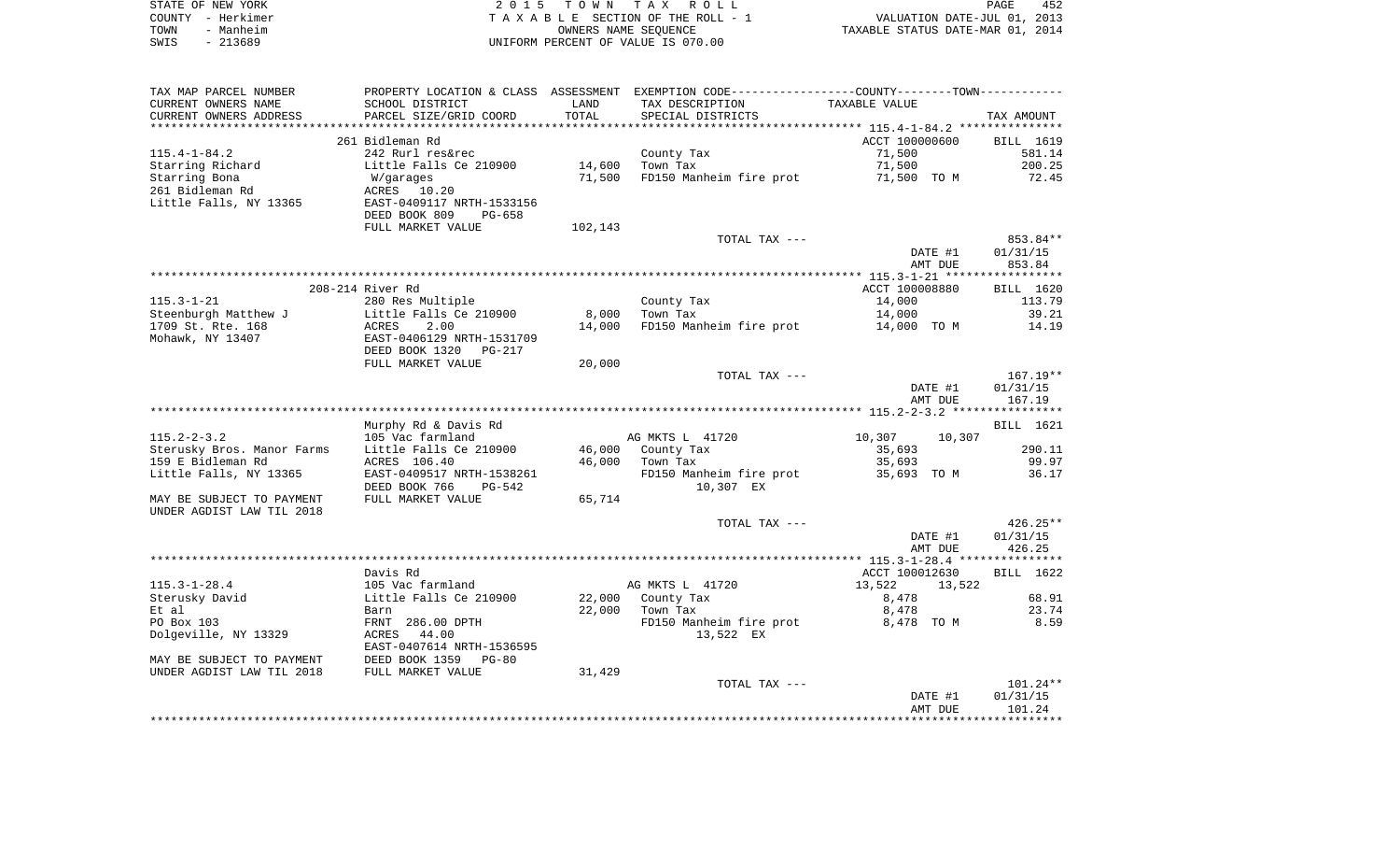| STATE OF NEW YORK |                   | 2015 TOWN TAX ROLL                 | 452<br>PAGE                      |
|-------------------|-------------------|------------------------------------|----------------------------------|
|                   | COUNTY - Herkimer | TAXABLE SECTION OF THE ROLL - 1    | VALUATION DATE-JUL 01, 2013      |
| TOWN              | - Manheim         | OWNERS NAME SEOUENCE               | TAXABLE STATUS DATE-MAR 01, 2014 |
| SWIS              | - 213689          | UNIFORM PERCENT OF VALUE IS 070.00 |                                  |

| TAX MAP PARCEL NUMBER<br>CURRENT OWNERS NAME | PROPERTY LOCATION & CLASS ASSESSMENT<br>SCHOOL DISTRICT | LAND                     | EXEMPTION CODE-----------------COUNTY-------TOWN-----------<br>TAX DESCRIPTION | TAXABLE VALUE                                             |                      |
|----------------------------------------------|---------------------------------------------------------|--------------------------|--------------------------------------------------------------------------------|-----------------------------------------------------------|----------------------|
| CURRENT OWNERS ADDRESS                       | PARCEL SIZE/GRID COORD                                  | TOTAL<br>* * * * * * * * | SPECIAL DISTRICTS                                                              | .*************************** 115.4-1-84.2 *************** | TAX AMOUNT           |
|                                              | 261 Bidleman Rd                                         |                          |                                                                                | ACCT 100000600                                            | BILL 1619            |
| $115.4 - 1 - 84.2$                           | 242 Rurl res&rec                                        |                          | County Tax                                                                     | 71,500                                                    | 581.14               |
| Starring Richard                             | Little Falls Ce 210900                                  | 14,600                   | Town Tax                                                                       | 71,500                                                    | 200.25               |
| Starring Bona                                | W/garages                                               | 71,500                   | FD150 Manheim fire prot                                                        | 71,500 TO M                                               | 72.45                |
| 261 Bidleman Rd                              | 10.20<br>ACRES                                          |                          |                                                                                |                                                           |                      |
| Little Falls, NY 13365                       | EAST-0409117 NRTH-1533156                               |                          |                                                                                |                                                           |                      |
|                                              | DEED BOOK 809<br>PG-658                                 |                          |                                                                                |                                                           |                      |
|                                              | FULL MARKET VALUE                                       | 102,143                  |                                                                                |                                                           |                      |
|                                              |                                                         |                          | TOTAL TAX ---                                                                  |                                                           | 853.84**             |
|                                              |                                                         |                          |                                                                                | DATE #1                                                   | 01/31/15             |
|                                              |                                                         |                          |                                                                                | AMT DUE                                                   | 853.84               |
|                                              | 208-214 River Rd                                        |                          |                                                                                | ACCT 100008880                                            | BILL 1620            |
| $115.3 - 1 - 21$                             | 280 Res Multiple                                        |                          | County Tax                                                                     | 14,000                                                    | 113.79               |
| Steenburgh Matthew J                         | Little Falls Ce 210900                                  | 8,000                    | Town Tax                                                                       | 14,000                                                    | 39.21                |
| 1709 St. Rte. 168                            | ACRES<br>2.00                                           | 14,000                   | FD150 Manheim fire prot                                                        | 14,000 TO M                                               | 14.19                |
| Mohawk, NY 13407                             | EAST-0406129 NRTH-1531709                               |                          |                                                                                |                                                           |                      |
|                                              | DEED BOOK 1320<br>PG-217                                |                          |                                                                                |                                                           |                      |
|                                              | FULL MARKET VALUE                                       | 20,000                   |                                                                                |                                                           |                      |
|                                              |                                                         |                          | TOTAL TAX ---                                                                  |                                                           | $167.19**$           |
|                                              |                                                         |                          |                                                                                | DATE #1                                                   | 01/31/15             |
|                                              |                                                         |                          |                                                                                | AMT DUE                                                   | 167.19               |
|                                              |                                                         |                          |                                                                                |                                                           |                      |
| $115.2 - 2 - 3.2$                            | Murphy Rd & Davis Rd<br>105 Vac farmland                |                          | AG MKTS L 41720                                                                | 10,307<br>10,307                                          | BILL 1621            |
| Sterusky Bros. Manor Farms                   | Little Falls Ce 210900                                  | 46,000                   | County Tax                                                                     | 35,693                                                    | 290.11               |
| 159 E Bidleman Rd                            | ACRES 106.40                                            | 46,000                   | Town Tax                                                                       | 35,693                                                    | 99.97                |
| Little Falls, NY 13365                       | EAST-0409517 NRTH-1538261                               |                          | FD150 Manheim fire prot                                                        | 35,693 TO M                                               | 36.17                |
|                                              | DEED BOOK 766<br>PG-542                                 |                          | 10,307 EX                                                                      |                                                           |                      |
| MAY BE SUBJECT TO PAYMENT                    | FULL MARKET VALUE                                       | 65,714                   |                                                                                |                                                           |                      |
| UNDER AGDIST LAW TIL 2018                    |                                                         |                          |                                                                                |                                                           |                      |
|                                              |                                                         |                          | TOTAL TAX ---                                                                  |                                                           | $426.25**$           |
|                                              |                                                         |                          |                                                                                | DATE #1                                                   | 01/31/15             |
|                                              |                                                         |                          |                                                                                | AMT DUE                                                   | 426.25<br>********** |
|                                              | Davis Rd                                                |                          |                                                                                | ACCT 100012630                                            | BILL 1622            |
| $115.3 - 1 - 28.4$                           | 105 Vac farmland                                        |                          | AG MKTS L 41720                                                                | 13,522<br>13,522                                          |                      |
| Sterusky David                               | Little Falls Ce 210900                                  | 22,000                   | County Tax                                                                     | 8,478                                                     | 68.91                |
| Et al                                        | Barn                                                    | 22,000                   | Town Tax                                                                       | 8,478                                                     | 23.74                |
| PO Box 103                                   | FRNT 286.00 DPTH                                        |                          | FD150 Manheim fire prot                                                        | 8,478 TO M                                                | 8.59                 |
| Dolgeville, NY 13329                         | ACRES 44.00                                             |                          | 13,522 EX                                                                      |                                                           |                      |
|                                              | EAST-0407614 NRTH-1536595                               |                          |                                                                                |                                                           |                      |
| MAY BE SUBJECT TO PAYMENT                    | DEED BOOK 1359 PG-80                                    |                          |                                                                                |                                                           |                      |
| UNDER AGDIST LAW TIL 2018                    | FULL MARKET VALUE                                       | 31,429                   |                                                                                |                                                           |                      |
|                                              |                                                         |                          | TOTAL TAX ---                                                                  |                                                           | $101.24**$           |
|                                              |                                                         |                          |                                                                                | DATE #1                                                   | 01/31/15             |
|                                              |                                                         |                          |                                                                                | AMT DUE                                                   | 101.24               |
|                                              |                                                         |                          |                                                                                |                                                           |                      |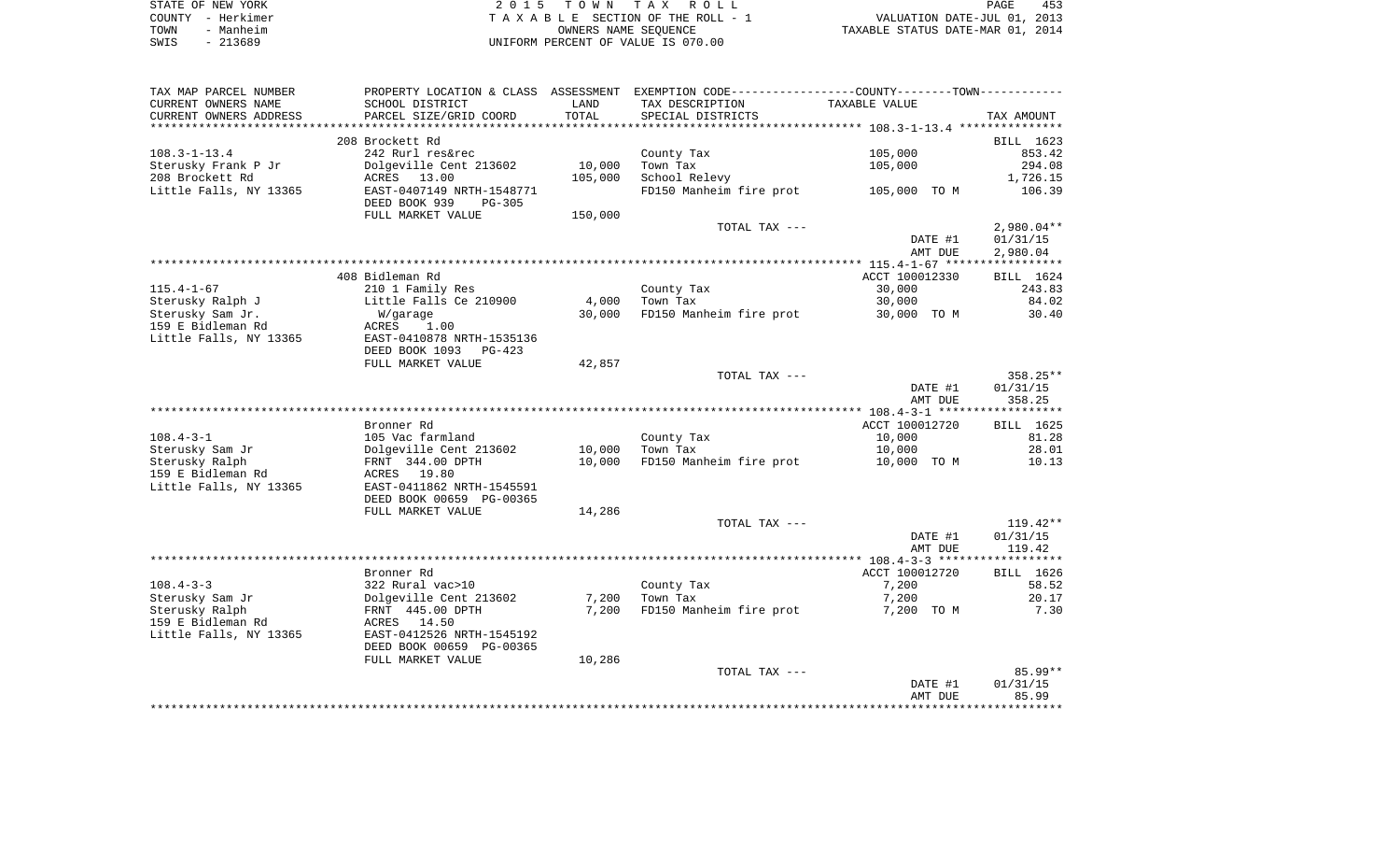|      | STATE OF NEW YORK | 2015 TOWN TAX ROLL                 | 453<br>PAGE                      |
|------|-------------------|------------------------------------|----------------------------------|
|      | COUNTY - Herkimer | TAXABLE SECTION OF THE ROLL - 1    | VALUATION DATE-JUL 01, 2013      |
| TOWN | - Manheim         | OWNERS NAME SEOUENCE               | TAXABLE STATUS DATE-MAR 01, 2014 |
| SWIS | $-213689$         | UNIFORM PERCENT OF VALUE IS 070.00 |                                  |

| TAX MAP PARCEL NUMBER  |                                |         | PROPERTY LOCATION & CLASS ASSESSMENT EXEMPTION CODE----------------COUNTY--------TOWN----------- |                |              |
|------------------------|--------------------------------|---------|--------------------------------------------------------------------------------------------------|----------------|--------------|
| CURRENT OWNERS NAME    | SCHOOL DISTRICT                | LAND    | TAX DESCRIPTION                                                                                  | TAXABLE VALUE  |              |
| CURRENT OWNERS ADDRESS | PARCEL SIZE/GRID COORD         | TOTAL   | SPECIAL DISTRICTS                                                                                |                | TAX AMOUNT   |
|                        |                                |         |                                                                                                  |                |              |
|                        | 208 Brockett Rd                |         |                                                                                                  |                | BILL 1623    |
| $108.3 - 1 - 13.4$     | 242 Rurl res&rec               |         | County Tax                                                                                       | 105,000        | 853.42       |
| Sterusky Frank P Jr    | Dolgeville Cent 213602         | 10,000  | Town Tax                                                                                         | 105,000        | 294.08       |
| 208 Brockett Rd        | ACRES 13.00                    | 105,000 | School Relevy                                                                                    |                | 1,726.15     |
| Little Falls, NY 13365 | EAST-0407149 NRTH-1548771      |         | FD150 Manheim fire prot                                                                          | 105,000 TO M   | 106.39       |
|                        | DEED BOOK 939<br><b>PG-305</b> |         |                                                                                                  |                |              |
|                        | FULL MARKET VALUE              | 150,000 |                                                                                                  |                |              |
|                        |                                |         | TOTAL TAX ---                                                                                    |                | $2,980.04**$ |
|                        |                                |         |                                                                                                  | DATE #1        | 01/31/15     |
|                        |                                |         |                                                                                                  | AMT DUE        | 2,980.04     |
|                        |                                |         |                                                                                                  |                |              |
|                        | 408 Bidleman Rd                |         |                                                                                                  | ACCT 100012330 | BILL 1624    |
| $115.4 - 1 - 67$       | 210 1 Family Res               |         | County Tax                                                                                       | 30,000         | 243.83       |
| Sterusky Ralph J       | Little Falls Ce 210900         | 4,000   | Town Tax                                                                                         | 30,000         | 84.02        |
| Sterusky Sam Jr.       | W/garage                       | 30,000  | FD150 Manheim fire prot                                                                          | 30,000 TO M    | 30.40        |
| 159 E Bidleman Rd      | 1.00<br>ACRES                  |         |                                                                                                  |                |              |
| Little Falls, NY 13365 | EAST-0410878 NRTH-1535136      |         |                                                                                                  |                |              |
|                        | DEED BOOK 1093<br>PG-423       |         |                                                                                                  |                |              |
|                        | FULL MARKET VALUE              | 42,857  |                                                                                                  |                |              |
|                        |                                |         | TOTAL TAX ---                                                                                    |                | 358.25**     |
|                        |                                |         |                                                                                                  | DATE #1        | 01/31/15     |
|                        |                                |         |                                                                                                  | AMT DUE        | 358.25       |
|                        |                                |         |                                                                                                  |                |              |
|                        | Bronner Rd                     |         |                                                                                                  | ACCT 100012720 | BILL 1625    |
| $108.4 - 3 - 1$        | 105 Vac farmland               |         | County Tax                                                                                       | 10,000         | 81.28        |
| Sterusky Sam Jr        | Dolgeville Cent 213602         | 10,000  | Town Tax                                                                                         | 10,000         | 28.01        |
| Sterusky Ralph         | FRNT 344.00 DPTH               | 10,000  | FD150 Manheim fire prot                                                                          | 10,000 TO M    | 10.13        |
| 159 E Bidleman Rd      | ACRES 19.80                    |         |                                                                                                  |                |              |
| Little Falls, NY 13365 | EAST-0411862 NRTH-1545591      |         |                                                                                                  |                |              |
|                        | DEED BOOK 00659 PG-00365       |         |                                                                                                  |                |              |
|                        | FULL MARKET VALUE              | 14,286  |                                                                                                  |                |              |
|                        |                                |         | TOTAL TAX ---                                                                                    |                | $119.42**$   |
|                        |                                |         |                                                                                                  | DATE #1        | 01/31/15     |
|                        |                                |         |                                                                                                  | AMT DUE        | 119.42       |
|                        |                                |         |                                                                                                  |                |              |
|                        | Bronner Rd                     |         |                                                                                                  | ACCT 100012720 | BILL 1626    |
| $108.4 - 3 - 3$        | 322 Rural vac>10               |         | County Tax                                                                                       | 7,200          | 58.52        |
| Sterusky Sam Jr        | Dolgeville Cent 213602         | 7,200   | Town Tax                                                                                         | 7,200          | 20.17        |
| Sterusky Ralph         | FRNT 445.00 DPTH               | 7,200   | FD150 Manheim fire prot                                                                          | 7,200 TO M     | 7.30         |
| 159 E Bidleman Rd      | ACRES 14.50                    |         |                                                                                                  |                |              |
| Little Falls, NY 13365 | EAST-0412526 NRTH-1545192      |         |                                                                                                  |                |              |
|                        | DEED BOOK 00659 PG-00365       |         |                                                                                                  |                |              |
|                        | FULL MARKET VALUE              | 10,286  |                                                                                                  |                | $85.99**$    |
|                        |                                |         | TOTAL TAX ---                                                                                    |                | 01/31/15     |
|                        |                                |         |                                                                                                  | DATE #1        |              |
|                        |                                |         |                                                                                                  | AMT DUE        | 85.99        |
|                        |                                |         |                                                                                                  |                |              |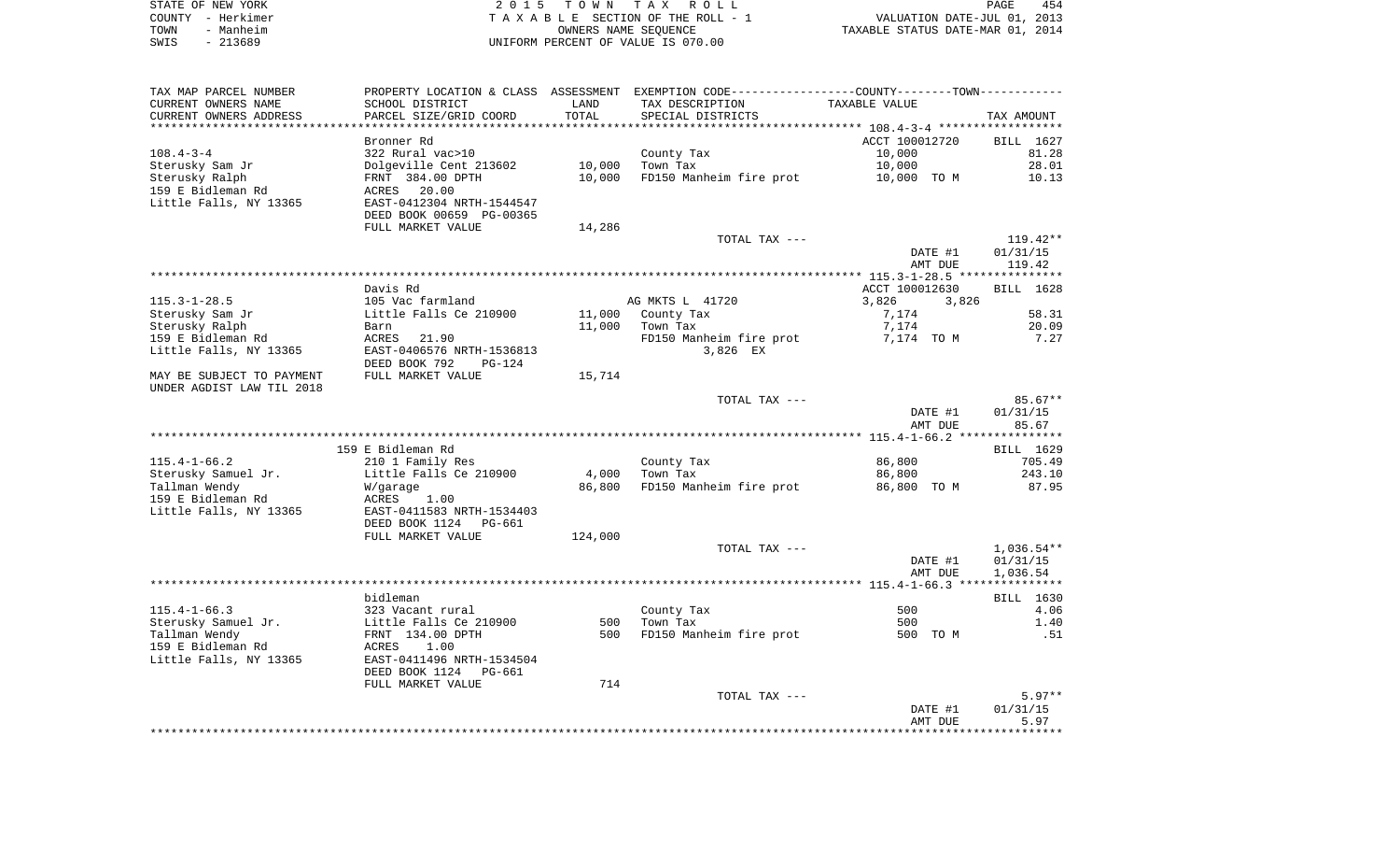| STATE OF NEW YORK | 2015 TOWN TAX ROLL                 | 454<br>PAGE                      |
|-------------------|------------------------------------|----------------------------------|
| COUNTY - Herkimer | TAXABLE SECTION OF THE ROLL - 1    | VALUATION DATE-JUL 01, 2013      |
| - Manheim<br>TOWN | OWNERS NAME SEOUENCE               | TAXABLE STATUS DATE-MAR 01, 2014 |
| SWIS<br>- 213689  | UNIFORM PERCENT OF VALUE IS 070.00 |                                  |

| TAX MAP PARCEL NUMBER     |                           |                  | PROPERTY LOCATION & CLASS ASSESSMENT EXEMPTION CODE----------------COUNTY-------TOWN---------- |                |            |
|---------------------------|---------------------------|------------------|------------------------------------------------------------------------------------------------|----------------|------------|
| CURRENT OWNERS NAME       | SCHOOL DISTRICT           | LAND             | TAX DESCRIPTION                                                                                | TAXABLE VALUE  |            |
| CURRENT OWNERS ADDRESS    | PARCEL SIZE/GRID COORD    | TOTAL            | SPECIAL DISTRICTS                                                                              |                | TAX AMOUNT |
| **********************    | ***********************   | **************** |                                                                                                |                |            |
|                           | Bronner Rd                |                  |                                                                                                | ACCT 100012720 | BILL 1627  |
| $108.4 - 3 - 4$           | 322 Rural vac>10          |                  | County Tax                                                                                     | 10,000         | 81.28      |
| Sterusky Sam Jr           | Dolgeville Cent 213602    | 10,000           | Town Tax                                                                                       | 10,000         | 28.01      |
| Sterusky Ralph            | FRNT 384.00 DPTH          | 10,000           | FD150 Manheim fire prot                                                                        | 10,000 TO M    | 10.13      |
| 159 E Bidleman Rd         | 20.00<br>ACRES            |                  |                                                                                                |                |            |
| Little Falls, NY 13365    | EAST-0412304 NRTH-1544547 |                  |                                                                                                |                |            |
|                           | DEED BOOK 00659 PG-00365  |                  |                                                                                                |                |            |
|                           | FULL MARKET VALUE         | 14,286           |                                                                                                |                |            |
|                           |                           |                  | TOTAL TAX ---                                                                                  |                | $119.42**$ |
|                           |                           |                  |                                                                                                | DATE #1        | 01/31/15   |
|                           |                           |                  |                                                                                                | AMT DUE        | 119.42     |
|                           |                           |                  |                                                                                                |                |            |
|                           | Davis Rd                  |                  |                                                                                                | ACCT 100012630 | BILL 1628  |
| $115.3 - 1 - 28.5$        | 105 Vac farmland          |                  | AG MKTS L 41720                                                                                | 3,826<br>3,826 |            |
| Sterusky Sam Jr           | Little Falls Ce 210900    | 11,000           | County Tax                                                                                     | 7,174          | 58.31      |
| Sterusky Ralph            | Barn                      | 11,000           | Town Tax                                                                                       | 7,174          | 20.09      |
| 159 E Bidleman Rd         | 21.90<br>ACRES            |                  | FD150 Manheim fire prot                                                                        | 7,174 TO M     | 7.27       |
| Little Falls, NY 13365    | EAST-0406576 NRTH-1536813 |                  | 3,826 EX                                                                                       |                |            |
|                           | DEED BOOK 792<br>$PG-124$ |                  |                                                                                                |                |            |
| MAY BE SUBJECT TO PAYMENT | FULL MARKET VALUE         | 15,714           |                                                                                                |                |            |
| UNDER AGDIST LAW TIL 2018 |                           |                  |                                                                                                |                |            |
|                           |                           |                  | TOTAL TAX ---                                                                                  |                | $85.67**$  |
|                           |                           |                  |                                                                                                | DATE #1        | 01/31/15   |
|                           |                           |                  |                                                                                                | AMT DUE        | 85.67      |
|                           |                           |                  |                                                                                                |                |            |
|                           | 159 E Bidleman Rd         |                  |                                                                                                |                | BILL 1629  |
| $115.4 - 1 - 66.2$        | 210 1 Family Res          |                  | County Tax                                                                                     | 86,800         | 705.49     |
| Sterusky Samuel Jr.       | Little Falls Ce 210900    | 4,000            | Town Tax                                                                                       | 86,800         | 243.10     |
| Tallman Wendy             | W/garage                  | 86,800           | FD150 Manheim fire prot                                                                        | 86,800 TO M    | 87.95      |
| 159 E Bidleman Rd         | ACRES<br>1.00             |                  |                                                                                                |                |            |
| Little Falls, NY 13365    | EAST-0411583 NRTH-1534403 |                  |                                                                                                |                |            |
|                           | DEED BOOK 1124<br>PG-661  |                  |                                                                                                |                |            |
|                           | FULL MARKET VALUE         | 124,000          |                                                                                                |                |            |
|                           |                           |                  | TOTAL TAX ---                                                                                  |                | 1,036.54** |
|                           |                           |                  |                                                                                                | DATE #1        | 01/31/15   |
|                           |                           |                  |                                                                                                | AMT DUE        | 1,036.54   |
|                           | bidleman                  |                  |                                                                                                |                |            |
|                           |                           |                  |                                                                                                | 500            | BILL 1630  |
| $115.4 - 1 - 66.3$        | 323 Vacant rural          |                  | County Tax                                                                                     |                | 4.06       |
| Sterusky Samuel Jr.       | Little Falls Ce 210900    | 500              | Town Tax<br>FD150 Manheim fire prot                                                            | 500            | 1.40       |
| Tallman Wendy             | FRNT 134.00 DPTH          | 500              |                                                                                                | 500 TO M       | .51        |
| 159 E Bidleman Rd         | 1.00<br>ACRES             |                  |                                                                                                |                |            |
| Little Falls, NY 13365    | EAST-0411496 NRTH-1534504 |                  |                                                                                                |                |            |
|                           | DEED BOOK 1124<br>PG-661  |                  |                                                                                                |                |            |
|                           | FULL MARKET VALUE         | 714              | TOTAL TAX ---                                                                                  |                | $5.97**$   |
|                           |                           |                  |                                                                                                | DATE #1        | 01/31/15   |
|                           |                           |                  |                                                                                                | AMT DUE        | 5.97       |
|                           |                           |                  |                                                                                                |                |            |
|                           |                           |                  |                                                                                                |                |            |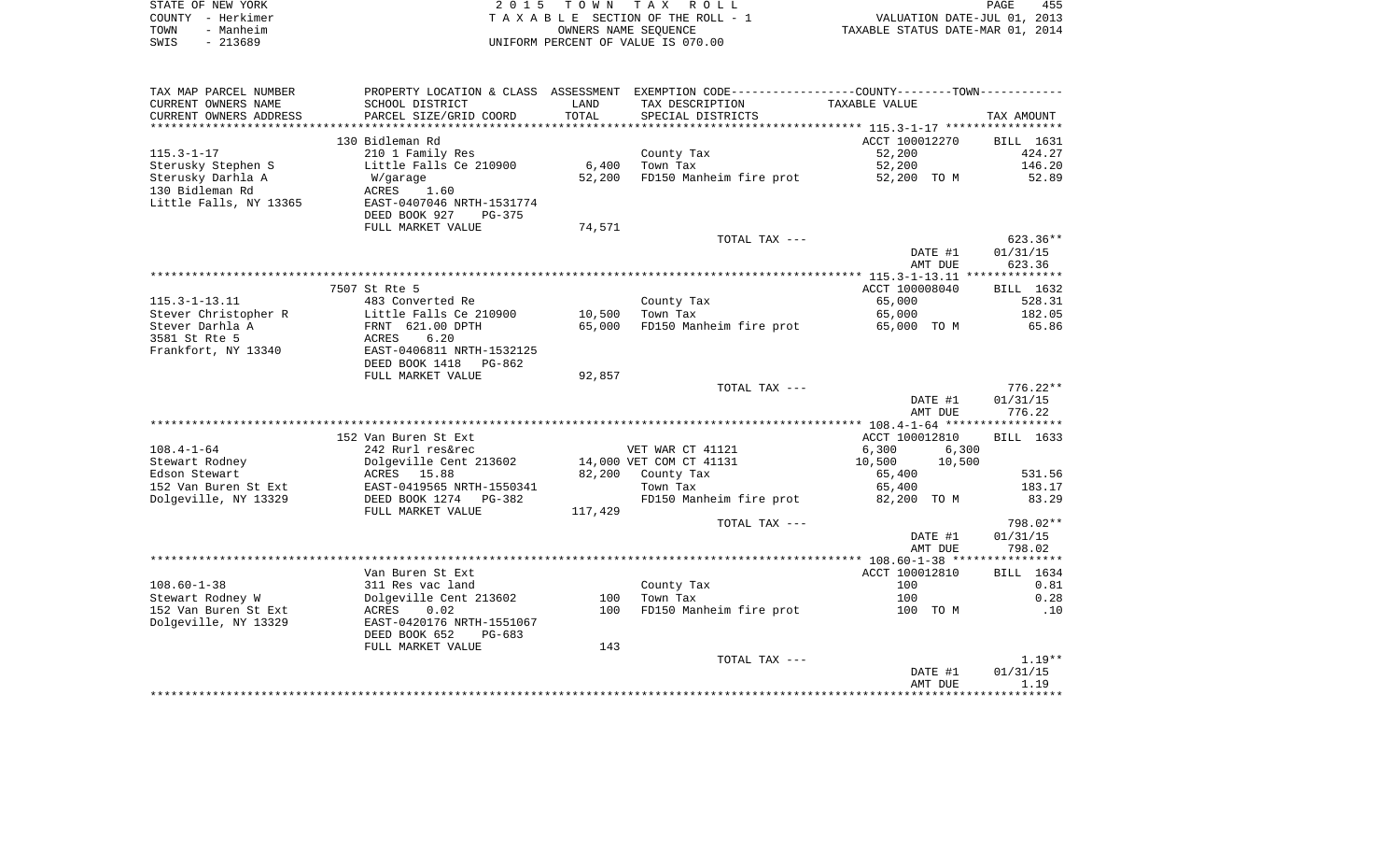| STATE OF NEW YORK | 2015 TOWN TAX ROLL                 |                                  | PAGE | 455 |
|-------------------|------------------------------------|----------------------------------|------|-----|
| COUNTY - Herkimer | TAXABLE SECTION OF THE ROLL - 1    | VALUATION DATE-JUL 01, 2013      |      |     |
| TOWN<br>- Manheim | OWNERS NAME SEOUENCE               | TAXABLE STATUS DATE-MAR 01, 2014 |      |     |
| SWIS<br>- 213689  | UNIFORM PERCENT OF VALUE IS 070.00 |                                  |      |     |

| TAX MAP PARCEL NUMBER   | PROPERTY LOCATION & CLASS ASSESSMENT |         | EXEMPTION CODE-----------------COUNTY--------TOWN----------- |                  |            |
|-------------------------|--------------------------------------|---------|--------------------------------------------------------------|------------------|------------|
| CURRENT OWNERS NAME     | SCHOOL DISTRICT                      | LAND    | TAX DESCRIPTION                                              | TAXABLE VALUE    |            |
| CURRENT OWNERS ADDRESS  | PARCEL SIZE/GRID COORD               | TOTAL   | SPECIAL DISTRICTS                                            |                  | TAX AMOUNT |
| *********************** |                                      |         |                                                              |                  |            |
|                         | 130 Bidleman Rd                      |         |                                                              | ACCT 100012270   | BILL 1631  |
| $115.3 - 1 - 17$        | 210 1 Family Res                     |         | County Tax                                                   | 52,200           | 424.27     |
| Sterusky Stephen S      | Little Falls Ce 210900               | 6,400   | Town Tax                                                     | 52,200           | 146.20     |
| Sterusky Darhla A       | W/garage                             | 52,200  | FD150 Manheim fire prot                                      | 52,200 TO M      | 52.89      |
| 130 Bidleman Rd         | ACRES<br>1.60                        |         |                                                              |                  |            |
| Little Falls, NY 13365  | EAST-0407046 NRTH-1531774            |         |                                                              |                  |            |
|                         | DEED BOOK 927<br>PG-375              |         |                                                              |                  |            |
|                         | FULL MARKET VALUE                    | 74,571  |                                                              |                  |            |
|                         |                                      |         | TOTAL TAX ---                                                |                  | $623.36**$ |
|                         |                                      |         |                                                              | DATE #1          | 01/31/15   |
|                         |                                      |         |                                                              | AMT DUE          | 623.36     |
|                         |                                      |         |                                                              |                  |            |
|                         | 7507 St Rte 5                        |         |                                                              | ACCT 100008040   | BILL 1632  |
| $115.3 - 1 - 13.11$     | 483 Converted Re                     |         | County Tax                                                   | 65,000           | 528.31     |
| Stever Christopher R    | Little Falls Ce 210900               | 10,500  | Town Tax                                                     | 65,000           | 182.05     |
| Stever Darhla A         | FRNT 621.00 DPTH                     | 65,000  | FD150 Manheim fire prot                                      | 65,000 TO M      | 65.86      |
| 3581 St Rte 5           | 6.20<br>ACRES                        |         |                                                              |                  |            |
| Frankfort, NY 13340     | EAST-0406811 NRTH-1532125            |         |                                                              |                  |            |
|                         | DEED BOOK 1418<br>PG-862             |         |                                                              |                  |            |
|                         | FULL MARKET VALUE                    | 92,857  |                                                              |                  |            |
|                         |                                      |         | TOTAL TAX ---                                                |                  | $776.22**$ |
|                         |                                      |         |                                                              | DATE #1          | 01/31/15   |
|                         |                                      |         |                                                              | AMT DUE          | 776.22     |
|                         |                                      |         |                                                              |                  |            |
|                         | 152 Van Buren St Ext                 |         |                                                              | ACCT 100012810   | BILL 1633  |
| $108.4 - 1 - 64$        | 242 Rurl res&rec                     |         | VET WAR CT 41121                                             | 6,300<br>6,300   |            |
| Stewart Rodney          | Dolgeville Cent 213602               |         | 14,000 VET COM CT 41131                                      | 10,500<br>10,500 |            |
| Edson Stewart           | ACRES 15.88                          | 82,200  | County Tax                                                   | 65,400           | 531.56     |
| 152 Van Buren St Ext    | EAST-0419565 NRTH-1550341            |         | Town Tax                                                     | 65,400           | 183.17     |
| Dolgeville, NY 13329    | DEED BOOK 1274 PG-382                |         | FD150 Manheim fire prot                                      | 82,200 TO M      | 83.29      |
|                         | FULL MARKET VALUE                    | 117,429 |                                                              |                  |            |
|                         |                                      |         | TOTAL TAX ---                                                |                  | 798.02**   |
|                         |                                      |         |                                                              | DATE #1          | 01/31/15   |
|                         |                                      |         |                                                              | AMT DUE          | 798.02     |
|                         |                                      |         |                                                              |                  |            |
|                         | Van Buren St Ext                     |         |                                                              | ACCT 100012810   | BILL 1634  |
| $108.60 - 1 - 38$       | 311 Res vac land                     |         | County Tax                                                   | 100              | 0.81       |
| Stewart Rodney W        | Dolgeville Cent 213602               | 100     | Town Tax                                                     | 100              | 0.28       |
| 152 Van Buren St Ext    | ACRES<br>0.02                        | 100     | FD150 Manheim fire prot                                      | 100 TO M         | .10        |
| Dolgeville, NY 13329    | EAST-0420176 NRTH-1551067            |         |                                                              |                  |            |
|                         | DEED BOOK 652<br>PG-683              |         |                                                              |                  |            |
|                         | FULL MARKET VALUE                    | 143     |                                                              |                  |            |
|                         |                                      |         | TOTAL TAX ---                                                |                  | $1.19**$   |
|                         |                                      |         |                                                              | DATE #1          | 01/31/15   |
|                         |                                      |         |                                                              | AMT DUE          | 1.19       |
|                         |                                      |         |                                                              |                  |            |
|                         |                                      |         |                                                              |                  |            |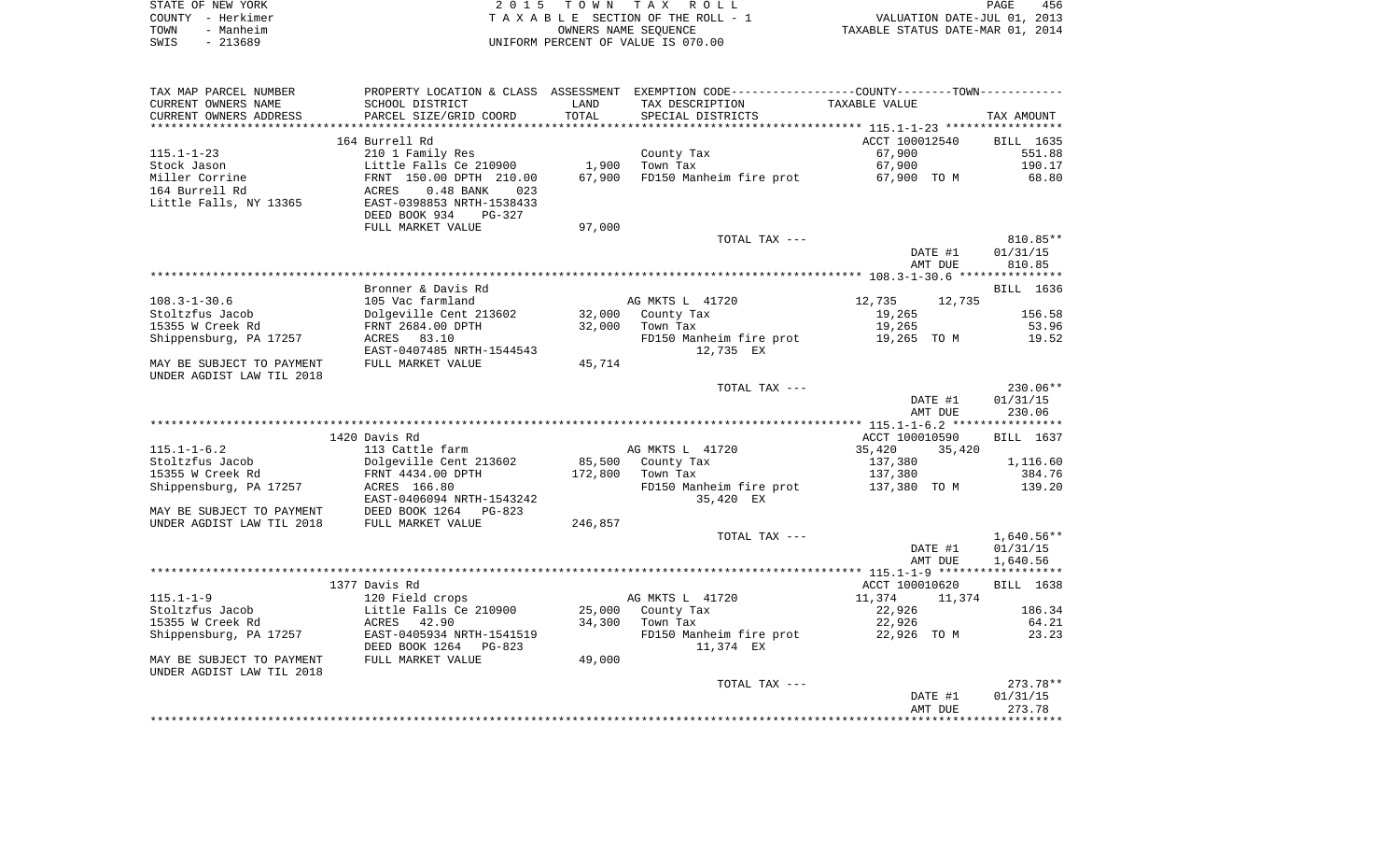|      | STATE OF NEW YORK | 2015 TOWN TAX ROLL                 | 456<br>PAGE                      |
|------|-------------------|------------------------------------|----------------------------------|
|      | COUNTY – Herkimer | TAXABLE SECTION OF THE ROLL - 1    | VALUATION DATE-JUL 01, 2013      |
| TOWN | - Manheim         | OWNERS NAME SEOUENCE               | TAXABLE STATUS DATE-MAR 01, 2014 |
| SWIS | - 213689          | UNIFORM PERCENT OF VALUE IS 070.00 |                                  |

| SCHOOL DISTRICT<br>LAND<br>TAX DESCRIPTION<br>TAXABLE VALUE<br>TOTAL<br>PARCEL SIZE/GRID COORD<br>SPECIAL DISTRICTS<br>TAX AMOUNT<br>164 Burrell Rd<br>ACCT 100012540<br>BILL 1635<br>210 1 Family Res<br>County Tax<br>67,900<br>551.88<br>1,900<br>Little Falls Ce 210900<br>Town Tax<br>67,900<br>190.17<br>FRNT 150.00 DPTH 210.00<br>67,900<br>FD150 Manheim fire prot<br>67,900 TO M<br>68.80<br>ACRES<br>$0.48$ BANK<br>023<br>EAST-0398853 NRTH-1538433<br>DEED BOOK 934<br><b>PG-327</b><br>FULL MARKET VALUE<br>97,000<br>TOTAL TAX ---<br>810.85**<br>DATE #1<br>01/31/15<br>810.85<br>AMT DUE<br>Bronner & Davis Rd<br>BILL 1636<br>$108.3 - 1 - 30.6$<br>AG MKTS L 41720<br>12,735<br>105 Vac farmland<br>12,735<br>Dolgeville Cent 213602<br>156.58<br>Stoltzfus Jacob<br>32,000<br>County Tax<br>19,265<br>15355 W Creek Rd<br>FRNT 2684.00 DPTH<br>32,000<br>Town Tax<br>19,265<br>53.96<br>Shippensburg, PA 17257<br>ACRES 83.10<br>FD150 Manheim fire prot<br>19,265 TO M<br>19.52<br>EAST-0407485 NRTH-1544543<br>12,735 EX<br>MAY BE SUBJECT TO PAYMENT<br>FULL MARKET VALUE<br>45,714<br>UNDER AGDIST LAW TIL 2018<br>230.06**<br>TOTAL TAX ---<br>01/31/15<br>DATE #1<br>AMT DUE<br>230.06<br>1420 Davis Rd<br>ACCT 100010590<br>BILL 1637<br>$115.1 - 1 - 6.2$<br>113 Cattle farm<br>AG MKTS L 41720<br>35,420<br>35,420<br>85,500<br>Stoltzfus Jacob<br>Dolgeville Cent 213602<br>County Tax<br>137,380<br>1,116.60<br>172,800<br>384.76<br>15355 W Creek Rd<br>FRNT 4434.00 DPTH<br>Town Tax<br>137,380<br>Shippensburg, PA 17257<br>ACRES 166.80<br>FD150 Manheim fire prot<br>137,380 TO M<br>139.20<br>EAST-0406094 NRTH-1543242<br>35,420 EX<br>DEED BOOK 1264<br>MAY BE SUBJECT TO PAYMENT<br>PG-823<br>UNDER AGDIST LAW TIL 2018<br>FULL MARKET VALUE<br>246,857<br>$1,640.56**$<br>TOTAL TAX ---<br>DATE #1<br>01/31/15<br>AMT DUE<br>1,640.56<br>1377 Davis Rd<br>ACCT 100010620<br>BILL 1638<br>$115.1 - 1 - 9$<br>AG MKTS L 41720<br>11,374<br>120 Field crops<br>11,374<br>22,926<br>Stoltzfus Jacob<br>Little Falls Ce 210900<br>25,000<br>County Tax<br>186.34<br>15355 W Creek Rd<br>ACRES<br>34,300<br>22,926<br>64.21<br>42.90<br>Town Tax<br>Shippensburg, PA 17257<br>EAST-0405934 NRTH-1541519<br>FD150 Manheim fire prot<br>22,926 TO M<br>23.23<br>DEED BOOK 1264<br>11,374 EX<br>PG-823<br>49,000<br>FULL MARKET VALUE<br>$273.78**$<br>TOTAL TAX ---<br>01/31/15<br>DATE #1<br>AMT DUE<br>273.78 | TAX MAP PARCEL NUMBER     |  | PROPERTY LOCATION & CLASS ASSESSMENT EXEMPTION CODE---------------COUNTY-------TOWN--------- |  |
|--------------------------------------------------------------------------------------------------------------------------------------------------------------------------------------------------------------------------------------------------------------------------------------------------------------------------------------------------------------------------------------------------------------------------------------------------------------------------------------------------------------------------------------------------------------------------------------------------------------------------------------------------------------------------------------------------------------------------------------------------------------------------------------------------------------------------------------------------------------------------------------------------------------------------------------------------------------------------------------------------------------------------------------------------------------------------------------------------------------------------------------------------------------------------------------------------------------------------------------------------------------------------------------------------------------------------------------------------------------------------------------------------------------------------------------------------------------------------------------------------------------------------------------------------------------------------------------------------------------------------------------------------------------------------------------------------------------------------------------------------------------------------------------------------------------------------------------------------------------------------------------------------------------------------------------------------------------------------------------------------------------------------------------------------------------------------------------------------------------------------------------------------------------------------------------------------------------------------------------------------------------------------------------------------------------------------------------------------------------------------------------------------------------------------------------------------|---------------------------|--|----------------------------------------------------------------------------------------------|--|
|                                                                                                                                                                                                                                                                                                                                                                                                                                                                                                                                                                                                                                                                                                                                                                                                                                                                                                                                                                                                                                                                                                                                                                                                                                                                                                                                                                                                                                                                                                                                                                                                                                                                                                                                                                                                                                                                                                                                                                                                                                                                                                                                                                                                                                                                                                                                                                                                                                                  | CURRENT OWNERS NAME       |  |                                                                                              |  |
|                                                                                                                                                                                                                                                                                                                                                                                                                                                                                                                                                                                                                                                                                                                                                                                                                                                                                                                                                                                                                                                                                                                                                                                                                                                                                                                                                                                                                                                                                                                                                                                                                                                                                                                                                                                                                                                                                                                                                                                                                                                                                                                                                                                                                                                                                                                                                                                                                                                  | CURRENT OWNERS ADDRESS    |  |                                                                                              |  |
|                                                                                                                                                                                                                                                                                                                                                                                                                                                                                                                                                                                                                                                                                                                                                                                                                                                                                                                                                                                                                                                                                                                                                                                                                                                                                                                                                                                                                                                                                                                                                                                                                                                                                                                                                                                                                                                                                                                                                                                                                                                                                                                                                                                                                                                                                                                                                                                                                                                  |                           |  |                                                                                              |  |
|                                                                                                                                                                                                                                                                                                                                                                                                                                                                                                                                                                                                                                                                                                                                                                                                                                                                                                                                                                                                                                                                                                                                                                                                                                                                                                                                                                                                                                                                                                                                                                                                                                                                                                                                                                                                                                                                                                                                                                                                                                                                                                                                                                                                                                                                                                                                                                                                                                                  |                           |  |                                                                                              |  |
|                                                                                                                                                                                                                                                                                                                                                                                                                                                                                                                                                                                                                                                                                                                                                                                                                                                                                                                                                                                                                                                                                                                                                                                                                                                                                                                                                                                                                                                                                                                                                                                                                                                                                                                                                                                                                                                                                                                                                                                                                                                                                                                                                                                                                                                                                                                                                                                                                                                  | $115.1 - 1 - 23$          |  |                                                                                              |  |
|                                                                                                                                                                                                                                                                                                                                                                                                                                                                                                                                                                                                                                                                                                                                                                                                                                                                                                                                                                                                                                                                                                                                                                                                                                                                                                                                                                                                                                                                                                                                                                                                                                                                                                                                                                                                                                                                                                                                                                                                                                                                                                                                                                                                                                                                                                                                                                                                                                                  | Stock Jason               |  |                                                                                              |  |
|                                                                                                                                                                                                                                                                                                                                                                                                                                                                                                                                                                                                                                                                                                                                                                                                                                                                                                                                                                                                                                                                                                                                                                                                                                                                                                                                                                                                                                                                                                                                                                                                                                                                                                                                                                                                                                                                                                                                                                                                                                                                                                                                                                                                                                                                                                                                                                                                                                                  | Miller Corrine            |  |                                                                                              |  |
|                                                                                                                                                                                                                                                                                                                                                                                                                                                                                                                                                                                                                                                                                                                                                                                                                                                                                                                                                                                                                                                                                                                                                                                                                                                                                                                                                                                                                                                                                                                                                                                                                                                                                                                                                                                                                                                                                                                                                                                                                                                                                                                                                                                                                                                                                                                                                                                                                                                  | 164 Burrell Rd            |  |                                                                                              |  |
|                                                                                                                                                                                                                                                                                                                                                                                                                                                                                                                                                                                                                                                                                                                                                                                                                                                                                                                                                                                                                                                                                                                                                                                                                                                                                                                                                                                                                                                                                                                                                                                                                                                                                                                                                                                                                                                                                                                                                                                                                                                                                                                                                                                                                                                                                                                                                                                                                                                  | Little Falls, NY 13365    |  |                                                                                              |  |
|                                                                                                                                                                                                                                                                                                                                                                                                                                                                                                                                                                                                                                                                                                                                                                                                                                                                                                                                                                                                                                                                                                                                                                                                                                                                                                                                                                                                                                                                                                                                                                                                                                                                                                                                                                                                                                                                                                                                                                                                                                                                                                                                                                                                                                                                                                                                                                                                                                                  |                           |  |                                                                                              |  |
|                                                                                                                                                                                                                                                                                                                                                                                                                                                                                                                                                                                                                                                                                                                                                                                                                                                                                                                                                                                                                                                                                                                                                                                                                                                                                                                                                                                                                                                                                                                                                                                                                                                                                                                                                                                                                                                                                                                                                                                                                                                                                                                                                                                                                                                                                                                                                                                                                                                  |                           |  |                                                                                              |  |
|                                                                                                                                                                                                                                                                                                                                                                                                                                                                                                                                                                                                                                                                                                                                                                                                                                                                                                                                                                                                                                                                                                                                                                                                                                                                                                                                                                                                                                                                                                                                                                                                                                                                                                                                                                                                                                                                                                                                                                                                                                                                                                                                                                                                                                                                                                                                                                                                                                                  |                           |  |                                                                                              |  |
|                                                                                                                                                                                                                                                                                                                                                                                                                                                                                                                                                                                                                                                                                                                                                                                                                                                                                                                                                                                                                                                                                                                                                                                                                                                                                                                                                                                                                                                                                                                                                                                                                                                                                                                                                                                                                                                                                                                                                                                                                                                                                                                                                                                                                                                                                                                                                                                                                                                  |                           |  |                                                                                              |  |
|                                                                                                                                                                                                                                                                                                                                                                                                                                                                                                                                                                                                                                                                                                                                                                                                                                                                                                                                                                                                                                                                                                                                                                                                                                                                                                                                                                                                                                                                                                                                                                                                                                                                                                                                                                                                                                                                                                                                                                                                                                                                                                                                                                                                                                                                                                                                                                                                                                                  |                           |  |                                                                                              |  |
|                                                                                                                                                                                                                                                                                                                                                                                                                                                                                                                                                                                                                                                                                                                                                                                                                                                                                                                                                                                                                                                                                                                                                                                                                                                                                                                                                                                                                                                                                                                                                                                                                                                                                                                                                                                                                                                                                                                                                                                                                                                                                                                                                                                                                                                                                                                                                                                                                                                  |                           |  |                                                                                              |  |
|                                                                                                                                                                                                                                                                                                                                                                                                                                                                                                                                                                                                                                                                                                                                                                                                                                                                                                                                                                                                                                                                                                                                                                                                                                                                                                                                                                                                                                                                                                                                                                                                                                                                                                                                                                                                                                                                                                                                                                                                                                                                                                                                                                                                                                                                                                                                                                                                                                                  |                           |  |                                                                                              |  |
|                                                                                                                                                                                                                                                                                                                                                                                                                                                                                                                                                                                                                                                                                                                                                                                                                                                                                                                                                                                                                                                                                                                                                                                                                                                                                                                                                                                                                                                                                                                                                                                                                                                                                                                                                                                                                                                                                                                                                                                                                                                                                                                                                                                                                                                                                                                                                                                                                                                  |                           |  |                                                                                              |  |
|                                                                                                                                                                                                                                                                                                                                                                                                                                                                                                                                                                                                                                                                                                                                                                                                                                                                                                                                                                                                                                                                                                                                                                                                                                                                                                                                                                                                                                                                                                                                                                                                                                                                                                                                                                                                                                                                                                                                                                                                                                                                                                                                                                                                                                                                                                                                                                                                                                                  |                           |  |                                                                                              |  |
|                                                                                                                                                                                                                                                                                                                                                                                                                                                                                                                                                                                                                                                                                                                                                                                                                                                                                                                                                                                                                                                                                                                                                                                                                                                                                                                                                                                                                                                                                                                                                                                                                                                                                                                                                                                                                                                                                                                                                                                                                                                                                                                                                                                                                                                                                                                                                                                                                                                  |                           |  |                                                                                              |  |
|                                                                                                                                                                                                                                                                                                                                                                                                                                                                                                                                                                                                                                                                                                                                                                                                                                                                                                                                                                                                                                                                                                                                                                                                                                                                                                                                                                                                                                                                                                                                                                                                                                                                                                                                                                                                                                                                                                                                                                                                                                                                                                                                                                                                                                                                                                                                                                                                                                                  |                           |  |                                                                                              |  |
|                                                                                                                                                                                                                                                                                                                                                                                                                                                                                                                                                                                                                                                                                                                                                                                                                                                                                                                                                                                                                                                                                                                                                                                                                                                                                                                                                                                                                                                                                                                                                                                                                                                                                                                                                                                                                                                                                                                                                                                                                                                                                                                                                                                                                                                                                                                                                                                                                                                  |                           |  |                                                                                              |  |
|                                                                                                                                                                                                                                                                                                                                                                                                                                                                                                                                                                                                                                                                                                                                                                                                                                                                                                                                                                                                                                                                                                                                                                                                                                                                                                                                                                                                                                                                                                                                                                                                                                                                                                                                                                                                                                                                                                                                                                                                                                                                                                                                                                                                                                                                                                                                                                                                                                                  |                           |  |                                                                                              |  |
|                                                                                                                                                                                                                                                                                                                                                                                                                                                                                                                                                                                                                                                                                                                                                                                                                                                                                                                                                                                                                                                                                                                                                                                                                                                                                                                                                                                                                                                                                                                                                                                                                                                                                                                                                                                                                                                                                                                                                                                                                                                                                                                                                                                                                                                                                                                                                                                                                                                  |                           |  |                                                                                              |  |
|                                                                                                                                                                                                                                                                                                                                                                                                                                                                                                                                                                                                                                                                                                                                                                                                                                                                                                                                                                                                                                                                                                                                                                                                                                                                                                                                                                                                                                                                                                                                                                                                                                                                                                                                                                                                                                                                                                                                                                                                                                                                                                                                                                                                                                                                                                                                                                                                                                                  |                           |  |                                                                                              |  |
|                                                                                                                                                                                                                                                                                                                                                                                                                                                                                                                                                                                                                                                                                                                                                                                                                                                                                                                                                                                                                                                                                                                                                                                                                                                                                                                                                                                                                                                                                                                                                                                                                                                                                                                                                                                                                                                                                                                                                                                                                                                                                                                                                                                                                                                                                                                                                                                                                                                  |                           |  |                                                                                              |  |
|                                                                                                                                                                                                                                                                                                                                                                                                                                                                                                                                                                                                                                                                                                                                                                                                                                                                                                                                                                                                                                                                                                                                                                                                                                                                                                                                                                                                                                                                                                                                                                                                                                                                                                                                                                                                                                                                                                                                                                                                                                                                                                                                                                                                                                                                                                                                                                                                                                                  |                           |  |                                                                                              |  |
|                                                                                                                                                                                                                                                                                                                                                                                                                                                                                                                                                                                                                                                                                                                                                                                                                                                                                                                                                                                                                                                                                                                                                                                                                                                                                                                                                                                                                                                                                                                                                                                                                                                                                                                                                                                                                                                                                                                                                                                                                                                                                                                                                                                                                                                                                                                                                                                                                                                  |                           |  |                                                                                              |  |
|                                                                                                                                                                                                                                                                                                                                                                                                                                                                                                                                                                                                                                                                                                                                                                                                                                                                                                                                                                                                                                                                                                                                                                                                                                                                                                                                                                                                                                                                                                                                                                                                                                                                                                                                                                                                                                                                                                                                                                                                                                                                                                                                                                                                                                                                                                                                                                                                                                                  |                           |  |                                                                                              |  |
|                                                                                                                                                                                                                                                                                                                                                                                                                                                                                                                                                                                                                                                                                                                                                                                                                                                                                                                                                                                                                                                                                                                                                                                                                                                                                                                                                                                                                                                                                                                                                                                                                                                                                                                                                                                                                                                                                                                                                                                                                                                                                                                                                                                                                                                                                                                                                                                                                                                  |                           |  |                                                                                              |  |
|                                                                                                                                                                                                                                                                                                                                                                                                                                                                                                                                                                                                                                                                                                                                                                                                                                                                                                                                                                                                                                                                                                                                                                                                                                                                                                                                                                                                                                                                                                                                                                                                                                                                                                                                                                                                                                                                                                                                                                                                                                                                                                                                                                                                                                                                                                                                                                                                                                                  |                           |  |                                                                                              |  |
|                                                                                                                                                                                                                                                                                                                                                                                                                                                                                                                                                                                                                                                                                                                                                                                                                                                                                                                                                                                                                                                                                                                                                                                                                                                                                                                                                                                                                                                                                                                                                                                                                                                                                                                                                                                                                                                                                                                                                                                                                                                                                                                                                                                                                                                                                                                                                                                                                                                  |                           |  |                                                                                              |  |
|                                                                                                                                                                                                                                                                                                                                                                                                                                                                                                                                                                                                                                                                                                                                                                                                                                                                                                                                                                                                                                                                                                                                                                                                                                                                                                                                                                                                                                                                                                                                                                                                                                                                                                                                                                                                                                                                                                                                                                                                                                                                                                                                                                                                                                                                                                                                                                                                                                                  |                           |  |                                                                                              |  |
|                                                                                                                                                                                                                                                                                                                                                                                                                                                                                                                                                                                                                                                                                                                                                                                                                                                                                                                                                                                                                                                                                                                                                                                                                                                                                                                                                                                                                                                                                                                                                                                                                                                                                                                                                                                                                                                                                                                                                                                                                                                                                                                                                                                                                                                                                                                                                                                                                                                  |                           |  |                                                                                              |  |
|                                                                                                                                                                                                                                                                                                                                                                                                                                                                                                                                                                                                                                                                                                                                                                                                                                                                                                                                                                                                                                                                                                                                                                                                                                                                                                                                                                                                                                                                                                                                                                                                                                                                                                                                                                                                                                                                                                                                                                                                                                                                                                                                                                                                                                                                                                                                                                                                                                                  |                           |  |                                                                                              |  |
|                                                                                                                                                                                                                                                                                                                                                                                                                                                                                                                                                                                                                                                                                                                                                                                                                                                                                                                                                                                                                                                                                                                                                                                                                                                                                                                                                                                                                                                                                                                                                                                                                                                                                                                                                                                                                                                                                                                                                                                                                                                                                                                                                                                                                                                                                                                                                                                                                                                  |                           |  |                                                                                              |  |
|                                                                                                                                                                                                                                                                                                                                                                                                                                                                                                                                                                                                                                                                                                                                                                                                                                                                                                                                                                                                                                                                                                                                                                                                                                                                                                                                                                                                                                                                                                                                                                                                                                                                                                                                                                                                                                                                                                                                                                                                                                                                                                                                                                                                                                                                                                                                                                                                                                                  |                           |  |                                                                                              |  |
|                                                                                                                                                                                                                                                                                                                                                                                                                                                                                                                                                                                                                                                                                                                                                                                                                                                                                                                                                                                                                                                                                                                                                                                                                                                                                                                                                                                                                                                                                                                                                                                                                                                                                                                                                                                                                                                                                                                                                                                                                                                                                                                                                                                                                                                                                                                                                                                                                                                  |                           |  |                                                                                              |  |
|                                                                                                                                                                                                                                                                                                                                                                                                                                                                                                                                                                                                                                                                                                                                                                                                                                                                                                                                                                                                                                                                                                                                                                                                                                                                                                                                                                                                                                                                                                                                                                                                                                                                                                                                                                                                                                                                                                                                                                                                                                                                                                                                                                                                                                                                                                                                                                                                                                                  |                           |  |                                                                                              |  |
|                                                                                                                                                                                                                                                                                                                                                                                                                                                                                                                                                                                                                                                                                                                                                                                                                                                                                                                                                                                                                                                                                                                                                                                                                                                                                                                                                                                                                                                                                                                                                                                                                                                                                                                                                                                                                                                                                                                                                                                                                                                                                                                                                                                                                                                                                                                                                                                                                                                  |                           |  |                                                                                              |  |
|                                                                                                                                                                                                                                                                                                                                                                                                                                                                                                                                                                                                                                                                                                                                                                                                                                                                                                                                                                                                                                                                                                                                                                                                                                                                                                                                                                                                                                                                                                                                                                                                                                                                                                                                                                                                                                                                                                                                                                                                                                                                                                                                                                                                                                                                                                                                                                                                                                                  |                           |  |                                                                                              |  |
|                                                                                                                                                                                                                                                                                                                                                                                                                                                                                                                                                                                                                                                                                                                                                                                                                                                                                                                                                                                                                                                                                                                                                                                                                                                                                                                                                                                                                                                                                                                                                                                                                                                                                                                                                                                                                                                                                                                                                                                                                                                                                                                                                                                                                                                                                                                                                                                                                                                  |                           |  |                                                                                              |  |
|                                                                                                                                                                                                                                                                                                                                                                                                                                                                                                                                                                                                                                                                                                                                                                                                                                                                                                                                                                                                                                                                                                                                                                                                                                                                                                                                                                                                                                                                                                                                                                                                                                                                                                                                                                                                                                                                                                                                                                                                                                                                                                                                                                                                                                                                                                                                                                                                                                                  |                           |  |                                                                                              |  |
|                                                                                                                                                                                                                                                                                                                                                                                                                                                                                                                                                                                                                                                                                                                                                                                                                                                                                                                                                                                                                                                                                                                                                                                                                                                                                                                                                                                                                                                                                                                                                                                                                                                                                                                                                                                                                                                                                                                                                                                                                                                                                                                                                                                                                                                                                                                                                                                                                                                  |                           |  |                                                                                              |  |
|                                                                                                                                                                                                                                                                                                                                                                                                                                                                                                                                                                                                                                                                                                                                                                                                                                                                                                                                                                                                                                                                                                                                                                                                                                                                                                                                                                                                                                                                                                                                                                                                                                                                                                                                                                                                                                                                                                                                                                                                                                                                                                                                                                                                                                                                                                                                                                                                                                                  |                           |  |                                                                                              |  |
|                                                                                                                                                                                                                                                                                                                                                                                                                                                                                                                                                                                                                                                                                                                                                                                                                                                                                                                                                                                                                                                                                                                                                                                                                                                                                                                                                                                                                                                                                                                                                                                                                                                                                                                                                                                                                                                                                                                                                                                                                                                                                                                                                                                                                                                                                                                                                                                                                                                  |                           |  |                                                                                              |  |
|                                                                                                                                                                                                                                                                                                                                                                                                                                                                                                                                                                                                                                                                                                                                                                                                                                                                                                                                                                                                                                                                                                                                                                                                                                                                                                                                                                                                                                                                                                                                                                                                                                                                                                                                                                                                                                                                                                                                                                                                                                                                                                                                                                                                                                                                                                                                                                                                                                                  |                           |  |                                                                                              |  |
|                                                                                                                                                                                                                                                                                                                                                                                                                                                                                                                                                                                                                                                                                                                                                                                                                                                                                                                                                                                                                                                                                                                                                                                                                                                                                                                                                                                                                                                                                                                                                                                                                                                                                                                                                                                                                                                                                                                                                                                                                                                                                                                                                                                                                                                                                                                                                                                                                                                  | MAY BE SUBJECT TO PAYMENT |  |                                                                                              |  |
|                                                                                                                                                                                                                                                                                                                                                                                                                                                                                                                                                                                                                                                                                                                                                                                                                                                                                                                                                                                                                                                                                                                                                                                                                                                                                                                                                                                                                                                                                                                                                                                                                                                                                                                                                                                                                                                                                                                                                                                                                                                                                                                                                                                                                                                                                                                                                                                                                                                  | UNDER AGDIST LAW TIL 2018 |  |                                                                                              |  |
|                                                                                                                                                                                                                                                                                                                                                                                                                                                                                                                                                                                                                                                                                                                                                                                                                                                                                                                                                                                                                                                                                                                                                                                                                                                                                                                                                                                                                                                                                                                                                                                                                                                                                                                                                                                                                                                                                                                                                                                                                                                                                                                                                                                                                                                                                                                                                                                                                                                  |                           |  |                                                                                              |  |
|                                                                                                                                                                                                                                                                                                                                                                                                                                                                                                                                                                                                                                                                                                                                                                                                                                                                                                                                                                                                                                                                                                                                                                                                                                                                                                                                                                                                                                                                                                                                                                                                                                                                                                                                                                                                                                                                                                                                                                                                                                                                                                                                                                                                                                                                                                                                                                                                                                                  |                           |  |                                                                                              |  |
|                                                                                                                                                                                                                                                                                                                                                                                                                                                                                                                                                                                                                                                                                                                                                                                                                                                                                                                                                                                                                                                                                                                                                                                                                                                                                                                                                                                                                                                                                                                                                                                                                                                                                                                                                                                                                                                                                                                                                                                                                                                                                                                                                                                                                                                                                                                                                                                                                                                  |                           |  |                                                                                              |  |
|                                                                                                                                                                                                                                                                                                                                                                                                                                                                                                                                                                                                                                                                                                                                                                                                                                                                                                                                                                                                                                                                                                                                                                                                                                                                                                                                                                                                                                                                                                                                                                                                                                                                                                                                                                                                                                                                                                                                                                                                                                                                                                                                                                                                                                                                                                                                                                                                                                                  |                           |  |                                                                                              |  |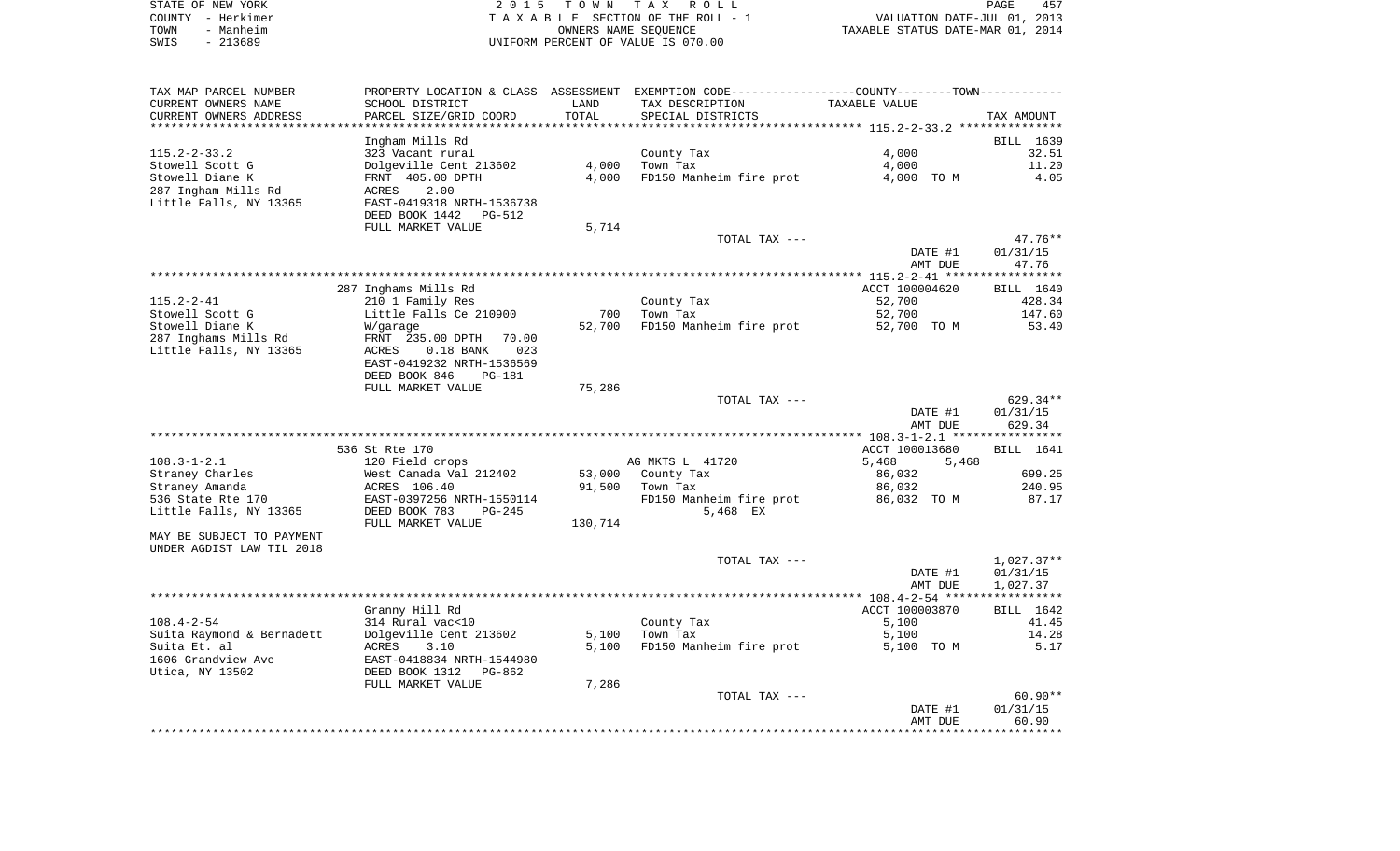| STATE OF NEW YORK | 2015 TOWN TAX ROLL<br>PAGE                                     | 457 |
|-------------------|----------------------------------------------------------------|-----|
| COUNTY – Herkimer | VALUATION DATE-JUL 01, 2013<br>TAXABLE SECTION OF THE ROLL - 1 |     |
| - Manheim<br>TOWN | TAXABLE STATUS DATE-MAR 01, 2014<br>OWNERS NAME SEOUENCE       |     |
| $-213689$<br>SWIS | UNIFORM PERCENT OF VALUE IS 070.00                             |     |

| TAX MAP PARCEL NUMBER                         | PROPERTY LOCATION & CLASS ASSESSMENT                |         | EXEMPTION CODE-----------------COUNTY-------TOWN----------- |                |              |
|-----------------------------------------------|-----------------------------------------------------|---------|-------------------------------------------------------------|----------------|--------------|
| CURRENT OWNERS NAME                           | SCHOOL DISTRICT                                     | LAND    | TAX DESCRIPTION                                             | TAXABLE VALUE  |              |
| CURRENT OWNERS ADDRESS                        | PARCEL SIZE/GRID COORD                              | TOTAL   | SPECIAL DISTRICTS                                           |                | TAX AMOUNT   |
| ******************************                |                                                     |         |                                                             |                |              |
|                                               | Ingham Mills Rd                                     |         |                                                             |                | BILL 1639    |
| $115.2 - 2 - 33.2$                            | 323 Vacant rural                                    |         | County Tax                                                  | 4,000          | 32.51        |
| Stowell Scott G                               | Dolgeville Cent 213602                              | 4,000   | Town Tax                                                    | 4,000          | 11.20        |
| Stowell Diane K                               | FRNT 405.00 DPTH                                    | 4,000   | FD150 Manheim fire prot                                     | 4,000 TO M     | 4.05         |
| 287 Ingham Mills Rd<br>Little Falls, NY 13365 | 2.00<br>ACRES<br>EAST-0419318 NRTH-1536738          |         |                                                             |                |              |
|                                               | DEED BOOK 1442<br>PG-512                            |         |                                                             |                |              |
|                                               | FULL MARKET VALUE                                   | 5,714   |                                                             |                |              |
|                                               |                                                     |         | TOTAL TAX ---                                               |                | $47.76**$    |
|                                               |                                                     |         |                                                             | DATE #1        | 01/31/15     |
|                                               |                                                     |         |                                                             | AMT DUE        | 47.76        |
|                                               |                                                     |         |                                                             |                |              |
|                                               | 287 Inghams Mills Rd                                |         |                                                             | ACCT 100004620 | BILL 1640    |
| $115.2 - 2 - 41$                              | 210 1 Family Res                                    |         | County Tax                                                  | 52,700         | 428.34       |
| Stowell Scott G                               | Little Falls Ce 210900                              | 700     | Town Tax                                                    | 52,700         | 147.60       |
| Stowell Diane K                               | W/garage                                            | 52,700  | FD150 Manheim fire prot                                     | 52,700 TO M    | 53.40        |
| 287 Inghams Mills Rd                          | FRNT 235.00 DPTH<br>70.00                           |         |                                                             |                |              |
| Little Falls, NY 13365                        | ACRES<br>$0.18$ BANK<br>023                         |         |                                                             |                |              |
|                                               | EAST-0419232 NRTH-1536569                           |         |                                                             |                |              |
|                                               | DEED BOOK 846<br><b>PG-181</b><br>FULL MARKET VALUE | 75,286  |                                                             |                |              |
|                                               |                                                     |         | TOTAL TAX ---                                               |                | 629.34**     |
|                                               |                                                     |         |                                                             | DATE #1        | 01/31/15     |
|                                               |                                                     |         |                                                             | AMT DUE        | 629.34       |
|                                               |                                                     |         |                                                             |                |              |
|                                               | 536 St Rte 170                                      |         |                                                             | ACCT 100013680 | BILL 1641    |
| $108.3 - 1 - 2.1$                             | 120 Field crops                                     |         | AG MKTS L 41720                                             | 5,468<br>5,468 |              |
| Straney Charles                               | West Canada Val 212402                              | 53,000  | County Tax                                                  | 86,032         | 699.25       |
| Straney Amanda                                | ACRES 106.40                                        | 91,500  | Town Tax                                                    | 86,032         | 240.95       |
| 536 State Rte 170                             | EAST-0397256 NRTH-1550114                           |         | FD150 Manheim fire prot                                     | 86,032 TO M    | 87.17        |
| Little Falls, NY 13365                        | DEED BOOK 783<br>$PG-245$                           |         | 5,468 EX                                                    |                |              |
|                                               | FULL MARKET VALUE                                   | 130,714 |                                                             |                |              |
| MAY BE SUBJECT TO PAYMENT                     |                                                     |         |                                                             |                |              |
| UNDER AGDIST LAW TIL 2018                     |                                                     |         | TOTAL TAX ---                                               |                | $1,027.37**$ |
|                                               |                                                     |         |                                                             | DATE #1        | 01/31/15     |
|                                               |                                                     |         |                                                             | AMT DUE        | 1,027.37     |
|                                               |                                                     |         |                                                             |                |              |
|                                               | Granny Hill Rd                                      |         |                                                             | ACCT 100003870 | BILL 1642    |
| $108.4 - 2 - 54$                              | 314 Rural vac<10                                    |         | County Tax                                                  | 5,100          | 41.45        |
| Suita Raymond & Bernadett                     | Dolgeville Cent 213602                              | 5,100   | Town Tax                                                    | 5,100          | 14.28        |
| Suita Et. al                                  | ACRES<br>3.10                                       | 5,100   | FD150 Manheim fire prot                                     | 5,100 TO M     | 5.17         |
| 1606 Grandview Ave                            | EAST-0418834 NRTH-1544980                           |         |                                                             |                |              |
| Utica, NY 13502                               | DEED BOOK 1312<br>PG-862                            |         |                                                             |                |              |
|                                               | FULL MARKET VALUE                                   | 7,286   |                                                             |                |              |
|                                               |                                                     |         | TOTAL TAX ---                                               |                | $60.90**$    |
|                                               |                                                     |         |                                                             | DATE #1        | 01/31/15     |
|                                               |                                                     |         |                                                             | AMT DUE        | 60.90        |
|                                               |                                                     |         |                                                             |                |              |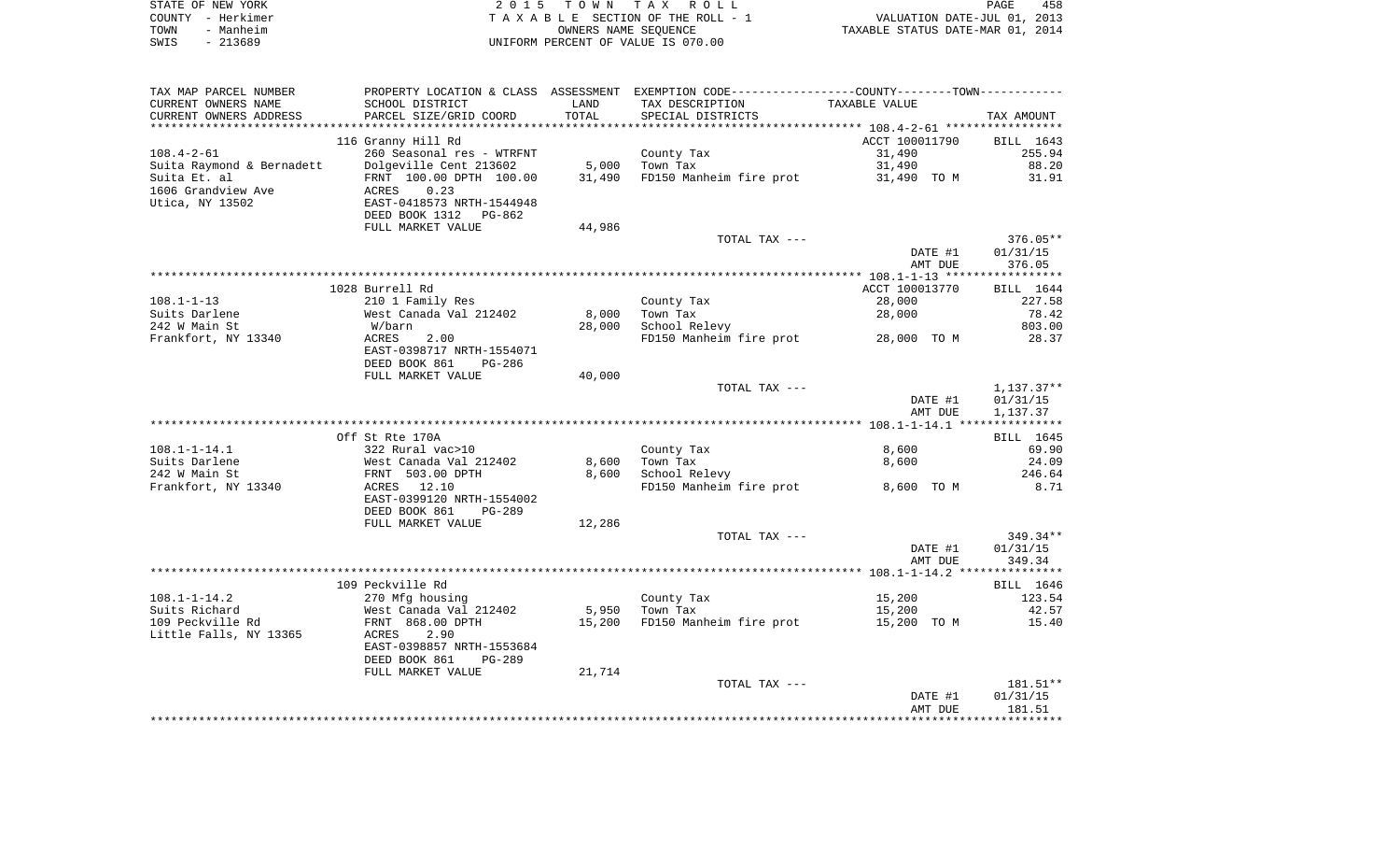| STATE OF NEW YORK | 2015 TOWN TAX ROLL                 | 458<br>PAGE                      |
|-------------------|------------------------------------|----------------------------------|
| COUNTY – Herkimer | TAXABLE SECTION OF THE ROLL - 1    | VALUATION DATE-JUL 01, 2013      |
| - Manheim<br>TOWN | OWNERS NAME SEOUENCE               | TAXABLE STATUS DATE-MAR 01, 2014 |
| - 213689<br>SWIS  | UNIFORM PERCENT OF VALUE IS 070.00 |                                  |

| TAX MAP PARCEL NUMBER     |                                                                |        | PROPERTY LOCATION & CLASS ASSESSMENT EXEMPTION CODE----------------COUNTY--------TOWN---------- |                |              |
|---------------------------|----------------------------------------------------------------|--------|-------------------------------------------------------------------------------------------------|----------------|--------------|
| CURRENT OWNERS NAME       | SCHOOL DISTRICT                                                | LAND   | TAX DESCRIPTION                                                                                 | TAXABLE VALUE  |              |
| CURRENT OWNERS ADDRESS    | PARCEL SIZE/GRID COORD                                         | TOTAL  | SPECIAL DISTRICTS                                                                               |                | TAX AMOUNT   |
|                           |                                                                |        |                                                                                                 |                |              |
|                           | 116 Granny Hill Rd                                             |        |                                                                                                 | ACCT 100011790 | BILL 1643    |
| $108.4 - 2 - 61$          | 260 Seasonal res - WTRFNT                                      |        | County Tax                                                                                      | 31,490         | 255.94       |
|                           | Dolgeville Cent 213602                                         | 5,000  |                                                                                                 | 31,490         | 88.20        |
| Suita Raymond & Bernadett |                                                                |        | Town Tax                                                                                        |                |              |
| Suita Et. al              | FRNT 100.00 DPTH 100.00                                        | 31,490 | FD150 Manheim fire prot                                                                         | 31,490 TO M    | 31.91        |
| 1606 Grandview Ave        | 0.23<br>ACRES                                                  |        |                                                                                                 |                |              |
| Utica, NY 13502           | EAST-0418573 NRTH-1544948                                      |        |                                                                                                 |                |              |
|                           | DEED BOOK 1312 PG-862                                          |        |                                                                                                 |                |              |
|                           | FULL MARKET VALUE                                              | 44,986 |                                                                                                 |                |              |
|                           |                                                                |        | TOTAL TAX ---                                                                                   |                | $376.05**$   |
|                           |                                                                |        |                                                                                                 | DATE #1        | 01/31/15     |
|                           |                                                                |        |                                                                                                 | AMT DUE        | 376.05       |
|                           |                                                                |        |                                                                                                 |                |              |
|                           | 1028 Burrell Rd                                                |        |                                                                                                 | ACCT 100013770 | BILL 1644    |
| $108.1 - 1 - 13$          |                                                                |        |                                                                                                 | 28,000         | 227.58       |
|                           | 210 1 Family Res                                               |        | County Tax                                                                                      |                |              |
| Suits Darlene             | West Canada Val 212402                                         | 8,000  | Town Tax                                                                                        | 28,000         | 78.42        |
| 242 W Main St             | W/barn                                                         | 28,000 | School Relevy                                                                                   |                | 803.00       |
| Frankfort, NY 13340       | ACRES<br>2.00                                                  |        | FD150 Manheim fire prot 28,000 TO M                                                             |                | 28.37        |
|                           | EAST-0398717 NRTH-1554071                                      |        |                                                                                                 |                |              |
|                           | DEED BOOK 861<br>PG-286                                        |        |                                                                                                 |                |              |
|                           | FULL MARKET VALUE                                              | 40,000 |                                                                                                 |                |              |
|                           |                                                                |        | TOTAL TAX ---                                                                                   |                | $1,137.37**$ |
|                           |                                                                |        |                                                                                                 | DATE #1        | 01/31/15     |
|                           |                                                                |        |                                                                                                 | AMT DUE        | 1,137.37     |
|                           |                                                                |        |                                                                                                 |                |              |
|                           | Off St Rte 170A                                                |        |                                                                                                 |                | BILL 1645    |
| $108.1 - 1 - 14.1$        |                                                                |        | County Tax                                                                                      | 8,600          | 69.90        |
|                           |                                                                |        |                                                                                                 |                |              |
| Suits Darlene             | 322 Rural vac>10<br>West Canada Val 212402<br>FRNT 503.00 DPTH | 8,600  | Town Tax                                                                                        | 8,600          | 24.09        |
| 242 W Main St             |                                                                | 8,600  | School Relevy                                                                                   |                | 246.64       |
| Frankfort, NY 13340       | ACRES 12.10                                                    |        | FD150 Manheim fire prot                                                                         | 8,600 TO M     | 8.71         |
|                           | EAST-0399120 NRTH-1554002                                      |        |                                                                                                 |                |              |
|                           | DEED BOOK 861<br>PG-289                                        |        |                                                                                                 |                |              |
|                           | FULL MARKET VALUE                                              | 12,286 |                                                                                                 |                |              |
|                           |                                                                |        | TOTAL TAX ---                                                                                   |                | 349.34**     |
|                           |                                                                |        |                                                                                                 | DATE #1        | 01/31/15     |
|                           |                                                                |        |                                                                                                 | AMT DUE        | 349.34       |
|                           |                                                                |        |                                                                                                 |                |              |
|                           | 109 Peckville Rd                                               |        |                                                                                                 |                | BILL 1646    |
| $108.1 - 1 - 14.2$        | 270 Mfg housing                                                |        | County Tax                                                                                      | 15,200         | 123.54       |
|                           |                                                                |        |                                                                                                 |                |              |
| Suits Richard             | West Canada Val 212402                                         |        | 5,950 Town Tax                                                                                  | 15,200         | 42.57        |
| 109 Peckville Rd          | FRNT 868.00 DPTH                                               | 15,200 | FD150 Manheim fire prot                                                                         | 15,200 TO M    | 15.40        |
| Little Falls, NY 13365    | ACRES<br>2.90                                                  |        |                                                                                                 |                |              |
|                           | EAST-0398857 NRTH-1553684                                      |        |                                                                                                 |                |              |
|                           | DEED BOOK 861<br><b>PG-289</b>                                 |        |                                                                                                 |                |              |
|                           | FULL MARKET VALUE                                              | 21,714 |                                                                                                 |                |              |
|                           |                                                                |        | TOTAL TAX ---                                                                                   |                | 181.51**     |
|                           |                                                                |        |                                                                                                 | DATE #1        | 01/31/15     |
|                           |                                                                |        |                                                                                                 | AMT DUE        | 181.51       |
|                           |                                                                |        |                                                                                                 |                |              |
|                           |                                                                |        |                                                                                                 |                |              |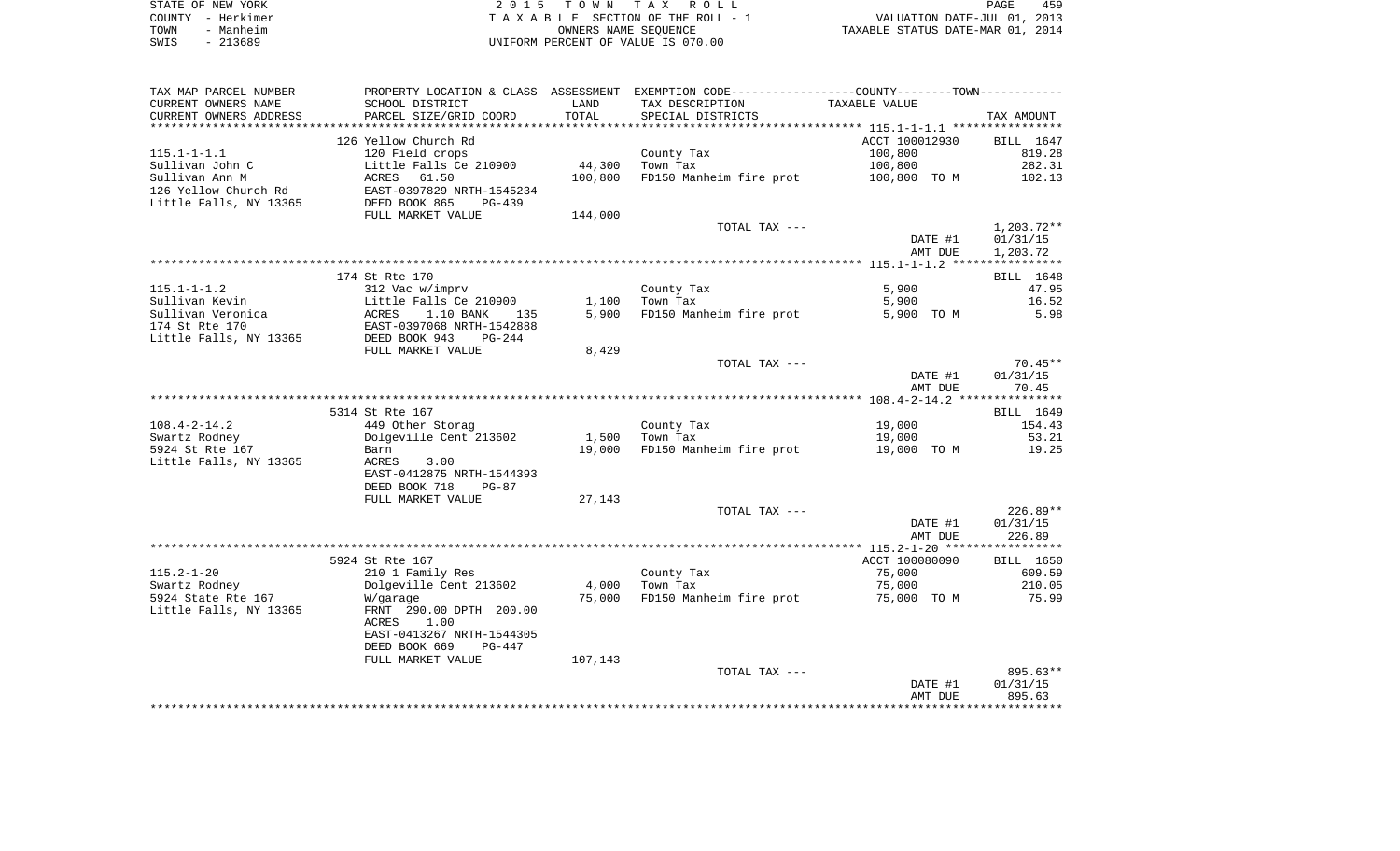|      | STATE OF NEW YORK | 2015 TOWN TAX ROLL                 | PAGE                             | 459 |
|------|-------------------|------------------------------------|----------------------------------|-----|
|      | COUNTY - Herkimer | TAXABLE SECTION OF THE ROLL - 1    | VALUATION DATE-JUL 01, 2013      |     |
| TOWN | - Manheim         | OWNERS NAME SEOUENCE               | TAXABLE STATUS DATE-MAR 01, 2014 |     |
| SWIS | $-213689$         | UNIFORM PERCENT OF VALUE IS 070.00 |                                  |     |

| TAX MAP PARCEL NUMBER    |                           |         | PROPERTY LOCATION & CLASS ASSESSMENT EXEMPTION CODE----------------COUNTY--------TOWN----------- |                |                  |
|--------------------------|---------------------------|---------|--------------------------------------------------------------------------------------------------|----------------|------------------|
| CURRENT OWNERS NAME      | SCHOOL DISTRICT           | LAND    | TAX DESCRIPTION                                                                                  | TAXABLE VALUE  |                  |
| CURRENT OWNERS ADDRESS   | PARCEL SIZE/GRID COORD    | TOTAL   | SPECIAL DISTRICTS                                                                                |                | TAX AMOUNT       |
| ************************ |                           |         |                                                                                                  |                |                  |
|                          | 126 Yellow Church Rd      |         |                                                                                                  | ACCT 100012930 | BILL 1647        |
| $115.1 - 1 - 1.1$        | 120 Field crops           |         | County Tax                                                                                       | 100,800        | 819.28           |
| Sullivan John C          | Little Falls Ce 210900    | 44,300  | Town Tax                                                                                         | 100,800        | 282.31           |
| Sullivan Ann M           | ACRES<br>61.50            | 100,800 | FD150 Manheim fire prot                                                                          | 100,800 TO M   | 102.13           |
| 126 Yellow Church Rd     | EAST-0397829 NRTH-1545234 |         |                                                                                                  |                |                  |
| Little Falls, NY 13365   | DEED BOOK 865<br>$PG-439$ |         |                                                                                                  |                |                  |
|                          | FULL MARKET VALUE         | 144,000 |                                                                                                  |                |                  |
|                          |                           |         | TOTAL TAX ---                                                                                    |                | $1,203.72**$     |
|                          |                           |         |                                                                                                  | DATE #1        | 01/31/15         |
|                          |                           |         |                                                                                                  | AMT DUE        | 1,203.72         |
|                          |                           |         |                                                                                                  |                |                  |
|                          | 174 St Rte 170            |         |                                                                                                  |                | <b>BILL</b> 1648 |
| $115.1 - 1 - 1.2$        | 312 Vac w/imprv           |         | County Tax                                                                                       | 5,900          | 47.95            |
| Sullivan Kevin           | Little Falls Ce 210900    | 1,100   | Town Tax                                                                                         | 5,900          | 16.52            |
| Sullivan Veronica        | 1.10 BANK<br>ACRES<br>135 | 5,900   | FD150 Manheim fire prot                                                                          | 5,900 TO M     | 5.98             |
| 174 St Rte 170           | EAST-0397068 NRTH-1542888 |         |                                                                                                  |                |                  |
| Little Falls, NY 13365   | DEED BOOK 943<br>$PG-244$ |         |                                                                                                  |                |                  |
|                          | FULL MARKET VALUE         | 8,429   |                                                                                                  |                |                  |
|                          |                           |         | TOTAL TAX ---                                                                                    |                | $70.45**$        |
|                          |                           |         |                                                                                                  | DATE #1        | 01/31/15         |
|                          |                           |         |                                                                                                  | AMT DUE        | 70.45            |
|                          |                           |         |                                                                                                  |                |                  |
|                          | 5314 St Rte 167           |         |                                                                                                  |                | BILL 1649        |
| $108.4 - 2 - 14.2$       | 449 Other Storag          |         | County Tax                                                                                       | 19,000         | 154.43           |
| Swartz Rodney            | Dolgeville Cent 213602    | 1,500   | Town Tax                                                                                         | 19,000         | 53.21            |
| 5924 St Rte 167          | Barn                      | 19,000  | FD150 Manheim fire prot                                                                          | 19,000 TO M    | 19.25            |
| Little Falls, NY 13365   | ACRES<br>3.00             |         |                                                                                                  |                |                  |
|                          | EAST-0412875 NRTH-1544393 |         |                                                                                                  |                |                  |
|                          | DEED BOOK 718<br>$PG-87$  |         |                                                                                                  |                |                  |
|                          | FULL MARKET VALUE         | 27,143  |                                                                                                  |                |                  |
|                          |                           |         | TOTAL TAX ---                                                                                    |                | $226.89**$       |
|                          |                           |         |                                                                                                  | DATE #1        | 01/31/15         |
|                          |                           |         |                                                                                                  | AMT DUE        | 226.89           |
|                          |                           |         |                                                                                                  |                |                  |
|                          | 5924 St Rte 167           |         |                                                                                                  | ACCT 100080090 | BILL 1650        |
| $115.2 - 1 - 20$         | 210 1 Family Res          |         | County Tax                                                                                       | 75,000         | 609.59           |
| Swartz Rodney            | Dolgeville Cent 213602    | 4,000   | Town Tax                                                                                         | 75,000         | 210.05           |
| 5924 State Rte 167       | W/garage                  | 75,000  | FD150 Manheim fire prot                                                                          | 75,000 TO M    | 75.99            |
| Little Falls, NY 13365   | FRNT 290.00 DPTH 200.00   |         |                                                                                                  |                |                  |
|                          | <b>ACRES</b><br>1.00      |         |                                                                                                  |                |                  |
|                          | EAST-0413267 NRTH-1544305 |         |                                                                                                  |                |                  |
|                          | DEED BOOK 669<br>$PG-447$ |         |                                                                                                  |                |                  |
|                          | FULL MARKET VALUE         | 107,143 |                                                                                                  |                |                  |
|                          |                           |         | TOTAL TAX ---                                                                                    |                | 895.63**         |
|                          |                           |         |                                                                                                  | DATE #1        | 01/31/15         |
|                          |                           |         |                                                                                                  | AMT DUE        | 895.63           |
|                          |                           |         |                                                                                                  |                |                  |
|                          |                           |         |                                                                                                  |                |                  |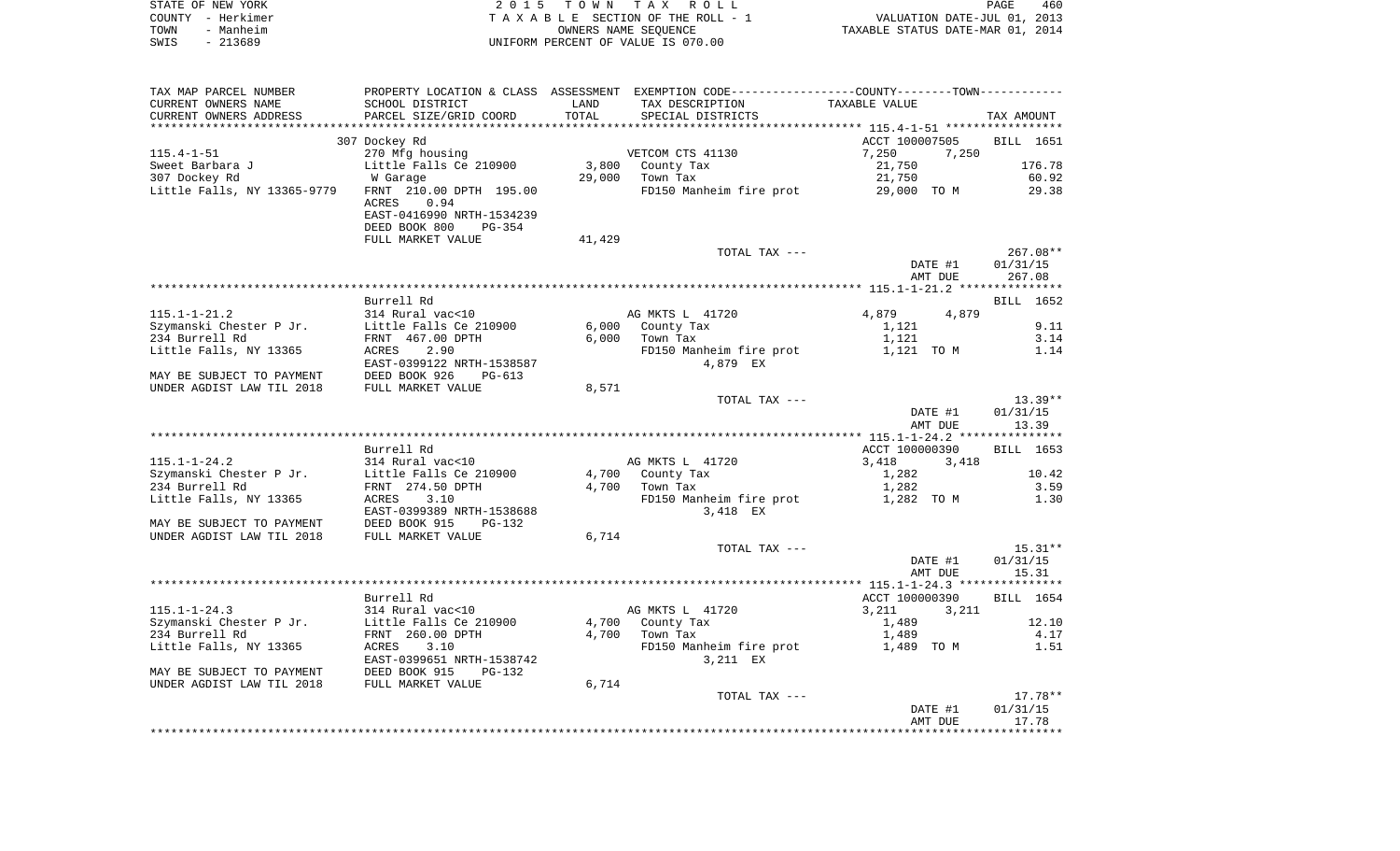| STATE OF NEW YORK | 2015 TOWN TAX ROLL                 | 460<br>PAGE                      |
|-------------------|------------------------------------|----------------------------------|
| COUNTY - Herkimer | TAXABLE SECTION OF THE ROLL - 1    | VALUATION DATE-JUL 01, 2013      |
| TOWN<br>- Manheim | OWNERS NAME SEOUENCE               | TAXABLE STATUS DATE-MAR 01, 2014 |
| $-213689$<br>SWIS | UNIFORM PERCENT OF VALUE IS 070.00 |                                  |

| TAX MAP PARCEL NUMBER       |                                            |        | PROPERTY LOCATION & CLASS ASSESSMENT EXEMPTION CODE---------------COUNTY-------TOWN---------- |                |              |
|-----------------------------|--------------------------------------------|--------|-----------------------------------------------------------------------------------------------|----------------|--------------|
| CURRENT OWNERS NAME         | SCHOOL DISTRICT                            | LAND   | TAX DESCRIPTION                                                                               | TAXABLE VALUE  |              |
| CURRENT OWNERS ADDRESS      | PARCEL SIZE/GRID COORD                     | TOTAL  | SPECIAL DISTRICTS                                                                             |                | TAX AMOUNT   |
|                             |                                            |        |                                                                                               |                |              |
|                             | 307 Dockey Rd                              |        |                                                                                               | ACCT 100007505 | BILL 1651    |
| $115.4 - 1 - 51$            | 270 Mfg housing                            |        | VETCOM CTS 41130                                                                              | 7,250<br>7,250 |              |
| Sweet Barbara J             | Little Falls Ce 210900                     | 3,800  | County Tax                                                                                    | 21,750         | 176.78       |
| 307 Dockey Rd               | W Garage                                   | 29,000 | Town Tax                                                                                      | 21,750         | 60.92        |
| Little Falls, NY 13365-9779 | FRNT 210.00 DPTH 195.00                    |        | FD150 Manheim fire prot                                                                       | 29,000 TO M    | 29.38        |
|                             | 0.94<br>ACRES                              |        |                                                                                               |                |              |
|                             | EAST-0416990 NRTH-1534239                  |        |                                                                                               |                |              |
|                             | DEED BOOK 800<br>PG-354                    |        |                                                                                               |                |              |
|                             | FULL MARKET VALUE                          | 41,429 |                                                                                               |                |              |
|                             |                                            |        | TOTAL TAX ---                                                                                 |                | $267.08**$   |
|                             |                                            |        |                                                                                               | DATE #1        | 01/31/15     |
|                             |                                            |        |                                                                                               | AMT DUE        | 267.08       |
|                             |                                            |        |                                                                                               |                |              |
|                             | Burrell Rd                                 |        |                                                                                               |                | BILL 1652    |
| $115.1 - 1 - 21.2$          | 314 Rural vac<10                           |        | AG MKTS L 41720                                                                               | 4,879<br>4,879 |              |
| Szymanski Chester P Jr.     | Little Falls Ce 210900                     | 6,000  | County Tax                                                                                    | 1,121          | 9.11<br>3.14 |
| 234 Burrell Rd              | FRNT 467.00 DPTH                           | 6,000  | Town Tax                                                                                      | 1,121          |              |
| Little Falls, NY 13365      | ACRES<br>2.90                              |        | FD150 Manheim fire prot                                                                       | 1,121 TO M     | 1.14         |
| MAY BE SUBJECT TO PAYMENT   | EAST-0399122 NRTH-1538587<br>DEED BOOK 926 |        | 4,879 EX                                                                                      |                |              |
| UNDER AGDIST LAW TIL 2018   | PG-613<br>FULL MARKET VALUE                | 8,571  |                                                                                               |                |              |
|                             |                                            |        | TOTAL TAX ---                                                                                 |                | $13.39**$    |
|                             |                                            |        |                                                                                               | DATE #1        | 01/31/15     |
|                             |                                            |        |                                                                                               | AMT DUE        | 13.39        |
|                             |                                            |        |                                                                                               |                |              |
|                             | Burrell Rd                                 |        |                                                                                               | ACCT 100000390 | BILL 1653    |
| $115.1 - 1 - 24.2$          | 314 Rural vac<10                           |        | AG MKTS L 41720                                                                               | 3,418<br>3,418 |              |
| Szymanski Chester P Jr.     | Little Falls Ce 210900                     | 4,700  | County Tax                                                                                    | 1,282          | 10.42        |
| 234 Burrell Rd              | FRNT 274.50 DPTH                           | 4,700  | Town Tax                                                                                      | 1,282          | 3.59         |
| Little Falls, NY 13365      | 3.10<br>ACRES                              |        | FD150 Manheim fire prot                                                                       | 1,282 TO M     | 1.30         |
|                             | EAST-0399389 NRTH-1538688                  |        | 3,418 EX                                                                                      |                |              |
| MAY BE SUBJECT TO PAYMENT   | DEED BOOK 915<br>$PG-132$                  |        |                                                                                               |                |              |
| UNDER AGDIST LAW TIL 2018   | FULL MARKET VALUE                          | 6,714  |                                                                                               |                |              |
|                             |                                            |        | TOTAL TAX ---                                                                                 |                | $15.31**$    |
|                             |                                            |        |                                                                                               | DATE #1        | 01/31/15     |
|                             |                                            |        |                                                                                               | AMT DUE        | 15.31        |
|                             |                                            |        |                                                                                               |                |              |
|                             | Burrell Rd                                 |        |                                                                                               | ACCT 100000390 | BILL 1654    |
| $115.1 - 1 - 24.3$          | 314 Rural vac<10                           |        | AG MKTS L 41720                                                                               | 3,211<br>3,211 |              |
| Szymanski Chester P Jr.     | Little Falls Ce 210900                     | 4,700  | County Tax                                                                                    | 1,489          | 12.10        |
| 234 Burrell Rd              | FRNT 260.00 DPTH                           | 4,700  | Town Tax                                                                                      | 1,489          | 4.17         |
| Little Falls, NY 13365      | ACRES<br>3.10                              |        | FD150 Manheim fire prot                                                                       | 1,489 TO M     | 1.51         |
|                             | EAST-0399651 NRTH-1538742                  |        | 3,211 EX                                                                                      |                |              |
| MAY BE SUBJECT TO PAYMENT   | DEED BOOK 915<br>$PG-132$                  |        |                                                                                               |                |              |
| UNDER AGDIST LAW TIL 2018   | FULL MARKET VALUE                          | 6,714  |                                                                                               |                | $17.78**$    |
|                             |                                            |        | TOTAL TAX ---                                                                                 | DATE #1        | 01/31/15     |
|                             |                                            |        |                                                                                               | AMT DUE        | 17.78        |
|                             |                                            |        |                                                                                               |                |              |
|                             |                                            |        |                                                                                               |                |              |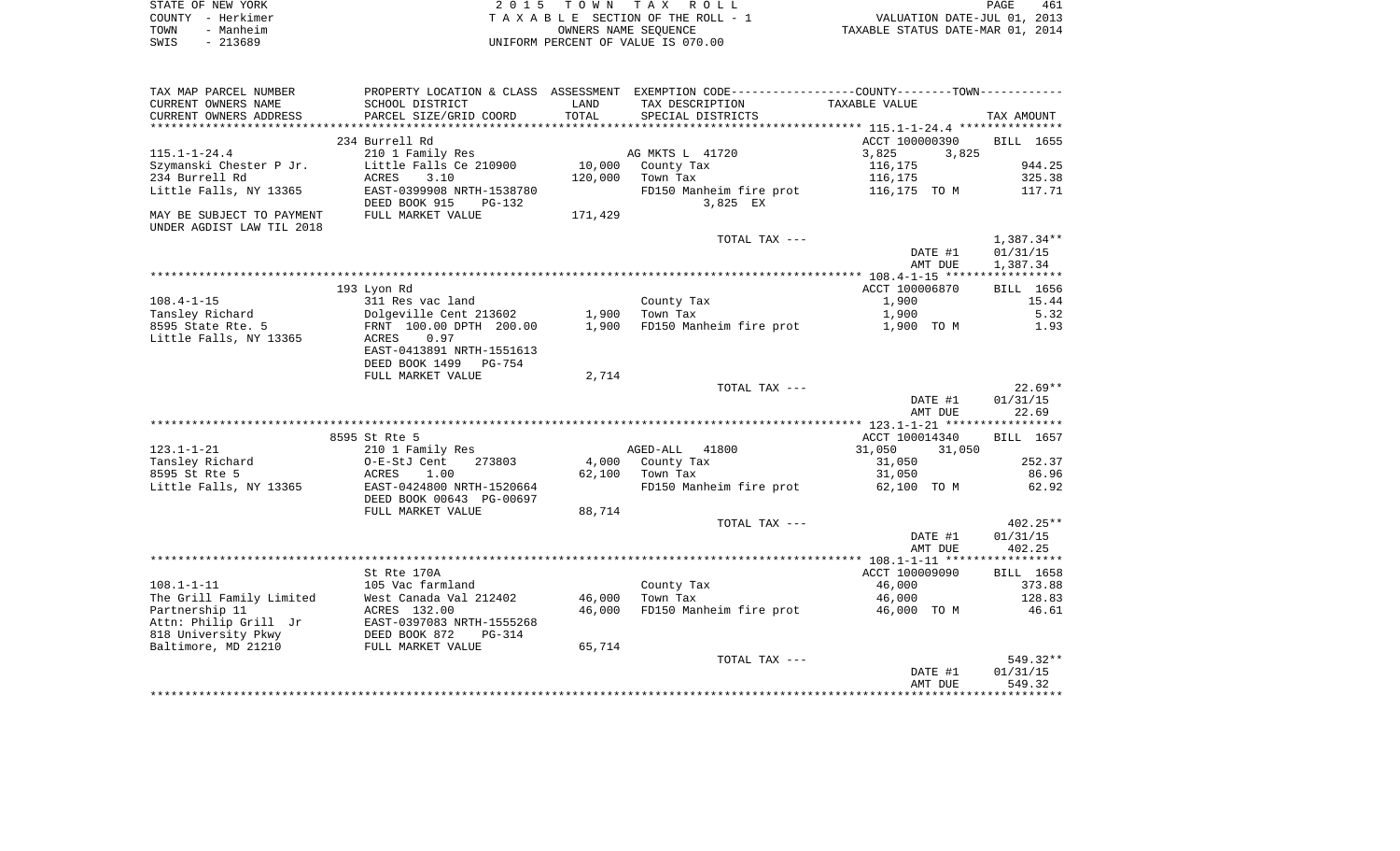| STATE OF NEW YORK | 2015 TOWN TAX ROLL                 | 461<br>PAGE                      |
|-------------------|------------------------------------|----------------------------------|
| COUNTY - Herkimer | TAXABLE SECTION OF THE ROLL - 1    | VALUATION DATE-JUL 01, 2013      |
| TOWN<br>- Manheim | OWNERS NAME SEOUENCE               | TAXABLE STATUS DATE-MAR 01, 2014 |
| - 213689<br>SWIS  | UNIFORM PERCENT OF VALUE IS 070.00 |                                  |

| TAX MAP PARCEL NUMBER     | PROPERTY LOCATION & CLASS ASSESSMENT EXEMPTION CODE---------------COUNTY-------TOWN---------- |         |                         |                  |              |
|---------------------------|-----------------------------------------------------------------------------------------------|---------|-------------------------|------------------|--------------|
| CURRENT OWNERS NAME       | SCHOOL DISTRICT                                                                               | LAND    | TAX DESCRIPTION         | TAXABLE VALUE    |              |
| CURRENT OWNERS ADDRESS    | PARCEL SIZE/GRID COORD                                                                        | TOTAL   | SPECIAL DISTRICTS       |                  | TAX AMOUNT   |
|                           |                                                                                               |         |                         |                  |              |
|                           | 234 Burrell Rd                                                                                |         |                         | ACCT 100000390   | BILL 1655    |
| $115.1 - 1 - 24.4$        | 210 1 Family Res                                                                              |         | AG MKTS L 41720         | 3,825<br>3,825   |              |
| Szymanski Chester P Jr.   | Little Falls Ce 210900                                                                        | 10,000  | County Tax              | 116,175          | 944.25       |
| 234 Burrell Rd            | 3.10<br>ACRES                                                                                 | 120,000 | Town Tax                | 116,175          | 325.38       |
| Little Falls, NY 13365    | EAST-0399908 NRTH-1538780                                                                     |         | FD150 Manheim fire prot | 116,175 TO M     | 117.71       |
|                           | DEED BOOK 915<br>PG-132                                                                       |         | 3,825 EX                |                  |              |
| MAY BE SUBJECT TO PAYMENT | FULL MARKET VALUE                                                                             | 171,429 |                         |                  |              |
| UNDER AGDIST LAW TIL 2018 |                                                                                               |         |                         |                  |              |
|                           |                                                                                               |         | TOTAL TAX ---           |                  | $1,387.34**$ |
|                           |                                                                                               |         |                         | DATE #1          | 01/31/15     |
|                           |                                                                                               |         |                         | AMT DUE          | 1,387.34     |
|                           |                                                                                               |         |                         |                  |              |
|                           | 193 Lyon Rd                                                                                   |         |                         | ACCT 100006870   | BILL 1656    |
| $108.4 - 1 - 15$          | 311 Res vac land                                                                              |         | County Tax              | 1,900            | 15.44        |
| Tansley Richard           | Dolgeville Cent 213602                                                                        | 1,900   | Town Tax                | 1,900            | 5.32         |
| 8595 State Rte. 5         | FRNT 100.00 DPTH 200.00                                                                       | 1,900   | FD150 Manheim fire prot | 1,900 TO M       | 1.93         |
| Little Falls, NY 13365    | 0.97<br>ACRES                                                                                 |         |                         |                  |              |
|                           | EAST-0413891 NRTH-1551613                                                                     |         |                         |                  |              |
|                           | DEED BOOK 1499<br>PG-754                                                                      |         |                         |                  |              |
|                           | FULL MARKET VALUE                                                                             | 2,714   |                         |                  |              |
|                           |                                                                                               |         | TOTAL TAX ---           |                  | $22.69**$    |
|                           |                                                                                               |         |                         | DATE #1          | 01/31/15     |
|                           |                                                                                               |         |                         | AMT DUE          | 22.69        |
|                           |                                                                                               |         |                         |                  |              |
|                           | 8595 St Rte 5                                                                                 |         |                         | ACCT 100014340   | BILL 1657    |
| $123.1 - 1 - 21$          |                                                                                               |         |                         |                  |              |
|                           | 210 1 Family Res                                                                              |         | AGED-ALL<br>41800       | 31,050<br>31,050 |              |
| Tansley Richard           | O-E-StJ Cent<br>273803                                                                        | 4,000   | County Tax              | 31,050           | 252.37       |
| 8595 St Rte 5             | ACRES<br>1.00                                                                                 | 62,100  | Town Tax                | 31,050           | 86.96        |
| Little Falls, NY 13365    | EAST-0424800 NRTH-1520664                                                                     |         | FD150 Manheim fire prot | 62,100 TO M      | 62.92        |
|                           | DEED BOOK 00643 PG-00697                                                                      |         |                         |                  |              |
|                           | FULL MARKET VALUE                                                                             | 88,714  |                         |                  |              |
|                           |                                                                                               |         | TOTAL TAX ---           |                  | $402.25**$   |
|                           |                                                                                               |         |                         | DATE #1          | 01/31/15     |
|                           |                                                                                               |         |                         | AMT DUE          | 402.25       |
|                           |                                                                                               |         |                         |                  |              |
|                           | St Rte 170A                                                                                   |         |                         | ACCT 100009090   | BILL 1658    |
| $108.1 - 1 - 11$          | 105 Vac farmland                                                                              |         | County Tax              | 46,000           | 373.88       |
| The Grill Family Limited  | West Canada Val 212402                                                                        | 46,000  | Town Tax                | 46,000           | 128.83       |
| Partnership 11            | ACRES 132.00                                                                                  | 46,000  | FD150 Manheim fire prot | 46,000 TO M      | 46.61        |
| Attn: Philip Grill Jr     | EAST-0397083 NRTH-1555268                                                                     |         |                         |                  |              |
| 818 University Pkwy       | DEED BOOK 872<br>$PG-314$                                                                     |         |                         |                  |              |
| Baltimore, MD 21210       | FULL MARKET VALUE                                                                             | 65,714  |                         |                  |              |
|                           |                                                                                               |         | TOTAL TAX ---           |                  | 549.32**     |
|                           |                                                                                               |         |                         | DATE #1          | 01/31/15     |
|                           |                                                                                               |         |                         | AMT DUE          | 549.32       |
|                           |                                                                                               |         |                         |                  |              |
|                           |                                                                                               |         |                         |                  |              |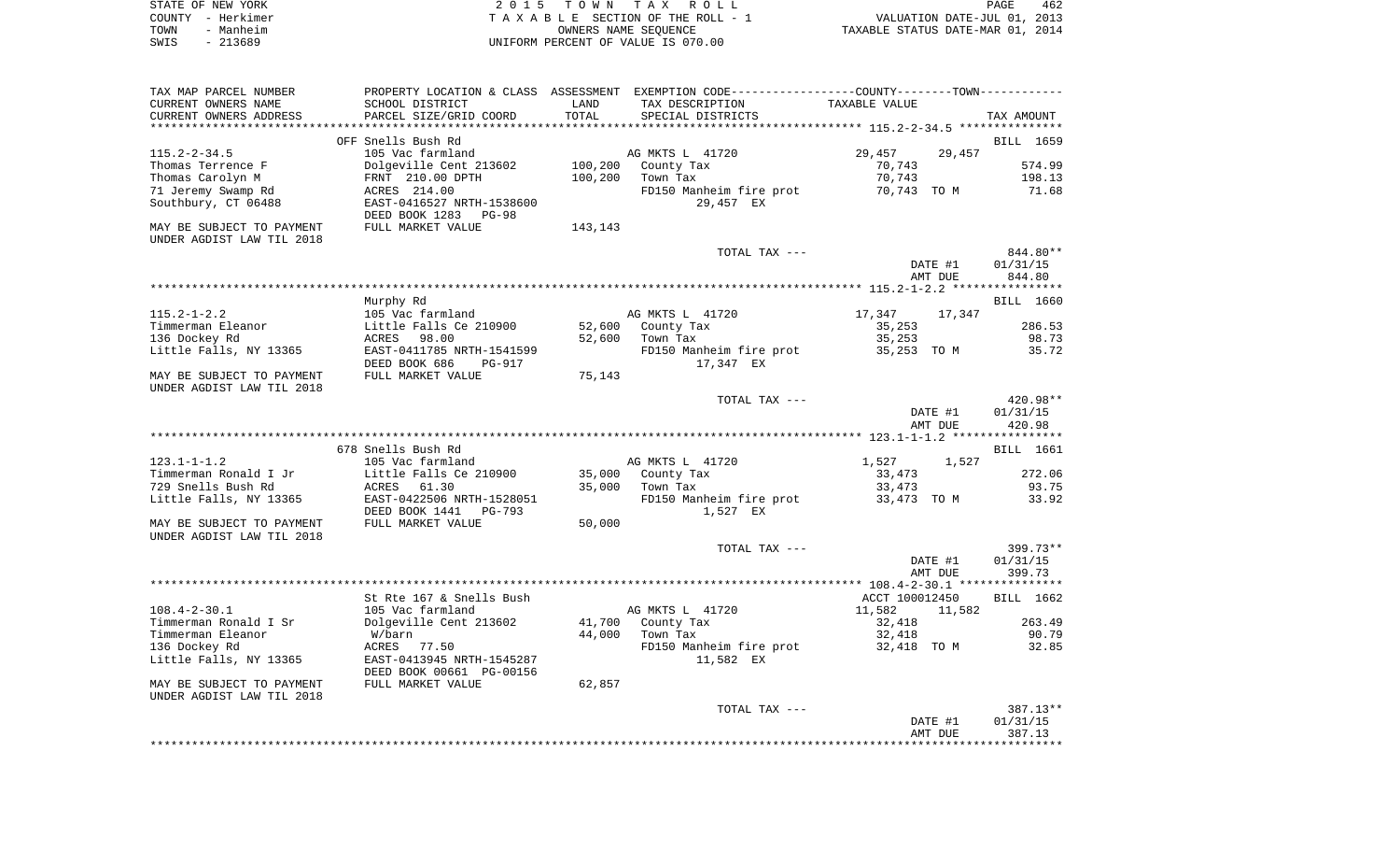| STATE OF NEW YORK | 2015 TOWN TAX ROLL                 | PAGE                             | 462 |
|-------------------|------------------------------------|----------------------------------|-----|
| COUNTY - Herkimer | TAXABLE SECTION OF THE ROLL - ?    | VALUATION DATE-JUL 01, 2013      |     |
| TOWN<br>- Manheim | OWNERS NAME SEOUENCE               | TAXABLE STATUS DATE-MAR 01, 2014 |     |
| - 213689<br>SWIS  | UNIFORM PERCENT OF VALUE IS 070.00 |                                  |     |

| TAX MAP PARCEL NUMBER<br>CURRENT OWNERS NAME | SCHOOL DISTRICT                                        | LAND           | PROPERTY LOCATION & CLASS ASSESSMENT EXEMPTION CODE----------------COUNTY-------TOWN----------<br>TAX DESCRIPTION | TAXABLE VALUE  |         |            |
|----------------------------------------------|--------------------------------------------------------|----------------|-------------------------------------------------------------------------------------------------------------------|----------------|---------|------------|
| CURRENT OWNERS ADDRESS                       | PARCEL SIZE/GRID COORD                                 | TOTAL          | SPECIAL DISTRICTS                                                                                                 |                |         | TAX AMOUNT |
| **********************                       | ***********************                                | ************** | ********************************** 115.2-2-34.5 ***************                                                   |                |         |            |
|                                              | OFF Snells Bush Rd                                     |                |                                                                                                                   |                |         | BILL 1659  |
| $115.2 - 2 - 34.5$                           | 105 Vac farmland                                       |                | AG MKTS L 41720                                                                                                   | 29,457         | 29,457  |            |
| Thomas Terrence F                            | Dolgeville Cent 213602                                 | 100,200        | County Tax                                                                                                        | 70,743         |         | 574.99     |
| Thomas Carolyn M                             | FRNT 210.00 DPTH                                       | 100,200        | Town Tax                                                                                                          | 70,743         |         | 198.13     |
| 71 Jeremy Swamp Rd                           | ACRES 214.00                                           |                | FD150 Manheim fire prot                                                                                           | 70,743 TO M    |         | 71.68      |
| Southbury, CT 06488                          | EAST-0416527 NRTH-1538600<br>DEED BOOK 1283<br>$PG-98$ |                | 29,457 EX                                                                                                         |                |         |            |
| MAY BE SUBJECT TO PAYMENT                    | FULL MARKET VALUE                                      | 143,143        |                                                                                                                   |                |         |            |
| UNDER AGDIST LAW TIL 2018                    |                                                        |                |                                                                                                                   |                |         |            |
|                                              |                                                        |                | TOTAL TAX ---                                                                                                     |                |         | 844.80**   |
|                                              |                                                        |                |                                                                                                                   |                | DATE #1 | 01/31/15   |
|                                              |                                                        |                |                                                                                                                   |                | AMT DUE | 844.80     |
|                                              |                                                        |                |                                                                                                                   |                |         |            |
|                                              | Murphy Rd                                              |                |                                                                                                                   |                |         | BILL 1660  |
| $115.2 - 1 - 2.2$                            | 105 Vac farmland                                       |                | AG MKTS L 41720                                                                                                   | 17,347         | 17,347  |            |
| Timmerman Eleanor                            | Little Falls Ce 210900                                 | 52,600         | County Tax                                                                                                        | 35,253         |         | 286.53     |
| 136 Dockey Rd                                | ACRES<br>98.00                                         | 52,600         | Town Tax                                                                                                          | 35,253         |         | 98.73      |
| Little Falls, NY 13365                       | EAST-0411785 NRTH-1541599                              |                | FD150 Manheim fire prot                                                                                           | 35,253 TO M    |         | 35.72      |
|                                              | DEED BOOK 686<br><b>PG-917</b>                         |                | 17,347 EX                                                                                                         |                |         |            |
| MAY BE SUBJECT TO PAYMENT                    | FULL MARKET VALUE                                      | 75,143         |                                                                                                                   |                |         |            |
| UNDER AGDIST LAW TIL 2018                    |                                                        |                |                                                                                                                   |                |         | 420.98**   |
|                                              |                                                        |                | TOTAL TAX ---                                                                                                     |                |         |            |
|                                              |                                                        |                |                                                                                                                   |                | DATE #1 | 01/31/15   |
|                                              |                                                        |                |                                                                                                                   |                | AMT DUE | 420.98     |
|                                              |                                                        |                |                                                                                                                   |                |         |            |
|                                              | 678 Snells Bush Rd                                     |                |                                                                                                                   |                |         | BILL 1661  |
| $123.1 - 1 - 1.2$                            | 105 Vac farmland                                       |                | AG MKTS L 41720                                                                                                   | 1,527          | 1,527   |            |
| Timmerman Ronald I Jr                        | Little Falls Ce 210900                                 | 35,000         | County Tax                                                                                                        | 33,473         |         | 272.06     |
| 729 Snells Bush Rd                           | ACRES<br>61.30                                         | 35,000         | Town Tax                                                                                                          | 33,473         |         | 93.75      |
| Little Falls, NY 13365                       | EAST-0422506 NRTH-1528051                              |                | FD150 Manheim fire prot                                                                                           | 33,473 TO M    |         | 33.92      |
|                                              | DEED BOOK 1441<br><b>PG-793</b>                        |                | 1,527 EX                                                                                                          |                |         |            |
| MAY BE SUBJECT TO PAYMENT                    | FULL MARKET VALUE                                      | 50,000         |                                                                                                                   |                |         |            |
| UNDER AGDIST LAW TIL 2018                    |                                                        |                |                                                                                                                   |                |         |            |
|                                              |                                                        |                | TOTAL TAX ---                                                                                                     |                |         | $399.73**$ |
|                                              |                                                        |                |                                                                                                                   |                | DATE #1 | 01/31/15   |
|                                              |                                                        |                |                                                                                                                   |                | AMT DUE | 399.73     |
|                                              |                                                        |                |                                                                                                                   |                |         |            |
|                                              | St Rte 167 & Snells Bush                               |                |                                                                                                                   | ACCT 100012450 |         | BILL 1662  |
| $108.4 - 2 - 30.1$                           | 105 Vac farmland                                       |                | AG MKTS L 41720                                                                                                   | 11,582         | 11,582  |            |
| Timmerman Ronald I Sr                        | Dolgeville Cent 213602                                 | 41,700         | County Tax                                                                                                        | 32,418         |         | 263.49     |
| Timmerman Eleanor                            | W/barn                                                 | 44,000         | Town Tax                                                                                                          | 32,418         |         | 90.79      |
| 136 Dockey Rd                                | ACRES 77.50                                            |                | FD150 Manheim fire prot                                                                                           | 32,418 TO M    |         | 32.85      |
| Little Falls, NY 13365                       | EAST-0413945 NRTH-1545287<br>DEED BOOK 00661 PG-00156  |                | 11,582 EX                                                                                                         |                |         |            |
| MAY BE SUBJECT TO PAYMENT                    | FULL MARKET VALUE                                      | 62,857         |                                                                                                                   |                |         |            |
| UNDER AGDIST LAW TIL 2018                    |                                                        |                |                                                                                                                   |                |         |            |
|                                              |                                                        |                | TOTAL TAX ---                                                                                                     |                |         | 387.13**   |
|                                              |                                                        |                |                                                                                                                   |                | DATE #1 | 01/31/15   |
|                                              |                                                        |                |                                                                                                                   |                | AMT DUE | 387.13     |
|                                              |                                                        |                |                                                                                                                   |                |         | ********   |
|                                              |                                                        |                |                                                                                                                   |                |         |            |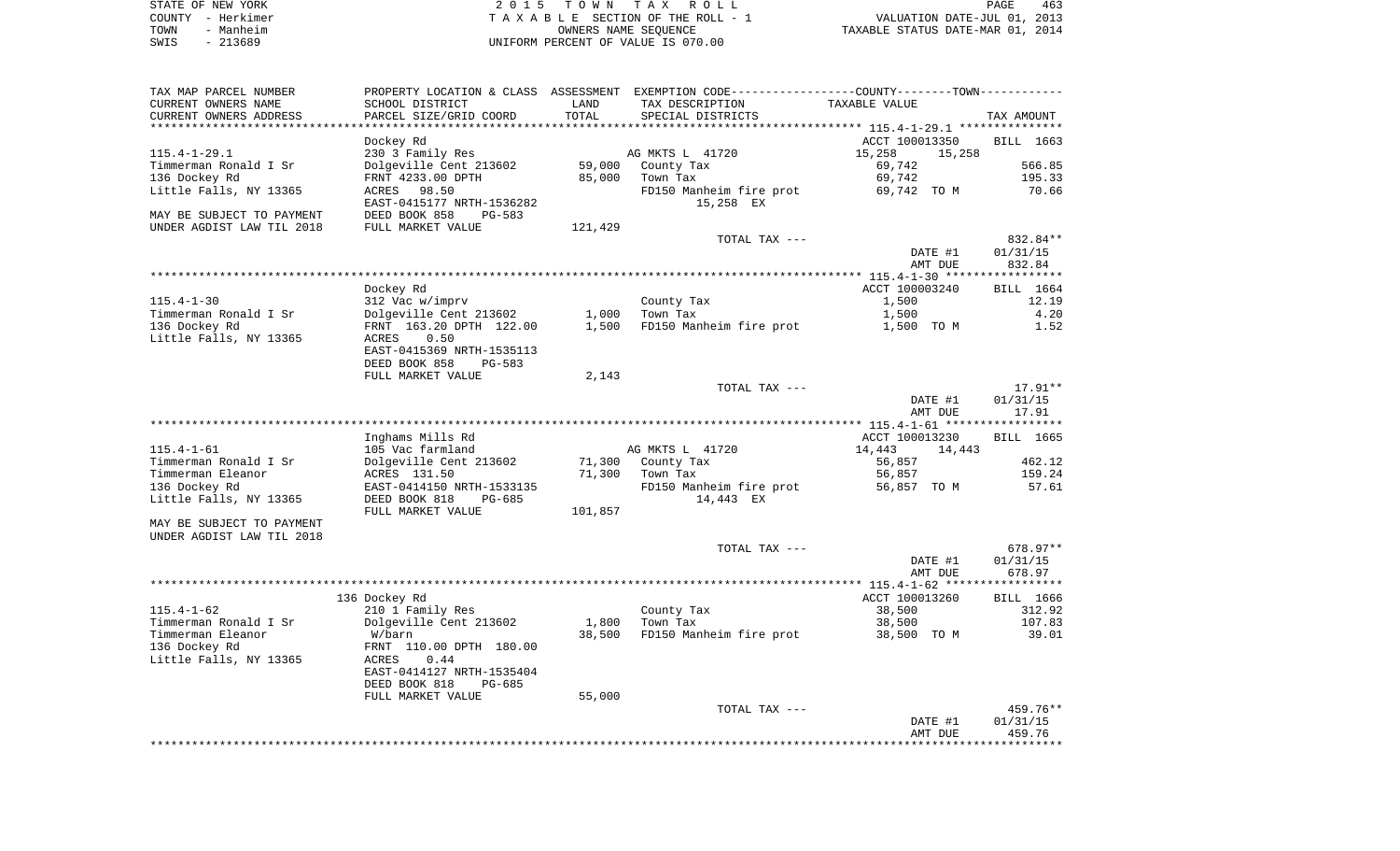| STATE OF NEW YORK |           | 2015 TOWN TAX ROLL                 | 463<br>PAGE                      |
|-------------------|-----------|------------------------------------|----------------------------------|
| COUNTY - Herkimer |           | TAXABLE SECTION OF THE ROLL - 1    | VALUATION DATE-JUL 01, 2013      |
| TOWN              | - Manheim | OWNERS NAME SEOUENCE               | TAXABLE STATUS DATE-MAR 01, 2014 |
| SWIS              | - 213689  | UNIFORM PERCENT OF VALUE IS 070.00 |                                  |

| SCHOOL DISTRICT                                               | LAND                                                                                                                                                                                                                                                                                                                                                                              | PROPERTY LOCATION & CLASS ASSESSMENT EXEMPTION CODE----------------COUNTY-------TOWN----------<br>TAX DESCRIPTION | TAXABLE VALUE                                                                                                                                                                          | TAX AMOUNT                                                                                                                                                                      |
|---------------------------------------------------------------|-----------------------------------------------------------------------------------------------------------------------------------------------------------------------------------------------------------------------------------------------------------------------------------------------------------------------------------------------------------------------------------|-------------------------------------------------------------------------------------------------------------------|----------------------------------------------------------------------------------------------------------------------------------------------------------------------------------------|---------------------------------------------------------------------------------------------------------------------------------------------------------------------------------|
|                                                               |                                                                                                                                                                                                                                                                                                                                                                                   |                                                                                                                   |                                                                                                                                                                                        |                                                                                                                                                                                 |
| Dockey Rd<br>230 3 Family Res<br>Dolgeville Cent 213602       | 59,000                                                                                                                                                                                                                                                                                                                                                                            |                                                                                                                   | ACCT 100013350<br>15,258<br>15,258<br>69,742                                                                                                                                           | BILL 1663<br>566.85                                                                                                                                                             |
| FRNT 4233.00 DPTH<br>ACRES 98.50<br>EAST-0415177 NRTH-1536282 | 85,000                                                                                                                                                                                                                                                                                                                                                                            | Town Tax<br>FD150 Manheim fire prot<br>15,258 EX                                                                  | 69,742<br>69,742 TO M                                                                                                                                                                  | 195.33<br>70.66                                                                                                                                                                 |
| DEED BOOK 858<br>PG-583                                       |                                                                                                                                                                                                                                                                                                                                                                                   |                                                                                                                   |                                                                                                                                                                                        |                                                                                                                                                                                 |
|                                                               |                                                                                                                                                                                                                                                                                                                                                                                   |                                                                                                                   |                                                                                                                                                                                        | 832.84**                                                                                                                                                                        |
|                                                               |                                                                                                                                                                                                                                                                                                                                                                                   |                                                                                                                   | DATE #1<br>AMT DUE                                                                                                                                                                     | 01/31/15<br>832.84                                                                                                                                                              |
|                                                               |                                                                                                                                                                                                                                                                                                                                                                                   |                                                                                                                   |                                                                                                                                                                                        |                                                                                                                                                                                 |
|                                                               |                                                                                                                                                                                                                                                                                                                                                                                   |                                                                                                                   |                                                                                                                                                                                        | BILL 1664                                                                                                                                                                       |
|                                                               |                                                                                                                                                                                                                                                                                                                                                                                   |                                                                                                                   |                                                                                                                                                                                        | 12.19<br>4.20                                                                                                                                                                   |
|                                                               |                                                                                                                                                                                                                                                                                                                                                                                   |                                                                                                                   |                                                                                                                                                                                        | 1.52                                                                                                                                                                            |
| ACRES<br>0.50                                                 |                                                                                                                                                                                                                                                                                                                                                                                   |                                                                                                                   |                                                                                                                                                                                        |                                                                                                                                                                                 |
| EAST-0415369 NRTH-1535113<br>DEED BOOK 858<br><b>PG-583</b>   |                                                                                                                                                                                                                                                                                                                                                                                   |                                                                                                                   |                                                                                                                                                                                        |                                                                                                                                                                                 |
|                                                               |                                                                                                                                                                                                                                                                                                                                                                                   |                                                                                                                   |                                                                                                                                                                                        |                                                                                                                                                                                 |
|                                                               |                                                                                                                                                                                                                                                                                                                                                                                   |                                                                                                                   | DATE #1<br>AMT DUE                                                                                                                                                                     | $17.91**$<br>01/31/15<br>17.91                                                                                                                                                  |
|                                                               |                                                                                                                                                                                                                                                                                                                                                                                   |                                                                                                                   |                                                                                                                                                                                        |                                                                                                                                                                                 |
|                                                               |                                                                                                                                                                                                                                                                                                                                                                                   |                                                                                                                   |                                                                                                                                                                                        | BILL 1665                                                                                                                                                                       |
|                                                               |                                                                                                                                                                                                                                                                                                                                                                                   |                                                                                                                   |                                                                                                                                                                                        | 462.12                                                                                                                                                                          |
|                                                               |                                                                                                                                                                                                                                                                                                                                                                                   |                                                                                                                   |                                                                                                                                                                                        | 159.24                                                                                                                                                                          |
|                                                               |                                                                                                                                                                                                                                                                                                                                                                                   |                                                                                                                   |                                                                                                                                                                                        | 57.61                                                                                                                                                                           |
| DEED BOOK 818<br>PG-685                                       |                                                                                                                                                                                                                                                                                                                                                                                   | 14,443 EX                                                                                                         |                                                                                                                                                                                        |                                                                                                                                                                                 |
|                                                               |                                                                                                                                                                                                                                                                                                                                                                                   |                                                                                                                   |                                                                                                                                                                                        |                                                                                                                                                                                 |
|                                                               |                                                                                                                                                                                                                                                                                                                                                                                   |                                                                                                                   |                                                                                                                                                                                        |                                                                                                                                                                                 |
|                                                               |                                                                                                                                                                                                                                                                                                                                                                                   | TOTAL TAX ---                                                                                                     |                                                                                                                                                                                        | 678.97**                                                                                                                                                                        |
|                                                               |                                                                                                                                                                                                                                                                                                                                                                                   |                                                                                                                   | DATE #1                                                                                                                                                                                | 01/31/15                                                                                                                                                                        |
|                                                               |                                                                                                                                                                                                                                                                                                                                                                                   |                                                                                                                   |                                                                                                                                                                                        | 678.97                                                                                                                                                                          |
|                                                               |                                                                                                                                                                                                                                                                                                                                                                                   |                                                                                                                   |                                                                                                                                                                                        | BILL 1666                                                                                                                                                                       |
| 210 1 Family Res                                              |                                                                                                                                                                                                                                                                                                                                                                                   | County Tax                                                                                                        | 38,500                                                                                                                                                                                 | 312.92                                                                                                                                                                          |
| Dolgeville Cent 213602                                        | 1,800                                                                                                                                                                                                                                                                                                                                                                             | Town Tax                                                                                                          | 38,500                                                                                                                                                                                 | 107.83                                                                                                                                                                          |
| W/barn                                                        | 38,500                                                                                                                                                                                                                                                                                                                                                                            | FD150 Manheim fire prot                                                                                           | 38,500 TO M                                                                                                                                                                            | 39.01                                                                                                                                                                           |
|                                                               |                                                                                                                                                                                                                                                                                                                                                                                   |                                                                                                                   |                                                                                                                                                                                        |                                                                                                                                                                                 |
| EAST-0414127 NRTH-1535404                                     |                                                                                                                                                                                                                                                                                                                                                                                   |                                                                                                                   |                                                                                                                                                                                        |                                                                                                                                                                                 |
| FULL MARKET VALUE                                             | 55,000                                                                                                                                                                                                                                                                                                                                                                            |                                                                                                                   |                                                                                                                                                                                        |                                                                                                                                                                                 |
|                                                               |                                                                                                                                                                                                                                                                                                                                                                                   | TOTAL TAX ---                                                                                                     |                                                                                                                                                                                        | 459.76**                                                                                                                                                                        |
|                                                               |                                                                                                                                                                                                                                                                                                                                                                                   |                                                                                                                   |                                                                                                                                                                                        |                                                                                                                                                                                 |
|                                                               | PARCEL SIZE/GRID COORD<br>FULL MARKET VALUE<br>Dockey Rd<br>312 Vac w/imprv<br>Dolgeville Cent 213602<br>FRNT 163.20 DPTH 122.00<br>FULL MARKET VALUE<br>Inghams Mills Rd<br>105 Vac farmland<br>Dolgeville Cent 213602<br>ACRES 131.50<br>EAST-0414150 NRTH-1533135<br>FULL MARKET VALUE<br>136 Dockey Rd<br>FRNT 110.00 DPTH 180.00<br>ACRES<br>0.44<br>DEED BOOK 818<br>PG-685 | TOTAL<br>121,429<br>1,000<br>1,500<br>2,143<br>71,300<br>71,300<br>101,857                                        | SPECIAL DISTRICTS<br>AG MKTS L 41720<br>County Tax<br>TOTAL TAX ---<br>County Tax<br>Town Tax<br>TOTAL TAX ---<br>AG MKTS L 41720<br>County Tax<br>Town Tax<br>FD150 Manheim fire prot | ACCT 100003240<br>1,500<br>1,500<br>FD150 Manheim fire prot<br>1,500 TO M<br>ACCT 100013230<br>14,443<br>14,443<br>56,857<br>56,857<br>56,857 TO M<br>AMT DUE<br>ACCT 100013260 |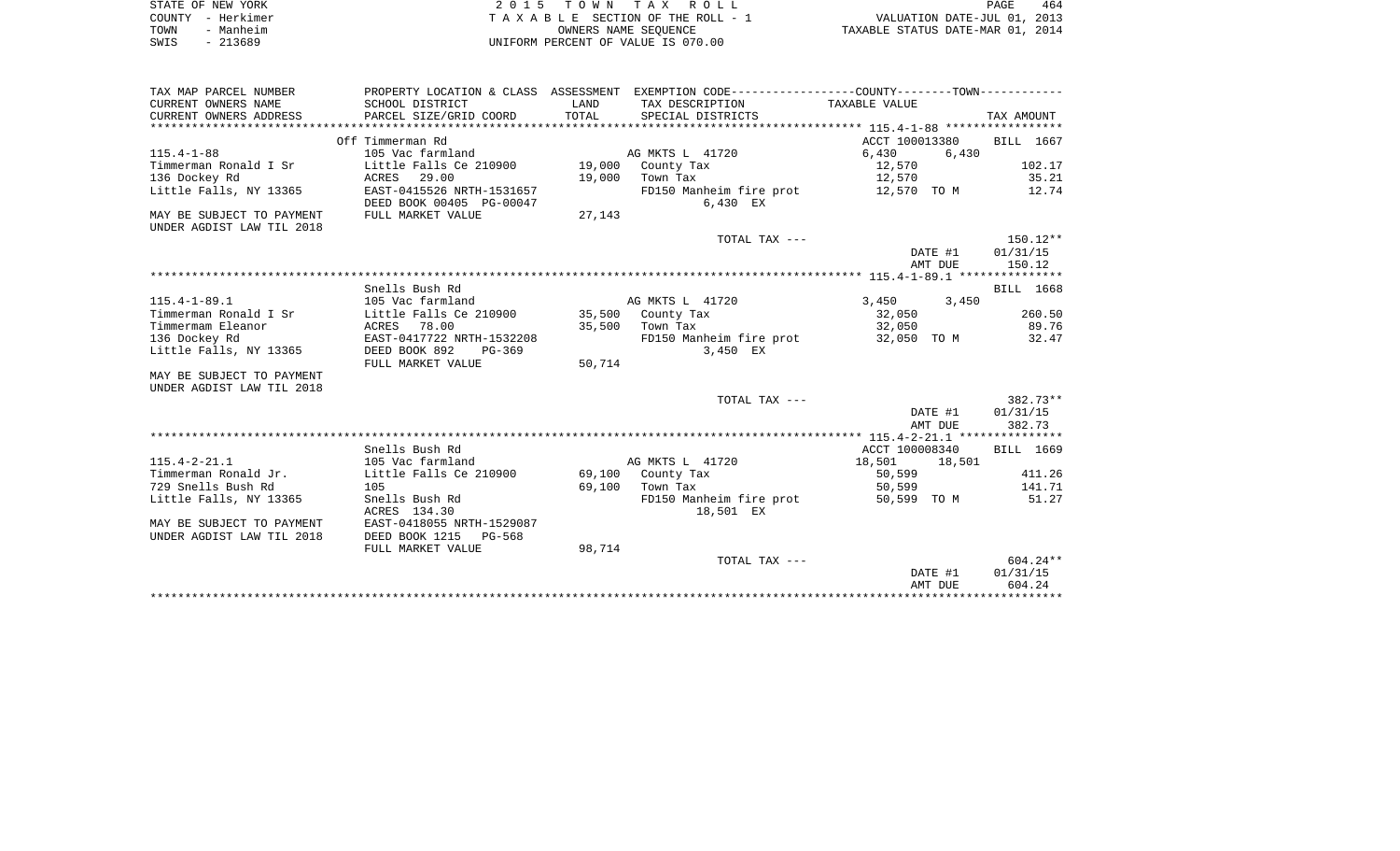|      | STATE OF NEW YORK | 2015 TOWN TAX ROLL                 | PAGE                             | 464 |
|------|-------------------|------------------------------------|----------------------------------|-----|
|      | COUNTY – Herkimer | TAXABLE SECTION OF THE ROLL - 1    | VALUATION DATE-JUL 01, 2013      |     |
| TOWN | - Manheim         | OWNERS NAME SEOUENCE               | TAXABLE STATUS DATE-MAR 01, 2014 |     |
| SWIS | $-213689$         | UNIFORM PERCENT OF VALUE IS 070.00 |                                  |     |

| TAX MAP PARCEL NUMBER     |                           |        | PROPERTY LOCATION & CLASS ASSESSMENT EXEMPTION CODE---------------COUNTY-------TOWN---------- |                  |            |
|---------------------------|---------------------------|--------|-----------------------------------------------------------------------------------------------|------------------|------------|
| CURRENT OWNERS NAME       | SCHOOL DISTRICT           | LAND   | TAX DESCRIPTION                                                                               | TAXABLE VALUE    |            |
| CURRENT OWNERS ADDRESS    | PARCEL SIZE/GRID COORD    | TOTAL  | SPECIAL DISTRICTS                                                                             |                  | TAX AMOUNT |
|                           |                           |        |                                                                                               |                  |            |
|                           | Off Timmerman Rd          |        |                                                                                               | ACCT 100013380   | BILL 1667  |
| $115.4 - 1 - 88$          | 105 Vac farmland          |        | AG MKTS L 41720                                                                               | 6,430<br>6,430   |            |
| Timmerman Ronald I Sr     | Little Falls Ce 210900    | 19,000 | County Tax                                                                                    | 12,570           | 102.17     |
| 136 Dockey Rd             | ACRES 29.00               | 19,000 | Town Tax                                                                                      | 12,570           | 35.21      |
| Little Falls, NY 13365    | EAST-0415526 NRTH-1531657 |        | FD150 Manheim fire prot                                                                       | 12,570 TO M      | 12.74      |
|                           | DEED BOOK 00405 PG-00047  |        | 6,430 EX                                                                                      |                  |            |
| MAY BE SUBJECT TO PAYMENT | FULL MARKET VALUE         | 27,143 |                                                                                               |                  |            |
| UNDER AGDIST LAW TIL 2018 |                           |        |                                                                                               |                  |            |
|                           |                           |        | TOTAL TAX ---                                                                                 |                  | $150.12**$ |
|                           |                           |        |                                                                                               | DATE #1          | 01/31/15   |
|                           |                           |        |                                                                                               | AMT DUE          | 150.12     |
|                           |                           |        |                                                                                               |                  |            |
|                           | Snells Bush Rd            |        |                                                                                               |                  | BILL 1668  |
| $115.4 - 1 - 89.1$        | 105 Vac farmland          |        | AG MKTS L 41720                                                                               | 3,450<br>3,450   |            |
| Timmerman Ronald I Sr     | Little Falls Ce 210900    |        | 35,500 County Tax                                                                             | 32,050           | 260.50     |
| Timmermam Eleanor         | ACRES 78.00               | 35,500 | Town Tax                                                                                      | 32,050           | 89.76      |
| 136 Dockey Rd             | EAST-0417722 NRTH-1532208 |        | FD150 Manheim fire prot 32,050 TO M                                                           |                  | 32.47      |
| Little Falls, NY 13365    | DEED BOOK 892<br>PG-369   |        | 3,450 EX                                                                                      |                  |            |
|                           | FULL MARKET VALUE         | 50,714 |                                                                                               |                  |            |
| MAY BE SUBJECT TO PAYMENT |                           |        |                                                                                               |                  |            |
| UNDER AGDIST LAW TIL 2018 |                           |        |                                                                                               |                  |            |
|                           |                           |        | TOTAL TAX ---                                                                                 |                  | $382.73**$ |
|                           |                           |        |                                                                                               | DATE #1          | 01/31/15   |
|                           |                           |        |                                                                                               | AMT DUE          | 382.73     |
|                           |                           |        |                                                                                               |                  |            |
|                           | Snells Bush Rd            |        |                                                                                               | ACCT 100008340   | BILL 1669  |
| $115.4 - 2 - 21.1$        | 105 Vac farmland          |        | AG MKTS L 41720                                                                               | 18,501<br>18,501 |            |
| Timmerman Ronald Jr.      | Little Falls Ce 210900    |        | 69,100 County Tax                                                                             | 50,599           | 411.26     |
| 729 Snells Bush Rd        | 105                       | 69,100 | Town Tax                                                                                      | 50,599           | 141.71     |
| Little Falls, NY 13365    | Snells Bush Rd            |        | FD150 Manheim fire prot                                                                       | 50,599 TO M      | 51.27      |
|                           | ACRES 134.30              |        | 18,501 EX                                                                                     |                  |            |
| MAY BE SUBJECT TO PAYMENT | EAST-0418055 NRTH-1529087 |        |                                                                                               |                  |            |
| UNDER AGDIST LAW TIL 2018 | DEED BOOK 1215<br>PG-568  |        |                                                                                               |                  |            |
|                           | FULL MARKET VALUE         | 98,714 |                                                                                               |                  |            |
|                           |                           |        | TOTAL TAX ---                                                                                 |                  | $604.24**$ |
|                           |                           |        |                                                                                               | DATE #1          | 01/31/15   |
|                           |                           |        |                                                                                               | AMT DUE          | 604.24     |
|                           |                           |        |                                                                                               |                  |            |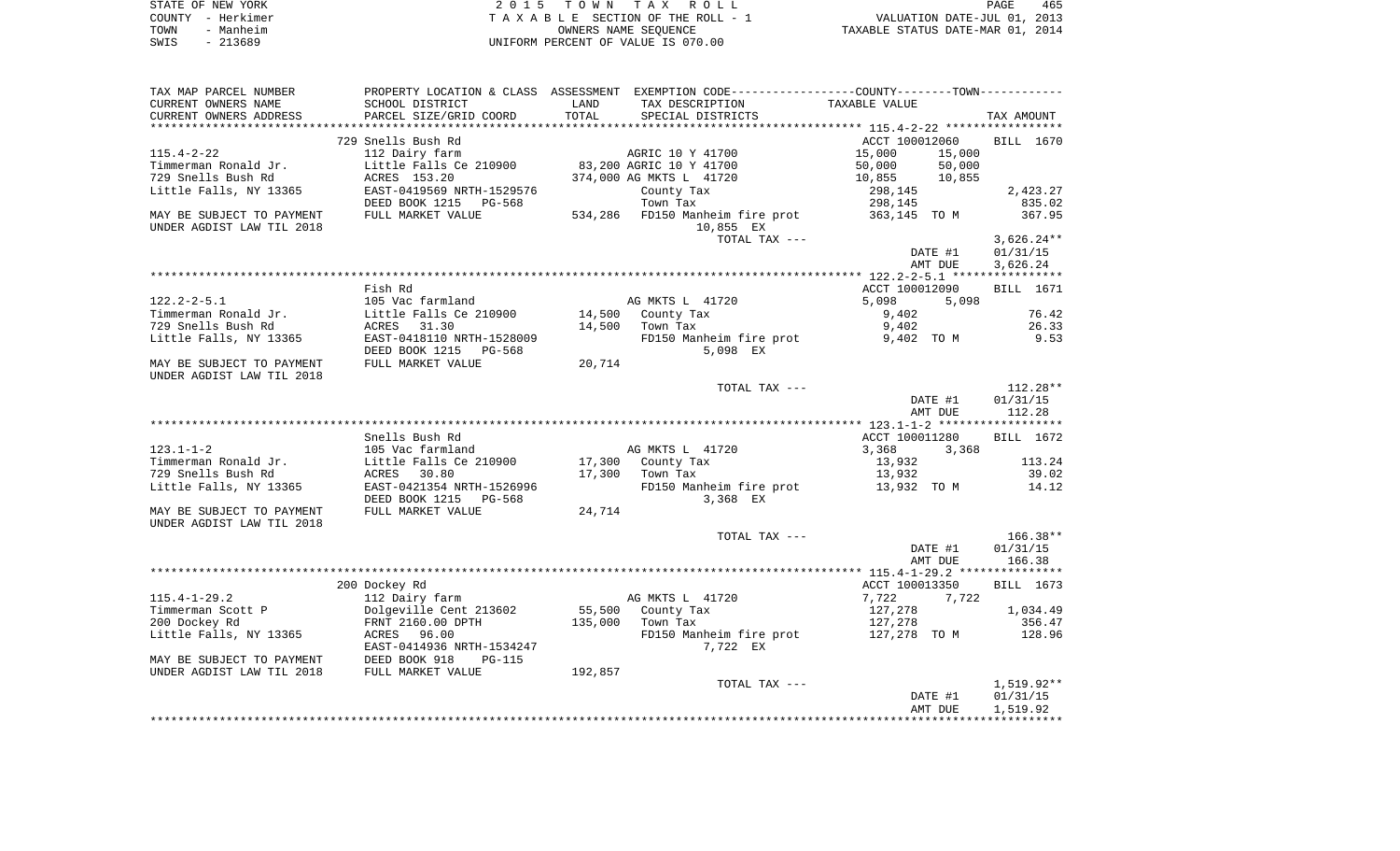| STATE OF NEW YORK |                                    | 2015 TOWN TAX ROLL              | PAGE                             | 465 |
|-------------------|------------------------------------|---------------------------------|----------------------------------|-----|
| COUNTY - Herkimer |                                    | TAXABLE SECTION OF THE ROLL - 1 | VALUATION DATE-JUL 01, 2013      |     |
| - Manheim<br>TOWN |                                    | OWNERS NAME SEOUENCE            | TAXABLE STATUS DATE-MAR 01, 2014 |     |
| - 213689<br>SWIS  | UNIFORM PERCENT OF VALUE IS 070.00 |                                 |                                  |     |

| TAX MAP PARCEL NUMBER     |                           |         | PROPERTY LOCATION & CLASS ASSESSMENT EXEMPTION CODE----------------COUNTY--------TOWN----------- |                  |              |
|---------------------------|---------------------------|---------|--------------------------------------------------------------------------------------------------|------------------|--------------|
| CURRENT OWNERS NAME       | SCHOOL DISTRICT           | LAND    | TAX DESCRIPTION                                                                                  | TAXABLE VALUE    |              |
| CURRENT OWNERS ADDRESS    | PARCEL SIZE/GRID COORD    | TOTAL   | SPECIAL DISTRICTS                                                                                |                  | TAX AMOUNT   |
|                           |                           |         |                                                                                                  |                  |              |
|                           | 729 Snells Bush Rd        |         |                                                                                                  | ACCT 100012060   | BILL 1670    |
| $115.4 - 2 - 22$          | 112 Dairy farm            |         | AGRIC 10 Y 41700                                                                                 | 15,000<br>15,000 |              |
| Timmerman Ronald Jr.      | Little Falls Ce 210900    |         | 83,200 AGRIC 10 Y 41700                                                                          | 50,000<br>50,000 |              |
| 729 Snells Bush Rd        | ACRES 153.20              |         | 374,000 AG MKTS L 41720                                                                          | 10,855<br>10,855 |              |
| Little Falls, NY 13365    | EAST-0419569 NRTH-1529576 |         | County Tax                                                                                       | 298,145          | 2,423.27     |
|                           | DEED BOOK 1215<br>PG-568  |         | Town Tax                                                                                         | 298,145          | 835.02       |
| MAY BE SUBJECT TO PAYMENT | FULL MARKET VALUE         |         | 534,286 FD150 Manheim fire prot                                                                  | 363,145 TO M     | 367.95       |
| UNDER AGDIST LAW TIL 2018 |                           |         | 10,855 EX                                                                                        |                  |              |
|                           |                           |         | TOTAL TAX ---                                                                                    |                  | $3,626.24**$ |
|                           |                           |         |                                                                                                  | DATE #1          | 01/31/15     |
|                           |                           |         |                                                                                                  | AMT DUE          | 3,626.24     |
|                           |                           |         |                                                                                                  |                  |              |
|                           | Fish Rd                   |         |                                                                                                  | ACCT 100012090   | BILL 1671    |
| $122.2 - 2 - 5.1$         | 105 Vac farmland          |         | AG MKTS L 41720                                                                                  | 5,098<br>5,098   |              |
| Timmerman Ronald Jr.      | Little Falls Ce 210900    | 14,500  | County Tax                                                                                       | 9,402            | 76.42        |
| 729 Snells Bush Rd        | ACRES 31.30               | 14,500  | Town Tax                                                                                         | 9,402            | 26.33        |
| Little Falls, NY 13365    | EAST-0418110 NRTH-1528009 |         | FD150 Manheim fire prot                                                                          | 9,402 TO M       | 9.53         |
|                           | DEED BOOK 1215 PG-568     |         | 5,098 EX                                                                                         |                  |              |
| MAY BE SUBJECT TO PAYMENT | FULL MARKET VALUE         | 20,714  |                                                                                                  |                  |              |
| UNDER AGDIST LAW TIL 2018 |                           |         |                                                                                                  |                  |              |
|                           |                           |         | TOTAL TAX ---                                                                                    |                  | $112.28**$   |
|                           |                           |         |                                                                                                  | DATE #1          | 01/31/15     |
|                           |                           |         |                                                                                                  | AMT DUE          | 112.28       |
|                           |                           |         |                                                                                                  |                  |              |
|                           | Snells Bush Rd            |         |                                                                                                  | ACCT 100011280   | BILL 1672    |
| $123.1 - 1 - 2$           | 105 Vac farmland          |         | AG MKTS L 41720                                                                                  | 3,368<br>3,368   |              |
| Timmerman Ronald Jr.      | Little Falls Ce 210900    | 17,300  | County Tax                                                                                       | 13,932           | 113.24       |
| 729 Snells Bush Rd        | ACRES 30.80               | 17,300  | Town Tax                                                                                         | 13,932           | 39.02        |
| Little Falls, NY 13365    | EAST-0421354 NRTH-1526996 |         | FD150 Manheim fire prot                                                                          | 13,932 TO M      | 14.12        |
|                           | DEED BOOK 1215<br>PG-568  |         | 3,368 EX                                                                                         |                  |              |
| MAY BE SUBJECT TO PAYMENT | FULL MARKET VALUE         | 24,714  |                                                                                                  |                  |              |
| UNDER AGDIST LAW TIL 2018 |                           |         |                                                                                                  |                  |              |
|                           |                           |         | TOTAL TAX ---                                                                                    |                  | $166.38**$   |
|                           |                           |         |                                                                                                  | DATE #1          | 01/31/15     |
|                           |                           |         |                                                                                                  | AMT DUE          | 166.38       |
|                           |                           |         |                                                                                                  |                  |              |
|                           | 200 Dockey Rd             |         |                                                                                                  | ACCT 100013350   | BILL 1673    |
| $115.4 - 1 - 29.2$        | 112 Dairy farm            |         | AG MKTS L 41720                                                                                  | 7,722<br>7,722   |              |
| Timmerman Scott P         | Dolgeville Cent 213602    | 55,500  | County Tax                                                                                       | 127,278          | 1,034.49     |
| 200 Dockey Rd             | FRNT 2160.00 DPTH         | 135,000 | Town Tax                                                                                         | 127,278          | 356.47       |
| Little Falls, NY 13365    | ACRES 96.00               |         | FD150 Manheim fire prot                                                                          | 127,278 TO M     | 128.96       |
|                           | EAST-0414936 NRTH-1534247 |         | 7,722 EX                                                                                         |                  |              |
| MAY BE SUBJECT TO PAYMENT | DEED BOOK 918<br>PG-115   |         |                                                                                                  |                  |              |
| UNDER AGDIST LAW TIL 2018 | FULL MARKET VALUE         | 192,857 |                                                                                                  |                  |              |
|                           |                           |         | TOTAL TAX ---                                                                                    |                  | 1,519.92**   |
|                           |                           |         |                                                                                                  | DATE #1          | 01/31/15     |
|                           |                           |         |                                                                                                  | AMT DUE          | 1,519.92     |
|                           |                           |         |                                                                                                  |                  |              |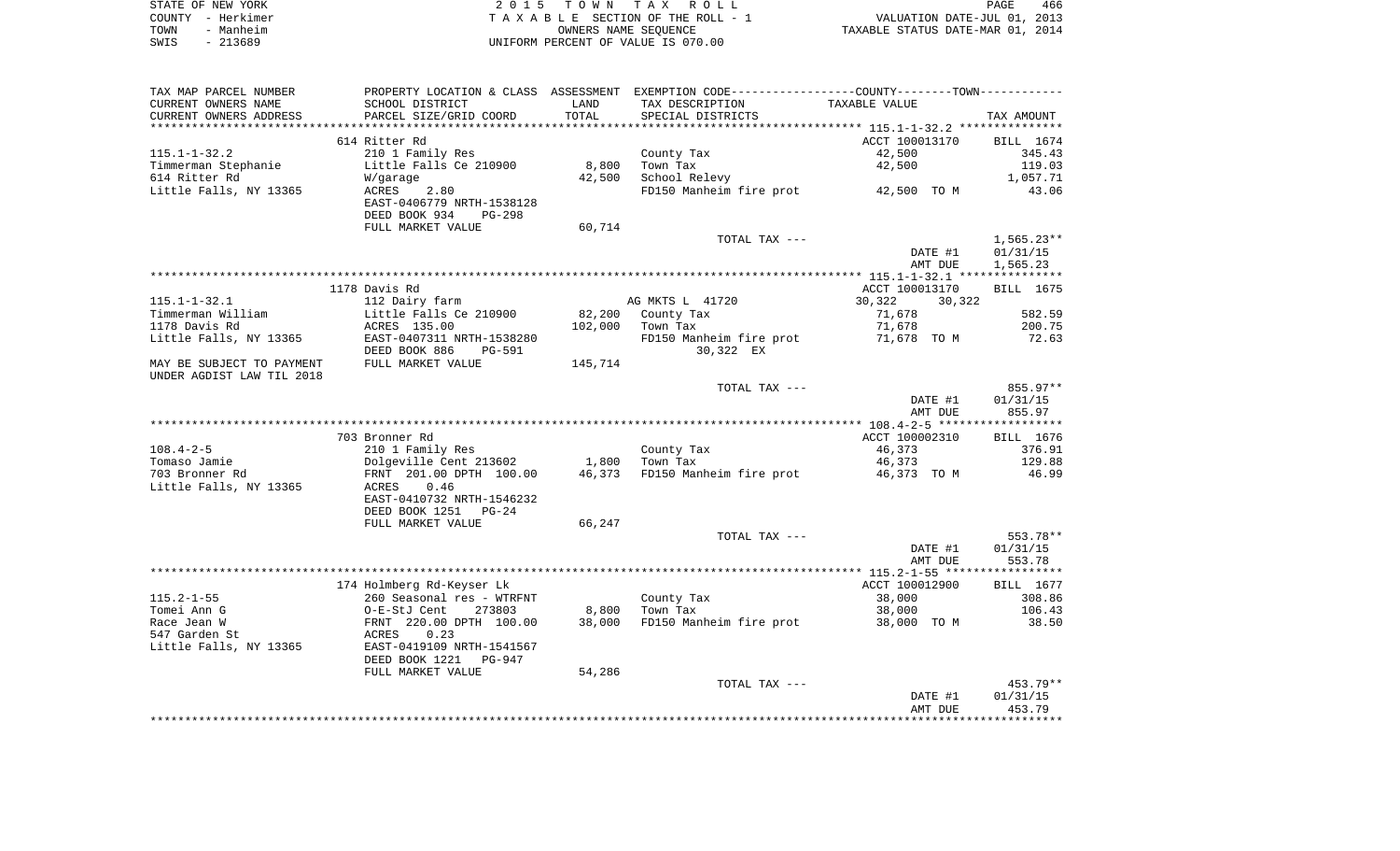| STATE OF NEW YORK |           | 2015 TOWN TAX ROLL                 | PAGE                             | 466 |
|-------------------|-----------|------------------------------------|----------------------------------|-----|
| COUNTY – Herkimer |           | TAXABLE SECTION OF THE ROLL - 1    | VALUATION DATE-JUL 01, 2013      |     |
| TOWN              | - Manheim | OWNERS NAME SEOUENCE               | TAXABLE STATUS DATE-MAR 01, 2014 |     |
| SWIS              | $-213689$ | UNIFORM PERCENT OF VALUE IS 070.00 |                                  |     |

| TAX MAP PARCEL NUMBER     |                                |         | PROPERTY LOCATION & CLASS ASSESSMENT EXEMPTION CODE----------------COUNTY-------TOWN----------- |                  |              |
|---------------------------|--------------------------------|---------|-------------------------------------------------------------------------------------------------|------------------|--------------|
| CURRENT OWNERS NAME       | SCHOOL DISTRICT                | LAND    | TAX DESCRIPTION                                                                                 | TAXABLE VALUE    |              |
| CURRENT OWNERS ADDRESS    | PARCEL SIZE/GRID COORD         | TOTAL   | SPECIAL DISTRICTS                                                                               |                  | TAX AMOUNT   |
|                           |                                |         |                                                                                                 |                  |              |
|                           | 614 Ritter Rd                  |         |                                                                                                 | ACCT 100013170   | BILL 1674    |
| $115.1 - 1 - 32.2$        | 210 1 Family Res               |         | County Tax                                                                                      | 42,500           | 345.43       |
| Timmerman Stephanie       | Little Falls Ce 210900         | 8,800   | Town Tax                                                                                        | 42,500           | 119.03       |
| 614 Ritter Rd             | W/garage                       | 42,500  | School Relevy                                                                                   |                  | 1,057.71     |
| Little Falls, NY 13365    | 2.80<br>ACRES                  |         | FD150 Manheim fire prot 42,500 TO M                                                             |                  | 43.06        |
|                           | EAST-0406779 NRTH-1538128      |         |                                                                                                 |                  |              |
|                           | DEED BOOK 934<br><b>PG-298</b> |         |                                                                                                 |                  |              |
|                           | FULL MARKET VALUE              | 60,714  |                                                                                                 |                  |              |
|                           |                                |         | TOTAL TAX ---                                                                                   |                  | $1,565.23**$ |
|                           |                                |         |                                                                                                 | DATE #1          | 01/31/15     |
|                           |                                |         |                                                                                                 | AMT DUE          | 1,565.23     |
|                           |                                |         |                                                                                                 |                  |              |
|                           | 1178 Davis Rd                  |         |                                                                                                 | ACCT 100013170   | BILL 1675    |
| $115.1 - 1 - 32.1$        | 112 Dairy farm                 |         | AG MKTS L 41720                                                                                 | 30,322<br>30,322 |              |
| Timmerman William         | Little Falls Ce 210900         | 82,200  | County Tax                                                                                      | 71,678           | 582.59       |
| 1178 Davis Rd             | ACRES 135.00                   | 102,000 | Town Tax                                                                                        | 71,678           | 200.75       |
| Little Falls, NY 13365    | EAST-0407311 NRTH-1538280      |         | FD150 Manheim fire prot                                                                         | 71,678 TO M      | 72.63        |
|                           | DEED BOOK 886<br><b>PG-591</b> |         | 30,322 EX                                                                                       |                  |              |
| MAY BE SUBJECT TO PAYMENT | FULL MARKET VALUE              | 145,714 |                                                                                                 |                  |              |
| UNDER AGDIST LAW TIL 2018 |                                |         |                                                                                                 |                  |              |
|                           |                                |         | TOTAL TAX ---                                                                                   |                  | 855.97**     |
|                           |                                |         |                                                                                                 | DATE #1          | 01/31/15     |
|                           |                                |         |                                                                                                 | AMT DUE          | 855.97       |
|                           |                                |         |                                                                                                 |                  |              |
|                           | 703 Bronner Rd                 |         |                                                                                                 | ACCT 100002310   | BILL 1676    |
| $108.4 - 2 - 5$           | 210 1 Family Res               |         | County Tax                                                                                      | 46,373           | 376.91       |
| Tomaso Jamie              | Dolgeville Cent 213602         | 1,800   | Town Tax                                                                                        | 46,373           | 129.88       |
| 703 Bronner Rd            | FRNT 201.00 DPTH 100.00        | 46,373  | FD150 Manheim fire prot                                                                         | 46,373 TO M      | 46.99        |
| Little Falls, NY 13365    | 0.46<br>ACRES                  |         |                                                                                                 |                  |              |
|                           | EAST-0410732 NRTH-1546232      |         |                                                                                                 |                  |              |
|                           | DEED BOOK 1251<br>$PG-24$      |         |                                                                                                 |                  |              |
|                           | FULL MARKET VALUE              | 66,247  |                                                                                                 |                  |              |
|                           |                                |         | TOTAL TAX ---                                                                                   |                  | 553.78**     |
|                           |                                |         |                                                                                                 | DATE #1          | 01/31/15     |
|                           |                                |         |                                                                                                 | AMT DUE          | 553.78       |
|                           |                                |         |                                                                                                 |                  |              |
|                           | 174 Holmberg Rd-Keyser Lk      |         |                                                                                                 | ACCT 100012900   | BILL 1677    |
| $115.2 - 1 - 55$          | 260 Seasonal res - WTRFNT      |         | County Tax                                                                                      | 38,000           | 308.86       |
| Tomei Ann G               | O-E-StJ Cent<br>273803         | 8,800   | Town Tax                                                                                        | 38,000           | 106.43       |
|                           |                                |         |                                                                                                 |                  |              |
| Race Jean W               | FRNT 220.00 DPTH 100.00        | 38,000  | FD150 Manheim fire prot                                                                         | 38,000 TO M      | 38.50        |
| 547 Garden St             | ACRES<br>0.23                  |         |                                                                                                 |                  |              |
| Little Falls, NY 13365    | EAST-0419109 NRTH-1541567      |         |                                                                                                 |                  |              |
|                           | DEED BOOK 1221<br>PG-947       |         |                                                                                                 |                  |              |
|                           | FULL MARKET VALUE              | 54,286  |                                                                                                 |                  |              |
|                           |                                |         |                                                                                                 |                  |              |
|                           |                                |         | TOTAL TAX ---                                                                                   |                  | 453.79**     |
|                           |                                |         |                                                                                                 | DATE #1          | 01/31/15     |
|                           |                                |         |                                                                                                 | AMT DUE          | 453.79       |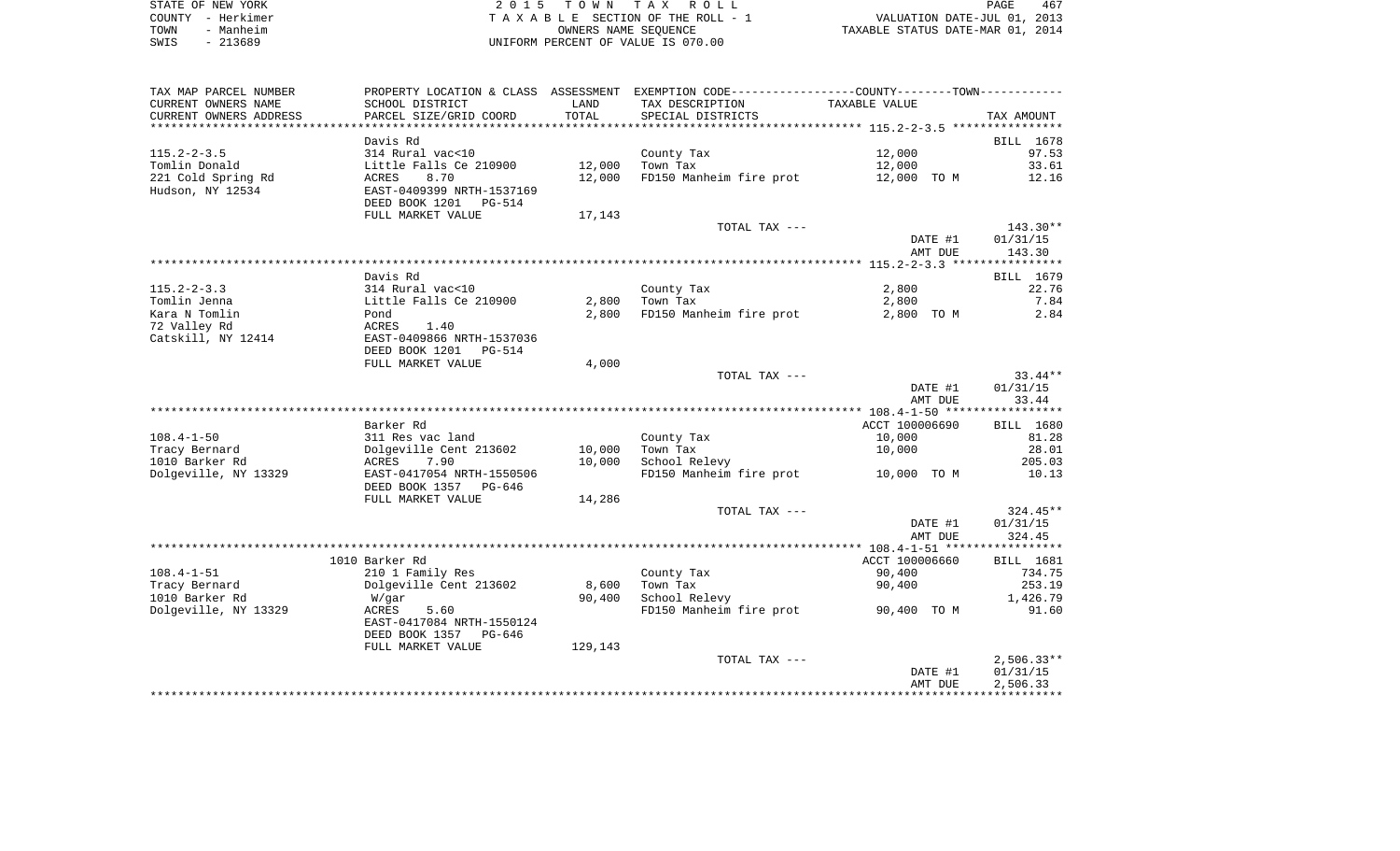|      | STATE OF NEW YORK | 2015 TOWN TAX ROLL                 | 467<br>PAGE                      |  |
|------|-------------------|------------------------------------|----------------------------------|--|
|      | COUNTY - Herkimer | TAXABLE SECTION OF THE ROLL - 1    | VALUATION DATE-JUL 01, 2013      |  |
| TOWN | - Manheim         | OWNERS NAME SEOUENCE               | TAXABLE STATUS DATE-MAR 01, 2014 |  |
| SWIS | $-213689$         | UNIFORM PERCENT OF VALUE IS 070.00 |                                  |  |

| TAX MAP PARCEL NUMBER           |                           |                 | PROPERTY LOCATION & CLASS ASSESSMENT EXEMPTION CODE----------------COUNTY--------TOWN----------- |                |                   |
|---------------------------------|---------------------------|-----------------|--------------------------------------------------------------------------------------------------|----------------|-------------------|
| CURRENT OWNERS NAME             | SCHOOL DISTRICT           | LAND            | TAX DESCRIPTION                                                                                  | TAXABLE VALUE  |                   |
| CURRENT OWNERS ADDRESS          | PARCEL SIZE/GRID COORD    | TOTAL           | SPECIAL DISTRICTS                                                                                |                | TAX AMOUNT        |
|                                 |                           | *************   |                                                                                                  |                |                   |
|                                 | Davis Rd                  |                 |                                                                                                  |                | BILL 1678         |
| $115.2 - 2 - 3.5$               | 314 Rural vac<10          |                 | County Tax                                                                                       | 12,000         | 97.53             |
| Tomlin Donald                   | Little Falls Ce 210900    | 12,000          | Town Tax                                                                                         | 12,000         | 33.61             |
| 221 Cold Spring Rd              | ACRES<br>8.70             | 12,000          | FD150 Manheim fire prot                                                                          | 12,000 TO M    | 12.16             |
| Hudson, NY 12534                | EAST-0409399 NRTH-1537169 |                 |                                                                                                  |                |                   |
|                                 | DEED BOOK 1201 PG-514     |                 |                                                                                                  |                |                   |
|                                 | FULL MARKET VALUE         | 17,143          |                                                                                                  |                |                   |
|                                 |                           |                 | TOTAL TAX ---                                                                                    |                | 143.30**          |
|                                 |                           |                 |                                                                                                  | DATE #1        | 01/31/15          |
|                                 |                           |                 |                                                                                                  | AMT DUE        | 143.30            |
|                                 |                           |                 |                                                                                                  |                |                   |
|                                 | Davis Rd                  |                 |                                                                                                  |                | BILL 1679         |
| $115.2 - 2 - 3.3$               | 314 Rural vac<10          |                 | County Tax                                                                                       | 2,800          | 22.76             |
| Tomlin Jenna                    | Little Falls Ce 210900    | 2,800           | Town Tax                                                                                         | 2,800          | 7.84              |
| Kara N Tomlin                   | Pond                      | 2,800           | FD150 Manheim fire prot                                                                          | 2,800 TO M     | 2.84              |
| 72 Valley Rd                    | ACRES<br>1.40             |                 |                                                                                                  |                |                   |
| Catskill, NY 12414              | EAST-0409866 NRTH-1537036 |                 |                                                                                                  |                |                   |
|                                 | DEED BOOK 1201<br>PG-514  |                 |                                                                                                  |                |                   |
|                                 | FULL MARKET VALUE         | 4,000           |                                                                                                  |                |                   |
|                                 |                           |                 | TOTAL TAX ---                                                                                    |                | $33.44**$         |
|                                 |                           |                 |                                                                                                  | DATE #1        | 01/31/15          |
|                                 |                           |                 |                                                                                                  | AMT DUE        | 33.44             |
|                                 |                           |                 |                                                                                                  |                |                   |
|                                 | Barker Rd                 |                 |                                                                                                  | ACCT 100006690 | BILL 1680         |
| $108.4 - 1 - 50$                | 311 Res vac land          |                 | County Tax                                                                                       | 10,000         | 81.28             |
| Tracy Bernard                   | Dolgeville Cent 213602    | 10,000          | Town Tax                                                                                         | 10,000         | 28.01             |
| 1010 Barker Rd                  | 7.90<br>ACRES             | 10,000          | School Relevy                                                                                    |                | 205.03            |
| Dolgeville, NY 13329            | EAST-0417054 NRTH-1550506 |                 | FD150 Manheim fire prot                                                                          | 10,000 TO M    | 10.13             |
|                                 | DEED BOOK 1357 PG-646     |                 |                                                                                                  |                |                   |
|                                 | FULL MARKET VALUE         | 14,286          |                                                                                                  |                |                   |
|                                 |                           |                 | TOTAL TAX ---                                                                                    |                | $324.45**$        |
|                                 |                           |                 |                                                                                                  | DATE #1        | 01/31/15          |
|                                 |                           |                 |                                                                                                  | AMT DUE        | 324.45            |
|                                 |                           |                 |                                                                                                  |                |                   |
|                                 | 1010 Barker Rd            |                 |                                                                                                  | ACCT 100006660 | BILL 1681         |
| $108.4 - 1 - 51$                | 210 1 Family Res          |                 | County Tax                                                                                       | 90,400         | 734.75            |
| Tracy Bernard<br>1010 Barker Rd | Dolgeville Cent 213602    | 8,600<br>90,400 | Town Tax                                                                                         | 90,400         | 253.19            |
| Dolgeville, NY 13329            | W/gar<br>ACRES<br>5.60    |                 | School Relevy<br>FD150 Manheim fire prot 90,400 TO M                                             |                | 1,426.79<br>91.60 |
|                                 | EAST-0417084 NRTH-1550124 |                 |                                                                                                  |                |                   |
|                                 |                           |                 |                                                                                                  |                |                   |
|                                 | DEED BOOK 1357 PG-646     |                 |                                                                                                  |                |                   |
|                                 | FULL MARKET VALUE         | 129,143         |                                                                                                  |                | $2,506.33**$      |
|                                 |                           |                 | TOTAL TAX ---                                                                                    | DATE #1        | 01/31/15          |
|                                 |                           |                 |                                                                                                  | AMT DUE        | 2,506.33          |
|                                 |                           |                 |                                                                                                  |                |                   |
|                                 |                           |                 |                                                                                                  |                |                   |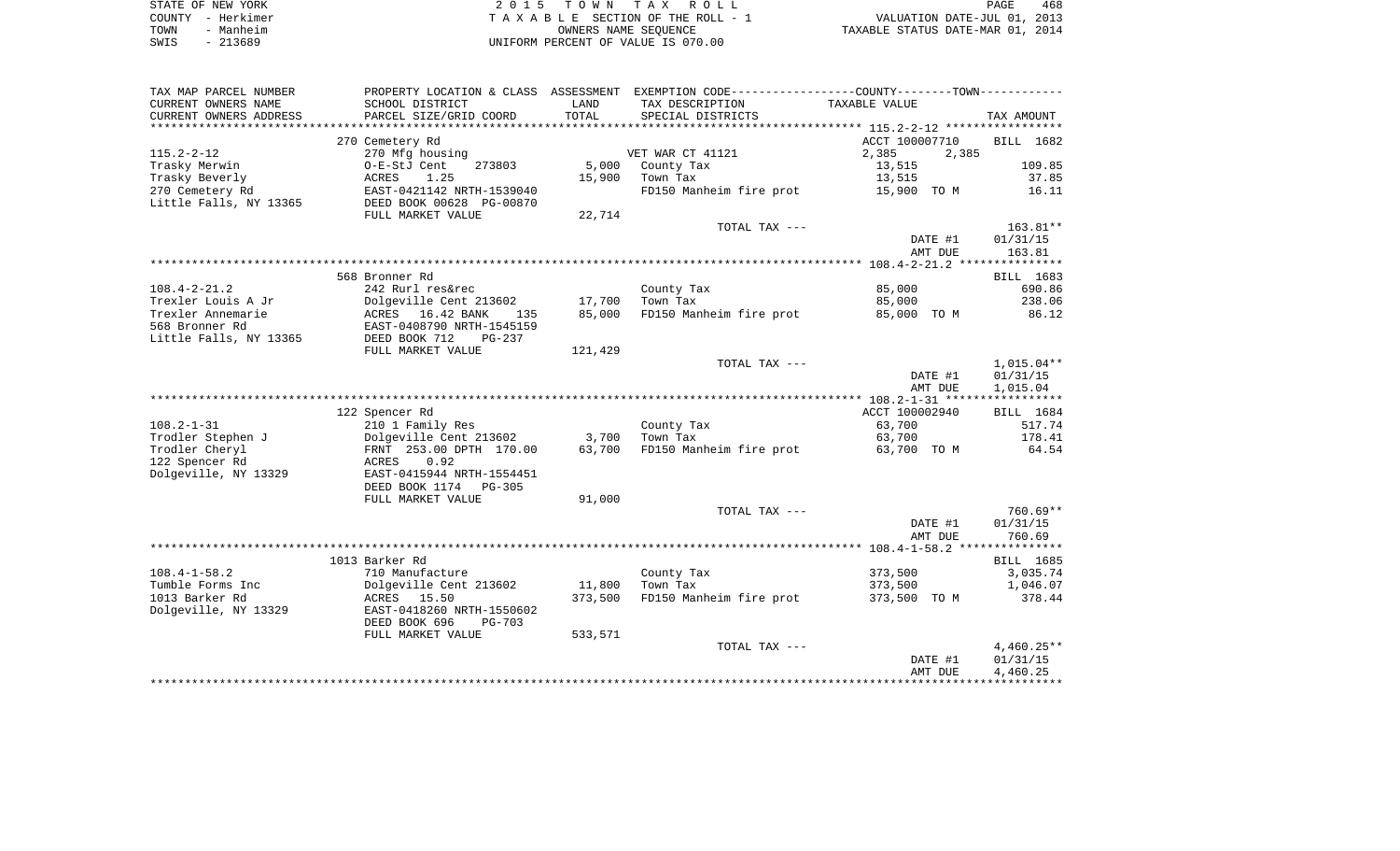|      | STATE OF NEW YORK | 2015 TOWN TAX ROLL                 | 468<br>PAGE                      |
|------|-------------------|------------------------------------|----------------------------------|
|      | COUNTY - Herkimer | TAXABLE SECTION OF THE ROLL - 1    | VALUATION DATE-JUL 01, 2013      |
| TOWN | - Manheim         | OWNERS NAME SEOUENCE               | TAXABLE STATUS DATE-MAR 01, 2014 |
| SWIS | $-213689$         | UNIFORM PERCENT OF VALUE IS 070.00 |                                  |

| TAX MAP PARCEL NUMBER  | PROPERTY LOCATION & CLASS ASSESSMENT |         | EXEMPTION CODE-----------------COUNTY-------TOWN----------- |                |              |
|------------------------|--------------------------------------|---------|-------------------------------------------------------------|----------------|--------------|
| CURRENT OWNERS NAME    | SCHOOL DISTRICT                      | LAND    | TAX DESCRIPTION                                             | TAXABLE VALUE  |              |
| CURRENT OWNERS ADDRESS | PARCEL SIZE/GRID COORD               | TOTAL   | SPECIAL DISTRICTS                                           |                | TAX AMOUNT   |
|                        |                                      |         |                                                             |                |              |
|                        | 270 Cemetery Rd                      |         |                                                             | ACCT 100007710 | BILL 1682    |
| $115.2 - 2 - 12$       | 270 Mfg housing                      |         | VET WAR CT 41121                                            | 2,385<br>2,385 |              |
| Trasky Merwin          | 273803<br>O-E-StJ Cent               | 5,000   | County Tax                                                  | 13,515         | 109.85       |
| Trasky Beverly         | 1.25<br>ACRES                        | 15,900  | Town Tax                                                    | 13,515         | 37.85        |
| 270 Cemetery Rd        | EAST-0421142 NRTH-1539040            |         | FD150 Manheim fire prot                                     | 15,900 TO M    | 16.11        |
| Little Falls, NY 13365 | DEED BOOK 00628 PG-00870             |         |                                                             |                |              |
|                        | FULL MARKET VALUE                    | 22,714  |                                                             |                |              |
|                        |                                      |         | TOTAL TAX ---                                               |                | $163.81**$   |
|                        |                                      |         |                                                             | DATE #1        | 01/31/15     |
|                        |                                      |         |                                                             | AMT DUE        | 163.81       |
|                        |                                      |         |                                                             |                |              |
|                        | 568 Bronner Rd                       |         |                                                             |                | BILL 1683    |
| $108.4 - 2 - 21.2$     | 242 Rurl res&rec                     |         | County Tax                                                  | 85,000         | 690.86       |
| Trexler Louis A Jr     | Dolgeville Cent 213602               | 17,700  | Town Tax                                                    | 85,000         | 238.06       |
| Trexler Annemarie      | ACRES<br>16.42 BANK<br>135           | 85,000  | FD150 Manheim fire prot                                     | 85,000 TO M    | 86.12        |
| 568 Bronner Rd         | EAST-0408790 NRTH-1545159            |         |                                                             |                |              |
| Little Falls, NY 13365 | DEED BOOK 712<br>PG-237              |         |                                                             |                |              |
|                        | FULL MARKET VALUE                    | 121,429 | TOTAL TAX ---                                               |                | $1,015.04**$ |
|                        |                                      |         |                                                             | DATE #1        | 01/31/15     |
|                        |                                      |         |                                                             | AMT DUE        | 1,015.04     |
|                        |                                      |         |                                                             |                |              |
|                        | 122 Spencer Rd                       |         |                                                             | ACCT 100002940 | BILL 1684    |
| $108.2 - 1 - 31$       | 210 1 Family Res                     |         | County Tax                                                  | 63,700         | 517.74       |
| Trodler Stephen J      | Dolgeville Cent 213602               | 3,700   | Town Tax                                                    | 63,700         | 178.41       |
| Trodler Cheryl         | FRNT 253.00 DPTH 170.00              | 63,700  | FD150 Manheim fire prot                                     | 63,700 TO M    | 64.54        |
| 122 Spencer Rd         | ACRES<br>0.92                        |         |                                                             |                |              |
| Dolgeville, NY 13329   | EAST-0415944 NRTH-1554451            |         |                                                             |                |              |
|                        | DEED BOOK 1174<br>$PG-305$           |         |                                                             |                |              |
|                        | FULL MARKET VALUE                    | 91,000  |                                                             |                |              |
|                        |                                      |         | TOTAL TAX ---                                               |                | $760.69**$   |
|                        |                                      |         |                                                             | DATE #1        | 01/31/15     |
|                        |                                      |         |                                                             | AMT DUE        | 760.69       |
|                        |                                      |         |                                                             |                |              |
|                        | 1013 Barker Rd                       |         |                                                             |                | BILL 1685    |
| $108.4 - 1 - 58.2$     | 710 Manufacture                      |         | County Tax                                                  | 373,500        | 3,035.74     |
| Tumble Forms Inc       | Dolgeville Cent 213602               | 11,800  | Town Tax                                                    | 373,500        | 1,046.07     |
| 1013 Barker Rd         | ACRES<br>15.50                       | 373,500 | FD150 Manheim fire prot                                     | 373,500 TO M   | 378.44       |
| Dolgeville, NY 13329   | EAST-0418260 NRTH-1550602            |         |                                                             |                |              |
|                        | DEED BOOK 696<br>$PG-703$            |         |                                                             |                |              |
|                        | FULL MARKET VALUE                    | 533,571 |                                                             |                |              |
|                        |                                      |         | TOTAL TAX ---                                               |                | $4,460.25**$ |
|                        |                                      |         |                                                             | DATE #1        | 01/31/15     |
|                        |                                      |         |                                                             | AMT DUE        | 4,460.25     |
|                        |                                      |         |                                                             |                |              |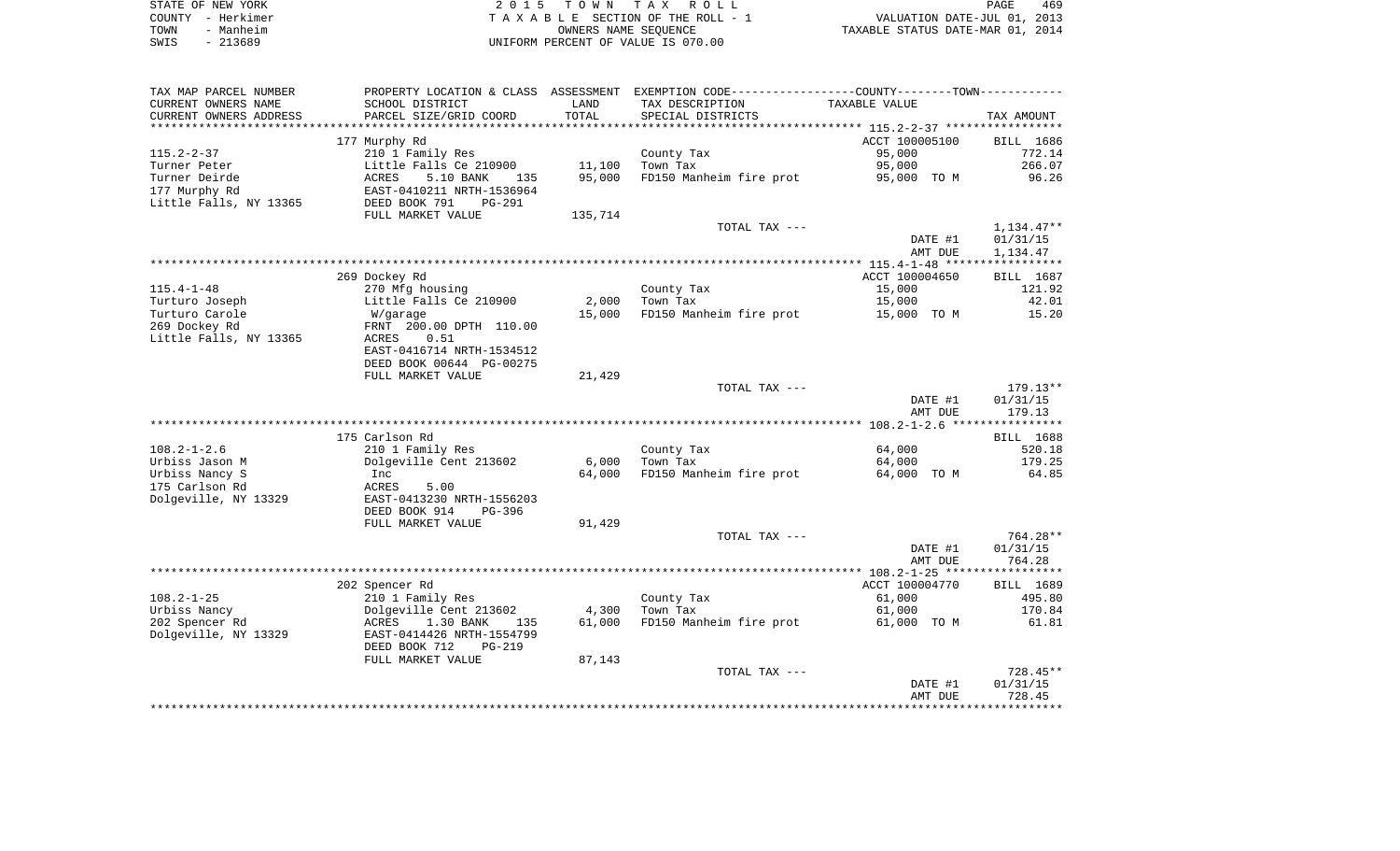| STATE OF NEW YORK | 2015 TOWN TAX ROLL                 | 469<br>PAGE                      |
|-------------------|------------------------------------|----------------------------------|
| COUNTY - Herkimer | TAXABLE SECTION OF THE ROLL - 1    | VALUATION DATE-JUL 01, 2013      |
| - Manheim<br>TOWN | OWNERS NAME SEOUENCE               | TAXABLE STATUS DATE-MAR 01, 2014 |
| - 213689<br>SWIS  | UNIFORM PERCENT OF VALUE IS 070.00 |                                  |

| TAX MAP PARCEL NUMBER                  |                                                     |                  | PROPERTY LOCATION & CLASS ASSESSMENT EXEMPTION CODE----------------COUNTY--------TOWN----------- |                  |                        |
|----------------------------------------|-----------------------------------------------------|------------------|--------------------------------------------------------------------------------------------------|------------------|------------------------|
| CURRENT OWNERS NAME                    | SCHOOL DISTRICT                                     | LAND             | TAX DESCRIPTION                                                                                  | TAXABLE VALUE    |                        |
| CURRENT OWNERS ADDRESS                 | PARCEL SIZE/GRID COORD                              | TOTAL            | SPECIAL DISTRICTS                                                                                |                  | TAX AMOUNT             |
|                                        |                                                     |                  |                                                                                                  |                  |                        |
|                                        | 177 Murphy Rd                                       |                  |                                                                                                  | ACCT 100005100   | BILL 1686              |
| $115.2 - 2 - 37$                       | 210 1 Family Res                                    |                  | County Tax<br>Town Tax                                                                           | 95,000<br>95,000 | 772.14<br>266.07       |
| Turner Peter<br>Turner Deirde          | Little Falls Ce 210900<br>ACRES<br>5.10 BANK<br>135 | 11,100<br>95,000 | FD150 Manheim fire prot                                                                          | 95,000 TO M      | 96.26                  |
| 177 Murphy Rd                          | EAST-0410211 NRTH-1536964                           |                  |                                                                                                  |                  |                        |
| Little Falls, NY 13365                 | DEED BOOK 791<br>PG-291                             |                  |                                                                                                  |                  |                        |
|                                        | FULL MARKET VALUE                                   | 135,714          |                                                                                                  |                  |                        |
|                                        |                                                     |                  | TOTAL TAX ---                                                                                    |                  | 1,134.47**             |
|                                        |                                                     |                  |                                                                                                  | DATE #1          | 01/31/15               |
|                                        |                                                     |                  |                                                                                                  | AMT DUE          | 1,134.47               |
|                                        |                                                     |                  |                                                                                                  |                  |                        |
|                                        | 269 Dockey Rd                                       |                  |                                                                                                  | ACCT 100004650   | BILL 1687              |
| $115.4 - 1 - 48$                       | 270 Mfg housing                                     |                  | County Tax                                                                                       | 15,000           | 121.92                 |
| Turturo Joseph                         | Little Falls Ce 210900                              | 2,000            | Town Tax                                                                                         | 15,000           | 42.01                  |
| Turturo Carole                         | W/garage                                            | 15,000           | FD150 Manheim fire prot                                                                          | 15,000 TO M      | 15.20                  |
| 269 Dockey Rd                          | FRNT 200.00 DPTH 110.00                             |                  |                                                                                                  |                  |                        |
| Little Falls, NY 13365                 | ACRES<br>0.51                                       |                  |                                                                                                  |                  |                        |
|                                        | EAST-0416714 NRTH-1534512                           |                  |                                                                                                  |                  |                        |
|                                        | DEED BOOK 00644 PG-00275                            |                  |                                                                                                  |                  |                        |
|                                        | FULL MARKET VALUE                                   | 21,429           |                                                                                                  |                  |                        |
|                                        |                                                     |                  | TOTAL TAX ---                                                                                    | DATE #1          | $179.13**$<br>01/31/15 |
|                                        |                                                     |                  |                                                                                                  | AMT DUE          | 179.13                 |
|                                        |                                                     |                  |                                                                                                  |                  |                        |
|                                        | 175 Carlson Rd                                      |                  |                                                                                                  |                  | BILL 1688              |
| $108.2 - 1 - 2.6$                      | 210 1 Family Res                                    |                  | County Tax                                                                                       | 64,000           | 520.18                 |
| Urbiss Jason M                         | Dolgeville Cent 213602                              | 6,000            | Town Tax                                                                                         | 64,000           | 179.25                 |
| Urbiss Nancy S                         | Inc                                                 |                  | 64,000 FD150 Manheim fire prot                                                                   | 64,000 TO M      | 64.85                  |
| 175 Carlson Rd                         | ACRES<br>5.00                                       |                  |                                                                                                  |                  |                        |
| Dolgeville, NY 13329                   | EAST-0413230 NRTH-1556203                           |                  |                                                                                                  |                  |                        |
|                                        | DEED BOOK 914<br>PG-396                             |                  |                                                                                                  |                  |                        |
|                                        | FULL MARKET VALUE                                   | 91,429           |                                                                                                  |                  |                        |
|                                        |                                                     |                  | TOTAL TAX ---                                                                                    |                  | 764.28**               |
|                                        |                                                     |                  |                                                                                                  | DATE #1          | 01/31/15               |
|                                        |                                                     |                  |                                                                                                  | AMT DUE          | 764.28                 |
|                                        |                                                     |                  |                                                                                                  |                  |                        |
|                                        | 202 Spencer Rd                                      |                  |                                                                                                  | ACCT 100004770   | BILL 1689              |
| $108.2 - 1 - 25$                       | 210 1 Family Res                                    |                  | County Tax<br>Town Tax                                                                           | 61,000<br>61,000 | 495.80                 |
| Urbiss Nancy                           | Dolgeville Cent 213602<br>1.30 BANK<br>ACRES        | 4,300<br>61,000  |                                                                                                  | 61,000 TO M      | 170.84<br>61.81        |
| 202 Spencer Rd<br>Dolgeville, NY 13329 | 135<br>EAST-0414426 NRTH-1554799                    |                  | FD150 Manheim fire prot                                                                          |                  |                        |
|                                        | DEED BOOK 712<br>PG-219                             |                  |                                                                                                  |                  |                        |
|                                        | FULL MARKET VALUE                                   | 87,143           |                                                                                                  |                  |                        |
|                                        |                                                     |                  | TOTAL TAX ---                                                                                    |                  | 728.45**               |
|                                        |                                                     |                  |                                                                                                  | DATE #1          | 01/31/15               |
|                                        |                                                     |                  |                                                                                                  | AMT DUE          | 728.45                 |
|                                        |                                                     |                  |                                                                                                  |                  |                        |
|                                        |                                                     |                  |                                                                                                  |                  |                        |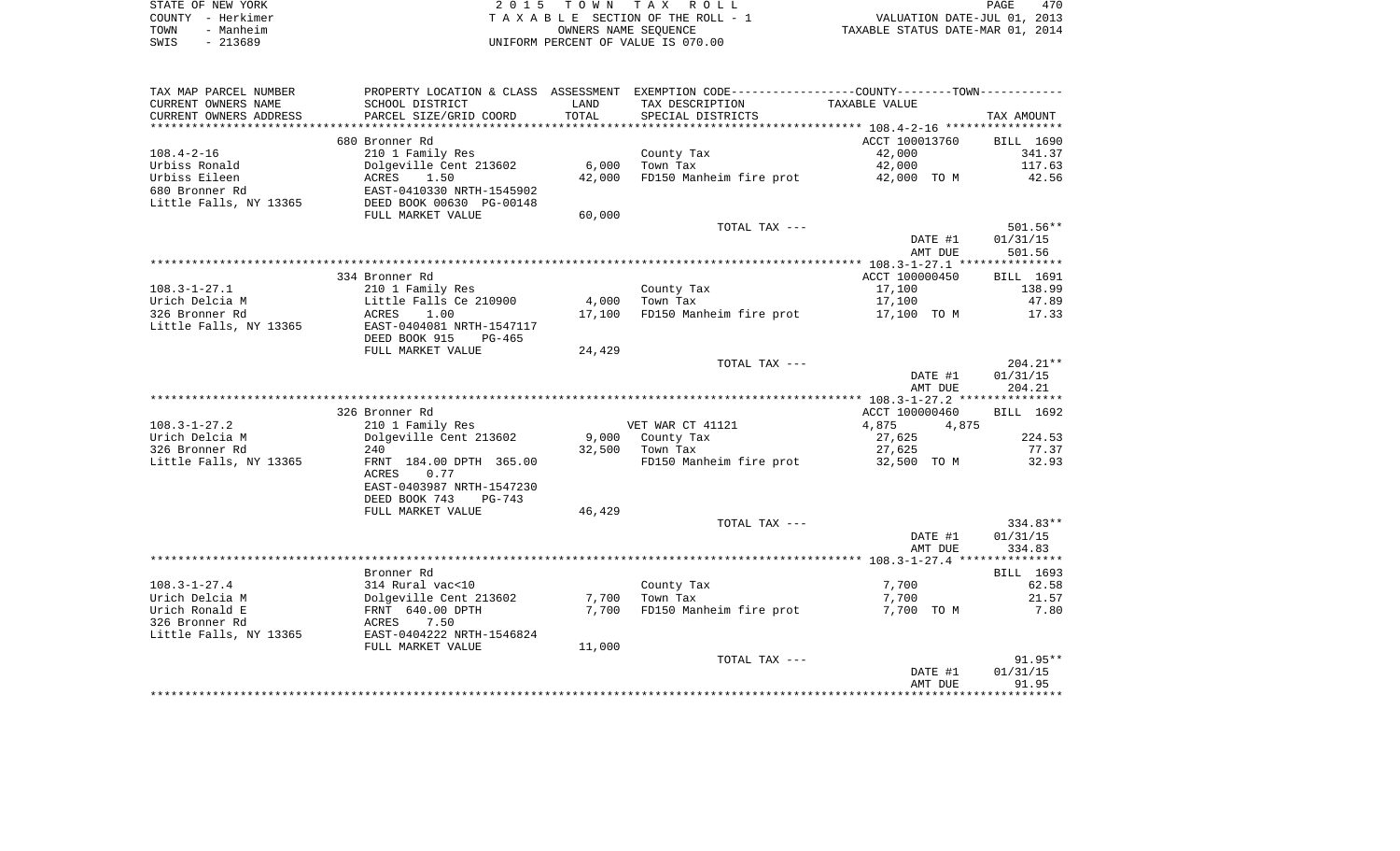|      | STATE OF NEW YORK | 2015 TOWN TAX ROLL                 | PAGE                             | 470 |
|------|-------------------|------------------------------------|----------------------------------|-----|
|      | COUNTY - Herkimer | TAXABLE SECTION OF THE ROLL - 1    | VALUATION DATE-JUL 01, 2013      |     |
| TOWN | - Manheim         | OWNERS NAME SEOUENCE               | TAXABLE STATUS DATE-MAR 01, 2014 |     |
| SWIS | - 213689          | UNIFORM PERCENT OF VALUE IS 070.00 |                                  |     |

 $\frac{470}{2013}$ <br>2014

| TAX MAP PARCEL NUMBER   |                                                |        | PROPERTY LOCATION & CLASS ASSESSMENT EXEMPTION CODE---------------COUNTY-------TOWN---------- |                |            |
|-------------------------|------------------------------------------------|--------|-----------------------------------------------------------------------------------------------|----------------|------------|
| CURRENT OWNERS NAME     | SCHOOL DISTRICT                                | LAND   | TAX DESCRIPTION                                                                               | TAXABLE VALUE  |            |
| CURRENT OWNERS ADDRESS  | PARCEL SIZE/GRID COORD                         | TOTAL  | SPECIAL DISTRICTS                                                                             |                | TAX AMOUNT |
| *********************** |                                                |        |                                                                                               |                |            |
|                         | 680 Bronner Rd                                 |        |                                                                                               | ACCT 100013760 | BILL 1690  |
| $108.4 - 2 - 16$        | 210 1 Family Res                               |        | County Tax                                                                                    | 42,000         | 341.37     |
| Urbiss Ronald           | Dolgeville Cent 213602                         | 6,000  | Town Tax                                                                                      | 42,000         | 117.63     |
| Urbiss Eileen           | ACRES<br>1.50                                  | 42,000 | FD150 Manheim fire prot                                                                       | 42,000 TO M    | 42.56      |
| 680 Bronner Rd          | EAST-0410330 NRTH-1545902                      |        |                                                                                               |                |            |
| Little Falls, NY 13365  | DEED BOOK 00630 PG-00148                       |        |                                                                                               |                |            |
|                         | FULL MARKET VALUE                              | 60,000 |                                                                                               |                |            |
|                         |                                                |        | TOTAL TAX ---                                                                                 |                | $501.56**$ |
|                         |                                                |        |                                                                                               | DATE #1        | 01/31/15   |
|                         |                                                |        |                                                                                               | AMT DUE        | 501.56     |
|                         |                                                |        |                                                                                               |                |            |
|                         | 334 Bronner Rd                                 |        |                                                                                               | ACCT 100000450 | BILL 1691  |
| $108.3 - 1 - 27.1$      | 210 1 Family Res                               |        | County Tax                                                                                    | 17,100         | 138.99     |
| Urich Delcia M          | Little Falls Ce 210900                         | 4,000  | Town Tax                                                                                      | 17,100         | 47.89      |
| 326 Bronner Rd          | ACRES<br>1.00                                  | 17,100 | FD150 Manheim fire prot                                                                       | 17,100 TO M    | 17.33      |
| Little Falls, NY 13365  | EAST-0404081 NRTH-1547117                      |        |                                                                                               |                |            |
|                         | DEED BOOK 915<br>$PG-465$                      |        |                                                                                               |                |            |
|                         | FULL MARKET VALUE                              | 24,429 |                                                                                               |                |            |
|                         |                                                |        | TOTAL TAX ---                                                                                 |                | $204.21**$ |
|                         |                                                |        |                                                                                               | DATE #1        | 01/31/15   |
|                         |                                                |        |                                                                                               | AMT DUE        | 204.21     |
|                         |                                                |        |                                                                                               |                |            |
|                         | 326 Bronner Rd                                 |        |                                                                                               | ACCT 100000460 | BILL 1692  |
| $108.3 - 1 - 27.2$      | 210 1 Family Res                               |        | VET WAR CT 41121                                                                              | 4,875<br>4,875 |            |
| Urich Delcia M          | Dolgeville Cent 213602                         |        | 9,000 County Tax                                                                              | 27,625         | 224.53     |
| 326 Bronner Rd          | 240                                            | 32,500 | Town Tax                                                                                      | 27,625         | 77.37      |
| Little Falls, NY 13365  | FRNT 184.00 DPTH 365.00                        |        | FD150 Manheim fire prot                                                                       | 32,500 TO M    | 32.93      |
|                         | ACRES<br>0.77                                  |        |                                                                                               |                |            |
|                         | EAST-0403987 NRTH-1547230                      |        |                                                                                               |                |            |
|                         | DEED BOOK 743<br>$PG-743$<br>FULL MARKET VALUE | 46,429 |                                                                                               |                |            |
|                         |                                                |        | TOTAL TAX ---                                                                                 |                | 334.83**   |
|                         |                                                |        |                                                                                               | DATE #1        | 01/31/15   |
|                         |                                                |        |                                                                                               | AMT DUE        | 334.83     |
|                         |                                                |        |                                                                                               |                |            |
|                         | Bronner Rd                                     |        |                                                                                               |                | BILL 1693  |
| $108.3 - 1 - 27.4$      | 314 Rural vac<10                               |        | County Tax                                                                                    | 7,700          | 62.58      |
| Urich Delcia M          | Dolgeville Cent 213602                         | 7,700  | Town Tax                                                                                      | 7,700          | 21.57      |
| Urich Ronald E          | FRNT 640.00 DPTH                               | 7,700  | FD150 Manheim fire prot                                                                       | 7,700 TO M     | 7.80       |
| 326 Bronner Rd          | 7.50<br>ACRES                                  |        |                                                                                               |                |            |
| Little Falls, NY 13365  | EAST-0404222 NRTH-1546824                      |        |                                                                                               |                |            |
|                         | FULL MARKET VALUE                              | 11,000 |                                                                                               |                |            |
|                         |                                                |        | TOTAL TAX ---                                                                                 |                | $91.95**$  |
|                         |                                                |        |                                                                                               | DATE #1        | 01/31/15   |
|                         |                                                |        |                                                                                               | AMT DUE        | 91.95      |
|                         |                                                |        |                                                                                               |                |            |
|                         |                                                |        |                                                                                               |                |            |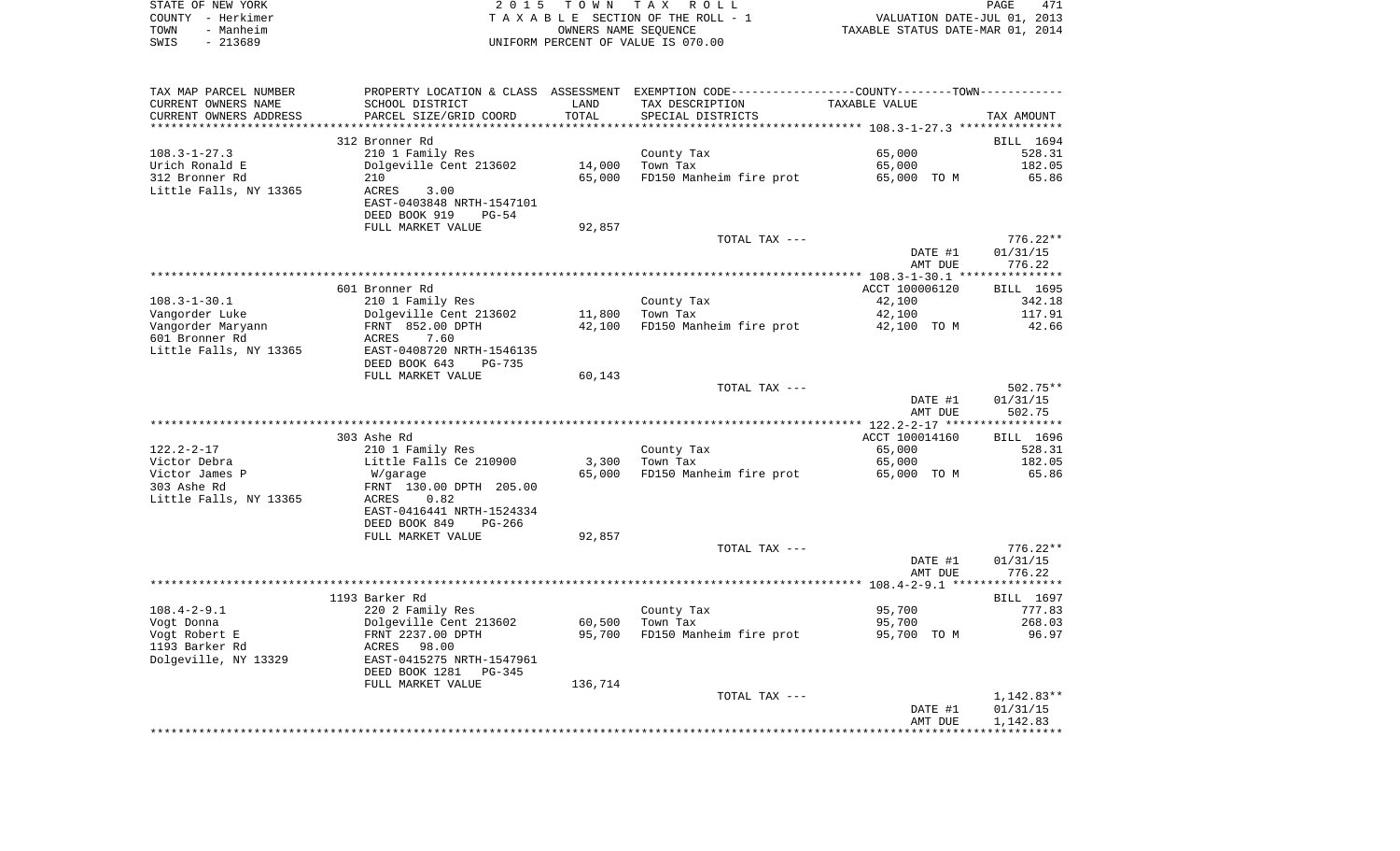|      | STATE OF NEW YORK | 2015 TOWN TAX ROLL                 | PAGE                             | 471 |
|------|-------------------|------------------------------------|----------------------------------|-----|
|      | COUNTY - Herkimer | TAXABLE SECTION OF THE ROLL - 1    | VALUATION DATE-JUL 01, 2013      |     |
| TOWN | - Manheim         | OWNERS NAME SEOUENCE               | TAXABLE STATUS DATE-MAR 01, 2014 |     |
| SWIS | - 213689          | UNIFORM PERCENT OF VALUE IS 070.00 |                                  |     |

| TAX MAP PARCEL NUMBER  | PROPERTY LOCATION & CLASS ASSESSMENT EXEMPTION CODE---------------COUNTY-------TOWN---------- |         |                                     |                |              |
|------------------------|-----------------------------------------------------------------------------------------------|---------|-------------------------------------|----------------|--------------|
| CURRENT OWNERS NAME    | SCHOOL DISTRICT                                                                               | LAND    | TAX DESCRIPTION                     | TAXABLE VALUE  |              |
| CURRENT OWNERS ADDRESS | PARCEL SIZE/GRID COORD                                                                        | TOTAL   | SPECIAL DISTRICTS                   |                | TAX AMOUNT   |
|                        |                                                                                               |         |                                     |                |              |
|                        | 312 Bronner Rd                                                                                |         |                                     |                | BILL 1694    |
| $108.3 - 1 - 27.3$     | 210 1 Family Res                                                                              |         | County Tax                          | 65,000         | 528.31       |
| Urich Ronald E         | Dolgeville Cent 213602                                                                        | 14,000  | Town Tax                            | 65,000         | 182.05       |
| 312 Bronner Rd         | 210                                                                                           | 65,000  | FD150 Manheim fire prot 65,000 TO M |                | 65.86        |
| Little Falls, NY 13365 | ACRES<br>3.00                                                                                 |         |                                     |                |              |
|                        | EAST-0403848 NRTH-1547101                                                                     |         |                                     |                |              |
|                        | DEED BOOK 919<br>$PG-54$                                                                      |         |                                     |                |              |
|                        | FULL MARKET VALUE                                                                             | 92,857  |                                     |                |              |
|                        |                                                                                               |         | TOTAL TAX ---                       |                | $776.22**$   |
|                        |                                                                                               |         |                                     | DATE #1        | 01/31/15     |
|                        |                                                                                               |         |                                     | AMT DUE        | 776.22       |
|                        |                                                                                               |         |                                     |                |              |
|                        | 601 Bronner Rd                                                                                |         |                                     |                |              |
|                        |                                                                                               |         |                                     | ACCT 100006120 | BILL 1695    |
| $108.3 - 1 - 30.1$     | 210 1 Family Res                                                                              |         | County Tax                          | 42,100         | 342.18       |
| Vangorder Luke         | Dolgeville Cent 213602                                                                        | 11,800  | Town Tax                            | 42,100         | 117.91       |
| Vangorder Maryann      | FRNT 852.00 DPTH                                                                              | 42,100  | FD150 Manheim fire prot 42,100 TO M |                | 42.66        |
| 601 Bronner Rd         | 7.60<br>ACRES                                                                                 |         |                                     |                |              |
| Little Falls, NY 13365 | EAST-0408720 NRTH-1546135                                                                     |         |                                     |                |              |
|                        | DEED BOOK 643<br><b>PG-735</b>                                                                |         |                                     |                |              |
|                        | FULL MARKET VALUE                                                                             | 60,143  |                                     |                |              |
|                        |                                                                                               |         | TOTAL TAX ---                       |                | 502.75**     |
|                        |                                                                                               |         |                                     | DATE #1        | 01/31/15     |
|                        |                                                                                               |         |                                     | AMT DUE        | 502.75       |
|                        |                                                                                               |         |                                     |                |              |
|                        | 303 Ashe Rd                                                                                   |         |                                     | ACCT 100014160 | BILL 1696    |
| $122.2 - 2 - 17$       | 210 1 Family Res                                                                              |         | County Tax                          | 65,000         | 528.31       |
| Victor Debra           | Little Falls Ce 210900                                                                        | 3,300   | Town Tax                            | 65,000         | 182.05       |
| Victor James P         | W/garage                                                                                      | 65,000  | FD150 Manheim fire prot             | 65,000 TO M    | 65.86        |
| 303 Ashe Rd            | FRNT 130.00 DPTH 205.00                                                                       |         |                                     |                |              |
| Little Falls, NY 13365 | ACRES<br>0.82                                                                                 |         |                                     |                |              |
|                        | EAST-0416441 NRTH-1524334                                                                     |         |                                     |                |              |
|                        | DEED BOOK 849<br>PG-266                                                                       |         |                                     |                |              |
|                        | FULL MARKET VALUE                                                                             | 92,857  |                                     |                |              |
|                        |                                                                                               |         | TOTAL TAX ---                       |                | $776.22**$   |
|                        |                                                                                               |         |                                     | DATE #1        | 01/31/15     |
|                        |                                                                                               |         |                                     | AMT DUE        | 776.22       |
|                        |                                                                                               |         |                                     |                |              |
|                        | 1193 Barker Rd                                                                                |         |                                     |                | BILL 1697    |
| $108.4 - 2 - 9.1$      | 220 2 Family Res                                                                              |         | County Tax                          | 95,700         | 777.83       |
| Vogt Donna             | Dolgeville Cent 213602                                                                        | 60,500  | Town Tax                            | 95,700         | 268.03       |
| Vogt Robert E          | FRNT 2237.00 DPTH                                                                             | 95,700  | FD150 Manheim fire prot             | 95,700 TO M    | 96.97        |
| 1193 Barker Rd         | ACRES<br>98.00                                                                                |         |                                     |                |              |
| Dolgeville, NY 13329   | EAST-0415275 NRTH-1547961                                                                     |         |                                     |                |              |
|                        | DEED BOOK 1281<br>PG-345                                                                      |         |                                     |                |              |
|                        | FULL MARKET VALUE                                                                             | 136,714 |                                     |                |              |
|                        |                                                                                               |         | TOTAL TAX ---                       |                | $1,142.83**$ |
|                        |                                                                                               |         |                                     | DATE #1        | 01/31/15     |
|                        |                                                                                               |         |                                     | AMT DUE        | 1,142.83     |
|                        |                                                                                               |         |                                     |                |              |
|                        |                                                                                               |         |                                     |                |              |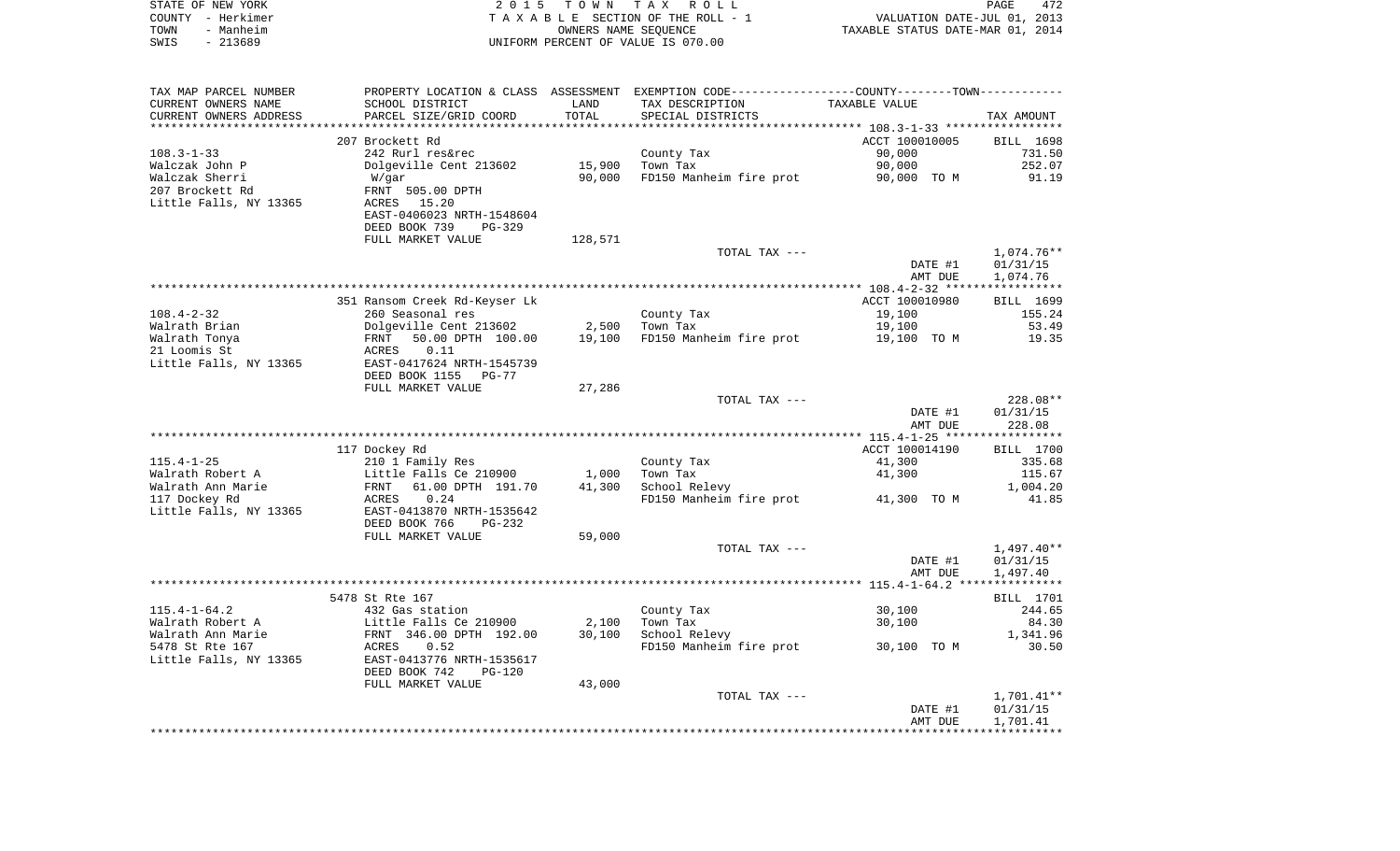| STATE OF NEW YORK<br>COUNTY - Herkimer<br>TOWN<br>- Manheim<br>$-213689$<br>SWIS |                                           | OWNERS NAME SEQUENCE | 2015 TOWN TAX ROLL<br>TAXABLE SECTION OF THE ROLL - 1<br>UNIFORM PERCENT OF VALUE IS 070.00   | VALUATION DATE-JUL 01, 2013<br>TAXABLE STATUS DATE-MAR 01, 2014 | PAGE<br>472          |
|----------------------------------------------------------------------------------|-------------------------------------------|----------------------|-----------------------------------------------------------------------------------------------|-----------------------------------------------------------------|----------------------|
|                                                                                  |                                           |                      |                                                                                               |                                                                 |                      |
| TAX MAP PARCEL NUMBER                                                            |                                           |                      | PROPERTY LOCATION & CLASS ASSESSMENT EXEMPTION CODE---------------COUNTY-------TOWN---------- |                                                                 |                      |
| CURRENT OWNERS NAME                                                              | SCHOOL DISTRICT                           | LAND                 | TAX DESCRIPTION                                                                               | TAXABLE VALUE                                                   |                      |
| CURRENT OWNERS ADDRESS                                                           | PARCEL SIZE/GRID COORD                    | TOTAL                | SPECIAL DISTRICTS                                                                             |                                                                 | TAX AMOUNT           |
|                                                                                  | 207 Brockett Rd                           |                      |                                                                                               | ACCT 100010005                                                  | BILL 1698            |
| 108.3-1-33                                                                       | 242 Rurl res&rec                          |                      | County Tax                                                                                    | 90,000                                                          | 731.50               |
| Walczak John P                                                                   | Dolgeville Cent 213602                    | 15,900               | Town Tax                                                                                      | 90,000                                                          | 252.07               |
| Walczak Sherri                                                                   | W/gar                                     | 90,000               | FD150 Manheim fire prot                                                                       | 90,000 TO M                                                     | 91.19                |
| 207 Brockett Rd                                                                  | FRNT 505.00 DPTH                          |                      |                                                                                               |                                                                 |                      |
| Little Falls, NY 13365                                                           | ACRES 15.20                               |                      |                                                                                               |                                                                 |                      |
|                                                                                  | EAST-0406023 NRTH-1548604                 |                      |                                                                                               |                                                                 |                      |
|                                                                                  | DEED BOOK 739<br>PG-329                   |                      |                                                                                               |                                                                 |                      |
|                                                                                  | FULL MARKET VALUE                         | 128,571              |                                                                                               |                                                                 |                      |
|                                                                                  |                                           |                      | TOTAL TAX ---                                                                                 |                                                                 | $1,074.76**$         |
|                                                                                  |                                           |                      |                                                                                               | DATE #1                                                         | 01/31/15<br>1,074.76 |
|                                                                                  |                                           |                      |                                                                                               | AMT DUE                                                         |                      |
|                                                                                  | 351 Ransom Creek Rd-Keyser Lk             |                      |                                                                                               | ACCT 100010980                                                  | BILL 1699            |
| 108.4-2-32                                                                       | 260 Seasonal res                          |                      | County Tax                                                                                    | 19,100                                                          | 155.24               |
| Walrath Brian                                                                    | Dolgeville Cent 213602                    | 2,500                | Town Tax                                                                                      | 19,100                                                          | 53.49                |
| Walrath Tonya                                                                    | 50.00 DPTH 100.00<br>FRNT                 | 19,100               | FD150 Manheim fire prot                                                                       | 19,100 TO M                                                     | 19.35                |
| 21 Loomis St                                                                     | ACRES<br>0.11                             |                      |                                                                                               |                                                                 |                      |
| Little Falls, NY 13365                                                           | EAST-0417624 NRTH-1545739                 |                      |                                                                                               |                                                                 |                      |
|                                                                                  | DEED BOOK 1155<br>PG-77                   |                      |                                                                                               |                                                                 |                      |
|                                                                                  | FULL MARKET VALUE                         | 27,286               |                                                                                               |                                                                 |                      |
|                                                                                  |                                           |                      | TOTAL TAX ---                                                                                 |                                                                 | 228.08**             |
|                                                                                  |                                           |                      |                                                                                               | DATE #1                                                         | 01/31/15             |
|                                                                                  |                                           |                      |                                                                                               | AMT DUE                                                         | 228.08               |
|                                                                                  | 117 Dockey Rd                             |                      |                                                                                               | ACCT 100014190                                                  | BILL 1700            |
| $115.4 - 1 - 25$                                                                 | 210 1 Family Res                          |                      | County Tax                                                                                    | 41,300                                                          | 335.68               |
| Walrath Robert A                                                                 | Little Falls Ce 210900                    | 1,000                | Town Tax                                                                                      | 41,300                                                          | 115.67               |
| Walrath Ann Marie                                                                | FRNT 61.00 DPTH 191.70                    | 41,300               | School Relevy                                                                                 |                                                                 | 1,004.20             |
| 117 Dockey Rd                                                                    | ACRES<br>0.24                             |                      | FD150 Manheim fire prot                                                                       | 41,300 TO M                                                     | 41.85                |
| Little Falls, NY 13365                                                           | EAST-0413870 NRTH-1535642                 |                      |                                                                                               |                                                                 |                      |
|                                                                                  | DEED BOOK 766<br>PG-232                   |                      |                                                                                               |                                                                 |                      |
|                                                                                  | FULL MARKET VALUE                         | 59,000               |                                                                                               |                                                                 |                      |
|                                                                                  |                                           |                      | TOTAL TAX ---                                                                                 |                                                                 | 1,497.40**           |
|                                                                                  |                                           |                      |                                                                                               | DATE #1                                                         | 01/31/15             |
|                                                                                  |                                           |                      |                                                                                               | AMT DUE                                                         | 1,497.40             |
|                                                                                  | 5478 St Rte 167                           |                      |                                                                                               |                                                                 |                      |
| 115.4-1-64.2                                                                     |                                           |                      |                                                                                               |                                                                 | BILL 1701<br>244.65  |
| Walrath Robert A                                                                 | 432 Gas station<br>Little Falls Ce 210900 |                      | County Tax<br>2,100 Town Tax                                                                  | 30,100<br>30,100                                                | 84.30                |
| Walrath Ann Marie                                                                | FRNT 346.00 DPTH 192.00                   | 30,100               | School Relevy                                                                                 |                                                                 | 1,341.96             |
| 5478 St Rte 167                                                                  | 0.52<br>ACRES                             |                      | FD150 Manheim fire prot                                                                       | 30,100 TO M                                                     | 30.50                |
| Little Falls, NY 13365                                                           | EAST-0413776 NRTH-1535617                 |                      |                                                                                               |                                                                 |                      |
|                                                                                  | DEED BOOK 742<br><b>PG-120</b>            |                      |                                                                                               |                                                                 |                      |
|                                                                                  | FULL MARKET VALUE                         | 43,000               |                                                                                               |                                                                 |                      |
|                                                                                  |                                           |                      | TOTAL TAX ---                                                                                 |                                                                 | 1,701.41**           |
|                                                                                  |                                           |                      |                                                                                               | DATE #1                                                         | 01/31/15             |
|                                                                                  |                                           |                      |                                                                                               | AMT DUE                                                         | 1,701.41             |
|                                                                                  |                                           |                      |                                                                                               |                                                                 |                      |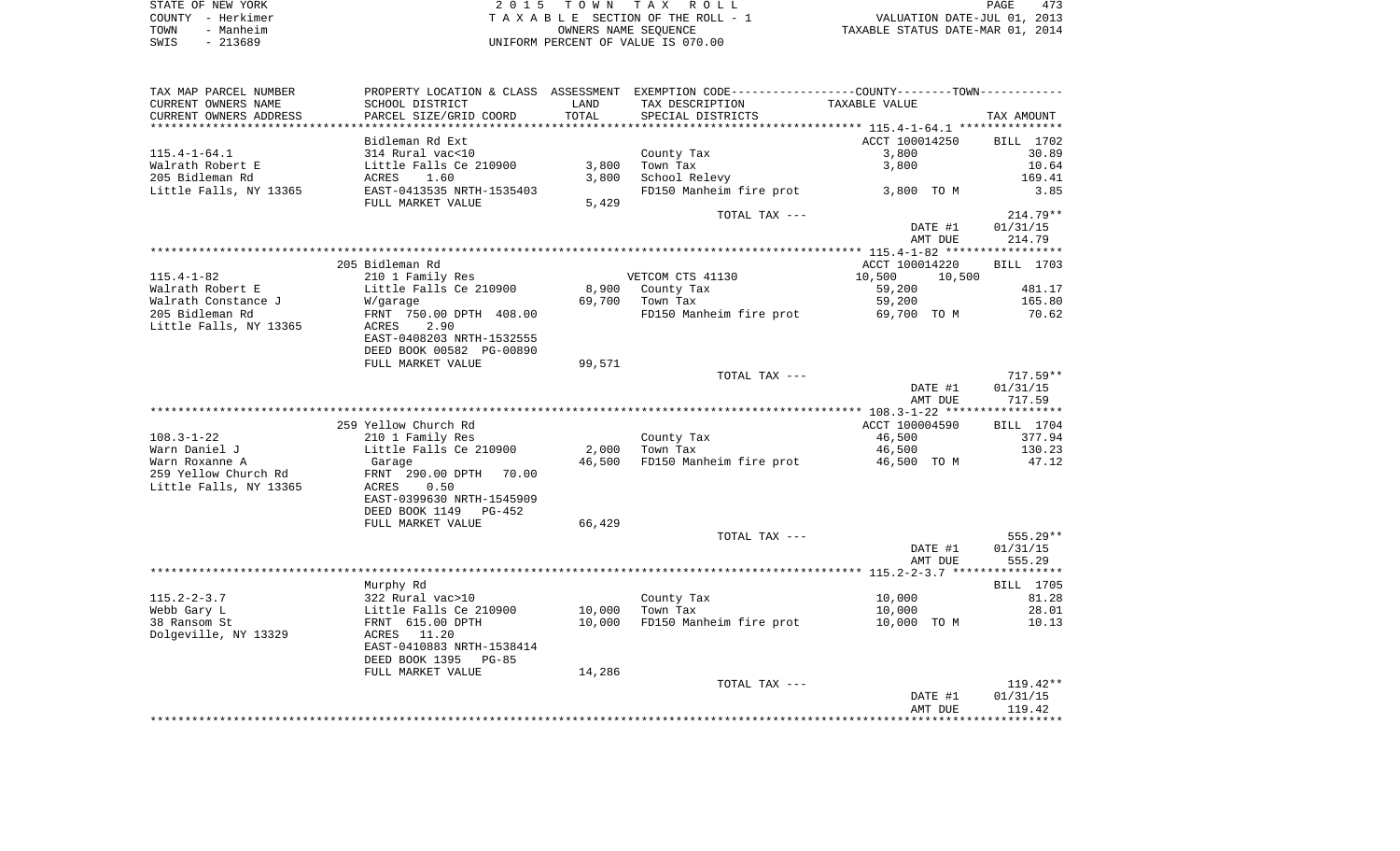| STATE OF NEW YORK | 2015 TOWN TAX ROLL                 | 473<br>PAGE                      |
|-------------------|------------------------------------|----------------------------------|
| COUNTY - Herkimer | TAXABLE SECTION OF THE ROLL - 1    | VALUATION DATE-JUL 01, 2013      |
| - Manheim<br>TOWN | OWNERS NAME SEOUENCE               | TAXABLE STATUS DATE-MAR 01, 2014 |
| - 213689<br>SWIS  | UNIFORM PERCENT OF VALUE IS 070.00 |                                  |

| TAX MAP PARCEL NUMBER                                    |                               |        | PROPERTY LOCATION & CLASS ASSESSMENT EXEMPTION CODE---------------COUNTY-------TOWN---------- |                    |                    |
|----------------------------------------------------------|-------------------------------|--------|-----------------------------------------------------------------------------------------------|--------------------|--------------------|
| CURRENT OWNERS NAME                                      | SCHOOL DISTRICT               | LAND   | TAX DESCRIPTION                                                                               | TAXABLE VALUE      |                    |
| CURRENT OWNERS ADDRESS<br>****************************** | PARCEL SIZE/GRID COORD        | TOTAL  | SPECIAL DISTRICTS                                                                             |                    | TAX AMOUNT         |
|                                                          |                               |        |                                                                                               |                    |                    |
|                                                          | Bidleman Rd Ext               |        |                                                                                               | ACCT 100014250     | BILL 1702          |
| $115.4 - 1 - 64.1$                                       | 314 Rural vac<10              |        | County Tax                                                                                    | 3,800              | 30.89              |
| Walrath Robert E                                         | Little Falls Ce 210900        | 3,800  | Town Tax                                                                                      | 3,800              | 10.64              |
| 205 Bidleman Rd                                          | ACRES<br>1.60                 | 3,800  | School Relevy                                                                                 |                    | 169.41             |
| Little Falls, NY 13365                                   | EAST-0413535 NRTH-1535403     |        | FD150 Manheim fire prot                                                                       | 3,800 TO M         | 3.85               |
|                                                          | FULL MARKET VALUE             | 5,429  |                                                                                               |                    | $214.79**$         |
|                                                          |                               |        | TOTAL TAX ---                                                                                 |                    |                    |
|                                                          |                               |        |                                                                                               | DATE #1<br>AMT DUE | 01/31/15<br>214.79 |
|                                                          |                               |        |                                                                                               |                    |                    |
|                                                          | 205 Bidleman Rd               |        |                                                                                               | ACCT 100014220     | BILL 1703          |
| $115.4 - 1 - 82$                                         | 210 1 Family Res              |        | VETCOM CTS 41130                                                                              | 10,500<br>10,500   |                    |
| Walrath Robert E                                         | Little Falls Ce 210900        | 8,900  | County Tax                                                                                    | 59,200             | 481.17             |
| Walrath Constance J                                      | W/garage                      | 69,700 | Town Tax                                                                                      | 59,200             | 165.80             |
| 205 Bidleman Rd                                          | FRNT 750.00 DPTH 408.00       |        | FD150 Manheim fire prot                                                                       | 69,700 TO M        | 70.62              |
| Little Falls, NY 13365                                   | 2.90<br>ACRES                 |        |                                                                                               |                    |                    |
|                                                          | EAST-0408203 NRTH-1532555     |        |                                                                                               |                    |                    |
|                                                          | DEED BOOK 00582 PG-00890      |        |                                                                                               |                    |                    |
|                                                          | FULL MARKET VALUE             | 99,571 |                                                                                               |                    |                    |
|                                                          |                               |        | TOTAL TAX ---                                                                                 |                    | $717.59**$         |
|                                                          |                               |        |                                                                                               | DATE #1            | 01/31/15           |
|                                                          |                               |        |                                                                                               | AMT DUE            | 717.59             |
|                                                          |                               |        |                                                                                               |                    |                    |
|                                                          | 259 Yellow Church Rd          |        |                                                                                               | ACCT 100004590     | BILL 1704          |
| $108.3 - 1 - 22$                                         | 210 1 Family Res              |        | County Tax                                                                                    | 46,500             | 377.94             |
| Warn Daniel J                                            | Little Falls Ce 210900        | 2,000  | Town Tax                                                                                      | 46,500             | 130.23             |
| Warn Roxanne A                                           | Garage                        | 46,500 | FD150 Manheim fire prot                                                                       | 46,500 TO M        | 47.12              |
| 259 Yellow Church Rd                                     | FRNT 290.00 DPTH<br>70.00     |        |                                                                                               |                    |                    |
| Little Falls, NY 13365                                   | 0.50<br>ACRES                 |        |                                                                                               |                    |                    |
|                                                          | EAST-0399630 NRTH-1545909     |        |                                                                                               |                    |                    |
|                                                          | DEED BOOK 1149<br>PG-452      |        |                                                                                               |                    |                    |
|                                                          | FULL MARKET VALUE             | 66,429 |                                                                                               |                    |                    |
|                                                          |                               |        | TOTAL TAX ---                                                                                 |                    | 555.29**           |
|                                                          |                               |        |                                                                                               | DATE #1            | 01/31/15           |
|                                                          |                               |        |                                                                                               | AMT DUE            | 555.29             |
|                                                          |                               |        |                                                                                               |                    | BILL 1705          |
| $115.2 - 2 - 3.7$                                        | Murphy Rd<br>322 Rural vac>10 |        | County Tax                                                                                    | 10,000             | 81.28              |
| Webb Gary L                                              | Little Falls Ce 210900        | 10,000 | Town Tax                                                                                      | 10,000             | 28.01              |
| 38 Ransom St                                             | FRNT 615.00 DPTH              | 10,000 | FD150 Manheim fire prot                                                                       | 10,000 TO M        | 10.13              |
| Dolgeville, NY 13329                                     | 11.20<br>ACRES                |        |                                                                                               |                    |                    |
|                                                          | EAST-0410883 NRTH-1538414     |        |                                                                                               |                    |                    |
|                                                          | DEED BOOK 1395<br>$PG-85$     |        |                                                                                               |                    |                    |
|                                                          | FULL MARKET VALUE             | 14,286 |                                                                                               |                    |                    |
|                                                          |                               |        | TOTAL TAX ---                                                                                 |                    | $119.42**$         |
|                                                          |                               |        |                                                                                               | DATE #1            | 01/31/15           |
|                                                          |                               |        |                                                                                               | AMT DUE            | 119.42             |
|                                                          |                               |        |                                                                                               |                    |                    |
|                                                          |                               |        |                                                                                               |                    |                    |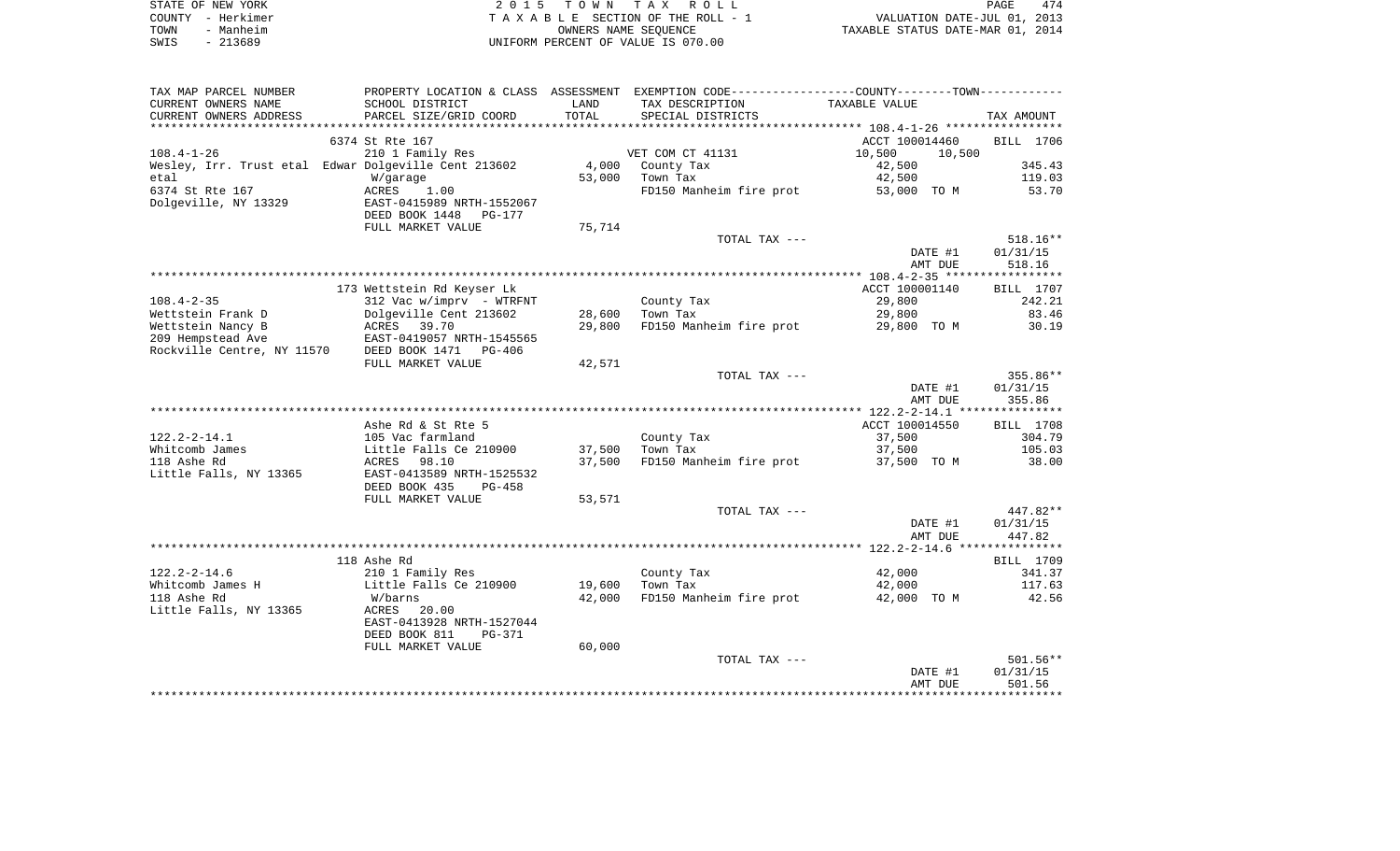|      | STATE OF NEW YORK | 2015 TOWN TAX ROLL                 | PAGE                             | 474 |
|------|-------------------|------------------------------------|----------------------------------|-----|
|      | COUNTY - Herkimer | TAXABLE SECTION OF THE ROLL - 1    | VALUATION DATE-JUL 01, 2013      |     |
| TOWN | - Manheim         | OWNERS NAME SEOUENCE               | TAXABLE STATUS DATE-MAR 01, 2014 |     |
| SWIS | - 213689          | UNIFORM PERCENT OF VALUE IS 070.00 |                                  |     |

| TAX MAP PARCEL NUMBER           |                                                      |        | PROPERTY LOCATION & CLASS ASSESSMENT EXEMPTION CODE---------------COUNTY-------TOWN---------- |                  |            |
|---------------------------------|------------------------------------------------------|--------|-----------------------------------------------------------------------------------------------|------------------|------------|
| CURRENT OWNERS NAME             | SCHOOL DISTRICT                                      | LAND   | TAX DESCRIPTION                                                                               | TAXABLE VALUE    |            |
| CURRENT OWNERS ADDRESS          | PARCEL SIZE/GRID COORD                               | TOTAL  | SPECIAL DISTRICTS                                                                             |                  | TAX AMOUNT |
| ***********************         |                                                      |        |                                                                                               |                  |            |
|                                 | 6374 St Rte 167                                      |        |                                                                                               | ACCT 100014460   | BILL 1706  |
| $108.4 - 1 - 26$                | 210 1 Family Res                                     |        | VET COM CT 41131                                                                              | 10,500<br>10,500 |            |
|                                 | Wesley, Irr. Trust etal Edwar Dolgeville Cent 213602 | 4,000  | County Tax                                                                                    | 42,500           | 345.43     |
| etal                            | W/garage                                             | 53,000 | Town Tax                                                                                      | 42,500           | 119.03     |
| 6374 St Rte 167                 | ACRES<br>1.00                                        |        | FD150 Manheim fire prot                                                                       | 53,000 TO M      | 53.70      |
| Dolgeville, NY 13329            | EAST-0415989 NRTH-1552067                            |        |                                                                                               |                  |            |
|                                 | DEED BOOK 1448<br>PG-177                             |        |                                                                                               |                  |            |
|                                 | FULL MARKET VALUE                                    | 75,714 |                                                                                               |                  |            |
|                                 |                                                      |        | TOTAL TAX ---                                                                                 |                  | $518.16**$ |
|                                 |                                                      |        |                                                                                               | DATE #1          | 01/31/15   |
|                                 |                                                      |        |                                                                                               | AMT DUE          | 518.16     |
|                                 |                                                      |        |                                                                                               |                  |            |
|                                 | 173 Wettstein Rd Keyser Lk                           |        |                                                                                               | ACCT 100001140   | BILL 1707  |
| $108.4 - 2 - 35$                | $312$ Vac w/imprv - WTRFNT                           |        | County Tax                                                                                    | 29,800           | 242.21     |
| Wettstein Frank D               | Dolgeville Cent 213602                               | 28,600 | Town Tax                                                                                      | 29,800           | 83.46      |
| Wettstein Nancy B               | ACRES 39.70                                          | 29,800 | FD150 Manheim fire prot                                                                       | 29,800 TO M      | 30.19      |
| 209 Hempstead Ave               | EAST-0419057 NRTH-1545565                            |        |                                                                                               |                  |            |
| Rockville Centre, NY 11570      | DEED BOOK 1471 PG-406                                |        |                                                                                               |                  |            |
|                                 | FULL MARKET VALUE                                    | 42,571 |                                                                                               |                  |            |
|                                 |                                                      |        | TOTAL TAX ---                                                                                 |                  | 355.86**   |
|                                 |                                                      |        |                                                                                               | DATE #1          | 01/31/15   |
|                                 |                                                      |        |                                                                                               | AMT DUE          | 355.86     |
|                                 |                                                      |        |                                                                                               |                  |            |
|                                 | Ashe Rd & St Rte 5                                   |        |                                                                                               | ACCT 100014550   | BILL 1708  |
| $122.2 - 2 - 14.1$              | 105 Vac farmland                                     |        | County Tax                                                                                    | 37,500           | 304.79     |
| Whitcomb James                  | Little Falls Ce 210900                               | 37,500 | Town Tax                                                                                      | 37,500           | 105.03     |
| 118 Ashe Rd                     | ACRES<br>98.10                                       | 37,500 | FD150 Manheim fire prot                                                                       | 37,500 TO M      | 38.00      |
| Little Falls, NY 13365          | EAST-0413589 NRTH-1525532                            |        |                                                                                               |                  |            |
|                                 | DEED BOOK 435<br><b>PG-458</b>                       |        |                                                                                               |                  |            |
|                                 | FULL MARKET VALUE                                    | 53,571 |                                                                                               |                  |            |
|                                 |                                                      |        | TOTAL TAX ---                                                                                 |                  | 447.82**   |
|                                 |                                                      |        |                                                                                               | DATE #1          | 01/31/15   |
|                                 |                                                      |        |                                                                                               | AMT DUE          | 447.82     |
|                                 |                                                      |        |                                                                                               |                  |            |
|                                 | 118 Ashe Rd                                          |        |                                                                                               |                  | BILL 1709  |
| $122.2 - 2 - 14.6$              | 210 1 Family Res                                     |        | County Tax                                                                                    | 42,000           | 341.37     |
| Whitcomb James H<br>118 Ashe Rd | Little Falls Ce 210900                               | 19,600 | Town Tax                                                                                      | 42,000           | 117.63     |
| Little Falls, NY 13365          | W/barns<br>ACRES<br>20.00                            | 42,000 | FD150 Manheim fire prot                                                                       | 42,000 TO M      | 42.56      |
|                                 | EAST-0413928 NRTH-1527044                            |        |                                                                                               |                  |            |
|                                 | DEED BOOK 811<br><b>PG-371</b>                       |        |                                                                                               |                  |            |
|                                 | FULL MARKET VALUE                                    | 60,000 |                                                                                               |                  |            |
|                                 |                                                      |        | TOTAL TAX ---                                                                                 |                  | $501.56**$ |
|                                 |                                                      |        |                                                                                               | DATE #1          | 01/31/15   |
|                                 |                                                      |        |                                                                                               | AMT DUE          | 501.56     |
|                                 |                                                      |        |                                                                                               |                  |            |
|                                 |                                                      |        |                                                                                               |                  |            |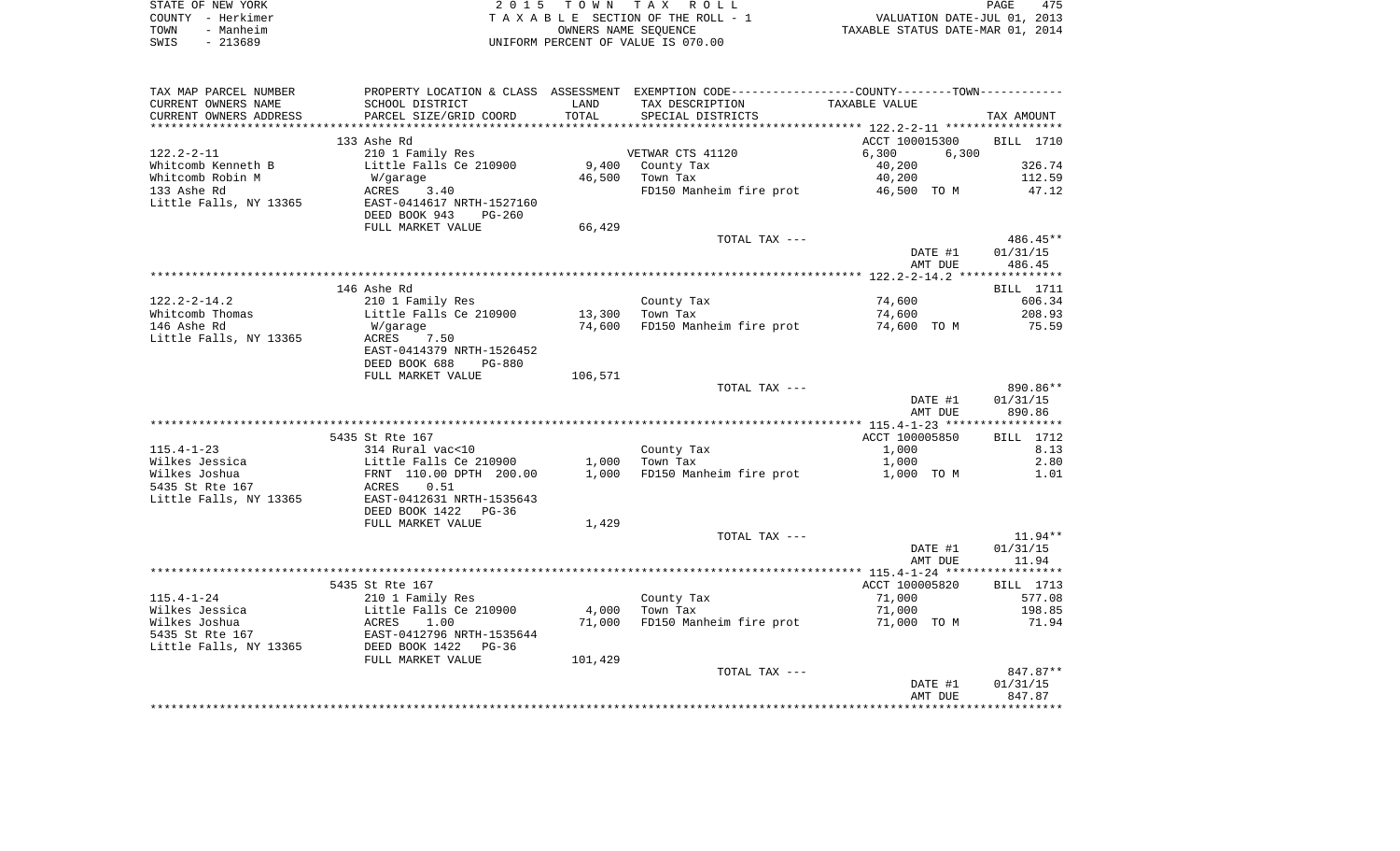|      | STATE OF NEW YORK | 2015 TOWN TAX ROLL                 | 475<br><b>PAGE</b>               |
|------|-------------------|------------------------------------|----------------------------------|
|      | COUNTY - Herkimer | TAXABLE SECTION OF THE ROLL - 1    | VALUATION DATE-JUL 01, 2013      |
| TOWN | - Manheim         | OWNERS NAME SEOUENCE               | TAXABLE STATUS DATE-MAR 01, 2014 |
| SWIS | - 213689          | UNIFORM PERCENT OF VALUE IS 070.00 |                                  |

| TAX MAP PARCEL NUMBER<br>CURRENT OWNERS NAME<br>CURRENT OWNERS ADDRESS | PROPERTY LOCATION & CLASS ASSESSMENT<br>SCHOOL DISTRICT<br>PARCEL SIZE/GRID COORD | LAND<br>TOTAL    | EXEMPTION CODE----------------COUNTY-------TOWN----------<br>TAX DESCRIPTION<br>SPECIAL DISTRICTS | TAXABLE VALUE                    | TAX AMOUNT                     |
|------------------------------------------------------------------------|-----------------------------------------------------------------------------------|------------------|---------------------------------------------------------------------------------------------------|----------------------------------|--------------------------------|
| *******************                                                    |                                                                                   |                  |                                                                                                   |                                  |                                |
| $122.2 - 2 - 11$                                                       | 133 Ashe Rd<br>210 1 Family Res                                                   |                  | VETWAR CTS 41120                                                                                  | ACCT 100015300<br>6,300<br>6,300 | BILL 1710                      |
| Whitcomb Kenneth B                                                     | Little Falls Ce 210900                                                            | 9,400            | County Tax                                                                                        | 40,200                           | 326.74                         |
| Whitcomb Robin M                                                       | W/garage                                                                          | 46,500           | Town Tax                                                                                          | 40,200                           | 112.59                         |
| 133 Ashe Rd<br>Little Falls, NY 13365                                  | ACRES<br>3.40<br>EAST-0414617 NRTH-1527160<br>DEED BOOK 943<br>$PG-260$           |                  | FD150 Manheim fire prot                                                                           | 46,500 TO M                      | 47.12                          |
|                                                                        | FULL MARKET VALUE                                                                 | 66,429           | TOTAL TAX ---                                                                                     |                                  | 486.45**                       |
|                                                                        |                                                                                   |                  |                                                                                                   | DATE #1<br>AMT DUE               | 01/31/15<br>486.45             |
|                                                                        | ****************                                                                  |                  |                                                                                                   |                                  |                                |
|                                                                        | 146 Ashe Rd                                                                       |                  |                                                                                                   |                                  | <b>BILL</b> 1711               |
| $122.2 - 2 - 14.2$                                                     | 210 1 Family Res                                                                  |                  | County Tax                                                                                        | 74,600                           | 606.34                         |
| Whitcomb Thomas<br>146 Ashe Rd                                         | Little Falls Ce 210900<br>W/garage                                                | 13,300<br>74,600 | Town Tax<br>FD150 Manheim fire prot                                                               | 74,600<br>74,600 TO M            | 208.93<br>75.59                |
| Little Falls, NY 13365                                                 | ACRES<br>7.50<br>EAST-0414379 NRTH-1526452<br>DEED BOOK 688<br><b>PG-880</b>      |                  |                                                                                                   |                                  |                                |
|                                                                        | FULL MARKET VALUE                                                                 | 106,571          |                                                                                                   |                                  |                                |
|                                                                        |                                                                                   |                  | TOTAL TAX ---                                                                                     | DATE #1<br>AMT DUE               | 890.86**<br>01/31/15<br>890.86 |
|                                                                        |                                                                                   |                  |                                                                                                   |                                  |                                |
|                                                                        | 5435 St Rte 167                                                                   |                  |                                                                                                   | ACCT 100005850                   | BILL 1712                      |
| $115.4 - 1 - 23$                                                       | 314 Rural vac<10                                                                  |                  | County Tax                                                                                        | 1,000                            | 8.13                           |
| Wilkes Jessica<br>Wilkes Joshua                                        | Little Falls Ce 210900<br>FRNT 110.00 DPTH 200.00                                 | 1,000<br>1,000   | Town Tax<br>FD150 Manheim fire prot                                                               | 1,000<br>1,000 TO M              | 2.80<br>1.01                   |
| 5435 St Rte 167<br>Little Falls, NY 13365                              | 0.51<br>ACRES<br>EAST-0412631 NRTH-1535643<br>DEED BOOK 1422<br>$PG-36$           |                  |                                                                                                   |                                  |                                |
|                                                                        | FULL MARKET VALUE                                                                 | 1,429            |                                                                                                   |                                  |                                |
|                                                                        |                                                                                   |                  | TOTAL TAX ---                                                                                     | DATE #1                          | $11.94**$<br>01/31/15          |
|                                                                        |                                                                                   |                  |                                                                                                   | AMT DUE                          | 11.94                          |
|                                                                        | 5435 St Rte 167                                                                   |                  |                                                                                                   | ACCT 100005820                   | BILL 1713                      |
| $115.4 - 1 - 24$                                                       | 210 1 Family Res                                                                  |                  | County Tax                                                                                        | 71,000                           | 577.08                         |
| Wilkes Jessica                                                         | Little Falls Ce 210900                                                            | 4,000            | Town Tax                                                                                          | 71,000                           | 198.85                         |
| Wilkes Joshua                                                          | 1.00<br>ACRES                                                                     | 71,000           | FD150 Manheim fire prot                                                                           | 71,000 TO M                      | 71.94                          |
| 5435 St Rte 167<br>Little Falls, NY 13365                              | EAST-0412796 NRTH-1535644<br>DEED BOOK 1422<br>PG-36                              |                  |                                                                                                   |                                  |                                |
|                                                                        | FULL MARKET VALUE                                                                 | 101,429          |                                                                                                   |                                  | 847.87**                       |
|                                                                        |                                                                                   |                  | TOTAL TAX ---                                                                                     | DATE #1                          | 01/31/15                       |
|                                                                        |                                                                                   |                  |                                                                                                   | AMT DUE                          | 847.87                         |
|                                                                        |                                                                                   |                  |                                                                                                   |                                  |                                |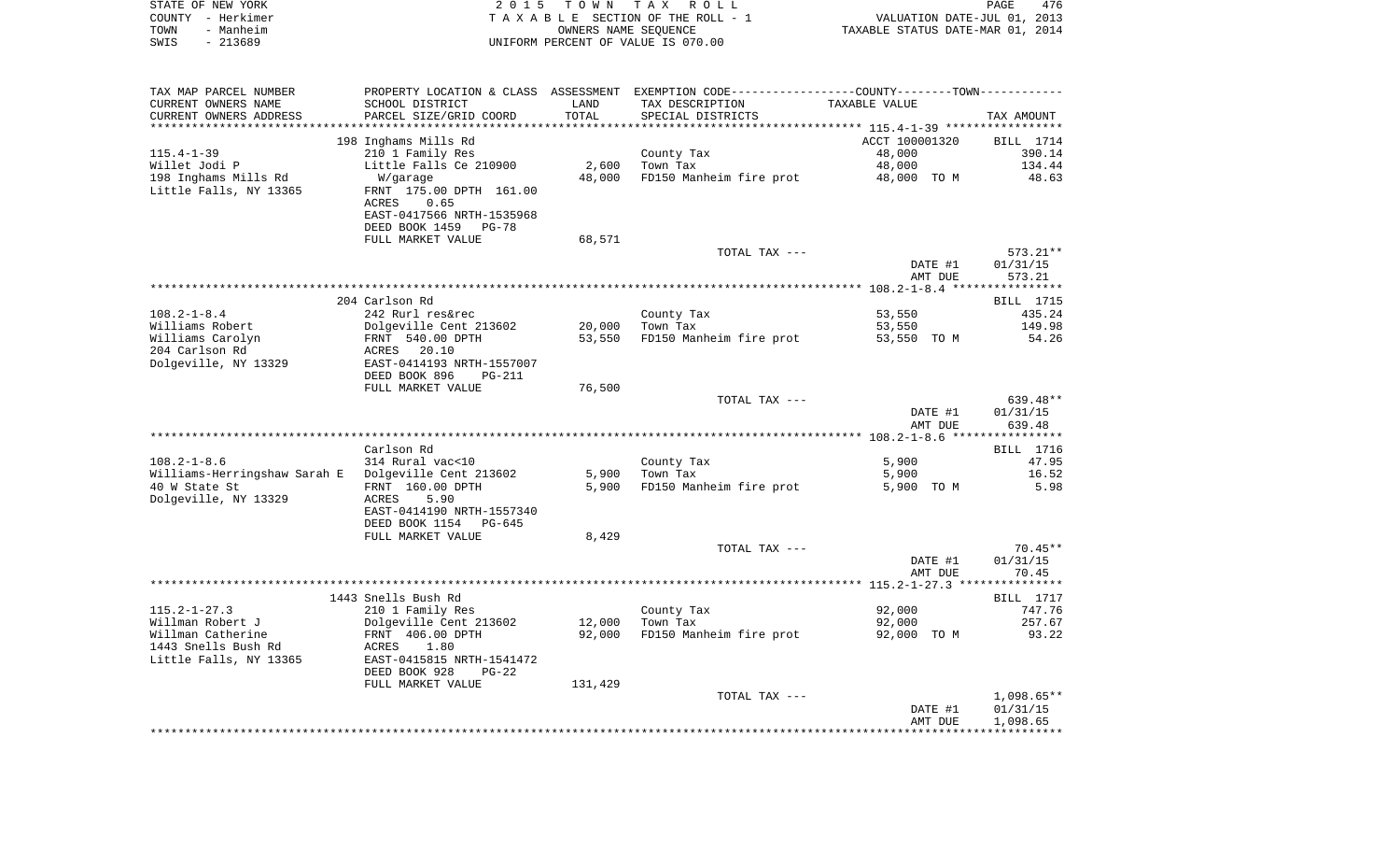| STATE OF NEW YORK | 2015 TOWN TAX ROLL                 | 476<br>PAGE                      |
|-------------------|------------------------------------|----------------------------------|
| COUNTY - Herkimer | TAXABLE SECTION OF THE ROLL - 1    | VALUATION DATE-JUL 01, 2013      |
| - Manheim<br>TOWN | OWNERS NAME SEOUENCE               | TAXABLE STATUS DATE-MAR 01, 2014 |
| SWIS<br>- 213689  | UNIFORM PERCENT OF VALUE IS 070.00 |                                  |

| TAX MAP PARCEL NUMBER                                 | PROPERTY LOCATION & CLASS ASSESSMENT EXEMPTION CODE----------------COUNTY--------TOWN----------- |         |                         |                                                  |              |
|-------------------------------------------------------|--------------------------------------------------------------------------------------------------|---------|-------------------------|--------------------------------------------------|--------------|
| CURRENT OWNERS NAME                                   | SCHOOL DISTRICT                                                                                  | LAND    | TAX DESCRIPTION         | TAXABLE VALUE                                    |              |
| CURRENT OWNERS ADDRESS                                | PARCEL SIZE/GRID COORD                                                                           | TOTAL   | SPECIAL DISTRICTS       |                                                  | TAX AMOUNT   |
|                                                       |                                                                                                  |         |                         | ****************** 115.4-1-39 ****************** |              |
|                                                       | 198 Inghams Mills Rd                                                                             |         |                         | ACCT 100001320                                   | BILL 1714    |
| $115.4 - 1 - 39$                                      | 210 1 Family Res                                                                                 |         | County Tax              | 48,000                                           | 390.14       |
| Willet Jodi P                                         | Little Falls Ce 210900                                                                           | 2,600   | Town Tax                | 48,000                                           | 134.44       |
| 198 Inghams Mills Rd                                  | W/garage                                                                                         | 48,000  | FD150 Manheim fire prot | 48,000 TO M                                      | 48.63        |
| Little Falls, NY 13365                                | FRNT 175.00 DPTH 161.00                                                                          |         |                         |                                                  |              |
|                                                       | ACRES<br>0.65                                                                                    |         |                         |                                                  |              |
|                                                       | EAST-0417566 NRTH-1535968                                                                        |         |                         |                                                  |              |
|                                                       |                                                                                                  |         |                         |                                                  |              |
|                                                       | DEED BOOK 1459<br>PG-78                                                                          |         |                         |                                                  |              |
|                                                       | FULL MARKET VALUE                                                                                | 68,571  |                         |                                                  |              |
|                                                       |                                                                                                  |         | TOTAL TAX ---           |                                                  | $573.21**$   |
|                                                       |                                                                                                  |         |                         | DATE #1                                          | 01/31/15     |
|                                                       |                                                                                                  |         |                         | AMT DUE                                          | 573.21       |
|                                                       |                                                                                                  |         |                         |                                                  |              |
|                                                       | 204 Carlson Rd                                                                                   |         |                         |                                                  | BILL 1715    |
| $108.2 - 1 - 8.4$                                     | 242 Rurl res&rec                                                                                 |         | County Tax              | 53,550                                           | 435.24       |
| Williams Robert                                       | Dolgeville Cent 213602                                                                           | 20,000  | Town Tax                | 53,550                                           | 149.98       |
| Williams Carolyn                                      | FRNT 540.00 DPTH                                                                                 | 53,550  | FD150 Manheim fire prot | 53,550 TO M                                      | 54.26        |
| 204 Carlson Rd                                        | ACRES 20.10                                                                                      |         |                         |                                                  |              |
| Dolgeville, NY 13329                                  | EAST-0414193 NRTH-1557007                                                                        |         |                         |                                                  |              |
|                                                       | DEED BOOK 896<br>PG-211                                                                          |         |                         |                                                  |              |
|                                                       | FULL MARKET VALUE                                                                                | 76,500  |                         |                                                  |              |
|                                                       |                                                                                                  |         | TOTAL TAX ---           |                                                  | 639.48**     |
|                                                       |                                                                                                  |         |                         | DATE #1                                          | 01/31/15     |
|                                                       |                                                                                                  |         |                         | AMT DUE                                          | 639.48       |
|                                                       |                                                                                                  |         |                         |                                                  |              |
|                                                       | Carlson Rd                                                                                       |         |                         |                                                  | BILL 1716    |
| $108.2 - 1 - 8.6$                                     | 314 Rural vac<10                                                                                 |         | County Tax              | 5,900                                            | 47.95        |
| Williams-Herringshaw Sarah E   Dolgeville Cent 213602 |                                                                                                  | 5,900   | Town Tax                | 5,900                                            | 16.52        |
| 40 W State St                                         | FRNT 160.00 DPTH                                                                                 | 5,900   | FD150 Manheim fire prot | 5,900 TO M                                       | 5.98         |
| Dolgeville, NY 13329                                  | ACRES<br>5.90                                                                                    |         |                         |                                                  |              |
|                                                       | EAST-0414190 NRTH-1557340                                                                        |         |                         |                                                  |              |
|                                                       | DEED BOOK 1154<br>PG-645                                                                         |         |                         |                                                  |              |
|                                                       | FULL MARKET VALUE                                                                                | 8,429   |                         |                                                  |              |
|                                                       |                                                                                                  |         | TOTAL TAX ---           |                                                  | $70.45**$    |
|                                                       |                                                                                                  |         |                         | DATE #1                                          | 01/31/15     |
|                                                       |                                                                                                  |         |                         | AMT DUE                                          | 70.45        |
|                                                       |                                                                                                  |         |                         |                                                  |              |
|                                                       | 1443 Snells Bush Rd                                                                              |         |                         |                                                  | BILL 1717    |
| $115.2 - 1 - 27.3$                                    |                                                                                                  |         |                         |                                                  | 747.76       |
|                                                       | 210 1 Family Res                                                                                 |         | County Tax              | 92,000                                           |              |
| Willman Robert J                                      | Dolgeville Cent 213602                                                                           | 12,000  | Town Tax                | 92,000                                           | 257.67       |
| Willman Catherine                                     | FRNT 406.00 DPTH                                                                                 | 92,000  | FD150 Manheim fire prot | 92,000 TO M                                      | 93.22        |
| 1443 Snells Bush Rd                                   | 1.80<br>ACRES                                                                                    |         |                         |                                                  |              |
| Little Falls, NY 13365                                | EAST-0415815 NRTH-1541472                                                                        |         |                         |                                                  |              |
|                                                       | DEED BOOK 928<br>$PG-22$                                                                         |         |                         |                                                  |              |
|                                                       | FULL MARKET VALUE                                                                                | 131,429 |                         |                                                  |              |
|                                                       |                                                                                                  |         | TOTAL TAX ---           |                                                  | $1,098.65**$ |
|                                                       |                                                                                                  |         |                         | DATE #1                                          | 01/31/15     |
|                                                       |                                                                                                  |         |                         | AMT DUE                                          | 1,098.65     |
|                                                       |                                                                                                  |         |                         |                                                  |              |
|                                                       |                                                                                                  |         |                         |                                                  |              |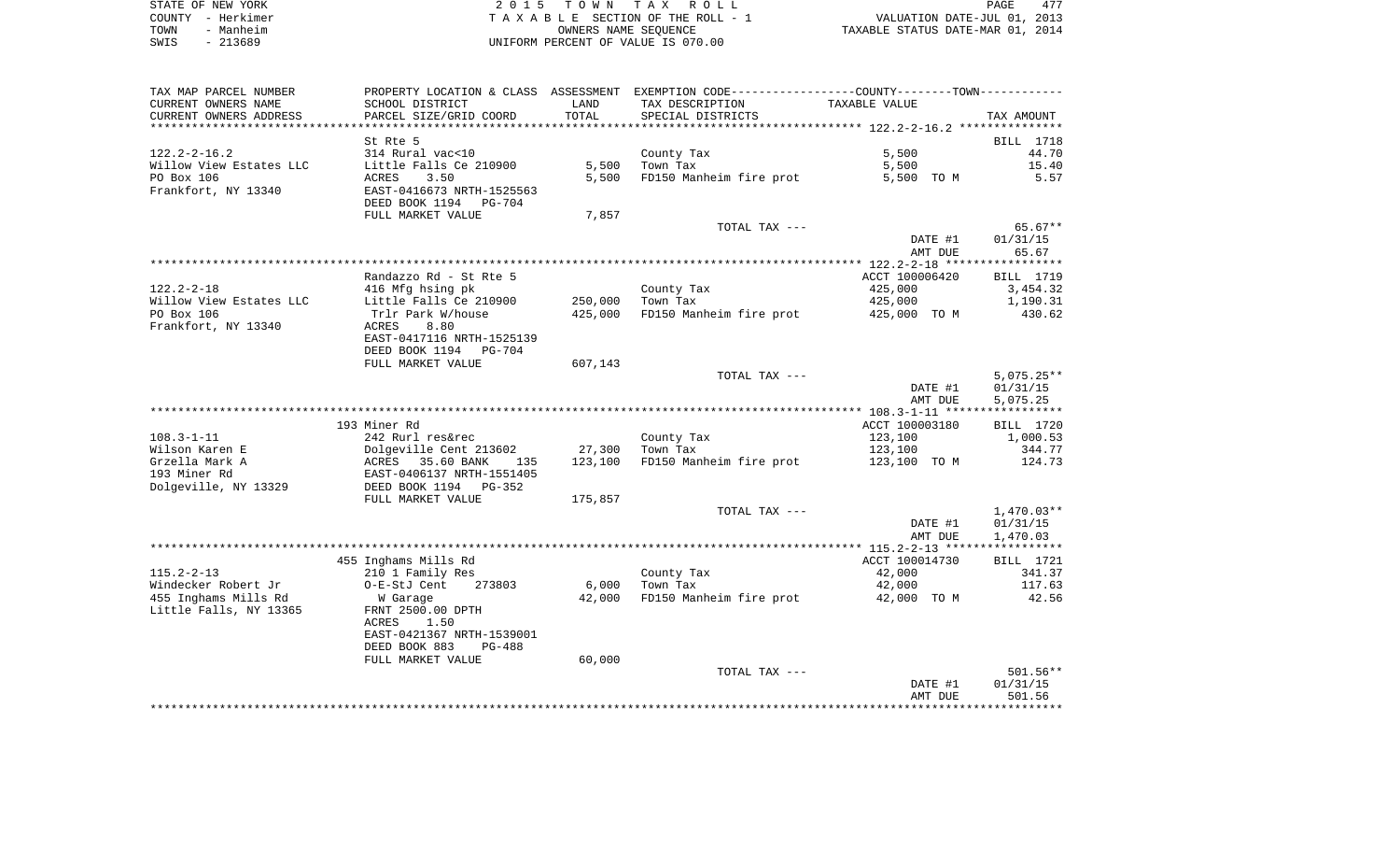|      | STATE OF NEW YORK | 2015 TOWN TAX ROLL                 | 477<br>PAGE                      |
|------|-------------------|------------------------------------|----------------------------------|
|      | COUNTY - Herkimer | TAXABLE SECTION OF THE ROLL - 1    | VALUATION DATE-JUL 01, 2013      |
| TOWN | - Manheim         | OWNERS NAME SEOUENCE               | TAXABLE STATUS DATE-MAR 01, 2014 |
| SWIS | - 213689          | UNIFORM PERCENT OF VALUE IS 070.00 |                                  |

| CURRENT OWNERS NAME<br>SCHOOL DISTRICT<br>LAND<br>TAX DESCRIPTION<br>TAXABLE VALUE<br>CURRENT OWNERS ADDRESS<br>PARCEL SIZE/GRID COORD<br>TOTAL<br>SPECIAL DISTRICTS<br>TAX AMOUNT<br>St Rte 5<br>$122.2 - 2 - 16.2$<br>5,500<br>314 Rural vac<10<br>County Tax<br>5,500<br>Willow View Estates LLC<br>Little Falls Ce 210900<br>Town Tax<br>5,500<br>PO Box 106<br>ACRES<br>3.50<br>5,500<br>FD150 Manheim fire prot<br>5,500 TO M<br>Frankfort, NY 13340<br>EAST-0416673 NRTH-1525563<br>DEED BOOK 1194<br>PG-704<br>7,857<br>FULL MARKET VALUE<br>TOTAL TAX --- | BILL 1718<br>44.70<br>15.40<br>5.57 |
|--------------------------------------------------------------------------------------------------------------------------------------------------------------------------------------------------------------------------------------------------------------------------------------------------------------------------------------------------------------------------------------------------------------------------------------------------------------------------------------------------------------------------------------------------------------------|-------------------------------------|
|                                                                                                                                                                                                                                                                                                                                                                                                                                                                                                                                                                    |                                     |
|                                                                                                                                                                                                                                                                                                                                                                                                                                                                                                                                                                    |                                     |
|                                                                                                                                                                                                                                                                                                                                                                                                                                                                                                                                                                    |                                     |
|                                                                                                                                                                                                                                                                                                                                                                                                                                                                                                                                                                    |                                     |
|                                                                                                                                                                                                                                                                                                                                                                                                                                                                                                                                                                    |                                     |
|                                                                                                                                                                                                                                                                                                                                                                                                                                                                                                                                                                    |                                     |
|                                                                                                                                                                                                                                                                                                                                                                                                                                                                                                                                                                    |                                     |
|                                                                                                                                                                                                                                                                                                                                                                                                                                                                                                                                                                    |                                     |
|                                                                                                                                                                                                                                                                                                                                                                                                                                                                                                                                                                    |                                     |
|                                                                                                                                                                                                                                                                                                                                                                                                                                                                                                                                                                    | 65.67**                             |
| DATE #1<br>01/31/15                                                                                                                                                                                                                                                                                                                                                                                                                                                                                                                                                |                                     |
| AMT DUE                                                                                                                                                                                                                                                                                                                                                                                                                                                                                                                                                            | 65.67                               |
|                                                                                                                                                                                                                                                                                                                                                                                                                                                                                                                                                                    |                                     |
| Randazzo Rd - St Rte 5<br>ACCT 100006420                                                                                                                                                                                                                                                                                                                                                                                                                                                                                                                           | BILL 1719                           |
| County Tax<br>$122.2 - 2 - 18$<br>416 Mfg hsing pk<br>425,000                                                                                                                                                                                                                                                                                                                                                                                                                                                                                                      | 3,454.32                            |
| Willow View Estates LLC<br>250,000<br>425,000<br>Little Falls Ce 210900<br>Town Tax                                                                                                                                                                                                                                                                                                                                                                                                                                                                                | 1,190.31                            |
| PO Box 106<br>FD150 Manheim fire prot<br>Trlr Park W/house<br>425,000<br>425,000 TO M                                                                                                                                                                                                                                                                                                                                                                                                                                                                              | 430.62                              |
| Frankfort, NY 13340<br>ACRES<br>8.80                                                                                                                                                                                                                                                                                                                                                                                                                                                                                                                               |                                     |
| EAST-0417116 NRTH-1525139                                                                                                                                                                                                                                                                                                                                                                                                                                                                                                                                          |                                     |
| DEED BOOK 1194<br>PG-704                                                                                                                                                                                                                                                                                                                                                                                                                                                                                                                                           |                                     |
| 607,143<br>FULL MARKET VALUE                                                                                                                                                                                                                                                                                                                                                                                                                                                                                                                                       |                                     |
| TOTAL TAX ---                                                                                                                                                                                                                                                                                                                                                                                                                                                                                                                                                      | $5,075.25**$                        |
| DATE #1<br>01/31/15                                                                                                                                                                                                                                                                                                                                                                                                                                                                                                                                                |                                     |
| AMT DUE<br>5,075.25                                                                                                                                                                                                                                                                                                                                                                                                                                                                                                                                                |                                     |
|                                                                                                                                                                                                                                                                                                                                                                                                                                                                                                                                                                    |                                     |
| 193 Miner Rd<br>ACCT 100003180                                                                                                                                                                                                                                                                                                                                                                                                                                                                                                                                     | BILL 1720                           |
| $108.3 - 1 - 11$<br>242 Rurl res&rec<br>County Tax<br>123,100                                                                                                                                                                                                                                                                                                                                                                                                                                                                                                      | 1,000.53                            |
| Wilson Karen E<br>Town Tax<br>123,100<br>Dolgeville Cent 213602<br>27,300                                                                                                                                                                                                                                                                                                                                                                                                                                                                                          | 344.77                              |
| FD150 Manheim fire prot<br>Grzella Mark A<br>123,100<br>123,100 TO M<br>ACRES<br>35.60 BANK<br>135                                                                                                                                                                                                                                                                                                                                                                                                                                                                 | 124.73                              |
| 193 Miner Rd<br>EAST-0406137 NRTH-1551405<br>Dolgeville, NY 13329<br>DEED BOOK 1194 PG-352                                                                                                                                                                                                                                                                                                                                                                                                                                                                         |                                     |
| 175,857<br>FULL MARKET VALUE                                                                                                                                                                                                                                                                                                                                                                                                                                                                                                                                       |                                     |
| TOTAL TAX ---                                                                                                                                                                                                                                                                                                                                                                                                                                                                                                                                                      | $1,470.03**$                        |
| DATE #1<br>01/31/15                                                                                                                                                                                                                                                                                                                                                                                                                                                                                                                                                |                                     |
| AMT DUE<br>1,470.03                                                                                                                                                                                                                                                                                                                                                                                                                                                                                                                                                |                                     |
|                                                                                                                                                                                                                                                                                                                                                                                                                                                                                                                                                                    |                                     |
|                                                                                                                                                                                                                                                                                                                                                                                                                                                                                                                                                                    | <b>BILL</b> 1721                    |
|                                                                                                                                                                                                                                                                                                                                                                                                                                                                                                                                                                    |                                     |
| 455 Inghams Mills Rd<br>ACCT 100014730                                                                                                                                                                                                                                                                                                                                                                                                                                                                                                                             |                                     |
| $115.2 - 2 - 13$<br>42,000<br>210 1 Family Res<br>County Tax<br>273803                                                                                                                                                                                                                                                                                                                                                                                                                                                                                             | 341.37                              |
| 6,000<br>Town Tax<br>42,000<br>O-E-StJ Cent                                                                                                                                                                                                                                                                                                                                                                                                                                                                                                                        | 117.63<br>42.56                     |
| FD150 Manheim fire prot<br>42,000<br>42,000 TO M<br>W Garage<br>FRNT 2500.00 DPTH                                                                                                                                                                                                                                                                                                                                                                                                                                                                                  |                                     |
| Windecker Robert Jr<br>455 Inghams Mills Rd<br>Little Falls, NY 13365<br>ACRES<br>1.50                                                                                                                                                                                                                                                                                                                                                                                                                                                                             |                                     |
| EAST-0421367 NRTH-1539001                                                                                                                                                                                                                                                                                                                                                                                                                                                                                                                                          |                                     |
| DEED BOOK 883<br><b>PG-488</b>                                                                                                                                                                                                                                                                                                                                                                                                                                                                                                                                     |                                     |
| 60,000<br>FULL MARKET VALUE                                                                                                                                                                                                                                                                                                                                                                                                                                                                                                                                        |                                     |
| TOTAL TAX ---                                                                                                                                                                                                                                                                                                                                                                                                                                                                                                                                                      | $501.56**$                          |
| 01/31/15<br>DATE #1                                                                                                                                                                                                                                                                                                                                                                                                                                                                                                                                                |                                     |
| AMT DUE                                                                                                                                                                                                                                                                                                                                                                                                                                                                                                                                                            | 501.56                              |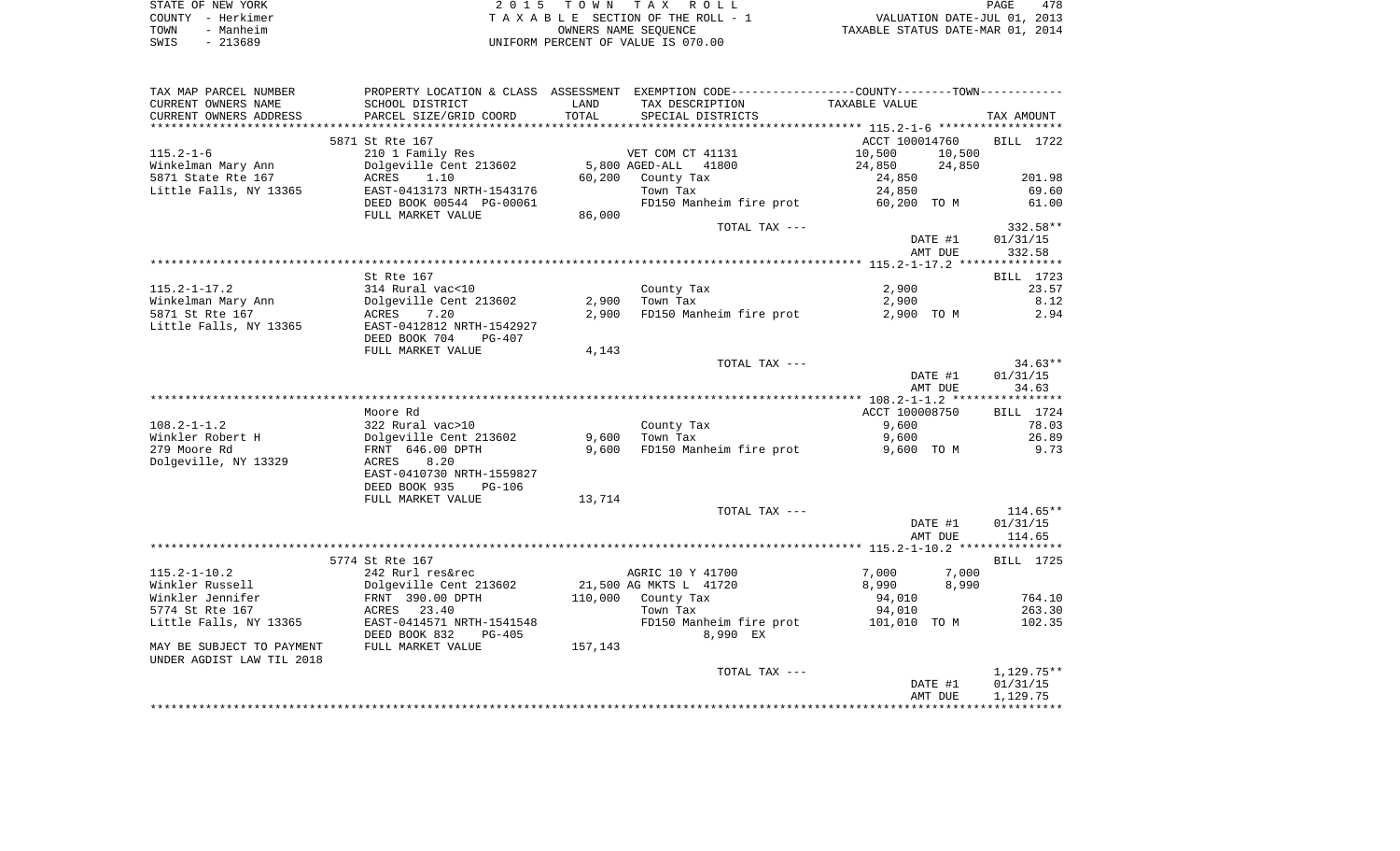| STATE OF NEW YORK | 2015 TOWN TAX ROLL                 | 478<br>PAGE                      |
|-------------------|------------------------------------|----------------------------------|
| COUNTY - Herkimer | TAXABLE SECTION OF THE ROLL - 1    | VALUATION DATE-JUL 01, 2013      |
| - Manheim<br>TOWN | OWNERS NAME SEOUENCE               | TAXABLE STATUS DATE-MAR 01, 2014 |
| SWIS<br>- 213689  | UNIFORM PERCENT OF VALUE IS 070.00 |                                  |

| TAX MAP PARCEL NUMBER     |                                             |         | PROPERTY LOCATION & CLASS ASSESSMENT EXEMPTION CODE---------------COUNTY-------TOWN---------- |                     |            |
|---------------------------|---------------------------------------------|---------|-----------------------------------------------------------------------------------------------|---------------------|------------|
| CURRENT OWNERS NAME       | SCHOOL DISTRICT                             | LAND    | TAX DESCRIPTION                                                                               | TAXABLE VALUE       |            |
| CURRENT OWNERS ADDRESS    | PARCEL SIZE/GRID COORD                      | TOTAL   | SPECIAL DISTRICTS                                                                             |                     | TAX AMOUNT |
|                           |                                             |         |                                                                                               |                     |            |
|                           | 5871 St Rte 167                             |         |                                                                                               | ACCT 100014760      | BILL 1722  |
| $115.2 - 1 - 6$           | 210 1 Family Res                            |         | VET COM CT 41131                                                                              | 10,500<br>10,500    |            |
| Winkelman Mary Ann        | Dolgeville Cent 213602 5,800 AGED-ALL 41800 |         |                                                                                               | 24,850<br>24,850    |            |
| 5871 State Rte 167        | ACRES 1.10                                  |         | 60,200 County Tax                                                                             | 24,850              | 201.98     |
| Little Falls, NY 13365    | EAST-0413173 NRTH-1543176                   |         | Town Tax                                                                                      | 24,850              | 69.60      |
|                           | DEED BOOK 00544 PG-00061                    |         | FD150 Manheim fire prot                                                                       | 60,200 TO M         | 61.00      |
|                           | FULL MARKET VALUE                           | 86,000  |                                                                                               |                     |            |
|                           |                                             |         | TOTAL TAX ---                                                                                 |                     | 332.58**   |
|                           |                                             |         |                                                                                               | DATE #1             | 01/31/15   |
|                           |                                             |         |                                                                                               | AMT DUE             | 332.58     |
|                           |                                             |         |                                                                                               |                     |            |
|                           | St Rte 167                                  |         |                                                                                               |                     | BILL 1723  |
| $115.2 - 1 - 17.2$        | 314 Rural vac<10                            |         | County Tax                                                                                    | 2,900               | 23.57      |
| Winkelman Mary Ann        | Dolgeville Cent 213602                      |         | $2,900$ Town Tax                                                                              | 2,900               | 8.12       |
| 5871 St Rte 167           | 7.20<br>ACRES                               | 2,900   | FD150 Manheim fire prot                                                                       | 2,900 TO M          | 2.94       |
| Little Falls, NY 13365    | EAST-0412812 NRTH-1542927                   |         |                                                                                               |                     |            |
|                           | DEED BOOK 704<br>PG-407                     |         |                                                                                               |                     |            |
|                           | FULL MARKET VALUE                           | 4,143   |                                                                                               |                     |            |
|                           |                                             |         | TOTAL TAX ---                                                                                 |                     | $34.63**$  |
|                           |                                             |         |                                                                                               | DATE #1             | 01/31/15   |
|                           |                                             |         |                                                                                               | AMT DUE             | 34.63      |
|                           |                                             |         |                                                                                               |                     |            |
|                           | Moore Rd                                    |         |                                                                                               | ACCT 100008750      | BILL 1724  |
| $108.2 - 1 - 1.2$         | 322 Rural vac>10                            |         | County Tax<br>County Ta<br>9,600    Town Tax                                                  | 9,600               | 78.03      |
| Winkler Robert H          | Dolgeville Cent 213602                      |         |                                                                                               | 9,600               | 26.89      |
| 279 Moore Rd              | FRNT 646.00 DPTH                            | 9,600   | FD150 Manheim fire prot                                                                       | 9,600 TO M          | 9.73       |
| Dolgeville, NY 13329      | 8.20<br>ACRES                               |         |                                                                                               |                     |            |
|                           | EAST-0410730 NRTH-1559827                   |         |                                                                                               |                     |            |
|                           | DEED BOOK 935<br>PG-106                     |         |                                                                                               |                     |            |
|                           | FULL MARKET VALUE                           | 13,714  |                                                                                               |                     |            |
|                           |                                             |         | TOTAL TAX ---                                                                                 |                     | $114.65**$ |
|                           |                                             |         |                                                                                               | DATE #1             | 01/31/15   |
|                           |                                             |         |                                                                                               | AMT DUE             | 114.65     |
|                           |                                             |         |                                                                                               |                     |            |
|                           | 5774 St Rte 167                             |         |                                                                                               |                     | BILL 1725  |
| $115.2 - 1 - 10.2$        | 242 Rurl res&rec                            |         | AGRIC 10 Y 41700                                                                              | 7,000<br>7,000      |            |
| Winkler Russell           | Dolgeville Cent 213602<br>FRNT 390.00 DPTH  |         | 21,500 AG MKTS L 41720                                                                        | 8,990<br>8,990 — 10 |            |
| Winkler Jennifer          |                                             |         | 110,000 County Tax<br>Town Tax                                                                | 94,010              | 764.10     |
| 5774 St Rte 167           | ACRES 23.40                                 |         |                                                                                               | 94,010              | 263.30     |
| Little Falls, NY 13365    | EAST-0414571 NRTH-1541548                   |         | FD150 Manheim fire prot                                                                       | 101,010 TO M        | 102.35     |
|                           | DEED BOOK 832<br>PG-405                     |         | 8,990 EX                                                                                      |                     |            |
| MAY BE SUBJECT TO PAYMENT | FULL MARKET VALUE                           | 157,143 |                                                                                               |                     |            |
| UNDER AGDIST LAW TIL 2018 |                                             |         |                                                                                               |                     |            |
|                           |                                             |         | TOTAL TAX ---                                                                                 |                     | 1,129.75** |
|                           |                                             |         |                                                                                               | DATE #1             | 01/31/15   |
|                           |                                             |         |                                                                                               | AMT DUE             | 1,129.75   |
|                           |                                             |         |                                                                                               |                     |            |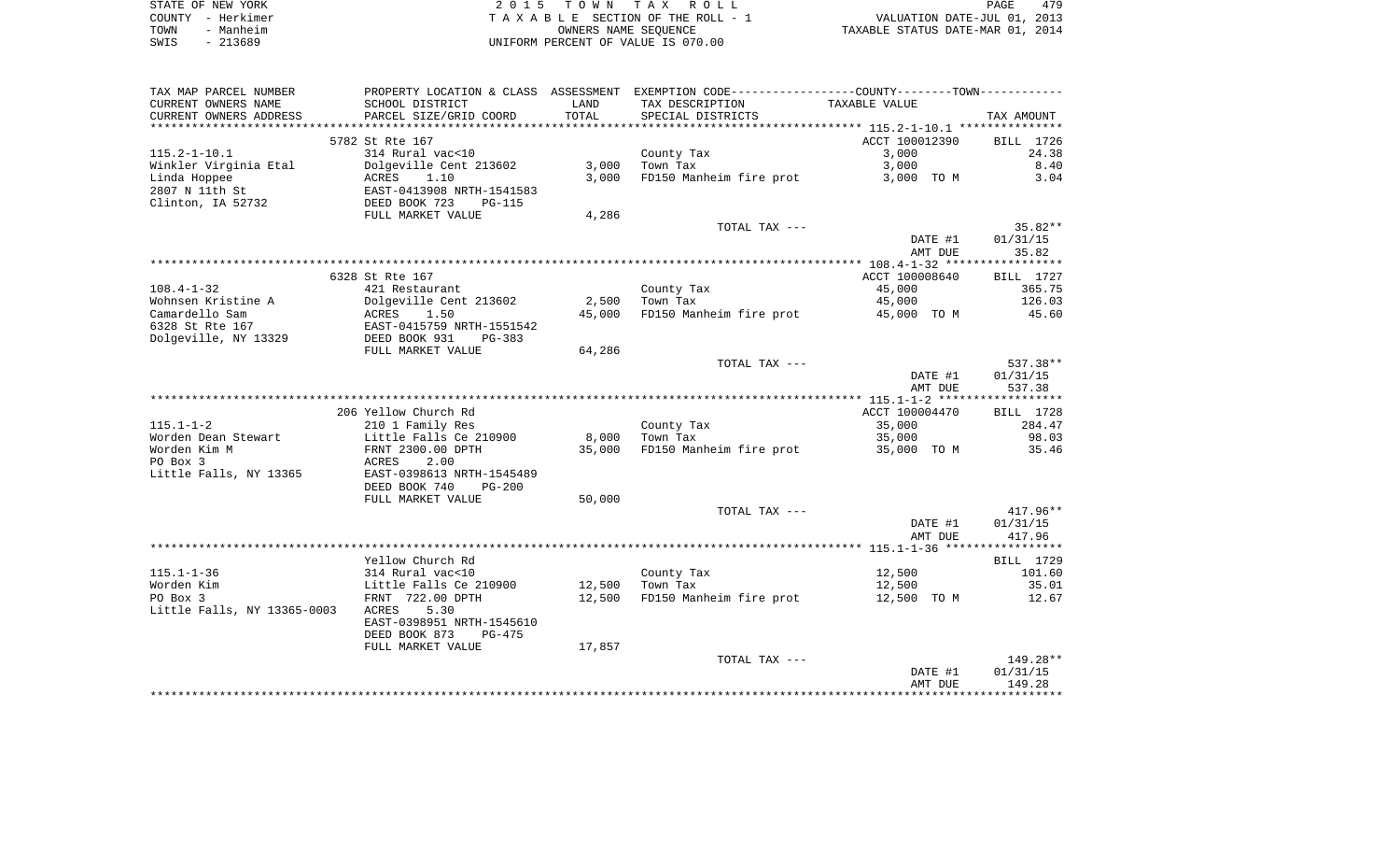|      | STATE OF NEW YORK | 2015 TOWN TAX ROLL                 | PAGE                             | 479 |
|------|-------------------|------------------------------------|----------------------------------|-----|
|      | COUNTY - Herkimer | TAXABLE SECTION OF THE ROLL - 1    | VALUATION DATE-JUL 01, 2013      |     |
| TOWN | - Manheim         | OWNERS NAME SEOUENCE               | TAXABLE STATUS DATE-MAR 01, 2014 |     |
| SWIS | - 213689          | UNIFORM PERCENT OF VALUE IS 070.00 |                                  |     |

 $\frac{479}{2013}$ <br>2014

| TAX MAP PARCEL NUMBER       | PROPERTY LOCATION & CLASS ASSESSMENT EXEMPTION CODE--------------COUNTY-------TOWN---------- |        |                                     |                |            |
|-----------------------------|----------------------------------------------------------------------------------------------|--------|-------------------------------------|----------------|------------|
| CURRENT OWNERS NAME         | SCHOOL DISTRICT                                                                              | LAND   | TAX DESCRIPTION                     | TAXABLE VALUE  |            |
| CURRENT OWNERS ADDRESS      | PARCEL SIZE/GRID COORD                                                                       | TOTAL  | SPECIAL DISTRICTS                   |                | TAX AMOUNT |
|                             |                                                                                              |        |                                     |                |            |
|                             | 5782 St Rte 167                                                                              |        |                                     | ACCT 100012390 | BILL 1726  |
| $115.2 - 1 - 10.1$          | 314 Rural vac<10                                                                             |        | County Tax                          | 3,000          | 24.38      |
| Winkler Virginia Etal       | Dolgeville Cent 213602                                                                       | 3,000  | Town Tax                            | 3,000          | 8.40       |
| Linda Hoppee                | ACRES 1.10                                                                                   | 3,000  | FD150 Manheim fire prot             | 3,000 TO M     | 3.04       |
| 2807 N 11th St              |                                                                                              |        |                                     |                |            |
| Clinton, IA 52732           | EAST-0413908 NRTH-1541583<br>DEED BOOK 723 PG-115                                            |        |                                     |                |            |
|                             | FULL MARKET VALUE                                                                            | 4,286  |                                     |                |            |
|                             |                                                                                              |        | TOTAL TAX ---                       |                | $35.82**$  |
|                             |                                                                                              |        |                                     | DATE #1        | 01/31/15   |
|                             |                                                                                              |        |                                     | AMT DUE        | 35.82      |
|                             |                                                                                              |        |                                     |                |            |
|                             | 6328 St Rte 167                                                                              |        |                                     |                | BILL 1727  |
|                             |                                                                                              |        |                                     | ACCT 100008640 |            |
| $108.4 - 1 - 32$            | 421 Restaurant                                                                               |        | County Tax                          | 45,000         | 365.75     |
| Wohnsen Kristine A          | Dolgeville Cent 213602<br>ACRES 1.50<br>EAST-0415759 NRTH-1551542                            |        | 2,500 Town Tax                      | 45,000         | 126.03     |
| Camardello Sam              |                                                                                              | 45,000 | FD150 Manheim fire prot 45,000 TO M |                | 45.60      |
| 6328 St Rte 167             |                                                                                              |        |                                     |                |            |
| Dolgeville, NY 13329        | DEED BOOK 931<br>PG-383                                                                      |        |                                     |                |            |
|                             | FULL MARKET VALUE                                                                            | 64,286 |                                     |                |            |
|                             |                                                                                              |        | TOTAL TAX ---                       |                | 537.38**   |
|                             |                                                                                              |        |                                     | DATE #1        | 01/31/15   |
|                             |                                                                                              |        |                                     | AMT DUE        | 537.38     |
|                             |                                                                                              |        |                                     |                |            |
|                             | 206 Yellow Church Rd                                                                         |        | County $\text{Tax}$                 | ACCT 100004470 | BILL 1728  |
| $115.1 - 1 - 2$             | 210 1 Family Res                                                                             |        |                                     | 35,000         | 284.47     |
| Worden Dean Stewart         | Little Falls Ce 210900                                                                       | 8,000  |                                     | 35,000         | 98.03      |
| Worden Kim M                | FRNT 2300.00 DPTH                                                                            | 35,000 | FD150 Manheim fire prot             | 35,000 TO M    | 35.46      |
| PO Box 3                    | ACRES<br>2.00                                                                                |        |                                     |                |            |
| Little Falls, NY 13365      | EAST-0398613 NRTH-1545489                                                                    |        |                                     |                |            |
|                             | DEED BOOK 740<br>$PG-200$                                                                    |        |                                     |                |            |
|                             | FULL MARKET VALUE                                                                            | 50,000 |                                     |                |            |
|                             |                                                                                              |        | TOTAL TAX ---                       |                | 417.96**   |
|                             |                                                                                              |        |                                     | DATE #1        | 01/31/15   |
|                             |                                                                                              |        |                                     | AMT DUE        | 417.96     |
|                             |                                                                                              |        |                                     |                |            |
|                             | Yellow Church Rd                                                                             |        |                                     |                | BILL 1729  |
| $115.1 - 1 - 36$            | 314 Rural vac<10                                                                             |        | County Tax                          | 12,500         | 101.60     |
| Worden Kim                  | Little Falls Ce 210900                                                                       |        | 12,500 Town Tax                     | 12,500         | 35.01      |
| PO Box 3                    | FRNT 722.00 DPTH                                                                             |        | 12,500 FD150 Manheim fire prot      | 12,500 TO M    | 12.67      |
| Little Falls, NY 13365-0003 | 5.30<br>ACRES                                                                                |        |                                     |                |            |
|                             | EAST-0398951 NRTH-1545610                                                                    |        |                                     |                |            |
|                             | DEED BOOK 873<br>PG-475                                                                      |        |                                     |                |            |
|                             | FULL MARKET VALUE                                                                            | 17,857 |                                     |                |            |
|                             |                                                                                              |        | TOTAL TAX ---                       |                | 149.28**   |
|                             |                                                                                              |        |                                     | DATE #1        | 01/31/15   |
|                             |                                                                                              |        |                                     | AMT DUE        | 149.28     |
|                             |                                                                                              |        |                                     |                |            |
|                             |                                                                                              |        |                                     |                |            |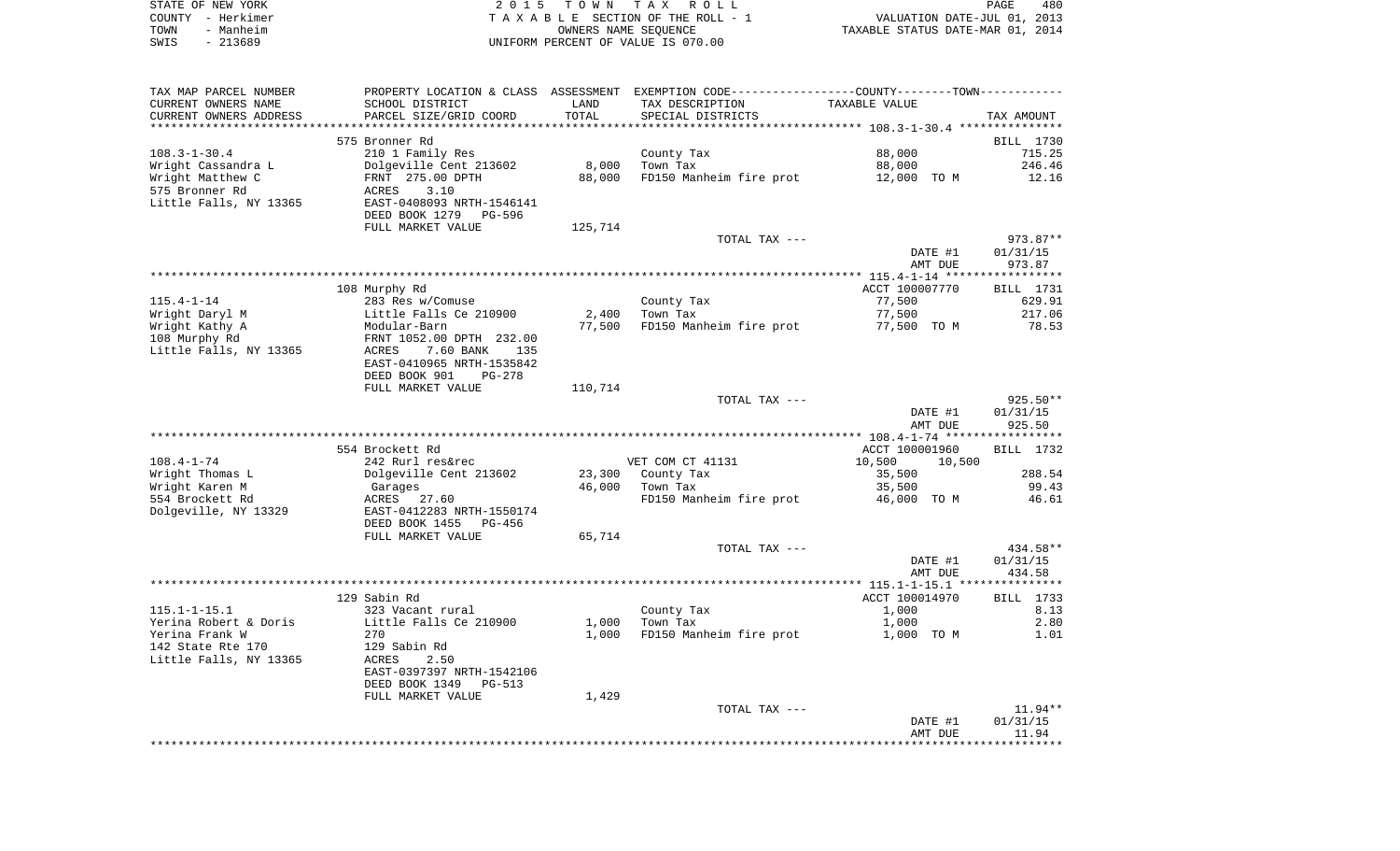|      | STATE OF NEW YORK | 2015 TOWN TAX ROLL                 | 480<br><b>PAGE</b>               |
|------|-------------------|------------------------------------|----------------------------------|
|      | COUNTY - Herkimer | TAXABLE SECTION OF THE ROLL - 1    | VALUATION DATE-JUL 01, 2013      |
| TOWN | - Manheim         | OWNERS NAME SEOUENCE               | TAXABLE STATUS DATE-MAR 01, 2014 |
| SWIS | - 213689          | UNIFORM PERCENT OF VALUE IS 070.00 |                                  |

| TAX MAP PARCEL NUMBER  |                           |         | PROPERTY LOCATION & CLASS ASSESSMENT EXEMPTION CODE---------------COUNTY-------TOWN---------- |                  |            |
|------------------------|---------------------------|---------|-----------------------------------------------------------------------------------------------|------------------|------------|
| CURRENT OWNERS NAME    | SCHOOL DISTRICT           | LAND    | TAX DESCRIPTION                                                                               | TAXABLE VALUE    |            |
| CURRENT OWNERS ADDRESS | PARCEL SIZE/GRID COORD    | TOTAL   | SPECIAL DISTRICTS                                                                             |                  | TAX AMOUNT |
|                        |                           |         |                                                                                               |                  |            |
|                        | 575 Bronner Rd            |         |                                                                                               |                  | BILL 1730  |
| $108.3 - 1 - 30.4$     | 210 1 Family Res          |         | County Tax                                                                                    | 88,000           | 715.25     |
| Wright Cassandra L     | Dolgeville Cent 213602    | 8,000   | Town Tax                                                                                      | 88,000           | 246.46     |
| Wright Matthew C       | FRNT 275.00 DPTH          | 88,000  | FD150 Manheim fire prot                                                                       | 12,000 TO M      | 12.16      |
| 575 Bronner Rd         | 3.10<br>ACRES             |         |                                                                                               |                  |            |
| Little Falls, NY 13365 | EAST-0408093 NRTH-1546141 |         |                                                                                               |                  |            |
|                        | DEED BOOK 1279<br>PG-596  |         |                                                                                               |                  |            |
|                        | FULL MARKET VALUE         | 125,714 |                                                                                               |                  |            |
|                        |                           |         | TOTAL TAX ---                                                                                 |                  | $973.87**$ |
|                        |                           |         |                                                                                               | DATE #1          | 01/31/15   |
|                        |                           |         |                                                                                               | AMT DUE          | 973.87     |
|                        |                           |         |                                                                                               |                  |            |
|                        | 108 Murphy Rd             |         |                                                                                               | ACCT 100007770   | BILL 1731  |
| $115.4 - 1 - 14$       | 283 Res w/Comuse          |         | County Tax                                                                                    | 77,500           | 629.91     |
|                        | Little Falls Ce 210900    | 2,400   | Town Tax                                                                                      | 77,500           | 217.06     |
| Wright Daryl M         | Modular-Barn              | 77,500  |                                                                                               |                  | 78.53      |
| Wright Kathy A         |                           |         | FD150 Manheim fire prot                                                                       | 77,500 TO M      |            |
| 108 Murphy Rd          | FRNT 1052.00 DPTH 232.00  |         |                                                                                               |                  |            |
| Little Falls, NY 13365 | 7.60 BANK<br>ACRES<br>135 |         |                                                                                               |                  |            |
|                        | EAST-0410965 NRTH-1535842 |         |                                                                                               |                  |            |
|                        | DEED BOOK 901<br>PG-278   |         |                                                                                               |                  |            |
|                        | FULL MARKET VALUE         | 110,714 |                                                                                               |                  |            |
|                        |                           |         | TOTAL TAX ---                                                                                 |                  | 925.50**   |
|                        |                           |         |                                                                                               | DATE #1          | 01/31/15   |
|                        |                           |         |                                                                                               | AMT DUE          | 925.50     |
|                        |                           |         |                                                                                               |                  |            |
|                        | 554 Brockett Rd           |         |                                                                                               | ACCT 100001960   | BILL 1732  |
| $108.4 - 1 - 74$       | 242 Rurl res&rec          |         | VET COM CT 41131                                                                              | 10,500<br>10,500 |            |
| Wright Thomas L        | Dolgeville Cent 213602    | 23,300  | County Tax                                                                                    | 35,500           | 288.54     |
| Wright Karen M         | Garages                   | 46,000  | Town Tax                                                                                      | 35,500           | 99.43      |
| 554 Brockett Rd        | ACRES 27.60               |         | FD150 Manheim fire prot                                                                       | 46,000 TO M      | 46.61      |
| Dolgeville, NY 13329   | EAST-0412283 NRTH-1550174 |         |                                                                                               |                  |            |
|                        | DEED BOOK 1455 PG-456     |         |                                                                                               |                  |            |
|                        | FULL MARKET VALUE         | 65,714  |                                                                                               |                  |            |
|                        |                           |         | TOTAL TAX ---                                                                                 |                  | 434.58**   |
|                        |                           |         |                                                                                               | DATE #1          | 01/31/15   |
|                        |                           |         |                                                                                               | AMT DUE          | 434.58     |
|                        |                           |         |                                                                                               |                  |            |
|                        | 129 Sabin Rd              |         |                                                                                               | ACCT 100014970   | BILL 1733  |
| $115.1 - 1 - 15.1$     | 323 Vacant rural          |         | County Tax                                                                                    | 1,000            | 8.13       |
| Yerina Robert & Doris  | Little Falls Ce 210900    | 1,000   | Town Tax                                                                                      | 1,000            | 2.80       |
| Yerina Frank W         | 270                       | 1,000   | FD150 Manheim fire prot                                                                       | 1,000 TO M       | 1.01       |
| 142 State Rte 170      | 129 Sabin Rd              |         |                                                                                               |                  |            |
| Little Falls, NY 13365 | ACRES<br>2.50             |         |                                                                                               |                  |            |
|                        | EAST-0397397 NRTH-1542106 |         |                                                                                               |                  |            |
|                        | DEED BOOK 1349<br>PG-513  |         |                                                                                               |                  |            |
|                        | FULL MARKET VALUE         | 1,429   |                                                                                               |                  |            |
|                        |                           |         | TOTAL TAX ---                                                                                 |                  | $11.94**$  |
|                        |                           |         |                                                                                               |                  | 01/31/15   |
|                        |                           |         |                                                                                               | DATE #1          |            |
|                        |                           |         |                                                                                               | AMT DUE          | 11.94      |
|                        |                           |         |                                                                                               |                  |            |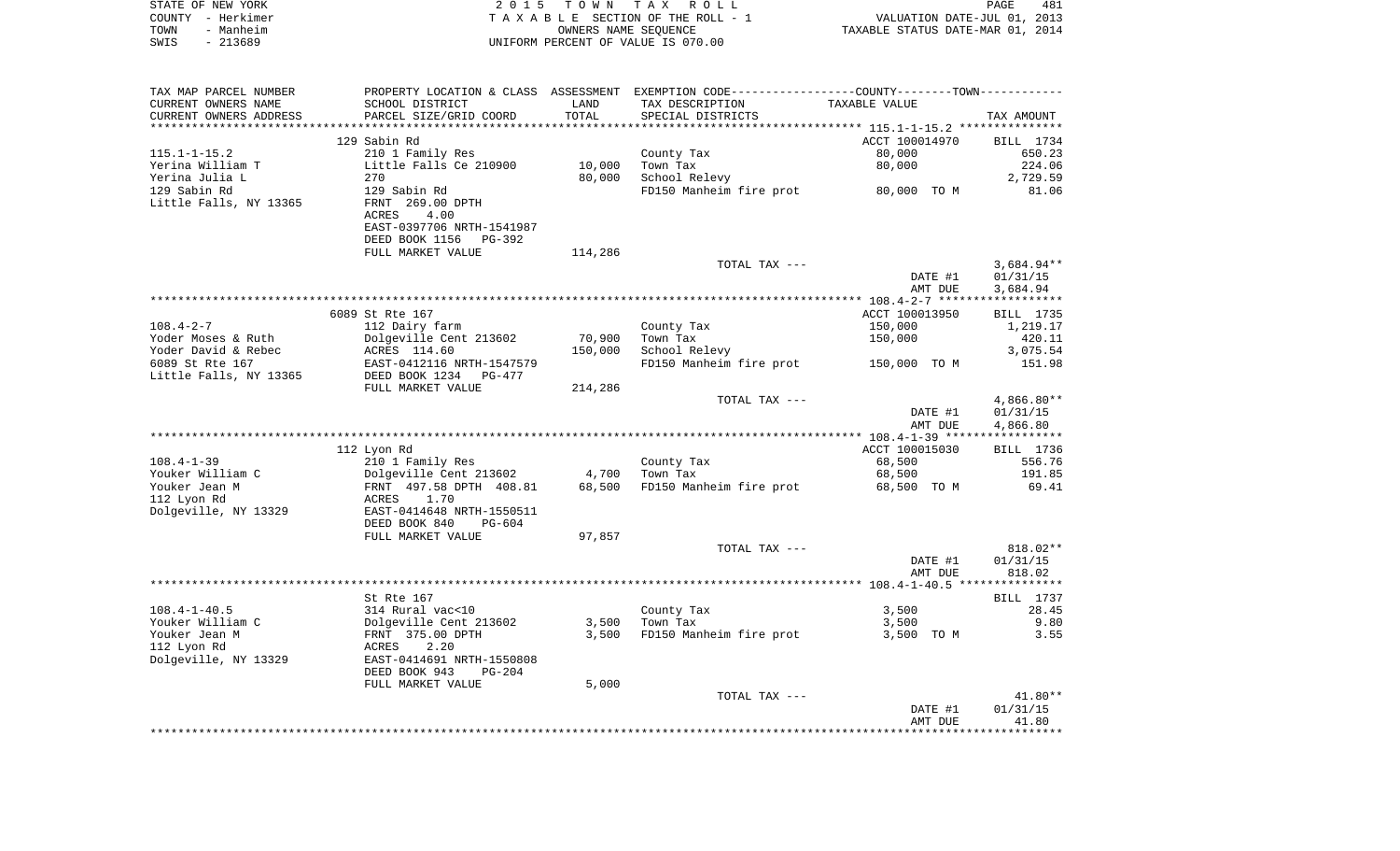| STATE OF NEW YORK | 2015 TOWN TAX ROLL                 | PAGE                             | 481 |
|-------------------|------------------------------------|----------------------------------|-----|
| COUNTY - Herkimer | TAXABLE SECTION OF THE ROLL - 1    | VALUATION DATE-JUL 01, 2013      |     |
| TOWN<br>- Manheim | OWNERS NAME SEOUENCE               | TAXABLE STATUS DATE-MAR 01, 2014 |     |
| $-213689$<br>SWIS | UNIFORM PERCENT OF VALUE IS 070.00 |                                  |     |

| TAX MAP PARCEL NUMBER  |                                                                                            |         | PROPERTY LOCATION & CLASS ASSESSMENT EXEMPTION CODE----------------COUNTY--------TOWN----------- |                                                    |              |
|------------------------|--------------------------------------------------------------------------------------------|---------|--------------------------------------------------------------------------------------------------|----------------------------------------------------|--------------|
| CURRENT OWNERS NAME    | SCHOOL DISTRICT                                                                            | LAND    | TAX DESCRIPTION                                                                                  | TAXABLE VALUE                                      |              |
| CURRENT OWNERS ADDRESS | PARCEL SIZE/GRID COORD                                                                     | TOTAL   | SPECIAL DISTRICTS                                                                                |                                                    | TAX AMOUNT   |
|                        |                                                                                            |         |                                                                                                  | ******************** 115.1-1-15.2 **************** |              |
|                        | 129 Sabin Rd                                                                               |         |                                                                                                  | ACCT 100014970                                     | BILL 1734    |
| $115.1 - 1 - 15.2$     | 210 1 Family Res                                                                           |         | County Tax                                                                                       | 80,000                                             | 650.23       |
| Yerina William T       | Little Falls Ce 210900                                                                     | 10,000  | Town Tax                                                                                         | 80,000                                             | 224.06       |
| Yerina Julia L         | 270                                                                                        | 80,000  | School Relevy                                                                                    |                                                    | 2,729.59     |
| 129 Sabin Rd           | 129 Sabin Rd                                                                               |         | FD150 Manheim fire prot 80,000 TO M                                                              |                                                    | 81.06        |
| Little Falls, NY 13365 | FRNT 269.00 DPTH<br>4.00<br>ACRES<br>EAST-0397706 NRTH-1541987<br>DEED BOOK 1156<br>PG-392 |         |                                                                                                  |                                                    |              |
|                        | FULL MARKET VALUE                                                                          | 114,286 |                                                                                                  |                                                    |              |
|                        |                                                                                            |         | TOTAL TAX ---                                                                                    |                                                    | $3,684.94**$ |
|                        |                                                                                            |         |                                                                                                  | DATE #1                                            | 01/31/15     |
|                        |                                                                                            |         |                                                                                                  | AMT DUE                                            | 3,684.94     |
|                        |                                                                                            |         |                                                                                                  |                                                    |              |
|                        | 6089 St Rte 167                                                                            |         |                                                                                                  | ACCT 100013950                                     | BILL 1735    |
| $108.4 - 2 - 7$        | 112 Dairy farm                                                                             |         | County Tax                                                                                       | 150,000                                            | 1,219.17     |
| Yoder Moses & Ruth     | Dolgeville Cent 213602                                                                     | 70,900  | Town Tax                                                                                         | 150,000                                            | 420.11       |
|                        |                                                                                            |         |                                                                                                  |                                                    |              |
| Yoder David & Rebec    | ACRES 114.60                                                                               | 150,000 | School Relevy                                                                                    |                                                    | 3,075.54     |
| 6089 St Rte 167        | EAST-0412116 NRTH-1547579                                                                  |         | FD150 Manheim fire prot 150,000 TO M                                                             |                                                    | 151.98       |
| Little Falls, NY 13365 | DEED BOOK 1234 PG-477                                                                      |         |                                                                                                  |                                                    |              |
|                        | FULL MARKET VALUE                                                                          | 214,286 |                                                                                                  |                                                    |              |
|                        |                                                                                            |         | TOTAL TAX ---                                                                                    |                                                    | $4,866.80**$ |
|                        |                                                                                            |         |                                                                                                  | DATE #1                                            | 01/31/15     |
|                        |                                                                                            |         |                                                                                                  | AMT DUE                                            | 4,866.80     |
|                        |                                                                                            |         |                                                                                                  |                                                    |              |
|                        | 112 Lyon Rd                                                                                |         |                                                                                                  | ACCT 100015030                                     | BILL 1736    |
| $108.4 - 1 - 39$       | 210 1 Family Res                                                                           |         | County Tax                                                                                       | 68,500                                             | 556.76       |
| Youker William C       | Dolgeville Cent 213602                                                                     |         | 4,700 Town Tax                                                                                   | 68,500                                             | 191.85       |
| Youker Jean M          | FRNT 497.58 DPTH 408.81                                                                    |         | 68,500 FD150 Manheim fire prot                                                                   | 68,500 TO M                                        | 69.41        |
| 112 Lyon Rd            | 1.70<br>ACRES                                                                              |         |                                                                                                  |                                                    |              |
| Dolgeville, NY 13329   | EAST-0414648 NRTH-1550511<br>DEED BOOK 840<br>PG-604                                       |         |                                                                                                  |                                                    |              |
|                        | FULL MARKET VALUE                                                                          | 97,857  |                                                                                                  |                                                    |              |
|                        |                                                                                            |         | TOTAL TAX ---                                                                                    |                                                    | 818.02**     |
|                        |                                                                                            |         |                                                                                                  | DATE #1                                            | 01/31/15     |
|                        |                                                                                            |         |                                                                                                  | AMT DUE                                            | 818.02       |
|                        |                                                                                            |         |                                                                                                  |                                                    |              |
|                        | St Rte 167                                                                                 |         |                                                                                                  |                                                    | BILL 1737    |
| $108.4 - 1 - 40.5$     | 314 Rural vac<10                                                                           |         | County Tax                                                                                       | 3,500                                              | 28.45        |
| Youker William C       | Dolgeville Cent 213602                                                                     | 3,500   | Town Tax                                                                                         | 3,500                                              | 9.80         |
| Youker Jean M          |                                                                                            | 3,500   | FD150 Manheim fire prot                                                                          |                                                    | 3.55         |
|                        | FRNT 375.00 DPTH                                                                           |         |                                                                                                  | 3,500 TO M                                         |              |
| 112 Lyon Rd            | ACRES<br>2.20                                                                              |         |                                                                                                  |                                                    |              |
| Dolgeville, NY 13329   | EAST-0414691 NRTH-1550808                                                                  |         |                                                                                                  |                                                    |              |
|                        | DEED BOOK 943<br>PG-204                                                                    |         |                                                                                                  |                                                    |              |
|                        | FULL MARKET VALUE                                                                          | 5,000   |                                                                                                  |                                                    |              |
|                        |                                                                                            |         | TOTAL TAX ---                                                                                    |                                                    | $41.80**$    |
|                        |                                                                                            |         |                                                                                                  | DATE #1                                            | 01/31/15     |
|                        |                                                                                            |         |                                                                                                  | AMT DUE                                            | 41.80        |
|                        |                                                                                            |         |                                                                                                  |                                                    |              |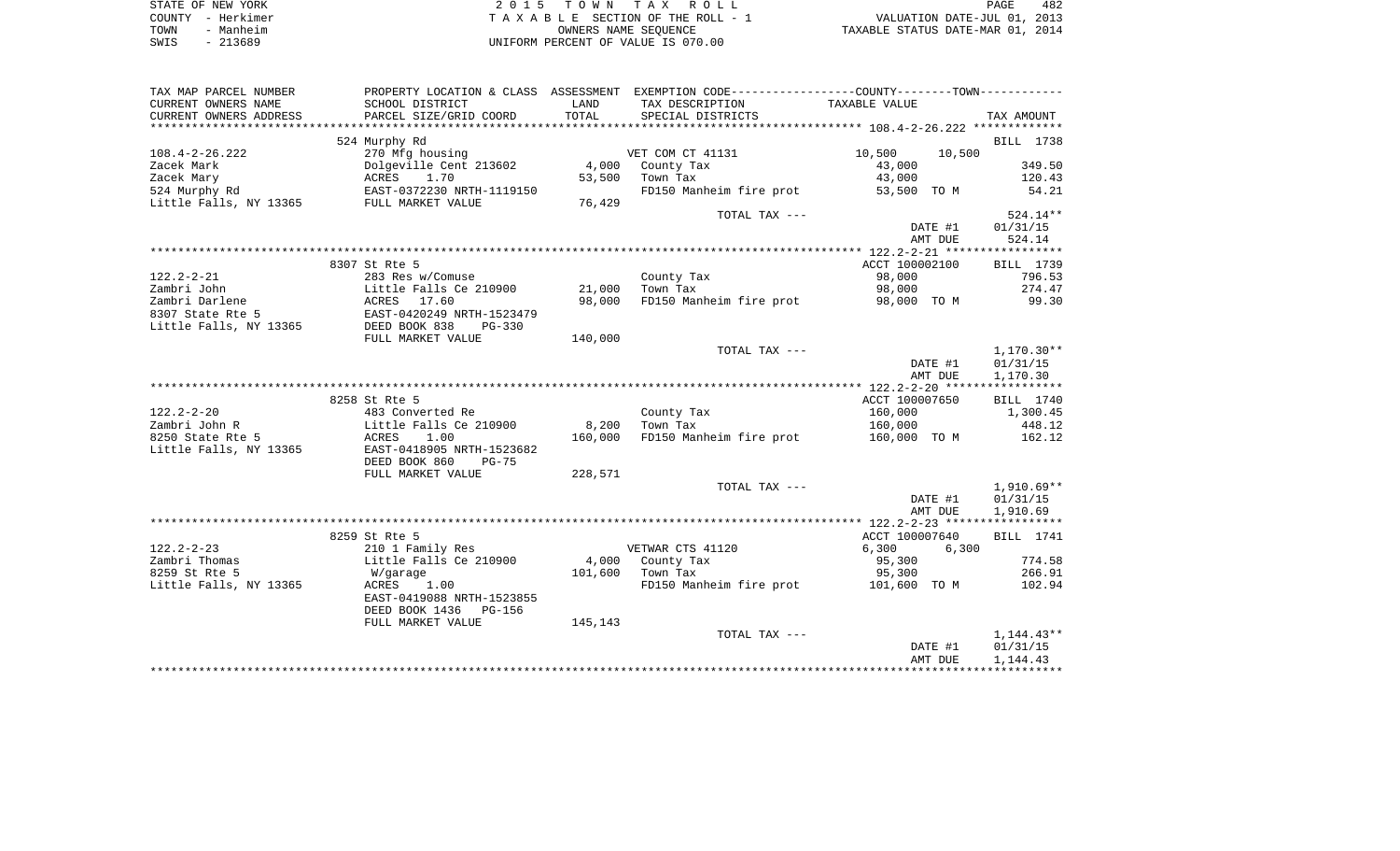|      | STATE OF NEW YORK | 2015 TOWN TAX ROLL                 | 482<br>PAGE                      |
|------|-------------------|------------------------------------|----------------------------------|
|      | COUNTY - Herkimer | TAXABLE SECTION OF THE ROLL - 1    | VALUATION DATE-JUL 01, 2013      |
| TOWN | - Manheim         | OWNERS NAME SEOUENCE               | TAXABLE STATUS DATE-MAR 01, 2014 |
| SWIS | - 213689          | UNIFORM PERCENT OF VALUE IS 070.00 |                                  |

| TAX MAP PARCEL NUMBER              |                           |         | PROPERTY LOCATION & CLASS ASSESSMENT EXEMPTION CODE---------------COUNTY-------TOWN---------- |                  |              |
|------------------------------------|---------------------------|---------|-----------------------------------------------------------------------------------------------|------------------|--------------|
| CURRENT OWNERS NAME                | SCHOOL DISTRICT           | LAND    | TAX DESCRIPTION                                                                               | TAXABLE VALUE    |              |
| CURRENT OWNERS ADDRESS             | PARCEL SIZE/GRID COORD    | TOTAL   | SPECIAL DISTRICTS                                                                             |                  | TAX AMOUNT   |
|                                    |                           |         |                                                                                               |                  |              |
|                                    | 524 Murphy Rd             |         |                                                                                               |                  | BILL 1738    |
| $108.4 - 2 - 26.222$               | 270 Mfg housing           |         | VET COM CT 41131                                                                              | 10,500<br>10,500 |              |
| Zacek Mark                         | Dolgeville Cent 213602    |         | 4,000 County Tax                                                                              | 43,000           | 349.50       |
| Zacek Mary                         | 1.70<br>ACRES             | 53,500  | Town Tax                                                                                      | 43,000           | 120.43       |
| 524 Murphy Rd                      | EAST-0372230 NRTH-1119150 |         | FD150 Manheim fire prot                                                                       | 53,500 TO M      | 54.21        |
| Little Falls, NY 13365             | FULL MARKET VALUE         | 76,429  |                                                                                               |                  |              |
|                                    |                           |         | TOTAL TAX ---                                                                                 |                  | $524.14**$   |
|                                    |                           |         |                                                                                               | DATE #1          | 01/31/15     |
|                                    |                           |         |                                                                                               |                  |              |
|                                    |                           |         |                                                                                               | AMT DUE          | 524.14       |
|                                    |                           |         |                                                                                               |                  |              |
|                                    | 8307 St Rte 5             |         |                                                                                               | ACCT 100002100   | BILL 1739    |
| $122.2 - 2 - 21$                   | 283 Res w/Comuse          |         | County Tax                                                                                    | 98,000           | 796.53       |
| Zambri John                        | Little Falls Ce 210900    | 21,000  | Town Tax                                                                                      | 98,000           | 274.47       |
| Zambri Darlene<br>8307 State Rte 5 | ACRES 17.60               | 98,000  | FD150 Manheim fire prot                                                                       | 98,000 TO M      | 99.30        |
| 8307 State Rte 5                   | EAST-0420249 NRTH-1523479 |         |                                                                                               |                  |              |
| Little Falls, NY 13365             | DEED BOOK 838<br>$PG-330$ |         |                                                                                               |                  |              |
|                                    | FULL MARKET VALUE         | 140,000 |                                                                                               |                  |              |
|                                    |                           |         | TOTAL TAX ---                                                                                 |                  | $1,170.30**$ |
|                                    |                           |         |                                                                                               | DATE #1          | 01/31/15     |
|                                    |                           |         |                                                                                               | AMT DUE          | 1,170.30     |
|                                    |                           |         |                                                                                               |                  |              |
|                                    | 8258 St Rte 5             |         |                                                                                               | ACCT 100007650   | BILL 1740    |
| $122.2 - 2 - 20$                   | 483 Converted Re          |         | County Tax                                                                                    | 160,000          | 1,300.45     |
| Zambri John R                      | Little Falls Ce 210900    | 8,200   | Town Tax                                                                                      | 160,000          | 448.12       |
| 8250 State Rte 5                   | ACRES<br>1.00             | 160,000 | FD150 Manheim fire prot                                                                       | 160,000 TO M     | 162.12       |
| Little Falls, NY 13365             | EAST-0418905 NRTH-1523682 |         |                                                                                               |                  |              |
|                                    | DEED BOOK 860<br>$PG-75$  |         |                                                                                               |                  |              |
|                                    | FULL MARKET VALUE         | 228,571 |                                                                                               |                  |              |
|                                    |                           |         | TOTAL TAX ---                                                                                 |                  | $1,910.69**$ |
|                                    |                           |         |                                                                                               | DATE #1          | 01/31/15     |
|                                    |                           |         |                                                                                               | AMT DUE          | 1,910.69     |
|                                    |                           |         |                                                                                               |                  |              |
|                                    | 8259 St Rte 5             |         |                                                                                               | ACCT 100007640   | BILL 1741    |
| $122.2 - 2 - 23$                   | 210 1 Family Res          |         | VETWAR CTS 41120                                                                              | 6,300<br>6,300   |              |
| Zambri Thomas                      | Little Falls Ce 210900    | 4,000   | County Tax                                                                                    | 95,300           | 774.58       |
| 8259 St Rte 5                      |                           |         |                                                                                               |                  | 266.91       |
|                                    | W/garage                  | 101,600 | Town Tax<br>FD150 Manheim fire prot 101,600 TO M                                              | 95,300           |              |
| Little Falls, NY 13365             | ACRES<br>1.00             |         |                                                                                               |                  | 102.94       |
|                                    | EAST-0419088 NRTH-1523855 |         |                                                                                               |                  |              |
|                                    | DEED BOOK 1436 PG-156     |         |                                                                                               |                  |              |
|                                    | FULL MARKET VALUE         | 145,143 |                                                                                               |                  |              |
|                                    |                           |         | TOTAL TAX ---                                                                                 |                  | $1,144.43**$ |
|                                    |                           |         |                                                                                               | DATE #1          | 01/31/15     |
|                                    |                           |         |                                                                                               | AMT DUE          | 1,144.43     |
|                                    |                           |         |                                                                                               |                  |              |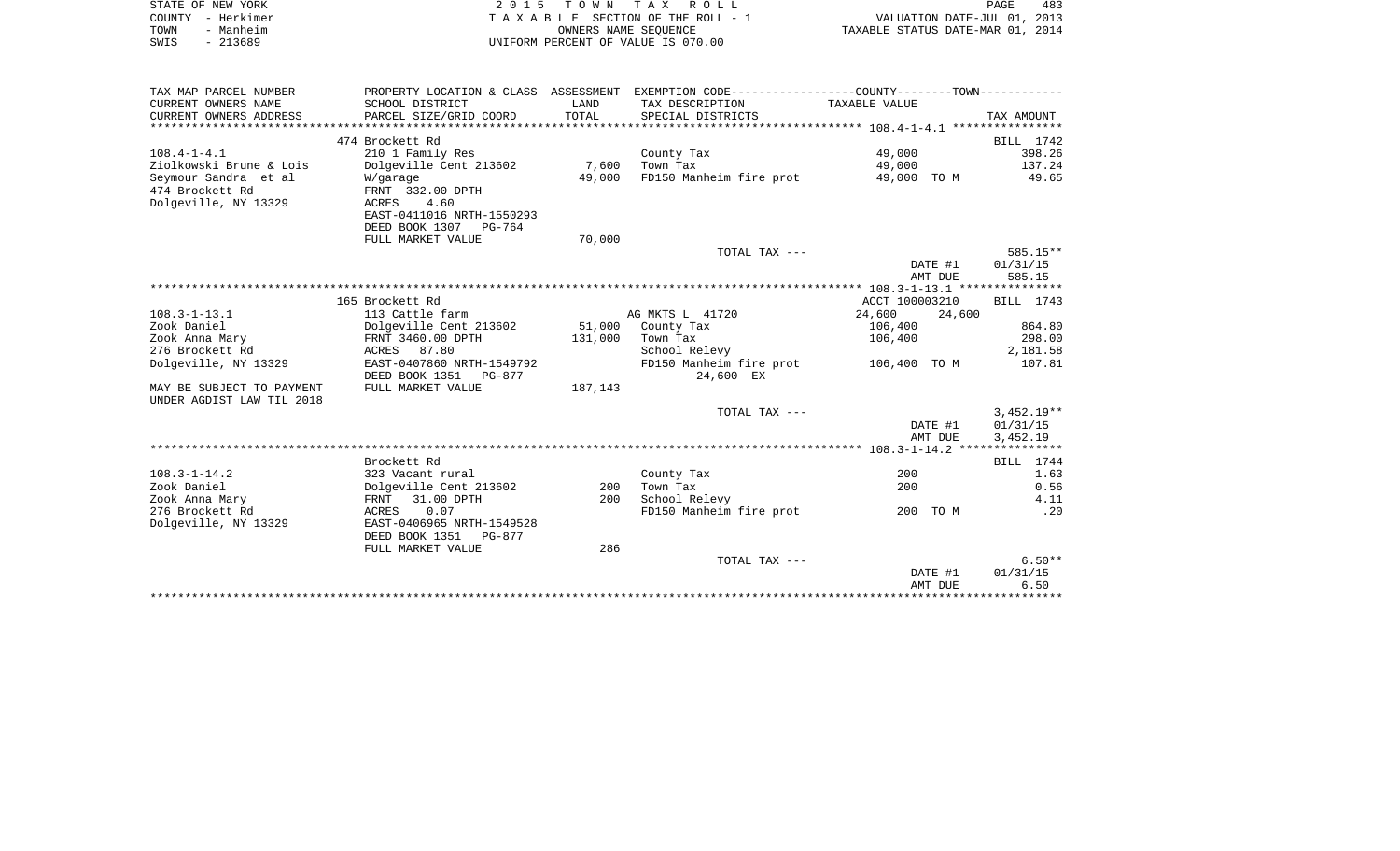|                                                        |                                           |         | 2015 TOWN TAX ROLL                                                                                                          |                  | PAGE<br>483       |
|--------------------------------------------------------|-------------------------------------------|---------|-----------------------------------------------------------------------------------------------------------------------------|------------------|-------------------|
| COUNTY - Herkimer                                      |                                           |         | TAXABLE SECTION OF THE ROLL - 1<br>TAXABLE SECTION OF THE ROLL - 1<br>OWNERS NAME SEQUENCE TAXABLE STATUS DATE-MAR 01, 2014 |                  |                   |
| TOWN - Manheim                                         |                                           |         |                                                                                                                             |                  |                   |
| SWIS - 213689                                          |                                           |         | UNIFORM PERCENT OF VALUE IS 070.00                                                                                          |                  |                   |
|                                                        |                                           |         |                                                                                                                             |                  |                   |
| TAX MAP PARCEL NUMBER                                  |                                           |         | PROPERTY LOCATION & CLASS ASSESSMENT EXEMPTION CODE---------------COUNTY-------TOWN----------                               |                  |                   |
| CURRENT OWNERS NAME                                    | SCHOOL DISTRICT                           | LAND    | TAX DESCRIPTION                                                                                                             | TAXABLE VALUE    |                   |
| CURRENT OWNERS ADDRESS                                 | PARCEL SIZE/GRID COORD                    | TOTAL   | SPECIAL DISTRICTS                                                                                                           |                  | TAX AMOUNT        |
|                                                        |                                           |         |                                                                                                                             |                  |                   |
|                                                        | 474 Brockett Rd                           |         |                                                                                                                             |                  | <b>BILL</b> 1742  |
| $108.4 - 1 - 4.1$                                      | 210 1 Family Res                          |         | County Tax                                                                                                                  | 49,000           | 398.26            |
| Ziolkowski Brune & Lois                                | Dolgeville Cent 213602                    |         | 7,600 Town Tax                                                                                                              | 49,000           | 137.24            |
| Seymour Sandra et al                                   | W/garage                                  | 49,000  | FD150 Manheim fire prot                                                                                                     | 49,000 TO M      | 49.65             |
| 474 Brockett Rd                                        | FRNT 332.00 DPTH                          |         |                                                                                                                             |                  |                   |
| Dolgeville, NY 13329                                   | ACRES<br>4.60                             |         |                                                                                                                             |                  |                   |
|                                                        | EAST-0411016 NRTH-1550293                 |         |                                                                                                                             |                  |                   |
|                                                        | DEED BOOK 1307 PG-764                     |         |                                                                                                                             |                  |                   |
|                                                        | FULL MARKET VALUE                         | 70,000  |                                                                                                                             |                  |                   |
|                                                        |                                           |         | TOTAL TAX ---                                                                                                               |                  | 585.15**          |
|                                                        |                                           |         |                                                                                                                             | DATE #1          | 01/31/15          |
|                                                        |                                           |         |                                                                                                                             | AMT DUE          | 585.15            |
|                                                        |                                           |         |                                                                                                                             | ACCT 100003210   |                   |
| $108.3 - 1 - 13.1$                                     | 165 Brockett Rd<br>113 Cattle farm        |         | AG MKTS L 41720                                                                                                             | 24,600<br>24,600 | BILL 1743         |
| Zook Daniel                                            | Dolgeville Cent 213602                    |         |                                                                                                                             |                  |                   |
|                                                        |                                           |         |                                                                                                                             |                  |                   |
|                                                        |                                           |         | 51,000 County Tax                                                                                                           | 106,400          | 864.80            |
| Zook Anna Mary                                         | FRNT 3460.00 DPTH                         |         | 131,000 Town Tax                                                                                                            | 106,400          | 298.00            |
| 276 Brockett Rd                                        | ACRES 87.80                               |         | School Relevy                                                                                                               |                  | 2,181.58          |
| Dolgeville, NY 13329                                   | EAST-0407860 NRTH-1549792                 |         | FD150 Manheim fire prot                                                                                                     | 106,400 TO M     | 107.81            |
|                                                        | DEED BOOK 1351 PG-877                     |         | 24,600 EX                                                                                                                   |                  |                   |
|                                                        | FULL MARKET VALUE                         | 187,143 |                                                                                                                             |                  |                   |
| MAY BE SUBJECT TO PAYMENT<br>UNDER AGDIST LAW TIL 2018 |                                           |         |                                                                                                                             |                  |                   |
|                                                        |                                           |         | TOTAL TAX ---                                                                                                               |                  | $3,452.19**$      |
|                                                        |                                           |         |                                                                                                                             | DATE #1          | 01/31/15          |
|                                                        |                                           |         |                                                                                                                             | AMT DUE          | 3,452.19          |
|                                                        |                                           |         |                                                                                                                             |                  |                   |
| $108.3 - 1 - 14.2$                                     | Brockett Rd<br>323 Vacant rural           |         |                                                                                                                             | 200              | BILL 1744<br>1.63 |
|                                                        |                                           | 200     | County Tax                                                                                                                  | 200              |                   |
| Zook Daniel                                            | Dolgeville Cent 213602<br>FRNT 31.00 DPTH | 200     | Town Tax                                                                                                                    |                  | 0.56<br>4.11      |
| Zook Anna Mary<br>276 Brockett Rd                      | 0.07<br>ACRES                             |         | School Relevy                                                                                                               | 200 TO M         |                   |
|                                                        | EAST-0406965 NRTH-1549528                 |         | FD150 Manheim fire prot                                                                                                     |                  |                   |
| Dolgeville, NY 13329                                   | DEED BOOK 1351 PG-877                     |         |                                                                                                                             |                  |                   |
|                                                        | FULL MARKET VALUE                         | 286     |                                                                                                                             |                  | .20               |
|                                                        |                                           |         | TOTAL TAX ---                                                                                                               |                  | $6.50**$          |
|                                                        |                                           |         |                                                                                                                             | DATE #1          | 01/31/15          |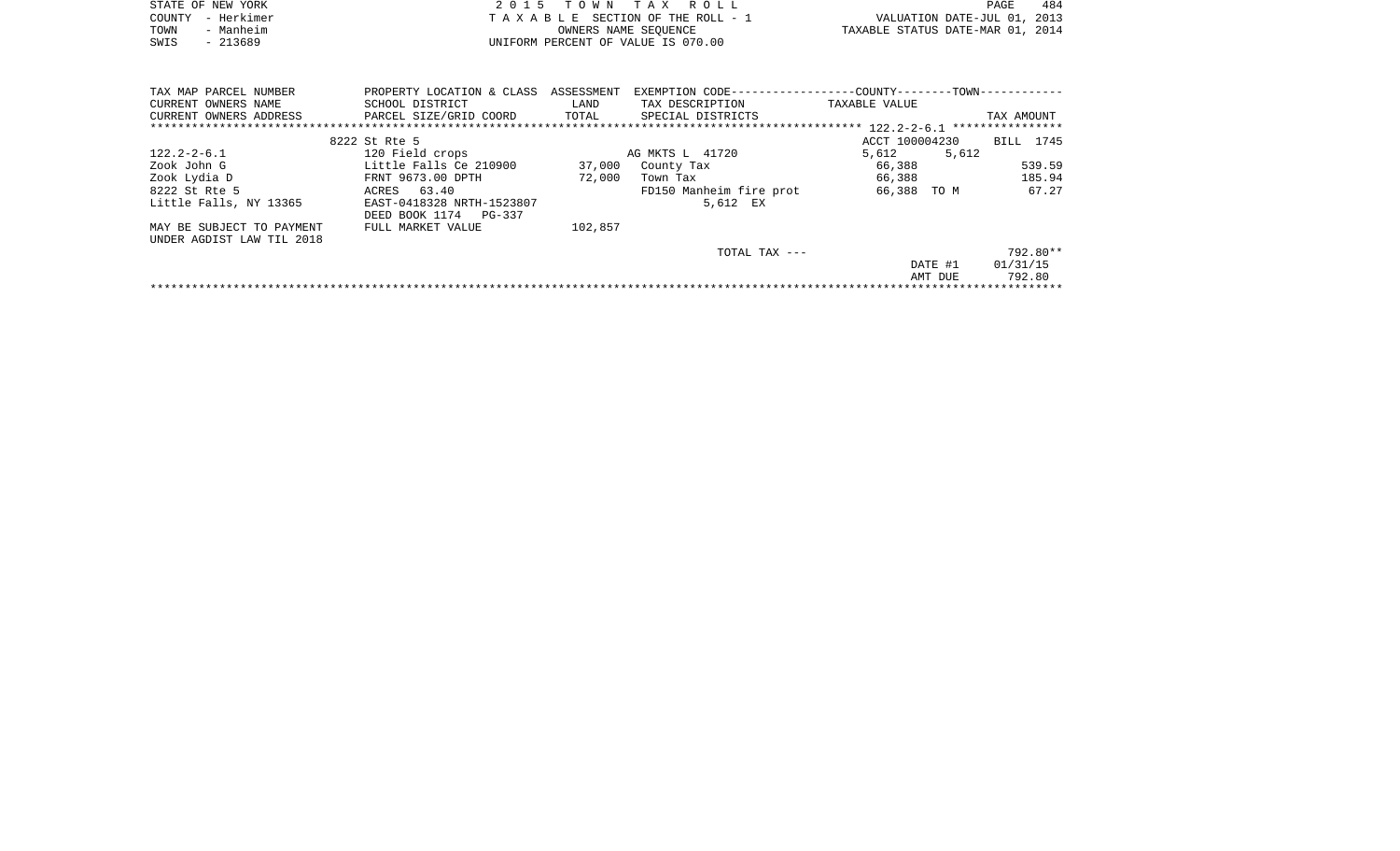|      | STATE OF NEW YORK | 2015 TOWN TAX ROLL                 |                                  | PAGE | 484 |
|------|-------------------|------------------------------------|----------------------------------|------|-----|
|      | COUNTY - Herkimer | TAXABLE SECTION OF THE ROLL - 1    | VALUATION DATE-JUL 01, 2013      |      |     |
| TOWN | - Manheim         | OWNERS NAME SEOUENCE               | TAXABLE STATUS DATE-MAR 01, 2014 |      |     |
| SWIS | $-213689$         | UNIFORM PERCENT OF VALUE IS 070.00 |                                  |      |     |

| TAX MAP PARCEL NUMBER     | PROPERTY LOCATION & CLASS | ASSESSMENT | EXEMPTION CODE------------------COUNTY--------TOWN----------- |                |                  |
|---------------------------|---------------------------|------------|---------------------------------------------------------------|----------------|------------------|
| CURRENT OWNERS NAME       | SCHOOL DISTRICT           | LAND       | TAX DESCRIPTION                                               | TAXABLE VALUE  |                  |
| CURRENT OWNERS ADDRESS    | PARCEL SIZE/GRID COORD    | TOTAL      | SPECIAL DISTRICTS                                             |                | TAX AMOUNT       |
|                           |                           |            |                                                               |                | **************** |
|                           | 8222 St Rte 5             |            |                                                               | ACCT 100004230 | BILL 1745        |
| $122.2 - 2 - 6.1$         | 120 Field crops           |            | AG MKTS L 41720                                               | 5,612<br>5,612 |                  |
| Zook John G               | Little Falls Ce 210900    | 37,000     | County Tax                                                    | 66,388         | 539.59           |
| Zook Lydia D              | FRNT 9673.00 DPTH         | 72,000     | Town Tax                                                      | 66,388         | 185.94           |
| 8222 St Rte 5             | ACRES 63.40               |            | FD150 Manheim fire prot                                       | 66,388 TO M    | 67.27            |
| Little Falls, NY 13365    | EAST-0418328 NRTH-1523807 |            | 5,612 EX                                                      |                |                  |
|                           | DEED BOOK 1174 PG-337     |            |                                                               |                |                  |
| MAY BE SUBJECT TO PAYMENT | FULL MARKET VALUE         | 102,857    |                                                               |                |                  |
| UNDER AGDIST LAW TIL 2018 |                           |            |                                                               |                |                  |
|                           |                           |            | TOTAL TAX ---                                                 |                | 792.80**         |
|                           |                           |            |                                                               | DATE #1        | 01/31/15         |
|                           |                           |            |                                                               | AMT DUE        | 792.80           |
|                           |                           |            |                                                               |                |                  |
|                           |                           |            |                                                               |                |                  |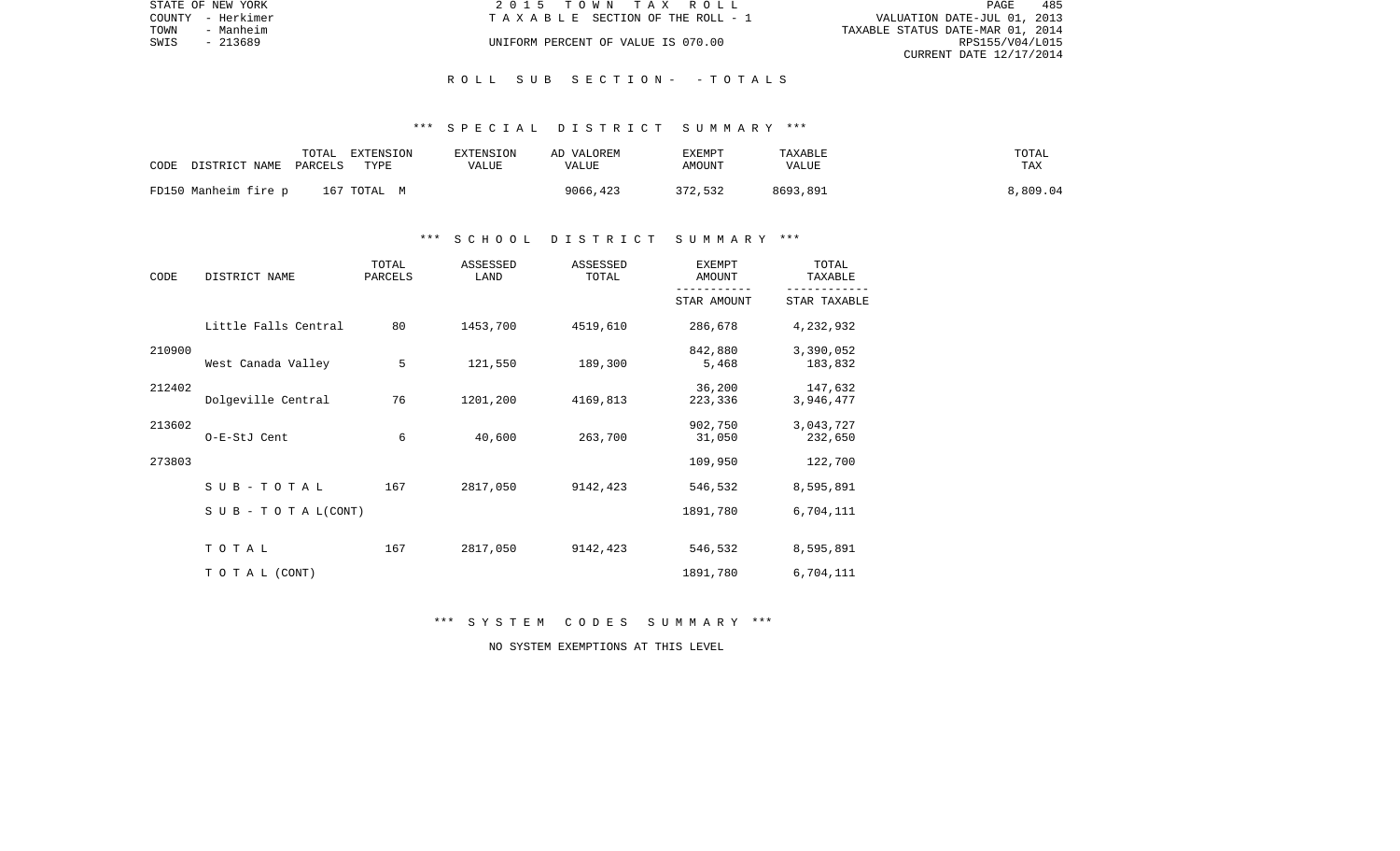|      | STATE OF NEW YORK | 2015 TOWN TAX ROLL                 |                                  | PAGE            | 485 |
|------|-------------------|------------------------------------|----------------------------------|-----------------|-----|
|      | COUNTY - Herkimer | TAXABLE SECTION OF THE ROLL - 1    | VALUATION DATE-JUL 01, 2013      |                 |     |
| TOWN | - Manheim         |                                    | TAXABLE STATUS DATE-MAR 01, 2014 |                 |     |
| SWIS | $-213689$         | UNIFORM PERCENT OF VALUE IS 070.00 |                                  | RPS155/V04/L015 |     |
|      |                   |                                    | CURRENT DATE 12/17/2014          |                 |     |

#### \*\*\* S P E C I A L D I S T R I C T S U M M A R Y \*\*\*

| CODE | DISTRICT NAME PARCELS | TOTAL | EXTENSION<br>TYPE | EXTENSION<br>VALUE | AD VALOREM<br>VALUE | EXEMPT<br>AMOUNT | TAXABLE<br>VALUE | TOTAL<br><b>TAX</b> |
|------|-----------------------|-------|-------------------|--------------------|---------------------|------------------|------------------|---------------------|
|      | FD150 Manheim fire p  |       | 167 ТОТАL М       |                    | 9066,423            | 372,532          | 8693,891         | 8,809.04            |

### \*\*\* S C H O O L D I S T R I C T S U M M A R Y \*\*\*

| CODE   | DISTRICT NAME                    | TOTAL<br>PARCELS | ASSESSED<br>LAND | ASSESSED<br>TOTAL | <b>EXEMPT</b><br>AMOUNT | TOTAL<br>TAXABLE     |
|--------|----------------------------------|------------------|------------------|-------------------|-------------------------|----------------------|
|        |                                  |                  |                  |                   | STAR AMOUNT             | STAR TAXABLE         |
|        | Little Falls Central             | 80               | 1453,700         | 4519,610          | 286,678                 | 4,232,932            |
| 210900 | West Canada Valley               | 5                | 121,550          | 189,300           | 842,880<br>5,468        | 3,390,052<br>183,832 |
| 212402 | Dolgeville Central               | 76               | 1201,200         | 4169,813          | 36,200<br>223,336       | 147,632<br>3,946,477 |
| 213602 | O-E-StJ Cent                     | 6                | 40,600           | 263,700           | 902,750<br>31,050       | 3,043,727<br>232,650 |
| 273803 |                                  |                  |                  |                   | 109,950                 | 122,700              |
|        | SUB-TOTAL                        | 167              | 2817,050         | 9142,423          | 546,532                 | 8,595,891            |
|        | $S \cup B - T \cup T A L (CONT)$ |                  |                  |                   | 1891,780                | 6,704,111            |
|        | TOTAL                            | 167              | 2817,050         | 9142,423          | 546,532                 | 8,595,891            |
|        | TO TAL (CONT)                    |                  |                  |                   | 1891,780                | 6,704,111            |

\*\*\* S Y S T E M C O D E S S U M M A R Y \*\*\*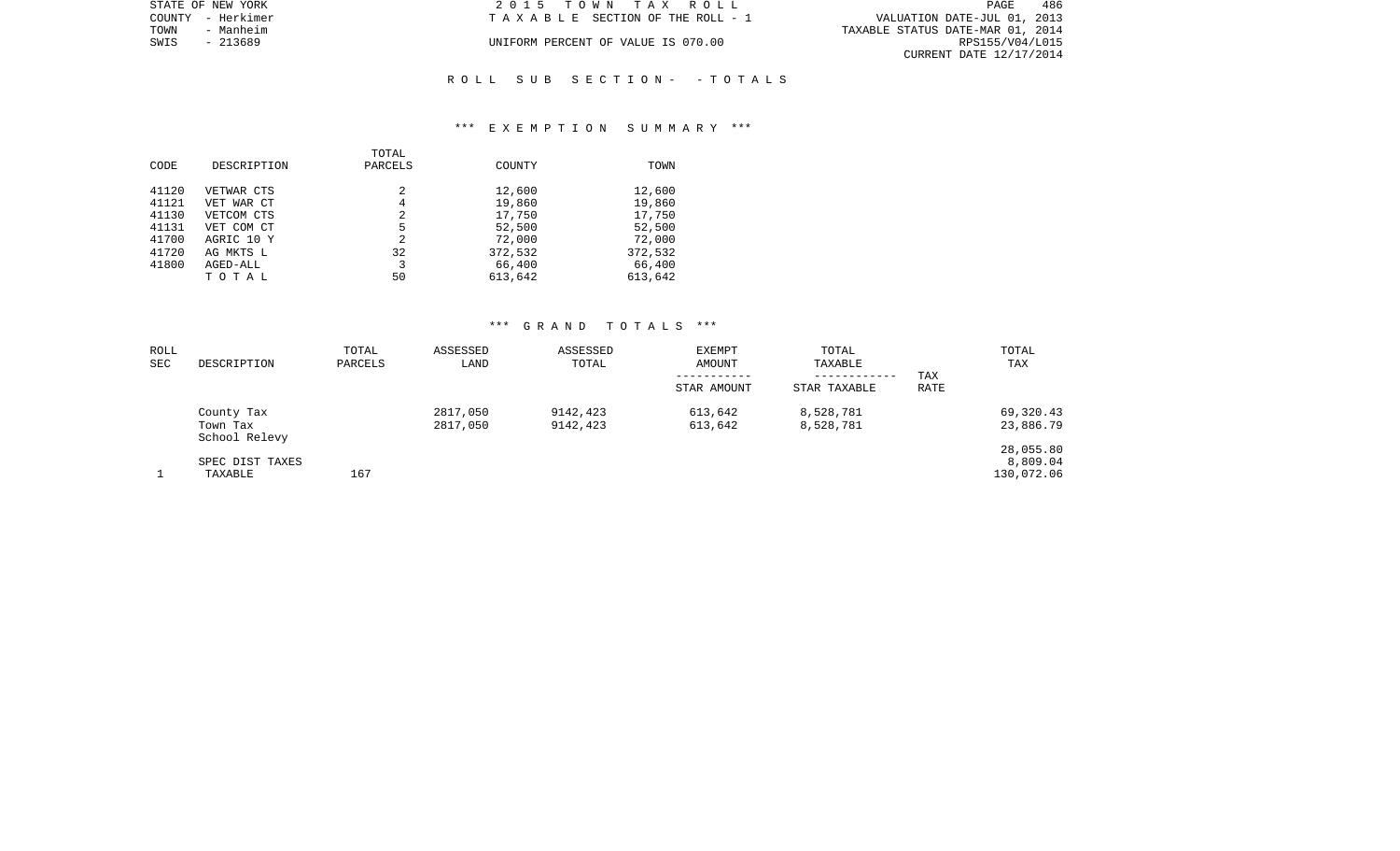| STATE OF NEW YORK | 2015 TOWN TAX ROLL                 | 486<br><b>PAGE</b>               |
|-------------------|------------------------------------|----------------------------------|
| COUNTY - Herkimer | TAXABLE SECTION OF THE ROLL - 1    | VALUATION DATE-JUL 01, 2013      |
| TOWN<br>- Manheim |                                    | TAXABLE STATUS DATE-MAR 01, 2014 |
| SWIS<br>- 213689  | UNIFORM PERCENT OF VALUE IS 070.00 | RPS155/V04/L015                  |
|                   |                                    | CURRENT DATE 12/17/2014          |
|                   |                                    |                                  |

#### \*\*\* E X E M P T I O N S U M M A R Y \*\*\*

|       |             | TOTAL   |               |         |
|-------|-------------|---------|---------------|---------|
| CODE  | DESCRIPTION | PARCELS | <b>COUNTY</b> | TOWN    |
|       |             |         |               |         |
| 41120 | VETWAR CTS  | 2       | 12,600        | 12,600  |
| 41121 | VET WAR CT  | 4       | 19,860        | 19,860  |
| 41130 | VETCOM CTS  | 2       | 17,750        | 17,750  |
| 41131 | VET COM CT  | 5       | 52,500        | 52,500  |
| 41700 | AGRIC 10 Y  | 2       | 72,000        | 72,000  |
| 41720 | AG MKTS L   | 32      | 372,532       | 372,532 |
| 41800 | AGED-ALL    | 3       | 66,400        | 66,400  |
|       | TOTAL       | 50      | 613,642       | 613,642 |

| ROLL<br>SEC | DESCRIPTION                             | TOTAL<br>PARCELS | ASSESSED<br>LAND     | ASSESSED<br>TOTAL    | <b>EXEMPT</b><br>AMOUNT<br>STAR AMOUNT | TOTAL<br>TAXABLE<br>------------<br>STAR TAXABLE | TAX<br>RATE | TOTAL<br>TAX                        |
|-------------|-----------------------------------------|------------------|----------------------|----------------------|----------------------------------------|--------------------------------------------------|-------------|-------------------------------------|
|             | County Tax<br>Town Tax<br>School Relevy |                  | 2817,050<br>2817,050 | 9142,423<br>9142,423 | 613,642<br>613,642                     | 8,528,781<br>8,528,781                           |             | 69,320.43<br>23,886.79              |
|             | SPEC DIST TAXES<br>TAXABLE              | 167              |                      |                      |                                        |                                                  |             | 28,055.80<br>8,809.04<br>130,072.06 |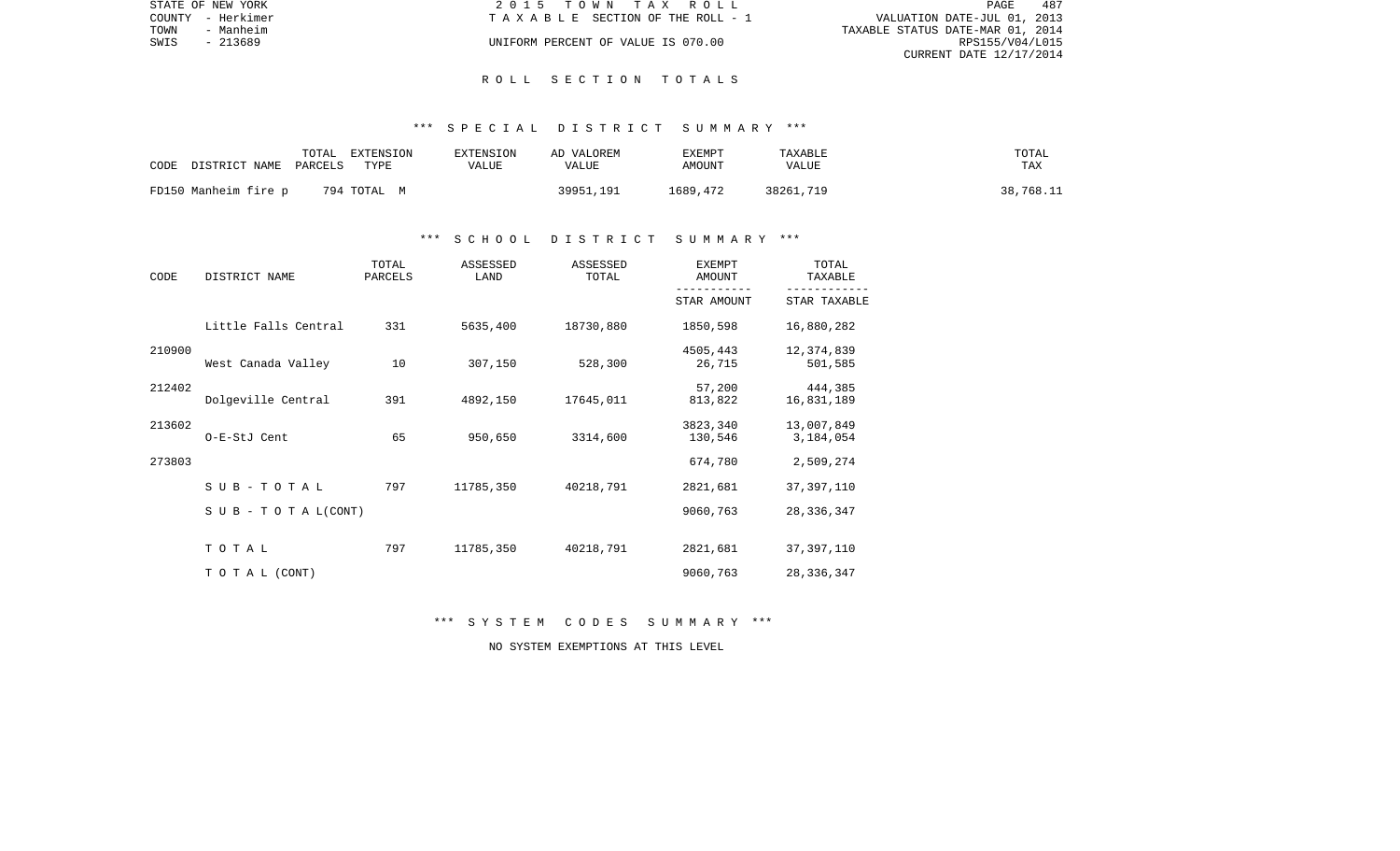|      | STATE OF NEW YORK | 2015 TOWN TAX ROLL                 | PAGE                        | 487 |
|------|-------------------|------------------------------------|-----------------------------|-----|
|      | COUNTY - Herkimer | TAXABLE SECTION OF THE ROLL - 1    | VALUATION DATE-JUL 01, 2013 |     |
| TOWN | - Manheim         | TAXABLE STATUS DATE-MAR 01, 2014   |                             |     |
| SWIS | $-213689$         | UNIFORM PERCENT OF VALUE IS 070.00 | RPS155/V04/L015             |     |
|      |                   |                                    | CURRENT DATE 12/17/2014     |     |

#### \*\*\* S P E C I A L D I S T R I C T S U M M A R Y \*\*\*

| CODE<br>DISTRICT NAME | EXTENSION<br>TOTAL<br>PARCELS<br>TYPE | EXTENSION<br>VALUE | AD VALOREM<br>VALUE | EXEMPT<br>AMOUNT | TAXABLE<br>VALUE | TOTAL<br>TAX |
|-----------------------|---------------------------------------|--------------------|---------------------|------------------|------------------|--------------|
| FD150 Manheim fire p  | 794 ТОТАL М                           |                    | 39951,191           | 1689,472         | 38261,719        | 38,768.11    |

#### \*\*\* S C H O O L D I S T R I C T S U M M A R Y \*\*\*

| CODE   | DISTRICT NAME                    | TOTAL<br>PARCELS | ASSESSED<br>LAND | ASSESSED<br>TOTAL | <b>EXEMPT</b><br>AMOUNT | TOTAL<br>TAXABLE        |
|--------|----------------------------------|------------------|------------------|-------------------|-------------------------|-------------------------|
|        |                                  |                  |                  |                   | STAR AMOUNT             | STAR TAXABLE            |
|        | Little Falls Central             | 331              | 5635,400         | 18730,880         | 1850,598                | 16,880,282              |
| 210900 | West Canada Valley               | 10               | 307,150          | 528,300           | 4505,443<br>26,715      | 12, 374, 839<br>501,585 |
| 212402 | Dolgeville Central               | 391              | 4892,150         | 17645,011         | 57,200<br>813,822       | 444,385<br>16,831,189   |
| 213602 | O-E-StJ Cent                     | 65               | 950,650          | 3314,600          | 3823,340<br>130,546     | 13,007,849<br>3,184,054 |
| 273803 |                                  |                  |                  |                   | 674,780                 | 2,509,274               |
|        | SUB-TOTAL                        | 797              | 11785,350        | 40218,791         | 2821,681                | 37, 397, 110            |
|        | $S \cup B - T \cup T A L (CONT)$ |                  |                  |                   | 9060,763                | 28, 336, 347            |
|        | TOTAL                            | 797              | 11785,350        | 40218,791         | 2821,681                | 37, 397, 110            |
|        | TO TAL (CONT)                    |                  |                  |                   | 9060,763                | 28, 336, 347            |

\*\*\* S Y S T E M C O D E S S U M M A R Y \*\*\*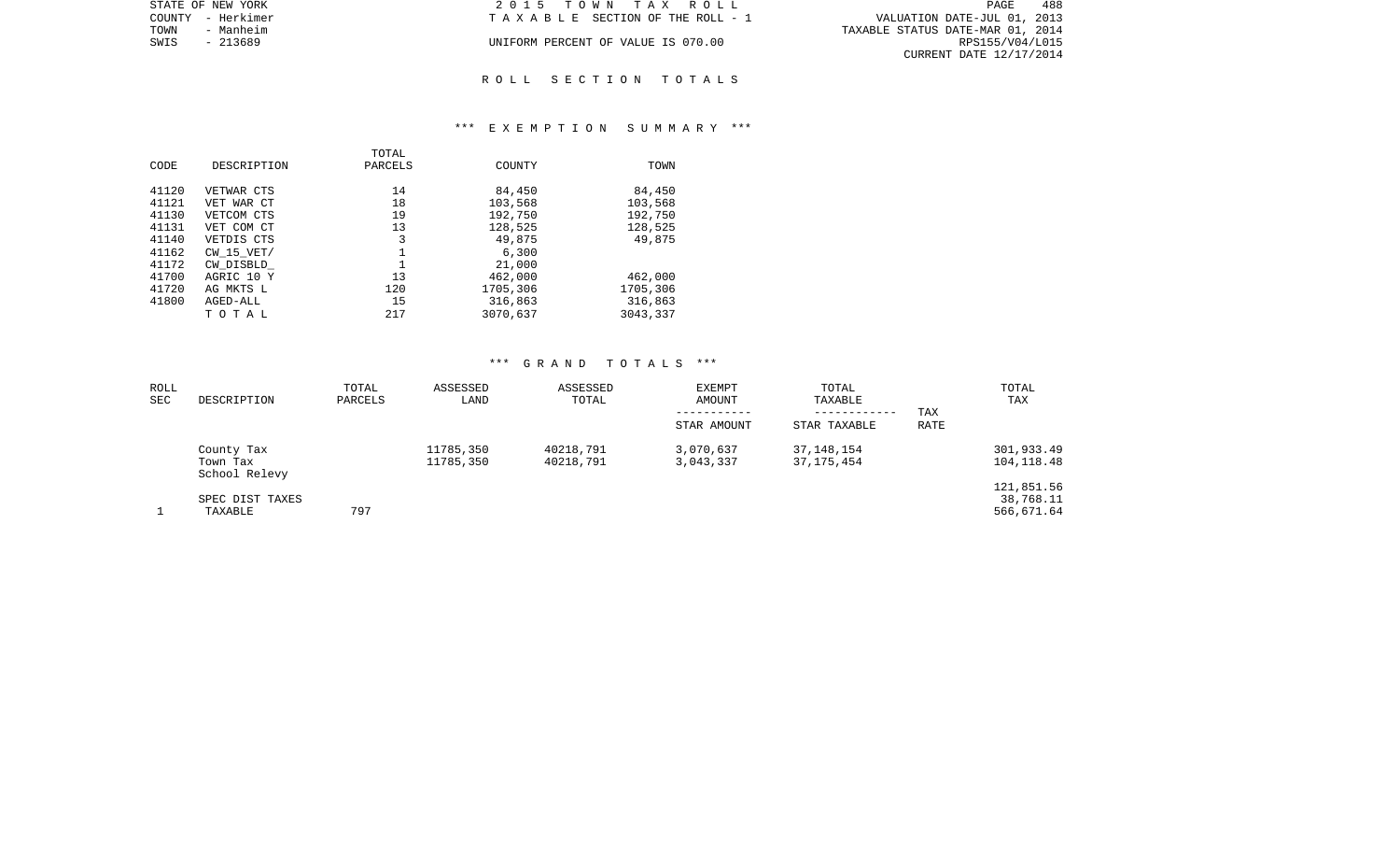| STATE OF NEW YORK | 2015 TOWN TAX ROLL                    | 488<br>PAGE                      |
|-------------------|---------------------------------------|----------------------------------|
| COUNTY - Herkimer | T A X A B L E SECTION OF THE ROLL - 1 | VALUATION DATE-JUL 01, 2013      |
| TOWN<br>- Manheim |                                       | TAXABLE STATUS DATE-MAR 01, 2014 |
| - 213689<br>SWIS  | UNIFORM PERCENT OF VALUE IS 070.00    | RPS155/V04/L015                  |
|                   |                                       | CURRENT DATE 12/17/2014          |
|                   |                                       |                                  |

#### \*\*\* E X E M P T I O N S U M M A R Y \*\*\*

| CODE           | DESCRIPTION                 | TOTAL<br>PARCELS | COUNTY             | TOWN               |
|----------------|-----------------------------|------------------|--------------------|--------------------|
| 41120<br>41121 | VETWAR CTS<br>VET WAR CT    | 14<br>18         | 84,450<br>103,568  | 84,450<br>103,568  |
| 41130<br>41131 | VETCOM CTS<br>VET COM CT    | 19<br>13         | 192,750<br>128,525 | 192,750<br>128,525 |
| 41140          | VETDIS CTS                  | 3                | 49,875             | 49,875             |
| 41162<br>41172 | $CW$ 15 $VET/$<br>CW DISBLD |                  | 6,300<br>21,000    |                    |
| 41700          | AGRIC 10 Y                  | 13               | 462,000            | 462,000            |
| 41720          | AG MKTS L                   | 120              | 1705,306           | 1705,306           |
| 41800          | AGED-ALL                    | 15               | 316,863            | 316,863            |
|                | TOTAL                       | 217              | 3070,637           | 3043,337           |

| ROLL<br>SEC | DESCRIPTION                             | TOTAL<br>PARCELS | ASSESSED<br>LAND       | ASSESSED<br>TOTAL      | EXEMPT<br>AMOUNT       | TOTAL<br>TAXABLE<br>------------ | TAX  | TOTAL<br>TAX                          |
|-------------|-----------------------------------------|------------------|------------------------|------------------------|------------------------|----------------------------------|------|---------------------------------------|
|             |                                         |                  |                        |                        | STAR AMOUNT            | STAR TAXABLE                     | RATE |                                       |
|             | County Tax<br>Town Tax<br>School Relevy |                  | 11785,350<br>11785,350 | 40218,791<br>40218,791 | 3,070,637<br>3,043,337 | 37, 148, 154<br>37,175,454       |      | 301,933.49<br>104,118.48              |
|             | SPEC DIST TAXES<br>TAXABLE              | 797              |                        |                        |                        |                                  |      | 121,851.56<br>38,768.11<br>566,671.64 |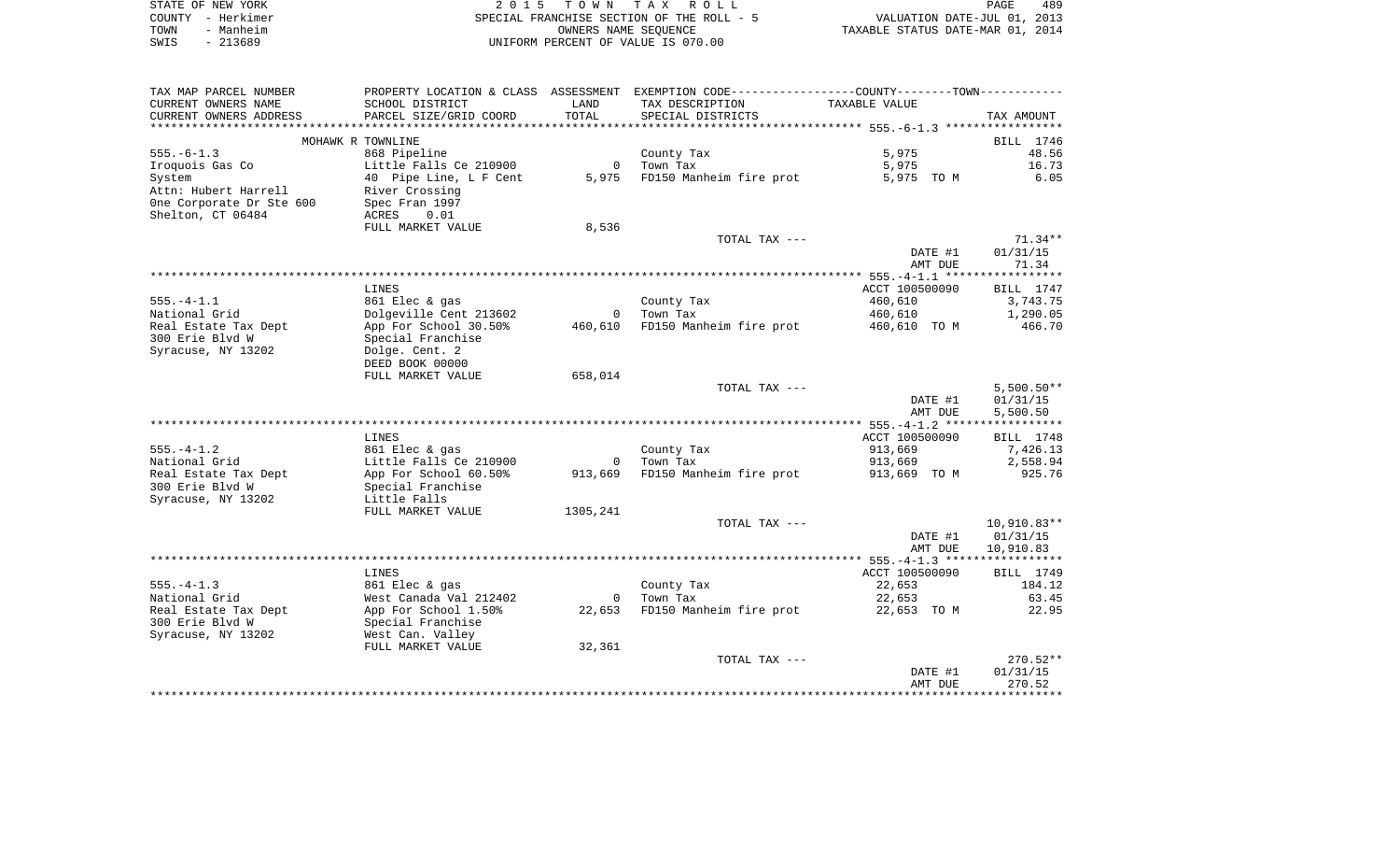|      | STATE OF NEW YORK | 2015 TOWN TAX ROLL                        | 489<br><b>PAGE</b>               |
|------|-------------------|-------------------------------------------|----------------------------------|
|      | COUNTY - Herkimer | SPECIAL FRANCHISE SECTION OF THE ROLL - 5 | VALUATION DATE-JUL 01, 2013      |
| TOWN | - Manheim         | OWNERS NAME SEOUENCE                      | TAXABLE STATUS DATE-MAR 01, 2014 |
| SWIS | $-213689$         | UNIFORM PERCENT OF VALUE IS 070.00        |                                  |

| TAX MAP PARCEL NUMBER<br>CURRENT OWNERS NAME  | PROPERTY LOCATION & CLASS<br>SCHOOL DISTRICT | ASSESSMENT<br>LAND                  | EXEMPTION CODE-----------------COUNTY-------TOWN-----------<br>TAX DESCRIPTION | TAXABLE VALUE      |                       |
|-----------------------------------------------|----------------------------------------------|-------------------------------------|--------------------------------------------------------------------------------|--------------------|-----------------------|
| CURRENT OWNERS ADDRESS<br>******************* | PARCEL SIZE/GRID COORD                       | TOTAL                               | SPECIAL DISTRICTS                                                              |                    | TAX AMOUNT            |
|                                               |                                              | * * * * * * * * * * * * * * * * * * | ************************************ 555.-6-1.3 *****************              |                    |                       |
| $555. - 6 - 1.3$                              | MOHAWK R TOWNLINE<br>868 Pipeline            |                                     |                                                                                | 5,975              | BILL 1746<br>48.56    |
| Iroquois Gas Co                               | Little Falls Ce 210900                       | $\Omega$                            | County Tax<br>Town Tax                                                         | 5,975              | 16.73                 |
| System                                        | 40 Pipe Line, L F Cent                       | 5,975                               | FD150 Manheim fire prot                                                        | 5,975 TO M         | 6.05                  |
| Attn: Hubert Harrell                          | River Crossing                               |                                     |                                                                                |                    |                       |
| One Corporate Dr Ste 600                      | Spec Fran 1997                               |                                     |                                                                                |                    |                       |
| Shelton, CT 06484                             | ACRES<br>0.01                                |                                     |                                                                                |                    |                       |
|                                               | FULL MARKET VALUE                            | 8,536                               |                                                                                |                    |                       |
|                                               |                                              |                                     | TOTAL TAX ---                                                                  |                    | $71.34**$             |
|                                               |                                              |                                     |                                                                                | DATE #1            | 01/31/15              |
|                                               |                                              |                                     |                                                                                | AMT DUE            | 71.34                 |
|                                               |                                              |                                     |                                                                                |                    |                       |
|                                               | LINES                                        |                                     |                                                                                | ACCT 100500090     | BILL 1747             |
| $555. - 4 - 1.1$                              | 861 Elec & gas                               |                                     | County Tax                                                                     | 460,610            | 3,743.75              |
| National Grid                                 | Dolgeville Cent 213602                       | $\mathbf 0$                         | Town Tax                                                                       | 460,610            | 1,290.05              |
| Real Estate Tax Dept                          | App For School 30.50%                        | 460,610                             | FD150 Manheim fire prot                                                        | 460,610 TO M       | 466.70                |
| 300 Erie Blvd W<br>Syracuse, NY 13202         | Special Franchise<br>Dolge. Cent. 2          |                                     |                                                                                |                    |                       |
|                                               | DEED BOOK 00000                              |                                     |                                                                                |                    |                       |
|                                               | FULL MARKET VALUE                            | 658,014                             |                                                                                |                    |                       |
|                                               |                                              |                                     | TOTAL TAX ---                                                                  |                    | $5,500.50**$          |
|                                               |                                              |                                     |                                                                                | DATE #1            | 01/31/15              |
|                                               |                                              |                                     |                                                                                | AMT DUE            | 5,500.50              |
|                                               |                                              |                                     |                                                                                |                    |                       |
|                                               | LINES                                        |                                     |                                                                                | ACCT 100500090     | BILL 1748             |
| $555. - 4 - 1.2$                              | 861 Elec & gas                               |                                     | County Tax                                                                     | 913,669            | 7,426.13              |
| National Grid                                 | Little Falls Ce 210900                       | $\Omega$                            | Town Tax                                                                       | 913,669            | 2,558.94              |
| Real Estate Tax Dept                          | App For School 60.50%                        | 913,669                             | FD150 Manheim fire prot                                                        | 913,669 TO M       | 925.76                |
| 300 Erie Blvd W                               | Special Franchise                            |                                     |                                                                                |                    |                       |
| Syracuse, NY 13202                            | Little Falls                                 |                                     |                                                                                |                    |                       |
|                                               | FULL MARKET VALUE                            | 1305,241                            |                                                                                |                    |                       |
|                                               |                                              |                                     | TOTAL TAX ---                                                                  |                    | $10,910.83**$         |
|                                               |                                              |                                     |                                                                                | DATE #1<br>AMT DUE | 01/31/15<br>10,910.83 |
|                                               |                                              |                                     |                                                                                |                    |                       |
|                                               | LINES                                        |                                     |                                                                                | ACCT 100500090     | BILL 1749             |
| $555. - 4 - 1.3$                              | 861 Elec & gas                               |                                     | County Tax                                                                     | 22,653             | 184.12                |
| National Grid                                 | West Canada Val 212402                       | $\Omega$                            | Town Tax                                                                       | 22,653             | 63.45                 |
| Real Estate Tax Dept                          | App For School 1.50%                         | 22,653                              | FD150 Manheim fire prot                                                        | 22,653 TO M        | 22.95                 |
| 300 Erie Blvd W                               | Special Franchise                            |                                     |                                                                                |                    |                       |
| Syracuse, NY 13202                            | West Can. Valley                             |                                     |                                                                                |                    |                       |
|                                               | FULL MARKET VALUE                            | 32,361                              |                                                                                |                    |                       |
|                                               |                                              |                                     | TOTAL TAX ---                                                                  |                    | 270.52**              |
|                                               |                                              |                                     |                                                                                | DATE #1            | 01/31/15              |
|                                               |                                              |                                     |                                                                                | AMT DUE            | 270.52                |
|                                               |                                              |                                     |                                                                                |                    |                       |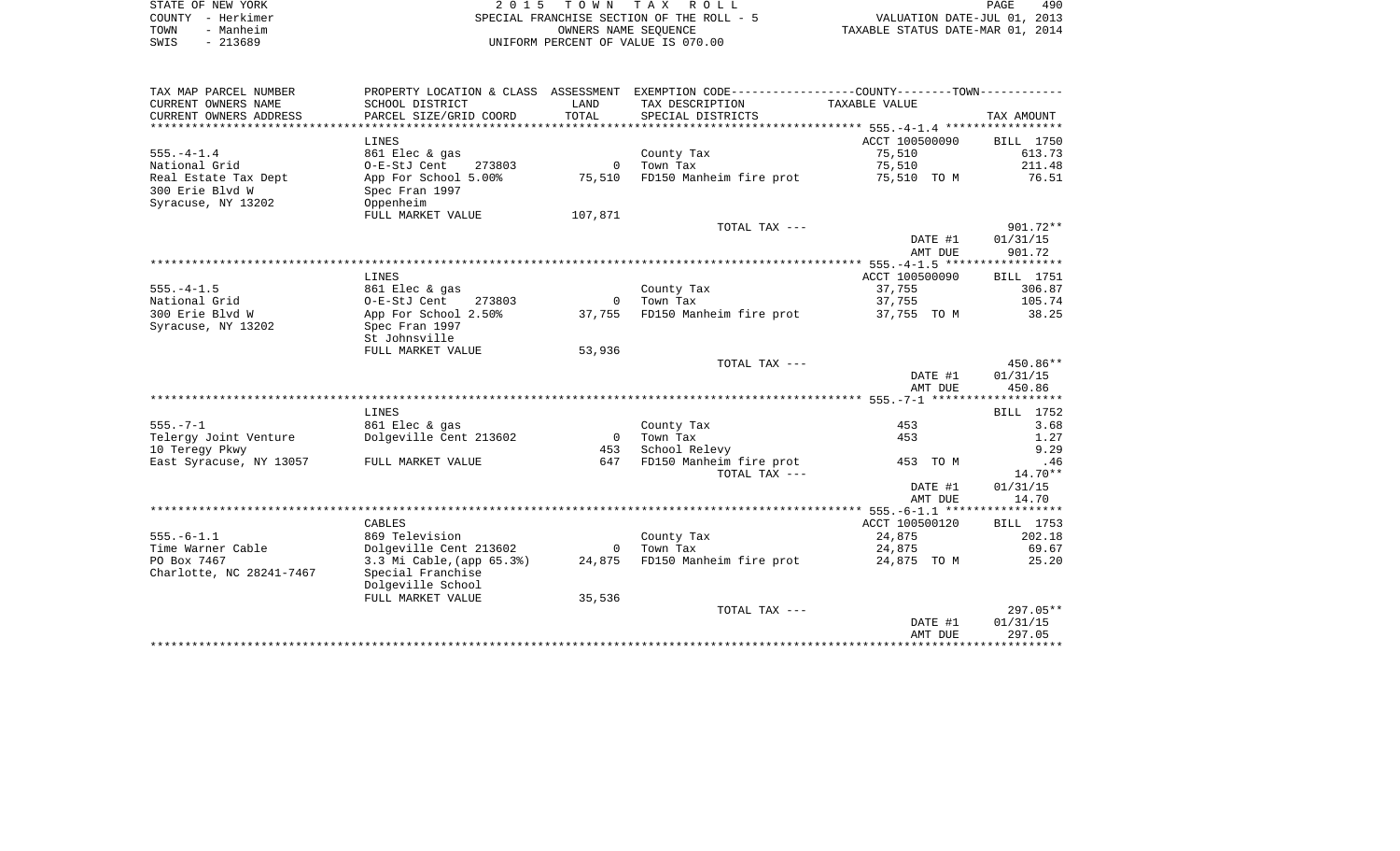|      | STATE OF NEW YORK | 2015 TOWN TAX ROLL                                       | PAGE                        | 490 |
|------|-------------------|----------------------------------------------------------|-----------------------------|-----|
|      | COUNTY – Herkimer | SPECIAL FRANCHISE SECTION OF THE ROLL - 5                | VALUATION DATE-JUL 01, 2013 |     |
| TOWN | - Manheim         | TAXABLE STATUS DATE-MAR 01, 2014<br>OWNERS NAME SEOUENCE |                             |     |
| SWIS | $-213689$         | UNIFORM PERCENT OF VALUE IS 070.00                       |                             |     |

| TAX MAP PARCEL NUMBER    |                                  |                | PROPERTY LOCATION & CLASS ASSESSMENT EXEMPTION CODE---------------COUNTY-------TOWN---------- |                |            |
|--------------------------|----------------------------------|----------------|-----------------------------------------------------------------------------------------------|----------------|------------|
| CURRENT OWNERS NAME      | SCHOOL DISTRICT                  | LAND           | TAX DESCRIPTION                                                                               | TAXABLE VALUE  |            |
| CURRENT OWNERS ADDRESS   | PARCEL SIZE/GRID COORD           | TOTAL          | SPECIAL DISTRICTS                                                                             |                | TAX AMOUNT |
|                          |                                  |                |                                                                                               |                |            |
|                          | LINES                            |                |                                                                                               | ACCT 100500090 | BILL 1750  |
| $555. - 4 - 1.4$         | 861 Elec & gas                   |                | County Tax                                                                                    | 75,510         | 613.73     |
| National Grid            | O-E-StJ Cent<br>273803           | $\overline{0}$ | Town Tax                                                                                      | 75,510         | 211.48     |
| Real Estate Tax Dept     | App For School 5.00%             | 75,510         | FD150 Manheim fire prot 55,510 TO M 36.51                                                     |                |            |
| 300 Erie Blvd W          | Spec Fran 1997                   |                |                                                                                               |                |            |
| Syracuse, NY 13202       | Oppenheim                        |                |                                                                                               |                |            |
|                          | FULL MARKET VALUE                | 107,871        |                                                                                               |                |            |
|                          |                                  |                | TOTAL TAX ---                                                                                 |                | $901.72**$ |
|                          |                                  |                |                                                                                               | DATE #1        | 01/31/15   |
|                          |                                  |                |                                                                                               | AMT DUE        | 901.72     |
|                          |                                  |                |                                                                                               |                |            |
|                          | LINES                            |                |                                                                                               | ACCT 100500090 | BILL 1751  |
| $555. - 4 - 1.5$         | 861 Elec & gas                   |                | County Tax                                                                                    | 37,755         | 306.87     |
| National Grid            | O-E-StJ Cent<br>273803           | $\overline{0}$ | Town Tax                                                                                      | 37,755         | 105.74     |
| 300 Erie Blvd W          | App For School 2.50%             | 37,755         | FD150 Manheim fire prot 37,755 TO M                                                           |                | 38.25      |
| Syracuse, NY 13202       | Spec Fran 1997                   |                |                                                                                               |                |            |
|                          | St Johnsville                    |                |                                                                                               |                |            |
|                          | FULL MARKET VALUE                | 53,936         |                                                                                               |                |            |
|                          |                                  |                | TOTAL TAX ---                                                                                 |                | $450.86**$ |
|                          |                                  |                |                                                                                               | DATE #1        | 01/31/15   |
|                          |                                  |                |                                                                                               |                | 450.86     |
|                          |                                  |                |                                                                                               | AMT DUE        |            |
|                          | LINES                            |                |                                                                                               |                | BILL 1752  |
| $555. - 7 - 1$           | 861 Elec & gas                   |                |                                                                                               | 453            | 3.68       |
|                          |                                  | $\overline{0}$ | County Tax                                                                                    |                |            |
| Telergy Joint Venture    | Dolgeville Cent 213602           |                | Town Tax                                                                                      | 453            | 1.27       |
| 10 Tereqy Pkwy           |                                  | 453            | School Relevy                                                                                 |                | 9.29       |
| East Syracuse, NY 13057  | FULL MARKET VALUE                | 647            | FD150 Manheim fire prot                                                                       | 453 TO M       | .46        |
|                          |                                  |                | TOTAL TAX ---                                                                                 |                | $14.70**$  |
|                          |                                  |                |                                                                                               | DATE #1        | 01/31/15   |
|                          |                                  |                |                                                                                               | AMT DUE        | 14.70      |
|                          |                                  |                |                                                                                               |                |            |
|                          | CABLES                           |                |                                                                                               | ACCT 100500120 | BILL 1753  |
| $555. - 6 - 1.1$         | 869 Television                   |                | County Tax                                                                                    | 24,875         | 202.18     |
| Time Warner Cable        | Dolgeville Cent 213602           |                | 0     Town  Tax                                                                               | 24,875         | 69.67      |
| PO Box 7467              | 3.3 Mi Cable, (app 65.3%) 24,875 |                | FD150 Manheim fire prot                                                                       | 24,875 TO M    | 25.20      |
| Charlotte, NC 28241-7467 | Special Franchise                |                |                                                                                               |                |            |
|                          | Dolgeville School                |                |                                                                                               |                |            |
|                          | FULL MARKET VALUE                | 35,536         |                                                                                               |                |            |
|                          |                                  |                | TOTAL TAX ---                                                                                 |                | $297.05**$ |
|                          |                                  |                |                                                                                               | DATE #1        | 01/31/15   |
|                          |                                  |                |                                                                                               | AMT DUE        | 297.05     |
|                          |                                  |                |                                                                                               |                |            |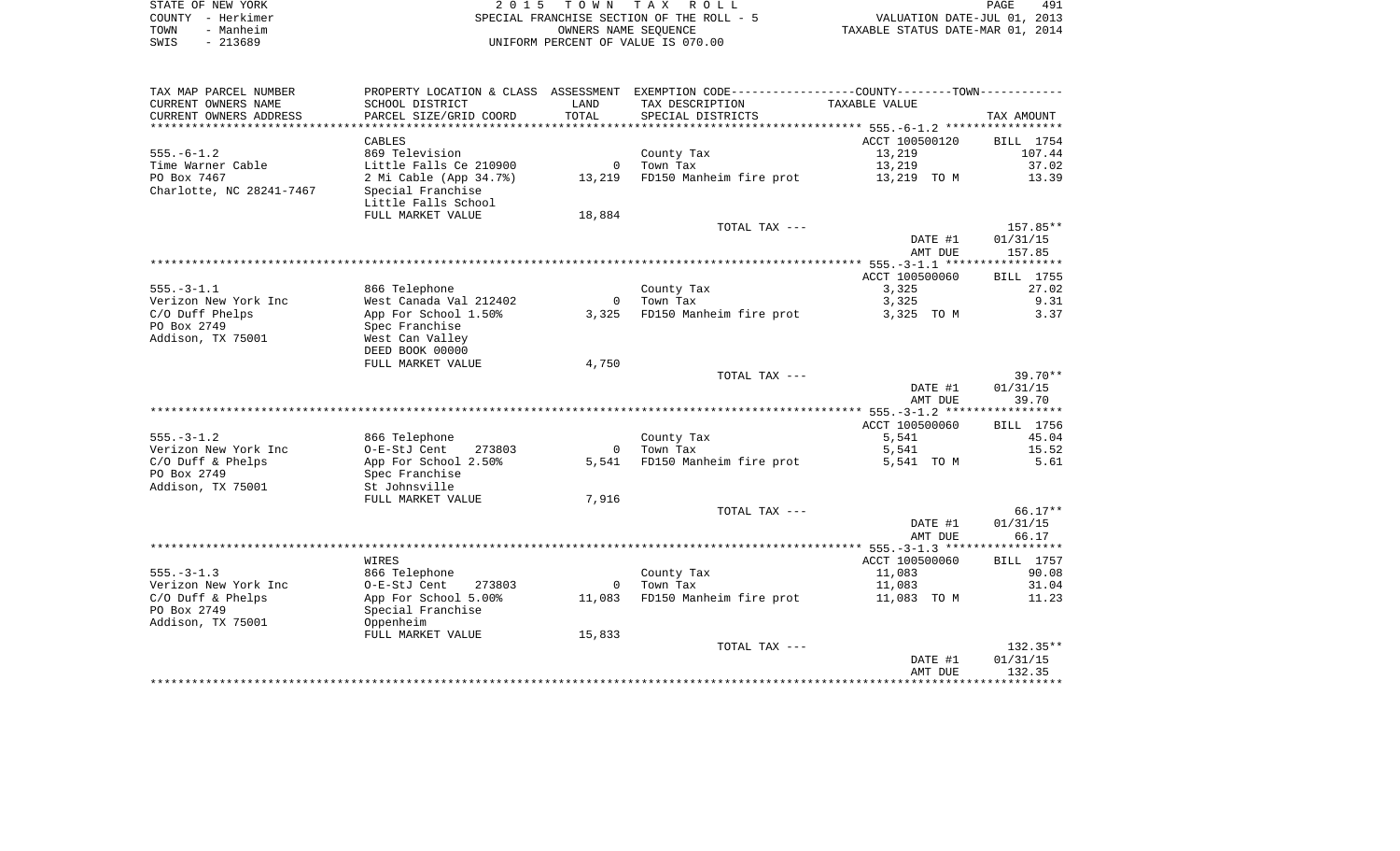| STATE OF NEW YORK |           | 2015 TOWN TAX ROLL                        | PAGE                             | 491 |
|-------------------|-----------|-------------------------------------------|----------------------------------|-----|
| COUNTY - Herkimer |           | SPECIAL FRANCHISE SECTION OF THE ROLL - 5 | VALUATION DATE-JUL 01, 2013      |     |
| TOWN              | - Manheim | OWNERS NAME SEOUENCE                      | TAXABLE STATUS DATE-MAR 01, 2014 |     |
| SWIS              | $-213689$ | UNIFORM PERCENT OF VALUE IS 070.00        |                                  |     |

| TAX MAP PARCEL NUMBER    | PROPERTY LOCATION & CLASS ASSESSMENT |                | EXEMPTION CODE----------------COUNTY-------TOWN-----------       |                |            |
|--------------------------|--------------------------------------|----------------|------------------------------------------------------------------|----------------|------------|
| CURRENT OWNERS NAME      | SCHOOL DISTRICT                      | LAND           | TAX DESCRIPTION                                                  | TAXABLE VALUE  |            |
| CURRENT OWNERS ADDRESS   | PARCEL SIZE/GRID COORD               | TOTAL          | SPECIAL DISTRICTS                                                |                | TAX AMOUNT |
|                          |                                      | **********     | ************************************555.-6-1.2 ***************** |                |            |
|                          | CABLES                               |                |                                                                  | ACCT 100500120 | BILL 1754  |
| $555. - 6 - 1.2$         | 869 Television                       |                | County Tax                                                       | 13,219         | 107.44     |
| Time Warner Cable        | Little Falls Ce 210900               | $\overline{0}$ | Town Tax                                                         | 13,219         | 37.02      |
| PO Box 7467              | 2 Mi Cable (App 34.7%)               | 13,219         | FD150 Manheim fire prot                                          | 13,219 TO M    | 13.39      |
| Charlotte, NC 28241-7467 | Special Franchise                    |                |                                                                  |                |            |
|                          | Little Falls School                  |                |                                                                  |                |            |
|                          | FULL MARKET VALUE                    | 18,884         |                                                                  |                |            |
|                          |                                      |                | TOTAL TAX ---                                                    |                | 157.85**   |
|                          |                                      |                |                                                                  | DATE #1        | 01/31/15   |
|                          |                                      |                |                                                                  | AMT DUE        | 157.85     |
|                          |                                      |                |                                                                  |                |            |
|                          |                                      |                |                                                                  | ACCT 100500060 | BILL 1755  |
| $555. - 3 - 1.1$         | 866 Telephone                        |                | County Tax                                                       | 3,325          | 27.02      |
| Verizon New York Inc     | West Canada Val 212402               | $\mathbf 0$    | Town Tax                                                         | 3,325          | 9.31       |
| C/O Duff Phelps          | App For School 1.50%                 | 3,325          | FD150 Manheim fire prot                                          | 3,325 TO M     | 3.37       |
| PO Box 2749              | Spec Franchise                       |                |                                                                  |                |            |
| Addison, TX 75001        | West Can Valley                      |                |                                                                  |                |            |
|                          | DEED BOOK 00000                      |                |                                                                  |                |            |
|                          | FULL MARKET VALUE                    | 4,750          |                                                                  |                |            |
|                          |                                      |                | TOTAL TAX ---                                                    |                | $39.70**$  |
|                          |                                      |                |                                                                  | DATE #1        | 01/31/15   |
|                          |                                      |                |                                                                  | AMT DUE        | 39.70      |
|                          |                                      |                |                                                                  |                |            |
|                          |                                      |                |                                                                  | ACCT 100500060 | BILL 1756  |
| $555. - 3 - 1.2$         | 866 Telephone                        |                | County Tax                                                       | 5,541          | 45.04      |
| Verizon New York Inc     | O-E-StJ Cent<br>273803               | $\mathbf{0}$   | Town Tax                                                         | 5,541          | 15.52      |
| C/O Duff & Phelps        | App For School 2.50%                 | 5,541          | FD150 Manheim fire prot                                          | 5,541 TO M     | 5.61       |
| PO Box 2749              | Spec Franchise                       |                |                                                                  |                |            |
| Addison, TX 75001        | St Johnsville                        |                |                                                                  |                |            |
|                          | FULL MARKET VALUE                    | 7,916          |                                                                  |                |            |
|                          |                                      |                | TOTAL TAX ---                                                    |                | 66.17**    |
|                          |                                      |                |                                                                  | DATE #1        | 01/31/15   |
|                          |                                      |                |                                                                  | AMT DUE        | 66.17      |
|                          |                                      |                |                                                                  |                |            |
|                          | WIRES                                |                |                                                                  | ACCT 100500060 | BILL 1757  |
| $555. - 3 - 1.3$         | 866 Telephone                        |                | County Tax                                                       | 11,083         | 90.08      |
| Verizon New York Inc     | 273803<br>O-E-StJ Cent               | $\overline{0}$ | Town Tax                                                         | 11,083         | 31.04      |
| $C/O$ Duff & Phelps      | App For School 5.00%                 | 11,083         | FD150 Manheim fire prot                                          | 11,083 TO M    | 11.23      |
| PO Box 2749              | Special Franchise                    |                |                                                                  |                |            |
| Addison, TX 75001        | Oppenheim                            |                |                                                                  |                |            |
|                          | FULL MARKET VALUE                    | 15,833         |                                                                  |                |            |
|                          |                                      |                | TOTAL TAX ---                                                    |                | $132.35**$ |
|                          |                                      |                |                                                                  | DATE #1        | 01/31/15   |
|                          |                                      |                |                                                                  | AMT DUE        | 132.35     |
|                          |                                      |                |                                                                  |                |            |
|                          |                                      |                |                                                                  |                |            |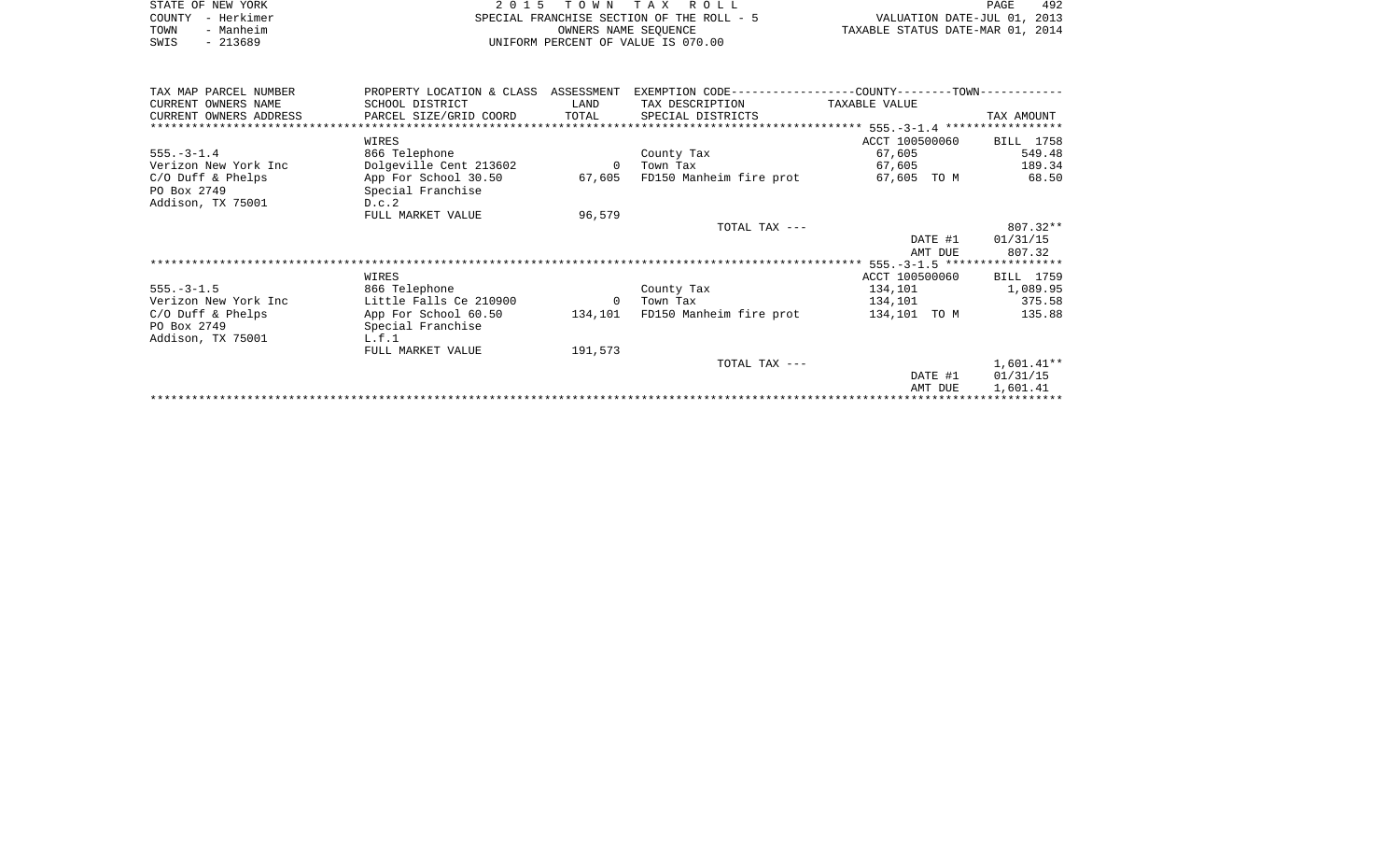|      | STATE OF NEW YORK | 2015 TOWN TAX ROLL                        | PAGE                             | 492 |
|------|-------------------|-------------------------------------------|----------------------------------|-----|
|      | COUNTY - Herkimer | SPECIAL FRANCHISE SECTION OF THE ROLL - 5 | VALUATION DATE-JUL 01, 2013      |     |
| TOWN | - Manheim         | OWNERS NAME SEOUENCE                      | TAXABLE STATUS DATE-MAR 01, 2014 |     |
| SWIS | $-213689$         | UNIFORM PERCENT OF VALUE IS 070.00        |                                  |     |

| TAX MAP PARCEL NUMBER                                   | PROPERTY LOCATION & CLASS ASSESSMENT               |                | EXEMPTION CODE----------------COUNTY-------TOWN----------- |                          |                  |
|---------------------------------------------------------|----------------------------------------------------|----------------|------------------------------------------------------------|--------------------------|------------------|
| CURRENT OWNERS NAME                                     | SCHOOL DISTRICT                                    | LAND           | TAX DESCRIPTION                                            | TAXABLE VALUE            |                  |
| CURRENT OWNERS ADDRESS                                  | PARCEL SIZE/GRID COORD                             |                | TOTAL SPECIAL DISTRICTS                                    |                          | TAX AMOUNT       |
|                                                         |                                                    |                |                                                            |                          |                  |
|                                                         | WIRES                                              |                |                                                            | ACCT 100500060 BILL 1758 |                  |
| $555. - 3 - 1.4$                                        | 866 Telephone                                      |                | County Tax                                                 | 67,605                   | 549.48           |
| Verizon New York Inc                                    | Dolgeville Cent 213602                             |                | 0 Town Tax                                                 | 67,605                   | 189.34           |
| $C/O$ Duff & Phelps<br>PO Box 2749<br>Addison, TX 75001 | App For School 30.50<br>Special Franchise<br>D.c.2 |                | 67,605 FD150 Manheim fire prot                             | 67,605 TO M              | 68.50            |
|                                                         | FULL MARKET VALUE                                  | 96,579         |                                                            |                          |                  |
|                                                         |                                                    |                | TOTAL TAX ---                                              |                          | 807.32**         |
|                                                         |                                                    |                |                                                            |                          | DATE #1 01/31/15 |
|                                                         |                                                    |                |                                                            |                          | AMT DUE 807.32   |
|                                                         |                                                    |                |                                                            |                          |                  |
|                                                         | WIRES                                              |                |                                                            | ACCT 100500060           | BILL 1759        |
| $555. - 3 - 1.5$                                        | 866 Telephone                                      |                | County Tax                                                 | 134,101                  | 1,089.95         |
| Verizon New York Inc                                    | Little Falls Ce 210900                             | $\overline{0}$ | Town Tax                                                   | 134,101                  | 375.58           |
| $C/O$ Duff & Phelps<br>PO Box 2749<br>Addison, TX 75001 | App For School 60.50<br>Special Franchise<br>L.f.1 |                | 134,101 FD150 Manheim fire prot                            | 134,101 TO M             | 135.88           |
|                                                         | FULL MARKET VALUE                                  | 191,573        |                                                            |                          |                  |
|                                                         |                                                    |                | TOTAL TAX ---                                              |                          | $1,601.41**$     |
|                                                         |                                                    |                |                                                            | DATE #1                  | 01/31/15         |
|                                                         |                                                    |                |                                                            | AMT DUE                  | 1,601.41         |
|                                                         |                                                    |                |                                                            |                          |                  |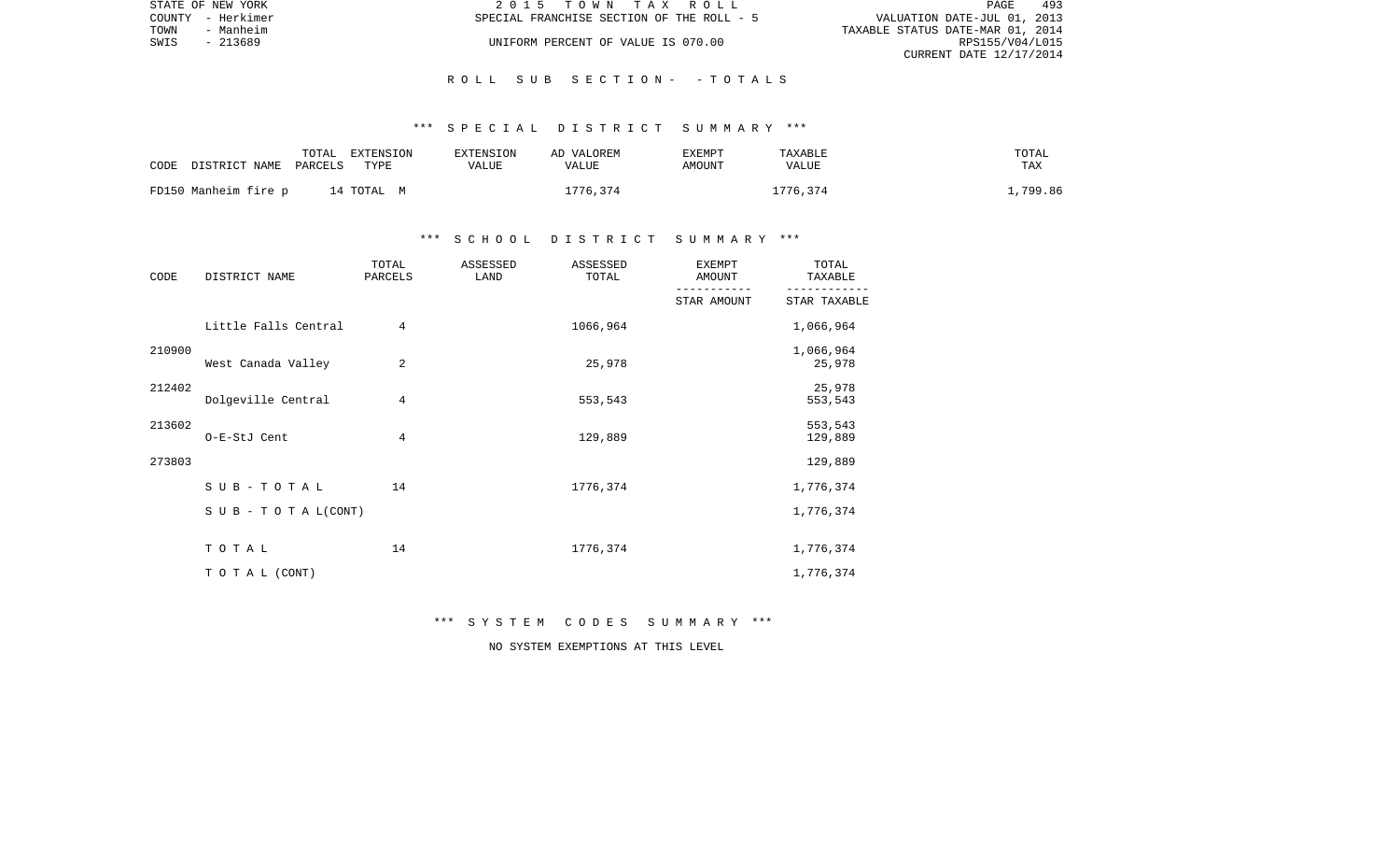|      | STATE OF NEW YORK | 2015 TOWN TAX ROLL                        | PAGE                             | 493 |
|------|-------------------|-------------------------------------------|----------------------------------|-----|
|      | COUNTY - Herkimer | SPECIAL FRANCHISE SECTION OF THE ROLL - 5 | VALUATION DATE-JUL 01, 2013      |     |
| TOWN | - Manheim         |                                           | TAXABLE STATUS DATE-MAR 01, 2014 |     |
| SWIS | - 213689          | UNIFORM PERCENT OF VALUE IS 070.00        | RPS155/V04/L015                  |     |
|      |                   |                                           | CURRENT DATE 12/17/2014          |     |

#### \*\*\* S P E C I A L D I S T R I C T S U M M A R Y \*\*\*

| CODE DISTRICT NAME PARCELS | TOTAL | EXTENSION<br>TYPE | EXTENSION<br>VALUE | AD VALOREM<br>VALUE | EXEMPT<br>AMOUNT | TAXABLE<br>VALUE | TOTAL<br>TAX |
|----------------------------|-------|-------------------|--------------------|---------------------|------------------|------------------|--------------|
| FD150 Manheim fire p       |       | 14 TOTAL M        |                    | 1776,374            |                  | 1776,374         | .,799.86     |

### \*\*\* S C H O O L D I S T R I C T S U M M A R Y \*\*\*

| CODE   | DISTRICT NAME             | TOTAL<br>PARCELS | ASSESSED<br>LAND | ASSESSED<br>TOTAL | <b>EXEMPT</b><br>AMOUNT | TOTAL<br>TAXABLE    |
|--------|---------------------------|------------------|------------------|-------------------|-------------------------|---------------------|
|        |                           |                  |                  |                   | STAR AMOUNT             | STAR TAXABLE        |
|        | Little Falls Central      | $\overline{4}$   |                  | 1066,964          |                         | 1,066,964           |
| 210900 | West Canada Valley        | 2                |                  | 25,978            |                         | 1,066,964<br>25,978 |
| 212402 | Dolgeville Central        | 4                |                  | 553,543           |                         | 25,978<br>553,543   |
| 213602 | O-E-StJ Cent              | 4                |                  | 129,889           |                         | 553,543<br>129,889  |
| 273803 |                           |                  |                  |                   |                         | 129,889             |
|        | $SUB - TO T AL$           | 14               |                  | 1776,374          |                         | 1,776,374           |
|        | S U B - T O T A $L(CONT)$ |                  |                  |                   |                         | 1,776,374           |
|        | TOTAL                     | 14               |                  | 1776,374          |                         | 1,776,374           |
|        | TO TAL (CONT)             |                  |                  |                   |                         | 1,776,374           |

\*\*\* S Y S T E M C O D E S S U M M A R Y \*\*\*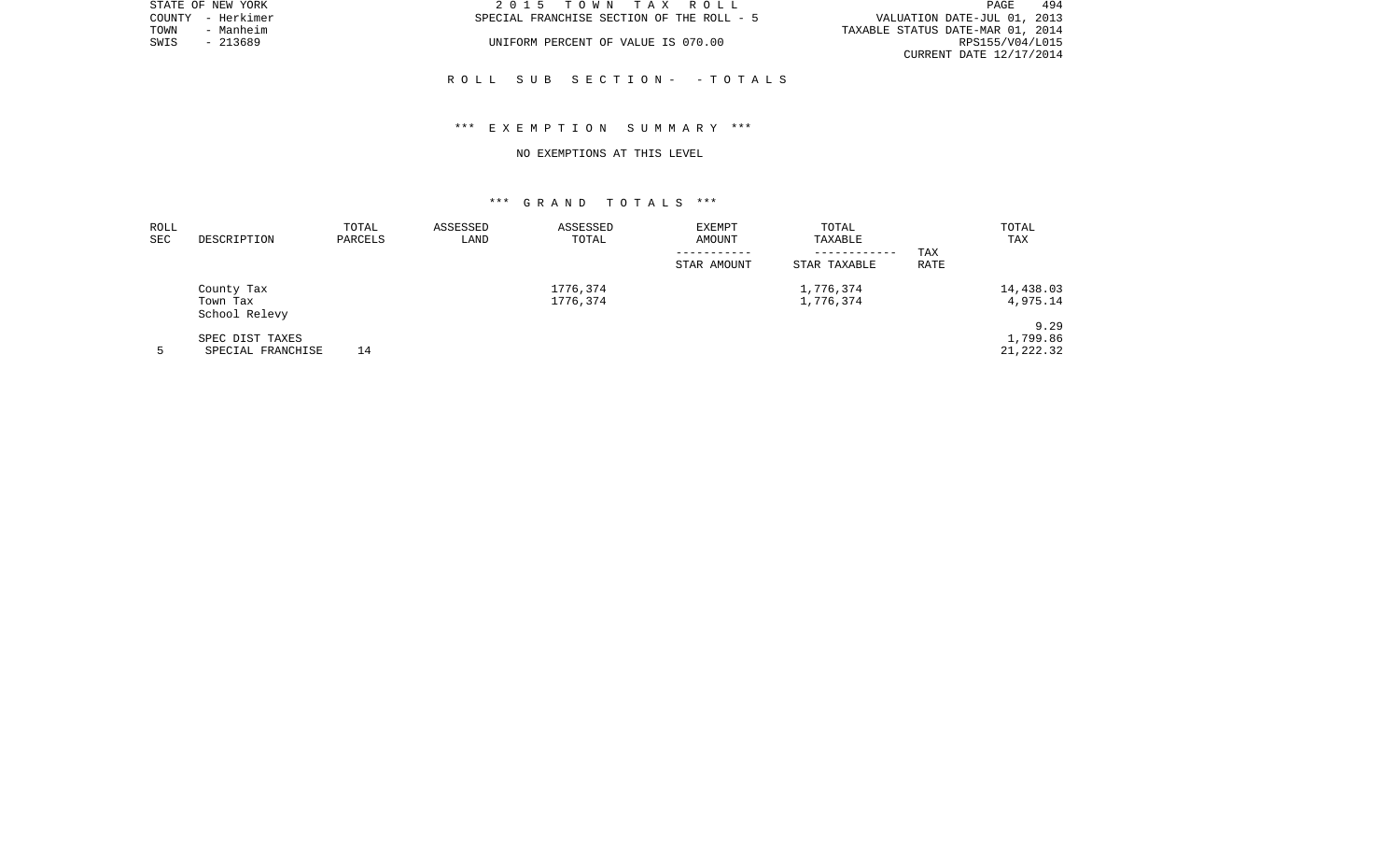| STATE OF NEW YORK | 2015 TOWN TAX ROLL                        | 494<br>PAGE                      |
|-------------------|-------------------------------------------|----------------------------------|
| COUNTY - Herkimer | SPECIAL FRANCHISE SECTION OF THE ROLL - 5 | VALUATION DATE-JUL 01, 2013      |
| TOWN<br>- Manheim |                                           | TAXABLE STATUS DATE-MAR 01, 2014 |
| SWIS<br>$-213689$ | UNIFORM PERCENT OF VALUE IS 070.00        | RPS155/V04/L015                  |
|                   |                                           | CURRENT DATE 12/17/2014          |
|                   |                                           |                                  |

#### \*\*\* E X E M P T I O N S U M M A R Y \*\*\*

#### NO EXEMPTIONS AT THIS LEVEL

| ROLL<br><b>SEC</b> | DESCRIPTION               | TOTAL<br>PARCELS | ASSESSED<br>LAND | ASSESSED<br>TOTAL | <b>EXEMPT</b><br>AMOUNT | TOTAL<br>TAXABLE |      | TOTAL<br>TAX |
|--------------------|---------------------------|------------------|------------------|-------------------|-------------------------|------------------|------|--------------|
|                    |                           |                  |                  |                   |                         |                  | TAX  |              |
|                    |                           |                  |                  |                   | STAR AMOUNT             | STAR TAXABLE     | RATE |              |
|                    | County Tax                |                  |                  | 1776,374          |                         | 1,776,374        |      | 14,438.03    |
|                    | Town Tax<br>School Relevy |                  |                  | 1776,374          |                         | 1,776,374        |      | 4,975.14     |
|                    |                           |                  |                  |                   |                         |                  |      | 9.29         |
|                    | SPEC DIST TAXES           |                  |                  |                   |                         |                  |      | 1,799.86     |
|                    | SPECIAL FRANCHISE         | 14               |                  |                   |                         |                  |      | 21, 222.32   |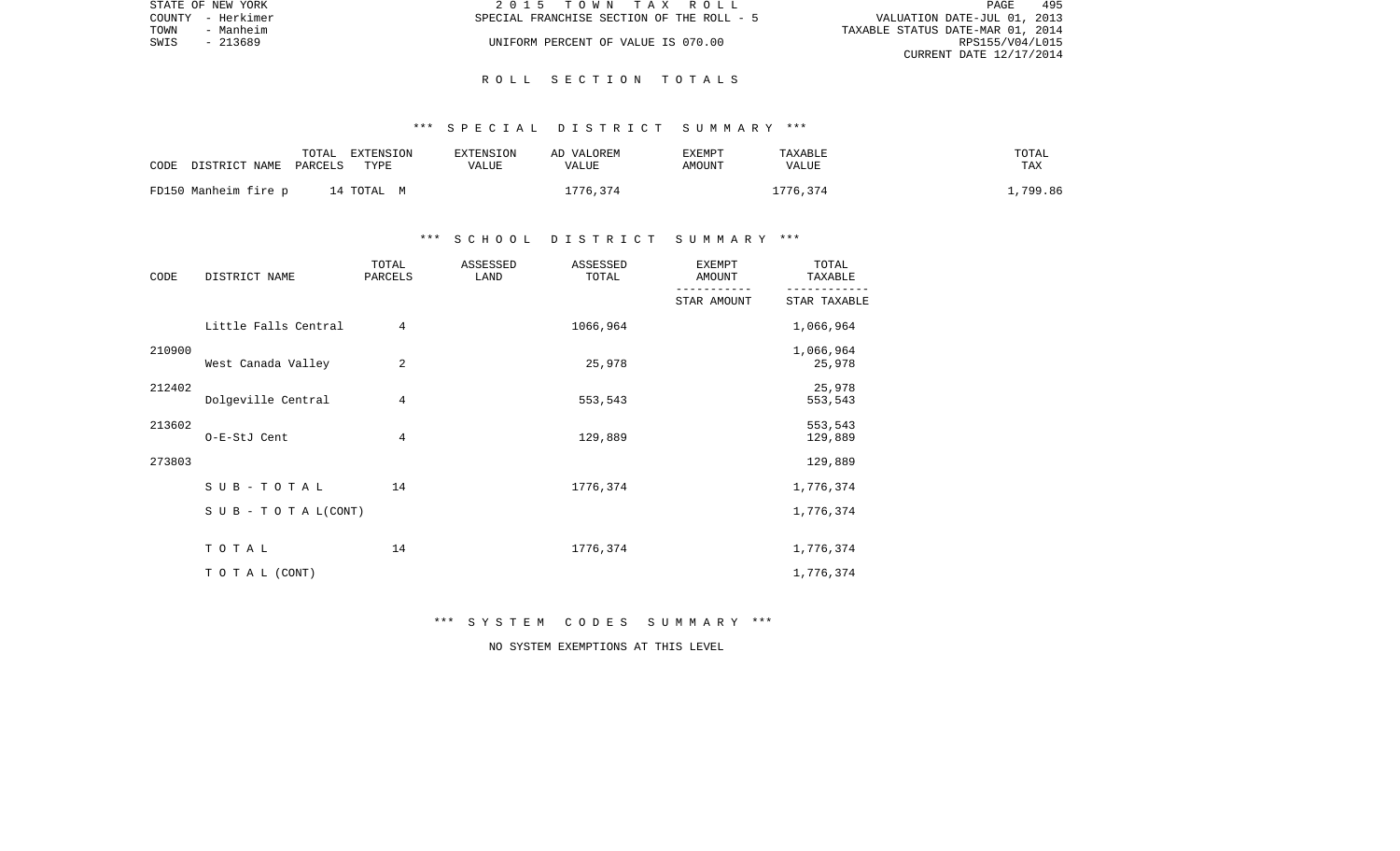|      | STATE OF NEW YORK | 2015 TOWN TAX ROLL                                                       | PAGE            | 495 |
|------|-------------------|--------------------------------------------------------------------------|-----------------|-----|
|      | COUNTY - Herkimer | VALUATION DATE-JUL 01, 2013<br>SPECIAL FRANCHISE SECTION OF THE ROLL - 5 |                 |     |
| TOWN | - Manheim         | TAXABLE STATUS DATE-MAR 01, 2014                                         |                 |     |
| SWIS | - 213689          | UNIFORM PERCENT OF VALUE IS 070.00                                       | RPS155/V04/L015 |     |
|      |                   | CURRENT DATE 12/17/2014                                                  |                 |     |

#### \*\*\* S P E C I A L D I S T R I C T S U M M A R Y \*\*\*

| CODE DISTRICT NAME PARCELS | EXTENSION<br>TOTAL<br>TYPE | EXTENSION<br>VALUE | AD VALOREM<br>VALUE | EXEMPT<br>AMOUNT | TAXABLE<br>VALUE | TOTAL<br>TAX |
|----------------------------|----------------------------|--------------------|---------------------|------------------|------------------|--------------|
| FD150 Manheim fire p       | 14 TOTAL M                 |                    | 1776,374            |                  | 1776,374         | 1,799.86     |

## \*\*\* S C H O O L D I S T R I C T S U M M A R Y \*\*\*

| CODE   | DISTRICT NAME             | TOTAL<br>PARCELS | ASSESSED<br>LAND | ASSESSED<br>TOTAL | <b>EXEMPT</b><br>AMOUNT | TOTAL<br>TAXABLE    |
|--------|---------------------------|------------------|------------------|-------------------|-------------------------|---------------------|
|        |                           |                  |                  |                   | STAR AMOUNT             | STAR TAXABLE        |
|        | Little Falls Central      | $\overline{4}$   |                  | 1066,964          |                         | 1,066,964           |
| 210900 | West Canada Valley        | 2                |                  | 25,978            |                         | 1,066,964<br>25,978 |
| 212402 | Dolgeville Central        | 4                |                  | 553,543           |                         | 25,978<br>553,543   |
| 213602 | O-E-StJ Cent              | 4                |                  | 129,889           |                         | 553,543<br>129,889  |
| 273803 |                           |                  |                  |                   |                         | 129,889             |
|        | $SUB - TO T AL$           | 14               |                  | 1776,374          |                         | 1,776,374           |
|        | S U B - T O T A $L(CONT)$ |                  |                  |                   |                         | 1,776,374           |
|        | TOTAL                     | 14               |                  | 1776,374          |                         | 1,776,374           |
|        | TO TAL (CONT)             |                  |                  |                   |                         | 1,776,374           |

\*\*\* S Y S T E M C O D E S S U M M A R Y \*\*\*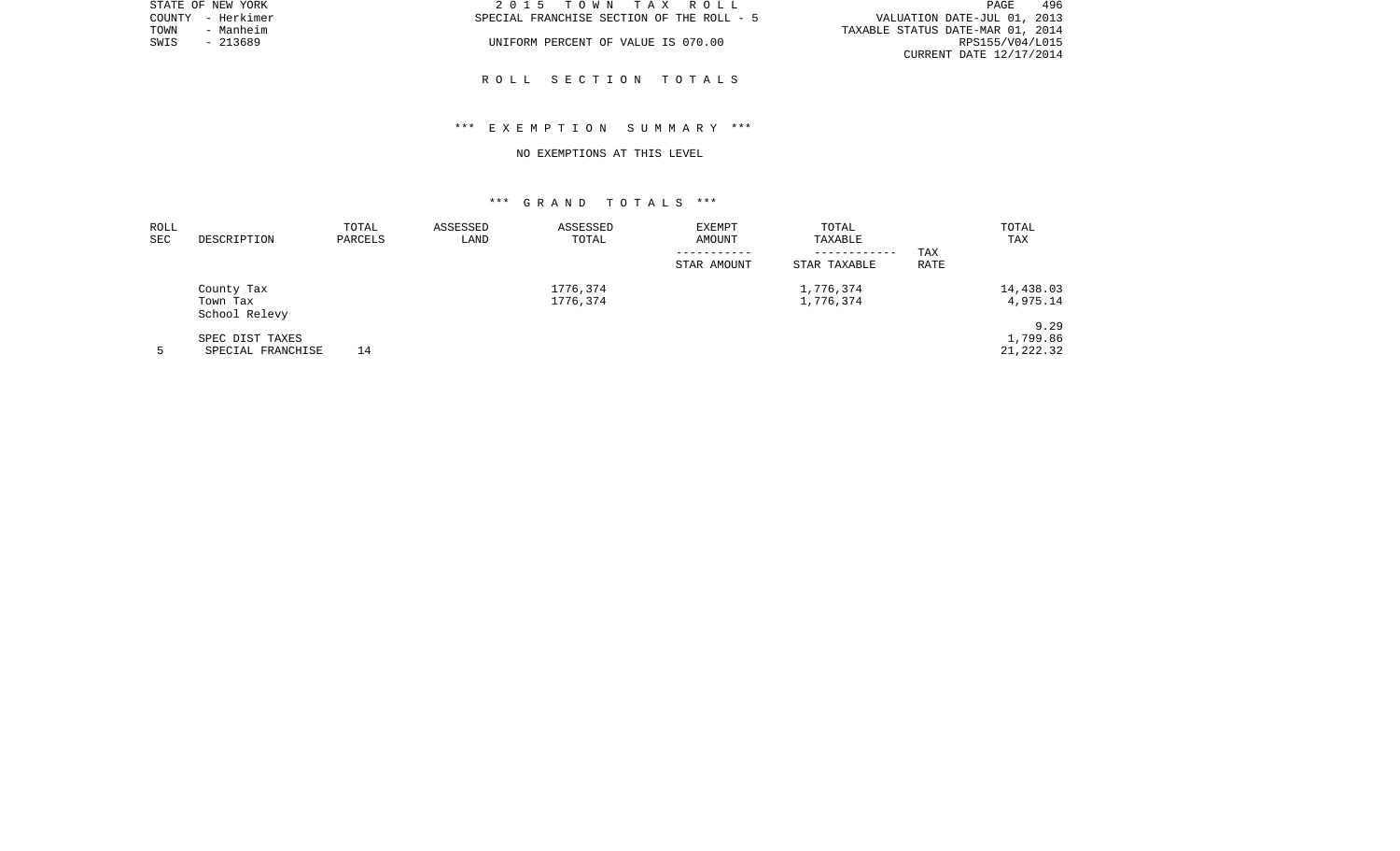|      | STATE OF NEW YORK | 2015 TOWN TAX ROLL                        | 496<br>PAGE                      |
|------|-------------------|-------------------------------------------|----------------------------------|
|      | COUNTY - Herkimer | SPECIAL FRANCHISE SECTION OF THE ROLL - 5 | VALUATION DATE-JUL 01, 2013      |
| TOWN | - Manheim         |                                           | TAXABLE STATUS DATE-MAR 01, 2014 |
| SWIS | - 213689          | UNIFORM PERCENT OF VALUE IS 070.00        | RPS155/V04/L015                  |
|      |                   |                                           | CURRENT DATE 12/17/2014          |

## \*\*\* E X E M P T I O N S U M M A R Y \*\*\*

#### NO EXEMPTIONS AT THIS LEVEL

| ROLL |                           | TOTAL   | ASSESSED | ASSESSED | <b>EXEMPT</b> | TOTAL        |             | TOTAL      |
|------|---------------------------|---------|----------|----------|---------------|--------------|-------------|------------|
| SEC  | DESCRIPTION               | PARCELS | LAND     | TOTAL    | AMOUNT        | TAXABLE      |             | TAX        |
|      |                           |         |          |          |               | ------------ | TAX         |            |
|      |                           |         |          |          | STAR AMOUNT   | STAR TAXABLE | <b>RATE</b> |            |
|      | County Tax                |         |          | 1776,374 |               | 1,776,374    |             | 14,438.03  |
|      | Town Tax<br>School Relevy |         |          | 1776,374 |               | 1,776,374    |             | 4,975.14   |
|      |                           |         |          |          |               |              |             | 9.29       |
|      | SPEC DIST TAXES           |         |          |          |               |              |             | 1,799.86   |
|      | SPECIAL FRANCHISE         | 14      |          |          |               |              |             | 21, 222.32 |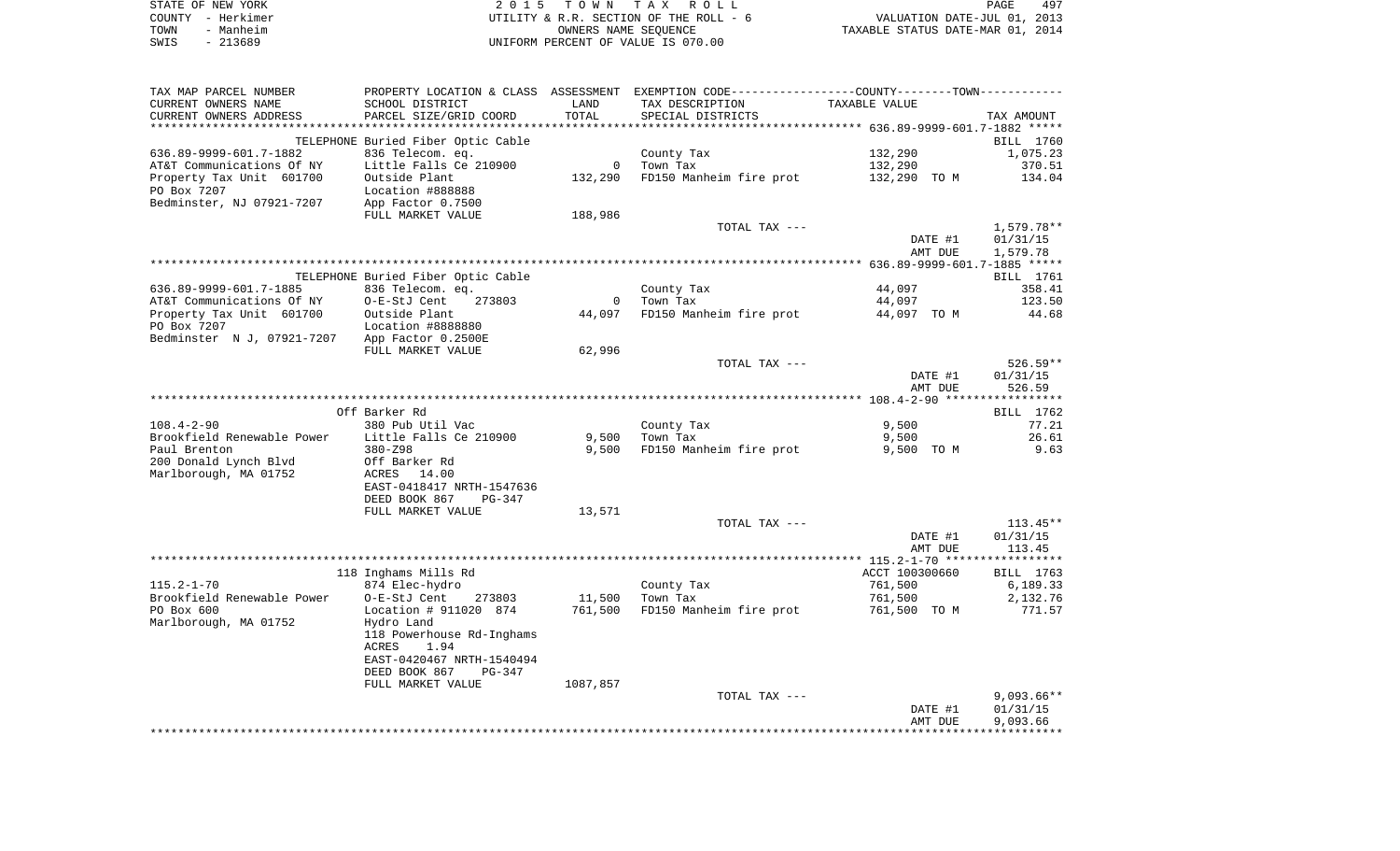|      | STATE OF NEW YORK | 2015 TOWN TAX ROLL                     |                                  | PAGE | 497 |
|------|-------------------|----------------------------------------|----------------------------------|------|-----|
|      | COUNTY - Herkimer | UTILITY & R.R. SECTION OF THE ROLL - 6 | VALUATION DATE-JUL 01, 2013      |      |     |
| TOWN | - Manheim         | OWNERS NAME SEOUENCE                   | TAXABLE STATUS DATE-MAR 01, 2014 |      |     |
| SWIS | - 213689          | UNIFORM PERCENT OF VALUE IS 070.00     |                                  |      |     |
|      |                   |                                        |                                  |      |     |

| TAX MAP PARCEL NUMBER      |                                    |             | PROPERTY LOCATION & CLASS ASSESSMENT EXEMPTION CODE----------------COUNTY-------TOWN---------- |                |              |
|----------------------------|------------------------------------|-------------|------------------------------------------------------------------------------------------------|----------------|--------------|
| CURRENT OWNERS NAME        | SCHOOL DISTRICT                    | LAND        | TAX DESCRIPTION                                                                                | TAXABLE VALUE  |              |
| CURRENT OWNERS ADDRESS     | PARCEL SIZE/GRID COORD             | TOTAL       | SPECIAL DISTRICTS                                                                              |                | TAX AMOUNT   |
|                            |                                    |             |                                                                                                |                |              |
|                            | TELEPHONE Buried Fiber Optic Cable |             |                                                                                                |                | BILL 1760    |
| 636.89-9999-601.7-1882     | 836 Telecom. eq.                   |             | County Tax                                                                                     | 132,290        | 1,075.23     |
| AT&T Communications Of NY  | Little Falls Ce 210900             | $\circ$     | Town Tax                                                                                       | 132,290        | 370.51       |
| Property Tax Unit 601700   | Outside Plant                      | 132,290     | FD150 Manheim fire prot                                                                        | 132,290 TO M   | 134.04       |
| PO Box 7207                | Location #888888                   |             |                                                                                                |                |              |
| Bedminster, NJ 07921-7207  | App Factor 0.7500                  |             |                                                                                                |                |              |
|                            | FULL MARKET VALUE                  | 188,986     |                                                                                                |                |              |
|                            |                                    |             | TOTAL TAX ---                                                                                  |                | $1,579.78**$ |
|                            |                                    |             |                                                                                                | DATE #1        | 01/31/15     |
|                            |                                    |             |                                                                                                | AMT DUE        | 1,579.78     |
|                            |                                    |             |                                                                                                |                |              |
|                            | TELEPHONE Buried Fiber Optic Cable |             |                                                                                                |                | BILL 1761    |
| 636.89-9999-601.7-1885     | 836 Telecom. eq.                   |             |                                                                                                | 44,097         | 358.41       |
|                            |                                    |             | County Tax                                                                                     |                |              |
| AT&T Communications Of NY  | O-E-StJ Cent<br>273803             | $\mathbf 0$ | Town Tax                                                                                       | 44,097         | 123.50       |
| Property Tax Unit 601700   | Outside Plant                      | 44,097      | FD150 Manheim fire prot                                                                        | 44,097 TO M    | 44.68        |
| PO Box 7207                | Location #8888880                  |             |                                                                                                |                |              |
| Bedminster N J, 07921-7207 | App Factor 0.2500E                 |             |                                                                                                |                |              |
|                            | FULL MARKET VALUE                  | 62,996      |                                                                                                |                |              |
|                            |                                    |             | TOTAL TAX ---                                                                                  |                | $526.59**$   |
|                            |                                    |             |                                                                                                | DATE #1        | 01/31/15     |
|                            |                                    |             |                                                                                                | AMT DUE        | 526.59       |
|                            |                                    |             |                                                                                                |                |              |
|                            | Off Barker Rd                      |             |                                                                                                |                | BILL 1762    |
| $108.4 - 2 - 90$           | 380 Pub Util Vac                   |             | County Tax                                                                                     | 9,500          | 77.21        |
| Brookfield Renewable Power | Little Falls Ce 210900             | 9,500       | Town Tax                                                                                       | 9,500          | 26.61        |
| Paul Brenton               | $380 - 298$                        | 9,500       | FD150 Manheim fire prot                                                                        | 9,500 TO M     | 9.63         |
| 200 Donald Lynch Blvd      | Off Barker Rd                      |             |                                                                                                |                |              |
| Marlborough, MA 01752      | ACRES<br>14.00                     |             |                                                                                                |                |              |
|                            | EAST-0418417 NRTH-1547636          |             |                                                                                                |                |              |
|                            | DEED BOOK 867<br>$PG-347$          |             |                                                                                                |                |              |
|                            | FULL MARKET VALUE                  | 13,571      |                                                                                                |                |              |
|                            |                                    |             | TOTAL TAX ---                                                                                  |                | $113.45**$   |
|                            |                                    |             |                                                                                                | DATE #1        | 01/31/15     |
|                            |                                    |             |                                                                                                | AMT DUE        | 113.45       |
|                            |                                    |             |                                                                                                |                |              |
|                            | 118 Inghams Mills Rd               |             |                                                                                                | ACCT 100300660 | BILL 1763    |
| $115.2 - 1 - 70$           | 874 Elec-hydro                     |             | County Tax                                                                                     | 761,500        | 6,189.33     |
| Brookfield Renewable Power | O-E-StJ Cent<br>273803             | 11,500      | Town Tax                                                                                       | 761,500        | 2,132.76     |
| PO Box 600                 | Location # 911020 874              | 761,500     | FD150 Manheim fire prot                                                                        | 761,500 TO M   | 771.57       |
| Marlborough, MA 01752      | Hydro Land                         |             |                                                                                                |                |              |
|                            | 118 Powerhouse Rd-Inghams          |             |                                                                                                |                |              |
|                            | 1.94<br>ACRES                      |             |                                                                                                |                |              |
|                            | EAST-0420467 NRTH-1540494          |             |                                                                                                |                |              |
|                            | DEED BOOK 867<br>PG-347            |             |                                                                                                |                |              |
|                            | FULL MARKET VALUE                  | 1087,857    |                                                                                                |                |              |
|                            |                                    |             | TOTAL TAX ---                                                                                  |                | $9,093.66**$ |
|                            |                                    |             |                                                                                                | DATE #1        | 01/31/15     |
|                            |                                    |             |                                                                                                | AMT DUE        | 9,093.66     |
|                            |                                    |             |                                                                                                |                |              |
|                            |                                    |             |                                                                                                |                |              |
|                            |                                    |             |                                                                                                |                |              |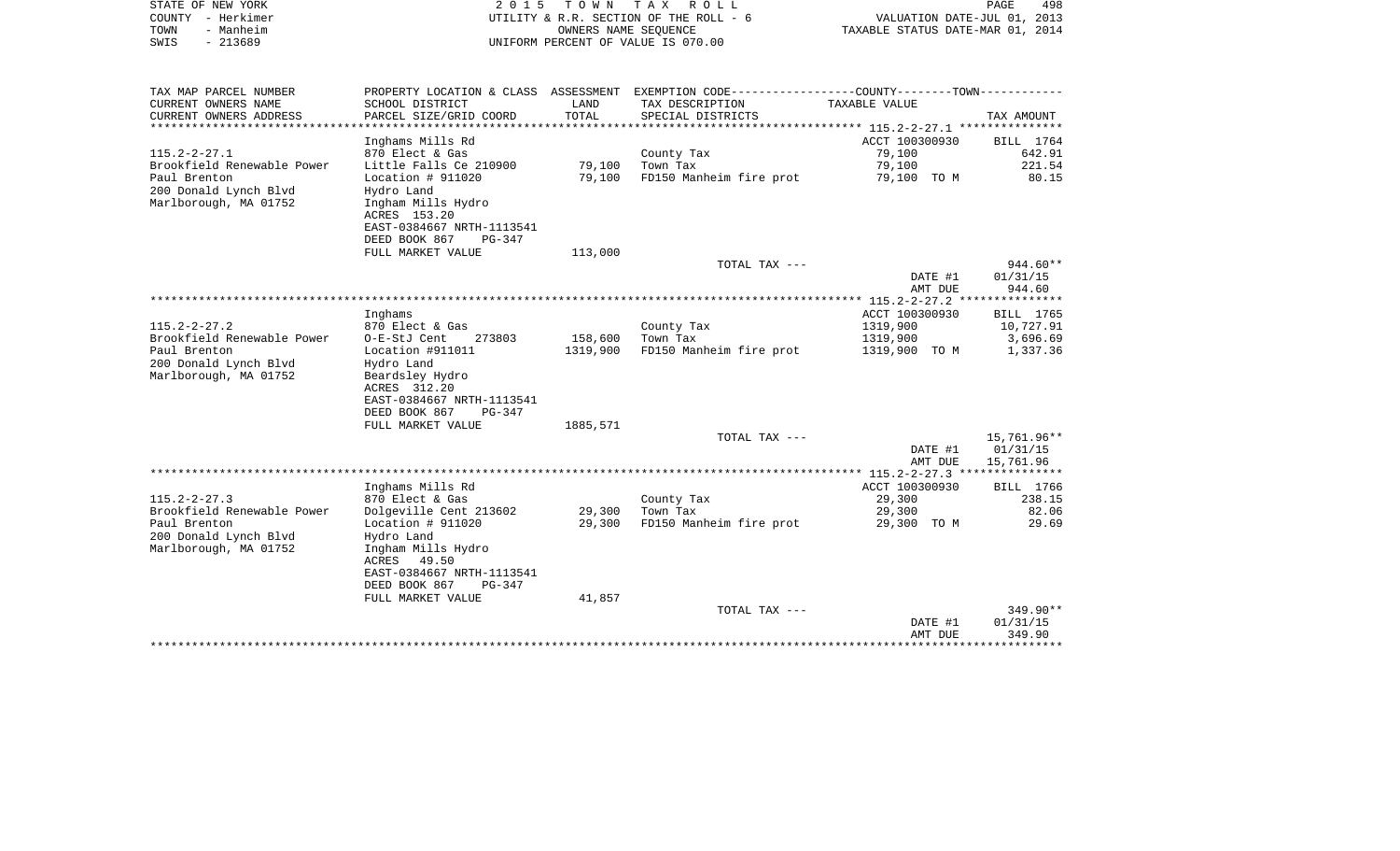| STATE OF NEW YORK<br>COUNTY - Herkimer<br>TOWN<br>- Manheim<br>SWIS<br>$-213689$ | 2 0 1 5                                                                       | T O W N              | TAX ROLL<br>UTILITY & R.R. SECTION OF THE ROLL - 6<br>OWNERS NAME SEQUENCE<br>UNIFORM PERCENT OF VALUE IS 070.00 | VALUATION DATE-JUL 01, 2013<br>TAXABLE STATUS DATE-MAR 01, 2014 | PAGE<br>498           |
|----------------------------------------------------------------------------------|-------------------------------------------------------------------------------|----------------------|------------------------------------------------------------------------------------------------------------------|-----------------------------------------------------------------|-----------------------|
| TAX MAP PARCEL NUMBER                                                            | PROPERTY LOCATION & CLASS ASSESSMENT                                          |                      | EXEMPTION CODE-----------------COUNTY-------TOWN-----------                                                      |                                                                 |                       |
| CURRENT OWNERS NAME                                                              | SCHOOL DISTRICT                                                               | LAND                 | TAX DESCRIPTION                                                                                                  | TAXABLE VALUE                                                   |                       |
| CURRENT OWNERS ADDRESS                                                           | PARCEL SIZE/GRID COORD<br>********************                                | TOTAL<br>*********** | SPECIAL DISTRICTS                                                                                                |                                                                 | TAX AMOUNT            |
|                                                                                  |                                                                               |                      |                                                                                                                  | ************** 115.2-2-27.1 ****************<br>ACCT 100300930  |                       |
| $115.2 - 2 - 27.1$                                                               | Inghams Mills Rd<br>870 Elect & Gas                                           |                      | County Tax                                                                                                       | 79,100                                                          | BILL 1764<br>642.91   |
| Brookfield Renewable Power                                                       | Little Falls Ce 210900                                                        | 79,100               | Town Tax                                                                                                         | 79,100                                                          | 221.54                |
| Paul Brenton                                                                     | Location # 911020                                                             | 79,100               | FD150 Manheim fire prot                                                                                          | 79,100 TO M                                                     | 80.15                 |
| 200 Donald Lynch Blvd<br>Marlborough, MA 01752                                   | Hydro Land<br>Ingham Mills Hydro<br>ACRES 153.20<br>EAST-0384667 NRTH-1113541 |                      |                                                                                                                  |                                                                 |                       |
|                                                                                  | DEED BOOK 867<br>PG-347                                                       |                      |                                                                                                                  |                                                                 |                       |
|                                                                                  | FULL MARKET VALUE                                                             | 113,000              | TOTAL TAX ---                                                                                                    |                                                                 | $944.60**$            |
|                                                                                  |                                                                               |                      |                                                                                                                  | DATE #1                                                         | 01/31/15              |
|                                                                                  |                                                                               |                      |                                                                                                                  | AMT DUE                                                         | 944.60                |
|                                                                                  |                                                                               |                      |                                                                                                                  |                                                                 |                       |
| $115.2 - 2 - 27.2$                                                               | Inghams                                                                       |                      |                                                                                                                  | ACCT 100300930                                                  | BILL 1765             |
| Brookfield Renewable Power                                                       | 870 Elect & Gas<br>O-E-StJ Cent<br>273803                                     | 158,600              | County Tax<br>Town Tax                                                                                           | 1319,900<br>1319,900                                            | 10,727.91<br>3,696.69 |
| Paul Brenton                                                                     | Location #911011                                                              | 1319,900             | FD150 Manheim fire prot                                                                                          | 1319,900 TO M                                                   | 1,337.36              |
| 200 Donald Lynch Blvd                                                            | Hydro Land                                                                    |                      |                                                                                                                  |                                                                 |                       |
| Marlborough, MA 01752                                                            | Beardsley Hydro                                                               |                      |                                                                                                                  |                                                                 |                       |
|                                                                                  | ACRES 312.20                                                                  |                      |                                                                                                                  |                                                                 |                       |
|                                                                                  | EAST-0384667 NRTH-1113541<br>DEED BOOK 867<br>PG-347                          |                      |                                                                                                                  |                                                                 |                       |
|                                                                                  | FULL MARKET VALUE                                                             | 1885,571             |                                                                                                                  |                                                                 |                       |
|                                                                                  |                                                                               |                      | TOTAL TAX ---                                                                                                    |                                                                 | 15,761.96**           |
|                                                                                  |                                                                               |                      |                                                                                                                  | DATE #1                                                         | 01/31/15              |
|                                                                                  |                                                                               |                      |                                                                                                                  | AMT DUE                                                         | 15,761.96             |
|                                                                                  | Inghams Mills Rd                                                              |                      |                                                                                                                  | *********** 115.2-2-27.3 ***************<br>ACCT 100300930      | BILL 1766             |
| $115.2 - 2 - 27.3$                                                               | 870 Elect & Gas                                                               |                      | County Tax                                                                                                       | 29,300                                                          | 238.15                |
| Brookfield Renewable Power                                                       | Dolgeville Cent 213602                                                        | 29,300               | Town Tax                                                                                                         | 29,300                                                          | 82.06                 |
| Paul Brenton                                                                     | Location $# 911020$                                                           | 29,300               | FD150 Manheim fire prot                                                                                          | 29,300 TO M                                                     | 29.69                 |
| 200 Donald Lynch Blvd                                                            | Hydro Land                                                                    |                      |                                                                                                                  |                                                                 |                       |
| Marlborough, MA 01752                                                            | Ingham Mills Hydro                                                            |                      |                                                                                                                  |                                                                 |                       |
|                                                                                  | ACRES 49.50<br>EAST-0384667 NRTH-1113541                                      |                      |                                                                                                                  |                                                                 |                       |
|                                                                                  | DEED BOOK 867<br>PG-347                                                       |                      |                                                                                                                  |                                                                 |                       |
|                                                                                  | FULL MARKET VALUE                                                             | 41,857               |                                                                                                                  |                                                                 |                       |
|                                                                                  |                                                                               |                      | TOTAL TAX ---                                                                                                    |                                                                 | 349.90**              |
|                                                                                  |                                                                               |                      |                                                                                                                  | DATE #1                                                         | 01/31/15              |
|                                                                                  | ***************************                                                   |                      |                                                                                                                  | AMT DUE<br>***********                                          | 349.90<br>*********** |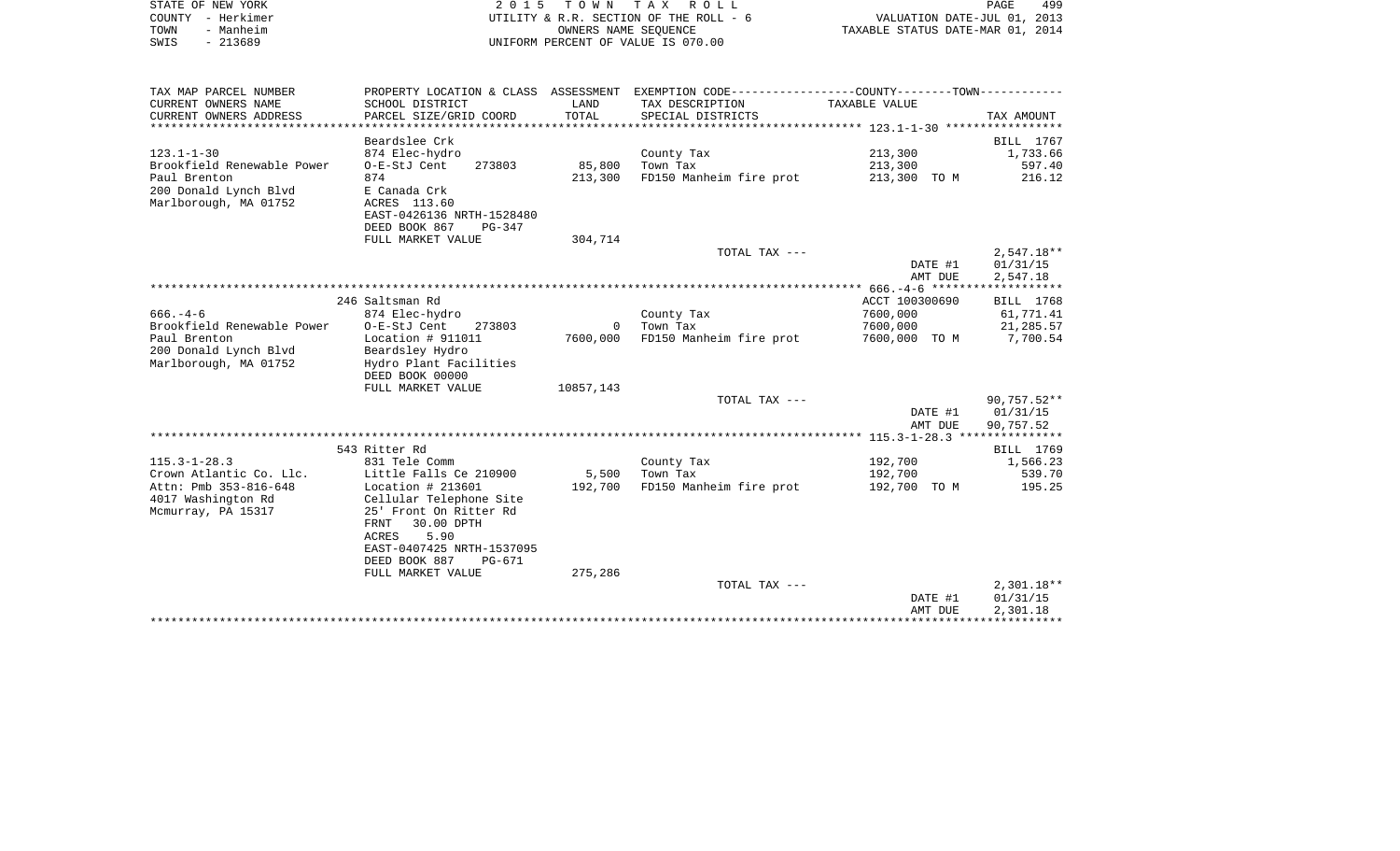| STATE OF NEW YORK<br>COUNTY - Herkimer<br>- Manheim<br>TOWN<br>$-213689$<br>SWIS | 2 0 1 5                                      | T O W N       | TAX ROLL<br>UTILITY & R.R. SECTION OF THE ROLL - 6<br>OWNERS NAME SEOUENCE<br>UNIFORM PERCENT OF VALUE IS 070.00 | VALUATION DATE-JUL 01, 2013<br>TAXABLE STATUS DATE-MAR 01, 2014 | 499<br>PAGE  |
|----------------------------------------------------------------------------------|----------------------------------------------|---------------|------------------------------------------------------------------------------------------------------------------|-----------------------------------------------------------------|--------------|
| TAX MAP PARCEL NUMBER                                                            |                                              |               | PROPERTY LOCATION & CLASS ASSESSMENT EXEMPTION CODE---------------COUNTY-------TOWN----------                    |                                                                 |              |
| CURRENT OWNERS NAME<br>CURRENT OWNERS ADDRESS                                    | SCHOOL DISTRICT<br>PARCEL SIZE/GRID COORD    | LAND<br>TOTAL | TAX DESCRIPTION<br>SPECIAL DISTRICTS                                                                             | TAXABLE VALUE                                                   | TAX AMOUNT   |
| *************************                                                        | Beardslee Crk                                |               |                                                                                                                  |                                                                 | BILL 1767    |
| $123.1 - 1 - 30$                                                                 | 874 Elec-hydro                               |               | County Tax                                                                                                       | 213,300                                                         | 1,733.66     |
| Brookfield Renewable Power                                                       | O-E-StJ Cent<br>273803                       | 85,800        | Town Tax                                                                                                         | 213,300                                                         | 597.40       |
| Paul Brenton                                                                     | 874                                          | 213,300       | FD150 Manheim fire prot                                                                                          | 213,300 TO M                                                    | 216.12       |
| 200 Donald Lynch Blvd<br>Marlborough, MA 01752                                   | E Canada Crk<br>ACRES 113.60                 |               |                                                                                                                  |                                                                 |              |
|                                                                                  | EAST-0426136 NRTH-1528480                    |               |                                                                                                                  |                                                                 |              |
|                                                                                  | DEED BOOK 867<br>PG-347<br>FULL MARKET VALUE |               |                                                                                                                  |                                                                 |              |
|                                                                                  |                                              | 304,714       | TOTAL TAX ---                                                                                                    |                                                                 | $2,547.18**$ |
|                                                                                  |                                              |               |                                                                                                                  | DATE #1                                                         | 01/31/15     |
|                                                                                  |                                              |               |                                                                                                                  | AMT DUE                                                         | 2,547.18     |
|                                                                                  |                                              |               |                                                                                                                  |                                                                 |              |
|                                                                                  | 246 Saltsman Rd                              |               |                                                                                                                  | ACCT 100300690                                                  | BILL 1768    |
| $666. - 4 - 6$                                                                   | 874 Elec-hydro                               |               | County Tax                                                                                                       | 7600,000                                                        | 61,771.41    |
| Brookfield Renewable Power                                                       | O-E-StJ Cent<br>273803                       | $\Omega$      | Town Tax                                                                                                         | 7600,000                                                        | 21,285.57    |
| Paul Brenton                                                                     | Location $# 911011$                          | 7600,000      | FD150 Manheim fire prot                                                                                          | 7600,000 TO M                                                   | 7,700.54     |
| 200 Donald Lynch Blvd                                                            | Beardsley Hydro                              |               |                                                                                                                  |                                                                 |              |
| Marlborough, MA 01752                                                            | Hydro Plant Facilities                       |               |                                                                                                                  |                                                                 |              |
|                                                                                  | DEED BOOK 00000<br>FULL MARKET VALUE         | 10857,143     |                                                                                                                  |                                                                 |              |
|                                                                                  |                                              |               | TOTAL TAX ---                                                                                                    |                                                                 | 90,757.52**  |
|                                                                                  |                                              |               |                                                                                                                  | DATE #1                                                         | 01/31/15     |
|                                                                                  |                                              |               |                                                                                                                  | AMT DUE                                                         | 90,757.52    |
|                                                                                  |                                              |               |                                                                                                                  |                                                                 |              |
|                                                                                  | 543 Ritter Rd                                |               |                                                                                                                  |                                                                 | BILL 1769    |
| $115.3 - 1 - 28.3$                                                               | 831 Tele Comm                                |               | County Tax                                                                                                       | 192,700                                                         | 1,566.23     |
| Crown Atlantic Co. Llc.                                                          | Little Falls Ce 210900                       | 5,500         | Town Tax                                                                                                         | 192,700                                                         | 539.70       |
| Attn: Pmb 353-816-648                                                            | Location $# 213601$                          | 192,700       | FD150 Manheim fire prot                                                                                          | 192,700 TO M                                                    | 195.25       |
| 4017 Washington Rd                                                               | Cellular Telephone Site                      |               |                                                                                                                  |                                                                 |              |
| Mcmurray, PA 15317                                                               | 25' Front On Ritter Rd<br>FRNT<br>30.00 DPTH |               |                                                                                                                  |                                                                 |              |
|                                                                                  | <b>ACRES</b><br>5.90                         |               |                                                                                                                  |                                                                 |              |
|                                                                                  | EAST-0407425 NRTH-1537095                    |               |                                                                                                                  |                                                                 |              |
|                                                                                  | DEED BOOK 887<br>PG-671                      |               |                                                                                                                  |                                                                 |              |
|                                                                                  | FULL MARKET VALUE                            | 275,286       |                                                                                                                  |                                                                 |              |
|                                                                                  |                                              |               | TOTAL TAX ---                                                                                                    |                                                                 | $2,301.18**$ |
|                                                                                  |                                              |               |                                                                                                                  | DATE #1                                                         | 01/31/15     |
|                                                                                  |                                              |               |                                                                                                                  | AMT DUE                                                         | 2,301.18     |
|                                                                                  |                                              |               |                                                                                                                  |                                                                 |              |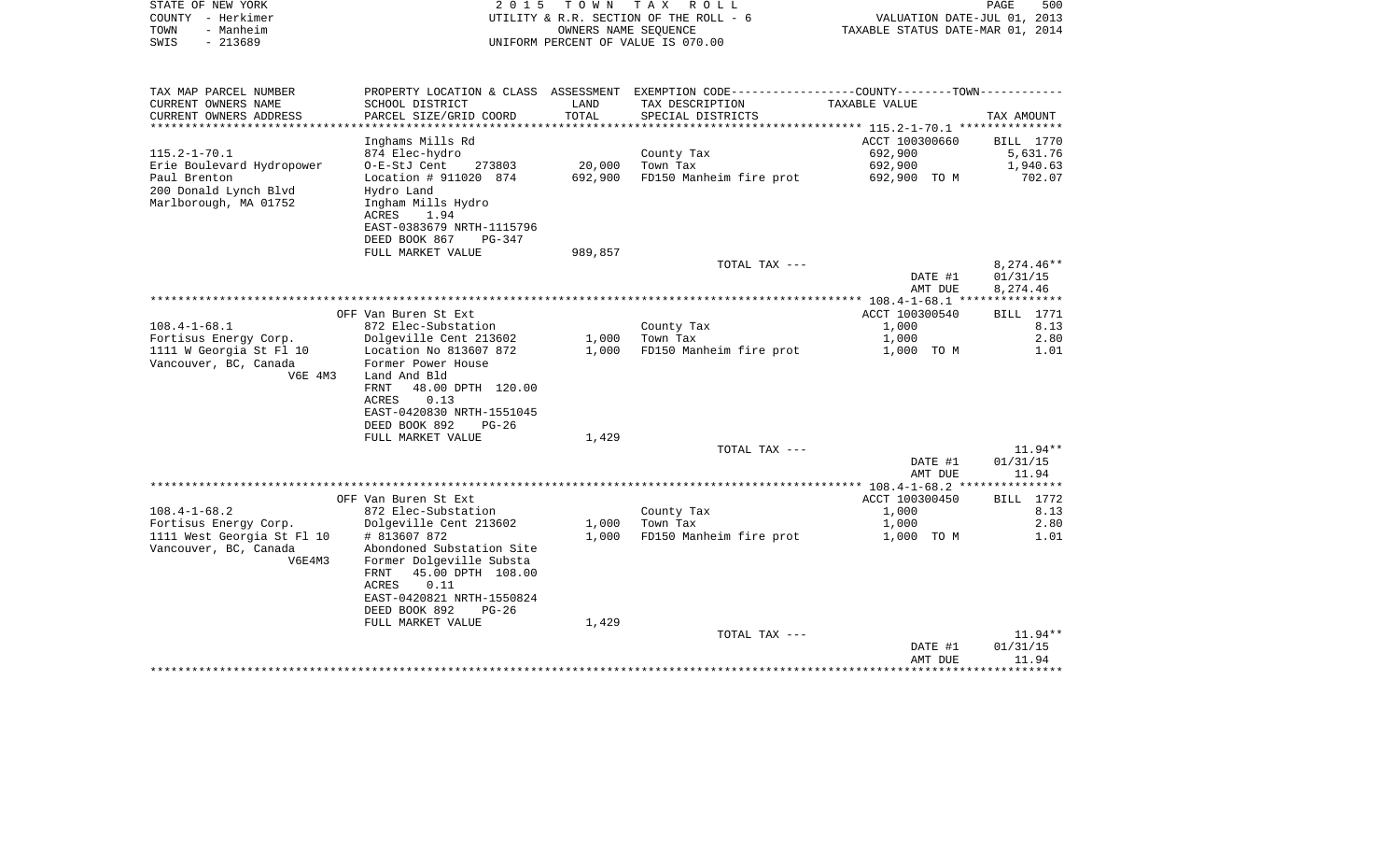| STATE OF NEW YORK<br>COUNTY - Herkimer<br>- Manheim<br>TOWN<br>$-213689$<br>SWIS | 2 0 1 5                                         | T O W N           | TAX ROLL<br>UTILITY & R.R. SECTION OF THE ROLL - 6<br>OWNERS NAME SEOUENCE<br>UNIFORM PERCENT OF VALUE IS 070.00 | VALUATION DATE-JUL 01, 2013<br>TAXABLE STATUS DATE-MAR 01, 2014 | PAGE<br>500          |
|----------------------------------------------------------------------------------|-------------------------------------------------|-------------------|------------------------------------------------------------------------------------------------------------------|-----------------------------------------------------------------|----------------------|
| TAX MAP PARCEL NUMBER                                                            |                                                 |                   | PROPERTY LOCATION & CLASS ASSESSMENT EXEMPTION CODE----------------COUNTY-------TOWN----------                   |                                                                 |                      |
| CURRENT OWNERS NAME<br>CURRENT OWNERS ADDRESS                                    | SCHOOL DISTRICT<br>PARCEL SIZE/GRID COORD       | LAND<br>TOTAL     | TAX DESCRIPTION<br>SPECIAL DISTRICTS                                                                             | TAXABLE VALUE                                                   | TAX AMOUNT           |
| *********************                                                            |                                                 | ***************   |                                                                                                                  | ********** 115.2-1-70.1 ****************                        |                      |
|                                                                                  | Inghams Mills Rd                                |                   |                                                                                                                  | ACCT 100300660                                                  | BILL 1770            |
| $115.2 - 1 - 70.1$                                                               | 874 Elec-hydro                                  |                   | County Tax<br>Town Tax                                                                                           | 692,900                                                         | 5,631.76             |
| Erie Boulevard Hydropower<br>Paul Brenton                                        | O-E-StJ Cent<br>273803<br>Location # 911020 874 | 20,000<br>692,900 | FD150 Manheim fire prot                                                                                          | 692,900<br>692,900 TO M                                         | 1,940.63<br>702.07   |
| 200 Donald Lynch Blvd                                                            | Hydro Land                                      |                   |                                                                                                                  |                                                                 |                      |
| Marlborough, MA 01752                                                            | Ingham Mills Hydro<br>ACRES<br>1.94             |                   |                                                                                                                  |                                                                 |                      |
|                                                                                  | EAST-0383679 NRTH-1115796                       |                   |                                                                                                                  |                                                                 |                      |
|                                                                                  | DEED BOOK 867<br>PG-347<br>FULL MARKET VALUE    | 989,857           |                                                                                                                  |                                                                 |                      |
|                                                                                  |                                                 |                   | TOTAL TAX ---                                                                                                    |                                                                 | 8,274.46**           |
|                                                                                  |                                                 |                   |                                                                                                                  | DATE #1<br>AMT DUE                                              | 01/31/15<br>8,274.46 |
|                                                                                  |                                                 |                   |                                                                                                                  |                                                                 |                      |
|                                                                                  | OFF Van Buren St Ext                            |                   |                                                                                                                  | ACCT 100300540                                                  | BILL 1771            |
| $108.4 - 1 - 68.1$                                                               | 872 Elec-Substation                             |                   | County Tax                                                                                                       | 1,000                                                           | 8.13                 |
| Fortisus Energy Corp.                                                            | Dolgeville Cent 213602                          | 1,000             | Town Tax                                                                                                         | 1,000                                                           | 2.80                 |
| 1111 W Georgia St Fl 10<br>Vancouver, BC, Canada                                 | Location No 813607 872<br>Former Power House    | 1,000             | FD150 Manheim fire prot                                                                                          | 1,000 TO M                                                      | 1.01                 |
| V6E 4M3                                                                          | Land And Bld                                    |                   |                                                                                                                  |                                                                 |                      |
|                                                                                  | FRNT<br>48.00 DPTH 120.00                       |                   |                                                                                                                  |                                                                 |                      |
|                                                                                  | ACRES<br>0.13                                   |                   |                                                                                                                  |                                                                 |                      |
|                                                                                  | EAST-0420830 NRTH-1551045                       |                   |                                                                                                                  |                                                                 |                      |
|                                                                                  | DEED BOOK 892<br>$PG-26$                        |                   |                                                                                                                  |                                                                 |                      |
|                                                                                  | FULL MARKET VALUE                               | 1,429             |                                                                                                                  |                                                                 |                      |
|                                                                                  |                                                 |                   | TOTAL TAX ---                                                                                                    |                                                                 | $11.94**$            |
|                                                                                  |                                                 |                   |                                                                                                                  | DATE #1                                                         | 01/31/15             |
|                                                                                  |                                                 |                   |                                                                                                                  | AMT DUE                                                         | 11.94                |
|                                                                                  | OFF Van Buren St Ext                            |                   |                                                                                                                  | ACCT 100300450                                                  | <b>BILL</b> 1772     |
| $108.4 - 1 - 68.2$                                                               | 872 Elec-Substation                             |                   | County Tax                                                                                                       | 1,000                                                           | 8.13                 |
| Fortisus Energy Corp.                                                            | Dolgeville Cent 213602                          | 1,000             | Town Tax                                                                                                         | 1,000                                                           | 2.80                 |
| 1111 West Georgia St Fl 10                                                       | # 813607 872                                    | 1,000             | FD150 Manheim fire prot                                                                                          | 1,000 TO M                                                      | 1.01                 |
| Vancouver, BC, Canada                                                            | Abondoned Substation Site                       |                   |                                                                                                                  |                                                                 |                      |
| V6E4M3                                                                           | Former Dolgeville Substa                        |                   |                                                                                                                  |                                                                 |                      |
|                                                                                  | FRNT<br>45.00 DPTH 108.00                       |                   |                                                                                                                  |                                                                 |                      |
|                                                                                  | <b>ACRES</b><br>0.11                            |                   |                                                                                                                  |                                                                 |                      |
|                                                                                  | EAST-0420821 NRTH-1550824                       |                   |                                                                                                                  |                                                                 |                      |
|                                                                                  | DEED BOOK 892<br>$PG-26$                        |                   |                                                                                                                  |                                                                 |                      |
|                                                                                  | FULL MARKET VALUE                               | 1,429             | TOTAL TAX ---                                                                                                    |                                                                 | $11.94**$            |
|                                                                                  |                                                 |                   |                                                                                                                  | DATE #1                                                         | 01/31/15             |
|                                                                                  |                                                 |                   |                                                                                                                  | AMT DUE                                                         | 11.94                |
|                                                                                  |                                                 |                   |                                                                                                                  |                                                                 | **********           |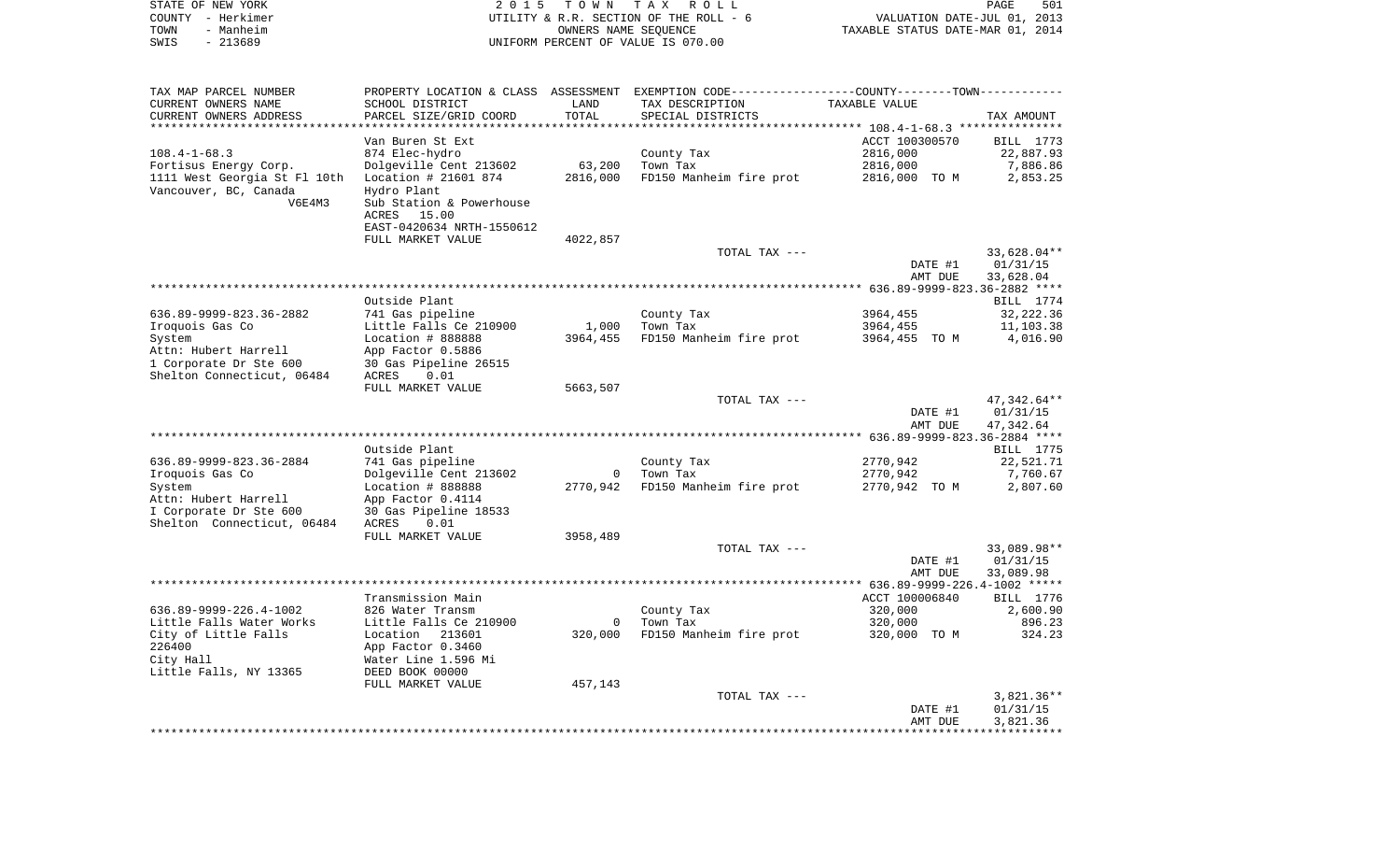| COUNTY<br>- Herkimer                                                         |                                             |                            | UTILITY & R.R. SECTION OF THE ROLL - 6                                                        | VALUATION DATE-JUL 01, 2013      |                       |
|------------------------------------------------------------------------------|---------------------------------------------|----------------------------|-----------------------------------------------------------------------------------------------|----------------------------------|-----------------------|
| TOWN<br>- Manheim                                                            |                                             | OWNERS NAME SEQUENCE       |                                                                                               | TAXABLE STATUS DATE-MAR 01, 2014 |                       |
| SWIS<br>$-213689$                                                            |                                             |                            | UNIFORM PERCENT OF VALUE IS 070.00                                                            |                                  |                       |
|                                                                              |                                             |                            |                                                                                               |                                  |                       |
| TAX MAP PARCEL NUMBER                                                        |                                             |                            | PROPERTY LOCATION & CLASS ASSESSMENT EXEMPTION CODE---------------COUNTY-------TOWN---------- |                                  |                       |
| CURRENT OWNERS NAME                                                          | SCHOOL DISTRICT                             | LAND                       | TAX DESCRIPTION                                                                               | TAXABLE VALUE                    |                       |
| CURRENT OWNERS ADDRESS                                                       | PARCEL SIZE/GRID COORD                      | TOTAL                      | SPECIAL DISTRICTS                                                                             |                                  | TAX AMOUNT            |
|                                                                              |                                             |                            |                                                                                               |                                  |                       |
|                                                                              | Van Buren St Ext                            |                            |                                                                                               | ACCT 100300570                   | BILL 1773             |
| $108.4 - 1 - 68.3$                                                           | 874 Elec-hydro                              |                            | County Tax                                                                                    | 2816,000                         | 22,887.93             |
| Fortisus Energy Corp.                                                        | Dolgeville Cent 213602                      | 63,200<br>2816,000         | Town Tax                                                                                      | 2816,000                         | 7,886.86<br>2,853.25  |
| 1111 West Georgia St Fl 10th   Location # 21601 874<br>Vancouver, BC, Canada | Hydro Plant                                 |                            | FD150 Manheim fire prot                                                                       | 2816,000 TO M                    |                       |
| V6E4M3                                                                       | Sub Station & Powerhouse                    |                            |                                                                                               |                                  |                       |
|                                                                              | ACRES 15.00                                 |                            |                                                                                               |                                  |                       |
|                                                                              | EAST-0420634 NRTH-1550612                   |                            |                                                                                               |                                  |                       |
|                                                                              | FULL MARKET VALUE                           | 4022,857                   |                                                                                               |                                  |                       |
|                                                                              |                                             |                            | TOTAL TAX ---                                                                                 |                                  | 33,628.04**           |
|                                                                              |                                             |                            |                                                                                               | DATE #1                          | 01/31/15              |
|                                                                              |                                             |                            |                                                                                               | AMT DUE                          | 33,628.04             |
|                                                                              |                                             |                            |                                                                                               |                                  |                       |
|                                                                              | Outside Plant                               |                            |                                                                                               |                                  | BILL 1774             |
| 636.89-9999-823.36-2882                                                      | 741 Gas pipeline                            |                            | County Tax                                                                                    | 3964,455                         | 32,222.36             |
| Iroquois Gas Co                                                              | Little Falls Ce 210900<br>Location # 888888 | 1,000<br>3964,455          | Town Tax<br>FD150 Manheim fire prot                                                           | 3964,455<br>3964,455 TO M        | 11,103.38<br>4,016.90 |
| System<br>Attn: Hubert Harrell                                               | App Factor 0.5886                           |                            |                                                                                               |                                  |                       |
| 1 Corporate Dr Ste 600                                                       | 30 Gas Pipeline 26515                       |                            |                                                                                               |                                  |                       |
| Shelton Connecticut, 06484                                                   | ACRES<br>0.01                               |                            |                                                                                               |                                  |                       |
|                                                                              | FULL MARKET VALUE                           | 5663,507                   |                                                                                               |                                  |                       |
|                                                                              |                                             |                            | TOTAL TAX ---                                                                                 |                                  | 47,342.64**           |
|                                                                              |                                             |                            |                                                                                               | DATE #1                          | 01/31/15              |
|                                                                              |                                             |                            |                                                                                               | AMT DUE                          | 47,342.64             |
|                                                                              |                                             |                            |                                                                                               |                                  |                       |
|                                                                              | Outside Plant                               |                            |                                                                                               |                                  | BILL 1775             |
| 636.89-9999-823.36-2884                                                      | 741 Gas pipeline                            |                            | County Tax                                                                                    | 2770,942                         | 22,521.71             |
| Iroquois Gas Co<br>System                                                    | Dolgeville Cent 213602<br>Location # 888888 | $\overline{0}$<br>2770,942 | Town Tax<br>FD150 Manheim fire prot                                                           | 2770,942<br>2770,942 TO M        | 7,760.67<br>2,807.60  |
| Attn: Hubert Harrell                                                         | App Factor 0.4114                           |                            |                                                                                               |                                  |                       |
| I Corporate Dr Ste 600                                                       | 30 Gas Pipeline 18533                       |                            |                                                                                               |                                  |                       |
| Shelton Connecticut, 06484                                                   | ACRES<br>0.01                               |                            |                                                                                               |                                  |                       |
|                                                                              | FULL MARKET VALUE                           | 3958,489                   |                                                                                               |                                  |                       |
|                                                                              |                                             |                            | TOTAL TAX ---                                                                                 |                                  | 33,089.98**           |
|                                                                              |                                             |                            |                                                                                               | DATE #1                          | 01/31/15              |
|                                                                              |                                             |                            |                                                                                               | AMT DUE                          | 33,089.98             |
|                                                                              |                                             |                            |                                                                                               |                                  |                       |
|                                                                              | Transmission Main                           |                            |                                                                                               | ACCT 100006840                   | BILL 1776             |
| 636.89-9999-226.4-1002<br>Little Falls Water Works                           | 826 Water Transm<br>Little Falls Ce 210900  |                            | County Tax<br>0 Town Tax                                                                      | 320,000<br>320,000               | 2,600.90<br>896.23    |
| City of Little Falls                                                         | Location 213601                             | 320,000                    | FD150 Manheim fire prot 320,000 TO M                                                          |                                  | 324.23                |
| 226400                                                                       | App Factor 0.3460                           |                            |                                                                                               |                                  |                       |
| City Hall                                                                    | Water Line 1.596 Mi                         |                            |                                                                                               |                                  |                       |
| Little Falls, NY 13365                                                       | DEED BOOK 00000                             |                            |                                                                                               |                                  |                       |
|                                                                              | FULL MARKET VALUE                           | 457,143                    |                                                                                               |                                  |                       |
|                                                                              |                                             |                            | TOTAL TAX ---                                                                                 |                                  | $3,821.36**$          |
|                                                                              |                                             |                            |                                                                                               | DATE #1                          | 01/31/15              |
|                                                                              |                                             |                            |                                                                                               | AMT DUE                          | 3,821.36              |
|                                                                              |                                             |                            |                                                                                               |                                  | ************          |

PAGE 501

STATE OF NEW YORK **EXECUTE:**  $2015$  TOWN TAX ROLL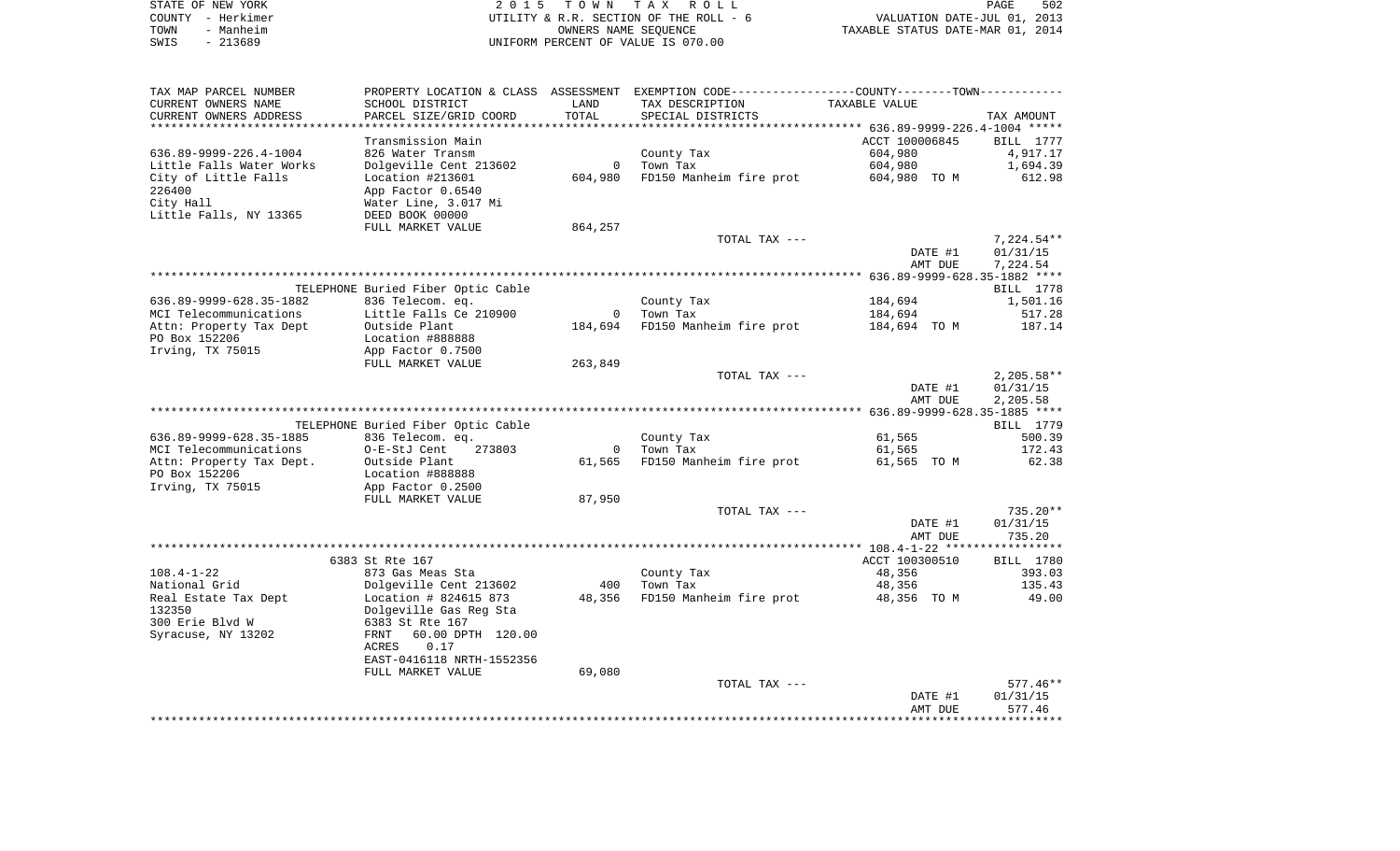| STATE OF NEW YORK | 2015 TOWN TAX ROLL                     | 502<br>PAGE                      |
|-------------------|----------------------------------------|----------------------------------|
| COUNTY - Herkimer | UTILITY & R.R. SECTION OF THE ROLL - 6 | VALUATION DATE-JUL 01, 2013      |
| TOWN<br>- Manheim | OWNERS NAME SEOUENCE                   | TAXABLE STATUS DATE-MAR 01, 2014 |
| - 213689<br>SWIS  | UNIFORM PERCENT OF VALUE IS 070.00     |                                  |

| TAX MAP PARCEL NUMBER                    | PROPERTY LOCATION & CLASS ASSESSMENT EXEMPTION CODE----------------COUNTY--------TOWN----------- |              |                                 |                |                     |
|------------------------------------------|--------------------------------------------------------------------------------------------------|--------------|---------------------------------|----------------|---------------------|
| CURRENT OWNERS NAME                      | SCHOOL DISTRICT                                                                                  | LAND         | TAX DESCRIPTION                 | TAXABLE VALUE  |                     |
| CURRENT OWNERS ADDRESS                   | PARCEL SIZE/GRID COORD                                                                           | TOTAL        | SPECIAL DISTRICTS               |                | TAX AMOUNT          |
| *********************                    | ***********************                                                                          |              |                                 |                |                     |
|                                          | Transmission Main                                                                                |              |                                 | ACCT 100006845 | <b>BILL</b> 1777    |
| 636.89-9999-226.4-1004                   | 826 Water Transm                                                                                 |              | County Tax                      | 604,980        | 4,917.17            |
| Little Falls Water Works                 | Dolgeville Cent 213602                                                                           | $\mathbf{0}$ | Town Tax                        | 604,980        | 1,694.39            |
| City of Little Falls                     | Location #213601                                                                                 | 604,980      | FD150 Manheim fire prot         | 604,980 TO M   | 612.98              |
| 226400                                   | App Factor 0.6540                                                                                |              |                                 |                |                     |
| City Hall                                | Water Line, 3.017 Mi                                                                             |              |                                 |                |                     |
| Little Falls, NY 13365                   | DEED BOOK 00000                                                                                  |              |                                 |                |                     |
|                                          | FULL MARKET VALUE                                                                                | 864,257      |                                 |                |                     |
|                                          |                                                                                                  |              | TOTAL TAX ---                   |                | $7,224.54**$        |
|                                          |                                                                                                  |              |                                 | DATE #1        | 01/31/15            |
|                                          |                                                                                                  |              |                                 | AMT DUE        | 7,224.54            |
|                                          |                                                                                                  |              |                                 |                |                     |
|                                          | TELEPHONE Buried Fiber Optic Cable                                                               |              |                                 |                | BILL 1778           |
| 636.89-9999-628.35-1882                  | 836 Telecom. eq.                                                                                 |              | County Tax                      | 184,694        | 1,501.16            |
| MCI Telecommunications                   | Little Falls Ce 210900                                                                           | $\Omega$     | Town Tax                        | 184,694        | 517.28              |
| Attn: Property Tax Dept<br>PO Box 152206 | Outside Plant                                                                                    |              | 184,694 FD150 Manheim fire prot | 184,694 TO M   | 187.14              |
|                                          | Location #888888                                                                                 |              |                                 |                |                     |
| Irving, TX 75015                         | App Factor 0.7500<br>FULL MARKET VALUE                                                           | 263,849      |                                 |                |                     |
|                                          |                                                                                                  |              | TOTAL TAX ---                   |                | $2,205.58**$        |
|                                          |                                                                                                  |              |                                 | DATE #1        | 01/31/15            |
|                                          |                                                                                                  |              |                                 | AMT DUE        | 2,205.58            |
|                                          |                                                                                                  |              |                                 |                |                     |
|                                          | TELEPHONE Buried Fiber Optic Cable                                                               |              |                                 |                | BILL 1779           |
| 636.89-9999-628.35-1885                  | 836 Telecom. eq.                                                                                 |              | County Tax                      | 61,565         | 500.39              |
| MCI Telecommunications                   | O-E-StJ Cent<br>273803                                                                           | $\mathbf 0$  | Town Tax                        | 61,565         | 172.43              |
| Attn: Property Tax Dept.                 | Outside Plant                                                                                    | 61,565       | FD150 Manheim fire prot         | 61,565 TO M    | 62.38               |
| PO Box 152206                            | Location #888888                                                                                 |              |                                 |                |                     |
| Irving, TX 75015                         | App Factor 0.2500                                                                                |              |                                 |                |                     |
|                                          | FULL MARKET VALUE                                                                                | 87,950       |                                 |                |                     |
|                                          |                                                                                                  |              | TOTAL TAX ---                   |                | 735.20**            |
|                                          |                                                                                                  |              |                                 | DATE #1        | 01/31/15            |
|                                          |                                                                                                  |              |                                 | AMT DUE        | 735.20              |
|                                          |                                                                                                  |              |                                 |                |                     |
|                                          | 6383 St Rte 167                                                                                  |              |                                 | ACCT 100300510 | BILL 1780           |
| $108.4 - 1 - 22$                         | 873 Gas Meas Sta                                                                                 |              | County Tax                      | 48,356         | 393.03              |
| National Grid                            | Dolgeville Cent 213602                                                                           | 400          | Town Tax                        | 48,356         | 135.43              |
| Real Estate Tax Dept                     | Location $\#$ 824615 873                                                                         | 48,356       | FD150 Manheim fire prot         | 48,356 TO M    | 49.00               |
| 132350                                   | Dolgeville Gas Reg Sta                                                                           |              |                                 |                |                     |
| 300 Erie Blvd W                          | 6383 St Rte 167                                                                                  |              |                                 |                |                     |
| Syracuse, NY 13202                       | FRNT<br>60.00 DPTH 120.00                                                                        |              |                                 |                |                     |
|                                          | ACRES<br>0.17                                                                                    |              |                                 |                |                     |
|                                          | EAST-0416118 NRTH-1552356                                                                        |              |                                 |                |                     |
|                                          | FULL MARKET VALUE                                                                                | 69,080       |                                 |                |                     |
|                                          |                                                                                                  |              | TOTAL TAX ---                   |                | $577.46**$          |
|                                          |                                                                                                  |              |                                 | DATE #1        | 01/31/15            |
|                                          |                                                                                                  |              |                                 | AMT DUE        | 577.46<br>********* |
|                                          |                                                                                                  |              |                                 |                |                     |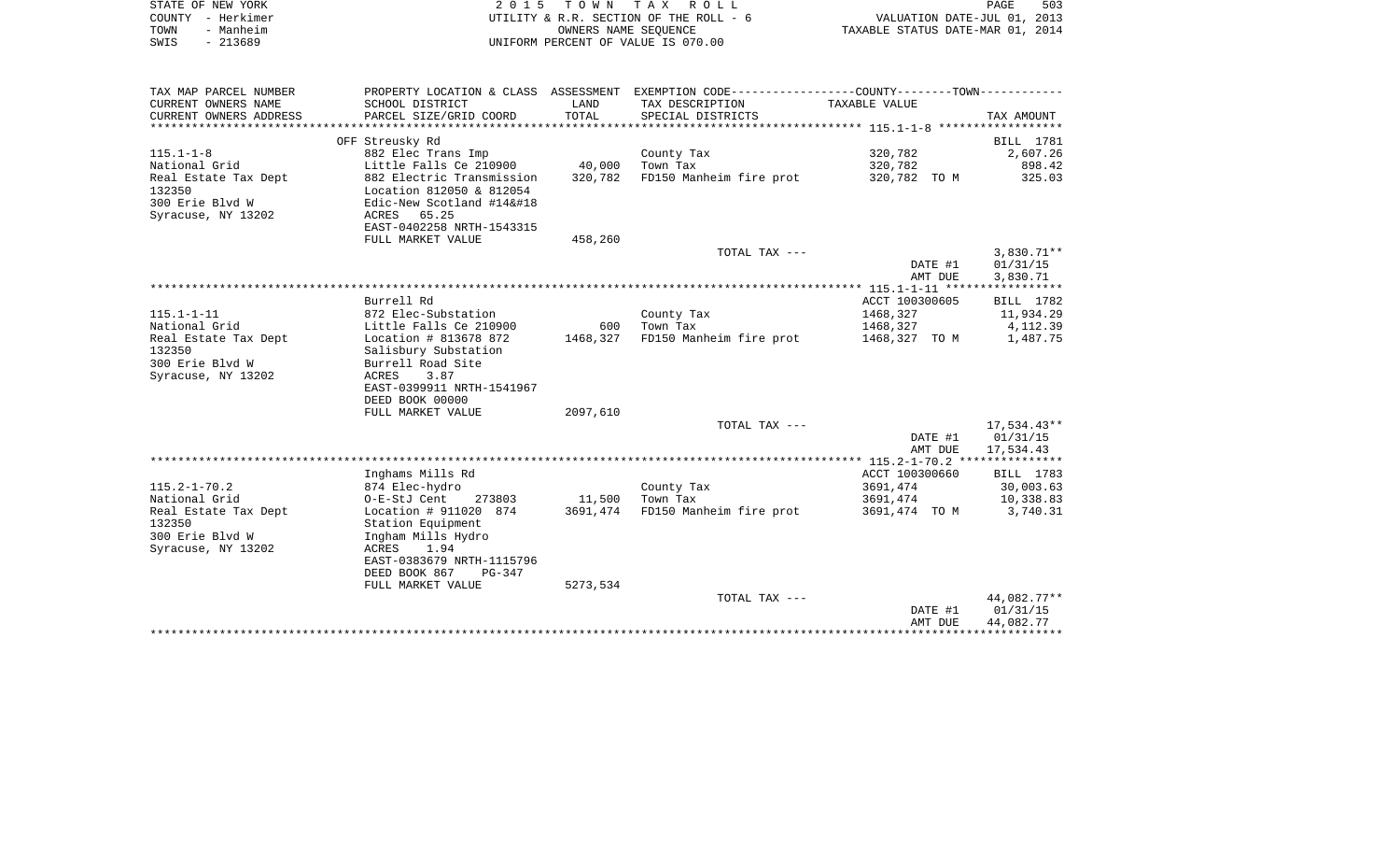| STATE OF NEW YORK | 2015 TOWN TAX ROLL                     | 503<br>PAGE                      |
|-------------------|----------------------------------------|----------------------------------|
| COUNTY - Herkimer | UTILITY & R.R. SECTION OF THE ROLL - 6 | VALUATION DATE-JUL 01, 2013      |
| TOWN<br>- Manheim | OWNERS NAME SEOUENCE                   | TAXABLE STATUS DATE-MAR 01, 2014 |
| - 213689<br>SWIS  | UNIFORM PERCENT OF VALUE IS 070.00     |                                  |

| TAX MAP PARCEL NUMBER  |                           |          | PROPERTY LOCATION & CLASS ASSESSMENT EXEMPTION CODE---------------COUNTY-------TOWN--------- |                |              |
|------------------------|---------------------------|----------|----------------------------------------------------------------------------------------------|----------------|--------------|
| CURRENT OWNERS NAME    | SCHOOL DISTRICT           | LAND     | TAX DESCRIPTION                                                                              | TAXABLE VALUE  |              |
| CURRENT OWNERS ADDRESS | PARCEL SIZE/GRID COORD    | TOTAL    | SPECIAL DISTRICTS                                                                            |                | TAX AMOUNT   |
|                        |                           |          |                                                                                              |                |              |
|                        | OFF Streusky Rd           |          |                                                                                              |                | BILL 1781    |
| $115.1 - 1 - 8$        | 882 Elec Trans Imp        |          | County Tax                                                                                   | 320,782        | 2,607.26     |
| National Grid          | Little Falls Ce 210900    | 40,000   | Town Tax                                                                                     | 320,782        | 898.42       |
| Real Estate Tax Dept   | 882 Electric Transmission | 320,782  | FD150 Manheim fire prot                                                                      | 320,782 TO M   | 325.03       |
| 132350                 | Location 812050 & 812054  |          |                                                                                              |                |              |
| 300 Erie Blvd W        | Edic-New Scotland #14    |          |                                                                                              |                |              |
| Syracuse, NY 13202     | 65.25<br>ACRES            |          |                                                                                              |                |              |
|                        | EAST-0402258 NRTH-1543315 |          |                                                                                              |                |              |
|                        | FULL MARKET VALUE         | 458,260  |                                                                                              |                |              |
|                        |                           |          | TOTAL TAX ---                                                                                |                | $3,830.71**$ |
|                        |                           |          |                                                                                              | DATE #1        | 01/31/15     |
|                        |                           |          |                                                                                              | AMT DUE        | 3,830.71     |
|                        |                           |          |                                                                                              |                |              |
|                        | Burrell Rd                |          |                                                                                              | ACCT 100300605 | BILL 1782    |
| $115.1 - 1 - 11$       | 872 Elec-Substation       |          | County Tax                                                                                   | 1468,327       | 11,934.29    |
| National Grid          | Little Falls Ce 210900    | 600      | Town Tax                                                                                     | 1468,327       | 4,112.39     |
| Real Estate Tax Dept   | Location # 813678 872     | 1468,327 | FD150 Manheim fire prot                                                                      | 1468,327 TO M  | 1,487.75     |
| 132350                 | Salisbury Substation      |          |                                                                                              |                |              |
| 300 Erie Blvd W        | Burrell Road Site         |          |                                                                                              |                |              |
| Syracuse, NY 13202     | ACRES<br>3.87             |          |                                                                                              |                |              |
|                        | EAST-0399911 NRTH-1541967 |          |                                                                                              |                |              |
|                        | DEED BOOK 00000           |          |                                                                                              |                |              |
|                        | FULL MARKET VALUE         | 2097,610 |                                                                                              |                |              |
|                        |                           |          | TOTAL TAX ---                                                                                |                | 17,534.43**  |
|                        |                           |          |                                                                                              | DATE #1        | 01/31/15     |
|                        |                           |          |                                                                                              | AMT DUE        | 17,534.43    |
|                        |                           |          |                                                                                              |                |              |
|                        | Inghams Mills Rd          |          |                                                                                              | ACCT 100300660 | BILL 1783    |
| $115.2 - 1 - 70.2$     | 874 Elec-hydro            |          | County Tax                                                                                   | 3691,474       | 30,003.63    |
| National Grid          | O-E-StJ Cent<br>273803    | 11,500   | Town Tax                                                                                     | 3691,474       | 10,338.83    |
| Real Estate Tax Dept   | Location # 911020 874     | 3691,474 | FD150 Manheim fire prot                                                                      | 3691,474 TO M  | 3,740.31     |
| 132350                 | Station Equipment         |          |                                                                                              |                |              |
| 300 Erie Blvd W        | Ingham Mills Hydro        |          |                                                                                              |                |              |
| Syracuse, NY 13202     | 1.94<br>ACRES             |          |                                                                                              |                |              |
|                        | EAST-0383679 NRTH-1115796 |          |                                                                                              |                |              |
|                        | DEED BOOK 867<br>PG-347   |          |                                                                                              |                |              |
|                        | FULL MARKET VALUE         | 5273,534 |                                                                                              |                |              |
|                        |                           |          | TOTAL TAX ---                                                                                |                | 44,082.77**  |
|                        |                           |          |                                                                                              | DATE #1        | 01/31/15     |
|                        |                           |          |                                                                                              | AMT DUE        | 44,082.77    |
|                        |                           |          |                                                                                              |                |              |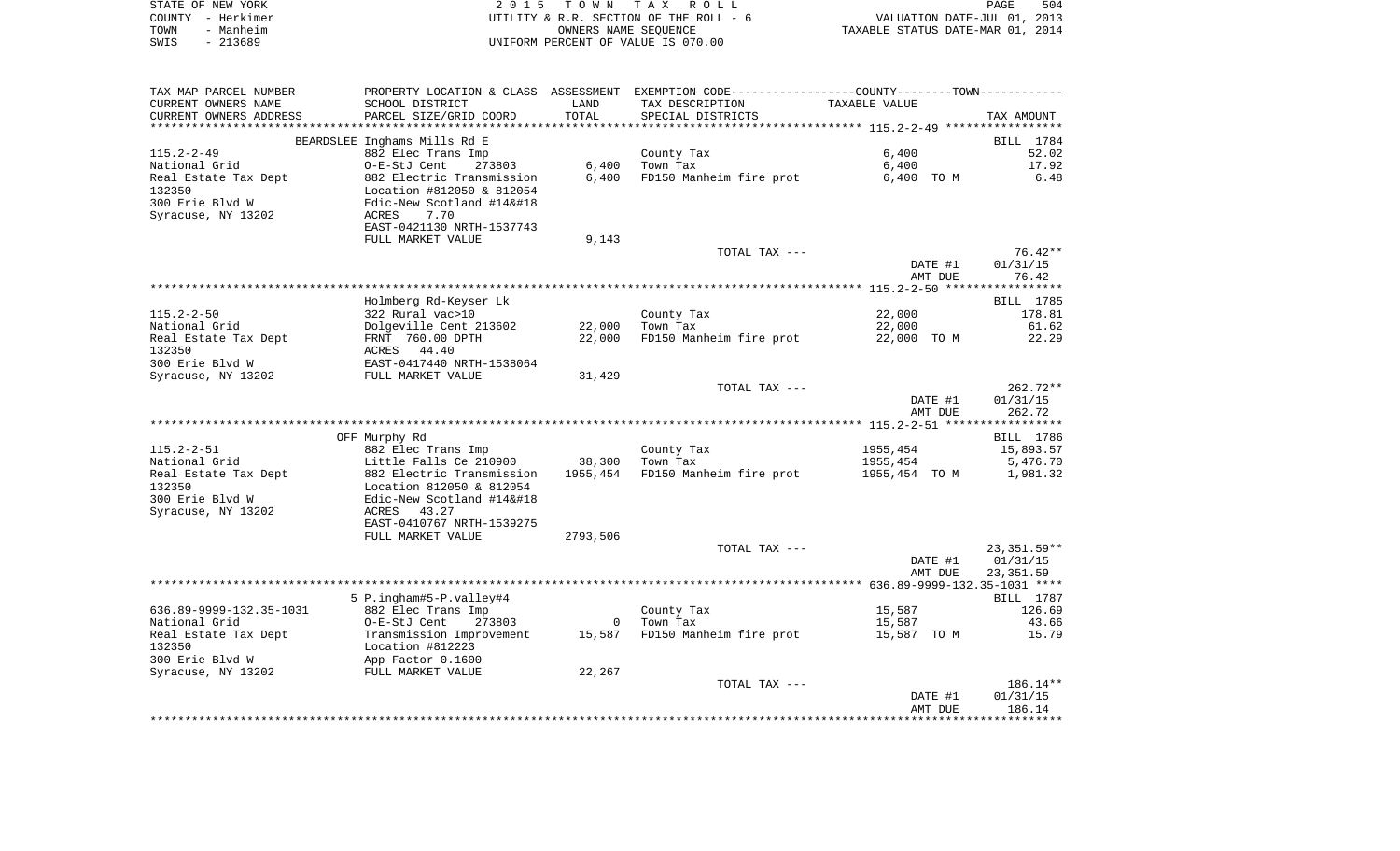|      | STATE OF NEW YORK | 2015 TOWN TAX ROLL                     | PAGE                             | 504 |
|------|-------------------|----------------------------------------|----------------------------------|-----|
|      | COUNTY - Herkimer | UTILITY & R.R. SECTION OF THE ROLL - 6 | VALUATION DATE-JUL 01, 2013      |     |
| TOWN | - Manheim         | OWNERS NAME SEOUENCE                   | TAXABLE STATUS DATE-MAR 01, 2014 |     |
| SWIS | - 213689          | UNIFORM PERCENT OF VALUE IS 070.00     |                                  |     |

| TAX MAP PARCEL NUMBER             |                                                         |          | PROPERTY LOCATION & CLASS ASSESSMENT EXEMPTION CODE---------------COUNTY-------TOWN---------- |                    |                       |
|-----------------------------------|---------------------------------------------------------|----------|-----------------------------------------------------------------------------------------------|--------------------|-----------------------|
| CURRENT OWNERS NAME               | SCHOOL DISTRICT                                         | LAND     | TAX DESCRIPTION                                                                               | TAXABLE VALUE      |                       |
| CURRENT OWNERS ADDRESS            | PARCEL SIZE/GRID COORD                                  | TOTAL    | SPECIAL DISTRICTS                                                                             |                    | TAX AMOUNT            |
|                                   |                                                         |          |                                                                                               |                    |                       |
|                                   | BEARDSLEE Inghams Mills Rd E                            |          |                                                                                               |                    | BILL 1784             |
| $115.2 - 2 - 49$<br>National Grid | 882 Elec Trans Imp<br>273803<br>O-E-StJ Cent            | 6,400    | County Tax<br>Town Tax                                                                        | 6,400<br>6,400     | 52.02<br>17.92        |
| Real Estate Tax Dept              | 882 Electric Transmission                               | 6,400    | FD150 Manheim fire prot                                                                       | 6,400 TO M         | 6.48                  |
| 132350                            | Location #812050 & 812054                               |          |                                                                                               |                    |                       |
| 300 Erie Blvd W                   | Edic-New Scotland #14                                  |          |                                                                                               |                    |                       |
| Syracuse, NY 13202                | ACRES<br>7.70                                           |          |                                                                                               |                    |                       |
|                                   | EAST-0421130 NRTH-1537743                               |          |                                                                                               |                    |                       |
|                                   | FULL MARKET VALUE                                       | 9,143    |                                                                                               |                    |                       |
|                                   |                                                         |          | TOTAL TAX ---                                                                                 |                    | $76.42**$             |
|                                   |                                                         |          |                                                                                               | DATE #1            | 01/31/15              |
|                                   |                                                         |          |                                                                                               | AMT DUE            | 76.42                 |
|                                   | Holmberg Rd-Keyser Lk                                   |          |                                                                                               |                    | BILL 1785             |
| $115.2 - 2 - 50$                  | 322 Rural vac>10                                        |          | County Tax                                                                                    | 22,000             | 178.81                |
| National Grid                     | Dolgeville Cent 213602                                  | 22,000   | Town Tax                                                                                      | 22,000             | 61.62                 |
| Real Estate Tax Dept              | FRNT 760.00 DPTH                                        | 22,000   | FD150 Manheim fire prot                                                                       | 22,000 TO M        | 22.29                 |
| 132350                            | ACRES 44.40                                             |          |                                                                                               |                    |                       |
| 300 Erie Blvd W                   | EAST-0417440 NRTH-1538064                               |          |                                                                                               |                    |                       |
| Syracuse, NY 13202                | FULL MARKET VALUE                                       | 31,429   |                                                                                               |                    |                       |
|                                   |                                                         |          | TOTAL TAX ---                                                                                 |                    | $262.72**$            |
|                                   |                                                         |          |                                                                                               | DATE #1            | 01/31/15              |
|                                   |                                                         |          |                                                                                               | AMT DUE            | 262.72                |
|                                   | OFF Murphy Rd                                           |          |                                                                                               |                    | BILL 1786             |
| $115.2 - 2 - 51$                  | 882 Elec Trans Imp                                      |          | County Tax                                                                                    | 1955,454           | 15,893.57             |
| National Grid                     | Little Falls Ce 210900                                  | 38,300   | Town Tax                                                                                      | 1955,454           | 5,476.70              |
| Real Estate Tax Dept              | 882 Electric Transmission                               | 1955,454 | FD150 Manheim fire prot                                                                       | 1955,454 TO M      | 1,981.32              |
| 132350                            | Location 812050 & 812054                                |          |                                                                                               |                    |                       |
| 300 Erie Blvd W                   | Edic-New Scotland #14                                  |          |                                                                                               |                    |                       |
| Syracuse, NY 13202                | ACRES 43.27                                             |          |                                                                                               |                    |                       |
|                                   | EAST-0410767 NRTH-1539275                               |          |                                                                                               |                    |                       |
|                                   | FULL MARKET VALUE                                       | 2793,506 |                                                                                               |                    |                       |
|                                   |                                                         |          | TOTAL TAX ---                                                                                 |                    | 23,351.59**           |
|                                   |                                                         |          |                                                                                               | DATE #1<br>AMT DUE | 01/31/15<br>23,351.59 |
|                                   |                                                         |          |                                                                                               |                    |                       |
|                                   | 5 P.ingham#5-P.valley#4                                 |          |                                                                                               |                    | BILL 1787             |
| 636.89-9999-132.35-1031           | 882 Elec Trans Imp                                      |          | County Tax                                                                                    | 15,587             | 126.69                |
| National Grid                     | O-E-StJ Cent<br>273803                                  |          | 0 Town Tax                                                                                    | 15,587             | 43.66                 |
| Real Estate Tax Dept              | Transmission Improvement 15,587 FD150 Manheim fire prot |          |                                                                                               | 15,587 TO M        | 15.79                 |
| 132350                            | Location #812223<br>App Factor 0.1600                   |          |                                                                                               |                    |                       |
| 300 Erie Blvd W                   |                                                         |          |                                                                                               |                    |                       |
| Syracuse, NY 13202                | FULL MARKET VALUE                                       | 22,267   |                                                                                               |                    |                       |
|                                   |                                                         |          | TOTAL TAX ---                                                                                 |                    | 186.14**              |
|                                   |                                                         |          |                                                                                               | DATE #1<br>AMT DUE | 01/31/15<br>186.14    |
|                                   |                                                         |          |                                                                                               |                    |                       |
|                                   |                                                         |          |                                                                                               |                    |                       |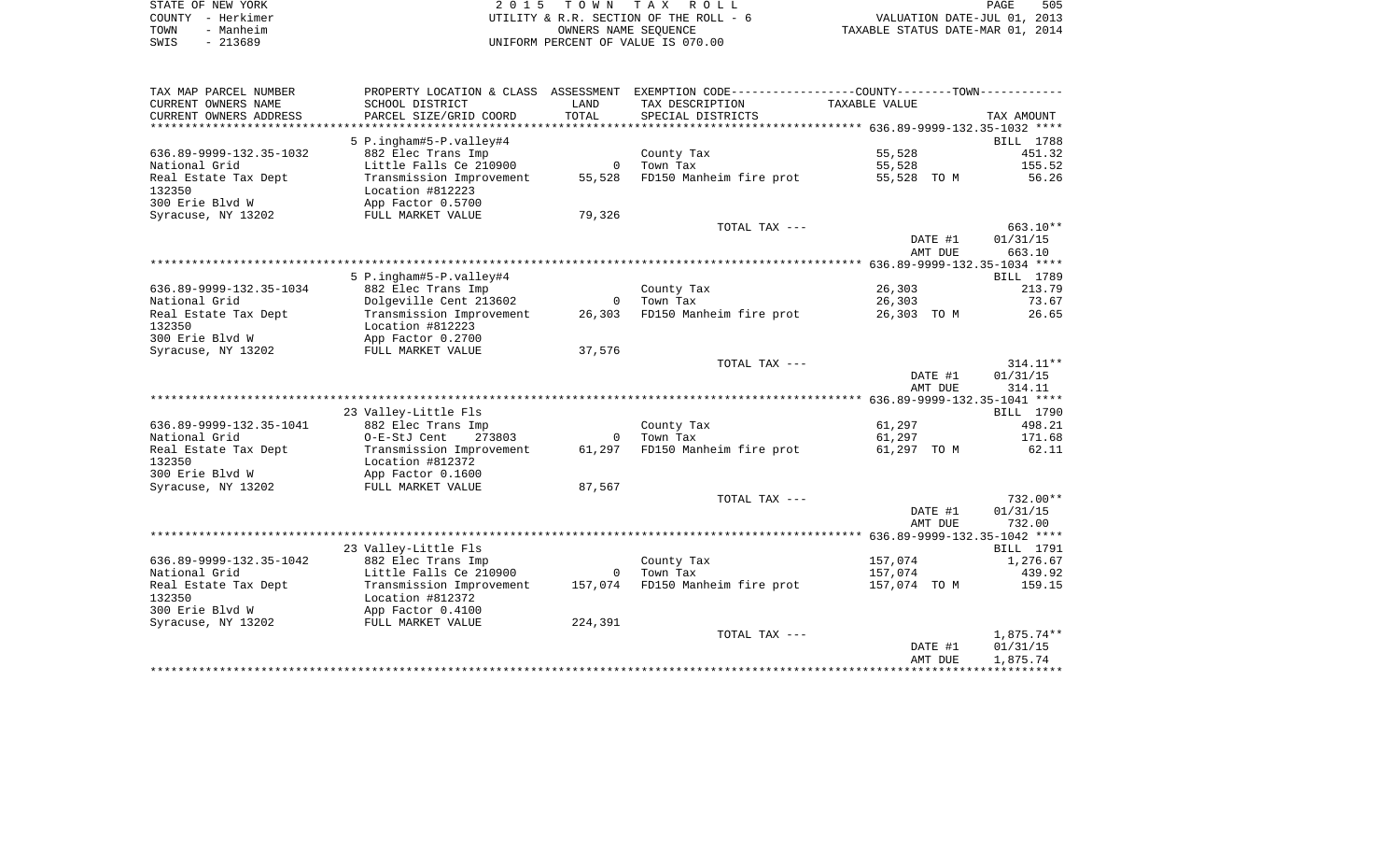|      | STATE OF NEW YORK | 2015 TOWN TAX ROLL                     | PAGE                             | 505 |
|------|-------------------|----------------------------------------|----------------------------------|-----|
|      | COUNTY – Herkimer | UTILITY & R.R. SECTION OF THE ROLL - 6 | VALUATION DATE-JUL 01, 2013      |     |
| TOWN | - Manheim         | OWNERS NAME SEOUENCE                   | TAXABLE STATUS DATE-MAR 01, 2014 |     |
| SWIS | - 213689          | UNIFORM PERCENT OF VALUE IS 070.00     |                                  |     |

| TAX MAP PARCEL NUMBER   | PROPERTY LOCATION & CLASS ASSESSMENT |                | EXEMPTION CODE-----------------COUNTY-------TOWN----------- |               |                     |       |
|-------------------------|--------------------------------------|----------------|-------------------------------------------------------------|---------------|---------------------|-------|
| CURRENT OWNERS NAME     | SCHOOL DISTRICT                      | LAND           | TAX DESCRIPTION                                             | TAXABLE VALUE |                     |       |
| CURRENT OWNERS ADDRESS  | PARCEL SIZE/GRID COORD               | TOTAL          | SPECIAL DISTRICTS                                           |               | TAX AMOUNT          |       |
| **********************  | *******************                  |                |                                                             |               |                     |       |
|                         | 5 P.ingham#5-P.valley#4              |                |                                                             |               | BILL 1788           |       |
| 636.89-9999-132.35-1032 | 882 Elec Trans Imp                   |                | County Tax                                                  | 55,528        | 451.32              |       |
| National Grid           | Little Falls Ce 210900               | $\mathbf{0}$   | Town Tax                                                    | 55,528        | 155.52              |       |
| Real Estate Tax Dept    | Transmission Improvement             | 55,528         | FD150 Manheim fire prot                                     | 55,528 TO M   |                     | 56.26 |
| 132350                  | Location #812223                     |                |                                                             |               |                     |       |
| 300 Erie Blvd W         | App Factor 0.5700                    |                |                                                             |               |                     |       |
| Syracuse, NY 13202      | FULL MARKET VALUE                    | 79,326         |                                                             |               |                     |       |
|                         |                                      |                | TOTAL TAX ---                                               |               | 663.10**            |       |
|                         |                                      |                |                                                             |               | 01/31/15<br>DATE #1 |       |
|                         |                                      |                |                                                             |               | AMT DUE<br>663.10   |       |
|                         |                                      |                |                                                             |               |                     |       |
|                         | 5 P.ingham#5-P.valley#4              |                |                                                             |               | BILL 1789           |       |
| 636.89-9999-132.35-1034 | 882 Elec Trans Imp                   |                | County Tax                                                  | 26,303        | 213.79              |       |
| National Grid           | Dolgeville Cent 213602               | $\overline{0}$ | Town Tax                                                    | 26,303        |                     | 73.67 |
| Real Estate Tax Dept    | Transmission Improvement             | 26,303         | FD150 Manheim fire prot                                     | 26,303 TO M   |                     | 26.65 |
| 132350                  | Location #812223                     |                |                                                             |               |                     |       |
| 300 Erie Blvd W         | App Factor 0.2700                    |                |                                                             |               |                     |       |
| Syracuse, NY 13202      | FULL MARKET VALUE                    | 37,576         |                                                             |               |                     |       |
|                         |                                      |                | TOTAL TAX ---                                               |               | $314.11**$          |       |
|                         |                                      |                |                                                             |               | DATE #1<br>01/31/15 |       |
|                         |                                      |                |                                                             |               | AMT DUE<br>314.11   |       |
|                         |                                      |                |                                                             |               |                     |       |
|                         | 23 Valley-Little Fls                 |                |                                                             |               | BILL 1790           |       |
| 636.89-9999-132.35-1041 | 882 Elec Trans Imp                   |                | County Tax                                                  | 61,297        | 498.21              |       |
| National Grid           | O-E-StJ Cent<br>273803               | $\overline{0}$ | Town Tax                                                    | 61,297        | 171.68              |       |
| Real Estate Tax Dept    | Transmission Improvement             | 61,297         | FD150 Manheim fire prot                                     | 61,297 TO M   | 62.11               |       |
| 132350                  | Location #812372                     |                |                                                             |               |                     |       |
| 300 Erie Blvd W         | App Factor 0.1600                    |                |                                                             |               |                     |       |
| Syracuse, NY 13202      | FULL MARKET VALUE                    | 87,567         |                                                             |               |                     |       |
|                         |                                      |                | TOTAL TAX ---                                               |               | 732.00**            |       |
|                         |                                      |                |                                                             |               | DATE #1<br>01/31/15 |       |
|                         |                                      |                |                                                             |               | AMT DUE<br>732.00   |       |
|                         |                                      |                |                                                             |               |                     |       |
|                         | 23 Valley-Little Fls                 |                |                                                             |               | <b>BILL</b> 1791    |       |
| 636.89-9999-132.35-1042 | 882 Elec Trans Imp                   |                | County Tax                                                  | 157,074       | 1,276.67            |       |
| National Grid           | Little Falls Ce 210900               | $\overline{0}$ | Town Tax                                                    | 157,074       | 439.92              |       |
| Real Estate Tax Dept    | Transmission Improvement             | 157,074        | FD150 Manheim fire prot                                     | 157,074 TO M  | 159.15              |       |
| 132350                  | Location #812372                     |                |                                                             |               |                     |       |
| 300 Erie Blvd W         | App Factor 0.4100                    |                |                                                             |               |                     |       |
| Syracuse, NY 13202      | FULL MARKET VALUE                    | 224,391        |                                                             |               |                     |       |
|                         |                                      |                | TOTAL TAX ---                                               |               | 1,875.74**          |       |
|                         |                                      |                |                                                             |               | DATE #1<br>01/31/15 |       |
|                         |                                      |                |                                                             |               | 1,875.74<br>AMT DUE |       |
|                         |                                      |                |                                                             |               |                     |       |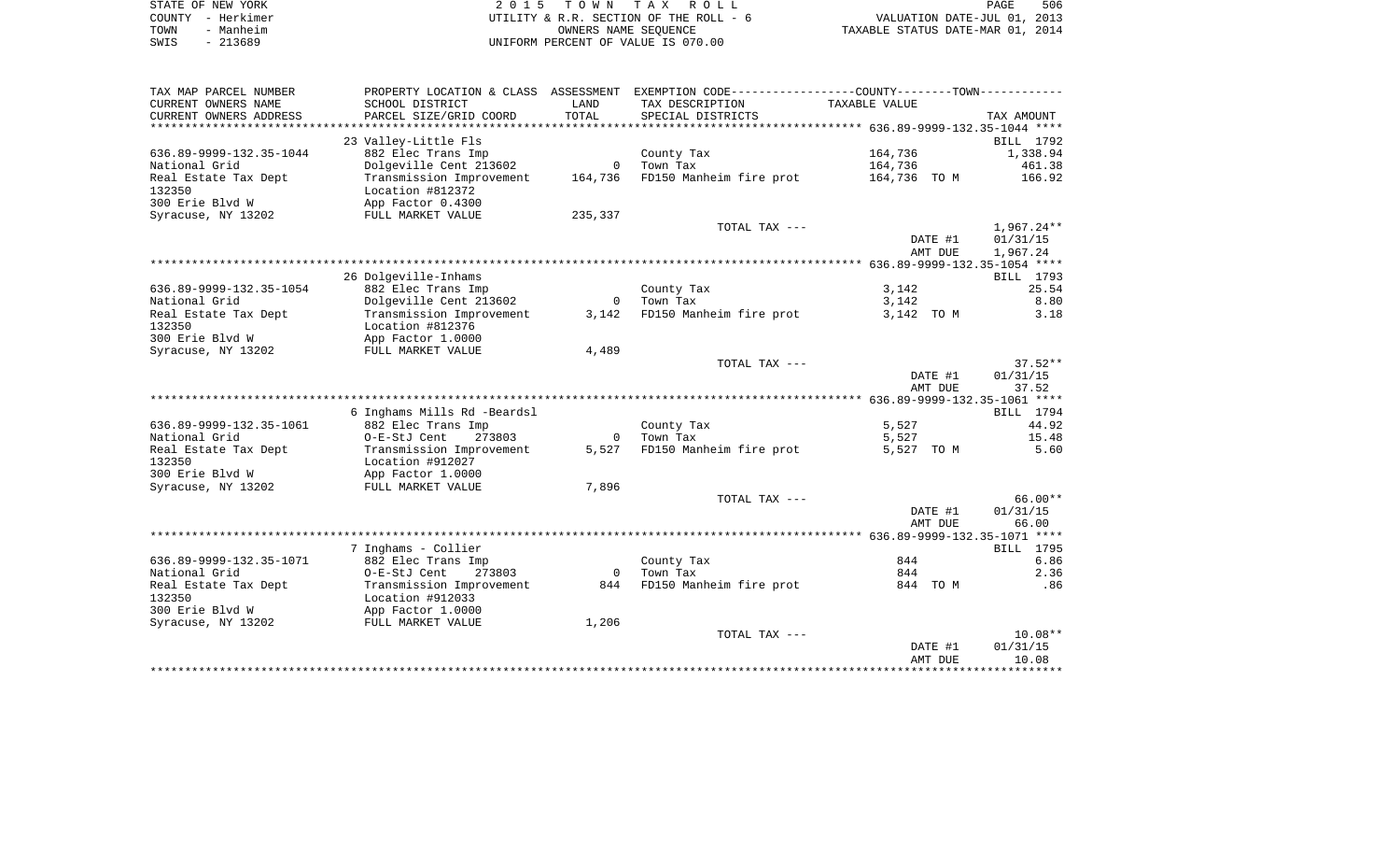|      | STATE OF NEW YORK | 2015 TOWN TAX ROLL                     | 506<br>PAGE                      |
|------|-------------------|----------------------------------------|----------------------------------|
|      | COUNTY - Herkimer | UTILITY & R.R. SECTION OF THE ROLL - 6 | VALUATION DATE-JUL 01, 2013      |
| TOWN | - Manheim         | OWNERS NAME SEOUENCE                   | TAXABLE STATUS DATE-MAR 01, 2014 |
| SWIS | - 213689          | UNIFORM PERCENT OF VALUE IS 070.00     |                                  |

| TAX MAP PARCEL NUMBER   | PROPERTY LOCATION & CLASS ASSESSMENT |                | EXEMPTION CODE-----------------COUNTY--------TOWN----------- |                    |                   |
|-------------------------|--------------------------------------|----------------|--------------------------------------------------------------|--------------------|-------------------|
| CURRENT OWNERS NAME     | SCHOOL DISTRICT                      | LAND           | TAX DESCRIPTION                                              | TAXABLE VALUE      |                   |
| CURRENT OWNERS ADDRESS  | PARCEL SIZE/GRID COORD               | TOTAL          | SPECIAL DISTRICTS                                            |                    | TAX AMOUNT        |
| *******************     | **********************               |                |                                                              |                    |                   |
|                         | 23 Valley-Little Fls                 |                |                                                              |                    | BILL 1792         |
| 636.89-9999-132.35-1044 | 882 Elec Trans Imp                   |                | County Tax                                                   | 164,736            | 1,338.94          |
| National Grid           | Dolgeville Cent 213602               | $\mathbf{0}$   | Town Tax                                                     | 164,736            | 461.38            |
| Real Estate Tax Dept    | Transmission Improvement             | 164,736        | FD150 Manheim fire prot                                      | 164,736 TO M       | 166.92            |
| 132350                  | Location #812372                     |                |                                                              |                    |                   |
| 300 Erie Blvd W         | App Factor 0.4300                    |                |                                                              |                    |                   |
| Syracuse, NY 13202      | FULL MARKET VALUE                    | 235,337        |                                                              |                    |                   |
|                         |                                      |                | TOTAL TAX ---                                                |                    | $1,967.24**$      |
|                         |                                      |                |                                                              | DATE #1            | 01/31/15          |
|                         |                                      |                |                                                              | AMT DUE            | 1,967.24          |
|                         |                                      |                |                                                              |                    |                   |
|                         | 26 Dolgeville-Inhams                 |                |                                                              |                    | BILL 1793         |
| 636.89-9999-132.35-1054 | 882 Elec Trans Imp                   |                | County Tax                                                   | 3,142              | 25.54             |
| National Grid           | Dolgeville Cent 213602               | $\overline{0}$ | Town Tax                                                     | 3,142              | 8.80              |
| Real Estate Tax Dept    | Transmission Improvement             | 3,142          | FD150 Manheim fire prot                                      | 3,142 TO M         | 3.18              |
| 132350                  | Location #812376                     |                |                                                              |                    |                   |
| 300 Erie Blvd W         | App Factor 1.0000                    |                |                                                              |                    |                   |
| Syracuse, NY 13202      | FULL MARKET VALUE                    | 4,489          |                                                              |                    |                   |
|                         |                                      |                | TOTAL TAX ---                                                |                    | $37.52**$         |
|                         |                                      |                |                                                              | DATE #1            | 01/31/15          |
|                         |                                      |                |                                                              | AMT DUE            | 37.52             |
|                         |                                      |                |                                                              |                    |                   |
|                         | 6 Inghams Mills Rd -Beardsl          |                |                                                              |                    | BILL 1794         |
| 636.89-9999-132.35-1061 | 882 Elec Trans Imp                   |                | County Tax                                                   | 5,527              | 44.92             |
| National Grid           | 273803<br>O-E-StJ Cent               | $\mathbf 0$    | Town Tax                                                     | 5,527              | 15.48             |
| Real Estate Tax Dept    | Transmission Improvement             | 5,527          | FD150 Manheim fire prot                                      | 5,527 TO M         | 5.60              |
| 132350                  | Location #912027                     |                |                                                              |                    |                   |
| 300 Erie Blvd W         | App Factor 1.0000                    |                |                                                              |                    |                   |
| Syracuse, NY 13202      | FULL MARKET VALUE                    | 7,896          |                                                              |                    |                   |
|                         |                                      |                | TOTAL TAX ---                                                |                    | $66.00**$         |
|                         |                                      |                |                                                              | DATE #1<br>AMT DUE | 01/31/15<br>66.00 |
|                         |                                      |                |                                                              |                    |                   |
|                         | 7 Inghams - Collier                  |                |                                                              |                    | BILL 1795         |
| 636.89-9999-132.35-1071 | 882 Elec Trans Imp                   |                | County Tax                                                   | 844                | 6.86              |
| National Grid           | O-E-StJ Cent<br>273803               | $\overline{0}$ | Town Tax                                                     | 844                | 2.36              |
| Real Estate Tax Dept    | Transmission Improvement             | 844            | FD150 Manheim fire prot                                      | 844 TO M           | .86               |
| 132350                  | Location #912033                     |                |                                                              |                    |                   |
| 300 Erie Blvd W         | App Factor 1.0000                    |                |                                                              |                    |                   |
| Syracuse, NY 13202      | FULL MARKET VALUE                    | 1,206          |                                                              |                    |                   |
|                         |                                      |                | TOTAL TAX ---                                                |                    | $10.08**$         |
|                         |                                      |                |                                                              | DATE #1            | 01/31/15          |
|                         |                                      |                |                                                              | AMT DUE            | 10.08             |
|                         |                                      |                |                                                              |                    |                   |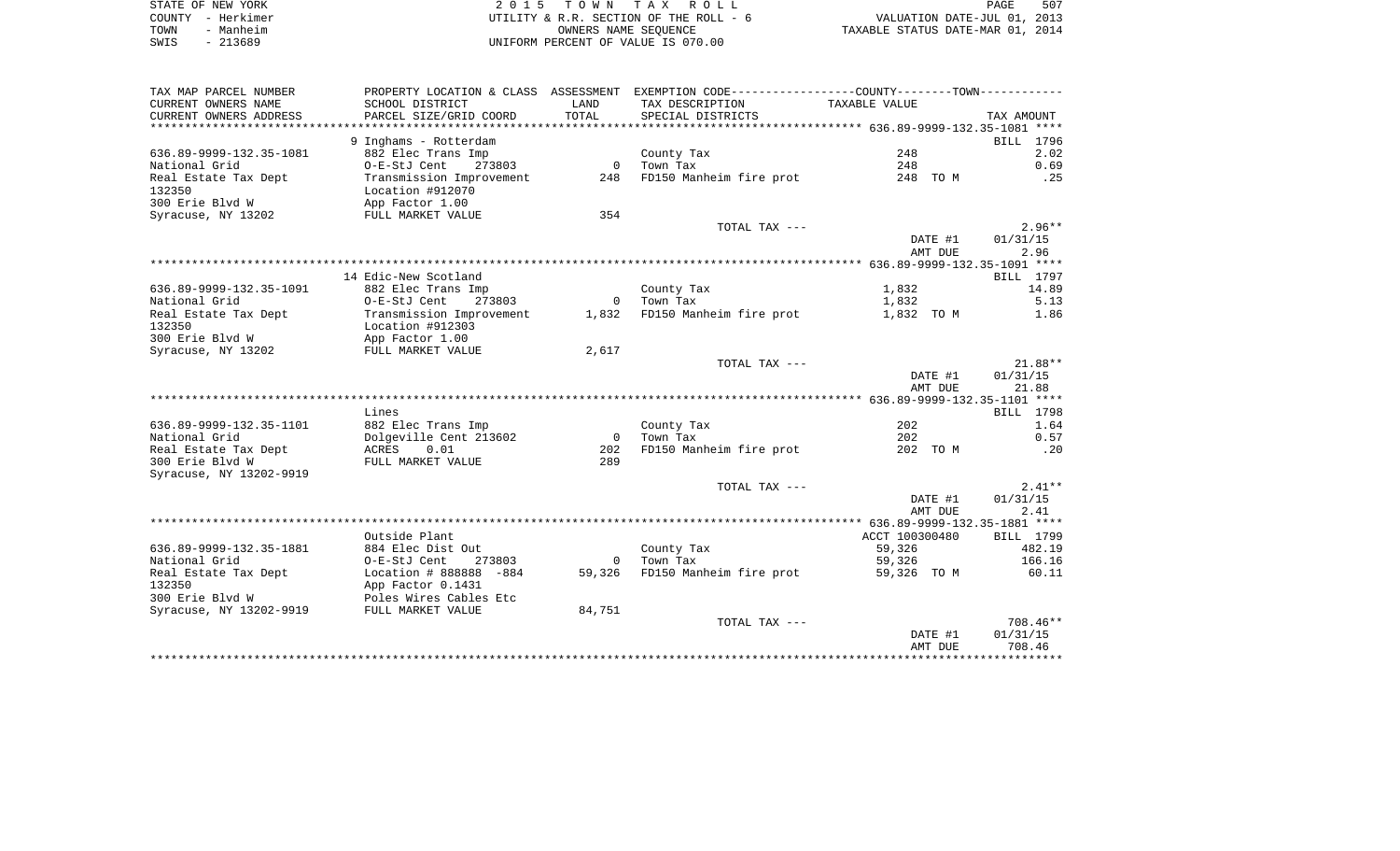| STATE OF NEW YORK | 2015 TOWN TAX ROLL                     | PAGE                             | 507 |
|-------------------|----------------------------------------|----------------------------------|-----|
| COUNTY - Herkimer | UTILITY & R.R. SECTION OF THE ROLL - 6 | VALUATION DATE-JUL 01, 2013      |     |
| TOWN<br>- Manheim | OWNERS NAME SEOUENCE                   | TAXABLE STATUS DATE-MAR 01, 2014 |     |
| SWIS<br>- 213689  | UNIFORM PERCENT OF VALUE IS 070.00     |                                  |     |

| CURRENT OWNERS NAME<br>SCHOOL DISTRICT<br>LAND<br>TAX DESCRIPTION<br>TAXABLE VALUE<br>TOTAL<br>SPECIAL DISTRICTS<br>CURRENT OWNERS ADDRESS<br>PARCEL SIZE/GRID COORD<br>TAX AMOUNT<br>9 Inghams - Rotterdam<br>BILL 1796<br>248<br>636.89-9999-132.35-1081<br>882 Elec Trans Imp<br>2.02<br>County Tax<br>$\overline{0}$<br>273803<br>Town Tax<br>248<br>0.69<br>National Grid<br>O-E-StJ Cent<br>248 FD150 Manheim fire prot<br>Real Estate Tax Dept<br>Transmission Improvement<br>248 TO M<br>.25<br>132350<br>Location #912070<br>300 Erie Blvd W<br>App Factor 1.00<br>354<br>Syracuse, NY 13202<br>FULL MARKET VALUE<br>$2.96**$<br>TOTAL TAX ---<br>DATE #1<br>01/31/15<br>AMT DUE<br>2.96<br>14 Edic-New Scotland<br>BILL 1797<br>1,832<br>636.89-9999-132.35-1091<br>882 Elec Trans Imp<br>County Tax<br>14.89<br>National Grid<br>0-E-StJ Cent 273803<br>0 Town Tax<br>1,832<br>5.13<br>1,832 FD150 Manheim fire prot<br>1.86<br>Real Estate Tax Dept<br>Transmission Improvement<br>1,832 TO M<br>132350<br>Location #912303<br>App Factor 1.00<br>300 Erie Blvd W<br>Syracuse, NY 13202<br>2,617<br>FULL MARKET VALUE<br>TOTAL TAX ---<br>$21.88**$<br>01/31/15<br>DATE #1<br>21.88<br>AMT DUE<br>Lines<br><b>BILL</b> 1798<br>636.89-9999-132.35-1101<br>882 Elec Trans Imp<br>202<br>1.64<br>County Tax<br>$\overline{0}$<br>National Grid<br>Dolgeville Cent 213602<br>Town Tax<br>202<br>0.57<br>Real Estate Tax Dept<br>ACRES 0.01<br>FD150 Manheim fire prot<br>202 TO M<br>.20<br>202<br>300 Erie Blvd W<br>FULL MARKET VALUE<br>289<br>Syracuse, NY 13202-9919<br>$2.41**$<br>TOTAL TAX ---<br>01/31/15<br>DATE #1<br>AMT DUE<br>2.41<br>Outside Plant<br>ACCT 100300480<br>BILL 1799<br>636.89-9999-132.35-1881<br>884 Elec Dist Out<br>County Tax<br>59,326<br>482.19<br>National Grid<br>O-E-StJ Cent<br>273803<br>Town Tax<br>59,326<br>166.16<br>$\mathbf{0}$<br>59,326 FD150 Manheim fire prot<br>Real Estate Tax Dept<br>Location # 888888 -884<br>60.11<br>59,326 TO M<br>132350<br>App Factor 0.1431<br>300 Erie Blyd W<br>Poles Wires Cables Etc<br>Syracuse, NY 13202-9919<br>84,751<br>FULL MARKET VALUE<br>708.46**<br>TOTAL TAX ---<br>DATE #1<br>01/31/15<br>708.46<br>AMT DUE | TAX MAP PARCEL NUMBER | PROPERTY LOCATION & CLASS ASSESSMENT | EXEMPTION CODE----------------COUNTY-------TOWN----------- |  |
|-------------------------------------------------------------------------------------------------------------------------------------------------------------------------------------------------------------------------------------------------------------------------------------------------------------------------------------------------------------------------------------------------------------------------------------------------------------------------------------------------------------------------------------------------------------------------------------------------------------------------------------------------------------------------------------------------------------------------------------------------------------------------------------------------------------------------------------------------------------------------------------------------------------------------------------------------------------------------------------------------------------------------------------------------------------------------------------------------------------------------------------------------------------------------------------------------------------------------------------------------------------------------------------------------------------------------------------------------------------------------------------------------------------------------------------------------------------------------------------------------------------------------------------------------------------------------------------------------------------------------------------------------------------------------------------------------------------------------------------------------------------------------------------------------------------------------------------------------------------------------------------------------------------------------------------------------------------------------------------------------------------------------------------------------------------------------------------------------------------------------------------------------------------------------------------------------------------------|-----------------------|--------------------------------------|------------------------------------------------------------|--|
|                                                                                                                                                                                                                                                                                                                                                                                                                                                                                                                                                                                                                                                                                                                                                                                                                                                                                                                                                                                                                                                                                                                                                                                                                                                                                                                                                                                                                                                                                                                                                                                                                                                                                                                                                                                                                                                                                                                                                                                                                                                                                                                                                                                                                   |                       |                                      |                                                            |  |
|                                                                                                                                                                                                                                                                                                                                                                                                                                                                                                                                                                                                                                                                                                                                                                                                                                                                                                                                                                                                                                                                                                                                                                                                                                                                                                                                                                                                                                                                                                                                                                                                                                                                                                                                                                                                                                                                                                                                                                                                                                                                                                                                                                                                                   |                       |                                      |                                                            |  |
|                                                                                                                                                                                                                                                                                                                                                                                                                                                                                                                                                                                                                                                                                                                                                                                                                                                                                                                                                                                                                                                                                                                                                                                                                                                                                                                                                                                                                                                                                                                                                                                                                                                                                                                                                                                                                                                                                                                                                                                                                                                                                                                                                                                                                   |                       |                                      |                                                            |  |
|                                                                                                                                                                                                                                                                                                                                                                                                                                                                                                                                                                                                                                                                                                                                                                                                                                                                                                                                                                                                                                                                                                                                                                                                                                                                                                                                                                                                                                                                                                                                                                                                                                                                                                                                                                                                                                                                                                                                                                                                                                                                                                                                                                                                                   |                       |                                      |                                                            |  |
|                                                                                                                                                                                                                                                                                                                                                                                                                                                                                                                                                                                                                                                                                                                                                                                                                                                                                                                                                                                                                                                                                                                                                                                                                                                                                                                                                                                                                                                                                                                                                                                                                                                                                                                                                                                                                                                                                                                                                                                                                                                                                                                                                                                                                   |                       |                                      |                                                            |  |
|                                                                                                                                                                                                                                                                                                                                                                                                                                                                                                                                                                                                                                                                                                                                                                                                                                                                                                                                                                                                                                                                                                                                                                                                                                                                                                                                                                                                                                                                                                                                                                                                                                                                                                                                                                                                                                                                                                                                                                                                                                                                                                                                                                                                                   |                       |                                      |                                                            |  |
|                                                                                                                                                                                                                                                                                                                                                                                                                                                                                                                                                                                                                                                                                                                                                                                                                                                                                                                                                                                                                                                                                                                                                                                                                                                                                                                                                                                                                                                                                                                                                                                                                                                                                                                                                                                                                                                                                                                                                                                                                                                                                                                                                                                                                   |                       |                                      |                                                            |  |
|                                                                                                                                                                                                                                                                                                                                                                                                                                                                                                                                                                                                                                                                                                                                                                                                                                                                                                                                                                                                                                                                                                                                                                                                                                                                                                                                                                                                                                                                                                                                                                                                                                                                                                                                                                                                                                                                                                                                                                                                                                                                                                                                                                                                                   |                       |                                      |                                                            |  |
|                                                                                                                                                                                                                                                                                                                                                                                                                                                                                                                                                                                                                                                                                                                                                                                                                                                                                                                                                                                                                                                                                                                                                                                                                                                                                                                                                                                                                                                                                                                                                                                                                                                                                                                                                                                                                                                                                                                                                                                                                                                                                                                                                                                                                   |                       |                                      |                                                            |  |
|                                                                                                                                                                                                                                                                                                                                                                                                                                                                                                                                                                                                                                                                                                                                                                                                                                                                                                                                                                                                                                                                                                                                                                                                                                                                                                                                                                                                                                                                                                                                                                                                                                                                                                                                                                                                                                                                                                                                                                                                                                                                                                                                                                                                                   |                       |                                      |                                                            |  |
|                                                                                                                                                                                                                                                                                                                                                                                                                                                                                                                                                                                                                                                                                                                                                                                                                                                                                                                                                                                                                                                                                                                                                                                                                                                                                                                                                                                                                                                                                                                                                                                                                                                                                                                                                                                                                                                                                                                                                                                                                                                                                                                                                                                                                   |                       |                                      |                                                            |  |
|                                                                                                                                                                                                                                                                                                                                                                                                                                                                                                                                                                                                                                                                                                                                                                                                                                                                                                                                                                                                                                                                                                                                                                                                                                                                                                                                                                                                                                                                                                                                                                                                                                                                                                                                                                                                                                                                                                                                                                                                                                                                                                                                                                                                                   |                       |                                      |                                                            |  |
|                                                                                                                                                                                                                                                                                                                                                                                                                                                                                                                                                                                                                                                                                                                                                                                                                                                                                                                                                                                                                                                                                                                                                                                                                                                                                                                                                                                                                                                                                                                                                                                                                                                                                                                                                                                                                                                                                                                                                                                                                                                                                                                                                                                                                   |                       |                                      |                                                            |  |
|                                                                                                                                                                                                                                                                                                                                                                                                                                                                                                                                                                                                                                                                                                                                                                                                                                                                                                                                                                                                                                                                                                                                                                                                                                                                                                                                                                                                                                                                                                                                                                                                                                                                                                                                                                                                                                                                                                                                                                                                                                                                                                                                                                                                                   |                       |                                      |                                                            |  |
|                                                                                                                                                                                                                                                                                                                                                                                                                                                                                                                                                                                                                                                                                                                                                                                                                                                                                                                                                                                                                                                                                                                                                                                                                                                                                                                                                                                                                                                                                                                                                                                                                                                                                                                                                                                                                                                                                                                                                                                                                                                                                                                                                                                                                   |                       |                                      |                                                            |  |
|                                                                                                                                                                                                                                                                                                                                                                                                                                                                                                                                                                                                                                                                                                                                                                                                                                                                                                                                                                                                                                                                                                                                                                                                                                                                                                                                                                                                                                                                                                                                                                                                                                                                                                                                                                                                                                                                                                                                                                                                                                                                                                                                                                                                                   |                       |                                      |                                                            |  |
|                                                                                                                                                                                                                                                                                                                                                                                                                                                                                                                                                                                                                                                                                                                                                                                                                                                                                                                                                                                                                                                                                                                                                                                                                                                                                                                                                                                                                                                                                                                                                                                                                                                                                                                                                                                                                                                                                                                                                                                                                                                                                                                                                                                                                   |                       |                                      |                                                            |  |
|                                                                                                                                                                                                                                                                                                                                                                                                                                                                                                                                                                                                                                                                                                                                                                                                                                                                                                                                                                                                                                                                                                                                                                                                                                                                                                                                                                                                                                                                                                                                                                                                                                                                                                                                                                                                                                                                                                                                                                                                                                                                                                                                                                                                                   |                       |                                      |                                                            |  |
|                                                                                                                                                                                                                                                                                                                                                                                                                                                                                                                                                                                                                                                                                                                                                                                                                                                                                                                                                                                                                                                                                                                                                                                                                                                                                                                                                                                                                                                                                                                                                                                                                                                                                                                                                                                                                                                                                                                                                                                                                                                                                                                                                                                                                   |                       |                                      |                                                            |  |
|                                                                                                                                                                                                                                                                                                                                                                                                                                                                                                                                                                                                                                                                                                                                                                                                                                                                                                                                                                                                                                                                                                                                                                                                                                                                                                                                                                                                                                                                                                                                                                                                                                                                                                                                                                                                                                                                                                                                                                                                                                                                                                                                                                                                                   |                       |                                      |                                                            |  |
|                                                                                                                                                                                                                                                                                                                                                                                                                                                                                                                                                                                                                                                                                                                                                                                                                                                                                                                                                                                                                                                                                                                                                                                                                                                                                                                                                                                                                                                                                                                                                                                                                                                                                                                                                                                                                                                                                                                                                                                                                                                                                                                                                                                                                   |                       |                                      |                                                            |  |
|                                                                                                                                                                                                                                                                                                                                                                                                                                                                                                                                                                                                                                                                                                                                                                                                                                                                                                                                                                                                                                                                                                                                                                                                                                                                                                                                                                                                                                                                                                                                                                                                                                                                                                                                                                                                                                                                                                                                                                                                                                                                                                                                                                                                                   |                       |                                      |                                                            |  |
|                                                                                                                                                                                                                                                                                                                                                                                                                                                                                                                                                                                                                                                                                                                                                                                                                                                                                                                                                                                                                                                                                                                                                                                                                                                                                                                                                                                                                                                                                                                                                                                                                                                                                                                                                                                                                                                                                                                                                                                                                                                                                                                                                                                                                   |                       |                                      |                                                            |  |
|                                                                                                                                                                                                                                                                                                                                                                                                                                                                                                                                                                                                                                                                                                                                                                                                                                                                                                                                                                                                                                                                                                                                                                                                                                                                                                                                                                                                                                                                                                                                                                                                                                                                                                                                                                                                                                                                                                                                                                                                                                                                                                                                                                                                                   |                       |                                      |                                                            |  |
|                                                                                                                                                                                                                                                                                                                                                                                                                                                                                                                                                                                                                                                                                                                                                                                                                                                                                                                                                                                                                                                                                                                                                                                                                                                                                                                                                                                                                                                                                                                                                                                                                                                                                                                                                                                                                                                                                                                                                                                                                                                                                                                                                                                                                   |                       |                                      |                                                            |  |
|                                                                                                                                                                                                                                                                                                                                                                                                                                                                                                                                                                                                                                                                                                                                                                                                                                                                                                                                                                                                                                                                                                                                                                                                                                                                                                                                                                                                                                                                                                                                                                                                                                                                                                                                                                                                                                                                                                                                                                                                                                                                                                                                                                                                                   |                       |                                      |                                                            |  |
|                                                                                                                                                                                                                                                                                                                                                                                                                                                                                                                                                                                                                                                                                                                                                                                                                                                                                                                                                                                                                                                                                                                                                                                                                                                                                                                                                                                                                                                                                                                                                                                                                                                                                                                                                                                                                                                                                                                                                                                                                                                                                                                                                                                                                   |                       |                                      |                                                            |  |
|                                                                                                                                                                                                                                                                                                                                                                                                                                                                                                                                                                                                                                                                                                                                                                                                                                                                                                                                                                                                                                                                                                                                                                                                                                                                                                                                                                                                                                                                                                                                                                                                                                                                                                                                                                                                                                                                                                                                                                                                                                                                                                                                                                                                                   |                       |                                      |                                                            |  |
|                                                                                                                                                                                                                                                                                                                                                                                                                                                                                                                                                                                                                                                                                                                                                                                                                                                                                                                                                                                                                                                                                                                                                                                                                                                                                                                                                                                                                                                                                                                                                                                                                                                                                                                                                                                                                                                                                                                                                                                                                                                                                                                                                                                                                   |                       |                                      |                                                            |  |
|                                                                                                                                                                                                                                                                                                                                                                                                                                                                                                                                                                                                                                                                                                                                                                                                                                                                                                                                                                                                                                                                                                                                                                                                                                                                                                                                                                                                                                                                                                                                                                                                                                                                                                                                                                                                                                                                                                                                                                                                                                                                                                                                                                                                                   |                       |                                      |                                                            |  |
|                                                                                                                                                                                                                                                                                                                                                                                                                                                                                                                                                                                                                                                                                                                                                                                                                                                                                                                                                                                                                                                                                                                                                                                                                                                                                                                                                                                                                                                                                                                                                                                                                                                                                                                                                                                                                                                                                                                                                                                                                                                                                                                                                                                                                   |                       |                                      |                                                            |  |
|                                                                                                                                                                                                                                                                                                                                                                                                                                                                                                                                                                                                                                                                                                                                                                                                                                                                                                                                                                                                                                                                                                                                                                                                                                                                                                                                                                                                                                                                                                                                                                                                                                                                                                                                                                                                                                                                                                                                                                                                                                                                                                                                                                                                                   |                       |                                      |                                                            |  |
|                                                                                                                                                                                                                                                                                                                                                                                                                                                                                                                                                                                                                                                                                                                                                                                                                                                                                                                                                                                                                                                                                                                                                                                                                                                                                                                                                                                                                                                                                                                                                                                                                                                                                                                                                                                                                                                                                                                                                                                                                                                                                                                                                                                                                   |                       |                                      |                                                            |  |
|                                                                                                                                                                                                                                                                                                                                                                                                                                                                                                                                                                                                                                                                                                                                                                                                                                                                                                                                                                                                                                                                                                                                                                                                                                                                                                                                                                                                                                                                                                                                                                                                                                                                                                                                                                                                                                                                                                                                                                                                                                                                                                                                                                                                                   |                       |                                      |                                                            |  |
|                                                                                                                                                                                                                                                                                                                                                                                                                                                                                                                                                                                                                                                                                                                                                                                                                                                                                                                                                                                                                                                                                                                                                                                                                                                                                                                                                                                                                                                                                                                                                                                                                                                                                                                                                                                                                                                                                                                                                                                                                                                                                                                                                                                                                   |                       |                                      |                                                            |  |
|                                                                                                                                                                                                                                                                                                                                                                                                                                                                                                                                                                                                                                                                                                                                                                                                                                                                                                                                                                                                                                                                                                                                                                                                                                                                                                                                                                                                                                                                                                                                                                                                                                                                                                                                                                                                                                                                                                                                                                                                                                                                                                                                                                                                                   |                       |                                      |                                                            |  |
|                                                                                                                                                                                                                                                                                                                                                                                                                                                                                                                                                                                                                                                                                                                                                                                                                                                                                                                                                                                                                                                                                                                                                                                                                                                                                                                                                                                                                                                                                                                                                                                                                                                                                                                                                                                                                                                                                                                                                                                                                                                                                                                                                                                                                   |                       |                                      |                                                            |  |
|                                                                                                                                                                                                                                                                                                                                                                                                                                                                                                                                                                                                                                                                                                                                                                                                                                                                                                                                                                                                                                                                                                                                                                                                                                                                                                                                                                                                                                                                                                                                                                                                                                                                                                                                                                                                                                                                                                                                                                                                                                                                                                                                                                                                                   |                       |                                      |                                                            |  |
|                                                                                                                                                                                                                                                                                                                                                                                                                                                                                                                                                                                                                                                                                                                                                                                                                                                                                                                                                                                                                                                                                                                                                                                                                                                                                                                                                                                                                                                                                                                                                                                                                                                                                                                                                                                                                                                                                                                                                                                                                                                                                                                                                                                                                   |                       |                                      |                                                            |  |
|                                                                                                                                                                                                                                                                                                                                                                                                                                                                                                                                                                                                                                                                                                                                                                                                                                                                                                                                                                                                                                                                                                                                                                                                                                                                                                                                                                                                                                                                                                                                                                                                                                                                                                                                                                                                                                                                                                                                                                                                                                                                                                                                                                                                                   |                       |                                      |                                                            |  |
|                                                                                                                                                                                                                                                                                                                                                                                                                                                                                                                                                                                                                                                                                                                                                                                                                                                                                                                                                                                                                                                                                                                                                                                                                                                                                                                                                                                                                                                                                                                                                                                                                                                                                                                                                                                                                                                                                                                                                                                                                                                                                                                                                                                                                   |                       |                                      |                                                            |  |
|                                                                                                                                                                                                                                                                                                                                                                                                                                                                                                                                                                                                                                                                                                                                                                                                                                                                                                                                                                                                                                                                                                                                                                                                                                                                                                                                                                                                                                                                                                                                                                                                                                                                                                                                                                                                                                                                                                                                                                                                                                                                                                                                                                                                                   |                       |                                      |                                                            |  |
|                                                                                                                                                                                                                                                                                                                                                                                                                                                                                                                                                                                                                                                                                                                                                                                                                                                                                                                                                                                                                                                                                                                                                                                                                                                                                                                                                                                                                                                                                                                                                                                                                                                                                                                                                                                                                                                                                                                                                                                                                                                                                                                                                                                                                   |                       |                                      |                                                            |  |
|                                                                                                                                                                                                                                                                                                                                                                                                                                                                                                                                                                                                                                                                                                                                                                                                                                                                                                                                                                                                                                                                                                                                                                                                                                                                                                                                                                                                                                                                                                                                                                                                                                                                                                                                                                                                                                                                                                                                                                                                                                                                                                                                                                                                                   |                       |                                      |                                                            |  |
|                                                                                                                                                                                                                                                                                                                                                                                                                                                                                                                                                                                                                                                                                                                                                                                                                                                                                                                                                                                                                                                                                                                                                                                                                                                                                                                                                                                                                                                                                                                                                                                                                                                                                                                                                                                                                                                                                                                                                                                                                                                                                                                                                                                                                   |                       |                                      |                                                            |  |
|                                                                                                                                                                                                                                                                                                                                                                                                                                                                                                                                                                                                                                                                                                                                                                                                                                                                                                                                                                                                                                                                                                                                                                                                                                                                                                                                                                                                                                                                                                                                                                                                                                                                                                                                                                                                                                                                                                                                                                                                                                                                                                                                                                                                                   |                       |                                      |                                                            |  |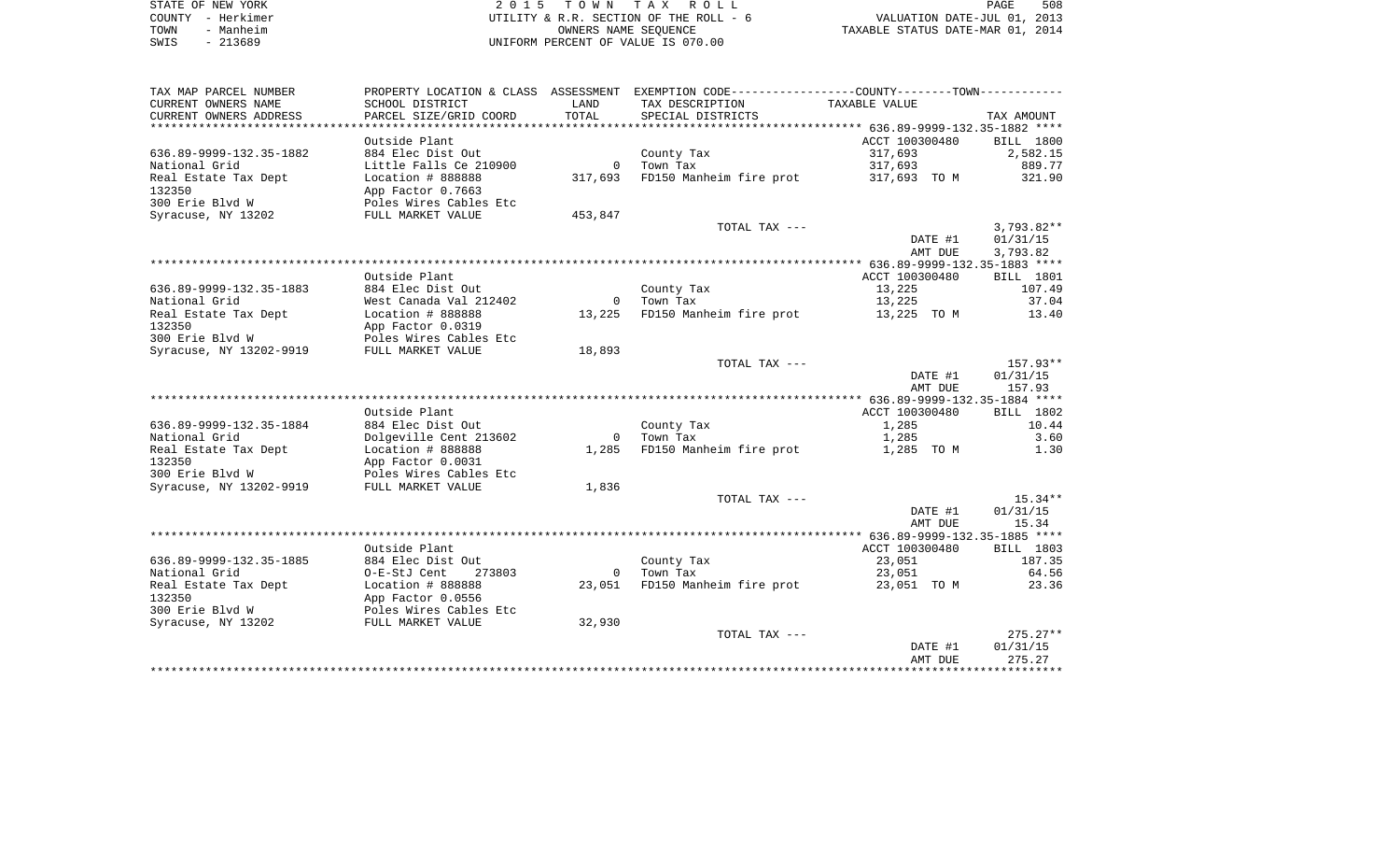| STATE OF NEW YORK     | 2015 TOWN TAX ROLL                     | 508<br>PAGE                      |
|-----------------------|----------------------------------------|----------------------------------|
| – Herkimer<br>COUNTY  | UTILITY & R.R. SECTION OF THE ROLL - 6 | VALUATION DATE-JUL 01, 2013      |
| Manheim<br>TOWN       | OWNERS NAME SEOUENCE                   | TAXABLE STATUS DATE-MAR 01, 2014 |
| 213689<br>SWIS<br>$-$ | UNIFORM PERCENT OF VALUE IS 070.00     |                                  |

| CURRENT OWNERS NAME<br>SCHOOL DISTRICT<br>LAND<br>TAX DESCRIPTION<br>TAXABLE VALUE<br>TOTAL<br>CURRENT OWNERS ADDRESS<br>PARCEL SIZE/GRID COORD<br>SPECIAL DISTRICTS<br>TAX AMOUNT<br>*************************<br>Outside Plant<br>ACCT 100300480<br><b>BILL</b> 1800<br>636.89-9999-132.35-1882<br>884 Elec Dist Out<br>317,693<br>2,582.15<br>County Tax<br>317,693<br>889.77<br>National Grid<br>Little Falls Ce 210900<br>$\mathbf 0$<br>Town Tax<br>321.90<br>Real Estate Tax Dept<br>Location # 888888<br>317,693<br>FD150 Manheim fire prot<br>317,693 TO M<br>132350<br>App Factor 0.7663<br>300 Erie Blvd W<br>Poles Wires Cables Etc<br>453,847<br>Syracuse, NY 13202<br>FULL MARKET VALUE<br>TOTAL TAX ---<br>$3,793.82**$<br>01/31/15<br>DATE #1<br>AMT DUE<br>3,793.82<br>Outside Plant<br>ACCT 100300480<br><b>BILL</b> 1801 | TAX MAP PARCEL NUMBER | PROPERTY LOCATION & CLASS ASSESSMENT | EXEMPTION CODE-----------------COUNTY-------TOWN----------- |  |
|---------------------------------------------------------------------------------------------------------------------------------------------------------------------------------------------------------------------------------------------------------------------------------------------------------------------------------------------------------------------------------------------------------------------------------------------------------------------------------------------------------------------------------------------------------------------------------------------------------------------------------------------------------------------------------------------------------------------------------------------------------------------------------------------------------------------------------------------|-----------------------|--------------------------------------|-------------------------------------------------------------|--|
|                                                                                                                                                                                                                                                                                                                                                                                                                                                                                                                                                                                                                                                                                                                                                                                                                                             |                       |                                      |                                                             |  |
|                                                                                                                                                                                                                                                                                                                                                                                                                                                                                                                                                                                                                                                                                                                                                                                                                                             |                       |                                      |                                                             |  |
|                                                                                                                                                                                                                                                                                                                                                                                                                                                                                                                                                                                                                                                                                                                                                                                                                                             |                       |                                      |                                                             |  |
|                                                                                                                                                                                                                                                                                                                                                                                                                                                                                                                                                                                                                                                                                                                                                                                                                                             |                       |                                      |                                                             |  |
|                                                                                                                                                                                                                                                                                                                                                                                                                                                                                                                                                                                                                                                                                                                                                                                                                                             |                       |                                      |                                                             |  |
|                                                                                                                                                                                                                                                                                                                                                                                                                                                                                                                                                                                                                                                                                                                                                                                                                                             |                       |                                      |                                                             |  |
|                                                                                                                                                                                                                                                                                                                                                                                                                                                                                                                                                                                                                                                                                                                                                                                                                                             |                       |                                      |                                                             |  |
|                                                                                                                                                                                                                                                                                                                                                                                                                                                                                                                                                                                                                                                                                                                                                                                                                                             |                       |                                      |                                                             |  |
|                                                                                                                                                                                                                                                                                                                                                                                                                                                                                                                                                                                                                                                                                                                                                                                                                                             |                       |                                      |                                                             |  |
|                                                                                                                                                                                                                                                                                                                                                                                                                                                                                                                                                                                                                                                                                                                                                                                                                                             |                       |                                      |                                                             |  |
|                                                                                                                                                                                                                                                                                                                                                                                                                                                                                                                                                                                                                                                                                                                                                                                                                                             |                       |                                      |                                                             |  |
|                                                                                                                                                                                                                                                                                                                                                                                                                                                                                                                                                                                                                                                                                                                                                                                                                                             |                       |                                      |                                                             |  |
|                                                                                                                                                                                                                                                                                                                                                                                                                                                                                                                                                                                                                                                                                                                                                                                                                                             |                       |                                      |                                                             |  |
| 636.89-9999-132.35-1883<br>884 Elec Dist Out<br>County Tax<br>13,225<br>107.49                                                                                                                                                                                                                                                                                                                                                                                                                                                                                                                                                                                                                                                                                                                                                              |                       |                                      |                                                             |  |
| West Canada Val 212402<br>13,225<br>37.04<br>National Grid<br>Town Tax<br>$\mathbf 0$<br>FD150 Manheim fire prot<br>Real Estate Tax Dept<br>Location # 888888<br>13,225<br>13.40<br>13,225 TO M                                                                                                                                                                                                                                                                                                                                                                                                                                                                                                                                                                                                                                             |                       |                                      |                                                             |  |
| App Factor 0.0319                                                                                                                                                                                                                                                                                                                                                                                                                                                                                                                                                                                                                                                                                                                                                                                                                           | 132350                |                                      |                                                             |  |
| 300 Erie Blvd W<br>Poles Wires Cables Etc                                                                                                                                                                                                                                                                                                                                                                                                                                                                                                                                                                                                                                                                                                                                                                                                   |                       |                                      |                                                             |  |
| Syracuse, NY 13202-9919<br>FULL MARKET VALUE<br>18,893                                                                                                                                                                                                                                                                                                                                                                                                                                                                                                                                                                                                                                                                                                                                                                                      |                       |                                      |                                                             |  |
| TOTAL TAX ---<br>$157.93**$                                                                                                                                                                                                                                                                                                                                                                                                                                                                                                                                                                                                                                                                                                                                                                                                                 |                       |                                      |                                                             |  |
| DATE #1<br>01/31/15                                                                                                                                                                                                                                                                                                                                                                                                                                                                                                                                                                                                                                                                                                                                                                                                                         |                       |                                      |                                                             |  |
| 157.93<br>AMT DUE<br>*****************************                                                                                                                                                                                                                                                                                                                                                                                                                                                                                                                                                                                                                                                                                                                                                                                          |                       |                                      |                                                             |  |
| Outside Plant<br>ACCT 100300480<br>BILL 1802                                                                                                                                                                                                                                                                                                                                                                                                                                                                                                                                                                                                                                                                                                                                                                                                |                       |                                      |                                                             |  |
| 636.89-9999-132.35-1884<br>1,285<br>10.44<br>884 Elec Dist Out<br>County Tax                                                                                                                                                                                                                                                                                                                                                                                                                                                                                                                                                                                                                                                                                                                                                                |                       |                                      |                                                             |  |
| National Grid<br>Dolgeville Cent 213602<br>$\overline{0}$<br>Town Tax<br>1,285<br>3.60                                                                                                                                                                                                                                                                                                                                                                                                                                                                                                                                                                                                                                                                                                                                                      |                       |                                      |                                                             |  |
| FD150 Manheim fire prot<br>Real Estate Tax Dept<br>Location # 888888<br>1,285<br>1,285 TO M<br>1.30                                                                                                                                                                                                                                                                                                                                                                                                                                                                                                                                                                                                                                                                                                                                         |                       |                                      |                                                             |  |
| App Factor 0.0031                                                                                                                                                                                                                                                                                                                                                                                                                                                                                                                                                                                                                                                                                                                                                                                                                           | 132350                |                                      |                                                             |  |
| 300 Erie Blvd W<br>Poles Wires Cables Etc                                                                                                                                                                                                                                                                                                                                                                                                                                                                                                                                                                                                                                                                                                                                                                                                   |                       |                                      |                                                             |  |
| Syracuse, NY 13202-9919<br>FULL MARKET VALUE<br>1,836<br>TOTAL TAX ---<br>$15.34**$                                                                                                                                                                                                                                                                                                                                                                                                                                                                                                                                                                                                                                                                                                                                                         |                       |                                      |                                                             |  |
| DATE #1<br>01/31/15                                                                                                                                                                                                                                                                                                                                                                                                                                                                                                                                                                                                                                                                                                                                                                                                                         |                       |                                      |                                                             |  |
| AMT DUE<br>15.34                                                                                                                                                                                                                                                                                                                                                                                                                                                                                                                                                                                                                                                                                                                                                                                                                            |                       |                                      |                                                             |  |
|                                                                                                                                                                                                                                                                                                                                                                                                                                                                                                                                                                                                                                                                                                                                                                                                                                             |                       |                                      |                                                             |  |
| Outside Plant<br>ACCT 100300480<br>BILL 1803                                                                                                                                                                                                                                                                                                                                                                                                                                                                                                                                                                                                                                                                                                                                                                                                |                       |                                      |                                                             |  |
| 636.89-9999-132.35-1885<br>County Tax<br>23,051<br>187.35<br>884 Elec Dist Out                                                                                                                                                                                                                                                                                                                                                                                                                                                                                                                                                                                                                                                                                                                                                              |                       |                                      |                                                             |  |
| National Grid<br>64.56<br>O-E-StJ Cent<br>273803<br>$\overline{0}$<br>Town Tax<br>23,051<br>FD150 Manheim fire prot<br>23.36<br>Real Estate Tax Dept<br>Location # 888888<br>23,051<br>23,051 TO M                                                                                                                                                                                                                                                                                                                                                                                                                                                                                                                                                                                                                                          |                       |                                      |                                                             |  |
| 132350<br>App Factor 0.0556                                                                                                                                                                                                                                                                                                                                                                                                                                                                                                                                                                                                                                                                                                                                                                                                                 |                       |                                      |                                                             |  |
| 300 Erie Blvd W<br>Poles Wires Cables Etc                                                                                                                                                                                                                                                                                                                                                                                                                                                                                                                                                                                                                                                                                                                                                                                                   |                       |                                      |                                                             |  |
| 32,930<br>Syracuse, NY 13202<br>FULL MARKET VALUE                                                                                                                                                                                                                                                                                                                                                                                                                                                                                                                                                                                                                                                                                                                                                                                           |                       |                                      |                                                             |  |
| $275.27**$<br>TOTAL TAX ---                                                                                                                                                                                                                                                                                                                                                                                                                                                                                                                                                                                                                                                                                                                                                                                                                 |                       |                                      |                                                             |  |
| 01/31/15<br>DATE #1                                                                                                                                                                                                                                                                                                                                                                                                                                                                                                                                                                                                                                                                                                                                                                                                                         |                       |                                      |                                                             |  |
| 275.27<br>AMT DUE<br>********                                                                                                                                                                                                                                                                                                                                                                                                                                                                                                                                                                                                                                                                                                                                                                                                               |                       |                                      |                                                             |  |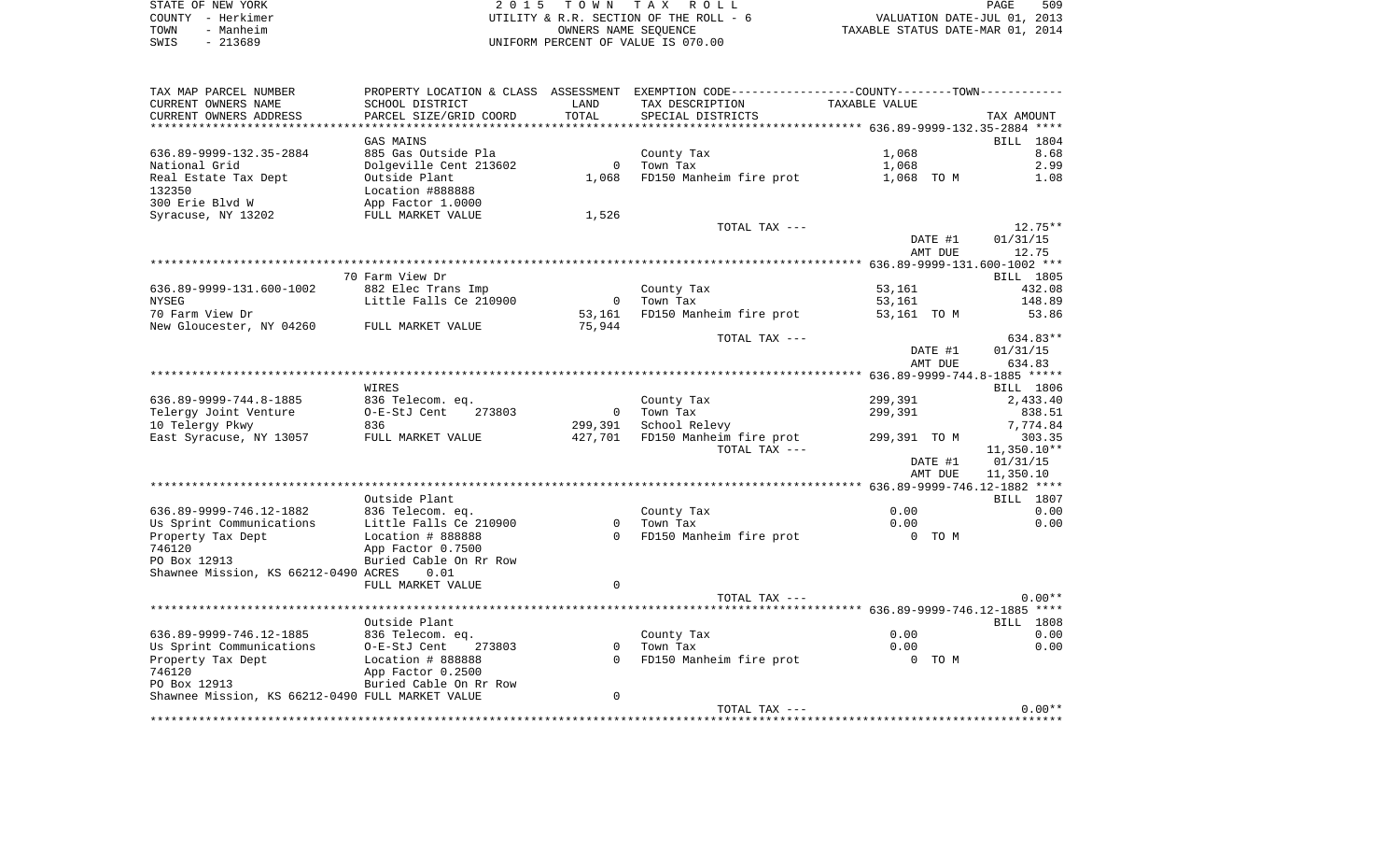|      | STATE OF NEW YORK | 2015 TOWN TAX ROLL                     | PAGE                             | 509 |
|------|-------------------|----------------------------------------|----------------------------------|-----|
|      | COUNTY - Herkimer | UTILITY & R.R. SECTION OF THE ROLL - 6 | VALUATION DATE-JUL 01, 2013      |     |
| TOWN | - Manheim         | OWNERS NAME SEOUENCE                   | TAXABLE STATUS DATE-MAR 01, 2014 |     |
| SWIS | $-213689$         | UNIFORM PERCENT OF VALUE IS 070.00     |                                  |     |

| TAX MAP PARCEL NUMBER<br>CURRENT OWNERS NAME     | PROPERTY LOCATION & CLASS ASSESSMENT<br>SCHOOL DISTRICT | LAND                                | EXEMPTION CODE-----------------COUNTY-------TOWN-----------<br>TAX DESCRIPTION       | TAXABLE VALUE                        |         |                              |
|--------------------------------------------------|---------------------------------------------------------|-------------------------------------|--------------------------------------------------------------------------------------|--------------------------------------|---------|------------------------------|
| CURRENT OWNERS ADDRESS<br>*********************  | PARCEL SIZE/GRID COORD                                  | TOTAL<br>*********                  | SPECIAL DISTRICTS<br>********************************** 636.89-9999-132.35-2884 **** |                                      |         | TAX AMOUNT                   |
|                                                  | <b>GAS MAINS</b>                                        |                                     |                                                                                      |                                      |         | 1804<br>BILL                 |
| 636.89-9999-132.35-2884                          | 885 Gas Outside Pla                                     |                                     | County Tax                                                                           | 1,068                                |         | 8.68                         |
| National Grid                                    | Dolgeville Cent 213602                                  | $\Omega$                            | Town Tax                                                                             | 1,068                                |         | 2.99                         |
| Real Estate Tax Dept                             | Outside Plant                                           | 1,068                               | FD150 Manheim fire prot                                                              | 1,068 TO M                           |         | 1.08                         |
| 132350                                           | Location #888888                                        |                                     |                                                                                      |                                      |         |                              |
| 300 Erie Blvd W                                  | App Factor 1.0000                                       |                                     |                                                                                      |                                      |         |                              |
| Syracuse, NY 13202                               | FULL MARKET VALUE                                       | 1,526                               |                                                                                      |                                      |         |                              |
|                                                  |                                                         |                                     | TOTAL TAX ---                                                                        |                                      |         | 12.75**                      |
|                                                  |                                                         |                                     |                                                                                      |                                      | DATE #1 | 01/31/15                     |
|                                                  |                                                         |                                     |                                                                                      |                                      | AMT DUE | 12.75                        |
|                                                  |                                                         |                                     |                                                                                      |                                      |         |                              |
|                                                  | 70 Farm View Dr                                         |                                     |                                                                                      |                                      |         | BILL 1805                    |
| 636.89-9999-131.600-1002                         | 882 Elec Trans Imp                                      |                                     | County Tax                                                                           | 53,161                               |         | 432.08                       |
| <b>NYSEG</b>                                     | Little Falls Ce 210900                                  | $\overline{0}$                      | Town Tax                                                                             | 53,161                               |         | 148.89                       |
| 70 Farm View Dr                                  |                                                         | 53,161                              | FD150 Manheim fire prot                                                              | 53,161 TO M                          |         | 53.86                        |
| New Gloucester, NY 04260                         | FULL MARKET VALUE                                       | 75,944                              |                                                                                      |                                      |         |                              |
|                                                  |                                                         |                                     | TOTAL TAX ---                                                                        |                                      |         | 634.83**                     |
|                                                  |                                                         |                                     |                                                                                      |                                      | DATE #1 | 01/31/15                     |
|                                                  |                                                         |                                     |                                                                                      |                                      | AMT DUE | 634.83                       |
|                                                  |                                                         |                                     |                                                                                      |                                      |         | 636.89-9999-744.8-1885 ***** |
|                                                  | WIRES                                                   |                                     |                                                                                      |                                      |         | BILL 1806                    |
| 636.89-9999-744.8-1885                           | 836 Telecom. eq.<br>273803                              |                                     | County Tax                                                                           | 299,391                              |         | 2,433.40                     |
| Telergy Joint Venture<br>10 Telergy Pkwy         | O-E-StJ Cent<br>836                                     | $\overline{\phantom{0}}$<br>299,391 | Town Tax<br>School Relevy                                                            | 299,391                              |         | 838.51<br>7,774.84           |
| East Syracuse, NY 13057                          | FULL MARKET VALUE                                       | 427,701                             | FD150 Manheim fire prot                                                              | 299,391 TO M                         |         | 303.35                       |
|                                                  |                                                         |                                     | TOTAL TAX ---                                                                        |                                      |         | $11,350.10**$                |
|                                                  |                                                         |                                     |                                                                                      |                                      | DATE #1 | 01/31/15                     |
|                                                  |                                                         |                                     |                                                                                      |                                      | AMT DUE | 11,350.10                    |
|                                                  |                                                         |                                     |                                                                                      |                                      |         |                              |
|                                                  | Outside Plant                                           |                                     |                                                                                      |                                      |         | BILL 1807                    |
| 636.89-9999-746.12-1882                          | 836 Telecom. eq.                                        |                                     | County Tax                                                                           | 0.00                                 |         | 0.00                         |
| Us Sprint Communications                         | Little Falls Ce 210900                                  | 0                                   | Town Tax                                                                             | 0.00                                 |         | 0.00                         |
| Property Tax Dept                                | Location # 888888                                       | $\Omega$                            | FD150 Manheim fire prot                                                              |                                      | 0 TO M  |                              |
| 746120                                           | App Factor 0.7500                                       |                                     |                                                                                      |                                      |         |                              |
| PO Box 12913                                     | Buried Cable On Rr Row                                  |                                     |                                                                                      |                                      |         |                              |
| Shawnee Mission, KS 66212-0490 ACRES             | 0.01                                                    |                                     |                                                                                      |                                      |         |                              |
|                                                  | FULL MARKET VALUE                                       | $\Omega$                            |                                                                                      |                                      |         |                              |
|                                                  |                                                         |                                     | TOTAL TAX ---                                                                        |                                      |         | $0.00**$                     |
|                                                  |                                                         |                                     |                                                                                      |                                      |         | $***$ * * *                  |
|                                                  | Outside Plant                                           |                                     |                                                                                      |                                      |         | <b>BILL</b> 1808             |
| 636.89-9999-746.12-1885                          | 836 Telecom. eq.<br>273803                              | $\Omega$                            | County Tax<br>Town Tax                                                               | 0.00<br>0.00                         |         | 0.00<br>0.00                 |
| Us Sprint Communications                         | O-E-StJ Cent                                            | $\Omega$                            |                                                                                      |                                      |         |                              |
| Property Tax Dept<br>746120                      | Location # 888888<br>App Factor 0.2500                  |                                     | FD150 Manheim fire prot                                                              |                                      | 0 TO M  |                              |
| PO Box 12913                                     | Buried Cable On Rr Row                                  |                                     |                                                                                      |                                      |         |                              |
| Shawnee Mission, KS 66212-0490 FULL MARKET VALUE |                                                         | $\mathbf 0$                         |                                                                                      |                                      |         |                              |
|                                                  |                                                         |                                     | TOTAL TAX ---                                                                        |                                      |         | $0.00**$                     |
|                                                  |                                                         |                                     |                                                                                      | ************************************ |         |                              |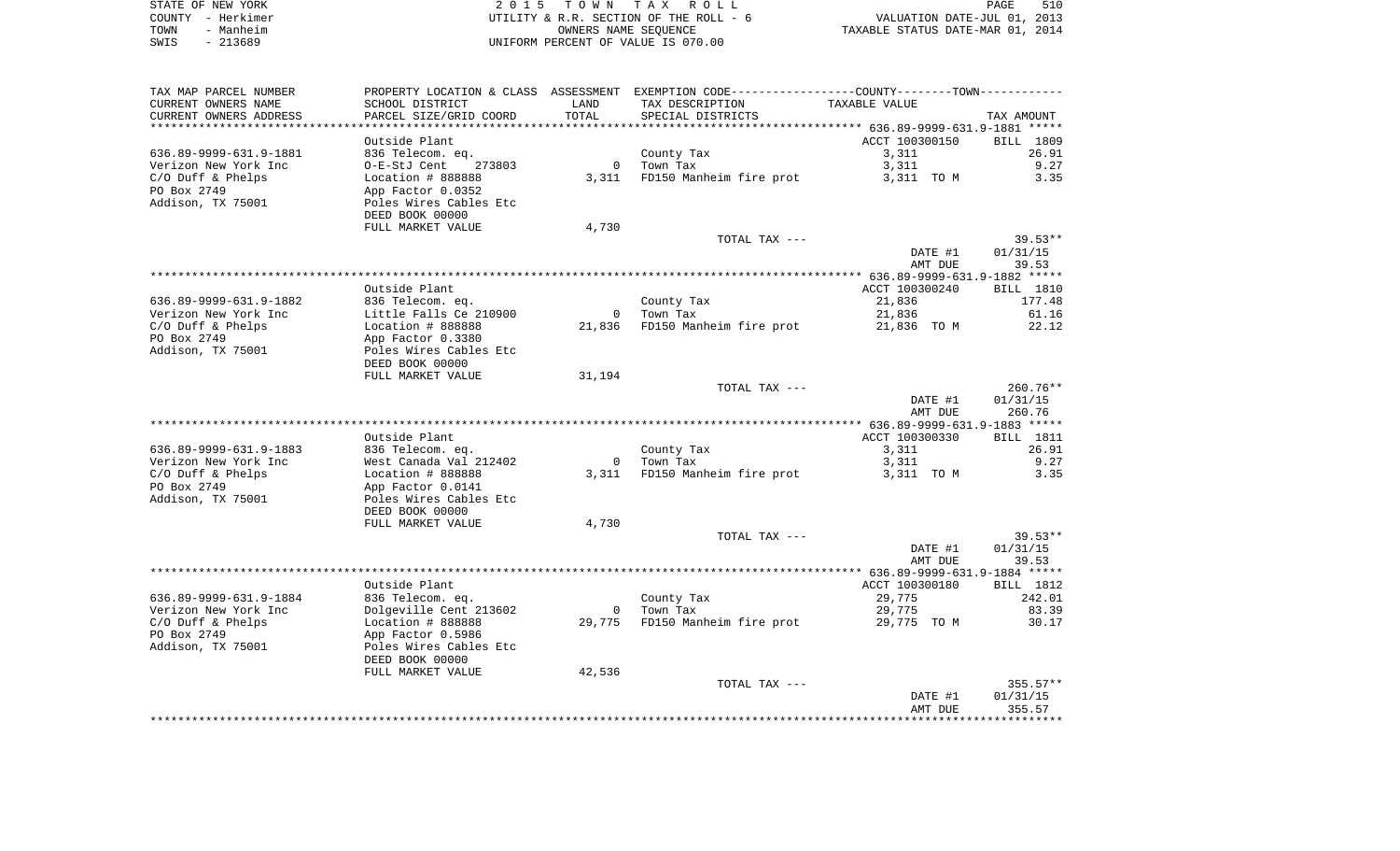|      | STATE OF NEW YORK | 2015 TOWN TAX ROLL                     | PAGE                             | 510 |
|------|-------------------|----------------------------------------|----------------------------------|-----|
|      | COUNTY - Herkimer | UTILITY & R.R. SECTION OF THE ROLL - 6 | VALUATION DATE-JUL 01, 2013      |     |
| TOWN | - Manheim         | OWNERS NAME SEOUENCE                   | TAXABLE STATUS DATE-MAR 01, 2014 |     |
| SWIS | $-213689$         | UNIFORM PERCENT OF VALUE IS 070.00     |                                  |     |

| TAX MAP PARCEL NUMBER  | PROPERTY LOCATION & CLASS ASSESSMENT EXEMPTION CODE----------------COUNTY--------TOWN---------- |                         |                         |                |              |
|------------------------|-------------------------------------------------------------------------------------------------|-------------------------|-------------------------|----------------|--------------|
| CURRENT OWNERS NAME    | SCHOOL DISTRICT                                                                                 | LAND                    | TAX DESCRIPTION         | TAXABLE VALUE  |              |
| CURRENT OWNERS ADDRESS | PARCEL SIZE/GRID COORD                                                                          | TOTAL                   | SPECIAL DISTRICTS       |                | TAX AMOUNT   |
| *********************  | ************************                                                                        |                         |                         |                |              |
|                        | Outside Plant                                                                                   |                         |                         | ACCT 100300150 | BILL 1809    |
| 636.89-9999-631.9-1881 | 836 Telecom. eq.                                                                                |                         | County Tax              | 3,311          | 26.91        |
| Verizon New York Inc   | O-E-StJ Cent<br>273803                                                                          | $\mathbf 0$             | Town Tax                | 3,311          | 9.27         |
| $C/O$ Duff & Phelps    | Location # 888888                                                                               | 3,311                   | FD150 Manheim fire prot | 3,311 TO M     | 3.35         |
| PO Box 2749            | App Factor 0.0352                                                                               |                         |                         |                |              |
| Addison, TX 75001      | Poles Wires Cables Etc                                                                          |                         |                         |                |              |
|                        | DEED BOOK 00000                                                                                 |                         |                         |                |              |
|                        | FULL MARKET VALUE                                                                               | 4,730                   |                         |                |              |
|                        |                                                                                                 |                         | TOTAL TAX ---           |                | $39.53**$    |
|                        |                                                                                                 |                         |                         | DATE #1        | 01/31/15     |
|                        |                                                                                                 |                         |                         | AMT DUE        | 39.53        |
|                        |                                                                                                 |                         |                         |                |              |
|                        | Outside Plant                                                                                   |                         |                         | ACCT 100300240 | BILL 1810    |
| 636.89-9999-631.9-1882 | 836 Telecom. eq.                                                                                |                         | County Tax              | 21,836         | 177.48       |
| Verizon New York Inc   | Little Falls Ce 210900                                                                          | $\Omega$                | Town Tax                | 21,836         | 61.16        |
| $C/O$ Duff & Phelps    | Location # 888888                                                                               | 21,836                  | FD150 Manheim fire prot | 21,836 TO M    | 22.12        |
| PO Box 2749            | App Factor 0.3380                                                                               |                         |                         |                |              |
| Addison, TX 75001      | Poles Wires Cables Etc                                                                          |                         |                         |                |              |
|                        | DEED BOOK 00000                                                                                 |                         |                         |                |              |
|                        | FULL MARKET VALUE                                                                               | 31,194                  |                         |                |              |
|                        |                                                                                                 |                         | TOTAL TAX ---           |                | $260.76**$   |
|                        |                                                                                                 |                         |                         | DATE #1        | 01/31/15     |
|                        |                                                                                                 |                         |                         | AMT DUE        | 260.76       |
|                        |                                                                                                 |                         |                         |                |              |
|                        | Outside Plant                                                                                   |                         |                         | ACCT 100300330 | BILL 1811    |
| 636.89-9999-631.9-1883 | 836 Telecom. eq.                                                                                |                         | County Tax              | 3,311          | 26.91        |
| Verizon New York Inc   | West Canada Val 212402                                                                          | $\overline{0}$<br>3,311 | Town Tax                | 3,311          | 9.27<br>3.35 |
| C/O Duff & Phelps      | Location # 888888                                                                               |                         | FD150 Manheim fire prot | 3,311 TO M     |              |
| PO Box 2749            | App Factor 0.0141                                                                               |                         |                         |                |              |
| Addison, TX 75001      | Poles Wires Cables Etc<br>DEED BOOK 00000                                                       |                         |                         |                |              |
|                        | FULL MARKET VALUE                                                                               | 4,730                   |                         |                |              |
|                        |                                                                                                 |                         | TOTAL TAX ---           |                | $39.53**$    |
|                        |                                                                                                 |                         |                         | DATE #1        | 01/31/15     |
|                        |                                                                                                 |                         |                         | AMT DUE        | 39.53        |
|                        |                                                                                                 |                         |                         |                |              |
|                        | Outside Plant                                                                                   |                         |                         | ACCT 100300180 | BILL 1812    |
| 636.89-9999-631.9-1884 | 836 Telecom. eq.                                                                                |                         | County Tax              | 29,775         | 242.01       |
| Verizon New York Inc   | Dolgeville Cent 213602                                                                          | $\circ$                 | Town Tax                | 29,775         | 83.39        |
| C/O Duff & Phelps      | Location # 888888                                                                               | 29,775                  | FD150 Manheim fire prot | 29,775 TO M    | 30.17        |
| PO Box 2749            | App Factor 0.5986                                                                               |                         |                         |                |              |
| Addison, TX 75001      | Poles Wires Cables Etc                                                                          |                         |                         |                |              |
|                        | DEED BOOK 00000                                                                                 |                         |                         |                |              |
|                        | FULL MARKET VALUE                                                                               | 42,536                  |                         |                |              |
|                        |                                                                                                 |                         | TOTAL TAX ---           |                | $355.57**$   |
|                        |                                                                                                 |                         |                         | DATE #1        | 01/31/15     |
|                        |                                                                                                 |                         |                         | AMT DUE        | 355.57       |
|                        |                                                                                                 |                         |                         |                |              |
|                        |                                                                                                 |                         |                         |                |              |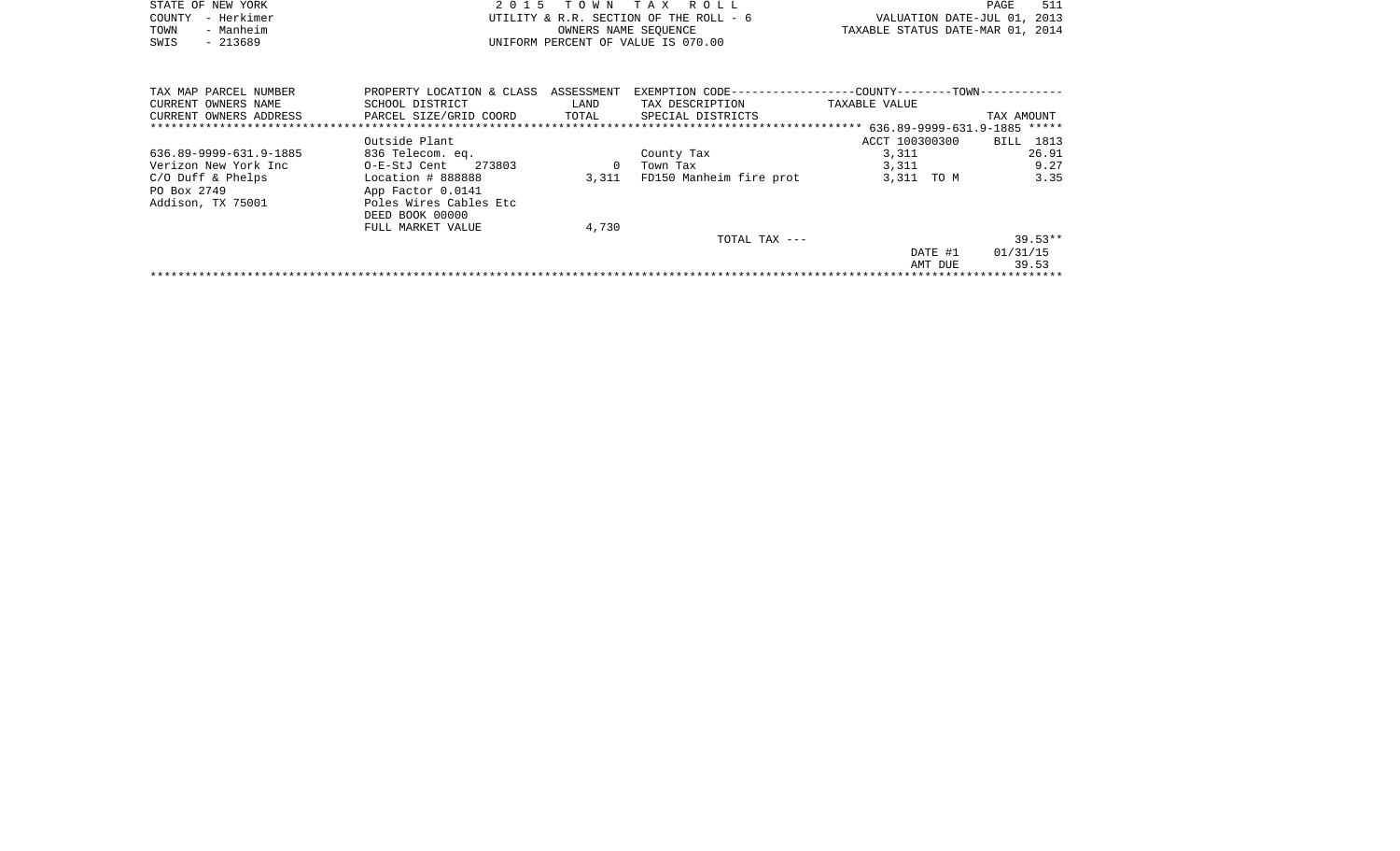| STATE OF NEW YORK      |                                    | 2015                               | TOWN TAX ROLL                          |                                                             | PAGE                        | 511                  |
|------------------------|------------------------------------|------------------------------------|----------------------------------------|-------------------------------------------------------------|-----------------------------|----------------------|
| - Herkimer<br>COUNTY   |                                    |                                    | UTILITY & R.R. SECTION OF THE ROLL - 6 |                                                             | VALUATION DATE-JUL 01, 2013 |                      |
| - Manheim<br>TOWN      |                                    |                                    | OWNERS NAME SEOUENCE                   | TAXABLE STATUS DATE-MAR 01, 2014                            |                             |                      |
| $-213689$<br>SWIS      |                                    | UNIFORM PERCENT OF VALUE IS 070.00 |                                        |                                                             |                             |                      |
|                        |                                    |                                    |                                        |                                                             |                             |                      |
|                        |                                    |                                    |                                        |                                                             |                             |                      |
| TAX MAP PARCEL NUMBER  | PROPERTY LOCATION & CLASS          | ASSESSMENT                         |                                        | EXEMPTION CODE-----------------COUNTY-------TOWN----------- |                             |                      |
| CURRENT OWNERS NAME    | SCHOOL DISTRICT                    | LAND                               | TAX DESCRIPTION                        | TAXABLE VALUE                                               |                             |                      |
| CURRENT OWNERS ADDRESS | PARCEL SIZE/GRID COORD             | TOTAL                              | SPECIAL DISTRICTS                      |                                                             | TAX AMOUNT                  |                      |
|                        |                                    |                                    |                                        |                                                             |                             |                      |
|                        | Outside Plant                      |                                    |                                        | ACCT 100300300                                              | BILL 1813                   |                      |
|                        | $\sim$ $\sim$ $\sim$ $\sim$ $\sim$ |                                    |                                        |                                                             |                             | $\sim$ $\sim$ $\sim$ |

| 636.89-9999-631.9-1885 | 836 Telecom. eq.       |       | County Tax              | 3,311      | 26.91     |
|------------------------|------------------------|-------|-------------------------|------------|-----------|
| Verizon New York Inc   | 273803<br>O-E-StJ Cent |       | Town Tax                | 3,311      | 9.27      |
| $C/O$ Duff & Phelps    | Location # 888888      | 3,311 | FD150 Manheim fire prot | 3,311 TO M | 3.35      |
| PO Box 2749            | App Factor 0.0141      |       |                         |            |           |
| Addison, TX 75001      | Poles Wires Cables Etc |       |                         |            |           |
|                        | DEED BOOK 00000        |       |                         |            |           |
|                        | FULL MARKET VALUE      | 4,730 |                         |            |           |
|                        |                        |       | TOTAL TAX ---           |            | $39.53**$ |
|                        |                        |       |                         | DATE #1    | 01/31/15  |
|                        |                        |       |                         | AMT DUE    | 39.53     |
|                        |                        |       |                         |            |           |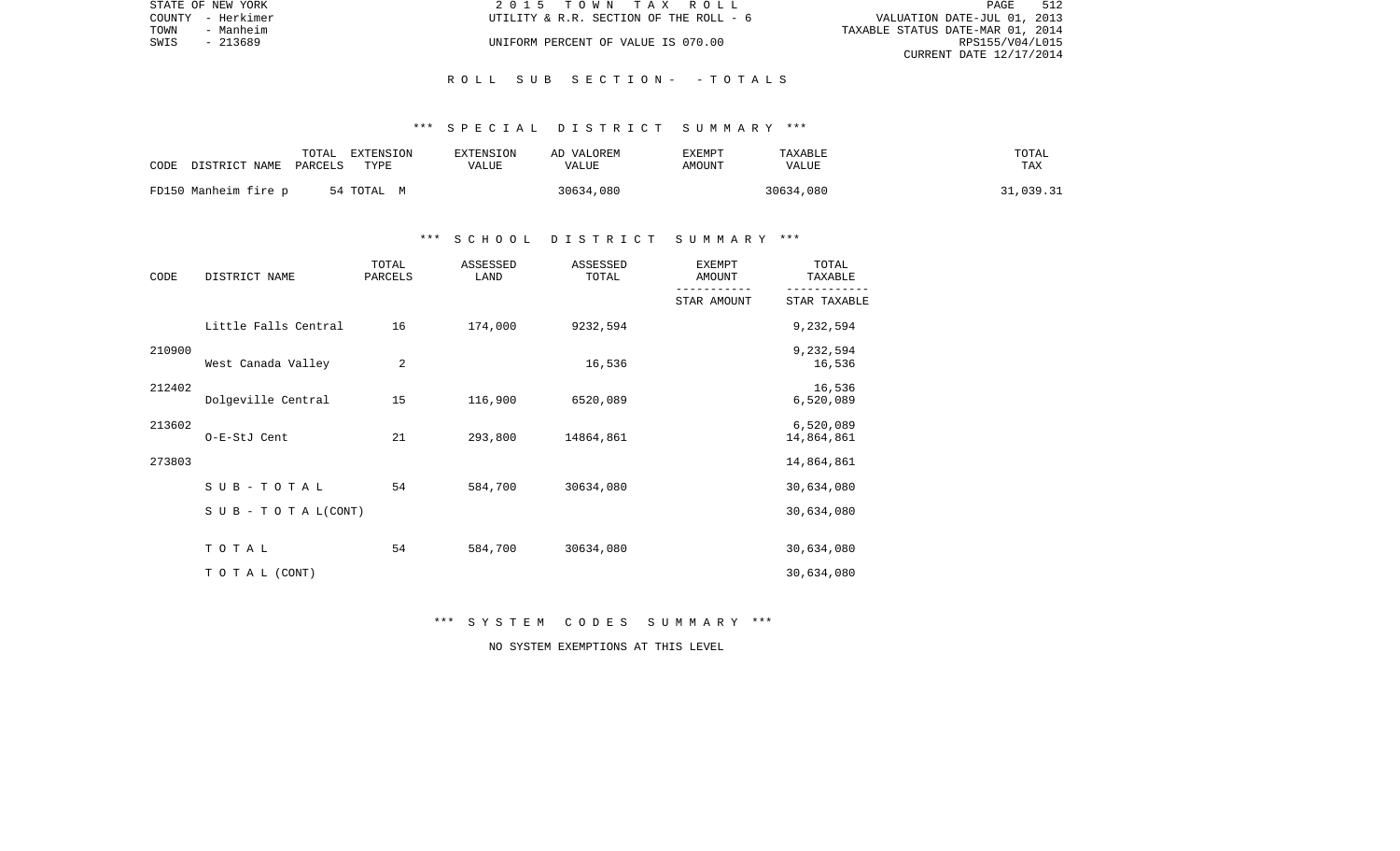| STATE OF NEW YORK | 2015 TOWN TAX ROLL                     | 512<br>PAGE                      |
|-------------------|----------------------------------------|----------------------------------|
| COUNTY - Herkimer | UTILITY & R.R. SECTION OF THE ROLL - 6 | VALUATION DATE-JUL 01, 2013      |
| TOWN<br>- Manheim |                                        | TAXABLE STATUS DATE-MAR 01, 2014 |
| SWIS<br>- 213689  | UNIFORM PERCENT OF VALUE IS 070.00     | RPS155/V04/L015                  |
|                   |                                        | CURRENT DATE 12/17/2014          |

### R O L L S U B S E C T I O N - - T O T A L S

### \*\*\* S P E C I A L D I S T R I C T S U M M A R Y \*\*\*

| CODE | DISTRICT NAME PARCELS | TOTAL | EXTENSION<br>TYPE | EXTENSION<br>VALUE | AD VALOREM<br>VALUE | <b>EXEMPT</b><br>AMOUNT | TAXABLE<br>VALUE | TOTAL<br><b>TAX</b> |
|------|-----------------------|-------|-------------------|--------------------|---------------------|-------------------------|------------------|---------------------|
|      | FD150 Manheim fire p  |       | 54 TOTAL M        |                    | 30634,080           |                         | 30634,080        | 31,039.31           |

### \*\*\* S C H O O L D I S T R I C T S U M M A R Y \*\*\*

| CODE   | DISTRICT NAME        | TOTAL<br>PARCELS | ASSESSED<br>LAND | ASSESSED<br>TOTAL | <b>EXEMPT</b><br>AMOUNT | TOTAL<br>TAXABLE        |
|--------|----------------------|------------------|------------------|-------------------|-------------------------|-------------------------|
|        |                      |                  |                  |                   | STAR AMOUNT             | STAR TAXABLE            |
|        | Little Falls Central | 16               | 174,000          | 9232,594          |                         | 9,232,594               |
| 210900 | West Canada Valley   | 2                |                  | 16,536            |                         | 9,232,594<br>16,536     |
| 212402 | Dolgeville Central   | 15               | 116,900          | 6520,089          |                         | 16,536<br>6,520,089     |
| 213602 | O-E-StJ Cent         | 21               | 293,800          | 14864,861         |                         | 6,520,089<br>14,864,861 |
| 273803 |                      |                  |                  |                   |                         | 14,864,861              |
|        | SUB-TOTAL            | 54               | 584,700          | 30634,080         |                         | 30,634,080              |
|        | SUB - TO TAL(CONT)   |                  |                  |                   |                         | 30,634,080              |
|        | TOTAL                | 54               | 584,700          | 30634,080         |                         | 30,634,080              |
|        | TO TAL (CONT)        |                  |                  |                   |                         | 30,634,080              |

\*\*\* S Y S T E M C O D E S S U M M A R Y \*\*\*

NO SYSTEM EXEMPTIONS AT THIS LEVEL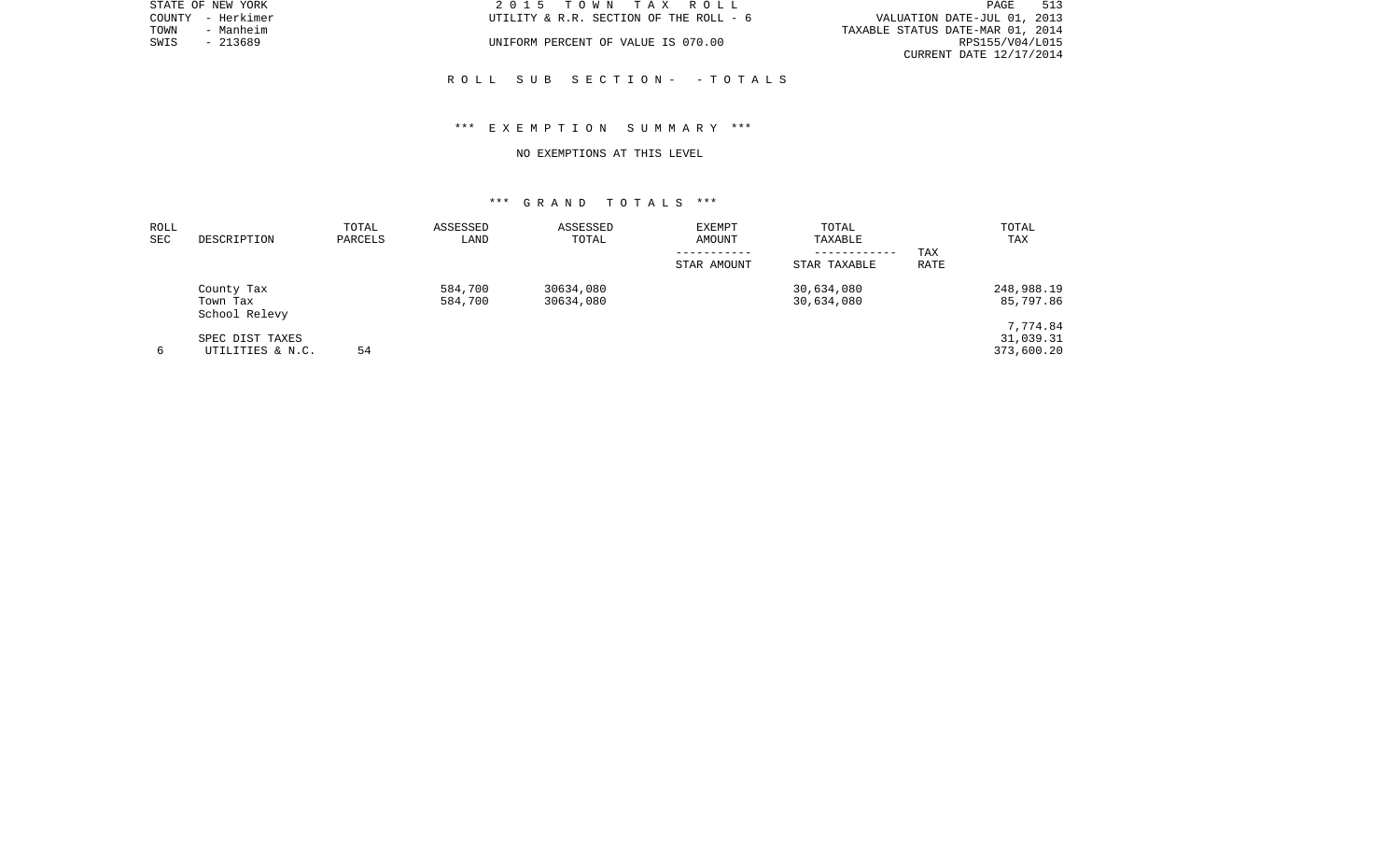|      | STATE OF NEW YORK | 2015 TOWN TAX ROLL                     | 513<br>PAGE                      |
|------|-------------------|----------------------------------------|----------------------------------|
|      | COUNTY - Herkimer | UTILITY & R.R. SECTION OF THE ROLL - 6 | VALUATION DATE-JUL 01, 2013      |
| TOWN | - Manheim         |                                        | TAXABLE STATUS DATE-MAR 01, 2014 |
| SWIS | $-213689$         | UNIFORM PERCENT OF VALUE IS 070.00     | RPS155/V04/L015                  |
|      |                   |                                        | CURRENT DATE 12/17/2014          |
|      |                   |                                        |                                  |

## \*\*\* E X E M P T I O N S U M M A R Y \*\*\*

R O L L S U B S E C T I O N - - T O T A L S

#### NO EXEMPTIONS AT THIS LEVEL

| ROLL<br><b>SEC</b> | DESCRIPTION                             | TOTAL<br>PARCELS | ASSESSED<br>LAND   | ASSESSED<br>TOTAL      | <b>EXEMPT</b><br>AMOUNT<br>----------- | TOTAL<br>TAXABLE<br>------------ | TAX         | TOTAL<br>TAX                        |
|--------------------|-----------------------------------------|------------------|--------------------|------------------------|----------------------------------------|----------------------------------|-------------|-------------------------------------|
|                    |                                         |                  |                    |                        | STAR AMOUNT                            | STAR TAXABLE                     | <b>RATE</b> |                                     |
|                    | County Tax<br>Town Tax<br>School Relevy |                  | 584,700<br>584,700 | 30634,080<br>30634,080 |                                        | 30,634,080<br>30,634,080         |             | 248,988.19<br>85,797.86             |
| 6                  | SPEC DIST TAXES<br>UTILITIES & N.C.     | 54               |                    |                        |                                        |                                  |             | 7,774.84<br>31,039.31<br>373,600.20 |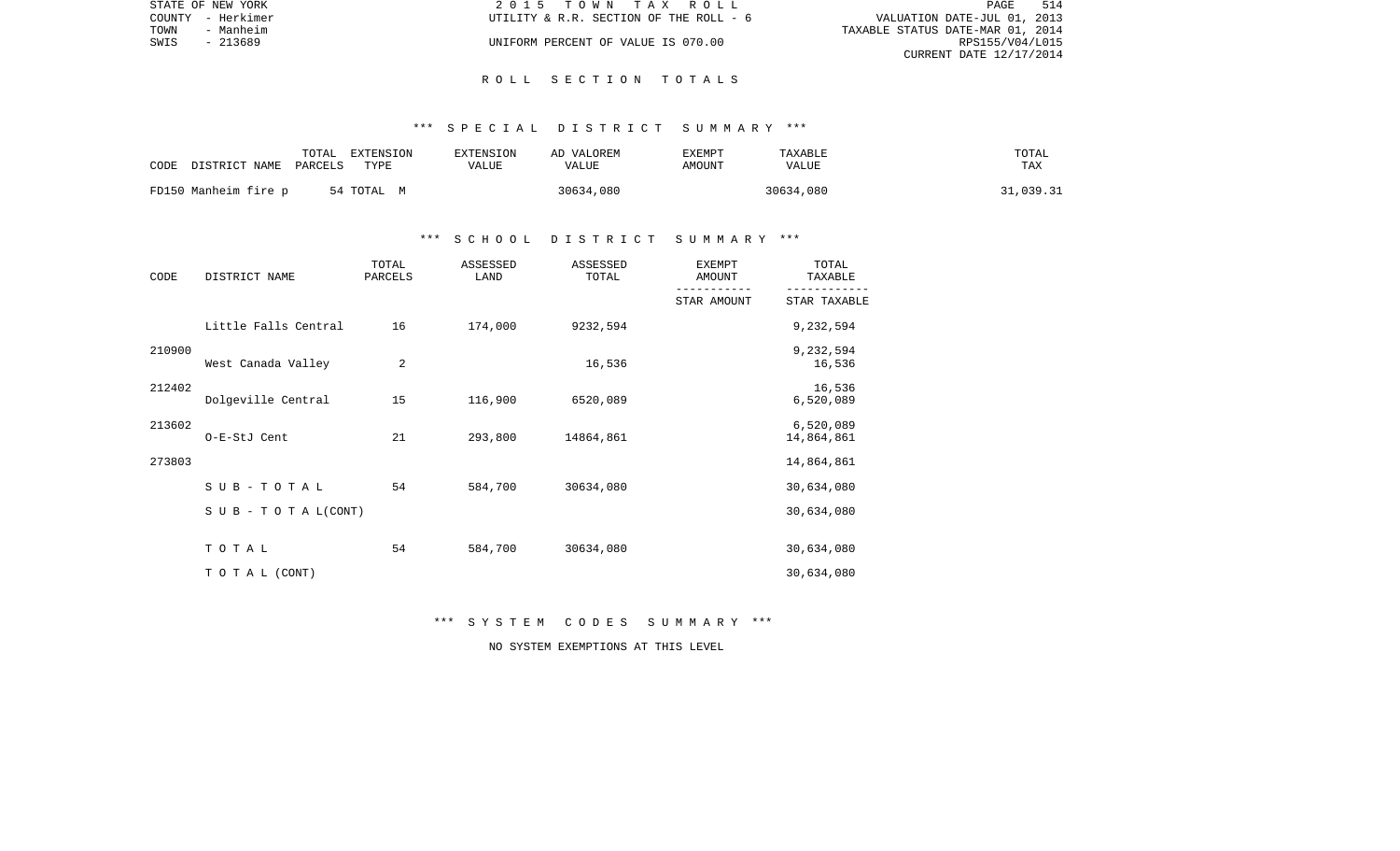|      | STATE OF NEW YORK | 2015 TOWN TAX ROLL                     | PAGE                             | 514 |
|------|-------------------|----------------------------------------|----------------------------------|-----|
|      | COUNTY - Herkimer | UTILITY & R.R. SECTION OF THE ROLL - 6 | VALUATION DATE-JUL 01, 2013      |     |
| TOWN | - Manheim         |                                        | TAXABLE STATUS DATE-MAR 01, 2014 |     |
| SWIS | - 213689          | UNIFORM PERCENT OF VALUE IS 070.00     | RPS155/V04/L015                  |     |
|      |                   |                                        | CURRENT DATE 12/17/2014          |     |

#### R O L L S E C T I O N T O T A L S

### \*\*\* S P E C I A L D I S T R I C T S U M M A R Y \*\*\*

| CODE | DISTRICT NAME        | TOTAL<br>PARCELS | EXTENSION<br>TYPE | EXTENSION<br>AD VALOREM<br>VALUE<br>VALUE | EXEMPT<br>AMOUNT | TAXABLE<br>VALUE | TOTAL<br>TAX |
|------|----------------------|------------------|-------------------|-------------------------------------------|------------------|------------------|--------------|
|      | FD150 Manheim fire p |                  | 54 TOTAL M        | 30634,080                                 |                  | 30634,080        | 31,039.31    |

## \*\*\* S C H O O L D I S T R I C T S U M M A R Y \*\*\*

| CODE   | DISTRICT NAME                 | TOTAL<br>PARCELS | ASSESSED<br>LAND | ASSESSED<br>TOTAL | <b>EXEMPT</b><br>AMOUNT | TOTAL<br>TAXABLE        |
|--------|-------------------------------|------------------|------------------|-------------------|-------------------------|-------------------------|
|        |                               |                  |                  |                   | STAR AMOUNT             | STAR TAXABLE            |
|        | Little Falls Central          | 16               | 174,000          | 9232,594          |                         | 9,232,594               |
| 210900 | West Canada Valley            | 2                |                  | 16,536            |                         | 9,232,594<br>16,536     |
| 212402 | Dolgeville Central            | 15               | 116,900          | 6520,089          |                         | 16,536<br>6,520,089     |
| 213602 | O-E-StJ Cent                  | 21               | 293,800          | 14864,861         |                         | 6,520,089<br>14,864,861 |
| 273803 |                               |                  |                  |                   |                         | 14,864,861              |
|        | SUB-TOTAL                     | 54               | 584,700          | 30634,080         |                         | 30,634,080              |
|        | $S \cup B - T O T A L (CONT)$ |                  |                  |                   |                         | 30,634,080              |
|        | TOTAL                         | 54               | 584,700          | 30634,080         |                         | 30,634,080              |
|        | TO TAL (CONT)                 |                  |                  |                   |                         | 30,634,080              |

\*\*\* S Y S T E M C O D E S S U M M A R Y \*\*\*

NO SYSTEM EXEMPTIONS AT THIS LEVEL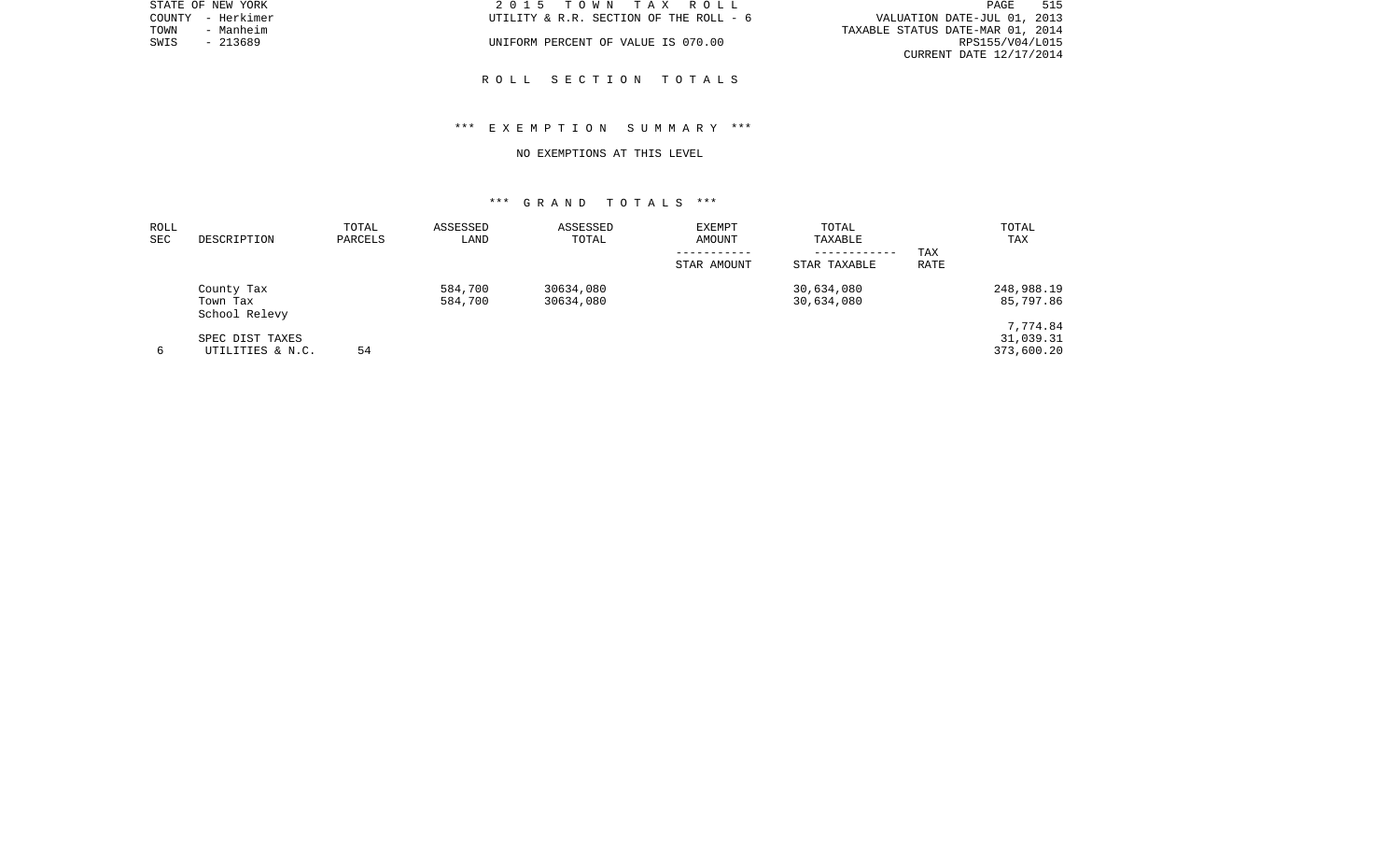|      | STATE OF NEW YORK | 2015 TOWN TAX ROLL                     | PAGE                             | 515 |
|------|-------------------|----------------------------------------|----------------------------------|-----|
|      | COUNTY - Herkimer | UTILITY & R.R. SECTION OF THE ROLL - 6 | VALUATION DATE-JUL 01, 2013      |     |
| TOWN | - Manheim         |                                        | TAXABLE STATUS DATE-MAR 01, 2014 |     |
| SWIS | - 213689          | UNIFORM PERCENT OF VALUE IS 070.00     | RPS155/V04/L015                  |     |
|      |                   |                                        | CURRENT DATE 12/17/2014          |     |
|      |                   |                                        |                                  |     |

R O L L S E C T I O N T O T A L S

## \*\*\* E X E M P T I O N S U M M A R Y \*\*\*

#### NO EXEMPTIONS AT THIS LEVEL

| ROLL<br>SEC | DESCRIPTION               | TOTAL<br>PARCELS | ASSESSED<br>LAND | ASSESSED<br>TOTAL | EXEMPT<br>AMOUNT | TOTAL<br>TAXABLE |             | TOTAL<br>TAX |
|-------------|---------------------------|------------------|------------------|-------------------|------------------|------------------|-------------|--------------|
|             |                           |                  |                  |                   |                  | ------------     | TAX         |              |
|             |                           |                  |                  |                   | STAR AMOUNT      | STAR TAXABLE     | <b>RATE</b> |              |
|             | County Tax                |                  | 584,700          | 30634,080         |                  | 30,634,080       |             | 248,988.19   |
|             | Town Tax<br>School Relevy |                  | 584,700          | 30634,080         |                  | 30,634,080       |             | 85,797.86    |
|             |                           |                  |                  |                   |                  |                  |             | 7,774.84     |
|             | SPEC DIST TAXES           |                  |                  |                   |                  |                  |             | 31,039.31    |
| 6           | UTILITIES & N.C.          | 54               |                  |                   |                  |                  |             | 373,600.20   |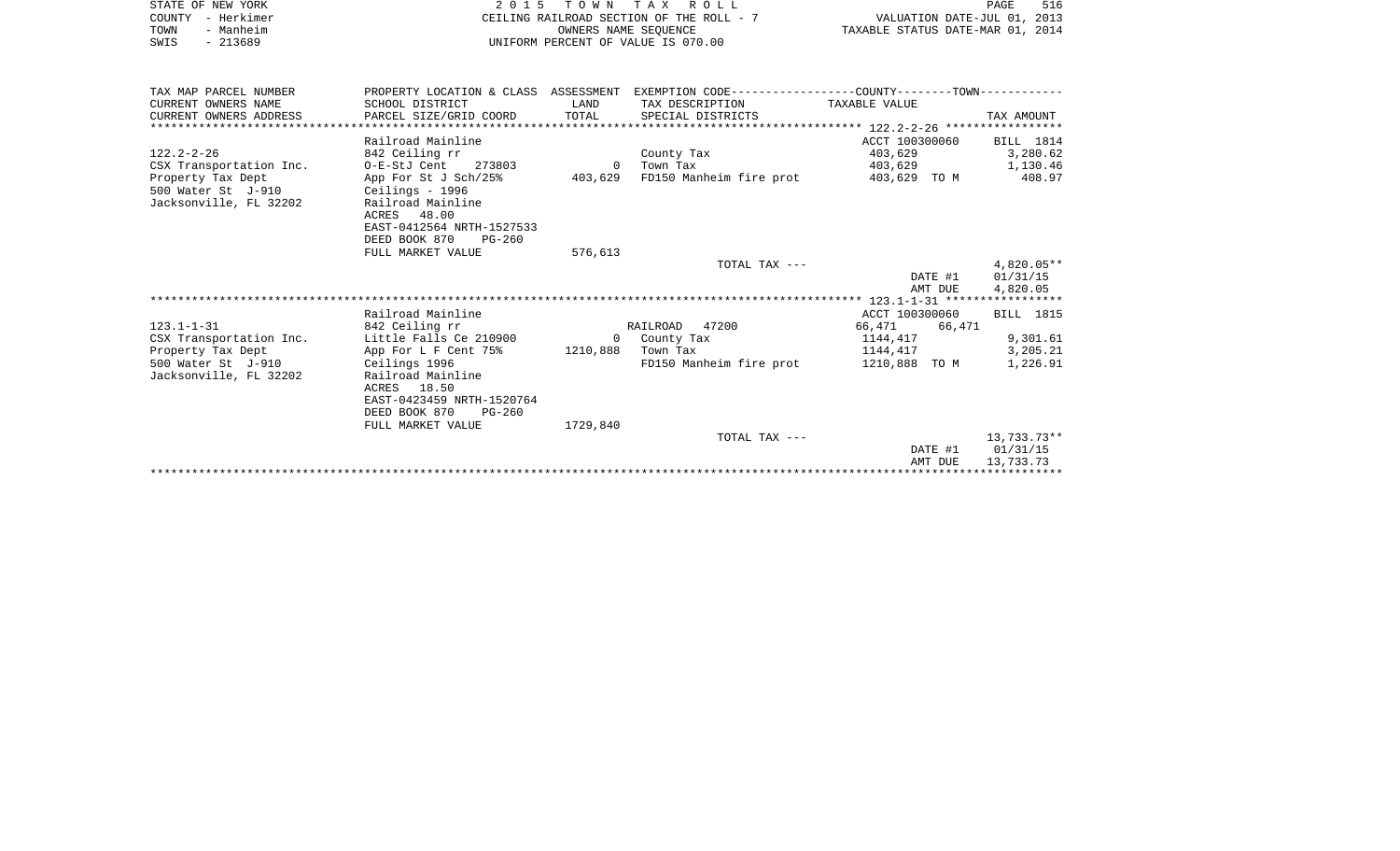|      | STATE OF NEW YORK | 2015 TOWN TAX ROLL                       | 516<br>PAGE                      |
|------|-------------------|------------------------------------------|----------------------------------|
|      | COUNTY - Herkimer | CEILING RAILROAD SECTION OF THE ROLL - 7 | VALUATION DATE-JUL 01, 2013      |
| TOWN | - Manheim         | OWNERS NAME SEOUENCE                     | TAXABLE STATUS DATE-MAR 01, 2014 |
| SWIS | $-213689$         | UNIFORM PERCENT OF VALUE IS 070.00       |                                  |

| TAX MAP PARCEL NUMBER   | PROPERTY LOCATION & CLASS ASSESSMENT |          | EXEMPTION CODE-----------------COUNTY-------TOWN------------ |                  |                  |
|-------------------------|--------------------------------------|----------|--------------------------------------------------------------|------------------|------------------|
| CURRENT OWNERS NAME     | SCHOOL DISTRICT                      | LAND     | TAX DESCRIPTION                                              | TAXABLE VALUE    |                  |
| CURRENT OWNERS ADDRESS  | PARCEL SIZE/GRID COORD               | TOTAL    | SPECIAL DISTRICTS                                            |                  | TAX AMOUNT       |
|                         |                                      |          |                                                              |                  |                  |
|                         | Railroad Mainline                    |          |                                                              | ACCT 100300060   | BILL 1814        |
| $122.2 - 2 - 26$        | 842 Ceiling rr                       |          | County Tax                                                   | 403,629 3,280.62 |                  |
| CSX Transportation Inc. | 0-E-StJ Cent 273803                  | $\Omega$ | Town Tax                                                     | 403,629 1,130.46 |                  |
| Property Tax Dept       | App For St J Sch/25% 403,629         |          | FD150 Manheim fire prot 403,629 TO M 408.97                  |                  |                  |
| 500 Water St J-910      | Ceilings - 1996                      |          |                                                              |                  |                  |
| Jacksonville, FL 32202  | Railroad Mainline                    |          |                                                              |                  |                  |
|                         | ACRES 48.00                          |          |                                                              |                  |                  |
|                         | EAST-0412564 NRTH-1527533            |          |                                                              |                  |                  |
|                         | DEED BOOK 870<br>$PG-260$            |          |                                                              |                  |                  |
|                         | FULL MARKET VALUE                    | 576,613  |                                                              |                  |                  |
|                         |                                      |          | TOTAL TAX ---                                                |                  | 4,820.05**       |
|                         |                                      |          |                                                              |                  | DATE #1 01/31/15 |
|                         |                                      |          |                                                              | AMT DUE          | 4,820.05         |
|                         |                                      |          |                                                              |                  |                  |
|                         | Railroad Mainline                    |          |                                                              | ACCT 100300060   | <b>BILL</b> 1815 |
| $123.1 - 1 - 31$        | 842 Ceiling rr                       |          | RAILROAD 47200                                               | 66,471 66,471    |                  |
| CSX Transportation Inc. | Little Falls Ce 210900               |          | 0 County Tax                                                 | 1144,417         | 9,301.61         |
| Property Tax Dept       | App For L F Cent 75%                 | 1210,888 | Town Tax                                                     | 1144,417         | 3,205.21         |
| 500 Water St J-910      | Ceilings 1996                        |          | FD150 Manheim fire prot                                      | 1210,888 TO M    | 1,226.91         |
| Jacksonville, FL 32202  | Railroad Mainline                    |          |                                                              |                  |                  |
|                         | ACRES 18.50                          |          |                                                              |                  |                  |
|                         | EAST-0423459 NRTH-1520764            |          |                                                              |                  |                  |
|                         | DEED BOOK 870 PG-260                 |          |                                                              |                  |                  |
|                         | FULL MARKET VALUE                    | 1729,840 |                                                              |                  |                  |
|                         |                                      |          | TOTAL TAX ---                                                |                  | $13.733.73**$    |
|                         |                                      |          |                                                              | DATE #1          | 01/31/15         |
|                         |                                      |          |                                                              | AMT DUE          | 13,733.73        |
|                         |                                      |          |                                                              |                  |                  |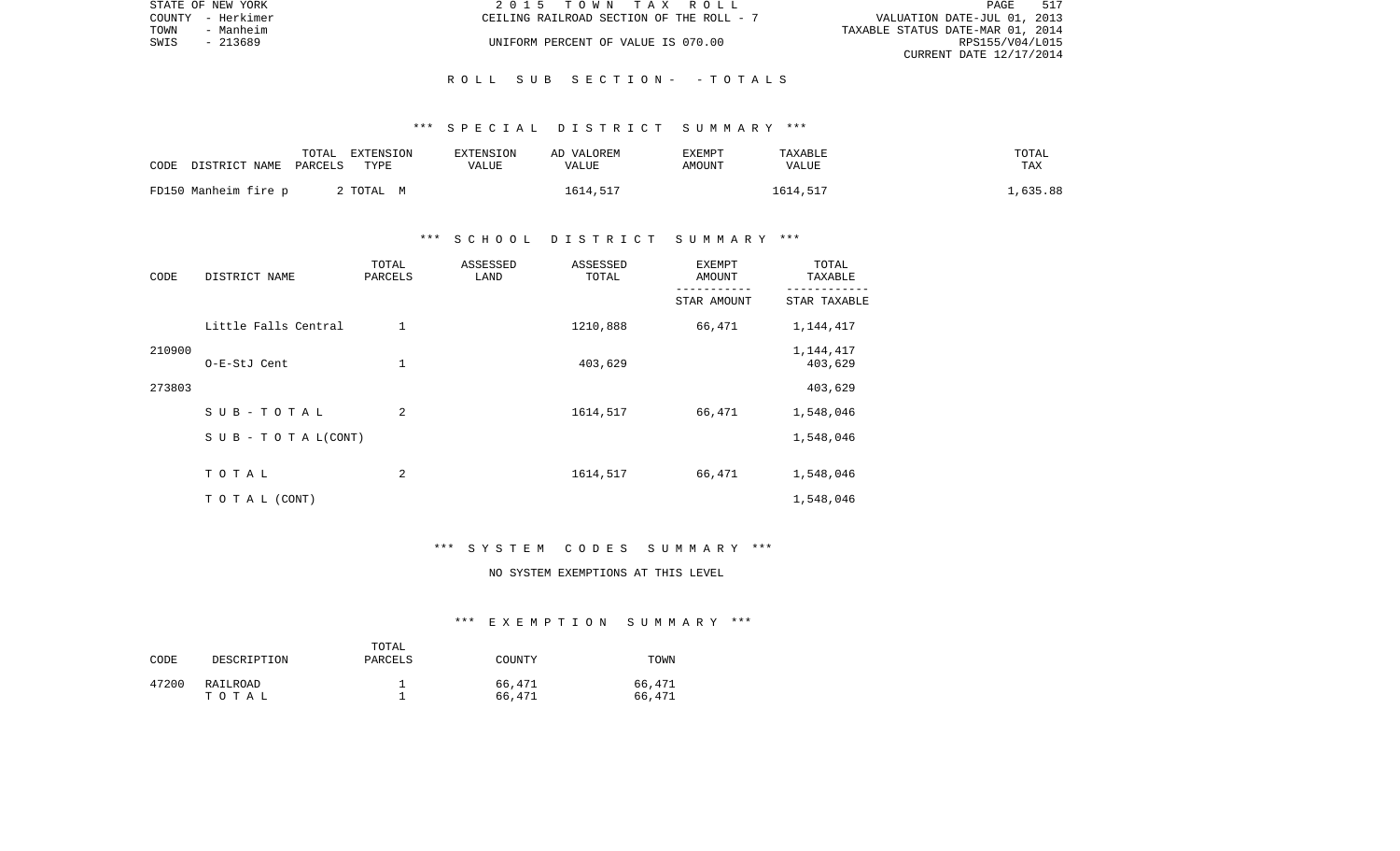|      | STATE OF NEW YORK | 2015 TOWN TAX ROLL                       | 517<br>PAGE                      |
|------|-------------------|------------------------------------------|----------------------------------|
|      | COUNTY - Herkimer | CEILING RAILROAD SECTION OF THE ROLL - 7 | VALUATION DATE-JUL 01, 2013      |
| TOWN | - Manheim         |                                          | TAXABLE STATUS DATE-MAR 01, 2014 |
| SWIS | $-213689$         | UNIFORM PERCENT OF VALUE IS 070.00       | RPS155/V04/L015                  |
|      |                   |                                          | CURRENT DATE 12/17/2014          |

#### R O L L S U B S E C T I O N - - T O T A L S

### \*\*\* S P E C I A L D I S T R I C T S U M M A R Y \*\*\*

| CODE                 | DISTRICT NAME PARCELS | TOTAL | EXTENSION<br>TYPE | <b>EXTENSION</b><br>VALUE | AD VALOREM<br>VALUE | <b>EXEMPT</b><br>AMOUNT | TAXABLE<br><b>VALUE</b> | TOTAL<br>TAX |
|----------------------|-----------------------|-------|-------------------|---------------------------|---------------------|-------------------------|-------------------------|--------------|
| FD150 Manheim fire p |                       |       | 2 TOTAL M         |                           | 1614,517            |                         | 1614.517                | L,635.88     |

## \*\*\* S C H O O L D I S T R I C T S U M M A R Y \*\*\*

| CODE   | DISTRICT NAME        | TOTAL<br>PARCELS | ASSESSED<br>LAND | ASSESSED<br>TOTAL | <b>EXEMPT</b><br>AMOUNT | TOTAL<br>TAXABLE     |
|--------|----------------------|------------------|------------------|-------------------|-------------------------|----------------------|
|        |                      |                  |                  |                   | STAR AMOUNT             | STAR TAXABLE         |
|        | Little Falls Central | $\mathbf 1$      |                  | 1210,888          | 66,471                  | 1,144,417            |
| 210900 | O-E-StJ Cent         | 1                |                  | 403,629           |                         | 1,144,417<br>403,629 |
| 273803 |                      |                  |                  |                   |                         | 403,629              |
|        | SUB-TOTAL            | 2                |                  | 1614,517          | 66,471                  | 1,548,046            |
|        | SUB - TO TAL(CONT)   |                  |                  |                   |                         | 1,548,046            |
|        | TOTAL                | 2                |                  | 1614,517          | 66,471                  | 1,548,046            |
|        | T O T A L (CONT)     |                  |                  |                   |                         | 1,548,046            |

#### \*\*\* S Y S T E M C O D E S S U M M A R Y \*\*\*

# NO SYSTEM EXEMPTIONS AT THIS LEVEL

#### \*\*\* E X E M P T I O N S U M M A R Y \*\*\*

| CODE  | DESCRIPTION       | TOTAL<br>PARCELS | COUNTY           | TOWN             |
|-------|-------------------|------------------|------------------|------------------|
| 47200 | RAILROAD<br>тотаь |                  | 66,471<br>66,471 | 66,471<br>66,471 |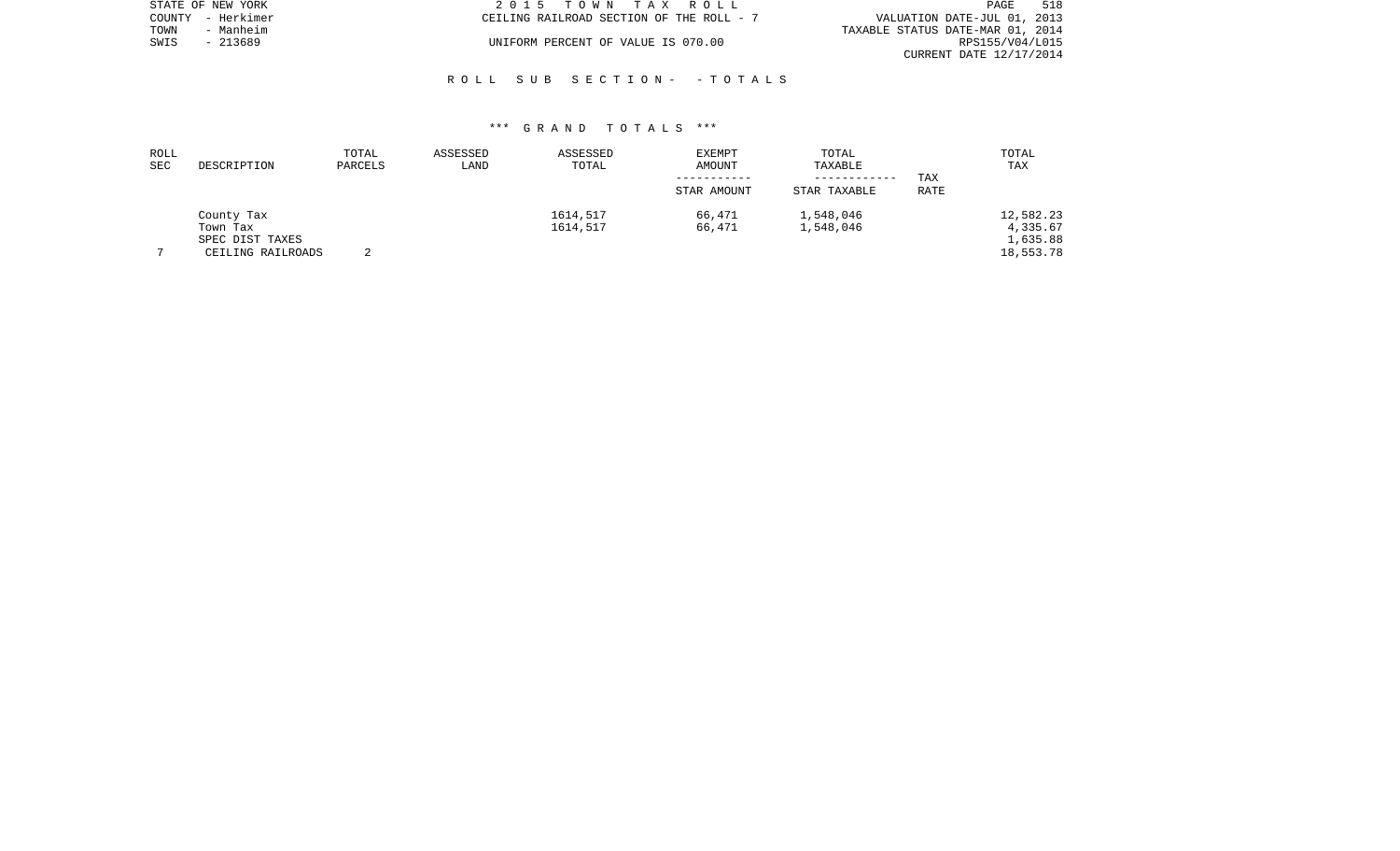|      | STATE OF NEW YORK | 2015 TOWN TAX ROLL                       |  |                                  | PAGE            | 518 |
|------|-------------------|------------------------------------------|--|----------------------------------|-----------------|-----|
|      | COUNTY - Herkimer | CEILING RAILROAD SECTION OF THE ROLL - 7 |  | VALUATION DATE-JUL 01, 2013      |                 |     |
| TOWN | - Manheim         |                                          |  | TAXABLE STATUS DATE-MAR 01, 2014 |                 |     |
| SWIS | - 213689          | UNIFORM PERCENT OF VALUE IS 070.00       |  |                                  | RPS155/V04/L015 |     |
|      |                   |                                          |  | CURRENT DATE 12/17/2014          |                 |     |

### R O L L S U B S E C T I O N - - T O T A L S

| ROLL<br>SEC | DESCRIPTION                                                    | TOTAL<br>PARCELS | ASSESSED<br>LAND | ASSESSED<br>TOTAL    | EXEMPT<br>AMOUNT | TOTAL<br>TAXABLE             |             | TOTAL<br>TAX                                   |
|-------------|----------------------------------------------------------------|------------------|------------------|----------------------|------------------|------------------------------|-------------|------------------------------------------------|
|             |                                                                |                  |                  |                      | STAR AMOUNT      | ------------<br>STAR TAXABLE | TAX<br>RATE |                                                |
|             | County Tax<br>Town Tax<br>SPEC DIST TAXES<br>CEILING RAILROADS |                  |                  | 1614,517<br>1614,517 | 66,471<br>66,471 | 1,548,046<br>1,548,046       |             | 12,582.23<br>4,335.67<br>1,635.88<br>18,553.78 |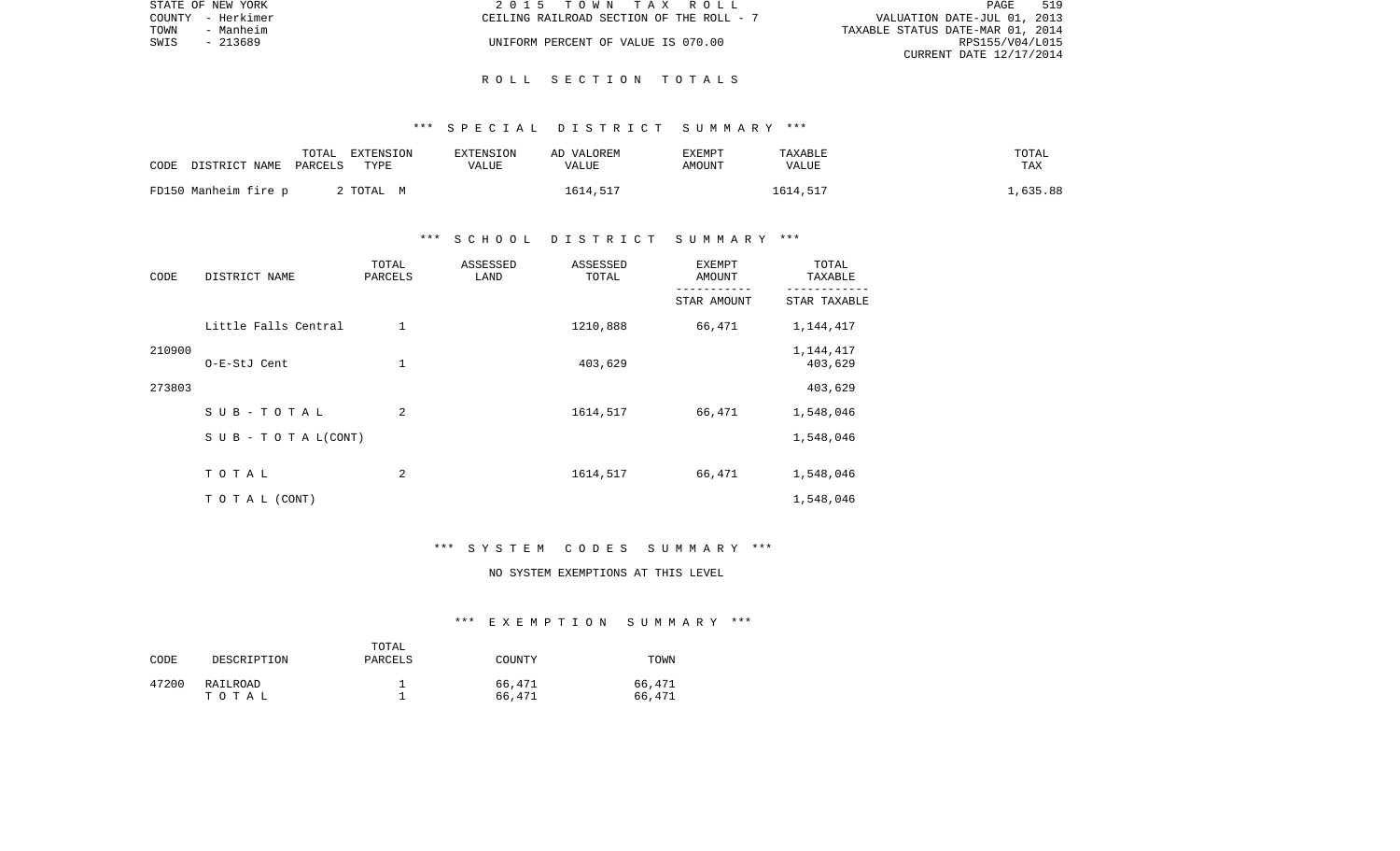|      | STATE OF NEW YORK | 2015 TOWN TAX ROLL                       | PAGE                             | 519 |
|------|-------------------|------------------------------------------|----------------------------------|-----|
|      | COUNTY - Herkimer | CEILING RAILROAD SECTION OF THE ROLL - 7 | VALUATION DATE-JUL 01, 2013      |     |
| TOWN | - Manheim         |                                          | TAXABLE STATUS DATE-MAR 01, 2014 |     |
| SWIS | $-213689$         | UNIFORM PERCENT OF VALUE IS 070.00       | RPS155/V04/L015                  |     |
|      |                   |                                          | CURRENT DATE 12/17/2014          |     |

#### R O L L S E C T I O N T O T A L S

### \*\*\* S P E C I A L D I S T R I C T S U M M A R Y \*\*\*

| CODE                 | DISTRICT NAME PARCELS | TOTAL | EXTENSION<br>TYPE | <b>EXTENSION</b><br>VALUE | AD VALOREM<br>VALUE | <b>EXEMPT</b><br>AMOUNT | TAXABLE<br><b>VALUE</b> | TOTAL<br>TAX |
|----------------------|-----------------------|-------|-------------------|---------------------------|---------------------|-------------------------|-------------------------|--------------|
| FD150 Manheim fire p |                       |       | 2 TOTAL M         |                           | 1614,517            |                         | 1614.517                | .,635.88     |

## \*\*\* S C H O O L D I S T R I C T S U M M A R Y \*\*\*

| CODE   | DISTRICT NAME        | TOTAL<br>PARCELS | ASSESSED<br>LAND | ASSESSED<br>TOTAL | <b>EXEMPT</b><br>AMOUNT | TOTAL<br>TAXABLE     |
|--------|----------------------|------------------|------------------|-------------------|-------------------------|----------------------|
|        |                      |                  |                  |                   | STAR AMOUNT             | STAR TAXABLE         |
|        | Little Falls Central | $\mathbf 1$      |                  | 1210,888          | 66,471                  | 1,144,417            |
| 210900 | O-E-StJ Cent         | 1                |                  | 403,629           |                         | 1,144,417<br>403,629 |
| 273803 |                      |                  |                  |                   |                         | 403,629              |
|        | SUB-TOTAL            | 2                |                  | 1614,517          | 66,471                  | 1,548,046            |
|        | SUB - TO TAL(CONT)   |                  |                  |                   |                         | 1,548,046            |
|        | TOTAL                | 2                |                  | 1614,517          | 66,471                  | 1,548,046            |
|        | T O T A L (CONT)     |                  |                  |                   |                         | 1,548,046            |

#### \*\*\* S Y S T E M C O D E S S U M M A R Y \*\*\*

# NO SYSTEM EXEMPTIONS AT THIS LEVEL

#### \*\*\* E X E M P T I O N S U M M A R Y \*\*\*

| CODE  | DESCRIPTION       | TOTAL<br>PARCELS | COUNTY           | TOWN             |
|-------|-------------------|------------------|------------------|------------------|
| 47200 | RAILROAD<br>тотаь |                  | 66,471<br>66,471 | 66,471<br>66,471 |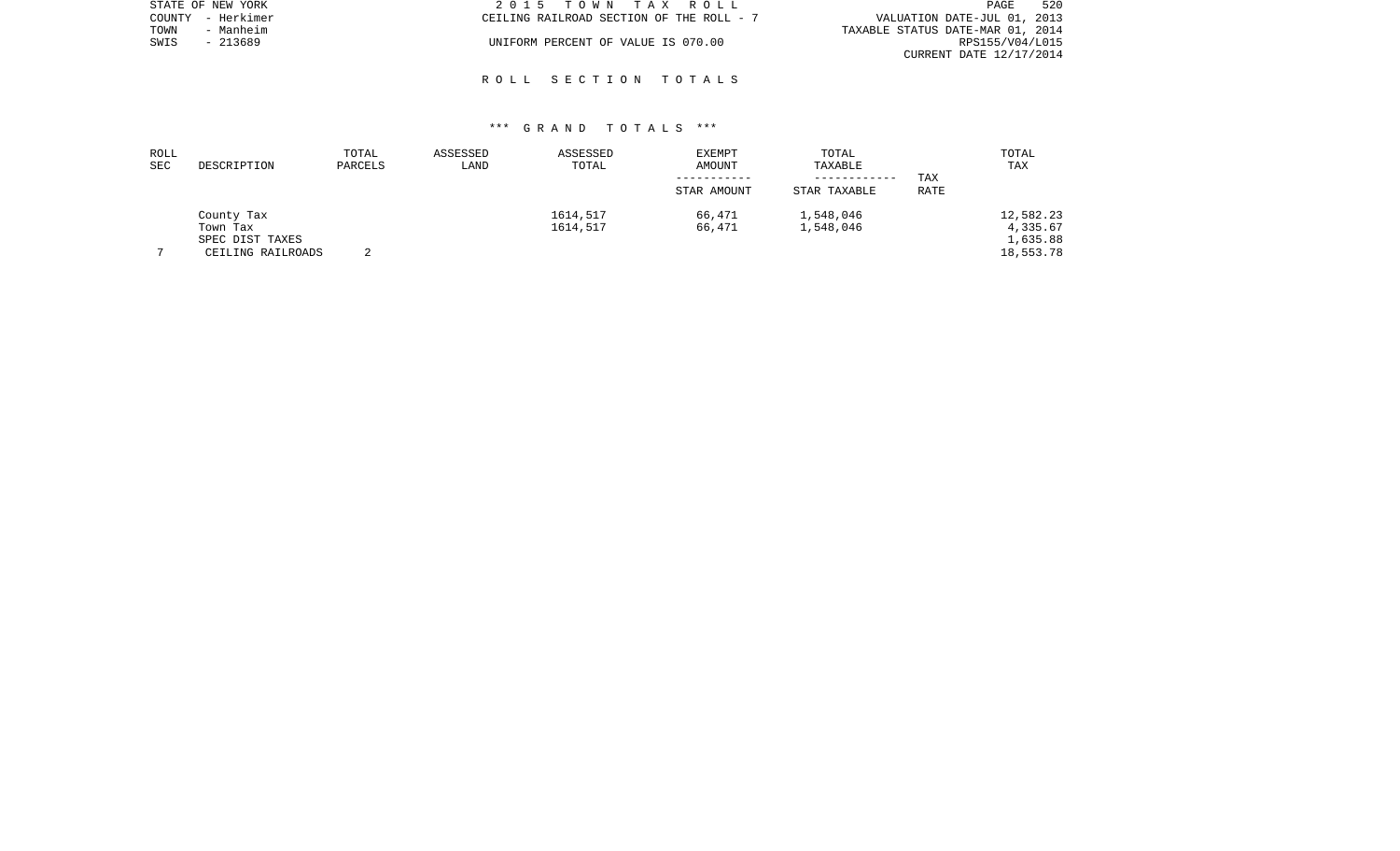| STATE OF NEW YORK | 2015 TOWN TAX ROLL                       | 520<br>PAGE                      |
|-------------------|------------------------------------------|----------------------------------|
| COUNTY - Herkimer | CEILING RAILROAD SECTION OF THE ROLL - 7 | VALUATION DATE-JUL 01, 2013      |
| TOWN<br>- Manheim |                                          | TAXABLE STATUS DATE-MAR 01, 2014 |
| - 213689<br>SWIS  | UNIFORM PERCENT OF VALUE IS 070.00       | RPS155/V04/L015                  |
|                   |                                          | CURRENT DATE 12/17/2014          |

### R O L L S E C T I O N T O T A L S

| ROLL       |                   | TOTAL   | ASSESSED | ASSESSED | <b>EXEMPT</b> | TOTAL        |      | TOTAL     |
|------------|-------------------|---------|----------|----------|---------------|--------------|------|-----------|
| <b>SEC</b> | DESCRIPTION       | PARCELS | LAND     | TOTAL    | AMOUNT        | TAXABLE      |      | TAX       |
|            |                   |         |          |          |               | ------------ | TAX  |           |
|            |                   |         |          |          | STAR AMOUNT   | STAR TAXABLE | RATE |           |
|            | County Tax        |         |          | 1614,517 | 66,471        | 1,548,046    |      | 12,582.23 |
|            | Town Tax          |         |          | 1614,517 | 66,471        | 1,548,046    |      | 4,335.67  |
|            | SPEC DIST TAXES   |         |          |          |               |              |      | 1,635.88  |
|            | CEILING RAILROADS | $\sim$  |          |          |               |              |      | 18,553.78 |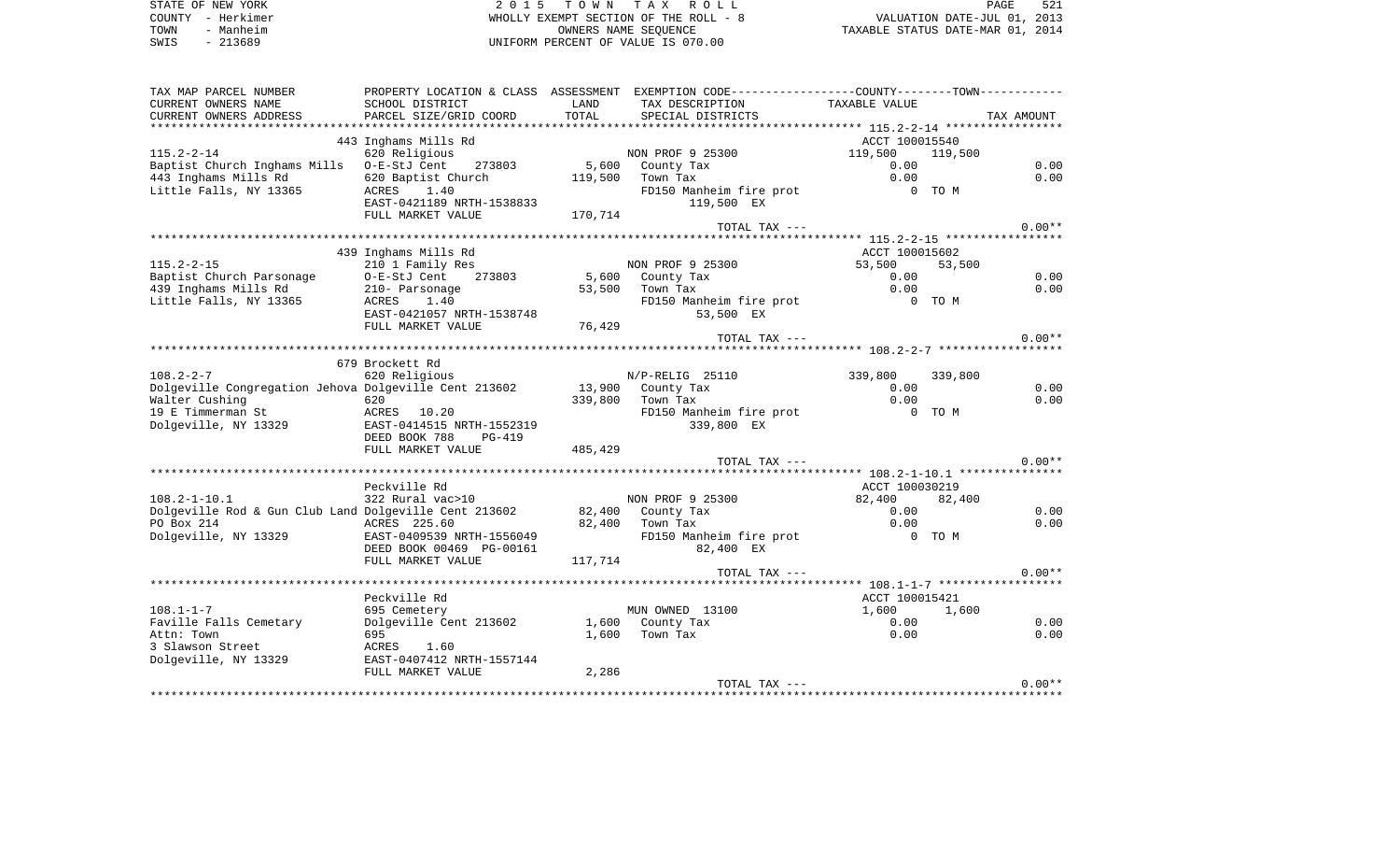| STATE OF NEW YORK | 2015 TOWN TAX ROLL                    | 521<br>PAGE                      |
|-------------------|---------------------------------------|----------------------------------|
| COUNTY - Herkimer | WHOLLY EXEMPT SECTION OF THE ROLL - 8 | VALUATION DATE-JUL 01, 2013      |
| TOWN<br>- Manheim | OWNERS NAME SEOUENCE                  | TAXABLE STATUS DATE-MAR 01, 2014 |
| $-213689$<br>SWIS | UNIFORM PERCENT OF VALUE IS 070.00    |                                  |

| SCHOOL DISTRICT<br>LAND<br>TAX DESCRIPTION<br>TAXABLE VALUE<br>TOTAL<br>PARCEL SIZE/GRID COORD<br>SPECIAL DISTRICTS<br>TAX AMOUNT<br>443 Inghams Mills Rd<br>ACCT 100015540<br>NON PROF 9 25300<br>620 Religious<br>119,500<br>119,500<br>0.00<br>Baptist Church Inghams Mills<br>273803<br>5,600<br>0.00<br>O-E-StJ Cent<br>County Tax<br>443 Inghams Mills Rd<br>0.00<br>0.00<br>620 Baptist Church<br>119,500<br>Town Tax<br>FD150 Manheim fire prot<br>1.40<br>0 TO M<br>ACRES<br>EAST-0421189 NRTH-1538833<br>119,500 EX<br>FULL MARKET VALUE<br>170,714<br>$0.00**$<br>TOTAL TAX ---<br>439 Inghams Mills Rd<br>ACCT 100015602<br>NON PROF 9 25300<br>210 1 Family Res<br>53,500<br>53,500<br>0.00<br>Baptist Church Parsonage<br>O-E-StJ Cent<br>273803<br>5,600 County Tax<br>0.00<br>0.00<br>210- Parsonage<br>0.00<br>53,500<br>Town Tax<br>FD150 Manheim fire prot<br>1.40<br>0 TO M<br>ACRES<br>EAST-0421057 NRTH-1538748<br>53,500 EX<br>FULL MARKET VALUE<br>76,429<br>$0.00**$<br>TOTAL TAX ---<br>679 Brockett Rd<br>620 Religious<br>N/P-RELIG 25110<br>339,800<br>339,800<br>0.00<br>Dolgeville Congregation Jehova Dolgeville Cent 213602<br>13,900 County Tax<br>0.00<br>0.00<br>0.00<br>620<br>339,800 Town Tax<br>FD150 Manheim fire prot<br>0 TO M<br>ACRES 10.20<br>EAST-0414515 NRTH-1552319<br>339,800 EX<br>DEED BOOK 788<br>PG-419<br>FULL MARKET VALUE<br>485,429<br>$0.00**$<br>TOTAL TAX ---<br>Peckville Rd<br>ACCT 100030219<br>322 Rural vac>10<br>NON PROF 9 25300<br>82,400<br>82,400<br>0.00<br>Dolgeville Rod & Gun Club Land Dolgeville Cent 213602<br>82,400 County Tax<br>0.00<br>82,400 Town Tax<br>0.00<br>0.00<br>ACRES 225.60<br>EAST-0409539 NRTH-1556049<br>FD150 Manheim fire prot<br>0 TO M<br>DEED BOOK 00469 PG-00161<br>82,400 EX<br>FULL MARKET VALUE<br>117,714<br>$0.00**$<br>TOTAL TAX ---<br>Peckville Rd<br>ACCT 100015421<br>695 Cemetery<br>MUN OWNED 13100<br>1,600<br>1,600<br>Dolgeville Cent 213602<br>0.00<br>1,600 County Tax<br>0.00<br>695<br>1,600<br>Town Tax<br>0.00<br>0.00<br>1.60<br>ACRES<br>EAST-0407412 NRTH-1557144<br>FULL MARKET VALUE<br>2,286<br>$0.00**$<br>TOTAL TAX --- | TAX MAP PARCEL NUMBER  |  | PROPERTY LOCATION & CLASS ASSESSMENT EXEMPTION CODE--------------COUNTY-------TOWN--------- |  |  |
|--------------------------------------------------------------------------------------------------------------------------------------------------------------------------------------------------------------------------------------------------------------------------------------------------------------------------------------------------------------------------------------------------------------------------------------------------------------------------------------------------------------------------------------------------------------------------------------------------------------------------------------------------------------------------------------------------------------------------------------------------------------------------------------------------------------------------------------------------------------------------------------------------------------------------------------------------------------------------------------------------------------------------------------------------------------------------------------------------------------------------------------------------------------------------------------------------------------------------------------------------------------------------------------------------------------------------------------------------------------------------------------------------------------------------------------------------------------------------------------------------------------------------------------------------------------------------------------------------------------------------------------------------------------------------------------------------------------------------------------------------------------------------------------------------------------------------------------------------------------------------------------------------------------------------------------------------------------------------------------------------------------------------------------------------------------------------------------------------------------------------------------------------------------|------------------------|--|---------------------------------------------------------------------------------------------|--|--|
|                                                                                                                                                                                                                                                                                                                                                                                                                                                                                                                                                                                                                                                                                                                                                                                                                                                                                                                                                                                                                                                                                                                                                                                                                                                                                                                                                                                                                                                                                                                                                                                                                                                                                                                                                                                                                                                                                                                                                                                                                                                                                                                                                              | CURRENT OWNERS NAME    |  |                                                                                             |  |  |
|                                                                                                                                                                                                                                                                                                                                                                                                                                                                                                                                                                                                                                                                                                                                                                                                                                                                                                                                                                                                                                                                                                                                                                                                                                                                                                                                                                                                                                                                                                                                                                                                                                                                                                                                                                                                                                                                                                                                                                                                                                                                                                                                                              | CURRENT OWNERS ADDRESS |  |                                                                                             |  |  |
|                                                                                                                                                                                                                                                                                                                                                                                                                                                                                                                                                                                                                                                                                                                                                                                                                                                                                                                                                                                                                                                                                                                                                                                                                                                                                                                                                                                                                                                                                                                                                                                                                                                                                                                                                                                                                                                                                                                                                                                                                                                                                                                                                              |                        |  |                                                                                             |  |  |
|                                                                                                                                                                                                                                                                                                                                                                                                                                                                                                                                                                                                                                                                                                                                                                                                                                                                                                                                                                                                                                                                                                                                                                                                                                                                                                                                                                                                                                                                                                                                                                                                                                                                                                                                                                                                                                                                                                                                                                                                                                                                                                                                                              |                        |  |                                                                                             |  |  |
|                                                                                                                                                                                                                                                                                                                                                                                                                                                                                                                                                                                                                                                                                                                                                                                                                                                                                                                                                                                                                                                                                                                                                                                                                                                                                                                                                                                                                                                                                                                                                                                                                                                                                                                                                                                                                                                                                                                                                                                                                                                                                                                                                              | $115.2 - 2 - 14$       |  |                                                                                             |  |  |
|                                                                                                                                                                                                                                                                                                                                                                                                                                                                                                                                                                                                                                                                                                                                                                                                                                                                                                                                                                                                                                                                                                                                                                                                                                                                                                                                                                                                                                                                                                                                                                                                                                                                                                                                                                                                                                                                                                                                                                                                                                                                                                                                                              |                        |  |                                                                                             |  |  |
|                                                                                                                                                                                                                                                                                                                                                                                                                                                                                                                                                                                                                                                                                                                                                                                                                                                                                                                                                                                                                                                                                                                                                                                                                                                                                                                                                                                                                                                                                                                                                                                                                                                                                                                                                                                                                                                                                                                                                                                                                                                                                                                                                              |                        |  |                                                                                             |  |  |
|                                                                                                                                                                                                                                                                                                                                                                                                                                                                                                                                                                                                                                                                                                                                                                                                                                                                                                                                                                                                                                                                                                                                                                                                                                                                                                                                                                                                                                                                                                                                                                                                                                                                                                                                                                                                                                                                                                                                                                                                                                                                                                                                                              | Little Falls, NY 13365 |  |                                                                                             |  |  |
|                                                                                                                                                                                                                                                                                                                                                                                                                                                                                                                                                                                                                                                                                                                                                                                                                                                                                                                                                                                                                                                                                                                                                                                                                                                                                                                                                                                                                                                                                                                                                                                                                                                                                                                                                                                                                                                                                                                                                                                                                                                                                                                                                              |                        |  |                                                                                             |  |  |
|                                                                                                                                                                                                                                                                                                                                                                                                                                                                                                                                                                                                                                                                                                                                                                                                                                                                                                                                                                                                                                                                                                                                                                                                                                                                                                                                                                                                                                                                                                                                                                                                                                                                                                                                                                                                                                                                                                                                                                                                                                                                                                                                                              |                        |  |                                                                                             |  |  |
|                                                                                                                                                                                                                                                                                                                                                                                                                                                                                                                                                                                                                                                                                                                                                                                                                                                                                                                                                                                                                                                                                                                                                                                                                                                                                                                                                                                                                                                                                                                                                                                                                                                                                                                                                                                                                                                                                                                                                                                                                                                                                                                                                              |                        |  |                                                                                             |  |  |
|                                                                                                                                                                                                                                                                                                                                                                                                                                                                                                                                                                                                                                                                                                                                                                                                                                                                                                                                                                                                                                                                                                                                                                                                                                                                                                                                                                                                                                                                                                                                                                                                                                                                                                                                                                                                                                                                                                                                                                                                                                                                                                                                                              |                        |  |                                                                                             |  |  |
|                                                                                                                                                                                                                                                                                                                                                                                                                                                                                                                                                                                                                                                                                                                                                                                                                                                                                                                                                                                                                                                                                                                                                                                                                                                                                                                                                                                                                                                                                                                                                                                                                                                                                                                                                                                                                                                                                                                                                                                                                                                                                                                                                              |                        |  |                                                                                             |  |  |
|                                                                                                                                                                                                                                                                                                                                                                                                                                                                                                                                                                                                                                                                                                                                                                                                                                                                                                                                                                                                                                                                                                                                                                                                                                                                                                                                                                                                                                                                                                                                                                                                                                                                                                                                                                                                                                                                                                                                                                                                                                                                                                                                                              | $115.2 - 2 - 15$       |  |                                                                                             |  |  |
|                                                                                                                                                                                                                                                                                                                                                                                                                                                                                                                                                                                                                                                                                                                                                                                                                                                                                                                                                                                                                                                                                                                                                                                                                                                                                                                                                                                                                                                                                                                                                                                                                                                                                                                                                                                                                                                                                                                                                                                                                                                                                                                                                              |                        |  |                                                                                             |  |  |
|                                                                                                                                                                                                                                                                                                                                                                                                                                                                                                                                                                                                                                                                                                                                                                                                                                                                                                                                                                                                                                                                                                                                                                                                                                                                                                                                                                                                                                                                                                                                                                                                                                                                                                                                                                                                                                                                                                                                                                                                                                                                                                                                                              | 439 Inghams Mills Rd   |  |                                                                                             |  |  |
|                                                                                                                                                                                                                                                                                                                                                                                                                                                                                                                                                                                                                                                                                                                                                                                                                                                                                                                                                                                                                                                                                                                                                                                                                                                                                                                                                                                                                                                                                                                                                                                                                                                                                                                                                                                                                                                                                                                                                                                                                                                                                                                                                              | Little Falls, NY 13365 |  |                                                                                             |  |  |
|                                                                                                                                                                                                                                                                                                                                                                                                                                                                                                                                                                                                                                                                                                                                                                                                                                                                                                                                                                                                                                                                                                                                                                                                                                                                                                                                                                                                                                                                                                                                                                                                                                                                                                                                                                                                                                                                                                                                                                                                                                                                                                                                                              |                        |  |                                                                                             |  |  |
|                                                                                                                                                                                                                                                                                                                                                                                                                                                                                                                                                                                                                                                                                                                                                                                                                                                                                                                                                                                                                                                                                                                                                                                                                                                                                                                                                                                                                                                                                                                                                                                                                                                                                                                                                                                                                                                                                                                                                                                                                                                                                                                                                              |                        |  |                                                                                             |  |  |
|                                                                                                                                                                                                                                                                                                                                                                                                                                                                                                                                                                                                                                                                                                                                                                                                                                                                                                                                                                                                                                                                                                                                                                                                                                                                                                                                                                                                                                                                                                                                                                                                                                                                                                                                                                                                                                                                                                                                                                                                                                                                                                                                                              |                        |  |                                                                                             |  |  |
|                                                                                                                                                                                                                                                                                                                                                                                                                                                                                                                                                                                                                                                                                                                                                                                                                                                                                                                                                                                                                                                                                                                                                                                                                                                                                                                                                                                                                                                                                                                                                                                                                                                                                                                                                                                                                                                                                                                                                                                                                                                                                                                                                              |                        |  |                                                                                             |  |  |
|                                                                                                                                                                                                                                                                                                                                                                                                                                                                                                                                                                                                                                                                                                                                                                                                                                                                                                                                                                                                                                                                                                                                                                                                                                                                                                                                                                                                                                                                                                                                                                                                                                                                                                                                                                                                                                                                                                                                                                                                                                                                                                                                                              |                        |  |                                                                                             |  |  |
|                                                                                                                                                                                                                                                                                                                                                                                                                                                                                                                                                                                                                                                                                                                                                                                                                                                                                                                                                                                                                                                                                                                                                                                                                                                                                                                                                                                                                                                                                                                                                                                                                                                                                                                                                                                                                                                                                                                                                                                                                                                                                                                                                              | $108.2 - 2 - 7$        |  |                                                                                             |  |  |
|                                                                                                                                                                                                                                                                                                                                                                                                                                                                                                                                                                                                                                                                                                                                                                                                                                                                                                                                                                                                                                                                                                                                                                                                                                                                                                                                                                                                                                                                                                                                                                                                                                                                                                                                                                                                                                                                                                                                                                                                                                                                                                                                                              |                        |  |                                                                                             |  |  |
|                                                                                                                                                                                                                                                                                                                                                                                                                                                                                                                                                                                                                                                                                                                                                                                                                                                                                                                                                                                                                                                                                                                                                                                                                                                                                                                                                                                                                                                                                                                                                                                                                                                                                                                                                                                                                                                                                                                                                                                                                                                                                                                                                              | Walter Cushing         |  |                                                                                             |  |  |
|                                                                                                                                                                                                                                                                                                                                                                                                                                                                                                                                                                                                                                                                                                                                                                                                                                                                                                                                                                                                                                                                                                                                                                                                                                                                                                                                                                                                                                                                                                                                                                                                                                                                                                                                                                                                                                                                                                                                                                                                                                                                                                                                                              | 19 E Timmerman St      |  |                                                                                             |  |  |
|                                                                                                                                                                                                                                                                                                                                                                                                                                                                                                                                                                                                                                                                                                                                                                                                                                                                                                                                                                                                                                                                                                                                                                                                                                                                                                                                                                                                                                                                                                                                                                                                                                                                                                                                                                                                                                                                                                                                                                                                                                                                                                                                                              | Dolgeville, NY 13329   |  |                                                                                             |  |  |
|                                                                                                                                                                                                                                                                                                                                                                                                                                                                                                                                                                                                                                                                                                                                                                                                                                                                                                                                                                                                                                                                                                                                                                                                                                                                                                                                                                                                                                                                                                                                                                                                                                                                                                                                                                                                                                                                                                                                                                                                                                                                                                                                                              |                        |  |                                                                                             |  |  |
|                                                                                                                                                                                                                                                                                                                                                                                                                                                                                                                                                                                                                                                                                                                                                                                                                                                                                                                                                                                                                                                                                                                                                                                                                                                                                                                                                                                                                                                                                                                                                                                                                                                                                                                                                                                                                                                                                                                                                                                                                                                                                                                                                              |                        |  |                                                                                             |  |  |
|                                                                                                                                                                                                                                                                                                                                                                                                                                                                                                                                                                                                                                                                                                                                                                                                                                                                                                                                                                                                                                                                                                                                                                                                                                                                                                                                                                                                                                                                                                                                                                                                                                                                                                                                                                                                                                                                                                                                                                                                                                                                                                                                                              |                        |  |                                                                                             |  |  |
|                                                                                                                                                                                                                                                                                                                                                                                                                                                                                                                                                                                                                                                                                                                                                                                                                                                                                                                                                                                                                                                                                                                                                                                                                                                                                                                                                                                                                                                                                                                                                                                                                                                                                                                                                                                                                                                                                                                                                                                                                                                                                                                                                              |                        |  |                                                                                             |  |  |
|                                                                                                                                                                                                                                                                                                                                                                                                                                                                                                                                                                                                                                                                                                                                                                                                                                                                                                                                                                                                                                                                                                                                                                                                                                                                                                                                                                                                                                                                                                                                                                                                                                                                                                                                                                                                                                                                                                                                                                                                                                                                                                                                                              |                        |  |                                                                                             |  |  |
|                                                                                                                                                                                                                                                                                                                                                                                                                                                                                                                                                                                                                                                                                                                                                                                                                                                                                                                                                                                                                                                                                                                                                                                                                                                                                                                                                                                                                                                                                                                                                                                                                                                                                                                                                                                                                                                                                                                                                                                                                                                                                                                                                              | $108.2 - 1 - 10.1$     |  |                                                                                             |  |  |
|                                                                                                                                                                                                                                                                                                                                                                                                                                                                                                                                                                                                                                                                                                                                                                                                                                                                                                                                                                                                                                                                                                                                                                                                                                                                                                                                                                                                                                                                                                                                                                                                                                                                                                                                                                                                                                                                                                                                                                                                                                                                                                                                                              |                        |  |                                                                                             |  |  |
|                                                                                                                                                                                                                                                                                                                                                                                                                                                                                                                                                                                                                                                                                                                                                                                                                                                                                                                                                                                                                                                                                                                                                                                                                                                                                                                                                                                                                                                                                                                                                                                                                                                                                                                                                                                                                                                                                                                                                                                                                                                                                                                                                              | PO Box 214             |  |                                                                                             |  |  |
|                                                                                                                                                                                                                                                                                                                                                                                                                                                                                                                                                                                                                                                                                                                                                                                                                                                                                                                                                                                                                                                                                                                                                                                                                                                                                                                                                                                                                                                                                                                                                                                                                                                                                                                                                                                                                                                                                                                                                                                                                                                                                                                                                              | Dolgeville, NY 13329   |  |                                                                                             |  |  |
|                                                                                                                                                                                                                                                                                                                                                                                                                                                                                                                                                                                                                                                                                                                                                                                                                                                                                                                                                                                                                                                                                                                                                                                                                                                                                                                                                                                                                                                                                                                                                                                                                                                                                                                                                                                                                                                                                                                                                                                                                                                                                                                                                              |                        |  |                                                                                             |  |  |
|                                                                                                                                                                                                                                                                                                                                                                                                                                                                                                                                                                                                                                                                                                                                                                                                                                                                                                                                                                                                                                                                                                                                                                                                                                                                                                                                                                                                                                                                                                                                                                                                                                                                                                                                                                                                                                                                                                                                                                                                                                                                                                                                                              |                        |  |                                                                                             |  |  |
|                                                                                                                                                                                                                                                                                                                                                                                                                                                                                                                                                                                                                                                                                                                                                                                                                                                                                                                                                                                                                                                                                                                                                                                                                                                                                                                                                                                                                                                                                                                                                                                                                                                                                                                                                                                                                                                                                                                                                                                                                                                                                                                                                              |                        |  |                                                                                             |  |  |
|                                                                                                                                                                                                                                                                                                                                                                                                                                                                                                                                                                                                                                                                                                                                                                                                                                                                                                                                                                                                                                                                                                                                                                                                                                                                                                                                                                                                                                                                                                                                                                                                                                                                                                                                                                                                                                                                                                                                                                                                                                                                                                                                                              |                        |  |                                                                                             |  |  |
|                                                                                                                                                                                                                                                                                                                                                                                                                                                                                                                                                                                                                                                                                                                                                                                                                                                                                                                                                                                                                                                                                                                                                                                                                                                                                                                                                                                                                                                                                                                                                                                                                                                                                                                                                                                                                                                                                                                                                                                                                                                                                                                                                              |                        |  |                                                                                             |  |  |
|                                                                                                                                                                                                                                                                                                                                                                                                                                                                                                                                                                                                                                                                                                                                                                                                                                                                                                                                                                                                                                                                                                                                                                                                                                                                                                                                                                                                                                                                                                                                                                                                                                                                                                                                                                                                                                                                                                                                                                                                                                                                                                                                                              | $108.1 - 1 - 7$        |  |                                                                                             |  |  |
|                                                                                                                                                                                                                                                                                                                                                                                                                                                                                                                                                                                                                                                                                                                                                                                                                                                                                                                                                                                                                                                                                                                                                                                                                                                                                                                                                                                                                                                                                                                                                                                                                                                                                                                                                                                                                                                                                                                                                                                                                                                                                                                                                              | Faville Falls Cemetary |  |                                                                                             |  |  |
|                                                                                                                                                                                                                                                                                                                                                                                                                                                                                                                                                                                                                                                                                                                                                                                                                                                                                                                                                                                                                                                                                                                                                                                                                                                                                                                                                                                                                                                                                                                                                                                                                                                                                                                                                                                                                                                                                                                                                                                                                                                                                                                                                              | Attn: Town             |  |                                                                                             |  |  |
|                                                                                                                                                                                                                                                                                                                                                                                                                                                                                                                                                                                                                                                                                                                                                                                                                                                                                                                                                                                                                                                                                                                                                                                                                                                                                                                                                                                                                                                                                                                                                                                                                                                                                                                                                                                                                                                                                                                                                                                                                                                                                                                                                              | 3 Slawson Street       |  |                                                                                             |  |  |
|                                                                                                                                                                                                                                                                                                                                                                                                                                                                                                                                                                                                                                                                                                                                                                                                                                                                                                                                                                                                                                                                                                                                                                                                                                                                                                                                                                                                                                                                                                                                                                                                                                                                                                                                                                                                                                                                                                                                                                                                                                                                                                                                                              | Dolgeville, NY 13329   |  |                                                                                             |  |  |
|                                                                                                                                                                                                                                                                                                                                                                                                                                                                                                                                                                                                                                                                                                                                                                                                                                                                                                                                                                                                                                                                                                                                                                                                                                                                                                                                                                                                                                                                                                                                                                                                                                                                                                                                                                                                                                                                                                                                                                                                                                                                                                                                                              |                        |  |                                                                                             |  |  |
|                                                                                                                                                                                                                                                                                                                                                                                                                                                                                                                                                                                                                                                                                                                                                                                                                                                                                                                                                                                                                                                                                                                                                                                                                                                                                                                                                                                                                                                                                                                                                                                                                                                                                                                                                                                                                                                                                                                                                                                                                                                                                                                                                              |                        |  |                                                                                             |  |  |
|                                                                                                                                                                                                                                                                                                                                                                                                                                                                                                                                                                                                                                                                                                                                                                                                                                                                                                                                                                                                                                                                                                                                                                                                                                                                                                                                                                                                                                                                                                                                                                                                                                                                                                                                                                                                                                                                                                                                                                                                                                                                                                                                                              |                        |  |                                                                                             |  |  |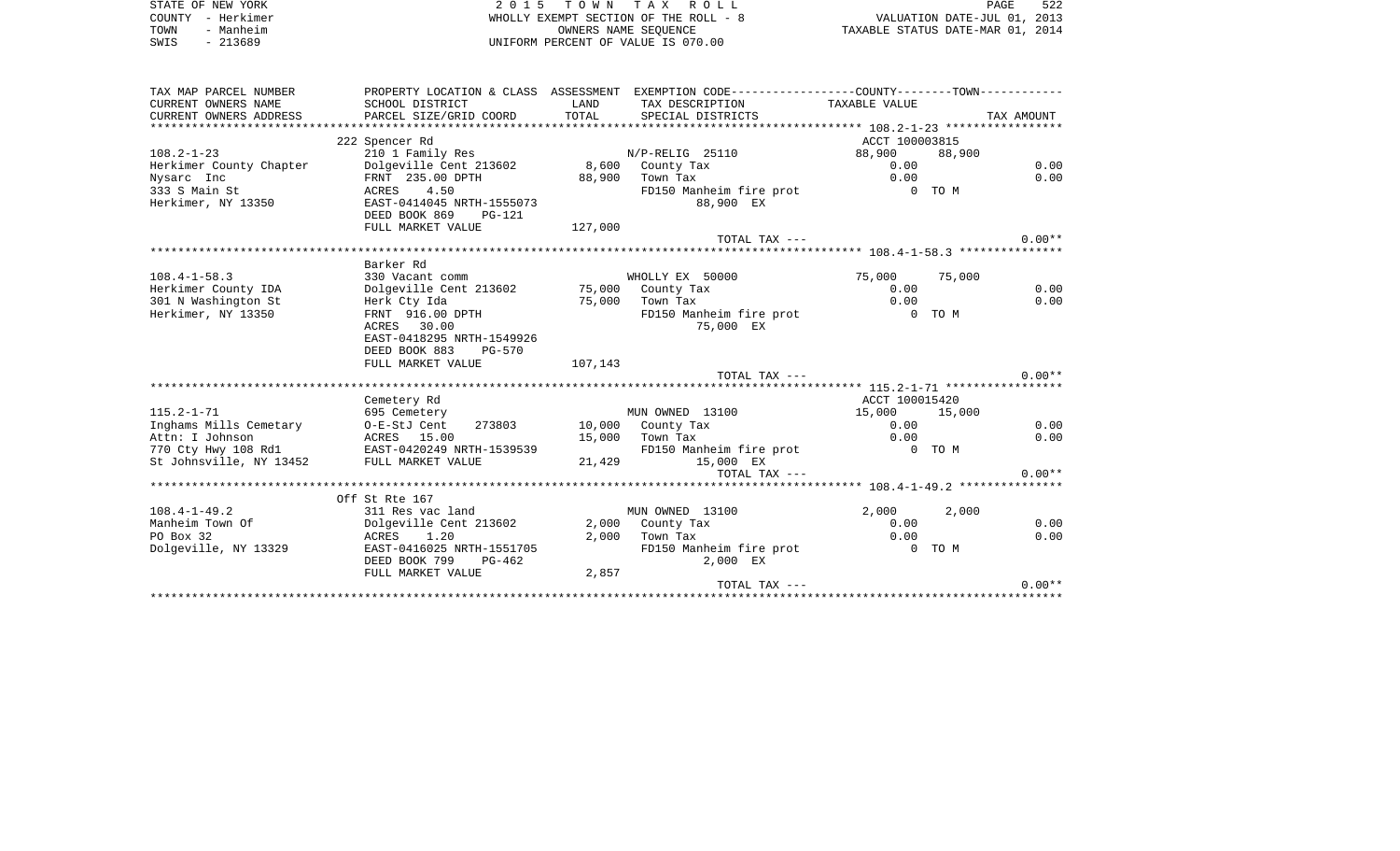| STATE OF NEW YORK<br>COUNTY - Herkimer<br>TOWN<br>- Manheim | 2 0 1 5                                       |                | TOWN TAX ROLL<br>WHOLLY EXEMPT SECTION OF THE ROLL - 8<br>OWNERS NAME SEQUENCE                | TAXABLE STATUS DATE-MAR 01, 2014 | VALUATION DATE-JUL 01, 2013 | PAGE       | 522          |
|-------------------------------------------------------------|-----------------------------------------------|----------------|-----------------------------------------------------------------------------------------------|----------------------------------|-----------------------------|------------|--------------|
| SWIS<br>$-213689$                                           |                                               |                | UNIFORM PERCENT OF VALUE IS 070.00                                                            |                                  |                             |            |              |
| TAX MAP PARCEL NUMBER                                       |                                               |                | PROPERTY LOCATION & CLASS ASSESSMENT EXEMPTION CODE---------------COUNTY-------TOWN---------- |                                  |                             |            |              |
| CURRENT OWNERS NAME                                         | SCHOOL DISTRICT                               | LAND<br>TOTAL  | TAX DESCRIPTION                                                                               | TAXABLE VALUE                    |                             |            |              |
| CURRENT OWNERS ADDRESS                                      | PARCEL SIZE/GRID COORD                        |                | SPECIAL DISTRICTS                                                                             |                                  |                             | TAX AMOUNT |              |
|                                                             | 222 Spencer Rd                                |                |                                                                                               | ACCT 100003815                   |                             |            |              |
| $108.2 - 1 - 23$                                            | 210 1 Family Res                              |                | N/P-RELIG 25110                                                                               | 88,900                           | 88,900                      |            |              |
| Herkimer County Chapter                                     | Dolgeville Cent 213602                        |                | 8,600 County Tax                                                                              | 0.00                             |                             |            | 0.00         |
| Nysarc Inc                                                  | FRNT 235.00 DPTH                              |                | 88,900 Town Tax                                                                               | 0.00                             |                             |            | 0.00         |
| 333 S Main St                                               | 4.50<br>ACRES                                 |                | FD150 Manheim fire prot                                                                       | $0$ TOM                          |                             |            |              |
| Herkimer, NY 13350                                          | EAST-0414045 NRTH-1555073                     |                | 88,900 EX                                                                                     |                                  |                             |            |              |
|                                                             | DEED BOOK 869<br>PG-121                       |                |                                                                                               |                                  |                             |            |              |
|                                                             | FULL MARKET VALUE                             | 127,000        |                                                                                               |                                  |                             |            | $0.00**$     |
|                                                             |                                               |                | TOTAL TAX ---                                                                                 |                                  |                             |            |              |
|                                                             | Barker Rd                                     |                |                                                                                               |                                  |                             |            |              |
| $108.4 - 1 - 58.3$                                          | 330 Vacant comm                               |                | WHOLLY EX 50000                                                                               | 75,000                           | 75,000                      |            |              |
| Herkimer County IDA                                         | Dolgeville Cent 213602                        |                | 75,000 County Tax                                                                             | 0.00                             |                             |            | 0.00         |
| 301 N Washington St                                         | Herk Cty Ida                                  | 75,000         | Town Tax                                                                                      | 0.00                             |                             |            | 0.00         |
| Herkimer, NY 13350                                          | FRNT 916.00 DPTH                              |                | FD150 Manheim fire prot                                                                       | O TOM                            |                             |            |              |
|                                                             | ACRES 30.00                                   |                | 75,000 EX                                                                                     |                                  |                             |            |              |
|                                                             | EAST-0418295 NRTH-1549926                     |                |                                                                                               |                                  |                             |            |              |
|                                                             | DEED BOOK 883<br>PG-570                       |                |                                                                                               |                                  |                             |            |              |
|                                                             | FULL MARKET VALUE                             | 107,143        |                                                                                               |                                  |                             |            |              |
|                                                             |                                               |                | TOTAL TAX ---                                                                                 |                                  |                             |            | $0.00**$     |
|                                                             | Cemetery Rd                                   |                |                                                                                               | ACCT 100015420                   |                             |            |              |
| $115.2 - 1 - 71$                                            | 695 Cemetery                                  |                | MUN OWNED 13100                                                                               | 15,000                           | 15,000                      |            |              |
| Inghams Mills Cemetary                                      | 273803<br>O-E-StJ Cent                        |                | 10,000 County Tax                                                                             | 0.00                             |                             |            | 0.00         |
| Attn: I Johnson                                             | ACRES 15.00                                   |                | 15,000 Town Tax                                                                               | 0.00                             |                             |            | 0.00         |
|                                                             | 770 Cty Hwy 108 Rd1 EAST-0420249 NRTH-1539539 |                | FD150 Manheim fire prot                                                                       | 0 TO M                           |                             |            |              |
| St Johnsville, NY 13452                                     | FULL MARKET VALUE                             |                | 21,429 15,000 EX                                                                              |                                  |                             |            |              |
|                                                             |                                               |                | TOTAL TAX ---                                                                                 |                                  |                             |            | $0.00**$     |
|                                                             |                                               |                |                                                                                               |                                  |                             |            |              |
|                                                             | Off St Rte 167                                |                |                                                                                               |                                  |                             |            |              |
| $108.4 - 1 - 49.2$                                          | 311 Res vac land                              |                | MUN OWNED 13100                                                                               | 2,000                            | 2,000                       |            |              |
| Manheim Town Of<br>PO Box 32                                | Dolgeville Cent 213602<br>ACRES<br>1.20       | 2,000<br>2,000 | County Tax<br>Town Tax                                                                        | 0.00<br>0.00                     |                             |            | 0.00<br>0.00 |
| Dolgeville, NY 13329                                        | EAST-0416025 NRTH-1551705                     |                | FD150 Manheim fire prot                                                                       |                                  | 0 TO M                      |            |              |
|                                                             | DEED BOOK 799<br>PG-462                       |                | 2,000 EX                                                                                      |                                  |                             |            |              |
|                                                             | FULL MARKET VALUE                             | 2,857          |                                                                                               |                                  |                             |            |              |
|                                                             |                                               |                | TOTAL TAX ---                                                                                 |                                  |                             |            | $0.00**$     |
|                                                             |                                               |                |                                                                                               |                                  |                             |            |              |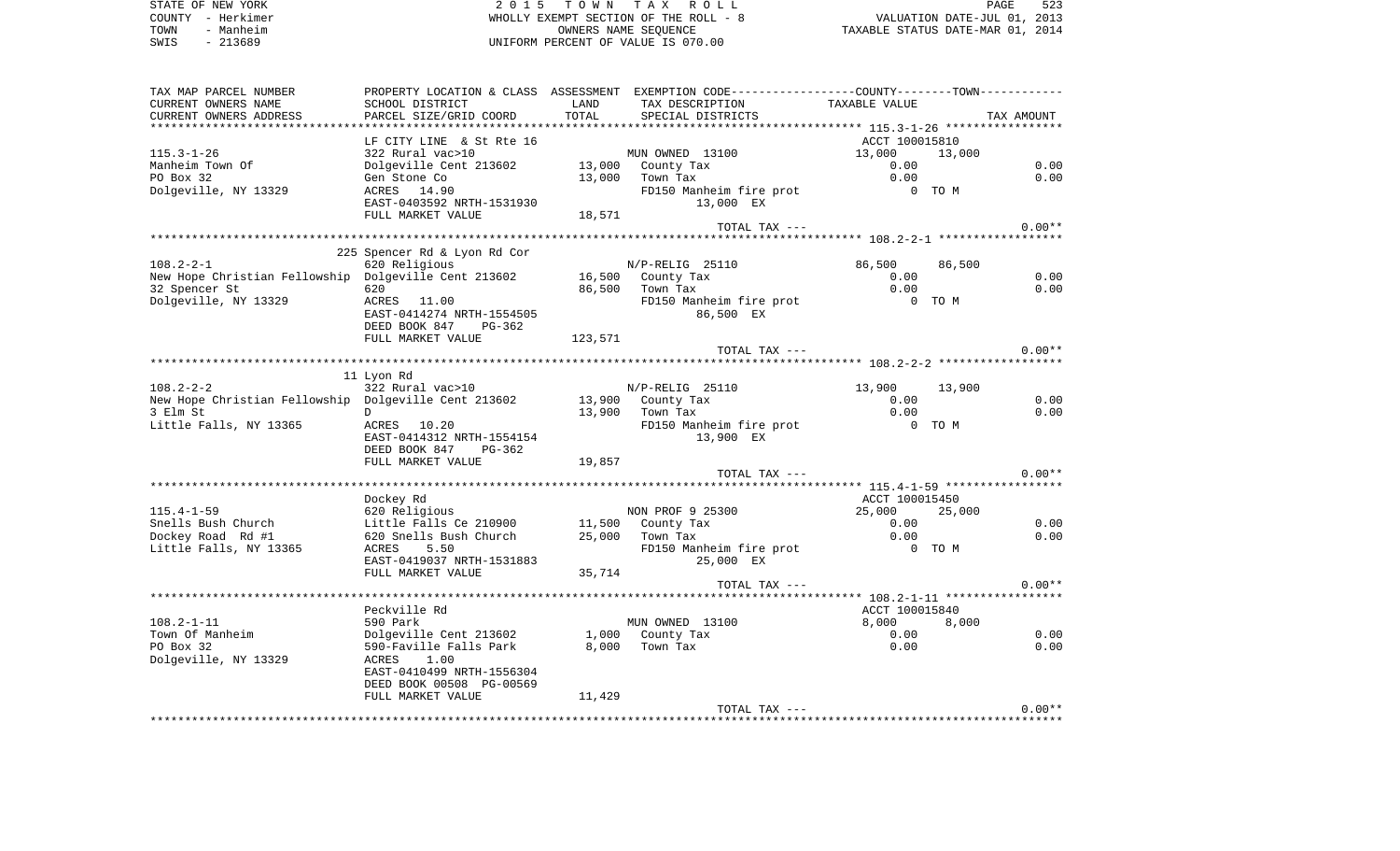| STATE OF NEW YORK | 2015 TOWN TAX ROLL                    | 523<br>PAGE                      |
|-------------------|---------------------------------------|----------------------------------|
| COUNTY - Herkimer | WHOLLY EXEMPT SECTION OF THE ROLL - 8 | VALUATION DATE-JUL 01, 2013      |
| - Manheim<br>TOWN | OWNERS NAME SEOUENCE                  | TAXABLE STATUS DATE-MAR 01, 2014 |
| $-213689$<br>SWIS | UNIFORM PERCENT OF VALUE IS 070.00    |                                  |
|                   |                                       |                                  |

| TAX MAP PARCEL NUMBER                                                  |                                         |         | PROPERTY LOCATION & CLASS ASSESSMENT EXEMPTION CODE----------------COUNTY--------TOWN-------- |                  |            |
|------------------------------------------------------------------------|-----------------------------------------|---------|-----------------------------------------------------------------------------------------------|------------------|------------|
| CURRENT OWNERS NAME                                                    | SCHOOL DISTRICT                         | LAND    | TAX DESCRIPTION                                                                               | TAXABLE VALUE    |            |
| CURRENT OWNERS ADDRESS                                                 | PARCEL SIZE/GRID COORD                  | TOTAL   | SPECIAL DISTRICTS                                                                             |                  | TAX AMOUNT |
|                                                                        |                                         |         |                                                                                               |                  |            |
|                                                                        | LF CITY LINE & St Rte 16                |         |                                                                                               | ACCT 100015810   |            |
| $115.3 - 1 - 26$                                                       | 322 Rural vac>10                        |         | MUN OWNED 13100                                                                               | 13,000<br>13,000 |            |
| Manheim Town Of                                                        | Dolgeville Cent 213602                  |         |                                                                                               | 0.00             | 0.00       |
| PO Box 32                                                              | Gen Stone Co                            |         | $13,000$ County Tax<br>13,000 Town Tax                                                        | 0.00             | 0.00       |
| Dolgeville, NY 13329                                                   | ACRES 14.90                             |         | FD150 Manheim fire prot                                                                       | $0$ TOM          |            |
|                                                                        | EAST-0403592 NRTH-1531930               |         | 13,000 EX                                                                                     |                  |            |
|                                                                        |                                         |         |                                                                                               |                  |            |
|                                                                        | FULL MARKET VALUE                       | 18,571  |                                                                                               |                  |            |
|                                                                        |                                         |         | TOTAL TAX ---                                                                                 |                  | $0.00**$   |
|                                                                        |                                         |         |                                                                                               |                  |            |
|                                                                        | 225 Spencer Rd & Lyon Rd Cor            |         |                                                                                               |                  |            |
| $108.2 - 2 - 1$                                                        | 620 Religious                           |         | N/P-RELIG 25110                                                                               | 86,500<br>86,500 |            |
| New Hope Christian Fellowship Dolgeville Cent 213602 16,500 County Tax |                                         |         |                                                                                               | 0.00             | 0.00       |
| 32 Spencer St                                                          | 620                                     |         | 86,500 Town Tax                                                                               | 0.00             | 0.00       |
| Dolgeville, NY 13329                                                   | ACRES 11.00                             |         | FD150 Manheim fire prot<br>0 TO M                                                             |                  |            |
|                                                                        | EAST-0414274 NRTH-1554505               |         | 86,500 EX                                                                                     |                  |            |
|                                                                        | DEED BOOK 847<br>PG-362                 |         |                                                                                               |                  |            |
|                                                                        | FULL MARKET VALUE                       | 123,571 |                                                                                               |                  |            |
|                                                                        |                                         |         | TOTAL TAX ---                                                                                 |                  | $0.00**$   |
|                                                                        |                                         |         |                                                                                               |                  |            |
|                                                                        | 11 Lyon Rd                              |         |                                                                                               |                  |            |
| $108.2 - 2 - 2$                                                        | 322 Rural vac>10                        |         | $N/P-RELLIG$ 25110                                                                            | 13,900<br>13,900 |            |
| New Hope Christian Fellowship Dolgeville Cent 213602                   |                                         |         | 13,900 County Tax                                                                             | 0.00             | 0.00       |
| 3 Elm St                                                               | D                                       |         | 13,900 Town Tax                                                                               | 0.00             | 0.00       |
|                                                                        |                                         |         |                                                                                               |                  |            |
| Little Falls, NY 13365                                                 | ACRES 10.20                             |         | FD150 Manheim fire prot                                                                       | 0 TO M           |            |
|                                                                        | EAST-0414312 NRTH-1554154               |         | 13,900 EX                                                                                     |                  |            |
|                                                                        | DEED BOOK 847<br>$PG-362$               |         |                                                                                               |                  |            |
|                                                                        | FULL MARKET VALUE                       | 19,857  |                                                                                               |                  |            |
|                                                                        |                                         |         | TOTAL TAX ---                                                                                 |                  | $0.00**$   |
|                                                                        |                                         |         |                                                                                               |                  |            |
|                                                                        | Dockey Rd                               |         |                                                                                               | ACCT 100015450   |            |
| $115.4 - 1 - 59$                                                       | 620 Religious                           |         | NON PROF 9 25300                                                                              | 25,000<br>25,000 |            |
| Snells Bush Church                                                     | Little Falls Ce 210900                  |         |                                                                                               | 0.00             | 0.00       |
| Dockey Road Rd #1                                                      | 620 Snells Bush Church                  |         | II, SUU County Tax<br>25,000 Town Tax                                                         | 0.00             | 0.00       |
| Little Falls, NY 13365                                                 | ACRES<br>5.50                           |         | FD150 Manheim fire prot 0 TO M                                                                |                  |            |
|                                                                        | EAST-0419037 NRTH-1531883               |         | 25,000 EX                                                                                     |                  |            |
|                                                                        | FULL MARKET VALUE                       | 35,714  |                                                                                               |                  |            |
|                                                                        |                                         |         | TOTAL TAX ---                                                                                 |                  | $0.00**$   |
|                                                                        |                                         |         |                                                                                               |                  |            |
|                                                                        | Peckville Rd                            |         |                                                                                               | ACCT 100015840   |            |
| $108.2 - 1 - 11$                                                       | 590 Park                                |         | MUN OWNED 13100                                                                               | 8,000<br>8,000   |            |
| Town Of Manheim                                                        | Dolgeville Cent 213602 1,000 County Tax |         |                                                                                               | 0.00             | 0.00       |
| PO Box 32                                                              | 590-Faville Falls Park                  |         | 8,000 Town Tax                                                                                | 0.00             | 0.00       |
|                                                                        | 1.00                                    |         |                                                                                               |                  |            |
| Dolgeville, NY 13329                                                   | ACRES<br>EAST-0410499 NRTH-1556304      |         |                                                                                               |                  |            |
|                                                                        |                                         |         |                                                                                               |                  |            |
|                                                                        | DEED BOOK 00508 PG-00569                |         |                                                                                               |                  |            |
|                                                                        | FULL MARKET VALUE                       | 11,429  |                                                                                               |                  |            |
|                                                                        |                                         |         | TOTAL TAX ---                                                                                 |                  | $0.00**$   |
|                                                                        |                                         |         |                                                                                               |                  |            |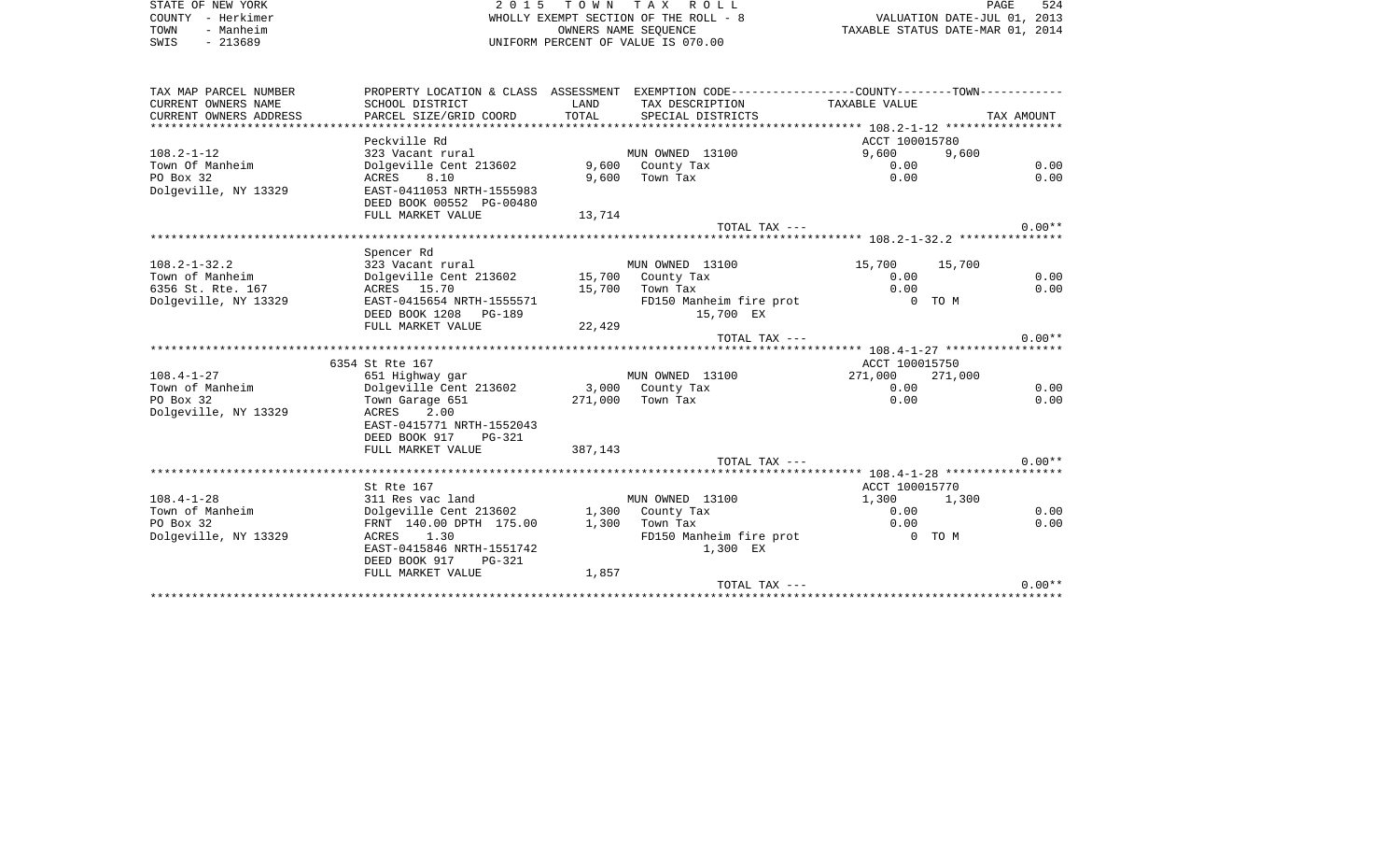STATE OF NEW YORK **2015 TOWN TAX ROLL** PAGE 524 COUNTY - Herkimer WHOLLY EXEMPT SECTION OF THE ROLL - 8 VALUATION DATE-JUL 01, 2013 TOWN - Manheim OWNERS NAME SEQUENCE TAXABLE STATUS DATE-MAR 01, 2014 SWIS - 213689 UNIFORM PERCENT OF VALUE IS 070.00TAX MAP PARCEL NUMBER PROPERTY LOCATION & CLASS ASSESSMENT EXEMPTION CODE------------------COUNTY--------TOWN------------ CURRENT OWNERS NAME SCHOOL DISTRICT SCHOOL DISTRICT LAND TAX DESCRIPTION TAXABLE VALUE CURRENT OWNERS ADDRESS PARCEL SIZE/GRID COORD TOTAL SPECIAL DISTRICTS TAX AMOUNT

|                      |                                          |         | ************************* | $108.2 - 1 - 12$ ***************** |          |
|----------------------|------------------------------------------|---------|---------------------------|------------------------------------|----------|
|                      | Peckville Rd                             |         |                           | ACCT 100015780                     |          |
| $108.2 - 1 - 12$     | 323 Vacant rural                         |         | MUN OWNED 13100           | 9,600<br>9,600                     |          |
| Town Of Manheim      | Dolgeville Cent 213602                   |         | 9,600 County Tax          | 0.00                               | 0.00     |
| PO Box 32            | 8.10<br>ACRES                            | 9,600   | Town Tax                  | 0.00                               | 0.00     |
| Dolgeville, NY 13329 | EAST-0411053 NRTH-1555983                |         |                           |                                    |          |
|                      | DEED BOOK 00552 PG-00480                 |         |                           |                                    |          |
|                      | FULL MARKET VALUE                        | 13,714  |                           |                                    |          |
|                      |                                          |         | TOTAL TAX $---$           |                                    | $0.00**$ |
|                      |                                          |         |                           |                                    |          |
|                      | Spencer Rd                               |         |                           |                                    |          |
| $108.2 - 1 - 32.2$   | 323 Vacant rural                         |         | MUN OWNED 13100           | 15,700<br>15,700                   |          |
| Town of Manheim      | Dolgeville Cent 213602 15,700 County Tax |         |                           | 0.00                               | 0.00     |
| 6356 St. Rte. 167    | ACRES 15.70                              |         | 15,700 Town Tax           | 0.00                               | 0.00     |
| Dolgeville, NY 13329 | EAST-0415654 NRTH-1555571                |         | FD150 Manheim fire prot   | 0 TO M                             |          |
|                      | DEED BOOK 1208 PG-189                    |         | 15,700 EX                 |                                    |          |
|                      | FULL MARKET VALUE                        | 22,429  |                           |                                    |          |
|                      |                                          |         | TOTAL TAX ---             |                                    | $0.00**$ |
|                      |                                          |         |                           |                                    |          |
|                      | 6354 St Rte 167                          |         |                           | ACCT 100015750                     |          |
| $108.4 - 1 - 27$     | 651 Highway gar                          |         | MUN OWNED 13100           | 271,000 271,000                    |          |
| Town of Manheim      | Dolgeville Cent 213602 3,000 County Tax  |         |                           | 0.00                               | 0.00     |
| PO Box 32            | Town Garage 651                          |         | 271,000 Town Tax          | 0.00                               | 0.00     |
| Dolgeville, NY 13329 | ACRES<br>2.00                            |         |                           |                                    |          |
|                      | EAST-0415771 NRTH-1552043                |         |                           |                                    |          |
|                      | DEED BOOK 917<br>PG-321                  |         |                           |                                    |          |
|                      | FULL MARKET VALUE                        | 387,143 |                           |                                    |          |
|                      |                                          |         | TOTAL TAX $---$           |                                    | $0.00**$ |
|                      |                                          |         |                           |                                    |          |
|                      | St Rte 167                               |         |                           | ACCT 100015770                     |          |
| $108.4 - 1 - 28$     | 311 Res vac land                         |         | MUN OWNED 13100           | 1,300<br>1,300                     |          |
| Town of Manheim      | Dolgeville Cent 213602                   |         | 1,300 County Tax          | 0.00                               | 0.00     |
| PO Box 32            | FRNT 140.00 DPTH 175.00                  | 1,300   | Town Tax                  | 0.00                               | 0.00     |
| Dolgeville, NY 13329 | ACRES 1.30                               |         | FD150 Manheim fire prot   | $0$ TO M                           |          |
|                      | EAST-0415846 NRTH-1551742                |         | 1,300 EX                  |                                    |          |
|                      | DEED BOOK 917<br>$PG-321$                |         |                           |                                    |          |
|                      | FULL MARKET VALUE                        | 1,857   |                           |                                    |          |
|                      |                                          |         | TOTAL TAX ---             |                                    | $0.00**$ |
|                      |                                          |         |                           |                                    |          |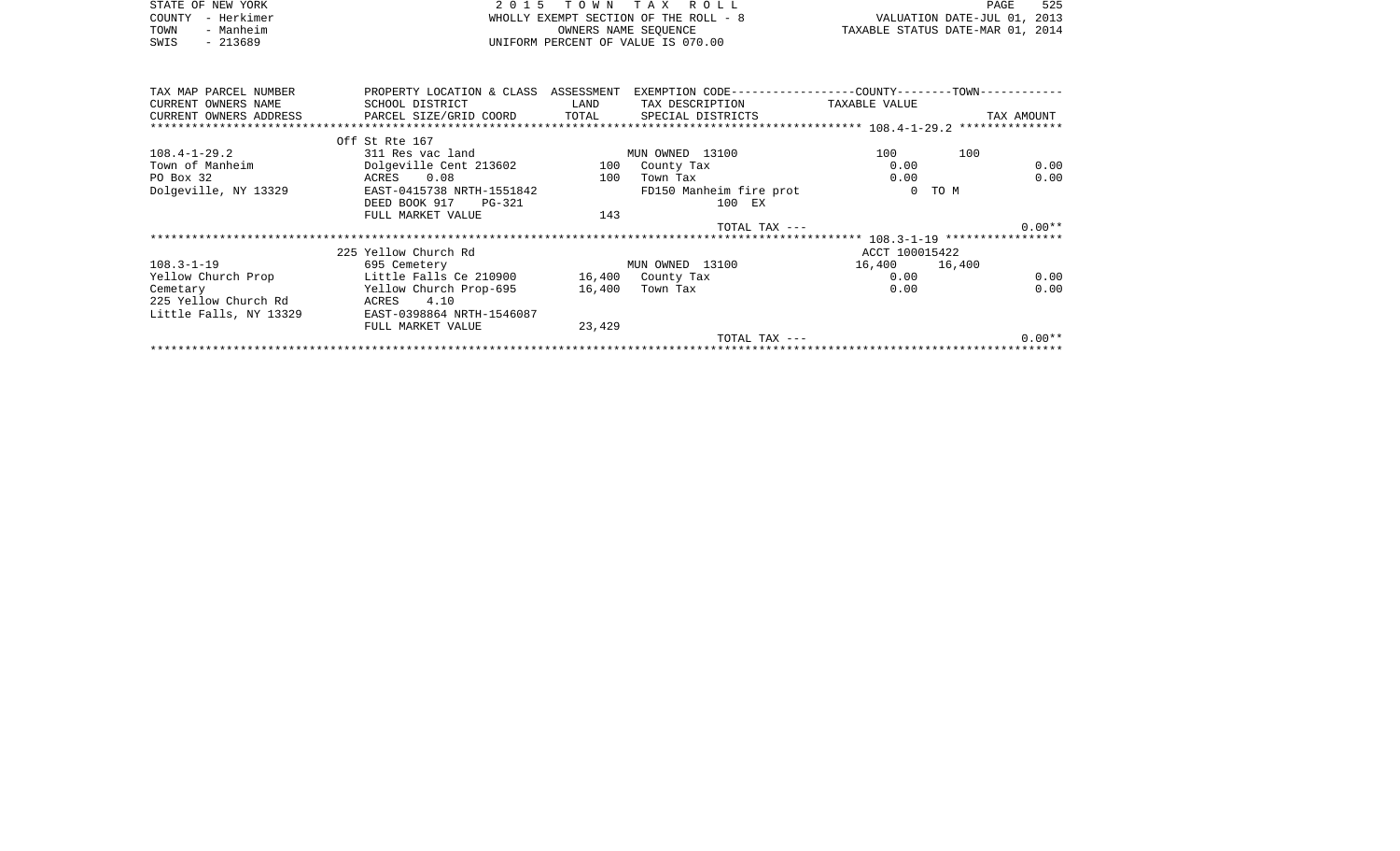| STATE OF NEW YORK<br>- Herkimer<br>COUNTY<br>- Manheim<br>TOWN<br>SWIS<br>$-213689$ | 2015                                                                   | T O W N<br>OWNERS NAME SEOUENCE | T A X<br>R O L L<br>WHOLLY EXEMPT SECTION OF THE ROLL - 8<br>UNIFORM PERCENT OF VALUE IS 070.00     | TAXABLE STATUS DATE-MAR 01, 2014 | PAGE<br>VALUATION DATE-JUL 01, 2013 | 525  |
|-------------------------------------------------------------------------------------|------------------------------------------------------------------------|---------------------------------|-----------------------------------------------------------------------------------------------------|----------------------------------|-------------------------------------|------|
| TAX MAP PARCEL NUMBER<br>CURRENT OWNERS NAME<br>CURRENT OWNERS ADDRESS              | PROPERTY LOCATION & CLASS<br>SCHOOL DISTRICT<br>PARCEL SIZE/GRID COORD | ASSESSMENT<br>LAND<br>TOTAL     | EXEMPTION CODE-----------------COUNTY-------TOWN-----------<br>TAX DESCRIPTION<br>SPECIAL DISTRICTS | TAXABLE VALUE                    | TAX AMOUNT                          |      |
|                                                                                     |                                                                        |                                 |                                                                                                     |                                  |                                     |      |
|                                                                                     | Off St Rte 167                                                         |                                 |                                                                                                     |                                  |                                     |      |
| $108.4 - 1 - 29.2$                                                                  | 311 Res vac land                                                       |                                 | MUN OWNED 13100                                                                                     | 100                              | 100                                 |      |
| Town of Manheim                                                                     | Dolgeville Cent 213602                                                 | 100                             | County Tax                                                                                          | 0.00                             |                                     | 0.00 |
| PO Box 32                                                                           | 0.08<br>ACRES                                                          | 100                             | Town Tax                                                                                            | 0.00                             |                                     | 0.00 |

TOTAL TAX --- 0.00\*\* \*\*\*\*\*\*\*\*\*\*\*\*\*\*\*\*\*\*\*\*\*\*\*\*\*\*\*\*\*\*\*\*\*\*\*\*\*\*\*\*\*\*\*\*\*\*\*\*\*\*\*\*\*\*\*\*\*\*\*\*\*\*\*\*\*\*\*\*\*\*\*\*\*\*\*\*\*\*\*\*\*\*\*\*\*\*\*\*\*\*\*\*\*\*\*\*\*\*\*\*\*\*\* 108.3-1-19 \*\*\*\*\*\*\*\*\*\*\*\*\*\*\*\*\*

\*\*\*\*\*\*\*\*\*\*\*\*\*\*\*\*\*\*\*\*\*\*\*\*\*\*\*\*\*\*\*\*\*\*\*\*\*\*\*\*\*\*\*\*\*\*\*\*\*\*\*\*\*\*\*\*\*\*\*\*\*\*\*\*\*\*\*\*\*\*\*\*\*\*\*\*\*\*\*\*\*\*\*\*\*\*\*\*\*\*\*\*\*\*\*\*\*\*\*\*\*\*\*\*\*\*\*\*\*\*\*\*\*\*\*\*\*\*\*\*\*\*\*\*\*\*\*\*\*\*\*\*

225 Yellow Church Rd ACCT 100015422

Yellow Church Prop Little Falls Ce 210900 16,400 County Tax 0.00 0.00

16,400

TOTAL TAX  $---$  0.00\*\*

Dolgeville, NY 13329 EAST-0415738 NRTH-1551842 FD150 Manheim fire prot 0 TO M<br>DEED BOOK 917 PG-321 100 EX

108.3-1-19 695 Cemetery MUN OWNED 13100 16,400 16,400

DEED BOOK 917 PG-321

ACRES 4.10

Cemetary Tellow Church Prop-695

Little Falls, NY 13329 EAST-0398864 NRTH-1546087

225 Yellow Church Rd

FULL MARKET VALUE 143

FULL MARKET VALUE 23,429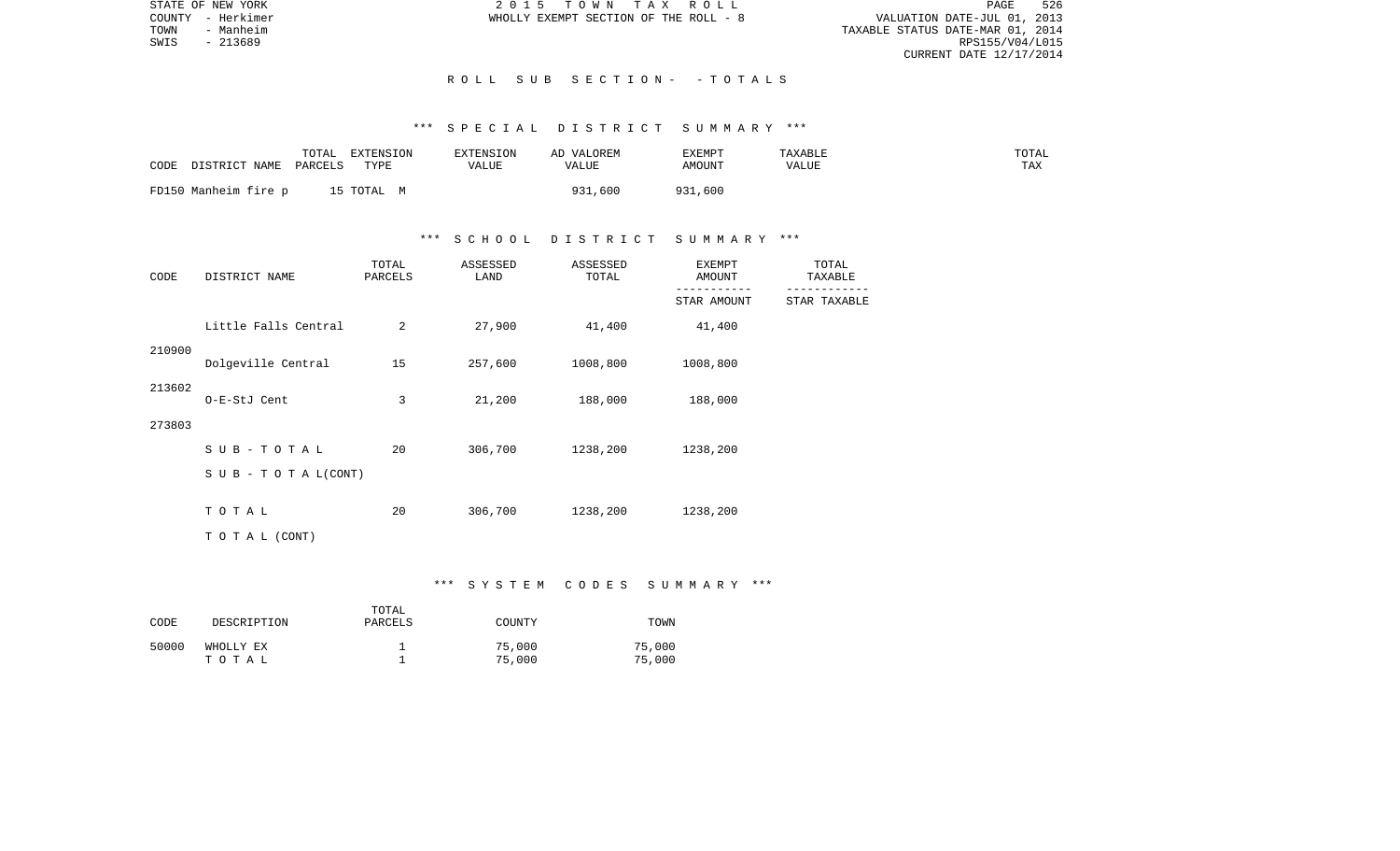PAGE 526 TOWN - MERINE TOWN - MANUSCOUNTY - MERINE TOWN - MANUSCOUNTY - MERINE TOWN - MANUSCOUNTY - MANUSCOUNTY - MANUSCOUNTY - MANUSCOUNTY - MANUSCOUNTY - MANUSCOUNTY - MANUSCOUNTY - MANUSCOUNTY - MANUSCOUNTY - MANUSCOUNTY - MANUS RPS155/V04/L015 CURRENT DATE 12/17/2014

STATE OF NEW YORK **2015 TOWN TAX ROLL** COUNTY - Herkimer WHOLLY EXEMPT SECTION OF THE ROLL - 8

## R O L L S U B S E C T I O N - - T O T A L S

## \*\*\* S P E C I A L D I S T R I C T S U M M A R Y \*\*\*

| CODE<br>DISTRICT NAME | TOTAL<br>EXTENSION<br>TYPE<br>PARCELS | <b>EXTENSION</b><br>VALUE | AD VALOREM<br>VALUE | EXEMPT<br>AMOUNT | TAXABLE<br>VALUE | TOTAL<br>TAX |
|-----------------------|---------------------------------------|---------------------------|---------------------|------------------|------------------|--------------|
| FD150 Manheim fire p  | 15 TOTAL M                            |                           | 931,600             | 931,600          |                  |              |

## \*\*\* S C H O O L D I S T R I C T S U M M A R Y \*\*\*

| CODE   | DISTRICT NAME                    | TOTAL<br>PARCELS | ASSESSED<br>LAND | ASSESSED<br>TOTAL | <b>EXEMPT</b><br>AMOUNT | TOTAL<br>TAXABLE |
|--------|----------------------------------|------------------|------------------|-------------------|-------------------------|------------------|
|        |                                  |                  |                  |                   | STAR AMOUNT             | STAR TAXABLE     |
|        | Little Falls Central             | 2                | 27,900           | 41,400            | 41,400                  |                  |
| 210900 | Dolgeville Central               | 15               | 257,600          | 1008,800          | 1008,800                |                  |
| 213602 | O-E-StJ Cent                     | 3                | 21,200           | 188,000           | 188,000                 |                  |
| 273803 |                                  |                  |                  |                   |                         |                  |
|        | $SUB - TO T AL$                  | 20               | 306,700          | 1238,200          | 1238,200                |                  |
|        | $S \cup B - T \cup T A L (CONT)$ |                  |                  |                   |                         |                  |
|        | TOTAL                            | 20               | 306,700          | 1238,200          | 1238,200                |                  |
|        | TO TAL (CONT)                    |                  |                  |                   |                         |                  |

### \*\*\* S Y S T E M C O D E S S U M M A R Y \*\*\*

| CODE  | DESCRIPTION        | TOTAL<br>PARCELS | COUNTY           | TOWN             |
|-------|--------------------|------------------|------------------|------------------|
| 50000 | WHOLLY EX<br>тотаь |                  | 75,000<br>75,000 | 75,000<br>75,000 |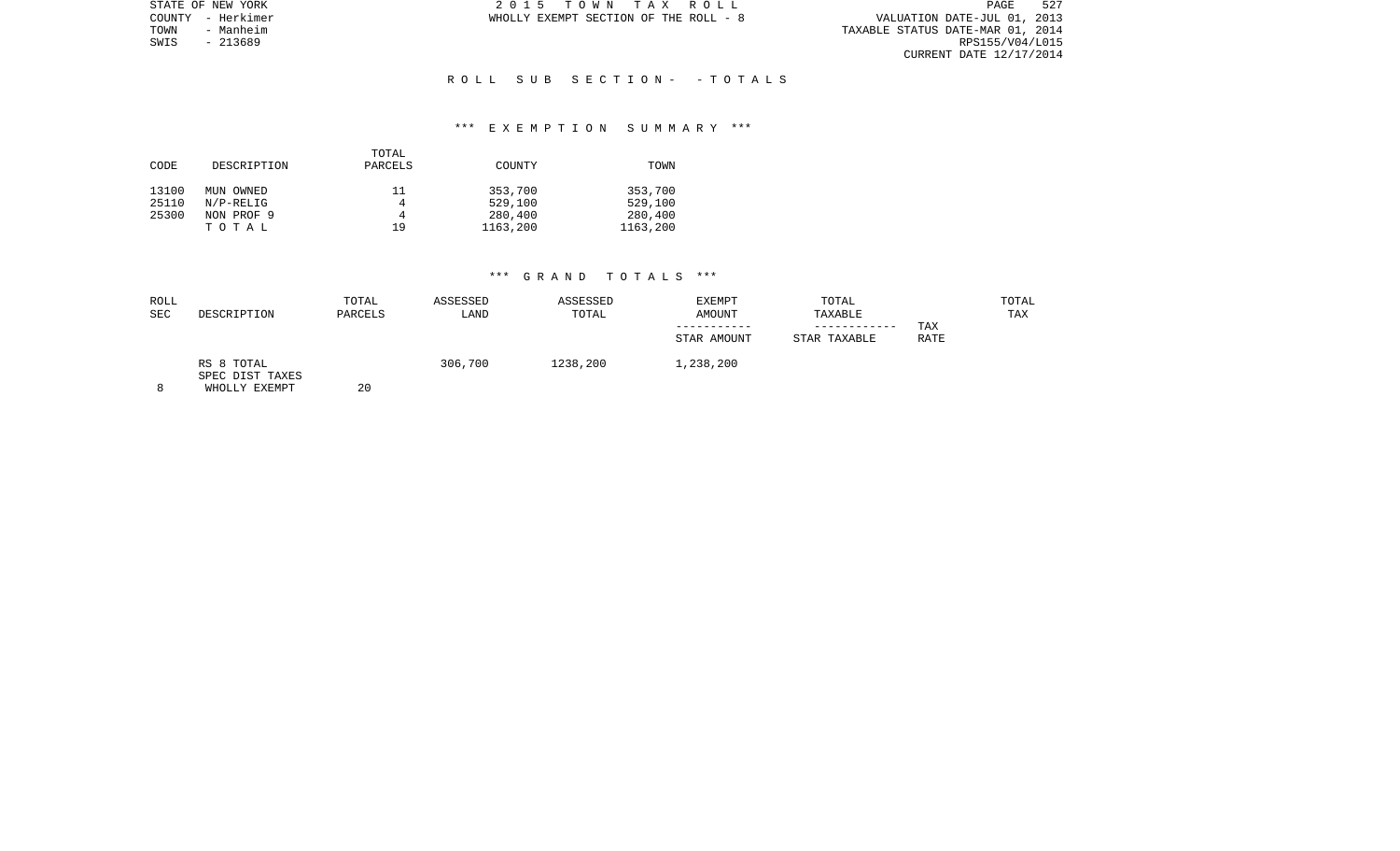|      | STATE OF NEW YORK | 2015 TOWN TAX ROLL                    |  | PAGE                             | 527 |
|------|-------------------|---------------------------------------|--|----------------------------------|-----|
|      | COUNTY - Herkimer | WHOLLY EXEMPT SECTION OF THE ROLL - 8 |  | VALUATION DATE-JUL 01, 2013      |     |
| TOWN | - Manheim         |                                       |  | TAXABLE STATUS DATE-MAR 01, 2014 |     |
| SWIS | - 213689          |                                       |  | RPS155/V04/L015                  |     |
|      |                   |                                       |  | CURRENT DATE 12/17/2014          |     |

## R O L L S U B S E C T I O N - - T O T A L S

### \*\*\* E X E M P T I O N S U M M A R Y \*\*\*

|       |              | TOTAL   |          |          |
|-------|--------------|---------|----------|----------|
| CODE  | DESCRIPTION  | PARCELS | COUNTY   | TOWN     |
|       |              |         |          |          |
| 13100 | MUN OWNED    | 11      | 353,700  | 353,700  |
| 25110 | $N/P-RELLIG$ | 4       | 529,100  | 529,100  |
| 25300 | NON PROF 9   | 4       | 280,400  | 280,400  |
|       | TOTAL        | 19      | 1163,200 | 1163,200 |

| ROLL<br><b>SEC</b> | DESCRIPTION                                    | TOTAL<br>PARCELS | ASSESSED<br>LAND | ASSESSED<br>TOTAL | EXEMPT<br>AMOUNT<br>STAR AMOUNT | TOTAL<br>TAXABLE<br>------------<br>STAR TAXABLE | TAX<br><b>RATE</b> | TOTAL<br>TAX |
|--------------------|------------------------------------------------|------------------|------------------|-------------------|---------------------------------|--------------------------------------------------|--------------------|--------------|
|                    | RS 8 TOTAL<br>SPEC DIST TAXES<br>WHOLLY EXEMPT | 20               | 306,700          | 1238,200          | 1,238,200                       |                                                  |                    |              |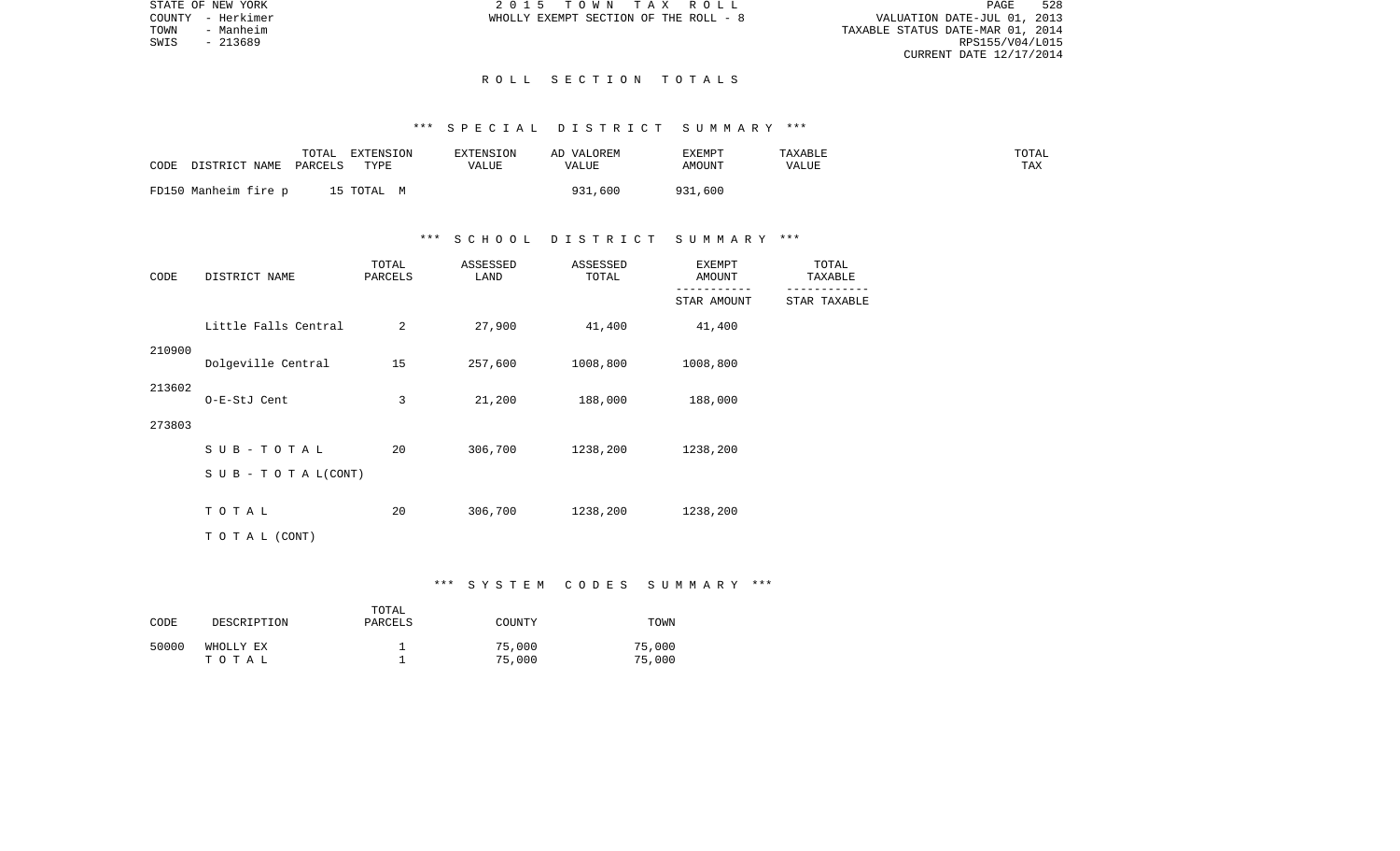PAGE 528 TOWN - MERCINE TRANSPORTED THE ROLL - 8<br>TOWN - Manheim - Manheim - MANHEIM - MANHEIM - MANHEIM - MANHEIM - MANHEIM - MANHEIM - MANHEIM - MANHEIM - MAN<br>TAXABLE STATUS DATE-MAR 01, 2014<br>SWIS - 213689 CURRENT DATE 12/17/2014

STATE OF NEW YORK **2015 TOWN TAX ROLL** COUNTY - Herkimer WHOLLY EXEMPT SECTION OF THE ROLL - 8

SWIS - 213689

#### R O L L S E C T I O N T O T A L S

## \*\*\* S P E C I A L D I S T R I C T S U M M A R Y \*\*\*

| CODE | DISTRICT NAME PARCELS | TOTAL | EXTENSION<br>TYPE | EXTENSION<br>VALUE | AD VALOREM<br>VALUE | EXEMPT<br>AMOUNT | TAXABLE<br>VALUE | TOTAL<br>TAX |
|------|-----------------------|-------|-------------------|--------------------|---------------------|------------------|------------------|--------------|
|      | FD150 Manheim fire p  |       | 15 TOTAL M        |                    | 31,600<br>931       | 931<br>931,600   |                  |              |

## \*\*\* S C H O O L D I S T R I C T S U M M A R Y \*\*\*

| CODE   | DISTRICT NAME        | TOTAL<br>PARCELS | ASSESSED<br>LAND | ASSESSED<br>TOTAL | <b>EXEMPT</b><br>AMOUNT | TOTAL<br>TAXABLE |
|--------|----------------------|------------------|------------------|-------------------|-------------------------|------------------|
|        |                      |                  |                  |                   | STAR AMOUNT             | STAR TAXABLE     |
|        | Little Falls Central | 2                | 27,900           | 41,400            | 41,400                  |                  |
| 210900 | Dolgeville Central   | 15               | 257,600          | 1008,800          | 1008,800                |                  |
| 213602 | O-E-StJ Cent         | 3                | 21,200           | 188,000           | 188,000                 |                  |
| 273803 |                      |                  |                  |                   |                         |                  |
|        | $SUB - TO T AL$      | 20               | 306,700          | 1238,200          | 1238,200                |                  |
|        | SUB - TO TAL(CONT)   |                  |                  |                   |                         |                  |
|        | TOTAL                | 20               | 306,700          | 1238,200          | 1238,200                |                  |
|        | TO TAL (CONT)        |                  |                  |                   |                         |                  |

## \*\*\* S Y S T E M C O D E S S U M M A R Y \*\*\*

| CODE  | DESCRIPTION        | TOTAL<br>PARCELS | COUNTY           | TOWN             |
|-------|--------------------|------------------|------------------|------------------|
| 50000 | WHOLLY EX<br>тотаь |                  | 75,000<br>75,000 | 75,000<br>75,000 |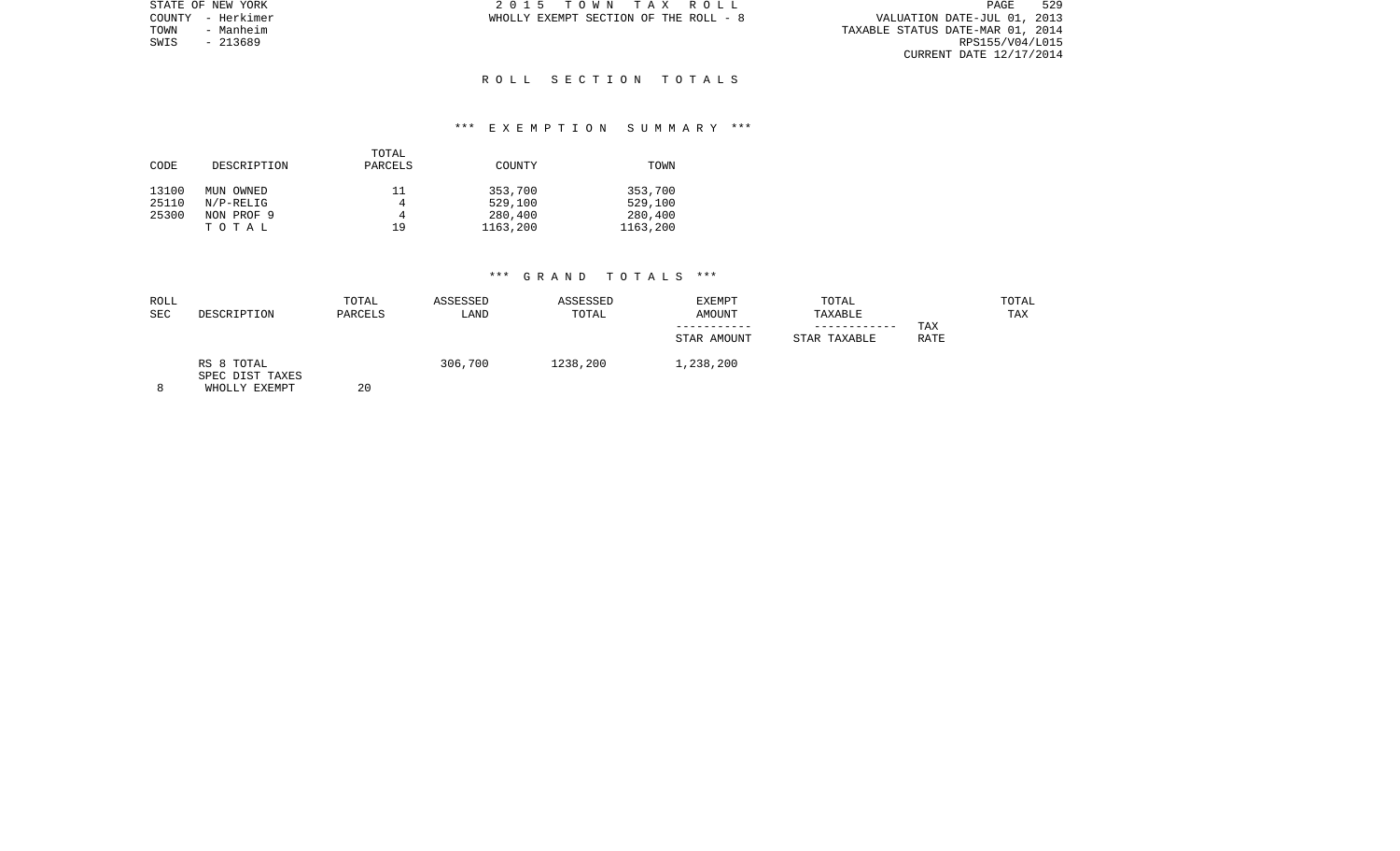| STATE OF NEW YORK |           | 2015 TOWN TAX ROLL                    |  |                                  | PAGE                    | 529 |
|-------------------|-----------|---------------------------------------|--|----------------------------------|-------------------------|-----|
| COUNTY - Herkimer |           | WHOLLY EXEMPT SECTION OF THE ROLL - 8 |  | VALUATION DATE-JUL 01, 2013      |                         |     |
| TOWN              | - Manheim |                                       |  | TAXABLE STATUS DATE-MAR 01, 2014 |                         |     |
| SWIS              | - 213689  |                                       |  |                                  | RPS155/V04/L015         |     |
|                   |           |                                       |  |                                  | CURRENT DATE 12/17/2014 |     |

### R O L L S E C T I O N T O T A L S

## \*\*\* E X E M P T I O N S U M M A R Y \*\*\*

|       |             | TOTAL   |          |          |
|-------|-------------|---------|----------|----------|
| CODE  | DESCRIPTION | PARCELS | COUNTY   | TOWN     |
|       |             |         |          |          |
| 13100 | MUN OWNED   | 11      | 353,700  | 353,700  |
| 25110 | $N/P-RELIG$ | 4       | 529,100  | 529,100  |
| 25300 | NON PROF 9  | 4       | 280,400  | 280,400  |
|       | TOTAL       | 19      | 1163,200 | 1163,200 |

| ROLL<br><b>SEC</b> | DESCRIPTION                                    | TOTAL<br>PARCELS | ASSESSED<br>LAND | ASSESSED<br>TOTAL | <b>EXEMPT</b><br><b>AMOUNT</b><br>STAR AMOUNT | TOTAL<br>TAXABLE<br>----------<br>STAR TAXABLE | TAX<br>RATE | TOTAL<br>TAX |
|--------------------|------------------------------------------------|------------------|------------------|-------------------|-----------------------------------------------|------------------------------------------------|-------------|--------------|
|                    | RS 8 TOTAL<br>SPEC DIST TAXES<br>WHOLLY EXEMPT | 20               | 306,700          | 1238,200          | 1,238,200                                     |                                                |             |              |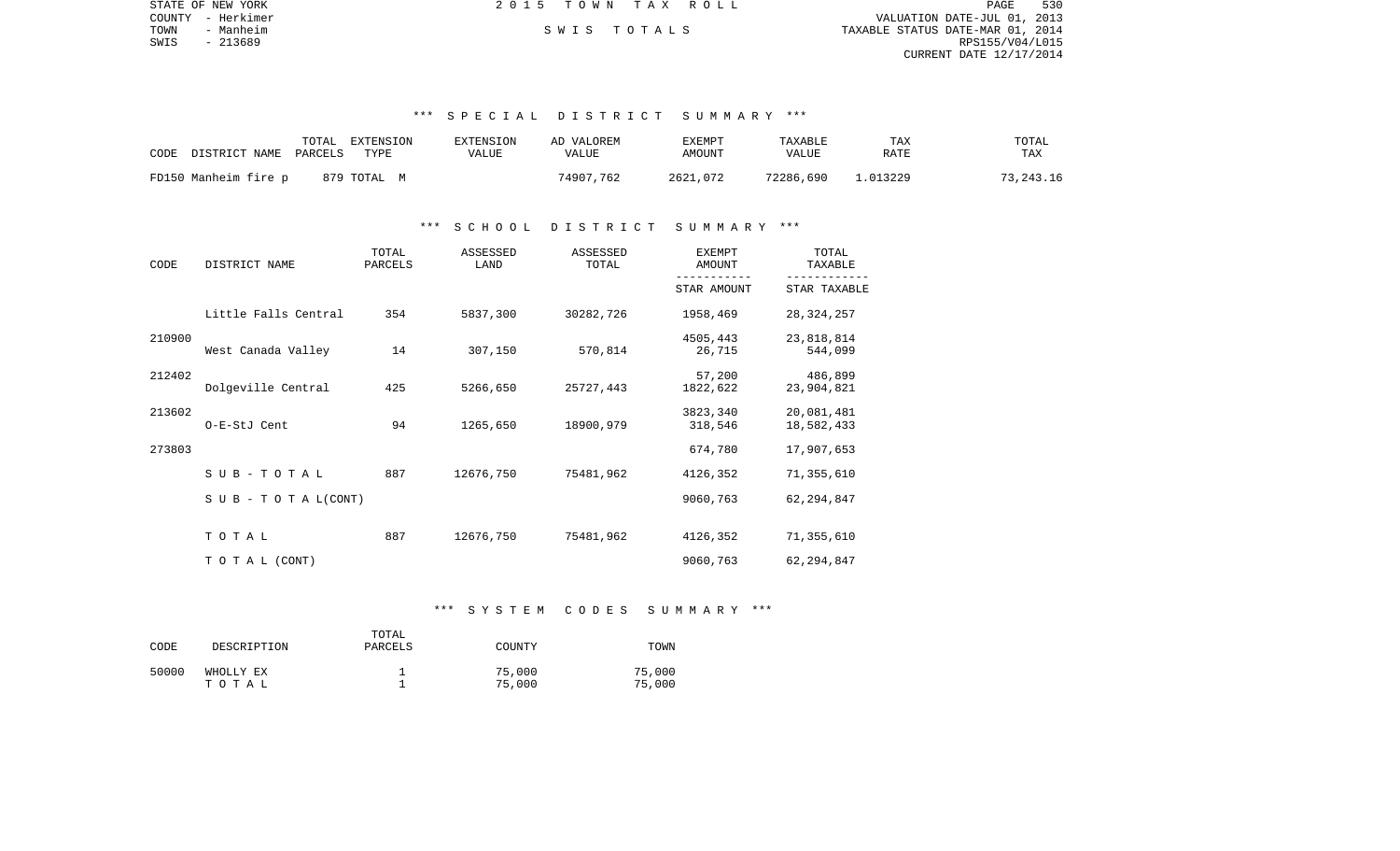|      | STATE OF NEW YORK | 2015 TOWN TAX ROLL |             |                                  | PAGE            | 530 |
|------|-------------------|--------------------|-------------|----------------------------------|-----------------|-----|
|      | COUNTY - Herkimer |                    |             | VALUATION DATE-JUL 01, 2013      |                 |     |
| TOWN | - Manheim         |                    | SWIS TOTALS | TAXABLE STATUS DATE-MAR 01, 2014 |                 |     |
| SWIS | - 213689          |                    |             |                                  | RPS155/V04/L015 |     |
|      |                   |                    |             | CURRENT DATE 12/17/2014          |                 |     |

### \*\*\* S P E C I A L D I S T R I C T S U M M A R Y \*\*\*

| CODE                 | TOTAL   | EXTENSION   | EXTENSION | AD VALOREM | EXEMPT   | TAXABLE   | TAX      | TOTAL     |
|----------------------|---------|-------------|-----------|------------|----------|-----------|----------|-----------|
| DISTRICT NAME        | PARCELS | TYPE        | VALUE     | VALUE      | AMOUNT   | VALUE     | RATE     | TAX       |
| FD150 Manheim fire p |         | 879 TOTAL M |           | 74907.762  | 2621,072 | 72286,690 | 1.013229 | 73,243.16 |

### \*\*\* S C H O O L D I S T R I C T S U M M A R Y \*\*\*

| CODE   | DISTRICT NAME                    | TOTAL<br>PARCELS | ASSESSED<br>LAND | ASSESSED<br>TOTAL | <b>EXEMPT</b><br>AMOUNT | TOTAL<br>TAXABLE         |
|--------|----------------------------------|------------------|------------------|-------------------|-------------------------|--------------------------|
|        |                                  |                  |                  |                   | STAR AMOUNT             | STAR TAXABLE             |
|        | Little Falls Central             | 354              | 5837,300         | 30282,726         | 1958,469                | 28, 324, 257             |
| 210900 | West Canada Valley               | 14               | 307,150          | 570,814           | 4505,443<br>26,715      | 23,818,814<br>544,099    |
| 212402 | Dolgeville Central               | 425              | 5266,650         | 25727,443         | 57,200<br>1822,622      | 486,899<br>23,904,821    |
| 213602 | O-E-StJ Cent                     | 94               | 1265,650         | 18900,979         | 3823,340<br>318,546     | 20,081,481<br>18,582,433 |
| 273803 |                                  |                  |                  |                   | 674,780                 | 17,907,653               |
|        | SUB-TOTAL                        | 887              | 12676,750        | 75481,962         | 4126,352                | 71,355,610               |
|        | $S \cup B - T \cup T A L (CONT)$ |                  |                  |                   | 9060,763                | 62, 294, 847             |
|        | TOTAL                            | 887              | 12676,750        | 75481,962         | 4126,352                | 71,355,610               |
|        | TO TAL (CONT)                    |                  |                  |                   | 9060,763                | 62, 294, 847             |

## \*\*\* S Y S T E M C O D E S S U M M A R Y \*\*\*

| CODE  | DESCRIPTION | TOTAL<br>PARCELS | COUNTY | TOWN   |
|-------|-------------|------------------|--------|--------|
| 50000 | WHOLLY EX   |                  | 75,000 | 75,000 |
|       | тотаь       |                  | 75,000 | 75,000 |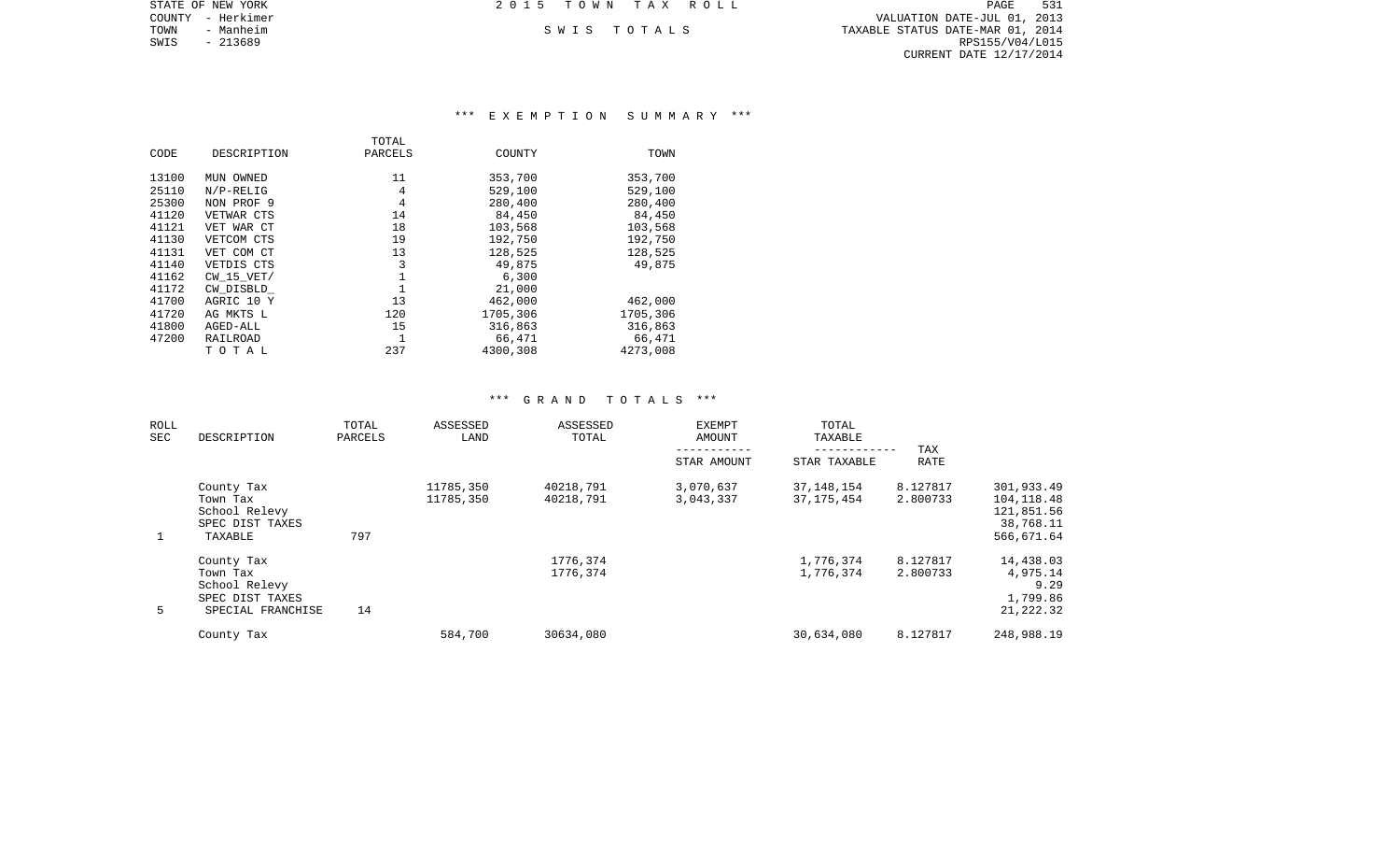|        | STATE OF NEW YORK | 2015 TOWN TAX ROLL |             |                                  | PAGE            | 531 |
|--------|-------------------|--------------------|-------------|----------------------------------|-----------------|-----|
| COUNTY | – Herkimer        |                    |             | VALUATION DATE-JUL 01, 2013      |                 |     |
| TOWN   | - Manheim         |                    | SWIS TOTALS | TAXABLE STATUS DATE-MAR 01, 2014 |                 |     |
| SWIS   | $-213689$         |                    |             |                                  | RPS155/V04/L015 |     |
|        |                   |                    |             | CURRENT DATE 12/17/2014          |                 |     |
|        |                   |                    |             |                                  |                 |     |

## \*\*\* E X E M P T I O N S U M M A R Y \*\*\*

| CODE  | DESCRIPTION    | TOTAL<br>PARCELS | COUNTY   | TOWN     |
|-------|----------------|------------------|----------|----------|
| 13100 | MUN OWNED      | 11               | 353,700  | 353,700  |
| 25110 | $N/P-RELIG$    | 4                | 529,100  | 529,100  |
| 25300 | NON PROF 9     | 4                | 280,400  | 280,400  |
| 41120 | VETWAR CTS     | 14               | 84,450   | 84,450   |
| 41121 | VET WAR CT     | 18               | 103,568  | 103,568  |
| 41130 | VETCOM CTS     | 19               | 192,750  | 192,750  |
| 41131 | VET COM CT     | 13               | 128,525  | 128,525  |
| 41140 | VETDIS CTS     | 3                | 49,875   | 49,875   |
| 41162 | $CW$ 15 $VET/$ |                  | 6,300    |          |
| 41172 | CW DISBLD      |                  | 21,000   |          |
| 41700 | AGRIC 10 Y     | 13               | 462,000  | 462,000  |
| 41720 | AG MKTS L      | 120              | 1705,306 | 1705,306 |
| 41800 | AGED-ALL       | 15               | 316,863  | 316,863  |
| 47200 | RAILROAD       | 1                | 66,471   | 66,471   |
|       | TOTAL          | 237              | 4300,308 | 4273,008 |

| ROLL<br>SEC | DESCRIPTION                                                                     | TOTAL<br>PARCELS | ASSESSED<br>LAND       | ASSESSED<br>TOTAL      | <b>EXEMPT</b><br><b>AMOUNT</b> | TOTAL<br>TAXABLE           | TAX                  |                                                                    |
|-------------|---------------------------------------------------------------------------------|------------------|------------------------|------------------------|--------------------------------|----------------------------|----------------------|--------------------------------------------------------------------|
|             |                                                                                 |                  |                        |                        | STAR AMOUNT                    | STAR TAXABLE               | <b>RATE</b>          |                                                                    |
|             | County Tax<br>Town Tax<br>School Relevy<br>SPEC DIST TAXES<br>TAXABLE           | 797              | 11785,350<br>11785,350 | 40218,791<br>40218,791 | 3,070,637<br>3,043,337         | 37,148,154<br>37, 175, 454 | 8.127817<br>2.800733 | 301,933.49<br>104, 118.48<br>121,851.56<br>38,768.11<br>566,671.64 |
| 5.          | County Tax<br>Town Tax<br>School Relevy<br>SPEC DIST TAXES<br>SPECIAL FRANCHISE | 14               |                        | 1776,374<br>1776,374   |                                | 1,776,374<br>1,776,374     | 8.127817<br>2.800733 | 14,438.03<br>4,975.14<br>9.29<br>1,799.86<br>21, 222.32            |
|             | County Tax                                                                      |                  | 584,700                | 30634,080              |                                | 30,634,080                 | 8.127817             | 248,988.19                                                         |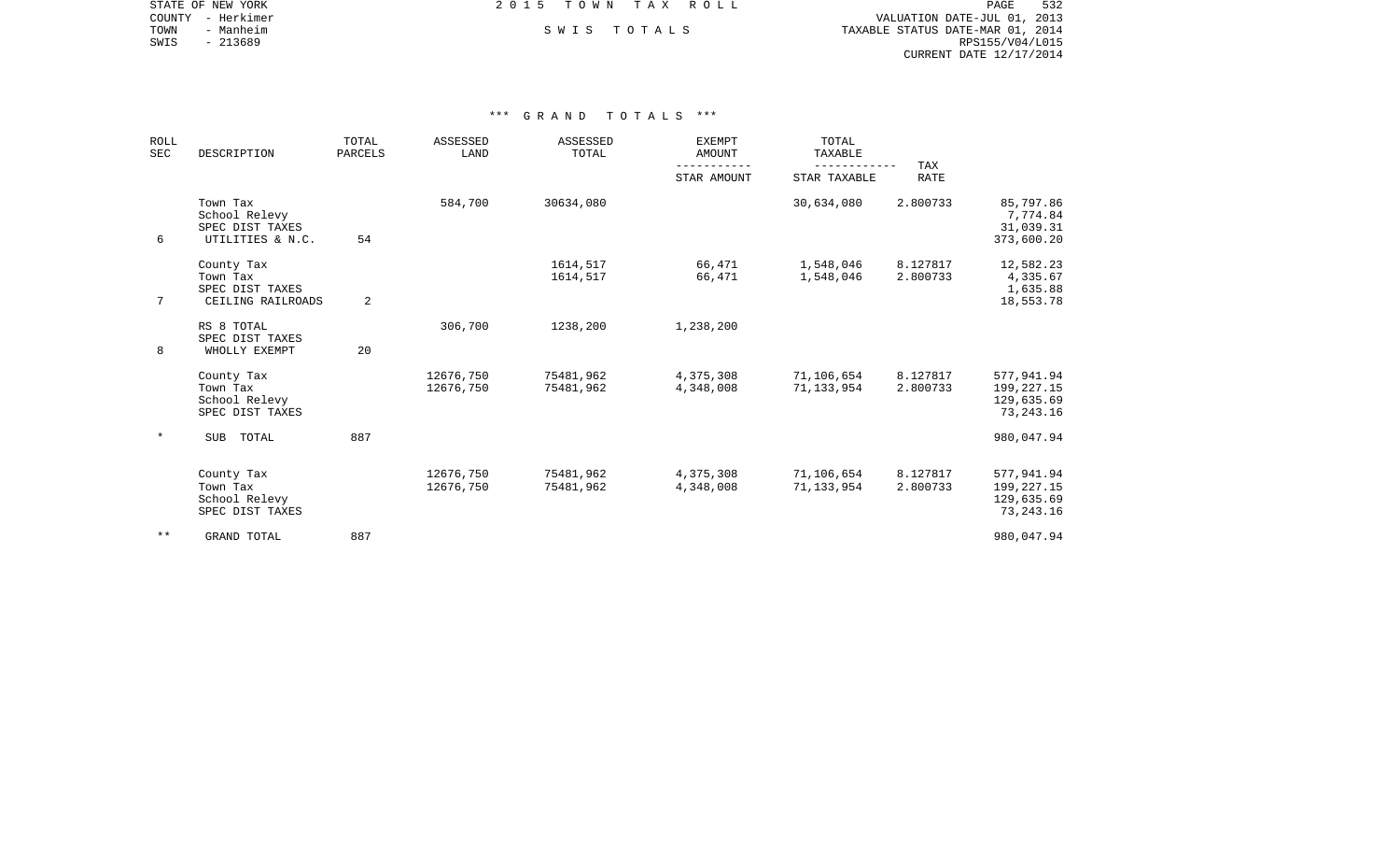| STATE OF NEW YORK | 2015 TOWN TAX ROLL | 532<br>PAGE                      |
|-------------------|--------------------|----------------------------------|
| COUNTY - Herkimer |                    | VALUATION DATE-JUL 01, 2013      |
| TOWN<br>- Manheim | SWIS TOTALS        | TAXABLE STATUS DATE-MAR 01, 2014 |
| - 213689<br>SWIS  |                    | RPS155/V04/L015                  |
|                   |                    | CURRENT DATE 12/17/2014          |

| <b>ROLL</b><br>SEC | DESCRIPTION                                                      | TOTAL<br>PARCELS | ASSESSED<br>LAND       | ASSESSED<br>TOTAL      | <b>EXEMPT</b><br><b>AMOUNT</b><br>--------- | TOTAL<br>TAXABLE<br>---------- | TAX                  |                                                         |
|--------------------|------------------------------------------------------------------|------------------|------------------------|------------------------|---------------------------------------------|--------------------------------|----------------------|---------------------------------------------------------|
|                    |                                                                  |                  |                        |                        | STAR AMOUNT                                 | STAR TAXABLE                   | <b>RATE</b>          |                                                         |
| 6                  | Town Tax<br>School Relevy<br>SPEC DIST TAXES<br>UTILITIES & N.C. | 54               | 584,700                | 30634,080              |                                             | 30,634,080                     | 2.800733             | 85,797.86<br>7,774.84<br>31,039.31<br>373,600.20        |
| 7                  | County Tax<br>Town Tax<br>SPEC DIST TAXES<br>CEILING RAILROADS   | 2                |                        | 1614,517<br>1614,517   | 66,471<br>66,471                            | 1,548,046<br>1,548,046         | 8.127817<br>2.800733 | 12,582.23<br>4,335.67<br>1,635.88<br>18,553.78          |
| 8                  | RS 8 TOTAL<br>SPEC DIST TAXES<br>WHOLLY EXEMPT                   | 20               | 306,700                | 1238,200               | 1,238,200                                   |                                |                      |                                                         |
|                    | County Tax<br>Town Tax<br>School Relevy<br>SPEC DIST TAXES       |                  | 12676,750<br>12676,750 | 75481,962<br>75481,962 | 4,375,308<br>4,348,008                      | 71,106,654<br>71,133,954       | 8.127817<br>2.800733 | 577,941.94<br>199,227.15<br>129,635.69<br>73, 243. 16   |
| $\star$            | <b>SUB</b><br>TOTAL                                              | 887              |                        |                        |                                             |                                |                      | 980,047.94                                              |
|                    | County Tax<br>Town Tax<br>School Relevy<br>SPEC DIST TAXES       |                  | 12676,750<br>12676,750 | 75481,962<br>75481,962 | 4,375,308<br>4,348,008                      | 71,106,654<br>71, 133, 954     | 8.127817<br>2.800733 | 577,941.94<br>199, 227. 15<br>129,635.69<br>73, 243. 16 |
| $* *$              | GRAND TOTAL                                                      | 887              |                        |                        |                                             |                                |                      | 980,047.94                                              |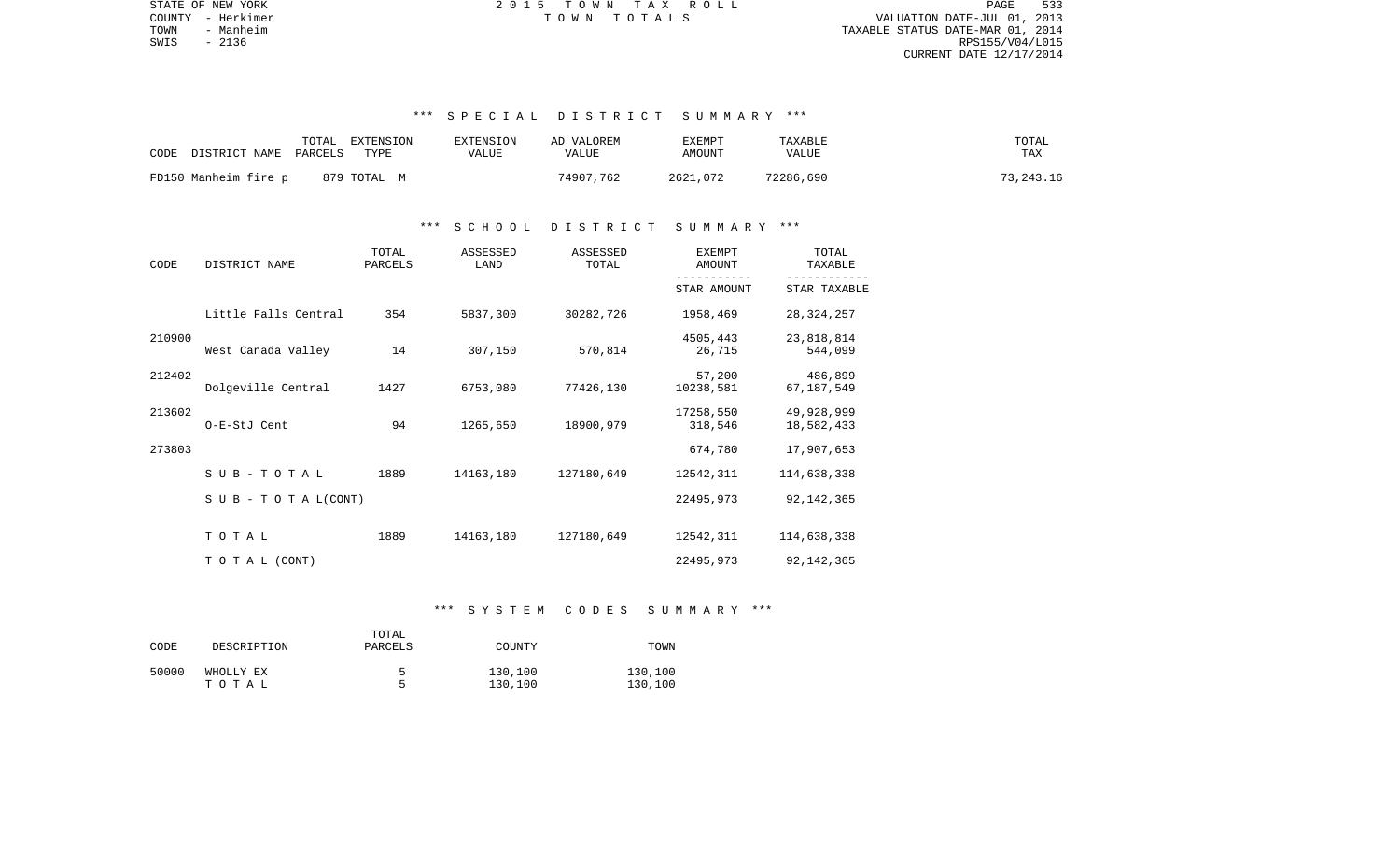PAGE 533 TOWN - Manheim TAXABLE STATUS DATE-MAR 01, 2014  $\texttt{SWIS}$  - 2136 RPS155/V04/L015 CURRENT DATE 12/17/2014

STATE OF NEW YORK 2 0 1 5 T O W N T A X R O L L PAGE 533COUNTY - Herkimer T O W N T O T A L S VALUATION DATE-JUL 01, 2013

## \*\*\* S P E C I A L D I S T R I C T S U M M A R Y \*\*\*

| CODE<br>DISTRICT NAME | TOTAL<br>EXTENSION<br>PARCELS<br>TYPE | EXTENSION<br>VALUE | AD VALOREM<br>VALUE | EXEMPT<br>AMOUNT | TAXABLE<br>VALUE | TOTAL<br>TAX |
|-----------------------|---------------------------------------|--------------------|---------------------|------------------|------------------|--------------|
| FD150 Manheim fire p  | 879 TOTAL M                           |                    | 74907,762           | 2621,072         | 72286,690        | 73,243.16    |

#### \*\*\* S C H O O L D I S T R I C T S U M M A R Y \*\*\*

| CODE   | DISTRICT NAME                    | TOTAL<br>PARCELS | ASSESSED<br>LAND | ASSESSED<br>TOTAL | EXEMPT<br>AMOUNT     | TOTAL<br>TAXABLE         |
|--------|----------------------------------|------------------|------------------|-------------------|----------------------|--------------------------|
|        |                                  |                  |                  |                   | STAR AMOUNT          | STAR TAXABLE             |
|        | Little Falls Central             | 354              | 5837,300         | 30282,726         | 1958,469             | 28, 324, 257             |
| 210900 | West Canada Valley               | 14               | 307,150          | 570,814           | 4505,443<br>26,715   | 23,818,814<br>544,099    |
| 212402 | Dolgeville Central               | 1427             | 6753,080         | 77426,130         | 57,200<br>10238,581  | 486,899<br>67, 187, 549  |
| 213602 | O-E-StJ Cent                     | 94               | 1265,650         | 18900,979         | 17258,550<br>318,546 | 49,928,999<br>18,582,433 |
| 273803 |                                  |                  |                  |                   | 674,780              | 17,907,653               |
|        | $S$ U B - T O T A L              | 1889             | 14163,180        | 127180,649        | 12542,311            | 114,638,338              |
|        | $S \cup B - T \cup T A L (CONT)$ |                  |                  |                   | 22495,973            | 92, 142, 365             |
|        | TOTAL                            | 1889             | 14163,180        | 127180,649        | 12542,311            | 114,638,338              |
|        | T O T A L (CONT)                 |                  |                  |                   | 22495,973            | 92, 142, 365             |

#### \*\*\* S Y S T E M C O D E S S U M M A R Y \*\*\*

| CODE  | DESCRIPTION | TOTAL<br>PARCELS | COUNTY  | TOWN    |
|-------|-------------|------------------|---------|---------|
| 50000 | WHOLLY EX   |                  | 130,100 | 130,100 |
|       | тотаь       | ᄃ                | 130,100 | 130,100 |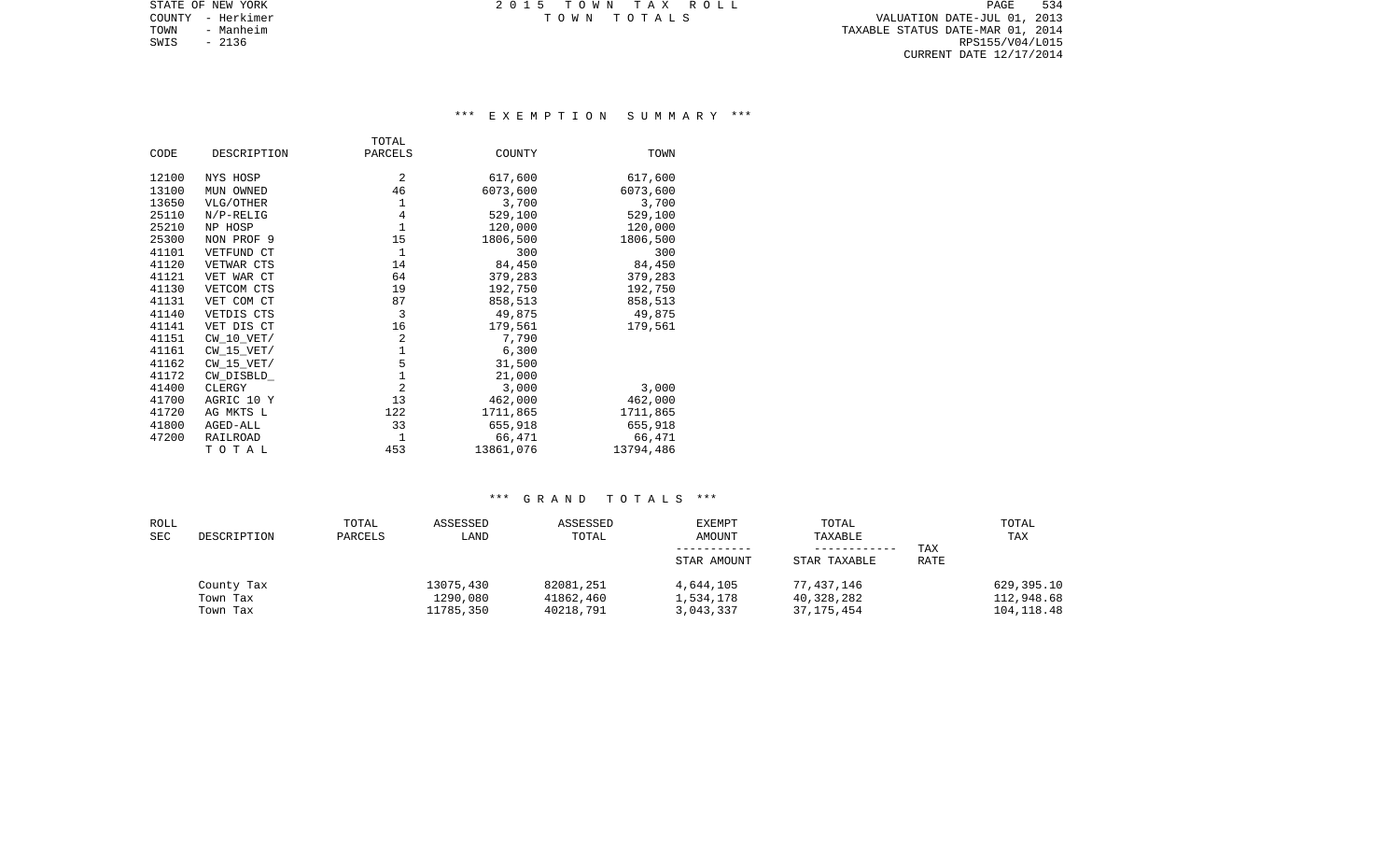TOWN - Manheim TAXABLE STATUS DATE-MAR 01, 2014  $\texttt{SWIS}$  - 2136 RPS155/V04/L015 CURRENT DATE 12/17/2014

STATE OF NEW YORK **EXECUTE:** A G ALL TOWN TAX ROLL COUNTY - Herkimer T O W N T O T A L S VALUATION DATE-JUL 01, 2013

## \*\*\* E X E M P T I O N S U M M A R Y \*\*\*

|       |                 | TOTAL          |           |           |
|-------|-----------------|----------------|-----------|-----------|
| CODE  | DESCRIPTION     | PARCELS        | COUNTY    | TOWN      |
| 12100 | NYS HOSP        | 2              | 617,600   | 617,600   |
|       |                 |                |           |           |
| 13100 | MUN OWNED       | 46             | 6073,600  | 6073,600  |
| 13650 | VLG/OTHER       | 1              | 3,700     | 3,700     |
| 25110 | $N/P-RELIG$     | 4              | 529,100   | 529,100   |
| 25210 | NP HOSP         | $\mathbf{1}$   | 120,000   | 120,000   |
| 25300 | NON PROF 9      | 15             | 1806,500  | 1806,500  |
| 41101 | VETFUND CT      | $\mathbf{1}$   | 300       | 300       |
| 41120 | VETWAR CTS      | 14             | 84,450    | 84,450    |
| 41121 | VET WAR CT      | 64             | 379,283   | 379,283   |
| 41130 | VETCOM CTS      | 19             | 192,750   | 192,750   |
| 41131 | VET COM CT      | 87             | 858,513   | 858,513   |
| 41140 | VETDIS CTS      | 3              | 49,875    | 49,875    |
| 41141 | VET DIS CT      | 16             | 179,561   | 179,561   |
| 41151 | $CW$ 10 $VET/$  | 2              | 7,790     |           |
| 41161 | CW 15 VET/      | 1              | 6,300     |           |
| 41162 | $CW_15_VET/$    | 5              | 31,500    |           |
| 41172 | CW_DISBLD_      | $\mathbf{1}$   | 21,000    |           |
| 41400 | CLERGY          | $\overline{2}$ | 3,000     | 3,000     |
| 41700 | AGRIC 10 Y      | 13             | 462,000   | 462,000   |
| 41720 | AG MKTS L       | 122            | 1711,865  | 1711,865  |
| 41800 | AGED-ALL        | 33             | 655,918   | 655,918   |
| 47200 | <b>RAILROAD</b> | $\mathbf{1}$   | 66,471    | 66,471    |
|       | TOTAL           | 453            | 13861,076 | 13794,486 |

| ROLL<br>SEC | DESCRIPTION                        | TOTAL<br>PARCELS | ASSESSED<br>LAND                   | ASSESSED<br>TOTAL                   | <b>EXEMPT</b><br>AMOUNT<br>STAR AMOUNT | TOTAL<br>TAXABLE<br>STAR TAXABLE       | TAX<br><b>RATE</b> | TOTAL<br>TAX                            |
|-------------|------------------------------------|------------------|------------------------------------|-------------------------------------|----------------------------------------|----------------------------------------|--------------------|-----------------------------------------|
|             | County Tax<br>Town Tax<br>Town Tax |                  | 13075,430<br>1290,080<br>11785,350 | 82081,251<br>41862,460<br>40218,791 | 4,644,105<br>1,534,178<br>3,043,337    | 77,437,146<br>40,328,282<br>37,175,454 |                    | 629,395.10<br>112,948.68<br>104, 118.48 |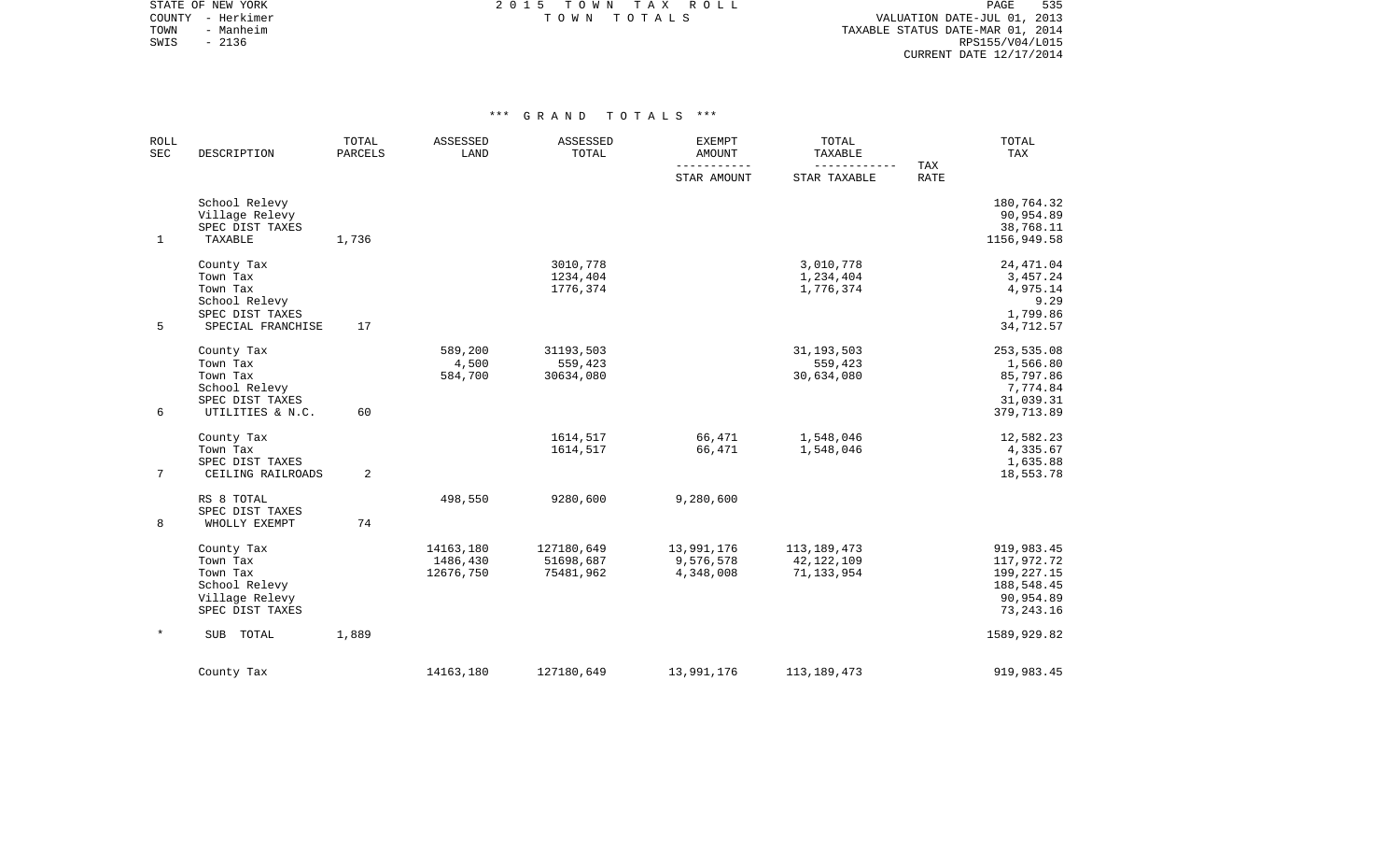STATE OF NEW YORK **EXECUTE:**  $2015$  TOWN TAX ROLL COUNTY - Herkimer T O W N T O T A L S VALUATION DATE-JUL 01, 2013

TOWN - Manheim TAXABLE STATUS DATE-MAR 01, 2014 SWIS - Manheim - Ambre 1999, Ambre 1999, Ambre 1999, Ambre 1999, Ambre 1999, Ambre 1999, Ambre 1999, Ambre 199<br>SWIS - 2136 RPS155/V04/L015 CURRENT DATE 12/17/2014

| <b>ROLL</b><br><b>SEC</b> | DESCRIPTION                                                                                 | TOTAL<br><b>PARCELS</b> | ASSESSED<br>LAND                   | ASSESSED<br>TOTAL                    | <b>EXEMPT</b><br><b>AMOUNT</b><br>----------- | TOTAL<br>TAXABLE<br>------------              | TAX         | TOTAL<br>TAX                                                                       |
|---------------------------|---------------------------------------------------------------------------------------------|-------------------------|------------------------------------|--------------------------------------|-----------------------------------------------|-----------------------------------------------|-------------|------------------------------------------------------------------------------------|
|                           |                                                                                             |                         |                                    |                                      | STAR AMOUNT                                   | STAR TAXABLE                                  | <b>RATE</b> |                                                                                    |
| $\mathbf{1}$              | School Relevy<br>Village Relevy<br>SPEC DIST TAXES<br>TAXABLE                               | 1,736                   |                                    |                                      |                                               |                                               |             | 180,764.32<br>90,954.89<br>38,768.11<br>1156,949.58                                |
| 5                         | County Tax<br>Town Tax<br>Town Tax<br>School Relevy<br>SPEC DIST TAXES<br>SPECIAL FRANCHISE | 17                      |                                    | 3010,778<br>1234,404<br>1776,374     |                                               | 3,010,778<br>1,234,404<br>1,776,374           |             | 24, 471.04<br>3,457.24<br>4,975.14<br>9.29<br>1,799.86<br>34,712.57                |
| 6                         | County Tax<br>Town Tax<br>Town Tax<br>School Relevy<br>SPEC DIST TAXES<br>UTILITIES & N.C.  | 60                      | 589,200<br>4,500<br>584,700        | 31193,503<br>559,423<br>30634,080    |                                               | 31, 193, 503<br>559,423<br>30,634,080         |             | 253,535.08<br>1,566.80<br>85,797.86<br>7,774.84<br>31,039.31<br>379,713.89         |
| $7\phantom{.}$            | County Tax<br>Town Tax<br>SPEC DIST TAXES<br>CEILING RAILROADS                              | 2                       |                                    | 1614,517<br>1614,517                 | 66,471<br>66,471                              | 1,548,046<br>1,548,046                        |             | 12,582.23<br>4,335.67<br>1,635.88<br>18,553.78                                     |
| 8                         | RS 8 TOTAL<br>SPEC DIST TAXES<br>WHOLLY EXEMPT                                              | 74                      | 498,550                            | 9280,600                             | 9,280,600                                     |                                               |             |                                                                                    |
|                           | County Tax<br>Town Tax<br>Town Tax<br>School Relevy<br>Village Relevy<br>SPEC DIST TAXES    |                         | 14163,180<br>1486,430<br>12676,750 | 127180,649<br>51698,687<br>75481,962 | 13,991,176<br>9,576,578<br>4,348,008          | 113, 189, 473<br>42, 122, 109<br>71, 133, 954 |             | 919,983.45<br>117,972.72<br>199, 227. 15<br>188,548.45<br>90,954.89<br>73, 243. 16 |
|                           | <b>SUB</b><br>TOTAL                                                                         | 1,889                   |                                    |                                      |                                               |                                               |             | 1589,929.82                                                                        |
|                           | County Tax                                                                                  |                         | 14163,180                          | 127180,649                           | 13,991,176                                    | 113, 189, 473                                 |             | 919,983.45                                                                         |